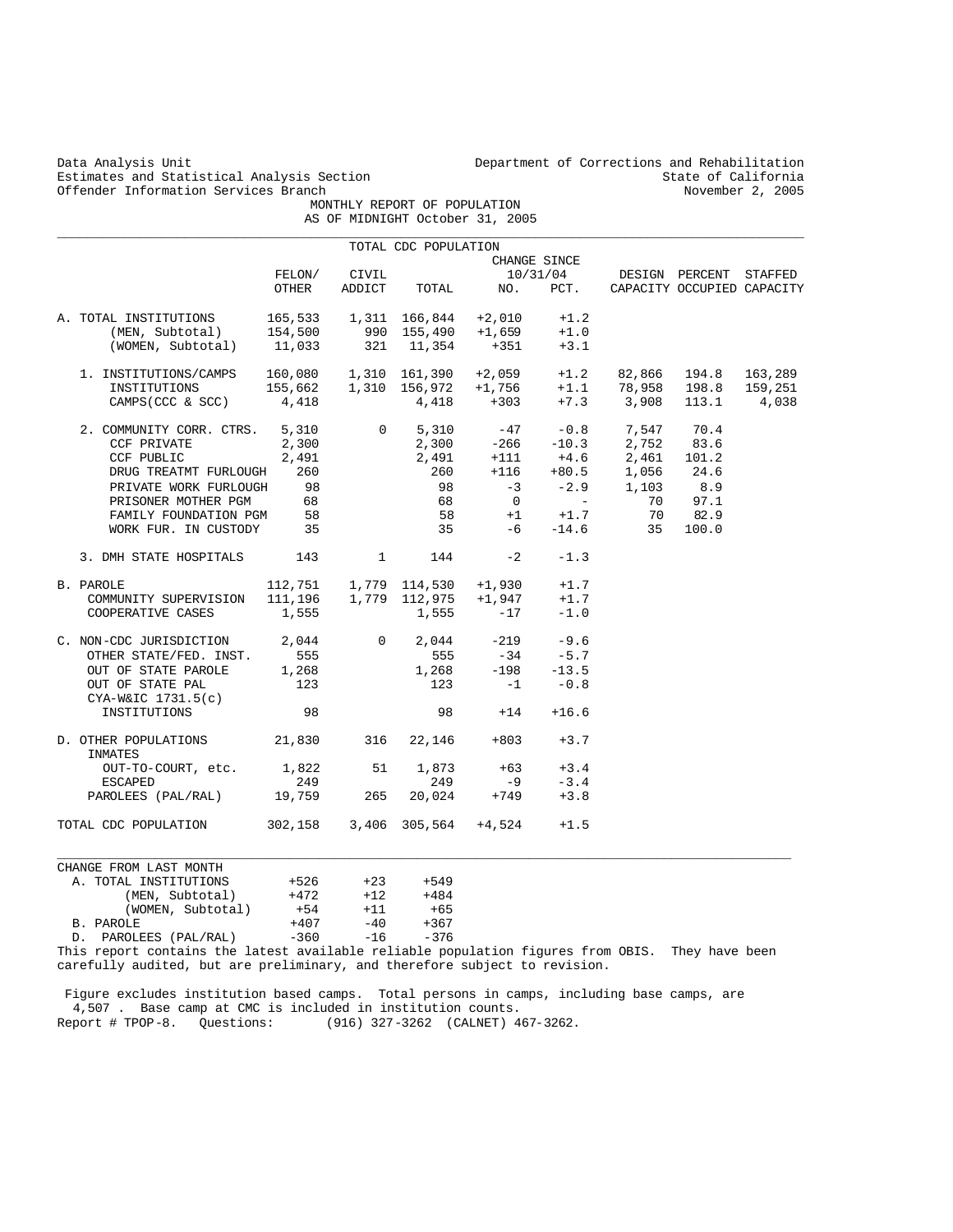Estimates and Statistical Analysis Section and State of California (State of California of California of California of California (State of California of California of California (State of California of California of Calif Offender Information Services Branch

Data Analysis Unit Unit Department of Corrections and Rehabilitation<br>Estimates and Statistical Analysis Section State of California

 MONTHLY REPORT OF POPULATION AS OF MIDNIGHT October 31, 2005

|                                                                                                                                                                                                          |                 |                        | TOTAL CDC POPULATION         |                               |              |                                                                                                                                                                                                                   |                            |       |
|----------------------------------------------------------------------------------------------------------------------------------------------------------------------------------------------------------|-----------------|------------------------|------------------------------|-------------------------------|--------------|-------------------------------------------------------------------------------------------------------------------------------------------------------------------------------------------------------------------|----------------------------|-------|
|                                                                                                                                                                                                          |                 |                        |                              |                               | CHANGE SINCE |                                                                                                                                                                                                                   |                            |       |
|                                                                                                                                                                                                          | OTHER           | FELON/ CIVIL<br>ADDICT | TOTAL                        | NO. PCT.                      |              | 10/31/04 DESIGN PERCENT STAFFED                                                                                                                                                                                   | CAPACITY OCCUPIED CAPACITY |       |
|                                                                                                                                                                                                          |                 |                        |                              |                               |              |                                                                                                                                                                                                                   |                            |       |
| A. TOTAL INSTITUTIONS $165,533$ 1,311 166,844 +2,010 +1.2<br>(MEN, Subtotal) 154,500 990 155,490 +1,659 +1.0                                                                                             |                 |                        |                              |                               |              |                                                                                                                                                                                                                   |                            |       |
|                                                                                                                                                                                                          |                 |                        |                              |                               |              |                                                                                                                                                                                                                   |                            |       |
| (WOMEN, Subtotal) 11,033                                                                                                                                                                                 |                 |                        | 321 11,354                   | $+351$                        | $+3.1$       |                                                                                                                                                                                                                   |                            |       |
| 1. INSTITUTIONS/CAMPS                                                                                                                                                                                    |                 |                        |                              |                               |              | AMPS 160,080 1,310 161,390 +2,059 +1.2 82,866 194.8 163,289<br>155,662 1,310 156,972 +1,756 +1.1 78,958 198.8 159,251                                                                                             |                            |       |
| INSTITUTIONS                                                                                                                                                                                             |                 |                        |                              |                               |              |                                                                                                                                                                                                                   |                            |       |
| CAMPS(CCC & SCC) 4,418 4,418 +303 +7.3 3,908 113.1                                                                                                                                                       |                 |                        |                              |                               |              |                                                                                                                                                                                                                   |                            | 4,038 |
| 2. COMMUNITY CORR. CTRS. 5,310                                                                                                                                                                           |                 |                        |                              |                               |              | $\begin{array}{cccccc} 0 & 5\,, 310 & -47 & -0.8 & 7\,, 547 & 70.4 \\ 2\,, 300 & -266 & -10.3 & 2\,, 752 & 83.6 \\ 2\,, 491 & +111 & +4.6 & 2\,, 461 & 101.2 \\ 260 & +116 & +80.5 & 1\,, 056 & 24.6 \end{array}$ |                            |       |
| CCF PRIVATE                                                                                                                                                                                              | 2,300           |                        |                              |                               |              |                                                                                                                                                                                                                   |                            |       |
| CCF PUBLIC                                                                                                                                                                                               | 2,491           |                        |                              |                               |              |                                                                                                                                                                                                                   |                            |       |
| DRUG TREATMT FURLOUGH 260                                                                                                                                                                                |                 |                        |                              |                               |              |                                                                                                                                                                                                                   |                            |       |
| PRIVATE WORK FURLOUGH                                                                                                                                                                                    | 98              |                        | 98                           |                               |              |                                                                                                                                                                                                                   |                            |       |
| PRISONER MOTHER PGM                                                                                                                                                                                      | 68              |                        | 68                           |                               |              | $\begin{bmatrix} -3 & -2.9 & 1,103 & 8.9 \\ 0 & - & 70 & 97.1 \end{bmatrix}$                                                                                                                                      |                            |       |
| FAMILY FOUNDATION PGM                                                                                                                                                                                    | 58              |                        |                              |                               |              |                                                                                                                                                                                                                   | 70 82.9                    |       |
| WORK FUR. IN CUSTODY 35                                                                                                                                                                                  |                 |                        |                              | $58 +1 +1.7$<br>35 $-6 -14.6$ | $-14.6$      | 35                                                                                                                                                                                                                | 100.0                      |       |
|                                                                                                                                                                                                          |                 |                        |                              |                               |              |                                                                                                                                                                                                                   |                            |       |
| 3. DMH STATE HOSPITALS 143                                                                                                                                                                               |                 |                        | $1 \quad \cdots$<br>144      | $-2$                          | $-1.3$       |                                                                                                                                                                                                                   |                            |       |
| B. PAROLE                                                                                                                                                                                                |                 |                        |                              |                               |              |                                                                                                                                                                                                                   |                            |       |
| PAROLE 112,751 1,779 114,530 +1,930 +1.7<br>COMMUNITY SUPERVISION 111,196 1,779 112,975 +1,947 +1.7                                                                                                      |                 |                        |                              |                               |              |                                                                                                                                                                                                                   |                            |       |
| COOPERATIVE CASES                                                                                                                                                                                        | 1,555           |                        | 1,555                        | $-17$                         | $-1.0$       |                                                                                                                                                                                                                   |                            |       |
| $\begin{tabular}{lcccccc} C. & non-CDC JURISDICTION & & 2,044 & & 0 & 2,044 & & -219 & & -9.6 \\ & \multicolumn{2}{c }{\text{OTHER STATE/FED. INST.}} & & 555 & & 555 & & -34 & & -5.7 \\ \end{tabular}$ |                 |                        |                              |                               |              |                                                                                                                                                                                                                   |                            |       |
|                                                                                                                                                                                                          |                 |                        |                              |                               |              |                                                                                                                                                                                                                   |                            |       |
| OUT OF STATE PAROLE 1,268                                                                                                                                                                                |                 |                        | 1,268                        | $-198$                        | $-13.5$      |                                                                                                                                                                                                                   |                            |       |
| OUT OF STATE PAL                                                                                                                                                                                         | 123             |                        | 123                          | $-1$                          | $-0.8$       |                                                                                                                                                                                                                   |                            |       |
| $CYA-W&IC$ $1731.5(c)$                                                                                                                                                                                   |                 |                        |                              |                               |              |                                                                                                                                                                                                                   |                            |       |
| INSTITUTIONS                                                                                                                                                                                             | 98              |                        |                              | $98 + 14$                     | $+16.6$      |                                                                                                                                                                                                                   |                            |       |
| D. OTHER POPULATIONS 21,830 316 22,146<br>INMATES                                                                                                                                                        |                 |                        |                              | $+803$                        | $+3.7$       |                                                                                                                                                                                                                   |                            |       |
| OUT-TO-COURT, etc. 1,822 51                                                                                                                                                                              |                 |                        |                              | $1,873 +63 +3.4$              |              |                                                                                                                                                                                                                   |                            |       |
| ESCAPED                                                                                                                                                                                                  | 249             |                        | 249                          | $-9$                          | $-3.4$       |                                                                                                                                                                                                                   |                            |       |
| PAROLEES (PAL/RAL) 19,759 265                                                                                                                                                                            |                 |                        | 20,024                       |                               | $+749 +3.8$  |                                                                                                                                                                                                                   |                            |       |
| TOTAL CDC POPULATION 302,158 3,406 305,564 +4,524                                                                                                                                                        |                 |                        |                              |                               | $+1.5$       |                                                                                                                                                                                                                   |                            |       |
| CHANGE FROM LAST MONTH                                                                                                                                                                                   |                 |                        |                              |                               |              |                                                                                                                                                                                                                   |                            |       |
|                                                                                                                                                                                                          |                 |                        |                              |                               |              |                                                                                                                                                                                                                   |                            |       |
| A. TOTAL INSTITUTIONS +526                                                                                                                                                                               | $+472$          |                        | $+23$ $+549$<br>$+12$ $+484$ |                               |              |                                                                                                                                                                                                                   |                            |       |
| (MEN, Subtotal)                                                                                                                                                                                          |                 |                        |                              |                               |              |                                                                                                                                                                                                                   |                            |       |
| (WOMEN, Subtotal)                                                                                                                                                                                        | $+54$<br>$+407$ |                        | $+11$ $+65$<br>$-40$ $+367$  |                               |              |                                                                                                                                                                                                                   |                            |       |
| B. PAROLE<br>D. PAROLEES (PAL/RAL)                                                                                                                                                                       | $-360$          | $-16$                  | $-376$                       |                               |              |                                                                                                                                                                                                                   |                            |       |
|                                                                                                                                                                                                          |                 |                        |                              |                               |              |                                                                                                                                                                                                                   |                            |       |

This report contains the latest available reliable population figures from OBIS. They have been carefully audited, but are preliminary, and therefore subject to revision.

 Figure excludes institution based camps. Total persons in camps, including base camps, are 4,507 . Base camp at CMC is included in institution counts. Report # TPOP-8. Questions: (916) 327-3262 (CALNET) 467-3262.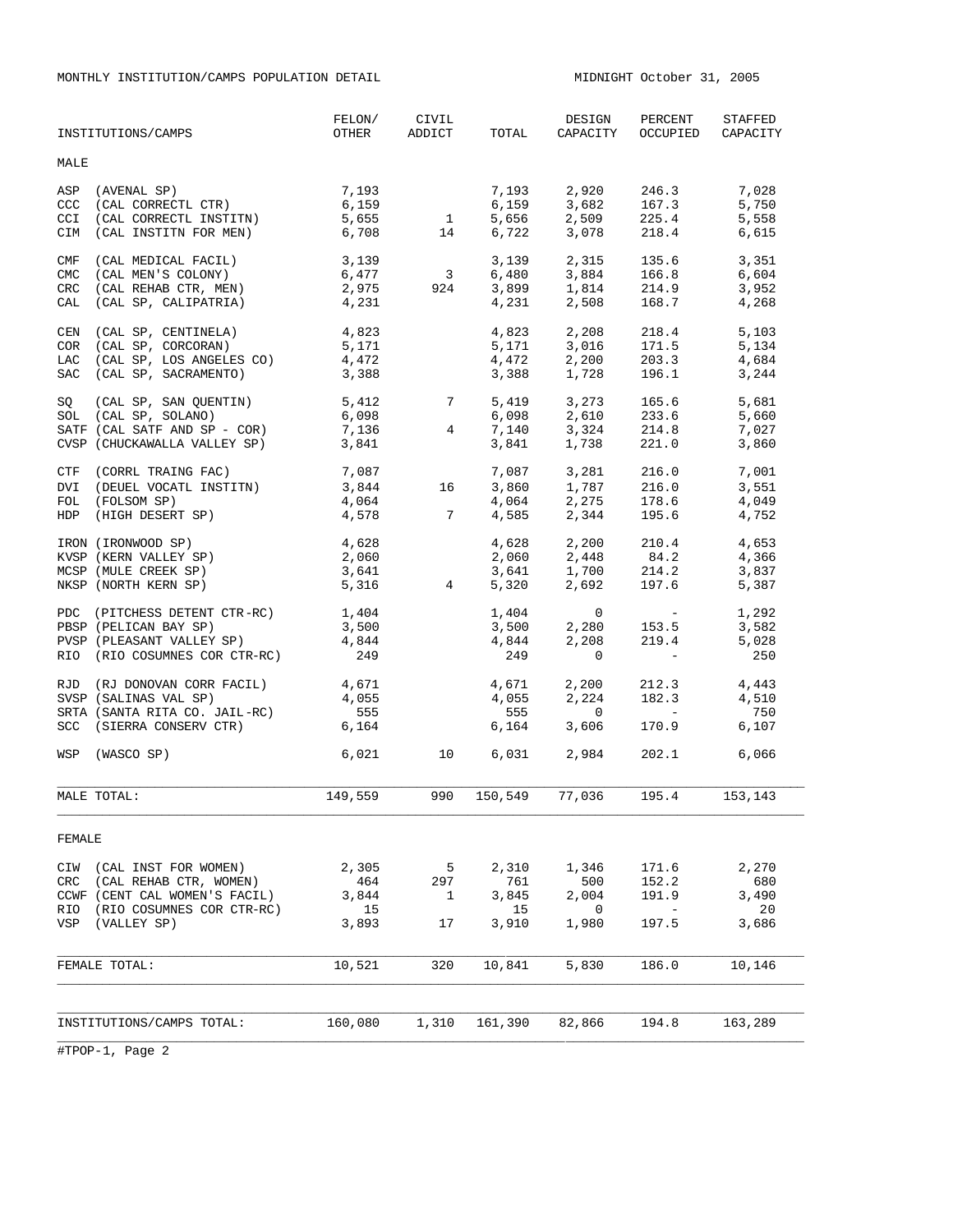MONTHLY INSTITUTION/CAMPS POPULATION DETAIL MIDNIGHT October 31, 2005

|                   | INSTITUTIONS/CAMPS                        | FELON/<br>OTHER | CIVIL<br>ADDICT                        | TOTAL          | DESIGN<br>CAPACITY                | PERCENT<br>OCCUPIED                                               | STAFFED<br>CAPACITY |
|-------------------|-------------------------------------------|-----------------|----------------------------------------|----------------|-----------------------------------|-------------------------------------------------------------------|---------------------|
| MALE              |                                           |                 |                                        |                |                                   |                                                                   |                     |
| ASP<br>CCC        | (AVENAL SP)<br>(CAL CORRECTL CTR)         | 7,193<br>6,159  |                                        | 7,193<br>6,159 | 3,682                             | 2,920 246.3<br>167.3                                              | 7,028<br>5,750      |
| <b>CCI</b>        | (CAL CORRECTL INSTITN)                    | 5,655           |                                        | 5,656          | 2,509                             |                                                                   | 5,558               |
| <b>CIM</b>        | (CAL INSTITN FOR MEN)                     | 6,708           | $\begin{array}{c} 1 \\ 14 \end{array}$ | 6,722          | 3,078                             | 225.4<br>218.4                                                    | 6,615               |
|                   |                                           |                 |                                        | 3,139          | 2,315                             | 135.6                                                             | 3,351               |
| CMF<br><b>CMC</b> | (CAL MEDICAL FACIL)<br>(CAL MEN'S COLONY) | 3,139<br>6,477  | $\overline{\mathbf{3}}$                | 6,480          |                                   |                                                                   | 6,604               |
| CRC               | (CAL REHAB CTR, MEN)                      | 2,975           | 924                                    | 3,899          | 3,884 166.8<br>1,814 214.9        |                                                                   | 3,952               |
| CAL               | (CAL SP, CALIPATRIA)                      | 4,231           |                                        | 4,231          | 2,508                             | 168.7                                                             | 4,268               |
|                   |                                           |                 |                                        |                |                                   |                                                                   |                     |
| CEN               | (CAL SP, CENTINELA)                       | 4,823           |                                        | 4,823          | 2,208                             | 218.4                                                             | 5,103               |
| <b>COR</b>        | (CAL SP, CORCORAN)                        | 5,171           |                                        | 5,171          | 3,016                             | 171.5                                                             | 5,134               |
| LAC               | (CAL SP, LOS ANGELES CO)                  | 4,472           |                                        | 4,472          | 2,200                             | 203.3                                                             | 4,684               |
| SAC               | (CAL SP, SACRAMENTO)                      | 3,388           |                                        | 3,388          | 1,728                             | 196.1                                                             | 3,244               |
| SQ                | (CAL SP, SAN QUENTIN)                     | 5,412           | $7\overline{ }$                        | 5,419          |                                   | 3,273 165.6                                                       | 5,681               |
|                   | SOL (CAL SP, SOLANO)                      | 6,098           |                                        | 6,098          |                                   |                                                                   | 5,660               |
|                   | SATF (CAL SATF AND SP - COR)              | 7,136           | $\overline{4}$                         | 7,140          | 2,610<br>3,324                    | 233.6<br>214.8                                                    | 7,027               |
|                   | CVSP (CHUCKAWALLA VALLEY SP)              | 3,841           |                                        | 3,841          | 1,738                             | 221.0                                                             | 3,860               |
| CTF               | (CORRL TRAING FAC)                        |                 |                                        |                |                                   |                                                                   | 7,001               |
| DVI               | (DEUEL VOCATL INSTITN)                    | 7,087<br>3,844  | 16                                     | 7,087<br>3,860 | $3,281$<br>$1,787$<br>$216.0$     |                                                                   | 3,551               |
| FOL               | (FOLSOM SP)                               | 4,064           |                                        | 4,064          | 2,275                             |                                                                   | 4,049               |
|                   | HDP (HIGH DESERT SP)                      | 4,578           | $7\overline{7}$                        | 4,585          | 2,344                             |                                                                   | 4,752               |
|                   |                                           |                 |                                        |                |                                   | $1/\circ$ .<br>195.6                                              |                     |
|                   | IRON (IRONWOOD SP)                        | 4,628           |                                        | 4,628          | 2,200                             | 210.4                                                             | 4,653               |
|                   | KVSP (KERN VALLEY SP)                     | 2,060           |                                        | 2,060          |                                   |                                                                   | 4,366               |
|                   | MCSP (MULE CREEK SP)                      | 3,641           |                                        | 3,641          | $1,700$<br>2.40<br>2.400<br>2.400 |                                                                   | 3,837               |
|                   | NKSP (NORTH KERN SP)                      | 5,316           | $4\overline{ }$                        | 5,320          | 2,692                             | 197.6                                                             | 5,387               |
| PDC               | (PITCHESS DETENT CTR-RC)                  | 1,404           |                                        | 1,404          | $\mathbf 0$                       | $\mathcal{L}(\mathcal{L})$ , and $\mathcal{L}(\mathcal{L})$ , and | 1,292               |
|                   | PBSP (PELICAN BAY SP)                     | 3,500           |                                        | 3,500          | 2,280                             | 153.5                                                             | 3,582               |
|                   | PVSP (PLEASANT VALLEY SP)                 | 4,844           |                                        | 4,844          | 2,208                             | 219.4                                                             | 5,028               |
|                   | RIO (RIO COSUMNES COR CTR-RC)             | 249             |                                        | 249            | $\Omega$                          | $\sim$ $-$                                                        | 250                 |
|                   |                                           |                 |                                        |                |                                   |                                                                   |                     |
|                   | RJD (RJ DONOVAN CORR FACIL)               | 4,671           |                                        | 4,671          | 2,200                             | 212.3                                                             | 4,443               |
|                   | SVSP (SALINAS VAL SP)                     | 4,055           |                                        | 4,055          | 2,224                             | 182.3                                                             | 4,510               |
|                   | SRTA (SANTA RITA CO. JAIL-RC)             | 555             |                                        | 555            | $\Omega$                          |                                                                   | 750                 |
| <b>SCC</b>        | (SIERRA CONSERV CTR)                      | 6,164           |                                        | 6,164          | 3,606                             | 170.9                                                             | 6,107               |
|                   | WSP (WASCO SP)                            | 6,021           | 10                                     | 6,031          | 2,984                             | 202.1                                                             | 6,066               |
|                   |                                           |                 |                                        |                |                                   |                                                                   |                     |
|                   | MALE TOTAL:                               | 149,559         | 990                                    | 150,549        | 77,036                            | 195.4                                                             | 153,143             |
|                   |                                           |                 |                                        |                |                                   |                                                                   |                     |
| FEMALE            |                                           |                 |                                        |                |                                   |                                                                   |                     |
|                   |                                           |                 |                                        |                |                                   |                                                                   |                     |
| CIW               | (CAL INST FOR WOMEN)                      | 2,305           | 5                                      | 2,310          | 1,346                             | 171.6                                                             | 2,270               |
| <b>CRC</b>        | (CAL REHAB CTR, WOMEN)                    | 464             | 297                                    | 761            | 500                               | 152.2                                                             | 680                 |
|                   | CCWF (CENT CAL WOMEN'S FACIL)             | 3,844           | 1                                      | 3,845          | 2,004                             | 191.9                                                             | 3,490               |
| RIO               | (RIO COSUMNES COR CTR-RC)                 | 15              |                                        | 15             | $\mathbf 0$                       | $\overline{\phantom{0}}$                                          | 20                  |
| VSP               | (VALLEY SP)                               | 3,893           | 17                                     | 3,910          | 1,980                             | 197.5                                                             | 3,686               |
|                   |                                           |                 |                                        |                |                                   |                                                                   |                     |
|                   | FEMALE TOTAL:                             | 10,521          | 320                                    | 10,841         | 5,830                             | 186.0                                                             | 10,146              |
|                   |                                           |                 |                                        |                |                                   |                                                                   |                     |
|                   |                                           |                 |                                        |                |                                   |                                                                   |                     |
|                   | INSTITUTIONS/CAMPS TOTAL:                 | 160,080         | 1,310                                  | 161,390        | 82,866                            | 194.8                                                             | 163,289             |
|                   |                                           |                 |                                        |                |                                   |                                                                   |                     |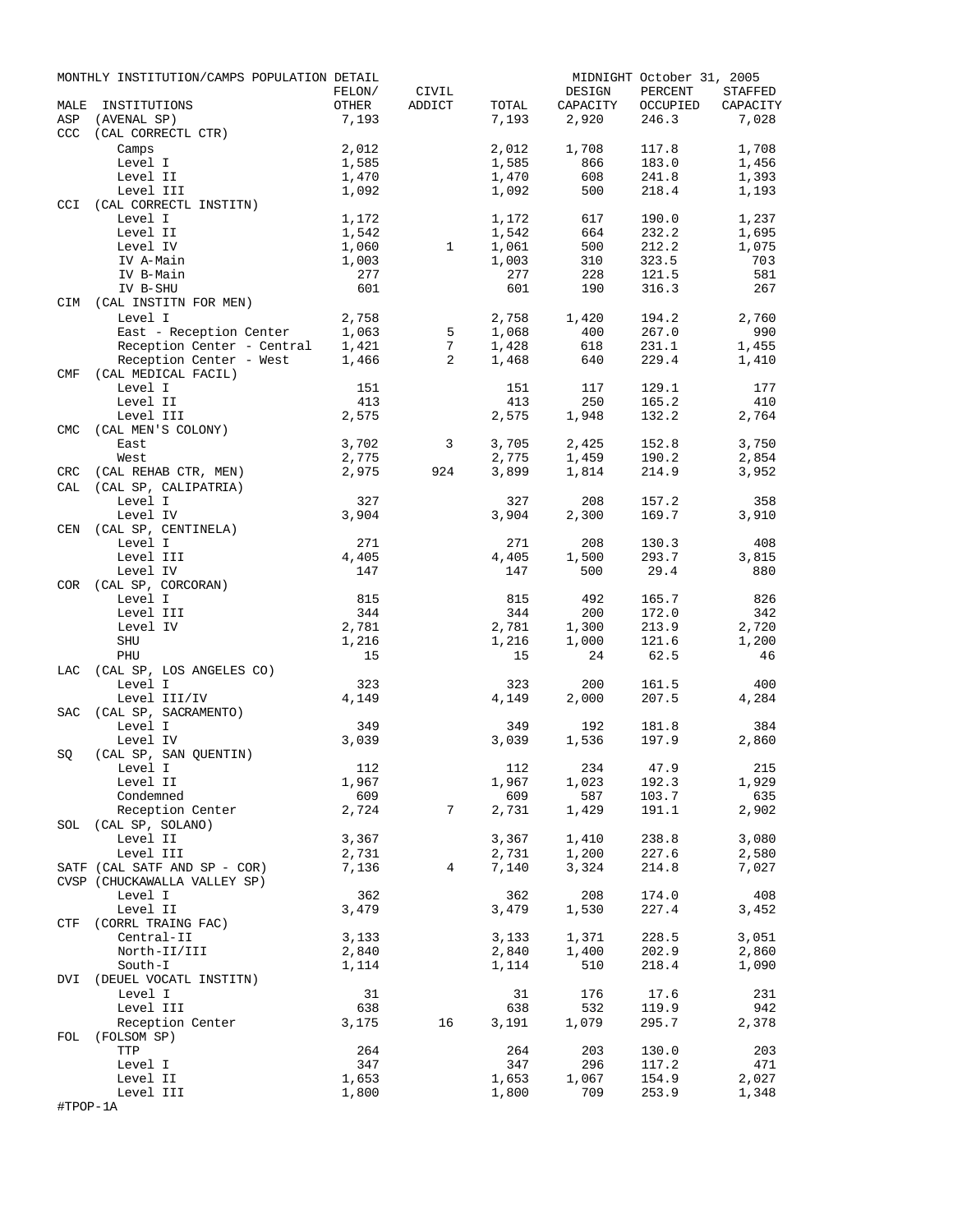|                  | MONTHLY INSTITUTION/CAMPS POPULATION DETAIL                       |                |              |                |                | MIDNIGHT October 31, 2005 |                |
|------------------|-------------------------------------------------------------------|----------------|--------------|----------------|----------------|---------------------------|----------------|
|                  |                                                                   | FELON/         | CIVIL        |                | DESIGN         | PERCENT                   | STAFFED        |
| MALE             | INSTITUTIONS                                                      | OTHER          | ADDICT       | TOTAL          | CAPACITY       | OCCUPIED                  | CAPACITY       |
| ASP              | (AVENAL SP)                                                       | 7,193          |              | 7,193          | 2,920          | 246.3                     | 7,028          |
| CCC <sub>1</sub> | (CAL CORRECTL CTR)                                                |                |              |                |                |                           |                |
|                  | Camps                                                             | 2,012          |              | 2,012          | 1,708          | 117.8                     | 1,708          |
|                  | Level I                                                           | 1,585          |              | 1,585          | 866            | 183.0                     | 1,456          |
|                  | Level II                                                          | 1,470          |              | 1,470          | 608            | 241.8                     | 1,393          |
|                  | Level III                                                         | 1,092          |              | 1,092          | 500            | 218.4                     | 1,193          |
| <b>CCI</b>       | (CAL CORRECTL INSTITN)                                            |                |              |                |                |                           |                |
|                  | Level I<br>Level II                                               | 1,172          |              | 1,172<br>1,542 | 617<br>664     | 190.0<br>232.2            | 1,237<br>1,695 |
|                  | Level IV                                                          | 1,542<br>1,060 | $\mathbf{1}$ | 1,061          | 500            | 212.2                     | 1,075          |
|                  | IV A-Main                                                         | 1,003          |              | 1,003          | 310            | 323.5                     | 703            |
|                  | IV B-Main                                                         | 277            |              | 277            | 228            | 121.5                     | 581            |
|                  | IV B-SHU                                                          | 601            |              | 601            | 190            | 316.3                     | 267            |
|                  | CIM (CAL INSTITN FOR MEN)                                         |                |              |                |                |                           |                |
|                  | Level I                                                           | 2,758          |              | 2,758          | 1,420          | 194.2                     | 2,760          |
|                  |                                                                   |                | 5            | 1,068          | 400            | 267.0                     | 990            |
|                  | East - Reception Center 1,063<br>Reception Center - Central 1,421 |                | 7            | 1,428          | 618            | 231.1                     | 1,455          |
|                  | Reception Center - West                                           | 1,466          | 2            | 1,468          | 640            | 229.4                     | 1,410          |
| CMF              | (CAL MEDICAL FACIL)                                               |                |              |                |                |                           |                |
|                  | Level I                                                           | 151            |              | 151            | 117            | 129.1                     | 177            |
|                  | Level II                                                          | 413            |              | 413            | 250            | 165.2                     | 410            |
|                  | Level III                                                         | 2,575          |              | 2,575          | 1,948          | 132.2                     | 2,764          |
| <b>CMC</b>       | (CAL MEN'S COLONY)                                                |                |              |                |                |                           |                |
|                  | East                                                              | 3,702          | 3            | 3,705          | 2,425          | 152.8                     | 3,750          |
|                  | West                                                              | 2,775          |              | 2,775          | 1,459          | 190.2                     | 2,854          |
| CRC              | (CAL REHAB CTR, MEN)                                              | 2,975          | 924          | 3,899          | 1,814          | 214.9                     | 3,952          |
| CAL              | (CAL SP, CALIPATRIA)                                              |                |              |                |                |                           |                |
|                  | Level I                                                           | 327            |              | 327            | 208            | 157.2                     | 358            |
|                  | Level IV                                                          | 3,904          |              | 3,904          | 2,300          | 169.7                     | 3,910          |
|                  | CEN (CAL SP, CENTINELA)                                           |                |              |                |                |                           |                |
|                  | Level I                                                           | 271            |              | 271            | 208            | 130.3                     | 408            |
|                  | Level III                                                         | 4,405          |              | 4,405          | 1,500          | 293.7                     | 3,815          |
|                  | Level IV                                                          | 147            |              | 147            | 500            | 29.4                      | 880            |
|                  | COR (CAL SP, CORCORAN)                                            |                |              |                |                |                           |                |
|                  | Level I                                                           | 815            |              | 815            | 492            | 165.7                     | 826            |
|                  | Level III                                                         | 344            |              | 344            | 200            | 172.0                     | 342            |
|                  | Level IV                                                          | 2,781          |              | 2,781          | 1,300          | 213.9                     | 2,720          |
|                  | SHU                                                               | 1,216          |              | 1,216          | 1,000          | 121.6                     | 1,200          |
|                  | PHU                                                               | 15             |              | 15             | 24             | 62.5                      | 46             |
| LAC              | (CAL SP, LOS ANGELES CO)                                          |                |              |                |                |                           |                |
|                  | Level I                                                           | 323            |              | 323            | 200            | 161.5                     | 400            |
|                  | Level III/IV                                                      | 4,149          |              | 4,149          | 2,000          | 207.5                     | 4,284          |
| SAC              | (CAL SP, SACRAMENTO)                                              |                |              |                |                |                           |                |
|                  | Level I                                                           | 349            |              | 349            | 192            | 181.8                     | 384            |
|                  | Level IV                                                          | 3,039          |              | 3,039          | 1,536          | 197.9                     | 2,860          |
| SQ               | (CAL SP, SAN QUENTIN)                                             |                |              |                |                |                           |                |
|                  | Level I                                                           | 112            |              |                | 112 234 47.9   |                           | 215            |
|                  | Level II                                                          | 1,967<br>609   |              | 1,967<br>609   | 1,023          | 192.3                     | 1,929<br>635   |
|                  | Condemned<br>Reception Center                                     | 2,724          | 7            | 2,731          | 587<br>1,429   | 103.7<br>191.1            | 2,902          |
|                  |                                                                   |                |              |                |                |                           |                |
|                  | SOL (CAL SP, SOLANO)                                              |                |              |                |                |                           | 3,080          |
|                  | Level II                                                          | 3,367          |              | 3,367<br>2,731 | 1,410          | 238.8<br>227.6            |                |
|                  | Level III<br>SATF (CAL SATF AND SP - COR)                         | 2,731<br>7,136 | 4            | 7,140          | 1,200<br>3,324 | 214.8                     | 2,580<br>7,027 |
|                  | CVSP (CHUCKAWALLA VALLEY SP)                                      |                |              |                |                |                           |                |
|                  | Level I                                                           | 362            |              | 362            | 208            | 174.0                     | 408            |
|                  | Level II                                                          | 3,479          |              | 3,479          | 1,530          | 227.4                     | 3,452          |
|                  | CTF (CORRL TRAING FAC)                                            |                |              |                |                |                           |                |
|                  | Central-II                                                        | 3,133          |              | 3,133          | 1,371          | 228.5                     | 3,051          |
|                  | North-II/III                                                      | 2,840          |              | 2,840          | 1,400          | 202.9                     | 2,860          |
|                  | South-I                                                           | 1,114          |              | 1,114          | 510            | 218.4                     | 1,090          |
|                  | DVI (DEUEL VOCATL INSTITN)                                        |                |              |                |                |                           |                |
|                  | Level I                                                           | 31             |              | 31             | 176            | 17.6                      | 231            |
|                  | Level III                                                         | 638            |              | 638            | 532            | 119.9                     | 942            |
|                  | Reception Center                                                  | 3,175          | 16           | 3,191          | 1,079          | 295.7                     | 2,378          |
| FOL              | (FOLSOM SP)                                                       |                |              |                |                |                           |                |
|                  | TTP                                                               | 264            |              | 264            | 203            | 130.0                     | 203            |
|                  | Level I                                                           | 347            |              | 347            | 296            | 117.2                     | 471            |
|                  | Level II                                                          | 1,653          |              | 1,653          | 1,067          | 154.9                     | 2,027          |
|                  | Level III                                                         | 1,800          |              | 1,800          | 709            | 253.9                     | 1,348          |
| #TPOP-1A         |                                                                   |                |              |                |                |                           |                |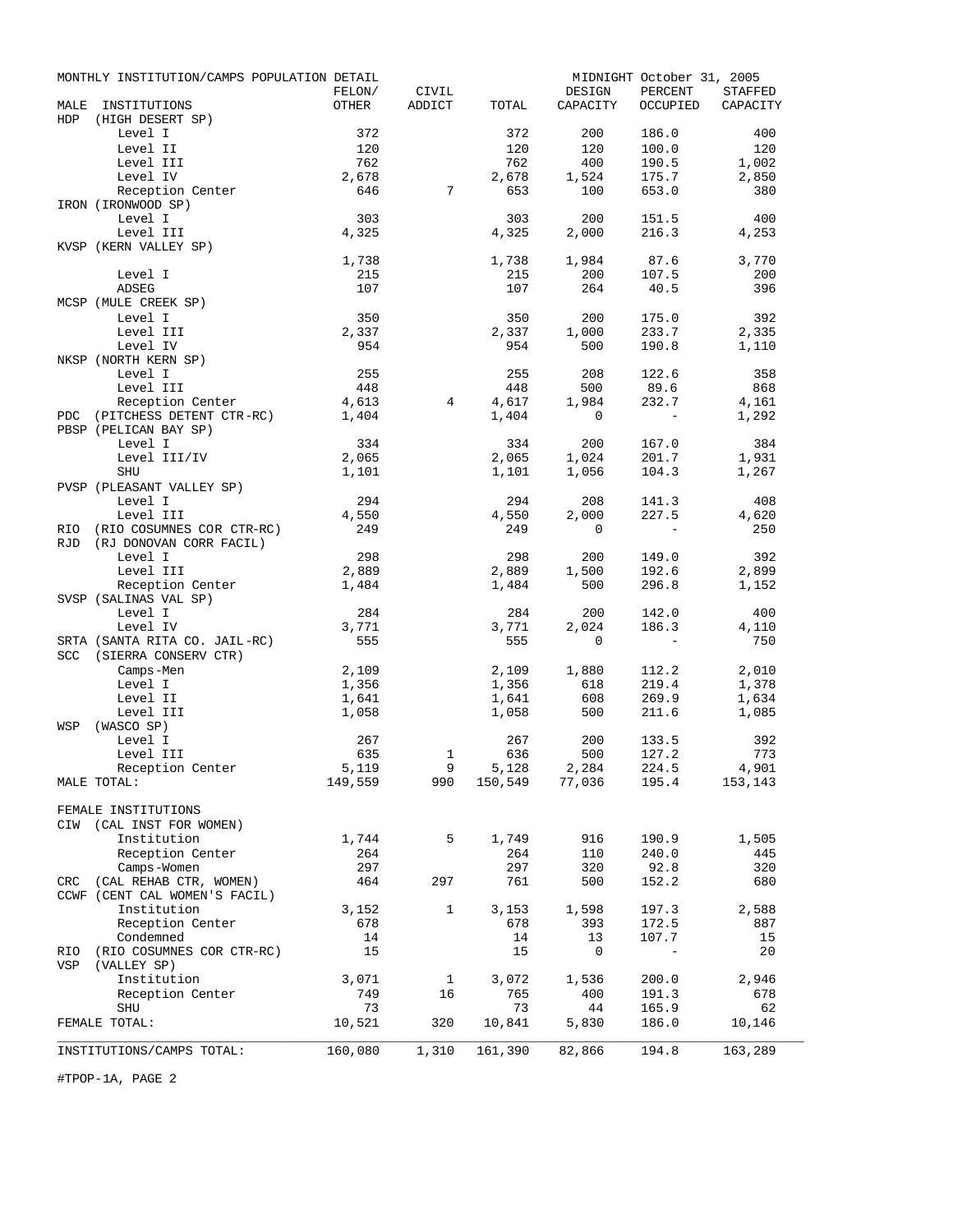|            | MONTHLY INSTITUTION/CAMPS POPULATION DETAIL |                 |                  |              |                                                 | MIDNIGHT October 31, 2005 |              |
|------------|---------------------------------------------|-----------------|------------------|--------------|-------------------------------------------------|---------------------------|--------------|
| MALE       |                                             | FELON/<br>OTHER | CIVIL            |              | DESIGN                                          | PERCENT                   | STAFFED      |
| HDP        | INSTITUTIONS<br>(HIGH DESERT SP)            |                 | ADDICT           | TOTAL        | CAPACITY                                        | OCCUPIED                  | CAPACITY     |
|            | Level I                                     | 372             |                  | 372          | 200                                             | 186.0                     | 400          |
|            | Level II                                    | 120             |                  | 120          | 120                                             | 100.0                     | 120          |
|            | Level III                                   | 762             |                  | 762          | 400                                             | 190.5                     | 1,002        |
|            | Level IV                                    | 2,678           |                  | 2,678        | 1,524                                           | 175.7                     | 2,850        |
|            | Reception Center                            | 646             | $7\phantom{.0}$  | 653          | 100                                             | 653.0                     | 380          |
|            | IRON (IRONWOOD SP)                          |                 |                  |              |                                                 |                           |              |
|            | Level I                                     | 303             |                  | 303          | 200                                             | 151.5                     | 400          |
|            | Level III<br>KVSP (KERN VALLEY SP)          | 4,325           |                  | 4,325        | 2,000                                           | 216.3                     | 4,253        |
|            |                                             | 1,738           |                  | 1,738        | 1,984                                           | 87.6                      | 3,770        |
|            | Level I                                     | 215             |                  | 215          | 200                                             | 107.5                     | 200          |
|            | <b>ADSEG</b>                                | 107             |                  | 107          | 264                                             | 40.5                      | 396          |
|            | MCSP (MULE CREEK SP)                        |                 |                  |              |                                                 |                           |              |
|            | Level I                                     | 350             |                  | 350          | 200                                             | 175.0                     | 392          |
|            | Level III                                   | 2,337           |                  | 2,337        | 1,000                                           | 233.7                     | 2,335        |
|            | Level IV                                    | 954             |                  | 954          | 500                                             | 190.8                     | 1,110        |
|            | NKSP (NORTH KERN SP)<br>Level I             | 255             |                  | 255          | 208                                             | 122.6                     | 358          |
|            | Level III                                   | 448             |                  | 448          | 500                                             | 89.6                      | 868          |
|            | Reception Center                            | 4,613           | $4\phantom{000}$ | 4,617        | 1,984                                           | 232.7                     | 4,161        |
|            | PDC (PITCHESS DETENT CTR-RC)                | 1,404           |                  | 1,404        | $\mathbf 0$                                     | $\overline{a}$            | 1,292        |
|            | PBSP (PELICAN BAY SP)                       |                 |                  |              |                                                 |                           |              |
|            | Level I                                     | 334             |                  | 334          | 200                                             | 167.0                     | 384          |
|            | Level III/IV                                | 2,065           |                  | 2,065        | 1,024                                           | 201.7                     | 1,931        |
|            | SHU                                         | 1,101           |                  | 1,101        | 1,056                                           | 104.3                     | 1,267        |
|            | PVSP (PLEASANT VALLEY SP)<br>Level I        |                 |                  |              |                                                 |                           |              |
|            | Level III                                   | 294<br>4,550    |                  | 294<br>4,550 | 208<br>2,000                                    | 141.3<br>227.5            | 408<br>4,620 |
| RIO        | (RIO COSUMNES COR CTR-RC)                   | 249             |                  | 249          | $\mathbf{0}$                                    | $-$                       | 250          |
| <b>RJD</b> | (RJ DONOVAN CORR FACIL)                     |                 |                  |              |                                                 |                           |              |
|            | Level I                                     | 298             |                  | 298          | 200                                             | 149.0                     | 392          |
|            | Level III                                   | 2,889           |                  | 2,889        | 1,500                                           | 192.6                     | 2,899        |
|            | Reception Center                            | 1,484           |                  | 1,484        | 500                                             | 296.8                     | 1,152        |
|            | SVSP (SALINAS VAL SP)                       |                 |                  |              |                                                 |                           |              |
|            | Level I<br>Level IV                         | 284<br>3,771    |                  | 284<br>3,771 | 200<br>2,024                                    | 142.0<br>186.3            | 400<br>4,110 |
|            | SRTA (SANTA RITA CO. JAIL-RC)               | 555             |                  | 555          | $\mathbf{0}$                                    | $-$                       | 750          |
| SCC        | (SIERRA CONSERV CTR)                        |                 |                  |              |                                                 |                           |              |
|            | Camps-Men                                   | 2,109           |                  | 2,109        | 1,880                                           | 112.2                     | 2,010        |
|            | Level I                                     | 1,356           |                  | 1,356        | 618                                             | 219.4                     | 1,378        |
|            | Level II                                    | 1,641           |                  | 1,641        | 608                                             | 269.9                     | 1,634        |
|            | Level III                                   | 1,058           |                  | 1,058        | 500                                             | 211.6                     | 1,085        |
| WSP        | (WASCO SP)                                  |                 |                  |              |                                                 |                           |              |
|            | Level I<br>Level III                        | 267<br>635      | 1                | 267<br>636   | 200<br>500                                      | 133.5<br>127.2            | 392<br>773   |
|            | Reception Center                            | 5,119           | 9                |              |                                                 | 224.5                     | 4,901        |
|            | MALE TOTAL:                                 | 149,559         |                  |              | 9 5,128 2,284 224.5<br>990 150,549 77,036 195.4 |                           | 153,143      |
|            |                                             |                 |                  |              |                                                 |                           |              |
|            | FEMALE INSTITUTIONS                         |                 |                  |              |                                                 |                           |              |
|            | CIW (CAL INST FOR WOMEN)                    |                 |                  |              |                                                 |                           |              |
|            | Institution                                 | 1,744           | 5                | 1,749        | 916                                             | 190.9                     | 1,505        |
|            | Reception Center                            | 264             |                  | 264          | 110                                             | 240.0                     | 445          |
|            | Camps-Women<br>CRC (CAL REHAB CTR, WOMEN)   | 297<br>464      | 297              | 297<br>761   | 320<br>500                                      | 92.8<br>152.2             | 320<br>680   |
|            | CCWF (CENT CAL WOMEN'S FACIL)               |                 |                  |              |                                                 |                           |              |
|            | Institution                                 | 3,152           | $\mathbf{1}$     | 3,153        | 1,598                                           | 197.3                     | 2,588        |
|            | Reception Center                            | 678             |                  | 678          | 393                                             | 172.5                     | 887          |
|            | Condemned                                   | 14              |                  | 14           | 13                                              | 107.7                     | 15           |
| RIO        | (RIO COSUMNES COR CTR-RC)                   | 15              |                  | 15           | $\mathbf 0$                                     | $\overline{\phantom{a}}$  | 20           |
| VSP        | (VALLEY SP)                                 |                 |                  |              |                                                 |                           |              |
|            | Institution                                 | 3,071           | $\mathbf{1}$     | 3,072        | 1,536                                           | 200.0                     | 2,946        |
|            | Reception Center                            | 749             | 16               | 765          | 400                                             | 191.3                     | 678          |
|            | <b>SHU</b><br>FEMALE TOTAL:                 | 73<br>10,521    | 320              | 73<br>10,841 | 44<br>5,830                                     | 165.9<br>186.0            | 62<br>10,146 |
|            |                                             |                 |                  |              |                                                 |                           |              |
|            | INSTITUTIONS/CAMPS TOTAL:                   | 160,080         | 1,310            | 161,390      | 82,866                                          | 194.8                     | 163,289      |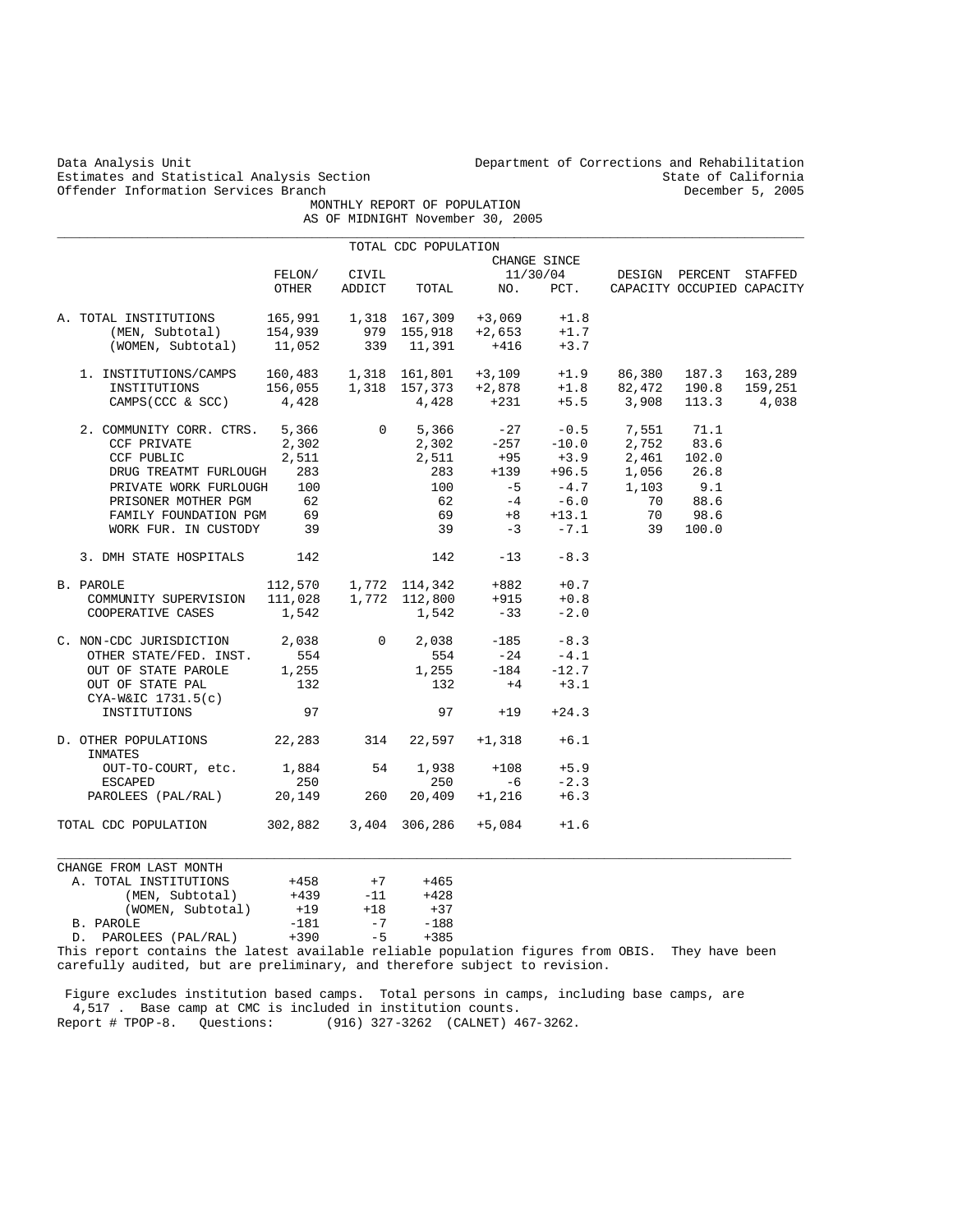|               | Data Analysis Unit<br>Estimates and Statistical Analysis Section                                                                      |         | Department of Corrections and Rehabilitation<br>State of California |                             |                                  |              |                                                     |                 |                            |  |
|---------------|---------------------------------------------------------------------------------------------------------------------------------------|---------|---------------------------------------------------------------------|-----------------------------|----------------------------------|--------------|-----------------------------------------------------|-----------------|----------------------------|--|
|               | Offender Information Services Branch                                                                                                  |         | MONTHLY REPORT OF POPULATION                                        | December 5, 2005            |                                  |              |                                                     |                 |                            |  |
|               |                                                                                                                                       |         |                                                                     |                             | AS OF MIDNIGHT November 30, 2005 |              |                                                     |                 |                            |  |
|               |                                                                                                                                       |         |                                                                     | TOTAL CDC POPULATION        |                                  |              |                                                     |                 |                            |  |
|               |                                                                                                                                       |         |                                                                     |                             |                                  | CHANGE SINCE |                                                     |                 |                            |  |
|               |                                                                                                                                       | FELON/  | CIVIL                                                               |                             |                                  | 11/30/04     |                                                     | DESIGN PERCENT  | STAFFED                    |  |
|               |                                                                                                                                       | OTHER   | ADDICT                                                              | TOTAL                       | NO.                              | PCT.         |                                                     |                 | CAPACITY OCCUPIED CAPACITY |  |
|               | A. TOTAL INSTITUTIONS                                                                                                                 | 165,991 |                                                                     | 1,318 167,309               | $+3,069$                         | $+1.8$       |                                                     |                 |                            |  |
|               | (MEN, Subtotal)                                                                                                                       | 154,939 | 979                                                                 | 155,918                     | $+2,653$                         | $+1.7$       |                                                     |                 |                            |  |
|               | (WOMEN, Subtotal)                                                                                                                     | 11,052  | 339                                                                 | 11,391                      | $+416$                           | $+3.7$       |                                                     |                 |                            |  |
|               | 1. INSTITUTIONS/CAMPS                                                                                                                 | 160,483 |                                                                     | 1,318 161,801               | $+3,109$                         | $+1.9$       | 86,380                                              | 187.3           | 163,289                    |  |
|               |                                                                                                                                       | 156,055 |                                                                     | 1,318 157,373               | $+2,878$                         | $+1.8$       | 82,472                                              | 190.8           | 159,251                    |  |
|               | INSTITUTIONS                                                                                                                          |         |                                                                     |                             |                                  |              |                                                     |                 |                            |  |
|               | CAMPS (CCC & SCC)                                                                                                                     | 4,428   |                                                                     | 4,428                       | +231                             | $+5.5$       | 3,908                                               | 113.3           | 4,038                      |  |
|               | 2. COMMUNITY CORR. CTRS.                                                                                                              | 5,366   | 0                                                                   | 5,366                       | $-27$                            | $-0.5$       | 7,551                                               | 71.1            |                            |  |
|               | CCF PRIVATE                                                                                                                           | 2,302   |                                                                     | 2,302                       | $-257$                           | $-10.0$      | 2,752                                               | 83.6            |                            |  |
|               | CCF PUBLIC                                                                                                                            | 2,511   |                                                                     | 2,511                       | +95                              |              | 2,461                                               | 102.0           |                            |  |
|               | DRUG TREATMT FURLOUGH                                                                                                                 | 283     |                                                                     | 283                         | $+139$                           |              | $+3.9$ $2,461$<br>$+96.5$ $1,056$<br>$-4.7$ $1,103$ | 26.8            |                            |  |
|               | PRIVATE WORK FURLOUGH                                                                                                                 | 100     |                                                                     | 100                         | $-5$                             | $-4.7$       |                                                     | 9.1             |                            |  |
|               | PRISONER MOTHER PGM                                                                                                                   | 62      |                                                                     | 62                          | $-4$                             | $-6.0$       | 70                                                  | 88.6            |                            |  |
|               | FAMILY FOUNDATION PGM                                                                                                                 | 69      |                                                                     | 69                          | $+8$                             | $+13.1$      | 70                                                  | 98.6            |                            |  |
|               | WORK FUR. IN CUSTODY                                                                                                                  | 39      |                                                                     | 39                          | $-3$                             | $-7.1$       | 39                                                  | 100.0           |                            |  |
|               | 3. DMH STATE HOSPITALS                                                                                                                | 142     |                                                                     | 142                         | $-13$                            | $-8.3$       |                                                     |                 |                            |  |
|               | B. PAROLE                                                                                                                             | 112,570 |                                                                     | 1,772 114,342               | +882                             | $+0.7$       |                                                     |                 |                            |  |
|               |                                                                                                                                       | 111,028 |                                                                     | 1,772 112,800               | $+915$                           | $+0.8$       |                                                     |                 |                            |  |
|               | COMMUNITY SUPERVISION<br>COOPERATIVE CASES                                                                                            |         |                                                                     |                             | $-33$                            | $-2.0$       |                                                     |                 |                            |  |
|               |                                                                                                                                       | 1,542   |                                                                     | 1,542                       |                                  |              |                                                     |                 |                            |  |
|               | C. NON-CDC JURISDICTION                                                                                                               | 2,038   | $\mathbf 0$                                                         | 2,038                       | $-185$                           | $-8.3$       |                                                     |                 |                            |  |
|               | OTHER STATE/FED. INST.                                                                                                                | 554     |                                                                     | 554                         | $-24$                            | $-4.1$       |                                                     |                 |                            |  |
|               | OUT OF STATE PAROLE                                                                                                                   | 1,255   |                                                                     | 1,255                       | $-184$                           | $-12.7$      |                                                     |                 |                            |  |
|               | OUT OF STATE PAL                                                                                                                      | 132     |                                                                     | 132                         | $+4$                             | $+3.1$       |                                                     |                 |                            |  |
|               | $CYA-W&IC 1731.5(c)$                                                                                                                  |         |                                                                     |                             |                                  |              |                                                     |                 |                            |  |
|               | INSTITUTIONS                                                                                                                          | 97      |                                                                     | 97                          | $+19$                            | $+24.3$      |                                                     |                 |                            |  |
|               | D. OTHER POPULATIONS<br>INMATES                                                                                                       | 22,283  | 314                                                                 | 22,597                      | $+1,318$                         | $+6.1$       |                                                     |                 |                            |  |
|               | OUT-TO-COURT, etc.                                                                                                                    | 1,884   | 54                                                                  | 1,938                       | $+108$                           | $+5.9$       |                                                     |                 |                            |  |
|               | <b>ESCAPED</b>                                                                                                                        | 250     |                                                                     | 250                         | -6                               | $-2.3$       |                                                     |                 |                            |  |
|               | PAROLEES (PAL/RAL)                                                                                                                    | 20,149  | 260                                                                 | 20,409                      | $+1,216$                         | $+6.3$       |                                                     |                 |                            |  |
|               | TOTAL CDC POPULATION                                                                                                                  | 302,882 |                                                                     | 3,404 306,286               | $+5,084$                         | $+1.6$       |                                                     |                 |                            |  |
|               |                                                                                                                                       |         |                                                                     |                             |                                  |              |                                                     |                 |                            |  |
|               | CHANGE FROM LAST MONTH                                                                                                                |         |                                                                     |                             |                                  |              |                                                     |                 |                            |  |
|               | A. TOTAL INSTITUTIONS                                                                                                                 | $+458$  | $+7$                                                                | $+465$                      |                                  |              |                                                     |                 |                            |  |
|               | (MEN, Subtotal)                                                                                                                       | $+439$  | $-11$                                                               | $+428$                      |                                  |              |                                                     |                 |                            |  |
|               | (WOMEN, Subtotal)                                                                                                                     | $+19$   | $+18$                                                               | $+37$                       |                                  |              |                                                     |                 |                            |  |
|               | B. PAROLE                                                                                                                             | $-181$  | $-7$                                                                | $-188$                      |                                  |              |                                                     |                 |                            |  |
| D.<br>$m = 1$ | PAROLEES (PAL/RAL)<br>. And descent that a contract the second that the first contract of the first contract of the first contract of | $+390$  | $-5$                                                                | $+385$<br>--- 1 4 - 1 - 1 - |                                  |              | $\bigcap_{n=1}$                                     | mission is a co |                            |  |

This report contains the latest available reliable population figures from OBIS. They have been carefully audited, but are preliminary, and therefore subject to revision.

 Figure excludes institution based camps. Total persons in camps, including base camps, are 4,517 . Base camp at CMC is included in institution counts. Report # TPOP-8. Questions: (916) 327-3262 (CALNET) 467-3262.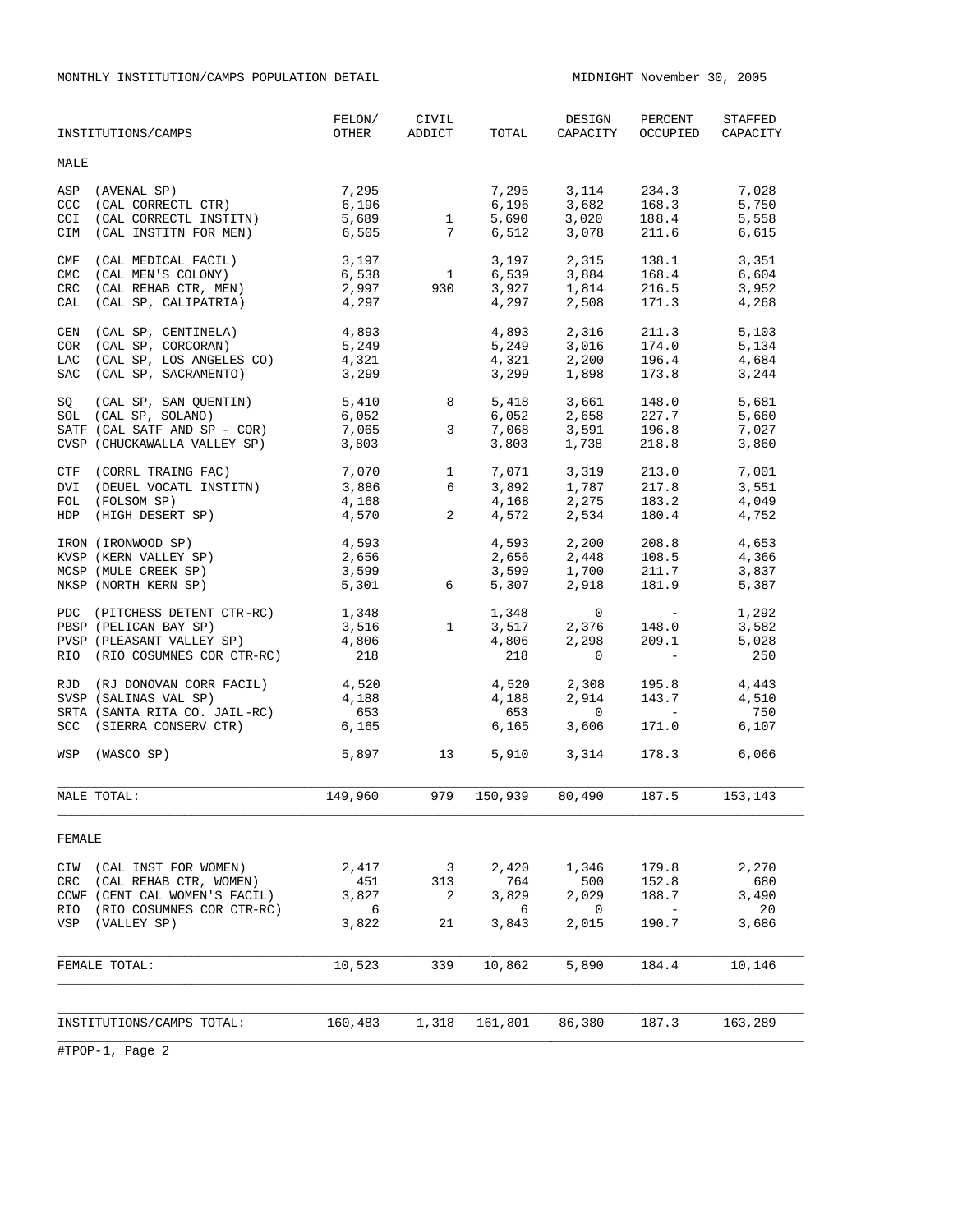MONTHLY INSTITUTION/CAMPS POPULATION DETAIL MIDNIGHT November 30, 2005

|                                        | INSTITUTIONS/CAMPS                                                                                                          | FELON/<br>OTHER                     | CIVIL<br>ADDICT                     | TOTAL                               | DESIGN<br>CAPACITY                              | PERCENT<br>OCCUPIED                                                                       | <b>STAFFED</b><br>CAPACITY           |
|----------------------------------------|-----------------------------------------------------------------------------------------------------------------------------|-------------------------------------|-------------------------------------|-------------------------------------|-------------------------------------------------|-------------------------------------------------------------------------------------------|--------------------------------------|
| MALE                                   |                                                                                                                             |                                     |                                     |                                     |                                                 |                                                                                           |                                      |
| ASP<br>CCC<br><b>CCI</b><br>CIM        | (AVENAL SP) $7,295$<br>(CAL CORRECTL CTR) $6,196$<br>(CAL CORRECTL INSTITN)<br>(CAL INSTITN FOR MEN)                        | 6,196<br>5,689<br>6,505             | $\overline{1}$<br>7                 | 7,295<br>6,196<br>5,690<br>6,512    | 3,114<br>3,682<br>3,020<br>3,078                | 234.3<br>168.3<br>188.4<br>211.6                                                          | 7,028<br>5,750<br>5,558<br>6,615     |
| CMF<br><b>CMC</b><br>CRC<br>CAL        | (CAL MEDICAL FACIL)<br>(CAL MEN'S COLONY)<br>(CAL REHAB CTR, MEN)<br>(CAL SP, CALIPATRIA)                                   | 3,197<br>6,538<br>2,997<br>4,297    | $\overline{\mathbf{1}}$<br>930      | 3,197<br>6,539<br>3,927<br>4,297    | 2,315<br>3,884<br>1,814<br>2,508                | 138.1<br>168.4<br>216.5<br>171.3                                                          | 3,351<br>6,604<br>3,952<br>4,268     |
| CEN<br><b>COR</b><br>LAC<br><b>SAC</b> | (CAL SP, CENTINELA)<br>(CAL SP, CORCORAN)<br>e URCURAN)<br>(CAL SP, LOS ANGELES CO)<br>(2000)<br>(CAL SP, SACRAMENTO)       | 4,893<br>5,249<br>4,321<br>3,299    |                                     | 4,893<br>5,249<br>4,321<br>3,299    | 2,316<br>3,016<br>2,200<br>1,898                | 211.3<br>174.0<br>196.4<br>173.8                                                          | 5.103<br>5,134<br>4,684<br>3,244     |
| SO                                     | (CAL SP, SAN QUENTIN)<br>SOL (CAL SP, SOLANO)<br>SATF (CAL SATF AND SP - COR)<br>CVSP (CHUCKAWALLA VALLEY SP)               | 5,410<br>6,052<br>7,065<br>3,803    | 8<br>3                              | 5,418<br>6,052<br>7,068<br>3,803    | 3,661<br>2,658<br>3,591<br>1,738                | 148.0<br>227.7<br>196.8<br>218.8                                                          | 5,681<br>5,660<br>7,027<br>3,860     |
| <b>DVI</b><br>FOL<br><b>HDP</b>        | CTF (CORRL TRAING FAC)<br>(DEUEL VOCATL INSTITN)<br>(FOLSOM SP)<br>(HIGH DESERT SP)                                         | 7,070<br>3,886<br>4,168<br>4,570    | $\mathbf{1}$<br>6<br>$\overline{a}$ | 7,071<br>3,892<br>4,168<br>4,572    | 3,319<br>1,787<br>2,275<br>2,534                | 213.0<br>217.8<br>183.2<br>180.4                                                          | 7,001<br>3,551<br>4,049<br>4,752     |
|                                        | IRON (IRONWOOD SP)<br>KVSP (KERN VALLEY SP)<br>MCSP (MULE CREEK SP)<br>NKSP (NORTH KERN SP)                                 | 4,593<br>2,656<br>3,599<br>5,301    | 6                                   | 3,599<br>5,307                      | $4,593$ $2,200$<br>$2,448$<br>1,700<br>2,918    | 208.8<br>108.5<br>211.7<br>181.9                                                          | 4,653<br>4,366<br>3,837<br>5,387     |
|                                        | PDC (PITCHESS DETENT CTR-RC)<br>PBSP (PELICAN BAY SP)<br>PVSP (PLEASANT VALLEY SP)<br>RIO (RIO COSUMNES COR CTR-RC)         | 1,348<br>3,516<br>4,806<br>218      | $\frac{1}{2}$                       | 1,348<br>3,517<br>4,806<br>218      | $\overline{0}$<br>2,376<br>2,298<br>$\mathbf 0$ | $\mathcal{L}(\mathcal{L})$ and $\mathcal{L}(\mathcal{L})$<br>148.0<br>209.1<br>$\sim$ $-$ | 1,292<br>3,582<br>5,028<br>250       |
| RJD                                    | (RJ DONOVAN CORR FACIL)<br>SVSP (SALINAS VAL SP)<br>SRTA (SANTA RITA CO. JAIL-RC)<br>SCC (SIERRA CONSERV CTR)               | 4,520<br>4,188<br>653<br>6,165      |                                     | 4,520<br>4,188<br>653<br>6,165      | 2,308<br>2,914<br>$\mathbf 0$<br>3,606          | 195.8<br>143.7<br><b>Contract Contract</b><br>171.0                                       | 4,443<br>4,510<br>750<br>6,107       |
|                                        | WSP (WASCO SP)                                                                                                              | 5,897 13                            |                                     | 5,910                               | 3,314                                           | 178.3 6,066                                                                               |                                      |
|                                        | MALE TOTAL:                                                                                                                 | 149,960                             | 979                                 | 150,939                             | 80,490                                          | 187.5 153,143                                                                             |                                      |
| FEMALE                                 |                                                                                                                             |                                     |                                     |                                     |                                                 |                                                                                           |                                      |
| CIW<br>CRC<br>RIO<br>VSP               | (CAL INST FOR WOMEN)<br>(CAL REHAB CTR, WOMEN)<br>CCWF (CENT CAL WOMEN'S FACIL)<br>(RIO COSUMNES COR CTR-RC)<br>(VALLEY SP) | 2,417<br>451<br>3,827<br>6<br>3,822 | 3<br>313<br>2<br>21                 | 2,420<br>764<br>3,829<br>6<br>3,843 | 1,346<br>500<br>2,029<br>0<br>2,015             | 179.8<br>152.8<br>188.7<br>$\hspace{0.1mm}-\hspace{0.1mm}$<br>190.7                       | 2,270<br>680<br>3,490<br>20<br>3,686 |
|                                        | FEMALE TOTAL:                                                                                                               | 10,523                              | 339                                 | 10,862                              | 5,890                                           | 184.4                                                                                     | 10,146                               |
|                                        | INSTITUTIONS/CAMPS TOTAL:                                                                                                   | 160,483                             | 1,318                               | 161,801                             | 86,380                                          | 187.3                                                                                     | 163,289                              |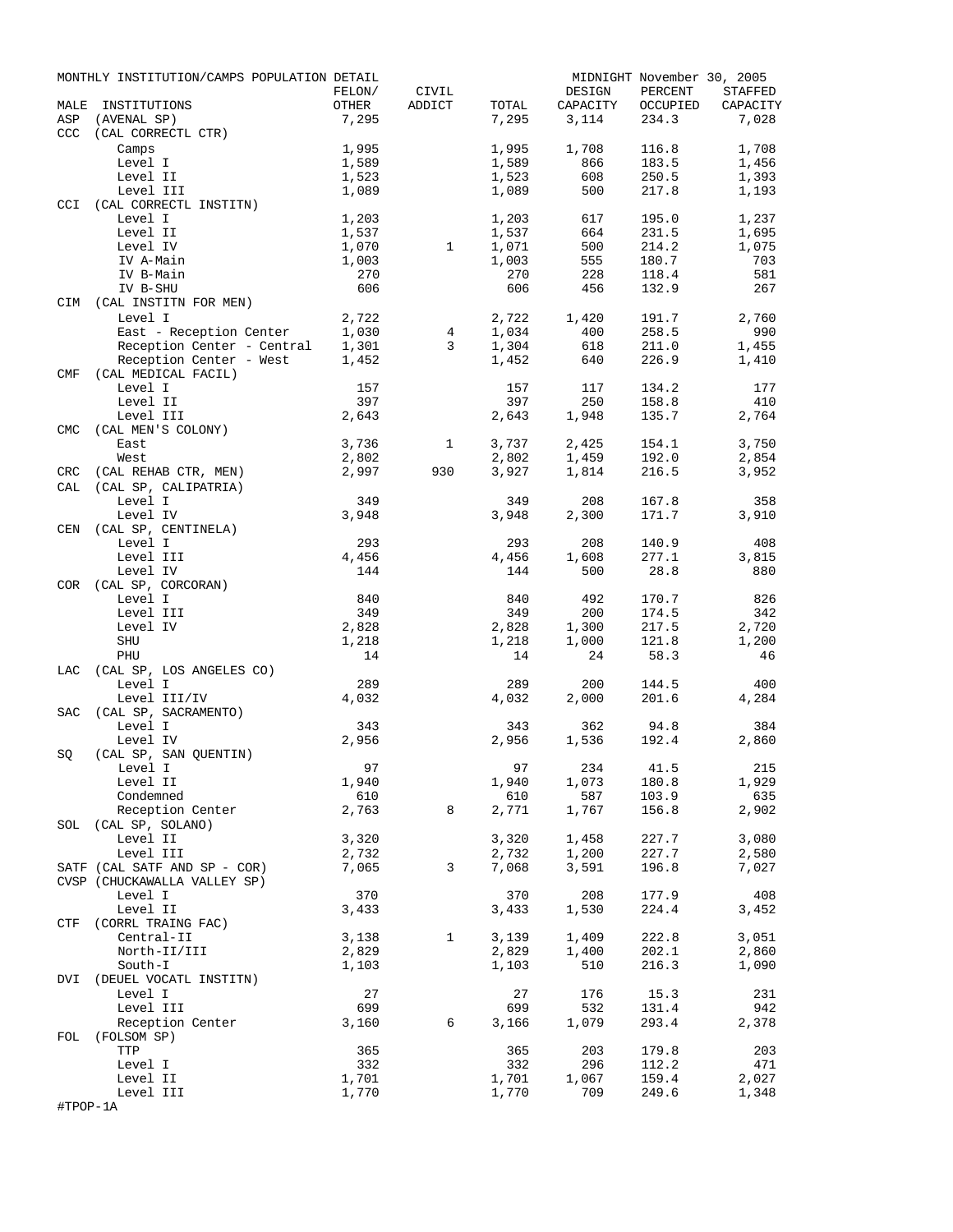|             | MONTHLY INSTITUTION/CAMPS POPULATION DETAIL |                |              |                |                   | MIDNIGHT November 30, 2005 |                   |
|-------------|---------------------------------------------|----------------|--------------|----------------|-------------------|----------------------------|-------------------|
|             |                                             | FELON/         | CIVIL        |                | DESIGN            | PERCENT                    | <b>STAFFED</b>    |
| MALE<br>ASP | INSTITUTIONS<br>(AVENAL SP)                 | OTHER<br>7,295 | ADDICT       | TOTAL<br>7,295 | CAPACITY<br>3,114 | OCCUPIED<br>234.3          | CAPACITY<br>7,028 |
| <b>CCC</b>  | (CAL CORRECTL CTR)                          |                |              |                |                   |                            |                   |
|             | Camps                                       | 1,995          |              | 1,995          | 1,708             | 116.8                      | 1,708             |
|             | Level I                                     | 1,589          |              | 1,589          | 866               | 183.5                      | 1,456             |
|             | Level II                                    | 1,523          |              | 1,523          | 608               | 250.5                      | 1,393             |
|             | Level III                                   | 1,089          |              | 1,089          | 500               | 217.8                      | 1,193             |
| <b>CCI</b>  | (CAL CORRECTL INSTITN)                      |                |              |                |                   |                            |                   |
|             | Level I                                     | 1,203          |              | 1,203          | 617               | 195.0                      | 1,237             |
|             | Level II                                    | 1,537          |              | 1,537          | 664               | 231.5                      | 1,695             |
|             | Level IV<br>IV A-Main                       | 1,070<br>1,003 | $\mathbf{1}$ | 1,071<br>1,003 | 500<br>555        | 214.2<br>180.7             | 1,075<br>703      |
|             | IV B-Main                                   | 270            |              | 270            | 228               | 118.4                      | 581               |
|             | IV B-SHU                                    | 606            |              | 606            | 456               | 132.9                      | 267               |
|             | CIM (CAL INSTITN FOR MEN)                   |                |              |                |                   |                            |                   |
|             | Level I                                     | 2,722          |              | 2,722          | 1,420             | 191.7                      | 2,760             |
|             | East - Reception Center                     | 1,030          | 4            | 1,034          | 400               | 258.5                      | 990               |
|             | Reception Center - Central 1,301            |                | 3            | 1,304          | 618               | 211.0                      | 1,455             |
|             | Reception Center - West                     | 1,452          |              | 1,452          | 640               | 226.9                      | 1,410             |
| CMF         | (CAL MEDICAL FACIL)                         |                |              |                |                   |                            |                   |
|             | Level I                                     | 157            |              | 157            | 117               | 134.2                      | 177               |
|             | Level II                                    | 397            |              | 397            | 250               | 158.8                      | 410               |
| <b>CMC</b>  | Level III                                   | 2,643          |              | 2,643          | 1,948             | 135.7                      | 2,764             |
|             | (CAL MEN'S COLONY)<br>East                  | 3,736          | $\mathbf{1}$ | 3,737          | 2,425             | 154.1                      | 3,750             |
|             | West                                        | 2,802          |              | 2,802          | 1,459             | 192.0                      | 2,854             |
| CRC         | (CAL REHAB CTR, MEN)                        | 2,997          | 930          | 3,927          | 1,814             | 216.5                      | 3,952             |
| CAL         | (CAL SP, CALIPATRIA)                        |                |              |                |                   |                            |                   |
|             | Level I                                     | 349            |              | 349            | 208               | 167.8                      | 358               |
|             | Level IV                                    | 3,948          |              | 3,948          | 2,300             | 171.7                      | 3,910             |
| CEN         | (CAL SP, CENTINELA)                         |                |              |                |                   |                            |                   |
|             | Level I                                     | 293            |              | 293            | 208               | 140.9                      | 408               |
|             | Level III                                   | 4,456          |              | 4,456          | 1,608             | 277.1                      | 3,815             |
|             | Level IV                                    | 144            |              | 144            | 500               | 28.8                       | 880               |
|             | COR (CAL SP, CORCORAN)<br>Level I           | 840            |              | 840            | 492               | 170.7                      | 826               |
|             | Level III                                   | 349            |              | 349            | 200               | 174.5                      | 342               |
|             | Level IV                                    | 2,828          |              | 2,828          | 1,300             | 217.5                      | 2,720             |
|             | SHU                                         | 1,218          |              | 1,218          | 1,000             | 121.8                      | 1,200             |
|             | PHU                                         | 14             |              | 14             | 24                | 58.3                       | 46                |
| LAC         | (CAL SP, LOS ANGELES CO)                    |                |              |                |                   |                            |                   |
|             | Level I                                     | 289            |              | 289            | 200               | 144.5                      | 400               |
|             | Level III/IV                                | 4,032          |              | 4,032          | 2,000             | 201.6                      | 4,284             |
| SAC         | (CAL SP, SACRAMENTO)                        |                |              |                |                   |                            |                   |
|             | Level I                                     | 343            |              | 343            | 362               | 94.8                       | 384               |
|             | Level IV                                    | 2,956          |              | 2,956          | 1,536             | 192.4                      | 2,860             |
| SQ          | (CAL SP, SAN QUENTIN)<br>Level I            | 97             |              |                | 97 234            | 41.5                       | 215               |
|             | Level II                                    | 1,940          |              | 1,940          | 1,073             | 180.8                      | 1,929             |
|             | Condemned                                   | 610            |              | 610            | 587               | 103.9                      | 635               |
|             | Reception Center                            | 2,763          | 8            | 2,771          | 1,767             | 156.8                      | 2,902             |
|             | SOL (CAL SP, SOLANO)                        |                |              |                |                   |                            |                   |
|             | Level II                                    | 3,320          |              | 3,320          | 1,458             | 227.7                      | 3,080             |
|             | Level III                                   | 2,732          |              | 2,732          | 1,200             | 227.7                      | 2,580             |
|             | SATF (CAL SATF AND SP - COR)                | 7,065          | 3            | 7,068          | 3,591             | 196.8                      | 7,027             |
|             | CVSP (CHUCKAWALLA VALLEY SP)                |                |              |                |                   |                            |                   |
|             | Level I                                     | 370            |              | 370            | 208               | 177.9                      | 408               |
|             | Level II                                    | 3,433          |              | 3,433          | 1,530             | 224.4                      | 3,452             |
|             | CTF (CORRL TRAING FAC)<br>Central-II        |                | $\mathbf{1}$ |                | 1,409             | 222.8                      | 3,051             |
|             | North-II/III                                | 3,138<br>2,829 |              | 3,139<br>2,829 | 1,400             | 202.1                      | 2,860             |
|             | South-I                                     | 1,103          |              | 1,103          | 510               | 216.3                      | 1,090             |
|             | DVI (DEUEL VOCATL INSTITN)                  |                |              |                |                   |                            |                   |
|             | Level I                                     | 27             |              | 27             | 176               | 15.3                       | 231               |
|             | Level III                                   | 699            |              | 699            | 532               | 131.4                      | 942               |
|             | Reception Center                            | 3,160          | 6            | 3,166          | 1,079             | 293.4                      | 2,378             |
| FOL         | (FOLSOM SP)                                 |                |              |                |                   |                            |                   |
|             | TTP                                         | 365            |              | 365            | 203               | 179.8                      | 203               |
|             | Level I                                     | 332            |              | 332            | 296               | 112.2                      | 471               |
|             | Level II                                    | 1,701          |              | 1,701          | 1,067             | 159.4                      | 2,027             |
| #TPOP-1A    | Level III                                   | 1,770          |              | 1,770          | 709               | 249.6                      | 1,348             |
|             |                                             |                |              |                |                   |                            |                   |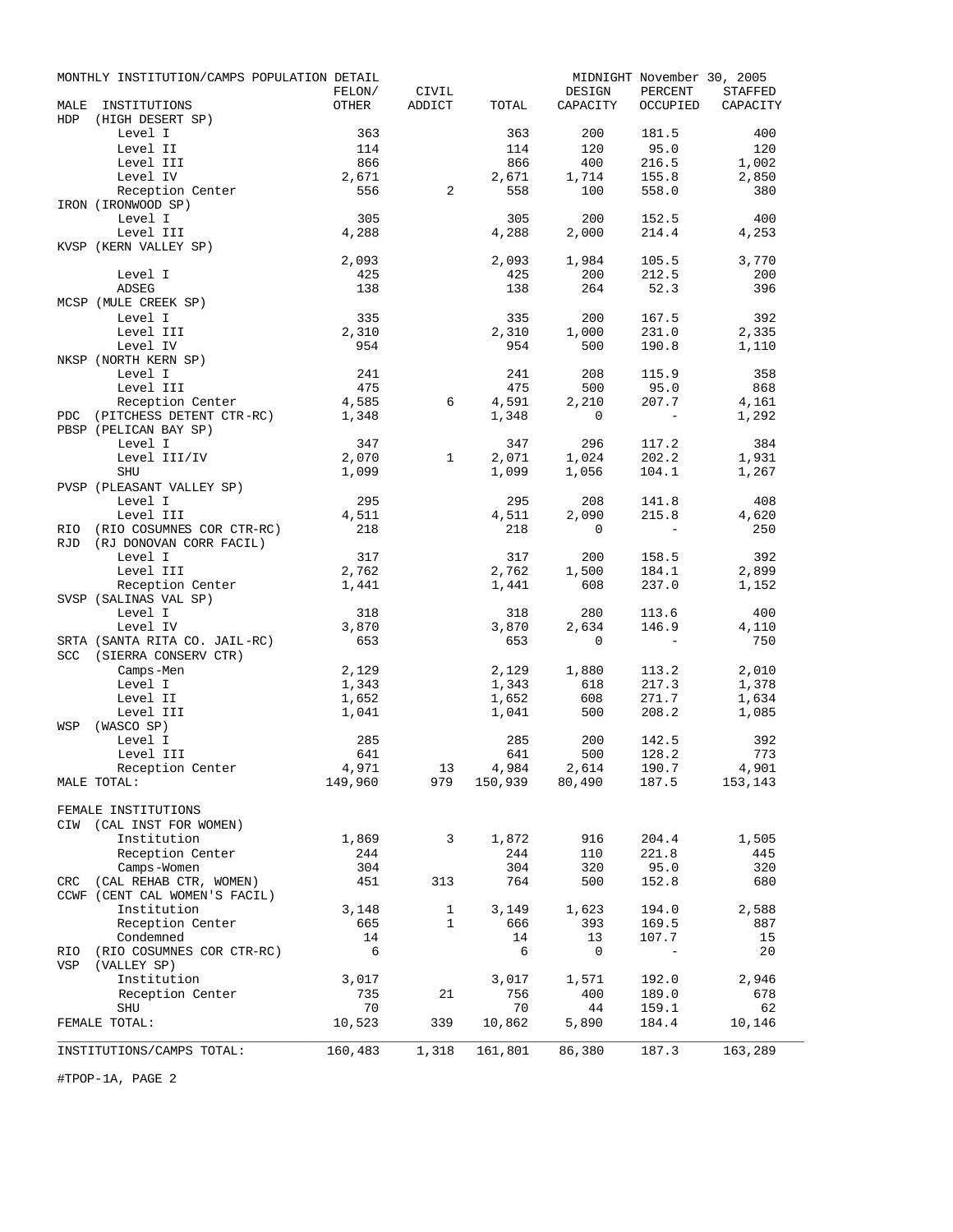|      | MONTHLY INSTITUTION/CAMPS POPULATION DETAIL | FELON/           | CIVIL        |              | DESIGN                                                                                                                                                                        | MIDNIGHT November 30, 2005<br>PERCENT | <b>STAFFED</b> |
|------|---------------------------------------------|------------------|--------------|--------------|-------------------------------------------------------------------------------------------------------------------------------------------------------------------------------|---------------------------------------|----------------|
| MALE | INSTITUTIONS                                | OTHER            | ADDICT       | TOTAL        | CAPACITY                                                                                                                                                                      | OCCUPIED                              | CAPACITY       |
| HDP  | (HIGH DESERT SP)                            |                  |              |              |                                                                                                                                                                               |                                       |                |
|      | Level I                                     | 363              |              | 363          | 200                                                                                                                                                                           | 181.5                                 | 400            |
|      | Level II<br>Level III                       | 114<br>866       |              | 114<br>866   | 120<br>400                                                                                                                                                                    | 95.0<br>216.5                         | 120<br>1,002   |
|      | Level IV                                    | 2,671            |              | 2,671        | 1,714                                                                                                                                                                         | 155.8                                 | 2,850          |
|      | Reception Center                            | 556              | 2            | 558          | 100                                                                                                                                                                           | 558.0                                 | 380            |
|      | IRON (IRONWOOD SP)                          |                  |              |              |                                                                                                                                                                               |                                       |                |
|      | Level I                                     | 305              |              | 305          | 200                                                                                                                                                                           | 152.5                                 | 400            |
|      | Level III                                   | 4,288            |              | 4,288        | 2,000                                                                                                                                                                         | 214.4                                 | 4,253          |
|      | KVSP (KERN VALLEY SP)                       |                  |              |              |                                                                                                                                                                               |                                       |                |
|      |                                             | 2,093            |              | 2,093        | 1,984                                                                                                                                                                         | 105.5                                 | 3,770          |
|      | Level I                                     | 425              |              | 425          | 200                                                                                                                                                                           | 212.5                                 | 200            |
|      | <b>ADSEG</b>                                | 138              |              | 138          | 264                                                                                                                                                                           | 52.3                                  | 396            |
|      | MCSP (MULE CREEK SP)                        |                  |              |              |                                                                                                                                                                               |                                       |                |
|      | Level I<br>Level III                        | 335<br>2,310     |              | 335<br>2,310 | 200<br>1,000                                                                                                                                                                  | 167.5<br>231.0                        | 392<br>2,335   |
|      | Level IV                                    | 954              |              | 954          | 500                                                                                                                                                                           | 190.8                                 | 1,110          |
|      | NKSP (NORTH KERN SP)                        |                  |              |              |                                                                                                                                                                               |                                       |                |
|      | Level I                                     | 241              |              | 241          | 208                                                                                                                                                                           | 115.9                                 | 358            |
|      | Level III                                   | 475              |              | 475          | 500                                                                                                                                                                           | 95.0                                  | 868            |
|      | Reception Center                            | 4,585            | 6            | 4,591        | 2,210                                                                                                                                                                         | 207.7                                 | 4,161          |
|      | PDC (PITCHESS DETENT CTR-RC)                | 1,348            |              | 1,348        | $\mathbf{0}$                                                                                                                                                                  | $\mathcal{L}$                         | 1,292          |
|      | PBSP (PELICAN BAY SP)                       |                  |              |              |                                                                                                                                                                               |                                       |                |
|      | Level I                                     | 347              |              | 347          | 296                                                                                                                                                                           | 117.2                                 | 384            |
|      | Level III/IV                                | 2,070            | $\mathbf{1}$ | 2,071        | 1,024                                                                                                                                                                         | 202.2<br>104.1                        | 1,931          |
|      | SHU<br>PVSP (PLEASANT VALLEY SP)            | 1,099            |              | 1,099        | 1,056                                                                                                                                                                         |                                       | 1,267          |
|      | Level I                                     | 295              |              | 295          | 208                                                                                                                                                                           | 141.8                                 | 408            |
|      | Level III                                   | 4,511            |              | 4,511        | 2,090                                                                                                                                                                         | 215.8                                 | 4,620          |
| RIO  | (RIO COSUMNES COR CTR-RC)                   | 218              |              | 218          | $\mathbf{0}$                                                                                                                                                                  | $-$                                   | 250            |
| RJD  | (RJ DONOVAN CORR FACIL)                     |                  |              |              |                                                                                                                                                                               |                                       |                |
|      | Level I                                     | 317              |              | 317          | 200                                                                                                                                                                           | 158.5                                 | 392            |
|      | Level III                                   | 2,762            |              | 2,762        | 1,500                                                                                                                                                                         | 184.1                                 | 2,899          |
|      | Reception Center                            | 1,441            |              | 1,441        | 608                                                                                                                                                                           | 237.0                                 | 1,152          |
|      | SVSP (SALINAS VAL SP)                       |                  |              |              |                                                                                                                                                                               |                                       |                |
|      | Level I<br>Level IV                         | 318<br>3,870     |              | 318<br>3,870 | 280<br>2,634                                                                                                                                                                  | 113.6<br>146.9                        | 400<br>4,110   |
|      | SRTA (SANTA RITA CO. JAIL-RC)               | 653              |              | 653          | $\mathbf{0}$                                                                                                                                                                  | $\overline{\phantom{0}}$              | 750            |
| SCC  | (SIERRA CONSERV CTR)                        |                  |              |              |                                                                                                                                                                               |                                       |                |
|      | Camps-Men                                   | 2,129            |              | 2,129        | 1,880                                                                                                                                                                         | 113.2                                 | 2,010          |
|      | Level I                                     | 1,343            |              | 1,343        | 618                                                                                                                                                                           | 217.3                                 | 1,378          |
|      | Level II                                    | 1,652            |              | 1,652        | 608                                                                                                                                                                           | 271.7                                 | 1,634          |
|      | Level III                                   | 1,041            |              | 1,041        | 500                                                                                                                                                                           | 208.2                                 | 1,085          |
| WSP  | (WASCO SP)                                  |                  |              |              |                                                                                                                                                                               |                                       |                |
|      | Level I                                     | 285              |              | 285          | 200                                                                                                                                                                           | 142.5                                 | 392            |
|      | Level III                                   | 641              |              | 641          | 500                                                                                                                                                                           | 128.2                                 | 773            |
|      | Reception Center<br>MALE TOTAL:             | 4,971<br>149,960 | 13<br>979    |              | $\begin{array}{cccc} 4\, , 984 \qquad & 2\, , 614 \qquad & 190\, .7 \qquad & 4\, , 901 \\ 150\, , 939 \qquad & 80\, , 490 \qquad & 187\, .5 \qquad & 153\, , 143 \end{array}$ |                                       |                |
|      |                                             |                  |              |              |                                                                                                                                                                               |                                       |                |
|      | FEMALE INSTITUTIONS                         |                  |              |              |                                                                                                                                                                               |                                       |                |
|      | CIW (CAL INST FOR WOMEN)                    |                  |              |              |                                                                                                                                                                               |                                       |                |
|      | Institution                                 | 1,869            | 3            | 1,872        | 916                                                                                                                                                                           | 204.4                                 | 1,505          |
|      | Reception Center                            | 244              |              | 244          | 110                                                                                                                                                                           | 221.8                                 | 445            |
|      | Camps-Women                                 | 304              |              | 304          | 320                                                                                                                                                                           | 95.0                                  | 320            |
|      | CRC (CAL REHAB CTR, WOMEN)                  | 451              | 313          | 764          | 500                                                                                                                                                                           | 152.8                                 | 680            |
|      | CCWF (CENT CAL WOMEN'S FACIL)               |                  |              |              |                                                                                                                                                                               |                                       |                |
|      | Institution                                 | 3,148            | $\mathbf{1}$ | 3,149        | 1,623                                                                                                                                                                         | 194.0                                 | 2,588          |
|      | Reception Center<br>Condemned               | 665<br>14        | $\mathbf{1}$ | 666<br>14    | 393<br>13                                                                                                                                                                     | 169.5<br>107.7                        | 887<br>15      |
| RIO  | (RIO COSUMNES COR CTR-RC)                   | - 6              |              | 6            | $\mathbf 0$                                                                                                                                                                   | $\overline{\phantom{a}}$              | 20             |
| VSP  | (VALLEY SP)                                 |                  |              |              |                                                                                                                                                                               |                                       |                |
|      | Institution                                 | 3,017            |              | 3,017        | 1,571                                                                                                                                                                         | 192.0                                 | 2,946          |
|      | Reception Center                            | 735              | 21           | 756          | 400                                                                                                                                                                           | 189.0                                 | 678            |
|      | <b>SHU</b>                                  | 70               |              | 70           | 44                                                                                                                                                                            | 159.1                                 | 62             |
|      | FEMALE TOTAL:                               | 10,523           | 339          | 10,862       | 5,890                                                                                                                                                                         | 184.4                                 | 10,146         |
|      |                                             |                  |              |              |                                                                                                                                                                               |                                       |                |
|      | INSTITUTIONS/CAMPS TOTAL:                   | 160,483          | 1,318        | 161,801      | 86,380                                                                                                                                                                        | 187.3                                 | 163,289        |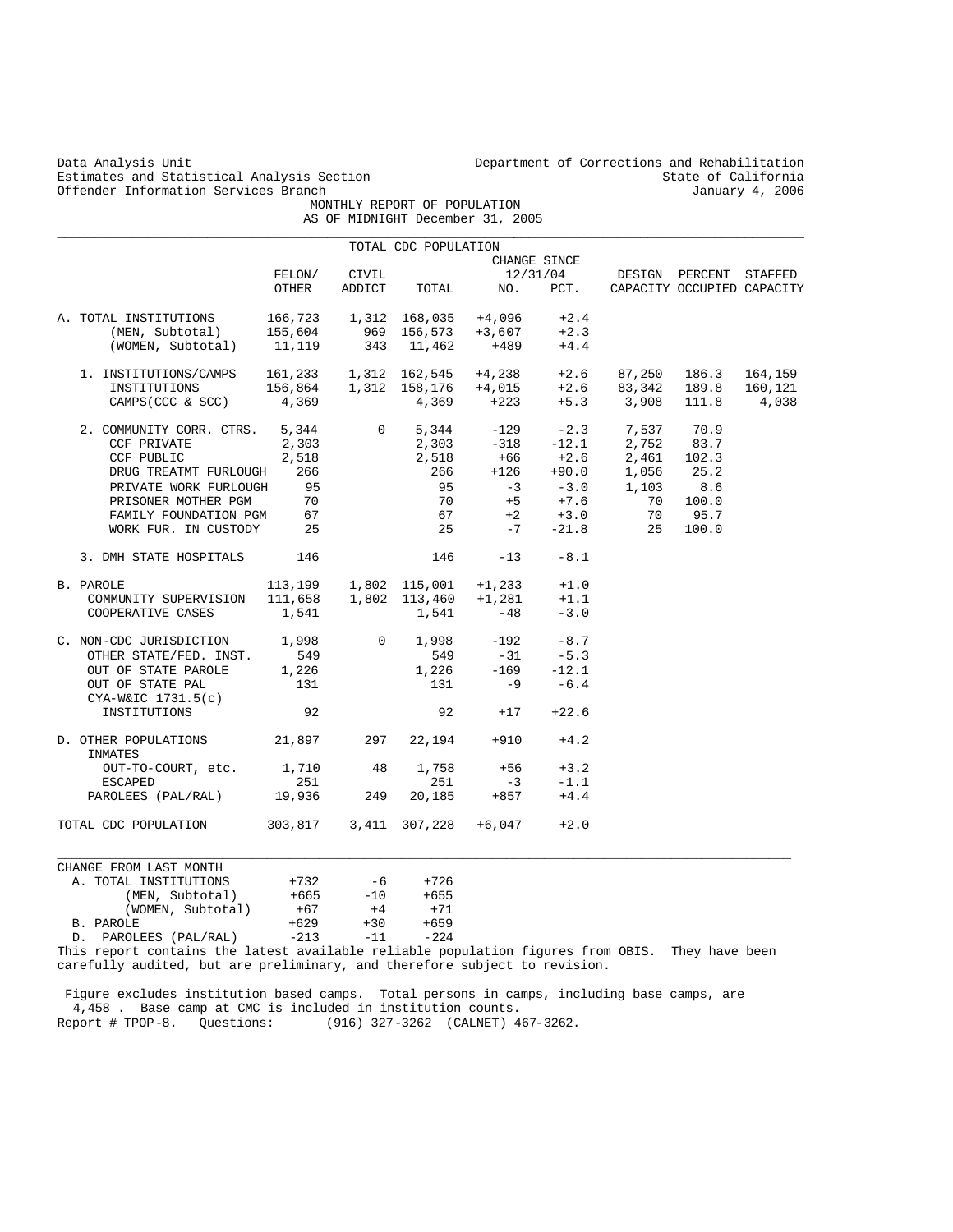| Data Analysis Unit<br>Estimates and Statistical Analysis Section |         |             | Department of Corrections and Rehabilitation<br>State of California<br>January 4, 2006 |                                  |              |        |                            |         |  |
|------------------------------------------------------------------|---------|-------------|----------------------------------------------------------------------------------------|----------------------------------|--------------|--------|----------------------------|---------|--|
| Offender Information Services Branch                             |         |             | MONTHLY REPORT OF POPULATION                                                           |                                  |              |        |                            |         |  |
|                                                                  |         |             |                                                                                        | AS OF MIDNIGHT December 31, 2005 |              |        |                            |         |  |
|                                                                  |         |             | TOTAL CDC POPULATION                                                                   |                                  |              |        |                            |         |  |
|                                                                  |         |             |                                                                                        |                                  | CHANGE SINCE |        |                            |         |  |
|                                                                  | FELON/  | CIVIL       |                                                                                        |                                  | 12/31/04     |        | DESIGN PERCENT             | STAFFED |  |
|                                                                  | OTHER   | ADDICT      | TOTAL                                                                                  | NO.                              | PCT.         |        | CAPACITY OCCUPIED CAPACITY |         |  |
| A. TOTAL INSTITUTIONS                                            | 166,723 | 1,312       | 168,035                                                                                | $+4,096$                         | $+2.4$       |        |                            |         |  |
| (MEN, Subtotal)                                                  | 155,604 | 969         | 156,573                                                                                | $+3,607$                         | $+2.3$       |        |                            |         |  |
| (WOMEN, Subtotal)                                                | 11,119  | 343         | 11,462                                                                                 | $+489$                           | $+4.4$       |        |                            |         |  |
| 1. INSTITUTIONS/CAMPS                                            | 161,233 |             | 1,312 162,545                                                                          | $+4,238$                         | $+2.6$       | 87,250 | 186.3                      | 164,159 |  |
| INSTITUTIONS                                                     | 156,864 |             | 1,312 158,176                                                                          | +4,015                           | $+2.6$       | 83,342 | 189.8                      | 160,121 |  |
| CAMPS (CCC & SCC)                                                | 4,369   |             | 4,369                                                                                  | +223                             | $+5.3$       | 3,908  | 111.8                      | 4,038   |  |
| 2. COMMUNITY CORR. CTRS.                                         | 5,344   | $\mathbf 0$ | 5,344                                                                                  | -129                             | $-2.3$       | 7,537  | 70.9                       |         |  |
| CCF PRIVATE                                                      | 2,303   |             | 2,303                                                                                  | $-318$                           | $-12.1$      | 2,752  | 83.7                       |         |  |
| CCF PUBLIC                                                       | 2,518   |             | 2,518                                                                                  | $+66$                            | $+2.6$       | 2,461  | 102.3                      |         |  |
| DRUG TREATMT FURLOUGH                                            | 266     |             | 266                                                                                    | $+126$                           | $+90.0$      | 1,056  | 25.2                       |         |  |
| PRIVATE WORK FURLOUGH                                            | 95      |             | 95                                                                                     | $-3$                             | $-3.0$       | 1,103  | 8.6                        |         |  |
| PRISONER MOTHER PGM                                              | 70      |             | 70                                                                                     | $+5$                             | $+7.6$       | 70     | 100.0                      |         |  |
| FAMILY FOUNDATION PGM                                            | 67      |             | 67                                                                                     | $+2$                             | $+3.0$       | 70     | 95.7                       |         |  |
| WORK FUR. IN CUSTODY                                             | 25      |             | 25                                                                                     | $-7$                             | $-21.8$      | 25     | 100.0                      |         |  |
| 3. DMH STATE HOSPITALS                                           | 146     |             | 146                                                                                    | $-13$                            | $-8.1$       |        |                            |         |  |
| B. PAROLE                                                        | 113,199 |             | 1,802 115,001                                                                          | $+1, 233$                        | $+1.0$       |        |                            |         |  |
| COMMUNITY SUPERVISION                                            | 111,658 |             | 1,802 113,460                                                                          | $+1,281$                         | $+1.1$       |        |                            |         |  |
| COOPERATIVE CASES                                                | 1,541   |             | 1,541                                                                                  | $-48$                            | $-3.0$       |        |                            |         |  |
| C. NON-CDC JURISDICTION                                          | 1,998   | 0           | 1,998                                                                                  | $-192$                           | $-8.7$       |        |                            |         |  |
| OTHER STATE/FED. INST.                                           | 549     |             | 549                                                                                    | $-31$                            | $-5.3$       |        |                            |         |  |
| OUT OF STATE PAROLE                                              | 1,226   |             | 1,226                                                                                  | $-169$                           | $-12.1$      |        |                            |         |  |
| OUT OF STATE PAL                                                 | 131     |             | 131                                                                                    | $-9$                             | $-6.4$       |        |                            |         |  |
| CYA-W&IC 1731.5(c)                                               |         |             |                                                                                        |                                  |              |        |                            |         |  |
| INSTITUTIONS                                                     | 92      |             | 92                                                                                     | $+17$                            | $+22.6$      |        |                            |         |  |
| D. OTHER POPULATIONS<br>INMATES                                  | 21,897  | 297         | 22,194                                                                                 | $+910$                           | $+4.2$       |        |                            |         |  |
| OUT-TO-COURT, etc.                                               | 1,710   | 48          | 1,758                                                                                  | $+56$                            | $+3.2$       |        |                            |         |  |
| <b>ESCAPED</b>                                                   | 251     |             | 251                                                                                    | $-3$                             | $-1.1$       |        |                            |         |  |
| PAROLEES (PAL/RAL)                                               | 19,936  | 249         | 20,185                                                                                 | $+857$                           | $+4.4$       |        |                            |         |  |
| TOTAL CDC POPULATION                                             | 303,817 |             | 3,411 307,228                                                                          | $+6,047$                         | $+2.0$       |        |                            |         |  |
| CHANGE FROM LAST MONTH                                           |         |             |                                                                                        |                                  |              |        |                            |         |  |
| A. TOTAL INSTITUTIONS                                            | $+732$  | -6          | $+726$                                                                                 |                                  |              |        |                            |         |  |
| (MEN, Subtotal)                                                  | $+665$  | $-10$       | $+655$                                                                                 |                                  |              |        |                            |         |  |
| (WOMEN, Subtotal)                                                | $+67$   | $+4$        | $+71$                                                                                  |                                  |              |        |                            |         |  |
| B. PAROLE                                                        | $+629$  | $+30$       | $+659$                                                                                 |                                  |              |        |                            |         |  |
| PAROLEES (PAL/RAL)<br>D.                                         | $-213$  | $-11$       | $-224$                                                                                 |                                  |              |        |                            |         |  |

This report contains the latest available reliable population figures from OBIS. They have been carefully audited, but are preliminary, and therefore subject to revision.

 Figure excludes institution based camps. Total persons in camps, including base camps, are 4,458 . Base camp at CMC is included in institution counts. Report # TPOP-8. Questions: (916) 327-3262 (CALNET) 467-3262.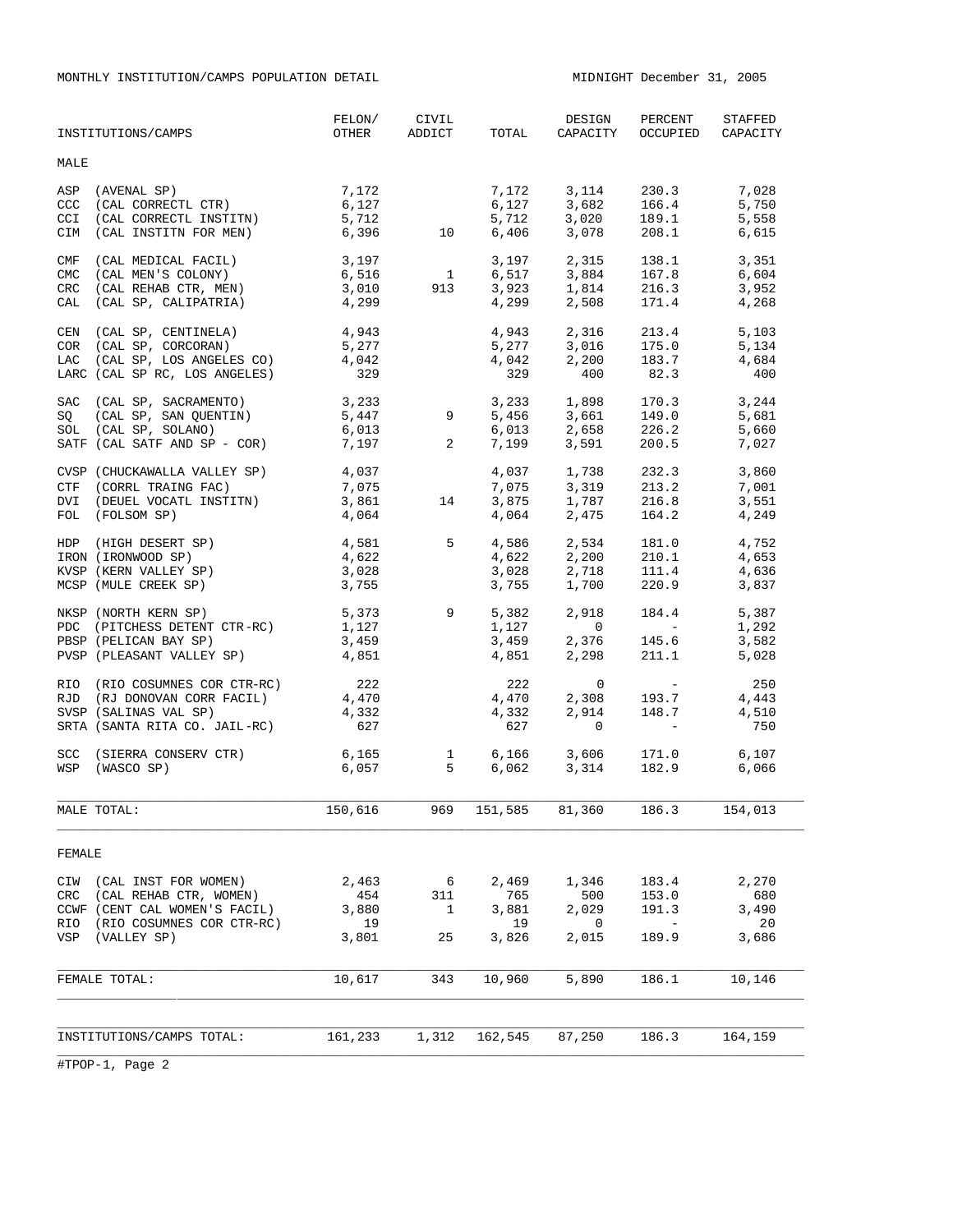MONTHLY INSTITUTION/CAMPS POPULATION DETAIL MIDNIGHT December 31, 2005

|                                        | INSTITUTIONS/CAMPS                                                                                                                      | FELON/<br>OTHER                          | CIVIL<br>ADDICT                              | TOTAL                                | DESIGN<br>CAPACITY                                       | PERCENT<br>OCCUPIED                                                 | STAFFED<br>CAPACITY                  |
|----------------------------------------|-----------------------------------------------------------------------------------------------------------------------------------------|------------------------------------------|----------------------------------------------|--------------------------------------|----------------------------------------------------------|---------------------------------------------------------------------|--------------------------------------|
| MALE                                   |                                                                                                                                         |                                          |                                              |                                      |                                                          |                                                                     |                                      |
| ASP<br>CCC<br><b>CCI</b><br><b>CIM</b> | (AVENAL SP)<br>(CAL CORRECTL CTR)<br>(CAL CORRECTL INSTITN)<br>(CAL INSTITN FOR MEN)                                                    | 7,172<br>6,127<br>5,712<br>6,396         | 10                                           | 7,172<br>$6,127$<br>= 712<br>6,406   | 3,682 166.4<br>3,020 189.1<br>3,078                      | 3, 114 230.3<br>166.4<br>208.1                                      | 7,028<br>5,750<br>5,558<br>6,615     |
| CMF<br><b>CMC</b><br>CRC<br>CAL        | (CAL MEDICAL FACIL)<br>(CAL MEN'S COLONY)<br>(CAL REHAB CTR, MEN)<br>(CAL SP, CALIPATRIA)                                               | 3,197<br>6,516<br>3,010<br>4,299         | $\overline{\mathbf{1}}$<br>913               | 3,923<br>4.299                       | 3,197 2,315<br>6,517 3,884<br>1,814<br>2,508             | 138.1<br>167.8<br>216.3<br>171.4                                    | 3,351<br>6,604<br>3,952<br>4,268     |
|                                        | CEN (CAL SP, CENTINELA)<br>COR (CAL SP, CORCORAN)<br>LAC (CAL SP, LOS ANGELES CO)<br>LARC (CAL SP RC, LOS ANGELES)                      | 4,943<br>5,277<br>4,042<br>329           |                                              | 4,943<br>5,277<br>4,042<br>329       | 3,016 175.0<br>2,200 183.7<br>400                        | 2,316 213.4<br>82.3                                                 | 5,103<br>5,134<br>4,684<br>400       |
| SAC                                    | (CAL SP, SACRAMENTO)<br>SQ (CAL SP, SAN QUENTIN)<br>SOL (CAL SP, SOLANO)<br>SATF (CAL SATF AND SP - COR)                                | 3,233<br>5,447<br>6,013<br>7,197         | 9<br>2                                       | 6,013<br>7,199                       | 3,233 1,898 170.3<br>5,456 3,661 149.0<br>2,658<br>3,591 | 226.2<br>200.5                                                      | 3,244<br>5,681<br>5,660<br>7,027     |
|                                        | CVSP (CHUCKAWALLA VALLEY SP)<br>CTF (CORRL TRAING FAC)<br>DVI (DEUEL VOCATL INSTITN)<br>FOL (FOLSOM SP)                                 | 4,037<br>7,075<br>3,861<br>4,064         | 14                                           | 4,037<br>7,075<br>3,875<br>4,064     | 1,738<br>3,319<br>1,787<br>2,475                         | 232.3<br>213.2<br>216.8<br>164.2                                    | 3,860<br>7,001<br>3,551<br>4,249     |
|                                        | HDP (HIGH DESERT SP)<br>IRON (IRONWOOD SP)<br>KVSP (KERN VALLEY SP)<br>MCSP (MULE CREEK SP)                                             | 4,581<br>4,622<br>3,028<br>3,755         | 5 <sup>5</sup>                               | 4,586<br>4,622<br>3,028<br>3,755     | 2,534<br>2,200<br>2,718<br>1,700                         | 181.0<br>210.1<br>111.4<br>220.9                                    | 4,752<br>4,653<br>4,636<br>3,837     |
|                                        | NKSP (NORTH KERN SP)<br>PDC (PITCHESS DETENT CTR-RC)<br>PBSP (PELICAN BAY SP)<br>PVSP (PLEASANT VALLEY SP)                              | 5,373<br>1,127<br>3,459<br>4,851         | $9^{\circ}$                                  | 5,382<br>1,127<br>3,459<br>4,851     | 2,918<br>$\mathbf{0}$<br>2,376<br>2,298                  | 184.4<br><b>Contract Contract</b><br>145.6<br>211.1                 | 5,387<br>1,292<br>3,582<br>5,028     |
|                                        | RIO (RIO COSUMNES COR CTR-RC)<br>RJD (RJ DONOVAN CORR FACIL)<br>SVSP (SALINAS VAL SP)<br>SRTA (SANTA RITA CO. JAIL-RC)                  | 222<br>4,470<br>4,332<br>627             |                                              | 222<br>4,470<br>4,332<br>627         | 0<br>2,308<br>2,914<br>$\mathbf{0}$                      | $\mathcal{L}^{\text{max}}_{\text{max}}$<br>193.7<br>148.7           | 250<br>4,443<br>4,510<br>750         |
| <b>SCC</b><br>WSP                      | (SIERRA CONSERV CTR)<br>(WASCO SP)                                                                                                      | 6,165<br>6,057                           | $\frac{1}{5}$                                | 6,166<br>6,062                       | 3,606<br>3,314                                           | 171.0<br>182.9                                                      | 6,107<br>6,066                       |
|                                        | MALE TOTAL:                                                                                                                             | 150,616 969 151,585 81,360 186.3 154,013 |                                              |                                      |                                                          |                                                                     |                                      |
| FEMALE                                 |                                                                                                                                         |                                          |                                              |                                      |                                                          |                                                                     |                                      |
| CRC                                    | CIW (CAL INST FOR WOMEN)<br>(CAL REHAB CTR, WOMEN)<br>CCWF (CENT CAL WOMEN'S FACIL)<br>RIO (RIO COSUMNES COR CTR-RC)<br>VSP (VALLEY SP) | 2,463<br>454<br>3,880<br>19<br>3,801     | $6\overline{6}$<br>311<br>$\mathbf{1}$<br>25 | 2,469<br>765<br>3,881<br>19<br>3,826 | 1,346<br>500<br>2,029<br>0<br>2,015                      | 183.4<br>153.0<br>191.3<br>$\hspace{0.1mm}-\hspace{0.1mm}$<br>189.9 | 2,270<br>680<br>3,490<br>20<br>3,686 |
|                                        | FEMALE TOTAL:                                                                                                                           | 10,617                                   | 343                                          | 10,960                               | 5,890                                                    | 186.1                                                               | 10,146                               |
|                                        | INSTITUTIONS/CAMPS TOTAL:                                                                                                               | 161,233                                  | 1,312                                        | 162,545                              | 87,250                                                   | 186.3                                                               | 164,159                              |
|                                        |                                                                                                                                         |                                          |                                              |                                      |                                                          |                                                                     |                                      |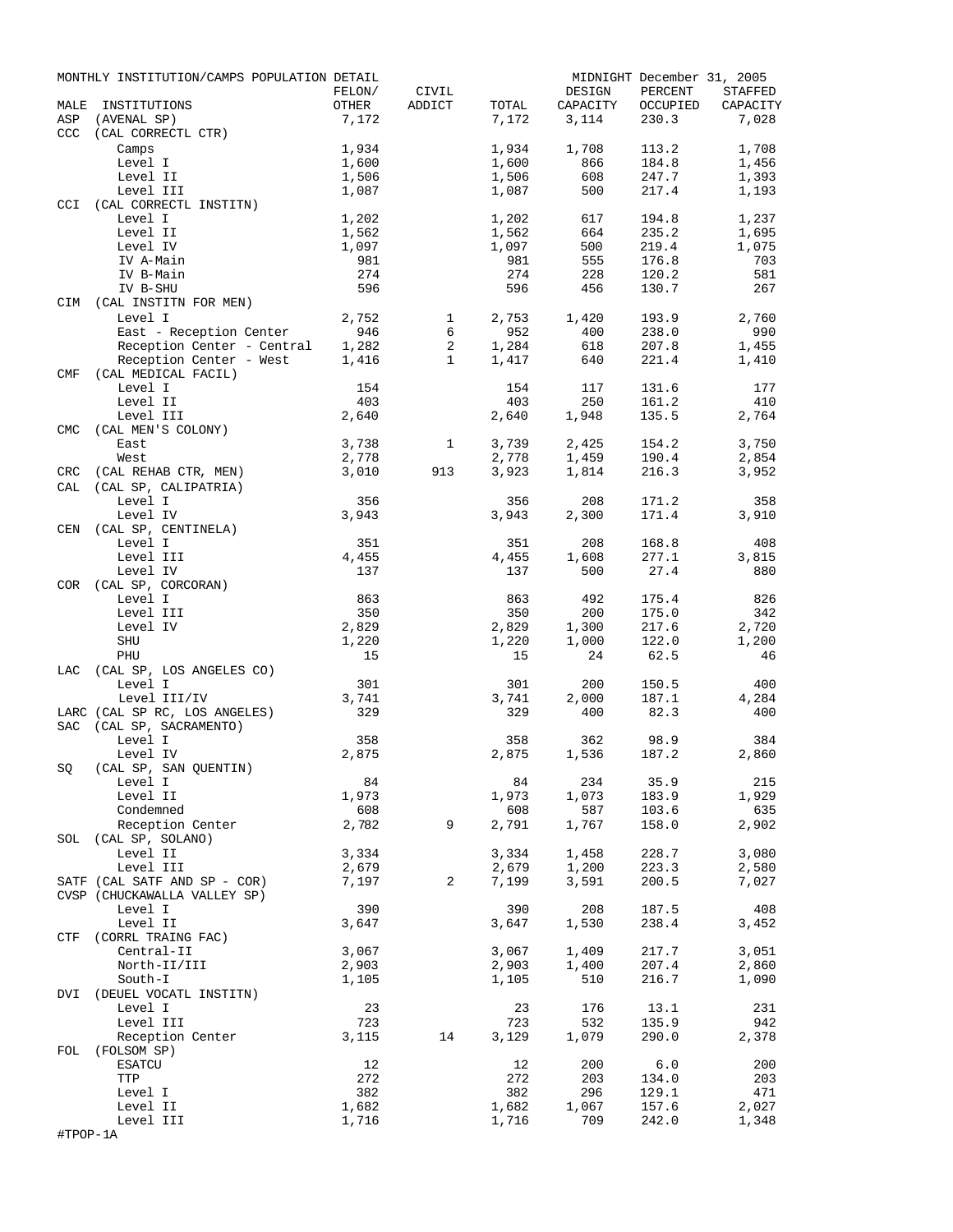|            | MONTHLY INSTITUTION/CAMPS POPULATION DETAIL          | FELON/ | CIVIL        |       | DESIGN   | PERCENT  | MIDNIGHT December 31, 2005<br><b>STAFFED</b> |
|------------|------------------------------------------------------|--------|--------------|-------|----------|----------|----------------------------------------------|
| MALE       | INSTITUTIONS                                         | OTHER  | ADDICT       | TOTAL | CAPACITY | OCCUPIED | CAPACITY                                     |
| ASP<br>CCC | (AVENAL SP)<br>(CAL CORRECTL CTR)                    | 7,172  |              | 7,172 | 3,114    | 230.3    | 7,028                                        |
|            | Camps                                                | 1,934  |              | 1,934 | 1,708    | 113.2    | 1,708                                        |
|            | Level I                                              | 1,600  |              | 1,600 | 866      | 184.8    | 1,456                                        |
|            | Level II                                             | 1,506  |              | 1,506 | 608      | 247.7    | 1,393                                        |
|            | Level III                                            | 1,087  |              | 1,087 | 500      | 217.4    | 1,193                                        |
| CCI        | (CAL CORRECTL INSTITN)                               |        |              |       |          |          |                                              |
|            | Level I                                              | 1,202  |              | 1,202 | 617      | 194.8    | 1,237                                        |
|            | Level II                                             | 1,562  |              | 1,562 | 664      | 235.2    | 1,695                                        |
|            | Level IV                                             | 1,097  |              | 1,097 | 500      | 219.4    | 1,075                                        |
|            | IV A-Main                                            | 981    |              | 981   | 555      | 176.8    | 703                                          |
|            | IV B-Main                                            | 274    |              | 274   | 228      | 120.2    | 581                                          |
|            | IV B-SHU                                             | 596    |              | 596   | 456      | 130.7    | 267                                          |
| CIM        | (CAL INSTITN FOR MEN)                                |        |              |       |          |          |                                              |
|            | Level I                                              | 2,752  | 1            | 2,753 | 1,420    | 193.9    | 2,760                                        |
|            | East - Reception Center                              | 946    | 6            | 952   | 400      | 238.0    | 990                                          |
|            | Reception Center - Central                           | 1,282  | 2            | 1,284 | 618      | 207.8    | 1,455                                        |
|            | Reception Center - West                              | 1,416  | $\mathbf{1}$ | 1,417 | 640      | 221.4    | 1,410                                        |
| <b>CMF</b> | (CAL MEDICAL FACIL)                                  |        |              |       |          |          |                                              |
|            | Level I                                              | 154    |              | 154   | 117      | 131.6    | 177                                          |
|            | Level II                                             | 403    |              | 403   | 250      | 161.2    | 410                                          |
|            | Level III                                            | 2,640  |              | 2,640 | 1,948    | 135.5    | 2,764                                        |
| <b>CMC</b> | (CAL MEN'S COLONY)                                   |        |              |       |          |          |                                              |
|            | East                                                 | 3,738  | 1            | 3,739 | 2,425    | 154.2    | 3,750                                        |
|            | West                                                 | 2,778  |              | 2,778 | 1,459    | 190.4    | 2,854                                        |
| CRC        | (CAL REHAB CTR, MEN)                                 | 3,010  | 913          | 3,923 | 1,814    | 216.3    | 3,952                                        |
| CAL        | (CAL SP, CALIPATRIA)                                 |        |              |       |          |          |                                              |
|            | Level I                                              | 356    |              | 356   | 208      | 171.2    | 358                                          |
|            | Level IV                                             | 3,943  |              | 3,943 | 2,300    | 171.4    | 3,910                                        |
| CEN        | (CAL SP, CENTINELA)                                  |        |              |       |          |          |                                              |
|            | Level I                                              | 351    |              | 351   | 208      | 168.8    | 408                                          |
|            | Level III                                            | 4,455  |              | 4,455 | 1,608    | 277.1    | 3,815                                        |
|            | Level IV                                             | 137    |              | 137   | 500      | 27.4     | 880                                          |
| COR        | $(\mathtt{CAL} \ \mathtt{SP}$ , $\mathtt{CORCORAN})$ |        |              |       |          |          |                                              |
|            | Level I                                              | 863    |              | 863   | 492      | 175.4    | 826                                          |
|            | Level III                                            | 350    |              | 350   | 200      | 175.0    | 342                                          |
|            | Level IV                                             | 2,829  |              | 2,829 | 1,300    | 217.6    | 2,720                                        |
|            | SHU                                                  | 1,220  |              | 1,220 | 1,000    | 122.0    | 1,200                                        |
|            | PHU                                                  | 15     |              | 15    | 24       | 62.5     | 46                                           |
| LAC        | (CAL SP, LOS ANGELES CO)                             |        |              |       |          |          |                                              |
|            | Level I                                              | 301    |              | 301   | 200      | 150.5    | 400                                          |
|            | Level III/IV                                         | 3,741  |              | 3,741 | 2,000    | 187.1    | 4,284                                        |
|            | LARC (CAL SP RC, LOS ANGELES)                        | 329    |              | 329   | 400      | 82.3     | 400                                          |
| <b>SAC</b> | (CAL SP, SACRAMENTO)                                 |        |              |       |          |          |                                              |
|            | Level I                                              | 358    |              | 358   | 362      | 98.9     | 384                                          |
|            | Level IV                                             | 2,875  |              | 2,875 | 1,536    | 187.2    | 2,860                                        |
| SQ         | (CAL SP, SAN QUENTIN)                                |        |              |       |          |          |                                              |
|            | Level I                                              | 84     |              | 84    | 234      | 35.9     | 215                                          |
|            | Level II                                             | 1,973  |              | 1,973 | 1,073    | 183.9    | 1,929                                        |
|            | Condemned                                            | 608    |              | 608   | 587      | 103.6    | 635                                          |
|            | Reception Center                                     | 2,782  | 9            | 2,791 | 1,767    | 158.0    | 2,902                                        |
| SOL        | (CAL SP, SOLANO)                                     |        |              |       |          |          |                                              |
|            | Level II                                             | 3,334  |              | 3,334 | 1,458    | 228.7    | 3,080                                        |
|            | Level III                                            | 2,679  |              | 2,679 | 1,200    | 223.3    | 2,580                                        |
|            | SATF (CAL SATF AND SP - COR)                         | 7,197  | 2            | 7,199 | 3,591    | 200.5    | 7,027                                        |
|            | CVSP (CHUCKAWALLA VALLEY SP)                         |        |              |       |          |          |                                              |
|            | Level I                                              | 390    |              | 390   | 208      | 187.5    | 408                                          |
|            | Level II                                             | 3,647  |              | 3,647 | 1,530    | 238.4    | 3,452                                        |
| CTF        | (CORRL TRAING FAC)                                   |        |              |       |          |          |                                              |
|            | Central-II                                           | 3,067  |              | 3,067 | 1,409    | 217.7    | 3,051                                        |
|            | North-II/III                                         | 2,903  |              | 2,903 | 1,400    | 207.4    | 2,860                                        |
|            | South-I                                              | 1,105  |              | 1,105 | 510      | 216.7    | 1,090                                        |
| DVI        | (DEUEL VOCATL INSTITN)                               |        |              |       |          |          |                                              |
|            | Level I                                              | 23     |              | 23    | 176      | 13.1     | 231                                          |
|            | Level III                                            | 723    |              | 723   | 532      | 135.9    | 942                                          |
|            | Reception Center                                     | 3,115  | 14           | 3,129 | 1,079    | 290.0    | 2,378                                        |
| FOL        | (FOLSOM SP)                                          |        |              |       |          |          |                                              |
|            | <b>ESATCU</b>                                        | 12     |              | 12    | 200      | 6.0      | 200                                          |
|            | TTP                                                  | 272    |              | 272   | 203      | 134.0    | 203                                          |
|            | Level I                                              | 382    |              | 382   | 296      | 129.1    | 471                                          |
|            | Level II                                             | 1,682  |              | 1,682 | 1,067    | 157.6    | 2,027                                        |
|            | Level III                                            | 1,716  |              | 1,716 | 709      | 242.0    | 1,348                                        |
| #TPOP-1A   |                                                      |        |              |       |          |          |                                              |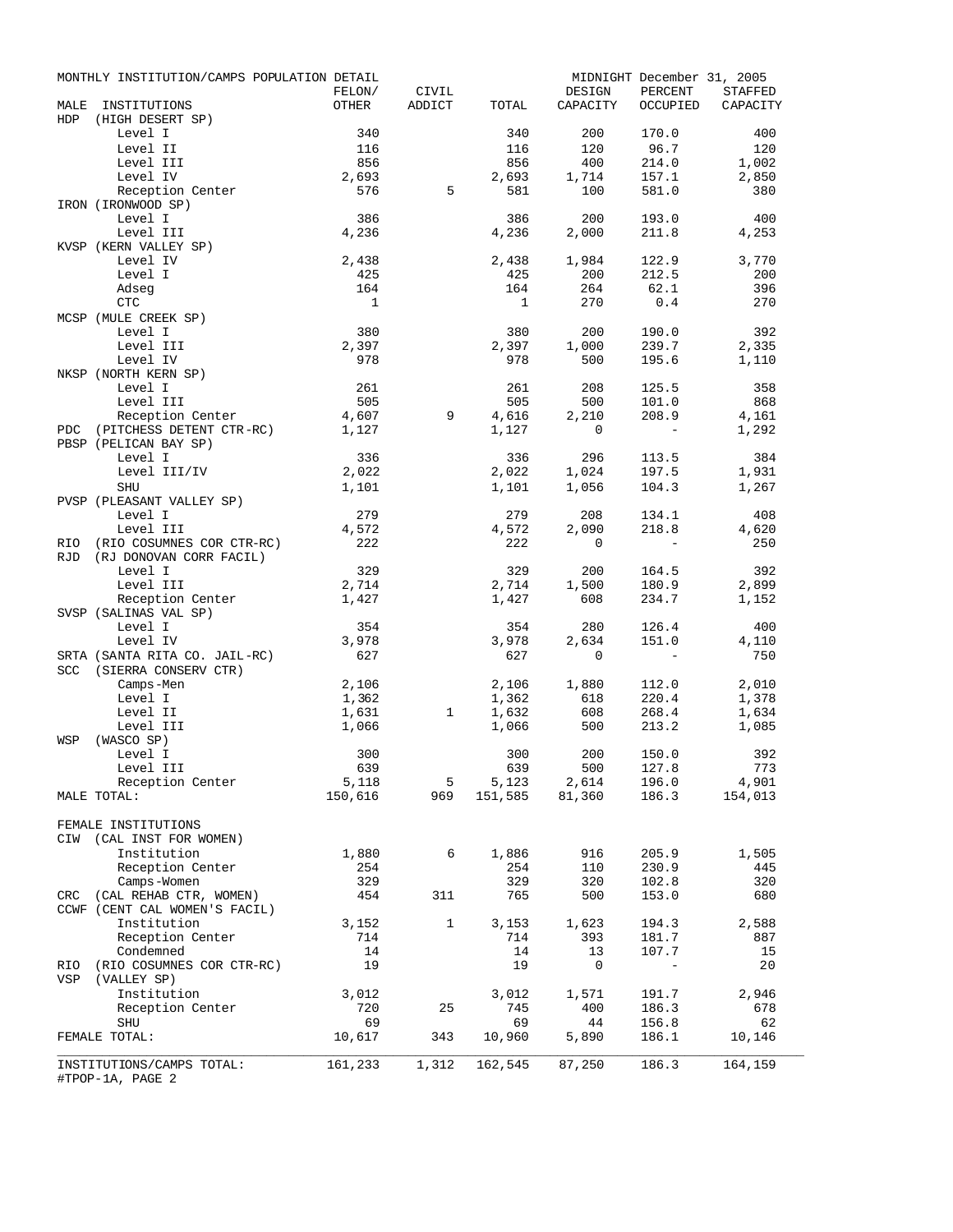|                    | MONTHLY INSTITUTION/CAMPS POPULATION DETAIL        |                  |                 |                |                                                                                                                   |                                  | MIDNIGHT December 31, 2005 |
|--------------------|----------------------------------------------------|------------------|-----------------|----------------|-------------------------------------------------------------------------------------------------------------------|----------------------------------|----------------------------|
|                    |                                                    | FELON/           | CIVIL<br>ADDICT |                | DESIGN                                                                                                            | PERCENT                          | STAFFED                    |
| MALE<br><b>HDP</b> | INSTITUTIONS<br>(HIGH DESERT SP)                   | OTHER            |                 | TOTAL          | CAPACITY                                                                                                          |                                  | OCCUPIED CAPACITY          |
|                    | Level I                                            | 340              |                 | 340            | 200                                                                                                               | 170.0                            | 400                        |
|                    | Level II                                           | 116              |                 | 116            | 120                                                                                                               | 96.7                             | 120                        |
|                    | Level III                                          | 856              |                 | 856            | 400                                                                                                               | 214.0                            | 1,002                      |
|                    | Level IV                                           | 2,693            |                 | 2,693          | 1,714                                                                                                             | 157.1                            | 2,850                      |
|                    | Reception Center                                   | 576              | 5               | 581            | 100                                                                                                               | 581.0                            | 380                        |
|                    | IRON (IRONWOOD SP)                                 |                  |                 |                |                                                                                                                   |                                  |                            |
|                    | Level I                                            | 386              |                 | 386            | 200                                                                                                               | 193.0                            | 400                        |
|                    | Level III                                          | $386$<br>$4,236$ |                 | 4,236          | 2,000                                                                                                             | 211.8                            | 4,253                      |
|                    | KVSP (KERN VALLEY SP)                              |                  |                 |                |                                                                                                                   |                                  |                            |
|                    | Level IV                                           | 2,438            |                 | 2,438          | 1,984                                                                                                             | 122.9                            | 3,770                      |
|                    | Level I                                            | 425              |                 | 425            | 200                                                                                                               | 212.5                            | 200                        |
|                    | Adseq                                              | 164              |                 | 164            | 264                                                                                                               | 62.1                             | 396                        |
|                    | CTC                                                | $\overline{1}$   |                 | $\overline{1}$ | 270                                                                                                               | 0.4                              | 270                        |
|                    | MCSP (MULE CREEK SP)                               |                  |                 |                |                                                                                                                   |                                  |                            |
|                    | Level I                                            | 380              |                 | 380            | 200                                                                                                               | 190.0                            | 392                        |
|                    | Level III                                          | 2,397            |                 | 2,397          | 1,000                                                                                                             | 239.7                            | 2,335                      |
|                    | Level IV                                           | 978              |                 | 978            | 500                                                                                                               | 195.6                            | 1,110                      |
|                    | NKSP (NORTH KERN SP)                               |                  |                 |                |                                                                                                                   |                                  |                            |
|                    | Level I                                            | 261<br>505       |                 | 261            | 208                                                                                                               | 125.5                            | 358                        |
|                    | Level III                                          | 4,607            | 9               | 505            | 500                                                                                                               | 101.0                            | 868                        |
|                    | Reception Center<br>(PITCHESS DETENT CTR-RC) 1,127 |                  |                 | 4,616<br>1,127 | 2,210<br>$\overline{\phantom{0}}$                                                                                 | 208.9<br>$\sim 100$ km s $^{-1}$ | 4,161<br>1,292             |
| PDC                | PBSP (PELICAN BAY SP)                              |                  |                 |                |                                                                                                                   |                                  |                            |
|                    | Level I                                            | 336              |                 | 336            | 296                                                                                                               | 113.5                            | 384                        |
|                    | Level III/IV                                       | 2,022            |                 | 2,022          | 1,024                                                                                                             | 197.5                            | 1,931                      |
|                    | SHU                                                | 1,101            |                 | 1,101          | 1,056                                                                                                             | 104.3                            | 1,267                      |
|                    | PVSP (PLEASANT VALLEY SP)                          |                  |                 |                |                                                                                                                   |                                  |                            |
|                    | Level I                                            | 279              |                 | 279            | 208                                                                                                               | 134.1                            | 408                        |
|                    | Level III                                          | 4,572            |                 | 4,572          | 2,090                                                                                                             | 218.8                            | 4,620                      |
|                    | RIO (RIO COSUMNES COR CTR-RC)                      | 222              |                 | 222            | $\overline{0}$                                                                                                    | $\sim 100$ km s $^{-1}$          | 250                        |
|                    | RJD (RJ DONOVAN CORR FACIL)                        |                  |                 |                |                                                                                                                   |                                  |                            |
|                    | Level I                                            | 329              |                 | 329            | 200                                                                                                               | 164.5                            | 392                        |
|                    | Level III                                          | 2,714            |                 | 2,714          | 1,500                                                                                                             | 180.9                            | 2,899                      |
|                    | Reception Center                                   | 1,427            |                 | 1,427          | 608                                                                                                               | 234.7                            | 1,152                      |
|                    | SVSP (SALINAS VAL SP)                              |                  |                 |                |                                                                                                                   |                                  |                            |
|                    | Level I                                            | 354              |                 | 354            | 280                                                                                                               | 126.4                            | 400                        |
|                    | Level IV                                           | 3,978            |                 | 3,978          | 2,634                                                                                                             | 151.0                            | 4,110                      |
|                    | SRTA (SANTA RITA CO. JAIL-RC)                      | 627              |                 | 627            | $\Omega$                                                                                                          | $\sim 100$ km s $^{-1}$          | 750                        |
|                    | SCC (SIERRA CONSERV CTR)                           |                  |                 |                |                                                                                                                   |                                  |                            |
|                    | Camps-Men                                          | 2,106            |                 | 2,106          | 1,880                                                                                                             | 112.0                            | 2,010                      |
|                    | Level I                                            | 1,362            |                 | 1,362          | 618                                                                                                               | 220.4                            | 1,378                      |
|                    | Level II                                           | 1,631            | $\mathbf{1}$    | 1,632          | 608                                                                                                               | 268.4                            | 1,634                      |
|                    | Level III                                          | 1,066            |                 | 1,066          | 500                                                                                                               | 213.2                            | 1,085                      |
| WSP                | (WASCO SP)                                         |                  |                 |                |                                                                                                                   |                                  |                            |
|                    | Level I                                            | 300              |                 | 300            | 200                                                                                                               | 150.0                            | 392                        |
|                    | Level III                                          | 639              |                 | 639            |                                                                                                                   | 500 127.8                        | 773<br>4,901               |
|                    | Reception Center                                   | 5,118            |                 |                | $\begin{array}{cccccc} 5 & 5,123 & 2,614 & 196.0 & 4,901 \\ 969 & 151,585 & 81,360 & 186.3 & 154,013 \end{array}$ |                                  |                            |
|                    | MALE TOTAL:                                        | 150,616          |                 |                |                                                                                                                   |                                  |                            |
|                    | FEMALE INSTITUTIONS                                |                  |                 |                |                                                                                                                   |                                  |                            |
|                    | CIW (CAL INST FOR WOMEN)                           |                  |                 |                |                                                                                                                   |                                  |                            |
|                    | Institution                                        | 1,880            | 6               | 1,886          | 916                                                                                                               | 205.9                            | 1,505                      |
|                    | Reception Center                                   | 254              |                 | 254            | 110                                                                                                               | 230.9                            | 445                        |
|                    | Camps-Women                                        | 329              |                 | 329            | 320                                                                                                               | 102.8                            | 320                        |
|                    | CRC (CAL REHAB CTR, WOMEN)                         | 454              | 311             | 765            | 500                                                                                                               | 153.0                            | 680                        |
|                    | CCWF (CENT CAL WOMEN'S FACIL)                      |                  |                 |                |                                                                                                                   |                                  |                            |
|                    | Institution                                        | 3,152            | $\mathbf{1}$    | 3,153          | 1,623                                                                                                             | 194.3                            | 2,588                      |
|                    | Reception Center                                   | 714              |                 | 714            | 393                                                                                                               | 181.7                            | 887                        |
|                    | Condemned                                          | 14               |                 | 14             | 13                                                                                                                | 107.7                            | 15                         |
|                    | RIO (RIO COSUMNES COR CTR-RC)                      | 19               |                 | 19             | 0                                                                                                                 | $\sim$ $ -$                      | 20                         |
|                    | VSP (VALLEY SP)                                    |                  |                 |                |                                                                                                                   |                                  |                            |
|                    | Institution                                        | 3,012            |                 | 3,012          | 1,571                                                                                                             | 191.7                            | 2,946                      |
|                    | Reception Center                                   | 720              | 25              | 745            | 400                                                                                                               | 186.3                            | 678                        |
|                    | <b>SHU</b>                                         | 69               |                 | 69             | 44                                                                                                                | 156.8                            | 62                         |
|                    | FEMALE TOTAL:                                      | 10,617           | 343             | 10,960         | 5,890                                                                                                             | 186.1                            | 10,146                     |
|                    |                                                    |                  |                 |                |                                                                                                                   |                                  |                            |
|                    | INSTITUTIONS/CAMPS TOTAL:<br>#TPOP-1A, PAGE 2      | 161,233          | 1,312           |                | 162,545 87,250                                                                                                    | 186.3                            | 164,159                    |
|                    |                                                    |                  |                 |                |                                                                                                                   |                                  |                            |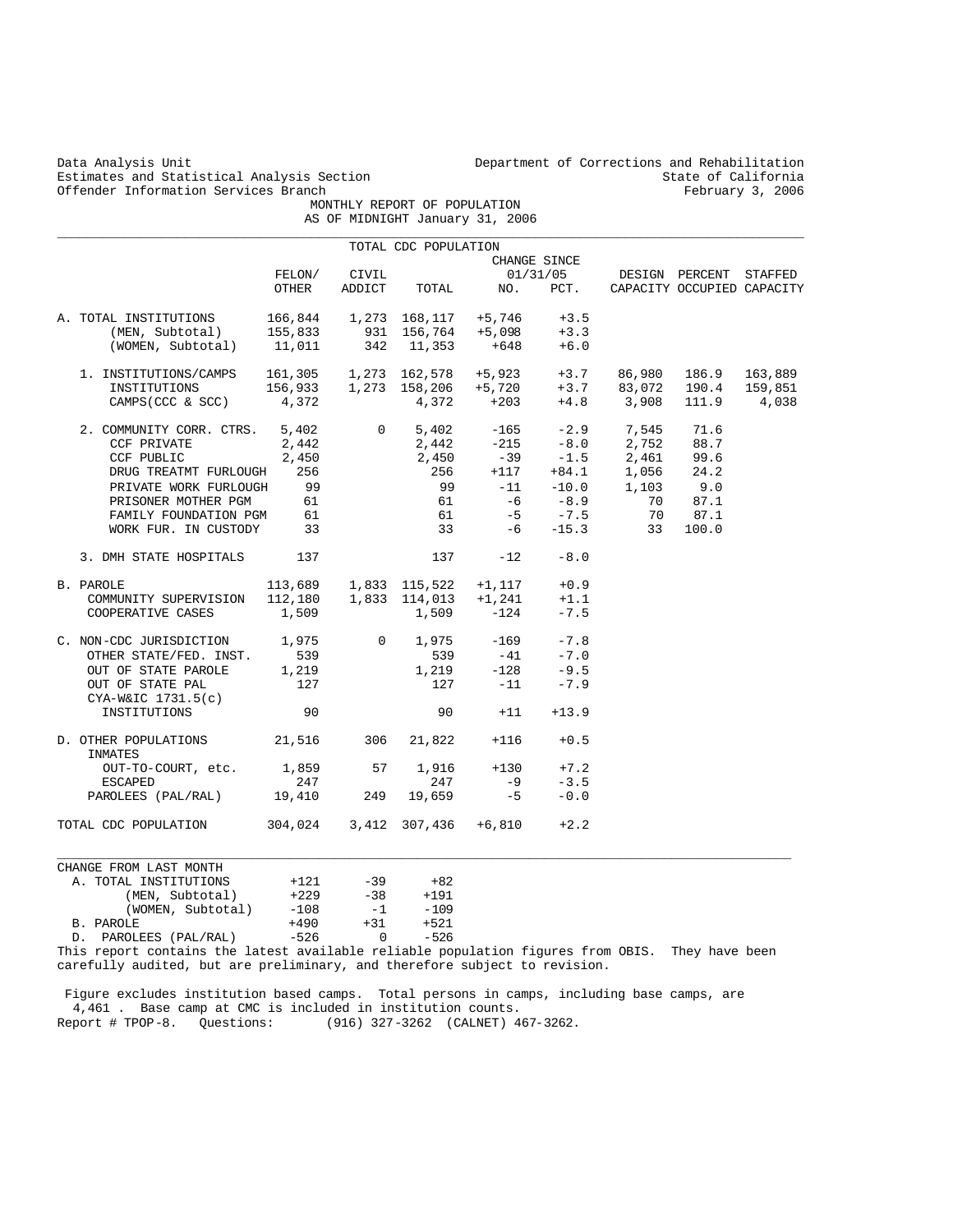Estimates and Statistical Analysis Section State of California<br>
Offender Information Services Branch<br>
State of California<br>
Sebruary 3, 2006 Offender Information Services Branch

Data Analysis Unit Unit Department of Corrections and Rehabilitation<br>Estimates and Statistical Analysis Section State of California

 MONTHLY REPORT OF POPULATION AS OF MIDNIGHT January 31, 2006

|                                                                   |         |                | TOTAL CDC POPULATION |                                                                                                                                                                                                                |                   |                                                                                                                                              |                            |       |
|-------------------------------------------------------------------|---------|----------------|----------------------|----------------------------------------------------------------------------------------------------------------------------------------------------------------------------------------------------------------|-------------------|----------------------------------------------------------------------------------------------------------------------------------------------|----------------------------|-------|
|                                                                   |         |                |                      |                                                                                                                                                                                                                | CHANGE SINCE      |                                                                                                                                              |                            |       |
|                                                                   | FELON/  | CIVIL          |                      |                                                                                                                                                                                                                |                   | 01/31/05 DESIGN PERCENT STAFFED                                                                                                              |                            |       |
|                                                                   | OTHER   | ADDICT         | TOTAL                | NO.                                                                                                                                                                                                            | PCT.              |                                                                                                                                              | CAPACITY OCCUPIED CAPACITY |       |
| A. TOTAL INSTITUTIONS $166,844$ $1,273$ $168,117$ $+5,746$ $+3.5$ |         |                |                      |                                                                                                                                                                                                                |                   |                                                                                                                                              |                            |       |
| (MEN, Subtotal)                                                   | 155,833 |                |                      | 931 156,764 +5,098                                                                                                                                                                                             | $+3.3$            |                                                                                                                                              |                            |       |
| (WOMEN, Subtotal) 11,011                                          |         |                | 342 11,353           | +648                                                                                                                                                                                                           | $+6.0$            |                                                                                                                                              |                            |       |
| 1. INSTITUTIONS/CAMPS                                             |         |                |                      |                                                                                                                                                                                                                |                   | 161,305   1,273   162,578   +5,923   +3.7   86,980   186.9   163,889<br>156,933   1,273   158,206   +5,720   +3.7   83,072   190.4   159,851 |                            |       |
| INSTITUTIONS                                                      |         |                |                      |                                                                                                                                                                                                                |                   |                                                                                                                                              |                            |       |
| $CAMPS(CCC & SCC)$ 4,372                                          |         |                | $4,372$ +203         |                                                                                                                                                                                                                |                   | $+4.8$ 3,908                                                                                                                                 | 111.9                      | 4,038 |
| 2. COMMUNITY CORR. CTRS. 5,402                                    |         |                |                      |                                                                                                                                                                                                                |                   | 0 $5,402$ $-165$ $-2.9$ 7,545<br>2,442 $-215$ $-8.0$ 2,752                                                                                   | 71.6                       |       |
| CCF PRIVATE                                                       | 2,442   |                |                      |                                                                                                                                                                                                                |                   |                                                                                                                                              | 88.7                       |       |
| CCF PUBLIC                                                        | 2,450   |                |                      |                                                                                                                                                                                                                |                   | 2,461                                                                                                                                        | 99.6                       |       |
| DRUG TREATMT FURLOUGH                                             | 256     |                |                      | $2,450$ $-39$ $-1.5$<br>256 $+117$ $+84.1$                                                                                                                                                                     |                   | $+84.1$ 1,056                                                                                                                                | 24.2                       |       |
| PRIVATE WORK FURLOUGH                                             | 99      |                | 99                   | $-11$                                                                                                                                                                                                          |                   |                                                                                                                                              | $1,103$ 9.0                |       |
| PRISONER MOTHER PGM                                               | 61      |                | 61                   | -6                                                                                                                                                                                                             | $-10.0$<br>$-8.9$ | 70                                                                                                                                           | 87.1                       |       |
| FAMILY FOUNDATION PGM                                             | 61      |                | 61                   | $-5$                                                                                                                                                                                                           | $-7.5$            | 70                                                                                                                                           | 87.1                       |       |
| WORK FUR. IN CUSTODY 33                                           |         |                |                      | $33 - 6$                                                                                                                                                                                                       | $-15.3$           | 33                                                                                                                                           | 100.0                      |       |
|                                                                   |         |                |                      |                                                                                                                                                                                                                |                   |                                                                                                                                              |                            |       |
| 3. DMH STATE HOSPITALS                                            | 137     |                | 137                  | $-12$                                                                                                                                                                                                          | $-8.0$            |                                                                                                                                              |                            |       |
| B. PAROLE                                                         |         |                |                      |                                                                                                                                                                                                                |                   |                                                                                                                                              |                            |       |
| COMMUNITY SUPERVISION                                             |         |                |                      | $\begin{array}{cccc} 113\, , 689 & \quad 1\, , 833 & \quad 115\, , 522 & \quad +1\, , 117 & \quad +0\, .9 \\ 112\, , 180 & \quad 1\, , 833 & \quad 114\, , 013 & \quad +1\, , 241 & \quad +1\, .1 \end{array}$ |                   |                                                                                                                                              |                            |       |
| COOPERATIVE CASES                                                 | 1,509   |                | 1,509                | $-124$                                                                                                                                                                                                         | $-7.5$            |                                                                                                                                              |                            |       |
| C. NON-CDC JURISDICTION 1,975<br>OTHER STATE/FED. INST. 539       |         | $\overline{0}$ |                      | 1,975 -169                                                                                                                                                                                                     | $-7.8$            |                                                                                                                                              |                            |       |
|                                                                   |         |                | 539                  | $-41$                                                                                                                                                                                                          | $-7.0$            |                                                                                                                                              |                            |       |
| OUT OF STATE PAROLE                                               | 1,219   |                |                      |                                                                                                                                                                                                                | $-9.5$            |                                                                                                                                              |                            |       |
| OUT OF STATE PAL                                                  | 127     |                |                      | $1,219$ $-128$<br>$-1$<br>$-11$                                                                                                                                                                                | $-7.9$            |                                                                                                                                              |                            |       |
| $CYA-W&IC$ 1731.5(c)                                              |         |                |                      |                                                                                                                                                                                                                |                   |                                                                                                                                              |                            |       |
| INSTITUTIONS                                                      | 90      |                | 90                   | $+11$                                                                                                                                                                                                          | $+13.9$           |                                                                                                                                              |                            |       |
| D. OTHER POPULATIONS 21,516<br>INMATES                            |         | 306            | 21,822               | $+116$                                                                                                                                                                                                         | $+0.5$            |                                                                                                                                              |                            |       |
| OUT-TO-COURT, etc. 1,859                                          |         | 57             | 1,916                | $+130$                                                                                                                                                                                                         | $+7.2$            |                                                                                                                                              |                            |       |
| ESCAPED                                                           | 247     |                | 247                  | $-9$                                                                                                                                                                                                           | $-3.5$            |                                                                                                                                              |                            |       |
| PAROLEES (PAL/RAL) 19,410                                         |         | 249            | 19,659               | $-5$                                                                                                                                                                                                           | $-0.0$            |                                                                                                                                              |                            |       |
| TOTAL CDC POPULATION 304,024 3,412 307,436 +6,810                 |         |                |                      |                                                                                                                                                                                                                | $+2.2$            |                                                                                                                                              |                            |       |
|                                                                   |         |                |                      |                                                                                                                                                                                                                |                   |                                                                                                                                              |                            |       |
| CHANGE FROM LAST MONTH                                            |         |                |                      |                                                                                                                                                                                                                |                   |                                                                                                                                              |                            |       |
| A. TOTAL INSTITUTIONS                                             | $+121$  | $-39$          | $+82$                |                                                                                                                                                                                                                |                   |                                                                                                                                              |                            |       |
| (MEN, Subtotal)                                                   | $+229$  |                | $-38 + 191$          |                                                                                                                                                                                                                |                   |                                                                                                                                              |                            |       |
| (WOMEN, Subtotal)                                                 | $-108$  | $-1$           | $-109$               |                                                                                                                                                                                                                |                   |                                                                                                                                              |                            |       |
| B. PAROLE                                                         | $+490$  | $+31$          | $+521$               |                                                                                                                                                                                                                |                   |                                                                                                                                              |                            |       |
| D. PAROLEES (PAL/RAL)                                             | $-526$  | $\Omega$       | $-526$               |                                                                                                                                                                                                                |                   |                                                                                                                                              |                            |       |

This report contains the latest available reliable population figures from OBIS. They have been carefully audited, but are preliminary, and therefore subject to revision.

 Figure excludes institution based camps. Total persons in camps, including base camps, are 4,461 . Base camp at CMC is included in institution counts. Report # TPOP-8. Questions: (916) 327-3262 (CALNET) 467-3262.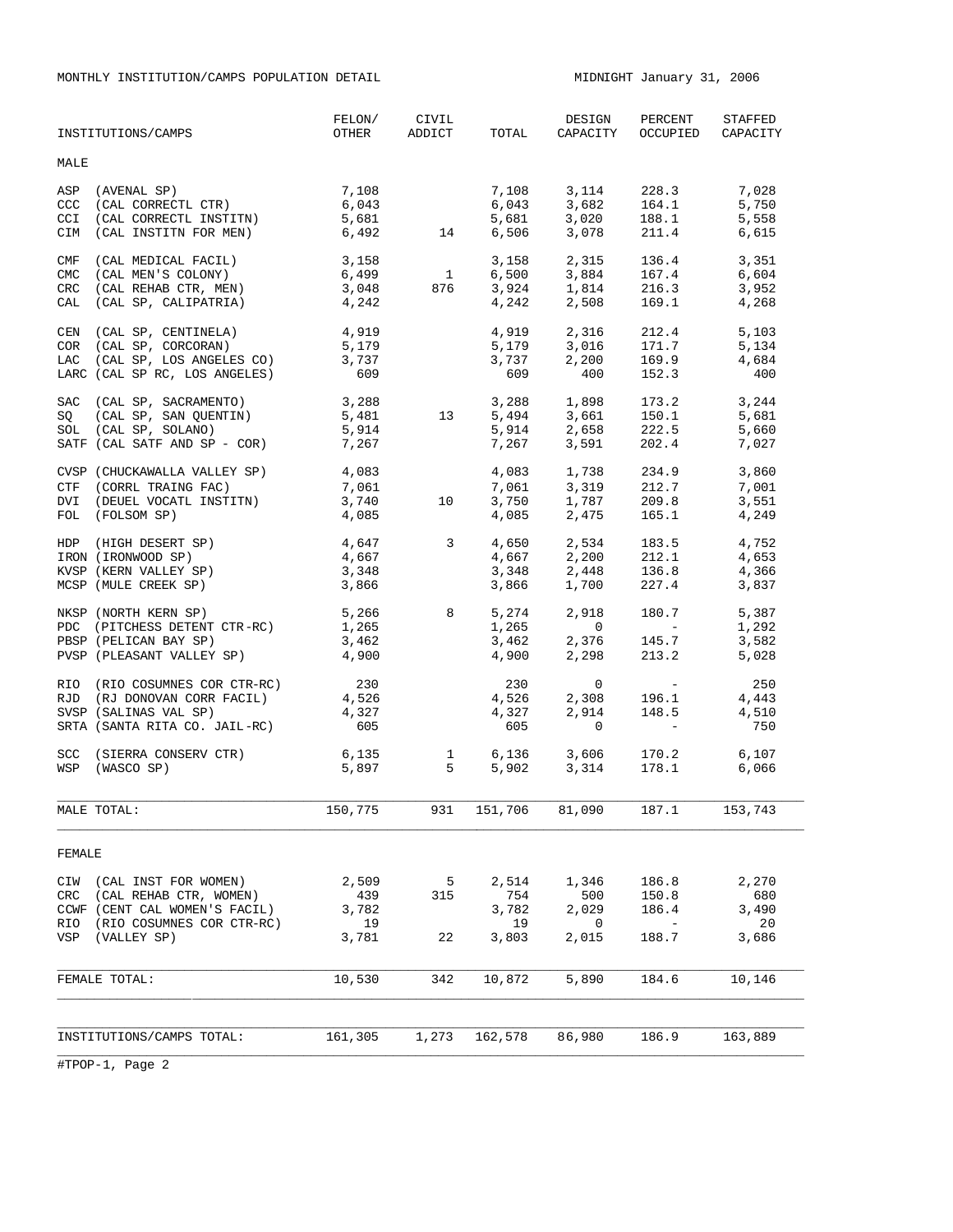MONTHLY INSTITUTION/CAMPS POPULATION DETAIL MIDNIGHT January 31, 2006

|                                 | INSTITUTIONS/CAMPS                                                                                                                        | FELON/<br>OTHER                      | CIVIL<br>ADDICT | TOTAL                                | DESIGN<br>CAPACITY                                                                      | PERCENT<br>OCCUPIED                                          | STAFFED<br>CAPACITY                  |
|---------------------------------|-------------------------------------------------------------------------------------------------------------------------------------------|--------------------------------------|-----------------|--------------------------------------|-----------------------------------------------------------------------------------------|--------------------------------------------------------------|--------------------------------------|
| MALE                            |                                                                                                                                           |                                      |                 |                                      |                                                                                         |                                                              |                                      |
| CCC<br>CCI<br><b>CIM</b>        | ASP (AVENAL SP)<br>(CAL CORRECTL CTR)<br>(CAL CORRECTL INSTITN)<br>(CAL INSTITN FOR MEN)                                                  | 7,108<br>6,043<br>5,681<br>6,492     | 14              | 7,108<br>6,043<br>5,681<br>6,506     | 3,114<br>3,682<br>3,020<br>3,078                                                        | 228.3<br>164.1<br>188.1<br>211.4                             | 7,028<br>5,750<br>5,558<br>6,615     |
| CMF<br><b>CMC</b><br>CRC<br>CAL | (CAL MEDICAL FACIL)<br>(CAL MEN'S COLONY)<br>(CAL REHAB CTR, MEN)<br>(CAL SP, CALIPATRIA)                                                 | 3,158<br>6,499<br>3,048<br>4,242     | 1<br>876        | 3,158<br>6,500<br>3,924<br>4,242     | 2,315<br>3,884<br>2,508                                                                 | 136.4<br>167.4<br>1,814 216.3<br>169.1                       | 3,351<br>6,604<br>3,952<br>4,268     |
| CEN                             | (CAL SP, CENTINELA)<br>CAN (CAL SP, CENTINELA)<br>COR (CAL SP, CORCORAN)<br>LAC (CAL SP, LOS ANGELES CO)<br>LARC (CAL SP RC, LOS ANGELES) | 4,919<br>5,179<br>3,737<br>609       |                 | 4,919<br>3,737<br>609                | 2,316<br>$5,179$ $3,016$<br>2,200<br>400                                                | 212.4<br>171.7<br>169.9<br>152.3                             | 5,103<br>5,134<br>4,684<br>400       |
| SQ                              | SAC (CAL SP, SACRAMENTO)<br>(CAL SP, SAN QUENTIN)<br>SOL (CAL SP, SOLANO)<br>SATF (CAL SATF AND SP - COR)                                 | 3,288<br>5,481<br>5,914<br>7,267     | 13              | 5,494<br>7,267                       | 3,288 1,898<br>3,661 150.1<br>2,658 222.5<br>5,494 5,661<br>5,914 2,658<br>3,591        | 173.2<br>150.1<br>202.4                                      | 3,244<br>5,681<br>5,660<br>7,027     |
|                                 | CVSP (CHUCKAWALLA VALLEY SP)<br>CTF (CORRL TRAING FAC)<br>DVI (DEUEL VOCATL INSTITN)<br>FOL (FOLSOM SP)                                   | 4,083<br>7,061<br>3,740<br>4,085     | 10              | 7,061<br>3,750<br>4,085              | $4,083$ $1,738$ $234.9$<br>$7,061$ $3,319$ $212.7$<br>3,319<br>$3,3+$<br>1,787<br>2,475 | 212.7<br>209.8<br>165.1                                      | 3,860<br>7,001<br>3,551<br>4,249     |
|                                 | HDP (HIGH DESERT SP)<br>IRON (IRONWOOD SP)<br>KVSP (KERN VALLEY SP)<br>MCSP (MULE CREEK SP)                                               | 4,647<br>4,667<br>3,348<br>3,866     | $\sim$ 3        | 4,650<br>4,667<br>3,348<br>3,866     | 2,534<br>1,700                                                                          | 183.5<br>2,200 212.1<br>2.448 136.8<br>212.1<br>227.4        | 4,752<br>4,653<br>4,366<br>3,837     |
|                                 | NKSP (NORTH KERN SP)<br>PDC (PITCHESS DETENT CTR-RC)<br>PBSP (PELICAN BAY SP)<br>PVSP (PLEASANT VALLEY SP)                                | 1,265<br>3,462<br>4,900              | 5,266 8         | 5,274<br>1,265<br>3,462<br>4,900     | 2,918<br>$\overline{0}$<br>2,376<br>2,298                                               | 180.7<br><b>Contract Contract</b><br>145.7<br>213.2          | 5,387<br>1,292<br>3,582<br>5,028     |
| RJD                             | RIO (RIO COSUMNES COR CTR-RC)<br>(RJ DONOVAN CORR FACIL)<br>SVSP (SALINAS VAL SP)<br>SRTA (SANTA RITA CO. JAIL-RC)                        | 230<br>4,526<br>4,327<br>605         |                 | 230<br>4,526<br>4,327<br>605         | $\mathbf 0$<br>2,308<br>2,914<br>$\mathbf 0$                                            | 196.1<br>148.5<br>$\sim 1000$ km s $^{-1}$                   | 250<br>4,443<br>4,510<br>750         |
| <b>SCC</b>                      | (SIERRA CONSERV CTR)<br>WSP (WASCO SP)                                                                                                    | $6,135$ 1<br>5.897 5<br>5,897        | $5 -$           | 6,136<br>5 902                       |                                                                                         | 3,606 170.2<br>3,314 178.1                                   | 6,107<br>6,066                       |
|                                 | MALE TOTAL:                                                                                                                               | 150,775                              | 931             | 151,706                              | 81,090                                                                                  | 187.1                                                        | 153,743                              |
| FEMALE                          |                                                                                                                                           |                                      |                 |                                      |                                                                                         |                                                              |                                      |
| CIW<br>CRC<br>RIO<br>VSP        | (CAL INST FOR WOMEN)<br>(CAL REHAB CTR, WOMEN)<br>CCWF (CENT CAL WOMEN'S FACIL)<br>(RIO COSUMNES COR CTR-RC)<br>(VALLEY SP)               | 2,509<br>439<br>3,782<br>19<br>3,781 | 5<br>315<br>22  | 2,514<br>754<br>3,782<br>19<br>3,803 | 1,346<br>500<br>2,029<br>0<br>2,015                                                     | 186.8<br>150.8<br>186.4<br>$\overline{\phantom{m}}$<br>188.7 | 2,270<br>680<br>3,490<br>20<br>3,686 |
|                                 | FEMALE TOTAL:                                                                                                                             | 10,530                               | 342             | 10,872                               | 5,890                                                                                   | 184.6                                                        | 10,146                               |
|                                 | INSTITUTIONS/CAMPS TOTAL:                                                                                                                 | 161,305                              | 1,273           | 162,578                              | 86,980                                                                                  | 186.9                                                        | 163,889                              |
|                                 |                                                                                                                                           |                                      |                 |                                      |                                                                                         |                                                              |                                      |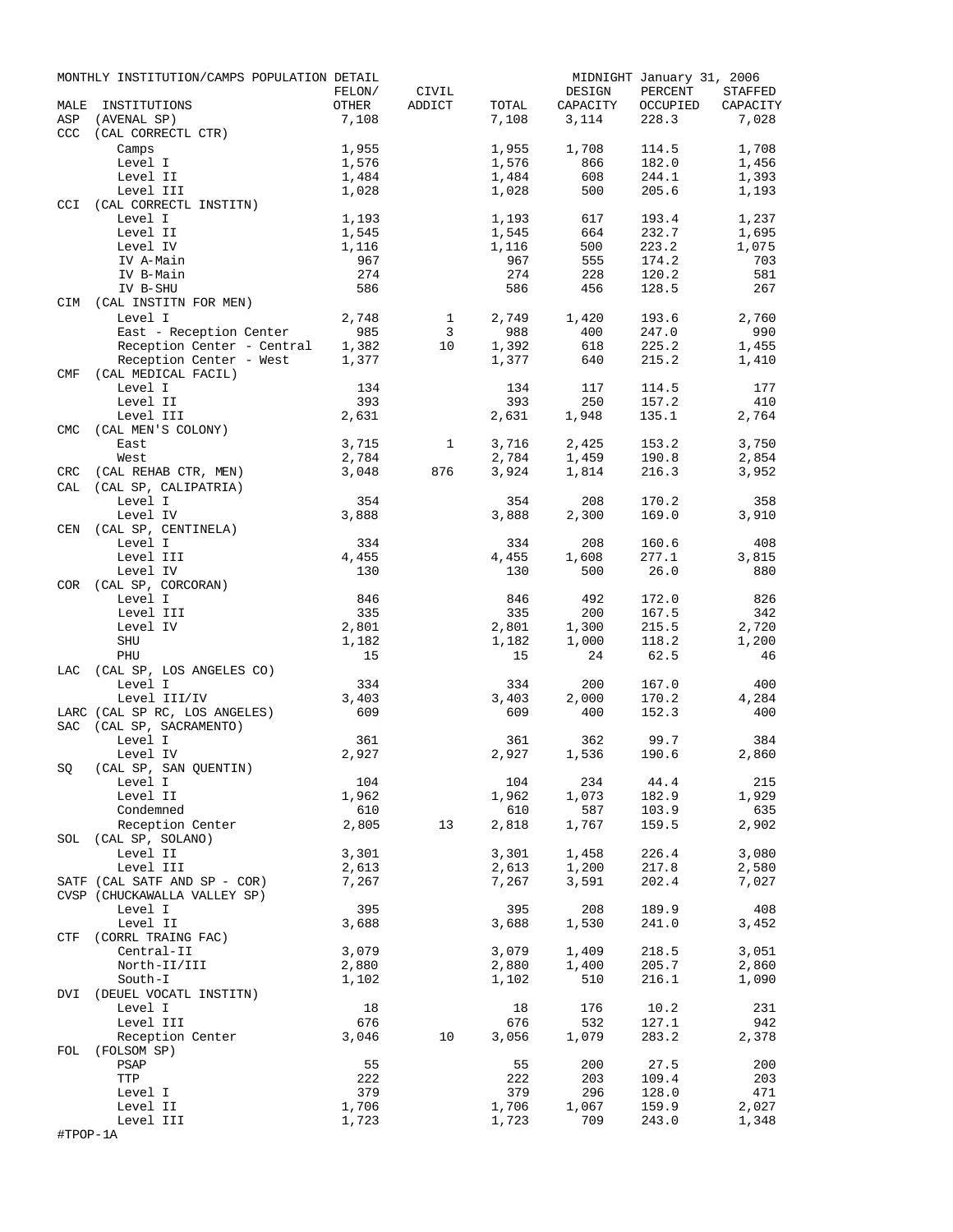| MALE       | MONTHLY INSTITUTION/CAMPS POPULATION DETAIL<br>INSTITUTIONS | FELON/<br>OTHER | CIVIL<br>ADDICT | TOTAL          | DESIGN<br>CAPACITY | MIDNIGHT January 31, 2006<br>PERCENT<br>OCCUPIED | <b>STAFFED</b><br>CAPACITY |
|------------|-------------------------------------------------------------|-----------------|-----------------|----------------|--------------------|--------------------------------------------------|----------------------------|
| ASP        | (AVENAL SP)                                                 | 7,108           |                 | 7,108          | 3,114              | 228.3                                            | 7,028                      |
| <b>CCC</b> | (CAL CORRECTL CTR)                                          |                 |                 |                |                    |                                                  |                            |
|            | Camps                                                       | 1,955           |                 | 1,955          | 1,708              | 114.5                                            | 1,708                      |
|            | Level I                                                     | 1,576           |                 | 1,576          | 866                | 182.0                                            | 1,456                      |
|            | Level II                                                    | 1,484           |                 | 1,484          | 608                | 244.1                                            | 1,393                      |
| <b>CCI</b> | Level III<br>(CAL CORRECTL INSTITN)                         | 1,028           |                 | 1,028          | 500                | 205.6                                            | 1,193                      |
|            | Level I                                                     | 1,193           |                 | 1,193          | 617                | 193.4                                            | 1,237                      |
|            | Level II                                                    | 1,545           |                 | 1,545          | 664                | 232.7                                            | 1,695                      |
|            | Level IV                                                    | 1,116           |                 | 1,116          | 500                | 223.2                                            | 1,075                      |
|            | IV A-Main                                                   | 967             |                 | 967            | 555                | 174.2                                            | 703                        |
|            | IV B-Main                                                   | 274             |                 | 274            | 228                | 120.2                                            | 581                        |
| CIM        | IV B-SHU<br>(CAL INSTITN FOR MEN)                           | 586             |                 | 586            | 456                | 128.5                                            | 267                        |
|            | Level I                                                     | 2,748           | 1               | 2,749          | 1,420              | 193.6                                            | 2,760                      |
|            | East - Reception Center                                     | 985             | 3               | 988            | 400                | 247.0                                            | 990                        |
|            | Reception Center - Central                                  | 1,382           | 10              | 1,392          | 618                | 225.2                                            | 1,455                      |
|            | Reception Center - West                                     | 1,377           |                 | 1,377          | 640                | 215.2                                            | 1,410                      |
| <b>CMF</b> | (CAL MEDICAL FACIL)                                         |                 |                 |                |                    |                                                  |                            |
|            | Level I                                                     | 134             |                 | 134            | 117                | 114.5                                            | 177                        |
|            | Level II                                                    | 393             |                 | 393            | 250                | 157.2                                            | 410                        |
|            | Level III                                                   | 2,631           |                 | 2,631          | 1,948              | 135.1                                            | 2,764                      |
| <b>CMC</b> | (CAL MEN'S COLONY)<br>East                                  | 3,715           | $\mathbf{1}$    | 3,716          | 2,425              | 153.2                                            | 3,750                      |
|            | West                                                        | 2,784           |                 | 2,784          | 1,459              | 190.8                                            | 2,854                      |
| CRC        | (CAL REHAB CTR, MEN)                                        | 3,048           | 876             | 3,924          | 1,814              | 216.3                                            | 3,952                      |
| CAL        | (CAL SP, CALIPATRIA)                                        |                 |                 |                |                    |                                                  |                            |
|            | Level I                                                     | 354             |                 | 354            | 208                | 170.2                                            | 358                        |
|            | Level IV                                                    | 3,888           |                 | 3,888          | 2,300              | 169.0                                            | 3,910                      |
| CEN        | (CAL SP, CENTINELA)                                         |                 |                 |                |                    |                                                  |                            |
|            | Level I                                                     | 334             |                 | 334            | 208                | 160.6                                            | 408                        |
|            | Level III<br>Level IV                                       | 4,455<br>130    |                 | 4,455<br>130   | 1,608<br>500       | 277.1<br>26.0                                    | 3,815<br>880               |
| <b>COR</b> | (CAL SP, CORCORAN)                                          |                 |                 |                |                    |                                                  |                            |
|            | Level I                                                     | 846             |                 | 846            | 492                | 172.0                                            | 826                        |
|            | Level III                                                   | 335             |                 | 335            | 200                | 167.5                                            | 342                        |
|            | Level IV                                                    | 2,801           |                 | 2,801          | 1,300              | 215.5                                            | 2,720                      |
|            | SHU                                                         | 1,182           |                 | 1,182          | 1,000              | 118.2                                            | 1,200                      |
|            | PHU                                                         | 15              |                 | 15             | 24                 | 62.5                                             | 46                         |
| LAC        | (CAL SP, LOS ANGELES CO)                                    |                 |                 |                |                    |                                                  |                            |
|            | Level I<br>Level III/IV                                     | 334<br>3,403    |                 | 334<br>3,403   | 200<br>2,000       | 167.0<br>170.2                                   | 400<br>4,284               |
|            | LARC (CAL SP RC, LOS ANGELES)                               | 609             |                 | 609            | 400                | 152.3                                            | 400                        |
| <b>SAC</b> | (CAL SP, SACRAMENTO)                                        |                 |                 |                |                    |                                                  |                            |
|            | Level I                                                     | 361             |                 | 361            | 362                | 99.7                                             | 384                        |
|            | Level IV                                                    | 2,927           |                 | 2,927          | 1,536              | 190.6                                            | 2,860                      |
| SQ         | (CAL SP, SAN QUENTIN)                                       |                 |                 |                |                    |                                                  |                            |
|            | Level I                                                     | 104             |                 | 104            | 234                | 44.4                                             | 215                        |
|            | Level II                                                    | 1,962           |                 | 1,962          | 1,073              | 182.9                                            | 1,929                      |
|            | Condemned<br>Reception Center                               | 610<br>2,805    | 13              | 610<br>2,818   | 587<br>1,767       | 103.9<br>159.5                                   | 635<br>2,902               |
| SOL        | (CAL SP, SOLANO)                                            |                 |                 |                |                    |                                                  |                            |
|            | Level II                                                    | 3,301           |                 | 3,301          | 1,458              | 226.4                                            | 3,080                      |
|            | Level III                                                   | 2,613           |                 | 2,613          | 1,200              | 217.8                                            | 2,580                      |
|            | SATF (CAL SATF AND SP - COR)                                | 7,267           |                 | 7,267          | 3,591              | 202.4                                            | 7,027                      |
|            | CVSP (CHUCKAWALLA VALLEY SP)                                |                 |                 |                |                    |                                                  |                            |
|            | Level I                                                     | 395             |                 | 395            | 208                | 189.9                                            | 408                        |
|            | Level II                                                    | 3,688           |                 | 3,688          | 1,530              | 241.0                                            | 3,452                      |
| CTF        | (CORRL TRAING FAC)                                          |                 |                 |                | 1,409              |                                                  |                            |
|            | Central-II<br>North-II/III                                  | 3,079<br>2,880  |                 | 3,079<br>2,880 | 1,400              | 218.5<br>205.7                                   | 3,051<br>2,860             |
|            | South-I                                                     | 1,102           |                 | 1,102          | 510                | 216.1                                            | 1,090                      |
| DVI        | (DEUEL VOCATL INSTITN)                                      |                 |                 |                |                    |                                                  |                            |
|            | Level I                                                     | 18              |                 | 18             | 176                | 10.2                                             | 231                        |
|            | Level III                                                   | 676             |                 | 676            | 532                | 127.1                                            | 942                        |
|            | Reception Center                                            | 3,046           | 10              | 3,056          | 1,079              | 283.2                                            | 2,378                      |
| FOL        | (FOLSOM SP)                                                 |                 |                 |                |                    |                                                  |                            |
|            | PSAP                                                        | 55              |                 | 55             | 200                | 27.5                                             | 200                        |
|            | TTP                                                         | 222<br>379      |                 | 222<br>379     | 203<br>296         | 109.4<br>128.0                                   | 203<br>471                 |
|            | Level I<br>Level II                                         | 1,706           |                 | 1,706          | 1,067              | 159.9                                            | 2,027                      |
|            | Level III                                                   | 1,723           |                 | 1,723          | 709                | 243.0                                            | 1,348                      |
| #TPOP-1A   |                                                             |                 |                 |                |                    |                                                  |                            |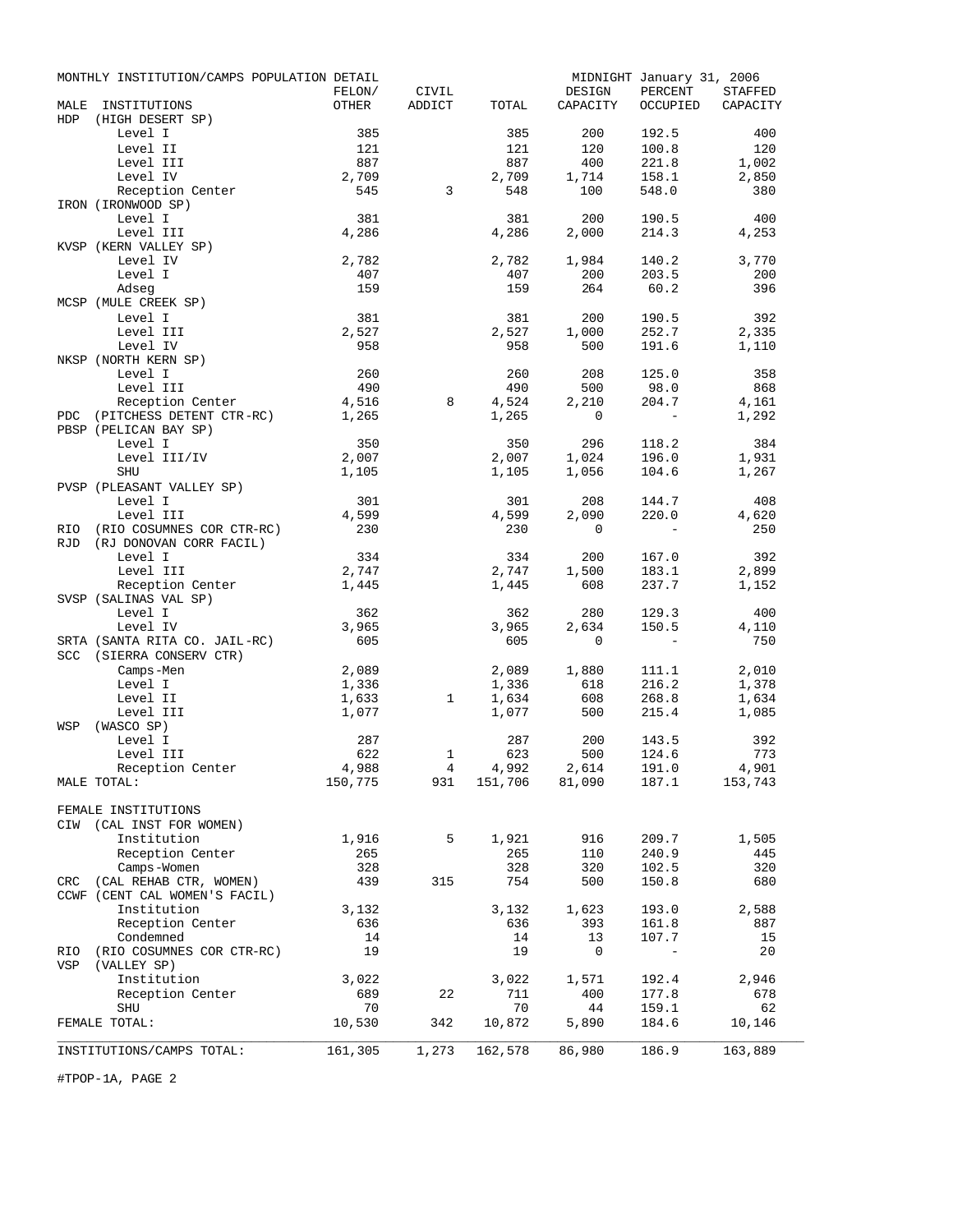|            | MONTHLY INSTITUTION/CAMPS POPULATION DETAIL |                 |              |              |                                   | MIDNIGHT January 31, 2006 |                            |
|------------|---------------------------------------------|-----------------|--------------|--------------|-----------------------------------|---------------------------|----------------------------|
| MALE       | INSTITUTIONS                                | FELON/<br>OTHER | CIVIL        | TOTAL        | DESIGN<br>CAPACITY                | PERCENT<br>OCCUPIED       | <b>STAFFED</b><br>CAPACITY |
| <b>HDP</b> | (HIGH DESERT SP)                            |                 | ADDICT       |              |                                   |                           |                            |
|            | Level I                                     | 385             |              | 385          | 200                               | 192.5                     | 400                        |
|            | Level II                                    | 121             |              | 121          | 120                               | 100.8                     | 120                        |
|            | Level III                                   | 887             |              | 887          | 400                               | 221.8                     | 1,002                      |
|            | Level IV                                    | 2,709           |              | 2,709        | 1,714                             | 158.1                     | 2,850                      |
|            | Reception Center                            | 545             | 3            | 548          | 100                               | 548.0                     | 380                        |
|            | IRON (IRONWOOD SP)                          |                 |              |              |                                   |                           |                            |
|            | Level I                                     | 381             |              | 381          | 200                               | 190.5                     | 400                        |
|            | Level III<br>KVSP (KERN VALLEY SP)          | 4,286           |              | 4,286        | 2,000                             | 214.3                     | 4,253                      |
|            | Level IV                                    | 2,782           |              | 2,782        | 1,984                             | 140.2                     | 3,770                      |
|            | Level I                                     | 407             |              | 407          | 200                               | 203.5                     | 200                        |
|            | Adseq                                       | 159             |              | 159          | 264                               | 60.2                      | 396                        |
|            | MCSP (MULE CREEK SP)                        |                 |              |              |                                   |                           |                            |
|            | Level I                                     | 381             |              | 381          | 200                               | 190.5                     | 392                        |
|            | Level III                                   | 2,527           |              | 2,527        | 1,000                             | 252.7                     | 2,335                      |
|            | Level IV                                    | 958             |              | 958          | 500                               | 191.6                     | 1,110                      |
|            | NKSP (NORTH KERN SP)<br>Level I             | 260             |              | 260          | 208                               |                           |                            |
|            | Level III                                   | 490             |              | 490          | 500                               | 125.0<br>98.0             | 358<br>868                 |
|            | Reception Center                            | 4,516           | 8            | 4,524        | 2,210                             | 204.7                     | 4,161                      |
|            | PDC (PITCHESS DETENT CTR-RC)                | 1,265           |              | 1,265        | $\mathbf 0$                       |                           | 1,292                      |
|            | PBSP (PELICAN BAY SP)                       |                 |              |              |                                   |                           |                            |
|            | Level I                                     | 350             |              | 350          | 296                               | 118.2                     | 384                        |
|            | Level III/IV                                | 2,007           |              | 2,007        | 1,024                             | 196.0                     | 1,931                      |
|            | <b>SHU</b>                                  | 1,105           |              | 1,105        | 1,056                             | 104.6                     | 1,267                      |
|            | PVSP (PLEASANT VALLEY SP)                   |                 |              |              |                                   |                           |                            |
|            | Level I<br>Level III                        | 301<br>4,599    |              | 301<br>4,599 | 208<br>2,090                      | 144.7<br>220.0            | 408<br>4,620               |
| RIO        | (RIO COSUMNES COR CTR-RC)                   | 230             |              | 230          | $\mathbf{0}$                      | $\overline{a}$            | 250                        |
| <b>RJD</b> | (RJ DONOVAN CORR FACIL)                     |                 |              |              |                                   |                           |                            |
|            | Level I                                     | 334             |              | 334          | 200                               | 167.0                     | 392                        |
|            | Level III                                   | 2,747           |              | 2,747        | 1,500                             | 183.1                     | 2,899                      |
|            | Reception Center                            | 1,445           |              | 1,445        | 608                               | 237.7                     | 1,152                      |
|            | SVSP (SALINAS VAL SP)                       |                 |              |              |                                   |                           |                            |
|            | Level I                                     | 362             |              | 362          | 280                               | 129.3                     | 400                        |
|            | Level IV                                    | 3,965           |              | 3,965        | 2,634                             | 150.5                     | 4,110                      |
|            | SRTA (SANTA RITA CO. JAIL-RC)               | 605             |              | 605          | 0                                 | $-$                       | 750                        |
|            | SCC (SIERRA CONSERV CTR)<br>Camps-Men       | 2,089           |              | 2,089        | 1,880                             | 111.1                     | 2,010                      |
|            | Level I                                     | 1,336           |              | 1,336        | 618                               | 216.2                     | 1,378                      |
|            | Level II                                    | 1,633           | $\mathbf{1}$ | 1,634        | 608                               | 268.8                     | 1,634                      |
|            | Level III                                   | 1,077           |              | 1,077        | 500                               | 215.4                     | 1,085                      |
| WSP        | (WASCO SP)                                  |                 |              |              |                                   |                           |                            |
|            | Level I                                     | 287             |              | 287          | 200                               | 143.5                     | 392                        |
|            | Level III                                   | 622             | 1            | 623          | 500                               | 124.6                     | 773                        |
|            | Reception Center                            | 4,988           | 4            | 4,992        | 2,614<br>$931$ $151,706$ $81,090$ | 191.0<br>187.1            | 4,901                      |
|            | MALE TOTAL:                                 | 150,775         |              |              |                                   |                           | 153,743                    |
|            | FEMALE INSTITUTIONS                         |                 |              |              |                                   |                           |                            |
|            | CIW (CAL INST FOR WOMEN)                    |                 |              |              |                                   |                           |                            |
|            | Institution                                 | 1,916           | 5            | 1,921        | 916                               | 209.7                     | 1,505                      |
|            | Reception Center                            | 265             |              | 265          | 110                               | 240.9                     | 445                        |
|            | Camps-Women                                 | 328             |              | 328          | 320                               | 102.5                     | 320                        |
|            | CRC (CAL REHAB CTR, WOMEN)                  | 439             | 315          | 754          | 500                               | 150.8                     | 680                        |
|            | CCWF (CENT CAL WOMEN'S FACIL)               |                 |              |              |                                   |                           |                            |
|            | Institution                                 | 3,132           |              | 3,132        | 1,623                             | 193.0                     | 2,588                      |
|            | Reception Center                            | 636             |              | 636          | 393                               | 161.8<br>107.7            | 887                        |
| RIO        | Condemned<br>(RIO COSUMNES COR CTR-RC)      | 14<br>19        |              | 14<br>19     | 13<br>0                           |                           | 15<br>20                   |
| VSP        | (VALLEY SP)                                 |                 |              |              |                                   |                           |                            |
|            | Institution                                 | 3,022           |              | 3,022        | 1,571                             | 192.4                     | 2,946                      |
|            | Reception Center                            | 689             | 22           | 711          | 400                               | 177.8                     | 678                        |
|            | <b>SHU</b>                                  | 70              |              | 70           | 44                                | 159.1                     | 62                         |
|            | FEMALE TOTAL:                               | 10,530          | 342          | 10,872       | 5,890                             | 184.6                     | 10,146                     |
|            |                                             |                 |              |              |                                   |                           |                            |
|            | INSTITUTIONS/CAMPS TOTAL:                   | 161,305         | 1,273        | 162,578      | 86,980                            | 186.9                     | 163,889                    |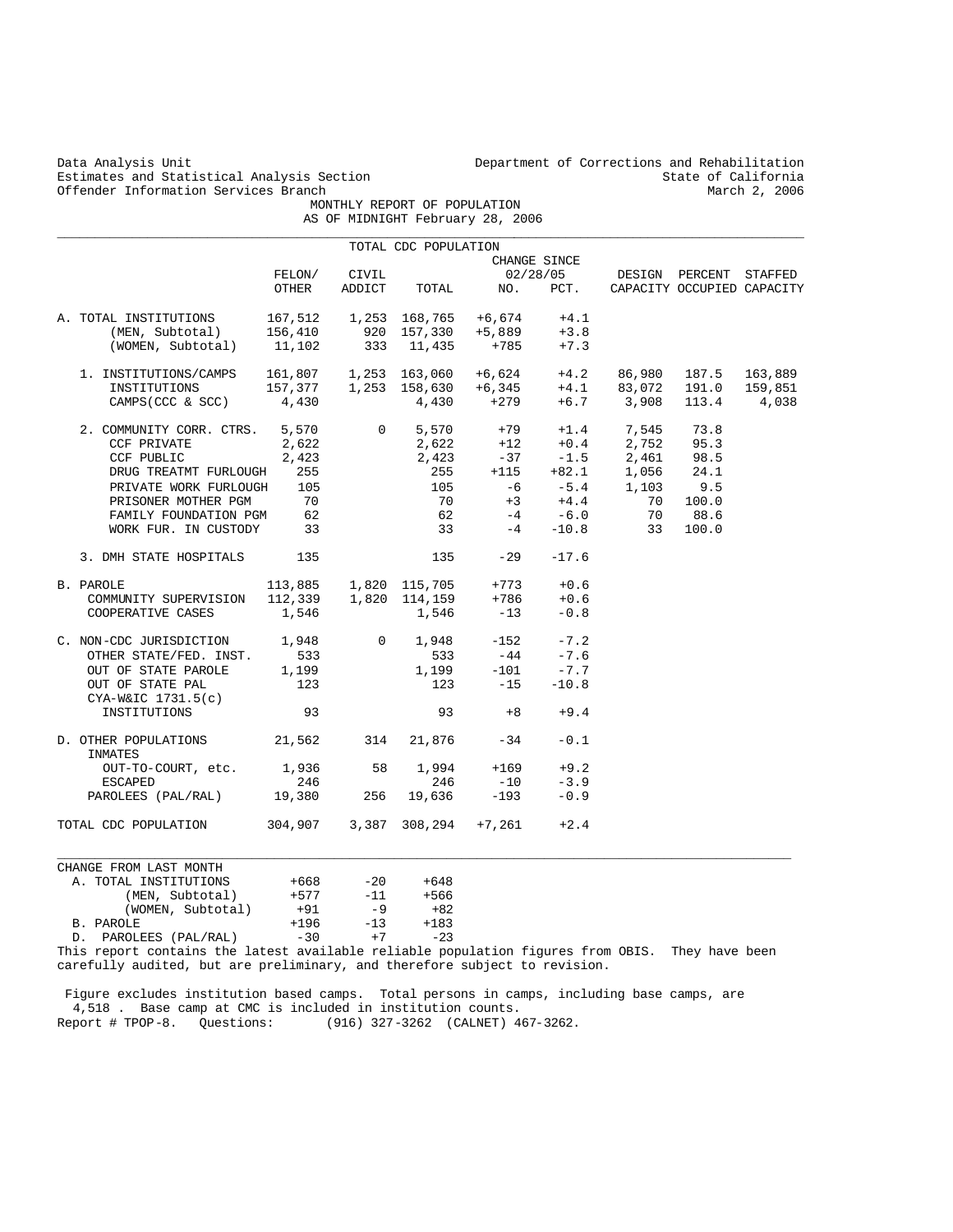| Data Analysis Unit<br>Estimates and Statistical Analysis Section |                  |                |                                |                                                                                      |                   | Department of Corrections and Rehabilitation                                                                                               | State of California        |               |
|------------------------------------------------------------------|------------------|----------------|--------------------------------|--------------------------------------------------------------------------------------|-------------------|--------------------------------------------------------------------------------------------------------------------------------------------|----------------------------|---------------|
| Offender Information Services Branch                             |                  |                | MONTHLY REPORT OF POPULATION   | AS OF MIDNIGHT February 28, 2006                                                     |                   |                                                                                                                                            |                            | March 2, 2006 |
|                                                                  |                  |                |                                |                                                                                      |                   |                                                                                                                                            |                            |               |
|                                                                  |                  |                | TOTAL CDC POPULATION           |                                                                                      | CHANGE SINCE      |                                                                                                                                            |                            |               |
|                                                                  | FELON/           | CIVIL          |                                |                                                                                      | 02/28/05          |                                                                                                                                            | DESIGN PERCENT STAFFED     |               |
|                                                                  | OTHER            | ADDICT         | TOTAL                          | NO.                                                                                  | PCT.              |                                                                                                                                            | CAPACITY OCCUPIED CAPACITY |               |
| A. TOTAL INSTITUTIONS                                            | 167,512          |                |                                | 1,253 168,765 +6,674                                                                 | $+4.1$            |                                                                                                                                            |                            |               |
| (MEN, Subtotal)                                                  | 156,410          |                | 920 157,330                    | $+5,889$                                                                             | $+3.8$            |                                                                                                                                            |                            |               |
| (WOMEN, Subtotal)                                                | 11,102           |                | 333 11,435                     | +785                                                                                 | $+7.3$            |                                                                                                                                            |                            |               |
| 1. INSTITUTIONS/CAMPS                                            |                  |                |                                |                                                                                      |                   | $\begin{array}{cccc} 161,807 & 1,253 & 163,060 & +6,624 & +4.2 & 86,980 \\ 157,377 & 1,253 & 158,630 & +6,345 & +4.1 & 83,072 \end{array}$ | 187.5                      | 163,889       |
| INSTITUTIONS                                                     | 157,377          |                |                                |                                                                                      |                   |                                                                                                                                            | 191.0                      | 159,851       |
| CAMPS (CCC & SCC)                                                | 4,430            |                |                                | $4,430$ +279                                                                         |                   | $+6.7$ 3,908                                                                                                                               | 113.4                      | 4,038         |
| 2. COMMUNITY CORR. CTRS. 5,570                                   |                  |                | $0 \qquad \qquad$<br>5,570     |                                                                                      |                   | $+79$ $+1.4$ 7,545                                                                                                                         | 73.8                       |               |
| CCF PRIVATE                                                      | 2,622            |                |                                |                                                                                      |                   | 2,752                                                                                                                                      | 95.3                       |               |
| CCF PUBLIC                                                       | 2,423            |                | 2, 022<br>2, 423               | $7,622$ $+12$ $+0.4$ $2,752$<br>$-37$ $-1.5$ $2,461$<br>$255$ $+115$ $+82.1$ $1,056$ |                   |                                                                                                                                            | 98.5                       |               |
| DRUG TREATMT FURLOUGH                                            | 255              |                |                                |                                                                                      |                   |                                                                                                                                            | 24.1                       |               |
| PRIVATE WORK FURLOUGH                                            | 105              |                | 105                            | $-6$                                                                                 | $-5.4$<br>+4.4    | 1,103                                                                                                                                      | 9.5                        |               |
| PRISONER MOTHER PGM                                              | 70               |                | 70                             | $+3$                                                                                 |                   | 70                                                                                                                                         | 100.0                      |               |
| FAMILY FOUNDATION PGM<br>WORK FUR. IN CUSTODY                    | 62<br>33         |                | 62<br>33                       | $-4$<br>$-4$                                                                         | $-6.0$<br>$-10.8$ | 70<br>33                                                                                                                                   | 88.6<br>100.0              |               |
| 3. DMH STATE HOSPITALS                                           | 135              |                | 135                            | $-29$                                                                                | $-17.6$           |                                                                                                                                            |                            |               |
|                                                                  |                  |                |                                |                                                                                      |                   |                                                                                                                                            |                            |               |
| B. PAROLE                                                        | 113,885          |                | 1,820 115,705<br>1 820 114,159 | $+773$                                                                               | $+0.6$            |                                                                                                                                            |                            |               |
| COMMUNITY SUPERVISION<br>COOPERATIVE CASES                       | 112,339<br>1,546 |                | 1,546                          | +786<br>$-13$                                                                        | $+0.6$<br>$-0.8$  |                                                                                                                                            |                            |               |
|                                                                  |                  |                |                                |                                                                                      |                   |                                                                                                                                            |                            |               |
| C. NON-CDC JURISDICTION                                          | 1,948            | $\overline{0}$ | 1,948                          | $-152$                                                                               | $-7.2$            |                                                                                                                                            |                            |               |
| OTHER STATE/FED. INST.                                           | 533              |                | 533                            | $-44$                                                                                | $-7.6$            |                                                                                                                                            |                            |               |
| OUT OF STATE PAROLE                                              | 1,199            |                | 1,199                          | $-101$                                                                               | $-7.7$            |                                                                                                                                            |                            |               |
| OUT OF STATE PAL<br>$CYA-W&IC$ 1731.5(c)                         | 123              |                | 123                            | $-15$                                                                                | $-10.8$           |                                                                                                                                            |                            |               |
| INSTITUTIONS                                                     | 93               |                | 93                             | $+8$                                                                                 | $+9.4$            |                                                                                                                                            |                            |               |
| D. OTHER POPULATIONS<br>INMATES                                  | 21,562           | 314            | 21,876                         | $-34$                                                                                | $-0.1$            |                                                                                                                                            |                            |               |
| OUT-TO-COURT, etc.                                               | 1,936            | 58             | 1,994                          | $+169$                                                                               | $+9.2$            |                                                                                                                                            |                            |               |
| <b>ESCAPED</b>                                                   | 246              |                | 246                            | $-10$                                                                                | $-3.9$            |                                                                                                                                            |                            |               |
| PAROLEES (PAL/RAL)                                               | 19,380           | 256            | 19,636                         | $-193$                                                                               | $-0.9$            |                                                                                                                                            |                            |               |
| TOTAL CDC POPULATION                                             | 304,907          |                | 3,387 308,294 +7,261           |                                                                                      | $+2.4$            |                                                                                                                                            |                            |               |
| CHANGE FROM LAST MONTH                                           |                  |                |                                |                                                                                      |                   |                                                                                                                                            |                            |               |
| A. TOTAL INSTITUTIONS                                            | $+668$           | $-20$          | +648                           |                                                                                      |                   |                                                                                                                                            |                            |               |
| (MEN, Subtotal)                                                  | $+577$           | $-11$          | $+566$                         |                                                                                      |                   |                                                                                                                                            |                            |               |
| (WOMEN, Subtotal)                                                | +91              | $-9$           | $+82$                          |                                                                                      |                   |                                                                                                                                            |                            |               |
| B. PAROLE                                                        | $+196$           | $-13$          | $+183$                         |                                                                                      |                   |                                                                                                                                            |                            |               |
| D. PAROLEES (PAL/RAL)                                            | $-30$            | $+7$           | $-23$                          |                                                                                      |                   |                                                                                                                                            |                            |               |

This report contains the latest available reliable population figures from OBIS. They have been carefully audited, but are preliminary, and therefore subject to revision.

 Figure excludes institution based camps. Total persons in camps, including base camps, are 4,518 . Base camp at CMC is included in institution counts. Report # TPOP-8. Questions: (916) 327-3262 (CALNET) 467-3262.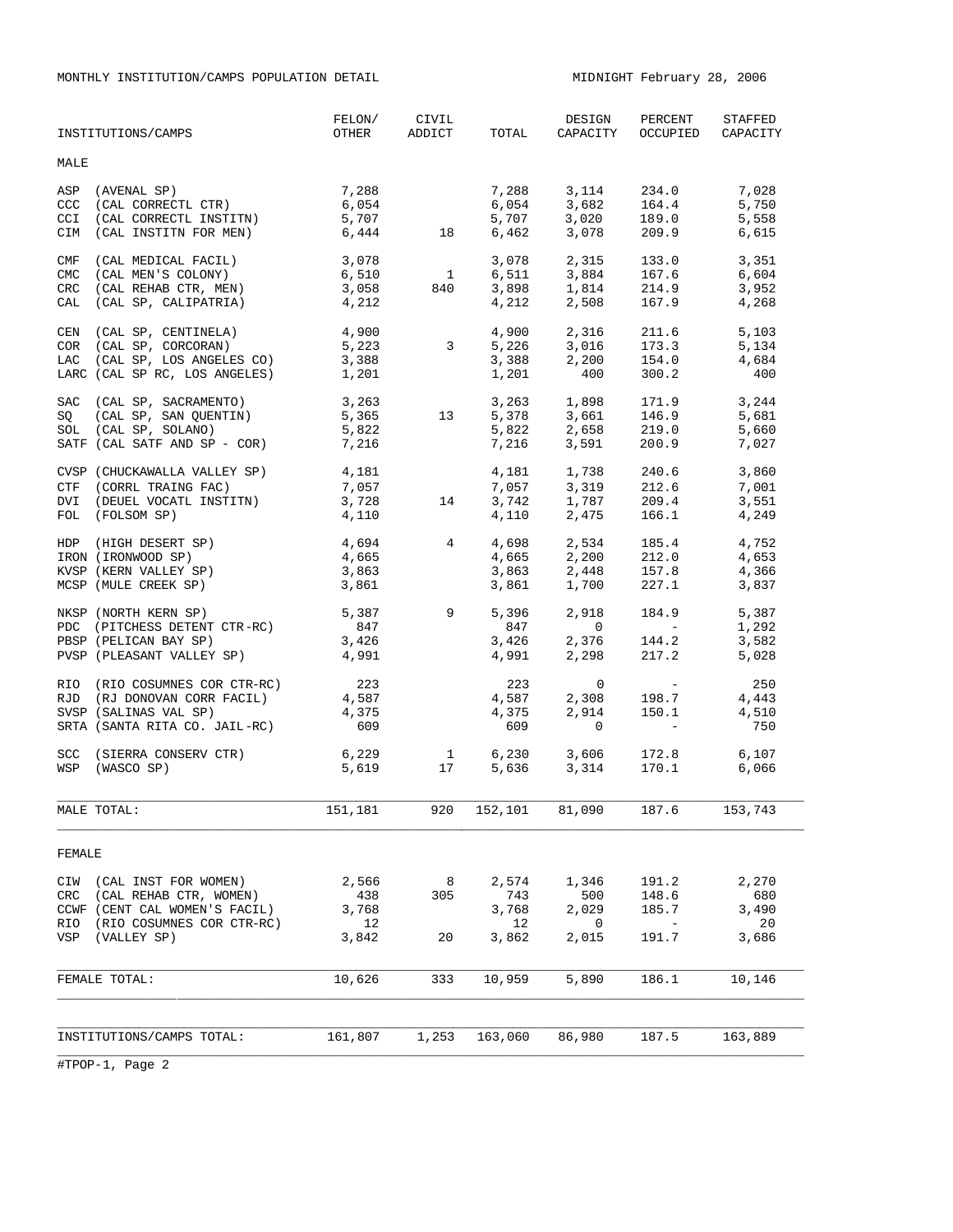MONTHLY INSTITUTION/CAMPS POPULATION DETAIL MIDNIGHT February 28, 2006

| INSTITUTIONS/CAMPS                                                                                                                           | FELON/<br>OTHER                          | CIVIL<br>ADDICT                 | TOTAL                            | DESIGN<br>CAPACITY                                                                                                   | PERCENT<br>OCCUPIED                                             | STAFFED<br>CAPACITY                   |
|----------------------------------------------------------------------------------------------------------------------------------------------|------------------------------------------|---------------------------------|----------------------------------|----------------------------------------------------------------------------------------------------------------------|-----------------------------------------------------------------|---------------------------------------|
| MALE                                                                                                                                         |                                          |                                 |                                  |                                                                                                                      |                                                                 |                                       |
| (AVENAL SP)<br>ASP<br>(CAL CORRECTL CTR)<br>CCC<br>(CAL CORRECTL INSTITN)<br>CCI<br>CIM<br>(CAL INSTITN FOR MEN)                             | 7,288<br>6,054<br>5,707<br>6,444 18      |                                 | 7,288<br>6,054<br>5,707<br>6,462 | 3, 114 234.0<br>3,078                                                                                                | $3,682$ $164.4$<br>$3,020$ $189.0$<br>209.9                     | 7,028<br>5,750<br>5,558<br>6,615      |
| (CAL MEDICAL FACIL)<br>CMF<br><b>CMC</b><br>(CAL MEN'S COLONY)<br>(CAL REHAB CTR, MEN)<br><b>CRC</b><br>(CAL SP, CALIPATRIA)<br>CAL          | 3,078<br>6,510<br>3,058<br>4,212         | $\overline{1}$<br>840           | 3,078<br>6,511<br>3,898<br>4,212 | 2,315<br>3,884<br>1,814<br>2,508                                                                                     | 133.0<br>167.6<br>214.9<br>167.9                                | 3,351<br>6,604<br>3,952<br>4,268      |
| (CAL SP, CENTINELA) 4,900<br>CEN<br>COR (CAL SP, CORCORAN)<br>LAC (CAL SP, LOS ANGELES CO)<br>LARC (CAL SP RC, LOS ANGELES) 1,201            | 5,223<br>3,388                           | $\overline{\mathbf{3}}$         | 1,201                            | 4,900 2,316 211.6<br>$\begin{array}{cccc} 5,226 & & 3,016 & & 173.3 \\ 3,388 & & 2,200 & & 154.0 \end{array}$<br>400 | 173.3<br>300.2                                                  | 5,103<br>5,134<br>4,684<br>400        |
| SAC (CAL SP, SACRAMENTO)<br>SQ (CAL SP, SAN QUENTIN)<br>SOL (CAL SP, SOLANO)<br>SATF (CAL SATF AND SP - COR)                                 | 3,263<br>5,365<br>5,822<br>7,216         | 13                              |                                  | 3,263 1,898<br>5,378 3,661<br>5,822 2,658<br>7,216 3,591                                                             | 171.9<br>146.9<br>219.0<br>200.9                                | $3, 2 - 1$<br>5,681<br>5,660<br>7,027 |
| CVSP (CHUCKAWALLA VALLEY SP) 4,181<br>CTF (CORRL TRAING FAC)<br>DVI (DEUEL VOCATL INSTITN)<br>FOL (FOLSOM SP)                                | 7,057<br>3,728<br>4,110                  | 14                              | 4,110                            | 4, 181 1, 738 240.6<br>7,057 3,319 212.6<br>3,742 1,787 209.4<br>2,475                                               | 166.1                                                           | 3,860<br>7,001<br>3,551<br>4,249      |
| HDP (HIGH DESERT SP)<br>IRON (IRONWOOD SP)<br>KVSP (KERN VALLEY SP)<br>MCSP (MULE CREEK SP)                                                  | 4,694<br>4,665<br>3,863<br>3,861         | $\overline{4}$                  |                                  | $4,698$ $2,534$ $185.4$<br>$4,665$ $2,200$ $212.0$<br>3,863 2,448 157.8<br>3,861 1,700 227.1                         | 185.4                                                           | 4,752<br>4,653<br>4,366<br>3,837      |
| NKSP (NORTH KERN SP)<br>PDC (PITCHESS DETENT CTR-RC)<br>PBSP (PELICAN BAY SP)<br>PVSP (PLEASANT VALLEY SP) 4,991                             | 5,387 9<br>847<br>3,426                  |                                 | 5,396<br>847<br>3,426<br>4,991   | 2,918<br>$\overline{0}$<br>$2,376$ 144.2<br>2,298                                                                    | 184.9<br><b>Contract Contract Contract</b><br>217.2             | 5,387<br>1,292<br>3,582<br>5,028      |
| RIO (RIO COSUMNES COR CTR-RC)<br>RJD (RJ DONOVAN CORR FACIL)<br>SVSP (SALINAS VAL SP)<br>SRTA (SANTA RITA CO. JAIL-RC)                       | 223<br>4,587<br>4,375<br>609             |                                 | 223<br>4,587<br>4,375<br>609     | 2,914<br>$\mathbf{0}$                                                                                                | $0$<br>2,308 199 -<br>2,914<br>150.1<br>$\sim 100$ km s $^{-1}$ | 250<br>4,443<br>4,510<br>750          |
| <b>SCC</b><br>(SIERRA CONSERV CTR)<br>WSP<br>(WASCO SP)                                                                                      | 6,229<br>5,619                           | 17                              | 1 6,230<br>5,636                 | 3,606<br>3,314                                                                                                       | 172.8<br>170.1                                                  | 6,107<br>6,066                        |
| MALE TOTAL:                                                                                                                                  | 151,181 920 152,101 81,090 187.6 153,743 |                                 |                                  |                                                                                                                      |                                                                 |                                       |
| FEMALE                                                                                                                                       |                                          |                                 |                                  |                                                                                                                      |                                                                 |                                       |
| CIW (CAL INST FOR WOMEN)<br>$\operatorname{CRC}$<br>(CAL REHAB CTR, WOMEN)<br>CCWF (CENT CAL WOMEN'S FACIL)<br>RIO (RIO COSUMNES COR CTR-RC) | 2,566<br>438<br>3,768<br>12              | $\overline{\phantom{0}}$<br>305 | 2,574<br>743<br>3,768<br>12      | 1,346<br>500<br>2,029<br>0                                                                                           | 191.2<br>148.6<br>185.7<br>$\overline{\phantom{a}}$             | 2,270<br>680<br>3,490<br>20           |
| VSP (VALLEY SP)<br>FEMALE TOTAL:                                                                                                             | 3,842<br>10,626                          | 20<br>333                       | 3,862<br>10,959                  | 2,015<br>5,890                                                                                                       | 191.7<br>186.1                                                  | 3,686<br>10,146                       |
|                                                                                                                                              |                                          |                                 |                                  |                                                                                                                      |                                                                 |                                       |
| INSTITUTIONS/CAMPS TOTAL:                                                                                                                    | 161,807                                  | 1,253                           | 163,060                          | 86,980                                                                                                               | 187.5                                                           | 163,889                               |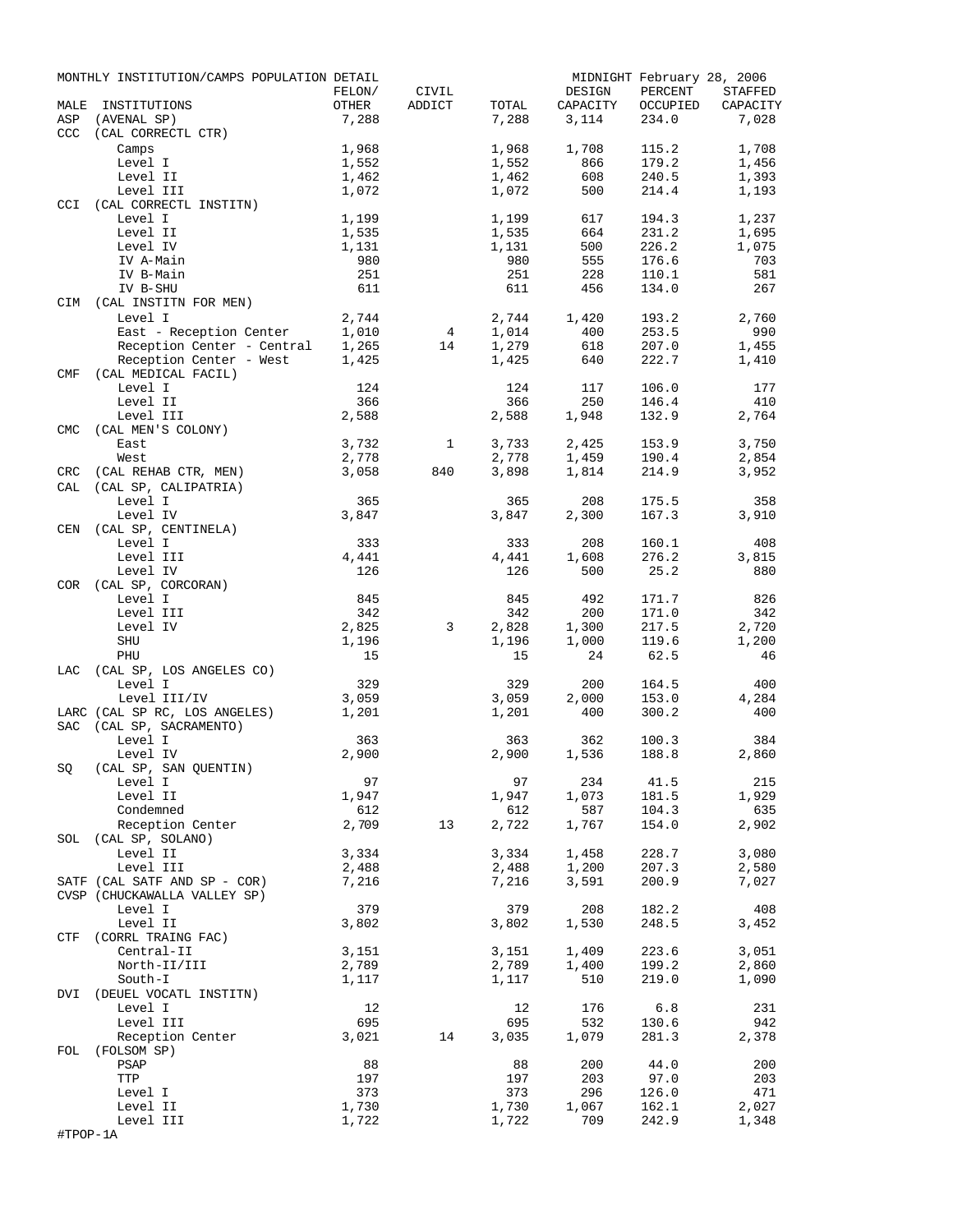| MALE       | MONTHLY INSTITUTION/CAMPS POPULATION DETAIL<br>INSTITUTIONS | FELON/<br>OTHER | CIVIL<br>ADDICT | TOTAL          | DESIGN<br>CAPACITY | PERCENT<br>OCCUPIED | MIDNIGHT February 28, 2006<br>STAFFED<br>CAPACITY |
|------------|-------------------------------------------------------------|-----------------|-----------------|----------------|--------------------|---------------------|---------------------------------------------------|
| ASP        | (AVENAL SP)                                                 | 7,288           |                 | 7,288          | 3,114              | 234.0               | 7,028                                             |
| <b>CCC</b> | (CAL CORRECTL CTR)                                          |                 |                 |                |                    |                     |                                                   |
|            | Camps                                                       | 1,968           |                 | 1,968          | 1,708              | 115.2               | 1,708                                             |
|            | Level I                                                     | 1,552           |                 | 1,552          | 866                | 179.2               | 1,456                                             |
|            | Level II                                                    | 1,462           |                 | 1,462          | 608                | 240.5               | 1,393                                             |
|            | Level III                                                   | 1,072           |                 | 1,072          | 500                | 214.4               | 1,193                                             |
| CCI        | (CAL CORRECTL INSTITN)<br>Level I                           | 1,199           |                 | 1,199          | 617                | 194.3               | 1,237                                             |
|            | Level II                                                    | 1,535           |                 | 1,535          | 664                | 231.2               | 1,695                                             |
|            | Level IV                                                    | 1,131           |                 | 1,131          | 500                | 226.2               | 1,075                                             |
|            | IV A-Main                                                   | 980             |                 | 980            | 555                | 176.6               | 703                                               |
|            | IV B-Main                                                   | 251             |                 | 251            | 228                | 110.1               | 581                                               |
|            | IV B-SHU                                                    | 611             |                 | 611            | 456                | 134.0               | 267                                               |
| CIM        | (CAL INSTITN FOR MEN)                                       |                 |                 |                |                    |                     |                                                   |
|            | Level I<br>East - Reception Center                          | 2,744<br>1,010  | $4\overline{ }$ | 2,744<br>1,014 | 1,420<br>400       | 193.2<br>253.5      | 2,760<br>990                                      |
|            | Reception Center - Central                                  | 1,265           | 14              | 1,279          | 618                | 207.0               | 1,455                                             |
|            | Reception Center - West                                     | 1,425           |                 | 1,425          | 640                | 222.7               | 1,410                                             |
| <b>CMF</b> | (CAL MEDICAL FACIL)                                         |                 |                 |                |                    |                     |                                                   |
|            | Level I                                                     | 124             |                 | 124            | 117                | 106.0               | 177                                               |
|            | Level II                                                    | 366             |                 | 366            | 250                | 146.4               | 410                                               |
|            | Level III                                                   | 2,588           |                 | 2,588          | 1,948              | 132.9               | 2,764                                             |
| <b>CMC</b> | (CAL MEN'S COLONY)                                          |                 |                 |                |                    |                     |                                                   |
|            | East<br>West                                                | 3,732<br>2,778  | $\mathbf{1}$    | 3,733<br>2,778 | 2,425<br>1,459     | 153.9<br>190.4      | 3,750<br>2,854                                    |
| CRC        | (CAL REHAB CTR, MEN)                                        | 3,058           | 840             | 3,898          | 1,814              | 214.9               | 3,952                                             |
| CAL        | (CAL SP, CALIPATRIA)                                        |                 |                 |                |                    |                     |                                                   |
|            | Level I                                                     | 365             |                 | 365            | 208                | 175.5               | 358                                               |
|            | Level IV                                                    | 3,847           |                 | 3,847          | 2,300              | 167.3               | 3,910                                             |
| CEN        | (CAL SP, CENTINELA)                                         |                 |                 |                |                    |                     |                                                   |
|            | Level I                                                     | 333             |                 | 333            | 208                | 160.1               | 408                                               |
|            | Level III                                                   | 4,441           |                 | 4,441          | 1,608              | 276.2               | 3,815                                             |
|            | Level IV                                                    | 126             |                 | 126            | 500                | 25.2                | 880                                               |
| <b>COR</b> | (CAL SP, CORCORAN)<br>Level I                               | 845             |                 | 845            | 492                | 171.7               | 826                                               |
|            | Level III                                                   | 342             |                 | 342            | 200                | 171.0               | 342                                               |
|            | Level IV                                                    | 2,825           | 3               | 2,828          | 1,300              | 217.5               | 2,720                                             |
|            | SHU                                                         | 1,196           |                 | 1,196          | 1,000              | 119.6               | 1,200                                             |
|            | PHU                                                         | 15              |                 | 15             | 24                 | 62.5                | 46                                                |
| LAC        | (CAL SP, LOS ANGELES CO)                                    |                 |                 |                |                    |                     |                                                   |
|            | Level I                                                     | 329             |                 | 329            | 200                | 164.5               | 400                                               |
|            | Level III/IV                                                | 3,059           |                 | 3,059          | 2,000              | 153.0               | 4,284                                             |
|            | LARC (CAL SP RC, LOS ANGELES)<br>(CAL SP, SACRAMENTO)       | 1,201           |                 | 1,201          | 400                | 300.2               | 400                                               |
| <b>SAC</b> | Level I                                                     | 363             |                 | 363            | 362                | 100.3               | 384                                               |
|            | Level IV                                                    | 2,900           |                 | 2,900          | 1,536              | 188.8               | 2,860                                             |
| SQ         | (CAL SP, SAN QUENTIN)                                       |                 |                 |                |                    |                     |                                                   |
|            | Level I                                                     | 97              |                 | 97             | 234                | 41.5                | 215                                               |
|            | Level II                                                    | 1,947           |                 | 1,947          | 1,073              | 181.5               | 1,929                                             |
|            | Condemned                                                   | 612             |                 | 612            | 587                | 104.3               | 635                                               |
|            | Reception Center                                            | 2,709           | 13              | 2,722          | 1,767              | 154.0               | 2,902                                             |
| SOL        | (CAL SP, SOLANO)                                            |                 |                 |                |                    |                     |                                                   |
|            | Level II<br>Level III                                       | 3,334<br>2,488  |                 | 3,334          | 1,458              | 228.7<br>207.3      | 3,080                                             |
|            | SATF (CAL SATF AND SP - COR)                                | 7,216           |                 | 2,488<br>7,216 | 1,200<br>3,591     | 200.9               | 2,580<br>7,027                                    |
|            | CVSP (CHUCKAWALLA VALLEY SP)                                |                 |                 |                |                    |                     |                                                   |
|            | Level I                                                     | 379             |                 | 379            | 208                | 182.2               | 408                                               |
|            | Level II                                                    | 3,802           |                 | 3,802          | 1,530              | 248.5               | 3,452                                             |
| CTF        | (CORRL TRAING FAC)                                          |                 |                 |                |                    |                     |                                                   |
|            | Central-II                                                  | 3,151           |                 | 3,151          | 1,409              | 223.6               | 3,051                                             |
|            | North-II/III                                                | 2,789           |                 | 2,789          | 1,400              | 199.2               | 2,860                                             |
|            | South-I                                                     | 1,117           |                 | 1,117          | 510                | 219.0               | 1,090                                             |
| DVI        | (DEUEL VOCATL INSTITN)                                      | 12              |                 | 12             | 176                | 6.8                 | 231                                               |
|            | Level I<br>Level III                                        | 695             |                 | 695            | 532                | 130.6               | 942                                               |
|            | Reception Center                                            | 3,021           | 14              | 3,035          | 1,079              | 281.3               | 2,378                                             |
| FOL        | (FOLSOM SP)                                                 |                 |                 |                |                    |                     |                                                   |
|            | PSAP                                                        | 88              |                 | 88             | 200                | 44.0                | 200                                               |
|            | TTP                                                         | 197             |                 | 197            | 203                | 97.0                | 203                                               |
|            | Level I                                                     | 373             |                 | 373            | 296                | 126.0               | 471                                               |
|            | Level II                                                    | 1,730           |                 | 1,730          | 1,067              | 162.1               | 2,027                                             |
|            | Level III                                                   | 1,722           |                 | 1,722          | 709                | 242.9               | 1,348                                             |
| #TPOP-1A   |                                                             |                 |                 |                |                    |                     |                                                   |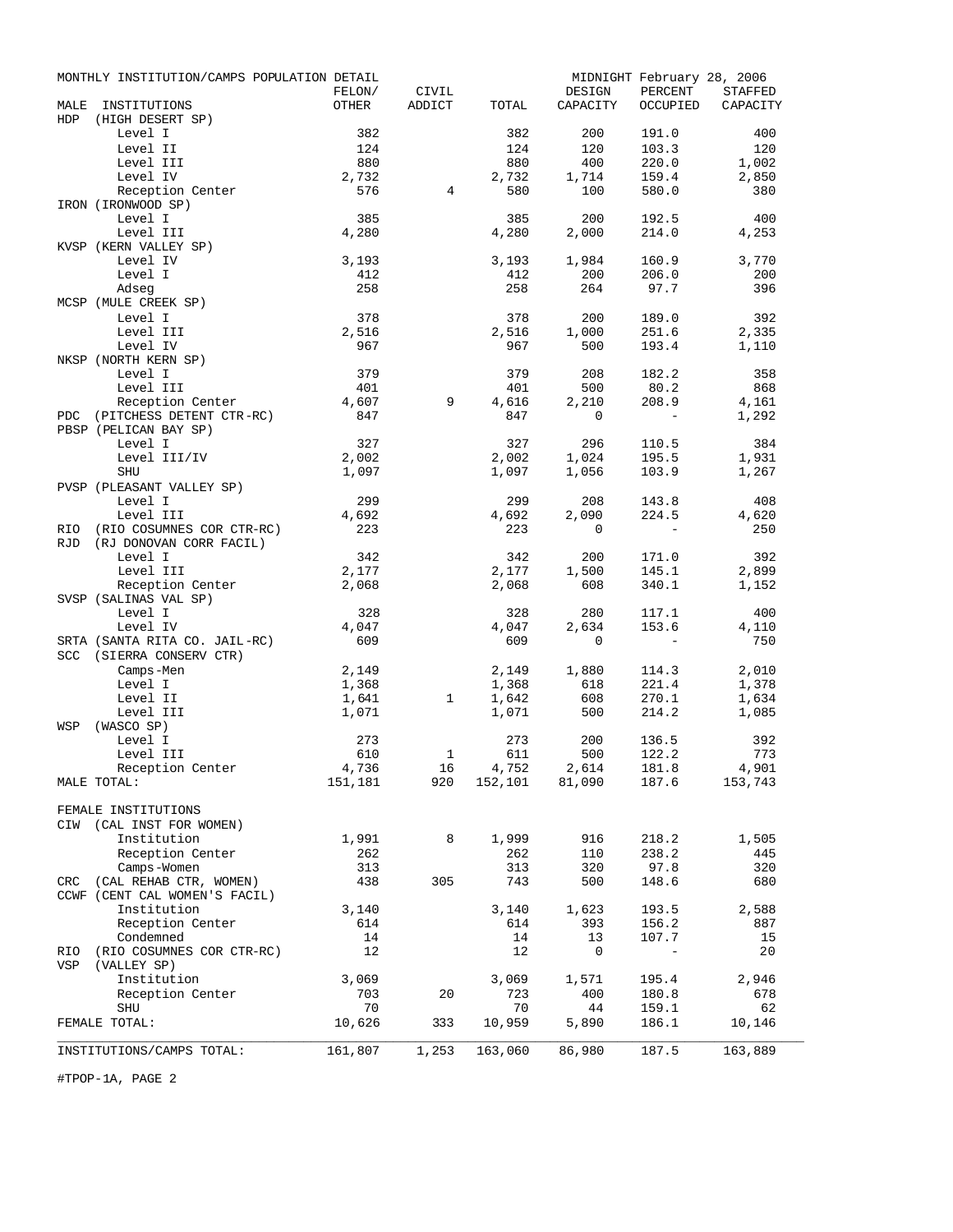|            | MONTHLY INSTITUTION/CAMPS POPULATION DETAIL | FELON/       | CIVIL          |              | DESIGN                            | MIDNIGHT February 28, 2006<br>PERCENT | <b>STAFFED</b> |
|------------|---------------------------------------------|--------------|----------------|--------------|-----------------------------------|---------------------------------------|----------------|
| MALE       | INSTITUTIONS                                | OTHER        | ADDICT         | TOTAL        | CAPACITY                          | OCCUPIED                              | CAPACITY       |
| <b>HDP</b> | (HIGH DESERT SP)                            |              |                |              |                                   |                                       |                |
|            | Level I                                     | 382          |                | 382          | 200                               | 191.0                                 | 400            |
|            | Level II                                    | 124          |                | 124          | 120                               | 103.3                                 | 120            |
|            | Level III                                   | 880          |                | 880          | 400                               | 220.0                                 | 1,002          |
|            | Level IV                                    | 2,732        |                | 2,732        | 1,714                             | 159.4                                 | 2,850          |
|            | Reception Center                            | 576          | $\overline{4}$ | 580          | 100                               | 580.0                                 | 380            |
|            | IRON (IRONWOOD SP)                          |              |                |              |                                   |                                       |                |
|            | Level I<br>Level III                        | 385<br>4,280 |                | 385<br>4,280 | 200<br>2,000                      | 192.5<br>214.0                        | 400<br>4,253   |
|            | KVSP (KERN VALLEY SP)                       |              |                |              |                                   |                                       |                |
|            | Level IV                                    | 3,193        |                | 3,193        | 1,984                             | 160.9                                 | 3,770          |
|            | Level I                                     | 412          |                | 412          | 200                               | 206.0                                 | 200            |
|            | Adseq                                       | 258          |                | 258          | 264                               | 97.7                                  | 396            |
|            | MCSP (MULE CREEK SP)                        |              |                |              |                                   |                                       |                |
|            | Level I                                     | 378          |                | 378          | 200                               | 189.0                                 | 392            |
|            | Level III                                   | 2,516        |                | 2,516        | 1,000                             | 251.6                                 | 2,335          |
|            | Level IV                                    | 967          |                | 967          | 500                               | 193.4                                 | 1,110          |
|            | NKSP (NORTH KERN SP)                        |              |                |              |                                   |                                       |                |
|            | Level I<br>Level III                        | 379<br>401   |                | 379<br>401   | 208<br>500                        | 182.2<br>80.2                         | 358<br>868     |
|            | Reception Center                            | 4,607        | 9              | 4,616        | 2,210                             | 208.9                                 | 4,161          |
|            | PDC (PITCHESS DETENT CTR-RC)                | 847          |                | 847          | 0                                 | $\equiv$                              | 1,292          |
|            | PBSP (PELICAN BAY SP)                       |              |                |              |                                   |                                       |                |
|            | Level I                                     | 327          |                | 327          | 296                               | 110.5                                 | 384            |
|            | Level III/IV                                | 2,002        |                | 2,002        | 1,024                             | 195.5                                 | 1,931          |
|            | <b>SHU</b>                                  | 1,097        |                | 1,097        | 1,056                             | 103.9                                 | 1,267          |
|            | PVSP (PLEASANT VALLEY SP)                   |              |                |              |                                   |                                       |                |
|            | Level I                                     | 299          |                | 299          | 208                               | 143.8                                 | 408            |
|            | Level III                                   | 4,692        |                | 4,692        | 2,090                             | 224.5                                 | 4,620          |
| RIO        | (RIO COSUMNES COR CTR-RC)                   | 223          |                | 223          | $\mathbf{0}$                      | $\overline{a}$                        | 250            |
| <b>RJD</b> | (RJ DONOVAN CORR FACIL)<br>Level I          | 342          |                | 342          | 200                               | 171.0                                 | 392            |
|            | Level III                                   | 2,177        |                | 2,177        | 1,500                             | 145.1                                 | 2,899          |
|            | Reception Center                            | 2,068        |                | 2,068        | 608                               | 340.1                                 | 1,152          |
|            | SVSP (SALINAS VAL SP)                       |              |                |              |                                   |                                       |                |
|            | Level I                                     | 328          |                | 328          | 280                               | 117.1                                 | 400            |
|            | Level IV                                    | 4,047        |                | 4,047        | 2,634                             | 153.6                                 | 4,110          |
|            | SRTA (SANTA RITA CO. JAIL-RC)               | 609          |                | 609          | 0                                 | $\overline{\phantom{0}}$              | 750            |
| SCC        | (SIERRA CONSERV CTR)                        |              |                |              |                                   |                                       |                |
|            | Camps-Men                                   | 2,149        |                | 2,149        | 1,880                             | 114.3                                 | 2,010          |
|            | Level I                                     | 1,368        |                | 1,368        | 618                               | 221.4                                 | 1,378          |
|            | Level II                                    | 1,641        | $\mathbf{1}$   | 1,642        | 608<br>500                        | 270.1<br>214.2                        | 1,634<br>1,085 |
| WSP        | Level III<br>(WASCO SP)                     | 1,071        |                | 1,071        |                                   |                                       |                |
|            | Level I                                     | 273          |                | 273          | 200                               | 136.5                                 | 392            |
|            | Level III                                   | 610          | $\mathbf{1}$   | 611          | 500                               | 122.2                                 | 773            |
|            | Reception Center                            | 4,736        | 16             |              |                                   | 181.8                                 | 4,901          |
|            | MALE TOTAL:                                 | 151,181      | 920            |              | $4,752$ $2,614$<br>152,101 81,090 | 187.6                                 | 153,743        |
|            |                                             |              |                |              |                                   |                                       |                |
|            | FEMALE INSTITUTIONS                         |              |                |              |                                   |                                       |                |
|            | CIW (CAL INST FOR WOMEN)                    |              |                |              |                                   |                                       |                |
|            | Institution                                 | 1,991        | 8              | 1,999        | 916                               | 218.2                                 | 1,505          |
|            | Reception Center<br>Camps-Women             | 262<br>313   |                | 262<br>313   | 110<br>320                        | 238.2<br>97.8                         | 445<br>320     |
|            | CRC (CAL REHAB CTR, WOMEN)                  | 438          | 305            | 743          | 500                               | 148.6                                 | 680            |
|            | CCWF (CENT CAL WOMEN'S FACIL)               |              |                |              |                                   |                                       |                |
|            | Institution                                 | 3,140        |                | 3,140        | 1,623                             | 193.5                                 | 2,588          |
|            | Reception Center                            | 614          |                | 614          | 393                               | 156.2                                 | 887            |
|            | Condemned                                   | 14           |                | 14           | 13                                | 107.7                                 | 15             |
| RIO        | (RIO COSUMNES COR CTR-RC)                   | 12           |                | 12           | 0                                 | $\overline{\phantom{a}}$              | 20             |
| VSP        | (VALLEY SP)                                 |              |                |              |                                   |                                       |                |
|            | Institution                                 | 3,069        |                | 3,069        | 1,571                             | 195.4                                 | 2,946          |
|            | Reception Center<br><b>SHU</b>              | 703<br>70    | 20             | 723<br>70    | 400<br>44                         | 180.8<br>159.1                        | 678<br>62      |
|            | FEMALE TOTAL:                               | 10,626       | 333            | 10,959       | 5,890                             | 186.1                                 | 10,146         |
|            |                                             |              |                |              |                                   |                                       |                |
|            | INSTITUTIONS/CAMPS TOTAL:                   | 161,807      | 1,253          | 163,060      | 86,980                            | 187.5                                 | 163,889        |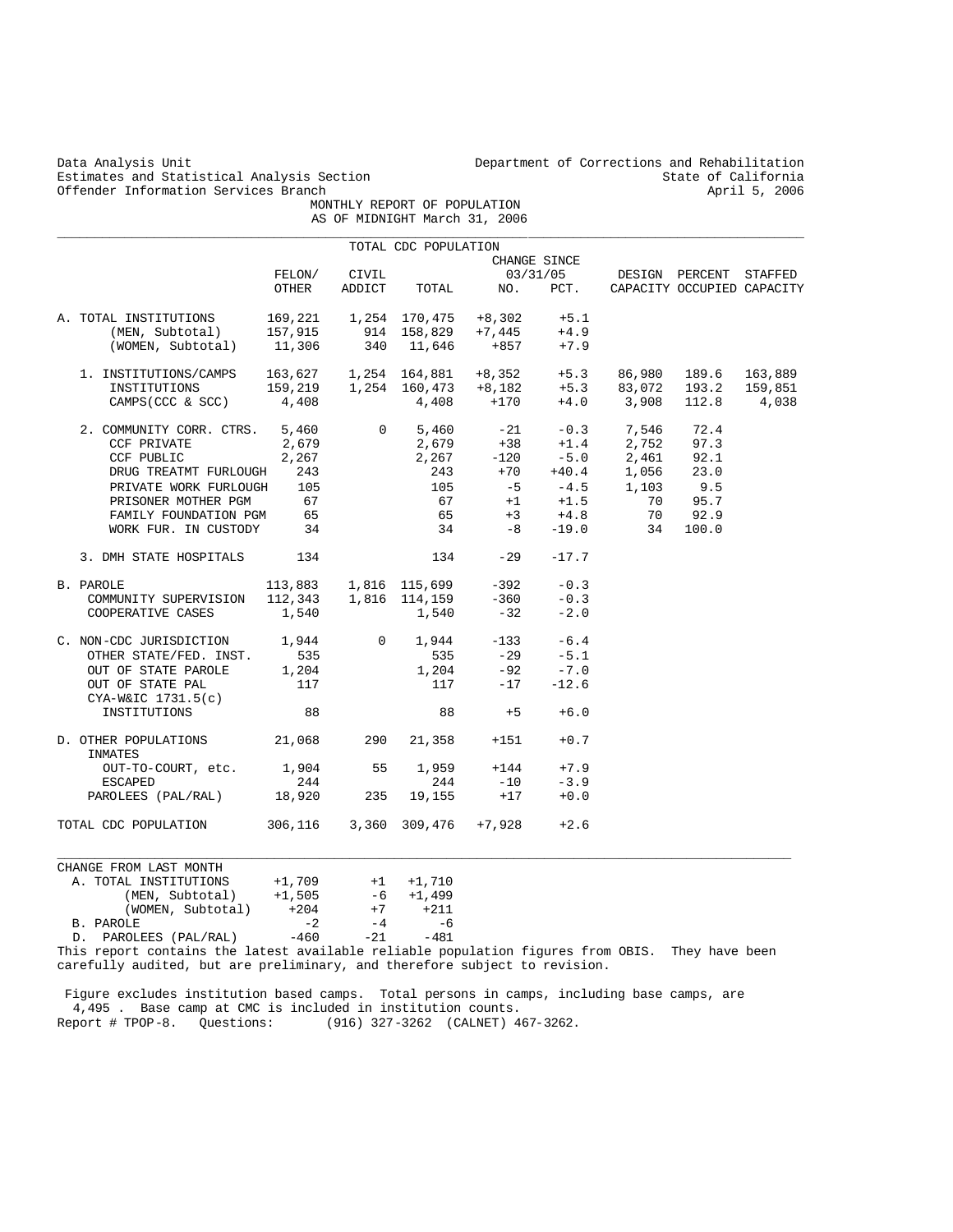| Data Analysis Unit<br>Estimates and Statistical Analysis Section<br>Offender Information Services Branch                                                       |                 |                 | MONTHLY REPORT OF POPULATION<br>AS OF MIDNIGHT March 31, 2006                 |          |                                  | Department of Corrections and Rehabilitation |                        | State of California<br>April 5, 2006 |
|----------------------------------------------------------------------------------------------------------------------------------------------------------------|-----------------|-----------------|-------------------------------------------------------------------------------|----------|----------------------------------|----------------------------------------------|------------------------|--------------------------------------|
|                                                                                                                                                                |                 |                 |                                                                               |          |                                  |                                              |                        |                                      |
|                                                                                                                                                                |                 |                 | TOTAL CDC POPULATION                                                          |          |                                  |                                              |                        |                                      |
|                                                                                                                                                                | FELON/<br>OTHER | CIVIL<br>ADDICT | TOTAL                                                                         | NO.      | CHANGE SINCE<br>03/31/05<br>PCT. |                                              | DESIGN PERCENT STAFFED | CAPACITY OCCUPIED CAPACITY           |
|                                                                                                                                                                |                 |                 |                                                                               |          |                                  |                                              |                        |                                      |
| A. TOTAL INSTITUTIONS                                                                                                                                          | 169,221         |                 | 1,254 170,475                                                                 | $+8,302$ | $+5.1$                           |                                              |                        |                                      |
| (MEN, Subtotal)                                                                                                                                                | 157,915         |                 | 914 158,829                                                                   | +7,445   | $+4.9$                           |                                              |                        |                                      |
| (WOMEN, Subtotal)                                                                                                                                              | 11,306          | 340             | 11,646                                                                        | +857     | $+7.9$                           |                                              |                        |                                      |
| 1. INSTITUTIONS/CAMPS                                                                                                                                          |                 |                 |                                                                               | $+8,352$ | $+5.3$                           | 86,980                                       | 189.6                  | 163,889                              |
| INSTITUTIONS                                                                                                                                                   |                 |                 | $163,627$ $1,254$ $164,881$<br>$159,219$ $1,254$ $160,473$<br>$4.408$ $4.408$ | $+8,182$ | $+5.3$                           | 83,072                                       | 193.2                  | 159,851                              |
| CAMPS (CCC & SCC)                                                                                                                                              | 4,408           |                 | 4,408                                                                         | $+170$   | $+4.0$                           | 3,908                                        | 112.8                  | 4,038                                |
| 2. COMMUNITY CORR. CTRS.                                                                                                                                       | 5,460           | $\mathbf{0}$    | 5,460                                                                         | - 21     | $-0.3$                           | 7,546                                        | 72.4                   |                                      |
| CCF PRIVATE                                                                                                                                                    | 2,679           |                 | 2,679                                                                         | $+38$    | $+1.4$                           | 2,752                                        | 97.3                   |                                      |
| CCF PUBLIC                                                                                                                                                     | 2,267           |                 | 2,267                                                                         | $-120$   | $-5.0$                           | 2,461                                        | 92.1                   |                                      |
| DRUG TREATMT FURLOUGH                                                                                                                                          | 243             |                 | 243                                                                           | $+70$    | $+40.4$                          | 1,056                                        | 23.0                   |                                      |
| PRIVATE WORK FURLOUGH                                                                                                                                          | 105             |                 | 105                                                                           | $-5$     | $-4.5$                           | 1,103                                        | 9.5                    |                                      |
| PRISONER MOTHER PGM                                                                                                                                            | 67              |                 | 67                                                                            | $+1$     | $+1.5$                           | 70                                           | 95.7                   |                                      |
| FAMILY FOUNDATION PGM                                                                                                                                          | 65              |                 | 65                                                                            | $+3$     | $+4.8$                           | 70                                           | 92.9                   |                                      |
| WORK FUR. IN CUSTODY                                                                                                                                           | 34              |                 | 34                                                                            | $-8$     | $-19.0$                          | 34                                           | 100.0                  |                                      |
| 3. DMH STATE HOSPITALS                                                                                                                                         | 134             |                 | 134                                                                           | $-29$    | $-17.7$                          |                                              |                        |                                      |
|                                                                                                                                                                |                 |                 |                                                                               |          |                                  |                                              |                        |                                      |
| B. PAROLE                                                                                                                                                      | 113,883         |                 | 1,816 115,699                                                                 | -392     | $-0.3$                           |                                              |                        |                                      |
| COMMUNITY SUPERVISION                                                                                                                                          | 112,343         |                 | 1,816 114,159                                                                 | $-360$   | $-0.3$                           |                                              |                        |                                      |
| COOPERATIVE CASES                                                                                                                                              | 1,540           |                 | 1,540                                                                         | $-32$    | $-2.0$                           |                                              |                        |                                      |
| C. NON-CDC JURISDICTION                                                                                                                                        | 1,944           | $\mathbf{0}$    | 1,944                                                                         | $-133$   | $-6.4$                           |                                              |                        |                                      |
| OTHER STATE/FED. INST.                                                                                                                                         | 535             |                 | 535                                                                           | $-29$    | $-5.1$                           |                                              |                        |                                      |
| OUT OF STATE PAROLE                                                                                                                                            | 1,204           |                 | 1,204                                                                         | $-92$    | $-7.0$                           |                                              |                        |                                      |
| OUT OF STATE PAL                                                                                                                                               | 117             |                 | 117                                                                           | $-17$    | $-12.6$                          |                                              |                        |                                      |
| CYA-W&IC 1731.5(c)                                                                                                                                             |                 |                 |                                                                               |          |                                  |                                              |                        |                                      |
| INSTITUTIONS                                                                                                                                                   | 88              |                 | 88                                                                            | $+5$     | $+6.0$                           |                                              |                        |                                      |
| D. OTHER POPULATIONS<br>INMATES                                                                                                                                | 21,068          | 290             | 21,358                                                                        | $+151$   | $+0.7$                           |                                              |                        |                                      |
| OUT-TO-COURT, etc.                                                                                                                                             | 1,904           | 55              | 1,959                                                                         | $+144$   | $+7.9$                           |                                              |                        |                                      |
| <b>ESCAPED</b>                                                                                                                                                 | 244             |                 | 244                                                                           | $-10$    | $-3.9$                           |                                              |                        |                                      |
| PAROLEES (PAL/RAL)                                                                                                                                             | 18,920          | 235             | 19,155                                                                        | $+17$    | $+0.0$                           |                                              |                        |                                      |
| TOTAL CDC POPULATION                                                                                                                                           | 306,116         |                 | 3,360 309,476                                                                 | $+7,928$ | $+2.6$                           |                                              |                        |                                      |
|                                                                                                                                                                |                 |                 |                                                                               |          |                                  |                                              |                        |                                      |
| CHANGE FROM LAST MONTH                                                                                                                                         |                 |                 |                                                                               |          |                                  |                                              |                        |                                      |
| A. TOTAL INSTITUTIONS                                                                                                                                          | $+1,709$        | $+1$            | $+1,710$                                                                      |          |                                  |                                              |                        |                                      |
| (MEN, Subtotal)                                                                                                                                                | $+1,505$        | - 6             | $+1,499$                                                                      |          |                                  |                                              |                        |                                      |
| (WOMEN, Subtotal)                                                                                                                                              | $+204$          | $+7$            | $+211$                                                                        |          |                                  |                                              |                        |                                      |
| B. PAROLE                                                                                                                                                      | $-2$            | $-4$            | -6                                                                            |          |                                  |                                              |                        |                                      |
| PAROLEES (PAL/RAL)<br>D.                                                                                                                                       | $-460$          | $-21$           | $-481$                                                                        |          |                                  |                                              | They have been         |                                      |
| This report contains the latest available reliable population figures from OBIS.<br>carefully audited, but are preliminary, and therefore subject to revision. |                 |                 |                                                                               |          |                                  |                                              |                        |                                      |

 Figure excludes institution based camps. Total persons in camps, including base camps, are 4,495 . Base camp at CMC is included in institution counts. Report # TPOP-8. Questions: (916) 327-3262 (CALNET) 467-3262.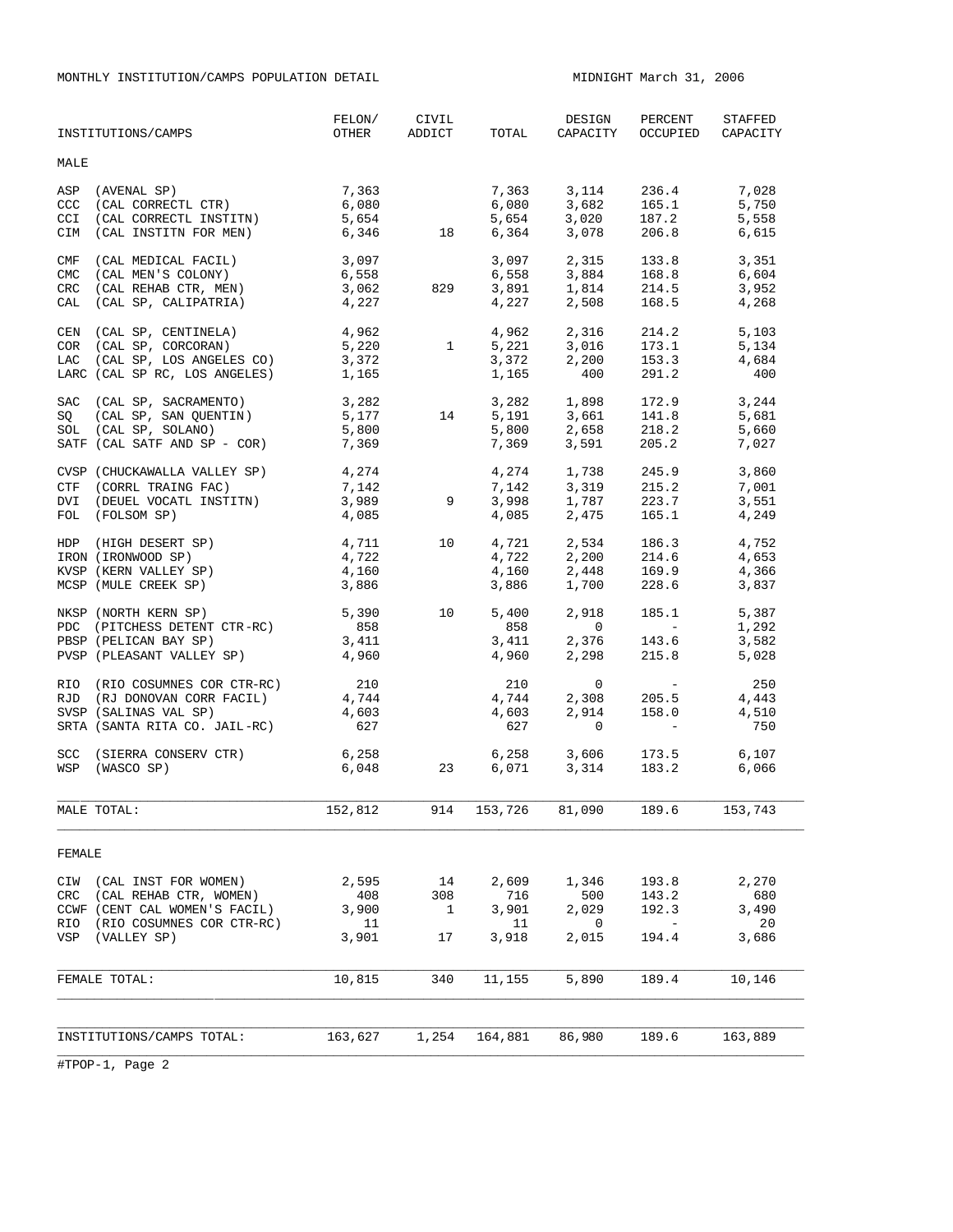MONTHLY INSTITUTION/CAMPS POPULATION DETAIL MIDNIGHT March 31, 2006

|                  | FEMALE TOTAL:                                            | 10,815                                      | 340                   | 11,155         | 5,890                                                                                                                                                                                                                                                                                  | 189.4                       | 10,146                       |
|------------------|----------------------------------------------------------|---------------------------------------------|-----------------------|----------------|----------------------------------------------------------------------------------------------------------------------------------------------------------------------------------------------------------------------------------------------------------------------------------------|-----------------------------|------------------------------|
|                  | VSP (VALLEY SP)                                          | 3,901                                       | 17                    | 3,918          | 2,015                                                                                                                                                                                                                                                                                  | 194.4                       | 3,686                        |
|                  | RIO (RIO COSUMNES COR CTR-RC)                            | 11                                          |                       | 11             | 0                                                                                                                                                                                                                                                                                      | $\overline{\phantom{m}}$    | 20                           |
|                  | CCWF (CENT CAL WOMEN'S FACIL)                            | 3,900                                       | $\overline{1}$        | 3,901          | 2,029                                                                                                                                                                                                                                                                                  | 192.3                       | 3,490                        |
|                  | CIW (CAL INST FOR WOMEN)<br>CRC (CAL REHAB CTR, WOMEN)   | 2,595<br>408                                | 14<br>308             | 2,609<br>716   | 1,346<br>500                                                                                                                                                                                                                                                                           | 193.8<br>143.2              | 2,270<br>680                 |
| FEMALE           |                                                          |                                             |                       |                |                                                                                                                                                                                                                                                                                        |                             |                              |
|                  | MALE TOTAL:                                              | 152,812 914 153,726 81,090 189.6 153,743    |                       |                |                                                                                                                                                                                                                                                                                        |                             |                              |
|                  |                                                          |                                             |                       |                |                                                                                                                                                                                                                                                                                        |                             |                              |
|                  | SCC (SIERRA CONSERV CTR)<br>WSP (WASCO SP)               | 6,258<br>6,048                              | 23                    |                | 6,258 3,606 173.5<br>6,071 3,314 183.2 6,066                                                                                                                                                                                                                                           |                             | 6,107                        |
|                  |                                                          |                                             |                       |                |                                                                                                                                                                                                                                                                                        |                             |                              |
|                  | SRTA (SANTA RITA CO. JAIL-RC)                            | 627                                         |                       | 627            | $\circ$                                                                                                                                                                                                                                                                                |                             | 750                          |
|                  | RJD (RJ DONOVAN CORR FACIL)<br>SVSP (SALINAS VAL SP)     |                                             |                       | 4,744<br>4,603 |                                                                                                                                                                                                                                                                                        | 2,914 158.0                 | 4,443<br>4,510               |
|                  | RIO (RIO COSUMNES COR CTR-RC)                            | $210$<br>4,744<br>4,603                     |                       | 210            |                                                                                                                                                                                                                                                                                        | $0$<br>2,308 205 F<br>2,914 | 250                          |
|                  |                                                          |                                             |                       | 4,960          | 2,298                                                                                                                                                                                                                                                                                  |                             | 5,028                        |
|                  | PBSP (PELICAN BAY SP)<br>PVSP (PLEASANT VALLEY SP) 4,960 |                                             |                       |                |                                                                                                                                                                                                                                                                                        | 215.8                       | 3,582                        |
|                  | PDC (PITCHESS DETENT CTR-RC)                             | $\begin{array}{c} 858 \\ 3,411 \end{array}$ |                       | 858<br>3,411   | $\overline{0}$<br>$2,376$ 143.6                                                                                                                                                                                                                                                        | <b>Contract Contract</b>    | 1,292                        |
|                  | NKSP (NORTH KERN SP)                                     | 5,390                                       | 10                    | 5,400          |                                                                                                                                                                                                                                                                                        | 2,918 185.1                 | 5,387                        |
|                  | MCSP (MULE CREEK SP)                                     | 3,886                                       |                       | 3,886          |                                                                                                                                                                                                                                                                                        |                             | 3,837                        |
|                  | KVSP (KERN VALLEY SP)                                    | 4,160                                       |                       | 4,160          |                                                                                                                                                                                                                                                                                        | 2,448 169.9<br>1,700 228.6  | 4,366                        |
|                  | IRON (IRONWOOD SP)                                       | 4,722                                       |                       |                |                                                                                                                                                                                                                                                                                        |                             | 4,653                        |
|                  | HDP (HIGH DESERT SP)                                     | 4,711                                       | 10                    | 4,721<br>4,722 |                                                                                                                                                                                                                                                                                        | 2,534 186.3<br>2,200 214.6  | 4,752                        |
|                  | FOL (FOLSOM SP)                                          | 4,085                                       |                       |                | 4,085 2,475                                                                                                                                                                                                                                                                            | 165.1                       | 4,249                        |
|                  | DVI (DEUEL VOCATL INSTITN)                               |                                             |                       |                |                                                                                                                                                                                                                                                                                        |                             | 3,551                        |
|                  | CTF (CORRL TRAING FAC)                                   | 7,142<br>3,989                              | $\overline{9}$        |                | 7,142 3,319 215.2<br>3,998 1,787 223.7                                                                                                                                                                                                                                                 |                             | 7,001                        |
|                  | CVSP (CHUCKAWALLA VALLEY SP) 4,274                       |                                             |                       |                | 4, 274 1, 738 245.9                                                                                                                                                                                                                                                                    |                             | 3,860                        |
|                  |                                                          |                                             |                       |                |                                                                                                                                                                                                                                                                                        |                             | 7,027                        |
|                  | SOL (CAL SP, SOLANO)<br>SATF (CAL SATF AND SP - COR)     | 5,800<br>7,369                              |                       |                | 5,800 2,658<br>7,369 3,591                                                                                                                                                                                                                                                             | 2,658 218.2<br>3,591 205.2  | 5,660                        |
| SQ               | (CAL SP, SAN QUENTIN)                                    | 3,282<br>5,177                              | 14                    |                | 3,282 1,898 172.9<br>5,191 3,661 141.8                                                                                                                                                                                                                                                 |                             | 3,244<br>5,681               |
|                  | SAC (CAL SP, SACRAMENTO)                                 |                                             |                       |                |                                                                                                                                                                                                                                                                                        |                             |                              |
|                  | LARC (CAL SP RC, LOS ANGELES) 1,165                      |                                             |                       | 1,165          | 400                                                                                                                                                                                                                                                                                    | 291.2                       | 400                          |
|                  |                                                          |                                             |                       |                | $5,221$ $3,016$ $173.1$<br>$3,372$ $2,200$ $153.3$                                                                                                                                                                                                                                     |                             | 4,684                        |
|                  | COR (CAL SP, CORCORAN)<br>LAC (CAL SP, LOS ANGELES CO)   | 5,220<br>3,372                              | $\mathbf{1}$          |                |                                                                                                                                                                                                                                                                                        |                             | 5,134                        |
|                  | CEN (CAL SP, CENTINELA) 4,962                            |                                             |                       |                | $4,962$ $2,316$ $214.2$ $5,103$                                                                                                                                                                                                                                                        |                             |                              |
| CAL              | (CAL SP, CALIPATRIA)                                     |                                             |                       |                |                                                                                                                                                                                                                                                                                        | 168.5                       |                              |
| CRC              | (CAL REHAB CTR, MEN)                                     | 3,062<br>4,227                              | 829                   |                | $\begin{array}{cccc} 3\,, 097 & \quad 2\,, 315 & \quad 133\,.8 & \quad 3\,, 351 \\ 6\,, 558 & \quad 3\,, 884 & \quad 168\,.8 & \quad 6\,, 604 \\ 3\,, 891 & \quad 1\,, 814 & \quad 214\,.5 & \quad 3\,, 952 \\ 4\,, 227 & \quad 2\,, 508 & \quad 168\,.5 & \quad 4\,, 268 \end{array}$ |                             |                              |
| <b>CMC</b>       | (CAL MEN'S COLONY)                                       | 6,558                                       |                       |                |                                                                                                                                                                                                                                                                                        |                             |                              |
| CMF              | (CAL MEDICAL FACIL)                                      | 3,097                                       |                       |                |                                                                                                                                                                                                                                                                                        |                             |                              |
| CIM              | (CAL INSTITN FOR MEN)                                    | 6,346                                       | 18                    |                | 6,364 3,078                                                                                                                                                                                                                                                                            | 206.8                       | 6,615                        |
| CCI              | (CAL CORRECTL INSTITN)                                   | 5,654                                       |                       |                | $6,080$ $3,682$ $165.1$<br>5,654 $3,020$ $187.2$                                                                                                                                                                                                                                       |                             | 5,558                        |
| CCC <sub>1</sub> | (CAL CORRECTL CTR)                                       | 6,080                                       |                       |                |                                                                                                                                                                                                                                                                                        |                             | 5,750                        |
| ASP              | (AVENAL SP)                                              | 7,363                                       |                       |                | 7,363 3,114 236.4 7,028                                                                                                                                                                                                                                                                |                             |                              |
| MALE             |                                                          |                                             |                       |                |                                                                                                                                                                                                                                                                                        |                             |                              |
|                  |                                                          |                                             |                       |                |                                                                                                                                                                                                                                                                                        |                             |                              |
|                  | INSTITUTIONS/CAMPS                                       | FELON/                                      | CIVIL<br>OTHER ADDICT | TOTAL          | DESIGN<br>CAPACITY                                                                                                                                                                                                                                                                     | PERCENT                     | STAFFED<br>OCCUPIED CAPACITY |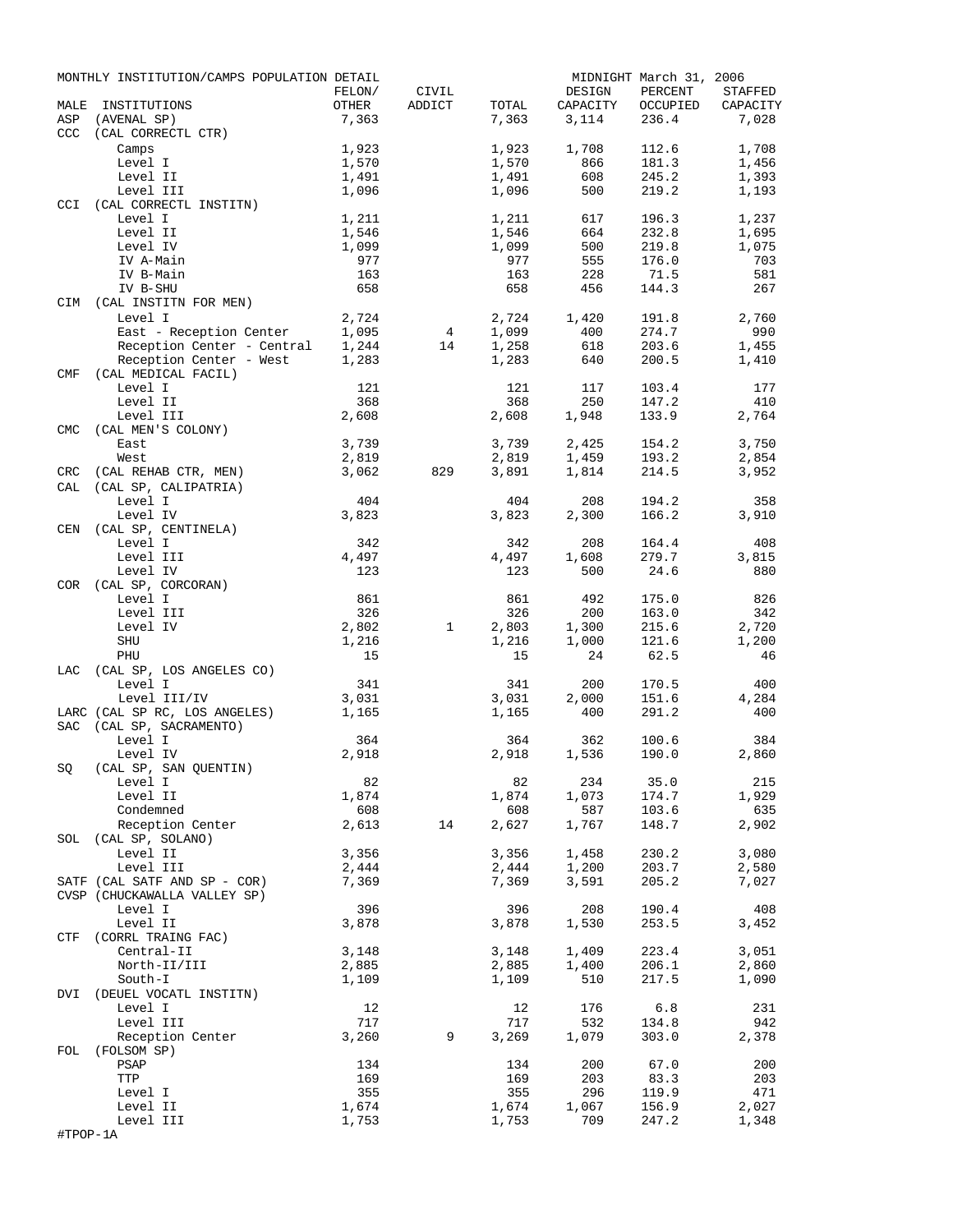|                   | MONTHLY INSTITUTION/CAMPS POPULATION DETAIL    | FELON/     | CIVIL           |            | DESIGN         | MIDNIGHT March 31, 2006<br>PERCENT | STAFFED    |
|-------------------|------------------------------------------------|------------|-----------------|------------|----------------|------------------------------------|------------|
| MALE              | INSTITUTIONS                                   | OTHER      | ADDICT          | TOTAL      | CAPACITY       | OCCUPIED                           | CAPACITY   |
| ASP<br><b>CCC</b> | (AVENAL SP)<br>(CAL CORRECTL CTR)              | 7,363      |                 | 7,363      | 3,114          | 236.4                              | 7,028      |
|                   | Camps                                          | 1,923      |                 | 1,923      | 1,708          | 112.6                              | 1,708      |
|                   | Level I                                        | 1,570      |                 | 1,570      | 866            | 181.3                              | 1,456      |
|                   | Level II                                       | 1,491      |                 | 1,491      | 608            | 245.2                              | 1,393      |
|                   | Level III                                      | 1,096      |                 | 1,096      | 500            | 219.2                              | 1,193      |
| <b>CCI</b>        | (CAL CORRECTL INSTITN)                         |            |                 |            |                |                                    |            |
|                   | Level I                                        | 1,211      |                 | 1,211      | 617            | 196.3                              | 1,237      |
|                   | Level II                                       | 1,546      |                 | 1,546      | 664            | 232.8                              | 1,695      |
|                   | Level IV                                       | 1,099      |                 | 1,099      | 500            | 219.8                              | 1,075      |
|                   | IV A-Main                                      | 977        |                 | 977        | 555            | 176.0                              | 703        |
|                   | IV B-Main                                      | 163        |                 | 163        | 228            | 71.5                               | 581        |
|                   | IV B-SHU                                       | 658        |                 | 658        | 456            | 144.3                              | 267        |
| CIM               | (CAL INSTITN FOR MEN)                          |            |                 |            |                |                                    |            |
|                   | Level I                                        | 2,724      |                 | 2,724      | 1,420          | 191.8                              | 2,760      |
|                   | East - Reception Center                        | 1,095      | $4\overline{ }$ | 1,099      | 400            | 274.7                              | 990        |
|                   | Reception Center - Central                     | 1,244      | 14              | 1,258      | 618<br>640     | 203.6<br>200.5                     | 1,455      |
| CMF               | Reception Center - West<br>(CAL MEDICAL FACIL) | 1,283      |                 | 1,283      |                |                                    | 1,410      |
|                   | Level I                                        | 121        |                 | 121        | 117            | 103.4                              | 177        |
|                   | Level II                                       | 368        |                 | 368        | 250            | 147.2                              | 410        |
|                   | Level III                                      | 2,608      |                 | 2,608      | 1,948          | 133.9                              | 2,764      |
| <b>CMC</b>        | (CAL MEN'S COLONY)                             |            |                 |            |                |                                    |            |
|                   | East                                           | 3,739      |                 | 3,739      | 2,425          | 154.2                              | 3,750      |
|                   | West                                           | 2,819      |                 | 2,819      | 1,459          | 193.2                              | 2,854      |
| CRC               | (CAL REHAB CTR, MEN)                           | 3,062      | 829             | 3,891      | 1,814          | 214.5                              | 3,952      |
| CAL               | (CAL SP, CALIPATRIA)                           |            |                 |            |                |                                    |            |
|                   | Level I                                        | 404        |                 | 404        | 208            | 194.2                              | 358        |
|                   | Level IV                                       | 3,823      |                 | 3,823      | 2,300          | 166.2                              | 3,910      |
| CEN               | (CAL SP, CENTINELA)                            |            |                 |            |                |                                    |            |
|                   | Level I                                        | 342        |                 | 342        | 208            | 164.4                              | 408        |
|                   | Level III                                      | 4,497      |                 | 4,497      | 1,608          | 279.7                              | 3,815      |
|                   | Level IV                                       | 123        |                 | 123        | 500            | 24.6                               | 880        |
| <b>COR</b>        | (CAL SP, CORCORAN)                             |            |                 |            |                |                                    |            |
|                   | Level I<br>Level III                           | 861<br>326 |                 | 861<br>326 | 492<br>200     | 175.0                              | 826<br>342 |
|                   |                                                | 2,802      | $\mathbf{1}$    | 2,803      |                | 163.0<br>215.6                     | 2,720      |
|                   | Level IV<br>SHU                                | 1,216      |                 | 1,216      | 1,300<br>1,000 | 121.6                              | 1,200      |
|                   | PHU                                            | 15         |                 | 15         | 24             | 62.5                               | 46         |
| LAC               | (CAL SP, LOS ANGELES CO)                       |            |                 |            |                |                                    |            |
|                   | Level I                                        | 341        |                 | 341        | 200            | 170.5                              | 400        |
|                   | Level III/IV                                   | 3,031      |                 | 3,031      | 2,000          | 151.6                              | 4,284      |
|                   | LARC (CAL SP RC, LOS ANGELES)                  | 1,165      |                 | 1,165      | 400            | 291.2                              | 400        |
| <b>SAC</b>        | (CAL SP, SACRAMENTO)                           |            |                 |            |                |                                    |            |
|                   | Level I                                        | 364        |                 | 364        | 362            | 100.6                              | 384        |
|                   | Level IV                                       | 2,918      |                 | 2,918      | 1,536          | 190.0                              | 2,860      |
| SQ                | (CAL SP, SAN QUENTIN)                          |            |                 |            |                |                                    |            |
|                   | Level I                                        | 82         |                 | 82         | 234            | 35.0                               | 215        |
|                   | Level II                                       | 1,874      |                 | 1,874      | 1,073          | 174.7                              | 1,929      |
|                   | Condemned                                      | 608        |                 | 608        | 587            | 103.6                              | 635        |
|                   | Reception Center                               | 2,613      | 14              | 2,627      | 1,767          | 148.7                              | 2,902      |
| SOL               | (CAL SP, SOLANO)                               |            |                 |            |                |                                    |            |
|                   | Level II                                       | 3,356      |                 | 3,356      | 1,458          | 230.2                              | 3,080      |
|                   | Level III                                      | 2,444      |                 | 2,444      | 1,200          | 203.7                              | 2,580      |
|                   | SATF (CAL SATF AND SP - COR)                   | 7,369      |                 | 7,369      | 3,591          | 205.2                              | 7,027      |
|                   | CVSP (CHUCKAWALLA VALLEY SP)<br>Level I        | 396        |                 | 396        | 208            | 190.4                              | 408        |
|                   | Level II                                       | 3,878      |                 | 3,878      | 1,530          | 253.5                              | 3,452      |
| CTF               | (CORRL TRAING FAC)                             |            |                 |            |                |                                    |            |
|                   | Central-II                                     | 3,148      |                 | 3,148      | 1,409          | 223.4                              | 3,051      |
|                   | North-II/III                                   | 2,885      |                 | 2,885      | 1,400          | 206.1                              | 2,860      |
|                   | South-I                                        | 1,109      |                 | 1,109      | 510            | 217.5                              | 1,090      |
| DVI               | (DEUEL VOCATL INSTITN)                         |            |                 |            |                |                                    |            |
|                   | Level I                                        | 12         |                 | 12         | 176            | 6.8                                | 231        |
|                   | Level III                                      | 717        |                 | 717        | 532            | 134.8                              | 942        |
|                   | Reception Center                               | 3,260      | 9               | 3,269      | 1,079          | 303.0                              | 2,378      |
| FOL               | (FOLSOM SP)                                    |            |                 |            |                |                                    |            |
|                   | PSAP                                           | 134        |                 | 134        | 200            | 67.0                               | 200        |
|                   | TTP                                            | 169        |                 | 169        | 203            | 83.3                               | 203        |
|                   | Level I                                        | 355        |                 | 355        | 296            | 119.9                              | 471        |
|                   | Level II                                       | 1,674      |                 | 1,674      | 1,067          | 156.9                              | 2,027      |
|                   | Level III                                      | 1,753      |                 | 1,753      | 709            | 247.2                              | 1,348      |
| #TPOP-1A          |                                                |            |                 |            |                |                                    |            |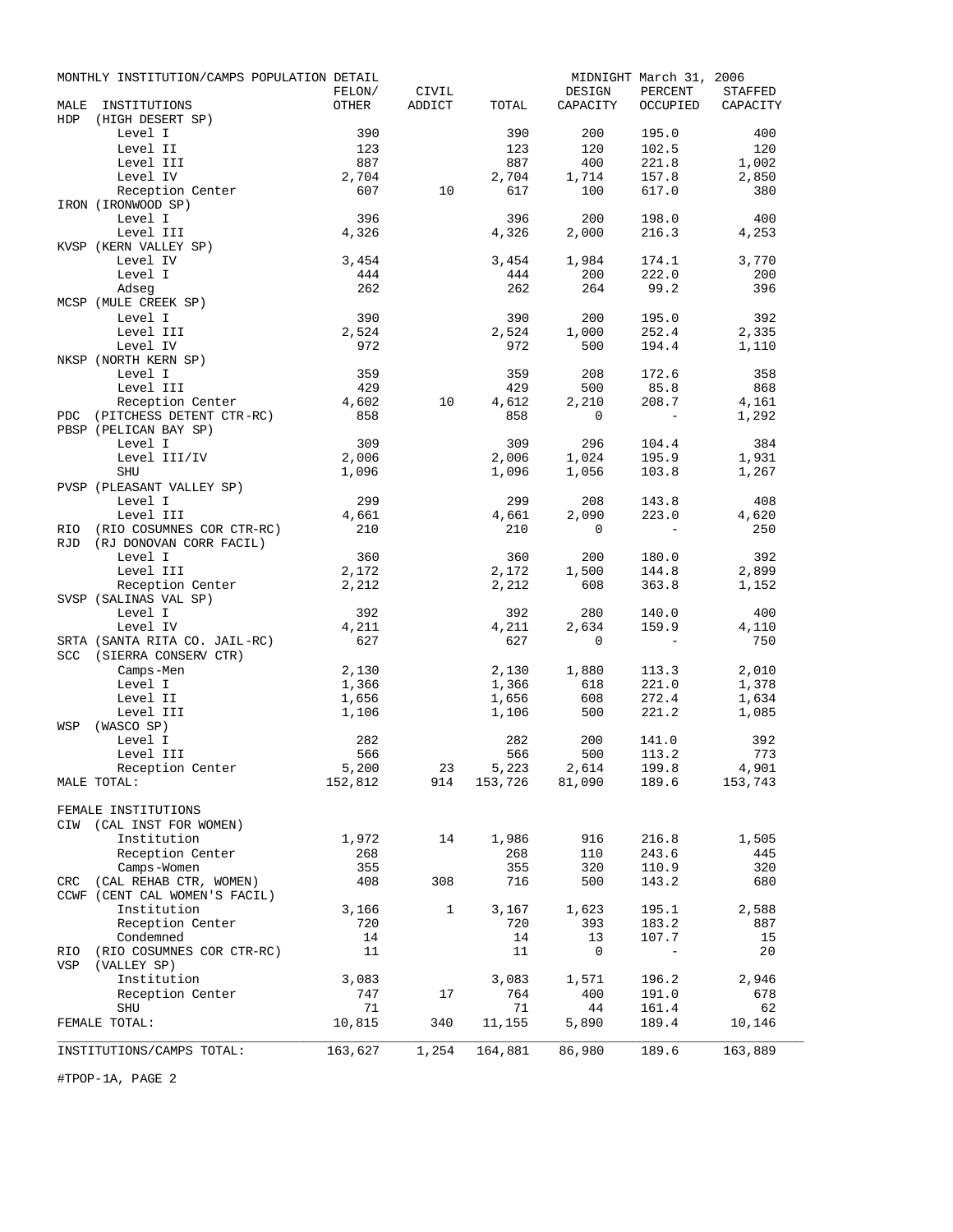| OTHER<br>MALE<br>INSTITUTIONS<br>ADDICT<br>TOTAL<br>CAPACITY<br>OCCUPIED<br>CAPACITY<br><b>HDP</b><br>(HIGH DESERT SP)<br>390<br>390<br>200<br>195.0<br>Level I<br>400<br>Level II<br>123<br>123<br>120<br>102.5<br>120<br>Level III<br>887<br>887<br>400<br>221.8<br>1,002<br>Level IV<br>2,704<br>157.8<br>2,704<br>1,714<br>2,850<br>607<br>10<br>617<br>100<br>617.0<br>Reception Center<br>380<br>IRON (IRONWOOD SP)<br>Level I<br>396<br>396<br>200<br>198.0<br>400<br>Level III<br>4,326<br>4,326<br>216.3<br>2,000<br>4,253<br>KVSP (KERN VALLEY SP)<br>3,454<br>3,454<br>1,984<br>3,770<br>Level IV<br>174.1<br>Level I<br>444<br>444<br>200<br>222.0<br>200<br>262<br>262<br>264<br>99.2<br>396<br>Adseq<br>MCSP (MULE CREEK SP)<br>Level I<br>390<br>390<br>200<br>195.0<br>392<br>Level III<br>2,524<br>2,524<br>1,000<br>252.4<br>2,335<br>Level IV<br>972<br>972<br>194.4<br>500<br>1,110<br>NKSP (NORTH KERN SP)<br>Level I<br>359<br>359<br>208<br>172.6<br>358<br>429<br>429<br>Level III<br>500<br>85.8<br>868<br>Reception Center<br>4,602<br>10<br>4,612<br>2,210<br>208.7<br>4,161<br>PDC (PITCHESS DETENT CTR-RC)<br>858<br>858<br>0<br>1,292<br>PBSP (PELICAN BAY SP)<br>309<br>309<br>104.4<br>Level I<br>296<br>384<br>2,006<br>Level III/IV<br>2,006<br>195.9<br>1,024<br>1,931<br>SHU<br>1,096<br>1,096<br>1,056<br>103.8<br>1,267<br>PVSP (PLEASANT VALLEY SP)<br>Level I<br>299<br>299<br>143.8<br>208<br>408<br>Level III<br>2,090<br>223.0<br>4,620<br>4,661<br>4,661<br>(RIO COSUMNES COR CTR-RC)<br>210<br>210<br>250<br>$\overline{0}$<br>RIO<br>$\overline{\phantom{a}}$<br>(RJ DONOVAN CORR FACIL)<br><b>RJD</b><br>Level I<br>360<br>360<br>200<br>180.0<br>392<br>2,172<br>Level III<br>2,172<br>1,500<br>144.8<br>2,899<br>Reception Center<br>2,212<br>2,212<br>363.8<br>608<br>1,152<br>SVSP (SALINAS VAL SP)<br>Level I<br>392<br>392<br>280<br>140.0<br>400<br>Level IV<br>4,211<br>4,211<br>2,634<br>159.9<br>4,110<br>SRTA (SANTA RITA CO. JAIL-RC)<br>627<br>627<br>750<br>0<br>$\overline{\phantom{0}}$<br>SCC<br>(SIERRA CONSERV CTR)<br>2,130<br>2,010<br>Camps-Men<br>2,130<br>1,880<br>113.3<br>1,366<br>221.0<br>Level I<br>1,366<br>618<br>1,378<br>608<br>272.4<br>Level II<br>1,656<br>1,656<br>1,634<br>500<br>221.2<br>Level III<br>1,106<br>1,106<br>1,085<br>(WASCO SP)<br>WSP<br>282<br>282<br>200<br>141.0<br>Level I<br>392<br>566<br>566<br>500<br>113.2<br>773<br>Level III<br>5,223 2,614<br>153,726 81,090<br>5,200<br>23<br>199.8<br>4,901<br>Reception Center<br>152,812<br>189.6<br>914<br>153,743<br>MALE TOTAL:<br>FEMALE INSTITUTIONS<br>CIW (CAL INST FOR WOMEN)<br>1,972<br>1,986<br>916<br>216.8<br>Institution<br>14<br>1,505<br>268<br>268<br>243.6<br>Reception Center<br>110<br>445<br>355<br>355<br>Camps-Women<br>320<br>110.9<br>320<br>CRC (CAL REHAB CTR, WOMEN)<br>408<br>716<br>308<br>500<br>143.2<br>680<br>CCWF (CENT CAL WOMEN'S FACIL)<br>3,166<br>1,623<br>2,588<br>Institution<br>$\mathbf{1}$<br>3,167<br>195.1<br>Reception Center<br>720<br>720<br>393<br>183.2<br>887<br>Condemned<br>14<br>14<br>13<br>107.7<br>15<br>(RIO COSUMNES COR CTR-RC)<br>20<br>11<br>11<br>0<br>RIO<br>$\overline{\phantom{a}}$<br>VSP<br>(VALLEY SP)<br>Institution<br>3,083<br>3,083<br>1,571<br>196.2<br>2,946<br>Reception Center<br>747<br>764<br>191.0<br>17<br>400<br>678<br>71<br>161.4<br>62<br><b>SHU</b><br>71<br>44<br>10,815<br>FEMALE TOTAL:<br>340<br>11,155<br>5,890<br>189.4<br>10,146<br>163,627<br>1,254<br>164,881<br>86,980<br>189.6<br>163,889<br>INSTITUTIONS/CAMPS TOTAL: | MONTHLY INSTITUTION/CAMPS POPULATION DETAIL |        |       |        | MIDNIGHT March 31, 2006 |                |
|-------------------------------------------------------------------------------------------------------------------------------------------------------------------------------------------------------------------------------------------------------------------------------------------------------------------------------------------------------------------------------------------------------------------------------------------------------------------------------------------------------------------------------------------------------------------------------------------------------------------------------------------------------------------------------------------------------------------------------------------------------------------------------------------------------------------------------------------------------------------------------------------------------------------------------------------------------------------------------------------------------------------------------------------------------------------------------------------------------------------------------------------------------------------------------------------------------------------------------------------------------------------------------------------------------------------------------------------------------------------------------------------------------------------------------------------------------------------------------------------------------------------------------------------------------------------------------------------------------------------------------------------------------------------------------------------------------------------------------------------------------------------------------------------------------------------------------------------------------------------------------------------------------------------------------------------------------------------------------------------------------------------------------------------------------------------------------------------------------------------------------------------------------------------------------------------------------------------------------------------------------------------------------------------------------------------------------------------------------------------------------------------------------------------------------------------------------------------------------------------------------------------------------------------------------------------------------------------------------------------------------------------------------------------------------------------------------------------------------------------------------------------------------------------------------------------------------------------------------------------------------------------------------------------------------------------------------------------------------------------------------------------------------------------------------------------------------------------------------------------------------------------------------------------------------------------------------------------------------------------------------------------------------------------------------------------------------------------------------------------------------------------------------------------------------------------------------------------------------------------------------------------------------------------------------------------------------|---------------------------------------------|--------|-------|--------|-------------------------|----------------|
|                                                                                                                                                                                                                                                                                                                                                                                                                                                                                                                                                                                                                                                                                                                                                                                                                                                                                                                                                                                                                                                                                                                                                                                                                                                                                                                                                                                                                                                                                                                                                                                                                                                                                                                                                                                                                                                                                                                                                                                                                                                                                                                                                                                                                                                                                                                                                                                                                                                                                                                                                                                                                                                                                                                                                                                                                                                                                                                                                                                                                                                                                                                                                                                                                                                                                                                                                                                                                                                                                                                                                                               |                                             | FELON/ | CIVIL | DESIGN | PERCENT                 | <b>STAFFED</b> |
|                                                                                                                                                                                                                                                                                                                                                                                                                                                                                                                                                                                                                                                                                                                                                                                                                                                                                                                                                                                                                                                                                                                                                                                                                                                                                                                                                                                                                                                                                                                                                                                                                                                                                                                                                                                                                                                                                                                                                                                                                                                                                                                                                                                                                                                                                                                                                                                                                                                                                                                                                                                                                                                                                                                                                                                                                                                                                                                                                                                                                                                                                                                                                                                                                                                                                                                                                                                                                                                                                                                                                                               |                                             |        |       |        |                         |                |
|                                                                                                                                                                                                                                                                                                                                                                                                                                                                                                                                                                                                                                                                                                                                                                                                                                                                                                                                                                                                                                                                                                                                                                                                                                                                                                                                                                                                                                                                                                                                                                                                                                                                                                                                                                                                                                                                                                                                                                                                                                                                                                                                                                                                                                                                                                                                                                                                                                                                                                                                                                                                                                                                                                                                                                                                                                                                                                                                                                                                                                                                                                                                                                                                                                                                                                                                                                                                                                                                                                                                                                               |                                             |        |       |        |                         |                |
|                                                                                                                                                                                                                                                                                                                                                                                                                                                                                                                                                                                                                                                                                                                                                                                                                                                                                                                                                                                                                                                                                                                                                                                                                                                                                                                                                                                                                                                                                                                                                                                                                                                                                                                                                                                                                                                                                                                                                                                                                                                                                                                                                                                                                                                                                                                                                                                                                                                                                                                                                                                                                                                                                                                                                                                                                                                                                                                                                                                                                                                                                                                                                                                                                                                                                                                                                                                                                                                                                                                                                                               |                                             |        |       |        |                         |                |
|                                                                                                                                                                                                                                                                                                                                                                                                                                                                                                                                                                                                                                                                                                                                                                                                                                                                                                                                                                                                                                                                                                                                                                                                                                                                                                                                                                                                                                                                                                                                                                                                                                                                                                                                                                                                                                                                                                                                                                                                                                                                                                                                                                                                                                                                                                                                                                                                                                                                                                                                                                                                                                                                                                                                                                                                                                                                                                                                                                                                                                                                                                                                                                                                                                                                                                                                                                                                                                                                                                                                                                               |                                             |        |       |        |                         |                |
|                                                                                                                                                                                                                                                                                                                                                                                                                                                                                                                                                                                                                                                                                                                                                                                                                                                                                                                                                                                                                                                                                                                                                                                                                                                                                                                                                                                                                                                                                                                                                                                                                                                                                                                                                                                                                                                                                                                                                                                                                                                                                                                                                                                                                                                                                                                                                                                                                                                                                                                                                                                                                                                                                                                                                                                                                                                                                                                                                                                                                                                                                                                                                                                                                                                                                                                                                                                                                                                                                                                                                                               |                                             |        |       |        |                         |                |
|                                                                                                                                                                                                                                                                                                                                                                                                                                                                                                                                                                                                                                                                                                                                                                                                                                                                                                                                                                                                                                                                                                                                                                                                                                                                                                                                                                                                                                                                                                                                                                                                                                                                                                                                                                                                                                                                                                                                                                                                                                                                                                                                                                                                                                                                                                                                                                                                                                                                                                                                                                                                                                                                                                                                                                                                                                                                                                                                                                                                                                                                                                                                                                                                                                                                                                                                                                                                                                                                                                                                                                               |                                             |        |       |        |                         |                |
|                                                                                                                                                                                                                                                                                                                                                                                                                                                                                                                                                                                                                                                                                                                                                                                                                                                                                                                                                                                                                                                                                                                                                                                                                                                                                                                                                                                                                                                                                                                                                                                                                                                                                                                                                                                                                                                                                                                                                                                                                                                                                                                                                                                                                                                                                                                                                                                                                                                                                                                                                                                                                                                                                                                                                                                                                                                                                                                                                                                                                                                                                                                                                                                                                                                                                                                                                                                                                                                                                                                                                                               |                                             |        |       |        |                         |                |
|                                                                                                                                                                                                                                                                                                                                                                                                                                                                                                                                                                                                                                                                                                                                                                                                                                                                                                                                                                                                                                                                                                                                                                                                                                                                                                                                                                                                                                                                                                                                                                                                                                                                                                                                                                                                                                                                                                                                                                                                                                                                                                                                                                                                                                                                                                                                                                                                                                                                                                                                                                                                                                                                                                                                                                                                                                                                                                                                                                                                                                                                                                                                                                                                                                                                                                                                                                                                                                                                                                                                                                               |                                             |        |       |        |                         |                |
|                                                                                                                                                                                                                                                                                                                                                                                                                                                                                                                                                                                                                                                                                                                                                                                                                                                                                                                                                                                                                                                                                                                                                                                                                                                                                                                                                                                                                                                                                                                                                                                                                                                                                                                                                                                                                                                                                                                                                                                                                                                                                                                                                                                                                                                                                                                                                                                                                                                                                                                                                                                                                                                                                                                                                                                                                                                                                                                                                                                                                                                                                                                                                                                                                                                                                                                                                                                                                                                                                                                                                                               |                                             |        |       |        |                         |                |
|                                                                                                                                                                                                                                                                                                                                                                                                                                                                                                                                                                                                                                                                                                                                                                                                                                                                                                                                                                                                                                                                                                                                                                                                                                                                                                                                                                                                                                                                                                                                                                                                                                                                                                                                                                                                                                                                                                                                                                                                                                                                                                                                                                                                                                                                                                                                                                                                                                                                                                                                                                                                                                                                                                                                                                                                                                                                                                                                                                                                                                                                                                                                                                                                                                                                                                                                                                                                                                                                                                                                                                               |                                             |        |       |        |                         |                |
|                                                                                                                                                                                                                                                                                                                                                                                                                                                                                                                                                                                                                                                                                                                                                                                                                                                                                                                                                                                                                                                                                                                                                                                                                                                                                                                                                                                                                                                                                                                                                                                                                                                                                                                                                                                                                                                                                                                                                                                                                                                                                                                                                                                                                                                                                                                                                                                                                                                                                                                                                                                                                                                                                                                                                                                                                                                                                                                                                                                                                                                                                                                                                                                                                                                                                                                                                                                                                                                                                                                                                                               |                                             |        |       |        |                         |                |
|                                                                                                                                                                                                                                                                                                                                                                                                                                                                                                                                                                                                                                                                                                                                                                                                                                                                                                                                                                                                                                                                                                                                                                                                                                                                                                                                                                                                                                                                                                                                                                                                                                                                                                                                                                                                                                                                                                                                                                                                                                                                                                                                                                                                                                                                                                                                                                                                                                                                                                                                                                                                                                                                                                                                                                                                                                                                                                                                                                                                                                                                                                                                                                                                                                                                                                                                                                                                                                                                                                                                                                               |                                             |        |       |        |                         |                |
|                                                                                                                                                                                                                                                                                                                                                                                                                                                                                                                                                                                                                                                                                                                                                                                                                                                                                                                                                                                                                                                                                                                                                                                                                                                                                                                                                                                                                                                                                                                                                                                                                                                                                                                                                                                                                                                                                                                                                                                                                                                                                                                                                                                                                                                                                                                                                                                                                                                                                                                                                                                                                                                                                                                                                                                                                                                                                                                                                                                                                                                                                                                                                                                                                                                                                                                                                                                                                                                                                                                                                                               |                                             |        |       |        |                         |                |
|                                                                                                                                                                                                                                                                                                                                                                                                                                                                                                                                                                                                                                                                                                                                                                                                                                                                                                                                                                                                                                                                                                                                                                                                                                                                                                                                                                                                                                                                                                                                                                                                                                                                                                                                                                                                                                                                                                                                                                                                                                                                                                                                                                                                                                                                                                                                                                                                                                                                                                                                                                                                                                                                                                                                                                                                                                                                                                                                                                                                                                                                                                                                                                                                                                                                                                                                                                                                                                                                                                                                                                               |                                             |        |       |        |                         |                |
|                                                                                                                                                                                                                                                                                                                                                                                                                                                                                                                                                                                                                                                                                                                                                                                                                                                                                                                                                                                                                                                                                                                                                                                                                                                                                                                                                                                                                                                                                                                                                                                                                                                                                                                                                                                                                                                                                                                                                                                                                                                                                                                                                                                                                                                                                                                                                                                                                                                                                                                                                                                                                                                                                                                                                                                                                                                                                                                                                                                                                                                                                                                                                                                                                                                                                                                                                                                                                                                                                                                                                                               |                                             |        |       |        |                         |                |
|                                                                                                                                                                                                                                                                                                                                                                                                                                                                                                                                                                                                                                                                                                                                                                                                                                                                                                                                                                                                                                                                                                                                                                                                                                                                                                                                                                                                                                                                                                                                                                                                                                                                                                                                                                                                                                                                                                                                                                                                                                                                                                                                                                                                                                                                                                                                                                                                                                                                                                                                                                                                                                                                                                                                                                                                                                                                                                                                                                                                                                                                                                                                                                                                                                                                                                                                                                                                                                                                                                                                                                               |                                             |        |       |        |                         |                |
|                                                                                                                                                                                                                                                                                                                                                                                                                                                                                                                                                                                                                                                                                                                                                                                                                                                                                                                                                                                                                                                                                                                                                                                                                                                                                                                                                                                                                                                                                                                                                                                                                                                                                                                                                                                                                                                                                                                                                                                                                                                                                                                                                                                                                                                                                                                                                                                                                                                                                                                                                                                                                                                                                                                                                                                                                                                                                                                                                                                                                                                                                                                                                                                                                                                                                                                                                                                                                                                                                                                                                                               |                                             |        |       |        |                         |                |
|                                                                                                                                                                                                                                                                                                                                                                                                                                                                                                                                                                                                                                                                                                                                                                                                                                                                                                                                                                                                                                                                                                                                                                                                                                                                                                                                                                                                                                                                                                                                                                                                                                                                                                                                                                                                                                                                                                                                                                                                                                                                                                                                                                                                                                                                                                                                                                                                                                                                                                                                                                                                                                                                                                                                                                                                                                                                                                                                                                                                                                                                                                                                                                                                                                                                                                                                                                                                                                                                                                                                                                               |                                             |        |       |        |                         |                |
|                                                                                                                                                                                                                                                                                                                                                                                                                                                                                                                                                                                                                                                                                                                                                                                                                                                                                                                                                                                                                                                                                                                                                                                                                                                                                                                                                                                                                                                                                                                                                                                                                                                                                                                                                                                                                                                                                                                                                                                                                                                                                                                                                                                                                                                                                                                                                                                                                                                                                                                                                                                                                                                                                                                                                                                                                                                                                                                                                                                                                                                                                                                                                                                                                                                                                                                                                                                                                                                                                                                                                                               |                                             |        |       |        |                         |                |
|                                                                                                                                                                                                                                                                                                                                                                                                                                                                                                                                                                                                                                                                                                                                                                                                                                                                                                                                                                                                                                                                                                                                                                                                                                                                                                                                                                                                                                                                                                                                                                                                                                                                                                                                                                                                                                                                                                                                                                                                                                                                                                                                                                                                                                                                                                                                                                                                                                                                                                                                                                                                                                                                                                                                                                                                                                                                                                                                                                                                                                                                                                                                                                                                                                                                                                                                                                                                                                                                                                                                                                               |                                             |        |       |        |                         |                |
|                                                                                                                                                                                                                                                                                                                                                                                                                                                                                                                                                                                                                                                                                                                                                                                                                                                                                                                                                                                                                                                                                                                                                                                                                                                                                                                                                                                                                                                                                                                                                                                                                                                                                                                                                                                                                                                                                                                                                                                                                                                                                                                                                                                                                                                                                                                                                                                                                                                                                                                                                                                                                                                                                                                                                                                                                                                                                                                                                                                                                                                                                                                                                                                                                                                                                                                                                                                                                                                                                                                                                                               |                                             |        |       |        |                         |                |
|                                                                                                                                                                                                                                                                                                                                                                                                                                                                                                                                                                                                                                                                                                                                                                                                                                                                                                                                                                                                                                                                                                                                                                                                                                                                                                                                                                                                                                                                                                                                                                                                                                                                                                                                                                                                                                                                                                                                                                                                                                                                                                                                                                                                                                                                                                                                                                                                                                                                                                                                                                                                                                                                                                                                                                                                                                                                                                                                                                                                                                                                                                                                                                                                                                                                                                                                                                                                                                                                                                                                                                               |                                             |        |       |        |                         |                |
|                                                                                                                                                                                                                                                                                                                                                                                                                                                                                                                                                                                                                                                                                                                                                                                                                                                                                                                                                                                                                                                                                                                                                                                                                                                                                                                                                                                                                                                                                                                                                                                                                                                                                                                                                                                                                                                                                                                                                                                                                                                                                                                                                                                                                                                                                                                                                                                                                                                                                                                                                                                                                                                                                                                                                                                                                                                                                                                                                                                                                                                                                                                                                                                                                                                                                                                                                                                                                                                                                                                                                                               |                                             |        |       |        |                         |                |
|                                                                                                                                                                                                                                                                                                                                                                                                                                                                                                                                                                                                                                                                                                                                                                                                                                                                                                                                                                                                                                                                                                                                                                                                                                                                                                                                                                                                                                                                                                                                                                                                                                                                                                                                                                                                                                                                                                                                                                                                                                                                                                                                                                                                                                                                                                                                                                                                                                                                                                                                                                                                                                                                                                                                                                                                                                                                                                                                                                                                                                                                                                                                                                                                                                                                                                                                                                                                                                                                                                                                                                               |                                             |        |       |        |                         |                |
|                                                                                                                                                                                                                                                                                                                                                                                                                                                                                                                                                                                                                                                                                                                                                                                                                                                                                                                                                                                                                                                                                                                                                                                                                                                                                                                                                                                                                                                                                                                                                                                                                                                                                                                                                                                                                                                                                                                                                                                                                                                                                                                                                                                                                                                                                                                                                                                                                                                                                                                                                                                                                                                                                                                                                                                                                                                                                                                                                                                                                                                                                                                                                                                                                                                                                                                                                                                                                                                                                                                                                                               |                                             |        |       |        |                         |                |
|                                                                                                                                                                                                                                                                                                                                                                                                                                                                                                                                                                                                                                                                                                                                                                                                                                                                                                                                                                                                                                                                                                                                                                                                                                                                                                                                                                                                                                                                                                                                                                                                                                                                                                                                                                                                                                                                                                                                                                                                                                                                                                                                                                                                                                                                                                                                                                                                                                                                                                                                                                                                                                                                                                                                                                                                                                                                                                                                                                                                                                                                                                                                                                                                                                                                                                                                                                                                                                                                                                                                                                               |                                             |        |       |        |                         |                |
|                                                                                                                                                                                                                                                                                                                                                                                                                                                                                                                                                                                                                                                                                                                                                                                                                                                                                                                                                                                                                                                                                                                                                                                                                                                                                                                                                                                                                                                                                                                                                                                                                                                                                                                                                                                                                                                                                                                                                                                                                                                                                                                                                                                                                                                                                                                                                                                                                                                                                                                                                                                                                                                                                                                                                                                                                                                                                                                                                                                                                                                                                                                                                                                                                                                                                                                                                                                                                                                                                                                                                                               |                                             |        |       |        |                         |                |
|                                                                                                                                                                                                                                                                                                                                                                                                                                                                                                                                                                                                                                                                                                                                                                                                                                                                                                                                                                                                                                                                                                                                                                                                                                                                                                                                                                                                                                                                                                                                                                                                                                                                                                                                                                                                                                                                                                                                                                                                                                                                                                                                                                                                                                                                                                                                                                                                                                                                                                                                                                                                                                                                                                                                                                                                                                                                                                                                                                                                                                                                                                                                                                                                                                                                                                                                                                                                                                                                                                                                                                               |                                             |        |       |        |                         |                |
|                                                                                                                                                                                                                                                                                                                                                                                                                                                                                                                                                                                                                                                                                                                                                                                                                                                                                                                                                                                                                                                                                                                                                                                                                                                                                                                                                                                                                                                                                                                                                                                                                                                                                                                                                                                                                                                                                                                                                                                                                                                                                                                                                                                                                                                                                                                                                                                                                                                                                                                                                                                                                                                                                                                                                                                                                                                                                                                                                                                                                                                                                                                                                                                                                                                                                                                                                                                                                                                                                                                                                                               |                                             |        |       |        |                         |                |
|                                                                                                                                                                                                                                                                                                                                                                                                                                                                                                                                                                                                                                                                                                                                                                                                                                                                                                                                                                                                                                                                                                                                                                                                                                                                                                                                                                                                                                                                                                                                                                                                                                                                                                                                                                                                                                                                                                                                                                                                                                                                                                                                                                                                                                                                                                                                                                                                                                                                                                                                                                                                                                                                                                                                                                                                                                                                                                                                                                                                                                                                                                                                                                                                                                                                                                                                                                                                                                                                                                                                                                               |                                             |        |       |        |                         |                |
|                                                                                                                                                                                                                                                                                                                                                                                                                                                                                                                                                                                                                                                                                                                                                                                                                                                                                                                                                                                                                                                                                                                                                                                                                                                                                                                                                                                                                                                                                                                                                                                                                                                                                                                                                                                                                                                                                                                                                                                                                                                                                                                                                                                                                                                                                                                                                                                                                                                                                                                                                                                                                                                                                                                                                                                                                                                                                                                                                                                                                                                                                                                                                                                                                                                                                                                                                                                                                                                                                                                                                                               |                                             |        |       |        |                         |                |
|                                                                                                                                                                                                                                                                                                                                                                                                                                                                                                                                                                                                                                                                                                                                                                                                                                                                                                                                                                                                                                                                                                                                                                                                                                                                                                                                                                                                                                                                                                                                                                                                                                                                                                                                                                                                                                                                                                                                                                                                                                                                                                                                                                                                                                                                                                                                                                                                                                                                                                                                                                                                                                                                                                                                                                                                                                                                                                                                                                                                                                                                                                                                                                                                                                                                                                                                                                                                                                                                                                                                                                               |                                             |        |       |        |                         |                |
|                                                                                                                                                                                                                                                                                                                                                                                                                                                                                                                                                                                                                                                                                                                                                                                                                                                                                                                                                                                                                                                                                                                                                                                                                                                                                                                                                                                                                                                                                                                                                                                                                                                                                                                                                                                                                                                                                                                                                                                                                                                                                                                                                                                                                                                                                                                                                                                                                                                                                                                                                                                                                                                                                                                                                                                                                                                                                                                                                                                                                                                                                                                                                                                                                                                                                                                                                                                                                                                                                                                                                                               |                                             |        |       |        |                         |                |
|                                                                                                                                                                                                                                                                                                                                                                                                                                                                                                                                                                                                                                                                                                                                                                                                                                                                                                                                                                                                                                                                                                                                                                                                                                                                                                                                                                                                                                                                                                                                                                                                                                                                                                                                                                                                                                                                                                                                                                                                                                                                                                                                                                                                                                                                                                                                                                                                                                                                                                                                                                                                                                                                                                                                                                                                                                                                                                                                                                                                                                                                                                                                                                                                                                                                                                                                                                                                                                                                                                                                                                               |                                             |        |       |        |                         |                |
|                                                                                                                                                                                                                                                                                                                                                                                                                                                                                                                                                                                                                                                                                                                                                                                                                                                                                                                                                                                                                                                                                                                                                                                                                                                                                                                                                                                                                                                                                                                                                                                                                                                                                                                                                                                                                                                                                                                                                                                                                                                                                                                                                                                                                                                                                                                                                                                                                                                                                                                                                                                                                                                                                                                                                                                                                                                                                                                                                                                                                                                                                                                                                                                                                                                                                                                                                                                                                                                                                                                                                                               |                                             |        |       |        |                         |                |
|                                                                                                                                                                                                                                                                                                                                                                                                                                                                                                                                                                                                                                                                                                                                                                                                                                                                                                                                                                                                                                                                                                                                                                                                                                                                                                                                                                                                                                                                                                                                                                                                                                                                                                                                                                                                                                                                                                                                                                                                                                                                                                                                                                                                                                                                                                                                                                                                                                                                                                                                                                                                                                                                                                                                                                                                                                                                                                                                                                                                                                                                                                                                                                                                                                                                                                                                                                                                                                                                                                                                                                               |                                             |        |       |        |                         |                |
|                                                                                                                                                                                                                                                                                                                                                                                                                                                                                                                                                                                                                                                                                                                                                                                                                                                                                                                                                                                                                                                                                                                                                                                                                                                                                                                                                                                                                                                                                                                                                                                                                                                                                                                                                                                                                                                                                                                                                                                                                                                                                                                                                                                                                                                                                                                                                                                                                                                                                                                                                                                                                                                                                                                                                                                                                                                                                                                                                                                                                                                                                                                                                                                                                                                                                                                                                                                                                                                                                                                                                                               |                                             |        |       |        |                         |                |
|                                                                                                                                                                                                                                                                                                                                                                                                                                                                                                                                                                                                                                                                                                                                                                                                                                                                                                                                                                                                                                                                                                                                                                                                                                                                                                                                                                                                                                                                                                                                                                                                                                                                                                                                                                                                                                                                                                                                                                                                                                                                                                                                                                                                                                                                                                                                                                                                                                                                                                                                                                                                                                                                                                                                                                                                                                                                                                                                                                                                                                                                                                                                                                                                                                                                                                                                                                                                                                                                                                                                                                               |                                             |        |       |        |                         |                |
|                                                                                                                                                                                                                                                                                                                                                                                                                                                                                                                                                                                                                                                                                                                                                                                                                                                                                                                                                                                                                                                                                                                                                                                                                                                                                                                                                                                                                                                                                                                                                                                                                                                                                                                                                                                                                                                                                                                                                                                                                                                                                                                                                                                                                                                                                                                                                                                                                                                                                                                                                                                                                                                                                                                                                                                                                                                                                                                                                                                                                                                                                                                                                                                                                                                                                                                                                                                                                                                                                                                                                                               |                                             |        |       |        |                         |                |
|                                                                                                                                                                                                                                                                                                                                                                                                                                                                                                                                                                                                                                                                                                                                                                                                                                                                                                                                                                                                                                                                                                                                                                                                                                                                                                                                                                                                                                                                                                                                                                                                                                                                                                                                                                                                                                                                                                                                                                                                                                                                                                                                                                                                                                                                                                                                                                                                                                                                                                                                                                                                                                                                                                                                                                                                                                                                                                                                                                                                                                                                                                                                                                                                                                                                                                                                                                                                                                                                                                                                                                               |                                             |        |       |        |                         |                |
|                                                                                                                                                                                                                                                                                                                                                                                                                                                                                                                                                                                                                                                                                                                                                                                                                                                                                                                                                                                                                                                                                                                                                                                                                                                                                                                                                                                                                                                                                                                                                                                                                                                                                                                                                                                                                                                                                                                                                                                                                                                                                                                                                                                                                                                                                                                                                                                                                                                                                                                                                                                                                                                                                                                                                                                                                                                                                                                                                                                                                                                                                                                                                                                                                                                                                                                                                                                                                                                                                                                                                                               |                                             |        |       |        |                         |                |
|                                                                                                                                                                                                                                                                                                                                                                                                                                                                                                                                                                                                                                                                                                                                                                                                                                                                                                                                                                                                                                                                                                                                                                                                                                                                                                                                                                                                                                                                                                                                                                                                                                                                                                                                                                                                                                                                                                                                                                                                                                                                                                                                                                                                                                                                                                                                                                                                                                                                                                                                                                                                                                                                                                                                                                                                                                                                                                                                                                                                                                                                                                                                                                                                                                                                                                                                                                                                                                                                                                                                                                               |                                             |        |       |        |                         |                |
|                                                                                                                                                                                                                                                                                                                                                                                                                                                                                                                                                                                                                                                                                                                                                                                                                                                                                                                                                                                                                                                                                                                                                                                                                                                                                                                                                                                                                                                                                                                                                                                                                                                                                                                                                                                                                                                                                                                                                                                                                                                                                                                                                                                                                                                                                                                                                                                                                                                                                                                                                                                                                                                                                                                                                                                                                                                                                                                                                                                                                                                                                                                                                                                                                                                                                                                                                                                                                                                                                                                                                                               |                                             |        |       |        |                         |                |
|                                                                                                                                                                                                                                                                                                                                                                                                                                                                                                                                                                                                                                                                                                                                                                                                                                                                                                                                                                                                                                                                                                                                                                                                                                                                                                                                                                                                                                                                                                                                                                                                                                                                                                                                                                                                                                                                                                                                                                                                                                                                                                                                                                                                                                                                                                                                                                                                                                                                                                                                                                                                                                                                                                                                                                                                                                                                                                                                                                                                                                                                                                                                                                                                                                                                                                                                                                                                                                                                                                                                                                               |                                             |        |       |        |                         |                |
|                                                                                                                                                                                                                                                                                                                                                                                                                                                                                                                                                                                                                                                                                                                                                                                                                                                                                                                                                                                                                                                                                                                                                                                                                                                                                                                                                                                                                                                                                                                                                                                                                                                                                                                                                                                                                                                                                                                                                                                                                                                                                                                                                                                                                                                                                                                                                                                                                                                                                                                                                                                                                                                                                                                                                                                                                                                                                                                                                                                                                                                                                                                                                                                                                                                                                                                                                                                                                                                                                                                                                                               |                                             |        |       |        |                         |                |
|                                                                                                                                                                                                                                                                                                                                                                                                                                                                                                                                                                                                                                                                                                                                                                                                                                                                                                                                                                                                                                                                                                                                                                                                                                                                                                                                                                                                                                                                                                                                                                                                                                                                                                                                                                                                                                                                                                                                                                                                                                                                                                                                                                                                                                                                                                                                                                                                                                                                                                                                                                                                                                                                                                                                                                                                                                                                                                                                                                                                                                                                                                                                                                                                                                                                                                                                                                                                                                                                                                                                                                               |                                             |        |       |        |                         |                |
|                                                                                                                                                                                                                                                                                                                                                                                                                                                                                                                                                                                                                                                                                                                                                                                                                                                                                                                                                                                                                                                                                                                                                                                                                                                                                                                                                                                                                                                                                                                                                                                                                                                                                                                                                                                                                                                                                                                                                                                                                                                                                                                                                                                                                                                                                                                                                                                                                                                                                                                                                                                                                                                                                                                                                                                                                                                                                                                                                                                                                                                                                                                                                                                                                                                                                                                                                                                                                                                                                                                                                                               |                                             |        |       |        |                         |                |
|                                                                                                                                                                                                                                                                                                                                                                                                                                                                                                                                                                                                                                                                                                                                                                                                                                                                                                                                                                                                                                                                                                                                                                                                                                                                                                                                                                                                                                                                                                                                                                                                                                                                                                                                                                                                                                                                                                                                                                                                                                                                                                                                                                                                                                                                                                                                                                                                                                                                                                                                                                                                                                                                                                                                                                                                                                                                                                                                                                                                                                                                                                                                                                                                                                                                                                                                                                                                                                                                                                                                                                               |                                             |        |       |        |                         |                |
|                                                                                                                                                                                                                                                                                                                                                                                                                                                                                                                                                                                                                                                                                                                                                                                                                                                                                                                                                                                                                                                                                                                                                                                                                                                                                                                                                                                                                                                                                                                                                                                                                                                                                                                                                                                                                                                                                                                                                                                                                                                                                                                                                                                                                                                                                                                                                                                                                                                                                                                                                                                                                                                                                                                                                                                                                                                                                                                                                                                                                                                                                                                                                                                                                                                                                                                                                                                                                                                                                                                                                                               |                                             |        |       |        |                         |                |
|                                                                                                                                                                                                                                                                                                                                                                                                                                                                                                                                                                                                                                                                                                                                                                                                                                                                                                                                                                                                                                                                                                                                                                                                                                                                                                                                                                                                                                                                                                                                                                                                                                                                                                                                                                                                                                                                                                                                                                                                                                                                                                                                                                                                                                                                                                                                                                                                                                                                                                                                                                                                                                                                                                                                                                                                                                                                                                                                                                                                                                                                                                                                                                                                                                                                                                                                                                                                                                                                                                                                                                               |                                             |        |       |        |                         |                |
|                                                                                                                                                                                                                                                                                                                                                                                                                                                                                                                                                                                                                                                                                                                                                                                                                                                                                                                                                                                                                                                                                                                                                                                                                                                                                                                                                                                                                                                                                                                                                                                                                                                                                                                                                                                                                                                                                                                                                                                                                                                                                                                                                                                                                                                                                                                                                                                                                                                                                                                                                                                                                                                                                                                                                                                                                                                                                                                                                                                                                                                                                                                                                                                                                                                                                                                                                                                                                                                                                                                                                                               |                                             |        |       |        |                         |                |
|                                                                                                                                                                                                                                                                                                                                                                                                                                                                                                                                                                                                                                                                                                                                                                                                                                                                                                                                                                                                                                                                                                                                                                                                                                                                                                                                                                                                                                                                                                                                                                                                                                                                                                                                                                                                                                                                                                                                                                                                                                                                                                                                                                                                                                                                                                                                                                                                                                                                                                                                                                                                                                                                                                                                                                                                                                                                                                                                                                                                                                                                                                                                                                                                                                                                                                                                                                                                                                                                                                                                                                               |                                             |        |       |        |                         |                |
|                                                                                                                                                                                                                                                                                                                                                                                                                                                                                                                                                                                                                                                                                                                                                                                                                                                                                                                                                                                                                                                                                                                                                                                                                                                                                                                                                                                                                                                                                                                                                                                                                                                                                                                                                                                                                                                                                                                                                                                                                                                                                                                                                                                                                                                                                                                                                                                                                                                                                                                                                                                                                                                                                                                                                                                                                                                                                                                                                                                                                                                                                                                                                                                                                                                                                                                                                                                                                                                                                                                                                                               |                                             |        |       |        |                         |                |
|                                                                                                                                                                                                                                                                                                                                                                                                                                                                                                                                                                                                                                                                                                                                                                                                                                                                                                                                                                                                                                                                                                                                                                                                                                                                                                                                                                                                                                                                                                                                                                                                                                                                                                                                                                                                                                                                                                                                                                                                                                                                                                                                                                                                                                                                                                                                                                                                                                                                                                                                                                                                                                                                                                                                                                                                                                                                                                                                                                                                                                                                                                                                                                                                                                                                                                                                                                                                                                                                                                                                                                               |                                             |        |       |        |                         |                |
|                                                                                                                                                                                                                                                                                                                                                                                                                                                                                                                                                                                                                                                                                                                                                                                                                                                                                                                                                                                                                                                                                                                                                                                                                                                                                                                                                                                                                                                                                                                                                                                                                                                                                                                                                                                                                                                                                                                                                                                                                                                                                                                                                                                                                                                                                                                                                                                                                                                                                                                                                                                                                                                                                                                                                                                                                                                                                                                                                                                                                                                                                                                                                                                                                                                                                                                                                                                                                                                                                                                                                                               |                                             |        |       |        |                         |                |
|                                                                                                                                                                                                                                                                                                                                                                                                                                                                                                                                                                                                                                                                                                                                                                                                                                                                                                                                                                                                                                                                                                                                                                                                                                                                                                                                                                                                                                                                                                                                                                                                                                                                                                                                                                                                                                                                                                                                                                                                                                                                                                                                                                                                                                                                                                                                                                                                                                                                                                                                                                                                                                                                                                                                                                                                                                                                                                                                                                                                                                                                                                                                                                                                                                                                                                                                                                                                                                                                                                                                                                               |                                             |        |       |        |                         |                |
|                                                                                                                                                                                                                                                                                                                                                                                                                                                                                                                                                                                                                                                                                                                                                                                                                                                                                                                                                                                                                                                                                                                                                                                                                                                                                                                                                                                                                                                                                                                                                                                                                                                                                                                                                                                                                                                                                                                                                                                                                                                                                                                                                                                                                                                                                                                                                                                                                                                                                                                                                                                                                                                                                                                                                                                                                                                                                                                                                                                                                                                                                                                                                                                                                                                                                                                                                                                                                                                                                                                                                                               |                                             |        |       |        |                         |                |
|                                                                                                                                                                                                                                                                                                                                                                                                                                                                                                                                                                                                                                                                                                                                                                                                                                                                                                                                                                                                                                                                                                                                                                                                                                                                                                                                                                                                                                                                                                                                                                                                                                                                                                                                                                                                                                                                                                                                                                                                                                                                                                                                                                                                                                                                                                                                                                                                                                                                                                                                                                                                                                                                                                                                                                                                                                                                                                                                                                                                                                                                                                                                                                                                                                                                                                                                                                                                                                                                                                                                                                               |                                             |        |       |        |                         |                |
|                                                                                                                                                                                                                                                                                                                                                                                                                                                                                                                                                                                                                                                                                                                                                                                                                                                                                                                                                                                                                                                                                                                                                                                                                                                                                                                                                                                                                                                                                                                                                                                                                                                                                                                                                                                                                                                                                                                                                                                                                                                                                                                                                                                                                                                                                                                                                                                                                                                                                                                                                                                                                                                                                                                                                                                                                                                                                                                                                                                                                                                                                                                                                                                                                                                                                                                                                                                                                                                                                                                                                                               |                                             |        |       |        |                         |                |
|                                                                                                                                                                                                                                                                                                                                                                                                                                                                                                                                                                                                                                                                                                                                                                                                                                                                                                                                                                                                                                                                                                                                                                                                                                                                                                                                                                                                                                                                                                                                                                                                                                                                                                                                                                                                                                                                                                                                                                                                                                                                                                                                                                                                                                                                                                                                                                                                                                                                                                                                                                                                                                                                                                                                                                                                                                                                                                                                                                                                                                                                                                                                                                                                                                                                                                                                                                                                                                                                                                                                                                               |                                             |        |       |        |                         |                |
|                                                                                                                                                                                                                                                                                                                                                                                                                                                                                                                                                                                                                                                                                                                                                                                                                                                                                                                                                                                                                                                                                                                                                                                                                                                                                                                                                                                                                                                                                                                                                                                                                                                                                                                                                                                                                                                                                                                                                                                                                                                                                                                                                                                                                                                                                                                                                                                                                                                                                                                                                                                                                                                                                                                                                                                                                                                                                                                                                                                                                                                                                                                                                                                                                                                                                                                                                                                                                                                                                                                                                                               |                                             |        |       |        |                         |                |
|                                                                                                                                                                                                                                                                                                                                                                                                                                                                                                                                                                                                                                                                                                                                                                                                                                                                                                                                                                                                                                                                                                                                                                                                                                                                                                                                                                                                                                                                                                                                                                                                                                                                                                                                                                                                                                                                                                                                                                                                                                                                                                                                                                                                                                                                                                                                                                                                                                                                                                                                                                                                                                                                                                                                                                                                                                                                                                                                                                                                                                                                                                                                                                                                                                                                                                                                                                                                                                                                                                                                                                               |                                             |        |       |        |                         |                |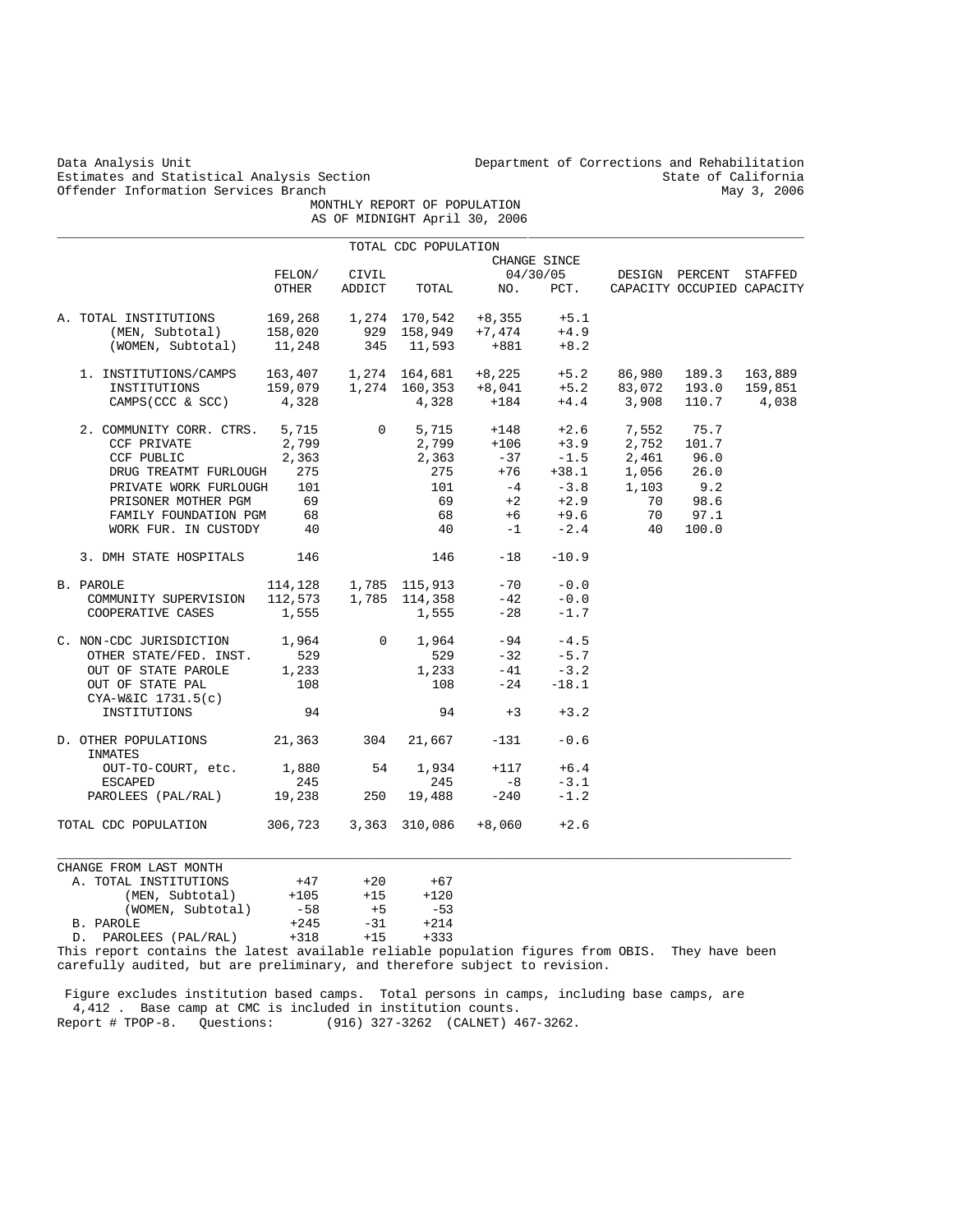Data Analysis Unit Department of Corrections and Rehabilitation<br>Estimates and Statistical Analysis Section and Rehabilitation State of California Estimates and Statistical Analysis Section State of California<br>Offender Information Services Branch State of California Offender Information Services Branch MONTHLY REPORT OF POPULATION

|  |                                            |         |              | AS OF MIDNIGHT April 30, 2006        |                                    |              |        |                            |         |
|--|--------------------------------------------|---------|--------------|--------------------------------------|------------------------------------|--------------|--------|----------------------------|---------|
|  |                                            |         |              | TOTAL CDC POPULATION                 |                                    |              |        |                            |         |
|  |                                            |         |              |                                      |                                    | CHANGE SINCE |        |                            |         |
|  |                                            | FELON/  | CIVIL        |                                      |                                    | 04/30/05     |        | DESIGN PERCENT STAFFED     |         |
|  |                                            | OTHER   | ADDICT       | TOTAL                                | NO.                                | PCT.         |        | CAPACITY OCCUPIED CAPACITY |         |
|  | A. TOTAL INSTITUTIONS                      | 169,268 |              | 1,274 170,542                        | +8,355                             | $+5.1$       |        |                            |         |
|  | (MEN, Subtotal)                            | 158,020 |              | 929 158,949                          | $+7$ , $474$                       | $+4.9$       |        |                            |         |
|  | (WOMEN, Subtotal)                          | 11,248  | 345          | 11,593                               | $+881$                             | $+8.2$       |        |                            |         |
|  | 1. INSTITUTIONS/CAMPS                      |         |              |                                      | 163,407   1,274   164,681   +8,225 | $+5.2$       | 86,980 | 189.3                      | 163,889 |
|  | INSTITUTIONS                               |         |              | $159,079$ $1,274$ $160,353$ $+8,041$ |                                    | $+5.2$       | 83,072 | 193.0                      | 159,851 |
|  | CAMPS (CCC & SCC)                          | 4,328   |              | 4,328                                | +184                               | $+4.4$       | 3,908  | 110.7                      | 4,038   |
|  | 2. COMMUNITY CORR. CTRS.                   | 5,715   | $\mathsf{O}$ | 5,715                                | $+148$                             | $+2.6$       | 7,552  | 75.7                       |         |
|  | <b>CCF PRIVATE</b>                         | 2,799   |              | 2,799                                | $+106$                             | $+3.9$       | 2,752  | 101.7                      |         |
|  | CCF PUBLIC                                 | 2,363   |              | 2,363                                | -37                                | $-1.5$       | 2,461  | 96.0                       |         |
|  | DRUG TREATMT FURLOUGH                      | 275     |              | 275                                  | $+76$                              | $+38.1$      | 1,056  | 26.0                       |         |
|  | PRIVATE WORK FURLOUGH                      | 101     |              | 101                                  | $-4$                               | $-3.8$       | 1,103  | 9.2                        |         |
|  | PRISONER MOTHER PGM                        | 69      |              | 69                                   | $+2$                               | $+2.9$       | 70     | 98.6                       |         |
|  |                                            | 68      |              | 68                                   | +6                                 | $+9.6$       | 70     |                            |         |
|  | FAMILY FOUNDATION PGM                      |         |              | 40                                   |                                    |              |        | 97.1                       |         |
|  | WORK FUR. IN CUSTODY                       | 40      |              |                                      | $-1$                               | $-2.4$       | 40     | 100.0                      |         |
|  | 3. DMH STATE HOSPITALS                     | 146     |              | 146                                  | $-18$                              | $-10.9$      |        |                            |         |
|  | B. PAROLE                                  |         |              | 114,128 1,785 115,913                | $-70$                              | $-0.0$       |        |                            |         |
|  | COMMUNITY SUPERVISION                      |         |              | 112,573 1,785 114,358                | $-42$                              | $-0.0$       |        |                            |         |
|  | COOPERATIVE CASES                          | 1,555   |              | 1,555                                | $-28$                              | $-1.7$       |        |                            |         |
|  | C. NON-CDC JURISDICTION                    | 1,964   | $\mathbf{0}$ | 1,964                                | -94                                | $-4.5$       |        |                            |         |
|  | OTHER STATE/FED. INST.                     | 529     |              | 529                                  | $-32$                              | $-5.7$       |        |                            |         |
|  | OUT OF STATE PAROLE                        | 1,233   |              | 1,233                                | $-41$                              | $-3.2$       |        |                            |         |
|  | OUT OF STATE PAL                           | 108     |              | 108                                  | $-24$                              | $-18.1$      |        |                            |         |
|  | $CYA-W&IC 1731.5(c)$                       |         |              |                                      |                                    |              |        |                            |         |
|  | INSTITUTIONS                               | 94      |              | 94                                   | $+3$                               | $+3.2$       |        |                            |         |
|  | D. OTHER POPULATIONS<br>INMATES            | 21,363  | 304          | 21,667                               | $-131$                             | $-0.6$       |        |                            |         |
|  | OUT-TO-COURT, etc.                         | 1,880   | 54           | 1,934                                | $+117$                             | $+6.4$       |        |                            |         |
|  | ESCAPED                                    | 245     |              | 245                                  | $-8$                               | $-3.1$       |        |                            |         |
|  | PAROLEES (PAL/RAL) 19,238                  |         | 250          | 19,488                               | $-240$                             | $-1.2$       |        |                            |         |
|  | TOTAL CDC POPULATION 306,723 3,363 310,086 |         |              |                                      | $+8,060$                           | $+2.6$       |        |                            |         |
|  | CHANGE FROM LAST MONTH                     |         |              |                                      |                                    |              |        |                            |         |
|  | A. TOTAL INSTITUTIONS                      | $+47$   | $+20$        | $+67$                                |                                    |              |        |                            |         |
|  | (MEN, Subtotal)                            | $+105$  | $+15$        | $+120$                               |                                    |              |        |                            |         |
|  | (WOMEN, Subtotal)                          | $-58$   | $+5$         | $-53$                                |                                    |              |        |                            |         |
|  | B. PAROLE                                  | $+245$  | $-31$        | $+214$                               |                                    |              |        |                            |         |
|  |                                            |         |              |                                      |                                    |              |        |                            |         |

D. PAROLEES (PAL/RAL) +318 +15 +333

This report contains the latest available reliable population figures from OBIS. They have been carefully audited, but are preliminary, and therefore subject to revision.

 Figure excludes institution based camps. Total persons in camps, including base camps, are 4,412 . Base camp at CMC is included in institution counts. Report # TPOP-8. Questions: (916) 327-3262 (CALNET) 467-3262.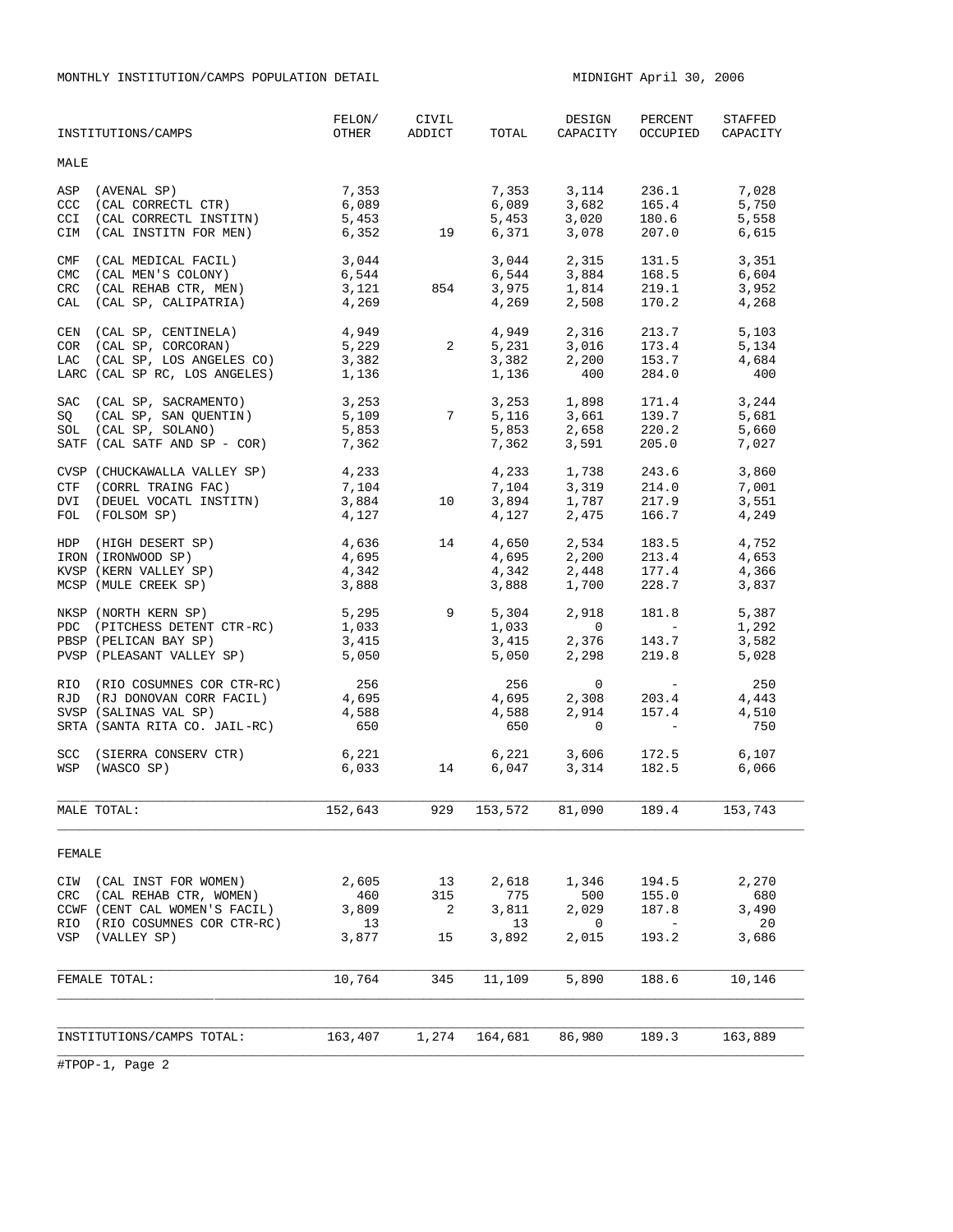MONTHLY INSTITUTION/CAMPS POPULATION DETAIL MIDNIGHT April 30, 2006

| MALE       | INSTITUTIONS/CAMPS                                     |                                          | OTHER ADDICT               | TOTAL          | CAPACITY                                                                                                                                                                                                                                           |                                                                  | OCCUPIED CAPACITY |
|------------|--------------------------------------------------------|------------------------------------------|----------------------------|----------------|----------------------------------------------------------------------------------------------------------------------------------------------------------------------------------------------------------------------------------------------------|------------------------------------------------------------------|-------------------|
|            |                                                        |                                          |                            |                |                                                                                                                                                                                                                                                    |                                                                  |                   |
| ASP        | (AVENAL SP)                                            | 7,353                                    |                            |                | 7,353 3,114 236.1 7,028                                                                                                                                                                                                                            |                                                                  |                   |
| CCC        | (CAL CORRECTL CTR)                                     | 6,089                                    |                            |                |                                                                                                                                                                                                                                                    |                                                                  | 5,750             |
| CCI        | (CAL CORRECTL INSTITN)                                 | 5,453                                    | $\frac{19}{2}$             |                | 6,089 3,682 165.4<br>5,453 3,020 180.6                                                                                                                                                                                                             |                                                                  | 5,558             |
| CIM        | (CAL INSTITN FOR MEN)                                  | 6,352                                    |                            |                | 6,371 3,078 207.0                                                                                                                                                                                                                                  |                                                                  | 6,615             |
| CMF        | (CAL MEDICAL FACIL)                                    | 3,044                                    |                            |                |                                                                                                                                                                                                                                                    |                                                                  |                   |
| <b>CMC</b> | (CAL MEN'S COLONY)                                     | 6,544                                    |                            |                | 3,044 2,315 131.5 3,351<br>6,544 3,884 168.5 6,604                                                                                                                                                                                                 |                                                                  |                   |
| CRC        | (CAL REHAB CTR, MEN)                                   |                                          | 854                        |                |                                                                                                                                                                                                                                                    |                                                                  | 3,952             |
| CAL        | (CAL SP, CALIPATRIA)                                   | 3,121<br>4,269                           |                            |                | 3,975 1,814 219.1<br>4,269 2,508 170.2                                                                                                                                                                                                             |                                                                  | 4,268             |
|            | CEN (CAL SP, CENTINELA) 4,949                          |                                          |                            |                | $4,949$ $2,316$ $213.7$ $5,103$                                                                                                                                                                                                                    |                                                                  |                   |
|            |                                                        |                                          |                            |                |                                                                                                                                                                                                                                                    |                                                                  | 5,134             |
|            | COR (CAL SP, CORCORAN)<br>LAC (CAL SP, LOS ANGELES CO) | $5,229$ 2<br>3,382                       |                            |                | $5,231$ $3,016$ $173.4$<br>$3,382$ $2,200$ $153.7$                                                                                                                                                                                                 |                                                                  | 4,684             |
|            | LARC (CAL SP RC, LOS ANGELES) 1,136                    |                                          |                            | 1,136          | 400                                                                                                                                                                                                                                                | 284.0                                                            | 400               |
|            |                                                        |                                          |                            |                | $\begin{array}{cccccc} 3,253 & & & 3,253 & & 1,898 & & 171.4 & & 3,244 \\ 5,109 & & 7 & & 5,116 & & 3,661 & & 139.7 & & 5,681 \\ 5,853 & & & 5,853 & & 2,658 & & 220.2 & & 5,660 \\ 7,362 & & & & 7,362 & & 3,591 & & 205.0 & & 7,027 \end{array}$ |                                                                  |                   |
|            | SAC (CAL SP, SACRAMENTO)<br>(CAL SP, SAN QUENTIN)      |                                          |                            |                |                                                                                                                                                                                                                                                    |                                                                  |                   |
| SQ         |                                                        |                                          |                            |                |                                                                                                                                                                                                                                                    |                                                                  |                   |
|            | SOL (CAL SP, SOLANO)<br>SATF (CAL SATF AND SP - COR)   | . د. د<br>7,362                          |                            |                |                                                                                                                                                                                                                                                    |                                                                  |                   |
|            |                                                        |                                          |                            |                |                                                                                                                                                                                                                                                    |                                                                  |                   |
|            | CVSP (CHUCKAWALLA VALLEY SP) 4,233                     |                                          |                            |                | 4,233 1,738 243.6                                                                                                                                                                                                                                  |                                                                  | 3,860             |
|            | CTF (CORRL TRAING FAC)                                 | 7,104<br>3,884                           |                            |                |                                                                                                                                                                                                                                                    |                                                                  | 7,001             |
|            | DVI (DEUEL VOCATL INSTITN)                             |                                          | 10                         |                | 7, 104 3, 319 214.0<br>3, 894 1, 787 217.9<br>4, 127 2, 475 166.7                                                                                                                                                                                  |                                                                  | 3,551             |
|            | FOL (FOLSOM SP)                                        | 4,127                                    |                            |                |                                                                                                                                                                                                                                                    |                                                                  | 4,249             |
|            | HDP (HIGH DESERT SP)                                   | 4,636<br>4,695                           | 14                         |                | $\begin{array}{llllll} 4\,, 650 & 2\,, 534 & 183\,. 5 \\ 4\,, 695 & 2\,, 200 & 213\,. 4 \\ 4\,, 342 & 2\,, 448 & 177\,. 4 \\ 3\,, 888 & 1\,, 700 & 228\,. 7 \\ \end{array}$                                                                        |                                                                  | 4,752             |
|            | IRON (IRONWOOD SP)                                     |                                          |                            |                |                                                                                                                                                                                                                                                    |                                                                  | 4,653             |
|            | KVSP (KERN VALLEY SP)                                  | 4,342                                    |                            |                |                                                                                                                                                                                                                                                    |                                                                  | 4,366             |
|            | MCSP (MULE CREEK SP)                                   | 3,888                                    |                            |                |                                                                                                                                                                                                                                                    |                                                                  | 3,837             |
|            | NKSP (NORTH KERN SP)                                   | 5,295 9                                  |                            | 5,304          |                                                                                                                                                                                                                                                    | 2,918 181.8                                                      | 5,387             |
|            | PDC (PITCHESS DETENT CTR-RC)                           | 1,033                                    |                            |                | $\overline{0}$                                                                                                                                                                                                                                     | <b>Contract Contract Contract</b>                                | 1,292             |
|            | PBSP (PELICAN BAY SP)                                  | 3,415                                    |                            | 1,033<br>3,415 | $2,376$ 143.7                                                                                                                                                                                                                                      |                                                                  | 3,582             |
|            | PVSP (PLEASANT VALLEY SP) 5,050                        |                                          |                            | 5,050          | 2,298                                                                                                                                                                                                                                              | 219.8                                                            | 5,028             |
|            | RIO (RIO COSUMNES COR CTR-RC)                          |                                          |                            |                |                                                                                                                                                                                                                                                    | $\begin{array}{ccc} & 0 & - \\ 2,308 & 203 \end{array}$<br>2,914 | 250               |
|            | RJD (RJ DONOVAN CORR FACIL)                            | 256<br>4,695<br>4,588                    |                            | 256<br>4,695   |                                                                                                                                                                                                                                                    |                                                                  | 4,443             |
|            | SVSP (SALINAS VAL SP)                                  |                                          |                            | 4,588          |                                                                                                                                                                                                                                                    | 2,914 157.4                                                      | 4,510             |
|            | SRTA (SANTA RITA CO. JAIL-RC)                          | 650                                      |                            | 650            | $\overline{0}$                                                                                                                                                                                                                                     | <b>Contract Contract</b>                                         | 750               |
|            | SCC (SIERRA CONSERV CTR)                               | 6,221                                    |                            |                | 6,221 3,606 172.5                                                                                                                                                                                                                                  |                                                                  | 6,107             |
|            | WSP (WASCO SP)                                         | $6,033$ 14                               |                            |                | 6,047 3,314 182.5 6,066                                                                                                                                                                                                                            |                                                                  |                   |
|            |                                                        |                                          |                            |                |                                                                                                                                                                                                                                                    |                                                                  |                   |
|            | MALE TOTAL:                                            | 152,643 929 153,572 81,090 189.4 153,743 |                            |                |                                                                                                                                                                                                                                                    |                                                                  |                   |
| FEMALE     |                                                        |                                          |                            |                |                                                                                                                                                                                                                                                    |                                                                  |                   |
|            | CIW (CAL INST FOR WOMEN)                               | 2,605                                    |                            | 2,618          | 1,346                                                                                                                                                                                                                                              | 194.5                                                            | 2,270             |
|            | CRC (CAL REHAB CTR, WOMEN)                             | 460                                      | 13<br>315                  | 775            | 500                                                                                                                                                                                                                                                | 155.0                                                            | 680               |
|            | CCWF (CENT CAL WOMEN'S FACIL)                          | 3,809                                    | $\overline{\phantom{0}}^2$ | 3,811          | 2,029                                                                                                                                                                                                                                              | 187.8                                                            | 3,490             |
|            | RIO (RIO COSUMNES COR CTR-RC)                          | 13                                       |                            | 13             | 0                                                                                                                                                                                                                                                  | $\overline{\phantom{m}}$                                         | 20                |
|            | VSP (VALLEY SP)                                        | 3,877                                    | 15                         | 3,892          | 2,015                                                                                                                                                                                                                                              | 193.2                                                            | 3,686             |
|            |                                                        |                                          |                            |                |                                                                                                                                                                                                                                                    |                                                                  |                   |
|            | FEMALE TOTAL:                                          | 10,764                                   | 345                        | 11,109         | 5,890                                                                                                                                                                                                                                              | 188.6                                                            | 10,146            |
|            |                                                        |                                          |                            |                |                                                                                                                                                                                                                                                    |                                                                  |                   |
|            | INSTITUTIONS/CAMPS TOTAL:                              |                                          | 163,407 1,274              |                | 164,681 86,980                                                                                                                                                                                                                                     | 189.3                                                            | 163,889           |
|            |                                                        |                                          |                            |                |                                                                                                                                                                                                                                                    |                                                                  |                   |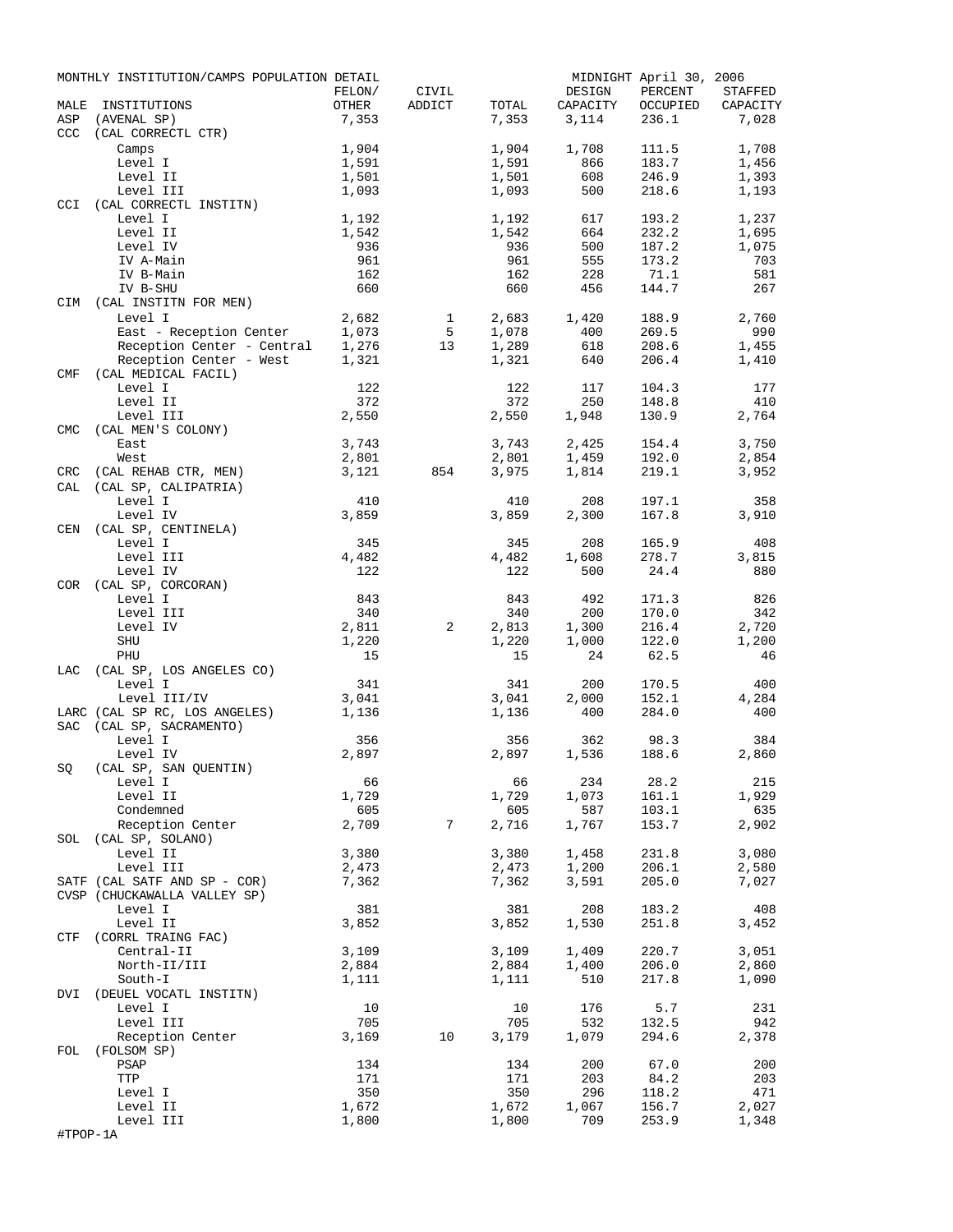| MALE       | MONTHLY INSTITUTION/CAMPS POPULATION DETAIL<br>INSTITUTIONS | FELON/<br>OTHER | CIVIL<br>ADDICT | TOTAL          | DESIGN<br>CAPACITY | MIDNIGHT April 30, 2006<br>PERCENT<br>OCCUPIED | STAFFED<br>CAPACITY |
|------------|-------------------------------------------------------------|-----------------|-----------------|----------------|--------------------|------------------------------------------------|---------------------|
| ASP        | (AVENAL SP)                                                 | 7,353           |                 | 7,353          | 3,114              | 236.1                                          | 7,028               |
| <b>CCC</b> | (CAL CORRECTL CTR)                                          |                 |                 |                |                    |                                                |                     |
|            | Camps                                                       | 1,904           |                 | 1,904          | 1,708              | 111.5                                          | 1,708               |
|            | Level I                                                     | 1,591           |                 | 1,591          | 866                | 183.7                                          | 1,456               |
|            | Level II                                                    | 1,501           |                 | 1,501          | 608                | 246.9                                          | 1,393               |
|            | Level III                                                   | 1,093           |                 | 1,093          | 500                | 218.6                                          | 1,193               |
| <b>CCI</b> | (CAL CORRECTL INSTITN)                                      |                 |                 |                |                    |                                                |                     |
|            | Level I<br>Level II                                         | 1,192           |                 | 1,192          | 617<br>664         | 193.2<br>232.2                                 | 1,237               |
|            | Level IV                                                    | 1,542<br>936    |                 | 1,542<br>936   | 500                | 187.2                                          | 1,695<br>1,075      |
|            | IV A-Main                                                   | 961             |                 | 961            | 555                | 173.2                                          | 703                 |
|            | IV B-Main                                                   | 162             |                 | 162            | 228                | 71.1                                           | 581                 |
|            | IV B-SHU                                                    | 660             |                 | 660            | 456                | 144.7                                          | 267                 |
| CIM        | (CAL INSTITN FOR MEN)                                       |                 |                 |                |                    |                                                |                     |
|            | Level I                                                     | 2,682           | 1               | 2,683          | 1,420              | 188.9                                          | 2,760               |
|            | East - Reception Center                                     | 1,073           | 5               | 1,078          | 400                | 269.5                                          | 990                 |
|            | Reception Center - Central                                  | 1,276           | 13              | 1,289          | 618                | 208.6                                          | 1,455               |
|            | Reception Center - West                                     | 1,321           |                 | 1,321          | 640                | 206.4                                          | 1,410               |
| <b>CMF</b> | (CAL MEDICAL FACIL)                                         |                 |                 |                |                    |                                                |                     |
|            | Level I                                                     | 122             |                 | 122            | 117                | 104.3                                          | 177                 |
|            | Level II                                                    | 372             |                 | 372            | 250                | 148.8                                          | 410                 |
|            | Level III                                                   | 2,550           |                 | 2,550          | 1,948              | 130.9                                          | 2,764               |
| <b>CMC</b> | (CAL MEN'S COLONY)<br>East                                  | 3,743           |                 | 3,743          | 2,425              | 154.4                                          | 3,750               |
|            | West                                                        | 2,801           |                 | 2,801          | 1,459              | 192.0                                          | 2,854               |
| CRC        | (CAL REHAB CTR, MEN)                                        | 3,121           | 854             | 3,975          | 1,814              | 219.1                                          | 3,952               |
| CAL        | (CAL SP, CALIPATRIA)                                        |                 |                 |                |                    |                                                |                     |
|            | Level I                                                     | 410             |                 | 410            | 208                | 197.1                                          | 358                 |
|            | Level IV                                                    | 3,859           |                 | 3,859          | 2,300              | 167.8                                          | 3,910               |
| CEN        | (CAL SP, CENTINELA)                                         |                 |                 |                |                    |                                                |                     |
|            | Level I                                                     | 345             |                 | 345            | 208                | 165.9                                          | 408                 |
|            | Level III                                                   | 4,482           |                 | 4,482          | 1,608              | 278.7                                          | 3,815               |
|            | Level IV                                                    | 122             |                 | 122            | 500                | 24.4                                           | 880                 |
| <b>COR</b> | (CAL SP, CORCORAN)                                          |                 |                 |                |                    |                                                |                     |
|            | Level I                                                     | 843             |                 | 843            | 492                | 171.3                                          | 826                 |
|            | Level III                                                   | 340             |                 | 340            | 200                | 170.0                                          | 342                 |
|            | Level IV                                                    | 2,811           | 2               | 2,813          | 1,300              | 216.4                                          | 2,720               |
|            | SHU                                                         | 1,220           |                 | 1,220          | 1,000              | 122.0                                          | 1,200               |
| LAC        | PHU<br>(CAL SP, LOS ANGELES CO)                             | 15              |                 | 15             | 24                 | 62.5                                           | 46                  |
|            | Level I                                                     | 341             |                 | 341            | 200                | 170.5                                          | 400                 |
|            | Level III/IV                                                | 3,041           |                 | 3,041          | 2,000              | 152.1                                          | 4,284               |
|            | LARC (CAL SP RC, LOS ANGELES)                               | 1,136           |                 | 1,136          | 400                | 284.0                                          | 400                 |
| <b>SAC</b> | (CAL SP, SACRAMENTO)                                        |                 |                 |                |                    |                                                |                     |
|            | Level I                                                     | 356             |                 | 356            | 362                | 98.3                                           | 384                 |
|            | Level IV                                                    | 2,897           |                 | 2,897          | 1,536              | 188.6                                          | 2,860               |
| SQ         | (CAL SP, SAN QUENTIN)                                       |                 |                 |                |                    |                                                |                     |
|            | Level I                                                     | 66              |                 | 66             | 234                | 28.2                                           | 215                 |
|            | Level II                                                    | 1,729           |                 | 1,729          | 1,073              | 161.1                                          | 1,929               |
|            | Condemned                                                   | 605             |                 | 605            | 587                | 103.1                                          | 635                 |
|            | Reception Center                                            | 2,709           | 7               | 2,716          | 1,767              | 153.7                                          | 2,902               |
| SOL        | (CAL SP, SOLANO)                                            |                 |                 |                |                    |                                                |                     |
|            | Level II<br>Level III                                       | 3,380<br>2,473  |                 | 3,380<br>2,473 | 1,458<br>1,200     | 231.8<br>206.1                                 | 3,080<br>2,580      |
|            | SATF (CAL SATF AND SP - COR)                                | 7,362           |                 | 7,362          | 3,591              | 205.0                                          | 7,027               |
|            | CVSP (CHUCKAWALLA VALLEY SP)                                |                 |                 |                |                    |                                                |                     |
|            | Level I                                                     | 381             |                 | 381            | 208                | 183.2                                          | 408                 |
|            | Level II                                                    | 3,852           |                 | 3,852          | 1,530              | 251.8                                          | 3,452               |
| CTF        | (CORRL TRAING FAC)                                          |                 |                 |                |                    |                                                |                     |
|            | Central-II                                                  | 3,109           |                 | 3,109          | 1,409              | 220.7                                          | 3,051               |
|            | North-II/III                                                | 2,884           |                 | 2,884          | 1,400              | 206.0                                          | 2,860               |
|            | South-I                                                     | 1,111           |                 | 1,111          | 510                | 217.8                                          | 1,090               |
| DVI        | (DEUEL VOCATL INSTITN)                                      |                 |                 |                |                    |                                                |                     |
|            | Level I                                                     | 10              |                 | 10             | 176                | 5.7                                            | 231                 |
|            | Level III                                                   | 705             |                 | 705            | 532                | 132.5                                          | 942                 |
|            | Reception Center                                            | 3,169           | 10              | 3,179          | 1,079              | 294.6                                          | 2,378               |
| FOL        | (FOLSOM SP)                                                 |                 |                 |                |                    |                                                |                     |
|            | PSAP                                                        | 134<br>171      |                 | 134<br>171     | 200<br>203         | 67.0<br>84.2                                   | 200                 |
|            | TTP<br>Level I                                              | 350             |                 | 350            | 296                | 118.2                                          | 203<br>471          |
|            | Level II                                                    | 1,672           |                 | 1,672          | 1,067              | 156.7                                          | 2,027               |
|            | Level III                                                   | 1,800           |                 | 1,800          | 709                | 253.9                                          | 1,348               |
| #TPOP-1A   |                                                             |                 |                 |                |                    |                                                |                     |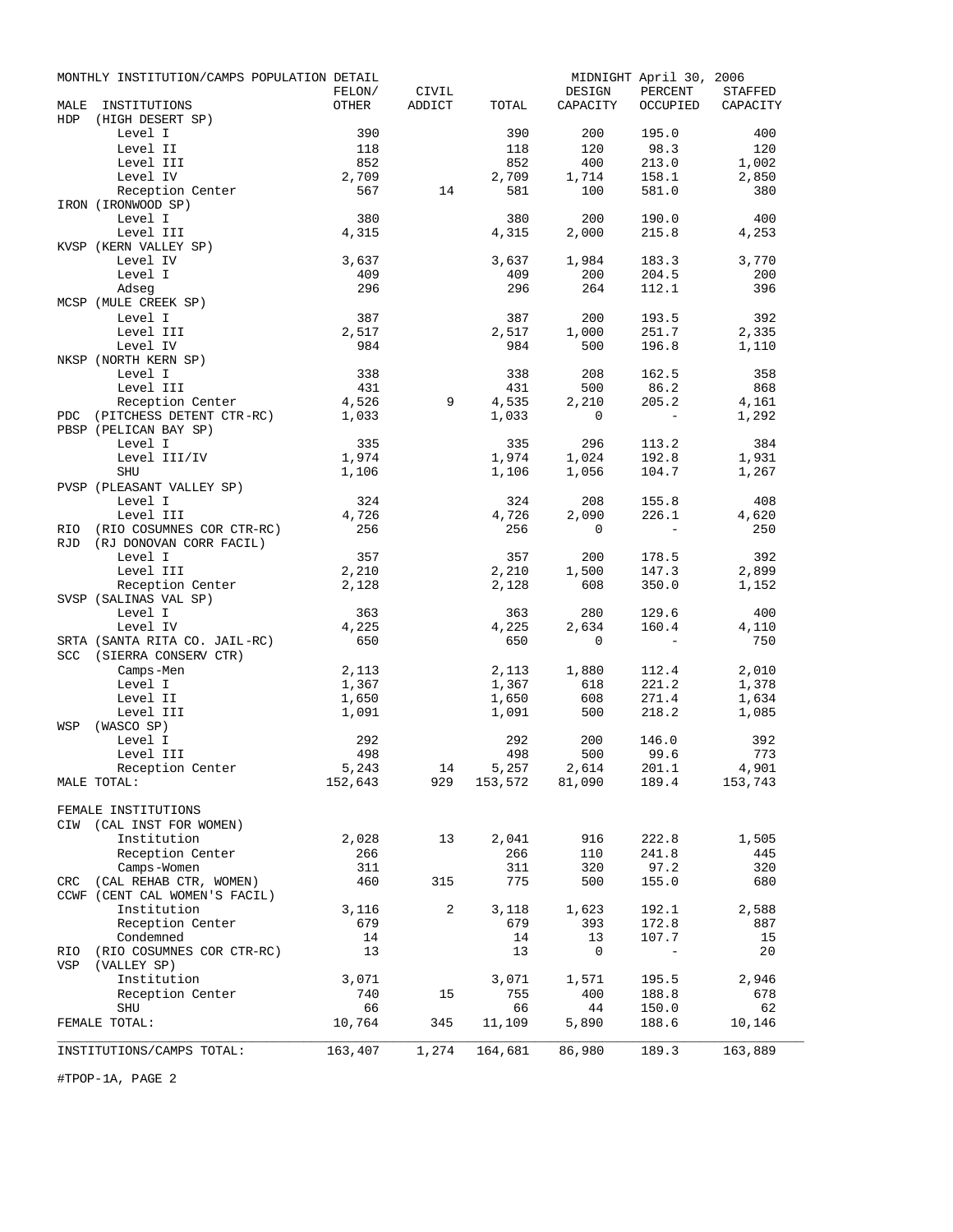|            | MONTHLY INSTITUTION/CAMPS POPULATION DETAIL |              |        |                |                   | MIDNIGHT April 30, 2006           |                |
|------------|---------------------------------------------|--------------|--------|----------------|-------------------|-----------------------------------|----------------|
|            |                                             | FELON/       | CIVIL  |                | DESIGN            | PERCENT                           | <b>STAFFED</b> |
| MALE       | INSTITUTIONS                                | OTHER        | ADDICT | TOTAL          | CAPACITY          | OCCUPIED                          | CAPACITY       |
| HDP        | (HIGH DESERT SP)                            |              |        |                |                   |                                   |                |
|            | Level I<br>Level II                         | 390<br>118   |        | 390<br>118     | 200<br>120        | 195.0<br>98.3                     | 400<br>120     |
|            | Level III                                   | 852          |        | 852            | 400               | 213.0                             | 1,002          |
|            | Level IV                                    | 2,709        |        | 2,709          | 1,714             | 158.1                             | 2,850          |
|            | Reception Center                            | 567          | 14     | 581            | 100               | 581.0                             | 380            |
|            | IRON (IRONWOOD SP)                          |              |        |                |                   |                                   |                |
|            | Level I                                     | 380          |        | 380            | 200               | 190.0                             | 400            |
|            | Level III                                   | 4,315        |        | 4,315          | 2,000             | 215.8                             | 4,253          |
|            | KVSP (KERN VALLEY SP)                       |              |        |                |                   |                                   |                |
|            | Level IV                                    | 3,637        |        | 3,637          | 1,984             | 183.3                             | 3,770          |
|            | Level I                                     | 409          |        | 409            | 200               | 204.5                             | 200            |
|            | Adseg                                       | 296          |        | 296            | 264               | 112.1                             | 396            |
|            | MCSP (MULE CREEK SP)                        |              |        |                |                   |                                   |                |
|            | Level I<br>Level III                        | 387<br>2,517 |        | 387<br>2,517   | 200               | 193.5<br>251.7                    | 392            |
|            | Level IV                                    | 984          |        | 984            | 1,000<br>500      | 196.8                             | 2,335<br>1,110 |
|            | NKSP (NORTH KERN SP)                        |              |        |                |                   |                                   |                |
|            | Level I                                     | 338          |        | 338            | 208               | 162.5                             | 358            |
|            | Level III                                   | 431          |        | 431            | 500               | 86.2                              | 868            |
|            | Reception Center                            | 4,526        | 9      | 4,535          | 2,210             | 205.2                             | 4,161          |
| PDC        | (PITCHESS DETENT CTR-RC)                    | 1,033        |        | 1,033          | $\overline{0}$    |                                   | 1,292          |
|            | PBSP (PELICAN BAY SP)                       |              |        |                |                   |                                   |                |
|            | Level I                                     | 335          |        | 335            | 296               | 113.2                             | 384            |
|            | Level III/IV                                | 1,974        |        | 1,974          | 1,024             | 192.8                             | 1,931          |
|            | SHU                                         | 1,106        |        | 1,106          | 1,056             | 104.7                             | 1,267          |
|            | PVSP (PLEASANT VALLEY SP)<br>Level I        | 324          |        | 324            | 208               | 155.8                             | 408            |
|            | Level III                                   | 4,726        |        | 4,726          | 2,090             | 226.1                             | 4,620          |
| RIO.       | (RIO COSUMNES COR CTR-RC)                   | 256          |        | 256            | $\overline{0}$    | $\overline{\phantom{a}}$          | 250            |
| <b>RJD</b> | (RJ DONOVAN CORR FACIL)                     |              |        |                |                   |                                   |                |
|            | Level I                                     | 357          |        | 357            | 200               | 178.5                             | 392            |
|            | Level III                                   | 2,210        |        | 2,210          | 1,500             | 147.3                             | 2,899          |
|            | Reception Center                            | 2,128        |        | 2,128          | 608               | 350.0                             | 1,152          |
|            | SVSP (SALINAS VAL SP)                       |              |        |                |                   |                                   |                |
|            | Level I                                     | 363          |        | 363            | 280               | 129.6                             | 400            |
|            | Level IV                                    | 4,225<br>650 |        | 4,225          | 2,634             | 160.4<br>$\overline{\phantom{a}}$ | 4,110<br>750   |
|            | SRTA (SANTA RITA CO. JAIL-RC)               |              |        | 650            | $\mathbf{0}$      |                                   |                |
|            | SCC (SIERRA CONSERV CTR)<br>Camps-Men       | 2,113        |        | 2,113          | 1,880             | 112.4                             | 2,010          |
|            | Level I                                     | 1,367        |        | 1,367          | 618               | 221.2                             | 1,378          |
|            | Level II                                    | 1,650        |        | 1,650          | 608               | 271.4                             | 1,634          |
|            | Level III                                   | 1,091        |        | 1,091          | 500               | 218.2                             | 1,085          |
| WSP        | (WASCO SP)                                  |              |        |                |                   |                                   |                |
|            | Level I                                     | 292          |        | 292            | 200               | 146.0                             | 392            |
|            | Level III                                   | 498          |        | 498            | 500               | 99.6                              | 773            |
|            | Reception Center                            | 5,243        | 14     | 5,257          | 2,614             | 201.1                             | 4,901          |
|            | MALE TOTAL:                                 | 152,643      | 929    | 153,572 81,090 |                   | 189.4                             | 153,743        |
|            | FEMALE INSTITUTIONS                         |              |        |                |                   |                                   |                |
|            | CIW (CAL INST FOR WOMEN)                    |              |        |                |                   |                                   |                |
|            | Institution                                 | 2,028        | 13     | 2,041          | 916               | 222.8                             | 1,505          |
|            | Reception Center                            | 266          |        | 266            | 110               | 241.8                             | 445            |
|            | Camps-Women                                 | 311          |        | 311            | 320               | 97.2                              | 320            |
|            | CRC (CAL REHAB CTR, WOMEN)                  | 460          | 315    | 775            | 500               | 155.0                             | 680            |
|            | CCWF (CENT CAL WOMEN'S FACIL)               |              |        |                |                   |                                   |                |
|            | Institution                                 | 3,116        | 2      | 3,118          | 1,623             | 192.1                             | 2,588          |
|            | Reception Center                            | 679          |        | 679            | 393               | 172.8                             | 887            |
|            | Condemned                                   | 14           |        | 14             | 13<br>$\mathbf 0$ | 107.7                             | 15             |
| RIO<br>VSP | (RIO COSUMNES COR CTR-RC)<br>(VALLEY SP)    | 13           |        | 13             |                   |                                   | 20             |
|            | Institution                                 | 3,071        |        | 3,071          | 1,571             | 195.5                             | 2,946          |
|            | Reception Center                            | 740          | 15     | 755            | 400               | 188.8                             | 678            |
|            | <b>SHU</b>                                  | 66           |        | 66             | 44                | 150.0                             | 62             |
|            | FEMALE TOTAL:                               | 10,764       | 345    | 11,109         | 5,890             | 188.6                             | 10,146         |
|            |                                             |              |        |                |                   |                                   |                |
|            | INSTITUTIONS/CAMPS TOTAL:                   | 163,407      | 1,274  | 164,681        | 86,980            | 189.3                             | 163,889        |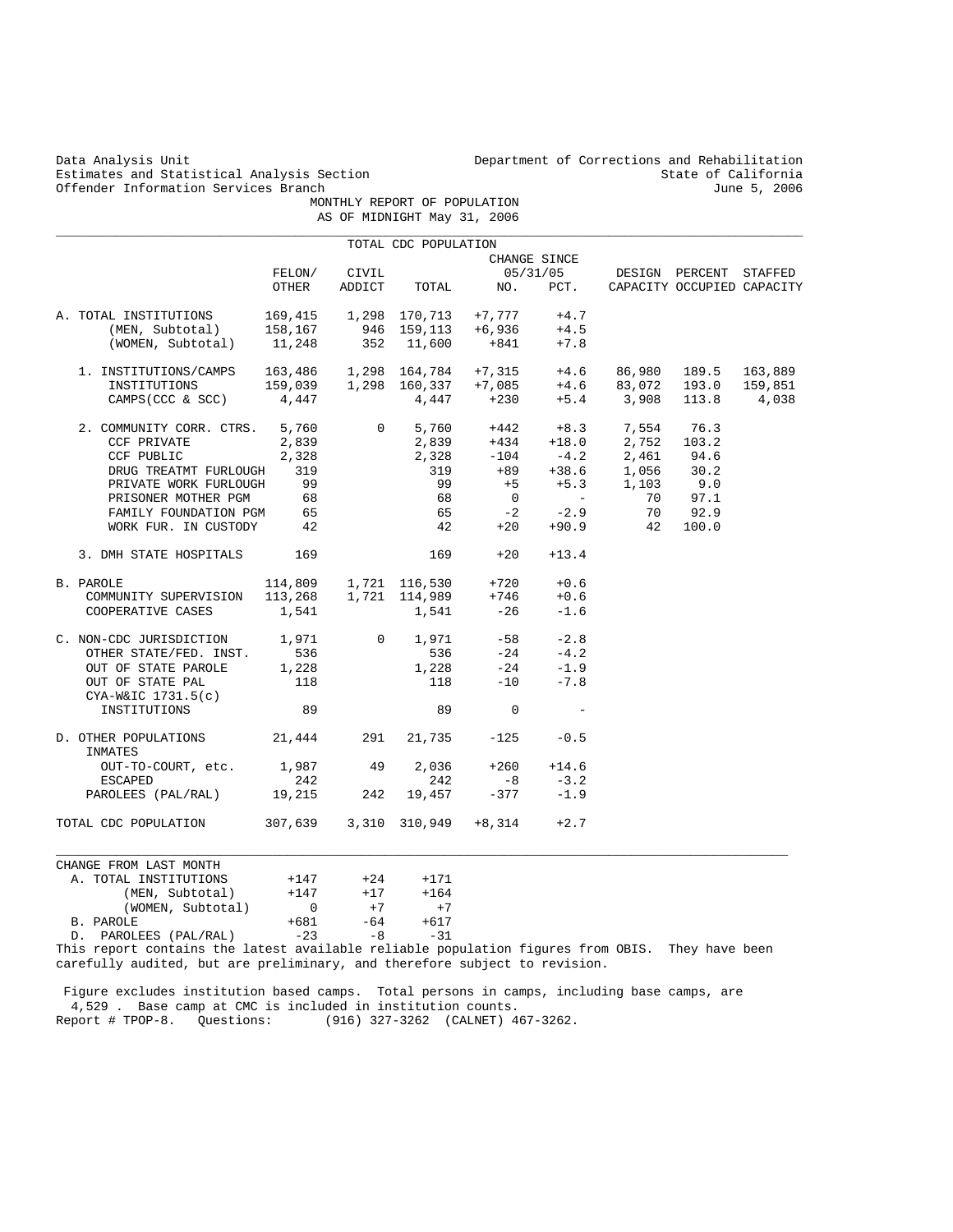Estimates and Statistical Analysis Section and State of California<br>Offender Information Services Branch (Section 1999) and State of California Offender Information Services Branch MONTHLY REPORT OF POPULATION

 FELON/ CIVIL 05/31/05 DESIGN PERCENT STAFFED OTHER ADDICT TOTAL NO. PCT. CAPACITY OCCUPIED CAPACITY A. TOTAL INSTITUTIONS 169,415 1,298 170,713 +7,777 +4.7<br>(MEN, Subtotal) 158,167 946 159,113 +6,936 +4.5 (MEN, Subtotal) 158,167 946 159,113 +6,936 +4.5 (WOMEN, Subtotal) 11,248 352 11,600 +841 +7.8 1. INSTITUTIONS/CAMPS 163,486 1,298 164,784 +7,315 +4.6 86,980 189.5 163,889 INSTITUTIONS 159,039 1,298 160,337 +7,085 +4.6 83,072 193.0 159,851 CAMPS 163,486 1,298 164,784 +7,315 +4.6 86,980 189.5 163,889<br>
INSTITUTIONS 159,039 1,298 160,337 +7,085 +4.6 83,072 193.0 159,851<br>
CAMPS(CCC & SCC) 4,447 4,447 +230 +5.4 3,908 113.8 4,038 2. COMMUNITY CORR. CTRS. 5,760 <br>
2,839 0 5,760 +442 +8.3 7,554 76.3<br>
2,839 +434 +18.0 2,752 103.2 CCF PRIVATE 2,839 2,839 +434 +18.0 2,752 103.2<br>
CCF PUBLIC 2,328 2,328 -104 -4.2 2,461 94.6  $\begin{array}{cccccccccc} \text{CCF PUBLIC} & & & 2\,\text{,}328 & & & -104 & & -4\,\text{.}2 & & 2\,\text{,}461 \\ \text{DRUG TREATMT FURLOUGH} & & 319 & & & 319 & & +89 & & +38\,\text{.}6 & & 1\,\text{,}056 \end{array}$ DRUG TREATMT FURLOUGH 319 319 +89 +38.6 1,056 30.2<br>
PRIVATE WORK FURLOUGH 99 39 +5 +5.3 1,103 9.0<br>
PRISONER MOTHER PGM 68 68 0 - 70 97.1 PRIVATE WORK FURLOUGH 99 99 +5 +5.3 1,103 9.0<br>
PRISONER MOTHER PGM 68 68 0 - 70 97.1 PRISONER MOTHER PGM 68 68 0 - 70 97.1<br>
FAMILY FOUNDATION PGM 65 65 -2 -2.9 70 92.9 FAMILY FOUNDATION PGM 65 65 -2 -2.9 70 92.9 WORK FUR. IN CUSTODY 3. DMH STATE HOSPITALS 169 169 +20 +13.4 B. PAROLE 114,809 1,721 116,530 +720 +0.6<br>COMMUNITY SUPERVISION 113,268 1,721 114,989 +746 +0.6 COMMUNITY SUPERVISION 113,268 1,721 114,989 +746 +0.6<br>COOPERATIVE CASES 1,541 1,541 -26 -1.6 COOPERATIVE CASES C. NON-CDC JURISDICTION 1,971 0 1,971 -58 -2.8<br>
OTHER STATE/FED. INST. 536 536 -24 -4.2 OTHER STATE/FED. INST. 536 536 -24 -4.2 OUT OF STATE PAROLE  $1,228$   $1,228$   $-24$   $-1.9$ <br>OUT OF STATE PAL  $118$   $118$   $-10$   $-7.8$ OUT OF STATE PAL CYA-W&IC 1731.5(c) INSTITUTIONS 89 89 0 - D. OTHER POPULATIONS 21,444 291 21,735 -125 -0.5 INMATES OUT-TO-COURT, etc. 1,987 49 2,036 +260 +14.6<br>ESCAPED 242 242 -8 -3.2  $ESCAPED$  242 242 -8 -3.2 PAROLEES (PAL/RAL) 19,215 242 19,457 -377 -1.9 TOTAL CDC POPULATION 307,639 3,310 310,949 +8,314 +2.7  $\_$  ,  $\_$  ,  $\_$  ,  $\_$  ,  $\_$  ,  $\_$  ,  $\_$  ,  $\_$  ,  $\_$  ,  $\_$  ,  $\_$  ,  $\_$  ,  $\_$  ,  $\_$  ,  $\_$  ,  $\_$  ,  $\_$  ,  $\_$  ,  $\_$  ,  $\_$  ,  $\_$  ,  $\_$  ,  $\_$  ,  $\_$  ,  $\_$  ,  $\_$  ,  $\_$  ,  $\_$  ,  $\_$  ,  $\_$  ,  $\_$  ,  $\_$  ,  $\_$  ,  $\_$  ,  $\_$  ,  $\_$  ,  $\_$  , CHANGE FROM LAST MONTH A. TOTAL INSTITUTIONS  $+147$   $+24$   $+171$ <br>(MEN, Subtotal)  $+147$   $+17$   $+164$ (MEN, Subtotal)  $+147$   $+17$   $+164$ <br>(WOMEN, Subtotal) 0  $+7$   $+7$  $(WOMEN, Subtotal)$  0 +7 +7<br>TLE +681 -64 +617 B. PAROLE +681 -64<br>D. PAROLEES (PAL/RAL) -23 -8 D. PAROLEES (PAL/RAL)  $-23$   $-8$   $-31$ 

 AS OF MIDNIGHT May 31, 2006 \_\_\_\_\_\_\_\_\_\_\_\_\_\_\_\_\_\_\_\_\_\_\_\_\_\_\_\_\_\_\_\_\_\_\_\_\_\_\_\_\_\_\_\_\_\_\_\_\_\_\_\_\_\_\_\_\_\_\_\_\_\_\_\_\_\_\_\_\_\_\_\_\_\_\_\_\_\_\_\_\_\_\_\_\_\_\_\_\_\_\_\_\_\_\_\_\_\_\_\_ TOTAL CDC POPULATION  $\begin{tabular}{ll} \bf \color{green}{\bf CHAMGE} & \bf \color{green}{\bf CHAMGE} & \bf \color{green}{\bf S}/31/05 \\ \end{tabular}$ 

This report contains the latest available reliable population figures from OBIS. They have been carefully audited, but are preliminary, and therefore subject to revision.

 Figure excludes institution based camps. Total persons in camps, including base camps, are 4,529 . Base camp at CMC is included in institution counts. Report # TPOP-8. Questions: (916) 327-3262 (CALNET) 467-3262.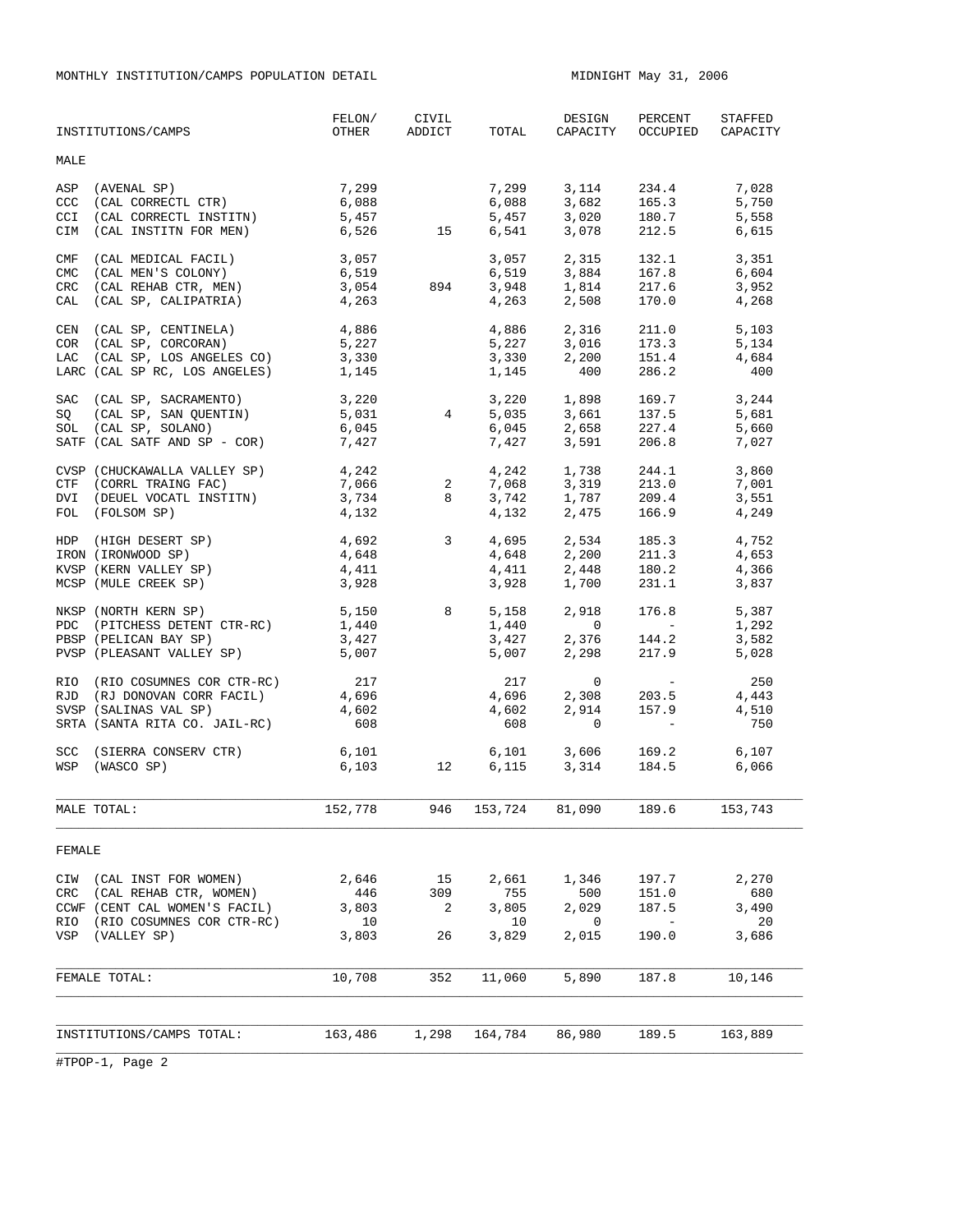MONTHLY INSTITUTION/CAMPS POPULATION DETAIL **MIDNIGHT MAX** 31, 2006

|                          | INSTITUTIONS/CAMPS                                                                                                                      | FELON/<br>OTHER                                                                                                        | CIVIL<br>ADDICT      | TOTAL                                | DESIGN<br>CAPACITY                                                                           | PERCENT<br>OCCUPIED                                                                                                                          | STAFFED<br>CAPACITY                  |
|--------------------------|-----------------------------------------------------------------------------------------------------------------------------------------|------------------------------------------------------------------------------------------------------------------------|----------------------|--------------------------------------|----------------------------------------------------------------------------------------------|----------------------------------------------------------------------------------------------------------------------------------------------|--------------------------------------|
| MALE                     |                                                                                                                                         |                                                                                                                        |                      |                                      |                                                                                              |                                                                                                                                              |                                      |
| ASP<br>CCC<br>CCI<br>CIM | (AVENAL SP)<br>(CAL CORRECTL CTR)<br>(CAL CORRECTL INSTITN)<br>(CAL INSTITN FOR MEN)                                                    | 7,299<br>6,088<br>5,457<br>6,526 15                                                                                    |                      | 7,299<br>6,541                       | 6,088 3,682 165.3<br>5,457 3,020 180.7<br>3,078                                              | 3, 114 234.4<br>212.5                                                                                                                        | 7,028<br>5,750<br>5,558<br>6,615     |
| CMF<br>CMC<br>CRC<br>CAL | (CAL MEDICAL FACIL)<br>(CAL MEN'S COLONY)<br>(CAL REHAB CTR, MEN)<br>(CAL SP, CALIPATRIA)                                               | 3,057<br>6,519<br>3,054<br>4,263                                                                                       | 894                  | 3,948<br>4,263                       | 3,057 2,315<br>6,519 3,884<br>1,814<br>2,508                                                 | 132.1<br>167.8<br>217.6<br>170.0                                                                                                             | 3,351<br>6,604<br>3,952<br>4,268     |
|                          | CEN (CAL SP, CENTINELA)<br>COR (CAL SP, CORCORAN)<br>LAC (CAL SP, LOS ANGELES CO)<br>LARC (CAL SP RC, LOS ANGELES) 1,145                | 4,886<br>5,227<br>3,330                                                                                                |                      | 4,886<br>1,145                       | $5,227$ $3,016$ $173.3$<br>$3,330$ $2,200$ $151.4$<br>400                                    | 2,316 211.0<br>286.2                                                                                                                         | 5,103<br>5,134<br>4,684<br>400       |
|                          | SAC (CAL SP, SACRAMENTO)<br>SO (CAL SP, SAN OUENTIN)<br>SOL (CAL SP, SOLANO)<br>SATF (CAL SATF AND SP - COR)                            | 3,220<br>5,031<br>6,045<br>7,427                                                                                       | $\overline{4}$       |                                      | 3,220 1,898 169.7<br>5,035 3,661 137.5<br>$6,045$ $2,658$ $227.4$<br>$7,427$ $3,591$ $206.8$ |                                                                                                                                              | 3,244<br>5,681<br>5,660<br>7,027     |
|                          | CVSP (CHUCKAWALLA VALLEY SP)<br>CTF (CORRL TRAING FAC)<br>DVI (DEUEL VOCATL INSTITN)<br>FOL (FOLSOM SP)                                 | $\begin{array}{ccc} 4 \text{ , } & 242 \\ 7 \text{ , } & 066 \\ 3 \text{ , } & 734 \end{array}$<br>2<br>4,242<br>4,132 |                      | 4,132                                | 4,242 1,738<br>$7,068$ $3,319$ $213.0$<br>$3,742$ $1,787$ $209.4$                            | 244.1<br>2,475 166.9                                                                                                                         | 3,860<br>7,001<br>3,551<br>4,249     |
|                          | HDP (HIGH DESERT SP)<br>IRON (IRONWOOD SP)<br>KVSP (KERN VALLEY SP)<br>MCSP (MULE CREEK SP)                                             | 4,692 3<br>4,648<br>4,411<br>3,928                                                                                     |                      | 4,695<br>4,648<br>4,411<br>3,928     | 2,448<br>1,700                                                                               | 2,534 185.3<br>2,200 211.3<br>180.2<br>231.1                                                                                                 | 4,752<br>4,653<br>4,366<br>3,837     |
|                          | NKSP (NORTH KERN SP)<br>PDC (PITCHESS DETENT CTR-RC)<br>PBSP (PELICAN BAY SP)<br>PVSP (PLEASANT VALLEY SP)                              | 5,150<br>1,440<br>3,427<br>5,007                                                                                       | 8                    | 5,158<br>1,440<br>3,427<br>5,007     | 2,918<br>$\overline{0}$<br>2,376<br>2,298                                                    | 176.8<br>$\mathcal{L}^{\mathcal{L}}(\mathcal{L}^{\mathcal{L}})$ and $\mathcal{L}^{\mathcal{L}}(\mathcal{L}^{\mathcal{L}})$<br>144.2<br>217.9 | 5,387<br>1,292<br>3,582<br>5,028     |
|                          | RIO (RIO COSUMNES COR CTR-RC) 217<br>RJD (RJ DONOVAN CORR FACIL)<br>SVSP (SALINAS VAL SP)<br>SRTA (SANTA RITA CO. JAIL-RC)              | 4,696<br>4,602<br>608                                                                                                  |                      | 217<br>4,696<br>4,602<br>608         | $\overline{0}$<br>2,308<br>2,914<br>$\mathbf 0$                                              | <b>Contract Contract State</b><br>203.5<br>157.9                                                                                             | 250<br>4,443<br>4,510<br>750         |
|                          | SCC (SIERRA CONSERV CTR)<br>WSP (WASCO SP)                                                                                              | 6,101<br>6,103                                                                                                         | 12                   |                                      | 6,101 3,606 169.2<br>$6,115$ $3,314$                                                         | 184.5                                                                                                                                        | 6,107<br>6,066                       |
|                          | MALE TOTAL:                                                                                                                             | 152,778                                                                                                                |                      |                                      | 946 153,724 81,090                                                                           | 189.6                                                                                                                                        | 153,743                              |
| FEMALE                   |                                                                                                                                         |                                                                                                                        |                      |                                      |                                                                                              |                                                                                                                                              |                                      |
| CRC                      | CIW (CAL INST FOR WOMEN)<br>(CAL REHAB CTR, WOMEN)<br>CCWF (CENT CAL WOMEN'S FACIL)<br>RIO (RIO COSUMNES COR CTR-RC)<br>VSP (VALLEY SP) | 2,646<br>446<br>3,803<br>10<br>3,803                                                                                   | 15<br>309<br>2<br>26 | 2,661<br>755<br>3,805<br>10<br>3,829 | 1,346<br>500<br>2,029<br>0<br>2,015                                                          | 197.7<br>151.0<br>187.5<br>$\sim$ $-$<br>190.0                                                                                               | 2,270<br>680<br>3,490<br>20<br>3,686 |
|                          | FEMALE TOTAL:                                                                                                                           | 10,708                                                                                                                 | 352                  | 11,060                               | 5,890                                                                                        | 187.8                                                                                                                                        | 10,146                               |
|                          | INSTITUTIONS/CAMPS TOTAL:                                                                                                               | 163,486                                                                                                                | 1,298                | 164,784                              | 86,980                                                                                       | 189.5                                                                                                                                        | 163,889                              |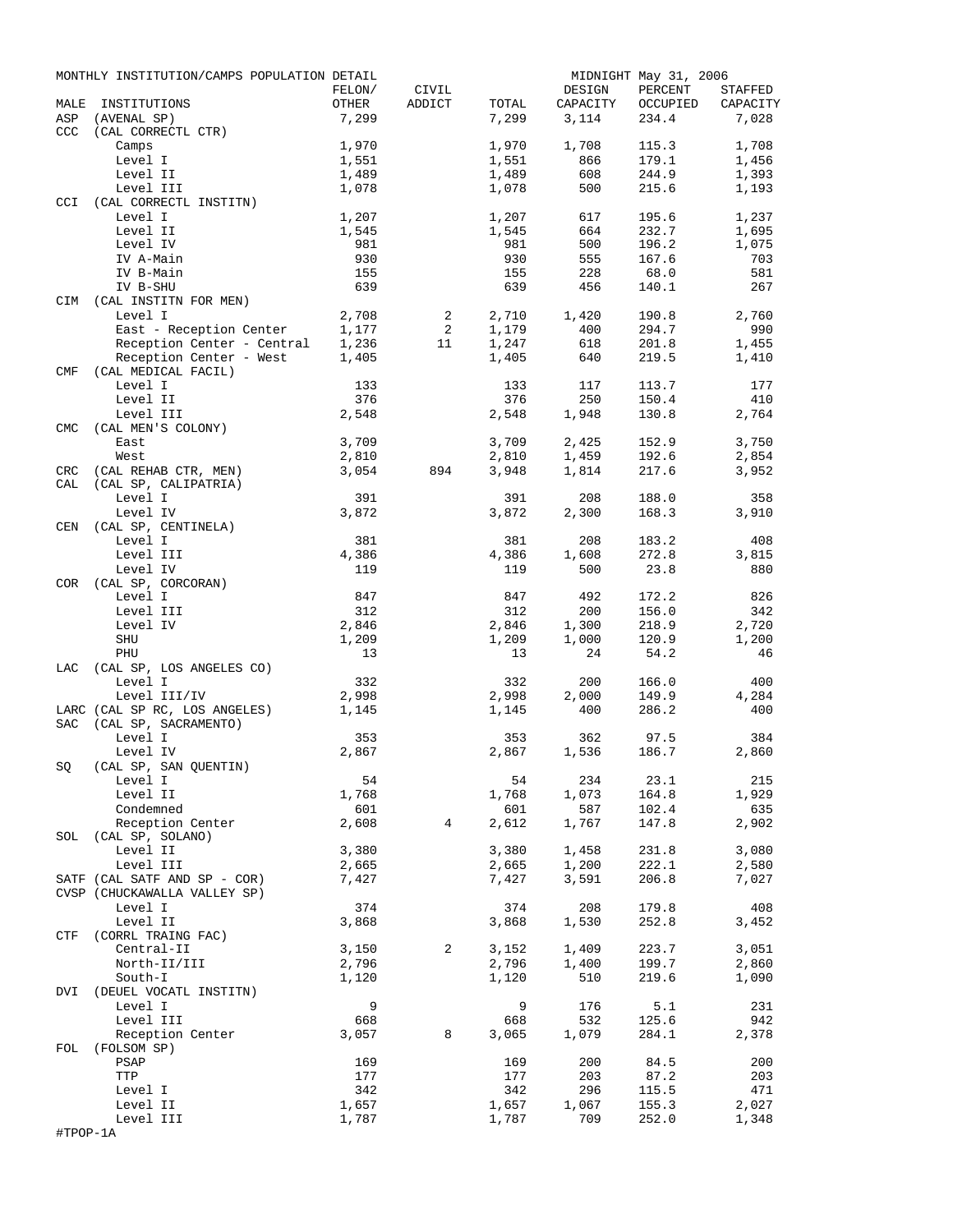|            | MONTHLY INSTITUTION/CAMPS POPULATION DETAIL |        |                |       |          | MIDNIGHT May 31, 2006 |          |
|------------|---------------------------------------------|--------|----------------|-------|----------|-----------------------|----------|
|            |                                             | FELON/ | CIVIL          |       | DESIGN   | PERCENT               | STAFFED  |
| MALE       | INSTITUTIONS                                | OTHER  | ADDICT         | TOTAL | CAPACITY | OCCUPIED              | CAPACITY |
| ASP        | (AVENAL SP)                                 | 7,299  |                | 7,299 | 3,114    | 234.4                 | 7,028    |
| <b>CCC</b> | (CAL CORRECTL CTR)                          |        |                |       |          |                       |          |
|            | Camps                                       | 1,970  |                | 1,970 | 1,708    | 115.3                 | 1,708    |
|            | Level I                                     | 1,551  |                | 1,551 | 866      | 179.1                 | 1,456    |
|            | Level II                                    | 1,489  |                | 1,489 | 608      | 244.9                 | 1,393    |
|            | Level III                                   | 1,078  |                | 1,078 | 500      | 215.6                 | 1,193    |
| <b>CCI</b> | (CAL CORRECTL INSTITN)                      |        |                |       |          |                       |          |
|            | Level I                                     | 1,207  |                | 1,207 | 617      | 195.6                 | 1,237    |
|            | Level II                                    | 1,545  |                | 1,545 | 664      | 232.7                 | 1,695    |
|            | Level IV                                    | 981    |                | 981   | 500      | 196.2                 | 1,075    |
|            | IV A-Main                                   | 930    |                | 930   | 555      | 167.6                 | 703      |
|            | IV B-Main                                   | 155    |                | 155   | 228      | 68.0                  | 581      |
|            | IV B-SHU                                    | 639    |                | 639   | 456      | 140.1                 | 267      |
|            | CIM (CAL INSTITN FOR MEN)                   |        |                |       |          |                       |          |
|            | Level I                                     | 2,708  | 2              | 2,710 | 1,420    | 190.8                 | 2,760    |
|            | East - Reception Center                     | 1,177  | 2              | 1,179 | 400      | 294.7                 | 990      |
|            | Reception Center - Central                  | 1,236  | 11             | 1,247 | 618      | 201.8                 | 1,455    |
|            | Reception Center - West                     | 1,405  |                | 1,405 | 640      | 219.5                 | 1,410    |
| <b>CMF</b> | (CAL MEDICAL FACIL)                         |        |                |       |          |                       |          |
|            | Level I                                     | 133    |                | 133   | 117      | 113.7                 | 177      |
|            | Level II                                    | 376    |                | 376   | 250      | 150.4                 | 410      |
|            | Level III                                   | 2,548  |                | 2,548 | 1,948    | 130.8                 | 2,764    |
| <b>CMC</b> | (CAL MEN'S COLONY)                          |        |                |       |          |                       |          |
|            | East                                        | 3,709  |                | 3,709 | 2,425    | 152.9                 | 3,750    |
|            | West                                        | 2,810  |                | 2,810 | 1,459    | 192.6                 | 2,854    |
| CRC        | (CAL REHAB CTR, MEN)                        | 3,054  | 894            | 3,948 | 1,814    | 217.6                 | 3,952    |
| CAL        | (CAL SP, CALIPATRIA)                        |        |                |       |          |                       |          |
|            | Level I                                     | 391    |                | 391   | 208      | 188.0                 | 358      |
|            | Level IV                                    | 3,872  |                | 3,872 | 2,300    | 168.3                 | 3,910    |
| CEN        | (CAL SP, CENTINELA)                         |        |                |       |          |                       |          |
|            | Level I                                     | 381    |                | 381   | 208      | 183.2                 | 408      |
|            | Level III                                   | 4,386  |                | 4,386 | 1,608    | 272.8                 | 3,815    |
|            | Level IV                                    | 119    |                | 119   | 500      | 23.8                  | 880      |
| COR        | (CAL SP, CORCORAN)                          |        |                |       |          |                       |          |
|            | Level I                                     | 847    |                | 847   | 492      | 172.2                 | 826      |
|            | Level III                                   | 312    |                | 312   | 200      | 156.0                 | 342      |
|            | Level IV                                    | 2,846  |                | 2,846 | 1,300    | 218.9                 | 2,720    |
|            | SHU                                         | 1,209  |                | 1,209 | 1,000    | 120.9                 | 1,200    |
|            | PHU                                         | 13     |                | 13    | 24       | 54.2                  | 46       |
| LAC        | (CAL SP, LOS ANGELES CO)                    |        |                |       |          |                       |          |
|            | Level I                                     | 332    |                | 332   | 200      | 166.0                 | 400      |
|            | Level III/IV                                | 2,998  |                | 2,998 | 2,000    | 149.9                 | 4,284    |
|            | LARC (CAL SP RC, LOS ANGELES)               | 1,145  |                | 1,145 | 400      | 286.2                 | 400      |
| SAC        | (CAL SP, SACRAMENTO)                        |        |                |       |          |                       |          |
|            | Level I                                     | 353    |                | 353   | 362      | 97.5                  | 384      |
|            | Level IV                                    | 2,867  |                | 2,867 | 1,536    | 186.7                 | 2,860    |
|            | SQ (CAL SP, SAN QUENTIN)                    |        |                |       |          |                       |          |
|            | Level I                                     | 54     |                | 54    | 234      | 23.1                  | 215      |
|            | Level II                                    | 1,768  |                | 1,768 | 1,073    | 164.8                 | 1,929    |
|            | Condemned                                   | 601    |                | 601   | 587      | 102.4                 | 635      |
|            | Reception Center                            | 2,608  | 4              | 2,612 | 1,767    | 147.8                 | 2,902    |
| SOL        | (CAL SP, SOLANO)                            |        |                |       |          |                       |          |
|            | Level II                                    | 3,380  |                | 3,380 | 1,458    | 231.8                 | 3,080    |
|            | Level III                                   | 2,665  |                | 2,665 | 1,200    | 222.1                 | 2,580    |
|            | SATF (CAL SATF AND SP - COR)                | 7,427  |                | 7,427 | 3,591    | 206.8                 | 7,027    |
|            | CVSP (CHUCKAWALLA VALLEY SP)                |        |                |       |          |                       |          |
|            | Level I                                     | 374    |                | 374   | 208      | 179.8                 | 408      |
|            | Level II                                    | 3,868  |                | 3,868 | 1,530    | 252.8                 | 3,452    |
|            |                                             |        |                |       |          |                       |          |
| CTF        | (CORRL TRAING FAC)                          | 3,150  | $\overline{a}$ | 3,152 | 1,409    | 223.7                 | 3,051    |
|            | Central-II<br>North-II/III                  |        |                |       |          | 199.7                 |          |
|            |                                             | 2,796  |                | 2,796 | 1,400    |                       | 2,860    |
|            | South-I                                     | 1,120  |                | 1,120 | 510      | 219.6                 | 1,090    |
| DVI        | (DEUEL VOCATL INSTITN)                      |        |                |       |          |                       |          |
|            | Level I                                     | 9      |                | 9     | 176      | 5.1                   | 231      |
|            | Level III                                   | 668    |                | 668   | 532      | 125.6                 | 942      |
|            | Reception Center                            | 3,057  | 8              | 3,065 | 1,079    | 284.1                 | 2,378    |
| FOL        | (FOLSOM SP)                                 |        |                |       |          |                       |          |
|            | PSAP                                        | 169    |                | 169   | 200      | 84.5                  | 200      |
|            | TTP                                         | 177    |                | 177   | 203      | 87.2                  | 203      |
|            | Level I                                     | 342    |                | 342   | 296      | 115.5                 | 471      |
|            | Level II                                    | 1,657  |                | 1,657 | 1,067    | 155.3                 | 2,027    |
|            | Level III                                   | 1,787  |                | 1,787 | 709      | 252.0                 | 1,348    |
| #TPOP-1A   |                                             |        |                |       |          |                       |          |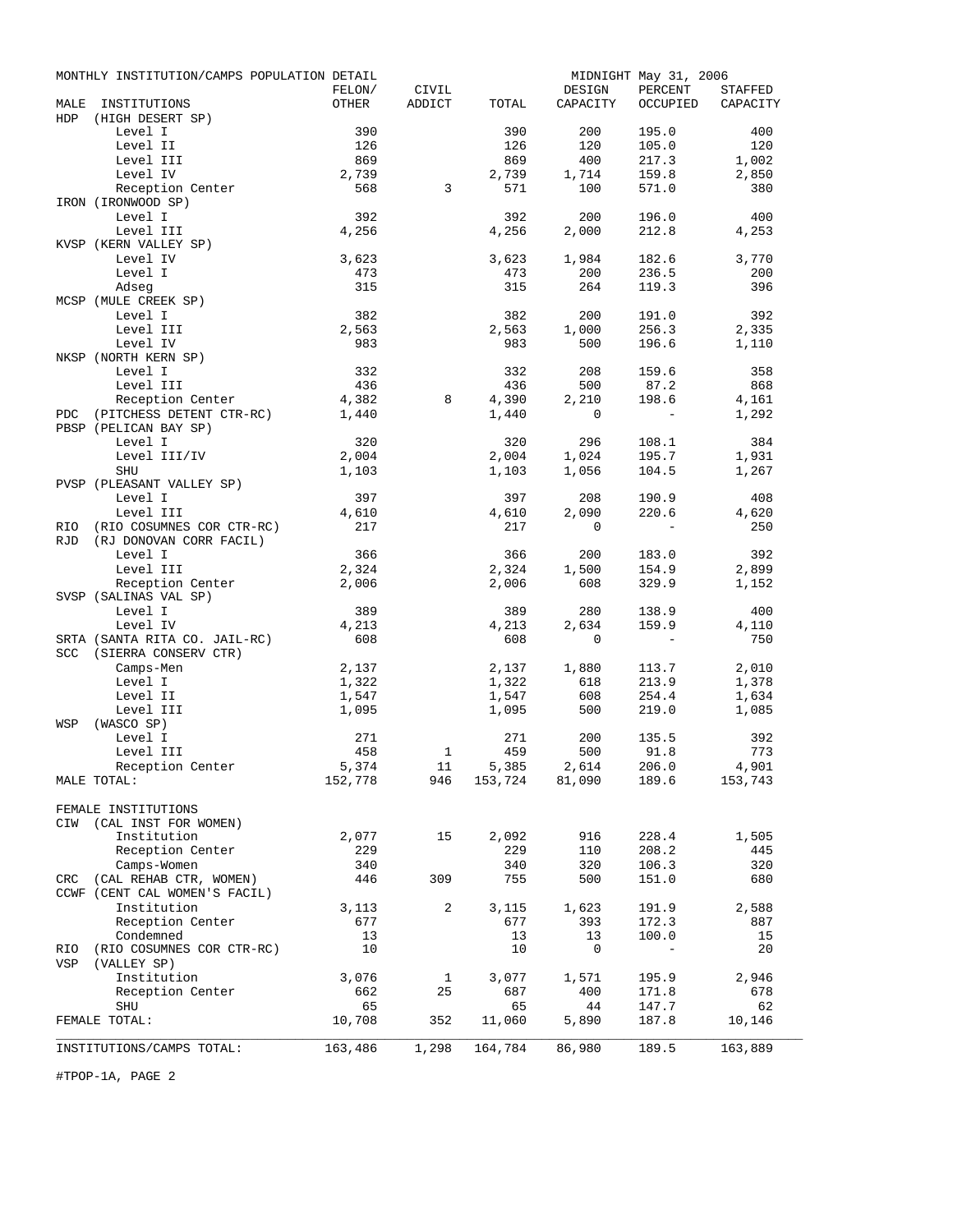|            | MONTHLY INSTITUTION/CAMPS POPULATION DETAIL |              |              |              |                                               | MIDNIGHT May 31, 2006 |          |
|------------|---------------------------------------------|--------------|--------------|--------------|-----------------------------------------------|-----------------------|----------|
|            |                                             | FELON/       | CIVIL        |              | DESIGN                                        | PERCENT               | STAFFED  |
| MALE       | INSTITUTIONS                                | OTHER        | ADDICT       | TOTAL        | CAPACITY                                      | OCCUPIED              | CAPACITY |
| <b>HDP</b> | (HIGH DESERT SP)                            |              |              |              |                                               |                       |          |
|            | Level I                                     | 390          |              | 390          | 200                                           | 195.0                 | 400      |
|            | Level II                                    | 126          |              | 126          | 120                                           | 105.0                 | 120      |
|            | Level III                                   | 869          |              | 869          | 400                                           | 217.3                 | 1,002    |
|            | Level IV                                    | 2,739        |              | 2,739        | 1,714                                         | 159.8                 | 2,850    |
|            | Reception Center                            | 568          | 3            | 571          | 100                                           | 571.0                 | 380      |
|            | IRON (IRONWOOD SP)                          |              |              |              |                                               |                       |          |
|            | Level I                                     | 392          |              | 392          | 200                                           | 196.0                 | 400      |
|            | Level III                                   | 4,256        |              | 4,256        | 2,000                                         | 212.8                 | 4,253    |
|            | KVSP (KERN VALLEY SP)                       |              |              |              |                                               |                       |          |
|            | Level IV                                    | 3,623        |              | 3,623        | 1,984                                         | 182.6                 | 3,770    |
|            | Level I                                     | 473          |              | 473          | 200                                           | 236.5                 | 200      |
|            | Adseg<br>MCSP (MULE CREEK SP)               | 315          |              | 315          | 264                                           | 119.3                 | 396      |
|            |                                             |              |              |              |                                               |                       |          |
|            | Level I                                     | 382          |              | 382          | 200                                           | 191.0                 | 392      |
|            | Level III<br>Level IV                       | 2,563<br>983 |              | 2,563<br>983 | 1,000                                         | 256.3<br>196.6        | 2,335    |
|            | NKSP (NORTH KERN SP)                        |              |              |              | 500                                           |                       | 1,110    |
|            | Level I                                     | 332          |              | 332          | 208                                           | 159.6                 | 358      |
|            | Level III                                   | 436          |              | 436          | 500                                           | 87.2                  | 868      |
|            | Reception Center                            | 4,382        | 8            | 4,390        | 2,210                                         | 198.6                 | 4,161    |
| PDC        | (PITCHESS DETENT CTR-RC)                    | 1,440        |              | 1,440        | $\mathbf 0$                                   | $\overline{a}$        | 1,292    |
|            | PBSP (PELICAN BAY SP)                       |              |              |              |                                               |                       |          |
|            | Level I                                     | 320          |              | 320          | 296                                           | 108.1                 | 384      |
|            | Level III/IV                                | 2,004        |              | 2,004        | 1,024                                         | 195.7                 | 1,931    |
|            | SHU                                         | 1,103        |              | 1,103        | 1,056                                         | 104.5                 | 1,267    |
|            | PVSP (PLEASANT VALLEY SP)                   |              |              |              |                                               |                       |          |
|            | Level I                                     | 397          |              | 397          | 208                                           | 190.9                 | 408      |
|            | Level III                                   | 4,610        |              | 4,610        | 2,090                                         | 220.6                 | 4,620    |
| RIO        | (RIO COSUMNES COR CTR-RC)                   | 217          |              | 217          | $\mathbf 0$                                   |                       | 250      |
| <b>RJD</b> | (RJ DONOVAN CORR FACIL)                     |              |              |              |                                               |                       |          |
|            | Level I                                     | 366          |              | 366          | 200                                           | 183.0                 | 392      |
|            | Level III                                   | 2,324        |              | 2,324        | 1,500                                         | 154.9                 | 2,899    |
|            | Reception Center                            | 2,006        |              | 2,006        | 608                                           | 329.9                 | 1,152    |
|            | SVSP (SALINAS VAL SP)                       |              |              |              |                                               |                       |          |
|            | Level I                                     | 389          |              | 389          | 280                                           | 138.9                 | 400      |
|            | Level IV                                    | 4,213        |              | 4,213        | 2,634                                         | 159.9                 | 4,110    |
|            | SRTA (SANTA RITA CO. JAIL-RC)               | 608          |              | 608          | 0                                             |                       | 750      |
| <b>SCC</b> | (SIERRA CONSERV CTR)                        |              |              |              |                                               |                       |          |
|            | Camps-Men                                   | 2,137        |              | 2,137        | 1,880                                         | 113.7                 | 2,010    |
|            | Level I                                     | 1,322        |              | 1,322        | 618                                           | 213.9                 | 1,378    |
|            | Level II                                    | 1,547        |              | 1,547        | 608                                           | 254.4                 | 1,634    |
|            | Level III                                   | 1,095        |              | 1,095        | 500                                           | 219.0                 | 1,085    |
| WSP        | (WASCO SP)                                  |              |              |              |                                               |                       |          |
|            | Level I                                     | 271          |              | 271          | 200                                           | 135.5                 | 392      |
|            | Level III                                   | 458          | $\mathbf{1}$ | 459          | 500                                           | 91.8                  | 773      |
|            | Reception Center                            | 5,374        | 11           | 5,385        | 2,614<br>$153,724$ $81,090$ $189.6$ $153,743$ | 206.0                 | 4,901    |
|            | MALE TOTAL:                                 |              | 152,778 946  |              |                                               |                       |          |
|            |                                             |              |              |              |                                               |                       |          |
|            | FEMALE INSTITUTIONS                         |              |              |              |                                               |                       |          |
|            | CIW (CAL INST FOR WOMEN)<br>Institution     | 2,077        | 15           | 2,092        | 916                                           | 228.4                 | 1,505    |
|            | Reception Center                            | 229          |              | 229          | 110                                           | 208.2                 | 445      |
|            | Camps-Women                                 | 340          |              | 340          | 320                                           | 106.3                 | 320      |
|            | CRC (CAL REHAB CTR, WOMEN)                  | 446          | 309          | 755          | 500                                           | 151.0                 | 680      |
|            | CCWF (CENT CAL WOMEN'S FACIL)               |              |              |              |                                               |                       |          |
|            | Institution                                 | 3,113        | 2            | 3,115        | 1,623                                         | 191.9                 | 2,588    |
|            | Reception Center                            | 677          |              | 677          | 393                                           | 172.3                 | 887      |
|            | Condemned                                   | 13           |              | 13           | 13                                            | 100.0                 | 15       |
| RIO        | (RIO COSUMNES COR CTR-RC)                   | 10           |              | 10           | 0                                             | $\sim$                | 20       |
| VSP        | (VALLEY SP)                                 |              |              |              |                                               |                       |          |
|            | Institution                                 | 3,076        | $\mathbf{1}$ | 3,077        | 1,571                                         | 195.9                 | 2,946    |
|            | Reception Center                            | 662          | 25           | 687          | 400                                           | 171.8                 | 678      |
|            | SHU                                         | 65           |              | 65           | 44                                            | 147.7                 | 62       |
|            | FEMALE TOTAL:                               | 10,708       | 352          | 11,060       | 5,890                                         | 187.8                 | 10,146   |
|            |                                             |              |              |              |                                               |                       |          |
|            | INSTITUTIONS/CAMPS TOTAL:                   | 163,486      | 1,298        | 164,784      | 86,980                                        | 189.5                 | 163,889  |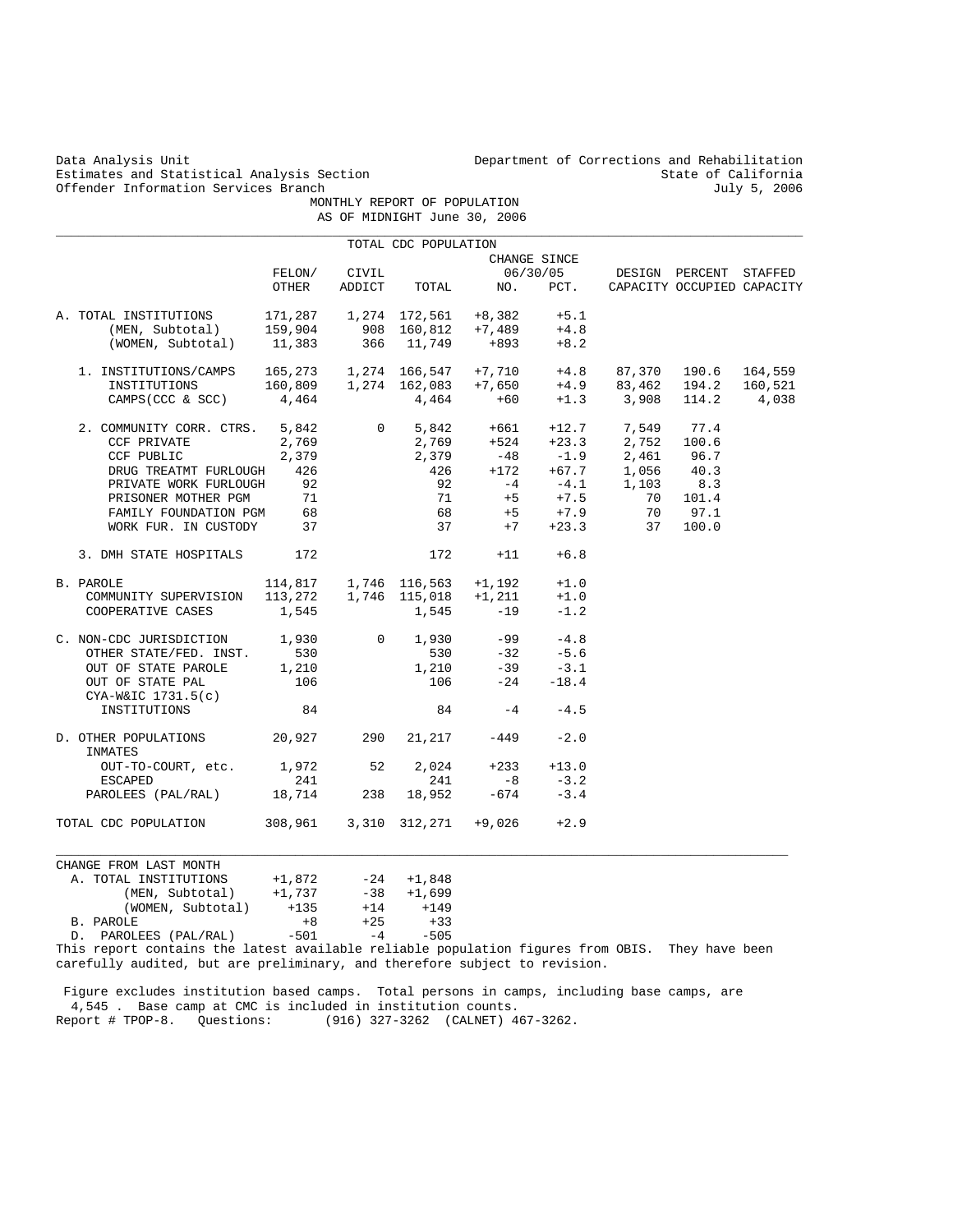Estimates and Statistical Analysis Section State of California<br>
Offender Information Services Branch State of California<br>
State of California Offender Information Services Branch

Data Analysis Unit Department of Corrections and Rehabilitation<br>Estimates and Statistical Analysis Section and Rehabilitation State of California

 MONTHLY REPORT OF POPULATION AS OF MIDNIGHT June 30, 2006

| CHANGE SINCE<br>FELON/<br>CIVIL<br>06/30/05<br>DESIGN PERCENT STAFFED<br>OTHER<br>ADDICT<br>NO.<br>TOTAL<br>PCT.<br>CAPACITY OCCUPIED CAPACITY<br>A. TOTAL INSTITUTIONS 171,287 1,274 172,561 +8,382 +5.1<br>(MEN, Subtotal) 159,904<br>908 160,812<br>$+7,489$<br>$+4.8$<br>366 11,749<br>(WOMEN, Subtotal)<br>11,383<br>+893<br>$+8.2$<br>1. INSTITUTIONS/CAMPS $165,273$ $1,274$ $166,547$ $+7,710$ $+4.8$<br>INSTITUTIONS $160,809$ $1,274$ $162,083$ $+7,650$ $+4.9$<br>CAMPS(CCC & SCC) $4.464$ $+60$ $+1.3$<br>87,370 190.6<br>$+4.9$<br>83,462 194.2<br>$+1.3$ 3,908<br>4,464<br>4,464<br>$+60$<br>114.2<br>CAMPS (CCC & SCC)<br>2. COMMUNITY CORR. CTRS. 5,842<br>$5,842$ $+661$ $722$ .<br>$2,769$ $+524$ $+23.3$<br>$-1.9$<br>$\overline{0}$<br>$+12.7$ 7,549<br>$+23.3$ 2,752<br>77.4<br>CCF PRIVATE<br>2,769<br>100.6<br>$-1.9$ 2,461<br>+67.7 1,056<br>2,379<br>2,379<br>$-48$<br>96.7<br>CCF PUBLIC<br>$\frac{375}{426}$<br>426<br>$+172$<br>40.3<br>DRUG TREATMT FURLOUGH<br>92<br>$-4.1$<br>+7.5<br>8.3<br>PRIVATE WORK FURLOUGH<br>92<br>$-4$<br>1,103<br>71<br>71<br>$+5$<br>70<br>101.4<br>PRISONER MOTHER PGM<br>68<br>68<br>$+5$<br>$+7.9$<br>70<br>97.1<br>FAMILY FOUNDATION PGM<br>WORK FUR. IN CUSTODY<br>37<br>37<br>$+7$<br>$+23.3$<br>37<br>100.0<br>3. DMH STATE HOSPITALS<br>172<br>172<br>$+11$<br>$+6.8$<br>1,746 116,563<br>114,817<br>+1,192<br>$+1.0$<br>B. PAROLE<br>1,746 115,018<br>113,272<br>$+1,211$<br>$+1.0$<br>COMMUNITY SUPERVISION<br>$-19$<br>1,545<br>1,545<br>$-1.2$<br>COOPERATIVE CASES<br>C. NON-CDC JURISDICTION<br>1,930<br>$\overline{0}$<br>1,930<br>$-99$<br>$-4.8$<br>530<br>530<br>$-32$<br>$-5.6$<br>OTHER STATE/FED. INST.<br>1,210<br>1,210<br>$-39$<br>$-3.1$<br>OUT OF STATE PAROLE<br>106<br>106<br>$-24$<br>OUT OF STATE PAL<br>$-18.4$<br>$CYA-W&IC$ 1731.5(c)<br>84<br>84<br>$-4$<br>$-4.5$<br>INSTITUTIONS<br>20,927<br>290<br>21,217<br>$-449$<br>$-2.0$<br>D. OTHER POPULATIONS<br>INMATES<br>OUT-TO-COURT, etc. 1,972<br>52<br>2,024<br>$+233$<br>$+13.0$<br>241<br>241<br>$-8$<br>$-3.2$<br><b>ESCAPED</b><br>PAROLEES (PAL/RAL) 18,714<br>238<br>18,952<br>$-674$<br>$-3.4$<br>TOTAL CDC POPULATION 308,961<br>3,310 312,271 +9,026<br>$+2.9$<br>CHANGE FROM LAST MONTH<br>$-24 + 1,848$<br>A. TOTAL INSTITUTIONS<br>+1,872 |                 |          | TOTAL CDC POPULATION |  |  |         |
|-------------------------------------------------------------------------------------------------------------------------------------------------------------------------------------------------------------------------------------------------------------------------------------------------------------------------------------------------------------------------------------------------------------------------------------------------------------------------------------------------------------------------------------------------------------------------------------------------------------------------------------------------------------------------------------------------------------------------------------------------------------------------------------------------------------------------------------------------------------------------------------------------------------------------------------------------------------------------------------------------------------------------------------------------------------------------------------------------------------------------------------------------------------------------------------------------------------------------------------------------------------------------------------------------------------------------------------------------------------------------------------------------------------------------------------------------------------------------------------------------------------------------------------------------------------------------------------------------------------------------------------------------------------------------------------------------------------------------------------------------------------------------------------------------------------------------------------------------------------------------------------------------------------------------------------------------------------------------------------------------------------------------------------------------------------------------------------------------------------------------------------------------------------------------------------------------------------------------------------------------------------------------------------------------------|-----------------|----------|----------------------|--|--|---------|
|                                                                                                                                                                                                                                                                                                                                                                                                                                                                                                                                                                                                                                                                                                                                                                                                                                                                                                                                                                                                                                                                                                                                                                                                                                                                                                                                                                                                                                                                                                                                                                                                                                                                                                                                                                                                                                                                                                                                                                                                                                                                                                                                                                                                                                                                                                       |                 |          |                      |  |  |         |
|                                                                                                                                                                                                                                                                                                                                                                                                                                                                                                                                                                                                                                                                                                                                                                                                                                                                                                                                                                                                                                                                                                                                                                                                                                                                                                                                                                                                                                                                                                                                                                                                                                                                                                                                                                                                                                                                                                                                                                                                                                                                                                                                                                                                                                                                                                       |                 |          |                      |  |  |         |
|                                                                                                                                                                                                                                                                                                                                                                                                                                                                                                                                                                                                                                                                                                                                                                                                                                                                                                                                                                                                                                                                                                                                                                                                                                                                                                                                                                                                                                                                                                                                                                                                                                                                                                                                                                                                                                                                                                                                                                                                                                                                                                                                                                                                                                                                                                       |                 |          |                      |  |  |         |
|                                                                                                                                                                                                                                                                                                                                                                                                                                                                                                                                                                                                                                                                                                                                                                                                                                                                                                                                                                                                                                                                                                                                                                                                                                                                                                                                                                                                                                                                                                                                                                                                                                                                                                                                                                                                                                                                                                                                                                                                                                                                                                                                                                                                                                                                                                       |                 |          |                      |  |  |         |
|                                                                                                                                                                                                                                                                                                                                                                                                                                                                                                                                                                                                                                                                                                                                                                                                                                                                                                                                                                                                                                                                                                                                                                                                                                                                                                                                                                                                                                                                                                                                                                                                                                                                                                                                                                                                                                                                                                                                                                                                                                                                                                                                                                                                                                                                                                       |                 |          |                      |  |  |         |
|                                                                                                                                                                                                                                                                                                                                                                                                                                                                                                                                                                                                                                                                                                                                                                                                                                                                                                                                                                                                                                                                                                                                                                                                                                                                                                                                                                                                                                                                                                                                                                                                                                                                                                                                                                                                                                                                                                                                                                                                                                                                                                                                                                                                                                                                                                       |                 |          |                      |  |  |         |
|                                                                                                                                                                                                                                                                                                                                                                                                                                                                                                                                                                                                                                                                                                                                                                                                                                                                                                                                                                                                                                                                                                                                                                                                                                                                                                                                                                                                                                                                                                                                                                                                                                                                                                                                                                                                                                                                                                                                                                                                                                                                                                                                                                                                                                                                                                       |                 |          |                      |  |  | 164,559 |
|                                                                                                                                                                                                                                                                                                                                                                                                                                                                                                                                                                                                                                                                                                                                                                                                                                                                                                                                                                                                                                                                                                                                                                                                                                                                                                                                                                                                                                                                                                                                                                                                                                                                                                                                                                                                                                                                                                                                                                                                                                                                                                                                                                                                                                                                                                       |                 |          |                      |  |  | 160,521 |
|                                                                                                                                                                                                                                                                                                                                                                                                                                                                                                                                                                                                                                                                                                                                                                                                                                                                                                                                                                                                                                                                                                                                                                                                                                                                                                                                                                                                                                                                                                                                                                                                                                                                                                                                                                                                                                                                                                                                                                                                                                                                                                                                                                                                                                                                                                       |                 |          |                      |  |  | 4,038   |
|                                                                                                                                                                                                                                                                                                                                                                                                                                                                                                                                                                                                                                                                                                                                                                                                                                                                                                                                                                                                                                                                                                                                                                                                                                                                                                                                                                                                                                                                                                                                                                                                                                                                                                                                                                                                                                                                                                                                                                                                                                                                                                                                                                                                                                                                                                       |                 |          |                      |  |  |         |
|                                                                                                                                                                                                                                                                                                                                                                                                                                                                                                                                                                                                                                                                                                                                                                                                                                                                                                                                                                                                                                                                                                                                                                                                                                                                                                                                                                                                                                                                                                                                                                                                                                                                                                                                                                                                                                                                                                                                                                                                                                                                                                                                                                                                                                                                                                       |                 |          |                      |  |  |         |
|                                                                                                                                                                                                                                                                                                                                                                                                                                                                                                                                                                                                                                                                                                                                                                                                                                                                                                                                                                                                                                                                                                                                                                                                                                                                                                                                                                                                                                                                                                                                                                                                                                                                                                                                                                                                                                                                                                                                                                                                                                                                                                                                                                                                                                                                                                       |                 |          |                      |  |  |         |
|                                                                                                                                                                                                                                                                                                                                                                                                                                                                                                                                                                                                                                                                                                                                                                                                                                                                                                                                                                                                                                                                                                                                                                                                                                                                                                                                                                                                                                                                                                                                                                                                                                                                                                                                                                                                                                                                                                                                                                                                                                                                                                                                                                                                                                                                                                       |                 |          |                      |  |  |         |
|                                                                                                                                                                                                                                                                                                                                                                                                                                                                                                                                                                                                                                                                                                                                                                                                                                                                                                                                                                                                                                                                                                                                                                                                                                                                                                                                                                                                                                                                                                                                                                                                                                                                                                                                                                                                                                                                                                                                                                                                                                                                                                                                                                                                                                                                                                       |                 |          |                      |  |  |         |
|                                                                                                                                                                                                                                                                                                                                                                                                                                                                                                                                                                                                                                                                                                                                                                                                                                                                                                                                                                                                                                                                                                                                                                                                                                                                                                                                                                                                                                                                                                                                                                                                                                                                                                                                                                                                                                                                                                                                                                                                                                                                                                                                                                                                                                                                                                       |                 |          |                      |  |  |         |
|                                                                                                                                                                                                                                                                                                                                                                                                                                                                                                                                                                                                                                                                                                                                                                                                                                                                                                                                                                                                                                                                                                                                                                                                                                                                                                                                                                                                                                                                                                                                                                                                                                                                                                                                                                                                                                                                                                                                                                                                                                                                                                                                                                                                                                                                                                       |                 |          |                      |  |  |         |
|                                                                                                                                                                                                                                                                                                                                                                                                                                                                                                                                                                                                                                                                                                                                                                                                                                                                                                                                                                                                                                                                                                                                                                                                                                                                                                                                                                                                                                                                                                                                                                                                                                                                                                                                                                                                                                                                                                                                                                                                                                                                                                                                                                                                                                                                                                       |                 |          |                      |  |  |         |
|                                                                                                                                                                                                                                                                                                                                                                                                                                                                                                                                                                                                                                                                                                                                                                                                                                                                                                                                                                                                                                                                                                                                                                                                                                                                                                                                                                                                                                                                                                                                                                                                                                                                                                                                                                                                                                                                                                                                                                                                                                                                                                                                                                                                                                                                                                       |                 |          |                      |  |  |         |
|                                                                                                                                                                                                                                                                                                                                                                                                                                                                                                                                                                                                                                                                                                                                                                                                                                                                                                                                                                                                                                                                                                                                                                                                                                                                                                                                                                                                                                                                                                                                                                                                                                                                                                                                                                                                                                                                                                                                                                                                                                                                                                                                                                                                                                                                                                       |                 |          |                      |  |  |         |
|                                                                                                                                                                                                                                                                                                                                                                                                                                                                                                                                                                                                                                                                                                                                                                                                                                                                                                                                                                                                                                                                                                                                                                                                                                                                                                                                                                                                                                                                                                                                                                                                                                                                                                                                                                                                                                                                                                                                                                                                                                                                                                                                                                                                                                                                                                       |                 |          |                      |  |  |         |
|                                                                                                                                                                                                                                                                                                                                                                                                                                                                                                                                                                                                                                                                                                                                                                                                                                                                                                                                                                                                                                                                                                                                                                                                                                                                                                                                                                                                                                                                                                                                                                                                                                                                                                                                                                                                                                                                                                                                                                                                                                                                                                                                                                                                                                                                                                       |                 |          |                      |  |  |         |
|                                                                                                                                                                                                                                                                                                                                                                                                                                                                                                                                                                                                                                                                                                                                                                                                                                                                                                                                                                                                                                                                                                                                                                                                                                                                                                                                                                                                                                                                                                                                                                                                                                                                                                                                                                                                                                                                                                                                                                                                                                                                                                                                                                                                                                                                                                       |                 |          |                      |  |  |         |
|                                                                                                                                                                                                                                                                                                                                                                                                                                                                                                                                                                                                                                                                                                                                                                                                                                                                                                                                                                                                                                                                                                                                                                                                                                                                                                                                                                                                                                                                                                                                                                                                                                                                                                                                                                                                                                                                                                                                                                                                                                                                                                                                                                                                                                                                                                       |                 |          |                      |  |  |         |
|                                                                                                                                                                                                                                                                                                                                                                                                                                                                                                                                                                                                                                                                                                                                                                                                                                                                                                                                                                                                                                                                                                                                                                                                                                                                                                                                                                                                                                                                                                                                                                                                                                                                                                                                                                                                                                                                                                                                                                                                                                                                                                                                                                                                                                                                                                       |                 |          |                      |  |  |         |
|                                                                                                                                                                                                                                                                                                                                                                                                                                                                                                                                                                                                                                                                                                                                                                                                                                                                                                                                                                                                                                                                                                                                                                                                                                                                                                                                                                                                                                                                                                                                                                                                                                                                                                                                                                                                                                                                                                                                                                                                                                                                                                                                                                                                                                                                                                       |                 |          |                      |  |  |         |
|                                                                                                                                                                                                                                                                                                                                                                                                                                                                                                                                                                                                                                                                                                                                                                                                                                                                                                                                                                                                                                                                                                                                                                                                                                                                                                                                                                                                                                                                                                                                                                                                                                                                                                                                                                                                                                                                                                                                                                                                                                                                                                                                                                                                                                                                                                       |                 |          |                      |  |  |         |
|                                                                                                                                                                                                                                                                                                                                                                                                                                                                                                                                                                                                                                                                                                                                                                                                                                                                                                                                                                                                                                                                                                                                                                                                                                                                                                                                                                                                                                                                                                                                                                                                                                                                                                                                                                                                                                                                                                                                                                                                                                                                                                                                                                                                                                                                                                       |                 |          |                      |  |  |         |
|                                                                                                                                                                                                                                                                                                                                                                                                                                                                                                                                                                                                                                                                                                                                                                                                                                                                                                                                                                                                                                                                                                                                                                                                                                                                                                                                                                                                                                                                                                                                                                                                                                                                                                                                                                                                                                                                                                                                                                                                                                                                                                                                                                                                                                                                                                       |                 |          |                      |  |  |         |
|                                                                                                                                                                                                                                                                                                                                                                                                                                                                                                                                                                                                                                                                                                                                                                                                                                                                                                                                                                                                                                                                                                                                                                                                                                                                                                                                                                                                                                                                                                                                                                                                                                                                                                                                                                                                                                                                                                                                                                                                                                                                                                                                                                                                                                                                                                       |                 |          |                      |  |  |         |
|                                                                                                                                                                                                                                                                                                                                                                                                                                                                                                                                                                                                                                                                                                                                                                                                                                                                                                                                                                                                                                                                                                                                                                                                                                                                                                                                                                                                                                                                                                                                                                                                                                                                                                                                                                                                                                                                                                                                                                                                                                                                                                                                                                                                                                                                                                       |                 |          |                      |  |  |         |
|                                                                                                                                                                                                                                                                                                                                                                                                                                                                                                                                                                                                                                                                                                                                                                                                                                                                                                                                                                                                                                                                                                                                                                                                                                                                                                                                                                                                                                                                                                                                                                                                                                                                                                                                                                                                                                                                                                                                                                                                                                                                                                                                                                                                                                                                                                       |                 |          |                      |  |  |         |
|                                                                                                                                                                                                                                                                                                                                                                                                                                                                                                                                                                                                                                                                                                                                                                                                                                                                                                                                                                                                                                                                                                                                                                                                                                                                                                                                                                                                                                                                                                                                                                                                                                                                                                                                                                                                                                                                                                                                                                                                                                                                                                                                                                                                                                                                                                       |                 |          |                      |  |  |         |
|                                                                                                                                                                                                                                                                                                                                                                                                                                                                                                                                                                                                                                                                                                                                                                                                                                                                                                                                                                                                                                                                                                                                                                                                                                                                                                                                                                                                                                                                                                                                                                                                                                                                                                                                                                                                                                                                                                                                                                                                                                                                                                                                                                                                                                                                                                       |                 |          |                      |  |  |         |
|                                                                                                                                                                                                                                                                                                                                                                                                                                                                                                                                                                                                                                                                                                                                                                                                                                                                                                                                                                                                                                                                                                                                                                                                                                                                                                                                                                                                                                                                                                                                                                                                                                                                                                                                                                                                                                                                                                                                                                                                                                                                                                                                                                                                                                                                                                       |                 |          |                      |  |  |         |
|                                                                                                                                                                                                                                                                                                                                                                                                                                                                                                                                                                                                                                                                                                                                                                                                                                                                                                                                                                                                                                                                                                                                                                                                                                                                                                                                                                                                                                                                                                                                                                                                                                                                                                                                                                                                                                                                                                                                                                                                                                                                                                                                                                                                                                                                                                       | (MEN, Subtotal) | $+1,737$ |                      |  |  |         |
| $-38$ $+1,699$<br>$+14$ $+149$<br>(WOMEN, Subtotal) +135                                                                                                                                                                                                                                                                                                                                                                                                                                                                                                                                                                                                                                                                                                                                                                                                                                                                                                                                                                                                                                                                                                                                                                                                                                                                                                                                                                                                                                                                                                                                                                                                                                                                                                                                                                                                                                                                                                                                                                                                                                                                                                                                                                                                                                              |                 |          |                      |  |  |         |
| $+8$<br>$+25$<br>$+33$<br>B. PAROLE                                                                                                                                                                                                                                                                                                                                                                                                                                                                                                                                                                                                                                                                                                                                                                                                                                                                                                                                                                                                                                                                                                                                                                                                                                                                                                                                                                                                                                                                                                                                                                                                                                                                                                                                                                                                                                                                                                                                                                                                                                                                                                                                                                                                                                                                   |                 |          |                      |  |  |         |
| $-501$<br>$-505$<br>$-4$<br>D. PAROLEES (PAL/RAL)                                                                                                                                                                                                                                                                                                                                                                                                                                                                                                                                                                                                                                                                                                                                                                                                                                                                                                                                                                                                                                                                                                                                                                                                                                                                                                                                                                                                                                                                                                                                                                                                                                                                                                                                                                                                                                                                                                                                                                                                                                                                                                                                                                                                                                                     |                 |          |                      |  |  |         |
| This report contains the latest available reliable population figures from OBIS. They have been                                                                                                                                                                                                                                                                                                                                                                                                                                                                                                                                                                                                                                                                                                                                                                                                                                                                                                                                                                                                                                                                                                                                                                                                                                                                                                                                                                                                                                                                                                                                                                                                                                                                                                                                                                                                                                                                                                                                                                                                                                                                                                                                                                                                       |                 |          |                      |  |  |         |

 Figure excludes institution based camps. Total persons in camps, including base camps, are 4,545 . Base camp at CMC is included in institution counts. Report # TPOP-8. Questions: (916) 327-3262 (CALNET) 467-3262.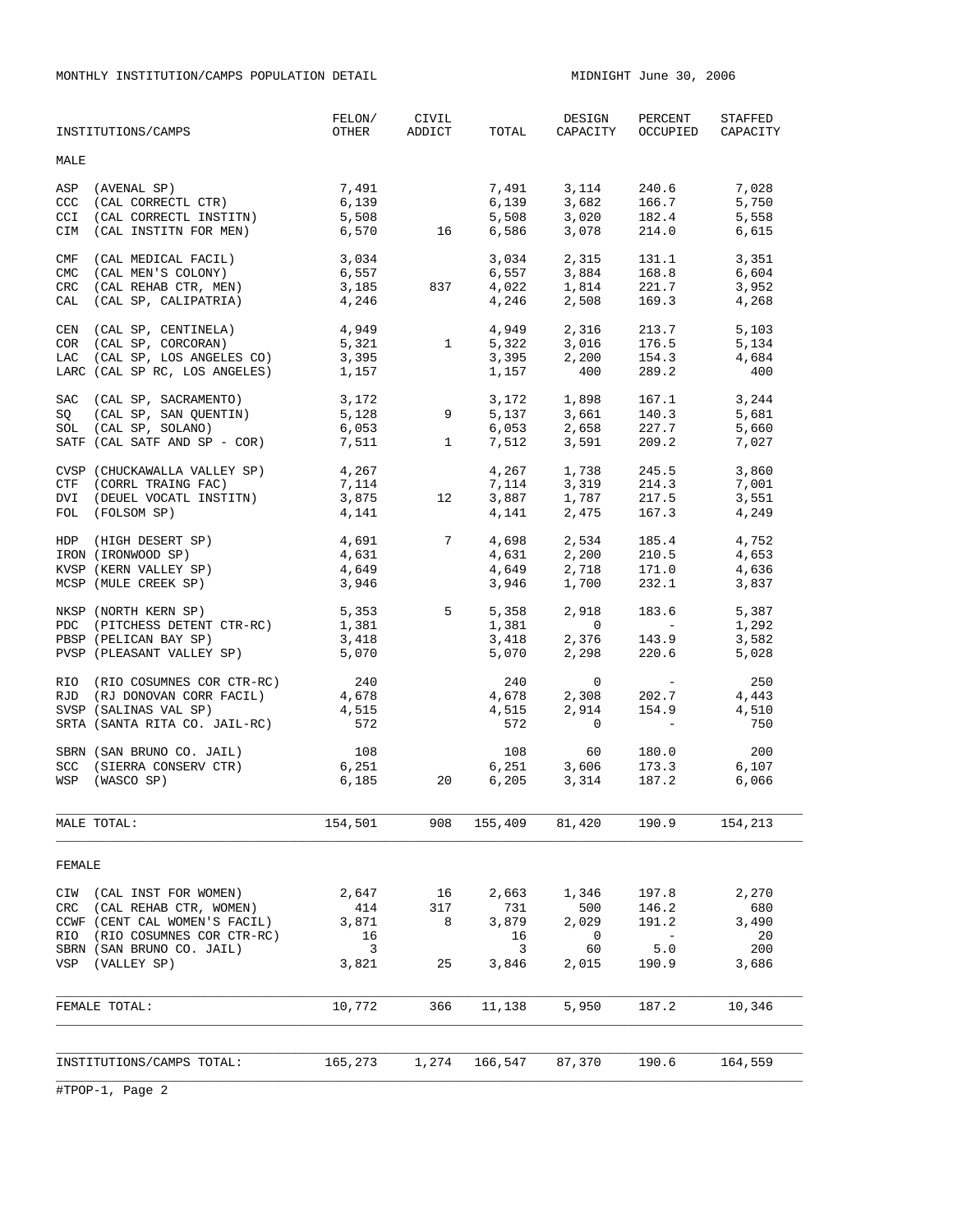MONTHLY INSTITUTION/CAMPS POPULATION DETAIL **MIDNIGHT JUNE 30, 2006** 

| INSTITUTIONS/CAMPS                                                                                                                                                                                                                                                                             | FELON/<br>OTHER                                                 | CIVIL<br>ADDICT      | TOTAL                                     | DESIGN<br>CAPACITY                                                                           | PERCENT<br>OCCUPIED                                                                                                                          | STAFFED<br>CAPACITY                           |
|------------------------------------------------------------------------------------------------------------------------------------------------------------------------------------------------------------------------------------------------------------------------------------------------|-----------------------------------------------------------------|----------------------|-------------------------------------------|----------------------------------------------------------------------------------------------|----------------------------------------------------------------------------------------------------------------------------------------------|-----------------------------------------------|
| MALE                                                                                                                                                                                                                                                                                           |                                                                 |                      |                                           |                                                                                              |                                                                                                                                              |                                               |
| (AVENAL SP)<br>ASP<br>(CAL CORRECTL CTR)<br>(CAL CORRECTL INSTITN)<br>CCC<br><b>CCI</b><br>(CAL INSTITN FOR MEN) 6,570 16<br>CIM                                                                                                                                                               | 7,491<br>6,139<br>5,508                                         |                      | 7,491<br>6,586                            | 6,139 3,682 166.7<br>5,508 3,020 182.4<br>3,078                                              | 3, 114 240.6<br>214.0                                                                                                                        | 7,028<br>5,750<br>5,558<br>6,615              |
| (CAL MEDICAL FACIL)<br>(CAL MEN'S COLONY)<br>CMF<br>CMC<br>(CAL REHAB CTR, MEN)<br>(CAL SP, CALIPATRIA)<br>CRC<br>CAL                                                                                                                                                                          | $3,034$<br>6,557<br>3,185 837<br>4,246                          |                      |                                           | 3,034 2,315<br>6,557 3,884<br>$4,022$ $1,814$<br>$4,246$ $2,508$                             | $131.1$<br>$168.8$<br>221.7<br>169.3                                                                                                         | 3,351<br>6,604<br>3,952<br>4,268              |
| CEN (CAL SP, CENTINELA) 4,949<br>COR (CAL SP, CORCORAN) 5,321<br>LAC (CAL SP, LOS ANGELES CO) 3,395<br>LARC (CAL SP RC, LOS ANGELES) 1,157                                                                                                                                                     |                                                                 |                      | 4,949                                     | 5,322 3,016 176.5<br>3,395 2,200 154.3<br>1,157 400                                          | 2,316 213.7<br>176.5<br>289.2                                                                                                                | 5,103<br>5,134<br>4,684<br>400                |
| $\begin{tabular}{lllllllll} \texttt{SAC} & (CAL & SP, \texttt{ SACRAMENTO}) & & & 3,172 \\ \texttt{SQ} & (CAL & SP, \texttt{SAN QUENTIN}) & & 5,128 & 9 \\ \texttt{SOL} & (CAL & SP, \texttt{SOLAND}) & & 6,053 \\ \texttt{SATF} & (CAL & SATF AND SP - COR) & & 7,511 & & 1 \\ \end{tabular}$ |                                                                 |                      |                                           | 3,172 1,898 167.1<br>5,137 3,661 140.3<br>$6,053$ $2,658$ $227.7$<br>$7,512$ $3,591$ $209.2$ |                                                                                                                                              | 3,244<br>5,681<br>5,660<br>7,027              |
| CVSP (CHUCKAWALLA VALLEY SP) 4,267<br>CTF (CORRL TRAING FAC) 7,114<br>DVI (DEUEL VOCATL INSTITN) 3,875 12<br>FOL (FOLSOM SP)                                                                                                                                                                   | 4,141                                                           | 12                   |                                           | 4,267 1,738<br>7, 114 3, 319 214.3<br>3, 887 1, 787 217.5<br>4, 141 2, 475 167.3             | 245.5                                                                                                                                        | 3,860<br>7,001<br>3,551<br>4,249              |
| HDP (HIGH DESERT SP) $4,691$ 7<br>IRON (IRONWOOD SP)<br>$\begin{array}{ll}\n\text{KVSP} & \text{(KERN VALUEY } \text{SP}) \\ \text{MGP} & \text{MHT} = \begin{array}{cc}\n\text{SFR} & \text{SFR} \\ \text{MCT} & \text{SFR}\n\end{array}\n\end{array}$<br>MCSP (MULE CREEK SP)                | 4,649<br>3,946                                                  | 4,631<br>4,649       | 4,698<br>4,631<br>4,649<br>3,946          | $2,718$<br>1,700                                                                             | 2,534 185.4<br>2,200 210.5<br>171.0<br>232.1                                                                                                 | 4,752<br>4,653<br>4,636<br>3,837              |
| NKSP (NORTH KERN SP)<br>PDC (PITCHESS DETENT CTR-RC)<br>PBSP (PELICAN BAY SP)<br>PVSP (PLEASANT VALLEY SP) 5,070                                                                                                                                                                               | 1,381<br>3,418                                                  | 5,353 5              | 5,358<br>$1,381$<br>3,418 2,<br>5,070     | 2,918<br>$\overline{0}$<br>2,376<br>2,298                                                    | 183.6<br>$\mathcal{L}^{\mathcal{L}}(\mathcal{L}^{\mathcal{L}})$ and $\mathcal{L}^{\mathcal{L}}(\mathcal{L}^{\mathcal{L}})$<br>143.9<br>220.6 | 5,387<br>1,292<br>3,582<br>5,028              |
| RIO (RIO COSUMNES COR CTR-RC) 240<br>RJD (RJ DONOVAN CORR FACIL)<br>SVSP (SALINAS VAL SP)<br>SRTA (SANTA RITA CO. JAIL-RC)                                                                                                                                                                     | $4,678$<br>$4,515$<br>572                                       |                      | 240<br>4,678<br>4,678<br>4,515<br>572     | $\mathbf{0}$<br>2,308<br>2,914<br>$\overline{0}$                                             | $\mathcal{L}_{\text{max}}$ and $\mathcal{L}_{\text{max}}$<br>202.7<br>154.9                                                                  | 250<br>4,443<br>4,510<br>750                  |
| SBRN (SAN BRUNO CO. JAIL)<br>SCC (SIERRA CONSERV CTR)<br>WSP (WASCO SP)                                                                                                                                                                                                                        | $\begin{array}{c} 108 \\ 6,251 \end{array}$<br>6,185            | 20                   | 108<br>6,251<br>6,205                     | 60<br>3,606<br>3,314                                                                         | 180.0<br>173.3<br>187.2                                                                                                                      | 200<br>6,107<br>6,066                         |
| MALE TOTAL:                                                                                                                                                                                                                                                                                    | 154,501                                                         | 908                  | 155,409                                   | 81,420                                                                                       | 190.9                                                                                                                                        | 154,213                                       |
| FEMALE                                                                                                                                                                                                                                                                                         |                                                                 |                      |                                           |                                                                                              |                                                                                                                                              |                                               |
| CIW (CAL INST FOR WOMEN)<br>CRC (CAL REHAB CTR, WOMEN)<br>CCWF (CENT CAL WOMEN'S FACIL)<br>(RIO COSUMNES COR CTR-RC)<br>RIO<br>SBRN (SAN BRUNO CO. JAIL)<br>(VALLEY SP)<br>VSP                                                                                                                 | 2,647<br>414<br>3,871<br>16<br>$\overline{\mathbf{3}}$<br>3,821 | 16<br>317<br>8<br>25 | 2,663<br>731<br>3,879<br>16<br>3<br>3,846 | 1,346<br>500<br>2,029<br>$\mathbf 0$<br>60<br>2,015                                          | 197.8<br>146.2<br>191.2<br>$\sim$ $-$<br>5.0<br>190.9                                                                                        | 2,270<br>680<br>3,490<br>- 20<br>200<br>3,686 |
| FEMALE TOTAL:                                                                                                                                                                                                                                                                                  | 10,772                                                          | 366                  | 11,138                                    | 5,950                                                                                        | 187.2                                                                                                                                        | 10,346                                        |
| INSTITUTIONS/CAMPS TOTAL:                                                                                                                                                                                                                                                                      | 165,273                                                         | 1,274                | 166,547                                   | 87,370                                                                                       | 190.6                                                                                                                                        | 164,559                                       |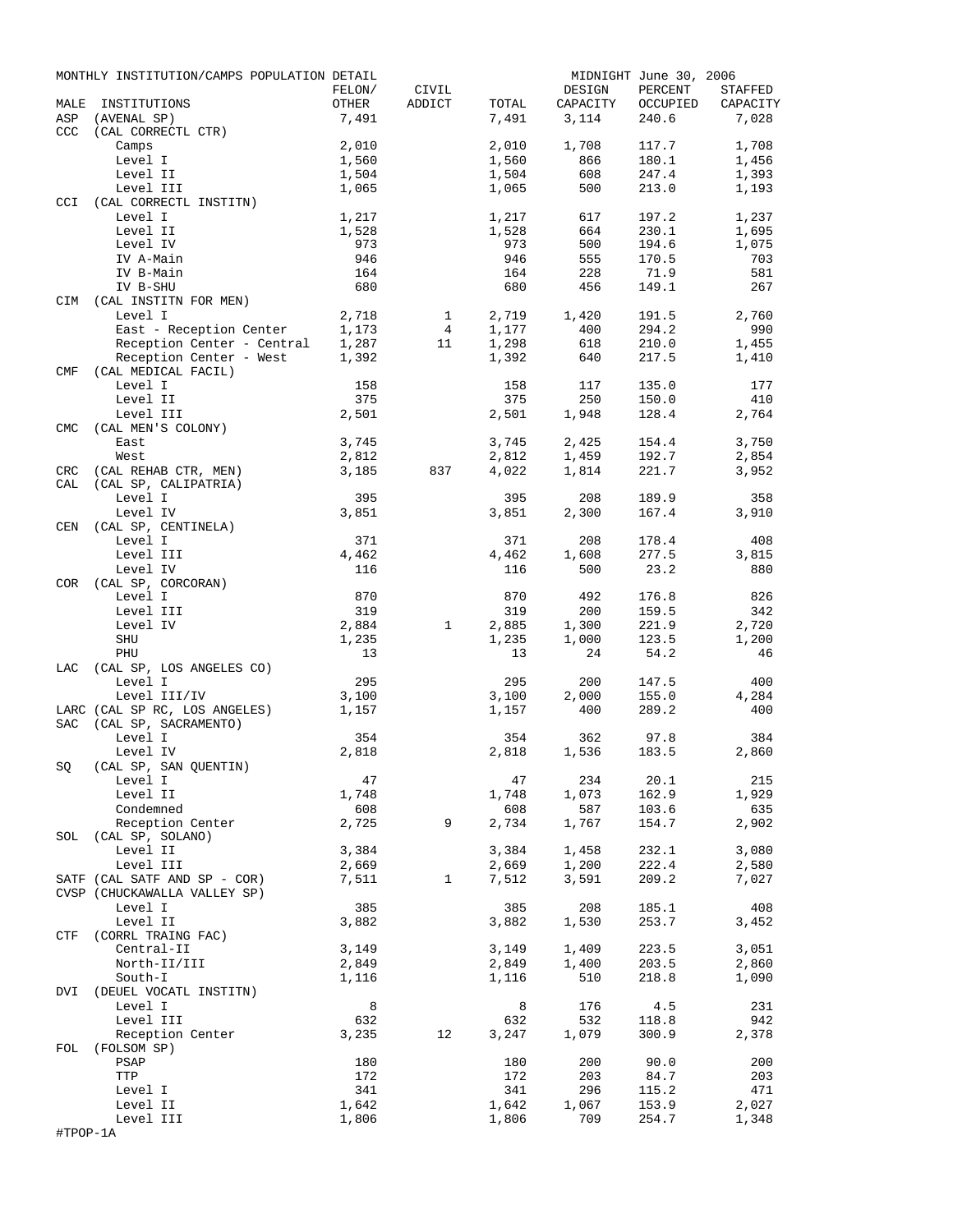|            | MONTHLY INSTITUTION/CAMPS POPULATION DETAIL   |                |                     |                |                | MIDNIGHT June 30, 2006 |                |
|------------|-----------------------------------------------|----------------|---------------------|----------------|----------------|------------------------|----------------|
|            |                                               | FELON/         | CIVIL               |                | DESIGN         | PERCENT                | STAFFED        |
| MALE       | INSTITUTIONS                                  | OTHER          | ADDICT              | TOTAL          | CAPACITY       | OCCUPIED               | CAPACITY       |
| ASP        | (AVENAL SP)                                   | 7,491          |                     | 7,491          | 3,114          | 240.6                  | 7,028          |
| CCC        | (CAL CORRECTL CTR)<br>Camps                   | 2,010          |                     | 2,010          | 1,708          | 117.7                  | 1,708          |
|            | Level I                                       | 1,560          |                     | 1,560          | 866            | 180.1                  | 1,456          |
|            | Level II                                      | 1,504          |                     | 1,504          | 608            | 247.4                  | 1,393          |
|            | Level III                                     | 1,065          |                     | 1,065          | 500            | 213.0                  | 1,193          |
| <b>CCI</b> | (CAL CORRECTL INSTITN)                        |                |                     |                |                |                        |                |
|            | Level I                                       | 1,217          |                     | 1,217          | 617            | 197.2                  | 1,237          |
|            | Level II                                      | 1,528          |                     | 1,528          | 664            | 230.1                  | 1,695          |
|            | Level IV                                      | 973            |                     | 973            | 500            | 194.6                  | 1,075          |
|            | IV A-Main                                     | 946            |                     | 946            | 555            | 170.5                  | 703            |
|            | IV B-Main                                     | 164            |                     | 164            | 228            | 71.9                   | 581            |
|            | IV B-SHU                                      | 680            |                     | 680            | 456            | 149.1                  | 267            |
| CIM        | (CAL INSTITN FOR MEN)<br>Level I              | 2,718          |                     | 2,719          | 1,420          | 191.5                  | 2,760          |
|            | East - Reception Center                       | 1,173          | 1<br>$\overline{4}$ | 1,177          | 400            | 294.2                  | 990            |
|            | Reception Center - Central                    | 1,287          | 11                  | 1,298          | 618            | 210.0                  | 1,455          |
|            | Reception Center - West                       | 1,392          |                     | 1,392          | 640            | 217.5                  | 1,410          |
| <b>CMF</b> | (CAL MEDICAL FACIL)                           |                |                     |                |                |                        |                |
|            | Level I                                       | 158            |                     | 158            | 117            | 135.0                  | 177            |
|            | Level II                                      | 375            |                     | 375            | 250            | 150.0                  | 410            |
|            | Level III                                     | 2,501          |                     | 2,501          | 1,948          | 128.4                  | 2,764          |
| <b>CMC</b> | (CAL MEN'S COLONY)                            |                |                     |                |                |                        |                |
|            | East                                          | 3,745          |                     | 3,745          | 2,425          | 154.4                  | 3,750          |
|            | West                                          | 2,812          |                     | 2,812          | 1,459          | 192.7                  | 2,854          |
| CRC        | (CAL REHAB CTR, MEN)                          | 3,185          | 837                 | 4,022          | 1,814          | 221.7                  | 3,952          |
| CAL        | (CAL SP, CALIPATRIA)                          |                |                     |                |                |                        |                |
|            | Level I                                       | 395            |                     | 395            | 208            | 189.9<br>167.4         | 358            |
| CEN        | Level IV<br>(CAL SP, CENTINELA)               | 3,851          |                     | 3,851          | 2,300          |                        | 3,910          |
|            | Level I                                       | 371            |                     | 371            | 208            | 178.4                  | 408            |
|            | Level III                                     | 4,462          |                     | 4,462          | 1,608          | 277.5                  | 3,815          |
|            | Level IV                                      | 116            |                     | 116            | 500            | 23.2                   | 880            |
| COR        | (CAL SP, CORCORAN)                            |                |                     |                |                |                        |                |
|            | Level I                                       | 870            |                     | 870            | 492            | 176.8                  | 826            |
|            | Level III                                     | 319            |                     | 319            | 200            | 159.5                  | 342            |
|            | Level IV                                      | 2,884          | $\mathbf{1}$        | 2,885          | 1,300          | 221.9                  | 2,720          |
|            | SHU                                           | 1,235          |                     | 1,235          | 1,000          | 123.5                  | 1,200          |
|            | PHU                                           | 13             |                     | 13             | 24             | 54.2                   | 46             |
| LAC        | (CAL SP, LOS ANGELES CO)                      |                |                     |                |                |                        |                |
|            | Level I                                       | 295            |                     | 295            | 200            | 147.5                  | 400            |
|            | Level III/IV<br>LARC (CAL SP RC, LOS ANGELES) | 3,100<br>1,157 |                     | 3,100<br>1,157 | 2,000<br>400   | 155.0<br>289.2         | 4,284<br>400   |
| SAC        | (CAL SP, SACRAMENTO)                          |                |                     |                |                |                        |                |
|            | Level I                                       | 354            |                     | 354            | 362            | 97.8                   | 384            |
|            | Level IV                                      | 2,818          |                     | 2,818          | 1,536          | 183.5                  | 2,860          |
|            | SQ (CAL SP, SAN QUENTIN)                      |                |                     |                |                |                        |                |
|            | Level I                                       | 47             |                     | 47             | 234            | 20.1                   | 215            |
|            | Level II                                      | 1,748          |                     | 1,748          | 1,073          | 162.9                  | 1,929          |
|            | Condemned                                     | 608            |                     | 608            | 587            | 103.6                  | 635            |
|            | Reception Center                              | 2,725          | 9                   | 2,734          | 1,767          | 154.7                  | 2,902          |
| SOL        | (CAL SP, SOLANO)                              |                |                     |                |                |                        |                |
|            | Level II                                      | 3,384          |                     | 3,384          | 1,458          | 232.1                  | 3,080          |
|            | Level III<br>SATF (CAL SATF AND SP - COR)     | 2,669<br>7,511 | $\mathbf{1}$        | 2,669<br>7,512 | 1,200<br>3,591 | 222.4<br>209.2         | 2,580<br>7,027 |
|            | CVSP (CHUCKAWALLA VALLEY SP)                  |                |                     |                |                |                        |                |
|            | Level I                                       | 385            |                     | 385            | 208            | 185.1                  | 408            |
|            | Level II                                      | 3,882          |                     | 3,882          | 1,530          | 253.7                  | 3,452          |
| CTF        | (CORRL TRAING FAC)                            |                |                     |                |                |                        |                |
|            | Central-II                                    | 3,149          |                     | 3,149          | 1,409          | 223.5                  | 3,051          |
|            | North-II/III                                  | 2,849          |                     | 2,849          | 1,400          | 203.5                  | 2,860          |
|            | South-I                                       | 1,116          |                     | 1,116          | 510            | 218.8                  | 1,090          |
| DVI        | (DEUEL VOCATL INSTITN)                        |                |                     |                |                |                        |                |
|            | Level I                                       | 8              |                     | 8              | 176            | 4.5                    | 231            |
|            | Level III                                     | 632            |                     | 632            | 532            | 118.8                  | 942            |
|            | Reception Center                              | 3,235          | 12                  | 3,247          | 1,079          | 300.9                  | 2,378          |
| FOL        | (FOLSOM SP)                                   |                |                     | 180            | 200            | 90.0                   | 200            |
|            | PSAP<br>TTP                                   | 180<br>172     |                     | 172            | 203            | 84.7                   | 203            |
|            | Level I                                       | 341            |                     | 341            | 296            | 115.2                  | 471            |
|            | Level II                                      | 1,642          |                     | 1,642          | 1,067          | 153.9                  | 2,027          |
|            | Level III                                     | 1,806          |                     | 1,806          | 709            | 254.7                  | 1,348          |
| #TPOP-1A   |                                               |                |                     |                |                |                        |                |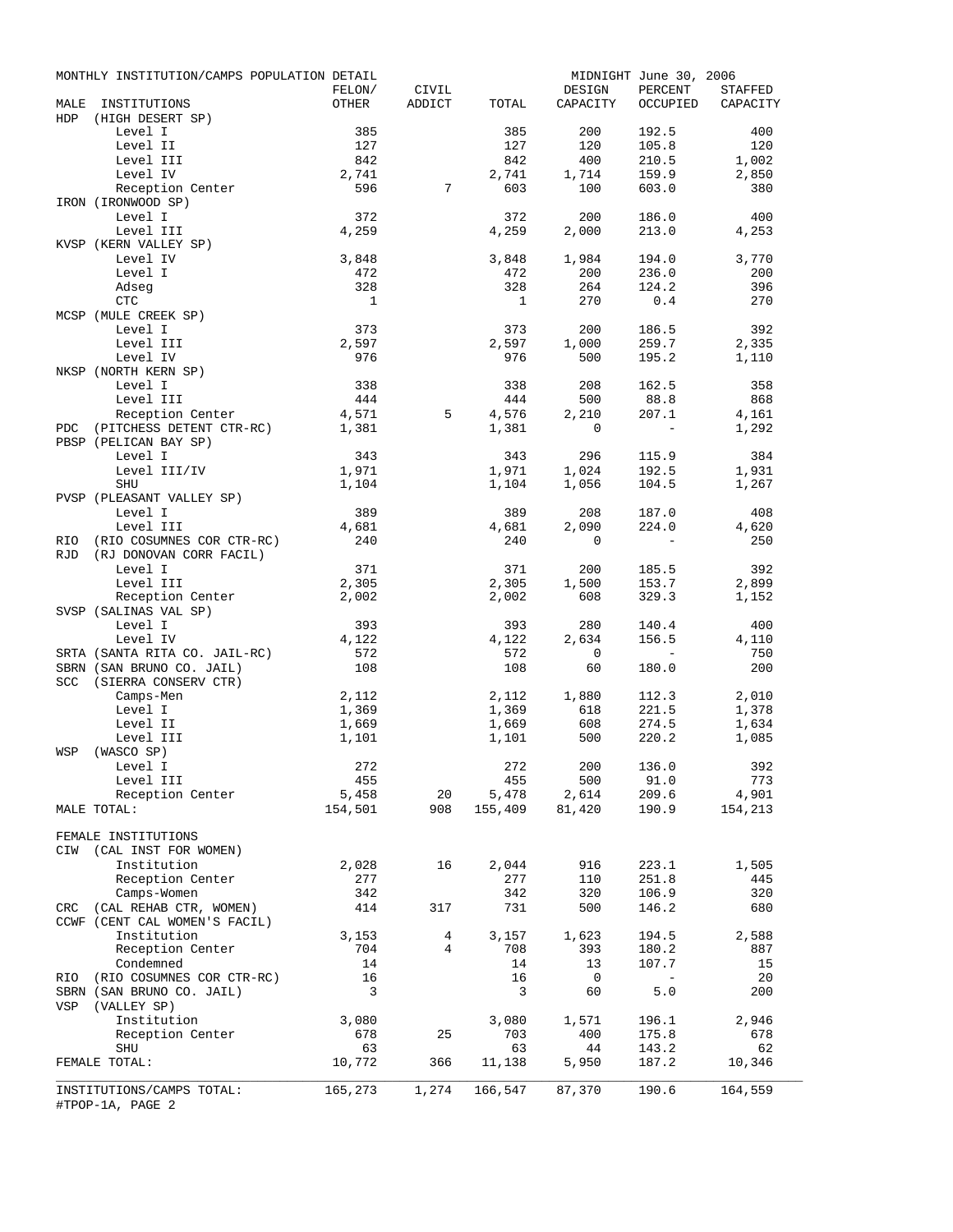|     | MONTHLY INSTITUTION/CAMPS POPULATION DETAIL           |                         |                 |                |                          | MIDNIGHT June 30, 2006 |                   |
|-----|-------------------------------------------------------|-------------------------|-----------------|----------------|--------------------------|------------------------|-------------------|
|     |                                                       | FELON/                  | CIVIL           |                | DESIGN                   | PERCENT                | STAFFED           |
| HDP | MALE INSTITUTIONS                                     | OTHER                   | ADDICT          | TOTAL          | CAPACITY                 |                        | OCCUPIED CAPACITY |
|     | (HIGH DESERT SP)<br>Level I                           | 385                     |                 | 385            | 200                      | 192.5                  | 400               |
|     | Level II                                              | 127                     |                 | 127            | 120                      | 105.8                  | 120               |
|     | Level III                                             | 842                     |                 | 842            | 400                      | 210.5                  | 1,002             |
|     | Level IV                                              | 2,741                   |                 | 2,741          | 1,714                    | 159.9                  | 2,850             |
|     | Reception Center                                      | 596                     | $7^{\circ}$     | 603            | 100                      | 603.0                  | 380               |
|     | IRON (IRONWOOD SP)                                    |                         |                 |                |                          |                        |                   |
|     | Level I                                               | 372                     |                 | 372            | 200                      | 186.0                  | 400               |
|     | Level III                                             | 4,259                   |                 | 4,259          | 2,000                    | 213.0                  | 4,253             |
|     | KVSP (KERN VALLEY SP)                                 |                         |                 |                |                          |                        |                   |
|     | Level IV                                              | 3,848                   |                 | 3,848          | 1,984                    | 194.0                  | 3,770             |
|     | Level I<br>Adseg                                      | 472<br>328              |                 | 472<br>328     | 200<br>264               | 236.0<br>124.2         | 200<br>396        |
|     | CTC                                                   | $\overline{1}$          |                 | $\overline{1}$ | 270                      | 0.4                    | 270               |
|     | MCSP (MULE CREEK SP)                                  |                         |                 |                |                          |                        |                   |
|     | Level I                                               | 373                     |                 | 373            | 200                      | 186.5                  | 392               |
|     | Level III                                             | 2,597                   |                 | 2,597          | 1,000                    | 259.7                  | 2,335             |
|     | Level IV                                              | 976                     |                 | 976            | 500                      | 195.2                  | 1,110             |
|     | NKSP (NORTH KERN SP)                                  |                         |                 |                |                          |                        |                   |
|     | Level I                                               | 338                     |                 | 338            | 208                      | 162.5                  | 358               |
|     | Level III                                             | 444                     |                 | 444            | 500                      | 88.8                   | 868               |
|     | Reception Center                                      | 4,571                   | 5               | 4,576          | 2,210                    | 207.1                  | 4,161             |
| PDC | (PITCHESS DETENT CTR-RC)                              | 1,381                   |                 | 1,381          | 0                        | $\sim$ $-$             | 1,292             |
|     | PBSP (PELICAN BAY SP)                                 |                         |                 |                |                          |                        |                   |
|     | Level I                                               | 343                     |                 | 343            | 296                      | 115.9                  | 384               |
|     | Level III/IV<br>SHU                                   | 1,971<br>1,104          |                 | 1,971<br>1,104 | 1,024<br>1,056           | 192.5<br>104.5         | 1,931<br>1,267    |
|     | PVSP (PLEASANT VALLEY SP)                             |                         |                 |                |                          |                        |                   |
|     | Level I                                               | 389                     |                 | 389            | 208                      | 187.0                  | 408               |
|     | Level III                                             | 4,681                   |                 | 4,681          | 2,090                    | 224.0                  | 4,620             |
| RIO | (RIO COSUMNES COR CTR-RC)                             | 240                     |                 | 240            | $\mathbf 0$              | $\sim$ $-$             | 250               |
| RJD | (RJ DONOVAN CORR FACIL)                               |                         |                 |                |                          |                        |                   |
|     | Level I                                               | 371                     |                 | 371            | 200                      | 185.5                  | 392               |
|     | Level III                                             | 2,305                   |                 | 2,305          | 1,500                    | 153.7                  | 2,899             |
|     | Reception Center                                      | 2,002                   |                 | 2,002          | 608                      | 329.3                  | 1,152             |
|     | SVSP (SALINAS VAL SP)                                 |                         |                 |                |                          |                        |                   |
|     | Level I                                               | 393                     |                 | 393            | 280                      | 140.4                  | 400               |
|     | Level IV                                              | 4,122                   |                 | 4,122          | 2,634                    | 156.5                  | 4,110             |
|     | SRTA (SANTA RITA CO. JAIL-RC)                         | 572                     |                 | 572            | $\mathbf 0$              | $\sim$ $-$             | 750               |
|     | SBRN (SAN BRUNO CO. JAIL)<br>SCC (SIERRA CONSERV CTR) | 108                     |                 | 108            | 60                       | 180.0                  | 200               |
|     | Camps-Men                                             | 2,112                   |                 |                | 1,880                    | 112.3                  | 2,010             |
|     | Level I                                               | 1,369                   |                 | 2,112<br>1,369 | 618                      | 221.5                  | 1,378             |
|     | Level II                                              | 1,669                   |                 | 1,669          | 608                      | 274.5                  | 1,634             |
|     | Level III                                             | 1,101                   |                 | 1,101          | 500                      | 220.2                  | 1,085             |
| WSP | (WASCO SP)                                            |                         |                 |                |                          |                        |                   |
|     | Level I                                               | 272                     |                 | 272            |                          | 200 136.0              | 392               |
|     | Level III                                             | 455                     |                 | 455            | 500                      | 91.0                   | 773               |
|     | Reception Center                                      | 5,458                   | 20              | 5,478          | 2,614                    | 209.6                  | 4,901             |
|     | MALE TOTAL:                                           | 154,501                 | 908             | 155,409 81,420 |                          | 190.9                  | 154,213           |
|     |                                                       |                         |                 |                |                          |                        |                   |
| CIW | FEMALE INSTITUTIONS<br>(CAL INST FOR WOMEN)           |                         |                 |                |                          |                        |                   |
|     | Institution                                           | 2,028                   | 16              | 2,044          | 916                      | 223.1                  | 1,505             |
|     | Reception Center                                      | 277                     |                 | 277            | 110                      | 251.8                  | 445               |
|     | Camps-Women                                           | 342                     |                 | 342            | 320                      | 106.9                  | 320               |
|     | CRC (CAL REHAB CTR, WOMEN)                            | 414                     | 317             | 731            | 500                      | 146.2                  | 680               |
|     | CCWF (CENT CAL WOMEN'S FACIL)                         |                         |                 |                |                          |                        |                   |
|     | Institution                                           | 3,153                   | $4\overline{ }$ | 3,157          | 1,623                    | 194.5                  | 2,588             |
|     | Reception Center                                      | 704                     | $\overline{4}$  | 708            | 393                      | 180.2                  | 887               |
|     | Condemned                                             | 14                      |                 | 14             | 13                       | 107.7                  | 15                |
| RIO | (RIO COSUMNES COR CTR-RC)                             | 16                      |                 | 16             | $\overline{\phantom{0}}$ | $\sim$ $-$             | 20                |
|     | SBRN (SAN BRUNO CO. JAIL)                             | $\overline{\mathbf{3}}$ |                 | 3              | 60                       | 5.0                    | 200               |
| VSP | (VALLEY SP)                                           |                         |                 |                |                          |                        |                   |
|     | Institution                                           | 3,080                   |                 | 3,080          | 1,571                    | 196.1                  | 2,946             |
|     | Reception Center                                      | 678                     | 25              | 703            | 400                      | 175.8                  | 678               |
|     | SHU                                                   | 63                      |                 | 63             | 44                       | 143.2                  | 62                |
|     | FEMALE TOTAL:                                         | 10,772                  | 366             | 11,138         | 5,950                    | 187.2                  | 10,346            |
|     | INSTITUTIONS/CAMPS TOTAL:                             | 165,273                 | 1,274           | 166,547 87,370 |                          | 190.6                  | 164,559           |
|     | #TPOP-1A, PAGE 2                                      |                         |                 |                |                          |                        |                   |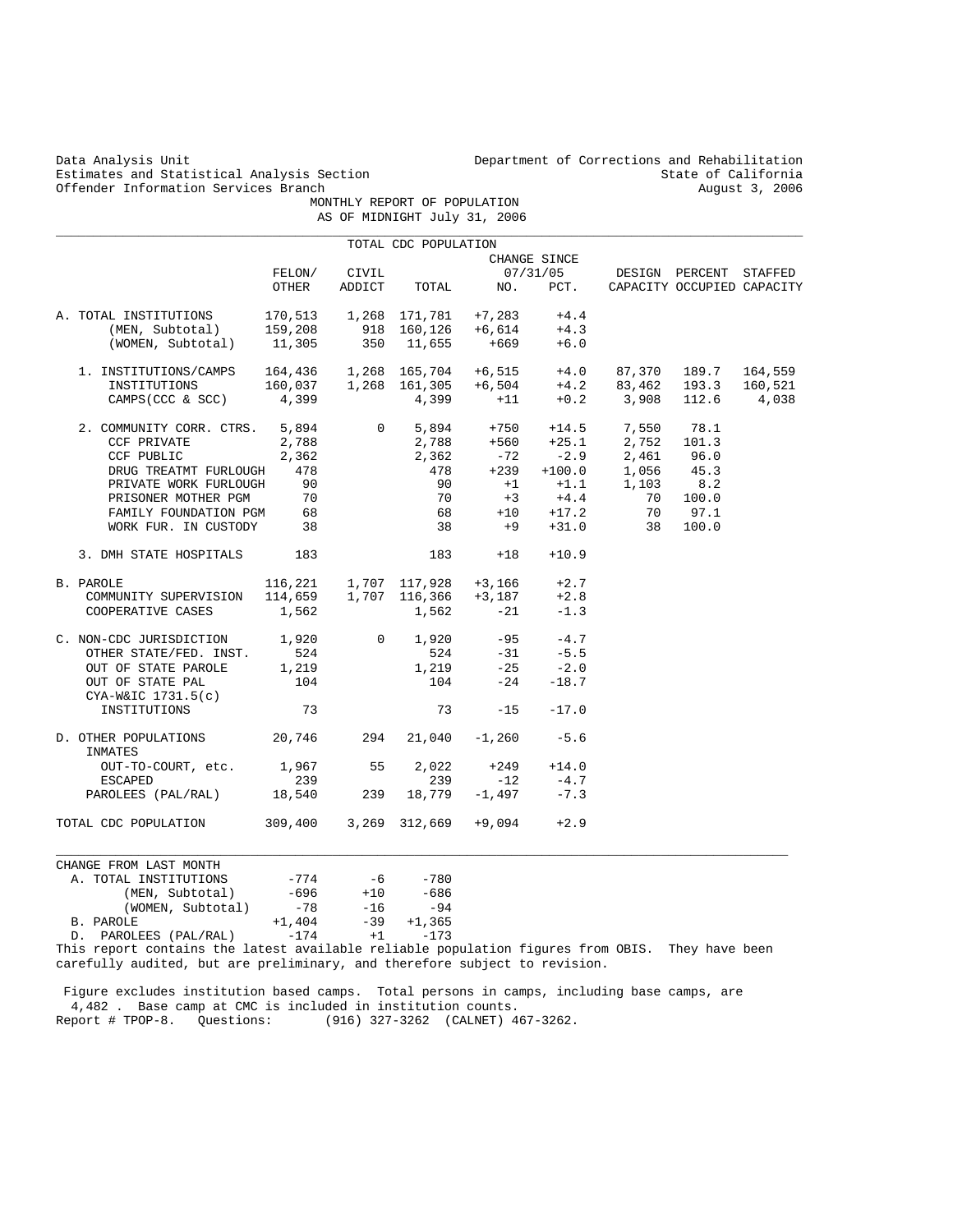Estimates and Statistical Analysis Section 6. State of California (State of California 1991) State of California<br>Offender Information Services Branch 6. State of California 2006 Offender Information Services Branch

 MONTHLY REPORT OF POPULATION AS OF MIDNIGHT July 31, 2006 \_\_\_\_\_\_\_\_\_\_\_\_\_\_\_\_\_\_\_\_\_\_\_\_\_\_\_\_\_\_\_\_\_\_\_\_\_\_\_\_\_\_\_\_\_\_\_\_\_\_\_\_\_\_\_\_\_\_\_\_\_\_\_\_\_\_\_\_\_\_\_\_\_\_\_\_\_\_\_\_\_\_\_\_\_\_\_\_\_\_\_\_\_\_\_\_\_\_\_\_

|                                                                                                                                                                                                                                                                                                                                   |          |                               | TOTAL CDC POPULATION           |                                          |              |                                                                                                                           |  |
|-----------------------------------------------------------------------------------------------------------------------------------------------------------------------------------------------------------------------------------------------------------------------------------------------------------------------------------|----------|-------------------------------|--------------------------------|------------------------------------------|--------------|---------------------------------------------------------------------------------------------------------------------------|--|
|                                                                                                                                                                                                                                                                                                                                   |          |                               |                                |                                          | CHANGE SINCE |                                                                                                                           |  |
|                                                                                                                                                                                                                                                                                                                                   |          | FELON/ CIVIL                  |                                |                                          |              | 07/31/05 DESIGN PERCENT STAFFED                                                                                           |  |
|                                                                                                                                                                                                                                                                                                                                   | OTHER    |                               |                                |                                          |              | ADDICT TOTAL NO. PCT. CAPACITY OCCUPIED CAPACITY                                                                          |  |
|                                                                                                                                                                                                                                                                                                                                   |          |                               |                                |                                          |              |                                                                                                                           |  |
|                                                                                                                                                                                                                                                                                                                                   |          |                               |                                |                                          |              |                                                                                                                           |  |
| A. TOTAL INSTITUTIONS $170,513$ 1,268 171,781 +7,283 +4.4<br>(MEN, Subtotal) 159,208 918 160,126 +6,614 +4.3<br>(WOMEN, Subtotal) 11,305 350 11,655 +669 +6.0                                                                                                                                                                     |          |                               |                                |                                          |              |                                                                                                                           |  |
| $\begin{tabular}{lcccccc} 1. & \texttt{INSTITUTIONS/CAMPS} & 164,436 & 1,268 & 165,704 & +6,515 & +4.0 & 87,370 & 189.7 & 164,559 \\ \texttt{INSTITUTIONS} & 160,037 & 1,268 & 161,305 & +6,504 & +4.2 & 83,462 & 193.3 & 160,521 \\ \texttt{CAMPS(CCC & S SCC)} & 4,399 & & +11 & +0.2 & 3,908 & 112.6 & 4,038 \\ \end{tabular}$ |          |                               |                                |                                          |              |                                                                                                                           |  |
|                                                                                                                                                                                                                                                                                                                                   |          |                               |                                |                                          |              |                                                                                                                           |  |
|                                                                                                                                                                                                                                                                                                                                   |          |                               |                                |                                          |              |                                                                                                                           |  |
| 2. COMMUNITY CORR. CTRS. $5,894$<br>CCF PRIVATE 2,788<br>CCF PUBLIC 2,362<br>DRUG TREATMT FURLOUGH 478<br>2.798<br>2,362<br>2,362<br>2,362<br>478<br>478<br>478<br>478<br>478<br>479<br>42.9<br>400.0<br>400.0<br>400.0<br>400.0<br>45.0<br>478<br>478<br>478<br>400.0<br>400                                                     |          |                               |                                |                                          |              |                                                                                                                           |  |
|                                                                                                                                                                                                                                                                                                                                   |          |                               |                                |                                          |              |                                                                                                                           |  |
|                                                                                                                                                                                                                                                                                                                                   |          |                               |                                |                                          |              |                                                                                                                           |  |
|                                                                                                                                                                                                                                                                                                                                   |          |                               |                                |                                          |              |                                                                                                                           |  |
| PRIVATE WORK FURLOUGH 90<br>PRISONER MOTHER PGM 70                                                                                                                                                                                                                                                                                |          |                               |                                |                                          |              | $\begin{array}{ccccccccc} 90 && +1 && +1 & .1 && 1 & ,103 && 8 & .2 \\ 70 && +3 && +4 & .4 && 70 && 100 & .0 \end{array}$ |  |
|                                                                                                                                                                                                                                                                                                                                   |          |                               |                                |                                          |              |                                                                                                                           |  |
| FAMILY FOUNDATION PGM 68<br>WORK FUR. IN CUSTODY 38                                                                                                                                                                                                                                                                               |          |                               |                                |                                          |              | $68$ $+10$ $+17.2$ 70 97.1<br>38 $+9$ $+31.0$ 38 100.0                                                                    |  |
|                                                                                                                                                                                                                                                                                                                                   |          |                               |                                |                                          |              |                                                                                                                           |  |
| 3. DMH STATE HOSPITALS 183                                                                                                                                                                                                                                                                                                        |          |                               |                                | $183 + 18$                               | $+10.9$      |                                                                                                                           |  |
| PAROLE 116,221 1,707 117,928 +3,166 +2.7<br>COMMUNITY SUPERVISION 114,659 1,707 116,366 +3,187 +2.8<br>COOPERATIVE CASES 1,562 1,562 -21 -1.3<br>B. PAROLE                                                                                                                                                                        |          |                               |                                |                                          |              |                                                                                                                           |  |
|                                                                                                                                                                                                                                                                                                                                   |          |                               |                                |                                          |              |                                                                                                                           |  |
| COOPERATIVE CASES                                                                                                                                                                                                                                                                                                                 | 1,562    |                               |                                | 1,562 -21                                | $-1.3$       |                                                                                                                           |  |
| C. NON-CDC JURISDICTION $1,920$ 0 1,920 -95 -4.7                                                                                                                                                                                                                                                                                  |          |                               |                                |                                          |              |                                                                                                                           |  |
| OTHER STATE/FED. INST. 524<br>OUT OF STATE PAROLE 1,219                                                                                                                                                                                                                                                                           |          |                               |                                |                                          |              |                                                                                                                           |  |
|                                                                                                                                                                                                                                                                                                                                   |          |                               |                                | $524$ $-31$ $-5.5$<br>1,219 $-25$ $-2.0$ |              |                                                                                                                           |  |
| OUT OF STATE PAL                                                                                                                                                                                                                                                                                                                  | 104      |                               |                                | $104 -24 -18.7$                          |              |                                                                                                                           |  |
| CYA-W&IC 1731.5(c)                                                                                                                                                                                                                                                                                                                |          |                               |                                |                                          |              |                                                                                                                           |  |
| INSTITUTIONS                                                                                                                                                                                                                                                                                                                      | 73       |                               |                                | 73<br>$-15$                              | $-17.0$      |                                                                                                                           |  |
| D. OTHER POPULATIONS 20,746 294 21,040 -1,260 -5.6<br>INMATES                                                                                                                                                                                                                                                                     |          |                               |                                |                                          |              |                                                                                                                           |  |
| OUT-TO-COURT, etc. 1,967 55 2,022                                                                                                                                                                                                                                                                                                 |          |                               |                                |                                          | $+249 +14.0$ |                                                                                                                           |  |
| ESCAPED                                                                                                                                                                                                                                                                                                                           | 239      |                               |                                | $239 -12 -4.7$                           |              |                                                                                                                           |  |
| PAROLEES (PAL/RAL) 18,540                                                                                                                                                                                                                                                                                                         |          |                               | $239$ $18,779$ $-1,497$ $-7.3$ |                                          |              |                                                                                                                           |  |
| TOTAL CDC POPULATION 309,400 3,269 312,669 +9,094 +2.9                                                                                                                                                                                                                                                                            |          |                               |                                |                                          |              |                                                                                                                           |  |
|                                                                                                                                                                                                                                                                                                                                   |          |                               |                                |                                          |              |                                                                                                                           |  |
| CHANGE FROM LAST MONTH                                                                                                                                                                                                                                                                                                            |          |                               |                                |                                          |              |                                                                                                                           |  |
| A. TOTAL INSTITUTIONS<br>(MEN, Subtotal)                                                                                                                                                                                                                                                                                          |          | -774 -6 -780<br>-696 +10 -686 |                                |                                          |              |                                                                                                                           |  |
|                                                                                                                                                                                                                                                                                                                                   |          |                               |                                |                                          |              |                                                                                                                           |  |
| (WOMEN, Subtotal)                                                                                                                                                                                                                                                                                                                 | $-78$    | $-16$ $-94$<br>$-39$ $+1,365$ |                                |                                          |              |                                                                                                                           |  |
| B. PAROLE                                                                                                                                                                                                                                                                                                                         | $+1,404$ |                               |                                |                                          |              |                                                                                                                           |  |
| D. PAROLEES (PAL/RAL)                                                                                                                                                                                                                                                                                                             | $-174$   | $+1$                          | $-173$                         |                                          |              |                                                                                                                           |  |

This report contains the latest available reliable population figures from OBIS. They have been carefully audited, but are preliminary, and therefore subject to revision.

 Figure excludes institution based camps. Total persons in camps, including base camps, are 4,482 . Base camp at CMC is included in institution counts. Report # TPOP-8. Questions: (916) 327-3262 (CALNET) 467-3262.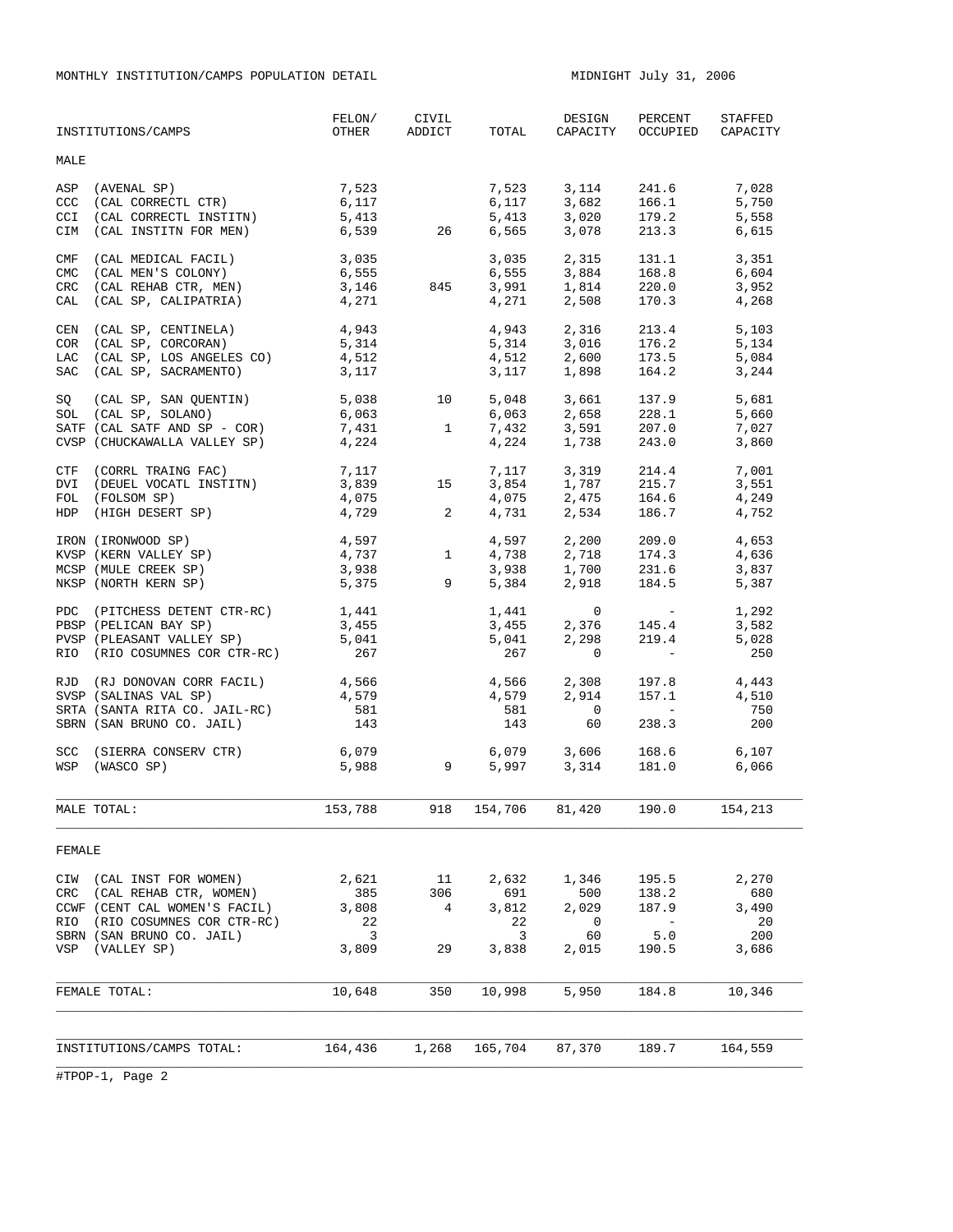MONTHLY INSTITUTION/CAMPS POPULATION DETAIL **MIDNIGHT JULY 31, 2006** 

|            | INSTITUTIONS/CAMPS                                                                      | FELON/<br>OTHER         | CIVIL<br>ADDICT             | TOTAL                 | DESIGN<br>CAPACITY                                                      | PERCENT<br>OCCUPIED                                                  | STAFFED<br>CAPACITY     |
|------------|-----------------------------------------------------------------------------------------|-------------------------|-----------------------------|-----------------------|-------------------------------------------------------------------------|----------------------------------------------------------------------|-------------------------|
| MALE       |                                                                                         |                         |                             |                       |                                                                         |                                                                      |                         |
| ASP<br>CCC | (AVENAL SP)<br>(CAL CORRECTL CTR)                                                       | 7,523<br>6,117          |                             |                       | 7,523 3,114 241.6<br>$6,117$ $3,682$ $166.1$<br>$5,413$ $3,020$ $179.2$ |                                                                      | 7,028<br>5,750          |
| CCI<br>CIM | (CAL CORRECTL INSTITN)<br>(CAL INSTITN FOR MEN)                                         | 5,413<br>6,539 26       |                             | 6,565                 |                                                                         | 3,078 213.3                                                          | 5,558<br>6,615          |
| CMF<br>CMC | (CAL MEDICAL FACIL)<br>(CAL MEN'S COLONY)<br>CRC (CAL REHAB CTR, MEN)                   | 3,035<br>6,555<br>3,146 | 845                         |                       | 3,035 2,315 131.1<br>6,555 3,884 168.8                                  | 131.1                                                                | 3,351<br>6,604<br>3,952 |
|            | CAL (CAL SP, CALIPATRIA)                                                                | 4,271                   |                             |                       | $3,991$ $1,814$ $220.0$<br>$4,271$ $2,508$ $170.3$                      |                                                                      | 4,268                   |
|            | CEN (CAL SP, CENTINELA)<br>COR (CAL SP, CORCORAN)                                       | 4,943<br>5,314          |                             | 4,943                 | 5, 314 3, 016 176.2<br>4, 512 2, 600 173.5                              | 2,316 213.4                                                          | 5,103<br>5,134          |
|            | LAC (CAL SP, LOS ANGELES CO)<br>SAC (CAL SP, SACRAMENTO)                                | 4,512<br>3,117          |                             | 3,117                 | 1,898                                                                   | 164.2                                                                | 5,084<br>3,244          |
|            | SQ (CAL SP, SAN QUENTIN)<br>SOL (CAL SP, SOLANO)                                        | 5,038<br>6,063          | 10                          |                       | 5,048 3,661 137.9<br>6,063 2,658 228.1                                  |                                                                      | 5,681<br>5,660          |
|            | SATF (CAL SATF AND SP - COR)<br>CVSP (CHUCKAWALLA VALLEY SP)                            | 7,431<br>4,224          | $\mathbf{1}$                |                       | $7,432$ $3,591$ $207.0$<br>$4,224$ $1,738$ $243.0$                      |                                                                      | 7,027<br>3,860          |
|            | CTF (CORRL TRAING FAC)<br>DVI (DEUEL VOCATL INSTITN)                                    | 7,117<br>3,839          | 15                          |                       | 7, 117 3, 319 214.4<br>$3,854$ $1,787$ 215.7<br>4,075 2,475 164.6       |                                                                      | 7,001<br>3,551          |
| HDP        | FOL (FOLSOM SP)<br>(HIGH DESERT SP)                                                     | 4,075<br>4,729 2        |                             | 4,731                 |                                                                         | 2,534 186.7                                                          | 4,249<br>4,752          |
|            | IRON (IRONWOOD SP)<br>KVSP (KERN VALLEY SP)                                             | $4,597$<br>$4,737$ 1    |                             | 4,597<br>4,738        |                                                                         | 2,200 209.0<br>2,718 174.3                                           | 4,653<br>4,636          |
|            | MCSP (MULE CREEK SP)<br>NKSP (NORTH KERN SP)                                            | 3,938<br>5,375          | $9^{\circ}$                 | 3,938<br>5,384        |                                                                         | $1,700$<br>$2,918$<br>$184.5$                                        | 3,837<br>5,387          |
|            | PDC (PITCHESS DETENT CTR-RC)<br>PBSP (PELICAN BAY SP)                                   | 1,441<br>3,455          |                             | 1,441<br>3,455        | $\overline{0}$<br>2,376                                                 | <b>Contractor</b><br>145.4                                           | 1,292<br>3,582          |
|            | PVSP (PLEASANT VALLEY SP)<br>RIO (RIO COSUMNES COR CTR-RC)                              | 5,041<br>267            |                             | 5,041<br>267          | 2,298<br>$\mathbf{0}$                                                   | 219.4<br>$\mathcal{L}^{\mathcal{L}}$ and $\mathcal{L}^{\mathcal{L}}$ | 5,028<br>250            |
|            | RJD (RJ DONOVAN CORR FACIL)<br>SVSP (SALINAS VAL SP)<br>SRTA (SANTA RITA CO. JAIL-RC)   | 4,566<br>4,579<br>581   |                             | 4,579<br>581          | 4,566 2,308 197.8<br>2,914<br>$\overline{0}$                            | 157.1<br><b>Contract Contract</b>                                    | 4,443<br>4,510<br>750   |
|            | SBRN (SAN BRUNO CO. JAIL)                                                               | 143                     |                             | 143                   | 60                                                                      | 238.3                                                                | 200                     |
|            | SCC (SIERRA CONSERV CTR)<br>WSP (WASCO SP)                                              | 6,079<br>5,988          | $\overline{9}$              | 5,997                 | 6,079 3,606<br>3,314                                                    | 168.6<br>181.0                                                       | 6,107<br>6,066          |
|            | MALE TOTAL:                                                                             | 153,788                 |                             | 918 154,706           | 81,420                                                                  | 190.0                                                                | 154,213                 |
| FEMALE     |                                                                                         |                         |                             |                       |                                                                         |                                                                      |                         |
|            | CIW (CAL INST FOR WOMEN)<br>CRC (CAL REHAB CTR, WOMEN)<br>CCWF (CENT CAL WOMEN'S FACIL) | 2,621<br>385<br>3,808   | 11<br>306<br>$\overline{4}$ | 2,632<br>691<br>3,812 | 1,346<br>500<br>2,029                                                   | 195.5<br>138.2<br>187.9                                              | 2,270<br>680<br>3,490   |
|            | RIO (RIO COSUMNES COR CTR-RC)<br>SBRN (SAN BRUNO CO. JAIL)<br>VSP (VALLEY SP)           | 22<br>3<br>3,809        | 29                          | 22<br>3<br>3,838      | $\circ$<br>60<br>2,015                                                  | $\sim$ $-$<br>5.0<br>190.5                                           | - 20<br>200<br>3,686    |
|            | FEMALE TOTAL:                                                                           | 10,648                  | 350                         | 10,998                | 5,950                                                                   | 184.8                                                                | 10,346                  |
|            | INSTITUTIONS/CAMPS TOTAL:                                                               | 164,436                 | 1,268                       | 165,704               | 87,370                                                                  | 189.7                                                                | 164,559                 |
|            |                                                                                         |                         |                             |                       |                                                                         |                                                                      |                         |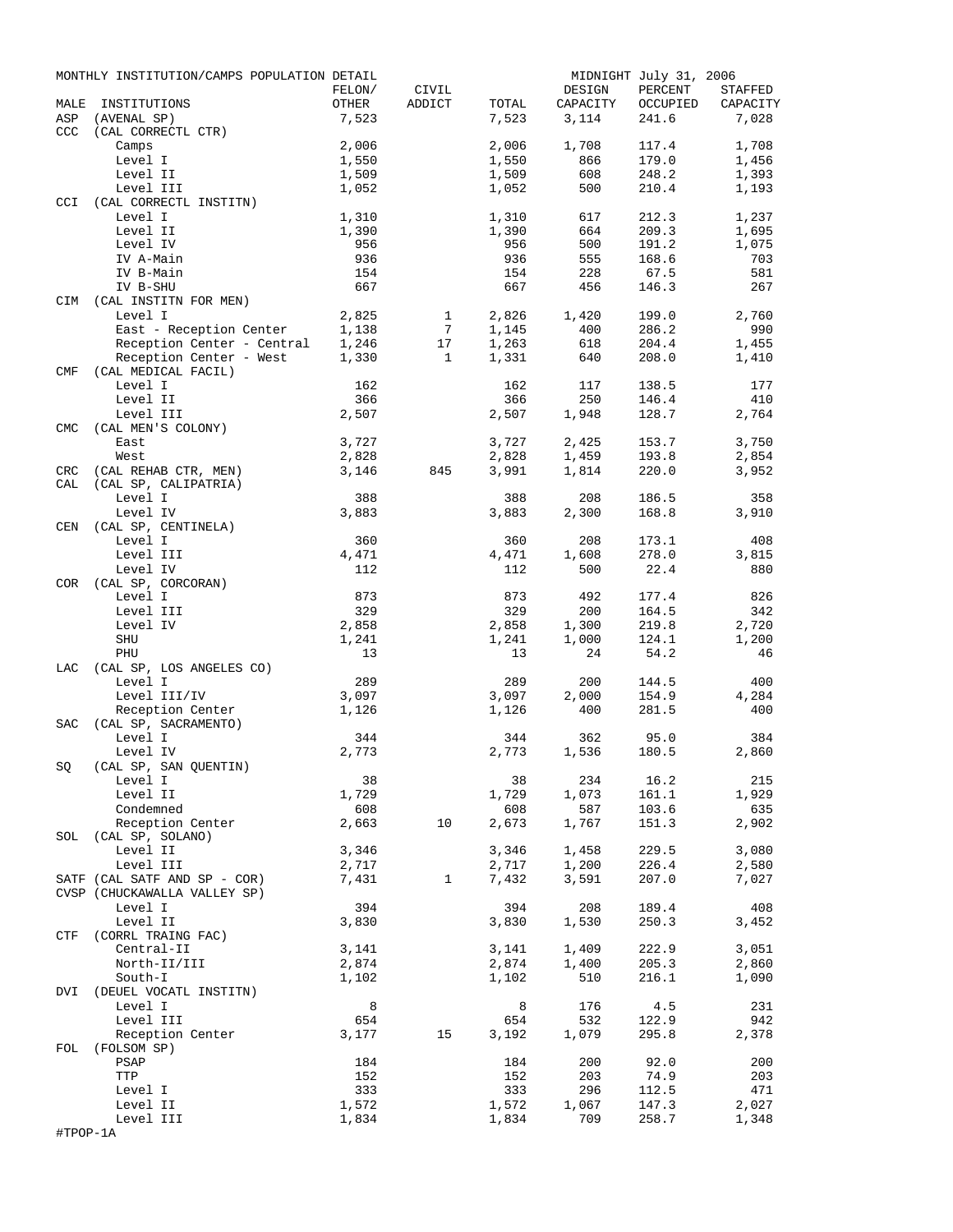|            | MONTHLY INSTITUTION/CAMPS POPULATION DETAIL           |                |                       |                |              | MIDNIGHT July 31, 2006 |                |
|------------|-------------------------------------------------------|----------------|-----------------------|----------------|--------------|------------------------|----------------|
|            |                                                       | FELON/         | CIVIL                 |                | DESIGN       | PERCENT                | STAFFED        |
| MALE       | INSTITUTIONS                                          | OTHER          | ADDICT                | TOTAL          | CAPACITY     | OCCUPIED               | CAPACITY       |
| ASP        | (AVENAL SP)                                           | 7,523          |                       | 7,523          | 3,114        | 241.6                  | 7,028          |
| CCC        | (CAL CORRECTL CTR)                                    | 2,006          |                       |                |              | 117.4                  |                |
|            | Camps<br>Level I                                      | 1,550          |                       | 2,006<br>1,550 | 1,708<br>866 | 179.0                  | 1,708<br>1,456 |
|            | Level II                                              | 1,509          |                       | 1,509          | 608          | 248.2                  | 1,393          |
|            | Level III                                             | 1,052          |                       | 1,052          | 500          | 210.4                  | 1,193          |
| CCI        | (CAL CORRECTL INSTITN)                                |                |                       |                |              |                        |                |
|            | Level I                                               | 1,310          |                       | 1,310          | 617          | 212.3                  | 1,237          |
|            | Level II                                              | 1,390          |                       | 1,390          | 664          | 209.3                  | 1,695          |
|            | Level IV                                              | 956            |                       | 956            | 500          | 191.2                  | 1,075          |
|            | IV A-Main                                             | 936            |                       | 936            | 555          | 168.6                  | 703            |
|            | IV B-Main                                             | 154            |                       | 154            | 228          | 67.5                   | 581            |
|            | IV B-SHU                                              | 667            |                       | 667            | 456          | 146.3                  | 267            |
| CIM        | (CAL INSTITN FOR MEN)                                 |                |                       |                |              |                        |                |
|            | Level I                                               | 2,825          | $\mathbf{1}$          | 2,826          | 1,420        | 199.0                  | 2,760          |
|            | East - Reception Center                               | 1,138          | $7\phantom{.0}$<br>17 | 1,145          | 400          | 286.2                  | 990            |
|            | Reception Center - Central<br>Reception Center - West | 1,246<br>1,330 | $\mathbf{1}$          | 1,263<br>1,331 | 618<br>640   | 204.4<br>208.0         | 1,455<br>1,410 |
| <b>CMF</b> | (CAL MEDICAL FACIL)                                   |                |                       |                |              |                        |                |
|            | Level I                                               | 162            |                       | 162            | 117          | 138.5                  | 177            |
|            | Level II                                              | 366            |                       | 366            | 250          | 146.4                  | 410            |
|            | Level III                                             | 2,507          |                       | 2,507          | 1,948        | 128.7                  | 2,764          |
| <b>CMC</b> | (CAL MEN'S COLONY)                                    |                |                       |                |              |                        |                |
|            | East                                                  | 3,727          |                       | 3,727          | 2,425        | 153.7                  | 3,750          |
|            | West                                                  | 2,828          |                       | 2,828          | 1,459        | 193.8                  | 2,854          |
| CRC        | (CAL REHAB CTR, MEN)                                  | 3,146          | 845                   | 3,991          | 1,814        | 220.0                  | 3,952          |
| CAL        | (CAL SP, CALIPATRIA)                                  |                |                       |                |              |                        |                |
|            | Level I                                               | 388            |                       | 388            | 208          | 186.5                  | 358            |
|            | Level IV                                              | 3,883          |                       | 3,883          | 2,300        | 168.8                  | 3,910          |
| CEN        | (CAL SP, CENTINELA)                                   |                |                       |                |              |                        |                |
|            | Level I                                               | 360            |                       | 360            | 208          | 173.1                  | 408            |
|            | Level III<br>Level IV                                 | 4,471<br>112   |                       | 4,471          | 1,608        | 278.0<br>22.4          | 3,815          |
| COR        | (CAL SP, CORCORAN)                                    |                |                       | 112            | 500          |                        | 880            |
|            | Level I                                               | 873            |                       | 873            | 492          | 177.4                  | 826            |
|            | Level III                                             | 329            |                       | 329            | 200          | 164.5                  | 342            |
|            | Level IV                                              | 2,858          |                       | 2,858          | 1,300        | 219.8                  | 2,720          |
|            | SHU                                                   | 1,241          |                       | 1,241          | 1,000        | 124.1                  | 1,200          |
|            | PHU                                                   | 13             |                       | 13             | 24           | 54.2                   | 46             |
| LAC        | (CAL SP, LOS ANGELES CO)                              |                |                       |                |              |                        |                |
|            | Level I                                               | 289            |                       | 289            | 200          | 144.5                  | 400            |
|            | Level III/IV                                          | 3,097          |                       | 3,097          | 2,000        | 154.9                  | 4,284          |
|            | Reception Center                                      | 1,126          |                       | 1,126          | 400          | 281.5                  | 400            |
| <b>SAC</b> | (CAL SP, SACRAMENTO)                                  |                |                       |                |              |                        |                |
|            | Level I                                               | 344            |                       | 344            | 362          | 95.0                   | 384            |
|            | Level IV                                              | 2,773          |                       | 2,773          | 1,536        | 180.5                  | 2,860          |
| SQ         | (CAL SP, SAN QUENTIN)                                 | 38             |                       | 38             | 234          | 16.2                   | 215            |
|            | Level I<br>Level II                                   | 1,729          |                       | 1,729          | 1,073        | 161.1                  | 1,929          |
|            | Condemned                                             | 608            |                       | 608            | 587          | 103.6                  | 635            |
|            | Reception Center                                      | 2,663          | 10                    | 2,673          | 1,767        | 151.3                  | 2,902          |
| SOL        | (CAL SP, SOLANO)                                      |                |                       |                |              |                        |                |
|            | Level II                                              | 3,346          |                       | 3,346          | 1,458        | 229.5                  | 3,080          |
|            | Level III                                             | 2,717          |                       | 2,717          | 1,200        | 226.4                  | 2,580          |
|            | SATF (CAL SATF AND SP - COR)                          | 7,431          | $\mathbf{1}$          | 7,432          | 3,591        | 207.0                  | 7,027          |
|            | CVSP (CHUCKAWALLA VALLEY SP)                          |                |                       |                |              |                        |                |
|            | Level I                                               | 394            |                       | 394            | 208          | 189.4                  | 408            |
|            | Level II                                              | 3,830          |                       | 3,830          | 1,530        | 250.3                  | 3,452          |
| CTF        | (CORRL TRAING FAC)                                    |                |                       |                |              |                        |                |
|            | Central-II                                            | 3,141          |                       | 3,141          | 1,409        | 222.9                  | 3,051          |
|            | North-II/III                                          | 2,874          |                       | 2,874          | 1,400        | 205.3                  | 2,860          |
| DVI        | South-I<br>(DEUEL VOCATL INSTITN)                     | 1,102          |                       | 1,102          | 510          | 216.1                  | 1,090          |
|            | Level I                                               | 8              |                       | 8              | 176          | 4.5                    | 231            |
|            | Level III                                             | 654            |                       | 654            | 532          | 122.9                  | 942            |
|            | Reception Center                                      | 3,177          | 15                    | 3,192          | 1,079        | 295.8                  | 2,378          |
| FOL        | (FOLSOM SP)                                           |                |                       |                |              |                        |                |
|            | PSAP                                                  | 184            |                       | 184            | 200          | 92.0                   | 200            |
|            | TTP                                                   | 152            |                       | 152            | 203          | 74.9                   | 203            |
|            | Level I                                               | 333            |                       | 333            | 296          | 112.5                  | 471            |
|            | Level II                                              | 1,572          |                       | 1,572          | 1,067        | 147.3                  | 2,027          |
|            | Level III                                             | 1,834          |                       | 1,834          | 709          | 258.7                  | 1,348          |
| #TPOP-1A   |                                                       |                |                       |                |              |                        |                |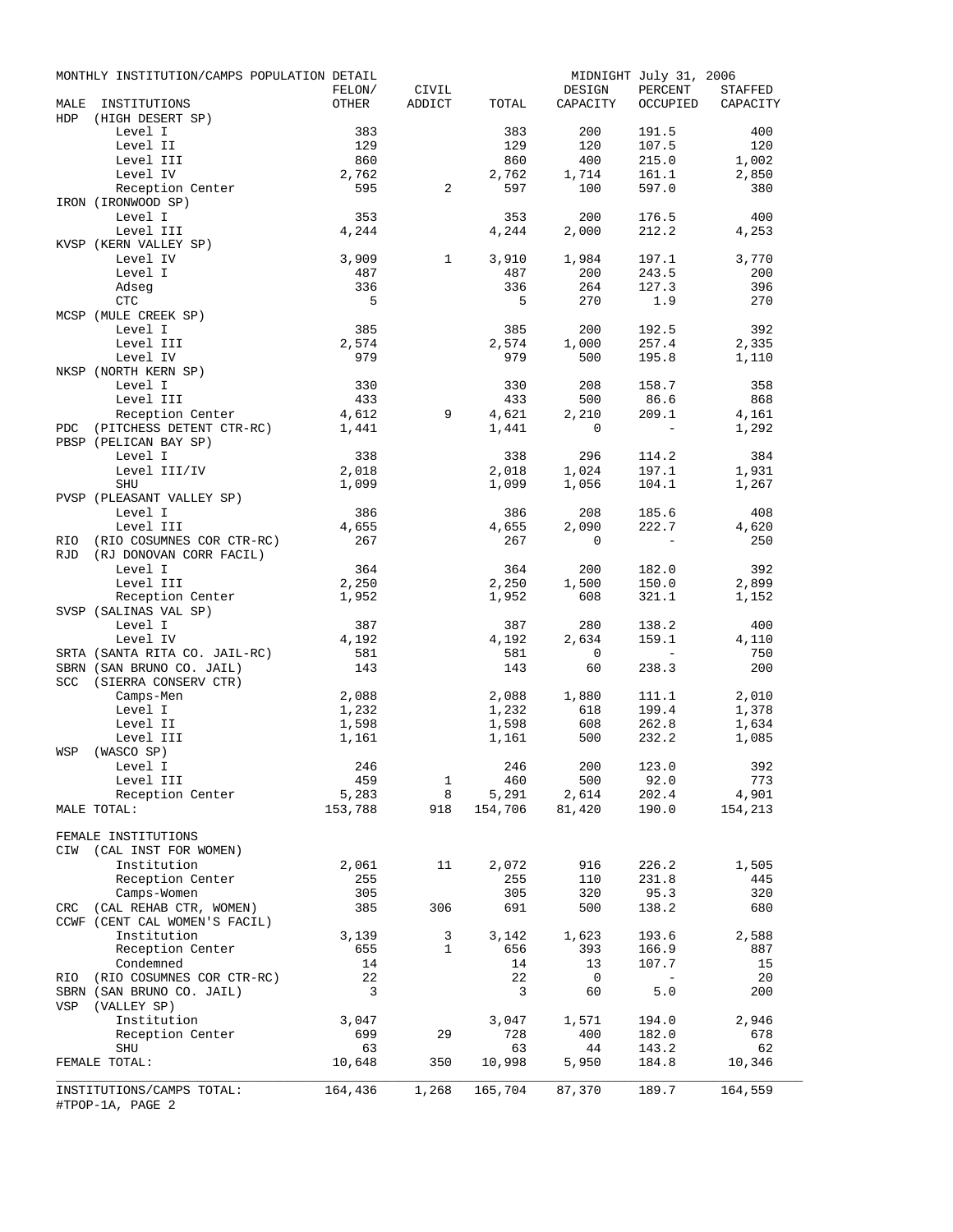|            | MONTHLY INSTITUTION/CAMPS POPULATION DETAIL          |              |                   |                  |                | MIDNIGHT July 31, 2006                                      |                   |
|------------|------------------------------------------------------|--------------|-------------------|------------------|----------------|-------------------------------------------------------------|-------------------|
|            |                                                      | FELON/       | CIVIL             |                  | DESIGN         | PERCENT                                                     | STAFFED           |
| HDP        | MALE INSTITUTIONS<br>(HIGH DESERT SP)                | OTHER        | ADDICT            | TOTAL            | CAPACITY       |                                                             | OCCUPIED CAPACITY |
|            | Level I                                              | 383          |                   | 383              | 200            | 191.5                                                       | 400               |
|            | Level II                                             | 129          |                   | 129              | 120            | 107.5                                                       | 120<br>1,002      |
|            | Level III<br>Level IV                                | 860<br>2,762 |                   | 860<br>2,762     | 400<br>1,714   | 215.0<br>161.1                                              | 2,850             |
|            | Reception Center                                     | 595          | 2                 | 597              | 100            | 597.0                                                       | 380               |
|            | IRON (IRONWOOD SP)                                   |              |                   |                  |                |                                                             |                   |
|            | Level I<br>Level III                                 | 353          |                   | 353              | 200            | 176.5                                                       | 400               |
|            | KVSP (KERN VALLEY SP)                                | 4,244        |                   | 4,244            | 2,000          | 212.2                                                       | 4,253             |
|            | Level IV                                             | 3,909        | $\mathbf{1}$      | 3,910            | 1,984          | 197.1                                                       | 3,770             |
|            | Level I                                              | 487          |                   | 487              | 200            | 243.5                                                       | 200               |
|            | Adseg                                                | 336          |                   | 336              | 264            | 127.3                                                       | 396               |
|            | CTC                                                  | $-5$         |                   | 5                | 270            | 1.9                                                         | 270               |
|            | MCSP (MULE CREEK SP)                                 |              |                   |                  |                |                                                             |                   |
|            | Level I                                              | 385          |                   | 385              | 200            | 192.5                                                       | 392               |
|            | Level III                                            | 2,574        |                   | 2,574            | 1,000          | 257.4                                                       | 2,335             |
|            | Level IV                                             | 979          |                   | 979              | 500            | 195.8                                                       | 1,110             |
|            | NKSP (NORTH KERN SP)                                 |              |                   |                  |                |                                                             |                   |
|            | Level I<br>Level III                                 | 330<br>433   |                   | 330<br>433       | 208<br>500     | 158.7<br>86.6                                               | 358<br>868        |
|            | Reception Center                                     | 4,612        | 9                 | 4,621            | 2,210          | 209.1                                                       | 4,161             |
| PDC        | (PITCHESS DETENT CTR-RC) 1,441                       |              |                   | 1,441            | $\mathbf 0$    | $\sim$                                                      | 1,292             |
|            | PBSP (PELICAN BAY SP)                                |              |                   |                  |                |                                                             |                   |
|            | Level I                                              | 338          |                   | 338              | 296            | 114.2                                                       | 384               |
|            | Level III/IV                                         | 2,018        |                   | 2,018            | 1,024          | 197.1                                                       | 1,931             |
|            | SHU                                                  | 1,099        |                   | 1,099            | 1,056          | 104.1                                                       | 1,267             |
|            | PVSP (PLEASANT VALLEY SP)                            |              |                   |                  |                |                                                             |                   |
|            | Level I                                              | 386          |                   | 386              | 208            | 185.6                                                       | 408               |
|            | Level III                                            | 4,655        |                   | 4,655            | 2,090          | 222.7                                                       | 4,620             |
| RIO<br>RJD | (RIO COSUMNES COR CTR-RC)<br>(RJ DONOVAN CORR FACIL) | 267          |                   | 267              | $\circ$        | $\sim 100$ km s $^{-1}$                                     | 250               |
|            | Level I                                              | 364          |                   | 364              | 200            | 182.0                                                       | 392               |
|            | Level III                                            | 2,250        |                   | 2,250            | 1,500          | 150.0                                                       | 2,899             |
|            | Reception Center                                     | 1,952        |                   | 1,952            | 608            | 321.1                                                       | 1,152             |
|            | SVSP (SALINAS VAL SP)<br>Level I                     | 387          |                   | 387 — 1          | 280            | 138.2                                                       | 400               |
|            | Level IV                                             | 4,192        |                   | 4,192            | 2,634          | 159.1                                                       | 4,110             |
|            | SRTA (SANTA RITA CO. JAIL-RC)                        | 581          |                   | 581              | $\overline{0}$ | $\mathcal{L}^{\mathcal{L}}$ and $\mathcal{L}^{\mathcal{L}}$ | 750               |
|            | SBRN (SAN BRUNO CO. JAIL)                            | 143          |                   | 143              | 60             | 238.3                                                       | 200               |
|            | SCC (SIERRA CONSERV CTR)                             |              |                   |                  |                |                                                             |                   |
|            | Camps-Men                                            | 2,088        |                   |                  | $2,088$ 1,880  | 111.1                                                       | 2,010             |
|            | Level I                                              | 1,232        |                   | 1,232            | 618            | 199.4                                                       | 1,378             |
|            | Level II                                             | 1,598        |                   | 1,598            | 608            | 262.8                                                       | 1,634             |
|            | Level III                                            | 1,161        |                   | 1,161            | 500            | 232.2                                                       | 1,085             |
| WSP        | (WASCO SP)                                           |              |                   |                  |                |                                                             |                   |
|            | Level I                                              | 246          |                   | 246              |                | 200 123.0                                                   | 392               |
|            | Level III                                            | 459<br>5,283 | $\mathbf{1}$<br>8 | 460              | 500<br>2,614   | 92.0<br>202.4                                               | 773<br>4,901      |
|            | Reception Center<br>MALE TOTAL:                      | 153,788      | 918               | 5,291<br>154,706 | 81,420         | 190.0                                                       | 154,213           |
|            | FEMALE INSTITUTIONS                                  |              |                   |                  |                |                                                             |                   |
| CIW        | (CAL INST FOR WOMEN)                                 |              |                   |                  |                |                                                             |                   |
|            | Institution                                          | 2,061        | 11                | 2,072            | 916            | 226.2                                                       | 1,505             |
|            | Reception Center                                     | 255          |                   | 255              | 110            | 231.8                                                       | 445               |
|            | Camps-Women                                          | 305          |                   | 305              | 320            | 95.3                                                        | 320               |
| CRC        | (CAL REHAB CTR, WOMEN)                               | 385          | 306               | 691              | 500            | 138.2                                                       | 680               |
|            | CCWF (CENT CAL WOMEN'S FACIL)                        |              |                   |                  |                |                                                             |                   |
|            | Institution                                          | 3,139        | 3                 | 3,142            | 1,623          | 193.6                                                       | 2,588             |
|            | Reception Center                                     | 655          | $\mathbf{1}$      | 656              | 393            | 166.9                                                       | 887               |
|            | Condemned                                            | 14           |                   | 14               | 13             | 107.7                                                       | 15                |
| RIO        | (RIO COSUMNES COR CTR-RC)                            | 22           |                   | 22               | 0              | $\sim$                                                      | 20                |
|            | SBRN (SAN BRUNO CO. JAIL)                            | 3            |                   | 3                | 60             | 5.0                                                         | 200               |
| VSP        | (VALLEY SP)<br>Institution                           | 3,047        |                   | 3,047            | 1,571          | 194.0                                                       | 2,946             |
|            | Reception Center                                     | 699          | 29                | 728              | 400            | 182.0                                                       | 678               |
|            | SHU                                                  | 63           |                   | 63               | 44             | 143.2                                                       | 62                |
|            | FEMALE TOTAL:                                        | 10,648       | 350               | 10,998           | 5,950          | 184.8                                                       | 10,346            |
|            | INSTITUTIONS/CAMPS TOTAL:<br>#TPOP-1A, PAGE 2        | 164,436      | 1,268             | 165,704          | 87,370         | 189.7                                                       | 164,559           |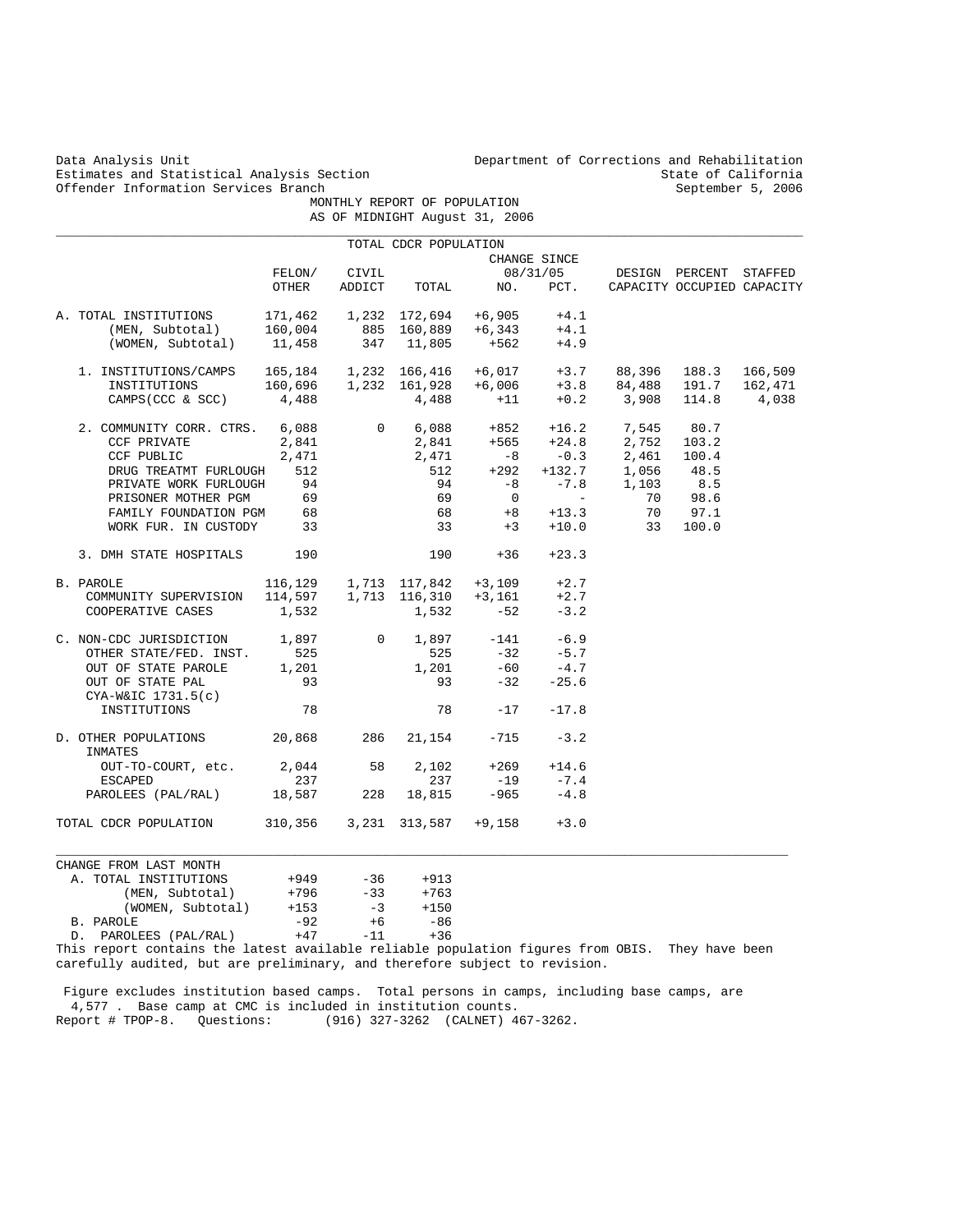Estimates and Statistical Analysis Section State of California<br>
Offender Information Services Branch<br>
September 5, 2006 Offender Information Services Branch

Data Analysis Unit Department of Corrections and Rehabilitation<br>Estimates and Statistical Analysis Section Branches (State of California

 MONTHLY REPORT OF POPULATION AS OF MIDNIGHT August 31, 2006

|                                                                                                 |         |                |               |                | CHANGE SINCE       |                              |                            |         |
|-------------------------------------------------------------------------------------------------|---------|----------------|---------------|----------------|--------------------|------------------------------|----------------------------|---------|
|                                                                                                 | FELON/  | CIVIL          |               |                | 08/31/05           |                              | DESIGN PERCENT STAFFED     |         |
|                                                                                                 | OTHER   | ADDICT         | TOTAL         | NO.            | PCT.               |                              | CAPACITY OCCUPIED CAPACITY |         |
| A. TOTAL INSTITUTIONS                                                                           | 171,462 |                | 1,232 172,694 | +6,905         | $+4.1$             |                              |                            |         |
| (MEN, Subtotal)                                                                                 | 160,004 |                | 885 160,889   | $+6,343$       | $+4.1$             |                              |                            |         |
| (WOMEN, Subtotal)                                                                               | 11,458  |                | 347 11,805    | $+562$         | $+4.9$             |                              |                            |         |
| 1. INSTITUTIONS/CAMPS                                                                           | 165,184 |                | 1,232 166,416 | $+6,017$       | $+3.7$             | 88,396                       | 188.3                      | 166,509 |
| INSTITUTIONS                                                                                    | 160,696 |                | 1,232 161,928 | $+6,006$       | $+3.8$             | 84,488                       | 191.7                      | 162,471 |
| CAMPS (CCC & SCC)                                                                               | 4,488   |                | 4,488         | $+11$          |                    | $+0.2$ 3,908                 | 114.8                      | 4,038   |
| 2. COMMUNITY CORR. CTRS.                                                                        | 6,088   |                | 0<br>6,088    | +852           | $+16.2$<br>$+24.8$ | 7,545                        | 80.7                       |         |
| CCF PRIVATE                                                                                     | 2,841   |                | 2,841         | +565           | $+24.8$            | 2,752                        | 103.2                      |         |
| CCF PUBLIC                                                                                      | 2,471   |                | 2,471         | $-8$           |                    | 2,461                        | 100.4                      |         |
| DRUG TREATMT FURLOUGH                                                                           | 512     |                | 512           | $+292$         |                    | $-0.3$ 2,461<br>+132.7 1,056 | 48.5                       |         |
| PRIVATE WORK FURLOUGH                                                                           | 94      |                | 94            | $-8$           | $-7.8$             | 1,103                        | 8.5                        |         |
| PRISONER MOTHER PGM                                                                             | 69      |                | 69            | $\overline{0}$ | $\sim$             | 70                           | 98.6                       |         |
| FAMILY FOUNDATION PGM                                                                           | 68      |                | 68            | $+8$           | $+13.3$            | 70                           | 97.1                       |         |
| WORK FUR. IN CUSTODY                                                                            | 33      |                | 33            | $+3$           | $+10.0$            | 33                           | 100.0                      |         |
| 3. DMH STATE HOSPITALS                                                                          | 190     |                | 190           | $+36$          | $+23.3$            |                              |                            |         |
| B. PAROLE                                                                                       | 116,129 |                | 1,713 117,842 | $+3,109$       | $+2.7$             |                              |                            |         |
| COMMUNITY SUPERVISION                                                                           | 114,597 |                | 1,713 116,310 | $+3,161$       | $+2.7$             |                              |                            |         |
| COOPERATIVE CASES                                                                               | 1,532   |                | 1,532         | $-52$          | $-3.2$             |                              |                            |         |
| C. NON-CDC JURISDICTION                                                                         | 1,897   | $\overline{0}$ | 1,897         | $-141$         | $-6.9$             |                              |                            |         |
| OTHER STATE/FED. INST.                                                                          | 525     |                | 525           | $-32$          | $-5.7$             |                              |                            |         |
| OUT OF STATE PAROLE                                                                             | 1,201   |                | 1,201         | $-60$          | $-4.7$             |                              |                            |         |
| OUT OF STATE PAL                                                                                | 93      |                | 93            | $-32$          | $-25.6$            |                              |                            |         |
| $CYA-W&IC$ 1731.5(c)                                                                            |         |                |               |                |                    |                              |                            |         |
| INSTITUTIONS                                                                                    | 78      |                | 78            | $-17$          | $-17.8$            |                              |                            |         |
| D. OTHER POPULATIONS<br>INMATES                                                                 | 20,868  | 286            | 21,154        | $-715$         | $-3.2$             |                              |                            |         |
| OUT-TO-COURT, etc.                                                                              | 2,044   | 58             | 2,102         | $+269$         | $+14.6$            |                              |                            |         |
| ESCAPED                                                                                         | 237     |                | 237           | $-19$          | $-7.4$             |                              |                            |         |
| PAROLEES (PAL/RAL) 18,587                                                                       |         | 228            | 18,815        | $-965$         | $-4.8$             |                              |                            |         |
| TOTAL CDCR POPULATION                                                                           | 310,356 |                | 3,231 313,587 | +9,158         | $+3.0$             |                              |                            |         |
|                                                                                                 |         |                |               |                |                    |                              |                            |         |
| CHANGE FROM LAST MONTH<br>A. TOTAL INSTITUTIONS                                                 | $+949$  | $-36$          | $+913$        |                |                    |                              |                            |         |
|                                                                                                 | $+796$  | $-33$          | $+763$        |                |                    |                              |                            |         |
| (MEN, Subtotal)<br>(WOMEN, Subtotal)                                                            | $+153$  | $-3$           | $+150$        |                |                    |                              |                            |         |
| B. PAROLE                                                                                       | $-92$   | $+6$           | $-86$         |                |                    |                              |                            |         |
| D. PAROLEES (PAL/RAL)                                                                           | $+47$   | $-11$          | $+36$         |                |                    |                              |                            |         |
| This report contains the latest available reliable population figures from OBIS. They have been |         |                |               |                |                    |                              |                            |         |

 Figure excludes institution based camps. Total persons in camps, including base camps, are 4,577 . Base camp at CMC is included in institution counts. Report # TPOP-8. Questions: (916) 327-3262 (CALNET) 467-3262.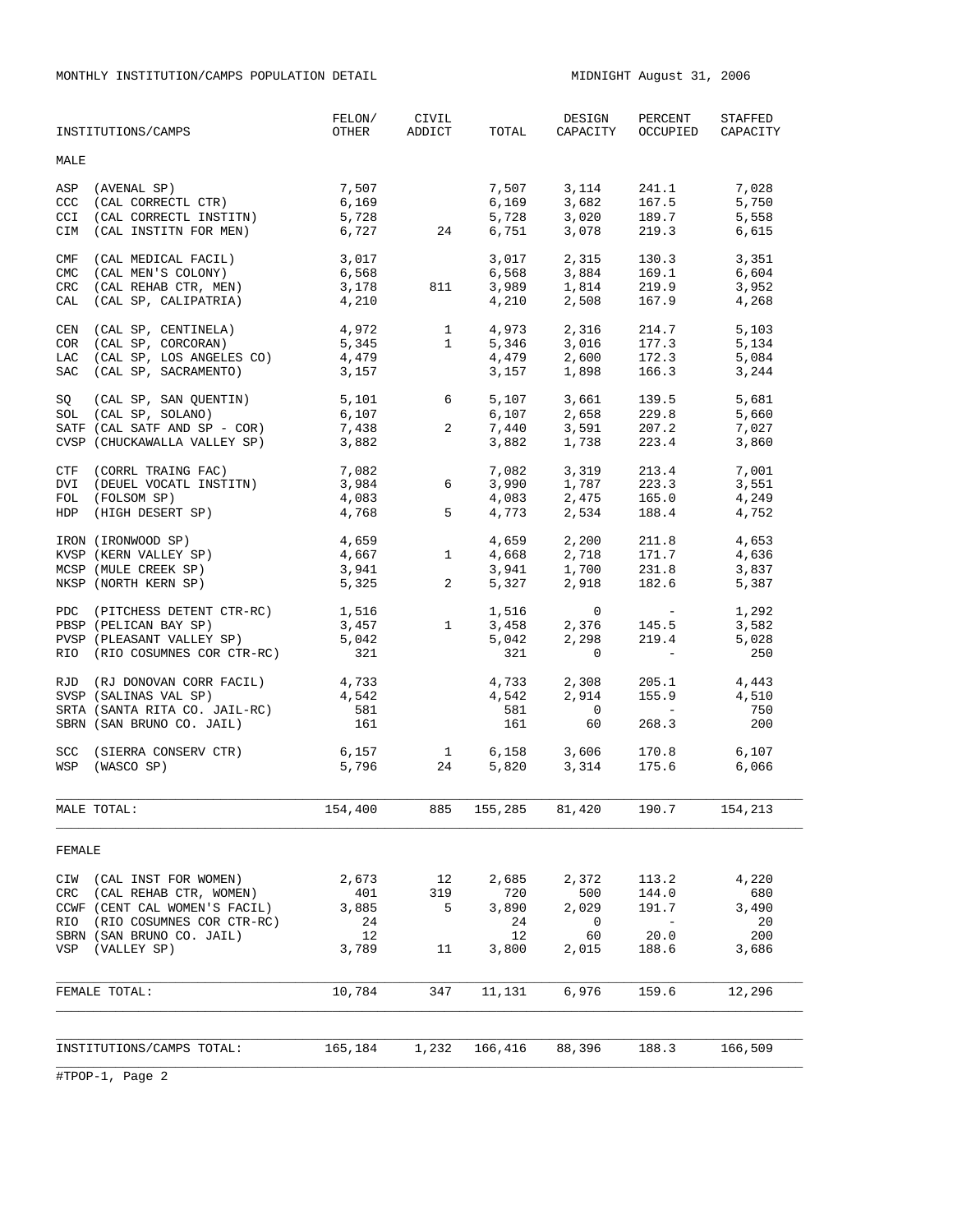MONTHLY INSTITUTION/CAMPS POPULATION DETAIL **MIDNIGHT August 31, 2006** 

|                                        | INSTITUTIONS/CAMPS                                                                                                                                               | FELON/<br>OTHER                            | CIVIL<br>ADDICT                                          | TOTAL                                      | DESIGN<br>CAPACITY                                | PERCENT<br>OCCUPIED                                                                                     | STAFFED<br>CAPACITY                         |
|----------------------------------------|------------------------------------------------------------------------------------------------------------------------------------------------------------------|--------------------------------------------|----------------------------------------------------------|--------------------------------------------|---------------------------------------------------|---------------------------------------------------------------------------------------------------------|---------------------------------------------|
| MALE                                   |                                                                                                                                                                  |                                            |                                                          |                                            |                                                   |                                                                                                         |                                             |
| ASP<br>CCC<br><b>CCI</b><br>CIM        | (AVENAL SP)<br>(CAL CORRECTL CTR)<br>(CAL CORRECTL INSTITN)<br>(CAL INSTITN FOR MEN)                                                                             | 7,507<br>6,169<br>5,728<br>6,727           | 24                                                       | 7,507<br>6,169<br>5,728<br>6,751           | 3,114<br>3,682<br>3,020<br>3,078                  | 241.1<br>167.5<br>189.7<br>219.3                                                                        | 7,028<br>5,750<br>5,558<br>6,615            |
| CMF<br><b>CMC</b><br>CRC<br>CAL        | (CAL MEDICAL FACIL)<br>(CAL MEN'S COLONY)<br>(CAL REHAB CTR, MEN)<br>(CAL SP, CALIPATRIA)                                                                        | 3,017<br>6,568<br>3,178<br>4,210           | 811                                                      | 3,017<br>6,568<br>3,989<br>4,210           | 2,315<br>3,884<br>1,814<br>2,508                  | 130.3<br>169.1<br>219.9<br>167.9                                                                        | 3,351<br>6,604<br>3,952<br>4,268            |
| CEN<br><b>COR</b><br>LAC<br><b>SAC</b> | (CAL SP, CENTINELA)<br>(CAL SP, CORCORAN)<br>(CAL SP, LOS ANGELES CO)<br>(CAL SP, SACRAMENTO)                                                                    | 4,972<br>5,345<br>4,479<br>3,157           | $\mathbf{1}$<br>$1 \qquad \qquad$                        | 4,973<br>5,346<br>4,479<br>3,157           | 2,316<br>3,016<br>2,600<br>1,898                  | 214.7<br>177.3<br>172.3<br>166.3                                                                        | 5,103<br>5,134<br>5,084<br>3,244            |
| SQ                                     | $(CAL SP, SAN QUENTIN)$ 5,101<br>SOL (CAL SP, SOLANO)<br>SATF (CAL SATF AND SP - COR)<br>CVSP (CHUCKAWALLA VALLEY SP)                                            | 6,107<br>7,438<br>3,882                    | $6\overline{}$<br>$\overline{a}$                         | 6,107<br>7,440<br>3,882                    | $5,107$ 3,661<br>3,661<br>2,658<br>3,591<br>1,738 | 139.5<br>229.8<br>207.2<br>223.4                                                                        | 5,681<br>5,660<br>7,027<br>3,860            |
| <b>DVI</b>                             | CTF (CORRL TRAING FAC)<br>(DEUEL VOCATL INSTITN)<br>FOL (FOLSOM SP)<br>HDP (HIGH DESERT SP)                                                                      | 7,082<br>3,984<br>4,083<br>4,768           | $6\overline{}$<br>$5^{\circ}$                            | 7,082<br>3,990<br>4,083<br>4,773           | 3,319<br>$1,787$<br>2,475<br>2,534                | 213.4<br>223.3<br>165.0<br>188.4                                                                        | 7,001<br>3,551<br>4,249<br>4,752            |
|                                        | IRON (IRONWOOD SP)<br>KVSP (KERN VALLEY SP)<br>MCSP (MULE CREEK SP)<br>NKSP (NORTH KERN SP)                                                                      | 4,659<br>4,667<br>3,941<br>5,325           | $1 \quad \blacksquare$<br>$2 \left( \frac{1}{2} \right)$ | 4,659<br>4,668<br>3,941<br>5,327           | 2,200<br>2,718<br>1,700<br>2,918                  | 211.8<br>171.7<br>231.8<br>182.6                                                                        | 4,653<br>4,636<br>3,837<br>5,387            |
|                                        | PDC (PITCHESS DETENT CTR-RC)<br>PBSP (PELICAN BAY SP)<br>PVSP (PLEASANT VALLEY SP)<br>RIO (RIO COSUMNES COR CTR-RC)                                              | 1,516<br>3,457<br>5,042<br>321             | $1 \quad \blacksquare$                                   | 1,516<br>3,458<br>5,042<br>321             | $\mathbf{0}$<br>2,376<br>2,298<br>$\mathbf{0}$    | <b>Contract Contract</b><br>145.5<br>219.4<br>$\mathcal{L}(\mathcal{L})$ and $\mathcal{L}(\mathcal{L})$ | 1,292<br>3,582<br>5,028<br>250              |
|                                        | RJD (RJ DONOVAN CORR FACIL)<br>SVSP (SALINAS VAL SP)<br>SRTA (SANTA RITA CO. JAIL-RC)<br>SBRN (SAN BRUNO CO. JAIL)                                               | 4,733<br>4,542<br>581<br>161               |                                                          | 4,542<br>581<br>161                        | 4,733 2,308<br>2,914<br>$\overline{0}$<br>60      | 205.1<br>155.9<br>$\mathcal{L}(\mathcal{L}^{\mathcal{L}})$ and $\mathcal{L}^{\mathcal{L}}$<br>268.3     | 4,443<br>4,510<br>750<br>200                |
|                                        | SCC (SIERRA CONSERV CTR)<br>WSP (WASCO SP)                                                                                                                       | 6,157<br>5,796                             | $\frac{1}{24}$                                           | 5,820                                      | $6,158$ $3,606$<br>5.820 $3.314$<br>3,314         | 170.8<br>175.6                                                                                          | 6,107<br>6,066                              |
|                                        | MALE TOTAL:                                                                                                                                                      | 154,400                                    | 885                                                      | 155,285                                    | 81,420                                            | 190.7                                                                                                   | 154,213                                     |
| FEMALE                                 |                                                                                                                                                                  |                                            |                                                          |                                            |                                                   |                                                                                                         |                                             |
| CRC<br>RIO                             | CIW (CAL INST FOR WOMEN)<br>(CAL REHAB CTR, WOMEN)<br>CCWF (CENT CAL WOMEN'S FACIL)<br>(RIO COSUMNES COR CTR-RC)<br>SBRN (SAN BRUNO CO. JAIL)<br>VSP (VALLEY SP) | 2,673<br>401<br>3,885<br>24<br>12<br>3,789 | 12<br>319<br>5<br>11                                     | 2,685<br>720<br>3,890<br>24<br>12<br>3,800 | 2,372<br>500<br>2,029<br>0<br>60<br>2,015         | 113.2<br>144.0<br>191.7<br>$\sim$<br>20.0<br>188.6                                                      | 4,220<br>680<br>3,490<br>20<br>200<br>3,686 |
|                                        | FEMALE TOTAL:                                                                                                                                                    | 10,784                                     | 347                                                      | 11,131                                     | 6,976                                             | 159.6                                                                                                   | 12,296                                      |
|                                        |                                                                                                                                                                  |                                            |                                                          |                                            |                                                   |                                                                                                         |                                             |
|                                        | INSTITUTIONS/CAMPS TOTAL:                                                                                                                                        | 165,184                                    | 1,232                                                    | 166,416                                    | 88,396                                            | 188.3                                                                                                   | 166,509                                     |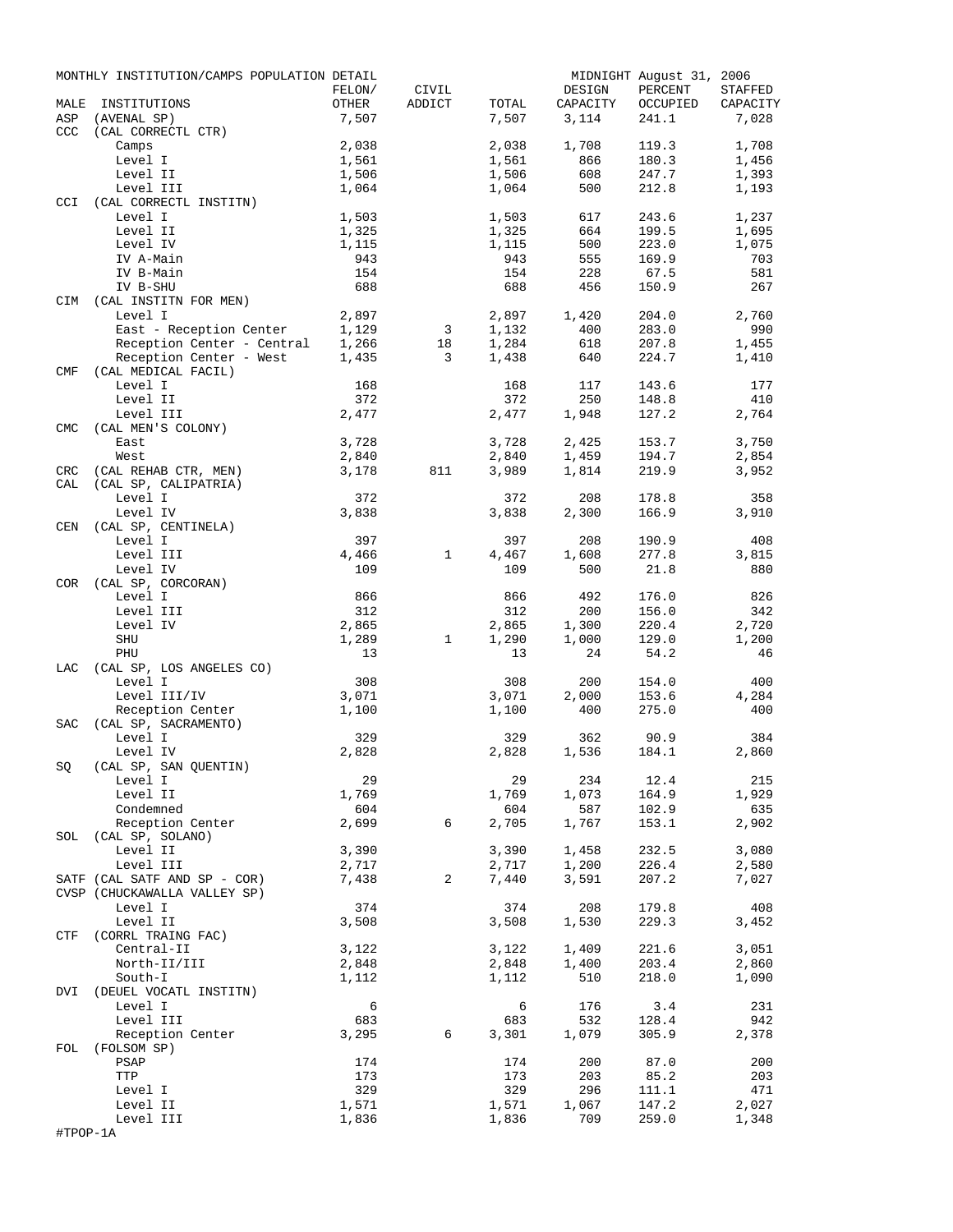|            | MONTHLY INSTITUTION/CAMPS POPULATION DETAIL                                                                 |              |                |       |          | MIDNIGHT August 31, 2006 |          |
|------------|-------------------------------------------------------------------------------------------------------------|--------------|----------------|-------|----------|--------------------------|----------|
|            |                                                                                                             | FELON/       | CIVIL          |       | DESIGN   | PERCENT                  | STAFFED  |
| MALE       | INSTITUTIONS                                                                                                | OTHER        | ADDICT         | TOTAL | CAPACITY | OCCUPIED                 | CAPACITY |
| ASP        | (AVENAL SP)                                                                                                 | 7,507        |                | 7,507 | 3,114    | 241.1                    | 7,028    |
| <b>CCC</b> | (CAL CORRECTL CTR)<br>Camps                                                                                 | 2,038        |                | 2,038 | 1,708    | 119.3                    | 1,708    |
|            | Level I                                                                                                     | 1,561        |                | 1,561 | 866      | 180.3                    | 1,456    |
|            | Level II                                                                                                    | 1,506        |                | 1,506 | 608      | 247.7                    | 1,393    |
|            | Level III                                                                                                   | 1,064        |                | 1,064 | 500      | 212.8                    | 1,193    |
| CCI        | (CAL CORRECTL INSTITN)                                                                                      |              |                |       |          |                          |          |
|            | Level I                                                                                                     | 1,503        |                | 1,503 | 617      | 243.6                    | 1,237    |
|            | Level II                                                                                                    | 1,325        |                | 1,325 | 664      | 199.5                    | 1,695    |
|            | Level IV                                                                                                    | 1,115        |                | 1,115 | 500      | 223.0                    | 1,075    |
|            | IV A-Main                                                                                                   | 943          |                | 943   | 555      | 169.9                    | 703      |
|            | IV B-Main                                                                                                   | 154          |                | 154   | 228      | 67.5                     | 581      |
|            | IV B-SHU                                                                                                    | 688          |                | 688   | 456      | 150.9                    | 267      |
| CIM        | (CAL INSTITN FOR MEN)<br>Level I                                                                            | 2,897        |                | 2,897 | 1,420    | 204.0                    | 2,760    |
|            | East - Reception Center                                                                                     | 1,129        | $\overline{3}$ | 1,132 | 400      | 283.0                    | 990      |
|            | Reception Center - Central                                                                                  | 1,266        | 18             | 1,284 | 618      | 207.8                    | 1,455    |
|            | Reception Center - West                                                                                     | 1,435        | 3              | 1,438 | 640      | 224.7                    | 1,410    |
| <b>CMF</b> | (CAL MEDICAL FACIL)                                                                                         |              |                |       |          |                          |          |
|            | Level I                                                                                                     | 168          |                | 168   | 117      | 143.6                    | 177      |
|            | Level II                                                                                                    | 372          |                | 372   | 250      | 148.8                    | 410      |
|            | Level III                                                                                                   | 2,477        |                | 2,477 | 1,948    | 127.2                    | 2,764    |
| <b>CMC</b> | $(\hspace{0.1cm} \texttt{CAL} \hspace{0.1cm} \texttt{MEN'S} \hspace{0.1cm} \texttt{COLONY} \hspace{0.1cm})$ |              |                |       |          |                          |          |
|            | East                                                                                                        | 3,728        |                | 3,728 | 2,425    | 153.7                    | 3,750    |
|            | West                                                                                                        | 2,840        |                | 2,840 | 1,459    | 194.7                    | 2,854    |
| CRC<br>CAL | (CAL REHAB CTR, MEN)<br>(CAL SP, CALIPATRIA)                                                                | 3,178        | 811            | 3,989 | 1,814    | 219.9                    | 3,952    |
|            | Level I                                                                                                     | 372          |                | 372   | 208      | 178.8                    | 358      |
|            | Level IV                                                                                                    | 3,838        |                | 3,838 | 2,300    | 166.9                    | 3,910    |
| CEN        | (CAL SP, CENTINELA)                                                                                         |              |                |       |          |                          |          |
|            | Level I                                                                                                     | 397          |                | 397   | 208      | 190.9                    | 408      |
|            | Level III                                                                                                   | 4,466        | $\mathbf{1}$   | 4,467 | 1,608    | 277.8                    | 3,815    |
|            | Level IV                                                                                                    | 109          |                | 109   | 500      | 21.8                     | 880      |
| <b>COR</b> | (CAL SP, CORCORAN)                                                                                          |              |                |       |          |                          |          |
|            | Level I                                                                                                     | 866          |                | 866   | 492      | 176.0                    | 826      |
|            | Level III                                                                                                   | 312          |                | 312   | 200      | 156.0                    | 342      |
|            | Level IV                                                                                                    | 2,865        |                | 2,865 | 1,300    | 220.4                    | 2,720    |
|            | SHU                                                                                                         | 1,289        | $\mathbf{1}$   | 1,290 | 1,000    | 129.0                    | 1,200    |
| LAC        | PHU<br>(CAL SP, LOS ANGELES CO)                                                                             | 13           |                | 13    | 24       | 54.2                     | 46       |
|            | Level I                                                                                                     | 308          |                | 308   | 200      | 154.0                    | 400      |
|            | Level III/IV                                                                                                | 3,071        |                | 3,071 | 2,000    | 153.6                    | 4,284    |
|            | Reception Center                                                                                            | 1,100        |                | 1,100 | 400      | 275.0                    | 400      |
| <b>SAC</b> | (CAL SP, SACRAMENTO)                                                                                        |              |                |       |          |                          |          |
|            | Level I                                                                                                     | 329          |                | 329   | 362      | 90.9                     | 384      |
|            | Level IV                                                                                                    | 2,828        |                | 2,828 | 1,536    | 184.1                    | 2,860    |
| SQ         | (CAL SP, SAN QUENTIN)                                                                                       |              |                |       |          |                          |          |
|            | Level I                                                                                                     | 29           |                | 29    | 234      | 12.4                     | 215      |
|            | Level II                                                                                                    | 1,769        |                | 1,769 | 1,073    | 164.9                    | 1,929    |
|            | Condemned                                                                                                   | 604<br>2,699 | 6              | 604   | 587      | 102.9                    | 635      |
| SOL        | Reception Center<br>(CAL SP, SOLANO)                                                                        |              |                | 2,705 | 1,767    | 153.1                    | 2,902    |
|            | Level II                                                                                                    | 3,390        |                | 3,390 | 1,458    | 232.5                    | 3,080    |
|            | Level III                                                                                                   | 2,717        |                | 2,717 | 1,200    | 226.4                    | 2,580    |
|            | SATF (CAL SATF AND SP - COR)                                                                                | 7,438        | 2              | 7,440 | 3,591    | 207.2                    | 7,027    |
|            | CVSP (CHUCKAWALLA VALLEY SP)                                                                                |              |                |       |          |                          |          |
|            | Level I                                                                                                     | 374          |                | 374   | 208      | 179.8                    | 408      |
|            | Level II                                                                                                    | 3,508        |                | 3,508 | 1,530    | 229.3                    | 3,452    |
| CTF        | (CORRL TRAING FAC)                                                                                          |              |                |       |          |                          |          |
|            | Central-II                                                                                                  | 3,122        |                | 3,122 | 1,409    | 221.6                    | 3,051    |
|            | North-II/III                                                                                                | 2,848        |                | 2,848 | 1,400    | 203.4                    | 2,860    |
|            | South-I<br>(DEUEL VOCATL INSTITN)                                                                           | 1,112        |                | 1,112 | 510      | 218.0                    | 1,090    |
| DVI        | Level I                                                                                                     | 6            |                | 6     | 176      | 3.4                      | 231      |
|            | Level III                                                                                                   | 683          |                | 683   | 532      | 128.4                    | 942      |
|            | Reception Center                                                                                            | 3,295        | 6              | 3,301 | 1,079    | 305.9                    | 2,378    |
| FOL        | (FOLSOM SP)                                                                                                 |              |                |       |          |                          |          |
|            | PSAP                                                                                                        | 174          |                | 174   | 200      | 87.0                     | 200      |
|            | TTP                                                                                                         | 173          |                | 173   | 203      | 85.2                     | 203      |
|            | Level I                                                                                                     | 329          |                | 329   | 296      | 111.1                    | 471      |
|            | Level II                                                                                                    | 1,571        |                | 1,571 | 1,067    | 147.2                    | 2,027    |
|            | Level III                                                                                                   | 1,836        |                | 1,836 | 709      | 259.0                    | 1,348    |
| #TPOP-1A   |                                                                                                             |              |                |       |          |                          |          |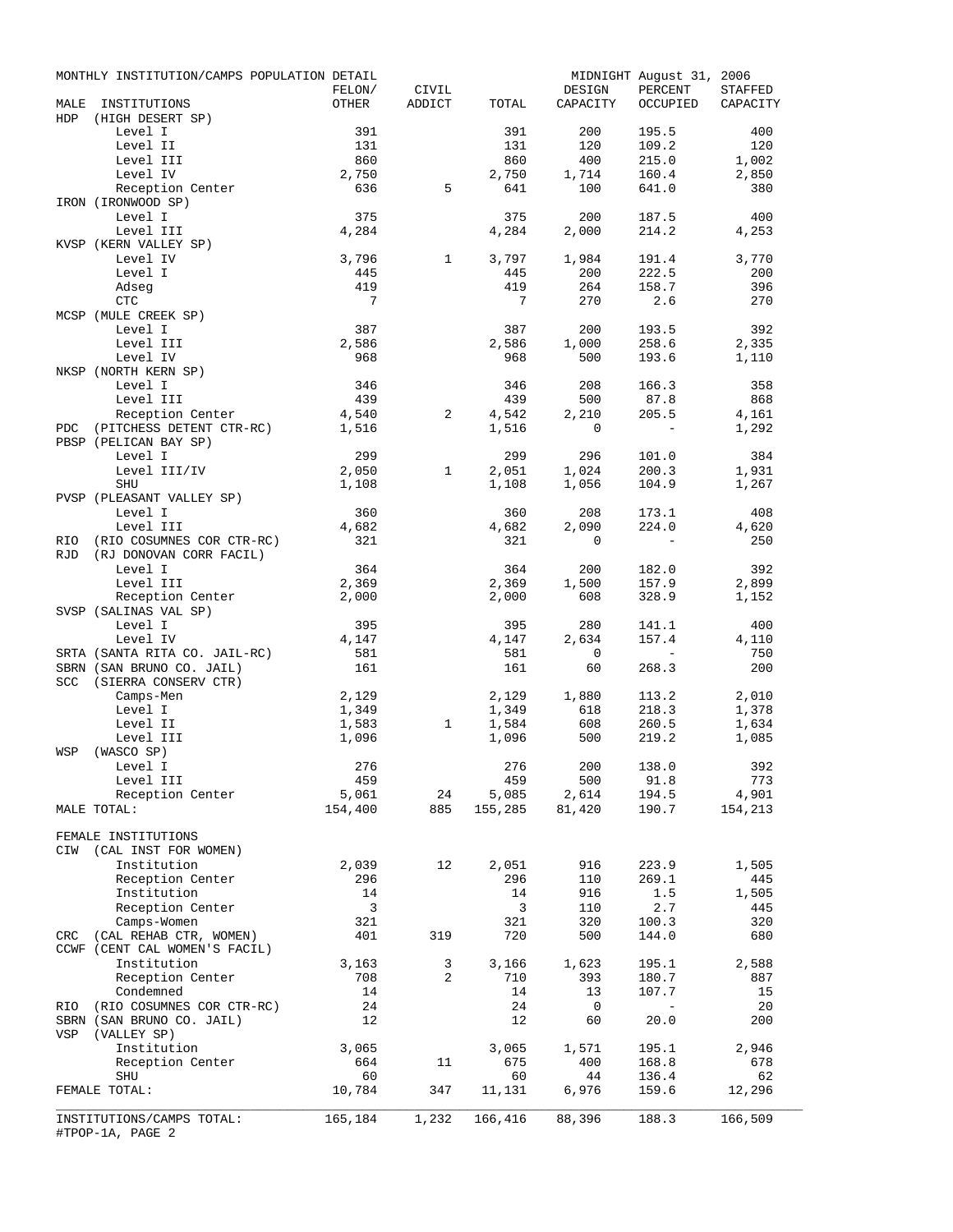|             | MONTHLY INSTITUTION/CAMPS POPULATION DETAIL   |                         |                 |                |              | MIDNIGHT August 31, 2006 |                |
|-------------|-----------------------------------------------|-------------------------|-----------------|----------------|--------------|--------------------------|----------------|
|             |                                               | FELON/                  | CIVIL<br>ADDICT |                | DESIGN       | PERCENT                  | <b>STAFFED</b> |
| MALE<br>HDP | INSTITUTIONS                                  | OTHER                   |                 | TOTAL          | CAPACITY     | OCCUPIED                 | CAPACITY       |
|             | (HIGH DESERT SP)<br>Level I                   | 391                     |                 | 391            | 200          | 195.5                    | 400            |
|             | Level II                                      | 131                     |                 | 131            | 120          | 109.2                    | 120            |
|             | Level III                                     | 860                     |                 | 860            | 400          | 215.0                    | 1,002          |
|             | Level IV                                      | 2,750                   |                 | 2,750          | 1,714        | 160.4                    | 2,850          |
|             | Reception Center                              | 636                     | 5               | 641            | 100          | 641.0                    | 380            |
|             | IRON (IRONWOOD SP)                            |                         |                 |                |              |                          |                |
|             | Level I                                       | 375                     |                 | 375            | 200          | 187.5                    | 400            |
|             | Level III                                     | 4,284                   |                 | 4,284          | 2,000        | 214.2                    | 4,253          |
|             | KVSP (KERN VALLEY SP)                         |                         |                 |                |              |                          |                |
|             | Level IV                                      | 3,796                   | $\mathbf{1}$    | 3,797          | 1,984        | 191.4                    | 3,770          |
|             | Level I                                       | 445                     |                 | 445            | 200          | 222.5                    | 200            |
|             | Adseg                                         | 419                     |                 | 419            | 264          | 158.7                    | 396            |
|             | CTC                                           | $\overline{7}$          |                 | $\overline{7}$ | 270          | 2.6                      | 270            |
|             | MCSP (MULE CREEK SP)                          | 387                     |                 |                |              |                          |                |
|             | Level I<br>Level III                          | 2,586                   |                 | 387<br>2,586   | 200<br>1,000 | 193.5<br>258.6           | 392<br>2,335   |
|             | Level IV                                      | 968                     |                 | 968            | 500          | 193.6                    | 1,110          |
|             | NKSP (NORTH KERN SP)                          |                         |                 |                |              |                          |                |
|             | Level I                                       | 346                     |                 | 346            | 208          | 166.3                    | 358            |
|             | Level III                                     | 439                     |                 | 439            | 500          | 87.8                     | 868            |
|             | Reception Center                              | 4,540                   | 2               | 4,542          | 2,210        | 205.5                    | 4,161          |
| PDC         | (PITCHESS DETENT CTR-RC) 1,516                |                         |                 | 1,516          | $\mathbf 0$  | $\sim$ $-$               | 1,292          |
|             | PBSP (PELICAN BAY SP)                         |                         |                 |                |              |                          |                |
|             | Level I                                       | 299                     |                 | 299            | 296          | 101.0                    | 384            |
|             | Level III/IV                                  | 2,050                   | $\mathbf{1}$    | 2,051          | 1,024        | 200.3                    | 1,931          |
|             | <b>SHU</b>                                    | 1,108                   |                 | 1,108          | 1,056        | 104.9                    | 1,267          |
|             | PVSP (PLEASANT VALLEY SP)                     |                         |                 |                |              |                          |                |
|             | Level I                                       | 360                     |                 | 360            | 208          | 173.1                    | 408            |
|             | Level III                                     | 4,682                   |                 | 4,682          | 2,090        | 224.0                    | 4,620          |
| RIO         | (RIO COSUMNES COR CTR-RC)                     | 321                     |                 | 321            | $\mathbf 0$  | $\sim$                   | 250            |
| RJD         | (RJ DONOVAN CORR FACIL)                       |                         |                 |                |              |                          |                |
|             | Level I                                       | 364<br>2,369            |                 | 364            | 200          | 182.0                    | 392            |
|             | Level III<br>Reception Center                 | 2,000                   |                 | 2,369<br>2,000 | 1,500<br>608 | 157.9<br>328.9           | 2,899<br>1,152 |
|             | SVSP (SALINAS VAL SP)                         |                         |                 |                |              |                          |                |
|             | Level I                                       | 395                     |                 | 395            | 280          | 141.1                    | 400            |
|             | Level IV                                      | 4,147                   |                 | 4,147          | 2,634        | 157.4                    | 4,110          |
|             | SRTA (SANTA RITA CO. JAIL-RC)                 | 581                     |                 | 581            | $\mathbf 0$  | $\sim 100$ km s $^{-1}$  | 750            |
|             | SBRN (SAN BRUNO CO. JAIL)                     | 161                     |                 | 161            | 60           | 268.3                    | 200            |
|             | SCC (SIERRA CONSERV CTR)                      |                         |                 |                |              |                          |                |
|             | Camps-Men                                     | 2,129                   |                 | 2,129          | 1,880        | 113.2                    | 2,010          |
|             | Level I                                       | 1,349                   |                 | 1,349          | 618          | 218.3                    | 1,378          |
|             | Level II                                      | 1,583                   | $\mathbf{1}$    | 1,584          | 608          | 260.5                    | 1,634          |
|             | Level III                                     | 1,096                   |                 | 1,096          | 500          | 219.2                    | 1,085          |
| WSP         | (WASCO SP)                                    |                         |                 |                |              |                          |                |
|             | Level I                                       | 276                     |                 | 276            | 200 138.0    |                          | 392            |
|             | Level III                                     | 459                     |                 | 459            | 500          | 91.8                     | 773            |
|             | Reception Center                              | 5,061                   | 24              | 5,085          | 2,614        | 194.5                    | 4,901          |
|             | MALE TOTAL:                                   | 154,400                 | 885             | 155,285        | 81,420       | 190.7                    | 154,213        |
|             | FEMALE INSTITUTIONS                           |                         |                 |                |              |                          |                |
| CIW         | (CAL INST FOR WOMEN)                          |                         |                 |                |              |                          |                |
|             | Institution                                   | 2,039                   | 12              | 2,051          | 916          | 223.9                    | 1,505          |
|             | Reception Center                              | 296                     |                 | 296            | 110          | 269.1                    | 445            |
|             | Institution                                   | 14                      |                 | 14             | 916          | 1.5                      | 1,505          |
|             | Reception Center                              | $\overline{\mathbf{3}}$ |                 | 3              | 110          | 2.7                      | 445            |
|             | Camps-Women                                   | 321                     |                 | 321            | 320          | 100.3                    | 320            |
| CRC         | (CAL REHAB CTR, WOMEN)                        | 401                     | 319             | 720            | 500          | 144.0                    | 680            |
|             | CCWF (CENT CAL WOMEN'S FACIL)                 |                         |                 |                |              |                          |                |
|             | Institution                                   | 3,163                   | 3               | 3,166          | 1,623        | 195.1                    | 2,588          |
|             | Reception Center                              | 708                     | 2               | 710            | 393          | 180.7                    | 887            |
|             | Condemned                                     | 14                      |                 | 14             | 13           | 107.7                    | 15             |
| RIO         | (RIO COSUMNES COR CTR-RC)                     | 24                      |                 | 24             | 0            | $\sim$                   | 20             |
|             | SBRN (SAN BRUNO CO. JAIL)                     | 12                      |                 | 12             | 60           | 20.0                     | 200            |
| VSP         | (VALLEY SP)                                   |                         |                 |                |              |                          |                |
|             | Institution                                   | 3,065                   |                 | 3,065          | 1,571        | 195.1                    | 2,946          |
|             | Reception Center                              | 664                     | 11              | 675            | 400          | 168.8                    | 678            |
|             | SHU                                           | 60                      |                 | 60             | 44           | 136.4                    | 62             |
|             | FEMALE TOTAL:                                 | 10,784                  | 347             | 11,131         | 6,976        | 159.6                    | 12,296         |
|             |                                               |                         | 1,232           | 166,416        | 88,396       | 188.3                    | 166,509        |
|             | INSTITUTIONS/CAMPS TOTAL:<br>#TPOP-1A, PAGE 2 | 165,184                 |                 |                |              |                          |                |
|             |                                               |                         |                 |                |              |                          |                |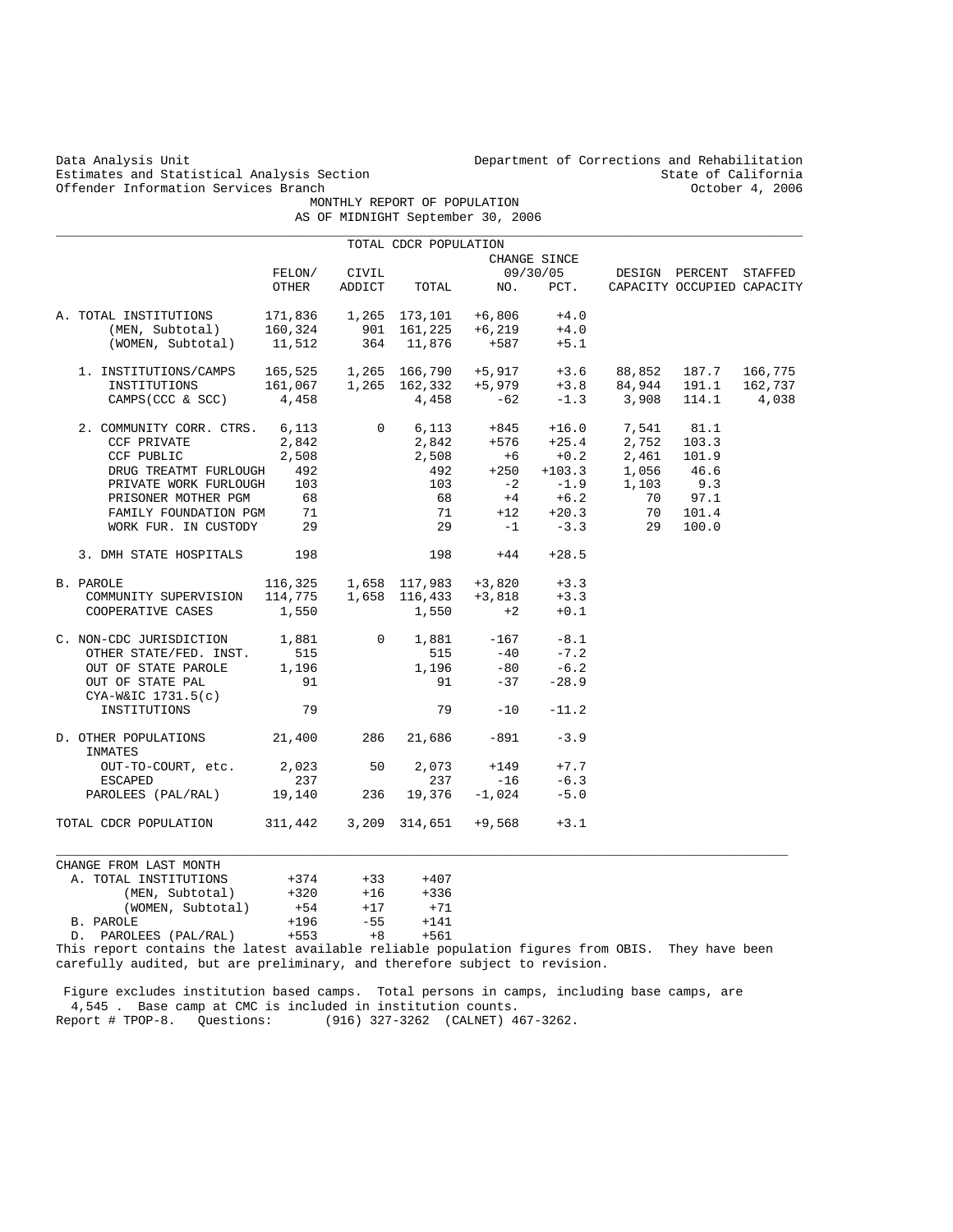Estimates and Statistical Analysis Section State of California<br>
Offender Information Services Branch (State of California (State of California Offender Information Services Branch

Data Analysis Unit Department of Corrections and Rehabilitation<br>Estimates and Statistical Analysis Section Branches of California

 MONTHLY REPORT OF POPULATION AS OF MIDNIGHT September 30, 2006

|                                                                                                                              |                 |                       | TOTAL CDCR POPULATION                                                                                                                                   |                   |              |                                                                                                                                                                                   |                            |         |
|------------------------------------------------------------------------------------------------------------------------------|-----------------|-----------------------|---------------------------------------------------------------------------------------------------------------------------------------------------------|-------------------|--------------|-----------------------------------------------------------------------------------------------------------------------------------------------------------------------------------|----------------------------|---------|
|                                                                                                                              |                 |                       |                                                                                                                                                         |                   | CHANGE SINCE |                                                                                                                                                                                   |                            |         |
|                                                                                                                              | FELON/          | CIVIL                 |                                                                                                                                                         |                   | 09/30/05     |                                                                                                                                                                                   | DESIGN PERCENT STAFFED     |         |
|                                                                                                                              | OTHER           | ADDICT                | TOTAL                                                                                                                                                   | NO.               | PCT.         |                                                                                                                                                                                   | CAPACITY OCCUPIED CAPACITY |         |
| L INSTITUTIONS 171,836 1,265 173,101 +6,806 +4.0<br>(MEN, Subtotal) 160,324 901 161,225 +6,219 +4.0<br>A. TOTAL INSTITUTIONS |                 |                       |                                                                                                                                                         |                   |              |                                                                                                                                                                                   |                            |         |
|                                                                                                                              |                 |                       |                                                                                                                                                         |                   |              |                                                                                                                                                                                   |                            |         |
| (WOMEN, Subtotal) 11,512                                                                                                     |                 |                       | 364 11,876                                                                                                                                              | $+587$            | $+5.1$       |                                                                                                                                                                                   |                            |         |
| 1. INSTITUTIONS/CAMPS                                                                                                        |                 |                       |                                                                                                                                                         |                   |              | 165,525  1,265  166,790  +5,917  +3.6  88,852  187.7  166,775                                                                                                                     |                            |         |
| INSTITUTIONS                                                                                                                 |                 |                       |                                                                                                                                                         |                   |              |                                                                                                                                                                                   |                            | 162,737 |
| CAMPS (CCC & SCC)                                                                                                            | 4,458           |                       |                                                                                                                                                         |                   |              | $163,323$ 1,265 162,332 +5,979 +3.8 84,944 191.1<br>4.458 4,458 -62 -1.3 3,908 114.1                                                                                              |                            | 4,038   |
| 2. COMMUNITY CORR. CTRS. 6,113                                                                                               |                 |                       |                                                                                                                                                         |                   |              | $\begin{array}{cccccc} 0&6,113&+845&+16.0&7,541&81.1\\ 2,842&+576&+25.4&2,752&103.3\\ 2,508&+6&+0.2&2,461&101.9\\ 492&+250&+103.3&1,056&46.6\\ 103&-2&-1.9&1,103&9.3 \end{array}$ |                            |         |
| CCF PRIVATE                                                                                                                  | 2,842           |                       |                                                                                                                                                         |                   |              |                                                                                                                                                                                   |                            |         |
| CCF PUBLIC                                                                                                                   | 2,508           |                       |                                                                                                                                                         |                   |              |                                                                                                                                                                                   |                            |         |
| DRUG TREATMT FURLOUGH 492                                                                                                    |                 |                       |                                                                                                                                                         |                   |              | $+103.3$ $1,056$<br>$-1.9$ $1,103$                                                                                                                                                |                            |         |
| PRIVATE WORK FURLOUGH 103                                                                                                    |                 |                       |                                                                                                                                                         |                   |              |                                                                                                                                                                                   |                            |         |
| PRISONER MOTHER PGM                                                                                                          | 68              |                       | 68                                                                                                                                                      | $+4$              | $+6.2$       | 70                                                                                                                                                                                | 97.1                       |         |
| FAMILY FOUNDATION PGM                                                                                                        | 71              |                       | 71                                                                                                                                                      |                   | $+12 +20.3$  | 70                                                                                                                                                                                | 101.4                      |         |
| WORK FUR. IN CUSTODY                                                                                                         | 29              |                       | 29                                                                                                                                                      |                   | $-1$ $-3.3$  | 29                                                                                                                                                                                | 100.0                      |         |
| 3. DMH STATE HOSPITALS                                                                                                       | 198             |                       | 198                                                                                                                                                     | $+44$             | $+28.5$      |                                                                                                                                                                                   |                            |         |
| B. PAROLE                                                                                                                    |                 |                       | $\begin{array}{cccccc} 116,325 & 1,658 & 117,983 & +3,820 & +3.3 \\ 114,775 & 1,658 & 116,433 & +3,818 & +3.3 \\ 1,550 & 1,550 & +2 & +0.1 \end{array}$ |                   |              |                                                                                                                                                                                   |                            |         |
| COMMUNITY SUPERVISION                                                                                                        |                 |                       |                                                                                                                                                         |                   |              |                                                                                                                                                                                   |                            |         |
| COOPERATIVE CASES                                                                                                            | 1,550           |                       | 1,550                                                                                                                                                   | $+2$              | $+0.1$       |                                                                                                                                                                                   |                            |         |
| C. NON-CDC JURISDICTION                                                                                                      | 1,881           | $\overline{0}$        |                                                                                                                                                         | $1,881 -167 -8.1$ |              |                                                                                                                                                                                   |                            |         |
| OTHER STATE/FED. INST.                                                                                                       | 515             |                       | 515                                                                                                                                                     | $-40$             | $-7.2$       |                                                                                                                                                                                   |                            |         |
| OUT OF STATE PAROLE                                                                                                          | 1,196           |                       | 1,196                                                                                                                                                   | $-80$             | $-6.2$       |                                                                                                                                                                                   |                            |         |
| OUT OF STATE PAL                                                                                                             | 91              |                       | 91                                                                                                                                                      | $-37$             | $-28.9$      |                                                                                                                                                                                   |                            |         |
| $CYA-W&IC$ 1731.5(c)                                                                                                         |                 |                       |                                                                                                                                                         |                   |              |                                                                                                                                                                                   |                            |         |
| INSTITUTIONS                                                                                                                 | 79              |                       |                                                                                                                                                         | 79<br>$-10$       | $-11.2$      |                                                                                                                                                                                   |                            |         |
| D. OTHER POPULATIONS 21,400<br>INMATES                                                                                       |                 | 286                   | 21,686                                                                                                                                                  | $-891$            | $-3.9$       |                                                                                                                                                                                   |                            |         |
| OUT-TO-COURT, etc.                                                                                                           | 2,023           | 50                    | 2,073                                                                                                                                                   | $+149$            | $+7.7$       |                                                                                                                                                                                   |                            |         |
| <b>ESCAPED</b>                                                                                                               | 237             |                       | 237                                                                                                                                                     | $-16$             | $-6.3$       |                                                                                                                                                                                   |                            |         |
| PAROLEES (PAL/RAL) 19,140                                                                                                    |                 | 236                   | 19,376                                                                                                                                                  | $-1,024$          | $-5.0$       |                                                                                                                                                                                   |                            |         |
| TOTAL CDCR POPULATION 311, 442 3, 209 314, 651 + 9, 568                                                                      |                 |                       |                                                                                                                                                         |                   | $+3.1$       |                                                                                                                                                                                   |                            |         |
|                                                                                                                              |                 |                       |                                                                                                                                                         |                   |              |                                                                                                                                                                                   |                            |         |
| CHANGE FROM LAST MONTH                                                                                                       |                 |                       |                                                                                                                                                         |                   |              |                                                                                                                                                                                   |                            |         |
| A. TOTAL INSTITUTIONS                                                                                                        | $+374$          | $+33$<br>$+16$ $+336$ | $+407$                                                                                                                                                  |                   |              |                                                                                                                                                                                   |                            |         |
| (MEN, Subtotal)                                                                                                              | $+320$          |                       |                                                                                                                                                         |                   |              |                                                                                                                                                                                   |                            |         |
| (WOMEN, Subtotal)                                                                                                            | $+54$<br>$+196$ | $+17$<br>$-55$        | $+71$<br>$+141$                                                                                                                                         |                   |              |                                                                                                                                                                                   |                            |         |
| B. PAROLE                                                                                                                    | $+553$          | $+8$                  | +561                                                                                                                                                    |                   |              |                                                                                                                                                                                   |                            |         |
| D. PAROLEES (PAL/RAL)<br>This report contains the latest available reliable population figures from OBIS.                    |                 |                       |                                                                                                                                                         |                   |              |                                                                                                                                                                                   | They have been             |         |

carefully audited, but are preliminary, and therefore subject to revision.

 Figure excludes institution based camps. Total persons in camps, including base camps, are 4,545 . Base camp at CMC is included in institution counts. Report # TPOP-8. Questions: (916) 327-3262 (CALNET) 467-3262.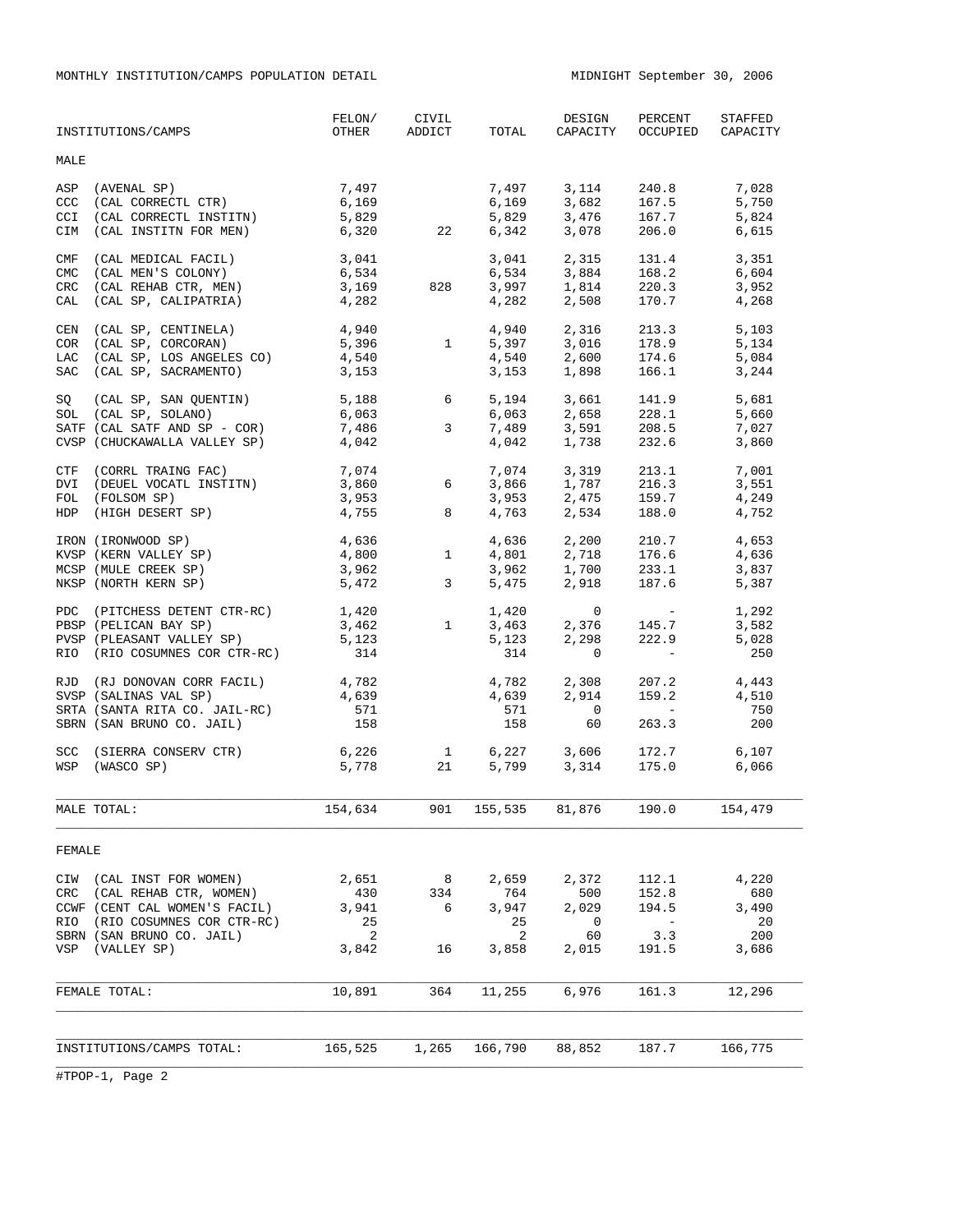MONTHLY INSTITUTION/CAMPS POPULATION DETAIL MIDNIGHT September 30, 2006

|                                        | INSTITUTIONS/CAMPS                                                                                                                                       | FELON/<br>OTHER                           | CIVIL<br>ADDICT                |                                           | DESIGN<br>TOTAL CAPACITY                       | PERCENT<br>OCCUPIED                                                                                                                           | STAFFED<br>CAPACITY                         |
|----------------------------------------|----------------------------------------------------------------------------------------------------------------------------------------------------------|-------------------------------------------|--------------------------------|-------------------------------------------|------------------------------------------------|-----------------------------------------------------------------------------------------------------------------------------------------------|---------------------------------------------|
| <b>MALE</b>                            |                                                                                                                                                          |                                           |                                |                                           |                                                |                                                                                                                                               |                                             |
| ASP<br><b>CCC</b><br>CCI<br>CIM        | (AVENAL SP)<br>(CAL CORRECTL CTR)<br>(CAL CORRECTL INSTITN)<br>(CAL INSTITN FOR MEN)                                                                     | 7,497<br>6,169<br>5,829<br>6,320          | 22                             | 7,497<br>6,169<br>5,829<br>6,342          | 3,114<br>3,682<br>3,476<br>3,078               | 240.8<br>167.5<br>167.7<br>206.0                                                                                                              | 7,028<br>5,750<br>5,824<br>6,615            |
| CMF<br><b>CMC</b><br><b>CRC</b><br>CAL | (CAL MEDICAL FACIL)<br>(CAL MEN'S COLONY)<br>(CAL REHAB CTR, MEN)<br>(CAL SP, CALIPATRIA)                                                                | 3,041<br>6,534<br>3,169<br>4,282          | 828                            | 3,041<br>6,534<br>3,997<br>4,282          | 2,315<br>3,884<br>1,814<br>2,508               | 131.4<br>168.2<br>220.3<br>170.7                                                                                                              | 3,351<br>6,604<br>3,952<br>4,268            |
| CEN<br>LAC<br>SAC                      | (CAL SP, CENTINELA)<br>COR (CAL SP, CORCORAN)<br>(CAL SP, LOS ANGELES CO)<br>(CAL SP, SACRAMENTO)                                                        | 4,940<br>5,396<br>4,540<br>3,153          | $\mathbf{1}$                   | 4,940<br>5,397<br>4,540<br>3,153          | 2,316<br>3,016<br>2,600<br>1,898               | 213.3<br>178.9<br>174.6<br>166.1                                                                                                              | 5,103<br>5,134<br>5,084<br>3,244            |
| SQ                                     | (CAL SP, SAN QUENTIN)<br>SOL (CAL SP, SOLANO)<br>SATF (CAL SATF AND SP - COR)<br>CVSP (CHUCKAWALLA VALLEY SP)                                            | 5,188<br>6,063<br>7,486<br>4,042          | 6<br>3                         | 5,194<br>6,063<br>7,489<br>4,042          | 3,661<br>2,658<br>3,591<br>1,738               | 141.9<br>228.1<br>208.5<br>232.6                                                                                                              | 5,681<br>5,660<br>7,027<br>3,860            |
|                                        | CTF (CORRL TRAING FAC)<br>DVI (DEUEL VOCATL INSTITN)<br>FOL (FOLSOM SP)<br>HDP (HIGH DESERT SP)                                                          | 7,074<br>3,860<br>3,953<br>4,755          | 6<br>8                         | 7,074<br>3,866<br>3,953<br>4,763          | 3,319<br>1,787<br>2,475<br>2,534               | 213.1<br>216.3<br>159.7<br>188.0                                                                                                              | 7,001<br>3,551<br>4,249<br>4,752            |
|                                        | IRON (IRONWOOD SP)<br>KVSP (KERN VALLEY SP)<br>MCSP (MULE CREEK SP)<br>NKSP (NORTH KERN SP)                                                              | 4,636<br>4,800<br>3,962<br>5,472          | $\mathbf{1}$<br>$\overline{3}$ | 4,636<br>4,801<br>3,962<br>5,475          | 2,200<br>2,718<br>1,700<br>2,918               | 210.7<br>176.6<br>233.1<br>187.6                                                                                                              | 4,653<br>4,636<br>3,837<br>5,387            |
|                                        | PDC (PITCHESS DETENT CTR-RC)<br>PBSP (PELICAN BAY SP)<br>PVSP (PLEASANT VALLEY SP)<br>RIO (RIO COSUMNES COR CTR-RC)                                      | 1,420<br>3,462<br>5,123<br>314            | $\mathbf{1}$                   | 1,420<br>3,463<br>5,123<br>314            | $\mathbf{0}$<br>2,376<br>2,298<br>$\mathbf{0}$ | $\mathcal{L}^{\mathcal{L}}(\mathcal{L}^{\mathcal{L}})$ and $\mathcal{L}^{\mathcal{L}}(\mathcal{L}^{\mathcal{L}})$<br>145.7<br>222.9<br>$\sim$ | 1,292<br>3,582<br>5,028<br>250              |
|                                        | RJD (RJ DONOVAN CORR FACIL)<br>SVSP (SALINAS VAL SP)<br>SRTA (SANTA RITA CO. JAIL-RC)<br>SBRN (SAN BRUNO CO. JAIL)                                       | 4,782<br>4,639<br>571<br>158              |                                | 4,782<br>4,639<br>571<br>158              | 2,308<br>2,914<br>$\overline{0}$<br>60         | 207.2<br>159.2<br>$\overline{a}$<br>263.3                                                                                                     | 4,443<br>4,510<br>750<br>200                |
|                                        | SCC (SIERRA CONSERV CTR)<br>WSP (WASCO SP)                                                                                                               | 6,226<br>5,778                            | 1<br>21                        | 6,227<br>5,799                            | 3,606<br>3,314                                 | 172.7<br>175.0                                                                                                                                | 6,107<br>6,066                              |
|                                        | MALE TOTAL:                                                                                                                                              | 154,634                                   | 901                            | 155,535                                   | 81,876                                         | 190.0                                                                                                                                         | 154,479                                     |
| FEMALE                                 |                                                                                                                                                          |                                           |                                |                                           |                                                |                                                                                                                                               |                                             |
| CIW<br>CRC<br>RIO<br>VSP               | (CAL INST FOR WOMEN)<br>(CAL REHAB CTR, WOMEN)<br>CCWF (CENT CAL WOMEN'S FACIL)<br>(RIO COSUMNES COR CTR-RC)<br>SBRN (SAN BRUNO CO. JAIL)<br>(VALLEY SP) | 2,651<br>430<br>3,941<br>25<br>2<br>3,842 | 8<br>334<br>6<br>16            | 2,659<br>764<br>3,947<br>25<br>2<br>3,858 | 2,372<br>500<br>2,029<br>0<br>60<br>2,015      | 112.1<br>152.8<br>194.5<br>$-$<br>3.3<br>191.5                                                                                                | 4,220<br>680<br>3,490<br>20<br>200<br>3,686 |
|                                        | FEMALE TOTAL:                                                                                                                                            | 10,891                                    | 364                            | 11,255                                    | 6,976                                          | 161.3                                                                                                                                         | 12,296                                      |
|                                        | INSTITUTIONS/CAMPS TOTAL:                                                                                                                                | 165,525                                   | 1,265                          | 166,790                                   | 88,852                                         | 187.7                                                                                                                                         | 166,775                                     |
|                                        |                                                                                                                                                          |                                           |                                |                                           |                                                |                                                                                                                                               |                                             |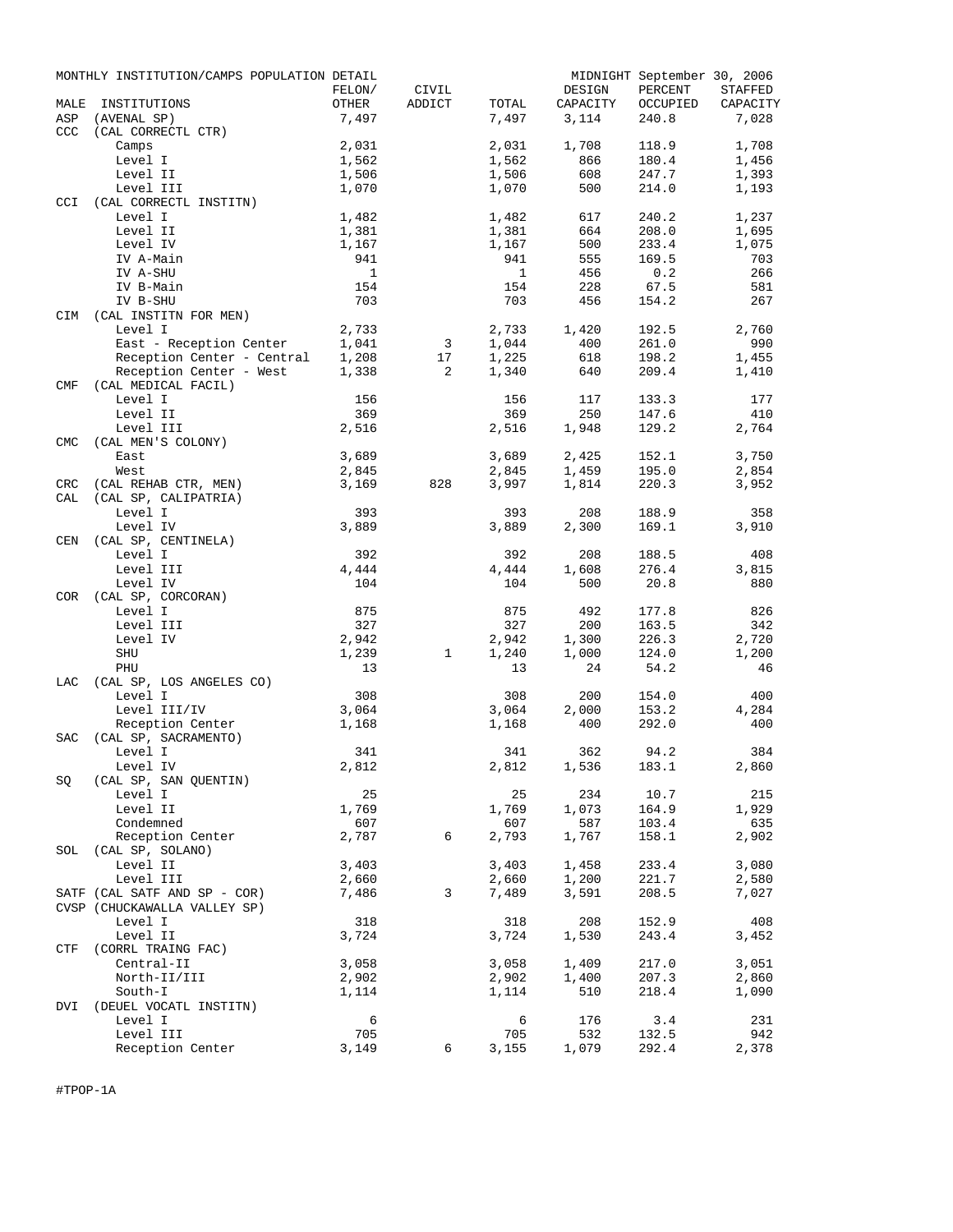|            | MONTHLY INSTITUTION/CAMPS POPULATION DETAIL |              |        |       |          | MIDNIGHT September 30, 2006 |          |
|------------|---------------------------------------------|--------------|--------|-------|----------|-----------------------------|----------|
|            |                                             | FELON/       | CIVIL  |       | DESIGN   | PERCENT                     | STAFFED  |
| MALE       | INSTITUTIONS                                | OTHER        | ADDICT | TOTAL | CAPACITY | OCCUPIED                    | CAPACITY |
| ASP        | (AVENAL SP)                                 | 7,497        |        | 7,497 | 3,114    | 240.8                       | 7,028    |
| CCC        | (CAL CORRECTL CTR)                          |              |        |       |          |                             |          |
|            | Camps                                       | 2,031        |        | 2,031 | 1,708    | 118.9                       | 1,708    |
|            | Level I                                     | 1,562        |        | 1,562 | 866      | 180.4                       | 1,456    |
|            | Level II                                    | 1,506        |        | 1,506 | 608      | 247.7                       | 1,393    |
|            | Level III                                   | 1,070        |        | 1,070 | 500      | 214.0                       | 1,193    |
| CCI        | (CAL CORRECTL INSTITN)                      |              |        |       |          |                             |          |
|            | Level I                                     | 1,482        |        | 1,482 | 617      | 240.2                       | 1,237    |
|            | Level II                                    | 1,381        |        | 1,381 | 664      | 208.0                       | 1,695    |
|            | Level IV                                    | 1,167        |        | 1,167 | 500      | 233.4                       | 1,075    |
|            | IV A-Main                                   | 941          |        | 941   | 555      | 169.5                       | 703      |
|            | IV A-SHU                                    | $\mathbf{1}$ |        | 1     | 456      | 0.2                         | 266      |
|            | IV B-Main                                   | 154          |        | 154   | 228      | 67.5                        | 581      |
|            | IV B-SHU                                    | 703          |        | 703   | 456      | 154.2                       | 267      |
| CIM        | (CAL INSTITN FOR MEN)                       |              |        |       |          |                             |          |
|            | Level I                                     | 2,733        |        | 2,733 | 1,420    | 192.5                       | 2,760    |
|            | East - Reception Center                     | 1,041        | 3      | 1,044 | 400      | 261.0                       | 990      |
|            | Reception Center - Central                  | 1,208        | 17     | 1,225 | 618      | 198.2                       | 1,455    |
|            | Reception Center - West                     | 1,338        | 2      | 1,340 | 640      | 209.4                       | 1,410    |
| <b>CMF</b> | (CAL MEDICAL FACIL)                         |              |        |       |          |                             |          |
|            | Level I                                     | 156          |        | 156   | 117      | 133.3                       | 177      |
|            | Level II                                    | 369          |        | 369   | 250      | 147.6                       | 410      |
|            | Level III                                   | 2,516        |        | 2,516 | 1,948    | 129.2                       | 2,764    |
| <b>CMC</b> | (CAL MEN'S COLONY)                          |              |        |       |          |                             |          |
|            | East                                        | 3,689        |        | 3,689 | 2,425    | 152.1                       | 3,750    |
|            | West                                        | 2,845        |        | 2,845 | 1,459    | 195.0                       | 2,854    |
| <b>CRC</b> | (CAL REHAB CTR, MEN)                        | 3,169        | 828    | 3,997 | 1,814    | 220.3                       | 3,952    |
| CAL        | (CAL SP, CALIPATRIA)                        |              |        |       |          |                             |          |
|            | Level I                                     | 393          |        | 393   | 208      | 188.9                       | 358      |
|            | Level IV                                    | 3,889        |        | 3,889 | 2,300    | 169.1                       | 3,910    |
| CEN        | (CAL SP, CENTINELA)                         |              |        |       |          |                             |          |
|            | Level I                                     | 392          |        | 392   | 208      | 188.5                       | 408      |
|            | Level III                                   | 4,444        |        | 4,444 | 1,608    | 276.4                       | 3,815    |
|            | Level IV                                    | 104          |        | 104   | 500      | 20.8                        | 880      |
| COR        | (CAL SP, CORCORAN)                          |              |        |       |          |                             |          |
|            | Level I                                     | 875          |        | 875   | 492      | 177.8                       | 826      |
|            | Level III                                   | 327          |        | 327   | 200      | 163.5                       | 342      |
|            | Level IV                                    |              |        |       | 1,300    | 226.3                       | 2,720    |
|            |                                             | 2,942        |        | 2,942 |          |                             |          |
|            | SHU                                         | 1,239        | 1      | 1,240 | 1,000    | 124.0                       | 1,200    |
|            | PHU                                         | 13           |        | 13    | 24       | 54.2                        | 46       |
| LAC        | (CAL SP, LOS ANGELES CO)                    |              |        |       |          |                             |          |
|            | Level I                                     | 308          |        | 308   | 200      | 154.0                       | 400      |
|            | Level III/IV                                | 3,064        |        | 3,064 | 2,000    | 153.2                       | 4,284    |
|            | Reception Center                            | 1,168        |        | 1,168 | 400      | 292.0                       | 400      |
| <b>SAC</b> | (CAL SP, SACRAMENTO)                        |              |        |       |          |                             |          |
|            | Level I                                     | 341          |        | 341   | 362      | 94.2                        | 384      |
|            | Level IV                                    | 2,812        |        | 2,812 | 1,536    | 183.1                       | 2,860    |
| SQ         | (CAL SP, SAN QUENTIN)                       |              |        |       |          |                             |          |
|            | Level I                                     | 25           |        | 25    | 234      | 10.7                        | 215      |
|            | Level II                                    | 1,769        |        | 1,769 | 1,073    | 164.9                       | 1,929    |
|            | Condemned                                   | 607          |        | 607   | 587      | 103.4                       | 635      |
|            | Reception Center                            | 2,787        | 6      | 2,793 | 1,767    | 158.1                       | 2,902    |
| SOL        | (CAL SP, SOLANO)                            |              |        |       |          |                             |          |
|            | Level II                                    | 3,403        |        | 3,403 | 1,458    | 233.4                       | 3,080    |
|            | Level III                                   | 2,660        |        | 2,660 | 1,200    | 221.7                       | 2,580    |
|            | SATF (CAL SATF AND SP - COR)                | 7,486        | 3      | 7,489 | 3,591    | 208.5                       | 7,027    |
|            | CVSP (CHUCKAWALLA VALLEY SP)                |              |        |       |          |                             |          |
|            | Level I                                     | 318          |        | 318   | 208      | 152.9                       | 408      |
|            | Level II                                    | 3,724        |        | 3,724 | 1,530    | 243.4                       | 3,452    |
| CTF        | (CORRL TRAING FAC)                          |              |        |       |          |                             |          |
|            | Central-II                                  | 3,058        |        | 3,058 | 1,409    | 217.0                       | 3,051    |
|            | North-II/III                                | 2,902        |        | 2,902 | 1,400    | 207.3                       | 2,860    |
|            | South-I                                     | 1,114        |        | 1,114 | 510      | 218.4                       | 1,090    |
| DVI        | (DEUEL VOCATL INSTITN)                      |              |        |       |          |                             |          |
|            | Level I                                     | 6            |        | 6     | 176      | 3.4                         | 231      |
|            | Level III                                   | 705          |        | 705   | 532      | 132.5                       | 942      |
|            | Reception Center                            | 3,149        | 6      | 3,155 | 1,079    | 292.4                       | 2,378    |

#TPOP-1A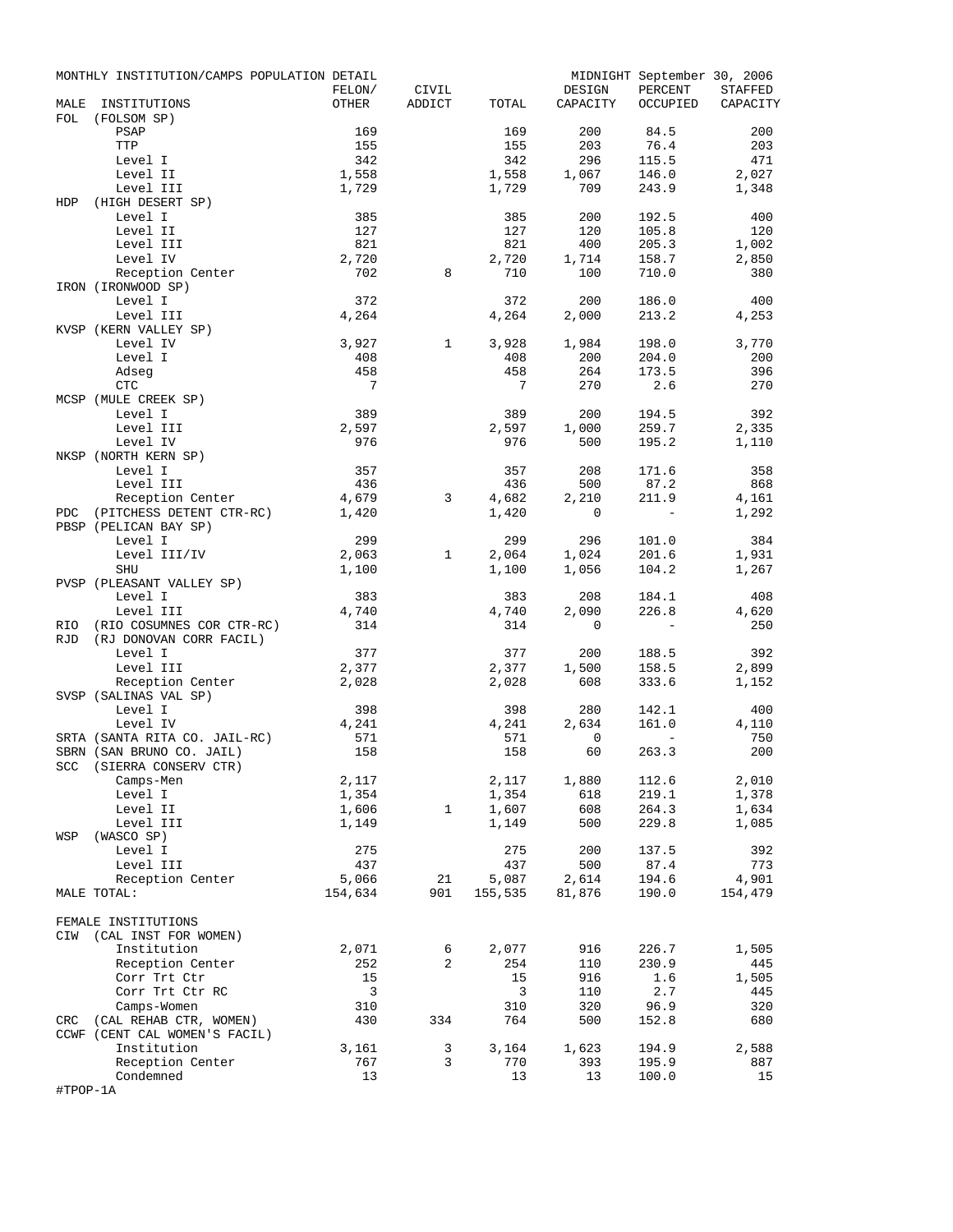|            | MONTHLY INSTITUTION/CAMPS POPULATION DETAIL |                 |                 |              |                    | MIDNIGHT September 30, 2006 |                     |
|------------|---------------------------------------------|-----------------|-----------------|--------------|--------------------|-----------------------------|---------------------|
| MALE       | INSTITUTIONS                                | FELON/<br>OTHER | CIVIL<br>ADDICT | TOTAL        | DESIGN<br>CAPACITY | PERCENT<br>OCCUPIED         | STAFFED<br>CAPACITY |
| FOL        | (FOLSOM SP)                                 |                 |                 |              |                    |                             |                     |
|            | PSAP                                        | 169             |                 | 169          | 200                | 84.5                        | 200                 |
|            | TTP                                         | 155             |                 | 155          | 203                | 76.4                        | 203                 |
|            | Level I                                     | 342             |                 | 342          | 296                | 115.5                       | 471                 |
|            | Level II                                    | 1,558           |                 | 1,558        | 1,067              | 146.0                       | 2,027               |
|            | Level III                                   | 1,729           |                 | 1,729        | 709                | 243.9                       | 1,348               |
| HDP        | (HIGH DESERT SP)                            |                 |                 |              |                    |                             |                     |
|            | Level I<br>Level II                         | 385<br>127      |                 | 385<br>127   | 200<br>120         | 192.5<br>105.8              | 400<br>120          |
|            | Level III                                   | 821             |                 | 821          | 400                | 205.3                       | 1,002               |
|            | Level IV                                    | 2,720           |                 | 2,720        | 1,714              | 158.7                       | 2,850               |
|            | Reception Center                            | 702             | 8               | 710          | 100                | 710.0                       | 380                 |
|            | IRON (IRONWOOD SP)                          |                 |                 |              |                    |                             |                     |
|            | Level I                                     | 372             |                 | 372          | 200                | 186.0                       | 400                 |
|            | Level III                                   | 4,264           |                 | 4,264        | 2,000              | 213.2                       | 4,253               |
|            | KVSP (KERN VALLEY SP)                       |                 |                 |              |                    |                             |                     |
|            | Level IV                                    | 3,927           | $\mathbf{1}$    | 3,928        | 1,984              | 198.0                       | 3,770               |
|            | Level I                                     | 408             |                 | 408          | 200                | 204.0                       | 200                 |
|            | Adseg<br>$\ensuremath{\mathsf{CTC}}$        | 458<br>7        |                 | 458<br>7     | 264<br>270         | 173.5<br>2.6                | 396<br>270          |
|            | MCSP (MULE CREEK SP)                        |                 |                 |              |                    |                             |                     |
|            | Level I                                     | 389             |                 | 389          | 200                | 194.5                       | 392                 |
|            | Level III                                   | 2,597           |                 | 2,597        | 1,000              | 259.7                       | 2,335               |
|            | Level IV                                    | 976             |                 | 976          | 500                | 195.2                       | 1,110               |
|            | NKSP (NORTH KERN SP)                        |                 |                 |              |                    |                             |                     |
|            | Level I                                     | 357             |                 | 357          | 208                | 171.6                       | 358                 |
|            | Level III                                   | 436             |                 | 436          | 500                | 87.2                        | 868                 |
|            | Reception Center                            | 4,679           | 3               | 4,682        | 2,210              | 211.9                       | 4,161               |
| PDC        | (PITCHESS DETENT CTR-RC)                    | 1,420           |                 | 1,420        | 0                  | $\equiv$                    | 1,292               |
|            | PBSP (PELICAN BAY SP)                       |                 |                 |              |                    |                             |                     |
|            | Level I                                     | 299             |                 | 299          | 296                | 101.0                       | 384                 |
|            | Level III/IV<br><b>SHU</b>                  | 2,063           | 1               | 2,064        | 1,024              | 201.6                       | 1,931               |
|            | PVSP (PLEASANT VALLEY SP)                   | 1,100           |                 | 1,100        | 1,056              | 104.2                       | 1,267               |
|            | Level I                                     | 383             |                 | 383          | 208                | 184.1                       | 408                 |
|            | Level III                                   | 4,740           |                 | 4,740        | 2,090              | 226.8                       | 4,620               |
| RIO        | (RIO COSUMNES COR CTR-RC)                   | 314             |                 | 314          | 0                  | $\overline{\phantom{a}}$    | 250                 |
| <b>RJD</b> | (RJ DONOVAN CORR FACIL)                     |                 |                 |              |                    |                             |                     |
|            | Level I                                     | 377             |                 | 377          | 200                | 188.5                       | 392                 |
|            | Level III                                   | 2,377           |                 | 2,377        | 1,500              | 158.5                       | 2,899               |
|            | Reception Center                            | 2,028           |                 | 2,028        | 608                | 333.6                       | 1,152               |
|            | SVSP (SALINAS VAL SP)                       |                 |                 |              |                    |                             |                     |
|            | Level I<br>Level IV                         | 398             |                 | 398          | 280                | 142.1<br>161.0              | 400                 |
|            | SRTA (SANTA RITA CO. JAIL-RC)               | 4,241<br>571    |                 | 4,241<br>571 | 2,634<br>0         | $\overline{\phantom{a}}$    | 4,110<br>750        |
|            | SBRN (SAN BRUNO CO. JAIL)                   | 158             |                 | 158          | 60                 | 263.3                       | 200                 |
|            | SCC (SIERRA CONSERV CTR)                    |                 |                 |              |                    |                             |                     |
|            | Camps-Men                                   | 2,117           |                 | 2,117        | 1,880              | 112.6                       | 2,010               |
|            | Level I                                     | 1,354           |                 | 1,354        | 618                | 219.1                       | 1,378               |
|            | Level II                                    | 1,606           | 1               | 1,607        | 608                | 264.3                       | 1,634               |
|            | Level III                                   | 1,149           |                 | 1,149        | 500                | 229.8                       | 1,085               |
| WSP        | (WASCO SP)                                  |                 |                 |              |                    |                             |                     |
|            | Level I                                     | 275             |                 | 275          | 200                | 137.5                       | 392                 |
|            | Level III                                   | 437             |                 | 437          | 500                | 87.4                        | 773                 |
|            | Reception Center                            | 5,066           | 21              | 5,087        | 2,614              | 194.6                       | 4,901               |
|            | MALE TOTAL:                                 | 154,634         | 901             | 155,535      | 81,876             | 190.0                       | 154,479             |
|            | FEMALE INSTITUTIONS                         |                 |                 |              |                    |                             |                     |
| CIW        | (CAL INST FOR WOMEN)                        |                 |                 |              |                    |                             |                     |
|            | Institution                                 | 2,071           | 6               | 2,077        | 916                | 226.7                       | 1,505               |
|            | Reception Center                            | 252             | 2               | 254          | 110                | 230.9                       | 445                 |
|            | Corr Trt Ctr                                | 15              |                 | 15           | 916                | 1.6                         | 1,505               |
|            | Corr Trt Ctr RC                             | 3               |                 | 3            | 110                | 2.7                         | 445                 |
|            | Camps-Women                                 | 310             |                 | 310          | 320                | 96.9                        | 320                 |
| CRC        | (CAL REHAB CTR, WOMEN)                      | 430             | 334             | 764          | 500                | 152.8                       | 680                 |
|            | CCWF (CENT CAL WOMEN'S FACIL)               |                 |                 |              |                    |                             |                     |
|            | Institution                                 | 3,161           | 3               | 3,164        | 1,623              | 194.9                       | 2,588               |
|            | Reception Center<br>Condemned               | 767<br>13       | 3               | 770<br>13    | 393<br>13          | 195.9                       | 887<br>15           |
| #TPOP-1A   |                                             |                 |                 |              |                    | 100.0                       |                     |
|            |                                             |                 |                 |              |                    |                             |                     |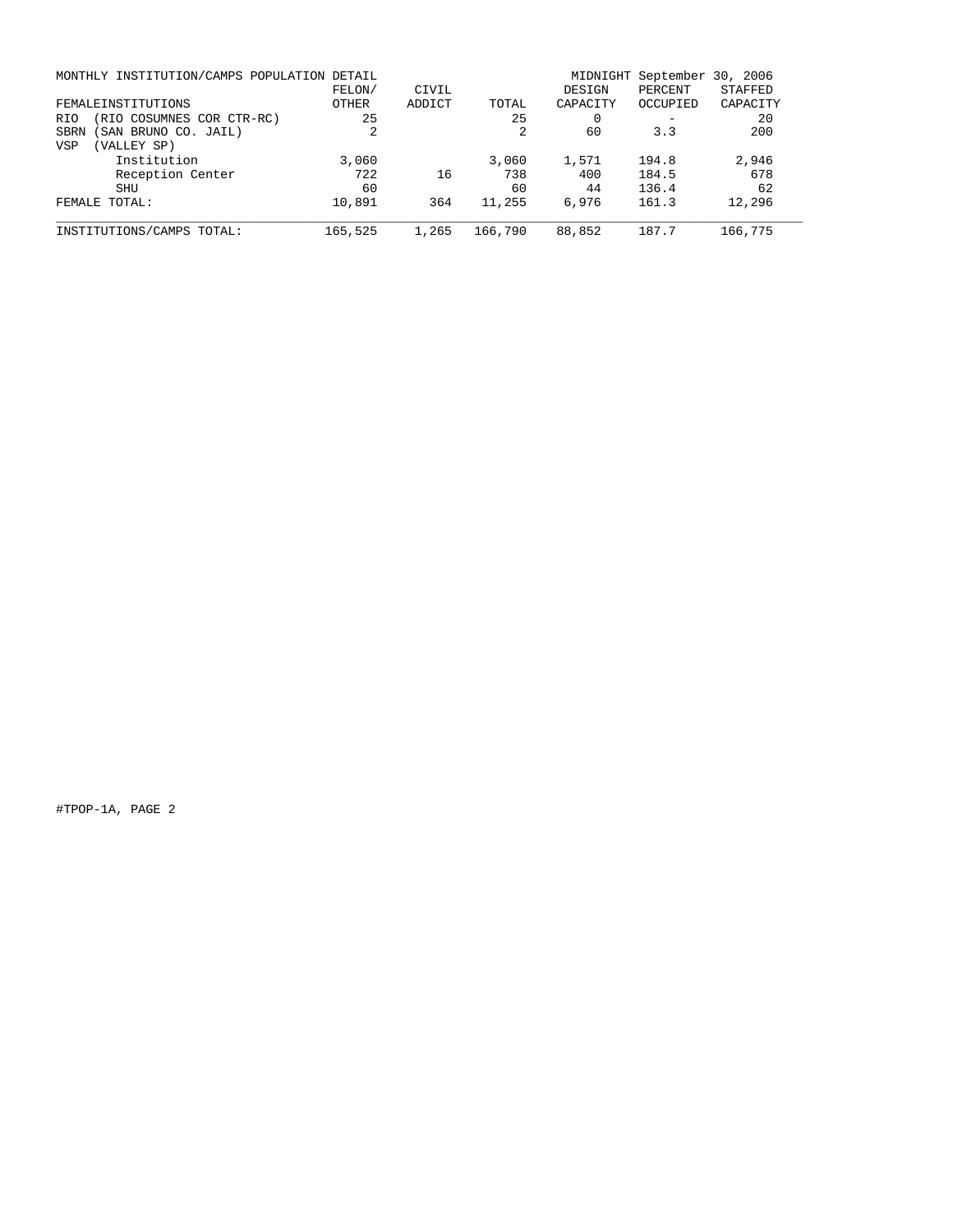| MONTHLY INSTITUTION/CAMPS POPULATION DETAIL | FELON/  | CIVIL  |         | MIDNIGHT<br>DESIGN | September<br>PERCENT | 30, 2006<br><b>STAFFED</b> |
|---------------------------------------------|---------|--------|---------|--------------------|----------------------|----------------------------|
| FEMALEINSTITUTIONS                          | OTHER   | ADDICT | TOTAL   | CAPACITY           | OCCUPIED             | CAPACITY                   |
| (RIO COSUMNES COR CTR-RC)<br><b>RIO</b>     | 25      |        | 25      | $\Omega$           |                      | 20                         |
| SAN BRUNO CO. JAIL)<br>SBRN                 |         |        |         | 60                 | 3.3                  | 200                        |
| (VALLEY SP)<br><b>VSP</b>                   |         |        |         |                    |                      |                            |
| Institution                                 | 3,060   |        | 3,060   | 1,571              | 194.8                | 2,946                      |
| Reception Center                            | 722     | 16     | 738     | 400                | 184.5                | 678                        |
| SHU                                         | 60      |        | 60      | 44                 | 136.4                | 62                         |
| FEMALE TOTAL:                               | 10,891  | 364    | 11,255  | 6,976              | 161.3                | 12,296                     |
| INSTITUTIONS/CAMPS TOTAL:                   | 165,525 | 1,265  | 166,790 | 88,852             | 187.7                | 166,775                    |

#TPOP-1A, PAGE 2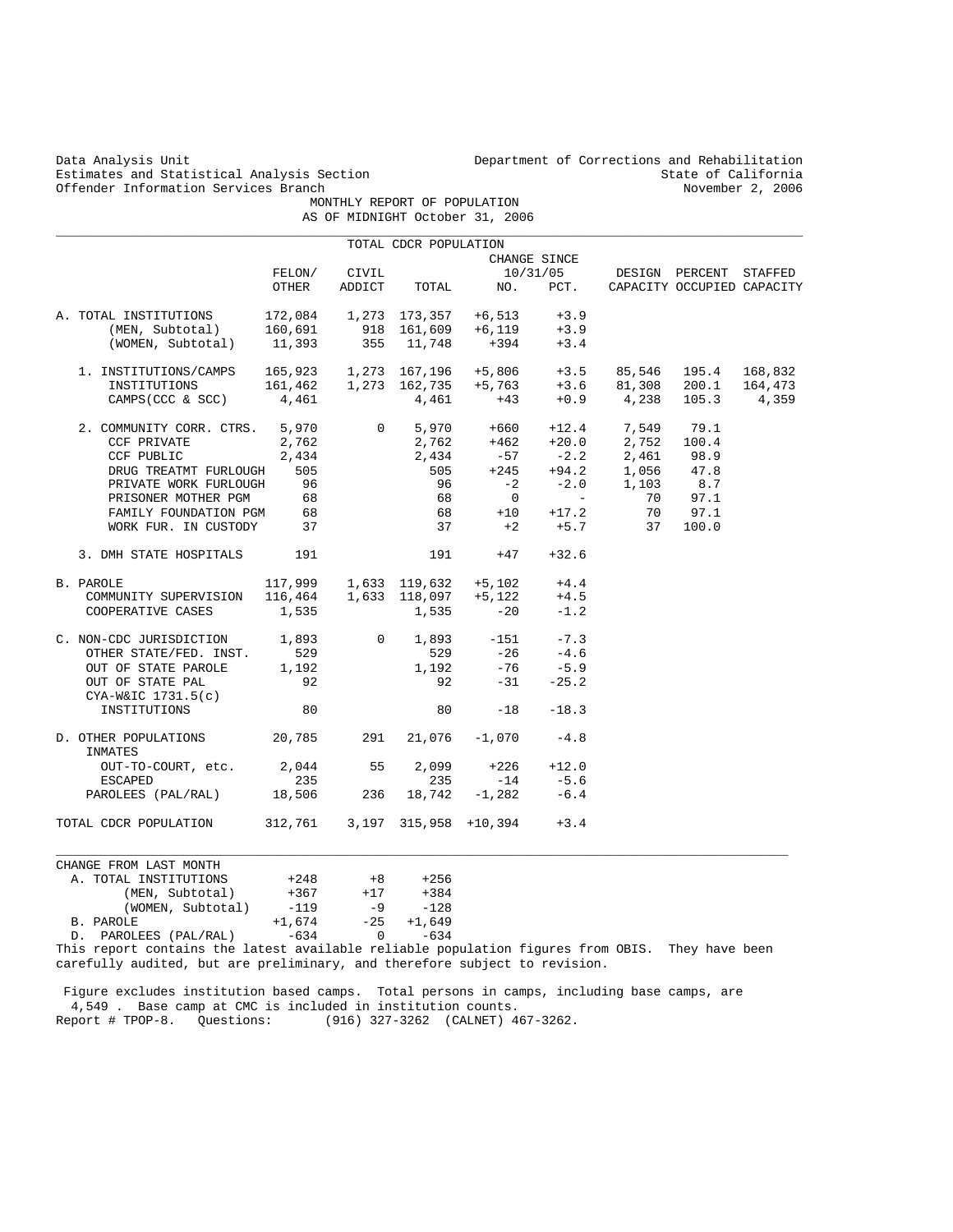Estimates and Statistical Analysis Section State of California<br>
Offender Information Services Branch<br>
State of California<br>
November 2, 2006 Offender Information Services Branch

Data Analysis Unit Department of Corrections and Rehabilitation

 MONTHLY REPORT OF POPULATION AS OF MIDNIGHT October 31, 2006

|                                                                                                                                                                                                                                                                                                                                               |          |                    | TOTAL CDCR POPULATION       |                                                          |                 |                                                                                           |                            |  |
|-----------------------------------------------------------------------------------------------------------------------------------------------------------------------------------------------------------------------------------------------------------------------------------------------------------------------------------------------|----------|--------------------|-----------------------------|----------------------------------------------------------|-----------------|-------------------------------------------------------------------------------------------|----------------------------|--|
|                                                                                                                                                                                                                                                                                                                                               |          |                    |                             |                                                          | CHANGE SINCE    |                                                                                           |                            |  |
|                                                                                                                                                                                                                                                                                                                                               |          | FELON/ CIVIL       |                             |                                                          |                 | CIVIL 10/31/05 DESIGN PERCENT STAFFED<br>ADDICT TOTAL NO. PCT. CAPACITY OCCUPIED CAPACITY |                            |  |
|                                                                                                                                                                                                                                                                                                                                               | OTHER    |                    |                             |                                                          |                 |                                                                                           | CAPACITY OCCUPIED CAPACITY |  |
| A. TOTAL INSTITUTIONS $172,084$ $1,273$ $173,357$ $+6,513$ $+3.9$                                                                                                                                                                                                                                                                             |          |                    |                             |                                                          |                 |                                                                                           |                            |  |
|                                                                                                                                                                                                                                                                                                                                               |          |                    |                             | 918 161,609 +6,119                                       | $+3.9$          |                                                                                           |                            |  |
| (MEN, Subtotal) 160,691<br>(WOMEN, Subtotal) 11,393                                                                                                                                                                                                                                                                                           |          |                    | $355$ $11,748$              | $+394 +3.4$                                              |                 |                                                                                           |                            |  |
|                                                                                                                                                                                                                                                                                                                                               |          |                    |                             |                                                          |                 |                                                                                           |                            |  |
|                                                                                                                                                                                                                                                                                                                                               |          |                    |                             |                                                          |                 |                                                                                           |                            |  |
| $\begin{tabular}{lcccccc} 1. & \texttt{INSTITUTIONS/CAMPS} & 165,923 & 1,273 & 167,196 & +5,806 & +3.5 & 85,546 & 195.4 & 168,832 \\ \texttt{INSTITUTIONS} & 161,462 & 1,273 & 162,735 & +5,763 & +3.6 & 81,308 & 200.1 & 164,473 \\ \texttt{CAMPS(CCC & S SCC)} & 4,461 & 4,461 & +43 & +0.9 & 4,238 & 105.3 & 4,359 \\ \end{$               |          |                    |                             |                                                          |                 |                                                                                           |                            |  |
| $\begin{tabular}{cccccc} 2. & \text{COMMIMITY CORR. CTRS.} & 5,970 & 0 & 5,970 & +660 & +12.4 & 7,549 & 79.1 \\ & CCF PRIVATE & 2,762 & 2,762 & +462 & +20.0 & 2,752 & 100.4 \\ & CCF PUBLIC & 2,434 & 2,434 & -57 & -2.2 & 2,461 & 98.9 \\ & DRUG TREATMT FURLOUGH & 505 & 505 & +245 & +94.2 & 1,056 & 47.8 \\ & PRLVATE WORK FURLOUGH & 9$ |          |                    |                             |                                                          |                 |                                                                                           |                            |  |
|                                                                                                                                                                                                                                                                                                                                               |          |                    |                             |                                                          |                 |                                                                                           |                            |  |
|                                                                                                                                                                                                                                                                                                                                               |          |                    |                             |                                                          |                 |                                                                                           |                            |  |
|                                                                                                                                                                                                                                                                                                                                               |          |                    |                             |                                                          |                 | +94.2 1,056 47.8<br>-2.0 1,103 8.7                                                        |                            |  |
|                                                                                                                                                                                                                                                                                                                                               |          |                    |                             |                                                          |                 |                                                                                           |                            |  |
| PRISONER MOTHER PGM                                                                                                                                                                                                                                                                                                                           | 68       |                    | 68                          | $\overline{0}$                                           | $\sim 10^{-10}$ |                                                                                           | 70 97.1                    |  |
| FAMILY FOUNDATION PGM 68                                                                                                                                                                                                                                                                                                                      |          |                    |                             |                                                          |                 | 68 +10 +17.2 70 97.1                                                                      |                            |  |
| WORK FUR. IN CUSTODY 37                                                                                                                                                                                                                                                                                                                       |          |                    | 37                          |                                                          |                 | $+2$ $+5.7$ 37 100.0                                                                      |                            |  |
| 3. DMH STATE HOSPITALS 191                                                                                                                                                                                                                                                                                                                    |          |                    |                             | $191 + 47 + 32.6$                                        |                 |                                                                                           |                            |  |
| PAROLE 117,999 1,633 119,632 +5,102 +4.4<br>COMMUNITY SUPERVISION 116,464 1,633 118,097 +5,122 +4.5<br>B. PAROLE                                                                                                                                                                                                                              |          |                    |                             |                                                          |                 |                                                                                           |                            |  |
|                                                                                                                                                                                                                                                                                                                                               |          |                    |                             |                                                          |                 |                                                                                           |                            |  |
| COOPERATIVE CASES $1,535$ $1,535$ $-20$                                                                                                                                                                                                                                                                                                       |          |                    |                             |                                                          | $-1.2$          |                                                                                           |                            |  |
| $\begin{tabular}{lcccccc} c. & non-CDC JURISDICTION & & 1,893 & & 0 & 1,893 & -151 & -7.3 \\ & & & & & & & & \\ & & & & & & & & 529 & & -26 & -4.6 \\ \end{tabular}$                                                                                                                                                                          |          |                    |                             |                                                          |                 |                                                                                           |                            |  |
|                                                                                                                                                                                                                                                                                                                                               |          |                    |                             |                                                          |                 |                                                                                           |                            |  |
| OUT OF STATE PAROLE $1,192$                                                                                                                                                                                                                                                                                                                   |          |                    |                             | $\begin{array}{ccc} 1,192 & -76 \\ 92 & -31 \end{array}$ | $-5.9$          |                                                                                           |                            |  |
| OUT OF STATE PAL<br>CYA-W&IC 1731.5(c)                                                                                                                                                                                                                                                                                                        | 92       |                    |                             |                                                          | $-25.2$         |                                                                                           |                            |  |
| INSTITUTIONS                                                                                                                                                                                                                                                                                                                                  | 80       |                    |                             | $80 -18$                                                 | $-18.3$         |                                                                                           |                            |  |
| D. OTHER POPULATIONS 20,785 291<br>INMATES                                                                                                                                                                                                                                                                                                    |          |                    |                             | $21,076$ $-1,070$ $-4.8$                                 |                 |                                                                                           |                            |  |
| OUT-TO-COURT, etc. 2,044 55 2,099 +226 +12.0                                                                                                                                                                                                                                                                                                  |          |                    |                             |                                                          |                 |                                                                                           |                            |  |
| ESCAPED                                                                                                                                                                                                                                                                                                                                       | 235      |                    | 235                         | $-14$                                                    | $-5.6$          |                                                                                           |                            |  |
| PAROLEES (PAL/RAL) 18,506 236 18,742 -1,282 -6.4                                                                                                                                                                                                                                                                                              |          |                    |                             |                                                          |                 |                                                                                           |                            |  |
| TOTAL CDCR POPULATION 312,761 3,197 315,958 +10,394 +3.4                                                                                                                                                                                                                                                                                      |          |                    |                             |                                                          |                 |                                                                                           |                            |  |
| CHANGE FROM LAST MONTH                                                                                                                                                                                                                                                                                                                        |          |                    |                             |                                                          |                 |                                                                                           |                            |  |
| A. TOTAL INSTITUTIONS                                                                                                                                                                                                                                                                                                                         |          | $+248$ $+8$ $+256$ |                             |                                                          |                 |                                                                                           |                            |  |
|                                                                                                                                                                                                                                                                                                                                               |          |                    |                             |                                                          |                 |                                                                                           |                            |  |
| (MEN, Subtotal) +367<br>(WOMEN, Subtotal) -119                                                                                                                                                                                                                                                                                                |          |                    | $+17$ $+384$<br>$-9$ $-128$ |                                                          |                 |                                                                                           |                            |  |
| B. PAROLE                                                                                                                                                                                                                                                                                                                                     | $+1,674$ | $-25$              | $+1.649$                    |                                                          |                 |                                                                                           |                            |  |
|                                                                                                                                                                                                                                                                                                                                               |          |                    |                             |                                                          |                 |                                                                                           |                            |  |

D. PAROLEES (PAL/RAL)  $-634$  0  $-634$ This report contains the latest available reliable population figures from OBIS. They have been carefully audited, but are preliminary, and therefore subject to revision.

 Figure excludes institution based camps. Total persons in camps, including base camps, are 4,549 . Base camp at CMC is included in institution counts. Report # TPOP-8. Questions: (916) 327-3262 (CALNET) 467-3262.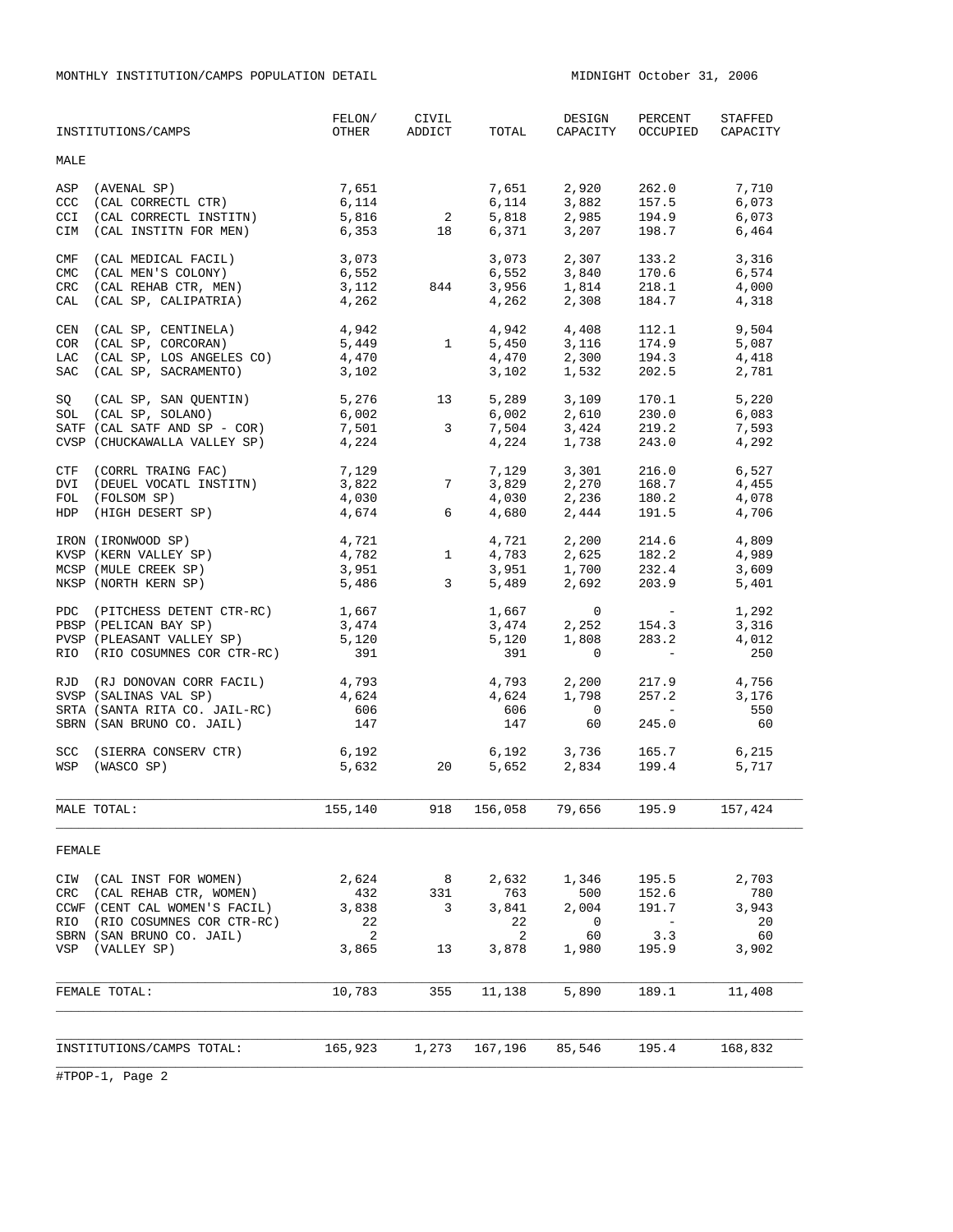MONTHLY INSTITUTION/CAMPS POPULATION DETAIL MIDNIGHT October 31, 2006

|                                        | INSTITUTIONS/CAMPS                                                                                                                                           | FELON/<br>OTHER                           | CIVIL<br>ADDICT                                                          | TOTAL                                     | DESIGN<br>CAPACITY                                 | PERCENT<br>OCCUPIED                                                                                                                                             | STAFFED<br>CAPACITY                        |
|----------------------------------------|--------------------------------------------------------------------------------------------------------------------------------------------------------------|-------------------------------------------|--------------------------------------------------------------------------|-------------------------------------------|----------------------------------------------------|-----------------------------------------------------------------------------------------------------------------------------------------------------------------|--------------------------------------------|
| MALE                                   |                                                                                                                                                              |                                           |                                                                          |                                           |                                                    |                                                                                                                                                                 |                                            |
| CCC<br>CCI<br>CIM                      | ASP (AVENAL SP)<br>(CAL CORRECTL CTR)<br>(CAL CORRECTL INSTITN)<br>(CAL INSTITN FOR MEN)                                                                     | 7,651<br>6,114<br>5,816<br>6,353          | $\overline{2}$<br>$\overline{18}$                                        | 7,651<br>6,114<br>5,818<br>6,371          | 2,920<br>3,882<br>2,985<br>3,207                   | 262.0<br>157.5<br>194.9<br>198.7                                                                                                                                | 7,710<br>6,073<br>6,073<br>6,464           |
| CMF<br><b>CMC</b><br><b>CRC</b><br>CAL | (CAL MEDICAL FACIL)<br>(CAL MEN'S COLONY)<br>(CAL REHAB CTR, MEN)<br>(CAL SP, CALIPATRIA)                                                                    | 3,073<br>6,552<br>3,112<br>4,262          | 844                                                                      | 3,073<br>6,552<br>3,956<br>4,262          | 2,307<br>3,840<br>$1,814$ 218.1<br>2,308           | 133.2<br>170.6<br>184.7                                                                                                                                         | 3,316<br>6,574<br>4,000<br>4,318           |
|                                        | CEN (CAL SP, CENTINELA)<br>COR (CAL SP, CORCORAN)<br>LAC (CAL SP, LOS ANGELES CO)<br>SAC (CAL SP, SACRAMENTO)                                                | 4,942<br>5,449<br>4,470<br>3,102          | 1                                                                        | 4,942<br>5,450<br>4,470<br>3,102          | 4,408<br>3,116<br>2,300<br>1,532                   | 112.1<br>174.9<br>194.3<br>202.5                                                                                                                                | 9,504<br>5,087<br>4,418<br>2,781           |
| SQ                                     | (CAL SP, SAN QUENTIN) 5,276<br>SOL (CAL SP, SOLANO)<br>SATF (CAL SATF AND SP - COR)<br>CVSP (CHUCKAWALLA VALLEY SP)                                          | 6,002<br>7,501<br>4,224                   | 13<br>$\overline{3}$                                                     | 5,289<br>6,002<br>7,504<br>4,224          | 3,109<br>2,610<br>3,424<br>1,738                   | 170.1<br>230.0<br>219.2<br>243.0                                                                                                                                | 5,220<br>6,083<br>7,593<br>4,292           |
|                                        | CTF (CORRL TRAING FAC)<br>DVI (DEUEL VOCATL INSTITN)<br>FOL (FOLSOM SP)<br>HDP (HIGH DESERT SP)                                                              | 7,129<br>3,822<br>4,030<br>4,674          | $7\overline{ }$<br>6                                                     | 7,129<br>3 829<br>4,030<br>4,680          | 3,301<br>2,270<br>$2,236$<br>$2,444$<br>2,444      | 216.0<br>168.7<br>180.2<br>191.5                                                                                                                                | 6,527<br>4,455<br>4,078<br>4,706           |
|                                        | IRON (IRONWOOD SP)<br>KVSP (KERN VALLEY SP)<br>MCSP (MULE CREEK SP)<br>NKSP (NORTH KERN SP)                                                                  | 4,721<br>4,782<br>3,951<br>5,486          | $\begin{array}{c}\n\downarrow \\ \downarrow\n\end{array}$<br>$3^{\circ}$ | 4,721<br>4,783<br>3,951<br>5,489          | 2,200<br>2,692                                     | 214.6<br>$2, 625$<br>$2, 625$<br>$32.4$<br>$32.4$<br>203.9                                                                                                      | 4,809<br>4,989<br>3,609<br>5,401           |
|                                        | PDC (PITCHESS DETENT CTR-RC)<br>PBSP (PELICAN BAY SP)<br>PVSP (PLEASANT VALLEY SP)<br>RIO (RIO COSUMNES COR CTR-RC)                                          | 1,667<br>3,474<br>5,120<br>391            |                                                                          | 1,667<br>3,474<br>5,120<br>391            | $\overline{0}$<br>2,252<br>1,808<br>$\overline{0}$ | $\mathcal{L}^{\mathcal{L}}(\mathcal{L}^{\mathcal{L}})$ and $\mathcal{L}^{\mathcal{L}}(\mathcal{L}^{\mathcal{L}})$<br>154.3<br>283.2<br><b>Contract Contract</b> | 1,292<br>3,316<br>4,012<br>250             |
|                                        | RJD (RJ DONOVAN CORR FACIL)<br>SVSP (SALINAS VAL SP)<br>SRTA (SANTA RITA CO. JAIL-RC)<br>SBRN (SAN BRUNO CO. JAIL)                                           | 4,793<br>4,624<br>606<br>147              |                                                                          | 4,793<br>4,624<br>606<br>147              | 2,200<br>1,798<br>$\overline{0}$<br>60             | 217.9<br>257.2<br><b>State State</b><br>245.0                                                                                                                   | 4,756<br>3,176<br>550<br>60                |
| <b>SCC</b>                             | (SIERRA CONSERV CTR) 6,192<br>WSP (WASCO SP)                                                                                                                 | 5,632                                     | 20                                                                       |                                           | 6,192 3,736<br>5,652 2,834                         | 165.7<br>199.4                                                                                                                                                  | 6,215<br>5,717                             |
|                                        | MALE TOTAL:                                                                                                                                                  | 155,140                                   | 918                                                                      | 156,058                                   | 79,656                                             | 195.9                                                                                                                                                           | 157,424                                    |
| FEMALE                                 |                                                                                                                                                              |                                           |                                                                          |                                           |                                                    |                                                                                                                                                                 |                                            |
| CIW<br>CRC<br>RIO                      | (CAL INST FOR WOMEN)<br>(CAL REHAB CTR, WOMEN)<br>CCWF (CENT CAL WOMEN'S FACIL)<br>(RIO COSUMNES COR CTR-RC)<br>SBRN (SAN BRUNO CO. JAIL)<br>VSP (VALLEY SP) | 2,624<br>432<br>3,838<br>22<br>2<br>3,865 | 8<br>331<br>3<br>13                                                      | 2,632<br>763<br>3,841<br>22<br>2<br>3,878 | 1,346<br>500<br>2,004<br>0<br>60<br>1,980          | 195.5<br>152.6<br>191.7<br>$\overline{\phantom{a}}$<br>3.3<br>195.9                                                                                             | 2,703<br>780<br>3,943<br>20<br>60<br>3,902 |
|                                        | FEMALE TOTAL:                                                                                                                                                | 10,783                                    | 355                                                                      | 11,138                                    | 5,890                                              | 189.1                                                                                                                                                           | 11,408                                     |
|                                        |                                                                                                                                                              |                                           |                                                                          |                                           |                                                    |                                                                                                                                                                 |                                            |
|                                        | INSTITUTIONS/CAMPS TOTAL:                                                                                                                                    | 165,923                                   | 1,273                                                                    | 167,196                                   | 85,546                                             | 195.4                                                                                                                                                           | 168,832                                    |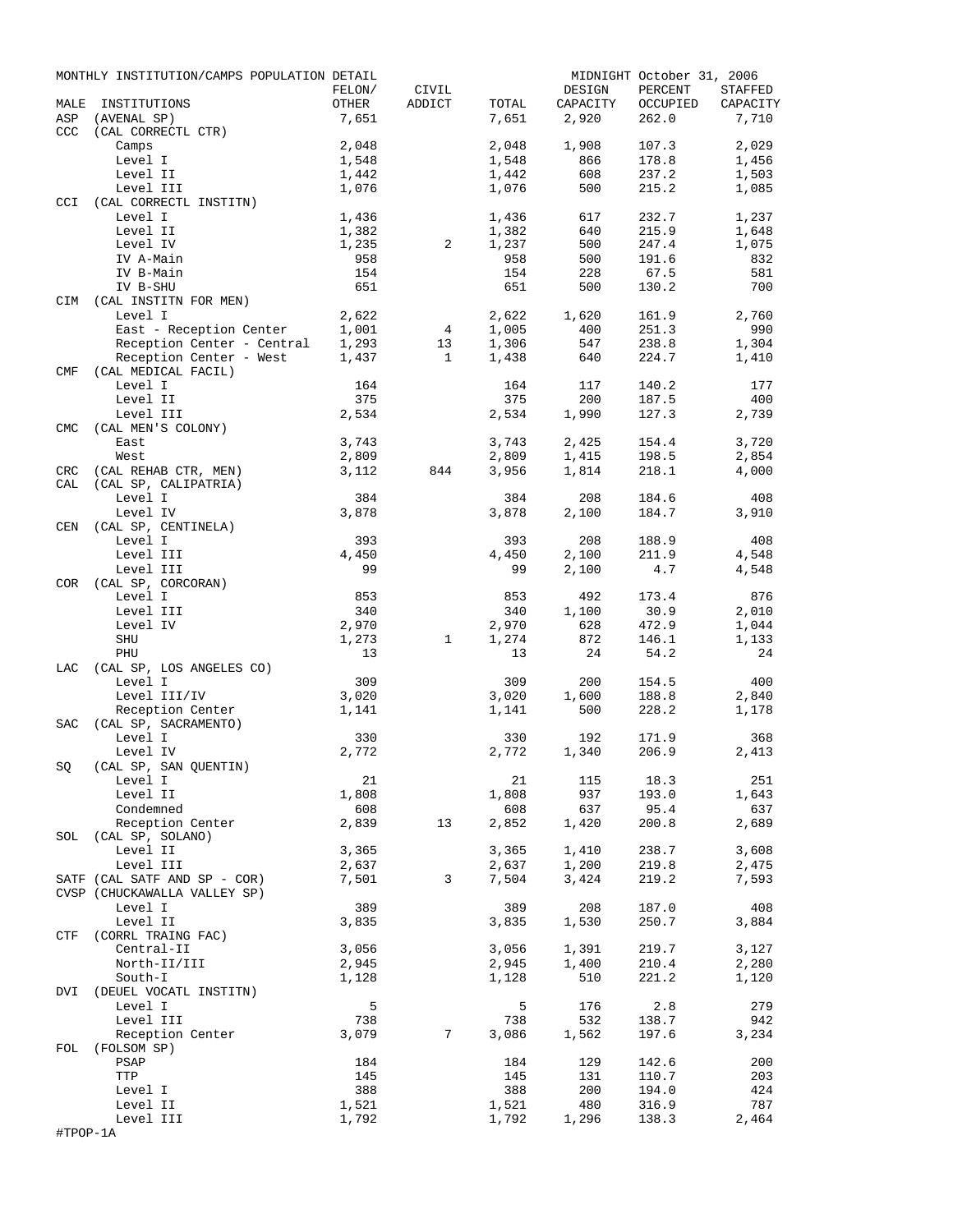|            | MONTHLY INSTITUTION/CAMPS POPULATION DETAIL |                |              |                |            | MIDNIGHT October 31, 2006 |                |
|------------|---------------------------------------------|----------------|--------------|----------------|------------|---------------------------|----------------|
|            |                                             | FELON/         | CIVIL        |                | DESIGN     | PERCENT                   | STAFFED        |
| MALE       | INSTITUTIONS                                | OTHER          | ADDICT       | TOTAL          | CAPACITY   | OCCUPIED                  | CAPACITY       |
| ASP        | (AVENAL SP)                                 | 7,651          |              | 7,651          | 2,920      | 262.0                     | 7,710          |
| <b>CCC</b> | (CAL CORRECTL CTR)                          | 2,048          |              |                | 1,908      | 107.3                     |                |
|            | Camps                                       |                |              | 2,048          |            |                           | 2,029          |
|            | Level I<br>Level II                         | 1,548<br>1,442 |              | 1,548<br>1,442 | 866<br>608 | 178.8<br>237.2            | 1,456<br>1,503 |
|            | Level III                                   | 1,076          |              | 1,076          | 500        | 215.2                     | 1,085          |
| CCI        | (CAL CORRECTL INSTITN)                      |                |              |                |            |                           |                |
|            | Level I                                     | 1,436          |              | 1,436          | 617        | 232.7                     | 1,237          |
|            | Level II                                    | 1,382          |              | 1,382          | 640        | 215.9                     | 1,648          |
|            | Level IV                                    | 1,235          | 2            | 1,237          | 500        | 247.4                     | 1,075          |
|            | IV A-Main                                   | 958            |              | 958            | 500        | 191.6                     | 832            |
|            | IV B-Main                                   | 154            |              | 154            | 228        | 67.5                      | 581            |
|            | IV B-SHU                                    | 651            |              | 651            | 500        | 130.2                     | 700            |
| CIM        | (CAL INSTITN FOR MEN)                       |                |              |                |            |                           |                |
|            | Level I                                     | 2,622          |              | 2,622          | 1,620      | 161.9                     | 2,760          |
|            | East - Reception Center                     | 1,001          | 4            | 1,005          | 400        | 251.3                     | 990            |
|            | Reception Center - Central                  | 1,293          | 13           | 1,306          | 547        | 238.8                     | 1,304          |
|            | Reception Center - West                     | 1,437          | $\mathbf{1}$ | 1,438          | 640        | 224.7                     | 1,410          |
| <b>CMF</b> | (CAL MEDICAL FACIL)                         |                |              |                |            |                           |                |
|            | Level I                                     | 164            |              | 164            | 117        | 140.2                     | 177            |
|            | Level II                                    | 375            |              | 375            | 200        | 187.5                     | 400            |
|            | Level III                                   | 2,534          |              | 2,534          | 1,990      | 127.3                     | 2,739          |
| <b>CMC</b> | (CAL MEN'S COLONY)                          |                |              |                |            |                           |                |
|            | East                                        | 3,743          |              | 3,743          | 2,425      | 154.4                     | 3,720          |
|            | West                                        | 2,809          |              | 2,809          | 1,415      | 198.5                     | 2,854          |
| CRC        | (CAL REHAB CTR, MEN)                        | 3,112          | 844          | 3,956          | 1,814      | 218.1                     | 4,000          |
| CAL        | (CAL SP, CALIPATRIA)                        |                |              |                |            |                           |                |
|            | Level I                                     | 384            |              | 384            | 208        | 184.6                     | 408            |
|            | Level IV                                    | 3,878          |              | 3,878          | 2,100      | 184.7                     | 3,910          |
| CEN        | (CAL SP, CENTINELA)                         |                |              |                |            |                           |                |
|            | Level I                                     | 393            |              | 393            | 208        | 188.9                     | 408            |
|            | Level III                                   | 4,450          |              | 4,450          | 2,100      | 211.9                     | 4,548          |
|            | Level III                                   | 99             |              | 99             | 2,100      | 4.7                       | 4,548          |
| COR        | (CAL SP, CORCORAN)                          |                |              |                |            |                           |                |
|            | Level I                                     | 853            |              | 853            | 492        | 173.4                     | 876            |
|            | Level III                                   | 340            |              | 340            | 1,100      | 30.9                      | 2,010          |
|            | Level IV                                    | 2,970          |              | 2,970          | 628        | 472.9                     | 1,044          |
|            | SHU                                         | 1,273          | $\mathbf{1}$ | 1,274          | 872        | 146.1                     | 1,133          |
|            | PHU                                         | 13             |              | 13             | 24         | 54.2                      | 24             |
| LAC        | (CAL SP, LOS ANGELES CO)                    |                |              |                |            |                           |                |
|            | Level I                                     | 309            |              | 309            | 200        | 154.5                     | 400            |
|            | Level III/IV                                | 3,020          |              | 3,020          | 1,600      | 188.8                     | 2,840          |
|            | Reception Center                            | 1,141          |              | 1,141          | 500        | 228.2                     | 1,178          |
| SAC        | (CAL SP, SACRAMENTO)                        |                |              |                |            |                           |                |
|            | Level I                                     | 330            |              | 330            | 192        | 171.9                     | 368            |
|            | Level IV                                    | 2,772          |              | 2,772          | 1,340      | 206.9                     | 2,413          |
| SQ         | (CAL SP, SAN QUENTIN)                       |                |              |                |            |                           |                |
|            | Level I                                     | 21             |              | 21             | 115        | 18.3                      | 251            |
|            | Level II                                    | 1,808          |              | 1,808          | 937        | 193.0                     | 1,643          |
|            | Condemned                                   | 608            |              | 608            | 637        | 95.4                      | 637            |
|            | Reception Center                            | 2,839          | 13           | 2,852          | 1,420      | 200.8                     | 2,689          |
|            | SOL (CAL SP, SOLANO)                        |                |              |                |            |                           |                |
|            | Level II                                    | 3,365          |              | 3,365          | 1,410      | 238.7                     | 3,608          |
|            | Level III                                   | 2,637          |              | 2,637          | 1,200      | 219.8                     | 2,475          |
|            | SATF (CAL SATF AND SP - COR)                | 7,501          | 3            | 7,504          | 3,424      | 219.2                     | 7,593          |
|            | CVSP (CHUCKAWALLA VALLEY SP)                |                |              |                |            |                           |                |
|            | Level I                                     | 389            |              | 389            | 208        | 187.0                     | 408            |
|            | Level II                                    | 3,835          |              | 3,835          | 1,530      | 250.7                     | 3,884          |
| CTF        | (CORRL TRAING FAC)                          |                |              |                |            |                           |                |
|            | Central-II                                  | 3,056          |              | 3,056          | 1,391      | 219.7                     | 3,127          |
|            | North-II/III                                | 2,945          |              | 2,945          | 1,400      | 210.4                     | 2,280          |
|            | South-I                                     | 1,128          |              | 1,128          | 510        | 221.2                     | 1,120          |
| DVI        | (DEUEL VOCATL INSTITN)                      | 5              |              |                |            |                           | 279            |
|            | Level I                                     |                |              | 5              | 176        | 2.8                       |                |
|            | Level III                                   | 738            | 7            | 738            | 532        | 138.7                     | 942            |
|            | Reception Center                            | 3,079          |              | 3,086          | 1,562      | 197.6                     | 3,234          |
| FOL        | (FOLSOM SP)<br>PSAP                         | 184            |              | 184            | 129        | 142.6                     | 200            |
|            | TTP                                         | 145            |              | 145            | 131        | 110.7                     | 203            |
|            | Level I                                     | 388            |              | 388            | 200        | 194.0                     | 424            |
|            | Level II                                    | 1,521          |              | 1,521          | 480        | 316.9                     | 787            |
|            | Level III                                   | 1,792          |              | 1,792          | 1,296      | 138.3                     | 2,464          |
| #TPOP-1A   |                                             |                |              |                |            |                           |                |
|            |                                             |                |              |                |            |                           |                |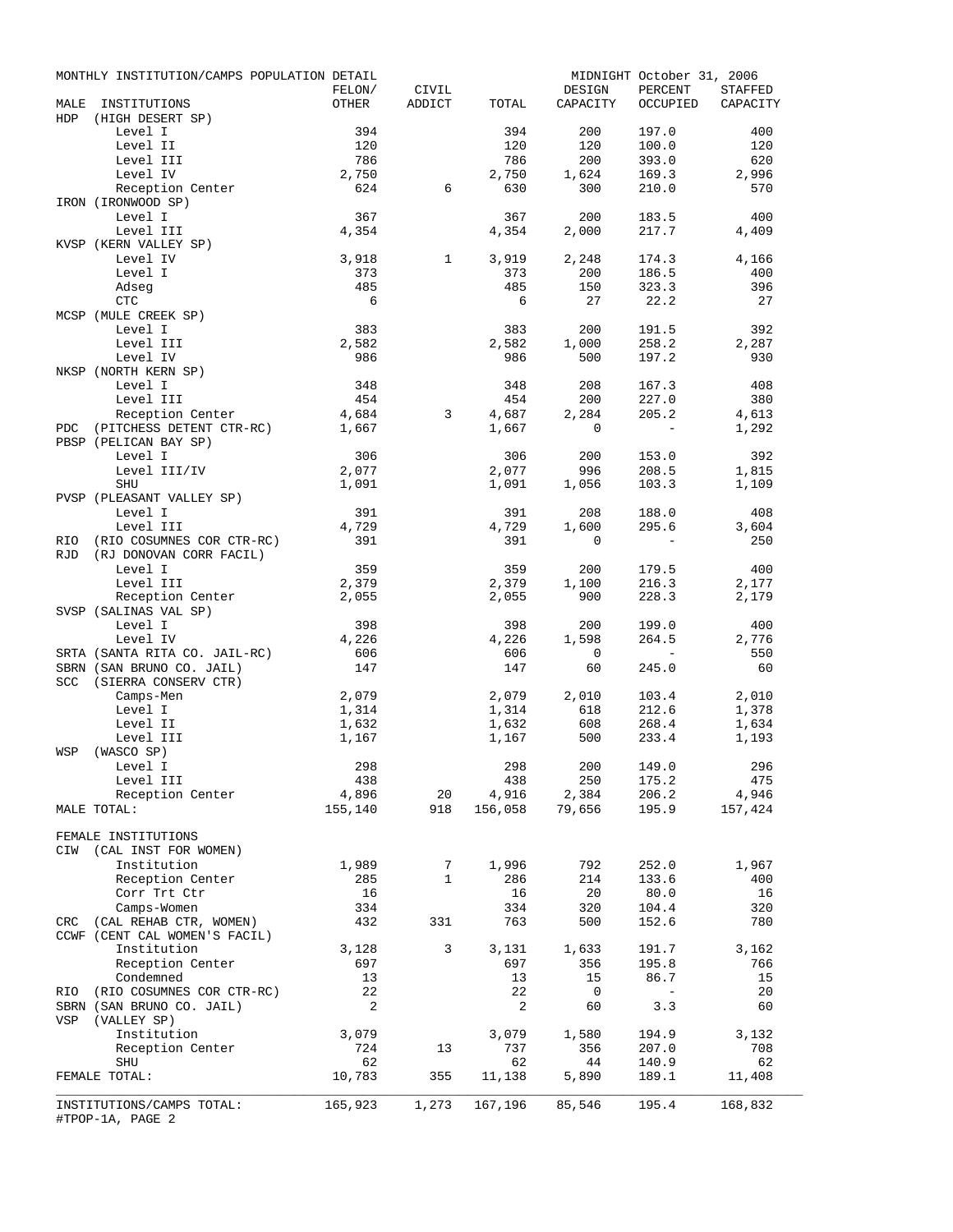|     | MONTHLY INSTITUTION/CAMPS POPULATION DETAIL   |                 |                         |                |              | MIDNIGHT October 31, 2006                                   |                   |
|-----|-----------------------------------------------|-----------------|-------------------------|----------------|--------------|-------------------------------------------------------------|-------------------|
|     |                                               | FELON/          | CIVIL<br>ADDICT         |                | DESIGN       | PERCENT                                                     | STAFFED           |
| HDP | MALE INSTITUTIONS                             | OTHER           |                         | TOTAL          | CAPACITY     |                                                             | OCCUPIED CAPACITY |
|     | (HIGH DESERT SP)<br>Level I                   | 394             |                         | 394            | 200          | 197.0                                                       | 400               |
|     | Level II                                      | 120             |                         | 120            | 120          | 100.0                                                       | 120               |
|     | Level III                                     | 786             |                         | 786            | 200          | 393.0                                                       | 620               |
|     | Level IV                                      | 2,750           |                         | 2,750          | 1,624        | 169.3                                                       | 2,996             |
|     | Reception Center                              | 624             | 6                       | 630            | 300          | 210.0                                                       | 570               |
|     | IRON (IRONWOOD SP)                            |                 |                         |                |              |                                                             |                   |
|     | Level I                                       | 367             |                         | 367            | 200          | 183.5                                                       | 400               |
|     | Level III                                     | 4,354           |                         | 4,354          | 2,000        | 217.7                                                       | 4,409             |
|     | KVSP (KERN VALLEY SP)<br>Level IV             | 3,918           | $\mathbf{1}$            | 3,919          | 2,248        | 174.3                                                       | 4,166             |
|     | Level I                                       | 373             |                         | 373            | 200          | 186.5                                                       | 400               |
|     | Adseg                                         | 485             |                         | 485            | 150          | 323.3                                                       | 396               |
|     | CTC                                           | $6\overline{6}$ |                         | 6              | 27           | 22.2                                                        | - 27              |
|     | MCSP (MULE CREEK SP)                          |                 |                         |                |              |                                                             |                   |
|     | Level I                                       | 383             |                         | 383            | 200          | 191.5                                                       | 392               |
|     | Level III                                     | 2,582           |                         | 2,582          | 1,000        | 258.2                                                       | 2,287             |
|     | Level IV                                      | 986             |                         | 986            | 500          | 197.2                                                       | 930               |
|     | NKSP (NORTH KERN SP)                          |                 |                         |                |              |                                                             |                   |
|     | Level I<br>Level III                          | 348             |                         | 348            | 208          | 167.3                                                       | 408               |
|     | Reception Center                              | 454<br>4,684    | $\overline{\mathbf{3}}$ | 454<br>4,687   | 200<br>2,284 | 227.0<br>205.2                                              | 380<br>4,613      |
| PDC | (PITCHESS DETENT CTR-RC) 1,667                |                 |                         | 1,667          | $\circ$      | $\sim$ $-$                                                  | 1,292             |
|     | PBSP (PELICAN BAY SP)                         |                 |                         |                |              |                                                             |                   |
|     | Level I                                       | 306             |                         | 306            | 200          | 153.0                                                       | 392               |
|     | Level III/IV                                  | 2,077           |                         | 2,077          | 996          | 208.5                                                       | 1,815             |
|     | SHU                                           | 1,091           |                         | 1,091          | 1,056        | 103.3                                                       | 1,109             |
|     | PVSP (PLEASANT VALLEY SP)                     |                 |                         |                |              |                                                             |                   |
|     | Level I                                       | 391             |                         | 391            | 208          | 188.0                                                       | 408               |
|     | Level III                                     | 4,729           |                         | 4,729          | 1,600        | 295.6                                                       | 3,604             |
| RIO | (RIO COSUMNES COR CTR-RC)                     | 391             |                         | 391            | 0            | $\sim$ $-$                                                  | 250               |
| RJD | (RJ DONOVAN CORR FACIL)                       | 359             |                         | 359            |              | 179.5                                                       | 400               |
|     | Level I<br>Level III                          | 2,379           |                         | 2,379          | 200<br>1,100 | 216.3                                                       | 2,177             |
|     | Reception Center                              | 2,055           |                         | 2,055          | 900          | 228.3                                                       | 2,179             |
|     | SVSP (SALINAS VAL SP)                         |                 |                         |                |              |                                                             |                   |
|     | Level I                                       | 398             |                         | 398            | 200          | 199.0                                                       | 400               |
|     | Level IV                                      | 4,226           |                         | 4,226          | 1,598        | 264.5                                                       | 2,776             |
|     | SRTA (SANTA RITA CO. JAIL-RC)                 | 606             |                         | 606            | $\circ$      | $\mathcal{L}^{\mathcal{L}}$ and $\mathcal{L}^{\mathcal{L}}$ | 550               |
|     | SBRN (SAN BRUNO CO. JAIL)                     | 147             |                         | 147            | 60           | 245.0                                                       | 60                |
|     | SCC (SIERRA CONSERV CTR)                      |                 |                         |                |              |                                                             |                   |
|     | Camps-Men                                     | 2,079           |                         | 2,079          | 2,010        | 103.4                                                       | 2,010             |
|     | Level I                                       | 1,314           |                         | 1,314<br>1,632 | 618          | 212.6                                                       | 1,378             |
|     | Level II<br>Level III                         | 1,632<br>1,167  |                         | 1,167          | 608<br>500   | 268.4<br>233.4                                              | 1,634<br>1,193    |
| WSP | (WASCO SP)                                    |                 |                         |                |              |                                                             |                   |
|     | Level I                                       | 298             |                         | 298            |              | 200 149.0                                                   | 296               |
|     | Level III                                     | 438             |                         | 438            | 250          | 175.2                                                       | 475               |
|     | Reception Center                              | 4,896           | 20                      | 4,916          | 2,384        | 206.2                                                       | 4,946             |
|     | MALE TOTAL:                                   | 155,140         | 918                     | 156,058        | 79,656       | 195.9                                                       | 157,424           |
|     |                                               |                 |                         |                |              |                                                             |                   |
|     | FEMALE INSTITUTIONS                           |                 |                         |                |              |                                                             |                   |
| CIW | (CAL INST FOR WOMEN)                          |                 |                         |                |              |                                                             |                   |
|     | Institution                                   | 1,989           | 7<br>$\mathbf{1}$       | 1,996          | 792          | 252.0                                                       | 1,967             |
|     | Reception Center<br>Corr Trt Ctr              | 285<br>16       |                         | 286<br>16      | 214<br>20    | 133.6<br>80.0                                               | 400<br>16         |
|     | Camps-Women                                   | 334             |                         | 334            | 320          | 104.4                                                       | 320               |
| CRC | (CAL REHAB CTR, WOMEN)                        | 432             | 331                     | 763            | 500          | 152.6                                                       | 780               |
|     | CCWF (CENT CAL WOMEN'S FACIL)                 |                 |                         |                |              |                                                             |                   |
|     | Institution                                   | 3,128           | 3                       | 3,131          | 1,633        | 191.7                                                       | 3,162             |
|     | Reception Center                              | 697             |                         | 697            | 356          | 195.8                                                       | 766               |
|     | Condemned                                     | 13              |                         | 13             | 15           | 86.7                                                        | 15                |
| RIO | (RIO COSUMNES COR CTR-RC)                     | 22              |                         | 22             | 0            | $\sim$                                                      | 20                |
|     | SBRN (SAN BRUNO CO. JAIL)                     | 2               |                         | 2              | 60           | 3.3                                                         | 60                |
| VSP | (VALLEY SP)                                   |                 |                         |                |              |                                                             |                   |
|     | Institution<br>Reception Center               | 3,079<br>724    | 13                      | 3,079<br>737   | 1,580<br>356 | 194.9<br>207.0                                              | 3,132<br>708      |
|     | SHU                                           | 62              |                         | 62             | 44           | 140.9                                                       | 62                |
|     | FEMALE TOTAL:                                 | 10,783          | 355                     | 11,138         | 5,890        | 189.1                                                       | 11,408            |
|     |                                               |                 |                         |                |              |                                                             |                   |
|     | INSTITUTIONS/CAMPS TOTAL:<br>#TPOP-1A, PAGE 2 | 165,923         | 1,273                   | 167,196        | 85,546       | 195.4                                                       | 168,832           |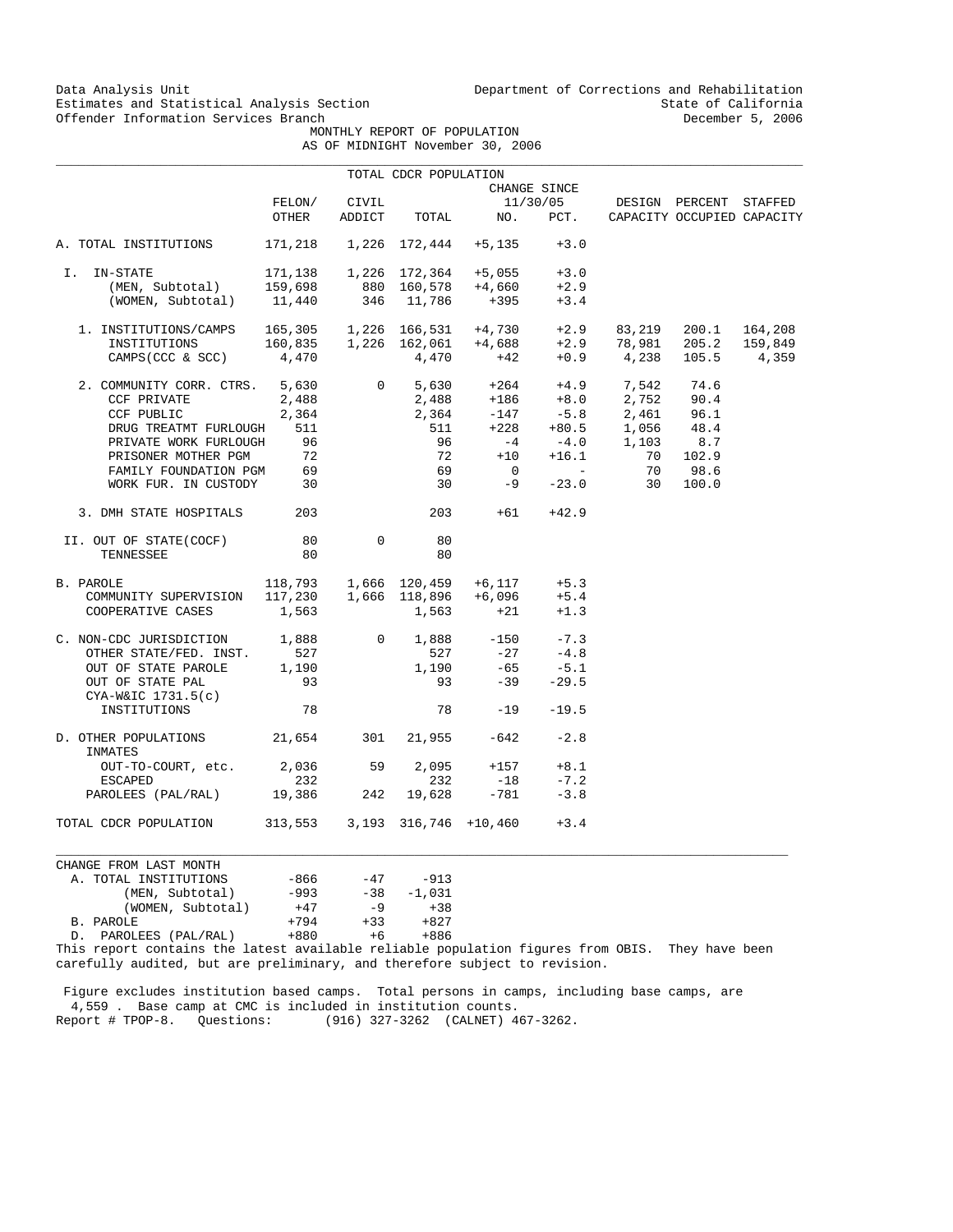Data Analysis Unit Unit Department of Corrections and Rehabilitation<br>Estimates and Statistical Analysis Section State of California Estimates and Statistical Analysis Section State of California<br>Offender Information Services Branch<br>State of California

MONTHLY REPORT OF POPULATION

|  | AS OF MIDNIGHT November 30, 2006 |  |  |
|--|----------------------------------|--|--|

|                                 |                               |                 | TOTAL CDCR POPULATION       |                                                                                                                                                              |                    |                                        |                            |         |
|---------------------------------|-------------------------------|-----------------|-----------------------------|--------------------------------------------------------------------------------------------------------------------------------------------------------------|--------------------|----------------------------------------|----------------------------|---------|
|                                 |                               |                 |                             |                                                                                                                                                              | CHANGE SINCE       |                                        |                            |         |
|                                 | FELON/<br>OTHER               | CIVIL<br>ADDICT |                             |                                                                                                                                                              | 11/30/05           | DESIGN PERCENT STAFFED                 |                            |         |
|                                 |                               |                 | TOTAL                       | NO.                                                                                                                                                          | PCT.               |                                        | CAPACITY OCCUPIED CAPACITY |         |
| A. TOTAL INSTITUTIONS           | 171,218                       |                 | 1,226 172,444               | +5,135                                                                                                                                                       | $+3.0$             |                                        |                            |         |
| I. IN-STATE                     | 171,138                       |                 | 1,226 172,364               | $+5,055$                                                                                                                                                     | $+3.0$             |                                        |                            |         |
| (MEN, Subtotal)                 | 159,698                       |                 | $880$ 160,578               | +4,660                                                                                                                                                       | $+2.9$             |                                        |                            |         |
| (WOMEN, Subtotal)               | 11,440                        |                 | 346 11,786                  | $+395$                                                                                                                                                       | $+3.4$             |                                        |                            |         |
| 1. INSTITUTIONS/CAMPS           |                               |                 |                             |                                                                                                                                                              | $+2.9$             | 83,219                                 | 200.1                      | 164,208 |
| INSTITUTIONS                    |                               |                 |                             | 165,305    1,226    166,531    +4,730<br>160,835    1,226    162,061    +4,688                                                                               | $+2.9$             |                                        | 78,981 205.2               | 159,849 |
| CAMPS (CCC & SCC)               | 4,470                         |                 |                             | $4,470$ +42                                                                                                                                                  |                    | $+0.9$ 4,238                           | 105.5                      | 4,359   |
| 2. COMMUNITY CORR. CTRS. 5,630  |                               |                 | $\overline{0}$              |                                                                                                                                                              |                    |                                        |                            |         |
| CCF PRIVATE                     | 2,488                         |                 |                             |                                                                                                                                                              |                    | $+4.9$ 7,542 74.6<br>$+8.0$ 2,752 90.4 |                            |         |
| CCF PUBLIC                      | 2,364                         |                 |                             |                                                                                                                                                              |                    |                                        | 96.1                       |         |
| DRUG TREATMT FURLOUGH           | 511                           |                 |                             | $\begin{array}{cccc} 5,630 & +264 & +4.9 & 7,542 \\ 2,488 & +186 & +8.0 & 2,752 \\ 2,364 & -147 & -5.8 & 2,461 \\ 511 & +228 & +80.5 & 1,056 \\ \end{array}$ |                    |                                        | 48.4                       |         |
| PRIVATE WORK FURLOUGH           | 96                            |                 | 96                          | $-4$                                                                                                                                                         | $-4.0$             | 1,103                                  | 8.7                        |         |
| PRISONER MOTHER PGM             | 72                            |                 | 72                          | $+10$                                                                                                                                                        | $+16.1$            | 70                                     | 102.9                      |         |
| FAMILY FOUNDATION PGM           | 69                            |                 | 69                          | $\overline{0}$                                                                                                                                               | <b>State State</b> | 70                                     | 98.6                       |         |
| WORK FUR. IN CUSTODY 30         |                               |                 | 30                          | $-9$                                                                                                                                                         | $-23.0$            | 30                                     | 100.0                      |         |
| 3. DMH STATE HOSPITALS          | 203                           |                 | 203                         | $+61$                                                                                                                                                        | $+42.9$            |                                        |                            |         |
| II. OUT OF STATE(COCF)          | 80                            | $\mathbf 0$     | 80                          |                                                                                                                                                              |                    |                                        |                            |         |
| TENNESSEE                       | 80                            |                 | 80                          |                                                                                                                                                              |                    |                                        |                            |         |
| B. PAROLE                       |                               |                 | 118,793 1,666 120,459       | +6,117                                                                                                                                                       | $+5.3$             |                                        |                            |         |
| COMMUNITY SUPERVISION           |                               |                 | $117,230$ $1,666$ $118,896$ | +6,096                                                                                                                                                       | $+5.4$             |                                        |                            |         |
| COOPERATIVE CASES               | 1,563                         |                 | 1,563                       | $+21$                                                                                                                                                        | $+1.3$             |                                        |                            |         |
| C. NON-CDC JURISDICTION 1,888   |                               | $\overline{0}$  |                             | $1,888 -150$                                                                                                                                                 | $-7.3$             |                                        |                            |         |
| OTHER STATE/FED. INST.          | 527                           |                 | 527                         | $-27$                                                                                                                                                        | $-4.8$             |                                        |                            |         |
| OUT OF STATE PAROLE             | 1,190                         |                 | 1,190                       | $-65$                                                                                                                                                        | $-5.1$             |                                        |                            |         |
| OUT OF STATE PAL                | 93                            |                 | 93                          | $-39$                                                                                                                                                        | $-29.5$            |                                        |                            |         |
| $CYA-W&IC$ 1731.5(c)            |                               |                 |                             |                                                                                                                                                              |                    |                                        |                            |         |
| INSTITUTIONS                    | 78                            |                 | 78                          | $-19$                                                                                                                                                        | $-19.5$            |                                        |                            |         |
| D. OTHER POPULATIONS<br>INMATES | 21,654                        | 301             | 21,955                      | $-642$                                                                                                                                                       | $-2.8$             |                                        |                            |         |
| OUT-TO-COURT, etc.              | 2,036                         | 59              | 2,095                       | $+157$                                                                                                                                                       | $+8.1$             |                                        |                            |         |
| ESCAPED                         | 232                           |                 | 232                         | $-18$                                                                                                                                                        | $-7.2$             |                                        |                            |         |
| PAROLEES (PAL/RAL) 19,386       |                               | 242             | 19,628                      | $-781$                                                                                                                                                       | $-3.8$             |                                        |                            |         |
| TOTAL CDCR POPULATION           | 313,553 3,193 316,746 +10,460 |                 |                             |                                                                                                                                                              | $+3.4$             |                                        |                            |         |
| CHANGE FROM LAST MONTH          |                               |                 |                             |                                                                                                                                                              |                    |                                        |                            |         |
| A. TOTAL INSTITUTIONS           | $-866$                        | $-47$           | -913                        |                                                                                                                                                              |                    |                                        |                            |         |
| (MEN, Subtotal)                 | $-993$                        | $-38$           | $-1,031$                    |                                                                                                                                                              |                    |                                        |                            |         |

 D. PAROLEES (PAL/RAL) +880 +6 +886 This report contains the latest available reliable population figures from OBIS. They have been carefully audited, but are preliminary, and therefore subject to revision.

 Figure excludes institution based camps. Total persons in camps, including base camps, are 4,559 . Base camp at CMC is included in institution counts. Report # TPOP-8. Questions: (916) 327-3262 (CALNET) 467-3262.

(WOMEN, Subtotal) +47 -9 +38 B. PAROLE  $+794 +33 +827$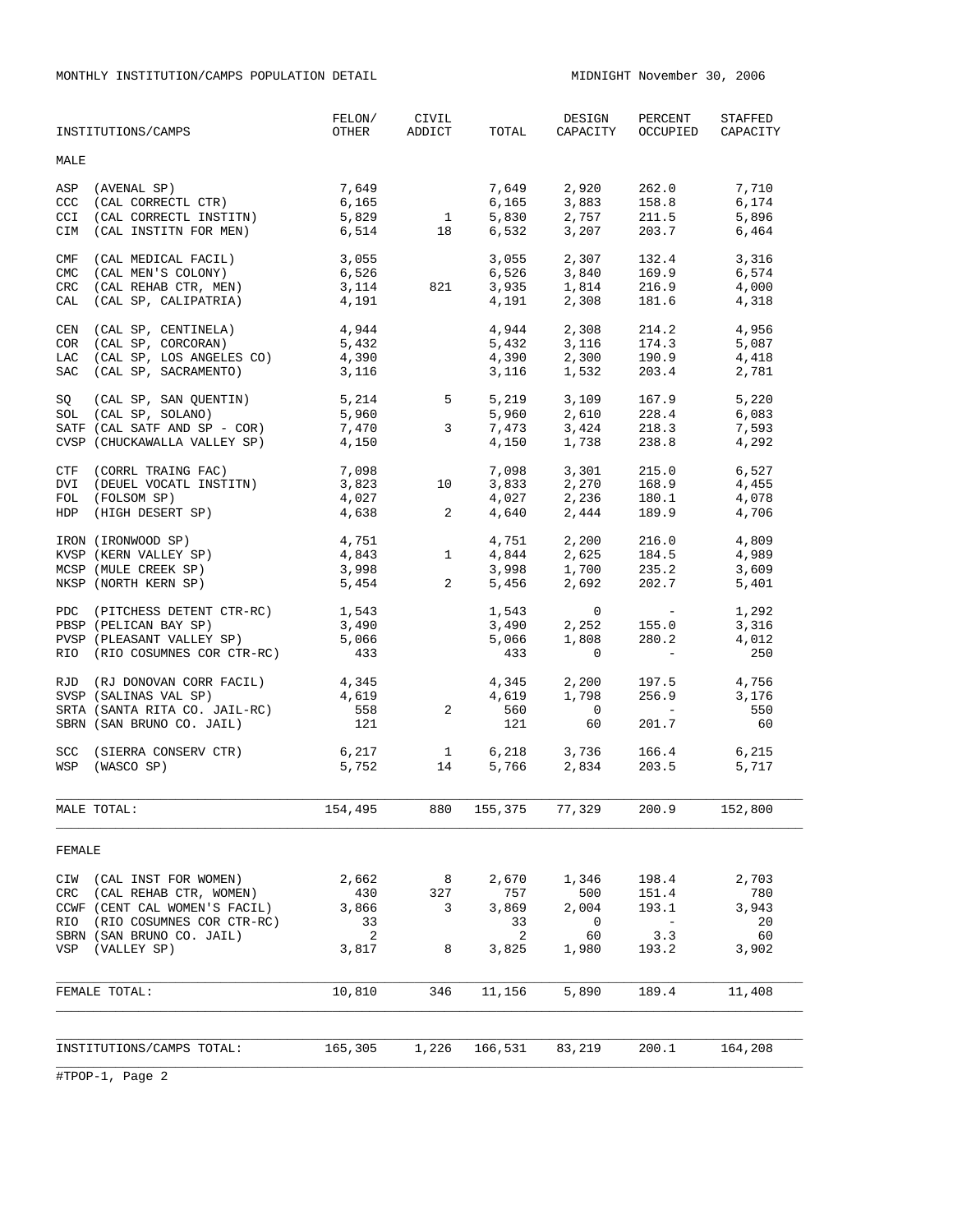MONTHLY INSTITUTION/CAMPS POPULATION DETAIL MIDNIGHT MOVEMBER 30, 2006

|                                        | INSTITUTIONS/CAMPS                                                                                                                                           | FELON/<br>OTHER                           | CIVIL<br>ADDICT                                | TOTAL                                     | DESIGN<br>CAPACITY                                      | PERCENT<br>OCCUPIED                                                                              | STAFFED<br>CAPACITY                        |
|----------------------------------------|--------------------------------------------------------------------------------------------------------------------------------------------------------------|-------------------------------------------|------------------------------------------------|-------------------------------------------|---------------------------------------------------------|--------------------------------------------------------------------------------------------------|--------------------------------------------|
| MALE                                   |                                                                                                                                                              |                                           |                                                |                                           |                                                         |                                                                                                  |                                            |
| ASP<br>CCC<br>CCI<br>CIM               | (AVENAL SP)<br>$\begin{array}{lll} \text{(IN LINE 2-1)}\\ \text{(CAL CORRECTL CTR)}\\ \end{array}$<br>(CAL CORRECTL INSTITN)<br>(CAL INSTITN FOR MEN)        | 7,649<br>6,165<br>5,829<br>6,514          | $\overline{1}$<br>18                           | 7,649<br>6,165<br>5,830<br>6,532          | 2,920<br>$\frac{2}{3}, \frac{883}{7}$<br>2,757<br>3,207 | 262.0<br>158.8<br>211.5<br>203.7                                                                 | 7,710<br>6,174<br>5,896<br>6,464           |
| CMF<br><b>CMC</b><br>CRC<br>CAL        | (CAL MEDICAL FACIL)<br>(CAL MEN'S COLONY)<br>(CAL REHAB CTR, MEN)<br>(CAL SP, CALIPATRIA)                                                                    | 3,055<br>6,526<br>3,114<br>4,191          | 821                                            | 3,055<br>6,526<br>3,935<br>4,191          | 2,307<br>3,840<br>1,814<br>2,308                        | 132.4<br>169.9<br>216.9<br>181.6                                                                 | 3,316<br>6,574<br>4,000<br>4,318           |
| CEN<br><b>COR</b><br>LAC<br><b>SAC</b> | (CAL SP, CENTINELA)<br>(CAL SP, CORCORAN)<br>(CAL SP, LOS ANGELES CO)<br>(CAL SP, SACRAMENTO)                                                                | 4,944<br>5,432<br>4,390<br>3,116          |                                                | 4,944<br>5,432<br>4,390<br>3,116          | 2,308<br>3,116<br>2,300<br>1,532                        | 214.2<br>174.3<br>174.3<br>190.9<br>203.4                                                        | 4,956<br>5,087<br>4,418<br>2,781           |
| SQ                                     | $(CAL SP, SAN QUENTIN)$ 5,214 5<br>SOL (CAL SP, SOLANO)<br>SATF (CAL SATF AND SP - COR)<br>CVSP (CHUCKAWALLA VALLEY SP)                                      | 5,960<br>7,470<br>4,150                   | $3^{\circ}$                                    | 5,219<br>5,960<br>7,473<br>4,150          | 3,424<br>1,738                                          | $3,109$ $167.9$<br>$2,610$ $228.4$<br>218.3<br>238.8                                             | 5,220<br>6,083<br>7,593<br>4,292           |
| DVI                                    | CTF (CORRL TRAING FAC)<br>(DEUEL VOCATL INSTITN)<br>FOL (FOLSOM SP)<br>HDP (HIGH DESERT SP)                                                                  | 7,098<br>3,823<br>4,027<br>4,638          | 10<br>$\overline{a}$                           | 7,098<br>3,833<br>4,027<br>4,640          | 3,301<br>2,270<br>2,236<br>2,444                        | 215.0<br>168.9<br>180.1<br>189.9                                                                 | 6,527<br>4,455<br>4,078<br>4,706           |
|                                        | IRON (IRONWOOD SP)<br>KVSP (KERN VALLEY SP)<br>MCSP (MULE CREEK SP)<br>NKSP (NORTH KERN SP)                                                                  | 4,751<br>4,843<br>3,998<br>5,454          | $\mathbf{1}$<br>$2 \left( \frac{1}{2} \right)$ | 4,751<br>4,844<br>3,998<br>5,456          | 2,200<br>2,625<br>$1,700$ 235.2<br>2,692                | 216.0<br>184.5<br>202.7                                                                          | 4,809<br>4,989<br>3,609<br>5,401           |
|                                        | PDC (PITCHESS DETENT CTR-RC)<br>PBSP (PELICAN BAY SP)<br>PVSP (PLEASANT VALLEY SP)<br>RIO (RIO COSUMNES COR CTR-RC)                                          | 1,543<br>3,490<br>5,066<br>433            |                                                | 1,543<br>3,490<br>5,066<br>433            | $\circ$<br>2,252<br>1,808<br>$\circ$                    | $\mathcal{L}_{\rm{max}}$ and $\mathcal{L}_{\rm{max}}$<br>155.0<br>280.2<br>$\sim 1000$ m $^{-1}$ | 1,292<br>3,316<br>4,012<br>250             |
|                                        | RJD (RJ DONOVAN CORR FACIL)<br>SVSP (SALINAS VAL SP)<br>SRTA (SANTA RITA CO. JAIL-RC)<br>SBRN (SAN BRUNO CO. JAIL)                                           | 4,345<br>4,619<br>558<br>121              | 2                                              | 4,345<br>4,619<br>560<br>121              | 2,200<br>1,798<br>$\overline{0}$<br>60                  | 197.5<br>256.9<br>$\mathcal{L}_{\text{max}}$ and $\mathcal{L}_{\text{max}}$<br>201.7             | 4,756<br>3,176<br>550<br>60                |
|                                        | SCC (SIERRA CONSERV CTR)<br>WSP (WASCO SP)                                                                                                                   | 6,217<br>5,752                            | $\begin{array}{c} 1 \\ 14 \end{array}$         | 5,766                                     | $6,218$ $3,736$<br>5.766 2.834<br>2,834                 | 166.4<br>203.5                                                                                   | 6,215<br>5,717                             |
|                                        | MALE TOTAL:                                                                                                                                                  | 154,495                                   | 880                                            |                                           | 155,375 77,329                                          | 200.9                                                                                            | 152,800                                    |
| FEMALE                                 |                                                                                                                                                              |                                           |                                                |                                           |                                                         |                                                                                                  |                                            |
| CRC<br>RIO<br>VSP                      | CIW (CAL INST FOR WOMEN)<br>(CAL REHAB CTR, WOMEN)<br>CCWF (CENT CAL WOMEN'S FACIL)<br>(RIO COSUMNES COR CTR-RC)<br>SBRN (SAN BRUNO CO. JAIL)<br>(VALLEY SP) | 2,662<br>430<br>3,866<br>33<br>2<br>3,817 | 8 <sup>8</sup><br>327<br>3<br>8                | 2,670<br>757<br>3,869<br>33<br>2<br>3,825 | 1,346<br>500<br>2,004<br>0<br>60<br>1,980               | 198.4<br>151.4<br>193.1<br>$\sim$ $-$<br>3.3<br>193.2                                            | 2,703<br>780<br>3,943<br>20<br>60<br>3,902 |
|                                        | FEMALE TOTAL:                                                                                                                                                | 10,810                                    | 346                                            | 11,156                                    | 5,890                                                   | 189.4                                                                                            | 11,408                                     |
|                                        |                                                                                                                                                              |                                           |                                                |                                           |                                                         |                                                                                                  |                                            |
|                                        | INSTITUTIONS/CAMPS TOTAL:                                                                                                                                    | 165,305                                   | 1,226                                          | 166,531                                   | 83,219                                                  | 200.1                                                                                            | 164,208                                    |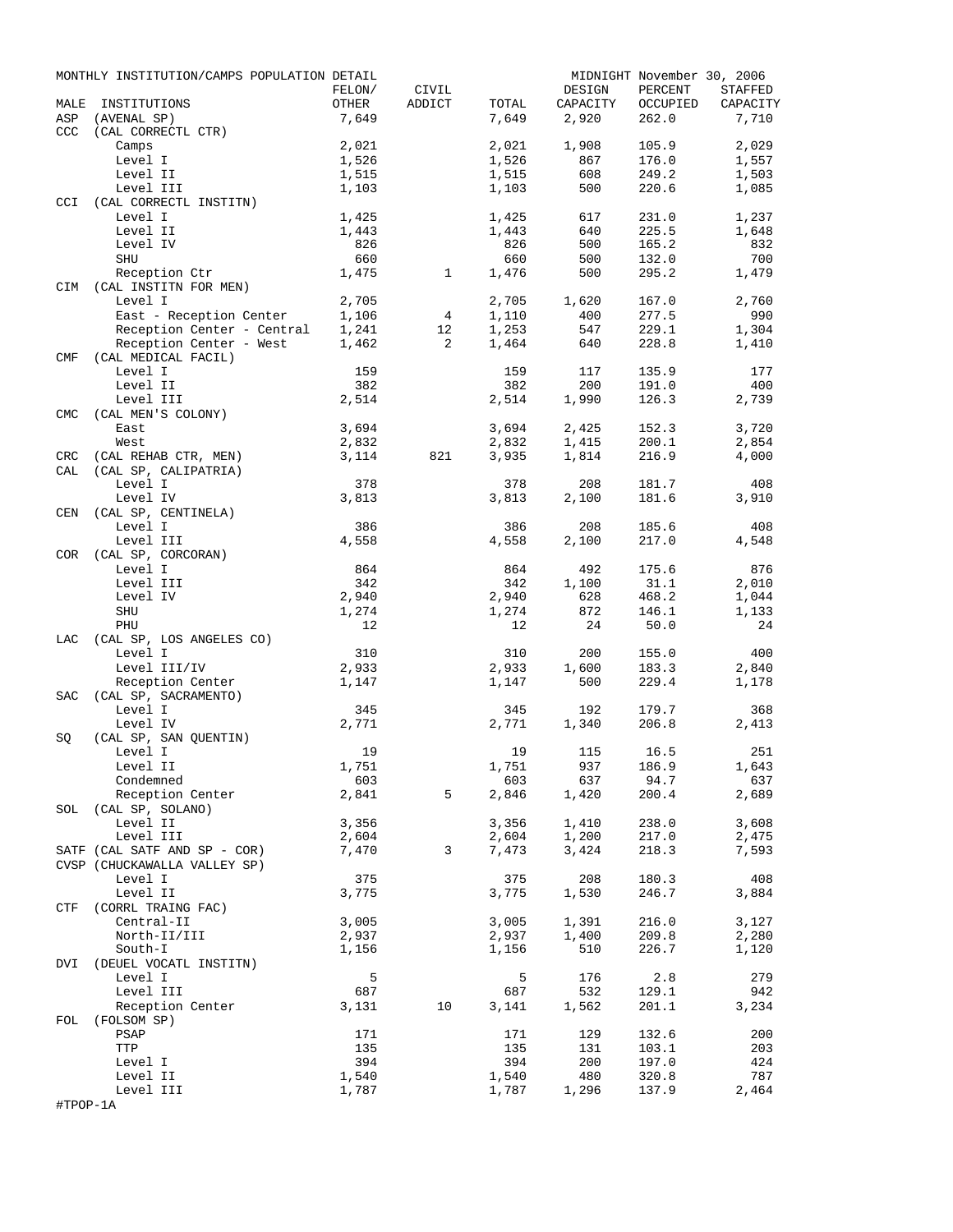|            | MONTHLY INSTITUTION/CAMPS POPULATION DETAIL |        |              |                |          | MIDNIGHT November 30, 2006 |          |
|------------|---------------------------------------------|--------|--------------|----------------|----------|----------------------------|----------|
|            |                                             | FELON/ | CIVIL        |                | DESIGN   | PERCENT                    | STAFFED  |
| MALE       | INSTITUTIONS                                | OTHER  | ADDICT       | TOTAL          | CAPACITY | OCCUPIED                   | CAPACITY |
| ASP        | (AVENAL SP)                                 | 7,649  |              | 7,649          | 2,920    | 262.0                      | 7,710    |
| <b>CCC</b> | (CAL CORRECTL CTR)<br>Camps                 | 2,021  |              |                | 1,908    | 105.9                      | 2,029    |
|            | Level I                                     | 1,526  |              | 2,021<br>1,526 | 867      | 176.0                      | 1,557    |
|            | Level II                                    | 1,515  |              | 1,515          | 608      | 249.2                      | 1,503    |
|            | Level III                                   | 1,103  |              | 1,103          | 500      | 220.6                      | 1,085    |
| CCI        | (CAL CORRECTL INSTITN)                      |        |              |                |          |                            |          |
|            | Level I                                     | 1,425  |              | 1,425          | 617      | 231.0                      | 1,237    |
|            | Level II                                    | 1,443  |              | 1,443          | 640      | 225.5                      | 1,648    |
|            | Level IV                                    | 826    |              | 826            | 500      | 165.2                      | 832      |
|            | SHU                                         | 660    |              | 660            | 500      | 132.0                      | 700      |
|            | Reception Ctr                               | 1,475  | $\mathbf{1}$ | 1,476          | 500      | 295.2                      | 1,479    |
| CIM        | (CAL INSTITN FOR MEN)                       |        |              |                |          |                            |          |
|            | Level I                                     | 2,705  |              | 2,705          | 1,620    | 167.0                      | 2,760    |
|            | East - Reception Center                     | 1,106  | 4            | 1,110          | 400      | 277.5                      | 990      |
|            | Reception Center - Central                  | 1,241  | 12           | 1,253          | 547      | 229.1                      | 1,304    |
|            | Reception Center - West                     | 1,462  | 2            | 1,464          | 640      | 228.8                      | 1,410    |
| CMF        | (CAL MEDICAL FACIL)                         |        |              |                |          |                            |          |
|            | Level I                                     | 159    |              | 159            | 117      | 135.9                      | 177      |
|            | Level II                                    | 382    |              | 382            | 200      | 191.0                      | 400      |
|            | Level III<br>(CAL MEN'S COLONY)             | 2,514  |              | 2,514          | 1,990    | 126.3                      | 2,739    |
| <b>CMC</b> | East                                        | 3,694  |              | 3,694          | 2,425    | 152.3                      | 3,720    |
|            | West                                        | 2,832  |              | 2,832          | 1,415    | 200.1                      | 2,854    |
| CRC        | (CAL REHAB CTR, MEN)                        | 3,114  | 821          | 3,935          | 1,814    | 216.9                      | 4,000    |
| CAL        | (CAL SP, CALIPATRIA)                        |        |              |                |          |                            |          |
|            | Level I                                     | 378    |              | 378            | 208      | 181.7                      | 408      |
|            | Level IV                                    | 3,813  |              | 3,813          | 2,100    | 181.6                      | 3,910    |
| CEN        | (CAL SP, CENTINELA)                         |        |              |                |          |                            |          |
|            | Level I                                     | 386    |              | 386            | 208      | 185.6                      | 408      |
|            | Level III                                   | 4,558  |              | 4,558          | 2,100    | 217.0                      | 4,548    |
| COR        | (CAL SP, CORCORAN)                          |        |              |                |          |                            |          |
|            | Level I                                     | 864    |              | 864            | 492      | 175.6                      | 876      |
|            | Level III                                   | 342    |              | 342            | 1,100    | 31.1                       | 2,010    |
|            | Level IV                                    | 2,940  |              | 2,940          | 628      | 468.2                      | 1,044    |
|            | SHU                                         | 1,274  |              | 1,274          | 872      | 146.1                      | 1,133    |
|            | PHU                                         | 12     |              | 12             | 24       | 50.0                       | 24       |
| LAC        | (CAL SP, LOS ANGELES CO)                    |        |              |                |          |                            |          |
|            | Level I                                     | 310    |              | 310            | 200      | 155.0                      | 400      |
|            | Level III/IV                                | 2,933  |              | 2,933          | 1,600    | 183.3                      | 2,840    |
|            | Reception Center                            | 1,147  |              | 1,147          | 500      | 229.4                      | 1,178    |
| SAC        | (CAL SP, SACRAMENTO)<br>Level I             | 345    |              | 345            | 192      | 179.7                      | 368      |
|            | Level IV                                    | 2,771  |              | 2,771          | 1,340    | 206.8                      | 2,413    |
| SQ         | (CAL SP, SAN QUENTIN)                       |        |              |                |          |                            |          |
|            | Level I                                     | 19     |              | 19             | 115      | 16.5                       | 251      |
|            | Level II                                    | 1,751  |              | 1,751          | 937      | 186.9                      | 1,643    |
|            | Condemned                                   | 603    |              | 603            | 637      | 94.7                       | 637      |
|            | Reception Center                            | 2,841  | 5            | 2,846          | 1,420    | 200.4                      | 2,689    |
|            | SOL (CAL SP, SOLANO)                        |        |              |                |          |                            |          |
|            | Level II                                    | 3,356  |              | 3,356          | 1,410    | 238.0                      | 3,608    |
|            | Level III                                   | 2,604  |              | 2,604          | 1,200    | 217.0                      | 2,475    |
|            | SATF (CAL SATF AND SP - COR)                | 7,470  | 3            | 7,473          | 3,424    | 218.3                      | 7,593    |
|            | CVSP (CHUCKAWALLA VALLEY SP)                |        |              |                |          |                            |          |
|            | Level I                                     | 375    |              | 375            | 208      | 180.3                      | 408      |
|            | Level II                                    | 3,775  |              | 3,775          | 1,530    | 246.7                      | 3,884    |
|            | CTF (CORRL TRAING FAC)                      |        |              |                |          |                            |          |
|            | Central-II                                  | 3,005  |              | 3,005          | 1,391    | 216.0                      | 3,127    |
|            | North-II/III                                | 2,937  |              | 2,937          | 1,400    | 209.8                      | 2,280    |
|            | South-I                                     | 1,156  |              | 1,156          | 510      | 226.7                      | 1,120    |
|            | DVI (DEUEL VOCATL INSTITN)<br>Level I       | 5      |              | 5              | 176      | 2.8                        | 279      |
|            | Level III                                   | 687    |              | 687            | 532      | 129.1                      | 942      |
|            | Reception Center                            | 3,131  | 10           | 3,141          | 1,562    | 201.1                      | 3,234    |
| FOL        | (FOLSOM SP)                                 |        |              |                |          |                            |          |
|            | PSAP                                        | 171    |              | 171            | 129      | 132.6                      | 200      |
|            | TTP                                         | 135    |              | 135            | 131      | 103.1                      | 203      |
|            | Level I                                     | 394    |              | 394            | 200      | 197.0                      | 424      |
|            | Level II                                    | 1,540  |              | 1,540          | 480      | 320.8                      | 787      |
|            | Level III                                   | 1,787  |              | 1,787          | 1,296    | 137.9                      | 2,464    |
| #TPOP-1A   |                                             |        |              |                |          |                            |          |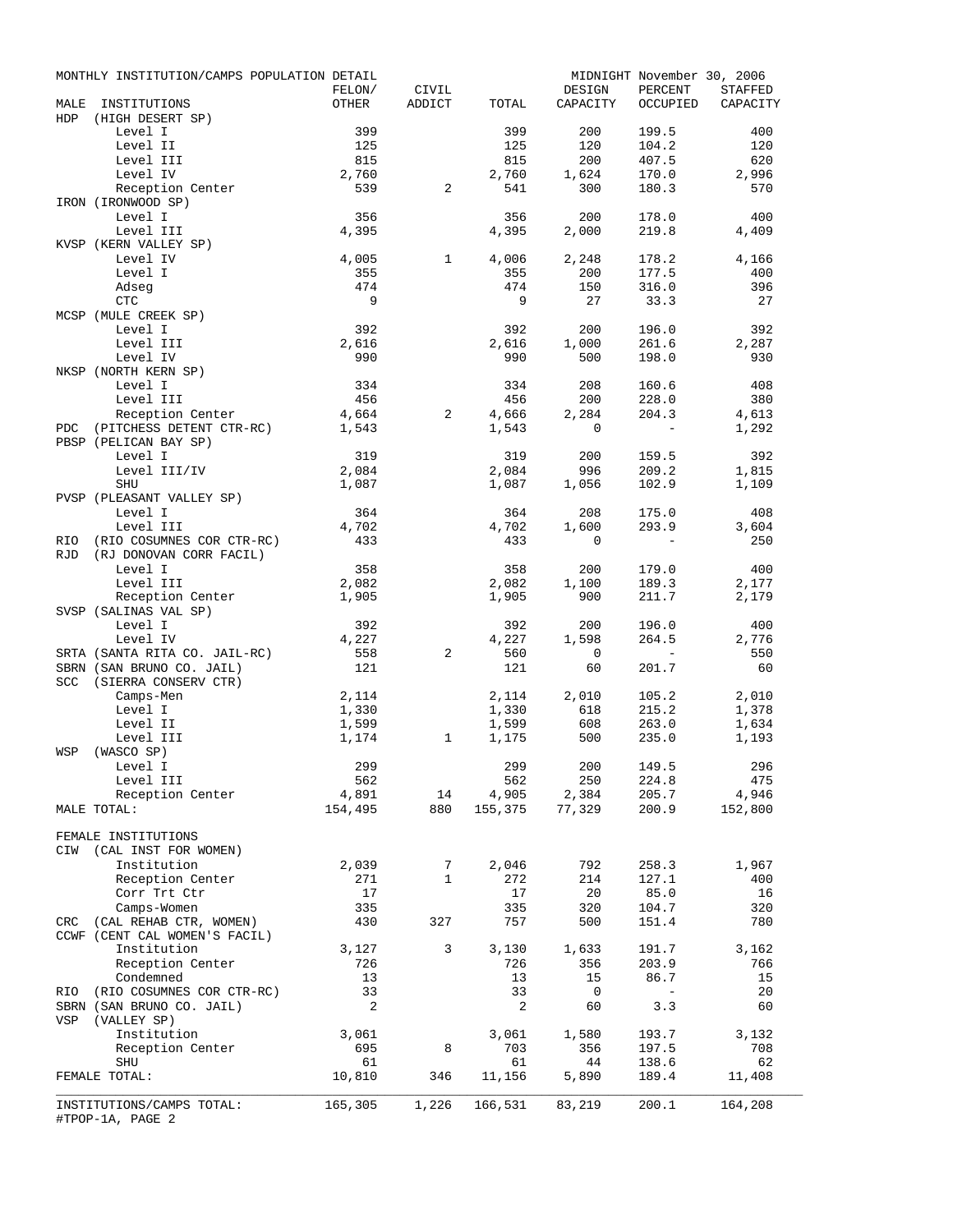|     | MONTHLY INSTITUTION/CAMPS POPULATION DETAIL   |                 |                   |                |              | MIDNIGHT November 30, 2006                                  |                              |
|-----|-----------------------------------------------|-----------------|-------------------|----------------|--------------|-------------------------------------------------------------|------------------------------|
|     |                                               | FELON/<br>OTHER | CIVIL<br>ADDICT   |                | DESIGN       | PERCENT                                                     | STAFFED<br>OCCUPIED CAPACITY |
| HDP | MALE INSTITUTIONS<br>(HIGH DESERT SP)         |                 |                   | TOTAL          | CAPACITY     |                                                             |                              |
|     | Level I                                       | 399             |                   | 399            | 200          | 199.5                                                       | 400                          |
|     | Level II                                      | 125             |                   | 125            | 120          | 104.2                                                       | 120                          |
|     | Level III                                     | 815             |                   | 815            | 200          | 407.5                                                       | 620                          |
|     | Level IV                                      | 2,760           |                   | 2,760          | 1,624        | 170.0                                                       | 2,996                        |
|     | Reception Center                              | 539             | 2                 | 541            | 300          | 180.3                                                       | 570                          |
|     | IRON (IRONWOOD SP)                            |                 |                   |                |              |                                                             |                              |
|     | Level I                                       | 356             |                   | 356            | 200          | 178.0                                                       | 400                          |
|     | Level III<br>KVSP (KERN VALLEY SP)            | 4,395           |                   | 4,395          | 2,000        | 219.8                                                       | 4,409                        |
|     | Level IV                                      | 4,005           | $\mathbf{1}$      | 4,006          | 2,248        | 178.2                                                       | 4,166                        |
|     | Level I                                       | 355             |                   | 355            | 200          | 177.5                                                       | 400                          |
|     | Adseg                                         | 474             |                   | 474            | 150          | 316.0                                                       | 396                          |
|     | CTC                                           | - 9             |                   | 9              | 27           | 33.3                                                        | -27                          |
|     | MCSP (MULE CREEK SP)                          |                 |                   |                |              |                                                             |                              |
|     | Level I                                       | 392             |                   | 392            | 200          | 196.0                                                       | 392                          |
|     | Level III                                     | 2,616           |                   | 2,616          | 1,000        | 261.6                                                       | 2,287                        |
|     | Level IV                                      | 990             |                   | 990            | 500          | 198.0                                                       | 930                          |
|     | NKSP (NORTH KERN SP)                          |                 |                   |                |              |                                                             |                              |
|     | Level I<br>Level III                          | 334<br>456      |                   | 334<br>456     | 208<br>200   | 160.6                                                       | 408<br>380                   |
|     | Reception Center                              | 4,664           | 2                 | 4,666          | 2,284        | 228.0<br>204.3                                              | 4,613                        |
| PDC | (PITCHESS DETENT CTR-RC) 1,543                |                 |                   | 1,543          | $\circ$      | $\sim$ $-$                                                  | 1,292                        |
|     | PBSP (PELICAN BAY SP)                         |                 |                   |                |              |                                                             |                              |
|     | Level I                                       | 319             |                   | 319            | 200          | 159.5                                                       | 392                          |
|     | Level III/IV                                  | 2,084           |                   | 2,084          | 996          | 209.2                                                       | 1,815                        |
|     | SHU                                           | 1,087           |                   | 1,087          | 1,056        | 102.9                                                       | 1,109                        |
|     | PVSP (PLEASANT VALLEY SP)                     |                 |                   |                |              |                                                             |                              |
|     | Level I                                       | 364             |                   | 364            | 208          | 175.0                                                       | 408                          |
|     | Level III                                     | 4,702           |                   | 4,702          | 1,600        | 293.9                                                       | 3,604                        |
| RIO | (RIO COSUMNES COR CTR-RC)                     | 433             |                   | 433            | $\mathbf 0$  | $\sim$ $-$                                                  | 250                          |
| RJD | (RJ DONOVAN CORR FACIL)<br>Level I            | 358             |                   | 358            | 200          | 179.0                                                       | 400                          |
|     | Level III                                     | 2,082           |                   | 2,082          | 1,100        | 189.3                                                       | 2,177                        |
|     | Reception Center                              | 1,905           |                   | 1,905          | 900          | 211.7                                                       | 2,179                        |
|     | SVSP (SALINAS VAL SP)                         |                 |                   |                |              |                                                             |                              |
|     | Level I                                       | 392             |                   | 392            | 200          | 196.0                                                       | 400                          |
|     | Level IV                                      | 4,227           |                   | 4,227          | 1,598        | 264.5                                                       | 2,776                        |
|     | SRTA (SANTA RITA CO. JAIL-RC)                 | 558             | 2                 | 560            | $\circ$      | $\mathcal{L}^{\mathcal{L}}$ and $\mathcal{L}^{\mathcal{L}}$ | 550                          |
|     | SBRN (SAN BRUNO CO. JAIL)                     | 121             |                   | 121            | 60           | 201.7                                                       | 60                           |
|     | SCC (SIERRA CONSERV CTR)                      |                 |                   |                |              |                                                             |                              |
|     | Camps-Men                                     | 2,114           |                   | 2,114          | 2,010        | 105.2                                                       | 2,010                        |
|     | Level I<br>Level II                           | 1,330<br>1,599  |                   | 1,330<br>1,599 | 618<br>608   | 215.2<br>263.0                                              | 1,378<br>1,634               |
|     | Level III                                     | 1,174           | $\mathbf{1}$      | 1,175          | 500          | 235.0                                                       | 1,193                        |
| WSP | (WASCO SP)                                    |                 |                   |                |              |                                                             |                              |
|     | Level I                                       | 299             |                   | 299            | 200 149.5    |                                                             | 296                          |
|     | Level III                                     | 562             |                   | 562            | 250          | 224.8                                                       | 475                          |
|     | Reception Center                              | 4,891           | 14                | 4,905          | 2,384        | 205.7                                                       | 4,946                        |
|     | MALE TOTAL:                                   | 154,495         | 880               | 155,375        | 77,329       | 200.9                                                       | 152,800                      |
|     |                                               |                 |                   |                |              |                                                             |                              |
|     | FEMALE INSTITUTIONS                           |                 |                   |                |              |                                                             |                              |
| CIW | (CAL INST FOR WOMEN)                          |                 |                   |                |              |                                                             |                              |
|     | Institution                                   | 2,039           | 7<br>$\mathbf{1}$ | 2,046<br>272   | 792          | 258.3<br>127.1                                              | 1,967                        |
|     | Reception Center<br>Corr Trt Ctr              | 271<br>17       |                   | 17             | 214<br>20    | 85.0                                                        | 400<br>16                    |
|     | Camps-Women                                   | 335             |                   | 335            | 320          | 104.7                                                       | 320                          |
| CRC | (CAL REHAB CTR, WOMEN)                        | 430             | 327               | 757            | 500          | 151.4                                                       | 780                          |
|     | CCWF (CENT CAL WOMEN'S FACIL)                 |                 |                   |                |              |                                                             |                              |
|     | Institution                                   | 3,127           | 3                 | 3,130          | 1,633        | 191.7                                                       | 3,162                        |
|     | Reception Center                              | 726             |                   | 726            | 356          | 203.9                                                       | 766                          |
|     | Condemned                                     | 13              |                   | 13             | 15           | 86.7                                                        | 15                           |
| RIO | (RIO COSUMNES COR CTR-RC)                     | 33              |                   | 33             | 0            | $\sim$                                                      | 20                           |
|     | SBRN (SAN BRUNO CO. JAIL)                     | 2               |                   | 2              | 60           | 3.3                                                         | 60                           |
| VSP | (VALLEY SP)                                   |                 |                   |                |              |                                                             |                              |
|     | Institution<br>Reception Center               | 3,061<br>695    | 8                 | 3,061<br>703   | 1,580<br>356 | 193.7<br>197.5                                              | 3,132<br>708                 |
|     | SHU                                           | 61              |                   | 61             | 44           | 138.6                                                       | 62                           |
|     | FEMALE TOTAL:                                 | 10,810          | 346               | 11,156         | 5,890        | 189.4                                                       | 11,408                       |
|     |                                               |                 |                   |                |              |                                                             |                              |
|     | INSTITUTIONS/CAMPS TOTAL:<br>#TPOP-1A, PAGE 2 | 165,305         | 1,226             | 166,531        | 83,219       | 200.1                                                       | 164,208                      |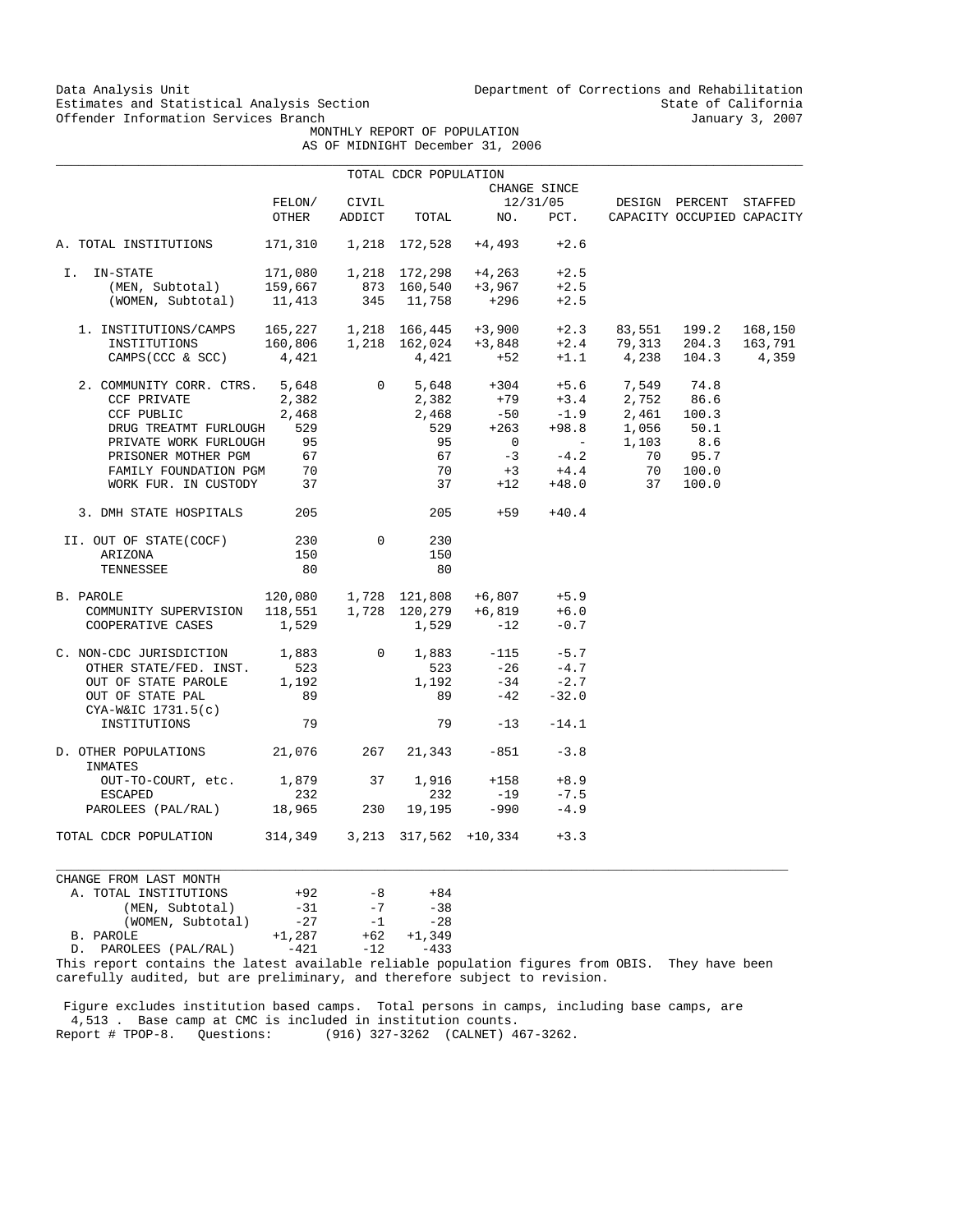Data Analysis Unit Unit Department of Corrections and Rehabilitation<br>Estimates and Statistical Analysis Section State of California Estimates and Statistical Analysis Section State of California<br>
Offender Information Services Branch<br>
State of California

 MONTHLY REPORT OF POPULATION AS OF MIDNIGHT December 31, 2006

|  | OF MIDNIGHI December 31, 200 |  |
|--|------------------------------|--|
|  |                              |  |

|                                                             |                         |                 | TOTAL CDCR POPULATION          |                      |                   |                            |                                                      |         |
|-------------------------------------------------------------|-------------------------|-----------------|--------------------------------|----------------------|-------------------|----------------------------|------------------------------------------------------|---------|
|                                                             |                         |                 |                                |                      | CHANGE SINCE      |                            |                                                      |         |
|                                                             | FELON/<br>OTHER         | CIVIL<br>ADDICT | TOTAL                          | NO.                  | 12/31/05<br>PCT.  |                            | DESIGN PERCENT STAFFED<br>CAPACITY OCCUPIED CAPACITY |         |
| A. TOTAL INSTITUTIONS                                       |                         |                 | 171,310  1,218  172,528        | +4,493               | $+2.6$            |                            |                                                      |         |
|                                                             |                         |                 |                                |                      |                   |                            |                                                      |         |
| I. IN-STATE                                                 | 171,080                 |                 |                                | 1,218 172,298 +4,263 | $+2.5$            |                            |                                                      |         |
| (MEN, Subtotal)                                             | 159,667                 |                 | 873   160,540<br>345    11,758 | +3,967               | $+2.5$            |                            |                                                      |         |
| (WOMEN, Subtotal)                                           | 11,413                  |                 |                                | +296                 | $+2.5$            |                            |                                                      |         |
| 1. INSTITUTIONS/CAMPS $165,227$ 1,218 $166,445$ +3,900 +2.3 |                         |                 |                                |                      |                   |                            | 83,551 199.2                                         | 168,150 |
| INSTITUTIONS                                                |                         |                 | 160,806  1,218  162,024        |                      | $+2.4$            |                            | 79,313 204.3                                         | 163,791 |
| CAMPS (CCC & SCC)                                           | 4,421                   |                 | 4,421                          | $+3,848$<br>$+52$    |                   | $+1.1$ 4,238 104.3         |                                                      | 4,359   |
| 2. COMMUNITY CORR. CTRS. 5,648                              |                         | $\overline{0}$  |                                |                      |                   | 5,648 +304 +5.6 7,549 74.8 |                                                      |         |
| CCF PRIVATE                                                 | 2,382                   |                 | 2,382                          | $+79$                |                   | $+3.4$ 2,752 86.6          |                                                      |         |
| CCF PUBLIC                                                  | 2,468                   |                 | 2,468                          | $-50$                | $-1.9$            | 2,461 100.3                |                                                      |         |
| DRUG TREATMT FURLOUGH                                       | 529                     |                 | 529                            | $+263$               |                   | $+98.8$ 1,056              | 50.1                                                 |         |
| PRIVATE WORK FURLOUGH                                       | 95                      |                 | 95                             | $\overline{0}$       | <b>Contractor</b> | 1,103                      | 8.6                                                  |         |
|                                                             |                         |                 | 67 —                           | $-3$                 | $-4.2$            | 70                         | 95.7                                                 |         |
| PRISONER MOTHER PGM 67                                      | 70                      |                 | 70                             |                      | $+4.4$            |                            | 70 100.0                                             |         |
| FAMILY FOUNDATION PGM<br>WORK FUR. IN CUSTODY 37            |                         |                 | 37                             | $+3$                 | $+48.0$           |                            |                                                      |         |
|                                                             |                         |                 |                                | $+12$                |                   | 37                         | 100.0                                                |         |
| 3. DMH STATE HOSPITALS                                      | 205                     |                 | 205                            | $+59$                | $+40.4$           |                            |                                                      |         |
| II. OUT OF STATE(COCF)                                      | 230                     | $\Omega$        | 230                            |                      |                   |                            |                                                      |         |
| ARIZONA                                                     | 150                     |                 | 150                            |                      |                   |                            |                                                      |         |
| TENNESSEE                                                   | 80                      |                 | 80                             |                      |                   |                            |                                                      |         |
| B. PAROLE                                                   | 120,080  1,728  121,808 |                 |                                | $+6,807$ $+5.9$      |                   |                            |                                                      |         |
| COMMUNITY SUPERVISION                                       |                         |                 |                                | $+6,819$             | $+6.0$            |                            |                                                      |         |
| COOPERATIVE CASES                                           | 1,529                   |                 | 1,529                          | $-12$                | $-0.7$            |                            |                                                      |         |
| C. NON-CDC JURISDICTION 1,883                               |                         | $\overline{0}$  | 1,883                          | $-115$               | $-5.7$            |                            |                                                      |         |
| OTHER STATE/FED. INST.                                      | 523                     |                 | 523                            | $-26$                | $-4.7$            |                            |                                                      |         |
| OUT OF STATE PAROLE                                         | 1,192                   |                 | 1,192                          | $-34$                | $-2.7$            |                            |                                                      |         |
| OUT OF STATE PAL                                            | 89                      |                 | 89                             | $-42$                | $-32.0$           |                            |                                                      |         |
| $CYA-W&IC$ 1731.5(c)                                        |                         |                 |                                |                      |                   |                            |                                                      |         |
| INSTITUTIONS                                                | 79                      |                 | 79                             | $-13$                | $-14.1$           |                            |                                                      |         |
| D. OTHER POPULATIONS 21,076<br>INMATES                      |                         | 267             | 21,343                         | $-851$               | $-3.8$            |                            |                                                      |         |
| OUT-TO-COURT, etc. 1,879                                    |                         | 37              | 1,916                          | $+158$               | $+8.9$            |                            |                                                      |         |
| <b>ESCAPED</b>                                              | 232                     |                 | 232                            | $-19$                | $-7.5$            |                            |                                                      |         |
| PAROLEES (PAL/RAL) 18,965                                   |                         | 230             | 19,195                         | $-990$               | $-4.9$            |                            |                                                      |         |
| TOTAL CDCR POPULATION                                       | 314,349                 |                 | 3,213 317,562 +10,334          |                      | $+3.3$            |                            |                                                      |         |
|                                                             |                         |                 |                                |                      |                   |                            |                                                      |         |

CHANGE FROM LAST MONTH A. TOTAL INSTITUTIONS  $+92$   $-8$   $+84$ (MEN, Subtotal)  $-31$   $-7$   $-38$  $(WOMEN, Subtotal)$   $-27$   $-1$   $-28$ B. PAROLE  $+1,287$   $-42$ <br>D. PAROLEES (PAL/RAL)  $-421$   $-12$   $-433$ D. PAROLEES (PAL/RAL)

This report contains the latest available reliable population figures from OBIS. They have been carefully audited, but are preliminary, and therefore subject to revision.

 $\_$  ,  $\_$  ,  $\_$  ,  $\_$  ,  $\_$  ,  $\_$  ,  $\_$  ,  $\_$  ,  $\_$  ,  $\_$  ,  $\_$  ,  $\_$  ,  $\_$  ,  $\_$  ,  $\_$  ,  $\_$  ,  $\_$  ,  $\_$  ,  $\_$  ,  $\_$  ,  $\_$  ,  $\_$  ,  $\_$  ,  $\_$  ,  $\_$  ,  $\_$  ,  $\_$  ,  $\_$  ,  $\_$  ,  $\_$  ,  $\_$  ,  $\_$  ,  $\_$  ,  $\_$  ,  $\_$  ,  $\_$  ,  $\_$  ,

 Figure excludes institution based camps. Total persons in camps, including base camps, are 4,513 . Base camp at CMC is included in institution counts. Report # TPOP-8. Questions: (916) 327-3262 (CALNET) 467-3262.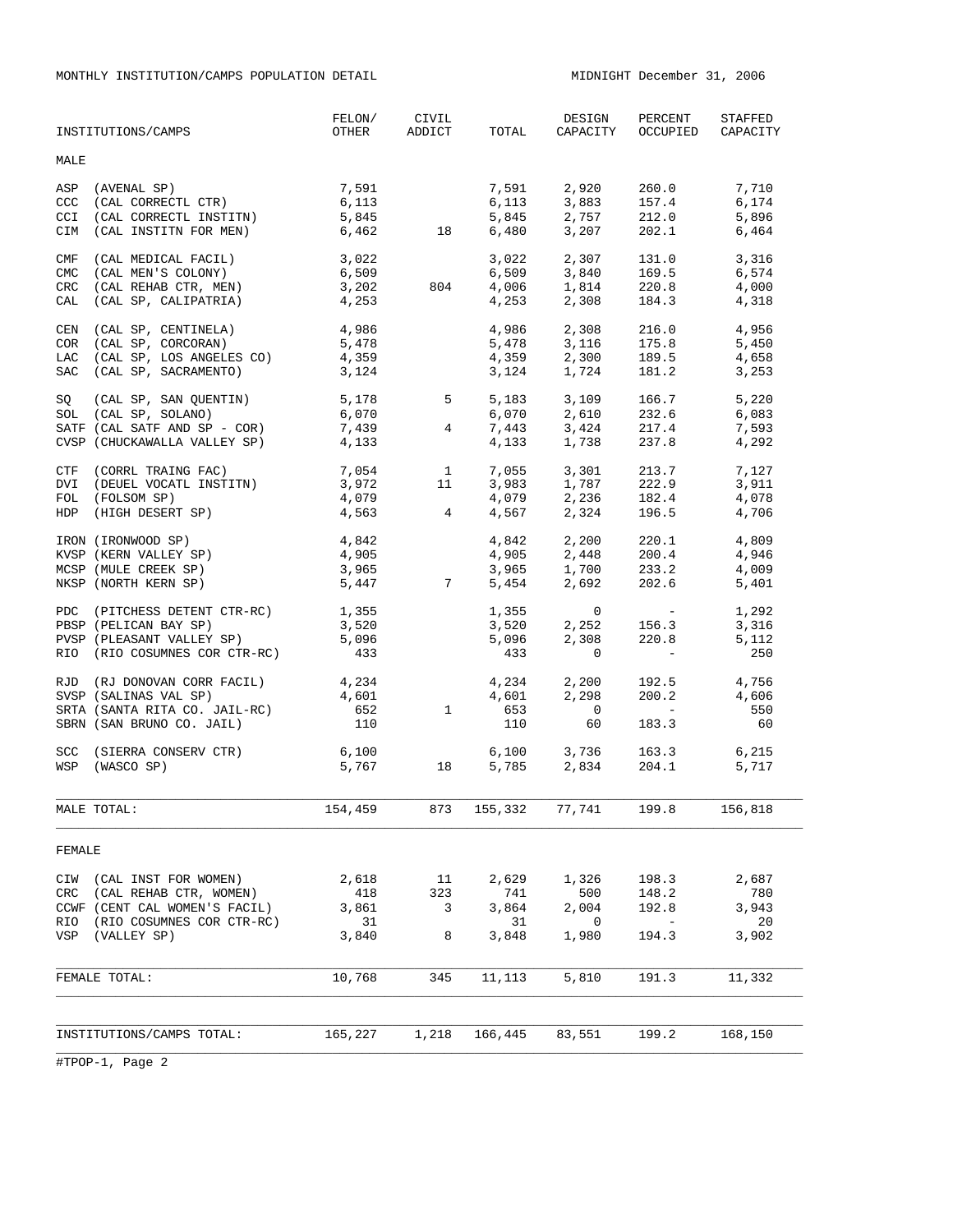MONTHLY INSTITUTION/CAMPS POPULATION DETAIL MIDNIGHT December 31, 2006

|                                 | INSTITUTIONS/CAMPS                                                                                                                                                    | FELON/<br>OTHER                      | CIVIL<br>ADDICT                                          | TOTAL                                | DESIGN<br>CAPACITY                                                 | PERCENT                                                                              | STAFFED<br>OCCUPIED CAPACITY         |
|---------------------------------|-----------------------------------------------------------------------------------------------------------------------------------------------------------------------|--------------------------------------|----------------------------------------------------------|--------------------------------------|--------------------------------------------------------------------|--------------------------------------------------------------------------------------|--------------------------------------|
| MALE                            |                                                                                                                                                                       |                                      |                                                          |                                      |                                                                    |                                                                                      |                                      |
| CCC<br>CCI<br>CIM               | ASP (AVENAL SP)<br>$(CAL$ CORRECTL CTR)<br>(CAL CORRECTL INSTITN)<br>(CAL INSTITN FOR MEN)                                                                            | 7,591<br>6,113<br>5,845<br>6,462     | 18                                                       | 6,113<br>5,845<br>6,480              | 7,591 2,920 260.0                                                  | $3,883$ $157.4$<br>2,757 212.0<br>$3,207$ 202.1                                      | 7,710<br>6,174<br>5,896<br>6,464     |
| CMF<br><b>CMC</b><br>CRC<br>CAL | (CAL MEDICAL FACIL)<br>(CAL MEN'S COLONY)<br>(CAL REHAB CTR, MEN)<br>(CAL SP, CALIPATRIA)                                                                             | 3,022<br>6,509<br>3,202<br>4,253     | 804                                                      | 3,022<br>6,509<br>4,006<br>4,253     | 2,307<br>3,840                                                     | 131.0<br>169.5<br>1,814 220.8<br>2,308 184.3                                         | 3,316<br>6,574<br>4,000<br>4,318     |
| CEN<br><b>COR</b><br>LAC<br>SAC | (CAL SP, CENTINELA)<br>(CAL SP, CORCORAN)<br>(CAL SP, LOS ANGELES CO)<br>(CAL SP, SACRAMENTO)                                                                         | 4,986<br>5,478<br>4,359<br>3,124     |                                                          | 4,986<br>5,478<br>4,359<br>3,124     | 2,308<br>3,116<br>2,300<br>1,724                                   | 216.0<br>175.8<br>189.5<br>181.2                                                     | 4,956<br>5,450<br>4,658<br>3,253     |
| SQ                              | $(CAL SP, SAN QUENTIN)$ $5,178$ $5$<br>$( CAL SP, SDI. ANO)$ $6,070$<br>SOL (CAL SP, SOLANO)<br>SATF (CAL SATF AND SP - $COR$ ) 7,439<br>CVSP (CHUCKAWALLA VALLEY SP) | 6,070<br>4,133                       | $4\overline{4}$                                          | 5,183<br>6,070<br>4,133              | 7,443 3,424<br>1,738                                               | 3,109 166.7<br>2,610 232.6<br>217.4<br>237.8                                         | 5,220<br>6,083<br>7,593<br>4,292     |
| DVI<br>FOL                      | CTF (CORRL TRAING FAC)<br>(DEUEL VOCATL INSTITN)<br>(FOLSOM SP)<br>HDP (HIGH DESERT SP)                                                                               | 7,054<br>3,972<br>4,079<br>4,563     | $\begin{array}{c} 1 \\ 11 \end{array}$<br>$\overline{4}$ | 7,055<br>3,983<br>4,079<br>4,567     | 3,301<br>1,787                                                     | 213.7<br>222.9<br>2, 236 182.4<br>2, 324 196.5                                       | 7,127<br>3,911<br>4,078<br>4,706     |
|                                 | IRON (IRONWOOD SP)<br>KVSP (KERN VALLEY SP)<br>MCSP (MULE CREEK SP)<br>NKSP (NORTH KERN SP)                                                                           | 4,842<br>4,905<br>3,965<br>5,447     | $\overline{7}$                                           | 4,842<br>5,454                       | 2,200<br>$4,905$ $2,448$ $200.4$<br>3,965 $1,700$ $233.2$<br>2,692 | 220.1<br>200.4<br>202.6                                                              | 4,809<br>4,946<br>4,009<br>5,401     |
|                                 | PDC (PITCHESS DETENT CTR-RC)<br>PBSP (PELICAN BAI J.,<br>PVSP (PLEASANT VALLEY SP)<br>COSTANTS COR CTR-RC)                                                            | 1,355<br>3,520<br>5,096<br>433       |                                                          | 1,355<br>3,520<br>5,096<br>433       | $\overline{0}$<br>2,252<br>2,308<br>$\mathbf 0$                    | and the state of the<br>156.3<br>220.8<br>$\sim 10^{11}$ m $^{-1}$                   | 1,292<br>3,316<br>5,112<br>250       |
|                                 | RJD (RJ DONOVAN CORR FACIL)<br>SVSP (SALINAS VAL SP)<br>SRTA (SANTA RITA CO. JAIL-RC)<br>SBRN (SAN BRUNO CO. JAIL)                                                    | 4,234<br>4,601<br>652<br>110         | $\mathbf{1}$                                             | 4,234<br>4,601<br>653<br>110         | 2,200<br>2,298<br>$\overline{0}$<br>60                             | 192.5<br>200.2<br>$\mathcal{L}(\mathcal{L})$ and $\mathcal{L}(\mathcal{L})$<br>183.3 | 4,756<br>4,606<br>550<br>60          |
|                                 | SCC (SIERRA CONSERV CTR)<br>WSP (WASCO SP)                                                                                                                            | 6,100<br>5,767                       | 18                                                       |                                      | 6,100 3,736<br>5,785 2,834                                         | 163.3<br>204.1                                                                       | 6,215<br>5,717                       |
|                                 | MALE TOTAL:                                                                                                                                                           | 154,459                              | 873                                                      | 155,332                              | 77,741                                                             | 199.8                                                                                | 156,818                              |
| FEMALE                          |                                                                                                                                                                       |                                      |                                                          |                                      |                                                                    |                                                                                      |                                      |
| CIW<br>CRC<br>RIO<br>VSP        | (CAL INST FOR WOMEN)<br>(CAL REHAB CTR, WOMEN)<br>CCWF (CENT CAL WOMEN'S FACIL)<br>(RIO COSUMNES COR CTR-RC)<br>(VALLEY SP)                                           | 2,618<br>418<br>3,861<br>31<br>3,840 | 11<br>323<br>3<br>8                                      | 2,629<br>741<br>3,864<br>31<br>3,848 | 1,326<br>500<br>2,004<br>0<br>1,980                                | 198.3<br>148.2<br>192.8<br>$\overline{\phantom{a}}$<br>194.3                         | 2,687<br>780<br>3,943<br>20<br>3,902 |
|                                 | FEMALE TOTAL:                                                                                                                                                         | 10,768                               | 345                                                      | 11,113                               | 5,810                                                              | 191.3                                                                                | 11,332                               |
|                                 | INSTITUTIONS/CAMPS TOTAL:                                                                                                                                             | 165,227                              | 1,218                                                    | 166,445                              | 83,551                                                             | 199.2                                                                                | 168,150                              |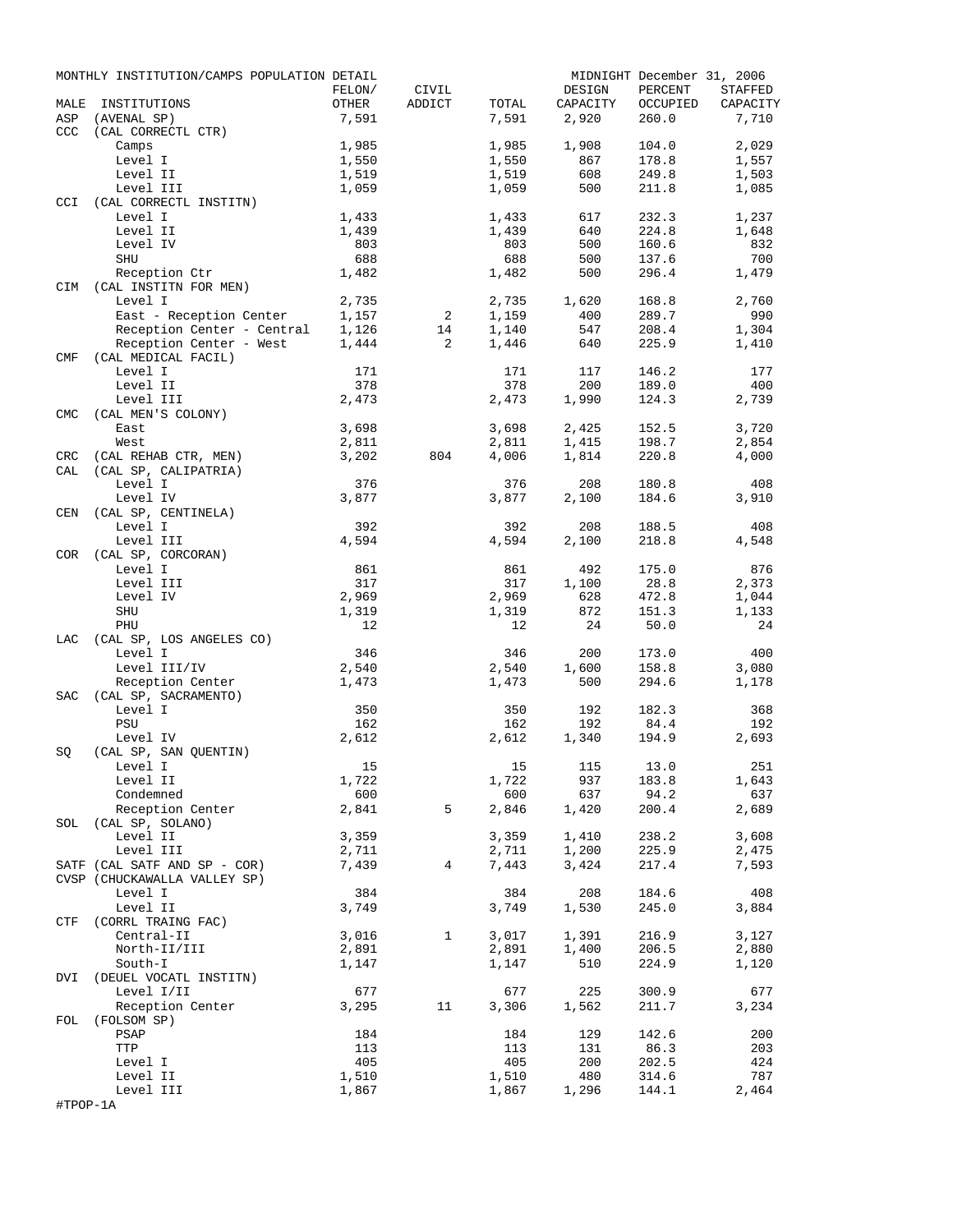|                   | MONTHLY INSTITUTION/CAMPS POPULATION DETAIL  |                |                |                |                   | MIDNIGHT December 31, 2006 |          |
|-------------------|----------------------------------------------|----------------|----------------|----------------|-------------------|----------------------------|----------|
|                   |                                              | FELON/         | CIVIL          |                | DESIGN            | PERCENT                    | STAFFED  |
| MALE<br>ASP       | INSTITUTIONS<br>(AVENAL SP)                  | OTHER<br>7,591 | ADDICT         | TOTAL<br>7,591 | CAPACITY<br>2,920 | OCCUPIED<br>260.0          | CAPACITY |
| <b>CCC</b>        | (CAL CORRECTL CTR)                           |                |                |                |                   |                            | 7,710    |
|                   | Camps                                        | 1,985          |                | 1,985          | 1,908             | 104.0                      | 2,029    |
|                   | Level I                                      | 1,550          |                | 1,550          | 867               | 178.8                      | 1,557    |
|                   | Level II                                     | 1,519          |                | 1,519          | 608               | 249.8                      | 1,503    |
|                   | Level III                                    | 1,059          |                | 1,059          | 500               | 211.8                      | 1,085    |
| <b>CCI</b>        | (CAL CORRECTL INSTITN)                       |                |                |                |                   |                            |          |
|                   | Level I                                      | 1,433          |                | 1,433          | 617               | 232.3                      | 1,237    |
|                   | Level II                                     | 1,439          |                | 1,439          | 640               | 224.8                      | 1,648    |
|                   | Level IV                                     | 803            |                | 803            | 500               | 160.6                      | 832      |
|                   | SHU                                          | 688            |                | 688            | 500               | 137.6                      | 700      |
|                   | Reception Ctr<br>CIM (CAL INSTITN FOR MEN)   | 1,482          |                | 1,482          | 500               | 296.4                      | 1,479    |
|                   | Level I                                      | 2,735          |                | 2,735          | 1,620             | 168.8                      | 2,760    |
|                   | East - Reception Center                      | 1,157          | 2              | 1,159          | 400               | 289.7                      | 990      |
|                   | Reception Center - Central                   | 1,126          | 14             | 1,140          | 547               | 208.4                      | 1,304    |
|                   | Reception Center - West                      | 1,444          | 2              | 1,446          | 640               | 225.9                      | 1,410    |
| CMF               | (CAL MEDICAL FACIL)                          |                |                |                |                   |                            |          |
|                   | Level I                                      | 171            |                | 171            | 117               | 146.2                      | 177      |
|                   | Level II                                     | 378            |                | 378            | 200               | 189.0                      | 400      |
|                   | Level III                                    | 2,473          |                | 2,473          | 1,990             | 124.3                      | 2,739    |
| <b>CMC</b>        | (CAL MEN'S COLONY)                           |                |                |                |                   |                            |          |
|                   | East                                         | 3,698          |                | 3,698          | 2,425             | 152.5                      | 3,720    |
|                   | West                                         | 2,811          |                | 2,811          | 1,415             | 198.7                      | 2,854    |
| <b>CRC</b><br>CAL | (CAL REHAB CTR, MEN)<br>(CAL SP, CALIPATRIA) | 3,202          | 804            | 4,006          | 1,814             | 220.8                      | 4,000    |
|                   | Level I                                      | 376            |                | 376            | 208               | 180.8                      | 408      |
|                   | Level IV                                     | 3,877          |                | 3,877          | 2,100             | 184.6                      | 3,910    |
| CEN               | (CAL SP, CENTINELA)                          |                |                |                |                   |                            |          |
|                   | Level I                                      | 392            |                | 392            | 208               | 188.5                      | 408      |
|                   | Level III                                    | 4,594          |                | 4,594          | 2,100             | 218.8                      | 4,548    |
| COR               | (CAL SP, CORCORAN)                           |                |                |                |                   |                            |          |
|                   | Level I                                      | 861            |                | 861            | 492               | 175.0                      | 876      |
|                   | Level III                                    | 317            |                | 317            | 1,100             | 28.8                       | 2,373    |
|                   | Level IV                                     | 2,969          |                | 2,969          | 628               | 472.8                      | 1,044    |
|                   | SHU                                          | 1,319          |                | 1,319          | 872               | 151.3                      | 1,133    |
|                   | PHU                                          | 12             |                | 12             | 24                | 50.0                       | 24       |
| LAC               | (CAL SP, LOS ANGELES CO)<br>Level I          | 346            |                | 346            | 200               | 173.0                      | 400      |
|                   | Level III/IV                                 | 2,540          |                | 2,540          | 1,600             | 158.8                      | 3,080    |
|                   | Reception Center                             | 1,473          |                | 1,473          | 500               | 294.6                      | 1,178    |
| SAC               | (CAL SP, SACRAMENTO)                         |                |                |                |                   |                            |          |
|                   | Level I                                      | 350            |                | 350            | 192               | 182.3                      | 368      |
|                   | PSU                                          | 162            |                | 162            | 192               | 84.4                       | 192      |
|                   | Level IV                                     | 2,612          |                | 2,612          | 1,340             | 194.9                      | 2,693    |
| SQ                | (CAL SP, SAN QUENTIN)                        |                |                |                |                   |                            |          |
|                   | Level I                                      | 15             |                |                | 15 115 13.0       |                            | 251      |
|                   | Level II                                     | 1,722          |                | 1,722          | 937               | 183.8                      | 1,643    |
|                   | Condemned                                    | 600            |                | 600            | 637               | 94.2                       | 637      |
|                   | Reception Center<br>SOL (CAL SP, SOLANO)     | 2,841          | 5              | 2,846          | 1,420             | 200.4                      | 2,689    |
|                   | Level II                                     | 3,359          |                | 3,359          | 1,410             | 238.2                      | 3,608    |
|                   | Level III                                    | 2,711          |                | 2,711          | 1,200             | 225.9                      | 2,475    |
|                   | SATF (CAL SATF AND SP - COR)                 | 7,439          | $\overline{4}$ | 7,443          | 3,424             | 217.4                      | 7,593    |
|                   | CVSP (CHUCKAWALLA VALLEY SP)                 |                |                |                |                   |                            |          |
|                   | Level I                                      | 384            |                | 384            | 208               | 184.6                      | 408      |
|                   | Level II                                     | 3,749          |                | 3,749          | 1,530             | 245.0                      | 3,884    |
|                   | CTF (CORRL TRAING FAC)                       |                |                |                |                   |                            |          |
|                   | Central-II                                   | 3,016          | $\mathbf{1}$   | 3,017          | 1,391             | 216.9                      | 3,127    |
|                   | North-II/III                                 | 2,891          |                | 2,891          | 1,400             | 206.5                      | 2,880    |
|                   | South-I                                      | 1,147          |                | 1,147          | 510               | 224.9                      | 1,120    |
|                   | DVI (DEUEL VOCATL INSTITN)                   |                |                |                |                   |                            |          |
|                   | Level I/II                                   | 677            |                | 677            | 225               | 300.9                      | 677      |
| FOL               | Reception Center<br>(FOLSOM SP)              | 3,295          | 11             | 3,306          | 1,562             | 211.7                      | 3,234    |
|                   | PSAP                                         | 184            |                | 184            | 129               | 142.6                      | 200      |
|                   | TTP                                          | 113            |                | 113            | 131               | 86.3                       | 203      |
|                   | Level I                                      | 405            |                | 405            | 200               | 202.5                      | 424      |
|                   | Level II                                     | 1,510          |                | 1,510          | 480               | 314.6                      | 787      |
|                   | Level III                                    | 1,867          |                | 1,867          | 1,296             | 144.1                      | 2,464    |
| #TPOP-1A          |                                              |                |                |                |                   |                            |          |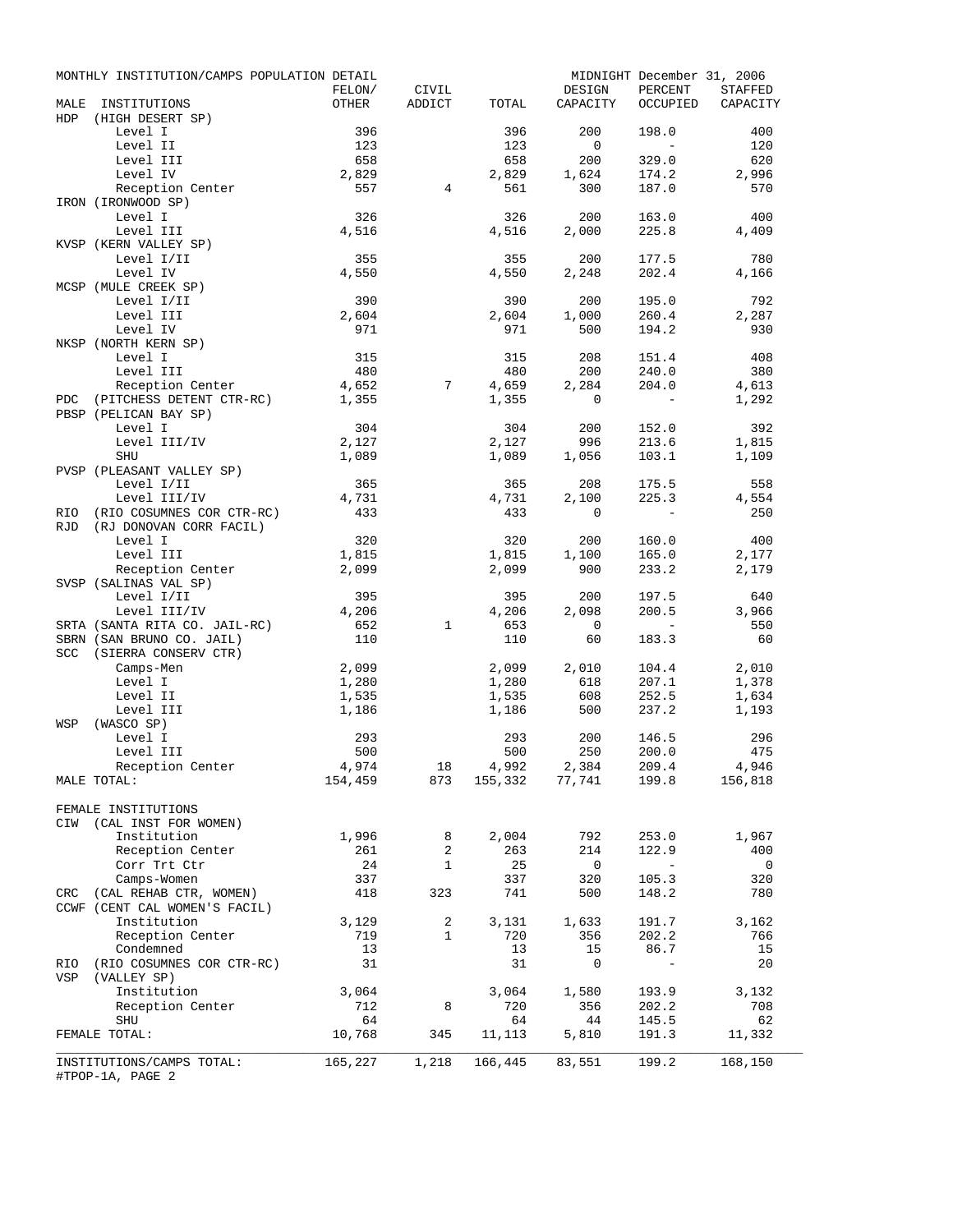|             | MONTHLY INSTITUTION/CAMPS POPULATION DETAIL |           |                 |           |                                 | MIDNIGHT December 31, 2006                            |                                 |
|-------------|---------------------------------------------|-----------|-----------------|-----------|---------------------------------|-------------------------------------------------------|---------------------------------|
|             |                                             | FELON/    | CIVIL           |           | DESIGN                          | PERCENT                                               | STAFFED                         |
| MALE<br>HDP | INSTITUTIONS<br>(HIGH DESERT SP)            | OTHER     | ADDICT          | TOTAL     | CAPACITY                        |                                                       | OCCUPIED CAPACITY               |
|             | Level I                                     | 396       |                 | 396       | 200                             | 198.0                                                 | 400                             |
|             | Level II                                    | 123       |                 | 123       | $\overline{0}$                  | $\sim$                                                | 120                             |
|             | Level III                                   | 658       |                 | 658       | 200                             | 329.0                                                 | 620                             |
|             | Level IV                                    | 2,829     |                 | 2,829     | 1,624                           | 174.2                                                 | 2,996                           |
|             | Reception Center                            | 557       | $4^{\circ}$     | 561       | 300                             | 187.0                                                 | 570                             |
|             | IRON (IRONWOOD SP)                          |           |                 |           |                                 |                                                       |                                 |
|             | Level I                                     | 326       |                 | 326       | 200                             | 163.0                                                 | 400                             |
|             | Level III                                   | 4,516     |                 | 4,516     | 2,000                           | 225.8                                                 | 4,409                           |
|             | KVSP (KERN VALLEY SP)                       |           |                 |           |                                 |                                                       |                                 |
|             | Level I/II                                  | 355       |                 | 355       | 200                             | 177.5                                                 | 780                             |
|             | Level IV                                    | 4,550     |                 | 4,550     | 2,248                           | 202.4                                                 | 4,166                           |
|             | MCSP (MULE CREEK SP)                        |           |                 |           |                                 |                                                       |                                 |
|             | Level I/II                                  | 390       |                 | 390       | 200                             | 195.0                                                 | 792                             |
|             | Level III                                   | 2,604     |                 | 2,604     | 1,000                           | 260.4                                                 | 2,287                           |
|             | Level IV                                    | 971       |                 | 971       | 500                             | 194.2                                                 | 930                             |
|             | NKSP (NORTH KERN SP)<br>Level I             | 315       |                 | 315       | 208                             | 151.4                                                 | 408                             |
|             | Level III                                   | 480       |                 | 480       | 200                             | 240.0                                                 | 380                             |
|             | Reception Center                            | 4,652     | $7\overline{ }$ | 4,659     | 2,284                           | 204.0                                                 | 4,613                           |
| PDC         | (PITCHESS DETENT CTR-RC)                    | 1,355     |                 | 1,355     | $\mathbf{0}$                    | $\sim$ $-$                                            | 1,292                           |
|             | PBSP (PELICAN BAY SP)                       |           |                 |           |                                 |                                                       |                                 |
|             | Level I                                     | 304       |                 | 304       | 200                             | 152.0                                                 | 392                             |
|             | Level III/IV                                | 2,127     |                 | 2,127     | 996                             | 213.6                                                 | 1,815                           |
|             | SHU                                         | 1,089     |                 | 1,089     | 1,056                           | 103.1                                                 | 1,109                           |
|             | PVSP (PLEASANT VALLEY SP)                   |           |                 |           |                                 |                                                       |                                 |
|             | Level I/II                                  | 365       |                 | 365       | 208                             | 175.5                                                 | 558                             |
|             | Level III/IV                                | 4,731     |                 | 4,731     | 2,100                           | 225.3                                                 | 4,554                           |
| <b>RIO</b>  | (RIO COSUMNES COR CTR-RC)                   | 433       |                 | 433       | 0                               | $\sim$                                                | 250                             |
| RJD         | (RJ DONOVAN CORR FACIL)                     |           |                 |           |                                 |                                                       |                                 |
|             | Level I                                     | 320       |                 | 320       | 200                             | 160.0                                                 | 400                             |
|             | Level III                                   | 1,815     |                 | 1,815     | 1,100                           | 165.0                                                 | 2,177                           |
|             | Reception Center                            | 2,099     |                 | 2,099     | 900                             | 233.2                                                 | 2,179                           |
|             | SVSP (SALINAS VAL SP)                       |           |                 |           |                                 |                                                       |                                 |
|             | Level I/II                                  | 395       |                 | 395       | 200                             | 197.5                                                 | 640                             |
|             | Level III/IV                                | 4,206     |                 | 4,206     | 2,098                           | 200.5                                                 | 3,966                           |
|             | SRTA (SANTA RITA CO. JAIL-RC)               | 652       | $\mathbf{1}$    | 653       | $\overline{0}$                  | $\mathcal{L}_{\rm{max}}$ and $\mathcal{L}_{\rm{max}}$ | 550                             |
|             | SBRN (SAN BRUNO CO. JAIL)                   | 110       |                 | 110       | 60                              | 183.3                                                 | 60                              |
|             | SCC (SIERRA CONSERV CTR)                    |           |                 |           |                                 |                                                       |                                 |
|             | Camps-Men                                   | 2,099     |                 | 2,099     | 2,010                           | 104.4                                                 | 2,010                           |
|             | Level I                                     | 1,280     |                 | 1,280     | 618                             | 207.1                                                 | 1,378                           |
|             | Level II                                    | 1,535     |                 | 1,535     | 608                             | 252.5                                                 | 1,634                           |
|             | Level III                                   | 1,186     |                 | 1,186     | 500                             | 237.2                                                 | 1,193                           |
| WSP         | (WASCO SP)                                  |           |                 |           |                                 |                                                       |                                 |
|             | Level I                                     | 293       |                 | 293       | 200                             | 146.5                                                 | 296                             |
|             | Level III                                   | 500       |                 | 500       | 250                             | 200.0                                                 | 475                             |
|             | Reception Center                            | 4,974     | 18              | 4,992     | 2,384                           | 209.4                                                 | 4,946                           |
|             | MALE TOTAL:                                 |           | 154,459 873     |           | 155, 332 77, 741 199.8 156, 818 |                                                       |                                 |
|             |                                             |           |                 |           |                                 |                                                       |                                 |
|             | FEMALE INSTITUTIONS                         |           |                 |           |                                 |                                                       |                                 |
|             | CIW (CAL INST FOR WOMEN)<br>Institution     |           |                 |           |                                 |                                                       |                                 |
|             |                                             | 1,996     | 8<br>2          | 2,004     | 792                             | 253.0                                                 | 1,967                           |
|             | Reception Center                            | 261       | $\mathbf{1}$    | 263       | 214                             | 122.9<br>$\sim$ $-$                                   | 400<br>$\overline{\phantom{0}}$ |
|             | Corr Trt Ctr<br>Camps-Women                 | 24<br>337 |                 | 25<br>337 | $\overline{\phantom{0}}$<br>320 | 105.3                                                 | 320                             |
|             | CRC (CAL REHAB CTR, WOMEN)                  | 418       | 323             | 741       | 500                             | 148.2                                                 | 780                             |
|             | CCWF (CENT CAL WOMEN'S FACIL)               |           |                 |           |                                 |                                                       |                                 |
|             | Institution                                 | 3,129     | $\mathbf{2}$    | 3,131     | 1,633                           | 191.7                                                 | 3,162                           |
|             | Reception Center                            | 719       | $\mathbf{1}$    | 720       | 356                             | 202.2                                                 | 766                             |
|             | Condemned                                   | 13        |                 | 13        | 15                              | 86.7                                                  | 15                              |
|             | RIO (RIO COSUMNES COR CTR-RC)               | 31        |                 | 31        | 0                               | $\overline{\phantom{a}}$                              | 20                              |
| VSP         | (VALLEY SP)                                 |           |                 |           |                                 |                                                       |                                 |
|             | Institution                                 | 3,064     |                 | 3,064     | 1,580                           | 193.9                                                 | 3,132                           |
|             | Reception Center                            | 712       | 8               | 720       | 356                             | 202.2                                                 | 708                             |
|             | <b>SHU</b>                                  | 64        |                 | 64        | 44                              | 145.5                                                 | 62                              |
|             | FEMALE TOTAL:                               | 10,768    | 345             | 11,113    | 5,810                           | 191.3                                                 | 11,332                          |
|             |                                             |           |                 |           |                                 |                                                       |                                 |
|             | INSTITUTIONS/CAMPS TOTAL:                   | 165,227   | 1,218           | 166,445   | 83,551                          | 199.2                                                 | 168,150                         |
|             | #TPOP-1A, PAGE 2                            |           |                 |           |                                 |                                                       |                                 |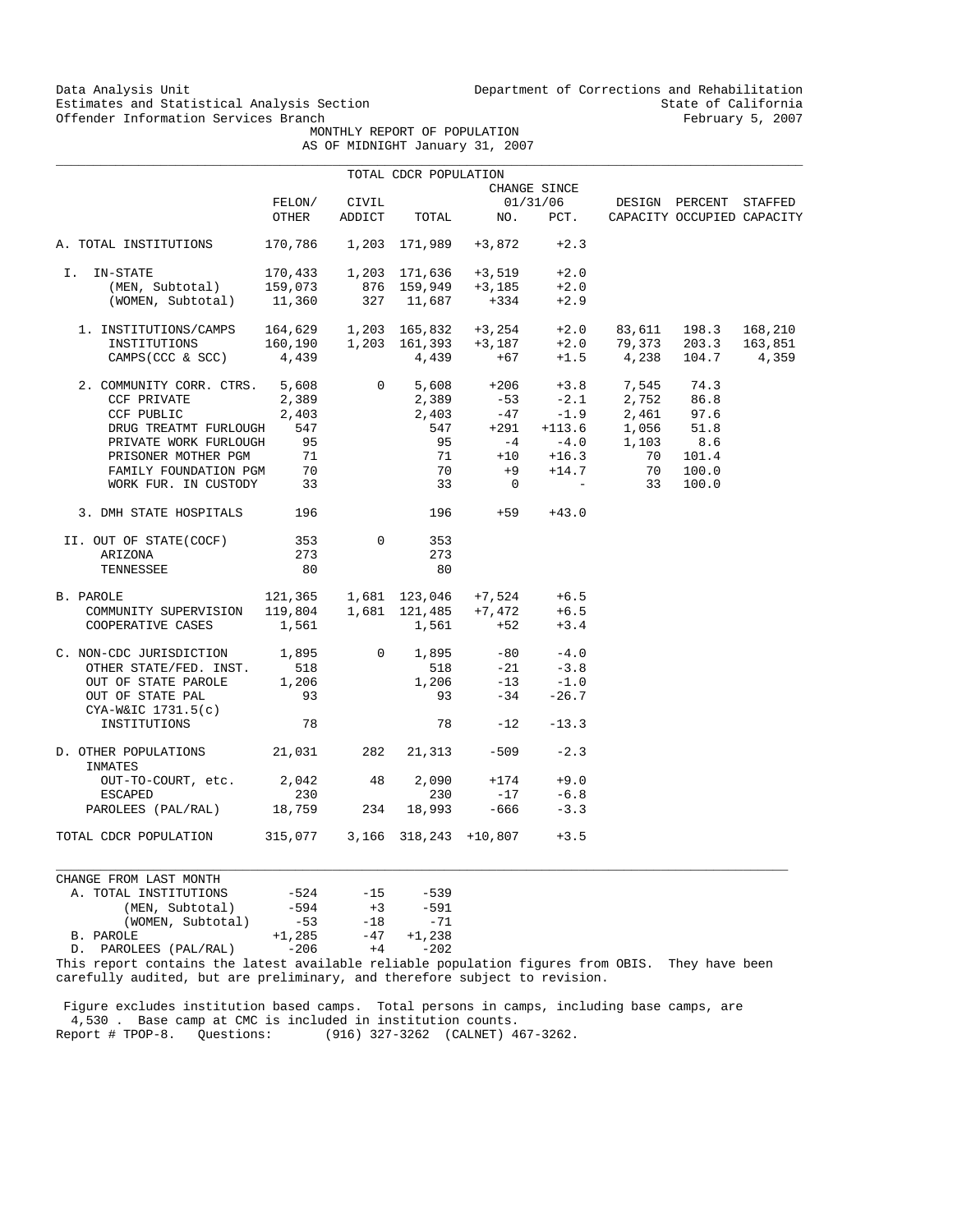Data Analysis Unit Unit Department of Corrections and Rehabilitation<br>Estimates and Statistical Analysis Section State of California Estimates and Statistical Analysis Section State of California<br>
Offender Information Services Branch<br>
State of California<br>
Sebruary 5, 2007

 MONTHLY REPORT OF POPULATION AS OF MIDNIGHT January 31, 2007

| JF MIDNIGHI JANUALY 31, ZUU |  |  |
|-----------------------------|--|--|
|                             |  |  |

|                                                                        |                                             |                 | TOTAL CDCR POPULATION     |                                                                        |                  |                                                                                                                                                                                             |                                                      |         |
|------------------------------------------------------------------------|---------------------------------------------|-----------------|---------------------------|------------------------------------------------------------------------|------------------|---------------------------------------------------------------------------------------------------------------------------------------------------------------------------------------------|------------------------------------------------------|---------|
|                                                                        |                                             |                 |                           |                                                                        | CHANGE SINCE     |                                                                                                                                                                                             |                                                      |         |
|                                                                        | FELON/<br>OTHER                             | CIVIL<br>ADDICT | TOTAL                     | NO.                                                                    | 01/31/06<br>PCT. |                                                                                                                                                                                             | DESIGN PERCENT STAFFED<br>CAPACITY OCCUPIED CAPACITY |         |
| A. TOTAL INSTITUTIONS                                                  |                                             |                 | 170,786   1,203   171,989 | $+3,872$                                                               | $+2.3$           |                                                                                                                                                                                             |                                                      |         |
| I. IN-STATE                                                            |                                             |                 |                           | 170,433   1,203   171,636   +3,519                                     | $+2.0$           |                                                                                                                                                                                             |                                                      |         |
| (MEN, Subtotal)                                                        | 159,073                                     |                 |                           | $+3,185$                                                               | $+2.0$           |                                                                                                                                                                                             |                                                      |         |
| (WOMEN, Subtotal)                                                      | 11,360                                      |                 |                           | 876 159,949 +3,185<br>327 11,687 +334                                  | $+2.9$           |                                                                                                                                                                                             |                                                      |         |
| 1. INSTITUTIONS/CAMPS    164,629    1,203    165,832    +3,254    +2.0 |                                             |                 |                           |                                                                        |                  |                                                                                                                                                                                             | 83,611 198.3                                         | 168,210 |
| INSTITUTIONS                                                           |                                             |                 |                           |                                                                        |                  |                                                                                                                                                                                             | 79,373 203.3                                         | 163,851 |
| CAMPS (CCC & SCC)                                                      |                                             |                 |                           |                                                                        |                  | $\begin{array}{cccccccc} 160,190 & & 1,203 & 161,393 & & +3\,, 187 & & +2\,.0 & & 79\,, 373 & & 203\,.3 \\ 4\,,439 & & & 4\,,439 & & & +67 & & +1\,.5 & & 4\,, 238 & & 104\,.7 \end{array}$ |                                                      | 4,359   |
| 2. COMMUNITY CORR. CTRS. 5,608                                         |                                             |                 |                           |                                                                        |                  | 0 5,608 +206 +3.8 7,545 74.3                                                                                                                                                                |                                                      |         |
| CCF PRIVATE                                                            | 2,389                                       |                 |                           |                                                                        |                  |                                                                                                                                                                                             |                                                      |         |
| CCF PUBLIC                                                             | 2,403                                       |                 |                           |                                                                        |                  | $2,389$ $-53$ $-2.1$ $2,752$ $86.8$<br>$2,403$ $-47$ $-1.9$ $2,461$ $97.6$                                                                                                                  |                                                      |         |
| DRUG TREATMT FURLOUGH                                                  | 547                                         |                 |                           |                                                                        |                  | $+113.6$ 1,056                                                                                                                                                                              | 51.8                                                 |         |
| PRIVATE WORK FURLOUGH                                                  | 95                                          |                 |                           | $-7$ $-4$ $-4$ $-4$ $-4$ $-4$ $-6$                                     |                  | 1,103                                                                                                                                                                                       | 8.6                                                  |         |
|                                                                        |                                             |                 |                           |                                                                        |                  |                                                                                                                                                                                             | 101.4                                                |         |
| PRISONER MOTHER PGM 71<br>FAMILY FOUNDATION PGM 70                     |                                             |                 | 70                        | $+9$                                                                   | $+14.7$          | 71 +10 +16.3 70<br>70                                                                                                                                                                       | 100.0                                                |         |
| WORK FUR. IN CUSTODY 33                                                |                                             |                 | 33                        | $\overline{\phantom{0}}$                                               |                  | $\mathcal{L}^{\mathcal{L}}(\mathcal{L}^{\mathcal{L}})$ and $\mathcal{L}^{\mathcal{L}}(\mathcal{L}^{\mathcal{L}})$<br>33                                                                     | 100.0                                                |         |
| 3. DMH STATE HOSPITALS 196                                             |                                             |                 |                           | 196 +59                                                                | $+43.0$          |                                                                                                                                                                                             |                                                      |         |
| II. OUT OF STATE(COCF)                                                 | 353                                         | $\Omega$        | 353                       |                                                                        |                  |                                                                                                                                                                                             |                                                      |         |
| ARIZONA                                                                | 273                                         |                 | 273                       |                                                                        |                  |                                                                                                                                                                                             |                                                      |         |
| TENNESSEE                                                              | 80                                          |                 | 80                        |                                                                        |                  |                                                                                                                                                                                             |                                                      |         |
| B. PAROLE                                                              | $121,365$ $1,681$ $123,046$ $+7,524$ $+6.5$ |                 |                           |                                                                        |                  |                                                                                                                                                                                             |                                                      |         |
| COMMUNITY SUPERVISION                                                  |                                             |                 |                           |                                                                        | $+6.5$           |                                                                                                                                                                                             |                                                      |         |
| COOPERATIVE CASES                                                      | 1,561                                       |                 | 1,561                     | $119,804$ $1,681$ $121,485$ $+7,472$<br>$1,561$ $1,561$ $+52$<br>$+52$ | $+3.4$           |                                                                                                                                                                                             |                                                      |         |
| C. NON-CDC JURISDICTION $1,895$ 0 1,895                                |                                             |                 |                           |                                                                        | $-80 -4.0$       |                                                                                                                                                                                             |                                                      |         |
| OTHER STATE/FED. INST.                                                 | 518                                         |                 | 518                       | $-21$                                                                  | $-3.8$           |                                                                                                                                                                                             |                                                      |         |
| OUT OF STATE PAROLE                                                    | 1,206                                       |                 | 518<br>1,206              | $-13$                                                                  | $-1.0$           |                                                                                                                                                                                             |                                                      |         |
| OUT OF STATE PAL                                                       | 93                                          |                 | 93                        | $-34$                                                                  | $-26.7$          |                                                                                                                                                                                             |                                                      |         |
| $CYA-W&IC$ 1731.5(c)                                                   |                                             |                 |                           |                                                                        |                  |                                                                                                                                                                                             |                                                      |         |
| INSTITUTIONS                                                           | 78                                          |                 |                           | 78 — 178<br>$-12$                                                      | $-13.3$          |                                                                                                                                                                                             |                                                      |         |
| D. OTHER POPULATIONS 21,031<br>INMATES                                 |                                             |                 | 282 21, 313               | $-509$                                                                 | $-2.3$           |                                                                                                                                                                                             |                                                      |         |
| OUT-TO-COURT, etc. 2,042 48                                            |                                             |                 | 2,090                     | $+174$                                                                 | $+9.0$           |                                                                                                                                                                                             |                                                      |         |
| <b>ESCAPED</b>                                                         | 230                                         |                 | 230                       | $-17$                                                                  | $-6.8$           |                                                                                                                                                                                             |                                                      |         |
| PAROLEES (PAL/RAL) 18,759                                              |                                             | 234             | 18,993                    | $-666$                                                                 | $-3.3$           |                                                                                                                                                                                             |                                                      |         |
| TOTAL CDCR POPULATION                                                  | 315,077 3,166 318,243 +10,807               |                 |                           |                                                                        | $+3.5$           |                                                                                                                                                                                             |                                                      |         |

CHANGE FROM LAST MONTH A. TOTAL INSTITUTIONS  $-524$   $-15$   $-539$ <br>(MEN, Subtotal)  $-594$   $+3$   $-591$ (15) -524 -15 -539<br>(1594 +3 -591 -53<br>(18) -71 (WOMEN, Subtotal)  $-53$  -18 -71<br>
B. PAROLE  $+1,285$  -47  $+1,238$ <br>
D. PAROLEES (PAL/RAL)  $-206$   $+4$  -202  $+1,285$   $-47$   $+1,238$ <br> $-206$   $+4$   $-202$ D. PAROLEES (PAL/RAL)

This report contains the latest available reliable population figures from OBIS. They have been carefully audited, but are preliminary, and therefore subject to revision.

 $\_$  ,  $\_$  ,  $\_$  ,  $\_$  ,  $\_$  ,  $\_$  ,  $\_$  ,  $\_$  ,  $\_$  ,  $\_$  ,  $\_$  ,  $\_$  ,  $\_$  ,  $\_$  ,  $\_$  ,  $\_$  ,  $\_$  ,  $\_$  ,  $\_$  ,  $\_$  ,  $\_$  ,  $\_$  ,  $\_$  ,  $\_$  ,  $\_$  ,  $\_$  ,  $\_$  ,  $\_$  ,  $\_$  ,  $\_$  ,  $\_$  ,  $\_$  ,  $\_$  ,  $\_$  ,  $\_$  ,  $\_$  ,  $\_$  ,

 Figure excludes institution based camps. Total persons in camps, including base camps, are 4,530 . Base camp at CMC is included in institution counts. Report # TPOP-8. Questions: (916) 327-3262 (CALNET) 467-3262.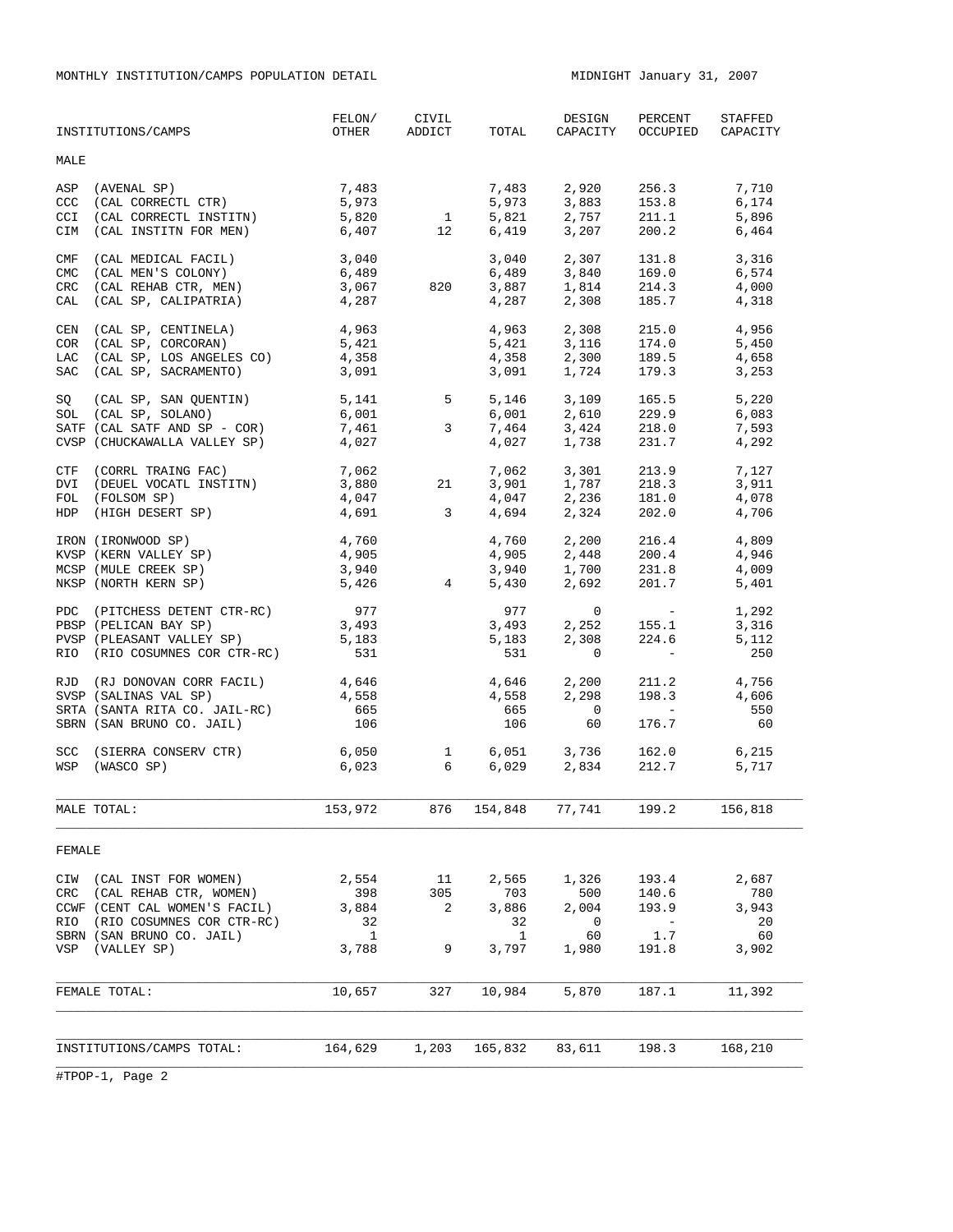MONTHLY INSTITUTION/CAMPS POPULATION DETAIL MIDNIGHT January 31, 2007

|                                 | INSTITUTIONS/CAMPS                                                                                                                                       | FELON/<br>OTHER                           | CIVIL<br>ADDICT                                          | TOTAL                                     | DESIGN<br>CAPACITY                          | PERCENT<br>OCCUPIED                                                                                                                                         | STAFFED<br>CAPACITY                        |
|---------------------------------|----------------------------------------------------------------------------------------------------------------------------------------------------------|-------------------------------------------|----------------------------------------------------------|-------------------------------------------|---------------------------------------------|-------------------------------------------------------------------------------------------------------------------------------------------------------------|--------------------------------------------|
| MALE                            |                                                                                                                                                          |                                           |                                                          |                                           |                                             |                                                                                                                                                             |                                            |
| <b>CCC</b><br>CCI<br>CIM        | ASP (AVENAL SP)<br>(CAL CORRECTL CTR)<br>(CAL CORRECTL INSTITN)<br>(CAL INSTITN FOR MEN)                                                                 | 7,483<br>5,973<br>5,820<br>6,407          | $\begin{array}{c} 1 \\ 12 \end{array}$<br>$\frac{1}{12}$ | 7,483<br>5,973<br>5,821<br>6,419          | 2,920<br>3,883<br>2,757<br>3,207            | 256.3<br>153.8<br>211.1<br>200.2                                                                                                                            | 7,710<br>6,174<br>5,896<br>6,464           |
| CMF<br><b>CMC</b><br>CRC<br>CAL | (CAL MEDICAL FACIL)<br>(CAL MEN'S COLONY)<br>(CAL REHAB CTR, MEN)<br>(CAL SP, CALIPATRIA)                                                                | 3,040<br>6,489<br>3,067<br>4,287          | 820                                                      | 3.040<br>6,489<br>3,887<br>4,287          | 2,307<br>3,840<br>1,814<br>2,308            | 131.8<br>169.0<br>214.3<br>185.7                                                                                                                            | 3,316<br>6,574<br>4,000<br>4,318           |
| CEN                             | (CAL SP, CENTINELA)<br>COR (CAL SP, CORCORAN)<br>LAC (CAL SP, LOS ANGELES CO)<br>SAC (CAL SP, SACRAMENTO)                                                | 4,963<br>5,421<br>4,358<br>3,091          |                                                          | 4,963<br>5,421<br>4,358<br>3,091          | 2,308<br>3,116<br>2,300<br>1,724            | 215.0<br>174.0<br>189.5<br>179.3                                                                                                                            | 4,956<br>5,450<br>4,658<br>3,253           |
| SQ                              | (CAL SP, SAN QUENTIN) 5,141<br>SOL (CAL SP, SOLANO)<br>SATF (CAL SATF AND SP - COR)<br>CVSP (CHUCKAWALLA VALLEY SP)                                      | 6,001<br>7,461<br>4,027                   | $5\overline{)}$<br>3                                     | 5,146<br>6,001<br>7,464<br>4,027          | 3,109<br>$2, -$<br>3, 424<br>$-28$<br>1,738 | 165.5<br>229.9<br>218.0<br>231.7                                                                                                                            | 5,220<br>6,083<br>7,593<br>4,292           |
| CTF<br>FOL                      | (CORRL TRAING FAC)<br>DVI (DEUEL VOCATL INSTITN)<br>(FOLSOM SP)<br>HDP (HIGH DESERT SP)                                                                  | 7,062<br>3,880<br>4,047<br>4,691          | 21<br>$\overline{3}$                                     | 7,062<br>3,901<br>4,047<br>4,694          | 3,301<br>1,787<br>2,236<br>2,324            | 213.9<br>218.3<br>181.0<br>202.0                                                                                                                            | 7,127<br>3,911<br>4,078<br>4,706           |
|                                 | IRON (IRONWOOD SP)<br>KVSP (KERN VALLEY SP)<br>MCSP (MULE CREEK SP)<br>NKSP (NORTH KERN SP)                                                              | 4,760<br>4,905<br>3,940<br>5,426          | $4\overline{ }$                                          | 4,760<br>4,905<br>3,940<br>5,430          | 2,200<br>2,448<br>1,700<br>2,692            | 216.4<br>200.4<br>231.8<br>201.7                                                                                                                            | 4,809<br>4,946<br>4,009<br>5,401           |
|                                 | PDC (PITCHESS DETENT CTR-RC)<br>PBSP (PELICAN BAY SP)<br>PVSP (PLEASANT VALLEY SP)<br>RIO (RIO COSUMNES COR CTR-RC)                                      | 977<br>3,493<br>5,183<br>531              |                                                          | 977<br>3,493<br>5,183<br>531              | $\mathbf 0$<br>2,252<br>2,308<br>$\Omega$   | $\mathcal{L}^{\mathcal{L}}(\mathcal{L}^{\mathcal{L}})$ and $\mathcal{L}^{\mathcal{L}}(\mathcal{L}^{\mathcal{L}})$<br>155.1<br>224.6<br>$\sim 100$ m $^{-1}$ | 1,292<br>3,316<br>5,112<br>250             |
|                                 | RJD (RJ DONOVAN CORR FACIL)<br>SVSP (SALINAS VAL SP)<br>SRTA (SANTA RITA CO. JAIL-RC)<br>SBRN (SAN BRUNO CO. JAIL)                                       | 4,646<br>4,558<br>665<br>106              |                                                          | 4,646<br>4,558<br>665<br>106              | 2,200<br>2,298<br>$\overline{0}$<br>60      | 211.2<br>198.3<br>$\sim 100$ km s $^{-1}$<br>176.7                                                                                                          | 4,756<br>4,606<br>550<br>60                |
| <b>SCC</b>                      | (SIERRA CONSERV CTR)<br>WSP (WASCO SP)                                                                                                                   | 6,050<br>6,023                            | $6 \quad$                                                | 6,029                                     | 1 6,051 3,736<br>2,834                      | 162.0<br>212.7                                                                                                                                              | 6,215<br>5,717                             |
|                                 | MALE TOTAL:                                                                                                                                              | 153,972                                   | 876                                                      | 154,848                                   | 77,741                                      | 199.2                                                                                                                                                       | 156,818                                    |
| FEMALE                          |                                                                                                                                                          |                                           |                                                          |                                           |                                             |                                                                                                                                                             |                                            |
| CIW<br>CRC<br>RIO<br>VSP        | (CAL INST FOR WOMEN)<br>(CAL REHAB CTR, WOMEN)<br>CCWF (CENT CAL WOMEN'S FACIL)<br>(RIO COSUMNES COR CTR-RC)<br>SBRN (SAN BRUNO CO. JAIL)<br>(VALLEY SP) | 2,554<br>398<br>3,884<br>32<br>1<br>3,788 | 11<br>305<br>2<br>9                                      | 2,565<br>703<br>3,886<br>32<br>1<br>3,797 | 1,326<br>500<br>2,004<br>0<br>60<br>1,980   | 193.4<br>140.6<br>193.9<br>$\overline{\phantom{a}}$<br>1.7<br>191.8                                                                                         | 2,687<br>780<br>3,943<br>20<br>60<br>3,902 |
|                                 | FEMALE TOTAL:                                                                                                                                            | 10,657                                    | 327                                                      | 10,984                                    | 5,870                                       | 187.1                                                                                                                                                       | 11,392                                     |
|                                 |                                                                                                                                                          |                                           |                                                          |                                           |                                             |                                                                                                                                                             |                                            |
|                                 | INSTITUTIONS/CAMPS TOTAL:                                                                                                                                | 164,629                                   | 1,203                                                    | 165,832                                   | 83,611                                      | 198.3                                                                                                                                                       | 168,210                                    |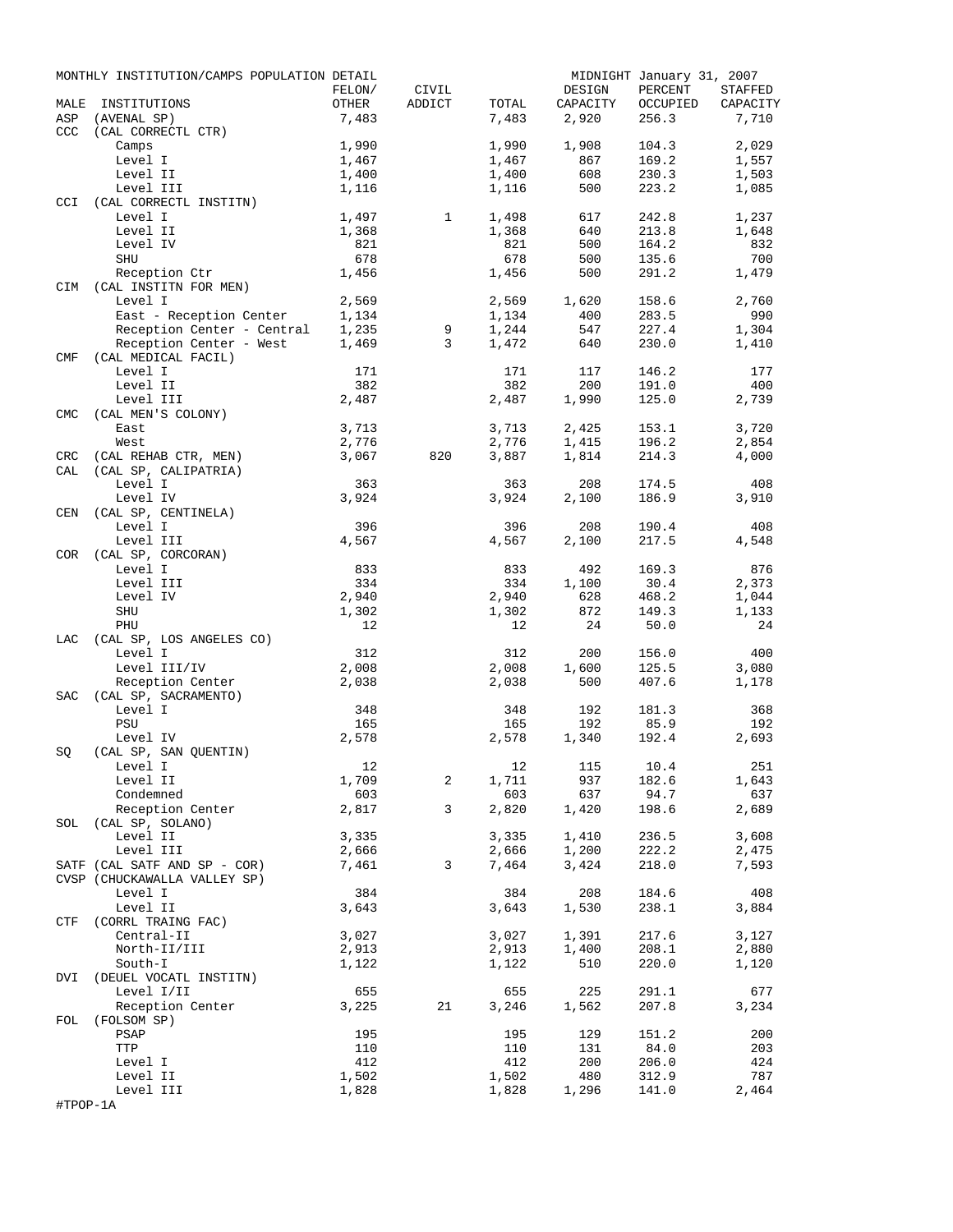|            | MONTHLY INSTITUTION/CAMPS POPULATION DETAIL |                 |                 |              |                    | MIDNIGHT January 31, 2007 |                     |
|------------|---------------------------------------------|-----------------|-----------------|--------------|--------------------|---------------------------|---------------------|
| MALE       | INSTITUTIONS                                | FELON/<br>OTHER | CIVIL<br>ADDICT | TOTAL        | DESIGN<br>CAPACITY | PERCENT<br>OCCUPIED       | STAFFED<br>CAPACITY |
| ASP        | (AVENAL SP)                                 | 7,483           |                 | 7,483        | 2,920              | 256.3                     | 7,710               |
| CCC        | (CAL CORRECTL CTR)                          |                 |                 |              |                    |                           |                     |
|            | Camps                                       | 1,990           |                 | 1,990        | 1,908              | 104.3                     | 2,029               |
|            | Level I                                     | 1,467           |                 | 1,467        | 867                | 169.2                     | 1,557               |
|            | Level II                                    | 1,400           |                 | 1,400        | 608                | 230.3                     | 1,503               |
|            | Level III                                   | 1,116           |                 | 1,116        | 500                | 223.2                     | 1,085               |
| <b>CCI</b> | (CAL CORRECTL INSTITN)                      |                 |                 |              |                    |                           |                     |
|            | Level I<br>Level II                         | 1,497           | $\mathbf{1}$    | 1,498        | 617<br>640         | 242.8<br>213.8            | 1,237<br>1,648      |
|            | Level IV                                    | 1,368<br>821    |                 | 1,368<br>821 | 500                | 164.2                     | 832                 |
|            | SHU                                         | 678             |                 | 678          | 500                | 135.6                     | 700                 |
|            | Reception Ctr                               | 1,456           |                 | 1,456        | 500                | 291.2                     | 1,479               |
|            | CIM (CAL INSTITN FOR MEN)                   |                 |                 |              |                    |                           |                     |
|            | Level I                                     | 2,569           |                 | 2,569        | 1,620              | 158.6                     | 2,760               |
|            | East - Reception Center                     | 1,134           |                 | 1,134        | 400                | 283.5                     | 990                 |
|            | Reception Center - Central                  | 1,235           | 9               | 1,244        | 547                | 227.4                     | 1,304               |
|            | Reception Center - West                     | 1,469           | 3               | 1,472        | 640                | 230.0                     | 1,410               |
| CMF        | (CAL MEDICAL FACIL)                         |                 |                 |              |                    |                           |                     |
|            | Level I                                     | 171             |                 | 171          | 117                | 146.2                     | 177                 |
|            | Level II                                    | 382             |                 | 382          | 200                | 191.0                     | 400                 |
|            | Level III<br>(CAL MEN'S COLONY)             | 2,487           |                 | 2,487        | 1,990              | 125.0                     | 2,739               |
| <b>CMC</b> | East                                        | 3,713           |                 | 3,713        | 2,425              | 153.1                     | 3,720               |
|            | West                                        | 2,776           |                 | 2,776        | 1,415              | 196.2                     | 2,854               |
| <b>CRC</b> | (CAL REHAB CTR, MEN)                        | 3,067           | 820             | 3,887        | 1,814              | 214.3                     | 4,000               |
| CAL        | (CAL SP, CALIPATRIA)                        |                 |                 |              |                    |                           |                     |
|            | Level I                                     | 363             |                 | 363          | 208                | 174.5                     | 408                 |
|            | Level IV                                    | 3,924           |                 | 3,924        | 2,100              | 186.9                     | 3,910               |
| CEN        | (CAL SP, CENTINELA)                         |                 |                 |              |                    |                           |                     |
|            | Level I                                     | 396             |                 | 396          | 208                | 190.4                     | 408                 |
|            | Level III                                   | 4,567           |                 | 4,567        | 2,100              | 217.5                     | 4,548               |
| COR        | (CAL SP, CORCORAN)                          |                 |                 |              |                    |                           |                     |
|            | Level I                                     | 833             |                 | 833          | 492                | 169.3                     | 876                 |
|            | Level III                                   | 334             |                 | 334          | 1,100              | 30.4                      | 2,373               |
|            | Level IV                                    | 2,940           |                 | 2,940        | 628                | 468.2                     | 1,044               |
|            | SHU<br>PHU                                  | 1,302<br>12     |                 | 1,302<br>12  | 872<br>24          | 149.3<br>50.0             | 1,133<br>24         |
| LAC        | (CAL SP, LOS ANGELES CO)                    |                 |                 |              |                    |                           |                     |
|            | Level I                                     | 312             |                 | 312          | 200                | 156.0                     | 400                 |
|            | Level III/IV                                | 2,008           |                 | 2,008        | 1,600              | 125.5                     | 3,080               |
|            | Reception Center                            | 2,038           |                 | 2,038        | 500                | 407.6                     | 1,178               |
| SAC        | (CAL SP, SACRAMENTO)                        |                 |                 |              |                    |                           |                     |
|            | Level I                                     | 348             |                 | 348          | 192                | 181.3                     | 368                 |
|            | PSU                                         | 165             |                 | 165          | 192                | 85.9                      | 192                 |
|            | Level IV                                    | 2,578           |                 | 2,578        | 1,340              | 192.4                     | 2,693               |
| SQ         | (CAL SP, SAN QUENTIN)                       |                 |                 |              |                    |                           |                     |
|            | Level I                                     | 12              |                 |              | 12 115             | 10.4                      | 251                 |
|            | Level II                                    | 1,709           | 2               | 1,711        | 937                | 182.6                     | 1,643               |
|            | Condemned<br>Reception Center               | 603<br>2,817    | 3               | 603<br>2,820 | 637<br>1,420       | 94.7<br>198.6             | 637<br>2,689        |
|            | SOL (CAL SP, SOLANO)                        |                 |                 |              |                    |                           |                     |
|            | Level II                                    | 3,335           |                 | 3,335        | 1,410              | 236.5                     | 3,608               |
|            | Level III                                   | 2,666           |                 | 2,666        | 1,200              | 222.2                     | 2,475               |
|            | SATF (CAL SATF AND SP - COR)                | 7,461           | 3               | 7,464        | 3,424              | 218.0                     | 7,593               |
|            | CVSP (CHUCKAWALLA VALLEY SP)                |                 |                 |              |                    |                           |                     |
|            | Level I                                     | 384             |                 | 384          | 208                | 184.6                     | 408                 |
|            | Level II                                    | 3,643           |                 | 3,643        | 1,530              | 238.1                     | 3,884               |
|            | CTF (CORRL TRAING FAC)                      |                 |                 |              |                    |                           |                     |
|            | Central-II                                  | 3,027           |                 | 3,027        | 1,391              | 217.6                     | 3,127               |
|            | North-II/III<br>South-I                     | 2,913           |                 | 2,913        | 1,400              | 208.1<br>220.0            | 2,880               |
|            | DVI (DEUEL VOCATL INSTITN)                  | 1,122           |                 | 1,122        | 510                |                           | 1,120               |
|            | Level I/II                                  | 655             |                 | 655          | 225                | 291.1                     | 677                 |
|            | Reception Center                            | 3,225           | 21              | 3,246        | 1,562              | 207.8                     | 3,234               |
| FOL        | (FOLSOM SP)                                 |                 |                 |              |                    |                           |                     |
|            | PSAP                                        | 195             |                 | 195          | 129                | 151.2                     | 200                 |
|            | TTP                                         | 110             |                 | 110          | 131                | 84.0                      | 203                 |
|            | Level I                                     | 412             |                 | 412          | 200                | 206.0                     | 424                 |
|            | Level II                                    | 1,502           |                 | 1,502        | 480                | 312.9                     | 787                 |
|            | Level III                                   | 1,828           |                 | 1,828        | 1,296              | 141.0                     | 2,464               |
| #TPOP-1A   |                                             |                 |                 |              |                    |                           |                     |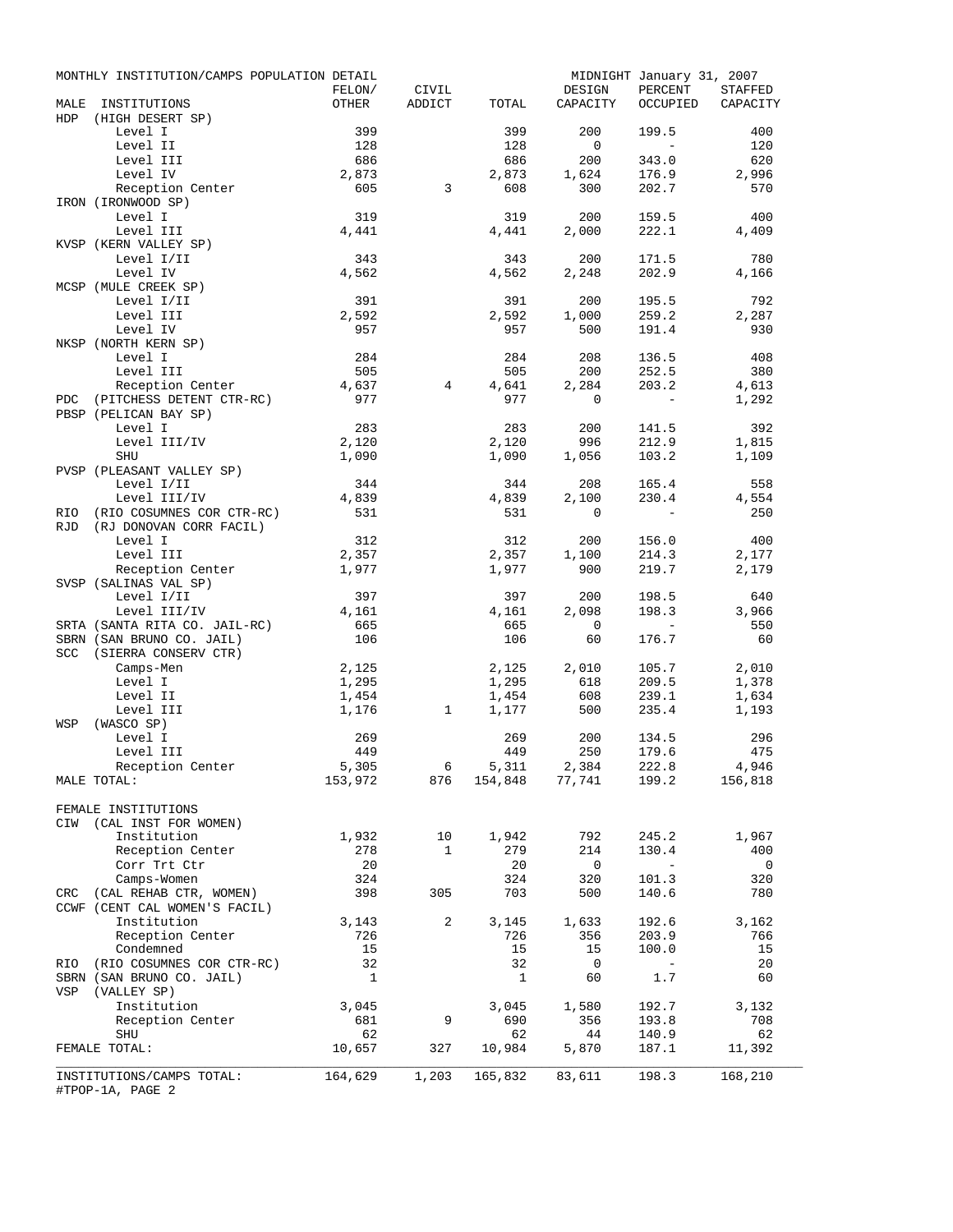|            | MONTHLY INSTITUTION/CAMPS POPULATION DETAIL     |                          |                 |              |                                                               | MIDNIGHT January 31, 2007 |          |
|------------|-------------------------------------------------|--------------------------|-----------------|--------------|---------------------------------------------------------------|---------------------------|----------|
|            |                                                 | FELON/                   | CIVIL           |              | DESIGN                                                        | PERCENT                   | STAFFED  |
| MALE       | INSTITUTIONS                                    | OTHER                    | ADDICT          | TOTAL        | CAPACITY                                                      | OCCUPIED                  | CAPACITY |
| HDP        | (HIGH DESERT SP)                                |                          |                 |              |                                                               |                           |          |
|            | Level I                                         | 399                      |                 | 399          | 200                                                           | 199.5                     | 400      |
|            | Level II                                        | 128                      |                 | 128          | $\overline{0}$                                                | $\sim$                    | 120      |
|            | Level III                                       | 686                      |                 | 686          | 200                                                           | 343.0                     | 620      |
|            | Level IV                                        | 2,873                    | $\overline{3}$  | 2,873        | 1,624                                                         | 176.9                     | 2,996    |
|            | Reception Center<br>IRON (IRONWOOD SP)          | 605                      |                 | 608          | 300                                                           | 202.7                     | 570      |
|            | Level I                                         | 319                      |                 | 319          | 200                                                           | 159.5                     | 400      |
|            | Level III                                       | 4,441                    |                 | 4,441        | 2,000                                                         | 222.1                     | 4,409    |
|            | KVSP (KERN VALLEY SP)                           |                          |                 |              |                                                               |                           |          |
|            | Level I/II                                      | 343                      |                 | 343          | 200                                                           | 171.5                     | 780      |
|            | Level IV                                        | 4,562                    |                 | 4,562        | 2,248                                                         | 202.9                     | 4,166    |
|            | MCSP (MULE CREEK SP)                            |                          |                 |              |                                                               |                           |          |
|            | Level I/II                                      | 391                      |                 | 391          | 200                                                           | 195.5                     | 792      |
|            | Level III                                       | 2,592                    |                 | 2,592        | 1,000                                                         | 259.2                     | 2,287    |
|            | Level IV                                        | 957                      |                 | 957          | 500                                                           | 191.4                     | 930      |
|            | NKSP (NORTH KERN SP)                            |                          |                 |              |                                                               |                           |          |
|            | Level I                                         | 284                      |                 | 284          | 208                                                           | 136.5                     | 408      |
|            | Level III                                       | 505                      |                 | 505          | 200                                                           | 252.5                     | 380      |
|            | Reception Center                                | 4,637                    | 4               | 4,641        | 2,284                                                         | 203.2                     | 4,613    |
| PDC        | (PITCHESS DETENT CTR-RC)                        | 977                      |                 | 977          | 0                                                             | $\sim$ $-$                | 1,292    |
|            | PBSP (PELICAN BAY SP)                           |                          |                 |              |                                                               |                           |          |
|            | Level I                                         | 283                      |                 | 283          | 200                                                           | 141.5                     | 392      |
|            | Level III/IV                                    | 2,120                    |                 | 2,120        | 996                                                           | 212.9                     | 1,815    |
|            | SHU                                             | 1,090                    |                 | 1,090        | 1,056                                                         | 103.2                     | 1,109    |
|            | PVSP (PLEASANT VALLEY SP)                       |                          |                 |              |                                                               |                           |          |
|            | Level I/II                                      | 344                      |                 | 344          | 208                                                           | 165.4                     | 558      |
|            | Level III/IV                                    | 4,839                    |                 | 4,839        | 2,100                                                         | 230.4                     | 4,554    |
| <b>RIO</b> | (RIO COSUMNES COR CTR-RC)                       | 531                      |                 | 531          | $\mathbf 0$                                                   | $\sim$ $-$                | 250      |
| <b>RJD</b> | (RJ DONOVAN CORR FACIL)                         |                          |                 |              |                                                               |                           |          |
|            | Level I                                         | 312                      |                 | 312          | 200                                                           | 156.0                     | 400      |
|            | Level III                                       | 2,357                    |                 | 2,357        | 1,100                                                         | 214.3                     | 2,177    |
|            | Reception Center                                | 1,977                    |                 | 1,977        | 900                                                           | 219.7                     | 2,179    |
|            | SVSP (SALINAS VAL SP)                           |                          |                 |              |                                                               |                           |          |
|            | Level I/II                                      | 397                      |                 | 397          | 200                                                           | 198.5                     | 640      |
|            | Level III/IV                                    | 4,161                    |                 | 4,161        | 2,098                                                         | 198.3                     | 3,966    |
|            | SRTA (SANTA RITA CO. JAIL-RC)                   | 665                      |                 | 665          | $\overline{0}$                                                | $\sim$ $-$                | 550      |
|            | SBRN (SAN BRUNO CO. JAIL)                       | 106                      |                 | 106          | 60                                                            | 176.7                     | 60       |
|            | SCC (SIERRA CONSERV CTR)                        |                          |                 |              |                                                               |                           |          |
|            | Camps-Men                                       | 2,125                    |                 | 2,125        | 2,010                                                         | 105.7                     | 2,010    |
|            | Level I                                         | 1,295                    |                 | 1,295        | 618                                                           | 209.5                     | 1,378    |
|            | Level II                                        | 1,454                    |                 | 1,454        | 608                                                           | 239.1                     | 1,634    |
|            | Level III                                       | 1,176                    | 1               | 1,177        | 500                                                           | 235.4                     | 1,193    |
| WSP        | (WASCO SP)                                      |                          |                 |              |                                                               |                           |          |
|            | Level I                                         | 269                      |                 | 269          | 200                                                           | 134.5                     | 296      |
|            | Level III                                       | 449                      |                 | 449          | 250                                                           | 179.6                     | 475      |
|            | Reception Center                                | 5,305                    | $6\overline{6}$ | 5,311        | 2,384<br>$153,972$ $876$ $154,848$ $77,741$ $199.2$ $156,818$ | 222.8                     | 4,946    |
|            | MALE TOTAL:                                     |                          |                 |              |                                                               |                           |          |
|            |                                                 |                          |                 |              |                                                               |                           |          |
|            | FEMALE INSTITUTIONS<br>CIW (CAL INST FOR WOMEN) |                          |                 |              |                                                               |                           |          |
|            | Institution                                     | 1,932                    | 10 <sup>°</sup> | 1,942        | 792                                                           | 245.2                     | 1,967    |
|            | Reception Center                                | 278                      | $\mathbf{1}$    | 279          | 214                                                           | 130.4                     | 400      |
|            | Corr Trt Ctr                                    | 20                       |                 | 20           | $\overline{\mathbf{0}}$                                       | $\sim$                    | 0        |
|            | Camps-Women                                     | 324                      |                 | 324          | 320                                                           | 101.3                     | 320      |
| CRC        | (CAL REHAB CTR, WOMEN)                          | 398                      | 305             | 703          | 500                                                           | 140.6                     | 780      |
|            | CCWF (CENT CAL WOMEN'S FACIL)                   |                          |                 |              |                                                               |                           |          |
|            | Institution                                     | 3,143                    | 2               | 3,145        | 1,633                                                         | 192.6                     | 3,162    |
|            | Reception Center                                | 726                      |                 | 726          | 356                                                           | 203.9                     | 766      |
|            | Condemned                                       | 15                       |                 | 15           | 15                                                            | 100.0                     | 15       |
|            | RIO (RIO COSUMNES COR CTR-RC)                   | 32                       |                 | 32           | $\overline{\phantom{0}}$                                      | $-$                       | 20       |
|            | SBRN (SAN BRUNO CO. JAIL)                       | $\overline{\phantom{0}}$ |                 | $\mathbf{1}$ | 60                                                            | 1.7                       | 60       |
|            | VSP (VALLEY SP)                                 |                          |                 |              |                                                               |                           |          |
|            | Institution                                     | 3,045                    |                 | 3,045        | 1,580                                                         | 192.7                     | 3,132    |
|            | Reception Center                                | 681                      | 9               | 690          | 356                                                           | 193.8                     | 708      |
|            | SHU                                             | 62                       |                 | 62           | 44                                                            | 140.9                     | 62       |
|            | FEMALE TOTAL:                                   | 10,657                   | 327             | 10,984       | 5,870                                                         | 187.1                     | 11,392   |
|            |                                                 |                          |                 |              |                                                               |                           |          |
|            | INSTITUTIONS/CAMPS TOTAL:<br>#TPOP-1A, PAGE 2   | 164,629                  | 1,203           |              | 165,832 83,611                                                | 198.3                     | 168,210  |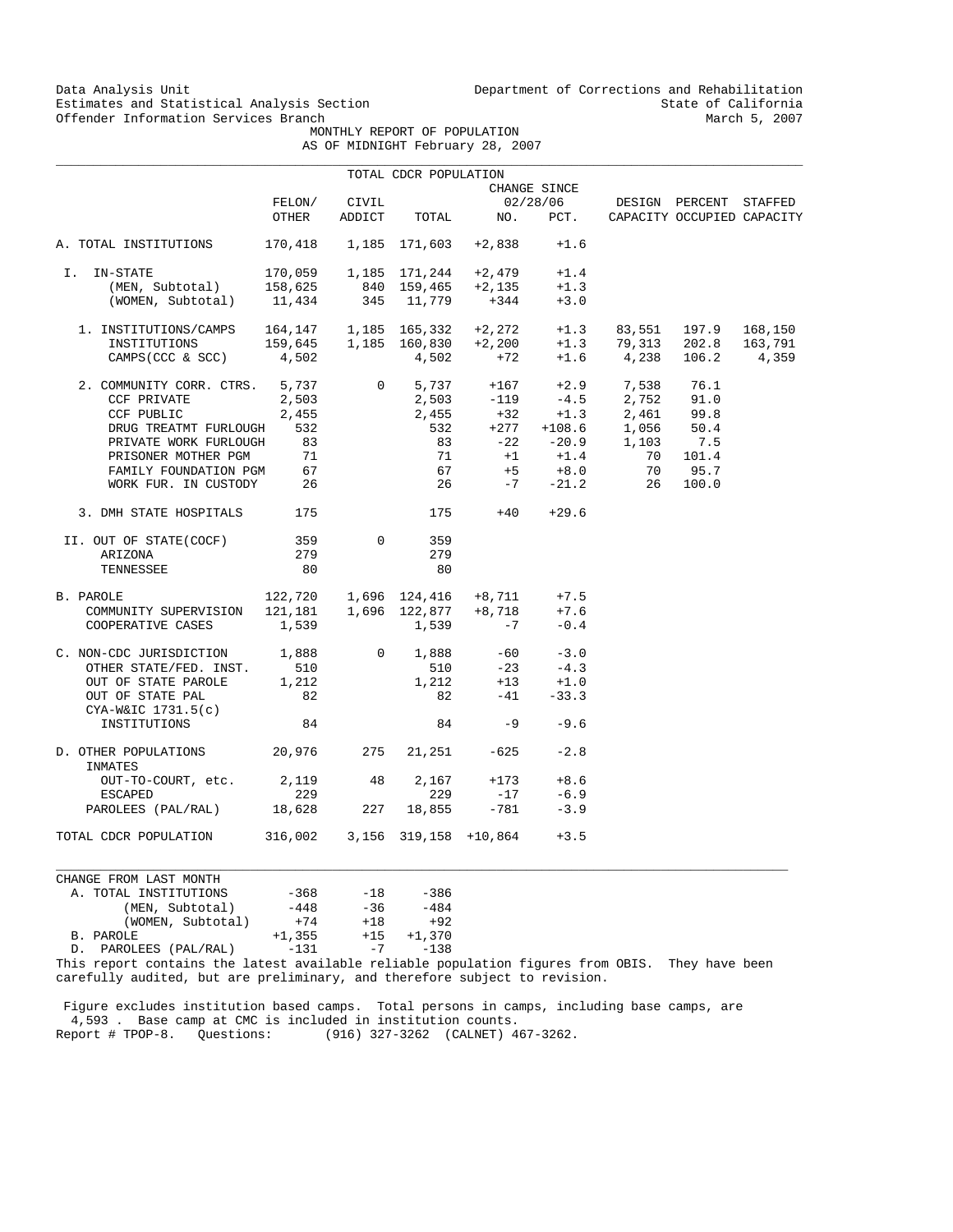Data Analysis Unit Unit Department of Corrections and Rehabilitation<br>Estimates and Statistical Analysis Section State of California Estimates and Statistical Analysis Section State of California<br>
Offender Information Services Branch<br>
March 5, 2007

 MONTHLY REPORT OF POPULATION AS OF MIDNIGHT February 28, 2007

|  | Ur MIDNIGHI rebruary 28, 200 |  |
|--|------------------------------|--|
|  |                              |  |

|                                                              |         |                | TOTAL CDCR POPULATION       |                                                                                             |                 |               |                            |         |
|--------------------------------------------------------------|---------|----------------|-----------------------------|---------------------------------------------------------------------------------------------|-----------------|---------------|----------------------------|---------|
|                                                              |         |                |                             |                                                                                             | CHANGE SINCE    |               |                            |         |
|                                                              | FELON/  | CIVIL          |                             |                                                                                             | 02/28/06        |               | DESIGN PERCENT             | STAFFED |
|                                                              | OTHER   | ADDICT         | TOTAL                       | NO.                                                                                         | PCT.            |               | CAPACITY OCCUPIED CAPACITY |         |
| A. TOTAL INSTITUTIONS                                        |         |                | 170,418  1,185  171,603     | $+2,838$                                                                                    | $+1.6$          |               |                            |         |
| I. IN-STATE                                                  | 170,059 |                |                             | 1,185 171,244 +2,479                                                                        | $+1.4$          |               |                            |         |
| (MEN, Subtotal)                                              | 158,625 |                |                             | $+2,135$                                                                                    | $+1.3$          |               |                            |         |
| (WOMEN, Subtotal)                                            | 11,434  |                | 840 159,465<br>345 11,779   | $+344$                                                                                      | $+3.0$          |               |                            |         |
| 1. INSTITUTIONS/CAMPS  164,147  1,185  165,332  +2,272  +1.3 |         |                |                             |                                                                                             |                 |               | 83,551 197.9               | 168,150 |
| INSTITUTIONS                                                 |         |                | 159,645  1,185  160,830     | $+2,200$                                                                                    | $+1.3$          |               | 79,313 202.8               | 163,791 |
| CAMPS (CCC & SCC)                                            | 4,502   |                | 4,502                       | $+72$                                                                                       |                 | $+1.6$ 4,238  | 106.2                      | 4,359   |
| 2. COMMUNITY CORR. CTRS. 5,737                               |         | $\overline{0}$ | 5,737                       | $+167$                                                                                      |                 | $+2.9$ 7,538  | 76.1                       |         |
| CCF PRIVATE                                                  | 2,503   |                |                             | $2,503 -119$                                                                                |                 | $-4.5$ 2,752  | 91.0                       |         |
| CCF PUBLIC                                                   | 2,455   |                |                             | $\begin{array}{ccc} 2\, ,455 & \quad +32 \\ 532 & \quad +277 \\ 83 & \quad -22 \end{array}$ | $+1.3$          | 2,461         | 99.8                       |         |
| DRUG TREATMT FURLOUGH                                        | 532     |                |                             |                                                                                             | $+108.6$        | 1,056         | 50.4                       |         |
| PRIVATE WORK FURLOUGH                                        | 83      |                |                             |                                                                                             |                 | $-20.9$ 1,103 | 7.5                        |         |
| PRISONER MOTHER PGM                                          | 71      |                | 71                          | $+1$                                                                                        | $+1.4$          | 70            | 101.4                      |         |
| FAMILY FOUNDATION PGM                                        | 67      |                | 67                          | $+5$                                                                                        | $+8.0$          | 70            | 95.7                       |         |
| WORK FUR. IN CUSTODY 26                                      |         |                | 26                          | $-7$                                                                                        | $-21.2$         | 26            | 100.0                      |         |
| 3. DMH STATE HOSPITALS                                       | 175     |                |                             | $+40$<br>175 — 175                                                                          | $+29.6$         |               |                            |         |
| II. OUT OF STATE(COCF)                                       | 359     | $\Omega$       | 359                         |                                                                                             |                 |               |                            |         |
| ARIZONA                                                      | 279     |                | 279                         |                                                                                             |                 |               |                            |         |
| TENNESSEE                                                    | 80      |                | 80                          |                                                                                             |                 |               |                            |         |
| B. PAROLE                                                    |         |                | 122,720  1,696  124,416     |                                                                                             | $+8,711$ $+7.5$ |               |                            |         |
| COMMUNITY SUPERVISION                                        |         |                | $121,181$ $1,696$ $122,877$ | $+8,718$                                                                                    | $+7.6$          |               |                            |         |
| COOPERATIVE CASES                                            | 1,539   |                | 1,539                       | $-7$                                                                                        | $-0.4$          |               |                            |         |
| C. NON-CDC JURISDICTION 1,888                                |         | $\overline{0}$ | 1,888                       |                                                                                             | $-60 -3.0$      |               |                            |         |
| OTHER STATE/FED. INST.                                       | 510     |                | 510                         | $-23$                                                                                       | $-4.3$          |               |                            |         |
| OUT OF STATE PAROLE                                          | 1,212   |                | 1,212                       | $+13$                                                                                       | $+1.0$          |               |                            |         |
| OUT OF STATE PAL<br>$CYA-W&IC$ 1731.5(c)                     | 82      |                | 82                          | $-41$                                                                                       | $-33.3$         |               |                            |         |
| INSTITUTIONS                                                 | 84      |                | 84                          | $-9$                                                                                        | $-9.6$          |               |                            |         |
| D. OTHER POPULATIONS 20,976<br>INMATES                       |         | 275            |                             | $21,251 -625$                                                                               | $-2.8$          |               |                            |         |
| OUT-TO-COURT, etc.                                           | 2,119   | 48             | 2,167                       | $+173$                                                                                      | $+8.6$          |               |                            |         |
| <b>ESCAPED</b>                                               | 229     |                | 229                         | $-17$                                                                                       | $-6.9$          |               |                            |         |
| PAROLEES (PAL/RAL) 18,628                                    |         | 227            | 18,855                      | $-781$                                                                                      | $-3.9$          |               |                            |         |
| TOTAL CDCR POPULATION                                        | 316,002 |                | 3,156 319,158 +10,864       |                                                                                             | $+3.5$          |               |                            |         |

CHANGE FROM LAST MONTH A. TOTAL INSTITUTIONS -368 -18 -386 (MEN, Subtotal)  $-448$   $-36$   $-484$  (WOMEN, Subtotal) +74 +18 +92 B. PAROLE +1,355 +15 +1,370 D. PAROLEES (PAL/RAL)

This report contains the latest available reliable population figures from OBIS. They have been carefully audited, but are preliminary, and therefore subject to revision.

 $\_$  ,  $\_$  ,  $\_$  ,  $\_$  ,  $\_$  ,  $\_$  ,  $\_$  ,  $\_$  ,  $\_$  ,  $\_$  ,  $\_$  ,  $\_$  ,  $\_$  ,  $\_$  ,  $\_$  ,  $\_$  ,  $\_$  ,  $\_$  ,  $\_$  ,  $\_$  ,  $\_$  ,  $\_$  ,  $\_$  ,  $\_$  ,  $\_$  ,  $\_$  ,  $\_$  ,  $\_$  ,  $\_$  ,  $\_$  ,  $\_$  ,  $\_$  ,  $\_$  ,  $\_$  ,  $\_$  ,  $\_$  ,  $\_$  ,

 Figure excludes institution based camps. Total persons in camps, including base camps, are 4,593 . Base camp at CMC is included in institution counts. Report # TPOP-8. Questions: (916) 327-3262 (CALNET) 467-3262.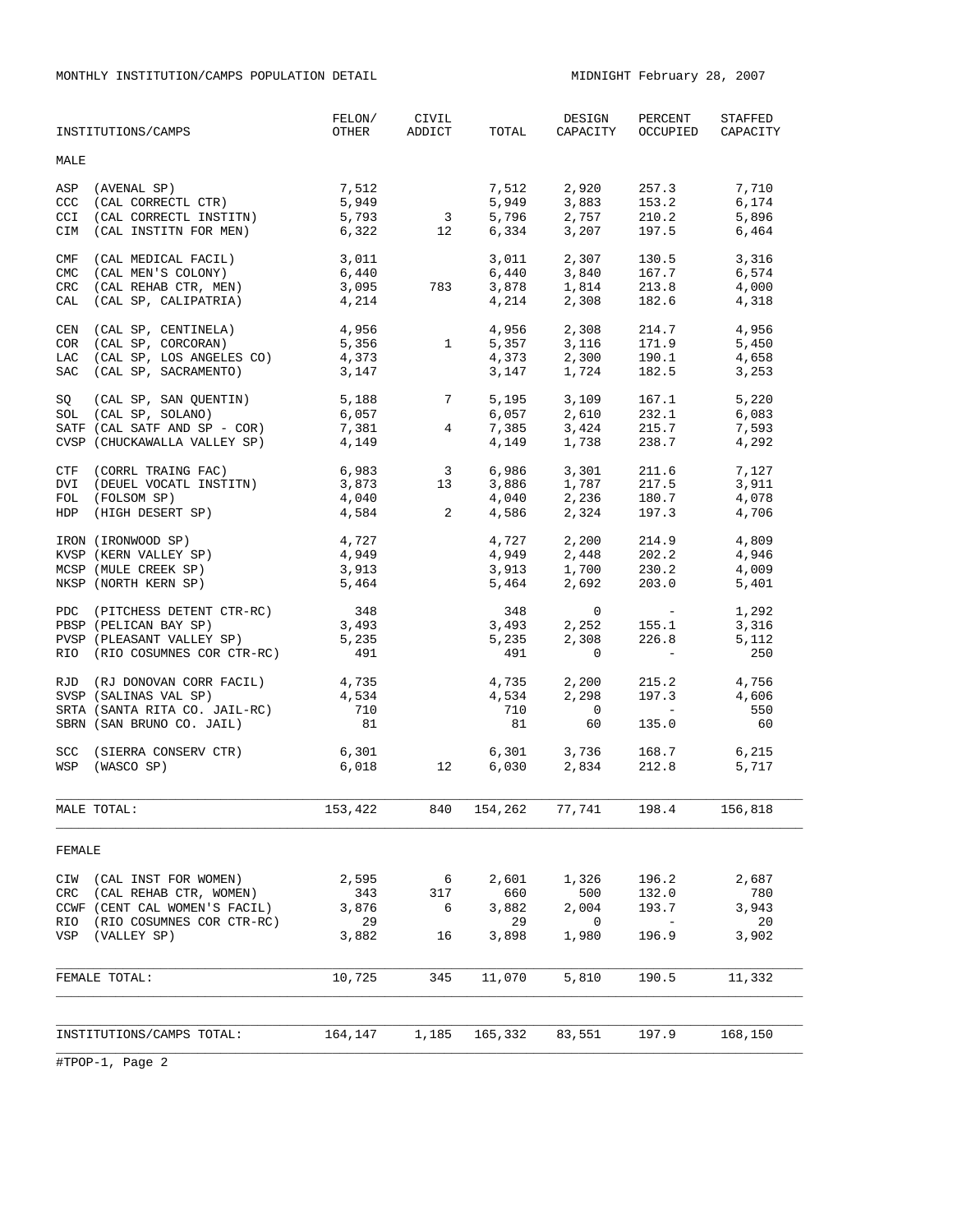MONTHLY INSTITUTION/CAMPS POPULATION DETAIL MIDNIGHT February 28, 2007

|                                        | INSTITUTIONS/CAMPS                                                                                                                                       | FELON/<br>OTHER                      | CIVIL<br>ADDICT                     | TOTAL                                          | DESIGN<br>CAPACITY                          | PERCENT<br>OCCUPIED                                                                                                                          | STAFFED<br>CAPACITY                  |
|----------------------------------------|----------------------------------------------------------------------------------------------------------------------------------------------------------|--------------------------------------|-------------------------------------|------------------------------------------------|---------------------------------------------|----------------------------------------------------------------------------------------------------------------------------------------------|--------------------------------------|
| MALE                                   |                                                                                                                                                          |                                      |                                     |                                                |                                             |                                                                                                                                              |                                      |
| ASP<br>CCC<br>CCI<br>CIM               | (AVENAL SP)<br>(CAL CORRECTL CTR)<br>(CAL CORRECTL INSTITN)<br>(CAL INSTITN FOR MEN)                                                                     | 7,512<br>5,949<br>5,793<br>6,322     | $\overline{\mathbf{3}}$<br>12       | 7,512<br>5,949<br>5,796<br>6,334               | 2,920<br>3,883<br>2,757<br>3,207            | 257.3<br>153.2<br>210.2<br>197.5                                                                                                             | 7,710<br>6,174<br>5,896<br>6,464     |
| CMF<br><b>CMC</b><br>CRC<br>CAL        | (CAL MEDICAL FACIL)<br>(CAL MEN'S COLONY)<br>(CAL REHAB CTR, MEN)<br>(CAL SP, CALIPATRIA)                                                                | 3,011<br>6,440<br>3,095<br>4,214     | 783                                 | 3,011<br>6,440<br>3,878<br>4,214               | 2,307<br>3,840<br>1,814<br>2,308            | 130.5<br>167.7<br>213.8<br>182.6                                                                                                             | 3,316<br>6,574<br>4,000<br>4,318     |
| CEN<br><b>COR</b><br>LAC<br><b>SAC</b> | (CAL SP, CENTINELA)<br>(CAL SP, CORCORAN)<br>(CAL SP, LOS ANGELES CO)<br>(CAL SP, SACRAMENTO)                                                            | 4,956<br>5,356<br>4,373<br>3,147     | $1 \qquad \qquad$                   | 4,956<br>5,357<br>4,373<br>3,147               | 2,308<br>3,116<br>2,300<br>1,724            | 214.7<br>171.9<br>190.1<br>182.5                                                                                                             | 4,956<br>5,450<br>4,658<br>3,253     |
| SQ                                     | $(CAL SP, SAN QUENTIN)$ $5,188$ 7<br>$( CAL SP, SOLANO)$ $6,057$<br>SOL (CAL SP, SOLANO)<br>SATF (CAL SATF AND SP - COR)<br>CVSP (CHUCKAWALLA VALLEY SP) | 7,381<br>4,149                       |                                     | 5,195<br>6,057<br>$4\degree$<br>7,385<br>4,149 | 3,109<br>2,610<br>1,738                     | 167.1<br>232.1<br>3,424 215.7<br>238.7                                                                                                       | 5,220<br>6,083<br>7,593<br>4,292     |
| DVI                                    | CTF (CORRL TRAING FAC)<br>(DEUEL VOCATL INSTITN)<br>FOL (FOLSOM SP)<br>HDP (HIGH DESERT SP)                                                              | 6,983<br>3,873<br>4,040<br>4,584     | $3^{\circ}$<br>13<br>$\overline{a}$ | 6,986<br>3,886<br>4,040<br>4,586               | 3,301<br>2,324                              | 211.6<br>$1,787$ 217.5<br>2,236 180.7<br>197.3                                                                                               | 7,127<br>3,911<br>4,078<br>4,706     |
|                                        | IRON (IRONWOOD SP)<br>KVSP (KERN VALLEY SP)<br>MCSP (MULE CREEK SP)<br>NKSP (NORTH KERN SP)                                                              | 4,727<br>4,949<br>3,913<br>5,464     |                                     | 4,727<br>4,949<br>3,913<br>5,464               | 2,200<br>2,448<br>$1,700$ 230.2<br>2,692    | 214.9<br>202.2<br>203.0                                                                                                                      | 4,809<br>4,946<br>4,009<br>5,401     |
|                                        | PDC (PITCHESS DETENT CTR-RC)<br>PBSP (PELICAN BAY SP)<br>PVSP (PLEASANT VALLEY SP)<br>RIO (RIO COSUMNES COR CTR-RC)                                      | 348<br>3,493<br>5,235<br>491         |                                     | 348<br>3,493<br>5,235<br>491                   | $\circ$<br>2,252<br>2,308<br>$\circ$        | <b>Contract Contract</b><br>155.1<br>226.8<br>$\sim 1000$ m $^{-1}$                                                                          | 1,292<br>3,316<br>5,112<br>250       |
|                                        | RJD (RJ DONOVAN CORR FACIL)<br>SVSP (SALINAS VAL SP)<br>SRTA (SANTA RITA CO. JAIL-RC)<br>SBRN (SAN BRUNO CO. JAIL)                                       | 4,735<br>4,534<br>710<br>81          |                                     | 4,735<br>4,534<br>710<br>81                    | 2,200<br>2,298<br>$\overline{0}$<br>60      | 215.2<br>197.3<br>$\mathcal{L}^{\mathcal{L}}(\mathcal{L}^{\mathcal{L}})$ and $\mathcal{L}^{\mathcal{L}}(\mathcal{L}^{\mathcal{L}})$<br>135.0 | 4,756<br>4,606<br>550<br>60          |
|                                        | SCC (SIERRA CONSERV CTR)<br>WSP (WASCO SP)                                                                                                               | 6,301<br>6,018                       | 12                                  | 6,030                                          | $6,301$ $3,736$<br>$6,030$ $2,834$<br>2,834 | 168.7<br>212.8                                                                                                                               | 6,215<br>5,717                       |
|                                        | MALE TOTAL:                                                                                                                                              | 153,422                              | 840                                 | 154, 262 77, 741                               |                                             | 198.4                                                                                                                                        | 156,818                              |
| FEMALE                                 |                                                                                                                                                          |                                      |                                     |                                                |                                             |                                                                                                                                              |                                      |
| CIW<br>CRC<br>RIO<br>VSP               | (CAL INST FOR WOMEN)<br>(CAL REHAB CTR, WOMEN)<br>CCWF (CENT CAL WOMEN'S FACIL)<br>(RIO COSUMNES COR CTR-RC)<br>(VALLEY SP)                              | 2,595<br>343<br>3,876<br>29<br>3,882 | 6<br>317<br>6<br>16                 | 2,601<br>660<br>3,882<br>29<br>3,898           | 1,326<br>500<br>2,004<br>0<br>1,980         | 196.2<br>132.0<br>193.7<br>$\overline{a}$<br>196.9                                                                                           | 2,687<br>780<br>3,943<br>20<br>3,902 |
|                                        | FEMALE TOTAL:                                                                                                                                            | 10,725                               | 345                                 | 11,070                                         | 5,810                                       | 190.5                                                                                                                                        | 11,332                               |
|                                        | INSTITUTIONS/CAMPS TOTAL:                                                                                                                                | 164,147                              | 1,185                               | 165,332                                        | 83,551                                      | 197.9                                                                                                                                        | 168,150                              |
|                                        |                                                                                                                                                          |                                      |                                     |                                                |                                             |                                                                                                                                              |                                      |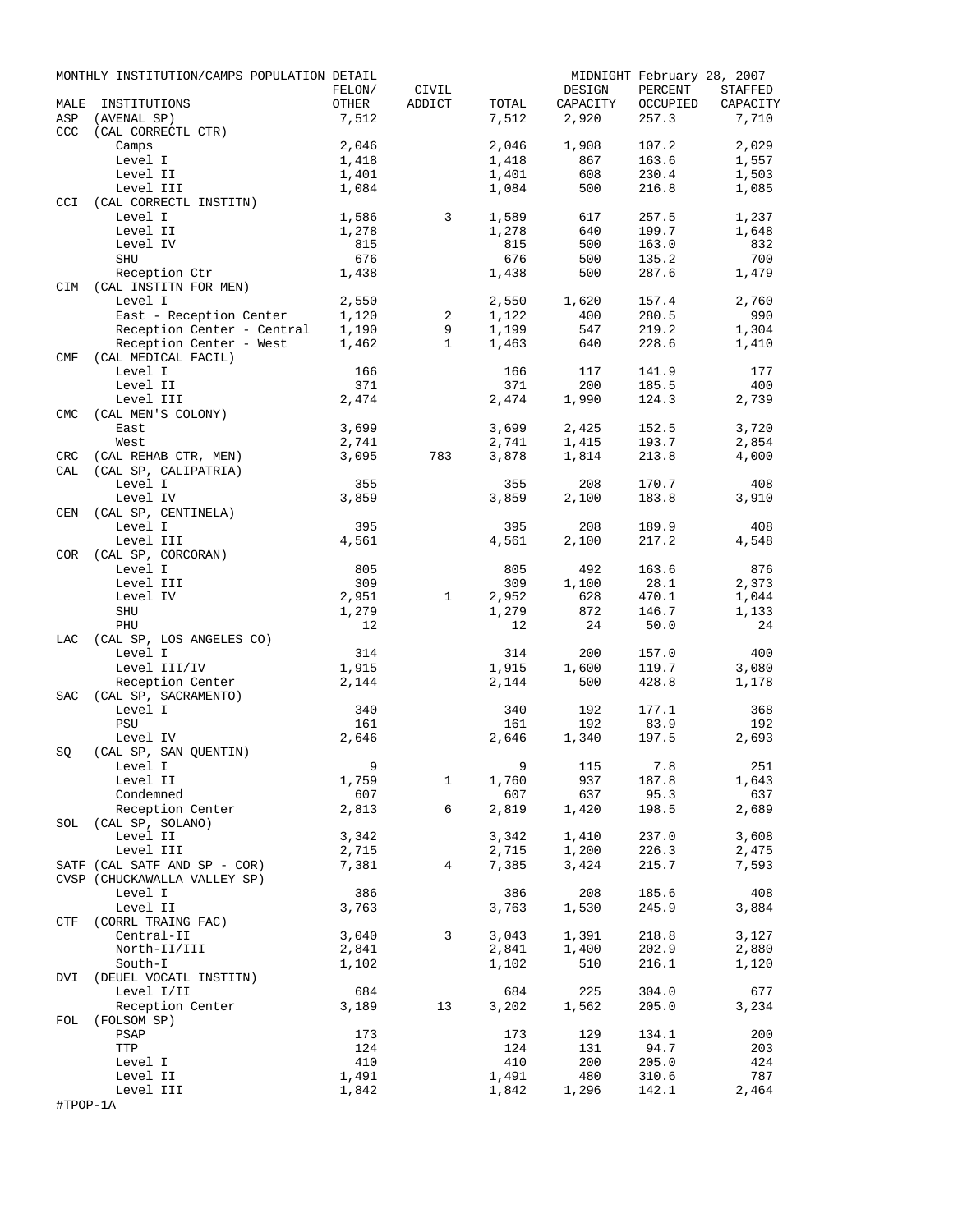|                   | MONTHLY INSTITUTION/CAMPS POPULATION DETAIL  |                |                |                |                | MIDNIGHT February 28, 2007 |                |
|-------------------|----------------------------------------------|----------------|----------------|----------------|----------------|----------------------------|----------------|
|                   |                                              | FELON/         | CIVIL          |                | DESIGN         | PERCENT                    | STAFFED        |
| MALE              | INSTITUTIONS                                 | OTHER          | ADDICT         | TOTAL          | CAPACITY       | OCCUPIED                   | CAPACITY       |
| ASP<br>CCC        | (AVENAL SP)<br>(CAL CORRECTL CTR)            | 7,512          |                | 7,512          | 2,920          | 257.3                      | 7,710          |
|                   | Camps                                        | 2,046          |                | 2,046          | 1,908          | 107.2                      | 2,029          |
|                   | Level I                                      | 1,418          |                | 1,418          | 867            | 163.6                      | 1,557          |
|                   | Level II                                     | 1,401          |                | 1,401          | 608            | 230.4                      | 1,503          |
|                   | Level III                                    | 1,084          |                | 1,084          | 500            | 216.8                      | 1,085          |
| <b>CCI</b>        | (CAL CORRECTL INSTITN)                       |                |                |                |                |                            |                |
|                   | Level I                                      | 1,586          | 3              | 1,589          | 617            | 257.5                      | 1,237          |
|                   | Level II                                     | 1,278          |                | 1,278          | 640            | 199.7                      | 1,648          |
|                   | Level IV                                     | 815            |                | 815            | 500            | 163.0                      | 832            |
|                   | SHU                                          | 676            |                | 676            | 500            | 135.2                      | 700            |
|                   | Reception Ctr<br>CIM (CAL INSTITN FOR MEN)   | 1,438          |                | 1,438          | 500            | 287.6                      | 1,479          |
|                   | Level I                                      | 2,550          |                | 2,550          | 1,620          | 157.4                      | 2,760          |
|                   | East - Reception Center                      | 1,120          | 2              | 1,122          | 400            | 280.5                      | 990            |
|                   | Reception Center - Central                   | 1,190          | 9              | 1,199          | 547            | 219.2                      | 1,304          |
|                   | Reception Center - West                      | 1,462          | $\mathbf{1}$   | 1,463          | 640            | 228.6                      | 1,410          |
| CMF               | (CAL MEDICAL FACIL)                          |                |                |                |                |                            |                |
|                   | Level I                                      | 166            |                | 166            | 117            | 141.9                      | 177            |
|                   | Level II                                     | 371            |                | 371            | 200            | 185.5                      | 400            |
|                   | Level III                                    | 2,474          |                | 2,474          | 1,990          | 124.3                      | 2,739          |
| <b>CMC</b>        | (CAL MEN'S COLONY)                           |                |                |                |                |                            |                |
|                   | East                                         | 3,699          |                | 3,699          | 2,425          | 152.5                      | 3,720          |
|                   | West                                         | 2,741          |                | 2,741          | 1,415          | 193.7                      | 2,854          |
| <b>CRC</b><br>CAL | (CAL REHAB CTR, MEN)<br>(CAL SP, CALIPATRIA) | 3,095          | 783            | 3,878          | 1,814          | 213.8                      | 4,000          |
|                   | Level I                                      | 355            |                | 355            | 208            | 170.7                      | 408            |
|                   | Level IV                                     | 3,859          |                | 3,859          | 2,100          | 183.8                      | 3,910          |
| <b>CEN</b>        | (CAL SP, CENTINELA)                          |                |                |                |                |                            |                |
|                   | Level I                                      | 395            |                | 395            | 208            | 189.9                      | 408            |
|                   | Level III                                    | 4,561          |                | 4,561          | 2,100          | 217.2                      | 4,548          |
| COR               | (CAL SP, CORCORAN)                           |                |                |                |                |                            |                |
|                   | Level I                                      | 805            |                | 805            | 492            | 163.6                      | 876            |
|                   | Level III                                    | 309            |                | 309            | 1,100          | 28.1                       | 2,373          |
|                   | Level IV                                     | 2,951          | $\mathbf{1}$   | 2,952          | 628            | 470.1                      | 1,044          |
|                   | SHU                                          | 1,279          |                | 1,279          | 872            | 146.7                      | 1,133          |
|                   | PHU                                          | 12             |                | 12             | 24             | 50.0                       | 24             |
| LAC               | (CAL SP, LOS ANGELES CO)                     |                |                |                |                |                            |                |
|                   | Level I                                      | 314            |                | 314            | 200            | 157.0                      | 400            |
|                   | Level III/IV<br>Reception Center             | 1,915<br>2,144 |                | 1,915<br>2,144 | 1,600<br>500   | 119.7<br>428.8             | 3,080<br>1,178 |
| SAC               | (CAL SP, SACRAMENTO)                         |                |                |                |                |                            |                |
|                   | Level I                                      | 340            |                | 340            | 192            | 177.1                      | 368            |
|                   | PSU                                          | 161            |                | 161            | 192            | 83.9                       | 192            |
|                   | Level IV                                     | 2,646          |                | 2,646          | 1,340          | 197.5                      | 2,693          |
| SQ                | (CAL SP, SAN QUENTIN)                        |                |                |                |                |                            |                |
|                   | Level I                                      | - 9            |                |                | 9 115          | 7.8                        | 251            |
|                   | Level II                                     | 1,759          | $\mathbf{1}$   | 1,760          | 937            | 187.8                      | 1,643          |
|                   | Condemned                                    | 607            |                | 607            | 637            | 95.3                       | 637            |
|                   | Reception Center                             | 2,813          | 6              | 2,819          | 1,420          | 198.5                      | 2,689          |
|                   | SOL (CAL SP, SOLANO)                         | 3,342          |                |                |                |                            | 3,608          |
|                   | Level II                                     | 2,715          |                | 3,342          | 1,410          | 237.0<br>226.3             |                |
|                   | Level III<br>SATF (CAL SATF AND SP - COR)    | 7,381          | $\overline{4}$ | 2,715<br>7,385 | 1,200<br>3,424 | 215.7                      | 2,475<br>7,593 |
|                   | CVSP (CHUCKAWALLA VALLEY SP)                 |                |                |                |                |                            |                |
|                   | Level I                                      | 386            |                | 386            | 208            | 185.6                      | 408            |
|                   | Level II                                     | 3,763          |                | 3,763          | 1,530          | 245.9                      | 3,884          |
|                   | CTF (CORRL TRAING FAC)                       |                |                |                |                |                            |                |
|                   | Central-II                                   | 3,040          | 3              | 3,043          | 1,391          | 218.8                      | 3,127          |
|                   | North-II/III                                 | 2,841          |                | 2,841          | 1,400          | 202.9                      | 2,880          |
|                   | South-I                                      | 1,102          |                | 1,102          | 510            | 216.1                      | 1,120          |
|                   | DVI (DEUEL VOCATL INSTITN)                   |                |                |                |                |                            |                |
|                   | Level I/II                                   | 684            |                | 684            | 225            | 304.0                      | 677            |
|                   | Reception Center                             | 3,189          | 13             | 3,202          | 1,562          | 205.0                      | 3,234          |
| FOL               | (FOLSOM SP)<br>PSAP                          | 173            |                | 173            | 129            | 134.1                      | 200            |
|                   | TTP                                          | 124            |                | 124            | 131            | 94.7                       | 203            |
|                   | Level I                                      | 410            |                | 410            | 200            | 205.0                      | 424            |
|                   | Level II                                     | 1,491          |                | 1,491          | 480            | 310.6                      | 787            |
|                   | Level III                                    | 1,842          |                | 1,842          | 1,296          | 142.1                      | 2,464          |
| #TPOP-1A          |                                              |                |                |                |                |                            |                |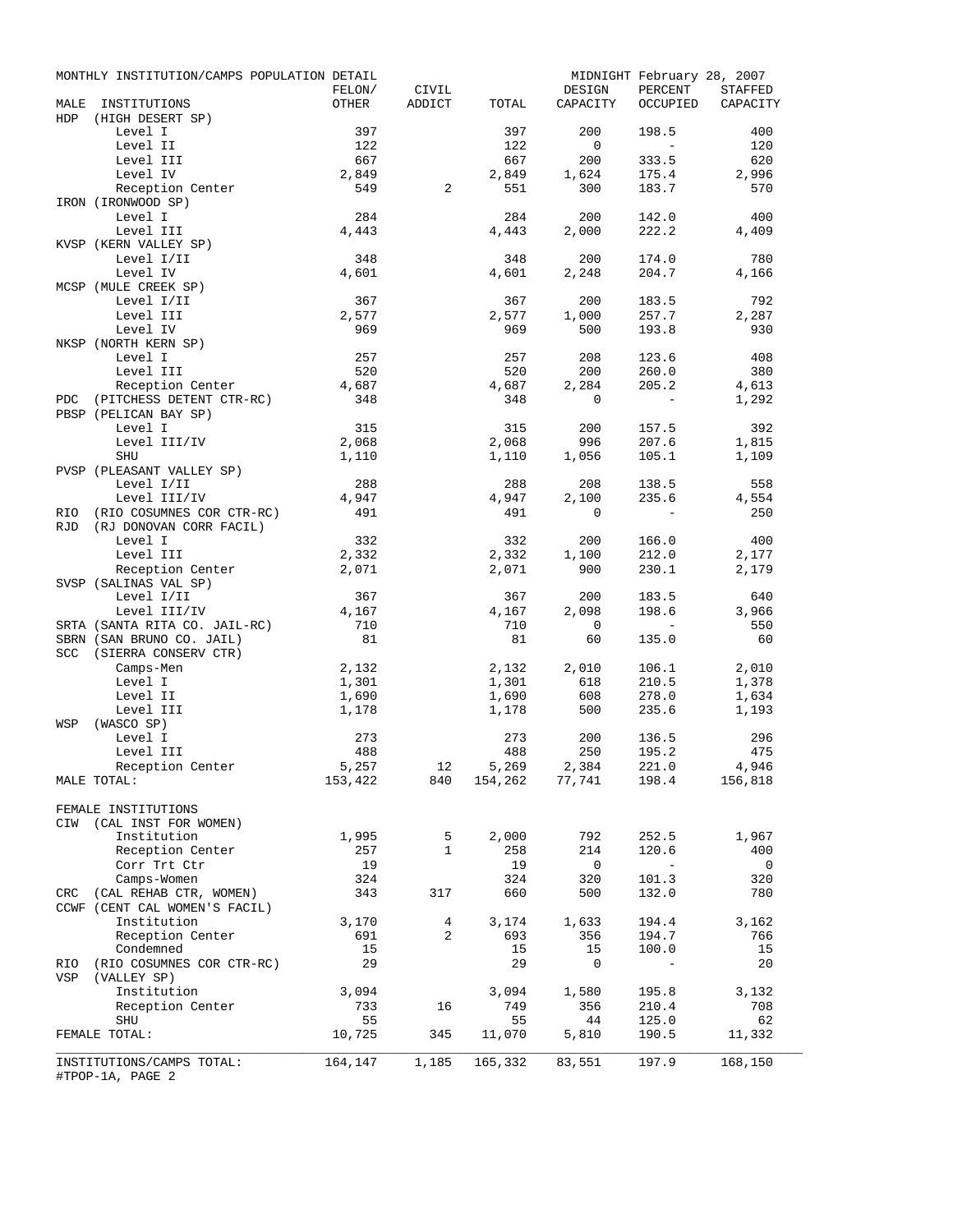|             | MONTHLY INSTITUTION/CAMPS POPULATION DETAIL |           |                   |              |                                 | MIDNIGHT February 28, 2007 |                          |  |  |
|-------------|---------------------------------------------|-----------|-------------------|--------------|---------------------------------|----------------------------|--------------------------|--|--|
|             |                                             | FELON/    | CIVIL             |              | DESIGN                          | PERCENT                    | STAFFED                  |  |  |
| MALE<br>HDP | INSTITUTIONS<br>(HIGH DESERT SP)            | OTHER     | ADDICT            | TOTAL        | CAPACITY                        | OCCUPIED                   | CAPACITY                 |  |  |
|             | Level I                                     | 397       |                   | 397          | 200                             | 198.5                      | 400                      |  |  |
|             | Level II                                    | 122       |                   | 122          | $\overline{0}$                  | $\sim$ $ \sim$             | 120                      |  |  |
|             | Level III                                   | 667       |                   | 667          | 200                             | 333.5                      | 620                      |  |  |
|             | Level IV                                    | 2,849     |                   | 2,849        | 1,624                           | 175.4                      | 2,996                    |  |  |
|             | Reception Center                            | 549       | $\overline{a}$    | 551          | 300                             | 183.7                      | 570                      |  |  |
|             | IRON (IRONWOOD SP)                          |           |                   |              |                                 |                            |                          |  |  |
|             | Level I                                     | 284       |                   | 284          | 200                             | 142.0                      | 400                      |  |  |
|             | Level III                                   | 4,443     |                   | 4,443        | 2,000                           | 222.2                      | 4,409                    |  |  |
|             | KVSP (KERN VALLEY SP)                       |           |                   |              |                                 |                            |                          |  |  |
|             | Level I/II                                  | 348       |                   | 348          | 200                             | 174.0                      | 780                      |  |  |
|             | Level IV                                    | 4,601     |                   | 4,601        | 2,248                           | 204.7                      | 4,166                    |  |  |
|             | MCSP (MULE CREEK SP)                        |           |                   |              |                                 |                            |                          |  |  |
|             | Level I/II                                  | 367       |                   | 367          | 200                             | 183.5                      | 792                      |  |  |
|             | Level III                                   | 2,577     |                   | 2,577        | 1,000                           | 257.7                      | 2,287                    |  |  |
|             | Level IV<br>NKSP (NORTH KERN SP)            | 969       |                   | 969          | 500                             | 193.8                      | 930                      |  |  |
|             | Level I                                     | 257       |                   | 257          | 208                             | 123.6                      | 408                      |  |  |
|             | Level III                                   | 520       |                   | 520          | 200                             | 260.0                      | 380                      |  |  |
|             | Reception Center                            | 4,687     |                   | 4,687        | 2,284                           | 205.2                      | 4,613                    |  |  |
| PDC         | (PITCHESS DETENT CTR-RC)                    | 348       |                   | 348          | 0                               | $\sim$                     | 1,292                    |  |  |
|             | PBSP (PELICAN BAY SP)                       |           |                   |              |                                 |                            |                          |  |  |
|             | Level I                                     | 315       |                   | 315          | 200                             | 157.5                      | 392                      |  |  |
|             | Level III/IV                                | 2,068     |                   | 2,068        | 996                             | 207.6                      | 1,815                    |  |  |
|             | SHU                                         | 1,110     |                   | 1,110        | 1,056                           | 105.1                      | 1,109                    |  |  |
|             | PVSP (PLEASANT VALLEY SP)                   |           |                   |              |                                 |                            |                          |  |  |
|             | Level I/II                                  | 288       |                   | 288          | 208                             | 138.5                      | 558                      |  |  |
|             | Level III/IV                                | 4,947     |                   | 4,947        | 2,100                           | 235.6                      | 4,554                    |  |  |
| <b>RIO</b>  | (RIO COSUMNES COR CTR-RC)                   | 491       |                   | 491          | 0                               | $\sim$ $-$                 | 250                      |  |  |
| <b>RJD</b>  | (RJ DONOVAN CORR FACIL)                     |           |                   |              |                                 |                            |                          |  |  |
|             | Level I                                     | 332       |                   | 332          | 200                             | 166.0                      | 400                      |  |  |
|             | Level III                                   | 2,332     |                   | 2,332        | 1,100                           | 212.0                      | 2,177                    |  |  |
|             | Reception Center                            | 2,071     |                   | 2,071        | 900                             | 230.1                      | 2,179                    |  |  |
|             | SVSP (SALINAS VAL SP)<br>Level I/II         | 367       |                   | 367          | 200                             | 183.5                      | 640                      |  |  |
|             | Level III/IV                                | 4,167     |                   | 4,167        | 2,098                           | 198.6                      | 3,966                    |  |  |
|             | SRTA (SANTA RITA CO. JAIL-RC)               | 710       |                   | 710          | $\overline{0}$                  | $\sim$ 100 $\pm$           | 550                      |  |  |
|             | SBRN (SAN BRUNO CO. JAIL)                   | 81        |                   | 81           | 60                              | 135.0                      | 60                       |  |  |
|             | SCC (SIERRA CONSERV CTR)                    |           |                   |              |                                 |                            |                          |  |  |
|             | Camps-Men                                   | 2,132     |                   | 2,132        | 2,010                           | 106.1                      | 2,010                    |  |  |
|             | Level I                                     | 1,301     |                   | 1,301        | 618                             | 210.5                      | 1,378                    |  |  |
|             | Level II                                    | 1,690     |                   | 1,690        | 608                             | 278.0                      | 1,634                    |  |  |
|             | Level III                                   | 1,178     |                   | 1,178        | 500                             | 235.6                      | 1,193                    |  |  |
| WSP         | (WASCO SP)                                  |           |                   |              |                                 |                            |                          |  |  |
|             | Level I                                     | 273       |                   | 273          | 200                             | 136.5                      | 296                      |  |  |
|             | Level III                                   | 488       |                   | 488          | 250                             | 195.2                      | 475                      |  |  |
|             | Reception Center                            | 5,257     | 12                | 5,269        | 2,384                           | 221.0                      | 4,946                    |  |  |
|             | MALE TOTAL:                                 |           | 153,422 840       |              | 154, 262 77, 741 198.4 156, 818 |                            |                          |  |  |
|             |                                             |           |                   |              |                                 |                            |                          |  |  |
|             | FEMALE INSTITUTIONS                         |           |                   |              |                                 |                            |                          |  |  |
|             | CIW (CAL INST FOR WOMEN)                    |           |                   |              |                                 |                            |                          |  |  |
|             | Institution<br>Reception Center             | 1,995     | 5<br>$\mathbf{1}$ | 2,000<br>258 | 792                             | 252.5                      | 1,967<br>400             |  |  |
|             | Corr Trt Ctr                                | 257<br>19 |                   | 19           | 214<br>$\overline{\mathbf{0}}$  | 120.6<br>$\sim$ $-$        | $\overline{\phantom{0}}$ |  |  |
|             | Camps-Women                                 | 324       |                   | 324          | 320                             | 101.3                      | 320                      |  |  |
|             | CRC (CAL REHAB CTR, WOMEN)                  | 343       | 317               | 660          | 500                             | 132.0                      | 780                      |  |  |
|             | CCWF (CENT CAL WOMEN'S FACIL)               |           |                   |              |                                 |                            |                          |  |  |
|             | Institution                                 | 3,170     | $\overline{4}$    | 3,174        | 1,633                           | 194.4                      | 3,162                    |  |  |
|             | Reception Center                            | 691       | 2                 | 693          | 356                             | 194.7                      | 766                      |  |  |
|             | Condemned                                   | 15        |                   | 15           | 15                              | 100.0                      | 15                       |  |  |
|             | RIO (RIO COSUMNES COR CTR-RC)               | 29        |                   | 29           | 0                               | $\equiv$                   | 20                       |  |  |
| VSP         | (VALLEY SP)                                 |           |                   |              |                                 |                            |                          |  |  |
|             | Institution                                 | 3,094     |                   | 3,094        | 1,580                           | 195.8                      | 3,132                    |  |  |
|             | Reception Center                            | 733       | 16                | 749          | 356                             | 210.4                      | 708                      |  |  |
|             | SHU                                         | 55        |                   | 55           | 44                              | 125.0                      | 62                       |  |  |
|             | FEMALE TOTAL:                               | 10,725    | 345               | 11,070       | 5,810                           | 190.5                      | 11,332                   |  |  |
|             |                                             |           |                   |              |                                 |                            |                          |  |  |
|             | INSTITUTIONS/CAMPS TOTAL:                   | 164,147   | 1,185             | 165,332      | 83,551                          | 197.9                      | 168,150                  |  |  |
|             | #TPOP-1A, PAGE 2                            |           |                   |              |                                 |                            |                          |  |  |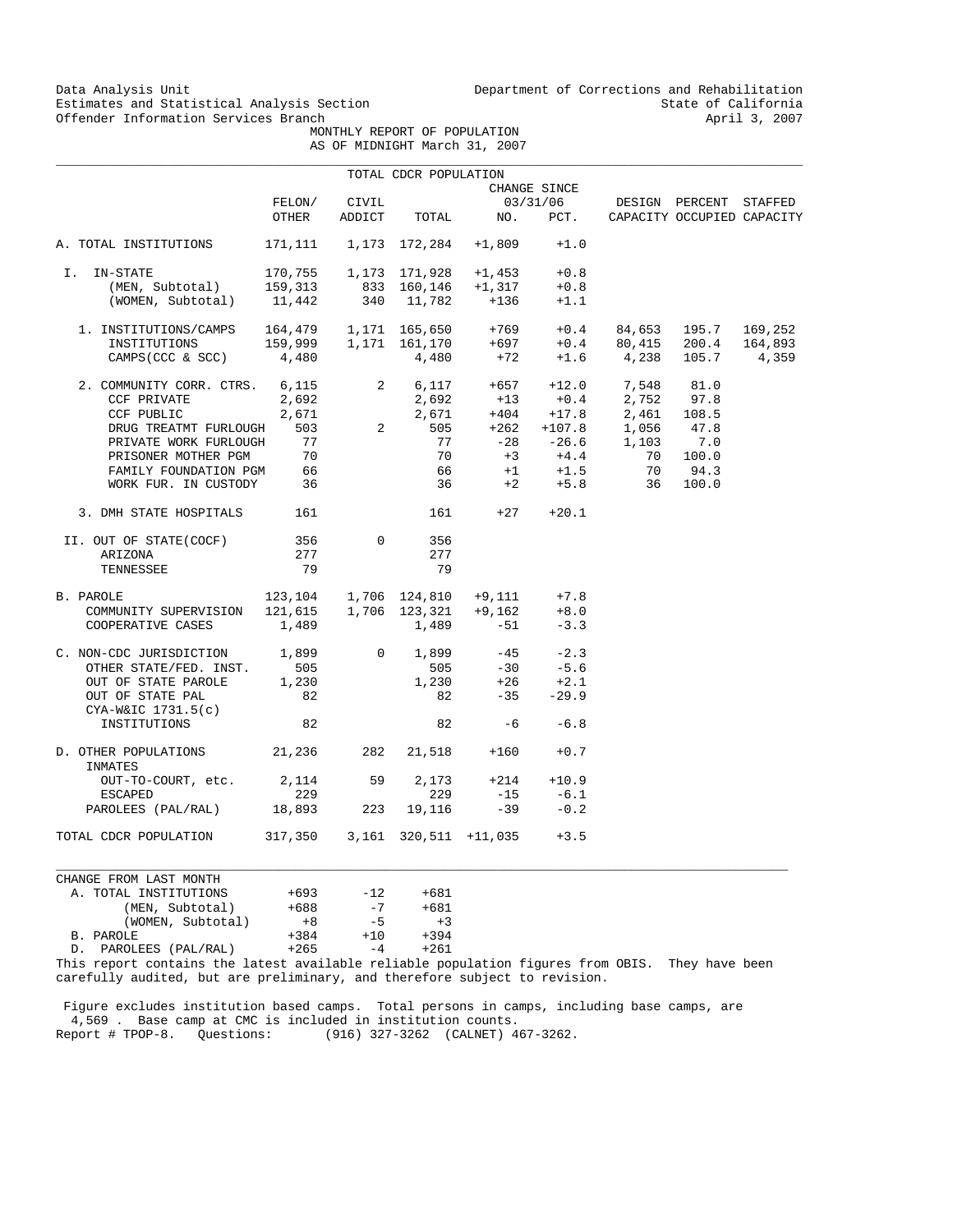Data Analysis Unit Unit Department of Corrections and Rehabilitation<br>Estimates and Statistical Analysis Section 2003 Estimates and Statistical Analysis Section State of California<br>
Offender Information Services Branch<br>
April 3, 2007

 MONTHLY REPORT OF POPULATION AS OF MIDNIGHT March 31, 2007

|                                                                                                                                                                                                                                                                                                                                     |                               |              | TOTAL CDCR POPULATION |                                    |                              |                                                                                                                                                                        |                            |  |
|-------------------------------------------------------------------------------------------------------------------------------------------------------------------------------------------------------------------------------------------------------------------------------------------------------------------------------------|-------------------------------|--------------|-----------------------|------------------------------------|------------------------------|------------------------------------------------------------------------------------------------------------------------------------------------------------------------|----------------------------|--|
|                                                                                                                                                                                                                                                                                                                                     |                               |              |                       |                                    | CHANGE SINCE                 |                                                                                                                                                                        |                            |  |
|                                                                                                                                                                                                                                                                                                                                     |                               |              |                       |                                    |                              |                                                                                                                                                                        |                            |  |
|                                                                                                                                                                                                                                                                                                                                     |                               |              |                       |                                    |                              |                                                                                                                                                                        | CAPACITY OCCUPIED CAPACITY |  |
| A. TOTAL INSTITUTIONS 171,111 1,173 172,284 +1,809                                                                                                                                                                                                                                                                                  |                               |              |                       |                                    | $+1.0$                       |                                                                                                                                                                        |                            |  |
| I. IN-STATE                                                                                                                                                                                                                                                                                                                         |                               |              |                       | 170,755   1,173   171,928   +1,453 | $+0.8$                       |                                                                                                                                                                        |                            |  |
|                                                                                                                                                                                                                                                                                                                                     |                               |              |                       |                                    | $+0.8$                       |                                                                                                                                                                        |                            |  |
| (MEN, Subtotal) 159,313 833 160,146 +1,317<br>(WOMEN, Subtotal) 11,442 340 11,782 +136                                                                                                                                                                                                                                              |                               |              |                       |                                    | $+1.1$                       |                                                                                                                                                                        |                            |  |
|                                                                                                                                                                                                                                                                                                                                     |                               |              |                       |                                    |                              |                                                                                                                                                                        |                            |  |
|                                                                                                                                                                                                                                                                                                                                     |                               |              |                       |                                    |                              |                                                                                                                                                                        |                            |  |
| $\begin{tabular}{lcccccc} 1. & \texttt{INSTITUTIONS/CAMPS} & 164,479 & 1,171 & 165,650 & +769 & +0.4 & 84,653 & 195.7 & 169,252 \\ \texttt{INSTITUTIONS} & 159,999 & 1,171 & 161,170 & +697 & +0.4 & 80,415 & 200.4 & 164,893 \\ \texttt{CAMPS(CCC & & SCC)} & 4,480 & 4,480 & +72 & +1.6 & 4,238 & 105.7 & 4,359 \\ \end{tabular}$ |                               |              |                       |                                    |                              |                                                                                                                                                                        |                            |  |
| 2. COMMUNITY CORR. CTRS. 6,115 2 6,117 +657 +12.0 7,548 81.0                                                                                                                                                                                                                                                                        |                               |              |                       |                                    |                              |                                                                                                                                                                        |                            |  |
| CCF PRIVATE                                                                                                                                                                                                                                                                                                                         |                               |              |                       |                                    |                              |                                                                                                                                                                        |                            |  |
|                                                                                                                                                                                                                                                                                                                                     |                               |              |                       |                                    |                              |                                                                                                                                                                        |                            |  |
|                                                                                                                                                                                                                                                                                                                                     |                               |              |                       |                                    |                              |                                                                                                                                                                        |                            |  |
| DRUG TREATMT FURLOUGH 503<br>PRIVATE WORK FURLOUGH 503                                                                                                                                                                                                                                                                              |                               |              |                       |                                    |                              | 2,692 2,692 +13 +0.4 2,752 97.8<br>2,692 2,692 +13 +0.4 2,752 97.8<br>2,671 2,671 +404 +17.8 2,461 108.5<br>503 2 505 +262 +107.8 1,056 47.8<br>77 -28 -26.6 1,103 7.0 |                            |  |
|                                                                                                                                                                                                                                                                                                                                     |                               |              | 70                    |                                    |                              |                                                                                                                                                                        |                            |  |
| PRISONER MOTHER PGM 70<br>FAMILY FOUNDATION PGM 66                                                                                                                                                                                                                                                                                  |                               |              | 66                    |                                    |                              | $+3$ $+4.4$ 70 100.0<br>$+1$ $+1.5$ 70 94.3                                                                                                                            |                            |  |
| WORK FUR. IN CUSTODY 36                                                                                                                                                                                                                                                                                                             |                               |              |                       |                                    |                              | $36 +2 +5.8$ 36 100.0                                                                                                                                                  |                            |  |
| 3. DMH STATE HOSPITALS 161                                                                                                                                                                                                                                                                                                          |                               |              |                       | $161 + 27 + 20.1$                  |                              |                                                                                                                                                                        |                            |  |
| II. OUT OF STATE(COCF)                                                                                                                                                                                                                                                                                                              | 356                           | $\mathbf{0}$ | 356                   |                                    |                              |                                                                                                                                                                        |                            |  |
| ARIZONA                                                                                                                                                                                                                                                                                                                             | 277                           |              | 277                   |                                    |                              |                                                                                                                                                                        |                            |  |
| TENNESSEE                                                                                                                                                                                                                                                                                                                           | 79                            |              | 79                    |                                    |                              |                                                                                                                                                                        |                            |  |
| B. PAROLE                                                                                                                                                                                                                                                                                                                           |                               |              |                       |                                    |                              |                                                                                                                                                                        |                            |  |
| PAROLE 123,104 1,706 124,810 +9,111 +7.8<br>COMMUNITY SUPERVISION 121,615 1,706 123,321 +9,162 +8.0                                                                                                                                                                                                                                 |                               |              |                       |                                    |                              |                                                                                                                                                                        |                            |  |
| COOPERATIVE CASES $1,489$ $1,489$ $-51$                                                                                                                                                                                                                                                                                             |                               |              |                       |                                    | $-3.3$                       |                                                                                                                                                                        |                            |  |
| C. NON-CDC JURISDICTION 1,899 0 1,899<br>OTHER STATE/FED. INST. 505 505                                                                                                                                                                                                                                                             |                               |              |                       |                                    |                              |                                                                                                                                                                        |                            |  |
|                                                                                                                                                                                                                                                                                                                                     |                               |              |                       |                                    | $-45$ $-2.3$<br>$-30$ $-5.6$ |                                                                                                                                                                        |                            |  |
| OTHER STATE/FED. INST. 505<br>OUT OF STATE PAROLE 1,230                                                                                                                                                                                                                                                                             |                               |              |                       |                                    |                              |                                                                                                                                                                        |                            |  |
| OUT OF STATE PAL<br>CYA-W&IC 1731.5(c)                                                                                                                                                                                                                                                                                              | 82                            |              |                       | $1,230$ +26<br>82 -35              | $+26$ $+2.1$<br>-35 -29.9    |                                                                                                                                                                        |                            |  |
| INSTITUTIONS                                                                                                                                                                                                                                                                                                                        | 82                            |              |                       | $82 -6 -6.8$                       |                              |                                                                                                                                                                        |                            |  |
| D. OTHER POPULATIONS 21,236 282 21,518 +160<br>INMATES                                                                                                                                                                                                                                                                              |                               |              |                       |                                    | $+0.7$                       |                                                                                                                                                                        |                            |  |
| OUT-TO-COURT, etc. 2,114 59 2,173 +214 +10.9                                                                                                                                                                                                                                                                                        |                               |              |                       |                                    |                              |                                                                                                                                                                        |                            |  |
| ESCAPED                                                                                                                                                                                                                                                                                                                             | 229                           |              | 229                   |                                    | $-15 - 6.1$                  |                                                                                                                                                                        |                            |  |
| PAROLEES (PAL/RAL)                                                                                                                                                                                                                                                                                                                  | 18,893 223                    |              | 19,116                | $-39$                              | $-0.2$                       |                                                                                                                                                                        |                            |  |
| TOTAL CDCR POPULATION                                                                                                                                                                                                                                                                                                               | 317,350 3,161 320,511 +11,035 |              |                       |                                    | $+3.5$                       |                                                                                                                                                                        |                            |  |
|                                                                                                                                                                                                                                                                                                                                     |                               |              |                       |                                    |                              |                                                                                                                                                                        |                            |  |

CHANGE FROM LAST MONTH A. TOTAL INSTITUTIONS +693 -12 +681 (MEN, Subtotal) +688 -7 +681 (WOMEN, Subtotal)  $+8$  -5  $+3$ <br>DLE  $+384$   $+10$   $+394$  B. PAROLE +384 +10 +394 D. PAROLEES (PAL/RAL)

This report contains the latest available reliable population figures from OBIS. They have been carefully audited, but are preliminary, and therefore subject to revision.

 $\_$  ,  $\_$  ,  $\_$  ,  $\_$  ,  $\_$  ,  $\_$  ,  $\_$  ,  $\_$  ,  $\_$  ,  $\_$  ,  $\_$  ,  $\_$  ,  $\_$  ,  $\_$  ,  $\_$  ,  $\_$  ,  $\_$  ,  $\_$  ,  $\_$  ,  $\_$  ,  $\_$  ,  $\_$  ,  $\_$  ,  $\_$  ,  $\_$  ,  $\_$  ,  $\_$  ,  $\_$  ,  $\_$  ,  $\_$  ,  $\_$  ,  $\_$  ,  $\_$  ,  $\_$  ,  $\_$  ,  $\_$  ,  $\_$  ,

 Figure excludes institution based camps. Total persons in camps, including base camps, are 4,569 . Base camp at CMC is included in institution counts. Report # TPOP-8. Questions: (916) 327-3262 (CALNET) 467-3262.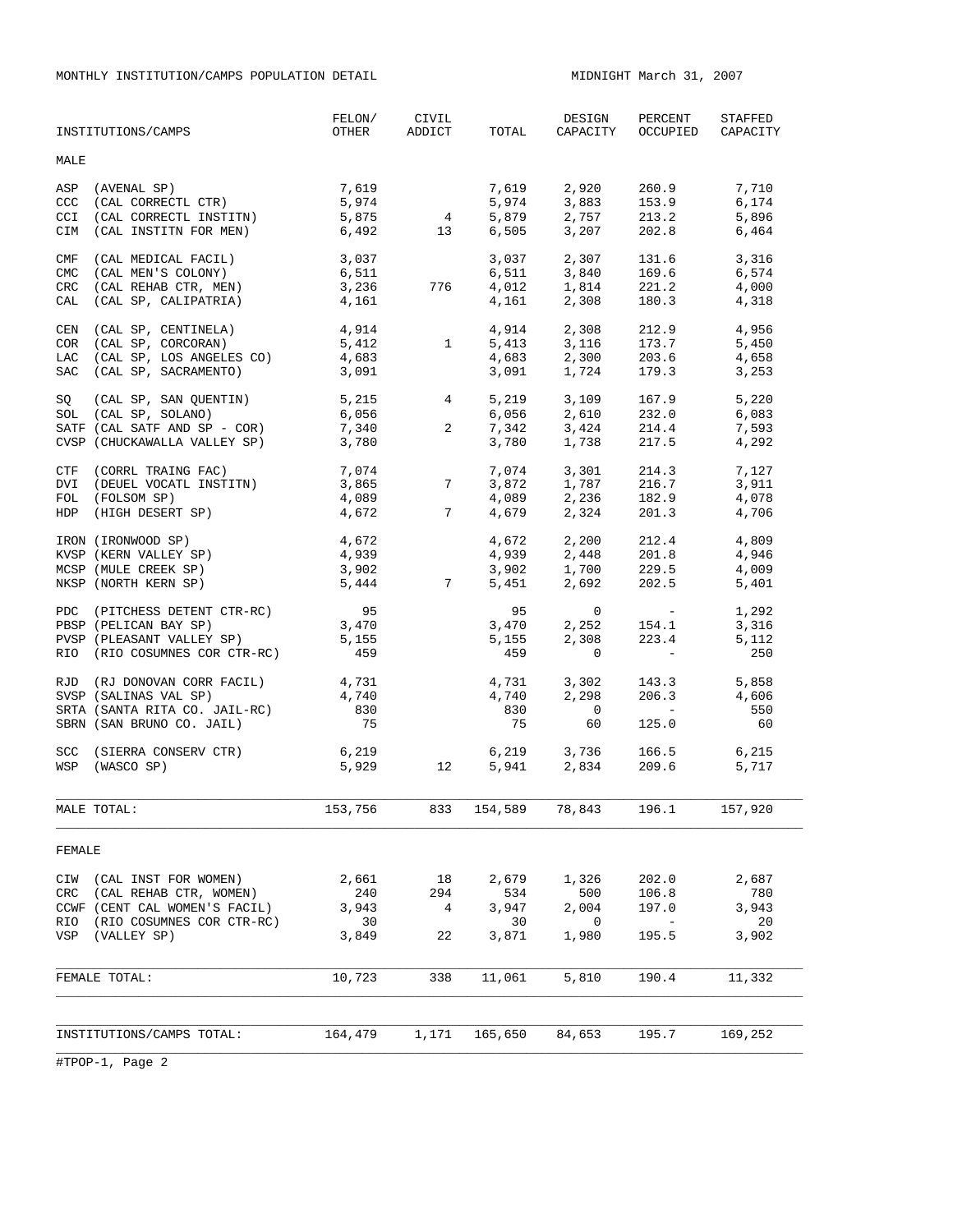MONTHLY INSTITUTION/CAMPS POPULATION DETAIL **MIDNIGHT MARCH 31, 2007** 

|                                 | INSTITUTIONS/CAMPS                                                                                                          | FELON/<br>OTHER                      | CIVIL<br>ADDICT                              | TOTAL                                | DESIGN<br>CAPACITY                          | PERCENT<br>OCCUPIED                                                                                                                          | STAFFED<br>CAPACITY                  |  |
|---------------------------------|-----------------------------------------------------------------------------------------------------------------------------|--------------------------------------|----------------------------------------------|--------------------------------------|---------------------------------------------|----------------------------------------------------------------------------------------------------------------------------------------------|--------------------------------------|--|
| <b>MALE</b>                     |                                                                                                                             |                                      |                                              |                                      |                                             |                                                                                                                                              |                                      |  |
| ASP<br>CCC<br><b>CCI</b><br>CIM | (AVENAL SP)<br>(CAL CORRECTL CTR)<br>(CAL CORRECTL INSTITN)<br>(CAL INSTITN FOR MEN)                                        | 7,619<br>5,974<br>5,875<br>6,492     | $\overline{4}$<br>13                         | 7,619<br>5,974<br>5,879<br>6,505     | 2,920<br>3,883<br>2,757<br>3,207            | 260.9<br>153.9<br>213.2<br>202.8                                                                                                             | 7,710<br>6,174<br>5,896<br>6,464     |  |
| CMF<br><b>CMC</b><br>CRC        | (CAL MEDICAL FACIL)<br>(CAL MEN'S COLONY)<br>(CAL REHAB CTR, MEN)<br>CAL (CAL SP, CALIPATRIA)                               | 3,037<br>6,511<br>3,236<br>4,161     | 776                                          | 3,037<br>6,511<br>4,012<br>4,161     | 2,307<br>3,840<br>1,814<br>2,308            | 131.6<br>169.6<br>221.2<br>180.3                                                                                                             | 3,316<br>6,574<br>4,000<br>4,318     |  |
| CEN<br>COR<br>LAC<br>SAC        | (CAL SP, CENTINELA)<br>(CAL SP, CORCORAN)<br>(CAL SP, LOS ANGELES CO)<br>(CAL SP, SACRAMENTO)                               | 4,914<br>5,412<br>4,683<br>3,091     | 1                                            | 4,914<br>5,413<br>4,683<br>3,091     | 2,308<br>3,116<br>2,300<br>1,724            | 212.9<br>173.7<br>203.6<br>179.3                                                                                                             | 4,956<br>5,450<br>4,658<br>3,253     |  |
| SQ                              | (CAL SP, SAN QUENTIN)<br>SOL (CAL SP, SOLANO)<br>SATF (CAL SATF AND SP - COR)<br>CVSP (CHUCKAWALLA VALLEY SP)               | 5,215<br>6,056<br>7,340<br>3,780     | $4\overline{ }$<br>$\overline{a}$            | 5,219<br>6,056<br>7,342<br>3,780     | 3,109<br>2,610<br>3,424<br>1,738            | 167.9<br>232.0<br>214.4<br>217.5                                                                                                             | 5,220<br>6,083<br>7,593<br>4,292     |  |
| DVI<br>HDP                      | CTF (CORRL TRAING FAC)<br>(DEUEL VOCATL INSTITN)<br>FOL (FOLSOM SP)<br>(HIGH DESERT SP)                                     | 7,074<br>3,865<br>4,089<br>4,672     | $\begin{array}{c}\n7 \\ 7\n\end{array}$<br>7 | 7,074<br>3,872<br>4,089<br>4,679     | 3,301<br>$1,787$<br>$2,236$<br>$2,324$      | 214.3<br>216.7<br>182.9<br>201.3                                                                                                             | 7,127<br>3,911<br>4,078<br>4,706     |  |
|                                 | IRON (IRONWOOD SP)<br>KVSP (KERN VALLEY SP)<br>MCSP (MULE CREEK SP)<br>NKSP (NORTH KERN SP)                                 | 4,672<br>4,939<br>3,902<br>5,444     | $\overline{7}$                               | 4,672<br>4,939<br>3,902<br>5,451     | 2,200<br>2,448<br>$1,700$ 229.5<br>2,692    | 212.4<br>201.8<br>202.5                                                                                                                      | 4,809<br>4,946<br>4,009<br>5,401     |  |
|                                 | PDC (PITCHESS DETENT CTR-RC)<br>PBSP (PELICAN BAY SP)<br>PVSP (PLEASANT VALLEY SP)<br>RIO (RIO COSUMNES COR CTR-RC)         | 95<br>3,470<br>5,155<br>459          |                                              | 95<br>3,470<br>5,155<br>459          | $\circ$<br>2,252<br>2,308<br>$\mathbf 0$    | <b>Contract Contract</b><br>154.1<br>223.4<br>$\sim 1000$ m $^{-1}$                                                                          | 1,292<br>3,316<br>5,112<br>250       |  |
|                                 | RJD (RJ DONOVAN CORR FACIL)<br>SVSP (SALINAS VAL SP)<br>SRTA (SANTA RITA CO. JAIL-RC)<br>SBRN (SAN BRUNO CO. JAIL)          | 4,731<br>4,740<br>830<br>75          |                                              | 4,731<br>4,740<br>830<br>75          | 3,302<br>2,298<br>$\overline{0}$<br>60      | 143.3<br>206.3<br>$\mathcal{L}^{\mathcal{L}}(\mathcal{L}^{\mathcal{L}})$ and $\mathcal{L}^{\mathcal{L}}(\mathcal{L}^{\mathcal{L}})$<br>125.0 | 5,858<br>4,606<br>550<br>60          |  |
|                                 | SCC (SIERRA CONSERV CTR)<br>WSP (WASCO SP)                                                                                  | 6,219<br>5,929                       | 12                                           | 5,941                                | $6,219$ $3,736$<br>$5.941$ $2.834$<br>2,834 | 166.5<br>209.6                                                                                                                               | 6.215<br>5,717                       |  |
|                                 | MALE TOTAL:                                                                                                                 | 153,756                              | 833                                          | 154,589                              | 78,843                                      | 196.1                                                                                                                                        | 157,920                              |  |
| FEMALE                          |                                                                                                                             |                                      |                                              |                                      |                                             |                                                                                                                                              |                                      |  |
| CIW<br>CRC<br>RIO<br>VSP        | (CAL INST FOR WOMEN)<br>(CAL REHAB CTR, WOMEN)<br>CCWF (CENT CAL WOMEN'S FACIL)<br>(RIO COSUMNES COR CTR-RC)<br>(VALLEY SP) | 2,661<br>240<br>3,943<br>30<br>3,849 | 18<br>294<br>4<br>22                         | 2,679<br>534<br>3,947<br>30<br>3,871 | 1,326<br>500<br>2,004<br>0<br>1,980         | 202.0<br>106.8<br>197.0<br>$\overline{a}$<br>195.5                                                                                           | 2,687<br>780<br>3,943<br>20<br>3,902 |  |
|                                 | FEMALE TOTAL:                                                                                                               | 10,723                               | 338                                          | 11,061                               | 5,810                                       | 190.4                                                                                                                                        | 11,332                               |  |
|                                 | INSTITUTIONS/CAMPS TOTAL:                                                                                                   | 164,479                              | 1,171                                        | 165,650                              | 84,653                                      | 195.7                                                                                                                                        | 169,252                              |  |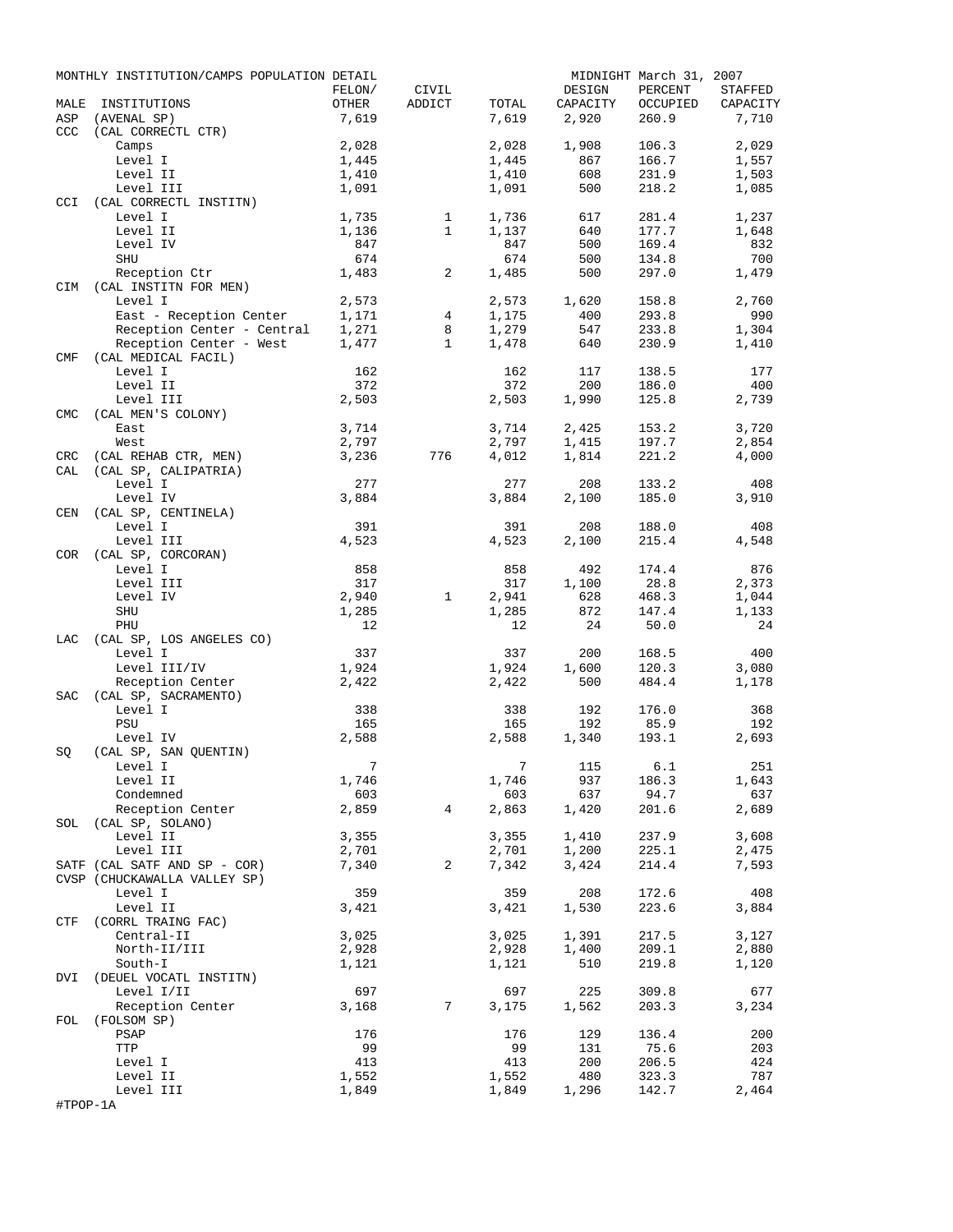|            | MONTHLY INSTITUTION/CAMPS POPULATION DETAIL                  |                 |                 |                |              | MIDNIGHT March 31, 2007 |                |
|------------|--------------------------------------------------------------|-----------------|-----------------|----------------|--------------|-------------------------|----------------|
|            |                                                              | FELON/          | CIVIL           |                | DESIGN       | PERCENT                 | STAFFED        |
| MALE       | INSTITUTIONS                                                 | OTHER           | ADDICT          | TOTAL          | CAPACITY     | OCCUPIED                | CAPACITY       |
| ASP        | (AVENAL SP)                                                  | 7,619           |                 | 7,619          | 2,920        | 260.9                   | 7,710          |
| <b>CCC</b> | (CAL CORRECTL CTR)                                           |                 |                 |                |              |                         |                |
|            | Camps                                                        | 2,028           |                 | 2,028          | 1,908        | 106.3                   | 2,029          |
|            | Level I                                                      | 1,445           |                 | 1,445          | 867          | 166.7                   | 1,557          |
|            | Level II<br>Level III                                        | 1,410<br>1,091  |                 | 1,410<br>1,091 | 608<br>500   | 231.9<br>218.2          | 1,503<br>1,085 |
| CCI        | (CAL CORRECTL INSTITN)                                       |                 |                 |                |              |                         |                |
|            | Level I                                                      | 1,735           | $\mathbf{1}$    | 1,736          | 617          | 281.4                   | 1,237          |
|            | Level II                                                     | 1,136           | $\mathbf{1}$    | 1,137          | 640          | 177.7                   | 1,648          |
|            | Level IV                                                     | 847             |                 | 847            | 500          | 169.4                   | 832            |
|            | SHU                                                          | 674             |                 | 674            | 500          | 134.8                   | 700            |
|            | Reception Ctr                                                | 1,483           | 2               | 1,485          | 500          | 297.0                   | 1,479          |
| CIM        | (CAL INSTITN FOR MEN)                                        |                 |                 |                |              |                         |                |
|            | Level I                                                      | 2,573           |                 | 2,573          | 1,620        | 158.8                   | 2,760          |
|            | East - Reception Center                                      | 1,171           | 4               | 1,175          | 400          | 293.8                   | 990            |
|            | Reception Center - Central                                   | 1,271           | 8               | 1,279          | 547          | 233.8                   | 1,304          |
|            | Reception Center - West                                      | 1,477           | $\mathbf{1}$    | 1,478          | 640          | 230.9                   | 1,410          |
| CMF        | (CAL MEDICAL FACIL)                                          |                 |                 |                |              |                         |                |
|            | Level I                                                      | 162             |                 | 162            | 117          | 138.5                   | 177            |
|            | Level II                                                     | 372             |                 | 372            | 200          | 186.0                   | 400            |
|            | Level III                                                    | 2,503           |                 | 2,503          | 1,990        | 125.8                   | 2,739          |
| <b>CMC</b> | (CAL MEN'S COLONY)<br>East                                   | 3,714           |                 | 3,714          | 2,425        | 153.2                   | 3,720          |
|            | West                                                         | 2,797           |                 | 2,797          | 1,415        | 197.7                   | 2,854          |
| CRC        | (CAL REHAB CTR, MEN)                                         | 3,236           | 776             | 4,012          | 1,814        | 221.2                   | 4,000          |
| CAL        | (CAL SP, CALIPATRIA)                                         |                 |                 |                |              |                         |                |
|            | Level I                                                      | 277             |                 | 277            | 208          | 133.2                   | 408            |
|            | Level IV                                                     | 3,884           |                 | 3,884          | 2,100        | 185.0                   | 3,910          |
| CEN        | (CAL SP, CENTINELA)                                          |                 |                 |                |              |                         |                |
|            | Level I                                                      | 391             |                 | 391            | 208          | 188.0                   | 408            |
|            | Level III                                                    | 4,523           |                 | 4,523          | 2,100        | 215.4                   | 4,548          |
| COR        | (CAL SP, CORCORAN)                                           |                 |                 |                |              |                         |                |
|            | Level I                                                      | 858             |                 | 858            | 492          | 174.4                   | 876            |
|            | Level III                                                    | 317             |                 | 317            | 1,100        | 28.8                    | 2,373          |
|            | Level IV                                                     | 2,940           | $\mathbf{1}$    | 2,941          | 628          | 468.3                   | 1,044          |
|            | SHU                                                          | 1,285           |                 | 1,285          | 872          | 147.4                   | 1,133          |
|            | PHU                                                          | 12              |                 | 12             | 24           | 50.0                    | 24             |
| LAC        | (CAL SP, LOS ANGELES CO)<br>Level I                          | 337             |                 | 337            |              |                         | 400            |
|            | Level III/IV                                                 | 1,924           |                 | 1,924          | 200<br>1,600 | 168.5<br>120.3          | 3,080          |
|            | Reception Center                                             | 2,422           |                 | 2,422          | 500          | 484.4                   | 1,178          |
| SAC        | (CAL SP, SACRAMENTO)                                         |                 |                 |                |              |                         |                |
|            | Level I                                                      | 338             |                 | 338            | 192          | 176.0                   | 368            |
|            | PSU                                                          | 165             |                 | 165            | 192          | 85.9                    | 192            |
|            | Level IV                                                     | 2,588           |                 | 2,588          | 1,340        | 193.1                   | 2,693          |
| SQ         | (CAL SP, SAN QUENTIN)                                        |                 |                 |                |              |                         |                |
|            | Level I                                                      | $7\phantom{.0}$ |                 |                | 7 115 6.1    |                         | 251            |
|            | Level II                                                     | 1,746           |                 | 1,746          | 937          | 186.3                   | 1,643          |
|            | Condemned                                                    | 603             |                 | 603            | 637          | 94.7                    | 637            |
|            | Reception Center                                             | 2,859           | 4               | 2,863          | 1,420        | 201.6                   | 2,689          |
|            | SOL (CAL SP, SOLANO)                                         |                 |                 |                |              |                         |                |
|            | Level II                                                     | 3,355           |                 | 3,355          | 1,410        | 237.9                   | 3,608          |
|            | Level III                                                    | 2,701           |                 | 2,701          | 1,200        | 225.1                   | 2,475          |
|            | SATF (CAL SATF AND SP - COR)<br>CVSP (CHUCKAWALLA VALLEY SP) | 7,340           | 2               | 7,342          | 3,424        | 214.4                   | 7,593          |
|            | Level I                                                      | 359             |                 | 359            | 208          | 172.6                   | 408            |
|            | Level II                                                     | 3,421           |                 | 3,421          | 1,530        | 223.6                   | 3,884          |
| CTF        | (CORRL TRAING FAC)                                           |                 |                 |                |              |                         |                |
|            | Central-II                                                   | 3,025           |                 | 3,025          | 1,391        | 217.5                   | 3,127          |
|            | North-II/III                                                 | 2,928           |                 | 2,928          | 1,400        | 209.1                   | 2,880          |
|            | South-I                                                      | 1,121           |                 | 1,121          | 510          | 219.8                   | 1,120          |
| DVI        | (DEUEL VOCATL INSTITN)                                       |                 |                 |                |              |                         |                |
|            | Level I/II                                                   | 697             |                 | 697            | 225          | 309.8                   | 677            |
|            | Reception Center                                             | 3,168           | $7\phantom{.0}$ | 3,175          | 1,562        | 203.3                   | 3,234          |
|            | FOL (FOLSOM SP)                                              |                 |                 |                |              |                         |                |
|            | PSAP                                                         | 176             |                 | 176            | 129          | 136.4                   | 200            |
|            | TTP                                                          | 99              |                 | 99             | 131          | 75.6                    | 203            |
|            | Level I                                                      | 413             |                 | 413            | 200          | 206.5                   | 424            |
|            | Level II                                                     | 1,552           |                 | 1,552          | 480          | 323.3                   | 787            |
| #TPOP-1A   | Level III                                                    | 1,849           |                 | 1,849          | 1,296        | 142.7                   | 2,464          |
|            |                                                              |                 |                 |                |              |                         |                |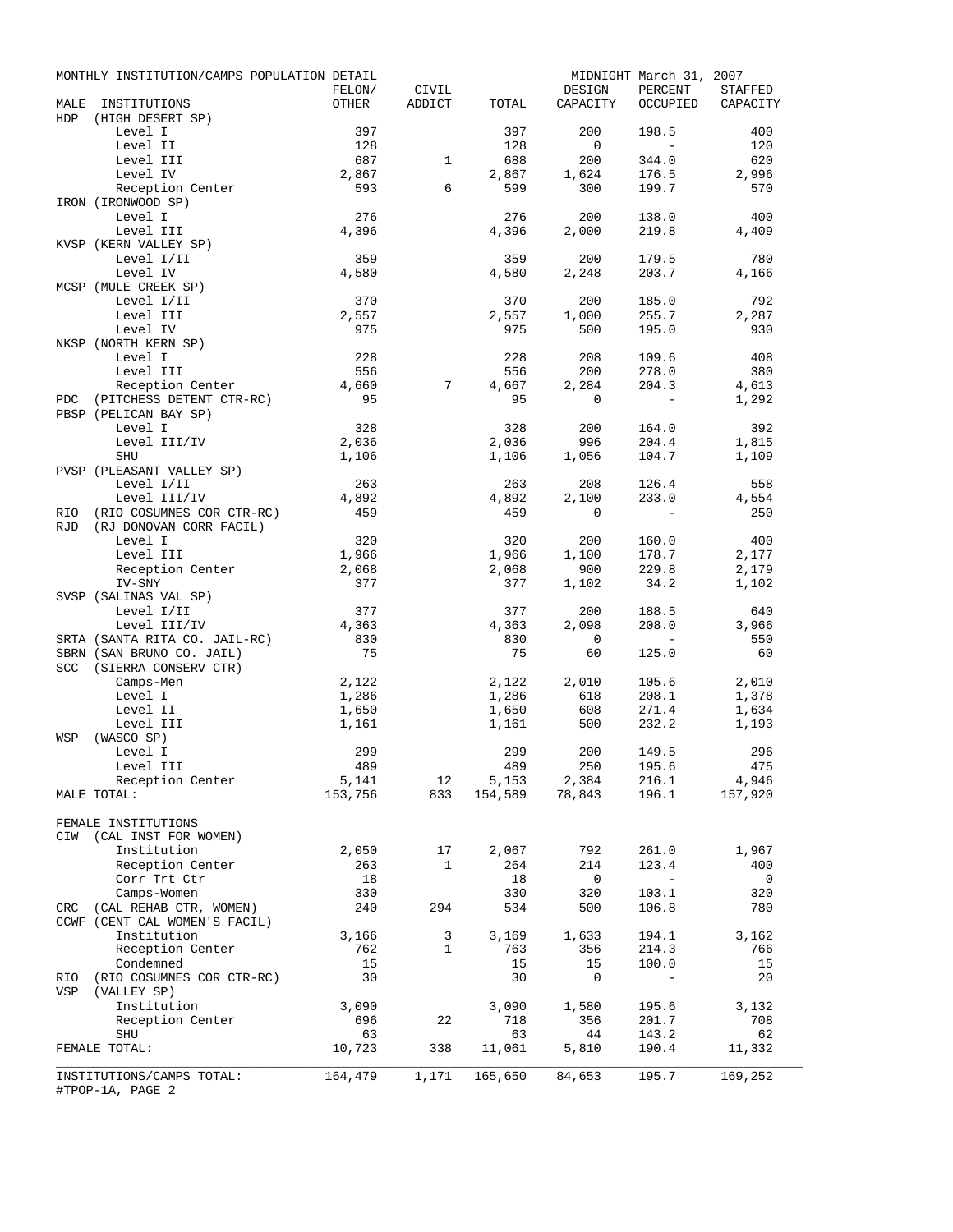|      | MONTHLY INSTITUTION/CAMPS POPULATION DETAIL   |              |                         |              |                                                                                                                                                                        | MIDNIGHT March 31, 2007 |                   |
|------|-----------------------------------------------|--------------|-------------------------|--------------|------------------------------------------------------------------------------------------------------------------------------------------------------------------------|-------------------------|-------------------|
|      |                                               | FELON/       | CIVIL                   |              | DESIGN                                                                                                                                                                 | PERCENT                 | STAFFED           |
| MALE | INSTITUTIONS                                  | OTHER        | ADDICT                  | TOTAL        | CAPACITY                                                                                                                                                               |                         | OCCUPIED CAPACITY |
| HDP  | (HIGH DESERT SP)                              |              |                         |              |                                                                                                                                                                        |                         |                   |
|      | Level I                                       | 397          |                         | 397          | 200                                                                                                                                                                    | 198.5                   | 400               |
|      | Level II                                      | 128          |                         | 128          | $\overline{0}$                                                                                                                                                         | $\sim$ $-$              | 120               |
|      | Level III                                     | 687          | $\mathbf{1}$            | 688          | 200                                                                                                                                                                    | 344.0                   | 620               |
|      | Level IV                                      | 2,867        |                         | 2,867        | 1,624                                                                                                                                                                  | 176.5                   | 2,996             |
|      | Reception Center<br>IRON (IRONWOOD SP)        | 593          | 6                       | 599          | 300                                                                                                                                                                    | 199.7                   | 570               |
|      | Level I                                       | 276          |                         | 276          | 200                                                                                                                                                                    | 138.0                   | 400               |
|      | Level III                                     | 4,396        |                         | 4,396        | 2,000                                                                                                                                                                  | 219.8                   | 4,409             |
|      | KVSP (KERN VALLEY SP)                         |              |                         |              |                                                                                                                                                                        |                         |                   |
|      | Level I/II                                    | 359          |                         | 359          | 200                                                                                                                                                                    | 179.5                   | 780               |
|      | Level IV                                      | 4,580        |                         | 4,580        | 2,248                                                                                                                                                                  | 203.7                   | 4,166             |
|      | MCSP (MULE CREEK SP)                          |              |                         |              |                                                                                                                                                                        |                         |                   |
|      | Level I/II                                    | 370          |                         | 370          | 200                                                                                                                                                                    | 185.0                   | 792               |
|      | Level III                                     | 2,557        |                         | 2,557        | 1,000                                                                                                                                                                  | 255.7                   | 2,287             |
|      | Level IV                                      | 975          |                         | 975          | 500                                                                                                                                                                    | 195.0                   | 930               |
|      | NKSP (NORTH KERN SP)                          |              |                         |              |                                                                                                                                                                        |                         |                   |
|      | Level I                                       | 228          |                         | 228          | 208                                                                                                                                                                    | 109.6                   | 408               |
|      | Level III                                     | 556          |                         | 556          | 200                                                                                                                                                                    | 278.0                   | 380               |
|      | Reception Center                              | 4,660        | 7                       | 4,667        | 2,284                                                                                                                                                                  | 204.3                   | 4,613             |
| PDC  | (PITCHESS DETENT CTR-RC)                      | 95           |                         | 95           | 0                                                                                                                                                                      | $\sim$ $-$              | 1,292             |
|      | PBSP (PELICAN BAY SP)                         |              |                         |              |                                                                                                                                                                        |                         |                   |
|      | Level I                                       | 328          |                         | 328          | 200                                                                                                                                                                    | 164.0                   | 392               |
|      | Level III/IV                                  | 2,036        |                         | 2,036        | 996                                                                                                                                                                    | 204.4                   | 1,815             |
|      | SHU                                           | 1,106        |                         | 1,106        | 1,056                                                                                                                                                                  | 104.7                   | 1,109             |
|      | PVSP (PLEASANT VALLEY SP)                     |              |                         |              |                                                                                                                                                                        |                         |                   |
|      | Level I/II                                    | 263          |                         | 263          | 208                                                                                                                                                                    | 126.4                   | 558               |
|      | Level III/IV                                  | 4,892        |                         | 4,892        | 2,100                                                                                                                                                                  | 233.0                   | 4,554             |
| RIO  | (RIO COSUMNES COR CTR-RC)                     | 459          |                         | 459          | 0                                                                                                                                                                      | $\sim 100$              | 250               |
| RJD  | (RJ DONOVAN CORR FACIL)                       |              |                         |              |                                                                                                                                                                        |                         |                   |
|      | Level I                                       | 320          |                         | 320          | 200                                                                                                                                                                    | 160.0                   | 400               |
|      | Level III                                     | 1,966        |                         | 1,966        | 1,100                                                                                                                                                                  | 178.7                   | 2,177             |
|      | Reception Center                              | 2,068        |                         | 2,068        | 900                                                                                                                                                                    | 229.8                   | 2,179             |
|      | IV-SNY                                        | 377          |                         | 377          | 1,102                                                                                                                                                                  | 34.2                    | 1,102             |
|      | SVSP (SALINAS VAL SP)                         | 377          |                         |              |                                                                                                                                                                        |                         |                   |
|      | Level I/II                                    |              |                         | 377          | 200                                                                                                                                                                    | 188.5                   | 640               |
|      | Level III/IV<br>SRTA (SANTA RITA CO. JAIL-RC) | 4,363<br>830 |                         | 4,363<br>830 | 2,098<br>$\overline{0}$                                                                                                                                                | 208.0<br>$\sim$ $-$     | 3,966<br>550      |
|      | SBRN (SAN BRUNO CO. JAIL)                     | 75           |                         | 75           | 60                                                                                                                                                                     | 125.0                   | 60                |
|      | SCC (SIERRA CONSERV CTR)                      |              |                         |              |                                                                                                                                                                        |                         |                   |
|      | Camps-Men                                     | 2,122        |                         | 2,122        | 2,010                                                                                                                                                                  | 105.6                   | 2,010             |
|      | Level I                                       | 1,286        |                         | 1,286        | 618                                                                                                                                                                    | 208.1                   | 1,378             |
|      | Level II                                      | 1,650        |                         | 1,650        | 608                                                                                                                                                                    | 271.4                   | 1,634             |
|      | Level III                                     | 1,161        |                         | 1,161        | 500                                                                                                                                                                    | 232.2                   | 1,193             |
| WSP  | (WASCO SP)                                    |              |                         |              |                                                                                                                                                                        |                         |                   |
|      | Level I                                       | 299          |                         | 299          | 200                                                                                                                                                                    | 149.5                   | 296               |
|      | Level III                                     | 489          |                         | 489          | 250                                                                                                                                                                    | 195.6                   | 475               |
|      | Reception Center                              | 5,141        |                         |              |                                                                                                                                                                        |                         |                   |
|      | MALE TOTAL:                                   | 153,756      |                         |              | $\begin{array}{cccccc} 12 & \quad 5,153 & \quad 2,384 & \quad 216.1 & \quad & 4,946 \\ 833 & \quad 154,589 & \quad 78,843 & \quad 196.1 & \quad & 157,920 \end{array}$ |                         |                   |
|      |                                               |              |                         |              |                                                                                                                                                                        |                         |                   |
|      | FEMALE INSTITUTIONS                           |              |                         |              |                                                                                                                                                                        |                         |                   |
|      | CIW (CAL INST FOR WOMEN)                      |              |                         |              |                                                                                                                                                                        |                         |                   |
|      | Institution                                   | 2,050        | 17                      | 2,067        | 792                                                                                                                                                                    | 261.0                   | 1,967             |
|      | Reception Center                              | 263          | 1                       | 264          | 214                                                                                                                                                                    | 123.4                   | 400               |
|      | Corr Trt Ctr                                  | 18           |                         | 18           | $\overline{0}$                                                                                                                                                         | $\sim 100$ km s $^{-1}$ | $\overline{0}$    |
|      | Camps-Women                                   | 330          |                         | 330          | 320                                                                                                                                                                    | 103.1                   | 320               |
|      | CRC (CAL REHAB CTR, WOMEN)                    | 240          | 294                     | 534          | 500                                                                                                                                                                    | 106.8                   | 780               |
|      | CCWF (CENT CAL WOMEN'S FACIL)                 |              |                         |              |                                                                                                                                                                        |                         |                   |
|      | Institution                                   | 3,166        | $\overline{\mathbf{3}}$ | 3,169        | 1,633                                                                                                                                                                  | 194.1                   | 3,162             |
|      | Reception Center                              | 762          | 1                       | 763          | 356                                                                                                                                                                    | 214.3                   | 766               |
|      | Condemned                                     | 15           |                         | 15           | 15                                                                                                                                                                     | 100.0                   | 15                |
| RIO  | (RIO COSUMNES COR CTR-RC)                     | 30           |                         | 30           | 0                                                                                                                                                                      | $\sim$ $-$              | 20                |
|      | VSP (VALLEY SP)                               |              |                         |              |                                                                                                                                                                        |                         |                   |
|      | Institution                                   | 3,090<br>696 | 22                      | 3,090<br>718 | 1,580<br>356                                                                                                                                                           | 195.6<br>201.7          | 3,132<br>708      |
|      | Reception Center<br>SHU                       | 63           |                         | 63           | 44                                                                                                                                                                     | 143.2                   | 62                |
|      | FEMALE TOTAL:                                 | 10,723       | 338                     | 11,061       | 5,810                                                                                                                                                                  | 190.4                   | 11,332            |
|      |                                               |              |                         |              |                                                                                                                                                                        |                         |                   |
|      | INSTITUTIONS/CAMPS TOTAL:                     | 164,479      | 1,171                   |              | 165,650 84,653                                                                                                                                                         | 195.7                   | 169,252           |
|      | #TPOP-1A, PAGE 2                              |              |                         |              |                                                                                                                                                                        |                         |                   |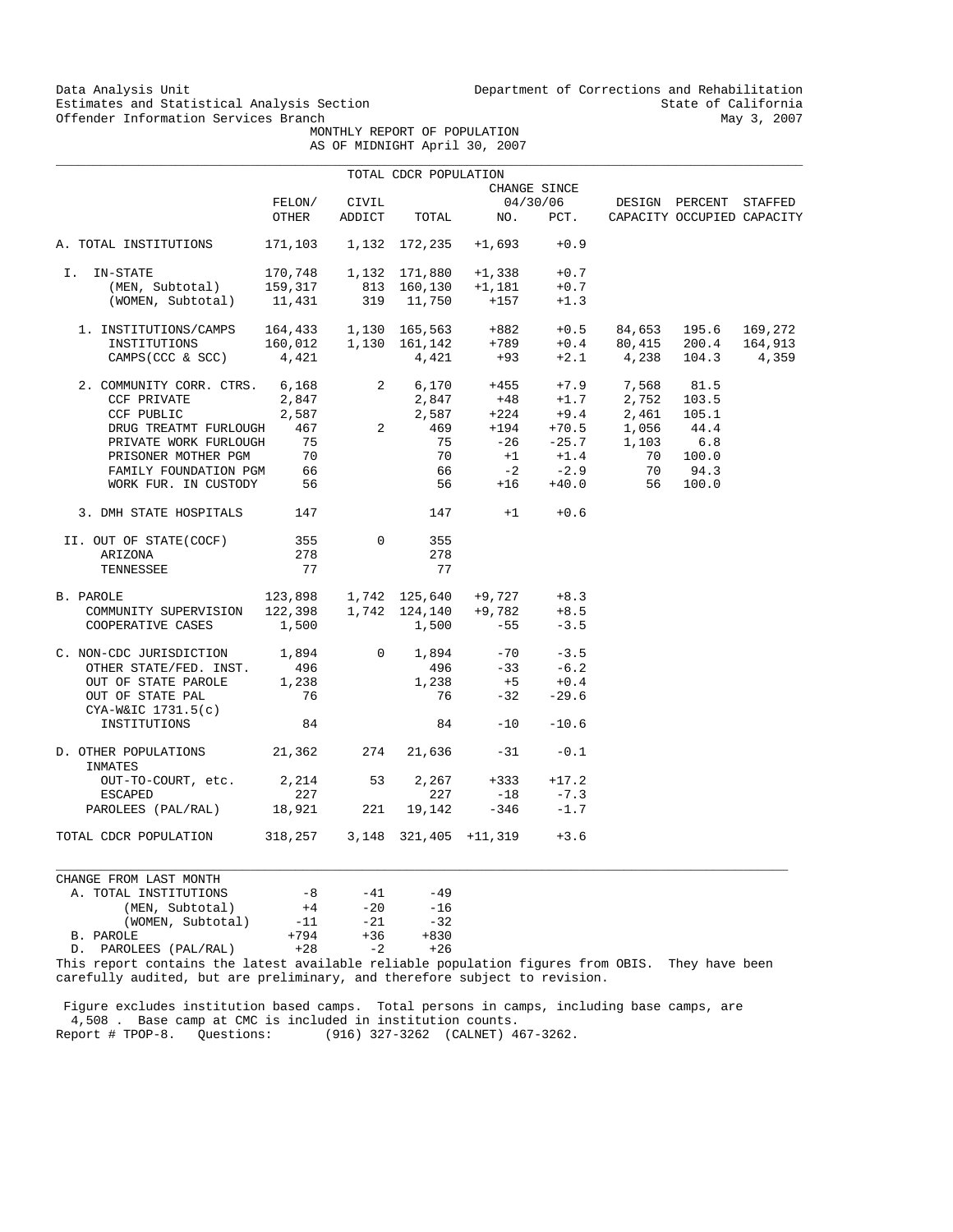Data Analysis Unit Unit Department of Corrections and Rehabilitation<br>Estimates and Statistical Analysis Section State of California Estimates and Statistical Analysis Section<br>
Offender Information Services Branch<br>
May 3, 2007

 MONTHLY REPORT OF POPULATION AS OF MIDNIGHT April 30, 2007

|                                                          |                                         |                | TOTAL CDCR POPULATION |                                                                                                                                                       |              |                              |                            |         |
|----------------------------------------------------------|-----------------------------------------|----------------|-----------------------|-------------------------------------------------------------------------------------------------------------------------------------------------------|--------------|------------------------------|----------------------------|---------|
|                                                          |                                         |                |                       |                                                                                                                                                       | CHANGE SINCE |                              |                            |         |
|                                                          | FELON/                                  | CIVIL          |                       |                                                                                                                                                       | 04/30/06     |                              | DESIGN PERCENT STAFFED     |         |
|                                                          | OTHER                                   | ADDICT         | TOTAL                 | NO.                                                                                                                                                   | PCT.         |                              | CAPACITY OCCUPIED CAPACITY |         |
| A. TOTAL INSTITUTIONS                                    |                                         |                | 171,103 1,132 172,235 | $+1,693$                                                                                                                                              | $+0.9$       |                              |                            |         |
| IN-STATE<br>I.                                           |                                         |                |                       | 170,748  1,132  171,880  +1,338                                                                                                                       | $+0.7$       |                              |                            |         |
| (MEN, Subtotal)                                          |                                         |                |                       |                                                                                                                                                       | $+0.7$       |                              |                            |         |
| (WOMEN, Subtotal)                                        |                                         |                |                       | 159,317 813 160,130 +1,181<br>11,431 319 11,750 +157                                                                                                  | $+1.3$       |                              |                            |         |
| 1. INSTITUTIONS/CAMPS   164,433   1,130   165,563   +882 |                                         |                |                       |                                                                                                                                                       | $+0.5$       |                              | 84,653 195.6               | 169,272 |
| INSTITUTIONS                                             |                                         |                |                       |                                                                                                                                                       | $+0.4$       |                              | 80,415 200.4               | 164,913 |
| CAMPS (CCC & SCC)                                        | 4,421                                   |                |                       | 160,012   1,130   161,142   +789<br>4,421   4,421   +93                                                                                               |              | $+2.1$ 4,238 104.3           |                            | 4,359   |
| 2. COMMUNITY CORR. CTRS. 6,168                           |                                         | $\overline{2}$ |                       |                                                                                                                                                       |              | $6,170 +455 +7.9$ 7,568 81.5 |                            |         |
| CCF PRIVATE                                              | 2,847                                   |                |                       |                                                                                                                                                       |              | $+1.7$ 2,752 103.5           |                            |         |
| CCF PUBLIC                                               | 2,587                                   | $\overline{a}$ |                       | $\begin{array}{cccc} 2,847 & +48 & +1.7 & 2,752 \\ 2,587 & +224 & +9.4 & 2,461 \\ 469 & +194 & +70.5 & 1,056 \\ 75 & -26 & -25.7 & 1,103 \end{array}$ |              | 2,461 105.1                  |                            |         |
| DRUG TREATMT FURLOUGH                                    | 467                                     |                |                       |                                                                                                                                                       |              |                              | 44.4                       |         |
| PRIVATE WORK FURLOUGH                                    | 75                                      |                |                       |                                                                                                                                                       |              |                              | 6.8                        |         |
| PRISONER MOTHER PGM                                      | $\begin{array}{c} 70 \\ 66 \end{array}$ |                | 70                    |                                                                                                                                                       | $+1$ $+1.4$  | 70                           | 100.0                      |         |
| FAMILY FOUNDATION PGM                                    |                                         |                | 66                    | $-2$                                                                                                                                                  | $-2.9$       | 70                           | 94.3                       |         |
| WORK FUR. IN CUSTODY 56                                  |                                         |                |                       | $+16$<br>56 10                                                                                                                                        | $+40.0$      | 56                           | 100.0                      |         |
| 3. DMH STATE HOSPITALS                                   | 147                                     |                |                       | $147 + 1$                                                                                                                                             | $+0.6$       |                              |                            |         |
| II. OUT OF STATE(COCF)                                   | 355                                     | $\mathbf 0$    | 355                   |                                                                                                                                                       |              |                              |                            |         |
| ARIZONA                                                  | 278                                     |                | 278                   |                                                                                                                                                       |              |                              |                            |         |
| TENNESSEE                                                | 77                                      |                | 77                    |                                                                                                                                                       |              |                              |                            |         |
| B. PAROLE                                                |                                         |                |                       | $123,898$ 1,742 125,640 +9,727 +8.3                                                                                                                   |              |                              |                            |         |
| COMMUNITY SUPERVISION                                    |                                         |                |                       | $122,398$ 1,742 124,140 +9,782                                                                                                                        | $+8.5$       |                              |                            |         |
| COOPERATIVE CASES                                        | 1,500                                   |                | 1,500                 | $-55$                                                                                                                                                 | $-3.5$       |                              |                            |         |
| C. NON-CDC JURISDICTION 1,894                            |                                         | $\overline{0}$ | 1,894                 | $-70$                                                                                                                                                 | $-3.5$       |                              |                            |         |
| OTHER STATE/FED. INST.                                   | 496                                     |                | 496                   | $-33$                                                                                                                                                 | $-6.2$       |                              |                            |         |
| OUT OF STATE PAROLE                                      | 1,238                                   |                | 1,238                 | $+5$                                                                                                                                                  | $+0.4$       |                              |                            |         |
| OUT OF STATE PAL<br>$CYA-W&IC$ 1731.5(c)                 | 76                                      |                | 76                    | $-32$                                                                                                                                                 | $-29.6$      |                              |                            |         |
| INSTITUTIONS                                             | 84                                      |                | 84                    | $-10$                                                                                                                                                 | $-10.6$      |                              |                            |         |
| D. OTHER POPULATIONS 21,362<br>INMATES                   |                                         | 274            | 21,636                | $-31$                                                                                                                                                 | $-0.1$       |                              |                            |         |
| OUT-TO-COURT, etc.                                       | 2,214 53                                |                | 2,267                 | $+333$                                                                                                                                                | $+17.2$      |                              |                            |         |
| <b>ESCAPED</b>                                           | 227                                     |                | 227                   | $-18$                                                                                                                                                 | $-7.3$       |                              |                            |         |
| PAROLEES (PAL/RAL) 18,921                                |                                         | 221            | 19,142                | $-346$                                                                                                                                                | $-1.7$       |                              |                            |         |
| TOTAL CDCR POPULATION                                    | 318,257 3,148 321,405 +11,319           |                |                       |                                                                                                                                                       | $+3.6$       |                              |                            |         |

CHANGE FROM LAST MONTH A. TOTAL INSTITUTIONS  $-8$   $-41$   $-49$ <br>(MEN, Subtotal)  $+4$   $-20$   $-16$ (MEN, Subtotal)  $+4$  -20 -16<br>(WOMEN, Subtotal) -11 -21 -32 (WOMEN, Subtotal)  $-11$   $-21$   $-32$ <br>  $+794$   $+36$   $+830$  B. PAROLE +794 +36 +830 D. PAROLEES (PAL/RAL)

This report contains the latest available reliable population figures from OBIS. They have been carefully audited, but are preliminary, and therefore subject to revision.

 $\_$  ,  $\_$  ,  $\_$  ,  $\_$  ,  $\_$  ,  $\_$  ,  $\_$  ,  $\_$  ,  $\_$  ,  $\_$  ,  $\_$  ,  $\_$  ,  $\_$  ,  $\_$  ,  $\_$  ,  $\_$  ,  $\_$  ,  $\_$  ,  $\_$  ,  $\_$  ,  $\_$  ,  $\_$  ,  $\_$  ,  $\_$  ,  $\_$  ,  $\_$  ,  $\_$  ,  $\_$  ,  $\_$  ,  $\_$  ,  $\_$  ,  $\_$  ,  $\_$  ,  $\_$  ,  $\_$  ,  $\_$  ,  $\_$  ,

 Figure excludes institution based camps. Total persons in camps, including base camps, are 4,508 . Base camp at CMC is included in institution counts. Report # TPOP-8. Questions: (916) 327-3262 (CALNET) 467-3262.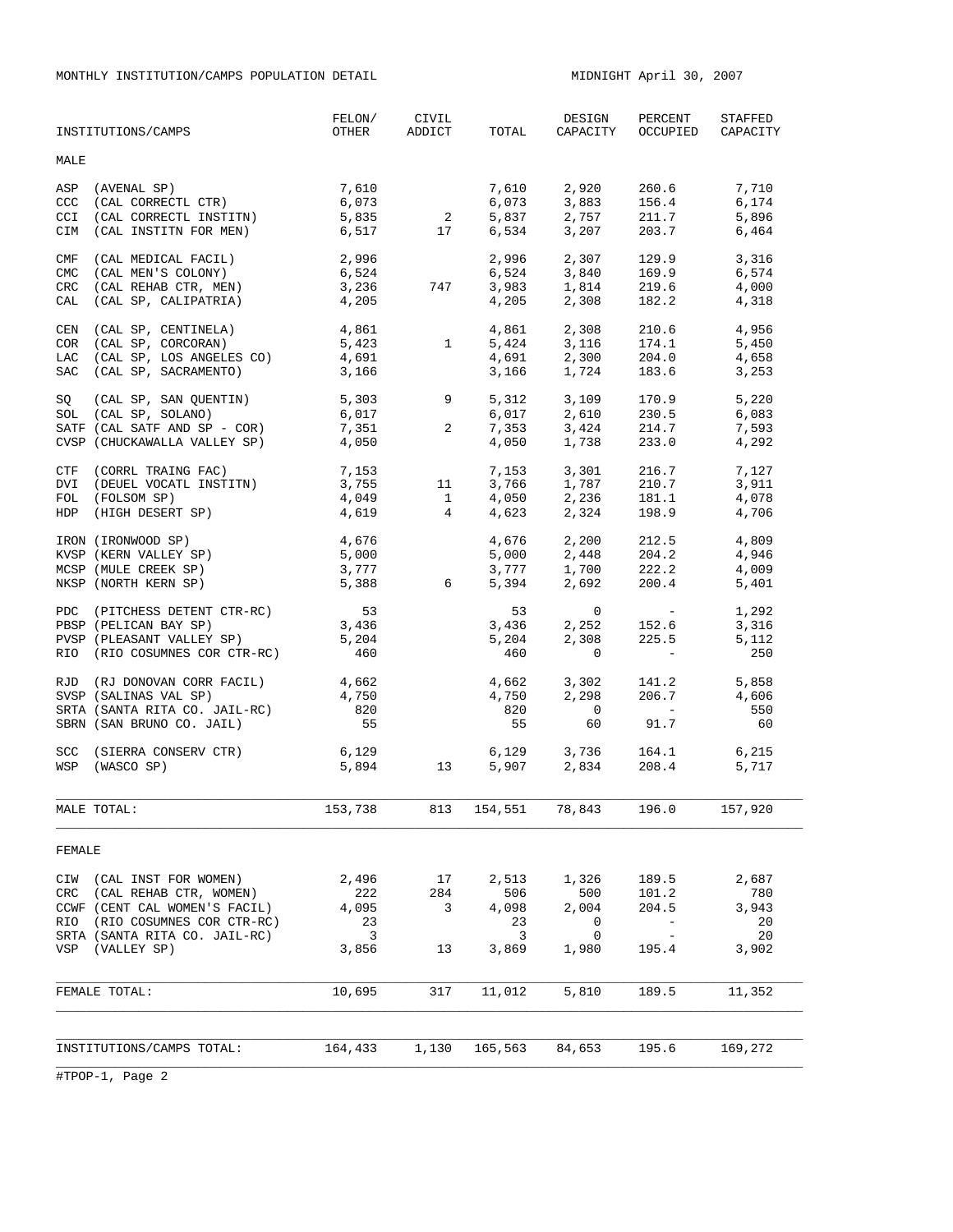MONTHLY INSTITUTION/CAMPS POPULATION DETAIL MIDNIGHT April 30, 2007

|                                 | INSTITUTIONS/CAMPS                                                                                                                                                   | FELON/<br>OTHER                                                 | CIVIL<br>ADDICT      | TOTAL                                     | DESIGN<br>CAPACITY                                          | PERCENT<br>OCCUPIED                                                                              | STAFFED<br>CAPACITY                        |
|---------------------------------|----------------------------------------------------------------------------------------------------------------------------------------------------------------------|-----------------------------------------------------------------|----------------------|-------------------------------------------|-------------------------------------------------------------|--------------------------------------------------------------------------------------------------|--------------------------------------------|
| MALE                            |                                                                                                                                                                      |                                                                 |                      |                                           |                                                             |                                                                                                  |                                            |
| ASP<br>CCC<br>CCI<br>CIM        | (AVENAL SP)<br>(CAL CORRECTL CTR)<br>(CAL CORRECTL INSTITN)<br>(CAL INSTITN FOR MEN)                                                                                 | 7,610<br>6,073<br>5,835<br>6,517                                | $\overline{a}$<br>17 | 7,610<br>6,073<br>5,837<br>6,534          | 2,920<br>3,883<br>2,757<br>3,207                            | 260.6<br>156.4<br>211.7<br>203.7                                                                 | 7,710<br>6,174<br>5,896<br>6,464           |
| CMF<br><b>CMC</b><br><b>CRC</b> | (CAL MEDICAL FACIL)<br>(CAL MEN'S COLONY)<br>(CAL REHAB CTR, MEN)<br>CAL (CAL SP, CALIPATRIA)                                                                        | 2,996<br>6,524<br>3,236<br>4,205                                | 747                  | 2,996<br>6,524<br>3,983<br>4,205          | 2,307<br>3,840<br>1,814<br>2,308                            | 129.9<br>169.9<br>219.6<br>182.2                                                                 | 3,316<br>6,574<br>4,000<br>4,318           |
| COR<br>LAC<br>SAC               | CEN (CAL SP, CENTINELA)<br>(CAL SP, CORCORAN)<br>(CAL SP, LOS ANGELES CO)<br>(CAL SP, SACRAMENTO)                                                                    | 4,861<br>5,423<br>4,691<br>3,166                                | 1                    | 4,861<br>5,424<br>4,691<br>3,166          | 2,308<br>3,116<br>2,300<br>1,724                            | 210.6<br>174.1<br>204.0<br>183.6                                                                 | 4,956<br>5,450<br>4,658<br>3,253           |
| SQ                              | (CAL SP, SAN QUENTIN)<br>SOL (CAL SP, SOLANO)<br>SATF (CAL SATF AND SP - COR)<br>CVSP (CHUCKAWALLA VALLEY SP)                                                        | 5,303<br>6,017<br>7,351<br>4,050                                | 9<br>2               | 5,312<br>6,017<br>7,353<br>4,050          | 3,109<br>2.610<br>3,424<br>1,738                            | 170.9<br>230.5<br>214.7<br>233.0                                                                 | 5,220<br>6,083<br>7,593<br>4,292           |
|                                 | CTF (CORRL TRAING FAC)<br>DVI (DEUEL VOCATL INSTITN)<br>FOL (FOLSOM SP)<br>HDP (HIGH DESERT SP)                                                                      | 7,153<br>3,755<br>4,049<br>4,619                                | 11<br>$\frac{1}{4}$  | 7,153<br>3,766<br>4,050<br>4,623          | 3,301<br>$1,787$<br>2,236<br>2,324                          | 216.7<br>210.7<br>181.1<br>198.9                                                                 | 7,127<br>3,911<br>4,078<br>4,706           |
|                                 | IRON (IRONWOOD SP)<br>KVSP (KERN VALLEY SP)<br>MCSP (MULE CREEK SP)<br>NKSP (NORTH KERN SP)                                                                          | 4,676<br>5,000<br>3,777<br>5,388                                | 6                    | 4,676<br>5,000<br>3,777<br>5,394          | 2,200<br>2,448<br>$1,700$ 222.2<br>2,692                    | 212.5<br>204.2<br>200.4                                                                          | 4,809<br>4,946<br>4,009<br>5,401           |
|                                 | PDC (PITCHESS DETENT CTR-RC)<br>PBSP (PELICAN BAY SP)<br>PVSP (PLEASANT VALLEY SP)<br>RIO (RIO COSUMNES COR CTR-RC)                                                  | 53<br>3,436<br>5,204<br>460                                     |                      | 53<br>3,436<br>5,204<br>460               | $\mathbf{0}$<br>2,252<br>2,308<br>$\mathbf 0$               | $\mathcal{L}_{\rm{max}}$ and $\mathcal{L}_{\rm{max}}$<br>152.6<br>225.5<br>$\sim 1000$ m $^{-1}$ | 1,292<br>3,316<br>5,112<br>250             |
|                                 | RJD (RJ DONOVAN CORR FACIL)<br>SVSP (SALINAS VAL SP)<br>SRTA (SANTA RITA CO. JAIL-RC)<br>SBRN (SAN BRUNO CO. JAIL)                                                   | 4,662<br>4,750<br>820<br>55                                     |                      | 4,662<br>4,750<br>820<br>55               | 3,302<br>2,298<br>$\overline{0}$<br>60                      | 141.2<br>206.7<br><b>Contract Contract</b><br>91.7                                               | 5,858<br>4,606<br>550<br>60                |
|                                 | SCC (SIERRA CONSERV CTR)<br>WSP (WASCO SP)                                                                                                                           | 6,129<br>5,894                                                  | 13                   | 5,907                                     | $6,129$ $3,736$ $164.1$<br>$5.907$ $2.834$ $208.4$<br>2,834 | 208.4                                                                                            | 6,215<br>5,717                             |
|                                 | MALE TOTAL:                                                                                                                                                          | 153,738                                                         | 813                  | 154,551 78,843                            |                                                             | 196.0                                                                                            | 157,920                                    |
| FEMALE                          |                                                                                                                                                                      |                                                                 |                      |                                           |                                                             |                                                                                                  |                                            |
| CRC<br>RIO                      | CIW (CAL INST FOR WOMEN)<br>(CAL REHAB CTR, WOMEN)<br>CCWF (CENT CAL WOMEN'S FACIL)<br>(RIO COSUMNES COR CTR-RC)<br>SRTA (SANTA RITA CO. JAIL-RC)<br>VSP (VALLEY SP) | 2,496<br>222<br>4,095<br>23<br>$\overline{\mathbf{3}}$<br>3,856 | 17<br>284<br>3<br>13 | 2,513<br>506<br>4,098<br>23<br>3<br>3,869 | 1,326<br>500<br>2,004<br>0<br>0<br>1,980                    | 189.5<br>101.2<br>204.5<br>$-$<br>195.4                                                          | 2,687<br>780<br>3,943<br>20<br>20<br>3,902 |
|                                 | FEMALE TOTAL:                                                                                                                                                        | 10,695                                                          | 317                  | 11,012                                    | 5,810                                                       | 189.5                                                                                            | 11,352                                     |
|                                 |                                                                                                                                                                      |                                                                 |                      |                                           |                                                             |                                                                                                  |                                            |
|                                 | INSTITUTIONS/CAMPS TOTAL:                                                                                                                                            | 164,433                                                         | 1,130                | 165,563                                   | 84,653                                                      | 195.6                                                                                            | 169,272                                    |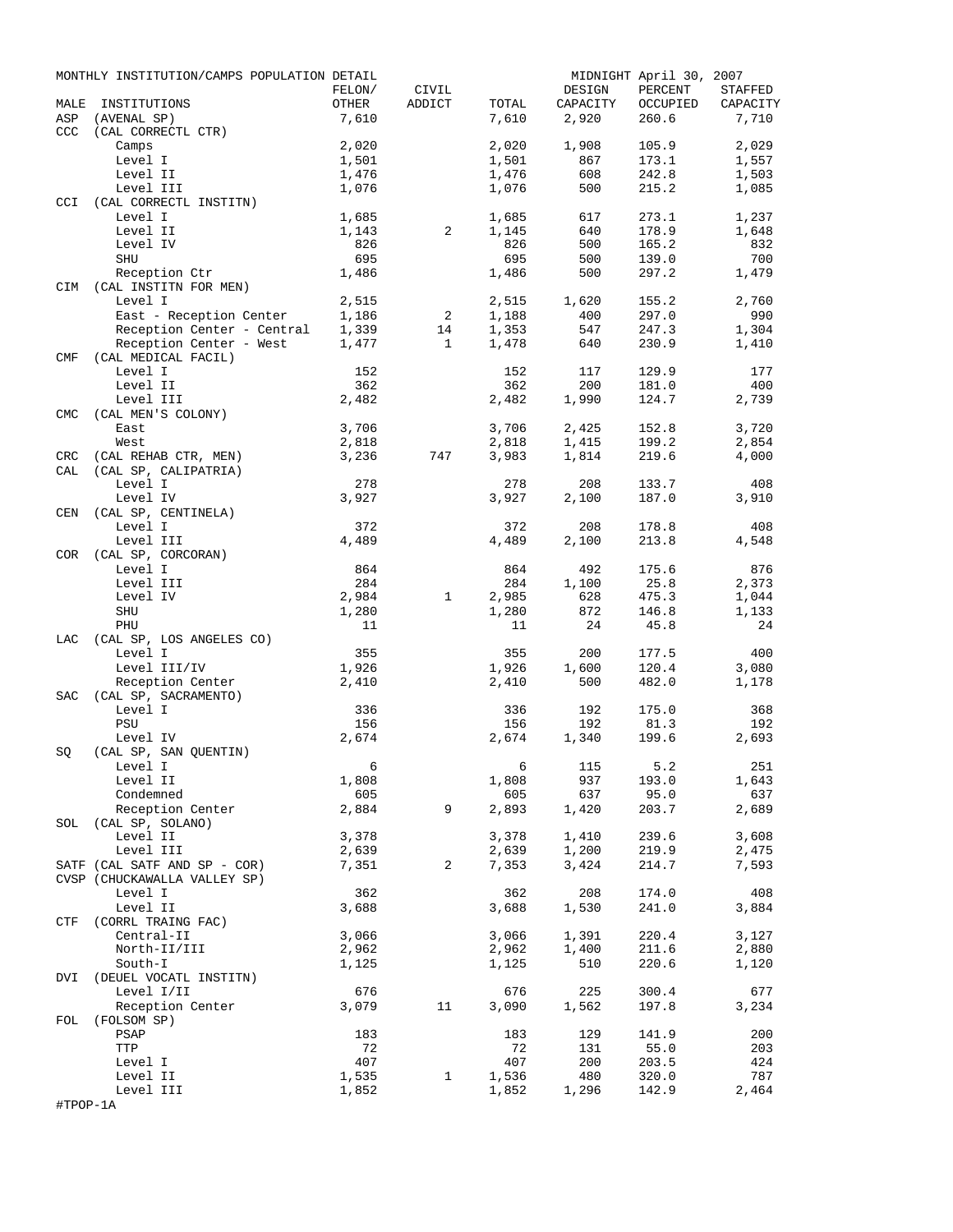|            | MONTHLY INSTITUTION/CAMPS POPULATION DETAIL |                 |              |              |           | MIDNIGHT April 30, 2007 |            |
|------------|---------------------------------------------|-----------------|--------------|--------------|-----------|-------------------------|------------|
|            |                                             | FELON/          | CIVIL        |              | DESIGN    | PERCENT                 | STAFFED    |
| MALE       | INSTITUTIONS                                | OTHER           | ADDICT       | TOTAL        | CAPACITY  | OCCUPIED                | CAPACITY   |
| ASP<br>CCC | (AVENAL SP)<br>(CAL CORRECTL CTR)           | 7,610           |              | 7,610        | 2,920     | 260.6                   | 7,710      |
|            | Camps                                       | 2,020           |              | 2,020        | 1,908     | 105.9                   | 2,029      |
|            | Level I                                     | 1,501           |              | 1,501        | 867       | 173.1                   | 1,557      |
|            | Level II                                    | 1,476           |              | 1,476        | 608       | 242.8                   | 1,503      |
|            | Level III                                   | 1,076           |              | 1,076        | 500       | 215.2                   | 1,085      |
| <b>CCI</b> | (CAL CORRECTL INSTITN)                      |                 |              |              |           |                         |            |
|            | Level I                                     | 1,685           |              | 1,685        | 617       | 273.1                   | 1,237      |
|            | Level II                                    | 1,143           | 2            | 1,145        | 640       | 178.9                   | 1,648      |
|            | Level IV                                    | 826             |              | 826          | 500       | 165.2                   | 832        |
|            | SHU                                         | 695             |              | 695          | 500       | 139.0                   | 700        |
|            | Reception Ctr                               | 1,486           |              | 1,486        | 500       | 297.2                   | 1,479      |
|            | CIM (CAL INSTITN FOR MEN)                   |                 |              |              |           |                         |            |
|            | Level I                                     | 2,515           |              | 2,515        | 1,620     | 155.2                   | 2,760      |
|            | East - Reception Center                     | 1,186           | 2            | 1,188        | 400       | 297.0                   | 990        |
|            | Reception Center - Central                  | 1,339           | 14           | 1,353        | 547       | 247.3                   | 1,304      |
|            | Reception Center - West                     | 1,477           | $\mathbf{1}$ | 1,478        | 640       | 230.9                   | 1,410      |
| CMF        | (CAL MEDICAL FACIL)                         |                 |              |              |           |                         |            |
|            | Level I                                     | 152             |              | 152          | 117       | 129.9                   | 177        |
|            | Level II                                    | 362<br>2,482    |              | 362<br>2,482 | 200       | 181.0<br>124.7          | 400        |
| <b>CMC</b> | Level III<br>(CAL MEN'S COLONY)             |                 |              |              | 1,990     |                         | 2,739      |
|            | East                                        | 3,706           |              | 3,706        | 2,425     | 152.8                   | 3,720      |
|            | West                                        | 2,818           |              | 2,818        | 1,415     | 199.2                   | 2,854      |
| <b>CRC</b> | (CAL REHAB CTR, MEN)                        | 3,236           | 747          | 3,983        | 1,814     | 219.6                   | 4,000      |
| CAL        | (CAL SP, CALIPATRIA)                        |                 |              |              |           |                         |            |
|            | Level I                                     | 278             |              | 278          | 208       | 133.7                   | 408        |
|            | Level IV                                    | 3,927           |              | 3,927        | 2,100     | 187.0                   | 3,910      |
| CEN        | (CAL SP, CENTINELA)                         |                 |              |              |           |                         |            |
|            | Level I                                     | 372             |              | 372          | 208       | 178.8                   | 408        |
|            | Level III                                   | 4,489           |              | 4,489        | 2,100     | 213.8                   | 4,548      |
| COR        | (CAL SP, CORCORAN)                          |                 |              |              |           |                         |            |
|            | Level I                                     | 864             |              | 864          | 492       | 175.6                   | 876        |
|            | Level III                                   | 284             |              | 284          | 1,100     | 25.8                    | 2,373      |
|            | Level IV                                    | 2,984           | $\mathbf{1}$ | 2,985        | 628       | 475.3                   | 1,044      |
|            | SHU                                         | 1,280           |              | 1,280        | 872       | 146.8                   | 1,133      |
|            | PHU                                         | 11              |              | 11           | 24        | 45.8                    | 24         |
| LAC        | (CAL SP, LOS ANGELES CO)                    |                 |              |              |           |                         |            |
|            | Level I                                     | 355             |              | 355          | 200       | 177.5                   | 400        |
|            | Level III/IV                                | 1,926           |              | 1,926        | 1,600     | 120.4                   | 3,080      |
|            | Reception Center                            | 2,410           |              | 2,410        | 500       | 482.0                   | 1,178      |
| SAC        | (CAL SP, SACRAMENTO)                        |                 |              |              | 192       |                         |            |
|            | Level I<br>PSU                              | 336<br>156      |              | 336<br>156   | 192       | 175.0<br>81.3           | 368<br>192 |
|            | Level IV                                    | 2,674           |              | 2,674        | 1,340     | 199.6                   | 2,693      |
| SQ         | (CAL SP, SAN OUENTIN)                       |                 |              |              |           |                         |            |
|            | Level I                                     | $6\overline{6}$ |              |              | 6 115 5.2 |                         | 251        |
|            | Level II                                    | 1,808           |              | 1,808        | 937       | 193.0                   | 1,643      |
|            | Condemned                                   | 605             |              | 605          | 637       | 95.0                    | 637        |
|            | Reception Center                            | 2,884           | 9            | 2,893        | 1,420     | 203.7                   | 2,689      |
|            | SOL (CAL SP, SOLANO)                        |                 |              |              |           |                         |            |
|            | Level II                                    | 3,378           |              | 3,378        | 1,410     | 239.6                   | 3,608      |
|            | Level III                                   | 2,639           |              | 2,639        | 1,200     | 219.9                   | 2,475      |
|            | SATF (CAL SATF AND SP - COR)                | 7,351           | 2            | 7,353        | 3,424     | 214.7                   | 7,593      |
|            | CVSP (CHUCKAWALLA VALLEY SP)                |                 |              |              |           |                         |            |
|            | Level I                                     | 362             |              | 362          | 208       | 174.0                   | 408        |
|            | Level II                                    | 3,688           |              | 3,688        | 1,530     | 241.0                   | 3,884      |
|            | CTF (CORRL TRAING FAC)                      |                 |              |              |           |                         |            |
|            | Central-II                                  | 3,066           |              | 3,066        | 1,391     | 220.4                   | 3,127      |
|            | North-II/III                                | 2,962           |              | 2,962        | 1,400     | 211.6                   | 2,880      |
|            | South-I                                     | 1,125           |              | 1,125        | 510       | 220.6                   | 1,120      |
|            | DVI (DEUEL VOCATL INSTITN)                  |                 |              |              |           |                         |            |
|            | Level I/II                                  | 676             |              | 676          | 225       | 300.4                   | 677        |
|            | Reception Center                            | 3,079           | 11           | 3,090        | 1,562     | 197.8                   | 3,234      |
|            | FOL (FOLSOM SP)<br>PSAP                     | 183             |              | 183          | 129       | 141.9                   | 200        |
|            | TTP                                         | 72              |              | 72           | 131       | 55.0                    | 203        |
|            | Level I                                     | 407             |              | 407          | 200       | 203.5                   | 424        |
|            | Level II                                    | 1,535           | $\mathbf{1}$ | 1,536        | 480       | 320.0                   | 787        |
|            | Level III                                   | 1,852           |              | 1,852        | 1,296     | 142.9                   | 2,464      |
| #TPOP-1A   |                                             |                 |              |              |           |                         |            |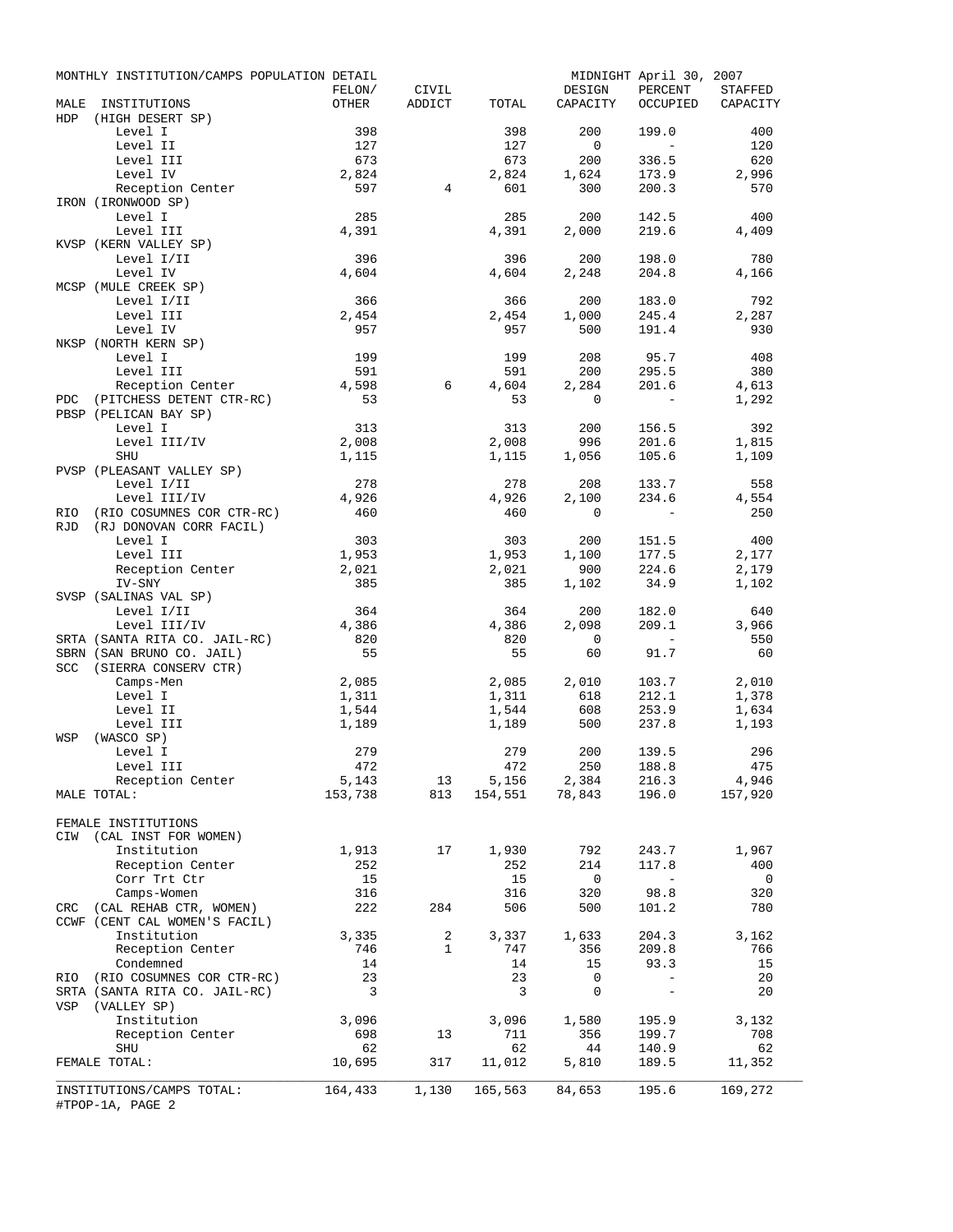|            | MONTHLY INSTITUTION/CAMPS POPULATION DETAIL           |                         |                                |                      |                    | MIDNIGHT April 30, 2007  |                              |
|------------|-------------------------------------------------------|-------------------------|--------------------------------|----------------------|--------------------|--------------------------|------------------------------|
| MALE       | INSTITUTIONS                                          | FELON/<br>OTHER         | CIVIL<br>ADDICT                | TOTAL                | DESIGN<br>CAPACITY | PERCENT                  | STAFFED<br>OCCUPIED CAPACITY |
| HDP        | (HIGH DESERT SP)                                      |                         |                                |                      |                    |                          |                              |
|            | Level I                                               | 398                     |                                | 398                  | 200                | 199.0                    | 400                          |
|            | Level II                                              | 127                     |                                | 127                  | $\overline{0}$     | $\sim$ $ \sim$           | 120                          |
|            | Level III                                             | 673                     |                                | 673                  | 200                | 336.5                    | 620                          |
|            | Level IV<br>Reception Center                          | 2,824<br>597            | $\overline{4}$                 | 2,824<br>601         | 1,624<br>300       | 173.9<br>200.3           | 2,996<br>570                 |
|            | IRON (IRONWOOD SP)                                    |                         |                                |                      |                    |                          |                              |
|            | Level I                                               | 285                     |                                | 285                  | 200                | 142.5                    | 400                          |
|            | Level III                                             | 4,391                   |                                | 4,391                | 2,000              | 219.6                    | 4,409                        |
|            | KVSP (KERN VALLEY SP)                                 |                         |                                |                      |                    |                          |                              |
|            | Level I/II                                            | 396                     |                                | 396                  | 200                | 198.0                    | 780                          |
|            | Level IV<br>MCSP (MULE CREEK SP)                      | 4,604                   |                                | 4,604                | 2,248              | 204.8                    | 4,166                        |
|            | Level I/II                                            | 366                     |                                | 366                  | 200                | 183.0                    | 792                          |
|            | Level III                                             | 2,454                   |                                | 2,454                | 1,000              | 245.4                    | 2,287                        |
|            | Level IV                                              | 957                     |                                | 957                  | 500                | 191.4                    | 930                          |
|            | NKSP (NORTH KERN SP)                                  |                         |                                |                      |                    |                          |                              |
|            | Level I<br>Level III                                  | 199<br>591              |                                | 199<br>591           | 208<br>200         | 95.7<br>295.5            | 408<br>380                   |
|            | Reception Center                                      | 4,598                   | 6                              | 4,604                | 2,284              | 201.6                    | 4,613                        |
| <b>PDC</b> | (PITCHESS DETENT CTR-RC)                              | 53                      |                                | 53                   | $\circ$            | $\sim$ $-$               | 1,292                        |
|            | PBSP (PELICAN BAY SP)                                 |                         |                                |                      |                    |                          |                              |
|            | Level I                                               | 313                     |                                | 313                  | 200                | 156.5                    | 392                          |
|            | Level III/IV                                          | 2,008                   |                                | 2,008                | 996                | 201.6                    | 1,815                        |
|            | SHU<br>PVSP (PLEASANT VALLEY SP)                      | 1,115                   |                                | 1,115                | 1,056              | 105.6                    | 1,109                        |
|            | Level I/II                                            | 278                     |                                | 278                  | 208                | 133.7                    | 558                          |
|            | Level III/IV                                          | 4,926                   |                                | 4,926                | 2,100              | 234.6                    | 4,554                        |
| RIO        | (RIO COSUMNES COR CTR-RC)                             | 460                     |                                | 460                  | $\Omega$           | $\sim$ $-$               | 250                          |
| RJD        | (RJ DONOVAN CORR FACIL)                               |                         |                                |                      |                    |                          |                              |
|            | Level I                                               | 303                     |                                | 303                  | 200                | 151.5                    | 400                          |
|            | Level III<br>Reception Center                         | 1,953<br>2,021          |                                | 1,953<br>2,021       | 1,100<br>900       | 177.5<br>224.6           | 2,177<br>2,179               |
|            | IV-SNY                                                | 385                     |                                | 385                  | 1,102              | 34.9                     | 1,102                        |
|            | SVSP (SALINAS VAL SP)                                 |                         |                                |                      |                    |                          |                              |
|            | Level I/II                                            | 364                     |                                | 364                  | 200                | 182.0                    | 640                          |
|            | Level III/IV                                          | 4,386                   |                                | 4,386                | 2,098              | 209.1                    | 3,966                        |
|            | SRTA (SANTA RITA CO. JAIL-RC)                         | 820                     |                                | 820                  | $\overline{0}$     |                          | 550                          |
|            | SBRN (SAN BRUNO CO. JAIL)<br>SCC (SIERRA CONSERV CTR) | 55                      |                                | 55                   | 60                 | 91.7                     | 60                           |
|            | Camps-Men                                             | 2,085                   |                                | 2,085                | 2,010              | 103.7                    | 2,010                        |
|            | Level I                                               | 1,311                   |                                | 1,311                | 618                | 212.1                    | 1,378                        |
|            | Level II                                              | 1,544                   |                                | 1,544                | 608                | 253.9                    | 1,634                        |
|            | Level III                                             | 1,189                   |                                | 1,189                | 500                | 237.8                    | 1,193                        |
| WSP        | (WASCO SP)<br>Level I                                 | 279                     |                                | 279                  | 200                | 139.5                    | 296                          |
|            | Level III                                             | 472                     |                                | 472                  | 250                | 188.8                    | 475                          |
|            | Reception Center                                      | 5,143                   |                                | $13$ $5,156$ $2,384$ |                    | 216.3                    | 4,946                        |
|            | MALE TOTAL:                                           | 153,738                 | 813                            |                      | 154,551 78,843     | 196.0                    | 157,920                      |
|            |                                                       |                         |                                |                      |                    |                          |                              |
|            | FEMALE INSTITUTIONS                                   |                         |                                |                      |                    |                          |                              |
| CIW        | (CAL INST FOR WOMEN)<br>Institution                   | 1,913                   | 17                             | 1,930                | 792                | 243.7                    | 1,967                        |
|            | Reception Center                                      | 252                     |                                | 252                  | 214                | 117.8                    | 400                          |
|            | Corr Trt Ctr                                          | 15                      |                                | 15                   | $\overline{0}$     | $\sim$ $-$               | $\overline{\phantom{0}}$     |
|            | Camps-Women                                           | 316                     |                                | 316                  | 320                | 98.8                     | 320                          |
|            | CRC (CAL REHAB CTR, WOMEN)                            | 222                     | 284                            | 506                  | 500                | 101.2                    | 780                          |
|            | CCWF (CENT CAL WOMEN'S FACIL)                         |                         |                                |                      |                    |                          |                              |
|            | Institution                                           | 3,335                   | $\overline{a}$<br>$\mathbf{1}$ | 3,337                | 1,633              | 204.3                    | 3,162                        |
|            | Reception Center<br>Condemned                         | 746<br>14               |                                | 747<br>14            | 356<br>15          | 209.8<br>93.3            | 766<br>15                    |
| RIO        | (RIO COSUMNES COR CTR-RC)                             | 23                      |                                | 23                   | 0                  |                          | 20                           |
|            | SRTA (SANTA RITA CO. JAIL-RC)                         | $\overline{\mathbf{3}}$ |                                | 3                    | 0                  | $\overline{\phantom{a}}$ | 20                           |
| VSP        | (VALLEY SP)                                           |                         |                                |                      |                    |                          |                              |
|            | Institution                                           | 3,096                   |                                | 3,096                | 1,580              | 195.9                    | 3,132                        |
|            | Reception Center<br>SHU                               | 698<br>62               | 13                             | 711<br>62            | 356<br>44          | 199.7<br>140.9           | 708<br>62                    |
|            | FEMALE TOTAL:                                         | 10,695                  | 317                            | 11,012               | 5,810              | 189.5                    | 11,352                       |
|            |                                                       |                         |                                |                      |                    |                          |                              |
|            | INSTITUTIONS/CAMPS TOTAL:                             | 164,433                 | 1,130                          | 165,563              | 84,653             | 195.6                    | 169,272                      |
|            | #TPOP-1A, PAGE 2                                      |                         |                                |                      |                    |                          |                              |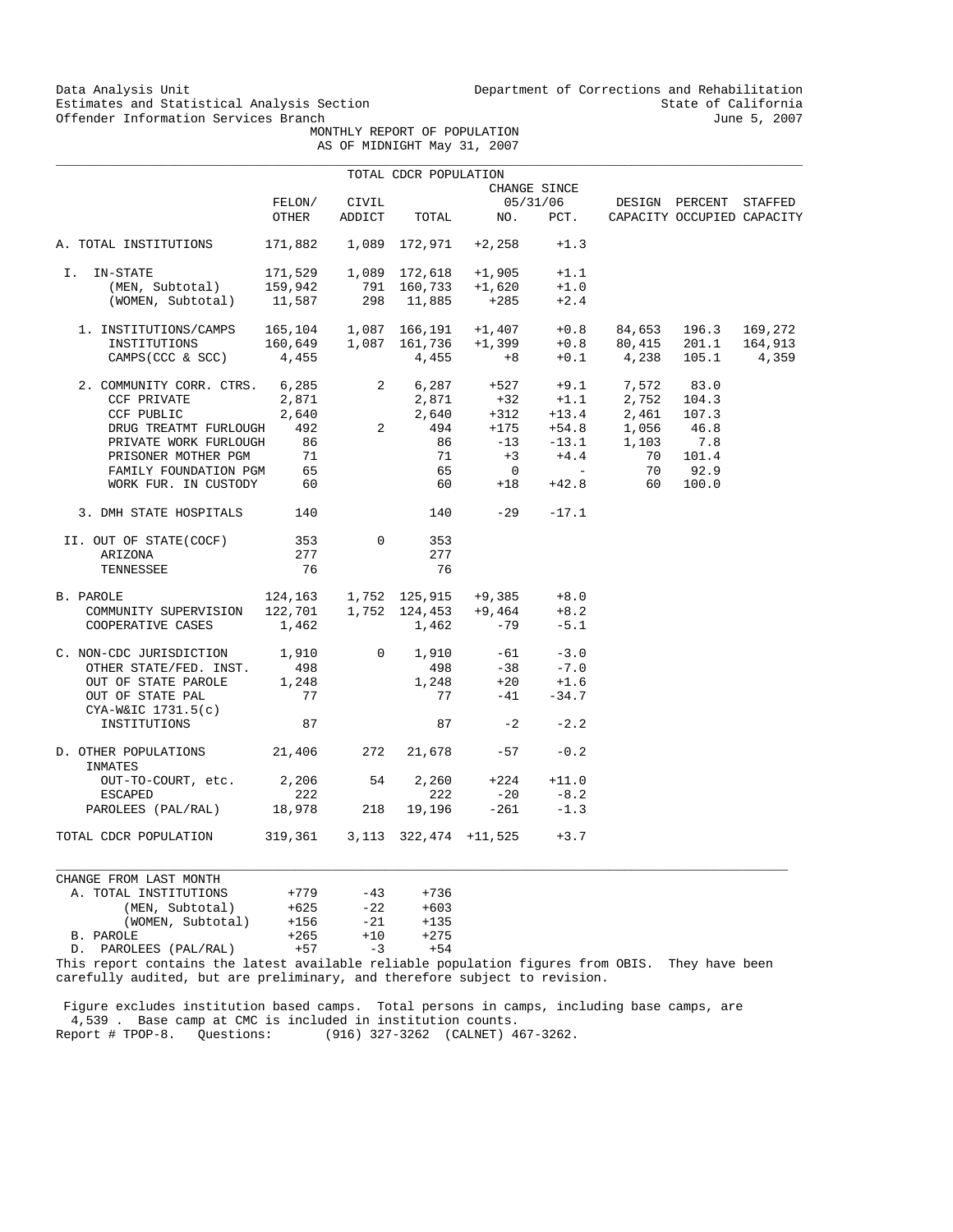Data Analysis Unit Unit Department of Corrections and Rehabilitation<br>Estimates and Statistical Analysis Section State of California Estimates and Statistical Analysis Section State of California<br>
Offender Information Services Branch State of California<br>
State of California

 MONTHLY REPORT OF POPULATION AS OF MIDNIGHT May 31, 2007

|                                                              |                 |                         | TOTAL CDCR POPULATION     |                                                                                                                                                                                                                 |                          |                            |                                              |         |
|--------------------------------------------------------------|-----------------|-------------------------|---------------------------|-----------------------------------------------------------------------------------------------------------------------------------------------------------------------------------------------------------------|--------------------------|----------------------------|----------------------------------------------|---------|
|                                                              |                 |                         |                           |                                                                                                                                                                                                                 | CHANGE SINCE             |                            |                                              |         |
|                                                              | FELON/<br>OTHER | CIVIL<br>ADDICT         | TOTAL                     | NO.                                                                                                                                                                                                             | 05/31/06<br>PCT.         |                            | DESIGN PERCENT<br>CAPACITY OCCUPIED CAPACITY | STAFFED |
|                                                              |                 |                         |                           |                                                                                                                                                                                                                 |                          |                            |                                              |         |
| A. TOTAL INSTITUTIONS                                        | 171,882         |                         | 1,089 172,971             | $+2,258$                                                                                                                                                                                                        | $+1.3$                   |                            |                                              |         |
| IN-STATE<br>I.                                               |                 |                         | 171,529   1,089   172,618 | $+1,905$                                                                                                                                                                                                        | $+1.1$                   |                            |                                              |         |
| (MEN, Subtotal)                                              | 159,942         |                         | 791 160,733               | $+1,620$                                                                                                                                                                                                        | $+1.0$                   |                            |                                              |         |
| (WOMEN, Subtotal)                                            | 11,587          |                         | 298 11,885                | $+285$                                                                                                                                                                                                          | $+2.4$                   |                            |                                              |         |
| 1. INSTITUTIONS/CAMPS  165,104  1,087  166,191  +1,407  +0.8 |                 |                         |                           |                                                                                                                                                                                                                 |                          |                            | 84,653 196.3                                 | 169,272 |
| INSTITUTIONS                                                 |                 |                         | 160,649 1,087 161,736     | $+1,399$                                                                                                                                                                                                        | $+0.8$                   |                            | 80,415 201.1                                 | 164,913 |
| CAMPS (CCC & SCC)                                            | 4,455           |                         | 4,455                     | $+8$                                                                                                                                                                                                            |                          | $+0.1$ 4,238 105.1         |                                              | 4,359   |
| 2. COMMUNITY CORR. CTRS. 6,285                               |                 | $\overline{\mathbf{2}}$ |                           | $6,287$ $+527$ $+9.1$ $7,572$ $83.0$                                                                                                                                                                            |                          |                            |                                              |         |
| CCF PRIVATE                                                  | 2,871           |                         |                           |                                                                                                                                                                                                                 |                          |                            |                                              |         |
| CCF PUBLIC                                                   | 2,640           |                         |                           |                                                                                                                                                                                                                 |                          |                            |                                              |         |
| DRUG TREATMT FURLOUGH                                        | 492             | $2^{\circ}$             |                           |                                                                                                                                                                                                                 |                          |                            |                                              |         |
| PRIVATE WORK FURLOUGH                                        | 86              |                         |                           | $\begin{array}{cccccc} 2,871 & & +32 & & +1.1 & & 2,752 & 104.3 \\ 2,640 & & +312 & & +13.4 & & 2,461 & 107.3 \\ 494 & & +175 & & +54.8 & & 1,056 & 46.8 \\ 86 & & -13 & & -13.1 & & 1,103 & & 7.8 \end{array}$ |                          | +54.8 1,056<br>-13.1 1,103 |                                              |         |
| PRISONER MOTHER PGM                                          | 71              |                         | 71                        | $+3$                                                                                                                                                                                                            | $+4.4$                   | 70                         | 101.4                                        |         |
| FAMILY FOUNDATION PGM                                        | 65              |                         | 65                        | $\overline{0}$                                                                                                                                                                                                  | <b>Contract Contract</b> | 70                         | 92.9                                         |         |
| WORK FUR. IN CUSTODY                                         | 60              |                         | 60                        | $+18$                                                                                                                                                                                                           | $+42.8$                  | 60                         | 100.0                                        |         |
| 3. DMH STATE HOSPITALS                                       | 140             |                         | 140                       | $-29$                                                                                                                                                                                                           | $-17.1$                  |                            |                                              |         |
| II. OUT OF STATE(COCF)                                       | 353             | $\Omega$                | 353                       |                                                                                                                                                                                                                 |                          |                            |                                              |         |
| ARIZONA                                                      | 277             |                         | 277                       |                                                                                                                                                                                                                 |                          |                            |                                              |         |
| TENNESSEE                                                    | 76              |                         | 76                        |                                                                                                                                                                                                                 |                          |                            |                                              |         |
| B. PAROLE                                                    |                 |                         |                           | $+9,385$ $+8.0$<br>$124,163 \qquad 1,752 \quad 125,915 \qquad +9,385$<br>$122,701 \qquad 1,752 \quad 124,453 \qquad +9,464$                                                                                     |                          |                            |                                              |         |
| COMMUNITY SUPERVISION                                        |                 |                         |                           |                                                                                                                                                                                                                 | $+8.2$                   |                            |                                              |         |
| COOPERATIVE CASES                                            | 1,462           |                         | 1,462                     | $-79$                                                                                                                                                                                                           | $-5.1$                   |                            |                                              |         |
| C. NON-CDC JURISDICTION                                      | 1,910           | $\mathbf{0}$            | 1,910                     | $-61$                                                                                                                                                                                                           | $-3.0$                   |                            |                                              |         |
| OTHER STATE/FED. INST.                                       | 498             |                         | 498                       | $-38$                                                                                                                                                                                                           | $-7.0$                   |                            |                                              |         |
| OUT OF STATE PAROLE                                          | 1,248           |                         | 1,248                     | $+20$                                                                                                                                                                                                           | $+1.6$                   |                            |                                              |         |
| OUT OF STATE PAL<br>$CYA-W&IC$ 1731.5(c)                     | 77              |                         | 77                        | $-41$                                                                                                                                                                                                           | $-34.7$                  |                            |                                              |         |
| INSTITUTIONS                                                 | 87              |                         | 87                        | $-2$                                                                                                                                                                                                            | $-2.2$                   |                            |                                              |         |
| D. OTHER POPULATIONS 21,406<br>INMATES                       |                 | 272                     | 21,678                    | $-57$                                                                                                                                                                                                           | $-0.2$                   |                            |                                              |         |
| OUT-TO-COURT, etc.                                           | 2,206           | 54                      | 2,260                     | $+224$                                                                                                                                                                                                          | $+11.0$                  |                            |                                              |         |
| <b>ESCAPED</b>                                               | 222             |                         | 222                       | $-20$                                                                                                                                                                                                           | $-8.2$                   |                            |                                              |         |
| PAROLEES (PAL/RAL)                                           | 18,978          | 218                     | 19,196                    | $-261$                                                                                                                                                                                                          | $-1.3$                   |                            |                                              |         |
| TOTAL CDCR POPULATION                                        | 319,361         |                         | 3,113 322,474 +11,525     |                                                                                                                                                                                                                 | $+3.7$                   |                            |                                              |         |
|                                                              |                 |                         |                           |                                                                                                                                                                                                                 |                          |                            |                                              |         |

CHANGE FROM LAST MONTH A. TOTAL INSTITUTIONS  $+779$   $-43$   $+736$ <br>(MEN, Subtotal)  $+625$   $-22$   $+603$  (MEN, Subtotal) +625 -22 +603 (WOMEN, Subtotal) +156 -21 +135 B. PAROLE +265 +10 +275 D. PAROLEES (PAL/RAL)

This report contains the latest available reliable population figures from OBIS. They have been carefully audited, but are preliminary, and therefore subject to revision.

 $\_$  ,  $\_$  ,  $\_$  ,  $\_$  ,  $\_$  ,  $\_$  ,  $\_$  ,  $\_$  ,  $\_$  ,  $\_$  ,  $\_$  ,  $\_$  ,  $\_$  ,  $\_$  ,  $\_$  ,  $\_$  ,  $\_$  ,  $\_$  ,  $\_$  ,  $\_$  ,  $\_$  ,  $\_$  ,  $\_$  ,  $\_$  ,  $\_$  ,  $\_$  ,  $\_$  ,  $\_$  ,  $\_$  ,  $\_$  ,  $\_$  ,  $\_$  ,  $\_$  ,  $\_$  ,  $\_$  ,  $\_$  ,  $\_$  ,

 Figure excludes institution based camps. Total persons in camps, including base camps, are 4,539 . Base camp at CMC is included in institution counts. Report # TPOP-8. Questions: (916) 327-3262 (CALNET) 467-3262.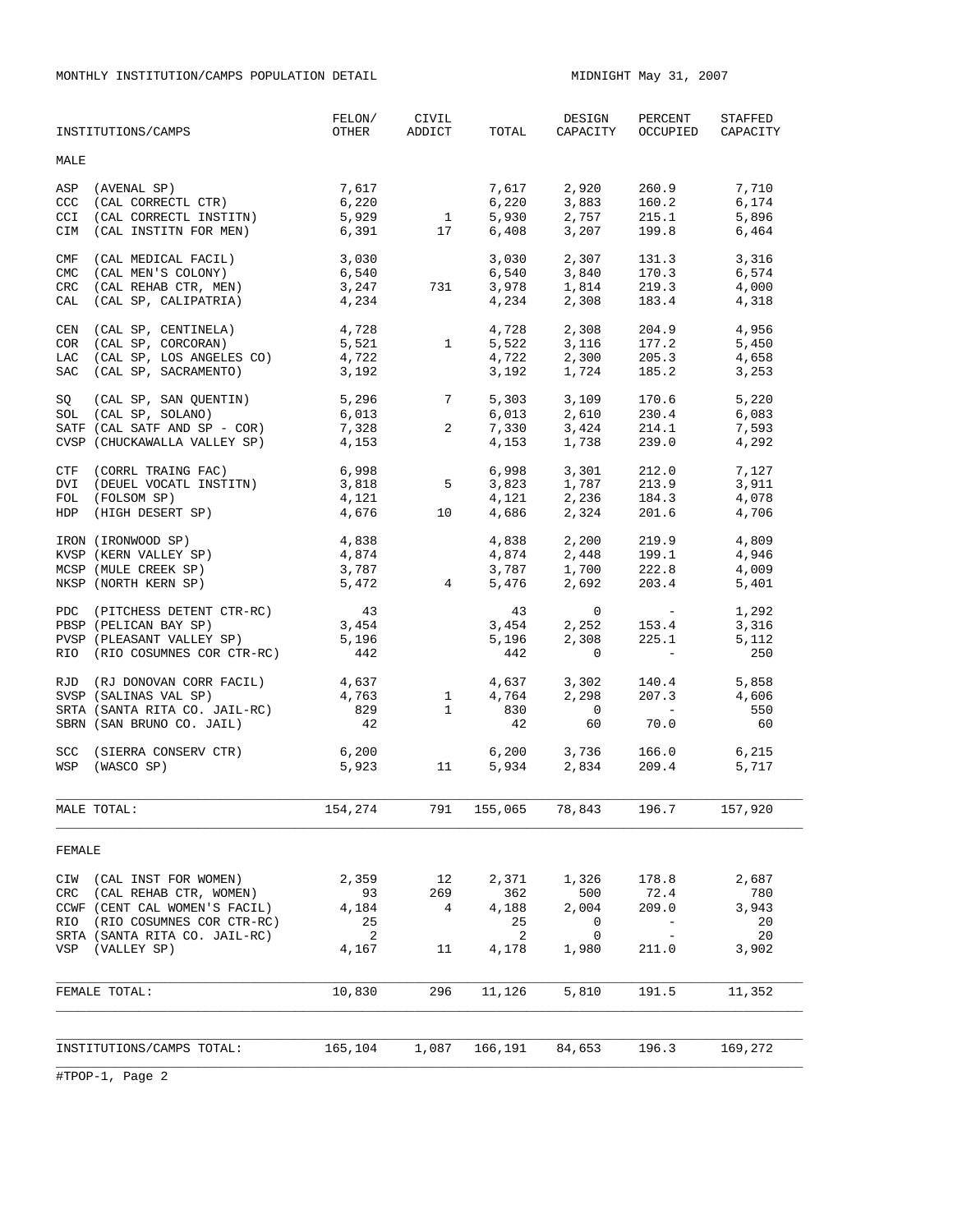MONTHLY INSTITUTION/CAMPS POPULATION DETAIL MIDNIGHT May 31, 2007

| INSTITUTIONS/CAMPS                                                                                                                                                                       | FELON/<br>OTHER                          | CIVIL<br>ADDICT      | TOTAL                                     | DESIGN<br>CAPACITY                                 | PERCENT<br>OCCUPIED                                                    | STAFFED<br>CAPACITY                        |
|------------------------------------------------------------------------------------------------------------------------------------------------------------------------------------------|------------------------------------------|----------------------|-------------------------------------------|----------------------------------------------------|------------------------------------------------------------------------|--------------------------------------------|
| <b>MALE</b>                                                                                                                                                                              |                                          |                      |                                           |                                                    |                                                                        |                                            |
| (AVENAL SP)<br>ASP<br>(CAL CORRECTL CTR)<br>CCC<br>(CAL CORRECTL INSTITN)<br><b>CCI</b><br>CIM<br>(CAL INSTITN FOR MEN)                                                                  | 7,617<br>6,220<br>5,929<br>6,391         | $\mathbf{1}$<br>17   | 7,617<br>6,220<br>5,930<br>6,408          | 2,920<br>3,883<br>2,757<br>3,207                   | 260.9<br>160.2<br>215.1<br>199.8                                       | 7,710<br>6,174<br>5,896<br>6,464           |
| CMF<br>(CAL MEDICAL FACIL)<br><b>CMC</b><br>(CAL MEN'S COLONY)<br>${\tt CRC}$<br>(CAL REHAB CTR, MEN)<br>(CAL SP, CALIPATRIA)<br>CAL                                                     | 3,030<br>6,540<br>3,247<br>4,234         | 731                  | 3,030<br>6,540<br>3,978<br>4,234          | 2,307<br>3,840<br>1,814<br>2,308                   | 131.3<br>170.3<br>219.3<br>183.4                                       | 3,316<br>6,574<br>4,000<br>4,318           |
| (CAL SP, CENTINELA)<br>CEN<br>(CAL SP, CORCORAN)<br>COR<br>(CAL SP, LOS ANGELES CO)<br>LAC<br>(CAL SP, SACRAMENTO)<br>SAC                                                                | 4,728<br>5,521<br>4,722<br>3,192         | 1                    | 4,728<br>5,522<br>4,722<br>3,192          | 2,308<br>3,116<br>2,300<br>1,724                   | 204.9<br>177.2<br>205.3<br>185.2                                       | 4,956<br>5,450<br>4,658<br>3,253           |
| SQ<br>(CAL SP, SAN QUENTIN)<br>SOL (CAL SP, SOLANO)<br>SATF (CAL SATF AND SP - COR)<br>CVSP (CHUCKAWALLA VALLEY SP)                                                                      | 5,296<br>6,013<br>7,328<br>4,153         | 7<br>2               | 5,303<br>6,013<br>7,330<br>4,153          | 3,109<br>2,610<br>$\frac{1}{3}$ , 424<br>1,738     | 170.6<br>230.4<br>214.1<br>239.0                                       | 5,220<br>6,083<br>7,593<br>4,292           |
| CTF (CORRL TRAING FAC)<br>DVI (DEUEL VOCATL INSTITN)<br>FOL<br>(FOLSOM SP)<br>HDP (HIGH DESERT SP)                                                                                       | 6,998<br>3,818<br>4,121<br>4,676         | 5<br>10              | 6,998<br>3 823<br>$4,121$<br>$4,686$      | 3,301<br>1,787<br>$\frac{1}{2}$ , 236<br>2,324     | 212.0<br>213.9<br>184.3<br>201.6                                       | 7,127<br>3,911<br>4,078<br>4,706           |
| IRON (IRONWOOD SP)<br>KVSP (KERN VALLEY SP)<br>MCSP (MULE CREEK SP)<br>NKSP (NORTH KERN SP)                                                                                              | 4,838<br>4,874<br>3,787<br>5,472         | $\overline{4}$       | 4,838<br>4,874<br>3,787<br>5,476          | 2,200<br>2,448<br>1,700<br>2,692                   | 219.9<br>199.1<br>222.8<br>203.4                                       | 4,809<br>4,946<br>4,009<br>5,401           |
| PDC (PITCHESS DETENT CTR-RC)<br>PBSP (PELICAN BAY SP)<br>PVSP (PLEASANT VALLEY SP)<br>RIO (RIO COSUMNES COR CTR-RC)                                                                      | 43<br>3,454<br>5,196<br>442              |                      | 43<br>3,454<br>5,196<br>442               | $\mathbf{0}$<br>2,252<br>2,308<br>$\circ$          | <b>Contract Contract</b><br>153.4<br>225.1<br><b>Contract Contract</b> | 1,292<br>3,316<br>5,112<br>250             |
| RJD (RJ DONOVAN CORR FACIL)<br>SVSP (SALINAS VAL SP)<br>SRTA (SANTA RITA CO. JAIL-RC)<br>SBRN (SAN BRUNO CO. JAIL)                                                                       | 4,637<br>4,763<br>829<br>42              | 1<br>$\mathbf{1}$    | 4,637<br>4,764<br>830<br>42               | 3,302<br>2,298<br>$\overline{0}$<br>60             | 140.4<br>207.3<br><b>Contract Contract</b><br>70.0                     | 5,858<br>4,606<br>550<br>60                |
| (SIERRA CONSERV CTR)<br><b>SCC</b><br>WSP (WASCO SP)                                                                                                                                     | 6,200<br>5,923                           | 11 \,                |                                           | $6,200$ $3,736$ $166.0$<br>$5,934$ $2,834$ $209.4$ |                                                                        | 6,215<br>5,717                             |
| MALE TOTAL:                                                                                                                                                                              | 154,274                                  | 791                  | 155,065                                   | 78,843                                             | 196.7                                                                  | 157,920                                    |
| FEMALE                                                                                                                                                                                   |                                          |                      |                                           |                                                    |                                                                        |                                            |
| (CAL INST FOR WOMEN)<br>CIW<br>(CAL REHAB CTR, WOMEN)<br>CRC<br>CCWF (CENT CAL WOMEN'S FACIL)<br>RIO<br>(RIO COSUMNES COR CTR-RC)<br>SRTA (SANTA RITA CO. JAIL-RC)<br>VSP<br>(VALLEY SP) | 2,359<br>93<br>4,184<br>25<br>2<br>4,167 | 12<br>269<br>4<br>11 | 2,371<br>362<br>4,188<br>25<br>2<br>4,178 | 1,326<br>500<br>2,004<br>0<br>0<br>1,980           | 178.8<br>72.4<br>209.0<br>$\overline{\phantom{a}}$<br>211.0            | 2,687<br>780<br>3,943<br>20<br>20<br>3,902 |
| FEMALE TOTAL:                                                                                                                                                                            | 10,830                                   | 296                  | 11,126                                    | 5,810                                              | 191.5                                                                  | 11,352                                     |
|                                                                                                                                                                                          |                                          |                      |                                           |                                                    |                                                                        |                                            |
| INSTITUTIONS/CAMPS TOTAL:                                                                                                                                                                | 165,104                                  | 1,087                | 166,191                                   | 84,653                                             | 196.3                                                                  | 169,272                                    |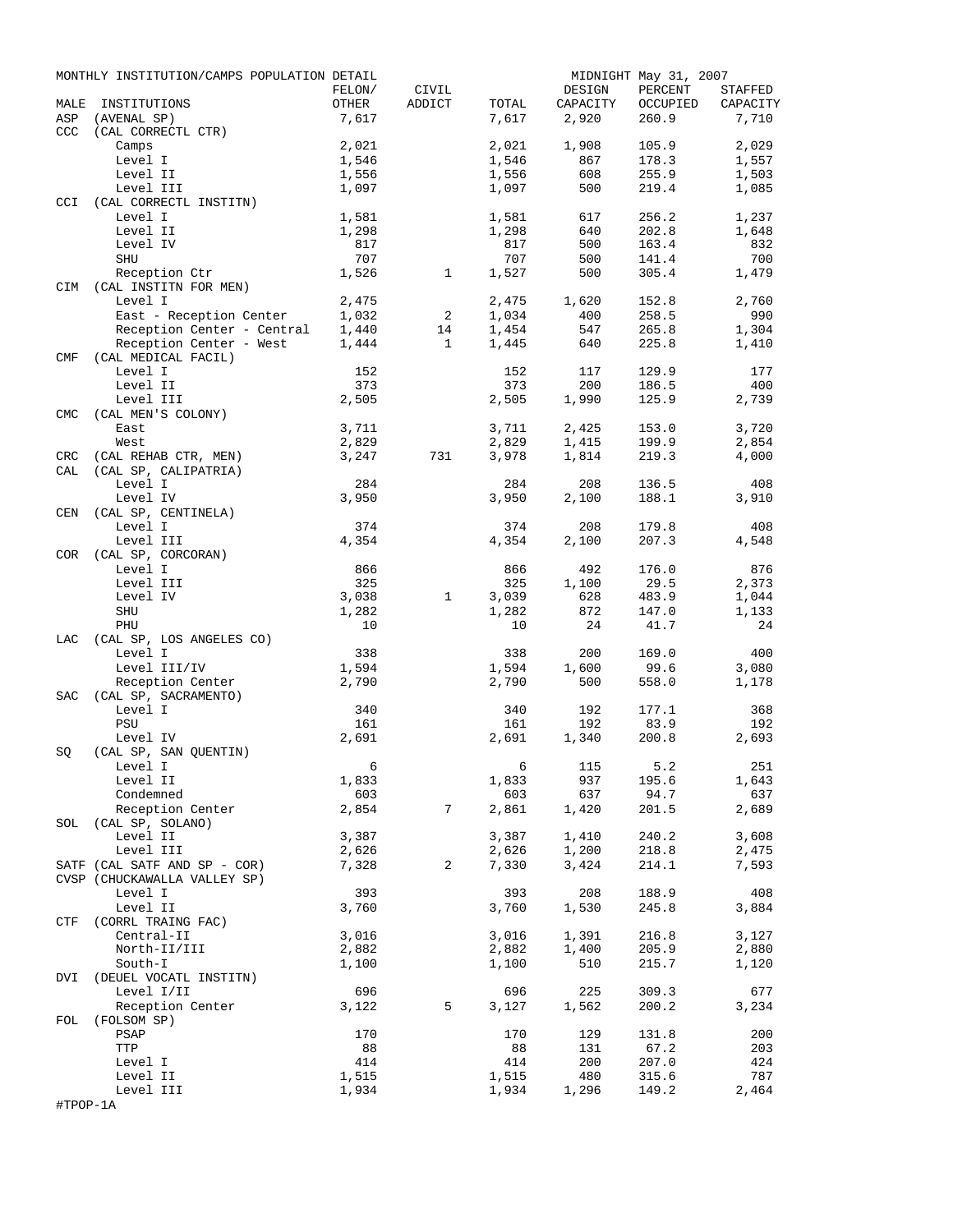|            | MONTHLY INSTITUTION/CAMPS POPULATION DETAIL |                 |                 |                |                    | MIDNIGHT May 31, 2007 |                     |
|------------|---------------------------------------------|-----------------|-----------------|----------------|--------------------|-----------------------|---------------------|
| MALE       | INSTITUTIONS                                | FELON/<br>OTHER | CIVIL<br>ADDICT | TOTAL          | DESIGN<br>CAPACITY | PERCENT<br>OCCUPIED   | STAFFED<br>CAPACITY |
| ASP        | (AVENAL SP)                                 | 7,617           |                 | 7,617          | 2,920              | 260.9                 | 7,710               |
| CCC        | (CAL CORRECTL CTR)                          |                 |                 |                |                    |                       |                     |
|            | Camps                                       | 2,021           |                 | 2,021          | 1,908              | 105.9                 | 2,029               |
|            | Level I                                     | 1,546           |                 | 1,546          | 867                | 178.3                 | 1,557               |
|            | Level II                                    | 1,556           |                 | 1,556          | 608                | 255.9                 | 1,503               |
|            | Level III                                   | 1,097           |                 | 1,097          | 500                | 219.4                 | 1,085               |
| <b>CCI</b> | (CAL CORRECTL INSTITN)<br>Level I           | 1,581           |                 | 1,581          | 617                | 256.2                 | 1,237               |
|            | Level II                                    | 1,298           |                 | 1,298          | 640                | 202.8                 | 1,648               |
|            | Level IV                                    | 817             |                 | 817            | 500                | 163.4                 | 832                 |
|            | SHU                                         | 707             |                 | 707            | 500                | 141.4                 | 700                 |
|            | Reception Ctr                               | 1,526           | $\mathbf{1}$    | 1,527          | 500                | 305.4                 | 1,479               |
|            | CIM (CAL INSTITN FOR MEN)                   |                 |                 |                |                    |                       |                     |
|            | Level I                                     | 2,475           |                 | 2,475          | 1,620              | 152.8                 | 2,760               |
|            | East - Reception Center                     | 1,032           | 2               | 1,034          | 400                | 258.5                 | 990                 |
|            | Reception Center - Central                  | 1,440           | 14              | 1,454          | 547                | 265.8                 | 1,304               |
|            | Reception Center - West                     | 1,444           | $\mathbf{1}$    | 1,445          | 640                | 225.8                 | 1,410               |
| CMF        | (CAL MEDICAL FACIL)<br>Level I              | 152             |                 | 152            | 117                | 129.9                 | 177                 |
|            | Level II                                    | 373             |                 | 373            | 200                | 186.5                 | 400                 |
|            | Level III                                   | 2,505           |                 | 2,505          | 1,990              | 125.9                 | 2,739               |
| <b>CMC</b> | (CAL MEN'S COLONY)                          |                 |                 |                |                    |                       |                     |
|            | East                                        | 3,711           |                 | 3,711          | 2,425              | 153.0                 | 3,720               |
|            | West                                        | 2,829           |                 | 2,829          | 1,415              | 199.9                 | 2,854               |
| <b>CRC</b> | (CAL REHAB CTR, MEN)                        | 3,247           | 731             | 3,978          | 1,814              | 219.3                 | 4,000               |
| CAL        | (CAL SP, CALIPATRIA)                        |                 |                 |                |                    |                       |                     |
|            | Level I                                     | 284             |                 | 284            | 208                | 136.5                 | 408                 |
|            | Level IV                                    | 3,950           |                 | 3,950          | 2,100              | 188.1                 | 3,910               |
| CEN        | (CAL SP, CENTINELA)                         |                 |                 |                |                    |                       | 408                 |
|            | Level I<br>Level III                        | 374<br>4,354    |                 | 374<br>4,354   | 208<br>2,100       | 179.8<br>207.3        | 4,548               |
| COR        | (CAL SP, CORCORAN)                          |                 |                 |                |                    |                       |                     |
|            | Level I                                     | 866             |                 | 866            | 492                | 176.0                 | 876                 |
|            | Level III                                   | 325             |                 | 325            | 1,100              | 29.5                  | 2,373               |
|            | Level IV                                    | 3,038           | $\mathbf{1}$    | 3,039          | 628                | 483.9                 | 1,044               |
|            | SHU                                         | 1,282           |                 | 1,282          | 872                | 147.0                 | 1,133               |
|            | PHU                                         | 10              |                 | 10             | 24                 | 41.7                  | 24                  |
| LAC        | (CAL SP, LOS ANGELES CO)                    |                 |                 |                |                    |                       |                     |
|            | Level I                                     | 338             |                 | 338            | 200                | 169.0                 | 400                 |
|            | Level III/IV                                | 1,594           |                 | 1,594          | 1,600              | 99.6                  | 3,080               |
|            | Reception Center                            | 2,790           |                 | 2,790          | 500                | 558.0                 | 1,178               |
| SAC        | (CAL SP, SACRAMENTO)<br>Level I             | 340             |                 | 340            | 192                | 177.1                 | 368                 |
|            | PSU                                         | 161             |                 | 161            | 192                | 83.9                  | 192                 |
|            | Level IV                                    | 2,691           |                 | 2,691          | 1,340              | 200.8                 | 2,693               |
| SQ         | (CAL SP, SAN QUENTIN)                       |                 |                 |                |                    |                       |                     |
|            | Level I                                     | $6\overline{6}$ |                 |                | 6 115 5.2          |                       | 251                 |
|            | Level II                                    | 1,833           |                 | 1,833          | 937                | 195.6                 | 1,643               |
|            | Condemned                                   | 603             |                 | 603            | 637                | 94.7                  | 637                 |
|            | Reception Center                            | 2,854           | 7               | 2,861          | 1,420              | 201.5                 | 2,689               |
|            | SOL (CAL SP, SOLANO)                        |                 |                 |                |                    |                       |                     |
|            | Level II                                    | 3,387           |                 | 3,387          | 1,410              | 240.2<br>218.8        | 3,608               |
|            | Level III<br>SATF (CAL SATF AND SP - COR)   | 2,626<br>7,328  | 2               | 2,626<br>7,330 | 1,200<br>3,424     | 214.1                 | 2,475<br>7,593      |
|            | CVSP (CHUCKAWALLA VALLEY SP)                |                 |                 |                |                    |                       |                     |
|            | Level I                                     | 393             |                 | 393            | 208                | 188.9                 | 408                 |
|            | Level II                                    | 3,760           |                 | 3,760          | 1,530              | 245.8                 | 3,884               |
|            | CTF (CORRL TRAING FAC)                      |                 |                 |                |                    |                       |                     |
|            | Central-II                                  | 3,016           |                 | 3,016          | 1,391              | 216.8                 | 3,127               |
|            | North-II/III                                | 2,882           |                 | 2,882          | 1,400              | 205.9                 | 2,880               |
|            | South-I                                     | 1,100           |                 | 1,100          | 510                | 215.7                 | 1,120               |
|            | DVI (DEUEL VOCATL INSTITN)                  |                 |                 |                |                    |                       |                     |
|            | Level I/II                                  | 696             |                 | 696            | 225                | 309.3                 | 677                 |
| FOL        | Reception Center<br>(FOLSOM SP)             | 3,122           | 5               | 3,127          | 1,562              | 200.2                 | 3,234               |
|            | PSAP                                        | 170             |                 | 170            | 129                | 131.8                 | 200                 |
|            | TTP                                         | 88              |                 | 88             | 131                | 67.2                  | 203                 |
|            | Level I                                     | 414             |                 | 414            | 200                | 207.0                 | 424                 |
|            | Level II                                    | 1,515           |                 | 1,515          | 480                | 315.6                 | 787                 |
|            | Level III                                   | 1,934           |                 | 1,934          | 1,296              | 149.2                 | 2,464               |
| #TPOP-1A   |                                             |                 |                 |                |                    |                       |                     |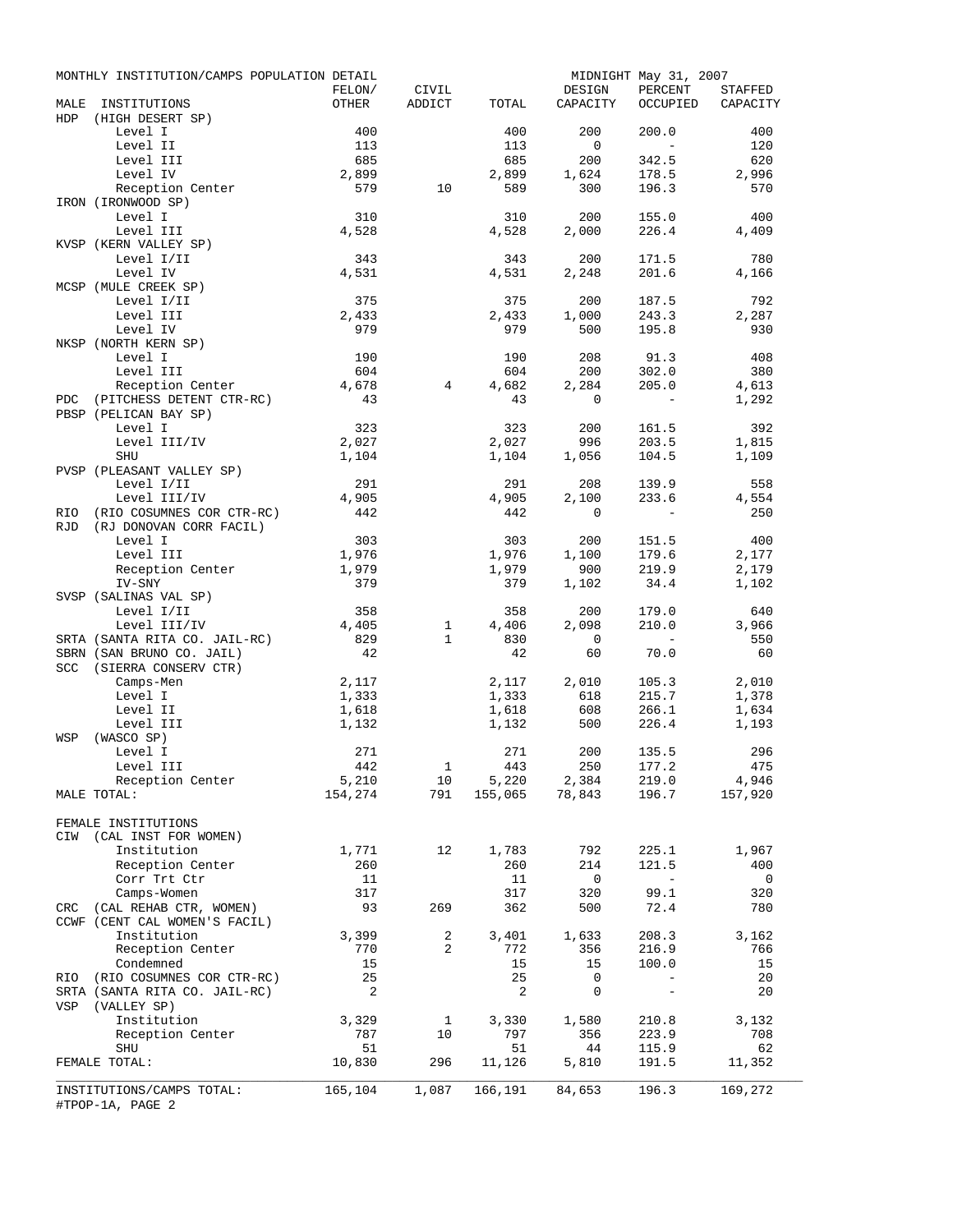|             | MONTHLY INSTITUTION/CAMPS POPULATION DETAIL           |              |                 |              |                | MIDNIGHT May 31, 2007                                                                                              |                          |
|-------------|-------------------------------------------------------|--------------|-----------------|--------------|----------------|--------------------------------------------------------------------------------------------------------------------|--------------------------|
|             |                                                       | FELON/       | CIVIL<br>ADDICT |              | DESIGN         | PERCENT                                                                                                            | STAFFED                  |
| MALE<br>HDP | INSTITUTIONS<br>(HIGH DESERT SP)                      | OTHER        |                 | TOTAL        | CAPACITY       | OCCUPIED                                                                                                           | CAPACITY                 |
|             | Level I                                               | 400          |                 | 400          | 200            | 200.0                                                                                                              | 400                      |
|             | Level II                                              | 113          |                 | 113          | $\overline{0}$ | $\sim$                                                                                                             | 120                      |
|             | Level III                                             | 685          |                 | 685          | 200            | 342.5                                                                                                              | 620                      |
|             | Level IV                                              | 2,899        |                 | 2,899        | 1,624          | 178.5                                                                                                              | 2,996                    |
|             | Reception Center                                      | 579          | 10              | 589          | 300            | 196.3                                                                                                              | 570                      |
|             | IRON (IRONWOOD SP)                                    |              |                 |              |                |                                                                                                                    |                          |
|             | Level I                                               | 310          |                 | 310          | 200            | 155.0                                                                                                              | 400                      |
|             | Level III<br>KVSP (KERN VALLEY SP)                    | 4,528        |                 | 4,528        | 2,000          | 226.4                                                                                                              | 4,409                    |
|             | Level I/II                                            | 343          |                 | 343          | 200            | 171.5                                                                                                              | 780                      |
|             | Level IV                                              | 4,531        |                 | 4,531        | 2,248          | 201.6                                                                                                              | 4,166                    |
|             | MCSP (MULE CREEK SP)                                  |              |                 |              |                |                                                                                                                    |                          |
|             | Level I/II                                            | 375          |                 | 375          | 200            | 187.5                                                                                                              | 792                      |
|             | Level III                                             | 2,433        |                 | 2,433        | 1,000          | 243.3                                                                                                              | 2,287                    |
|             | Level IV                                              | 979          |                 | 979          | 500            | 195.8                                                                                                              | 930                      |
|             | NKSP (NORTH KERN SP)                                  |              |                 |              |                |                                                                                                                    |                          |
|             | Level I                                               | 190          |                 | 190          | 208            | 91.3                                                                                                               | 408                      |
|             | Level III<br>Reception Center                         | 604<br>4,678 | $4\overline{ }$ | 604<br>4,682 | 200<br>2,284   | 302.0<br>205.0                                                                                                     | 380<br>4,613             |
| PDC         | (PITCHESS DETENT CTR-RC)                              | 43           |                 | 43           | $\circ$        | $\sim$                                                                                                             | 1,292                    |
|             | PBSP (PELICAN BAY SP)                                 |              |                 |              |                |                                                                                                                    |                          |
|             | Level I                                               | 323          |                 | 323          | 200            | 161.5                                                                                                              | 392                      |
|             | Level III/IV                                          | 2,027        |                 | 2,027        | 996            | 203.5                                                                                                              | 1,815                    |
|             | SHU                                                   | 1,104        |                 | 1,104        | 1,056          | 104.5                                                                                                              | 1,109                    |
|             | PVSP (PLEASANT VALLEY SP)                             |              |                 |              |                |                                                                                                                    |                          |
|             | Level I/II                                            | 291          |                 | 291          | 208            | 139.9                                                                                                              | 558                      |
|             | Level III/IV                                          | 4,905        |                 | 4,905        | 2,100          | 233.6                                                                                                              | 4,554                    |
| RIO<br>RJD  | (RIO COSUMNES COR CTR-RC)                             | 442          |                 | 442          | $\Omega$       | $\sim$ $-$                                                                                                         | 250                      |
|             | (RJ DONOVAN CORR FACIL)<br>Level I                    | 303          |                 | 303          | 200            | 151.5                                                                                                              | 400                      |
|             | Level III                                             | 1,976        |                 | 1,976        | 1,100          | 179.6                                                                                                              | 2,177                    |
|             | Reception Center                                      | 1,979        |                 | 1,979        | 900            | 219.9                                                                                                              | 2,179                    |
|             | IV-SNY                                                | 379          |                 | 379          | 1,102          | 34.4                                                                                                               | 1,102                    |
|             | SVSP (SALINAS VAL SP)                                 |              |                 |              |                |                                                                                                                    |                          |
|             | Level I/II                                            | 358          |                 | 358          | 200            | 179.0                                                                                                              | 640                      |
|             | Level III/IV                                          | 4,405        | $\mathbf{1}$    | 4,406        | 2,098          | 210.0                                                                                                              | 3,966                    |
|             | SRTA (SANTA RITA CO. JAIL-RC)                         | 829          | $\mathbf{1}$    | 830          | $\overline{0}$ |                                                                                                                    | 550                      |
|             | SBRN (SAN BRUNO CO. JAIL)<br>SCC (SIERRA CONSERV CTR) | 42           |                 | 42           | 60             | 70.0                                                                                                               | 60                       |
|             | Camps-Men                                             | 2,117        |                 | 2,117        | 2,010          | 105.3                                                                                                              | 2,010                    |
|             | Level I                                               | 1,333        |                 | 1,333        | 618            | 215.7                                                                                                              | 1,378                    |
|             | Level II                                              | 1,618        |                 | 1,618        | 608            | 266.1                                                                                                              | 1,634                    |
|             | Level III                                             | 1,132        |                 | 1,132        | 500            | 226.4                                                                                                              | 1,193                    |
| WSP         | (WASCO SP)                                            |              |                 |              |                |                                                                                                                    |                          |
|             | Level I                                               | 271          |                 | 271          | 200            | 135.5                                                                                                              | 296                      |
|             | Level III                                             | 442          |                 | $1$ 443      | 250            | 177.2                                                                                                              | 475                      |
|             | Reception Center                                      | 5,210        |                 |              |                | $\begin{array}{cccccc} 10 & 5,220 & 2,384 & 219.0 & 4,946 \\ 791 & 155,065 & 78,843 & 196.7 & 157,920 \end{array}$ |                          |
|             | MALE TOTAL:                                           | 154,274      |                 |              |                |                                                                                                                    |                          |
|             | FEMALE INSTITUTIONS                                   |              |                 |              |                |                                                                                                                    |                          |
| CIW         | (CAL INST FOR WOMEN)                                  |              |                 |              |                |                                                                                                                    |                          |
|             | Institution                                           | 1,771        | 12              | 1,783        | 792            | 225.1                                                                                                              | 1,967                    |
|             | Reception Center                                      | 260          |                 | 260          | 214            | 121.5                                                                                                              | 400                      |
|             | Corr Trt Ctr                                          | 11           |                 | 11           | $\overline{0}$ | $\sim$ $ \sim$                                                                                                     | $\overline{\phantom{0}}$ |
|             | Camps-Women                                           | 317          |                 | 317          | 320            | 99.1                                                                                                               | 320                      |
|             | CRC (CAL REHAB CTR, WOMEN)                            | 93           | 269             | 362          | 500            | 72.4                                                                                                               | 780                      |
|             | CCWF (CENT CAL WOMEN'S FACIL)<br>Institution          | 3,399        | 2               |              | 1,633          | 208.3                                                                                                              | 3,162                    |
|             | Reception Center                                      | 770          | 2               | 3,401<br>772 | 356            | 216.9                                                                                                              | 766                      |
|             | Condemned                                             | 15           |                 | 15           | 15             | 100.0                                                                                                              | 15                       |
| RIO         | (RIO COSUMNES COR CTR-RC)                             | 25           |                 | 25           | 0              | $-$                                                                                                                | 20                       |
|             | SRTA (SANTA RITA CO. JAIL-RC)                         | 2            |                 | 2            | 0              | $\overline{\phantom{a}}$                                                                                           | 20                       |
| VSP         | (VALLEY SP)                                           |              |                 |              |                |                                                                                                                    |                          |
|             | Institution                                           | 3,329        | $\mathbf{1}$    | 3,330        | 1,580          | 210.8                                                                                                              | 3,132                    |
|             | Reception Center                                      | 787          | 10              | 797          | 356            | 223.9                                                                                                              | 708                      |
|             | SHU                                                   | 51           |                 | 51           | 44             | 115.9                                                                                                              | 62                       |
|             | FEMALE TOTAL:                                         | 10,830       | 296             | 11,126       | 5,810          | 191.5                                                                                                              | 11,352                   |
|             | INSTITUTIONS/CAMPS TOTAL:<br>#TPOP-1A, PAGE 2         | 165,104      | 1,087           | 166,191      | 84,653         | 196.3                                                                                                              | 169,272                  |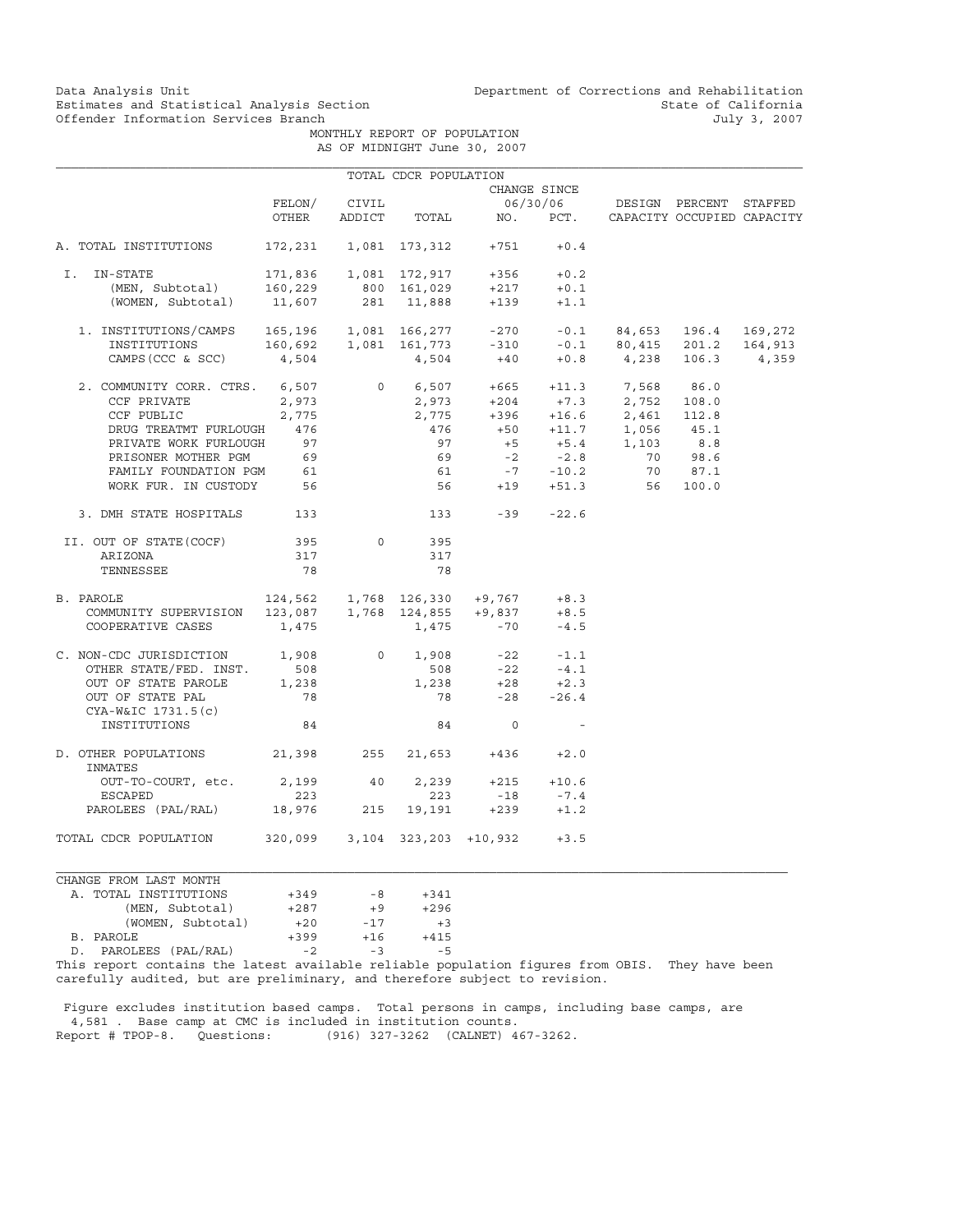Data Analysis Unit Unit Department of Corrections and Rehabilitation<br>Estimates and Statistical Analysis Section State of California Estimates and Statistical Analysis Section and State of California of Estimates and Statistical Analysis Section State of California of California  $July 3, 2007$ 

> MONTHLY REPORT OF POPULATION AS OF MIDNIGHT June 30, 2007

|                                                                                                                                                                                                                                                 |                                     |                | TOTAL CDCR POPULATION |                                                                                                                                  |                          |                                                                                                                                                                           |         |
|-------------------------------------------------------------------------------------------------------------------------------------------------------------------------------------------------------------------------------------------------|-------------------------------------|----------------|-----------------------|----------------------------------------------------------------------------------------------------------------------------------|--------------------------|---------------------------------------------------------------------------------------------------------------------------------------------------------------------------|---------|
|                                                                                                                                                                                                                                                 |                                     |                |                       |                                                                                                                                  | CHANGE SINCE             |                                                                                                                                                                           |         |
|                                                                                                                                                                                                                                                 |                                     | FELON/ CIVIL   |                       |                                                                                                                                  |                          | 06/30/06 DESIGN PERCENT STAFFED                                                                                                                                           |         |
|                                                                                                                                                                                                                                                 | OTHER                               | ADDICT         |                       |                                                                                                                                  |                          | TOTAL NO. PCT. CAPACITY OCCUPIED CAPACITY                                                                                                                                 |         |
|                                                                                                                                                                                                                                                 |                                     |                |                       |                                                                                                                                  |                          |                                                                                                                                                                           |         |
| A. TOTAL INSTITUTIONS                                                                                                                                                                                                                           | 172,231  1,081  173,312  +751       |                |                       |                                                                                                                                  | $+0.4$                   |                                                                                                                                                                           |         |
| IN-STATE<br>I.                                                                                                                                                                                                                                  |                                     |                |                       |                                                                                                                                  |                          |                                                                                                                                                                           |         |
| (MEN, Subtotal) 160,229 800 161,029                                                                                                                                                                                                             |                                     |                |                       | $\begin{array}{cccccc} 171,836 & & 1,081 & 172,917 & & +356 & & +0.2 \\ 160,229 & & 800 & 161,029 & & +217 & & +0.1 \end{array}$ | $+0.1$                   |                                                                                                                                                                           |         |
| (WOMEN, Subtotal) 11,607 281 11,888                                                                                                                                                                                                             |                                     |                |                       | $+139$                                                                                                                           | $+1.1$                   |                                                                                                                                                                           |         |
|                                                                                                                                                                                                                                                 |                                     |                |                       |                                                                                                                                  |                          |                                                                                                                                                                           |         |
| $\begin{tabular}{lcccccc} 1. & \texttt{INSTITUTIONS/CAMPS} & 165,196 & 1,081 & 166,277 & -270 & -0.1 & 84,653 & 196.4 & 169,272 \\ \texttt{INSTITUTIONS} & 160,692 & 1,081 & 161,773 & -310 & -0.1 & 80,415 & 201.2 & 164,913 \\ \end{tabular}$ |                                     |                |                       |                                                                                                                                  |                          |                                                                                                                                                                           |         |
|                                                                                                                                                                                                                                                 |                                     |                |                       |                                                                                                                                  |                          |                                                                                                                                                                           | 164,913 |
| $CAMPS (CCC & SCC)$ 4,504                                                                                                                                                                                                                       |                                     |                |                       |                                                                                                                                  |                          | $4,504$ $+40$ $+0.8$ $4,238$ 106.3                                                                                                                                        | 4,359   |
|                                                                                                                                                                                                                                                 |                                     |                |                       |                                                                                                                                  |                          |                                                                                                                                                                           |         |
| 2. COMMUNITY CORR. CTRS. 6,507 0 6,507 +665 +11.3 7,568 86.0                                                                                                                                                                                    |                                     |                |                       |                                                                                                                                  |                          |                                                                                                                                                                           |         |
| CCF PRIVATE                                                                                                                                                                                                                                     | 2,973                               |                | 2,973                 |                                                                                                                                  |                          |                                                                                                                                                                           |         |
| CCF PUBLIC                                                                                                                                                                                                                                      | 2,775                               |                |                       |                                                                                                                                  |                          | $\begin{array}{cccc} 2\, ,973 & \quad +204 & \quad +7.3 & \quad 2\, ,752 & \quad 108.0 \\ 2\, ,775 & \quad +396 & \quad +16.6 & \quad 2\, ,461 & \quad 112.8 \end{array}$ |         |
| DRUG TREATMT FURLOUGH 476                                                                                                                                                                                                                       |                                     |                | 476                   |                                                                                                                                  |                          |                                                                                                                                                                           |         |
| PRIVATE WORK FURLOUGH                                                                                                                                                                                                                           | 97                                  |                | 97                    |                                                                                                                                  |                          | +50 +11.7 1,056 45.1<br>+5 +5.4 1,103 8.8                                                                                                                                 |         |
|                                                                                                                                                                                                                                                 |                                     |                |                       |                                                                                                                                  |                          |                                                                                                                                                                           |         |
| PRISONER MOTHER PGM 69<br>FAMILY FOUNDATION PGM 61                                                                                                                                                                                              |                                     |                |                       |                                                                                                                                  |                          | 69 -2 -2.8 70 98.6<br>61 -7 -10.2 70 87.1                                                                                                                                 |         |
|                                                                                                                                                                                                                                                 |                                     |                |                       |                                                                                                                                  |                          |                                                                                                                                                                           |         |
| WORK FUR. IN CUSTODY 56                                                                                                                                                                                                                         |                                     |                |                       |                                                                                                                                  |                          | 56 +19 +51.3 56 100.0                                                                                                                                                     |         |
| 3. DMH STATE HOSPITALS 133                                                                                                                                                                                                                      |                                     |                |                       | $133 - 39 - 22.6$                                                                                                                |                          |                                                                                                                                                                           |         |
| II. OUT OF STATE (COCF)                                                                                                                                                                                                                         | 395                                 | $\circ$        | 395                   |                                                                                                                                  |                          |                                                                                                                                                                           |         |
| ARIZONA                                                                                                                                                                                                                                         | 317                                 |                | 317                   |                                                                                                                                  |                          |                                                                                                                                                                           |         |
| TENNESSEE                                                                                                                                                                                                                                       | 78                                  |                | 78                    |                                                                                                                                  |                          |                                                                                                                                                                           |         |
|                                                                                                                                                                                                                                                 |                                     |                |                       |                                                                                                                                  |                          |                                                                                                                                                                           |         |
| B. PAROLE                                                                                                                                                                                                                                       | $124,562$ 1,768 126,330 +9,767 +8.3 |                |                       |                                                                                                                                  |                          |                                                                                                                                                                           |         |
|                                                                                                                                                                                                                                                 |                                     |                |                       |                                                                                                                                  | $+8.5$                   |                                                                                                                                                                           |         |
| COMMUNITY SUPERVISION 123,087 1,768 124,855 +9,837<br>COMMUNITY SUPERVISION 123,087 1,768 124,855 +9,837<br>COOPERATIVE CASES 1,475                                                                                                             |                                     |                | $1,475 -70$           |                                                                                                                                  | $-4.5$                   |                                                                                                                                                                           |         |
|                                                                                                                                                                                                                                                 |                                     |                |                       |                                                                                                                                  |                          |                                                                                                                                                                           |         |
| C. NON-CDC JURISDICTION 1,908                                                                                                                                                                                                                   |                                     | $\overline{0}$ | 1,908                 |                                                                                                                                  | $-22 - 1.1$              |                                                                                                                                                                           |         |
| OTHER STATE/FED. INST.                                                                                                                                                                                                                          | 508                                 |                | 508                   | $-22$                                                                                                                            | $-4.1$                   |                                                                                                                                                                           |         |
| OUT OF STATE PAROLE                                                                                                                                                                                                                             | 1,238                               |                |                       | $1,238 +28 +2.3$                                                                                                                 |                          |                                                                                                                                                                           |         |
| OUT OF STATE PAL                                                                                                                                                                                                                                | 78                                  |                | 78                    |                                                                                                                                  | $-28 - 26.4$             |                                                                                                                                                                           |         |
| CYA-W&IC 1731.5(c)                                                                                                                                                                                                                              |                                     |                |                       |                                                                                                                                  |                          |                                                                                                                                                                           |         |
| INSTITUTIONS                                                                                                                                                                                                                                    | 84                                  |                | 84                    | $\circ$                                                                                                                          | $\overline{\phantom{a}}$ |                                                                                                                                                                           |         |
|                                                                                                                                                                                                                                                 |                                     |                |                       |                                                                                                                                  |                          |                                                                                                                                                                           |         |
| D. OTHER POPULATIONS 21,398 255<br>INMATES                                                                                                                                                                                                      |                                     |                |                       | $21,653 +436 +2.0$                                                                                                               |                          |                                                                                                                                                                           |         |
| OUT-TO-COURT, etc.                                                                                                                                                                                                                              | 2,199 40                            |                |                       | $2,239 +215 +10.6$                                                                                                               |                          |                                                                                                                                                                           |         |
| ESCAPED                                                                                                                                                                                                                                         | 223                                 |                | 223                   |                                                                                                                                  | $-18$ $-7.4$             |                                                                                                                                                                           |         |
| PAROLEES (PAL/RAL) 18,976 215 19,191 +239 +1.2                                                                                                                                                                                                  |                                     |                |                       |                                                                                                                                  |                          |                                                                                                                                                                           |         |
|                                                                                                                                                                                                                                                 |                                     |                |                       |                                                                                                                                  |                          |                                                                                                                                                                           |         |
| TOTAL CDCR POPULATION                                                                                                                                                                                                                           | 320,099 3,104 323,203 +10,932       |                |                       |                                                                                                                                  | $+3.5$                   |                                                                                                                                                                           |         |

| CHANGE FROM LAST MONTH |        |       |        |
|------------------------|--------|-------|--------|
| A. TOTAL INSTITUTIONS  | $+349$ | $-8$  | $+341$ |
| (MEN, Subtotal)        | $+287$ | $+9$  | $+296$ |
| (WOMEN, Subtotal)      | $+20$  | $-17$ | $+3$   |
| B. PAROLE              | $+399$ | $+16$ | $+415$ |
| PAROLEES (PAL/RAL)     | $-2$   | $-3$  | $-5$   |

This report contains the latest available reliable population figures from OBIS. They have been carefully audited, but are preliminary, and therefore subject to revision.

 Figure excludes institution based camps. Total persons in camps, including base camps, are 4,581 . Base camp at CMC is included in institution counts. Report # TPOP-8. Questions: (916) 327-3262 (CALNET) 467-3262.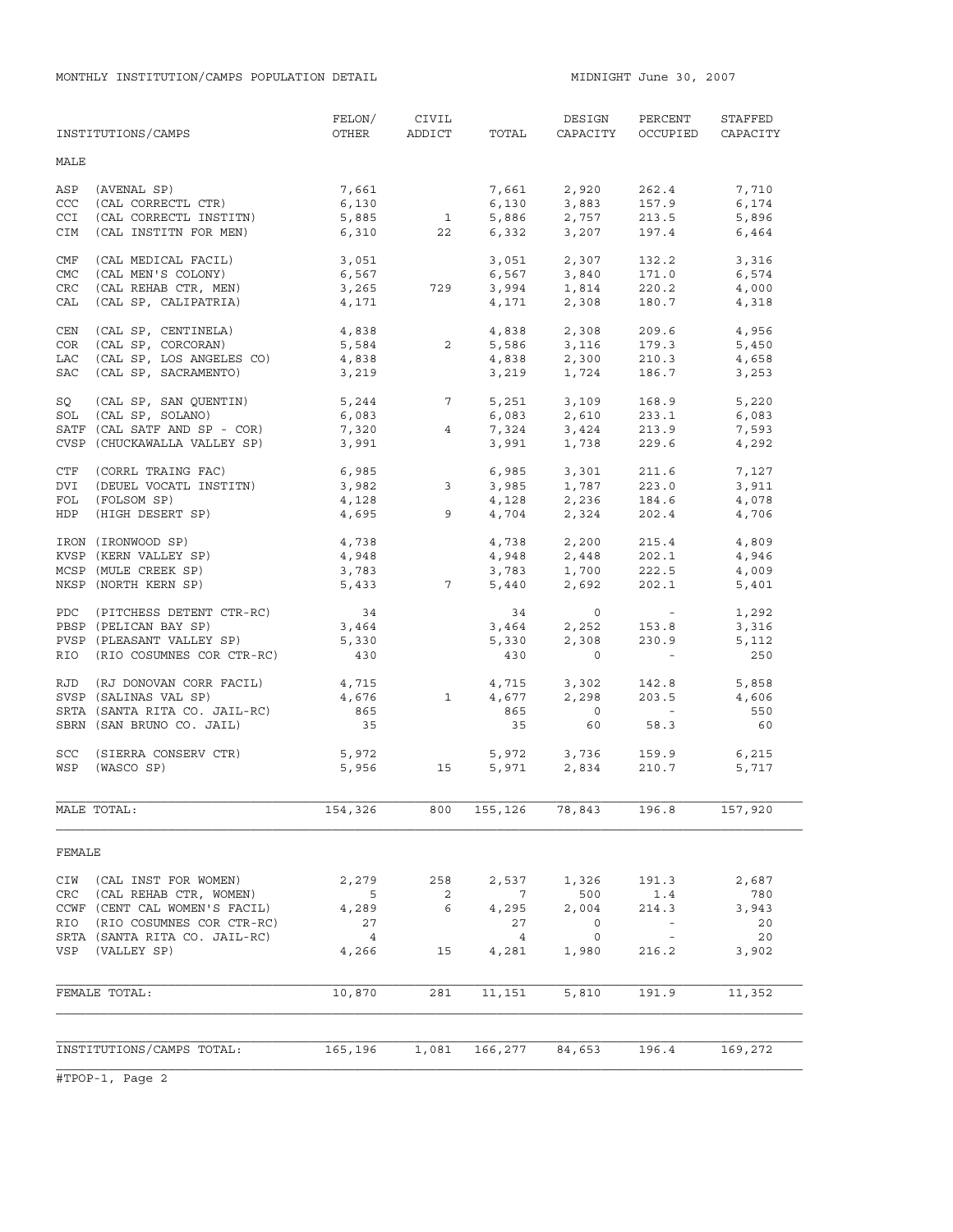MONTHLY INSTITUTION/CAMPS POPULATION DETAIL **MIDNIGHT JULE 10001** MIDNIGHT June 30, 2007

|        | INSTITUTIONS/CAMPS            | FELON/<br>OTHER             | CIVIL<br>ADDICT            | TOTAL           | DESIGN<br>CAPACITY                                                                                                                                         | PERCENT<br>OCCUPIED                                       | STAFFED<br>CAPACITY |
|--------|-------------------------------|-----------------------------|----------------------------|-----------------|------------------------------------------------------------------------------------------------------------------------------------------------------------|-----------------------------------------------------------|---------------------|
| MALE   |                               |                             |                            |                 |                                                                                                                                                            |                                                           |                     |
| ASP    | (AVENAL SP)                   | 7,661                       |                            |                 |                                                                                                                                                            | 262.4                                                     | 7,710               |
| CCC    | (CAL CORRECTL CTR)            | 6,130                       |                            |                 | 7,661 2,920                                                                                                                                                | 157.9                                                     | 6,174               |
| CCI    | (CAL CORRECTL INSTITN)        |                             | $\mathbf{1}$               |                 | $6,130$ $3,883$<br>$5,886$ $2,757$<br>$6,332$ $3,207$                                                                                                      |                                                           |                     |
|        |                               | 5,885                       |                            |                 |                                                                                                                                                            | 213.5                                                     | 5,896               |
| CIM    | (CAL INSTITN FOR MEN)         | 6,310                       | 22                         |                 |                                                                                                                                                            | 197.4                                                     | 6,464               |
| CMF    | (CAL MEDICAL FACIL)           | 3,051                       |                            |                 | 3,051 2,307                                                                                                                                                | 132.2                                                     | 3,316               |
| CMC    | (CAL MEN'S COLONY)            | 6,567                       |                            |                 |                                                                                                                                                            | 171.0                                                     | 6,574               |
| CRC    | (CAL REHAB CTR, MEN)          | 3,265                       | 729                        |                 |                                                                                                                                                            | 220.2                                                     | 4,000               |
| CAL    | (CAL SP, CALIPATRIA)          | 4,171                       |                            |                 | $6,567$ $3,840$<br>$3,994$ $1,814$<br>$4,171$ $2,308$                                                                                                      | 180.7                                                     | 4,318               |
| CEN    | (CAL SP, CENTINELA)           | 4,838                       |                            |                 | 4,838 2,308                                                                                                                                                | 209.6                                                     | 4,956               |
| COR    | (CAL SP, CORCORAN)            | 5,584                       | $\overline{2}$             |                 |                                                                                                                                                            | 179.3                                                     | 5,450               |
|        | (CAL SP, LOS ANGELES CO)      | 4,838                       |                            |                 | 5,586 3,116<br>4,838 2,300                                                                                                                                 | 210.3                                                     |                     |
| LAC    |                               |                             |                            |                 |                                                                                                                                                            |                                                           | 4,658               |
| SAC    | (CAL SP, SACRAMENTO)          | 3,219                       |                            |                 | 3,219 1,724                                                                                                                                                | 186.7                                                     | 3,253               |
| SQ     | (CAL SP, SAN QUENTIN)         |                             | $5,244$ 7<br>6,083         |                 | 5, 251 3, 109<br>6, 083 2, 610                                                                                                                             | 168.9                                                     | 5,220               |
|        | SOL (CAL SP, SOLANO)          |                             |                            |                 |                                                                                                                                                            | 233.1                                                     | 6,083               |
|        | SATF (CAL SATF AND SP - COR)  | 7,320                       | 4                          |                 |                                                                                                                                                            |                                                           | 7,593               |
|        | CVSP (CHUCKAWALLA VALLEY SP)  | 3,991                       |                            |                 | 7,324 3,424<br>3,991 1,738                                                                                                                                 | 213.9<br>229.6                                            | 4,292               |
| CTF    | (CORRL TRAING FAC)            |                             |                            |                 | 6,985 3,301                                                                                                                                                | 211.6                                                     | 7,127               |
| DVI    | (DEUEL VOCATL INSTITN)        |                             |                            |                 |                                                                                                                                                            | 223.0                                                     |                     |
| FOL    |                               | $6,985$<br>3,982 3<br>4,128 |                            |                 | 3,985 1,787<br>4,128 2,236                                                                                                                                 |                                                           | 3,911               |
|        | (FOLSOM SP)                   | 4,128                       |                            |                 |                                                                                                                                                            | 184.6                                                     | 4,078               |
| HDP    | (HIGH DESERT SP)              | 4,695                       |                            | $9^{\circ}$     | 4,704 2,324                                                                                                                                                | 202.4                                                     | 4,706               |
|        | IRON (IRONWOOD SP)            | 4,738                       |                            |                 | $\begin{array}{llll} 4\, , 738 & \quad 2\, , 200 \\ 4\, , 948 & \quad 2\, , 448 \\ 3\, , 783 & \quad 1\, , 700 \\ 5\, , 440 & \quad 2\, , 692 \end{array}$ | 215.4                                                     | 4,809               |
|        | KVSP (KERN VALLEY SP)         | 4,948                       |                            |                 |                                                                                                                                                            | 202.1                                                     | 4,946               |
|        | MCSP (MULE CREEK SP)          | 3,783                       |                            |                 |                                                                                                                                                            | 222.5                                                     | 4,009               |
|        | NKSP (NORTH KERN SP)          | 5,433                       | $7\overline{)}$            |                 |                                                                                                                                                            | 202.1                                                     | 5,401               |
|        | PDC (PITCHESS DETENT CTR-RC)  | 34                          |                            |                 | $34$ 0                                                                                                                                                     | $\mathcal{L}(\mathcal{L})$ and $\mathcal{L}(\mathcal{L})$ | 1,292               |
|        | PBSP (PELICAN BAY SP)         | 3,464                       |                            |                 |                                                                                                                                                            | 153.8                                                     | 3,316               |
|        | PVSP (PLEASANT VALLEY SP)     | 5,330                       |                            |                 | 3,464 2,252<br>5,330 2,308                                                                                                                                 | 230.9                                                     | 5,112               |
|        | RIO (RIO COSUMNES COR CTR-RC) | 430                         |                            | 430             | $\circ$                                                                                                                                                    | $\alpha_{\rm{max}}=0.01$                                  | 250                 |
|        |                               |                             |                            |                 |                                                                                                                                                            |                                                           |                     |
|        | RJD (RJ DONOVAN CORR FACIL)   | 4,715                       |                            |                 | 4,715 3,302<br>4,677 2,298                                                                                                                                 | 142.8                                                     | 5,858               |
|        | SVSP (SALINAS VAL SP)         | 4,676                       | <sup>1</sup>               |                 |                                                                                                                                                            | 203.5                                                     | 4,606               |
|        | SRTA (SANTA RITA CO. JAIL-RC) | 865                         |                            | 865             | $\overline{0}$                                                                                                                                             | <b>Contractor</b>                                         | 550                 |
|        | SBRN (SAN BRUNO CO. JAIL)     | 35                          |                            | 35              | 60                                                                                                                                                         | 58.3                                                      | 60                  |
|        | SCC (SIERRA CONSERV CTR)      | 5,972                       |                            |                 | 5,972 3,736 159.9                                                                                                                                          |                                                           | 6,215               |
| WSP    | (WASCO SP)                    | 5,956                       |                            |                 | 15 5,971 2,834                                                                                                                                             | 210.7                                                     | 5,717               |
|        |                               |                             |                            |                 |                                                                                                                                                            |                                                           |                     |
|        | MALE TOTAL:                   | 154,326                     |                            |                 | 800 155,126 78,843                                                                                                                                         | 196.8 157,920                                             |                     |
| FEMALE |                               |                             |                            |                 |                                                                                                                                                            |                                                           |                     |
|        | CIW (CAL INST FOR WOMEN)      |                             |                            |                 | 2,279 258 2,537 1,326                                                                                                                                      | 191.3 2,687                                               |                     |
|        | CRC (CAL REHAB CTR, WOMEN)    | $5^{\circ}$                 | $\overline{\phantom{a}}$ 2 | $\overline{7}$  | 500                                                                                                                                                        | 1.4                                                       | 780                 |
|        | CCWF (CENT CAL WOMEN'S FACIL) | 4,289                       |                            |                 | $6\qquad 4,295\qquad 2,004$                                                                                                                                | 214.3 3,943                                               |                     |
|        | RIO (RIO COSUMNES COR CTR-RC) | 27                          |                            | 27              | $\overline{0}$                                                                                                                                             | $\alpha_{\rm{max}}=1$                                     | 20                  |
|        | SRTA (SANTA RITA CO. JAIL-RC) | $\overline{4}$              |                            | $4\overline{4}$ | $\overline{0}$                                                                                                                                             | <b>Contract Contract</b>                                  | 20                  |
|        | VSP (VALLEY SP)               |                             | 4,266 15                   | 4,281           | 1,980                                                                                                                                                      | 216.2                                                     | 3,902               |
|        |                               |                             |                            |                 |                                                                                                                                                            |                                                           |                     |
|        | FEMALE TOTAL:                 | 10,870                      | 281                        |                 | 11, 151 5, 810                                                                                                                                             | 191.9                                                     | 11,352              |
|        |                               |                             |                            |                 |                                                                                                                                                            |                                                           |                     |
|        |                               |                             |                            |                 |                                                                                                                                                            |                                                           |                     |
|        | INSTITUTIONS/CAMPS TOTAL:     | 165,196                     | 1,081                      | 166,277         | 84,653                                                                                                                                                     | 196.4                                                     | 169,272             |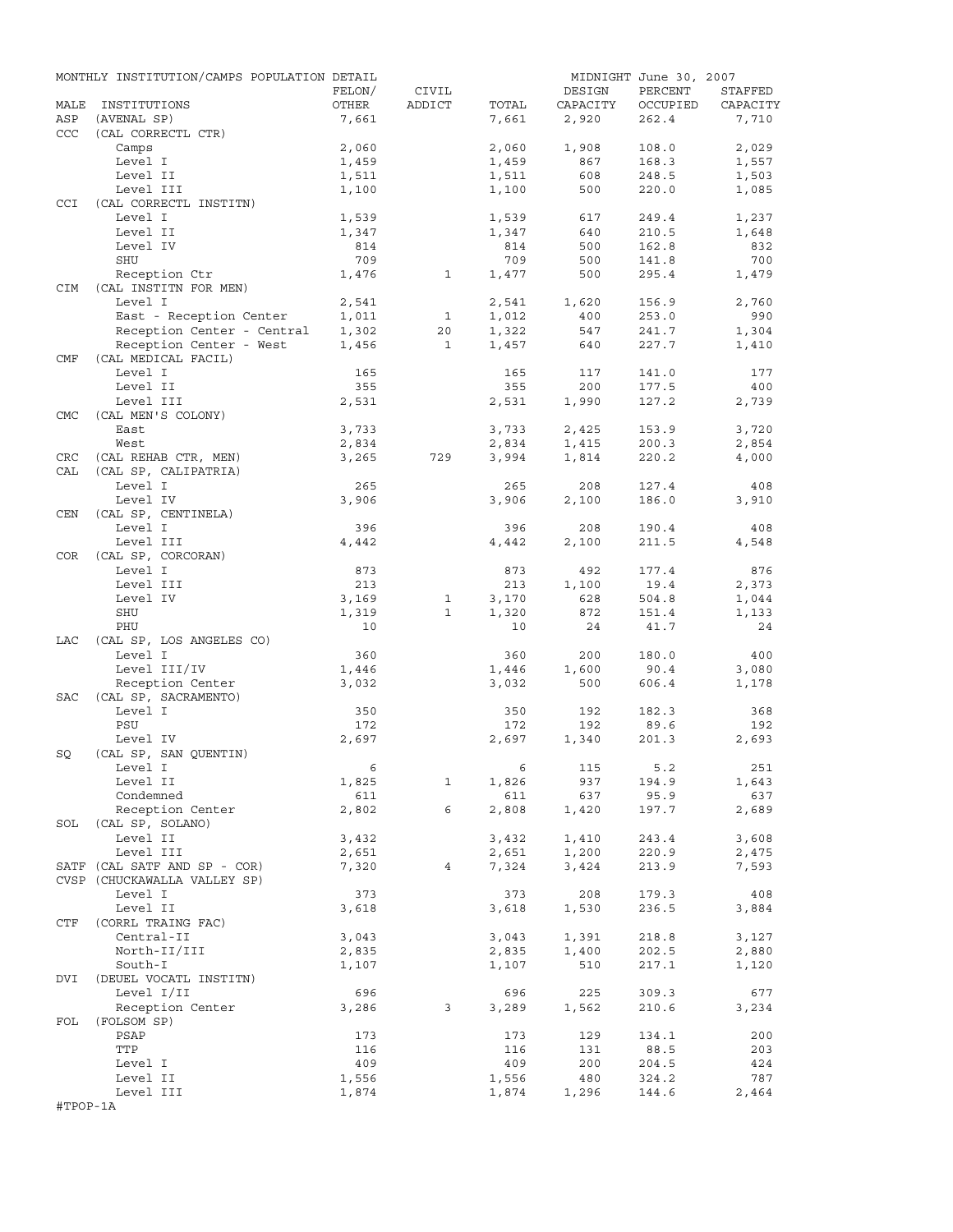|            | MONTHLY INSTITUTION/CAMPS POPULATION DETAIL |                |              |                |            | MIDNIGHT June 30, 2007 |                |
|------------|---------------------------------------------|----------------|--------------|----------------|------------|------------------------|----------------|
|            |                                             | FELON/         | CIVIL        |                | DESIGN     | PERCENT                | STAFFED        |
| MALE       | INSTITUTIONS                                | OTHER          | ADDICT       | TOTAL          | CAPACITY   | OCCUPIED               | CAPACITY       |
| ASP        | (AVENAL SP)                                 | 7,661          |              | 7,661          | 2,920      | 262.4                  | 7,710          |
| <b>CCC</b> | (CAL CORRECTL CTR)                          |                |              |                |            |                        |                |
|            | Camps                                       | 2,060          |              | 2,060          | 1,908      | 108.0                  | 2,029          |
|            | Level I                                     | 1,459          |              | 1,459          | 867        | 168.3                  | 1,557          |
|            | Level II                                    | 1,511          |              | 1,511          | 608        | 248.5                  | 1,503          |
|            | Level III                                   | 1,100          |              | 1,100          | 500        | 220.0                  | 1,085          |
| <b>CCI</b> | (CAL CORRECTL INSTITN)                      |                |              |                |            |                        |                |
|            | Level I<br>Level II                         | 1,539<br>1,347 |              | 1,539<br>1,347 | 617<br>640 | 249.4<br>210.5         | 1,237<br>1,648 |
|            | Level IV                                    | 814            |              | 814            | 500        | 162.8                  | 832            |
|            | SHU                                         | 709            |              | 709            | 500        | 141.8                  | 700            |
|            | Reception Ctr                               | 1,476          | $\mathbf{1}$ | 1,477          | 500        | 295.4                  | 1,479          |
| CIM        | (CAL INSTITN FOR MEN)                       |                |              |                |            |                        |                |
|            | Level I                                     | 2,541          |              | 2,541          | 1,620      | 156.9                  | 2,760          |
|            | East - Reception Center                     | 1,011          | $\mathbf{1}$ | 1,012          | 400        | 253.0                  | 990            |
|            | Reception Center - Central                  | 1,302          | 20           | 1,322          | 547        | 241.7                  | 1,304          |
|            | Reception Center - West                     | 1,456          | <sup>1</sup> | 1,457          | 640        | 227.7                  | 1,410          |
| CMF        | (CAL MEDICAL FACIL)                         |                |              |                |            |                        |                |
|            | Level I                                     | 165            |              | 165            | 117        | 141.0                  | 177            |
|            | Level II                                    | 355            |              | 355            | 200        | 177.5                  | 400            |
|            | Level III                                   | 2,531          |              | 2,531          | 1,990      | 127.2                  | 2,739          |
| <b>CMC</b> | (CAL MEN'S COLONY)                          |                |              |                |            |                        |                |
|            | East                                        | 3,733          |              | 3,733          | 2,425      | 153.9                  | 3,720          |
|            | West                                        | 2,834          |              | 2,834          | 1,415      | 200.3                  | 2,854          |
| CRC        | (CAL REHAB CTR, MEN)                        | 3,265          | 729          | 3,994          | 1,814      | 220.2                  | 4,000          |
| CAL        | (CAL SP, CALIPATRIA)                        |                |              |                |            |                        |                |
|            | Level I                                     | 265            |              | 265            | 208        | 127.4                  | 408            |
|            | Level IV                                    | 3,906          |              | 3,906          | 2,100      | 186.0                  | 3,910          |
| CEN        | (CAL SP, CENTINELA)                         |                |              |                |            |                        |                |
|            | Level I                                     | 396            |              | 396            | 208        | 190.4                  | 408            |
|            | Level III                                   | 4,442          |              | 4,442          | 2,100      | 211.5                  | 4,548          |
| COR        | (CAL SP, CORCORAN)                          |                |              |                |            |                        |                |
|            | Level I                                     | 873            |              | 873            | 492        | 177.4                  | 876            |
|            | Level III                                   | 213            |              | 213            | 1,100      | 19.4                   | 2,373          |
|            | Level IV                                    | 3,169          | 1            | 3,170          | 628        | 504.8                  | 1,044          |
|            | SHU                                         | 1,319          | $\mathbf{1}$ | 1,320          | 872        | 151.4                  | 1,133          |
|            | PHU                                         | 10             |              | 10             | 24         | 41.7                   | 24             |
| LAC        | (CAL SP, LOS ANGELES CO)                    |                |              |                |            |                        |                |
|            | Level I                                     | 360            |              | 360            | 200        | 180.0                  | 400            |
|            | Level III/IV                                | 1,446          |              | 1,446          | 1,600      | 90.4                   | 3,080          |
|            | Reception Center                            | 3,032          |              | 3,032          | 500        | 606.4                  | 1,178          |
| SAC        | (CAL SP, SACRAMENTO)                        |                |              |                |            |                        |                |
|            | Level I<br>PSU                              | 350            |              | 350<br>172     | 192<br>192 | 182.3                  | 368<br>192     |
|            | Level IV                                    | 172<br>2,697   |              | 2,697          | 1,340      | 89.6<br>201.3          | 2,693          |
| SQ         | (CAL SP, SAN QUENTIN)                       |                |              |                |            |                        |                |
|            | Level I                                     | 6              |              |                | 6 115      | 5.2                    | 251            |
|            | Level II                                    | 1,825          | $\mathbf{1}$ | 1,826          | 937        | 194.9                  | 1,643          |
|            | Condemned                                   | 611            |              | 611            | 637        | 95.9                   | 637            |
|            | Reception Center                            | 2,802          | 6            | 2,808          | 1,420      | 197.7                  | 2,689          |
|            | SOL (CAL SP, SOLANO)                        |                |              |                |            |                        |                |
|            | Level II                                    | 3,432          |              | 3,432          | 1,410      | 243.4                  | 3,608          |
|            | Level III                                   | 2,651          |              | 2,651          | 1,200      | 220.9                  | 2,475          |
|            | SATF (CAL SATF AND SP - COR)                | 7,320          | 4            | 7,324          | 3,424      | 213.9                  | 7,593          |
|            | CVSP (CHUCKAWALLA VALLEY SP)                |                |              |                |            |                        |                |
|            | Level I                                     | 373            |              | 373            | 208        | 179.3                  | 408            |
|            | Level II                                    | 3,618          |              | 3,618          | 1,530      | 236.5                  | 3,884          |
| CTF        | (CORRL TRAING FAC)                          |                |              |                |            |                        |                |
|            | Central-II                                  | 3,043          |              | 3,043          | 1,391      | 218.8                  | 3,127          |
|            | North-II/III                                | 2,835          |              | 2,835          | 1,400      | 202.5                  | 2,880          |
|            | South-I                                     | 1,107          |              | 1,107          | 510        | 217.1                  | 1,120          |
| DVI        | (DEUEL VOCATL INSTITN)                      |                |              |                |            |                        |                |
|            | Level I/II                                  | 696            |              | 696            | 225        | 309.3                  | 677            |
|            | Reception Center                            | 3,286          | $3^{\circ}$  | 3,289          | 1,562      | 210.6                  | 3,234          |
| FOL        | (FOLSOM SP)                                 |                |              |                |            |                        |                |
|            | PSAP                                        | 173            |              | 173            | 129        | 134.1                  | 200            |
|            | TTP                                         | 116            |              | 116            | 131        | 88.5                   | 203            |
|            | Level I                                     | 409            |              | 409            | 200        | 204.5                  | 424            |
|            | Level II                                    | 1,556          |              | 1,556          | 480        | 324.2                  | 787            |
|            | Level III                                   | 1,874          |              | 1,874          | 1,296      | 144.6                  | 2,464          |
| #TPOP-1A   |                                             |                |              |                |            |                        |                |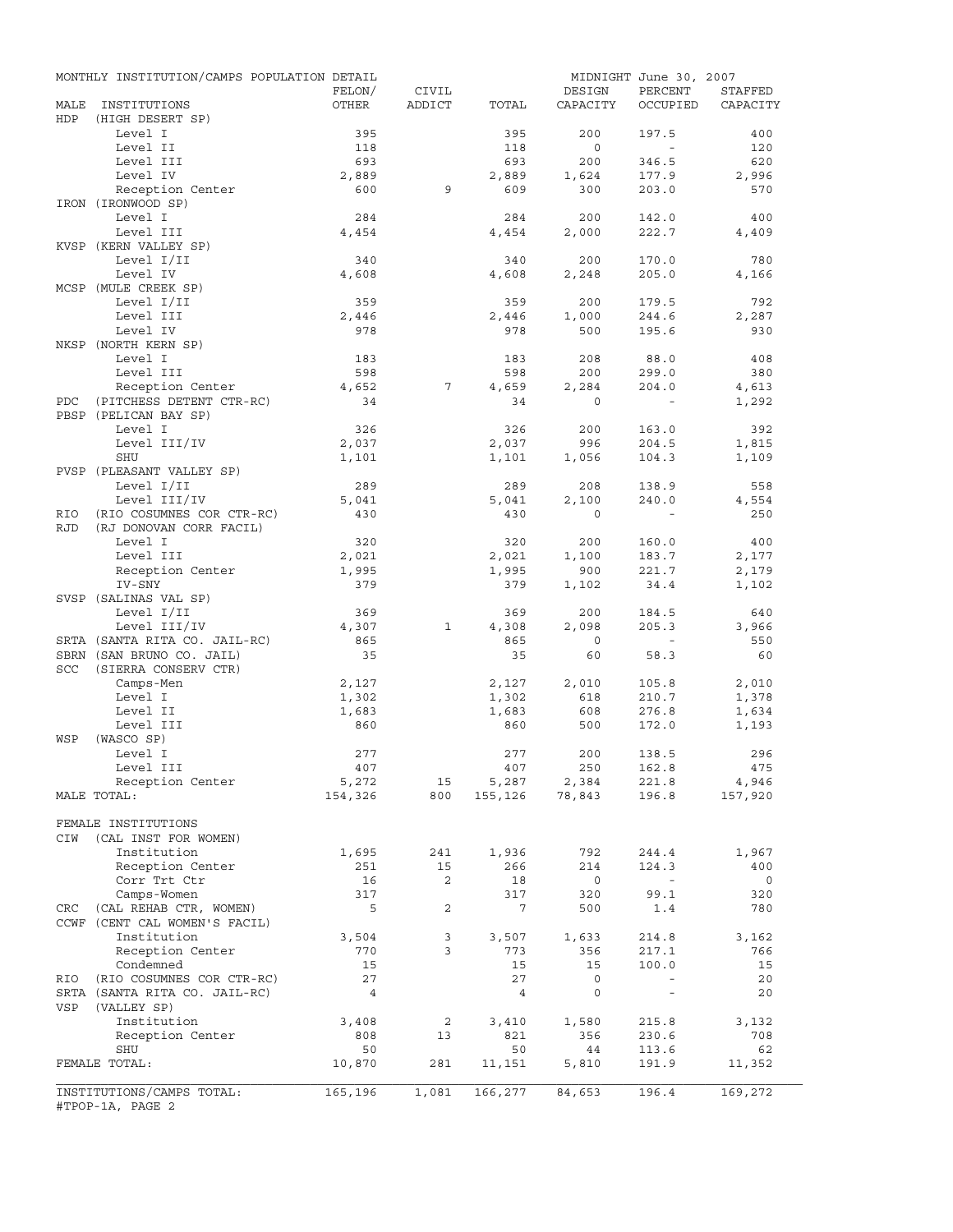|            | MONTHLY INSTITUTION/CAMPS POPULATION DETAIL   |                  |                 |                                   |                          | MIDNIGHT June 30, 2007   |                          |
|------------|-----------------------------------------------|------------------|-----------------|-----------------------------------|--------------------------|--------------------------|--------------------------|
|            |                                               | FELON/           | CIVIL           |                                   | DESIGN                   | PERCENT                  | STAFFED                  |
| MALE       | INSTITUTIONS                                  | OTHER            | ADDICT          | TOTAL                             | CAPACITY                 | OCCUPIED                 | CAPACITY                 |
| HDP        | (HIGH DESERT SP)                              |                  |                 |                                   |                          |                          |                          |
|            | Level I                                       | 395              |                 | 395                               | 200                      | 197.5                    | 400                      |
|            | Level II<br>Level III                         | 118              |                 | 118                               | $\circ$                  | $\sim$                   | 120                      |
|            | Level IV                                      | 693<br>2,889     |                 | 693<br>2,889                      | 200<br>1,624             | 346.5<br>177.9           | 620<br>2,996             |
|            | Reception Center                              | 600              | 9               | 609                               | 300                      | 203.0                    | 570                      |
|            | IRON (IRONWOOD SP)                            |                  |                 |                                   |                          |                          |                          |
|            | Level I                                       | 284              |                 | 284                               | 200                      | 142.0                    | 400                      |
|            | Level III                                     | 4,454            |                 | 4,454                             | 2,000                    | 222.7                    | 4,409                    |
|            | KVSP (KERN VALLEY SP)                         |                  |                 |                                   |                          |                          |                          |
|            | Level I/II                                    | 340              |                 | 340                               | 200                      | 170.0                    | 780                      |
|            | Level IV                                      | 4,608            |                 | 4,608                             | 2,248                    | 205.0                    | 4,166                    |
|            | MCSP (MULE CREEK SP)                          |                  |                 |                                   |                          |                          |                          |
|            | Level I/II                                    | 359              |                 | 359                               | 200                      | 179.5                    | 792                      |
|            | Level III                                     | 2,446            |                 | 2,446                             | 1,000                    | 244.6                    | 2,287                    |
|            | Level IV                                      | 978              |                 | 978                               | 500                      | 195.6                    | 930                      |
|            | NKSP (NORTH KERN SP)                          |                  |                 |                                   |                          |                          |                          |
|            | Level I                                       | 183              |                 | 183                               | 208                      | 88.0                     | 408                      |
|            | Level III                                     | 598              |                 | 598                               | 200                      | 299.0                    | 380                      |
|            | Reception Center                              | 4,652            | $7\phantom{.0}$ | 4,659                             | 2,284                    | 204.0                    | 4,613                    |
| PDC        | (PITCHESS DETENT CTR-RC)                      | 34               |                 | 34                                | $\mathbf 0$              | $\sim$ $-$               | 1,292                    |
|            | PBSP (PELICAN BAY SP)                         |                  |                 |                                   |                          |                          |                          |
|            | Level I                                       | 326              |                 | 326                               | 200                      | 163.0                    | 392                      |
|            | Level III/IV                                  | 2,037            |                 | 2,037                             | 996                      | 204.5                    | 1,815                    |
|            | <b>SHU</b>                                    | 1,101            |                 | 1,101                             | 1,056                    | 104.3                    | 1,109                    |
|            | PVSP (PLEASANT VALLEY SP)                     |                  |                 | 289                               |                          |                          |                          |
|            | Level I/II<br>Level III/IV                    | 289<br>5,041     |                 | 5,041                             | 208<br>2,100             | 138.9<br>240.0           | 558<br>4,554             |
| RIO        | (RIO COSUMNES COR CTR-RC)                     | 430              |                 | 430                               | $\mathbf 0$              | $\sim$ $-$               | 250                      |
| <b>RJD</b> | (RJ DONOVAN CORR FACIL)                       |                  |                 |                                   |                          |                          |                          |
|            | Level I                                       | 320              |                 | 320                               | 200                      | 160.0                    | 400                      |
|            | Level III                                     | 2,021            |                 | 2,021                             | 1,100                    | 183.7                    | 2,177                    |
|            | Reception Center                              | 1,995            |                 | 1,995                             | 900                      | 221.7                    | 2,179                    |
|            | IV-SNY                                        | 379              |                 | 379                               | 1,102                    | 34.4                     | 1,102                    |
|            | SVSP (SALINAS VAL SP)                         |                  |                 |                                   |                          |                          |                          |
|            | Level I/II                                    | 369              |                 | 369                               | 200                      | 184.5                    | 640                      |
|            | Level III/IV                                  | 4,307            | $\mathbf{1}$    | 4,308                             | 2,098                    | 205.3                    | 3,966                    |
|            | SRTA (SANTA RITA CO. JAIL-RC)                 | 865              |                 | 865                               | $\overline{0}$           | $\sim$                   | 550                      |
|            | SBRN (SAN BRUNO CO. JAIL)                     | 35               |                 | 35                                | 60                       | 58.3                     | 60                       |
| <b>SCC</b> | (SIERRA CONSERV CTR)                          |                  |                 |                                   |                          |                          |                          |
|            | Camps-Men                                     | 2,127            |                 | 2,127                             | 2,010                    | 105.8                    | 2,010                    |
|            | Level I                                       | 1,302            |                 | 1,302                             | 618                      | 210.7                    | 1,378                    |
|            | Level II                                      | 1,683            |                 | 1,683                             | 608                      | 276.8                    | 1,634                    |
|            | Level III                                     | 860              |                 | 860                               | 500                      | 172.0                    | 1,193                    |
| WSP        | (WASCO SP)                                    |                  |                 |                                   |                          |                          |                          |
|            | Level I                                       | 277              |                 | 277                               | 200                      | 138.5                    | 296                      |
|            | Level III                                     | 407              |                 | 407                               | 250                      | 162.8                    | 475                      |
|            | Reception Center<br>MALE TOTAL:               | 5,272<br>154,326 | 15<br>800       | $5,287$ $2,384$<br>155,126 78,843 |                          | 221.8<br>196.8           | 4,946<br>157,920         |
|            |                                               |                  |                 |                                   |                          |                          |                          |
|            | FEMALE INSTITUTIONS                           |                  |                 |                                   |                          |                          |                          |
| CIW        | (CAL INST FOR WOMEN)                          |                  |                 |                                   |                          |                          |                          |
|            | Institution                                   | 1,695            | 241             | 1,936                             | 792                      | 244.4                    | 1,967                    |
|            | Reception Center                              | 251              | 15              | 266                               | 214                      | 124.3                    | 400                      |
|            | Corr Trt Ctr                                  | 16               | 2               | 18                                | $\overline{\phantom{0}}$ | $\sim$                   | $\overline{\phantom{0}}$ |
|            | Camps-Women                                   | 317              |                 | 317                               | 320                      | 99.1                     | 320                      |
| CRC        | (CAL REHAB CTR, WOMEN)                        | 5                | 2               | $7\phantom{.0}$                   | 500                      | 1.4                      | 780                      |
|            | CCWF (CENT CAL WOMEN'S FACIL)                 |                  |                 |                                   |                          |                          |                          |
|            | Institution                                   | 3,504            | 3               | 3,507                             | 1,633                    | 214.8                    | 3,162                    |
|            | Reception Center                              | 770              | 3               | 773                               | 356                      | 217.1                    | 766                      |
|            | Condemned                                     | 15               |                 | 15                                | 15                       | 100.0                    | 15                       |
| RIO        | (RIO COSUMNES COR CTR-RC)                     | 27               |                 | 27                                | 0                        | $\overline{\phantom{a}}$ | 20                       |
|            | SRTA (SANTA RITA CO. JAIL-RC)                 | $\overline{4}$   |                 | $\overline{4}$                    | 0                        | $\overline{\phantom{a}}$ | 20                       |
| VSP        | (VALLEY SP)                                   |                  |                 |                                   |                          |                          |                          |
|            | Institution                                   | 3,408            | 2               | 3,410                             | 1,580                    | 215.8                    | 3,132                    |
|            | Reception Center                              | 808              | 13              | 821                               | 356                      | 230.6                    | 708                      |
|            | SHU                                           | 50               |                 | 50                                | 44                       | 113.6                    | 62                       |
|            | FEMALE TOTAL:                                 | 10,870           | 281             | 11,151                            | 5,810                    | 191.9                    | 11,352                   |
|            |                                               |                  |                 |                                   |                          |                          |                          |
|            | INSTITUTIONS/CAMPS TOTAL:<br>#TPOP-1A, PAGE 2 | 165,196          | 1,081           | 166,277                           | 84,653                   | 196.4                    | 169,272                  |
|            |                                               |                  |                 |                                   |                          |                          |                          |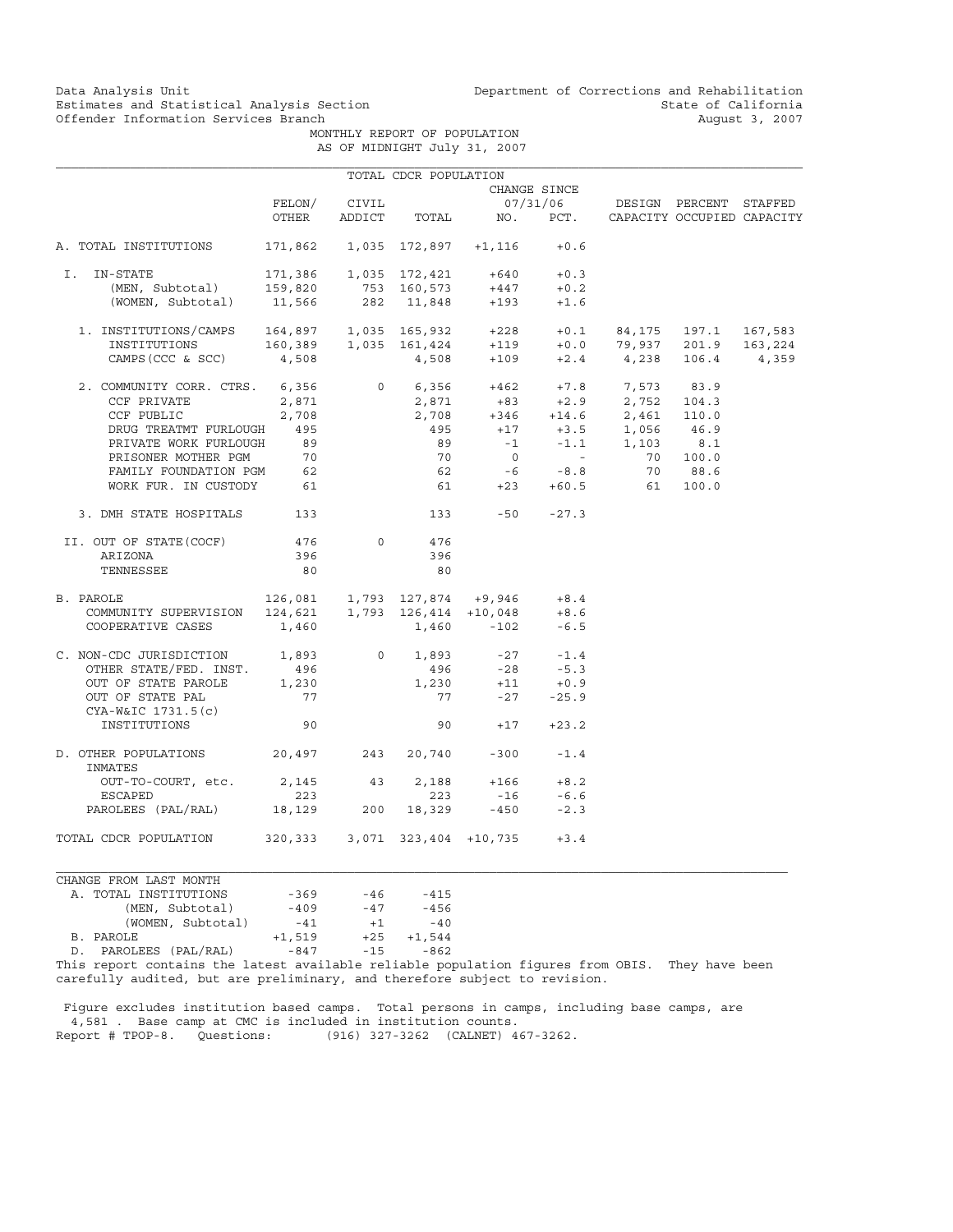Data Analysis Unit Unit Department of Corrections and Rehabilitation<br>Estimates and Statistical Analysis Section State of California Estimates and Statistical Analysis Section and State of California of Estimates and Statistical Analysis Section Services Branch (State of California August 3, 2007)

> MONTHLY REPORT OF POPULATION AS OF MIDNIGHT July 31, 2007

|                                                                                                                            |                                                                                                                                                                                                                                             |              | TOTAL CDCR POPULATION |                                                                                    |               |                                                                                          |                        |         |
|----------------------------------------------------------------------------------------------------------------------------|---------------------------------------------------------------------------------------------------------------------------------------------------------------------------------------------------------------------------------------------|--------------|-----------------------|------------------------------------------------------------------------------------|---------------|------------------------------------------------------------------------------------------|------------------------|---------|
|                                                                                                                            |                                                                                                                                                                                                                                             |              |                       |                                                                                    | CHANGE SINCE  |                                                                                          |                        |         |
|                                                                                                                            |                                                                                                                                                                                                                                             | FELON/ CIVIL |                       |                                                                                    |               | 07/31/06 DESIGN PERCENT STAFFED                                                          |                        |         |
|                                                                                                                            | OTHER                                                                                                                                                                                                                                       |              |                       |                                                                                    |               | ADDICT TOTAL NO. PCT. CAPACITY OCCUPIED CAPACITY                                         |                        |         |
|                                                                                                                            |                                                                                                                                                                                                                                             |              |                       |                                                                                    |               |                                                                                          |                        |         |
| A. TOTAL INSTITUTIONS                                                                                                      | $171,862$ 1,035 172,897 +1,116 +0.6                                                                                                                                                                                                         |              |                       |                                                                                    |               |                                                                                          |                        |         |
| I. IN-STATE                                                                                                                |                                                                                                                                                                                                                                             |              |                       | $171,386 \qquad 1,035 \quad 172,421 \qquad \quad +640 \qquad \quad +0.3$           |               |                                                                                          |                        |         |
| (MEN, Subtotal)                                                                                                            |                                                                                                                                                                                                                                             |              |                       |                                                                                    | $+447$ $+0.2$ |                                                                                          |                        |         |
| (WOMEN, Subtotal)                                                                                                          | 159,820          753    160,573         +447<br>11,566          282     11,848        +193                                                                                                                                                  |              |                       |                                                                                    | $+1.6$        |                                                                                          |                        |         |
| 1. INSTITUTIONS/CAMPS $164,897$ 1,035 165,932 +228 +0.1                                                                    |                                                                                                                                                                                                                                             |              |                       |                                                                                    |               |                                                                                          | 84, 175 197.1 167, 583 |         |
| INSTITUTIONS                                                                                                               |                                                                                                                                                                                                                                             |              |                       |                                                                                    |               |                                                                                          |                        | 163,224 |
| CAMPS (CCC & SCC)                                                                                                          | $160,389 \qquad 1,035 \quad 161,424 \qquad \quad +119 \qquad \quad +0.0 \qquad \quad 79,937 \qquad \quad 201.9 \quad \quad 160,489 \qquad \quad \quad 4,508 \qquad \quad \quad +109 \qquad \quad +2.4 \qquad \quad 4,238 \quad \quad 106.4$ |              |                       |                                                                                    |               |                                                                                          |                        | 4,359   |
|                                                                                                                            |                                                                                                                                                                                                                                             |              |                       |                                                                                    |               | 0 $6,356$ $+462$ $+7.8$ $7,573$ $83.9$                                                   |                        |         |
| 2. COMMUNITY CORR. CTRS. 6,356                                                                                             |                                                                                                                                                                                                                                             |              |                       |                                                                                    |               |                                                                                          |                        |         |
| CCF PRIVATE                                                                                                                | 2,871                                                                                                                                                                                                                                       |              |                       |                                                                                    |               | $2,871$ $+83$ $+2.9$ $2,752$ $104.3$<br>$2,708$ $+346$ $+14.6$ $2,461$ $110.0$           |                        |         |
| CCF PUBLIC                                                                                                                 | 2,708                                                                                                                                                                                                                                       |              |                       |                                                                                    |               |                                                                                          |                        |         |
| DRUG TREATMT FURLOUGH 495                                                                                                  |                                                                                                                                                                                                                                             |              |                       |                                                                                    |               | $495$ $+17$ $+3.5$ $1,056$ $46.9$<br>$89$ $-1$ $-1.1$ $1,103$ $8.1$<br>$70$ 0 - 70 100.0 |                        |         |
| PRIVATE WORK FURLOUGH 89                                                                                                   |                                                                                                                                                                                                                                             |              |                       |                                                                                    |               |                                                                                          |                        |         |
|                                                                                                                            |                                                                                                                                                                                                                                             |              |                       |                                                                                    |               |                                                                                          |                        |         |
|                                                                                                                            |                                                                                                                                                                                                                                             |              |                       |                                                                                    |               |                                                                                          | 70 88.6                |         |
| PRISONER MOTHER PGM 70<br>FAMILY FOUNDATION PGM 62<br>WORK FUR. IN CUSTODY 61                                              |                                                                                                                                                                                                                                             |              |                       |                                                                                    |               | $70$ 0 - $70$<br>$62$ -6 -8.8 70<br>$61$ +23 +60.5 61                                    | 100.0                  |         |
| 3. DMH STATE HOSPITALS 133                                                                                                 |                                                                                                                                                                                                                                             |              |                       | $133 - 50 -27.3$                                                                   |               |                                                                                          |                        |         |
| II. OUT OF STATE(COCF)                                                                                                     | 476                                                                                                                                                                                                                                         |              | $\overline{0}$<br>476 |                                                                                    |               |                                                                                          |                        |         |
| ARIZONA                                                                                                                    | 396                                                                                                                                                                                                                                         |              | 396                   |                                                                                    |               |                                                                                          |                        |         |
| TENNESSEE                                                                                                                  | 80                                                                                                                                                                                                                                          |              | 80                    |                                                                                    |               |                                                                                          |                        |         |
| B. PAROLE                                                                                                                  | $126,081$ 1,793 127,874 +9,946 +8.4                                                                                                                                                                                                         |              |                       |                                                                                    |               |                                                                                          |                        |         |
|                                                                                                                            |                                                                                                                                                                                                                                             |              |                       |                                                                                    |               |                                                                                          |                        |         |
| $\texttt{COMMUNITI} \texttt{ SUPERVISION} \texttt{124,621} \texttt{1,793} \texttt{126,414} \texttt{+10,048} \texttt{+8.6}$ |                                                                                                                                                                                                                                             |              |                       |                                                                                    |               |                                                                                          |                        |         |
| COOPERATIVE CASES                                                                                                          | 1,460                                                                                                                                                                                                                                       |              |                       | $1,460 -102$                                                                       | $-6.5$        |                                                                                          |                        |         |
| C. NON-CDC JURISDICTION 1,893                                                                                              |                                                                                                                                                                                                                                             |              | $0 \qquad \qquad$     | $1,893 -27 -1.4$                                                                   |               |                                                                                          |                        |         |
| OTHER STATE/FED. INST.                                                                                                     | 496                                                                                                                                                                                                                                         |              |                       | $496 -28 -5.3$                                                                     |               |                                                                                          |                        |         |
| OUT OF STATE PAROLE 1,230                                                                                                  |                                                                                                                                                                                                                                             |              |                       |                                                                                    |               |                                                                                          |                        |         |
| OUT OF STATE PAL                                                                                                           | 77                                                                                                                                                                                                                                          |              |                       | $\begin{array}{cccc} 1,230 & & +11 & & +0.9 \\ & 77 & & -27 & & -25.9 \end{array}$ |               |                                                                                          |                        |         |
| CYA-W&IC 1731.5(c)                                                                                                         |                                                                                                                                                                                                                                             |              |                       |                                                                                    |               |                                                                                          |                        |         |
| INSTITUTIONS                                                                                                               | 90                                                                                                                                                                                                                                          |              |                       | 90 $+17$ $+23.2$                                                                   |               |                                                                                          |                        |         |
| D. OTHER POPULATIONS<br>INMATES                                                                                            | $20,497$ $243$ $20,740$ $-300$ $-1.4$                                                                                                                                                                                                       |              |                       |                                                                                    |               |                                                                                          |                        |         |
| OUT-TO-COURT, etc. 2,145 43                                                                                                |                                                                                                                                                                                                                                             |              |                       | $2,188 + 166 + 8.2$                                                                |               |                                                                                          |                        |         |
| ESCAPED                                                                                                                    | 223                                                                                                                                                                                                                                         |              |                       | $223 -16 -6.6$                                                                     |               |                                                                                          |                        |         |
| PAROLEES (PAL/RAL) 18,129 200 18,329 -450                                                                                  |                                                                                                                                                                                                                                             |              |                       |                                                                                    | $-2.3$        |                                                                                          |                        |         |
| TOTAL CDCR POPULATION                                                                                                      | $320,333$ $3,071$ $323,404$ $+10,735$ $+3.4$                                                                                                                                                                                                |              |                       |                                                                                    |               |                                                                                          |                        |         |

CHANGE FROM LAST MONTH A. TOTAL INSTITUTIONS -369 -46 -415<br>A. TOTAL INSTITUTIONS -369 -46 -415<br>(MEN, Subtotal) -409 -47 -456 (MEN, Subtotal) (WOMEN, Subtotal) -41 +1 -40<br>B. PAROLE +1,519 +25 +1,544 +1,519<br>-847 D. PAROLEES (PAL/RAL) -847 -15 -862

This report contains the latest available reliable population figures from OBIS. They have been carefully audited, but are preliminary, and therefore subject to revision.

 Figure excludes institution based camps. Total persons in camps, including base camps, are 4,581 . Base camp at CMC is included in institution counts. Report # TPOP-8. Questions: (916) 327-3262 (CALNET) 467-3262.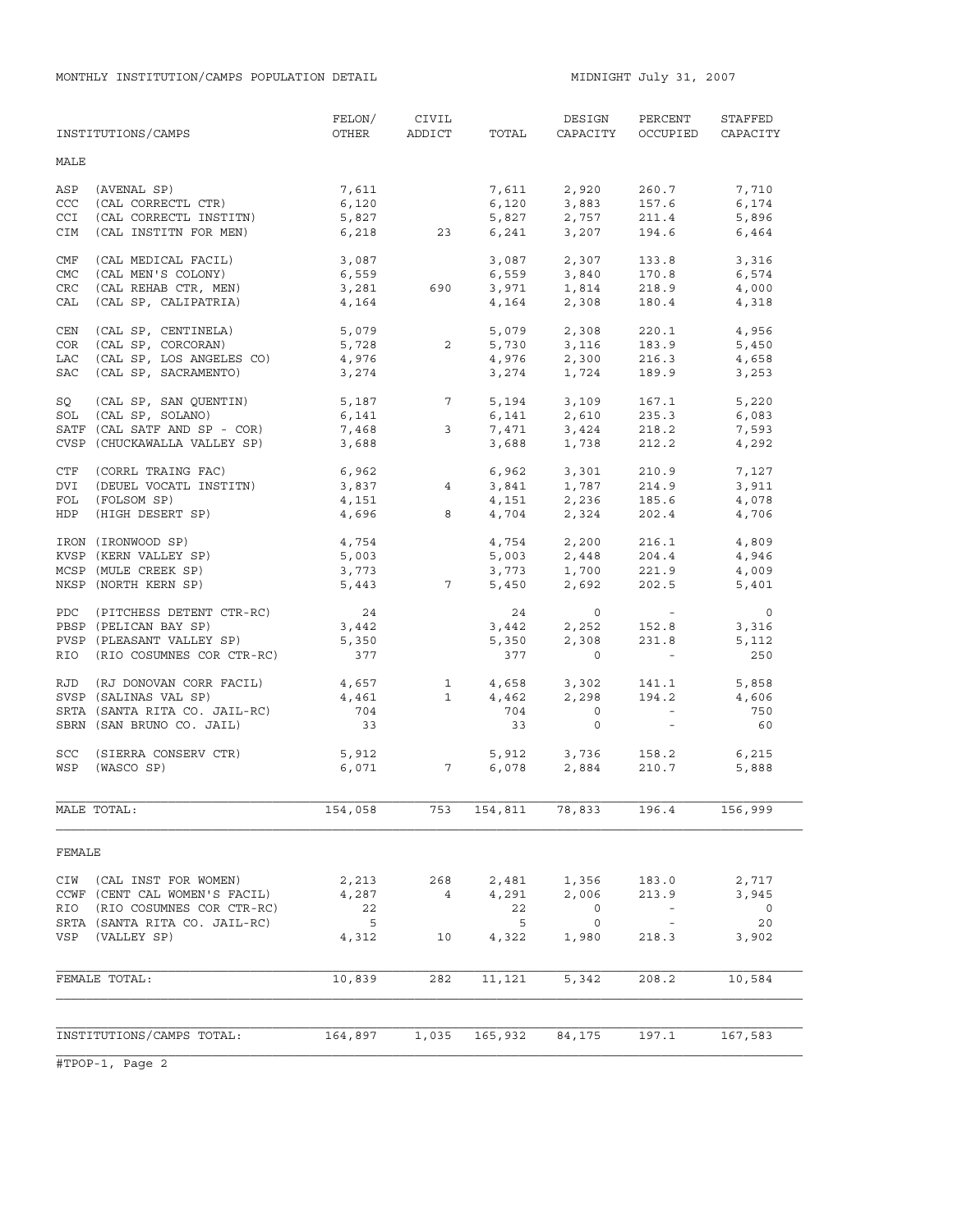| MALE<br>(AVENAL SP)<br>7,611<br>2,920<br>ASP<br>7,611<br>260.7<br>7,710<br>CCC<br>(CAL CORRECTL CTR)<br>6,120<br>6,120<br>3,883<br>157.6<br>6,174<br><b>CCI</b><br>(CAL CORRECTL INSTITN)<br>5,827<br>5,827<br>2,757<br>211.4<br>5,896<br>6,241<br>3,207<br>6,218<br>194.6<br>CIM<br>(CAL INSTITN FOR MEN)<br>23<br>6,464<br>2,307<br>CMF<br>(CAL MEDICAL FACIL)<br>3,087<br>3,087<br>133.8<br>3,316<br>CMC<br>(CAL MEN'S COLONY)<br>6,559<br>6,559<br>3,840<br>170.8<br>6,574<br>3,971<br>(CAL REHAB CTR, MEN)<br>3,281<br>CRC<br>218.9<br>690<br>1,814<br>4,000<br>CAL<br>(CAL SP, CALIPATRIA)<br>4,164<br>4,164<br>2,308<br>180.4<br>4,318<br>(CAL SP, CENTINELA)<br>5,079<br>2,308<br>CEN<br>5,079<br>220.1<br>4,956<br>5,728<br>3,116<br>(CAL SP, CORCORAN)<br>$\overline{2}$<br>5,730<br>COR<br>183.9<br>5,450<br>(CAL SP, LOS ANGELES CO)<br>LAC<br>4,976<br>2,300<br>4,976<br>216.3<br>4,658<br>(CAL SP, SACRAMENTO)<br>189.9<br><b>SAC</b><br>3,274<br>3,274<br>1,724<br>3,253<br>5, 187<br>SQ<br>(CAL SP, SAN QUENTIN)<br>$7\overline{ }$<br>5,194<br>3,109<br>167.1<br>5,220<br>(CAL SP, SOLANO)<br>SOL<br>6,141<br>6,141<br>2,610<br>235.3<br>6,083<br>3,424<br>7,468<br>SATF (CAL SATF AND SP - COR)<br>7,471<br>3<br>218.2<br>7,593<br>CVSP (CHUCKAWALLA VALLEY SP)<br>3,688<br>3,688<br>1,738<br>212.2<br>4,292<br>CTF<br>(CORRL TRAING FAC)<br>6,962<br>6,962<br>3,301<br>210.9<br>7,127<br>$3,841$ $1,787$<br>$\overline{4}$<br>DVI<br>(DEUEL VOCATL INSTITN)<br>3,837<br>214.9<br>3,911<br>FOL<br>(FOLSOM SP)<br>4,151<br>4,151<br>4,704<br>2,236<br>2.324<br>185.6<br>4,078<br>202.4<br>HDP<br>(HIGH DESERT SP)<br>4,696<br>8<br>4,706<br>4,754<br>2,200<br>IRON (IRONWOOD SP)<br>4,754<br>216.1<br>4,809<br>KVSP (KERN VALLEY SP)<br>5,003<br>$5,003$ $2,448$<br>3,773 $1,700$<br>204.4<br>4,946<br>MCSP (MULE CREEK SP)<br>221.9<br>3,773<br>4,009<br>NKSP (NORTH KERN SP)<br>5,443 7<br>5,450<br>2,692<br>202.5<br>5,401<br>24<br>PDC (PITCHESS DETENT CTR-RC)<br>24<br>$\circ$<br>$\circ$<br><b>Contractor</b><br>3,442<br>3,442<br>2,252<br>PBSP (PELICAN BAY SP)<br>152.8<br>3,316<br>PVSP (PLEASANT VALLEY SP)<br>5,350<br>2,308<br>231.8<br>5,350<br>5,112<br>RIO (RIO COSUMNES COR CTR-RC)<br>377<br>$\overline{0}$<br>250<br>377<br>$\mathcal{L}_{\rm{max}}$ and $\mathcal{L}_{\rm{max}}$<br>4,657<br>(RJ DONOVAN CORR FACIL)<br>$\mathbf{1}$<br>4,658<br>3,302<br>141.1<br>5,858<br>RJD<br>4,461<br>$\mathbf{1}$<br>4,462<br>2,298<br>194.2<br>SVSP (SALINAS VAL SP)<br>4,606<br>SRTA (SANTA RITA CO. JAIL-RC)<br>704<br>$\overline{0}$<br>$\mathcal{L}^{\text{max}}$ and $\mathcal{L}^{\text{max}}$<br>704<br>750<br>SBRN (SAN BRUNO CO. JAIL)<br>33<br>33<br>$\circ$<br>$\sim$<br>60<br>3,736<br>SCC<br>(SIERRA CONSERV CTR)<br>5,912<br>5,912<br>158.2<br>6,215<br>WSP (WASCO SP)<br>6,071<br>$7\overline{ }$<br>6,078<br>2,884<br>210.7<br>5,888<br>MALE TOTAL:<br>154,058<br>753<br>154,811<br>78,833<br>196.4<br>156,999<br>FEMALE<br>(CAL INST FOR WOMEN)<br>CIW<br>2,213<br>268<br>2,481<br>1,356<br>183.0<br>2,717<br>CCWF (CENT CAL WOMEN'S FACIL)<br>4,287<br>4,291<br>2,006<br>213.9<br>3,945<br>4<br>RIO<br>22<br>22<br>$\circ$<br>(RIO COSUMNES COR CTR-RC)<br>$\overline{\phantom{0}}$<br>$\overline{\phantom{a}}$<br>20<br>SRTA (SANTA RITA CO. JAIL-RC)<br>$-5$<br>5<br>$\circ$<br>$\overline{\phantom{a}}$<br>VSP<br>(VALLEY SP)<br>4,312<br>4,322<br>1,980<br>218.3<br>3,902<br>10<br>FEMALE TOTAL:<br>10,839<br>282<br>11,121<br>5,342<br>208.2<br>10,584<br>INSTITUTIONS/CAMPS TOTAL:<br>165,932<br>164,897<br>1,035<br>84,175<br>197.1<br>167,583 | INSTITUTIONS/CAMPS | FELON/<br>OTHER | CIVIL<br>ADDICT | TOTAL | DESIGN<br>CAPACITY | PERCENT<br>OCCUPIED | STAFFED<br>CAPACITY |
|-------------------------------------------------------------------------------------------------------------------------------------------------------------------------------------------------------------------------------------------------------------------------------------------------------------------------------------------------------------------------------------------------------------------------------------------------------------------------------------------------------------------------------------------------------------------------------------------------------------------------------------------------------------------------------------------------------------------------------------------------------------------------------------------------------------------------------------------------------------------------------------------------------------------------------------------------------------------------------------------------------------------------------------------------------------------------------------------------------------------------------------------------------------------------------------------------------------------------------------------------------------------------------------------------------------------------------------------------------------------------------------------------------------------------------------------------------------------------------------------------------------------------------------------------------------------------------------------------------------------------------------------------------------------------------------------------------------------------------------------------------------------------------------------------------------------------------------------------------------------------------------------------------------------------------------------------------------------------------------------------------------------------------------------------------------------------------------------------------------------------------------------------------------------------------------------------------------------------------------------------------------------------------------------------------------------------------------------------------------------------------------------------------------------------------------------------------------------------------------------------------------------------------------------------------------------------------------------------------------------------------------------------------------------------------------------------------------------------------------------------------------------------------------------------------------------------------------------------------------------------------------------------------------------------------------------------------------------------------------------------------------------------------------------------------------------------------------------------------------------------------------------------------------------------------------------------------------------------------------------------------------------------------------------------------------------------------------------------------------------------------------------------------------------------------------------------------------------------------------------------------------------------------------------------------------------------------------------------------|--------------------|-----------------|-----------------|-------|--------------------|---------------------|---------------------|
|                                                                                                                                                                                                                                                                                                                                                                                                                                                                                                                                                                                                                                                                                                                                                                                                                                                                                                                                                                                                                                                                                                                                                                                                                                                                                                                                                                                                                                                                                                                                                                                                                                                                                                                                                                                                                                                                                                                                                                                                                                                                                                                                                                                                                                                                                                                                                                                                                                                                                                                                                                                                                                                                                                                                                                                                                                                                                                                                                                                                                                                                                                                                                                                                                                                                                                                                                                                                                                                                                                                                                                                                       |                    |                 |                 |       |                    |                     |                     |
|                                                                                                                                                                                                                                                                                                                                                                                                                                                                                                                                                                                                                                                                                                                                                                                                                                                                                                                                                                                                                                                                                                                                                                                                                                                                                                                                                                                                                                                                                                                                                                                                                                                                                                                                                                                                                                                                                                                                                                                                                                                                                                                                                                                                                                                                                                                                                                                                                                                                                                                                                                                                                                                                                                                                                                                                                                                                                                                                                                                                                                                                                                                                                                                                                                                                                                                                                                                                                                                                                                                                                                                                       |                    |                 |                 |       |                    |                     |                     |
|                                                                                                                                                                                                                                                                                                                                                                                                                                                                                                                                                                                                                                                                                                                                                                                                                                                                                                                                                                                                                                                                                                                                                                                                                                                                                                                                                                                                                                                                                                                                                                                                                                                                                                                                                                                                                                                                                                                                                                                                                                                                                                                                                                                                                                                                                                                                                                                                                                                                                                                                                                                                                                                                                                                                                                                                                                                                                                                                                                                                                                                                                                                                                                                                                                                                                                                                                                                                                                                                                                                                                                                                       |                    |                 |                 |       |                    |                     |                     |
|                                                                                                                                                                                                                                                                                                                                                                                                                                                                                                                                                                                                                                                                                                                                                                                                                                                                                                                                                                                                                                                                                                                                                                                                                                                                                                                                                                                                                                                                                                                                                                                                                                                                                                                                                                                                                                                                                                                                                                                                                                                                                                                                                                                                                                                                                                                                                                                                                                                                                                                                                                                                                                                                                                                                                                                                                                                                                                                                                                                                                                                                                                                                                                                                                                                                                                                                                                                                                                                                                                                                                                                                       |                    |                 |                 |       |                    |                     |                     |
|                                                                                                                                                                                                                                                                                                                                                                                                                                                                                                                                                                                                                                                                                                                                                                                                                                                                                                                                                                                                                                                                                                                                                                                                                                                                                                                                                                                                                                                                                                                                                                                                                                                                                                                                                                                                                                                                                                                                                                                                                                                                                                                                                                                                                                                                                                                                                                                                                                                                                                                                                                                                                                                                                                                                                                                                                                                                                                                                                                                                                                                                                                                                                                                                                                                                                                                                                                                                                                                                                                                                                                                                       |                    |                 |                 |       |                    |                     |                     |
|                                                                                                                                                                                                                                                                                                                                                                                                                                                                                                                                                                                                                                                                                                                                                                                                                                                                                                                                                                                                                                                                                                                                                                                                                                                                                                                                                                                                                                                                                                                                                                                                                                                                                                                                                                                                                                                                                                                                                                                                                                                                                                                                                                                                                                                                                                                                                                                                                                                                                                                                                                                                                                                                                                                                                                                                                                                                                                                                                                                                                                                                                                                                                                                                                                                                                                                                                                                                                                                                                                                                                                                                       |                    |                 |                 |       |                    |                     |                     |
|                                                                                                                                                                                                                                                                                                                                                                                                                                                                                                                                                                                                                                                                                                                                                                                                                                                                                                                                                                                                                                                                                                                                                                                                                                                                                                                                                                                                                                                                                                                                                                                                                                                                                                                                                                                                                                                                                                                                                                                                                                                                                                                                                                                                                                                                                                                                                                                                                                                                                                                                                                                                                                                                                                                                                                                                                                                                                                                                                                                                                                                                                                                                                                                                                                                                                                                                                                                                                                                                                                                                                                                                       |                    |                 |                 |       |                    |                     |                     |
|                                                                                                                                                                                                                                                                                                                                                                                                                                                                                                                                                                                                                                                                                                                                                                                                                                                                                                                                                                                                                                                                                                                                                                                                                                                                                                                                                                                                                                                                                                                                                                                                                                                                                                                                                                                                                                                                                                                                                                                                                                                                                                                                                                                                                                                                                                                                                                                                                                                                                                                                                                                                                                                                                                                                                                                                                                                                                                                                                                                                                                                                                                                                                                                                                                                                                                                                                                                                                                                                                                                                                                                                       |                    |                 |                 |       |                    |                     |                     |
|                                                                                                                                                                                                                                                                                                                                                                                                                                                                                                                                                                                                                                                                                                                                                                                                                                                                                                                                                                                                                                                                                                                                                                                                                                                                                                                                                                                                                                                                                                                                                                                                                                                                                                                                                                                                                                                                                                                                                                                                                                                                                                                                                                                                                                                                                                                                                                                                                                                                                                                                                                                                                                                                                                                                                                                                                                                                                                                                                                                                                                                                                                                                                                                                                                                                                                                                                                                                                                                                                                                                                                                                       |                    |                 |                 |       |                    |                     |                     |
|                                                                                                                                                                                                                                                                                                                                                                                                                                                                                                                                                                                                                                                                                                                                                                                                                                                                                                                                                                                                                                                                                                                                                                                                                                                                                                                                                                                                                                                                                                                                                                                                                                                                                                                                                                                                                                                                                                                                                                                                                                                                                                                                                                                                                                                                                                                                                                                                                                                                                                                                                                                                                                                                                                                                                                                                                                                                                                                                                                                                                                                                                                                                                                                                                                                                                                                                                                                                                                                                                                                                                                                                       |                    |                 |                 |       |                    |                     |                     |
|                                                                                                                                                                                                                                                                                                                                                                                                                                                                                                                                                                                                                                                                                                                                                                                                                                                                                                                                                                                                                                                                                                                                                                                                                                                                                                                                                                                                                                                                                                                                                                                                                                                                                                                                                                                                                                                                                                                                                                                                                                                                                                                                                                                                                                                                                                                                                                                                                                                                                                                                                                                                                                                                                                                                                                                                                                                                                                                                                                                                                                                                                                                                                                                                                                                                                                                                                                                                                                                                                                                                                                                                       |                    |                 |                 |       |                    |                     |                     |
|                                                                                                                                                                                                                                                                                                                                                                                                                                                                                                                                                                                                                                                                                                                                                                                                                                                                                                                                                                                                                                                                                                                                                                                                                                                                                                                                                                                                                                                                                                                                                                                                                                                                                                                                                                                                                                                                                                                                                                                                                                                                                                                                                                                                                                                                                                                                                                                                                                                                                                                                                                                                                                                                                                                                                                                                                                                                                                                                                                                                                                                                                                                                                                                                                                                                                                                                                                                                                                                                                                                                                                                                       |                    |                 |                 |       |                    |                     |                     |
|                                                                                                                                                                                                                                                                                                                                                                                                                                                                                                                                                                                                                                                                                                                                                                                                                                                                                                                                                                                                                                                                                                                                                                                                                                                                                                                                                                                                                                                                                                                                                                                                                                                                                                                                                                                                                                                                                                                                                                                                                                                                                                                                                                                                                                                                                                                                                                                                                                                                                                                                                                                                                                                                                                                                                                                                                                                                                                                                                                                                                                                                                                                                                                                                                                                                                                                                                                                                                                                                                                                                                                                                       |                    |                 |                 |       |                    |                     |                     |
|                                                                                                                                                                                                                                                                                                                                                                                                                                                                                                                                                                                                                                                                                                                                                                                                                                                                                                                                                                                                                                                                                                                                                                                                                                                                                                                                                                                                                                                                                                                                                                                                                                                                                                                                                                                                                                                                                                                                                                                                                                                                                                                                                                                                                                                                                                                                                                                                                                                                                                                                                                                                                                                                                                                                                                                                                                                                                                                                                                                                                                                                                                                                                                                                                                                                                                                                                                                                                                                                                                                                                                                                       |                    |                 |                 |       |                    |                     |                     |
|                                                                                                                                                                                                                                                                                                                                                                                                                                                                                                                                                                                                                                                                                                                                                                                                                                                                                                                                                                                                                                                                                                                                                                                                                                                                                                                                                                                                                                                                                                                                                                                                                                                                                                                                                                                                                                                                                                                                                                                                                                                                                                                                                                                                                                                                                                                                                                                                                                                                                                                                                                                                                                                                                                                                                                                                                                                                                                                                                                                                                                                                                                                                                                                                                                                                                                                                                                                                                                                                                                                                                                                                       |                    |                 |                 |       |                    |                     |                     |
|                                                                                                                                                                                                                                                                                                                                                                                                                                                                                                                                                                                                                                                                                                                                                                                                                                                                                                                                                                                                                                                                                                                                                                                                                                                                                                                                                                                                                                                                                                                                                                                                                                                                                                                                                                                                                                                                                                                                                                                                                                                                                                                                                                                                                                                                                                                                                                                                                                                                                                                                                                                                                                                                                                                                                                                                                                                                                                                                                                                                                                                                                                                                                                                                                                                                                                                                                                                                                                                                                                                                                                                                       |                    |                 |                 |       |                    |                     |                     |
|                                                                                                                                                                                                                                                                                                                                                                                                                                                                                                                                                                                                                                                                                                                                                                                                                                                                                                                                                                                                                                                                                                                                                                                                                                                                                                                                                                                                                                                                                                                                                                                                                                                                                                                                                                                                                                                                                                                                                                                                                                                                                                                                                                                                                                                                                                                                                                                                                                                                                                                                                                                                                                                                                                                                                                                                                                                                                                                                                                                                                                                                                                                                                                                                                                                                                                                                                                                                                                                                                                                                                                                                       |                    |                 |                 |       |                    |                     |                     |
|                                                                                                                                                                                                                                                                                                                                                                                                                                                                                                                                                                                                                                                                                                                                                                                                                                                                                                                                                                                                                                                                                                                                                                                                                                                                                                                                                                                                                                                                                                                                                                                                                                                                                                                                                                                                                                                                                                                                                                                                                                                                                                                                                                                                                                                                                                                                                                                                                                                                                                                                                                                                                                                                                                                                                                                                                                                                                                                                                                                                                                                                                                                                                                                                                                                                                                                                                                                                                                                                                                                                                                                                       |                    |                 |                 |       |                    |                     |                     |
|                                                                                                                                                                                                                                                                                                                                                                                                                                                                                                                                                                                                                                                                                                                                                                                                                                                                                                                                                                                                                                                                                                                                                                                                                                                                                                                                                                                                                                                                                                                                                                                                                                                                                                                                                                                                                                                                                                                                                                                                                                                                                                                                                                                                                                                                                                                                                                                                                                                                                                                                                                                                                                                                                                                                                                                                                                                                                                                                                                                                                                                                                                                                                                                                                                                                                                                                                                                                                                                                                                                                                                                                       |                    |                 |                 |       |                    |                     |                     |
|                                                                                                                                                                                                                                                                                                                                                                                                                                                                                                                                                                                                                                                                                                                                                                                                                                                                                                                                                                                                                                                                                                                                                                                                                                                                                                                                                                                                                                                                                                                                                                                                                                                                                                                                                                                                                                                                                                                                                                                                                                                                                                                                                                                                                                                                                                                                                                                                                                                                                                                                                                                                                                                                                                                                                                                                                                                                                                                                                                                                                                                                                                                                                                                                                                                                                                                                                                                                                                                                                                                                                                                                       |                    |                 |                 |       |                    |                     |                     |
|                                                                                                                                                                                                                                                                                                                                                                                                                                                                                                                                                                                                                                                                                                                                                                                                                                                                                                                                                                                                                                                                                                                                                                                                                                                                                                                                                                                                                                                                                                                                                                                                                                                                                                                                                                                                                                                                                                                                                                                                                                                                                                                                                                                                                                                                                                                                                                                                                                                                                                                                                                                                                                                                                                                                                                                                                                                                                                                                                                                                                                                                                                                                                                                                                                                                                                                                                                                                                                                                                                                                                                                                       |                    |                 |                 |       |                    |                     |                     |
|                                                                                                                                                                                                                                                                                                                                                                                                                                                                                                                                                                                                                                                                                                                                                                                                                                                                                                                                                                                                                                                                                                                                                                                                                                                                                                                                                                                                                                                                                                                                                                                                                                                                                                                                                                                                                                                                                                                                                                                                                                                                                                                                                                                                                                                                                                                                                                                                                                                                                                                                                                                                                                                                                                                                                                                                                                                                                                                                                                                                                                                                                                                                                                                                                                                                                                                                                                                                                                                                                                                                                                                                       |                    |                 |                 |       |                    |                     |                     |
|                                                                                                                                                                                                                                                                                                                                                                                                                                                                                                                                                                                                                                                                                                                                                                                                                                                                                                                                                                                                                                                                                                                                                                                                                                                                                                                                                                                                                                                                                                                                                                                                                                                                                                                                                                                                                                                                                                                                                                                                                                                                                                                                                                                                                                                                                                                                                                                                                                                                                                                                                                                                                                                                                                                                                                                                                                                                                                                                                                                                                                                                                                                                                                                                                                                                                                                                                                                                                                                                                                                                                                                                       |                    |                 |                 |       |                    |                     |                     |
|                                                                                                                                                                                                                                                                                                                                                                                                                                                                                                                                                                                                                                                                                                                                                                                                                                                                                                                                                                                                                                                                                                                                                                                                                                                                                                                                                                                                                                                                                                                                                                                                                                                                                                                                                                                                                                                                                                                                                                                                                                                                                                                                                                                                                                                                                                                                                                                                                                                                                                                                                                                                                                                                                                                                                                                                                                                                                                                                                                                                                                                                                                                                                                                                                                                                                                                                                                                                                                                                                                                                                                                                       |                    |                 |                 |       |                    |                     |                     |
|                                                                                                                                                                                                                                                                                                                                                                                                                                                                                                                                                                                                                                                                                                                                                                                                                                                                                                                                                                                                                                                                                                                                                                                                                                                                                                                                                                                                                                                                                                                                                                                                                                                                                                                                                                                                                                                                                                                                                                                                                                                                                                                                                                                                                                                                                                                                                                                                                                                                                                                                                                                                                                                                                                                                                                                                                                                                                                                                                                                                                                                                                                                                                                                                                                                                                                                                                                                                                                                                                                                                                                                                       |                    |                 |                 |       |                    |                     |                     |
|                                                                                                                                                                                                                                                                                                                                                                                                                                                                                                                                                                                                                                                                                                                                                                                                                                                                                                                                                                                                                                                                                                                                                                                                                                                                                                                                                                                                                                                                                                                                                                                                                                                                                                                                                                                                                                                                                                                                                                                                                                                                                                                                                                                                                                                                                                                                                                                                                                                                                                                                                                                                                                                                                                                                                                                                                                                                                                                                                                                                                                                                                                                                                                                                                                                                                                                                                                                                                                                                                                                                                                                                       |                    |                 |                 |       |                    |                     |                     |
|                                                                                                                                                                                                                                                                                                                                                                                                                                                                                                                                                                                                                                                                                                                                                                                                                                                                                                                                                                                                                                                                                                                                                                                                                                                                                                                                                                                                                                                                                                                                                                                                                                                                                                                                                                                                                                                                                                                                                                                                                                                                                                                                                                                                                                                                                                                                                                                                                                                                                                                                                                                                                                                                                                                                                                                                                                                                                                                                                                                                                                                                                                                                                                                                                                                                                                                                                                                                                                                                                                                                                                                                       |                    |                 |                 |       |                    |                     |                     |
|                                                                                                                                                                                                                                                                                                                                                                                                                                                                                                                                                                                                                                                                                                                                                                                                                                                                                                                                                                                                                                                                                                                                                                                                                                                                                                                                                                                                                                                                                                                                                                                                                                                                                                                                                                                                                                                                                                                                                                                                                                                                                                                                                                                                                                                                                                                                                                                                                                                                                                                                                                                                                                                                                                                                                                                                                                                                                                                                                                                                                                                                                                                                                                                                                                                                                                                                                                                                                                                                                                                                                                                                       |                    |                 |                 |       |                    |                     |                     |
|                                                                                                                                                                                                                                                                                                                                                                                                                                                                                                                                                                                                                                                                                                                                                                                                                                                                                                                                                                                                                                                                                                                                                                                                                                                                                                                                                                                                                                                                                                                                                                                                                                                                                                                                                                                                                                                                                                                                                                                                                                                                                                                                                                                                                                                                                                                                                                                                                                                                                                                                                                                                                                                                                                                                                                                                                                                                                                                                                                                                                                                                                                                                                                                                                                                                                                                                                                                                                                                                                                                                                                                                       |                    |                 |                 |       |                    |                     |                     |
|                                                                                                                                                                                                                                                                                                                                                                                                                                                                                                                                                                                                                                                                                                                                                                                                                                                                                                                                                                                                                                                                                                                                                                                                                                                                                                                                                                                                                                                                                                                                                                                                                                                                                                                                                                                                                                                                                                                                                                                                                                                                                                                                                                                                                                                                                                                                                                                                                                                                                                                                                                                                                                                                                                                                                                                                                                                                                                                                                                                                                                                                                                                                                                                                                                                                                                                                                                                                                                                                                                                                                                                                       |                    |                 |                 |       |                    |                     |                     |
|                                                                                                                                                                                                                                                                                                                                                                                                                                                                                                                                                                                                                                                                                                                                                                                                                                                                                                                                                                                                                                                                                                                                                                                                                                                                                                                                                                                                                                                                                                                                                                                                                                                                                                                                                                                                                                                                                                                                                                                                                                                                                                                                                                                                                                                                                                                                                                                                                                                                                                                                                                                                                                                                                                                                                                                                                                                                                                                                                                                                                                                                                                                                                                                                                                                                                                                                                                                                                                                                                                                                                                                                       |                    |                 |                 |       |                    |                     |                     |
|                                                                                                                                                                                                                                                                                                                                                                                                                                                                                                                                                                                                                                                                                                                                                                                                                                                                                                                                                                                                                                                                                                                                                                                                                                                                                                                                                                                                                                                                                                                                                                                                                                                                                                                                                                                                                                                                                                                                                                                                                                                                                                                                                                                                                                                                                                                                                                                                                                                                                                                                                                                                                                                                                                                                                                                                                                                                                                                                                                                                                                                                                                                                                                                                                                                                                                                                                                                                                                                                                                                                                                                                       |                    |                 |                 |       |                    |                     |                     |
|                                                                                                                                                                                                                                                                                                                                                                                                                                                                                                                                                                                                                                                                                                                                                                                                                                                                                                                                                                                                                                                                                                                                                                                                                                                                                                                                                                                                                                                                                                                                                                                                                                                                                                                                                                                                                                                                                                                                                                                                                                                                                                                                                                                                                                                                                                                                                                                                                                                                                                                                                                                                                                                                                                                                                                                                                                                                                                                                                                                                                                                                                                                                                                                                                                                                                                                                                                                                                                                                                                                                                                                                       |                    |                 |                 |       |                    |                     |                     |
|                                                                                                                                                                                                                                                                                                                                                                                                                                                                                                                                                                                                                                                                                                                                                                                                                                                                                                                                                                                                                                                                                                                                                                                                                                                                                                                                                                                                                                                                                                                                                                                                                                                                                                                                                                                                                                                                                                                                                                                                                                                                                                                                                                                                                                                                                                                                                                                                                                                                                                                                                                                                                                                                                                                                                                                                                                                                                                                                                                                                                                                                                                                                                                                                                                                                                                                                                                                                                                                                                                                                                                                                       |                    |                 |                 |       |                    |                     |                     |
|                                                                                                                                                                                                                                                                                                                                                                                                                                                                                                                                                                                                                                                                                                                                                                                                                                                                                                                                                                                                                                                                                                                                                                                                                                                                                                                                                                                                                                                                                                                                                                                                                                                                                                                                                                                                                                                                                                                                                                                                                                                                                                                                                                                                                                                                                                                                                                                                                                                                                                                                                                                                                                                                                                                                                                                                                                                                                                                                                                                                                                                                                                                                                                                                                                                                                                                                                                                                                                                                                                                                                                                                       |                    |                 |                 |       |                    |                     |                     |
|                                                                                                                                                                                                                                                                                                                                                                                                                                                                                                                                                                                                                                                                                                                                                                                                                                                                                                                                                                                                                                                                                                                                                                                                                                                                                                                                                                                                                                                                                                                                                                                                                                                                                                                                                                                                                                                                                                                                                                                                                                                                                                                                                                                                                                                                                                                                                                                                                                                                                                                                                                                                                                                                                                                                                                                                                                                                                                                                                                                                                                                                                                                                                                                                                                                                                                                                                                                                                                                                                                                                                                                                       |                    |                 |                 |       |                    |                     |                     |
|                                                                                                                                                                                                                                                                                                                                                                                                                                                                                                                                                                                                                                                                                                                                                                                                                                                                                                                                                                                                                                                                                                                                                                                                                                                                                                                                                                                                                                                                                                                                                                                                                                                                                                                                                                                                                                                                                                                                                                                                                                                                                                                                                                                                                                                                                                                                                                                                                                                                                                                                                                                                                                                                                                                                                                                                                                                                                                                                                                                                                                                                                                                                                                                                                                                                                                                                                                                                                                                                                                                                                                                                       |                    |                 |                 |       |                    |                     |                     |
|                                                                                                                                                                                                                                                                                                                                                                                                                                                                                                                                                                                                                                                                                                                                                                                                                                                                                                                                                                                                                                                                                                                                                                                                                                                                                                                                                                                                                                                                                                                                                                                                                                                                                                                                                                                                                                                                                                                                                                                                                                                                                                                                                                                                                                                                                                                                                                                                                                                                                                                                                                                                                                                                                                                                                                                                                                                                                                                                                                                                                                                                                                                                                                                                                                                                                                                                                                                                                                                                                                                                                                                                       |                    |                 |                 |       |                    |                     |                     |
|                                                                                                                                                                                                                                                                                                                                                                                                                                                                                                                                                                                                                                                                                                                                                                                                                                                                                                                                                                                                                                                                                                                                                                                                                                                                                                                                                                                                                                                                                                                                                                                                                                                                                                                                                                                                                                                                                                                                                                                                                                                                                                                                                                                                                                                                                                                                                                                                                                                                                                                                                                                                                                                                                                                                                                                                                                                                                                                                                                                                                                                                                                                                                                                                                                                                                                                                                                                                                                                                                                                                                                                                       |                    |                 |                 |       |                    |                     |                     |
|                                                                                                                                                                                                                                                                                                                                                                                                                                                                                                                                                                                                                                                                                                                                                                                                                                                                                                                                                                                                                                                                                                                                                                                                                                                                                                                                                                                                                                                                                                                                                                                                                                                                                                                                                                                                                                                                                                                                                                                                                                                                                                                                                                                                                                                                                                                                                                                                                                                                                                                                                                                                                                                                                                                                                                                                                                                                                                                                                                                                                                                                                                                                                                                                                                                                                                                                                                                                                                                                                                                                                                                                       |                    |                 |                 |       |                    |                     |                     |
|                                                                                                                                                                                                                                                                                                                                                                                                                                                                                                                                                                                                                                                                                                                                                                                                                                                                                                                                                                                                                                                                                                                                                                                                                                                                                                                                                                                                                                                                                                                                                                                                                                                                                                                                                                                                                                                                                                                                                                                                                                                                                                                                                                                                                                                                                                                                                                                                                                                                                                                                                                                                                                                                                                                                                                                                                                                                                                                                                                                                                                                                                                                                                                                                                                                                                                                                                                                                                                                                                                                                                                                                       |                    |                 |                 |       |                    |                     |                     |
|                                                                                                                                                                                                                                                                                                                                                                                                                                                                                                                                                                                                                                                                                                                                                                                                                                                                                                                                                                                                                                                                                                                                                                                                                                                                                                                                                                                                                                                                                                                                                                                                                                                                                                                                                                                                                                                                                                                                                                                                                                                                                                                                                                                                                                                                                                                                                                                                                                                                                                                                                                                                                                                                                                                                                                                                                                                                                                                                                                                                                                                                                                                                                                                                                                                                                                                                                                                                                                                                                                                                                                                                       |                    |                 |                 |       |                    |                     |                     |
|                                                                                                                                                                                                                                                                                                                                                                                                                                                                                                                                                                                                                                                                                                                                                                                                                                                                                                                                                                                                                                                                                                                                                                                                                                                                                                                                                                                                                                                                                                                                                                                                                                                                                                                                                                                                                                                                                                                                                                                                                                                                                                                                                                                                                                                                                                                                                                                                                                                                                                                                                                                                                                                                                                                                                                                                                                                                                                                                                                                                                                                                                                                                                                                                                                                                                                                                                                                                                                                                                                                                                                                                       |                    |                 |                 |       |                    |                     |                     |
|                                                                                                                                                                                                                                                                                                                                                                                                                                                                                                                                                                                                                                                                                                                                                                                                                                                                                                                                                                                                                                                                                                                                                                                                                                                                                                                                                                                                                                                                                                                                                                                                                                                                                                                                                                                                                                                                                                                                                                                                                                                                                                                                                                                                                                                                                                                                                                                                                                                                                                                                                                                                                                                                                                                                                                                                                                                                                                                                                                                                                                                                                                                                                                                                                                                                                                                                                                                                                                                                                                                                                                                                       |                    |                 |                 |       |                    |                     |                     |
|                                                                                                                                                                                                                                                                                                                                                                                                                                                                                                                                                                                                                                                                                                                                                                                                                                                                                                                                                                                                                                                                                                                                                                                                                                                                                                                                                                                                                                                                                                                                                                                                                                                                                                                                                                                                                                                                                                                                                                                                                                                                                                                                                                                                                                                                                                                                                                                                                                                                                                                                                                                                                                                                                                                                                                                                                                                                                                                                                                                                                                                                                                                                                                                                                                                                                                                                                                                                                                                                                                                                                                                                       |                    |                 |                 |       |                    |                     |                     |
|                                                                                                                                                                                                                                                                                                                                                                                                                                                                                                                                                                                                                                                                                                                                                                                                                                                                                                                                                                                                                                                                                                                                                                                                                                                                                                                                                                                                                                                                                                                                                                                                                                                                                                                                                                                                                                                                                                                                                                                                                                                                                                                                                                                                                                                                                                                                                                                                                                                                                                                                                                                                                                                                                                                                                                                                                                                                                                                                                                                                                                                                                                                                                                                                                                                                                                                                                                                                                                                                                                                                                                                                       |                    |                 |                 |       |                    |                     |                     |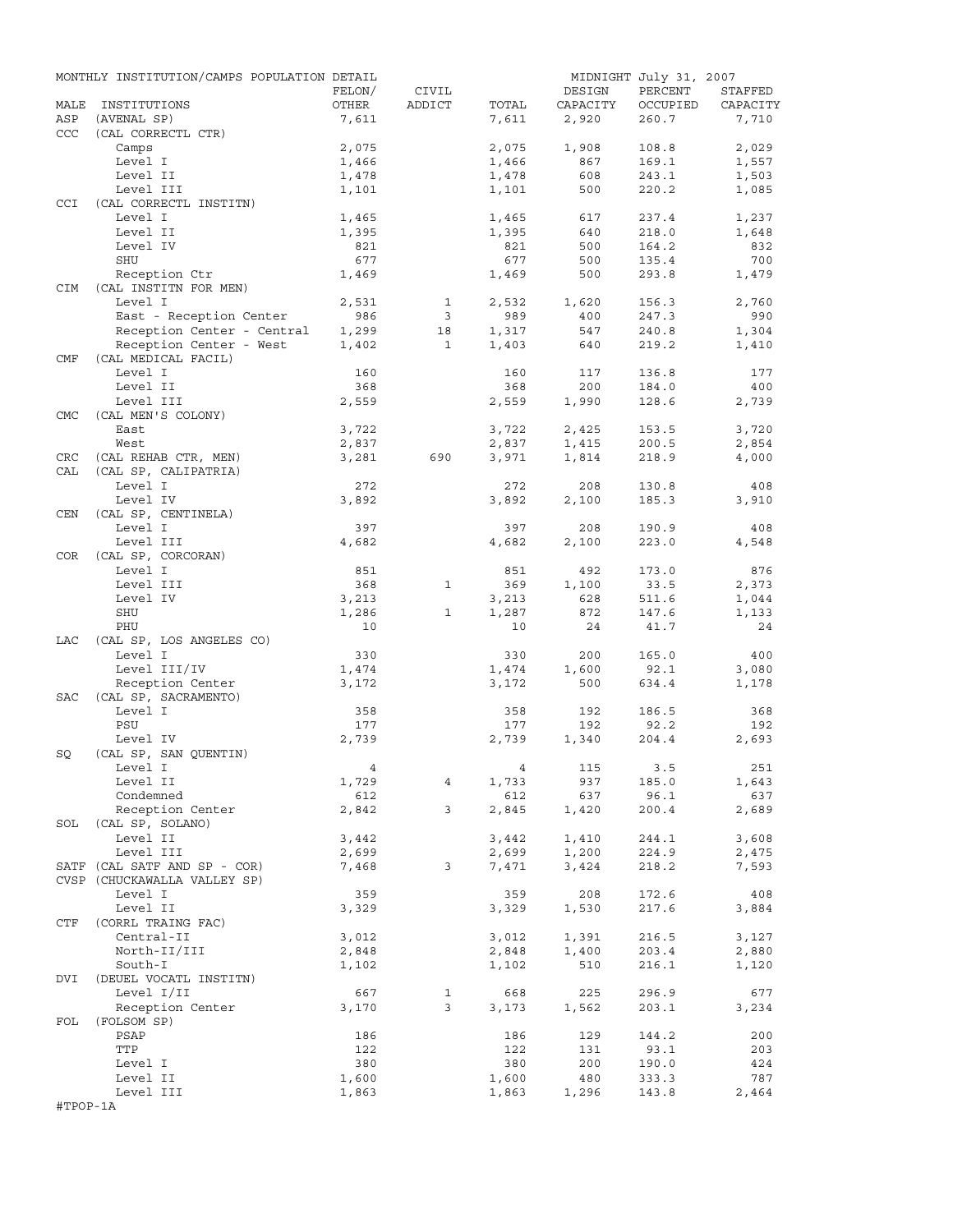|            | MONTHLY INSTITUTION/CAMPS POPULATION DETAIL |                |              |                |              | MIDNIGHT July 31, 2007 |                |
|------------|---------------------------------------------|----------------|--------------|----------------|--------------|------------------------|----------------|
|            |                                             | FELON/         | CIVIL        |                | DESIGN       | PERCENT                | STAFFED        |
| MALE       | INSTITUTIONS                                | OTHER          | ADDICT       | TOTAL          | CAPACITY     | OCCUPIED               | CAPACITY       |
| ASP        | (AVENAL SP)                                 | 7,611          |              | 7,611          | 2,920        | 260.7                  | 7,710          |
| CCC        | (CAL CORRECTL CTR)                          |                |              |                |              |                        |                |
|            | Camps<br>Level I                            | 2,075          |              | 2,075<br>1,466 | 1,908<br>867 | 108.8<br>169.1         | 2,029<br>1,557 |
|            | Level II                                    | 1,466<br>1,478 |              | 1,478          | 608          | 243.1                  | 1,503          |
|            | Level III                                   | 1,101          |              | 1,101          | 500          | 220.2                  | 1,085          |
| <b>CCI</b> | (CAL CORRECTL INSTITN)                      |                |              |                |              |                        |                |
|            | Level I                                     | 1,465          |              | 1,465          | 617          | 237.4                  | 1,237          |
|            | Level II                                    | 1,395          |              | 1,395          | 640          | 218.0                  | 1,648          |
|            | Level IV                                    | 821            |              | 821            | 500          | 164.2                  | 832            |
|            | SHU                                         | 677            |              | 677            | 500          | 135.4                  | 700            |
|            | Reception Ctr                               | 1,469          |              | 1,469          | 500          | 293.8                  | 1,479          |
| CIM        | (CAL INSTITN FOR MEN)                       |                |              |                |              |                        |                |
|            | Level I                                     | 2,531          | $\mathbf{1}$ | 2,532          | 1,620        | 156.3                  | 2,760          |
|            | East - Reception Center                     | 986            | 3            | 989            | 400          | 247.3                  | 990            |
|            | Reception Center - Central                  | 1,299          | 18           | 1,317          | 547          | 240.8                  | 1,304          |
|            | Reception Center - West                     | 1,402          | $\mathbf{1}$ | 1,403          | 640          | 219.2                  | 1,410          |
| CMF        | (CAL MEDICAL FACIL)                         |                |              |                |              |                        |                |
|            | Level I                                     | 160            |              | 160            | 117          | 136.8                  | 177            |
|            | Level II                                    | 368<br>2,559   |              | 368            | 200          | 184.0<br>128.6         | 400<br>2,739   |
| <b>CMC</b> | Level III<br>(CAL MEN'S COLONY)             |                |              | 2,559          | 1,990        |                        |                |
|            | East                                        | 3,722          |              | 3,722          | 2,425        | 153.5                  | 3,720          |
|            | West                                        | 2,837          |              | 2,837          | 1,415        | 200.5                  | 2,854          |
| CRC        | (CAL REHAB CTR, MEN)                        | 3,281          | 690          | 3,971          | 1,814        | 218.9                  | 4,000          |
| CAL        | (CAL SP, CALIPATRIA)                        |                |              |                |              |                        |                |
|            | Level I                                     | 272            |              | 272            | 208          | 130.8                  | 408            |
|            | Level IV                                    | 3,892          |              | 3,892          | 2,100        | 185.3                  | 3,910          |
| CEN        | (CAL SP, CENTINELA)                         |                |              |                |              |                        |                |
|            | Level I                                     | 397            |              | 397            | 208          | 190.9                  | 408            |
|            | Level III                                   | 4,682          |              | 4,682          | 2,100        | 223.0                  | 4,548          |
| COR        | (CAL SP, CORCORAN)                          |                |              |                |              |                        |                |
|            | Level I                                     | 851            |              | 851            | 492          | 173.0                  | 876            |
|            | Level III                                   | 368            | $\mathbf{1}$ | 369            | 1,100        | 33.5                   | 2,373          |
|            | Level IV                                    | 3,213          |              | 3,213          | 628          | 511.6                  | 1,044          |
|            | SHU                                         | 1,286          | $\mathbf{1}$ | 1,287          | 872          | 147.6                  | 1,133          |
|            | PHU                                         | 10             |              | 10             | 24           | 41.7                   | 24             |
| LAC        | (CAL SP, LOS ANGELES CO)                    |                |              |                |              |                        |                |
|            | Level I                                     | 330            |              | 330            | 200          | 165.0                  | 400            |
|            | Level III/IV<br>Reception Center            | 1,474<br>3,172 |              | 1,474<br>3,172 | 1,600<br>500 | 92.1<br>634.4          | 3,080<br>1,178 |
| SAC        | (CAL SP, SACRAMENTO)                        |                |              |                |              |                        |                |
|            | Level I                                     | 358            |              | 358            | 192          | 186.5                  | 368            |
|            | PSU                                         | 177            |              | 177            | 192          | 92.2                   | 192            |
|            | Level IV                                    | 2,739          |              | 2,739          | 1,340        | 204.4                  | 2,693          |
| SQ         | (CAL SP, SAN QUENTIN)                       |                |              |                |              |                        |                |
|            | Level I                                     | $\frac{4}{3}$  |              |                | 4 115 3.5    |                        | 251            |
|            | Level II                                    | 1,729          | 4            | 1,733          | 937          | 185.0                  | 1,643          |
|            | Condemned                                   | 612            |              | 612            | 637          | 96.1                   | 637            |
|            | Reception Center                            | 2,842          | $\mathbf{3}$ | 2,845          | 1,420        | 200.4                  | 2,689          |
|            | SOL (CAL SP, SOLANO)                        |                |              |                |              |                        |                |
|            | Level II                                    | 3,442          |              | 3,442          | 1,410        | 244.1                  | 3,608          |
|            | Level III                                   | 2,699          |              | 2,699          | 1,200        | 224.9                  | 2,475          |
|            | SATF (CAL SATF AND SP - COR)                | 7,468          | 3            | 7,471          | 3,424        | 218.2                  | 7,593          |
|            | CVSP (CHUCKAWALLA VALLEY SP)                |                |              |                |              |                        |                |
|            | Level I                                     | 359            |              | 359            | 208          | 172.6                  | 408            |
|            | Level II                                    | 3,329          |              | 3,329          | 1,530        | 217.6                  | 3,884          |
| CTF        | (CORRL TRAING FAC)<br>Central-II            |                |              |                |              | 216.5                  |                |
|            | North-II/III                                | 3,012<br>2,848 |              | 3,012          | 1,391        | 203.4                  | 3,127<br>2,880 |
|            | South-I                                     | 1,102          |              | 2,848<br>1,102 | 1,400<br>510 | 216.1                  | 1,120          |
| DVI        | (DEUEL VOCATL INSTITN)                      |                |              |                |              |                        |                |
|            | Level I/II                                  | 667            | $\mathbf{1}$ | 668            | 225          | 296.9                  | 677            |
|            | Reception Center                            | 3,170          | 3            | 3,173          | 1,562        | 203.1                  | 3,234          |
| FOL        | (FOLSOM SP)                                 |                |              |                |              |                        |                |
|            | PSAP                                        | 186            |              | 186            | 129          | 144.2                  | 200            |
|            | TTP                                         | 122            |              | 122            | 131          | 93.1                   | 203            |
|            | Level I                                     | 380            |              | 380            | 200          | 190.0                  | 424            |
|            | Level II                                    | 1,600          |              | 1,600          | 480          | 333.3                  | 787            |
|            | Level III                                   | 1,863          |              | 1,863          | 1,296        | 143.8                  | 2,464          |
| #TPOP-1A   |                                             |                |              |                |              |                        |                |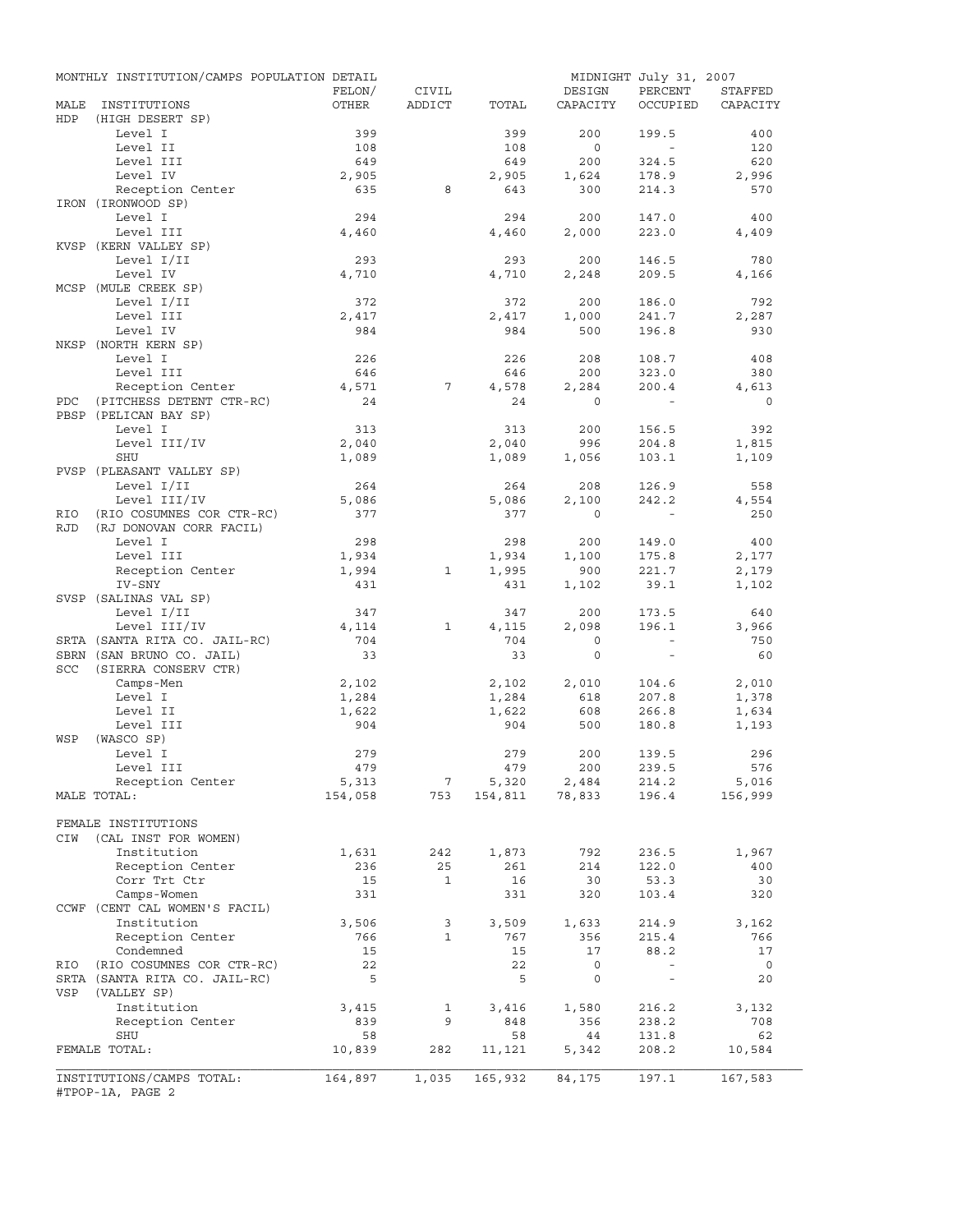|            | MONTHLY INSTITUTION/CAMPS POPULATION DETAIL |         |                |              |                                   | MIDNIGHT July 31, 2007   |                |
|------------|---------------------------------------------|---------|----------------|--------------|-----------------------------------|--------------------------|----------------|
|            |                                             | FELON/  | CIVIL          |              | DESIGN                            | PERCENT                  | STAFFED        |
| MALE       | INSTITUTIONS                                | OTHER   | ADDICT         | TOTAL        | CAPACITY                          | OCCUPIED                 | CAPACITY       |
| HDP        | (HIGH DESERT SP)                            |         |                |              |                                   |                          |                |
|            | Level I                                     | 399     |                | 399          | 200                               | 199.5                    | 400            |
|            | Level II                                    | 108     |                | 108          | $\circ$                           | $\sim$                   | 120            |
|            | Level III                                   | 649     |                | 649          | 200                               | 324.5                    | 620            |
|            | Level IV                                    | 2,905   | 8              | 2,905<br>643 | 1,624<br>300                      | 178.9                    | 2,996<br>570   |
|            | Reception Center<br>IRON (IRONWOOD SP)      | 635     |                |              |                                   | 214.3                    |                |
|            | Level I                                     | 294     |                | 294          | 200                               | 147.0                    | 400            |
|            | Level III                                   | 4,460   |                | 4,460        | 2,000                             | 223.0                    | 4,409          |
|            | KVSP (KERN VALLEY SP)                       |         |                |              |                                   |                          |                |
|            | Level I/II                                  | 293     |                | 293          | 200                               | 146.5                    | 780            |
|            | Level IV                                    | 4,710   |                | 4,710        | 2,248                             | 209.5                    | 4,166          |
|            | MCSP (MULE CREEK SP)                        |         |                |              |                                   |                          |                |
|            | Level I/II                                  | 372     |                | 372          | 200                               | 186.0                    | 792            |
|            | Level III                                   | 2,417   |                | 2,417        | 1,000                             | 241.7                    | 2,287          |
|            | Level IV                                    | 984     |                | 984          | 500                               | 196.8                    | 930            |
|            | NKSP (NORTH KERN SP)                        |         |                |              |                                   |                          |                |
|            | Level I                                     | 226     |                | 226          | 208                               | 108.7                    | 408            |
|            | Level III                                   | 646     |                | 646          | 200                               | 323.0                    | 380            |
|            | Reception Center                            | 4,571   | 7              | 4,578        | 2,284                             | 200.4                    | 4,613          |
| PDC        | (PITCHESS DETENT CTR-RC)                    | 24      |                | 24           | $\circ$                           | $\sim$                   | $\circ$        |
|            | PBSP (PELICAN BAY SP)                       |         |                |              |                                   |                          |                |
|            | Level I                                     | 313     |                | 313          | 200                               | 156.5                    | 392            |
|            | Level III/IV                                | 2,040   |                | 2,040        | 996                               | 204.8                    | 1,815          |
|            | <b>SHU</b>                                  | 1,089   |                | 1,089        | 1,056                             | 103.1                    | 1,109          |
|            | PVSP (PLEASANT VALLEY SP)                   |         |                |              |                                   |                          |                |
|            | Level I/II                                  | 264     |                | 264          | 208                               | 126.9                    | 558            |
|            | Level III/IV                                | 5,086   |                | 5,086        | 2,100                             | 242.2                    | 4,554          |
| RIO        | (RIO COSUMNES COR CTR-RC)                   | 377     |                | 377          | $\circ$                           | $\sim 100$               | 250            |
| <b>RJD</b> | (RJ DONOVAN CORR FACIL)                     |         |                |              |                                   |                          |                |
|            | Level I                                     | 298     |                | 298          | 200                               | 149.0                    | 400            |
|            | Level III                                   | 1,934   |                | 1,934        | 1,100                             | 175.8                    | 2,177          |
|            | Reception Center                            | 1,994   | 1              | 1,995        | 900                               | 221.7                    | 2,179          |
|            | IV-SNY                                      | 431     |                | 431          | 1,102                             | 39.1                     | 1,102          |
|            | SVSP (SALINAS VAL SP)                       |         |                |              |                                   |                          |                |
|            | Level I/II                                  | 347     |                | 347          | 200                               | 173.5                    | 640            |
|            | Level III/IV                                | 4,114   | $\mathbf{1}$   | 4,115        | 2,098                             | 196.1                    | 3,966          |
|            | SRTA (SANTA RITA CO. JAIL-RC)               | 704     |                | 704          | $\circ$                           | $\sim$                   | 750            |
|            | SBRN (SAN BRUNO CO. JAIL)                   | 33      |                | 33           | $\circ$                           | $\sim$                   | 60             |
| <b>SCC</b> | (SIERRA CONSERV CTR)                        |         |                |              |                                   |                          |                |
|            | Camps-Men                                   | 2,102   |                | 2,102        | 2,010                             | 104.6                    | 2,010          |
|            | Level I                                     | 1,284   |                | 1,284        | 618                               | 207.8                    | 1,378          |
|            | Level II                                    | 1,622   |                | 1,622        | 608                               | 266.8                    | 1,634          |
|            | Level III                                   | 904     |                | 904          | 500                               | 180.8                    | 1,193          |
| WSP        | (WASCO SP)                                  |         |                |              |                                   |                          |                |
|            | Level I                                     | 279     |                | 279          | 200                               | 139.5                    | 296            |
|            | Level III                                   | 479     |                | 479          | 200                               | 239.5                    | 576            |
|            | Reception Center                            | 5,313   | $\overline{7}$ |              | $5,320$ $2,484$<br>154,811 78,833 | 214.2                    | 5,016          |
|            | MALE TOTAL:                                 | 154,058 | 753            |              |                                   | 196.4                    | 156,999        |
|            |                                             |         |                |              |                                   |                          |                |
|            | FEMALE INSTITUTIONS                         |         |                |              |                                   |                          |                |
| CIW        | (CAL INST FOR WOMEN)<br>Institution         | 1,631   |                |              |                                   |                          | 1,967          |
|            |                                             | 236     | 242<br>25      | 1,873<br>261 | 792<br>214                        | 236.5<br>122.0           | 400            |
|            | Reception Center<br>Corr Trt Ctr            | 15      | $\mathbf{1}$   | 16           | 30                                | 53.3                     | 30             |
|            | Camps-Women                                 | 331     |                | 331          | 320                               | 103.4                    | 320            |
|            | CCWF (CENT CAL WOMEN'S FACIL)               |         |                |              |                                   |                          |                |
|            | Institution                                 | 3,506   | 3              | 3,509        | 1,633                             | 214.9                    | 3,162          |
|            | Reception Center                            | 766     | $\mathbf{1}$   | 767          | 356                               | 215.4                    | 766            |
|            | Condemned                                   | 15      |                | 15           | 17                                | 88.2                     | 17             |
| RIO        | (RIO COSUMNES COR CTR-RC)                   | 22      |                | 22           | 0                                 | $\sim$                   | $\overline{0}$ |
|            | SRTA (SANTA RITA CO. JAIL-RC)               | 5       |                | 5            | 0                                 | $\overline{\phantom{a}}$ | 20             |
| VSP        | (VALLEY SP)                                 |         |                |              |                                   |                          |                |
|            | Institution                                 | 3,415   | 1              | 3,416        | 1,580                             | 216.2                    | 3,132          |
|            | Reception Center                            | 839     | 9              | 848          | 356                               | 238.2                    | 708            |
|            | <b>SHU</b>                                  | 58      |                | 58           | 44                                | 131.8                    | 62             |
|            | FEMALE TOTAL:                               | 10,839  | 282            | 11,121       | 5,342                             | 208.2                    | 10,584         |
|            |                                             |         |                |              |                                   |                          |                |
|            | INSTITUTIONS/CAMPS TOTAL:                   | 164,897 | 1,035          | 165,932      | 84,175                            | 197.1                    | 167,583        |
|            | #TPOP-1A, PAGE 2                            |         |                |              |                                   |                          |                |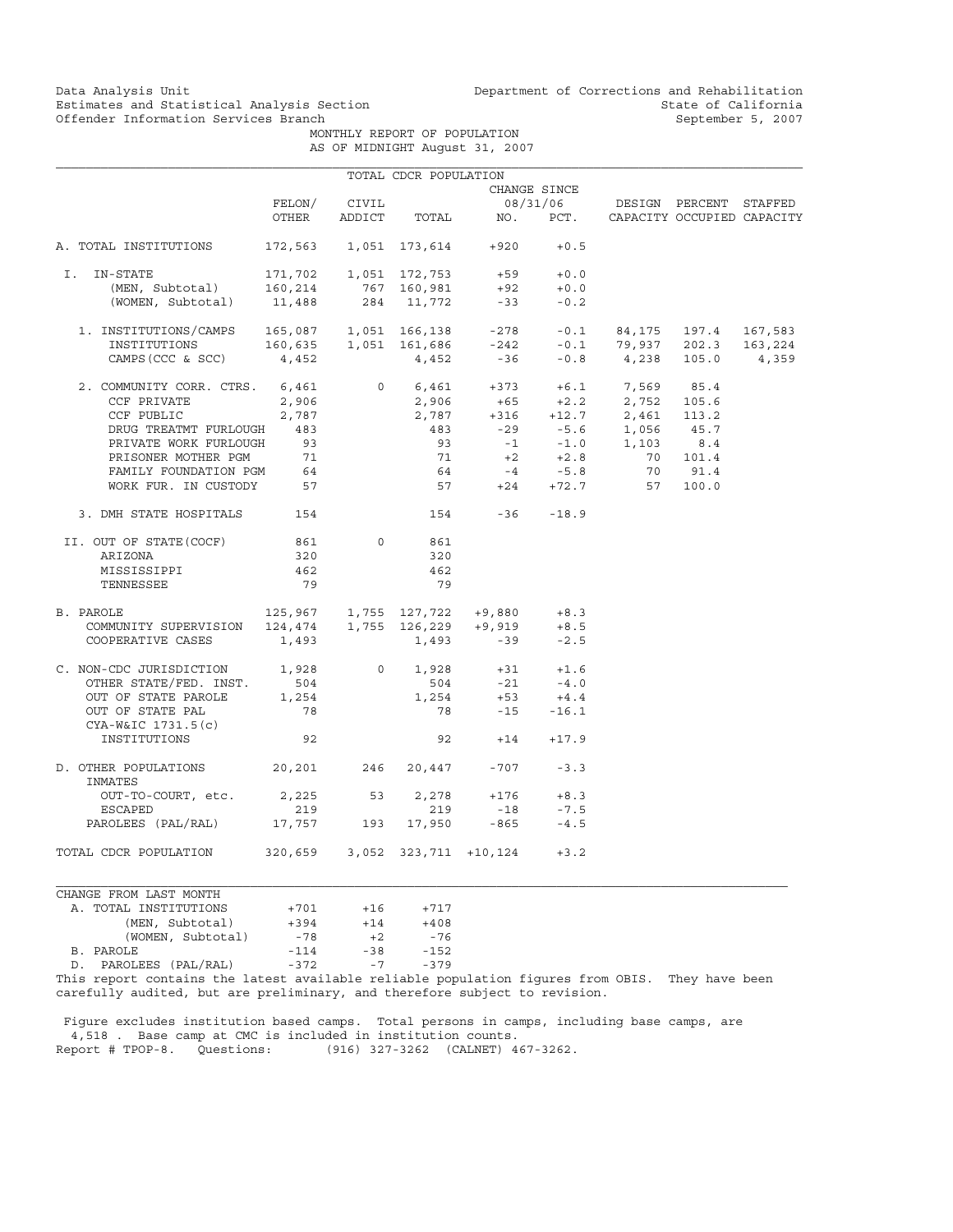MONTHLY REPORT OF POPULATION AS OF MIDNIGHT August 31, 2007

|                                                                                                                                                                                                                                                                                                                                         |                               |                | TOTAL CDCR POPULATION     |                                                                                  |              |                                                                                                                                                                                          |  |
|-----------------------------------------------------------------------------------------------------------------------------------------------------------------------------------------------------------------------------------------------------------------------------------------------------------------------------------------|-------------------------------|----------------|---------------------------|----------------------------------------------------------------------------------|--------------|------------------------------------------------------------------------------------------------------------------------------------------------------------------------------------------|--|
|                                                                                                                                                                                                                                                                                                                                         |                               |                |                           |                                                                                  | CHANGE SINCE |                                                                                                                                                                                          |  |
|                                                                                                                                                                                                                                                                                                                                         | FELON/                        | CIVIL          |                           |                                                                                  |              | 08/31/06 DESIGN PERCENT STAFFED                                                                                                                                                          |  |
|                                                                                                                                                                                                                                                                                                                                         | OTHER                         |                |                           |                                                                                  |              | ADDICT TOTAL NO. PCT. CAPACITY OCCUPIED CAPACITY                                                                                                                                         |  |
| A. TOTAL INSTITUTIONS                                                                                                                                                                                                                                                                                                                   |                               |                |                           | 172,563  1,051  173,614  +920                                                    | $+0.5$       |                                                                                                                                                                                          |  |
| I.<br>IN-STATE                                                                                                                                                                                                                                                                                                                          |                               |                | 171,702   1,051   172,753 |                                                                                  | $+59 +0.0$   |                                                                                                                                                                                          |  |
|                                                                                                                                                                                                                                                                                                                                         |                               |                |                           |                                                                                  |              |                                                                                                                                                                                          |  |
| (MEN, Subtotal) 160,214 767 160,981 +92 +0.0<br>(WOMEN, Subtotal) 11,488 284 11,772 -33 -0.2                                                                                                                                                                                                                                            |                               |                |                           |                                                                                  |              |                                                                                                                                                                                          |  |
| $\begin{tabular}{lcccccc} 1. & \texttt{INSTITUTIONS/CAMPS} & 165,087 & 1,051 & 166,138 & -278 & -0.1 & 84,175 & 197.4 & 167,583 \\ & \texttt{INSTITUTIONS} & 160,635 & 1,051 & 161,686 & -242 & -0.1 & 79,937 & 202.3 & 163,224 \\ & & & & & & & & & & \\ \texttt{CAMPS (CCC & & SCC) & & 4,452 & & 4,452 & -36 & -0.8 & 4,238 & 105.0$ |                               |                |                           |                                                                                  |              |                                                                                                                                                                                          |  |
|                                                                                                                                                                                                                                                                                                                                         |                               |                |                           |                                                                                  |              |                                                                                                                                                                                          |  |
|                                                                                                                                                                                                                                                                                                                                         |                               |                |                           |                                                                                  |              |                                                                                                                                                                                          |  |
| 2. COMMUNITY CORR. CTRS. 6,461                                                                                                                                                                                                                                                                                                          |                               |                |                           |                                                                                  |              | 0 $6,461$ $+373$ $+6.1$ $7,569$ $85.4$<br>2,906 $+65$ $+2.2$ 2,752 105.6                                                                                                                 |  |
| CCF PRIVATE                                                                                                                                                                                                                                                                                                                             | 2,906                         |                |                           |                                                                                  |              |                                                                                                                                                                                          |  |
| CCF PUBLIC                                                                                                                                                                                                                                                                                                                              | 2,787                         |                |                           |                                                                                  |              | 2, 906 + 65 + 2. 2 2, 752 105. 6<br>2, 787 + 316 + 12. 7 2, 461 113. 2<br>483 - 29 - 5. 6 1, 056 45. 7<br>93 - 1 - 1. 0 1, 103 8. 4<br>71 + 2 + 2. 8 70 101. 4<br>64 - 4 - 5. 8 70 91. 4 |  |
| DRUG TREATMT FURLOUGH 483                                                                                                                                                                                                                                                                                                               |                               |                |                           |                                                                                  |              |                                                                                                                                                                                          |  |
| PRIVATE WORK FURLOUGH                                                                                                                                                                                                                                                                                                                   | 93                            |                |                           |                                                                                  |              |                                                                                                                                                                                          |  |
| PRISONER MOTHER PGM                                                                                                                                                                                                                                                                                                                     | 71                            |                |                           |                                                                                  |              |                                                                                                                                                                                          |  |
| FAMILY FOUNDATION PGM                                                                                                                                                                                                                                                                                                                   | 64                            |                |                           |                                                                                  |              |                                                                                                                                                                                          |  |
| WORK FUR. IN CUSTODY 57                                                                                                                                                                                                                                                                                                                 |                               |                |                           |                                                                                  |              | $-57$ $+24$ $+72.7$ $57$ $100.0$                                                                                                                                                         |  |
| 3. DMH STATE HOSPITALS 154                                                                                                                                                                                                                                                                                                              |                               |                |                           | $154 - 36 - 18.9$                                                                |              |                                                                                                                                                                                          |  |
| II. OUT OF STATE (COCF)                                                                                                                                                                                                                                                                                                                 | 861                           | $\Omega$       | 861                       |                                                                                  |              |                                                                                                                                                                                          |  |
| ARIZONA                                                                                                                                                                                                                                                                                                                                 | 320                           |                | 320                       |                                                                                  |              |                                                                                                                                                                                          |  |
| MISSISSIPPI                                                                                                                                                                                                                                                                                                                             | 462                           |                | 462                       |                                                                                  |              |                                                                                                                                                                                          |  |
| TENNESSEE                                                                                                                                                                                                                                                                                                                               | 79                            |                | 79                        |                                                                                  |              |                                                                                                                                                                                          |  |
| 2AROLE 125,967 1,755 127,722 +9,880 +8.3<br>COMMUNITY SUPERVISION 124,474 1,755 126,229 +9,919 +8.5<br>B. PAROLE                                                                                                                                                                                                                        |                               |                |                           |                                                                                  |              |                                                                                                                                                                                          |  |
|                                                                                                                                                                                                                                                                                                                                         |                               |                |                           |                                                                                  |              |                                                                                                                                                                                          |  |
| COOPERATIVE CASES                                                                                                                                                                                                                                                                                                                       | 1,493                         |                |                           | $1,493 -39$                                                                      | $-2.5$       |                                                                                                                                                                                          |  |
| C. NON-CDC JURISDICTION 1,928                                                                                                                                                                                                                                                                                                           |                               | $\overline{0}$ |                           | $\begin{array}{cccc} 1,928 & & +31 & & +1.6 \\ 504 & & -21 & & -4.0 \end{array}$ |              |                                                                                                                                                                                          |  |
| OTHER STATE/FED. INST.                                                                                                                                                                                                                                                                                                                  | 504                           |                |                           |                                                                                  |              |                                                                                                                                                                                          |  |
| OUT OF STATE PAROLE                                                                                                                                                                                                                                                                                                                     | 1,254                         |                | 1,254                     | $+53$                                                                            | $+4.4$       |                                                                                                                                                                                          |  |
| OUT OF STATE PAL<br>CYA-W&IC 1731.5(c)                                                                                                                                                                                                                                                                                                  | 78                            |                |                           | 78                                                                               | $-15 - 16.1$ |                                                                                                                                                                                          |  |
| INSTITUTIONS                                                                                                                                                                                                                                                                                                                            | 92                            |                |                           | $92 + 14 + 17.9$                                                                 |              |                                                                                                                                                                                          |  |
| D. OTHER POPULATIONS 20,201 246 20,447 -707 -3.3<br>INMATES                                                                                                                                                                                                                                                                             |                               |                |                           |                                                                                  |              |                                                                                                                                                                                          |  |
| OUT-TO-COURT, etc.                                                                                                                                                                                                                                                                                                                      | 2,225                         | 53             | 2,278                     | $+176$                                                                           | $+8.3$       |                                                                                                                                                                                          |  |
| ESCAPED                                                                                                                                                                                                                                                                                                                                 | 219                           |                | 219                       | $-18$                                                                            | $-7.5$       |                                                                                                                                                                                          |  |
| PAROLEES (PAL/RAL) 17,757 193 17,950                                                                                                                                                                                                                                                                                                    |                               |                |                           | $-865$                                                                           | $-4.5$       |                                                                                                                                                                                          |  |
| TOTAL CDCR POPULATION                                                                                                                                                                                                                                                                                                                   | 320,659 3,052 323,711 +10,124 |                |                           |                                                                                  | $+3.2$       |                                                                                                                                                                                          |  |
| CHANGE FROM LAST MONTH                                                                                                                                                                                                                                                                                                                  |                               |                |                           |                                                                                  |              |                                                                                                                                                                                          |  |

| A. TOTAL INSTITUTIONS                                  | $+701$ | $+16$ | $+717$ |
|--------------------------------------------------------|--------|-------|--------|
| (MEN, Subtotal)                                        | $+394$ | $+14$ | $+408$ |
| (WOMEN, Subtotal)                                      | $-78$  | $+2$  | -76    |
| B. PAROLE                                              | $-114$ | $-38$ | $-152$ |
| D. PAROLEES (PAL/RAL)                                  | $-372$ | $-7$  | $-379$ |
| Thic report contains the latest available reliable pop |        |       |        |

This report contains the latest available reliable population figures from OBIS. They have been carefully audited, but are preliminary, and therefore subject to revision.

 Figure excludes institution based camps. Total persons in camps, including base camps, are 4,518 . Base camp at CMC is included in institution counts. Report # TPOP-8. Questions: (916) 327-3262 (CALNET) 467-3262.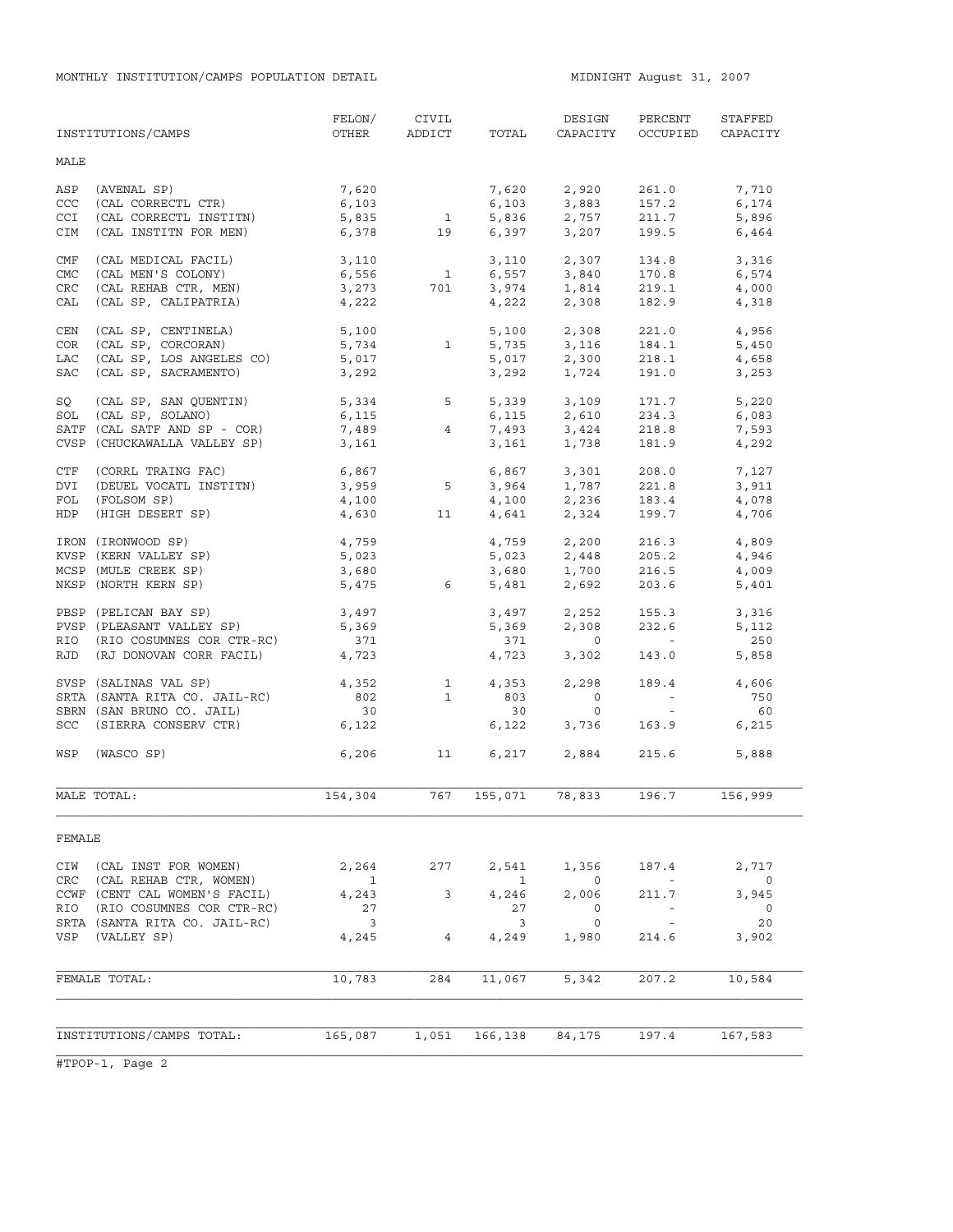|                                 | INSTITUTIONS/CAMPS                                                                                                 | FELON/<br>OTHER                        | CIVIL<br>ADDICT                          | TOTAL                                | DESIGN<br>CAPACITY                                 | PERCENT<br>OCCUPIED                                             | STAFFED<br>CAPACITY                                |
|---------------------------------|--------------------------------------------------------------------------------------------------------------------|----------------------------------------|------------------------------------------|--------------------------------------|----------------------------------------------------|-----------------------------------------------------------------|----------------------------------------------------|
| MALE                            |                                                                                                                    |                                        |                                          |                                      |                                                    |                                                                 |                                                    |
| ASP<br>CCC<br><b>CCI</b><br>CIM | (AVENAL SP)<br>(CAL CORRECTL CTR)<br>(CAL CORRECTL INSTITN)<br>(CAL INSTITN FOR MEN)                               | 7,620<br>6,103<br>5,835<br>6,378       | $\mathbf{1}$<br>19                       | 7,620<br>6,103<br>5,836<br>6,397     | 2,920<br>3,883<br>2,757<br>3,207                   | 261.0<br>157.2<br>211.7<br>199.5                                | 7,710<br>6,174<br>5,896<br>6,464                   |
| CMF<br><b>CMC</b><br>CRC<br>CAL | (CAL MEDICAL FACIL)<br>(CAL MEN'S COLONY)<br>(CAL REHAB CTR, MEN)<br>(CAL SP, CALIPATRIA)                          | 3,110<br>6,556<br>3,273<br>4,222       | $\mathbf{1}$<br>701                      | 6,557<br>4,222                       | 3,110 2,307<br>3,840<br>$3,974$ $1,814$<br>2,308   | 134.8<br>170.8<br>219.1<br>182.9                                | 3,316<br>6,574<br>4,000<br>4,318                   |
| CEN<br>COR<br>LAC<br>SAC        | (CAL SP, CENTINELA)<br>(CAL SP, CORCORAN)<br>(CAL SP, LOS ANGELES CO)<br>(CAL SP, SACRAMENTO)                      | 5,100<br>5,734<br>5,017<br>3,292       | $\mathbf{1}$                             | 5,100<br>5,735<br>5,017<br>3,292     | 2,308<br>3,116<br>2,300<br>1,724                   | 221.0<br>184.1<br>218.1<br>191.0                                | 4,956<br>5,450<br>4,658<br>3,253                   |
| SQ<br>SOL                       | (CAL SP, SAN QUENTIN)<br>(CAL SP, SOLANO)<br>SATF (CAL SATF AND SP - COR)<br>CVSP (CHUCKAWALLA VALLEY SP)          | 5,334<br>6,115<br>7,489<br>3,161       | 5<br>$\overline{4}$                      | 5,339<br>6,115<br>7,493<br>3,161     | 3,109<br>2,610<br>3,424<br>1,738                   | 171.7<br>234.3<br>218.8<br>181.9                                | 5,220<br>6,083<br>7,593<br>4,292                   |
| CTF<br>DVI<br>FOL<br><b>HDP</b> | (CORRL TRAING FAC)<br>(DEUEL VOCATL INSTITN)<br>(FOLSOM SP)<br>(HIGH DESERT SP)                                    | 6,867<br>3,959<br>4,100<br>4,630       | $5^{\circ}$<br>11                        | 6,867<br>3,964<br>4,100<br>4,641     | 3,301<br>1,787<br>2,236<br>2,324                   | 208.0<br>221.8<br>183.4<br>199.7                                | 7,127<br>3,911<br>4,078<br>4,706                   |
|                                 | IRON (IRONWOOD SP)<br>KVSP (KERN VALLEY SP)<br>MCSP (MULE CREEK SP)<br>NKSP (NORTH KERN SP)                        | 4,759<br>5,023<br>3,680<br>5,475       | $6\overline{6}$                          | 4,759<br>5,023<br>3,680<br>5,481     | 2,200<br>2,448<br>1,700<br>2,692                   | 216.3<br>205.2<br>216.5<br>203.6                                | 4,809<br>4,946<br>4,009<br>5,401                   |
|                                 | PBSP (PELICAN BAY SP)<br>PVSP (PLEASANT VALLEY SP)<br>RIO (RIO COSUMNES COR CTR-RC)<br>RJD (RJ DONOVAN CORR FACIL) | 3,497<br>5,369<br>371<br>4,723         |                                          | 3,497<br>5,369<br>371<br>4,723       | 2,252<br>2,308<br>$\circ$<br>3,302                 | 155.3<br>232.6<br>$\sim$ $ \sim$<br>143.0                       | 3,316<br>5,112<br>250<br>5,858                     |
|                                 | SVSP (SALINAS VAL SP)<br>SRTA (SANTA RITA CO. JAIL-RC)<br>SBRN (SAN BRUNO CO. JAIL)<br>SCC (SIERRA CONSERV CTR)    | 4,352<br>802<br>30<br>6,122            | $\overline{\phantom{1}}$<br>$\mathbf{1}$ | 4,353<br>803<br>30<br>6,122          | 2,298<br>$\circ$<br>$\circ$<br>3,736               | 189.4<br>$\alpha \rightarrow \alpha$<br>$\sim$ $ \sim$<br>163.9 | 4,606<br>750<br>60<br>6,215                        |
| WSP                             | (WASCO SP)                                                                                                         | 6,206                                  | 11 \,                                    |                                      | 6,217 2,884                                        | 215.6                                                           | 5,888                                              |
|                                 | MALE TOTAL:                                                                                                        | 154,304                                | 767                                      | 155,071                              | 78,833                                             | 196.7                                                           | 156,999                                            |
| FEMALE                          |                                                                                                                    |                                        |                                          |                                      |                                                    |                                                                 |                                                    |
| CIW<br>CRC<br>RIO               | (CAL INST FOR WOMEN)<br>(CAL REHAB CTR, WOMEN)<br>CCWF (CENT CAL WOMEN'S FACIL)<br>(RIO COSUMNES COR CTR-RC)       | 2,264<br>$\overline{1}$<br>4,243<br>27 | 277<br>3                                 | 2,541<br>$\mathbf{1}$<br>4,246<br>27 | 1,356<br>$\overline{0}$<br>2,006<br>$\overline{0}$ | 187.4<br><b>Contract</b><br>211.7<br><b>Contract Contract</b>   | 2,717<br>$\overline{0}$<br>3,945<br>$\overline{0}$ |
|                                 | SRTA (SANTA RITA CO. JAIL-RC)<br>VSP (VALLEY SP)                                                                   | $\overline{\mathbf{3}}$<br>4,245       | $\overline{4}$                           | 3<br>4,249                           | 0<br>1,980                                         | $\sim$ $-$<br>214.6                                             | 20<br>3,902                                        |
|                                 | FEMALE TOTAL:                                                                                                      | 10,783                                 | 284                                      | 11,067                               | 5,342                                              | 207.2                                                           | 10,584                                             |
|                                 | INSTITUTIONS/CAMPS TOTAL:                                                                                          | 165,087                                | 1,051                                    | 166,138                              | 84,175                                             | 197.4                                                           | 167,583                                            |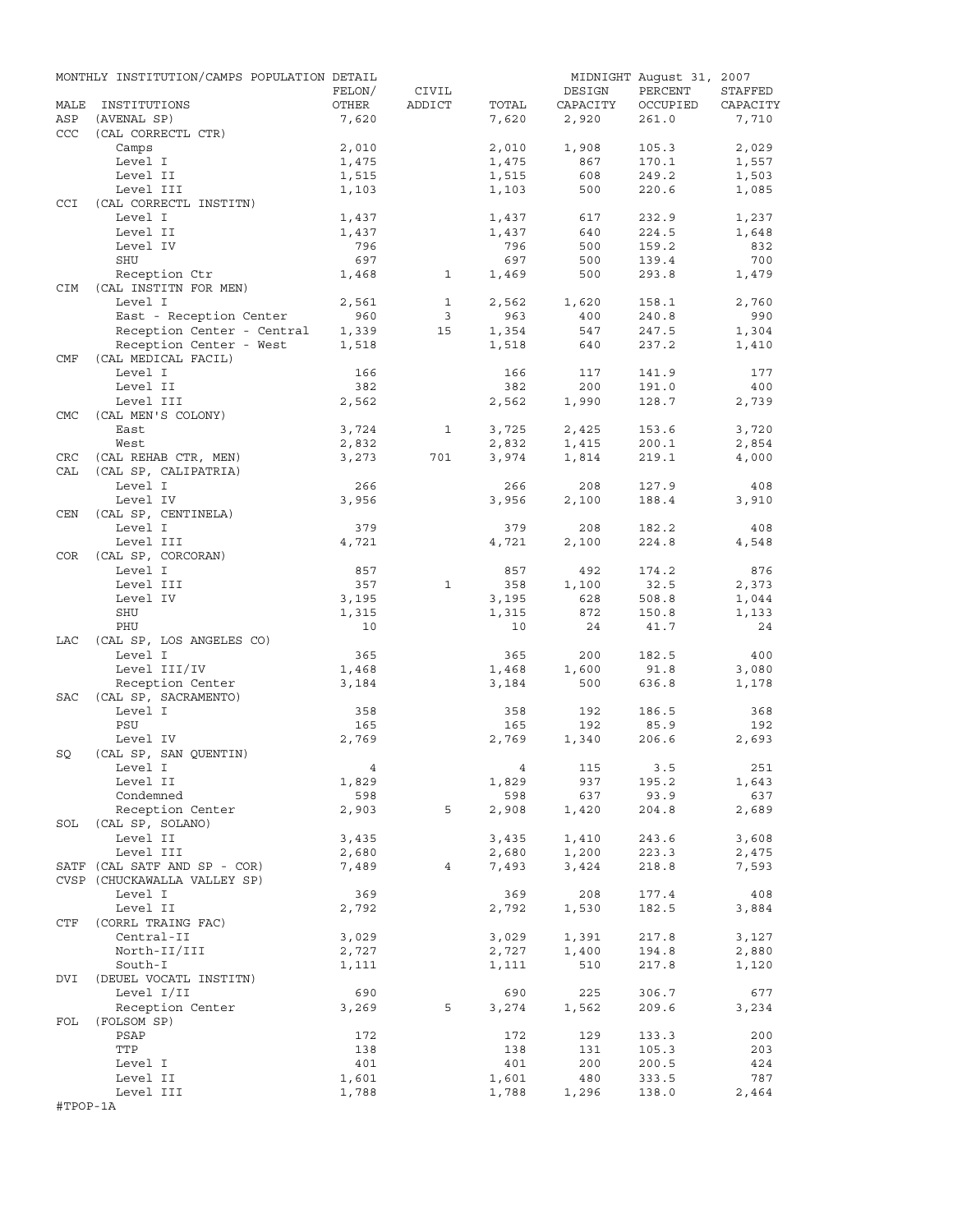|            | MONTHLY INSTITUTION/CAMPS POPULATION DETAIL |                |                |                |            | MIDNIGHT August 31, 2007 |            |
|------------|---------------------------------------------|----------------|----------------|----------------|------------|--------------------------|------------|
|            |                                             | FELON/         | CIVIL          |                | DESIGN     | PERCENT                  | STAFFED    |
| MALE       | INSTITUTIONS                                | OTHER          | ADDICT         | TOTAL          | CAPACITY   | OCCUPIED                 | CAPACITY   |
| ASP        | (AVENAL SP)                                 | 7,620          |                | 7,620          | 2,920      | 261.0                    | 7,710      |
| <b>CCC</b> | (CAL CORRECTL CTR)                          |                |                |                |            |                          |            |
|            | Camps                                       | 2,010          |                | 2,010          | 1,908      | 105.3                    | 2,029      |
|            | Level I                                     | 1,475          |                | 1,475          | 867        | 170.1                    | 1,557      |
|            | Level II                                    | 1,515          |                | 1,515          | 608        | 249.2                    | 1,503      |
|            | Level III                                   | 1,103          |                | 1,103          | 500        | 220.6                    | 1,085      |
| <b>CCI</b> | (CAL CORRECTL INSTITN)<br>Level I           | 1,437          |                |                | 617        | 232.9                    | 1,237      |
|            | Level II                                    | 1,437          |                | 1,437<br>1,437 | 640        | 224.5                    | 1,648      |
|            | Level IV                                    | 796            |                | 796            | 500        | 159.2                    | 832        |
|            | SHU                                         | 697            |                | 697            | 500        | 139.4                    | 700        |
|            | Reception Ctr                               | 1,468          | $\mathbf{1}$   | 1,469          | 500        | 293.8                    | 1,479      |
| CIM        | (CAL INSTITN FOR MEN)                       |                |                |                |            |                          |            |
|            | Level I                                     | 2,561          | $\mathbf{1}$   | 2,562          | 1,620      | 158.1                    | 2,760      |
|            | East - Reception Center                     | 960            | $\overline{3}$ | 963            | 400        | 240.8                    | 990        |
|            | Reception Center - Central                  | 1,339          | 15             | 1,354          | 547        | 247.5                    | 1,304      |
|            | Reception Center - West                     | 1,518          |                | 1,518          | 640        | 237.2                    | 1,410      |
| CMF        | (CAL MEDICAL FACIL)                         |                |                |                |            |                          |            |
|            | Level I                                     | 166            |                | 166            | 117        | 141.9                    | 177        |
|            | Level II                                    | 382            |                | 382            | 200        | 191.0                    | 400        |
|            | Level III                                   | 2,562          |                | 2,562          | 1,990      | 128.7                    | 2,739      |
| <b>CMC</b> | (CAL MEN'S COLONY)                          |                |                |                |            |                          |            |
|            | East                                        | 3,724          | $\mathbf{1}$   | 3,725          | 2,425      | 153.6                    | 3,720      |
|            | West                                        | 2,832          |                | 2,832          | 1,415      | 200.1                    | 2,854      |
| CRC        | (CAL REHAB CTR, MEN)                        | 3,273          | 701            | 3,974          | 1,814      | 219.1                    | 4,000      |
| CAL        | (CAL SP, CALIPATRIA)                        |                |                |                |            |                          |            |
|            | Level I                                     | 266            |                | 266            | 208        | 127.9                    | 408        |
|            | Level IV                                    | 3,956          |                | 3,956          | 2,100      | 188.4                    | 3,910      |
| CEN        | (CAL SP, CENTINELA)                         |                |                |                |            |                          |            |
|            | Level I                                     | 379            |                | 379            | 208        | 182.2                    | 408        |
|            | Level III                                   | 4,721          |                | 4,721          | 2,100      | 224.8                    | 4,548      |
| COR        | (CAL SP, CORCORAN)                          |                |                |                |            |                          |            |
|            | Level I                                     | 857            |                | 857            | 492        | 174.2                    | 876        |
|            | Level III                                   | 357            | $\mathbf{1}$   | 358            | 1,100      | 32.5                     | 2,373      |
|            | Level IV                                    | 3,195          |                | 3,195          | 628        | 508.8                    | 1,044      |
|            | SHU                                         | 1,315          |                | 1,315          | 872        | 150.8                    | 1,133      |
|            | PHU                                         | 10             |                | 10             | 24         | 41.7                     | 24         |
| LAC        | (CAL SP, LOS ANGELES CO)                    |                |                |                |            |                          |            |
|            | Level I                                     | 365            |                | 365            | 200        | 182.5                    | 400        |
|            | Level III/IV                                | 1,468          |                | 1,468          | 1,600      | 91.8                     | 3,080      |
|            | Reception Center                            | 3,184          |                | 3,184          | 500        | 636.8                    | 1,178      |
| SAC        | (CAL SP, SACRAMENTO)                        |                |                |                |            |                          |            |
|            | Level I<br>PSU                              | 358            |                | 358            | 192<br>192 | 186.5                    | 368<br>192 |
|            | Level IV                                    | 165<br>2,769   |                | 165<br>2,769   | 1,340      | 85.9<br>206.6            | 2,693      |
| SQ         | (CAL SP, SAN QUENTIN)                       |                |                |                |            |                          |            |
|            | Level I                                     | $\overline{4}$ |                |                | 4 115      | 3.5                      | 251        |
|            | Level II                                    | 1,829          |                | 1,829          | 937        | 195.2                    | 1,643      |
|            | Condemned                                   | 598            |                | 598            | 637        | 93.9                     | 637        |
|            | Reception Center                            | 2,903          | 5              | 2,908          | 1,420      | 204.8                    | 2,689      |
|            | SOL (CAL SP, SOLANO)                        |                |                |                |            |                          |            |
|            | Level II                                    | 3,435          |                | 3,435          | 1,410      | 243.6                    | 3,608      |
|            | Level III                                   | 2,680          |                | 2,680          | 1,200      | 223.3                    | 2,475      |
|            | SATF (CAL SATF AND SP - COR)                | 7,489          | 4              | 7,493          | 3,424      | 218.8                    | 7,593      |
|            | CVSP (CHUCKAWALLA VALLEY SP)                |                |                |                |            |                          |            |
|            | Level I                                     | 369            |                | 369            | 208        | 177.4                    | 408        |
|            | Level II                                    | 2,792          |                | 2,792          | 1,530      | 182.5                    | 3,884      |
| CTF        | (CORRL TRAING FAC)                          |                |                |                |            |                          |            |
|            | Central-II                                  | 3,029          |                | 3,029          | 1,391      | 217.8                    | 3,127      |
|            | North-II/III                                | 2,727          |                | 2,727          | 1,400      | 194.8                    | 2,880      |
|            | South-I                                     | 1,111          |                | 1,111          | 510        | 217.8                    | 1,120      |
| DVI        | (DEUEL VOCATL INSTITN)                      |                |                |                |            |                          |            |
|            | Level I/II                                  | 690            |                | 690            | 225        | 306.7                    | 677        |
|            | Reception Center                            | 3,269          | 5              | 3,274          | 1,562      | 209.6                    | 3,234      |
| FOL        | (FOLSOM SP)                                 |                |                |                |            |                          |            |
|            | PSAP                                        | 172            |                | 172            | 129        | 133.3                    | 200        |
|            | TTP                                         | 138            |                | 138            | 131        | 105.3                    | 203        |
|            | Level I                                     | 401            |                | 401            | 200        | 200.5                    | 424        |
|            | Level II                                    | 1,601          |                | 1,601          | 480        | 333.5                    | 787        |
|            | Level III                                   | 1,788          |                | 1,788          | 1,296      | 138.0                    | 2,464      |
| #TPOP-1A   |                                             |                |                |                |            |                          |            |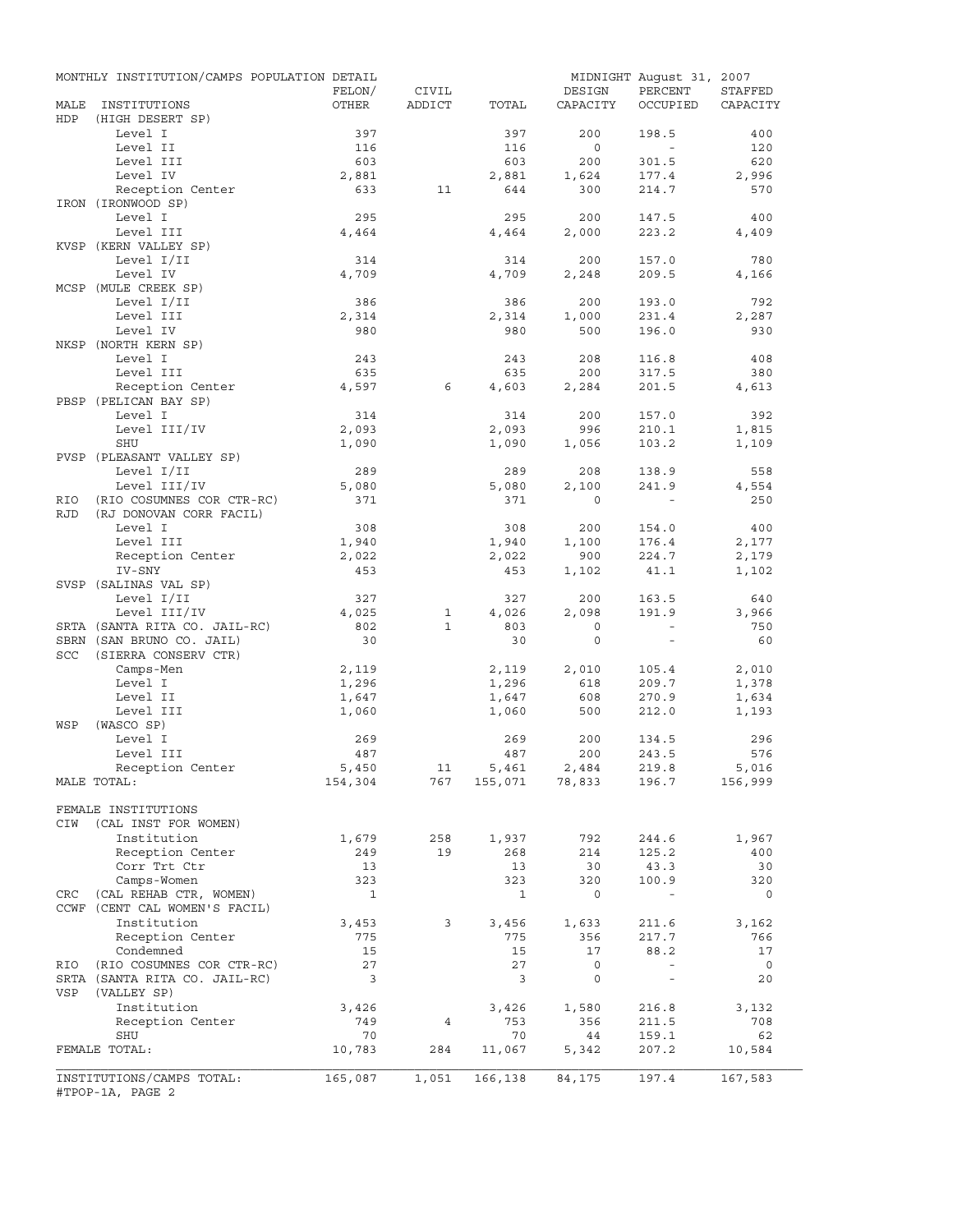| MALE<br>HDP | INSTITUTIONS<br>(HIGH DESERT SP)<br>Level I<br>Level II<br>Level III<br>Level IV<br>Reception Center<br>IRON (IRONWOOD SP)<br>Level I<br>Level III<br>KVSP (KERN VALLEY SP)<br>Level I/II | FELON/<br>OTHER<br>397<br>116<br>603<br>2,881<br>633<br>295<br>4,464 | CIVIL<br>ADDICT<br>11 | TOTAL<br>397<br>116<br>603<br>2,881<br>644<br>295 | DESIGN<br>CAPACITY<br>200<br>$\circ$<br>200<br>1,624<br>300 | PERCENT<br>OCCUPIED<br>198.5<br>$\sim$<br>301.5<br>177.4<br>214.7 | STAFFED<br>CAPACITY<br>400<br>120<br>620<br>2,996<br>570 |
|-------------|-------------------------------------------------------------------------------------------------------------------------------------------------------------------------------------------|----------------------------------------------------------------------|-----------------------|---------------------------------------------------|-------------------------------------------------------------|-------------------------------------------------------------------|----------------------------------------------------------|
|             |                                                                                                                                                                                           |                                                                      |                       |                                                   |                                                             |                                                                   |                                                          |
|             |                                                                                                                                                                                           |                                                                      |                       |                                                   |                                                             |                                                                   |                                                          |
|             |                                                                                                                                                                                           |                                                                      |                       |                                                   |                                                             |                                                                   |                                                          |
|             |                                                                                                                                                                                           |                                                                      |                       |                                                   |                                                             |                                                                   |                                                          |
|             |                                                                                                                                                                                           |                                                                      |                       |                                                   |                                                             |                                                                   |                                                          |
|             |                                                                                                                                                                                           |                                                                      |                       |                                                   |                                                             |                                                                   |                                                          |
|             |                                                                                                                                                                                           |                                                                      |                       |                                                   |                                                             |                                                                   |                                                          |
|             |                                                                                                                                                                                           |                                                                      |                       |                                                   |                                                             |                                                                   |                                                          |
|             |                                                                                                                                                                                           |                                                                      |                       |                                                   | 200                                                         | 147.5                                                             | 400                                                      |
|             |                                                                                                                                                                                           |                                                                      |                       | 4,464                                             | 2,000                                                       | 223.2                                                             | 4,409                                                    |
|             |                                                                                                                                                                                           |                                                                      |                       |                                                   |                                                             |                                                                   |                                                          |
|             |                                                                                                                                                                                           | 314                                                                  |                       | 314                                               | 200                                                         | 157.0                                                             | 780                                                      |
|             | Level IV                                                                                                                                                                                  | 4,709                                                                |                       | 4,709                                             | 2,248                                                       | 209.5                                                             | 4,166                                                    |
|             | MCSP (MULE CREEK SP)                                                                                                                                                                      |                                                                      |                       |                                                   |                                                             |                                                                   |                                                          |
|             | Level I/II                                                                                                                                                                                | 386                                                                  |                       | 386                                               | 200                                                         | 193.0                                                             | 792                                                      |
|             | Level III                                                                                                                                                                                 | 2,314                                                                |                       | 2,314                                             | 1,000                                                       | 231.4                                                             | 2,287                                                    |
|             | Level IV                                                                                                                                                                                  | 980                                                                  |                       | 980                                               | 500                                                         | 196.0                                                             | 930                                                      |
|             | NKSP (NORTH KERN SP)                                                                                                                                                                      |                                                                      |                       |                                                   |                                                             |                                                                   |                                                          |
|             | Level I                                                                                                                                                                                   | 243                                                                  |                       | 243                                               | 208                                                         | 116.8                                                             | 408                                                      |
|             | Level III                                                                                                                                                                                 | 635                                                                  |                       | 635                                               | 200                                                         | 317.5                                                             | 380                                                      |
|             | Reception Center                                                                                                                                                                          | 4,597                                                                | 6                     | 4,603                                             | 2,284                                                       | 201.5                                                             | 4,613                                                    |
|             | PBSP (PELICAN BAY SP)                                                                                                                                                                     |                                                                      |                       |                                                   |                                                             |                                                                   |                                                          |
|             | Level I                                                                                                                                                                                   | 314                                                                  |                       | 314                                               | 200                                                         | 157.0                                                             | 392                                                      |
|             | Level III/IV                                                                                                                                                                              | 2,093                                                                |                       | 2,093                                             | 996                                                         | 210.1                                                             | 1,815                                                    |
|             | SHU                                                                                                                                                                                       | 1,090                                                                |                       | 1,090                                             | 1,056                                                       | 103.2                                                             | 1,109                                                    |
|             | PVSP (PLEASANT VALLEY SP)                                                                                                                                                                 |                                                                      |                       |                                                   |                                                             |                                                                   |                                                          |
|             | Level I/II                                                                                                                                                                                | 289                                                                  |                       | 289                                               | 208                                                         | 138.9                                                             | 558                                                      |
|             | Level III/IV                                                                                                                                                                              | 5,080                                                                |                       | 5,080                                             | 2,100                                                       | 241.9                                                             | 4,554                                                    |
| RIO         | (RIO COSUMNES COR CTR-RC)                                                                                                                                                                 | 371                                                                  |                       | 371                                               | $\Omega$                                                    |                                                                   | 250                                                      |
| <b>RJD</b>  | (RJ DONOVAN CORR FACIL)                                                                                                                                                                   |                                                                      |                       |                                                   |                                                             |                                                                   |                                                          |
|             | Level I                                                                                                                                                                                   | 308                                                                  |                       | 308                                               | 200                                                         | 154.0                                                             | 400                                                      |
|             | Level III                                                                                                                                                                                 | 1,940                                                                |                       | 1,940                                             | 1,100                                                       | 176.4                                                             | 2,177                                                    |
|             | Reception Center                                                                                                                                                                          | 2,022                                                                |                       | 2,022                                             | 900                                                         | 224.7                                                             | 2,179                                                    |
|             | IV-SNY                                                                                                                                                                                    | 453                                                                  |                       | 453                                               | 1,102                                                       | 41.1                                                              | 1,102                                                    |
|             | SVSP (SALINAS VAL SP)                                                                                                                                                                     |                                                                      |                       |                                                   |                                                             |                                                                   |                                                          |
|             | Level I/II                                                                                                                                                                                | 327                                                                  |                       | 327                                               | 200                                                         | 163.5                                                             | 640                                                      |
|             | Level III/IV                                                                                                                                                                              | 4,025                                                                | $\mathbf{1}$          | 4,026                                             | 2,098                                                       | 191.9                                                             | 3,966                                                    |
|             | SRTA (SANTA RITA CO. JAIL-RC)                                                                                                                                                             | 802                                                                  | $\mathbf{1}$          | 803                                               | $\circ$                                                     | $\sim$                                                            | 750                                                      |
|             | SBRN (SAN BRUNO CO. JAIL)                                                                                                                                                                 | 30                                                                   |                       | 30                                                | $\mathbf{0}$                                                | $\sim$                                                            | 60                                                       |
| SCC         | (SIERRA CONSERV CTR)                                                                                                                                                                      |                                                                      |                       |                                                   |                                                             |                                                                   |                                                          |
|             | Camps-Men                                                                                                                                                                                 | 2,119                                                                |                       | 2,119                                             | 2,010                                                       | 105.4                                                             | 2,010                                                    |
|             | Level I                                                                                                                                                                                   | 1,296                                                                |                       | 1,296                                             | 618                                                         | 209.7                                                             | 1,378                                                    |
|             | Level II                                                                                                                                                                                  |                                                                      |                       | 1,647                                             | 608                                                         | 270.9                                                             |                                                          |
|             |                                                                                                                                                                                           | 1,647                                                                |                       |                                                   | 500                                                         |                                                                   | 1,634<br>1,193                                           |
| WSP         | Level III<br>(WASCO SP)                                                                                                                                                                   | 1,060                                                                |                       | 1,060                                             |                                                             | 212.0                                                             |                                                          |
|             | Level I                                                                                                                                                                                   | 269                                                                  |                       | 269                                               | 200                                                         | 134.5                                                             | 296                                                      |
|             | Level III                                                                                                                                                                                 | 487                                                                  |                       | 487                                               | 200                                                         |                                                                   | 576                                                      |
|             |                                                                                                                                                                                           |                                                                      |                       |                                                   |                                                             | 243.5                                                             |                                                          |
|             | Reception Center                                                                                                                                                                          | 5,450<br>154,304                                                     | 11<br>767             | 5,461                                             | 2,484<br>5,461 2,484<br>155,071 78,833                      | 219.8<br>196.7                                                    | 5,016                                                    |
|             | MALE TOTAL:                                                                                                                                                                               |                                                                      |                       |                                                   |                                                             |                                                                   | 156,999                                                  |
|             | FEMALE INSTITUTIONS                                                                                                                                                                       |                                                                      |                       |                                                   |                                                             |                                                                   |                                                          |
| CIW         | (CAL INST FOR WOMEN)                                                                                                                                                                      |                                                                      |                       |                                                   |                                                             |                                                                   |                                                          |
|             | Institution                                                                                                                                                                               | 1,679                                                                | 258                   | 1,937                                             | 792                                                         | 244.6                                                             | 1,967                                                    |
|             |                                                                                                                                                                                           | 249                                                                  | 19                    | 268                                               | 214                                                         |                                                                   | 400                                                      |
|             | Reception Center<br>Corr Trt Ctr                                                                                                                                                          | 13                                                                   |                       | 13                                                | 30                                                          | 125.2<br>43.3                                                     | 30                                                       |
|             | Camps-Women                                                                                                                                                                               | 323                                                                  |                       | 323                                               | 320                                                         | 100.9                                                             | 320                                                      |
| CRC         | (CAL REHAB CTR, WOMEN)                                                                                                                                                                    | $\mathbf{1}$                                                         |                       | $\mathbf{1}$                                      | 0                                                           | $\sim$                                                            | 0                                                        |
|             | CCWF (CENT CAL WOMEN'S FACIL)                                                                                                                                                             |                                                                      |                       |                                                   |                                                             |                                                                   |                                                          |
|             |                                                                                                                                                                                           | 3,453                                                                | 3                     | 3,456                                             | 1,633                                                       | 211.6                                                             | 3,162                                                    |
|             |                                                                                                                                                                                           |                                                                      |                       |                                                   | 356                                                         |                                                                   | 766                                                      |
|             | Institution                                                                                                                                                                               |                                                                      |                       | 775                                               | 17                                                          | 217.7<br>88.2                                                     | 17                                                       |
|             | Reception Center                                                                                                                                                                          | 775                                                                  |                       |                                                   |                                                             |                                                                   |                                                          |
|             | Condemned                                                                                                                                                                                 | 15                                                                   |                       | 15                                                |                                                             |                                                                   |                                                          |
|             | RIO (RIO COSUMNES COR CTR-RC)                                                                                                                                                             | 27                                                                   |                       | 27                                                | 0                                                           | $\overline{\phantom{a}}$                                          | $\overline{0}$                                           |
|             | SRTA (SANTA RITA CO. JAIL-RC)                                                                                                                                                             | 3                                                                    |                       | 3                                                 | 0                                                           | $\overline{\phantom{a}}$                                          | 20                                                       |
| VSP         | (VALLEY SP)                                                                                                                                                                               |                                                                      |                       |                                                   |                                                             |                                                                   |                                                          |
|             | Institution                                                                                                                                                                               | 3,426                                                                |                       | 3,426                                             | 1,580                                                       | 216.8                                                             | 3,132                                                    |
|             | Reception Center                                                                                                                                                                          | 749                                                                  | 4                     | 753                                               | 356                                                         | 211.5                                                             | 708                                                      |
|             | SHU                                                                                                                                                                                       | 70                                                                   |                       | 70                                                | 44                                                          | 159.1                                                             | 62                                                       |
|             | FEMALE TOTAL:                                                                                                                                                                             | 10,783                                                               | 284                   | 11,067                                            | 5,342                                                       | 207.2                                                             | 10,584                                                   |
|             | INSTITUTIONS/CAMPS TOTAL:                                                                                                                                                                 | 165,087                                                              | 1,051                 | 166,138                                           | 84,175                                                      | 197.4                                                             | 167,583                                                  |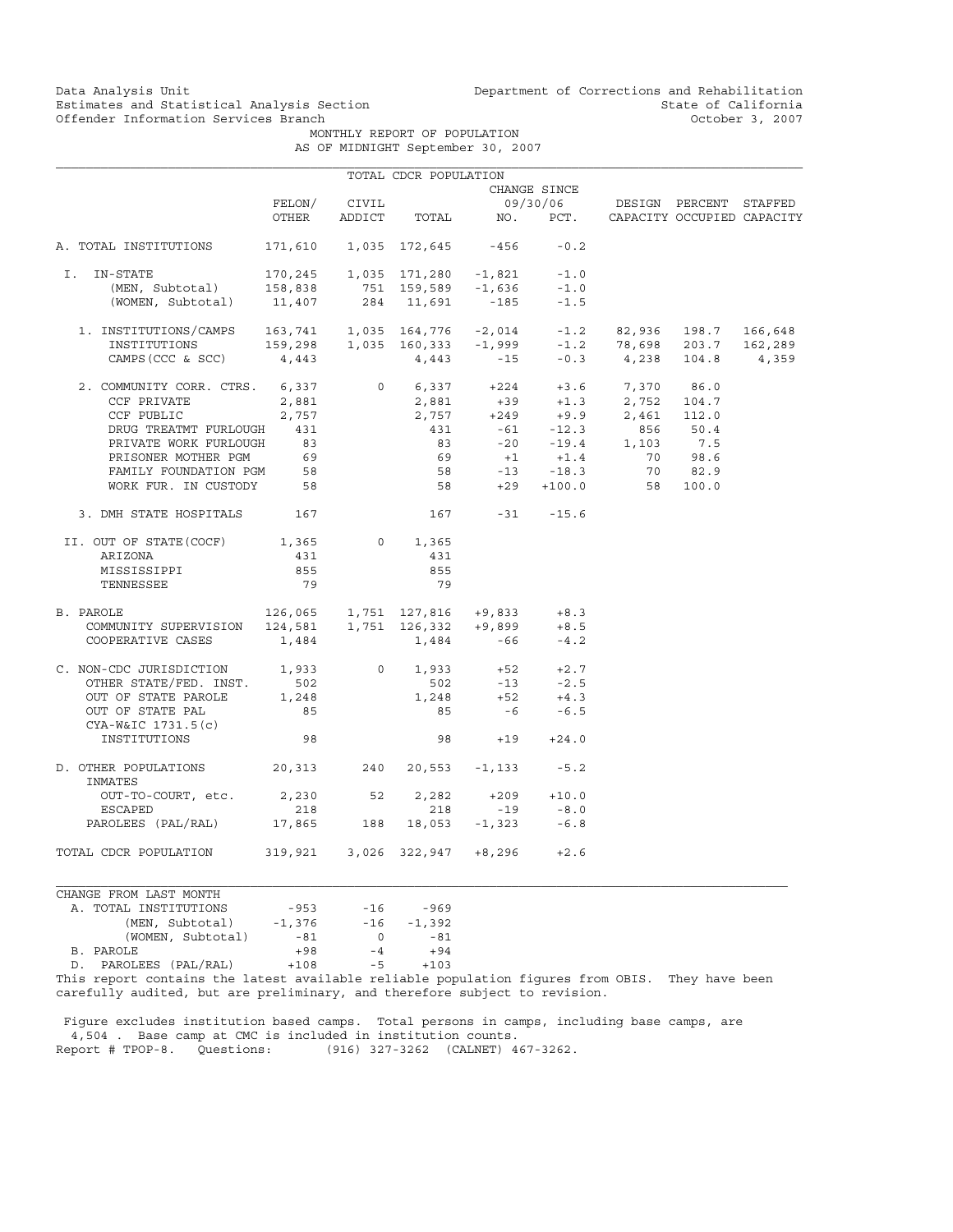MONTHLY REPORT OF POPULATION AS OF MIDNIGHT September 30, 2007

|                                                                                                                                                                            |                                                       |                | TOTAL CDCR POPULATION                |                                                                                  |                           |                                                                                                                                                                                                                                            |       |
|----------------------------------------------------------------------------------------------------------------------------------------------------------------------------|-------------------------------------------------------|----------------|--------------------------------------|----------------------------------------------------------------------------------|---------------------------|--------------------------------------------------------------------------------------------------------------------------------------------------------------------------------------------------------------------------------------------|-------|
|                                                                                                                                                                            |                                                       |                |                                      |                                                                                  | CHANGE SINCE              |                                                                                                                                                                                                                                            |       |
|                                                                                                                                                                            | FELON/                                                | CIVIL          |                                      |                                                                                  |                           | 09/30/06 DESIGN PERCENT STAFFED                                                                                                                                                                                                            |       |
|                                                                                                                                                                            | OTHER                                                 |                |                                      |                                                                                  |                           | ADDICT TOTAL NO. PCT. CAPACITY OCCUPIED CAPACITY                                                                                                                                                                                           |       |
| A. TOTAL INSTITUTIONS                                                                                                                                                      |                                                       |                | 171,610  1,035  172,645  -456        |                                                                                  | $-0.2$                    |                                                                                                                                                                                                                                            |       |
| I. IN-STATE                                                                                                                                                                |                                                       |                | $170, 245$ 1,035 171,280 -1,821 -1.0 |                                                                                  |                           |                                                                                                                                                                                                                                            |       |
|                                                                                                                                                                            |                                                       |                |                                      |                                                                                  | $-1.0$                    |                                                                                                                                                                                                                                            |       |
| -STAIL<br>(MEN, Subtotal)<br>--- Cubtotal)<br>(WOMEN, Subtotal)                                                                                                            | 1,821 158,838 751 159,589 -1,636<br>11,407 284 11.691 |                | $284$ 11,691 -185                    |                                                                                  | $-1.5$                    |                                                                                                                                                                                                                                            |       |
| $1. \ \text{INSTITUTIONS/CAMPS} \\\\ 163,741 \\\ 1,035 \\\ 164,776 \\\ -2,014 \\\ -1.2 \\\ 2,036 \\\ -1.2 \\\ 2,036 \\\ 203.7 \\\ 166,648 \\\ 2,289 \\\ 203.7 \\\ 162,289$ |                                                       |                |                                      |                                                                                  |                           |                                                                                                                                                                                                                                            |       |
|                                                                                                                                                                            |                                                       |                |                                      |                                                                                  |                           |                                                                                                                                                                                                                                            |       |
| $CAMPS (CCC & SCC)$ 4,443                                                                                                                                                  |                                                       |                | $4,443$ -15                          |                                                                                  |                           | $-0.3$ 4, 238 104.8                                                                                                                                                                                                                        | 4,359 |
| 2. COMMUNITY CORR. CTRS. 6,337                                                                                                                                             |                                                       |                |                                      |                                                                                  |                           | 0 $6,337$ $+224$ $+3.6$ $7,370$ 86.0                                                                                                                                                                                                       |       |
| CCF PRIVATE                                                                                                                                                                | 2,881                                                 |                |                                      |                                                                                  |                           |                                                                                                                                                                                                                                            |       |
| CCF PUBLIC                                                                                                                                                                 | 2,757                                                 |                |                                      |                                                                                  |                           |                                                                                                                                                                                                                                            |       |
| DRUG TREATMT FURLOUGH 431                                                                                                                                                  |                                                       |                |                                      |                                                                                  |                           |                                                                                                                                                                                                                                            |       |
| PRIVATE WORK FURLOUGH                                                                                                                                                      | 83                                                    |                |                                      |                                                                                  |                           |                                                                                                                                                                                                                                            |       |
| PRISONER MOTHER PGM                                                                                                                                                        | 69                                                    |                |                                      |                                                                                  |                           |                                                                                                                                                                                                                                            |       |
| FAMILY FOUNDATION PGM 58                                                                                                                                                   |                                                       |                |                                      |                                                                                  |                           |                                                                                                                                                                                                                                            |       |
| WORK FUR. IN CUSTODY                                                                                                                                                       | 58                                                    |                |                                      |                                                                                  |                           | $2,881$ $+224$ $+3.6$ $7,370$ $86.0$<br>$2,881$ $+39$ $+1.3$ $2,752$ $104.7$<br>$431$ $-61$ $-12.3$ $856$ $50.4$<br>$83$ $-20$ $-19.4$ $1,103$ $7.5$<br>$69$ $+1$ $+1.4$ $70$ $98.6$<br>$58$ $-13$ $-18.3$ $70$ $82.9$<br>$58$ $+29$ $+10$ |       |
| 3. DMH STATE HOSPITALS                                                                                                                                                     | 167                                                   |                |                                      | $167 -31 -15.6$                                                                  |                           |                                                                                                                                                                                                                                            |       |
| II. OUT OF STATE(COCF)                                                                                                                                                     | 1,365                                                 |                | $0 \t 1,365$                         |                                                                                  |                           |                                                                                                                                                                                                                                            |       |
| ARIZONA                                                                                                                                                                    | 431                                                   |                | 431                                  |                                                                                  |                           |                                                                                                                                                                                                                                            |       |
| MISSISSIPPI                                                                                                                                                                | 855                                                   |                | 855                                  |                                                                                  |                           |                                                                                                                                                                                                                                            |       |
| TENNESSEE                                                                                                                                                                  | 79                                                    |                | 79                                   |                                                                                  |                           |                                                                                                                                                                                                                                            |       |
| B. PAROLE                                                                                                                                                                  | $126,065$ 1,751 127,816 +9,833 +8.3                   |                |                                      |                                                                                  |                           |                                                                                                                                                                                                                                            |       |
| COMMUNITY SUPERVISION 124,581 1,751 126,332 +9,899                                                                                                                         |                                                       |                |                                      |                                                                                  | $+8.5$                    |                                                                                                                                                                                                                                            |       |
| COOPERATIVE CASES                                                                                                                                                          | 1,484                                                 |                |                                      | $1,484 -66$                                                                      | $-4.2$                    |                                                                                                                                                                                                                                            |       |
| C. NON-CDC JURISDICTION 1,933                                                                                                                                              |                                                       | $\overline{0}$ |                                      | $\begin{array}{cccc} 1,933 & & +52 & & +2.7 \\ 502 & & -13 & & -2.5 \end{array}$ |                           |                                                                                                                                                                                                                                            |       |
| OTHER STATE/FED. INST. 502<br>OUT OF STATE PAROLE 1,248                                                                                                                    | 502                                                   |                |                                      |                                                                                  |                           |                                                                                                                                                                                                                                            |       |
|                                                                                                                                                                            |                                                       |                | 1,248                                |                                                                                  |                           |                                                                                                                                                                                                                                            |       |
| OUT OF STATE PAL<br>CYA-W&IC 1731.5(c)                                                                                                                                     | 85                                                    |                | 85                                   | $-6$                                                                             | $+52$ $+4.3$<br>-6 $-6.5$ |                                                                                                                                                                                                                                            |       |
| INSTITUTIONS                                                                                                                                                               | 98                                                    |                |                                      | 98 — 10                                                                          | $+19 +24.0$               |                                                                                                                                                                                                                                            |       |
| D. OTHER POPULATIONS 20,313 240 20,553 -1,133<br>INMATES                                                                                                                   |                                                       |                |                                      |                                                                                  | $-5.2$                    |                                                                                                                                                                                                                                            |       |
| OUT-TO-COURT, etc. 2,230 52                                                                                                                                                |                                                       |                | 2,282                                |                                                                                  | $+209 +10.0$              |                                                                                                                                                                                                                                            |       |
| <b>ESCAPED</b>                                                                                                                                                             | 218                                                   |                | 218                                  | $-19$                                                                            | $-8.0$                    |                                                                                                                                                                                                                                            |       |
| PAROLEES (PAL/RAL)                                                                                                                                                         | 17,865 188 18,053 -1,323                              |                |                                      |                                                                                  | $-6.8$                    |                                                                                                                                                                                                                                            |       |
| TOTAL CDCR POPULATION                                                                                                                                                      | $319,921$ $3,026$ $322,947$ $+8,296$ $+2.6$           |                |                                      |                                                                                  |                           |                                                                                                                                                                                                                                            |       |
| CHANGE FROM LAST MONTH                                                                                                                                                     |                                                       |                |                                      |                                                                                  |                           |                                                                                                                                                                                                                                            |       |
| A. TOTAL INSTITUTIONS                                                                                                                                                      | $-953$                                                | $-16$          | $-969$                               |                                                                                  |                           |                                                                                                                                                                                                                                            |       |
|                                                                                                                                                                            |                                                       |                |                                      |                                                                                  |                           |                                                                                                                                                                                                                                            |       |

| A. TOTAL INSTITUTIONS                                  | $-953$   | $-16$            | $-969$   |
|--------------------------------------------------------|----------|------------------|----------|
| (MEN, Subtotal)                                        | $-1.376$ | $-16$            | $-1,392$ |
| (WOMEN, Subtotal)                                      | $-81$    | $\left( \right)$ | $-81$    |
| B. PAROLE                                              | $+98$    | $-4$             | $+94$    |
| D. PAROLEES (PAL/RAL)                                  | $+108$   | $-5$             | $+103$   |
| This report contains the latest available reliable pop |          |                  |          |

population figures from OBIS. They have been carefully audited, but are preliminary, and therefore subject to revision.

 Figure excludes institution based camps. Total persons in camps, including base camps, are 4,504 . Base camp at CMC is included in institution counts. Report # TPOP-8. Questions: (916) 327-3262 (CALNET) 467-3262.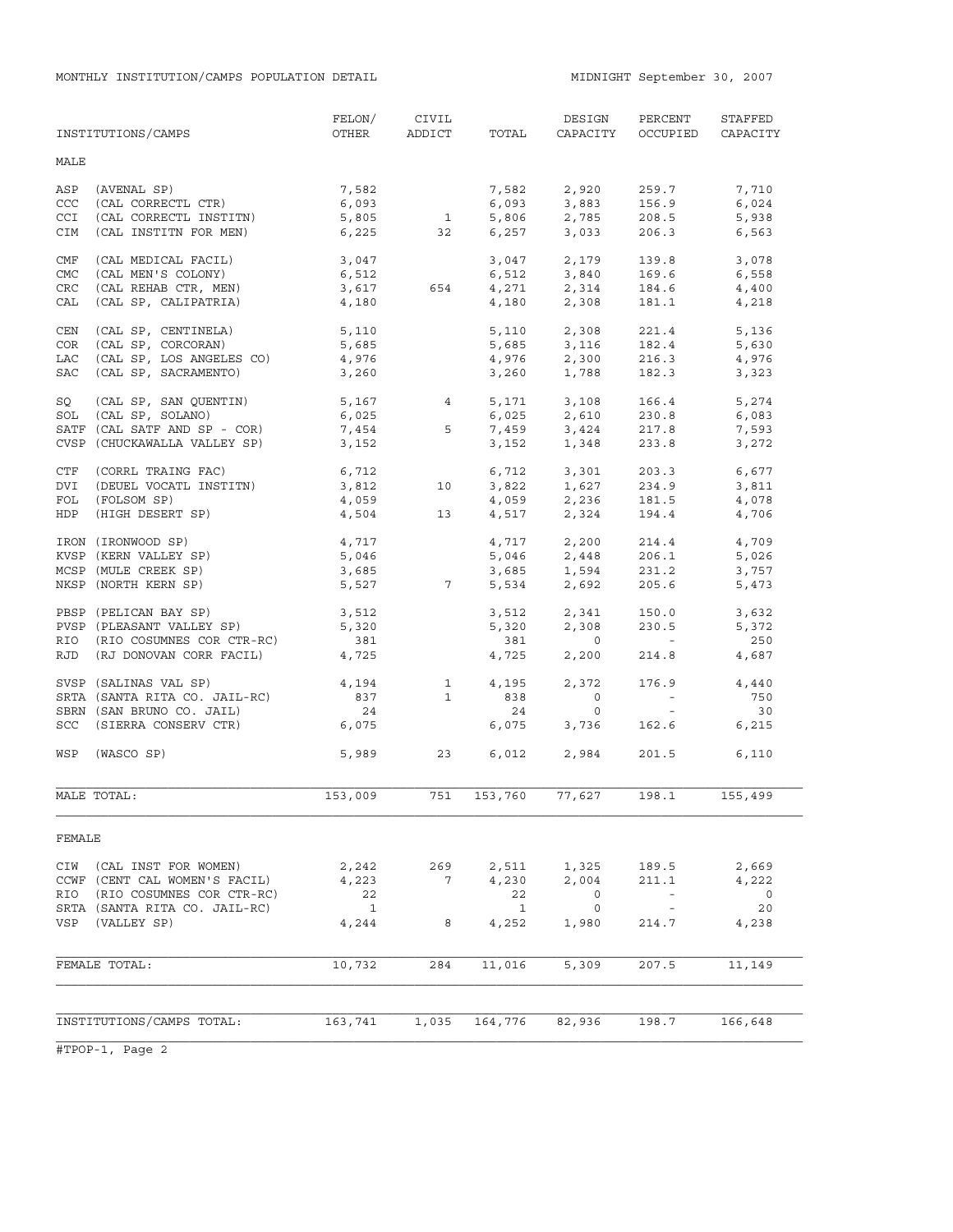|            | INSTITUTIONS/CAMPS            | FELON/<br>OTHER | CIVIL<br>ADDICT | TOTAL        | DESIGN<br>CAPACITY                     | PERCENT<br>OCCUPIED | STAFFED<br>CAPACITY      |
|------------|-------------------------------|-----------------|-----------------|--------------|----------------------------------------|---------------------|--------------------------|
| MALE       |                               |                 |                 |              |                                        |                     |                          |
| ASP        | (AVENAL SP)                   | 7,582           |                 | 7,582        | 2,920                                  | 259.7               | 7,710                    |
| CCC        | (CAL CORRECTL CTR)            | 6,093           |                 | 6,093        | 3,883                                  | 156.9               | 6,024                    |
| <b>CCI</b> | (CAL CORRECTL INSTITN)        | 5,805           | 1               | 5,806        | 2,785                                  | 208.5               | 5,938                    |
| CIM        | (CAL INSTITN FOR MEN)         | 6,225           | 32              | 6,257        | 3,033                                  | 206.3               | 6,563                    |
| CMF        | (CAL MEDICAL FACIL)           | 3,047           |                 | 3,047        | 2,179                                  | 139.8               | 3,078                    |
| <b>CMC</b> | (CAL MEN'S COLONY)            | 6,512           |                 | 6,512        | 3,840                                  | 169.6               | 6,558                    |
| CRC        | (CAL REHAB CTR, MEN)          | 3,617           | 654             | 4,271        | 2,314                                  | 184.6               | 4,400                    |
| CAL        | (CAL SP, CALIPATRIA)          | 4,180           |                 | 4,180        | 2,308                                  | 181.1               | 4,218                    |
| CEN        | (CAL SP, CENTINELA)           | 5,110           |                 | 5,110        | 2,308                                  | 221.4               | 5,136                    |
| COR        | (CAL SP, CORCORAN)            | 5,685           |                 |              | 5,685 3,116                            | 182.4               | 5,630                    |
| LAC        | (CAL SP, LOS ANGELES CO)      | 4,976           |                 | 4,976        |                                        | 216.3               | 4,976                    |
| <b>SAC</b> | (CAL SP, SACRAMENTO)          | 3,260           |                 | 3,260        | 2,300<br>1.788                         | 182.3               | 3,323                    |
| SQ         | (CAL SP, SAN QUENTIN)         | 5,167           | $\overline{4}$  |              | 5,171 3,108                            | 166.4               | 5,274                    |
| SOL        | (CAL SP, SOLANO)              | 6,025           |                 | 6,025        |                                        | 230.8               | 6,083                    |
|            | SATF (CAL SATF AND SP - COR)  | 7,454           | 5               | 7,459        | 2,610<br>3.424<br>3,424                | 217.8               | 7,593                    |
|            | CVSP (CHUCKAWALLA VALLEY SP)  | 3,152           |                 | 3,152        | 1,348                                  | 233.8               | 3,272                    |
| CTF        | (CORRL TRAING FAC)            | 6,712           |                 |              |                                        | 203.3               | 6,677                    |
| DVI        | (DEUEL VOCATL INSTITN)        | 3,812           | 10              |              | $6, 712$ $3, 301$<br>$3, 822$ $1, 627$ | 234.9               | 3,811                    |
| FOL        | (FOLSOM SP)                   | 4,059           |                 |              |                                        | 181.5               | 4,078                    |
| HDP        | (HIGH DESERT SP)              | 4,504           | 13              |              | 4,059 2,236<br>4,517 2,324             | 194.4               | 4,706                    |
|            | IRON (IRONWOOD SP)            | 4,717           |                 |              | 4,717 2,200                            | 214.4               | 4,709                    |
|            | KVSP (KERN VALLEY SP)         | 5,046           |                 |              |                                        | 206.1               | 5,026                    |
|            | MCSP (MULE CREEK SP)          | 3,685           |                 |              | 5,046 2,448<br>3,685 1,594             | 231.2               | 3,757                    |
|            | NKSP (NORTH KERN SP)          |                 | 5,527 7         |              | 5,534 2,692                            | 205.6               | 5,473                    |
|            | PBSP (PELICAN BAY SP)         | 3,512           |                 | 3,512        | 2,341                                  | 150.0               | 3,632                    |
|            | PVSP (PLEASANT VALLEY SP)     | 5,320           |                 | 5,320        | 2,308                                  | 230.5               | 5,372                    |
| RIO        | (RIO COSUMNES COR CTR-RC)     | 381             |                 | 381          | $\overline{0}$                         | $\sim 100$          | 250                      |
| RJD        | (RJ DONOVAN CORR FACIL)       | 4,725           |                 | 4,725        | 2,200                                  | 214.8               | 4,687                    |
|            | SVSP (SALINAS VAL SP)         | 4,194           | $\overline{1}$  | 4,195        | 2,372                                  | 176.9               | 4,440                    |
|            | SRTA (SANTA RITA CO. JAIL-RC) | 837             | $\overline{1}$  | 838          | $\overline{0}$                         | $\sim$ $ -$         | 750                      |
|            | SBRN (SAN BRUNO CO. JAIL)     | 24              |                 | 24           | $\circ$                                | $\sim 100$          | 30                       |
| SCC        | (SIERRA CONSERV CTR)          | 6,075           |                 | 6,075        | 3,736                                  | 162.6               | 6,215                    |
| WSP        | (WASCO SP)                    | 5,989           | 23              | 6,012        | 2,984                                  | 201.5               | 6,110                    |
|            | MALE TOTAL:                   | 153,009         | 751             | 153,760      | 77,627                                 | 198.1               | 155,499                  |
| FEMALE     |                               |                 |                 |              |                                        |                     |                          |
|            | CIW (CAL INST FOR WOMEN)      | 2,242           | 269             | 2,511        | 1,325                                  | 189.5               | 2,669                    |
|            | CCWF (CENT CAL WOMEN'S FACIL) | 4,223           | 7               | 4,230        | 2,004                                  | 211.1               | 4,222                    |
| RIO        | (RIO COSUMNES COR CTR-RC)     | 22              |                 | 22           | $\circ$                                | $\sim$ $-$          | $\overline{\phantom{0}}$ |
|            | SRTA (SANTA RITA CO. JAIL-RC) | $\mathbf{1}$    |                 | $\mathbf{1}$ | $\circ$                                |                     | 20                       |
|            | VSP (VALLEY SP)               | 4,244           | 8               | 4,252        | 1,980                                  | 214.7               | 4,238                    |
|            |                               |                 |                 |              |                                        |                     |                          |
|            | FEMALE TOTAL:                 | 10,732          | 284             | 11,016       | 5,309                                  | 207.5               | 11,149                   |
|            |                               |                 |                 |              |                                        |                     |                          |
|            | INSTITUTIONS/CAMPS TOTAL:     | 163,741         | 1,035           | 164,776      | 82,936                                 | 198.7               | 166,648                  |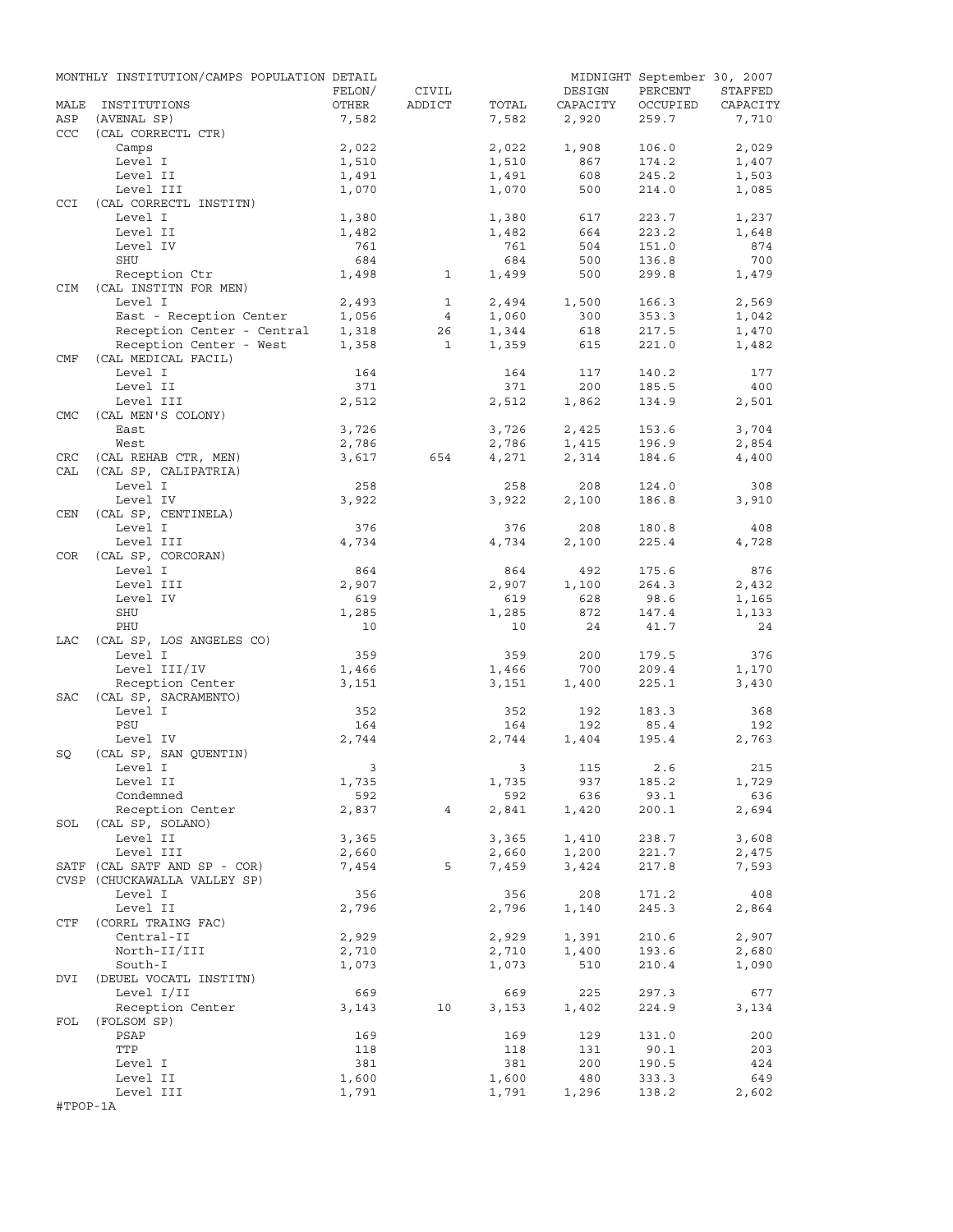|             | MONTHLY INSTITUTION/CAMPS POPULATION DETAIL           |                         |                |                |                   | MIDNIGHT September 30, 2007 |                   |
|-------------|-------------------------------------------------------|-------------------------|----------------|----------------|-------------------|-----------------------------|-------------------|
|             |                                                       | FELON/                  | CIVIL          |                | DESIGN            | PERCENT                     | STAFFED           |
| MALE<br>ASP | INSTITUTIONS<br>(AVENAL SP)                           | OTHER<br>7,582          | ADDICT         | TOTAL<br>7,582 | CAPACITY<br>2,920 | OCCUPIED<br>259.7           | CAPACITY<br>7,710 |
| <b>CCC</b>  | (CAL CORRECTL CTR)                                    |                         |                |                |                   |                             |                   |
|             | Camps                                                 | 2,022                   |                | 2,022          | 1,908             | 106.0                       | 2,029             |
|             | Level I                                               | 1,510                   |                | 1,510          | 867               | 174.2                       | 1,407             |
|             | Level II                                              | 1,491                   |                | 1,491          | 608               | 245.2                       | 1,503             |
|             | Level III                                             | 1,070                   |                | 1,070          | 500               | 214.0                       | 1,085             |
| <b>CCI</b>  | (CAL CORRECTL INSTITN)                                |                         |                |                |                   |                             |                   |
|             | Level I                                               | 1,380                   |                | 1,380          | 617               | 223.7                       | 1,237             |
|             | Level II<br>Level IV                                  | 1,482<br>761            |                | 1,482<br>761   | 664<br>504        | 223.2<br>151.0              | 1,648<br>874      |
|             | SHU                                                   | 684                     |                | 684            | 500               | 136.8                       | 700               |
|             | Reception Ctr                                         | 1,498                   | $\mathbf{1}$   | 1,499          | 500               | 299.8                       | 1,479             |
| <b>CIM</b>  | (CAL INSTITN FOR MEN)                                 |                         |                |                |                   |                             |                   |
|             | Level I                                               | 2,493                   | $\mathbf{1}$   | 2,494          | 1,500             | 166.3                       | 2,569             |
|             | East - Reception Center                               | 1,056                   | $\overline{4}$ | 1,060          | 300               | 353.3                       | 1,042             |
|             | Reception Center - Central<br>Reception Center - West | 1,318                   | 26             | 1,344          | 618               | 217.5                       | 1,470             |
|             | Reception Center - West                               | 1,358                   | $\mathbf{1}$   | 1,359          | 615               | 221.0                       | 1,482             |
| CMF         | (CAL MEDICAL FACIL)<br>Level I                        |                         |                |                |                   |                             | 177               |
|             | Level II                                              | 164<br>371              |                | 164<br>371     | 117<br>200        | 140.2<br>185.5              | 400               |
|             | Level III                                             | 2,512                   |                | 2,512          | 1,862             | 134.9                       | 2,501             |
| <b>CMC</b>  | (CAL MEN'S COLONY)                                    |                         |                |                |                   |                             |                   |
|             | East                                                  | 3,726                   |                | 3,726          | 2,425             | 153.6                       | 3,704             |
|             | West                                                  | 2,786                   |                | 2,786          | 1,415             | 196.9                       | 2,854             |
| CRC         | (CAL REHAB CTR, MEN)                                  | 3,617                   | 654            | 4,271          | 2,314             | 184.6                       | 4,400             |
| CAL         | (CAL SP, CALIPATRIA)                                  |                         |                |                |                   |                             |                   |
|             | Level I                                               | 258                     |                | 258            | 208               | 124.0                       | 308               |
|             | Level IV<br>(CAL SP, CENTINELA)                       | 3,922                   |                | 3,922          | 2,100             | 186.8                       | 3,910             |
| CEN         | Level I                                               | 376                     |                | 376            | 208               | 180.8                       | 408               |
|             | Level III                                             | 4,734                   |                | 4,734          | 2,100             | 225.4                       | 4,728             |
| COR         | (CAL SP, CORCORAN)                                    |                         |                |                |                   |                             |                   |
|             | Level I                                               | 864                     |                | 864            | 492               | 175.6                       | 876               |
|             | Level III                                             | 2,907                   |                | 2,907          | 1,100             | 264.3                       | 2,432             |
|             | Level IV                                              | 619                     |                | 619            | 628               | 98.6                        | 1,165             |
|             | SHU                                                   | 1,285                   |                | 1,285          | 872               | 147.4                       | 1,133             |
|             | PHU                                                   | 10                      |                | 10             | 24                | 41.7                        | 24                |
| LAC         | (CAL SP, LOS ANGELES CO)<br>Level I                   | 359                     |                | 359            | 200               | 179.5                       | 376               |
|             | Level III/IV                                          | 1,466                   |                | 1,466          | 700               | 209.4                       | 1,170             |
|             | Reception Center                                      | 3,151                   |                | 3,151          | 1,400             | 225.1                       | 3,430             |
| SAC         | (CAL SP, SACRAMENTO)                                  |                         |                |                |                   |                             |                   |
|             | Level I                                               | 352                     |                | 352            | 192               | 183.3                       | 368               |
|             | PSU                                                   | 164                     |                | 164            | 192               | 85.4                        | 192               |
|             | Level IV                                              | 2,744                   |                | 2,744          | 1,404             | 195.4                       | 2,763             |
| SQ          | (CAL SP, SAN QUENTIN)                                 |                         |                |                |                   |                             |                   |
|             | Level I                                               | $\overline{\mathbf{3}}$ |                |                | 3 115 2.6         |                             | 215               |
|             | Level II<br>Condemned                                 | 1,735<br>592            |                | 1,735<br>592   | 937<br>636        | 185.2<br>93.1               | 1,729<br>636      |
|             | Reception Center                                      | 2,837                   | $\overline{4}$ | 2,841          | 1,420             | 200.1                       | 2,694             |
|             | SOL (CAL SP, SOLANO)                                  |                         |                |                |                   |                             |                   |
|             | Level II                                              | 3,365                   |                | 3,365          | 1,410             | 238.7                       | 3,608             |
|             | Level III                                             | 2,660                   |                | 2,660          | 1,200             | 221.7                       | 2,475             |
|             | SATF (CAL SATF AND SP - COR)                          | 7,454                   | 5              | 7,459          | 3,424             | 217.8                       | 7,593             |
|             | CVSP (CHUCKAWALLA VALLEY SP)                          |                         |                |                |                   |                             |                   |
|             | Level I                                               | 356                     |                | 356            | 208               | 171.2                       | 408               |
| CTF         | Level II                                              | 2,796                   |                | 2,796          | 1,140             | 245.3                       | 2,864             |
|             | (CORRL TRAING FAC)<br>Central-II                      | 2,929                   |                | 2,929          | 1,391             | 210.6                       | 2,907             |
|             | North-II/III                                          | 2,710                   |                | 2,710          | 1,400             | 193.6                       | 2,680             |
|             | South-I                                               | 1,073                   |                | 1,073          | 510               | 210.4                       | 1,090             |
| DVI         | (DEUEL VOCATL INSTITN)                                |                         |                |                |                   |                             |                   |
|             | Level I/II                                            | 669                     |                | 669            | 225               | 297.3                       | 677               |
|             | Reception Center                                      | 3,143                   | 10             | 3,153          | 1,402             | 224.9                       | 3,134             |
| FOL         | (FOLSOM SP)                                           |                         |                |                |                   |                             |                   |
|             | PSAP                                                  | 169                     |                | 169            | 129               | 131.0                       | 200               |
|             | TTP                                                   | 118                     |                | 118            | 131               | 90.1                        | 203               |
|             | Level I<br>Level II                                   | 381<br>1,600            |                | 381<br>1,600   | 200<br>480        | 190.5<br>333.3              | 424<br>649        |
|             | Level III                                             | 1,791                   |                | 1,791          | 1,296             | 138.2                       | 2,602             |
| #TPOP-1A    |                                                       |                         |                |                |                   |                             |                   |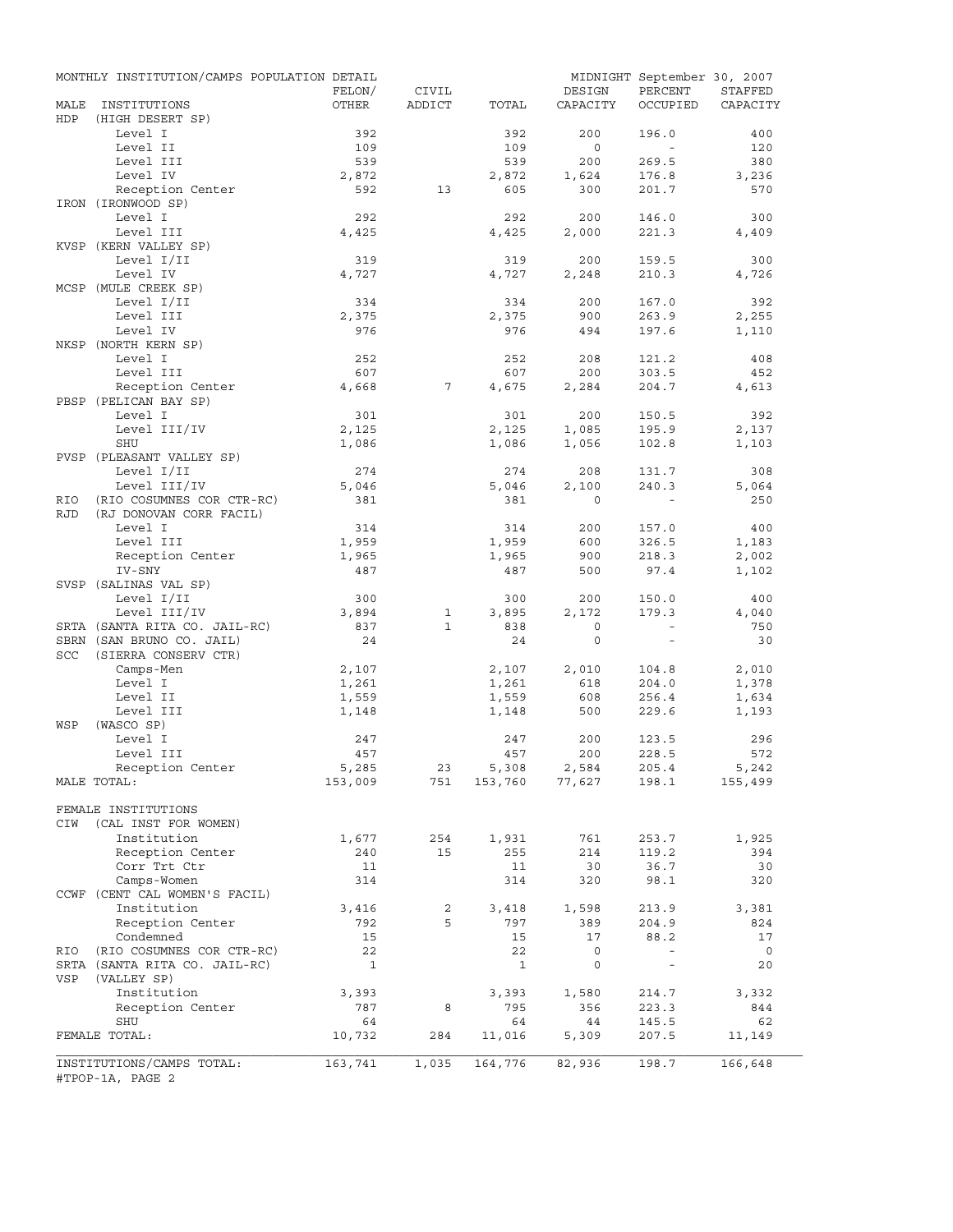|             | MONTHLY INSTITUTION/CAMPS POPULATION DETAIL   | FELON/       | CIVIL        |                | DESIGN         | MIDNIGHT September 30, 2007<br>PERCENT | STAFFED        |
|-------------|-----------------------------------------------|--------------|--------------|----------------|----------------|----------------------------------------|----------------|
| MALE<br>HDP | INSTITUTIONS<br>(HIGH DESERT SP)              | OTHER        | ADDICT       | TOTAL          | CAPACITY       | OCCUPIED                               | CAPACITY       |
|             | Level I                                       | 392          |              | 392            | 200            | 196.0                                  | 400            |
|             | Level II                                      | 109          |              | 109            | $\circ$        | $\sim$                                 | 120            |
|             | Level III                                     | 539          |              | 539            | 200            | 269.5                                  | 380            |
|             | Level IV                                      | 2,872        |              | 2,872          | 1,624          | 176.8                                  | 3,236          |
|             | Reception Center<br>IRON (IRONWOOD SP)        | 592          | 13           | 605            | 300            | 201.7                                  | 570            |
|             | Level I                                       | 292          |              | 292            | 200            | 146.0                                  | 300            |
|             | Level III                                     | 4,425        |              | 4,425          | 2,000          | 221.3                                  | 4,409          |
|             | KVSP (KERN VALLEY SP)                         |              |              |                |                |                                        |                |
|             | Level I/II                                    | 319          |              | 319            | 200            | 159.5                                  | 300            |
|             | Level IV                                      | 4,727        |              | 4,727          | 2,248          | 210.3                                  | 4,726          |
|             | MCSP (MULE CREEK SP)                          |              |              |                |                |                                        |                |
|             | Level I/II                                    | 334          |              | 334            | 200            | 167.0                                  | 392            |
|             | Level III                                     | 2,375        |              | 2,375          | 900            | 263.9                                  | 2,255          |
|             | Level IV                                      | 976          |              | 976            | 494            | 197.6                                  | 1,110          |
|             | NKSP (NORTH KERN SP)                          |              |              |                |                |                                        |                |
|             | Level I                                       | 252          |              | 252            | 208            | 121.2                                  | 408            |
|             | Level III                                     | 607          |              | 607            | 200            | 303.5                                  | 452            |
|             | Reception Center<br>PBSP (PELICAN BAY SP)     | 4,668        | 7            | 4,675          | 2,284          | 204.7                                  | 4,613          |
|             | Level I                                       | 301          |              | 301            | 200            | 150.5                                  | 392            |
|             | Level III/IV                                  | 2,125        |              | 2,125          | 1,085          | 195.9                                  | 2,137          |
|             | SHU                                           | 1,086        |              | 1,086          | 1,056          | 102.8                                  | 1,103          |
|             | PVSP (PLEASANT VALLEY SP)                     |              |              |                |                |                                        |                |
|             | Level I/II                                    | 274          |              | 274            | 208            | 131.7                                  | 308            |
|             | Level III/IV                                  | 5,046        |              | 5,046          | 2,100          | 240.3                                  | 5,064          |
| RIO         | (RIO COSUMNES COR CTR-RC)                     | 381          |              | 381            | $\Omega$       |                                        | 250            |
| <b>RJD</b>  | (RJ DONOVAN CORR FACIL)                       |              |              |                |                |                                        |                |
|             | Level I                                       | 314          |              | 314            | 200            | 157.0                                  | 400            |
|             | Level III                                     | 1,959        |              | 1,959          | 600            | 326.5                                  | 1,183          |
|             | Reception Center                              | 1,965        |              | 1,965          | 900            | 218.3                                  | 2,002          |
|             | IV-SNY                                        | 487          |              | 487            | 500            | 97.4                                   | 1,102          |
|             | SVSP (SALINAS VAL SP)                         |              |              |                |                |                                        |                |
|             | Level I/II                                    | 300          |              | 300            | 200            | 150.0                                  | 400            |
|             | Level III/IV                                  | 3,894        | $\mathbf{1}$ | 3,895          | 2,172          | 179.3                                  | 4,040          |
|             | SRTA (SANTA RITA CO. JAIL-RC)                 | 837          | $\mathbf{1}$ | 838            | $\circ$        | $\sim$                                 | 750            |
|             | SBRN (SAN BRUNO CO. JAIL)                     | 24           |              | 24             | $\circ$        | $\sim$                                 | 30             |
| SCC         | (SIERRA CONSERV CTR)                          |              |              |                |                |                                        |                |
|             | Camps-Men                                     | 2,107        |              | 2,107          | 2,010          | 104.8                                  | 2,010          |
|             | Level I                                       | 1,261        |              | 1,261          | 618            | 204.0                                  | 1,378          |
|             | Level II                                      | 1,559        |              | 1,559<br>1,148 | 608            | 256.4                                  | 1,634<br>1,193 |
| WSP         | Level III<br>(WASCO SP)                       | 1,148        |              |                | 500            | 229.6                                  |                |
|             | Level I                                       | 247          |              | 247            | 200            | 123.5                                  | 296            |
|             | Level III                                     | 457          |              | 457            | 200            | 228.5                                  | 572            |
|             | Reception Center                              | 5,285        | 23           | 5,308          | 2,584          | 205.4                                  | 5,242          |
|             | MALE TOTAL:                                   | 153,009      | 751          |                | 153,760 77,627 | 198.1                                  | 155,499        |
|             |                                               |              |              |                |                |                                        |                |
|             | FEMALE INSTITUTIONS                           |              |              |                |                |                                        |                |
| CIW         | (CAL INST FOR WOMEN)                          |              |              |                |                |                                        |                |
|             | Institution                                   | 1,677        | 254          | 1,931          | 761            | 253.7                                  | 1,925          |
|             | Reception Center                              | 240          | 15           | 255            | 214            | 119.2                                  | 394            |
|             | Corr Trt Ctr                                  | 11           |              | 11             | 30             | 36.7                                   | 30             |
|             | Camps-Women                                   | 314          |              | 314            | 320            | 98.1                                   | 320            |
|             | CCWF (CENT CAL WOMEN'S FACIL)                 |              |              |                |                |                                        |                |
|             | Institution                                   | 3,416        | 2            | 3,418          | 1,598          | 213.9                                  | 3,381          |
|             | Reception Center                              | 792          | 5            | 797            | 389            | 204.9                                  | 824            |
|             | Condemned                                     | 15           |              | 15             | 17             | 88.2                                   | 17             |
| RIO         | (RIO COSUMNES COR CTR-RC)                     | 22           |              | 22             | $\mathsf{O}$   | $\overline{\phantom{a}}$               | $\overline{0}$ |
|             | SRTA (SANTA RITA CO. JAIL-RC)                 | $\mathbf{1}$ |              | $\mathbf{1}$   | 0              | $\overline{\phantom{a}}$               | 20             |
| VSP         | (VALLEY SP)                                   |              |              |                |                |                                        |                |
|             | Institution                                   | 3,393<br>787 | 8            | 3,393<br>795   | 1,580          | 214.7                                  | 3,332<br>844   |
|             | Reception Center<br>SHU                       | 64           |              | 64             | 356<br>44      | 223.3<br>145.5                         | 62             |
|             | FEMALE TOTAL:                                 | 10,732       | 284          | 11,016         | 5,309          | 207.5                                  | 11,149         |
|             |                                               |              |              |                |                |                                        |                |
|             | INSTITUTIONS/CAMPS TOTAL:<br>#TPOP-1A, PAGE 2 | 163,741      | 1,035        | 164,776        | 82,936         | 198.7                                  | 166,648        |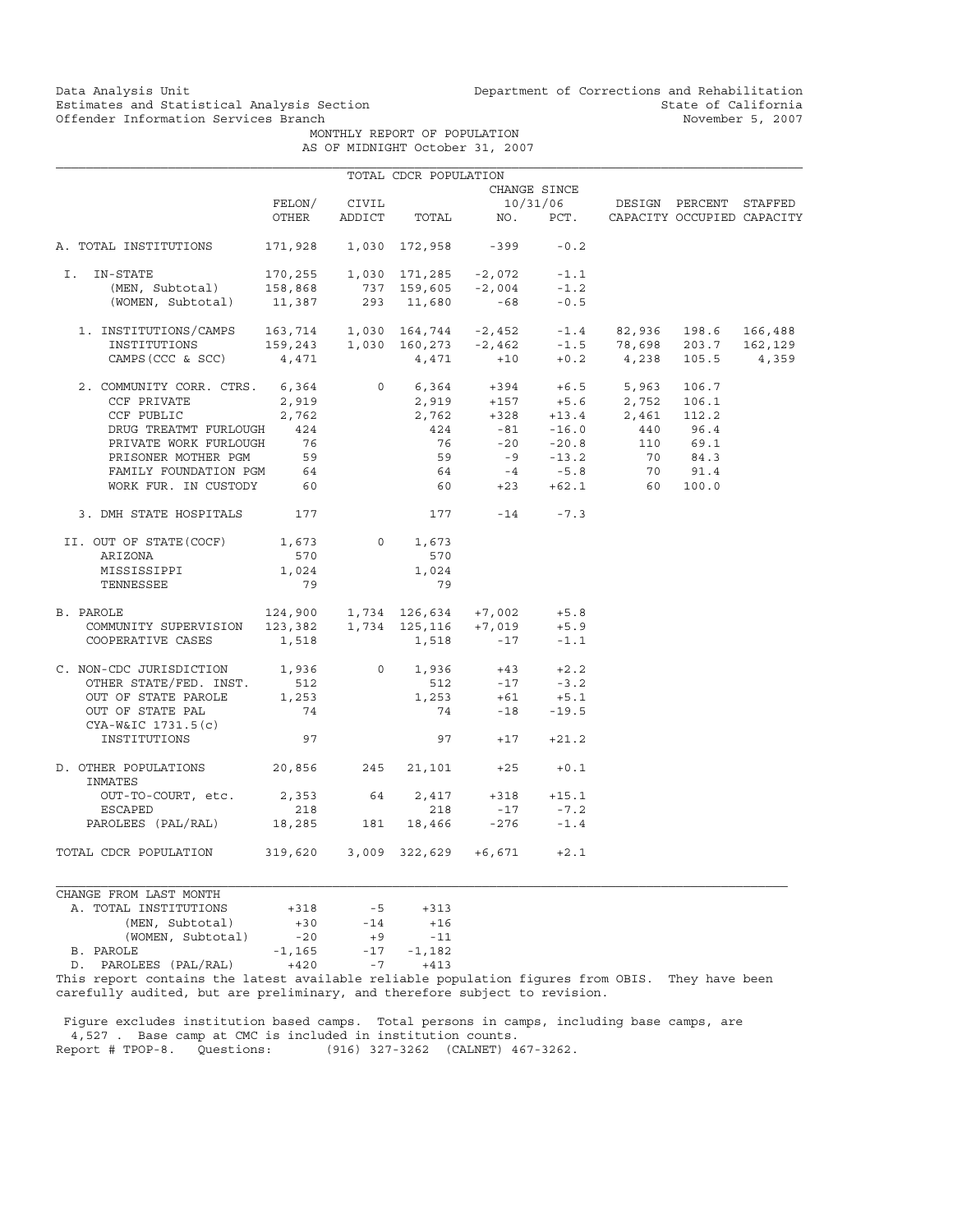Data Analysis Unit Unit Department of Corrections and Rehabilitation<br>Estimates and Statistical Analysis Section State of California Estimates and Statistical Analysis Section and State of California of Estimates and Statistical Analysis Section State of California of State of California of State of California of  $\sim$  State of California of the State of

 MONTHLY REPORT OF POPULATION AS OF MIDNIGHT October 31, 2007

|                                                                                                                                                                                                                                                                                                                                                    |                      |              | TOTAL CDCR POPULATION    |                                                                                                  |              |                                                        |  |
|----------------------------------------------------------------------------------------------------------------------------------------------------------------------------------------------------------------------------------------------------------------------------------------------------------------------------------------------------|----------------------|--------------|--------------------------|--------------------------------------------------------------------------------------------------|--------------|--------------------------------------------------------|--|
|                                                                                                                                                                                                                                                                                                                                                    |                      |              |                          |                                                                                                  | CHANGE SINCE |                                                        |  |
|                                                                                                                                                                                                                                                                                                                                                    |                      | FELON/ CIVIL |                          |                                                                                                  |              | 10/31/06 DESIGN PERCENT STAFFED                        |  |
|                                                                                                                                                                                                                                                                                                                                                    |                      |              |                          |                                                                                                  |              | OTHER ADDICT TOTAL NO. PCT. CAPACITY OCCUPIED CAPACITY |  |
| A. TOTAL INSTITUTIONS 171,928 1,030 172,958 -399 -0.2                                                                                                                                                                                                                                                                                              |                      |              |                          |                                                                                                  |              |                                                        |  |
| I. IN-STATE                                                                                                                                                                                                                                                                                                                                        |                      |              |                          |                                                                                                  |              |                                                        |  |
|                                                                                                                                                                                                                                                                                                                                                    |                      |              |                          |                                                                                                  |              |                                                        |  |
| 1-STATE 170,255 1,030 171,285 -2,072 -1.1<br>(MEN, Subtotal) 158,868 737 159,605 -2,004 -1.2<br>(WOMEN, Subtotal) 11,387 293 11,680 -68 -0.5                                                                                                                                                                                                       |                      |              |                          |                                                                                                  |              |                                                        |  |
|                                                                                                                                                                                                                                                                                                                                                    |                      |              |                          |                                                                                                  |              |                                                        |  |
|                                                                                                                                                                                                                                                                                                                                                    |                      |              |                          |                                                                                                  |              |                                                        |  |
| $\begin{tabular}{lcccccc} 1. & \text{INSTITUTIONS/CAMPS} & 163\,,714 & 1\,,030 & 164\,,744 & -2\,,452 & -1\,.4 & 82\,,936 & 198\,.6 & 166\,,488 \\ & \text{INSTITUTIONS} & 159\,,243 & 1\,,030 & 160\,,273 & -2\,,462 & -1\,.5 & 78\,,698 & 203\,.7 & 162\,,129 \\ & & & & & & & & & & \\ \text{CAMPS (CCC & SCC)} & 4\,,471 & 471 & +10 & +0\,.2$ |                      |              |                          |                                                                                                  |              |                                                        |  |
|                                                                                                                                                                                                                                                                                                                                                    |                      |              |                          |                                                                                                  |              |                                                        |  |
|                                                                                                                                                                                                                                                                                                                                                    |                      |              |                          |                                                                                                  |              |                                                        |  |
|                                                                                                                                                                                                                                                                                                                                                    |                      |              |                          |                                                                                                  |              |                                                        |  |
|                                                                                                                                                                                                                                                                                                                                                    |                      |              |                          |                                                                                                  |              |                                                        |  |
|                                                                                                                                                                                                                                                                                                                                                    |                      |              |                          |                                                                                                  |              |                                                        |  |
|                                                                                                                                                                                                                                                                                                                                                    |                      |              |                          |                                                                                                  |              |                                                        |  |
|                                                                                                                                                                                                                                                                                                                                                    |                      |              |                          |                                                                                                  |              |                                                        |  |
|                                                                                                                                                                                                                                                                                                                                                    |                      |              |                          |                                                                                                  |              |                                                        |  |
| 3. DMH STATE HOSPITALS 177                                                                                                                                                                                                                                                                                                                         |                      |              | $177 - 14 - 7.3$         |                                                                                                  |              |                                                        |  |
| II. OUT OF STATE (COCF) 1,673 0 1,673                                                                                                                                                                                                                                                                                                              |                      |              |                          |                                                                                                  |              |                                                        |  |
| ARIZONA                                                                                                                                                                                                                                                                                                                                            | 570                  |              | 570                      |                                                                                                  |              |                                                        |  |
| MISSISSIPPI                                                                                                                                                                                                                                                                                                                                        | 1,024                |              | 1,024                    |                                                                                                  |              |                                                        |  |
| TENNESSEE                                                                                                                                                                                                                                                                                                                                          | 79                   |              | 79                       |                                                                                                  |              |                                                        |  |
| B. PAROLE                                                                                                                                                                                                                                                                                                                                          |                      |              |                          |                                                                                                  |              |                                                        |  |
|                                                                                                                                                                                                                                                                                                                                                    |                      |              |                          |                                                                                                  |              |                                                        |  |
| PAROLE 124,900 1,734 126,634 +7,002 +5.8<br>COMMUNITY SUPERVISION 123,382 1,734 125,116 +7,019 +5.9<br>COOPERATIVE CASES 1,518 1,518 -17 -1.1                                                                                                                                                                                                      |                      |              |                          |                                                                                                  |              |                                                        |  |
| C. NON-CDC JURISDICTION $1,936$ 0 1,936 +43 +2.2                                                                                                                                                                                                                                                                                                   |                      |              |                          |                                                                                                  |              |                                                        |  |
|                                                                                                                                                                                                                                                                                                                                                    |                      |              |                          |                                                                                                  |              |                                                        |  |
| OTHER STATE/FED. INST. 512<br>OUT OF STATE PAROLE 1,253                                                                                                                                                                                                                                                                                            |                      |              |                          |                                                                                                  |              |                                                        |  |
| OUT OF STATE PAL                                                                                                                                                                                                                                                                                                                                   | 74                   |              |                          | $\begin{array}{cccc} & 512 & -17 & -3.2 \\ 1,253 & +61 & +5.1 \\ & 74 & -18 & -19.5 \end{array}$ |              |                                                        |  |
| CYA-W&IC 1731.5(c)<br>INSTITUTIONS                                                                                                                                                                                                                                                                                                                 | 97                   |              |                          | $97 + 17 + 21.2$                                                                                 |              |                                                        |  |
| D. OTHER POPULATIONS 20,856 245 21,101 +25 +0.1<br>INMATES                                                                                                                                                                                                                                                                                         |                      |              |                          |                                                                                                  |              |                                                        |  |
| OUT-TO-COURT, etc. 2,353 64 2,417 +318 +15.1                                                                                                                                                                                                                                                                                                       |                      |              |                          |                                                                                                  |              |                                                        |  |
| ESCAPED                                                                                                                                                                                                                                                                                                                                            | 218                  |              | 218                      |                                                                                                  | $-17$ $-7.2$ |                                                        |  |
| PAROLEES (PAL/RAL) 18,285 181 18,466 -276 -1.4                                                                                                                                                                                                                                                                                                     |                      |              |                          |                                                                                                  |              |                                                        |  |
| TOTAL CDCR POPULATION 319,620 3,009 322,629 +6,671 +2.1                                                                                                                                                                                                                                                                                            |                      |              |                          |                                                                                                  |              |                                                        |  |
| CHANGE FROM LAST MONTH                                                                                                                                                                                                                                                                                                                             |                      |              |                          |                                                                                                  |              |                                                        |  |
| A. TOTAL INSTITUTIONS                                                                                                                                                                                                                                                                                                                              | $+318$ $-5$ $+313$   |              |                          |                                                                                                  |              |                                                        |  |
| $\left( \text{MDM} \right)$ $\left( \text{MDM} \right)$                                                                                                                                                                                                                                                                                            | $\sim$ $\sim$ $\sim$ | $\mathbf{A}$ | $\overline{\phantom{a}}$ |                                                                                                  |              |                                                        |  |

| A. TOTAL INSTITUTIONS    | $+318$   | $-5$  | $+31.5$  |
|--------------------------|----------|-------|----------|
| (MEN, Subtotal)          | $+30$    | $-14$ | $+16$    |
| (WOMEN, Subtotal)        | $-20$    | $+9$  | $-11$    |
| B. PAROLE                | $-1.165$ | $-17$ | $-1,182$ |
| PAROLEES (PAL/RAL)<br>D. | $+420$   | $-7$  | $+413$   |
|                          |          |       |          |

This report contains the latest available reliable population figures from OBIS. They have been carefully audited, but are preliminary, and therefore subject to revision.

 Figure excludes institution based camps. Total persons in camps, including base camps, are 4,527 . Base camp at CMC is included in institution counts. Report # TPOP-8. Questions: (916) 327-3262 (CALNET) 467-3262.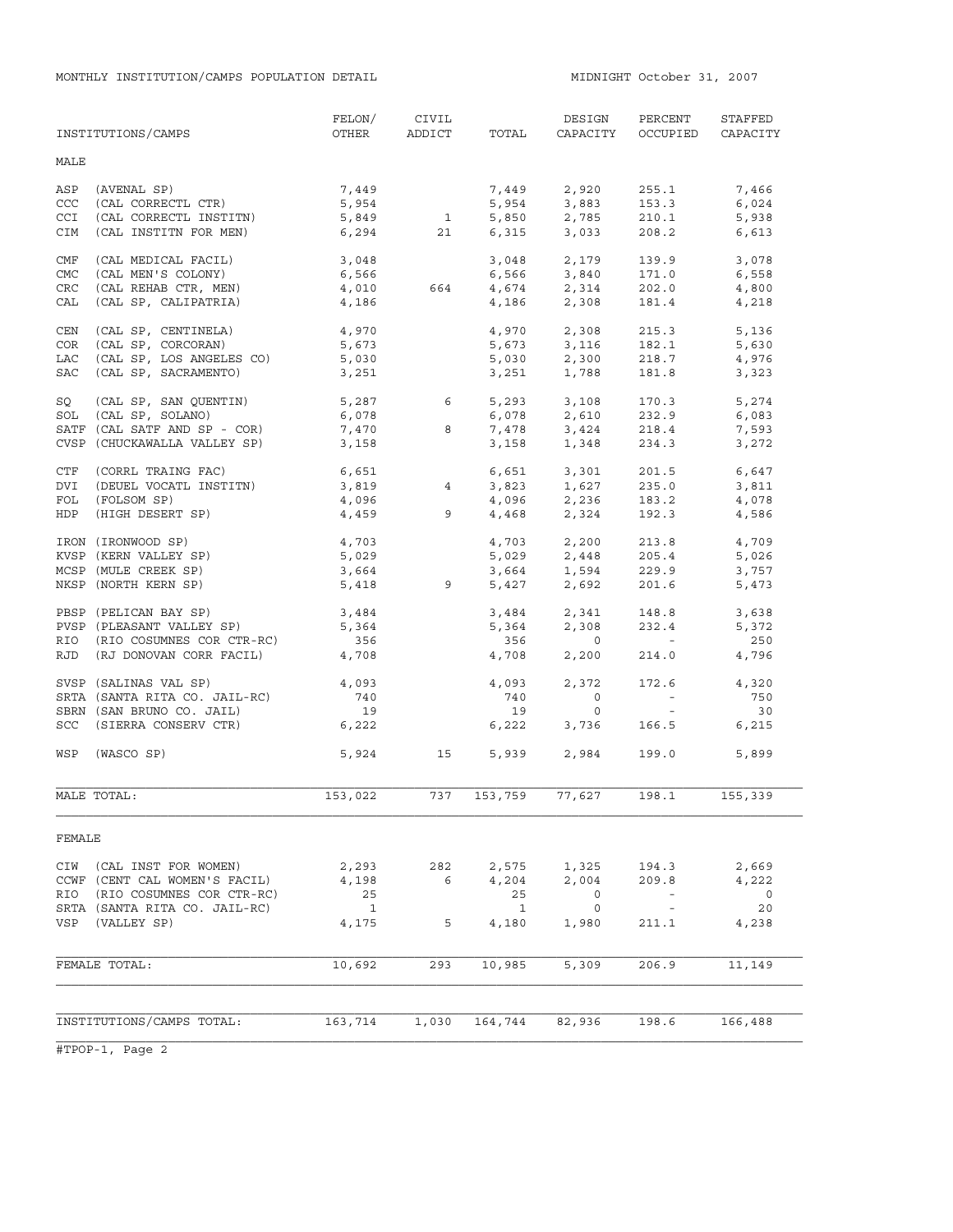|            | INSTITUTIONS/CAMPS            | FELON/<br>OTHER    | CIVIL<br>ADDICT      | TOTAL        | DESIGN<br>CAPACITY                 | PERCENT<br>OCCUPIED      | STAFFED<br>CAPACITY |
|------------|-------------------------------|--------------------|----------------------|--------------|------------------------------------|--------------------------|---------------------|
| MALE       |                               |                    |                      |              |                                    |                          |                     |
| ASP        | (AVENAL SP)                   | 7,449              |                      | 7,449        | 2,920                              | 255.1                    | 7,466               |
| CCC        | (CAL CORRECTL CTR)            | 5,954              |                      | 5,954        | 3,883                              | 153.3                    | 6,024               |
| CCI        | (CAL CORRECTL INSTITN)        | 5,849              | 1                    | 5,850        | 2,785                              | 210.1                    | 5,938               |
| CIM        | (CAL INSTITN FOR MEN)         | 6,294              | 21                   | 6,315        | 3,033                              | 208.2                    | 6,613               |
| CMF        | (CAL MEDICAL FACIL)           | 3,048              |                      | 3,048        | 2,179                              | 139.9                    | 3,078               |
| <b>CMC</b> | (CAL MEN'S COLONY)            | 6,566              |                      | 6,566        | 3,840                              | 171.0                    | 6,558               |
| <b>CRC</b> | (CAL REHAB CTR, MEN)          | 4,010              | 664                  |              | $4,674$ 2,314                      | 202.0                    | 4,800               |
| CAL        | (CAL SP, CALIPATRIA)          | 4,186              |                      | 4,186        | 2,308                              | 181.4                    | 4,218               |
| CEN        | (CAL SP, CENTINELA)           | 4,970              |                      | 4,970        | 2,308                              | 215.3                    | 5,136               |
| COR        | (CAL SP, CORCORAN)            | 5,673              |                      | 5,673        | 3,116                              | 182.1                    | 5,630               |
| LAC        | (CAL SP, LOS ANGELES CO)      | 5,030              |                      | 5,030        | 2,300                              | 218.7                    | 4,976               |
| SAC        | (CAL SP, SACRAMENTO)          | 3,251              |                      | 3,251        | 1,788                              | 181.8                    | 3,323               |
| SQ         | (CAL SP, SAN QUENTIN)         | 5,287              | $6 \quad \Box$       |              | 5,293 3,108                        | 170.3                    | 5,274               |
| SOL        | (CAL SP, SOLANO)              | 6,078              |                      | 6,078        | 2,610                              | 232.9                    | 6,083               |
|            | SATF (CAL SATF AND SP - COR)  | 7,470              | 8                    | 7,478        | 3,424                              | 218.4                    | 7,593               |
|            | CVSP (CHUCKAWALLA VALLEY SP)  | 3,158              |                      | 3,158        | 1,348                              | 234.3                    | 3,272               |
| CTF        | (CORRL TRAING FAC)            | $6,651$<br>3,819 4 |                      | 6,651        | 3,301<br>1,627                     | 201.5                    | 6,647               |
| DVI        | (DEUEL VOCATL INSTITN)        |                    |                      | 3,823        |                                    | 235.0                    | 3,811               |
| FOL        | (FOLSOM SP)                   |                    |                      |              |                                    |                          | 4,078               |
| <b>HDP</b> | (HIGH DESERT SP)              |                    | $4,096$<br>$4,459$ 9 |              | $4,096$ $2,236$<br>$4,468$ $2,324$ | 183.2<br>192.3           | 4,586               |
|            | IRON (IRONWOOD SP)            | 4,703              |                      |              | 4,703 2,200                        | 213.8                    | 4,709               |
|            | KVSP (KERN VALLEY SP)         | $4, 10$<br>5,029   |                      |              |                                    | 205.4                    | 5,026               |
|            | MCSP (MULE CREEK SP)          | 3,664              |                      |              | 5,029 2,448<br>3,664 1,594         | 229.9                    | 3,757               |
|            | NKSP (NORTH KERN SP)          |                    | 5,418 9              |              | 5,427 2,692                        | 201.6                    | 5,473               |
|            | PBSP (PELICAN BAY SP)         | 3,484              |                      |              | $3,484$<br>5.364<br>2,308          | 148.8                    | 3,638               |
|            | PVSP (PLEASANT VALLEY SP)     | 5,364              |                      | 5,364        | 2,308                              | 232.4                    | 5,372               |
|            | RIO (RIO COSUMNES COR CTR-RC) | 356                |                      | 356          | $\overline{0}$                     | <b>Contract Contract</b> | 250                 |
|            | RJD (RJ DONOVAN CORR FACIL)   | 4,708              |                      | 4,708        | 2,200                              | 214.0                    | 4,796               |
|            | SVSP (SALINAS VAL SP)         | 4,093              |                      | 4,093        | 2,372                              | 172.6                    | 4,320               |
|            | SRTA (SANTA RITA CO. JAIL-RC) | 740                |                      | 740          | $\overline{0}$                     | $\alpha$ and $\alpha$    | 750                 |
|            | SBRN (SAN BRUNO CO. JAIL)     | 19                 |                      | 19           | $\circ$                            | $\sim$ $ \sim$           | 30                  |
|            | SCC (SIERRA CONSERV CTR)      | 6,222              |                      | 6,222        | 3,736                              | 166.5                    | 6,215               |
| WSP        | (WASCO SP)                    | 5,924              | 15                   | 5,939        | 2,984                              | 199.0                    | 5,899               |
|            | MALE TOTAL:                   | 153,022            | 737                  | 153,759      | 77,627                             | 198.1                    | 155,339             |
| FEMALE     |                               |                    |                      |              |                                    |                          |                     |
| CIW        | (CAL INST FOR WOMEN)          | 2,293              | 282                  | 2,575        | 1,325                              | 194.3                    | 2,669               |
|            | CCWF (CENT CAL WOMEN'S FACIL) | 4,198              | 6                    | 4,204        | 2,004                              | 209.8                    | 4,222               |
| RIO        | (RIO COSUMNES COR CTR-RC)     | 25                 |                      | 25           | 0                                  |                          | $\overline{0}$      |
|            | SRTA (SANTA RITA CO. JAIL-RC) | $\mathbf{1}$       |                      | <sup>1</sup> | 0                                  | $\sim$ $-$               | 20                  |
| VSP        | (VALLEY SP)                   | 4,175              | 5                    | 4,180        | 1,980                              | 211.1                    | 4,238               |
|            |                               |                    |                      |              |                                    |                          |                     |
|            | FEMALE TOTAL:                 | 10,692             | 293                  | 10,985       | 5,309                              | 206.9                    | 11,149              |
|            |                               |                    |                      |              |                                    |                          |                     |
|            | INSTITUTIONS/CAMPS TOTAL:     | 163,714            | 1,030                | 164,744      | 82,936                             | 198.6                    | 166,488             |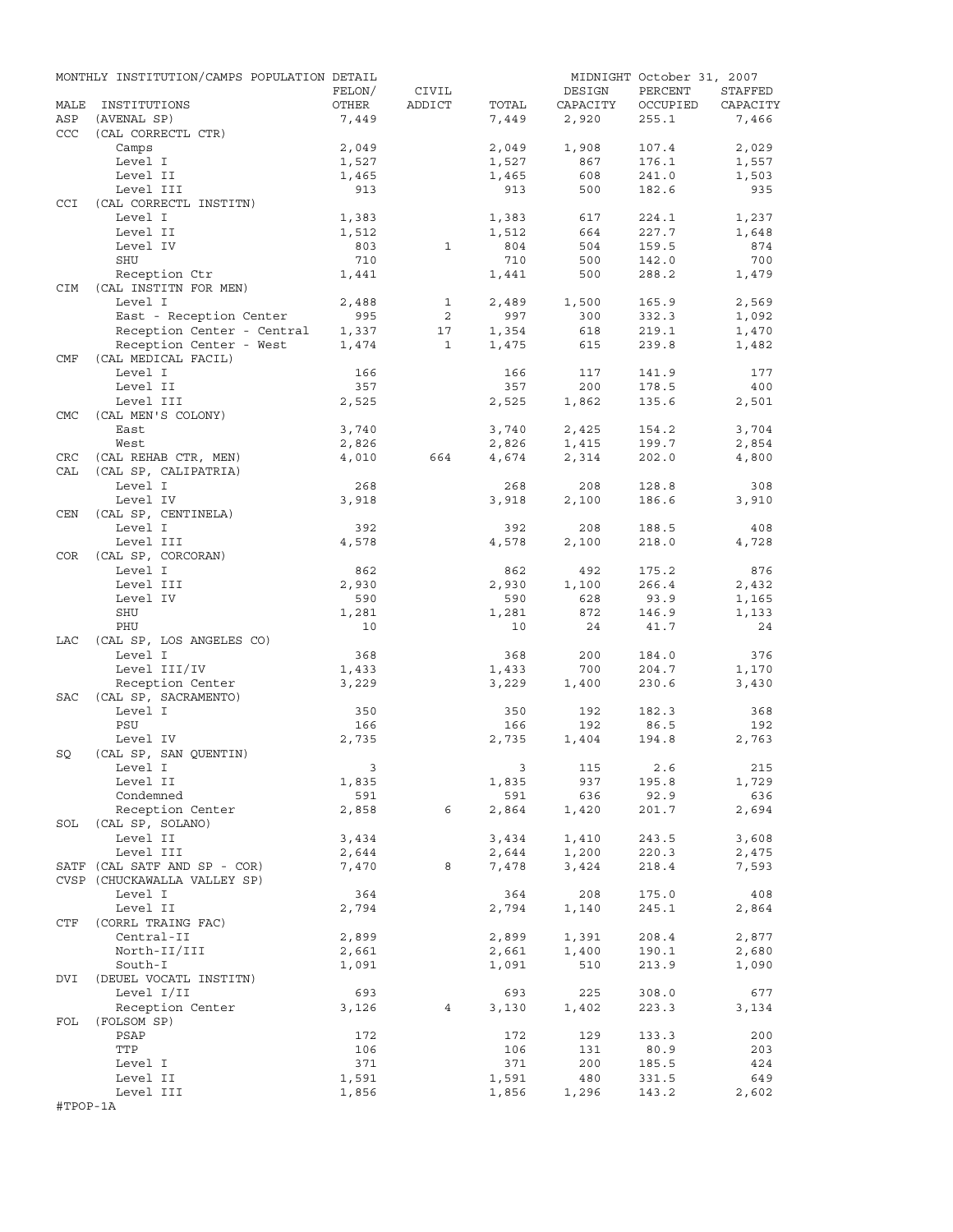|            | MONTHLY INSTITUTION/CAMPS POPULATION DETAIL           |                         |                   |              |              | MIDNIGHT October 31, 2007 |                |
|------------|-------------------------------------------------------|-------------------------|-------------------|--------------|--------------|---------------------------|----------------|
|            |                                                       | FELON/                  | CIVIL             |              | DESIGN       | PERCENT                   | STAFFED        |
| MALE       | INSTITUTIONS                                          | OTHER                   | ADDICT            | TOTAL        | CAPACITY     | OCCUPIED                  | CAPACITY       |
| ASP        | (AVENAL SP)                                           | 7,449                   |                   | 7,449        | 2,920        | 255.1                     | 7,466          |
| CCC        | (CAL CORRECTL CTR)<br>Camps                           | 2,049                   |                   | 2,049        | 1,908        | 107.4                     | 2,029          |
|            | Level I                                               | 1,527                   |                   | 1,527        | 867          | 176.1                     | 1,557          |
|            | Level II                                              | 1,465                   |                   | 1,465        | 608          | 241.0                     | 1,503          |
|            | Level III                                             | 913                     |                   | 913          | 500          | 182.6                     | 935            |
| <b>CCI</b> | (CAL CORRECTL INSTITN)                                |                         |                   |              |              |                           |                |
|            | Level I                                               | 1,383                   |                   | 1,383        | 617          | 224.1                     | 1,237          |
|            | Level II                                              | 1,512                   |                   | 1,512        | 664          | 227.7                     | 1,648          |
|            | Level IV                                              | 803                     | $\mathbf{1}$      | 804          | 504          | 159.5                     | 874            |
|            | SHU                                                   | 710                     |                   | 710          | 500          | 142.0                     | 700            |
|            | Reception Ctr                                         | 1,441                   |                   | 1,441        | 500          | 288.2                     | 1,479          |
| CIM        | (CAL INSTITN FOR MEN)                                 |                         |                   |              |              |                           |                |
|            | Level I                                               | 2,488                   | $\mathbf{1}$<br>2 | 2,489        | 1,500<br>300 | 165.9                     | 2,569          |
|            | East - Reception Center<br>Reception Center - Central | 995<br>1,337            | 17                | 997<br>1,354 | 618          | 332.3<br>219.1            | 1,092<br>1,470 |
|            | Reception Center - West                               | 1,474                   | $\mathbf{1}$      | 1,475        | 615          | 239.8                     | 1,482          |
| CMF        | (CAL MEDICAL FACIL)                                   |                         |                   |              |              |                           |                |
|            | Level I                                               | 166                     |                   | 166          | 117          | 141.9                     | 177            |
|            | Level II                                              | 357                     |                   | 357          | 200          | 178.5                     | 400            |
|            | Level III                                             | 2,525                   |                   | 2,525        | 1,862        | 135.6                     | 2,501          |
| <b>CMC</b> | (CAL MEN'S COLONY)                                    |                         |                   |              |              |                           |                |
|            | East                                                  | 3,740                   |                   | 3,740        | 2,425        | 154.2                     | 3,704          |
|            | West                                                  | 2,826                   |                   | 2,826        | 1,415        | 199.7                     | 2,854          |
| CRC        | (CAL REHAB CTR, MEN)                                  | 4,010                   | 664               | 4,674        | 2,314        | 202.0                     | 4,800          |
| CAL        | (CAL SP, CALIPATRIA)                                  |                         |                   |              |              |                           |                |
|            | Level I                                               | 268                     |                   | 268          | 208          | 128.8                     | 308            |
|            | Level IV                                              | 3,918                   |                   | 3,918        | 2,100        | 186.6                     | 3,910          |
| CEN        | (CAL SP, CENTINELA)                                   |                         |                   |              |              |                           |                |
|            | Level I<br>Level III                                  | 392                     |                   | 392          | 208          | 188.5<br>218.0            | 408<br>4,728   |
| COR        | (CAL SP, CORCORAN)                                    | 4,578                   |                   | 4,578        | 2,100        |                           |                |
|            | Level I                                               | 862                     |                   | 862          | 492          | 175.2                     | 876            |
|            | Level III                                             | 2,930                   |                   | 2,930        | 1,100        | 266.4                     | 2,432          |
|            | Level IV                                              | 590                     |                   | 590          | 628          | 93.9                      | 1,165          |
|            | SHU                                                   | 1,281                   |                   | 1,281        | 872          | 146.9                     | 1,133          |
|            | PHU                                                   | 10                      |                   | 10           | 24           | 41.7                      | 24             |
| LAC        | (CAL SP, LOS ANGELES CO)                              |                         |                   |              |              |                           |                |
|            | Level I                                               | 368                     |                   | 368          | 200          | 184.0                     | 376            |
|            | Level III/IV                                          | 1,433                   |                   | 1,433        | 700          | 204.7                     | 1,170          |
|            | Reception Center                                      | 3,229                   |                   | 3,229        | 1,400        | 230.6                     | 3,430          |
| SAC        | (CAL SP, SACRAMENTO)                                  |                         |                   |              |              |                           |                |
|            | Level I                                               | 350                     |                   | 350          | 192          | 182.3                     | 368            |
|            | PSU                                                   | 166                     |                   | 166<br>2,735 | 192          | 86.5                      | 192<br>2,763   |
| SQ         | Level IV<br>(CAL SP, SAN OUENTIN)                     | 2,735                   |                   |              | 1,404        | 194.8                     |                |
|            | Level I                                               | $\overline{\mathbf{3}}$ |                   |              | 3 115 2.6    |                           | 215            |
|            | Level II                                              | 1,835                   |                   | 1,835        | 937          | 195.8                     | 1,729          |
|            | Condemned                                             | 591                     |                   | 591          | 636          | 92.9                      | 636            |
|            | Reception Center                                      | 2,858                   | 6                 | 2,864        | 1,420        | 201.7                     | 2,694          |
|            | SOL (CAL SP, SOLANO)                                  |                         |                   |              |              |                           |                |
|            | Level II                                              | 3,434                   |                   | 3,434        | 1,410        | 243.5                     | 3,608          |
|            | Level III                                             | 2,644                   |                   | 2,644        | 1,200        | 220.3                     | 2,475          |
|            | SATF (CAL SATF AND SP - COR)                          | 7,470                   | 8                 | 7,478        | 3,424        | 218.4                     | 7,593          |
|            | CVSP (CHUCKAWALLA VALLEY SP)                          |                         |                   |              |              |                           |                |
|            | Level I                                               | 364                     |                   | 364          | 208          | 175.0                     | 408            |
| CTF        | Level II<br>(CORRL TRAING FAC)                        | 2,794                   |                   | 2,794        | 1,140        | 245.1                     | 2,864          |
|            | Central-II                                            | 2,899                   |                   | 2,899        | 1,391        | 208.4                     | 2,877          |
|            | North-II/III                                          | 2,661                   |                   | 2,661        | 1,400        | 190.1                     | 2,680          |
|            | South-I                                               | 1,091                   |                   | 1,091        | 510          | 213.9                     | 1,090          |
| DVI        | (DEUEL VOCATL INSTITN)                                |                         |                   |              |              |                           |                |
|            | Level I/II                                            | 693                     |                   | 693          | 225          | 308.0                     | 677            |
|            | Reception Center                                      | 3,126                   | 4                 | 3,130        | 1,402        | 223.3                     | 3,134          |
| FOL        | (FOLSOM SP)                                           |                         |                   |              |              |                           |                |
|            | PSAP                                                  | 172                     |                   | 172          | 129          | 133.3                     | 200            |
|            | TTP                                                   | 106                     |                   | 106          | 131          | 80.9                      | 203            |
|            | Level I                                               | 371                     |                   | 371          | 200          | 185.5                     | 424            |
|            | Level II                                              | 1,591                   |                   | 1,591        | 480          | 331.5                     | 649            |
|            | Level III                                             | 1,856                   |                   | 1,856        | 1,296        | 143.2                     | 2,602          |
| #TPOP-1A   |                                                       |                         |                   |              |              |                           |                |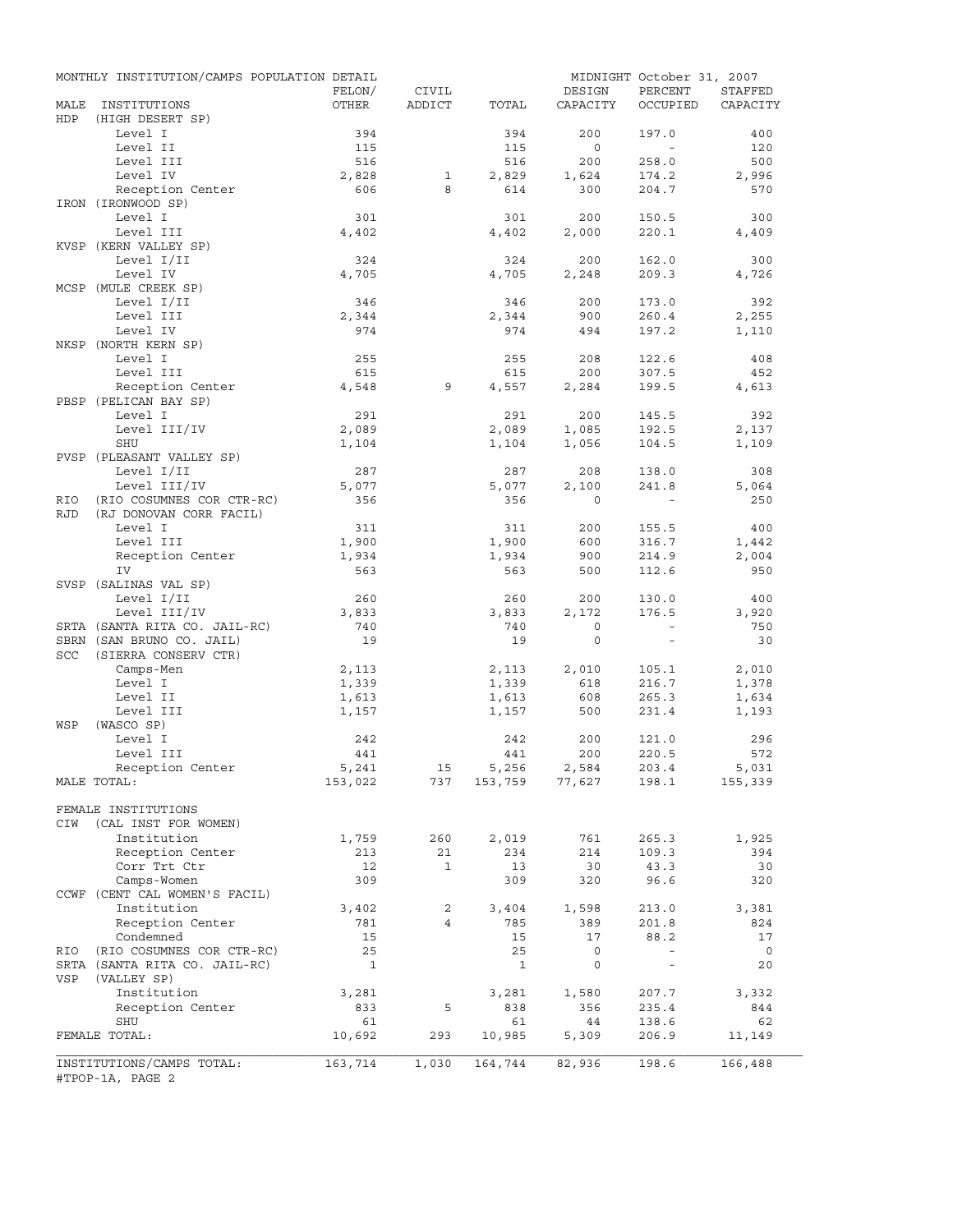|            | MONTHLY INSTITUTION/CAMPS POPULATION DETAIL   |                 |                 |              |                    | MIDNIGHT October 31, 2007 |                     |
|------------|-----------------------------------------------|-----------------|-----------------|--------------|--------------------|---------------------------|---------------------|
| MALE       | INSTITUTIONS                                  | FELON/<br>OTHER | CIVIL<br>ADDICT | TOTAL        | DESIGN<br>CAPACITY | PERCENT<br>OCCUPIED       | STAFFED<br>CAPACITY |
| HDP        | (HIGH DESERT SP)                              |                 |                 |              |                    |                           |                     |
|            | Level I                                       | 394             |                 | 394          | 200                | 197.0                     | 400                 |
|            | Level II                                      | 115             |                 | 115          | $\overline{0}$     | $\sim$                    | 120                 |
|            | Level III                                     | 516             |                 | 516          | 200                | 258.0                     | 500                 |
|            | Level IV                                      | 2,828           | 1               | 2,829        | 1,624              | 174.2                     | 2,996               |
|            | Reception Center<br>IRON (IRONWOOD SP)        | 606             | 8               | 614          | 300                | 204.7                     | 570                 |
|            | Level I                                       | 301             |                 | 301          | 200                | 150.5                     | 300                 |
|            | Level III                                     | 4,402           |                 | 4,402        | 2,000              | 220.1                     | 4,409               |
|            | KVSP (KERN VALLEY SP)                         |                 |                 |              |                    |                           |                     |
|            | Level I/II                                    | 324             |                 | 324          | 200                | 162.0                     | 300                 |
|            | Level IV                                      | 4,705           |                 | 4,705        | 2,248              | 209.3                     | 4,726               |
|            | MCSP (MULE CREEK SP)                          |                 |                 |              |                    |                           |                     |
|            | Level I/II                                    | 346             |                 | 346          | 200                | 173.0                     | 392                 |
|            | Level III<br>Level IV                         | 2,344<br>974    |                 | 2,344<br>974 | 900<br>494         | 260.4<br>197.2            | 2,255<br>1,110      |
|            | NKSP (NORTH KERN SP)                          |                 |                 |              |                    |                           |                     |
|            | Level I                                       | 255             |                 | 255          | 208                | 122.6                     | 408                 |
|            | Level III                                     | 615             |                 | 615          | 200                | 307.5                     | 452                 |
|            | Reception Center                              | 4,548           | 9               | 4,557        | 2,284              | 199.5                     | 4,613               |
|            | PBSP (PELICAN BAY SP)                         |                 |                 |              |                    |                           |                     |
|            | Level I                                       | 291             |                 | 291          | 200                | 145.5                     | 392                 |
|            | Level III/IV                                  | 2,089           |                 | 2,089        | 1,085              | 192.5                     | 2,137               |
|            | SHU                                           | 1,104           |                 | 1,104        | 1,056              | 104.5                     | 1,109               |
|            | PVSP (PLEASANT VALLEY SP)                     |                 |                 |              |                    |                           |                     |
|            | Level I/II<br>Level III/IV                    | 287<br>5,077    |                 | 287<br>5,077 | 208<br>2,100       | 138.0<br>241.8            | 308<br>5,064        |
| RIO        | (RIO COSUMNES COR CTR-RC)                     | 356             |                 | 356          | $\Omega$           |                           | 250                 |
| <b>RJD</b> | (RJ DONOVAN CORR FACIL)                       |                 |                 |              |                    |                           |                     |
|            | Level I                                       | 311             |                 | 311          | 200                | 155.5                     | 400                 |
|            | Level III                                     | 1,900           |                 | 1,900        | 600                | 316.7                     | 1,442               |
|            | Reception Center                              | 1,934           |                 | 1,934        | 900                | 214.9                     | 2,004               |
|            | IV                                            | 563             |                 | 563          | 500                | 112.6                     | 950                 |
|            | SVSP (SALINAS VAL SP)                         |                 |                 |              |                    |                           |                     |
|            | Level I/II                                    | 260             |                 | 260          | 200                | 130.0                     | 400                 |
|            | Level III/IV<br>SRTA (SANTA RITA CO. JAIL-RC) | 3,833<br>740    |                 | 3,833<br>740 | 2,172<br>$\circ$   | 176.5<br>$\sim$ $-$       | 3,920<br>750        |
|            | SBRN (SAN BRUNO CO. JAIL)                     | 19              |                 | 19           | $\mathbf{0}$       | $\sim$                    | 30                  |
| SCC        | (SIERRA CONSERV CTR)                          |                 |                 |              |                    |                           |                     |
|            | Camps-Men                                     | 2,113           |                 | 2,113        | 2,010              | 105.1                     | 2,010               |
|            | Level I                                       | 1,339           |                 | 1,339        | 618                | 216.7                     | 1,378               |
|            | Level II                                      | 1,613           |                 | 1,613        | 608                | 265.3                     | 1,634               |
|            | Level III                                     | 1,157           |                 | 1,157        | 500                | 231.4                     | 1,193               |
| WSP        | (WASCO SP)                                    |                 |                 |              |                    |                           |                     |
|            | Level I<br>Level III                          | 242<br>441      |                 | 242<br>441   | 200<br>200         | 121.0<br>220.5            | 296<br>572          |
|            | Reception Center                              | 5,241           | 15              | 5,256        | 2,584              | 203.4                     | 5,031               |
|            | MALE TOTAL:                                   | 153,022         | 737             |              | 153,759 77,627     | 198.1                     | 155,339             |
|            |                                               |                 |                 |              |                    |                           |                     |
|            | FEMALE INSTITUTIONS                           |                 |                 |              |                    |                           |                     |
| CIW        | (CAL INST FOR WOMEN)                          |                 |                 |              |                    |                           |                     |
|            | Institution                                   | 1,759           | 260             | 2,019        | 761                | 265.3                     | 1,925               |
|            | Reception Center                              | 213             | 21              | 234          | 214                | 109.3                     | 394                 |
|            | Corr Trt Ctr                                  | 12              | $\mathbf{1}$    | 13           | 30                 | 43.3                      | 30                  |
|            | Camps-Women<br>CCWF (CENT CAL WOMEN'S FACIL)  | 309             |                 | 309          | 320                | 96.6                      | 320                 |
|            | Institution                                   | 3,402           | $\overline{a}$  | 3,404        | 1,598              | 213.0                     | 3,381               |
|            | Reception Center                              | 781             | $\overline{4}$  | 785          | 389                | 201.8                     | 824                 |
|            | Condemned                                     | 15              |                 | 15           | 17                 | 88.2                      | 17                  |
| RIO        | (RIO COSUMNES COR CTR-RC)                     | 25              |                 | 25           | $\mathsf{O}$       | $\overline{\phantom{a}}$  | $\overline{0}$      |
|            | SRTA (SANTA RITA CO. JAIL-RC)                 | $\mathbf{1}$    |                 | $\mathbf{1}$ | 0                  | $\overline{\phantom{a}}$  | 20                  |
| VSP        | (VALLEY SP)                                   |                 |                 |              |                    |                           |                     |
|            | Institution                                   | 3,281           |                 | 3,281        | 1,580              | 207.7                     | 3,332               |
|            | Reception Center<br>SHU                       | 833<br>61       | 5               | 838<br>61    | 356<br>44          | 235.4<br>138.6            | 844<br>62           |
|            | FEMALE TOTAL:                                 | 10,692          | 293             | 10,985       | 5,309              | 206.9                     | 11,149              |
|            |                                               |                 |                 |              |                    |                           |                     |
|            | INSTITUTIONS/CAMPS TOTAL:                     | 163,714         | 1,030           | 164,744      | 82,936             | 198.6                     | 166,488             |
|            | #TPOP-1A, PAGE 2                              |                 |                 |              |                    |                           |                     |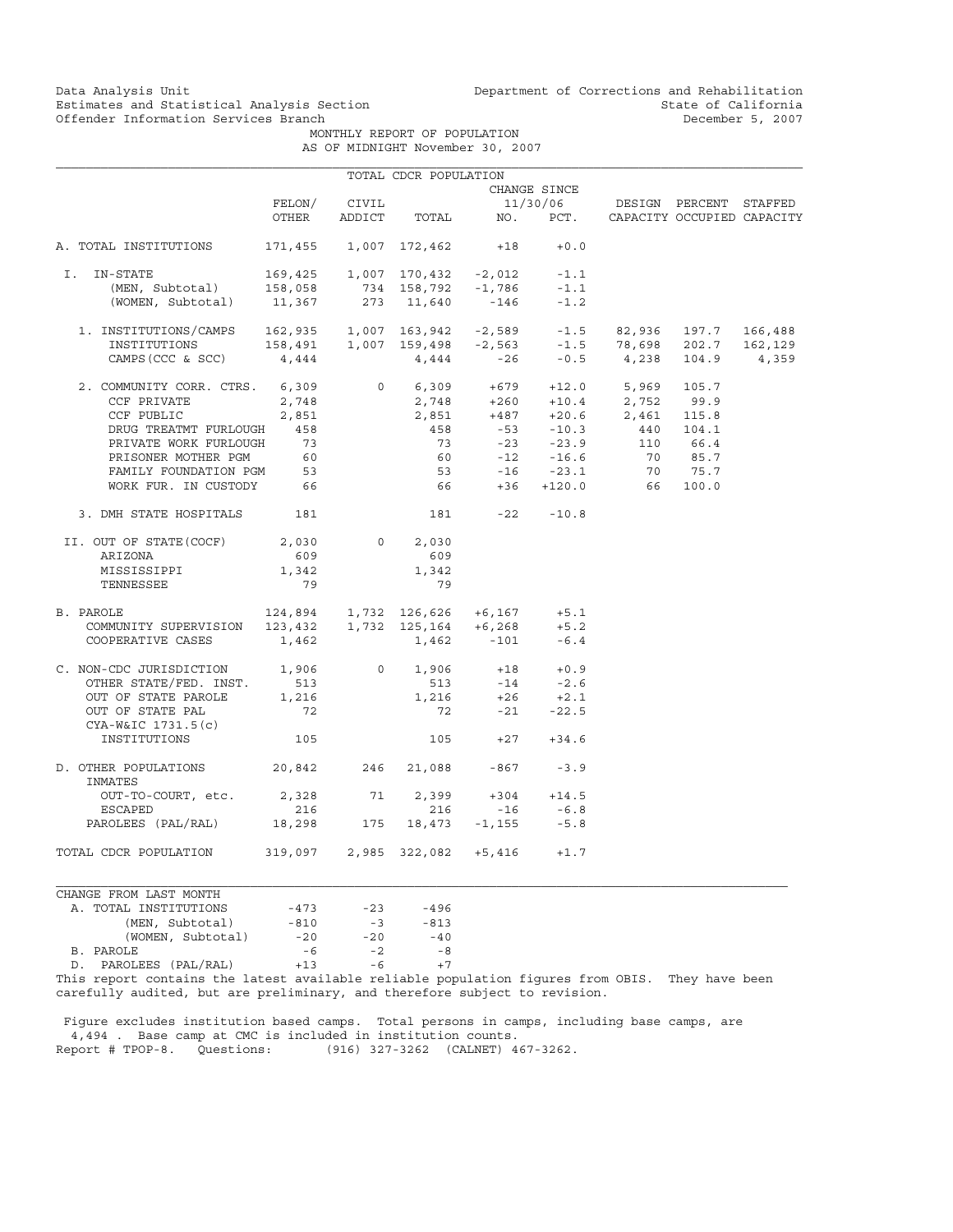MONTHLY REPORT OF POPULATION AS OF MIDNIGHT November 30, 2007

|                                                                                                                                                                                                                                                                                                                                    |                           |       | TOTAL CDCR POPULATION          |                                                                                    |              |                                                                                                                                                                                   |          |  |
|------------------------------------------------------------------------------------------------------------------------------------------------------------------------------------------------------------------------------------------------------------------------------------------------------------------------------------|---------------------------|-------|--------------------------------|------------------------------------------------------------------------------------|--------------|-----------------------------------------------------------------------------------------------------------------------------------------------------------------------------------|----------|--|
|                                                                                                                                                                                                                                                                                                                                    |                           |       |                                |                                                                                    | CHANGE SINCE |                                                                                                                                                                                   |          |  |
|                                                                                                                                                                                                                                                                                                                                    | FELON/                    | CIVIL |                                |                                                                                    |              | 11/30/06 DESIGN PERCENT STAFFED                                                                                                                                                   |          |  |
|                                                                                                                                                                                                                                                                                                                                    | OTHER                     |       | ADDICT TOTAL                   |                                                                                    |              | NO. PCT. CAPACITY OCCUPIED CAPACITY                                                                                                                                               |          |  |
| A. TOTAL INSTITUTIONS                                                                                                                                                                                                                                                                                                              | 171,455 1,007 172,462 +18 |       |                                |                                                                                    | $+0.0$       |                                                                                                                                                                                   |          |  |
| IN-STATE<br>I.                                                                                                                                                                                                                                                                                                                     |                           |       |                                |                                                                                    | $-1.1$       |                                                                                                                                                                                   |          |  |
|                                                                                                                                                                                                                                                                                                                                    |                           |       |                                |                                                                                    | $-1.1$       |                                                                                                                                                                                   |          |  |
| -STATE 169,425 1,007 170,432 -2,012<br>(MEN, Subtotal) 158,058 734 158,792 -1,786<br>(WOMEN, Subtotal) 11,367 273 11,640 -146                                                                                                                                                                                                      |                           |       |                                |                                                                                    | $-1.2$       |                                                                                                                                                                                   |          |  |
|                                                                                                                                                                                                                                                                                                                                    |                           |       |                                |                                                                                    |              |                                                                                                                                                                                   |          |  |
|                                                                                                                                                                                                                                                                                                                                    |                           |       |                                |                                                                                    |              |                                                                                                                                                                                   |          |  |
| $\begin{tabular}{lcccccc} 1. & \text{INSTITUTIONS/CAMPS} & 162,935 & 1,007 & 163,942 & -2,589 & -1.5 & 82,936 & 197.7 & 166,488 \\ & \text{INSTITUTIONS} & 158,491 & 1,007 & 159,498 & -2,563 & -1.5 & 78,698 & 202.7 & 162,129 \\ & & & & & & & & & \\ \text{CAMPS (CCC & SCC)} & 4,444 & 444 & -26 & -0.5 & 4,238 & 104.9 & 4,3$ |                           |       |                                |                                                                                    |              |                                                                                                                                                                                   |          |  |
| 2. COMMUNITY CORR. CTRS. 6,309                                                                                                                                                                                                                                                                                                     |                           |       |                                |                                                                                    |              | $\begin{array}{cccccc} 0&6,309&+679&+12.0&5,969&105.7\\ 2,748&+260&+10.4&2,752&99.9\\ 2,851&+487&+20.6&2,461&115.8\\ 458&-53&-10.3&440&104.1\\ 73&-23&-23.9&110&66.4 \end{array}$ |          |  |
| CCF PRIVATE                                                                                                                                                                                                                                                                                                                        | 2,748                     |       |                                |                                                                                    |              |                                                                                                                                                                                   |          |  |
| CCF PUBLIC                                                                                                                                                                                                                                                                                                                         | 2,851                     |       |                                |                                                                                    |              |                                                                                                                                                                                   |          |  |
| DRUG TREATMT FURLOUGH 458                                                                                                                                                                                                                                                                                                          |                           |       |                                |                                                                                    |              |                                                                                                                                                                                   |          |  |
| PRIVATE WORK FURLOUGH                                                                                                                                                                                                                                                                                                              | 73                        |       |                                |                                                                                    |              |                                                                                                                                                                                   |          |  |
| PRISONER MOTHER PGM                                                                                                                                                                                                                                                                                                                | 60                        |       |                                |                                                                                    |              |                                                                                                                                                                                   | 70 85.7  |  |
| FAMILY FOUNDATION PGM 53                                                                                                                                                                                                                                                                                                           |                           |       |                                | $60$ $-12$ $-16.6$<br>$53$ $-16$ $-23.1$<br>$66$ $+36$ $+120.0$                    |              |                                                                                                                                                                                   | 70 75.7  |  |
| WORK FUR. IN CUSTODY 66                                                                                                                                                                                                                                                                                                            |                           |       | 66                             |                                                                                    |              |                                                                                                                                                                                   | 66 100.0 |  |
|                                                                                                                                                                                                                                                                                                                                    |                           |       |                                |                                                                                    |              |                                                                                                                                                                                   |          |  |
| 3. DMH STATE HOSPITALS 181                                                                                                                                                                                                                                                                                                         |                           |       | $181 -22 -10.8$                |                                                                                    |              |                                                                                                                                                                                   |          |  |
| II. OUT OF STATE(COCF)                                                                                                                                                                                                                                                                                                             | 2,030                     |       | $0 \qquad \qquad$<br>2,030     |                                                                                    |              |                                                                                                                                                                                   |          |  |
| ARIZONA                                                                                                                                                                                                                                                                                                                            | 609                       |       | 609                            |                                                                                    |              |                                                                                                                                                                                   |          |  |
| MISSISSIPPI                                                                                                                                                                                                                                                                                                                        | 1,342                     |       | 1,342                          |                                                                                    |              |                                                                                                                                                                                   |          |  |
| TENNESSEE                                                                                                                                                                                                                                                                                                                          | 79                        |       | 79                             |                                                                                    |              |                                                                                                                                                                                   |          |  |
| 2AROLE 124,894 1,732 126,626 +6,167 +5.1<br>COMMUNITY SUPERVISION 123,432 1,732 125,164 +6,268 +5.2<br>COOPERATIVE CASES 1.462 1.462 -101 -6.4<br>B. PAROLE                                                                                                                                                                        |                           |       |                                |                                                                                    |              |                                                                                                                                                                                   |          |  |
|                                                                                                                                                                                                                                                                                                                                    |                           |       |                                |                                                                                    |              |                                                                                                                                                                                   |          |  |
| COOPERATIVE CASES                                                                                                                                                                                                                                                                                                                  | 1,462                     |       |                                | 1,462 -101                                                                         | $-6.4$       |                                                                                                                                                                                   |          |  |
| C. NON-CDC JURISDICTION $1,906$ 0 $1,906$ +18 +0.9<br>OTHER STATE/FED. INST. 513 513 -14 -2.6                                                                                                                                                                                                                                      |                           |       |                                |                                                                                    |              |                                                                                                                                                                                   |          |  |
| OTHER STATE/FED. INST.                                                                                                                                                                                                                                                                                                             |                           |       |                                |                                                                                    |              |                                                                                                                                                                                   |          |  |
| OUT OF STATE PAROLE                                                                                                                                                                                                                                                                                                                | 1,216                     |       |                                | $\begin{array}{cccc} 1,216 & & +26 & & +2.1 \\ & 72 & & -21 & & -22.5 \end{array}$ |              |                                                                                                                                                                                   |          |  |
| OUT OF STATE PAL                                                                                                                                                                                                                                                                                                                   | 72                        |       |                                |                                                                                    |              |                                                                                                                                                                                   |          |  |
| CYA-W&IC 1731.5(c)<br>INSTITUTIONS                                                                                                                                                                                                                                                                                                 | 105                       |       |                                | $105 +27 +34.6$                                                                    |              |                                                                                                                                                                                   |          |  |
|                                                                                                                                                                                                                                                                                                                                    |                           |       |                                |                                                                                    |              |                                                                                                                                                                                   |          |  |
| D. OTHER POPULATIONS 20,842 246 21,088 -867<br>INMATES                                                                                                                                                                                                                                                                             |                           |       |                                |                                                                                    | $-3.9$       |                                                                                                                                                                                   |          |  |
| OUT-TO-COURT, etc. 2,328                                                                                                                                                                                                                                                                                                           |                           |       | 71 2,399                       | $+304 +14.5$                                                                       |              |                                                                                                                                                                                   |          |  |
| ESCAPED                                                                                                                                                                                                                                                                                                                            | 216                       |       | 216                            | $-16$                                                                              | $-6.8$       |                                                                                                                                                                                   |          |  |
| PAROLEES (PAL/RAL) 18,298                                                                                                                                                                                                                                                                                                          |                           |       | $175$ $18,473$ $-1,155$ $-5.8$ |                                                                                    |              |                                                                                                                                                                                   |          |  |
| TOTAL CDCR POPULATION 319,097 2,985 322,082 +5,416 +1.7                                                                                                                                                                                                                                                                            |                           |       |                                |                                                                                    |              |                                                                                                                                                                                   |          |  |
| CHANGE FROM LAST MONTH                                                                                                                                                                                                                                                                                                             |                           |       |                                |                                                                                    |              |                                                                                                                                                                                   |          |  |
| A. TOTAL INSTITUTIONS                                                                                                                                                                                                                                                                                                              | $-473$                    |       | $-23 - 496$                    |                                                                                    |              |                                                                                                                                                                                   |          |  |
| (MEN, Subtotal)                                                                                                                                                                                                                                                                                                                    | $-810$                    | $-3$  | $-813$                         |                                                                                    |              |                                                                                                                                                                                   |          |  |
| (WOMEN, Subtotal)                                                                                                                                                                                                                                                                                                                  | $-20$                     | $-20$ | $-40$                          |                                                                                    |              |                                                                                                                                                                                   |          |  |

B. PAROLE -6 -2 -8 D. PAROLEES (PAL/RAL) +13 -6 +7 B. FAROLEES (PAL/RAL)<br>
D. PAROLEES (PAL/RAL)<br>
This report contains the latest available reliable population figures from OBIS. They have been

carefully audited, but are preliminary, and therefore subject to revision.

 Figure excludes institution based camps. Total persons in camps, including base camps, are 4,494 . Base camp at CMC is included in institution counts.<br>Report # TPOP-8. Questions: (916) 327-3262 (CALNET) 4 (916) 327-3262 (CALNET) 467-3262.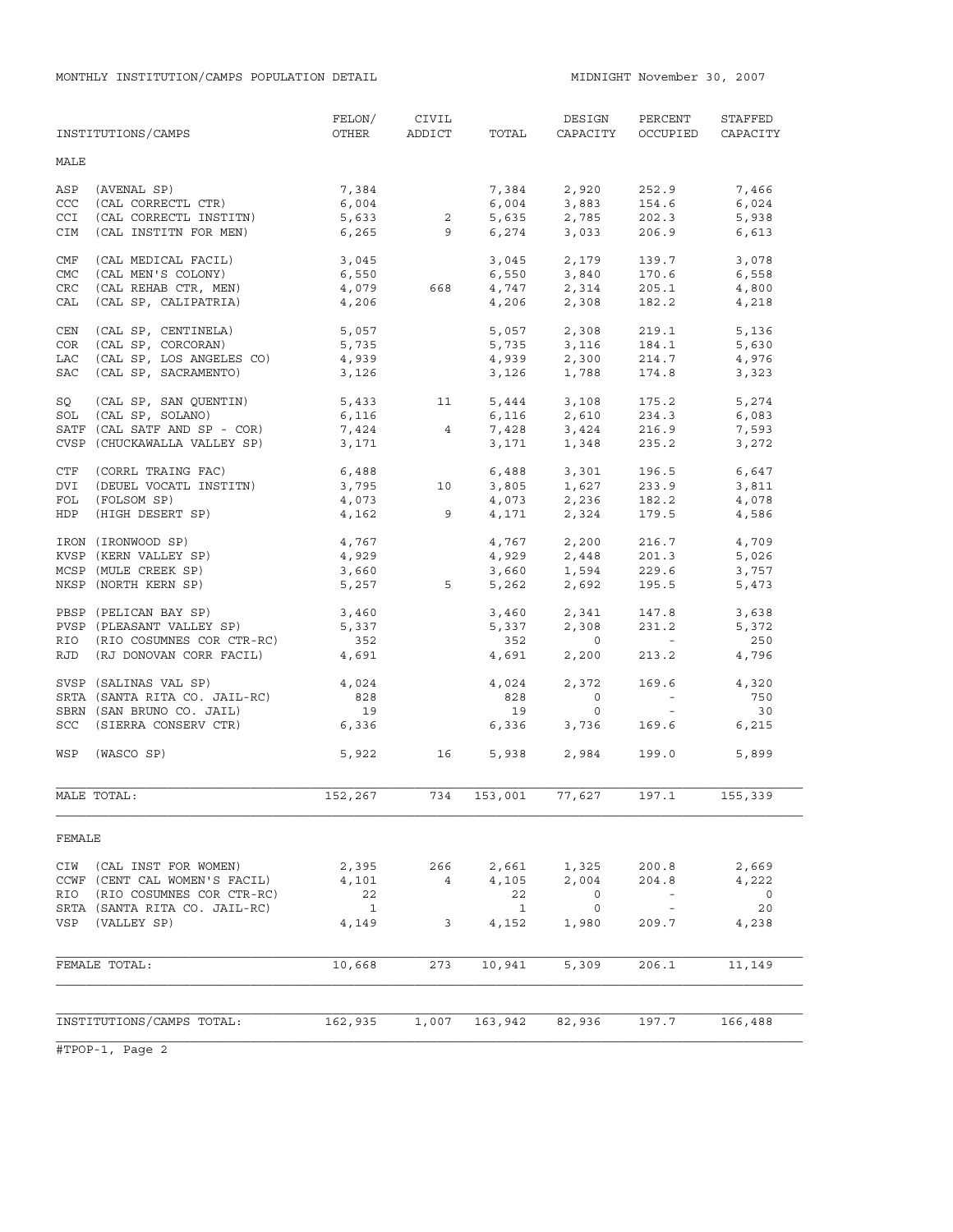|            | INSTITUTIONS/CAMPS            | FELON/<br>OTHER      | CIVIL<br>ADDICT | TOTAL        | DESIGN<br>CAPACITY            | PERCENT<br>OCCUPIED         | STAFFED<br>CAPACITY |
|------------|-------------------------------|----------------------|-----------------|--------------|-------------------------------|-----------------------------|---------------------|
| MALE       |                               |                      |                 |              |                               |                             |                     |
| ASP        | (AVENAL SP)                   | 7,384                |                 | 7,384        | 2,920                         | 252.9                       | 7,466               |
| CCC        | (CAL CORRECTL CTR)            | $6,004$<br>$5,633$ 2 |                 | 6,004        | 3,883<br>2,785                | 154.6                       | 6,024               |
| <b>CCI</b> | (CAL CORRECTL INSTITN)        |                      |                 | 5,635        |                               | 202.3                       | 5,938               |
| CIM        | (CAL INSTITN FOR MEN)         |                      | 6,265 9         | 6,274        | 3,033                         | 206.9                       | 6,613               |
| CMF        | (CAL MEDICAL FACIL)           | 3,045                |                 |              | 3,045 2,179                   | 139.7                       | 3,078               |
| <b>CMC</b> | (CAL MEN'S COLONY)            | 6,550                |                 | 6,550        | 3,840                         | 170.6                       | 6,558               |
| CRC        | (CAL REHAB CTR, MEN)          | 4,079                | 668             |              | $4,747$<br>$4,206$<br>$2,308$ | 205.1                       | 4,800               |
| CAL        | (CAL SP, CALIPATRIA)          | 4,206                |                 |              |                               | 182.2                       | 4,218               |
| CEN        | (CAL SP, CENTINELA)           | 5,057                |                 | 5,057        | 2,308                         | 219.1                       | 5,136               |
| COR        | (CAL SP, CORCORAN)            | 5,735                |                 | 5,735        | 3,116                         | 184.1                       | 5,630               |
| LAC        | (CAL SP, LOS ANGELES CO)      | 4,939                |                 | 4,939        | 2,300                         | 214.7                       | 4,976               |
| <b>SAC</b> | (CAL SP, SACRAMENTO)          | 3,126                |                 | 3,126        | 1,788                         | 174.8                       | 3,323               |
| SQ         | (CAL SP, SAN QUENTIN)         | 5,433                | 11              |              | $5,444$ $3,108$               | 175.2                       | 5,274               |
|            | SOL (CAL SP, SOLANO)          | 6,116                |                 | 6,116        | 2,610                         | 234.3                       | 6,083               |
|            | SATF (CAL SATF AND SP - COR)  | 7,424                | $\overline{4}$  |              | 7,428 3,424                   | 216.9                       | 7,593               |
|            | CVSP (CHUCKAWALLA VALLEY SP)  | 3,171                |                 | 3,171        | 1,348                         | 235.2                       | 3,272               |
| CTF        | (CORRL TRAING FAC)            | 6,488                |                 | 6,488        | 3,301                         | 196.5                       | 6,647               |
| DVI        | (DEUEL VOCATL INSTITN)        | 3,795                | 10              | 3,805        | 1,627                         | 233.9                       | 3,811               |
| FOL        | (FOLSOM SP)                   | 4,073                |                 | 4,073        | 2,236                         | 182.2                       | 4,078               |
| <b>HDP</b> | (HIGH DESERT SP)              | 4,162                | $\overline{9}$  | 4,171        | 2,324                         | 179.5                       | 4,586               |
|            | IRON (IRONWOOD SP)            | 4,767                |                 | 4,767        | 2,200                         | 216.7                       | 4,709               |
|            | KVSP (KERN VALLEY SP)         | 4,929                |                 | 4,929        | 2,448                         | 201.3                       | 5,026               |
|            | MCSP (MULE CREEK SP)          | 3,660                |                 | 3,660        | 1,594                         | 229.6                       | 3,757               |
|            | NKSP (NORTH KERN SP)          | 5,257                | $5^{\circ}$     | 5,262        | 2,692                         | 195.5                       | 5,473               |
|            | PBSP (PELICAN BAY SP)         | 3,460                |                 | 3,460        | 2,341                         | 147.8                       | 3,638               |
|            | PVSP (PLEASANT VALLEY SP)     | 5,337                |                 | 5,337        | 2,308                         | 231.2                       | 5,372               |
|            | RIO (RIO COSUMNES COR CTR-RC) | 352                  |                 | 352          | $\overline{0}$                | $\alpha \rightarrow \beta$  | 250                 |
|            | RJD (RJ DONOVAN CORR FACIL)   | 4,691                |                 | 4,691        | 2,200                         | 213.2                       | 4,796               |
|            | SVSP (SALINAS VAL SP)         | 4,024                |                 | 4,024        | 2,372                         | 169.6                       | 4,320               |
|            | SRTA (SANTA RITA CO. JAIL-RC) | 828                  |                 | 828          | $\circ$                       | $\alpha \rightarrow \alpha$ | 750                 |
|            | SBRN (SAN BRUNO CO. JAIL)     | 19                   |                 | 19           | $\circ$                       | $\sim$ $ \sim$              | 30                  |
|            | SCC (SIERRA CONSERV CTR)      | 6,336                |                 | 6,336        | 3,736                         | 169.6                       | 6,215               |
| WSP        | (WASCO SP)                    |                      | 5,922 16        |              | 5,938 2,984                   | 199.0                       | 5,899               |
|            | MALE TOTAL:                   | 152,267              | 734             | 153,001      | 77,627                        | 197.1                       | 155, 339            |
| FEMALE     |                               |                      |                 |              |                               |                             |                     |
| CIW        | (CAL INST FOR WOMEN)          | 2,395                | 266             | 2,661        | 1,325                         | 200.8                       | 2,669               |
|            | CCWF (CENT CAL WOMEN'S FACIL) | 4,101                | $\overline{4}$  | 4,105        | 2,004                         | 204.8                       | 4,222               |
| RIO        | (RIO COSUMNES COR CTR-RC)     | 22                   |                 | 22           | 0                             | $\overline{\phantom{a}}$    | 0                   |
|            | SRTA (SANTA RITA CO. JAIL-RC) | $\mathbf{1}$         |                 | $\mathbf{1}$ | $\overline{0}$                | $\sim$ $-$                  | 20                  |
| VSP        | (VALLEY SP)                   | 4,149                | 3               | 4,152        | 1,980                         | 209.7                       | 4,238               |
|            |                               |                      |                 |              |                               |                             |                     |
|            | FEMALE TOTAL:                 | 10,668               | 273             | 10,941       | 5,309                         | 206.1                       | 11,149              |
|            |                               |                      |                 |              |                               |                             |                     |
|            | INSTITUTIONS/CAMPS TOTAL:     | 162,935              | 1,007           | 163,942      | 82,936                        | 197.7                       | 166,488             |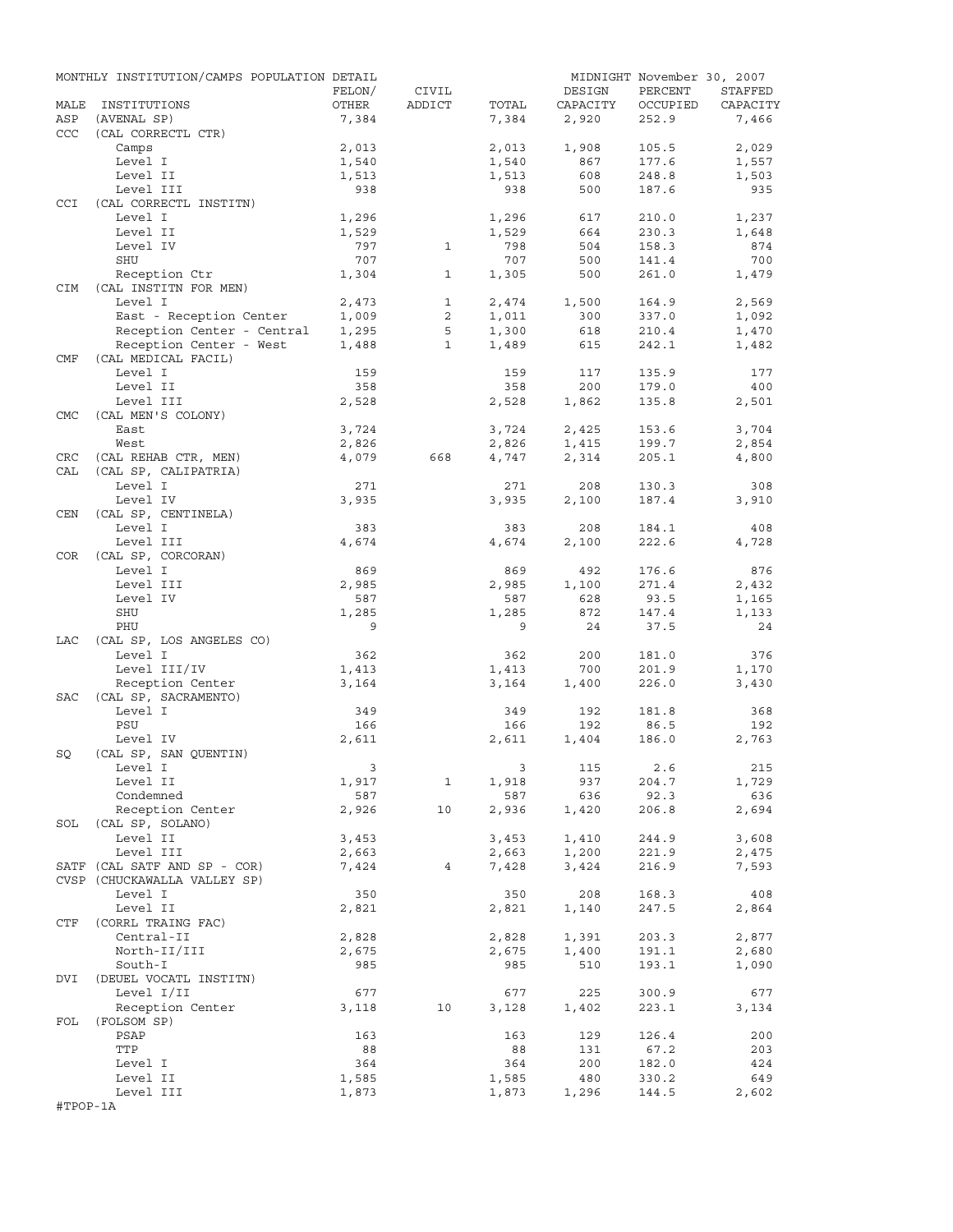|            | MONTHLY INSTITUTION/CAMPS POPULATION DETAIL |                         |              |              |                | MIDNIGHT November 30, 2007 |                |
|------------|---------------------------------------------|-------------------------|--------------|--------------|----------------|----------------------------|----------------|
|            |                                             | FELON/                  | CIVIL        |              | DESIGN         | PERCENT                    | STAFFED        |
| MALE       | INSTITUTIONS                                | OTHER                   | ADDICT       | TOTAL        | CAPACITY       | OCCUPIED                   | CAPACITY       |
| ASP        | (AVENAL SP)                                 | 7,384                   |              | 7,384        | 2,920          | 252.9                      | 7,466          |
| CCC        | (CAL CORRECTL CTR)                          |                         |              |              |                |                            |                |
|            | Camps                                       | 2,013                   |              | 2,013        | 1,908          | 105.5                      | 2,029          |
|            | Level I                                     | 1,540                   |              | 1,540        | 867            | 177.6                      | 1,557          |
|            | Level II<br>Level III                       | 1,513<br>938            |              | 1,513<br>938 | 608<br>500     | 248.8<br>187.6             | 1,503<br>935   |
| <b>CCI</b> | (CAL CORRECTL INSTITN)                      |                         |              |              |                |                            |                |
|            | Level I                                     | 1,296                   |              | 1,296        | 617            | 210.0                      | 1,237          |
|            | Level II                                    | 1,529                   |              | 1,529        | 664            | 230.3                      | 1,648          |
|            | Level IV                                    | 797                     | $\mathbf{1}$ | 798          | 504            | 158.3                      | 874            |
|            | SHU                                         | 707                     |              | 707          | 500            | 141.4                      | 700            |
|            | Reception Ctr                               | 1,304                   | $\mathbf{1}$ | 1,305        | 500            | 261.0                      | 1,479          |
| CIM        | (CAL INSTITN FOR MEN)                       |                         |              |              |                |                            |                |
|            | Level I                                     | 2,473                   | $\mathbf{1}$ | 2,474        | 1,500          | 164.9                      | 2,569          |
|            | East - Reception Center                     | 1,009                   | 2            | 1,011        | 300            | 337.0                      | 1,092          |
|            | Reception Center - Central                  | 1,295                   | 5            | 1,300        | 618            | 210.4                      | 1,470          |
|            | Reception Center - West                     | 1,488                   | $\mathbf{1}$ | 1,489        | 615            | 242.1                      | 1,482          |
| CMF        | (CAL MEDICAL FACIL)                         |                         |              |              |                |                            |                |
|            | Level I                                     | 159                     |              | 159          | 117            | 135.9                      | 177            |
|            | Level II                                    | 358                     |              | 358          | 200            | 179.0                      | 400            |
|            | Level III                                   | 2,528                   |              | 2,528        | 1,862          | 135.8                      | 2,501          |
| <b>CMC</b> | (CAL MEN'S COLONY)                          |                         |              |              |                |                            |                |
|            | East                                        | 3,724                   |              | 3,724        | 2,425          | 153.6                      | 3,704          |
|            | West                                        | 2,826                   |              | 2,826        | 1,415          | 199.7                      | 2,854          |
| CRC        | (CAL REHAB CTR, MEN)                        | 4,079                   | 668          | 4,747        | 2,314          | 205.1                      | 4,800          |
| CAL        | (CAL SP, CALIPATRIA)                        |                         |              | 271          |                |                            | 308            |
|            | Level I                                     | 271                     |              |              | 208            | 130.3                      |                |
| CEN        | Level IV                                    | 3,935                   |              | 3,935        | 2,100          | 187.4                      | 3,910          |
|            | (CAL SP, CENTINELA)<br>Level I              | 383                     |              | 383          | 208            | 184.1                      | 408            |
|            | Level III                                   | 4,674                   |              | 4,674        | 2,100          | 222.6                      | 4,728          |
| COR.       | (CAL SP, CORCORAN)                          |                         |              |              |                |                            |                |
|            | Level I                                     | 869                     |              | 869          | 492            | 176.6                      | 876            |
|            | Level III                                   | 2,985                   |              | 2,985        | 1,100          | 271.4                      | 2,432          |
|            | Level IV                                    | 587                     |              | 587          | 628            | 93.5                       | 1,165          |
|            | SHU                                         | 1,285                   |              | 1,285        | 872            | 147.4                      | 1,133          |
|            | PHU                                         | 9                       |              | 9            | 24             | 37.5                       | 24             |
| LAC        | (CAL SP, LOS ANGELES CO)                    |                         |              |              |                |                            |                |
|            | Level I                                     | 362                     |              | 362          | 200            | 181.0                      | 376            |
|            | Level III/IV                                | 1,413                   |              | 1,413        | 700            | 201.9                      | 1,170          |
|            | Reception Center                            | 3,164                   |              | 3,164        | 1,400          | 226.0                      | 3,430          |
| SAC        | (CAL SP, SACRAMENTO)                        |                         |              |              |                |                            |                |
|            | Level I                                     | 349                     |              | 349          | 192            | 181.8                      | 368            |
|            | PSU                                         | 166                     |              | 166          | 192            | 86.5                       | 192            |
|            | Level IV                                    | 2,611                   |              | 2,611        | 1,404          | 186.0                      | 2,763          |
| SQ         | (CAL SP, SAN QUENTIN)                       |                         |              |              |                |                            |                |
|            | Level I                                     | $\overline{\mathbf{3}}$ |              |              | 3 115 2.6      |                            | 215            |
|            | Level II                                    | 1,917                   | $\mathbf{1}$ | 1,918        | 937            | 204.7                      | 1,729          |
|            | Condemned                                   | 587                     |              | 587          | 636            | 92.3                       | 636            |
|            | Reception Center                            | 2,926                   | 10           | 2,936        | 1,420          | 206.8                      | 2,694          |
|            | SOL (CAL SP, SOLANO)                        |                         |              |              |                |                            |                |
|            | Level II                                    | 3,453                   |              | 3,453        | 1,410          | 244.9                      | 3,608          |
|            | Level III<br>SATF (CAL SATF AND SP - COR)   | 2,663<br>7,424          | $4^{\circ}$  | 2,663        | 1,200<br>3,424 | 221.9<br>216.9             | 2,475<br>7,593 |
|            | CVSP (CHUCKAWALLA VALLEY SP)                |                         |              | 7,428        |                |                            |                |
|            | Level I                                     | 350                     |              | 350          | 208            | 168.3                      | 408            |
|            | Level II                                    | 2,821                   |              | 2,821        | 1,140          | 247.5                      | 2,864          |
| CTF        | (CORRL TRAING FAC)                          |                         |              |              |                |                            |                |
|            | Central-II                                  | 2,828                   |              | 2,828        | 1,391          | 203.3                      | 2,877          |
|            | North-II/III                                | 2,675                   |              | 2,675        | 1,400          | 191.1                      | 2,680          |
|            | South-I                                     | 985                     |              | 985          | 510            | 193.1                      | 1,090          |
| DVI        | (DEUEL VOCATL INSTITN)                      |                         |              |              |                |                            |                |
|            | Level I/II                                  | 677                     |              | 677          | 225            | 300.9                      | 677            |
|            | Reception Center                            | 3,118                   | 10           | 3,128        | 1,402          | 223.1                      | 3,134          |
| FOL        | (FOLSOM SP)                                 |                         |              |              |                |                            |                |
|            | PSAP                                        | 163                     |              | 163          | 129            | 126.4                      | 200            |
|            | TTP                                         | 88                      |              | 88           | 131            | 67.2                       | 203            |
|            | Level I                                     | 364                     |              | 364          | 200            | 182.0                      | 424            |
|            | Level II                                    | 1,585                   |              | 1,585        | 480            | 330.2                      | 649            |
|            | Level III                                   | 1,873                   |              | 1,873        | 1,296          | 144.5                      | 2,602          |
| #TPOP-1A   |                                             |                         |              |              |                |                            |                |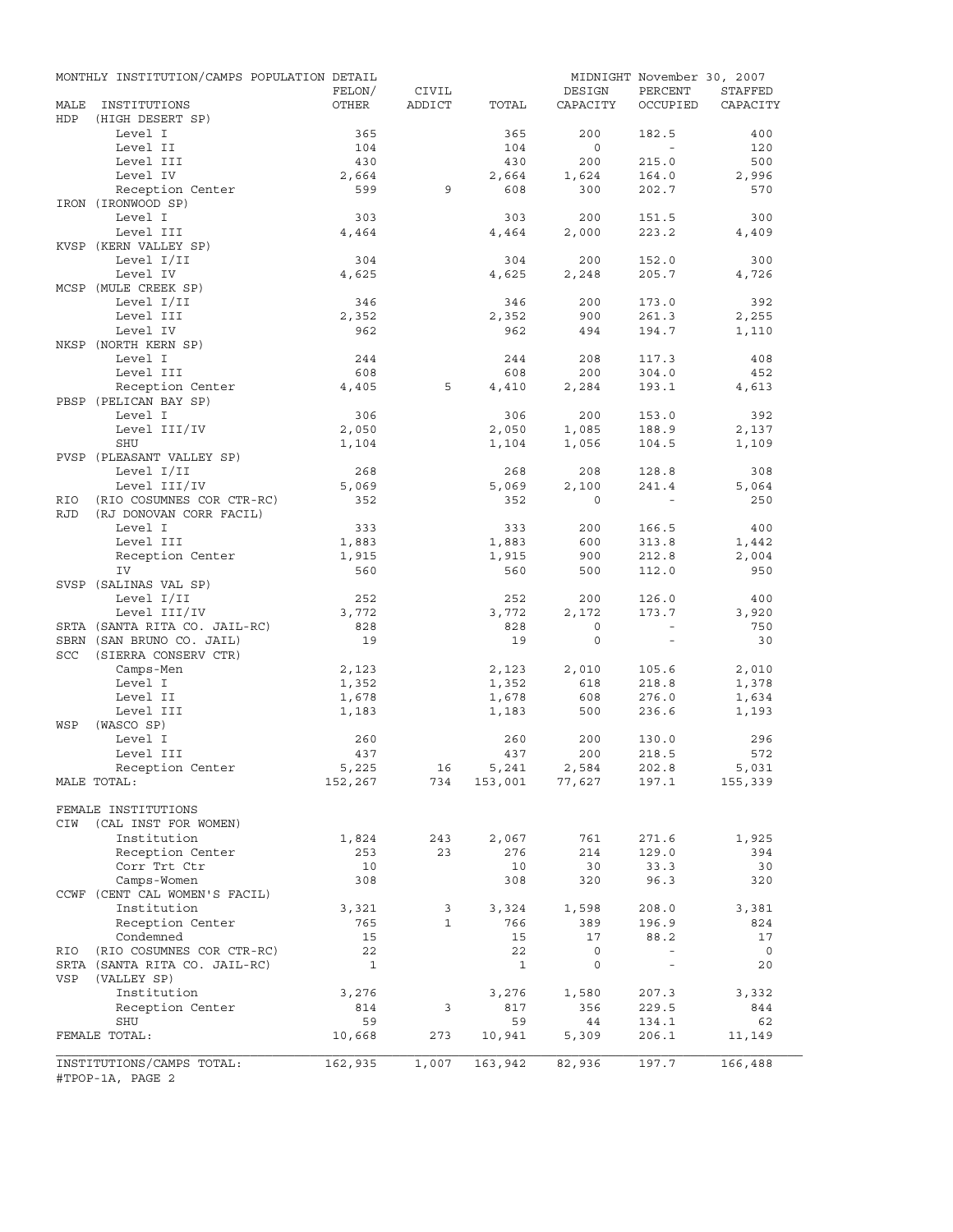|            | MONTHLY INSTITUTION/CAMPS POPULATION DETAIL   |                 |                 |              |                         | MIDNIGHT November 30, 2007            |                     |
|------------|-----------------------------------------------|-----------------|-----------------|--------------|-------------------------|---------------------------------------|---------------------|
| MALE       | INSTITUTIONS                                  | FELON/<br>OTHER | CIVIL<br>ADDICT | TOTAL        | DESIGN<br>CAPACITY      | PERCENT<br>OCCUPIED                   | STAFFED<br>CAPACITY |
| HDP        | (HIGH DESERT SP)                              |                 |                 |              |                         |                                       |                     |
|            | Level I                                       | 365             |                 | 365          | 200                     | 182.5                                 | 400                 |
|            | Level II                                      | 104             |                 | 104          | $\overline{0}$          | $\sim$ $-$                            | 120                 |
|            | Level III                                     | 430             |                 | 430          | 200                     | 215.0                                 | 500                 |
|            | Level IV                                      | 2,664<br>599    | 9               | 2,664<br>608 | 1,624<br>300            | 164.0                                 | 2,996<br>570        |
|            | Reception Center<br>IRON (IRONWOOD SP)        |                 |                 |              |                         | 202.7                                 |                     |
|            | Level I                                       | 303             |                 | 303          | 200                     | 151.5                                 | 300                 |
|            | Level III                                     | 4,464           |                 | 4,464        | 2,000                   | 223.2                                 | 4,409               |
|            | KVSP (KERN VALLEY SP)                         |                 |                 |              |                         |                                       |                     |
|            | Level I/II                                    | 304             |                 | 304          | 200                     | 152.0                                 | 300                 |
|            | Level IV                                      | 4,625           |                 | 4,625        | 2,248                   | 205.7                                 | 4,726               |
|            | MCSP (MULE CREEK SP)                          |                 |                 |              |                         |                                       |                     |
|            | Level I/II                                    | 346             |                 | 346          | 200                     | 173.0                                 | 392                 |
|            | Level III                                     | 2,352           |                 | 2,352        | 900                     | 261.3                                 | 2,255               |
|            | Level IV                                      | 962             |                 | 962          | 494                     | 194.7                                 | 1,110               |
|            | NKSP (NORTH KERN SP)                          |                 |                 |              |                         |                                       |                     |
|            | Level I<br>Level III                          | 244<br>608      |                 | 244<br>608   | 208                     | 117.3                                 | 408<br>452          |
|            | Reception Center                              | 4,405           | 5               | 4,410        | 200<br>2,284            | 304.0<br>193.1                        | 4,613               |
|            | PBSP (PELICAN BAY SP)                         |                 |                 |              |                         |                                       |                     |
|            | Level I                                       | 306             |                 | 306          | 200                     | 153.0                                 | 392                 |
|            | Level III/IV                                  | 2,050           |                 | 2,050        | 1,085                   | 188.9                                 | 2,137               |
|            | SHU                                           | 1,104           |                 | 1,104        | 1,056                   | 104.5                                 | 1,109               |
|            | PVSP (PLEASANT VALLEY SP)                     |                 |                 |              |                         |                                       |                     |
|            | Level I/II                                    | 268             |                 | 268          | 208                     | 128.8                                 | 308                 |
|            | Level III/IV                                  | 5,069           |                 | 5,069        | 2,100                   | 241.4                                 | 5,064               |
| RIO        | (RIO COSUMNES COR CTR-RC)                     | 352             |                 | 352          | $\Omega$                |                                       | 250                 |
| <b>RJD</b> | (RJ DONOVAN CORR FACIL)                       |                 |                 |              |                         |                                       |                     |
|            | Level I                                       | 333             |                 | 333          | 200                     | 166.5                                 | 400                 |
|            | Level III                                     | 1,883           |                 | 1,883        | 600                     | 313.8                                 | 1,442               |
|            | Reception Center                              | 1,915           |                 | 1,915        | 900                     | 212.8                                 | 2,004               |
|            | IV<br>SVSP (SALINAS VAL SP)                   | 560             |                 | 560          | 500                     | 112.0                                 | 950                 |
|            | Level I/II                                    | 252             |                 | 252          | 200                     | 126.0                                 | 400                 |
|            | Level III/IV                                  | 3,772           |                 | 3,772        | 2,172                   | 173.7                                 | 3,920               |
|            | SRTA (SANTA RITA CO. JAIL-RC)                 | 828             |                 | 828          | $\circ$                 | $\sim$                                | 750                 |
|            | SBRN (SAN BRUNO CO. JAIL)                     | 19              |                 | 19           | $\circ$                 | $\sim$                                | 30                  |
| SCC        | (SIERRA CONSERV CTR)                          |                 |                 |              |                         |                                       |                     |
|            | Camps-Men                                     | 2,123           |                 | 2,123        | 2,010                   | 105.6                                 | 2,010               |
|            | Level I                                       | 1,352           |                 | 1,352        | 618                     | 218.8                                 | 1,378               |
|            | Level II                                      | 1,678           |                 | 1,678        | 608                     | 276.0                                 | 1,634               |
|            | Level III                                     | 1,183           |                 | 1,183        | 500                     | 236.6                                 | 1,193               |
| WSP        | (WASCO SP)                                    |                 |                 |              |                         |                                       |                     |
|            | Level I                                       | 260             |                 | 260          | 200                     | 130.0                                 | 296                 |
|            | Level III                                     | 437             |                 | 437          | 200                     | 218.5                                 | 572                 |
|            | Reception Center<br>MALE TOTAL:               | 5,225           | 16              | 5,241        | 2,584<br>153,001 77,627 | 202.8<br>197.1                        | 5,031               |
|            |                                               | 152,267         | 734             |              |                         |                                       | 155,339             |
|            | FEMALE INSTITUTIONS                           |                 |                 |              |                         |                                       |                     |
| CIW        | (CAL INST FOR WOMEN)                          |                 |                 |              |                         |                                       |                     |
|            | Institution                                   | 1,824           | 243             | 2,067        | 761                     | 271.6                                 | 1,925               |
|            | Reception Center                              | 253             | 23              | 276          | 214                     | 129.0                                 | 394                 |
|            | Corr Trt Ctr                                  | 10              |                 | 10           | 30                      | 33.3                                  | 30                  |
|            | Camps-Women                                   | 308             |                 | 308          | 320                     | 96.3                                  | 320                 |
|            | CCWF (CENT CAL WOMEN'S FACIL)                 |                 |                 |              |                         |                                       |                     |
|            | Institution                                   | 3,321           | 3               | 3,324        | 1,598                   | 208.0                                 | 3,381               |
|            | Reception Center                              | 765             | $\mathbf{1}$    | 766          | 389                     | 196.9                                 | 824                 |
|            | Condemned                                     | 15              |                 | 15           | 17                      | 88.2                                  | 17                  |
| RIO        | (RIO COSUMNES COR CTR-RC)                     | 22              |                 | 22           | $\mathsf{O}$            | $\overline{\phantom{a}}$<br>$\bar{ }$ | $\overline{0}$      |
| VSP        | SRTA (SANTA RITA CO. JAIL-RC)<br>(VALLEY SP)  | $\mathbf{1}$    |                 | $\mathbf{1}$ | 0                       |                                       | 20                  |
|            | Institution                                   | 3,276           |                 | 3,276        | 1,580                   | 207.3                                 | 3,332               |
|            | Reception Center                              | 814             | 3               | 817          | 356                     | 229.5                                 | 844                 |
|            | SHU                                           | 59              |                 | 59           | 44                      | 134.1                                 | 62                  |
|            | FEMALE TOTAL:                                 | 10,668          | 273             | 10,941       | 5,309                   | 206.1                                 | 11,149              |
|            |                                               |                 |                 |              |                         |                                       |                     |
|            | INSTITUTIONS/CAMPS TOTAL:<br>#TPOP-1A, PAGE 2 | 162,935         | 1,007           | 163,942      | 82,936                  | 197.7                                 | 166,488             |
|            |                                               |                 |                 |              |                         |                                       |                     |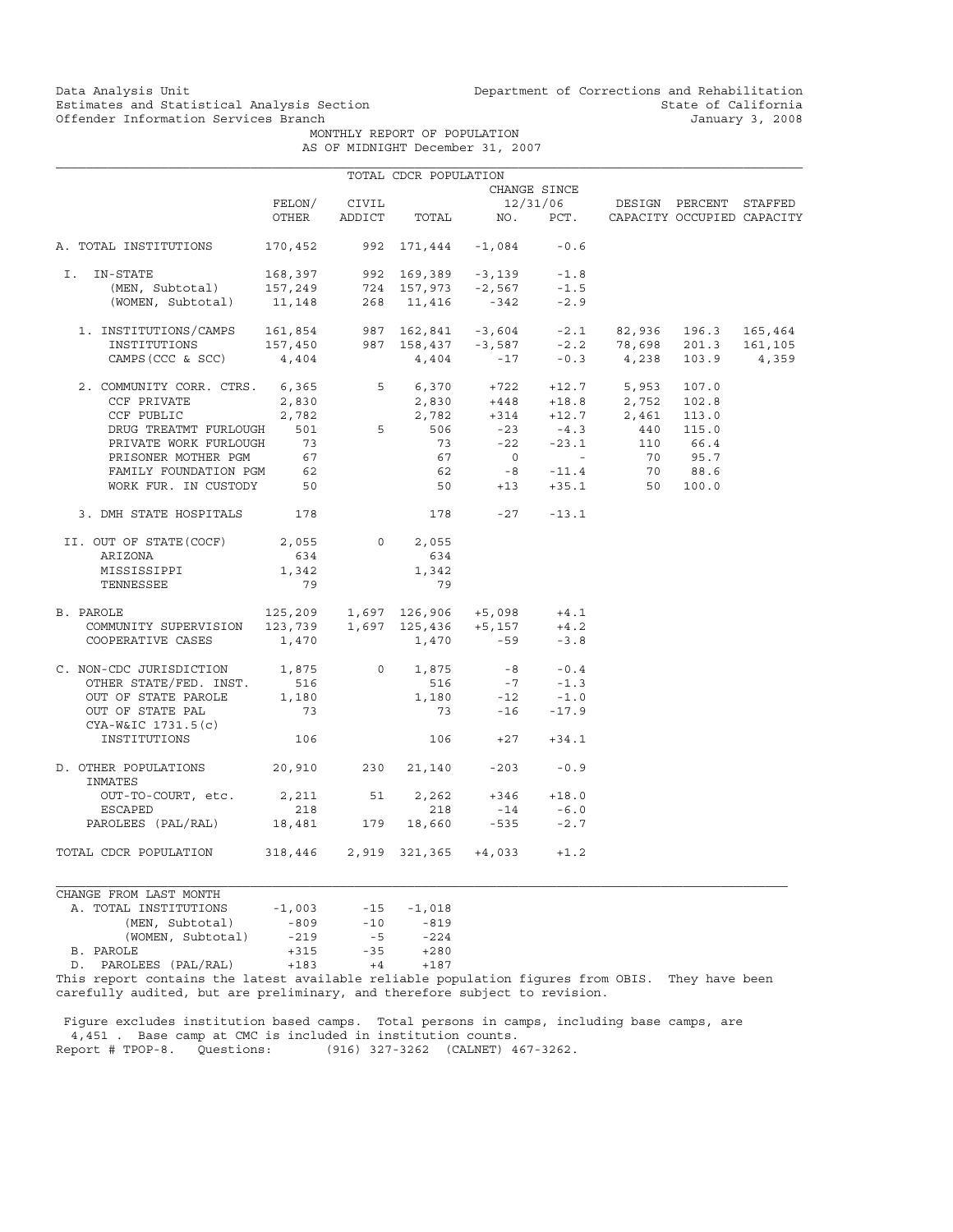MONTHLY REPORT OF POPULATION AS OF MIDNIGHT December 31, 2007

|                                                                                                                                                                                                                                                                                                                              |                              |                | TOTAL CDCR POPULATION       |                  |                          |                                                                          |         |         |
|------------------------------------------------------------------------------------------------------------------------------------------------------------------------------------------------------------------------------------------------------------------------------------------------------------------------------|------------------------------|----------------|-----------------------------|------------------|--------------------------|--------------------------------------------------------------------------|---------|---------|
|                                                                                                                                                                                                                                                                                                                              |                              |                |                             |                  | CHANGE SINCE             |                                                                          |         |         |
|                                                                                                                                                                                                                                                                                                                              | FELON/                       | CIVIL          |                             |                  |                          | 12/31/06 DESIGN PERCENT                                                  |         | STAFFED |
|                                                                                                                                                                                                                                                                                                                              | OTHER                        | ADDICT         |                             |                  |                          | TOTAL NO. PCT. CAPACITY OCCUPIED CAPACITY                                |         |         |
| A. TOTAL INSTITUTIONS                                                                                                                                                                                                                                                                                                        | 170,452                      |                | 992 171,444 -1,084          |                  | $-0.6$                   |                                                                          |         |         |
| I. IN-STATE                                                                                                                                                                                                                                                                                                                  | 168,397                      |                | 992 169,389 -3,139          |                  | $-1.8$                   |                                                                          |         |         |
| (MEN, Subtotal) $157,249$ $724$ $157,973$ -2,567<br>(WOMEN, Subtotal) 11,148 268 11,416 -342                                                                                                                                                                                                                                 |                              |                |                             |                  | $-1.5$                   |                                                                          |         |         |
|                                                                                                                                                                                                                                                                                                                              |                              |                |                             |                  | $-2.9$                   |                                                                          |         |         |
| $\begin{tabular}{lcccccc} 1. & \text{INSTITUTIONS/CAMPS} & 161,854 & 987 & 162,841 & -3,604 & -2.1 & 82,936 & 196.3 & 165,464 \\ \text{INSTITUTIONS} & 157,450 & 987 & 158,437 & -3,587 & -2.2 & 78,698 & 201.3 & 161,105 \\ \text{CAMPS (CCC & SCC)} & 4,404 & 4,404 & -17 & -0.3 & 4,238 & 103.9 & 4,359 \\ \end{tabular}$ |                              |                |                             |                  |                          |                                                                          |         |         |
|                                                                                                                                                                                                                                                                                                                              |                              |                |                             |                  |                          |                                                                          |         |         |
|                                                                                                                                                                                                                                                                                                                              |                              |                |                             |                  |                          |                                                                          |         |         |
| 2. COMMUNITY CORR. CTRS. 6,365                                                                                                                                                                                                                                                                                               |                              |                |                             |                  |                          | $5$ 6,370 +722 +12.7 5,953 107.0<br>2,830 +448 +18.8 2,752 102.8         |         |         |
| CCF PRIVATE                                                                                                                                                                                                                                                                                                                  | 2,830                        |                |                             |                  |                          |                                                                          |         |         |
| CCF PUBLIC                                                                                                                                                                                                                                                                                                                   | 2,782                        |                | $2,830$<br>$2,782$<br>5 506 |                  |                          | $2,782$ $+314$ $+12.7$ $2,461$ $113.0$<br>506 $-23$ $-4.3$ $440$ $115.0$ |         |         |
| DRUG TREATMT FURLOUGH 501                                                                                                                                                                                                                                                                                                    |                              |                |                             |                  |                          |                                                                          |         |         |
| PRIVATE WORK FURLOUGH                                                                                                                                                                                                                                                                                                        | 73                           |                | 73                          |                  | $-22 - 23.1$             | 110 66.4                                                                 |         |         |
| PRISONER MOTHER PGM                                                                                                                                                                                                                                                                                                          | 67                           |                | 67                          | $\overline{0}$   | <b>Contract Contract</b> |                                                                          | 70 95.7 |         |
| FAMILY FOUNDATION PGM                                                                                                                                                                                                                                                                                                        | 62                           |                | 62                          |                  | $-8 - 11.4$              | 70                                                                       | 88.6    |         |
| WORK FUR. IN CUSTODY 50                                                                                                                                                                                                                                                                                                      |                              |                |                             | $50 + 13 + 35.1$ |                          | 50                                                                       | 100.0   |         |
| 3. DMH STATE HOSPITALS 178                                                                                                                                                                                                                                                                                                   |                              |                |                             | $178 -27 -13.1$  |                          |                                                                          |         |         |
| II. OUT OF STATE(COCF)                                                                                                                                                                                                                                                                                                       | 2,055                        | $\overline{0}$ | 2,055                       |                  |                          |                                                                          |         |         |
| ARIZONA                                                                                                                                                                                                                                                                                                                      | 634                          |                | 634                         |                  |                          |                                                                          |         |         |
| MISSISSIPPI                                                                                                                                                                                                                                                                                                                  | 1,342                        |                | 1,342                       |                  |                          |                                                                          |         |         |
| TENNESSEE                                                                                                                                                                                                                                                                                                                    | 79                           |                | 79                          |                  |                          |                                                                          |         |         |
| PAROLE 125,209 1,697 126,906 +5,098<br>COMMUNITY SUPERVISION 123,739 1,697 125,436 +5,157<br>B. PAROLE                                                                                                                                                                                                                       |                              |                |                             |                  | $+4.1$                   |                                                                          |         |         |
|                                                                                                                                                                                                                                                                                                                              |                              |                |                             |                  | $+4.2$                   |                                                                          |         |         |
| COOPERATIVE CASES                                                                                                                                                                                                                                                                                                            | 1,470                        |                | 1,470                       | $-59$            | $-3.8$                   |                                                                          |         |         |
| C. NON-CDC JURISDICTION 1,875                                                                                                                                                                                                                                                                                                |                              | $\overline{0}$ | 1,875                       | $-8$             | $-0.4$                   |                                                                          |         |         |
| OTHER STATE/FED. INST.                                                                                                                                                                                                                                                                                                       | 516                          |                | 516                         |                  | $-7$ $-1.3$              |                                                                          |         |         |
| OUT OF STATE PAROLE                                                                                                                                                                                                                                                                                                          | 1,180                        |                | 1,180                       | $-12$            | $-1.0$                   |                                                                          |         |         |
| OUT OF STATE PAL<br>$CYA-W&IC 1731.5(c)$                                                                                                                                                                                                                                                                                     | 73                           |                | 73                          |                  | $-16 - 17.9$             |                                                                          |         |         |
| INSTITUTIONS                                                                                                                                                                                                                                                                                                                 | 106                          |                |                             | $106 +27 +34.1$  |                          |                                                                          |         |         |
| D. OTHER POPULATIONS<br>INMATES                                                                                                                                                                                                                                                                                              | 20,910 230 21,140 -203       |                |                             |                  | $-0.9$                   |                                                                          |         |         |
| OUT-TO-COURT, etc.                                                                                                                                                                                                                                                                                                           | 2,211                        | 51             | 2,262                       |                  | $+346 +18.0$             |                                                                          |         |         |
| <b>ESCAPED</b>                                                                                                                                                                                                                                                                                                               | 218                          |                | 218                         | $-14$            | $-6.0$                   |                                                                          |         |         |
| PAROLEES (PAL/RAL)                                                                                                                                                                                                                                                                                                           | 18,481                       | 179            |                             | 18,660 -535      | $-2.7$                   |                                                                          |         |         |
| TOTAL CDCR POPULATION                                                                                                                                                                                                                                                                                                        | 318,446 2,919 321,365 +4,033 |                |                             |                  | $+1.2$                   |                                                                          |         |         |
| CHANGE FROM LAST MONTH                                                                                                                                                                                                                                                                                                       |                              |                |                             |                  |                          |                                                                          |         |         |
|                                                                                                                                                                                                                                                                                                                              |                              |                |                             |                  |                          |                                                                          |         |         |

| A. TOTAL INSTITUTIONS                                  | $-1,003$ | $-15$ | $-1,018$ |
|--------------------------------------------------------|----------|-------|----------|
| (MEN, Subtotal)                                        | $-809$   | $-10$ | $-819$   |
| (WOMEN, Subtotal)                                      | $-219$   | $-5$  | $-224$   |
| B. PAROLE                                              | $+315$   | $-35$ | $+280$   |
| D. PAROLEES (PAL/RAL)                                  | $+183$   | $+4$  | $+187$   |
| This report septeing the latest available reliable per |          |       |          |

This report contains the latest available reliable population figures from OBIS. They have been carefully audited, but are preliminary, and therefore subject to revision.

 Figure excludes institution based camps. Total persons in camps, including base camps, are 4,451 . Base camp at CMC is included in institution counts. Report # TPOP-8. Questions: (916) 327-3262 (CALNET) 467-3262.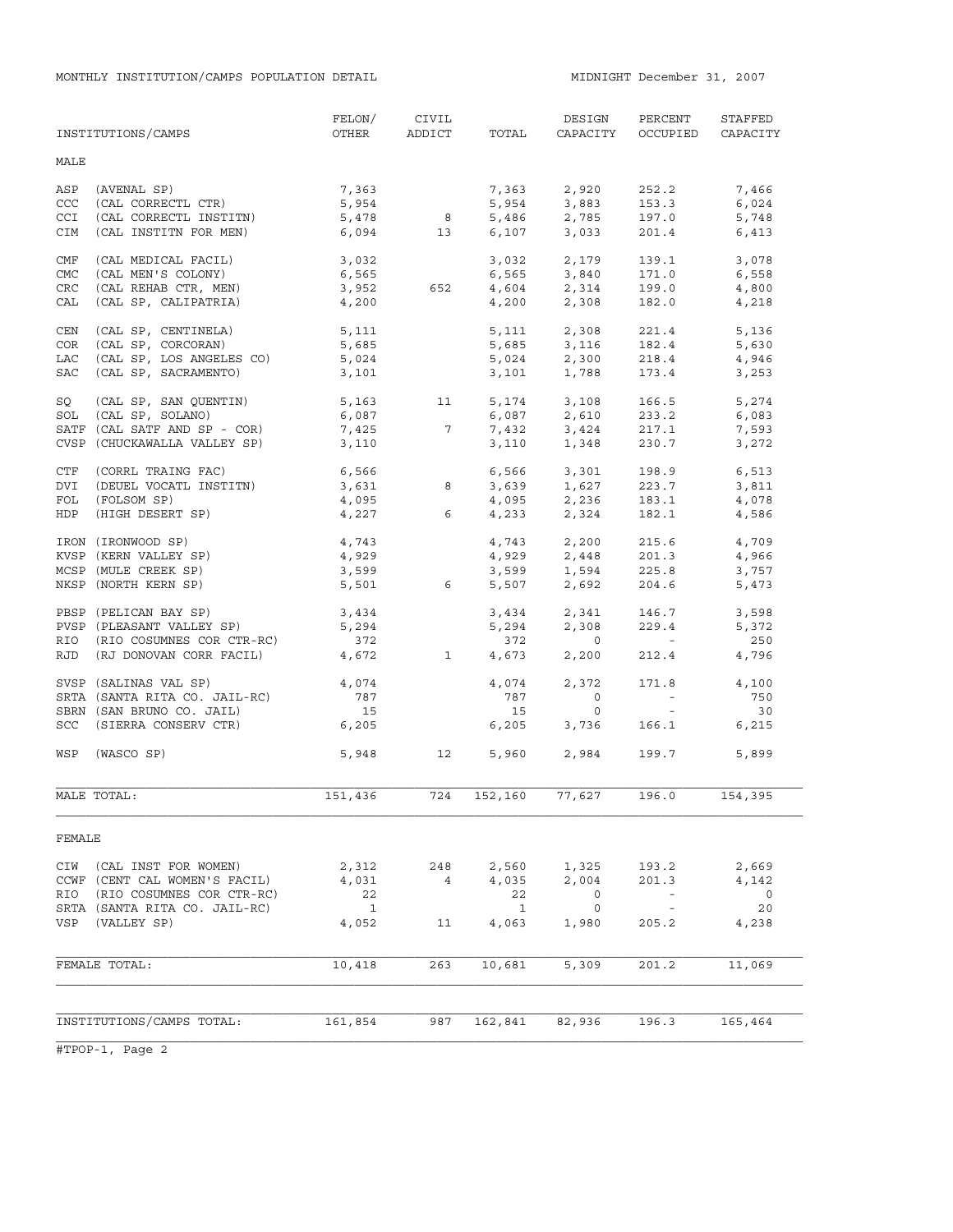|            | INSTITUTIONS/CAMPS            | FELON/<br>OTHER | CIVIL<br>ADDICT | TOTAL        | DESIGN<br>CAPACITY                 | PERCENT<br>OCCUPIED               | STAFFED<br>CAPACITY |
|------------|-------------------------------|-----------------|-----------------|--------------|------------------------------------|-----------------------------------|---------------------|
| MALE       |                               |                 |                 |              |                                    |                                   |                     |
| ASP        | (AVENAL SP)                   | 7,363           |                 | 7,363        | 2,920                              | 252.2                             | 7,466               |
| CCC        | (CAL CORRECTL CTR)            | 5,954           |                 | 5,954        | 3,883                              | 153.3                             | 6,024               |
| CCI        | (CAL CORRECTL INSTITN)        | 5,478           | 8 <sup>8</sup>  | 5,486        | 2,785                              | 197.0                             | 5,748               |
| CIM        | (CAL INSTITN FOR MEN)         |                 | 6,094 13        |              | 6,107 3,033                        | 201.4                             | 6,413               |
| CMF        | (CAL MEDICAL FACIL)           | 3,032           |                 |              | 3,032 2,179                        | 139.1                             | 3,078               |
| <b>CMC</b> | (CAL MEN'S COLONY)            | 6,565           |                 | 6,565        | 3,840                              | 171.0                             | 6,558               |
| <b>CRC</b> | (CAL REHAB CTR, MEN)          | 3,952           | 652             |              | 4,604 2,314                        | 199.0                             | 4,800               |
| CAL        | (CAL SP, CALIPATRIA)          | 4,200           |                 | 4,200        | 2,308                              | 182.0                             | 4,218               |
| CEN        | (CAL SP, CENTINELA)           | 5,111           |                 | 5,111        | 2,308                              | 221.4                             | 5,136               |
| COR        | (CAL SP, CORCORAN)            | 5,685           |                 |              | 5,685 3,116                        | 182.4                             | 5,630               |
| LAC        | (CAL SP, LOS ANGELES CO)      | 5,024           |                 | 5,024        | 2,300                              | 218.4                             | 4,946               |
| SAC        | (CAL SP, SACRAMENTO)          | 3,101           |                 | 3,101        | 1,788                              | 173.4                             | 3,253               |
| SQ         | (CAL SP, SAN QUENTIN)         | 5,163           | 11              |              | 5, 174 3, 108                      | 166.5                             | 5,274               |
|            | SOL (CAL SP, SOLANO)          | 6,087           |                 | 6,087        | 2,610                              | 233.2                             | 6,083               |
|            | SATF (CAL SATF AND SP - COR)  | 7,425           | $7\phantom{.0}$ | 7,432        | 3,424                              | 217.1                             | 7,593               |
|            | CVSP (CHUCKAWALLA VALLEY SP)  | 3,110           |                 | 3,110        | 1,348                              | 230.7                             | 3,272               |
| CTF        | (CORRL TRAING FAC)            | 6,566           |                 | 6,566        | 3,301                              | 198.9                             | 6,513               |
| DVI        | (DEUEL VOCATL INSTITN)        | $3,631$ 8       |                 | 3,639        | 1,627                              | 223.7                             | 3,811               |
| FOL        | (FOLSOM SP)                   | 4,095           |                 |              | $4,095$ $2,236$<br>$4,233$ $2,324$ | 183.1                             | 4,078               |
| HDP        | (HIGH DESERT SP)              |                 | $4,227$ 6       |              |                                    | 182.1                             | 4,586               |
|            | IRON (IRONWOOD SP)            | 4,743           |                 |              | 4,743 2,200                        | 215.6                             | 4,709               |
|            | KVSP (KERN VALLEY SP)         | 4,929           |                 |              |                                    | 201.3                             | 4,966               |
|            | MCSP (MULE CREEK SP)          | 3,599           |                 |              | 4,929 2,448<br>3,599 1,594         | 225.8                             | 3,757               |
|            | NKSP (NORTH KERN SP)          | 5,501           | 6               | 5,507        | 2,692                              | 204.6                             | 5,473               |
|            | PBSP (PELICAN BAY SP)         | 3,434           |                 | 3,434        | 2,341                              | 146.7                             | 3,598               |
|            | PVSP (PLEASANT VALLEY SP)     | 5,294           |                 | 5,294        | 2,308                              | 229.4                             | 5,372               |
|            | RIO (RIO COSUMNES COR CTR-RC) | 372             |                 | 372          | $\overline{0}$                     | $\sim 100$                        | 250                 |
|            | RJD (RJ DONOVAN CORR FACIL)   | 4,672           | $\overline{1}$  | 4,673        | 2,200                              | 212.4                             | 4,796               |
|            | SVSP (SALINAS VAL SP)         | 4,074           |                 | 4,074        | 2,372                              | 171.8                             | 4,100               |
|            | SRTA (SANTA RITA CO. JAIL-RC) | 787             |                 | 787          | $\overline{0}$                     | $\alpha \rightarrow \alpha \beta$ | 750                 |
|            | SBRN (SAN BRUNO CO. JAIL)     | 15              |                 | 15           | $\circ$                            | $\sim$ $ -$                       | 30                  |
|            | SCC (SIERRA CONSERV CTR)      | 6,205           |                 | 6,205        | 3,736                              | 166.1                             | 6,215               |
| WSP        | (WASCO SP)                    | 5,948           | 12              |              | 5,960 2,984                        | 199.7                             | 5,899               |
|            | MALE TOTAL:                   | 151,436         | 724             | 152,160      | 77,627                             | 196.0                             | 154,395             |
| FEMALE     |                               |                 |                 |              |                                    |                                   |                     |
| CIW        | (CAL INST FOR WOMEN)          | 2,312           | 248             | 2,560        | 1,325                              | 193.2                             | 2,669               |
|            | CCWF (CENT CAL WOMEN'S FACIL) | 4,031           | $\overline{4}$  | 4,035        | 2,004                              | 201.3                             | 4,142               |
| RIO        | (RIO COSUMNES COR CTR-RC)     | 22              |                 | 22           | 0                                  | $\equiv$                          | $\mathbf 0$         |
|            | SRTA (SANTA RITA CO. JAIL-RC) | $\mathbf{1}$    |                 | $\mathbf{1}$ | 0                                  | $\sim$ $-$                        | 20                  |
| VSP        | (VALLEY SP)                   | 4,052           | 11              | 4,063        | 1,980                              | 205.2                             | 4,238               |
|            | FEMALE TOTAL:                 | 10,418          | 263             | 10,681       | 5,309                              | 201.2                             | 11,069              |
|            |                               |                 |                 |              |                                    |                                   |                     |
|            |                               |                 |                 |              |                                    |                                   |                     |
|            | INSTITUTIONS/CAMPS TOTAL:     | 161,854         | 987             | 162,841      | 82,936                             | 196.3                             | 165,464             |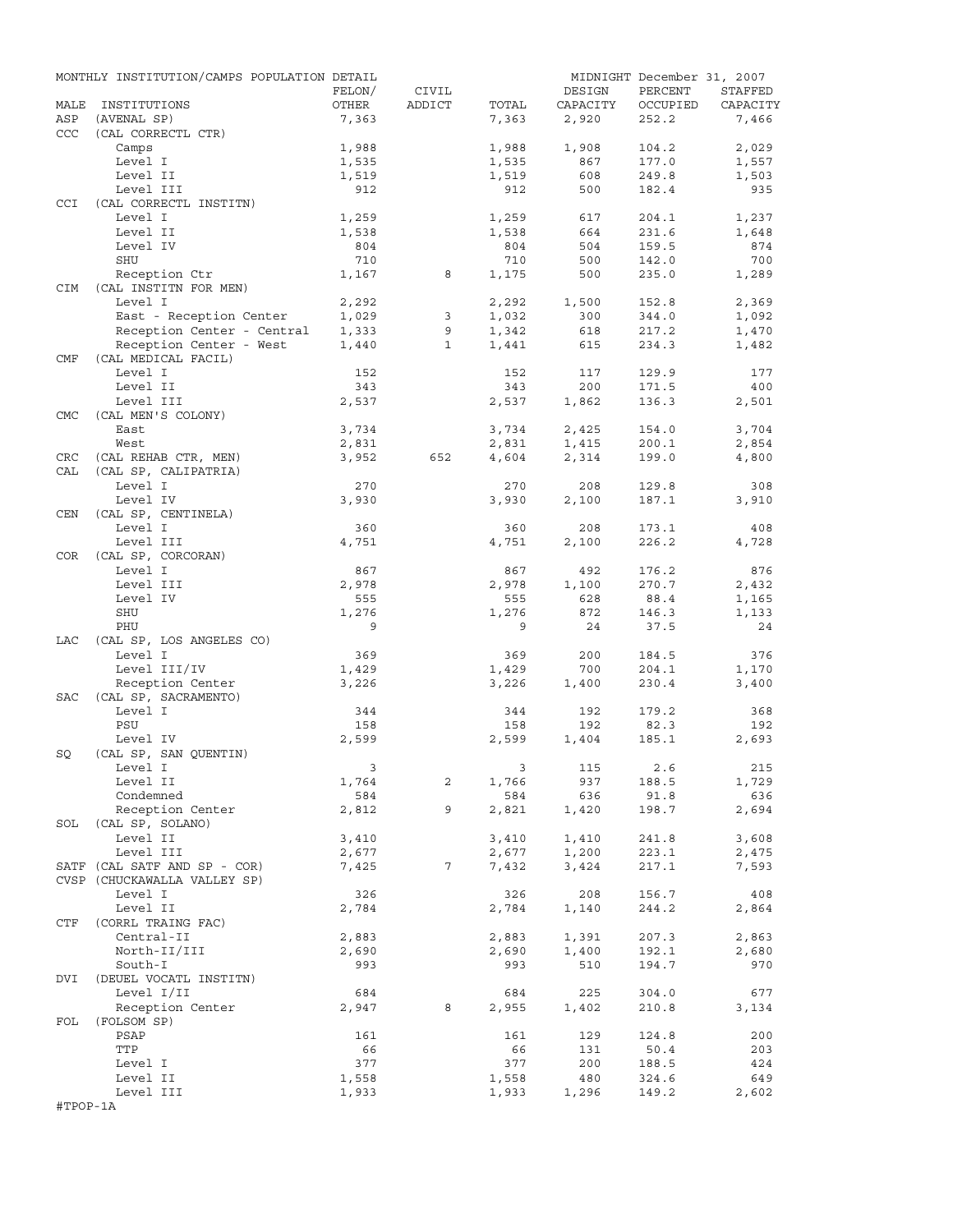|            | MONTHLY INSTITUTION/CAMPS POPULATION DETAIL |                         |                 |       |          | MIDNIGHT December 31, 2007 |          |
|------------|---------------------------------------------|-------------------------|-----------------|-------|----------|----------------------------|----------|
|            |                                             | FELON/                  | CIVIL           |       | DESIGN   | PERCENT                    | STAFFED  |
| MALE       | INSTITUTIONS                                | OTHER                   | ADDICT          | TOTAL | CAPACITY | OCCUPIED                   | CAPACITY |
| ASP        | (AVENAL SP)                                 | 7,363                   |                 | 7,363 | 2,920    | 252.2                      | 7,466    |
| <b>CCC</b> | (CAL CORRECTL CTR)                          |                         |                 |       |          |                            |          |
|            | Camps                                       | 1,988                   |                 | 1,988 | 1,908    | 104.2                      | 2,029    |
|            | Level I                                     | 1,535                   |                 | 1,535 | 867      | 177.0                      | 1,557    |
|            | Level II                                    | 1,519                   |                 | 1,519 | 608      | 249.8                      | 1,503    |
|            | Level III                                   | 912                     |                 | 912   | 500      | 182.4                      | 935      |
| CCI        | (CAL CORRECTL INSTITN)                      |                         |                 |       |          |                            |          |
|            | Level I                                     | 1,259                   |                 | 1,259 | 617      | 204.1                      | 1,237    |
|            | Level II                                    | 1,538                   |                 | 1,538 | 664      | 231.6                      | 1,648    |
|            | Level IV                                    | 804                     |                 | 804   | 504      | 159.5                      | 874      |
|            | SHU                                         | 710                     |                 | 710   | 500      | 142.0                      | 700      |
|            | Reception Ctr                               | 1,167                   | 8               | 1,175 | 500      | 235.0                      | 1,289    |
| <b>CIM</b> | (CAL INSTITN FOR MEN)                       |                         |                 |       |          |                            |          |
|            | Level I                                     | 2,292                   |                 | 2,292 | 1,500    | 152.8                      | 2,369    |
|            | East - Reception Center                     | 1,029                   | 3               | 1,032 | 300      | 344.0                      | 1,092    |
|            | Reception Center - Central                  | 1,333                   | 9               | 1,342 | 618      | 217.2                      | 1,470    |
|            | Reception Center - West                     | 1,440                   | $\mathbf{1}$    | 1,441 | 615      | 234.3                      | 1,482    |
| CMF        | (CAL MEDICAL FACIL)                         |                         |                 |       |          |                            |          |
|            | Level I                                     | 152                     |                 | 152   | 117      | 129.9                      | 177      |
|            | Level II                                    | 343                     |                 | 343   | 200      | 171.5                      | 400      |
|            | Level III                                   | 2,537                   |                 | 2,537 | 1,862    | 136.3                      | 2,501    |
| <b>CMC</b> | (CAL MEN'S COLONY)                          |                         |                 |       |          |                            |          |
|            | East                                        | 3,734                   |                 | 3,734 | 2,425    | 154.0                      | 3,704    |
|            | West                                        | 2,831                   |                 | 2,831 | 1,415    | 200.1                      | 2,854    |
| CRC        | (CAL REHAB CTR, MEN)                        | 3,952                   | 652             | 4,604 | 2,314    | 199.0                      | 4,800    |
| CAL        | (CAL SP, CALIPATRIA)                        |                         |                 |       |          |                            |          |
|            | Level I                                     | 270                     |                 | 270   | 208      | 129.8                      | 308      |
|            | Level IV                                    | 3,930                   |                 | 3,930 | 2,100    | 187.1                      | 3,910    |
| CEN        | (CAL SP, CENTINELA)                         |                         |                 |       |          |                            |          |
|            | Level I                                     | 360                     |                 | 360   | 208      | 173.1                      | 408      |
|            | Level III                                   | 4,751                   |                 | 4,751 | 2,100    | 226.2                      | 4,728    |
| COR        | (CAL SP, CORCORAN)                          |                         |                 |       |          |                            |          |
|            | Level I                                     | 867                     |                 | 867   | 492      | 176.2                      | 876      |
|            | Level III                                   | 2,978                   |                 | 2,978 | 1,100    | 270.7                      | 2,432    |
|            |                                             | 555                     |                 | 555   |          |                            |          |
|            | Level IV                                    |                         |                 |       | 628      | 88.4                       | 1,165    |
|            | SHU                                         | 1,276                   |                 | 1,276 | 872      | 146.3                      | 1,133    |
|            | PHU                                         | 9                       |                 | 9     | 24       | 37.5                       | 24       |
| LAC        | (CAL SP, LOS ANGELES CO)                    |                         |                 |       |          |                            |          |
|            | Level I                                     | 369                     |                 | 369   | 200      | 184.5                      | 376      |
|            | Level III/IV                                | 1,429                   |                 | 1,429 | 700      | 204.1                      | 1,170    |
|            | Reception Center                            | 3,226                   |                 | 3,226 | 1,400    | 230.4                      | 3,400    |
| SAC        | (CAL SP, SACRAMENTO)                        |                         |                 |       |          |                            |          |
|            | Level I                                     | 344                     |                 | 344   | 192      | 179.2                      | 368      |
|            | PSU                                         | 158                     |                 | 158   | 192      | 82.3                       | 192      |
|            | Level IV                                    | 2,599                   |                 | 2,599 | 1,404    | 185.1                      | 2,693    |
| SQ         | (CAL SP, SAN QUENTIN)                       |                         |                 |       |          |                            |          |
|            | Level I                                     | $\overline{\mathbf{3}}$ |                 |       | 3 115    | 2.6                        | 215      |
|            | Level II                                    | 1,764                   | 2               | 1,766 | 937      | 188.5                      | 1,729    |
|            | Condemned                                   | 584                     |                 | 584   | 636      | 91.8                       | 636      |
|            | Reception Center                            | 2,812                   | 9               | 2,821 | 1,420    | 198.7                      | 2,694    |
|            | SOL (CAL SP, SOLANO)                        |                         |                 |       |          |                            |          |
|            | Level II                                    | 3,410                   |                 | 3,410 | 1,410    | 241.8                      | 3,608    |
|            | Level III                                   | 2,677                   |                 | 2,677 | 1,200    | 223.1                      | 2,475    |
|            | SATF (CAL SATF AND SP - COR)                | 7,425                   | $7\overline{ }$ | 7,432 | 3,424    | 217.1                      | 7,593    |
|            | CVSP (CHUCKAWALLA VALLEY SP)                |                         |                 |       |          |                            |          |
|            | Level I                                     | 326                     |                 | 326   | 208      | 156.7                      | 408      |
|            | Level II                                    | 2,784                   |                 | 2,784 | 1,140    | 244.2                      | 2,864    |
| CTF        | (CORRL TRAING FAC)                          |                         |                 |       |          |                            |          |
|            | Central-II                                  | 2,883                   |                 | 2,883 | 1,391    | 207.3                      | 2,863    |
|            | North-II/III                                | 2,690                   |                 | 2,690 | 1,400    | 192.1                      | 2,680    |
|            | South-I                                     | 993                     |                 | 993   | 510      | 194.7                      | 970      |
| DVI        | (DEUEL VOCATL INSTITN)                      |                         |                 |       |          |                            |          |
|            | Level I/II                                  | 684                     |                 | 684   | 225      | 304.0                      | 677      |
|            | Reception Center                            | 2,947                   | 8               | 2,955 | 1,402    | 210.8                      | 3,134    |
| FOL        | (FOLSOM SP)                                 |                         |                 |       |          |                            |          |
|            | PSAP                                        | 161                     |                 | 161   | 129      | 124.8                      | 200      |
|            | TTP                                         | 66                      |                 | 66    | 131      | 50.4                       | 203      |
|            | Level I                                     | 377                     |                 | 377   | 200      | 188.5                      | 424      |
|            | Level II                                    | 1,558                   |                 | 1,558 | 480      | 324.6                      | 649      |
|            | Level III                                   | 1,933                   |                 | 1,933 | 1,296    | 149.2                      | 2,602    |
| #TPOP-1A   |                                             |                         |                 |       |          |                            |          |
|            |                                             |                         |                 |       |          |                            |          |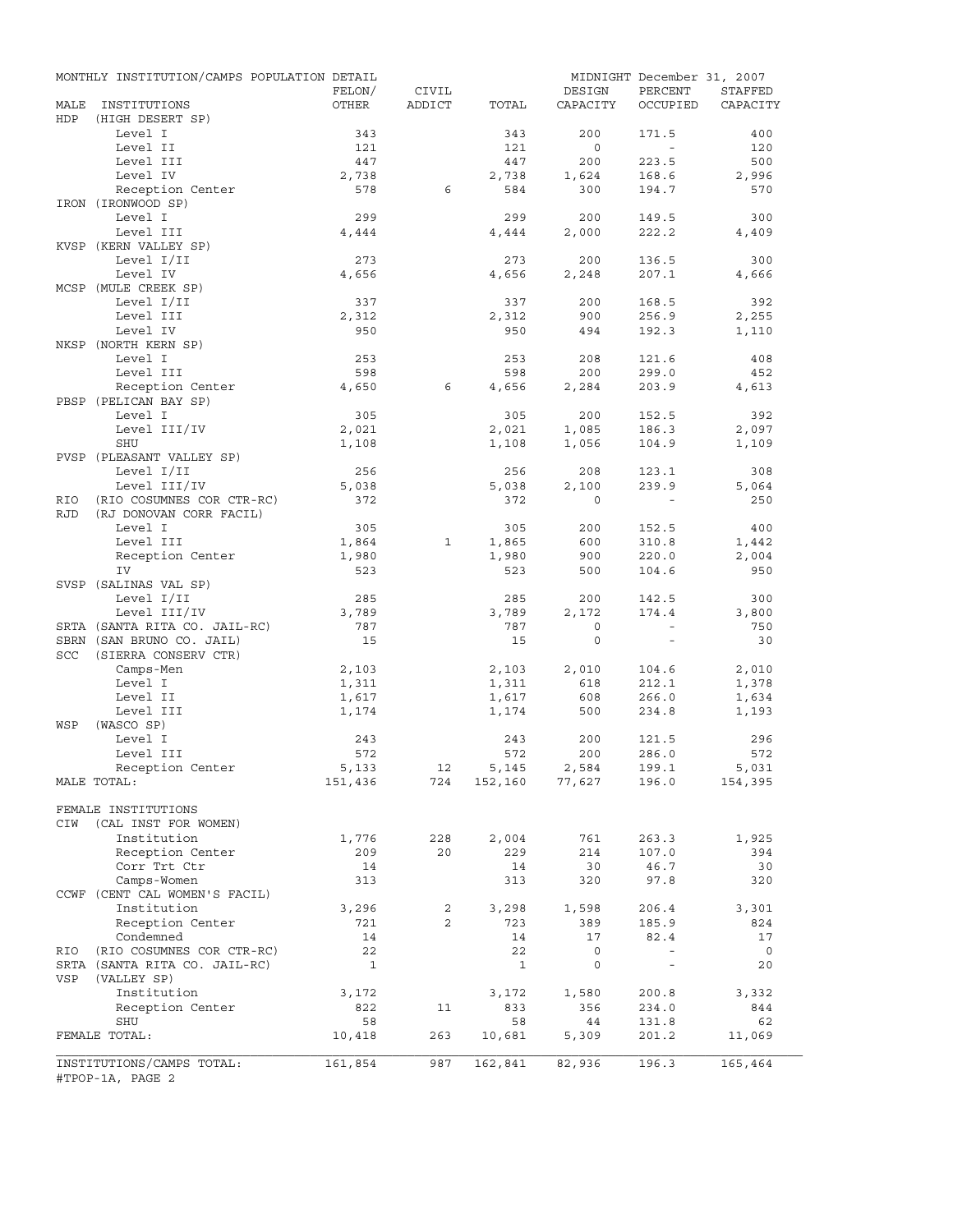|            | MONTHLY INSTITUTION/CAMPS POPULATION DETAIL       | FELON/       | CIVIL          |              | DESIGN                | MIDNIGHT December 31, 2007<br>PERCENT | STAFFED        |
|------------|---------------------------------------------------|--------------|----------------|--------------|-----------------------|---------------------------------------|----------------|
| MALE       | INSTITUTIONS                                      | OTHER        | ADDICT         | TOTAL        | CAPACITY              | OCCUPIED                              | CAPACITY       |
| HDP        | (HIGH DESERT SP)                                  |              |                |              |                       |                                       |                |
|            | Level I                                           | 343          |                | 343          | 200                   | 171.5<br>$\sim$                       | 400            |
|            | Level II<br>Level III                             | 121<br>447   |                | 121<br>447   | $\overline{0}$<br>200 | 223.5                                 | 120<br>500     |
|            | Level IV                                          | 2,738        |                | 2,738        | 1,624                 | 168.6                                 | 2,996          |
|            | Reception Center                                  | 578          | 6              | 584          | 300                   | 194.7                                 | 570            |
|            | IRON (IRONWOOD SP)                                |              |                |              |                       |                                       |                |
|            | Level I                                           | 299          |                | 299          | 200                   | 149.5                                 | 300            |
|            | Level III                                         | 4,444        |                | 4,444        | 2,000                 | 222.2                                 | 4,409          |
|            | KVSP (KERN VALLEY SP)                             |              |                |              |                       |                                       |                |
|            | Level I/II                                        | 273          |                | 273          | 200                   | 136.5                                 | 300            |
|            | Level IV                                          | 4,656        |                | 4,656        | 2,248                 | 207.1                                 | 4,666          |
|            | MCSP (MULE CREEK SP)                              |              |                |              | 200                   |                                       | 392            |
|            | Level I/II<br>Level III                           | 337<br>2,312 |                | 337<br>2,312 | 900                   | 168.5<br>256.9                        | 2,255          |
|            | Level IV                                          | 950          |                | 950          | 494                   | 192.3                                 | 1,110          |
|            | NKSP (NORTH KERN SP)                              |              |                |              |                       |                                       |                |
|            | Level I                                           | 253          |                | 253          | 208                   | 121.6                                 | 408            |
|            | Level III                                         | 598          |                | 598          | 200                   | 299.0                                 | 452            |
|            | Reception Center                                  | 4,650        | 6              | 4,656        | 2,284                 | 203.9                                 | 4,613          |
|            | PBSP (PELICAN BAY SP)                             |              |                |              |                       |                                       |                |
|            | Level I                                           | 305          |                | 305          | 200                   | 152.5                                 | 392            |
|            | Level III/IV                                      | 2,021        |                | 2,021        | 1,085                 | 186.3                                 | 2,097          |
|            | SHU                                               | 1,108        |                | 1,108        | 1,056                 | 104.9                                 | 1,109          |
|            | PVSP (PLEASANT VALLEY SP)                         |              |                |              |                       |                                       |                |
|            | Level I/II<br>Level III/IV                        | 256<br>5,038 |                | 256<br>5,038 | 208<br>2,100          | 123.1<br>239.9                        | 308<br>5,064   |
| RIO        | (RIO COSUMNES COR CTR-RC)                         | 372          |                | 372          | $\Omega$              |                                       | 250            |
| <b>RJD</b> | (RJ DONOVAN CORR FACIL)                           |              |                |              |                       |                                       |                |
|            | Level I                                           | 305          |                | 305          | 200                   | 152.5                                 | 400            |
|            | Level III                                         | 1,864        | 1              | 1,865        | 600                   | 310.8                                 | 1,442          |
|            | Reception Center                                  | 1,980        |                | 1,980        | 900                   | 220.0                                 | 2,004          |
|            | IV                                                | 523          |                | 523          | 500                   | 104.6                                 | 950            |
|            | SVSP (SALINAS VAL SP)                             |              |                |              |                       |                                       |                |
|            | Level I/II                                        | 285          |                | 285          | 200                   | 142.5                                 | 300            |
|            | Level III/IV                                      | 3,789        |                | 3,789        | 2,172                 | 174.4                                 | 3,800          |
|            | SRTA (SANTA RITA CO. JAIL-RC)                     | 787          |                | 787          | $\circ$               | $\sim$                                | 750            |
| SCC        | SBRN (SAN BRUNO CO. JAIL)<br>(SIERRA CONSERV CTR) | 15           |                | 15           | $\mathbf{0}$          | $\sim$                                | 30             |
|            | Camps-Men                                         | 2,103        |                | 2,103        | 2,010                 | 104.6                                 | 2,010          |
|            | Level I                                           | 1,311        |                | 1,311        | 618                   | 212.1                                 | 1,378          |
|            | Level II                                          | 1,617        |                | 1,617        | 608                   | 266.0                                 | 1,634          |
|            | Level III                                         | 1,174        |                | 1,174        | 500                   | 234.8                                 | 1,193          |
| WSP        | (WASCO SP)                                        |              |                |              |                       |                                       |                |
|            | Level I                                           | 243          |                | 243          | 200                   | 121.5                                 | 296            |
|            | Level III                                         | 572          |                | 572          | 200                   | 286.0                                 | 572            |
|            | Reception Center                                  | 5,133        | 12             | 5,145        | 2,584                 | 199.1                                 | 5,031          |
|            | MALE TOTAL:                                       | 151,436      | 724            |              | 152,160 77,627        | 196.0                                 | 154,395        |
|            | FEMALE INSTITUTIONS                               |              |                |              |                       |                                       |                |
| CIW        | (CAL INST FOR WOMEN)                              |              |                |              |                       |                                       |                |
|            | Institution                                       | 1,776        | 228            | 2,004        | 761                   | 263.3                                 | 1,925          |
|            | Reception Center                                  | 209          | 20             | 229          | 214                   | 107.0                                 | 394            |
|            | Corr Trt Ctr                                      | 14           |                | 14           | 30                    | 46.7                                  | 30             |
|            | Camps-Women                                       | 313          |                | 313          | 320                   | 97.8                                  | 320            |
|            | CCWF (CENT CAL WOMEN'S FACIL)                     |              |                |              |                       |                                       |                |
|            | Institution                                       | 3,296        | $\overline{a}$ | 3,298        | 1,598                 | 206.4                                 | 3,301          |
|            | Reception Center                                  | 721          | $\overline{a}$ | 723          | 389                   | 185.9                                 | 824            |
|            | Condemned                                         | 14           |                | 14           | 17                    | 82.4                                  | 17             |
| RIO        | (RIO COSUMNES COR CTR-RC)                         | 22           |                | 22           | $\mathsf{O}$          | $\overline{\phantom{a}}$              | $\overline{0}$ |
| VSP        | SRTA (SANTA RITA CO. JAIL-RC)                     | $\mathbf{1}$ |                | $\mathbf{1}$ | 0                     | $\bar{\phantom{a}}$                   | 20             |
|            | (VALLEY SP)<br>Institution                        | 3,172        |                | 3,172        | 1,580                 | 200.8                                 | 3,332          |
|            | Reception Center                                  | 822          | 11             | 833          | 356                   | 234.0                                 | 844            |
|            | SHU                                               | 58           |                | 58           | 44                    | 131.8                                 | 62             |
|            | FEMALE TOTAL:                                     | 10,418       | 263            | 10,681       | 5,309                 | 201.2                                 | 11,069         |
|            |                                                   |              |                |              |                       |                                       |                |
|            | INSTITUTIONS/CAMPS TOTAL:<br>#TPOP-1A, PAGE 2     | 161,854      | 987            | 162,841      | 82,936                | 196.3                                 | 165,464        |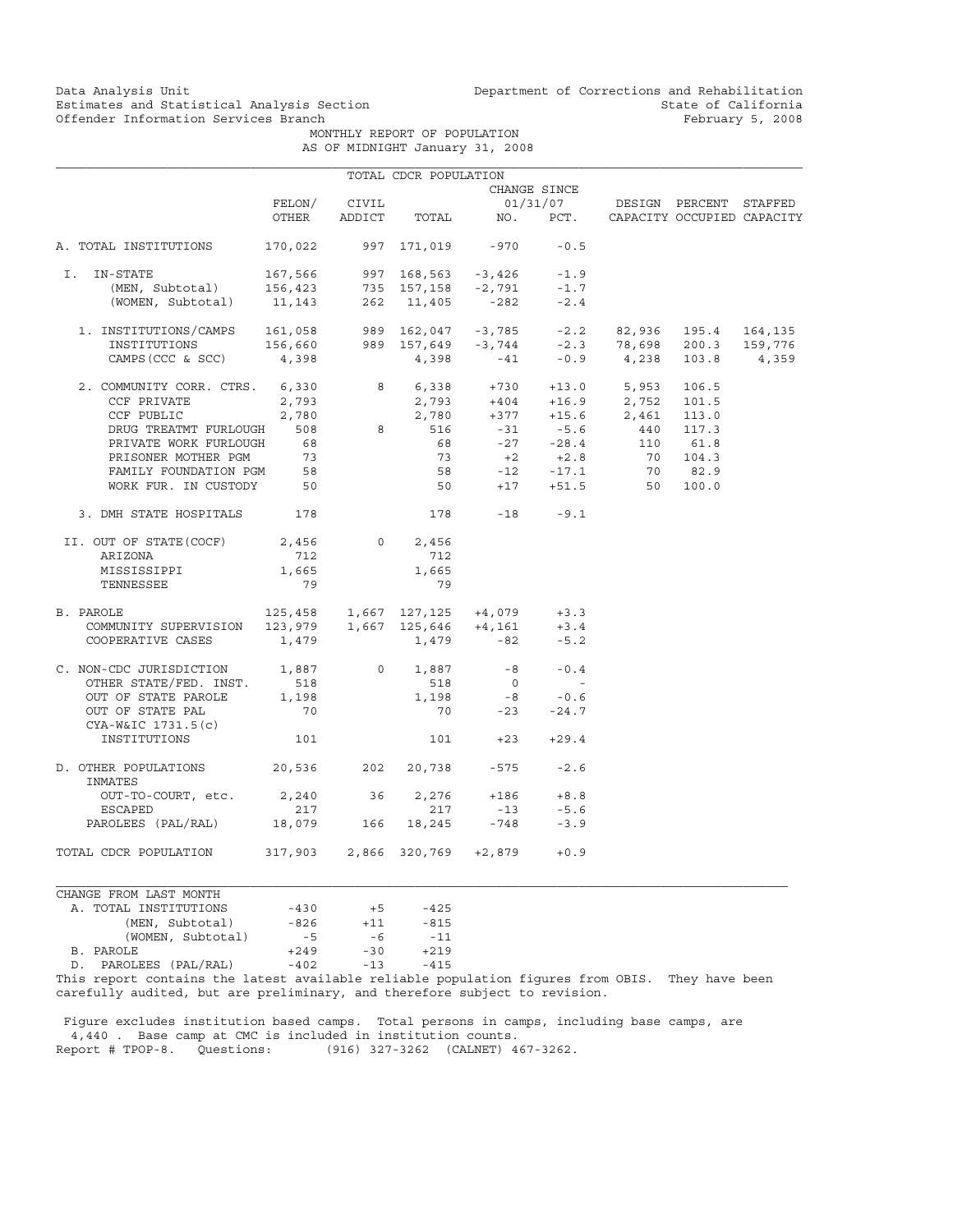Data Analysis Unit Unit Department of Corrections and Rehabilitation<br>Estimates and Statistical Analysis Section State of California Estimates and Statistical Analysis Section and State of California<br>Offender Information Services Branch State of California

 MONTHLY REPORT OF POPULATION AS OF MIDNIGHT January 31, 2008

|                                                                                                                                                                                                            |                                     |                | TOTAL CDCR POPULATION |                                                                                                                                     |                      |                                                                                    |           |  |
|------------------------------------------------------------------------------------------------------------------------------------------------------------------------------------------------------------|-------------------------------------|----------------|-----------------------|-------------------------------------------------------------------------------------------------------------------------------------|----------------------|------------------------------------------------------------------------------------|-----------|--|
|                                                                                                                                                                                                            |                                     |                |                       |                                                                                                                                     | CHANGE SINCE         |                                                                                    |           |  |
|                                                                                                                                                                                                            | FELON/                              | CIVIL          |                       |                                                                                                                                     | 01/31/07             | DESIGN PERCENT STAFFED                                                             |           |  |
|                                                                                                                                                                                                            | OTHER                               | ADDICT         | TOTAL                 |                                                                                                                                     |                      | NO. PCT. CAPACITY OCCUPIED CAPACITY                                                |           |  |
| A. TOTAL INSTITUTIONS                                                                                                                                                                                      | 170,022                             |                |                       | 997 171,019 -970                                                                                                                    | $-0.5$               |                                                                                    |           |  |
| I. IN-STATE                                                                                                                                                                                                | 167,566                             |                |                       | 997 168,563 -3,426 -1.9                                                                                                             |                      |                                                                                    |           |  |
| (MEN, Subtotal)                                                                                                                                                                                            |                                     |                |                       |                                                                                                                                     |                      |                                                                                    |           |  |
| (WOMEN, Subtotal)                                                                                                                                                                                          |                                     |                |                       | $\begin{array}{ccccccccc} 156,423 & & & 735 & 157,158 & -2,791 & & -1.7 \\ 11,143 & & & 262 & 11,405 & & -282 & & -2.4 \end{array}$ |                      |                                                                                    |           |  |
|                                                                                                                                                                                                            |                                     |                |                       |                                                                                                                                     |                      |                                                                                    |           |  |
|                                                                                                                                                                                                            |                                     |                |                       |                                                                                                                                     |                      |                                                                                    |           |  |
| 1. INSTITUTIONS/CAMPS 161,058 989 162,047 -3,785 -2.2 82,936 195.4 164,135<br>INSTITUTIONS 156,660 989 157,649 -3,744 -2.3 78,698 200.3 159,776<br>CAMPS(CCC & SCC) 4,398 4,398 -41 -0.9 4,238 103.8 4,359 |                                     |                |                       |                                                                                                                                     |                      |                                                                                    |           |  |
| 2. COMMUNITY CORR. CTRS. 6,330                                                                                                                                                                             |                                     |                |                       |                                                                                                                                     |                      |                                                                                    |           |  |
| CCF PRIVATE                                                                                                                                                                                                | 2,793                               |                |                       |                                                                                                                                     |                      | 8 6,338 +730 +13.0 5,953 106.5<br>2,793 +404 +16.9 2,752 101.5                     |           |  |
| CCF PUBLIC                                                                                                                                                                                                 | 2,780                               |                | 2,780                 |                                                                                                                                     |                      | $+377$ $+15.6$ $2,461$ 113.0<br>$-31$ $-5.6$ $440$ 117.3<br>$-27$ $-28.4$ 110 61.8 |           |  |
| DRUG TREATMT FURLOUGH                                                                                                                                                                                      | 508                                 | 8 <sup>1</sup> | 516                   |                                                                                                                                     |                      |                                                                                    |           |  |
| PRIVATE WORK FURLOUGH                                                                                                                                                                                      | 68                                  |                | 68                    |                                                                                                                                     |                      |                                                                                    |           |  |
| PRISONER MOTHER PGM                                                                                                                                                                                        | 73                                  |                |                       |                                                                                                                                     |                      |                                                                                    | 70 104.3  |  |
| FAMILY FOUNDATION PGM                                                                                                                                                                                      | 58                                  |                |                       | $73 +2 +2.8$<br>58 -12 -17.1                                                                                                        |                      |                                                                                    | $70$ 82.9 |  |
| WORK FUR. IN CUSTODY 50                                                                                                                                                                                    |                                     |                |                       | 50 0                                                                                                                                |                      | $+17$ $+51.5$ 50 100.0                                                             |           |  |
| 3. DMH STATE HOSPITALS                                                                                                                                                                                     | 178                                 |                |                       | 178 - 18 - 9.1                                                                                                                      |                      |                                                                                    |           |  |
| II. OUT OF STATE (COCF)                                                                                                                                                                                    | 2,456                               |                | 0<br>2,456            |                                                                                                                                     |                      |                                                                                    |           |  |
| ARIZONA                                                                                                                                                                                                    | 712                                 |                | 712                   |                                                                                                                                     |                      |                                                                                    |           |  |
|                                                                                                                                                                                                            | 1,665                               |                | 1,665                 |                                                                                                                                     |                      |                                                                                    |           |  |
| MISSISSIPPI                                                                                                                                                                                                | 79                                  |                | 79                    |                                                                                                                                     |                      |                                                                                    |           |  |
| TENNESSEE                                                                                                                                                                                                  |                                     |                |                       |                                                                                                                                     |                      |                                                                                    |           |  |
| B. PAROLE                                                                                                                                                                                                  | $125,458$ 1,667 127,125 +4,079 +3.3 |                |                       |                                                                                                                                     |                      |                                                                                    |           |  |
| 2AROLE<br>COMMUNITY SUPERVISION 123,979 1,667 125,646 +4,161<br>-2. 1.79 -82                                                                                                                               |                                     |                |                       |                                                                                                                                     | $+3.4$               |                                                                                    |           |  |
| COOPERATIVE CASES                                                                                                                                                                                          | 1,479                               |                |                       | $1,479 - 82$                                                                                                                        | $-5.2$               |                                                                                    |           |  |
| C. NON-CDC JURISDICTION 1,887                                                                                                                                                                              |                                     | $\overline{0}$ | 1,887                 | $-8$                                                                                                                                | $-0.4$               |                                                                                    |           |  |
| OTHER STATE/FED. INST.                                                                                                                                                                                     | 518                                 |                | 518                   | $\overline{0}$                                                                                                                      | $\sim 100$ m $^{-1}$ |                                                                                    |           |  |
| OUT OF STATE PAROLE                                                                                                                                                                                        | 1,198                               |                | 1,198                 |                                                                                                                                     | $-0.6$               |                                                                                    |           |  |
| OUT OF STATE PAL                                                                                                                                                                                           | 70                                  |                | 70                    | $\begin{array}{c}\n -8 \\  -22\n \end{array}$                                                                                       | $-24.7$              |                                                                                    |           |  |
| CYA-W&IC 1731.5(c)<br>INSTITUTIONS                                                                                                                                                                         | 101                                 |                |                       | $101 + 23$                                                                                                                          | $+29.4$              |                                                                                    |           |  |
| D. OTHER POPULATIONS 20,536 202<br>INMATES                                                                                                                                                                 |                                     |                |                       | 20,738 -575                                                                                                                         | $-2.6$               |                                                                                    |           |  |
|                                                                                                                                                                                                            |                                     |                |                       |                                                                                                                                     |                      |                                                                                    |           |  |
| OUT-TO-COURT, etc. 2,240 36                                                                                                                                                                                |                                     |                | 2,276                 | $+186$                                                                                                                              | $+8.8$<br>$-5.6$     |                                                                                    |           |  |
| ESCAPED<br>PAROLEES (PAL/RAL)                                                                                                                                                                              | 217<br>18,079 166                   |                | 217<br>18,245         | $-13$<br>$-748$                                                                                                                     | $-3.9$               |                                                                                    |           |  |
|                                                                                                                                                                                                            |                                     |                |                       |                                                                                                                                     |                      |                                                                                    |           |  |
| TOTAL CDCR POPULATION                                                                                                                                                                                      | 317,903 2,866 320,769 +2,879        |                |                       |                                                                                                                                     | $+0.9$               |                                                                                    |           |  |
| CHANGE FROM LAST MONTH                                                                                                                                                                                     |                                     |                |                       |                                                                                                                                     |                      |                                                                                    |           |  |
| A. TOTAL INSTITUTIONS                                                                                                                                                                                      | $-430$                              | $+5$           | $-425$                |                                                                                                                                     |                      |                                                                                    |           |  |

|    | A. TOTAL INSTITUTIONS                                                                    | $-4.50$ | $+5$  | $-425$ |
|----|------------------------------------------------------------------------------------------|---------|-------|--------|
|    | (MEN, Subtotal)                                                                          | -826    | $+11$ | $-815$ |
|    | (WOMEN, Subtotal)                                                                        | $-5$    | -6    | $-11$  |
|    | B. PAROLE                                                                                | $+249$  | $-30$ | $+219$ |
| D. | PAROLEES (PAL/RAL)                                                                       | $-402$  | $-13$ | $-415$ |
|    | mit 1 a choinn ann an an a-1 an a-11 a choinn an an an 19 aith a' chont 1 aith 1 a' chon |         |       |        |

This report contains the latest available reliable population figures from OBIS. They have been carefully audited, but are preliminary, and therefore subject to revision.

 Figure excludes institution based camps. Total persons in camps, including base camps, are 4,440 . Base camp at CMC is included in institution counts. Report # TPOP-8. Questions: (916) 327-3262 (CALNET) 467-3262.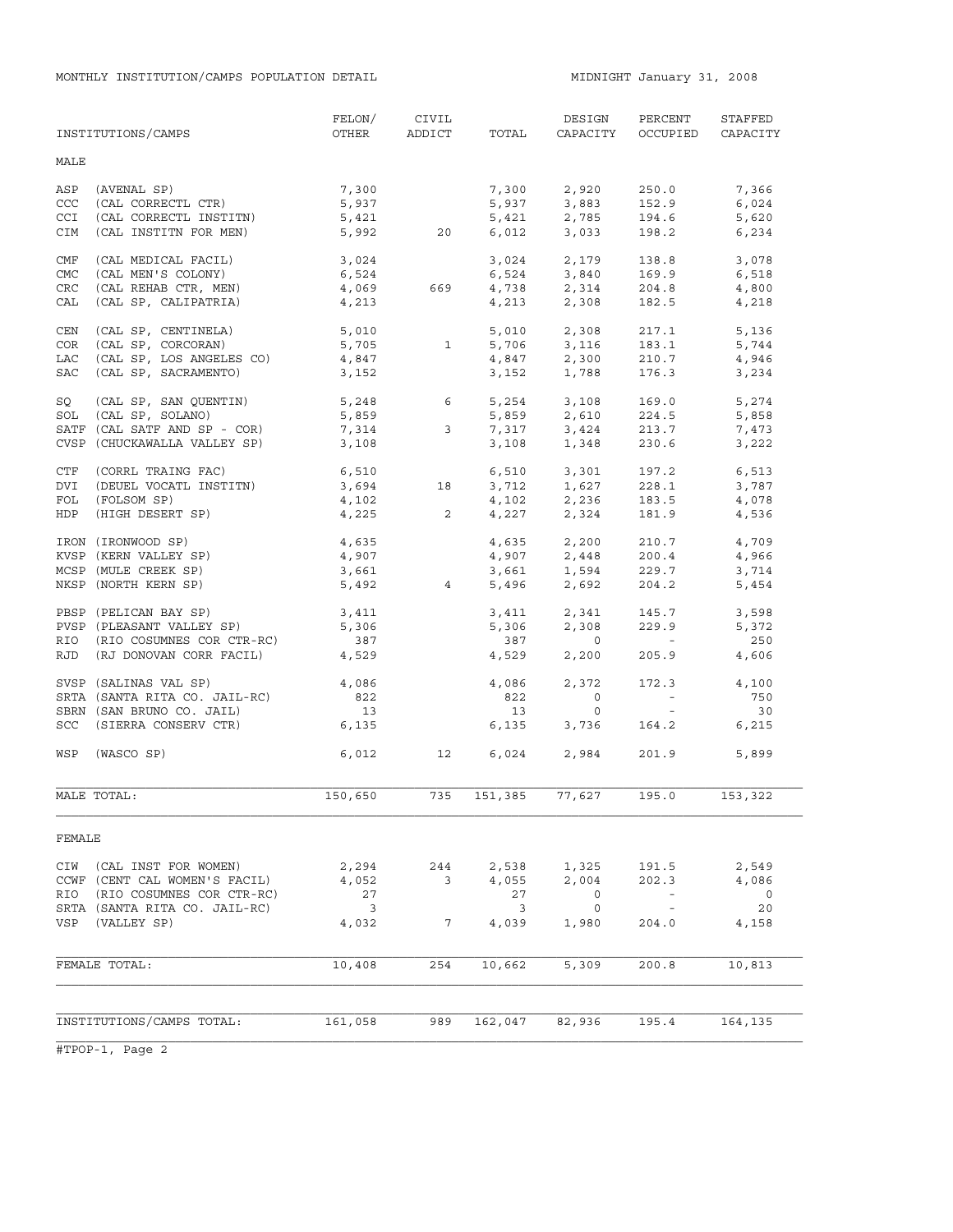|             | INSTITUTIONS/CAMPS            | FELON/<br>OTHER         | CIVIL<br>ADDICT          | TOTAL   | DESIGN<br>CAPACITY                 | PERCENT<br>OCCUPIED      | STAFFED<br>CAPACITY |
|-------------|-------------------------------|-------------------------|--------------------------|---------|------------------------------------|--------------------------|---------------------|
| MALE        |                               |                         |                          |         |                                    |                          |                     |
| ASP         | (AVENAL SP)                   | 7,300                   |                          | 7,300   | 2,920                              | 250.0                    | 7,366               |
| CCC         | (CAL CORRECTL CTR)            | 5,937                   |                          | 5,937   | 3,883                              | 152.9                    | 6,024               |
| <b>CCI</b>  | (CAL CORRECTL INSTITN)        | 5,421                   |                          | 5,421   | 2,785                              | 194.6                    | 5,620               |
| CIM         | (CAL INSTITN FOR MEN)         | 5,992                   | 20                       | 6,012   | 3,033                              | 198.2                    | 6,234               |
| CMF         | (CAL MEDICAL FACIL)           | 3,024                   |                          | 3,024   | 2,179                              | 138.8                    | 3,078               |
| <b>CMC</b>  | (CAL MEN'S COLONY)            | 6,524                   |                          | 6,524   | 3,840                              | 169.9                    | 6,518               |
| ${\tt CRC}$ | (CAL REHAB CTR, MEN)          | 4,069                   | 669                      |         | $4,738$ $2,314$                    | 204.8                    | 4,800               |
| CAL         | (CAL SP, CALIPATRIA)          | 4,213                   |                          | 4,213   | 2,308                              | 182.5                    | 4,218               |
| CEN         | (CAL SP, CENTINELA)           | 5,010                   |                          | 5,010   | 2,308                              | 217.1                    | 5,136               |
| COR         | (CAL SP, CORCORAN)            |                         | 5,705 1                  |         | 5,706 3,116                        | 183.1                    | 5,744               |
| LAC         | (CAL SP, LOS ANGELES CO)      | 4,847                   |                          | 4,847   | 2,300                              | 210.7                    | 4,946               |
| SAC         | (CAL SP, SACRAMENTO)          | 3,152                   |                          | 3,152   | 1,788                              | 176.3                    | 3,234               |
| SQ          | (CAL SP, SAN QUENTIN)         | 5,248                   | 6                        |         | 5,254 3,108                        | 169.0                    | 5,274               |
| SOL         | (CAL SP, SOLANO)              | 5,859                   |                          | 5,859   | 2,610                              | 224.5                    | 5,858               |
|             | SATF (CAL SATF AND SP - COR)  | 7,314                   | 3                        | 7,317   | 3,424                              | 213.7                    | 7,473               |
|             | CVSP (CHUCKAWALLA VALLEY SP)  | 3,108                   |                          | 3,108   | 1,348                              | 230.6                    | 3,222               |
| CTF         | (CORRL TRAING FAC)            | 6,510                   |                          |         |                                    | 197.2                    | 6,513               |
| DVI         | (DEUEL VOCATL INSTITN)        | 3,694                   | 18                       |         | 6,510 3,301<br>3,712 1,627         | 228.1                    | 3,787               |
| FOL         | (FOLSOM SP)                   | $4,102$<br>$4.225$      |                          |         |                                    | 183.5                    | 4,078               |
| HDP         | (HIGH DESERT SP)              |                         | $\overline{\phantom{0}}$ |         | $4,102$ $2,236$<br>$4,227$ $2,324$ | 181.9                    | 4,536               |
|             | IRON (IRONWOOD SP)            | 4,635                   |                          |         | 4,635 2,200                        | 210.7                    | 4,709               |
|             | KVSP (KERN VALLEY SP)         | 4,907                   |                          |         |                                    | 200.4                    | 4,966               |
|             | MCSP (MULE CREEK SP)          | 3,661                   |                          |         | 4,907 2,448<br>3,661 1,594         | 229.7                    | 3,714               |
|             | NKSP (NORTH KERN SP)          | 5,492                   | $4\overline{4}$          |         | 5,496 2,692                        | 204.2                    | 5,454               |
|             | PBSP (PELICAN BAY SP)         | 3,411                   |                          | 3,411   | 2,341                              | 145.7                    | 3,598               |
|             | PVSP (PLEASANT VALLEY SP)     | 5,306                   |                          | 5,306   | 2,308                              | 229.9                    | 5,372               |
| RIO         | (RIO COSUMNES COR CTR-RC)     | 387                     |                          | 387     | $\overline{0}$                     | <b>Contract Contract</b> | 250                 |
| RJD         | (RJ DONOVAN CORR FACIL)       | 4,529                   |                          | 4,529   | 2,200                              | 205.9                    | 4,606               |
|             | SVSP (SALINAS VAL SP)         | 4,086                   |                          | 4,086   | 2,372                              | 172.3                    | 4,100               |
|             | SRTA (SANTA RITA CO. JAIL-RC) | 822                     |                          | 822     | $\overline{0}$                     | $\sim 100$ m $^{-1}$     | 750                 |
|             | SBRN (SAN BRUNO CO. JAIL)     | 13                      |                          | 13      | $\circ$                            | $\sim$ 100 $\pm$         | 30                  |
|             | SCC (SIERRA CONSERV CTR)      | 6,135                   |                          | 6,135   | 3,736                              | 164.2                    | 6,215               |
| WSP         | (WASCO SP)                    | 6,012                   | 12                       |         | 6,024 2,984                        | 201.9                    | 5,899               |
|             | MALE TOTAL:                   | 150,650                 | 735                      | 151,385 | 77,627                             | 195.0                    | 153,322             |
| FEMALE      |                               |                         |                          |         |                                    |                          |                     |
| CIW         | (CAL INST FOR WOMEN)          | 2,294                   | 244                      | 2,538   | 1,325                              | 191.5                    | 2,549               |
|             | CCWF (CENT CAL WOMEN'S FACIL) | 4,052                   | 3                        | 4,055   | 2,004                              | 202.3                    | 4,086               |
| RIO         | (RIO COSUMNES COR CTR-RC)     | 27                      |                          | 27      | 0                                  | $\overline{\phantom{a}}$ | $\circ$             |
|             | SRTA (SANTA RITA CO. JAIL-RC) | $\overline{\mathbf{3}}$ |                          | 3       | 0                                  | $\equiv$                 | 20                  |
| VSP         | (VALLEY SP)                   | 4,032                   | 7                        | 4,039   | 1,980                              | 204.0                    | 4,158               |
|             |                               |                         |                          |         |                                    |                          |                     |
|             | FEMALE TOTAL:                 | 10,408                  | 254                      | 10,662  | 5,309                              | 200.8                    | 10,813              |
|             |                               |                         |                          |         |                                    |                          |                     |
|             | INSTITUTIONS/CAMPS TOTAL:     | 161,058                 | 989                      | 162,047 | 82,936                             | 195.4                    | 164,135             |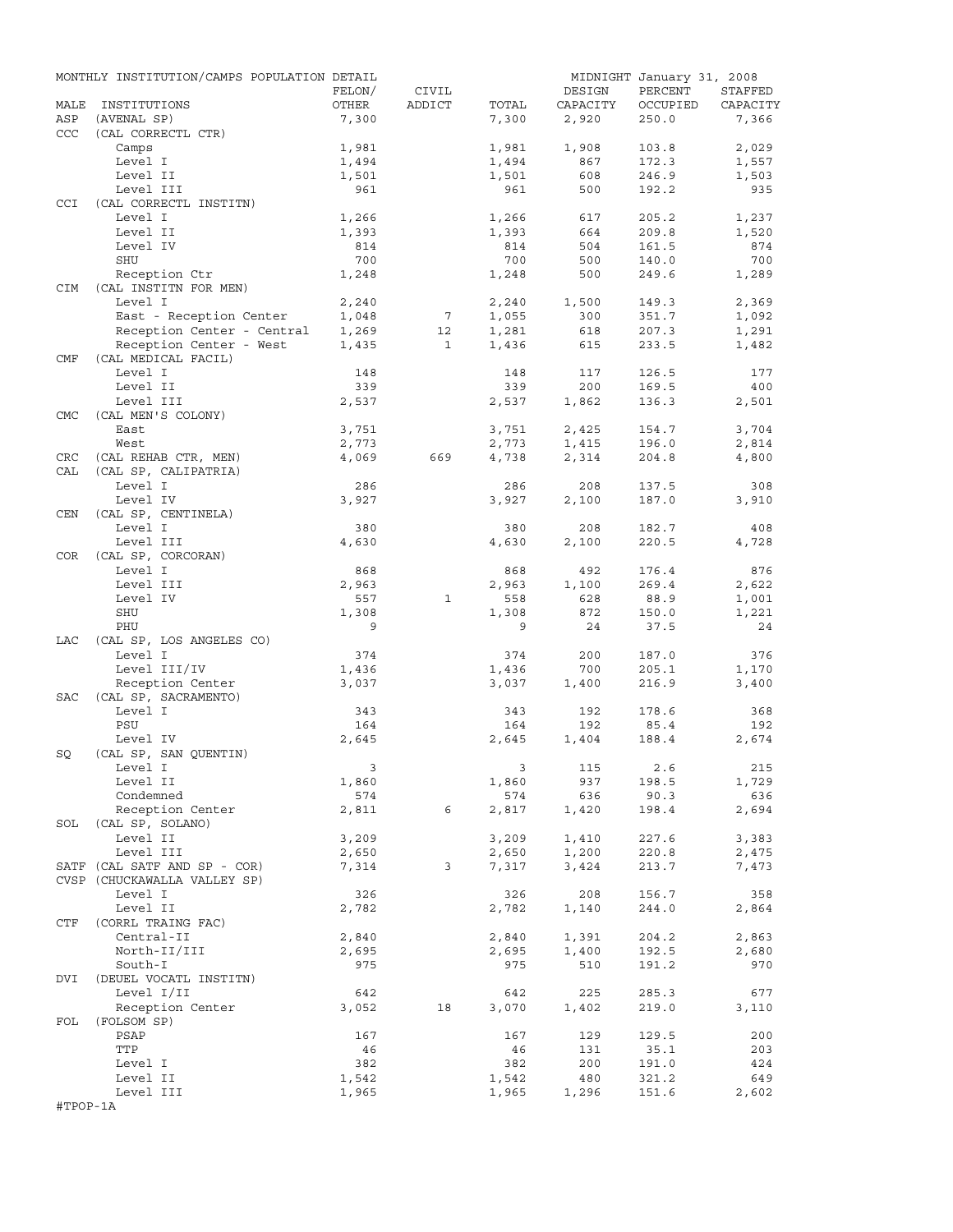|            | MONTHLY INSTITUTION/CAMPS POPULATION DETAIL |                         |                 |              |              | MIDNIGHT January 31, 2008 |              |
|------------|---------------------------------------------|-------------------------|-----------------|--------------|--------------|---------------------------|--------------|
|            |                                             | FELON/                  | CIVIL           |              | DESIGN       | PERCENT                   | STAFFED      |
| MALE       | INSTITUTIONS                                | OTHER                   | ADDICT          | TOTAL        | CAPACITY     | OCCUPIED                  | CAPACITY     |
| ASP        | (AVENAL SP)                                 | 7,300                   |                 | 7,300        | 2,920        | 250.0                     | 7,366        |
| <b>CCC</b> | (CAL CORRECTL CTR)                          |                         |                 |              |              |                           |              |
|            | Camps                                       | 1,981                   |                 | 1,981        | 1,908        | 103.8                     | 2,029        |
|            | Level I                                     | 1,494                   |                 | 1,494        | 867          | 172.3                     | 1,557        |
|            | Level II                                    | 1,501                   |                 | 1,501        | 608          | 246.9                     | 1,503<br>935 |
| <b>CCI</b> | Level III<br>(CAL CORRECTL INSTITN)         | 961                     |                 | 961          | 500          | 192.2                     |              |
|            | Level I                                     | 1,266                   |                 | 1,266        | 617          | 205.2                     | 1,237        |
|            | Level II                                    | 1,393                   |                 | 1,393        | 664          | 209.8                     | 1,520        |
|            | Level IV                                    | 814                     |                 | 814          | 504          | 161.5                     | 874          |
|            | SHU                                         | 700                     |                 | 700          | 500          | 140.0                     | 700          |
|            | Reception Ctr                               | 1,248                   |                 | 1,248        | 500          | 249.6                     | 1,289        |
| <b>CIM</b> | (CAL INSTITN FOR MEN)                       |                         |                 |              |              |                           |              |
|            | Level I                                     | 2,240                   |                 | 2,240        | 1,500        | 149.3                     | 2,369        |
|            | East - Reception Center                     | 1,048                   | $7\phantom{.0}$ | 1,055        | 300          | 351.7                     | 1,092        |
|            | Reception Center - Central                  | 1,269                   | 12              | 1,281        | 618          | 207.3                     | 1,291        |
|            | Reception Center - West                     | 1,435                   | $\mathbf{1}$    | 1,436        | 615          | 233.5                     | 1,482        |
| CMF        | (CAL MEDICAL FACIL)                         |                         |                 |              |              |                           |              |
|            | Level I                                     | 148                     |                 | 148          | 117          | 126.5                     | 177          |
|            | Level II                                    | 339                     |                 | 339          | 200          | 169.5                     | 400          |
|            | Level III                                   | 2,537                   |                 | 2,537        | 1,862        | 136.3                     | 2,501        |
| <b>CMC</b> | (CAL MEN'S COLONY)                          |                         |                 |              |              |                           |              |
|            | East                                        | 3,751                   |                 | 3,751        | 2,425        | 154.7                     | 3,704        |
|            | West                                        | 2,773                   |                 | 2,773        | 1,415        | 196.0                     | 2,814        |
| CRC        | (CAL REHAB CTR, MEN)                        | 4,069                   | 669             | 4,738        | 2,314        | 204.8                     | 4,800        |
| CAL        | (CAL SP, CALIPATRIA)                        |                         |                 |              |              |                           |              |
|            | Level I                                     | 286                     |                 | 286          | 208          | 137.5                     | 308          |
|            | Level IV                                    | 3,927                   |                 | 3,927        | 2,100        | 187.0                     | 3,910        |
| CEN        | (CAL SP, CENTINELA)                         |                         |                 |              |              |                           |              |
|            | Level I                                     | 380                     |                 | 380          | 208          | 182.7                     | 408          |
|            | Level III                                   | 4,630                   |                 | 4,630        | 2,100        | 220.5                     | 4,728        |
| COR        | (CAL SP, CORCORAN)                          |                         |                 |              |              |                           |              |
|            | Level I<br>Level III                        | 868                     |                 | 868<br>2,963 | 492<br>1,100 | 176.4<br>269.4            | 876<br>2,622 |
|            | Level IV                                    | 2,963<br>557            | $\mathbf{1}$    | 558          | 628          | 88.9                      | 1,001        |
|            | SHU                                         | 1,308                   |                 | 1,308        | 872          | 150.0                     | 1,221        |
|            | PHU                                         | 9                       |                 | 9            | 24           | 37.5                      | 24           |
| LAC        | (CAL SP, LOS ANGELES CO)                    |                         |                 |              |              |                           |              |
|            | Level I                                     | 374                     |                 | 374          | 200          | 187.0                     | 376          |
|            | Level III/IV                                | 1,436                   |                 | 1,436        | 700          | 205.1                     | 1,170        |
|            | Reception Center                            | 3,037                   |                 | 3,037        | 1,400        | 216.9                     | 3,400        |
| SAC        | (CAL SP, SACRAMENTO)                        |                         |                 |              |              |                           |              |
|            | Level I                                     | 343                     |                 | 343          | 192          | 178.6                     | 368          |
|            | PSU                                         | 164                     |                 | 164          | 192          | 85.4                      | 192          |
|            | Level IV                                    | 2,645                   |                 | 2,645        | 1,404        | 188.4                     | 2,674        |
| SQ         | (CAL SP, SAN QUENTIN)                       |                         |                 |              |              |                           |              |
|            | Level I                                     | $\overline{\mathbf{3}}$ |                 |              | 3 115        | 2.6                       | 215          |
|            | Level II                                    | 1,860                   |                 | 1,860        | 937          | 198.5                     | 1,729        |
|            | Condemned                                   | 574                     |                 | 574          | 636          | 90.3                      | 636          |
|            | Reception Center                            | 2,811                   | 6               | 2,817        | 1,420        | 198.4                     | 2,694        |
|            | SOL (CAL SP, SOLANO)                        |                         |                 |              |              |                           |              |
|            | Level II                                    | 3,209                   |                 | 3,209        | 1,410        | 227.6                     | 3,383        |
|            | Level III                                   | 2,650                   |                 | 2,650        | 1,200        | 220.8                     | 2,475        |
|            | SATF (CAL SATF AND SP - COR)                | 7,314                   | $\mathbf{3}$    | 7,317        | 3,424        | 213.7                     | 7,473        |
|            | CVSP (CHUCKAWALLA VALLEY SP)                |                         |                 |              |              |                           |              |
|            | Level I                                     | 326                     |                 | 326          | 208          | 156.7                     | 358          |
|            | Level II                                    | 2,782                   |                 | 2,782        | 1,140        | 244.0                     | 2,864        |
| CTF        | (CORRL TRAING FAC)                          |                         |                 |              |              |                           |              |
|            | Central-II                                  | 2,840                   |                 | 2,840        | 1,391        | 204.2                     | 2,863        |
|            | North-II/III                                | 2,695                   |                 | 2,695        | 1,400        | 192.5                     | 2,680        |
|            | South-I                                     | 975                     |                 | 975          | 510          | 191.2                     | 970          |
| DVI        | (DEUEL VOCATL INSTITN)                      |                         |                 |              |              |                           |              |
|            | Level I/II                                  | 642                     |                 | 642          | 225          | 285.3                     | 677          |
|            | Reception Center                            | 3,052                   | 18              | 3,070        | 1,402        | 219.0                     | 3,110        |
| FOL        | (FOLSOM SP)<br>PSAP                         |                         |                 |              |              | 129.5                     | 200          |
|            | TTP                                         | 167<br>46               |                 | 167<br>46    | 129<br>131   | 35.1                      | 203          |
|            | Level I                                     | 382                     |                 | 382          | 200          | 191.0                     | 424          |
|            | Level II                                    | 1,542                   |                 | 1,542        | 480          | 321.2                     | 649          |
|            | Level III                                   | 1,965                   |                 | 1,965        | 1,296        | 151.6                     | 2,602        |
| #TPOP-1A   |                                             |                         |                 |              |              |                           |              |
|            |                                             |                         |                 |              |              |                           |              |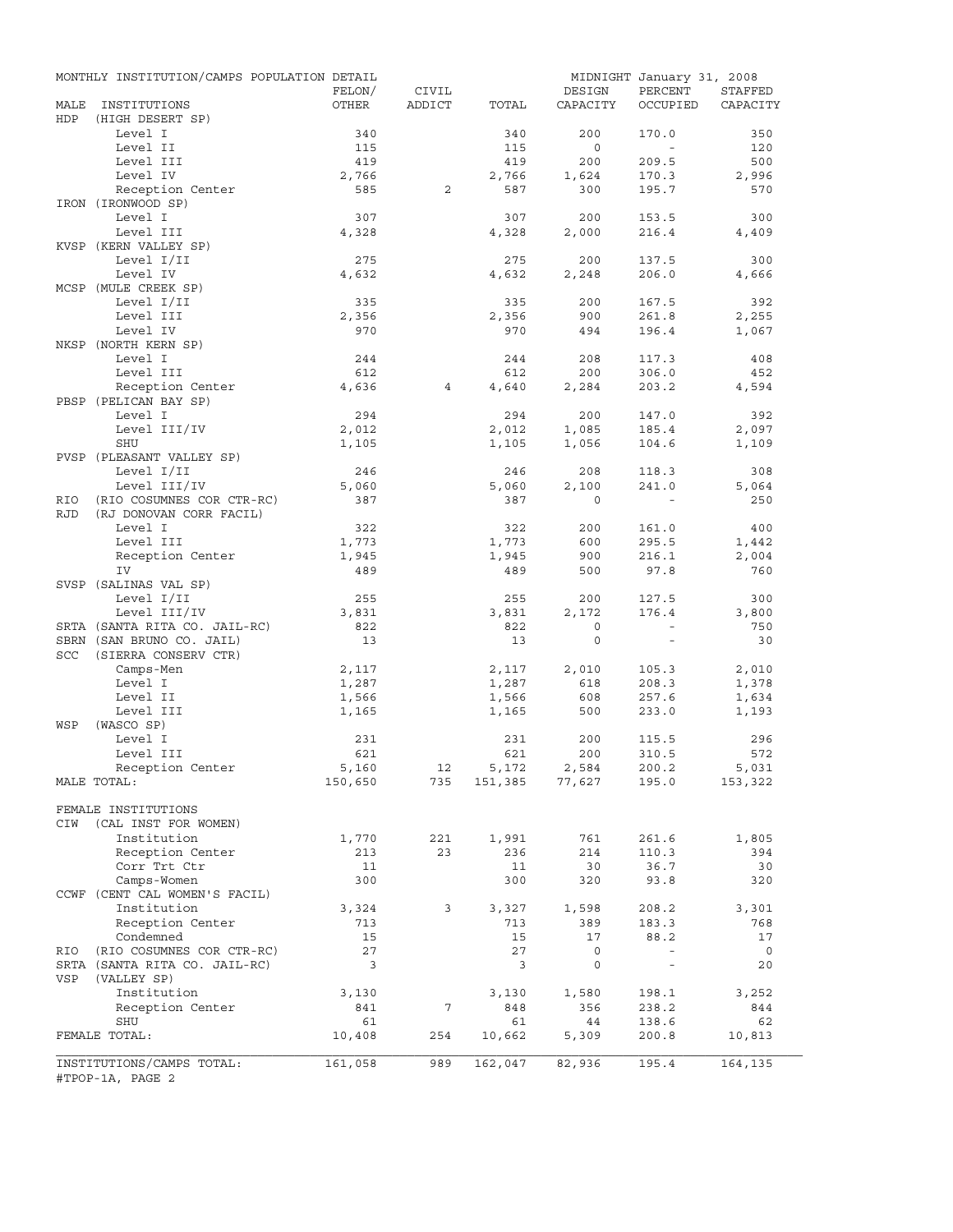|            | MONTHLY INSTITUTION/CAMPS POPULATION DETAIL |                 |                 |                |                    | MIDNIGHT January 31, 2008 |                     |
|------------|---------------------------------------------|-----------------|-----------------|----------------|--------------------|---------------------------|---------------------|
| MALE       | INSTITUTIONS                                | FELON/<br>OTHER | CIVIL<br>ADDICT | TOTAL          | DESIGN<br>CAPACITY | PERCENT<br>OCCUPIED       | STAFFED<br>CAPACITY |
| HDP        | (HIGH DESERT SP)                            |                 |                 |                |                    |                           |                     |
|            | Level I                                     | 340             |                 | 340            | 200                | 170.0                     | 350                 |
|            | Level II                                    | 115             |                 | 115            | $\overline{0}$     | $\sim$                    | 120                 |
|            | Level III                                   | 419             |                 | 419            | 200                | 209.5                     | 500                 |
|            | Level IV                                    | 2,766           |                 | 2,766          | 1,624              | 170.3                     | 2,996               |
|            | Reception Center                            | 585             | 2               | 587            | 300                | 195.7                     | 570                 |
|            | IRON (IRONWOOD SP)                          |                 |                 |                |                    |                           |                     |
|            | Level I                                     | 307             |                 | 307            | 200                | 153.5                     | 300                 |
|            | Level III                                   | 4,328           |                 | 4,328          | 2,000              | 216.4                     | 4,409               |
|            | KVSP (KERN VALLEY SP)                       |                 |                 |                |                    |                           |                     |
|            | Level I/II<br>Level IV                      | 275<br>4,632    |                 | 275<br>4,632   | 200<br>2,248       | 137.5<br>206.0            | 300<br>4,666        |
|            | MCSP (MULE CREEK SP)                        |                 |                 |                |                    |                           |                     |
|            | Level I/II                                  | 335             |                 | 335            | 200                | 167.5                     | 392                 |
|            | Level III                                   | 2,356           |                 | 2,356          | 900                | 261.8                     | 2,255               |
|            | Level IV                                    | 970             |                 | 970            | 494                | 196.4                     | 1,067               |
|            | NKSP (NORTH KERN SP)                        |                 |                 |                |                    |                           |                     |
|            | Level I                                     | 244             |                 | 244            | 208                | 117.3                     | 408                 |
|            | Level III                                   | 612             |                 | 612            | 200                | 306.0                     | 452                 |
|            | Reception Center                            | 4,636           | $\overline{4}$  | 4,640          | 2,284              | 203.2                     | 4,594               |
|            | PBSP (PELICAN BAY SP)                       |                 |                 |                |                    |                           |                     |
|            | Level I                                     | 294             |                 | 294            | 200                | 147.0                     | 392                 |
|            | Level III/IV                                | 2,012           |                 | 2,012          | 1,085              | 185.4                     | 2,097               |
|            | SHU                                         | 1,105           |                 | 1,105          | 1,056              | 104.6                     | 1,109               |
|            | PVSP (PLEASANT VALLEY SP)                   |                 |                 |                |                    |                           |                     |
|            | Level I/II                                  | 246             |                 | 246            | 208                | 118.3                     | 308                 |
|            | Level III/IV                                | 5,060           |                 | 5,060          | 2,100              | 241.0                     | 5,064               |
| RIO        | (RIO COSUMNES COR CTR-RC)                   | 387             |                 | 387            | $\Omega$           |                           | 250                 |
| <b>RJD</b> | (RJ DONOVAN CORR FACIL)                     |                 |                 |                |                    |                           |                     |
|            | Level I                                     | 322             |                 | 322            | 200                | 161.0                     | 400                 |
|            | Level III<br>Reception Center               | 1,773<br>1,945  |                 | 1,773<br>1,945 | 600<br>900         | 295.5<br>216.1            | 1,442<br>2,004      |
|            | IV                                          | 489             |                 | 489            | 500                | 97.8                      | 760                 |
|            | SVSP (SALINAS VAL SP)                       |                 |                 |                |                    |                           |                     |
|            | Level I/II                                  | 255             |                 | 255            | 200                | 127.5                     | 300                 |
|            | Level III/IV                                | 3,831           |                 | 3,831          | 2,172              | 176.4                     | 3,800               |
|            | SRTA (SANTA RITA CO. JAIL-RC)               | 822             |                 | 822            | $\circ$            | $\sim$                    | 750                 |
|            | SBRN (SAN BRUNO CO. JAIL)                   | 13              |                 | 13             | $\circ$            | $\sim$                    | 30                  |
| SCC        | (SIERRA CONSERV CTR)                        |                 |                 |                |                    |                           |                     |
|            | Camps-Men                                   | 2,117           |                 | 2,117          | 2,010              | 105.3                     | 2,010               |
|            | Level I                                     | 1,287           |                 | 1,287          | 618                | 208.3                     | 1,378               |
|            | Level II                                    | 1,566           |                 | 1,566          | 608                | 257.6                     | 1,634               |
|            | Level III                                   | 1,165           |                 | 1,165          | 500                | 233.0                     | 1,193               |
| WSP        | (WASCO SP)                                  |                 |                 |                |                    |                           |                     |
|            | Level I                                     | 231             |                 | 231            | 200                | 115.5                     | 296                 |
|            | Level III                                   | 621             |                 | 621            | 200                | 310.5                     | 572                 |
|            | Reception Center                            | 5,160           | 12              | 5,172          | 2,584              | 200.2                     | 5,031               |
|            | MALE TOTAL:                                 | 150,650         | 735             |                | 151,385 77,627     | 195.0                     | 153,322             |
|            | FEMALE INSTITUTIONS                         |                 |                 |                |                    |                           |                     |
| CIW        | (CAL INST FOR WOMEN)                        |                 |                 |                |                    |                           |                     |
|            | Institution                                 | 1,770           | 221             | 1,991          | 761                | 261.6                     | 1,805               |
|            | Reception Center                            | 213             | 23              | 236            | 214                | 110.3                     | 394                 |
|            | Corr Trt Ctr                                | 11              |                 | 11             | 30                 | 36.7                      | 30                  |
|            | Camps-Women                                 | 300             |                 | 300            | 320                | 93.8                      | 320                 |
|            | CCWF (CENT CAL WOMEN'S FACIL)               |                 |                 |                |                    |                           |                     |
|            | Institution                                 | 3,324           | 3               | 3,327          | 1,598              | 208.2                     | 3,301               |
|            | Reception Center                            | 713             |                 | 713            | 389                | 183.3                     | 768                 |
|            | Condemned                                   | 15              |                 | 15             | 17                 | 88.2                      | 17                  |
| RIO        | (RIO COSUMNES COR CTR-RC)                   | 27              |                 | 27             | $\mathsf{O}$       | $\overline{\phantom{a}}$  | $\overline{0}$      |
|            | SRTA (SANTA RITA CO. JAIL-RC)               | 3               |                 | 3              | 0                  | $\overline{\phantom{a}}$  | 20                  |
| VSP        | (VALLEY SP)                                 |                 |                 |                |                    |                           |                     |
|            | Institution                                 | 3,130           |                 | 3,130          | 1,580              | 198.1                     | 3,252               |
|            | Reception Center                            | 841             | 7               | 848            | 356                | 238.2                     | 844                 |
|            | SHU                                         | 61              |                 | 61             | 44                 | 138.6                     | 62                  |
|            | FEMALE TOTAL:                               | 10,408          | 254             | 10,662         | 5,309              | 200.8                     | 10,813              |
|            |                                             |                 |                 |                |                    |                           |                     |
|            | INSTITUTIONS/CAMPS TOTAL:                   | 161,058         | 989             | 162,047        | 82,936             | 195.4                     | 164,135             |
|            | #TPOP-1A, PAGE 2                            |                 |                 |                |                    |                           |                     |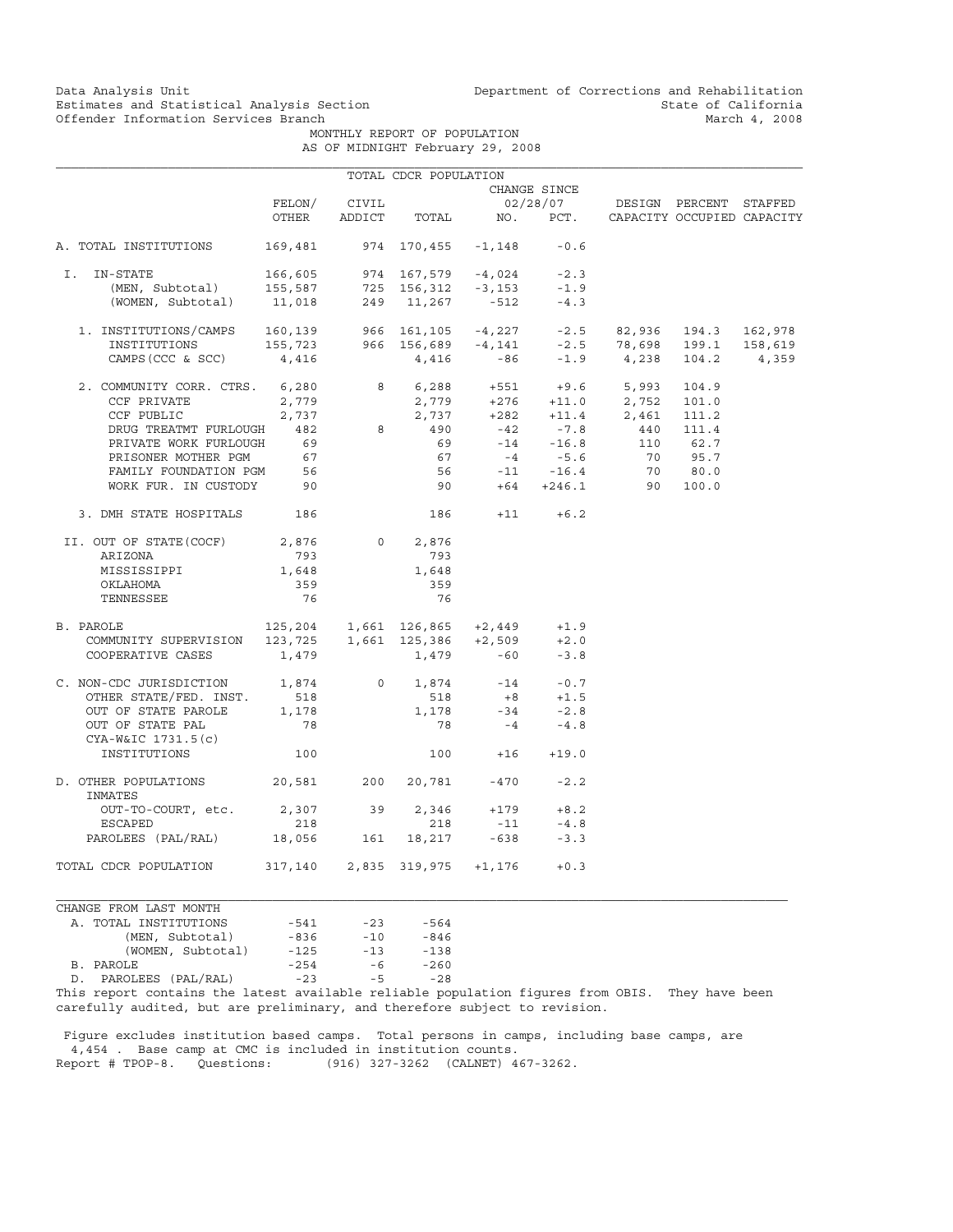Data Analysis Unit Unit Department of Corrections and Rehabilitation<br>Estimates and Statistical Analysis Section State of California Estimates and Statistical Analysis Section State of California<br>
Offender Information Services Branch<br>
March 4, 2008

MONTHLY REPORT OF POPULATION

| AS OF MIDNIGHT February 29, 2008 |  |  |  |
|----------------------------------|--|--|--|
|----------------------------------|--|--|--|

|                                                                                                                                                                                                                                                                                                                              |                              |                | TOTAL CDCR POPULATION     |                                                                                   |                               |                                                                                                                                                                            |          |         |
|------------------------------------------------------------------------------------------------------------------------------------------------------------------------------------------------------------------------------------------------------------------------------------------------------------------------------|------------------------------|----------------|---------------------------|-----------------------------------------------------------------------------------|-------------------------------|----------------------------------------------------------------------------------------------------------------------------------------------------------------------------|----------|---------|
|                                                                                                                                                                                                                                                                                                                              | CHANGE SINCE                 |                |                           |                                                                                   |                               |                                                                                                                                                                            |          |         |
|                                                                                                                                                                                                                                                                                                                              |                              | FELON/ CIVIL   |                           |                                                                                   |                               | 02/28/07 DESIGN PERCENT STAFFED                                                                                                                                            |          |         |
|                                                                                                                                                                                                                                                                                                                              | OTHER                        |                |                           |                                                                                   |                               | ADDICT TOTAL NO. PCT. CAPACITY OCCUPIED CAPACITY                                                                                                                           |          |         |
| A. TOTAL INSTITUTIONS                                                                                                                                                                                                                                                                                                        | 169,481 974 170,455 -1,148   |                |                           |                                                                                   | $-0.6$                        |                                                                                                                                                                            |          |         |
| I. IN-STATE                                                                                                                                                                                                                                                                                                                  | 166,605                      |                | $974$ 167,579 -4,024 -2.3 |                                                                                   |                               |                                                                                                                                                                            |          |         |
|                                                                                                                                                                                                                                                                                                                              |                              |                |                           |                                                                                   |                               |                                                                                                                                                                            |          |         |
| (MEN, Subtotal) 155,587 725 156,312 -3,153 -1.9<br>(WOMEN, Subtotal) 11,018 249 11,267 -512 -4.3                                                                                                                                                                                                                             |                              |                |                           |                                                                                   |                               |                                                                                                                                                                            |          |         |
|                                                                                                                                                                                                                                                                                                                              |                              |                |                           |                                                                                   |                               |                                                                                                                                                                            |          |         |
|                                                                                                                                                                                                                                                                                                                              |                              |                |                           |                                                                                   |                               |                                                                                                                                                                            |          | 158,619 |
| $\begin{tabular}{lcccccc} 1. & \text{INSTITUTIONS/CAMPS} & 160,139 & 966 & 161,105 & -4,227 & -2.5 & 82,936 & 194.3 & 162,978 \\ \text{INSTITUTIONS} & 155,723 & 966 & 156,689 & -4,141 & -2.5 & 78,698 & 199.1 & 158,619 \\ \text{CAMPS (CCC & SCC)} & 4,416 & 4,416 & -86 & -1.9 & 4,238 & 104.2 & 4,359 \\ \end{tabular}$ |                              |                |                           |                                                                                   |                               |                                                                                                                                                                            |          |         |
| 2. COMMUNITY CORR. CTRS. 6,280                                                                                                                                                                                                                                                                                               |                              |                |                           |                                                                                   |                               | 8 6,288 +551 +9.6 5,993                                                                                                                                                    | 104.9    |         |
| CCF PRIVATE                                                                                                                                                                                                                                                                                                                  | 2,779                        |                |                           |                                                                                   |                               |                                                                                                                                                                            |          |         |
| CCF PUBLIC                                                                                                                                                                                                                                                                                                                   | 2,737                        |                |                           |                                                                                   |                               | $\begin{array}{cccc} 2\, ,779 & \quad +276 & \quad +11.0 & \quad 2\, ,752 & \quad 101.0 \\ 2\, ,737 & \quad +282 & \quad +11.4 & \quad 2\, ,461 & \quad 111.2 \end{array}$ |          |         |
| DRUG TREATMT FURLOUGH 482                                                                                                                                                                                                                                                                                                    |                              |                | 8 490                     |                                                                                   | $-42$ $-7.8$<br>$-14$ $-16.8$ | 440 111.4                                                                                                                                                                  |          |         |
| PRIVATE WORK FURLOUGH                                                                                                                                                                                                                                                                                                        | 69                           |                | 69                        |                                                                                   |                               |                                                                                                                                                                            | 110 62.7 |         |
|                                                                                                                                                                                                                                                                                                                              |                              |                |                           |                                                                                   |                               | 70 95.7                                                                                                                                                                    |          |         |
| PRISONER MOTHER PGM 67<br>FAMILY FOUNDATION PGM 56                                                                                                                                                                                                                                                                           |                              |                |                           | $67$ $-4$ $-5.6$<br>56 $-11$ $-16.4$                                              |                               |                                                                                                                                                                            | 70 80.0  |         |
| WORK FUR. IN CUSTODY 90                                                                                                                                                                                                                                                                                                      |                              |                | 90 000                    |                                                                                   |                               | $+64 +246.1$ 90 100.0                                                                                                                                                      |          |         |
| 3. DMH STATE HOSPITALS 186                                                                                                                                                                                                                                                                                                   |                              |                | 186                       |                                                                                   | $+11 + 6.2$                   |                                                                                                                                                                            |          |         |
| II. OUT OF STATE(COCF)                                                                                                                                                                                                                                                                                                       | 2,876                        | $\overline{0}$ | 2,876                     |                                                                                   |                               |                                                                                                                                                                            |          |         |
| ARIZONA                                                                                                                                                                                                                                                                                                                      | 793                          |                | 793                       |                                                                                   |                               |                                                                                                                                                                            |          |         |
| MISSISSIPPI                                                                                                                                                                                                                                                                                                                  | 1,648                        |                | 1,648                     |                                                                                   |                               |                                                                                                                                                                            |          |         |
| OKLAHOMA                                                                                                                                                                                                                                                                                                                     | 359                          |                | 359                       |                                                                                   |                               |                                                                                                                                                                            |          |         |
| TENNESSEE                                                                                                                                                                                                                                                                                                                    | 76                           |                | 76                        |                                                                                   |                               |                                                                                                                                                                            |          |         |
| PAROLE 125, 204 1, 661 126, 865 + 2, 449 + 1.9<br>COMMUNITY SUPERVISION 123, 725 1, 661 125, 386 + 2, 509 + 2.0<br>B. PAROLE                                                                                                                                                                                                 |                              |                |                           |                                                                                   |                               |                                                                                                                                                                            |          |         |
|                                                                                                                                                                                                                                                                                                                              |                              |                |                           |                                                                                   |                               |                                                                                                                                                                            |          |         |
| COOPERATIVE CASES                                                                                                                                                                                                                                                                                                            | 1,479                        |                | $1,479 -60$               |                                                                                   | $-3.8$                        |                                                                                                                                                                            |          |         |
| C. NON-CDC JURISDICTION 1,874                                                                                                                                                                                                                                                                                                |                              | $\overline{0}$ |                           | $\begin{array}{cccc} 1,874 & & -14 & & -0.7 \\ & 518 & & +8 & & +1.5 \end{array}$ |                               |                                                                                                                                                                            |          |         |
| OTHER STATE/FED. INST.                                                                                                                                                                                                                                                                                                       | 518                          |                |                           |                                                                                   |                               |                                                                                                                                                                            |          |         |
| OUT OF STATE PAROLE                                                                                                                                                                                                                                                                                                          | 1,178                        |                | 1,178                     |                                                                                   | $-34$ $-2.8$<br>$-4$ $-4.8$   |                                                                                                                                                                            |          |         |
| OUT OF STATE PAL<br>CYA-W&IC 1731.5(c)                                                                                                                                                                                                                                                                                       | 78                           |                | 78                        |                                                                                   |                               |                                                                                                                                                                            |          |         |
| INSTITUTIONS                                                                                                                                                                                                                                                                                                                 | 100                          |                |                           | $100 + 16 + 19.0$                                                                 |                               |                                                                                                                                                                            |          |         |
| D. OTHER POPULATIONS 20,581 200<br>INMATES                                                                                                                                                                                                                                                                                   |                              |                |                           | 20,781 -470                                                                       | $-2.2$                        |                                                                                                                                                                            |          |         |
| OUT-TO-COURT, etc.                                                                                                                                                                                                                                                                                                           | 2,307 39                     |                | 2,346                     | $+179$                                                                            | $+8.2$                        |                                                                                                                                                                            |          |         |
| ESCAPED                                                                                                                                                                                                                                                                                                                      | 218                          |                | 218                       | $-11$                                                                             | $-4.8$                        |                                                                                                                                                                            |          |         |
| PAROLEES (PAL/RAL) 18,056                                                                                                                                                                                                                                                                                                    |                              | 161            |                           | 18,217 -638                                                                       | $-3.3$                        |                                                                                                                                                                            |          |         |
| TOTAL CDCR POPULATION                                                                                                                                                                                                                                                                                                        | 317,140 2,835 319,975 +1,176 |                |                           |                                                                                   | $+0.3$                        |                                                                                                                                                                            |          |         |

CHANGE FROM LAST MONTH A. TOTAL INSTITUTIONS  $-541$  -23 -564<br>(MEN, Subtotal) -836 -10 -846 (MEN, Subtotal) -836 -10 -846<br>(WOMEN, Subtotal) -125 -13 -138 (WOMEN, Subtotal) -125 -13 -138<br>LE -254 -6 -260 B. PAROLE -254 -6 -260 D. PAROLEES (PAL/RAL) -23 -5

This report contains the latest available reliable population figures from OBIS. They have been carefully audited, but are preliminary, and therefore subject to revision.

 Figure excludes institution based camps. Total persons in camps, including base camps, are 4,454 . Base camp at CMC is included in institution counts.<br>Report # TPOP-8. Questions: (916) 327-3262 (CALNET) 4 (916) 327-3262 (CALNET) 467-3262.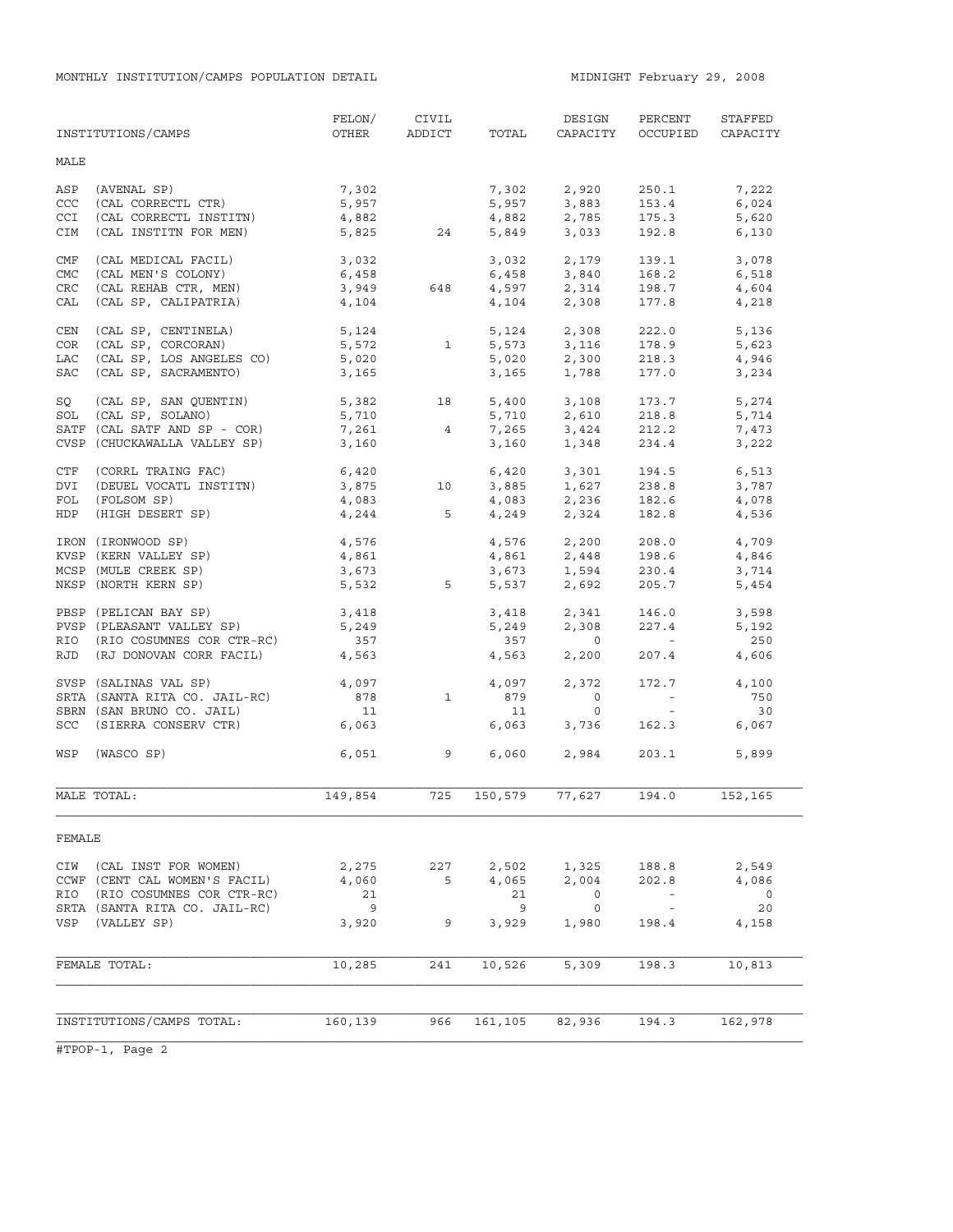|            | INSTITUTIONS/CAMPS            | FELON/<br>OTHER | CIVIL<br>ADDICT          | TOTAL   | DESIGN<br>CAPACITY                 | PERCENT<br>OCCUPIED   | STAFFED<br>CAPACITY |
|------------|-------------------------------|-----------------|--------------------------|---------|------------------------------------|-----------------------|---------------------|
| MALE       |                               |                 |                          |         |                                    |                       |                     |
| ASP        | (AVENAL SP)                   | 7,302           |                          | 7,302   | 2,920                              | 250.1                 | 7,222               |
| CCC        | (CAL CORRECTL CTR)            | 5,957           |                          | 5,957   | 3,883                              | 153.4                 | 6,024               |
| CCI        | (CAL CORRECTL INSTITN)        | 4,882           |                          | 4,882   | 2,785                              | 175.3                 | 5,620               |
| CIM        | (CAL INSTITN FOR MEN)         | 5,825           | 24                       | 5,849   | 3,033                              | 192.8                 | 6,130               |
| CMF        | (CAL MEDICAL FACIL)           | 3,032           |                          | 3,032   | 2,179                              | 139.1                 | 3,078               |
| <b>CMC</b> | (CAL MEN'S COLONY)            | 6,458           |                          | 6,458   | 3,840                              | 168.2                 | 6,518               |
| <b>CRC</b> | (CAL REHAB CTR, MEN)          | 3,949           | 648                      |         | $4,597$ 2,314                      | 198.7                 | 4,604               |
| CAL        | (CAL SP, CALIPATRIA)          | 4,104           |                          | 4,104   | 2,308                              | 177.8                 | 4,218               |
| CEN        | (CAL SP, CENTINELA)           | 5,124           |                          | 5,124   | 2,308                              | 222.0                 | 5,136               |
| COR        | (CAL SP, CORCORAN)            | 5,572           | $\overline{\phantom{a}}$ | 5,573   | 3,116                              | 178.9                 | 5,623               |
| LAC        | (CAL SP, LOS ANGELES CO)      | 5,020           |                          | 5,020   | 2,300                              | 218.3                 | 4,946               |
| SAC        | (CAL SP, SACRAMENTO)          | 3,165           |                          | 3,165   | 1,788                              | 177.0                 | 3,234               |
| SQ         | (CAL SP, SAN QUENTIN)         | 5,382           | 18                       | 5,400   | 3,108                              | 173.7                 | 5,274               |
| SOL        | (CAL SP, SOLANO)              | 5,710           |                          | 5,710   | 2,610                              | 218.8                 | 5,714               |
|            | SATF (CAL SATF AND SP - COR)  | 7,261           | $\overline{4}$           | 7,265   | 3,424                              | 212.2                 | 7,473               |
|            | CVSP (CHUCKAWALLA VALLEY SP)  | 3,160           |                          | 3,160   | 1,348                              | 234.4                 | 3,222               |
| CTF        | (CORRL TRAING FAC)            | 6,420           |                          | 6,420   | 3,301                              | 194.5                 | 6,513               |
| DVI        | (DEUEL VOCATL INSTITN)        | 3,875           | 10                       | 3,885   | 1,627                              | 238.8                 | 3,787               |
| FOL        | (FOLSOM SP)                   |                 |                          |         |                                    |                       | 4,078               |
| HDP        | (HIGH DESERT SP)              | 4,083<br>4,244  | $5^{\circ}$              |         | $4,083$ $2,236$<br>$4,249$ $2,324$ | 182.6<br>182.8        | 4,536               |
|            | IRON (IRONWOOD SP)            | 4,576           |                          |         | 4,576 2,200                        | 208.0                 | 4,709               |
|            | KVSP (KERN VALLEY SP)         | 4,861           |                          |         |                                    | 198.6                 | 4,846               |
|            | MCSP (MULE CREEK SP)          | 3,673           |                          |         | 4,861 2,448<br>3,673 1,594         | 230.4                 | 3,714               |
|            | NKSP (NORTH KERN SP)          | 5,532           | $5^{\circ}$              | 5,537   | 2,692                              | 205.7                 | 5,454               |
|            | PBSP (PELICAN BAY SP)         | 3,418           |                          | 3,418   | 2,341<br>2 308                     | 146.0                 | 3,598               |
|            | PVSP (PLEASANT VALLEY SP)     | 5,249           |                          | 5,249   | 2,308                              | 227.4                 | 5,192               |
| RIO        | (RIO COSUMNES COR CTR-RC)     | 357             |                          | 357     | $\overline{0}$                     | <b>Contractor</b>     | 250                 |
|            | RJD (RJ DONOVAN CORR FACIL)   | 4,563           |                          | 4,563   | 2,200                              | 207.4                 | 4,606               |
|            | SVSP (SALINAS VAL SP)         | 4,097           |                          | 4,097   | 2,372                              | 172.7                 | 4,100               |
|            | SRTA (SANTA RITA CO. JAIL-RC) | 878             | $\mathbf{1}$             | 879     | $\overline{0}$                     | $\alpha_{\rm{max}}=1$ | 750                 |
|            | SBRN (SAN BRUNO CO. JAIL)     | 11              |                          | 11      | $\circ$                            | $\sim 100$            | 30                  |
|            | SCC (SIERRA CONSERV CTR)      | 6,063           |                          | 6,063   | 3,736                              | 162.3                 | 6,067               |
| WSP        | (WASCO SP)                    | 6,051           | $\overline{9}$           | 6,060   | 2,984                              | 203.1                 | 5,899               |
|            | MALE TOTAL:                   | 149,854         | 725                      | 150,579 | 77,627                             | 194.0                 | 152,165             |
| FEMALE     |                               |                 |                          |         |                                    |                       |                     |
| CIW        | (CAL INST FOR WOMEN)          | 2,275           | 227                      | 2,502   | 1,325                              | 188.8                 | 2,549               |
|            | CCWF (CENT CAL WOMEN'S FACIL) | 4,060           | 5                        | 4,065   | 2,004                              | 202.8                 | 4,086               |
| RIO        | (RIO COSUMNES COR CTR-RC)     | 21              |                          | 21      | 0                                  |                       | $\circ$             |
|            | SRTA (SANTA RITA CO. JAIL-RC) | 9               |                          | 9       | 0                                  | $\sim$ $-$            | 20                  |
| VSP        | (VALLEY SP)                   | 3,920           | 9                        | 3,929   | 1,980                              | 198.4                 | 4,158               |
|            |                               |                 |                          |         |                                    |                       |                     |
|            | FEMALE TOTAL:                 | 10,285          | 241                      | 10,526  | 5,309                              | 198.3                 | 10,813              |
|            |                               |                 |                          |         |                                    |                       |                     |
|            | INSTITUTIONS/CAMPS TOTAL:     | 160,139         | 966                      | 161,105 | 82,936                             | 194.3                 | 162,978             |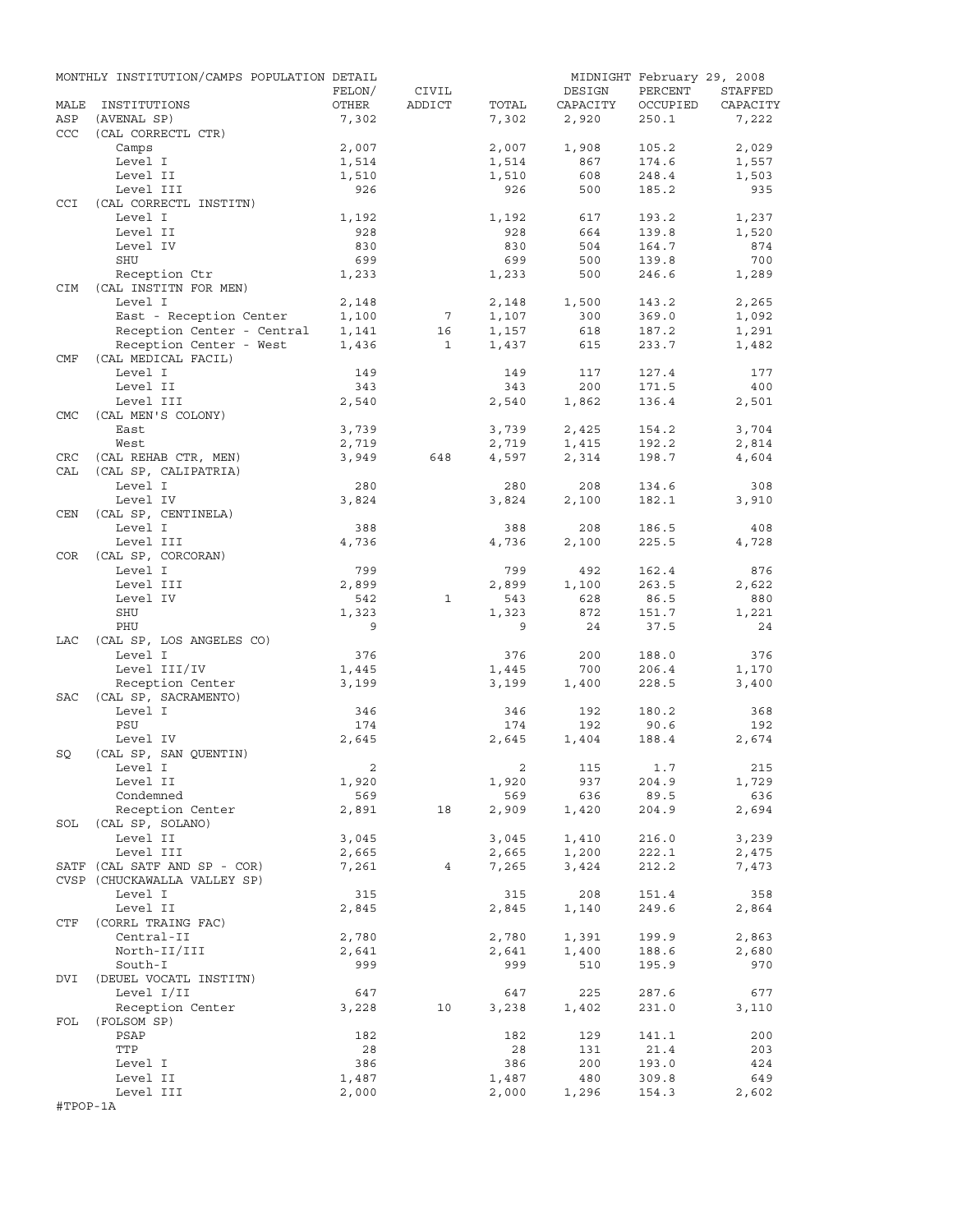|            | MONTHLY INSTITUTION/CAMPS POPULATION DETAIL |                |                 |                |              | MIDNIGHT February 29, 2008 |                |
|------------|---------------------------------------------|----------------|-----------------|----------------|--------------|----------------------------|----------------|
|            |                                             | FELON/         | CIVIL           |                | DESIGN       | PERCENT                    | STAFFED        |
| MALE       | INSTITUTIONS                                | OTHER          | ADDICT          | TOTAL          | CAPACITY     | OCCUPIED                   | CAPACITY       |
| ASP        | (AVENAL SP)                                 | 7,302          |                 | 7,302          | 2,920        | 250.1                      | 7,222          |
| <b>CCC</b> | (CAL CORRECTL CTR)                          |                |                 |                |              |                            |                |
|            | Camps<br>Level I                            | 2,007          |                 | 2,007          | 1,908<br>867 | 105.2<br>174.6             | 2,029          |
|            | Level II                                    | 1,514<br>1,510 |                 | 1,514<br>1,510 | 608          | 248.4                      | 1,557<br>1,503 |
|            | Level III                                   | 926            |                 | 926            | 500          | 185.2                      | 935            |
| <b>CCI</b> | (CAL CORRECTL INSTITN)                      |                |                 |                |              |                            |                |
|            | Level I                                     | 1,192          |                 | 1,192          | 617          | 193.2                      | 1,237          |
|            | Level II                                    | 928            |                 | 928            | 664          | 139.8                      | 1,520          |
|            | Level IV                                    | 830            |                 | 830            | 504          | 164.7                      | 874            |
|            | SHU                                         | 699            |                 | 699            | 500          | 139.8                      | 700            |
|            | Reception Ctr                               | 1,233          |                 | 1,233          | 500          | 246.6                      | 1,289          |
| <b>CIM</b> | (CAL INSTITN FOR MEN)                       |                |                 |                |              |                            |                |
|            | Level I                                     | 2,148          |                 | 2,148          | 1,500        | 143.2                      | 2,265          |
|            | East - Reception Center                     | 1,100          | $7\phantom{.0}$ | 1,107          | 300          | 369.0                      | 1,092          |
|            | Reception Center - Central                  | 1,141          | 16              | 1,157          | 618          | 187.2                      | 1,291          |
|            | Reception Center - West                     | 1,436          | $\mathbf{1}$    | 1,437          | 615          | 233.7                      | 1,482          |
| CMF        | (CAL MEDICAL FACIL)                         |                |                 |                |              |                            |                |
|            | Level I<br>Level II                         | 149<br>343     |                 | 149<br>343     | 117<br>200   | 127.4<br>171.5             | 177<br>400     |
|            | Level III                                   | 2,540          |                 | 2,540          | 1,862        | 136.4                      | 2,501          |
| <b>CMC</b> | (CAL MEN'S COLONY)                          |                |                 |                |              |                            |                |
|            | East                                        | 3,739          |                 | 3,739          | 2,425        | 154.2                      | 3,704          |
|            | West                                        | 2,719          |                 | 2,719          | 1,415        | 192.2                      | 2,814          |
| CRC        | (CAL REHAB CTR, MEN)                        | 3,949          | 648             | 4,597          | 2,314        | 198.7                      | 4,604          |
| CAL        | (CAL SP, CALIPATRIA)                        |                |                 |                |              |                            |                |
|            | Level I                                     | 280            |                 | 280            | 208          | 134.6                      | 308            |
|            | Level IV                                    | 3,824          |                 | 3,824          | 2,100        | 182.1                      | 3,910          |
| CEN        | (CAL SP, CENTINELA)                         |                |                 |                |              |                            |                |
|            | Level I                                     | 388            |                 | 388            | 208          | 186.5                      | 408            |
|            | Level III                                   | 4,736          |                 | 4,736          | 2,100        | 225.5                      | 4,728          |
| COR        | (CAL SP, CORCORAN)                          |                |                 |                |              |                            |                |
|            | Level I                                     | 799            |                 | 799            | 492          | 162.4                      | 876            |
|            | Level III                                   | 2,899          |                 | 2,899          | 1,100        | 263.5                      | 2,622          |
|            | Level IV                                    | 542            | $\mathbf{1}$    | 543            | 628          | 86.5                       | 880            |
|            | SHU                                         | 1,323          |                 | 1,323          | 872          | 151.7                      | 1,221          |
|            | PHU                                         | 9              |                 | 9              | 24           | 37.5                       | 24             |
| LAC        | (CAL SP, LOS ANGELES CO)                    |                |                 |                |              |                            |                |
|            | Level I                                     | 376            |                 | 376            | 200          | 188.0                      | 376            |
|            | Level III/IV<br>Reception Center            | 1,445          |                 | 1,445          | 700          | 206.4                      | 1,170          |
| SAC        | (CAL SP, SACRAMENTO)                        | 3,199          |                 | 3,199          | 1,400        | 228.5                      | 3,400          |
|            | Level I                                     | 346            |                 | 346            | 192          | 180.2                      | 368            |
|            | PSU                                         | 174            |                 | 174            | 192          | 90.6                       | 192            |
|            | Level IV                                    | 2,645          |                 | 2,645          | 1,404        | 188.4                      | 2,674          |
| SQ         | (CAL SP, SAN QUENTIN)                       |                |                 |                |              |                            |                |
|            | Level I                                     | 2              |                 | $\overline{2}$ | 115 1.7      |                            | 215            |
|            | Level II                                    | 1,920          |                 | 1,920          | 937          | 204.9                      | 1,729          |
|            | Condemned                                   | 569            |                 | 569            | 636          | 89.5                       | 636            |
|            | Reception Center                            | 2,891          | 18              | 2,909          | 1,420        | 204.9                      | 2,694          |
|            | SOL (CAL SP, SOLANO)                        |                |                 |                |              |                            |                |
|            | Level II                                    | 3,045          |                 | 3,045          | 1,410        | 216.0                      | 3,239          |
|            | Level III                                   | 2,665          |                 | 2,665          | 1,200        | 222.1                      | 2,475          |
|            | SATF (CAL SATF AND SP - COR)                | 7,261          | 4               | 7,265          | 3,424        | 212.2                      | 7,473          |
|            | CVSP (CHUCKAWALLA VALLEY SP)                |                |                 |                |              |                            |                |
|            | Level I                                     | 315            |                 | 315            | 208          | 151.4                      | 358            |
|            | Level II                                    | 2,845          |                 | 2,845          | 1,140        | 249.6                      | 2,864          |
| CTF        | (CORRL TRAING FAC)                          |                |                 |                |              | 199.9                      |                |
|            | Central-II<br>North-II/III                  | 2,780<br>2,641 |                 | 2,780          | 1,391        | 188.6                      | 2,863<br>2,680 |
|            | South-I                                     | 999            |                 | 2,641<br>999   | 1,400<br>510 | 195.9                      | 970            |
| DVI        | (DEUEL VOCATL INSTITN)                      |                |                 |                |              |                            |                |
|            | Level I/II                                  | 647            |                 | 647            | 225          | 287.6                      | 677            |
|            | Reception Center                            | 3,228          | 10              | 3,238          | 1,402        | 231.0                      | 3,110          |
| FOL        | (FOLSOM SP)                                 |                |                 |                |              |                            |                |
|            | PSAP                                        | 182            |                 | 182            | 129          | 141.1                      | 200            |
|            | TTP                                         | 28             |                 | 28             | 131          | 21.4                       | 203            |
|            | Level I                                     | 386            |                 | 386            | 200          | 193.0                      | 424            |
|            | Level II                                    | 1,487          |                 | 1,487          | 480          | 309.8                      | 649            |
|            | Level III                                   | 2,000          |                 | 2,000          | 1,296        | 154.3                      | 2,602          |
| #TPOP-1A   |                                             |                |                 |                |              |                            |                |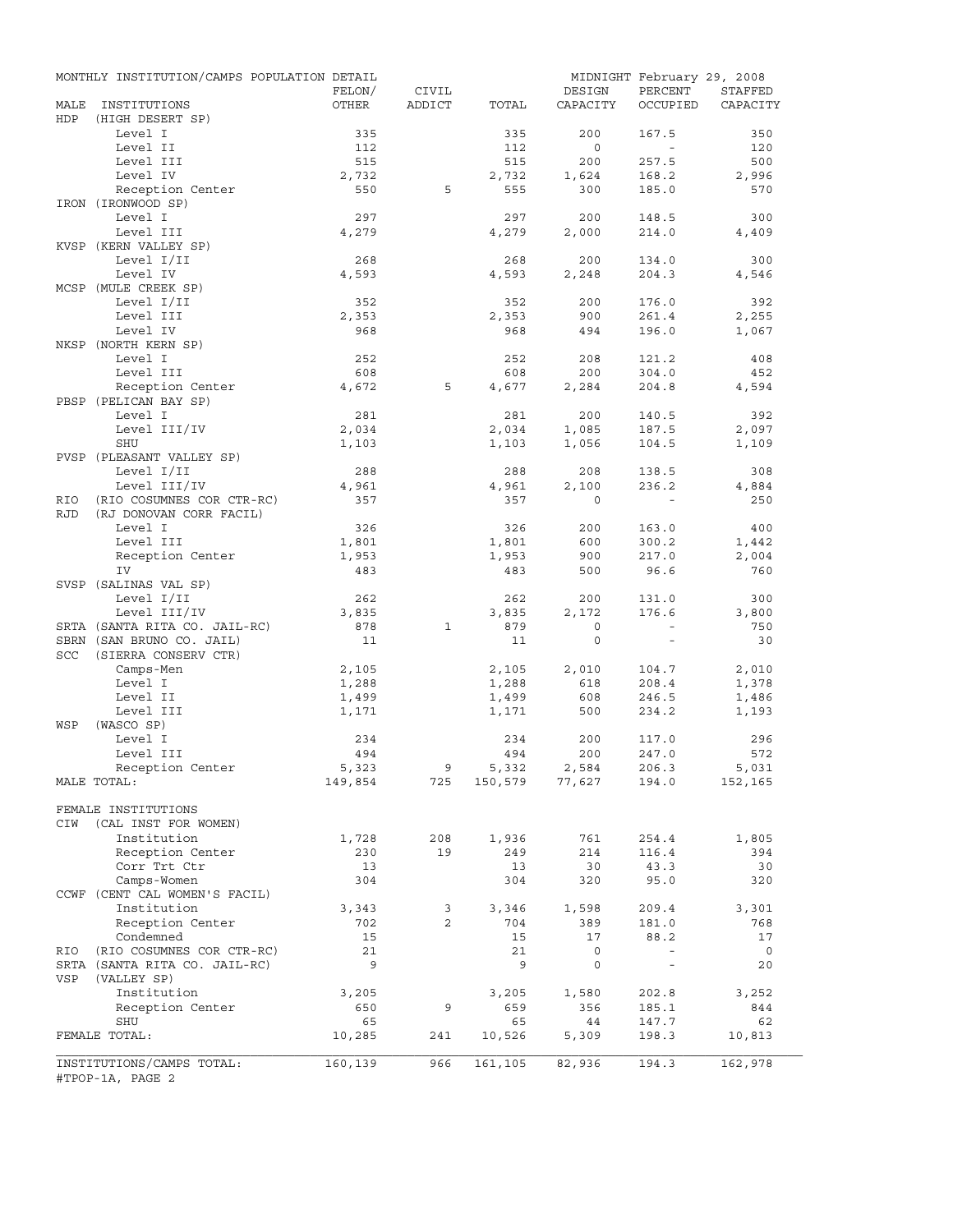|             | MONTHLY INSTITUTION/CAMPS POPULATION DETAIL   | FELON/       | CIVIL          |              | DESIGN                  | PERCENT                  | MIDNIGHT February 29, 2008<br>STAFFED |
|-------------|-----------------------------------------------|--------------|----------------|--------------|-------------------------|--------------------------|---------------------------------------|
| MALE<br>HDP | INSTITUTIONS<br>(HIGH DESERT SP)              | OTHER        | ADDICT         | TOTAL        | CAPACITY                | OCCUPIED                 | CAPACITY                              |
|             | Level I                                       | 335          |                | 335          | 200                     | 167.5                    | 350                                   |
|             | Level II                                      | 112          |                | 112          | $\overline{0}$          | $\sim$                   | 120                                   |
|             | Level III                                     | 515          |                | 515          | 200                     | 257.5                    | 500                                   |
|             | Level IV                                      | 2,732        |                | 2,732        | 1,624                   | 168.2                    | 2,996                                 |
|             | Reception Center                              | 550          | 5              | 555          | 300                     | 185.0                    | 570                                   |
|             | IRON (IRONWOOD SP)                            |              |                |              |                         |                          |                                       |
|             | Level I                                       | 297          |                | 297          | 200                     | 148.5                    | 300                                   |
|             | Level III                                     | 4,279        |                | 4,279        | 2,000                   | 214.0                    | 4,409                                 |
|             | KVSP (KERN VALLEY SP)                         |              |                |              |                         |                          |                                       |
|             | Level I/II                                    | 268          |                | 268          | 200                     | 134.0                    | 300                                   |
|             | Level IV                                      | 4,593        |                | 4,593        | 2,248                   | 204.3                    | 4,546                                 |
|             | MCSP (MULE CREEK SP)                          |              |                |              |                         |                          |                                       |
|             | Level I/II                                    | 352          |                | 352          | 200                     | 176.0                    | 392                                   |
|             | Level III                                     | 2,353<br>968 |                | 2,353<br>968 | 900<br>494              | 261.4                    | 2,255                                 |
|             | Level IV<br>NKSP (NORTH KERN SP)              |              |                |              |                         | 196.0                    | 1,067                                 |
|             | Level I                                       | 252          |                | 252          | 208                     | 121.2                    | 408                                   |
|             | Level III                                     | 608          |                | 608          | 200                     | 304.0                    | 452                                   |
|             | Reception Center                              | 4,672        | 5              | 4,677        | 2,284                   | 204.8                    | 4,594                                 |
|             | PBSP (PELICAN BAY SP)                         |              |                |              |                         |                          |                                       |
|             | Level I                                       | 281          |                | 281          | 200                     | 140.5                    | 392                                   |
|             | Level III/IV                                  | 2,034        |                | 2,034        | 1,085                   | 187.5                    | 2,097                                 |
|             | SHU                                           | 1,103        |                | 1,103        | 1,056                   | 104.5                    | 1,109                                 |
|             | PVSP (PLEASANT VALLEY SP)                     |              |                |              |                         |                          |                                       |
|             | Level I/II                                    | 288          |                | 288          | 208                     | 138.5                    | 308                                   |
|             | Level III/IV                                  | 4,961        |                | 4,961        | 2,100                   | 236.2                    | 4,884                                 |
| RIO         | (RIO COSUMNES COR CTR-RC)                     | 357          |                | 357          | $\Omega$                |                          | 250                                   |
| <b>RJD</b>  | (RJ DONOVAN CORR FACIL)                       |              |                |              |                         |                          |                                       |
|             | Level I                                       | 326          |                | 326          | 200                     | 163.0                    | 400                                   |
|             | Level III                                     | 1,801        |                | 1,801        | 600                     | 300.2                    | 1,442                                 |
|             | Reception Center                              | 1,953        |                | 1,953        | 900                     | 217.0                    | 2,004                                 |
|             | IV                                            | 483          |                | 483          | 500                     | 96.6                     | 760                                   |
|             | SVSP (SALINAS VAL SP)                         |              |                |              |                         |                          |                                       |
|             | Level I/II                                    | 262          |                | 262          | 200                     | 131.0                    | 300                                   |
|             | Level III/IV                                  | 3,835        |                | 3,835        | 2,172                   | 176.6                    | 3,800                                 |
|             | SRTA (SANTA RITA CO. JAIL-RC)                 | 878          | 1              | 879          | $\circ$                 | $\sim$                   | 750                                   |
|             | SBRN (SAN BRUNO CO. JAIL)                     | 11           |                | 11           | $\circ$                 | $\sim$                   | 30                                    |
| SCC         | (SIERRA CONSERV CTR)                          |              |                |              |                         |                          |                                       |
|             | Camps-Men                                     | 2,105        |                | 2,105        | 2,010                   | 104.7                    | 2,010                                 |
|             | Level I                                       | 1,288        |                | 1,288        | 618                     | 208.4                    | 1,378                                 |
|             | Level II                                      | 1,499        |                | 1,499        | 608                     | 246.5                    | 1,486                                 |
|             | Level III                                     | 1,171        |                | 1,171        | 500                     | 234.2                    | 1,193                                 |
| WSP         | (WASCO SP)                                    |              |                |              |                         |                          |                                       |
|             | Level I                                       | 234          |                | 234          | 200                     | 117.0                    | 296                                   |
|             | Level III                                     | 494          |                | 494          | 200                     | 247.0                    | 572                                   |
|             | Reception Center                              | 5,323        | 9              | 5,332        | 2,584<br>150,579 77,627 | 206.3<br>194.0           | 5,031<br>152,165                      |
|             | MALE TOTAL:                                   | 149,854      | 725            |              |                         |                          |                                       |
|             | FEMALE INSTITUTIONS                           |              |                |              |                         |                          |                                       |
| CIW         | (CAL INST FOR WOMEN)                          |              |                |              |                         |                          |                                       |
|             | Institution                                   | 1,728        | 208            | 1,936        | 761                     | 254.4                    | 1,805                                 |
|             | Reception Center                              | 230          | 19             | 249          | 214                     | 116.4                    | 394                                   |
|             | Corr Trt Ctr                                  | 13           |                | 13           | 30                      | 43.3                     | 30                                    |
|             | Camps-Women                                   | 304          |                | 304          | 320                     | 95.0                     | 320                                   |
|             | CCWF (CENT CAL WOMEN'S FACIL)                 |              |                |              |                         |                          |                                       |
|             | Institution                                   | 3,343        | 3              | 3,346        | 1,598                   | 209.4                    | 3,301                                 |
|             | Reception Center                              | 702          | $\overline{a}$ | 704          | 389                     | 181.0                    | 768                                   |
|             | Condemned                                     | 15           |                | 15           | 17                      | 88.2                     | 17                                    |
| RIO         | (RIO COSUMNES COR CTR-RC)                     | 21           |                | 21           | $\mathsf{O}$            | $\overline{\phantom{a}}$ | $\overline{0}$                        |
|             | SRTA (SANTA RITA CO. JAIL-RC)                 | 9            |                | 9            | $\mathsf{O}$            | $\overline{\phantom{a}}$ | 20                                    |
| VSP         | (VALLEY SP)                                   |              |                |              |                         |                          |                                       |
|             | Institution                                   | 3,205        |                | 3,205        | 1,580                   | 202.8                    | 3,252                                 |
|             | Reception Center                              | 650          | 9              | 659          | 356                     | 185.1                    | 844                                   |
|             | SHU                                           | 65           |                | 65           | 44                      | 147.7                    | 62                                    |
|             | FEMALE TOTAL:                                 | 10,285       | 241            | 10,526       | 5,309                   | 198.3                    | 10,813                                |
|             |                                               |              |                |              |                         |                          |                                       |
|             | INSTITUTIONS/CAMPS TOTAL:<br>#TPOP-1A, PAGE 2 | 160,139      | 966            | 161,105      | 82,936                  | 194.3                    | 162,978                               |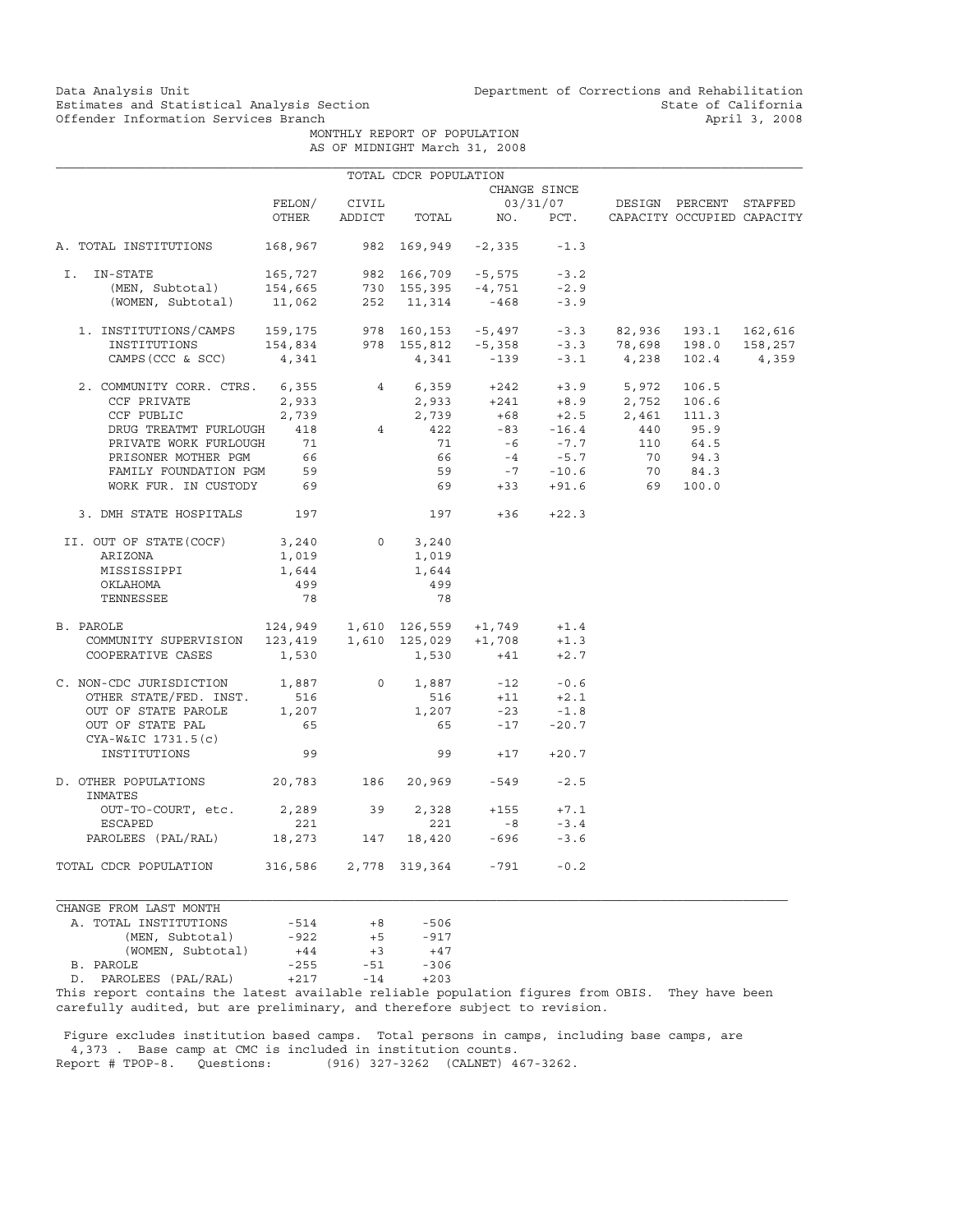Data Analysis Unit Unit Department of Corrections and Rehabilitation<br>Estimates and Statistical Analysis Section State of California Estimates and Statistical Analysis Section<br>
Offender Information Services Branch<br>
2008 April 3, 2008

> MONTHLY REPORT OF POPULATION AS OF MIDNIGHT March 31, 2008

|                                                                                                  |                                                                                                 |                | TOTAL CDCR POPULATION                |                                 |                             |                                                                                        |         |         |
|--------------------------------------------------------------------------------------------------|-------------------------------------------------------------------------------------------------|----------------|--------------------------------------|---------------------------------|-----------------------------|----------------------------------------------------------------------------------------|---------|---------|
|                                                                                                  |                                                                                                 |                |                                      |                                 | CHANGE SINCE                |                                                                                        |         |         |
|                                                                                                  | FELON/                                                                                          | CIVIL          |                                      |                                 |                             | 03/31/07 DESIGN PERCENT STAFFED                                                        |         |         |
|                                                                                                  | OTHER                                                                                           | ADDICT         |                                      |                                 |                             | TOTAL NO. PCT. CAPACITY OCCUPIED CAPACITY                                              |         |         |
| A. TOTAL INSTITUTIONS                                                                            | 168,967                                                                                         |                |                                      | 982 169,949 -2,335              | $-1.3$                      |                                                                                        |         |         |
| IN-STATE<br>I.                                                                                   |                                                                                                 |                |                                      | 165,727 982 166,709 -5,575 -3.2 |                             |                                                                                        |         |         |
|                                                                                                  |                                                                                                 |                |                                      |                                 |                             |                                                                                        |         |         |
| (MEN, Subtotal) 154,665 730 155,395 -4,751 -2.9<br>(WOMEN, Subtotal) 11,062 252 11,314 -468 -3.9 |                                                                                                 |                |                                      |                                 |                             |                                                                                        |         |         |
| 1. INSTITUTIONS/CAMPS 159,175 978 160,153 -5,497 -3.3 82,936 193.1 162,616                       |                                                                                                 |                |                                      |                                 |                             |                                                                                        |         |         |
| INSTITUTIONS                                                                                     |                                                                                                 |                |                                      |                                 |                             |                                                                                        | 198.0   | 158,257 |
| CAMPS (CCC & SCC)                                                                                | $154,834$ $978$ $155,812$ $-5,358$ $-3.3$ $78,698$<br>CC) $4,341$ $4,341$ $-139$ $-3.1$ $4,238$ |                |                                      |                                 |                             |                                                                                        | 102.4   | 4,359   |
| 2. COMMUNITY CORR. CTRS. 6,355                                                                   |                                                                                                 |                |                                      | 4 6,359 +242 +3.9 5,972         |                             |                                                                                        | 106.5   |         |
| CCF PRIVATE                                                                                      |                                                                                                 |                |                                      |                                 |                             |                                                                                        |         |         |
| CCF PUBLIC                                                                                       |                                                                                                 | 2,933<br>2,739 |                                      |                                 |                             | 2,933<br>2,933<br>2,933<br>2,739<br>2,739<br>4<br>422 -83 -16.4<br>71 -6 -7.7 110 64.5 |         |         |
| DRUG TREATMT FURLOUGH                                                                            |                                                                                                 |                |                                      |                                 |                             |                                                                                        |         |         |
| PRIVATE WORK FURLOUGH                                                                            |                                                                                                 |                |                                      |                                 |                             |                                                                                        |         |         |
|                                                                                                  |                                                                                                 |                | 66                                   |                                 |                             |                                                                                        | 70 94.3 |         |
| PRISONER MOTHER PGM 66<br>FAMILY FOUNDATION PGM 59                                               |                                                                                                 |                | 59                                   |                                 | $-4$ $-5.7$<br>$-7$ $-10.6$ |                                                                                        | 70 84.3 |         |
| WORK FUR. IN CUSTODY 69                                                                          |                                                                                                 |                |                                      |                                 |                             | 69 +33 +91.6 69 100.0                                                                  |         |         |
| 3. DMH STATE HOSPITALS 197                                                                       |                                                                                                 |                | 197                                  |                                 | $+36 +22.3$                 |                                                                                        |         |         |
| II. OUT OF STATE(COCF)                                                                           | 3,240                                                                                           |                | $0 \t3, 240$                         |                                 |                             |                                                                                        |         |         |
| ARIZONA                                                                                          | 1,019                                                                                           |                | 1,019                                |                                 |                             |                                                                                        |         |         |
| MISSISSIPPI                                                                                      | 1,644                                                                                           |                | 1,644                                |                                 |                             |                                                                                        |         |         |
| OKLAHOMA                                                                                         | 499                                                                                             |                | 499                                  |                                 |                             |                                                                                        |         |         |
| TENNESSEE                                                                                        | 78                                                                                              |                | 78                                   |                                 |                             |                                                                                        |         |         |
| B. PAROLE                                                                                        |                                                                                                 |                |                                      |                                 | $+1.4$                      |                                                                                        |         |         |
| COMMUNITY SUPERVISION                                                                            |                                                                                                 |                | $123,419$ $1,610$ $125,029$ $+1,708$ |                                 | $+1.3$                      |                                                                                        |         |         |
| COOPERATIVE CASES                                                                                | 1,530                                                                                           |                |                                      | $1,530$ +41                     | $+2.7$                      |                                                                                        |         |         |
| C. NON-CDC JURISDICTION 1,887                                                                    |                                                                                                 |                | $\overline{0}$<br>1,887              |                                 | $-12$ $-0.6$                |                                                                                        |         |         |
| OTHER STATE/FED. INST. 516                                                                       |                                                                                                 |                | 516                                  |                                 | $+11$ $+2.1$                |                                                                                        |         |         |
| OUT OF STATE PAROLE                                                                              | 1,207                                                                                           |                | 1,207                                |                                 | $-1.8$                      |                                                                                        |         |         |
| OUT OF STATE PAL                                                                                 | 65                                                                                              |                | 65                                   | $+22$<br>-23<br>17              | $-17 - 20.7$                |                                                                                        |         |         |
| CYA-W&IC 1731.5(c)<br>INSTITUTIONS                                                               | 99                                                                                              |                |                                      | $99 + 17$                       | $+20.7$                     |                                                                                        |         |         |
|                                                                                                  |                                                                                                 |                |                                      |                                 |                             |                                                                                        |         |         |
| D. OTHER POPULATIONS 20,783 186<br>INMATES                                                       |                                                                                                 |                |                                      | 20,969 -549                     | $-2.5$                      |                                                                                        |         |         |
| OUT-TO-COURT, etc. 2,289 39                                                                      |                                                                                                 |                | 2,328                                | $+155$                          | $+7.1$                      |                                                                                        |         |         |
| <b>ESCAPED</b>                                                                                   | 221                                                                                             |                | 221                                  | $-8$                            | $-3.4$                      |                                                                                        |         |         |
| PAROLEES (PAL/RAL) 18,273                                                                        |                                                                                                 |                | 147 18,420                           | $-696$                          | $-3.6$                      |                                                                                        |         |         |
| TOTAL CDCR POPULATION                                                                            | 316,586 2,778 319,364 -791                                                                      |                |                                      |                                 | $-0.2$                      |                                                                                        |         |         |

CHANGE FROM LAST MONTH A. TOTAL INSTITUTIONS -514 +8 -506<br>(MEN, Subtotal) -922 +5 -917 (MEN, Subtotal) (WOMEN, Subtotal)  $+44$   $+3$   $+47$ <br>LE  $-255$   $-51$   $-306$  B. PAROLE -255 -51 -306 D. PAROLEES (PAL/RAL) +217 -14 +203

This report contains the latest available reliable population figures from OBIS. They have been carefully audited, but are preliminary, and therefore subject to revision.

 Figure excludes institution based camps. Total persons in camps, including base camps, are 4,373 . Base camp at CMC is included in institution counts.<br>Report # TPOP-8. Questions: (916) 327-3262 (CALNET) 4 (916) 327-3262 (CALNET) 467-3262.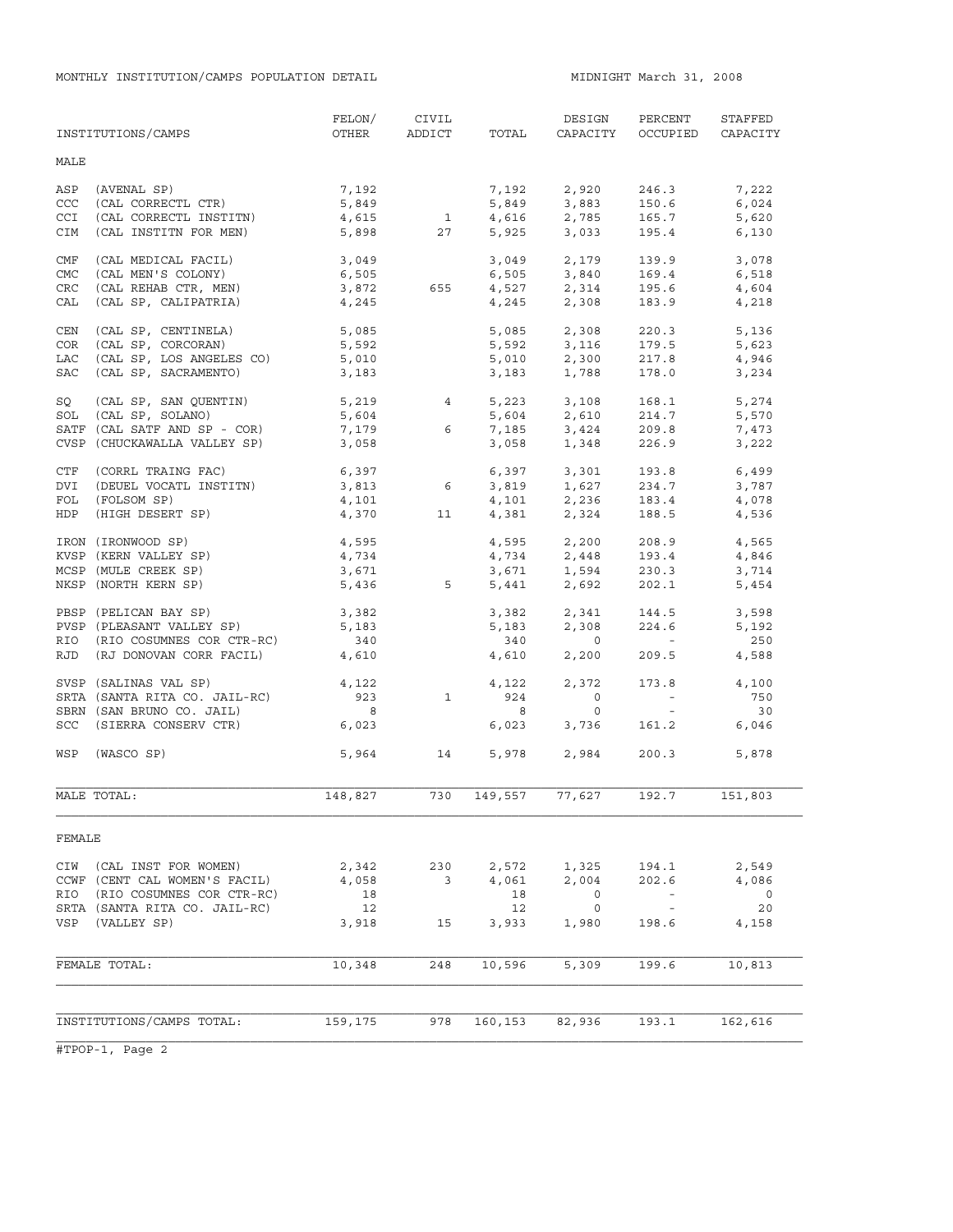|            | INSTITUTIONS/CAMPS            | FELON/<br>OTHER | CIVIL<br>ADDICT | TOTAL   | DESIGN<br>CAPACITY            | PERCENT<br>OCCUPIED      | STAFFED<br>CAPACITY |
|------------|-------------------------------|-----------------|-----------------|---------|-------------------------------|--------------------------|---------------------|
| MALE       |                               |                 |                 |         |                               |                          |                     |
| ASP        | (AVENAL SP)                   | 7,192           |                 | 7,192   | 2,920                         | 246.3                    | 7,222               |
| CCC        | (CAL CORRECTL CTR)            | 5,849           |                 | 5,849   | 3,883                         | 150.6                    | 6,024               |
| <b>CCI</b> | (CAL CORRECTL INSTITN)        | 4,615           | 1               | 4,616   | 2,785                         | 165.7                    | 5,620               |
| CIM        | (CAL INSTITN FOR MEN)         | 5,898           | 27              |         | 5,925 3,033                   | 195.4                    | 6,130               |
| CMF        | (CAL MEDICAL FACIL)           | 3,049           |                 |         | 3,049 2,179                   | 139.9                    | 3,078               |
| <b>CMC</b> | (CAL MEN'S COLONY)            | 6,505           |                 | 6,505   | 3,840                         | 169.4                    | 6,518               |
| CRC        | (CAL REHAB CTR, MEN)          | 3,872           | 655             |         | 4,527 2,314                   | 195.6                    | 4,604               |
| CAL        | (CAL SP, CALIPATRIA)          | 4,245           |                 | 4,245   | 2,308                         | 183.9                    | 4,218               |
| CEN        | (CAL SP, CENTINELA)           | 5,085           |                 | 5,085   | 2,308                         | 220.3                    | 5,136               |
| <b>COR</b> | (CAL SP, CORCORAN)            | 5,592           |                 | 5,592   | 3,116                         | 179.5                    | 5,623               |
| LAC        | (CAL SP, LOS ANGELES CO)      | 5,010           |                 | 5,010   | 2,300                         | 217.8                    | 4,946               |
| SAC        | (CAL SP, SACRAMENTO)          | 3,183           |                 | 3,183   | 1,788                         | 178.0                    | 3,234               |
| SQ         | (CAL SP, SAN QUENTIN)         | 5,219           | $4\overline{ }$ |         | 5,223 3,108                   | 168.1                    | 5,274               |
| SOL        | (CAL SP, SOLANO)              | 5,604           |                 | 5,604   | 2,610                         | 214.7                    | 5,570               |
|            | SATF (CAL SATF AND SP - COR)  | 7,179           | 6               | 7,185   | 3,424                         | 209.8                    | 7,473               |
|            | CVSP (CHUCKAWALLA VALLEY SP)  | 3,058           |                 | 3,058   | 1,348                         | 226.9                    | 3,222               |
| CTF        | (CORRL TRAING FAC)            | 6,397           |                 | 6,397   | 3,301                         | 193.8                    | 6,499               |
| DVI        | (DEUEL VOCATL INSTITN)        | 3,813           | $6\overline{6}$ |         | $3,819$ $1,627$               | 234.7                    | 3,787               |
| FOL        | (FOLSOM SP)                   | 4,101           |                 | 4,101   |                               | 183.4                    | 4,078               |
| HDP        | (HIGH DESERT SP)              | 4,370           | 11              | 4,381   | 2,236<br>2,324                | 188.5                    | 4,536               |
|            | IRON (IRONWOOD SP)            | 4,595           |                 |         | 4,595 2,200                   | 208.9                    | 4,565               |
|            | KVSP (KERN VALLEY SP)         | 4,734           |                 |         |                               | 193.4                    | 4,846               |
|            | MCSP (MULE CREEK SP)          | 3,671           |                 |         | $4,734$<br>$3,671$<br>$1,594$ | 230.3                    | 3,714               |
|            | NKSP (NORTH KERN SP)          | 5,436           | $5 - 5$         | 5,441   | 2,692                         | 202.1                    | 5,454               |
|            | PBSP (PELICAN BAY SP)         | 3,382           |                 | 3,382   | 2,341                         | 144.5                    | 3,598               |
|            | PVSP (PLEASANT VALLEY SP)     | 5,183           |                 | 5,183   | 2,308                         | 224.6                    | 5,192               |
|            | RIO (RIO COSUMNES COR CTR-RC) | 340             |                 | 340     | $\overline{0}$                | <b>Contract Contract</b> | 250                 |
|            | RJD (RJ DONOVAN CORR FACIL)   | 4,610           |                 | 4,610   | 2,200                         | 209.5                    | 4,588               |
|            | SVSP (SALINAS VAL SP)         | 4,122           |                 | 4,122   | 2,372                         | 173.8                    | 4,100               |
|            | SRTA (SANTA RITA CO. JAIL-RC) | 923             | $\mathbf{1}$    | 924     | $\overline{0}$                | $\alpha$ and $\alpha$    | 750                 |
|            | SBRN (SAN BRUNO CO. JAIL)     | 8               |                 | 8       | $\circ$                       | $\sim$ $ \sim$           | 30                  |
|            | SCC (SIERRA CONSERV CTR)      | 6,023           |                 | 6,023   | 3,736                         | 161.2                    | 6,046               |
| WSP        | (WASCO SP)                    | 5,964           | 14              | 5,978   | 2,984                         | 200.3                    | 5,878               |
|            | MALE TOTAL:                   | 148,827         | 730             | 149,557 | 77,627                        | 192.7                    | 151,803             |
| FEMALE     |                               |                 |                 |         |                               |                          |                     |
| CIW        | (CAL INST FOR WOMEN)          | 2,342           | 230             | 2,572   | 1,325                         | 194.1                    | 2,549               |
|            | CCWF (CENT CAL WOMEN'S FACIL) | 4,058           | 3               | 4,061   | 2,004                         | 202.6                    | 4,086               |
| RIO        | (RIO COSUMNES COR CTR-RC)     | 18              |                 | 18      | 0                             |                          | 0                   |
|            | SRTA (SANTA RITA CO. JAIL-RC) | 12              |                 | 12      | 0                             | $\sim$ $-$               | 20                  |
| VSP        | (VALLEY SP)                   | 3,918           | 15              | 3,933   | 1,980                         | 198.6                    | 4,158               |
|            |                               |                 |                 |         |                               |                          |                     |
|            | FEMALE TOTAL:                 | 10,348          | 248             | 10,596  | 5,309                         | 199.6                    | 10,813              |
|            |                               |                 |                 |         |                               |                          |                     |
|            | INSTITUTIONS/CAMPS TOTAL:     | 159,175         | 978             | 160,153 | 82,936                        | 193.1                    | 162,616             |
|            |                               |                 |                 |         |                               |                          |                     |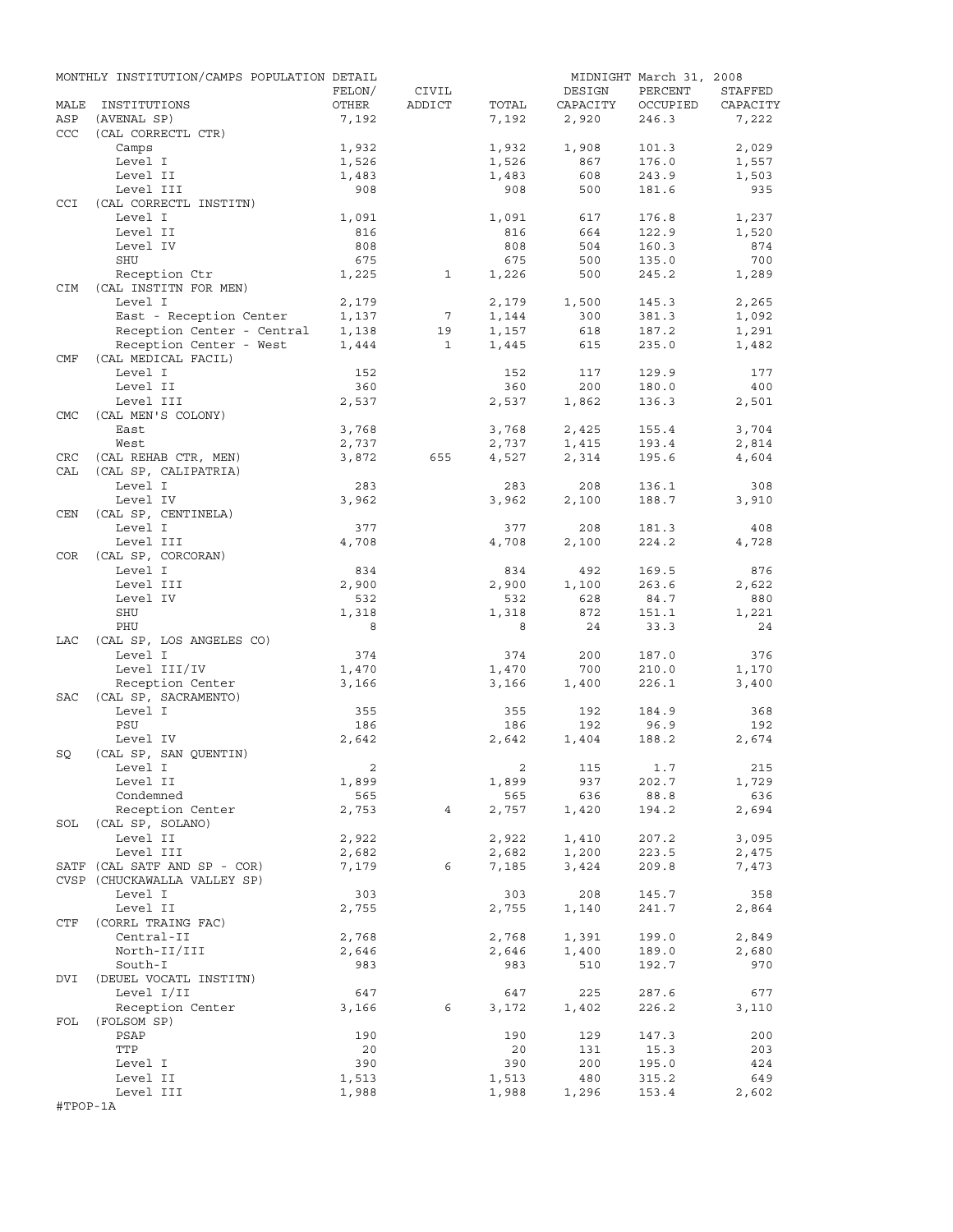|            | MONTHLY INSTITUTION/CAMPS POPULATION DETAIL |                |                 |              |            | MIDNIGHT March 31, 2008 |              |
|------------|---------------------------------------------|----------------|-----------------|--------------|------------|-------------------------|--------------|
|            |                                             | FELON/         | CIVIL           |              | DESIGN     | PERCENT                 | STAFFED      |
| MALE       | INSTITUTIONS                                | OTHER          | ADDICT          | TOTAL        | CAPACITY   | OCCUPIED                | CAPACITY     |
| ASP        | (AVENAL SP)                                 | 7,192          |                 | 7,192        | 2,920      | 246.3                   | 7,222        |
| CCC        | (CAL CORRECTL CTR)                          |                |                 |              |            |                         |              |
|            | Camps                                       | 1,932          |                 | 1,932        | 1,908      | 101.3                   | 2,029        |
|            | Level I                                     | 1,526          |                 | 1,526        | 867        | 176.0                   | 1,557        |
|            | Level II<br>Level III                       | 1,483<br>908   |                 | 1,483<br>908 | 608<br>500 | 243.9<br>181.6          | 1,503<br>935 |
| <b>CCI</b> | (CAL CORRECTL INSTITN)                      |                |                 |              |            |                         |              |
|            | Level I                                     | 1,091          |                 | 1,091        | 617        | 176.8                   | 1,237        |
|            | Level II                                    | 816            |                 | 816          | 664        | 122.9                   | 1,520        |
|            | Level IV                                    | 808            |                 | 808          | 504        | 160.3                   | 874          |
|            | SHU                                         | 675            |                 | 675          | 500        | 135.0                   | 700          |
|            | Reception Ctr                               | 1,225          | $\mathbf{1}$    | 1,226        | 500        | 245.2                   | 1,289        |
| <b>CIM</b> | (CAL INSTITN FOR MEN)                       |                |                 |              |            |                         |              |
|            | Level I                                     | 2,179          |                 | 2,179        | 1,500      | 145.3                   | 2,265        |
|            | East - Reception Center                     | 1,137          | $7\phantom{.0}$ | 1,144        | 300        | 381.3                   | 1,092        |
|            | Reception Center - Central                  | 1,138          | 19              | 1,157        | 618        | 187.2                   | 1,291        |
|            | Reception Center - West                     | 1,444          | $\mathbf{1}$    | 1,445        | 615        | 235.0                   | 1,482        |
| CMF        | (CAL MEDICAL FACIL)                         |                |                 |              |            |                         |              |
|            | Level I                                     | 152            |                 | 152          | 117        | 129.9                   | 177          |
|            | Level II                                    | 360            |                 | 360          | 200        | 180.0                   | 400          |
|            | Level III                                   | 2,537          |                 | 2,537        | 1,862      | 136.3                   | 2,501        |
| <b>CMC</b> | (CAL MEN'S COLONY)                          |                |                 |              |            |                         |              |
|            | East                                        | 3,768          |                 | 3,768        | 2,425      | 155.4                   | 3,704        |
|            | West                                        | 2,737          |                 | 2,737        | 1,415      | 193.4                   | 2,814        |
| CRC        | (CAL REHAB CTR, MEN)                        | 3,872          | 655             | 4,527        | 2,314      | 195.6                   | 4,604        |
| CAL        | (CAL SP, CALIPATRIA)                        |                |                 |              |            |                         |              |
|            | Level I<br>Level IV                         | 283            |                 | 283          | 208        | 136.1                   | 308          |
|            |                                             | 3,962          |                 | 3,962        | 2,100      | 188.7                   | 3,910        |
| CEN        | (CAL SP, CENTINELA)<br>Level I              | 377            |                 | 377          | 208        | 181.3                   | 408          |
|            | Level III                                   | 4,708          |                 | 4,708        | 2,100      | 224.2                   | 4,728        |
| COR        | (CAL SP, CORCORAN)                          |                |                 |              |            |                         |              |
|            | Level I                                     | 834            |                 | 834          | 492        | 169.5                   | 876          |
|            | Level III                                   | 2,900          |                 | 2,900        | 1,100      | 263.6                   | 2,622        |
|            | Level IV                                    | 532            |                 | 532          | 628        | 84.7                    | 880          |
|            | SHU                                         | 1,318          |                 | 1,318        | 872        | 151.1                   | 1,221        |
|            | PHU                                         | 8              |                 | 8            | 24         | 33.3                    | 24           |
| LAC        | (CAL SP, LOS ANGELES CO)                    |                |                 |              |            |                         |              |
|            | Level I                                     | 374            |                 | 374          | 200        | 187.0                   | 376          |
|            | Level III/IV                                | 1,470          |                 | 1,470        | 700        | 210.0                   | 1,170        |
|            | Reception Center                            | 3,166          |                 | 3,166        | 1,400      | 226.1                   | 3,400        |
| SAC        | (CAL SP, SACRAMENTO)                        |                |                 |              |            |                         |              |
|            | Level I                                     | 355            |                 | 355          | 192        | 184.9                   | 368          |
|            | PSU                                         | 186            |                 | 186          | 192        | 96.9                    | 192          |
|            | Level IV                                    | 2,642          |                 | 2,642        | 1,404      | 188.2                   | 2,674        |
| SQ         | (CAL SP, SAN QUENTIN)                       |                |                 |              |            |                         |              |
|            | Level I                                     | $\overline{a}$ |                 |              | 2 115 1.7  |                         | 215          |
|            | Level II                                    | 1,899          |                 | 1,899        | 937        | 202.7                   | 1,729        |
|            | Condemned                                   | 565            |                 | 565          | 636        | 88.8                    | 636          |
|            | Reception Center                            | 2,753          | 4               | 2,757        | 1,420      | 194.2                   | 2,694        |
|            | SOL (CAL SP, SOLANO)<br>Level II            | 2,922          |                 | 2,922        | 1,410      | 207.2                   | 3,095        |
|            | Level III                                   | 2,682          |                 | 2,682        | 1,200      | 223.5                   | 2,475        |
|            | SATF (CAL SATF AND SP - COR)                | 7,179          | 6               | 7,185        | 3,424      | 209.8                   | 7,473        |
|            | CVSP (CHUCKAWALLA VALLEY SP)                |                |                 |              |            |                         |              |
|            | Level I                                     | 303            |                 | 303          | 208        | 145.7                   | 358          |
|            | Level II                                    | 2,755          |                 | 2,755        | 1,140      | 241.7                   | 2,864        |
| CTF        | (CORRL TRAING FAC)                          |                |                 |              |            |                         |              |
|            | Central-II                                  | 2,768          |                 | 2,768        | 1,391      | 199.0                   | 2,849        |
|            | North-II/III                                | 2,646          |                 | 2,646        | 1,400      | 189.0                   | 2,680        |
|            | South-I                                     | 983            |                 | 983          | 510        | 192.7                   | 970          |
| DVI        | (DEUEL VOCATL INSTITN)                      |                |                 |              |            |                         |              |
|            | Level I/II                                  | 647            |                 | 647          | 225        | 287.6                   | 677          |
|            | Reception Center                            | 3,166          | 6               | 3,172        | 1,402      | 226.2                   | 3,110        |
| FOL        | (FOLSOM SP)                                 |                |                 |              |            |                         |              |
|            | PSAP                                        | 190            |                 | 190          | 129        | 147.3                   | 200          |
|            | TTP                                         | 20             |                 | 20           | 131        | 15.3                    | 203          |
|            | Level I                                     | 390            |                 | 390          | 200        | 195.0                   | 424          |
|            | Level II                                    | 1,513          |                 | 1,513        | 480        | 315.2                   | 649          |
|            | Level III                                   | 1,988          |                 | 1,988        | 1,296      | 153.4                   | 2,602        |
| #TPOP-1A   |                                             |                |                 |              |            |                         |              |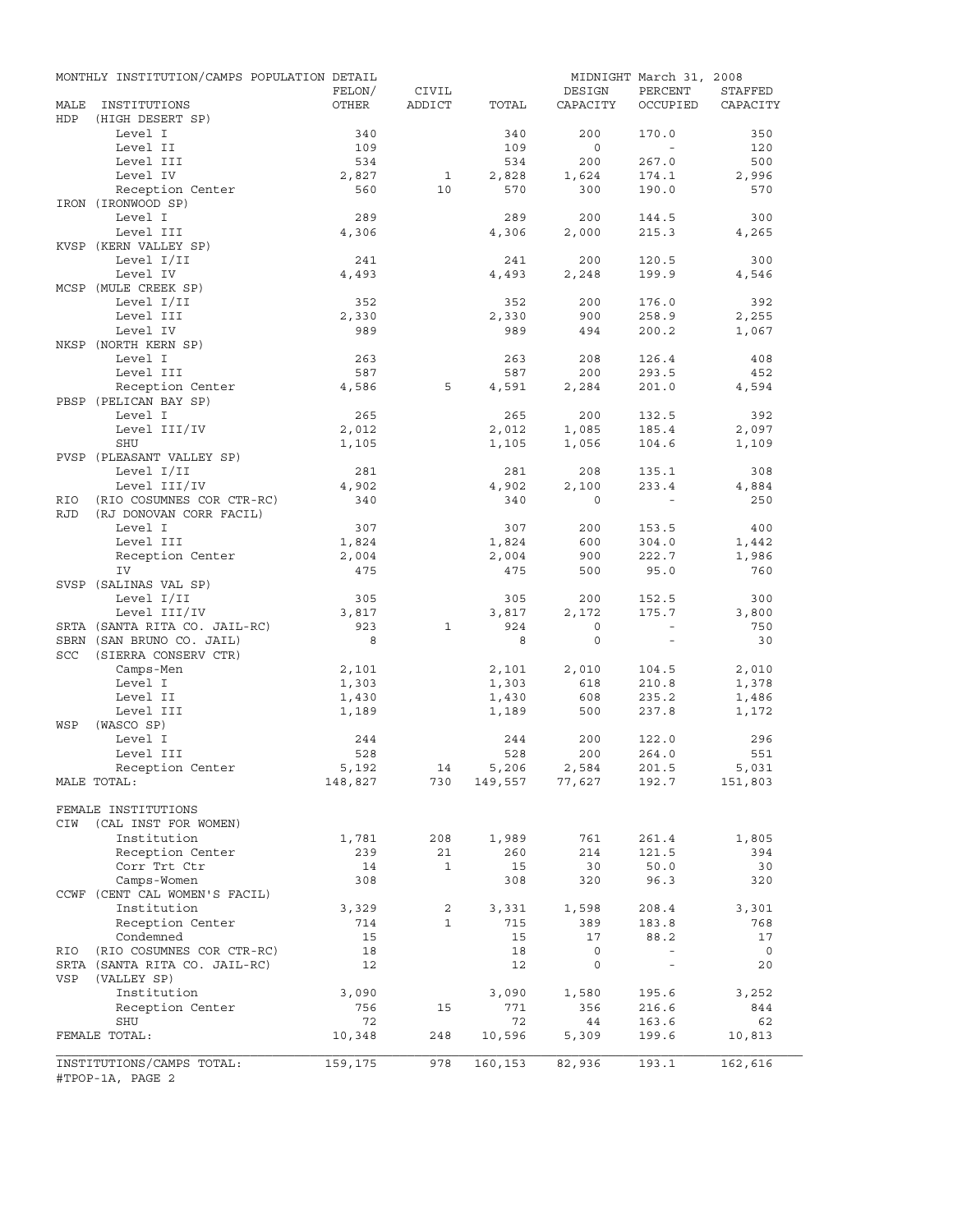|             | MONTHLY INSTITUTION/CAMPS POPULATION DETAIL                |              |                |              |                  | MIDNIGHT March 31, 2008  |                |
|-------------|------------------------------------------------------------|--------------|----------------|--------------|------------------|--------------------------|----------------|
|             |                                                            | FELON/       | CIVIL          |              | DESIGN           | PERCENT                  | STAFFED        |
| MALE<br>HDP | INSTITUTIONS<br>(HIGH DESERT SP)                           | OTHER        | ADDICT         | TOTAL        | CAPACITY         | OCCUPIED                 | CAPACITY       |
|             | Level I                                                    | 340          |                | 340          | 200              | 170.0                    | 350            |
|             | Level II                                                   | 109          |                | 109          | $\circ$          | $\sim$                   | 120            |
|             | Level III                                                  | 534          |                | 534          | 200              | 267.0                    | 500            |
|             | Level IV                                                   | 2,827        | $\overline{1}$ | 2,828        | 1,624            | 174.1                    | 2,996          |
|             | Reception Center                                           | 560          | 10             | 570          | 300              | 190.0                    | 570            |
|             | IRON (IRONWOOD SP)                                         |              |                |              |                  |                          |                |
|             | Level I                                                    | 289          |                | 289          | 200              | 144.5                    | 300            |
|             | Level III                                                  | 4,306        |                | 4,306        | 2,000            | 215.3                    | 4,265          |
|             | KVSP (KERN VALLEY SP)                                      |              |                |              |                  |                          |                |
|             | Level I/II                                                 | 241          |                | 241          | 200              | 120.5                    | 300            |
|             | Level IV                                                   | 4,493        |                | 4,493        | 2,248            | 199.9                    | 4,546          |
|             | MCSP (MULE CREEK SP)                                       |              |                |              |                  |                          |                |
|             | Level I/II                                                 | 352          |                | 352          | 200              | 176.0                    | 392            |
|             | Level III                                                  | 2,330        |                | 2,330        | 900              | 258.9                    | 2,255          |
|             | Level IV                                                   | 989          |                | 989          | 494              | 200.2                    | 1,067          |
|             | NKSP (NORTH KERN SP)                                       |              |                |              |                  |                          |                |
|             | Level I                                                    | 263          |                | 263          | 208              | 126.4                    | 408            |
|             | Level III                                                  | 587          |                | 587          | 200              | 293.5                    | 452            |
|             | Reception Center                                           | 4,586        | 5              | 4,591        | 2,284            | 201.0                    | 4,594          |
|             | PBSP (PELICAN BAY SP)                                      |              |                |              |                  |                          |                |
|             | Level I                                                    | 265          |                | 265          | 200              | 132.5                    | 392            |
|             | Level III/IV                                               | 2,012        |                | 2,012        | 1,085            | 185.4                    | 2,097          |
|             | SHU                                                        | 1,105        |                | 1,105        | 1,056            | 104.6                    | 1,109          |
|             | PVSP (PLEASANT VALLEY SP)                                  |              |                |              |                  |                          |                |
|             | Level I/II                                                 | 281          |                | 281          | 208              | 135.1                    | 308            |
|             | Level III/IV                                               | 4,902        |                | 4,902        | 2,100            | 233.4                    | 4,884          |
| RIO         | (RIO COSUMNES COR CTR-RC)                                  | 340          |                | 340          | $\Omega$         |                          | 250            |
| <b>RJD</b>  | (RJ DONOVAN CORR FACIL)                                    |              |                |              |                  |                          |                |
|             | Level I                                                    | 307          |                | 307          | 200              | 153.5                    | 400            |
|             | Level III                                                  | 1,824        |                | 1,824        | 600              | 304.0                    | 1,442          |
|             | Reception Center                                           | 2,004        |                | 2,004        | 900              | 222.7                    | 1,986          |
|             | IV                                                         | 475          |                | 475          | 500              | 95.0                     | 760            |
|             | SVSP (SALINAS VAL SP)                                      |              |                |              |                  |                          |                |
|             | Level I/II                                                 | 305          |                | 305          | 200              | 152.5                    | 300            |
|             | Level III/IV                                               | 3,817<br>923 | $\mathbf{1}$   | 3,817<br>924 | 2,172<br>$\circ$ | 175.7<br>$\sim$          | 3,800<br>750   |
|             | SRTA (SANTA RITA CO. JAIL-RC)<br>SBRN (SAN BRUNO CO. JAIL) | 8            |                | 8            | $\mathbf{0}$     | $\equiv$                 | 30             |
| SCC         | (SIERRA CONSERV CTR)                                       |              |                |              |                  |                          |                |
|             | Camps-Men                                                  | 2,101        |                | 2,101        | 2,010            | 104.5                    | 2,010          |
|             | Level I                                                    | 1,303        |                | 1,303        | 618              | 210.8                    | 1,378          |
|             | Level II                                                   | 1,430        |                | 1,430        | 608              | 235.2                    | 1,486          |
|             | Level III                                                  | 1,189        |                | 1,189        | 500              | 237.8                    | 1,172          |
| WSP         | (WASCO SP)                                                 |              |                |              |                  |                          |                |
|             | Level I                                                    | 244          |                | 244          | 200              | 122.0                    | 296            |
|             | Level III                                                  | 528          |                | 528          | 200              | 264.0                    | 551            |
|             | Reception Center                                           | 5,192        | 14             | 5,206        | 2,584            | 201.5                    | 5,031          |
|             | MALE TOTAL:                                                | 148,827      | 730            |              | 149,557 77,627   | 192.7                    | 151,803        |
|             |                                                            |              |                |              |                  |                          |                |
|             | FEMALE INSTITUTIONS                                        |              |                |              |                  |                          |                |
| CIW         | (CAL INST FOR WOMEN)                                       |              |                |              |                  |                          |                |
|             | Institution                                                | 1,781        | 208            | 1,989        | 761              | 261.4                    | 1,805          |
|             | Reception Center                                           | 239          | 21             | 260          | 214              | 121.5                    | 394            |
|             | Corr Trt Ctr                                               | 14           | $\mathbf{1}$   | 15           | 30               | 50.0                     | 30             |
|             | Camps-Women                                                | 308          |                | 308          | 320              | 96.3                     | 320            |
|             | CCWF (CENT CAL WOMEN'S FACIL)                              |              |                |              |                  |                          |                |
|             | Institution                                                | 3,329        | 2              | 3,331        | 1,598            | 208.4                    | 3,301          |
|             | Reception Center                                           | 714          | $\mathbf{1}$   | 715          | 389              | 183.8                    | 768            |
|             | Condemned                                                  | 15           |                | 15           | 17               | 88.2                     | 17             |
| RIO         | (RIO COSUMNES COR CTR-RC)                                  | 18           |                | 18           | $\mathsf{O}$     | $\sim$                   | $\overline{0}$ |
|             | SRTA (SANTA RITA CO. JAIL-RC)                              | 12           |                | 12           | $\mathsf{O}$     | $\overline{\phantom{a}}$ | 20             |
| VSP         | (VALLEY SP)                                                |              |                |              |                  |                          |                |
|             | Institution                                                | 3,090        |                | 3,090        | 1,580            | 195.6                    | 3,252          |
|             | Reception Center                                           | 756          | 15             | 771          | 356              | 216.6                    | 844            |
|             | SHU                                                        | 72           |                | 72           | 44               | 163.6                    | 62             |
|             | FEMALE TOTAL:                                              | 10,348       | 248            | 10,596       | 5,309            | 199.6                    | 10,813         |
|             |                                                            |              |                |              |                  |                          |                |
|             | INSTITUTIONS/CAMPS TOTAL:                                  | 159,175      | 978            | 160,153      | 82,936           | 193.1                    | 162,616        |
|             | #TPOP-1A, PAGE 2                                           |              |                |              |                  |                          |                |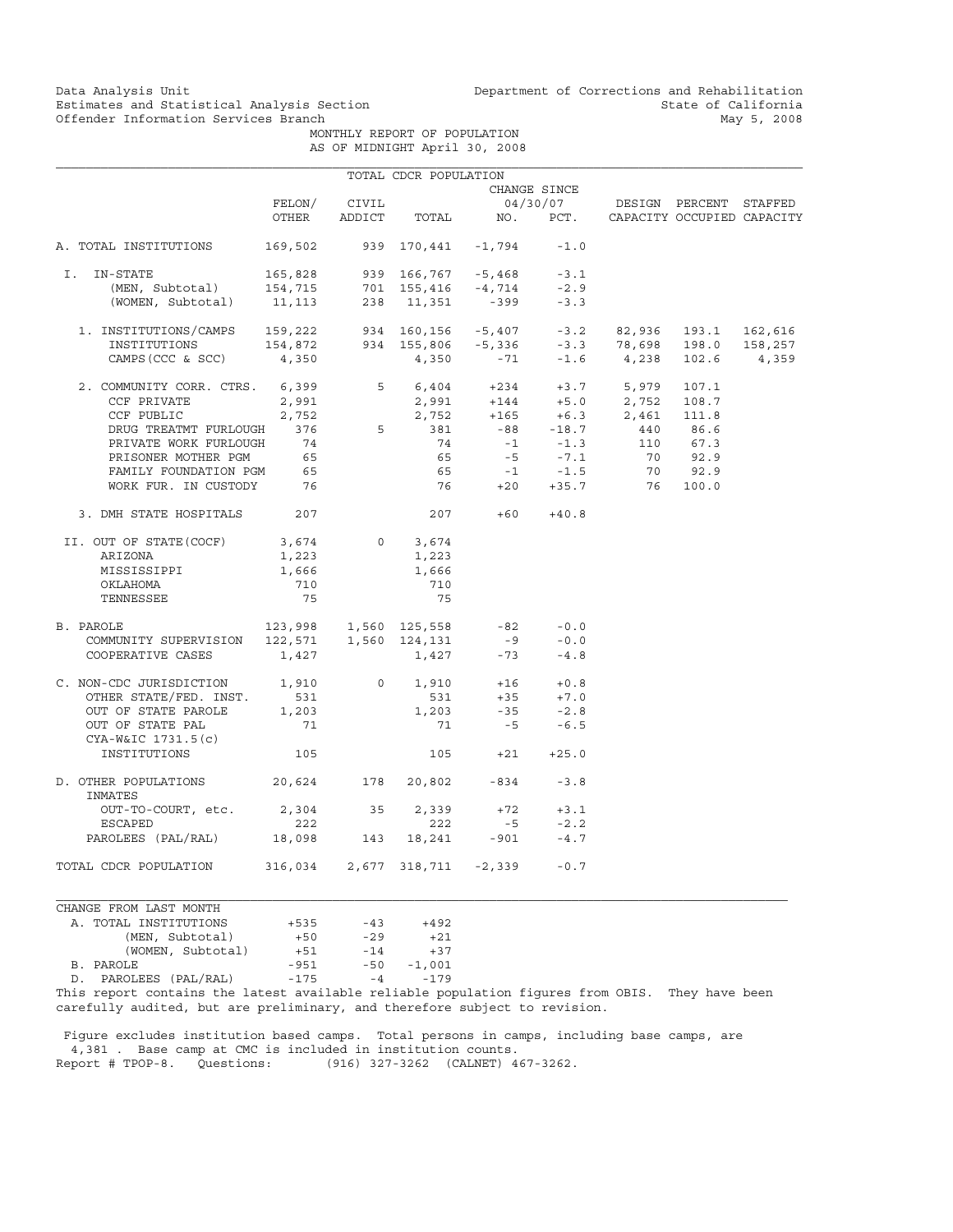Data Analysis Unit Unit Department of Corrections and Rehabilitation<br>Estimates and Statistical Analysis Section State of California Estimates and Statistical Analysis Section<br>
Offender Information Services Branch<br>
May 5, 2008

> MONTHLY REPORT OF POPULATION AS OF MIDNIGHT April 30, 2008

|                                                                                                                                                                                                            |                              |                | TOTAL CDCR POPULATION   |                                                                                  |                            |                                                  |         |         |
|------------------------------------------------------------------------------------------------------------------------------------------------------------------------------------------------------------|------------------------------|----------------|-------------------------|----------------------------------------------------------------------------------|----------------------------|--------------------------------------------------|---------|---------|
|                                                                                                                                                                                                            |                              |                |                         |                                                                                  | CHANGE SINCE               |                                                  |         |         |
|                                                                                                                                                                                                            |                              | FELON/ CIVIL   |                         |                                                                                  |                            | 04/30/07 DESIGN PERCENT STAFFED                  |         |         |
|                                                                                                                                                                                                            | OTHER                        |                |                         |                                                                                  |                            | ADDICT TOTAL NO. PCT. CAPACITY OCCUPIED CAPACITY |         |         |
| A. TOTAL INSTITUTIONS                                                                                                                                                                                      | 169,502 939 170,441 -1,794   |                |                         |                                                                                  | $-1.0$                     |                                                  |         |         |
| I. IN-STATE                                                                                                                                                                                                |                              |                |                         |                                                                                  |                            |                                                  |         |         |
|                                                                                                                                                                                                            |                              |                |                         |                                                                                  |                            |                                                  |         |         |
| -STATE 165,828 939 166,767 -5,468 -3.1<br>(MEN, Subtotal) 154,715 701 155,416 -4,714 -2.9<br>(WOMEN, Subtotal) 11,113 238 11,351 -399 -3.3                                                                 |                              |                |                         |                                                                                  |                            |                                                  |         |         |
|                                                                                                                                                                                                            |                              |                |                         |                                                                                  |                            |                                                  |         |         |
|                                                                                                                                                                                                            |                              |                |                         |                                                                                  |                            |                                                  |         | 158,257 |
| 1. INSTITUTIONS/CAMPS 159,222 934 160,156 -5,407 -3.2 82,936 193.1 162,616<br>INSTITUTIONS 154,872 934 155,806 -5,336 -3.3 78,698 198.0 158,257<br>CAMPS(CCC & SCC) 4,350 4,350 -71 -1.6 4,238 102.6 4,359 |                              |                |                         |                                                                                  |                            |                                                  |         |         |
| 2. COMMUNITY CORR. CTRS. 6,399                                                                                                                                                                             |                              |                |                         | $5$ 6,404 +234 +3.7 5,979                                                        |                            |                                                  | 107.1   |         |
|                                                                                                                                                                                                            |                              |                |                         |                                                                                  |                            |                                                  |         |         |
| CCF PRIVATE 2,991 2,991 +144 +5.0 2,752 108.7<br>CCF PUBLIC 2,752 2,752 108.7<br>DRUG TREATMT FURLOUGH 376 5 381 -88 -18.7 440 86.6<br>PRIVATE WORK FURLOUGH 74 74 -1 -1.3 110 67.3                        |                              |                |                         |                                                                                  |                            |                                                  |         |         |
|                                                                                                                                                                                                            |                              |                |                         |                                                                                  |                            |                                                  |         |         |
|                                                                                                                                                                                                            |                              |                |                         |                                                                                  |                            |                                                  |         |         |
|                                                                                                                                                                                                            |                              |                | 65                      |                                                                                  |                            |                                                  | 70 92.9 |         |
| PRISONER MOTHER PGM 65<br>FAMILY FOUNDATION PGM 65                                                                                                                                                         |                              |                | 65                      |                                                                                  | $-5$ $-7.1$<br>$-1$ $-1.5$ |                                                  | 70 92.9 |         |
| WORK FUR. IN CUSTODY 76                                                                                                                                                                                    |                              |                | 76                      |                                                                                  |                            | $+20 +35.7$ 76 100.0                             |         |         |
| 3. DMH STATE HOSPITALS 207                                                                                                                                                                                 |                              |                | 207                     |                                                                                  | $+60 +40.8$                |                                                  |         |         |
| II. OUT OF STATE(COCF)                                                                                                                                                                                     | 3,674                        |                | $\overline{0}$<br>3,674 |                                                                                  |                            |                                                  |         |         |
| ARIZONA                                                                                                                                                                                                    | 1,223                        |                | 1,223                   |                                                                                  |                            |                                                  |         |         |
| MISSISSIPPI                                                                                                                                                                                                | 1,666                        |                | 1,666                   |                                                                                  |                            |                                                  |         |         |
| ОКLАНОМА                                                                                                                                                                                                   | 710                          |                | 710                     |                                                                                  |                            |                                                  |         |         |
| TENNESSEE                                                                                                                                                                                                  | 75                           |                | 75                      |                                                                                  |                            |                                                  |         |         |
| PAROLE 123,998 1,560 125,558 -82 -0.0<br>COMMUNITY SUPERVISION 122,571 1,560 124,131 -9 -0.0<br>COOPERATIVE CASES 1,427 1,427 -73 -4.8<br>B. PAROLE                                                        |                              |                |                         |                                                                                  |                            |                                                  |         |         |
|                                                                                                                                                                                                            |                              |                |                         |                                                                                  |                            |                                                  |         |         |
|                                                                                                                                                                                                            |                              |                |                         |                                                                                  |                            |                                                  |         |         |
| C. NON-CDC JURISDICTION 1,910                                                                                                                                                                              |                              | $\overline{0}$ |                         | $\begin{array}{cccc} 1,910 & & +16 & & +0.8 \\ 531 & & +35 & & +7.0 \end{array}$ |                            |                                                  |         |         |
| OTHER STATE/FED. INST.                                                                                                                                                                                     | 531                          |                |                         |                                                                                  |                            |                                                  |         |         |
| OUT OF STATE PAROLE                                                                                                                                                                                        | 1,203                        |                | 1,203                   | $-35$                                                                            | $-2.8$                     |                                                  |         |         |
| OUT OF STATE PAL<br>CYA-W&IC 1731.5(c)                                                                                                                                                                     | 71                           |                | 71                      |                                                                                  | $-5$ $-6.5$                |                                                  |         |         |
| INSTITUTIONS                                                                                                                                                                                               | 105                          |                |                         | $105 +21 +25.0$                                                                  |                            |                                                  |         |         |
| D. OTHER POPULATIONS 20,624 178<br>INMATES                                                                                                                                                                 |                              |                |                         | 20,802 -834                                                                      | $-3.8$                     |                                                  |         |         |
| OUT-TO-COURT, etc.                                                                                                                                                                                         | 2,304 35                     |                |                         | $2,339$ +72                                                                      | $+3.1$                     |                                                  |         |         |
| ESCAPED                                                                                                                                                                                                    | 222                          |                | 222                     | $-5$                                                                             | $-2.2$                     |                                                  |         |         |
| PAROLEES (PAL/RAL) 18,098                                                                                                                                                                                  |                              | 143            |                         | 18,241 -901                                                                      | $-4.7$                     |                                                  |         |         |
| TOTAL CDCR POPULATION                                                                                                                                                                                      | 316,034 2,677 318,711 -2,339 |                |                         |                                                                                  | $-0.7$                     |                                                  |         |         |

CHANGE FROM LAST MONTH A. TOTAL INSTITUTIONS +535 -43 +492 (MEN, Subtotal) (WOMEN, Subtotal)  $+51$  -14  $+37$ <br>LE  $-951$  -50 -1,001 B. PAROLE -951 -50 -1,001 D. PAROLEES (PAL/RAL) -175 -4 -179

This report contains the latest available reliable population figures from OBIS. They have been carefully audited, but are preliminary, and therefore subject to revision.

 Figure excludes institution based camps. Total persons in camps, including base camps, are 4,381 . Base camp at CMC is included in institution counts.<br>Report # TPOP-8. Questions: (916) 327-3262 (CALNET) 4 (916) 327-3262 (CALNET) 467-3262.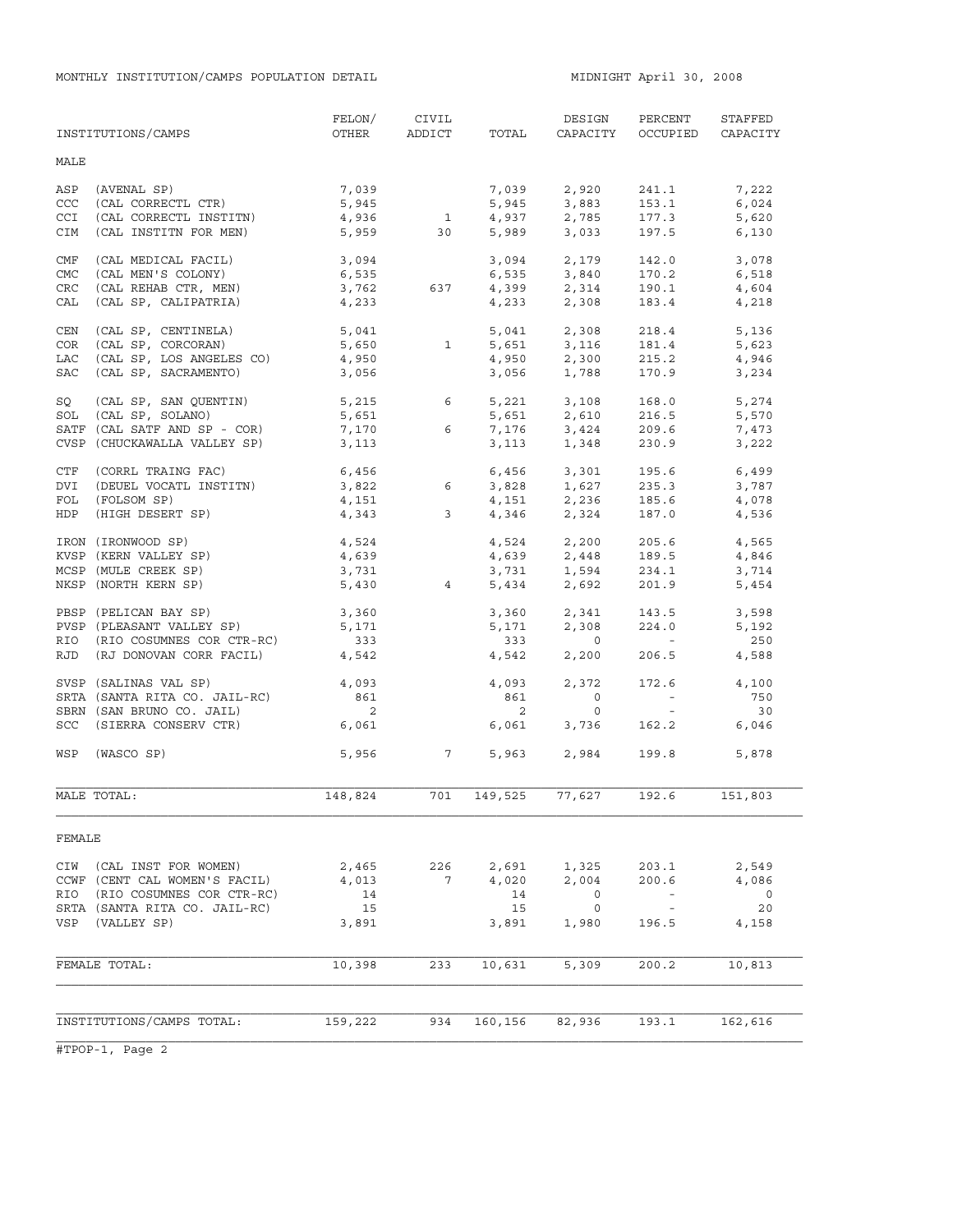| MALE<br>7,039<br>7,039<br>ASP<br>(AVENAL SP)<br>2,920<br>241.1<br>7,222<br>(CAL CORRECTL CTR)<br>5,945<br>153.1<br>CCC<br>5,945<br>3,883<br>2,785<br>6,024<br>$\overline{1}$<br><b>CCI</b><br>(CAL CORRECTL INSTITN)<br>4,936<br>4,937<br>177.3<br>5,620<br>3,033<br>5,989<br>CIM<br>(CAL INSTITN FOR MEN)<br>5,959<br>30<br>197.5<br>6,130<br>(CAL MEDICAL FACIL)<br>3,094<br>$3,094$ $2,179$<br>6,535 $3,840$<br>142.0<br>CMF<br>3,078<br>6,535<br><b>CMC</b><br>(CAL MEN'S COLONY)<br>170.2<br>6,518<br>$4,399$ $2,314$<br>$4,233$ $2,308$<br>CRC<br>(CAL REHAB CTR, MEN)<br>3,762<br>637<br>190.1<br>4,604<br>(CAL SP, CALIPATRIA)<br>CAL<br>4,233<br>183.4<br>4,218<br>2,308<br>CEN<br>(CAL SP, CENTINELA)<br>5,041<br>5,041<br>218.4<br>5,136<br>COR<br>(CAL SP, CORCORAN)<br>5,650<br>$\overline{1}$<br>5,651<br>3,116<br>181.4<br>5,623<br>(CAL SP, LOS ANGELES CO)<br>LAC<br>4,950<br>4,950<br>2,300<br>215.2<br>4,946<br>(CAL SP, SACRAMENTO)<br>170.9<br>SAC<br>3,056<br>3,056<br>1,788<br>3,234<br>SQ<br>(CAL SP, SAN QUENTIN)<br>5,215<br>6<br>5,221 3,108<br>168.0<br>5,274<br>5,651<br>SOL (CAL SP, SOLANO)<br>5,651<br>2,610<br>216.5<br>5,570<br>7,170<br>SATF (CAL SATF AND SP - COR)<br>6<br>7,176 3,424<br>209.6<br>7,473<br>CVSP (CHUCKAWALLA VALLEY SP)<br>3,113<br>3,113<br>1,348<br>230.9<br>3,222<br>6,456<br>CTF<br>(CORRL TRAING FAC)<br>6,456<br>3,301<br>195.6<br>6,499<br>3,822 6<br>1,627<br>DVI<br>(DEUEL VOCATL INSTITN)<br>3,828<br>235.3<br>3,787<br>FOL<br>(FOLSOM SP)<br>4,151<br>4,343<br>4,151<br>2,236<br>185.6<br>4,078<br>2,324<br>4,346<br>187.0<br>HDP<br>(HIGH DESERT SP)<br>$\mathbf{3}$<br>4,536<br>IRON (IRONWOOD SP)<br>4,524<br>4,524<br>2,200<br>205.6<br>4,565<br>KVSP (KERN VALLEY SP)<br>4,639<br>4,639<br>2,448<br>189.5<br>4,846<br>1,594<br>3,731<br>MCSP (MULE CREEK SP)<br>3,731<br>234.1<br>3,714<br>NKSP (NORTH KERN SP)<br>5,430<br>4<br>5,434<br>2,692<br>201.9<br>5,454<br>PBSP (PELICAN BAY SP)<br>3,360<br>3,360<br>2,341<br>143.5<br>3,598<br>PVSP (PLEASANT VALLEY SP)<br>5,171<br>5,171<br>2,308<br>224.0<br>5,192<br>RIO (RIO COSUMNES COR CTR-RC)<br>333<br>333<br>250<br>$\overline{0}$<br>$\sim$ $ \sim$<br>RJD (RJ DONOVAN CORR FACIL)<br>4,542<br>4,542<br>2,200<br>206.5<br>4,588<br>SVSP (SALINAS VAL SP)<br>2,372<br>4,093<br>4,093<br>172.6<br>4,100<br>SRTA (SANTA RITA CO. JAIL-RC)<br>861<br>861<br>$\circ$<br>750<br>$\alpha$ and $\alpha$<br>$\overline{\phantom{0}}^2$<br>$\overline{2}$<br>SBRN (SAN BRUNO CO. JAIL)<br>$\circ$<br>30<br>$\alpha \rightarrow \beta$<br>SCC (SIERRA CONSERV CTR)<br>6,061<br>6,061<br>3,736<br>162.2<br>6,046<br>5,956 7<br>5,963 2,984<br>199.8<br>WSP<br>(WASCO SP)<br>5,878<br>701<br>77,627<br>192.6<br>151,803<br>MALE TOTAL:<br>148,824<br>149,525<br>FEMALE<br>2,465<br>CIW<br>(CAL INST FOR WOMEN)<br>226<br>2,691<br>1,325<br>203.1<br>2,549<br>CCWF (CENT CAL WOMEN'S FACIL)<br>4,013<br>$7\overline{ }$<br>4,020<br>2,004<br>200.6<br>4,086<br>RIO<br>(RIO COSUMNES COR CTR-RC)<br>14<br>14<br>0<br>0<br>15<br>20<br>SRTA (SANTA RITA CO. JAIL-RC)<br>15<br>$\overline{0}$<br>$\sim$ $-$<br>VSP<br>(VALLEY SP)<br>3,891<br>3,891<br>1,980<br>196.5<br>4,158<br>233<br>FEMALE TOTAL:<br>10,398<br>10,631<br>5,309<br>200.2<br>10,813<br>INSTITUTIONS/CAMPS TOTAL:<br>934<br>160,156<br>159,222<br>82,936<br>193.1<br>162,616 | INSTITUTIONS/CAMPS | FELON/<br>OTHER | CIVIL<br>ADDICT | TOTAL | DESIGN<br>CAPACITY | PERCENT<br>OCCUPIED | STAFFED<br>CAPACITY |
|-------------------------------------------------------------------------------------------------------------------------------------------------------------------------------------------------------------------------------------------------------------------------------------------------------------------------------------------------------------------------------------------------------------------------------------------------------------------------------------------------------------------------------------------------------------------------------------------------------------------------------------------------------------------------------------------------------------------------------------------------------------------------------------------------------------------------------------------------------------------------------------------------------------------------------------------------------------------------------------------------------------------------------------------------------------------------------------------------------------------------------------------------------------------------------------------------------------------------------------------------------------------------------------------------------------------------------------------------------------------------------------------------------------------------------------------------------------------------------------------------------------------------------------------------------------------------------------------------------------------------------------------------------------------------------------------------------------------------------------------------------------------------------------------------------------------------------------------------------------------------------------------------------------------------------------------------------------------------------------------------------------------------------------------------------------------------------------------------------------------------------------------------------------------------------------------------------------------------------------------------------------------------------------------------------------------------------------------------------------------------------------------------------------------------------------------------------------------------------------------------------------------------------------------------------------------------------------------------------------------------------------------------------------------------------------------------------------------------------------------------------------------------------------------------------------------------------------------------------------------------------------------------------------------------------------------------------------------------------------------------------------------------------------------------------------------------------------------------------------------------------------------------------------------------------------------------------------------------------------------------------------------------------------------------------------------------------------------------------------|--------------------|-----------------|-----------------|-------|--------------------|---------------------|---------------------|
|                                                                                                                                                                                                                                                                                                                                                                                                                                                                                                                                                                                                                                                                                                                                                                                                                                                                                                                                                                                                                                                                                                                                                                                                                                                                                                                                                                                                                                                                                                                                                                                                                                                                                                                                                                                                                                                                                                                                                                                                                                                                                                                                                                                                                                                                                                                                                                                                                                                                                                                                                                                                                                                                                                                                                                                                                                                                                                                                                                                                                                                                                                                                                                                                                                                                                                                                                             |                    |                 |                 |       |                    |                     |                     |
|                                                                                                                                                                                                                                                                                                                                                                                                                                                                                                                                                                                                                                                                                                                                                                                                                                                                                                                                                                                                                                                                                                                                                                                                                                                                                                                                                                                                                                                                                                                                                                                                                                                                                                                                                                                                                                                                                                                                                                                                                                                                                                                                                                                                                                                                                                                                                                                                                                                                                                                                                                                                                                                                                                                                                                                                                                                                                                                                                                                                                                                                                                                                                                                                                                                                                                                                                             |                    |                 |                 |       |                    |                     |                     |
|                                                                                                                                                                                                                                                                                                                                                                                                                                                                                                                                                                                                                                                                                                                                                                                                                                                                                                                                                                                                                                                                                                                                                                                                                                                                                                                                                                                                                                                                                                                                                                                                                                                                                                                                                                                                                                                                                                                                                                                                                                                                                                                                                                                                                                                                                                                                                                                                                                                                                                                                                                                                                                                                                                                                                                                                                                                                                                                                                                                                                                                                                                                                                                                                                                                                                                                                                             |                    |                 |                 |       |                    |                     |                     |
|                                                                                                                                                                                                                                                                                                                                                                                                                                                                                                                                                                                                                                                                                                                                                                                                                                                                                                                                                                                                                                                                                                                                                                                                                                                                                                                                                                                                                                                                                                                                                                                                                                                                                                                                                                                                                                                                                                                                                                                                                                                                                                                                                                                                                                                                                                                                                                                                                                                                                                                                                                                                                                                                                                                                                                                                                                                                                                                                                                                                                                                                                                                                                                                                                                                                                                                                                             |                    |                 |                 |       |                    |                     |                     |
|                                                                                                                                                                                                                                                                                                                                                                                                                                                                                                                                                                                                                                                                                                                                                                                                                                                                                                                                                                                                                                                                                                                                                                                                                                                                                                                                                                                                                                                                                                                                                                                                                                                                                                                                                                                                                                                                                                                                                                                                                                                                                                                                                                                                                                                                                                                                                                                                                                                                                                                                                                                                                                                                                                                                                                                                                                                                                                                                                                                                                                                                                                                                                                                                                                                                                                                                                             |                    |                 |                 |       |                    |                     |                     |
|                                                                                                                                                                                                                                                                                                                                                                                                                                                                                                                                                                                                                                                                                                                                                                                                                                                                                                                                                                                                                                                                                                                                                                                                                                                                                                                                                                                                                                                                                                                                                                                                                                                                                                                                                                                                                                                                                                                                                                                                                                                                                                                                                                                                                                                                                                                                                                                                                                                                                                                                                                                                                                                                                                                                                                                                                                                                                                                                                                                                                                                                                                                                                                                                                                                                                                                                                             |                    |                 |                 |       |                    |                     |                     |
|                                                                                                                                                                                                                                                                                                                                                                                                                                                                                                                                                                                                                                                                                                                                                                                                                                                                                                                                                                                                                                                                                                                                                                                                                                                                                                                                                                                                                                                                                                                                                                                                                                                                                                                                                                                                                                                                                                                                                                                                                                                                                                                                                                                                                                                                                                                                                                                                                                                                                                                                                                                                                                                                                                                                                                                                                                                                                                                                                                                                                                                                                                                                                                                                                                                                                                                                                             |                    |                 |                 |       |                    |                     |                     |
|                                                                                                                                                                                                                                                                                                                                                                                                                                                                                                                                                                                                                                                                                                                                                                                                                                                                                                                                                                                                                                                                                                                                                                                                                                                                                                                                                                                                                                                                                                                                                                                                                                                                                                                                                                                                                                                                                                                                                                                                                                                                                                                                                                                                                                                                                                                                                                                                                                                                                                                                                                                                                                                                                                                                                                                                                                                                                                                                                                                                                                                                                                                                                                                                                                                                                                                                                             |                    |                 |                 |       |                    |                     |                     |
|                                                                                                                                                                                                                                                                                                                                                                                                                                                                                                                                                                                                                                                                                                                                                                                                                                                                                                                                                                                                                                                                                                                                                                                                                                                                                                                                                                                                                                                                                                                                                                                                                                                                                                                                                                                                                                                                                                                                                                                                                                                                                                                                                                                                                                                                                                                                                                                                                                                                                                                                                                                                                                                                                                                                                                                                                                                                                                                                                                                                                                                                                                                                                                                                                                                                                                                                                             |                    |                 |                 |       |                    |                     |                     |
|                                                                                                                                                                                                                                                                                                                                                                                                                                                                                                                                                                                                                                                                                                                                                                                                                                                                                                                                                                                                                                                                                                                                                                                                                                                                                                                                                                                                                                                                                                                                                                                                                                                                                                                                                                                                                                                                                                                                                                                                                                                                                                                                                                                                                                                                                                                                                                                                                                                                                                                                                                                                                                                                                                                                                                                                                                                                                                                                                                                                                                                                                                                                                                                                                                                                                                                                                             |                    |                 |                 |       |                    |                     |                     |
|                                                                                                                                                                                                                                                                                                                                                                                                                                                                                                                                                                                                                                                                                                                                                                                                                                                                                                                                                                                                                                                                                                                                                                                                                                                                                                                                                                                                                                                                                                                                                                                                                                                                                                                                                                                                                                                                                                                                                                                                                                                                                                                                                                                                                                                                                                                                                                                                                                                                                                                                                                                                                                                                                                                                                                                                                                                                                                                                                                                                                                                                                                                                                                                                                                                                                                                                                             |                    |                 |                 |       |                    |                     |                     |
|                                                                                                                                                                                                                                                                                                                                                                                                                                                                                                                                                                                                                                                                                                                                                                                                                                                                                                                                                                                                                                                                                                                                                                                                                                                                                                                                                                                                                                                                                                                                                                                                                                                                                                                                                                                                                                                                                                                                                                                                                                                                                                                                                                                                                                                                                                                                                                                                                                                                                                                                                                                                                                                                                                                                                                                                                                                                                                                                                                                                                                                                                                                                                                                                                                                                                                                                                             |                    |                 |                 |       |                    |                     |                     |
|                                                                                                                                                                                                                                                                                                                                                                                                                                                                                                                                                                                                                                                                                                                                                                                                                                                                                                                                                                                                                                                                                                                                                                                                                                                                                                                                                                                                                                                                                                                                                                                                                                                                                                                                                                                                                                                                                                                                                                                                                                                                                                                                                                                                                                                                                                                                                                                                                                                                                                                                                                                                                                                                                                                                                                                                                                                                                                                                                                                                                                                                                                                                                                                                                                                                                                                                                             |                    |                 |                 |       |                    |                     |                     |
|                                                                                                                                                                                                                                                                                                                                                                                                                                                                                                                                                                                                                                                                                                                                                                                                                                                                                                                                                                                                                                                                                                                                                                                                                                                                                                                                                                                                                                                                                                                                                                                                                                                                                                                                                                                                                                                                                                                                                                                                                                                                                                                                                                                                                                                                                                                                                                                                                                                                                                                                                                                                                                                                                                                                                                                                                                                                                                                                                                                                                                                                                                                                                                                                                                                                                                                                                             |                    |                 |                 |       |                    |                     |                     |
|                                                                                                                                                                                                                                                                                                                                                                                                                                                                                                                                                                                                                                                                                                                                                                                                                                                                                                                                                                                                                                                                                                                                                                                                                                                                                                                                                                                                                                                                                                                                                                                                                                                                                                                                                                                                                                                                                                                                                                                                                                                                                                                                                                                                                                                                                                                                                                                                                                                                                                                                                                                                                                                                                                                                                                                                                                                                                                                                                                                                                                                                                                                                                                                                                                                                                                                                                             |                    |                 |                 |       |                    |                     |                     |
|                                                                                                                                                                                                                                                                                                                                                                                                                                                                                                                                                                                                                                                                                                                                                                                                                                                                                                                                                                                                                                                                                                                                                                                                                                                                                                                                                                                                                                                                                                                                                                                                                                                                                                                                                                                                                                                                                                                                                                                                                                                                                                                                                                                                                                                                                                                                                                                                                                                                                                                                                                                                                                                                                                                                                                                                                                                                                                                                                                                                                                                                                                                                                                                                                                                                                                                                                             |                    |                 |                 |       |                    |                     |                     |
|                                                                                                                                                                                                                                                                                                                                                                                                                                                                                                                                                                                                                                                                                                                                                                                                                                                                                                                                                                                                                                                                                                                                                                                                                                                                                                                                                                                                                                                                                                                                                                                                                                                                                                                                                                                                                                                                                                                                                                                                                                                                                                                                                                                                                                                                                                                                                                                                                                                                                                                                                                                                                                                                                                                                                                                                                                                                                                                                                                                                                                                                                                                                                                                                                                                                                                                                                             |                    |                 |                 |       |                    |                     |                     |
|                                                                                                                                                                                                                                                                                                                                                                                                                                                                                                                                                                                                                                                                                                                                                                                                                                                                                                                                                                                                                                                                                                                                                                                                                                                                                                                                                                                                                                                                                                                                                                                                                                                                                                                                                                                                                                                                                                                                                                                                                                                                                                                                                                                                                                                                                                                                                                                                                                                                                                                                                                                                                                                                                                                                                                                                                                                                                                                                                                                                                                                                                                                                                                                                                                                                                                                                                             |                    |                 |                 |       |                    |                     |                     |
|                                                                                                                                                                                                                                                                                                                                                                                                                                                                                                                                                                                                                                                                                                                                                                                                                                                                                                                                                                                                                                                                                                                                                                                                                                                                                                                                                                                                                                                                                                                                                                                                                                                                                                                                                                                                                                                                                                                                                                                                                                                                                                                                                                                                                                                                                                                                                                                                                                                                                                                                                                                                                                                                                                                                                                                                                                                                                                                                                                                                                                                                                                                                                                                                                                                                                                                                                             |                    |                 |                 |       |                    |                     |                     |
|                                                                                                                                                                                                                                                                                                                                                                                                                                                                                                                                                                                                                                                                                                                                                                                                                                                                                                                                                                                                                                                                                                                                                                                                                                                                                                                                                                                                                                                                                                                                                                                                                                                                                                                                                                                                                                                                                                                                                                                                                                                                                                                                                                                                                                                                                                                                                                                                                                                                                                                                                                                                                                                                                                                                                                                                                                                                                                                                                                                                                                                                                                                                                                                                                                                                                                                                                             |                    |                 |                 |       |                    |                     |                     |
|                                                                                                                                                                                                                                                                                                                                                                                                                                                                                                                                                                                                                                                                                                                                                                                                                                                                                                                                                                                                                                                                                                                                                                                                                                                                                                                                                                                                                                                                                                                                                                                                                                                                                                                                                                                                                                                                                                                                                                                                                                                                                                                                                                                                                                                                                                                                                                                                                                                                                                                                                                                                                                                                                                                                                                                                                                                                                                                                                                                                                                                                                                                                                                                                                                                                                                                                                             |                    |                 |                 |       |                    |                     |                     |
|                                                                                                                                                                                                                                                                                                                                                                                                                                                                                                                                                                                                                                                                                                                                                                                                                                                                                                                                                                                                                                                                                                                                                                                                                                                                                                                                                                                                                                                                                                                                                                                                                                                                                                                                                                                                                                                                                                                                                                                                                                                                                                                                                                                                                                                                                                                                                                                                                                                                                                                                                                                                                                                                                                                                                                                                                                                                                                                                                                                                                                                                                                                                                                                                                                                                                                                                                             |                    |                 |                 |       |                    |                     |                     |
|                                                                                                                                                                                                                                                                                                                                                                                                                                                                                                                                                                                                                                                                                                                                                                                                                                                                                                                                                                                                                                                                                                                                                                                                                                                                                                                                                                                                                                                                                                                                                                                                                                                                                                                                                                                                                                                                                                                                                                                                                                                                                                                                                                                                                                                                                                                                                                                                                                                                                                                                                                                                                                                                                                                                                                                                                                                                                                                                                                                                                                                                                                                                                                                                                                                                                                                                                             |                    |                 |                 |       |                    |                     |                     |
|                                                                                                                                                                                                                                                                                                                                                                                                                                                                                                                                                                                                                                                                                                                                                                                                                                                                                                                                                                                                                                                                                                                                                                                                                                                                                                                                                                                                                                                                                                                                                                                                                                                                                                                                                                                                                                                                                                                                                                                                                                                                                                                                                                                                                                                                                                                                                                                                                                                                                                                                                                                                                                                                                                                                                                                                                                                                                                                                                                                                                                                                                                                                                                                                                                                                                                                                                             |                    |                 |                 |       |                    |                     |                     |
|                                                                                                                                                                                                                                                                                                                                                                                                                                                                                                                                                                                                                                                                                                                                                                                                                                                                                                                                                                                                                                                                                                                                                                                                                                                                                                                                                                                                                                                                                                                                                                                                                                                                                                                                                                                                                                                                                                                                                                                                                                                                                                                                                                                                                                                                                                                                                                                                                                                                                                                                                                                                                                                                                                                                                                                                                                                                                                                                                                                                                                                                                                                                                                                                                                                                                                                                                             |                    |                 |                 |       |                    |                     |                     |
|                                                                                                                                                                                                                                                                                                                                                                                                                                                                                                                                                                                                                                                                                                                                                                                                                                                                                                                                                                                                                                                                                                                                                                                                                                                                                                                                                                                                                                                                                                                                                                                                                                                                                                                                                                                                                                                                                                                                                                                                                                                                                                                                                                                                                                                                                                                                                                                                                                                                                                                                                                                                                                                                                                                                                                                                                                                                                                                                                                                                                                                                                                                                                                                                                                                                                                                                                             |                    |                 |                 |       |                    |                     |                     |
|                                                                                                                                                                                                                                                                                                                                                                                                                                                                                                                                                                                                                                                                                                                                                                                                                                                                                                                                                                                                                                                                                                                                                                                                                                                                                                                                                                                                                                                                                                                                                                                                                                                                                                                                                                                                                                                                                                                                                                                                                                                                                                                                                                                                                                                                                                                                                                                                                                                                                                                                                                                                                                                                                                                                                                                                                                                                                                                                                                                                                                                                                                                                                                                                                                                                                                                                                             |                    |                 |                 |       |                    |                     |                     |
|                                                                                                                                                                                                                                                                                                                                                                                                                                                                                                                                                                                                                                                                                                                                                                                                                                                                                                                                                                                                                                                                                                                                                                                                                                                                                                                                                                                                                                                                                                                                                                                                                                                                                                                                                                                                                                                                                                                                                                                                                                                                                                                                                                                                                                                                                                                                                                                                                                                                                                                                                                                                                                                                                                                                                                                                                                                                                                                                                                                                                                                                                                                                                                                                                                                                                                                                                             |                    |                 |                 |       |                    |                     |                     |
|                                                                                                                                                                                                                                                                                                                                                                                                                                                                                                                                                                                                                                                                                                                                                                                                                                                                                                                                                                                                                                                                                                                                                                                                                                                                                                                                                                                                                                                                                                                                                                                                                                                                                                                                                                                                                                                                                                                                                                                                                                                                                                                                                                                                                                                                                                                                                                                                                                                                                                                                                                                                                                                                                                                                                                                                                                                                                                                                                                                                                                                                                                                                                                                                                                                                                                                                                             |                    |                 |                 |       |                    |                     |                     |
|                                                                                                                                                                                                                                                                                                                                                                                                                                                                                                                                                                                                                                                                                                                                                                                                                                                                                                                                                                                                                                                                                                                                                                                                                                                                                                                                                                                                                                                                                                                                                                                                                                                                                                                                                                                                                                                                                                                                                                                                                                                                                                                                                                                                                                                                                                                                                                                                                                                                                                                                                                                                                                                                                                                                                                                                                                                                                                                                                                                                                                                                                                                                                                                                                                                                                                                                                             |                    |                 |                 |       |                    |                     |                     |
|                                                                                                                                                                                                                                                                                                                                                                                                                                                                                                                                                                                                                                                                                                                                                                                                                                                                                                                                                                                                                                                                                                                                                                                                                                                                                                                                                                                                                                                                                                                                                                                                                                                                                                                                                                                                                                                                                                                                                                                                                                                                                                                                                                                                                                                                                                                                                                                                                                                                                                                                                                                                                                                                                                                                                                                                                                                                                                                                                                                                                                                                                                                                                                                                                                                                                                                                                             |                    |                 |                 |       |                    |                     |                     |
|                                                                                                                                                                                                                                                                                                                                                                                                                                                                                                                                                                                                                                                                                                                                                                                                                                                                                                                                                                                                                                                                                                                                                                                                                                                                                                                                                                                                                                                                                                                                                                                                                                                                                                                                                                                                                                                                                                                                                                                                                                                                                                                                                                                                                                                                                                                                                                                                                                                                                                                                                                                                                                                                                                                                                                                                                                                                                                                                                                                                                                                                                                                                                                                                                                                                                                                                                             |                    |                 |                 |       |                    |                     |                     |
|                                                                                                                                                                                                                                                                                                                                                                                                                                                                                                                                                                                                                                                                                                                                                                                                                                                                                                                                                                                                                                                                                                                                                                                                                                                                                                                                                                                                                                                                                                                                                                                                                                                                                                                                                                                                                                                                                                                                                                                                                                                                                                                                                                                                                                                                                                                                                                                                                                                                                                                                                                                                                                                                                                                                                                                                                                                                                                                                                                                                                                                                                                                                                                                                                                                                                                                                                             |                    |                 |                 |       |                    |                     |                     |
|                                                                                                                                                                                                                                                                                                                                                                                                                                                                                                                                                                                                                                                                                                                                                                                                                                                                                                                                                                                                                                                                                                                                                                                                                                                                                                                                                                                                                                                                                                                                                                                                                                                                                                                                                                                                                                                                                                                                                                                                                                                                                                                                                                                                                                                                                                                                                                                                                                                                                                                                                                                                                                                                                                                                                                                                                                                                                                                                                                                                                                                                                                                                                                                                                                                                                                                                                             |                    |                 |                 |       |                    |                     |                     |
|                                                                                                                                                                                                                                                                                                                                                                                                                                                                                                                                                                                                                                                                                                                                                                                                                                                                                                                                                                                                                                                                                                                                                                                                                                                                                                                                                                                                                                                                                                                                                                                                                                                                                                                                                                                                                                                                                                                                                                                                                                                                                                                                                                                                                                                                                                                                                                                                                                                                                                                                                                                                                                                                                                                                                                                                                                                                                                                                                                                                                                                                                                                                                                                                                                                                                                                                                             |                    |                 |                 |       |                    |                     |                     |
|                                                                                                                                                                                                                                                                                                                                                                                                                                                                                                                                                                                                                                                                                                                                                                                                                                                                                                                                                                                                                                                                                                                                                                                                                                                                                                                                                                                                                                                                                                                                                                                                                                                                                                                                                                                                                                                                                                                                                                                                                                                                                                                                                                                                                                                                                                                                                                                                                                                                                                                                                                                                                                                                                                                                                                                                                                                                                                                                                                                                                                                                                                                                                                                                                                                                                                                                                             |                    |                 |                 |       |                    |                     |                     |
|                                                                                                                                                                                                                                                                                                                                                                                                                                                                                                                                                                                                                                                                                                                                                                                                                                                                                                                                                                                                                                                                                                                                                                                                                                                                                                                                                                                                                                                                                                                                                                                                                                                                                                                                                                                                                                                                                                                                                                                                                                                                                                                                                                                                                                                                                                                                                                                                                                                                                                                                                                                                                                                                                                                                                                                                                                                                                                                                                                                                                                                                                                                                                                                                                                                                                                                                                             |                    |                 |                 |       |                    |                     |                     |
|                                                                                                                                                                                                                                                                                                                                                                                                                                                                                                                                                                                                                                                                                                                                                                                                                                                                                                                                                                                                                                                                                                                                                                                                                                                                                                                                                                                                                                                                                                                                                                                                                                                                                                                                                                                                                                                                                                                                                                                                                                                                                                                                                                                                                                                                                                                                                                                                                                                                                                                                                                                                                                                                                                                                                                                                                                                                                                                                                                                                                                                                                                                                                                                                                                                                                                                                                             |                    |                 |                 |       |                    |                     |                     |
|                                                                                                                                                                                                                                                                                                                                                                                                                                                                                                                                                                                                                                                                                                                                                                                                                                                                                                                                                                                                                                                                                                                                                                                                                                                                                                                                                                                                                                                                                                                                                                                                                                                                                                                                                                                                                                                                                                                                                                                                                                                                                                                                                                                                                                                                                                                                                                                                                                                                                                                                                                                                                                                                                                                                                                                                                                                                                                                                                                                                                                                                                                                                                                                                                                                                                                                                                             |                    |                 |                 |       |                    |                     |                     |
|                                                                                                                                                                                                                                                                                                                                                                                                                                                                                                                                                                                                                                                                                                                                                                                                                                                                                                                                                                                                                                                                                                                                                                                                                                                                                                                                                                                                                                                                                                                                                                                                                                                                                                                                                                                                                                                                                                                                                                                                                                                                                                                                                                                                                                                                                                                                                                                                                                                                                                                                                                                                                                                                                                                                                                                                                                                                                                                                                                                                                                                                                                                                                                                                                                                                                                                                                             |                    |                 |                 |       |                    |                     |                     |
|                                                                                                                                                                                                                                                                                                                                                                                                                                                                                                                                                                                                                                                                                                                                                                                                                                                                                                                                                                                                                                                                                                                                                                                                                                                                                                                                                                                                                                                                                                                                                                                                                                                                                                                                                                                                                                                                                                                                                                                                                                                                                                                                                                                                                                                                                                                                                                                                                                                                                                                                                                                                                                                                                                                                                                                                                                                                                                                                                                                                                                                                                                                                                                                                                                                                                                                                                             |                    |                 |                 |       |                    |                     |                     |
|                                                                                                                                                                                                                                                                                                                                                                                                                                                                                                                                                                                                                                                                                                                                                                                                                                                                                                                                                                                                                                                                                                                                                                                                                                                                                                                                                                                                                                                                                                                                                                                                                                                                                                                                                                                                                                                                                                                                                                                                                                                                                                                                                                                                                                                                                                                                                                                                                                                                                                                                                                                                                                                                                                                                                                                                                                                                                                                                                                                                                                                                                                                                                                                                                                                                                                                                                             |                    |                 |                 |       |                    |                     |                     |
|                                                                                                                                                                                                                                                                                                                                                                                                                                                                                                                                                                                                                                                                                                                                                                                                                                                                                                                                                                                                                                                                                                                                                                                                                                                                                                                                                                                                                                                                                                                                                                                                                                                                                                                                                                                                                                                                                                                                                                                                                                                                                                                                                                                                                                                                                                                                                                                                                                                                                                                                                                                                                                                                                                                                                                                                                                                                                                                                                                                                                                                                                                                                                                                                                                                                                                                                                             |                    |                 |                 |       |                    |                     |                     |
|                                                                                                                                                                                                                                                                                                                                                                                                                                                                                                                                                                                                                                                                                                                                                                                                                                                                                                                                                                                                                                                                                                                                                                                                                                                                                                                                                                                                                                                                                                                                                                                                                                                                                                                                                                                                                                                                                                                                                                                                                                                                                                                                                                                                                                                                                                                                                                                                                                                                                                                                                                                                                                                                                                                                                                                                                                                                                                                                                                                                                                                                                                                                                                                                                                                                                                                                                             |                    |                 |                 |       |                    |                     |                     |
|                                                                                                                                                                                                                                                                                                                                                                                                                                                                                                                                                                                                                                                                                                                                                                                                                                                                                                                                                                                                                                                                                                                                                                                                                                                                                                                                                                                                                                                                                                                                                                                                                                                                                                                                                                                                                                                                                                                                                                                                                                                                                                                                                                                                                                                                                                                                                                                                                                                                                                                                                                                                                                                                                                                                                                                                                                                                                                                                                                                                                                                                                                                                                                                                                                                                                                                                                             |                    |                 |                 |       |                    |                     |                     |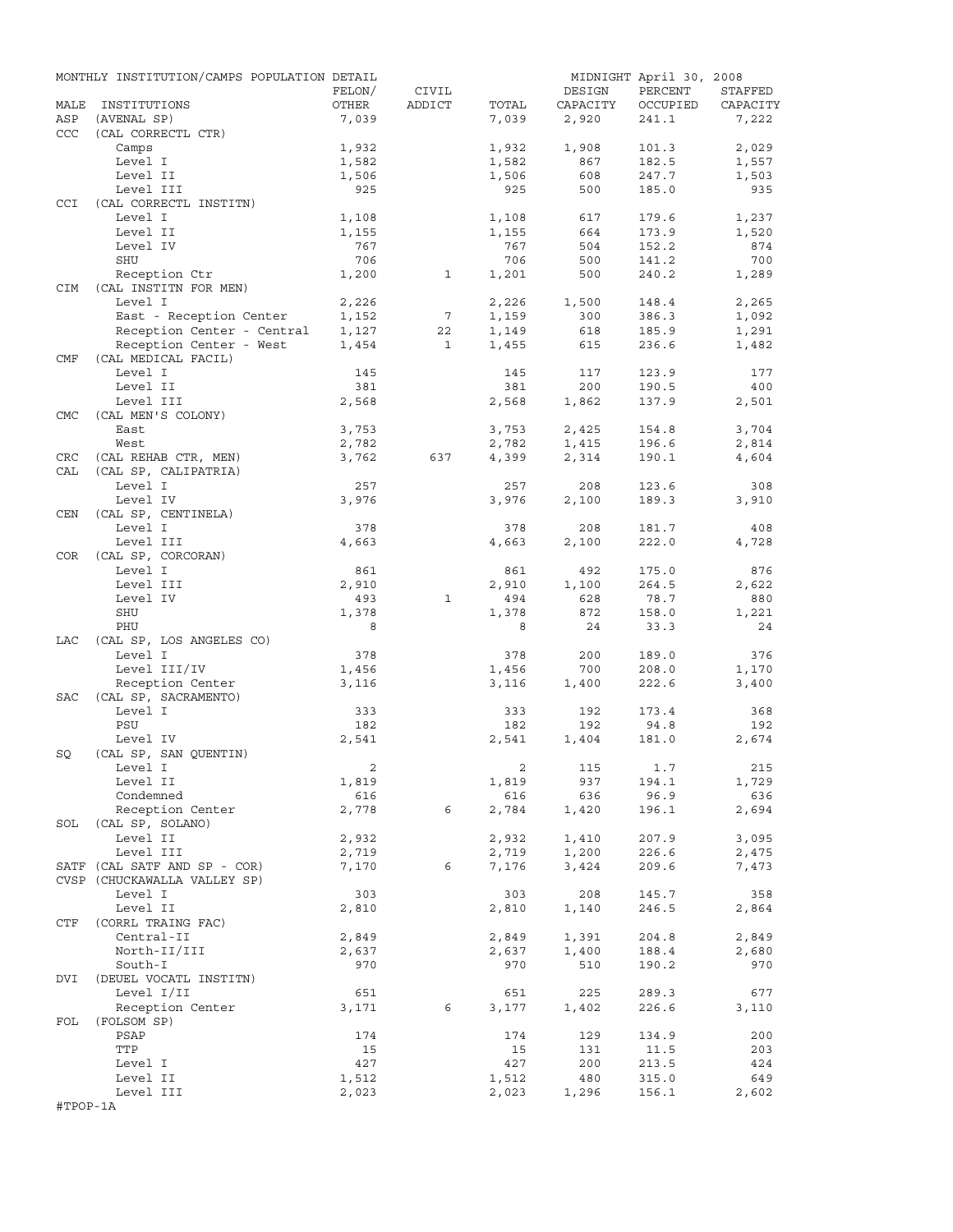|            | MONTHLY INSTITUTION/CAMPS POPULATION DETAIL |                |                 |                |                | MIDNIGHT April 30, 2008 |                |
|------------|---------------------------------------------|----------------|-----------------|----------------|----------------|-------------------------|----------------|
|            |                                             | FELON/         | CIVIL           |                | DESIGN         | PERCENT                 | STAFFED        |
| MALE       | INSTITUTIONS                                | OTHER          | ADDICT          | TOTAL          | CAPACITY       | OCCUPIED                | CAPACITY       |
| ASP        | (AVENAL SP)                                 | 7,039          |                 | 7,039          | 2,920          | 241.1                   | 7,222          |
| CCC        | (CAL CORRECTL CTR)                          |                |                 |                |                |                         |                |
|            | Camps                                       | 1,932          |                 | 1,932          | 1,908          | 101.3                   | 2,029          |
|            | Level I                                     | 1,582          |                 | 1,582          | 867            | 182.5                   | 1,557          |
|            | Level II<br>Level III                       | 1,506<br>925   |                 | 1,506<br>925   | 608<br>500     | 247.7<br>185.0          | 1,503<br>935   |
| <b>CCI</b> | (CAL CORRECTL INSTITN)                      |                |                 |                |                |                         |                |
|            | Level I                                     | 1,108          |                 | 1,108          | 617            | 179.6                   | 1,237          |
|            | Level II                                    | 1,155          |                 | 1,155          | 664            | 173.9                   | 1,520          |
|            | Level IV                                    | 767            |                 | 767            | 504            | 152.2                   | 874            |
|            | SHU                                         | 706            |                 | 706            | 500            | 141.2                   | 700            |
|            | Reception Ctr                               | 1,200          | $\mathbf{1}$    | 1,201          | 500            | 240.2                   | 1,289          |
| <b>CIM</b> | (CAL INSTITN FOR MEN)                       |                |                 |                |                |                         |                |
|            | Level I                                     | 2,226          |                 | 2,226          | 1,500          | 148.4                   | 2,265          |
|            | East - Reception Center                     | 1,152          | $7\phantom{.0}$ | 1,159          | 300            | 386.3                   | 1,092          |
|            | Reception Center - Central                  | 1,127          | 22              | 1,149          | 618            | 185.9                   | 1,291          |
|            | Reception Center - West                     | 1,454          | $\mathbf{1}$    | 1,455          | 615            | 236.6                   | 1,482          |
| CMF        | (CAL MEDICAL FACIL)                         |                |                 |                |                |                         |                |
|            | Level I                                     | 145            |                 | 145            | 117            | 123.9                   | 177            |
|            | Level II                                    | 381            |                 | 381            | 200            | 190.5                   | 400            |
|            | Level III                                   | 2,568          |                 | 2,568          | 1,862          | 137.9                   | 2,501          |
| <b>CMC</b> | (CAL MEN'S COLONY)                          |                |                 |                |                |                         |                |
|            | East<br>West                                | 3,753<br>2,782 |                 | 3,753<br>2,782 | 2,425<br>1,415 | 154.8<br>196.6          | 3,704<br>2,814 |
| CRC        | (CAL REHAB CTR, MEN)                        | 3,762          | 637             | 4,399          | 2,314          | 190.1                   | 4,604          |
| CAL        | (CAL SP, CALIPATRIA)                        |                |                 |                |                |                         |                |
|            | Level I                                     | 257            |                 | 257            | 208            | 123.6                   | 308            |
|            | Level IV                                    | 3,976          |                 | 3,976          | 2,100          | 189.3                   | 3,910          |
| CEN        | (CAL SP, CENTINELA)                         |                |                 |                |                |                         |                |
|            | Level I                                     | 378            |                 | 378            | 208            | 181.7                   | 408            |
|            | Level III                                   | 4,663          |                 | 4,663          | 2,100          | 222.0                   | 4,728          |
| COR        | (CAL SP, CORCORAN)                          |                |                 |                |                |                         |                |
|            | Level I                                     | 861            |                 | 861            | 492            | 175.0                   | 876            |
|            | Level III                                   | 2,910          |                 | 2,910          | 1,100          | 264.5                   | 2,622          |
|            | Level IV                                    | 493            | $\mathbf{1}$    | 494            | 628            | 78.7                    | 880            |
|            | SHU                                         | 1,378          |                 | 1,378          | 872            | 158.0                   | 1,221          |
|            | PHU                                         | 8              |                 | 8              | 24             | 33.3                    | 24             |
| LAC        | (CAL SP, LOS ANGELES CO)                    |                |                 |                |                |                         |                |
|            | Level I                                     | 378            |                 | 378            | 200            | 189.0                   | 376            |
|            | Level III/IV                                | 1,456          |                 | 1,456          | 700            | 208.0                   | 1,170          |
|            | Reception Center                            | 3,116          |                 | 3,116          | 1,400          | 222.6                   | 3,400          |
| SAC        | (CAL SP, SACRAMENTO)<br>Level I             | 333            |                 | 333            | 192            | 173.4                   | 368            |
|            | PSU                                         | 182            |                 | 182            | 192            | 94.8                    | 192            |
|            | Level IV                                    | 2,541          |                 | 2,541          | 1,404          | 181.0                   | 2,674          |
| SQ         | (CAL SP, SAN QUENTIN)                       |                |                 |                |                |                         |                |
|            | Level I                                     | $\overline{a}$ |                 |                | 2 115          | 1.7                     | 215            |
|            | Level II                                    | 1,819          |                 | 1,819          | 937            | 194.1                   | 1,729          |
|            | Condemned                                   | 616            |                 | 616            | 636            | 96.9                    | 636            |
|            | Reception Center                            | 2,778          | 6               | 2,784          | 1,420          | 196.1                   | 2,694          |
|            | SOL (CAL SP, SOLANO)                        |                |                 |                |                |                         |                |
|            | Level II                                    | 2,932          |                 | 2,932          | 1,410          | 207.9                   | 3,095          |
|            | Level III                                   | 2,719          |                 | 2,719          | 1,200          | 226.6                   | 2,475          |
|            | SATF (CAL SATF AND SP - COR)                | 7,170          | 6               | 7,176          | 3,424          | 209.6                   | 7,473          |
|            | CVSP (CHUCKAWALLA VALLEY SP)                |                |                 |                |                |                         |                |
|            | Level I                                     | 303            |                 | 303            | 208            | 145.7                   | 358            |
|            | Level II                                    | 2,810          |                 | 2,810          | 1,140          | 246.5                   | 2,864          |
| CTF        | (CORRL TRAING FAC)                          |                |                 |                |                |                         |                |
|            | Central-II                                  | 2,849          |                 | 2,849          | 1,391          | 204.8                   | 2,849          |
|            | North-II/III<br>South-I                     | 2,637<br>970   |                 | 2,637<br>970   | 1,400<br>510   | 188.4<br>190.2          | 2,680<br>970   |
| DVI        | (DEUEL VOCATL INSTITN)                      |                |                 |                |                |                         |                |
|            | Level I/II                                  | 651            |                 | 651            | 225            | 289.3                   | 677            |
|            | Reception Center                            | 3,171          | 6               | 3,177          | 1,402          | 226.6                   | 3,110          |
| FOL        | (FOLSOM SP)                                 |                |                 |                |                |                         |                |
|            | PSAP                                        | 174            |                 | 174            | 129            | 134.9                   | 200            |
|            | TTP                                         | 15             |                 | 15             | 131            | 11.5                    | 203            |
|            | Level I                                     | 427            |                 | 427            | 200            | 213.5                   | 424            |
|            | Level II                                    | 1,512          |                 | 1,512          | 480            | 315.0                   | 649            |
|            | Level III                                   | 2,023          |                 | 2,023          | 1,296          | 156.1                   | 2,602          |
| #TPOP-1A   |                                             |                |                 |                |                |                         |                |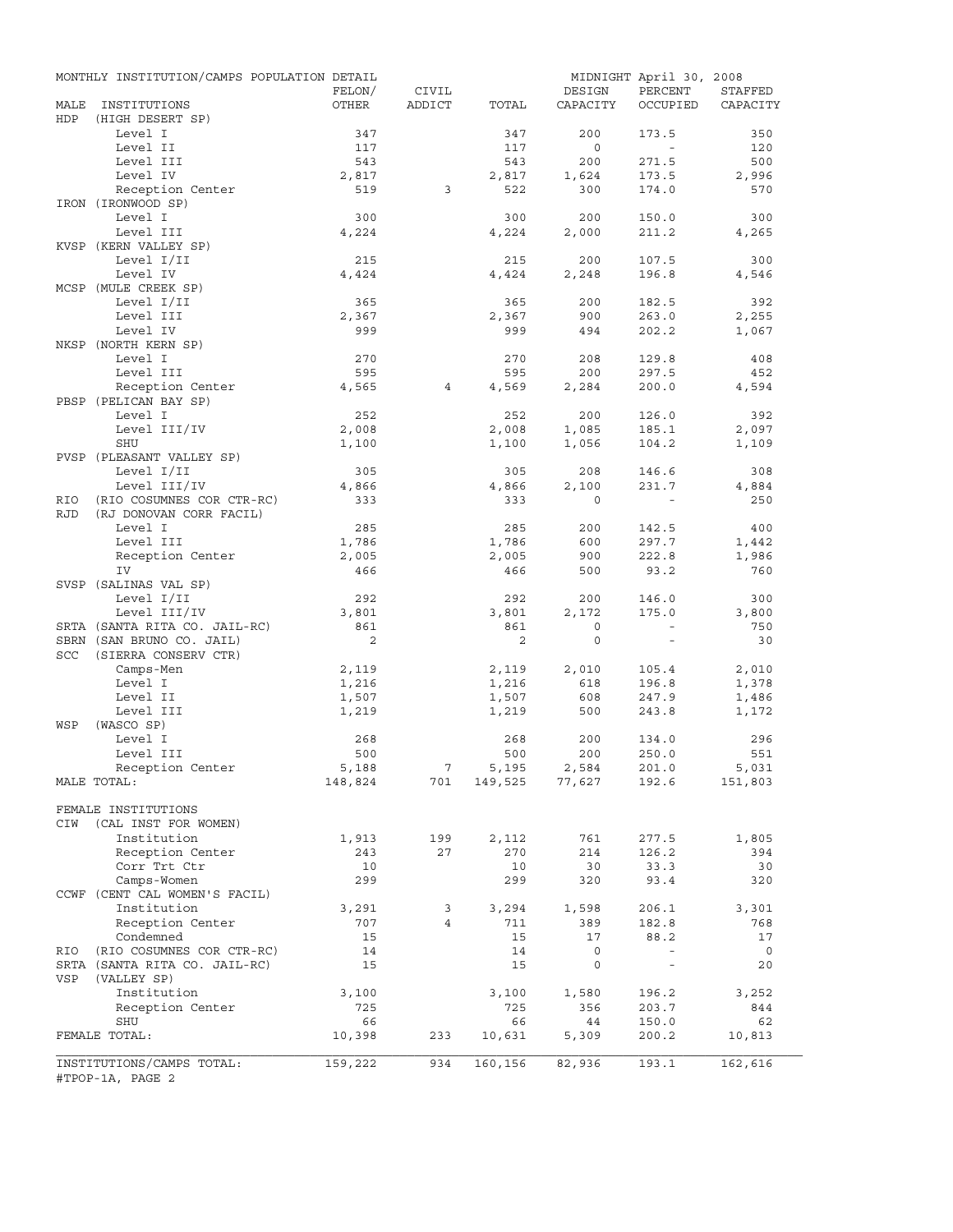|                   | MONTHLY INSTITUTION/CAMPS POPULATION DETAIL          | FELON/       | CIVIL          |              | DESIGN            | MIDNIGHT April 30, 2008<br>PERCENT | STAFFED        |
|-------------------|------------------------------------------------------|--------------|----------------|--------------|-------------------|------------------------------------|----------------|
| MALE<br>HDP       | INSTITUTIONS<br>(HIGH DESERT SP)                     | OTHER        | ADDICT         | TOTAL        | CAPACITY          | OCCUPIED                           | CAPACITY       |
|                   | Level I                                              | 347          |                | 347          | 200               | 173.5                              | 350            |
|                   | Level II                                             | 117          |                | 117          | $\overline{0}$    | $\sim$                             | 120            |
|                   | Level III                                            | 543          |                | 543          | 200               | 271.5                              | 500            |
|                   | Level IV                                             | 2,817        |                | 2,817        | 1,624             | 173.5                              | 2,996          |
|                   | Reception Center                                     | 519          | 3              | 522          | 300               | 174.0                              | 570            |
|                   | IRON (IRONWOOD SP)<br>Level I                        | 300          |                | 300          | 200               | 150.0                              | 300            |
|                   | Level III                                            | 4,224        |                | 4,224        | 2,000             | 211.2                              | 4,265          |
|                   | KVSP (KERN VALLEY SP)                                |              |                |              |                   |                                    |                |
|                   | Level I/II                                           | 215          |                | 215          | 200               | 107.5                              | 300            |
|                   | Level IV                                             | 4,424        |                | 4,424        | 2,248             | 196.8                              | 4,546          |
|                   | MCSP (MULE CREEK SP)                                 |              |                |              |                   |                                    |                |
|                   | Level I/II                                           | 365          |                | 365          | 200               | 182.5                              | 392            |
|                   | Level III                                            | 2,367<br>999 |                | 2,367<br>999 | 900<br>494        | 263.0                              | 2,255          |
|                   | Level IV<br>NKSP (NORTH KERN SP)                     |              |                |              |                   | 202.2                              | 1,067          |
|                   | Level I                                              | 270          |                | 270          | 208               | 129.8                              | 408            |
|                   | Level III                                            | 595          |                | 595          | 200               | 297.5                              | 452            |
|                   | Reception Center                                     | 4,565        | 4              | 4,569        | 2,284             | 200.0                              | 4,594          |
|                   | PBSP (PELICAN BAY SP)                                |              |                |              |                   |                                    |                |
|                   | Level I                                              | 252          |                | 252          | 200               | 126.0                              | 392            |
|                   | Level III/IV                                         | 2,008        |                | 2,008        | 1,085             | 185.1                              | 2,097          |
|                   | SHU                                                  | 1,100        |                | 1,100        | 1,056             | 104.2                              | 1,109          |
|                   | PVSP (PLEASANT VALLEY SP)                            |              |                |              |                   |                                    |                |
|                   | Level I/II                                           | 305          |                | 305          | 208               | 146.6                              | 308            |
|                   | Level III/IV                                         | 4,866        |                | 4,866        | 2,100<br>$\Omega$ | 231.7                              | 4,884          |
| RIO<br><b>RJD</b> | (RIO COSUMNES COR CTR-RC)<br>(RJ DONOVAN CORR FACIL) | 333          |                | 333          |                   |                                    | 250            |
|                   | Level I                                              | 285          |                | 285          | 200               | 142.5                              | 400            |
|                   | Level III                                            | 1,786        |                | 1,786        | 600               | 297.7                              | 1,442          |
|                   | Reception Center                                     | 2,005        |                | 2,005        | 900               | 222.8                              | 1,986          |
|                   | IV                                                   | 466          |                | 466          | 500               | 93.2                               | 760            |
|                   | SVSP (SALINAS VAL SP)                                |              |                |              |                   |                                    |                |
|                   | Level I/II                                           | 292          |                | 292          | 200               | 146.0                              | 300            |
|                   | Level III/IV                                         | 3,801        |                | 3,801        | 2,172             | 175.0                              | 3,800          |
|                   | SRTA (SANTA RITA CO. JAIL-RC)                        | 861          |                | 861          | $\circ$           | $\sim$                             | 750            |
|                   | SBRN (SAN BRUNO CO. JAIL)                            | 2            |                | 2            | $\mathbf{0}$      | $\overline{\phantom{a}}$           | 30             |
| SCC               | (SIERRA CONSERV CTR)<br>Camps-Men                    | 2,119        |                | 2,119        | 2,010             |                                    |                |
|                   | Level I                                              | 1,216        |                | 1,216        | 618               | 105.4<br>196.8                     | 2,010<br>1,378 |
|                   | Level II                                             | 1,507        |                | 1,507        | 608               | 247.9                              | 1,486          |
|                   | Level III                                            | 1,219        |                | 1,219        | 500               | 243.8                              | 1,172          |
| WSP               | (WASCO SP)                                           |              |                |              |                   |                                    |                |
|                   | Level I                                              | 268          |                | 268          | 200               | 134.0                              | 296            |
|                   | Level III                                            | 500          |                | 500          | 200               | 250.0                              | 551            |
|                   | Reception Center                                     | 5,188        | $\overline{7}$ | 5,195        | 2,584             | 201.0                              | 5,031          |
|                   | MALE TOTAL:                                          | 148,824      | 701            |              | 149,525 77,627    | 192.6                              | 151,803        |
|                   | FEMALE INSTITUTIONS                                  |              |                |              |                   |                                    |                |
| CIW               | (CAL INST FOR WOMEN)                                 |              |                |              |                   |                                    |                |
|                   | Institution                                          | 1,913        | 199            | 2,112        | 761               | 277.5                              | 1,805          |
|                   | Reception Center                                     | 243          | 27             | 270          | 214               | 126.2                              | 394            |
|                   | Corr Trt Ctr                                         | 10           |                | 10           | 30                | 33.3                               | 30             |
|                   | Camps-Women                                          | 299          |                | 299          | 320               | 93.4                               | 320            |
|                   | CCWF (CENT CAL WOMEN'S FACIL)                        |              |                |              |                   |                                    |                |
|                   | Institution                                          | 3,291<br>707 | 3<br>4         | 3,294        | 1,598             | 206.1                              | 3,301<br>768   |
|                   | Reception Center<br>Condemned                        | 15           |                | 711<br>15    | 389<br>17         | 182.8<br>88.2                      | 17             |
| RIO               | (RIO COSUMNES COR CTR-RC)                            | 14           |                | 14           | $\mathsf{O}$      | $\overline{\phantom{a}}$           | $\overline{0}$ |
|                   | SRTA (SANTA RITA CO. JAIL-RC)                        | 15           |                | 15           | 0                 | $\overline{\phantom{a}}$           | 20             |
| VSP               | (VALLEY SP)                                          |              |                |              |                   |                                    |                |
|                   | Institution                                          | 3,100        |                | 3,100        | 1,580             | 196.2                              | 3,252          |
|                   | Reception Center                                     | 725          |                | 725          | 356               | 203.7                              | 844            |
|                   | SHU                                                  | 66           |                | 66           | 44                | 150.0                              | 62             |
|                   | FEMALE TOTAL:                                        | 10,398       | 233            | 10,631       | 5,309             | 200.2                              | 10,813         |
|                   | INSTITUTIONS/CAMPS TOTAL:                            | 159,222      | 934            | 160,156      | 82,936            | 193.1                              | 162,616        |
|                   | #TPOP-1A, PAGE 2                                     |              |                |              |                   |                                    |                |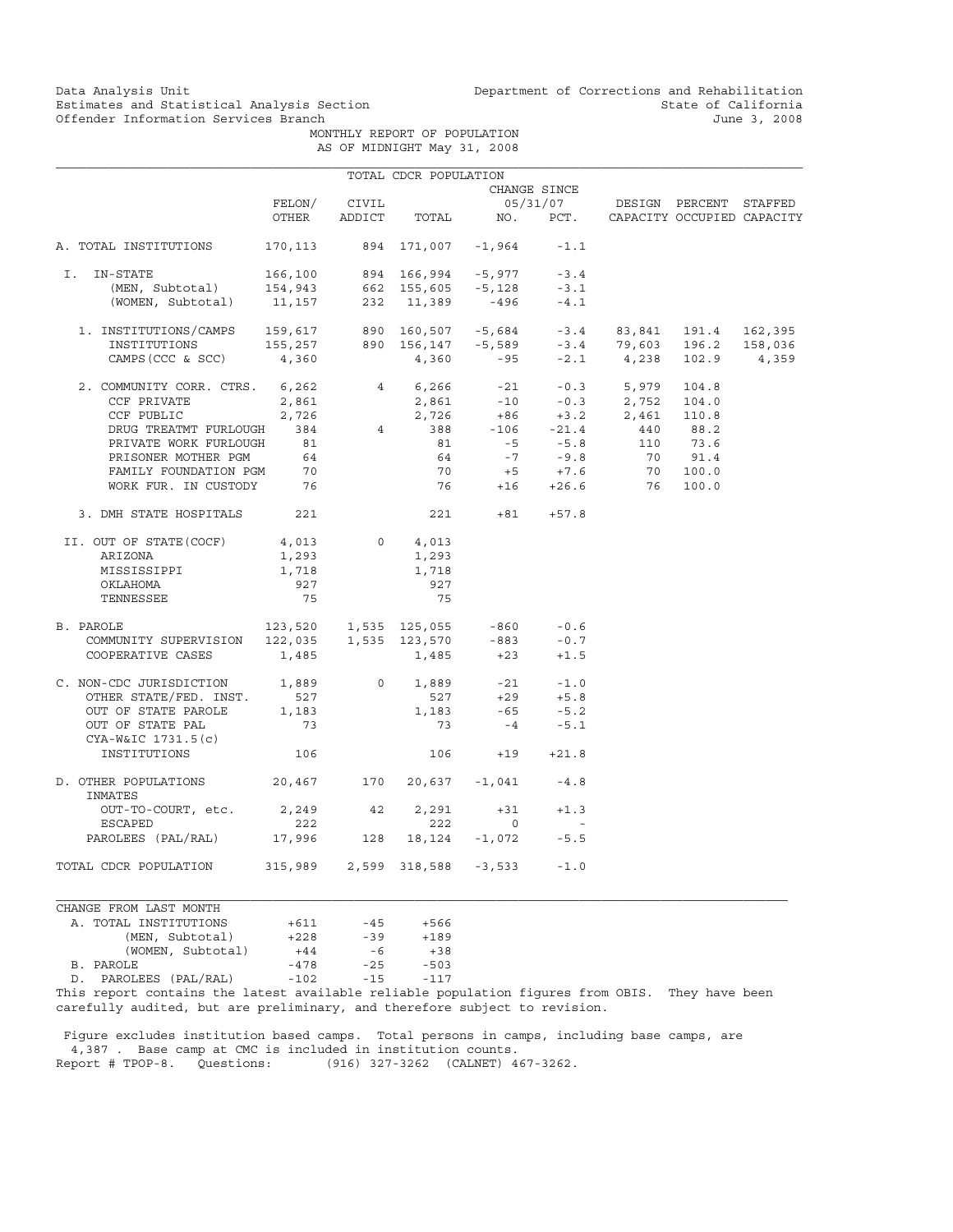Data Analysis Unit Unit Department of Corrections and Rehabilitation<br>Estimates and Statistical Analysis Section State of California Estimates and Statistical Analysis Section State of California<br>
Offender Information Services Branch State of California<br>
3, 2008

> MONTHLY REPORT OF POPULATION AS OF MIDNIGHT May 31, 2008

|                                                                                        |                                                                                          |                | TOTAL CDCR POPULATION                    |                                    |                          |                                                          |            |                            |
|----------------------------------------------------------------------------------------|------------------------------------------------------------------------------------------|----------------|------------------------------------------|------------------------------------|--------------------------|----------------------------------------------------------|------------|----------------------------|
|                                                                                        |                                                                                          |                |                                          |                                    | CHANGE SINCE             |                                                          |            |                            |
|                                                                                        | FELON/                                                                                   |                | 05/31/07 DESIGN PERCENT STAFFED<br>CIVIL |                                    |                          |                                                          |            |                            |
|                                                                                        | OTHER                                                                                    | ADDICT         |                                          | TOTAL NO. PCT.                     |                          |                                                          |            | CAPACITY OCCUPIED CAPACITY |
| A. TOTAL INSTITUTIONS                                                                  | 170,113                                                                                  |                |                                          | 894 171,007 -1,964                 | $-1.1$                   |                                                          |            |                            |
| IN-STATE<br>I.                                                                         |                                                                                          |                |                                          | 166,100 894 166,994 -5,977         | $-3.4$                   |                                                          |            |                            |
|                                                                                        |                                                                                          |                |                                          |                                    | $-3.1$                   |                                                          |            |                            |
| (MEN, Subtotal) 154,943 662 155,605 -5,128<br>(WOMEN, Subtotal) 11,157 232 11,389 -496 |                                                                                          |                |                                          |                                    | $-4.1$                   |                                                          |            |                            |
| 1. INSTITUTIONS/CAMPS 159,617 890 160,507 -5,684 -3.4 83,841 191.4 162,395             |                                                                                          |                |                                          |                                    |                          |                                                          |            |                            |
| INSTITUTIONS                                                                           |                                                                                          |                |                                          |                                    |                          |                                                          |            |                            |
| CAMPS (CCC & SCC)                                                                      | 155,257 890 156,147 -5,589 -3.4 79,603 196.2 158,036<br>4,360 -95 -2.1 4,238 102.9 4,359 |                |                                          |                                    |                          |                                                          |            |                            |
| 2. COMMUNITY CORR. CTRS. 6,262                                                         |                                                                                          |                |                                          |                                    |                          | 4 6,266 -21 -0.3 5,979                                   | 104.8      |                            |
| CCF PRIVATE                                                                            | 2,861                                                                                    |                |                                          |                                    |                          |                                                          |            |                            |
| CCF PUBLIC                                                                             | 2,726                                                                                    |                |                                          |                                    |                          | 2,861 -10 -0.3 2,752 104.0<br>2,726 +86 +3.2 2,461 110.8 |            |                            |
| DRUG TREATMT FURLOUGH                                                                  | 384                                                                                      |                |                                          | 4 388 -106 -21.4<br>81 -5 -5.8     |                          | 440 88.2                                                 |            |                            |
| PRIVATE WORK FURLOUGH                                                                  | 81                                                                                       |                |                                          |                                    |                          |                                                          | 110 73.6   |                            |
|                                                                                        |                                                                                          |                |                                          |                                    |                          |                                                          | 70 91.4    |                            |
| PRISONER MOTHER PGM 64<br>FAMILY FOUNDATION PGM 70                                     |                                                                                          |                |                                          | $64$ $-7$ $-9.8$<br>70 $+5$ $+7.6$ |                          |                                                          | $70$ 100.0 |                            |
| WORK FUR. IN CUSTODY 76                                                                |                                                                                          |                |                                          |                                    |                          | 76 +16 +26.6 76                                          | 100.0      |                            |
| 3. DMH STATE HOSPITALS                                                                 | 221                                                                                      |                | 221                                      |                                    | $+81 +57.8$              |                                                          |            |                            |
|                                                                                        | 4,013                                                                                    |                | $0 \t 4,013$                             |                                    |                          |                                                          |            |                            |
| II. OUT OF STATE(COCF)                                                                 |                                                                                          |                |                                          |                                    |                          |                                                          |            |                            |
| ARIZONA<br>MISSISSIPPI                                                                 | 1,293<br>1,718                                                                           |                | 1,293<br>1,718                           |                                    |                          |                                                          |            |                            |
|                                                                                        | 927                                                                                      |                | 927                                      |                                    |                          |                                                          |            |                            |
| OKLAHOMA                                                                               | 75                                                                                       |                | 75                                       |                                    |                          |                                                          |            |                            |
| TENNESSEE                                                                              |                                                                                          |                |                                          |                                    |                          |                                                          |            |                            |
| B. PAROLE                                                                              | 123,520  1,535  125,055  -860                                                            |                |                                          |                                    | $-0.6$                   |                                                          |            |                            |
| COMMUNITY SUPERVISION                                                                  | 122,035  1,535  123,570  -883                                                            |                |                                          |                                    | $-0.7$                   |                                                          |            |                            |
| COOPERATIVE CASES                                                                      | 1,485                                                                                    |                | 1,485                                    | $+23$                              | $+1.5$                   |                                                          |            |                            |
| C. NON-CDC JURISDICTION 1,889                                                          |                                                                                          | $\overline{0}$ | 1,889                                    |                                    | $-21 - 1.0$              |                                                          |            |                            |
| OTHER STATE/FED. INST.                                                                 | 527                                                                                      |                | 527                                      |                                    |                          |                                                          |            |                            |
| OUT OF STATE PAROLE                                                                    | 1,183                                                                                    |                | 1,183                                    | $+29$ $+5.8$<br>-65 $-5.2$         |                          |                                                          |            |                            |
| OUT OF STATE PAL                                                                       | 73                                                                                       |                | 73                                       |                                    | $-4$ $-5.1$              |                                                          |            |                            |
| CYA-W&IC 1731.5(c)                                                                     |                                                                                          |                |                                          |                                    |                          |                                                          |            |                            |
| INSTITUTIONS                                                                           | 106                                                                                      |                | 106                                      | $+19$                              | $+21.8$                  |                                                          |            |                            |
|                                                                                        |                                                                                          |                |                                          |                                    |                          |                                                          |            |                            |
| D. OTHER POPULATIONS 20,467 170<br>INMATES                                             |                                                                                          |                | 20,637 -1,041                            |                                    | $-4.8$                   |                                                          |            |                            |
| OUT-TO-COURT, etc.                                                                     | 2,249 42                                                                                 |                | 2,291                                    | $+31$                              | $+1.3$                   |                                                          |            |                            |
| <b>ESCAPED</b>                                                                         | 222                                                                                      |                | 222                                      | $\circ$                            | $\overline{\phantom{a}}$ |                                                          |            |                            |
| PAROLEES (PAL/RAL) 17,996                                                              |                                                                                          | 128            | 18,124 -1,072                            |                                    | $-5.5$                   |                                                          |            |                            |
| TOTAL CDCR POPULATION                                                                  | 315,989 2,599 318,588                                                                    |                |                                          | $-3,533$                           | $-1.0$                   |                                                          |            |                            |

CHANGE FROM LAST MONTH A. TOTAL INSTITUTIONS +611 -45 +566 (MEN, Subtotal)  $+228$  -39 +189<br>(WOMEN, Subtotal)  $+44$  -6 +38 (WOMEN, Subtotal)  $+44$  -6  $+38$ <br>LE  $-478$  -25 -503 B. PAROLE -478 -25 -503 D. PAROLEES (PAL/RAL) -102 -15 -117

This report contains the latest available reliable population figures from OBIS. They have been carefully audited, but are preliminary, and therefore subject to revision.

 Figure excludes institution based camps. Total persons in camps, including base camps, are 4,387 . Base camp at CMC is included in institution counts.<br>Report # TPOP-8. Questions: (916) 327-3262 (CALNET) 4 (916) 327-3262 (CALNET) 467-3262.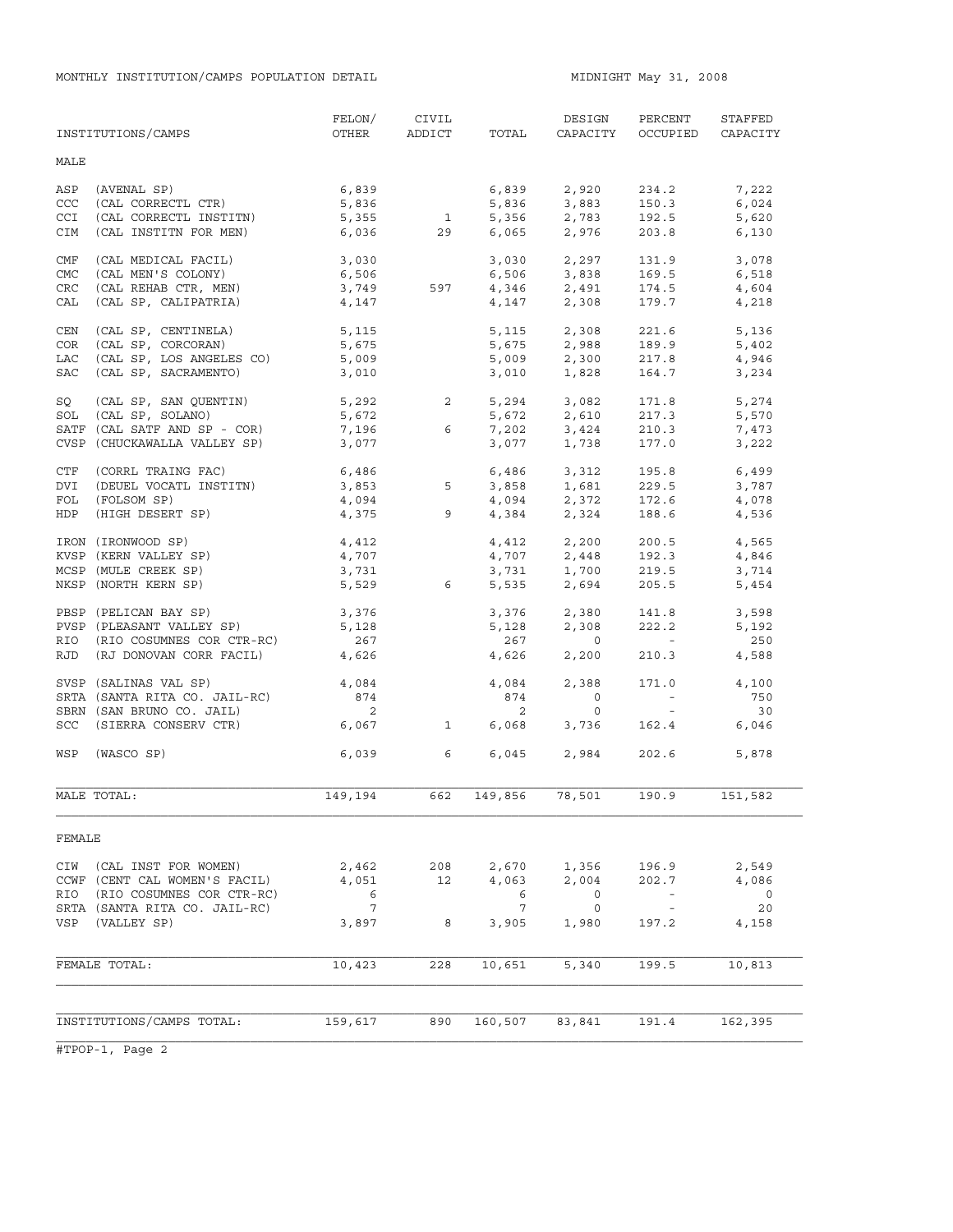MONTHLY INSTITUTION/CAMPS POPULATION DETAIL **MIDNIGHT May 31, 2008** 

|             | INSTITUTIONS/CAMPS            | FELON/<br>OTHER    | CIVIL<br>ADDICT         | TOTAL          | DESIGN<br>CAPACITY         | PERCENT<br>OCCUPIED                                                                                               | STAFFED<br>CAPACITY      |
|-------------|-------------------------------|--------------------|-------------------------|----------------|----------------------------|-------------------------------------------------------------------------------------------------------------------|--------------------------|
| MALE        |                               |                    |                         |                |                            |                                                                                                                   |                          |
| ASP         | (AVENAL SP)                   | 6,839              |                         | 6,839          | 2,920                      | 234.2                                                                                                             | 7,222                    |
| <b>CCC</b>  | (CAL CORRECTL CTR)            | 5,836              |                         | 5,836          | 3,883                      | 150.3                                                                                                             | 6,024                    |
| <b>CCI</b>  | (CAL CORRECTL INSTITN)        | 5,355              | $\overline{\mathbf{1}}$ | 5,356          | 2,783                      | 192.5                                                                                                             | 5,620                    |
| CIM         | (CAL INSTITN FOR MEN)         | 6,036              | 29                      | 6,065          | 2,976                      | 203.8                                                                                                             | 6,130                    |
| CMF         | (CAL MEDICAL FACIL)           | 3,030              |                         | 3,030          | 2,297                      | 131.9                                                                                                             | 3,078                    |
| <b>CMC</b>  | (CAL MEN'S COLONY)            | 6,506              |                         |                | $6,506$ $3,838$            | 169.5                                                                                                             | 6,518                    |
| <b>CRC</b>  | (CAL REHAB CTR, MEN)          | 3,749              | 597                     |                |                            | 174.5                                                                                                             | 4,604                    |
| CAL         | (CAL SP, CALIPATRIA)          | 4,147              |                         | 4,346<br>4,147 | 2,491<br>2,308             | 179.7                                                                                                             | 4,218                    |
| CEN         | (CAL SP, CENTINELA)           | 5,115              |                         | 5,115          | 2,308                      | 221.6                                                                                                             | 5,136                    |
| COR         | (CAL SP, CORCORAN)            | 5,675              |                         |                |                            | 189.9                                                                                                             | 5,402                    |
| LAC         | (CAL SP, LOS ANGELES CO)      | 5,009              |                         |                | 5,675 2,988<br>5,009 2,300 | 217.8                                                                                                             | 4,946                    |
| SAC         | (CAL SP, SACRAMENTO)          | 3,010              |                         | 3,010          | 1,828                      | 164.7                                                                                                             | 3,234                    |
| SQ          | (CAL SP, SAN QUENTIN)         | 5,292              | $2 \qquad \qquad$       |                |                            | 171.8                                                                                                             | 5,274                    |
| SOL         | (CAL SP, SOLANO)              | 5,672              |                         |                | 5,294 3,082<br>5,672 2,610 | 217.3                                                                                                             | 5,570                    |
|             | SATF (CAL SATF AND SP - COR)  | 7,196              | 6                       | 7,202          | 3,424<br>1 738             | 210.3                                                                                                             | 7,473                    |
| <b>CVSP</b> | (CHUCKAWALLA VALLEY SP)       | 3,077              |                         | 3,077          | 1,738                      | 177.0                                                                                                             | 3,222                    |
| CTF         | (CORRL TRAING FAC)            |                    |                         |                | 6,486 3,312                | 195.8                                                                                                             | 6,499                    |
| DVI         | (DEUEL VOCATL INSTITN)        | $6,486$<br>$3,853$ | 5                       |                |                            | 229.5                                                                                                             | 3,787                    |
| FOL         | (FOLSOM SP)                   | 4,094              |                         |                | 3,858 1,681<br>4,094 2,372 | 172.6                                                                                                             | 4,078                    |
| HDP         | (HIGH DESERT SP)              | 4,375              | 9                       |                | 4,384 2,324                | 188.6                                                                                                             | 4,536                    |
|             | IRON (IRONWOOD SP)            | 4,412              |                         |                | $4,412$ $2,200$            | 200.5                                                                                                             | 4,565                    |
|             | KVSP (KERN VALLEY SP)         | 4,707              |                         | 4,707          | 2,448                      | 192.3                                                                                                             | 4,846                    |
|             | MCSP (MULE CREEK SP)          | 3,731              |                         | 3,731          | $1,700$<br>$2,604$         | 219.5                                                                                                             | 3,714                    |
|             | NKSP (NORTH KERN SP)          | 5,529              | 6                       | 5,535          | 2,694                      | 205.5                                                                                                             | 5,454                    |
|             | PBSP (PELICAN BAY SP)         | 3,376              |                         | 3,376          | 2,380                      | 141.8                                                                                                             | 3,598                    |
|             | PVSP (PLEASANT VALLEY SP)     | 5,128              |                         | 5,128          | 2,308                      | 222.2                                                                                                             | 5,192                    |
|             | RIO (RIO COSUMNES COR CTR-RC) | 267                |                         | 267            | $\circ$                    | <b>Contractor</b>                                                                                                 | 250                      |
| RJD         | (RJ DONOVAN CORR FACIL)       | 4,626              |                         | 4,626          | 2,200                      | 210.3                                                                                                             | 4,588                    |
|             | SVSP (SALINAS VAL SP)         | 4,084              |                         | 4,084          | 2,388                      | 171.0                                                                                                             | 4,100                    |
|             | SRTA (SANTA RITA CO. JAIL-RC) | 874                |                         | 874            | $\mathbf 0$                | $\mathcal{L}^{\mathcal{L}}(\mathcal{L}^{\mathcal{L}})$ and $\mathcal{L}^{\mathcal{L}}(\mathcal{L}^{\mathcal{L}})$ | 750                      |
|             | SBRN (SAN BRUNO CO. JAIL)     | 2                  |                         | 2              | $\circ$                    | $\sim$ $-$                                                                                                        | 30                       |
|             | SCC (SIERRA CONSERV CTR)      | 6,067              | $\mathbf{1}$            | 6,068          | 3,736                      | 162.4                                                                                                             | 6,046                    |
| WSP         | (WASCO SP)                    | 6,039              | 6                       | 6,045          | 2,984                      | 202.6                                                                                                             | 5,878                    |
|             | MALE TOTAL:                   | 149,194            | 662                     | 149,856        | 78,501                     | 190.9                                                                                                             | 151,582                  |
| FEMALE      |                               |                    |                         |                |                            |                                                                                                                   |                          |
|             | CIW (CAL INST FOR WOMEN)      | 2,462              | 208                     | 2,670          | 1,356                      | 196.9                                                                                                             | 2,549                    |
|             | CCWF (CENT CAL WOMEN'S FACIL) | 4,051              | 12                      | 4,063          | 2,004                      | 202.7                                                                                                             | 4,086                    |
| RIO         | (RIO COSUMNES COR CTR-RC)     | 6                  |                         | 6              | 0                          |                                                                                                                   | $\overline{\phantom{0}}$ |
|             | SRTA (SANTA RITA CO. JAIL-RC) | $7\phantom{.0}$    |                         | 7              | 0                          | $\sim$ $-$                                                                                                        | 20                       |
|             | VSP (VALLEY SP)               | 3,897              | 8                       | 3,905          | 1,980                      | 197.2                                                                                                             | 4,158                    |
|             |                               |                    |                         |                |                            |                                                                                                                   |                          |
|             | FEMALE TOTAL:                 | 10,423             | 228                     | 10,651         | 5,340                      | 199.5                                                                                                             | 10,813                   |
|             |                               |                    |                         |                |                            |                                                                                                                   |                          |
|             | INSTITUTIONS/CAMPS TOTAL:     | 159,617            | 890                     | 160,507        | 83,841                     | 191.4                                                                                                             | 162,395                  |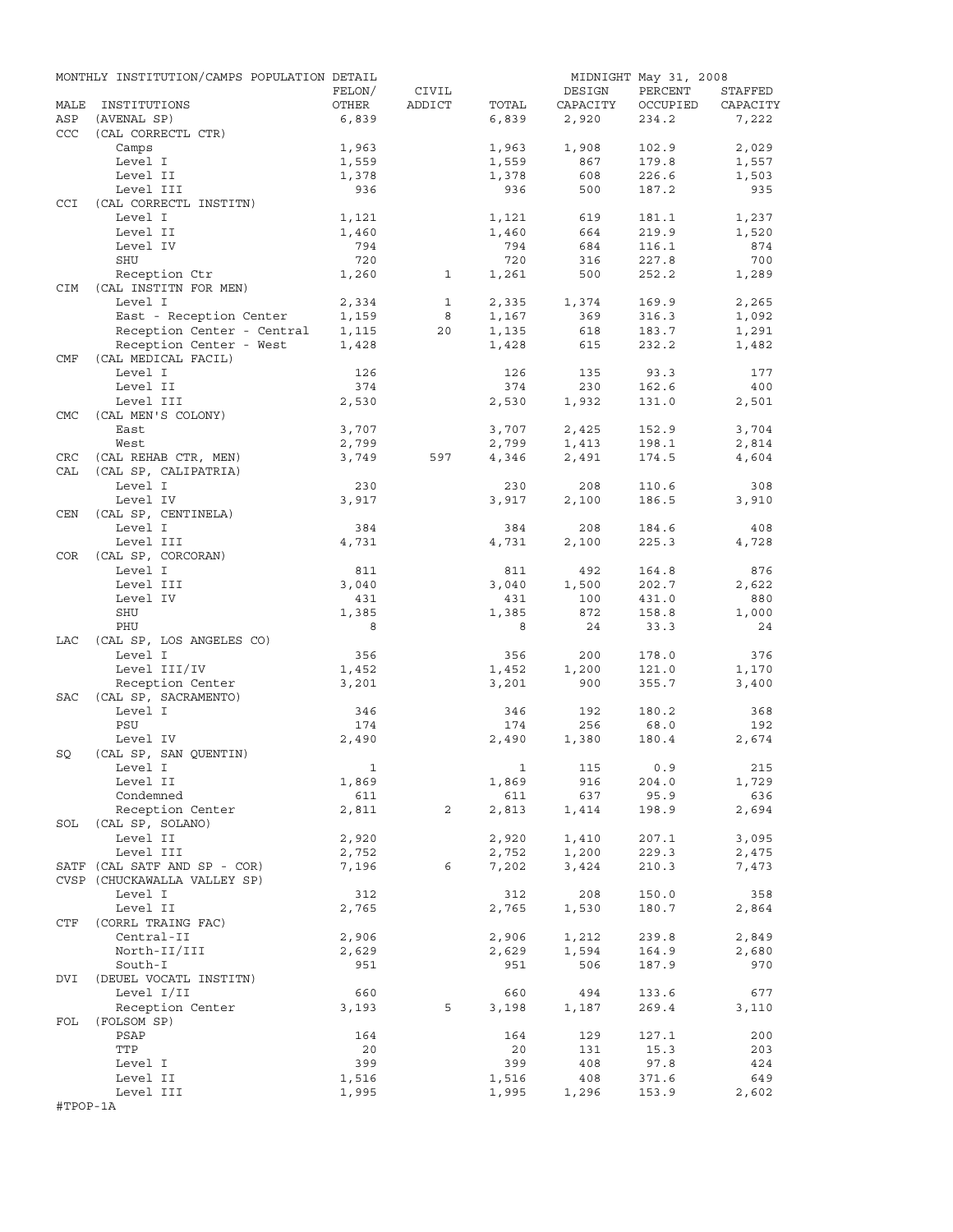|            | MONTHLY INSTITUTION/CAMPS POPULATION DETAIL |              |              |              |              | MIDNIGHT May 31, 2008 |                |
|------------|---------------------------------------------|--------------|--------------|--------------|--------------|-----------------------|----------------|
|            |                                             | FELON/       | CIVIL        |              | DESIGN       | PERCENT               | STAFFED        |
| MALE       | INSTITUTIONS                                | OTHER        | ADDICT       | TOTAL        | CAPACITY     | OCCUPIED              | CAPACITY       |
| ASP        | (AVENAL SP)                                 | 6,839        |              | 6,839        | 2,920        | 234.2                 | 7,222          |
| <b>CCC</b> | (CAL CORRECTL CTR)                          |              |              |              |              |                       |                |
|            | Camps                                       | 1,963        |              | 1,963        | 1,908        | 102.9                 | 2,029          |
|            | Level I<br>Level II                         | 1,559        |              | 1,559        | 867<br>608   | 179.8<br>226.6        | 1,557<br>1,503 |
|            | Level III                                   | 1,378<br>936 |              | 1,378<br>936 | 500          | 187.2                 | 935            |
| CCI        | (CAL CORRECTL INSTITN)                      |              |              |              |              |                       |                |
|            | Level I                                     | 1,121        |              | 1,121        | 619          | 181.1                 | 1,237          |
|            | Level II                                    | 1,460        |              | 1,460        | 664          | 219.9                 | 1,520          |
|            | Level IV                                    | 794          |              | 794          | 684          | 116.1                 | 874            |
|            | SHU                                         | 720          |              | 720          | 316          | 227.8                 | 700            |
|            | Reception Ctr                               | 1,260        | $\mathbf{1}$ | 1,261        | 500          | 252.2                 | 1,289          |
| CIM        | (CAL INSTITN FOR MEN)                       |              |              |              |              |                       |                |
|            | Level I                                     | 2,334        | $\mathbf{1}$ | 2,335        | 1,374        | 169.9                 | 2,265          |
|            | East - Reception Center                     | 1,159        | 8            | 1,167        | 369          | 316.3                 | 1,092          |
|            | Reception Center - Central                  | 1,115        | 20           | 1,135        | 618          | 183.7                 | 1,291          |
|            | Reception Center - West                     | 1,428        |              | 1,428        | 615          | 232.2                 | 1,482          |
| CMF        | (CAL MEDICAL FACIL)                         |              |              |              |              |                       |                |
|            | Level I                                     | 126          |              | 126          | 135          | 93.3                  | 177            |
|            | Level II                                    | 374          |              | 374          | 230          | 162.6                 | 400            |
|            | Level III                                   | 2,530        |              | 2,530        | 1,932        | 131.0                 | 2,501          |
| <b>CMC</b> | (CAL MEN'S COLONY)                          |              |              |              |              |                       |                |
|            | East                                        | 3,707        |              | 3,707        | 2,425        | 152.9                 | 3,704          |
|            | West                                        | 2,799        |              | 2,799        | 1,413        | 198.1                 | 2,814          |
| CRC        | (CAL REHAB CTR, MEN)                        | 3,749        | 597          | 4,346        | 2,491        | 174.5                 | 4,604          |
| CAL        | (CAL SP, CALIPATRIA)                        |              |              |              |              |                       |                |
|            | Level I<br>Level IV                         | 230          |              | 230<br>3,917 | 208<br>2,100 | 110.6<br>186.5        | 308<br>3,910   |
| CEN        | (CAL SP, CENTINELA)                         | 3,917        |              |              |              |                       |                |
|            | Level I                                     | 384          |              | 384          | 208          | 184.6                 | 408            |
|            | Level III                                   | 4,731        |              | 4,731        | 2,100        | 225.3                 | 4,728          |
| COR        | (CAL SP, CORCORAN)                          |              |              |              |              |                       |                |
|            | Level I                                     | 811          |              | 811          | 492          | 164.8                 | 876            |
|            | Level III                                   | 3,040        |              | 3,040        | 1,500        | 202.7                 | 2,622          |
|            | Level IV                                    | 431          |              | 431          | 100          | 431.0                 | 880            |
|            | SHU                                         | 1,385        |              | 1,385        | 872          | 158.8                 | 1,000          |
|            | PHU                                         | 8            |              | 8            | 24           | 33.3                  | 24             |
| LAC        | (CAL SP, LOS ANGELES CO)                    |              |              |              |              |                       |                |
|            | Level I                                     | 356          |              | 356          | 200          | 178.0                 | 376            |
|            | Level III/IV                                | 1,452        |              | 1,452        | 1,200        | 121.0                 | 1,170          |
|            | Reception Center                            | 3,201        |              | 3,201        | 900          | 355.7                 | 3,400          |
| SAC        | (CAL SP, SACRAMENTO)                        |              |              |              |              |                       |                |
|            | Level I                                     | 346          |              | 346          | 192          | 180.2                 | 368            |
|            | PSU                                         | 174          |              | 174          | 256          | 68.0                  | 192            |
|            | Level IV                                    | 2,490        |              | 2,490        | 1,380        | 180.4                 | 2,674          |
| SQ         | (CAL SP, SAN QUENTIN)                       |              |              |              |              |                       |                |
|            | Level I                                     | $\mathbf{1}$ |              |              | 1 115 0.9    |                       | 215            |
|            | Level II                                    | 1,869        |              | 1,869        | 916          | 204.0                 | 1,729          |
|            | Condemned                                   | 611          |              | 611          | 637          | 95.9                  | 636            |
|            | Reception Center<br>SOL (CAL SP, SOLANO)    | 2,811        | 2            | 2,813        | 1,414        | 198.9                 | 2,694          |
|            | Level II                                    | 2,920        |              | 2,920        | 1,410        | 207.1                 | 3,095          |
|            | Level III                                   | 2,752        |              | 2,752        | 1,200        | 229.3                 | 2,475          |
|            | SATF (CAL SATF AND SP - COR)                | 7,196        | 6            | 7,202        | 3,424        | 210.3                 | 7,473          |
|            | CVSP (CHUCKAWALLA VALLEY SP)                |              |              |              |              |                       |                |
|            | Level I                                     | 312          |              | 312          | 208          | 150.0                 | 358            |
|            | Level II                                    | 2,765        |              | 2,765        | 1,530        | 180.7                 | 2,864          |
| CTF        | (CORRL TRAING FAC)                          |              |              |              |              |                       |                |
|            | Central-II                                  | 2,906        |              | 2,906        | 1,212        | 239.8                 | 2,849          |
|            | North-II/III                                | 2,629        |              | 2,629        | 1,594        | 164.9                 | 2,680          |
|            | South-I                                     | 951          |              | 951          | 506          | 187.9                 | 970            |
| DVI        | (DEUEL VOCATL INSTITN)                      |              |              |              |              |                       |                |
|            | Level I/II                                  | 660          |              | 660          | 494          | 133.6                 | 677            |
|            | Reception Center                            | 3,193        | 5            | 3,198        | 1,187        | 269.4                 | 3,110          |
| FOL        | (FOLSOM SP)                                 |              |              |              |              |                       |                |
|            | PSAP                                        | 164          |              | 164          | 129          | 127.1                 | 200            |
|            | TTP                                         | 20           |              | 20           | 131          | 15.3                  | 203            |
|            | Level I                                     | 399          |              | 399          | 408          | 97.8                  | 424            |
|            | Level II                                    | 1,516        |              | 1,516        | 408          | 371.6                 | 649            |
|            | Level III                                   | 1,995        |              | 1,995        | 1,296        | 153.9                 | 2,602          |
| #TPOP-1A   |                                             |              |              |              |              |                       |                |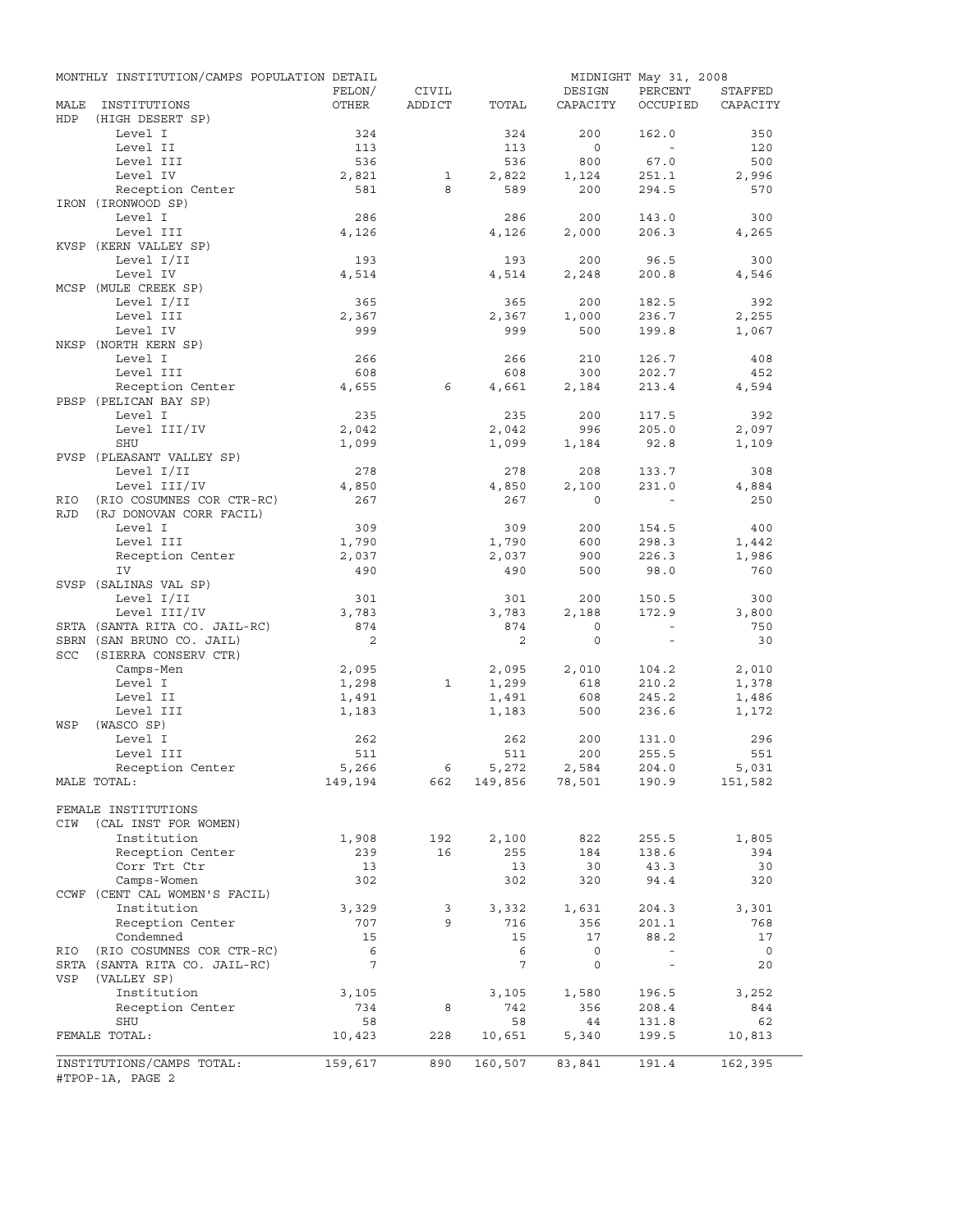|            | MONTHLY INSTITUTION/CAMPS POPULATION DETAIL |                 |              |         |                                 | MIDNIGHT May 31, 2008 |                |
|------------|---------------------------------------------|-----------------|--------------|---------|---------------------------------|-----------------------|----------------|
|            |                                             | FELON/          | CIVIL        |         | DESIGN                          | PERCENT               | STAFFED        |
| MALE       | INSTITUTIONS                                | OTHER           | ADDICT       | TOTAL   | CAPACITY                        | OCCUPIED              | CAPACITY       |
| <b>HDP</b> | (HIGH DESERT SP)                            |                 |              |         |                                 |                       |                |
|            | Level I                                     | 324             |              | 324     | 200                             | 162.0                 | 350            |
|            | Level II                                    | 113             |              | 113     | $\overline{0}$                  | $\sim$                | 120            |
|            | Level III                                   | 536             |              | 536     | 800                             | 67.0                  | 500            |
|            | Level IV                                    | 2,821           | $\mathbf{1}$ | 2,822   | 1,124                           | 251.1                 | 2,996          |
|            | Reception Center                            | 581             | 8            | 589     | 200                             | 294.5                 | 570            |
|            | IRON (IRONWOOD SP)                          |                 |              |         |                                 |                       |                |
|            | Level I                                     | 286             |              | 286     | 200                             | 143.0                 | 300            |
|            | Level III                                   | 4,126           |              | 4,126   | 2,000                           | 206.3                 | 4,265          |
|            | KVSP (KERN VALLEY SP)                       |                 |              |         |                                 |                       |                |
|            | Level I/II                                  | 193             |              | 193     | 200                             | 96.5                  | 300            |
|            | Level IV                                    | 4,514           |              | 4,514   | 2,248                           | 200.8                 | 4,546          |
|            | MCSP (MULE CREEK SP)                        |                 |              |         |                                 |                       |                |
|            | Level I/II                                  | 365             |              | 365     | 200                             | 182.5                 | 392            |
|            | Level III                                   | 2,367           |              | 2,367   | 1,000                           | 236.7                 | 2,255          |
|            | Level IV                                    | 999             |              | 999     | 500                             | 199.8                 | 1,067          |
|            | NKSP (NORTH KERN SP)                        |                 |              |         |                                 |                       |                |
|            | Level I                                     | 266             |              | 266     | 210                             | 126.7                 | 408            |
|            | Level III                                   | 608             |              | 608     | 300                             | 202.7                 | 452            |
|            | Reception Center                            | 4,655           | 6            | 4,661   | 2,184                           | 213.4                 | 4,594          |
|            | PBSP (PELICAN BAY SP)                       |                 |              |         |                                 |                       |                |
|            | Level I                                     | 235             |              | 235     | 200                             | 117.5                 | 392            |
|            | Level III/IV                                | 2,042           |              | 2,042   | 996                             | 205.0                 | 2,097          |
|            | SHU                                         | 1,099           |              | 1,099   | 1,184                           | 92.8                  | 1,109          |
|            | PVSP (PLEASANT VALLEY SP)                   |                 |              |         |                                 |                       |                |
|            | Level I/II                                  | 278             |              | 278     | 208                             | 133.7                 | 308            |
|            | Level III/IV                                | 4,850           |              | 4,850   | 2,100                           | 231.0                 | 4,884          |
| RIO        | (RIO COSUMNES COR CTR-RC)                   | 267             |              | 267     | $\Omega$                        |                       | 250            |
| <b>RJD</b> | (RJ DONOVAN CORR FACIL)                     |                 |              |         |                                 |                       |                |
|            | Level I                                     | 309             |              | 309     | 200                             | 154.5                 | 400            |
|            | Level III                                   | 1,790           |              | 1,790   | 600                             | 298.3                 | 1,442          |
|            | Reception Center                            | 2,037           |              | 2,037   | 900                             | 226.3                 | 1,986          |
|            | IV                                          | 490             |              | 490     | 500                             | 98.0                  | 760            |
|            | SVSP (SALINAS VAL SP)                       |                 |              |         |                                 |                       |                |
|            | Level I/II                                  | 301             |              | 301     | 200                             | 150.5                 | 300            |
|            | Level III/IV                                | 3,783           |              | 3,783   | 2,188                           | 172.9                 | 3,800          |
|            | SRTA (SANTA RITA CO. JAIL-RC)               | 874             |              | 874     | $\circ$                         | $\sim$                | 750            |
|            | SBRN (SAN BRUNO CO. JAIL)                   | 2               |              | 2       | $\circ$                         | $\sim$                | 30             |
| SCC        | (SIERRA CONSERV CTR)                        |                 |              |         |                                 |                       |                |
|            | Camps-Men                                   | 2,095           |              | 2,095   | 2,010                           | 104.2                 | 2,010          |
|            | Level I                                     | 1,298           | $\mathbf{1}$ | 1,299   | 618                             | 210.2                 | 1,378          |
|            | Level II                                    | 1,491           |              | 1,491   | 608                             | 245.2                 | 1,486          |
|            | Level III                                   | 1,183           |              | 1,183   | 500                             | 236.6                 | 1,172          |
| WSP        | (WASCO SP)                                  |                 |              |         |                                 |                       |                |
|            | Level I                                     | 262             |              | 262     | 200                             | 131.0                 | 296            |
|            | Level III                                   | 511             |              | 511     | 200                             | 255.5                 | 551            |
|            | Reception Center                            | 5,266           |              | 5,272   | 2,584<br>$149,856$ 78,501 190.9 | 204.0                 | 5,031          |
|            | MALE TOTAL:                                 | 149,194         | 662          |         |                                 |                       | 151,582        |
|            |                                             |                 |              |         |                                 |                       |                |
|            | FEMALE INSTITUTIONS                         |                 |              |         |                                 |                       |                |
| CIW        | (CAL INST FOR WOMEN)                        |                 |              |         |                                 |                       |                |
|            | Institution                                 | 1,908           | 192          | 2,100   | 822                             | 255.5                 | 1,805          |
|            | Reception Center                            | 239             | 16           | 255     | 184                             | 138.6                 | 394            |
|            | Corr Trt Ctr                                | 13              |              | 13      | 30                              | 43.3                  | 30             |
|            | Camps-Women                                 | 302             |              | 302     | 320                             | 94.4                  | 320            |
|            | CCWF (CENT CAL WOMEN'S FACIL)               |                 |              |         |                                 |                       |                |
|            | Institution                                 | 3,329           | 3            | 3,332   | 1,631                           | 204.3                 | 3,301          |
|            | Reception Center                            | 707             | 9            | 716     | 356                             | 201.1                 | 768            |
|            | Condemned                                   | 15              |              | 15      | 17                              | 88.2                  | 17             |
| RIO        | (RIO COSUMNES COR CTR-RC)                   | 6               |              | 6       | 0                               | $\sim$                | $\overline{0}$ |
|            | SRTA (SANTA RITA CO. JAIL-RC)               | $7\overline{ }$ |              | 7       | 0                               | $\sim$                | 20             |
| VSP        | (VALLEY SP)                                 |                 |              |         |                                 |                       |                |
|            | Institution                                 | 3,105           |              | 3,105   | 1,580                           | 196.5                 | 3,252          |
|            | Reception Center                            | 734             | 8            | 742     | 356                             | 208.4                 | 844            |
|            | SHU                                         | 58              |              | 58      | 44                              | 131.8                 | 62             |
|            | FEMALE TOTAL:                               | 10,423          | 228          | 10,651  | 5,340                           | 199.5                 | 10,813         |
|            |                                             |                 |              |         |                                 |                       |                |
|            | INSTITUTIONS/CAMPS TOTAL:                   | 159,617         | 890          | 160,507 | 83,841                          | 191.4                 | 162,395        |
|            | #TPOP-1A, PAGE 2                            |                 |              |         |                                 |                       |                |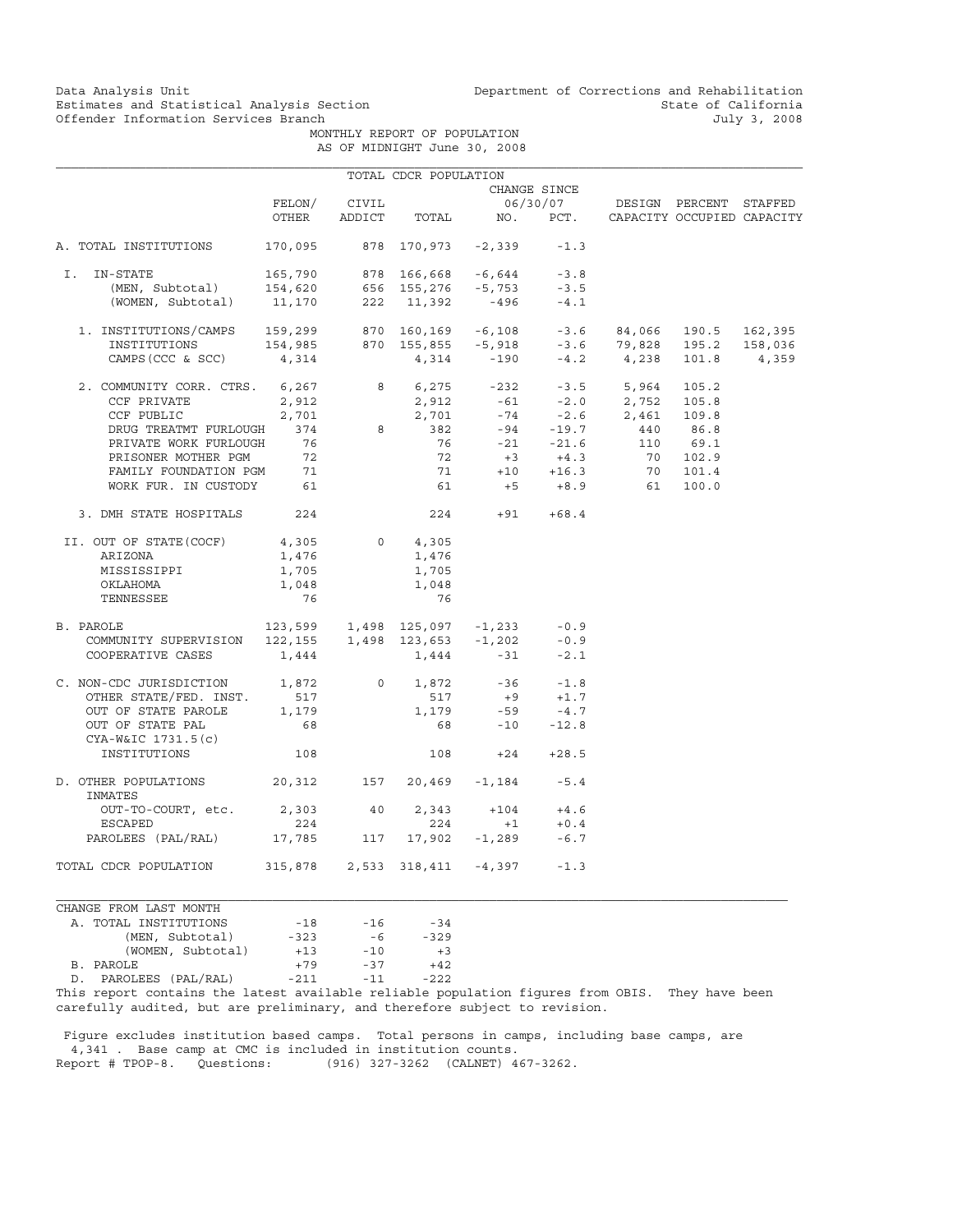Data Analysis Unit Unit Department of Corrections and Rehabilitation<br>Estimates and Statistical Analysis Section State of California Estimates and Statistical Analysis Section State of California<br>
Offender Information Services Branch State of California<br>
3, 2008

> MONTHLY REPORT OF POPULATION AS OF MIDNIGHT June 30, 2008

|                                                                                                                                                                     |                                                 |                | TOTAL CDCR POPULATION      |                                |              |                                                                                                             |              |                            |
|---------------------------------------------------------------------------------------------------------------------------------------------------------------------|-------------------------------------------------|----------------|----------------------------|--------------------------------|--------------|-------------------------------------------------------------------------------------------------------------|--------------|----------------------------|
|                                                                                                                                                                     |                                                 |                |                            |                                | CHANGE SINCE |                                                                                                             |              |                            |
|                                                                                                                                                                     | FELON/                                          | CIVIL          |                            |                                |              | 06/30/07 DESIGN PERCENT STAFFED                                                                             |              |                            |
|                                                                                                                                                                     | OTHER                                           | ADDICT         |                            | TOTAL NO. PCT.                 |              |                                                                                                             |              | CAPACITY OCCUPIED CAPACITY |
| A. TOTAL INSTITUTIONS                                                                                                                                               | 170,095                                         |                |                            | 878 170,973 -2,339             | $-1.3$       |                                                                                                             |              |                            |
| I. IN-STATE                                                                                                                                                         | 165,790                                         |                |                            | 878 166,668 -6,644             | $-3.8$       |                                                                                                             |              |                            |
|                                                                                                                                                                     |                                                 |                |                            |                                | $-3.5$       |                                                                                                             |              |                            |
| (MEN, Subtotal) 154,620 656 155,276 -5,753<br>(WOMEN, Subtotal) 11,170 222 11,392 -496                                                                              |                                                 |                |                            |                                | $-4.1$       |                                                                                                             |              |                            |
| 1. INSTITUTIONS/CAMPS 159,299 870 160,169 -6,108 -3.6 84,066<br>INSTITUTIONS 154,985 870 155,855 -5,918 -3.6 79,828<br>CAMPS(CCC & SCC) 4,314 4,314 -190 -4.2 4,238 |                                                 |                |                            |                                |              |                                                                                                             | 84,066 190.5 | 162,395                    |
|                                                                                                                                                                     |                                                 |                |                            |                                |              |                                                                                                             | 195.2        | 158,036                    |
|                                                                                                                                                                     |                                                 |                |                            |                                |              |                                                                                                             |              | 101.8 4,359                |
| 2. COMMUNITY CORR. CTRS. 6,267                                                                                                                                      |                                                 |                |                            |                                |              | 8 6,275 -232 -3.5 5,964                                                                                     | 105.2        |                            |
| CCF PRIVATE                                                                                                                                                         |                                                 | 2,912<br>2,701 |                            |                                |              |                                                                                                             |              |                            |
| CCF PUBLIC                                                                                                                                                          | 2,701                                           |                |                            |                                |              |                                                                                                             |              |                            |
| DRUG TREATMT FURLOUGH                                                                                                                                               | 374                                             | 8 <sup>1</sup> |                            |                                |              | 2,912 -61 -2.0 2,752 105.8<br>2,701 -74 -2.6 2,461 109.8<br>382 -94 -19.7 440 86.8<br>76 -21 -21.6 110 69.1 |              |                            |
| PRIVATE WORK FURLOUGH                                                                                                                                               | 76                                              |                |                            |                                |              |                                                                                                             |              |                            |
| PRISONER MOTHER PGM                                                                                                                                                 | $\frac{72}{71}$                                 |                |                            |                                |              |                                                                                                             | 70 102.9     |                            |
| FAMILY FOUNDATION PGM                                                                                                                                               |                                                 |                |                            | $72 +3 +4.3$<br>$71 +10 +16.3$ |              |                                                                                                             | 70 101.4     |                            |
| WORK FUR. IN CUSTODY 61                                                                                                                                             |                                                 |                |                            |                                |              | $61 +5 +8.9$ 61                                                                                             | 100.0        |                            |
| 3. DMH STATE HOSPITALS 224                                                                                                                                          |                                                 |                | 224                        |                                | $+91 +68.4$  |                                                                                                             |              |                            |
| II. OUT OF STATE(COCF)                                                                                                                                              | 4,305                                           |                | 0<br>4,305                 |                                |              |                                                                                                             |              |                            |
| ARIZONA                                                                                                                                                             | 1,476                                           |                | 1,476                      |                                |              |                                                                                                             |              |                            |
| MISSISSIPPI                                                                                                                                                         | 1,705                                           |                | 1,705                      |                                |              |                                                                                                             |              |                            |
| OKLAHOMA                                                                                                                                                            | 1,048                                           |                | 1,048                      |                                |              |                                                                                                             |              |                            |
| TENNESSEE                                                                                                                                                           | 76                                              |                | 76                         |                                |              |                                                                                                             |              |                            |
| B. PAROLE                                                                                                                                                           | $123,599$ $1,498$ $125,097$ $-1,233$ $-0.9$     |                |                            |                                |              |                                                                                                             |              |                            |
| COMMUNITY SUPERVISION                                                                                                                                               | $122, 155$ $1, 498$ $123, 653$ $-1, 202$ $-0.9$ |                |                            |                                |              |                                                                                                             |              |                            |
| COOPERATIVE CASES                                                                                                                                                   | 1,444                                           |                | 1,444                      | $-31$                          | $-2.1$       |                                                                                                             |              |                            |
| C. NON-CDC JURISDICTION 1,872                                                                                                                                       |                                                 |                | $0 \qquad \qquad$<br>1,872 | $-36$                          | $-1.8$       |                                                                                                             |              |                            |
| OTHER STATE/FED. INST.                                                                                                                                              | 517                                             |                | 517                        |                                | $+9$ $+1.7$  |                                                                                                             |              |                            |
| OUT OF STATE PAROLE                                                                                                                                                 | 1,179                                           |                | 1,179                      | $-59$                          | $-4.7$       |                                                                                                             |              |                            |
| OUT OF STATE PAL<br>CYA-W&IC 1731.5(c)                                                                                                                              | 68                                              |                |                            | 68 7                           | $-10 - 12.8$ |                                                                                                             |              |                            |
| INSTITUTIONS                                                                                                                                                        | 108                                             |                | 108                        | $+24$                          | $+28.5$      |                                                                                                             |              |                            |
| D. OTHER POPULATIONS 20,312 157 20,469 -1,184 -5.4<br>INMATES                                                                                                       |                                                 |                |                            |                                |              |                                                                                                             |              |                            |
| OUT-TO-COURT, etc.                                                                                                                                                  | 2,303 40                                        |                | 2,343                      |                                | $+104 +4.6$  |                                                                                                             |              |                            |
| <b>ESCAPED</b>                                                                                                                                                      | 224                                             |                | 224                        | $+1$                           | $+0.4$       |                                                                                                             |              |                            |
| PAROLEES (PAL/RAL) 17,785                                                                                                                                           |                                                 | 117            |                            | $17,902 -1,289 -6.7$           |              |                                                                                                             |              |                            |
| TOTAL CDCR POPULATION                                                                                                                                               | 315,878  2,533  318,411  -4,397                 |                |                            |                                | $-1.3$       |                                                                                                             |              |                            |

CHANGE FROM LAST MONTH A. TOTAL INSTITUTIONS  $-18$  -16 -34<br>(MEN, Subtotal) -323 -6 -329 (MEN, Subtotal) -323 -6<br>(WOMEN, Subtotal) -13 -10 (WOMEN, Subtotal) +13 -10 +3<br>LE +79 -37 +42 B. PAROLE D. PAROLEES (PAL/RAL) -211 -11 -222

This report contains the latest available reliable population figures from OBIS. They have been carefully audited, but are preliminary, and therefore subject to revision.

 Figure excludes institution based camps. Total persons in camps, including base camps, are 4,341 . Base camp at CMC is included in institution counts.<br>Report # TPOP-8. Questions: (916) 327-3262 (CALNET) 4 (916) 327-3262 (CALNET) 467-3262.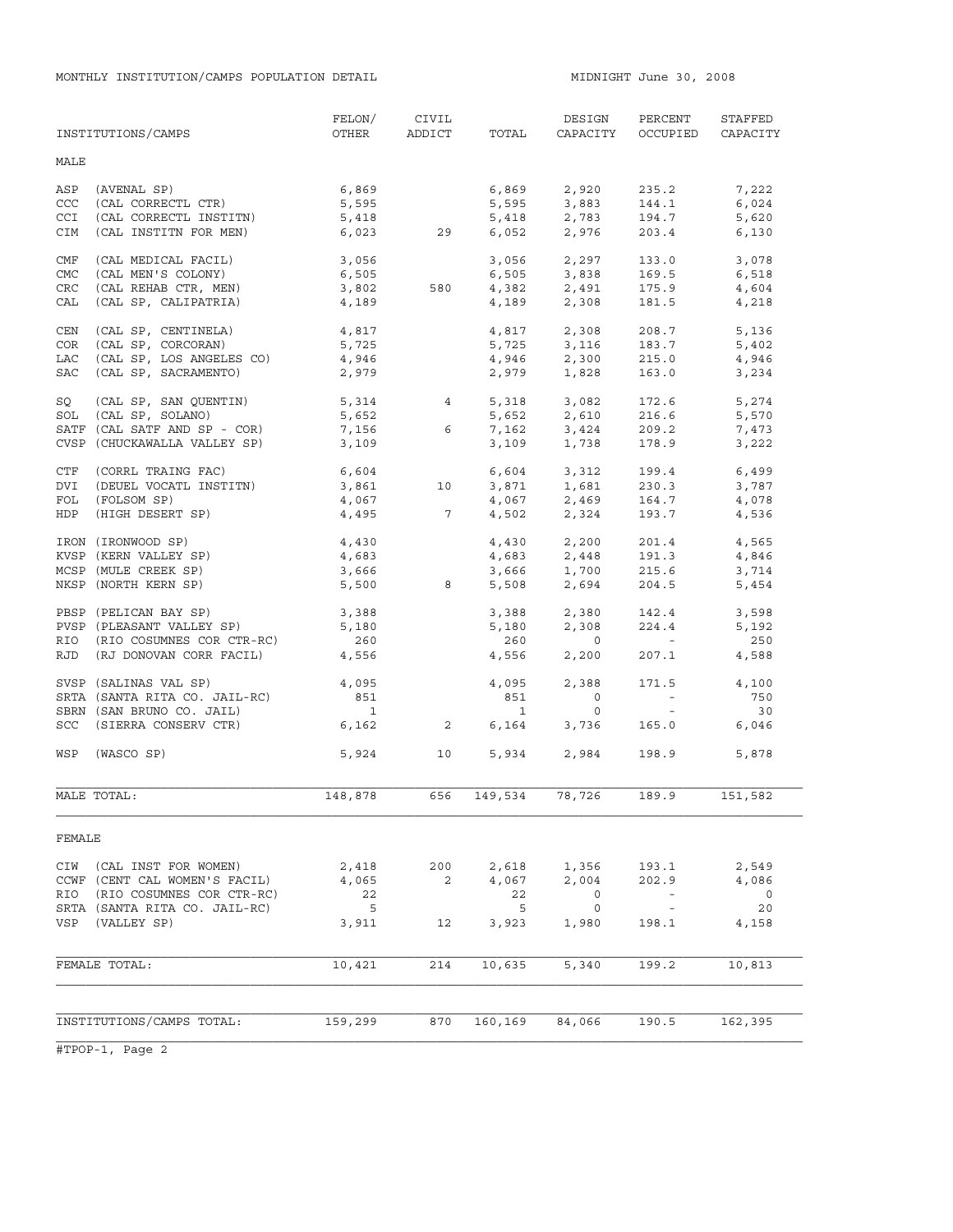MONTHLY INSTITUTION/CAMPS POPULATION DETAIL **MIDNIGHT JULE 1000** MIDNIGHT June 30, 2008

|            |                               | FELON/                   | CIVIL           |                | DESIGN                     | PERCENT                                                                                                  | STAFFED  |
|------------|-------------------------------|--------------------------|-----------------|----------------|----------------------------|----------------------------------------------------------------------------------------------------------|----------|
|            | INSTITUTIONS/CAMPS            | OTHER                    | ADDICT          | TOTAL          | CAPACITY                   | OCCUPIED                                                                                                 | CAPACITY |
| MALE       |                               |                          |                 |                |                            |                                                                                                          |          |
| ASP        | (AVENAL SP)                   | 6,869                    |                 | 6,869          | 2,920                      | 235.2                                                                                                    | 7,222    |
| CCC        | (CAL CORRECTL CTR)            | 5,595                    |                 |                |                            | 144.1                                                                                                    | 6,024    |
| <b>CCI</b> | (CAL CORRECTL INSTITN)        | 5,418                    |                 |                | 5,595 3,883<br>5,418 2,783 | 194.7                                                                                                    | 5,620    |
| CIM        | (CAL INSTITN FOR MEN)         |                          | 6,023 29        | 6,052          | 2,976                      | 203.4                                                                                                    | 6,130    |
| CMF        | (CAL MEDICAL FACIL)           | 3,056                    |                 | 3,056          | 2,297                      | 133.0                                                                                                    | 3,078    |
| <b>CMC</b> | (CAL MEN'S COLONY)            | 6,505                    |                 |                | $6,505$ $3,838$            | 169.5                                                                                                    | 6,518    |
| CRC        | (CAL REHAB CTR, MEN)          | 3,802                    | 580             | 4,382<br>4,189 | 2,491<br>2,308             | 175.9                                                                                                    | 4,604    |
| CAL        | (CAL SP, CALIPATRIA)          | 4,189                    |                 |                |                            | 181.5                                                                                                    | 4,218    |
| CEN        | (CAL SP, CENTINELA)           | 4,817                    |                 | 4,817          | 2,308                      | 208.7                                                                                                    | 5,136    |
| COR        | (CAL SP, CORCORAN)            | 5,725                    |                 | 5,725          | 3,116<br>2.300             | 183.7                                                                                                    | 5,402    |
| LAC        | (CAL SP, LOS ANGELES CO)      | 4,946                    |                 |                | $4,946$ 2,300              | 215.0                                                                                                    | 4,946    |
| <b>SAC</b> | (CAL SP, SACRAMENTO)          | 2,979                    |                 | 2,979          | 1,828                      | 163.0                                                                                                    | 3,234    |
| SQ         | (CAL SP, SAN QUENTIN)         | 5,314<br>5,652           | $4\overline{ }$ |                | 5,318 3,082<br>5,652 2,610 | 172.6                                                                                                    | 5,274    |
| SOL        | (CAL SP, SOLANO)              |                          |                 |                |                            | 216.6                                                                                                    | 5,570    |
|            | SATF (CAL SATF AND SP - COR)  | 7,156                    | 6               |                | 7,162 3,424                | 209.2                                                                                                    | 7,473    |
|            | CVSP (CHUCKAWALLA VALLEY SP)  | 3,109                    |                 | 3,109          | 1,738                      | 178.9                                                                                                    | 3,222    |
| CTF        | (CORRL TRAING FAC)            | 6,604                    |                 |                | 6,604 3,312                | 199.4                                                                                                    | 6,499    |
| DVI        | (DEUEL VOCATL INSTITN)        | 3,861                    | 10              | 3,871          |                            | 230.3                                                                                                    | 3,787    |
| FOL        | (FOLSOM SP)                   | 4,067                    |                 | 4,067          | 1,681<br>2,469             | 164.7                                                                                                    | 4,078    |
| HDP        | (HIGH DESERT SP)              |                          | $4,495$ 7       |                | 4,502 2,324                | 193.7                                                                                                    | 4,536    |
|            | IRON (IRONWOOD SP)            | 4,430                    |                 |                | 4,430 2,200                | 201.4                                                                                                    | 4,565    |
|            | KVSP (KERN VALLEY SP)         | 4,683                    |                 | 4,683          | 2,448                      | 191.3                                                                                                    | 4,846    |
|            | MCSP (MULE CREEK SP)          | 3,666                    |                 |                | 3,666 1,700                | 215.6                                                                                                    | 3,714    |
|            | NKSP (NORTH KERN SP)          | 5,500                    | 8               | 5,508          | 2,694                      | 204.5                                                                                                    | 5,454    |
|            | PBSP (PELICAN BAY SP)         | 3,388                    |                 | 3,388          | 2,380                      | 142.4                                                                                                    | 3,598    |
|            | PVSP (PLEASANT VALLEY SP)     | 5,180                    |                 | 5,180          | 2,308                      | 224.4                                                                                                    | 5,192    |
|            | RIO (RIO COSUMNES COR CTR-RC) | 260                      |                 | 260            | $\overline{0}$             | $\mathcal{L}(\mathcal{L}^{\mathcal{L}})$ and $\mathcal{L}^{\mathcal{L}}$ and $\mathcal{L}^{\mathcal{L}}$ | 250      |
| RJD        | (RJ DONOVAN CORR FACIL)       | 4,556                    |                 | 4,556          | 2,200                      | 207.1                                                                                                    | 4,588    |
|            | SVSP (SALINAS VAL SP)         | 4,095                    |                 | 4,095          | 2,388                      | 171.5                                                                                                    | 4,100    |
|            | SRTA (SANTA RITA CO. JAIL-RC) | 851                      |                 | 851            | $\circ$                    | $\alpha_{\rm{max}}=0.5$                                                                                  | 750      |
|            | SBRN (SAN BRUNO CO. JAIL)     | $\overline{\phantom{a}}$ |                 | $\mathbf{1}$   | $\circ$                    | $\sim$ $-$                                                                                               | 30       |
|            | SCC (SIERRA CONSERV CTR)      | 6,162                    | $\overline{2}$  | 6,164          | 3,736                      | 165.0                                                                                                    | 6,046    |
|            | WSP (WASCO SP)                | 5,924                    | 10              | 5,934          | 2,984                      | 198.9                                                                                                    | 5,878    |
|            | MALE TOTAL:                   | 148,878                  | 656             | 149,534        | 78,726                     | 189.9                                                                                                    | 151,582  |
| FEMALE     |                               |                          |                 |                |                            |                                                                                                          |          |
| CIW        | (CAL INST FOR WOMEN)          | 2,418                    | 200             | 2,618          | 1,356                      | 193.1                                                                                                    | 2,549    |
|            | CCWF (CENT CAL WOMEN'S FACIL) | 4,065                    | 2               | 4,067          | 2,004                      | 202.9                                                                                                    | 4,086    |
| RIO        | (RIO COSUMNES COR CTR-RC)     | 22                       |                 | 22             | $\circ$                    |                                                                                                          | $\circ$  |
|            | SRTA (SANTA RITA CO. JAIL-RC) | $-5$                     |                 | 5              | 0                          | $\sim$                                                                                                   | 20       |
| VSP        | (VALLEY SP)                   | 3,911                    | 12              | 3,923          | 1,980                      | 198.1                                                                                                    | 4,158    |
|            |                               |                          |                 |                |                            |                                                                                                          |          |
|            | FEMALE TOTAL:                 | 10,421                   | 214             | 10,635         | 5,340                      | 199.2                                                                                                    | 10,813   |
|            |                               |                          |                 |                |                            |                                                                                                          |          |
|            | INSTITUTIONS/CAMPS TOTAL:     | 159,299                  | 870             | 160,169        | 84,066                     | 190.5                                                                                                    | 162,395  |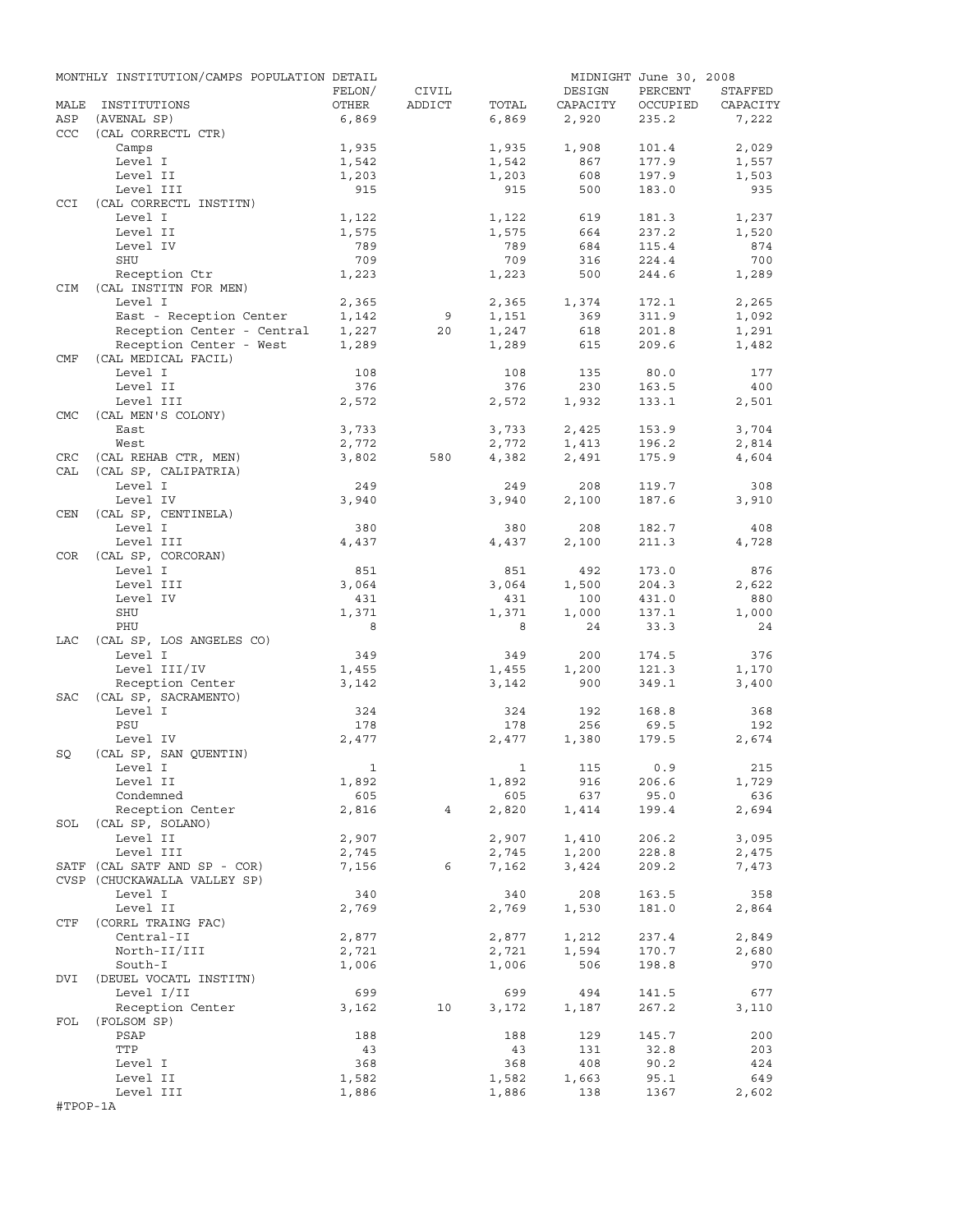|            | MONTHLY INSTITUTION/CAMPS POPULATION DETAIL |                |                 |                |           | MIDNIGHT June 30, 2008 |                |
|------------|---------------------------------------------|----------------|-----------------|----------------|-----------|------------------------|----------------|
|            |                                             | FELON/         | CIVIL           |                | DESIGN    | PERCENT                | STAFFED        |
| MALE       | INSTITUTIONS                                | OTHER          | ADDICT          | TOTAL          | CAPACITY  | OCCUPIED               | CAPACITY       |
| ASP        | (AVENAL SP)                                 | 6,869          |                 | 6,869          | 2,920     | 235.2                  | 7,222          |
| <b>CCC</b> | (CAL CORRECTL CTR)                          |                |                 |                | 1,908     | 101.4                  |                |
|            | Camps<br>Level I                            | 1,935<br>1,542 |                 | 1,935<br>1,542 | 867       | 177.9                  | 2,029<br>1,557 |
|            | Level II                                    | 1,203          |                 | 1,203          | 608       | 197.9                  | 1,503          |
|            | Level III                                   | 915            |                 | 915            | 500       | 183.0                  | 935            |
| CCI        | (CAL CORRECTL INSTITN)                      |                |                 |                |           |                        |                |
|            | Level I                                     | 1,122          |                 | 1,122          | 619       | 181.3                  | 1,237          |
|            | Level II                                    | 1,575          |                 | 1,575          | 664       | 237.2                  | 1,520          |
|            | Level IV                                    | 789            |                 | 789            | 684       | 115.4                  | 874            |
|            | SHU                                         | 709            |                 | 709            | 316       | 224.4                  | 700            |
|            | Reception Ctr                               | 1,223          |                 | 1,223          | 500       | 244.6                  | 1,289          |
| <b>CIM</b> | (CAL INSTITN FOR MEN)                       |                |                 |                |           |                        |                |
|            | Level I                                     | 2,365          |                 | 2,365          | 1,374     | 172.1                  | 2,265          |
|            | East - Reception Center                     | 1,142          | 9               | 1,151          | 369       | 311.9                  | 1,092          |
|            | Reception Center - Central                  | 1,227          | 20              | 1,247          | 618       | 201.8                  | 1,291          |
|            | Reception Center - West                     | 1,289          |                 | 1,289          | 615       | 209.6                  | 1,482          |
| CMF        | (CAL MEDICAL FACIL)                         |                |                 |                |           |                        |                |
|            | Level I                                     | 108            |                 | 108            | 135       | 80.0                   | 177            |
|            | Level II                                    | 376            |                 | 376            | 230       | 163.5                  | 400            |
|            | Level III                                   | 2,572          |                 | 2,572          | 1,932     | 133.1                  | 2,501          |
| <b>CMC</b> | (CAL MEN'S COLONY)                          |                |                 |                |           |                        |                |
|            | East                                        | 3,733          |                 | 3,733          | 2,425     | 153.9                  | 3,704          |
|            | West                                        | 2,772          |                 | 2,772          | 1,413     | 196.2                  | 2,814          |
| CRC        | (CAL REHAB CTR, MEN)                        | 3,802          | 580             | 4,382          | 2,491     | 175.9                  | 4,604          |
| CAL        | (CAL SP, CALIPATRIA)                        |                |                 |                |           |                        |                |
|            | Level I                                     | 249            |                 | 249            | 208       | 119.7                  | 308            |
|            | Level IV                                    | 3,940          |                 | 3,940          | 2,100     | 187.6                  | 3,910          |
| CEN        | (CAL SP, CENTINELA)                         |                |                 |                |           |                        |                |
|            | Level I                                     | 380            |                 | 380            | 208       | 182.7                  | 408            |
|            | Level III                                   | 4,437          |                 | 4,437          | 2,100     | 211.3                  | 4,728          |
| COR        | (CAL SP, CORCORAN)                          |                |                 |                |           |                        |                |
|            | Level I                                     | 851            |                 | 851            | 492       | 173.0                  | 876            |
|            | Level III                                   | 3,064          |                 | 3,064          | 1,500     | 204.3                  | 2,622          |
|            | Level IV                                    | 431            |                 | 431            | 100       | 431.0                  | 880            |
|            | SHU                                         | 1,371          |                 | 1,371          | 1,000     | 137.1                  | 1,000          |
|            | PHU                                         | 8              |                 | 8              | 24        | 33.3                   | 24             |
| LAC        | (CAL SP, LOS ANGELES CO)                    |                |                 |                |           |                        |                |
|            | Level I                                     | 349            |                 | 349            | 200       | 174.5                  | 376            |
|            | Level III/IV<br>Reception Center            | 1,455<br>3,142 |                 | 1,455          | 1,200     | 121.3                  | 1,170          |
|            | (CAL SP, SACRAMENTO)                        |                |                 | 3,142          | 900       | 349.1                  | 3,400          |
| SAC        | Level I                                     | 324            |                 | 324            | 192       | 168.8                  | 368            |
|            | PSU                                         | 178            |                 | 178            | 256       | 69.5                   | 192            |
|            | Level IV                                    | 2,477          |                 | 2,477          | 1,380     | 179.5                  | 2,674          |
| SQ         | (CAL SP, SAN QUENTIN)                       |                |                 |                |           |                        |                |
|            | Level I                                     | $\mathbf{1}$   |                 |                | 1 115 0.9 |                        | 215            |
|            | Level II                                    | 1,892          |                 | 1,892          | 916       | 206.6                  | 1,729          |
|            | Condemned                                   | 605            |                 | 605            | 637       | 95.0                   | 636            |
|            | Reception Center                            | 2,816          | $4\overline{ }$ | 2,820          | 1,414     | 199.4                  | 2,694          |
|            | SOL (CAL SP, SOLANO)                        |                |                 |                |           |                        |                |
|            | Level II                                    | 2,907          |                 | 2,907          | 1,410     | 206.2                  | 3,095          |
|            | Level III                                   | 2,745          |                 | 2,745          | 1,200     | 228.8                  | 2,475          |
|            | SATF (CAL SATF AND SP - COR)                | 7,156          | 6               | 7,162          | 3,424     | 209.2                  | 7,473          |
|            | CVSP (CHUCKAWALLA VALLEY SP)                |                |                 |                |           |                        |                |
|            | Level I                                     | 340            |                 | 340            | 208       | 163.5                  | 358            |
|            | Level II                                    | 2,769          |                 | 2,769          | 1,530     | 181.0                  | 2,864          |
| CTF        | (CORRL TRAING FAC)                          |                |                 |                |           |                        |                |
|            | Central-II                                  | 2,877          |                 | 2,877          | 1,212     | 237.4                  | 2,849          |
|            | North-II/III                                | 2,721          |                 | 2,721          | 1,594     | 170.7                  | 2,680          |
|            | South-I                                     | 1,006          |                 | 1,006          | 506       | 198.8                  | 970            |
| DVI        | (DEUEL VOCATL INSTITN)                      |                |                 |                |           |                        |                |
|            | Level I/II                                  | 699            |                 | 699            | 494       | 141.5                  | 677            |
|            | Reception Center                            | 3,162          | 10              | 3,172          | 1,187     | 267.2                  | 3,110          |
| FOL        | (FOLSOM SP)                                 |                |                 |                |           |                        |                |
|            | PSAP                                        | 188            |                 | 188            | 129       | 145.7                  | 200            |
|            | TTP                                         | 43             |                 | 43             | 131       | 32.8                   | 203            |
|            | Level I                                     | 368            |                 | 368            | 408       | 90.2                   | 424            |
|            | Level II                                    | 1,582          |                 | 1,582          | 1,663     | 95.1                   | 649            |
|            | Level III                                   | 1,886          |                 | 1,886          | 138       | 1367                   | 2,602          |
| #TPOP-1A   |                                             |                |                 |                |           |                        |                |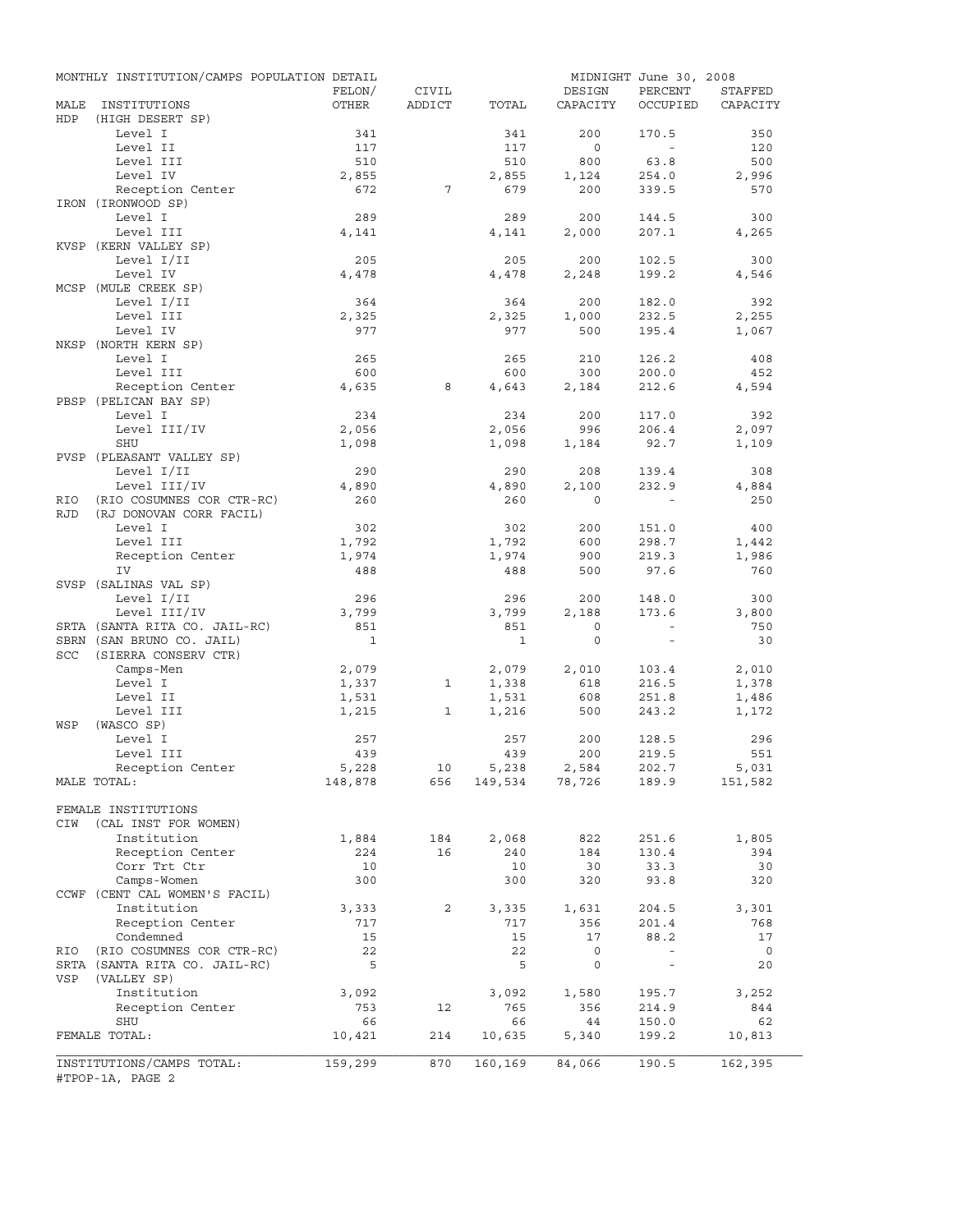|             | MONTHLY INSTITUTION/CAMPS POPULATION DETAIL |              |                |              |                                     | MIDNIGHT June 30, 2008 |                |
|-------------|---------------------------------------------|--------------|----------------|--------------|-------------------------------------|------------------------|----------------|
|             |                                             | FELON/       | CIVIL          |              | DESIGN                              | PERCENT                | STAFFED        |
| MALE<br>HDP | INSTITUTIONS<br>(HIGH DESERT SP)            | OTHER        | ADDICT         | TOTAL        | CAPACITY                            | OCCUPIED               | CAPACITY       |
|             | Level I                                     | 341          |                | 341          | 200                                 | 170.5                  | 350            |
|             | Level II                                    | 117          |                | 117          | $\circ$                             | $\sim$                 | 120            |
|             | Level III                                   | 510          |                | 510          | 800                                 | 63.8                   | 500            |
|             | Level IV                                    | 2,855        |                | 2,855        | 1,124                               | 254.0                  | 2,996          |
|             | Reception Center                            | 672          | 7              | 679          | 200                                 | 339.5                  | 570            |
|             | IRON (IRONWOOD SP)                          |              |                |              |                                     |                        |                |
|             | Level I                                     | 289          |                | 289          | 200                                 | 144.5                  | 300            |
|             | Level III                                   | 4,141        |                | 4,141        | 2,000                               | 207.1                  | 4,265          |
|             | KVSP (KERN VALLEY SP)                       |              |                |              |                                     |                        |                |
|             | Level I/II                                  | 205          |                | 205          | 200                                 | 102.5                  | 300            |
|             | Level IV                                    | 4,478        |                | 4,478        | 2,248                               | 199.2                  | 4,546          |
|             | MCSP (MULE CREEK SP)                        |              |                |              |                                     |                        |                |
|             | Level I/II                                  | 364          |                | 364          | 200                                 | 182.0                  | 392            |
|             | Level III                                   | 2,325        |                | 2,325        | 1,000                               | 232.5                  | 2,255          |
|             | Level IV                                    | 977          |                | 977          | 500                                 | 195.4                  | 1,067          |
|             | NKSP (NORTH KERN SP)                        |              |                |              |                                     |                        |                |
|             | Level I                                     | 265          |                | 265          | 210                                 | 126.2                  | 408            |
|             | Level III                                   | 600          |                | 600          | 300                                 | 200.0                  | 452            |
|             | Reception Center                            | 4,635        | 8              | 4,643        | 2,184                               | 212.6                  | 4,594          |
|             | PBSP (PELICAN BAY SP)                       |              |                |              |                                     |                        |                |
|             | Level I                                     | 234          |                | 234          | 200                                 | 117.0                  | 392            |
|             | Level III/IV                                | 2,056        |                | 2,056        | 996                                 | 206.4                  | 2,097          |
|             | SHU                                         | 1,098        |                | 1,098        | 1,184                               | 92.7                   | 1,109          |
|             | PVSP (PLEASANT VALLEY SP)                   |              |                |              |                                     |                        |                |
|             | Level I/II                                  | 290          |                | 290          | 208                                 | 139.4                  | 308            |
|             | Level III/IV                                | 4,890        |                | 4,890        | 2,100                               | 232.9                  | 4,884          |
| RIO         | (RIO COSUMNES COR CTR-RC)                   | 260          |                | 260          | $\Omega$                            |                        | 250            |
| <b>RJD</b>  | (RJ DONOVAN CORR FACIL)                     |              |                |              |                                     |                        |                |
|             | Level I                                     | 302          |                | 302          | 200                                 | 151.0                  | 400            |
|             | Level III                                   | 1,792        |                | 1,792        | 600                                 | 298.7                  | 1,442          |
|             | Reception Center                            | 1,974        |                | 1,974        | 900                                 | 219.3                  | 1,986          |
|             | IV                                          | 488          |                | 488          | 500                                 | 97.6                   | 760            |
|             | SVSP (SALINAS VAL SP)                       |              |                |              |                                     |                        |                |
|             | Level I/II                                  | 296          |                | 296          | 200                                 | 148.0                  | 300            |
|             | Level III/IV                                | 3,799        |                | 3,799        | 2,188                               | 173.6                  | 3,800          |
|             | SRTA (SANTA RITA CO. JAIL-RC)               | 851          |                | 851          | $\mathbf 0$                         | $\sim$                 | 750            |
|             | SBRN (SAN BRUNO CO. JAIL)                   | $\mathbf{1}$ |                | $\mathbf{1}$ | $\mathbf{0}$                        | $\equiv$               | 30             |
| SCC         | (SIERRA CONSERV CTR)                        |              |                |              |                                     |                        |                |
|             | Camps-Men                                   |              |                | 2,079        |                                     |                        |                |
|             |                                             | 2,079        |                |              | 2,010                               | 103.4                  | 2,010          |
|             | Level I                                     | 1,337        | $\mathbf{1}$   | 1,338        | 618                                 | 216.5                  | 1,378          |
|             | Level II                                    | 1,531        |                | 1,531        | 608                                 | 251.8                  | 1,486          |
|             | Level III                                   | 1,215        | $\mathbf{1}$   | 1,216        | 500                                 | 243.2                  | 1,172          |
| WSP         | (WASCO SP)<br>Level I                       |              |                |              |                                     |                        |                |
|             |                                             | 257          |                | 257          | 200                                 | 128.5                  | 296            |
|             | Level III                                   | 439          |                | 439          | 200                                 | 219.5                  | 551            |
|             | Reception Center                            | 5,228        | 10             | 5,238        | 2,584<br>$149,534$ $78,726$ $189.9$ | 202.7                  | 5,031          |
|             | MALE TOTAL:                                 | 148,878      | 656            |              |                                     |                        | 151,582        |
|             |                                             |              |                |              |                                     |                        |                |
|             | FEMALE INSTITUTIONS                         |              |                |              |                                     |                        |                |
| CIW         | (CAL INST FOR WOMEN)                        |              |                |              |                                     |                        |                |
|             | Institution                                 | 1,884        | 184            | 2,068        | 822                                 | 251.6                  | 1,805          |
|             | Reception Center                            | 224          | 16             | 240          | 184                                 | 130.4                  | 394            |
|             | Corr Trt Ctr                                | 10           |                | 10           | 30                                  | 33.3                   | 30             |
|             | Camps-Women                                 | 300          |                | 300          | 320                                 | 93.8                   | 320            |
|             | CCWF (CENT CAL WOMEN'S FACIL)               |              |                |              |                                     |                        |                |
|             | Institution                                 | 3,333        | $\overline{2}$ | 3,335        | 1,631                               | 204.5                  | 3,301          |
|             | Reception Center                            | 717          |                | 717          | 356                                 | 201.4                  | 768            |
|             | Condemned                                   | 15           |                | 15           | 17                                  | 88.2                   | 17             |
| RIO         | (RIO COSUMNES COR CTR-RC)                   | 22           |                | 22           | 0                                   | $\sim$                 | $\overline{0}$ |
|             | SRTA (SANTA RITA CO. JAIL-RC)               | 5            |                | 5            | $\mathsf{O}$                        | $\sim$                 | 20             |
| VSP         | (VALLEY SP)                                 |              |                |              |                                     |                        |                |
|             | Institution                                 | 3,092        |                | 3,092        | 1,580                               | 195.7                  | 3,252          |
|             | Reception Center                            | 753          | 12             | 765          | 356                                 | 214.9                  | 844            |
|             | SHU                                         | 66           |                | 66           | 44                                  | 150.0                  | 62             |
|             | FEMALE TOTAL:                               | 10,421       | 214            | 10,635       | 5,340                               | 199.2                  | 10,813         |
|             |                                             |              |                |              |                                     |                        |                |
|             | INSTITUTIONS/CAMPS TOTAL:                   | 159,299      | 870            | 160,169      | 84,066                              | 190.5                  | 162,395        |
|             | #TPOP-1A, PAGE 2                            |              |                |              |                                     |                        |                |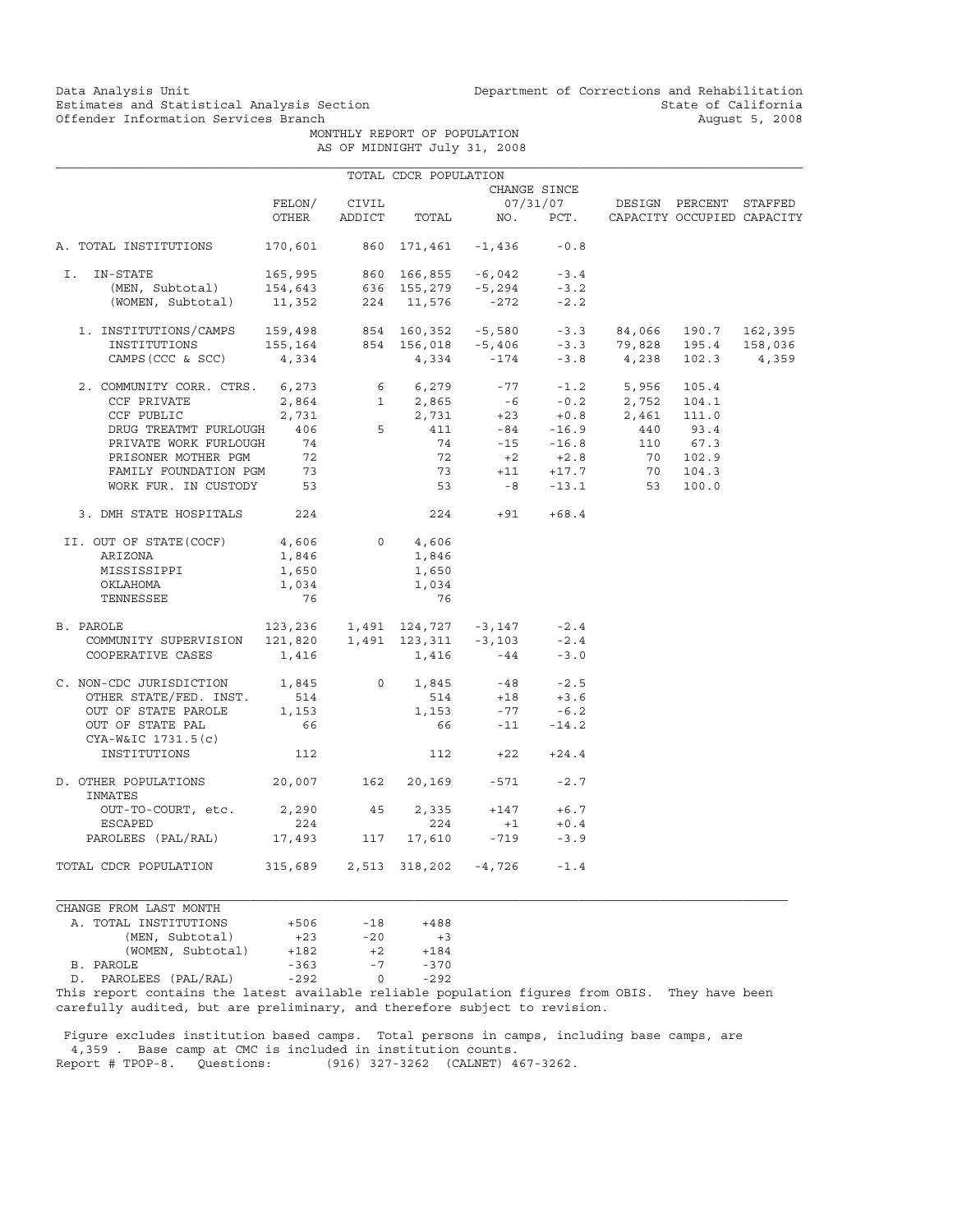Data Analysis Unit Unit Department of Corrections and Rehabilitation<br>Estimates and Statistical Analysis Section State of California Estimates and Statistical Analysis Section and State of California<br>Offender Information Services Branch (State of California August 5, 2008)

 MONTHLY REPORT OF POPULATION AS OF MIDNIGHT July 31, 2008

|                                                                                                                                            |                                                                                                    |        | TOTAL CDCR POPULATION          |                                                                                                          |                            |                                                                                                                                |                      |                            |
|--------------------------------------------------------------------------------------------------------------------------------------------|----------------------------------------------------------------------------------------------------|--------|--------------------------------|----------------------------------------------------------------------------------------------------------|----------------------------|--------------------------------------------------------------------------------------------------------------------------------|----------------------|----------------------------|
|                                                                                                                                            |                                                                                                    |        |                                |                                                                                                          | CHANGE SINCE               |                                                                                                                                |                      |                            |
|                                                                                                                                            | FELON/                                                                                             | CIVIL  |                                |                                                                                                          |                            | 07/31/07 DESIGN PERCENT STAFFED                                                                                                |                      |                            |
|                                                                                                                                            | OTHER                                                                                              | ADDICT |                                | TOTAL NO. PCT.                                                                                           |                            |                                                                                                                                |                      | CAPACITY OCCUPIED CAPACITY |
| A. TOTAL INSTITUTIONS                                                                                                                      | 170,601                                                                                            |        | 860 171,461 -1,436             |                                                                                                          | $-0.8$                     |                                                                                                                                |                      |                            |
| IN-STATE<br>Ι.                                                                                                                             |                                                                                                    |        |                                |                                                                                                          |                            |                                                                                                                                |                      |                            |
|                                                                                                                                            |                                                                                                    |        |                                |                                                                                                          |                            |                                                                                                                                |                      |                            |
| -STATE 165,995 860 166,855 -6,042 -3.4<br>(MEN, Subtotal) 154,643 636 155,279 -5,294 -3.2<br>(WOMEN, Subtotal) 11,352 224 11,576 -272 -2.2 |                                                                                                    |        |                                |                                                                                                          |                            |                                                                                                                                |                      |                            |
| 1. INSTITUTIONS/CAMPS 159,498 854 160,352 -5,580 -3.3 84,066<br>INSTITUTIONS 155,164 854 156,018 -5,406 -3.3 79,828                        |                                                                                                    |        |                                |                                                                                                          |                            |                                                                                                                                | 84,066 190.7 162,395 |                            |
|                                                                                                                                            |                                                                                                    |        |                                |                                                                                                          |                            |                                                                                                                                | 195.4                | 158,036                    |
| CAMPS (CCC & SCC)                                                                                                                          | 4,334                                                                                              |        |                                | $4,334 -174$                                                                                             |                            | $-3.8$ 4,238                                                                                                                   | 102.3                | 4,359                      |
| 2. COMMUNITY CORR. CTRS. 6,273                                                                                                             |                                                                                                    |        | 6 $6,279$ $-77$ $-1.2$ $5,956$ |                                                                                                          |                            |                                                                                                                                | 105.4                |                            |
| CCF PRIVATE                                                                                                                                |                                                                                                    |        |                                |                                                                                                          |                            |                                                                                                                                |                      |                            |
| CCF PUBLIC                                                                                                                                 |                                                                                                    |        |                                |                                                                                                          |                            |                                                                                                                                |                      |                            |
| DRUG TREATMT FURLOUGH                                                                                                                      | 406                                                                                                |        |                                |                                                                                                          |                            | 2,864 1 2,865 -6 -0.2 2,752 104.1<br>2,731 2,731 +23 +0.8 2,461 111.0<br>406 5 411 -84 -16.9 440 93.4<br>74 -15 -16.8 110 67.3 |                      |                            |
| PRIVATE WORK FURLOUGH                                                                                                                      |                                                                                                    |        |                                |                                                                                                          |                            |                                                                                                                                |                      |                            |
|                                                                                                                                            |                                                                                                    |        | 72                             |                                                                                                          |                            |                                                                                                                                | 70 102.9             |                            |
| PRISONER MOTHER PGM 72<br>FAMILY FOUNDATION PGM 73                                                                                         |                                                                                                    |        | 73                             |                                                                                                          | $+2$ $+2.8$<br>+11 $+17.7$ | 70                                                                                                                             | 104.3                |                            |
| WORK FUR. IN CUSTODY 53                                                                                                                    |                                                                                                    |        |                                |                                                                                                          |                            | $53 -8 -13.1$ 53                                                                                                               | 100.0                |                            |
| 3. DMH STATE HOSPITALS 224                                                                                                                 |                                                                                                    |        | 224                            |                                                                                                          | $+91 +68.4$                |                                                                                                                                |                      |                            |
| II. OUT OF STATE (COCF)                                                                                                                    | 4,606                                                                                              |        | $0 \qquad \qquad$<br>4,606     |                                                                                                          |                            |                                                                                                                                |                      |                            |
| ARIZONA                                                                                                                                    | 1,846                                                                                              |        | 1,846                          |                                                                                                          |                            |                                                                                                                                |                      |                            |
| MISSISSIPPI                                                                                                                                | 1,650                                                                                              |        | 1,650                          |                                                                                                          |                            |                                                                                                                                |                      |                            |
| ОКLАНОМА                                                                                                                                   | 1,034                                                                                              |        | 1,034                          |                                                                                                          |                            |                                                                                                                                |                      |                            |
| TENNESSEE                                                                                                                                  | 76                                                                                                 |        | 76                             |                                                                                                          |                            |                                                                                                                                |                      |                            |
| B. PAROLE                                                                                                                                  | $123, 236$ $1, 491$ $124, 727$ $-3, 147$ $-2.4$<br>$121, 820$ $1, 491$ $123, 311$ $-3, 103$ $-2.4$ |        |                                |                                                                                                          |                            |                                                                                                                                |                      |                            |
| COMMUNITY SUPERVISION                                                                                                                      |                                                                                                    |        |                                |                                                                                                          |                            |                                                                                                                                |                      |                            |
| COOPERATIVE CASES                                                                                                                          | 1,416                                                                                              |        |                                | $1,416$ $-44$                                                                                            | $-3.0$                     |                                                                                                                                |                      |                            |
| C. NON-CDC JURISDICTION 1,845                                                                                                              |                                                                                                    |        | $0 \qquad \qquad$              | $\begin{array}{cccc} 1,845 & \quad & -48 & \quad & -2.5 \\ 514 & \quad & +18 & \quad & +3.6 \end{array}$ |                            |                                                                                                                                |                      |                            |
| OTHER STATE/FED. INST.                                                                                                                     | 514                                                                                                |        |                                |                                                                                                          |                            |                                                                                                                                |                      |                            |
| OUT OF STATE PAROLE                                                                                                                        | 1,153                                                                                              |        | 1,153                          | $-77$                                                                                                    | $-6.2$                     |                                                                                                                                |                      |                            |
| OUT OF STATE PAL<br>CYA-W&IC 1731.5(c)                                                                                                     | 66                                                                                                 |        |                                | 66                                                                                                       | $-11 - 14.2$               |                                                                                                                                |                      |                            |
| INSTITUTIONS                                                                                                                               | 112                                                                                                |        |                                | $112 +22$                                                                                                | $+24.4$                    |                                                                                                                                |                      |                            |
| D. OTHER POPULATIONS 20,007                                                                                                                |                                                                                                    | 162    |                                | 20,169 -571                                                                                              | $-2.7$                     |                                                                                                                                |                      |                            |
| INMATES                                                                                                                                    |                                                                                                    |        |                                |                                                                                                          |                            |                                                                                                                                |                      |                            |
| OUT-TO-COURT, etc.                                                                                                                         | 2,290 45                                                                                           |        | 2,335                          | $+147$                                                                                                   | $+6.7$                     |                                                                                                                                |                      |                            |
| ESCAPED                                                                                                                                    | 224                                                                                                |        | 224                            | $+1$                                                                                                     | $+0.4$                     |                                                                                                                                |                      |                            |
| PAROLEES (PAL/RAL) 17,493                                                                                                                  |                                                                                                    | 117    | 17,610                         | $-719$                                                                                                   | $-3.9$                     |                                                                                                                                |                      |                            |
| TOTAL CDCR POPULATION                                                                                                                      |                                                                                                    |        | 315,689 2,513 318,202 -4,726   |                                                                                                          | $-1.4$                     |                                                                                                                                |                      |                            |

| CHANGE FROM LAST MONTH   |        |       |        |
|--------------------------|--------|-------|--------|
| A. TOTAL INSTITUTIONS    | $+506$ | $-18$ | $+488$ |
| (MEN, Subtotal)          | $+23$  | $-20$ | $+3$   |
| (WOMEN, Subtotal)        | $+182$ | $+2$  | $+184$ |
| B. PAROLE                | $-363$ | $-7$  | $-370$ |
| PAROLEES (PAL/RAL)<br>D. | $-292$ | U     | $-292$ |
|                          |        |       |        |

This report contains the latest available reliable population figures from OBIS. They have been carefully audited, but are preliminary, and therefore subject to revision.

 Figure excludes institution based camps. Total persons in camps, including base camps, are 4,359 . Base camp at CMC is included in institution counts.<br>Report # TPOP-8. Questions: (916) 327-3262 (CALNET) 4 (916) 327-3262 (CALNET) 467-3262.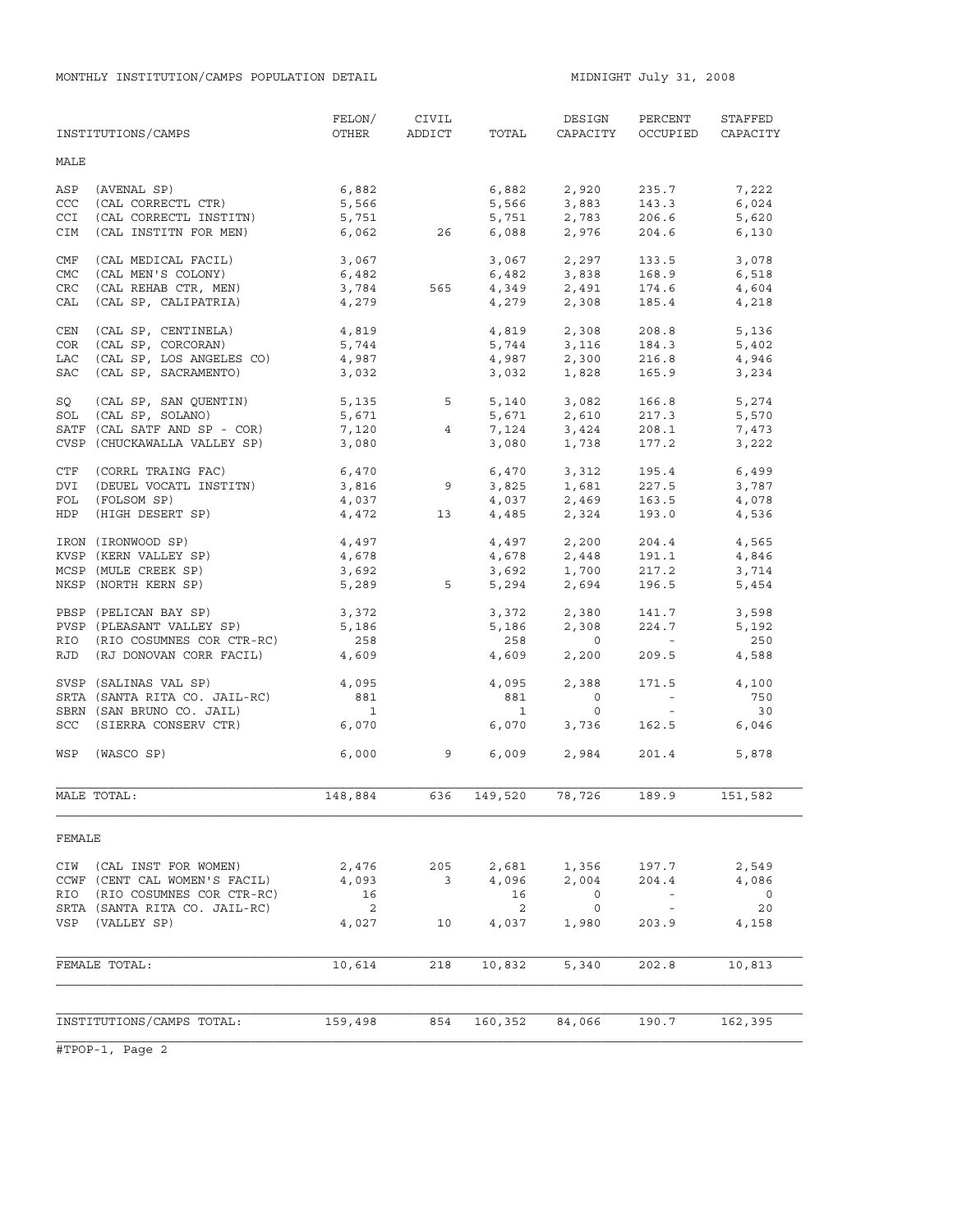|            | INSTITUTIONS/CAMPS            | FELON/<br>OTHER            | CIVIL<br>ADDICT | TOTAL                    | DESIGN<br>CAPACITY                 | PERCENT<br>OCCUPIED                                   | STAFFED<br>CAPACITY |
|------------|-------------------------------|----------------------------|-----------------|--------------------------|------------------------------------|-------------------------------------------------------|---------------------|
| MALE       |                               |                            |                 |                          |                                    |                                                       |                     |
| ASP        | (AVENAL SP)                   | 6,882                      |                 | 6,882                    | 2,920                              | 235.7                                                 | 7,222               |
| CCC        | (CAL CORRECTL CTR)            | 5,566                      |                 | 5,566                    | 3,883                              | 143.3                                                 | 6,024               |
| <b>CCI</b> | (CAL CORRECTL INSTITN)        | 5,751                      |                 | 5,751                    | 2,783                              | 206.6                                                 | 5,620               |
| CIM        | (CAL INSTITN FOR MEN)         |                            | 6,062 26        | 6,088                    | 2,976                              | 204.6                                                 | 6,130               |
| CMF        | (CAL MEDICAL FACIL)           | 3,067                      |                 | 3,067                    | 2,297                              | 133.5                                                 | 3,078               |
| <b>CMC</b> | (CAL MEN'S COLONY)            | 6,482                      |                 | 6,482                    | 3,838                              | 168.9                                                 | 6,518               |
| CRC        | (CAL REHAB CTR, MEN)          | 6,482<br>3,784             | 565             |                          | $4,349$ $2,491$                    | 174.6                                                 | 4,604               |
| CAL        | (CAL SP, CALIPATRIA)          | 4,279                      |                 | 4,279                    | 2,308                              | 185.4                                                 | 4,218               |
| CEN        | (CAL SP, CENTINELA)           | 4,819                      |                 | 4,819                    | 2,308                              | 208.8                                                 | 5,136               |
| COR        | (CAL SP, CORCORAN)            | 5,744                      |                 |                          | 5,744 3,116                        | 184.3                                                 | 5,402               |
| LAC        | (CAL SP, LOS ANGELES CO)      | 4,987                      |                 | 4,987                    | 2,300                              | 216.8                                                 | 4,946               |
| SAC        | (CAL SP, SACRAMENTO)          | 3,032                      |                 | 3,032                    | 1,828                              | 165.9                                                 | 3,234               |
| SQ         | (CAL SP, SAN QUENTIN)         | 5, 135 5                   |                 | 5,140                    | 3,082                              | 166.8                                                 | 5,274               |
| SOL        | (CAL SP, SOLANO)              | 5,671                      |                 | 5,671                    | 2,610                              | 217.3                                                 | 5,570               |
|            | SATF (CAL SATF AND SP - COR)  | 7,120                      | $\overline{4}$  | 7,124                    | 3,424                              | 208.1                                                 | 7,473               |
|            | CVSP (CHUCKAWALLA VALLEY SP)  | 3,080                      |                 | 3,080                    | 1,738                              | 177.2                                                 | 3,222               |
| CTF        | (CORRL TRAING FAC)            | 6,470                      |                 |                          |                                    | 195.4                                                 | 6,499               |
| DVI        | (DEUEL VOCATL INSTITN)        | 3,816                      | $\overline{9}$  |                          | $6,470$ $3,312$<br>$3,825$ $1,681$ | 227.5                                                 | 3,787               |
| FOL        | (FOLSOM SP)                   | 4,037                      |                 |                          | $4,037$<br>$4,485$<br>$2,324$      | 163.5<br>193.0                                        | 4,078               |
| HDP        | (HIGH DESERT SP)              | 4,472                      | 13              |                          |                                    |                                                       | 4,536               |
|            | IRON (IRONWOOD SP)            | 4,497                      |                 |                          | 4,497 2,200                        | 204.4                                                 | 4,565               |
|            | KVSP (KERN VALLEY SP)         | 4,678                      |                 |                          | 4,678 2,448<br>3,692 1,700         | 191.1                                                 | 4,846               |
|            | MCSP (MULE CREEK SP)          | 3,692                      |                 |                          |                                    | 217.2                                                 | 3,714               |
|            | NKSP (NORTH KERN SP)          |                            | 5,289 5         | 5,294                    | 2,694                              | 196.5                                                 | 5,454               |
|            | PBSP (PELICAN BAY SP)         | 3,372                      |                 |                          |                                    | 141.7                                                 | 3,598               |
|            | PVSP (PLEASANT VALLEY SP)     | 5,186                      |                 |                          | $3,372$ $2,380$<br>5,186 $2,308$   | 224.7                                                 | 5,192               |
|            | RIO (RIO COSUMNES COR CTR-RC) | 258                        |                 | 258                      | $\overline{0}$                     | $\mathcal{L}_{\rm{max}}$ and $\mathcal{L}_{\rm{max}}$ | 250                 |
|            | RJD (RJ DONOVAN CORR FACIL)   | 4,609                      |                 | 4,609                    | 2,200                              | 209.5                                                 | 4,588               |
|            | SVSP (SALINAS VAL SP)         | 4,095                      |                 | 4,095                    | 2,388                              | 171.5                                                 | 4,100               |
|            | SRTA (SANTA RITA CO. JAIL-RC) | 881                        |                 | 881                      | $\overline{0}$                     | $\alpha$ and $\alpha$                                 | 750                 |
|            | SBRN (SAN BRUNO CO. JAIL)     | $\overline{\phantom{a}}$   |                 | $\overline{\phantom{a}}$ | $\circ$                            | $\sim 100$                                            | 30                  |
|            | SCC (SIERRA CONSERV CTR)      | 6,070                      |                 | 6,070                    | 3,736                              | 162.5                                                 | 6,046               |
| WSP        | (WASCO SP)                    | 6,000                      | $\overline{9}$  | 6,009                    | 2,984                              | 201.4                                                 | 5,878               |
|            | MALE TOTAL:                   | 148,884                    | 636             | 149,520                  | 78,726                             | 189.9                                                 | 151,582             |
| FEMALE     |                               |                            |                 |                          |                                    |                                                       |                     |
| CIW        | (CAL INST FOR WOMEN)          | 2,476                      | 205             | 2,681                    | 1,356                              | 197.7                                                 | 2,549               |
|            | CCWF (CENT CAL WOMEN'S FACIL) | 4,093                      | 3               | 4,096                    | 2,004                              | 204.4                                                 | 4,086               |
| RIO        | (RIO COSUMNES COR CTR-RC)     | 16                         |                 | 16                       | $\circ$                            | $\overline{\phantom{a}}$                              | $\circ$             |
|            | SRTA (SANTA RITA CO. JAIL-RC) | $\overline{\phantom{0}}^2$ |                 | 2                        | $\circ$                            | $\overline{\phantom{a}}$                              | 20                  |
| VSP        | (VALLEY SP)                   | 4,027                      | 10              | 4,037                    | 1,980                              | 203.9                                                 | 4,158               |
|            |                               |                            |                 |                          |                                    |                                                       |                     |
|            | FEMALE TOTAL:                 | 10,614                     | 218             | 10,832                   | 5,340                              | 202.8                                                 | 10,813              |
|            |                               |                            |                 |                          |                                    |                                                       |                     |
|            | INSTITUTIONS/CAMPS TOTAL:     | 159,498                    | 854             | 160,352                  | 84,066                             | 190.7                                                 | 162,395             |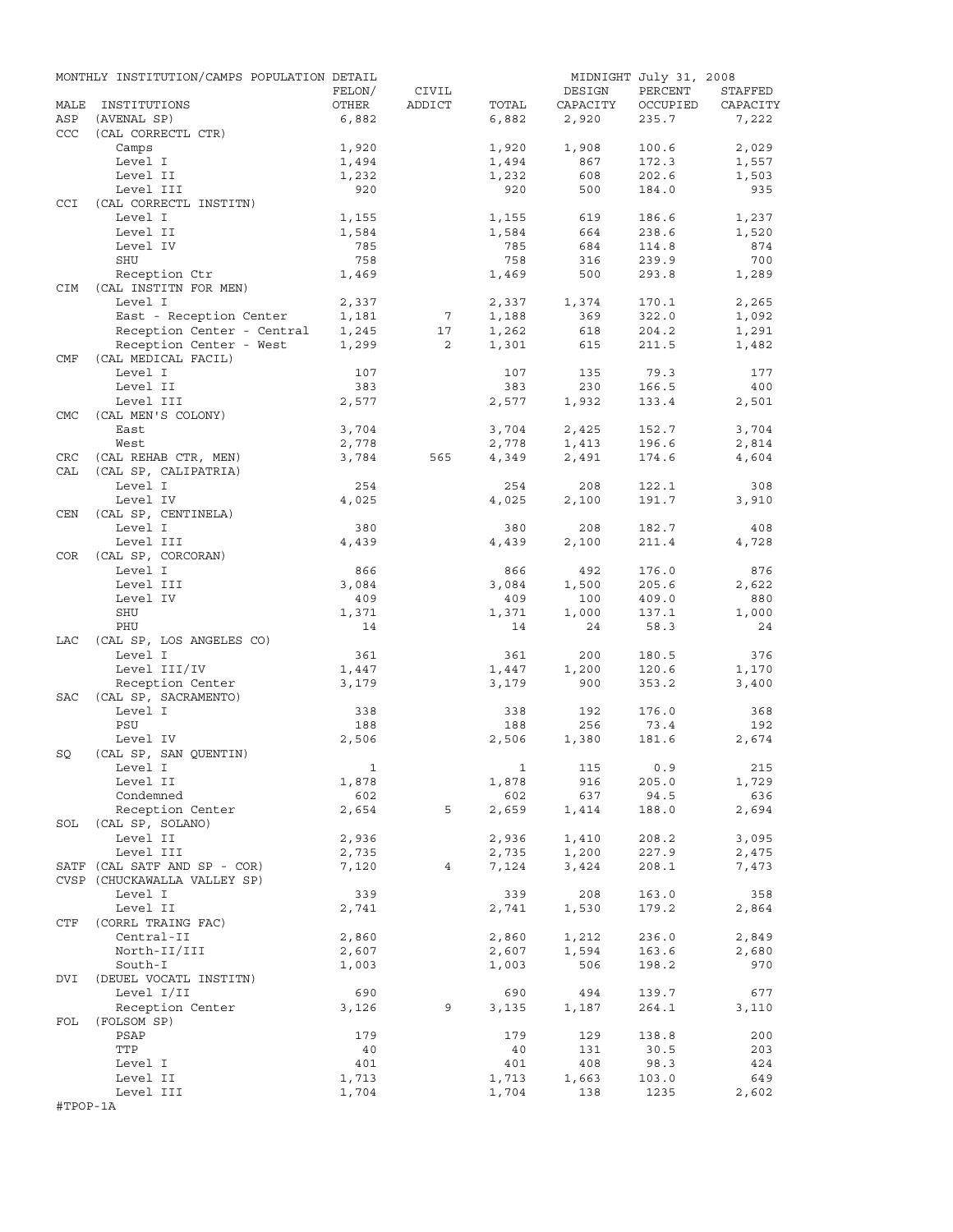|            | MONTHLY INSTITUTION/CAMPS POPULATION DETAIL |                |                 |                |              | MIDNIGHT July 31, 2008 |                |
|------------|---------------------------------------------|----------------|-----------------|----------------|--------------|------------------------|----------------|
|            |                                             | FELON/         | CIVIL           |                | DESIGN       | PERCENT                | STAFFED        |
| MALE       | INSTITUTIONS                                | OTHER          | ADDICT          | TOTAL          | CAPACITY     | OCCUPIED               | CAPACITY       |
| ASP        | (AVENAL SP)                                 | 6,882          |                 | 6,882          | 2,920        | 235.7                  | 7,222          |
| <b>CCC</b> | (CAL CORRECTL CTR)                          |                |                 |                |              | 100.6                  |                |
|            | Camps<br>Level I                            | 1,920<br>1,494 |                 | 1,920<br>1,494 | 1,908<br>867 | 172.3                  | 2,029<br>1,557 |
|            | Level II                                    | 1,232          |                 | 1,232          | 608          | 202.6                  | 1,503          |
|            | Level III                                   | 920            |                 | 920            | 500          | 184.0                  | 935            |
| CCI        | (CAL CORRECTL INSTITN)                      |                |                 |                |              |                        |                |
|            | Level I                                     | 1,155          |                 | 1,155          | 619          | 186.6                  | 1,237          |
|            | Level II                                    | 1,584          |                 | 1,584          | 664          | 238.6                  | 1,520          |
|            | Level IV                                    | 785            |                 | 785            | 684          | 114.8                  | 874            |
|            | SHU                                         | 758            |                 | 758            | 316          | 239.9                  | 700            |
|            | Reception Ctr                               | 1,469          |                 | 1,469          | 500          | 293.8                  | 1,289          |
| <b>CIM</b> | (CAL INSTITN FOR MEN)                       |                |                 |                |              |                        |                |
|            | Level I                                     | 2,337          |                 | 2,337          | 1,374        | 170.1                  | 2,265          |
|            | East - Reception Center                     | 1,181          | $7\phantom{.0}$ | 1,188          | 369          | 322.0                  | 1,092          |
|            | Reception Center - Central                  | 1,245          | 17              | 1,262          | 618          | 204.2                  | 1,291          |
|            | Reception Center - West                     | 1,299          | $\overline{2}$  | 1,301          | 615          | 211.5                  | 1,482          |
| CMF        | (CAL MEDICAL FACIL)                         |                |                 |                |              |                        |                |
|            | Level I                                     | 107            |                 | 107            | 135          | 79.3                   | 177            |
|            | Level II<br>Level III                       | 383            |                 | 383            | 230          | 166.5                  | 400            |
| <b>CMC</b> | (CAL MEN'S COLONY)                          | 2,577          |                 | 2,577          | 1,932        | 133.4                  | 2,501          |
|            | East                                        | 3,704          |                 | 3,704          | 2,425        | 152.7                  | 3,704          |
|            | West                                        | 2,778          |                 | 2,778          | 1,413        | 196.6                  | 2,814          |
| CRC        | (CAL REHAB CTR, MEN)                        | 3,784          | 565             | 4,349          | 2,491        | 174.6                  | 4,604          |
| CAL        | (CAL SP, CALIPATRIA)                        |                |                 |                |              |                        |                |
|            | Level I                                     | 254            |                 | 254            | 208          | 122.1                  | 308            |
|            | Level IV                                    | 4,025          |                 | 4,025          | 2,100        | 191.7                  | 3,910          |
| CEN        | (CAL SP, CENTINELA)                         |                |                 |                |              |                        |                |
|            | Level I                                     | 380            |                 | 380            | 208          | 182.7                  | 408            |
|            | Level III                                   | 4,439          |                 | 4,439          | 2,100        | 211.4                  | 4,728          |
| COR        | (CAL SP, CORCORAN)                          |                |                 |                |              |                        |                |
|            | Level I                                     | 866            |                 | 866            | 492          | 176.0                  | 876            |
|            | Level III                                   | 3,084          |                 | 3,084          | 1,500        | 205.6                  | 2,622          |
|            | Level IV                                    | 409            |                 | 409            | 100          | 409.0                  | 880            |
|            | SHU                                         | 1,371          |                 | 1,371          | 1,000        | 137.1                  | 1,000          |
|            | PHU                                         | 14             |                 | 14             | 24           | 58.3                   | 24             |
| LAC        | (CAL SP, LOS ANGELES CO)                    |                |                 |                |              |                        |                |
|            | Level I                                     | 361            |                 | 361            | 200          | 180.5                  | 376            |
|            | Level III/IV                                | 1,447          |                 | 1,447          | 1,200        | 120.6                  | 1,170          |
| SAC        | Reception Center<br>(CAL SP, SACRAMENTO)    | 3,179          |                 | 3,179          | 900          | 353.2                  | 3,400          |
|            | Level I                                     | 338            |                 | 338            | 192          | 176.0                  | 368            |
|            | PSU                                         | 188            |                 | 188            | 256          | 73.4                   | 192            |
|            | Level IV                                    | 2,506          |                 | 2,506          | 1,380        | 181.6                  | 2,674          |
| SQ         | (CAL SP, SAN QUENTIN)                       |                |                 |                |              |                        |                |
|            | Level I                                     | $\mathbf{1}$   |                 |                | 1 115 0.9    |                        | 215            |
|            | Level II                                    | 1,878          |                 | 1,878          | 916          | 205.0                  | 1,729          |
|            | Condemned                                   | 602            |                 | 602            | 637          | 94.5                   | 636            |
|            | Reception Center                            | 2,654          | 5               | 2,659          | 1,414        | 188.0                  | 2,694          |
|            | SOL (CAL SP, SOLANO)                        |                |                 |                |              |                        |                |
|            | Level II                                    | 2,936          |                 | 2,936          | 1,410        | 208.2                  | 3,095          |
|            | Level III                                   | 2,735          |                 | 2,735          | 1,200        | 227.9                  | 2,475          |
|            | SATF (CAL SATF AND SP - COR)                | 7,120          | 4               | 7,124          | 3,424        | 208.1                  | 7,473          |
|            | CVSP (CHUCKAWALLA VALLEY SP)                |                |                 |                |              |                        |                |
|            | Level I                                     | 339            |                 | 339            | 208          | 163.0                  | 358            |
|            | Level II                                    | 2,741          |                 | 2,741          | 1,530        | 179.2                  | 2,864          |
| CTF        | (CORRL TRAING FAC)                          |                |                 |                |              |                        |                |
|            | Central-II                                  | 2,860          |                 | 2,860          | 1,212        | 236.0                  | 2,849          |
|            | North-II/III<br>South-I                     | 2,607          |                 | 2,607          | 1,594<br>506 | 163.6<br>198.2         | 2,680<br>970   |
| DVI        | (DEUEL VOCATL INSTITN)                      | 1,003          |                 | 1,003          |              |                        |                |
|            | Level I/II                                  | 690            |                 | 690            | 494          | 139.7                  | 677            |
|            | Reception Center                            | 3,126          | 9               | 3,135          | 1,187        | 264.1                  | 3,110          |
| FOL        | (FOLSOM SP)                                 |                |                 |                |              |                        |                |
|            | PSAP                                        | 179            |                 | 179            | 129          | 138.8                  | 200            |
|            | TTP                                         | 40             |                 | 40             | 131          | 30.5                   | 203            |
|            | Level I                                     | 401            |                 | 401            | 408          | 98.3                   | 424            |
|            | Level II                                    | 1,713          |                 | 1,713          | 1,663        | 103.0                  | 649            |
|            | Level III                                   | 1,704          |                 | 1,704          | 138          | 1235                   | 2,602          |
| #TPOP-1A   |                                             |                |                 |                |              |                        |                |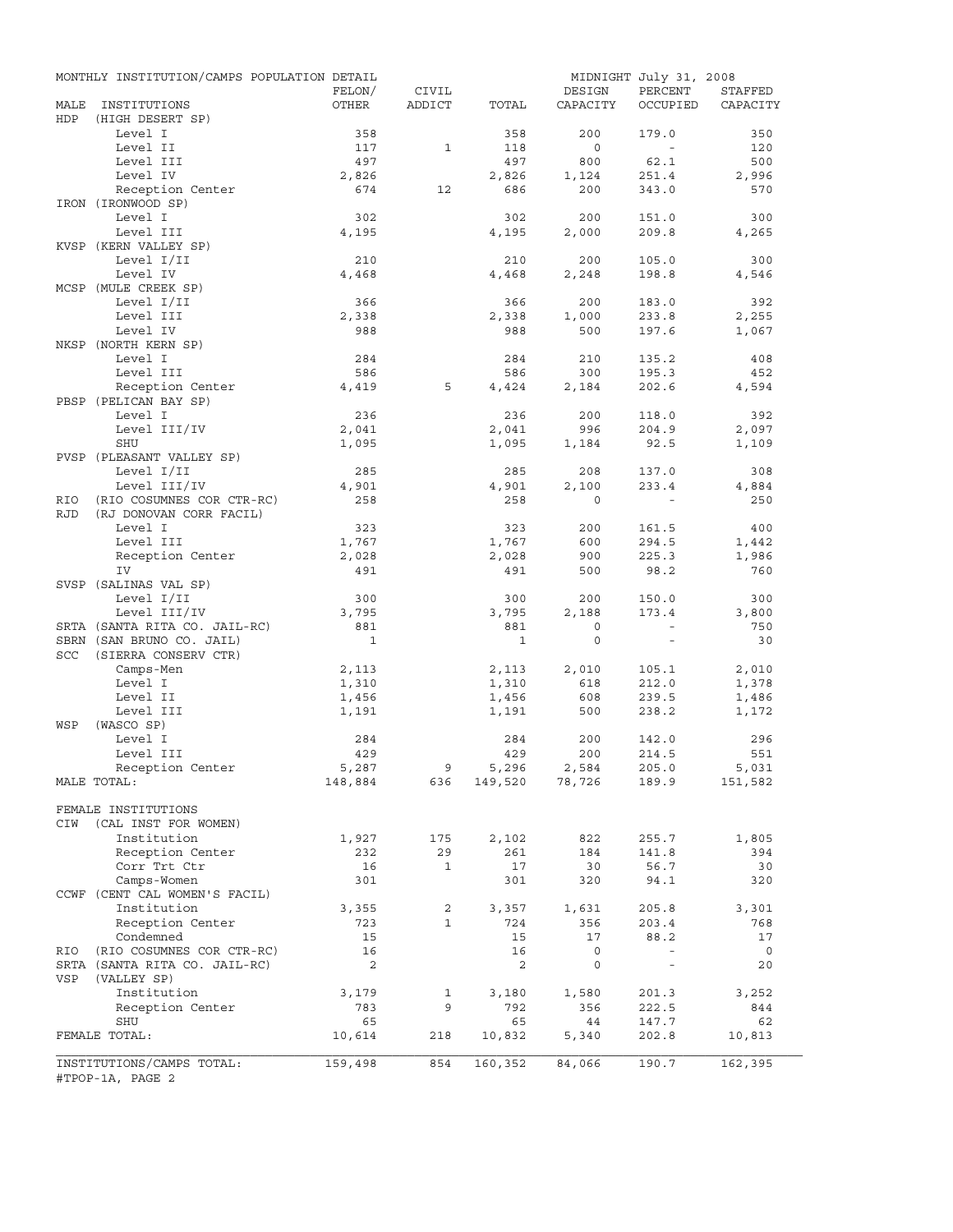|            | MONTHLY INSTITUTION/CAMPS POPULATION DETAIL |                |              |                |                            | MIDNIGHT July 31, 2008 |                |
|------------|---------------------------------------------|----------------|--------------|----------------|----------------------------|------------------------|----------------|
|            |                                             | FELON/         | CIVIL        |                | DESIGN                     | PERCENT                | STAFFED        |
| MALE       | INSTITUTIONS                                | OTHER          | ADDICT       | TOTAL          | CAPACITY                   | OCCUPIED               | CAPACITY       |
| <b>HDP</b> | (HIGH DESERT SP)                            |                |              |                |                            |                        |                |
|            | Level I<br>Level II                         | 358<br>117     | 1            | 358<br>118     | 200<br>$\overline{0}$      | 179.0<br>$\sim$        | 350<br>120     |
|            | Level III                                   | 497            |              | 497            | 800                        | 62.1                   | 500            |
|            | Level IV                                    | 2,826          |              | 2,826          |                            | 251.4                  | 2,996          |
|            | Reception Center                            | 674            | 12           | 686            | 1,124<br>200               | 343.0                  | 570            |
|            | IRON (IRONWOOD SP)                          |                |              |                |                            |                        |                |
|            | Level I                                     | 302            |              | 302            | 200                        | 151.0                  | 300            |
|            | Level III                                   | 4,195          |              | 4,195          | 2,000                      | 209.8                  | 4,265          |
|            | KVSP (KERN VALLEY SP)                       |                |              |                |                            |                        |                |
|            | Level I/II                                  | 210            |              | 210            | 200                        | 105.0                  | 300            |
|            | Level IV                                    | 4,468          |              | 4,468          | 2,248                      | 198.8                  | 4,546          |
|            | MCSP (MULE CREEK SP)                        |                |              |                |                            |                        |                |
|            | Level I/II                                  | 366            |              | 366            | 200                        | 183.0                  | 392            |
|            | Level III                                   | 2,338          |              | 2,338          | 1,000                      | 233.8                  | 2,255          |
|            | Level IV                                    | 988            |              | 988            | 500                        | 197.6                  | 1,067          |
|            | NKSP (NORTH KERN SP)                        |                |              |                |                            |                        |                |
|            | Level I                                     | 284            |              | 284            | 210                        | 135.2                  | 408            |
|            | Level III                                   | 586            |              | 586            | 300                        | 195.3                  | 452            |
|            | Reception Center                            | 4,419          | 5            | 4,424          | 2,184                      | 202.6                  | 4,594          |
|            | PBSP (PELICAN BAY SP)                       |                |              |                |                            |                        |                |
|            | Level I                                     | 236            |              | 236            | 200                        | 118.0                  | 392            |
|            | Level III/IV                                | 2,041          |              | 2,041          | 996                        | 204.9                  | 2,097          |
|            | SHU                                         | 1,095          |              | 1,095          | 1,184                      | 92.5                   | 1,109          |
|            | PVSP (PLEASANT VALLEY SP)                   |                |              |                |                            |                        |                |
|            | Level I/II                                  | 285            |              | 285            | 208                        | 137.0                  | 308            |
|            | Level III/IV                                | 4,901          |              | 4,901          | 2,100                      | 233.4                  | 4,884          |
| <b>RIO</b> | (RIO COSUMNES COR CTR-RC)                   | 258            |              | 258            | $\Omega$                   |                        | 250            |
| <b>RJD</b> | (RJ DONOVAN CORR FACIL)                     |                |              |                |                            |                        |                |
|            | Level I                                     | 323            |              | 323            | 200                        | 161.5                  | 400            |
|            | Level III                                   | 1,767          |              | 1,767          | 600                        | 294.5                  | 1,442          |
|            | Reception Center                            | 2,028          |              | 2,028          | 900                        | 225.3                  | 1,986          |
|            | IV                                          | 491            |              | 491            | 500                        | 98.2                   | 760            |
|            | SVSP (SALINAS VAL SP)                       |                |              |                |                            |                        |                |
|            | Level I/II                                  | 300            |              | 300            | 200                        | 150.0                  | 300            |
|            | Level III/IV                                | 3,795          |              | 3,795          | 2,188                      | 173.4                  | 3,800          |
|            | SRTA (SANTA RITA CO. JAIL-RC)               | 881            |              | 881            | $\circ$                    | $\sim$                 | 750            |
|            | SBRN (SAN BRUNO CO. JAIL)                   | $\overline{1}$ |              | 1              | $\circ$                    | $\sim$                 | 30             |
| SCC        | (SIERRA CONSERV CTR)                        |                |              |                |                            |                        |                |
|            | Camps-Men                                   | 2,113          |              | 2,113          | 2,010                      | 105.1                  | 2,010          |
|            | Level I<br>Level II                         | 1,310          |              | 1,310          | 618                        | 212.0                  | 1,378          |
|            | Level III                                   | 1,456<br>1,191 |              | 1,456<br>1,191 | 608<br>500                 | 239.5<br>238.2         | 1,486<br>1,172 |
| WSP        | (WASCO SP)                                  |                |              |                |                            |                        |                |
|            | Level I                                     | 284            |              | 284            | 200                        | 142.0                  | 296            |
|            | Level III                                   | 429            |              | 429            | 200                        | 214.5                  | 551            |
|            | Reception Center                            | 5,287          | 9            | 5,296          | 2,584                      | 205.0                  | 5,031          |
|            | MALE TOTAL:                                 | 148,884        | 636          |                | $149,520$ $78,726$ $189.9$ |                        | 151,582        |
|            |                                             |                |              |                |                            |                        |                |
|            | FEMALE INSTITUTIONS                         |                |              |                |                            |                        |                |
| CIW        | (CAL INST FOR WOMEN)                        |                |              |                |                            |                        |                |
|            | Institution                                 | 1,927          | 175          | 2,102          | 822                        | 255.7                  | 1,805          |
|            | Reception Center                            | 232            | 29           | 261            | 184                        | 141.8                  | 394            |
|            | Corr Trt Ctr                                | 16             | $\mathbf{1}$ | 17             | 30                         | 56.7                   | 30             |
|            | Camps-Women                                 | 301            |              | 301            | 320                        | 94.1                   | 320            |
|            | CCWF (CENT CAL WOMEN'S FACIL)               |                |              |                |                            |                        |                |
|            | Institution                                 | 3,355          | 2            | 3,357          | 1,631                      | 205.8                  | 3,301          |
|            | Reception Center                            | 723            | $\mathbf{1}$ | 724            | 356                        | 203.4                  | 768            |
|            | Condemned                                   | 15             |              | 15             | 17                         | 88.2                   | 17             |
| RIO        | (RIO COSUMNES COR CTR-RC)                   | 16             |              | 16             | 0                          | $\sim$                 | $\overline{0}$ |
|            | SRTA (SANTA RITA CO. JAIL-RC)               | 2              |              | 2              | 0                          | $\sim$                 | 20             |
| VSP        | (VALLEY SP)                                 |                |              |                |                            |                        |                |
|            | Institution                                 | 3,179          | $\mathbf{1}$ | 3,180          | 1,580                      | 201.3                  | 3,252          |
|            | Reception Center                            | 783            | 9            | 792            | 356                        | 222.5                  | 844            |
|            | SHU                                         | 65             |              | 65             | 44                         | 147.7                  | 62             |
|            | FEMALE TOTAL:                               | 10,614         | 218          | 10,832         | 5,340                      | 202.8                  | 10,813         |
|            |                                             |                |              |                |                            |                        |                |
|            | INSTITUTIONS/CAMPS TOTAL:                   | 159,498        | 854          | 160,352        | 84,066                     | 190.7                  | 162,395        |
|            | #TPOP-1A, PAGE 2                            |                |              |                |                            |                        |                |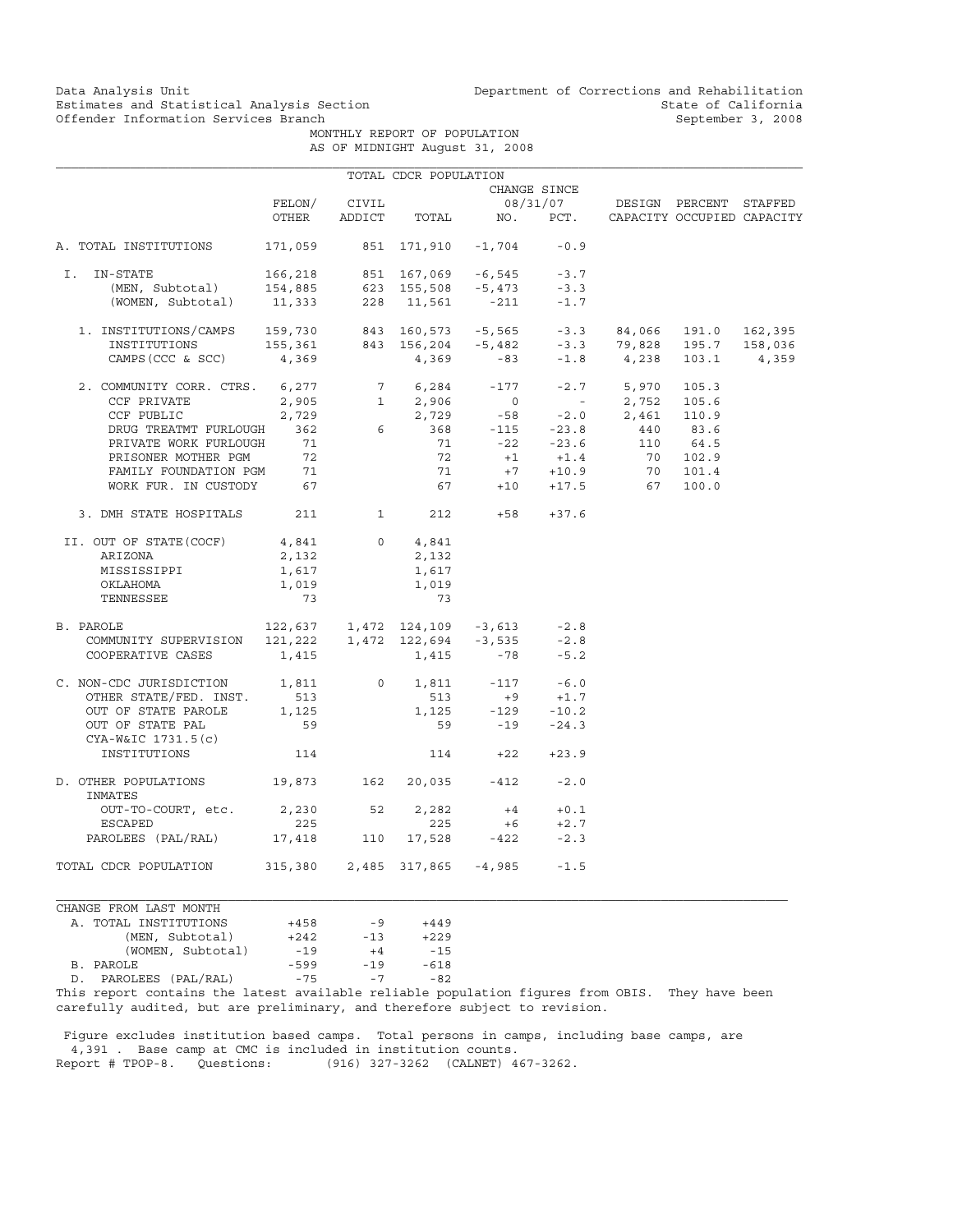Data Analysis Unit Unit Department of Corrections and Rehabilitation<br>Estimates and Statistical Analysis Section State of California Estimates and Statistical Analysis Section and State of California of Estimates and Statistical Analysis Section Services of California September 3, 2008

> MONTHLY REPORT OF POPULATION AS OF MIDNIGHT August 31, 2008

|                                                                                                                                                                                                                                                                                                                               |                                                                                        |              | TOTAL CDCR POPULATION |                                                              |                             |                                                                                                                                                                                                             |          |  |
|-------------------------------------------------------------------------------------------------------------------------------------------------------------------------------------------------------------------------------------------------------------------------------------------------------------------------------|----------------------------------------------------------------------------------------|--------------|-----------------------|--------------------------------------------------------------|-----------------------------|-------------------------------------------------------------------------------------------------------------------------------------------------------------------------------------------------------------|----------|--|
|                                                                                                                                                                                                                                                                                                                               |                                                                                        |              | CHANGE SINCE          |                                                              |                             |                                                                                                                                                                                                             |          |  |
|                                                                                                                                                                                                                                                                                                                               | FELON/                                                                                 | CIVIL        |                       |                                                              |                             | 08/31/07 DESIGN PERCENT STAFFED                                                                                                                                                                             |          |  |
|                                                                                                                                                                                                                                                                                                                               | OTHER                                                                                  |              |                       |                                                              |                             | ADDICT TOTAL NO. PCT. CAPACITY OCCUPIED CAPACITY                                                                                                                                                            |          |  |
| A. TOTAL INSTITUTIONS                                                                                                                                                                                                                                                                                                         |                                                                                        |              |                       | 171,059 851 171,910 -1,704 -0.9                              |                             |                                                                                                                                                                                                             |          |  |
| I. IN-STATE                                                                                                                                                                                                                                                                                                                   |                                                                                        |              |                       |                                                              |                             |                                                                                                                                                                                                             |          |  |
|                                                                                                                                                                                                                                                                                                                               |                                                                                        |              |                       |                                                              |                             |                                                                                                                                                                                                             |          |  |
| -STATE 166,218 851 167,069 -6,545 -3.7<br>(MEN, Subtotal) 154,885 623 155,508 -5,473 -3.3<br>(WOMEN, Subtotal) 11,333 228 11,561 -211 -1.7                                                                                                                                                                                    |                                                                                        |              |                       |                                                              |                             |                                                                                                                                                                                                             |          |  |
| $\begin{tabular}{lcccccc} 1. & \text{INSTITUTIONS/CAMPS} & 159,730 & 843 & 160,573 & -5,565 & -3.3 & 84,066 & 191.0 & 162,395 \\ \text{INSTITUTIONS} & 155,361 & 843 & 156,204 & -5,482 & -3.3 & 79,828 & 195.7 & 158,036 \\ \text{CAMPS (CCC & SCC) } & 4,369 & 4,369 & -83 & -1.8 & 4,238 & 103.1 & 4,359 \\ \end{tabular}$ |                                                                                        |              |                       |                                                              |                             |                                                                                                                                                                                                             |          |  |
|                                                                                                                                                                                                                                                                                                                               |                                                                                        |              |                       |                                                              |                             |                                                                                                                                                                                                             |          |  |
|                                                                                                                                                                                                                                                                                                                               |                                                                                        |              |                       |                                                              |                             |                                                                                                                                                                                                             |          |  |
| 2. COMMUNITY CORR. CTRS. 6,277                                                                                                                                                                                                                                                                                                |                                                                                        |              |                       | $6,277$ $7$ $6,284$ -177<br>$2,905$ 1 2,906 0<br>$2,729$ -58 |                             | $-2.7$ 5,970                                                                                                                                                                                                | 105.3    |  |
| CCF PRIVATE                                                                                                                                                                                                                                                                                                                   |                                                                                        |              |                       |                                                              |                             |                                                                                                                                                                                                             |          |  |
| CCF PUBLIC                                                                                                                                                                                                                                                                                                                    |                                                                                        |              |                       |                                                              |                             | $\begin{array}{cccccccc} 1 & 2,906 & & 0 & & - & 2,752 & 105.6 \\ 2,729 & & -58 & & -2.0 & 2,461 & 110.9 \\ 6 & & 368 & & -115 & & -23.8 & & 440 & 83.6 \\ 71 & & -22 & & -23.6 & & 110 & 64.5 \end{array}$ |          |  |
| DRUG TREATMT FURLOUGH 362                                                                                                                                                                                                                                                                                                     |                                                                                        |              |                       |                                                              |                             |                                                                                                                                                                                                             |          |  |
| PRIVATE WORK FURLOUGH                                                                                                                                                                                                                                                                                                         | 71                                                                                     |              |                       |                                                              |                             |                                                                                                                                                                                                             |          |  |
|                                                                                                                                                                                                                                                                                                                               |                                                                                        |              | 72                    |                                                              |                             |                                                                                                                                                                                                             | 70 102.9 |  |
|                                                                                                                                                                                                                                                                                                                               |                                                                                        |              | 71                    |                                                              | $+1$ $+1.4$<br>$+7$ $+10.9$ |                                                                                                                                                                                                             | 70 101.4 |  |
| PRISONER MOTHER PGM 72<br>FAMILY FOUNDATION PGM 71<br>WORK FUR. IN CUSTODY 67                                                                                                                                                                                                                                                 |                                                                                        |              |                       |                                                              |                             | $67 + 10 + 17.5$ 67                                                                                                                                                                                         | 100.0    |  |
| 3. DMH STATE HOSPITALS 211                                                                                                                                                                                                                                                                                                    |                                                                                        | $\mathbf{1}$ |                       | $212 +58 +37.6$                                              |                             |                                                                                                                                                                                                             |          |  |
| II. OUT OF STATE(COCF)                                                                                                                                                                                                                                                                                                        | 4,841                                                                                  | $\Omega$     | 4,841                 |                                                              |                             |                                                                                                                                                                                                             |          |  |
| ARIZONA                                                                                                                                                                                                                                                                                                                       | 2,132                                                                                  |              | 2,132                 |                                                              |                             |                                                                                                                                                                                                             |          |  |
| MISSISSIPPI                                                                                                                                                                                                                                                                                                                   | 1,617                                                                                  |              | 1,617                 |                                                              |                             |                                                                                                                                                                                                             |          |  |
| OKLAHOMA                                                                                                                                                                                                                                                                                                                      | 1,019                                                                                  |              | 1,019                 |                                                              |                             |                                                                                                                                                                                                             |          |  |
| TENNESSEE                                                                                                                                                                                                                                                                                                                     | 73                                                                                     |              | 73                    |                                                              |                             |                                                                                                                                                                                                             |          |  |
| B. PAROLE                                                                                                                                                                                                                                                                                                                     | $122,637$ $1,472$ $124,109$ $-3,613$ $-2.8$<br>121,222   1,472   122,694 $-3,535$ -2.8 |              |                       |                                                              |                             |                                                                                                                                                                                                             |          |  |
| COMMUNITY SUPERVISION                                                                                                                                                                                                                                                                                                         |                                                                                        |              |                       |                                                              |                             |                                                                                                                                                                                                             |          |  |
| COOPERATIVE CASES                                                                                                                                                                                                                                                                                                             | 1,415                                                                                  |              | $1,415 -78$           |                                                              | $-5.2$                      |                                                                                                                                                                                                             |          |  |
| C. NON-CDC JURISDICTION 1,811 0                                                                                                                                                                                                                                                                                               |                                                                                        |              |                       | $1,811 -117$                                                 | $-6.0$                      |                                                                                                                                                                                                             |          |  |
| OTHER STATE/FED. INST.                                                                                                                                                                                                                                                                                                        | 513                                                                                    |              | 513                   |                                                              | $+9 +1.7$                   |                                                                                                                                                                                                             |          |  |
| OUT OF STATE PAROLE                                                                                                                                                                                                                                                                                                           | 1,125                                                                                  |              |                       | $1,125$ $-129$ $-10.2$                                       |                             |                                                                                                                                                                                                             |          |  |
| OUT OF STATE PAL<br>$CYA-W&IC 1731.5(c)$                                                                                                                                                                                                                                                                                      | 59                                                                                     |              |                       | $-19$<br>59 $-19$                                            | $-24.3$                     |                                                                                                                                                                                                             |          |  |
| INSTITUTIONS                                                                                                                                                                                                                                                                                                                  | 114                                                                                    |              |                       | $114 +22$                                                    | $+23.9$                     |                                                                                                                                                                                                             |          |  |
| D. OTHER POPULATIONS 19,873 162<br>INMATES                                                                                                                                                                                                                                                                                    |                                                                                        |              |                       | 20,035 -412                                                  | $-2.0$                      |                                                                                                                                                                                                             |          |  |
| OUT-TO-COURT, etc.                                                                                                                                                                                                                                                                                                            | 2,230 52                                                                               |              | 2,282                 | $+4$                                                         | $+0.1$                      |                                                                                                                                                                                                             |          |  |
| ESCAPED                                                                                                                                                                                                                                                                                                                       | 225                                                                                    |              | 225                   | $+6$                                                         | $+2.7$                      |                                                                                                                                                                                                             |          |  |
| PAROLEES (PAL/RAL) 17,418                                                                                                                                                                                                                                                                                                     |                                                                                        | 110          |                       | 17,528 -422                                                  | $-2.3$                      |                                                                                                                                                                                                             |          |  |
| TOTAL CDCR POPULATION                                                                                                                                                                                                                                                                                                         | 315,380 2,485 317,865 -4,985                                                           |              |                       |                                                              | $-1.5$                      |                                                                                                                                                                                                             |          |  |

CHANGE FROM LAST MONTH A. TOTAL INSTITUTIONS +458 -9 +449 (MEN, Subtotal)  $+242$  -13  $+229$ <br>(WOMEN, Subtotal) -19  $+4$  -15 (WOMEN, Subtotal) -19 +4 -15<br>LE -599 -19 -618 B. PAROLE -599 -19 -618 D. PAROLEES (PAL/RAL) -75 -7 -82

This report contains the latest available reliable population figures from OBIS. They have been carefully audited, but are preliminary, and therefore subject to revision.

 Figure excludes institution based camps. Total persons in camps, including base camps, are 4,391 . Base camp at CMC is included in institution counts.<br>Report # TPOP-8. Questions: (916) 327-3262 (CALNET) 4 (916) 327-3262 (CALNET) 467-3262.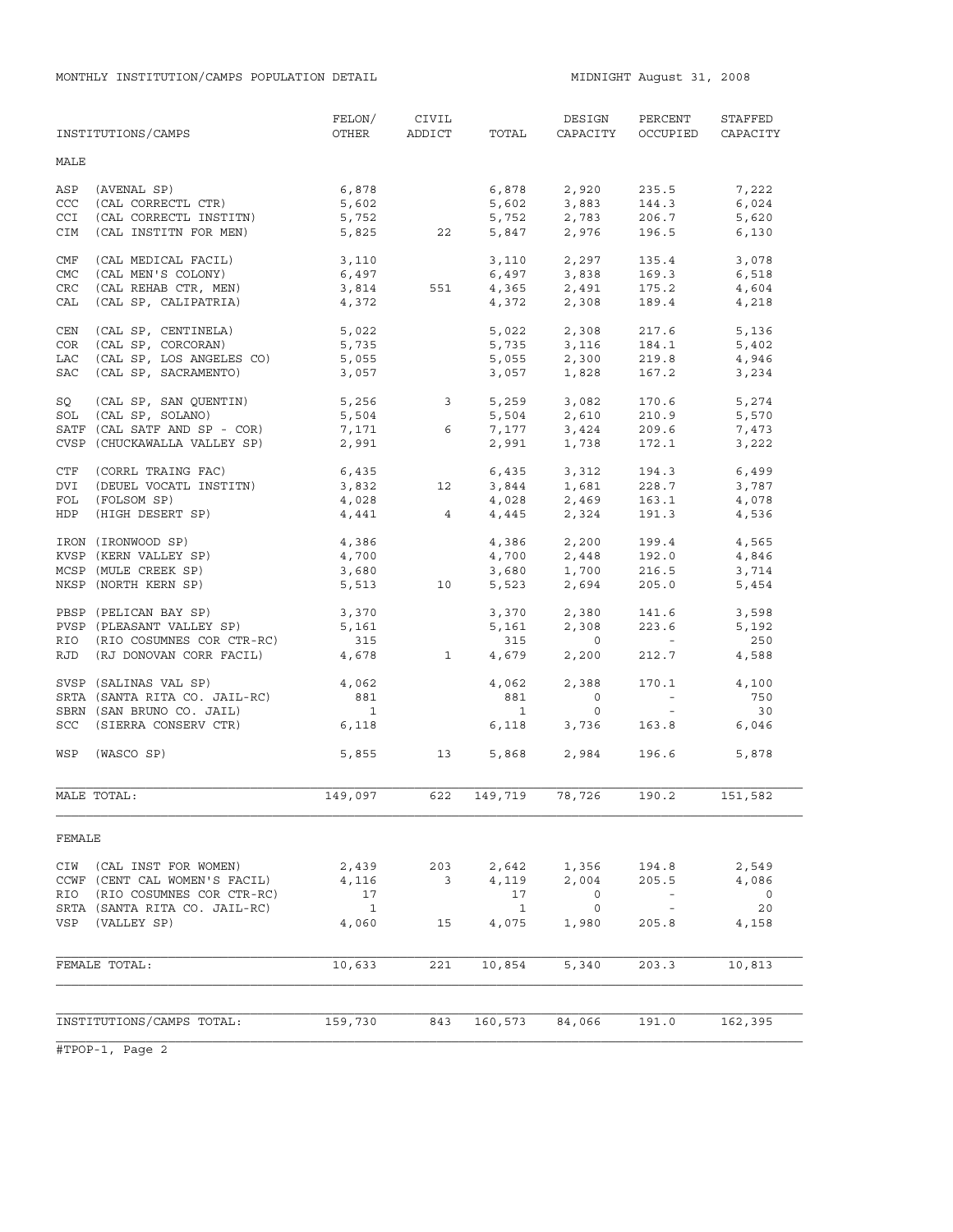|            | INSTITUTIONS/CAMPS            | FELON/<br>OTHER          | CIVIL<br>ADDICT          | TOTAL        | DESIGN<br>CAPACITY                       | PERCENT<br>OCCUPIED                                   | STAFFED<br>CAPACITY |
|------------|-------------------------------|--------------------------|--------------------------|--------------|------------------------------------------|-------------------------------------------------------|---------------------|
| MALE       |                               |                          |                          |              |                                          |                                                       |                     |
| ASP        | (AVENAL SP)                   | 6,878                    |                          | 6,878        | 2,920                                    | 235.5                                                 | 7,222               |
| CCC        | (CAL CORRECTL CTR)            | 5,602                    |                          | 5,602        | 3,883<br>2,783                           | 144.3                                                 | 6,024               |
| <b>CCI</b> | (CAL CORRECTL INSTITN)        | 5,752                    |                          | 5,752        |                                          | 206.7                                                 | 5,620               |
| CIM        | (CAL INSTITN FOR MEN)         |                          | 5,825 22                 | 5,847        | 2,976                                    | 196.5                                                 | 6,130               |
| CMF        | (CAL MEDICAL FACIL)           | 3,110                    |                          |              |                                          | 135.4                                                 | 3,078               |
| <b>CMC</b> | (CAL MEN'S COLONY)            | 6,497                    |                          |              | 3,110 2,297<br>6,497 3,838               | 169.3                                                 | 6,518               |
| CRC        | (CAL REHAB CTR, MEN)          | 3,814                    | 551                      |              | $4,365$<br>$2,491$<br>$4,372$<br>$2,308$ | 175.2                                                 | 4,604               |
| CAL        | (CAL SP, CALIPATRIA)          | 4,372                    |                          |              |                                          | 189.4                                                 | 4,218               |
| CEN        | (CAL SP, CENTINELA)           | 5,022                    |                          | 5,022        | 2,308                                    | 217.6                                                 | 5,136               |
| COR        | (CAL SP, CORCORAN)            | 5,735                    |                          |              | 5,735 3,116                              | 184.1                                                 | 5,402               |
| LAC        | (CAL SP, LOS ANGELES CO)      | 5,055                    |                          | 5,055        | 2,300                                    | 219.8                                                 | 4,946               |
| SAC        | (CAL SP, SACRAMENTO)          | 3,057                    |                          | 3,057        | 1,828                                    | 167.2                                                 | 3,234               |
| SQ         | (CAL SP, SAN QUENTIN)         |                          |                          | 5,259        | 3,082                                    | 170.6                                                 | 5,274               |
|            | SOL (CAL SP, SOLANO)          | $5,256$ 3<br>$5,504$     |                          | 5,504        | 2,610                                    | 210.9                                                 | 5,570               |
|            | SATF (CAL SATF AND SP - COR)  | 7,171                    | $6\overline{6}$          | 7,177        | 3,424                                    | 209.6                                                 | 7,473               |
|            | CVSP (CHUCKAWALLA VALLEY SP)  | 2,991                    |                          | 2,991        | 1,738                                    | 172.1                                                 | 3,222               |
| CTF        | (CORRL TRAING FAC)            | 6,435                    |                          | 6,435        | 3,312                                    | 194.3                                                 | 6,499               |
| DVI        | (DEUEL VOCATL INSTITN)        | 3,832                    | 12 <sup>°</sup>          | 3,844        | 1,681                                    | 228.7                                                 | 3,787               |
| FOL        | (FOLSOM SP)                   | 4,028                    |                          | 4,028        | 2,469                                    | 163.1                                                 | 4,078               |
| HDP        | (HIGH DESERT SP)              |                          | $4,441$ $4$              | 4,445        | 2,324                                    | 191.3                                                 | 4,536               |
|            | IRON (IRONWOOD SP)            | 4,386                    |                          | 4,386        | 2,200                                    | 199.4                                                 | 4,565               |
|            | KVSP (KERN VALLEY SP)         | 4,700                    |                          | 4,700        | 2,448                                    | 192.0                                                 | 4,846               |
|            | MCSP (MULE CREEK SP)          | 3,680                    |                          | 3,680        | 1,700                                    | 216.5                                                 | 3,714               |
|            | NKSP (NORTH KERN SP)          | 5,513                    | 10                       | 5,523        | 2,694                                    | 205.0                                                 | 5,454               |
|            | PBSP (PELICAN BAY SP)         | 3,370                    |                          | 3,370        | 2,380                                    | 141.6                                                 | 3,598               |
|            | PVSP (PLEASANT VALLEY SP)     | 5,161                    |                          | 5,161        | 2,308                                    | 223.6                                                 | 5,192               |
|            | RIO (RIO COSUMNES COR CTR-RC) | 315                      |                          | 315          | $\overline{0}$                           | $\mathcal{L}_{\rm{max}}$ and $\mathcal{L}_{\rm{max}}$ | 250                 |
|            | RJD (RJ DONOVAN CORR FACIL)   | 4,678                    | $\overline{\phantom{a}}$ | 4,679        | 2,200                                    | 212.7                                                 | 4,588               |
|            | SVSP (SALINAS VAL SP)         | 4,062                    |                          | 4,062        | 2,388                                    | 170.1                                                 | 4,100               |
|            | SRTA (SANTA RITA CO. JAIL-RC) | 881                      |                          | 881          | $\overline{0}$                           | $\sim$ $ \sim$                                        | 750                 |
|            | SBRN (SAN BRUNO CO. JAIL)     | $\overline{\phantom{a}}$ |                          | $\mathbf{1}$ | $\circ$                                  | $\sim$ $ \sim$                                        | 30                  |
|            | SCC (SIERRA CONSERV CTR)      | 6,118                    |                          | 6,118        | 3,736                                    | 163.8                                                 | 6,046               |
|            | WSP (WASCO SP)                | 5,855                    | 13                       |              | 5,868 2,984                              | 196.6                                                 | 5,878               |
|            | MALE TOTAL:                   | 149,097                  | 622                      | 149,719      | 78,726                                   | 190.2                                                 | 151, 582            |
| FEMALE     |                               |                          |                          |              |                                          |                                                       |                     |
| CIW        | (CAL INST FOR WOMEN)          | 2,439                    | 203                      | 2,642        | 1,356                                    | 194.8                                                 | 2,549               |
|            | CCWF (CENT CAL WOMEN'S FACIL) | 4,116                    | $\overline{\mathbf{3}}$  | 4,119        | 2,004                                    | 205.5                                                 | 4,086               |
| RIO        | (RIO COSUMNES COR CTR-RC)     | 17                       |                          | 17           | 0                                        | $\overline{\phantom{a}}$                              | 0                   |
|            | SRTA (SANTA RITA CO. JAIL-RC) | $\overline{1}$           |                          | $\mathbf{1}$ | $\overline{0}$                           | $\sim$ $-$                                            | 20                  |
| VSP        | (VALLEY SP)                   | 4,060                    | 15                       | 4,075        | 1,980                                    | 205.8                                                 | 4,158               |
|            |                               |                          |                          |              |                                          |                                                       |                     |
|            | FEMALE TOTAL:                 | 10,633                   | 221                      | 10,854       | 5,340                                    | 203.3                                                 | 10,813              |
|            |                               |                          |                          |              |                                          |                                                       |                     |
|            | INSTITUTIONS/CAMPS TOTAL:     | 159,730                  | 843                      | 160,573      | 84,066                                   | 191.0                                                 | 162,395             |
|            |                               |                          |                          |              |                                          |                                                       |                     |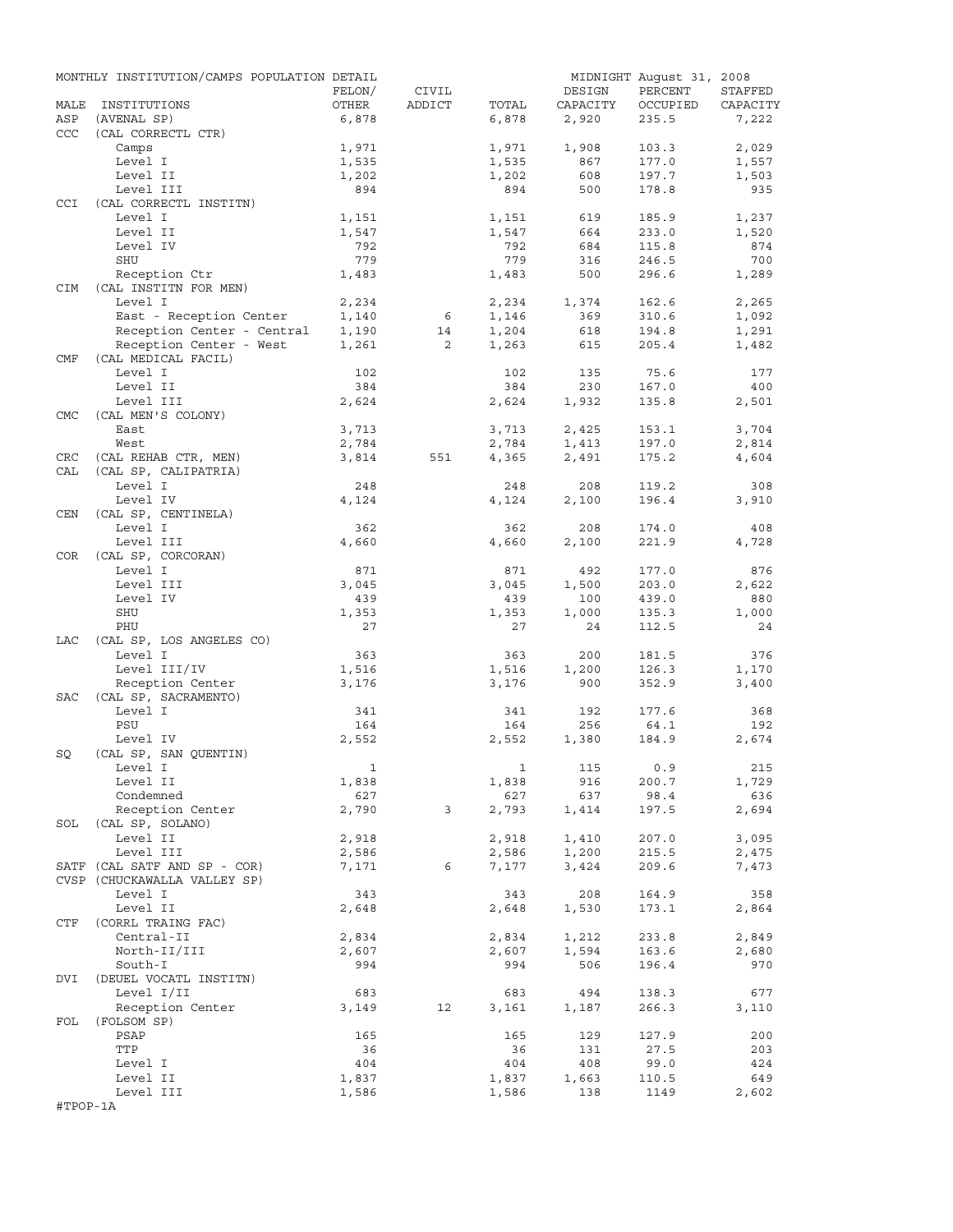|            | MONTHLY INSTITUTION/CAMPS POPULATION DETAIL |                |                |                |            | MIDNIGHT August 31, 2008 |                |
|------------|---------------------------------------------|----------------|----------------|----------------|------------|--------------------------|----------------|
|            |                                             | FELON/         | CIVIL          |                | DESIGN     | PERCENT                  | STAFFED        |
| MALE       | INSTITUTIONS                                | OTHER          | ADDICT         | TOTAL          | CAPACITY   | OCCUPIED                 | CAPACITY       |
| ASP        | (AVENAL SP)                                 | 6,878          |                | 6,878          | 2,920      | 235.5                    | 7,222          |
| <b>CCC</b> | (CAL CORRECTL CTR)                          |                |                |                |            |                          |                |
|            | Camps                                       | 1,971          |                | 1,971          | 1,908      | 103.3                    | 2,029          |
|            | Level I                                     | 1,535          |                | 1,535          | 867        | 177.0                    | 1,557          |
|            | Level II                                    | 1,202          |                | 1,202          | 608        | 197.7                    | 1,503          |
|            | Level III                                   | 894            |                | 894            | 500        | 178.8                    | 935            |
| CCI        | (CAL CORRECTL INSTITN)                      |                |                |                |            |                          |                |
|            | Level I<br>Level II                         | 1,151<br>1,547 |                | 1,151<br>1,547 | 619<br>664 | 185.9<br>233.0           | 1,237<br>1,520 |
|            | Level IV                                    | 792            |                | 792            | 684        | 115.8                    | 874            |
|            | SHU                                         | 779            |                | 779            | 316        | 246.5                    | 700            |
|            | Reception Ctr                               | 1,483          |                | 1,483          | 500        | 296.6                    | 1,289          |
| <b>CIM</b> | (CAL INSTITN FOR MEN)                       |                |                |                |            |                          |                |
|            | Level I                                     | 2,234          |                | 2,234          | 1,374      | 162.6                    | 2,265          |
|            | East - Reception Center                     | 1,140          | - 6            | 1,146          | 369        | 310.6                    | 1,092          |
|            | Reception Center - Central                  | 1,190          | 14             | 1,204          | 618        | 194.8                    | 1,291          |
|            | Reception Center - West                     | 1,261          | $\overline{2}$ | 1,263          | 615        | 205.4                    | 1,482          |
| CMF        | (CAL MEDICAL FACIL)                         |                |                |                |            |                          |                |
|            | Level I                                     | 102            |                | 102            | 135        | 75.6                     | 177            |
|            | Level II                                    | 384            |                | 384            | 230        | 167.0                    | 400            |
|            | Level III                                   | 2,624          |                | 2,624          | 1,932      | 135.8                    | 2,501          |
| <b>CMC</b> | (CAL MEN'S COLONY)                          |                |                |                |            |                          |                |
|            | East                                        | 3,713          |                | 3,713          | 2,425      | 153.1                    | 3,704          |
|            | West                                        | 2,784          |                | 2,784          | 1,413      | 197.0                    | 2,814          |
| CRC        | (CAL REHAB CTR, MEN)                        | 3,814          | 551            | 4,365          | 2,491      | 175.2                    | 4,604          |
| CAL        | (CAL SP, CALIPATRIA)                        |                |                |                |            |                          |                |
|            | Level I                                     | 248            |                | 248            | 208        | 119.2                    | 308            |
|            | Level IV                                    | 4,124          |                | 4,124          | 2,100      | 196.4                    | 3,910          |
| CEN        | (CAL SP, CENTINELA)                         |                |                |                |            |                          |                |
|            | Level I                                     | 362            |                | 362            | 208        | 174.0                    | 408            |
|            | Level III                                   | 4,660          |                | 4,660          | 2,100      | 221.9                    | 4,728          |
| COR        | (CAL SP, CORCORAN)                          |                |                |                |            |                          |                |
|            | Level I                                     | 871            |                | 871            | 492        | 177.0                    | 876            |
|            | Level III                                   | 3,045          |                | 3,045          | 1,500      | 203.0                    | 2,622          |
|            | Level IV                                    | 439            |                | 439            | 100        | 439.0                    | 880            |
|            | SHU                                         | 1,353          |                | 1,353          | 1,000      | 135.3                    | 1,000          |
|            | PHU                                         | 27             |                | 27             | 24         | 112.5                    | 24             |
| LAC        | (CAL SP, LOS ANGELES CO)                    |                |                |                |            |                          |                |
|            | Level I                                     | 363            |                | 363            | 200        | 181.5                    | 376            |
|            | Level III/IV                                | 1,516          |                | 1,516          | 1,200      | 126.3                    | 1,170          |
|            | Reception Center                            | 3,176          |                | 3,176          | 900        | 352.9                    | 3,400          |
| SAC        | (CAL SP, SACRAMENTO)                        |                |                |                |            |                          |                |
|            | Level I<br>PSU                              | 341<br>164     |                | 341<br>164     | 192<br>256 | 177.6<br>64.1            | 368<br>192     |
|            | Level IV                                    | 2,552          |                | 2,552          | 1,380      | 184.9                    | 2,674          |
| SQ         | (CAL SP, SAN QUENTIN)                       |                |                |                |            |                          |                |
|            | Level I                                     | $\mathbf{1}$   |                |                | 1 115      | 0.9                      | 215            |
|            | Level II                                    | 1,838          |                | 1,838          | 916        | 200.7                    | 1,729          |
|            | Condemned                                   | 627            |                | 627            | 637        | 98.4                     | 636            |
|            | Reception Center                            | 2,790          | $\mathbf{3}$   | 2,793          | 1,414      | 197.5                    | 2,694          |
|            | SOL (CAL SP, SOLANO)                        |                |                |                |            |                          |                |
|            | Level II                                    | 2,918          |                | 2,918          | 1,410      | 207.0                    | 3,095          |
|            | Level III                                   | 2,586          |                | 2,586          | 1,200      | 215.5                    | 2,475          |
|            | SATF (CAL SATF AND SP - COR)                | 7,171          | 6              | 7,177          | 3,424      | 209.6                    | 7,473          |
|            | CVSP (CHUCKAWALLA VALLEY SP)                |                |                |                |            |                          |                |
|            | Level I                                     | 343            |                | 343            | 208        | 164.9                    | 358            |
|            | Level II                                    | 2,648          |                | 2,648          | 1,530      | 173.1                    | 2,864          |
| CTF        | (CORRL TRAING FAC)                          |                |                |                |            |                          |                |
|            | Central-II                                  | 2,834          |                | 2,834          | 1,212      | 233.8                    | 2,849          |
|            | North-II/III                                | 2,607          |                | 2,607          | 1,594      | 163.6                    | 2,680          |
|            | South-I                                     | 994            |                | 994            | 506        | 196.4                    | 970            |
| DVI        | (DEUEL VOCATL INSTITN)                      |                |                |                |            |                          |                |
|            | Level I/II                                  | 683            |                | 683            | 494        | 138.3                    | 677            |
|            | Reception Center                            | 3,149          | 12             | 3,161          | 1,187      | 266.3                    | 3,110          |
| FOL        | (FOLSOM SP)                                 |                |                |                |            |                          |                |
|            | PSAP                                        | 165            |                | 165            | 129        | 127.9                    | 200            |
|            | TTP                                         | 36             |                | 36             | 131        | 27.5                     | 203            |
|            | Level I                                     | 404            |                | 404            | 408        | 99.0                     | 424            |
|            | Level II                                    | 1,837          |                | 1,837          | 1,663      | 110.5                    | 649            |
|            | Level III                                   | 1,586          |                | 1,586          | 138        | 1149                     | 2,602          |
| #TPOP-1A   |                                             |                |                |                |            |                          |                |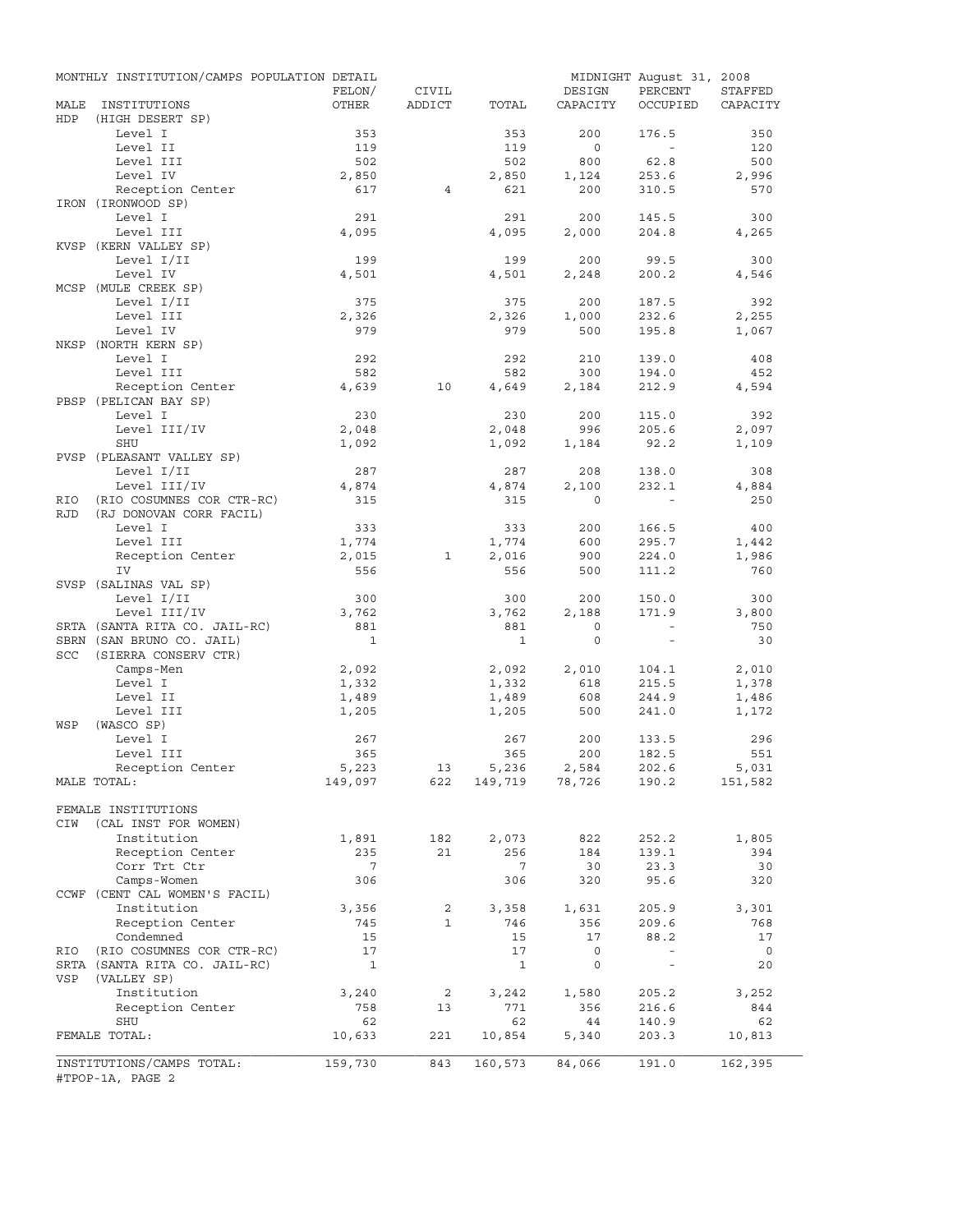|             | MONTHLY INSTITUTION/CAMPS POPULATION DETAIL                |                    |                |                 |                | MIDNIGHT August 31, 2008 |                      |
|-------------|------------------------------------------------------------|--------------------|----------------|-----------------|----------------|--------------------------|----------------------|
|             |                                                            | FELON/             | CIVIL          |                 | DESIGN         | PERCENT                  | STAFFED              |
| MALE<br>HDP | INSTITUTIONS<br>(HIGH DESERT SP)                           | OTHER              | ADDICT         | TOTAL           | CAPACITY       | OCCUPIED                 | CAPACITY             |
|             | Level I                                                    | 353                |                | 353             | 200            | 176.5                    | 350                  |
|             | Level II                                                   | 119                |                | 119             | $\circ$        | $\sim$                   | 120                  |
|             | Level III                                                  | 502                |                | 502             | 800            | 62.8                     | 500                  |
|             | Level IV                                                   | 2,850              |                | 2,850           | 1,124          | 253.6                    | 2,996                |
|             | Reception Center                                           | 617                | 4              | 621             | 200            | 310.5                    | 570                  |
|             | IRON (IRONWOOD SP)<br>Level I                              | 291                |                | 291             | 200            | 145.5                    | 300                  |
|             | Level III                                                  | 4,095              |                | 4,095           | 2,000          | 204.8                    | 4,265                |
|             | KVSP (KERN VALLEY SP)                                      |                    |                |                 |                |                          |                      |
|             | Level I/II                                                 | 199                |                | 199             | 200            | 99.5                     | 300                  |
|             | Level IV                                                   | 4,501              |                | 4,501           | 2,248          | 200.2                    | 4,546                |
|             | MCSP (MULE CREEK SP)                                       |                    |                |                 |                |                          |                      |
|             | Level I/II                                                 | 375                |                | 375             | 200            | 187.5                    | 392                  |
|             | Level III                                                  | 2,326              |                | 2,326           | 1,000          | 232.6                    | 2,255                |
|             | Level IV                                                   | 979                |                | 979             | 500            | 195.8                    | 1,067                |
|             | NKSP (NORTH KERN SP)                                       |                    |                |                 |                |                          |                      |
|             | Level I                                                    | 292                |                | 292             | 210            | 139.0                    | 408                  |
|             | Level III                                                  | 582                |                | 582             | 300            | 194.0                    | 452                  |
|             | Reception Center                                           | 4,639              | 10             | 4,649           | 2,184          | 212.9                    | 4,594                |
|             | PBSP (PELICAN BAY SP)<br>Level I                           | 230                |                | 230             | 200            |                          | 392                  |
|             |                                                            |                    |                |                 |                | 115.0<br>205.6           | 2,097                |
|             | Level III/IV<br>SHU                                        | 2,048              |                | 2,048           | 996            |                          |                      |
|             | PVSP (PLEASANT VALLEY SP)                                  | 1,092              |                | 1,092           | 1,184          | 92.2                     | 1,109                |
|             | Level I/II                                                 | 287                |                | 287             | 208            | 138.0                    | 308                  |
|             | Level III/IV                                               | 4,874              |                | 4,874           | 2,100          | 232.1                    | 4,884                |
| RIO         | (RIO COSUMNES COR CTR-RC)                                  | 315                |                | 315             | $\Omega$       | $\sim$                   | 250                  |
| <b>RJD</b>  | (RJ DONOVAN CORR FACIL)                                    |                    |                |                 |                |                          |                      |
|             | Level I                                                    | 333                |                | 333             | 200            | 166.5                    | 400                  |
|             | Level III                                                  | 1,774              |                | 1,774           | 600            | 295.7                    | 1,442                |
|             | Reception Center                                           | 2,015              | 1              | 2,016           | 900            | 224.0                    | 1,986                |
|             | IV                                                         | 556                |                | 556             | 500            | 111.2                    | 760                  |
|             | SVSP (SALINAS VAL SP)                                      |                    |                |                 |                |                          |                      |
|             | Level I/II                                                 | 300                |                | 300             | 200            | 150.0                    | 300                  |
|             | Level III/IV                                               | 3,762              |                | 3,762           | 2,188          | 171.9                    | 3,800                |
|             | SRTA (SANTA RITA CO. JAIL-RC)                              | 881                |                | 881             | $\circ$        | $\sim$                   | 750                  |
|             | SBRN (SAN BRUNO CO. JAIL)                                  | $\mathbf{1}$       |                | $\mathbf{1}$    | $\mathbf{0}$   | $\equiv$                 | 30                   |
| SCC         | (SIERRA CONSERV CTR)                                       |                    |                |                 |                |                          |                      |
|             | Camps-Men                                                  | 2,092              |                | 2,092           | 2,010          | 104.1                    | 2,010                |
|             | Level I                                                    | 1,332              |                | 1,332           | 618            | 215.5                    | 1,378                |
|             | Level II<br>Level III                                      | 1,489<br>1,205     |                | 1,489           | 608<br>500     | 244.9<br>241.0           | 1,486<br>1,172       |
| WSP         | (WASCO SP)                                                 |                    |                | 1,205           |                |                          |                      |
|             | Level I                                                    | 267                |                | 267             | 200            | 133.5                    | 296                  |
|             | Level III                                                  | 365                |                | 365             | 200            | 182.5                    | 551                  |
|             | Reception Center                                           | 5,223              | 13             | 5,236           | 2,584          | 202.6                    | 5,031                |
|             | MALE TOTAL:                                                | 149,097            | 622            |                 | 149,719 78,726 | 190.2                    | 151,582              |
|             |                                                            |                    |                |                 |                |                          |                      |
|             | FEMALE INSTITUTIONS                                        |                    |                |                 |                |                          |                      |
| CIW         | (CAL INST FOR WOMEN)                                       |                    |                |                 |                |                          |                      |
|             | Institution                                                | 1,891              | 182            | 2,073           | 822            | 252.2                    | 1,805                |
|             | Reception Center                                           | 235                | 21             | 256             | 184            | 139.1                    | 394                  |
|             | Corr Trt Ctr                                               | $\overline{7}$     |                | $7\phantom{.0}$ | 30             | 23.3                     | 30                   |
|             | Camps-Women                                                | 306                |                | 306             | 320            | 95.6                     | 320                  |
|             | CCWF (CENT CAL WOMEN'S FACIL)                              |                    |                |                 |                |                          |                      |
|             | Institution                                                | 3,356              | $\overline{a}$ | 3,358           | 1,631          | 205.9                    | 3,301                |
|             | Reception Center                                           | 745                | $\mathbf{1}$   | 746             | 356            | 209.6                    | 768                  |
|             | Condemned                                                  | 15                 |                | 15<br>17        | 17<br>$\circ$  | 88.2<br>$\sim$           | 17                   |
| RIO         | (RIO COSUMNES COR CTR-RC)<br>SRTA (SANTA RITA CO. JAIL-RC) | 17<br>$\mathbf{1}$ |                | $\mathbf{1}$    | $\mathsf{O}$   | $\sim$                   | $\overline{0}$<br>20 |
| VSP         | (VALLEY SP)                                                |                    |                |                 |                |                          |                      |
|             | Institution                                                | 3,240              | $\overline{a}$ | 3,242           | 1,580          | 205.2                    | 3,252                |
|             | Reception Center                                           | 758                | 13             | 771             | 356            | 216.6                    | 844                  |
|             | SHU                                                        | 62                 |                | 62              | 44             | 140.9                    | 62                   |
|             | FEMALE TOTAL:                                              | 10,633             | 221            | 10,854          | 5,340          | 203.3                    | 10,813               |
|             |                                                            |                    |                |                 |                |                          |                      |
|             | INSTITUTIONS/CAMPS TOTAL:<br>#TPOP-1A, PAGE 2              | 159,730            | 843            | 160,573         | 84,066         | 191.0                    | 162,395              |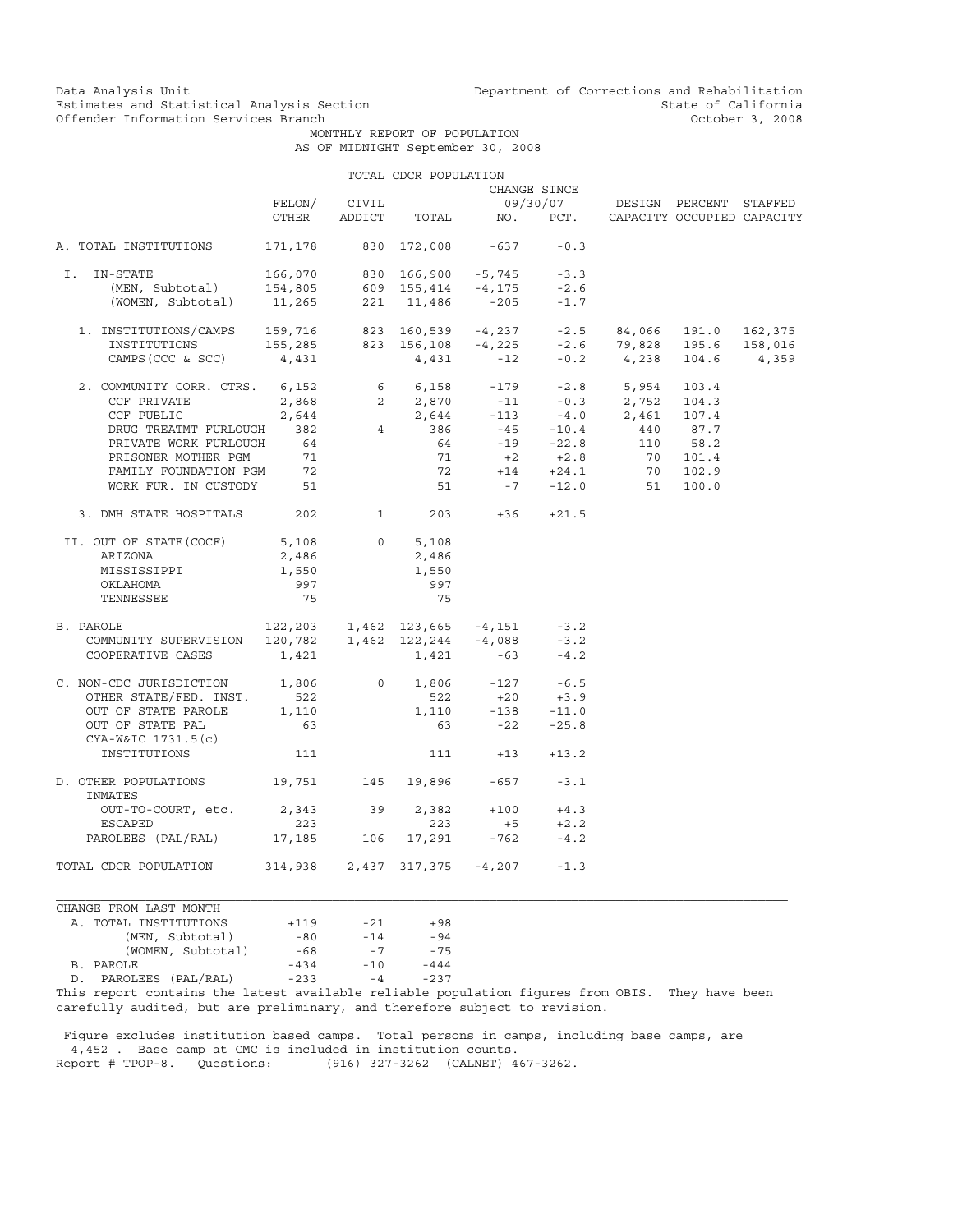Data Analysis Unit Unit Department of Corrections and Rehabilitation<br>Estimates and Statistical Analysis Section State of California Estimates and Statistical Analysis Section and State of California of Estimates and Statistical Analysis Section State of California of State of California of California of the Mathemation Services Branch and State of Cali

MONTHLY REPORT OF POPULATION

| AS OF MIDNIGHT September 30, 2008 |  |  |
|-----------------------------------|--|--|
|-----------------------------------|--|--|

|                                                                                                                                                                                                                                                                                                                            |                              |          | TOTAL CDCR POPULATION |                                                                                                    |              |                                   |          |                            |
|----------------------------------------------------------------------------------------------------------------------------------------------------------------------------------------------------------------------------------------------------------------------------------------------------------------------------|------------------------------|----------|-----------------------|----------------------------------------------------------------------------------------------------|--------------|-----------------------------------|----------|----------------------------|
|                                                                                                                                                                                                                                                                                                                            |                              |          |                       |                                                                                                    | CHANGE SINCE |                                   |          |                            |
|                                                                                                                                                                                                                                                                                                                            | FELON/                       | CIVIL    |                       |                                                                                                    |              | 09/30/07 DESIGN PERCENT STAFFED   |          |                            |
|                                                                                                                                                                                                                                                                                                                            | OTHER                        |          |                       | ADDICT TOTAL NO. PCT.                                                                              |              |                                   |          | CAPACITY OCCUPIED CAPACITY |
| A. TOTAL INSTITUTIONS                                                                                                                                                                                                                                                                                                      |                              |          |                       | 171,178 830 172,008 -637                                                                           | $-0.3$       |                                   |          |                            |
| I. IN-STATE                                                                                                                                                                                                                                                                                                                |                              |          |                       |                                                                                                    |              |                                   |          |                            |
|                                                                                                                                                                                                                                                                                                                            |                              |          |                       |                                                                                                    |              |                                   |          |                            |
| -STATE 166,070 830 166,900 -5,745 -3.3<br>(MEN, Subtotal) 154,805 609 155,414 -4,175 -2.6<br>(WOMEN, Subtotal) 11,265 221 11,486 -205 -1.7                                                                                                                                                                                 |                              |          |                       |                                                                                                    |              |                                   |          |                            |
| $1. \ \text{INSTITUTIONS/CAMPS} \\\\ 159,716 \\\\ 823 \\\\ 160,539 \\\\ -4,237 \\\\ -2.5 \\\\ 84,066 \\\\ 191.0 \\\\ 162,375 \\\\ 158,016 \\\\ 155,285 \\\\ 823 \\\\ 156,108 \\\\ -4,225 \\\\ -2.6 \\\\ 79,828 \\\\ 195.6 \\\\ 158,016 \\\\ 159,016 \\\\ 150,016 \\\\ 150,016 \\\\ 151,016 \\\\ 152,016 \\\\ 153,016 \\\\$ |                              |          |                       |                                                                                                    |              |                                   |          |                            |
|                                                                                                                                                                                                                                                                                                                            |                              |          |                       |                                                                                                    |              |                                   |          |                            |
| CAMPS (CCC & SCC)                                                                                                                                                                                                                                                                                                          | 4,431                        |          |                       | $4,431 -12$                                                                                        |              | $-0.2$ 4,238 104.6 4,359          |          |                            |
| 2. COMMUNITY CORR. CTRS. 6,152                                                                                                                                                                                                                                                                                             |                              |          |                       |                                                                                                    |              | $6$ $6,158$ $-179$ $-2.8$ $5,954$ | 103.4    |                            |
|                                                                                                                                                                                                                                                                                                                            |                              |          |                       |                                                                                                    |              |                                   |          |                            |
|                                                                                                                                                                                                                                                                                                                            |                              |          |                       |                                                                                                    |              |                                   |          |                            |
| CCF PRIVATE 2,868 2 2,870 -11 -0.3 2,752 104.3<br>CCF PUBLIC 2,644 2,644 -113 -4.0 2,461 107.4<br>DRUG TREATMT FURLOUGH 382 4 386 -45 -10.4 440 87.7                                                                                                                                                                       |                              |          |                       |                                                                                                    |              |                                   |          |                            |
| PRIVATE WORK FURLOUGH                                                                                                                                                                                                                                                                                                      | 64                           |          | 64                    |                                                                                                    | $-19 -22.8$  |                                   | 110 58.2 |                            |
|                                                                                                                                                                                                                                                                                                                            |                              |          |                       |                                                                                                    |              | $71 +2 +2.8 = 70 101.4$           |          |                            |
|                                                                                                                                                                                                                                                                                                                            |                              |          |                       | $72 + 14 + 24.1$                                                                                   |              |                                   | 70 102.9 |                            |
| PRISONER MOTHER PGM 71<br>FAMILY FOUNDATION PGM 72<br>WORK FUR. IN CUSTODY 51                                                                                                                                                                                                                                              |                              |          |                       |                                                                                                    |              | $51 - 7 -12.0$ 51                 | 100.0    |                            |
| 3. DMH STATE HOSPITALS 202 202                                                                                                                                                                                                                                                                                             |                              |          |                       | $203 + 36 + 21.5$                                                                                  |              |                                   |          |                            |
| II. OUT OF STATE (COCF)                                                                                                                                                                                                                                                                                                    | 5,108                        | $\circ$  | 5,108                 |                                                                                                    |              |                                   |          |                            |
| ARIZONA                                                                                                                                                                                                                                                                                                                    | 2,486                        |          | 2,486                 |                                                                                                    |              |                                   |          |                            |
| MISSISSIPPI                                                                                                                                                                                                                                                                                                                | 1,550                        |          | 1,550                 |                                                                                                    |              |                                   |          |                            |
| OKLAHOMA                                                                                                                                                                                                                                                                                                                   | 997                          |          | 997                   |                                                                                                    |              |                                   |          |                            |
| TENNESSEE                                                                                                                                                                                                                                                                                                                  | 75                           |          | 75                    |                                                                                                    |              |                                   |          |                            |
| 2007 1,462 123,665 -4,151 -3.2<br>COMMUNITY SUPERVISION 120,782 1,462 122,244 -4,088 -3.2<br>B. PAROLE                                                                                                                                                                                                                     |                              |          |                       |                                                                                                    |              |                                   |          |                            |
|                                                                                                                                                                                                                                                                                                                            |                              |          |                       |                                                                                                    |              |                                   |          |                            |
| COOPERATIVE CASES                                                                                                                                                                                                                                                                                                          | 1,421                        |          |                       | $1,421$ -63                                                                                        | $-4.2$       |                                   |          |                            |
| C. NON-CDC JURISDICTION 1,806                                                                                                                                                                                                                                                                                              |                              |          |                       | 0 1,806 -127 -6.5<br>522 +20 +3.9                                                                  |              |                                   |          |                            |
| OTHER STATE/FED. INST.                                                                                                                                                                                                                                                                                                     | 522                          |          |                       |                                                                                                    |              |                                   |          |                            |
| OUT OF STATE PAROLE                                                                                                                                                                                                                                                                                                        | 1,110                        |          |                       |                                                                                                    |              |                                   |          |                            |
| OUT OF STATE PAL<br>CYA-W&IC 1731.5(c)                                                                                                                                                                                                                                                                                     | 63                           |          |                       | $\begin{array}{cccc} 1,110 & \quad -138 & \quad -11.0 \\ 63 & \quad -22 & \quad -25.8 \end{array}$ |              |                                   |          |                            |
| INSTITUTIONS                                                                                                                                                                                                                                                                                                               | 111                          |          |                       | $111 + 13 + 13.2$                                                                                  |              |                                   |          |                            |
| D. OTHER POPULATIONS                                                                                                                                                                                                                                                                                                       | 19,751 145 19,896 -657 -3.1  |          |                       |                                                                                                    |              |                                   |          |                            |
| INMATES                                                                                                                                                                                                                                                                                                                    |                              |          |                       |                                                                                                    |              |                                   |          |                            |
| OUT-TO-COURT, etc.                                                                                                                                                                                                                                                                                                         |                              | 2,343 39 |                       | $2,382 +100 +4.3$                                                                                  |              |                                   |          |                            |
| ESCAPED                                                                                                                                                                                                                                                                                                                    | 223                          |          | 223                   | $+5$                                                                                               | $+2.2$       |                                   |          |                            |
| PAROLEES (PAL/RAL) 17,185 106                                                                                                                                                                                                                                                                                              |                              |          |                       | $17,291 -762 -4.2$                                                                                 |              |                                   |          |                            |
| TOTAL CDCR POPULATION                                                                                                                                                                                                                                                                                                      | 314,938 2,437 317,375 -4,207 |          |                       |                                                                                                    | $-1.3$       |                                   |          |                            |

| CHANGE FROM LAST MONTH   |        |       |        |
|--------------------------|--------|-------|--------|
| A. TOTAL INSTITUTIONS    | $+119$ | $-21$ | $+98$  |
| (MEN, Subtotal)          | $-80$  | $-14$ | $-94$  |
| (WOMEN, Subtotal)        | $-68$  | $-7$  | $-75$  |
| B. PAROLE                | $-434$ | $-10$ | $-444$ |
| PAROLEES (PAL/RAL)<br>D. | $-233$ | $-4$  | $-237$ |

This report contains the latest available reliable population figures from OBIS. They have been carefully audited, but are preliminary, and therefore subject to revision.

 Figure excludes institution based camps. Total persons in camps, including base camps, are 4,452 . Base camp at CMC is included in institution counts. Report # TPOP-8. Questions: (916) 327-3262 (CALNET) 467-3262.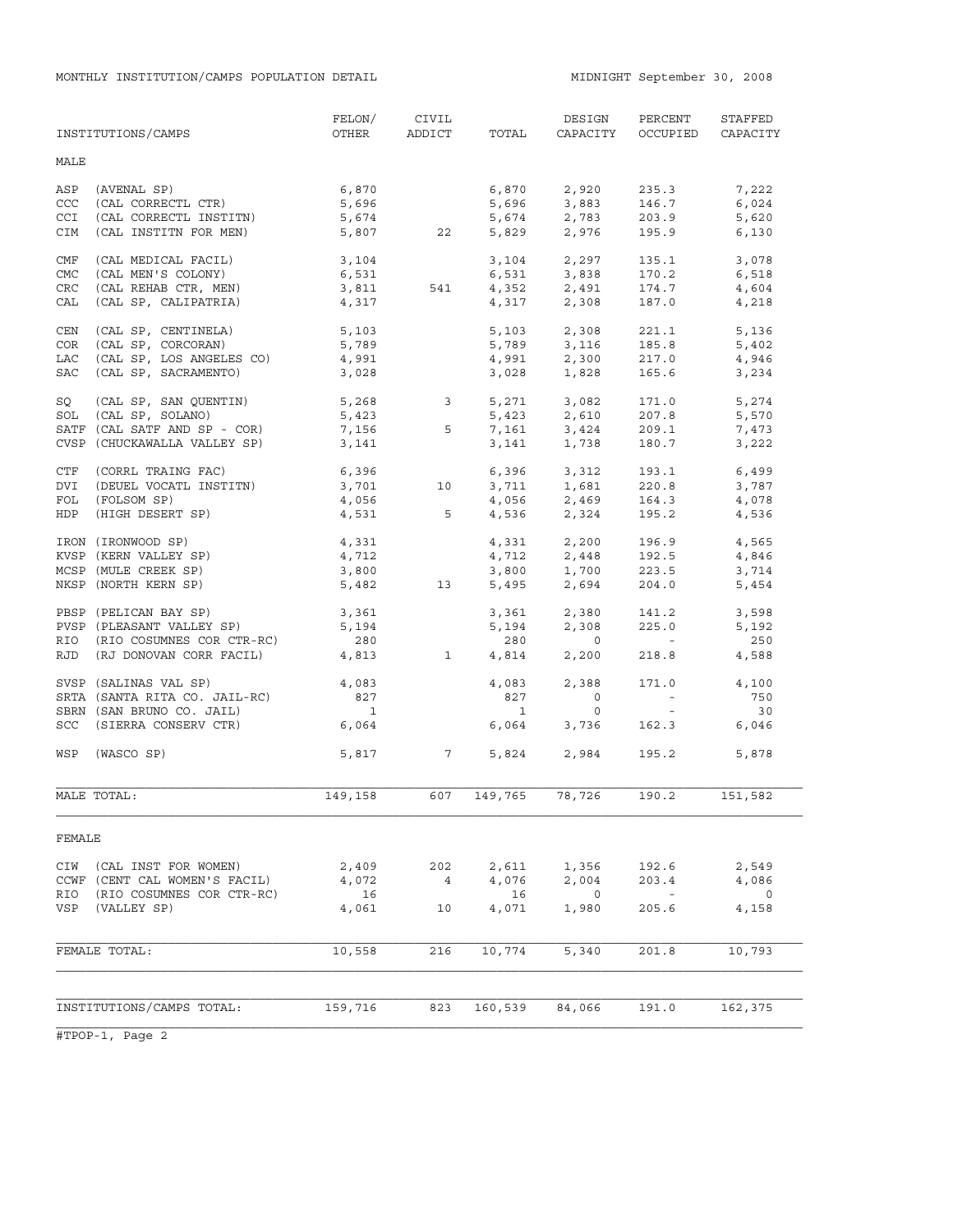|            | INSTITUTIONS/CAMPS                       | FELON/<br>OTHER          | CIVIL<br>ADDICT | TOTAL          | DESIGN<br>CAPACITY                 | PERCENT<br>OCCUPIED               | STAFFED<br>CAPACITY |
|------------|------------------------------------------|--------------------------|-----------------|----------------|------------------------------------|-----------------------------------|---------------------|
| MALE       |                                          |                          |                 |                |                                    |                                   |                     |
| ASP        | (AVENAL SP)                              | 6,870                    |                 | 6,870          | 2,920                              | 235.3                             | 7,222               |
| CCC        | (CAL CORRECTL CTR)                       | 5,696                    |                 | 5,696          | 3,883                              | 146.7                             | 6,024               |
| CCI        | (CAL CORRECTL INSTITN)                   | 5,674                    |                 | 5,674          | 2,783                              | 203.9                             | 5,620               |
| CIM        | (CAL INSTITN FOR MEN)                    |                          | 5,807 22        | 5,829          | 2,976                              | 195.9                             | 6,130               |
| CMF        | (CAL MEDICAL FACIL)                      | 3,104                    |                 |                | 3,104 2,297                        | 135.1                             | 3,078               |
| <b>CMC</b> | (CAL MEN'S COLONY)                       | 6,531                    |                 |                | 6,531 3,838                        | 170.2                             | 6,518               |
| <b>CRC</b> | (CAL REHAB CTR, MEN)                     | 6,531<br>3,811           | 541             |                | $4,352$ $2,491$                    | 174.7                             | 4,604               |
| CAL        | (CAL SP, CALIPATRIA)                     | 4,317                    |                 | 4,317          | 2,308                              | 187.0                             | 4,218               |
| CEN        | (CAL SP, CENTINELA)                      | 5,103                    |                 | 5,103          | 2,308                              | 221.1                             | 5,136               |
| COR        | (CAL SP, CORCORAN)                       | 5,789                    |                 |                | 5,789 3,116                        | 185.8                             | 5,402               |
| LAC        | (CAL SP, LOS ANGELES CO)                 | 4,991                    |                 | 4,991          | 2,300                              | 217.0                             | 4,946               |
| SAC        | (CAL SP, SACRAMENTO)                     | 3,028                    |                 | 3,028          | 1,828                              | 165.6                             | 3,234               |
| SQ         | (CAL SP, SAN QUENTIN) 5,268 3            |                          |                 |                | 5,271 3,082                        | 171.0                             | 5,274               |
| SOL        | (CAL SP, SOLANO)                         | 5,423                    |                 | 5,423          | 2,610                              | 207.8                             | 5,570               |
|            | SATF (CAL SATF AND SP - COR)             | $7,156$ 5                |                 |                | $7,161$ $3,424$                    | 209.1                             | 7,473               |
|            | CVSP (CHUCKAWALLA VALLEY SP)             | 3,141                    |                 | 3,141          | 1,738                              | 180.7                             | 3,222               |
| CTF        | (CORRL TRAING FAC)                       | 6,396                    |                 |                | 6,396 3,312                        | 193.1                             | 6,499               |
| DVI        | (DEUEL VOCATL INSTITN)                   | 3,701                    | 10              |                | $3,711$ $1,681$                    | 220.8                             | 3,787               |
| FOL        | (FOLSOM SP)                              | 4,056<br>4,531           |                 |                | $4,056$ $2,469$<br>$4,536$ $2,324$ | 164.3<br>195.2                    | 4,078               |
| <b>HDP</b> | (HIGH DESERT SP)                         |                          | $5^{\circ}$     |                |                                    |                                   | 4,536               |
|            | IRON (IRONWOOD SP)                       | 4,331                    |                 |                | 4,331 2,200                        | 196.9                             | 4,565               |
|            | KVSP (KERN VALLEY SP)                    | 4,712                    |                 |                | $4, 712$<br>3,800<br>$1, 700$      | 192.5                             | 4,846               |
|            | MCSP (MULE CREEK SP)                     | 3,800                    |                 |                |                                    | 223.5                             | 3,714               |
|            | NKSP (NORTH KERN SP)                     | 5,482                    | 13              |                | 5,495 2,694                        | 204.0                             | 5,454               |
|            | PBSP (PELICAN BAY SP)                    | 3,361                    |                 |                | 3,361 2,380<br>5,194 2,308         | 141.2                             | 3,598               |
|            | PVSP (PLEASANT VALLEY SP)                | 5,194                    |                 |                |                                    | 225.0                             | 5,192               |
|            | RIO (RIO COSUMNES COR CTR-RC)            | 280                      |                 | 280            | $\overline{0}$                     | <b>Contract Contract</b>          | 250                 |
|            | RJD (RJ DONOVAN CORR FACIL)              | 4,813                    | $\overline{1}$  | 4,814          | 2,200                              | 218.8                             | 4,588               |
|            | SVSP (SALINAS VAL SP)                    | 4,083                    |                 | 4,083          | 2,388                              | 171.0                             | 4,100               |
|            | SRTA (SANTA RITA CO. JAIL-RC)            | 827                      |                 | 827            | $\overline{0}$                     | $\alpha$ and $\alpha$             | 750                 |
|            | SBRN (SAN BRUNO CO. JAIL)                | $\overline{\phantom{a}}$ |                 | $\overline{1}$ | $\circ$                            | $\sim 100$                        | 30                  |
|            | SCC (SIERRA CONSERV CTR)                 | 6,064                    |                 | 6,064          | 3,736                              | 162.3                             | 6,046               |
| WSP        | (WASCO SP)                               |                          | 5,817 7         | 5,824          | 2,984                              | 195.2                             | 5,878               |
|            | MALE TOTAL:                              | 149,158                  | 607             | 149,765        | 78,726                             | 190.2                             | 151,582             |
| FEMALE     |                                          |                          |                 |                |                                    |                                   |                     |
| CIW        | (CAL INST FOR WOMEN)                     | 2,409                    | 202             | 2,611          | 1,356                              | 192.6                             | 2,549               |
|            | CCWF (CENT CAL WOMEN'S FACIL)            | 4,072                    | $\overline{4}$  | 4,076          | 2,004                              | 203.4                             | 4,086               |
| RIO<br>VSP | (RIO COSUMNES COR CTR-RC)<br>(VALLEY SP) | 16<br>4,061              | 10              | 16<br>4,071    | 0<br>1,980                         | $\overline{\phantom{a}}$<br>205.6 | 0<br>4,158          |
|            |                                          |                          |                 |                |                                    |                                   |                     |
|            | FEMALE TOTAL:                            | 10,558                   | 216             | 10,774         | 5,340                              | 201.8                             | 10,793              |
|            | INSTITUTIONS/CAMPS TOTAL:                | 159,716                  | 823             | 160,539        | 84,066                             | 191.0                             | 162,375             |
|            |                                          |                          |                 |                |                                    |                                   |                     |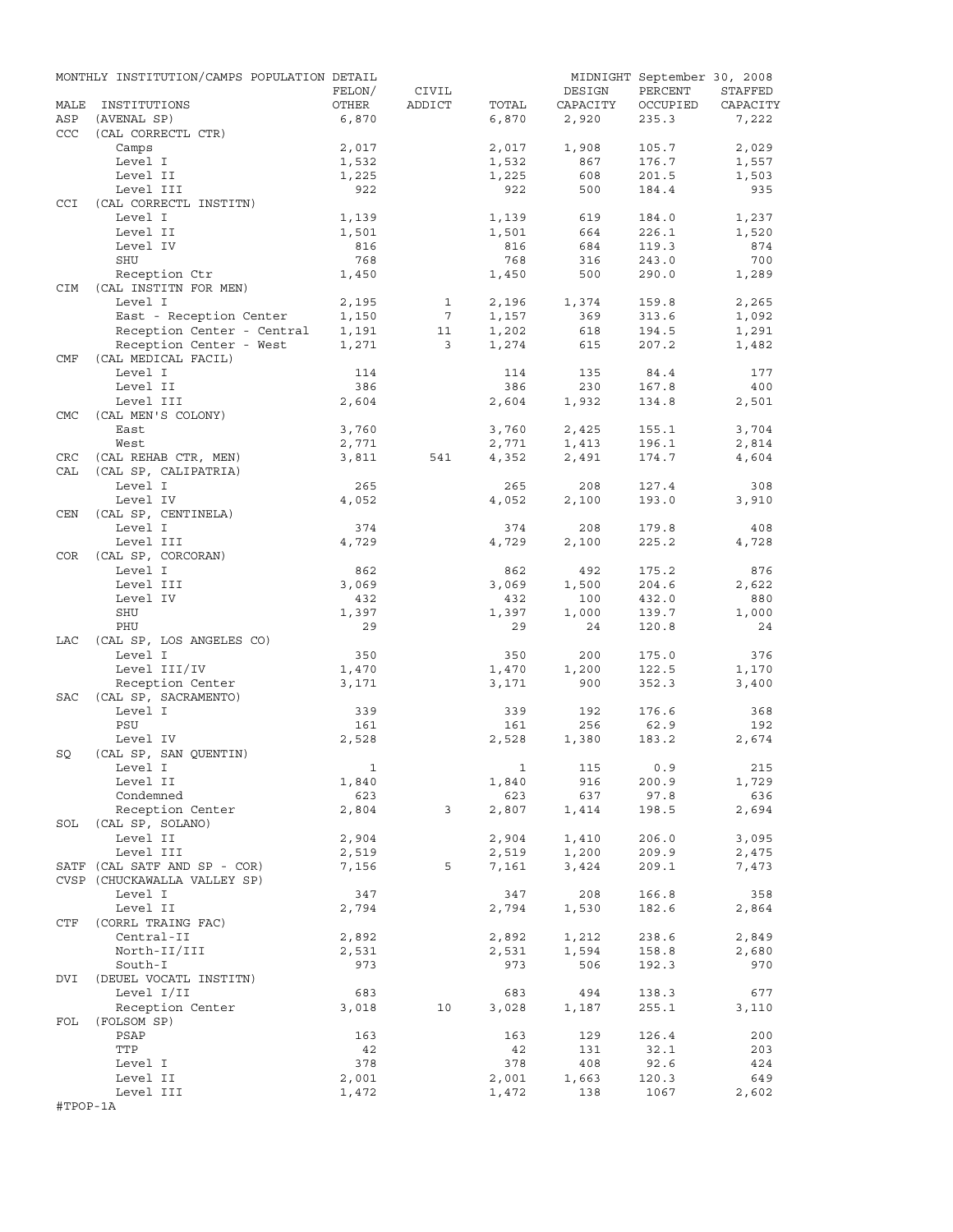|            | MONTHLY INSTITUTION/CAMPS POPULATION DETAIL |                |                         |                |                | MIDNIGHT September 30, 2008 |                |
|------------|---------------------------------------------|----------------|-------------------------|----------------|----------------|-----------------------------|----------------|
|            |                                             | FELON/         | CIVIL                   |                | DESIGN         | PERCENT                     | STAFFED        |
| MALE       | INSTITUTIONS                                | OTHER          | ADDICT                  | TOTAL          | CAPACITY       | OCCUPIED                    | CAPACITY       |
| ASP        | (AVENAL SP)                                 | 6,870          |                         | 6,870          | 2,920          | 235.3                       | 7,222          |
| <b>CCC</b> | (CAL CORRECTL CTR)                          |                |                         |                |                |                             |                |
|            | Camps                                       | 2,017          |                         | 2,017          | 1,908          | 105.7                       | 2,029          |
|            | Level I                                     | 1,532          |                         | 1,532          | 867            | 176.7                       | 1,557          |
|            | Level II<br>Level III                       | 1,225<br>922   |                         | 1,225<br>922   | 608<br>500     | 201.5<br>184.4              | 1,503<br>935   |
| CCI        | (CAL CORRECTL INSTITN)                      |                |                         |                |                |                             |                |
|            | Level I                                     | 1,139          |                         | 1,139          | 619            | 184.0                       | 1,237          |
|            | Level II                                    | 1,501          |                         | 1,501          | 664            | 226.1                       | 1,520          |
|            | Level IV                                    | 816            |                         | 816            | 684            | 119.3                       | 874            |
|            | SHU                                         | 768            |                         | 768            | 316            | 243.0                       | 700            |
|            | Reception Ctr                               | 1,450          |                         | 1,450          | 500            | 290.0                       | 1,289          |
| <b>CIM</b> | (CAL INSTITN FOR MEN)                       |                |                         |                |                |                             |                |
|            | Level I                                     | 2,195          | $\mathbf{1}$            | 2,196          | 1,374          | 159.8                       | 2,265          |
|            | East - Reception Center                     | 1,150          | $7\phantom{.0}$         | 1,157          | 369            | 313.6                       | 1,092          |
|            | Reception Center - Central                  | 1,191          | 11                      | 1,202          | 618            | 194.5                       | 1,291          |
|            | Reception Center - West                     | 1,271          | $\overline{\mathbf{3}}$ | 1,274          | 615            | 207.2                       | 1,482          |
| CMF        | (CAL MEDICAL FACIL)                         |                |                         |                |                |                             |                |
|            | Level I                                     | 114            |                         | 114            | 135            | 84.4                        | 177            |
|            | Level II                                    | 386            |                         | 386            | 230            | 167.8                       | 400            |
|            | Level III                                   | 2,604          |                         | 2,604          | 1,932          | 134.8                       | 2,501          |
| <b>CMC</b> | (CAL MEN'S COLONY)                          |                |                         |                |                |                             |                |
|            | East                                        | 3,760          |                         | 3,760          | 2,425          | 155.1                       | 3,704          |
|            | West                                        | 2,771          |                         | 2,771          | 1,413          | 196.1                       | 2,814          |
| CRC        | (CAL REHAB CTR, MEN)                        | 3,811          | 541                     | 4,352          | 2,491          | 174.7                       | 4,604          |
| CAL        | (CAL SP, CALIPATRIA)                        |                |                         |                |                |                             |                |
|            | Level I<br>Level IV                         | 265            |                         | 265<br>4,052   | 208<br>2,100   | 127.4<br>193.0              | 308<br>3,910   |
| CEN        | (CAL SP, CENTINELA)                         | 4,052          |                         |                |                |                             |                |
|            | Level I                                     | 374            |                         | 374            | 208            | 179.8                       | 408            |
|            | Level III                                   | 4,729          |                         | 4,729          | 2,100          | 225.2                       | 4,728          |
| COR        | (CAL SP, CORCORAN)                          |                |                         |                |                |                             |                |
|            | Level I                                     | 862            |                         | 862            | 492            | 175.2                       | 876            |
|            | Level III                                   | 3,069          |                         | 3,069          | 1,500          | 204.6                       | 2,622          |
|            | Level IV                                    | 432            |                         | 432            | 100            | 432.0                       | 880            |
|            | SHU                                         | 1,397          |                         | 1,397          | 1,000          | 139.7                       | 1,000          |
|            | PHU                                         | 29             |                         | 29             | 24             | 120.8                       | 24             |
| LAC        | (CAL SP, LOS ANGELES CO)                    |                |                         |                |                |                             |                |
|            | Level I                                     | 350            |                         | 350            | 200            | 175.0                       | 376            |
|            | Level III/IV                                | 1,470          |                         | 1,470          | 1,200          | 122.5                       | 1,170          |
|            | Reception Center                            | 3,171          |                         | 3,171          | 900            | 352.3                       | 3,400          |
| SAC        | (CAL SP, SACRAMENTO)                        |                |                         |                |                |                             |                |
|            | Level I                                     | 339            |                         | 339            | 192            | 176.6                       | 368            |
|            | PSU                                         | 161            |                         | 161            | 256            | 62.9                        | 192            |
|            | Level IV                                    | 2,528          |                         | 2,528          | 1,380          | 183.2                       | 2,674          |
| SQ         | (CAL SP, SAN OUENTIN)                       |                |                         |                |                |                             |                |
|            | Level I                                     | $\overline{1}$ |                         |                | 1 115 0.9      |                             | 215            |
|            | Level II                                    | 1,840          |                         | 1,840          | 916            | 200.9                       | 1,729          |
|            | Condemned                                   | 623            |                         | 623            | 637            | 97.8                        | 636            |
|            | Reception Center                            | 2,804          | $\mathbf{3}$            | 2,807          | 1,414          | 198.5                       | 2,694          |
|            | SOL (CAL SP, SOLANO)<br>Level II            |                |                         |                |                |                             |                |
|            |                                             | 2,904          |                         | 2,904          | 1,410          | 206.0<br>209.9              | 3,095          |
|            | Level III<br>SATF (CAL SATF AND SP - COR)   | 2,519<br>7,156 | 5                       | 2,519<br>7,161 | 1,200<br>3,424 | 209.1                       | 2,475<br>7,473 |
|            | CVSP (CHUCKAWALLA VALLEY SP)                |                |                         |                |                |                             |                |
|            | Level I                                     | 347            |                         | 347            | 208            | 166.8                       | 358            |
|            | Level II                                    | 2,794          |                         | 2,794          | 1,530          | 182.6                       | 2,864          |
| CTF        | (CORRL TRAING FAC)                          |                |                         |                |                |                             |                |
|            | Central-II                                  | 2,892          |                         | 2,892          | 1,212          | 238.6                       | 2,849          |
|            | North-II/III                                | 2,531          |                         | 2,531          | 1,594          | 158.8                       | 2,680          |
|            | South-I                                     | 973            |                         | 973            | 506            | 192.3                       | 970            |
| DVI        | (DEUEL VOCATL INSTITN)                      |                |                         |                |                |                             |                |
|            | Level I/II                                  | 683            |                         | 683            | 494            | 138.3                       | 677            |
|            | Reception Center                            | 3,018          | 10                      | 3,028          | 1,187          | 255.1                       | 3,110          |
| FOL        | (FOLSOM SP)                                 |                |                         |                |                |                             |                |
|            | PSAP                                        | 163            |                         | 163            | 129            | 126.4                       | 200            |
|            | TTP                                         | 42             |                         | 42             | 131            | 32.1                        | 203            |
|            | Level I                                     | 378            |                         | 378            | 408            | 92.6                        | 424            |
|            | Level II                                    | 2,001          |                         | 2,001          | 1,663          | 120.3                       | 649            |
|            | Level III                                   | 1,472          |                         | 1,472          | 138            | 1067                        | 2,602          |
| #TPOP-1A   |                                             |                |                         |                |                |                             |                |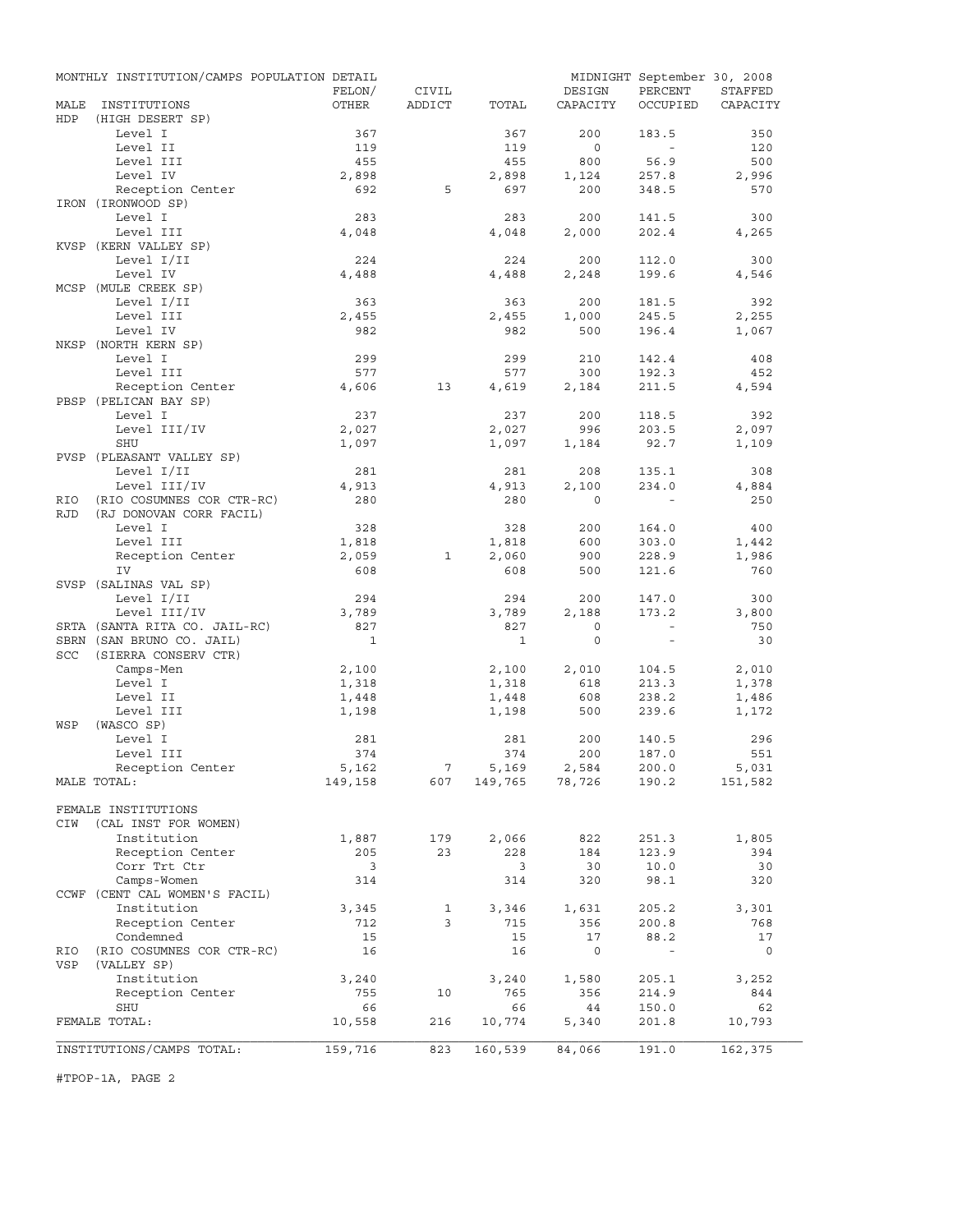|             | MONTHLY INSTITUTION/CAMPS POPULATION DETAIL |                |                 |                |                | MIDNIGHT September 30, 2008 |                |
|-------------|---------------------------------------------|----------------|-----------------|----------------|----------------|-----------------------------|----------------|
|             |                                             | FELON/         | CIVIL           |                | DESIGN         | PERCENT                     | STAFFED        |
| MALE<br>HDP | INSTITUTIONS<br>(HIGH DESERT SP)            | OTHER          | ADDICT          | TOTAL          | CAPACITY       | OCCUPIED                    | CAPACITY       |
|             | Level I                                     | 367            |                 | 367            | 200            | 183.5                       | 350            |
|             | Level II                                    | 119            |                 | 119            | $\circ$        | $\sim$                      | 120            |
|             | Level III                                   | 455            |                 | 455            | 800            | 56.9                        | 500            |
|             | Level IV                                    | 2,898          |                 | 2,898          | 1,124          | 257.8                       | 2,996          |
|             | Reception Center                            | 692            | 5               | 697            | 200            | 348.5                       | 570            |
|             | IRON (IRONWOOD SP)                          |                |                 |                |                |                             |                |
|             | Level I                                     | 283            |                 | 283            | 200            | 141.5                       | 300            |
|             | Level III<br>KVSP (KERN VALLEY SP)          | 4,048          |                 | 4,048          | 2,000          | 202.4                       | 4,265          |
|             | Level I/II                                  | 224            |                 | 224            | 200            | 112.0                       | 300            |
|             | Level IV                                    | 4,488          |                 | 4,488          | 2,248          | 199.6                       | 4,546          |
|             | MCSP (MULE CREEK SP)                        |                |                 |                |                |                             |                |
|             | Level I/II                                  | 363            |                 | 363            | 200            | 181.5                       | 392            |
|             | Level III                                   | 2,455          |                 | 2,455          | 1,000          | 245.5                       | 2,255          |
|             | Level IV                                    | 982            |                 | 982            | 500            | 196.4                       | 1,067          |
|             | NKSP (NORTH KERN SP)                        |                |                 |                |                |                             |                |
|             | Level I                                     | 299            |                 | 299            | 210            | 142.4                       | 408            |
|             | Level III<br>Reception Center               | 577            | 13              | 577            | 300            | 192.3                       | 452            |
|             | PBSP (PELICAN BAY SP)                       | 4,606          |                 | 4,619          | 2,184          | 211.5                       | 4,594          |
|             | Level I                                     | 237            |                 | 237            | 200            | 118.5                       | 392            |
|             | Level III/IV                                | 2,027          |                 | 2,027          | 996            | 203.5                       | 2,097          |
|             | SHU                                         | 1,097          |                 | 1,097          | 1,184          | 92.7                        | 1,109          |
|             | PVSP (PLEASANT VALLEY SP)                   |                |                 |                |                |                             |                |
|             | Level I/II                                  | 281            |                 | 281            | 208            | 135.1                       | 308            |
|             | Level III/IV                                | 4,913          |                 | 4,913          | 2,100          | 234.0                       | 4,884          |
| RIO         | (RIO COSUMNES COR CTR-RC)                   | 280            |                 | 280            | $\Omega$       |                             | 250            |
| <b>RJD</b>  | (RJ DONOVAN CORR FACIL)                     |                |                 |                |                |                             |                |
|             | Level I<br>Level III                        | 328<br>1,818   |                 | 328<br>1,818   | 200<br>600     | 164.0<br>303.0              | 400<br>1,442   |
|             | Reception Center                            | 2,059          | 1               | 2,060          | 900            | 228.9                       | 1,986          |
|             | IV                                          | 608            |                 | 608            | 500            | 121.6                       | 760            |
|             | SVSP (SALINAS VAL SP)                       |                |                 |                |                |                             |                |
|             | Level I/II                                  | 294            |                 | 294            | 200            | 147.0                       | 300            |
|             | Level III/IV                                | 3,789          |                 | 3,789          | 2,188          | 173.2                       | 3,800          |
|             | SRTA (SANTA RITA CO. JAIL-RC)               | 827            |                 | 827            | $\circ$        | $\sim$                      | 750            |
|             | SBRN (SAN BRUNO CO. JAIL)                   | $\mathbf{1}$   |                 | <sup>1</sup>   | $\mathbf 0$    | $\sim$                      | 30             |
| SCC         | (SIERRA CONSERV CTR)                        |                |                 |                |                |                             |                |
|             | Camps-Men<br>Level I                        | 2,100<br>1,318 |                 | 2,100<br>1,318 | 2,010<br>618   | 104.5<br>213.3              | 2,010<br>1,378 |
|             | Level II                                    | 1,448          |                 | 1,448          | 608            | 238.2                       | 1,486          |
|             | Level III                                   | 1,198          |                 | 1,198          | 500            | 239.6                       | 1,172          |
| WSP         | (WASCO SP)                                  |                |                 |                |                |                             |                |
|             | Level I                                     | 281            |                 | 281            | 200            | 140.5                       | 296            |
|             | Level III                                   | 374            |                 | 374            | 200            | 187.0                       | 551            |
|             | Reception Center                            | 5,162          | $7\overline{ }$ | 5,169          | 2,584          | 200.0                       | 5,031          |
|             | MALE TOTAL:                                 | 149,158        | 607             |                | 149,765 78,726 | 190.2                       | 151,582        |
|             |                                             |                |                 |                |                |                             |                |
| CIW         | FEMALE INSTITUTIONS                         |                |                 |                |                |                             |                |
|             | (CAL INST FOR WOMEN)<br>Institution         | 1,887          | 179             | 2,066          | 822            | 251.3                       | 1,805          |
|             | Reception Center                            | 205            | 23              | 228            | 184            | 123.9                       | 394            |
|             | Corr Trt Ctr                                | 3              |                 | 3              | 30             | 10.0                        | 30             |
|             | Camps-Women                                 | 314            |                 | 314            | 320            | 98.1                        | 320            |
|             | CCWF (CENT CAL WOMEN'S FACIL)               |                |                 |                |                |                             |                |
|             | Institution                                 | 3,345          | $\mathbf{1}$    | 3,346          | 1,631          | 205.2                       | 3,301          |
|             | Reception Center                            | 712            | 3               | 715            | 356            | 200.8                       | 768            |
|             | Condemned                                   | 15             |                 | 15             | 17             | 88.2                        | 17             |
| RIO         | (RIO COSUMNES COR CTR-RC)                   | 16             |                 | 16             | $\circ$        | $\overline{\phantom{a}}$    | $\circ$        |
| VSP         | (VALLEY SP)<br>Institution                  |                |                 |                |                |                             |                |
|             | Reception Center                            | 3,240<br>755   | 10              | 3,240<br>765   | 1,580<br>356   | 205.1<br>214.9              | 3,252<br>844   |
|             | SHU                                         | 66             |                 | 66             | 44             | 150.0                       | 62             |
|             | FEMALE TOTAL:                               | 10,558         | 216             | 10,774         | 5,340          | 201.8                       | 10,793         |
|             |                                             |                |                 |                |                |                             |                |
|             | INSTITUTIONS/CAMPS TOTAL:                   | 159,716        | 823             | 160,539        | 84,066         | 191.0                       | 162,375        |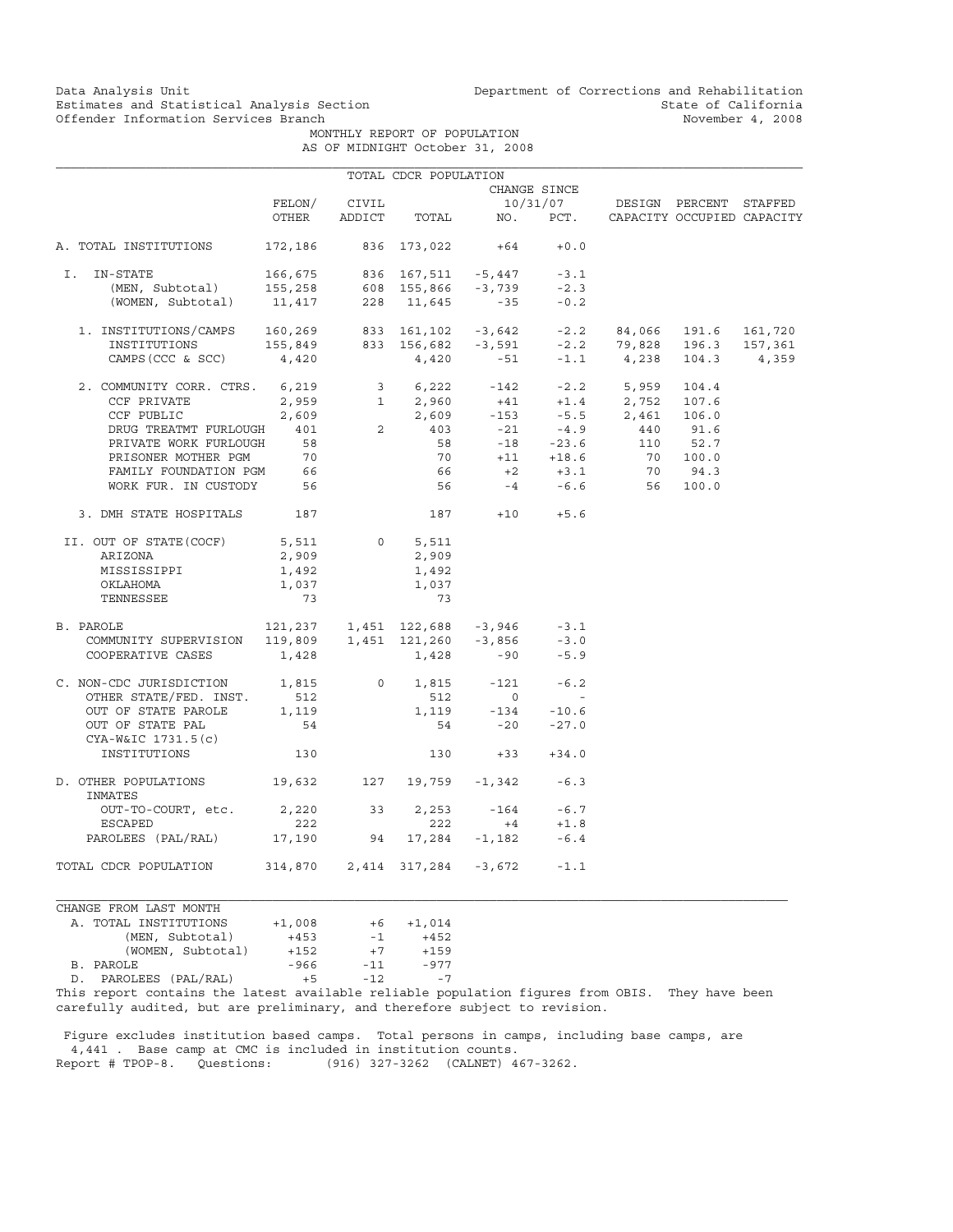Data Analysis Unit Unit Department of Corrections and Rehabilitation<br>Estimates and Statistical Analysis Section State of California Estimates and Statistical Analysis Section and State of California of Estimates and Statistical Analysis Section Services of California of State of California of State of California of  $\overline{S}$ 

> MONTHLY REPORT OF POPULATION AS OF MIDNIGHT October 31, 2008

|                                                                                                                                                                                                                                                                                                                                                                                                    |                              |                | TOTAL CDCR POPULATION |                    |                                        |                                                                                                                                                                                                                                                                                                                        |       |         |
|----------------------------------------------------------------------------------------------------------------------------------------------------------------------------------------------------------------------------------------------------------------------------------------------------------------------------------------------------------------------------------------------------|------------------------------|----------------|-----------------------|--------------------|----------------------------------------|------------------------------------------------------------------------------------------------------------------------------------------------------------------------------------------------------------------------------------------------------------------------------------------------------------------------|-------|---------|
|                                                                                                                                                                                                                                                                                                                                                                                                    |                              |                |                       |                    | CHANGE SINCE                           |                                                                                                                                                                                                                                                                                                                        |       |         |
|                                                                                                                                                                                                                                                                                                                                                                                                    | FELON/                       | CIVIL          |                       |                    |                                        | 10/31/07 DESIGN PERCENT STAFFED                                                                                                                                                                                                                                                                                        |       |         |
|                                                                                                                                                                                                                                                                                                                                                                                                    | OTHER                        | ADDICT         |                       |                    |                                        | TOTAL NO. PCT. CAPACITY OCCUPIED CAPACITY                                                                                                                                                                                                                                                                              |       |         |
| A. TOTAL INSTITUTIONS                                                                                                                                                                                                                                                                                                                                                                              | 172,186 836 173,022 +64      |                |                       |                    | $+0.0$                                 |                                                                                                                                                                                                                                                                                                                        |       |         |
| I. IN-STATE                                                                                                                                                                                                                                                                                                                                                                                        |                              |                |                       |                    |                                        |                                                                                                                                                                                                                                                                                                                        |       |         |
|                                                                                                                                                                                                                                                                                                                                                                                                    |                              |                |                       |                    |                                        |                                                                                                                                                                                                                                                                                                                        |       |         |
| 166,675 836 167,511 -5,447 -3.1<br>(MEN, Subtotal) 155,258 608 155,866 -3,739 -2.3<br>(WOMEN, Subtotal) 11,417 228 11,645 -35 -0.2                                                                                                                                                                                                                                                                 |                              |                |                       |                    |                                        |                                                                                                                                                                                                                                                                                                                        |       |         |
| $1. \ \text{INSTITUTIONS/CAMPS} \\ \text{INSTITUTIONS/CAMPS} \\ \text{160,269} \\ \text{833} \\ \text{161,102} \\ \text{-3,642} \\ \text{-3,642} \\ \text{-2.2} \\ \text{84,066} \\ \text{191.6} \\ \text{161,720} \\ \text{163,720} \\ \text{165,849} \\ \text{166,82} \\ \text{-3,591} \\ \text{-2.2} \\ \text{-2.2} \\ \text{-2.2} \\ \text{-2.3} \\ \text{-2.3} \\ \text{-2.4} \\ \text{-2.4}$ |                              |                |                       |                    |                                        |                                                                                                                                                                                                                                                                                                                        |       |         |
|                                                                                                                                                                                                                                                                                                                                                                                                    |                              |                |                       |                    |                                        |                                                                                                                                                                                                                                                                                                                        |       | 157,361 |
| CAMPS (CCC & SCC)                                                                                                                                                                                                                                                                                                                                                                                  | 4,420                        |                | 4,420                 | $-51$              |                                        | $-1.1$ 4,238                                                                                                                                                                                                                                                                                                           | 104.3 | 4,359   |
| 2. COMMUNITY CORR. CTRS. 6,219                                                                                                                                                                                                                                                                                                                                                                     |                              |                |                       |                    |                                        | $\begin{array}{cccccccc} 6,219 & & 3 & & 6,222 & & -142 & & -2.2 & & 5,959 & 104.4 \\ 2,959 & & 1 & 2,960 & & +41 & & +1.4 & & 2,752 & 107.6 \\ 2,609 & & 2,609 & & -153 & & -5.5 & 2,461 & 106.0 \\ 401 & & 2 & & 403 & & -21 & & -4.9 & & 440 & 91.6 \\ 58 & & & 58 & & -18 & & -23.6 & & 110 & 52.7 \\ \end{array}$ |       |         |
| CCF PRIVATE                                                                                                                                                                                                                                                                                                                                                                                        |                              |                |                       |                    |                                        |                                                                                                                                                                                                                                                                                                                        |       |         |
| CCF PUBLIC                                                                                                                                                                                                                                                                                                                                                                                         |                              |                |                       |                    |                                        |                                                                                                                                                                                                                                                                                                                        |       |         |
| DRUG TREATMT FURLOUGH                                                                                                                                                                                                                                                                                                                                                                              |                              |                |                       |                    |                                        |                                                                                                                                                                                                                                                                                                                        |       |         |
| PRIVATE WORK FURLOUGH                                                                                                                                                                                                                                                                                                                                                                              |                              |                |                       |                    |                                        |                                                                                                                                                                                                                                                                                                                        |       |         |
| PRISONER MOTHER PGM 70<br>PRISONER MOTHER PGM 70<br>EAMILY FOUNDATION PGM 66                                                                                                                                                                                                                                                                                                                       |                              |                |                       |                    |                                        | $\begin{array}{ccccccccc} 70 & & +11 & & +18.6 & & & 70 & & 100.0 \\ 66 & & & +2 & & +3.1 & & & 70 & & 94.3 \end{array}$                                                                                                                                                                                               |       |         |
|                                                                                                                                                                                                                                                                                                                                                                                                    |                              |                | 66                    |                    |                                        |                                                                                                                                                                                                                                                                                                                        |       |         |
| WORK FUR. IN CUSTODY 56                                                                                                                                                                                                                                                                                                                                                                            |                              |                |                       |                    |                                        | 56  -4  -6.6  56  100.0                                                                                                                                                                                                                                                                                                |       |         |
| 3. DMH STATE HOSPITALS 187                                                                                                                                                                                                                                                                                                                                                                         |                              |                |                       | $187 + 10 + 5.6$   |                                        |                                                                                                                                                                                                                                                                                                                        |       |         |
| II. OUT OF STATE(COCF)                                                                                                                                                                                                                                                                                                                                                                             | 5,511                        | $\overline{0}$ | 5,511                 |                    |                                        |                                                                                                                                                                                                                                                                                                                        |       |         |
| ARIZONA                                                                                                                                                                                                                                                                                                                                                                                            | 2,909                        |                | 2,909                 |                    |                                        |                                                                                                                                                                                                                                                                                                                        |       |         |
| MISSISSIPPI                                                                                                                                                                                                                                                                                                                                                                                        | 1,492                        |                | 1,492                 |                    |                                        |                                                                                                                                                                                                                                                                                                                        |       |         |
| OKLAHOMA                                                                                                                                                                                                                                                                                                                                                                                           | 1,037                        |                | 1,037                 |                    |                                        |                                                                                                                                                                                                                                                                                                                        |       |         |
| TENNESSEE                                                                                                                                                                                                                                                                                                                                                                                          | 73                           |                | 73                    |                    |                                        |                                                                                                                                                                                                                                                                                                                        |       |         |
| PAROLE 121, 237 1, 451 122, 688 -3, 946 -3.1<br>COMMUNITY SUPERVISION 119, 809 1, 451 121, 260 -3, 856 -3.0<br>B. PAROLE                                                                                                                                                                                                                                                                           |                              |                |                       |                    |                                        |                                                                                                                                                                                                                                                                                                                        |       |         |
|                                                                                                                                                                                                                                                                                                                                                                                                    |                              |                |                       |                    |                                        |                                                                                                                                                                                                                                                                                                                        |       |         |
| COOPERATIVE CASES                                                                                                                                                                                                                                                                                                                                                                                  | 1,428                        |                |                       | $1,428 -90$        | $-5.9$                                 |                                                                                                                                                                                                                                                                                                                        |       |         |
| C. NON-CDC JURISDICTION 1,815                                                                                                                                                                                                                                                                                                                                                                      |                              | $\overline{0}$ |                       | $1,815 -121$       | $-6.2$                                 |                                                                                                                                                                                                                                                                                                                        |       |         |
| OTHER STATE/FED. INST.                                                                                                                                                                                                                                                                                                                                                                             | 512                          |                | 512                   | $\overline{0}$     | $\sim$                                 |                                                                                                                                                                                                                                                                                                                        |       |         |
| OUT OF STATE PAROLE                                                                                                                                                                                                                                                                                                                                                                                | 1,119                        |                |                       | $1,119 -134 -10.6$ |                                        |                                                                                                                                                                                                                                                                                                                        |       |         |
| OUT OF STATE PAL<br>CYA-W&IC 1731.5(c)                                                                                                                                                                                                                                                                                                                                                             | 54                           |                |                       | $54 - 20$          | $-27.0$                                |                                                                                                                                                                                                                                                                                                                        |       |         |
| INSTITUTIONS                                                                                                                                                                                                                                                                                                                                                                                       | 130                          |                |                       | $130 + 33 + 34.0$  |                                        |                                                                                                                                                                                                                                                                                                                        |       |         |
| D. OTHER POPULATIONS 19,632 127 19,759 -1,342 -6.3<br>INMATES                                                                                                                                                                                                                                                                                                                                      |                              |                |                       |                    |                                        |                                                                                                                                                                                                                                                                                                                        |       |         |
| OUT-TO-COURT, etc.                                                                                                                                                                                                                                                                                                                                                                                 | 2,220 33                     |                | 2,253                 |                    |                                        |                                                                                                                                                                                                                                                                                                                        |       |         |
| ESCAPED                                                                                                                                                                                                                                                                                                                                                                                            | 222                          |                | 222                   | $+4$               | $-164$ $-6.7$<br>$+4$ $+1.8$<br>$+1.8$ |                                                                                                                                                                                                                                                                                                                        |       |         |
| PAROLEES (PAL/RAL) 17,190 94 17,284 -1,182                                                                                                                                                                                                                                                                                                                                                         |                              |                |                       |                    | $-6.4$                                 |                                                                                                                                                                                                                                                                                                                        |       |         |
| TOTAL CDCR POPULATION                                                                                                                                                                                                                                                                                                                                                                              | 314,870 2,414 317,284 -3,672 |                |                       |                    | $-1.1$                                 |                                                                                                                                                                                                                                                                                                                        |       |         |

CHANGE FROM LAST MONTH A. TOTAL INSTITUTIONS  $+1,008$   $+6$   $+1,014$ <br>(MEN, Subtotal)  $+453$   $-1$   $+452$  (MEN, Subtotal) +453 -1 +452 (WOMEN, Subtotal) +152 +7 +159<br>LE -966 -11 -977 B. PAROLE D. PAROLEES (PAL/RAL) +5 -12 -7

This report contains the latest available reliable population figures from OBIS. They have been carefully audited, but are preliminary, and therefore subject to revision.

 Figure excludes institution based camps. Total persons in camps, including base camps, are 4,441 . Base camp at CMC is included in institution counts.<br>Report # TPOP-8. Questions: (916) 327-3262 (CALNET) 4 (916) 327-3262 (CALNET) 467-3262.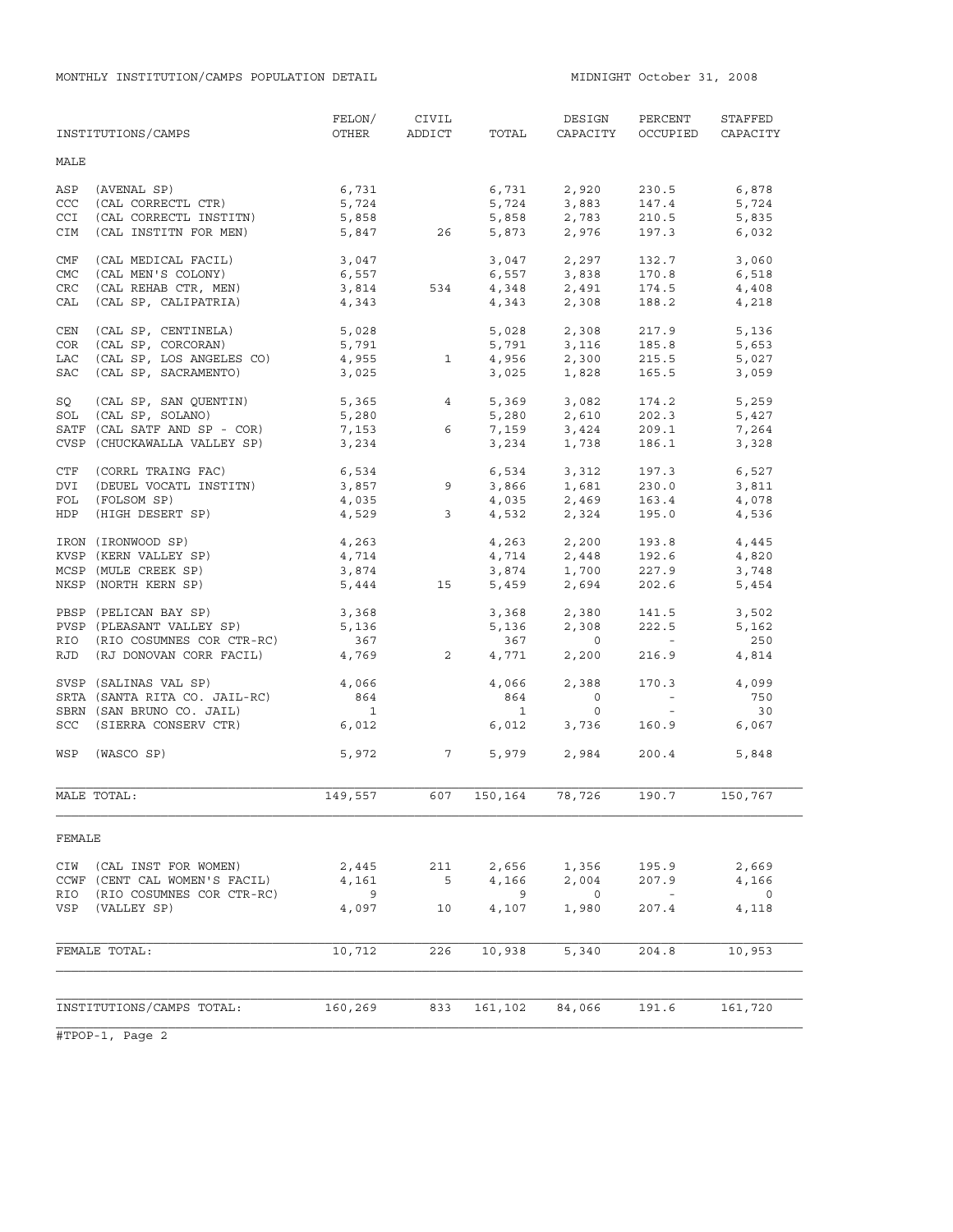|             | INSTITUTIONS/CAMPS                       | FELON/<br>OTHER          | CIVIL<br>ADDICT      | TOTAL        | DESIGN<br>CAPACITY               | PERCENT<br>OCCUPIED      | STAFFED<br>CAPACITY  |
|-------------|------------------------------------------|--------------------------|----------------------|--------------|----------------------------------|--------------------------|----------------------|
| MALE        |                                          |                          |                      |              |                                  |                          |                      |
| ASP         | (AVENAL SP)                              | 6,731                    |                      |              | 6,731 2,920                      | 230.5                    | 6,878                |
| CCC         | (CAL CORRECTL CTR)                       | 5,724                    |                      |              | 5,724 3,883                      | 147.4                    | 5,724                |
| <b>CCI</b>  | (CAL CORRECTL INSTITN)                   | 5,858                    |                      | 5,858        | 2,783                            | 210.5                    | 5,835                |
| CIM         | (CAL INSTITN FOR MEN)                    |                          | 5,847 26             |              | 5,873 2,976                      | 197.3                    | 6,032                |
| CMF         | (CAL MEDICAL FACIL)                      | 3,047                    |                      |              | 3,047 2,297                      | 132.7                    | 3,060                |
| <b>CMC</b>  | (CAL MEN'S COLONY)                       | 6,557                    |                      | 6,557        | 3,838                            | 170.8                    | 6,518                |
| ${\tt CRC}$ | (CAL REHAB CTR, MEN)                     | 3,814                    | 534                  |              | $4,348$ $2,491$                  | 174.5                    | 4,408                |
| CAL         | (CAL SP, CALIPATRIA)                     | 4,343                    |                      | 4,343        | 2,308                            | 188.2                    | 4,218                |
| CEN         | (CAL SP, CENTINELA)                      | 5,028                    |                      | 5,028        | 2,308                            | 217.9                    | 5,136                |
| COR         | (CAL SP, CORCORAN)                       | 5,791                    |                      |              | 5,791 3,116                      | 185.8                    | 5,653                |
| <b>LAC</b>  | (CAL SP, LOS ANGELES CO)                 | 4,955                    | 1                    | 4,956        | 2,300                            | 215.5                    | 5,027                |
| SAC         | (CAL SP, SACRAMENTO)                     | 3,025                    |                      | 3,025        | 1,828                            | 165.5                    | 3,059                |
| SQ          | (CAL SP, SAN QUENTIN)                    | 5,365                    | $\overline{4}$       |              | 5,369 3,082                      | 174.2                    | 5,259                |
| SOL         | (CAL SP, SOLANO)                         | 5,280                    |                      | 5,280        | 2,610                            | 202.3                    | 5,427                |
|             | SATF (CAL SATF AND SP - COR)             | 7,153                    | 6                    | 7,159        | 3,424                            | 209.1                    | 7,264                |
|             | CVSP (CHUCKAWALLA VALLEY SP)             | 3,234                    |                      | 3,234        | 1,738                            | 186.1                    | 3,328                |
| CTF         | (CORRL TRAING FAC)                       |                          |                      |              | 6,534 3,312                      | 197.3                    | 6,527                |
| DVI         | (DEUEL VOCATL INSTITN)                   |                          |                      |              | $3,866$ $1,681$                  | 230.0                    | 3,811                |
| FOL         | (FOLSOM SP)                              |                          |                      | 4,035        |                                  | 163.4                    | 4,078                |
| HDP         | (HIGH DESERT SP)                         |                          | $4,035$<br>$4,529$ 3 | 4,532        | 2,469<br>2,324                   | 195.0                    | 4,536                |
|             | IRON (IRONWOOD SP)                       | 4,263                    |                      |              | 4,263 2,200                      | 193.8                    | 4,445                |
|             | KVSP (KERN VALLEY SP)                    | 4,714                    |                      |              |                                  | 192.6                    | 4,820                |
|             | MCSP (MULE CREEK SP)                     | 3,874                    |                      |              | $4, 714$<br>$3, 874$<br>$1, 700$ | 227.9                    | 3,748                |
|             | NKSP (NORTH KERN SP)                     | 5,444                    | 15                   | 5,459        | 2,694                            | 202.6                    | 5,454                |
|             | PBSP (PELICAN BAY SP)                    | 3,368                    |                      | 3,368        | 2,380                            | 141.5                    | 3,502                |
|             | PVSP (PLEASANT VALLEY SP)                | 5,136                    |                      | 5,136        | 2,308                            | 222.5                    | 5,162                |
| RIO         | (RIO COSUMNES COR CTR-RC)                | 367                      |                      | 367          | $\overline{0}$                   | <b>Contract Contract</b> | 250                  |
| RJD         | (RJ DONOVAN CORR FACIL)                  | 4,769                    | $\overline{2}$       | 4,771        | 2,200                            | 216.9                    | 4,814                |
|             | SVSP (SALINAS VAL SP)                    | 4,066                    |                      | 4,066        | 2,388                            | 170.3                    | 4,099                |
|             | SRTA (SANTA RITA CO. JAIL-RC)            | 864                      |                      | 864          | $\overline{0}$                   | $\alpha$ and $\alpha$    | 750                  |
|             | SBRN (SAN BRUNO CO. JAIL)                | $\overline{\phantom{a}}$ |                      | $\mathbf{1}$ | $\circ$                          | $\sim$ $ \sim$           | 30                   |
|             | SCC (SIERRA CONSERV CTR)                 | 6,012                    |                      | 6,012        | 3,736                            | 160.9                    | 6,067                |
| WSP         | (WASCO SP)                               |                          | 5,972 7              |              | 5,979 2,984                      | 200.4                    | 5,848                |
|             | MALE TOTAL:                              | 149,557                  | 607                  | 150,164      | 78,726                           | 190.7                    | 150,767              |
| FEMALE      |                                          |                          |                      |              |                                  |                          |                      |
| CIW         | (CAL INST FOR WOMEN)                     | 2,445                    | 211                  | 2,656        | 1,356                            | 195.9                    | 2,669                |
|             | CCWF (CENT CAL WOMEN'S FACIL)            | 4,161                    | 5                    | 4,166        | 2,004                            | 207.9                    | 4,166                |
| RIO<br>VSP  | (RIO COSUMNES COR CTR-RC)<br>(VALLEY SP) | 9<br>4,097               | 10                   | 9<br>4,107   | $\overline{0}$<br>1,980          | $\sim$<br>207.4          | $\mathbf 0$<br>4,118 |
|             | FEMALE TOTAL:                            | 10,712                   | 226                  | 10,938       | 5,340                            | 204.8                    | 10,953               |
|             |                                          |                          |                      |              |                                  |                          |                      |
|             | INSTITUTIONS/CAMPS TOTAL:                | 160,269                  | 833                  | 161,102      | 84,066                           | 191.6                    | 161,720              |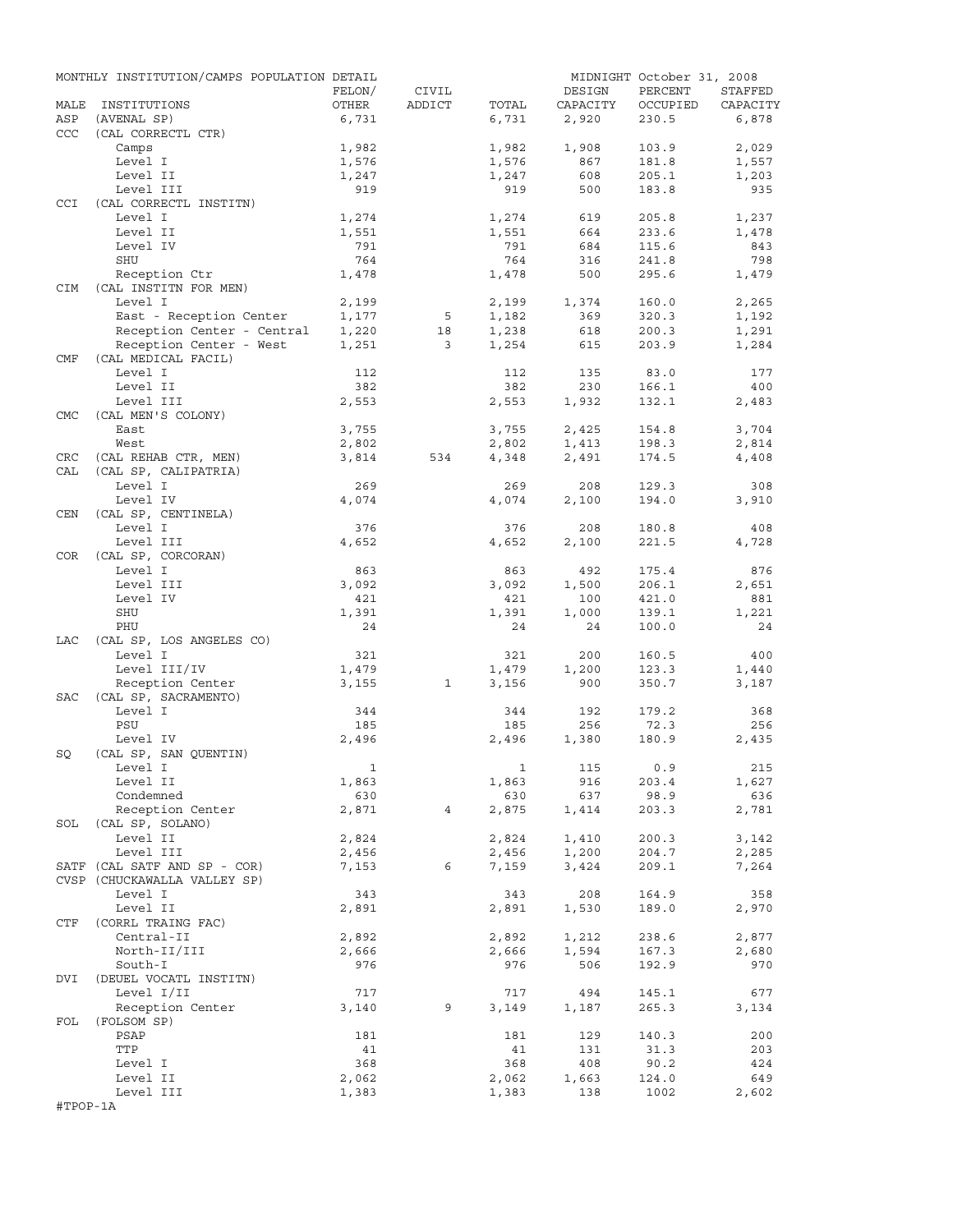|            | MONTHLY INSTITUTION/CAMPS POPULATION DETAIL |                |                         |              |            | MIDNIGHT October 31, 2008 |              |
|------------|---------------------------------------------|----------------|-------------------------|--------------|------------|---------------------------|--------------|
|            |                                             | FELON/         | CIVIL                   |              | DESIGN     | PERCENT                   | STAFFED      |
| MALE       | INSTITUTIONS                                | OTHER          | ADDICT                  | TOTAL        | CAPACITY   | OCCUPIED                  | CAPACITY     |
| ASP        | (AVENAL SP)                                 | 6,731          |                         | 6,731        | 2,920      | 230.5                     | 6,878        |
| <b>CCC</b> | (CAL CORRECTL CTR)                          |                |                         |              |            |                           |              |
|            | Camps                                       | 1,982          |                         | 1,982        | 1,908      | 103.9                     | 2,029        |
|            | Level I                                     | 1,576          |                         | 1,576        | 867        | 181.8                     | 1,557        |
|            | Level II                                    | 1,247          |                         | 1,247        | 608        | 205.1                     | 1,203        |
|            | Level III                                   | 919            |                         | 919          | 500        | 183.8                     | 935          |
| CCI        | (CAL CORRECTL INSTITN)                      |                |                         |              |            |                           |              |
|            | Level I                                     | 1,274          |                         | 1,274        | 619        | 205.8                     | 1,237        |
|            | Level II<br>Level IV                        | 1,551<br>791   |                         | 1,551<br>791 | 664<br>684 | 233.6<br>115.6            | 1,478<br>843 |
|            | SHU                                         | 764            |                         | 764          | 316        | 241.8                     | 798          |
|            | Reception Ctr                               | 1,478          |                         | 1,478        | 500        | 295.6                     | 1,479        |
| <b>CIM</b> | (CAL INSTITN FOR MEN)                       |                |                         |              |            |                           |              |
|            | Level I                                     | 2,199          |                         | 2,199        | 1,374      | 160.0                     | 2,265        |
|            | East - Reception Center                     | 1,177          | 5                       | 1,182        | 369        | 320.3                     | 1,192        |
|            | Reception Center - Central                  | 1,220          | 18                      | 1,238        | 618        | 200.3                     | 1,291        |
|            | Reception Center - West                     | 1,251          | $\overline{\mathbf{3}}$ | 1,254        | 615        | 203.9                     | 1,284        |
| CMF        | (CAL MEDICAL FACIL)                         |                |                         |              |            |                           |              |
|            | Level I                                     | 112            |                         | 112          | 135        | 83.0                      | 177          |
|            | Level II                                    | 382            |                         | 382          | 230        | 166.1                     | 400          |
|            | Level III                                   | 2,553          |                         | 2,553        | 1,932      | 132.1                     | 2,483        |
| <b>CMC</b> | (CAL MEN'S COLONY)                          |                |                         |              |            |                           |              |
|            | East                                        | 3,755          |                         | 3,755        | 2,425      | 154.8                     | 3,704        |
|            | West                                        | 2,802          |                         | 2,802        | 1,413      | 198.3                     | 2,814        |
| CRC        | (CAL REHAB CTR, MEN)                        | 3,814          | 534                     | 4,348        | 2,491      | 174.5                     | 4,408        |
| CAL        | (CAL SP, CALIPATRIA)                        |                |                         |              |            |                           |              |
|            | Level I                                     | 269            |                         | 269          | 208        | 129.3                     | 308          |
|            | Level IV                                    | 4,074          |                         | 4,074        | 2,100      | 194.0                     | 3,910        |
| CEN        | (CAL SP, CENTINELA)                         |                |                         |              |            |                           |              |
|            | Level I                                     | 376            |                         | 376          | 208        | 180.8                     | 408          |
|            | Level III                                   | 4,652          |                         | 4,652        | 2,100      | 221.5                     | 4,728        |
| COR        | (CAL SP, CORCORAN)                          |                |                         |              |            |                           |              |
|            | Level I                                     | 863            |                         | 863          | 492        | 175.4                     | 876          |
|            | Level III                                   | 3,092          |                         | 3,092        | 1,500      | 206.1                     | 2,651        |
|            | Level IV                                    | 421            |                         | 421          | 100        | 421.0                     | 881          |
|            | SHU                                         | 1,391          |                         | 1,391        | 1,000      | 139.1                     | 1,221        |
|            | PHU                                         | 24             |                         | 24           | 24         | 100.0                     | 24           |
| LAC        | (CAL SP, LOS ANGELES CO)                    |                |                         |              |            |                           |              |
|            | Level I                                     | 321            |                         | 321          | 200        | 160.5                     | 400          |
|            | Level III/IV                                | 1,479          |                         | 1,479        | 1,200      | 123.3                     | 1,440        |
|            | Reception Center                            | 3,155          | $\mathbf{1}$            | 3,156        | 900        | 350.7                     | 3,187        |
| SAC        | (CAL SP, SACRAMENTO)                        |                |                         |              |            |                           |              |
|            | Level I                                     | 344            |                         | 344          | 192        | 179.2                     | 368          |
|            | PSU                                         | 185            |                         | 185          | 256        | 72.3                      | 256          |
|            | Level IV                                    | 2,496          |                         | 2,496        | 1,380      | 180.9                     | 2,435        |
| SQ         | (CAL SP, SAN QUENTIN)                       |                |                         |              |            |                           |              |
|            | Level I                                     | $\overline{1}$ |                         |              | 1 115 0.9  |                           | 215          |
|            | Level II                                    | 1,863          |                         | 1,863        | 916        | 203.4                     | 1,627        |
|            | Condemned                                   | 630            |                         | 630          | 637        | 98.9                      | 636          |
|            | Reception Center                            | 2,871          | $4\overline{ }$         | 2,875        | 1,414      | 203.3                     | 2,781        |
|            | SOL (CAL SP, SOLANO)                        |                |                         |              |            |                           |              |
|            | Level II                                    | 2,824          |                         | 2,824        | 1,410      | 200.3                     | 3,142        |
|            | Level III                                   | 2,456          |                         | 2,456        | 1,200      | 204.7                     | 2,285        |
|            | SATF (CAL SATF AND SP - COR)                | 7,153          | 6                       | 7,159        | 3,424      | 209.1                     | 7,264        |
|            | CVSP (CHUCKAWALLA VALLEY SP)                |                |                         |              |            |                           |              |
|            | Level I                                     | 343            |                         | 343          | 208        | 164.9                     | 358          |
|            | Level II                                    | 2,891          |                         | 2,891        | 1,530      | 189.0                     | 2,970        |
| CTF        | (CORRL TRAING FAC)                          |                |                         |              |            |                           |              |
|            | Central-II                                  | 2,892          |                         | 2,892        | 1,212      | 238.6                     | 2,877        |
|            | North-II/III                                | 2,666          |                         | 2,666        | 1,594      | 167.3                     | 2,680        |
|            | South-I                                     | 976            |                         | 976          | 506        | 192.9                     | 970          |
| DVI        | (DEUEL VOCATL INSTITN)                      |                |                         |              |            |                           |              |
|            | Level I/II                                  | 717            |                         | 717          | 494        | 145.1                     | 677          |
|            | Reception Center                            | 3,140          | 9                       | 3,149        | 1,187      | 265.3                     | 3,134        |
| FOL        | (FOLSOM SP)                                 |                |                         |              |            |                           |              |
|            | PSAP                                        | 181            |                         | 181          | 129        | 140.3                     | 200          |
|            | TTP                                         | 41             |                         | 41           | 131        | 31.3                      | 203          |
|            | Level I                                     | 368            |                         | 368          | 408        | 90.2                      | 424          |
|            | Level II                                    | 2,062          |                         | 2,062        | 1,663      | 124.0                     | 649          |
|            | Level III                                   | 1,383          |                         | 1,383        | 138        | 1002                      | 2,602        |
| #TPOP-1A   |                                             |                |                         |              |            |                           |              |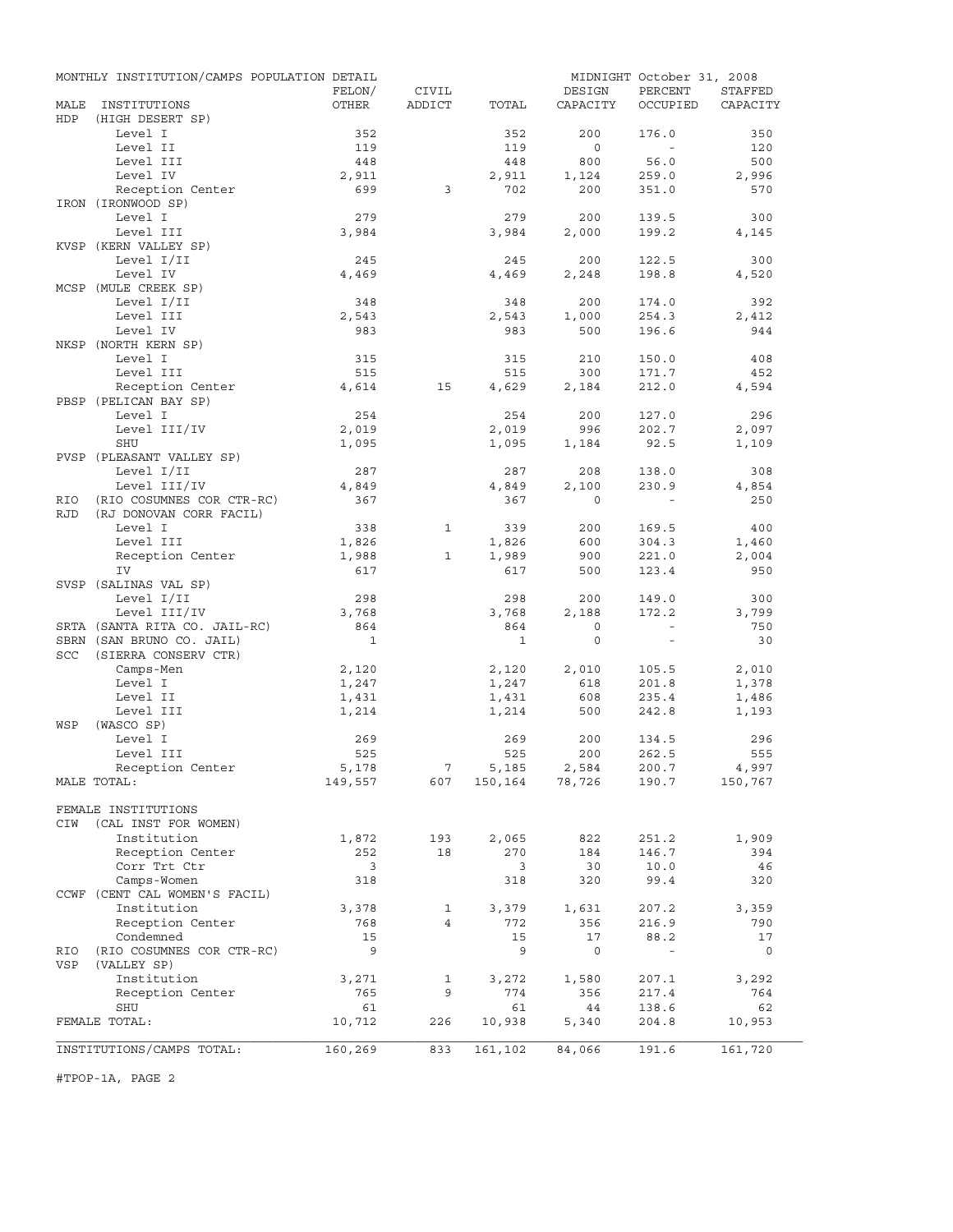|             | MONTHLY INSTITUTION/CAMPS POPULATION DETAIL |              |                                |              |                           | MIDNIGHT October 31, 2008 |              |
|-------------|---------------------------------------------|--------------|--------------------------------|--------------|---------------------------|---------------------------|--------------|
|             |                                             | FELON/       | CIVIL                          |              | DESIGN                    | PERCENT                   | STAFFED      |
| MALE<br>HDP | INSTITUTIONS<br>(HIGH DESERT SP)            | OTHER        | ADDICT                         | TOTAL        | CAPACITY                  | OCCUPIED                  | CAPACITY     |
|             | Level I                                     | 352          |                                | 352          | 200                       | 176.0                     | 350          |
|             | Level II                                    | 119          |                                | 119          | $\circ$                   | $\sim$                    | 120          |
|             | Level III                                   | 448          |                                | 448          | 800                       | 56.0                      | 500          |
|             | Level IV                                    | 2,911        |                                | 2,911        | 1,124                     | 259.0                     | 2,996        |
|             | Reception Center                            | 699          | 3                              | 702          | 200                       | 351.0                     | 570          |
|             | IRON (IRONWOOD SP)                          |              |                                |              |                           |                           |              |
|             | Level I                                     | 279          |                                | 279          | 200                       | 139.5                     | 300          |
|             | Level III                                   | 3,984        |                                | 3,984        | 2,000                     | 199.2                     | 4,145        |
|             | KVSP (KERN VALLEY SP)                       |              |                                |              |                           |                           |              |
|             | Level I/II                                  | 245<br>4,469 |                                | 245          | 200                       | 122.5                     | 300          |
|             | Level IV<br>MCSP (MULE CREEK SP)            |              |                                | 4,469        | 2,248                     | 198.8                     | 4,520        |
|             | Level I/II                                  | 348          |                                | 348          | 200                       | 174.0                     | 392          |
|             | Level III                                   | 2,543        |                                | 2,543        | 1,000                     | 254.3                     | 2,412        |
|             | Level IV                                    | 983          |                                | 983          | 500                       | 196.6                     | 944          |
|             | NKSP (NORTH KERN SP)                        |              |                                |              |                           |                           |              |
|             | Level I                                     | 315          |                                | 315          | 210                       | 150.0                     | 408          |
|             | Level III                                   | 515          |                                | 515          | 300                       | 171.7                     | 452          |
|             | Reception Center                            | 4,614        | 15                             | 4,629        | 2,184                     | 212.0                     | 4,594        |
|             | PBSP (PELICAN BAY SP)                       |              |                                |              |                           |                           |              |
|             | Level I                                     | 254          |                                | 254          | 200                       | 127.0                     | 296          |
|             | Level III/IV                                | 2,019        |                                | 2,019        | 996                       | 202.7                     | 2,097        |
|             | SHU<br>PVSP (PLEASANT VALLEY SP)            | 1,095        |                                | 1,095        | 1,184                     | 92.5                      | 1,109        |
|             | Level I/II                                  | 287          |                                | 287          | 208                       | 138.0                     | 308          |
|             | Level III/IV                                | 4,849        |                                | 4,849        | 2,100                     | 230.9                     | 4,854        |
| RIO         | (RIO COSUMNES COR CTR-RC)                   | 367          |                                | 367          | $\Omega$                  |                           | 250          |
| <b>RJD</b>  | (RJ DONOVAN CORR FACIL)                     |              |                                |              |                           |                           |              |
|             | Level I                                     | 338          | $\mathbf{1}$                   | 339          | 200                       | 169.5                     | 400          |
|             | Level III                                   | 1,826        |                                | 1,826        | 600                       | 304.3                     | 1,460        |
|             | Reception Center                            | 1,988        | 1                              | 1,989        | 900                       | 221.0                     | 2,004        |
|             | IV                                          | 617          |                                | 617          | 500                       | 123.4                     | 950          |
|             | SVSP (SALINAS VAL SP)<br>Level I/II         |              |                                |              |                           |                           |              |
|             | Level III/IV                                | 298<br>3,768 |                                | 298<br>3,768 | 200<br>2,188              | 149.0<br>172.2            | 300<br>3,799 |
|             | SRTA (SANTA RITA CO. JAIL-RC)               | 864          |                                | 864          | $\mathbf 0$               | $\sim$                    | 750          |
|             | SBRN (SAN BRUNO CO. JAIL)                   | $\mathbf{1}$ |                                | $\mathbf{1}$ | $\mathbf 0$               | $\equiv$                  | 30           |
| SCC         | (SIERRA CONSERV CTR)                        |              |                                |              |                           |                           |              |
|             | Camps-Men                                   | 2,120        |                                | 2,120        | 2,010                     | 105.5                     | 2,010        |
|             | Level I                                     | 1,247        |                                | 1,247        | 618                       | 201.8                     | 1,378        |
|             | Level II                                    | 1,431        |                                | 1,431        | 608                       | 235.4                     | 1,486        |
|             | Level III                                   | 1,214        |                                | 1,214        | 500                       | 242.8                     | 1,193        |
| WSP         | (WASCO SP)                                  |              |                                |              |                           |                           |              |
|             | Level I                                     | 269          |                                | 269          | 200                       | 134.5                     | 296          |
|             | Level III                                   | 525<br>5,178 |                                | 525          | 200                       | 262.5                     | 555<br>4,997 |
|             | Reception Center<br>MALE TOTAL:             | 149,557      | $7\overline{ }$<br>607         | 5,185        | 2,584<br>150, 164 78, 726 | 200.7<br>190.7            | 150,767      |
|             |                                             |              |                                |              |                           |                           |              |
|             | FEMALE INSTITUTIONS                         |              |                                |              |                           |                           |              |
| CIW         | (CAL INST FOR WOMEN)                        |              |                                |              |                           |                           |              |
|             | Institution                                 | 1,872        | 193                            | 2,065        | 822                       | 251.2                     | 1,909        |
|             | Reception Center                            | 252          | 18                             | 270          | 184                       | 146.7                     | 394          |
|             | Corr Trt Ctr                                | 3            |                                | 3            | 30                        | 10.0                      | 46           |
|             | Camps-Women                                 | 318          |                                | 318          | 320                       | 99.4                      | 320          |
|             | CCWF (CENT CAL WOMEN'S FACIL)               |              |                                |              |                           |                           |              |
|             | Institution<br>Reception Center             | 3,378        | $\mathbf{1}$<br>$\overline{4}$ | 3,379        | 1,631                     | 207.2                     | 3,359        |
|             | Condemned                                   | 768<br>15    |                                | 772<br>15    | 356<br>17                 | 216.9<br>88.2             | 790<br>17    |
| RIO         | (RIO COSUMNES COR CTR-RC)                   | 9            |                                | 9            | $\mathsf{O}$              | $\sim$                    | 0            |
| VSP         | (VALLEY SP)                                 |              |                                |              |                           |                           |              |
|             | Institution                                 | 3,271        | 1                              | 3,272        | 1,580                     | 207.1                     | 3,292        |
|             | Reception Center                            | 765          | 9                              | 774          | 356                       | 217.4                     | 764          |
|             | SHU                                         | 61           |                                | 61           | 44                        | 138.6                     | 62           |
|             | FEMALE TOTAL:                               | 10,712       | 226                            | 10,938       | 5,340                     | 204.8                     | 10,953       |
|             |                                             |              |                                |              |                           |                           |              |
|             | INSTITUTIONS/CAMPS TOTAL:                   | 160,269      | 833                            | 161,102      | 84,066                    | 191.6                     | 161,720      |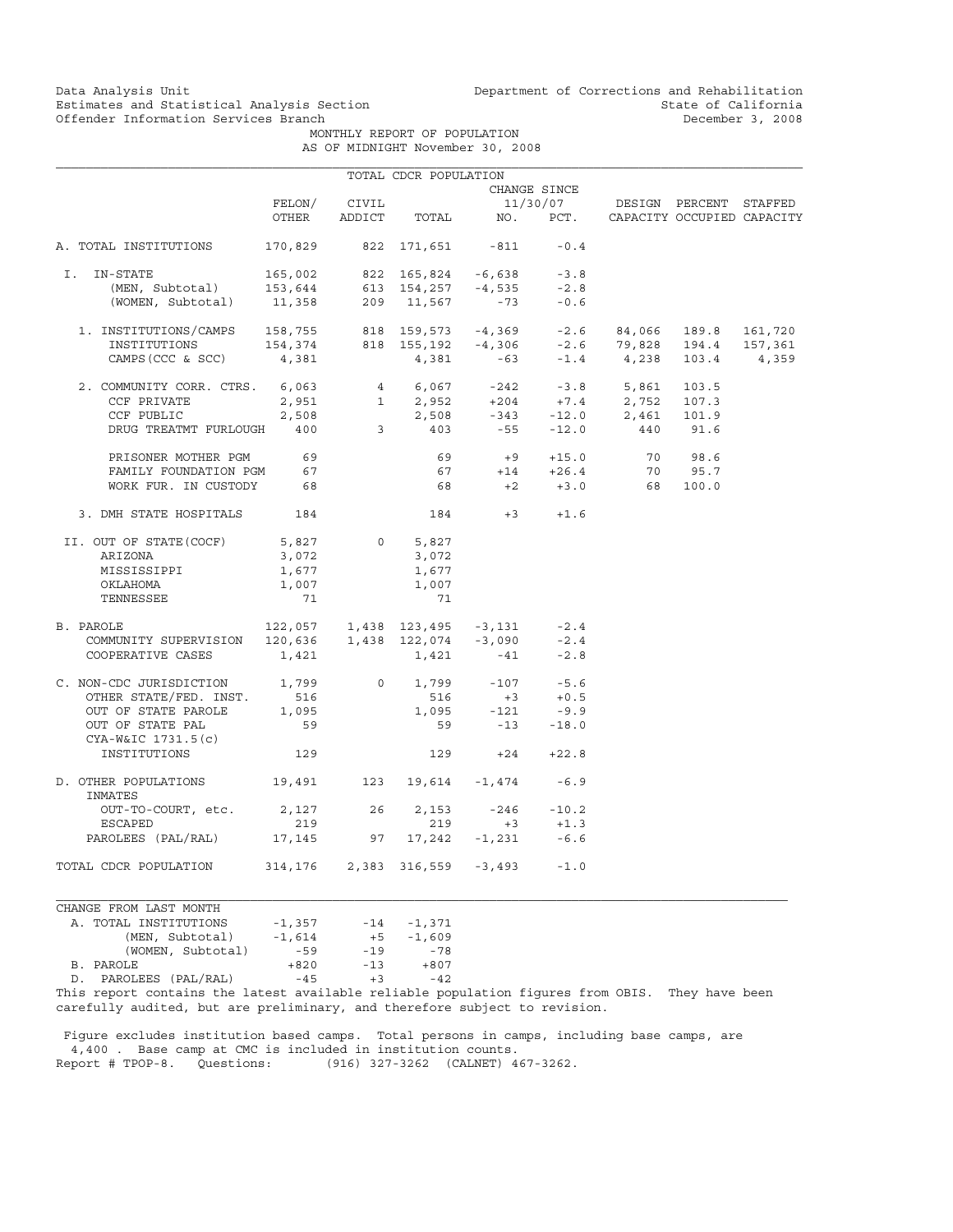MONTHLY REPORT OF POPULATION AS OF MIDNIGHT November 30, 2008

|                                                                                                                                                                                                                                                                                                                                       |                              |              | TOTAL CDCR POPULATION |                                                   |              |                                                                           |       |  |
|---------------------------------------------------------------------------------------------------------------------------------------------------------------------------------------------------------------------------------------------------------------------------------------------------------------------------------------|------------------------------|--------------|-----------------------|---------------------------------------------------|--------------|---------------------------------------------------------------------------|-------|--|
|                                                                                                                                                                                                                                                                                                                                       |                              |              |                       |                                                   | CHANGE SINCE |                                                                           |       |  |
|                                                                                                                                                                                                                                                                                                                                       |                              | FELON/ CIVIL |                       |                                                   |              | 11/30/07 DESIGN PERCENT STAFFED                                           |       |  |
|                                                                                                                                                                                                                                                                                                                                       | OTHER                        |              |                       |                                                   |              | ADDICT TOTAL NO. PCT. CAPACITY OCCUPIED CAPACITY                          |       |  |
| A. TOTAL INSTITUTIONS                                                                                                                                                                                                                                                                                                                 | 170,829 822 171,651 -811     |              |                       |                                                   | $-0.4$       |                                                                           |       |  |
| I. IN-STATE                                                                                                                                                                                                                                                                                                                           |                              |              |                       |                                                   |              |                                                                           |       |  |
|                                                                                                                                                                                                                                                                                                                                       |                              |              |                       |                                                   |              |                                                                           |       |  |
| 165,002 822 165,824 -6,638 -3.8<br>(MEN, Subtotal) 153,644 613 154,257 -4,535 -2.8<br>(WOMEN, Subtotal) 11,358 209 11,567 -73 -0.6                                                                                                                                                                                                    |                              |              |                       |                                                   |              |                                                                           |       |  |
|                                                                                                                                                                                                                                                                                                                                       |                              |              |                       |                                                   |              |                                                                           |       |  |
|                                                                                                                                                                                                                                                                                                                                       |                              |              |                       |                                                   |              |                                                                           |       |  |
| $\begin{tabular}{lcccccc} 1. & \texttt{INSTITUTIONS/CAMPS} & 158,755 & 818 & 159,573 & -4,369 & -2.6 & 84,066 & 189.8 & 161,720 \\ & \texttt{INSTITUTIONS} & 154,374 & 818 & 155,192 & -4,306 & -2.6 & 79,828 & 194.4 & 157,361 \\ & & & & & & & & & \\ \texttt{CAMPS(CCC & & SCC)} & 4,381 & 4,381 & -63 & -1.4 & 4,238 & 103.4 & 4$ |                              |              |                       |                                                   |              |                                                                           |       |  |
| 2. COMMUNITY CORR. CTRS. 6,063                                                                                                                                                                                                                                                                                                        |                              |              |                       |                                                   |              | $4$ 6,067 -242 -3.8 5,861                                                 | 103.5 |  |
| CCF PRIVATE                                                                                                                                                                                                                                                                                                                           |                              |              |                       |                                                   |              |                                                                           |       |  |
| CCF PUBLIC                                                                                                                                                                                                                                                                                                                            |                              |              |                       |                                                   |              | 2,951 1 2,952 +204 +7.4 2,752 107.3<br>2,508 2,508 -343 -12.0 2,461 101.9 |       |  |
| DRUG TREATMT FURLOUGH 400 3 403 -55 -12.0 440 91.6                                                                                                                                                                                                                                                                                    |                              |              |                       |                                                   |              |                                                                           |       |  |
| PRISONER MOTHER PGM 69                                                                                                                                                                                                                                                                                                                |                              |              |                       |                                                   |              | 69 +9 +15.0 70 98.6<br>67 +14 +26.4 70 95.7                               |       |  |
| FAMILY FOUNDATION PGM                                                                                                                                                                                                                                                                                                                 | 67                           |              |                       |                                                   |              |                                                                           |       |  |
| WORK FUR. IN CUSTODY 68                                                                                                                                                                                                                                                                                                               |                              |              |                       |                                                   |              | 68 +2 +3.0 68 100.0                                                       |       |  |
| 3. DMH STATE HOSPITALS 184                                                                                                                                                                                                                                                                                                            |                              |              |                       | $184 +3 +1.6$                                     |              |                                                                           |       |  |
| II. OUT OF STATE(COCF)                                                                                                                                                                                                                                                                                                                | 5,827                        |              | 0<br>5,827            |                                                   |              |                                                                           |       |  |
| ARIZONA                                                                                                                                                                                                                                                                                                                               | 3,072                        |              | 3,072                 |                                                   |              |                                                                           |       |  |
| MISSISSIPPI                                                                                                                                                                                                                                                                                                                           | 1,677                        |              | 1,677                 |                                                   |              |                                                                           |       |  |
| OKLAHOMA                                                                                                                                                                                                                                                                                                                              | 1,007                        |              | 1,007                 |                                                   |              |                                                                           |       |  |
| TENNESSEE                                                                                                                                                                                                                                                                                                                             | 71                           |              | 71                    |                                                   |              |                                                                           |       |  |
| 2.4ROLE 122,057 1,438 123,495 -3,131 -2.4<br>COMMUNITY SUPERVISION 120,636 1,438 122,074 -3,090 -2.4<br>B. PAROLE                                                                                                                                                                                                                     |                              |              |                       |                                                   |              |                                                                           |       |  |
|                                                                                                                                                                                                                                                                                                                                       |                              |              |                       |                                                   |              |                                                                           |       |  |
| COOPERATIVE CASES                                                                                                                                                                                                                                                                                                                     | 1,421                        |              |                       | $1,421$ $-41$                                     | $-2.8$       |                                                                           |       |  |
| C. NON-CDC JURISDICTION 1,799                                                                                                                                                                                                                                                                                                         |                              |              |                       | $0 \t 1,799 \t -107 \t -5.6$                      |              |                                                                           |       |  |
| OTHER STATE/FED. INST. 516                                                                                                                                                                                                                                                                                                            |                              |              | 516                   | $+3$ $+0.5$                                       |              |                                                                           |       |  |
| OUT OF STATE PAROLE                                                                                                                                                                                                                                                                                                                   | 1,095                        |              |                       | $1,095 -121$                                      | $-9.9$       |                                                                           |       |  |
| OUT OF STATE PAL<br>CYA-W&IC 1731.5(c)                                                                                                                                                                                                                                                                                                | 59                           |              |                       | 59 -13 -18.0                                      |              |                                                                           |       |  |
| INSTITUTIONS                                                                                                                                                                                                                                                                                                                          | 129                          |              |                       | $129 +24$                                         | $+22.8$      |                                                                           |       |  |
| D. OTHER POPULATIONS 19,491 123 19,614 -1,474 -6.9<br>INMATES                                                                                                                                                                                                                                                                         |                              |              |                       |                                                   |              |                                                                           |       |  |
| OUT-TO-COURT, etc. 2,127 26                                                                                                                                                                                                                                                                                                           |                              |              |                       |                                                   |              |                                                                           |       |  |
| ESCAPED                                                                                                                                                                                                                                                                                                                               | 219                          |              | 219                   | $2,153$ $-246$ $-10.2$<br>219 $+3$ $+1.3$<br>$+3$ | $+1.3$       |                                                                           |       |  |
| PAROLEES (PAL/RAL) 17,145 97 17,242 -1,231 -6.6                                                                                                                                                                                                                                                                                       |                              |              |                       |                                                   |              |                                                                           |       |  |
| TOTAL CDCR POPULATION                                                                                                                                                                                                                                                                                                                 | 314,176 2,383 316,559 -3,493 |              |                       |                                                   | $-1.0$       |                                                                           |       |  |

CHANGE FROM LAST MONTH A. TOTAL INSTITUTIONS -1,357<br>(MEN, Subtotal) -1,614 (1,357 -14 -1,371<br>
1,614 +5 -1,609<br>
-59 -19 -78 (WOMEN, Subtotal) -59 -19 -78<br>LE +820 -13 +807 B. PAROLE +820<br>D. PAROLEES (PAL/RAL) -45 D. PAROLEES (PAL/RAL) -45 +3 -42

This report contains the latest available reliable population figures from OBIS. They have been carefully audited, but are preliminary, and therefore subject to revision.

 Figure excludes institution based camps. Total persons in camps, including base camps, are 4,400 . Base camp at CMC is included in institution counts.<br>Report # TPOP-8. Questions: (916) 327-3262 (CALNET) 4 (916) 327-3262 (CALNET) 467-3262.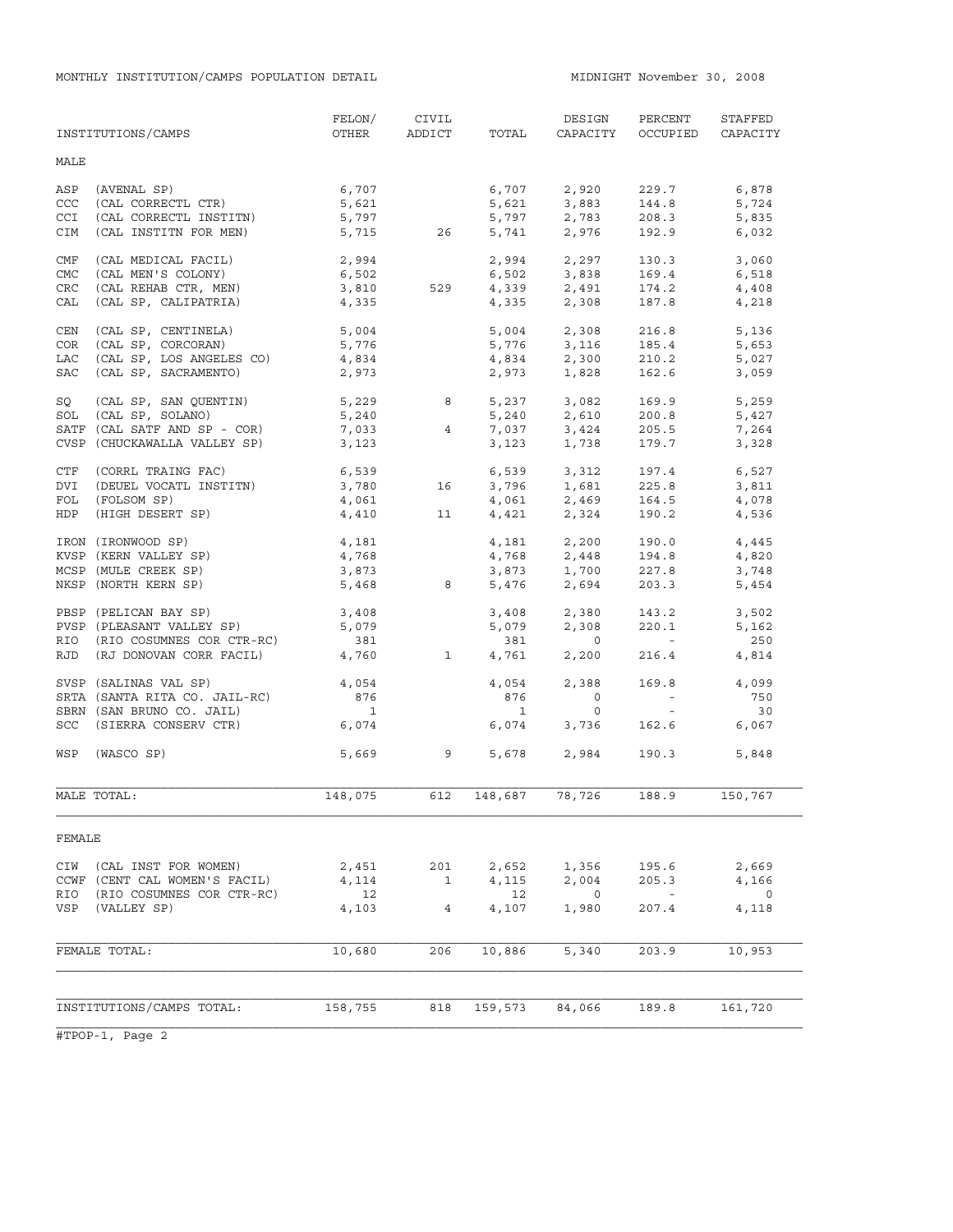|                   | INSTITUTIONS/CAMPS                              | FELON/<br>OTHER          | CIVIL<br>ADDICT | TOTAL          | DESIGN<br>CAPACITY                 | PERCENT<br>OCCUPIED         | STAFFED<br>CAPACITY |
|-------------------|-------------------------------------------------|--------------------------|-----------------|----------------|------------------------------------|-----------------------------|---------------------|
| MALE              |                                                 |                          |                 |                |                                    |                             |                     |
| ASP               | (AVENAL SP)<br>(CAL CORRECTL CTR)               | 6,707                    |                 | 6,707          | 2,920                              | 229.7                       | 6,878               |
| CCC<br><b>CCI</b> |                                                 | 5,621<br>5,797           |                 | 5,621          | 3,883<br>2,783                     | 144.8                       | 5,724               |
| CIM               | (CAL CORRECTL INSTITN)<br>(CAL INSTITN FOR MEN) | 5,715                    | 26              | 5,797<br>5,741 | 2,976                              | 208.3<br>192.9              | 5,835<br>6,032      |
|                   |                                                 |                          |                 |                |                                    |                             |                     |
| CMF               | (CAL MEDICAL FACIL)                             | 2,994                    |                 |                | $2,994$ $2,297$                    | 130.3                       | 3,060               |
| <b>CMC</b>        | (CAL MEN'S COLONY)                              | 6,502                    |                 | 6,502          | 3,838                              | 169.4                       | 6,518               |
| CRC               | (CAL REHAB CTR, MEN)                            | 3,810                    | 529             |                | $4,339$ $2,491$<br>$4,335$ $2,308$ | 174.2                       | 4,408               |
| CAL               | (CAL SP, CALIPATRIA)                            | 4,335                    |                 |                |                                    | 187.8                       | 4,218               |
| CEN               | (CAL SP, CENTINELA)                             | 5,004                    |                 | 5,004          | 2,308                              | 216.8                       | 5,136               |
| COR               | (CAL SP, CORCORAN)                              | 5,776                    |                 | 5,776          | 3,116                              | 185.4                       | 5,653               |
| LAC               | (CAL SP, LOS ANGELES CO)                        | 4,834                    |                 | 4,834          | 2,300                              | 210.2                       | 5,027               |
| SAC               | (CAL SP, SACRAMENTO)                            | 2,973                    |                 | 2,973          | 1,828                              | 162.6                       | 3,059               |
| SQ                | (CAL SP, SAN QUENTIN)                           | 5,229                    | 8               | 5,237          | 3,082                              | 169.9                       | 5,259               |
| SOL               | (CAL SP, SOLANO)                                | 5,240                    |                 | 5,240          | 2,610                              | 200.8                       | 5,427               |
|                   | SATF (CAL SATF AND SP - COR)                    | 7,033                    | $\overline{4}$  | 7,037          | 3,424                              | 205.5                       | 7,264               |
|                   | CVSP (CHUCKAWALLA VALLEY SP)                    | 3,123                    |                 | 3,123          | 1,738                              | 179.7                       | 3,328               |
|                   |                                                 |                          |                 |                |                                    |                             |                     |
| CTF<br>DVI        | (CORRL TRAING FAC)                              | 6,539<br>3,780           | 16              | 6,539          | 3,312<br>1,681                     | 197.4                       | 6,527               |
| FOL               | (DEUEL VOCATL INSTITN)<br>(FOLSOM SP)           | 4,061                    |                 | 3,796<br>4,061 | 2,469                              | 225.8<br>164.5              | 3,811               |
| <b>HDP</b>        | (HIGH DESERT SP)                                | 4,410                    | 11              | 4,421          | 2,324                              | 190.2                       | 4,078<br>4,536      |
|                   |                                                 |                          |                 |                |                                    |                             |                     |
|                   | IRON (IRONWOOD SP)                              | 4,181                    |                 | 4,181          | 2,200                              | 190.0                       | 4,445               |
|                   | KVSP (KERN VALLEY SP)                           | 4,768                    |                 | 4,768          | 2,448                              | 194.8                       | 4,820               |
|                   | MCSP (MULE CREEK SP)                            | 3,873                    |                 | 3,873          | 1,700                              | 227.8                       | 3,748               |
|                   | NKSP (NORTH KERN SP)                            | 5,468                    | 8               | 5,476          | 2,694                              | 203.3                       | 5,454               |
|                   | PBSP (PELICAN BAY SP)                           | 3,408                    |                 | 3,408          | 2,380                              | 143.2                       | 3,502               |
|                   | PVSP (PLEASANT VALLEY SP)                       | 5,079                    |                 | 5,079          | 2,308                              | 220.1                       | 5,162               |
| RIO               | (RIO COSUMNES COR CTR-RC)                       | 381                      |                 | 381            | $\overline{0}$                     | $\sim$ $-$                  | 250                 |
| RJD               | (RJ DONOVAN CORR FACIL)                         | 4,760                    | $\overline{1}$  | 4,761          | 2,200                              | 216.4                       | 4,814               |
|                   | SVSP (SALINAS VAL SP)                           | 4,054                    |                 | 4,054          | 2,388                              | 169.8                       | 4,099               |
|                   | SRTA (SANTA RITA CO. JAIL-RC)                   | 876                      |                 | 876            | $\circ$                            | $\alpha \rightarrow \alpha$ | 750                 |
|                   | SBRN (SAN BRUNO CO. JAIL)                       | $\overline{\phantom{a}}$ |                 | $\overline{1}$ | $\circ$                            | $\sim$ $ \sim$              | 30                  |
| SCC               | (SIERRA CONSERV CTR)                            | 6,074                    |                 | 6,074          | 3,736                              | 162.6                       | 6,067               |
|                   |                                                 |                          |                 |                |                                    |                             |                     |
| WSP               | (WASCO SP)                                      |                          | 5,669 9         |                | 5,678 2,984                        | 190.3                       | 5,848               |
|                   | MALE TOTAL:                                     | 148,075                  | 612             | 148,687        | 78,726                             | 188.9                       | 150,767             |
|                   |                                                 |                          |                 |                |                                    |                             |                     |
| FEMALE            |                                                 |                          |                 |                |                                    |                             |                     |
| CIW               | (CAL INST FOR WOMEN)                            | 2,451                    | 201             | 2,652          | 1,356                              | 195.6                       | 2,669               |
|                   | CCWF (CENT CAL WOMEN'S FACIL)                   | 4,114                    | $\mathbf{1}$    | 4,115          | 2,004                              | 205.3                       | 4,166               |
| RIO               | (RIO COSUMNES COR CTR-RC)                       | 12                       |                 | 12             | $\overline{O}$                     | $\sim$                      | 0                   |
| VSP               | (VALLEY SP)                                     | 4,103                    | $\overline{4}$  | 4,107          | 1,980                              | 207.4                       | 4,118               |
|                   |                                                 |                          |                 |                |                                    |                             |                     |
|                   | FEMALE TOTAL:                                   | 10,680                   | 206             | 10,886         | 5,340                              | 203.9                       | 10,953              |
|                   |                                                 |                          |                 |                |                                    |                             |                     |
|                   |                                                 |                          |                 |                |                                    |                             |                     |
|                   | INSTITUTIONS/CAMPS TOTAL:                       | 158,755                  | 818             | 159,573        | 84,066                             | 189.8                       | 161,720             |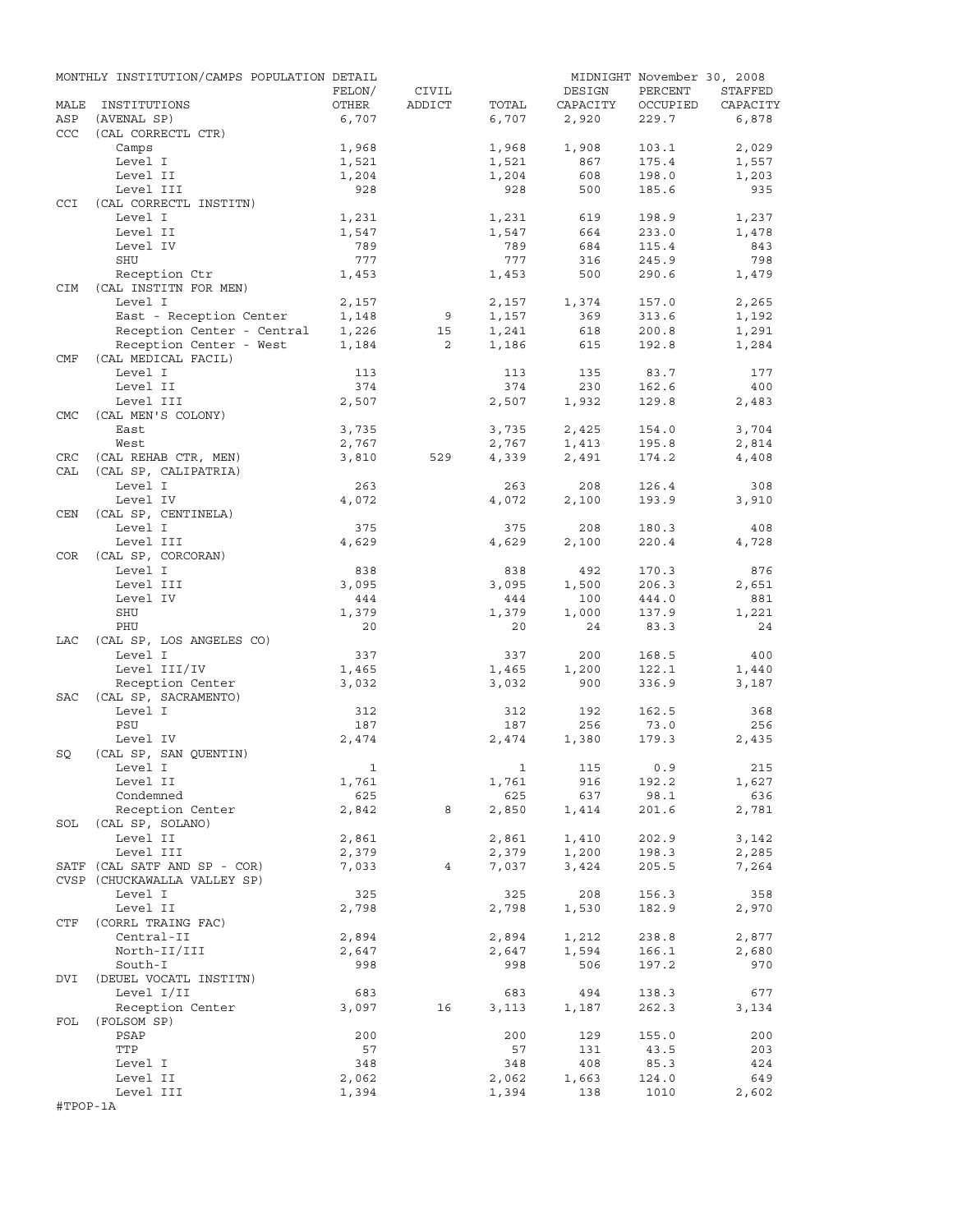|            | MONTHLY INSTITUTION/CAMPS POPULATION DETAIL |              |                |              |              | MIDNIGHT November 30, 2008 |              |
|------------|---------------------------------------------|--------------|----------------|--------------|--------------|----------------------------|--------------|
|            |                                             | FELON/       | CIVIL          |              | DESIGN       | PERCENT                    | STAFFED      |
| MALE       | INSTITUTIONS                                | OTHER        | ADDICT         | TOTAL        | CAPACITY     | OCCUPIED                   | CAPACITY     |
| ASP        | (AVENAL SP)                                 | 6,707        |                | 6,707        | 2,920        | 229.7                      | 6,878        |
| <b>CCC</b> | (CAL CORRECTL CTR)                          |              |                |              |              |                            |              |
|            | Camps                                       | 1,968        |                | 1,968        | 1,908        | 103.1                      | 2,029        |
|            | Level I                                     | 1,521        |                | 1,521        | 867          | 175.4                      | 1,557        |
|            | Level II<br>Level III                       | 1,204<br>928 |                | 1,204<br>928 | 608<br>500   | 198.0<br>185.6             | 1,203<br>935 |
| CCI        | (CAL CORRECTL INSTITN)                      |              |                |              |              |                            |              |
|            | Level I                                     | 1,231        |                | 1,231        | 619          | 198.9                      | 1,237        |
|            | Level II                                    | 1,547        |                | 1,547        | 664          | 233.0                      | 1,478        |
|            | Level IV                                    | 789          |                | 789          | 684          | 115.4                      | 843          |
|            | SHU                                         | 777          |                | 777          | 316          | 245.9                      | 798          |
|            | Reception Ctr                               | 1,453        |                | 1,453        | 500          | 290.6                      | 1,479        |
| <b>CIM</b> | (CAL INSTITN FOR MEN)                       |              |                |              |              |                            |              |
|            | Level I                                     | 2,157        |                | 2,157        | 1,374        | 157.0                      | 2,265        |
|            | East - Reception Center                     | 1,148        | 9              | 1,157        | 369          | 313.6                      | 1,192        |
|            | Reception Center - Central                  | 1,226        | 15             | 1,241        | 618          | 200.8                      | 1,291        |
|            | Reception Center - West                     | 1,184        | $\overline{2}$ | 1,186        | 615          | 192.8                      | 1,284        |
| CMF        | (CAL MEDICAL FACIL)                         |              |                |              |              |                            |              |
|            | Level I                                     | 113          |                | 113          | 135          | 83.7                       | 177          |
|            | Level II                                    | 374          |                | 374          | 230          | 162.6                      | 400          |
|            | Level III                                   | 2,507        |                | 2,507        | 1,932        | 129.8                      | 2,483        |
| <b>CMC</b> | (CAL MEN'S COLONY)                          |              |                |              |              |                            |              |
|            | East                                        | 3,735        |                | 3,735        | 2,425        | 154.0                      | 3,704        |
|            | West                                        | 2,767        |                | 2,767        | 1,413        | 195.8                      | 2,814        |
| CRC        | (CAL REHAB CTR, MEN)                        | 3,810        | 529            | 4,339        | 2,491        | 174.2                      | 4,408        |
| CAL        | (CAL SP, CALIPATRIA)                        |              |                |              |              |                            |              |
|            | Level I                                     | 263          |                | 263          | 208          | 126.4                      | 308          |
|            | Level IV                                    | 4,072        |                | 4,072        | 2,100        | 193.9                      | 3,910        |
| CEN        | (CAL SP, CENTINELA)                         | 375          |                | 375          |              |                            | 408          |
|            | Level I<br>Level III                        | 4,629        |                | 4,629        | 208<br>2,100 | 180.3<br>220.4             | 4,728        |
| COR        | (CAL SP, CORCORAN)                          |              |                |              |              |                            |              |
|            | Level I                                     | 838          |                | 838          | 492          | 170.3                      | 876          |
|            | Level III                                   | 3,095        |                | 3,095        | 1,500        | 206.3                      | 2,651        |
|            | Level IV                                    | 444          |                | 444          | 100          | 444.0                      | 881          |
|            | SHU                                         | 1,379        |                | 1,379        | 1,000        | 137.9                      | 1,221        |
|            | PHU                                         | 20           |                | 20           | 24           | 83.3                       | 24           |
| LAC        | (CAL SP, LOS ANGELES CO)                    |              |                |              |              |                            |              |
|            | Level I                                     | 337          |                | 337          | 200          | 168.5                      | 400          |
|            | Level III/IV                                | 1,465        |                | 1,465        | 1,200        | 122.1                      | 1,440        |
|            | Reception Center                            | 3,032        |                | 3,032        | 900          | 336.9                      | 3,187        |
| SAC        | (CAL SP, SACRAMENTO)                        |              |                |              |              |                            |              |
|            | Level I                                     | 312          |                | 312          | 192          | 162.5                      | 368          |
|            | PSU                                         | 187          |                | 187          | 256          | 73.0                       | 256          |
|            | Level IV                                    | 2,474        |                | 2,474        | 1,380        | 179.3                      | 2,435        |
| SQ         | (CAL SP, SAN QUENTIN)                       |              |                |              |              |                            |              |
|            | Level I                                     | $\mathbf{1}$ |                |              | 1 115 0.9    |                            | 215          |
|            | Level II                                    | 1,761        |                | 1,761        | 916          | 192.2                      | 1,627        |
|            | Condemned                                   | 625          |                | 625          | 637          | 98.1                       | 636          |
|            | Reception Center                            | 2,842        | 8              | 2,850        | 1,414        | 201.6                      | 2,781        |
|            | SOL (CAL SP, SOLANO)                        |              |                |              |              |                            |              |
|            | Level II                                    | 2,861        |                | 2,861        | 1,410        | 202.9                      | 3,142        |
|            | Level III                                   | 2,379        |                | 2,379        | 1,200        | 198.3                      | 2,285        |
|            | SATF (CAL SATF AND SP - COR)                | 7,033        | 4              | 7,037        | 3,424        | 205.5                      | 7,264        |
|            | CVSP (CHUCKAWALLA VALLEY SP)                |              |                |              |              |                            |              |
|            | Level I<br>Level II                         | 325          |                | 325          | 208          | 156.3                      | 358          |
| CTF        | (CORRL TRAING FAC)                          | 2,798        |                | 2,798        | 1,530        | 182.9                      | 2,970        |
|            | Central-II                                  | 2,894        |                | 2,894        | 1,212        | 238.8                      | 2,877        |
|            | North-II/III                                | 2,647        |                |              |              | 166.1                      | 2,680        |
|            | South-I                                     | 998          |                | 2,647<br>998 | 1,594<br>506 | 197.2                      | 970          |
| DVI        | (DEUEL VOCATL INSTITN)                      |              |                |              |              |                            |              |
|            | Level I/II                                  | 683          |                | 683          | 494          | 138.3                      | 677          |
|            | Reception Center                            | 3,097        | 16             | 3,113        | 1,187        | 262.3                      | 3,134        |
| FOL        | (FOLSOM SP)                                 |              |                |              |              |                            |              |
|            | PSAP                                        | 200          |                | 200          | 129          | 155.0                      | 200          |
|            | TTP                                         | 57           |                | 57           | 131          | 43.5                       | 203          |
|            | Level I                                     | 348          |                | 348          | 408          | 85.3                       | 424          |
|            | Level II                                    | 2,062        |                | 2,062        | 1,663        | 124.0                      | 649          |
|            | Level III                                   | 1,394        |                | 1,394        | 138          | 1010                       | 2,602        |
| #TPOP-1A   |                                             |              |                |              |              |                            |              |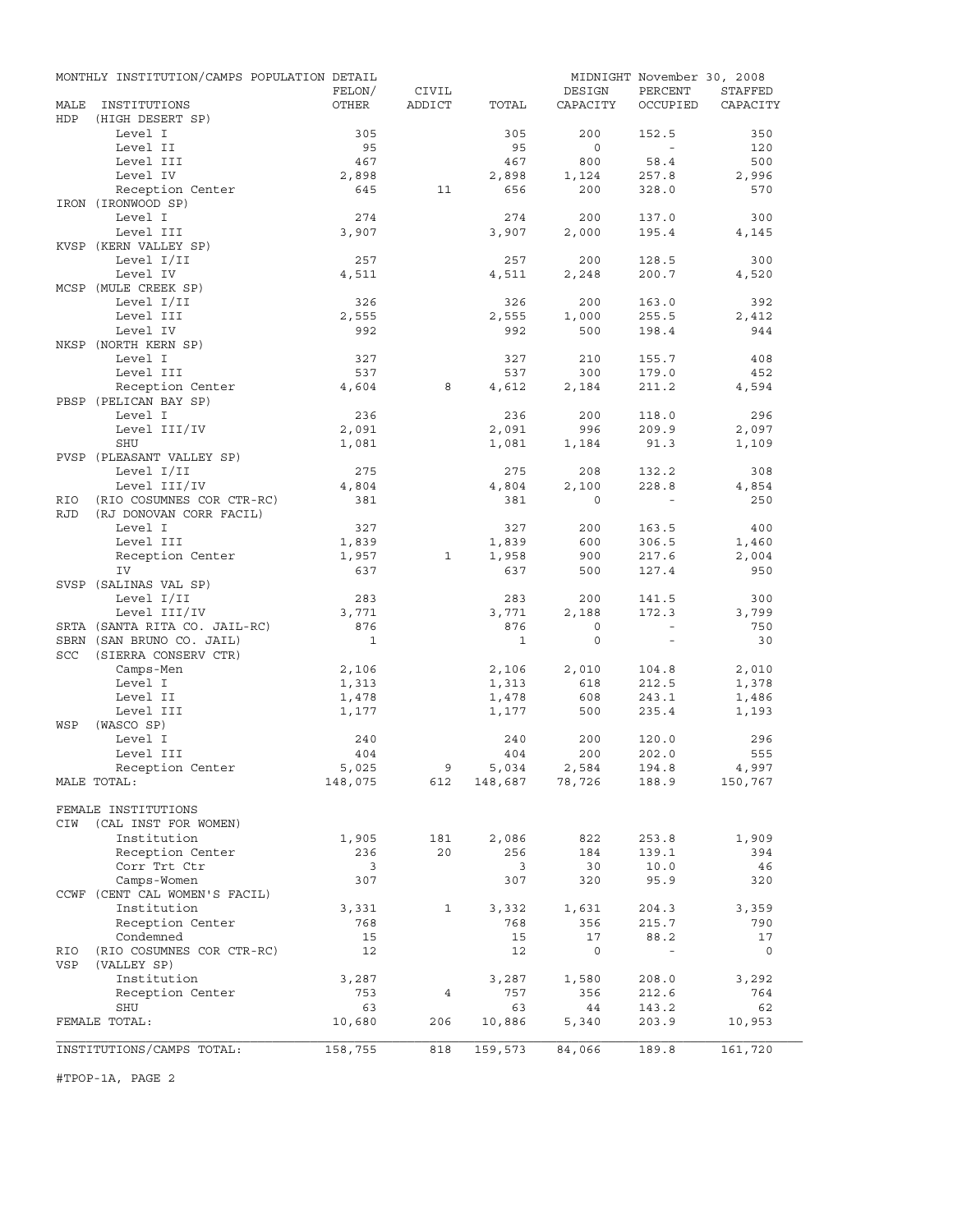|             | MONTHLY INSTITUTION/CAMPS POPULATION DETAIL |              |              |                |                | MIDNIGHT November 30, 2008 |              |
|-------------|---------------------------------------------|--------------|--------------|----------------|----------------|----------------------------|--------------|
|             |                                             | FELON/       | CIVIL        |                | DESIGN         | PERCENT                    | STAFFED      |
| MALE<br>HDP | INSTITUTIONS<br>(HIGH DESERT SP)            | OTHER        | ADDICT       | TOTAL          | CAPACITY       | OCCUPIED                   | CAPACITY     |
|             | Level I                                     | 305          |              | 305            | 200            | 152.5                      | 350          |
|             | Level II                                    | 95           |              | 95             | $\circ$        | $\sim$                     | 120          |
|             | Level III                                   | 467          |              | 467            | 800            | 58.4                       | 500          |
|             | Level IV                                    | 2,898        |              | 2,898          | 1,124          | 257.8                      | 2,996        |
|             | Reception Center                            | 645          | 11           | 656            | 200            | 328.0                      | 570          |
|             | IRON (IRONWOOD SP)                          |              |              |                |                |                            |              |
|             | Level I<br>Level III                        | 274<br>3,907 |              | 274<br>3,907   | 200<br>2,000   | 137.0<br>195.4             | 300          |
|             | KVSP (KERN VALLEY SP)                       |              |              |                |                |                            | 4,145        |
|             | Level I/II                                  | 257          |              | 257            | 200            | 128.5                      | 300          |
|             | Level IV                                    | 4,511        |              | 4,511          | 2,248          | 200.7                      | 4,520        |
|             | MCSP (MULE CREEK SP)                        |              |              |                |                |                            |              |
|             | Level I/II                                  | 326          |              | 326            | 200            | 163.0                      | 392          |
|             | Level III                                   | 2,555        |              | 2,555          | 1,000          | 255.5                      | 2,412        |
|             | Level IV                                    | 992          |              | 992            | 500            | 198.4                      | 944          |
|             | NKSP (NORTH KERN SP)<br>Level I             | 327          |              | 327            | 210            | 155.7                      | 408          |
|             | Level III                                   | 537          |              | 537            | 300            | 179.0                      | 452          |
|             | Reception Center                            | 4,604        | 8            | 4,612          | 2,184          | 211.2                      | 4,594        |
|             | PBSP (PELICAN BAY SP)                       |              |              |                |                |                            |              |
|             | Level I                                     | 236          |              | 236            | 200            | 118.0                      | 296          |
|             | Level III/IV                                | 2,091        |              | 2,091          | 996            | 209.9                      | 2,097        |
|             | SHU                                         | 1,081        |              | 1,081          | 1,184          | 91.3                       | 1,109        |
|             | PVSP (PLEASANT VALLEY SP)                   |              |              |                |                |                            |              |
|             | Level I/II<br>Level III/IV                  | 275<br>4,804 |              | 275<br>4,804   | 208<br>2,100   | 132.2<br>228.8             | 308<br>4,854 |
| RIO         | (RIO COSUMNES COR CTR-RC)                   | 381          |              | 381            | $\Omega$       |                            | 250          |
| <b>RJD</b>  | (RJ DONOVAN CORR FACIL)                     |              |              |                |                |                            |              |
|             | Level I                                     | 327          |              | 327            | 200            | 163.5                      | 400          |
|             | Level III                                   | 1,839        |              | 1,839          | 600            | 306.5                      | 1,460        |
|             | Reception Center                            | 1,957        | $\mathbf{1}$ | 1,958          | 900            | 217.6                      | 2,004        |
|             | IV                                          | 637          |              | 637            | 500            | 127.4                      | 950          |
|             | SVSP (SALINAS VAL SP)<br>Level I/II         |              |              |                |                |                            |              |
|             | Level III/IV                                | 283<br>3,771 |              | 283<br>3,771   | 200<br>2,188   | 141.5<br>172.3             | 300<br>3,799 |
|             | SRTA (SANTA RITA CO. JAIL-RC)               | 876          |              | 876            | $\circ$        | $\sim$                     | 750          |
|             | SBRN (SAN BRUNO CO. JAIL)                   | $\mathbf{1}$ |              | $\overline{1}$ | $\circ$        | $\sim$                     | 30           |
| <b>SCC</b>  | (SIERRA CONSERV CTR)                        |              |              |                |                |                            |              |
|             | Camps-Men                                   | 2,106        |              | 2,106          | 2,010          | 104.8                      | 2,010        |
|             | Level I                                     | 1,313        |              | 1,313          | 618            | 212.5                      | 1,378        |
|             | Level II                                    | 1,478        |              | 1,478          | 608            | 243.1                      | 1,486        |
| WSP         | Level III<br>(WASCO SP)                     | 1,177        |              | 1,177          | 500            | 235.4                      | 1,193        |
|             | Level I                                     | 240          |              | 240            | 200            | 120.0                      | 296          |
|             | Level III                                   | 404          |              | 404            | 200            | 202.0                      | 555          |
|             | Reception Center                            | 5,025        | 9            | 5,034          | 2,584          | 194.8                      | 4,997        |
|             | MALE TOTAL:                                 | 148,075      | 612          |                | 148,687 78,726 | 188.9                      | 150,767      |
|             |                                             |              |              |                |                |                            |              |
|             | FEMALE INSTITUTIONS                         |              |              |                |                |                            |              |
| CIW         | (CAL INST FOR WOMEN)                        |              |              |                |                |                            |              |
|             | Institution<br>Reception Center             | 1,905<br>236 | 181<br>20    | 2,086<br>256   | 822<br>184     | 253.8<br>139.1             | 1,909<br>394 |
|             | Corr Trt Ctr                                | 3            |              | 3              | 30             | 10.0                       | 46           |
|             | Camps-Women                                 | 307          |              | 307            | 320            | 95.9                       | 320          |
|             | CCWF (CENT CAL WOMEN'S FACIL)               |              |              |                |                |                            |              |
|             | Institution                                 | 3,331        | 1            | 3,332          | 1,631          | 204.3                      | 3,359        |
|             | Reception Center                            | 768          |              | 768            | 356            | 215.7                      | 790          |
|             | Condemned                                   | 15           |              | 15             | 17             | 88.2                       | 17           |
| RIO<br>VSP  | (RIO COSUMNES COR CTR-RC)                   | 12           |              | 12             | $\circ$        | $\overline{\phantom{a}}$   | 0            |
|             | (VALLEY SP)<br>Institution                  | 3,287        |              | 3,287          | 1,580          | 208.0                      | 3,292        |
|             | Reception Center                            | 753          | 4            | 757            | 356            | 212.6                      | 764          |
|             | SHU                                         | 63           |              | 63             | 44             | 143.2                      | 62           |
|             | FEMALE TOTAL:                               | 10,680       | 206          | 10,886         | 5,340          | 203.9                      | 10,953       |
|             |                                             |              |              |                |                |                            |              |
|             | INSTITUTIONS/CAMPS TOTAL:                   | 158,755      | 818          | 159,573        | 84,066         | 189.8                      | 161,720      |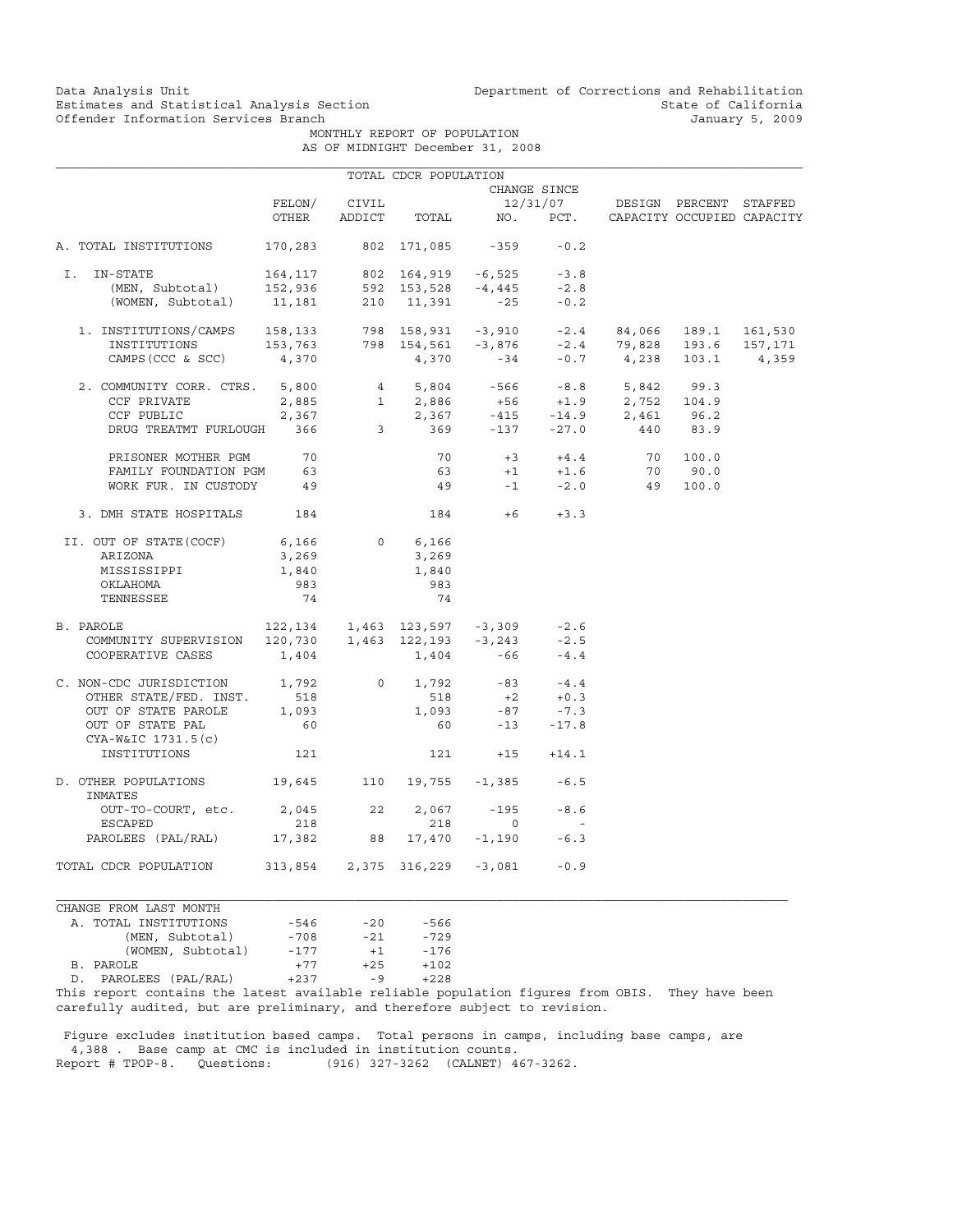Data Analysis Unit Unit Department of Corrections and Rehabilitation<br>Estimates and Statistical Analysis Section State of California Estimates and Statistical Analysis Section<br>
Offender Information Services Branch<br>
January 5, 2009

MONTHLY REPORT OF POPULATION

|  | AS OF MIDNIGHT December 31, 2008 |  |  |
|--|----------------------------------|--|--|
|  |                                  |  |  |

|                                                                                       |                                                                                                     |                | TOTAL CDCR POPULATION |                                      |                            |                                                                                    |                                    |         |  |  |
|---------------------------------------------------------------------------------------|-----------------------------------------------------------------------------------------------------|----------------|-----------------------|--------------------------------------|----------------------------|------------------------------------------------------------------------------------|------------------------------------|---------|--|--|
|                                                                                       |                                                                                                     |                |                       |                                      | CHANGE SINCE               |                                                                                    |                                    |         |  |  |
|                                                                                       | FELON/                                                                                              | CIVIL          |                       |                                      |                            | 12/31/07 DESIGN PERCENT STAFFED                                                    |                                    |         |  |  |
|                                                                                       | OTHER                                                                                               |                |                       | ADDICT TOTAL NO. PCT.                |                            |                                                                                    | CAPACITY OCCUPIED CAPACITY         |         |  |  |
| A. TOTAL INSTITUTIONS                                                                 | 170,283                                                                                             |                |                       | 802 171,085 -359                     | $-0.2$                     |                                                                                    |                                    |         |  |  |
| I. IN-STATE                                                                           |                                                                                                     |                |                       | 164, 117 802 164, 919 - 6, 525 - 3.8 |                            |                                                                                    |                                    |         |  |  |
|                                                                                       |                                                                                                     |                |                       |                                      | $-2.8$                     |                                                                                    |                                    |         |  |  |
| (MEN, Subtotal) 152,936 592 153,528 -4,445<br>(WOMEN, Subtotal) 11,181 210 11,391 -25 |                                                                                                     |                |                       |                                      | $-0.2$                     |                                                                                    |                                    |         |  |  |
| 1. INSTITUTIONS/CAMPS 158,133 798 158,931 -3,910 -2.4 84,066 189.1 161,530            |                                                                                                     |                |                       |                                      |                            |                                                                                    |                                    |         |  |  |
| INSTITUTIONS                                                                          |                                                                                                     |                |                       |                                      |                            |                                                                                    |                                    | 157,171 |  |  |
| CAMPS (CCC & SCC)                                                                     | $153,763$ 798 $154,561$ $-3,876$ $-2.4$ 79,828 193.6 15<br>4,370 $4,370$ $-34$ $-0.7$ $4,238$ 103.1 |                |                       |                                      |                            |                                                                                    |                                    | 4,359   |  |  |
| 2. COMMUNITY CORR. CTRS. 5,800                                                        |                                                                                                     |                |                       |                                      |                            | 4 5,804 -566 -8.8 5,842 99.3                                                       |                                    |         |  |  |
| CCF PRIVATE                                                                           |                                                                                                     |                |                       |                                      |                            |                                                                                    |                                    |         |  |  |
| CCF PUBLIC                                                                            |                                                                                                     |                |                       |                                      |                            | $2,885$<br>$2,367$<br>$2,367$<br>$2,367$<br>$-415$<br>$-14.9$<br>$2,461$<br>$96.2$ |                                    |         |  |  |
| DRUG TREATMT FURLOUGH 366 3 369 -137 -27.0 440 83.9                                   |                                                                                                     |                |                       |                                      |                            |                                                                                    |                                    |         |  |  |
| PRISONER MOTHER PGM 70                                                                |                                                                                                     |                | 70                    |                                      | $+3$ $+4.4$<br>$+1$ $+1.6$ |                                                                                    | 70       100.0<br>70          90.0 |         |  |  |
| FAMILY FOUNDATION PGM                                                                 | 63                                                                                                  |                | 63                    |                                      |                            |                                                                                    | 90.0                               |         |  |  |
| WORK FUR. IN CUSTODY 49                                                               |                                                                                                     |                | 49                    | $-1$                                 |                            | $-2.0$ 49 100.0                                                                    |                                    |         |  |  |
| 3. DMH STATE HOSPITALS 184                                                            |                                                                                                     |                |                       | $184 + 6 + 3.3$                      |                            |                                                                                    |                                    |         |  |  |
| II. OUT OF STATE(COCF)                                                                | 6,166                                                                                               |                | 0 6,166               |                                      |                            |                                                                                    |                                    |         |  |  |
| ARIZONA                                                                               | 3,269                                                                                               |                | 3,269                 |                                      |                            |                                                                                    |                                    |         |  |  |
| MISSISSIPPI                                                                           | 1,840                                                                                               |                | 1,840                 |                                      |                            |                                                                                    |                                    |         |  |  |
| OKLAHOMA                                                                              | 983                                                                                                 |                | 983                   |                                      |                            |                                                                                    |                                    |         |  |  |
| TENNESSEE                                                                             | 74                                                                                                  |                | 74                    |                                      |                            |                                                                                    |                                    |         |  |  |
| B. PAROLE                                                                             | 122, 134   1, 463   123, 597   -3, 309                                                              |                |                       |                                      | $-2.6$                     |                                                                                    |                                    |         |  |  |
| COMMUNITY SUPERVISION                                                                 | $120,730$ $1,463$ $122,193$ $-3,243$ $-2.5$                                                         |                |                       |                                      |                            |                                                                                    |                                    |         |  |  |
| COOPERATIVE CASES                                                                     | 1,404                                                                                               |                |                       | $1,404$ -66                          | $-4.4$                     |                                                                                    |                                    |         |  |  |
| C. NON-CDC JURISDICTION 1,792                                                         |                                                                                                     | $\overline{0}$ |                       | $1,792 -83 -4.4$                     |                            |                                                                                    |                                    |         |  |  |
| OTHER STATE/FED. INST.                                                                | 518                                                                                                 |                | 518                   | $+2$ $+0.3$<br>-87 -7.3              |                            |                                                                                    |                                    |         |  |  |
| OUT OF STATE PAROLE                                                                   | 1,093                                                                                               |                | 1,093                 |                                      |                            |                                                                                    |                                    |         |  |  |
| OUT OF STATE PAL<br>CYA-W&IC 1731.5(c)                                                | 60                                                                                                  |                |                       | $-13$<br>60 - 10                     | $-17.8$                    |                                                                                    |                                    |         |  |  |
| INSTITUTIONS                                                                          | 121                                                                                                 |                | 121                   | $+15$                                | $+14.1$                    |                                                                                    |                                    |         |  |  |
| D. OTHER POPULATIONS 19,645 110 19,755 -1,385<br>INMATES                              |                                                                                                     |                |                       |                                      | $-6.5$                     |                                                                                    |                                    |         |  |  |
| OUT-TO-COURT, etc.                                                                    | 2,045                                                                                               | 22             | 2,067                 | $-195$                               | $-8.6$                     |                                                                                    |                                    |         |  |  |
| <b>ESCAPED</b>                                                                        | 218                                                                                                 |                | 218                   | $\circ$                              | $\sim$                     |                                                                                    |                                    |         |  |  |
| PAROLEES (PAL/RAL) 17,382 88                                                          |                                                                                                     |                |                       | 17,470 -1,190                        | $-6.3$                     |                                                                                    |                                    |         |  |  |
| TOTAL CDCR POPULATION                                                                 | 313,854 2,375 316,229 -3,081                                                                        |                |                       |                                      | $-0.9$                     |                                                                                    |                                    |         |  |  |

| CHANGE FROM LAST MONTH   |        |       |        |
|--------------------------|--------|-------|--------|
| A. TOTAL INSTITUTIONS    | $-546$ | $-20$ | -566   |
| (MEN, Subtotal)          | $-708$ | $-21$ | $-729$ |
| (WOMEN, Subtotal)        | $-177$ | $+1$  | $-176$ |
| B. PAROLE                | $+77$  | $+25$ | $+102$ |
| PAROLEES (PAL/RAL)<br>D. | $+237$ | $-9$  | $+228$ |
|                          |        |       |        |

This report contains the latest available reliable population figures from OBIS. They have been carefully audited, but are preliminary, and therefore subject to revision.

 Figure excludes institution based camps. Total persons in camps, including base camps, are 4,388 . Base camp at CMC is included in institution counts. Report # TPOP-8. Questions: (916) 327-3262 (CALNET) 467-3262.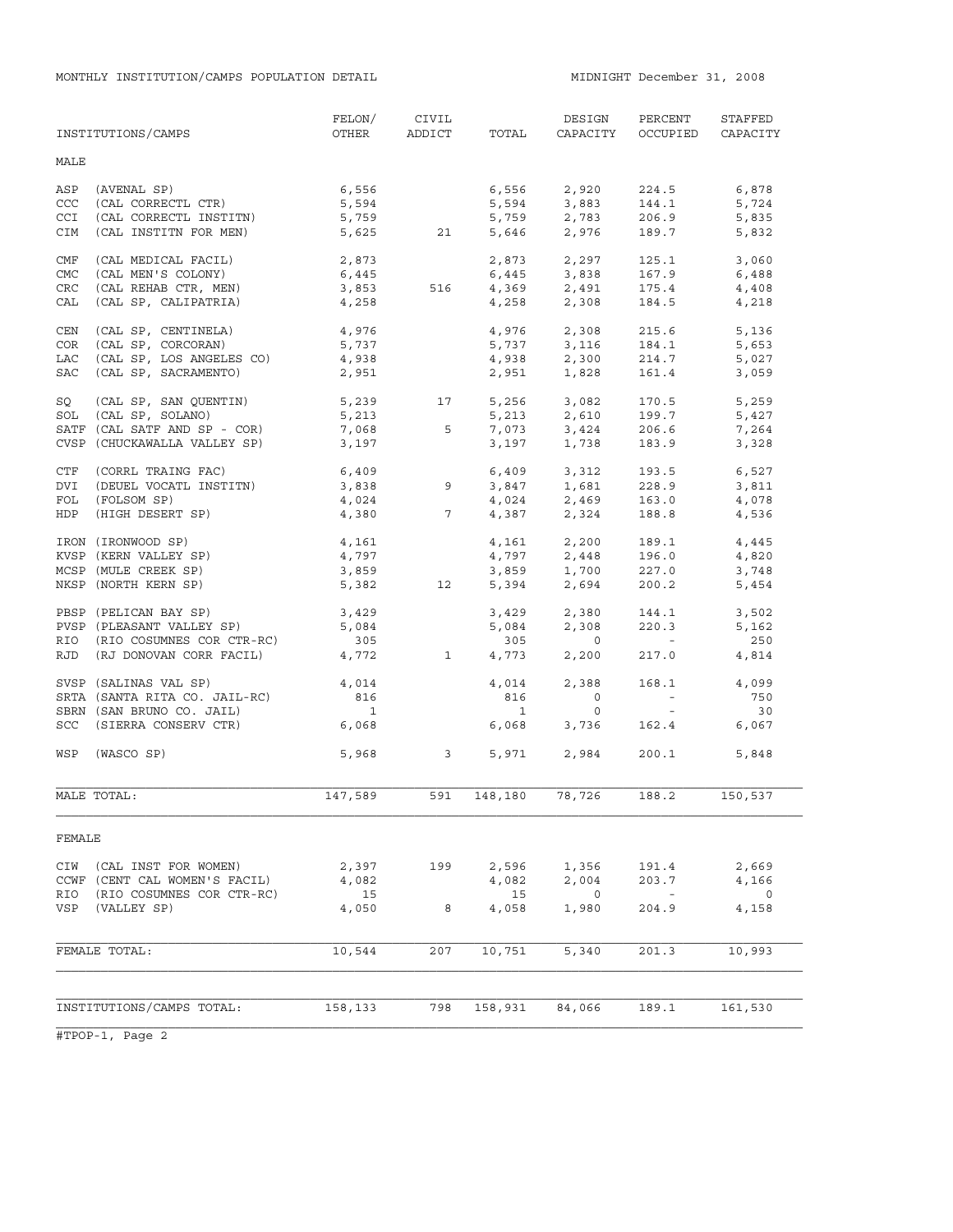|                           | INSTITUTIONS/CAMPS                                         | FELON/<br>OTHER    | CIVIL<br>ADDICT      | TOTAL          | DESIGN<br>CAPACITY                        | PERCENT<br>OCCUPIED                                   | STAFFED<br>CAPACITY  |
|---------------------------|------------------------------------------------------------|--------------------|----------------------|----------------|-------------------------------------------|-------------------------------------------------------|----------------------|
| MALE                      |                                                            |                    |                      |                |                                           |                                                       |                      |
| ASP<br>CCC                | (AVENAL SP)<br>(CAL CORRECTL CTR)                          | 6,556<br>5,594     |                      |                | 6,556 2,920<br>5,594 3,883<br>5,759 2,783 | 224.5<br>144.1                                        | 6,878<br>5,724       |
| <b>CCI</b><br>CIM         | (CAL CORRECTL INSTITN)<br>(CAL INSTITN FOR MEN)            | 5,759              | 5,625 21             |                | 5,646 2,976                               | 206.9<br>189.7                                        | 5,835<br>5,832       |
| CMF                       | (CAL MEDICAL FACIL)                                        | 2,873              |                      |                | 2,873 2,297                               | 125.1                                                 | 3,060                |
| <b>CMC</b><br>${\tt CRC}$ | (CAL MEN'S COLONY)<br>(CAL REHAB CTR, MEN)                 | 6,445<br>3,853     | 516                  | 6,445          | 3,838                                     | 167.9<br>175.4                                        | 6,488<br>4,408       |
| CAL                       | (CAL SP, CALIPATRIA)                                       | 4,258              |                      | 4,258          | 4,369 2,491<br>2,308                      | 184.5                                                 | 4,218                |
| CEN                       | (CAL SP, CENTINELA)                                        | 4,976              |                      | 4,976          | 2,308                                     | 215.6                                                 | 5,136                |
| COR                       | (CAL SP, CORCORAN)                                         | 5,737              |                      |                | 5,737 3,116                               | 184.1                                                 | 5,653                |
| <b>LAC</b>                | (CAL SP, LOS ANGELES CO)                                   | 4,938              |                      | 4,938          | 2,300                                     | 214.7                                                 | 5,027                |
| SAC                       | (CAL SP, SACRAMENTO)                                       | 2,951              |                      | 2,951          | 1,828                                     | 161.4                                                 | 3,059                |
| SQ                        | (CAL SP, SAN QUENTIN)                                      | 5,239              | 17                   |                | 5,256 3,082                               | 170.5                                                 | 5,259                |
| SOL                       | (CAL SP, SOLANO)                                           | 5,213              |                      | 5,213          | 2,610                                     | 199.7                                                 | 5,427                |
|                           | SATF (CAL SATF AND SP - COR)                               | 7,068              | $-5$                 | 7,073          | 3,424                                     | 206.6                                                 | 7,264                |
|                           | CVSP (CHUCKAWALLA VALLEY SP)                               | 3,197              |                      | 3,197          | 1,738                                     | 183.9                                                 | 3,328                |
| CTF                       | (CORRL TRAING FAC)                                         | $6,409$<br>3,838 9 |                      |                | 6,409 3,312                               | 193.5                                                 | 6,527                |
| DVI                       | (DEUEL VOCATL INSTITN)                                     |                    |                      |                | $3,847$ 1,681                             | 228.9                                                 | 3,811                |
| FOL                       | (FOLSOM SP)                                                |                    | $4,024$<br>$4,380$ 7 |                | $4,024$<br>$2,469$<br>$4,387$<br>$2,324$  | 163.0                                                 | 4,078                |
| HDP                       | (HIGH DESERT SP)                                           |                    |                      |                |                                           | 188.8                                                 | 4,536                |
|                           | IRON (IRONWOOD SP)                                         | 4,161              |                      |                | 4,161 2,200                               | 189.1                                                 | 4,445                |
|                           | KVSP (KERN VALLEY SP)                                      | 4,797              |                      |                | $4,797$<br>$3,859$<br>$1,700$             | 196.0                                                 | 4,820                |
|                           | MCSP (MULE CREEK SP)                                       | 3,859              |                      |                |                                           | 227.0                                                 | 3,748                |
|                           | NKSP (NORTH KERN SP)                                       | 5,382              | 12                   | 5,394          | 2,694                                     | 200.2                                                 | 5,454                |
|                           | PBSP (PELICAN BAY SP)                                      | 3,429              |                      | 3,429          | 2,380                                     | 144.1                                                 | 3,502                |
|                           | PVSP (PLEASANT VALLEY SP)                                  | 5,084              |                      | 5,084          | 2,308                                     | 220.3                                                 | 5,162                |
| RIO                       | (RIO COSUMNES COR CTR-RC)                                  | 305                |                      | 305            | $\overline{0}$                            | $\mathcal{L}_{\rm{max}}$ and $\mathcal{L}_{\rm{max}}$ | 250                  |
| RJD                       | (RJ DONOVAN CORR FACIL)                                    | 4,772              | $\mathbf{1}$         | 4,773          | 2,200                                     | 217.0                                                 | 4,814                |
|                           | SVSP (SALINAS VAL SP)                                      | 4,014              |                      | 4,014          | 2,388                                     | 168.1                                                 | 4,099                |
|                           | SRTA (SANTA RITA CO. JAIL-RC)                              | 816                |                      | 816            | $\overline{0}$                            | $\alpha$ and $\alpha$                                 | 750                  |
|                           | SBRN (SAN BRUNO CO. JAIL)                                  | $\overline{1}$     |                      | $\overline{1}$ | $\circ$                                   | $\sim 100$                                            | 30                   |
|                           | SCC (SIERRA CONSERV CTR)                                   | 6,068              |                      | 6,068          | 3,736                                     | 162.4                                                 | 6,067                |
| WSP                       | (WASCO SP)                                                 |                    | 5,968 3              |                | 5,971 2,984                               | 200.1                                                 | 5,848                |
|                           | MALE TOTAL:                                                | 147,589            | 591                  | 148,180        | 78,726                                    | 188.2                                                 | 150,537              |
| FEMALE                    |                                                            |                    |                      |                |                                           |                                                       |                      |
| CIW                       | (CAL INST FOR WOMEN)                                       | 2,397              | 199                  | 2,596          | 1,356                                     | 191.4                                                 | 2,669                |
| RIO                       | CCWF (CENT CAL WOMEN'S FACIL)<br>(RIO COSUMNES COR CTR-RC) | 4,082<br>15        |                      | 4,082<br>15    | 2,004<br>$\overline{0}$                   | 203.7<br>$\overline{\phantom{a}}$                     | 4,166<br>$\mathbf 0$ |
| VSP                       | (VALLEY SP)                                                | 4,050              | 8                    | 4,058          | 1,980                                     | 204.9                                                 | 4,158                |
|                           |                                                            |                    |                      |                |                                           |                                                       |                      |
|                           | FEMALE TOTAL:                                              | 10,544             | 207                  | 10,751         | 5,340                                     | 201.3                                                 | 10,993               |
|                           |                                                            |                    |                      |                |                                           |                                                       |                      |
|                           | INSTITUTIONS/CAMPS TOTAL:                                  | 158,133            | 798                  | 158,931        | 84,066                                    | 189.1                                                 | 161,530              |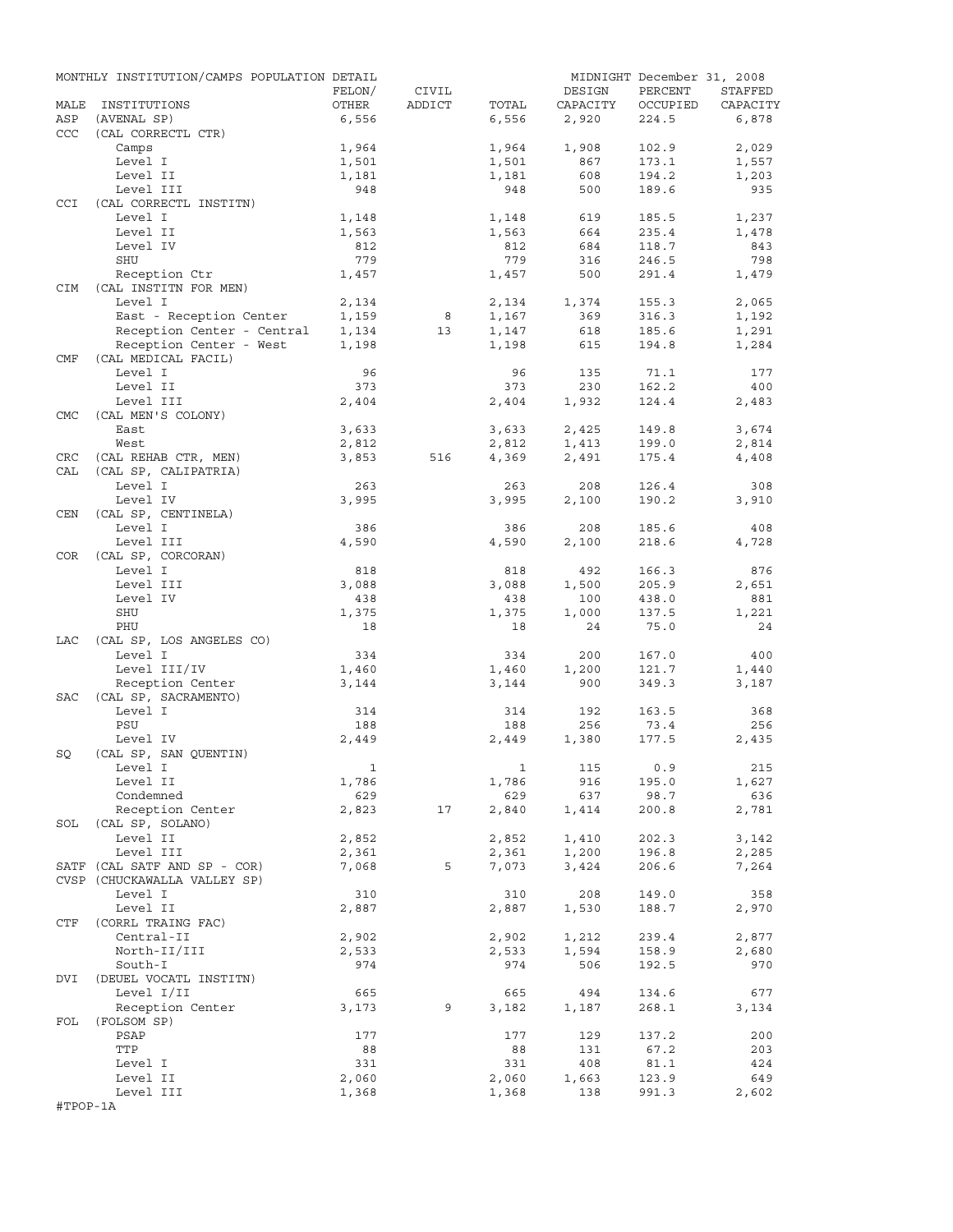|            | MONTHLY INSTITUTION/CAMPS POPULATION DETAIL  |              |        |       |           | MIDNIGHT December 31, 2008 |          |
|------------|----------------------------------------------|--------------|--------|-------|-----------|----------------------------|----------|
|            |                                              | FELON/       | CIVIL  |       | DESIGN    | PERCENT                    | STAFFED  |
| MALE       | INSTITUTIONS                                 | OTHER        | ADDICT | TOTAL | CAPACITY  | OCCUPIED                   | CAPACITY |
| ASP        | (AVENAL SP)                                  | 6,556        |        | 6,556 | 2,920     | 224.5                      | 6,878    |
| <b>CCC</b> | (CAL CORRECTL CTR)                           |              |        |       |           |                            |          |
|            | Camps                                        | 1,964        |        | 1,964 | 1,908     | 102.9                      | 2,029    |
|            | Level I                                      | 1,501        |        | 1,501 | 867       | 173.1                      | 1,557    |
|            | Level II                                     | 1,181        |        | 1,181 | 608       | 194.2                      | 1,203    |
|            | Level III                                    | 948          |        | 948   | 500       | 189.6                      | 935      |
| CCI        | (CAL CORRECTL INSTITN)                       |              |        |       |           |                            |          |
|            | Level I                                      | 1,148        |        | 1,148 | 619       | 185.5                      | 1,237    |
|            | Level II                                     | 1,563        |        | 1,563 | 664       | 235.4                      | 1,478    |
|            | Level IV                                     | 812          |        | 812   | 684       | 118.7                      | 843      |
|            | SHU                                          | 779          |        | 779   | 316       | 246.5                      | 798      |
|            | Reception Ctr                                | 1,457        |        | 1,457 | 500       | 291.4                      | 1,479    |
| CIM        | (CAL INSTITN FOR MEN)                        |              |        |       |           |                            |          |
|            | Level I                                      | 2,134        |        | 2,134 | 1,374     | 155.3                      | 2,065    |
|            | East - Reception Center                      | 1,159        | 8      | 1,167 | 369       | 316.3                      | 1,192    |
|            | Reception Center - Central                   | 1,134        | 13     | 1,147 | 618       | 185.6                      | 1,291    |
|            | Reception Center - West                      | 1,198        |        | 1,198 | 615       | 194.8                      | 1,284    |
| CMF        | (CAL MEDICAL FACIL)                          |              |        |       |           |                            |          |
|            | Level I                                      | 96           |        | 96    | 135       | 71.1                       | 177      |
|            | Level II                                     | 373          |        | 373   | 230       | 162.2                      | 400      |
|            | Level III                                    | 2,404        |        | 2,404 | 1,932     | 124.4                      | 2,483    |
| <b>CMC</b> | (CAL MEN'S COLONY)                           |              |        |       |           |                            |          |
|            | East                                         | 3,633        |        | 3,633 | 2,425     | 149.8                      | 3,674    |
|            | West                                         | 2,812        |        | 2,812 | 1,413     | 199.0                      | 2,814    |
|            |                                              |              |        |       | 2,491     |                            |          |
| CRC<br>CAL | (CAL REHAB CTR, MEN)<br>(CAL SP, CALIPATRIA) | 3,853        | 516    | 4,369 |           | 175.4                      | 4,408    |
|            |                                              |              |        |       |           |                            |          |
|            | Level I                                      | 263          |        | 263   | 208       | 126.4                      | 308      |
|            | Level IV                                     | 3,995        |        | 3,995 | 2,100     | 190.2                      | 3,910    |
| CEN        | (CAL SP, CENTINELA)                          |              |        |       |           |                            |          |
|            | Level I                                      | 386          |        | 386   | 208       | 185.6                      | 408      |
|            | Level III                                    | 4,590        |        | 4,590 | 2,100     | 218.6                      | 4,728    |
| COR        | (CAL SP, CORCORAN)                           |              |        |       |           |                            |          |
|            | Level I                                      | 818          |        | 818   | 492       | 166.3                      | 876      |
|            | Level III                                    | 3,088        |        | 3,088 | 1,500     | 205.9                      | 2,651    |
|            | Level IV                                     | 438          |        | 438   | 100       | 438.0                      | 881      |
|            | SHU                                          | 1,375        |        | 1,375 | 1,000     | 137.5                      | 1,221    |
|            | PHU                                          | 18           |        | 18    | 24        | 75.0                       | 24       |
| LAC        | (CAL SP, LOS ANGELES CO)                     |              |        |       |           |                            |          |
|            | Level I                                      | 334          |        | 334   | 200       | 167.0                      | 400      |
|            | Level III/IV                                 | 1,460        |        | 1,460 | 1,200     | 121.7                      | 1,440    |
|            | Reception Center                             | 3,144        |        | 3,144 | 900       | 349.3                      | 3,187    |
| SAC        | (CAL SP, SACRAMENTO)                         |              |        |       |           |                            |          |
|            | Level I                                      | 314          |        | 314   | 192       | 163.5                      | 368      |
|            | PSU                                          | 188          |        | 188   | 256       | 73.4                       | 256      |
|            | Level IV                                     | 2,449        |        | 2,449 | 1,380     | 177.5                      | 2,435    |
| SQ         | (CAL SP, SAN QUENTIN)                        |              |        |       |           |                            |          |
|            | Level I                                      | $\mathbf{1}$ |        |       | 1 115 0.9 |                            | 215      |
|            | Level II                                     | 1,786        |        | 1,786 | 916       | 195.0                      | 1,627    |
|            | Condemned                                    | 629          |        | 629   | 637       | 98.7                       | 636      |
|            | Reception Center                             | 2,823        | 17     | 2,840 | 1,414     | 200.8                      | 2,781    |
|            | SOL (CAL SP, SOLANO)                         |              |        |       |           |                            |          |
|            | Level II                                     | 2,852        |        | 2,852 | 1,410     | 202.3                      | 3,142    |
|            | Level III                                    |              |        |       |           | 196.8                      | 2,285    |
|            | SATF (CAL SATF AND SP - COR)                 | 2,361        |        | 2,361 | 1,200     |                            |          |
|            |                                              | 7,068        | 5      | 7,073 | 3,424     | 206.6                      | 7,264    |
|            | CVSP (CHUCKAWALLA VALLEY SP)                 |              |        |       |           |                            |          |
|            | Level I                                      | 310          |        | 310   | 208       | 149.0                      | 358      |
|            | Level II                                     | 2,887        |        | 2,887 | 1,530     | 188.7                      | 2,970    |
| CTF        | (CORRL TRAING FAC)                           |              |        |       |           |                            |          |
|            | Central-II                                   | 2,902        |        | 2,902 | 1,212     | 239.4                      | 2,877    |
|            | North-II/III                                 | 2,533        |        | 2,533 | 1,594     | 158.9                      | 2,680    |
|            | South-I                                      | 974          |        | 974   | 506       | 192.5                      | 970      |
| DVI        | (DEUEL VOCATL INSTITN)                       |              |        |       |           |                            |          |
|            | Level I/II                                   | 665          |        | 665   | 494       | 134.6                      | 677      |
|            | Reception Center                             | 3,173        | 9      | 3,182 | 1,187     | 268.1                      | 3,134    |
| FOL        | (FOLSOM SP)                                  |              |        |       |           |                            |          |
|            | PSAP                                         | 177          |        | 177   | 129       | 137.2                      | 200      |
|            | TTP                                          | 88           |        | 88    | 131       | 67.2                       | 203      |
|            | Level I                                      | 331          |        | 331   | 408       | 81.1                       | 424      |
|            | Level II                                     | 2,060        |        | 2,060 | 1,663     | 123.9                      | 649      |
|            | Level III                                    | 1,368        |        | 1,368 | 138       | 991.3                      | 2,602    |
| #TPOP-1A   |                                              |              |        |       |           |                            |          |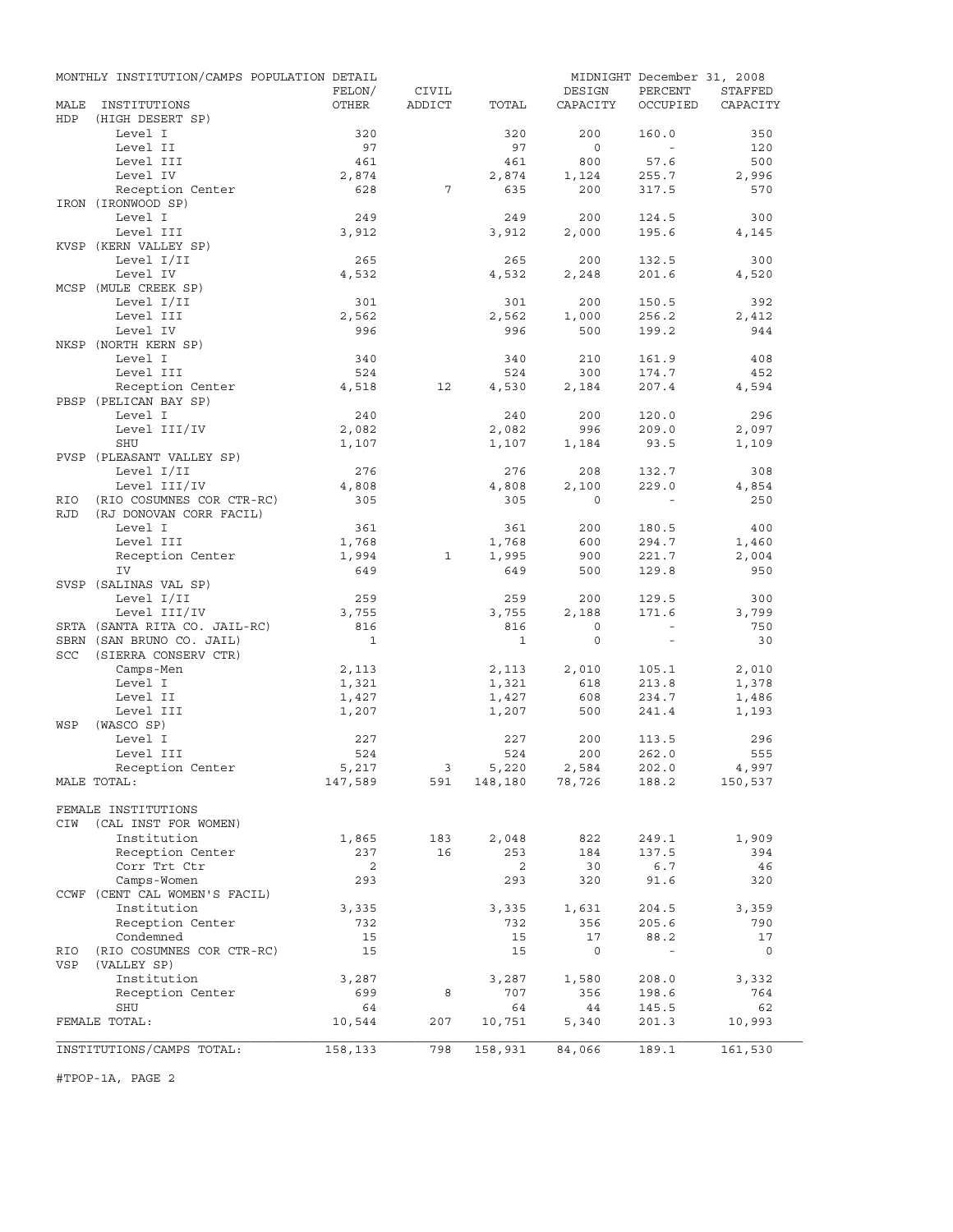|                          | MONTHLY INSTITUTION/CAMPS POPULATION DETAIL          |                |              |                |                   | MIDNIGHT December 31, 2008 |                |
|--------------------------|------------------------------------------------------|----------------|--------------|----------------|-------------------|----------------------------|----------------|
|                          |                                                      | FELON/         | CIVIL        |                | DESIGN            | PERCENT                    | STAFFED        |
| MALE<br>HDP              | INSTITUTIONS<br>(HIGH DESERT SP)                     | OTHER          | ADDICT       | TOTAL          | CAPACITY          | OCCUPIED                   | CAPACITY       |
|                          | Level I                                              | 320            |              | 320            | 200               | 160.0                      | 350            |
|                          | Level II                                             | 97             |              | 97             | $\circ$           | $\sim$                     | 120            |
|                          | Level III                                            | 461            |              | 461            | 800               | 57.6                       | 500            |
|                          | Level IV                                             | 2,874          |              | 2,874          | 1,124             | 255.7                      | 2,996          |
|                          | Reception Center                                     | 628            | 7            | 635            | 200               | 317.5                      | 570            |
|                          | IRON (IRONWOOD SP)                                   |                |              |                |                   |                            |                |
|                          | Level I                                              | 249            |              | 249            | 200               | 124.5                      | 300            |
|                          | Level III                                            | 3,912          |              | 3,912          | 2,000             | 195.6                      | 4,145          |
|                          | KVSP (KERN VALLEY SP)                                |                |              |                |                   |                            |                |
|                          | Level I/II                                           | 265            |              | 265            | 200               | 132.5                      | 300            |
|                          | Level IV                                             | 4,532          |              | 4,532          | 2,248             | 201.6                      | 4,520          |
|                          | MCSP (MULE CREEK SP)<br>Level I/II                   |                |              | 301            | 200               | 150.5                      | 392            |
|                          | Level III                                            | 301<br>2,562   |              | 2,562          | 1,000             | 256.2                      | 2,412          |
|                          | Level IV                                             | 996            |              | 996            | 500               | 199.2                      | 944            |
|                          | NKSP (NORTH KERN SP)                                 |                |              |                |                   |                            |                |
|                          | Level I                                              | 340            |              | 340            | 210               | 161.9                      | 408            |
|                          | Level III                                            | 524            |              | 524            | 300               | 174.7                      | 452            |
|                          | Reception Center                                     | 4,518          | 12           | 4,530          | 2,184             | 207.4                      | 4,594          |
|                          | PBSP (PELICAN BAY SP)                                |                |              |                |                   |                            |                |
|                          | Level I                                              | 240            |              | 240            | 200               | 120.0                      | 296            |
|                          | Level III/IV                                         | 2,082          |              | 2,082          | 996               | 209.0                      | 2,097          |
|                          | SHU                                                  | 1,107          |              | 1,107          | 1,184             | 93.5                       | 1,109          |
|                          | PVSP (PLEASANT VALLEY SP)                            |                |              |                |                   |                            |                |
|                          | Level I/II                                           | 276            |              | 276            | 208               | 132.7                      | 308            |
|                          | Level III/IV                                         | 4,808<br>305   |              | 4,808<br>305   | 2,100<br>$\Omega$ | 229.0                      | 4,854          |
| <b>RIO</b><br><b>RJD</b> | (RIO COSUMNES COR CTR-RC)<br>(RJ DONOVAN CORR FACIL) |                |              |                |                   |                            | 250            |
|                          | Level I                                              | 361            |              | 361            | 200               | 180.5                      | 400            |
|                          | Level III                                            | 1,768          |              | 1,768          | 600               | 294.7                      | 1,460          |
|                          | Reception Center                                     | 1,994          | $\mathbf{1}$ | 1,995          | 900               | 221.7                      | 2,004          |
|                          | IV                                                   | 649            |              | 649            | 500               | 129.8                      | 950            |
|                          | SVSP (SALINAS VAL SP)                                |                |              |                |                   |                            |                |
|                          | Level I/II                                           | 259            |              | 259            | 200               | 129.5                      | 300            |
|                          | Level III/IV                                         | 3,755          |              | 3,755          | 2,188             | 171.6                      | 3,799          |
|                          | SRTA (SANTA RITA CO. JAIL-RC)                        | 816            |              | 816            | $\circ$           | $\sim$                     | 750            |
|                          | SBRN (SAN BRUNO CO. JAIL)                            | <sup>1</sup>   |              | $\mathbf{1}$   | $\circ$           | $\sim$                     | 30             |
| SCC                      | (SIERRA CONSERV CTR)                                 |                |              |                |                   |                            |                |
|                          | Camps-Men                                            | 2,113          |              | 2,113          | 2,010             | 105.1                      | 2,010          |
|                          | Level I<br>Level II                                  | 1,321          |              | 1,321<br>1,427 | 618<br>608        | 213.8<br>234.7             | 1,378          |
|                          | Level III                                            | 1,427<br>1,207 |              | 1,207          | 500               | 241.4                      | 1,486<br>1,193 |
| WSP                      | (WASCO SP)                                           |                |              |                |                   |                            |                |
|                          | Level I                                              | 227            |              | 227            | 200               | 113.5                      | 296            |
|                          | Level III                                            | 524            |              | 524            | 200               | 262.0                      | 555            |
|                          | Reception Center                                     | 5,217          |              | 5,220          | 2,584             | 202.0                      | 4,997          |
|                          | MALE TOTAL:                                          | 147,589        | 591          |                | $148,180$ 78,726  | 188.2                      | 150,537        |
|                          |                                                      |                |              |                |                   |                            |                |
|                          | FEMALE INSTITUTIONS                                  |                |              |                |                   |                            |                |
| CIW                      | (CAL INST FOR WOMEN)                                 |                |              |                |                   |                            |                |
|                          | Institution                                          | 1,865          | 183          | 2,048          | 822               | 249.1                      | 1,909          |
|                          | Reception Center                                     | 237            | 16           | 253            | 184               | 137.5                      | 394            |
|                          | Corr Trt Ctr<br>Camps-Women                          | 2              |              | 2              | 30                | 6.7                        | 46             |
|                          | CCWF (CENT CAL WOMEN'S FACIL)                        | 293            |              | 293            | 320               | 91.6                       | 320            |
|                          | Institution                                          | 3,335          |              | 3,335          | 1,631             | 204.5                      | 3,359          |
|                          | Reception Center                                     | 732            |              | 732            | 356               | 205.6                      | 790            |
|                          | Condemned                                            | 15             |              | 15             | 17                | 88.2                       | 17             |
| RIO                      | (RIO COSUMNES COR CTR-RC)                            | 15             |              | 15             | $\circ$           | $\sim$                     | $\overline{0}$ |
| VSP                      | (VALLEY SP)                                          |                |              |                |                   |                            |                |
|                          | Institution                                          | 3,287          |              | 3,287          | 1,580             | 208.0                      | 3,332          |
|                          | Reception Center                                     | 699            | 8            | 707            | 356               | 198.6                      | 764            |
|                          | SHU                                                  | 64             |              | 64             | 44                | 145.5                      | 62             |
|                          | FEMALE TOTAL:                                        | 10,544         | 207          | 10,751         | 5,340             | 201.3                      | 10,993         |
|                          |                                                      |                |              |                |                   |                            |                |
|                          | INSTITUTIONS/CAMPS TOTAL:                            | 158,133        | 798          | 158,931        | 84,066            | 189.1                      | 161,530        |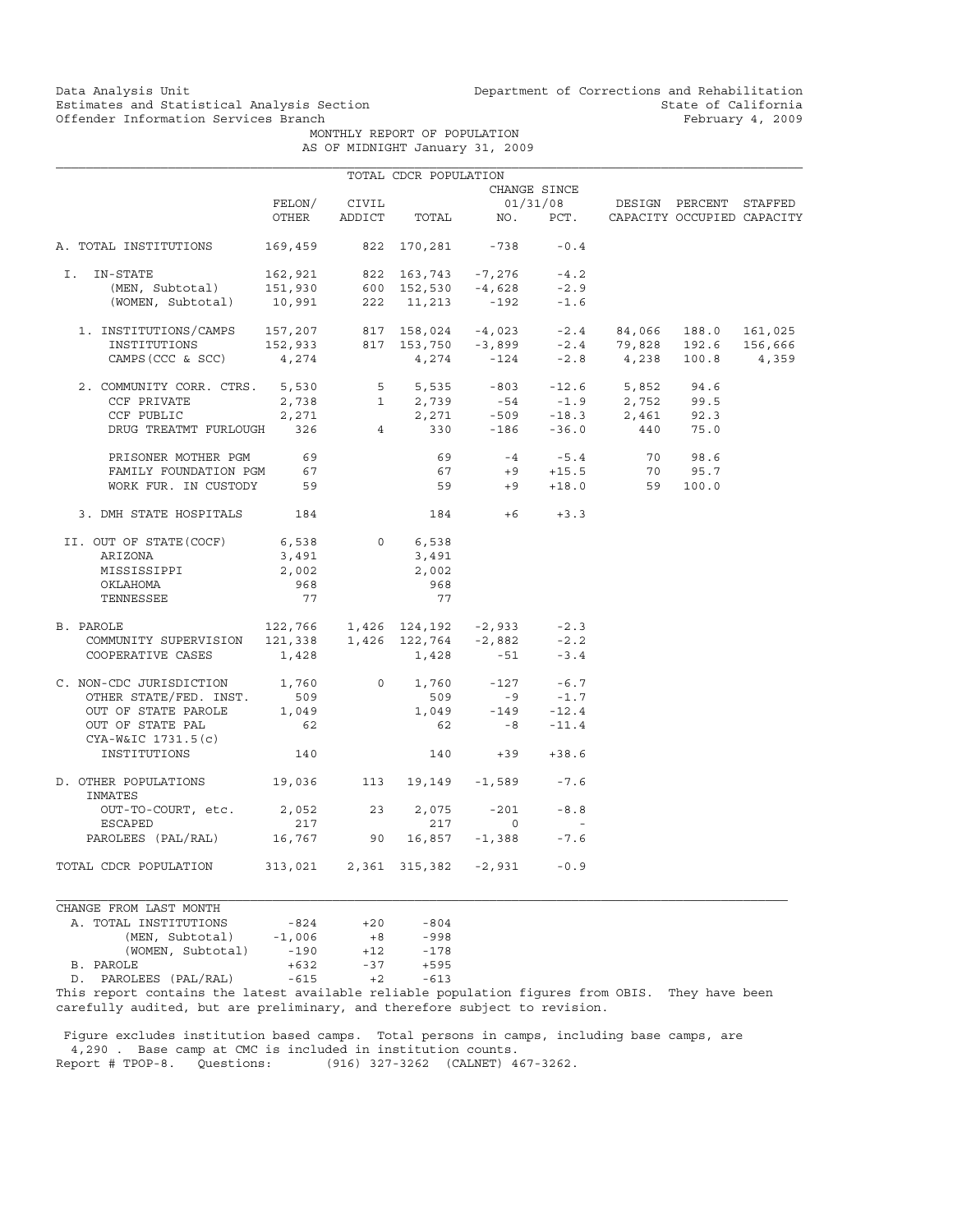Data Analysis Unit Unit Department of Corrections and Rehabilitation<br>Estimates and Statistical Analysis Section State of California Estimates and Statistical Analysis Section State of California<br>
Offender Information Services Branch<br>
State of California

MONTHLY REPORT OF POPULATION

|  | AS OF MIDNIGHT January 31, 2009 |  |  |
|--|---------------------------------|--|--|
|  |                                 |  |  |

|                                                                                                                                                                                                                                                                                                                            |                                 |       | TOTAL CDCR POPULATION |                       |              |                                                                        |  |
|----------------------------------------------------------------------------------------------------------------------------------------------------------------------------------------------------------------------------------------------------------------------------------------------------------------------------|---------------------------------|-------|-----------------------|-----------------------|--------------|------------------------------------------------------------------------|--|
|                                                                                                                                                                                                                                                                                                                            |                                 |       |                       |                       | CHANGE SINCE |                                                                        |  |
|                                                                                                                                                                                                                                                                                                                            | FELON/                          | CIVIL |                       |                       |              | 01/31/08 DESIGN PERCENT STAFFED                                        |  |
|                                                                                                                                                                                                                                                                                                                            | OTHER                           |       |                       |                       |              | ADDICT TOTAL NO. PCT. CAPACITY OCCUPIED CAPACITY                       |  |
| A. TOTAL INSTITUTIONS                                                                                                                                                                                                                                                                                                      | 169,459 822 170,281 -738        |       |                       |                       | $-0.4$       |                                                                        |  |
| I. IN-STATE                                                                                                                                                                                                                                                                                                                |                                 |       |                       |                       |              |                                                                        |  |
|                                                                                                                                                                                                                                                                                                                            |                                 |       |                       |                       |              |                                                                        |  |
| -STATE 162,921 822 163,743 -7,276 -4.2<br>(MEN, Subtotal) 151,930 600 152,530 -4,628 -2.9<br>(WOMEN, Subtotal) 10,991 222 11,213 -192 -1.6                                                                                                                                                                                 |                                 |       |                       |                       |              |                                                                        |  |
|                                                                                                                                                                                                                                                                                                                            |                                 |       |                       |                       |              |                                                                        |  |
|                                                                                                                                                                                                                                                                                                                            |                                 |       |                       |                       |              |                                                                        |  |
| $\begin{tabular}{lcccccc} 1. & \texttt{INSTITUTIONS/CAMPS} & 157, 207 & 817 & 158, 024 & -4, 023 & -2.4 & 84, 066 & 188.0 & 161, 025 \\ & \texttt{INSTITUTIONS} & 152, 933 & 817 & 153, 750 & -3, 899 & -2.4 & 79, 828 & 192.6 & 156, 666 \\ & \texttt{CAMPS (CCC & SCC)} & 4, 274 & 4, 274 & -124 & -2.8 & 4, 238 & 100.$ |                                 |       |                       |                       |              |                                                                        |  |
| 2. COMMUNITY CORR. CTRS. 5,530                                                                                                                                                                                                                                                                                             |                                 |       |                       |                       |              | 5 5,535 -803 -12.6 5,852 94.6                                          |  |
| CCF PRIVATE                                                                                                                                                                                                                                                                                                                |                                 |       |                       |                       |              |                                                                        |  |
| CCF PUBLIC                                                                                                                                                                                                                                                                                                                 |                                 |       |                       |                       |              | 2,738 1 2,739 -54 -1.9 2,752 99.5<br>2,271 2,271 -509 -18.3 2,461 92.3 |  |
| DRUG TREATMT FURLOUGH 326 4 330 -186 -36.0 440 75.0                                                                                                                                                                                                                                                                        |                                 |       |                       |                       |              |                                                                        |  |
| PRISONER MOTHER PGM 69                                                                                                                                                                                                                                                                                                     |                                 |       | 69                    |                       |              | $-4$ $-5.4$ 70 98.6<br>$+9$ $+15.5$ 70 95.7                            |  |
| FAMILY FOUNDATION PGM                                                                                                                                                                                                                                                                                                      | 67                              |       | 67                    |                       |              |                                                                        |  |
| WORK FUR. IN CUSTODY 59                                                                                                                                                                                                                                                                                                    |                                 |       |                       |                       |              | 59 +9 +18.0 59 100.0                                                   |  |
| 3. DMH STATE HOSPITALS 184                                                                                                                                                                                                                                                                                                 |                                 |       |                       | $184 + 6 + 3.3$       |              |                                                                        |  |
| II. OUT OF STATE(COCF)                                                                                                                                                                                                                                                                                                     | 6,538                           |       | 0 6,538               |                       |              |                                                                        |  |
| ARIZONA                                                                                                                                                                                                                                                                                                                    | 3,491                           |       | 3,491                 |                       |              |                                                                        |  |
| MISSISSIPPI                                                                                                                                                                                                                                                                                                                | 2,002                           |       | 2,002                 |                       |              |                                                                        |  |
| OKLAHOMA                                                                                                                                                                                                                                                                                                                   | 968                             |       | 968                   |                       |              |                                                                        |  |
| TENNESSEE                                                                                                                                                                                                                                                                                                                  | 77                              |       | 77                    |                       |              |                                                                        |  |
| PAROLE 122,766 1,426 124,192 -2,933 -2.3<br>COMMUNITY SUPERVISION 121,338 1,426 122,764 -2,882 -2.2<br>B. PAROLE                                                                                                                                                                                                           |                                 |       |                       |                       |              |                                                                        |  |
|                                                                                                                                                                                                                                                                                                                            |                                 |       |                       |                       |              |                                                                        |  |
| COOPERATIVE CASES                                                                                                                                                                                                                                                                                                          | 1,428                           |       |                       | $1,428 -51$           | $-3.4$       |                                                                        |  |
| C. NON-CDC JURISDICTION 1,760                                                                                                                                                                                                                                                                                              |                                 |       | $0 \qquad \qquad$     | $1,760$ $-127$ $-6.7$ |              |                                                                        |  |
| OTHER STATE/FED. INST.                                                                                                                                                                                                                                                                                                     | 509                             |       | 509                   |                       | $-9 - 1.7$   |                                                                        |  |
| OUT OF STATE PAROLE                                                                                                                                                                                                                                                                                                        | 1,049                           |       |                       | $1,049 -149 -12.4$    |              |                                                                        |  |
| OUT OF STATE PAL<br>$CYA-W&IC 1731.5(c)$                                                                                                                                                                                                                                                                                   | 62                              |       |                       | $62 - 8$              | $-11.4$      |                                                                        |  |
| INSTITUTIONS                                                                                                                                                                                                                                                                                                               | 140                             |       |                       | $140 +39$             | $+38.6$      |                                                                        |  |
| D. OTHER POPULATIONS 19,036 113 19,149 -1,589 -7.6<br>INMATES                                                                                                                                                                                                                                                              |                                 |       |                       |                       |              |                                                                        |  |
| OUT-TO-COURT, etc. 2,052 23                                                                                                                                                                                                                                                                                                |                                 |       | 2,075                 | $-201$                | $-8.8$       |                                                                        |  |
| ESCAPED                                                                                                                                                                                                                                                                                                                    | 217                             |       | 217                   | $\overline{0}$        |              |                                                                        |  |
| PAROLEES (PAL/RAL) 16,767                                                                                                                                                                                                                                                                                                  |                                 | 90    |                       | $16,857 -1,388$       | $-7.6$       |                                                                        |  |
| TOTAL CDCR POPULATION                                                                                                                                                                                                                                                                                                      | 313,021  2,361  315,382  -2,931 |       |                       |                       | $-0.9$       |                                                                        |  |

CHANGE FROM LAST MONTH A. TOTAL INSTITUTIONS -824 +20 -804 (MEN, Subtotal) -1,006 +8 -998 (WOMEN, Subtotal) -190 +12 -178<br>
LE +632 -37 +595<br>
CLEES (PAL/RAL) -615 +2 -613 B. PAROLE D. PAROLEES (PAL/RAL) -615 +2 -613

This report contains the latest available reliable population figures from OBIS. They have been carefully audited, but are preliminary, and therefore subject to revision.

 Figure excludes institution based camps. Total persons in camps, including base camps, are 4,290 . Base camp at CMC is included in institution counts.<br>Report # TPOP-8. Questions: (916) 327-3262 (CALNET) 4 (916) 327-3262 (CALNET) 467-3262.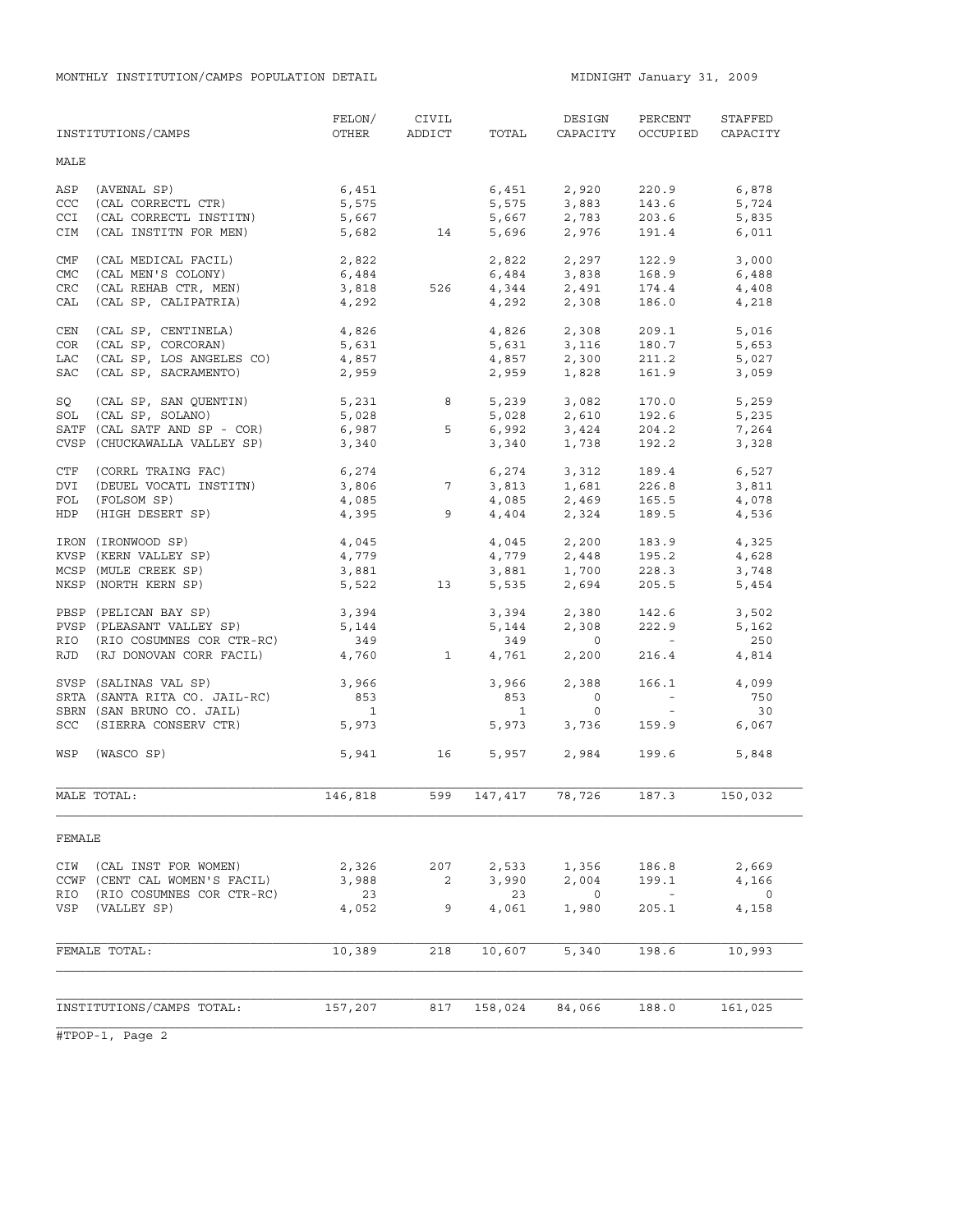|            | INSTITUTIONS/CAMPS                                     | FELON/<br>OTHER      | CIVIL<br>ADDICT | TOTAL          | DESIGN<br>CAPACITY                       | PERCENT<br>OCCUPIED                                  | STAFFED<br>CAPACITY |
|------------|--------------------------------------------------------|----------------------|-----------------|----------------|------------------------------------------|------------------------------------------------------|---------------------|
| MALE       |                                                        |                      |                 |                |                                          |                                                      |                     |
| ASP        | (AVENAL SP)                                            | 6,451                |                 |                | 6,451 2,920                              | 220.9                                                | 6,878               |
| CCC        | (CAL CORRECTL CTR)                                     | 5,575                |                 |                | 5,575 3,883                              | 143.6                                                | 5,724               |
| CCI        | (CAL CORRECTL INSTITN)                                 | 5,667                |                 |                | 2,783                                    | 203.6                                                | 5,835               |
| CIM        | (CAL INSTITN FOR MEN)                                  |                      | 5,682 14        |                | 5,667 2,783<br>5,696 2,976               | 191.4                                                | 6,011               |
| CMF        | (CAL MEDICAL FACIL)                                    | 2,822                |                 |                | 2,822 2,297                              | 122.9                                                | 3,000               |
| <b>CMC</b> | (CAL MEN'S COLONY)                                     | 6,484                |                 | 6,484          | 3,838                                    | 168.9                                                | 6,488               |
| CRC        | (CAL REHAB CTR, MEN)                                   | 6,484<br>3,818       | 526 7           |                | $4,344$ $2,491$                          | 174.4                                                | 4,408               |
| CAL        | (CAL SP, CALIPATRIA)                                   | 4,292                |                 | 4,292          | 2,308                                    | 186.0                                                | 4,218               |
| CEN        | (CAL SP, CENTINELA)                                    | 4,826                |                 | 4,826          | 2,308                                    | 209.1                                                | 5,016               |
| COR        | (CAL SP, CORCORAN)                                     | 5,631                |                 |                | 5,631 3,116                              | 180.7                                                | 5,653               |
| LAC        | (CAL SP, LOS ANGELES CO)                               | 4,857                |                 |                |                                          | 211.2                                                | 5,027               |
| <b>SAC</b> | (CAL SP, SACRAMENTO)                                   | 2,959                |                 | 4,857<br>2,959 | 2,300<br>1.828                           | 161.9                                                | 3,059               |
|            |                                                        |                      |                 |                |                                          |                                                      |                     |
| SQ         | (CAL SP, SAN QUENTIN)                                  | 5,231 8              |                 |                | 5,239 3,082                              | 170.0                                                | 5,259               |
| SOL        | (CAL SP, SOLANO)                                       | 5,028                |                 | 5,028          | 2,610<br>3,424                           | 192.6                                                | 5,235               |
|            | SATF (CAL SATF AND SP - COR)                           | 6,987                | 5               | 6,992          |                                          | 204.2                                                | 7,264               |
|            | CVSP (CHUCKAWALLA VALLEY SP)                           | 3,340                |                 | 3,340          | 1,738                                    | 192.2                                                | 3,328               |
| CTF        | (CORRL TRAING FAC)                                     | $6,274$<br>$3,806$ 7 |                 |                | $6,274$ $3,312$<br>$3,813$ $1,681$       | 189.4                                                | 6,527               |
| DVI        | (DEUEL VOCATL INSTITN)                                 |                      |                 |                |                                          | 226.8                                                | 3,811               |
| FOL        | (FOLSOM SP)                                            | 4,085<br>4,395       |                 |                | $4,085$<br>$2,469$<br>$4,404$<br>$2,324$ | 165.5<br>189.5                                       | 4,078               |
| HDP        | (HIGH DESERT SP)                                       |                      | 9               |                |                                          |                                                      | 4,536               |
|            | IRON (IRONWOOD SP)                                     | 4,045                |                 |                | 4,045 2,200                              | 183.9                                                | 4,325               |
|            | KVSP (KERN VALLEY SP)                                  | 4,779                |                 |                |                                          | 195.2                                                | 4,628               |
|            | MCSP (MULE CREEK SP)                                   | 3,881                |                 |                | $4,779$ $2,448$<br>$3,881$ $1,700$       | 228.3                                                | 3,748               |
|            | NKSP (NORTH KERN SP)                                   | 5,522                | 13              |                | 5,535 2,694                              | 205.5                                                | 5,454               |
|            | PBSP (PELICAN BAY SP)                                  | 3,394                |                 |                |                                          | 142.6                                                | 3,502               |
|            | PVSP (PLEASANT VALLEY SP)                              | 5,144                |                 |                | $3,394$<br>$5,144$<br>$2,308$            | 222.9                                                | 5,162               |
|            | RIO (RIO COSUMNES COR CTR-RC)                          | 349                  |                 | 349            | $\overline{0}$                           | <b>Contract Contract</b>                             | 250                 |
|            | RJD (RJ DONOVAN CORR FACIL)                            | 4,760                | $\overline{1}$  | 4,761          | 2,200                                    | 216.4                                                | 4,814               |
|            |                                                        | 3,966                |                 | 3,966          | 2,388                                    | 166.1                                                |                     |
|            | SVSP (SALINAS VAL SP)<br>SRTA (SANTA RITA CO. JAIL-RC) | 853                  |                 | 853            | $\overline{0}$                           | $\alpha$ , $\alpha$ , $\alpha$ , $\alpha$ , $\alpha$ | 4,099<br>750        |
|            | SBRN (SAN BRUNO CO. JAIL)                              | $\overline{1}$       |                 | $\overline{1}$ | $\circ$                                  | $\sim 100$                                           | 30                  |
|            | SCC (SIERRA CONSERV CTR)                               | 5,973                |                 | 5,973          | 3,736                                    | 159.9                                                | 6,067               |
|            |                                                        |                      |                 |                |                                          |                                                      |                     |
| WSP        | (WASCO SP)                                             |                      | 5,941 16        | 5,957          | 2,984                                    | 199.6                                                | 5,848               |
|            | MALE TOTAL:                                            | 146,818              | 599             | 147,417        | 78,726                                   | 187.3                                                | 150,032             |
| FEMALE     |                                                        |                      |                 |                |                                          |                                                      |                     |
| CIW        | (CAL INST FOR WOMEN)                                   | 2,326                | 207             | 2,533          | 1,356                                    | 186.8                                                | 2,669               |
|            | CCWF (CENT CAL WOMEN'S FACIL)                          | 3,988                | 2               | 3,990          | 2,004                                    | 199.1                                                | 4,166               |
| RIO        | (RIO COSUMNES COR CTR-RC)                              | 23                   |                 | 23             | $\mathbf 0$                              |                                                      | $\circ$             |
| VSP        | (VALLEY SP)                                            | 4,052                | 9               | 4,061          | 1,980                                    | 205.1                                                | 4,158               |
|            |                                                        |                      |                 |                |                                          |                                                      |                     |
|            | FEMALE TOTAL:                                          | 10,389               | 218             | 10,607         | 5,340                                    | 198.6                                                | 10,993              |
|            |                                                        |                      |                 |                |                                          |                                                      |                     |
|            | INSTITUTIONS/CAMPS TOTAL:                              | 157,207              | 817             | 158,024        | 84,066                                   | 188.0                                                | 161,025             |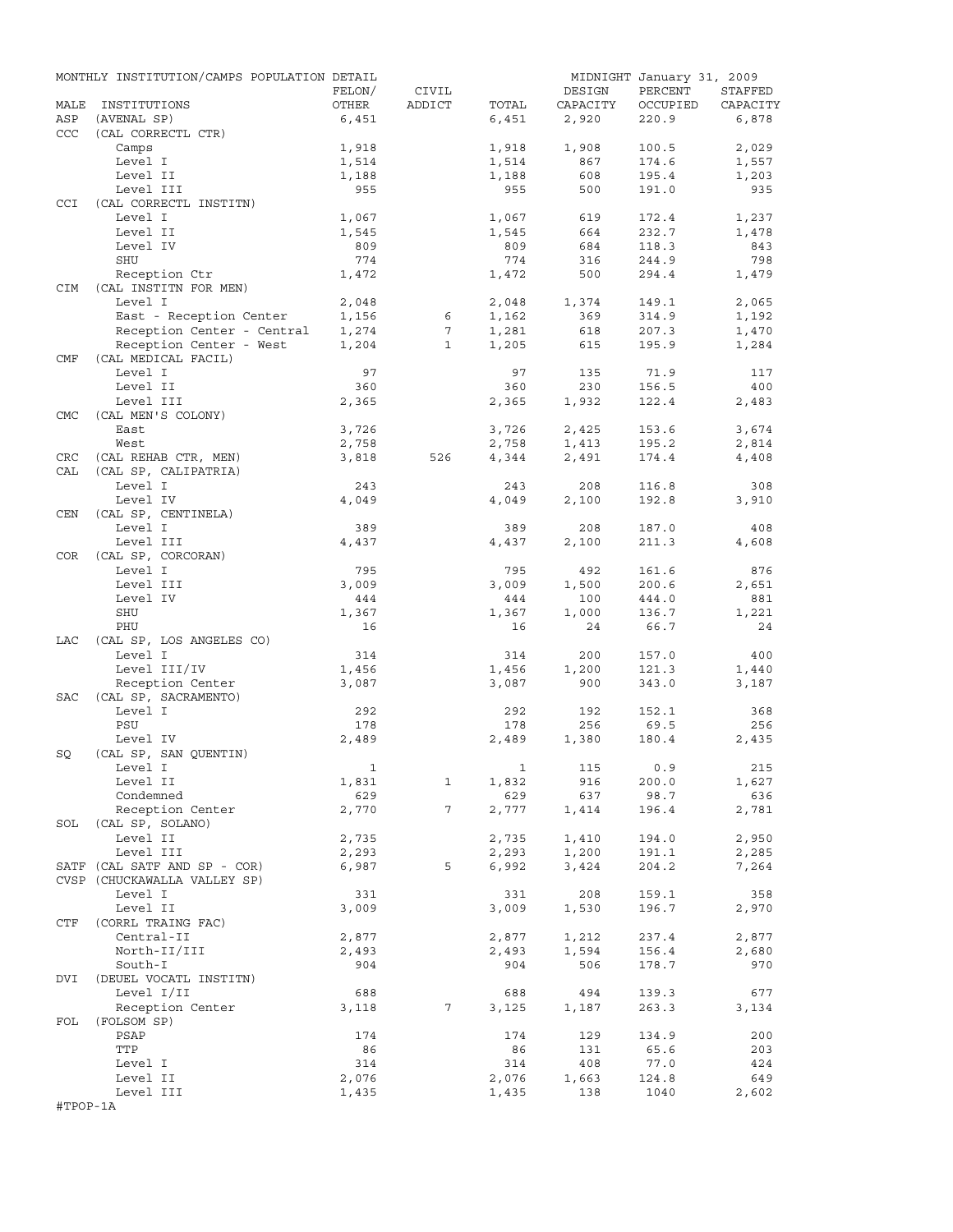|            | MONTHLY INSTITUTION/CAMPS POPULATION DETAIL |                |                 |                |            | MIDNIGHT January 31, 2009 |              |
|------------|---------------------------------------------|----------------|-----------------|----------------|------------|---------------------------|--------------|
|            |                                             | FELON/         | CIVIL           |                | DESIGN     | PERCENT                   | STAFFED      |
| MALE       | INSTITUTIONS                                | OTHER          | ADDICT          | TOTAL          | CAPACITY   | OCCUPIED                  | CAPACITY     |
| ASP        | (AVENAL SP)                                 | 6,451          |                 | 6,451          | 2,920      | 220.9                     | 6,878        |
| <b>CCC</b> | (CAL CORRECTL CTR)                          |                |                 |                |            |                           |              |
|            | Camps                                       | 1,918          |                 | 1,918          | 1,908      | 100.5                     | 2,029        |
|            | Level I                                     | 1,514<br>1,188 |                 | 1,514          | 867        | 174.6                     | 1,557        |
|            | Level II<br>Level III                       | 955            |                 | 1,188<br>955   | 608<br>500 | 195.4<br>191.0            | 1,203<br>935 |
| CCI        | (CAL CORRECTL INSTITN)                      |                |                 |                |            |                           |              |
|            | Level I                                     | 1,067          |                 | 1,067          | 619        | 172.4                     | 1,237        |
|            | Level II                                    | 1,545          |                 | 1,545          | 664        | 232.7                     | 1,478        |
|            | Level IV                                    | 809            |                 | 809            | 684        | 118.3                     | 843          |
|            | SHU                                         | 774            |                 | 774            | 316        | 244.9                     | 798          |
|            | Reception Ctr                               | 1,472          |                 | 1,472          | 500        | 294.4                     | 1,479        |
| <b>CIM</b> | (CAL INSTITN FOR MEN)                       |                |                 |                |            |                           |              |
|            | Level I                                     | 2,048          |                 | 2,048          | 1,374      | 149.1                     | 2,065        |
|            | East - Reception Center                     | 1,156          | 6               | 1,162          | 369        | 314.9                     | 1,192        |
|            | Reception Center - Central                  | 1,274          | 7               | 1,281          | 618        | 207.3                     | 1,470        |
|            | Reception Center - West                     | 1,204          | $\mathbf{1}$    | 1,205          | 615        | 195.9                     | 1,284        |
| CMF        | (CAL MEDICAL FACIL)                         |                |                 |                |            |                           |              |
|            | Level I                                     | 97             |                 | 97             | 135        | 71.9                      | 117          |
|            | Level II                                    | 360            |                 | 360            | 230        | 156.5                     | 400          |
|            | Level III                                   | 2,365          |                 | 2,365          | 1,932      | 122.4                     | 2,483        |
| <b>CMC</b> | (CAL MEN'S COLONY)                          |                |                 |                |            |                           |              |
|            | East                                        | 3,726          |                 | 3,726          | 2,425      | 153.6                     | 3,674        |
|            | West                                        | 2,758          |                 | 2,758          | 1,413      | 195.2                     | 2,814        |
| CRC        | (CAL REHAB CTR, MEN)                        | 3,818          | 526             | 4,344          | 2,491      | 174.4                     | 4,408        |
| CAL        | (CAL SP, CALIPATRIA)                        |                |                 |                |            |                           |              |
|            | Level I                                     | 243<br>4,049   |                 | 243            | 208        | 116.8                     | 308          |
|            | Level IV<br>(CAL SP, CENTINELA)             |                |                 | 4,049          | 2,100      | 192.8                     | 3,910        |
| CEN        | Level I                                     | 389            |                 | 389            | 208        | 187.0                     | 408          |
|            | Level III                                   | 4,437          |                 | 4,437          | 2,100      | 211.3                     | 4,608        |
| COR        | (CAL SP, CORCORAN)                          |                |                 |                |            |                           |              |
|            | Level I                                     | 795            |                 | 795            | 492        | 161.6                     | 876          |
|            | Level III                                   | 3,009          |                 | 3,009          | 1,500      | 200.6                     | 2,651        |
|            | Level IV                                    | 444            |                 | 444            | 100        | 444.0                     | 881          |
|            | SHU                                         | 1,367          |                 | 1,367          | 1,000      | 136.7                     | 1,221        |
|            | PHU                                         | 16             |                 | 16             | 24         | 66.7                      | 24           |
| LAC        | (CAL SP, LOS ANGELES CO)                    |                |                 |                |            |                           |              |
|            | Level I                                     | 314            |                 | 314            | 200        | 157.0                     | 400          |
|            | Level III/IV                                | 1,456          |                 | 1,456          | 1,200      | 121.3                     | 1,440        |
|            | Reception Center                            | 3,087          |                 | 3,087          | 900        | 343.0                     | 3,187        |
| SAC        | (CAL SP, SACRAMENTO)                        |                |                 |                |            |                           |              |
|            | Level I                                     | 292            |                 | 292            | 192        | 152.1                     | 368          |
|            | PSU                                         | 178            |                 | 178            | 256        | 69.5                      | 256          |
|            | Level IV                                    | 2,489          |                 | 2,489          | 1,380      | 180.4                     | 2,435        |
| SQ         | (CAL SP, SAN QUENTIN)                       |                |                 |                |            |                           |              |
|            | Level I                                     | $\mathbf{1}$   |                 |                | 1 115 0.9  |                           | 215          |
|            | Level II                                    | 1,831          | $\mathbf{1}$    | 1,832          | 916        | 200.0                     | 1,627        |
|            | Condemned                                   | 629            |                 | 629            | 637        | 98.7                      | 636          |
|            | Reception Center                            | 2,770          | $7\overline{ }$ | 2,777          | 1,414      | 196.4                     | 2,781        |
|            | SOL (CAL SP, SOLANO)                        |                |                 |                |            |                           |              |
|            | Level II                                    | 2,735          |                 | 2,735          | 1,410      | 194.0                     | 2,950        |
|            | Level III<br>SATF (CAL SATF AND SP - COR)   | 2,293<br>6,987 | 5               | 2,293<br>6,992 | 1,200      | 191.1<br>204.2            | 2,285        |
|            | CVSP (CHUCKAWALLA VALLEY SP)                |                |                 |                | 3,424      |                           | 7,264        |
|            | Level I                                     | 331            |                 | 331            | 208        | 159.1                     | 358          |
|            | Level II                                    | 3,009          |                 | 3,009          | 1,530      | 196.7                     | 2,970        |
| CTF        | (CORRL TRAING FAC)                          |                |                 |                |            |                           |              |
|            | Central-II                                  | 2,877          |                 | 2,877          | 1,212      | 237.4                     | 2,877        |
|            | North-II/III                                | 2,493          |                 | 2,493          | 1,594      | 156.4                     | 2,680        |
|            | South-I                                     | 904            |                 | 904            | 506        | 178.7                     | 970          |
| DVI        | (DEUEL VOCATL INSTITN)                      |                |                 |                |            |                           |              |
|            | Level I/II                                  | 688            |                 | 688            | 494        | 139.3                     | 677          |
|            | Reception Center                            | 3,118          | 7               | 3,125          | 1,187      | 263.3                     | 3,134        |
| FOL        | (FOLSOM SP)                                 |                |                 |                |            |                           |              |
|            | PSAP                                        | 174            |                 | 174            | 129        | 134.9                     | 200          |
|            | TTP                                         | 86             |                 | 86             | 131        | 65.6                      | 203          |
|            | Level I                                     | 314            |                 | 314            | 408        | 77.0                      | 424          |
|            | Level II                                    | 2,076          |                 | 2,076          | 1,663      | 124.8                     | 649          |
|            | Level III                                   | 1,435          |                 | 1,435          | 138        | 1040                      | 2,602        |
| #TPOP-1A   |                                             |                |                 |                |            |                           |              |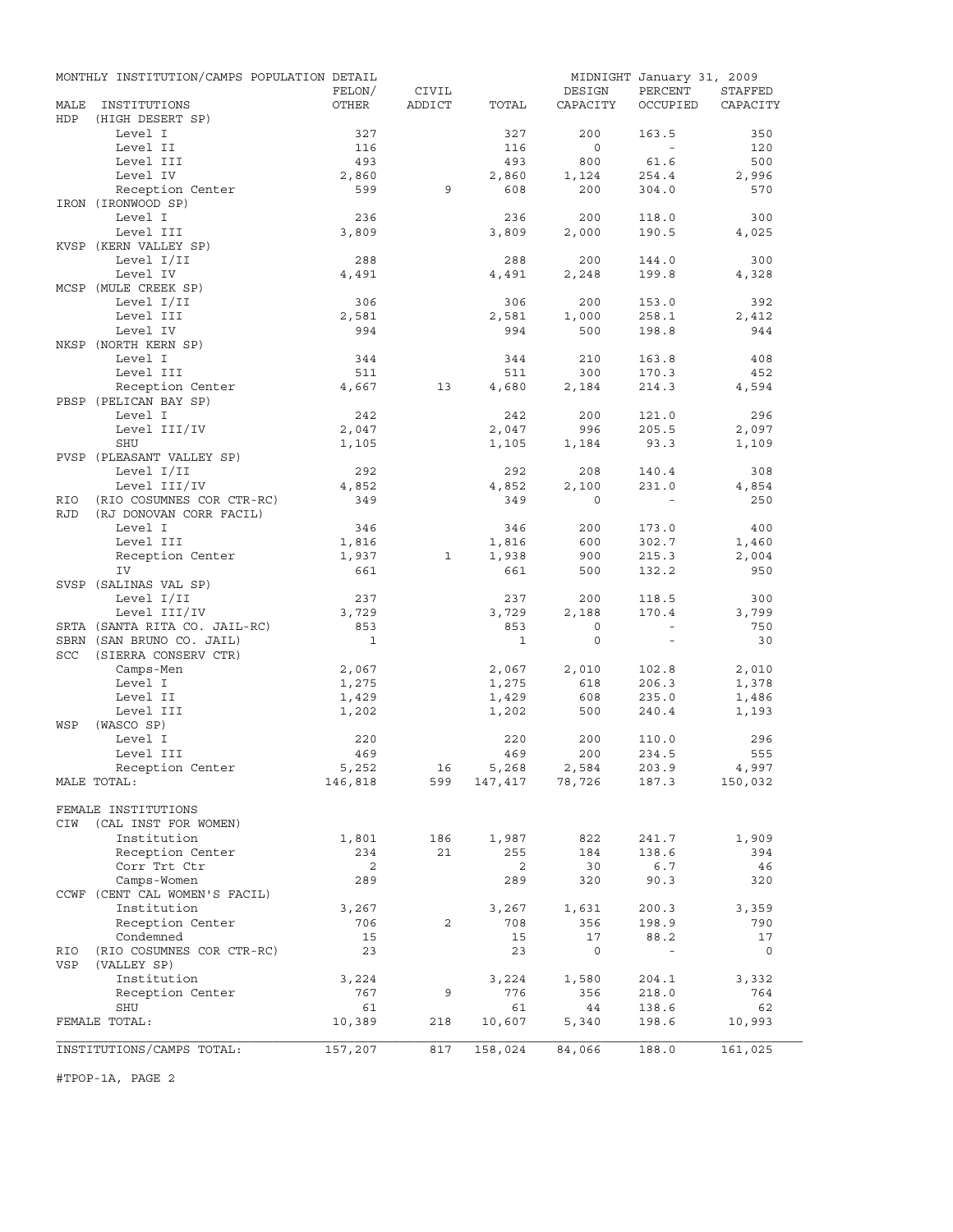|                    | MONTHLY INSTITUTION/CAMPS POPULATION DETAIL |              |              |              |                | MIDNIGHT January 31, 2009 |              |
|--------------------|---------------------------------------------|--------------|--------------|--------------|----------------|---------------------------|--------------|
|                    |                                             | FELON/       | CIVIL        |              | DESIGN         | PERCENT                   | STAFFED      |
| MALE<br><b>HDP</b> | INSTITUTIONS<br>(HIGH DESERT SP)            | OTHER        | ADDICT       | TOTAL        | CAPACITY       | OCCUPIED                  | CAPACITY     |
|                    | Level I                                     | 327          |              | 327          | 200            | 163.5                     | 350          |
|                    | Level II                                    | 116          |              | 116          | $\overline{0}$ | $\sim$                    | 120          |
|                    | Level III                                   | 493          |              | 493          | 800            | 61.6                      | 500          |
|                    | Level IV                                    | 2,860        |              | 2,860        | 1,124          | 254.4                     | 2,996        |
|                    | Reception Center                            | 599          | 9            | 608          | 200            | 304.0                     | 570          |
|                    | IRON (IRONWOOD SP)                          |              |              |              |                |                           |              |
|                    | Level I                                     | 236          |              | 236          | 200            | 118.0                     | 300          |
|                    | Level III                                   | 3,809        |              | 3,809        | 2,000          | 190.5                     | 4,025        |
|                    | KVSP (KERN VALLEY SP)                       |              |              |              |                |                           |              |
|                    | Level I/II                                  | 288          |              | 288          | 200            | 144.0                     | 300          |
|                    | Level IV                                    | 4,491        |              | 4,491        | 2,248          | 199.8                     | 4,328        |
|                    | MCSP (MULE CREEK SP)                        |              |              |              |                |                           |              |
|                    | Level I/II                                  | 306          |              | 306          | 200            | 153.0                     | 392          |
|                    | Level III<br>Level IV                       | 2,581<br>994 |              | 2,581<br>994 | 1,000<br>500   | 258.1<br>198.8            | 2,412<br>944 |
|                    | NKSP (NORTH KERN SP)                        |              |              |              |                |                           |              |
|                    | Level I                                     | 344          |              | 344          | 210            | 163.8                     | 408          |
|                    | Level III                                   | 511          |              | 511          | 300            | 170.3                     | 452          |
|                    | Reception Center                            | 4,667        | 13           | 4,680        | 2,184          | 214.3                     | 4,594        |
|                    | PBSP (PELICAN BAY SP)                       |              |              |              |                |                           |              |
|                    | Level I                                     | 242          |              | 242          | 200            | 121.0                     | 296          |
|                    | Level III/IV                                | 2,047        |              | 2,047        | 996            | 205.5                     | 2,097        |
|                    | SHU                                         | 1,105        |              | 1,105        | 1,184          | 93.3                      | 1,109        |
|                    | PVSP (PLEASANT VALLEY SP)                   |              |              |              |                |                           |              |
|                    | Level I/II                                  | 292          |              | 292          | 208            | 140.4                     | 308          |
|                    | Level III/IV                                | 4,852        |              | 4,852        | 2,100          | 231.0                     | 4,854        |
| RIO                | (RIO COSUMNES COR CTR-RC)                   | 349          |              | 349          | $\Omega$       |                           | 250          |
| <b>RJD</b>         | (RJ DONOVAN CORR FACIL)<br>Level I          | 346          |              | 346          | 200            | 173.0                     | 400          |
|                    | Level III                                   | 1,816        |              | 1,816        | 600            | 302.7                     | 1,460        |
|                    | Reception Center                            | 1,937        | $\mathbf{1}$ | 1,938        | 900            | 215.3                     | 2,004        |
|                    | IV                                          | 661          |              | 661          | 500            | 132.2                     | 950          |
|                    | SVSP (SALINAS VAL SP)                       |              |              |              |                |                           |              |
|                    | Level I/II                                  | 237          |              | 237          | 200            | 118.5                     | 300          |
|                    | Level III/IV                                | 3,729        |              | 3,729        | 2,188          | 170.4                     | 3,799        |
|                    | SRTA (SANTA RITA CO. JAIL-RC)               | 853          |              | 853          | $\circ$        | $\sim$                    | 750          |
|                    | SBRN (SAN BRUNO CO. JAIL)                   | $\mathbf{1}$ |              | $\mathbf{1}$ | $\circ$        | $\sim$                    | 30           |
| SCC                | (SIERRA CONSERV CTR)                        |              |              |              |                |                           |              |
|                    | Camps-Men                                   | 2,067        |              | 2,067        | 2,010          | 102.8                     | 2,010        |
|                    | Level I                                     | 1,275        |              | 1,275        | 618            | 206.3                     | 1,378        |
|                    | Level II                                    | 1,429        |              | 1,429        | 608            | 235.0                     | 1,486        |
| WSP                | Level III<br>(WASCO SP)                     | 1,202        |              | 1,202        | 500            | 240.4                     | 1,193        |
|                    | Level I                                     | 220          |              | 220          | 200            | 110.0                     | 296          |
|                    | Level III                                   | 469          |              | 469          | 200            | 234.5                     | 555          |
|                    | Reception Center                            | 5,252        | 16           | 5,268        | 2,584          | 203.9                     | 4,997        |
|                    | MALE TOTAL:                                 | 146,818      | 599          |              | 147,417 78,726 | 187.3                     | 150,032      |
|                    |                                             |              |              |              |                |                           |              |
|                    | FEMALE INSTITUTIONS                         |              |              |              |                |                           |              |
| CIW                | (CAL INST FOR WOMEN)                        |              |              |              |                |                           |              |
|                    | Institution                                 | 1,801        | 186          | 1,987        | 822            | 241.7                     | 1,909        |
|                    | Reception Center                            | 234          | 21           | 255          | 184            | 138.6                     | 394          |
|                    | Corr Trt Ctr                                | 2            |              | 2            | 30             | 6.7                       | 46           |
|                    | Camps-Women                                 | 289          |              | 289          | 320            | 90.3                      | 320          |
|                    | CCWF (CENT CAL WOMEN'S FACIL)               |              |              |              |                |                           |              |
|                    | Institution<br>Reception Center             | 3,267<br>706 | 2            | 3,267<br>708 | 1,631<br>356   | 200.3<br>198.9            | 3,359<br>790 |
|                    | Condemned                                   | 15           |              | 15           | 17             | 88.2                      | 17           |
| RIO                | (RIO COSUMNES COR CTR-RC)                   | 23           |              | 23           | $\circ$        | $\sim$                    | 0            |
| VSP                | (VALLEY SP)                                 |              |              |              |                |                           |              |
|                    | Institution                                 | 3,224        |              | 3,224        | 1,580          | 204.1                     | 3,332        |
|                    | Reception Center                            | 767          | 9            | 776          | 356            | 218.0                     | 764          |
|                    | SHU                                         | 61           |              | 61           | 44             | 138.6                     | 62           |
|                    | FEMALE TOTAL:                               | 10,389       | 218          | 10,607       | 5,340          | 198.6                     | 10,993       |
|                    |                                             |              |              |              |                |                           |              |
|                    | INSTITUTIONS/CAMPS TOTAL:                   | 157,207      | 817          | 158,024      | 84,066         | 188.0                     | 161,025      |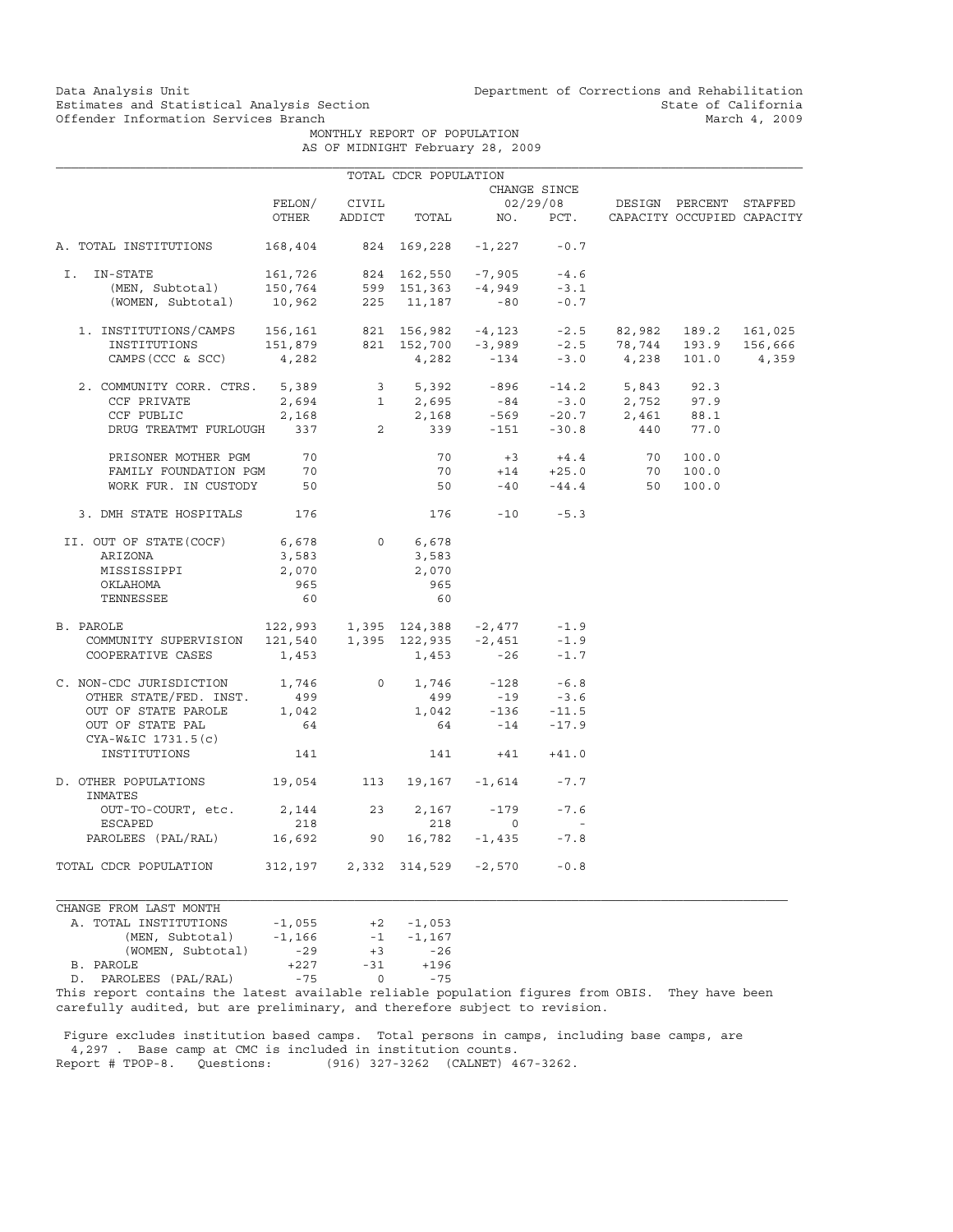Data Analysis Unit Unit Department of Corrections and Rehabilitation<br>Estimates and Statistical Analysis Section State of California Estimates and Statistical Analysis Section State of California<br>
Offender Information Services Branch<br>
March 4, 2009

MONTHLY REPORT OF POPULATION

|  | AS OF MIDNIGHT February 28, 2009 |  |  |
|--|----------------------------------|--|--|
|  |                                  |  |  |

|                                                                                                                                                                                                                                                                                                                                |                                             |              | TOTAL CDCR POPULATION |                                        |                          |                                 |       |                            |
|--------------------------------------------------------------------------------------------------------------------------------------------------------------------------------------------------------------------------------------------------------------------------------------------------------------------------------|---------------------------------------------|--------------|-----------------------|----------------------------------------|--------------------------|---------------------------------|-------|----------------------------|
|                                                                                                                                                                                                                                                                                                                                |                                             |              |                       |                                        | CHANGE SINCE             |                                 |       |                            |
|                                                                                                                                                                                                                                                                                                                                |                                             | FELON/ CIVIL |                       |                                        |                          | 02/29/08 DESIGN PERCENT STAFFED |       |                            |
|                                                                                                                                                                                                                                                                                                                                | OTHER                                       |              |                       | ADDICT TOTAL NO. PCT.                  |                          |                                 |       | CAPACITY OCCUPIED CAPACITY |
| A. TOTAL INSTITUTIONS                                                                                                                                                                                                                                                                                                          | $168,404$ $824$ $169,228$ $-1,227$ $-0.7$   |              |                       |                                        |                          |                                 |       |                            |
| I. IN-STATE                                                                                                                                                                                                                                                                                                                    |                                             |              |                       |                                        |                          |                                 |       |                            |
|                                                                                                                                                                                                                                                                                                                                |                                             |              |                       |                                        |                          |                                 |       |                            |
| 1-STATE 161,726 824 162,550 -7,905 -4.6<br>(MEN, Subtotal) 150,764 599 151,363 -4,949 -3.1<br>(WOMEN, Subtotal) 10,962 225 11,187 -80 -0.7                                                                                                                                                                                     |                                             |              |                       |                                        |                          |                                 |       |                            |
| $\begin{tabular}{lcccccc} 1. & \text{INSTITUTIONS/CAMPS} & 156,161 & 821 & 156,982 & -4,123 & -2.5 & 82,982 & 189.2 & 161,025 \\ \text{INSTITUTIONS} & 151,879 & 821 & 152,700 & -3,989 & -2.5 & 78,744 & 193.9 & 156,666 \\ \text{CAMPS (CCC & SCC) } & 4,282 & 4,282 & -134 & -3.0 & 4,238 & 101.0 & 4,359 \\ \end{tabular}$ |                                             |              |                       |                                        |                          |                                 |       |                            |
|                                                                                                                                                                                                                                                                                                                                |                                             |              |                       |                                        |                          |                                 |       |                            |
|                                                                                                                                                                                                                                                                                                                                | 4,282                                       |              |                       |                                        |                          |                                 |       |                            |
| COMMUNITY CORR. CTRS. 5,389<br>CCF PRIVATE 2,694<br>CCF PRIVATE 2,168<br>CCF PUBLIC 2,168<br>2,168<br>2,168<br>2,168<br>2,168<br>2,168<br>2,168<br>2,168<br>2,159<br>2,159<br>2,159<br>2,168<br>2,159<br>2,168<br>2,159<br>2,97.9<br>2,461<br>88.1<br>2,752<br>2,752<br>2,1<br>2. COMMUNITY CORR. CTRS. 5,389                  |                                             |              |                       |                                        |                          |                                 |       |                            |
|                                                                                                                                                                                                                                                                                                                                |                                             |              |                       |                                        |                          |                                 |       |                            |
|                                                                                                                                                                                                                                                                                                                                |                                             |              |                       |                                        |                          |                                 |       |                            |
|                                                                                                                                                                                                                                                                                                                                |                                             |              |                       |                                        |                          |                                 |       |                            |
| PRISONER MOTHER PGM 70<br>FAMILY FOUNDATION PGM 70                                                                                                                                                                                                                                                                             |                                             |              |                       | $70$ $+3$ $+4.4$<br>$70$ $+14$ $+25.0$ |                          | 70<br>70                        | 100.0 |                            |
| FAMILY FOUNDATION PGM                                                                                                                                                                                                                                                                                                          |                                             |              |                       |                                        |                          |                                 | 100.0 |                            |
| WORK FUR. IN CUSTODY 50                                                                                                                                                                                                                                                                                                        |                                             |              |                       | $50 -40 -44.4$ 50                      |                          |                                 | 100.0 |                            |
| 3. DMH STATE HOSPITALS 176                                                                                                                                                                                                                                                                                                     |                                             |              | 176                   |                                        | $-10 - 5.3$              |                                 |       |                            |
| II. OUT OF STATE(COCF)                                                                                                                                                                                                                                                                                                         | 6,678                                       |              | 0 6,678               |                                        |                          |                                 |       |                            |
| ARIZONA                                                                                                                                                                                                                                                                                                                        | 3,583                                       |              | 3,583                 |                                        |                          |                                 |       |                            |
| MISSISSIPPI                                                                                                                                                                                                                                                                                                                    | 2,070                                       |              | 2,070                 |                                        |                          |                                 |       |                            |
| OKLAHOMA                                                                                                                                                                                                                                                                                                                       | 965                                         |              | 965                   |                                        |                          |                                 |       |                            |
| TENNESSEE                                                                                                                                                                                                                                                                                                                      | 60                                          |              | 60                    |                                        |                          |                                 |       |                            |
| B. PAROLE                                                                                                                                                                                                                                                                                                                      | $122,993$ $1,395$ $124,388$ $-2,477$ $-1.9$ |              |                       |                                        |                          |                                 |       |                            |
| COMMUNITY SUPERVISION                                                                                                                                                                                                                                                                                                          | 121,540  1,395  122,935  -2,451             |              |                       |                                        | $-1.9$                   |                                 |       |                            |
| COOPERATIVE CASES                                                                                                                                                                                                                                                                                                              | 1,453                                       |              | 1,453                 | $-26$                                  | $-1.7$                   |                                 |       |                            |
| C. NON-CDC JURISDICTION 1,746                                                                                                                                                                                                                                                                                                  |                                             |              | $0 \qquad \qquad$     | $1,746$ $-128$ $-6.8$                  |                          |                                 |       |                            |
| OTHER STATE/FED. INST.                                                                                                                                                                                                                                                                                                         | 499                                         |              | 499                   | $-19 -3.6$                             |                          |                                 |       |                            |
| OUT OF STATE PAROLE                                                                                                                                                                                                                                                                                                            | 1,042                                       |              |                       | $1,042 -136 -11.5$                     |                          |                                 |       |                            |
| OUT OF STATE PAL<br>CYA-W&IC 1731.5(c)                                                                                                                                                                                                                                                                                         | 64                                          |              |                       | $64 -14 -17.9$                         |                          |                                 |       |                            |
| INSTITUTIONS                                                                                                                                                                                                                                                                                                                   | 141                                         |              |                       | $141 +41 +41.0$                        |                          |                                 |       |                            |
| D. OTHER POPULATIONS 19,054 113 19,167 -1,614 -7.7<br>INMATES                                                                                                                                                                                                                                                                  |                                             |              |                       |                                        |                          |                                 |       |                            |
| OUT-TO-COURT, etc.                                                                                                                                                                                                                                                                                                             | 2, 144 23                                   |              | 2,167                 | $-179$                                 | $-7.6$                   |                                 |       |                            |
| ESCAPED                                                                                                                                                                                                                                                                                                                        | 218                                         |              | 218                   | $\overline{0}$                         | $\overline{\phantom{a}}$ |                                 |       |                            |
| PAROLEES (PAL/RAL) 16,692 90                                                                                                                                                                                                                                                                                                   |                                             |              |                       | 16,782 -1,435                          | $-7.8$                   |                                 |       |                            |
| TOTAL CDCR POPULATION                                                                                                                                                                                                                                                                                                          | 312,197 2,332 314,529 -2,570                |              |                       |                                        | $-0.8$                   |                                 |       |                            |

| CHANGE FROM LASI MONIA |          |              |          |
|------------------------|----------|--------------|----------|
| A. TOTAL INSTITUTIONS  | $-1,055$ | $+2$         | $-1,053$ |
| (MEN, Subtotal)        | $-1,166$ | $-1$         | $-1.167$ |
| (WOMEN, Subtotal)      | $-29$    | $+3$         | $-26$    |
| B. PAROLE              | $+227$   | $-31$        | $+196$   |
| D. PAROLEES (PAL/RAL)  | $-75$    | <sup>0</sup> | $-75$    |

CHANGE FROM LAGE MONEY

This report contains the latest available reliable population figures from OBIS. They have been carefully audited, but are preliminary, and therefore subject to revision.

 Figure excludes institution based camps. Total persons in camps, including base camps, are 4,297 . Base camp at CMC is included in institution counts. Report # TPOP-8. Questions: (916) 327-3262 (CALNET) 467-3262.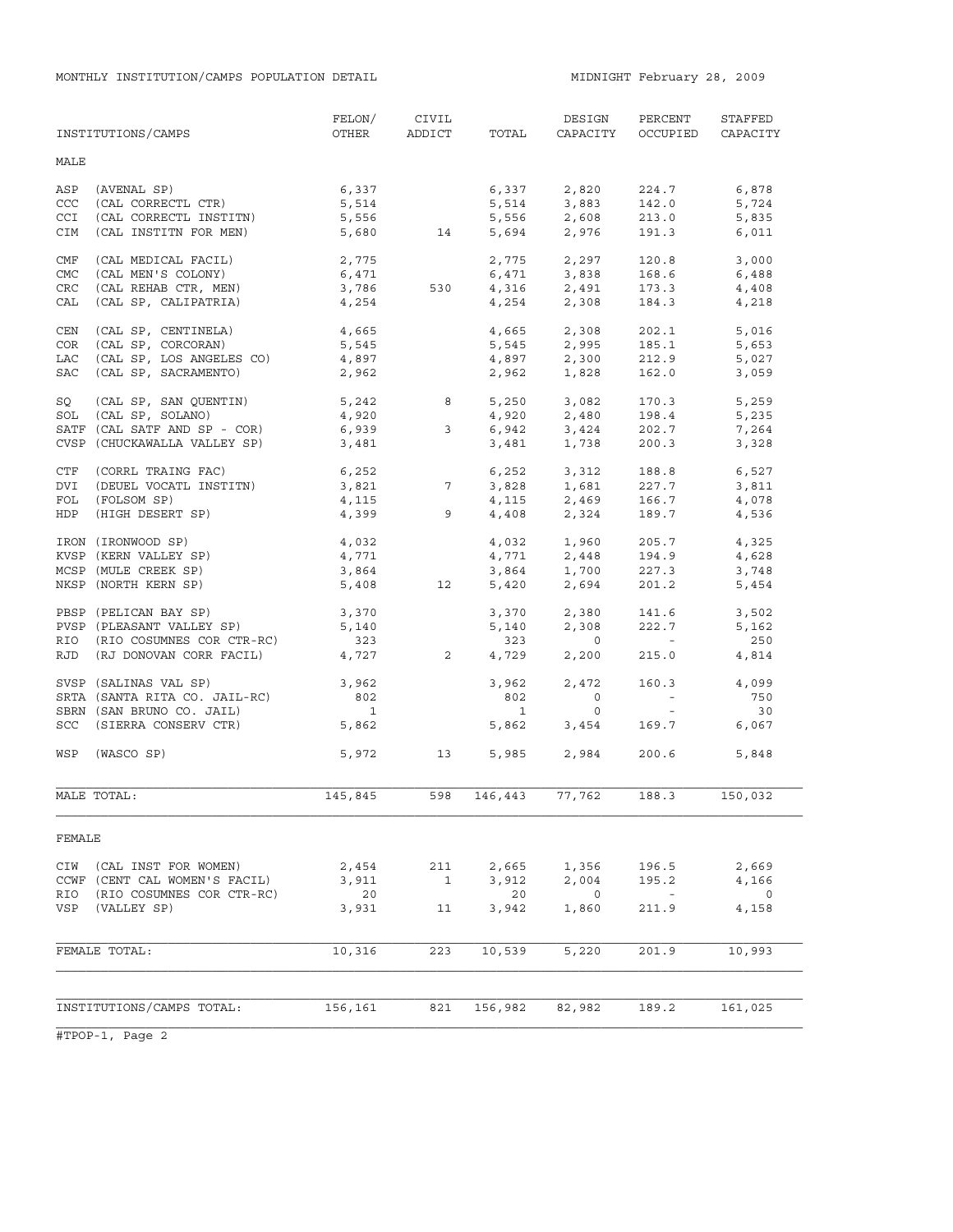|            | INSTITUTIONS/CAMPS                       | FELON/<br>OTHER          | CIVIL<br>ADDICT | TOTAL        | DESIGN<br>CAPACITY                 | PERCENT<br>OCCUPIED                     | STAFFED<br>CAPACITY |
|------------|------------------------------------------|--------------------------|-----------------|--------------|------------------------------------|-----------------------------------------|---------------------|
| MALE       |                                          |                          |                 |              |                                    |                                         |                     |
| ASP        | (AVENAL SP)                              | 6,337                    |                 | 6,337        | 2,820                              | 224.7                                   | 6,878               |
| <b>CCC</b> | (CAL CORRECTL CTR)                       | 5,514                    |                 |              |                                    | 142.0                                   | 5,724               |
| <b>CCI</b> | (CAL CORRECTL INSTITN)                   | 5,556                    |                 |              | 5,514 3,883<br>5,556 2,608         | 213.0                                   | 5,835               |
| CIM        | (CAL INSTITN FOR MEN)                    |                          | 5,680 14        |              | 5,694 2,976                        | 191.3                                   | 6,011               |
| CMF        | (CAL MEDICAL FACIL)                      | 2,775                    |                 |              | $2,775$ $2,297$                    | 120.8                                   | 3,000               |
| <b>CMC</b> | (CAL MEN'S COLONY)                       | 6,471                    |                 |              | $6,471$ $3,838$                    | 168.6                                   | 6,488               |
| <b>CRC</b> | (CAL REHAB CTR, MEN)                     | 3,786                    | 530             |              |                                    | 173.3                                   | 4,408               |
| CAL        | (CAL SP, CALIPATRIA)                     | 4,254                    |                 |              | $4,316$ $2,491$<br>$4,254$ $2,308$ | 184.3                                   | 4,218               |
| CEN        | (CAL SP, CENTINELA)                      | 4,665                    |                 |              | 4,665 2,308                        | 202.1                                   | 5,016               |
| COR        | (CAL SP, CORCORAN)                       | 5,545                    |                 |              | 5,545 2,995<br>4,897 2,300         | 185.1                                   | 5,653               |
| LAC        | (CAL SP, LOS ANGELES CO)                 | 4,897                    |                 |              |                                    | 212.9                                   | 5,027               |
| SAC        | (CAL SP, SACRAMENTO)                     | 2,962                    |                 |              | 2,962 1,828                        | 162.0                                   | 3,059               |
| SQ         | (CAL SP, SAN QUENTIN)                    | 5,242<br>4,920           |                 | 8            | 5,250 3,082<br>4,920 2,480         | 170.3                                   | 5,259               |
| SOL        | (CAL SP, SOLANO)                         |                          |                 |              |                                    | 198.4                                   | 5,235               |
|            | SATF (CAL SATF AND SP - COR)             | 6,939                    | $\mathbf{3}$    |              | 6,942 3,424                        | 202.7                                   | 7,264               |
|            | CVSP (CHUCKAWALLA VALLEY SP)             | 3,481                    |                 | 3,481        | 1,738                              | 200.3                                   | 3,328               |
| CTF        | (CORRL TRAING FAC)                       | $6,252$<br>3,821<br>5.15 |                 | 6,252        | 3,312                              | 188.8                                   | 6,527               |
| DVI        | (DEUEL VOCATL INSTITN)                   |                          |                 |              | 3,828 1,681                        | 227.7                                   | 3,811               |
| FOL        | (FOLSOM SP)                              | 4,115                    |                 | 4,115        | 2,469                              | 166.7                                   | 4,078               |
| HDP        | (HIGH DESERT SP)                         |                          | $4,399$ 9       |              | 4,408 2,324                        | 189.7                                   | 4,536               |
|            | IRON (IRONWOOD SP)                       | 4,032                    |                 |              | 4,032 1,960                        | 205.7                                   | 4,325               |
|            | KVSP (KERN VALLEY SP)                    | 4,771                    |                 | 4,771        | 2,448                              | 194.9                                   | 4,628               |
|            | MCSP (MULE CREEK SP)                     | 3,864                    |                 | 3,864        | 1,700                              | 227.3                                   | 3,748               |
|            | NKSP (NORTH KERN SP)                     | 5,408                    | 12              | 5,420        | 2,694                              | 201.2                                   | 5,454               |
|            | PBSP (PELICAN BAY SP)                    | 3,370                    |                 | 3,370        | 2,380                              | 141.6                                   | 3,502               |
|            | PVSP (PLEASANT VALLEY SP)                | 5,140                    |                 | 5,140        | 2,308                              | 222.7                                   | 5,162               |
|            | RIO (RIO COSUMNES COR CTR-RC)            | 323                      |                 | 323          | $\circ$                            | $\mathcal{L}^{\text{max}}_{\text{max}}$ | 250                 |
|            | RJD (RJ DONOVAN CORR FACIL)              |                          | 4,727 2         | 4,729        | 2,200                              | 215.0                                   | 4,814               |
|            | SVSP (SALINAS VAL SP)                    | 3,962                    |                 | 3,962        | 2,472                              | 160.3                                   | 4,099               |
|            | SRTA (SANTA RITA CO. JAIL-RC)            | 802                      |                 | 802          | $\circ$                            | $\alpha \rightarrow \alpha$             | 750                 |
|            | SBRN (SAN BRUNO CO. JAIL)                | $\overline{\phantom{a}}$ |                 | $\mathbf{1}$ | $\circ$                            | $\sim$                                  | 30                  |
|            | SCC (SIERRA CONSERV CTR)                 | 5,862                    |                 | 5,862        | 3,454                              | 169.7                                   | 6,067               |
|            | WSP (WASCO SP)                           |                          | 5,972 13        | 5,985        | 2,984                              | 200.6                                   | 5,848               |
|            | MALE TOTAL:                              | 145,845                  | 598             | 146,443      | 77,762                             | 188.3                                   | 150,032             |
| FEMALE     |                                          |                          |                 |              |                                    |                                         |                     |
| CIW        | (CAL INST FOR WOMEN)                     | 2,454                    | 211             | 2,665        | 1,356                              | 196.5                                   | 2,669               |
|            | CCWF (CENT CAL WOMEN'S FACIL)            | 3,911                    | $\overline{1}$  | 3,912        | 2,004                              | 195.2                                   | 4,166               |
| RIO<br>VSP | (RIO COSUMNES COR CTR-RC)<br>(VALLEY SP) | 20<br>3,931              | 11              | 20<br>3,942  | $\overline{0}$<br>1,860            | $\sim$ $ \sim$<br>211.9                 | $\circ$<br>4,158    |
|            |                                          |                          |                 |              |                                    |                                         |                     |
|            | FEMALE TOTAL:                            | 10,316                   | 223             | 10,539       | 5,220                              | 201.9                                   | 10,993              |
|            |                                          |                          |                 |              |                                    |                                         |                     |
|            | INSTITUTIONS/CAMPS TOTAL:                | 156,161                  | 821             | 156,982      | 82,982                             | 189.2                                   | 161,025             |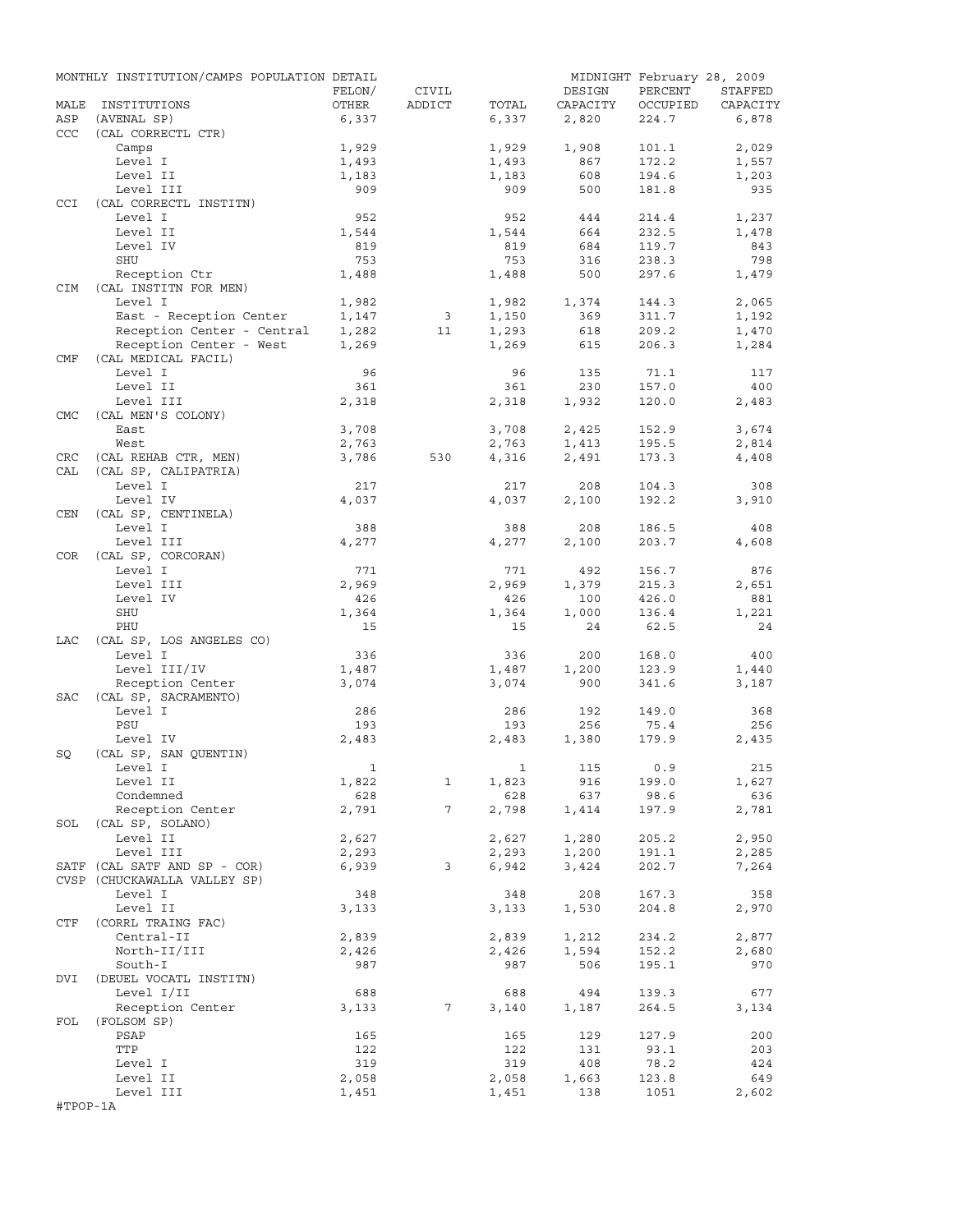|            | MONTHLY INSTITUTION/CAMPS POPULATION DETAIL |              |                 |       |          | MIDNIGHT February 28, 2009 |          |
|------------|---------------------------------------------|--------------|-----------------|-------|----------|----------------------------|----------|
|            |                                             | FELON/       | CIVIL           |       | DESIGN   | PERCENT                    | STAFFED  |
| MALE       | INSTITUTIONS                                | OTHER        | ADDICT          | TOTAL | CAPACITY | OCCUPIED                   | CAPACITY |
| ASP        | (AVENAL SP)                                 | 6,337        |                 | 6,337 | 2,820    | 224.7                      | 6,878    |
| <b>CCC</b> | (CAL CORRECTL CTR)                          |              |                 |       |          |                            |          |
|            | Camps                                       | 1,929        |                 | 1,929 | 1,908    | 101.1                      | 2,029    |
|            | Level I                                     | 1,493        |                 | 1,493 | 867      | 172.2                      | 1,557    |
|            | Level II                                    | 1,183        |                 | 1,183 | 608      | 194.6                      | 1,203    |
|            | Level III                                   | 909          |                 | 909   | 500      | 181.8                      | 935      |
| <b>CCI</b> | (CAL CORRECTL INSTITN)                      |              |                 |       |          |                            |          |
|            | Level I                                     | 952          |                 | 952   | 444      | 214.4                      | 1,237    |
|            | Level II                                    | 1,544        |                 | 1,544 | 664      | 232.5                      | 1,478    |
|            | Level IV                                    | 819          |                 | 819   | 684      | 119.7                      | 843      |
|            | SHU                                         | 753          |                 | 753   | 316      | 238.3                      | 798      |
|            | Reception Ctr                               | 1,488        |                 | 1,488 | 500      | 297.6                      | 1,479    |
| <b>CIM</b> | (CAL INSTITN FOR MEN)                       |              |                 |       |          |                            |          |
|            | Level I                                     | 1,982        |                 | 1,982 | 1,374    | 144.3                      | 2,065    |
|            | East - Reception Center                     | 1,147        | $\overline{3}$  | 1,150 | 369      | 311.7                      | 1,192    |
|            | Reception Center - Central                  | 1,282        | 11              | 1,293 | 618      | 209.2                      | 1,470    |
|            | Reception Center - West                     | 1,269        |                 | 1,269 | 615      | 206.3                      | 1,284    |
| CMF        | (CAL MEDICAL FACIL)                         |              |                 |       |          |                            |          |
|            | Level I                                     | 96           |                 | 96    | 135      | 71.1                       | 117      |
|            | Level II                                    | 361          |                 | 361   | 230      | 157.0                      | 400      |
|            | Level III                                   | 2,318        |                 | 2,318 | 1,932    | 120.0                      | 2,483    |
| <b>CMC</b> | (CAL MEN'S COLONY)                          |              |                 |       |          |                            |          |
|            | East                                        | 3,708        |                 | 3,708 | 2,425    | 152.9                      | 3,674    |
|            |                                             |              |                 |       |          |                            | 2,814    |
|            | West                                        | 2,763        |                 | 2,763 | 1,413    | 195.5<br>173.3             |          |
| CRC        | (CAL REHAB CTR, MEN)                        | 3,786        | 530             | 4,316 | 2,491    |                            | 4,408    |
| CAL        | (CAL SP, CALIPATRIA)                        |              |                 |       |          |                            |          |
|            | Level I                                     | 217          |                 | 217   | 208      | 104.3                      | 308      |
|            | Level IV                                    | 4,037        |                 | 4,037 | 2,100    | 192.2                      | 3,910    |
| CEN        | (CAL SP, CENTINELA)                         |              |                 |       |          |                            |          |
|            | Level I                                     | 388          |                 | 388   | 208      | 186.5                      | 408      |
|            | Level III                                   | 4,277        |                 | 4,277 | 2,100    | 203.7                      | 4,608    |
| COR        | (CAL SP, CORCORAN)                          |              |                 |       |          |                            |          |
|            | Level I                                     | 771          |                 | 771   | 492      | 156.7                      | 876      |
|            | Level III                                   | 2,969        |                 | 2,969 | 1,379    | 215.3                      | 2,651    |
|            | Level IV                                    | 426          |                 | 426   | 100      | 426.0                      | 881      |
|            | SHU                                         | 1,364        |                 | 1,364 | 1,000    | 136.4                      | 1,221    |
|            | PHU                                         | 15           |                 | 15    | 24       | 62.5                       | 24       |
| LAC        | (CAL SP, LOS ANGELES CO)                    |              |                 |       |          |                            |          |
|            | Level I                                     | 336          |                 | 336   | 200      | 168.0                      | 400      |
|            | Level III/IV                                | 1,487        |                 | 1,487 | 1,200    | 123.9                      | 1,440    |
|            | Reception Center                            | 3,074        |                 | 3,074 | 900      | 341.6                      | 3,187    |
| SAC        | (CAL SP, SACRAMENTO)                        |              |                 |       |          |                            |          |
|            | Level I                                     | 286          |                 | 286   | 192      | 149.0                      | 368      |
|            | PSU                                         | 193          |                 | 193   | 256      | 75.4                       | 256      |
|            | Level IV                                    | 2,483        |                 | 2,483 | 1,380    | 179.9                      | 2,435    |
| SQ         | (CAL SP, SAN QUENTIN)                       |              |                 |       |          |                            |          |
|            | Level I                                     | $\mathbf{1}$ |                 |       | 1 115    | 0.9                        | 215      |
|            | Level II                                    |              |                 |       |          | 199.0                      |          |
|            | Condemned                                   | 1,822        | $\mathbf{1}$    | 1,823 | 916      | 98.6                       | 1,627    |
|            |                                             | 628          |                 | 628   | 637      |                            | 636      |
|            | Reception Center                            | 2,791        | $7\overline{ }$ | 2,798 | 1,414    | 197.9                      | 2,781    |
|            | SOL (CAL SP, SOLANO)                        |              |                 |       |          |                            |          |
|            | Level II                                    | 2,627        |                 | 2,627 | 1,280    | 205.2                      | 2,950    |
|            | Level III                                   | 2,293        |                 | 2,293 | 1,200    | 191.1                      | 2,285    |
|            | SATF (CAL SATF AND SP - COR)                | 6,939        | $\mathbf{3}$    | 6,942 | 3,424    | 202.7                      | 7,264    |
|            | CVSP (CHUCKAWALLA VALLEY SP)                |              |                 |       |          |                            |          |
|            | Level I                                     | 348          |                 | 348   | 208      | 167.3                      | 358      |
|            | Level II                                    | 3,133        |                 | 3,133 | 1,530    | 204.8                      | 2,970    |
| CTF        | (CORRL TRAING FAC)                          |              |                 |       |          |                            |          |
|            | Central-II                                  | 2,839        |                 | 2,839 | 1,212    | 234.2                      | 2,877    |
|            | North-II/III                                | 2,426        |                 | 2,426 | 1,594    | 152.2                      | 2,680    |
|            | South-I                                     | 987          |                 | 987   | 506      | 195.1                      | 970      |
| DVI        | (DEUEL VOCATL INSTITN)                      |              |                 |       |          |                            |          |
|            | Level I/II                                  | 688          |                 | 688   | 494      | 139.3                      | 677      |
|            | Reception Center                            | 3,133        | 7               | 3,140 | 1,187    | 264.5                      | 3,134    |
| FOL        | (FOLSOM SP)                                 |              |                 |       |          |                            |          |
|            | PSAP                                        | 165          |                 | 165   | 129      | 127.9                      | 200      |
|            | TTP                                         | 122          |                 | 122   | 131      | 93.1                       | 203      |
|            | Level I                                     | 319          |                 | 319   | 408      | 78.2                       | 424      |
|            | Level II                                    | 2,058        |                 | 2,058 | 1,663    | 123.8                      | 649      |
|            | Level III                                   | 1,451        |                 | 1,451 | 138      | 1051                       | 2,602    |
| #TPOP-1A   |                                             |              |                 |       |          |                            |          |
|            |                                             |              |                 |       |          |                            |          |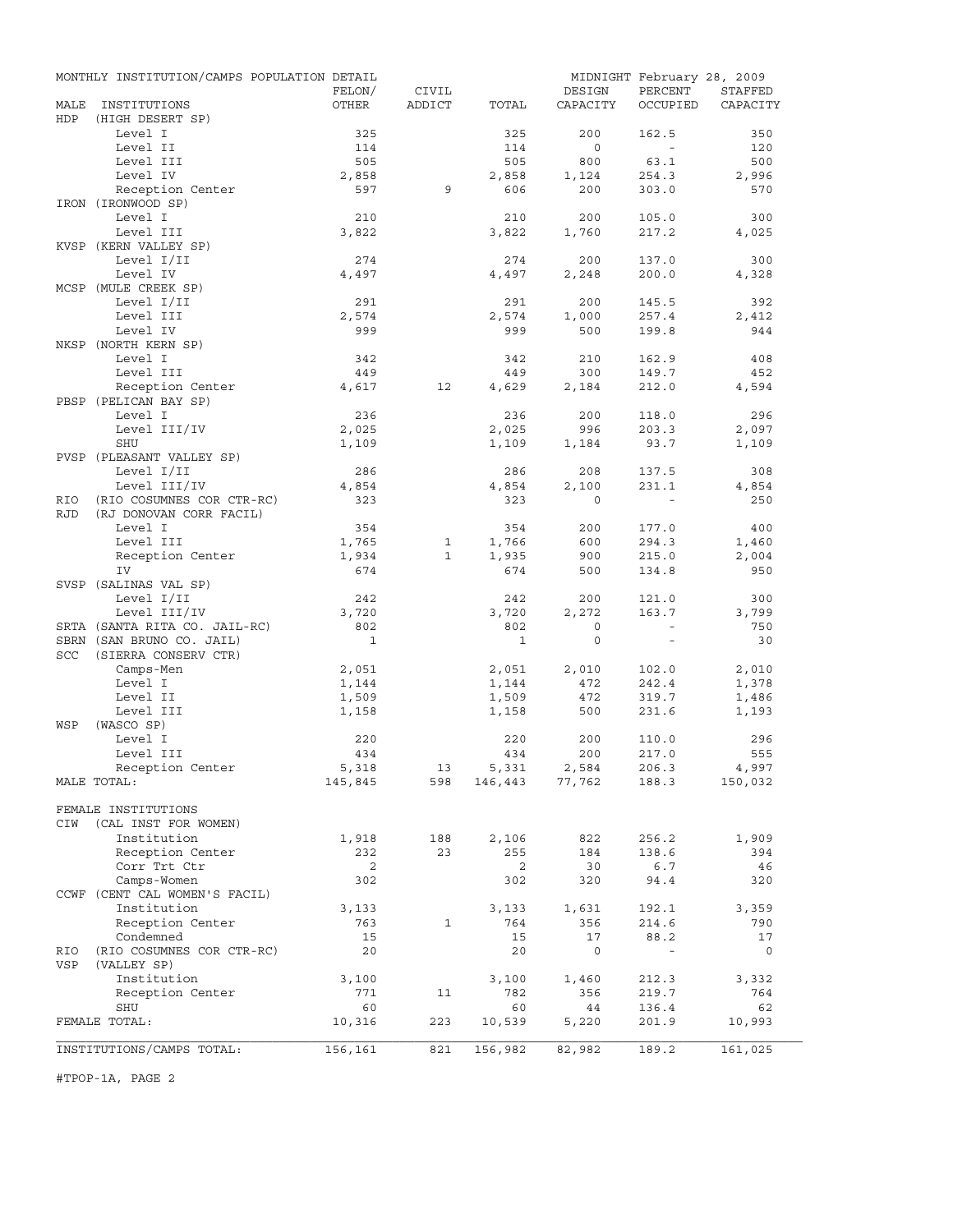|            | MONTHLY INSTITUTION/CAMPS POPULATION DETAIL |              |              |              |                | MIDNIGHT February 28, 2009 |              |
|------------|---------------------------------------------|--------------|--------------|--------------|----------------|----------------------------|--------------|
|            |                                             | FELON/       | CIVIL        |              | DESIGN         | PERCENT                    | STAFFED      |
| MALE       | INSTITUTIONS                                | OTHER        | ADDICT       | TOTAL        | CAPACITY       | OCCUPIED                   | CAPACITY     |
| HDP        | (HIGH DESERT SP)<br>Level I                 | 325          |              |              | 200            | 162.5                      | 350          |
|            | Level II                                    | 114          |              | 325<br>114   | $\circ$        | $\sim$                     | 120          |
|            | Level III                                   | 505          |              | 505          | 800            | 63.1                       | 500          |
|            | Level IV                                    | 2,858        |              | 2,858        | 1,124          | 254.3                      | 2,996        |
|            | Reception Center                            | 597          | 9            | 606          | 200            | 303.0                      | 570          |
|            | IRON (IRONWOOD SP)                          |              |              |              |                |                            |              |
|            | Level I                                     | 210          |              | 210          | 200            | 105.0                      | 300          |
|            | Level III                                   | 3,822        |              | 3,822        | 1,760          | 217.2                      | 4,025        |
|            | KVSP (KERN VALLEY SP)                       |              |              |              |                |                            |              |
|            | Level I/II                                  | 274          |              | 274          | 200            | 137.0                      | 300          |
|            | Level IV                                    | 4,497        |              | 4,497        | 2,248          | 200.0                      | 4,328        |
|            | MCSP (MULE CREEK SP)                        |              |              |              |                |                            |              |
|            | Level I/II                                  | 291          |              | 291          | 200            | 145.5                      | 392          |
|            | Level III                                   | 2,574        |              | 2,574        | 1,000          | 257.4                      | 2,412        |
|            | Level IV                                    | 999          |              | 999          | 500            | 199.8                      | 944          |
|            | NKSP (NORTH KERN SP)                        |              |              |              |                |                            |              |
|            | Level I<br>Level III                        | 342<br>449   |              | 342<br>449   | 210<br>300     | 162.9<br>149.7             | 408<br>452   |
|            | Reception Center                            | 4,617        | 12           | 4,629        | 2,184          | 212.0                      | 4,594        |
|            | PBSP (PELICAN BAY SP)                       |              |              |              |                |                            |              |
|            | Level I                                     | 236          |              | 236          | 200            | 118.0                      | 296          |
|            | Level III/IV                                | 2,025        |              | 2,025        | 996            | 203.3                      | 2,097        |
|            | SHU                                         | 1,109        |              | 1,109        | 1,184          | 93.7                       | 1,109        |
|            | PVSP (PLEASANT VALLEY SP)                   |              |              |              |                |                            |              |
|            | Level I/II                                  | 286          |              | 286          | 208            | 137.5                      | 308          |
|            | Level III/IV                                | 4,854        |              | 4,854        | 2,100          | 231.1                      | 4,854        |
| RIO        | (RIO COSUMNES COR CTR-RC)                   | 323          |              | 323          | $\Omega$       |                            | 250          |
| <b>RJD</b> | (RJ DONOVAN CORR FACIL)                     |              |              |              |                |                            |              |
|            | Level I                                     | 354          |              | 354          | 200            | 177.0                      | 400          |
|            | Level III                                   | 1,765        | $\mathbf{1}$ | 1,766        | 600            | 294.3                      | 1,460        |
|            | Reception Center                            | 1,934        | $\mathbf{1}$ | 1,935        | 900            | 215.0                      | 2,004        |
|            | IV                                          | 674          |              | 674          | 500            | 134.8                      | 950          |
|            | SVSP (SALINAS VAL SP)                       |              |              |              |                |                            |              |
|            | Level I/II<br>Level III/IV                  | 242          |              | 242          | 200<br>2,272   | 121.0                      | 300          |
|            | SRTA (SANTA RITA CO. JAIL-RC)               | 3,720<br>802 |              | 3,720<br>802 | $\circ$        | 163.7<br>$\sim$            | 3,799<br>750 |
|            | SBRN (SAN BRUNO CO. JAIL)                   | $\mathbf{1}$ |              | $\mathbf{1}$ | $\circ$        | $\sim$                     | 30           |
| <b>SCC</b> | (SIERRA CONSERV CTR)                        |              |              |              |                |                            |              |
|            | Camps-Men                                   | 2,051        |              | 2,051        | 2,010          | 102.0                      | 2,010        |
|            | Level I                                     | 1,144        |              | 1,144        | 472            | 242.4                      | 1,378        |
|            | Level II                                    | 1,509        |              | 1,509        | 472            | 319.7                      | 1,486        |
|            | Level III                                   | 1,158        |              | 1,158        | 500            | 231.6                      | 1,193        |
| WSP        | (WASCO SP)                                  |              |              |              |                |                            |              |
|            | Level I                                     | 220          |              | 220          | 200            | 110.0                      | 296          |
|            | Level III                                   | 434          |              | 434          | 200            | 217.0                      | 555          |
|            | Reception Center                            | 5,318        | 13           | 5,331        | 2,584          | 206.3                      | 4,997        |
|            | MALE TOTAL:                                 | 145,845      | 598          |              | 146,443 77,762 | 188.3                      | 150,032      |
|            |                                             |              |              |              |                |                            |              |
|            | FEMALE INSTITUTIONS                         |              |              |              |                |                            |              |
| CIW        | (CAL INST FOR WOMEN)<br>Institution         |              |              |              |                |                            |              |
|            | Reception Center                            | 1,918<br>232 | 188<br>23    | 2,106<br>255 | 822<br>184     | 256.2<br>138.6             | 1,909<br>394 |
|            | Corr Trt Ctr                                | 2            |              | 2            | 30             | 6.7                        | 46           |
|            | Camps-Women                                 | 302          |              | 302          | 320            | 94.4                       | 320          |
|            | CCWF (CENT CAL WOMEN'S FACIL)               |              |              |              |                |                            |              |
|            | Institution                                 | 3,133        |              | 3,133        | 1,631          | 192.1                      | 3,359        |
|            | Reception Center                            | 763          | 1            | 764          | 356            | 214.6                      | 790          |
|            | Condemned                                   | 15           |              | 15           | 17             | 88.2                       | 17           |
| RIO        | (RIO COSUMNES COR CTR-RC)                   | 20           |              | 20           | $\circ$        | $\overline{\phantom{a}}$   | 0            |
| VSP        | (VALLEY SP)                                 |              |              |              |                |                            |              |
|            | Institution                                 | 3,100        |              | 3,100        | 1,460          | 212.3                      | 3,332        |
|            | Reception Center                            | 771          | 11           | 782          | 356            | 219.7                      | 764          |
|            | SHU                                         | 60           |              | 60           | 44             | 136.4                      | 62           |
|            | FEMALE TOTAL:                               | 10,316       | 223          | 10,539       | 5,220          | 201.9                      | 10,993       |
|            |                                             |              |              |              |                |                            |              |
|            | INSTITUTIONS/CAMPS TOTAL:                   | 156,161      | 821          | 156,982      | 82,982         | 189.2                      | 161,025      |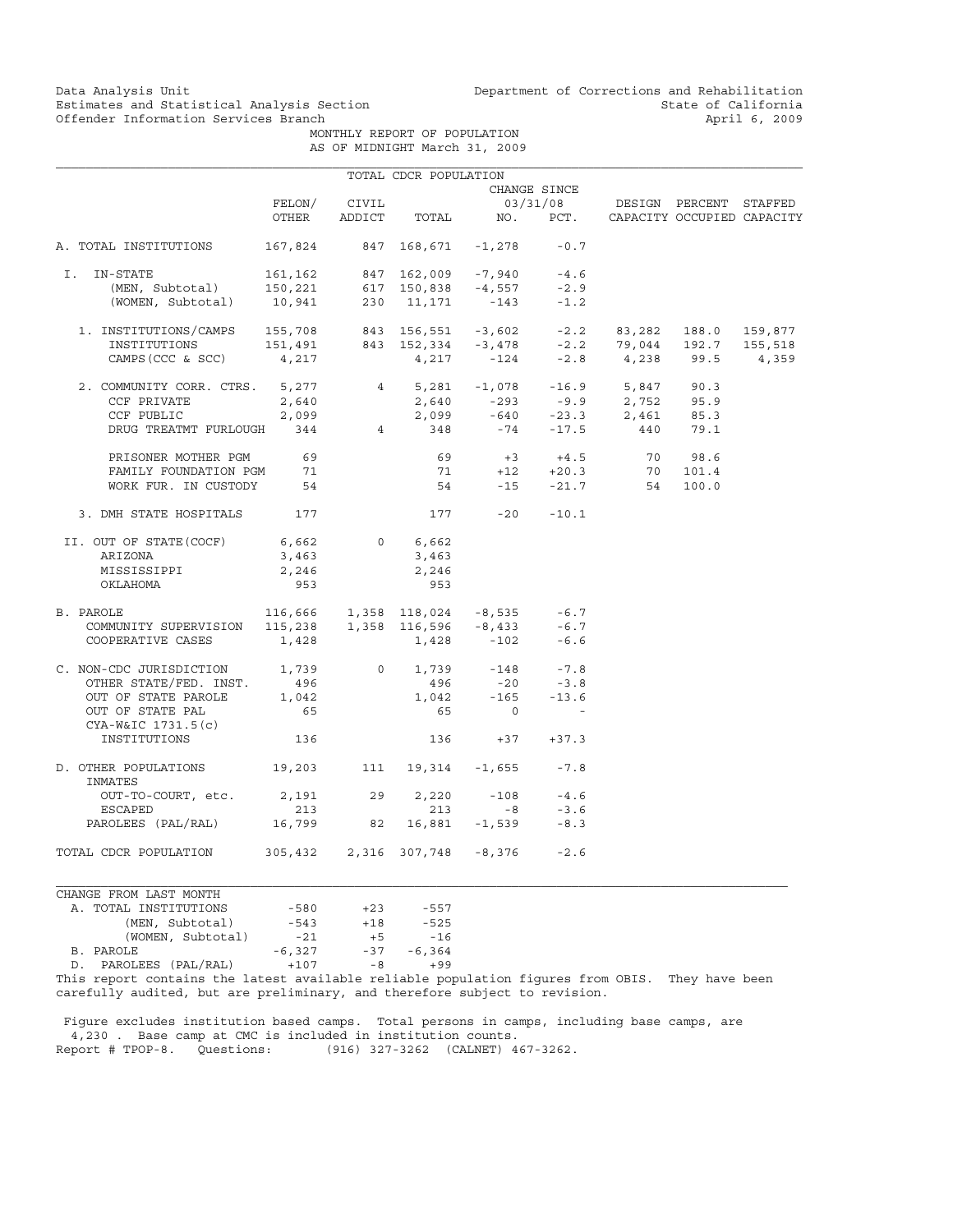Data Analysis Unit Unit Department of Corrections and Rehabilitation<br>Estimates and Statistical Analysis Section State of California Estimates and Statistical Analysis Section<br>
Offender Information Services Branch<br>
April 6, 2009

 MONTHLY REPORT OF POPULATION AS OF MIDNIGHT March 31, 2009

|                                                                                                                                                                                                             |                                             |              | TOTAL CDCR POPULATION |                                     |              |                                                                                                            |       |  |
|-------------------------------------------------------------------------------------------------------------------------------------------------------------------------------------------------------------|---------------------------------------------|--------------|-----------------------|-------------------------------------|--------------|------------------------------------------------------------------------------------------------------------|-------|--|
|                                                                                                                                                                                                             |                                             |              |                       |                                     | CHANGE SINCE |                                                                                                            |       |  |
|                                                                                                                                                                                                             |                                             | FELON/ CIVIL |                       |                                     |              | 03/31/08 DESIGN PERCENT STAFFED                                                                            |       |  |
|                                                                                                                                                                                                             | OTHER                                       |              |                       |                                     |              | ADDICT TOTAL NO. PCT. CAPACITY OCCUPIED CAPACITY                                                           |       |  |
| A. TOTAL INSTITUTIONS                                                                                                                                                                                       | 167,824 847 168,671 -1,278 -0.7             |              |                       |                                     |              |                                                                                                            |       |  |
| 161,162 847 162,009 -7,940 -4.6<br>(MEN, Subtotal) 150,221 617 150,838 -4,557 -2.9<br>(WOMEN, Subtotal) 10,941 230 11,171 -143 -1.2<br>I. IN-STATE                                                          |                                             |              |                       |                                     |              |                                                                                                            |       |  |
|                                                                                                                                                                                                             |                                             |              |                       |                                     |              |                                                                                                            |       |  |
|                                                                                                                                                                                                             |                                             |              |                       |                                     |              |                                                                                                            |       |  |
| 1. INSTITUTIONS/CAMPS 155,708 843 156,551 -3,602 -2.2 83,282 188.0 159,877<br>INSTITUTIONS 151,491 843 152,334 -3,478 -2.2 79,044 192.7 155,518<br>CAMPS(CCC & SCC) 4,217 -4,217 -124 -2.8 4,238 99.5 4,359 |                                             |              |                       |                                     |              |                                                                                                            |       |  |
|                                                                                                                                                                                                             |                                             |              |                       |                                     |              |                                                                                                            |       |  |
|                                                                                                                                                                                                             |                                             |              |                       |                                     |              |                                                                                                            |       |  |
| 2. COMMUNITY CORR. CTRS. $5,277$<br>CCF PRIVATE 2,640 $2,640$<br>2,640 $2,640$<br>2,640 $-293$<br>2,93 $-9.9$<br>2,752 95.9                                                                                 |                                             |              |                       |                                     |              |                                                                                                            |       |  |
|                                                                                                                                                                                                             |                                             |              |                       |                                     |              |                                                                                                            |       |  |
| CCF PUBLIC                                                                                                                                                                                                  | 2,099                                       |              |                       |                                     |              |                                                                                                            |       |  |
| DRUG TREATMT FURLOUGH 344                                                                                                                                                                                   |                                             |              |                       |                                     |              | $2,640$ $-293$ $-9.9$ $2,122$ $52.099$ $-640$ $-23.3$ $2,461$ $85.3$<br>4 $348$ $-74$ $-17.5$ $440$ $79.1$ |       |  |
| PRISONER MOTHER PGM 69                                                                                                                                                                                      |                                             |              |                       |                                     |              | $69$ $+3$ $+4.5$ 70 98.6<br>$71$ $+12$ $+20.3$ 70 101.4                                                    |       |  |
| FAMILY FOUNDATION PGM 71                                                                                                                                                                                    |                                             |              |                       |                                     |              |                                                                                                            |       |  |
| WORK FUR. IN CUSTODY 54                                                                                                                                                                                     |                                             |              |                       |                                     |              | $54 - 15 - 21.7$ 54                                                                                        | 100.0 |  |
| 3. DMH STATE HOSPITALS 177                                                                                                                                                                                  |                                             |              |                       | $177 - 20 - 10.1$                   |              |                                                                                                            |       |  |
| II. OUT OF STATE (COCF) 6,662                                                                                                                                                                               |                                             |              | 0 6,662               |                                     |              |                                                                                                            |       |  |
| ARIZONA                                                                                                                                                                                                     | 3,463                                       |              | 3,463                 |                                     |              |                                                                                                            |       |  |
| MISSISSIPPI                                                                                                                                                                                                 | 2,246                                       |              | 2,246                 |                                     |              |                                                                                                            |       |  |
| OKLAHOMA                                                                                                                                                                                                    | 953                                         |              | 953                   |                                     |              |                                                                                                            |       |  |
| B. PAROLE                                                                                                                                                                                                   | $116,666$ $1,358$ $118,024$ $-8,535$ $-6.7$ |              |                       |                                     |              |                                                                                                            |       |  |
| COMMUNITY SUPERVISION 115,238 1,358 116,596 -8,433 -6.7                                                                                                                                                     |                                             |              |                       |                                     |              |                                                                                                            |       |  |
| COOPERATIVE CASES $1,428$ $1,428$ $-102$ $-6.6$                                                                                                                                                             |                                             |              |                       |                                     |              |                                                                                                            |       |  |
| C. NON-CDC JURISDICTION 1,739                                                                                                                                                                               |                                             |              |                       | $0$ 1,739 -148 -7.8<br>496 -20 -3.8 |              |                                                                                                            |       |  |
| OTHER STATE/FED. INST. 496<br>OUT OF STATE PAROLE 1,042                                                                                                                                                     |                                             |              |                       |                                     |              |                                                                                                            |       |  |
|                                                                                                                                                                                                             |                                             |              |                       | $1,042$ $-165$ $-13.6$<br>65 0      |              |                                                                                                            |       |  |
| OUT OF STATE PAL<br>CYA-W&IC 1731.5(c)                                                                                                                                                                      | 65                                          |              |                       |                                     |              |                                                                                                            |       |  |
| INSTITUTIONS                                                                                                                                                                                                | 136                                         |              |                       | $136 + 37 + 37.3$                   |              |                                                                                                            |       |  |
| D. OTHER POPULATIONS 19,203 111 19,314 -1,655 -7.8<br>INMATES                                                                                                                                               |                                             |              |                       |                                     |              |                                                                                                            |       |  |
| OUT-TO-COURT, etc. 2,191 29 2,220                                                                                                                                                                           |                                             |              |                       | $-108$ $-4.6$<br>$-8$ $-3.6$        |              |                                                                                                            |       |  |
| ESCAPED                                                                                                                                                                                                     | 213                                         |              | 213                   |                                     |              |                                                                                                            |       |  |
| PAROLEES (PAL/RAL) 16,799 82 16,881 -1,539                                                                                                                                                                  |                                             |              |                       |                                     | $-8.3$       |                                                                                                            |       |  |
| TOTAL CDCR POPULATION 305,432 2,316 307,748 -8,376                                                                                                                                                          |                                             |              |                       |                                     | $-2.6$       |                                                                                                            |       |  |
| CHANGE FROM LAST MONTH                                                                                                                                                                                      |                                             |              |                       |                                     |              |                                                                                                            |       |  |
|                                                                                                                                                                                                             |                                             |              |                       |                                     |              |                                                                                                            |       |  |

| CILINUL I KURI LINDI RUUNIII |          |       |           |
|------------------------------|----------|-------|-----------|
| A. TOTAL INSTITUTIONS        | $-580$   | $+23$ | $-557$    |
| (MEN, Subtotal)              | $-543$   | $+18$ | $-525$    |
| (WOMEN, Subtotal)            | $-21$    | $+5$  | $-16$     |
| B. PAROLE                    | $-6,327$ | $-37$ | $-6, 364$ |
| D. PAROLEES (PAL/RAL)        | $+107$   | -8    | $+99$     |
|                              |          |       |           |

This report contains the latest available reliable population figures from OBIS. They have been carefully audited, but are preliminary, and therefore subject to revision.

 Figure excludes institution based camps. Total persons in camps, including base camps, are 4,230 . Base camp at CMC is included in institution counts. (916) 327-3262 (CALNET) 467-3262.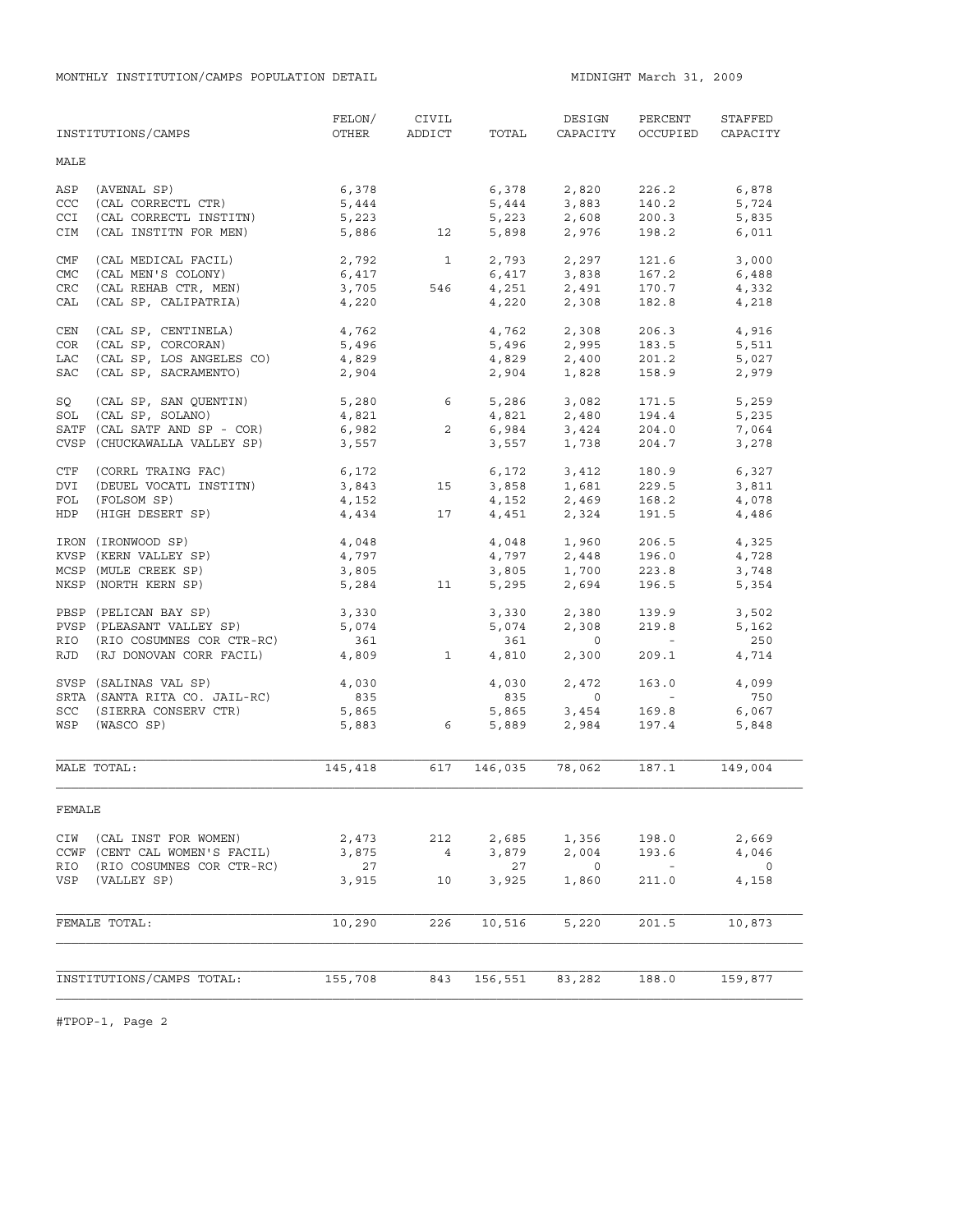MONTHLY INSTITUTION/CAMPS POPULATION DETAIL **MIDNIGHT MARCH 31, 2009** 

|            | INSTITUTIONS/CAMPS            | FELON/<br>OTHER | CIVIL<br>ADDICT | TOTAL          | DESIGN<br>CAPACITY            | PERCENT<br>OCCUPIED                                   | STAFFED<br>CAPACITY |
|------------|-------------------------------|-----------------|-----------------|----------------|-------------------------------|-------------------------------------------------------|---------------------|
| MALE       |                               |                 |                 |                |                               |                                                       |                     |
| ASP        | (AVENAL SP)                   | 6,378           |                 | 6,378          | 2,820                         | 226.2                                                 | 6,878               |
| CCC        | $(CAL \t\nCORRECTL \t\nCTR)$  | 5,444           |                 | 5,444          | 3,883                         | 140.2                                                 | 5,724               |
| CCI        | (CAL CORRECTL INSTITN)        | 5,223           |                 | 5,223          |                               | 200.3                                                 | 5,835               |
| CIM        | (CAL INSTITN FOR MEN)         | 5,886           | 12              | 5,898          | 2,608<br>2,976                | 198.2                                                 | 6,011               |
| CMF        | (CAL MEDICAL FACIL)           | 2,792           | $\overline{1}$  | 2,793          | 2,297                         | 121.6                                                 | 3,000               |
| CMC        | (CAL MEN'S COLONY)            | 6,417           |                 |                | 6,417 3,838                   | 167.2                                                 | 6,488               |
| <b>CRC</b> | (CAL REHAB CTR, MEN)          | 3,705           | 546             | 4,251          | 2,491                         | 170.7                                                 | 4,332               |
| CAL        | (CAL SP, CALIPATRIA)          | 4,220           |                 | 4,220          | 2,308                         | 182.8                                                 | 4,218               |
| CEN        | (CAL SP, CENTINELA)           | 4,762           |                 |                | 4,762 2,308                   | 206.3                                                 | 4,916               |
| COR        | (CAL SP, CORCORAN)            | 5,496           |                 | 5,496          | 2,995                         | 183.5                                                 | 5,511               |
| LAC        | (CAL SP, LOS ANGELES CO)      | 4,829           |                 |                | 4,829 2,400                   | 201.2                                                 | 5,027               |
| SAC        | (CAL SP, SACRAMENTO)          | 2,904           |                 | 2,904          | 1,828                         | 158.9                                                 | 2,979               |
| SQ         | (CAL SP, SAN QUENTIN)         | 5,280 6         |                 |                | 5,286 3,082                   | 171.5                                                 | 5,259               |
| SOL        | (CAL SP, SOLANO)              | 4,821           |                 |                | 4,821 2,480                   | 194.4                                                 | 5,235               |
|            | SATF (CAL SATF AND SP - COR)  | 6,982           | $\overline{2}$  | 6,984          |                               | 204.0                                                 | 7,064               |
|            | CVSP (CHUCKAWALLA VALLEY SP)  | 3,557           |                 | 3,557          | 3,424<br>1,738                | 204.7                                                 |                     |
|            |                               |                 |                 |                |                               |                                                       | 3,278               |
| CTF        | (CORRL TRAING FAC)            | 6,172           |                 |                | 6,172 3,412                   | 180.9                                                 | 6,327               |
| DVI        | (DEUEL VOCATL INSTITN)        | 3,843           | 15              | 3,858          | 1,681                         | 229.5                                                 | 3,811               |
| FOL        | (FOLSOM SP)                   | 4,152           |                 |                | $4,152$ $2,469$               | 168.2                                                 | 4,078               |
| HDP        | (HIGH DESERT SP)              | 4,434           | 17              |                | 4,451 2,324                   | 191.5                                                 | 4,486               |
|            | IRON (IRONWOOD SP)            | 4,048           |                 |                |                               | 206.5                                                 | 4,325               |
|            | KVSP (KERN VALLEY SP)         | 4,797           |                 |                | $4,048$<br>$4,797$<br>$2,448$ | 196.0                                                 | 4,728               |
|            | MCSP (MULE CREEK SP)          | 3,805           |                 |                |                               | 223.8                                                 | 3,748               |
|            | NKSP (NORTH KERN SP)          | 5,284           | 11              | 3,805<br>5,295 | 1,700<br>2,694                | 196.5                                                 | 5,354               |
|            | PBSP (PELICAN BAY SP)         | 3,330           |                 | 3,330          | 2,380                         | 139.9                                                 | 3,502               |
|            | PVSP (PLEASANT VALLEY SP)     | 5,074           |                 | 5,074          | 2,308                         | 219.8                                                 | 5,162               |
|            | RIO (RIO COSUMNES COR CTR-RC) | 361             |                 | 361            | $\overline{0}$                | <b>Contract Contract</b>                              | 250                 |
| RJD        | (RJ DONOVAN CORR FACIL)       | 4,809           | $\mathbf{1}$    | 4,810          | 2,300                         | 209.1                                                 | 4,714               |
|            | SVSP (SALINAS VAL SP)         | 4,030           |                 | 4,030          | 2,472                         | 163.0                                                 | 4,099               |
|            | SRTA (SANTA RITA CO. JAIL-RC) | 835             |                 | 835            | $\circ$                       | <b>Contract Contract</b>                              | 750                 |
|            | SCC (SIERRA CONSERV CTR)      | 5,865           |                 | 5,865          |                               | 169.8                                                 | 6,067               |
|            | WSP (WASCO SP)                | 5,883           | 6               | 5,889          | 3,454<br>2,984                | 197.4                                                 | 5,848               |
|            | MALE TOTAL:                   | 145,418         | 617             | 146,035        | 78,062                        | 187.1                                                 | 149,004             |
| FEMALE     |                               |                 |                 |                |                               |                                                       |                     |
| CIW        | (CAL INST FOR WOMEN)          | 2,473           | 212             | 2,685          | 1,356                         | 198.0                                                 | 2,669               |
|            | CCWF (CENT CAL WOMEN'S FACIL) | 3,875           | $\frac{4}{3}$   | 3,879          | 2,004                         | 193.6                                                 | 4,046               |
| RIO        | (RIO COSUMNES COR CTR-RC)     | 27              |                 | 27             | 0                             | $\mathcal{L}_{\rm{max}}$ and $\mathcal{L}_{\rm{max}}$ | $\overline{0}$      |
| VSP        | (VALLEY SP)                   | 3,915           | 10              | 3,925          | 1,860                         | 211.0                                                 | 4,158               |
|            | FEMALE TOTAL:                 | 10,290          | 226             | 10,516         | 5,220                         | 201.5                                                 | 10,873              |
|            |                               |                 |                 |                |                               |                                                       |                     |
|            |                               |                 |                 |                |                               |                                                       |                     |
|            | INSTITUTIONS/CAMPS TOTAL:     | 155,708         | 843             | 156,551        | 83,282                        | 188.0                                                 | 159,877             |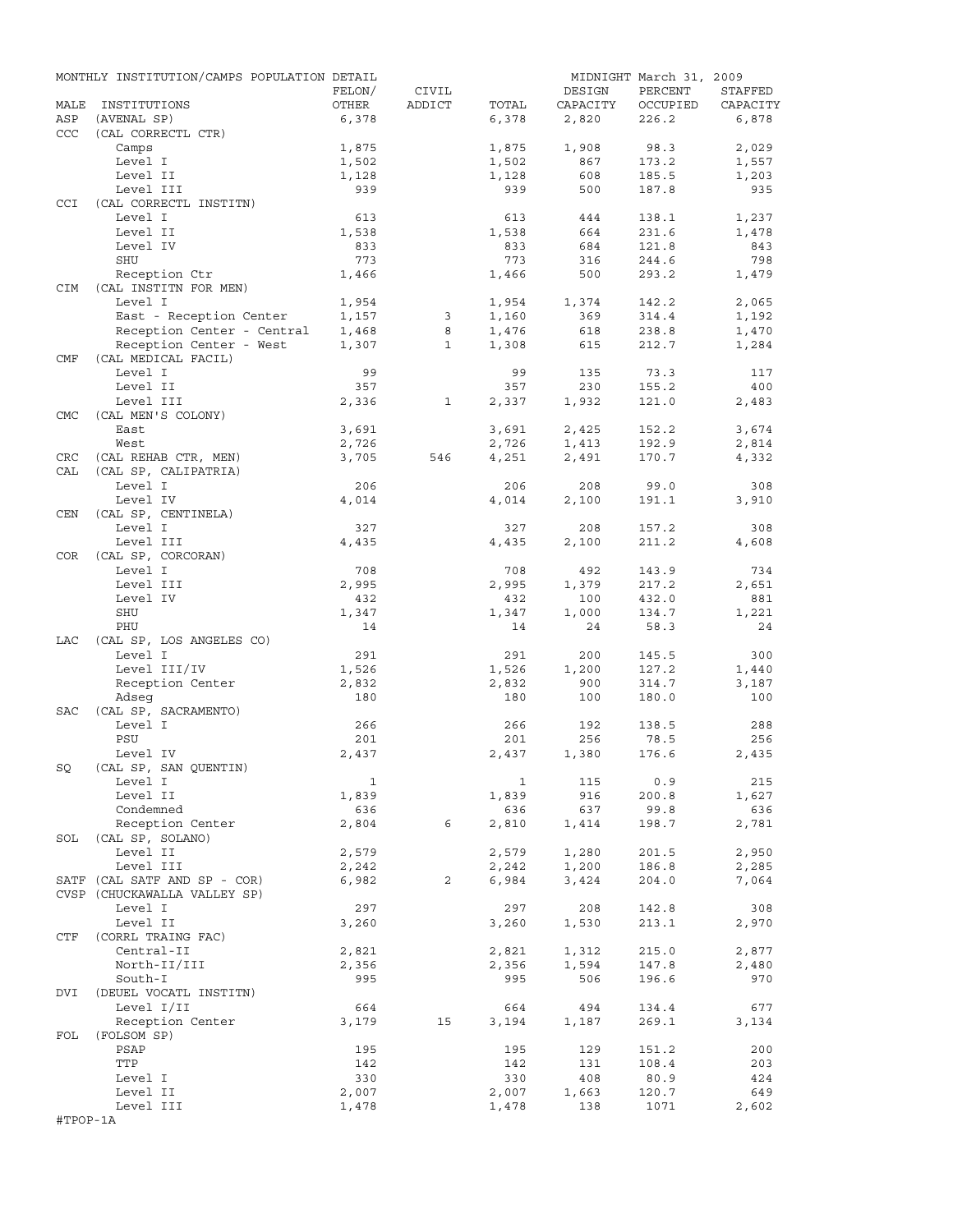|            | MONTHLY INSTITUTION/CAMPS POPULATION DETAIL |              |              |              |          | MIDNIGHT March 31, 2009 |          |
|------------|---------------------------------------------|--------------|--------------|--------------|----------|-------------------------|----------|
|            |                                             | FELON/       | CIVIL        |              | DESIGN   | PERCENT                 | STAFFED  |
| MALE       | INSTITUTIONS                                | OTHER        | ADDICT       | TOTAL        | CAPACITY | OCCUPIED                | CAPACITY |
| ASP        | (AVENAL SP)                                 | 6,378        |              | 6,378        | 2,820    | 226.2                   | 6,878    |
| CCC        | (CAL CORRECTL CTR)                          |              |              |              |          |                         |          |
|            | Camps                                       | 1,875        |              | 1,875        | 1,908    | 98.3                    | 2,029    |
|            | Level I                                     | 1,502        |              | 1,502        | 867      | 173.2                   | 1,557    |
|            | Level II                                    | 1,128        |              | 1,128        | 608      | 185.5                   | 1,203    |
|            | Level III                                   | 939          |              | 939          | 500      | 187.8                   | 935      |
| <b>CCI</b> | (CAL CORRECTL INSTITN)                      |              |              |              |          |                         |          |
|            | Level I                                     | 613          |              | 613          | 444      | 138.1                   | 1,237    |
|            | Level II                                    | 1,538        |              | 1,538        | 664      | 231.6                   | 1,478    |
|            | Level IV                                    | 833          |              | 833          | 684      | 121.8                   | 843      |
|            | SHU                                         | 773          |              | 773          | 316      | 244.6                   | 798      |
|            | Reception Ctr                               | 1,466        |              | 1,466        | 500      | 293.2                   | 1,479    |
| CIM        | (CAL INSTITN FOR MEN)                       |              |              |              |          |                         |          |
|            | Level I                                     | 1,954        |              | 1,954        | 1,374    | 142.2                   | 2,065    |
|            | East - Reception Center                     | 1,157        | 3            | 1,160        | 369      | 314.4                   | 1,192    |
|            | Reception Center - Central                  | 1,468        | 8            | 1,476        | 618      | 238.8                   | 1,470    |
|            | Reception Center - West                     | 1,307        | $\mathbf{1}$ | 1,308        | 615      | 212.7                   | 1,284    |
| CMF        | (CAL MEDICAL FACIL)                         |              |              |              |          |                         |          |
|            | Level I                                     | 99           |              | 99           | 135      | 73.3                    | 117      |
|            | Level II                                    | 357          |              | 357          | 230      | 155.2                   | 400      |
|            | Level III                                   | 2,336        | $\mathbf{1}$ | 2,337        | 1,932    | 121.0                   | 2,483    |
| <b>CMC</b> | (CAL MEN'S COLONY)                          |              |              |              |          |                         |          |
|            | East                                        | 3,691        |              | 3,691        | 2,425    | 152.2                   | 3,674    |
|            | West                                        | 2,726        |              | 2,726        | 1,413    | 192.9                   | 2,814    |
| CRC        | (CAL REHAB CTR, MEN)                        | 3,705        | 546          | 4,251        | 2,491    | 170.7                   | 4,332    |
| CAL        | (CAL SP, CALIPATRIA)                        |              |              |              |          |                         |          |
|            | Level I                                     | 206          |              | 206          | 208      | 99.0                    | 308      |
|            |                                             |              |              |              |          |                         |          |
|            | Level IV                                    | 4,014        |              | 4,014        | 2,100    | 191.1                   | 3,910    |
| CEN        | (CAL SP, CENTINELA)                         |              |              |              |          |                         |          |
|            | Level I                                     | 327          |              | 327          | 208      | 157.2                   | 308      |
|            | Level III                                   | 4,435        |              | 4,435        | 2,100    | 211.2                   | 4,608    |
| COR        | (CAL SP, CORCORAN)                          |              |              |              |          |                         |          |
|            | Level I                                     | 708          |              | 708          | 492      | 143.9                   | 734      |
|            | Level III                                   | 2,995        |              | 2,995        | 1,379    | 217.2                   | 2,651    |
|            | Level IV                                    | 432          |              | 432          | 100      | 432.0                   | 881      |
|            | SHU                                         | 1,347        |              | 1,347        | 1,000    | 134.7                   | 1,221    |
|            | PHU                                         | 14           |              | 14           | 24       | 58.3                    | 24       |
| LAC        | (CAL SP, LOS ANGELES CO)                    |              |              |              |          |                         |          |
|            | Level I                                     | 291          |              | 291          | 200      | 145.5                   | 300      |
|            | Level III/IV                                | 1,526        |              | 1,526        | 1,200    | 127.2                   | 1,440    |
|            | Reception Center                            | 2,832        |              | 2,832        | 900      | 314.7                   | 3,187    |
|            | Adseq                                       | 180          |              | 180          | 100      | 180.0                   | 100      |
| SAC        | (CAL SP, SACRAMENTO)                        |              |              |              |          |                         |          |
|            | Level I                                     | 266          |              | 266          | 192      | 138.5                   | 288      |
|            | PSU                                         | 201          |              | 201          | 256      | 78.5                    | 256      |
|            | Level IV                                    | 2,437        |              | 2,437        | 1,380    | 176.6                   | 2,435    |
| SQ         | (CAL SP, SAN QUENTIN)                       |              |              |              |          |                         |          |
|            | Level I                                     | $\mathbf{1}$ |              | $\mathbf{1}$ | 115      | 0.9                     | 215      |
|            | Level II                                    | 1,839        |              | 1,839        | 916      | 200.8                   | 1,627    |
|            | Condemned                                   | 636          |              | 636          | 637      | 99.8                    | 636      |
|            | Reception Center                            | 2,804        | 6            | 2,810        | 1,414    | 198.7                   | 2,781    |
| SOL        | (CAL SP, SOLANO)                            |              |              |              |          |                         |          |
|            | Level II                                    | 2,579        |              | 2,579        | 1,280    | 201.5                   | 2,950    |
|            | Level III                                   | 2,242        |              | 2,242        | 1,200    | 186.8                   | 2,285    |
|            | SATF (CAL SATF AND SP - COR)                | 6,982        | 2            | 6,984        | 3,424    | 204.0                   | 7,064    |
|            | CVSP (CHUCKAWALLA VALLEY SP)                |              |              |              |          |                         |          |
|            | Level I                                     | 297          |              | 297          | 208      | 142.8                   | 308      |
|            | Level II                                    | 3,260        |              | 3,260        | 1,530    | 213.1                   | 2,970    |
| CTF        | (CORRL TRAING FAC)                          |              |              |              |          |                         |          |
|            | Central-II                                  | 2,821        |              | 2,821        | 1,312    | 215.0                   | 2,877    |
|            | North-II/III                                | 2,356        |              | 2,356        | 1,594    | 147.8                   | 2,480    |
|            | South-I                                     | 995          |              | 995          | 506      | 196.6                   | 970      |
| DVI        | (DEUEL VOCATL INSTITN)                      |              |              |              |          |                         |          |
|            |                                             | 664          |              | 664          | 494      |                         | 677      |
|            | Level I/II                                  |              | 15           |              |          | 134.4<br>269.1          |          |
|            | Reception Center                            | 3,179        |              | 3,194        | 1,187    |                         | 3,134    |
| FOL        | (FOLSOM SP)                                 |              |              |              |          |                         |          |
|            | PSAP                                        | 195          |              | 195          | 129      | 151.2                   | 200      |
|            | TTP                                         | 142          |              | 142          | 131      | 108.4                   | 203      |
|            | Level I                                     | 330          |              | 330          | 408      | 80.9                    | 424      |
|            | Level II                                    | 2,007        |              | 2,007        | 1,663    | 120.7                   | 649      |
|            | Level III                                   | 1,478        |              | 1,478        | 138      | 1071                    | 2,602    |
| #TPOP-1A   |                                             |              |              |              |          |                         |          |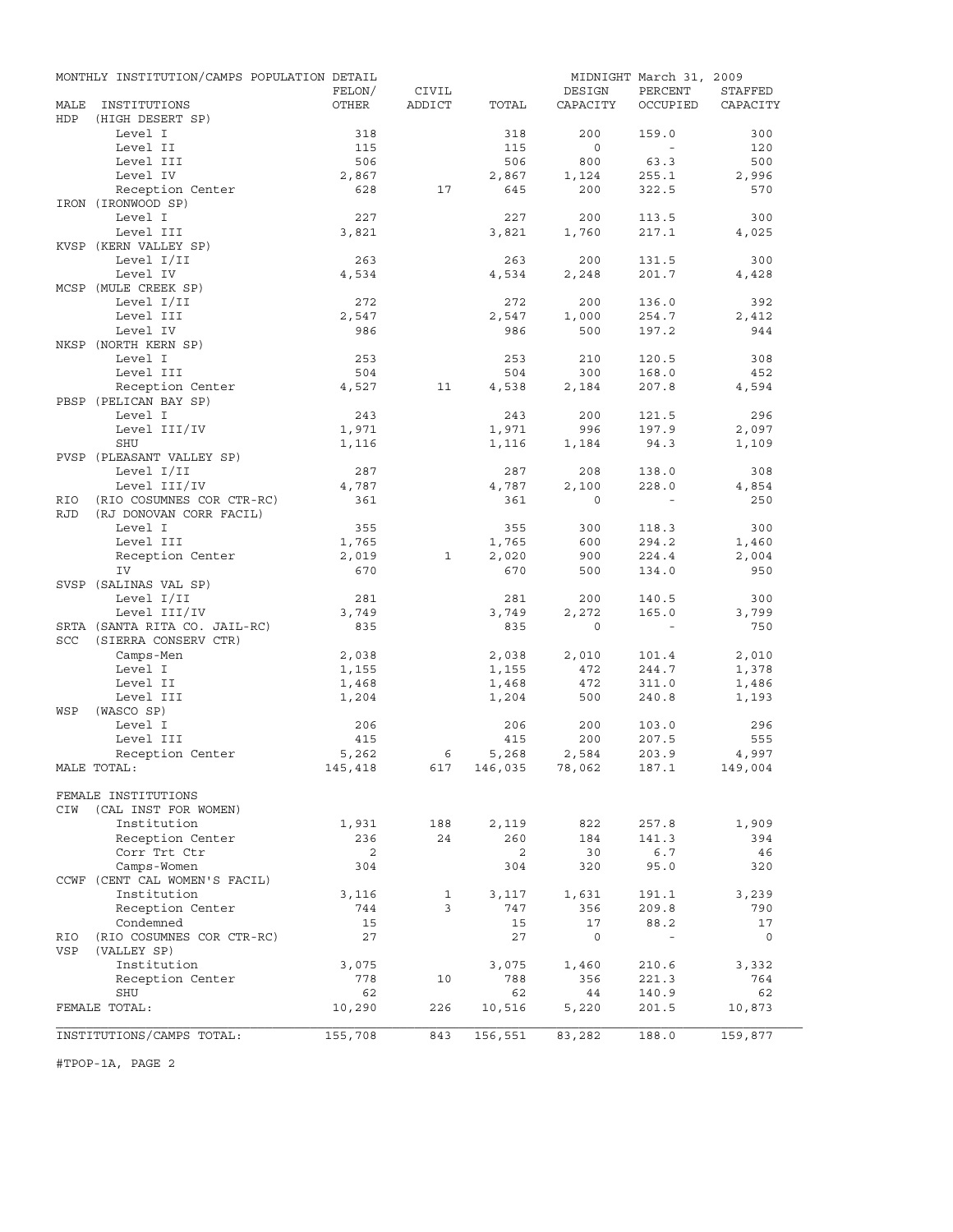|            | MONTHLY INSTITUTION/CAMPS POPULATION DETAIL  |                |        |                    |              | MIDNIGHT March 31, 2009 |              |
|------------|----------------------------------------------|----------------|--------|--------------------|--------------|-------------------------|--------------|
|            |                                              | FELON/         | CIVIL  |                    | DESIGN       | PERCENT                 | STAFFED      |
| MALE       | INSTITUTIONS                                 | OTHER          | ADDICT | TOTAL              | CAPACITY     | OCCUPIED                | CAPACITY     |
| HDP        | (HIGH DESERT SP)<br>Level I                  |                |        |                    | 200          | 159.0                   | 300          |
|            | Level II                                     | 318<br>115     |        | 318<br>115         | $\circ$      | $\sim$                  | 120          |
|            | Level III                                    | 506            |        | 506                | 800          | 63.3                    | 500          |
|            | Level IV                                     | 2,867          |        | 2,867              | 1,124        | 255.1                   | 2,996        |
|            | Reception Center                             | 628            | 17     | 645                | 200          | 322.5                   | 570          |
|            | IRON (IRONWOOD SP)                           |                |        |                    |              |                         |              |
|            | Level I                                      | 227            |        | 227                | 200          | 113.5                   | 300          |
|            | Level III                                    | 3,821          |        | 3,821              | 1,760        | 217.1                   | 4,025        |
|            | KVSP (KERN VALLEY SP)                        |                |        |                    |              |                         |              |
|            | Level I/II                                   | 263            |        | 263                | 200          | 131.5                   | 300          |
|            | Level IV                                     | 4,534          |        | 4,534              | 2,248        | 201.7                   | 4,428        |
|            | MCSP (MULE CREEK SP)                         |                |        |                    |              |                         |              |
|            | Level I/II                                   | 272            |        | 272                | 200          | 136.0                   | 392          |
|            | Level III                                    | 2,547          |        | 2,547              | 1,000        | 254.7                   | 2,412        |
|            | Level IV                                     | 986            |        | 986                | 500          | 197.2                   | 944          |
|            | NKSP (NORTH KERN SP)                         |                |        |                    |              |                         |              |
|            | Level I                                      | 253            |        | 253                | 210          | 120.5                   | 308          |
|            | Level III<br>Reception Center                | 504            | 11     | 504                | 300          | 168.0                   | 452<br>4,594 |
|            | PBSP (PELICAN BAY SP)                        | 4,527          |        | 4,538              | 2,184        | 207.8                   |              |
|            | Level I                                      | 243            |        | 243                | 200          | 121.5                   | 296          |
|            | Level III/IV                                 | 1,971          |        | 1,971              | 996          | 197.9                   | 2,097        |
|            | <b>SHU</b>                                   | 1,116          |        | 1,116              | 1,184        | 94.3                    | 1,109        |
|            | PVSP (PLEASANT VALLEY SP)                    |                |        |                    |              |                         |              |
|            | Level I/II                                   | 287            |        | 287                | 208          | 138.0                   | 308          |
|            | Level III/IV                                 | 4,787          |        | 4,787              | 2,100        | 228.0                   | 4,854        |
| RIO        | (RIO COSUMNES COR CTR-RC)                    | 361            |        | 361                | $\Omega$     |                         | 250          |
| <b>RJD</b> | (RJ DONOVAN CORR FACIL)                      |                |        |                    |              |                         |              |
|            | Level I                                      | 355            |        | 355                | 300          | 118.3                   | 300          |
|            | Level III                                    | 1,765          |        | 1,765              | 600          | 294.2                   | 1,460        |
|            | Reception Center                             | 2,019          | 1      | 2,020              | 900          | 224.4                   | 2,004        |
|            | IV                                           | 670            |        | 670                | 500          | 134.0                   | 950          |
|            | SVSP (SALINAS VAL SP)                        |                |        |                    |              |                         |              |
|            | Level I/II                                   | 281            |        | 281                | 200          | 140.5                   | 300          |
|            | Level III/IV                                 | 3,749          |        | 3,749              | 2,272        | 165.0                   | 3,799        |
|            | SRTA (SANTA RITA CO. JAIL-RC)                | 835            |        | 835                | $\circ$      | $\sim$ $-$              | 750          |
| <b>SCC</b> | (SIERRA CONSERV CTR)<br>Camps-Men            |                |        | 2,038              |              |                         | 2,010        |
|            | Level I                                      | 2,038<br>1,155 |        | 1,155              | 2,010<br>472 | 101.4<br>244.7          | 1,378        |
|            | Level II                                     | 1,468          |        | 1,468              | 472          | 311.0                   | 1,486        |
|            | Level III                                    | 1,204          |        | 1,204              | 500          | 240.8                   | 1,193        |
| WSP        | (WASCO SP)                                   |                |        |                    |              |                         |              |
|            | Level I                                      | 206            |        | 206                | 200          | 103.0                   | 296          |
|            | Level III                                    | 415            |        | 415                | 200          | 207.5                   | 555          |
|            | Reception Center                             | 5,262          | 6      | 5,268              | 2,584        | 203.9                   | 4,997        |
|            | MALE TOTAL:                                  | 145,418        |        | 617 146,035 78,062 |              | 187.1                   | 149,004      |
|            |                                              |                |        |                    |              |                         |              |
|            | FEMALE INSTITUTIONS                          |                |        |                    |              |                         |              |
| CIW        | (CAL INST FOR WOMEN)                         |                |        |                    |              |                         |              |
|            | Institution                                  | 1,931          | 188    | 2,119              | 822          | 257.8                   | 1,909        |
|            | Reception Center                             | 236            | 24     | 260                | 184          | 141.3                   | 394          |
|            | Corr Trt Ctr                                 | 2              |        | 2                  | 30           | 6.7                     | 46           |
|            | Camps-Women                                  | 304            |        | 304                | 320          | 95.0                    | 320          |
|            | CCWF (CENT CAL WOMEN'S FACIL)<br>Institution |                | 1      | 3,117              |              |                         |              |
|            | Reception Center                             | 3,116<br>744   | 3      | 747                | 1,631<br>356 | 191.1<br>209.8          | 3,239<br>790 |
|            | Condemned                                    | 15             |        | 15                 | 17           | 88.2                    | 17           |
| RIO        | (RIO COSUMNES COR CTR-RC)                    | 27             |        | 27                 | $\circ$      | $\blacksquare$          | 0            |
| VSP        | (VALLEY SP)                                  |                |        |                    |              |                         |              |
|            | Institution                                  | 3,075          |        | 3,075              | 1,460        | 210.6                   | 3,332        |
|            | Reception Center                             | 778            | 10     | 788                | 356          | 221.3                   | 764          |
|            | SHU                                          | 62             |        | 62                 | 44           | 140.9                   | 62           |
|            | FEMALE TOTAL:                                | 10,290         | 226    | 10,516             | 5,220        | 201.5                   | 10,873       |
|            |                                              |                |        |                    |              |                         |              |
|            | INSTITUTIONS/CAMPS TOTAL:                    | 155,708        | 843    | 156,551            | 83,282       | 188.0                   | 159,877      |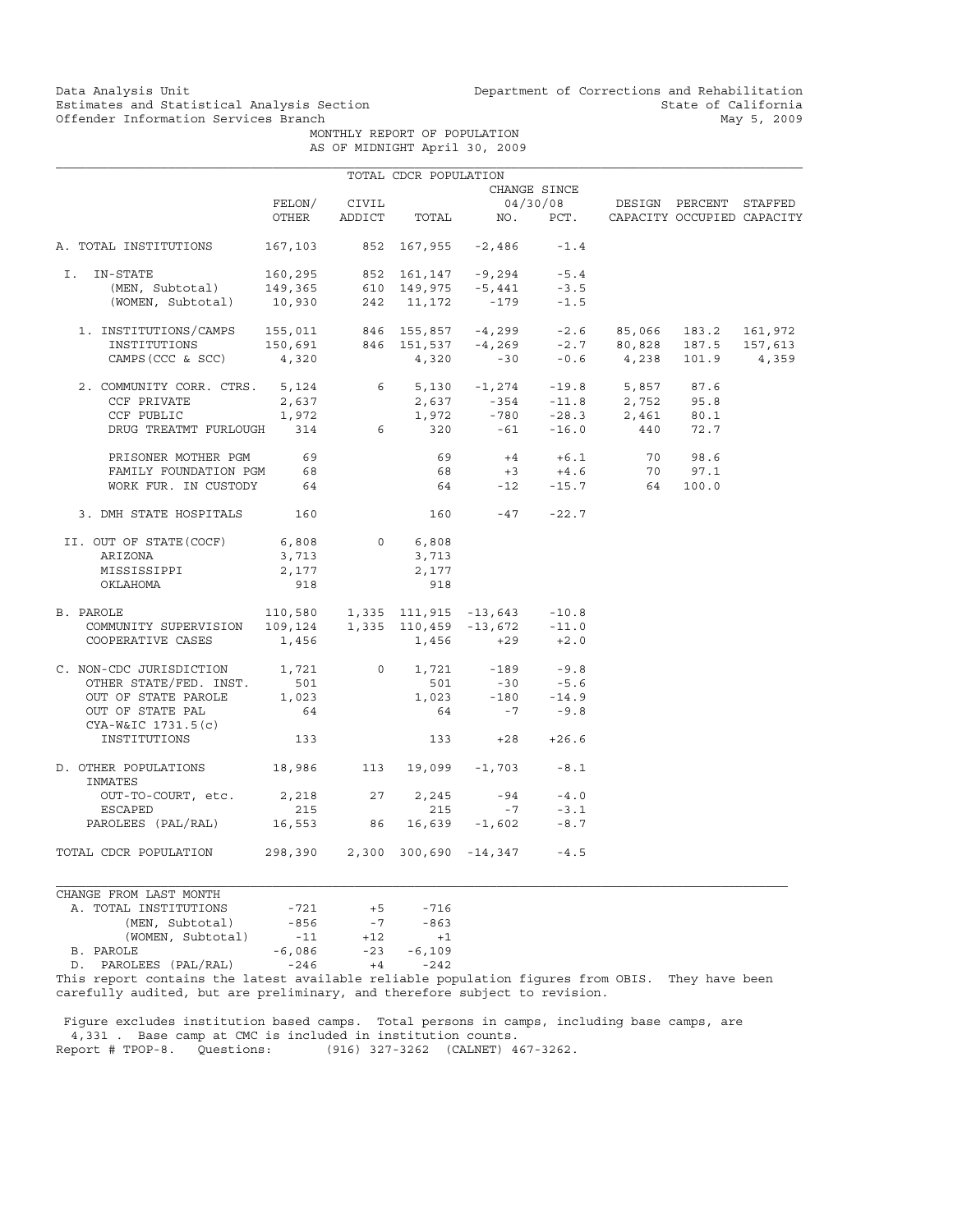Data Analysis Unit Unit Department of Corrections and Rehabilitation<br>Estimates and Statistical Analysis Section State of California Estimates and Statistical Analysis Section<br>
Offender Information Services Branch<br>
May 5, 2009

 MONTHLY REPORT OF POPULATION AS OF MIDNIGHT April 30, 2009

|                                                                                                                                                                                                      |                                 |       | TOTAL CDCR POPULATION |                                                  |              |                                            |  |
|------------------------------------------------------------------------------------------------------------------------------------------------------------------------------------------------------|---------------------------------|-------|-----------------------|--------------------------------------------------|--------------|--------------------------------------------|--|
|                                                                                                                                                                                                      |                                 |       |                       |                                                  | CHANGE SINCE |                                            |  |
|                                                                                                                                                                                                      | FELON/                          | CIVIL |                       |                                                  |              | 04/30/08 DESIGN PERCENT STAFFED            |  |
|                                                                                                                                                                                                      | OTHER                           |       |                       | ADDICT TOTAL NO. PCT. CAPACITY OCCUPIED CAPACITY |              |                                            |  |
| A. TOTAL INSTITUTIONS                                                                                                                                                                                | 167,103 852 167,955 -2,486 -1.4 |       |                       |                                                  |              |                                            |  |
| I. IN-STATE                                                                                                                                                                                          |                                 |       |                       |                                                  |              |                                            |  |
|                                                                                                                                                                                                      |                                 |       |                       |                                                  |              |                                            |  |
| 160,295 852 161,147 -9,294 -5.4<br>(MEN, Subtotal) 149,365 610 149,975 -5,441 -3.5<br>(WOMEN, Subtotal) 10,930 242 11,172 -179 -1.5                                                                  |                                 |       |                       |                                                  |              |                                            |  |
|                                                                                                                                                                                                      |                                 |       |                       |                                                  |              |                                            |  |
|                                                                                                                                                                                                      |                                 |       |                       |                                                  |              |                                            |  |
| 1. INSTITUTIONS/CAMPS 155,011 846 155,857 -4,299 -2.6 85,066 183.2 161,972<br>INSTITUTIONS 150,691 846 151,537 -4,269 -2.7 80,828 187.5 157,613<br>CAMPS(CCC & SCC) 4,320 -30 -0.6 4,238 101.9 4,359 |                                 |       |                       |                                                  |              |                                            |  |
| 2. COMMUNITY CORR. CTRS. $5,124$<br>CCF PRIVATE 2,637<br>2,637<br>2,637<br>2,637<br>2,637<br>2,637<br>2,637<br>2,637<br>2,637<br>2,637<br>2,637<br>2,038<br>2,11.8<br>2,752<br>2,5.8                 |                                 |       |                       |                                                  |              |                                            |  |
|                                                                                                                                                                                                      |                                 |       |                       |                                                  |              |                                            |  |
| CCF PUBLIC                                                                                                                                                                                           | 1,972                           |       |                       | $1,972$ -780 -28.3 2,461 80.1                    |              |                                            |  |
| DRUG TREATMT FURLOUGH 314 6 320 -61 -16.0 440 72.7                                                                                                                                                   |                                 |       |                       |                                                  |              |                                            |  |
| PRISONER MOTHER PGM 69                                                                                                                                                                               |                                 |       | 69                    |                                                  |              |                                            |  |
| FAMILY FOUNDATION PGM                                                                                                                                                                                | 68                              |       | 68                    |                                                  |              | $+4$ $+6.1$ 70 98.6<br>$+3$ $+4.6$ 70 97.1 |  |
| WORK FUR. IN CUSTODY 64                                                                                                                                                                              |                                 |       |                       | 64 -12 -15.7 64 100.0                            |              |                                            |  |
| 3. DMH STATE HOSPITALS 160                                                                                                                                                                           |                                 |       |                       | 160 - 47 - 22.7                                  |              |                                            |  |
| II. OUT OF STATE(COCF)                                                                                                                                                                               | 6,808                           |       | 0 6,808               |                                                  |              |                                            |  |
| ARIZONA                                                                                                                                                                                              | 3,713                           |       | 3,713                 |                                                  |              |                                            |  |
| MISSISSIPPI                                                                                                                                                                                          | 2,177                           |       | 2,177                 |                                                  |              |                                            |  |
| OKLAHOMA                                                                                                                                                                                             | 918                             |       | 918                   |                                                  |              |                                            |  |
| B. PAROLE                                                                                                                                                                                            |                                 |       |                       |                                                  |              |                                            |  |
| PAROLE 110,580 1,335 111,915 -13,643 -10.8<br>COMMUNITY SUPERVISION 109,124 1,335 110,459 -13,672 -11.0                                                                                              |                                 |       |                       |                                                  |              |                                            |  |
| COOPERATIVE CASES                                                                                                                                                                                    | 1,456                           |       |                       | $1,456 +29 +2.0$                                 |              |                                            |  |
| C. NON-CDC JURISDICTION 1,721                                                                                                                                                                        |                                 |       |                       | 0 $1,721$ $-189$ $-9.8$                          |              |                                            |  |
| OTHER STATE/FED. INST. 501<br>OUT OF STATE PAROLE 1,023                                                                                                                                              |                                 |       |                       |                                                  |              |                                            |  |
|                                                                                                                                                                                                      |                                 |       |                       | $501$ $-30$ $-5.6$<br>1,023 $-180$ $-14.9$       |              |                                            |  |
| OUT OF STATE PAL                                                                                                                                                                                     | 64                              |       | 64                    |                                                  | $-7 - 9.8$   |                                            |  |
| $CYA-W&IC 1731.5(c)$<br>INSTITUTIONS                                                                                                                                                                 | 133                             |       |                       | $133 +28 +26.6$                                  |              |                                            |  |
| D. OTHER POPULATIONS 18,986 113 19,099 -1,703 -8.1<br>INMATES                                                                                                                                        |                                 |       |                       |                                                  |              |                                            |  |
| OUT-TO-COURT, etc.                                                                                                                                                                                   | 2,218 27                        |       |                       | $2,245$ $-94$ $-4.0$                             |              |                                            |  |
| ESCAPED                                                                                                                                                                                              | 215                             |       | 215                   | $-7$                                             | $-3.1$       |                                            |  |
| PAROLEES (PAL/RAL) 16,553 86                                                                                                                                                                         |                                 |       |                       | $16,639 -1,602$                                  | $-8.7$       |                                            |  |
| TOTAL CDCR POPULATION 298,390 2,300 300,690 -14,347                                                                                                                                                  |                                 |       |                       |                                                  | $-4.5$       |                                            |  |
|                                                                                                                                                                                                      |                                 |       |                       |                                                  |              |                                            |  |
| CHANGE FROM LAST MONTH                                                                                                                                                                               |                                 |       |                       |                                                  |              |                                            |  |

|    | A. TOTAL INSTITUTIONS                                                                    | $-721$   | $+5$  | $-716$   |
|----|------------------------------------------------------------------------------------------|----------|-------|----------|
|    | (MEN, Subtotal)                                                                          | $-8.56$  | $-7$  | $-863$   |
|    | (WOMEN, Subtotal)                                                                        | $-11$    | $+12$ | $+1$     |
|    | B. PAROLE                                                                                | $-6.086$ | $-23$ | $-6,109$ |
| D. | PAROLEES (PAL/RAL)                                                                       | $-246$   | $+4$  | $-242$   |
|    | mit 1 a choinn ann an an a-1 an a-11 a choinn an an an 19 aith a' chont 1 aith 1 a' chon |          |       |          |

This report contains the latest available reliable population figures from OBIS. They have been carefully audited, but are preliminary, and therefore subject to revision.

 Figure excludes institution based camps. Total persons in camps, including base camps, are 4,331 . Base camp at CMC is included in institution counts. (916) 327-3262 (CALNET) 467-3262.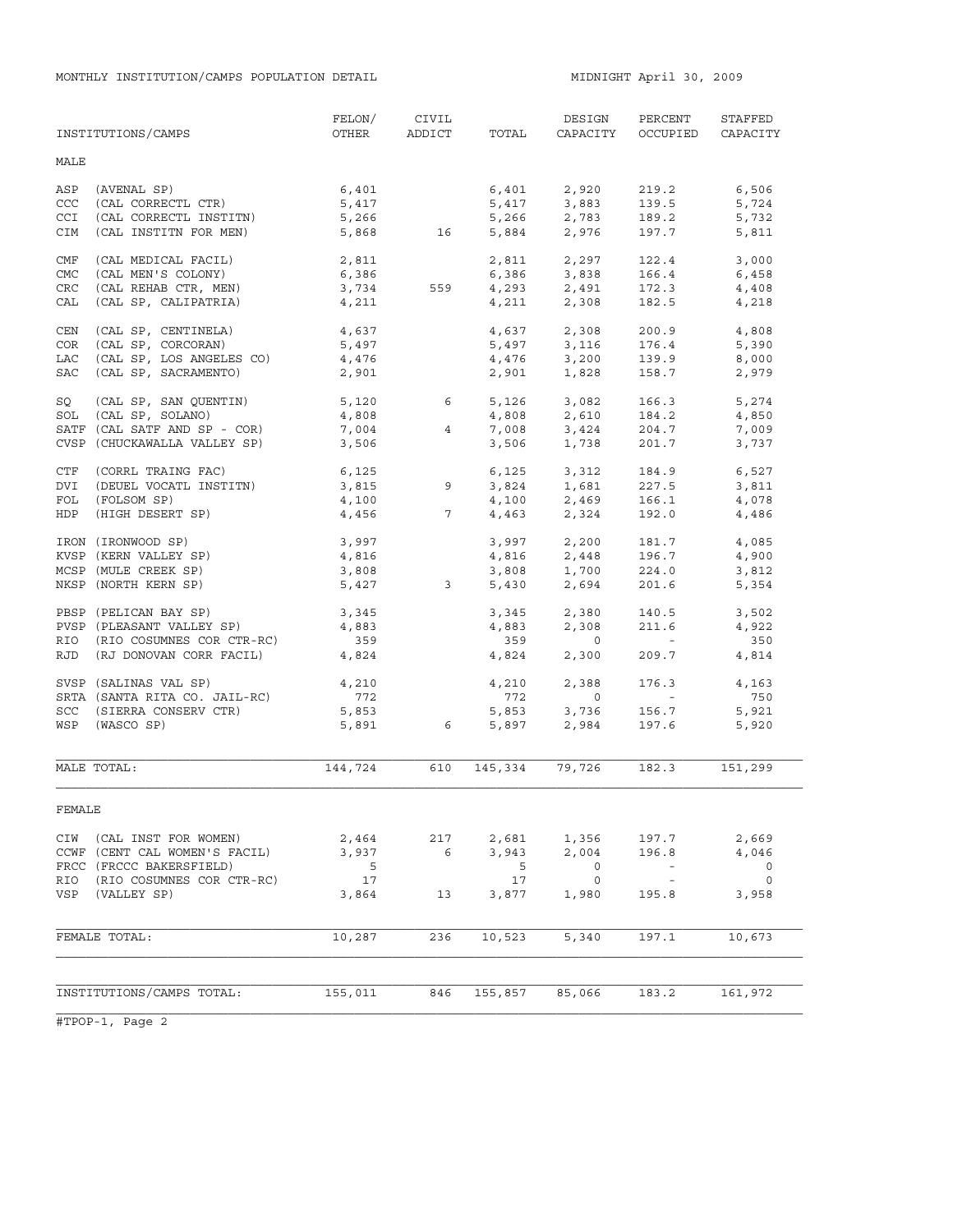|            | INSTITUTIONS/CAMPS            | FELON/<br>OTHER | CIVIL<br>ADDICT | TOTAL   | DESIGN<br>CAPACITY         | PERCENT<br>OCCUPIED                                       | STAFFED<br>CAPACITY |
|------------|-------------------------------|-----------------|-----------------|---------|----------------------------|-----------------------------------------------------------|---------------------|
| MALE       |                               |                 |                 |         |                            |                                                           |                     |
| ASP        | (AVENAL SP)                   | 6,401           |                 | 6,401   | 2,920                      | 219.2                                                     | 6,506               |
| CCC        | (CAL CORRECTL CTR)            | 5,417           |                 | 5,417   | 3,883                      | 139.5                                                     | 5,724               |
| CCI        | (CAL CORRECTL INSTITN)        | 5,266           |                 | 5,266   | 3,883<br>2,783             | 189.2                                                     | 5,732               |
| CIM        | (CAL INSTITN FOR MEN)         | 5,868           | 16              |         | 5,884 2,976                | 197.7                                                     | 5,811               |
| CMF        | (CAL MEDICAL FACIL)           | 2,811           |                 |         | 2,811 2,297<br>6,386 3,838 | 122.4                                                     | 3,000               |
| <b>CMC</b> | (CAL MEN'S COLONY)            | 6,386           |                 |         |                            | 166.4                                                     | 6,458               |
| CRC        | (CAL REHAB CTR, MEN)          | 3,734           | 559             |         | $4,293$ $2,491$            | 172.3                                                     | 4,408               |
| CAL        | (CAL SP, CALIPATRIA)          | 4,211           |                 | 4,211   | 2,308                      | 182.5                                                     | 4,218               |
| CEN        | (CAL SP, CENTINELA)           | 4,637           |                 | 4,637   | 2,308                      | 200.9                                                     | 4,808               |
| COR        | (CAL SP, CORCORAN)            | 5,497           |                 |         | $5,497$ $3,116$            | 176.4                                                     | 5,390               |
| LAC        | (CAL SP, LOS ANGELES CO)      | 4,476           |                 | 4,476   | 3,200                      | 139.9                                                     | 8,000               |
| SAC        | (CAL SP, SACRAMENTO)          | 2,901           |                 | 2,901   | 1,828                      | 158.7                                                     | 2,979               |
| SQ         | (CAL SP, SAN QUENTIN)         | 5,120           | $6\overline{6}$ | 5,126   | 3,082                      | 166.3                                                     | 5,274               |
|            | SOL (CAL SP, SOLANO)          | 4,808           |                 | 4,808   | 2,610                      | 184.2                                                     | 4,850               |
|            | SATF (CAL SATF AND SP - COR)  | 7,004           | $4\overline{ }$ | 7,008   | 3,424                      | 204.7                                                     | 7,009               |
|            | CVSP (CHUCKAWALLA VALLEY SP)  | 3,506           |                 | 3,506   | 1,738                      | 201.7                                                     | 3,737               |
| CTF        | (CORRL TRAING FAC)            | 6,125           |                 | 6,125   | 3,312                      | 184.9                                                     | 6,527               |
| DVI        | (DEUEL VOCATL INSTITN)        | 3,815           | 9               | 3,824   | 1,681                      | 227.5                                                     | 3,811               |
| FOL        | (FOLSOM SP)                   | 4,100           |                 | 4,100   | 2,469                      | 166.1                                                     | 4,078               |
| HDP        | (HIGH DESERT SP)              | 4,456           | 7               | 4,463   | 2,324                      | 192.0                                                     | 4,486               |
|            | IRON (IRONWOOD SP)            | 3,997           |                 | 3,997   | 2,200                      | 181.7                                                     | 4,085               |
|            | KVSP (KERN VALLEY SP)         | 4,816           |                 | 4,816   | 2,448                      | 196.7                                                     | 4,900               |
|            | MCSP (MULE CREEK SP)          | 3,808           |                 | 3,808   | 1,700                      | 224.0                                                     | 3,812               |
|            | NKSP (NORTH KERN SP)          | 5,427           | $\mathbf{3}$    | 5,430   | 2,694                      | 201.6                                                     | 5,354               |
|            | PBSP (PELICAN BAY SP)         | 3,345           |                 | 3,345   | 2,380                      | 140.5                                                     | 3,502               |
|            | PVSP (PLEASANT VALLEY SP)     | 4,883           |                 | 4,883   | 2,308                      | 211.6                                                     | 4,922               |
|            | RIO (RIO COSUMNES COR CTR-RC) | 359             |                 | 359     | $\overline{0}$             | $\mathcal{L}_{\text{max}}$ and $\mathcal{L}_{\text{max}}$ | 350                 |
|            | RJD (RJ DONOVAN CORR FACIL)   | 4,824           |                 | 4,824   | 2,300                      | 209.7                                                     | 4,814               |
|            | SVSP (SALINAS VAL SP)         | 4,210           |                 | 4,210   | 2,388                      | 176.3                                                     | 4,163               |
|            | SRTA (SANTA RITA CO. JAIL-RC) | 772             |                 | 772     | $\circ$                    | $\mathcal{L}_{\rm{max}}$ and $\mathcal{L}_{\rm{max}}$     | 750                 |
|            | SCC (SIERRA CONSERV CTR)      | 5,853           |                 | 5,853   | 3,736                      | 156.7                                                     | 5,921               |
| WSP        | (WASCO SP)                    | 5,891           | 6               | 5,897   | 2,984                      | 197.6                                                     | 5,920               |
|            |                               |                 |                 |         |                            |                                                           |                     |
|            | MALE TOTAL:                   | 144,724         | 610             | 145,334 | 79,726                     | 182.3                                                     | 151,299             |
| FEMALE     |                               |                 |                 |         |                            |                                                           |                     |
|            | CIW (CAL INST FOR WOMEN)      | 2,464           | 217             | 2,681   | 1,356                      | 197.7                                                     | 2,669               |
|            | CCWF (CENT CAL WOMEN'S FACIL) | 3,937           | $6^{\circ}$     | 3,943   | 2,004                      | 196.8                                                     | 4,046               |
|            | FRCC (FRCCC BAKERSFIELD)      | $-5$            |                 | 5       | $\overline{0}$             | $\sim$ $ \sim$                                            | 0                   |
|            | RIO (RIO COSUMNES COR CTR-RC) | 17              |                 | 17      | $\circ$                    | $\sim$ $-$                                                | $\circ$             |
|            | VSP (VALLEY SP)               | 3,864           | 13              | 3,877   | 1,980                      | 195.8                                                     | 3,958               |
|            |                               |                 |                 |         |                            |                                                           |                     |
|            | FEMALE TOTAL:                 | 10,287          | 236             | 10,523  | 5,340                      | 197.1                                                     | 10,673              |
|            |                               |                 |                 |         |                            |                                                           |                     |
|            | INSTITUTIONS/CAMPS TOTAL:     | 155,011         | 846             | 155,857 | 85,066                     | 183.2                                                     | 161,972             |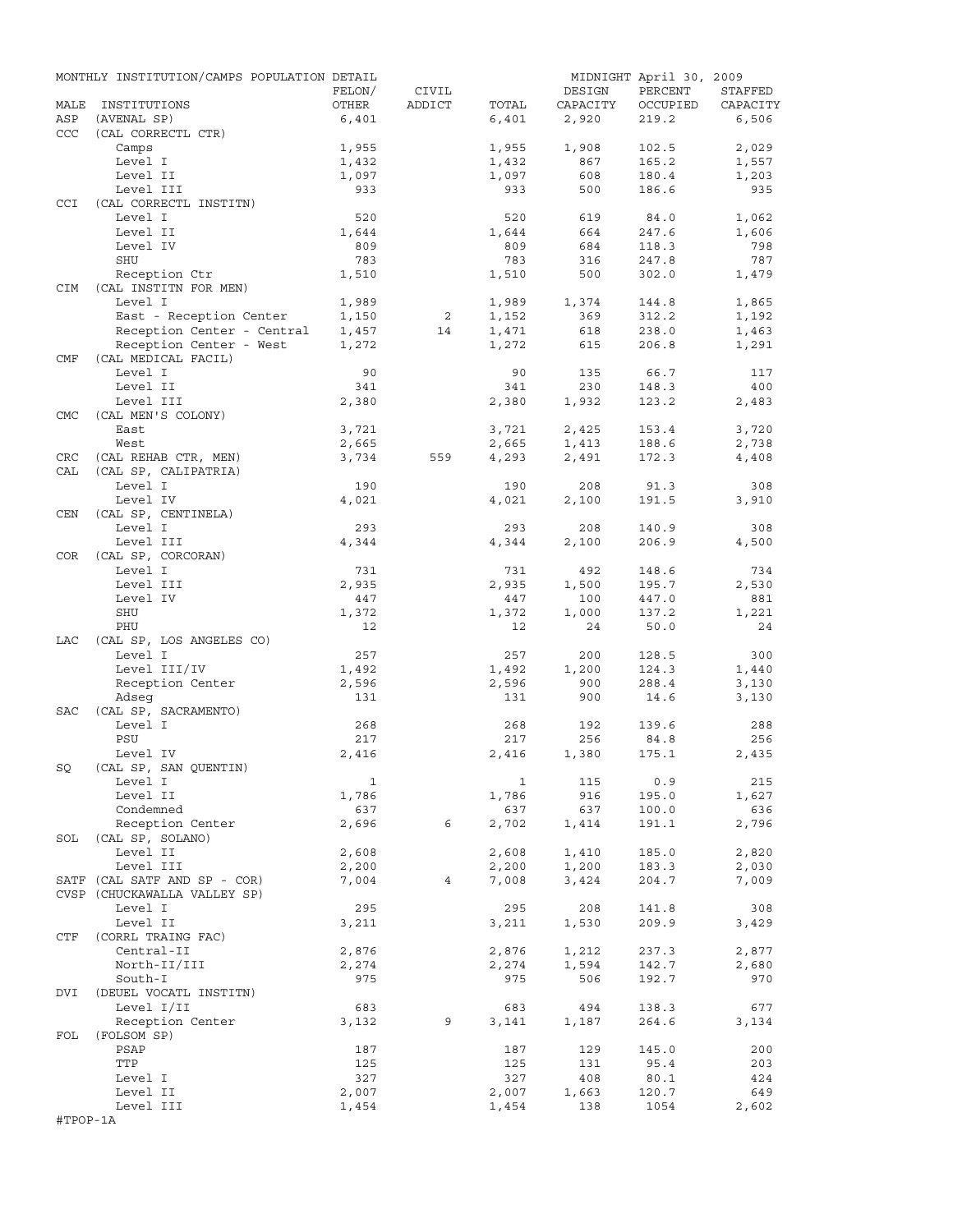|            | MONTHLY INSTITUTION/CAMPS POPULATION DETAIL |              |        |              |          | MIDNIGHT April 30, 2009 |            |
|------------|---------------------------------------------|--------------|--------|--------------|----------|-------------------------|------------|
|            |                                             | FELON/       | CIVIL  |              | DESIGN   | PERCENT                 | STAFFED    |
| MALE       | INSTITUTIONS                                | OTHER        | ADDICT | TOTAL        | CAPACITY | OCCUPIED                | CAPACITY   |
| ASP        | (AVENAL SP)                                 | 6,401        |        | 6,401        | 2,920    | 219.2                   | 6,506      |
| CCC        | (CAL CORRECTL CTR)                          |              |        |              |          |                         |            |
|            | Camps                                       | 1,955        |        | 1,955        | 1,908    | 102.5                   | 2,029      |
|            | Level I                                     | 1,432        |        | 1,432        | 867      | 165.2                   | 1,557      |
|            | Level II                                    | 1,097        |        | 1,097        | 608      | 180.4                   | 1,203      |
|            | Level III                                   | 933          |        | 933          | 500      | 186.6                   | 935        |
| <b>CCI</b> | (CAL CORRECTL INSTITN)                      |              |        |              |          |                         |            |
|            | Level I                                     | 520          |        | 520          | 619      | 84.0                    | 1,062      |
|            | Level II                                    | 1,644        |        | 1,644        | 664      | 247.6                   | 1,606      |
|            | Level IV                                    | 809          |        | 809          | 684      | 118.3                   | 798        |
|            | SHU                                         | 783          |        | 783          | 316      | 247.8                   | 787        |
|            | Reception Ctr                               | 1,510        |        | 1,510        | 500      | 302.0                   | 1,479      |
| CIM        | (CAL INSTITN FOR MEN)                       |              |        |              |          |                         |            |
|            | Level I                                     | 1,989        |        | 1,989        | 1,374    | 144.8                   | 1,865      |
|            | East - Reception Center                     | 1,150        | 2      | 1,152        | 369      | 312.2                   | 1,192      |
|            | Reception Center - Central                  | 1,457        | 14     | 1,471        | 618      | 238.0                   | 1,463      |
|            | Reception Center - West                     | 1,272        |        | 1,272        | 615      | 206.8                   | 1,291      |
| CMF        | (CAL MEDICAL FACIL)                         |              |        |              |          |                         |            |
|            | Level I                                     | 90           |        | 90           | 135      | 66.7                    | 117        |
|            | Level II                                    | 341          |        | 341          | 230      | 148.3                   | 400        |
|            | Level III                                   | 2,380        |        | 2,380        | 1,932    | 123.2                   | 2,483      |
| <b>CMC</b> | (CAL MEN'S COLONY)                          |              |        |              |          |                         |            |
|            | East                                        | 3,721        |        | 3,721        | 2,425    | 153.4                   | 3,720      |
|            | West                                        | 2,665        |        | 2,665        | 1,413    | 188.6                   | 2,738      |
| CRC        | (CAL REHAB CTR, MEN)                        | 3,734        | 559    | 4,293        | 2,491    | 172.3                   | 4,408      |
| CAL        | (CAL SP, CALIPATRIA)                        |              |        |              |          |                         |            |
|            | Level I                                     | 190          |        | 190          | 208      | 91.3                    | 308        |
|            | Level IV                                    | 4,021        |        | 4,021        | 2,100    | 191.5                   | 3,910      |
| CEN        | (CAL SP, CENTINELA)                         |              |        |              |          |                         |            |
|            | Level I                                     | 293          |        | 293          | 208      | 140.9                   | 308        |
|            | Level III                                   | 4,344        |        | 4,344        | 2,100    | 206.9                   | 4,500      |
| COR        | (CAL SP, CORCORAN)                          |              |        |              |          |                         |            |
|            | Level I                                     | 731          |        | 731          | 492      | 148.6                   | 734        |
|            | Level III                                   | 2,935        |        | 2,935        | 1,500    | 195.7                   | 2,530      |
|            | Level IV                                    | 447          |        | 447          | 100      | 447.0                   | 881        |
|            | SHU                                         | 1,372        |        | 1,372        | 1,000    | 137.2                   | 1,221      |
|            | PHU                                         | 12           |        | 12           | 24       | 50.0                    | 24         |
| LAC        | (CAL SP, LOS ANGELES CO)                    |              |        |              |          |                         |            |
|            | Level I                                     | 257          |        | 257          | 200      | 128.5                   | 300        |
|            | Level III/IV                                | 1,492        |        | 1,492        | 1,200    | 124.3                   | 1,440      |
|            | Reception Center                            | 2,596        |        | 2,596        | 900      | 288.4                   | 3,130      |
|            | Adseq                                       | 131          |        | 131          | 900      | 14.6                    | 3,130      |
| <b>SAC</b> | (CAL SP, SACRAMENTO)                        |              |        |              |          |                         |            |
|            | Level I                                     | 268          |        | 268          | 192      | 139.6                   | 288        |
|            | PSU                                         | 217          |        | 217          | 256      | 84.8                    | 256        |
|            | Level IV                                    | 2,416        |        | 2,416        | 1,380    | 175.1                   | 2,435      |
| SQ         | (CAL SP, SAN QUENTIN)                       |              |        |              |          |                         |            |
|            | Level I                                     | $\mathbf{1}$ |        | $\mathbf{1}$ | 115      | 0.9                     | 215        |
|            | Level II                                    | 1,786        |        | 1,786        | 916      | 195.0                   | 1,627      |
|            | Condemned                                   | 637          |        | 637          | 637      | 100.0                   | 636        |
|            | Reception Center                            | 2,696        | 6      | 2,702        | 1,414    | 191.1                   | 2,796      |
| SOL        | (CAL SP, SOLANO)                            |              |        |              |          |                         |            |
|            | Level II                                    | 2,608        |        | 2,608        | 1,410    | 185.0                   | 2,820      |
|            | Level III                                   | 2,200        |        | 2,200        | 1,200    | 183.3                   | 2,030      |
|            | SATF (CAL SATF AND SP - COR)                | 7,004        | 4      | 7,008        | 3,424    | 204.7                   | 7,009      |
|            | CVSP (CHUCKAWALLA VALLEY SP)                |              |        |              |          |                         |            |
|            | Level I                                     | 295          |        | 295          | 208      | 141.8                   | 308        |
|            | Level II                                    | 3,211        |        | 3,211        | 1,530    | 209.9                   | 3,429      |
| CTF        | (CORRL TRAING FAC)                          |              |        |              |          |                         |            |
|            | Central-II                                  | 2,876        |        | 2,876        | 1,212    | 237.3                   | 2,877      |
|            | North-II/III                                | 2,274        |        | 2,274        | 1,594    | 142.7                   | 2,680      |
|            | South-I                                     | 975          |        | 975          | 506      | 192.7                   | 970        |
| DVI        | (DEUEL VOCATL INSTITN)                      |              |        |              |          |                         |            |
|            | Level I/II                                  | 683          |        | 683          | 494      | 138.3                   | 677        |
|            | Reception Center                            | 3,132        | 9      |              | 1,187    | 264.6                   | 3,134      |
| FOL        | (FOLSOM SP)                                 |              |        | 3,141        |          |                         |            |
|            | PSAP                                        | 187          |        | 187          | 129      | 145.0                   | 200        |
|            | TTP                                         |              |        |              |          | 95.4                    |            |
|            |                                             | 125          |        | 125<br>327   | 131      |                         | 203<br>424 |
|            | Level I                                     | 327          |        |              | 408      | 80.1                    | 649        |
|            | Level II                                    | 2,007        |        | 2,007        | 1,663    | 120.7                   |            |
|            | Level III                                   | 1,454        |        | 1,454        | 138      | 1054                    | 2,602      |
| #TPOP-1A   |                                             |              |        |              |          |                         |            |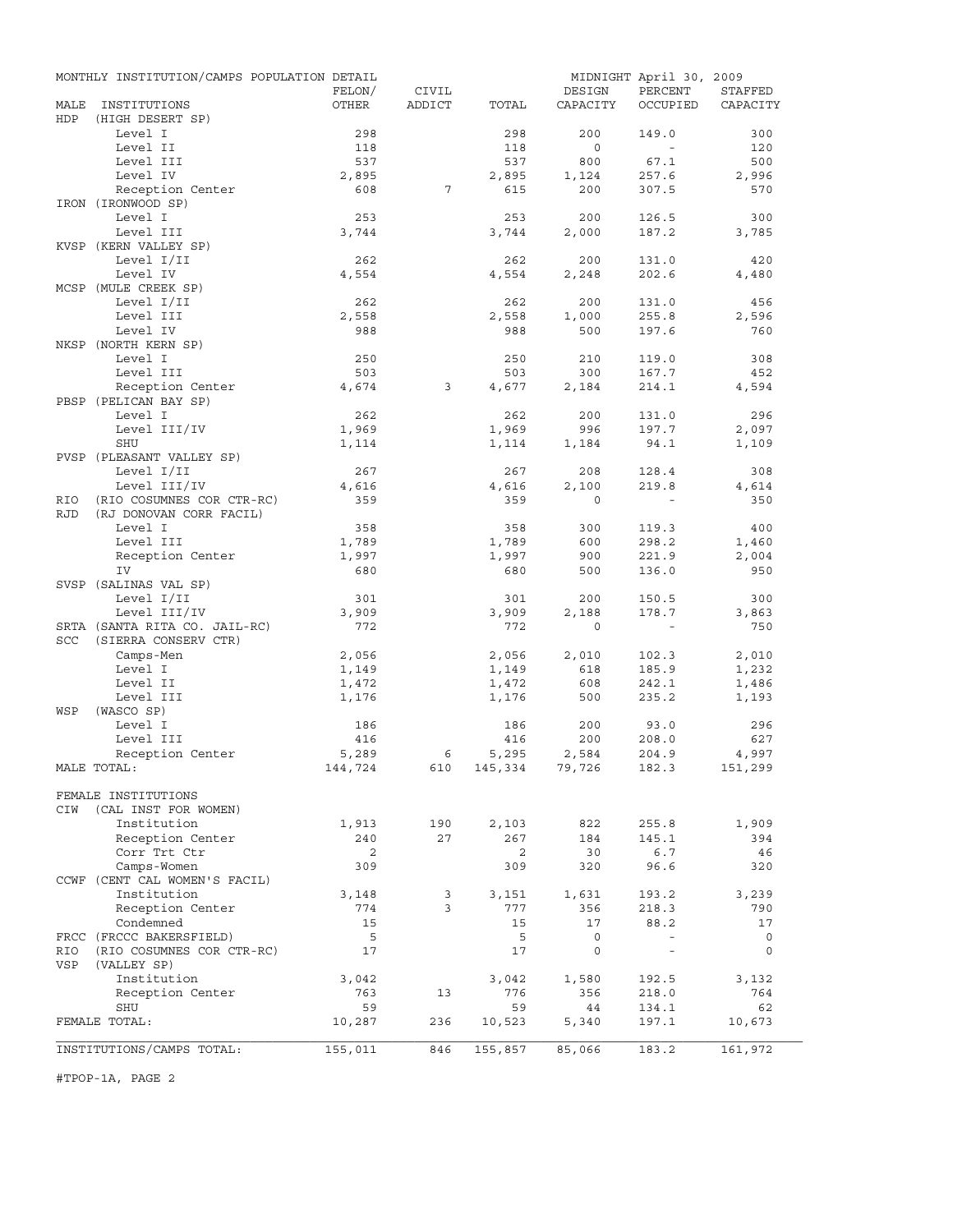| MONTHLY INSTITUTION/CAMPS POPULATION DETAIL              | MIDNIGHT April 30, 2009                        |
|----------------------------------------------------------|------------------------------------------------|
| FELON/<br>CIVIL                                          | PERCENT<br>STAFFED<br>DESIGN                   |
| MALE<br>INSTITUTIONS<br>OTHER<br>TOTAL<br>ADDICT         | OCCUPIED<br>CAPACITY<br>CAPACITY               |
| HDP<br>(HIGH DESERT SP)                                  |                                                |
| Level I<br>298<br>298                                    | 200<br>149.0<br>300                            |
| Level II<br>118<br>118                                   | $\circ$<br>120<br>$\sim$                       |
| Level III<br>537<br>537<br>2,895                         | 800<br>67.1<br>500<br>257.6<br>1,124           |
| Level IV<br>2,895<br>Reception Center<br>608<br>7<br>615 | 2,996<br>200<br>307.5<br>570                   |
| IRON (IRONWOOD SP)                                       |                                                |
| Level I<br>253<br>253                                    | 200<br>126.5<br>300                            |
| Level III<br>3,744<br>3,744                              | 2,000<br>187.2<br>3,785                        |
| KVSP (KERN VALLEY SP)                                    |                                                |
| Level I/II<br>262<br>262                                 | 200<br>131.0<br>420                            |
| Level IV<br>4,554<br>4,554                               | 2,248<br>202.6<br>4,480                        |
| MCSP (MULE CREEK SP)                                     |                                                |
| Level I/II<br>262<br>262                                 | 200<br>456<br>131.0                            |
| Level III<br>2,558<br>2,558                              | 1,000<br>255.8<br>2,596                        |
| Level IV<br>988<br>988                                   | 500<br>197.6<br>760                            |
| NKSP (NORTH KERN SP)                                     |                                                |
| Level I<br>250<br>250                                    | 210<br>119.0<br>308                            |
| Level III<br>503<br>503                                  | 300<br>167.7<br>452                            |
| Reception Center<br>4,674<br>3<br>4,677                  | 2,184<br>214.1<br>4,594                        |
| PBSP (PELICAN BAY SP)                                    |                                                |
| Level I<br>262<br>262                                    | 200<br>296<br>131.0                            |
| Level III/IV<br>1,969<br>1,969                           | 996<br>197.7<br>2,097                          |
| <b>SHU</b><br>1,114<br>1,114                             | 1,184<br>94.1<br>1,109                         |
| PVSP (PLEASANT VALLEY SP)                                |                                                |
| Level I/II<br>267<br>267                                 | 128.4<br>308<br>208                            |
| Level III/IV<br>4,616<br>4,616                           | 219.8<br>2,100<br>4,614                        |
| (RIO COSUMNES COR CTR-RC)<br>359<br>359<br>RIO           | $\Omega$<br>350                                |
| <b>RJD</b><br>(RJ DONOVAN CORR FACIL)                    |                                                |
| Level I<br>358<br>358                                    | 300<br>119.3<br>400                            |
| Level III<br>1,789<br>1,789                              | 600<br>298.2<br>1,460                          |
| Reception Center<br>1,997<br>1,997                       | 900<br>221.9<br>2,004                          |
| IV<br>680<br>680                                         | 500<br>136.0<br>950                            |
| SVSP (SALINAS VAL SP)                                    |                                                |
| Level I/II<br>301<br>301                                 | 200<br>150.5<br>300                            |
| Level III/IV<br>3,909<br>3,909                           | 2,188<br>178.7<br>3,863                        |
| SRTA (SANTA RITA CO. JAIL-RC)<br>772<br>772              | $\mathbf 0$<br>750<br>$\sim$ $-$               |
| <b>SCC</b><br>(SIERRA CONSERV CTR)                       |                                                |
| Camps-Men<br>2,056<br>2,056                              | 2,010<br>2,010<br>102.3                        |
| Level I<br>1,149<br>1,149                                | 618<br>185.9<br>1,232                          |
| Level II<br>1,472<br>1,472                               | 608<br>242.1<br>1,486                          |
| Level III<br>1,176<br>1,176                              | 500<br>235.2<br>1,193                          |
| WSP<br>(WASCO SP)                                        |                                                |
| Level I<br>186<br>186                                    | 200<br>296<br>93.0                             |
| Level III<br>416<br>416                                  | 200<br>208.0<br>627                            |
| Reception Center<br>5,289<br>5,295<br>6                  | 2,584<br>204.9<br>4,997                        |
| 144,724<br>610 145,334 79,726<br>MALE TOTAL:             | 151,299<br>182.3                               |
|                                                          |                                                |
| FEMALE INSTITUTIONS<br>(CAL INST FOR WOMEN)              |                                                |
| CIW<br>Institution<br>190                                |                                                |
| 1,913<br>2,103<br>240<br>27<br>267                       | 822<br>255.8<br>1,909                          |
| Reception Center<br>Corr Trt Ctr<br>2<br>2               | 184<br>145.1<br>394<br>30<br>6.7<br>46         |
| Camps-Women<br>309<br>309                                |                                                |
| CCWF (CENT CAL WOMEN'S FACIL)                            |                                                |
|                                                          | 320<br>96.6<br>320                             |
|                                                          |                                                |
| Institution<br>3,148<br>3<br>3,151                       | 1,631<br>193.2<br>3,239                        |
| Reception Center<br>774<br>3<br>777                      | 356<br>218.3<br>790                            |
| Condemned<br>15<br>15                                    | 88.2<br>17<br>17                               |
| FRCC (FRCCC BAKERSFIELD)<br>5<br>5                       | 0<br>$\bar{\phantom{a}}$<br>0                  |
| (RIO COSUMNES COR CTR-RC)<br>17<br>17<br>RIO             | $\circ$<br>$\circ$<br>$\overline{\phantom{a}}$ |
| VSP<br>(VALLEY SP)                                       |                                                |
| Institution<br>3,042<br>3,042                            | 1,580<br>192.5<br>3,132                        |
| Reception Center<br>763<br>13<br>776                     | 356<br>218.0<br>764                            |
| <b>SHU</b><br>59<br>59                                   | 44<br>134.1<br>62                              |
| FEMALE TOTAL:<br>236<br>10,523<br>10,287                 | 197.1<br>5,340<br>10,673                       |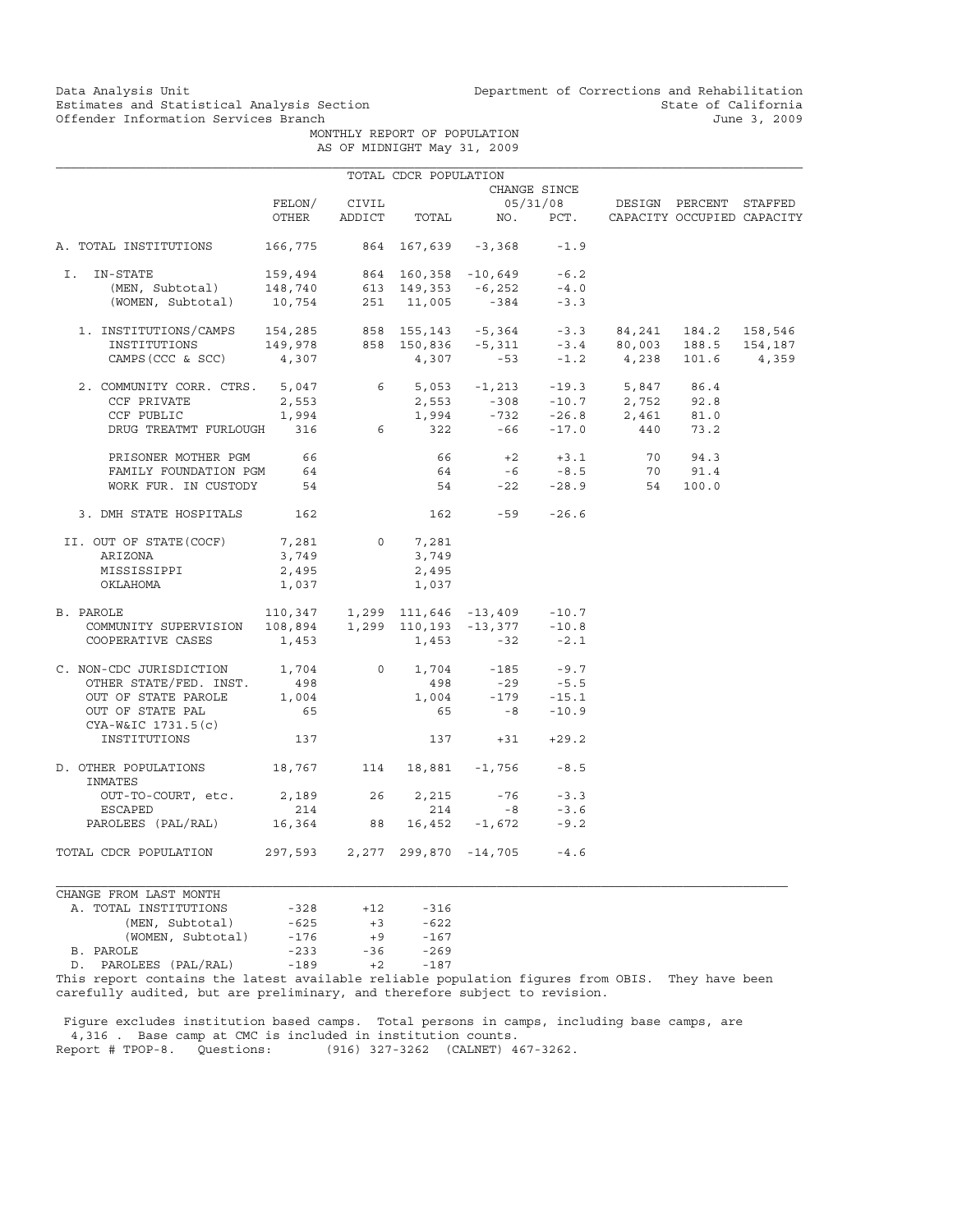Data Analysis Unit Unit Department of Corrections and Rehabilitation<br>Estimates and Statistical Analysis Section State of California Estimates and Statistical Analysis Section State of California<br>
Offender Information Services Branch State of California<br>
3, 2009

> MONTHLY REPORT OF POPULATION AS OF MIDNIGHT May 31, 2009

|                                                                                                                                                                                                                                                                                                                                        |       |              | TOTAL CDCR POPULATION |                                                          |                             |                                 |  |
|----------------------------------------------------------------------------------------------------------------------------------------------------------------------------------------------------------------------------------------------------------------------------------------------------------------------------------------|-------|--------------|-----------------------|----------------------------------------------------------|-----------------------------|---------------------------------|--|
|                                                                                                                                                                                                                                                                                                                                        |       |              |                       |                                                          | CHANGE SINCE                |                                 |  |
|                                                                                                                                                                                                                                                                                                                                        |       | FELON/ CIVIL |                       |                                                          |                             | 05/31/08 DESIGN PERCENT STAFFED |  |
|                                                                                                                                                                                                                                                                                                                                        | OTHER |              |                       | ADDICT TOTAL NO. PCT. CAPACITY OCCUPIED CAPACITY         |                             |                                 |  |
| A. TOTAL INSTITUTIONS                                                                                                                                                                                                                                                                                                                  |       |              |                       | 166,775 864 167,639 -3,368 -1.9                          |                             |                                 |  |
| -STATE 159,494 864 160,358 -10,649 -6.2<br>(MEN, Subtotal) 148,740 613 149,353 -6,252 -4.0<br>(WOMEN, Subtotal) 10,754 251 11,005 -384 -3.3<br>I. IN-STATE                                                                                                                                                                             |       |              |                       |                                                          |                             |                                 |  |
|                                                                                                                                                                                                                                                                                                                                        |       |              |                       |                                                          |                             |                                 |  |
|                                                                                                                                                                                                                                                                                                                                        |       |              |                       |                                                          |                             |                                 |  |
| 1. INSTITUTIONS/CAMPS 154,285 858 155,143 -5,364 -3.3 84,241 184.2 158,546<br>INSTITUTIONS 149,978 858 150,836 -5,311 -3.4 80,003 188.5 154,187<br>CAMPS(CCC & SCC) 4,307 -53 -1.2 4,238 101.6 4,359                                                                                                                                   |       |              |                       |                                                          |                             |                                 |  |
|                                                                                                                                                                                                                                                                                                                                        |       |              |                       |                                                          |                             |                                 |  |
|                                                                                                                                                                                                                                                                                                                                        |       |              |                       |                                                          |                             |                                 |  |
| $\begin{tabular}{cccccc} 2. & \text{COMMUNITY CORR. CTRS.} & 5,047 & 6 & 5,053 & -1,213 & -19.3 & 5,847 & 86.4 \\[.05in] \text{CCF PRIVATE} & 2,553 & 2,553 & -308 & -10.7 & 2,752 & 92.8 \\[.05in] \text{CCF PUBLIC} & 1,994 & 1,994 & -732 & -26.8 & 2,461 & 81.0 \\[.05in] \text{DRUG TREATMT FURLOUGH} & 316 & 6 & 322 & -66 & -1$ |       |              |                       |                                                          |                             |                                 |  |
|                                                                                                                                                                                                                                                                                                                                        |       |              |                       |                                                          |                             |                                 |  |
|                                                                                                                                                                                                                                                                                                                                        |       |              |                       |                                                          |                             |                                 |  |
|                                                                                                                                                                                                                                                                                                                                        |       |              |                       |                                                          |                             |                                 |  |
| PRISONER MOTHER PGM 66                                                                                                                                                                                                                                                                                                                 |       |              |                       | $66$ $+2$ $+3.1$ 70 $94.3$<br>$64$ $-6$ $-8.5$ 70 $91.4$ |                             |                                 |  |
| FAMILY FOUNDATION PGM                                                                                                                                                                                                                                                                                                                  | 64    |              |                       |                                                          |                             |                                 |  |
| WORK FUR. IN CUSTODY 54                                                                                                                                                                                                                                                                                                                |       |              |                       | $54$ $-22$ $-28.9$ $54$ $100.0$                          |                             |                                 |  |
| 3. DMH STATE HOSPITALS 162                                                                                                                                                                                                                                                                                                             |       |              |                       | $162 -59 -26.6$                                          |                             |                                 |  |
| II. OUT OF STATE (COCF) 7,281                                                                                                                                                                                                                                                                                                          |       |              | $0 \t 7,281$          |                                                          |                             |                                 |  |
| ARIZONA                                                                                                                                                                                                                                                                                                                                | 3,749 |              | 3,749                 |                                                          |                             |                                 |  |
| MISSISSIPPI                                                                                                                                                                                                                                                                                                                            | 2,495 |              | 2,495                 |                                                          |                             |                                 |  |
| OKLAHOMA                                                                                                                                                                                                                                                                                                                               | 1,037 |              | 1,037                 |                                                          |                             |                                 |  |
| 2AROLE 110,347 1,299 111,646 -13,409 -10.7<br>COMMUNITY SUPERVISION 108,894 1,299 110,193 -13,377 -10.8<br>B. PAROLE                                                                                                                                                                                                                   |       |              |                       |                                                          |                             |                                 |  |
|                                                                                                                                                                                                                                                                                                                                        |       |              |                       |                                                          |                             |                                 |  |
| COOPERATIVE CASES 1,453 1,453 -32 -2.1                                                                                                                                                                                                                                                                                                 |       |              |                       |                                                          |                             |                                 |  |
| $\begin{tabular}{lcccccc} C. & non-CDC JURISDICTION & & & 1,704 & & 0 & 1,704 & & -185 & & -9.7 \\ \hline \texttt{OTHER STATE/FED. INST.} & & & 498 & & 498 & & -29 & & -5.5 \\ \texttt{OUT OF STATE PAROLE} & & & 1,004 & & & 1,004 & & & -179 & & -15.1 \\ \end{tabular}$                                                            |       |              |                       |                                                          |                             |                                 |  |
|                                                                                                                                                                                                                                                                                                                                        |       |              |                       |                                                          |                             |                                 |  |
|                                                                                                                                                                                                                                                                                                                                        |       |              |                       | $1,004$ $-179$ $-15.1$<br>65 $-8$ $-10.9$                |                             |                                 |  |
| OUT OF STATE PAL<br>CYA-W&IC 1731.5(c)                                                                                                                                                                                                                                                                                                 | 65    |              |                       |                                                          |                             |                                 |  |
| INSTITUTIONS                                                                                                                                                                                                                                                                                                                           | 137   |              |                       | $137 +31 +29.2$                                          |                             |                                 |  |
| D. OTHER POPULATIONS 18,767 114 18,881 -1,756 -8.5<br>INMATES                                                                                                                                                                                                                                                                          |       |              |                       |                                                          |                             |                                 |  |
| OUT-TO-COURT, etc. 2,189 26 2,215                                                                                                                                                                                                                                                                                                      |       |              |                       |                                                          | $-76$ $-3.3$<br>$-8$ $-3.6$ |                                 |  |
| ESCAPED                                                                                                                                                                                                                                                                                                                                | 214   |              | 214                   |                                                          |                             |                                 |  |
| PAROLEES (PAL/RAL) 16,364 88 16,452 -1,672                                                                                                                                                                                                                                                                                             |       |              |                       |                                                          | $-9.2$                      |                                 |  |
| TOTAL CDCR POPULATION 297,593 2,277 299,870 -14,705 -4.6                                                                                                                                                                                                                                                                               |       |              |                       |                                                          |                             |                                 |  |
| CHANGE FROM LAST MONTH                                                                                                                                                                                                                                                                                                                 |       |              |                       |                                                          |                             |                                 |  |

A. TOTAL INSTITUTIONS -328 +12 -316 1 INSTITUTIONS -328 +12 -316<br>(MEN, Subtotal) -625 +3 -622<br>(WOMEN, Subtotal) -176 +9 -167 (WOMEN, Subtotal) -176 +9 -167<br>LE -233 -36 -269 B. PAROLE -233 -36 -269 D. PAROLEES (PAL/RAL)

This report contains the latest available reliable population figures from OBIS. They have been carefully audited, but are preliminary, and therefore subject to revision.

 Figure excludes institution based camps. Total persons in camps, including base camps, are 4,316 . Base camp at CMC is included in institution counts. (916) 327-3262 (CALNET) 467-3262.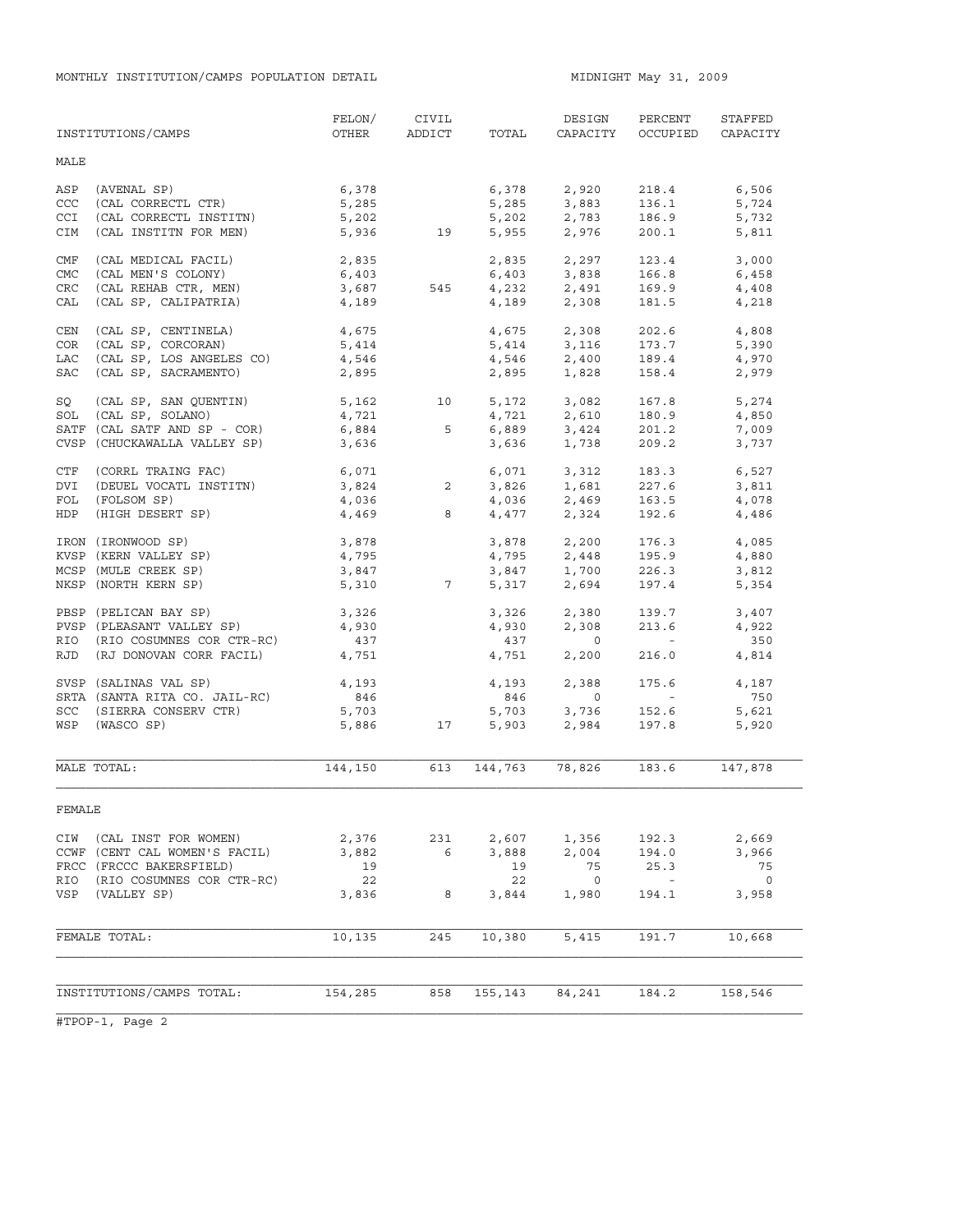MONTHLY INSTITUTION/CAMPS POPULATION DETAIL **MIDNIGHT MAY 31, 2009** 

|            | INSTITUTIONS/CAMPS            | FELON/<br>OTHER    | CIVIL<br>ADDICT | TOTAL          | DESIGN<br>CAPACITY            | PERCENT<br>OCCUPIED      | STAFFED<br>CAPACITY |
|------------|-------------------------------|--------------------|-----------------|----------------|-------------------------------|--------------------------|---------------------|
| MALE       |                               |                    |                 |                |                               |                          |                     |
| ASP        | (AVENAL SP)                   | 6,378              |                 |                | 6,378 2,920                   | 218.4                    | 6,506               |
| CCC        | (CAL CORRECTL CTR)            | 5,285              |                 | 5,285          | 3,883                         | 136.1                    | 5,724               |
| <b>CCI</b> | (CAL CORRECTL INSTITN)        | 5,202              |                 |                | $5,202$ 2,783                 | 186.9                    | 5,732               |
| CIM        | (CAL INSTITN FOR MEN)         |                    | 5,936 19        | 5,955          | 2,976                         | 200.1                    | 5,811               |
| CMF        | (CAL MEDICAL FACIL)           | 2,835              |                 | 2,835          | 2,297                         | 123.4                    | 3,000               |
| CMC        | (CAL MEN'S COLONY)            | 6,403              |                 |                | 6,403 3,838                   | 166.8                    | 6,458               |
| CRC        | (CAL REHAB CTR, MEN)          | 3,687              | 545             |                |                               | 169.9                    | 4,408               |
| CAL        | (CAL SP, CALIPATRIA)          | 4,189              |                 |                | $4,232$<br>$4,189$<br>$2,308$ | 181.5                    | 4,218               |
| CEN        | (CAL SP, CENTINELA)           | 4,675              |                 |                | 4,675 2,308                   | 202.6                    | 4,808               |
| COR        | (CAL SP, CORCORAN)            | 5,414              |                 | 5,414          | 3,116                         | 173.7                    | 5,390               |
| LAC        | (CAL SP, LOS ANGELES CO)      | 4,546              |                 |                | $4,546$ $2,400$               | 189.4                    | 4,970               |
| SAC        | (CAL SP, SACRAMENTO)          | 2,895              |                 | 2,895          | 1,828                         | 158.4                    | 2,979               |
| SQ         | (CAL SP, SAN QUENTIN)         |                    | 5,162 10        |                | 5,172 3,082<br>4,721 2,610    | 167.8                    | 5,274               |
| SOL        | (CAL SP, SOLANO)              | 4,721              |                 |                |                               | 180.9                    | 4,850               |
|            | SATF (CAL SATF AND SP - COR)  | 6,884              | 5               |                |                               | 201.2                    | 7,009               |
|            | CVSP (CHUCKAWALLA VALLEY SP)  | 3,636              |                 | 6,889<br>3,636 | 3,424<br>1,738                | 209.2                    | 3,737               |
| CTF        | (CORRL TRAING FAC)            | $6,071$<br>$3,824$ |                 |                | 6,071 3,312                   | 183.3                    | 6,527               |
| DVI        | (DEUEL VOCATL INSTITN)        |                    | $\overline{2}$  |                |                               | 227.6                    | 3,811               |
| FOL        | (FOLSOM SP)                   | 4,036              |                 |                | 3,826 1,681<br>4,036 2,469    | 163.5                    | 4,078               |
| HDP        | (HIGH DESERT SP)              | 4,469              | 8               |                | 4,477 2,324                   | 192.6                    | 4,486               |
|            | IRON (IRONWOOD SP)            | 3,878              |                 |                | $3,878$<br>$4,795$<br>$2,448$ | 176.3                    | 4,085               |
|            | KVSP (KERN VALLEY SP)         | 4,795              |                 |                |                               | 195.9                    | 4,880               |
|            | MCSP (MULE CREEK SP)          | 3,847              |                 |                |                               | 226.3                    | 3,812               |
|            | NKSP (NORTH KERN SP)          | 5,310              | 7               | 3,847<br>5,317 | 1,700<br>2,694                | 197.4                    | 5,354               |
|            | PBSP (PELICAN BAY SP)         | 3,326              |                 | 3,326          | 2,380                         | 139.7                    | 3,407               |
|            | PVSP (PLEASANT VALLEY SP)     | 4,930              |                 | 4,930          | 2,308                         | 213.6                    | 4,922               |
| RIO        | (RIO COSUMNES COR CTR-RC)     | 437                |                 | 437            | $\overline{0}$                | <b>Contractor</b>        | 350                 |
| RJD        | (RJ DONOVAN CORR FACIL)       | 4,751              |                 | 4,751          | 2,200                         | 216.0                    | 4,814               |
|            | SVSP (SALINAS VAL SP)         | 4,193              |                 | 4,193          | 2,388                         | 175.6                    | 4,187               |
|            | SRTA (SANTA RITA CO. JAIL-RC) | 846                |                 | 846            | $\overline{0}$                | <b>Contract Contract</b> | 750                 |
|            | SCC (SIERRA CONSERV CTR)      | 5,703              |                 | 5,703          | 3,736                         | 152.6                    | 5,621               |
| WSP        | (WASCO SP)                    | 5,886              | 17              | 5,903          | 2,984                         | 197.8                    | 5,920               |
|            | MALE TOTAL:                   | 144,150            | 613             | 144,763        | 78,826                        | 183.6                    | 147,878             |
|            |                               |                    |                 |                |                               |                          |                     |
| FEMALE     |                               |                    |                 |                |                               |                          |                     |
| CIW        | (CAL INST FOR WOMEN)          | 2,376              | 231             | 2,607          | 1,356                         | 192.3                    | 2,669               |
|            | CCWF (CENT CAL WOMEN'S FACIL) | 3,882              | 6               | 3,888          | 2,004                         | 194.0                    | 3,966               |
|            | FRCC (FRCCC BAKERSFIELD)      | 19                 |                 | 19             | 75                            | 25.3                     | 75                  |
| RIO        | (RIO COSUMNES COR CTR-RC)     | 22                 |                 | 22             | $\overline{\phantom{0}}$      | $\overline{\phantom{a}}$ | $\overline{0}$      |
| VSP        | (VALLEY SP)                   | 3,836              | 8               | 3,844          | 1,980                         | 194.1                    | 3,958               |
|            | FEMALE TOTAL:                 | 10,135             | 245             | 10,380         | 5,415                         | 191.7                    | 10,668              |
|            |                               |                    |                 |                |                               |                          |                     |
|            |                               |                    |                 |                |                               |                          |                     |
|            | INSTITUTIONS/CAMPS TOTAL:     | 154,285            | 858             | 155,143        | 84,241                        | 184.2                    | 158,546             |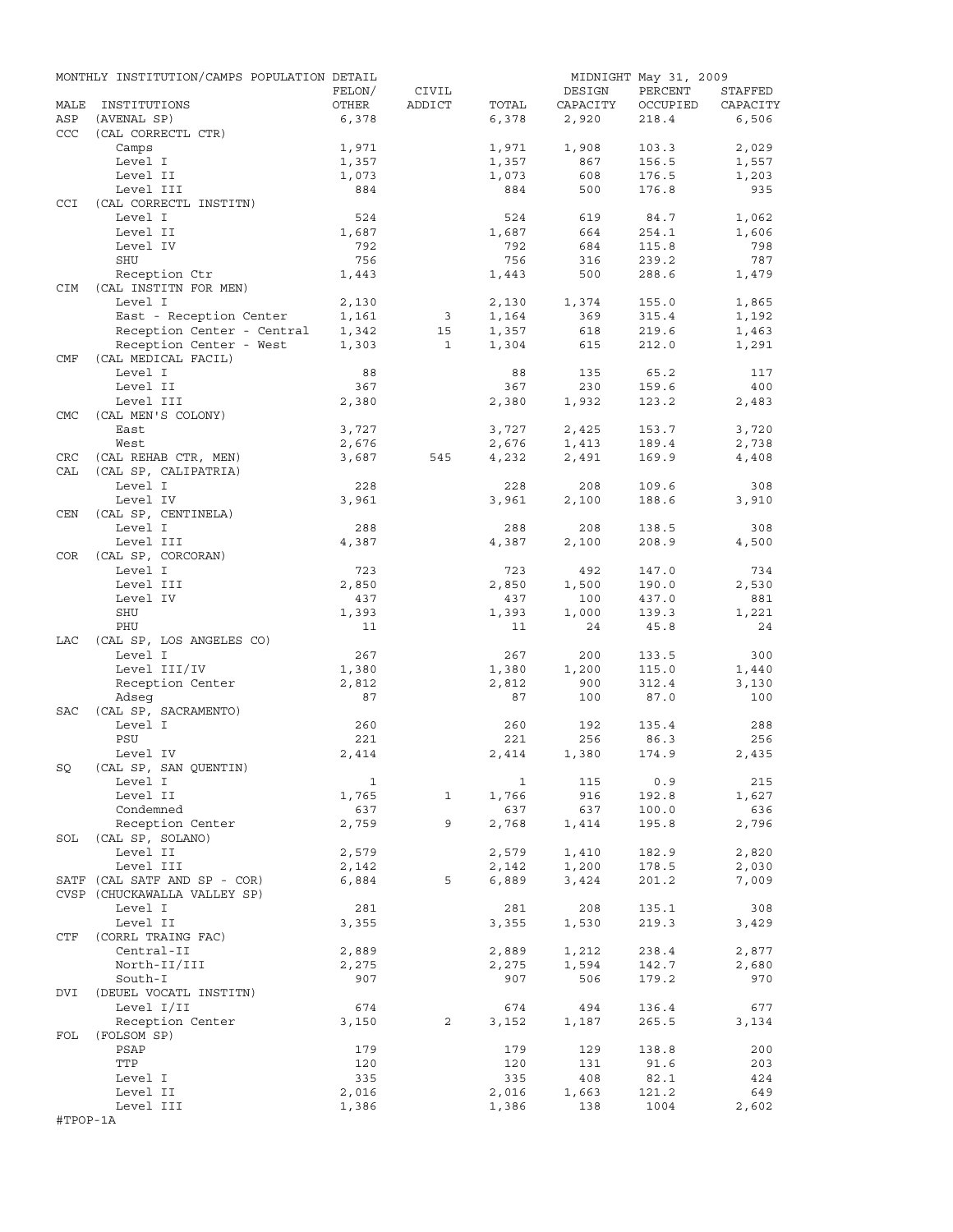|            | MONTHLY INSTITUTION/CAMPS POPULATION DETAIL |        |              |       |          | MIDNIGHT May 31, 2009 |          |
|------------|---------------------------------------------|--------|--------------|-------|----------|-----------------------|----------|
|            |                                             | FELON/ | CIVIL        |       | DESIGN   | PERCENT               | STAFFED  |
| MALE       | INSTITUTIONS                                | OTHER  | ADDICT       | TOTAL | CAPACITY | OCCUPIED              | CAPACITY |
| ASP        | (AVENAL SP)                                 | 6,378  |              | 6,378 | 2,920    | 218.4                 | 6,506    |
| CCC        | (CAL CORRECTL CTR)                          |        |              |       |          |                       |          |
|            | Camps                                       | 1,971  |              | 1,971 | 1,908    | 103.3                 | 2,029    |
|            | Level I                                     | 1,357  |              | 1,357 | 867      | 156.5                 | 1,557    |
|            | Level II                                    | 1,073  |              | 1,073 | 608      | 176.5                 | 1,203    |
|            | Level III                                   | 884    |              | 884   | 500      | 176.8                 | 935      |
| <b>CCI</b> | (CAL CORRECTL INSTITN)                      |        |              |       |          |                       |          |
|            | Level I                                     | 524    |              | 524   | 619      | 84.7                  | 1,062    |
|            | Level II                                    | 1,687  |              | 1,687 | 664      | 254.1                 | 1,606    |
|            | Level IV                                    | 792    |              | 792   | 684      | 115.8                 | 798      |
|            | SHU                                         | 756    |              | 756   | 316      | 239.2                 | 787      |
|            | Reception Ctr                               | 1,443  |              | 1,443 | 500      | 288.6                 | 1,479    |
| CIM        | (CAL INSTITN FOR MEN)                       |        |              |       |          |                       |          |
|            | Level I                                     | 2,130  |              | 2,130 | 1,374    | 155.0                 | 1,865    |
|            | East - Reception Center                     | 1,161  | 3            | 1,164 | 369      | 315.4                 | 1,192    |
|            | Reception Center - Central                  | 1,342  | 15           | 1,357 | 618      | 219.6                 | 1,463    |
|            | Reception Center - West                     | 1,303  | $\mathbf{1}$ | 1,304 | 615      | 212.0                 | 1,291    |
| CMF        | (CAL MEDICAL FACIL)                         |        |              |       |          |                       |          |
|            | Level I                                     | 88     |              | 88    | 135      | 65.2                  | 117      |
|            | Level II                                    | 367    |              | 367   | 230      | 159.6                 | 400      |
|            | Level III                                   |        |              | 2,380 | 1,932    | 123.2                 | 2,483    |
| <b>CMC</b> |                                             | 2,380  |              |       |          |                       |          |
|            | (CAL MEN'S COLONY)                          |        |              |       |          |                       |          |
|            | East                                        | 3,727  |              | 3,727 | 2,425    | 153.7                 | 3,720    |
|            | West                                        | 2,676  |              | 2,676 | 1,413    | 189.4                 | 2,738    |
| CRC        | (CAL REHAB CTR, MEN)                        | 3,687  | 545          | 4,232 | 2,491    | 169.9                 | 4,408    |
| CAL        | (CAL SP, CALIPATRIA)                        |        |              |       |          |                       |          |
|            | Level I                                     | 228    |              | 228   | 208      | 109.6                 | 308      |
|            | Level IV                                    | 3,961  |              | 3,961 | 2,100    | 188.6                 | 3,910    |
| CEN        | (CAL SP, CENTINELA)                         |        |              |       |          |                       |          |
|            | Level I                                     | 288    |              | 288   | 208      | 138.5                 | 308      |
|            | Level III                                   | 4,387  |              | 4,387 | 2,100    | 208.9                 | 4,500    |
| COR        | (CAL SP, CORCORAN)                          |        |              |       |          |                       |          |
|            | Level I                                     | 723    |              | 723   | 492      | 147.0                 | 734      |
|            | Level III                                   | 2,850  |              | 2,850 | 1,500    | 190.0                 | 2,530    |
|            | Level IV                                    | 437    |              | 437   | 100      | 437.0                 | 881      |
|            | SHU                                         | 1,393  |              | 1,393 | 1,000    | 139.3                 | 1,221    |
|            | PHU                                         | 11     |              | 11    | 24       | 45.8                  | 24       |
| LAC        | (CAL SP, LOS ANGELES CO)                    |        |              |       |          |                       |          |
|            | Level I                                     | 267    |              | 267   | 200      | 133.5                 | 300      |
|            | Level III/IV                                | 1,380  |              | 1,380 | 1,200    | 115.0                 | 1,440    |
|            | Reception Center                            | 2,812  |              | 2,812 | 900      | 312.4                 | 3,130    |
|            |                                             | 87     |              | 87    | 100      |                       |          |
|            | Adseq                                       |        |              |       |          | 87.0                  | 100      |
| SAC        | (CAL SP, SACRAMENTO)                        |        |              |       |          |                       |          |
|            | Level I                                     | 260    |              | 260   | 192      | 135.4                 | 288      |
|            | PSU                                         | 221    |              | 221   | 256      | 86.3                  | 256      |
|            | Level IV                                    | 2,414  |              | 2,414 | 1,380    | 174.9                 | 2,435    |
| SQ         | (CAL SP, SAN QUENTIN)                       |        |              |       |          |                       |          |
|            | Level I                                     | 1      |              | 1     | 115      | 0.9                   | 215      |
|            | Level II                                    | 1,765  | 1            | 1,766 | 916      | 192.8                 | 1,627    |
|            | Condemned                                   | 637    |              | 637   | 637      | 100.0                 | 636      |
|            | Reception Center                            | 2,759  | 9            | 2,768 | 1,414    | 195.8                 | 2,796    |
| SOL        | (CAL SP, SOLANO)                            |        |              |       |          |                       |          |
|            | Level II                                    | 2,579  |              | 2,579 | 1,410    | 182.9                 | 2,820    |
|            | Level III                                   | 2,142  |              | 2,142 | 1,200    | 178.5                 | 2,030    |
|            | SATF (CAL SATF AND SP - COR)                | 6,884  | 5            | 6,889 | 3,424    | 201.2                 | 7,009    |
|            | CVSP (CHUCKAWALLA VALLEY SP)                |        |              |       |          |                       |          |
|            | Level I                                     | 281    |              | 281   | 208      | 135.1                 | 308      |
|            | Level II                                    | 3,355  |              | 3,355 | 1,530    | 219.3                 | 3,429    |
| CTF        | (CORRL TRAING FAC)                          |        |              |       |          |                       |          |
|            | Central-II                                  | 2,889  |              | 2,889 | 1,212    | 238.4                 | 2,877    |
|            | North-II/III                                | 2,275  |              | 2,275 | 1,594    | 142.7                 | 2,680    |
|            |                                             |        |              |       |          |                       |          |
|            | South-I                                     | 907    |              | 907   | 506      | 179.2                 | 970      |
| DVI        | (DEUEL VOCATL INSTITN)                      |        |              |       |          |                       |          |
|            | Level I/II                                  | 674    |              | 674   | 494      | 136.4                 | 677      |
|            | Reception Center                            | 3,150  | 2            | 3,152 | 1,187    | 265.5                 | 3,134    |
| FOL        | (FOLSOM SP)                                 |        |              |       |          |                       |          |
|            | PSAP                                        | 179    |              | 179   | 129      | 138.8                 | 200      |
|            | TTP                                         | 120    |              | 120   | 131      | 91.6                  | 203      |
|            | Level I                                     | 335    |              | 335   | 408      | 82.1                  | 424      |
|            | Level II                                    | 2,016  |              | 2,016 | 1,663    | 121.2                 | 649      |
|            | Level III                                   | 1,386  |              | 1,386 | 138      | 1004                  | 2,602    |
| #TPOP-1A   |                                             |        |              |       |          |                       |          |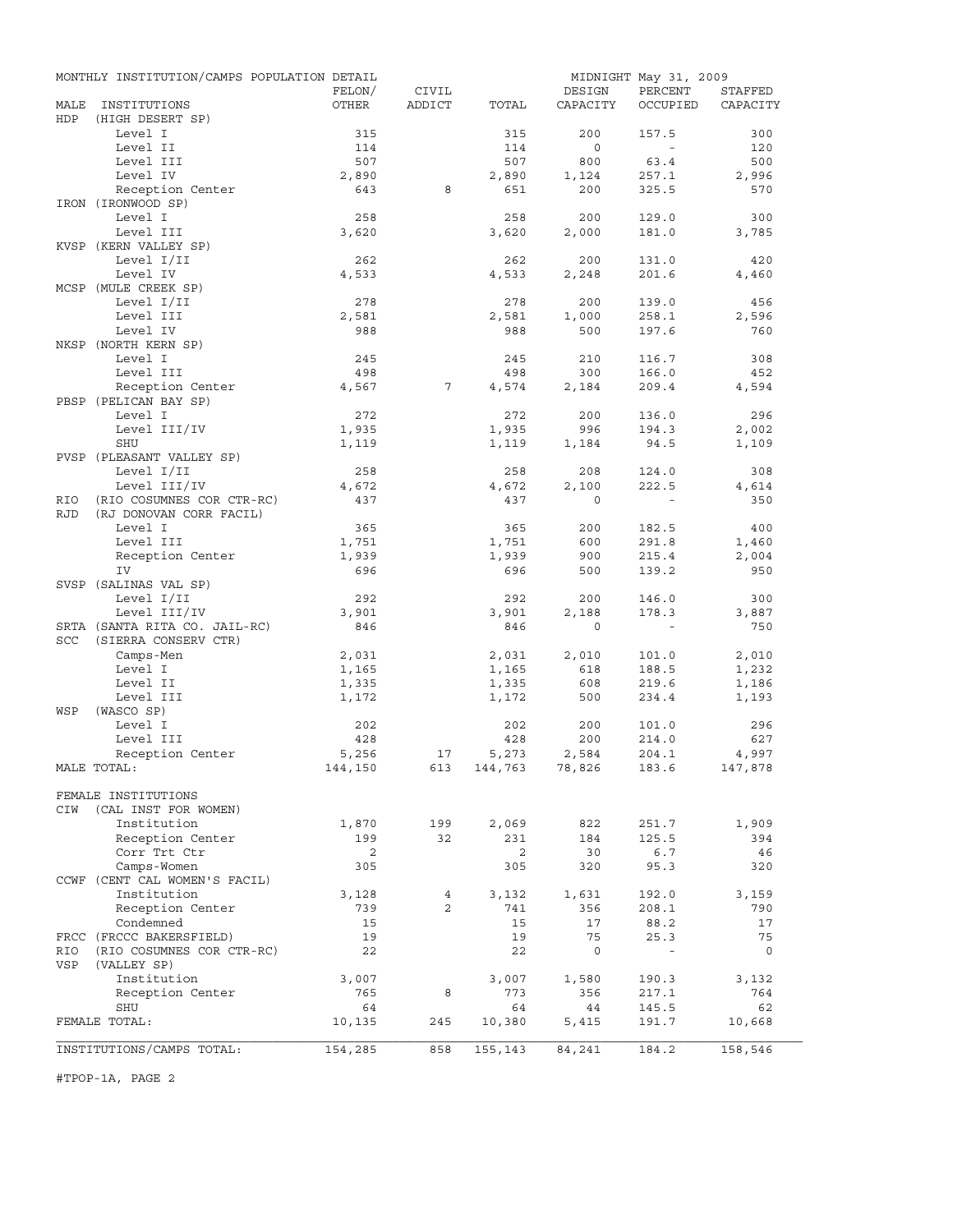|            | MONTHLY INSTITUTION/CAMPS POPULATION DETAIL |         |                |              |                | MIDNIGHT May 31, 2009 |              |
|------------|---------------------------------------------|---------|----------------|--------------|----------------|-----------------------|--------------|
|            |                                             | FELON/  | CIVIL          |              | DESIGN         | PERCENT               | STAFFED      |
| MALE       | INSTITUTIONS                                | OTHER   | ADDICT         | TOTAL        | CAPACITY       | OCCUPIED              | CAPACITY     |
| HDP        | (HIGH DESERT SP)                            |         |                |              |                |                       |              |
|            | Level I                                     | 315     |                | 315          | 200            | 157.5                 | 300          |
|            | Level II                                    | 114     |                | 114          | $\circ$        | $\sim$                | 120          |
|            | Level III                                   | 507     |                | 507          | 800            | 63.4                  | 500          |
|            | Level IV                                    | 2,890   | 8              | 2,890<br>651 | 1,124<br>200   | 257.1                 | 2,996<br>570 |
|            | Reception Center<br>IRON (IRONWOOD SP)      | 643     |                |              |                | 325.5                 |              |
|            | Level I                                     | 258     |                | 258          | 200            | 129.0                 | 300          |
|            | Level III                                   | 3,620   |                | 3,620        | 2,000          | 181.0                 | 3,785        |
|            | KVSP (KERN VALLEY SP)                       |         |                |              |                |                       |              |
|            | Level I/II                                  | 262     |                | 262          | 200            | 131.0                 | 420          |
|            | Level IV                                    | 4,533   |                | 4,533        | 2,248          | 201.6                 | 4,460        |
|            | MCSP (MULE CREEK SP)                        |         |                |              |                |                       |              |
|            | Level I/II                                  | 278     |                | 278          | 200            | 139.0                 | 456          |
|            | Level III                                   | 2,581   |                | 2,581        | 1,000          | 258.1                 | 2,596        |
|            | Level IV                                    | 988     |                | 988          | 500            | 197.6                 | 760          |
|            | NKSP (NORTH KERN SP)                        |         |                |              |                |                       |              |
|            | Level I                                     | 245     |                | 245          | 210            | 116.7                 | 308          |
|            | Level III                                   | 498     |                | 498          | 300            | 166.0                 | 452          |
|            | Reception Center                            | 4,567   | 7              | 4,574        | 2,184          | 209.4                 | 4,594        |
|            | PBSP (PELICAN BAY SP)                       |         |                |              |                |                       |              |
|            | Level I                                     | 272     |                | 272          | 200            | 136.0                 | 296          |
|            | Level III/IV                                | 1,935   |                | 1,935        | 996            | 194.3                 | 2,002        |
|            | SHU                                         | 1,119   |                | 1,119        | 1,184          | 94.5                  | 1,109        |
|            | PVSP (PLEASANT VALLEY SP)                   |         |                |              |                |                       |              |
|            | Level I/II                                  | 258     |                | 258          | 208            | 124.0                 | 308          |
|            | Level III/IV                                | 4,672   |                | 4,672        | 2,100          | 222.5                 | 4,614        |
| RIO        | (RIO COSUMNES COR CTR-RC)                   | 437     |                | 437          | $\Omega$       |                       | 350          |
| <b>RJD</b> | (RJ DONOVAN CORR FACIL)                     |         |                |              |                |                       |              |
|            | Level I                                     | 365     |                | 365          | 200            | 182.5                 | 400          |
|            | Level III                                   | 1,751   |                | 1,751        | 600            | 291.8                 | 1,460        |
|            | Reception Center                            | 1,939   |                | 1,939        | 900            | 215.4                 | 2,004        |
|            | IV                                          | 696     |                | 696          | 500            | 139.2                 | 950          |
|            | SVSP (SALINAS VAL SP)                       |         |                |              |                |                       |              |
|            | Level I/II                                  | 292     |                | 292          | 200            | 146.0                 | 300          |
|            | Level III/IV                                | 3,901   |                | 3,901        | 2,188          | 178.3                 | 3,887        |
|            | SRTA (SANTA RITA CO. JAIL-RC)               | 846     |                | 846          | $\mathbf 0$    | $\sim$ $-$            | 750          |
| SCC        | (SIERRA CONSERV CTR)                        |         |                |              |                |                       |              |
|            | Camps-Men                                   | 2,031   |                | 2,031        | 2,010          | 101.0                 | 2,010        |
|            | Level I                                     | 1,165   |                | 1,165        | 618            | 188.5                 | 1,232        |
|            | Level II                                    | 1,335   |                | 1,335        | 608            | 219.6                 | 1,186        |
|            | Level III                                   | 1,172   |                | 1,172        | 500            | 234.4                 | 1,193        |
| WSP        | (WASCO SP)                                  |         |                |              |                |                       |              |
|            | Level I                                     | 202     |                | 202          | 200            | 101.0                 | 296          |
|            | Level III                                   | 428     |                | 428          | 200            | 214.0                 | 627          |
|            | Reception Center                            | 5,256   | 17             | 5,273        | 2,584          | 204.1                 | 4,997        |
|            | MALE TOTAL:                                 | 144,150 | 613            |              | 144,763 78,826 | 183.6                 | 147,878      |
|            | FEMALE INSTITUTIONS                         |         |                |              |                |                       |              |
| CIW        | (CAL INST FOR WOMEN)                        |         |                |              |                |                       |              |
|            | Institution                                 | 1,870   | 199            | 2,069        | 822            | 251.7                 | 1,909        |
|            | Reception Center                            | 199     | 32             | 231          | 184            | 125.5                 | 394          |
|            | Corr Trt Ctr                                | 2       |                | 2            | 30             | 6.7                   | 46           |
|            | Camps-Women                                 | 305     |                | 305          | 320            | 95.3                  | 320          |
|            | CCWF (CENT CAL WOMEN'S FACIL)               |         |                |              |                |                       |              |
|            | Institution                                 | 3,128   | 4              | 3,132        | 1,631          | 192.0                 | 3,159        |
|            | Reception Center                            | 739     | $\overline{2}$ | 741          | 356            | 208.1                 | 790          |
|            | Condemned                                   | 15      |                | 15           | 17             | 88.2                  | 17           |
|            | FRCC (FRCCC BAKERSFIELD)                    | 19      |                | 19           | 75             | 25.3                  | 75           |
| RIO        | (RIO COSUMNES COR CTR-RC)                   | 22      |                | 22           | $\circ$        |                       | $\circ$      |
| VSP        | (VALLEY SP)                                 |         |                |              |                |                       |              |
|            | Institution                                 | 3,007   |                | 3,007        | 1,580          | 190.3                 | 3,132        |
|            | Reception Center                            | 765     | 8              | 773          | 356            | 217.1                 | 764          |
|            | SHU                                         | 64      |                | 64           | 44             | 145.5                 | 62           |
|            | FEMALE TOTAL:                               | 10,135  | 245            | 10,380       | 5,415          | 191.7                 | 10,668       |
|            |                                             |         |                |              |                |                       |              |
|            | INSTITUTIONS/CAMPS TOTAL:                   | 154,285 | 858            | 155,143      | 84,241         | 184.2                 | 158,546      |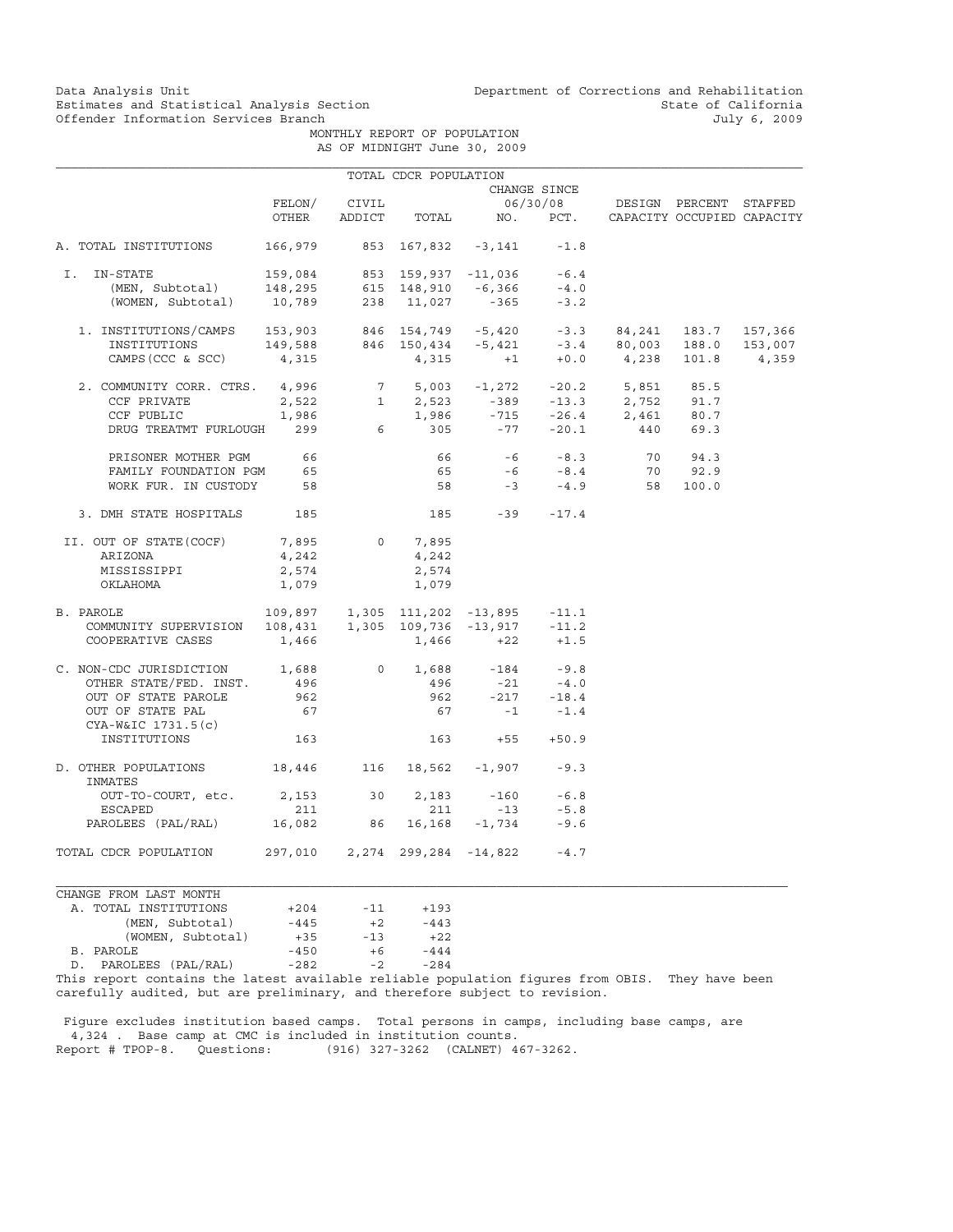Data Analysis Unit Unit Department of Corrections and Rehabilitation<br>Estimates and Statistical Analysis Section State of California Estimates and Statistical Analysis Section and State of California<br>
Offender Information Services Branch (State of California and State of California

 MONTHLY REPORT OF POPULATION AS OF MIDNIGHT June 30, 2009

|                                                                                                                                                                                                                                                                                                                                           |                                     |       | TOTAL CDCR POPULATION |                                                                 |              |                                 |  |
|-------------------------------------------------------------------------------------------------------------------------------------------------------------------------------------------------------------------------------------------------------------------------------------------------------------------------------------------|-------------------------------------|-------|-----------------------|-----------------------------------------------------------------|--------------|---------------------------------|--|
|                                                                                                                                                                                                                                                                                                                                           |                                     |       |                       |                                                                 | CHANGE SINCE |                                 |  |
|                                                                                                                                                                                                                                                                                                                                           | FELON/                              | CIVIL |                       |                                                                 |              | 06/30/08 DESIGN PERCENT STAFFED |  |
|                                                                                                                                                                                                                                                                                                                                           | OTHER                               |       |                       | ADDICT TOTAL NO. PCT. CAPACITY OCCUPIED CAPACITY                |              |                                 |  |
| A. TOTAL INSTITUTIONS                                                                                                                                                                                                                                                                                                                     | $166,979$ 853 $167,832$ -3,141 -1.8 |       |                       |                                                                 |              |                                 |  |
| I. IN-STATE                                                                                                                                                                                                                                                                                                                               |                                     |       |                       |                                                                 |              |                                 |  |
|                                                                                                                                                                                                                                                                                                                                           |                                     |       |                       |                                                                 |              |                                 |  |
| 199,084 53 159,937 -11,036 -6.4<br>(MEN, Subtotal) 148,295 615 148,910 -6,366 -4.0<br>(WOMEN, Subtotal) 10,789 238 11,027 -365 -3.2                                                                                                                                                                                                       |                                     |       |                       |                                                                 |              |                                 |  |
|                                                                                                                                                                                                                                                                                                                                           |                                     |       |                       |                                                                 |              |                                 |  |
|                                                                                                                                                                                                                                                                                                                                           |                                     |       |                       |                                                                 |              |                                 |  |
| $\begin{tabular}{lcccccc} 1. & \text{INSTITUTIONS/CAMPS} & 153,903 & 846 & 154,749 & -5,420 & -3.3 & 84,241 & 183.7 & 157,366 \\ \text{INSTITUTIONS} & 149,588 & 846 & 150,434 & -5,421 & -3.4 & 80,003 & 188.0 & 153,007 \\ \text{CAMPS (CCC & SC) & 4,315 & 4,315 & +1 & +0.0 & 4,238 & 101.8 & 4,359 \\ \end{tabular}$                 |                                     |       |                       |                                                                 |              |                                 |  |
| $\begin{tabular}{cccccc} 2. & \text{COMMUMITY CORR. CTRS.} & 4,996 & & 7 & 5,003 & -1,272 & -20.2 & 5,851 & 85.5 \\ & CCF PRIVATE & 2,522 & 1 & 2,523 & -389 & -13.3 & 2,752 & 91.7 \\ & CCF PUBLIC & 1,986 & 1,986 & -715 & -26.4 & 2,461 & 80.7 \\ & DRUG TREATMT FURLOUGH & 299 & 6 & 305 & -77 & -20.1 & 440 & 69.3 \\ \end{tabular}$ |                                     |       |                       |                                                                 |              |                                 |  |
|                                                                                                                                                                                                                                                                                                                                           |                                     |       |                       |                                                                 |              |                                 |  |
|                                                                                                                                                                                                                                                                                                                                           |                                     |       |                       |                                                                 |              |                                 |  |
|                                                                                                                                                                                                                                                                                                                                           |                                     |       |                       |                                                                 |              |                                 |  |
|                                                                                                                                                                                                                                                                                                                                           |                                     |       |                       |                                                                 |              |                                 |  |
| PRISONER MOTHER PGM 66<br>FAMILY FOUNDATION PGM 65                                                                                                                                                                                                                                                                                        |                                     |       |                       |                                                                 |              |                                 |  |
| WORK FUR. IN CUSTODY 58                                                                                                                                                                                                                                                                                                                   |                                     |       |                       | 66 -6 -8.3 70 94.3<br>65 -6 -8.4 70 92.9<br>58 -3 -4.9 58 100.0 |              |                                 |  |
| 3. DMH STATE HOSPITALS 185                                                                                                                                                                                                                                                                                                                |                                     |       |                       | $185 -39 -17.4$                                                 |              |                                 |  |
| II. OUT OF STATE(COCF)                                                                                                                                                                                                                                                                                                                    | 7,895                               |       | $0 \t 7,895$          |                                                                 |              |                                 |  |
| ARIZONA                                                                                                                                                                                                                                                                                                                                   | 4,242                               |       | 4,242                 |                                                                 |              |                                 |  |
| MISSISSIPPI                                                                                                                                                                                                                                                                                                                               | 2,574                               |       | 2,574                 |                                                                 |              |                                 |  |
| OKLAHOMA                                                                                                                                                                                                                                                                                                                                  | 1,079                               |       | 1,079                 |                                                                 |              |                                 |  |
| 2AROLE 109,897 1,305 111,202 -13,895 -11.1<br>COMMUNITY SUPERVISION 108,431 1,305 109,736 -13,917 -11.2<br>B. PAROLE                                                                                                                                                                                                                      |                                     |       |                       |                                                                 |              |                                 |  |
|                                                                                                                                                                                                                                                                                                                                           |                                     |       |                       |                                                                 |              |                                 |  |
| COOPERATIVE CASES                                                                                                                                                                                                                                                                                                                         | 1,466                               |       |                       | $1,466 +22 +1.5$                                                |              |                                 |  |
| C. NON-CDC JURISDICTION 1,688                                                                                                                                                                                                                                                                                                             |                                     |       |                       | $0 \t 1,688 \t -184 \t -9.8$                                    |              |                                 |  |
| OTHER STATE/FED. INST.                                                                                                                                                                                                                                                                                                                    | 496<br>962                          |       | 496                   |                                                                 |              |                                 |  |
| OUT OF STATE PAROLE                                                                                                                                                                                                                                                                                                                       |                                     |       |                       | $496$ $-21$ $-4.0$<br>962 $-217$ $-18.4$                        |              |                                 |  |
| OUT OF STATE PAL<br>CYA-W&IC 1731.5(c)                                                                                                                                                                                                                                                                                                    | 67                                  |       |                       | $67 - 1 - 1.4$                                                  |              |                                 |  |
| INSTITUTIONS                                                                                                                                                                                                                                                                                                                              | 163                                 |       |                       | $163 +55 +50.9$                                                 |              |                                 |  |
| D. OTHER POPULATIONS 18,446 116 18,562 -1,907 -9.3<br>INMATES                                                                                                                                                                                                                                                                             |                                     |       |                       |                                                                 |              |                                 |  |
| OUT-TO-COURT, etc. 2,153 30 2,183 -160 -6.8                                                                                                                                                                                                                                                                                               |                                     |       |                       |                                                                 |              |                                 |  |
| ESCAPED                                                                                                                                                                                                                                                                                                                                   | 211                                 |       | 211                   | $-13$                                                           | $-5.8$       |                                 |  |
| PAROLEES (PAL/RAL) 16,082 86 16,168 -1,734                                                                                                                                                                                                                                                                                                |                                     |       |                       |                                                                 | $-9.6$       |                                 |  |
| TOTAL CDCR POPULATION 297,010 2,274 299,284 -14,822                                                                                                                                                                                                                                                                                       |                                     |       |                       |                                                                 | $-4.7$       |                                 |  |
| CHANGE FROM LAST MONTH                                                                                                                                                                                                                                                                                                                    |                                     |       |                       |                                                                 |              |                                 |  |
|                                                                                                                                                                                                                                                                                                                                           |                                     |       |                       |                                                                 |              |                                 |  |

|    | A. TOTAL INSTITUTIONS                                   | $+204$ | $-11$ | $+193$ |
|----|---------------------------------------------------------|--------|-------|--------|
|    | (MEN, Subtotal)                                         | $-445$ | $+2$  | $-443$ |
|    | (WOMEN, Subtotal)                                       | $+35$  | $-13$ | $+22$  |
|    | B. PAROLE                                               | $-450$ | $+6$  | $-444$ |
| D. | PAROLEES (PAL/RAL)                                      | $-282$ | $-2$  | $-284$ |
|    | This report septeing the latest available reliable peru |        |       |        |

This report contains the latest available reliable population figures from OBIS. They have been carefully audited, but are preliminary, and therefore subject to revision.

 Figure excludes institution based camps. Total persons in camps, including base camps, are 4,324 . Base camp at CMC is included in institution counts. Report # TPOP-8. Questions: (916) 327-3262 (CALNET) 467-3262.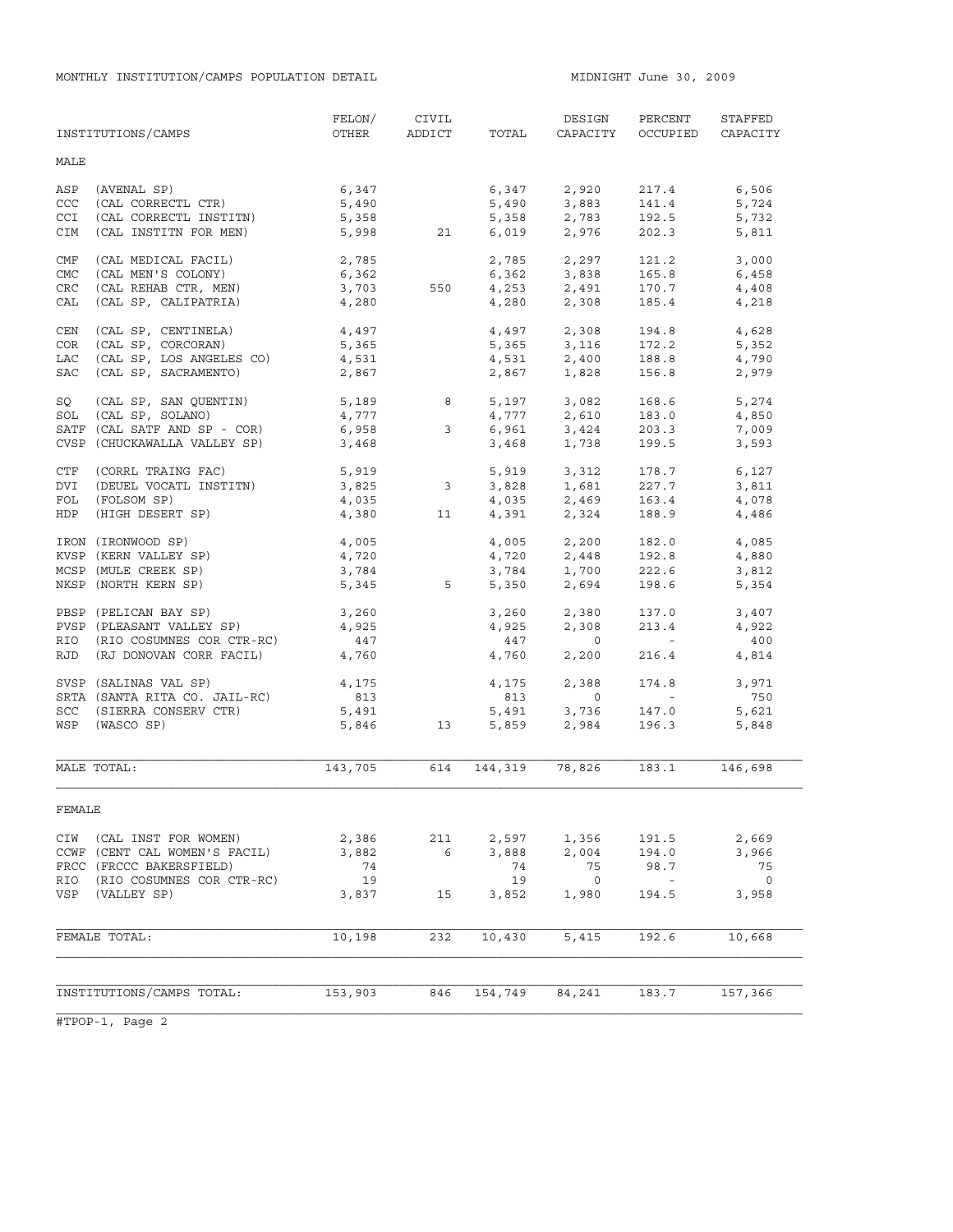MONTHLY INSTITUTION/CAMPS POPULATION DETAIL **MIDNIGHT JULE 1000** MIDNIGHT June 30, 2009

|            | INSTITUTIONS/CAMPS            | FELON/<br>OTHER | CIVIL<br>ADDICT         | TOTAL          | DESIGN<br>CAPACITY             | PERCENT<br>OCCUPIED                                   | STAFFED<br>CAPACITY |
|------------|-------------------------------|-----------------|-------------------------|----------------|--------------------------------|-------------------------------------------------------|---------------------|
| MALE       |                               |                 |                         |                |                                |                                                       |                     |
| ASP        | (AVENAL SP)                   | 6,347           |                         | 6,347          | 2,920                          | 217.4                                                 | 6,506               |
| CCC        | (CAL CORRECTL CTR)            | 5,490           |                         | 5,490          | 3,883                          | 141.4                                                 | 5,724               |
| <b>CCI</b> | (CAL CORRECTL INSTITN)        | 5,358           |                         | 5,358          | 2,783                          | 192.5                                                 | 5,732               |
| CIM        | (CAL INSTITN FOR MEN)         | 5,998           | 21                      | 6,019          | 2,976                          | 202.3                                                 | 5,811               |
| CMF        | (CAL MEDICAL FACIL)           | 2,785           |                         | 2,785          | 2,297                          | 121.2                                                 | 3,000               |
| CMC        | (CAL MEN'S COLONY)            | 6,362           |                         |                | 6,362 3,838                    | 165.8                                                 | 6,458               |
| <b>CRC</b> | (CAL REHAB CTR, MEN)          | 3,703           | 550                     |                |                                | 170.7                                                 | 4,408               |
| CAL        | (CAL SP, CALIPATRIA)          | 4,280           |                         | 4,253<br>4,280 | 2,491<br>2,308                 | 185.4                                                 | 4,218               |
| CEN        | (CAL SP, CENTINELA)           | 4,497           |                         |                | 4,497 2,308                    | 194.8                                                 | 4,628               |
| COR        | (CAL SP, CORCORAN)            | 5,365           |                         |                |                                | 172.2                                                 | 5,352               |
| LAC        | (CAL SP, LOS ANGELES CO)      | 4,531           |                         |                | $5,365$ $3,116$<br>4,531 2,400 | 188.8                                                 | 4,790               |
| SAC        | (CAL SP, SACRAMENTO)          | 2,867           |                         | 2,867          | 1,828                          | 156.8                                                 | 2,979               |
| SQ         | (CAL SP, SAN QUENTIN)         | 5,189           | 8                       |                | 5,197 3,082<br>4,777 2,610     | 168.6                                                 | 5,274               |
| SOL        | (CAL SP, SOLANO)              | $2, 2$<br>4,777 |                         |                |                                | 183.0                                                 | 4,850               |
|            | SATF (CAL SATF AND SP - COR)  | 6,958           | 3 <sup>7</sup>          | 6,961          |                                | 203.3                                                 | 7,009               |
|            | CVSP (CHUCKAWALLA VALLEY SP)  | 3,468           |                         | 3,468          | 3,424<br>1,738                 | 199.5                                                 | 3,593               |
| CTF        | (CORRL TRAING FAC)            | 5,919           |                         |                | 5,919 3,312                    | 178.7                                                 | 6,127               |
| DVI        | (DEUEL VOCATL INSTITN)        | 3,825           | $\overline{\mathbf{3}}$ |                |                                | 227.7                                                 | 3,811               |
| FOL        | (FOLSOM SP)                   | 4,035           |                         |                | 3,828 1,681<br>4,035 2,469     | 163.4                                                 | 4,078               |
| HDP        | (HIGH DESERT SP)              | 4,380           | 11                      |                | 4,391 2,324                    | 188.9                                                 | 4,486               |
|            | IRON (IRONWOOD SP)            | 4,005           |                         |                | 4,005 2,200                    | 182.0                                                 | 4,085               |
|            | KVSP (KERN VALLEY SP)         | 4,720           |                         | 4,720          | 2,448                          | 192.8                                                 | 4,880               |
|            | MCSP (MULE CREEK SP)          | 3,784           |                         | 3,784          | 1,700                          | 222.6                                                 | 3,812               |
|            | NKSP (NORTH KERN SP)          | 5,345           | 5                       | 5,350          | 2,694                          | 198.6                                                 | 5,354               |
|            | PBSP (PELICAN BAY SP)         | 3,260           |                         | 3,260          | 2,380                          | 137.0                                                 | 3,407               |
|            | PVSP (PLEASANT VALLEY SP)     | 4,925           |                         | 4,925          | 2,308                          | 213.4                                                 | 4,922               |
| RIO        | (RIO COSUMNES COR CTR-RC)     | 447             |                         | 447            | $\overline{0}$                 | <b>Contractor</b>                                     | 400                 |
| RJD        | (RJ DONOVAN CORR FACIL)       | 4,760           |                         | 4,760          | 2,200                          | 216.4                                                 | 4,814               |
|            | SVSP (SALINAS VAL SP)         | 4,175           |                         | 4,175          | 2,388                          | 174.8                                                 | 3,971               |
|            | SRTA (SANTA RITA CO. JAIL-RC) | 813             |                         | 813            | $\circ$                        | $\mathcal{L}_{\rm{max}}$ and $\mathcal{L}_{\rm{max}}$ | 750                 |
| SCC        | (SIERRA CONSERV CTR)          | 5,491           |                         | 5,491          | 3,736                          | 147.0                                                 | 5,621               |
| WSP        | (WASCO SP)                    | 5,846           | 13                      | 5,859          | 2,984                          | 196.3                                                 | 5,848               |
|            | MALE TOTAL:                   | 143,705         | 614                     | 144,319        | 78,826                         | 183.1                                                 | 146,698             |
|            |                               |                 |                         |                |                                |                                                       |                     |
| FEMALE     |                               |                 |                         |                |                                |                                                       |                     |
| CIW        | (CAL INST FOR WOMEN)          | 2,386           | 211                     | 2,597          | 1,356                          | 191.5                                                 | 2,669               |
|            | CCWF (CENT CAL WOMEN'S FACIL) | 3,882           | 6                       | 3,888          | 2,004                          | 194.0                                                 | 3,966               |
|            | FRCC (FRCCC BAKERSFIELD)      | 74              |                         | 74             | 75                             | 98.7                                                  | 75                  |
| RIO        | (RIO COSUMNES COR CTR-RC)     | 19              |                         | 19             | $\overline{0}$                 | $\sim$                                                | $\overline{0}$      |
| VSP        | (VALLEY SP)                   | 3,837           | 15                      | 3,852          | 1,980                          | 194.5                                                 | 3,958               |
|            | FEMALE TOTAL:                 | 10,198          | 232                     | 10,430         | 5,415                          | 192.6                                                 | 10,668              |
|            |                               |                 |                         |                |                                |                                                       |                     |
|            |                               |                 |                         |                |                                |                                                       |                     |
|            | INSTITUTIONS/CAMPS TOTAL:     | 153,903         | 846                     | 154,749        | 84,241                         | 183.7                                                 | 157,366             |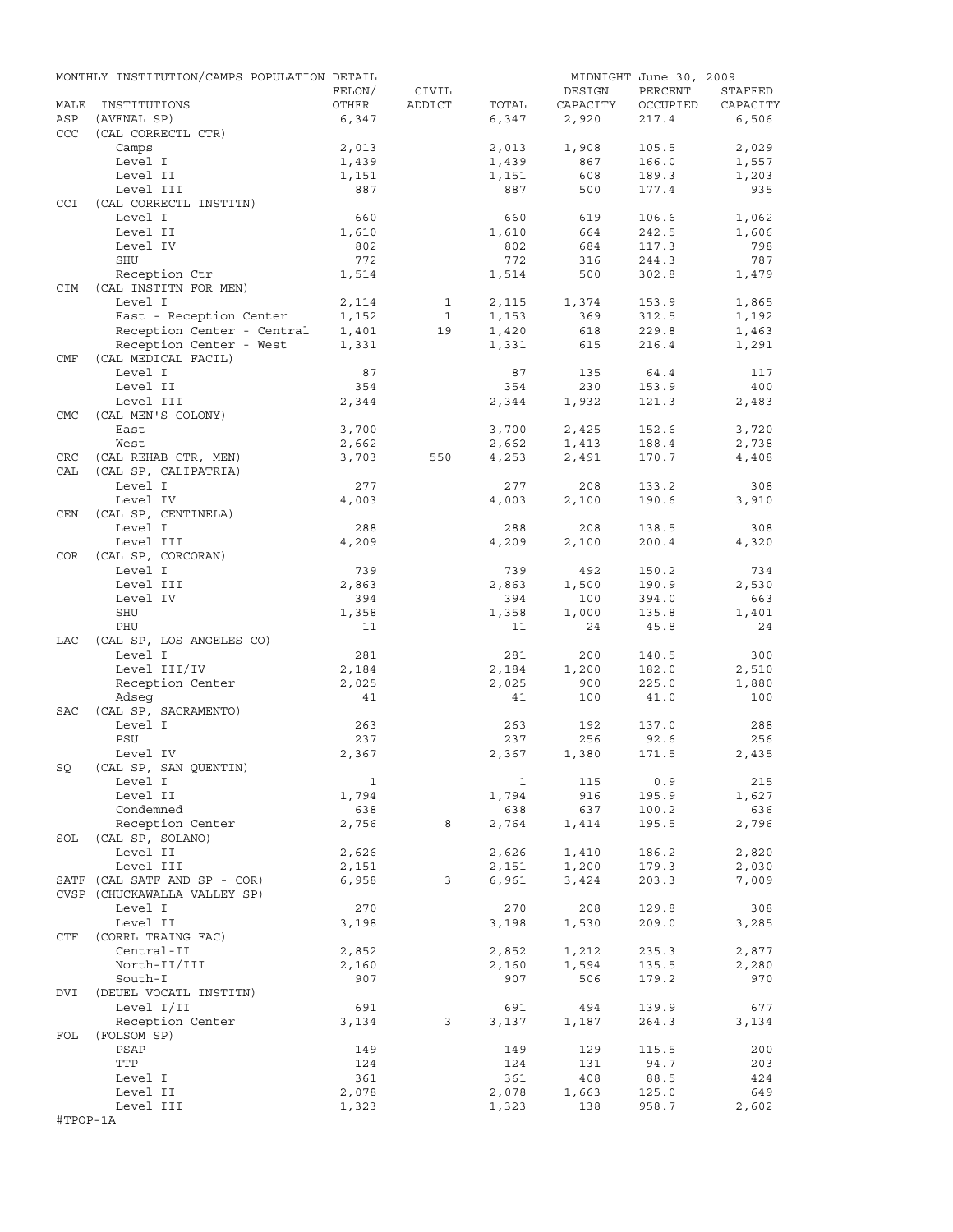|            | MONTHLY INSTITUTION/CAMPS POPULATION DETAIL |              |              |              |          | MIDNIGHT June 30, 2009 |          |
|------------|---------------------------------------------|--------------|--------------|--------------|----------|------------------------|----------|
|            |                                             | FELON/       | CIVIL        |              | DESIGN   | PERCENT                | STAFFED  |
| MALE       | INSTITUTIONS                                | OTHER        | ADDICT       | TOTAL        | CAPACITY | OCCUPIED               | CAPACITY |
| ASP        | (AVENAL SP)                                 | 6,347        |              | 6,347        | 2,920    | 217.4                  | 6,506    |
| CCC        | (CAL CORRECTL CTR)                          |              |              |              |          |                        |          |
|            | Camps                                       | 2,013        |              | 2,013        | 1,908    | 105.5                  | 2,029    |
|            | Level I                                     | 1,439        |              | 1,439        | 867      | 166.0                  | 1,557    |
|            | Level II                                    | 1,151        |              | 1,151        | 608      | 189.3                  | 1,203    |
|            | Level III                                   | 887          |              | 887          | 500      | 177.4                  | 935      |
| CCI        | (CAL CORRECTL INSTITN)                      |              |              |              |          |                        |          |
|            | Level I                                     | 660          |              | 660          | 619      | 106.6                  | 1,062    |
|            | Level II                                    | 1,610        |              | 1,610        | 664      | 242.5                  | 1,606    |
|            | Level IV                                    | 802          |              | 802          | 684      | 117.3                  | 798      |
|            | SHU                                         | 772          |              | 772          | 316      | 244.3                  | 787      |
|            | Reception Ctr                               | 1,514        |              | 1,514        | 500      | 302.8                  | 1,479    |
| CIM        | (CAL INSTITN FOR MEN)                       |              |              |              |          |                        |          |
|            | Level I                                     | 2,114        | $\mathbf{1}$ | 2,115        | 1,374    | 153.9                  | 1,865    |
|            | East - Reception Center                     | 1,152        | $\mathbf{1}$ | 1,153        | 369      | 312.5                  | 1,192    |
|            | Reception Center - Central                  | 1,401        | 19           | 1,420        | 618      | 229.8                  | 1,463    |
|            | Reception Center - West                     | 1,331        |              | 1,331        | 615      | 216.4                  | 1,291    |
| CMF        | (CAL MEDICAL FACIL)                         |              |              |              |          |                        |          |
|            | Level I                                     | 87           |              | 87           | 135      | 64.4                   | 117      |
|            | Level II                                    | 354          |              | 354          | 230      | 153.9                  | 400      |
|            | Level III                                   | 2,344        |              | 2,344        | 1,932    | 121.3                  | 2,483    |
| <b>CMC</b> | (CAL MEN'S COLONY)                          |              |              |              |          |                        |          |
|            |                                             |              |              |              |          |                        |          |
|            | East                                        | 3,700        |              | 3,700        | 2,425    | 152.6                  | 3,720    |
|            | West                                        | 2,662        |              | 2,662        | 1,413    | 188.4                  | 2,738    |
| CRC        | (CAL REHAB CTR, MEN)                        | 3,703        | 550          | 4,253        | 2,491    | 170.7                  | 4,408    |
| CAL        | (CAL SP, CALIPATRIA)                        |              |              |              |          |                        |          |
|            | Level I                                     | 277          |              | 277          | 208      | 133.2                  | 308      |
|            | Level IV                                    | 4,003        |              | 4,003        | 2,100    | 190.6                  | 3,910    |
| <b>CEN</b> | (CAL SP, CENTINELA)                         |              |              |              |          |                        |          |
|            | Level I                                     | 288          |              | 288          | 208      | 138.5                  | 308      |
|            | Level III                                   | 4,209        |              | 4,209        | 2,100    | 200.4                  | 4,320    |
| COR.       | (CAL SP, CORCORAN)                          |              |              |              |          |                        |          |
|            | Level I                                     | 739          |              | 739          | 492      | 150.2                  | 734      |
|            | Level III                                   | 2,863        |              | 2,863        | 1,500    | 190.9                  | 2,530    |
|            | Level IV                                    | 394          |              | 394          | 100      | 394.0                  | 663      |
|            | SHU                                         | 1,358        |              | 1,358        | 1,000    | 135.8                  | 1,401    |
|            | PHU                                         | 11           |              | 11           | 24       | 45.8                   | 24       |
| LAC        | (CAL SP, LOS ANGELES CO)                    |              |              |              |          |                        |          |
|            | Level I                                     | 281          |              | 281          | 200      | 140.5                  | 300      |
|            | Level III/IV                                | 2,184        |              | 2,184        | 1,200    | 182.0                  | 2,510    |
|            | Reception Center                            | 2,025        |              | 2,025        | 900      | 225.0                  | 1,880    |
|            | Adseq                                       | 41           |              | 41           | 100      | 41.0                   | 100      |
|            |                                             |              |              |              |          |                        |          |
| <b>SAC</b> | (CAL SP, SACRAMENTO)                        |              |              |              |          |                        |          |
|            | Level I                                     | 263          |              | 263          | 192      | 137.0                  | 288      |
|            | PSU                                         | 237          |              | 237          | 256      | 92.6                   | 256      |
|            | Level IV                                    | 2,367        |              | 2,367        | 1,380    | 171.5                  | 2,435    |
| SQ         | (CAL SP, SAN QUENTIN)                       |              |              |              |          |                        |          |
|            | Level I                                     | $\mathbf{1}$ |              | 1            | 115      | 0.9                    | 215      |
|            | Level II                                    | 1,794        |              | 1,794        | 916      | 195.9                  | 1,627    |
|            | Condemned                                   | 638          |              | 638          | 637      | 100.2                  | 636      |
|            | Reception Center                            | 2,756        | 8            | 2,764        | 1,414    | 195.5                  | 2,796    |
| SOL        | (CAL SP, SOLANO)                            |              |              |              |          |                        |          |
|            | Level II                                    | 2,626        |              | 2,626        | 1,410    | 186.2                  | 2,820    |
|            | Level III                                   | 2,151        |              | 2,151        | 1,200    | 179.3                  | 2,030    |
|            | SATF (CAL SATF AND SP - COR)                | 6,958        | 3            | 6,961        | 3,424    | 203.3                  | 7,009    |
|            | CVSP (CHUCKAWALLA VALLEY SP)                |              |              |              |          |                        |          |
|            | Level I                                     | 270          |              | 270          | 208      | 129.8                  | 308      |
|            | Level II                                    | 3,198        |              | 3,198        | 1,530    | 209.0                  | 3,285    |
| CTF        | (CORRL TRAING FAC)                          |              |              |              |          |                        |          |
|            | Central-II                                  | 2,852        |              | 2,852        | 1,212    | 235.3                  | 2,877    |
|            | North-II/III                                |              |              |              | 1,594    | 135.5                  | 2,280    |
|            |                                             | 2,160        |              | 2,160<br>907 |          |                        |          |
|            | South-I                                     | 907          |              |              | 506      | 179.2                  | 970      |
| DVI        | (DEUEL VOCATL INSTITN)                      |              |              |              |          |                        |          |
|            | Level I/II                                  | 691          |              | 691          | 494      | 139.9                  | 677      |
|            | Reception Center                            | 3,134        | 3            | 3,137        | 1,187    | 264.3                  | 3,134    |
| FOL        | (FOLSOM SP)                                 |              |              |              |          |                        |          |
|            | PSAP                                        | 149          |              | 149          | 129      | 115.5                  | 200      |
|            | TTP                                         | 124          |              | 124          | 131      | 94.7                   | 203      |
|            | Level I                                     | 361          |              | 361          | 408      | 88.5                   | 424      |
|            | Level II                                    | 2,078        |              | 2,078        | 1,663    | 125.0                  | 649      |
|            | Level III                                   | 1,323        |              | 1,323        | 138      | 958.7                  | 2,602    |
| #TPOP-1A   |                                             |              |              |              |          |                        |          |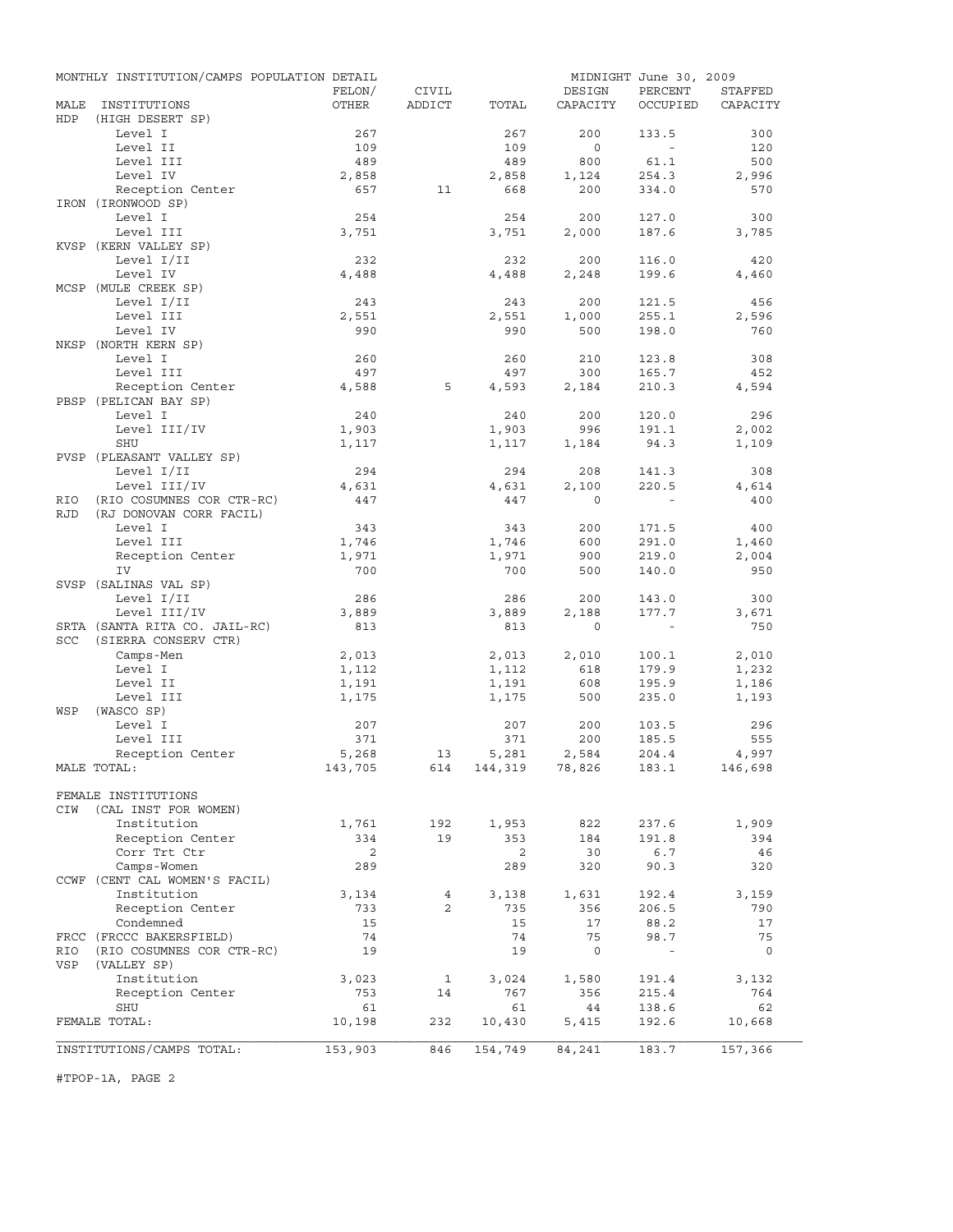|            | MONTHLY INSTITUTION/CAMPS POPULATION DETAIL |         |                |                    |              | MIDNIGHT June 30, 2009 |          |
|------------|---------------------------------------------|---------|----------------|--------------------|--------------|------------------------|----------|
|            |                                             | FELON/  | CIVIL          |                    | DESIGN       | PERCENT                | STAFFED  |
| MALE       | INSTITUTIONS                                | OTHER   | ADDICT         | TOTAL              | CAPACITY     | OCCUPIED               | CAPACITY |
| HDP        | (HIGH DESERT SP)                            |         |                |                    |              |                        |          |
|            | Level I                                     | 267     |                | 267                | 200          | 133.5                  | 300      |
|            | Level II                                    | 109     |                | 109                | $\circ$      | $\sim$                 | 120      |
|            | Level III                                   | 489     |                | 489                | 800          | 61.1                   | 500      |
|            | Level IV                                    | 2,858   |                | 2,858              | 1,124        | 254.3                  | 2,996    |
|            | Reception Center                            | 657     | 11             | 668                | 200          | 334.0                  | 570      |
|            | IRON (IRONWOOD SP)                          |         |                |                    |              |                        |          |
|            | Level I                                     | 254     |                | 254                | 200          | 127.0                  | 300      |
|            | Level III                                   | 3,751   |                | 3,751              | 2,000        | 187.6                  | 3,785    |
|            | KVSP (KERN VALLEY SP)                       |         |                |                    |              |                        |          |
|            | Level I/II                                  | 232     |                | 232                | 200          | 116.0                  | 420      |
|            | Level IV                                    | 4,488   |                | 4,488              | 2,248        | 199.6                  | 4,460    |
|            | MCSP (MULE CREEK SP)                        |         |                |                    |              |                        |          |
|            | Level I/II                                  | 243     |                | 243                | 200          | 121.5                  | 456      |
|            | Level III                                   | 2,551   |                | 2,551              | 1,000        | 255.1                  | 2,596    |
|            | Level IV                                    | 990     |                | 990                | 500          | 198.0                  | 760      |
|            | NKSP (NORTH KERN SP)                        |         |                |                    |              |                        |          |
|            | Level I                                     | 260     |                | 260                | 210          | 123.8                  | 308      |
|            | Level III                                   | 497     |                | 497                | 300          | 165.7                  | 452      |
|            | Reception Center                            | 4,588   | 5              | 4,593              | 2,184        | 210.3                  | 4,594    |
|            | PBSP (PELICAN BAY SP)                       |         |                |                    |              |                        |          |
|            | Level I                                     | 240     |                | 240                | 200          | 120.0                  | 296      |
|            | Level III/IV                                | 1,903   |                | 1,903              | 996          | 191.1                  | 2,002    |
|            | <b>SHU</b>                                  | 1,117   |                | 1,117              | 1,184        | 94.3                   | 1,109    |
|            | PVSP (PLEASANT VALLEY SP)                   |         |                |                    |              |                        |          |
|            | Level I/II                                  | 294     |                | 294                | 208          | 141.3                  | 308      |
|            | Level III/IV                                | 4,631   |                | 4,631              | 2,100        | 220.5                  | 4,614    |
| RIO        | (RIO COSUMNES COR CTR-RC)                   | 447     |                | 447                | $\Omega$     |                        | 400      |
| <b>RJD</b> | (RJ DONOVAN CORR FACIL)                     |         |                |                    |              |                        |          |
|            | Level I                                     | 343     |                | 343                | 200          | 171.5                  | 400      |
|            | Level III                                   | 1,746   |                | 1,746              | 600          | 291.0                  | 1,460    |
|            | Reception Center                            | 1,971   |                | 1,971              | 900          | 219.0                  | 2,004    |
|            | IV                                          | 700     |                | 700                | 500          | 140.0                  | 950      |
|            | SVSP (SALINAS VAL SP)                       |         |                |                    |              |                        |          |
|            | Level I/II                                  | 286     |                | 286                | 200          | 143.0                  | 300      |
|            | Level III/IV                                | 3,889   |                | 3,889              | 2,188        | 177.7                  | 3,671    |
|            | SRTA (SANTA RITA CO. JAIL-RC)               | 813     |                | 813                | $\mathbf{0}$ | $\sim$                 | 750      |
| SCC        | (SIERRA CONSERV CTR)                        |         |                |                    |              |                        |          |
|            | Camps-Men                                   | 2,013   |                | 2,013              | 2,010        | 100.1                  | 2,010    |
|            | Level I                                     | 1,112   |                | 1,112              | 618          | 179.9                  | 1,232    |
|            | Level II                                    | 1,191   |                | 1,191              | 608          | 195.9                  | 1,186    |
|            | Level III                                   | 1,175   |                | 1,175              | 500          | 235.0                  | 1,193    |
| WSP        | (WASCO SP)                                  |         |                |                    |              |                        |          |
|            | Level I                                     | 207     |                | 207                | 200          | 103.5                  | 296      |
|            | Level III                                   | 371     |                | 371                | 200          | 185.5                  | 555      |
|            | Reception Center                            | 5,268   | 13             | 5,281              | 2,584        | 204.4                  | 4,997    |
|            | MALE TOTAL:                                 | 143,705 |                | 614 144,319 78,826 |              | 183.1                  | 146,698  |
|            |                                             |         |                |                    |              |                        |          |
|            | FEMALE INSTITUTIONS                         |         |                |                    |              |                        |          |
| CIW        | (CAL INST FOR WOMEN)                        |         |                |                    |              |                        |          |
|            | Institution                                 | 1,761   | 192            | 1,953              | 822          | 237.6                  | 1,909    |
|            | Reception Center                            | 334     | 19             | 353                | 184          | 191.8                  | 394      |
|            | Corr Trt Ctr                                | 2       |                | $\overline{2}$     | 30           | 6.7                    | 46       |
|            | Camps-Women                                 | 289     |                | 289                | 320          | 90.3                   | 320      |
|            | CCWF (CENT CAL WOMEN'S FACIL)               |         |                |                    |              |                        |          |
|            | Institution                                 | 3,134   | 4              | 3,138              | 1,631        | 192.4                  | 3,159    |
|            | Reception Center                            | 733     | $\overline{2}$ | 735                | 356          | 206.5                  | 790      |
|            | Condemned                                   | 15      |                | 15                 | 17           | 88.2                   | 17       |
|            | FRCC (FRCCC BAKERSFIELD)                    | 74      |                | 74                 | 75           | 98.7                   | 75       |
| RIO        | (RIO COSUMNES COR CTR-RC)                   | 19      |                | 19                 | $\circ$      |                        | $\circ$  |
| VSP        | (VALLEY SP)                                 |         |                |                    |              |                        |          |
|            | Institution                                 | 3,023   | 1              | 3,024              | 1,580        | 191.4                  | 3,132    |
|            | Reception Center                            | 753     | 14             | 767                | 356          | 215.4                  | 764      |
|            | SHU                                         | 61      |                | 61                 | 44           | 138.6                  | 62       |
|            | FEMALE TOTAL:                               | 10,198  | 232            | 10,430             | 5,415        | 192.6                  | 10,668   |
|            |                                             |         |                |                    |              |                        |          |
|            | INSTITUTIONS/CAMPS TOTAL:                   | 153,903 | 846            | 154,749            | 84,241       | 183.7                  | 157,366  |
|            |                                             |         |                |                    |              |                        |          |

#TPOP-1A, PAGE 2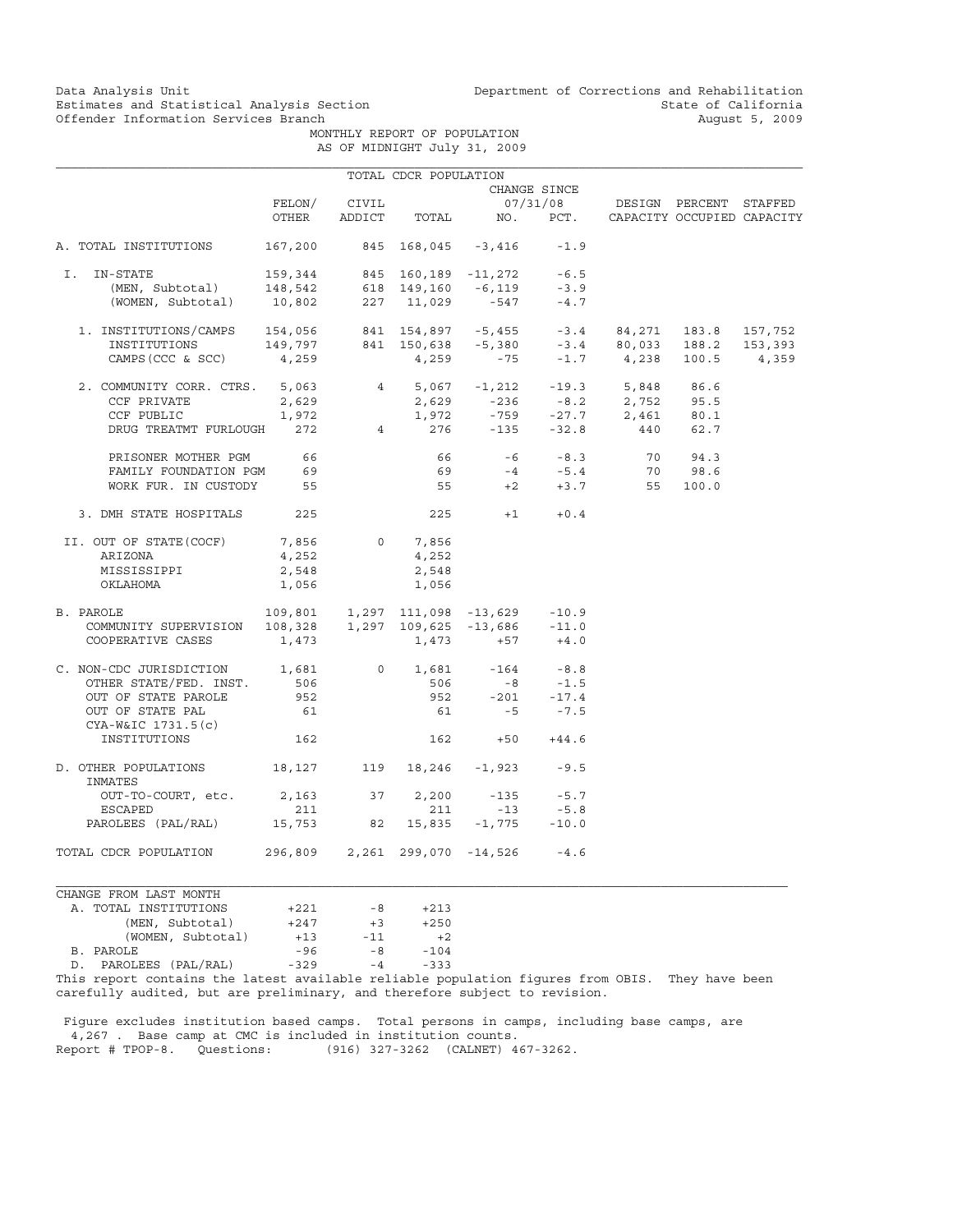Data Analysis Unit Unit Department of Corrections and Rehabilitation<br>Estimates and Statistical Analysis Section State of California Estimates and Statistical Analysis Section and State of California<br>Offender Information Services Branch (State of California August 5, 2009)

 MONTHLY REPORT OF POPULATION AS OF MIDNIGHT July 31, 2009

|                                                                                                                                                                                                                                                                           |                                        |                 | TOTAL CDCR POPULATION      |                                                                                                                                                            |              |                                             |         |       |
|---------------------------------------------------------------------------------------------------------------------------------------------------------------------------------------------------------------------------------------------------------------------------|----------------------------------------|-----------------|----------------------------|------------------------------------------------------------------------------------------------------------------------------------------------------------|--------------|---------------------------------------------|---------|-------|
|                                                                                                                                                                                                                                                                           |                                        |                 |                            |                                                                                                                                                            | CHANGE SINCE |                                             |         |       |
|                                                                                                                                                                                                                                                                           | FELON/                                 | CIVIL           |                            |                                                                                                                                                            |              | 07/31/08 DESIGN PERCENT STAFFED             |         |       |
|                                                                                                                                                                                                                                                                           | OTHER                                  |                 | ADDICT TOTAL               |                                                                                                                                                            |              | NO. PCT. CAPACITY OCCUPIED CAPACITY         |         |       |
| A. TOTAL INSTITUTIONS                                                                                                                                                                                                                                                     |                                        |                 |                            | 167,200 845 168,045 -3,416                                                                                                                                 | $-1.9$       |                                             |         |       |
| -STATE 159,344 845 160,189 -11,272 -6.5<br>(MEN, Subtotal) 148,542 618 149,160 -6,119 -3.9<br>(WOMEN, Subtotal) 10,802 227 11,029 -547 -4.7<br>I. IN-STATE                                                                                                                |                                        |                 |                            |                                                                                                                                                            |              |                                             |         |       |
|                                                                                                                                                                                                                                                                           |                                        |                 |                            |                                                                                                                                                            | $-3.9$       |                                             |         |       |
|                                                                                                                                                                                                                                                                           |                                        |                 |                            |                                                                                                                                                            |              |                                             |         |       |
| $\begin{tabular}{lcccccc} 1. & \text{INSTITUTIONS/CAMPS} & 154\,,056 & 841 & 154\,,897 & -5\,,455 & -3\,.4 & 84\,,271 & 183\,.8 & 157\,,752 \\ & \text{INSTITUTIONS} & 149\,,797 & 841 & 150\,,638 & -5\,,380 & -3\,.4 & 80\,,033 & 188\,.2 & 153\,,393 \\ \end{tabular}$ |                                        |                 |                            |                                                                                                                                                            |              |                                             |         |       |
|                                                                                                                                                                                                                                                                           |                                        |                 |                            |                                                                                                                                                            |              |                                             |         |       |
| CAMPS (CCC & SCC)                                                                                                                                                                                                                                                         | 4,259                                  |                 | 4,259                      |                                                                                                                                                            |              | $-75$ $-1.7$ $4,238$ $100.5$                |         | 4,359 |
| 2. COMMUNITY CORR. CTRS. 5,063                                                                                                                                                                                                                                            |                                        |                 |                            | $\begin{array}{cccccc} 4 & 5,067 & -1,212 & -19.3 & 5,848 & 86.6 \\ 2,629 & -236 & -8.2 & 2,752 & 95.5 \\ 1,972 & -759 & -27.7 & 2,461 & 80.1 \end{array}$ |              |                                             |         |       |
| CCF PRIVATE                                                                                                                                                                                                                                                               | 2,629                                  |                 |                            |                                                                                                                                                            |              |                                             |         |       |
| CCF PUBLIC                                                                                                                                                                                                                                                                | 1,972                                  |                 |                            |                                                                                                                                                            |              |                                             |         |       |
| DRUG TREATMT FURLOUGH 272                                                                                                                                                                                                                                                 |                                        | $4\overline{4}$ |                            | $276 -135 -32.8$                                                                                                                                           |              | 440                                         | 62.7    |       |
| PRISONER MOTHER PGM                                                                                                                                                                                                                                                       | 66                                     |                 | 66 1                       |                                                                                                                                                            | $-6 - 8.3$   |                                             | 70 94.3 |       |
| FAMILY FOUNDATION PGM                                                                                                                                                                                                                                                     | 69                                     |                 | 69                         |                                                                                                                                                            |              | $-4$ $-5.4$ 70 98.6<br>$+2$ $+3.7$ 55 100.0 |         |       |
| WORK FUR. IN CUSTODY                                                                                                                                                                                                                                                      | 55                                     |                 | 55                         | $+2$                                                                                                                                                       |              | +3.7 55 100.0                               |         |       |
| 3. DMH STATE HOSPITALS 225                                                                                                                                                                                                                                                |                                        |                 |                            | $225 + 1 + 0.4$                                                                                                                                            |              |                                             |         |       |
| II. OUT OF STATE (COCF)                                                                                                                                                                                                                                                   | 7,856                                  |                 | $0 \qquad \qquad$<br>7,856 |                                                                                                                                                            |              |                                             |         |       |
| ARIZONA                                                                                                                                                                                                                                                                   | 4,252                                  |                 | 4,252                      |                                                                                                                                                            |              |                                             |         |       |
| MISSISSIPPI                                                                                                                                                                                                                                                               | 2,548                                  |                 | 2,548                      |                                                                                                                                                            |              |                                             |         |       |
| OKLAHOMA                                                                                                                                                                                                                                                                  | 1,056                                  |                 | 1,056                      |                                                                                                                                                            |              |                                             |         |       |
| B. PAROLE                                                                                                                                                                                                                                                                 |                                        |                 |                            | $109,801$ $1,297$ $111,098$ $-13,629$ $-10.9$                                                                                                              |              |                                             |         |       |
| COMMUNITY SUPERVISION 108,328 1,297 109,625 -13,686 -11.0                                                                                                                                                                                                                 |                                        |                 |                            |                                                                                                                                                            |              |                                             |         |       |
| COOPERATIVE CASES                                                                                                                                                                                                                                                         | 1,473                                  |                 |                            | $1,473$ +57                                                                                                                                                | $+4.0$       |                                             |         |       |
| C. NON-CDC JURISDICTION 1,681                                                                                                                                                                                                                                             |                                        |                 | $0 \qquad \qquad$          | $1,681$ $-164$ $-8.8$                                                                                                                                      |              |                                             |         |       |
| OTHER STATE/FED. INST.                                                                                                                                                                                                                                                    | 506                                    |                 | 506                        | $-8$                                                                                                                                                       | $-1.5$       |                                             |         |       |
| OUT OF STATE PAROLE                                                                                                                                                                                                                                                       | 952                                    |                 | 952                        | $-201 - 17.4$                                                                                                                                              |              |                                             |         |       |
| OUT OF STATE PAL<br>CYA-W&IC 1731.5(c)                                                                                                                                                                                                                                    | 61                                     |                 |                            | $61 - 5$                                                                                                                                                   | $-7.5$       |                                             |         |       |
| INSTITUTIONS                                                                                                                                                                                                                                                              | 162                                    |                 |                            | $162 + 50$                                                                                                                                                 | $+44.6$      |                                             |         |       |
| D. OTHER POPULATIONS<br>INMATES                                                                                                                                                                                                                                           | 18,127 119 18,246 -1,923               |                 |                            |                                                                                                                                                            | -9.5         |                                             |         |       |
| OUT-TO-COURT, etc. 2,163 37                                                                                                                                                                                                                                               |                                        |                 | 2,200                      | $-135$                                                                                                                                                     | $-5.7$       |                                             |         |       |
| <b>ESCAPED</b>                                                                                                                                                                                                                                                            | 211                                    |                 | 211                        |                                                                                                                                                            | $-13 - 5.8$  |                                             |         |       |
| PAROLEES (PAL/RAL)                                                                                                                                                                                                                                                        | 15,753 82                              |                 |                            | $15,835 -1,775 -10.0$                                                                                                                                      |              |                                             |         |       |
| TOTAL CDCR POPULATION                                                                                                                                                                                                                                                     | 296,809  2,261  299,070  -14,526  -4.6 |                 |                            |                                                                                                                                                            |              |                                             |         |       |
| CHANGE FROM LAST MONTH                                                                                                                                                                                                                                                    |                                        |                 |                            |                                                                                                                                                            |              |                                             |         |       |
| A. TOTAL INSTITUTIONS                                                                                                                                                                                                                                                     | $+221$                                 | - 8             | $+213$                     |                                                                                                                                                            |              |                                             |         |       |

| A. TOTAL INSTITUTIONS                                  | $+221$ | $-8$  | $+213$ |
|--------------------------------------------------------|--------|-------|--------|
| (MEN, Subtotal)                                        | $+247$ | $+3$  | $+250$ |
| (WOMEN, Subtotal)                                      | $+13$  | $-11$ | $+2$   |
| B. PAROLE                                              | -96    | $-8$  | $-104$ |
| D. PAROLEES (PAL/RAL)                                  | $-329$ | $-4$  | $-333$ |
| Thic report contains the latest available reliable pop |        |       |        |

This report contains the latest available reliable population figures from OBIS. They have been carefully audited, but are preliminary, and therefore subject to revision.

 Figure excludes institution based camps. Total persons in camps, including base camps, are 4,267 . Base camp at CMC is included in institution counts. Report # TPOP-8. Questions: (916) 327-3262 (CALNET) 467-3262.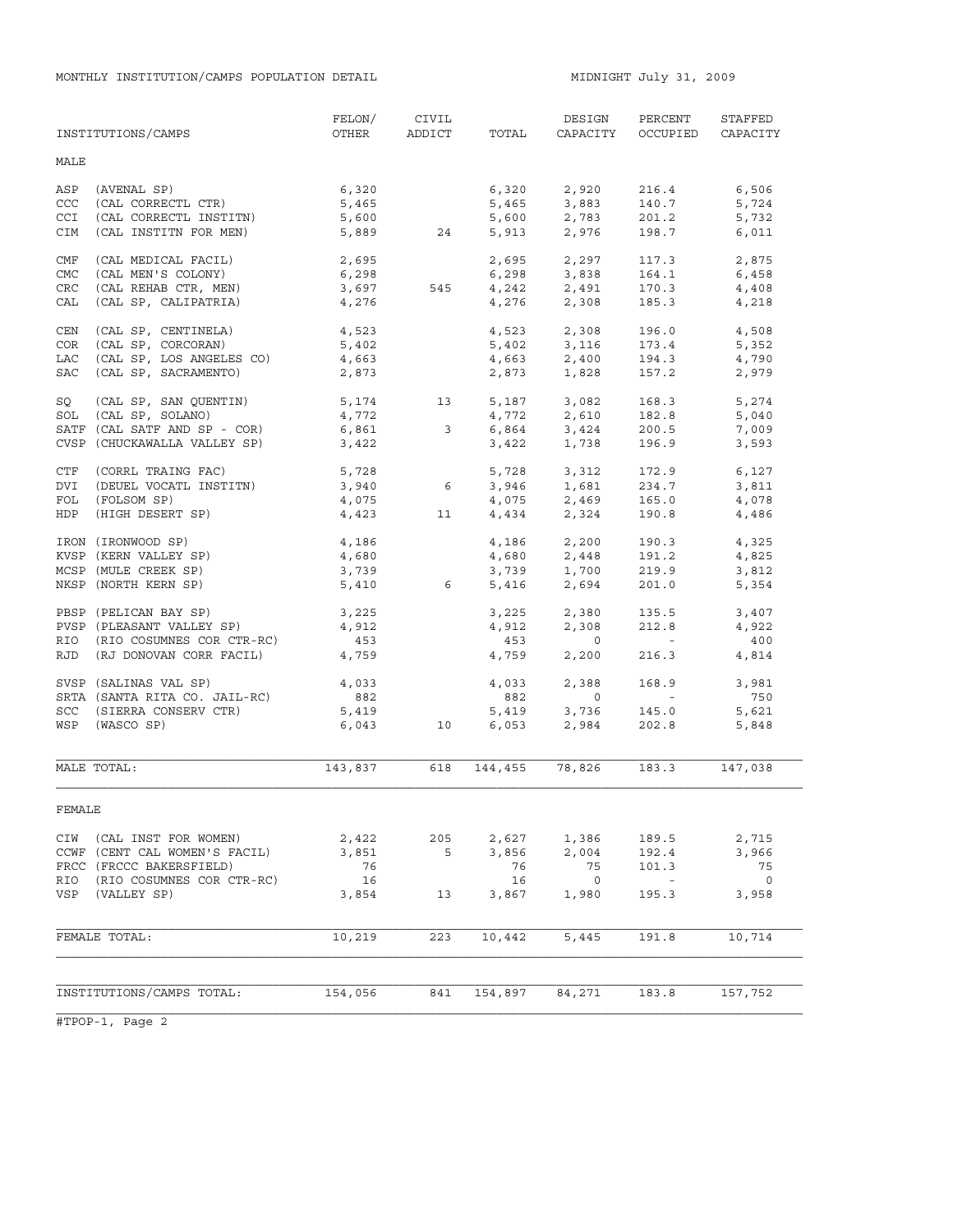|            | INSTITUTIONS/CAMPS            | FELON/<br>OTHER  | CIVIL<br>ADDICT | TOTAL   | DESIGN<br>CAPACITY            | PERCENT<br>OCCUPIED | STAFFED<br>CAPACITY |
|------------|-------------------------------|------------------|-----------------|---------|-------------------------------|---------------------|---------------------|
| MALE       |                               |                  |                 |         |                               |                     |                     |
| ASP        | (AVENAL SP)                   | 6,320            |                 | 6,320   | 2,920                         | 216.4               | 6,506               |
| CCC        | (CAL CORRECTL CTR)            | 5,465            |                 |         |                               | 140.7               | 5,724               |
| <b>CCI</b> | (CAL CORRECTL INSTITN)        | 5,600            |                 |         | 5,465 3,883<br>5,600 2,783    | 201.2               | 5,732               |
| <b>CIM</b> | (CAL INSTITN FOR MEN)         | 5,889            | 24              |         | 5,913 2,976                   | 198.7               | 6,011               |
| CMF        | (CAL MEDICAL FACIL)           | 2,695            |                 |         |                               | 117.3               | 2,875               |
| <b>CMC</b> | (CAL MEN'S COLONY)            | 6,298            |                 |         | 2,695 2,297<br>6,298 3,838    | 164.1               | 6,458               |
| CRC        | (CAL REHAB CTR, MEN)          | 3,697            | 545             |         |                               | 170.3               | 4,408               |
| CAL        | (CAL SP, CALIPATRIA)          | 4,276            |                 |         | $4,242$<br>$4,276$<br>$2,308$ | 185.3               | 4,218               |
| CEN        | (CAL SP, CENTINELA)           | 4,523            |                 |         | 4,523 2,308                   | 196.0               | 4,508               |
| COR        | (CAL SP, CORCORAN)            | 5,402            |                 |         | $5,402$ $3,116$               | 173.4               | 5,352               |
| LAC        | (CAL SP, LOS ANGELES CO)      | 4,663            |                 |         | 4,663 2,400                   | 194.3               | 4,790               |
| SAC        | (CAL SP, SACRAMENTO)          | 2,873            |                 |         | 2,873 1,828                   | 157.2               | 2,979               |
| SQ         | (CAL SP, SAN QUENTIN)         |                  | 13              |         | $5,187$ $3,082$               | 168.3               | 5,274               |
|            | SOL (CAL SP, SOLANO)          | $5,174$<br>4,772 |                 | 4,772   | 2,610                         | 182.8               | 5,040               |
|            | SATF (CAL SATF AND SP - COR)  | 6,861            | 3               |         | 6,864 3,424                   | 200.5               | 7,009               |
|            | CVSP (CHUCKAWALLA VALLEY SP)  | 3,422            |                 | 3,422   | 1,738                         | 196.9               | 3,593               |
|            | CTF (CORRL TRAING FAC)        | 5,728            |                 | 5,728   | 3,312                         | 172.9               | 6,127               |
| <b>DVI</b> | (DEUEL VOCATL INSTITN)        | 3,940            | $6\overline{6}$ | 3,946   | 1,681                         | 234.7               | 3,811               |
| FOL        | (FOLSOM SP)                   | 4,075            |                 | 4,075   | 2,469                         | 165.0               | 4,078               |
| HDP        | (HIGH DESERT SP)              | 4,423            | 11              | 4,434   | 2,324                         | 190.8               | 4,486               |
|            | IRON (IRONWOOD SP)            | 4,186            |                 | 4,186   | 2,200                         | 190.3               | 4,325               |
|            | KVSP (KERN VALLEY SP)         | 4,680            |                 | 4,680   | 2,448                         | 191.2               | 4,825               |
|            | MCSP (MULE CREEK SP)          | 3,739            |                 | 3,739   | 1,700                         | 219.9               | 3,812               |
|            | NKSP (NORTH KERN SP)          | 5,410            | 6               | 5,416   | 2,694                         | 201.0               | 5,354               |
|            | PBSP (PELICAN BAY SP)         | 3,225            |                 | 3,225   | 2,380                         | 135.5               | 3,407               |
|            | PVSP (PLEASANT VALLEY SP)     | 4,912            |                 | 4,912   | 2,308                         | 212.8               | 4,922               |
|            | RIO (RIO COSUMNES COR CTR-RC) | 453              |                 | 453     | $\Omega$                      |                     | 400                 |
|            | RJD (RJ DONOVAN CORR FACIL)   | 4,759            |                 | 4,759   | 2,200                         | 216.3               | 4,814               |
|            | SVSP (SALINAS VAL SP)         | 4,033            |                 | 4,033   | 2,388                         | 168.9               | 3,981               |
|            | SRTA (SANTA RITA CO. JAIL-RC) | 882              |                 | 882     | $\Omega$                      | $\sim$ $ \sim$      | 750                 |
|            | SCC (SIERRA CONSERV CTR)      | 5,419            |                 | 5,419   | 3,736                         | 145.0               | 5,621               |
|            | WSP (WASCO SP)                | 6,043            | 10              | 6,053   | 2,984                         | 202.8               | 5,848               |
|            |                               |                  |                 |         |                               |                     |                     |
|            | MALE TOTAL:                   | 143,837          | 618             | 144,455 | 78,826                        | 183.3               | 147,038             |
| FEMALE     |                               |                  |                 |         |                               |                     |                     |
| CIW        | (CAL INST FOR WOMEN)          | 2,422            | 205             | 2,627   | 1,386                         | 189.5               | 2,715               |
|            | CCWF (CENT CAL WOMEN'S FACIL) | 3,851            | 5               | 3,856   | 2,004                         | 192.4               | 3,966               |
|            | FRCC (FRCCC BAKERSFIELD)      | 76               |                 | 76      | 75                            | 101.3               | 75                  |
| RIO        | (RIO COSUMNES COR CTR-RC)     | 16               |                 | 16      | $\overline{0}$                |                     | $\circ$             |
| VSP        | (VALLEY SP)                   | 3,854            | 13              | 3,867   | 1,980                         | 195.3               | 3,958               |
|            |                               |                  |                 |         |                               |                     |                     |
|            | FEMALE TOTAL:                 | 10,219           | 223             | 10,442  | 5,445                         | 191.8               | 10,714              |
|            |                               |                  |                 |         |                               |                     |                     |
|            | INSTITUTIONS/CAMPS TOTAL:     | 154,056          | 841             | 154,897 | 84,271                        | 183.8               | 157,752             |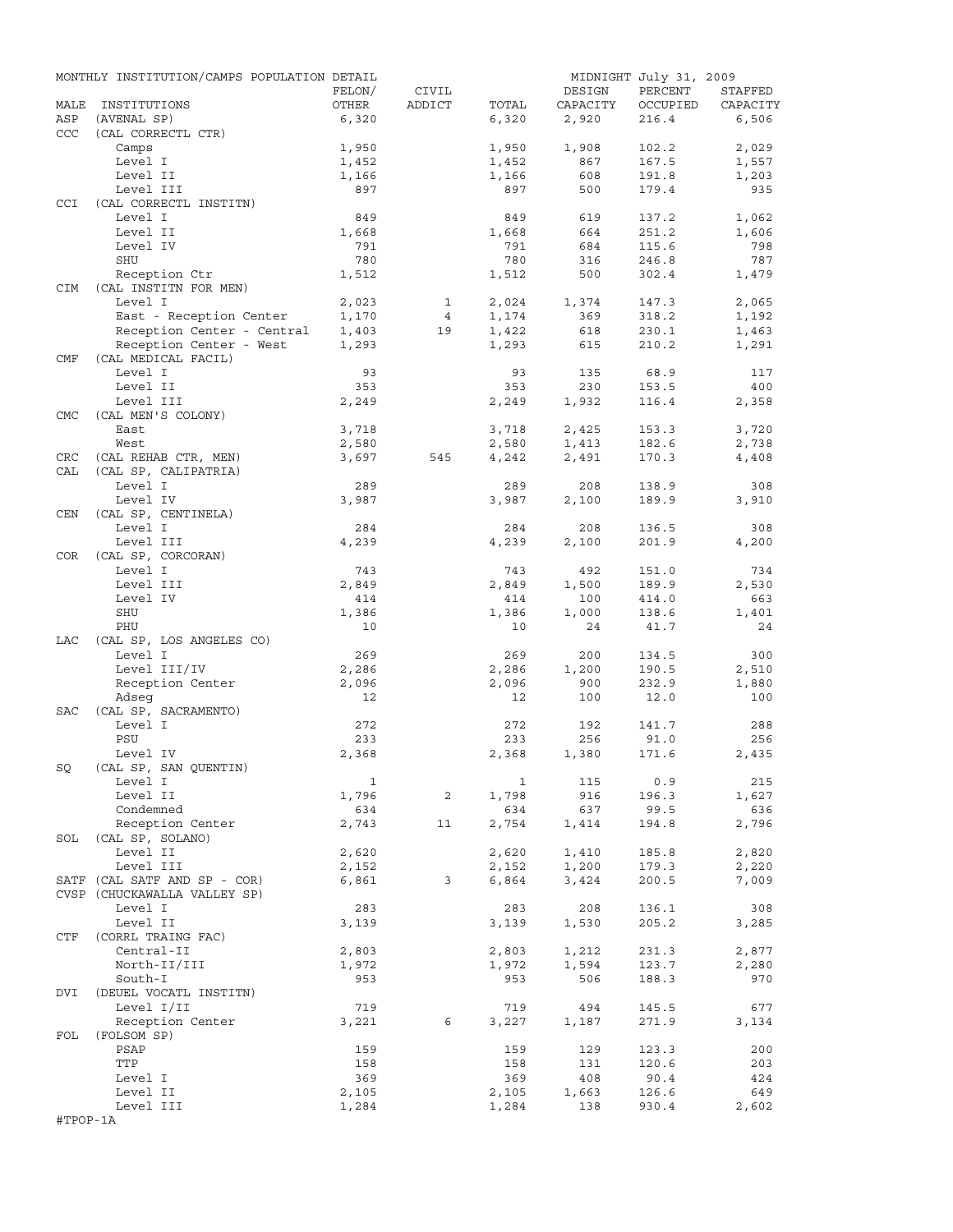|            | MONTHLY INSTITUTION/CAMPS POPULATION DETAIL |              |                |       |          | MIDNIGHT July 31, 2009 |          |
|------------|---------------------------------------------|--------------|----------------|-------|----------|------------------------|----------|
|            |                                             | FELON/       | CIVIL          |       | DESIGN   | PERCENT                | STAFFED  |
| MALE       | INSTITUTIONS                                | OTHER        | ADDICT         | TOTAL | CAPACITY | OCCUPIED               | CAPACITY |
| ASP        | (AVENAL SP)                                 | 6,320        |                | 6,320 | 2,920    | 216.4                  | 6,506    |
| CCC        | (CAL CORRECTL CTR)                          |              |                |       |          |                        |          |
|            | Camps                                       | 1,950        |                | 1,950 | 1,908    | 102.2                  | 2,029    |
|            | Level I                                     | 1,452        |                | 1,452 | 867      | 167.5                  | 1,557    |
|            | Level II                                    | 1,166        |                | 1,166 | 608      | 191.8                  | 1,203    |
|            | Level III                                   | 897          |                | 897   | 500      | 179.4                  | 935      |
| <b>CCI</b> | (CAL CORRECTL INSTITN)                      |              |                |       |          |                        |          |
|            | Level I                                     | 849          |                | 849   | 619      | 137.2                  | 1,062    |
|            | Level II                                    | 1,668        |                | 1,668 | 664      | 251.2                  | 1,606    |
|            | Level IV                                    | 791          |                | 791   | 684      | 115.6                  | 798      |
|            | SHU                                         | 780          |                | 780   | 316      | 246.8                  | 787      |
|            | Reception Ctr                               | 1,512        |                | 1,512 | 500      | 302.4                  | 1,479    |
| CIM        | (CAL INSTITN FOR MEN)                       |              |                |       |          |                        |          |
|            | Level I                                     | 2,023        | $\mathbf{1}$   | 2,024 | 1,374    | 147.3                  | 2,065    |
|            | East - Reception Center                     | 1,170        | $\overline{4}$ | 1,174 | 369      | 318.2                  | 1,192    |
|            | Reception Center - Central                  | 1,403        | 19             | 1,422 | 618      | 230.1                  | 1,463    |
|            | Reception Center - West                     | 1,293        |                | 1,293 | 615      | 210.2                  | 1,291    |
| CMF        | (CAL MEDICAL FACIL)                         |              |                |       |          |                        |          |
|            | Level I                                     | 93           |                | 93    | 135      | 68.9                   | 117      |
|            | Level II                                    | 353          |                | 353   | 230      | 153.5                  | 400      |
|            | Level III                                   | 2,249        |                | 2,249 | 1,932    | 116.4                  | 2,358    |
| <b>CMC</b> |                                             |              |                |       |          |                        |          |
|            | (CAL MEN'S COLONY)                          |              |                |       |          |                        |          |
|            | East                                        | 3,718        |                | 3,718 | 2,425    | 153.3                  | 3,720    |
|            | West                                        | 2,580        |                | 2,580 | 1,413    | 182.6                  | 2,738    |
| CRC        | (CAL REHAB CTR, MEN)                        | 3,697        | 545            | 4,242 | 2,491    | 170.3                  | 4,408    |
| CAL        | (CAL SP, CALIPATRIA)                        |              |                |       |          |                        |          |
|            | Level I                                     | 289          |                | 289   | 208      | 138.9                  | 308      |
|            | Level IV                                    | 3,987        |                | 3,987 | 2,100    | 189.9                  | 3,910    |
| CEN        | (CAL SP, CENTINELA)                         |              |                |       |          |                        |          |
|            | Level I                                     | 284          |                | 284   | 208      | 136.5                  | 308      |
|            | Level III                                   | 4,239        |                | 4,239 | 2,100    | 201.9                  | 4,200    |
| COR        | (CAL SP, CORCORAN)                          |              |                |       |          |                        |          |
|            | Level I                                     | 743          |                | 743   | 492      | 151.0                  | 734      |
|            | Level III                                   | 2,849        |                | 2,849 | 1,500    | 189.9                  | 2,530    |
|            | Level IV                                    | 414          |                | 414   | 100      | 414.0                  | 663      |
|            | SHU                                         | 1,386        |                | 1,386 | 1,000    | 138.6                  | 1,401    |
|            | PHU                                         | 10           |                | 10    | 24       | 41.7                   | 24       |
| LAC        | (CAL SP, LOS ANGELES CO)                    |              |                |       |          |                        |          |
|            | Level I                                     | 269          |                | 269   | 200      | 134.5                  | 300      |
|            | Level III/IV                                | 2,286        |                |       |          |                        |          |
|            |                                             |              |                | 2,286 | 1,200    | 190.5                  | 2,510    |
|            | Reception Center                            | 2,096        |                | 2,096 | 900      | 232.9                  | 1,880    |
|            | Adseq                                       | 12           |                | 12    | 100      | 12.0                   | 100      |
| <b>SAC</b> | (CAL SP, SACRAMENTO)                        |              |                |       |          |                        |          |
|            | Level I                                     | 272          |                | 272   | 192      | 141.7                  | 288      |
|            | PSU                                         | 233          |                | 233   | 256      | 91.0                   | 256      |
|            | Level IV                                    | 2,368        |                | 2,368 | 1,380    | 171.6                  | 2,435    |
| SQ         | (CAL SP, SAN QUENTIN)                       |              |                |       |          |                        |          |
|            | Level I                                     | $\mathbf{1}$ |                | 1     | 115      | 0.9                    | 215      |
|            | Level II                                    | 1,796        | 2              | 1,798 | 916      | 196.3                  | 1,627    |
|            | Condemned                                   | 634          |                | 634   | 637      | 99.5                   | 636      |
|            | Reception Center                            | 2,743        | 11             | 2,754 | 1,414    | 194.8                  | 2,796    |
| SOL        | (CAL SP, SOLANO)                            |              |                |       |          |                        |          |
|            | Level II                                    | 2,620        |                | 2,620 | 1,410    | 185.8                  | 2,820    |
|            | Level III                                   | 2,152        |                | 2,152 | 1,200    | 179.3                  | 2,220    |
|            | SATF (CAL SATF AND SP - COR)                | 6,861        | 3              | 6,864 | 3,424    | 200.5                  | 7,009    |
|            | CVSP (CHUCKAWALLA VALLEY SP)                |              |                |       |          |                        |          |
|            | Level I                                     | 283          |                | 283   | 208      | 136.1                  | 308      |
|            | Level II                                    | 3,139        |                | 3,139 | 1,530    | 205.2                  | 3,285    |
| CTF        | (CORRL TRAING FAC)                          |              |                |       |          |                        |          |
|            | Central-II                                  |              |                |       |          |                        | 2,877    |
|            |                                             | 2,803        |                | 2,803 | 1,212    | 231.3                  |          |
|            | North-II/III                                | 1,972        |                | 1,972 | 1,594    | 123.7                  | 2,280    |
|            | South-I                                     | 953          |                | 953   | 506      | 188.3                  | 970      |
| DVI        | (DEUEL VOCATL INSTITN)                      |              |                |       |          |                        |          |
|            | Level I/II                                  | 719          |                | 719   | 494      | 145.5                  | 677      |
|            | Reception Center                            | 3,221        | 6              | 3,227 | 1,187    | 271.9                  | 3,134    |
| FOL        | (FOLSOM SP)                                 |              |                |       |          |                        |          |
|            | PSAP                                        | 159          |                | 159   | 129      | 123.3                  | 200      |
|            | TTP                                         | 158          |                | 158   | 131      | 120.6                  | 203      |
|            | Level I                                     | 369          |                | 369   | 408      | 90.4                   | 424      |
|            | Level II                                    | 2,105        |                | 2,105 | 1,663    | 126.6                  | 649      |
|            | Level III                                   | 1,284        |                | 1,284 | 138      | 930.4                  | 2,602    |
| #TPOP-1A   |                                             |              |                |       |          |                        |          |
|            |                                             |              |                |       |          |                        |          |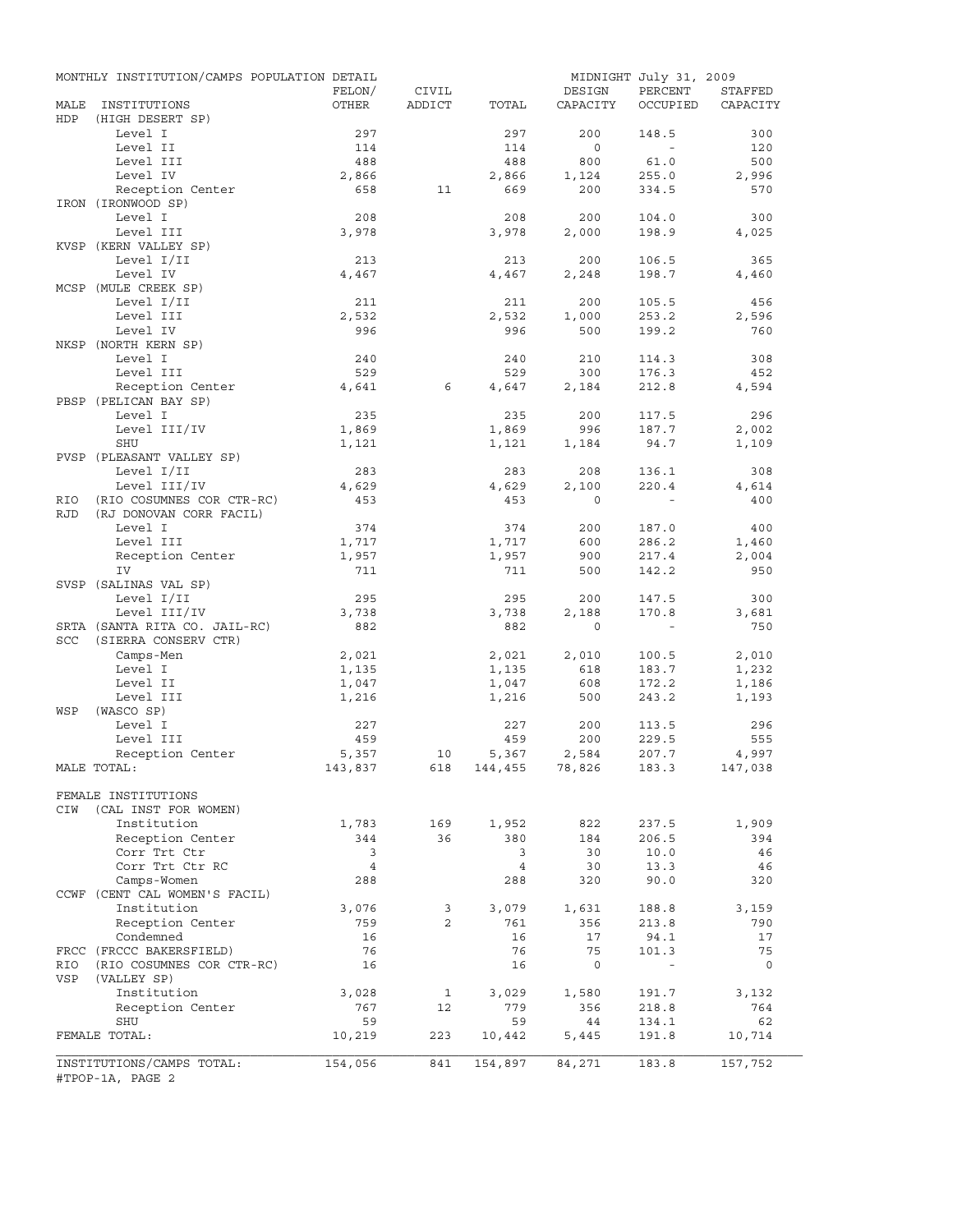|             | MONTHLY INSTITUTION/CAMPS POPULATION DETAIL |                |                |                    |              | MIDNIGHT July 31, 2009 |          |
|-------------|---------------------------------------------|----------------|----------------|--------------------|--------------|------------------------|----------|
|             |                                             | FELON/         | CIVIL          |                    | DESIGN       | PERCENT                | STAFFED  |
| MALE<br>HDP | INSTITUTIONS<br>(HIGH DESERT SP)            | OTHER          | ADDICT         | TOTAL              | CAPACITY     | OCCUPIED               | CAPACITY |
|             | Level I                                     | 297            |                | 297                | 200          | 148.5                  | 300      |
|             | Level II                                    | 114            |                | 114                | $\circ$      | $\sim$                 | 120      |
|             | Level III                                   | 488            |                | 488                | 800          | 61.0                   | 500      |
|             | Level IV                                    | 2,866          |                | 2,866              | 1,124        | 255.0                  | 2,996    |
|             | Reception Center                            | 658            | 11             | 669                | 200          | 334.5                  | 570      |
|             | IRON (IRONWOOD SP)                          |                |                |                    |              |                        |          |
|             | Level I                                     | 208            |                | 208                | 200          | 104.0                  | 300      |
|             | Level III                                   | 3,978          |                | 3,978              | 2,000        | 198.9                  | 4,025    |
|             | KVSP (KERN VALLEY SP)                       |                |                |                    |              |                        |          |
|             | Level I/II                                  | 213            |                | 213                | 200          | 106.5                  | 365      |
|             | Level IV                                    | 4,467          |                | 4,467              | 2,248        | 198.7                  | 4,460    |
|             | MCSP (MULE CREEK SP)                        |                |                |                    |              |                        |          |
|             | Level I/II                                  | 211            |                | 211                | 200          | 105.5                  | 456      |
|             | Level III                                   | 2,532          |                | 2,532              | 1,000        | 253.2                  | 2,596    |
|             | Level IV                                    | 996            |                | 996                | 500          | 199.2                  | 760      |
|             | NKSP (NORTH KERN SP)                        |                |                |                    |              |                        |          |
|             | Level I                                     | 240            |                | 240                | 210          | 114.3                  | 308      |
|             | Level III                                   | 529            |                | 529                | 300          | 176.3                  | 452      |
|             | Reception Center                            | 4,641          | 6              | 4,647              | 2,184        | 212.8                  | 4,594    |
|             | PBSP (PELICAN BAY SP)                       |                |                |                    |              |                        |          |
|             | Level I                                     | 235            |                | 235                | 200          | 117.5                  | 296      |
|             | Level III/IV                                | 1,869          |                | 1,869              | 996          | 187.7                  | 2,002    |
|             | <b>SHU</b>                                  | 1,121          |                | 1,121              | 1,184        | 94.7                   | 1,109    |
|             | PVSP (PLEASANT VALLEY SP)                   |                |                |                    |              |                        |          |
|             | Level I/II                                  | 283            |                | 283                | 208          | 136.1                  | 308      |
|             | Level III/IV                                | 4,629          |                | 4,629              | 2,100        | 220.4                  | 4,614    |
|             |                                             | 453            |                | 453                | $\Omega$     |                        | 400      |
| RIO         | (RIO COSUMNES COR CTR-RC)                   |                |                |                    |              |                        |          |
| <b>RJD</b>  | (RJ DONOVAN CORR FACIL)                     |                |                |                    |              |                        |          |
|             | Level I                                     | 374            |                | 374                | 200          | 187.0                  | 400      |
|             | Level III                                   | 1,717          |                | 1,717              | 600          | 286.2                  | 1,460    |
|             | Reception Center                            | 1,957          |                | 1,957              | 900          | 217.4                  | 2,004    |
|             | IV                                          | 711            |                | 711                | 500          | 142.2                  | 950      |
|             | SVSP (SALINAS VAL SP)                       |                |                |                    |              |                        |          |
|             | Level I/II                                  | 295            |                | 295                | 200          | 147.5                  | 300      |
|             | Level III/IV                                | 3,738          |                | 3,738              | 2,188        | 170.8                  | 3,681    |
|             | SRTA (SANTA RITA CO. JAIL-RC)               | 882            |                | 882                | $\mathbf{0}$ | $\sim$                 | 750      |
| SCC         | (SIERRA CONSERV CTR)                        |                |                |                    |              |                        |          |
|             | Camps-Men                                   | 2,021          |                | 2,021              | 2,010        | 100.5                  | 2,010    |
|             | Level I                                     | 1,135          |                | 1,135              | 618          | 183.7                  | 1,232    |
|             | Level II                                    | 1,047          |                | 1,047              | 608          | 172.2                  | 1,186    |
|             | Level III                                   | 1,216          |                | 1,216              | 500          | 243.2                  | 1,193    |
| WSP         | (WASCO SP)                                  |                |                |                    |              |                        |          |
|             | Level I                                     | 227            |                | 227                | 200          | 113.5                  | 296      |
|             | Level III                                   | 459            |                | 459                | 200          | 229.5                  | 555      |
|             | Reception Center                            | 5,357          | 10             | 5,367              | 2,584        | 207.7                  | 4,997    |
|             | MALE TOTAL:                                 | 143,837        |                | 618 144,455 78,826 |              | 183.3                  | 147,038  |
|             |                                             |                |                |                    |              |                        |          |
|             | FEMALE INSTITUTIONS                         |                |                |                    |              |                        |          |
| CIW         | (CAL INST FOR WOMEN)                        |                |                |                    |              |                        |          |
|             | Institution                                 | 1,783          | 169            | 1,952              | 822          | 237.5                  | 1,909    |
|             | Reception Center                            | 344            | 36             | 380                | 184          | 206.5                  | 394      |
|             | Corr Trt Ctr                                | 3              |                | 3                  | 30           | 10.0                   | 46       |
|             | Corr Trt Ctr RC                             | $\overline{4}$ |                | $\overline{4}$     | 30           | 13.3                   | 46       |
|             | Camps-Women                                 | 288            |                | 288                | 320          | 90.0                   | 320      |
|             | CCWF (CENT CAL WOMEN'S FACIL)               |                |                |                    |              |                        |          |
|             | Institution                                 | 3,076          | 3              | 3,079              | 1,631        | 188.8                  | 3,159    |
|             | Reception Center                            | 759            | $\overline{2}$ | 761                | 356          | 213.8                  | 790      |
|             | Condemned                                   | 16             |                | 16                 | 17           | 94.1                   | 17       |
|             | FRCC (FRCCC BAKERSFIELD)                    | 76             |                | 76                 | 75           | 101.3                  | 75       |
| RIO         | (RIO COSUMNES COR CTR-RC)                   | 16             |                | 16                 | $\mathsf{O}$ | $\blacksquare$         | 0        |
| VSP         | (VALLEY SP)                                 |                |                |                    |              |                        |          |
|             | Institution                                 | 3,028          | 1              | 3,029              | 1,580        | 191.7                  | 3,132    |
|             | Reception Center                            | 767            | 12             | 779                | 356          | 218.8                  | 764      |
|             | SHU                                         | 59             |                | 59                 | 44           | 134.1                  | 62       |
|             | FEMALE TOTAL:                               | 10,219         | 223            | 10,442             | 5,445        | 191.8                  |          |
|             |                                             |                |                |                    |              |                        | 10,714   |
|             | INSTITUTIONS/CAMPS TOTAL:                   | 154,056        | 841            | 154,897            | 84,271       | 183.8                  | 157,752  |
|             | #TPOP-1A, PAGE 2                            |                |                |                    |              |                        |          |
|             |                                             |                |                |                    |              |                        |          |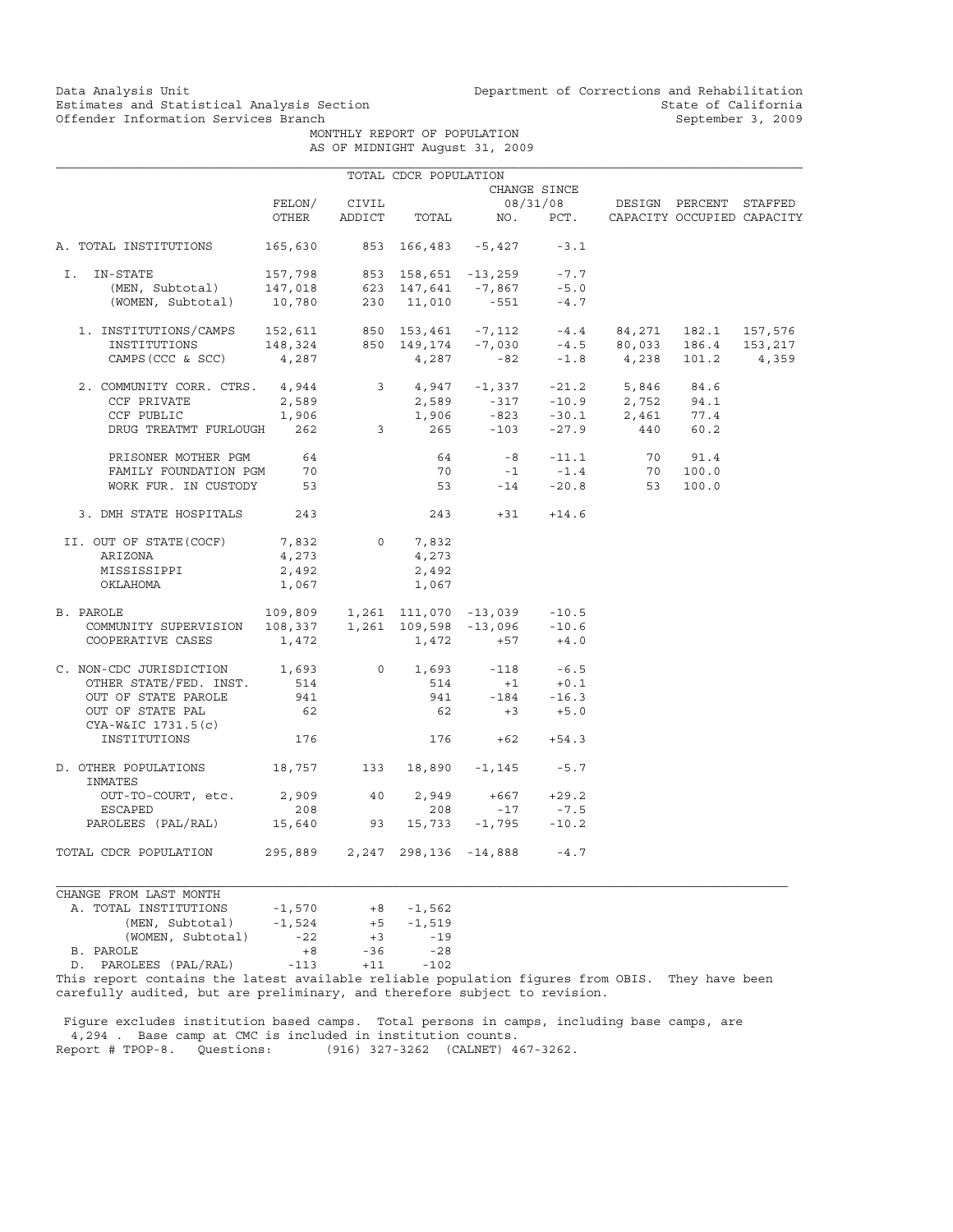Data Analysis Unit Unit Department of Corrections and Rehabilitation<br>Estimates and Statistical Analysis Section State of California Estimates and Statistical Analysis Section and State of California of Estimates and Statistical Analysis Section Services of California September 3, 2009

 MONTHLY REPORT OF POPULATION AS OF MIDNIGHT August 31, 2009

|                                                                                                                                                                                                                                                                                                                         |          |                | TOTAL CDCR POPULATION |                                     |                               |                                                  |       |  |
|-------------------------------------------------------------------------------------------------------------------------------------------------------------------------------------------------------------------------------------------------------------------------------------------------------------------------|----------|----------------|-----------------------|-------------------------------------|-------------------------------|--------------------------------------------------|-------|--|
|                                                                                                                                                                                                                                                                                                                         |          |                |                       |                                     | CHANGE SINCE                  |                                                  |       |  |
|                                                                                                                                                                                                                                                                                                                         | FELON/   | CIVIL          |                       |                                     | 08/31/08                      | DESIGN PERCENT STAFFED                           |       |  |
|                                                                                                                                                                                                                                                                                                                         | OTHER    |                |                       |                                     |                               | ADDICT TOTAL NO. PCT. CAPACITY OCCUPIED CAPACITY |       |  |
| A. TOTAL INSTITUTIONS                                                                                                                                                                                                                                                                                                   | 165,630  |                |                       | 853 166,483 -5,427                  | $-3.1$                        |                                                  |       |  |
| I. IN-STATE                                                                                                                                                                                                                                                                                                             |          |                |                       |                                     | $-7.7$                        |                                                  |       |  |
|                                                                                                                                                                                                                                                                                                                         |          |                |                       |                                     | $-5.0$                        |                                                  |       |  |
| 1-STATE 157,798 853 158,651 -13,259<br>(MEN, Subtotal) 147,018 623 147,641 -7,867<br>(WOMEN, Subtotal) 10,780 230 11,010 -551                                                                                                                                                                                           |          |                |                       |                                     | $-4.7$                        |                                                  |       |  |
|                                                                                                                                                                                                                                                                                                                         |          |                |                       |                                     |                               |                                                  |       |  |
|                                                                                                                                                                                                                                                                                                                         |          |                |                       |                                     |                               |                                                  |       |  |
| $\begin{tabular}{lcccccc} 1. & \texttt{INSTITUTIONS/CAMPS} & & 152,611 & & 850 & 153,461 & -7,112 & -4.4 & 84,271 & 182.1 & 157,576 \\ & \texttt{INSTITUTIONS} & & 148,324 & 850 & 149,174 & -7,030 & -4.5 & 80,033 & 186.4 & 153,217 \\ & & & 4,287 & & 4,287 & & -82 & -1.8 & 4,238 & 101.2 & 4,359 \\ \end{tabular}$ |          |                |                       |                                     |                               |                                                  |       |  |
| 2. COMMUNITY CORR. CTRS. $4,944$<br>CCF PRIVATE<br>2,589<br>2,589<br>2,589<br>2,589<br>30<br>2,589<br>2,589<br>2,589<br>2,589                                                                                                                                                                                           |          |                |                       |                                     |                               |                                                  |       |  |
|                                                                                                                                                                                                                                                                                                                         |          |                |                       |                                     |                               |                                                  |       |  |
| CCF PUBLIC                                                                                                                                                                                                                                                                                                              | 1,906    |                | 1,906                 |                                     |                               | $-823$ $-30.1$ $2,461$ 77.4                      |       |  |
| DRUG TREATMT FURLOUGH 262 3 265 -103 -27.9 440                                                                                                                                                                                                                                                                          |          |                |                       |                                     |                               |                                                  | 60.2  |  |
| PRISONER MOTHER PGM                                                                                                                                                                                                                                                                                                     | 64       |                | 64                    |                                     |                               |                                                  |       |  |
| FAMILY FOUNDATION PGM                                                                                                                                                                                                                                                                                                   | 70       |                | 70                    |                                     |                               | -8 -11.1 70 91.4<br>-1 -1.4 70 100.0             |       |  |
| WORK FUR. IN CUSTODY 53                                                                                                                                                                                                                                                                                                 |          |                |                       | 53                                  |                               | $-14$ $-20.8$ 53                                 | 100.0 |  |
| 3. DMH STATE HOSPITALS 243                                                                                                                                                                                                                                                                                              |          |                |                       | $243 +31 +14.6$                     |                               |                                                  |       |  |
| II. OUT OF STATE(COCF)                                                                                                                                                                                                                                                                                                  | 7,832    |                | $0\qquad 7,832$       |                                     |                               |                                                  |       |  |
| ARIZONA                                                                                                                                                                                                                                                                                                                 | 4,273    |                | 4,273                 |                                     |                               |                                                  |       |  |
| MISSISSIPPI                                                                                                                                                                                                                                                                                                             | 2,492    |                | 2,492                 |                                     |                               |                                                  |       |  |
| OKLAHOMA                                                                                                                                                                                                                                                                                                                | 1,067    |                | 1,067                 |                                     |                               |                                                  |       |  |
| B. PAROLE                                                                                                                                                                                                                                                                                                               |          |                |                       | 109,809 1,261 111,070 -13,039 -10.5 |                               |                                                  |       |  |
|                                                                                                                                                                                                                                                                                                                         |          |                |                       |                                     |                               |                                                  |       |  |
| COMMUNITY SUPERVISION    108,337    1,261    109,598    -13,096    -10.6<br>COOPERATIVE CASES    1,472    1,472    +57    +4.0                                                                                                                                                                                          |          |                |                       |                                     |                               |                                                  |       |  |
| C. NON-CDC JURISDICTION 1,693                                                                                                                                                                                                                                                                                           |          | $\overline{0}$ |                       | $1,693$ $-118$ $-6.5$               |                               |                                                  |       |  |
| OTHER STATE/FED. INST.                                                                                                                                                                                                                                                                                                  | 514      |                | 514                   | $+1$                                | $+0.1$                        |                                                  |       |  |
| OUT OF STATE PAROLE                                                                                                                                                                                                                                                                                                     | 941      |                | 941<br>62             |                                     | $-184$ $-16.3$<br>$+3$ $+5.0$ |                                                  |       |  |
| OUT OF STATE PAL<br>CYA-W&IC 1731.5(c)                                                                                                                                                                                                                                                                                  | 62       |                |                       |                                     |                               |                                                  |       |  |
| INSTITUTIONS                                                                                                                                                                                                                                                                                                            | 176      |                |                       | $176 + 62 + 54.3$                   |                               |                                                  |       |  |
| D. OTHER POPULATIONS 18,757 133 18,890 -1,145<br>INMATES                                                                                                                                                                                                                                                                |          |                |                       |                                     | $-5.7$                        |                                                  |       |  |
| OUT-TO-COURT, etc. 2,909 40 2,949                                                                                                                                                                                                                                                                                       |          |                |                       | $+667$ $+29.2$                      |                               |                                                  |       |  |
| ESCAPED                                                                                                                                                                                                                                                                                                                 | 208      |                | 208                   |                                     | $-17$ $-7.5$                  |                                                  |       |  |
| PAROLEES (PAL/RAL) 15,640 93 15,733 -1,795 -10.2                                                                                                                                                                                                                                                                        |          |                |                       |                                     |                               |                                                  |       |  |
| TOTAL CDCR POPULATION                                                                                                                                                                                                                                                                                                   |          |                |                       | 295,889 2,247 298,136 -14,888       | $-4.7$                        |                                                  |       |  |
| CHANGE FROM LAST MONTH                                                                                                                                                                                                                                                                                                  |          |                |                       |                                     |                               |                                                  |       |  |
| A. TOTAL INSTITUTIONS                                                                                                                                                                                                                                                                                                   | $-1,570$ | $+8$           | $-1,562$              |                                     |                               |                                                  |       |  |

| A. TOTAL INSTITUTIONS                                  | -1,570   | $+8$  | -1,562   |
|--------------------------------------------------------|----------|-------|----------|
| (MEN, Subtotal)                                        | $-1,524$ | $+5$  | $-1,519$ |
| (WOMEN, Subtotal)                                      | $-22$    | $+3$  | $-19$    |
| B. PAROLE                                              | $+8$     | $-36$ | $-28$    |
| D. PAROLEES (PAL/RAL)                                  | $-113$   | $+11$ | $-102$   |
| This report septeing the latest available reliable per |          |       |          |

This report contains the latest available reliable population figures from OBIS. They have been carefully audited, but are preliminary, and therefore subject to revision.

 Figure excludes institution based camps. Total persons in camps, including base camps, are 4,294 . Base camp at CMC is included in institution counts. Report # TPOP-8. Questions: (916) 327-3262 (CALNET) 467-3262.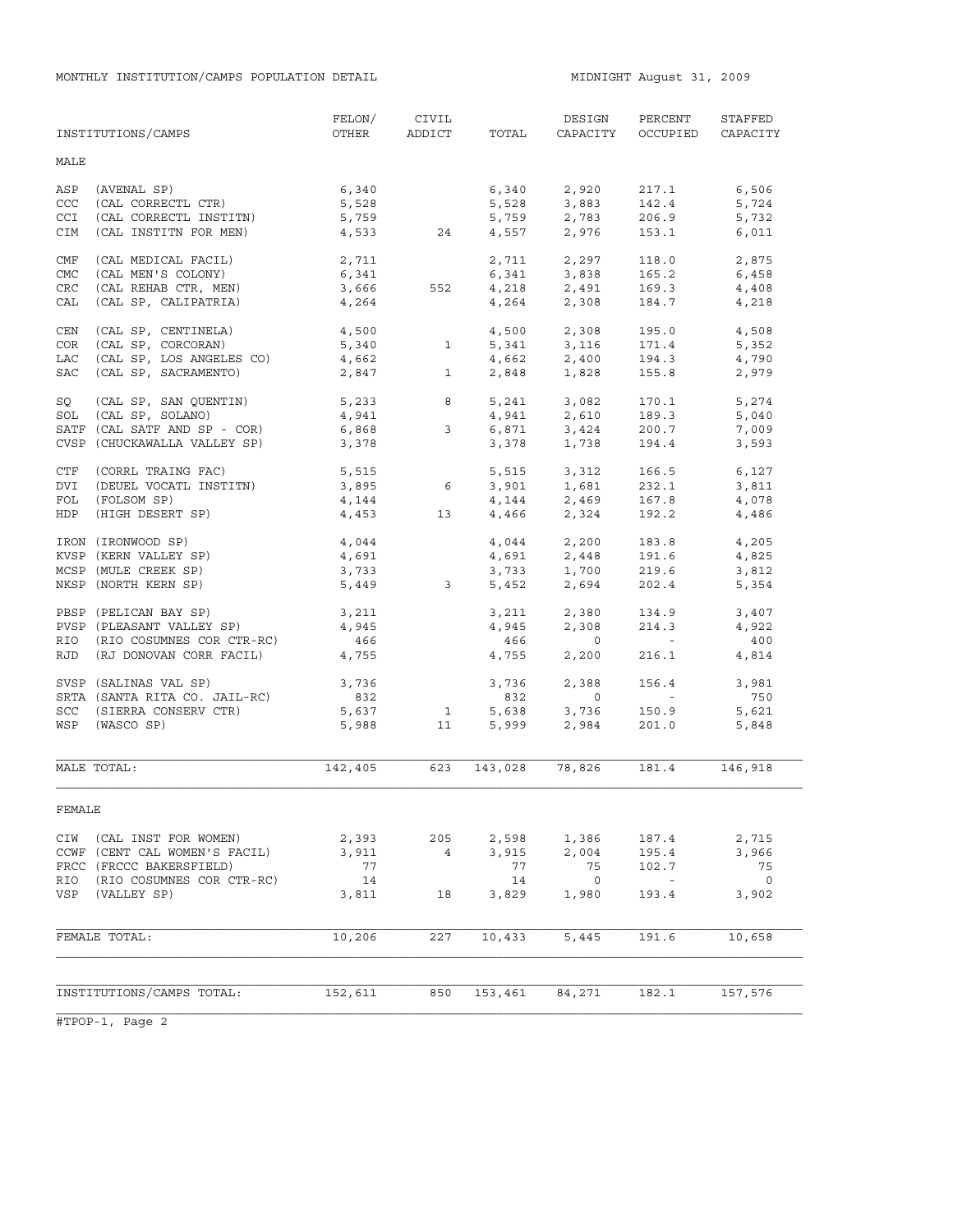MONTHLY INSTITUTION/CAMPS POPULATION DETAIL **MIDNIGHT August 31, 2009** 

|            | INSTITUTIONS/CAMPS            | FELON/<br>OTHER | CIVIL<br><b>ADDICT</b>  | TOTAL   | DESIGN<br>CAPACITY                       | PERCENT<br>OCCUPIED      | STAFFED<br>CAPACITY      |
|------------|-------------------------------|-----------------|-------------------------|---------|------------------------------------------|--------------------------|--------------------------|
| MALE       |                               |                 |                         |         |                                          |                          |                          |
| ASP        | (AVENAL SP)                   | 6,340           |                         | 6,340   | 2,920                                    | 217.1                    | 6,506                    |
| CCC        | (CAL CORRECTL CTR)            | 5,528           |                         | 5,528   | 3,883                                    | 142.4                    | 5,724                    |
| CCI        | (CAL CORRECTL INSTITN)        | 5,759           |                         |         | $5,759$ 2,783                            | 206.9                    | 5,732                    |
| CIM        | (CAL INSTITN FOR MEN)         | 4,533           | 24                      | 4,557   | 2,976                                    | 153.1                    | 6,011                    |
| CMF        | (CAL MEDICAL FACIL)           | 2,711           |                         |         | 2,711 2,297                              | 118.0                    | 2,875                    |
| <b>CMC</b> | (CAL MEN'S COLONY)            | 6,341           |                         |         | $6,341$ $3,838$                          | 165.2                    | 6,458                    |
| CRC        | (CAL REHAB CTR, MEN)          | 3,666           | 552                     |         | $4,218$<br>$2,491$<br>$4,264$<br>$2,308$ | 169.3                    | 4,408                    |
| CAL        | (CAL SP, CALIPATRIA)          | 4,264           |                         |         |                                          | 184.7                    | 4,218                    |
| CEN        | (CAL SP, CENTINELA)           | 4,500           |                         |         | 4,500 2,308                              | 195.0                    | 4,508                    |
| COR        | (CAL SP, CORCORAN)            | 5,340<br>4,662  | $\mathbf{1}$            |         |                                          | 171.4                    | 5,352                    |
| LAC        | (CAL SP, LOS ANGELES CO)      |                 |                         |         | $5,341$ $3,116$<br>$4,662$ $2,400$       | 194.3                    | 4,790                    |
| SAC        | (CAL SP, SACRAMENTO)          | 2,847           | $\mathbf{1}$            | 2,848   | 1,828                                    | 155.8                    | 2,979                    |
| SQ         | (CAL SP, SAN QUENTIN)         |                 |                         |         |                                          | 170.1                    | 5,274                    |
| SOL        | (CAL SP, SOLANO)              |                 | $5,233$ 8<br>4,941      |         | 5, 241 3, 082<br>4, 941 2, 610           | 189.3                    | 5,040                    |
|            | SATF (CAL SATF AND SP - COR)  | 6,868           | $\mathbf{3}$            | 6,871   |                                          | 200.7                    | 7,009                    |
|            | CVSP (CHUCKAWALLA VALLEY SP)  | 3,378           |                         | 3,378   | 3,424<br>1,738                           | 194.4                    | 3,593                    |
| CTF        | (CORRL TRAING FAC)            | 5,515           |                         |         | 5,515 3,312                              | 166.5                    | 6,127                    |
| DVI        | (DEUEL VOCATL INSTITN)        | 3,895           | - 6                     |         |                                          | 232.1                    | 3,811                    |
| FOL        | (FOLSOM SP)                   | 4,144           |                         |         | 3,901 1,681<br>4,144 2,469               | 167.8                    | 4,078                    |
| HDP        | (HIGH DESERT SP)              | 4,453           | 13                      |         | 4,466 2,324                              | 192.2                    | 4,486                    |
|            | IRON (IRONWOOD SP)            | $4,044$         |                         |         |                                          | 183.8                    | 4,205                    |
|            | KVSP (KERN VALLEY SP)         | 4,691           |                         |         | $4,044$<br>$2,200$<br>$4,691$<br>$2,448$ | 191.6                    | 4,825                    |
|            | MCSP (MULE CREEK SP)          | 3,733           |                         |         | $3,733$ $1,700$                          | 219.6                    | 3,812                    |
|            | NKSP (NORTH KERN SP)          | 5,449           | $\overline{\mathbf{3}}$ | 5,452   | 2,694                                    | 202.4                    | 5,354                    |
|            | PBSP (PELICAN BAY SP)         | 3,211           |                         | 3,211   | 2,380                                    | 134.9                    | 3,407                    |
|            | PVSP (PLEASANT VALLEY SP)     | 4,945           |                         | 4,945   | 2,308                                    | 214.3                    | 4,922                    |
| RIO        | (RIO COSUMNES COR CTR-RC)     | 466             |                         | 466     | $\overline{0}$                           | <b>Contractor</b>        | 400                      |
| RJD        | (RJ DONOVAN CORR FACIL)       | 4,755           |                         | 4,755   | 2,200                                    | 216.1                    | 4,814                    |
|            | SVSP (SALINAS VAL SP)         | 3,736           |                         | 3,736   | 2,388                                    | 156.4                    | 3,981                    |
|            | SRTA (SANTA RITA CO. JAIL-RC) | 832             |                         | 832     | $\overline{0}$                           | <b>Contract Contract</b> | 750                      |
|            | SCC (SIERRA CONSERV CTR)      | 5,637           | $\mathbf 1$             | 5,638   | 3,736                                    | 150.9                    | 5,621                    |
|            | WSP (WASCO SP)                | 5,988           | 11                      | 5,999   | 2,984                                    | 201.0                    | 5,848                    |
|            |                               |                 |                         |         |                                          |                          |                          |
|            | MALE TOTAL:                   | 142,405         | 623                     | 143,028 | 78,826                                   | 181.4                    | 146,918                  |
| FEMALE     |                               |                 |                         |         |                                          |                          |                          |
|            | CIW (CAL INST FOR WOMEN)      | 2,393           | 205                     | 2,598   | 1,386                                    | 187.4                    | 2,715                    |
|            | CCWF (CENT CAL WOMEN'S FACIL) | 3,911           | $\overline{4}$          | 3,915   | 2,004                                    | 195.4                    | 3,966                    |
|            | FRCC (FRCCC BAKERSFIELD)      | 77              |                         | 77      | 75                                       | 102.7                    | 75                       |
| RIO        | (RIO COSUMNES COR CTR-RC)     | 14              |                         | 14      | $\overline{0}$                           | $\sim$ $-$               | $\overline{\phantom{0}}$ |
|            | VSP (VALLEY SP)               | 3,811           | 18                      | 3,829   | 1,980                                    | 193.4                    | 3,902                    |
|            | FEMALE TOTAL:                 | 10,206          | 227                     | 10,433  | 5,445                                    | 191.6                    | 10,658                   |
|            |                               |                 |                         |         |                                          |                          |                          |
|            | INSTITUTIONS/CAMPS TOTAL:     | 152,611         | 850                     | 153,461 | 84,271                                   | 182.1                    | 157,576                  |
|            |                               |                 |                         |         |                                          |                          |                          |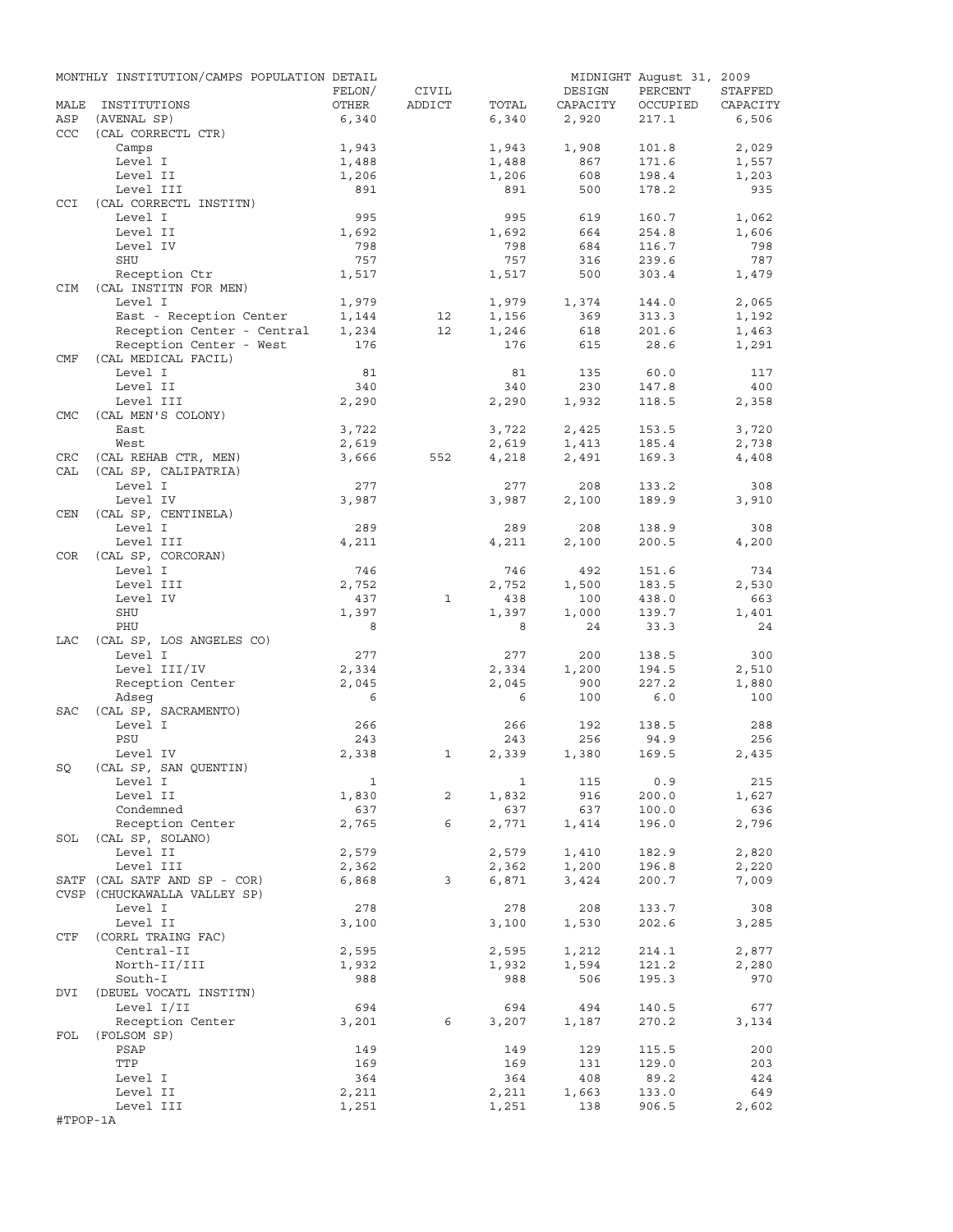|            | MONTHLY INSTITUTION/CAMPS POPULATION DETAIL |        |              |              |          | MIDNIGHT August 31, 2009 |          |
|------------|---------------------------------------------|--------|--------------|--------------|----------|--------------------------|----------|
|            |                                             | FELON/ | CIVIL        |              | DESIGN   | PERCENT                  | STAFFED  |
| MALE       | INSTITUTIONS                                | OTHER  | ADDICT       | TOTAL        | CAPACITY | OCCUPIED                 | CAPACITY |
| ASP        | (AVENAL SP)                                 | 6,340  |              | 6,340        | 2,920    | 217.1                    | 6,506    |
| CCC        | (CAL CORRECTL CTR)                          |        |              |              |          |                          |          |
|            | Camps                                       | 1,943  |              | 1,943        | 1,908    | 101.8                    | 2,029    |
|            | Level I                                     | 1,488  |              | 1,488        | 867      | 171.6                    | 1,557    |
|            | Level II                                    | 1,206  |              | 1,206        | 608      | 198.4                    | 1,203    |
|            | Level III                                   | 891    |              | 891          | 500      | 178.2                    | 935      |
| <b>CCI</b> | (CAL CORRECTL INSTITN)                      |        |              |              |          |                          |          |
|            | Level I                                     | 995    |              | 995          | 619      | 160.7                    | 1,062    |
|            | Level II                                    | 1,692  |              | 1,692        | 664      | 254.8                    | 1,606    |
|            | Level IV                                    | 798    |              | 798          | 684      | 116.7                    | 798      |
|            | SHU                                         | 757    |              | 757          | 316      | 239.6                    | 787      |
|            | Reception Ctr                               | 1,517  |              | 1,517        | 500      | 303.4                    | 1,479    |
| CIM        | (CAL INSTITN FOR MEN)                       |        |              |              |          |                          |          |
|            | Level I                                     | 1,979  |              | 1,979        | 1,374    | 144.0                    | 2,065    |
|            | East - Reception Center                     | 1,144  | 12           | 1,156        | 369      | 313.3                    | 1,192    |
|            | Reception Center - Central                  | 1,234  | 12           | 1,246        | 618      | 201.6                    | 1,463    |
|            | Reception Center - West                     | 176    |              | 176          | 615      | 28.6                     | 1,291    |
| CMF        | (CAL MEDICAL FACIL)                         |        |              |              |          |                          |          |
|            | Level I                                     | 81     |              | 81           | 135      | 60.0                     | 117      |
|            | Level II                                    | 340    |              | 340          | 230      | 147.8                    | 400      |
|            | Level III                                   | 2,290  |              | 2,290        | 1,932    | 118.5                    | 2,358    |
| <b>CMC</b> | (CAL MEN'S COLONY)                          |        |              |              |          |                          |          |
|            | East                                        | 3,722  |              | 3,722        | 2,425    | 153.5                    | 3,720    |
|            | West                                        | 2,619  |              | 2,619        | 1,413    | 185.4                    | 2,738    |
| CRC        | (CAL REHAB CTR, MEN)                        | 3,666  | 552          | 4,218        | 2,491    | 169.3                    | 4,408    |
| CAL        | (CAL SP, CALIPATRIA)                        |        |              |              |          |                          |          |
|            | Level I                                     | 277    |              | 277          | 208      | 133.2                    | 308      |
|            | Level IV                                    | 3,987  |              | 3,987        | 2,100    | 189.9                    | 3,910    |
| CEN        | (CAL SP, CENTINELA)                         |        |              |              |          |                          |          |
|            | Level I                                     | 289    |              | 289          | 208      | 138.9                    | 308      |
|            | Level III                                   | 4,211  |              | 4,211        | 2,100    | 200.5                    | 4,200    |
| COR        | (CAL SP, CORCORAN)                          |        |              |              |          |                          |          |
|            | Level I                                     | 746    |              | 746          | 492      | 151.6                    | 734      |
|            | Level III                                   | 2,752  |              | 2,752        | 1,500    | 183.5                    | 2,530    |
|            | Level IV                                    | 437    | $\mathbf{1}$ | 438          | 100      | 438.0                    | 663      |
|            | SHU                                         |        |              |              |          |                          |          |
|            |                                             | 1,397  |              | 1,397<br>8   | 1,000    | 139.7                    | 1,401    |
|            | PHU                                         | 8      |              |              | 24       | 33.3                     | 24       |
| LAC        | (CAL SP, LOS ANGELES CO)                    |        |              |              |          |                          |          |
|            | Level I                                     | 277    |              | 277          | 200      | 138.5                    | 300      |
|            | Level III/IV                                | 2,334  |              | 2,334        | 1,200    | 194.5                    | 2,510    |
|            | Reception Center                            | 2,045  |              | 2,045        | 900      | 227.2                    | 1,880    |
|            | Adseq                                       | 6      |              | 6            | 100      | 6.0                      | 100      |
| SAC        | (CAL SP, SACRAMENTO)                        |        |              |              |          |                          |          |
|            | Level I                                     | 266    |              | 266          | 192      | 138.5                    | 288      |
|            | PSU                                         | 243    |              | 243          | 256      | 94.9                     | 256      |
|            | Level IV                                    | 2,338  | 1            | 2,339        | 1,380    | 169.5                    | 2,435    |
| SQ         | (CAL SP, SAN QUENTIN)                       |        |              |              |          |                          |          |
|            | Level I                                     | 1      |              | $\mathbf{1}$ | 115      | 0.9                      | 215      |
|            | Level II                                    | 1,830  | 2            | 1,832        | 916      | 200.0                    | 1,627    |
|            | Condemned                                   | 637    |              | 637          | 637      | 100.0                    | 636      |
|            | Reception Center                            | 2,765  | 6            | 2,771        | 1,414    | 196.0                    | 2,796    |
| SOL        | (CAL SP, SOLANO)                            |        |              |              |          |                          |          |
|            | Level II                                    | 2,579  |              | 2,579        | 1,410    | 182.9                    | 2,820    |
|            | Level III                                   | 2,362  |              | 2,362        | 1,200    | 196.8                    | 2,220    |
|            | SATF (CAL SATF AND SP - COR)                | 6,868  | 3            | 6,871        | 3,424    | 200.7                    | 7,009    |
|            | CVSP (CHUCKAWALLA VALLEY SP)                |        |              |              |          |                          |          |
|            | Level I                                     | 278    |              | 278          | 208      | 133.7                    | 308      |
|            | Level II                                    | 3,100  |              | 3,100        | 1,530    | 202.6                    | 3,285    |
| CTF        | (CORRL TRAING FAC)                          |        |              |              |          |                          |          |
|            | Central-II                                  | 2,595  |              | 2,595        | 1,212    | 214.1                    | 2,877    |
|            | North-II/III                                | 1,932  |              | 1,932        | 1,594    | 121.2                    | 2,280    |
|            | South-I                                     | 988    |              | 988          | 506      | 195.3                    | 970      |
| DVI        | (DEUEL VOCATL INSTITN)                      |        |              |              |          |                          |          |
|            | Level I/II                                  | 694    |              | 694          | 494      | 140.5                    | 677      |
|            | Reception Center                            | 3,201  | 6            | 3,207        | 1,187    | 270.2                    | 3,134    |
| FOL        | (FOLSOM SP)                                 |        |              |              |          |                          |          |
|            | PSAP                                        | 149    |              | 149          | 129      | 115.5                    | 200      |
|            | TTP                                         | 169    |              | 169          | 131      | 129.0                    | 203      |
|            | Level I                                     | 364    |              | 364          | 408      | 89.2                     | 424      |
|            | Level II                                    | 2,211  |              | 2,211        | 1,663    | 133.0                    | 649      |
|            | Level III                                   | 1,251  |              | 1,251        | 138      | 906.5                    | 2,602    |
| #TPOP-1A   |                                             |        |              |              |          |                          |          |
|            |                                             |        |              |              |          |                          |          |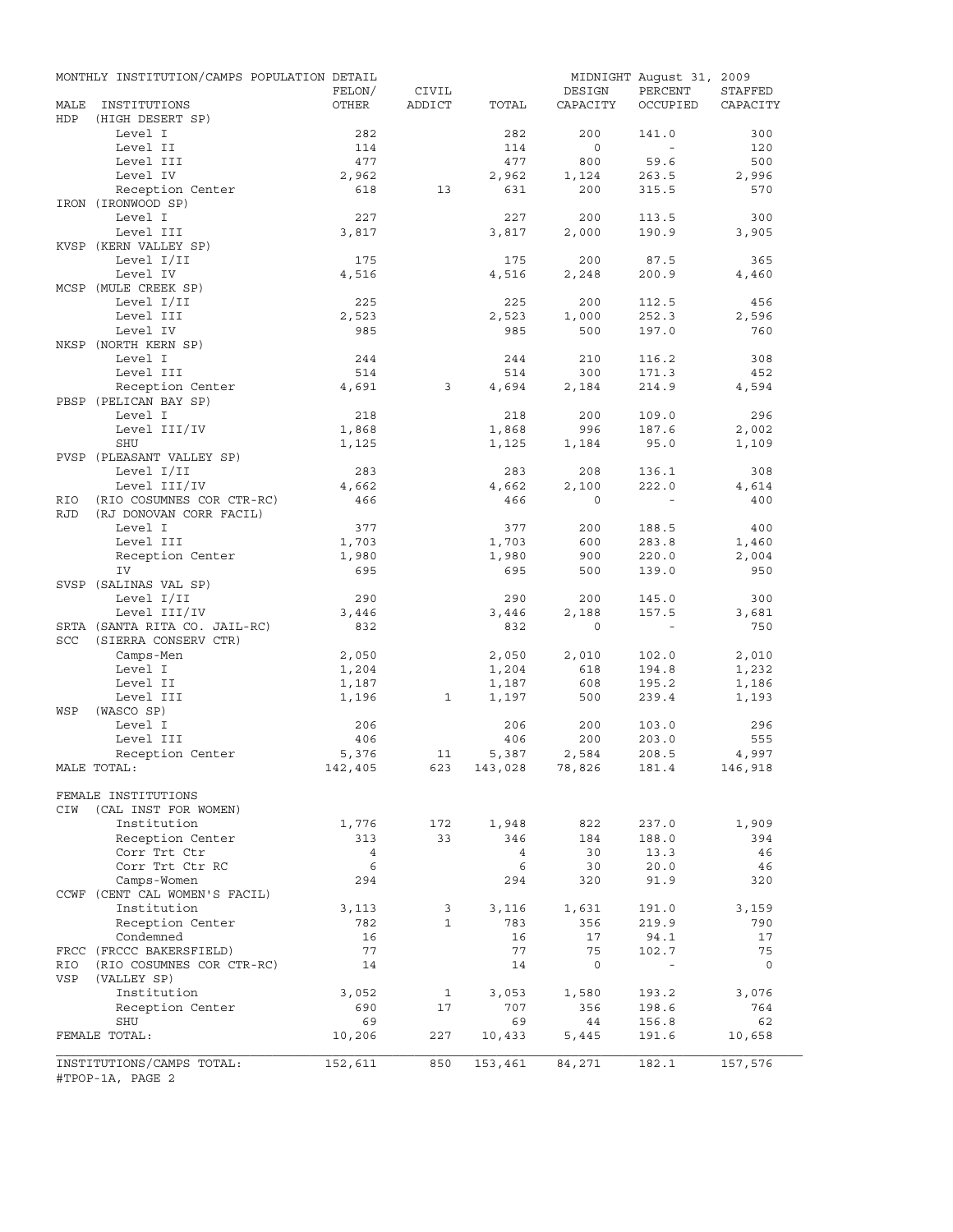|                   | MONTHLY INSTITUTION/CAMPS POPULATION DETAIL           |                |              |                |                | MIDNIGHT August 31, 2009 |                |
|-------------------|-------------------------------------------------------|----------------|--------------|----------------|----------------|--------------------------|----------------|
|                   |                                                       | FELON/         | CIVIL        |                | DESIGN         | PERCENT                  | STAFFED        |
| MALE              | INSTITUTIONS                                          | OTHER          | ADDICT       | TOTAL          | CAPACITY       | OCCUPIED                 | CAPACITY       |
| HDP               | (HIGH DESERT SP)                                      |                |              |                |                |                          |                |
|                   | Level I<br>Level II                                   | 282<br>114     |              | 282<br>114     | 200<br>$\circ$ | 141.0<br>$\sim$          | 300<br>120     |
|                   | Level III                                             | 477            |              | 477            | 800            | 59.6                     | 500            |
|                   | Level IV                                              | 2,962          |              | 2,962          | 1,124          | 263.5                    | 2,996          |
|                   | Reception Center                                      | 618            | 13           | 631            | 200            | 315.5                    | 570            |
|                   | IRON (IRONWOOD SP)                                    |                |              |                |                |                          |                |
|                   | Level I                                               | 227            |              | 227            | 200            | 113.5                    | 300            |
|                   | Level III                                             | 3,817          |              | 3,817          | 2,000          | 190.9                    | 3,905          |
|                   | KVSP (KERN VALLEY SP)                                 |                |              |                |                |                          |                |
|                   | Level I/II                                            | 175            |              | 175            | 200            | 87.5                     | 365            |
|                   | Level IV                                              | 4,516          |              | 4,516          | 2,248          | 200.9                    | 4,460          |
|                   | MCSP (MULE CREEK SP)                                  |                |              |                |                |                          |                |
|                   | Level I/II                                            | 225            |              | 225            | 200            | 112.5                    | 456            |
|                   | Level III                                             | 2,523          |              | 2,523          | 1,000          | 252.3                    | 2,596          |
|                   | Level IV                                              | 985            |              | 985            | 500            | 197.0                    | 760            |
|                   | NKSP (NORTH KERN SP)                                  |                |              |                |                |                          |                |
|                   | Level I                                               | 244            |              | 244            | 210            | 116.2                    | 308            |
|                   | Level III                                             | 514            |              | 514            | 300            | 171.3                    | 452            |
|                   | Reception Center                                      | 4,691          | 3            | 4,694          | 2,184          | 214.9                    | 4,594          |
|                   | PBSP (PELICAN BAY SP)                                 |                |              |                |                |                          |                |
|                   | Level I                                               | 218            |              | 218            | 200            | 109.0                    | 296            |
|                   | Level III/IV                                          | 1,868          |              | 1,868          | 996            | 187.6                    | 2,002          |
|                   | <b>SHU</b>                                            | 1,125          |              | 1,125          | 1,184          | 95.0                     | 1,109          |
|                   | PVSP (PLEASANT VALLEY SP)                             |                |              |                |                |                          |                |
|                   | Level I/II                                            | 283            |              | 283            | 208            | 136.1                    | 308            |
|                   | Level III/IV                                          | 4,662          |              | 4,662          | 2,100          | 222.0                    | 4,614          |
| RIO<br><b>RJD</b> | (RIO COSUMNES COR CTR-RC)                             | 466            |              | 466            | $\circ$        |                          | 400            |
|                   | (RJ DONOVAN CORR FACIL)<br>Level I                    | 377            |              | 377            | 200            | 188.5                    | 400            |
|                   | Level III                                             | 1,703          |              | 1,703          | 600            | 283.8                    |                |
|                   | Reception Center                                      | 1,980          |              | 1,980          | 900            | 220.0                    | 1,460<br>2,004 |
|                   | IV                                                    | 695            |              | 695            | 500            | 139.0                    | 950            |
|                   | SVSP (SALINAS VAL SP)                                 |                |              |                |                |                          |                |
|                   | Level I/II                                            | 290            |              | 290            | 200            | 145.0                    | 300            |
|                   | Level III/IV                                          | 3,446          |              | 3,446          | 2,188          | 157.5                    | 3,681          |
|                   | SRTA (SANTA RITA CO. JAIL-RC)                         | 832            |              | 832            | $\mathbf 0$    | $\sim$                   | 750            |
| SCC               | (SIERRA CONSERV CTR)                                  |                |              |                |                |                          |                |
|                   | Camps-Men                                             | 2,050          |              | 2,050          | 2,010          | 102.0                    | 2,010          |
|                   | Level I                                               | 1,204          |              | 1,204          | 618            | 194.8                    | 1,232          |
|                   | Level II                                              | 1,187          |              | 1,187          | 608            | 195.2                    | 1,186          |
|                   | Level III                                             | 1,196          | 1            | 1,197          | 500            | 239.4                    | 1,193          |
| WSP               | (WASCO SP)                                            |                |              |                |                |                          |                |
|                   | Level I                                               | 206            |              | 206            | 200            | 103.0                    | 296            |
|                   | Level III                                             | 406            |              | 406            | 200            | 203.0                    | 555            |
|                   | Reception Center                                      | 5,376          | 11           | 5,387          | 2,584          | 208.5                    | 4,997          |
|                   | MALE TOTAL:                                           | 142,405        | 623          | 143,028 78,826 |                | 181.4                    | 146,918        |
|                   |                                                       |                |              |                |                |                          |                |
|                   | FEMALE INSTITUTIONS                                   |                |              |                |                |                          |                |
| CIW               | (CAL INST FOR WOMEN)                                  |                |              |                |                |                          |                |
|                   | Institution                                           | 1,776          | 172          | 1,948          | 822            | 237.0                    | 1,909          |
|                   | Reception Center                                      | 313            | 33           | 346            | 184            | 188.0                    | 394            |
|                   | Corr Trt Ctr                                          | $\overline{4}$ |              | $\overline{4}$ | 30             | 13.3                     | 46             |
|                   | Corr Trt Ctr RC                                       | 6              |              | 6              | 30             | 20.0                     | 46             |
|                   | Camps-Women                                           | 294            |              | 294            | 320            | 91.9                     | 320            |
|                   | CCWF (CENT CAL WOMEN'S FACIL)                         |                |              |                |                |                          |                |
|                   | Institution                                           | 3,113          | 3            | 3,116          | 1,631          | 191.0                    | 3,159          |
|                   | Reception Center                                      | 782            | $\mathbf{1}$ | 783            | 356            | 219.9                    | 790            |
|                   | Condemned                                             | 16             |              | 16<br>77       | 17             | 94.1                     | 17             |
|                   | FRCC (FRCCC BAKERSFIELD)<br>(RIO COSUMNES COR CTR-RC) | 77             |              |                | 75<br>0        | 102.7<br>$\blacksquare$  | 75             |
| RIO<br>VSP        | (VALLEY SP)                                           | 14             |              | 14             |                |                          | 0              |
|                   | Institution                                           | 3,052          | 1            |                | 1,580          |                          | 3,076          |
|                   | Reception Center                                      | 690            | 17           | 3,053<br>707   | 356            | 193.2<br>198.6           | 764            |
|                   | SHU                                                   | 69             |              | 69             | 44             | 156.8                    | 62             |
|                   | FEMALE TOTAL:                                         | 10,206         | 227          | 10,433         | 5,445          | 191.6                    | 10,658         |
|                   |                                                       |                |              |                |                |                          |                |
|                   | INSTITUTIONS/CAMPS TOTAL:                             | 152,611        | 850          | 153,461        | 84,271         | 182.1                    | 157,576        |
|                   | #TPOP-1A, PAGE 2                                      |                |              |                |                |                          |                |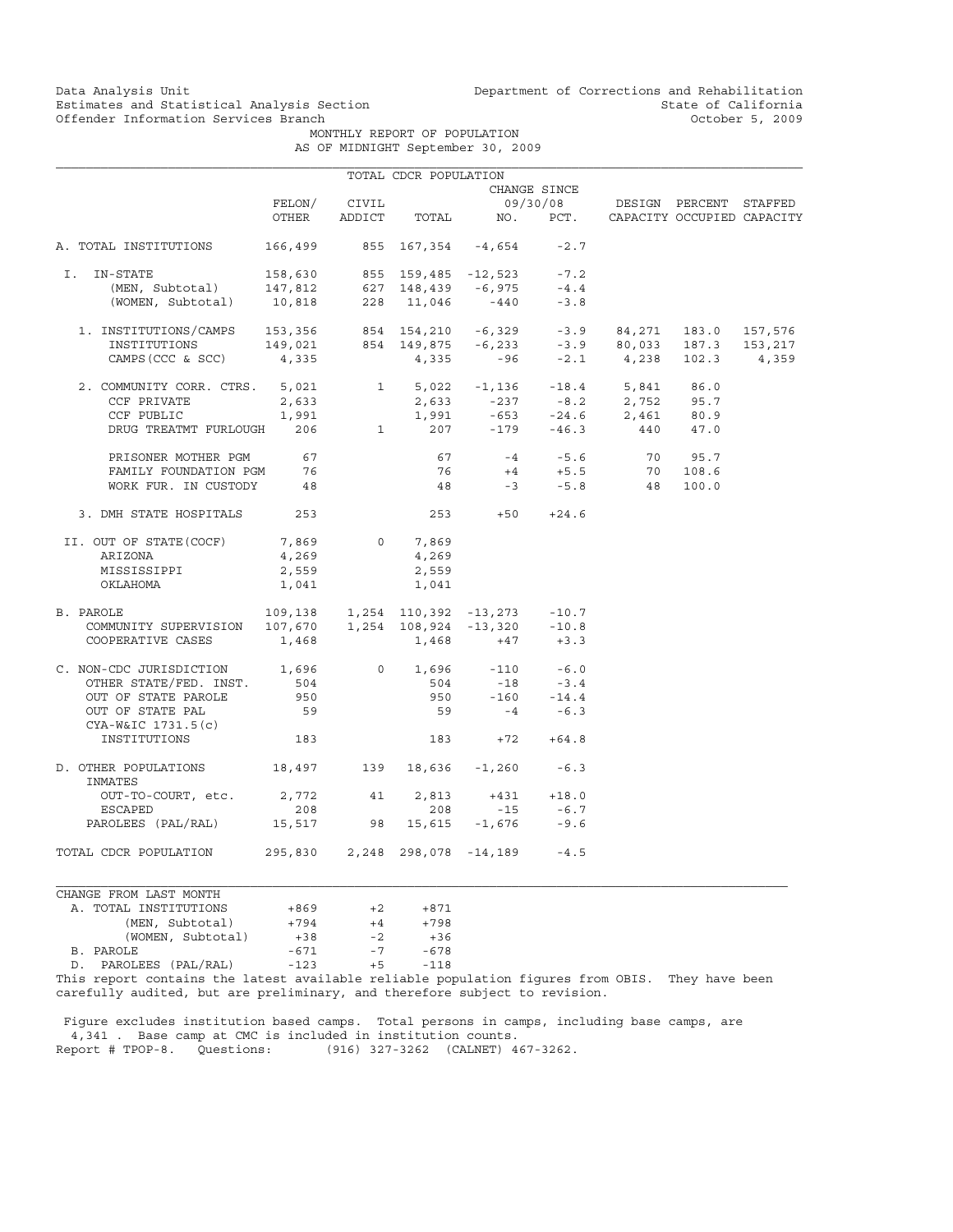Data Analysis Unit Unit Department of Corrections and Rehabilitation<br>Estimates and Statistical Analysis Section State of California Estimates and Statistical Analysis Section and State of California of Estimates and Statistical Analysis Section State of California of State of California of California of the Material of State of California of the Materi

 MONTHLY REPORT OF POPULATION AS OF MIDNIGHT September 30, 2009

|                                                                                                                                                                                                            |                                        |       | TOTAL CDCR POPULATION |                                                                                                                                                |              |                                 |  |
|------------------------------------------------------------------------------------------------------------------------------------------------------------------------------------------------------------|----------------------------------------|-------|-----------------------|------------------------------------------------------------------------------------------------------------------------------------------------|--------------|---------------------------------|--|
|                                                                                                                                                                                                            |                                        |       |                       |                                                                                                                                                | CHANGE SINCE |                                 |  |
|                                                                                                                                                                                                            | FELON/                                 | CIVIL |                       |                                                                                                                                                |              | 09/30/08 DESIGN PERCENT STAFFED |  |
|                                                                                                                                                                                                            | OTHER                                  |       |                       | ADDICT TOTAL NO. PCT. CAPACITY OCCUPIED CAPACITY                                                                                               |              |                                 |  |
| A. TOTAL INSTITUTIONS                                                                                                                                                                                      |                                        |       |                       | 166,499 855 167,354 -4,654                                                                                                                     | $-2.7$       |                                 |  |
| I. IN-STATE                                                                                                                                                                                                |                                        |       |                       |                                                                                                                                                |              |                                 |  |
|                                                                                                                                                                                                            |                                        |       |                       |                                                                                                                                                |              |                                 |  |
| -STATE 158,630 855 159,485 -12,523 -7.2<br>(MEN, Subtotal) 147,812 627 148,439 -6,975 -4.4<br>(WOMEN, Subtotal) 10,818 228 11,046 -440 -3.8                                                                |                                        |       |                       |                                                                                                                                                |              |                                 |  |
| 1. INSTITUTIONS/CAMPS 153,356 854 154,210 -6,329 -3.9 84,271 183.0 157,576<br>INSTITUTIONS 149,021 854 149,875 -6,233 -3.9 80,033 187.3 153,217<br>CAMPS(CCC & SCC) 4,335 4,335 -96 -2.1 4,238 102.3 4,359 |                                        |       |                       |                                                                                                                                                |              |                                 |  |
|                                                                                                                                                                                                            |                                        |       |                       |                                                                                                                                                |              |                                 |  |
|                                                                                                                                                                                                            |                                        |       |                       |                                                                                                                                                |              |                                 |  |
|                                                                                                                                                                                                            |                                        |       |                       |                                                                                                                                                |              |                                 |  |
|                                                                                                                                                                                                            |                                        |       |                       |                                                                                                                                                |              |                                 |  |
| CCF PUBLIC                                                                                                                                                                                                 | 1,991                                  |       |                       |                                                                                                                                                |              |                                 |  |
| DRUG TREATMT FURLOUGH 206                                                                                                                                                                                  |                                        |       |                       | $1,991$ $-653$ $-24.6$ $2,461$ $80.9$<br>1 207 -179 -46.3 440 47.0                                                                             |              |                                 |  |
| PRISONER MOTHER PGM 67                                                                                                                                                                                     |                                        |       |                       |                                                                                                                                                |              |                                 |  |
| FAMILY FOUNDATION PGM                                                                                                                                                                                      | 76                                     |       |                       |                                                                                                                                                |              |                                 |  |
| WORK FUR. IN CUSTODY 48                                                                                                                                                                                    |                                        |       |                       | $\begin{array}{cccccc} 67 & & -4 & & -5.6 & & 70 & 95.7 \\ 76 & & +4 & & +5.5 & & 70 & 108.6 \\ 48 & & -3 & & -5.8 & & 48 & 100.0 \end{array}$ |              |                                 |  |
| 3. DMH STATE HOSPITALS 253                                                                                                                                                                                 |                                        |       |                       | $253 + 50 + 24.6$                                                                                                                              |              |                                 |  |
| II. OUT OF STATE(COCF)                                                                                                                                                                                     | 7,869                                  |       | 0 7,869               |                                                                                                                                                |              |                                 |  |
| ARIZONA                                                                                                                                                                                                    | 4,269                                  |       | 4,269                 |                                                                                                                                                |              |                                 |  |
| MISSISSIPPI                                                                                                                                                                                                | 2,559                                  |       | 2,559                 |                                                                                                                                                |              |                                 |  |
| OKLAHOMA                                                                                                                                                                                                   | 1,041                                  |       | 1,041                 |                                                                                                                                                |              |                                 |  |
| 7AROLE 109,138 1,254 110,392 -13,273 -10.7<br>COMMUNITY SUPERVISION 107,670 1,254 108,924 -13,320 -10.8<br>B. PAROLE                                                                                       |                                        |       |                       |                                                                                                                                                |              |                                 |  |
|                                                                                                                                                                                                            |                                        |       |                       |                                                                                                                                                |              |                                 |  |
| COOPERATIVE CASES                                                                                                                                                                                          | 1,468                                  |       |                       | $1,468 +47 +3.3$                                                                                                                               |              |                                 |  |
| C. NON-CDC JURISDICTION 1,696                                                                                                                                                                              |                                        |       |                       | $0 \t 1,696 \t -110 \t -6.0$                                                                                                                   |              |                                 |  |
| OTHER STATE/FED. INST.                                                                                                                                                                                     | 504                                    |       | 504                   | $-18 - 3.4$                                                                                                                                    |              |                                 |  |
| OUT OF STATE PAROLE                                                                                                                                                                                        | 950                                    |       |                       | 950 -160 -14.4                                                                                                                                 |              |                                 |  |
| OUT OF STATE PAL<br>CYA-W&IC 1731.5(c)                                                                                                                                                                     | 59                                     |       |                       | $59 - 4 - 6.3$                                                                                                                                 |              |                                 |  |
| INSTITUTIONS                                                                                                                                                                                               | 183                                    |       |                       | $183 +72 +64.8$                                                                                                                                |              |                                 |  |
| D. OTHER POPULATIONS 18,497 139 18,636 -1,260 -6.3<br>INMATES                                                                                                                                              |                                        |       |                       |                                                                                                                                                |              |                                 |  |
| OUT-TO-COURT, etc. 2,772                                                                                                                                                                                   |                                        |       | 41 2,813              |                                                                                                                                                | $+431 +18.0$ |                                 |  |
| ESCAPED                                                                                                                                                                                                    | 208                                    |       | 208                   | $-15 - 6.7$                                                                                                                                    |              |                                 |  |
| PAROLEES (PAL/RAL) 15,517 98 15,615 -1,676                                                                                                                                                                 |                                        |       |                       |                                                                                                                                                | $-9.6$       |                                 |  |
| TOTAL CDCR POPULATION                                                                                                                                                                                      | 295,830  2,248  298,078  -14,189  -4.5 |       |                       |                                                                                                                                                |              |                                 |  |
| CHANGE FROM LAST MONTH                                                                                                                                                                                     |                                        |       |                       |                                                                                                                                                |              |                                 |  |

| A. TOTAL INSTITUTIONS                                  | $+869$ | $+2$ | $+871$ |
|--------------------------------------------------------|--------|------|--------|
| (MEN, Subtotal)                                        | $+794$ | $+4$ | $+798$ |
| (WOMEN, Subtotal)                                      | $+38$  | $-2$ | $+36$  |
| B. PAROLE                                              | $-671$ | $-7$ | $-678$ |
| D. PAROLEES (PAL/RAL)                                  | $-123$ | $+5$ | $-118$ |
| This report septeing the letest ereileble reliable per |        |      |        |

This report contains the latest available reliable population figures from OBIS. They have been carefully audited, but are preliminary, and therefore subject to revision.

 Figure excludes institution based camps. Total persons in camps, including base camps, are 4,341 . Base camp at CMC is included in institution counts. Report # TPOP-8. Questions: (916) 327-3262 (CALNET) 467-3262.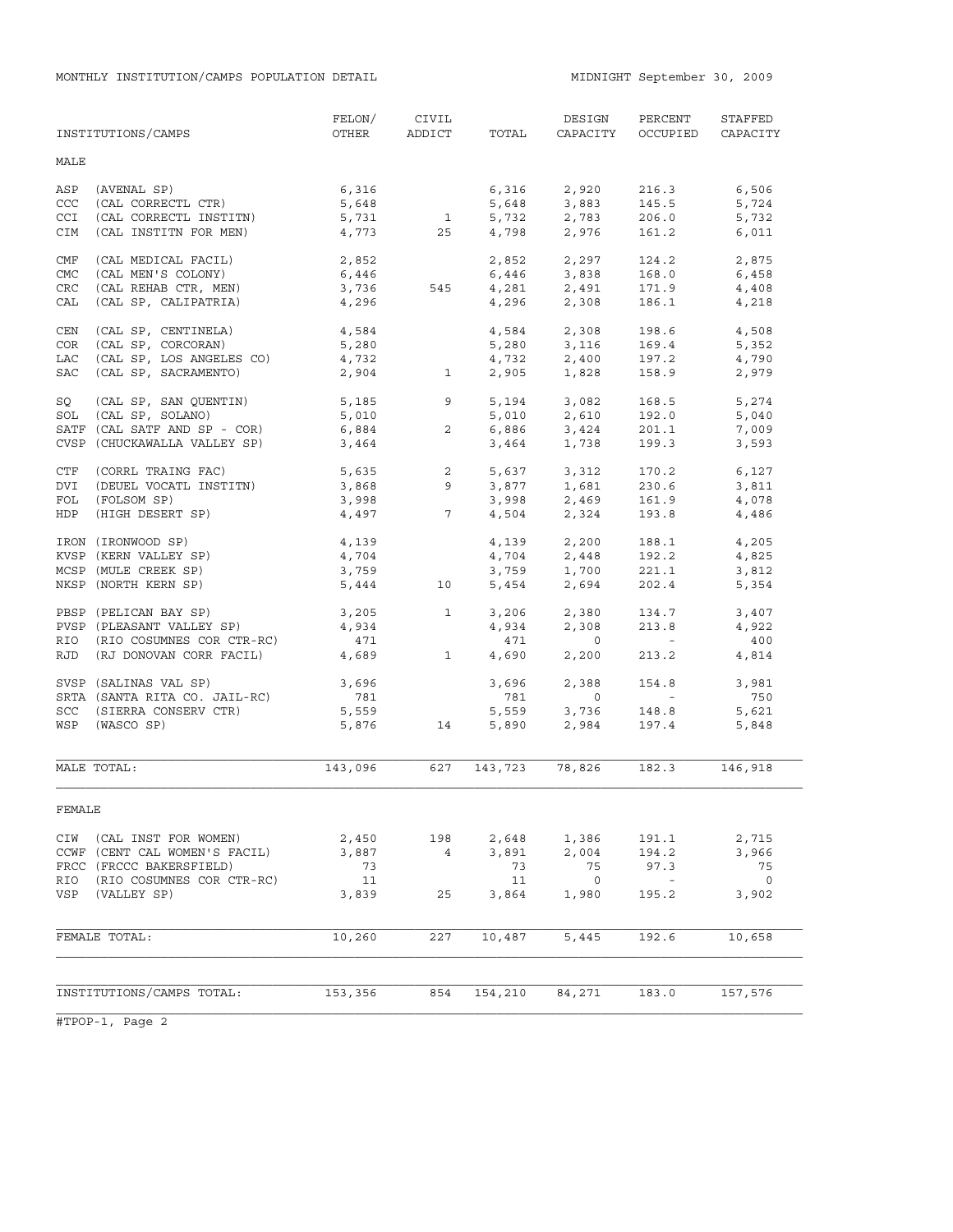MONTHLY INSTITUTION/CAMPS POPULATION DETAIL MIDNIGHT September 30, 2009

|            | INSTITUTIONS/CAMPS                           | FELON/<br>OTHER | CIVIL<br>ADDICT | TOTAL          | DESIGN<br>CAPACITY        | PERCENT<br>OCCUPIED | STAFFED<br>CAPACITY |
|------------|----------------------------------------------|-----------------|-----------------|----------------|---------------------------|---------------------|---------------------|
| MALE       |                                              |                 |                 |                |                           |                     |                     |
| ASP        | (AVENAL SP)                                  | 6,316           |                 | 6,316          | 2,920                     | 216.3               | 6,506               |
| CCC        | (CAL CORRECTL CTR)                           | 5,648           |                 | 5,648          | 3,883                     | 145.5               | 5,724               |
| CCI        | (CAL CORRECTL INSTITN)                       | 5,731           | $\mathbf{1}$    | 5,732          | 2,783                     | 206.0               | 5,732               |
| <b>CIM</b> | (CAL INSTITN FOR MEN)                        | 4,773           | 25              | 4,798          | 2,976                     | 161.2               | 6,011               |
| CMF        | (CAL MEDICAL FACIL)                          | 2,852           |                 | 2,852          | 2,297                     | 124.2               | 2,875               |
| CMC        | (CAL MEN'S COLONY)                           | 6,446           |                 | 6,446          | 3,838                     | 168.0               |                     |
|            |                                              |                 |                 | 4,281          |                           |                     | 6,458               |
| <b>CRC</b> | (CAL REHAB CTR, MEN)                         | 3,736           | 545             |                | 2,491                     | 171.9               | 4,408               |
| CAL        | (CAL SP, CALIPATRIA)                         | 4,296           |                 | 4,296          | 2,308                     | 186.1               | 4,218               |
| CEN        | (CAL SP, CENTINELA)                          | 4,584           |                 | 4,584          | 2,308                     | 198.6               | 4,508               |
| COR        | (CAL SP, CORCORAN)                           | 5,280           |                 | 5,280          | 3,116                     | 169.4               | 5,352               |
| LAC        | (CAL SP, LOS ANGELES CO)                     | 4,732           |                 | 4,732          | 2,400                     | 197.2               | 4,790               |
| SAC        | (CAL SP, SACRAMENTO)                         | 2,904           | $\mathbf{1}$    | 2,905          | 1,828                     | 158.9               | 2,979               |
| SQ         | (CAL SP, SAN QUENTIN)                        | 5,185           | 9               | 5,194          | 3,082                     | 168.5               | 5,274               |
| SOL        | (CAL SP, SOLANO)                             | 5,010           |                 | 5,010          | 2,610                     | 192.0               | 5,040               |
|            | SATF (CAL SATF AND SP - COR)                 | 6,884           | $\overline{2}$  |                | 6,886 3,424               | 201.1               | 7,009               |
|            | CVSP (CHUCKAWALLA VALLEY SP)                 | 3,464           |                 | 3,464          | 1,738                     | 199.3               | 3,593               |
| CTF        | (CORRL TRAING FAC)                           | 5,635           | $\overline{2}$  | 5,637          |                           | 170.2               | 6,127               |
| DVI        | (DEUEL VOCATL INSTITN)                       | 3,868           | 9               | 3,877          | 3,312<br>1,681            | 230.6               | 3,811               |
| FOL        | (FOLSOM SP)                                  | 3,998           |                 | 3,998          |                           | 161.9               | 4,078               |
| HDP        | (HIGH DESERT SP)                             | 4,497           | $7\overline{ }$ | 4,504          | $2,469$<br>2.324<br>2,324 | 193.8               | 4,486               |
|            | IRON (IRONWOOD SP)                           |                 |                 |                | 2,200                     |                     |                     |
|            | KVSP (KERN VALLEY SP)                        | 4,139<br>4,704  |                 | 4,139<br>4,704 |                           | 188.1<br>192.2      | 4,205               |
|            |                                              |                 |                 |                | $2,448$<br>1.700          |                     | 4,825               |
|            | MCSP (MULE CREEK SP)<br>NKSP (NORTH KERN SP) | 3,759<br>5,444  | 10              | 3,759<br>5,454 | 1,700<br>2,694            | 221.1<br>202.4      | 3,812<br>5,354      |
|            |                                              |                 |                 |                |                           |                     |                     |
|            | PBSP (PELICAN BAY SP)                        | 3,205           | $\mathbf{1}$    | 3,206          | 2,380                     | 134.7               | 3,407               |
|            | PVSP (PLEASANT VALLEY SP)                    | 4,934           |                 | 4,934          | 2,308                     | 213.8               | 4,922               |
|            | RIO (RIO COSUMNES COR CTR-RC)                | 471             |                 | 471            | $\circ$                   | $\sim$ $ \sim$      | 400                 |
|            | RJD (RJ DONOVAN CORR FACIL)                  | 4,689           | $\mathbf{1}$    | 4,690          | 2,200                     | 213.2               | 4,814               |
|            | SVSP (SALINAS VAL SP)                        | 3,696           |                 | 3,696          | 2,388                     | 154.8               | 3,981               |
|            | SRTA (SANTA RITA CO. JAIL-RC)                | 781             |                 | 781            | $\circ$                   | $\sim 100$          | 750                 |
|            | SCC (SIERRA CONSERV CTR)                     | 5,559           |                 | 5,559          | 3,736                     | 148.8               | 5,621               |
| WSP        | (WASCO SP)                                   | 5,876           | 14              | 5,890          | 2,984                     | 197.4               | 5,848               |
|            |                                              |                 |                 |                |                           |                     |                     |
|            | MALE TOTAL:                                  | 143,096         | 627             | 143,723        | 78,826                    | 182.3               | 146,918             |
| FEMALE     |                                              |                 |                 |                |                           |                     |                     |
| CIW        | (CAL INST FOR WOMEN)                         | 2,450           | 198             | 2,648          | 1,386                     | 191.1               | 2,715               |
|            | CCWF (CENT CAL WOMEN'S FACIL)                | 3,887           | $4\overline{ }$ | 3,891          | 2,004                     | 194.2               | 3,966               |
|            | FRCC (FRCCC BAKERSFIELD)                     | 73              |                 | 73             | 75                        | 97.3                | 75                  |
| RIO        | (RIO COSUMNES COR CTR-RC)                    | 11              |                 | 11             | $\circ$                   |                     | $\circ$             |
| VSP        | (VALLEY SP)                                  | 3,839           | 25              | 3,864          | 1,980                     | 195.2               | 3,902               |
|            |                                              |                 |                 |                |                           |                     |                     |
|            | FEMALE TOTAL:                                | 10,260          | 227             | 10,487         | 5,445                     | 192.6               | 10,658              |
|            |                                              |                 |                 |                |                           |                     |                     |
|            | INSTITUTIONS/CAMPS TOTAL:                    | 153,356         | 854             | 154,210        | 84,271                    | 183.0               | 157,576             |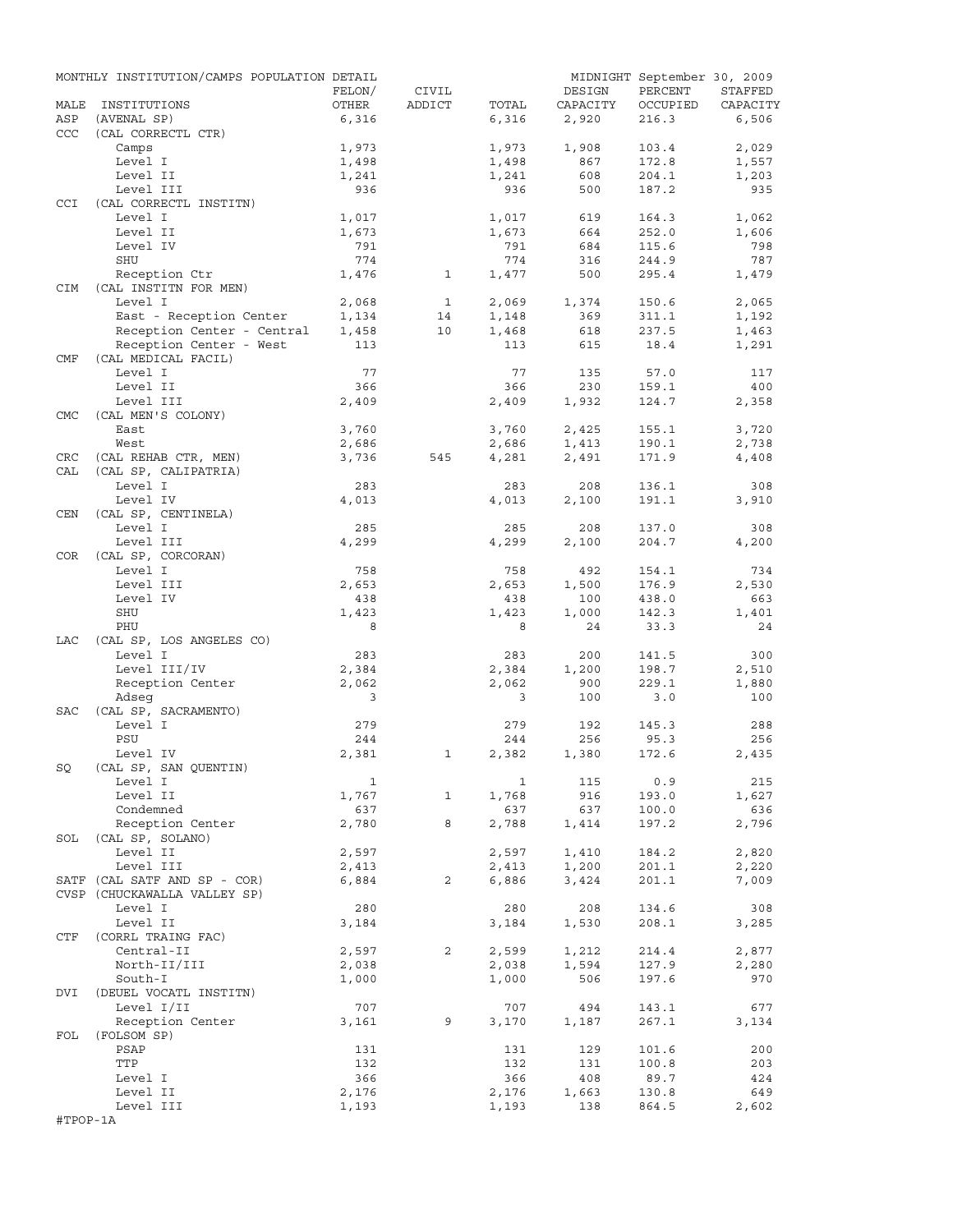|            | MONTHLY INSTITUTION/CAMPS POPULATION DETAIL  |                |                |       |          | MIDNIGHT September 30, 2009 |          |
|------------|----------------------------------------------|----------------|----------------|-------|----------|-----------------------------|----------|
|            |                                              | FELON/         | CIVIL          |       | DESIGN   | PERCENT                     | STAFFED  |
| MALE       | INSTITUTIONS                                 | OTHER          | ADDICT         | TOTAL | CAPACITY | OCCUPIED                    | CAPACITY |
| ASP        | (AVENAL SP)                                  | 6,316          |                | 6,316 | 2,920    | 216.3                       | 6,506    |
| CCC        | (CAL CORRECTL CTR)                           |                |                |       |          |                             |          |
|            | Camps                                        | 1,973          |                | 1,973 | 1,908    | 103.4                       | 2,029    |
|            | Level I                                      | 1,498          |                | 1,498 | 867      | 172.8                       | 1,557    |
|            | Level II                                     | 1,241          |                | 1,241 | 608      | 204.1                       | 1,203    |
|            | Level III                                    | 936            |                | 936   | 500      | 187.2                       | 935      |
| <b>CCI</b> | (CAL CORRECTL INSTITN)                       |                |                |       |          |                             |          |
|            | Level I                                      | 1,017          |                | 1,017 | 619      | 164.3                       | 1,062    |
|            | Level II                                     | 1,673          |                | 1,673 | 664      | 252.0                       | 1,606    |
|            | Level IV                                     | 791            |                | 791   | 684      | 115.6                       | 798      |
|            | SHU                                          | 774            |                | 774   | 316      | 244.9                       | 787      |
|            | Reception Ctr                                | 1,476          | $\mathbf{1}$   | 1,477 | 500      | 295.4                       | 1,479    |
| CIM        | (CAL INSTITN FOR MEN)                        |                |                |       |          |                             |          |
|            | Level I                                      | 2,068          | $\mathbf{1}$   | 2,069 | 1,374    | 150.6                       | 2,065    |
|            | East - Reception Center                      | 1,134          | 14             | 1,148 | 369      | 311.1                       | 1,192    |
|            | Reception Center - Central                   | 1,458          | 10             | 1,468 | 618      | 237.5                       | 1,463    |
|            | Reception Center - West                      | 113            |                | 113   | 615      | 18.4                        | 1,291    |
| CMF        | (CAL MEDICAL FACIL)                          |                |                |       |          |                             |          |
|            | Level I                                      | 77             |                | 77    | 135      | 57.0                        | 117      |
|            | Level II                                     | 366            |                | 366   | 230      | 159.1                       | 400      |
|            | Level III                                    | 2,409          |                | 2,409 | 1,932    | 124.7                       | 2,358    |
| <b>CMC</b> | (CAL MEN'S COLONY)                           |                |                |       |          |                             |          |
|            | East                                         | 3,760          |                | 3,760 | 2,425    | 155.1                       | 3,720    |
|            | West                                         |                |                | 2,686 | 1,413    | 190.1                       |          |
|            |                                              | 2,686<br>3,736 |                | 4,281 | 2,491    | 171.9                       | 2,738    |
| CRC<br>CAL | (CAL REHAB CTR, MEN)<br>(CAL SP, CALIPATRIA) |                | 545            |       |          |                             | 4,408    |
|            | Level I                                      |                |                | 283   | 208      |                             | 308      |
|            |                                              | 283            |                |       |          | 136.1                       |          |
|            | Level IV                                     | 4,013          |                | 4,013 | 2,100    | 191.1                       | 3,910    |
| CEN        | (CAL SP, CENTINELA)                          |                |                |       |          |                             |          |
|            | Level I                                      | 285            |                | 285   | 208      | 137.0                       | 308      |
|            | Level III                                    | 4,299          |                | 4,299 | 2,100    | 204.7                       | 4,200    |
| COR        | (CAL SP, CORCORAN)                           |                |                |       |          |                             |          |
|            | Level I                                      | 758            |                | 758   | 492      | 154.1                       | 734      |
|            | Level III                                    | 2,653          |                | 2,653 | 1,500    | 176.9                       | 2,530    |
|            | Level IV                                     | 438            |                | 438   | 100      | 438.0                       | 663      |
|            | SHU                                          | 1,423          |                | 1,423 | 1,000    | 142.3                       | 1,401    |
|            | PHU                                          | 8              |                | 8     | 24       | 33.3                        | 24       |
| LAC        | (CAL SP, LOS ANGELES CO)                     |                |                |       |          |                             |          |
|            | Level I                                      | 283            |                | 283   | 200      | 141.5                       | 300      |
|            | Level III/IV                                 | 2,384          |                | 2,384 | 1,200    | 198.7                       | 2,510    |
|            | Reception Center                             | 2,062          |                | 2,062 | 900      | 229.1                       | 1,880    |
|            | Adseq                                        | 3              |                | 3     | 100      | 3.0                         | 100      |
| <b>SAC</b> | (CAL SP, SACRAMENTO)                         |                |                |       |          |                             |          |
|            | Level I                                      | 279            |                | 279   | 192      | 145.3                       | 288      |
|            | PSU                                          | 244            |                | 244   | 256      | 95.3                        | 256      |
|            | Level IV                                     | 2,381          | 1              | 2,382 | 1,380    | 172.6                       | 2,435    |
| SQ         | (CAL SP, SAN QUENTIN)                        |                |                |       |          |                             |          |
|            | Level I                                      | $\mathbf{1}$   |                | 1     | 115      | 0.9                         | 215      |
|            | Level II                                     | 1,767          | 1              | 1,768 | 916      | 193.0                       | 1,627    |
|            | Condemned                                    | 637            |                | 637   | 637      | 100.0                       | 636      |
|            | Reception Center                             | 2,780          | 8              | 2,788 | 1,414    | 197.2                       | 2,796    |
| SOL        | (CAL SP, SOLANO)                             |                |                |       |          |                             |          |
|            | Level II                                     | 2,597          |                | 2,597 | 1,410    | 184.2                       | 2,820    |
|            | Level III                                    | 2,413          |                | 2,413 | 1,200    | 201.1                       | 2,220    |
|            | SATF (CAL SATF AND SP - COR)                 | 6,884          | $\overline{2}$ | 6,886 | 3,424    | 201.1                       | 7,009    |
|            | CVSP (CHUCKAWALLA VALLEY SP)                 |                |                |       |          |                             |          |
|            | Level I                                      | 280            |                | 280   | 208      | 134.6                       | 308      |
|            | Level II                                     | 3,184          |                | 3,184 | 1,530    | 208.1                       | 3,285    |
| CTF        | (CORRL TRAING FAC)                           |                |                |       |          |                             |          |
|            | Central-II                                   | 2,597          | 2              | 2,599 | 1,212    | 214.4                       | 2,877    |
|            | North-II/III                                 | 2,038          |                | 2,038 | 1,594    | 127.9                       | 2,280    |
|            |                                              |                |                |       |          |                             |          |
| DVI        | South-I<br>(DEUEL VOCATL INSTITN)            | 1,000          |                | 1,000 | 506      | 197.6                       | 970      |
|            |                                              |                |                |       |          |                             |          |
|            | Level I/II                                   | 707            |                | 707   | 494      | 143.1                       | 677      |
|            | Reception Center                             | 3,161          | 9              | 3,170 | 1,187    | 267.1                       | 3,134    |
| FOL        | (FOLSOM SP)                                  |                |                |       |          |                             |          |
|            | PSAP                                         | 131            |                | 131   | 129      | 101.6                       | 200      |
|            | TTP                                          | 132            |                | 132   | 131      | 100.8                       | 203      |
|            | Level I                                      | 366            |                | 366   | 408      | 89.7                        | 424      |
|            | Level II                                     | 2,176          |                | 2,176 | 1,663    | 130.8                       | 649      |
|            | Level III                                    | 1,193          |                | 1,193 | 138      | 864.5                       | 2,602    |
| #TPOP-1A   |                                              |                |                |       |          |                             |          |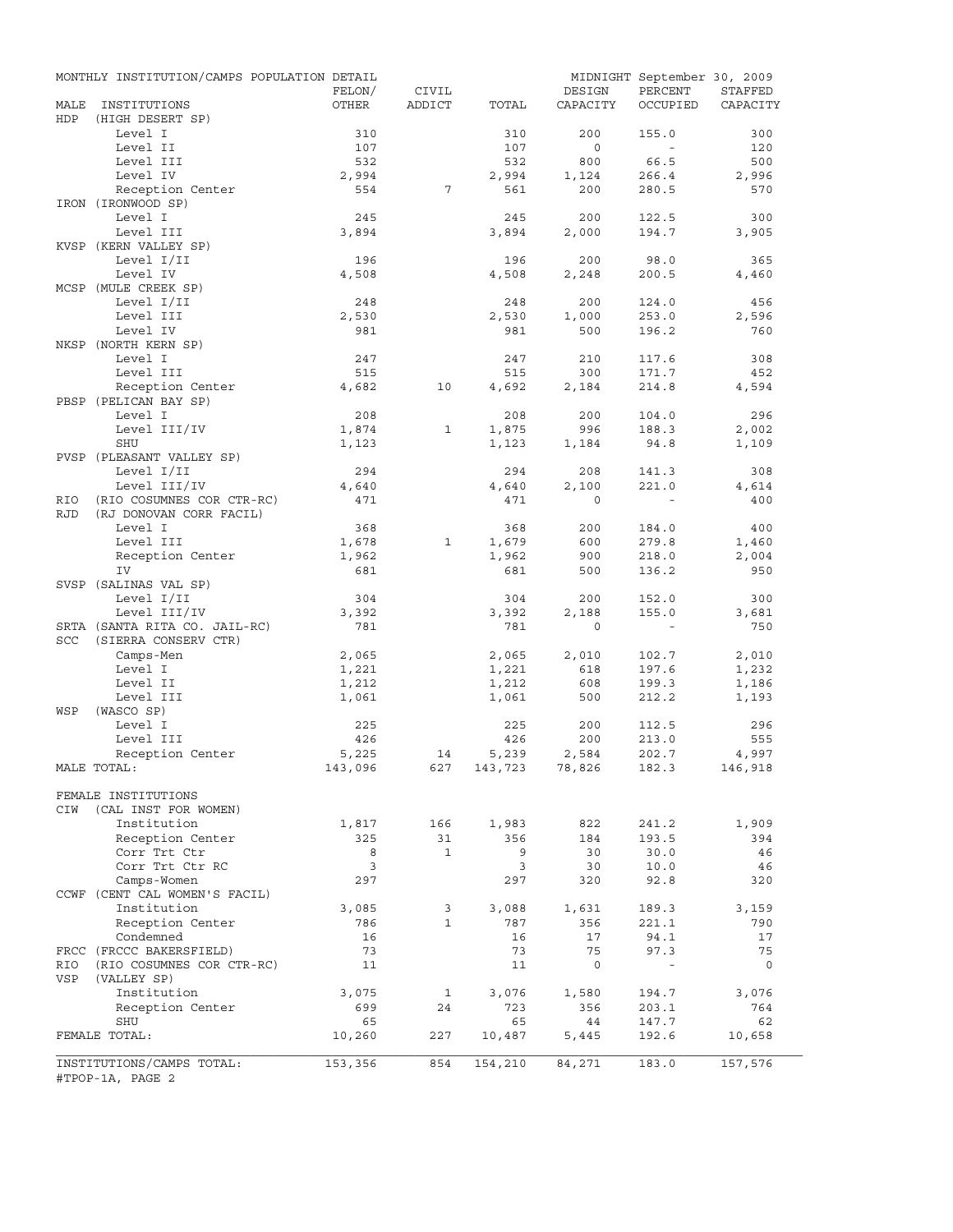|             | MONTHLY INSTITUTION/CAMPS POPULATION DETAIL   | FELON/           | CIVIL        |                    | DESIGN       | MIDNIGHT September 30, 2009<br>PERCENT | STAFFED      |
|-------------|-----------------------------------------------|------------------|--------------|--------------------|--------------|----------------------------------------|--------------|
| MALE<br>HDP | INSTITUTIONS<br>(HIGH DESERT SP)              | OTHER            | ADDICT       | TOTAL              | CAPACITY     | OCCUPIED                               | CAPACITY     |
|             | Level I                                       | 310              |              | 310                | 200          | 155.0                                  | 300          |
|             | Level II                                      | 107              |              | 107                | $\circ$      | $\sim$                                 | 120          |
|             | Level III                                     | 532              |              | 532                | 800          | 66.5                                   | 500          |
|             | Level IV                                      | 2,994            |              | 2,994              | 1,124        | 266.4                                  | 2,996        |
|             | Reception Center                              | 554              | 7            | 561                | 200          | 280.5                                  | 570          |
|             | IRON (IRONWOOD SP)<br>Level I                 | 245              |              | 245                | 200          | 122.5                                  | 300          |
|             | Level III                                     | 3,894            |              | 3,894              | 2,000        | 194.7                                  | 3,905        |
|             | KVSP (KERN VALLEY SP)                         |                  |              |                    |              |                                        |              |
|             | Level I/II                                    | 196              |              | 196                | 200          | 98.0                                   | 365          |
|             | Level IV                                      | 4,508            |              | 4,508              | 2,248        | 200.5                                  | 4,460        |
|             | MCSP (MULE CREEK SP)                          |                  |              |                    |              |                                        |              |
|             | Level I/II                                    | 248              |              | 248                | 200          | 124.0                                  | 456          |
|             | Level III                                     | 2,530            |              | 2,530              | 1,000        | 253.0                                  | 2,596        |
|             | Level IV                                      | 981              |              | 981                | 500          | 196.2                                  | 760          |
|             | NKSP (NORTH KERN SP)                          |                  |              |                    |              |                                        |              |
|             | Level I                                       | 247              |              | 247                | 210          | 117.6                                  | 308          |
|             | Level III<br>Reception Center                 | 515<br>4,682     | 10           | 515<br>4,692       | 300<br>2,184 | 171.7<br>214.8                         | 452<br>4,594 |
|             | PBSP (PELICAN BAY SP)                         |                  |              |                    |              |                                        |              |
|             | Level I                                       | 208              |              | 208                | 200          | 104.0                                  | 296          |
|             | Level III/IV                                  | 1,874            | $\mathbf{1}$ | 1,875              | 996          | 188.3                                  | 2,002        |
|             | SHU                                           | 1,123            |              | 1,123              | 1,184        | 94.8                                   | 1,109        |
|             | PVSP (PLEASANT VALLEY SP)                     |                  |              |                    |              |                                        |              |
|             | Level I/II                                    | 294              |              | 294                | 208          | 141.3                                  | 308          |
|             | Level III/IV                                  | 4,640            |              | 4,640              | 2,100        | 221.0                                  | 4,614        |
| RIO         | (RIO COSUMNES COR CTR-RC)                     | 471              |              | 471                | $\Omega$     |                                        | 400          |
| <b>RJD</b>  | (RJ DONOVAN CORR FACIL)                       |                  |              |                    |              |                                        |              |
|             | Level I                                       | 368              |              | 368                | 200          | 184.0                                  | 400          |
|             | Level III                                     | 1,678            | 1            | 1,679              | 600          | 279.8                                  | 1,460        |
|             | Reception Center                              | 1,962            |              | 1,962              | 900          | 218.0                                  | 2,004        |
|             | IV<br>SVSP (SALINAS VAL SP)                   | 681              |              | 681                | 500          | 136.2                                  | 950          |
|             | Level I/II                                    | 304              |              | 304                | 200          | 152.0                                  | 300          |
|             | Level III/IV                                  | 3,392            |              | 3,392              | 2,188        | 155.0                                  | 3,681        |
|             | SRTA (SANTA RITA CO. JAIL-RC)                 | 781              |              | 781                | $\mathbf 0$  | $\sim$ $-$                             | 750          |
| <b>SCC</b>  | (SIERRA CONSERV CTR)                          |                  |              |                    |              |                                        |              |
|             | Camps-Men                                     | 2,065            |              | 2,065              | 2,010        | 102.7                                  | 2,010        |
|             | Level I                                       | 1,221            |              | 1,221              | 618          | 197.6                                  | 1,232        |
|             | Level II                                      | 1,212            |              | 1,212              | 608          | 199.3                                  | 1,186        |
|             | Level III                                     | 1,061            |              | 1,061              | 500          | 212.2                                  | 1,193        |
| WSP         | (WASCO SP)                                    |                  |              |                    |              |                                        |              |
|             | Level I                                       | 225              |              | 225                | 200          | 112.5                                  | 296          |
|             | Level III                                     | 426              |              | 426                | 200          | 213.0                                  | 555          |
|             | Reception Center                              | 5,225<br>143,096 | 14           | 5,239              | 2,584        | 202.7                                  | 4,997        |
|             | MALE TOTAL:                                   |                  |              | 627 143,723 78,826 |              | 182.3                                  | 146,918      |
|             | FEMALE INSTITUTIONS                           |                  |              |                    |              |                                        |              |
| CIW         | (CAL INST FOR WOMEN)                          |                  |              |                    |              |                                        |              |
|             | Institution                                   | 1,817            | 166          | 1,983              | 822          | 241.2                                  | 1,909        |
|             | Reception Center                              | 325              | 31           | 356                | 184          | 193.5                                  | 394          |
|             | Corr Trt Ctr                                  | 8                | $\mathbf{1}$ | 9                  | 30           | 30.0                                   | 46           |
|             | Corr Trt Ctr RC                               | 3                |              | 3                  | 30           | 10.0                                   | 46           |
|             | Camps-Women                                   | 297              |              | 297                | 320          | 92.8                                   | 320          |
|             | CCWF (CENT CAL WOMEN'S FACIL)                 |                  |              |                    |              |                                        |              |
|             | Institution                                   | 3,085            | 3            | 3,088              | 1,631        | 189.3                                  | 3,159        |
|             | Reception Center                              | 786              | $\mathbf{1}$ | 787                | 356          | 221.1                                  | 790          |
|             | Condemned<br>FRCC (FRCCC BAKERSFIELD)         | 16<br>73         |              | 16<br>73           | 17<br>75     | 94.1<br>97.3                           | 17<br>75     |
| RIO         | (RIO COSUMNES COR CTR-RC)                     | 11               |              | 11                 | $\mathsf{O}$ | $\overline{\phantom{a}}$               | 0            |
| VSP         | (VALLEY SP)                                   |                  |              |                    |              |                                        |              |
|             | Institution                                   | 3,075            | 1            | 3,076              | 1,580        | 194.7                                  | 3,076        |
|             | Reception Center                              | 699              | 24           | 723                | 356          | 203.1                                  | 764          |
|             | SHU                                           | 65               |              | 65                 | 44           | 147.7                                  | 62           |
|             | FEMALE TOTAL:                                 | 10,260           | 227          | 10,487             | 5,445        | 192.6                                  | 10,658       |
|             |                                               |                  |              |                    |              |                                        |              |
|             | INSTITUTIONS/CAMPS TOTAL:<br>#TPOP-1A, PAGE 2 | 153,356          | 854          | 154,210            | 84,271       | 183.0                                  | 157,576      |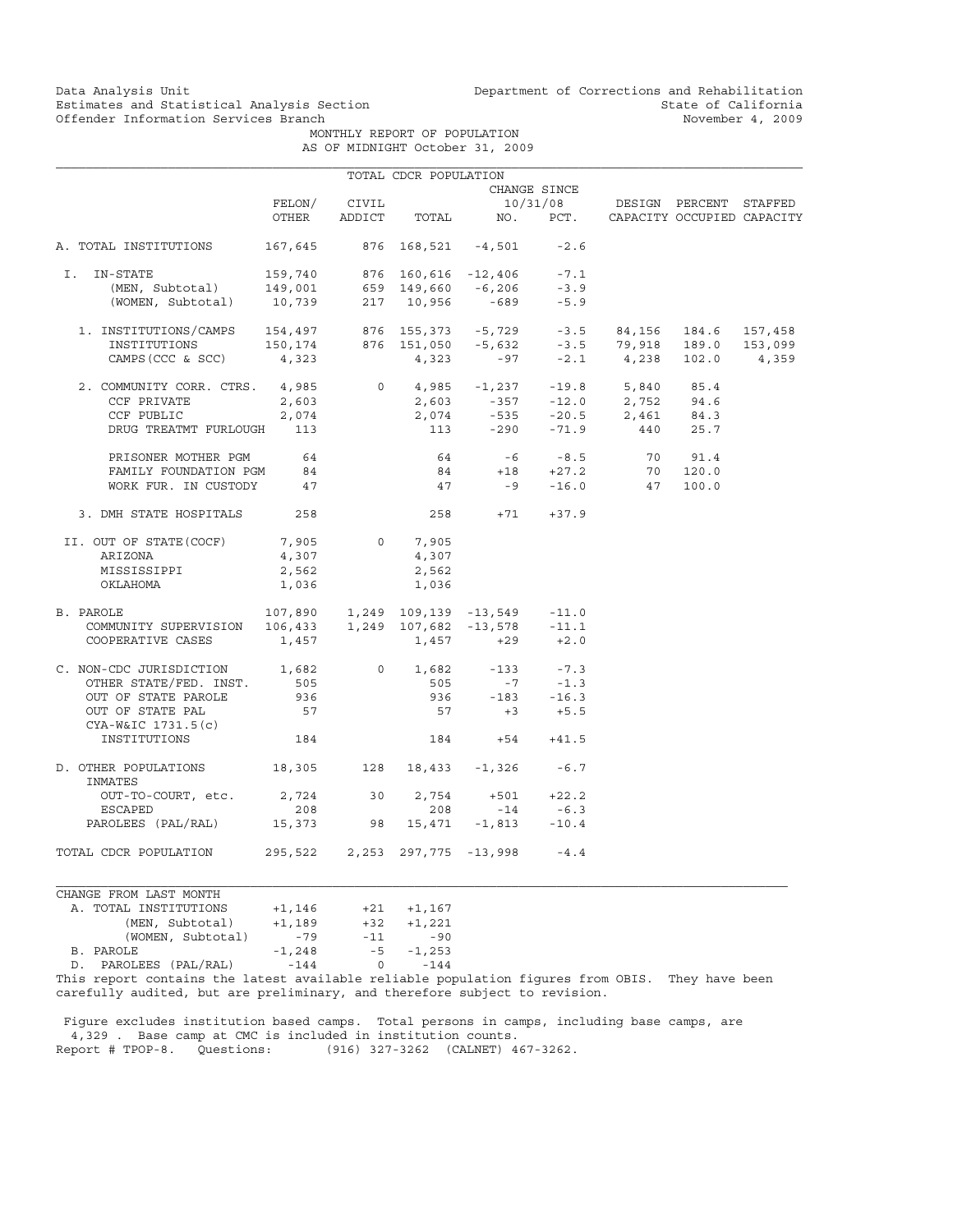Data Analysis Unit Unit Department of Corrections and Rehabilitation<br>Estimates and Statistical Analysis Section State of California Estimates and Statistical Analysis Section and State of California of Estimates and Statistical Analysis Section State of California of State of California of State of California of  $\sim$  State of California of the Movember

 MONTHLY REPORT OF POPULATION AS OF MIDNIGHT October 31, 2009

|                                                                                                                                                   |          |       | TOTAL CDCR POPULATION      |                                                  |              |                                 |         |         |
|---------------------------------------------------------------------------------------------------------------------------------------------------|----------|-------|----------------------------|--------------------------------------------------|--------------|---------------------------------|---------|---------|
|                                                                                                                                                   |          |       |                            |                                                  | CHANGE SINCE |                                 |         |         |
|                                                                                                                                                   | FELON/   | CIVIL |                            |                                                  |              | 10/31/08 DESIGN PERCENT STAFFED |         |         |
|                                                                                                                                                   | OTHER    |       |                            | ADDICT TOTAL NO. PCT. CAPACITY OCCUPIED CAPACITY |              |                                 |         |         |
| A. TOTAL INSTITUTIONS                                                                                                                             | 167,645  |       |                            | 876 168,521 -4,501                               | $-2.6$       |                                 |         |         |
| I. IN-STATE                                                                                                                                       |          |       |                            | 876 160,616 -12,406 -7.1                         |              |                                 |         |         |
|                                                                                                                                                   |          |       |                            |                                                  | $-3.9$       |                                 |         |         |
| -STATE 159,740 876 160,616 -12,406<br>(MEN, Subtotal) 149,001 659 149,660 -6,206<br>(WOMEN, Subtotal) 10,739 217 10,956 -689                      |          |       |                            |                                                  | $-5.9$       |                                 |         |         |
| 1. INSTITUTIONS/CAMPS 154,497 876 155,373 -5,729 -3.5 84,156 184.6<br>INSTITUTIONS 150,174 876 151,050 -5,632 -3.5 79,918 189.0                   |          |       |                            |                                                  |              |                                 |         | 157,458 |
|                                                                                                                                                   |          |       |                            |                                                  |              |                                 |         | 153,099 |
| CAMPS (CCC & SCC) $4,323$                                                                                                                         |          |       |                            | $4,323$ $-97$ $-2.1$ $4,238$ $102.0$             |              |                                 |         | 4,359   |
| 2. COMMUNITY CORR. CTRS. 4,985                                                                                                                    |          |       |                            | $0 \t 4,985 \t -1,237 \t -19.8 \t 5,840 \t 85.4$ |              |                                 |         |         |
| CCF PRIVATE                                                                                                                                       | 2,603    |       |                            | $2,603$ $-357$ $-12.0$ $2,752$ $94.6$            |              |                                 |         |         |
| CCF PUBLIC                                                                                                                                        | 2,074    |       | 2,074                      |                                                  |              | $-535$ $-20.5$ 2,461 84.3       |         |         |
| DRUG TREATMT FURLOUGH                                                                                                                             | 113      |       |                            | 113 - 290 - 71.9 440 25.7                        |              |                                 |         |         |
| PRISONER MOTHER PGM                                                                                                                               | 64       |       | 64                         |                                                  | $-6 - 8.5$   |                                 | 70 91.4 |         |
| FAMILY FOUNDATION PGM 84                                                                                                                          |          |       |                            | $84 + 18 + 27.2$                                 |              | 70                              | 120.0   |         |
| WORK FUR. IN CUSTODY                                                                                                                              | 47       |       | 47                         |                                                  |              | $-9 -16.0$ 47                   | 100.0   |         |
| 3. DMH STATE HOSPITALS                                                                                                                            | 258      |       |                            | $258 + 71 + 37.9$                                |              |                                 |         |         |
| II. OUT OF STATE (COCF)                                                                                                                           | 7,905    |       | $0 \qquad \qquad$<br>7,905 |                                                  |              |                                 |         |         |
| ARIZONA                                                                                                                                           | 4,307    |       | 4,307                      |                                                  |              |                                 |         |         |
| MISSISSIPPI                                                                                                                                       | 2,562    |       | 2,562                      |                                                  |              |                                 |         |         |
| OKLAHOMA                                                                                                                                          | 1,036    |       | 1,036                      |                                                  |              |                                 |         |         |
| B. PAROLE                                                                                                                                         |          |       |                            |                                                  |              |                                 |         |         |
|                                                                                                                                                   |          |       |                            |                                                  |              |                                 |         |         |
| 2AROLE 107,890 1,249 109,139 -13,549 -11.0<br>COMMUNITY SUPERVISION 106,433 1,249 107,682 -13,578 -11.1<br>COOPERATIVE CASES 1,457 1,457 +29 +2.0 |          |       |                            |                                                  |              |                                 |         |         |
| C. NON-CDC JURISDICTION 1,682                                                                                                                     |          |       |                            | 0 $1,682$ -133                                   | $-7.3$       |                                 |         |         |
| OTHER STATE/FED. INST.                                                                                                                            | 505      |       | 505                        |                                                  | $-7 - 1.3$   |                                 |         |         |
| OUT OF STATE PAROLE                                                                                                                               | 936      |       | 936                        | $-183 - 16.3$                                    |              |                                 |         |         |
| OUT OF STATE PAL<br>CYA-W&IC 1731.5(c)                                                                                                            | 57       |       |                            | $57 + 3 + 5.5$                                   |              |                                 |         |         |
| INSTITUTIONS                                                                                                                                      | 184      |       |                            | $184 +54 +41.5$                                  |              |                                 |         |         |
| D. OTHER POPULATIONS<br>INMATES                                                                                                                   |          |       |                            | 18,305 128 18,433 -1,326                         | $-6.7$       |                                 |         |         |
| OUT-TO-COURT, etc. 2,724 30 2,754                                                                                                                 |          |       |                            | $+501 +22.2$                                     |              |                                 |         |         |
| ESCAPED                                                                                                                                           | 208      |       | 208                        | $-14$                                            | $-6.3$       |                                 |         |         |
| PAROLEES (PAL/RAL) 15,373 98 15,471 -1,813                                                                                                        |          |       |                            |                                                  | $-10.4$      |                                 |         |         |
| TOTAL CDCR POPULATION 295,522 2,253 297,775 -13,998 -4.4                                                                                          |          |       |                            |                                                  |              |                                 |         |         |
| CHANGE FROM LAST MONTH                                                                                                                            |          |       |                            |                                                  |              |                                 |         |         |
| A. TOTAL INSTITUTIONS                                                                                                                             | $+1,146$ | $+21$ | $+1, 167$                  |                                                  |              |                                 |         |         |

| A. IVIAL INSIIIUIIUNS                                  | $+1, 140$ | ┭∠⊥          | $+1, 107$ |
|--------------------------------------------------------|-----------|--------------|-----------|
| (MEN, Subtotal)                                        | $+1,189$  | $+32$        | $+1,221$  |
| (WOMEN, Subtotal)                                      | $-79$     | $-11$        | -90       |
| B. PAROLE                                              | $-1, 248$ | $-5$         | $-1,253$  |
| D. PAROLEES (PAL/RAL)                                  | $-144$    | <sup>o</sup> | $-144$    |
| mbia waaano aanoolaa ola labaab awallabla waliabla aan |           |              |           |

This report contains the latest available reliable population figures from OBIS. They have been carefully audited, but are preliminary, and therefore subject to revision.

 Figure excludes institution based camps. Total persons in camps, including base camps, are 4,329 . Base camp at CMC is included in institution counts. Report # TPOP-8. Questions: (916) 327-3262 (CALNET) 467-3262.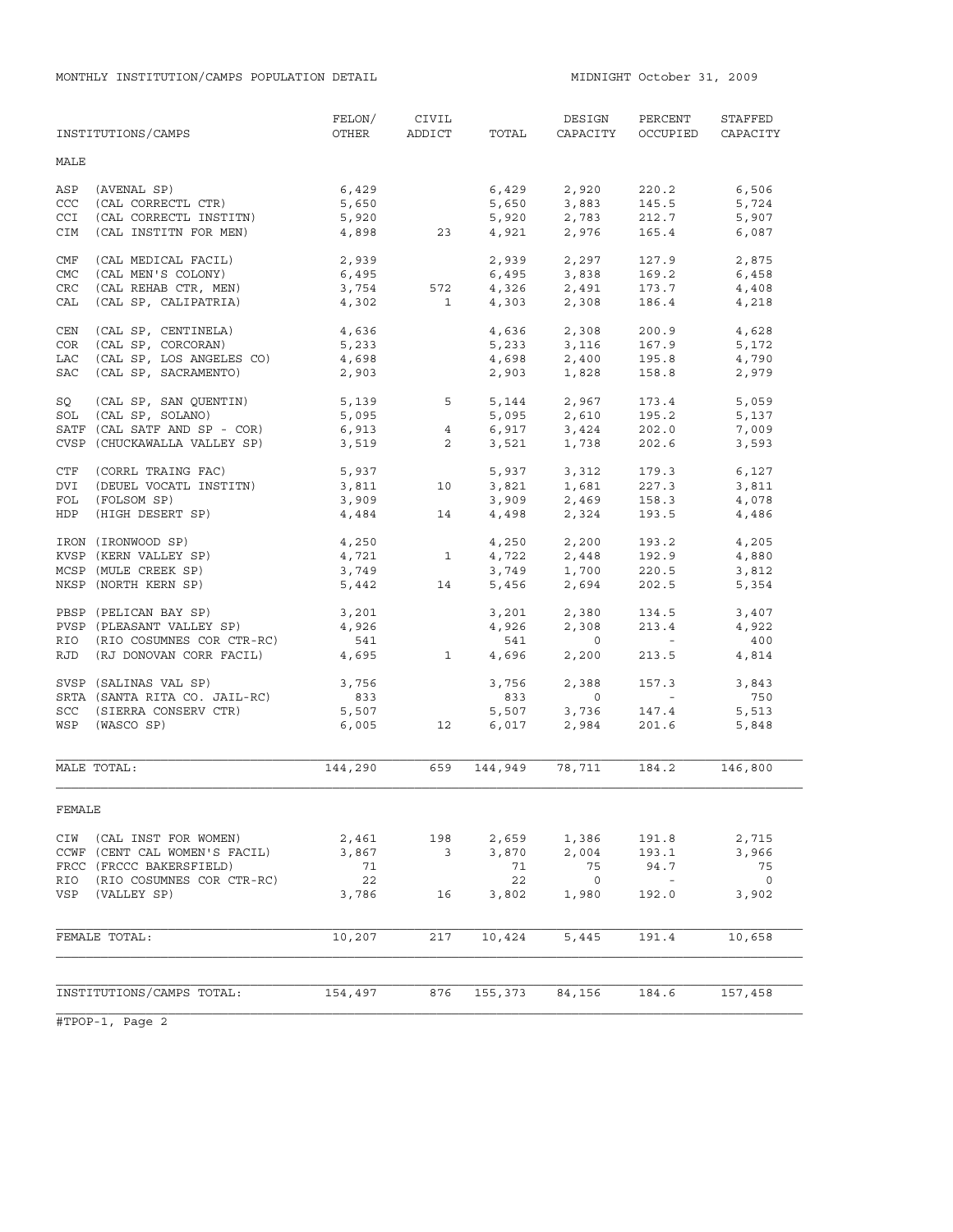|            | INSTITUTIONS/CAMPS            | FELON/<br>OTHER | CIVIL<br>ADDICT | TOTAL          | DESIGN<br>CAPACITY | PERCENT<br>OCCUPIED | STAFFED<br>CAPACITY |
|------------|-------------------------------|-----------------|-----------------|----------------|--------------------|---------------------|---------------------|
| MALE       |                               |                 |                 |                |                    |                     |                     |
| ASP        | (AVENAL SP)                   | 6,429           |                 | 6,429          | 2,920              | 220.2               | 6,506               |
| <b>CCC</b> | (CAL CORRECTL CTR)            | 5,650           |                 | 5,650          | 3,883              | 145.5               | 5,724               |
| CCI        | (CAL CORRECTL INSTITN)        | 5,920           |                 | 5,920          | 2,783              | 212.7               | 5,907               |
| <b>CIM</b> | (CAL INSTITN FOR MEN)         | 4,898           | 23              |                | 4,921 2,976        | 165.4               | 6,087               |
| CMF        | (CAL MEDICAL FACIL)           | 2,939           |                 |                | 2,939 2,297        | 127.9               | 2,875               |
| <b>CMC</b> | (CAL MEN'S COLONY)            | 6,495           |                 | 6,495          | 3,838              | 169.2               | 6,458               |
| CRC        | (CAL REHAB CTR, MEN)          | 3,754           | 572             |                | 4,326 2,491        | 173.7               | 4,408               |
| CAL        | (CAL SP, CALIPATRIA)          | 4,302           | $\mathbf{1}$    | 4,303          | 2,308              | 186.4               | 4,218               |
| CEN        | (CAL SP, CENTINELA)           | 4,636           |                 | 4,636          | 2,308              | 200.9               | 4,628               |
| COR        | (CAL SP, CORCORAN)            | 5,233           |                 | 5,233          | 3,116              | 167.9               | 5,172               |
| LAC        | (CAL SP, LOS ANGELES CO)      | 4,698           |                 | 4,698          | 2,400              | 195.8               | 4,790               |
| <b>SAC</b> | (CAL SP, SACRAMENTO)          | 2,903           |                 | 2,903          | 1,828              | 158.8               | 2,979               |
| SQ         | (CAL SP, SAN QUENTIN)         | 5,139           | 5               | 5,144          | 2,967              | 173.4               | 5,059               |
|            | SOL (CAL SP, SOLANO)          | 5,095           |                 | 5,095          | 2,610              | 195.2               | 5,137               |
|            | SATF (CAL SATF AND SP - COR)  | 6,913           | 4               |                | $6,917$ 3,424      | 202.0               | 7,009               |
|            | CVSP (CHUCKAWALLA VALLEY SP)  | 3,519           | $\overline{a}$  | 3,521          | 1,738              | 202.6               | 3,593               |
|            | CTF (CORRL TRAING FAC)        |                 |                 |                | 3,312              |                     |                     |
| <b>DVI</b> | (DEUEL VOCATL INSTITN)        | 5,937<br>3,811  | 10              | 5,937<br>3,821 | 1,681              | 179.3<br>227.3      | 6,127<br>3,811      |
| FOL        | (FOLSOM SP)                   |                 |                 |                | 2,469              | 158.3               | 4,078               |
|            | (HIGH DESERT SP)              | 3,909           |                 | 3,909<br>4,498 | 2,324              | 193.5               |                     |
| HDP        |                               | 4,484           | 14              |                |                    |                     | 4,486               |
|            | IRON (IRONWOOD SP)            | 4,250           |                 | 4,250          | 2,200              | 193.2               | 4,205               |
|            | KVSP (KERN VALLEY SP)         | 4,721           | $\mathbf{1}$    | 4,722          | 2,448              | 192.9               | 4,880               |
|            | MCSP (MULE CREEK SP)          | 3,749           |                 | 3,749          | 1,700              | 220.5               | 3,812               |
|            | NKSP (NORTH KERN SP)          | 5,442           | 14              | 5,456          | 2,694              | 202.5               | 5,354               |
|            | PBSP (PELICAN BAY SP)         | 3,201           |                 | 3,201          | 2,380              | 134.5               | 3,407               |
|            | PVSP (PLEASANT VALLEY SP)     | 4,926           |                 | 4,926          | 2,308              | 213.4               | 4,922               |
|            | RIO (RIO COSUMNES COR CTR-RC) | 541             |                 | 541            | $\circ$            | $\sim$ $-$          | 400                 |
|            | RJD (RJ DONOVAN CORR FACIL)   | 4,695           | $\mathbf{1}$    | 4,696          | 2,200              | 213.5               | 4,814               |
|            | SVSP (SALINAS VAL SP)         | 3,756           |                 | 3,756          | 2,388              | 157.3               | 3,843               |
|            | SRTA (SANTA RITA CO. JAIL-RC) | 833             |                 | 833            | $\circ$            | $\sim 10^{-10}$     | 750                 |
|            | SCC (SIERRA CONSERV CTR)      | 5,507           |                 | 5,507          | 3,736              | 147.4               | 5,513               |
|            | WSP (WASCO SP)                | 6,005           | 12              | 6,017          | 2,984              | 201.6               | 5,848               |
|            |                               |                 |                 |                |                    |                     |                     |
|            | MALE TOTAL:                   | 144,290         | 659             | 144,949        | 78,711             | 184.2               | 146,800             |
| FEMALE     |                               |                 |                 |                |                    |                     |                     |
| CIW        | (CAL INST FOR WOMEN)          | 2,461           | 198             | 2,659          | 1,386              | 191.8               | 2,715               |
|            | CCWF (CENT CAL WOMEN'S FACIL) | 3,867           | 3               | 3,870          | 2,004              | 193.1               | 3,966               |
|            | FRCC (FRCCC BAKERSFIELD)      | 71              |                 | 71             | 75                 | 94.7                | 75                  |
| RIO        | (RIO COSUMNES COR CTR-RC)     | 22              |                 | 22             | $\circ$            | $\sim$              | $\circ$             |
| VSP        | (VALLEY SP)                   | 3,786           | 16              | 3,802          | 1,980              | 192.0               | 3,902               |
|            |                               |                 |                 |                |                    |                     |                     |
|            | FEMALE TOTAL:                 | 10,207          | 217             | 10,424         | 5,445              | 191.4               | 10,658              |
|            |                               |                 |                 |                |                    |                     |                     |
|            | INSTITUTIONS/CAMPS TOTAL:     | 154,497         | 876             | 155,373        | 84,156             | 184.6               | 157,458             |
|            |                               |                 |                 |                |                    |                     |                     |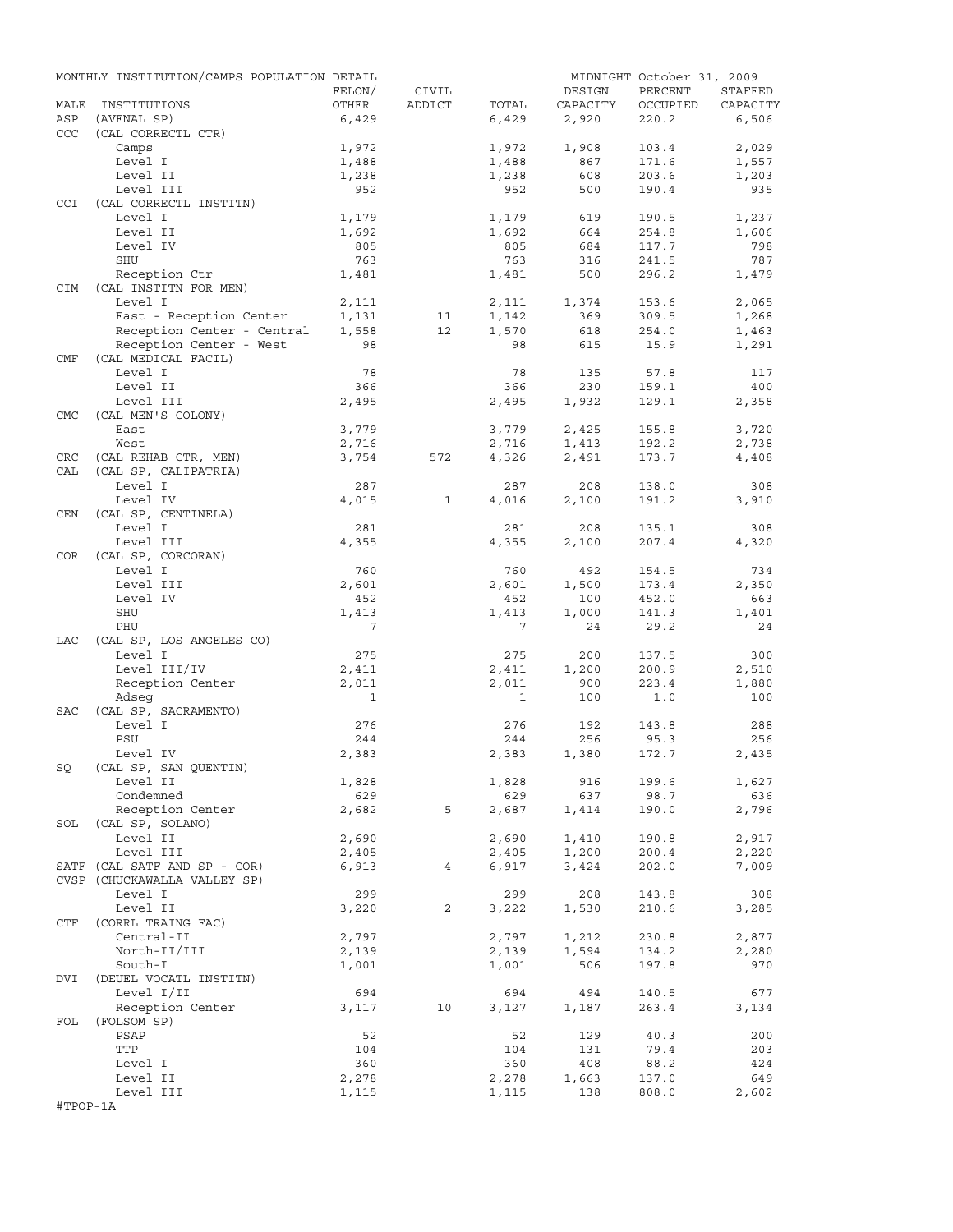|            | MONTHLY INSTITUTION/CAMPS POPULATION DETAIL |                |                |                |            | MIDNIGHT October 31, 2009 |              |
|------------|---------------------------------------------|----------------|----------------|----------------|------------|---------------------------|--------------|
|            |                                             | FELON/         | CIVIL          |                | DESIGN     | PERCENT                   | STAFFED      |
| MALE       | INSTITUTIONS                                | OTHER          | ADDICT         | TOTAL          | CAPACITY   | OCCUPIED                  | CAPACITY     |
| ASP        | (AVENAL SP)                                 | 6,429          |                | 6,429          | 2,920      | 220.2                     | 6,506        |
| <b>CCC</b> | (CAL CORRECTL CTR)                          |                |                |                |            |                           |              |
|            | Camps                                       | 1,972          |                | 1,972          | 1,908      | 103.4                     | 2,029        |
|            | Level I<br>Level II                         | 1,488<br>1,238 |                | 1,488<br>1,238 | 867<br>608 | 171.6<br>203.6            | 1,557        |
|            | Level III                                   | 952            |                | 952            | 500        | 190.4                     | 1,203<br>935 |
| <b>CCI</b> | (CAL CORRECTL INSTITN)                      |                |                |                |            |                           |              |
|            | Level I                                     | 1,179          |                | 1,179          | 619        | 190.5                     | 1,237        |
|            | Level II                                    | 1,692          |                | 1,692          | 664        | 254.8                     | 1,606        |
|            | Level IV                                    | 805            |                | 805            | 684        | 117.7                     | 798          |
|            | SHU                                         | 763            |                | 763            | 316        | 241.5                     | 787          |
|            | Reception Ctr                               | 1,481          |                | 1,481          | 500        | 296.2                     | 1,479        |
| <b>CIM</b> | (CAL INSTITN FOR MEN)                       |                |                |                |            |                           |              |
|            | Level I                                     | 2,111          |                | 2,111          | 1,374      | 153.6                     | 2,065        |
|            | East - Reception Center                     | 1,131          | 11             | 1,142          | 369        | 309.5                     | 1,268        |
|            | Reception Center - Central                  | 1,558          | 12             | 1,570          | 618        | 254.0                     | 1,463        |
|            | Reception Center - West                     | 98             |                | 98             | 615        | 15.9                      | 1,291        |
| CMF        | (CAL MEDICAL FACIL)                         |                |                |                |            |                           |              |
|            | Level I                                     | 78             |                | 78             | 135        | 57.8                      | 117          |
|            | Level II                                    | 366            |                | 366            | 230        | 159.1                     | 400          |
|            | Level III                                   | 2,495          |                | 2,495          | 1,932      | 129.1                     | 2,358        |
| <b>CMC</b> | (CAL MEN'S COLONY)                          |                |                |                |            |                           |              |
|            | East                                        | 3,779          |                | 3,779          | 2,425      | 155.8                     | 3,720        |
|            | West                                        | 2,716          |                | 2,716          | 1,413      | 192.2                     | 2,738        |
| CRC        | (CAL REHAB CTR, MEN)                        | 3,754          | 572            | 4,326          | 2,491      | 173.7                     | 4,408        |
| CAL        | (CAL SP, CALIPATRIA)                        |                |                |                |            |                           |              |
|            | Level I                                     | 287            |                | 287<br>4,016   | 208        | 138.0                     | 308          |
|            | Level IV                                    | 4,015          | $\mathbf{1}$   |                | 2,100      | 191.2                     | 3,910        |
| CEN        | (CAL SP, CENTINELA)<br>Level I              | 281            |                | 281            | 208        | 135.1                     | 308          |
|            | Level III                                   | 4,355          |                | 4,355          | 2,100      | 207.4                     | 4,320        |
| COR        | (CAL SP, CORCORAN)                          |                |                |                |            |                           |              |
|            | Level I                                     | 760            |                | 760            | 492        | 154.5                     | 734          |
|            | Level III                                   | 2,601          |                | 2,601          | 1,500      | 173.4                     | 2,350        |
|            | Level IV                                    | 452            |                | 452            | 100        | 452.0                     | 663          |
|            | SHU                                         | 1,413          |                | 1,413          | 1,000      | 141.3                     | 1,401        |
|            | PHU                                         | $\overline{7}$ |                | 7              | 24         | 29.2                      | 24           |
| LAC        | (CAL SP, LOS ANGELES CO)                    |                |                |                |            |                           |              |
|            | Level I                                     | 275            |                | 275            | 200        | 137.5                     | 300          |
|            | Level III/IV                                | 2,411          |                | 2,411          | 1,200      | 200.9                     | 2,510        |
|            | Reception Center                            | 2,011          |                | 2,011          | 900        | 223.4                     | 1,880        |
|            | Adseq                                       | 1              |                | 1              | 100        | 1.0                       | 100          |
| SAC        | (CAL SP, SACRAMENTO)                        |                |                |                |            |                           |              |
|            | Level I                                     | 276            |                | 276            | 192        | 143.8                     | 288          |
|            | PSU                                         | 244            |                | 244            | 256        | 95.3                      | 256          |
|            | Level IV                                    | 2,383          |                | 2,383          | 1,380      | 172.7                     | 2,435        |
| SQ         | (CAL SP, SAN QUENTIN)                       |                |                |                |            |                           |              |
|            | Level II                                    | 1,828          |                | 1,828          | 916        | 199.6                     | 1,627        |
|            | Condemned                                   | 629            |                | 629            | 637        | 98.7                      | 636          |
|            | Reception Center                            | 2,682          | 5              | 2,687          | 1,414      | 190.0                     | 2,796        |
| SOL        | (CAL SP, SOLANO)                            |                |                |                |            |                           |              |
|            | Level II                                    | 2,690          |                | 2,690          | 1,410      | 190.8                     | 2,917        |
|            | Level III<br>SATF (CAL SATF AND SP - COR)   | 2,405          | 4              | 2,405<br>6,917 | 1,200      | 200.4<br>202.0            | 2,220        |
|            | CVSP (CHUCKAWALLA VALLEY SP)                | 6,913          |                |                | 3,424      |                           | 7,009        |
|            | Level I                                     | 299            |                | 299            | 208        | 143.8                     | 308          |
|            | Level II                                    | 3,220          | $\overline{2}$ | 3,222          | 1,530      | 210.6                     | 3,285        |
| CTF        | (CORRL TRAING FAC)                          |                |                |                |            |                           |              |
|            | Central-II                                  | 2,797          |                | 2,797          | 1,212      | 230.8                     | 2,877        |
|            | North-II/III                                | 2,139          |                | 2,139          | 1,594      | 134.2                     | 2,280        |
|            | South-I                                     | 1,001          |                | 1,001          | 506        | 197.8                     | 970          |
| DVI        | (DEUEL VOCATL INSTITN)                      |                |                |                |            |                           |              |
|            | Level I/II                                  | 694            |                | 694            | 494        | 140.5                     | 677          |
|            | Reception Center                            | 3,117          | 10             | 3,127          | 1,187      | 263.4                     | 3,134        |
| FOL        | (FOLSOM SP)                                 |                |                |                |            |                           |              |
|            | PSAP                                        | 52             |                | 52             | 129        | 40.3                      | 200          |
|            | TTP                                         | 104            |                | 104            | 131        | 79.4                      | 203          |
|            | Level I                                     | 360            |                | 360            | 408        | 88.2                      | 424          |
|            | Level II                                    | 2,278          |                | 2,278          | 1,663      | 137.0                     | 649          |
|            | Level III                                   | 1,115          |                | 1,115          | 138        | 808.0                     | 2,602        |
| #TPOP-1A   |                                             |                |                |                |            |                           |              |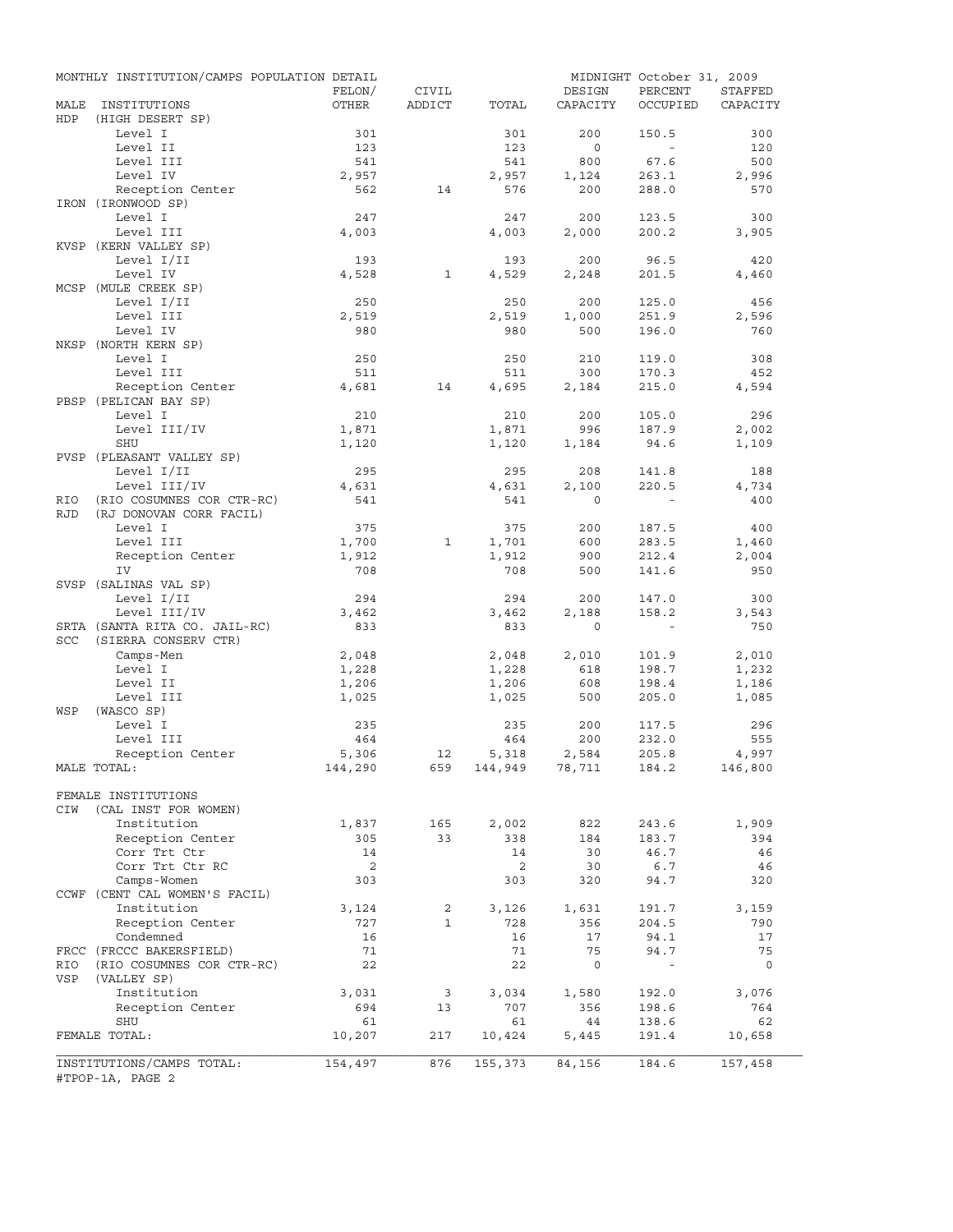|                   | MONTHLY INSTITUTION/CAMPS POPULATION DETAIL          |         |              |                    |                   | MIDNIGHT October 31, 2009 |          |
|-------------------|------------------------------------------------------|---------|--------------|--------------------|-------------------|---------------------------|----------|
|                   |                                                      | FELON/  | CIVIL        |                    | DESIGN            | PERCENT                   | STAFFED  |
| MALE<br>HDP       | INSTITUTIONS<br>(HIGH DESERT SP)                     | OTHER   | ADDICT       | TOTAL              | CAPACITY          | OCCUPIED                  | CAPACITY |
|                   | Level I                                              | 301     |              | 301                | 200               | 150.5                     | 300      |
|                   | Level II                                             | 123     |              | 123                | $\circ$           | $\sim$                    | 120      |
|                   | Level III                                            | 541     |              | 541                | 800               | 67.6                      | 500      |
|                   | Level IV                                             | 2,957   |              | 2,957              | 1,124             | 263.1                     | 2,996    |
|                   | Reception Center                                     | 562     | 14           | 576                | 200               | 288.0                     | 570      |
|                   | IRON (IRONWOOD SP)                                   |         |              |                    |                   |                           |          |
|                   | Level I                                              | 247     |              | 247<br>4,003       | 200               | 123.5                     | 300      |
|                   | Level III<br>KVSP (KERN VALLEY SP)                   | 4,003   |              |                    | 2,000             | 200.2                     | 3,905    |
|                   | Level I/II                                           | 193     |              | 193                | 200               | 96.5                      | 420      |
|                   | Level IV                                             | 4,528   | $\mathbf{1}$ | 4,529              | 2,248             | 201.5                     | 4,460    |
|                   | MCSP (MULE CREEK SP)                                 |         |              |                    |                   |                           |          |
|                   | Level I/II                                           | 250     |              | 250                | 200               | 125.0                     | 456      |
|                   | Level III                                            | 2,519   |              | 2,519              | 1,000             | 251.9                     | 2,596    |
|                   | Level IV                                             | 980     |              | 980                | 500               | 196.0                     | 760      |
|                   | NKSP (NORTH KERN SP)                                 |         |              |                    |                   |                           |          |
|                   | Level I                                              | 250     |              | 250                | 210               | 119.0                     | 308      |
|                   | Level III                                            | 511     |              | 511                | 300               | 170.3                     | 452      |
|                   | Reception Center                                     | 4,681   | 14           | 4,695              | 2,184             | 215.0                     | 4,594    |
|                   | PBSP (PELICAN BAY SP)                                |         |              |                    |                   |                           |          |
|                   | Level I                                              | 210     |              | 210                | 200               | 105.0                     | 296      |
|                   | Level III/IV                                         | 1,871   |              | 1,871              | 996               | 187.9                     | 2,002    |
|                   | <b>SHU</b>                                           | 1,120   |              | 1,120              | 1,184             | 94.6                      | 1,109    |
|                   | PVSP (PLEASANT VALLEY SP)                            |         |              |                    |                   |                           |          |
|                   | Level I/II<br>Level III/IV                           | 295     |              | 295                | 208               | 141.8                     | 188      |
|                   |                                                      | 4,631   |              | 4,631              | 2,100<br>$\Omega$ | 220.5                     | 4,734    |
| RIO<br><b>RJD</b> | (RIO COSUMNES COR CTR-RC)<br>(RJ DONOVAN CORR FACIL) | 541     |              | 541                |                   |                           | 400      |
|                   | Level I                                              | 375     |              | 375                | 200               | 187.5                     | 400      |
|                   | Level III                                            | 1,700   | 1            | 1,701              | 600               | 283.5                     | 1,460    |
|                   | Reception Center                                     | 1,912   |              | 1,912              | 900               | 212.4                     | 2,004    |
|                   | IV                                                   | 708     |              | 708                | 500               | 141.6                     | 950      |
|                   | SVSP (SALINAS VAL SP)                                |         |              |                    |                   |                           |          |
|                   | Level I/II                                           | 294     |              | 294                | 200               | 147.0                     | 300      |
|                   | Level III/IV                                         | 3,462   |              | 3,462              | 2,188             | 158.2                     | 3,543    |
|                   | SRTA (SANTA RITA CO. JAIL-RC)                        | 833     |              | 833                | $\mathbf 0$       | $\sim$                    | 750      |
| SCC               | (SIERRA CONSERV CTR)                                 |         |              |                    |                   |                           |          |
|                   | Camps-Men                                            | 2,048   |              | 2,048              | 2,010             | 101.9                     | 2,010    |
|                   | Level I                                              | 1,228   |              | 1,228              | 618               | 198.7                     | 1,232    |
|                   | Level II                                             | 1,206   |              | 1,206              | 608               | 198.4                     | 1,186    |
|                   | Level III                                            | 1,025   |              | 1,025              | 500               | 205.0                     | 1,085    |
| WSP               | (WASCO SP)                                           |         |              |                    |                   |                           |          |
|                   | Level I                                              | 235     |              | 235                | 200               | 117.5                     | 296      |
|                   | Level III                                            | 464     |              | 464                | 200               | 232.0                     | 555      |
|                   | Reception Center                                     | 5,306   | 12           | 5,318              | 2,584             | 205.8                     | 4,997    |
|                   | MALE TOTAL:                                          | 144,290 |              | 659 144,949 78,711 |                   | 184.2                     | 146,800  |
|                   |                                                      |         |              |                    |                   |                           |          |
| CIW               | FEMALE INSTITUTIONS<br>(CAL INST FOR WOMEN)          |         |              |                    |                   |                           |          |
|                   | Institution                                          | 1,837   | 165          | 2,002              | 822               | 243.6                     | 1,909    |
|                   | Reception Center                                     | 305     | 33           | 338                | 184               | 183.7                     | 394      |
|                   | Corr Trt Ctr                                         | 14      |              | 14                 | 30                | 46.7                      | 46       |
|                   | Corr Trt Ctr RC                                      | 2       |              | 2                  | 30                | 6.7                       | 46       |
|                   | Camps-Women                                          | 303     |              | 303                | 320               | 94.7                      | 320      |
|                   | CCWF (CENT CAL WOMEN'S FACIL)                        |         |              |                    |                   |                           |          |
|                   | Institution                                          | 3,124   | 2            | 3,126              | 1,631             | 191.7                     | 3,159    |
|                   | Reception Center                                     | 727     | $\mathbf{1}$ | 728                | 356               | 204.5                     | 790      |
|                   | Condemned                                            | 16      |              | 16                 | 17                | 94.1                      | 17       |
|                   | FRCC (FRCCC BAKERSFIELD)                             | 71      |              | 71                 | 75                | 94.7                      | 75       |
| RIO               | (RIO COSUMNES COR CTR-RC)                            | 22      |              | 22                 | $\mathsf{O}$      | $\blacksquare$            | 0        |
| VSP               | (VALLEY SP)                                          |         |              |                    |                   |                           |          |
|                   | Institution                                          | 3,031   | 3            | 3,034              | 1,580             | 192.0                     | 3,076    |
|                   | Reception Center                                     | 694     | 13           | 707                | 356               | 198.6                     | 764      |
|                   | SHU                                                  | 61      |              | 61                 | 44                | 138.6                     | 62       |
|                   | FEMALE TOTAL:                                        | 10,207  | 217          | 10,424             | 5,445             | 191.4                     | 10,658   |
|                   | INSTITUTIONS/CAMPS TOTAL:                            | 154,497 | 876          | 155,373            | 84,156            | 184.6                     | 157,458  |
|                   | #TPOP-1A, PAGE 2                                     |         |              |                    |                   |                           |          |
|                   |                                                      |         |              |                    |                   |                           |          |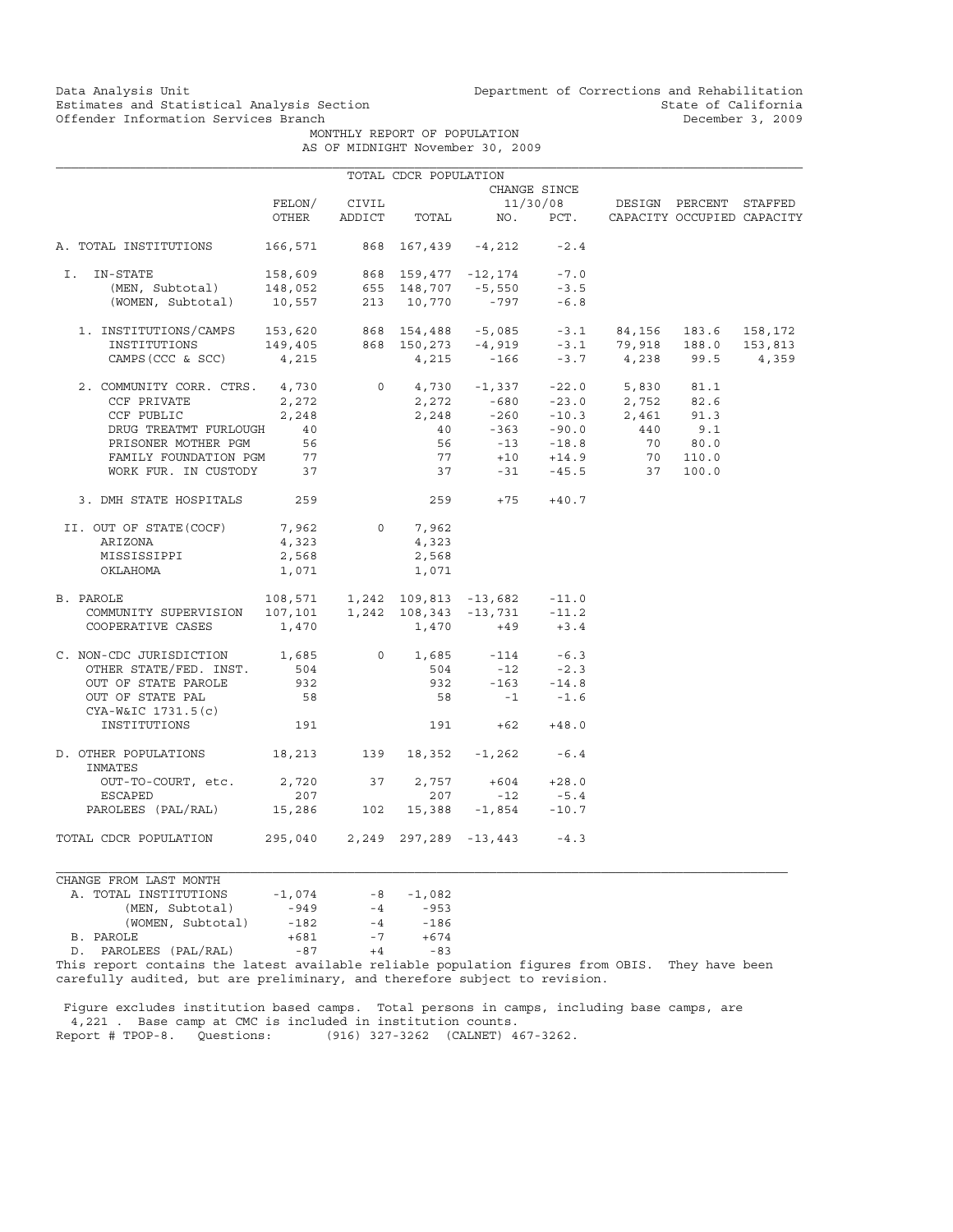Data Analysis Unit Unit Department of Corrections and Rehabilitation<br>Estimates and Statistical Analysis Section State of California ext intervals and Statistical Analysis Section<br>
Offender Information Services Branch<br>
Offender Information Services Branch

> MONTHLY REPORT OF POPULATION AS OF MIDNIGHT November 30, 2009

|                                                                                                                                                                                                            |                                                                         |              | TOTAL CDCR POPULATION |                                          |              |                                                                            |         |
|------------------------------------------------------------------------------------------------------------------------------------------------------------------------------------------------------------|-------------------------------------------------------------------------|--------------|-----------------------|------------------------------------------|--------------|----------------------------------------------------------------------------|---------|
|                                                                                                                                                                                                            |                                                                         |              |                       |                                          | CHANGE SINCE |                                                                            |         |
|                                                                                                                                                                                                            |                                                                         | FELON/ CIVIL |                       |                                          |              | 11/30/08 DESIGN PERCENT STAFFED                                            |         |
|                                                                                                                                                                                                            | OTHER                                                                   |              |                       |                                          |              | ADDICT TOTAL NO. PCT. CAPACITY OCCUPIED CAPACITY                           |         |
| A. TOTAL INSTITUTIONS                                                                                                                                                                                      |                                                                         |              |                       | 166,571 868 167,439 -4,212 -2.4          |              |                                                                            |         |
| 1-STATE 158,609 868 159,477 -12,174 -7.0<br>(MEN, Subtotal) 148,052 655 148,707 -5,550 -3.5<br>(WOMEN, Subtotal) 10,557 213 10,770 -797 -6.8<br>I. IN-STATE                                                |                                                                         |              |                       |                                          |              |                                                                            |         |
|                                                                                                                                                                                                            |                                                                         |              |                       |                                          |              |                                                                            |         |
|                                                                                                                                                                                                            |                                                                         |              |                       |                                          |              |                                                                            |         |
| 1. INSTITUTIONS/CAMPS 153,620 868 154,488 -5,085 -3.1 84,156 183.6 158,172<br>INSTITUTIONS 149,405 868 150,273 -4,919 -3.1 79,918 188.0 153,813<br>CAMPS(CCC & SCC) 4,215 4,215 -166 -3.7 4,238 99.5 4,359 |                                                                         |              |                       |                                          |              |                                                                            |         |
|                                                                                                                                                                                                            |                                                                         |              |                       |                                          |              |                                                                            | 153,813 |
|                                                                                                                                                                                                            |                                                                         |              |                       |                                          |              |                                                                            | 4,359   |
| 2. COMMUNITY CORR. CTRS. 4,730                                                                                                                                                                             |                                                                         |              |                       |                                          |              | $0 \t 4,730 \t -1,337 \t -22.0 \t 5,830 \t 81.1$                           |         |
| CCF PRIVATE                                                                                                                                                                                                | 2,272                                                                   |              |                       |                                          |              | $2,272$ $-680$ $-23.0$ $2,752$ 82.6<br>$2,248$ $-260$ $-10.3$ $2,461$ 91.3 |         |
| CCF PUBLIC                                                                                                                                                                                                 | 2,248                                                                   |              |                       |                                          |              |                                                                            |         |
| DRUG TREATMT FURLOUGH 40                                                                                                                                                                                   |                                                                         |              |                       |                                          |              | $40 -363 -90.0$ $440 -363 -90.0$                                           |         |
| PRISONER MOTHER PGM                                                                                                                                                                                        | 56                                                                      |              |                       |                                          |              | 56 -13 -18.8 70 80.0<br>77 +10 +14.9 70 110.0                              |         |
| FAMILY FOUNDATION PGM 77                                                                                                                                                                                   |                                                                         |              |                       |                                          |              |                                                                            |         |
| WORK FUR. IN CUSTODY 37                                                                                                                                                                                    |                                                                         |              |                       |                                          |              | $37 -31 -45.5$ 37 100.0                                                    |         |
| 3. DMH STATE HOSPITALS 259                                                                                                                                                                                 |                                                                         |              |                       | $259 + 75 + 40.7$                        |              |                                                                            |         |
| II. OUT OF STATE(COCF)                                                                                                                                                                                     | 7,962                                                                   |              | $0 \t 7,962$          |                                          |              |                                                                            |         |
| ARIZONA                                                                                                                                                                                                    | 4,323                                                                   |              | 4,323                 |                                          |              |                                                                            |         |
| MISSISSIPPI                                                                                                                                                                                                | 2,568                                                                   |              | 2,568                 |                                          |              |                                                                            |         |
| OKLAHOMA                                                                                                                                                                                                   | 1,071                                                                   |              | 1,071                 |                                          |              |                                                                            |         |
| B. PAROLE                                                                                                                                                                                                  | $108,571$ 1, 242 109, 813 -13, 682 -11.0                                |              |                       |                                          |              |                                                                            |         |
| COMMUNITY SUPERVISION  107,101  1,242  108,343  -13,731  -11.2<br>COOPERATIVE CASES  1,470  1,470  +49  +3.4                                                                                               |                                                                         |              |                       |                                          |              |                                                                            |         |
|                                                                                                                                                                                                            |                                                                         |              |                       |                                          |              |                                                                            |         |
| C. NON-CDC JURISDICTION 1,685                                                                                                                                                                              |                                                                         |              |                       | 0 $1,685$ $-114$ $-6.3$                  |              |                                                                            |         |
| OTHER STATE/FED. INST. 504                                                                                                                                                                                 |                                                                         |              |                       | $504$ $-12$ $-2.3$<br>932 $-163$ $-14.8$ |              |                                                                            |         |
| OUT OF STATE PAROLE                                                                                                                                                                                        | 932                                                                     |              |                       |                                          |              |                                                                            |         |
| OUT OF STATE PAL<br>CYA-W&IC 1731.5(c)                                                                                                                                                                     | 58                                                                      |              |                       | $58 - 1 -1.6$                            |              |                                                                            |         |
| INSTITUTIONS                                                                                                                                                                                               | 191                                                                     |              |                       | $191 + 62 + 48.0$                        |              |                                                                            |         |
| D. OTHER POPULATIONS 18, 213 139 18, 352 -1, 262 -6.4<br>INMATES                                                                                                                                           |                                                                         |              |                       |                                          |              |                                                                            |         |
| OUT-TO-COURT, etc. 2,720 37 2,757 +604 +28.0                                                                                                                                                               |                                                                         |              |                       |                                          |              |                                                                            |         |
| ESCAPED                                                                                                                                                                                                    | 207<br>$207$ $207$ $-12$ $-5.4$<br>15,286 $102$ 15,388 $-1,854$ $-10.7$ |              |                       |                                          |              |                                                                            |         |
| PAROLEES (PAL/RAL)                                                                                                                                                                                         |                                                                         |              |                       |                                          |              |                                                                            |         |
| TOTAL CDCR POPULATION                                                                                                                                                                                      |                                                                         |              |                       | 295,040 2,249 297,289 -13,443 -4.3       |              |                                                                            |         |

CHANGE FROM LAST MONTH A. TOTAL INSTITUTIONS -1,074 -8 -1,082<br>(MEN, Subtotal) -949 -4 -953 (MEN, Subtotal) -949 -4 -953 (WOMEN, Subtotal) -182 -4 -186<br>LE +681 -7 +674 B. PAROLE<br>D. PAROLEES (PAL/RAL) -87 D. PAROLEES (PAL/RAL) -87 +4 -83

This report contains the latest available reliable population figures from OBIS. They have been carefully audited, but are preliminary, and therefore subject to revision.

 Figure excludes institution based camps. Total persons in camps, including base camps, are 4,221 . Base camp at CMC is included in institution counts. Report # TPOP-8. Questions: (916) 327-3262 (CALNET) 467-3262.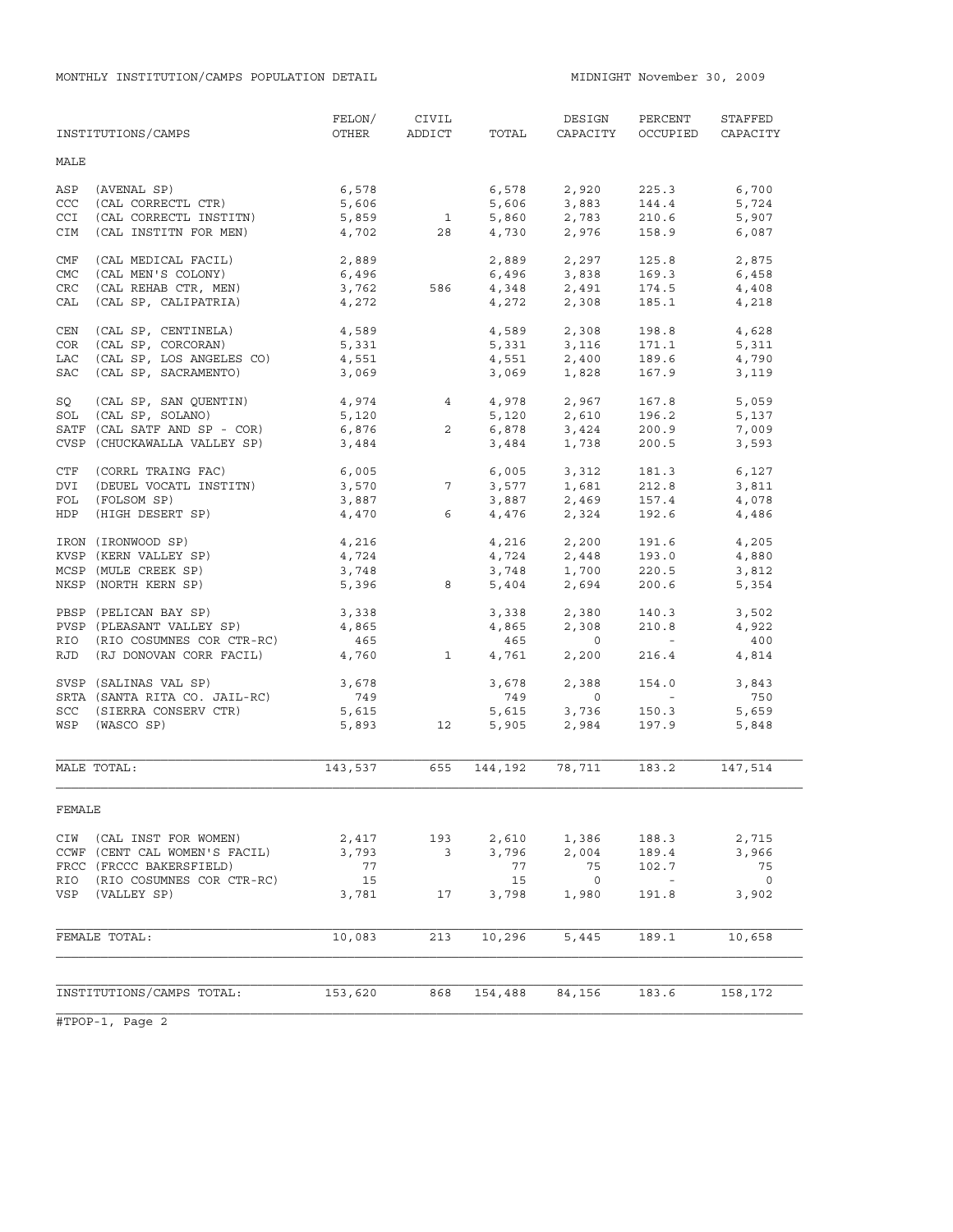MONTHLY INSTITUTION/CAMPS POPULATION DETAIL **MIDNIGHT NOVEMBER 30, 2009** 

|            | INSTITUTIONS/CAMPS            | FELON/<br>OTHER | CIVIL<br>ADDICT | TOTAL   | DESIGN<br>CAPACITY                 | PERCENT<br>OCCUPIED      | STAFFED<br>CAPACITY |
|------------|-------------------------------|-----------------|-----------------|---------|------------------------------------|--------------------------|---------------------|
| MALE       |                               |                 |                 |         |                                    |                          |                     |
| ASP        | (AVENAL SP)                   | 6,578           |                 | 6,578   | 2,920                              | 225.3                    | 6,700               |
| CCC        | (CAL CORRECTL CTR)            | 5,606           |                 | 5,606   | 3,883                              | 144.4                    | 5,724               |
| CCI        | (CAL CORRECTL INSTITN)        | 5,859           | $\mathbf{1}$    | 5,860   |                                    | 210.6                    | 5,907               |
| CIM        | (CAL INSTITN FOR MEN)         | 4,702           | 28              | 4,730   | 2,783<br>2,976                     | 158.9                    | 6,087               |
|            |                               |                 |                 |         |                                    |                          |                     |
| CMF        | (CAL MEDICAL FACIL)           | 2,889<br>6,496  |                 | 2,889   | 2,297                              | 125.8                    | 2,875               |
| CMC        | (CAL MEN'S COLONY)            |                 |                 |         | 6,496 3,838                        | 169.3                    | 6,458               |
| <b>CRC</b> | (CAL REHAB CTR, MEN)          | 3,762           | 586             |         | 4,348 2,491                        | 174.5                    | 4,408               |
| CAL        | (CAL SP, CALIPATRIA)          | 4,272           |                 | 4,272   | 2,308                              | 185.1                    | 4,218               |
| CEN        | (CAL SP, CENTINELA)           | 4,589           |                 |         | 4,589 2,308                        | 198.8                    | 4,628               |
| COR        | (CAL SP, CORCORAN)            | 5,331           |                 | 5,331   | 3,116                              | 171.1                    | 5,311               |
| LAC        | (CAL SP, LOS ANGELES CO)      | 4,551           |                 |         | 4,551 2,400                        | 189.6                    | 4,790               |
| SAC        | (CAL SP, SACRAMENTO)          | 3,069           |                 | 3,069   | 1,828                              | 167.9                    | 3,119               |
| SQ         | (CAL SP, SAN QUENTIN)         | 4,974 4         |                 | 4,978   | 2,967                              | 167.8                    | 5,059               |
| SOL        | (CAL SP, SOLANO)              | 5,120           |                 |         | 5,120 2,610                        | 196.2                    | 5,137               |
|            | SATF (CAL SATF AND SP - COR)  | 6,876           | $\overline{a}$  | 6,878   | 3,424                              | 200.9                    | 7,009               |
|            | CVSP (CHUCKAWALLA VALLEY SP)  | 3,484           |                 | 3,484   | 1,738                              | 200.5                    | 3,593               |
| CTF        | (CORRL TRAING FAC)            | 6,005           |                 |         | 6,005 3,312                        | 181.3                    | 6,127               |
| DVI        | (DEUEL VOCATL INSTITN)        | 3,570           | 7 <sup>7</sup>  | 3,577   | 1,681                              | 212.8                    | 3,811               |
| FOL        | (FOLSOM SP)                   | 3,887           |                 |         | $3,887$ $2,469$                    | 157.4                    | 4,078               |
| HDP        | (HIGH DESERT SP)              | 4,470           | 6               |         | 4,476 2,324                        | 192.6                    | 4,486               |
|            |                               |                 |                 |         |                                    |                          |                     |
|            | IRON (IRONWOOD SP)            | 4,216           |                 |         | $4,216$ $2,200$<br>$4,724$ $2,448$ | 191.6                    | 4,205               |
|            | KVSP (KERN VALLEY SP)         | 4,724           |                 |         |                                    | 193.0                    | 4,880               |
|            | MCSP (MULE CREEK SP)          | 3,748           |                 | 3,748   | 1,700<br>2,694                     | 220.5                    | 3,812               |
|            | NKSP (NORTH KERN SP)          | 5,396           | 8               | 5,404   |                                    | 200.6                    | 5,354               |
|            | PBSP (PELICAN BAY SP)         | 3,338           |                 | 3,338   | 2,380                              | 140.3                    | 3,502               |
|            | PVSP (PLEASANT VALLEY SP)     | 4,865           |                 | 4,865   | 2,308                              | 210.8                    | 4,922               |
|            | RIO (RIO COSUMNES COR CTR-RC) | 465             |                 | 465     | $\overline{0}$                     | <b>Contract Contract</b> | 400                 |
| RJD        | (RJ DONOVAN CORR FACIL)       | 4,760           | $\mathbf{1}$    | 4,761   | 2,200                              | 216.4                    | 4,814               |
|            | SVSP (SALINAS VAL SP)         | 3,678           |                 | 3,678   | 2,388                              | 154.0                    | 3,843               |
|            | SRTA (SANTA RITA CO. JAIL-RC) | 749             |                 | 749     | $\overline{0}$                     | <b>Contract Contract</b> | 750                 |
|            | SCC (SIERRA CONSERV CTR)      | 5,615           |                 | 5,615   |                                    | 150.3                    | 5,659               |
|            | WSP (WASCO SP)                | 5,893           | 12              | 5,905   | 3,736<br>2,984                     | 197.9                    | 5,848               |
|            |                               |                 |                 |         |                                    |                          |                     |
|            | MALE TOTAL:                   | 143,537         | 655             | 144,192 | 78,711                             | 183.2                    | 147,514             |
| FEMALE     |                               |                 |                 |         |                                    |                          |                     |
| CIW        | (CAL INST FOR WOMEN)          | 2,417           | 193             | 2,610   | 1,386                              | 188.3                    | 2,715               |
|            | CCWF (CENT CAL WOMEN'S FACIL) | 3,793           | 3               | 3,796   | 2,004                              | 189.4                    | 3,966               |
|            | FRCC (FRCCC BAKERSFIELD)      | 77              |                 | 77      | 75                                 | 102.7                    | 75                  |
| RIO        | (RIO COSUMNES COR CTR-RC)     | 15              |                 | 15      | $\overline{\phantom{0}}$           | $\sim$ $-$               | $\circ$             |
| VSP        | (VALLEY SP)                   | 3,781           | 17              | 3,798   | 1,980                              | 191.8                    | 3,902               |
|            |                               |                 |                 |         |                                    |                          |                     |
|            | FEMALE TOTAL:                 | 10,083          | 213             | 10,296  | 5,445                              | 189.1                    | 10,658              |
|            |                               |                 |                 |         |                                    |                          |                     |
|            | INSTITUTIONS/CAMPS TOTAL:     | 153,620         | 868             | 154,488 | 84,156                             | 183.6                    | 158,172             |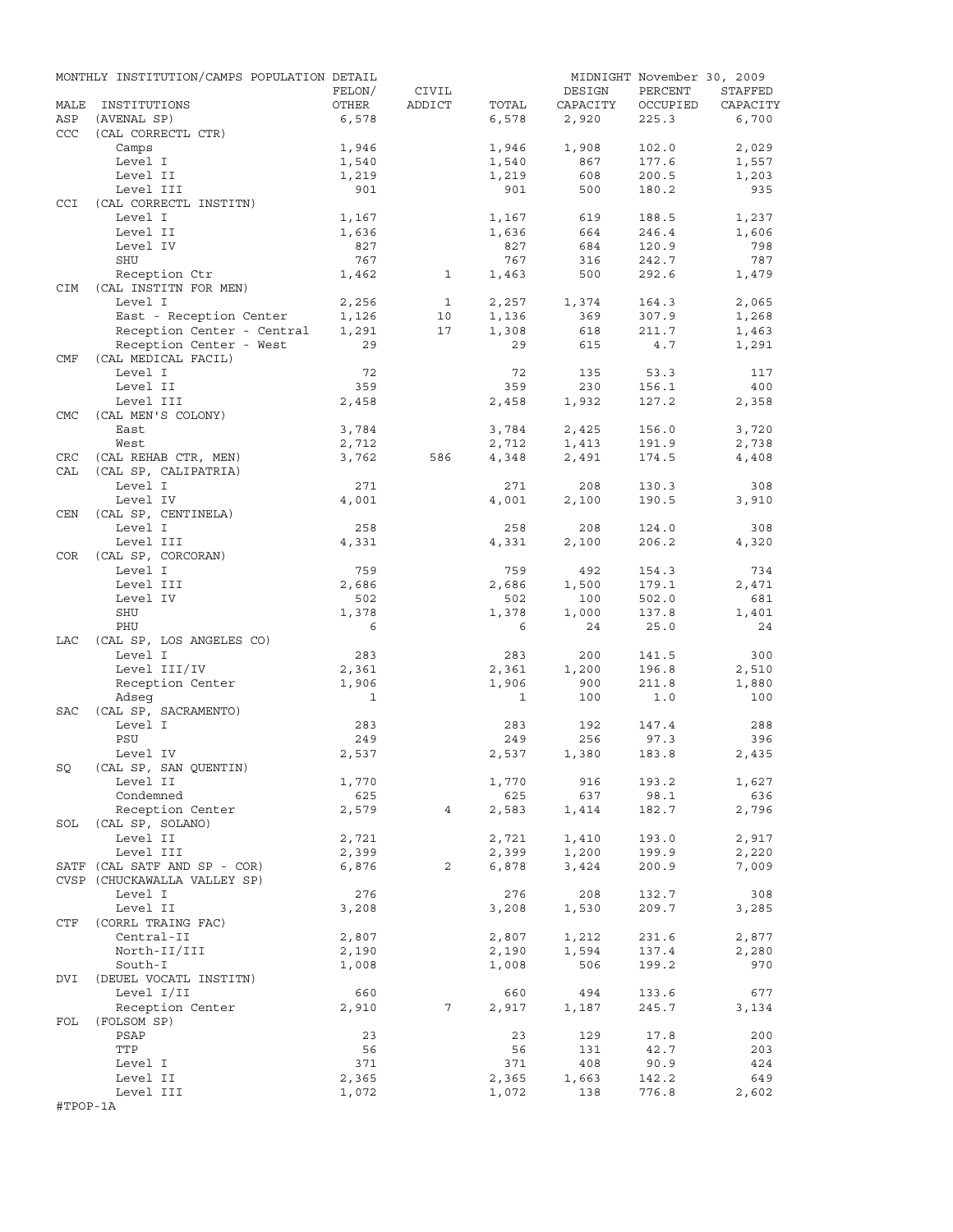|            | MONTHLY INSTITUTION/CAMPS POPULATION DETAIL |                |              |                |                | MIDNIGHT November 30, 2009 |                |
|------------|---------------------------------------------|----------------|--------------|----------------|----------------|----------------------------|----------------|
|            |                                             | FELON/         | CIVIL        |                | DESIGN         | PERCENT                    | STAFFED        |
| MALE       | INSTITUTIONS                                | OTHER          | ADDICT       | TOTAL          | CAPACITY       | OCCUPIED                   | CAPACITY       |
| ASP        | (AVENAL SP)                                 | 6,578          |              | 6,578          | 2,920          | 225.3                      | 6,700          |
| <b>CCC</b> | (CAL CORRECTL CTR)                          |                |              |                |                |                            |                |
|            | Camps<br>Level I                            | 1,946          |              | 1,946          | 1,908<br>867   | 102.0<br>177.6             | 2,029<br>1,557 |
|            | Level II                                    | 1,540<br>1,219 |              | 1,540<br>1,219 | 608            | 200.5                      | 1,203          |
|            | Level III                                   | 901            |              | 901            | 500            | 180.2                      | 935            |
| <b>CCI</b> | (CAL CORRECTL INSTITN)                      |                |              |                |                |                            |                |
|            | Level I                                     | 1,167          |              | 1,167          | 619            | 188.5                      | 1,237          |
|            | Level II                                    | 1,636          |              | 1,636          | 664            | 246.4                      | 1,606          |
|            | Level IV                                    | 827            |              | 827            | 684            | 120.9                      | 798            |
|            | SHU                                         | 767            |              | 767            | 316            | 242.7                      | 787            |
|            | Reception Ctr                               | 1,462          | $\mathbf{1}$ | 1,463          | 500            | 292.6                      | 1,479          |
| CIM        | (CAL INSTITN FOR MEN)                       |                |              |                |                |                            |                |
|            | Level I                                     | 2,256          | $\mathbf{1}$ | 2,257          | 1,374          | 164.3                      | 2,065          |
|            | East - Reception Center                     | 1,126          | 10           | 1,136          | 369            | 307.9                      | 1,268          |
|            | Reception Center - Central                  | 1,291          | 17           | 1,308          | 618            | 211.7                      | 1,463          |
|            | Reception Center - West                     | 29             |              | 29             | 615            | 4.7                        | 1,291          |
| CMF        | (CAL MEDICAL FACIL)                         |                |              |                |                |                            |                |
|            | Level I<br>Level II                         | 72<br>359      |              | 72<br>359      | 135<br>230     | 53.3<br>156.1              | 117<br>400     |
|            | Level III                                   | 2,458          |              | 2,458          | 1,932          | 127.2                      | 2,358          |
| <b>CMC</b> | (CAL MEN'S COLONY)                          |                |              |                |                |                            |                |
|            | East                                        | 3,784          |              | 3,784          | 2,425          | 156.0                      | 3,720          |
|            | West                                        | 2,712          |              | 2,712          | 1,413          | 191.9                      | 2,738          |
| CRC        | (CAL REHAB CTR, MEN)                        | 3,762          | 586          | 4,348          | 2,491          | 174.5                      | 4,408          |
| CAL        | (CAL SP, CALIPATRIA)                        |                |              |                |                |                            |                |
|            | Level I                                     | 271            |              | 271            | 208            | 130.3                      | 308            |
|            | Level IV                                    | 4,001          |              | 4,001          | 2,100          | 190.5                      | 3,910          |
| CEN        | (CAL SP, CENTINELA)                         |                |              |                |                |                            |                |
|            | Level I                                     | 258            |              | 258            | 208            | 124.0                      | 308            |
|            | Level III                                   | 4,331          |              | 4,331          | 2,100          | 206.2                      | 4,320          |
| COR        | (CAL SP, CORCORAN)                          |                |              |                |                |                            |                |
|            | Level I                                     | 759            |              | 759            | 492            | 154.3                      | 734            |
|            | Level III                                   | 2,686          |              | 2,686          | 1,500          | 179.1                      | 2,471          |
|            | Level IV                                    | 502            |              | 502            | 100            | 502.0                      | 681            |
|            | SHU                                         | 1,378          |              | 1,378          | 1,000          | 137.8                      | 1,401          |
| LAC        | PHU<br>(CAL SP, LOS ANGELES CO)             | 6              |              | 6              | 24             | 25.0                       | 24             |
|            | Level I                                     | 283            |              | 283            | 200            | 141.5                      | 300            |
|            | Level III/IV                                | 2,361          |              | 2,361          | 1,200          | 196.8                      | 2,510          |
|            | Reception Center                            | 1,906          |              | 1,906          | 900            | 211.8                      | 1,880          |
|            | Adseq                                       | $\mathbf{1}$   |              | $\mathbf{1}$   | 100            | 1.0                        | 100            |
| SAC        | (CAL SP, SACRAMENTO)                        |                |              |                |                |                            |                |
|            | Level I                                     | 283            |              | 283            | 192            | 147.4                      | 288            |
|            | PSU                                         | 249            |              | 249            | 256            | 97.3                       | 396            |
|            | Level IV                                    | 2,537          |              | 2,537          | 1,380          | 183.8                      | 2,435          |
| SQ         | (CAL SP, SAN QUENTIN)                       |                |              |                |                |                            |                |
|            | Level II                                    | 1,770          |              | 1,770          | 916            | 193.2                      | 1,627          |
|            | Condemned                                   | 625            |              | 625            | 637            | 98.1                       | 636            |
|            | Reception Center                            | 2,579          | 4            | 2,583          | 1,414          | 182.7                      | 2,796          |
| SOL        | (CAL SP, SOLANO)                            |                |              |                |                |                            |                |
|            | Level II                                    | 2,721          |              | 2,721          | 1,410          | 193.0                      | 2,917          |
|            | Level III                                   | 2,399          | 2            | 2,399          | 1,200<br>3,424 | 199.9                      | 2,220<br>7,009 |
|            | SATF (CAL SATF AND SP - COR)                | 6,876          |              | 6,878          |                | 200.9                      |                |
|            | CVSP (CHUCKAWALLA VALLEY SP)<br>Level I     | 276            |              | 276            | 208            | 132.7                      | 308            |
|            | Level II                                    | 3,208          |              | 3,208          | 1,530          | 209.7                      | 3,285          |
| CTF        | (CORRL TRAING FAC)                          |                |              |                |                |                            |                |
|            | Central-II                                  | 2,807          |              | 2,807          | 1,212          | 231.6                      | 2,877          |
|            | North-II/III                                | 2,190          |              | 2,190          | 1,594          | 137.4                      | 2,280          |
|            | South-I                                     | 1,008          |              | 1,008          | 506            | 199.2                      | 970            |
| DVI        | (DEUEL VOCATL INSTITN)                      |                |              |                |                |                            |                |
|            | Level I/II                                  | 660            |              | 660            | 494            | 133.6                      | 677            |
|            | Reception Center                            | 2,910          | 7            | 2,917          | 1,187          | 245.7                      | 3,134          |
| FOL        | (FOLSOM SP)                                 |                |              |                |                |                            |                |
|            | PSAP                                        | 23             |              | 23             | 129            | 17.8                       | 200            |
|            | TTP                                         | 56             |              | 56             | 131            | 42.7                       | 203            |
|            | Level I                                     | 371            |              | 371            | 408            | 90.9                       | 424            |
|            | Level II                                    | 2,365          |              | 2,365          | 1,663          | 142.2                      | 649            |
|            | Level III                                   | 1,072          |              | 1,072          | 138            | 776.8                      | 2,602          |
| #TPOP-1A   |                                             |                |              |                |                |                            |                |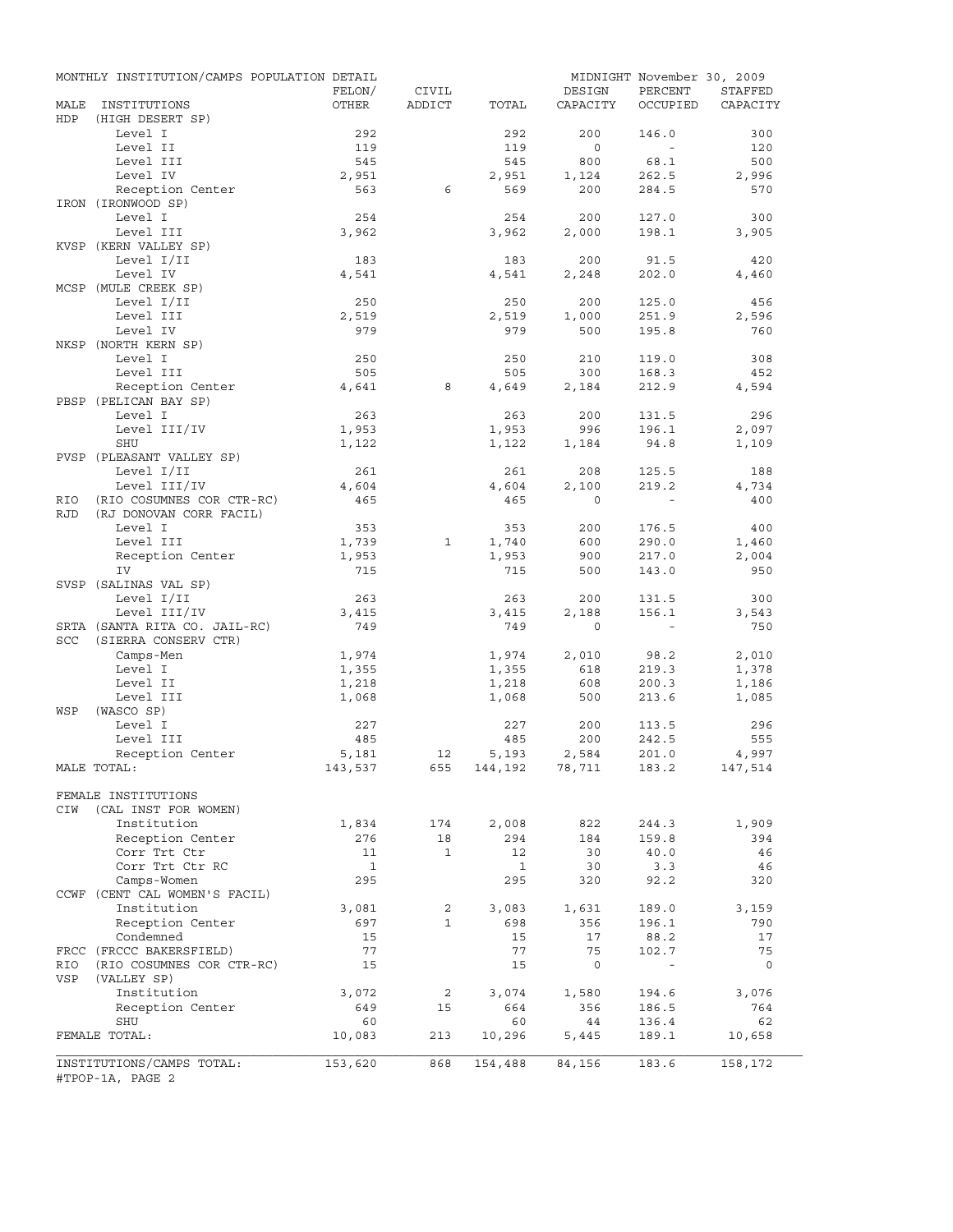|            | MONTHLY INSTITUTION/CAMPS POPULATION DETAIL | FELON/         | CIVIL          |                    | DESIGN            | MIDNIGHT November 30, 2009<br>PERCENT | STAFFED        |
|------------|---------------------------------------------|----------------|----------------|--------------------|-------------------|---------------------------------------|----------------|
| MALE       | INSTITUTIONS                                | OTHER          | ADDICT         | TOTAL              | CAPACITY          | OCCUPIED                              | CAPACITY       |
| HDP        | (HIGH DESERT SP)                            |                |                |                    |                   |                                       |                |
|            | Level I<br>Level II                         | 292            |                | 292<br>119         | 200<br>$\circ$    | 146.0<br>$\sim$                       | 300<br>120     |
|            | Level III                                   | 119<br>545     |                | 545                | 800               | 68.1                                  | 500            |
|            | Level IV                                    | 2,951          |                | 2,951              | 1,124             | 262.5                                 | 2,996          |
|            | Reception Center                            | 563            | 6              | 569                | 200               | 284.5                                 | 570            |
|            | IRON (IRONWOOD SP)                          |                |                |                    |                   |                                       |                |
|            | Level I                                     | 254            |                | 254                | 200               | 127.0                                 | 300            |
|            | Level III                                   | 3,962          |                | 3,962              | 2,000             | 198.1                                 | 3,905          |
|            | KVSP (KERN VALLEY SP)                       |                |                |                    |                   |                                       |                |
|            | Level I/II                                  | 183            |                | 183                | 200               | 91.5                                  | 420            |
|            | Level IV                                    | 4,541          |                | 4,541              | 2,248             | 202.0                                 | 4,460          |
|            | MCSP (MULE CREEK SP)                        |                |                |                    |                   |                                       |                |
|            | Level I/II                                  | 250            |                | 250                | 200               | 125.0                                 | 456            |
|            | Level III                                   | 2,519          |                | 2,519              | 1,000             | 251.9                                 | 2,596          |
|            | Level IV                                    | 979            |                | 979                | 500               | 195.8                                 | 760            |
|            | NKSP (NORTH KERN SP)                        |                |                |                    |                   |                                       |                |
|            | Level I                                     | 250            |                | 250                | 210               | 119.0                                 | 308            |
|            | Level III                                   | 505            |                | 505                | 300               | 168.3                                 | 452            |
|            | Reception Center                            | 4,641          | 8              | 4,649              | 2,184             | 212.9                                 | 4,594          |
|            | PBSP (PELICAN BAY SP)                       |                |                |                    |                   |                                       |                |
|            | Level I                                     | 263            |                | 263                | 200               | 131.5                                 | 296            |
|            | Level III/IV                                | 1,953          |                | 1,953              | 996               | 196.1                                 | 2,097          |
|            | SHU                                         | 1,122          |                | 1,122              | 1,184             | 94.8                                  | 1,109          |
|            | PVSP (PLEASANT VALLEY SP)                   |                |                |                    |                   |                                       |                |
|            | Level I/II                                  | 261            |                | 261                | 208               | 125.5<br>219.2                        | 188            |
|            | Level III/IV                                | 4,604<br>465   |                | 4,604              | 2,100<br>$\Omega$ |                                       | 4,734          |
| RIO        | (RIO COSUMNES COR CTR-RC)                   |                |                | 465                |                   |                                       | 400            |
| <b>RJD</b> | (RJ DONOVAN CORR FACIL)<br>Level I          |                |                |                    |                   |                                       |                |
|            |                                             | 353            |                | 353                | 200               | 176.5                                 | 400            |
|            | Level III<br>Reception Center               | 1,739<br>1,953 | 1              | 1,740<br>1,953     | 600<br>900        | 290.0<br>217.0                        | 1,460<br>2,004 |
|            | IV                                          | 715            |                | 715                | 500               | 143.0                                 | 950            |
|            | SVSP (SALINAS VAL SP)                       |                |                |                    |                   |                                       |                |
|            | Level I/II                                  | 263            |                | 263                | 200               | 131.5                                 | 300            |
|            | Level III/IV                                | 3,415          |                | 3,415              | 2,188             | 156.1                                 | 3,543          |
|            | SRTA (SANTA RITA CO. JAIL-RC)               | 749            |                | 749                | $\circ$           | $\sim$ $-$                            | 750            |
| <b>SCC</b> | (SIERRA CONSERV CTR)                        |                |                |                    |                   |                                       |                |
|            | Camps-Men                                   | 1,974          |                | 1,974              | 2,010             | 98.2                                  | 2,010          |
|            | Level I                                     | 1,355          |                | 1,355              | 618               | 219.3                                 | 1,378          |
|            | Level II                                    | 1,218          |                | 1,218              | 608               | 200.3                                 | 1,186          |
|            | Level III                                   | 1,068          |                | 1,068              | 500               | 213.6                                 | 1,085          |
| WSP        | (WASCO SP)                                  |                |                |                    |                   |                                       |                |
|            | Level I                                     | 227            |                | 227                | 200               | 113.5                                 | 296            |
|            | Level III                                   | 485            |                | 485                | 200               | 242.5                                 | 555            |
|            | Reception Center                            | 5,181          | 12             | 5,193              | 2,584             | 201.0                                 | 4,997          |
|            | MALE TOTAL:                                 | 143,537        |                | 655 144,192 78,711 |                   | 183.2                                 | 147,514        |
|            |                                             |                |                |                    |                   |                                       |                |
|            | FEMALE INSTITUTIONS                         |                |                |                    |                   |                                       |                |
| CIW        | (CAL INST FOR WOMEN)                        |                |                |                    |                   |                                       |                |
|            | Institution                                 | 1,834          | 174            | 2,008              | 822               | 244.3                                 | 1,909          |
|            | Reception Center                            | 276            | 18             | 294                | 184               | 159.8                                 | 394            |
|            | Corr Trt Ctr                                | 11             | $\mathbf{1}$   | 12                 | 30                | 40.0                                  | 46             |
|            | Corr Trt Ctr RC                             | $\mathbf{1}$   |                | $\mathbf{1}$       | 30                | 3.3                                   | 46             |
|            | Camps-Women                                 | 295            |                | 295                | 320               | 92.2                                  | 320            |
|            | CCWF (CENT CAL WOMEN'S FACIL)               |                |                |                    |                   |                                       |                |
|            | Institution                                 | 3,081          | $\overline{2}$ | 3,083              | 1,631             | 189.0                                 | 3,159          |
|            | Reception Center                            | 697            | $\mathbf{1}$   | 698                | 356               | 196.1                                 | 790            |
|            | Condemned                                   | 15             |                | 15                 | 17                | 88.2                                  | 17             |
|            | FRCC (FRCCC BAKERSFIELD)                    | 77             |                | 77                 | 75                | 102.7                                 | 75             |
| RIO        | (RIO COSUMNES COR CTR-RC)                   | 15             |                | 15                 | $\mathbf 0$       |                                       | $\circ$        |
| VSP        | (VALLEY SP)                                 |                |                |                    |                   |                                       |                |
|            | Institution                                 | 3,072          | 2              | 3,074              | 1,580             | 194.6                                 | 3,076          |
|            | Reception Center                            | 649            | 15             | 664                | 356               | 186.5                                 | 764            |
|            | SHU                                         | 60             |                | 60                 | 44                | 136.4                                 | 62             |
|            | FEMALE TOTAL:                               | 10,083         | 213            | 10,296             | 5,445             | 189.1                                 | 10,658         |
|            | INSTITUTIONS/CAMPS TOTAL:                   | 153,620        | 868            | 154,488            | 84,156            | 183.6                                 | 158,172        |
|            | #TPOP-1A, PAGE 2                            |                |                |                    |                   |                                       |                |
|            |                                             |                |                |                    |                   |                                       |                |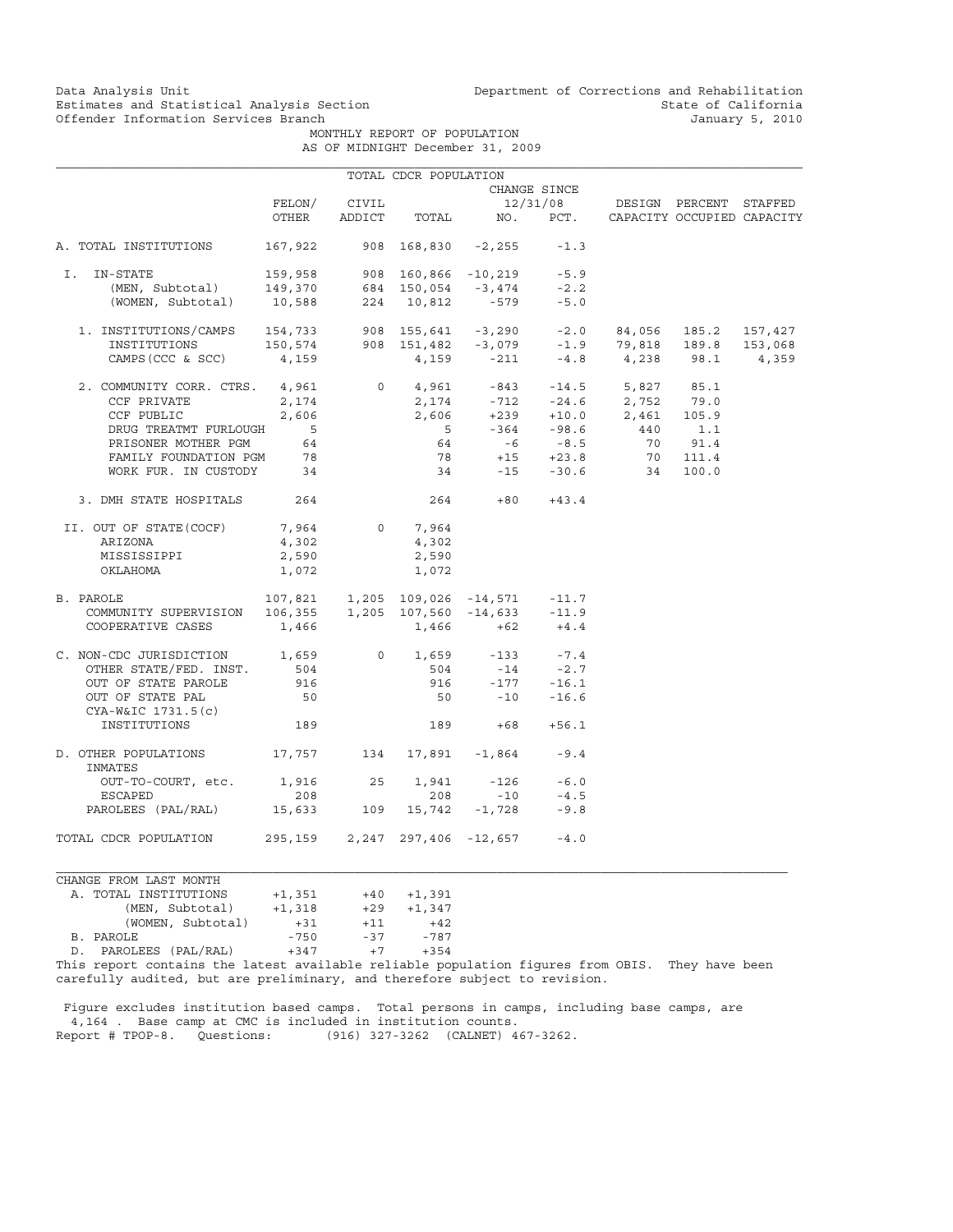MONTHLY REPORT OF POPULATION AS OF MIDNIGHT December 31, 2009

|                                                       |                                                                                                    |     | TOTAL CDCR POPULATION         |                                         |                                |                                                                                                               |                            |         |
|-------------------------------------------------------|----------------------------------------------------------------------------------------------------|-----|-------------------------------|-----------------------------------------|--------------------------------|---------------------------------------------------------------------------------------------------------------|----------------------------|---------|
|                                                       |                                                                                                    |     |                               |                                         | CHANGE SINCE                   |                                                                                                               |                            |         |
|                                                       | FELON/                                                                                             |     | CIVIL                         |                                         |                                | 12/31/08 DESIGN PERCENT STAFFED                                                                               |                            |         |
|                                                       | OTHER                                                                                              |     | ADDICT TOTAL                  |                                         | NO. PCT.                       |                                                                                                               | CAPACITY OCCUPIED CAPACITY |         |
| A. TOTAL INSTITUTIONS                                 | 167,922                                                                                            |     |                               | $908$ $168,830$ $-2,255$                | $-1.3$                         |                                                                                                               |                            |         |
| I. IN-STATE                                           | 159,958 908 160,866 -10,219 -5.9<br>149,370 684 150,054 -3,474 -2.2<br>10,588 224 10,812 -579 -5.0 |     |                               |                                         |                                |                                                                                                               |                            |         |
| (MEN, Subtotal)                                       |                                                                                                    |     |                               |                                         |                                |                                                                                                               |                            |         |
| (WOMEN, Subtotal)                                     |                                                                                                    |     |                               |                                         |                                |                                                                                                               |                            |         |
| 1. INSTITUTIONS/CAMPS 154,733 908 155,641 -3,290 -2.0 |                                                                                                    |     |                               |                                         |                                |                                                                                                               | 84,056 185.2 157,427       |         |
| INSTITUTIONS                                          |                                                                                                    |     |                               |                                         |                                |                                                                                                               |                            | 153,068 |
| CAMPS (CCC & SCC)                                     | $150,574$ 908 $151,482$ -3,079 -1.9 79,818 189.8 15<br>CC) 4,159 4,159 -211 -4.8 4,238 98.1        |     |                               |                                         |                                |                                                                                                               |                            | 4,359   |
| 2. COMMUNITY CORR. CTRS. 4,961                        |                                                                                                    |     |                               |                                         |                                | $0 \t 4,961 \t -843 \t -14.5 \t 5,827 \t 85.1$                                                                |                            |         |
| CCF PRIVATE                                           | 2,174                                                                                              |     |                               |                                         |                                | $\begin{array}{cccc} 2,174 & -712 & -24.6 & 2,752 & 79.0 \\ 2,606 & +239 & +10.0 & 2,461 & 105.9 \end{array}$ |                            |         |
| CCF PUBLIC                                            | 2,606                                                                                              |     |                               |                                         |                                |                                                                                                               |                            |         |
| DRUG TREATMT FURLOUGH                                 | $\overline{5}$                                                                                     |     | $5^{\circ}$                   |                                         |                                | $-364$ $-98.6$ $440$ $1.1$                                                                                    |                            |         |
| PRISONER MOTHER PGM                                   | 64                                                                                                 |     | 64                            |                                         | $-6$ $-8.5$                    |                                                                                                               | 70 91.4                    |         |
| FAMILY FOUNDATION PGM 78                              |                                                                                                    |     |                               | $78 + 15 + 23.8$                        |                                |                                                                                                               | 70 111.4                   |         |
| WORK FUR. IN CUSTODY 34                               |                                                                                                    |     |                               |                                         |                                | 34 -15 -30.6 34                                                                                               | 100.0                      |         |
| 3. DMH STATE HOSPITALS                                | 264                                                                                                |     |                               | 264                                     | $+80 +43.4$                    |                                                                                                               |                            |         |
| II. OUT OF STATE (COCF)                               | 7,964                                                                                              |     | $0 \qquad \qquad$<br>7,964    |                                         |                                |                                                                                                               |                            |         |
| ARIZONA                                               | 4,302                                                                                              |     | 4,302                         |                                         |                                |                                                                                                               |                            |         |
| MISSISSIPPI                                           | 2,590                                                                                              |     | 2,590                         |                                         |                                |                                                                                                               |                            |         |
| OKLAHOMA                                              | 1,072                                                                                              |     | 1,072                         |                                         |                                |                                                                                                               |                            |         |
| B. PAROLE                                             |                                                                                                    |     |                               | 107,821  1,205  109,026  -14,571  -11.7 |                                |                                                                                                               |                            |         |
| COMMUNITY SUPERVISION                                 | $106,355$ 1,205 107,560 -14,633 -11.9                                                              |     |                               |                                         |                                |                                                                                                               |                            |         |
| COOPERATIVE CASES                                     | 1,466                                                                                              |     |                               | $1,466$ +62                             | $+4.4$                         |                                                                                                               |                            |         |
| C. NON-CDC JURISDICTION 1,659                         |                                                                                                    |     |                               | 0 $1,659$ $-133$ $-7.4$                 |                                |                                                                                                               |                            |         |
| OTHER STATE/FED. INST.                                | 504                                                                                                |     | 504                           |                                         | $-14$ $-2.7$<br>$-177$ $-16.1$ |                                                                                                               |                            |         |
| OUT OF STATE PAROLE                                   | 916                                                                                                |     | 916                           |                                         |                                |                                                                                                               |                            |         |
| OUT OF STATE PAL<br>CYA-W&IC 1731.5(c)                | 50                                                                                                 |     |                               | $50 -10 -16.6$                          |                                |                                                                                                               |                            |         |
| INSTITUTIONS                                          | 189                                                                                                |     |                               | 189<br>$+68$                            | $+56.1$                        |                                                                                                               |                            |         |
| D. OTHER POPULATIONS<br>INMATES                       |                                                                                                    |     |                               | 17,757 134 17,891 -1,864                | $-9.4$                         |                                                                                                               |                            |         |
| OUT-TO-COURT, etc.                                    | 1,916 25                                                                                           |     |                               | $1,941 -126$                            | $-6.0$                         |                                                                                                               |                            |         |
| ESCAPED                                               | 208                                                                                                |     | 208                           | $-10$                                   | $-4.5$                         |                                                                                                               |                            |         |
| PAROLEES (PAL/RAL)                                    | 15,633                                                                                             | 109 |                               | $15,742 - 1,728$                        | $-9.8$                         |                                                                                                               |                            |         |
| TOTAL CDCR POPULATION                                 |                                                                                                    |     | 295,159 2,247 297,406 -12,657 |                                         | $-4.0$                         |                                                                                                               |                            |         |

CHANGE FROM LAST MONTH AANGE FROM LASI MONIH<br>A. TOTAL INSTITUTIONS +1,351<br>(MEN, Subtotal) +1,318 +1,351 +40 +1,391<br>+1,318 +29 +1,347<br>+31 +11 +42 (WOMEN, Subtotal)  $+31$   $+11$   $+42$ <br>LE  $-750$   $-37$   $-787$  B. PAROLE -750 -37 -787  $D.$  PAROLEES (PAL/RAL)  $+347$   $+7$ 

This report contains the latest available reliable population figures from OBIS. They have been carefully audited, but are preliminary, and therefore subject to revision.

 Figure excludes institution based camps. Total persons in camps, including base camps, are 4,164 . Base camp at CMC is included in institution counts. Report # TPOP-8. Questions: (916) 327-3262 (CALNET) 467-3262.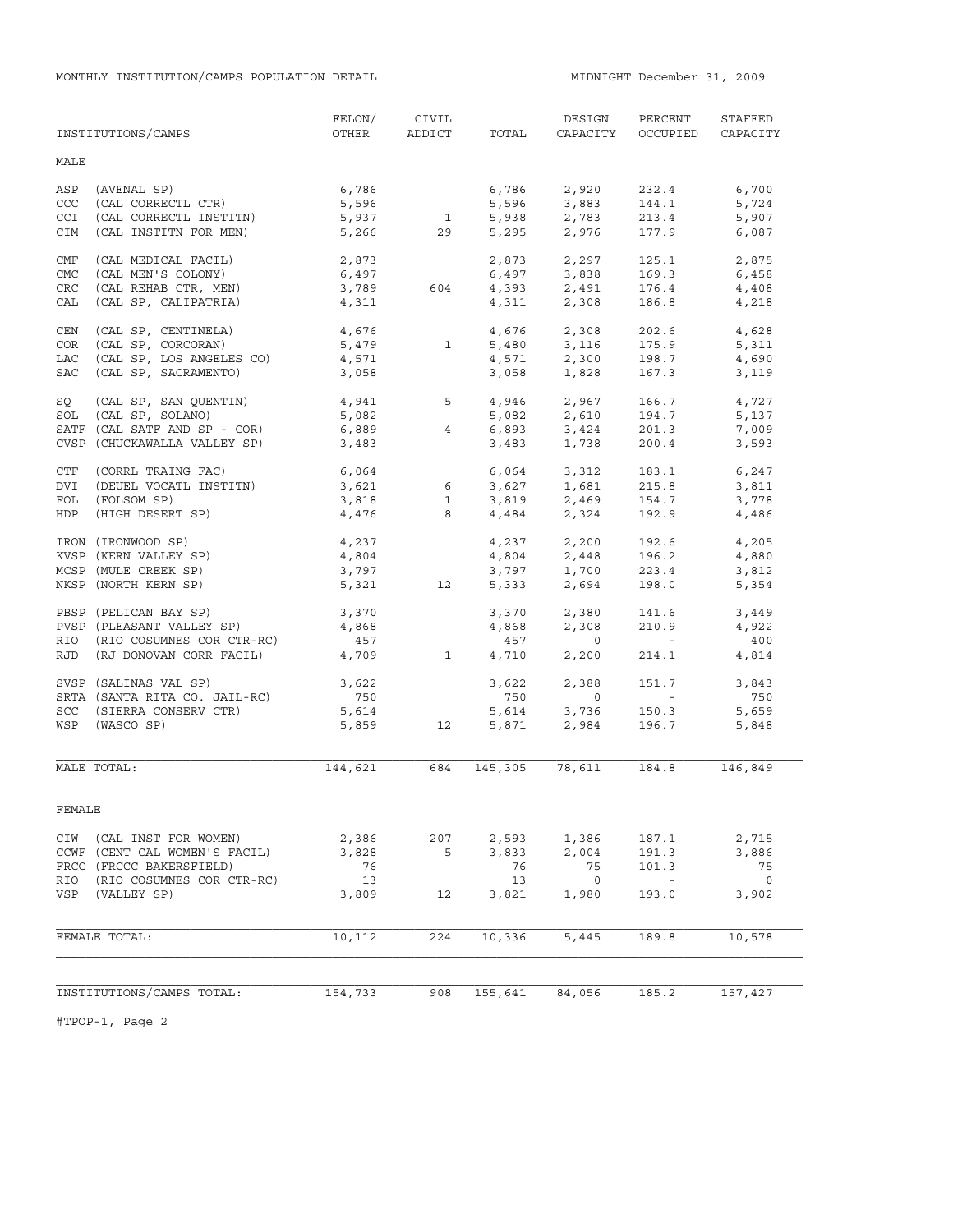MONTHLY INSTITUTION/CAMPS POPULATION DETAIL **MIDNIGHT December 31, 2009** 

|            | INSTITUTIONS/CAMPS            | FELON/<br>OTHER | CIVIL        | ADDICT TOTAL   | DESIGN<br>CAPACITY            | PERCENT<br>OCCUPIED      | STAFFED<br>CAPACITY |
|------------|-------------------------------|-----------------|--------------|----------------|-------------------------------|--------------------------|---------------------|
| MALE       |                               |                 |              |                |                               |                          |                     |
|            |                               |                 |              |                |                               |                          |                     |
| ASP        | (AVENAL SP)                   | 6,786           |              | 6,786          | 2,920                         | 232.4                    | 6,700               |
| CCC        | (CAL CORRECTL CTR)            | 5,596           |              | 5,596          | 3,883                         | 144.1                    | 5,724               |
| CCI        | (CAL CORRECTL INSTITN)        | 5,937           | $\mathbf{1}$ | 5,938          | 2,783<br>2,976                | 213.4                    | 5,907               |
| CIM        | (CAL INSTITN FOR MEN)         | 5,266           | 29           | 5,295          |                               | 177.9                    | 6,087               |
| CMF        | (CAL MEDICAL FACIL)           | 2,873           |              | 2,873          | 2,297                         | 125.1                    | 2,875               |
| CMC        | (CAL MEN'S COLONY)            | 6,497           |              |                | 6,497 3,838                   | 169.3                    | 6,458               |
| <b>CRC</b> | (CAL REHAB CTR, MEN)          | 3,789           | 604          |                | 4,393 2,491                   | 176.4                    | 4,408               |
| CAL        | (CAL SP, CALIPATRIA)          | 4,311           |              | 4,311          | 2,308                         | 186.8                    | 4,218               |
| CEN        | (CAL SP, CENTINELA)           | 4,676           |              |                | 4,676 2,308                   | 202.6                    | 4,628               |
| COR        | (CAL SP, CORCORAN)            | 5,479           | $\mathbf{1}$ | 5,480          | 3,116                         | 175.9                    | 5,311               |
| LAC        | (CAL SP, LOS ANGELES CO)      | 4,571           |              |                | 4,571 2,300                   | 198.7                    | 4,690               |
| SAC        | (CAL SP, SACRAMENTO)          | 3,058           |              | 3,058          | 1,828                         | 167.3                    | 3,119               |
|            |                               |                 |              |                |                               |                          |                     |
| SQ         | (CAL SP, SAN QUENTIN)         | 4,941 5         |              | 4,946          | 2,967                         | 166.7                    | 4,727               |
| SOL        | (CAL SP, SOLANO)              | 5,082           |              |                | $5,082$ $2,610$               | 194.7                    | 5,137               |
|            | SATF (CAL SATF AND SP - COR)  | 6,889           | 4            | 6,893          | 3,424<br>1,738                | 201.3                    | 7,009               |
|            | CVSP (CHUCKAWALLA VALLEY SP)  | 3,483           |              | 3,483          |                               | 200.4                    | 3,593               |
| CTF        | (CORRL TRAING FAC)            | 6,064           |              |                | 6,064 3,312                   | 183.1                    | 6,247               |
| DVI        | (DEUEL VOCATL INSTITN)        | 3,621           | 6            |                |                               | 215.8                    | 3,811               |
| FOL        | (FOLSOM SP)                   | 3,818           | $\mathbf{1}$ |                | 3,627 1,681<br>3,819 2,469    | 154.7                    | 3,778               |
| HDP        | (HIGH DESERT SP)              | 4,476           | 8            |                | 4,484 2,324                   | 192.9                    | 4,486               |
|            | IRON (IRONWOOD SP)            | 4,237           |              |                |                               | 192.6                    | 4,205               |
|            | KVSP (KERN VALLEY SP)         | 4,804           |              |                | $4,237$<br>$4,804$<br>$2,448$ | 196.2                    | 4,880               |
|            | MCSP (MULE CREEK SP)          | 3,797           |              |                |                               | 223.4                    | 3,812               |
|            | NKSP (NORTH KERN SP)          | 5,321           | 12           | 3,797<br>5,333 | 1,700<br>2,694                | 198.0                    | 5,354               |
|            | PBSP (PELICAN BAY SP)         | 3,370           |              | 3,370          | 2,380                         | 141.6                    | 3,449               |
|            | PVSP (PLEASANT VALLEY SP)     | 4,868           |              | 4,868          | 2,308                         | 210.9                    | 4,922               |
|            | RIO (RIO COSUMNES COR CTR-RC) | 457             |              | 457            | $\overline{0}$                | <b>Contract Contract</b> | 400                 |
| RJD        | (RJ DONOVAN CORR FACIL)       | 4,709           | $\mathbf{1}$ | 4,710          | 2,200                         | 214.1                    | 4,814               |
|            | SVSP (SALINAS VAL SP)         | 3,622           |              | 3,622          | 2,388                         | 151.7                    | 3,843               |
|            |                               |                 |              |                | $\overline{0}$                | <b>Contract Contract</b> | 750                 |
|            | SRTA (SANTA RITA CO. JAIL-RC) | 750             |              | 750            |                               |                          | 5,659               |
|            | SCC (SIERRA CONSERV CTR)      | 5,614           |              | 5,614          | 3,736<br>2,984                | 150.3                    |                     |
|            | WSP (WASCO SP)                | 5,859           | 12           | 5,871          |                               | 196.7                    | 5,848               |
|            | MALE TOTAL:                   | 144,621         | 684          | 145,305        | 78,611                        | 184.8                    | 146,849             |
| FEMALE     |                               |                 |              |                |                               |                          |                     |
| CIW        | (CAL INST FOR WOMEN)          | 2,386           | 207          | 2,593          | 1,386                         | 187.1                    | 2,715               |
|            | CCWF (CENT CAL WOMEN'S FACIL) | 3,828           | 5            | 3,833          | 2,004                         | 191.3                    | 3,886               |
|            | FRCC (FRCCC BAKERSFIELD)      | 76              |              | 76             | 75                            | 101.3                    | 75                  |
| RIO        | (RIO COSUMNES COR CTR-RC)     | 13              |              | 13             | $\overline{\phantom{0}}$      | $\sim$ $-$               | $\overline{0}$      |
| VSP        | (VALLEY SP)                   | 3,809           | 12           | 3,821          | 1,980                         | 193.0                    | 3,902               |
|            |                               |                 |              |                |                               |                          |                     |
|            | FEMALE TOTAL:                 | 10,112          | 224          | 10,336         | 5,445                         | 189.8                    | 10,578              |
|            |                               |                 |              |                |                               |                          |                     |
|            | INSTITUTIONS/CAMPS TOTAL:     | 154,733         | 908          | 155,641        | 84,056                        | 185.2                    | 157,427             |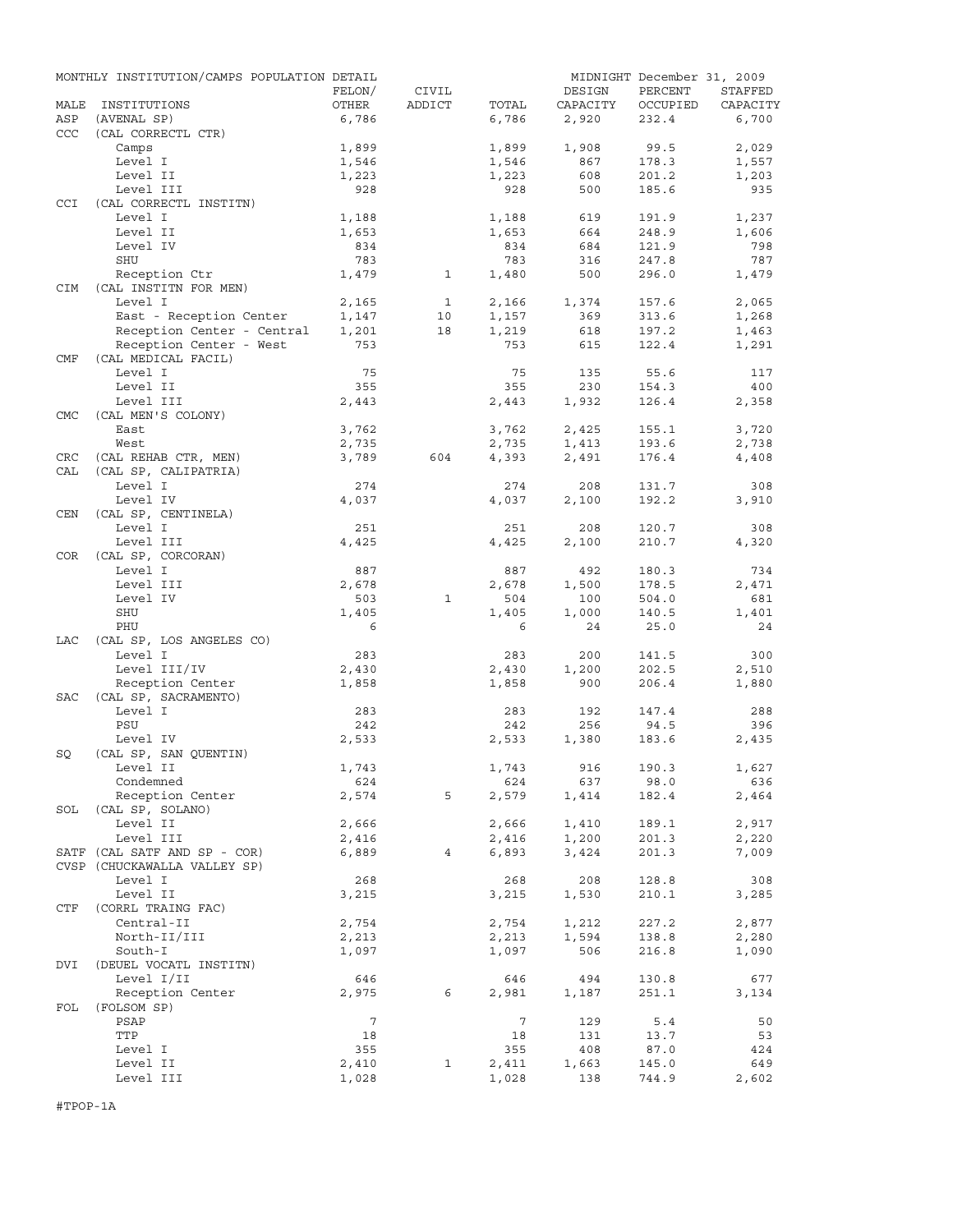|                   | MONTHLY INSTITUTION/CAMPS POPULATION DETAIL |                 |                |              |              | MIDNIGHT December 31, 2009 |              |
|-------------------|---------------------------------------------|-----------------|----------------|--------------|--------------|----------------------------|--------------|
|                   |                                             | FELON/          | CIVIL          |              | DESIGN       | PERCENT                    | STAFFED      |
| MALE              | INSTITUTIONS                                | OTHER           | ADDICT         | TOTAL        | CAPACITY     | OCCUPIED                   | CAPACITY     |
| ASP<br><b>CCC</b> | (AVENAL SP)<br>(CAL CORRECTL CTR)           | 6,786           |                | 6,786        | 2,920        | 232.4                      | 6,700        |
|                   | Camps                                       | 1,899           |                | 1,899        | 1,908        | 99.5                       | 2,029        |
|                   | Level I                                     | 1,546           |                | 1,546        | 867          | 178.3                      | 1,557        |
|                   | Level II                                    | 1,223           |                | 1,223        | 608          | 201.2                      | 1,203        |
| CCI               | Level III<br>(CAL CORRECTL INSTITN)         | 928             |                | 928          | 500          | 185.6                      | 935          |
|                   | Level I                                     | 1,188           |                | 1,188        | 619          | 191.9                      | 1,237        |
|                   | Level II                                    | 1,653           |                | 1,653        | 664          | 248.9                      | 1,606        |
|                   | Level IV                                    | 834             |                | 834          | 684          | 121.9                      | 798          |
|                   | SHU                                         | 783             |                | 783          | 316          | 247.8                      | 787          |
|                   | Reception Ctr                               | 1,479           | 1              | 1,480        | 500          | 296.0                      | 1,479        |
| CIM               | (CAL INSTITN FOR MEN)                       |                 |                |              |              |                            |              |
|                   | Level I                                     | 2,165           | $\mathbf{1}$   | 2,166        | 1,374        | 157.6                      | 2,065        |
|                   | East - Reception Center                     | 1,147           | 10             | 1,157        | 369          | 313.6                      | 1,268        |
|                   | Reception Center - Central                  | 1,201           | 18             | 1,219        | 618          | 197.2                      | 1,463        |
|                   | Reception Center - West                     | 753             |                | 753          | 615          | 122.4                      | 1,291        |
| CMF               | (CAL MEDICAL FACIL)                         |                 |                |              |              |                            |              |
|                   | Level I                                     | 75              |                | 75           | 135          | 55.6                       | 117          |
|                   | Level II                                    | 355             |                | 355          | 230          | 154.3                      | 400          |
|                   | Level III                                   | 2,443           |                | 2,443        | 1,932        | 126.4                      | 2,358        |
| <b>CMC</b>        | (CAL MEN'S COLONY)                          |                 |                |              |              |                            |              |
|                   | East                                        | 3,762           |                | 3,762        | 2,425        | 155.1                      | 3,720        |
|                   | West                                        | 2,735           |                | 2,735        | 1,413        | 193.6                      | 2,738        |
| CRC               | (CAL REHAB CTR, MEN)                        | 3,789           | 604            | 4,393        | 2,491        | 176.4                      | 4,408        |
| CAL               | (CAL SP, CALIPATRIA)                        |                 |                |              |              |                            |              |
|                   | Level I                                     | 274             |                | 274          | 208          | 131.7                      | 308          |
|                   | Level IV                                    | 4,037           |                | 4,037        | 2,100        | 192.2                      | 3,910        |
| <b>CEN</b>        | (CAL SP, CENTINELA)                         |                 |                |              |              |                            |              |
|                   | Level I                                     | 251             |                | 251          | 208          | 120.7                      | 308          |
|                   | Level III                                   | 4,425           |                | 4,425        | 2,100        | 210.7                      | 4,320        |
| <b>COR</b>        | (CAL SP, CORCORAN)<br>Level I               |                 |                |              |              |                            | 734          |
|                   | Level III                                   | 887             |                | 887          | 492          | 180.3                      |              |
|                   |                                             | 2,678           |                | 2,678<br>504 | 1,500        | 178.5                      | 2,471<br>681 |
|                   | Level IV<br>SHU                             | 503             | $\mathbf{1}$   | 1,405        | 100<br>1,000 | 504.0                      | 1,401        |
|                   | PHU                                         | 1,405<br>6      |                | 6            | 24           | 140.5<br>25.0              | 24           |
| LAC               | (CAL SP, LOS ANGELES CO)                    |                 |                |              |              |                            |              |
|                   | Level I                                     | 283             |                | 283          | 200          | 141.5                      | 300          |
|                   | Level III/IV                                | 2,430           |                | 2,430        | 1,200        | 202.5                      | 2,510        |
|                   | Reception Center                            | 1,858           |                | 1,858        | 900          | 206.4                      | 1,880        |
| <b>SAC</b>        | (CAL SP, SACRAMENTO)                        |                 |                |              |              |                            |              |
|                   | Level I                                     | 283             |                | 283          | 192          | 147.4                      | 288          |
|                   | PSU                                         | 242             |                | 242          | 256          | 94.5                       | 396          |
|                   | Level IV                                    | 2,533           |                | 2,533        | 1,380        | 183.6                      | 2,435        |
| SQ                | (CAL SP, SAN OUENTIN)                       |                 |                |              |              |                            |              |
|                   | Level II                                    | 1,743           |                | 1,743        | 916          | 190.3                      | 1,627        |
|                   | Condemned                                   | 624             |                | 624          | 637          | 98.0                       | 636          |
|                   | Reception Center                            | 2,574           | 5              | 2,579        | 1,414        | 182.4                      | 2,464        |
| SOL               | (CAL SP, SOLANO)                            |                 |                |              |              |                            |              |
|                   | Level II                                    | 2,666           |                | 2,666        | 1,410        | 189.1                      | 2,917        |
|                   | Level III                                   | 2,416           |                | 2,416        | 1,200        | 201.3                      | 2,220        |
|                   | SATF (CAL SATF AND SP - COR)                | 6,889           | $\overline{4}$ | 6,893        | 3,424        | 201.3                      | 7,009        |
|                   | CVSP (CHUCKAWALLA VALLEY SP)                |                 |                |              |              |                            |              |
|                   | Level I                                     | 268             |                | 268          | 208          | 128.8                      | 308          |
|                   | Level II                                    | 3,215           |                | 3,215        | 1,530        | 210.1                      | 3,285        |
| CTF               | (CORRL TRAING FAC)                          |                 |                |              |              |                            |              |
|                   | Central-II                                  | 2,754           |                | 2,754        | 1,212        | 227.2                      | 2,877        |
|                   | North-II/III                                | 2,213           |                | 2,213        | 1,594        | 138.8                      | 2,280        |
|                   | South-I                                     | 1,097           |                | 1,097        | 506          | 216.8                      | 1,090        |
| DVI               | (DEUEL VOCATL INSTITN)                      |                 |                |              |              |                            |              |
|                   | Level I/II                                  | 646             |                | 646          | 494          | 130.8                      | 677          |
|                   | Reception Center                            | 2,975           | 6              | 2,981        | 1,187        | 251.1                      | 3,134        |
| FOL               | (FOLSOM SP)                                 |                 |                |              |              |                            |              |
|                   | PSAP                                        | $7\phantom{.0}$ |                | 7            | 129          | $5.4$                      | 50           |
|                   | TTP                                         | 18              |                | 18           | 131          | 13.7                       | 53           |
|                   | Level I                                     | 355             |                | 355          | 408          | 87.0                       | 424          |
|                   | Level II                                    | 2,410           | 1              | 2,411        | 1,663        | 145.0                      | 649          |
|                   | Level III                                   | 1,028           |                | 1,028        | 138          | 744.9                      | 2,602        |

#TPOP-1A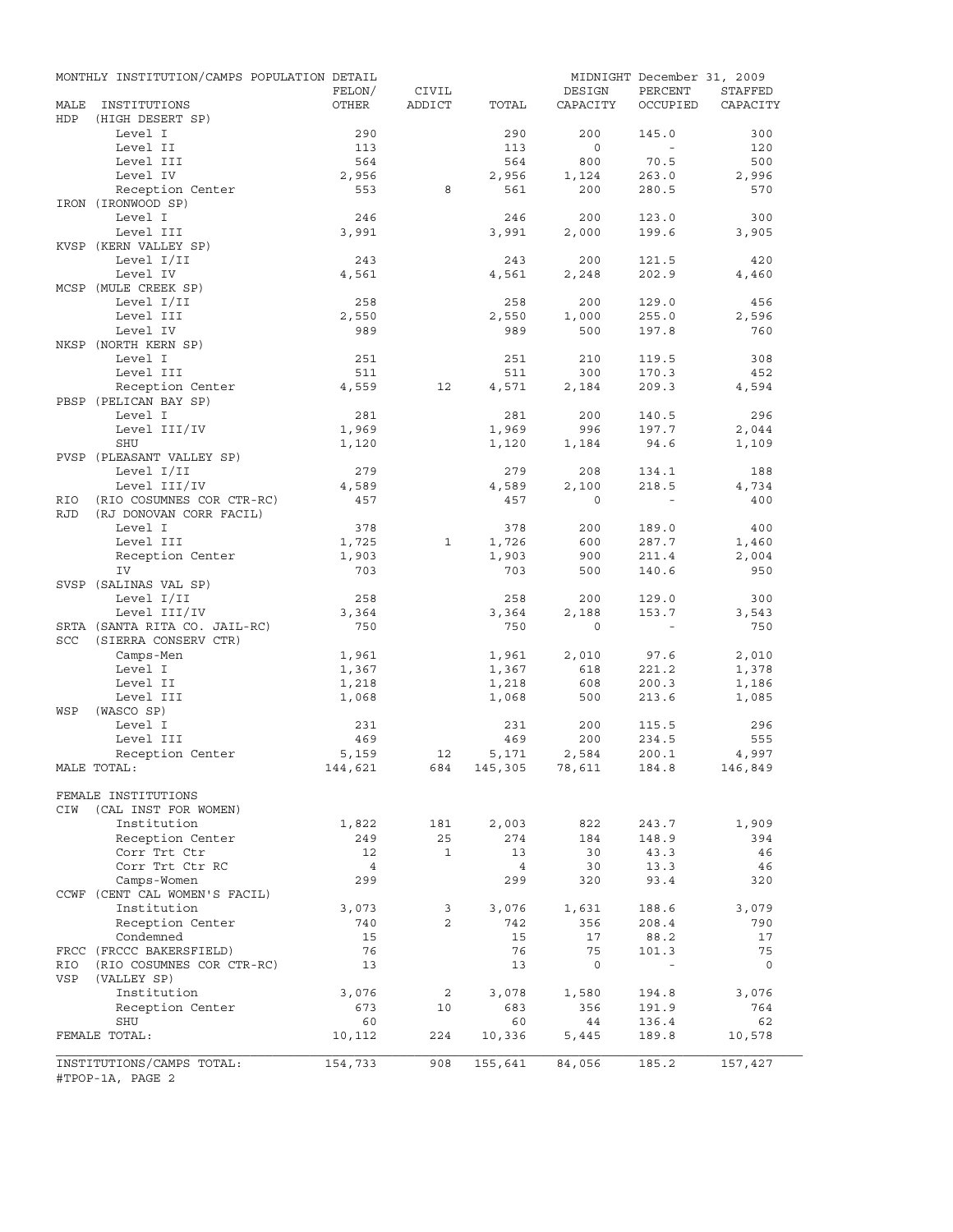|             | MONTHLY INSTITUTION/CAMPS POPULATION DETAIL   | FELON/       | CIVIL        |                    | DESIGN       | MIDNIGHT December 31, 2009<br>PERCENT | STAFFED      |
|-------------|-----------------------------------------------|--------------|--------------|--------------------|--------------|---------------------------------------|--------------|
| MALE<br>HDP | INSTITUTIONS<br>(HIGH DESERT SP)              | OTHER        | ADDICT       | TOTAL              | CAPACITY     | OCCUPIED                              | CAPACITY     |
|             | Level I                                       | 290          |              | 290                | 200          | 145.0                                 | 300          |
|             | Level II                                      | 113          |              | 113                | $\circ$      | $\sim$                                | 120          |
|             | Level III                                     | 564          |              | 564                | 800          | 70.5                                  | 500          |
|             | Level IV                                      | 2,956        |              | 2,956              | 1,124        | 263.0                                 | 2,996        |
|             | Reception Center                              | 553          | 8            | 561                | 200          | 280.5                                 | 570          |
|             | IRON (IRONWOOD SP)                            |              |              |                    |              |                                       |              |
|             | Level I                                       | 246          |              | 246                | 200          | 123.0                                 | 300          |
|             | Level III                                     | 3,991        |              | 3,991              | 2,000        | 199.6                                 | 3,905        |
|             | KVSP (KERN VALLEY SP)                         |              |              |                    |              |                                       |              |
|             | Level I/II                                    | 243          |              | 243                | 200          | 121.5                                 | 420          |
|             | Level IV                                      | 4,561        |              | 4,561              | 2,248        | 202.9                                 | 4,460        |
|             | MCSP (MULE CREEK SP)                          |              |              |                    |              |                                       |              |
|             | Level I/II                                    | 258          |              | 258                | 200          | 129.0                                 | 456          |
|             | Level III                                     | 2,550        |              | 2,550              | 1,000        | 255.0                                 | 2,596        |
|             | Level IV                                      | 989          |              | 989                | 500          | 197.8                                 | 760          |
|             | NKSP (NORTH KERN SP)                          |              |              |                    |              |                                       |              |
|             | Level I                                       | 251          |              | 251                | 210          | 119.5                                 | 308          |
|             | Level III                                     | 511          |              | 511                | 300          | 170.3                                 | 452          |
|             | Reception Center                              | 4,559        | 12           | 4,571              | 2,184        | 209.3                                 | 4,594        |
|             | PBSP (PELICAN BAY SP)                         |              |              |                    |              |                                       |              |
|             | Level I                                       | 281          |              | 281                | 200          | 140.5                                 | 296          |
|             | Level III/IV                                  | 1,969        |              | 1,969              | 996          | 197.7                                 | 2,044        |
|             | SHU                                           | 1,120        |              | 1,120              | 1,184        | 94.6                                  | 1,109        |
|             | PVSP (PLEASANT VALLEY SP)<br>Level I/II       |              |              |                    |              |                                       |              |
|             | Level III/IV                                  | 279<br>4,589 |              | 279<br>4,589       | 208<br>2,100 | 134.1<br>218.5                        | 188<br>4,734 |
| RIO         | (RIO COSUMNES COR CTR-RC)                     | 457          |              | 457                | $\Omega$     |                                       | 400          |
| <b>RJD</b>  | (RJ DONOVAN CORR FACIL)                       |              |              |                    |              |                                       |              |
|             | Level I                                       | 378          |              | 378                | 200          | 189.0                                 | 400          |
|             | Level III                                     | 1,725        | 1            | 1,726              | 600          | 287.7                                 | 1,460        |
|             | Reception Center                              | 1,903        |              | 1,903              | 900          | 211.4                                 | 2,004        |
|             | IV                                            | 703          |              | 703                | 500          | 140.6                                 | 950          |
|             | SVSP (SALINAS VAL SP)                         |              |              |                    |              |                                       |              |
|             | Level I/II                                    | 258          |              | 258                | 200          | 129.0                                 | 300          |
|             | Level III/IV                                  | 3,364        |              | 3,364              | 2,188        | 153.7                                 | 3,543        |
|             | SRTA (SANTA RITA CO. JAIL-RC)                 | 750          |              | 750                | $\circ$      | $\sim$                                | 750          |
| <b>SCC</b>  | (SIERRA CONSERV CTR)                          |              |              |                    |              |                                       |              |
|             | Camps-Men                                     | 1,961        |              | 1,961              | 2,010        | 97.6                                  | 2,010        |
|             | Level I                                       | 1,367        |              | 1,367              | 618          | 221.2                                 | 1,378        |
|             | Level II                                      | 1,218        |              | 1,218              | 608          | 200.3                                 | 1,186        |
|             | Level III                                     | 1,068        |              | 1,068              | 500          | 213.6                                 | 1,085        |
| WSP         | (WASCO SP)                                    |              |              |                    |              |                                       |              |
|             | Level I                                       | 231          |              | 231                | 200          | 115.5                                 | 296          |
|             | Level III                                     | 469          |              | 469                | 200          | 234.5                                 | 555          |
|             | Reception Center                              | 5,159        | 12           | 5,171              | 2,584        | 200.1                                 | 4,997        |
|             | MALE TOTAL:                                   | 144,621      |              | 684 145,305 78,611 |              | 184.8                                 | 146,849      |
|             |                                               |              |              |                    |              |                                       |              |
|             | FEMALE INSTITUTIONS                           |              |              |                    |              |                                       |              |
| CIW         | (CAL INST FOR WOMEN)                          |              |              |                    |              |                                       |              |
|             | Institution                                   | 1,822        | 181          | 2,003              | 822          | 243.7                                 | 1,909        |
|             | Reception Center                              | 249          | 25           | 274                | 184          | 148.9                                 | 394          |
|             | Corr Trt Ctr                                  | 12           | $\mathbf{1}$ | 13                 | 30           | 43.3                                  | 46           |
|             | Corr Trt Ctr RC                               | 4            |              | 4                  | 30           | 13.3                                  | 46           |
|             | Camps-Women                                   | 299          |              | 299                | 320          | 93.4                                  | 320          |
|             | CCWF (CENT CAL WOMEN'S FACIL)                 |              |              |                    |              |                                       |              |
|             | Institution                                   | 3,073        | 3            | 3,076              | 1,631        | 188.6                                 | 3,079        |
|             | Reception Center                              | 740          | 2            | 742                | 356          | 208.4                                 | 790          |
|             | Condemned                                     | 15           |              | 15                 | 17           | 88.2                                  | 17           |
|             | FRCC (FRCCC BAKERSFIELD)                      | 76           |              | 76                 | 75           | 101.3                                 | 75           |
| RIO         | (RIO COSUMNES COR CTR-RC)                     | 13           |              | 13                 | $\mathbf 0$  |                                       | $\circ$      |
| VSP         | (VALLEY SP)                                   |              |              |                    |              |                                       |              |
|             | Institution                                   | 3,076        | 2            | 3,078              | 1,580        | 194.8                                 | 3,076        |
|             | Reception Center                              | 673          | 10           | 683                | 356          | 191.9                                 | 764          |
|             | SHU                                           | 60           |              | 60                 | 44           | 136.4                                 | 62           |
|             | FEMALE TOTAL:                                 | 10,112       | 224          | 10,336             | 5,445        | 189.8                                 | 10,578       |
|             |                                               |              | 908          |                    |              |                                       |              |
|             | INSTITUTIONS/CAMPS TOTAL:<br>#TPOP-1A, PAGE 2 | 154,733      |              | 155,641            | 84,056       | 185.2                                 | 157,427      |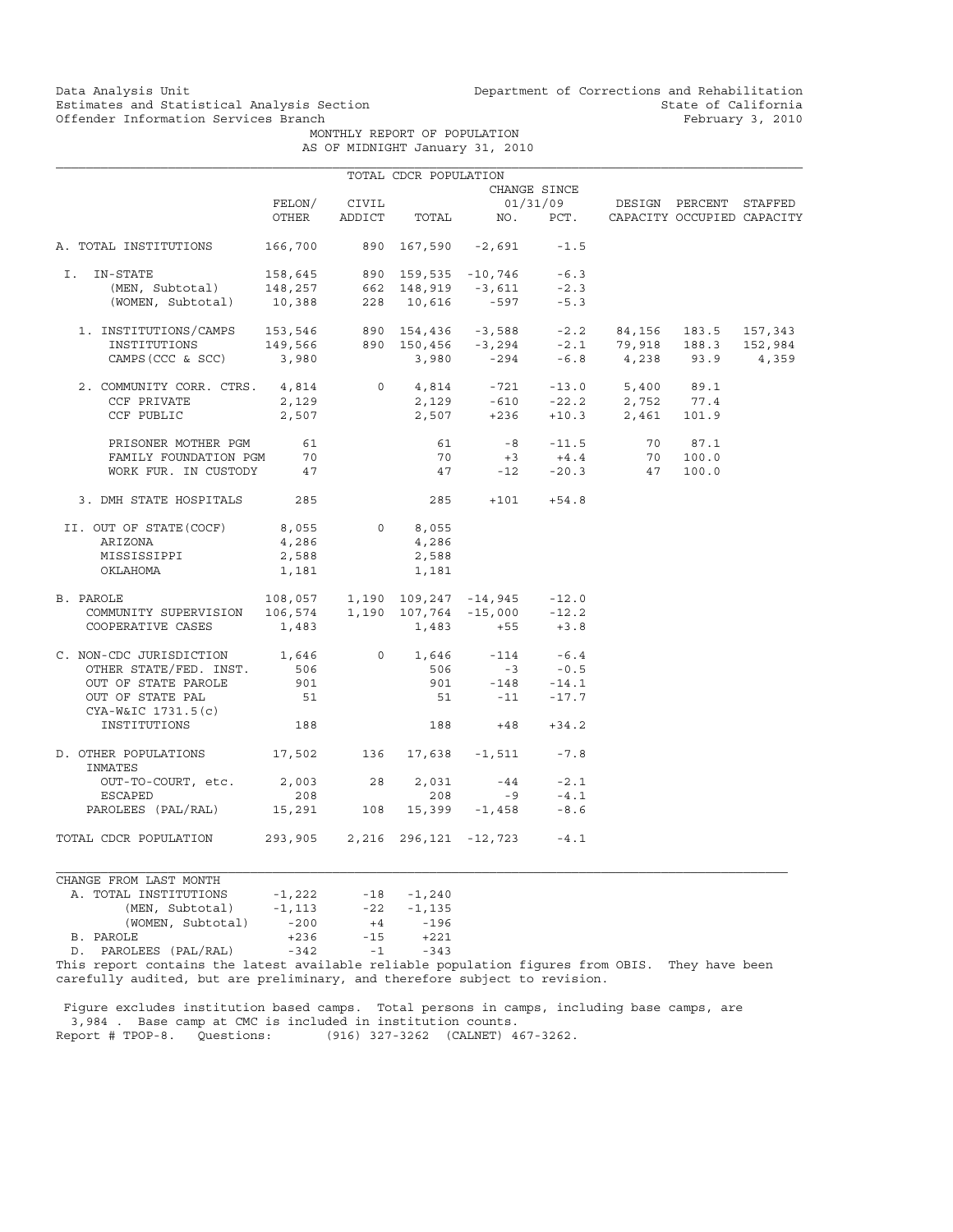Data Analysis Unit Unit Department of Corrections and Rehabilitation<br>Estimates and Statistical Analysis Section State of California Estimates and Statistical Analysis Section and State of California of Estimates and Statistical Analysis Section Section State of California Continued State of California of Eebruary 3, 2010

> MONTHLY REPORT OF POPULATION AS OF MIDNIGHT January 31, 2010

|                                                                                                                                                                                                                                         |                                 |            | TOTAL CDCR POPULATION         |                                       |                             |                                                                              |                            |         |
|-----------------------------------------------------------------------------------------------------------------------------------------------------------------------------------------------------------------------------------------|---------------------------------|------------|-------------------------------|---------------------------------------|-----------------------------|------------------------------------------------------------------------------|----------------------------|---------|
|                                                                                                                                                                                                                                         |                                 |            |                               |                                       | CHANGE SINCE                |                                                                              |                            |         |
|                                                                                                                                                                                                                                         | FELON/                          | CIVIL      |                               |                                       | 01/31/09                    | DESIGN PERCENT STAFFED                                                       |                            |         |
|                                                                                                                                                                                                                                         | OTHER                           | ADDICT     | TOTAL                         |                                       | NO. PCT.                    |                                                                              | CAPACITY OCCUPIED CAPACITY |         |
| A. TOTAL INSTITUTIONS                                                                                                                                                                                                                   | 166,700 890 167,590 -2,691 -1.5 |            |                               |                                       |                             |                                                                              |                            |         |
| I.<br>IN-STATE                                                                                                                                                                                                                          |                                 |            |                               |                                       | $-6.3$                      |                                                                              |                            |         |
|                                                                                                                                                                                                                                         |                                 |            |                               |                                       | $-2.3$                      |                                                                              |                            |         |
| -STATE 158,645 890 159,535 -10,746<br>(MEN, Subtotal) 148,257 662 148,919 -3,611<br>(WOMEN, Subtotal) 10,388 228 10,616 -597                                                                                                            |                                 |            |                               |                                       | $-5.3$                      |                                                                              |                            |         |
| $1. \ \text{INSTITUTIONS/CAMPS} \\\\ 153,546 \\\ 890 \quad 154,436 \\\ -3,588 \\\ -2.2 \\\ 84,156 \\\ 183.5 \\\ 157,343 \\ \text{INSTITUTIONS} \\\\ 149,566 \\\ 890 \quad 150,456 \\\ -3,294 \\\ -2.1 \\\ 79,918 \\\ 183.3 \\\ 152,984$ |                                 |            |                               |                                       |                             |                                                                              |                            |         |
|                                                                                                                                                                                                                                         |                                 |            |                               |                                       |                             |                                                                              |                            | 152,984 |
| $CAMPS (CCC & SCC)$ 3,980                                                                                                                                                                                                               |                                 |            |                               |                                       |                             | $3,980$ $-294$ $-6.8$ $4,238$ $93.9$                                         |                            | 4,359   |
| 2. COMMUNITY CORR. CTRS. 4,814                                                                                                                                                                                                          |                                 |            |                               |                                       |                             |                                                                              |                            |         |
| CCF PRIVATE                                                                                                                                                                                                                             | 2,129                           |            |                               |                                       |                             | $0$ $4,814$ $-721$ $-13.0$ $5,400$ $89.1$<br>2,129 $-610$ $-22.2$ 2,752 77.4 |                            |         |
| CCF PUBLIC                                                                                                                                                                                                                              | 2,507                           |            |                               |                                       |                             | $2,507$ +236 +10.3 2,461 101.9                                               |                            |         |
| PRISONER MOTHER PGM                                                                                                                                                                                                                     | 61                              |            | 61                            |                                       |                             | 70                                                                           | 87.1                       |         |
| FAMILY FOUNDATION PGM                                                                                                                                                                                                                   | 70                              |            | 70                            |                                       | $-8$ $-11.5$<br>$+3$ $+4.4$ | 70                                                                           | 100.0                      |         |
| WORK FUR. IN CUSTODY 47                                                                                                                                                                                                                 |                                 |            |                               | $47 -12 -20.3$                        |                             | 47                                                                           | 100.0                      |         |
| 3. DMH STATE HOSPITALS                                                                                                                                                                                                                  | 285                             |            |                               | $285 + 101 + 54.8$                    |                             |                                                                              |                            |         |
| II. OUT OF STATE (COCF)                                                                                                                                                                                                                 | 8,055                           | $\circ$    | 8,055                         |                                       |                             |                                                                              |                            |         |
| ARIZONA                                                                                                                                                                                                                                 | 4,286                           |            | 4,286                         |                                       |                             |                                                                              |                            |         |
| MISSISSIPPI                                                                                                                                                                                                                             | 2,588                           |            | 2,588                         |                                       |                             |                                                                              |                            |         |
| OKLAHOMA                                                                                                                                                                                                                                | 1,181                           |            | 1,181                         |                                       |                             |                                                                              |                            |         |
| B. PAROLE                                                                                                                                                                                                                               |                                 |            |                               | 108,057 1,190 109,247 -14,945 -12.0   |                             |                                                                              |                            |         |
| COMMUNITY SUPERVISION                                                                                                                                                                                                                   |                                 |            |                               | $106,574$ 1,190 107,764 -15,000 -12.2 |                             |                                                                              |                            |         |
| COOPERATIVE CASES                                                                                                                                                                                                                       | 1,483                           |            | 1,483                         |                                       | $+55$ $+3.8$                |                                                                              |                            |         |
| C. NON-CDC JURISDICTION 1,646                                                                                                                                                                                                           |                                 | $\circ$    |                               | $1,646$ $-114$ $-6.4$                 |                             |                                                                              |                            |         |
| OTHER STATE/FED. INST.                                                                                                                                                                                                                  | 506                             |            |                               | $506 -3 -0.5$                         |                             |                                                                              |                            |         |
| OUT OF STATE PAROLE                                                                                                                                                                                                                     | 901                             |            |                               | 901 -148 -14.1                        |                             |                                                                              |                            |         |
| OUT OF STATE PAL<br>$CYA-W&IC 1731.5(c)$                                                                                                                                                                                                | 51                              |            |                               | $51 - 11 - 17.7$                      |                             |                                                                              |                            |         |
| INSTITUTIONS                                                                                                                                                                                                                            | 188                             |            | 188                           | $+48$                                 | $+34.2$                     |                                                                              |                            |         |
| D. OTHER POPULATIONS<br>INMATES                                                                                                                                                                                                         | 17,502                          | 136        |                               | 17,638 -1,511                         | $-7.8$                      |                                                                              |                            |         |
| OUT-TO-COURT, etc.                                                                                                                                                                                                                      | 2,003                           | 28         | 2,031                         | $-44$                                 | $-2.1$                      |                                                                              |                            |         |
| ESCAPED                                                                                                                                                                                                                                 | 208                             |            | 208                           | $-9$                                  | $-4.1$                      |                                                                              |                            |         |
| PAROLEES (PAL/RAL)                                                                                                                                                                                                                      |                                 | 15,291 108 |                               | $15,399 -1,458$                       | $-8.6$                      |                                                                              |                            |         |
| TOTAL CDCR POPULATION                                                                                                                                                                                                                   |                                 |            | 293,905 2,216 296,121 -12,723 |                                       | $-4.1$                      |                                                                              |                            |         |

## CHANGE FROM LAST MONTH A. TOTAL INSTITUTIONS -1,222 -18 -1,240 (MEN, Subtotal) -1,113 -22 -1,135 (WOMEN, Subtotal) -200 +4 -196<br>LE +236 -15 +221 B. PAROLE D. PAROLEES (PAL/RAL) -342 -1 -343

This report contains the latest available reliable population figures from OBIS. They have been carefully audited, but are preliminary, and therefore subject to revision.

 Figure excludes institution based camps. Total persons in camps, including base camps, are 3,984 . Base camp at CMC is included in institution counts. Report # TPOP-8. Questions: (916) 327-3262 (CALNET) 467-3262.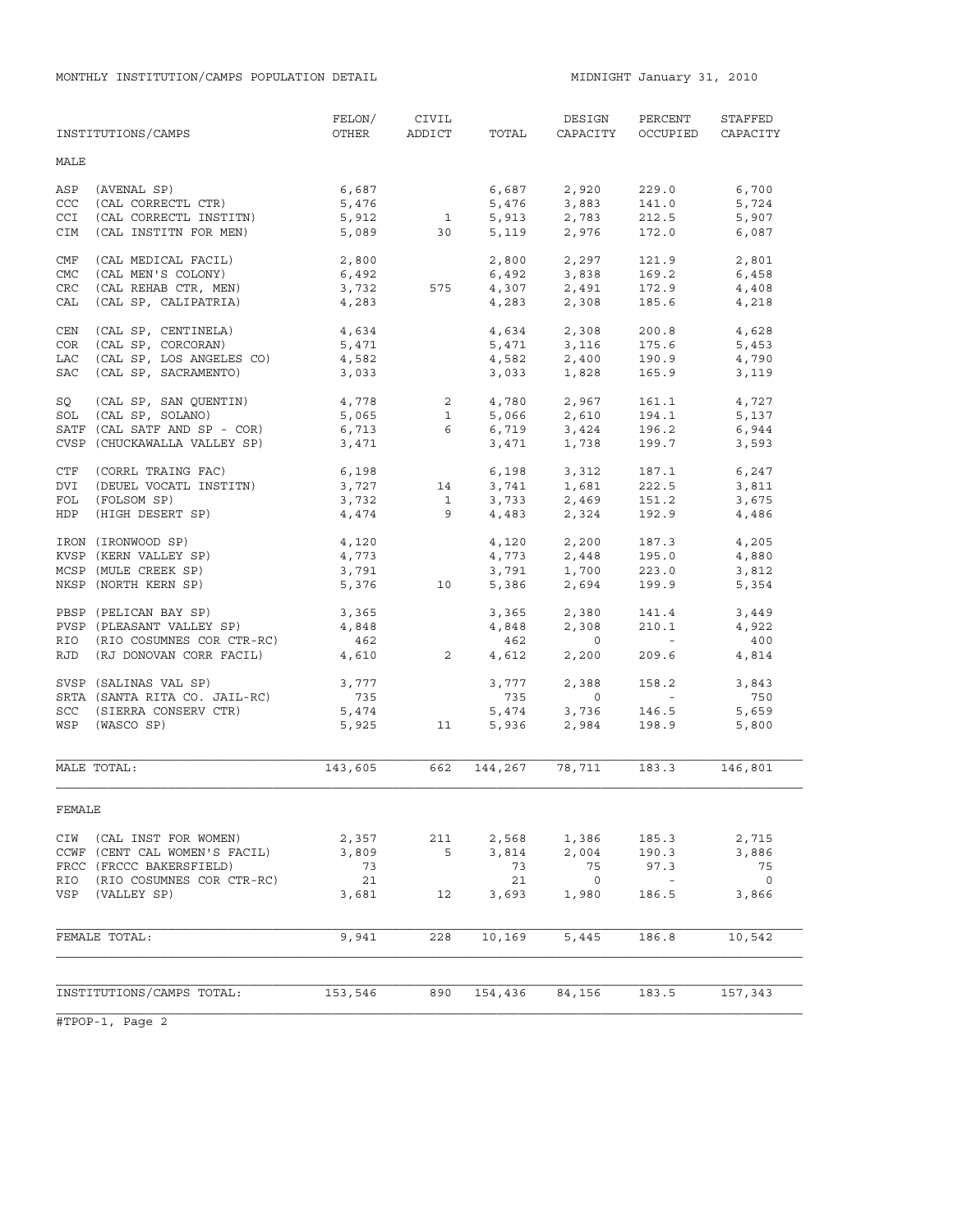|            | INSTITUTIONS/CAMPS                | FELON/<br>OTHER | CIVIL<br>ADDICT | TOTAL          | DESIGN<br>CAPACITY | PERCENT<br>OCCUPIED | STAFFED<br>CAPACITY |
|------------|-----------------------------------|-----------------|-----------------|----------------|--------------------|---------------------|---------------------|
| MALE       |                                   |                 |                 |                |                    |                     |                     |
| ASP<br>CCC | (AVENAL SP)<br>(CAL CORRECTL CTR) | 6,687<br>5,476  |                 | 6,687<br>5,476 | 2,920<br>3,883     | 229.0<br>141.0      | 6,700<br>5,724      |
| CCI        | (CAL CORRECTL INSTITN)            | 5,912           | $\mathbf{1}$    | 5,913          | 2,783              | 212.5               | 5,907               |
| CIM        | (CAL INSTITN FOR MEN)             | 5,089           | 30              | 5,119          | 2,976              | 172.0               | 6,087               |
| CMF        | (CAL MEDICAL FACIL)               | 2,800           |                 | 2,800          | 2,297              | 121.9               | 2,801               |
| <b>CMC</b> | (CAL MEN'S COLONY)                | 6,492           |                 | 6,492          | 3,838              | 169.2               | 6,458               |
| CRC        | (CAL REHAB CTR, MEN)              | 3,732           | 575             |                | 4,307 2,491        | 172.9               | 4,408               |
| CAL        | (CAL SP, CALIPATRIA)              | 4,283           |                 | 4,283          | 2,308              | 185.6               | 4,218               |
| CEN        | (CAL SP, CENTINELA)               | 4,634           |                 | 4,634          | 2,308              | 200.8               | 4,628               |
| COR        | (CAL SP, CORCORAN)                | 5,471           |                 | 5,471          | 3,116              | 175.6               | 5,453               |
| LAC        | (CAL SP, LOS ANGELES CO)          | 4,582           |                 | 4,582          | 2,400              | 190.9               | 4,790               |
| <b>SAC</b> | (CAL SP, SACRAMENTO)              | 3,033           |                 | 3,033          | 1,828              | 165.9               | 3,119               |
| SQ         | (CAL SP, SAN QUENTIN)             | 4,778           | $\overline{2}$  | 4,780          | 2,967              | 161.1               | 4,727               |
| SOL        | (CAL SP, SOLANO)                  | 5,065           | $\mathbf{1}$    | 5,066          | 2,610              | 194.1               | 5,137               |
|            | SATF (CAL SATF AND SP - COR)      | 6,713           | $6 \qquad$      | 6,719          | 3,424              | 196.2               | 6,944               |
|            | CVSP (CHUCKAWALLA VALLEY SP)      | 3,471           |                 | 3,471          | 1,738              | 199.7               | 3,593               |
| CTF        | (CORRL TRAING FAC)                | 6,198           |                 | 6,198          | 3,312              | 187.1               | 6,247               |
| DVI        | (DEUEL VOCATL INSTITN)            | 3,727           | 14              | 3,741          | 1,681              | 222.5               | 3,811               |
| FOL        | (FOLSOM SP)                       | 3,732           | $\mathbf{1}$    | 3,733          | 2,469              | 151.2               | 3,675               |
| HDP        | (HIGH DESERT SP)                  | 4,474           | 9               | 4,483          | 2,324              | 192.9               | 4,486               |
|            | IRON (IRONWOOD SP)                | 4,120           |                 | 4,120          | 2,200              | 187.3               | 4,205               |
|            | KVSP (KERN VALLEY SP)             | 4,773           |                 | 4,773          | 2,448              | 195.0               | 4,880               |
|            | MCSP (MULE CREEK SP)              | 3,791           |                 | 3,791          | 1,700              | 223.0               | 3,812               |
|            | NKSP (NORTH KERN SP)              | 5,376           | 10              | 5,386          | 2,694              | 199.9               | 5,354               |
|            | PBSP (PELICAN BAY SP)             | 3,365           |                 | 3,365          | 2,380              | 141.4               | 3,449               |
|            | PVSP (PLEASANT VALLEY SP)         | 4,848           |                 | 4,848          | 2,308              | 210.1               | 4,922               |
|            | RIO (RIO COSUMNES COR CTR-RC)     | 462             |                 | 462            | $\circ$            | $\sim$ $ \sim$      | 400                 |
| RJD        | (RJ DONOVAN CORR FACIL)           | 4,610           | 2               | 4,612          | 2,200              | 209.6               | 4,814               |
|            | SVSP (SALINAS VAL SP)             | 3,777           |                 | 3,777          | 2,388              | 158.2               | 3,843               |
|            | SRTA (SANTA RITA CO. JAIL-RC)     | 735             |                 | 735            | $\circ$            | $\sim$ $ \sim$      | 750                 |
| SCC        | (SIERRA CONSERV CTR)              | 5,474           |                 | 5,474          | 3,736              | 146.5               | 5,659               |
| WSP        | (WASCO SP)                        | 5,925           | 11              | 5,936          | 2,984              | 198.9               | 5,800               |
|            | MALE TOTAL:                       | 143,605         | 662             | 144,267        | 78,711             | 183.3               | 146,801             |
|            |                                   |                 |                 |                |                    |                     |                     |
| FEMALE     |                                   |                 |                 |                |                    |                     |                     |
|            | CIW (CAL INST FOR WOMEN)          | 2,357           | 211             | 2,568          | 1,386              | 185.3               | 2,715               |
|            | CCWF (CENT CAL WOMEN'S FACIL)     | 3,809           | 5               | 3,814          | 2,004              | 190.3               | 3,886               |
|            | FRCC (FRCCC BAKERSFIELD)          | 73              |                 | 73             | 75                 | 97.3                | 75                  |
| RIO        | (RIO COSUMNES COR CTR-RC)         | 21              |                 | 21             | $\overline{0}$     | $\sim$ $-$          | $\overline{0}$      |
|            | VSP (VALLEY SP)                   | 3,681           | 12              | 3,693          | 1,980              | 186.5               | 3,866               |
|            |                                   |                 |                 |                |                    |                     |                     |
|            | FEMALE TOTAL:                     | 9,941           | 228             | 10,169         | 5,445              | 186.8               | 10,542              |
|            |                                   |                 |                 |                |                    |                     |                     |
|            | INSTITUTIONS/CAMPS TOTAL:         | 153,546         | 890             | 154,436        | 84,156             | 183.5               | 157,343             |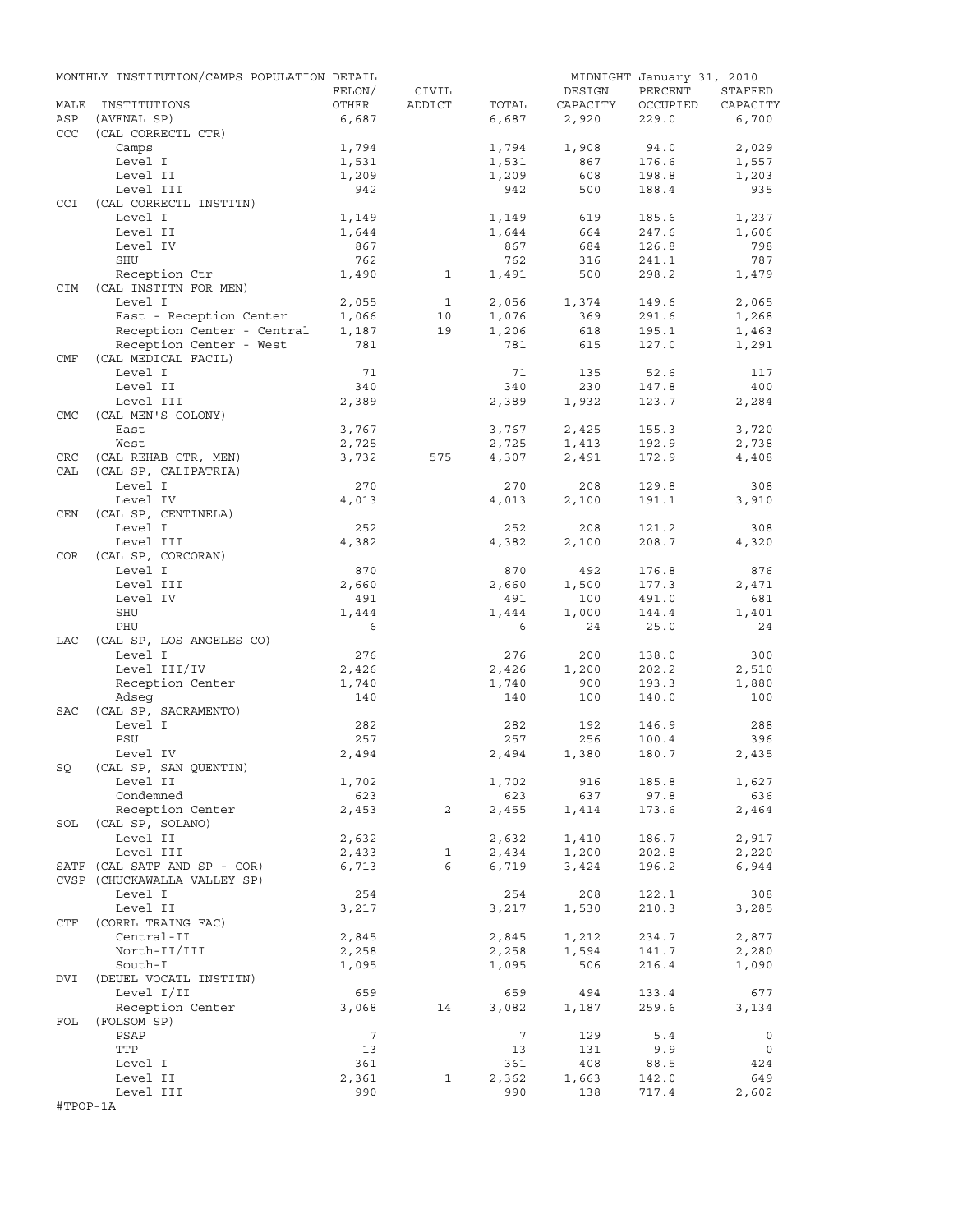|            | MONTHLY INSTITUTION/CAMPS POPULATION DETAIL |                |              |                |                | MIDNIGHT January 31, 2010 |                |
|------------|---------------------------------------------|----------------|--------------|----------------|----------------|---------------------------|----------------|
|            |                                             | FELON/         | CIVIL        |                | DESIGN         | PERCENT                   | STAFFED        |
| MALE       | INSTITUTIONS                                | OTHER          | ADDICT       | TOTAL          | CAPACITY       | OCCUPIED                  | CAPACITY       |
| ASP        | (AVENAL SP)                                 | 6,687          |              | 6,687          | 2,920          | 229.0                     | 6,700          |
| <b>CCC</b> | (CAL CORRECTL CTR)                          |                |              |                | 1,908          | 94.0                      |                |
|            | Camps<br>Level I                            | 1,794<br>1,531 |              | 1,794<br>1,531 | 867            | 176.6                     | 2,029<br>1,557 |
|            | Level II                                    | 1,209          |              | 1,209          | 608            | 198.8                     | 1,203          |
|            | Level III                                   | 942            |              | 942            | 500            | 188.4                     | 935            |
| <b>CCI</b> | (CAL CORRECTL INSTITN)                      |                |              |                |                |                           |                |
|            | Level I                                     | 1,149          |              | 1,149          | 619            | 185.6                     | 1,237          |
|            | Level II                                    | 1,644          |              | 1,644          | 664            | 247.6                     | 1,606          |
|            | Level IV                                    | 867            |              | 867            | 684            | 126.8                     | 798            |
|            | SHU                                         | 762            |              | 762            | 316            | 241.1                     | 787            |
|            | Reception Ctr                               | 1,490          | $\mathbf{1}$ | 1,491          | 500            | 298.2                     | 1,479          |
| CIM        | (CAL INSTITN FOR MEN)                       |                |              |                |                |                           |                |
|            | Level I                                     | 2,055          | $\mathbf{1}$ | 2,056          | 1,374          | 149.6                     | 2,065          |
|            | East - Reception Center                     | 1,066          | 10           | 1,076          | 369            | 291.6                     | 1,268          |
|            | Reception Center - Central                  | 1,187          | 19           | 1,206          | 618            | 195.1                     | 1,463          |
|            | Reception Center - West                     | 781            |              | 781            | 615            | 127.0                     | 1,291          |
| CMF        | (CAL MEDICAL FACIL)                         |                |              |                |                |                           |                |
|            | Level I                                     | 71             |              | 71             | 135            | 52.6                      | 117            |
|            | Level II                                    | 340            |              | 340            | 230            | 147.8                     | 400            |
|            | Level III                                   | 2,389          |              | 2,389          | 1,932          | 123.7                     | 2,284          |
| <b>CMC</b> | (CAL MEN'S COLONY)<br>East                  |                |              |                |                |                           |                |
|            |                                             | 3,767          |              | 3,767          | 2,425          | 155.3                     | 3,720          |
| CRC        | West<br>(CAL REHAB CTR, MEN)                | 2,725<br>3,732 | 575          | 2,725<br>4,307 | 1,413<br>2,491 | 192.9<br>172.9            | 2,738<br>4,408 |
| CAL        | (CAL SP, CALIPATRIA)                        |                |              |                |                |                           |                |
|            | Level I                                     | 270            |              | 270            | 208            | 129.8                     | 308            |
|            | Level IV                                    | 4,013          |              | 4,013          | 2,100          | 191.1                     | 3,910          |
| CEN        | (CAL SP, CENTINELA)                         |                |              |                |                |                           |                |
|            | Level I                                     | 252            |              | 252            | 208            | 121.2                     | 308            |
|            | Level III                                   | 4,382          |              | 4,382          | 2,100          | 208.7                     | 4,320          |
| COR        | (CAL SP, CORCORAN)                          |                |              |                |                |                           |                |
|            | Level I                                     | 870            |              | 870            | 492            | 176.8                     | 876            |
|            | Level III                                   | 2,660          |              | 2,660          | 1,500          | 177.3                     | 2,471          |
|            | Level IV                                    | 491            |              | 491            | 100            | 491.0                     | 681            |
|            | SHU                                         | 1,444          |              | 1,444          | 1,000          | 144.4                     | 1,401          |
|            | PHU                                         | 6              |              | 6              | 24             | 25.0                      | 24             |
| LAC        | (CAL SP, LOS ANGELES CO)                    |                |              |                |                |                           |                |
|            | Level I                                     | 276            |              | 276            | 200            | 138.0                     | 300            |
|            | Level III/IV                                | 2,426          |              | 2,426          | 1,200          | 202.2                     | 2,510          |
|            | Reception Center                            | 1,740          |              | 1,740          | 900            | 193.3                     | 1,880          |
|            | Adseq                                       | 140            |              | 140            | 100            | 140.0                     | 100            |
| SAC        | (CAL SP, SACRAMENTO)                        |                |              |                |                |                           |                |
|            | Level I                                     | 282            |              | 282            | 192            | 146.9                     | 288            |
|            | PSU                                         | 257            |              | 257            | 256            | 100.4                     | 396            |
|            | Level IV                                    | 2,494          |              | 2,494          | 1,380          | 180.7                     | 2,435          |
|            | SQ (CAL SP, SAN QUENTIN)                    |                |              |                |                |                           |                |
|            | Level II<br>Condemned                       | 1,702<br>623   |              | 1,702<br>623   | 916<br>637     | 185.8<br>97.8             | 1,627<br>636   |
|            | Reception Center                            | 2,453          | 2            | 2,455          |                | 173.6                     | 2,464          |
| SOL        | (CAL SP, SOLANO)                            |                |              |                | 1,414          |                           |                |
|            | Level II                                    | 2,632          |              | 2,632          | 1,410          | 186.7                     | 2,917          |
|            | Level III                                   | 2,433          | $\mathbf{1}$ | 2,434          | 1,200          | 202.8                     | 2,220          |
|            | SATF (CAL SATF AND SP - COR)                | 6,713          | 6            | 6,719          | 3,424          | 196.2                     | 6,944          |
|            | CVSP (CHUCKAWALLA VALLEY SP)                |                |              |                |                |                           |                |
|            | Level I                                     | 254            |              | 254            | 208            | 122.1                     | 308            |
|            | Level II                                    | 3,217          |              | 3,217          | 1,530          | 210.3                     | 3,285          |
| CTF        | (CORRL TRAING FAC)                          |                |              |                |                |                           |                |
|            | Central-II                                  | 2,845          |              | 2,845          | 1,212          | 234.7                     | 2,877          |
|            | North-II/III                                | 2,258          |              | 2,258          | 1,594          | 141.7                     | 2,280          |
|            | South-I                                     | 1,095          |              | 1,095          | 506            | 216.4                     | 1,090          |
| DVI        | (DEUEL VOCATL INSTITN)                      |                |              |                |                |                           |                |
|            | Level I/II                                  | 659            |              | 659            | 494            | 133.4                     | 677            |
|            | Reception Center                            | 3,068          | 14           | 3,082          | 1,187          | 259.6                     | 3,134          |
| FOL        | (FOLSOM SP)                                 |                |              |                |                |                           |                |
|            | PSAP                                        | 7              |              | 7              | 129            | 5.4                       | 0              |
|            | TTP                                         | 13             |              | 13             | 131            | 9.9                       | 0              |
|            | Level I                                     | 361            |              | 361            | 408            | 88.5                      | 424            |
|            | Level II                                    | 2,361          | $\mathbf{1}$ | 2,362          | 1,663          | 142.0                     | 649            |
|            | Level III                                   | 990            |              | 990            | 138            | 717.4                     | 2,602          |
| #TPOP-1A   |                                             |                |              |                |                |                           |                |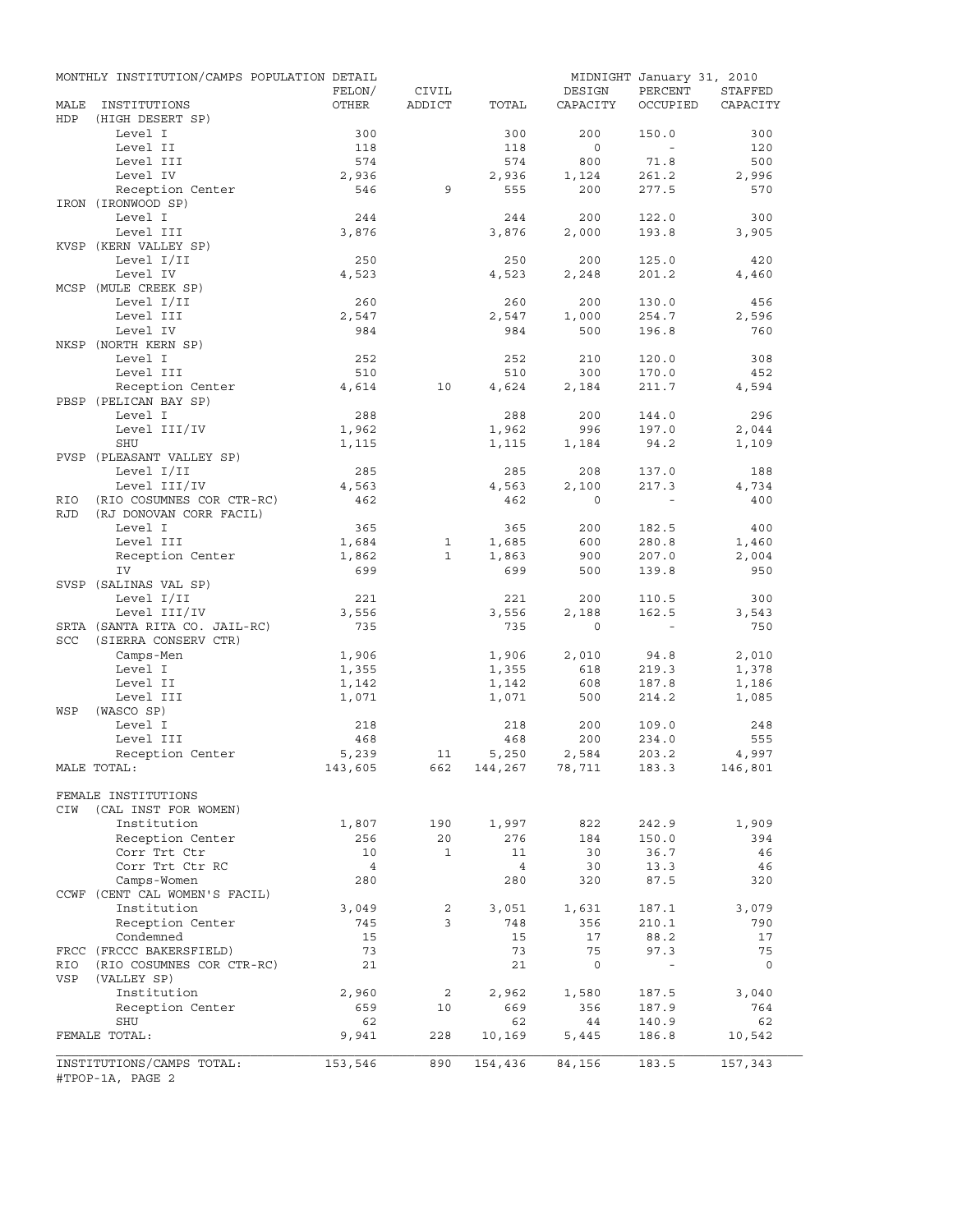|             | MONTHLY INSTITUTION/CAMPS POPULATION DETAIL           |                |              |                |           | MIDNIGHT January 31, 2010 |           |
|-------------|-------------------------------------------------------|----------------|--------------|----------------|-----------|---------------------------|-----------|
|             |                                                       | FELON/         | CIVIL        |                | DESIGN    | PERCENT                   | STAFFED   |
| MALE<br>HDP | INSTITUTIONS<br>(HIGH DESERT SP)                      | OTHER          | ADDICT       | TOTAL          | CAPACITY  | OCCUPIED                  | CAPACITY  |
|             | Level I                                               | 300            |              | 300            | 200       | 150.0                     | 300       |
|             | Level II                                              | 118            |              | 118            | $\circ$   | $\sim$                    | 120       |
|             | Level III                                             | 574            |              | 574            | 800       | 71.8                      | 500       |
|             | Level IV                                              | 2,936          |              | 2,936          | 1,124     | 261.2                     | 2,996     |
|             | Reception Center                                      | 546            | 9            | 555            | 200       | 277.5                     | 570       |
|             | IRON (IRONWOOD SP)                                    |                |              |                |           |                           |           |
|             | Level I                                               | 244            |              | 244            | 200       | 122.0                     | 300       |
|             | Level III<br>KVSP (KERN VALLEY SP)                    | 3,876          |              | 3,876          | 2,000     | 193.8                     | 3,905     |
|             | Level I/II                                            | 250            |              | 250            | 200       | 125.0                     | 420       |
|             | Level IV                                              | 4,523          |              | 4,523          | 2,248     | 201.2                     | 4,460     |
|             | MCSP (MULE CREEK SP)                                  |                |              |                |           |                           |           |
|             | Level I/II                                            | 260            |              | 260            | 200       | 130.0                     | 456       |
|             | Level III                                             | 2,547          |              | 2,547          | 1,000     | 254.7                     | 2,596     |
|             | Level IV                                              | 984            |              | 984            | 500       | 196.8                     | 760       |
|             | NKSP (NORTH KERN SP)                                  |                |              |                |           |                           |           |
|             | Level I                                               | 252            |              | 252            | 210       | 120.0                     | 308       |
|             | Level III                                             | 510            |              | 510            | 300       | 170.0                     | 452       |
|             | Reception Center                                      | 4,614          | 10           | 4,624          | 2,184     | 211.7                     | 4,594     |
|             | PBSP (PELICAN BAY SP)                                 |                |              |                |           |                           |           |
|             | Level I                                               | 288            |              | 288            | 200       | 144.0                     | 296       |
|             | Level III/IV                                          | 1,962          |              | 1,962          | 996       | 197.0                     | 2,044     |
|             | SHU                                                   | 1,115          |              | 1,115          | 1,184     | 94.2                      | 1,109     |
|             | PVSP (PLEASANT VALLEY SP)                             |                |              |                |           |                           |           |
|             | Level I/II                                            | 285            |              | 285            | 208       | 137.0                     | 188       |
|             | Level III/IV                                          | 4,563          |              | 4,563          | 2,100     | 217.3                     | 4,734     |
| RIO         | (RIO COSUMNES COR CTR-RC)                             | 462            |              | 462            | $\Omega$  |                           | 400       |
| <b>RJD</b>  | (RJ DONOVAN CORR FACIL)                               |                |              |                |           |                           |           |
|             | Level I                                               | 365            |              | 365            | 200       | 182.5                     | 400       |
|             | Level III                                             | 1,684          | 1            | 1,685          | 600       | 280.8                     | 1,460     |
|             | Reception Center                                      | 1,862          | $\mathbf{1}$ | 1,863          | 900       | 207.0                     | 2,004     |
|             | IV                                                    | 699            |              | 699            | 500       | 139.8                     | 950       |
|             | SVSP (SALINAS VAL SP)                                 |                |              |                |           |                           |           |
|             | Level I/II                                            | 221            |              | 221            | 200       | 110.5                     | 300       |
|             | Level III/IV                                          | 3,556          |              | 3,556          | 2,188     | 162.5                     | 3,543     |
| SCC         | SRTA (SANTA RITA CO. JAIL-RC)<br>(SIERRA CONSERV CTR) | 735            |              | 735            | $\circ$   | $\sim$                    | 750       |
|             | Camps-Men                                             | 1,906          |              | 1,906          | 2,010     | 94.8                      | 2,010     |
|             | Level I                                               | 1,355          |              | 1,355          | 618       | 219.3                     | 1,378     |
|             | Level II                                              | 1,142          |              | 1,142          | 608       | 187.8                     | 1,186     |
|             | Level III                                             | 1,071          |              | 1,071          | 500       | 214.2                     | 1,085     |
| WSP         | (WASCO SP)                                            |                |              |                |           |                           |           |
|             | Level I                                               | 218            |              | 218            | 200       | 109.0                     | 248       |
|             | Level III                                             | 468            |              | 468            | 200       | 234.0                     | 555       |
|             | Reception Center                                      | 5,239          | 11           | 5,250          | 2,584     | 203.2                     | 4,997     |
|             | MALE TOTAL:                                           | 143,605        | 662          | 144,267 78,711 |           | 183.3                     | 146,801   |
|             |                                                       |                |              |                |           |                           |           |
|             | FEMALE INSTITUTIONS                                   |                |              |                |           |                           |           |
| CIW         | (CAL INST FOR WOMEN)                                  |                |              |                |           |                           |           |
|             | Institution                                           | 1,807          | 190          | 1,997          | 822       | 242.9                     | 1,909     |
|             | Reception Center                                      | 256            | 20           | 276            | 184       | 150.0                     | 394       |
|             | Corr Trt Ctr                                          | 10             | $\mathbf{1}$ | 11             | 30        | 36.7                      | 46        |
|             | Corr Trt Ctr RC                                       | $\overline{4}$ |              | $\overline{4}$ | 30        | 13.3                      | 46        |
|             | Camps-Women                                           | 280            |              | 280            | 320       | 87.5                      | 320       |
|             | CCWF (CENT CAL WOMEN'S FACIL)                         |                |              |                |           |                           |           |
|             | Institution                                           | 3,049          | 2            | 3,051          | 1,631     | 187.1                     | 3,079     |
|             | Reception Center                                      | 745            | 3            | 748            | 356       | 210.1                     | 790       |
|             | Condemned                                             | 15             |              | 15             | 17        | 88.2                      | 17        |
|             | FRCC (FRCCC BAKERSFIELD)                              | 73             |              | 73             | 75        | 97.3                      | 75        |
| RIO         | (RIO COSUMNES COR CTR-RC)                             | 21             |              | 21             | 0         | $\equiv$                  | 0         |
| VSP         | (VALLEY SP)                                           |                |              |                |           |                           |           |
|             | Institution<br>Reception Center                       | 2,960          | 2<br>10      | 2,962          | 1,580     | 187.5                     | 3,040     |
|             | SHU                                                   | 659<br>62      |              | 669<br>62      | 356<br>44 | 187.9<br>140.9            | 764<br>62 |
|             | FEMALE TOTAL:                                         | 9,941          | 228          | 10,169         | 5,445     | 186.8                     | 10,542    |
|             |                                                       |                |              |                |           |                           |           |
|             | INSTITUTIONS/CAMPS TOTAL:                             | 153,546        | 890          | 154,436        | 84,156    | 183.5                     | 157,343   |
|             | #TPOP-1A, PAGE 2                                      |                |              |                |           |                           |           |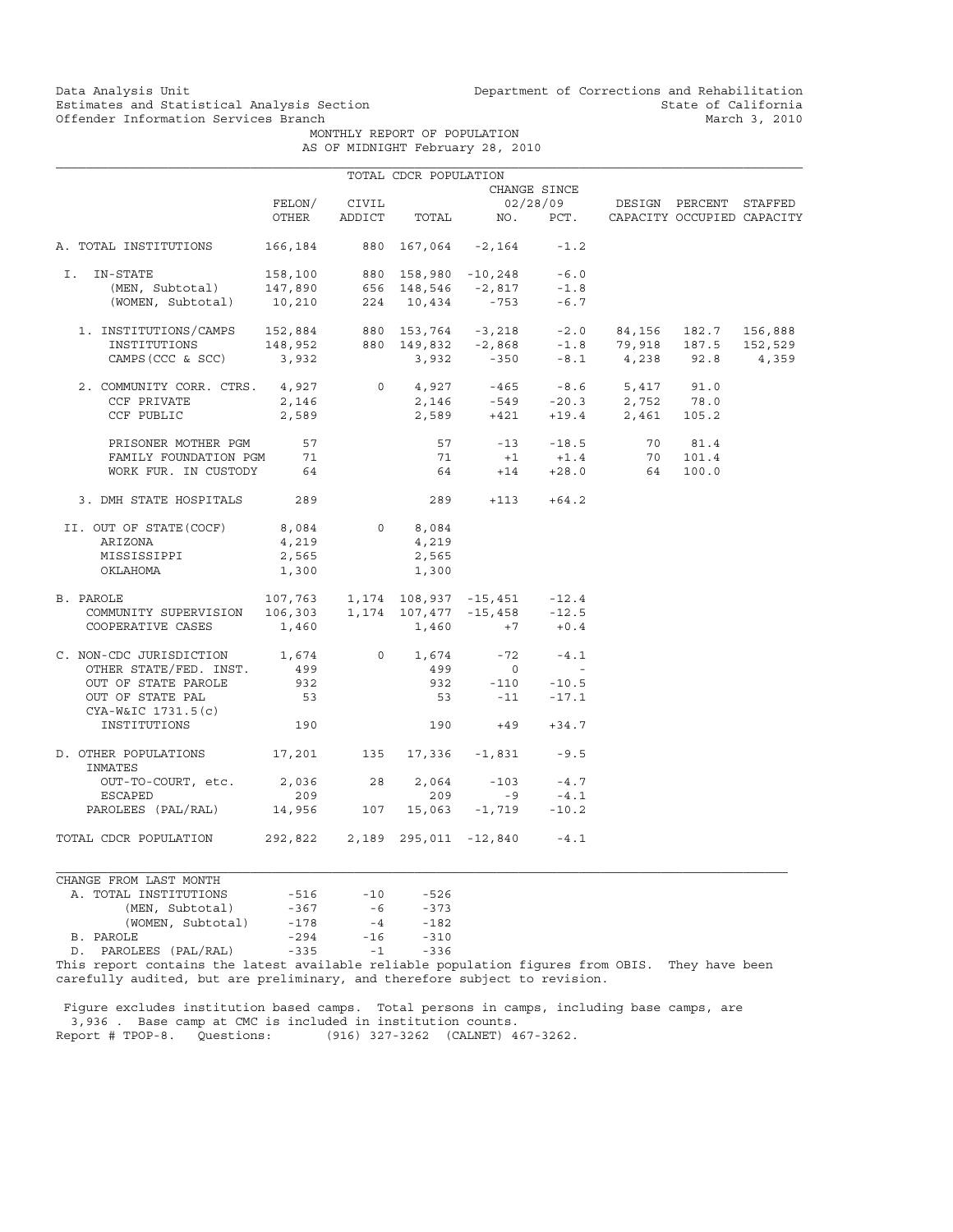Data Analysis Unit Unit Department of Corrections and Rehabilitation<br>Estimates and Statistical Analysis Section State of California Estimates and Statistical Analysis Section<br>
Offender Information Services Branch<br>
March 3, 2010

MONTHLY REPORT OF POPULATION

|  | AS OF MIDNIGHT February 28, 2010 |  |  |
|--|----------------------------------|--|--|
|  |                                  |  |  |

|                                                                                                                                                                                                                                                                                                                                       |       |              | TOTAL CDCR POPULATION |                                         |              |                                                                                                                                                                              |  |
|---------------------------------------------------------------------------------------------------------------------------------------------------------------------------------------------------------------------------------------------------------------------------------------------------------------------------------------|-------|--------------|-----------------------|-----------------------------------------|--------------|------------------------------------------------------------------------------------------------------------------------------------------------------------------------------|--|
|                                                                                                                                                                                                                                                                                                                                       |       |              |                       |                                         | CHANGE SINCE |                                                                                                                                                                              |  |
|                                                                                                                                                                                                                                                                                                                                       |       | FELON/ CIVIL |                       |                                         |              | 02/28/09 DESIGN PERCENT STAFFED                                                                                                                                              |  |
|                                                                                                                                                                                                                                                                                                                                       |       |              |                       |                                         |              | OTHER ADDICT TOTAL NO. PCT. CAPACITY OCCUPIED CAPACITY                                                                                                                       |  |
| A. TOTAL INSTITUTIONS 166,184 880 167,064 -2,164 -1.2                                                                                                                                                                                                                                                                                 |       |              |                       |                                         |              |                                                                                                                                                                              |  |
| I. IN-STATE                                                                                                                                                                                                                                                                                                                           |       |              |                       |                                         |              |                                                                                                                                                                              |  |
|                                                                                                                                                                                                                                                                                                                                       |       |              |                       |                                         |              |                                                                                                                                                                              |  |
| V-STATE 158,100 880 158,980 -10,248 -6.0<br>(MEN, Subtotal) 147,890 656 148,546 -2,817 -1.8<br>(WOMEN, Subtotal) 10,210 224 10,434 -753 -6.7                                                                                                                                                                                          |       |              |                       |                                         |              |                                                                                                                                                                              |  |
|                                                                                                                                                                                                                                                                                                                                       |       |              |                       |                                         |              |                                                                                                                                                                              |  |
|                                                                                                                                                                                                                                                                                                                                       |       |              |                       |                                         |              |                                                                                                                                                                              |  |
| $\begin{tabular}{lcccccc} 1. & \texttt{INSTITUTIONS/CAMPS} & 152,884 & 880 & 153,764 & -3,218 & -2.0 & 84,156 & 182.7 & 156,888 \\ & \texttt{INSTITUTIONS} & 148,952 & 880 & 149,832 & -2,868 & -1.8 & 79,918 & 187.5 & 152,529 \\ & \texttt{CAMPS (CCC & SCC)} & 3,932 & 3,932 & -350 & -8.1 & 4,238 & 92.8 & 4,359 \\ \end{tabular$ |       |              |                       |                                         |              |                                                                                                                                                                              |  |
| 2. COMMUNITY CORR. CTRS. 4,927 0 4,927 -465 -8.6 5,417 91.0                                                                                                                                                                                                                                                                           |       |              |                       |                                         |              |                                                                                                                                                                              |  |
| CCF PRIVATE                                                                                                                                                                                                                                                                                                                           |       |              |                       |                                         |              |                                                                                                                                                                              |  |
| CCF PUBLIC                                                                                                                                                                                                                                                                                                                            |       |              |                       |                                         |              | $2,146$<br>$2,589$<br>$2,589$<br>$2,589$<br>$2,589$<br>$2,589$<br>$2,689$<br>$2,689$<br>$2,689$<br>$2,689$<br>$2,689$<br>$2,689$<br>$2,689$<br>$2,689$<br>$2,689$<br>$2,689$ |  |
| PRISONER MOTHER PGM 57                                                                                                                                                                                                                                                                                                                |       |              |                       |                                         |              |                                                                                                                                                                              |  |
| FAMILY FOUNDATION PGM 71                                                                                                                                                                                                                                                                                                              |       |              |                       |                                         |              |                                                                                                                                                                              |  |
| WORK FUR. IN CUSTODY 64                                                                                                                                                                                                                                                                                                               |       |              |                       |                                         |              | $64 + 14 + 28.0$ $64 100.0$                                                                                                                                                  |  |
| 3. DMH STATE HOSPITALS 289                                                                                                                                                                                                                                                                                                            |       |              |                       | $289 + 113 + 64.2$                      |              |                                                                                                                                                                              |  |
| II. OUT OF STATE (COCF) $8,084$ 0 8,084                                                                                                                                                                                                                                                                                               |       |              |                       |                                         |              |                                                                                                                                                                              |  |
| ARIZONA                                                                                                                                                                                                                                                                                                                               | 4,219 |              | 4,219                 |                                         |              |                                                                                                                                                                              |  |
| MISSISSIPPI                                                                                                                                                                                                                                                                                                                           | 2,565 |              | 2,565                 |                                         |              |                                                                                                                                                                              |  |
| OKLAHOMA                                                                                                                                                                                                                                                                                                                              | 1,300 |              | 1,300                 |                                         |              |                                                                                                                                                                              |  |
| B. PAROLE                                                                                                                                                                                                                                                                                                                             |       |              |                       | 107,763  1,174  108,937  -15,451  -12.4 |              |                                                                                                                                                                              |  |
| COMMUNITY SUPERVISION 106,303 1,174 107,477 -15,458 -12.5                                                                                                                                                                                                                                                                             |       |              |                       |                                         |              |                                                                                                                                                                              |  |
| COOPERATIVE CASES                                                                                                                                                                                                                                                                                                                     | 1,460 |              |                       | $1,460$ +7 +0.4                         |              |                                                                                                                                                                              |  |
| $\begin{tabular}{lcccccc} C. & non-CDC JURISDICTION & & & 1,674 & & 0 & 1,674 & & -72 & & -4.1 \\ & & & & & & & & 499 & & 0 & & - \\ \end{tabular}$                                                                                                                                                                                   |       |              |                       |                                         |              |                                                                                                                                                                              |  |
|                                                                                                                                                                                                                                                                                                                                       |       |              |                       |                                         |              |                                                                                                                                                                              |  |
| OUT OF STATE PAROLE 932                                                                                                                                                                                                                                                                                                               |       |              |                       | 932 -110 -10.5<br>53 -11 -17.1          |              |                                                                                                                                                                              |  |
| OUT OF STATE PAL<br>CYA-W&IC 1731.5(c)                                                                                                                                                                                                                                                                                                | 53    |              |                       |                                         |              |                                                                                                                                                                              |  |
| INSTITUTIONS                                                                                                                                                                                                                                                                                                                          | 190   |              |                       | $190 + 49 + 34.7$                       |              |                                                                                                                                                                              |  |
| D. OTHER POPULATIONS 17, 201 135 17, 336 -1, 831 -9.5<br>INMATES                                                                                                                                                                                                                                                                      |       |              |                       |                                         |              |                                                                                                                                                                              |  |
| OUT-TO-COURT, etc. 2,036 28 2,064 -103 -4.7                                                                                                                                                                                                                                                                                           |       |              |                       |                                         |              |                                                                                                                                                                              |  |
| ESCAPED                                                                                                                                                                                                                                                                                                                               | 209   |              |                       | $209 - 9 - 4.1$                         |              |                                                                                                                                                                              |  |
| PAROLEES (PAL/RAL) 14,956 107 15,063 -1,719 -10.2                                                                                                                                                                                                                                                                                     |       |              |                       |                                         |              |                                                                                                                                                                              |  |
| TOTAL CDCR POPULATION 292,822 2,189 295,011 -12,840 -4.1                                                                                                                                                                                                                                                                              |       |              |                       |                                         |              |                                                                                                                                                                              |  |

CHANGE FROM LAST MONTH A. TOTAL INSTITUTIONS -516 -10 -526 (MEN, Subtotal) -367 -6 -373 (WOMEN, Subtotal) -178 -4 -182 B. PAROLE -294 -16 -310 D. PAROLEES (PAL/RAL) -335 -1 -336

This report contains the latest available reliable population figures from OBIS. They have been carefully audited, but are preliminary, and therefore subject to revision.

 Figure excludes institution based camps. Total persons in camps, including base camps, are 3,936 . Base camp at CMC is included in institution counts. Report # TPOP-8. Questions: (916) 327-3262 (CALNET) 467-3262.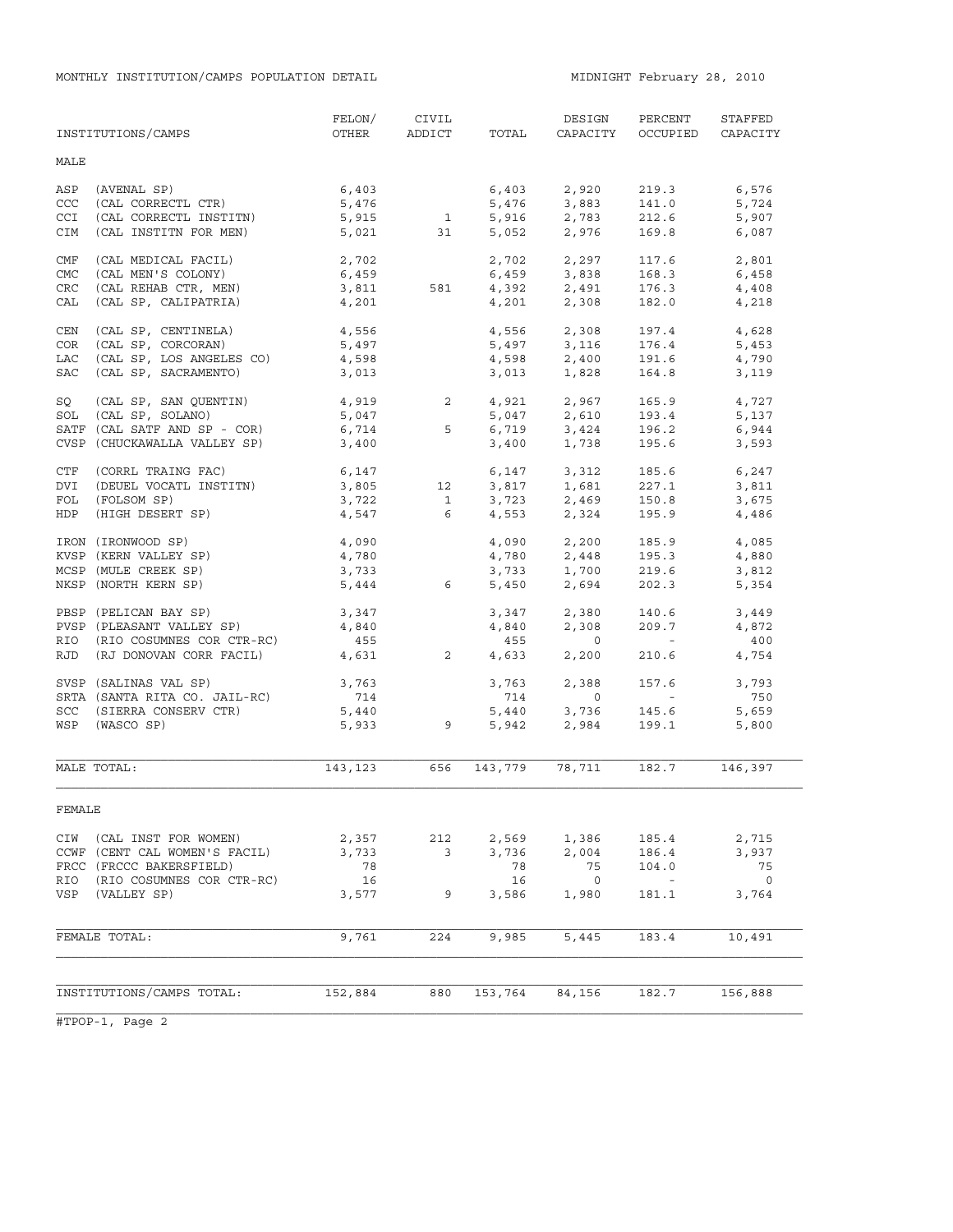|            | INSTITUTIONS/CAMPS            | FELON/<br>OTHER | CIVIL<br>ADDICT | TOTAL   | DESIGN<br>CAPACITY | PERCENT<br>OCCUPIED | STAFFED<br>CAPACITY      |
|------------|-------------------------------|-----------------|-----------------|---------|--------------------|---------------------|--------------------------|
| MALE       |                               |                 |                 |         |                    |                     |                          |
| ASP        | (AVENAL SP)                   | 6,403           |                 | 6,403   | 2,920              | 219.3               | 6,576                    |
| CCC        | (CAL CORRECTL CTR)            | 5,476           |                 | 5,476   | 3,883              | 141.0               | 5,724                    |
| CCI        | (CAL CORRECTL INSTITN)        | 5,915           | $\mathbf{1}$    | 5,916   | 2,783              | 212.6               | 5,907                    |
| CIM        | (CAL INSTITN FOR MEN)         | 5,021           | 31              | 5,052   | 2,976              | 169.8               | 6,087                    |
| CMF        | (CAL MEDICAL FACIL)           | 2,702           |                 |         | 2,702 2,297        | 117.6               | 2,801                    |
| <b>CMC</b> | (CAL MEN'S COLONY)            | 6,459           |                 | 6,459   | 3,838              | 168.3               | 6,458                    |
| CRC        | (CAL REHAB CTR, MEN)          | 3,811           | 581             |         | 4,392 2,491        | 176.3               | 4,408                    |
| CAL        | (CAL SP, CALIPATRIA)          | 4,201           |                 | 4,201   | 2,308              | 182.0               | 4,218                    |
| CEN        | (CAL SP, CENTINELA)           | 4,556           |                 | 4,556   | 2,308              | 197.4               | 4,628                    |
| COR        | (CAL SP, CORCORAN)            | 5,497           |                 | 5,497   | 3,116              | 176.4               | 5,453                    |
| LAC        | (CAL SP, LOS ANGELES CO)      | 4,598           |                 | 4,598   | 2,400              | 191.6               | 4,790                    |
| SAC        | (CAL SP, SACRAMENTO)          | 3,013           |                 | 3,013   | 1,828              | 164.8               | 3,119                    |
| SQ         | (CAL SP, SAN QUENTIN)         | 4,919           | $\overline{2}$  | 4,921   | 2,967              | 165.9               | 4,727                    |
| SOL        | (CAL SP, SOLANO)              | 5,047           |                 | 5,047   | 2,610              | 193.4               | 5,137                    |
|            | SATF (CAL SATF AND SP - COR)  | 6,714           | 5               | 6,719   | 3,424              | 196.2               | 6,944                    |
|            | CVSP (CHUCKAWALLA VALLEY SP)  | 3,400           |                 | 3,400   | 1,738              | 195.6               | 3,593                    |
| CTF        | (CORRL TRAING FAC)            | 6,147           |                 | 6,147   | 3,312              | 185.6               | 6,247                    |
| DVI        | (DEUEL VOCATL INSTITN)        | 3,805           | 12              | 3,817   | 1,681              | 227.1               | 3,811                    |
| FOL        | (FOLSOM SP)                   | 3,722           | $\mathbf{1}$    | 3,723   | 2,469              | 150.8               | 3,675                    |
| HDP        | (HIGH DESERT SP)              | 4,547           | 6               | 4,553   | 2,324              | 195.9               | 4,486                    |
|            | IRON (IRONWOOD SP)            | 4,090           |                 | 4,090   | 2,200              | 185.9               | 4,085                    |
|            | KVSP (KERN VALLEY SP)         | 4,780           |                 | 4,780   | 2,448              | 195.3               | 4,880                    |
|            | MCSP (MULE CREEK SP)          | 3,733           |                 | 3,733   | 1,700              | 219.6               | 3,812                    |
|            | NKSP (NORTH KERN SP)          | 5,444           | 6               | 5,450   | 2,694              | 202.3               | 5,354                    |
|            | PBSP (PELICAN BAY SP)         | 3,347           |                 | 3,347   | 2,380              | 140.6               | 3,449                    |
|            | PVSP (PLEASANT VALLEY SP)     | 4,840           |                 | 4,840   | 2,308              | 209.7               | 4,872                    |
|            | RIO (RIO COSUMNES COR CTR-RC) | 455             |                 | 455     | $\circ$            | $\sim$ $ \sim$      | 400                      |
| RJD        | (RJ DONOVAN CORR FACIL)       | 4,631           | $\overline{2}$  | 4,633   | 2,200              | 210.6               | 4,754                    |
|            | SVSP (SALINAS VAL SP)         | 3,763           |                 | 3,763   | 2,388              | 157.6               | 3,793                    |
|            | SRTA (SANTA RITA CO. JAIL-RC) | 714             |                 | 714     | $\circ$            | $\sim$ $ \sim$      | 750                      |
| SCC        | (SIERRA CONSERV CTR)          | 5,440           |                 | 5,440   | 3,736              | 145.6               | 5,659                    |
| WSP        | (WASCO SP)                    | 5,933           | 9               | 5,942   | 2,984              | 199.1               | 5,800                    |
|            | MALE TOTAL:                   | 143,123         | 656             | 143,779 | 78,711             | 182.7               | 146,397                  |
| FEMALE     |                               |                 |                 |         |                    |                     |                          |
|            | CIW (CAL INST FOR WOMEN)      | 2,357           | 212             | 2,569   | 1,386              | 185.4               | 2,715                    |
|            | CCWF (CENT CAL WOMEN'S FACIL) | 3,733           | 3               | 3,736   | 2,004              | 186.4               | 3,937                    |
|            | FRCC (FRCCC BAKERSFIELD)      | 78              |                 | 78      | 75                 | 104.0               | 75                       |
|            | RIO (RIO COSUMNES COR CTR-RC) | 16              |                 | 16      | $\overline{0}$     | $\sim$ $ \sim$      | $\overline{\phantom{0}}$ |
|            | VSP (VALLEY SP)               | 3,577           | 9               | 3,586   | 1,980              | 181.1               | 3,764                    |
|            |                               |                 |                 |         |                    |                     |                          |
|            | FEMALE TOTAL:                 | 9,761           | 224             | 9,985   | 5,445              | 183.4               | 10,491                   |
|            |                               |                 |                 |         |                    |                     |                          |
|            | INSTITUTIONS/CAMPS TOTAL:     | 152,884         | 880             | 153,764 | 84,156             | 182.7               | 156,888                  |
|            |                               |                 |                 |         |                    |                     |                          |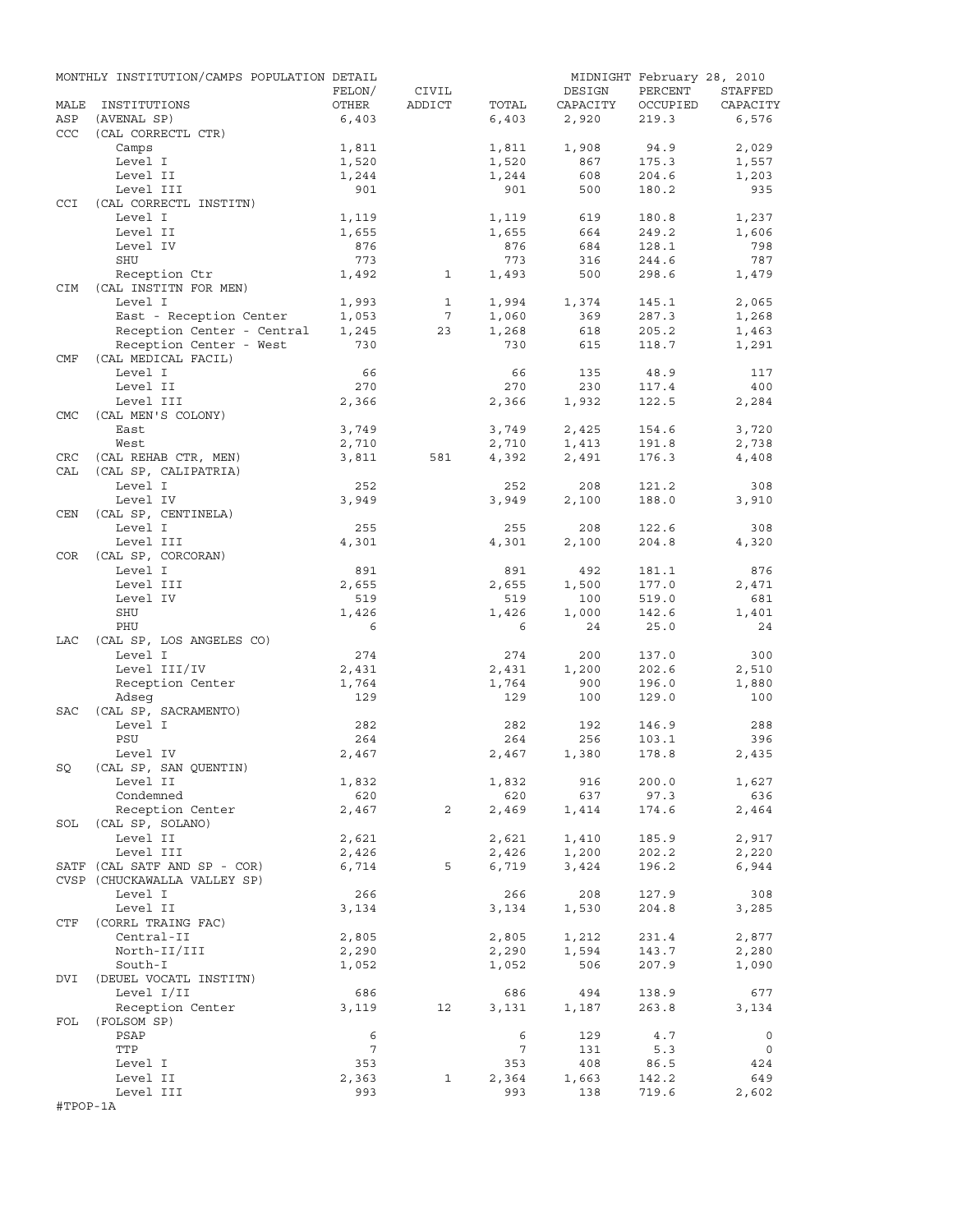|            | MONTHLY INSTITUTION/CAMPS POPULATION DETAIL |                |                 |                     |                | MIDNIGHT February 28, 2010 |                |
|------------|---------------------------------------------|----------------|-----------------|---------------------|----------------|----------------------------|----------------|
|            |                                             | FELON/         | CIVIL           |                     | DESIGN         | PERCENT                    | STAFFED        |
| MALE       | INSTITUTIONS                                | OTHER          | ADDICT          | TOTAL               | CAPACITY       | OCCUPIED                   | CAPACITY       |
| ASP<br>ccc | (AVENAL SP)<br>(CAL CORRECTL CTR)           | 6,403          |                 | 6,403               | 2,920          | 219.3                      | 6,576          |
|            | Camps                                       | 1,811          |                 | 1,811               | 1,908          | 94.9                       | 2,029          |
|            | Level I                                     | 1,520          |                 | 1,520               | 867            | 175.3                      | 1,557          |
|            | Level II                                    | 1,244          |                 | 1,244               | 608            | 204.6                      | 1,203          |
|            | Level III                                   | 901            |                 | 901                 | 500            | 180.2                      | 935            |
| <b>CCI</b> | (CAL CORRECTL INSTITN)                      |                |                 |                     |                |                            |                |
|            | Level I                                     | 1,119          |                 | 1,119               | 619            | 180.8                      | 1,237          |
|            | Level II                                    | 1,655          |                 | 1,655               | 664            | 249.2                      | 1,606          |
|            | Level IV                                    | 876            |                 | 876                 | 684            | 128.1                      | 798            |
|            | SHU                                         | 773            |                 | 773                 | 316            | 244.6                      | 787            |
|            | Reception Ctr<br>(CAL INSTITN FOR MEN)      | 1,492          | $\mathbf{1}$    | 1,493               | 500            | 298.6                      | 1,479          |
| CIM        | Level I                                     | 1,993          | $\mathbf{1}$    | 1,994               | 1,374          | 145.1                      | 2,065          |
|            | East - Reception Center                     | 1,053          | $7\phantom{.0}$ | 1,060               | 369            | 287.3                      | 1,268          |
|            | Reception Center - Central                  | 1,245          | 23              | 1,268               | 618            | 205.2                      | 1,463          |
|            | Reception Center - West                     | 730            |                 | 730                 | 615            | 118.7                      | 1,291          |
| CMF        | (CAL MEDICAL FACIL)                         |                |                 |                     |                |                            |                |
|            | Level I                                     | 66             |                 | 66                  | 135            | 48.9                       | 117            |
|            | Level II                                    | 270            |                 | 270                 | 230            | 117.4                      | 400            |
|            | Level III                                   | 2,366          |                 | 2,366               | 1,932          | 122.5                      | 2,284          |
| <b>CMC</b> | (CAL MEN'S COLONY)                          |                |                 |                     |                |                            |                |
|            | East                                        | 3,749          |                 | 3,749               | 2,425          | 154.6                      | 3,720          |
|            | West                                        | 2,710          |                 | 2,710               | 1,413          | 191.8                      | 2,738          |
| CRC        | (CAL REHAB CTR, MEN)                        | 3,811          | 581             | 4,392               | 2,491          | 176.3                      | 4,408          |
| CAL        | (CAL SP, CALIPATRIA)<br>Level I             | 252            |                 | 252                 | 208            | 121.2                      | 308            |
|            | Level IV                                    | 3,949          |                 | 3,949               | 2,100          | 188.0                      | 3,910          |
| CEN        | (CAL SP, CENTINELA)                         |                |                 |                     |                |                            |                |
|            | Level I                                     | 255            |                 | 255                 | 208            | 122.6                      | 308            |
|            | Level III                                   | 4,301          |                 | 4,301               | 2,100          | 204.8                      | 4,320          |
| COR        | (CAL SP, CORCORAN)                          |                |                 |                     |                |                            |                |
|            | Level I                                     | 891            |                 | 891                 | 492            | 181.1                      | 876            |
|            | Level III                                   | 2,655          |                 | 2,655               | 1,500          | 177.0                      | 2,471          |
|            | Level IV                                    | 519            |                 | 519                 | 100            | 519.0                      | 681            |
|            | SHU                                         | 1,426          |                 | 1,426               | 1,000          | 142.6                      | 1,401          |
|            | PHU                                         | 6              |                 | 6                   | 24             | 25.0                       | 24             |
| LAC        | (CAL SP, LOS ANGELES CO)                    |                |                 |                     |                |                            |                |
|            | Level I<br>Level III/IV                     | 274<br>2,431   |                 | 274<br>2,431        | 200<br>1,200   | 137.0<br>202.6             | 300<br>2,510   |
|            | Reception Center                            | 1,764          |                 | 1,764               | 900            | 196.0                      | 1,880          |
|            | Adseq                                       | 129            |                 | 129                 | 100            | 129.0                      | 100            |
| SAC        | (CAL SP, SACRAMENTO)                        |                |                 |                     |                |                            |                |
|            | Level I                                     | 282            |                 | 282                 | 192            | 146.9                      | 288            |
|            | PSU                                         | 264            |                 | 264                 | 256            | 103.1                      | 396            |
|            | Level IV                                    | 2,467          |                 | 2,467               | 1,380          | 178.8                      | 2,435          |
|            | SQ (CAL SP, SAN QUENTIN)                    |                |                 |                     |                |                            |                |
|            | Level II                                    | 1,832          |                 | 1,832               | 916            | 200.0                      | 1,627          |
|            | Condemned                                   | 620            |                 | 620                 | 637            | 97.3                       | 636            |
|            | Reception Center                            | 2,467          | 2               | 2,469               | 1,414          | 174.6                      | 2,464          |
| SOL        | (CAL SP, SOLANO)                            |                |                 |                     |                |                            |                |
|            | Level II                                    | 2,621          |                 | 2,621               | 1,410          | 185.9                      | 2,917          |
|            | Level III<br>SATF (CAL SATF AND SP - COR)   | 2,426<br>6,714 | 5               | 2,426<br>6,719      | 1,200<br>3,424 | 202.2<br>196.2             | 2,220<br>6,944 |
|            | CVSP (CHUCKAWALLA VALLEY SP)                |                |                 |                     |                |                            |                |
|            | Level I                                     | 266            |                 | 266                 | 208            | 127.9                      | 308            |
|            | Level II                                    | 3,134          |                 | 3,134               | 1,530          | 204.8                      | 3,285          |
| CTF        | (CORRL TRAING FAC)                          |                |                 |                     |                |                            |                |
|            | Central-II                                  | 2,805          |                 | 2,805               | 1,212          | 231.4                      | 2,877          |
|            | North-II/III                                | 2,290          |                 | 2,290               | 1,594          | 143.7                      | 2,280          |
|            | South-I                                     | 1,052          |                 | 1,052               | 506            | 207.9                      | 1,090          |
| DVI        | (DEUEL VOCATL INSTITN)                      |                |                 |                     |                |                            |                |
|            | Level I/II                                  | 686            |                 | 686                 | 494            | 138.9                      | 677            |
|            | Reception Center                            | 3,119          | 12              | 3,131               | 1,187          | 263.8                      | 3,134          |
| FOL        | (FOLSOM SP)                                 |                |                 |                     |                |                            |                |
|            | PSAP<br>TTP                                 | 6<br>7         |                 | 6<br>$7\phantom{.}$ | 129<br>131     | 4.7<br>5.3                 | 0<br>0         |
|            | Level I                                     | 353            |                 | 353                 | 408            | 86.5                       | 424            |
|            | Level II                                    | 2,363          | $\mathbf{1}$    | 2,364               | 1,663          | 142.2                      | 649            |
|            | Level III                                   | 993            |                 | 993                 | 138            | 719.6                      | 2,602          |
| #TPOP-1A   |                                             |                |                 |                     |                |                            |                |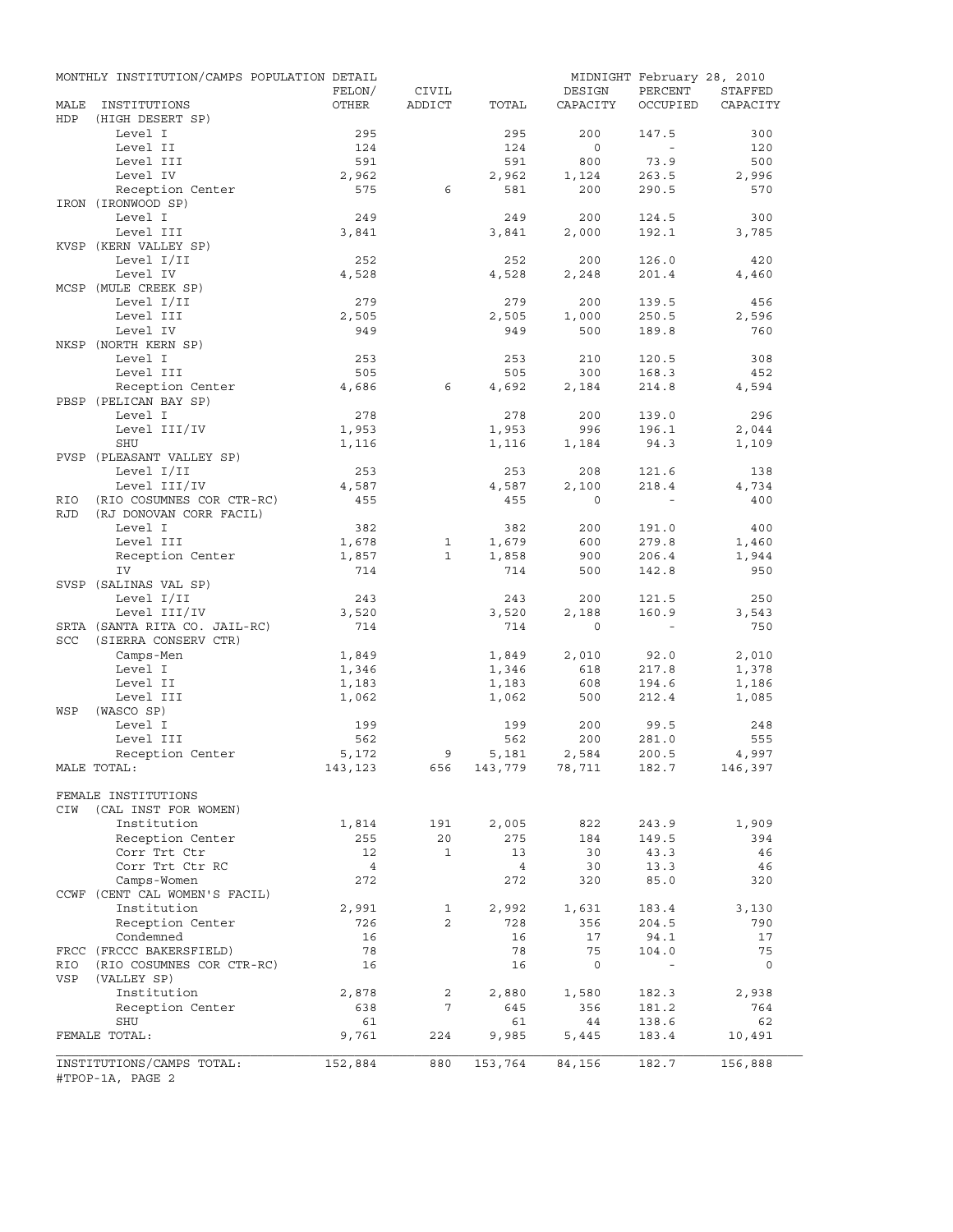|            | MONTHLY INSTITUTION/CAMPS POPULATION DETAIL | FELON/         | CIVIL        |                    | DESIGN       | MIDNIGHT February 28, 2010<br>PERCENT | STAFFED        |
|------------|---------------------------------------------|----------------|--------------|--------------------|--------------|---------------------------------------|----------------|
| MALE       | INSTITUTIONS                                | OTHER          | ADDICT       | TOTAL              | CAPACITY     | OCCUPIED                              | CAPACITY       |
| HDP        | (HIGH DESERT SP)                            |                |              |                    |              |                                       |                |
|            | Level I                                     | 295            |              | 295                | 200          | 147.5                                 | 300            |
|            | Level II                                    | 124            |              | 124                | $\circ$      | $\sim$                                | 120            |
|            | Level III                                   | 591            |              | 591                | 800          | 73.9                                  | 500            |
|            | Level IV<br>Reception Center                | 2,962<br>575   | 6            | 2,962<br>581       | 1,124<br>200 | 263.5<br>290.5                        | 2,996<br>570   |
|            | IRON (IRONWOOD SP)                          |                |              |                    |              |                                       |                |
|            | Level I                                     | 249            |              | 249                | 200          | 124.5                                 | 300            |
|            | Level III                                   | 3,841          |              | 3,841              | 2,000        | 192.1                                 | 3,785          |
|            | KVSP (KERN VALLEY SP)                       |                |              |                    |              |                                       |                |
|            | Level I/II                                  | 252            |              | 252                | 200          | 126.0                                 | 420            |
|            | Level IV                                    | 4,528          |              | 4,528              | 2,248        | 201.4                                 | 4,460          |
|            | MCSP (MULE CREEK SP)                        |                |              |                    |              |                                       |                |
|            | Level I/II                                  | 279            |              | 279                | 200          | 139.5                                 | 456            |
|            | Level III                                   | 2,505          |              | 2,505              | 1,000        | 250.5                                 | 2,596          |
|            | Level IV                                    | 949            |              | 949                | 500          | 189.8                                 | 760            |
|            | NKSP (NORTH KERN SP)<br>Level I             |                |              |                    |              |                                       |                |
|            | Level III                                   | 253<br>505     |              | 253<br>505         | 210<br>300   | 120.5<br>168.3                        | 308<br>452     |
|            | Reception Center                            | 4,686          | 6            | 4,692              | 2,184        | 214.8                                 | 4,594          |
|            | PBSP (PELICAN BAY SP)                       |                |              |                    |              |                                       |                |
|            | Level I                                     | 278            |              | 278                | 200          | 139.0                                 | 296            |
|            | Level III/IV                                | 1,953          |              | 1,953              | 996          | 196.1                                 | 2,044          |
|            | <b>SHU</b>                                  | 1,116          |              | 1,116              | 1,184        | 94.3                                  | 1,109          |
|            | PVSP (PLEASANT VALLEY SP)                   |                |              |                    |              |                                       |                |
|            | Level I/II                                  | 253            |              | 253                | 208          | 121.6                                 | 138            |
|            | Level III/IV                                | 4,587          |              | 4,587              | 2,100        | 218.4                                 | 4,734          |
| RIO        | (RIO COSUMNES COR CTR-RC)                   | 455            |              | 455                | $\Omega$     |                                       | 400            |
| <b>RJD</b> | (RJ DONOVAN CORR FACIL)                     |                |              |                    |              |                                       |                |
|            | Level I                                     | 382            |              | 382                | 200          | 191.0                                 | 400            |
|            | Level III                                   | 1,678          | 1            | 1,679              | 600          | 279.8                                 | 1,460          |
|            | Reception Center                            | 1,857          | $\mathbf{1}$ | 1,858              | 900          | 206.4                                 | 1,944          |
|            | IV                                          | 714            |              | 714                | 500          | 142.8                                 | 950            |
|            | SVSP (SALINAS VAL SP)                       |                |              |                    |              |                                       |                |
|            | Level I/II                                  | 243            |              | 243                | 200          | 121.5                                 | 250            |
|            | Level III/IV                                | 3,520          |              | 3,520              | 2,188        | 160.9                                 | 3,543          |
|            | SRTA (SANTA RITA CO. JAIL-RC)               | 714            |              | 714                | $\circ$      | $\sim$ $-$                            | 750            |
| <b>SCC</b> | (SIERRA CONSERV CTR)                        |                |              |                    |              |                                       |                |
|            | Camps-Men<br>Level I                        | 1,849          |              | 1,849              | 2,010<br>618 | 92.0<br>217.8                         | 2,010          |
|            | Level II                                    | 1,346<br>1,183 |              | 1,346<br>1,183     | 608          | 194.6                                 | 1,378<br>1,186 |
|            | Level III                                   | 1,062          |              | 1,062              | 500          | 212.4                                 | 1,085          |
| WSP        | (WASCO SP)                                  |                |              |                    |              |                                       |                |
|            | Level I                                     | 199            |              | 199                | 200          | 99.5                                  | 248            |
|            | Level III                                   | 562            |              | 562                | 200          | 281.0                                 | 555            |
|            | Reception Center                            | 5,172          | 9            | 5,181              | 2,584        | 200.5                                 | 4,997          |
|            | MALE TOTAL:                                 | 143,123        |              | 656 143,779 78,711 |              | 182.7                                 | 146,397        |
|            |                                             |                |              |                    |              |                                       |                |
|            | FEMALE INSTITUTIONS                         |                |              |                    |              |                                       |                |
| CIW        | (CAL INST FOR WOMEN)                        |                |              |                    |              |                                       |                |
|            | Institution                                 | 1,814          | 191          | 2,005              | 822          | 243.9                                 | 1,909          |
|            | Reception Center                            | 255            | 20           | 275                | 184          | 149.5                                 | 394            |
|            | Corr Trt Ctr                                | 12             | $\mathbf{1}$ | 13                 | 30           | 43.3                                  | 46             |
|            | Corr Trt Ctr RC                             | $\overline{4}$ |              | $\overline{4}$     | 30           | 13.3                                  | 46             |
|            | Camps-Women                                 | 272            |              | 272                | 320          | 85.0                                  | 320            |
|            | CCWF (CENT CAL WOMEN'S FACIL)               |                |              |                    |              |                                       |                |
|            | Institution                                 | 2,991          | 1            | 2,992              | 1,631        | 183.4                                 | 3,130          |
|            | Reception Center                            | 726            | 2            | 728                | 356          | 204.5                                 | 790            |
|            | Condemned<br>FRCC (FRCCC BAKERSFIELD)       | 16<br>78       |              | 16<br>78           | 17<br>75     | 94.1<br>104.0                         | 17<br>75       |
|            |                                             |                |              |                    | $\mathbf 0$  |                                       |                |
| RIO<br>VSP | (RIO COSUMNES COR CTR-RC)<br>(VALLEY SP)    | 16             |              | 16                 |              |                                       | $\circ$        |
|            | Institution                                 | 2,878          | 2            | 2,880              | 1,580        | 182.3                                 | 2,938          |
|            | Reception Center                            | 638            | 7            | 645                | 356          | 181.2                                 | 764            |
|            | SHU                                         | 61             |              | 61                 | 44           | 138.6                                 | 62             |
|            | FEMALE TOTAL:                               | 9,761          | 224          | 9,985              | 5,445        | 183.4                                 | 10,491         |
|            |                                             |                |              |                    |              |                                       |                |
|            | INSTITUTIONS/CAMPS TOTAL:                   | 152,884        | 880          | 153,764            | 84,156       | 182.7                                 | 156,888        |
|            | #TPOP-1A, PAGE 2                            |                |              |                    |              |                                       |                |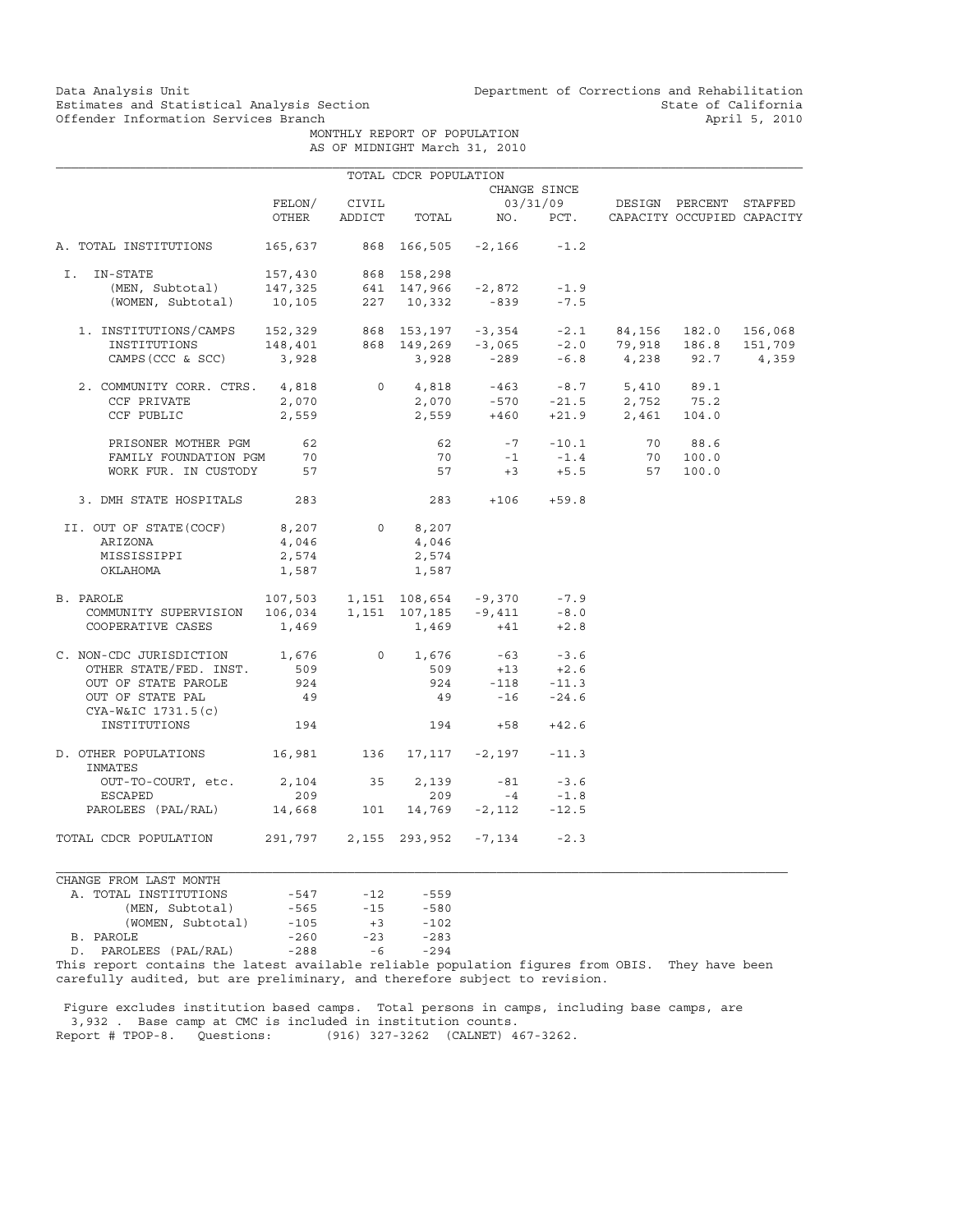MONTHLY REPORT OF POPULATION AS OF MIDNIGHT March 31, 2010

|                                                                                                                                                                                                            |                | TOTAL CDCR POPULATION |       |                                           |              |                                                                                                         |  |  |
|------------------------------------------------------------------------------------------------------------------------------------------------------------------------------------------------------------|----------------|-----------------------|-------|-------------------------------------------|--------------|---------------------------------------------------------------------------------------------------------|--|--|
|                                                                                                                                                                                                            |                |                       |       |                                           | CHANGE SINCE |                                                                                                         |  |  |
|                                                                                                                                                                                                            |                | FELON/ CIVIL          |       |                                           |              | 03/31/09 DESIGN PERCENT STAFFED                                                                         |  |  |
|                                                                                                                                                                                                            | OTHER          |                       |       |                                           |              | ADDICT TOTAL NO. PCT. CAPACITY OCCUPIED CAPACITY                                                        |  |  |
| A. TOTAL INSTITUTIONS                                                                                                                                                                                      |                |                       |       | 165,637 868 166,505 -2,166                | $-1.2$       |                                                                                                         |  |  |
|                                                                                                                                                                                                            |                |                       |       |                                           |              |                                                                                                         |  |  |
| I. IN-STATE<br>1-STATE 157,430 868 158,298<br>(MEN, Subtotal) 147,325 641 147,966 -2,872 -1.9<br>(WOMEN, Subtotal) 10,105 227 10,332 -839 -7.5                                                             |                |                       |       |                                           |              |                                                                                                         |  |  |
|                                                                                                                                                                                                            |                |                       |       |                                           |              |                                                                                                         |  |  |
|                                                                                                                                                                                                            |                |                       |       |                                           |              |                                                                                                         |  |  |
|                                                                                                                                                                                                            |                |                       |       |                                           |              |                                                                                                         |  |  |
|                                                                                                                                                                                                            |                |                       |       |                                           |              |                                                                                                         |  |  |
| 1. INSTITUTIONS/CAMPS 152,329 868 153,197 -3,354 -2.1 84,156 182.0 156,068<br>INSTITUTIONS 148,401 868 149,269 -3,065 -2.0 79,918 186.8 151,709<br>CAMPS(CCC & SCC) 3,928 3,928 -289 -6.8 4,238 92.7 4,359 |                |                       |       |                                           |              |                                                                                                         |  |  |
| 2. COMMUNITY CORR. CTRS. 4,818 0 4,818 -463 -8.7 5,410 89.1                                                                                                                                                |                |                       |       |                                           |              |                                                                                                         |  |  |
| CCF PRIVATE                                                                                                                                                                                                |                |                       |       |                                           |              |                                                                                                         |  |  |
|                                                                                                                                                                                                            | 2,070          |                       |       |                                           |              | 2,070 -570 -21.5 2,752 75.2<br>2,559 +460 +21.9 2,461 104.0                                             |  |  |
| CCF PUBLIC                                                                                                                                                                                                 | 2,559          |                       |       |                                           |              |                                                                                                         |  |  |
| PRISONER MOTHER PGM 62                                                                                                                                                                                     |                |                       |       |                                           |              | 62 $-7$ $-10.1$ 70 88.6                                                                                 |  |  |
|                                                                                                                                                                                                            |                |                       |       |                                           |              |                                                                                                         |  |  |
| FAMILY FOUNDATION PGM 70<br>WORK FUR. IN CUSTODY 57                                                                                                                                                        |                |                       |       |                                           |              | $\begin{array}{ccccccccc}\n70 & -1 & -1.4 & & 70 & 100.0 \\ 57 & +3 & +5.5 & & 57 & 100.0\n\end{array}$ |  |  |
| 3. DMH STATE HOSPITALS 283                                                                                                                                                                                 |                |                       |       | $283 + 106 + 59.8$                        |              |                                                                                                         |  |  |
| II. OUT OF STATE (COCF) 8,207 0 8,207                                                                                                                                                                      |                |                       |       |                                           |              |                                                                                                         |  |  |
| ARIZONA                                                                                                                                                                                                    | 4,046          |                       | 4,046 |                                           |              |                                                                                                         |  |  |
| MISSISSIPPI                                                                                                                                                                                                |                |                       | 2,574 |                                           |              |                                                                                                         |  |  |
| OKLAHOMA                                                                                                                                                                                                   | 2,574<br>1,587 |                       | 1,587 |                                           |              |                                                                                                         |  |  |
|                                                                                                                                                                                                            |                |                       |       |                                           |              |                                                                                                         |  |  |
| B. PAROLE                                                                                                                                                                                                  |                |                       |       | 107,503  1,151  108,654  -9,370  -7.9     |              |                                                                                                         |  |  |
|                                                                                                                                                                                                            |                |                       |       |                                           |              |                                                                                                         |  |  |
| COMMUNITY SUPERVISION  106,034  1,151  107,185  -9,411  -8.0<br>COOPERATIVE CASES  1,469  1,469  +41  +2.8                                                                                                 |                |                       |       |                                           |              |                                                                                                         |  |  |
| C. NON-CDC JURISDICTION 1,676                                                                                                                                                                              |                |                       |       | $0 \t 1,676 \t -63 \t -3.6$               |              |                                                                                                         |  |  |
| OTHER STATE/FED. INST. 509                                                                                                                                                                                 |                |                       |       |                                           |              |                                                                                                         |  |  |
| OUT OF STATE PAROLE                                                                                                                                                                                        | 924            |                       |       | $-509$ $+13$ $+2.6$<br>924 $-118$ $-11.3$ |              |                                                                                                         |  |  |
| OUT OF STATE PAL                                                                                                                                                                                           | 49             |                       |       | $49 - 16 - 24.6$                          |              |                                                                                                         |  |  |
| CYA-W&IC 1731.5(c)                                                                                                                                                                                         |                |                       |       |                                           |              |                                                                                                         |  |  |
| INSTITUTIONS                                                                                                                                                                                               | 194            |                       |       | $194 +58 +42.6$                           |              |                                                                                                         |  |  |
| D. OTHER POPULATIONS 16,981 136 17,117 -2,197 -11.3<br>INMATES                                                                                                                                             |                |                       |       |                                           |              |                                                                                                         |  |  |
| OUT-TO-COURT, etc. 2, 104 35 2, 139 -81 -3.6                                                                                                                                                               |                |                       |       |                                           |              |                                                                                                         |  |  |
|                                                                                                                                                                                                            |                |                       |       |                                           |              |                                                                                                         |  |  |
| $\begin{tabular}{lcccccc} \texttt{ESCAPED} & & 209 & & 209 & & -4 & -1.8 \\ \texttt{PAROLEES} & (\texttt{PAL} / \texttt{RAL}) & & 14,668 & & 101 & 14,769 & -2,112 & -12.5 \\ \end{tabular}$               |                |                       |       |                                           |              |                                                                                                         |  |  |
| TOTAL CDCR POPULATION                                                                                                                                                                                      |                |                       |       | 291,797  2,155  293,952  -7,134  -2.3     |              |                                                                                                         |  |  |

| CHANGE FROM LAST MONTH   |        |       |        |  |  |  |  |  |
|--------------------------|--------|-------|--------|--|--|--|--|--|
| A. TOTAL INSTITUTIONS    | $-547$ | $-12$ | $-559$ |  |  |  |  |  |
| (MEN, Subtotal)          | $-565$ | $-15$ | $-580$ |  |  |  |  |  |
| (WOMEN, Subtotal)        | $-105$ | $+3$  | $-102$ |  |  |  |  |  |
| B. PAROLE                | $-260$ | $-23$ | $-283$ |  |  |  |  |  |
| PAROLEES (PAL/RAL)<br>D. | $-288$ | $-6$  | $-294$ |  |  |  |  |  |
|                          |        |       |        |  |  |  |  |  |

This report contains the latest available reliable population figures from OBIS. They have been carefully audited, but are preliminary, and therefore subject to revision.

 Figure excludes institution based camps. Total persons in camps, including base camps, are 3,932 . Base camp at CMC is included in institution counts. Report # TPOP-8. Questions: (916) 327-3262 (CALNET) 467-3262.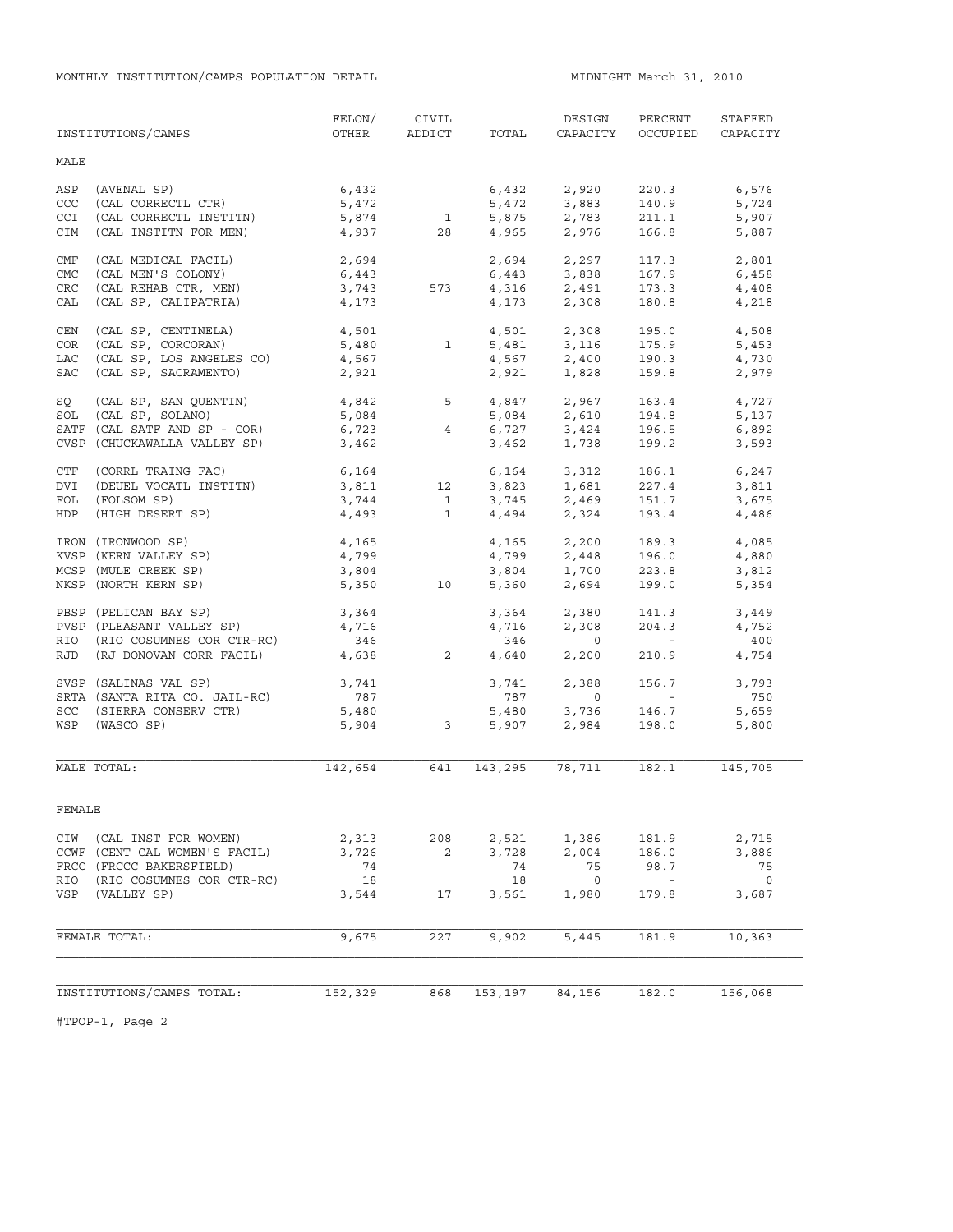MONTHLY INSTITUTION/CAMPS POPULATION DETAIL **MIDNIGHT MARCH 31, 2010** 

|            | INSTITUTIONS/CAMPS            | FELON/<br>OTHER    | CIVIL<br>ADDICT         | TOTAL          | DESIGN<br>CAPACITY                 | PERCENT<br>OCCUPIED      | STAFFED<br>CAPACITY |
|------------|-------------------------------|--------------------|-------------------------|----------------|------------------------------------|--------------------------|---------------------|
| MALE       |                               |                    |                         |                |                                    |                          |                     |
| ASP        | (AVENAL SP)                   | 6,432              |                         | 6,432          | 2,920                              | 220.3                    | 6,576               |
| CCC        | (CAL CORRECTL CTR)            | 5,472              |                         | 5,472          | 3,883                              | 140.9                    | 5,724               |
| <b>CCI</b> | (CAL CORRECTL INSTITN)        | 5,874              | $\overline{1}$          |                | 5,875 2,783                        | 211.1                    | 5,907               |
| CIM        | (CAL INSTITN FOR MEN)         | 4,937              | 28                      | 4,965          | 2,976                              | 166.8                    | 5,887               |
| CMF        | (CAL MEDICAL FACIL)           | 2,694              |                         | 2,694          | 2,297                              | 117.3                    | 2,801               |
| <b>CMC</b> | (CAL MEN'S COLONY)            | 6,443              |                         |                | 6,443 3,838                        | 167.9                    | 6,458               |
| CRC        | (CAL REHAB CTR, MEN)          | 3,743              | 573                     |                | 4,316 2,491                        | 173.3                    | 4,408               |
| CAL        | (CAL SP, CALIPATRIA)          | 4,173              |                         |                | $4,173$ 2,308                      | 180.8                    | 4,218               |
| CEN        | (CAL SP, CENTINELA)           | 4,501              |                         |                | 4,501 2,308                        | 195.0                    | 4,508               |
| COR        | (CAL SP, CORCORAN)            | 5,480              | $\mathbf{1}$            | 5,481          | 3,116                              | 175.9                    | 5,453               |
| LAC        | (CAL SP, LOS ANGELES CO)      | 4,567              |                         |                | 4,567 2,400                        | 190.3                    | 4,730               |
| SAC        | (CAL SP, SACRAMENTO)          | 2,921              |                         | 2,921          | 1,828                              | 159.8                    | 2,979               |
| SQ         | (CAL SP, SAN QUENTIN)         | $4,842$ 5<br>5,084 |                         |                | 4,847 2,967                        | 163.4                    | 4,727               |
| SOL        | (CAL SP, SOLANO)              |                    |                         |                | $5,084$ $2,610$                    | 194.8                    | 5,137               |
|            | SATF (CAL SATF AND SP - COR)  | 6,723              | 4                       |                |                                    |                          | 6,892               |
|            | CVSP (CHUCKAWALLA VALLEY SP)  | 3,462              |                         | 6,727<br>3,462 | 3,424<br>1,738                     | 196.5<br>199.2           | 3,593               |
| CTF        | (CORRL TRAING FAC)            | 6,164              |                         |                | 6,164 3,312                        | 186.1                    | 6,247               |
| DVI        | (DEUEL VOCATL INSTITN)        |                    | 3,811 12                |                |                                    | 227.4                    | 3,811               |
| FOL        | (FOLSOM SP)                   | 3,744              | 1                       |                | 3,823 1,681<br>3,745 2,469         | 151.7                    | 3,675               |
| HDP        | (HIGH DESERT SP)              | 4,493              | $\mathbf{1}$            |                | 4,494 2,324                        | 193.4                    | 4,486               |
|            | IRON (IRONWOOD SP)            | 4,165              |                         |                | $4,165$ $2,200$<br>$4,799$ $2,448$ | 189.3                    | 4,085               |
|            | KVSP (KERN VALLEY SP)         | 4,799              |                         |                |                                    | 196.0                    | 4,880               |
|            | MCSP (MULE CREEK SP)          | 3,804              |                         |                |                                    | 223.8                    | 3,812               |
|            | NKSP (NORTH KERN SP)          | 5,350              | 10                      | 3,804<br>5,360 | 1,700<br>2,694                     | 199.0                    | 5,354               |
|            | PBSP (PELICAN BAY SP)         | 3,364              |                         | 3,364          | 2,380                              | 141.3                    | 3,449               |
|            | PVSP (PLEASANT VALLEY SP)     | 4,716              |                         | 4,716          | 2,308                              | 204.3                    | 4,752               |
| RIO        | (RIO COSUMNES COR CTR-RC)     | 346                |                         | 346            | $\overline{0}$                     | <b>Contractor</b>        | 400                 |
| RJD        | (RJ DONOVAN CORR FACIL)       | 4,638              | 2                       | 4,640          | 2,200                              | 210.9                    | 4,754               |
|            | SVSP (SALINAS VAL SP)         | 3,741              |                         | 3,741          | 2,388                              | 156.7                    | 3,793               |
|            | SRTA (SANTA RITA CO. JAIL-RC) | 787                |                         | 787            | $\overline{0}$                     | <b>Contractor</b>        | 750                 |
|            | SCC (SIERRA CONSERV CTR)      | 5,480              |                         | 5,480          | 3,736<br>2,984                     | 146.7                    | 5,659               |
|            | WSP (WASCO SP)                | 5,904              | $\overline{\mathbf{3}}$ | 5,907          |                                    | 198.0                    | 5,800               |
|            | MALE TOTAL:                   | 142,654            | 641                     | 143,295        | 78,711                             | 182.1                    | 145,705             |
| FEMALE     |                               |                    |                         |                |                                    |                          |                     |
|            |                               |                    |                         |                |                                    |                          |                     |
| CIW        | (CAL INST FOR WOMEN)          | 2,313              | 208                     | 2,521          | 1,386                              | 181.9                    | 2,715               |
|            | CCWF (CENT CAL WOMEN'S FACIL) | 3,726              | 2                       | 3,728          | 2,004                              | 186.0                    | 3,886               |
|            | FRCC (FRCCC BAKERSFIELD)      | 74                 |                         | 74             | 75                                 | 98.7                     | 75                  |
| RIO        | (RIO COSUMNES COR CTR-RC)     | 18                 |                         | 18             | $\overline{0}$                     | $\overline{\phantom{a}}$ | $\circ$             |
| VSP        | (VALLEY SP)                   | 3,544              | 17                      | 3,561          | 1,980                              | 179.8                    | 3,687               |
|            | FEMALE TOTAL:                 | 9,675              | 227                     | 9,902          | 5,445                              | 181.9                    | 10,363              |
|            |                               |                    |                         |                |                                    |                          |                     |
|            | INSTITUTIONS/CAMPS TOTAL:     | 152,329            | 868                     | 153,197        | 84,156                             | 182.0                    | 156,068             |
|            |                               |                    |                         |                |                                    |                          |                     |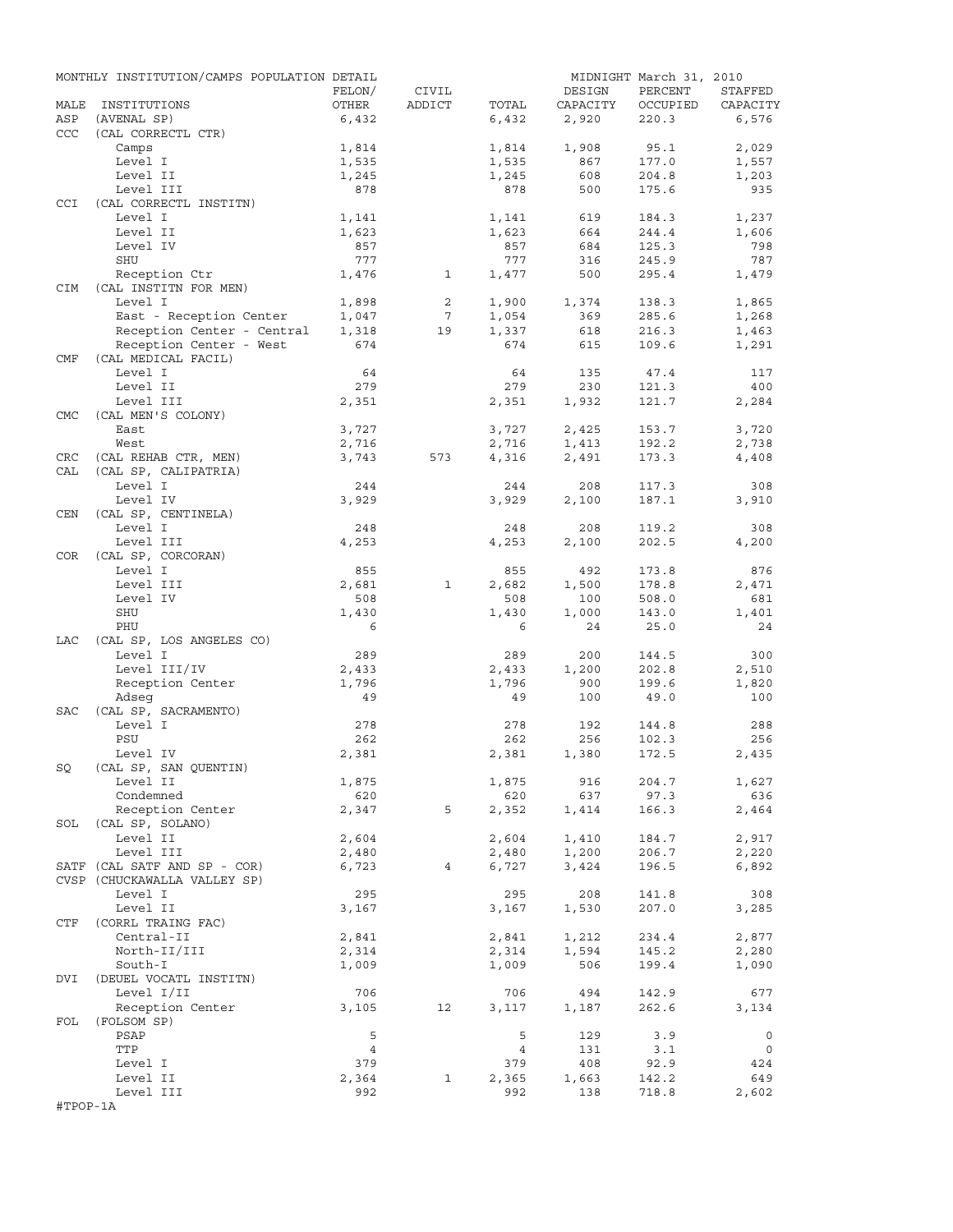|             | MONTHLY INSTITUTION/CAMPS POPULATION DETAIL |                |                 |                |                   | MIDNIGHT March 31, 2010 |                   |
|-------------|---------------------------------------------|----------------|-----------------|----------------|-------------------|-------------------------|-------------------|
|             |                                             | FELON/         | CIVIL           |                | DESIGN            | PERCENT                 | STAFFED           |
| MALE<br>ASP | INSTITUTIONS<br>(AVENAL SP)                 | OTHER<br>6,432 | ADDICT          | TOTAL<br>6,432 | CAPACITY<br>2,920 | OCCUPIED<br>220.3       | CAPACITY<br>6,576 |
| <b>CCC</b>  | (CAL CORRECTL CTR)                          |                |                 |                |                   |                         |                   |
|             | Camps                                       | 1,814          |                 | 1,814          | 1,908             | 95.1                    | 2,029             |
|             | Level I                                     | 1,535          |                 | 1,535          | 867               | 177.0                   | 1,557             |
|             | Level II                                    | 1,245          |                 | 1,245          | 608               | 204.8                   | 1,203             |
|             | Level III                                   | 878            |                 | 878            | 500               | 175.6                   | 935               |
| <b>CCI</b>  | (CAL CORRECTL INSTITN)                      |                |                 |                |                   |                         |                   |
|             | Level I                                     | 1,141          |                 | 1,141          | 619               | 184.3                   | 1,237             |
|             | Level II<br>Level IV                        | 1,623<br>857   |                 | 1,623<br>857   | 664<br>684        | 244.4<br>125.3          | 1,606<br>798      |
|             | SHU                                         | 777            |                 | 777            | 316               | 245.9                   | 787               |
|             | Reception Ctr                               | 1,476          | $\mathbf{1}$    | 1,477          | 500               | 295.4                   | 1,479             |
| CIM         | (CAL INSTITN FOR MEN)                       |                |                 |                |                   |                         |                   |
|             | Level I                                     | 1,898          | 2               | 1,900          | 1,374             | 138.3                   | 1,865             |
|             | East - Reception Center                     | 1,047          | $7\phantom{.0}$ | 1,054          | 369               | 285.6                   | 1,268             |
|             | Reception Center - Central                  | 1,318          | 19              | 1,337          | 618               | 216.3                   | 1,463             |
|             | Reception Center - West                     | 674            |                 | 674            | 615               | 109.6                   | 1,291             |
| CMF         | (CAL MEDICAL FACIL)                         |                |                 |                |                   |                         |                   |
|             | Level I<br>Level II                         | 64<br>279      |                 | 64<br>279      | 135<br>230        | 47.4<br>121.3           | 117<br>400        |
|             | Level III                                   | 2,351          |                 | 2,351          | 1,932             | 121.7                   | 2,284             |
| <b>CMC</b>  | (CAL MEN'S COLONY)                          |                |                 |                |                   |                         |                   |
|             | East                                        | 3,727          |                 | 3,727          | 2,425             | 153.7                   | 3,720             |
|             | West                                        | 2,716          |                 | 2,716          | 1,413             | 192.2                   | 2,738             |
| CRC         | (CAL REHAB CTR, MEN)                        | 3,743          | 573             | 4,316          | 2,491             | 173.3                   | 4,408             |
| CAL         | (CAL SP, CALIPATRIA)                        |                |                 |                |                   |                         |                   |
|             | Level I                                     | 244<br>3,929   |                 | 244            | 208               | 117.3                   | 308               |
| CEN         | Level IV<br>(CAL SP, CENTINELA)             |                |                 | 3,929          | 2,100             | 187.1                   | 3,910             |
|             | Level I                                     | 248            |                 | 248            | 208               | 119.2                   | 308               |
|             | Level III                                   | 4,253          |                 | 4,253          | 2,100             | 202.5                   | 4,200             |
| COR         | (CAL SP, CORCORAN)                          |                |                 |                |                   |                         |                   |
|             | Level I                                     | 855            |                 | 855            | 492               | 173.8                   | 876               |
|             | Level III                                   | 2,681          | $\mathbf{1}$    | 2,682          | 1,500             | 178.8                   | 2,471             |
|             | Level IV                                    | 508            |                 | 508            | 100               | 508.0                   | 681               |
|             | SHU                                         | 1,430          |                 | 1,430          | 1,000             | 143.0                   | 1,401             |
| LAC         | PHU<br>(CAL SP, LOS ANGELES CO)             | 6              |                 | 6              | 24                | 25.0                    | 24                |
|             | Level I                                     | 289            |                 | 289            | 200               | 144.5                   | 300               |
|             | Level III/IV                                | 2,433          |                 | 2,433          | 1,200             | 202.8                   | 2,510             |
|             | Reception Center                            | 1,796          |                 | 1,796          | 900               | 199.6                   | 1,820             |
|             | Adseq                                       | 49             |                 | 49             | 100               | 49.0                    | 100               |
| SAC         | (CAL SP, SACRAMENTO)                        |                |                 |                |                   |                         |                   |
|             | Level I                                     | 278            |                 | 278            | 192               | 144.8                   | 288               |
|             | PSU                                         | 262<br>2,381   |                 | 262            | 256               | 102.3<br>172.5          | 256               |
|             | Level IV<br>SQ (CAL SP, SAN QUENTIN)        |                |                 | 2,381          | 1,380             |                         | 2,435             |
|             | Level II                                    | 1,875          |                 | 1,875          | 916               | 204.7                   | 1,627             |
|             | Condemned                                   | 620            |                 | 620            | 637               | 97.3                    | 636               |
|             | Reception Center                            | 2,347          | 5               | 2,352          | 1,414             | 166.3                   | 2,464             |
| SOL         | (CAL SP, SOLANO)                            |                |                 |                |                   |                         |                   |
|             | Level II                                    | 2,604          |                 | 2,604          | 1,410             | 184.7                   | 2,917             |
|             | Level III                                   | 2,480          |                 | 2,480          | 1,200             | 206.7                   | 2,220             |
|             | SATF (CAL SATF AND SP - COR)                | 6,723          | 4               | 6,727          | 3,424             | 196.5                   | 6,892             |
|             | CVSP (CHUCKAWALLA VALLEY SP)<br>Level I     | 295            |                 | 295            | 208               | 141.8                   | 308               |
|             | Level II                                    | 3,167          |                 | 3,167          | 1,530             | 207.0                   | 3,285             |
| CTF         | (CORRL TRAING FAC)                          |                |                 |                |                   |                         |                   |
|             | Central-II                                  | 2,841          |                 | 2,841          | 1,212             | 234.4                   | 2,877             |
|             | North-II/III                                | 2,314          |                 | 2,314          | 1,594             | 145.2                   | 2,280             |
|             | South-I                                     | 1,009          |                 | 1,009          | 506               | 199.4                   | 1,090             |
| DVI         | (DEUEL VOCATL INSTITN)                      |                |                 |                |                   |                         |                   |
|             | Level I/II                                  | 706            |                 | 706            | 494               | 142.9                   | 677               |
| FOL         | Reception Center<br>(FOLSOM SP)             | 3,105          | 12              | 3,117          | 1,187             | 262.6                   | 3,134             |
|             | PSAP                                        | 5              |                 | 5              | 129               | 3.9                     | 0                 |
|             | TTP                                         | 4              |                 | $\overline{4}$ | 131               | 3.1                     | 0                 |
|             | Level I                                     | 379            |                 | 379            | 408               | 92.9                    | 424               |
|             | Level II                                    | 2,364          | $\mathbf{1}$    | 2,365          | 1,663             | 142.2                   | 649               |
|             | Level III                                   | 992            |                 | 992            | 138               | 718.8                   | 2,602             |
| #TPOP-1A    |                                             |                |                 |                |                   |                         |                   |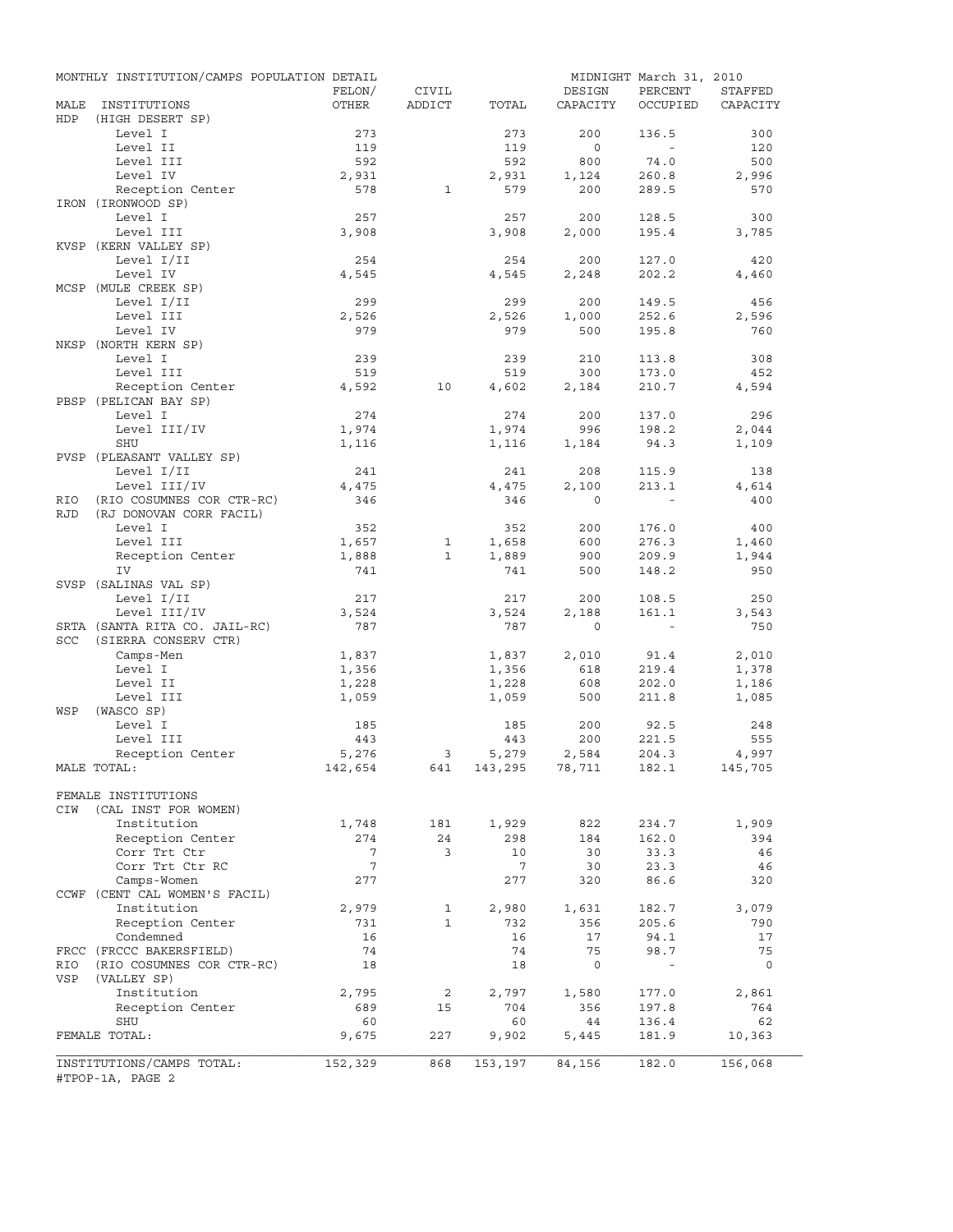|            | MONTHLY INSTITUTION/CAMPS POPULATION DETAIL |              |              |                    |           | MIDNIGHT March 31, 2010 |           |
|------------|---------------------------------------------|--------------|--------------|--------------------|-----------|-------------------------|-----------|
|            |                                             | FELON/       | CIVIL        |                    | DESIGN    | PERCENT                 | STAFFED   |
| MALE       | INSTITUTIONS                                | OTHER        | ADDICT       | TOTAL              | CAPACITY  | OCCUPIED                | CAPACITY  |
| HDP        | (HIGH DESERT SP)                            |              |              |                    |           |                         |           |
|            | Level I                                     | 273          |              | 273                | 200       | 136.5                   | 300       |
|            | Level II                                    | 119          |              | 119                | $\circ$   | $\sim$                  | 120       |
|            | Level III                                   | 592          |              | 592                | 800       | $74.0$                  | 500       |
|            | Level IV                                    | 2,931        |              | 2,931              | 1,124     | 260.8                   | 2,996     |
|            | Reception Center                            | 578          | $\mathbf{1}$ | 579                | 200       | 289.5                   | 570       |
|            | IRON (IRONWOOD SP)                          |              |              | 257                | 200       |                         | 300       |
|            | Level I<br>Level III                        | 257<br>3,908 |              | 3,908              | 2,000     | 128.5<br>195.4          | 3,785     |
|            | KVSP (KERN VALLEY SP)                       |              |              |                    |           |                         |           |
|            | Level I/II                                  | 254          |              | 254                | 200       | 127.0                   | 420       |
|            | Level IV                                    | 4,545        |              | 4,545              | 2,248     | 202.2                   | 4,460     |
|            | MCSP (MULE CREEK SP)                        |              |              |                    |           |                         |           |
|            | Level I/II                                  | 299          |              | 299                | 200       | 149.5                   | 456       |
|            | Level III                                   | 2,526        |              | 2,526              | 1,000     | 252.6                   | 2,596     |
|            | Level IV                                    | 979          |              | 979                | 500       | 195.8                   | 760       |
|            | NKSP (NORTH KERN SP)                        |              |              |                    |           |                         |           |
|            | Level I                                     | 239          |              | 239                | 210       | 113.8                   | 308       |
|            | Level III                                   | 519          |              | 519                | 300       | 173.0                   | 452       |
|            | Reception Center                            | 4,592        | 10           | 4,602              | 2,184     | 210.7                   | 4,594     |
|            | PBSP (PELICAN BAY SP)                       |              |              |                    |           |                         |           |
|            | Level I                                     | 274          |              | 274                | 200       | 137.0                   | 296       |
|            | Level III/IV                                | 1,974        |              | 1,974              | 996       | 198.2                   | 2,044     |
|            | SHU                                         | 1,116        |              | 1,116              | 1,184     | 94.3                    | 1,109     |
|            | PVSP (PLEASANT VALLEY SP)                   |              |              |                    |           |                         |           |
|            | Level I/II                                  | 241          |              | 241                | 208       | 115.9                   | 138       |
|            | Level III/IV                                | 4,475        |              | 4,475              | 2,100     | 213.1                   | 4,614     |
| RIO        | (RIO COSUMNES COR CTR-RC)                   | 346          |              | 346                | $\Omega$  | $\sim$                  | 400       |
| <b>RJD</b> | (RJ DONOVAN CORR FACIL)                     |              |              |                    |           |                         |           |
|            | Level I                                     | 352          |              | 352                | 200       | 176.0                   | 400       |
|            | Level III                                   | 1,657        | 1            | 1,658              | 600       | 276.3                   | 1,460     |
|            | Reception Center                            | 1,888        | $\mathbf{1}$ | 1,889              | 900       | 209.9                   | 1,944     |
|            | IV                                          | 741          |              | 741                | 500       | 148.2                   | 950       |
|            | SVSP (SALINAS VAL SP)                       |              |              |                    |           |                         |           |
|            | Level I/II                                  | 217          |              | 217                | 200       | 108.5                   | 250       |
|            | Level III/IV                                | 3,524        |              | 3,524              | 2,188     | 161.1                   | 3,543     |
|            | SRTA (SANTA RITA CO. JAIL-RC)               | 787          |              | 787                | $\circ$   | $\sim$                  | 750       |
| SCC        | (SIERRA CONSERV CTR)                        |              |              |                    |           |                         |           |
|            | Camps-Men                                   | 1,837        |              | 1,837              | 2,010     | 91.4                    | 2,010     |
|            | Level I                                     | 1,356        |              | 1,356              | 618       | 219.4                   | 1,378     |
|            | Level II                                    | 1,228        |              | 1,228              | 608       | 202.0                   | 1,186     |
|            | Level III                                   | 1,059        |              | 1,059              | 500       | 211.8                   | 1,085     |
| WSP        | (WASCO SP)                                  |              |              |                    |           |                         |           |
|            | Level I                                     | 185          |              | 185                | 200       | 92.5                    | 248       |
|            | Level III                                   | 443          |              | 443                | 200       | 221.5                   | 555       |
|            | Reception Center                            | 5,276        | 3            | 5,279              | 2,584     | 204.3                   | 4,997     |
|            | MALE TOTAL:                                 | 142,654      |              | 641 143,295 78,711 |           | 182.1                   | 145,705   |
|            |                                             |              |              |                    |           |                         |           |
|            | FEMALE INSTITUTIONS                         |              |              |                    |           |                         |           |
| CIW        | (CAL INST FOR WOMEN)                        |              |              |                    |           |                         |           |
|            | Institution                                 | 1,748        | 181          | 1,929              | 822       | 234.7                   | 1,909     |
|            | Reception Center<br>Corr Trt Ctr            | 274<br>7     | 24<br>3      | 298<br>10          | 184<br>30 | 162.0                   | 394       |
|            | Corr Trt Ctr RC                             | 7            |              | 7                  | 30        | 33.3<br>23.3            | 46        |
|            | Camps-Women                                 | 277          |              | 277                | 320       | 86.6                    | 46<br>320 |
|            | CCWF (CENT CAL WOMEN'S FACIL)               |              |              |                    |           |                         |           |
|            | Institution                                 | 2,979        | 1            | 2,980              | 1,631     | 182.7                   | 3,079     |
|            | Reception Center                            | 731          | $\mathbf{1}$ | 732                | 356       | 205.6                   | 790       |
|            | Condemned                                   | 16           |              | 16                 | 17        | 94.1                    | 17        |
|            | FRCC (FRCCC BAKERSFIELD)                    | 74           |              | 74                 | 75        | 98.7                    | 75        |
| RIO        | (RIO COSUMNES COR CTR-RC)                   | 18           |              | 18                 | 0         | $\blacksquare$          | 0         |
| VSP        | (VALLEY SP)                                 |              |              |                    |           |                         |           |
|            | Institution                                 | 2,795        | 2            | 2,797              | 1,580     | 177.0                   | 2,861     |
|            | Reception Center                            | 689          | 15           | 704                | 356       | 197.8                   | 764       |
|            | SHU                                         | 60           |              | 60                 | 44        | 136.4                   | 62        |
|            | FEMALE TOTAL:                               | 9,675        | 227          | 9,902              | 5,445     | 181.9                   | 10,363    |
|            |                                             |              |              |                    |           |                         |           |
|            | INSTITUTIONS/CAMPS TOTAL:                   | 152,329      | 868          | 153,197            | 84,156    | 182.0                   | 156,068   |
|            | #TPOP-1A, PAGE 2                            |              |              |                    |           |                         |           |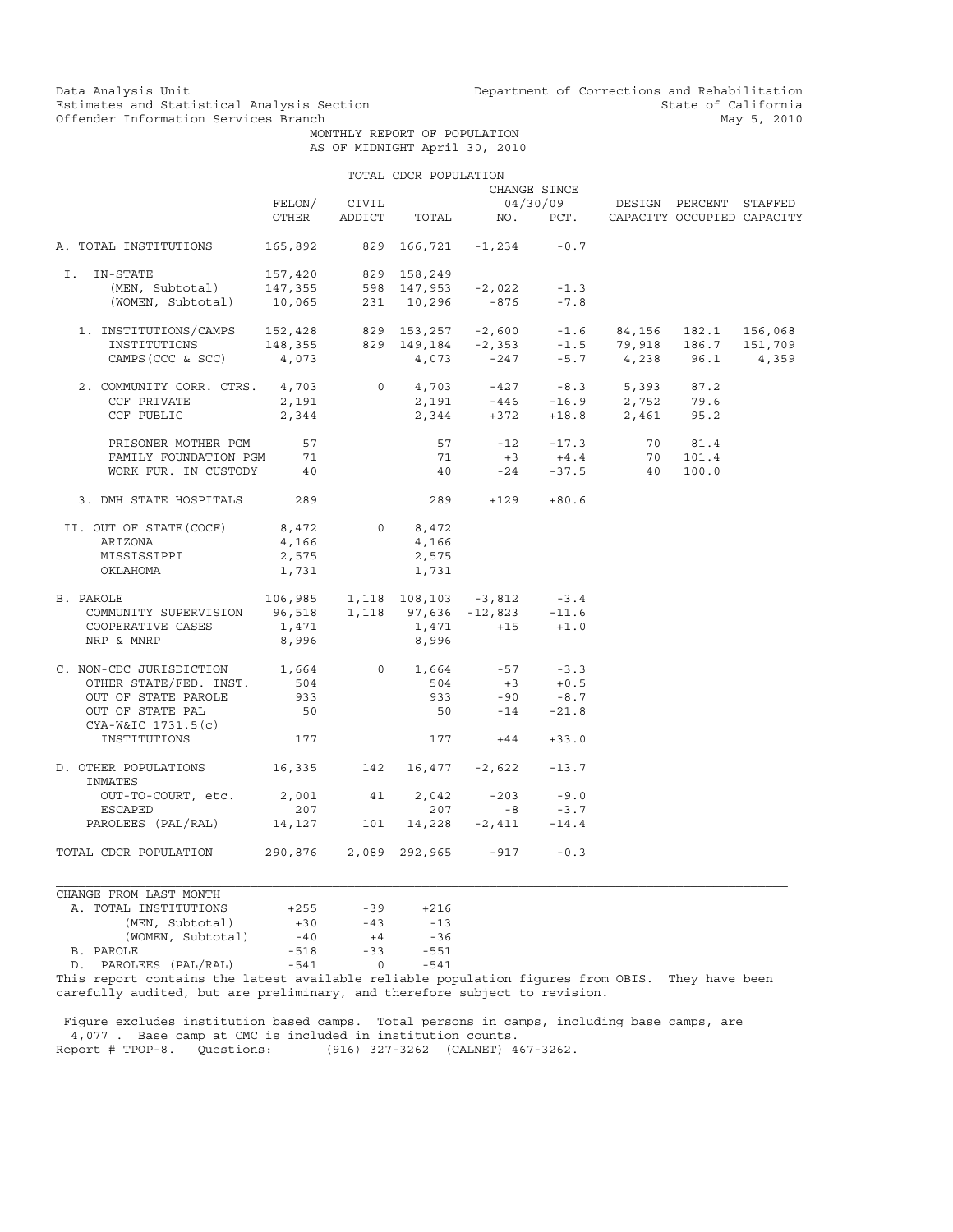Data Analysis Unit Unit Department of Corrections and Rehabilitation<br>Estimates and Statistical Analysis Section State of California Estimates and Statistical Analysis Section<br>
Offender Information Services Branch<br>
May 5, 2010

 MONTHLY REPORT OF POPULATION AS OF MIDNIGHT April 30, 2010

|                                                                                                                                                                                                                                                                      |        |       | TOTAL CDCR POPULATION |                                         |              |                                                  |         |  |
|----------------------------------------------------------------------------------------------------------------------------------------------------------------------------------------------------------------------------------------------------------------------|--------|-------|-----------------------|-----------------------------------------|--------------|--------------------------------------------------|---------|--|
|                                                                                                                                                                                                                                                                      |        |       |                       |                                         | CHANGE SINCE |                                                  |         |  |
|                                                                                                                                                                                                                                                                      | FELON/ | CIVIL |                       |                                         |              | 04/30/09 DESIGN PERCENT STAFFED                  |         |  |
|                                                                                                                                                                                                                                                                      | OTHER  |       |                       |                                         |              | ADDICT TOTAL NO. PCT. CAPACITY OCCUPIED CAPACITY |         |  |
| A. TOTAL INSTITUTIONS 165,892 829 166,721 -1,234 -0.7                                                                                                                                                                                                                |        |       |                       |                                         |              |                                                  |         |  |
| I.<br>IN-STATE                                                                                                                                                                                                                                                       |        |       |                       |                                         |              |                                                  |         |  |
|                                                                                                                                                                                                                                                                      |        |       |                       |                                         | $-1.3$       |                                                  |         |  |
| -STATE 157,420 829 158,249<br>(MEN, Subtotal) 147,355 598 147,953 -2,022<br>(WOMEN, Subtotal) 10,065 231 10,296 -876                                                                                                                                                 |        |       |                       |                                         | $-7.8$       |                                                  |         |  |
| 1. INSTITUTIONS/CAMPS 152,428 829 153,257 -2,600 -1.6 84,156 182.1 156,068<br>INSTITUTIONS 148,355 829 149,184 -2,353 -1.5 79,918 186.7 151,709<br>CAMPS(CCC & SCC) 4,073 4,073 -247 -5.7 4,238 96.1 4,359                                                           |        |       |                       |                                         |              |                                                  |         |  |
|                                                                                                                                                                                                                                                                      |        |       |                       |                                         |              |                                                  |         |  |
|                                                                                                                                                                                                                                                                      |        |       |                       |                                         |              |                                                  |         |  |
| $\begin{tabular}{cccccc} 2. & \text{COMMMIITY CORR. CTRS.} & 4,703 & 0 & 4,703 & -427 & -8.3 & 5,393 & 87.2 \\ \text{CCF PRIVATE} & 2,191 & 2,191 & -446 & -16.9 & 2,752 & 79.6 \\ \text{CCF PUBLIC} & 2,344 & 2,344 & +372 & +18.8 & 2,461 & 95.2 \\ \end{tabular}$ |        |       |                       |                                         |              |                                                  |         |  |
|                                                                                                                                                                                                                                                                      |        |       |                       |                                         |              |                                                  |         |  |
|                                                                                                                                                                                                                                                                      |        |       |                       |                                         |              |                                                  |         |  |
| PRISONER MOTHER PGM                                                                                                                                                                                                                                                  | 57     |       |                       | $57 -12 -17.3$                          |              |                                                  | 70 81.4 |  |
| FAMILY FOUNDATION PGM 71                                                                                                                                                                                                                                             |        |       | 71                    |                                         |              | $+3 +4.4$ 70 101.4                               |         |  |
| WORK FUR. IN CUSTODY                                                                                                                                                                                                                                                 | 40     |       | 40                    |                                         |              | $-24$ $-37.5$ 40 100.0                           |         |  |
| 3. DMH STATE HOSPITALS 289                                                                                                                                                                                                                                           |        |       |                       | 289 +129 +80.6                          |              |                                                  |         |  |
| II. OUT OF STATE (COCF) $8,472$ 0 $8,472$                                                                                                                                                                                                                            |        |       |                       |                                         |              |                                                  |         |  |
| ARIZONA                                                                                                                                                                                                                                                              | 4,166  |       | 4,166                 |                                         |              |                                                  |         |  |
| MISSISSIPPI                                                                                                                                                                                                                                                          | 2,575  |       | 2,575                 |                                         |              |                                                  |         |  |
| OKLAHOMA                                                                                                                                                                                                                                                             | 1,731  |       | 1,731                 |                                         |              |                                                  |         |  |
| 2AROLE 106,985 1,118 108,103 -3,812 -3.4<br>COMMUNITY SUPERVISION 96,518 1,118 97,636 -12,823 -11.6<br>B. PAROLE                                                                                                                                                     |        |       |                       |                                         |              |                                                  |         |  |
|                                                                                                                                                                                                                                                                      |        |       |                       |                                         |              |                                                  |         |  |
| COOPERATIVE CASES                                                                                                                                                                                                                                                    | 1,471  |       |                       | $1,471 +15 +1.0$                        |              |                                                  |         |  |
| NRP & MNRP                                                                                                                                                                                                                                                           | 8,996  |       | 8,996                 |                                         |              |                                                  |         |  |
| C. NON-CDC JURISDICTION 1,664                                                                                                                                                                                                                                        |        |       |                       | 0 1,664 $-57$ $-3.3$<br>504 $+3$ $+0.5$ |              |                                                  |         |  |
| OTHER STATE/FED. INST.                                                                                                                                                                                                                                               | 504    |       |                       |                                         |              |                                                  |         |  |
| OUT OF STATE PAROLE                                                                                                                                                                                                                                                  | 933    |       | 933                   |                                         | $-90 - 8.7$  |                                                  |         |  |
| OUT OF STATE PAL                                                                                                                                                                                                                                                     | 50     |       |                       | 50                                      | $-14 - 21.8$ |                                                  |         |  |
| CYA-W&IC 1731.5(c)<br>INSTITUTIONS                                                                                                                                                                                                                                   | 177    |       |                       | $177 + 44 + 33.0$                       |              |                                                  |         |  |
| D. OTHER POPULATIONS 16,335 142 16,477 -2,622 -13.7<br>INMATES                                                                                                                                                                                                       |        |       |                       |                                         |              |                                                  |         |  |
| OUT-TO-COURT, etc.                                                                                                                                                                                                                                                   | 2,001  | 41    | 2,042                 | $-203$                                  | $-9.0$       |                                                  |         |  |
| ESCAPED                                                                                                                                                                                                                                                              | 207    |       | 207                   | $-8$                                    | $-3.7$       |                                                  |         |  |
| PAROLEES (PAL/RAL) 14,127 101 14,228 -2,411 -14.4                                                                                                                                                                                                                    |        |       |                       |                                         |              |                                                  |         |  |
| TOTAL CDCR POPULATION 290,876 2,089 292,965 -917 -0.3                                                                                                                                                                                                                |        |       |                       |                                         |              |                                                  |         |  |
| CHANGE FROM LAST MONTH                                                                                                                                                                                                                                               |        |       |                       |                                         |              |                                                  |         |  |
| A. TOTAL INSTITUTIONS                                                                                                                                                                                                                                                | $+255$ | $-39$ | $+216$                |                                         |              |                                                  |         |  |
| (MEN, Subtotal)                                                                                                                                                                                                                                                      | $+30$  | $-43$ | $-13$                 |                                         |              |                                                  |         |  |
|                                                                                                                                                                                                                                                                      |        |       |                       |                                         |              |                                                  |         |  |

| (MEN, SUDTOTAL)          | $+.30$ | $-4$ 3 | $-13$  |
|--------------------------|--------|--------|--------|
| (WOMEN, Subtotal)        | $-40$  | $+4$   | $-36$  |
| B. PAROLE                | $-518$ | $-33$  | $-551$ |
| PAROLEES (PAL/RAL)<br>D. | $-541$ |        | $-541$ |
| --                       |        |        |        |

This report contains the latest available reliable population figures from OBIS. They have been carefully audited, but are preliminary, and therefore subject to revision.

 Figure excludes institution based camps. Total persons in camps, including base camps, are 4,077 . Base camp at CMC is included in institution counts. (916) 327-3262 (CALNET) 467-3262.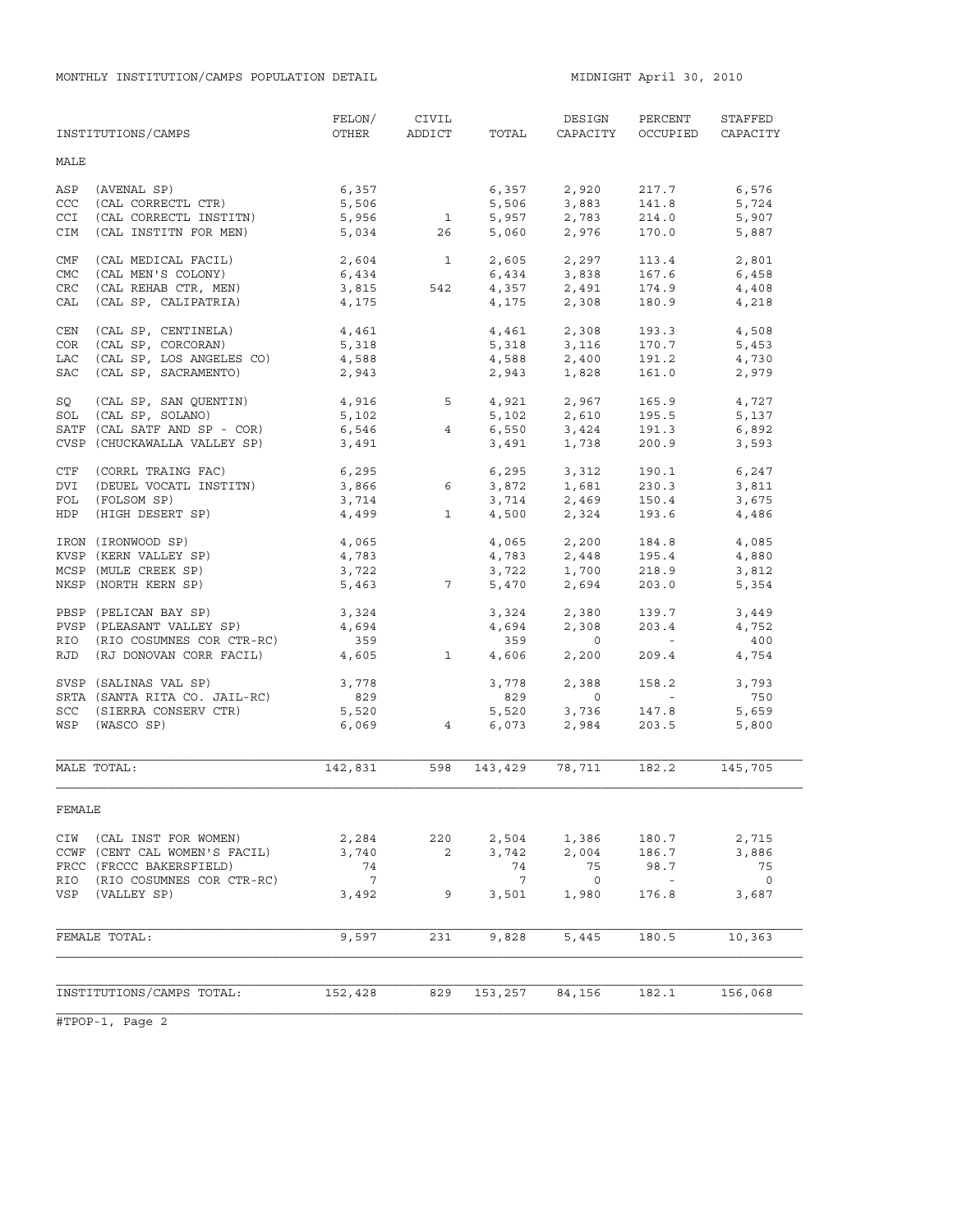MONTHLY INSTITUTION/CAMPS POPULATION DETAIL **MIDNIGHT APRIL 10**, 2010

|            | INSTITUTIONS/CAMPS            | FELON/<br>OTHER | CIVIL<br>ADDICT          | TOTAL   | DESIGN<br>CAPACITY            | PERCENT<br>OCCUPIED      | STAFFED<br>CAPACITY      |
|------------|-------------------------------|-----------------|--------------------------|---------|-------------------------------|--------------------------|--------------------------|
| MALE       |                               |                 |                          |         |                               |                          |                          |
| ASP        | (AVENAL SP)                   | 6,357           |                          | 6,357   | 2,920                         | 217.7                    | 6,576                    |
| CCC        | (CAL CORRECTL CTR)            | 5,506           |                          | 5,506   | 3,883                         | 141.8                    | 5,724                    |
| <b>CCI</b> | (CAL CORRECTL INSTITN)        | 5,956           | $\mathbf{1}$             |         | $5,957$ 2,783                 | 214.0                    | 5,907                    |
| <b>CIM</b> | (CAL INSTITN FOR MEN)         | 5,034           | 26                       | 5,060   | 2,976                         | 170.0                    | 5,887                    |
| CMF        | (CAL MEDICAL FACIL)           | 2,604           | $\overline{\phantom{a}}$ |         | 2,605 2,297                   | 113.4                    | 2,801                    |
| <b>CMC</b> | (CAL MEN'S COLONY)            | 6,434           |                          |         | $6,434$ $3,838$               | 167.6                    | 6,458                    |
| CRC        | (CAL REHAB CTR, MEN)          | 3,815           | 542                      |         |                               | 174.9                    | 4,408                    |
| CAL        | (CAL SP, CALIPATRIA)          | 4,175           |                          |         | $4,357$<br>$4,175$<br>$2,308$ | 180.9                    | 4,218                    |
| CEN        | (CAL SP, CENTINELA)           | 4,461           |                          |         | 4,461 2,308                   | 193.3                    | 4,508                    |
| <b>COR</b> | (CAL SP, CORCORAN)            | 5,318           |                          |         |                               | 170.7                    | 5,453                    |
| LAC        | (CAL SP, LOS ANGELES CO)      | 4,588           |                          |         | 5,318 3,116<br>4,588 2,400    | 191.2                    | 4,730                    |
| <b>SAC</b> | (CAL SP, SACRAMENTO)          | 2,943           |                          |         | 2,943 1,828                   | 161.0                    | 2,979                    |
| SQ         | (CAL SP, SAN QUENTIN)         | 4,916           | $5^{\circ}$              |         |                               | 165.9                    | 4,727                    |
| SOL        | (CAL SP, SOLANO)              | 5,102           |                          |         | 4,921 2,967<br>5,102 2,610    | 195.5                    | 5,137                    |
|            | SATF (CAL SATF AND SP - COR)  | 6,546           | $4\overline{ }$          |         | $6,550$ $3,424$               | 191.3                    | 6,892                    |
|            | CVSP (CHUCKAWALLA VALLEY SP)  | 3,491           |                          | 3,491   | 1,738                         | 200.9                    | 3,593                    |
| CTF        | (CORRL TRAING FAC)            | 6, 295          |                          |         | 6,295 3,312                   | 190.1                    | 6,247                    |
| DVI        | (DEUEL VOCATL INSTITN)        | 3,866           | 6                        |         |                               | 230.3                    | 3,811                    |
| FOL        | (FOLSOM SP)                   | 3,714           |                          |         | 3,872 1,681<br>3,714 2,469    | 150.4                    | 3,675                    |
| HDP        | (HIGH DESERT SP)              | 4,499           | $\mathbf{1}$             |         | 4,500 2,324                   | 193.6                    | 4,486                    |
|            | IRON (IRONWOOD SP)            | 4,065           |                          |         | 4,065 2,200                   | 184.8                    | 4,085                    |
|            | KVSP (KERN VALLEY SP)         | 4,783           |                          | 4,783   | 2,448                         | 195.4                    | 4,880                    |
|            | MCSP (MULE CREEK SP)          | 3,722           |                          |         | 3,722 1,700                   | 218.9                    | 3,812                    |
|            | NKSP (NORTH KERN SP)          | 5,463           | $7\overline{ }$          | 5,470   | 2,694                         | 203.0                    | 5,354                    |
|            | PBSP (PELICAN BAY SP)         | 3,324           |                          | 3,324   | 2,380                         | 139.7                    | 3,449                    |
|            | PVSP (PLEASANT VALLEY SP)     | 4,694           |                          | 4,694   | 2,308                         | 203.4                    | 4,752                    |
|            | RIO (RIO COSUMNES COR CTR-RC) | 359             |                          | 359     | $\circ$                       | <b>Contract Contract</b> | 400                      |
| RJD        | (RJ DONOVAN CORR FACIL)       | 4,605           | $\mathbf{1}$             | 4,606   | 2,200                         | 209.4                    | 4,754                    |
|            | SVSP (SALINAS VAL SP)         | 3,778           |                          | 3,778   | 2,388                         | 158.2                    | 3,793                    |
|            | SRTA (SANTA RITA CO. JAIL-RC) | 829             |                          | 829     | $\circ$                       | <b>Contract</b>          | 750                      |
|            | SCC (SIERRA CONSERV CTR)      | 5,520           |                          | 5,520   | 3,736                         | 147.8                    | 5,659                    |
|            | WSP (WASCO SP)                | 6,069           | $\overline{4}$           | 6,073   | 2,984                         | 203.5                    | 5,800                    |
|            | MALE TOTAL:                   | 142,831         | 598                      | 143,429 | 78,711                        | 182.2                    | 145,705                  |
|            |                               |                 |                          |         |                               |                          |                          |
| FEMALE     |                               |                 |                          |         |                               |                          |                          |
|            | CIW (CAL INST FOR WOMEN)      | 2,284           | 220                      | 2,504   | 1,386                         | 180.7                    | 2,715                    |
|            | CCWF (CENT CAL WOMEN'S FACIL) | 3,740           | 2                        | 3,742   | 2,004                         | 186.7                    | 3,886                    |
|            | FRCC (FRCCC BAKERSFIELD)      | 74              |                          | 74      | 75                            | 98.7                     | 75                       |
| RIO        | (RIO COSUMNES COR CTR-RC)     | $\overline{7}$  |                          | 7       | $\overline{0}$                | $\sim$                   | $\overline{\phantom{0}}$ |
| VSP        | (VALLEY SP)                   | 3,492           | 9                        | 3,501   | 1,980                         | 176.8                    | 3,687                    |
|            | FEMALE TOTAL:                 | 9,597           | 231                      | 9,828   | 5,445                         | 180.5                    | 10,363                   |
|            |                               |                 |                          |         |                               |                          |                          |
|            |                               |                 |                          |         |                               |                          |                          |
|            | INSTITUTIONS/CAMPS TOTAL:     | 152,428         | 829                      | 153,257 | 84,156                        | 182.1                    | 156,068                  |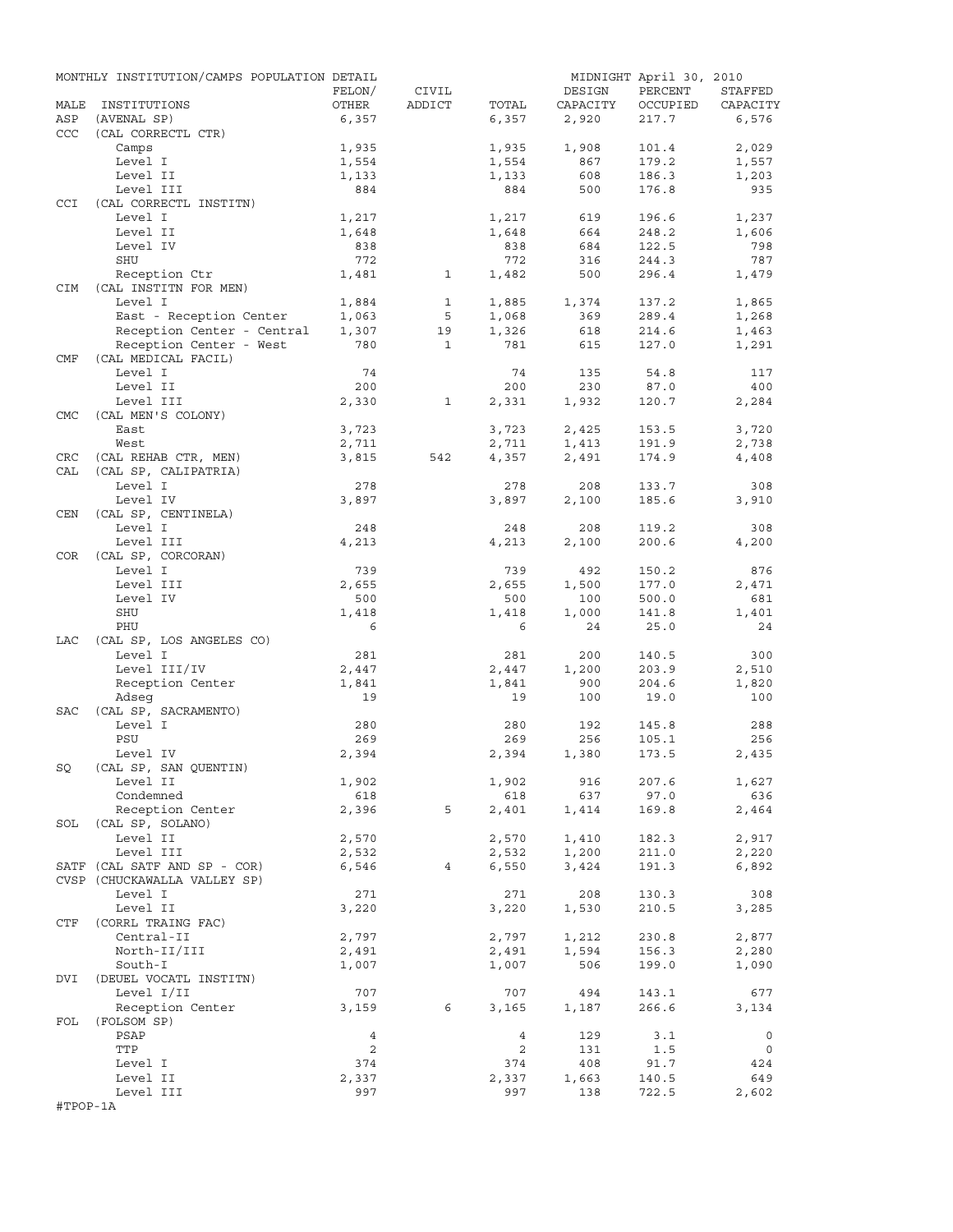|            | MONTHLY INSTITUTION/CAMPS POPULATION DETAIL |                |              |                |              | MIDNIGHT April 30, 2010 |              |
|------------|---------------------------------------------|----------------|--------------|----------------|--------------|-------------------------|--------------|
|            |                                             | FELON/         | CIVIL        |                | DESIGN       | PERCENT                 | STAFFED      |
| MALE       | INSTITUTIONS                                | OTHER          | ADDICT       | TOTAL          | CAPACITY     | OCCUPIED                | CAPACITY     |
| ASP        | (AVENAL SP)                                 | 6,357          |              | 6,357          | 2,920        | 217.7                   | 6,576        |
| CCC        | (CAL CORRECTL CTR)                          |                |              |                |              |                         |              |
|            | Camps                                       | 1,935          |              | 1,935          | 1,908        | 101.4                   | 2,029        |
|            | Level I<br>Level II                         | 1,554          |              | 1,554          | 867<br>608   | 179.2<br>186.3          | 1,557        |
|            | Level III                                   | 1,133<br>884   |              | 1,133<br>884   | 500          | 176.8                   | 1,203<br>935 |
| <b>CCI</b> | (CAL CORRECTL INSTITN)                      |                |              |                |              |                         |              |
|            | Level I                                     | 1,217          |              | 1,217          | 619          | 196.6                   | 1,237        |
|            | Level II                                    | 1,648          |              | 1,648          | 664          | 248.2                   | 1,606        |
|            | Level IV                                    | 838            |              | 838            | 684          | 122.5                   | 798          |
|            | SHU                                         | 772            |              | 772            | 316          | 244.3                   | 787          |
|            | Reception Ctr                               | 1,481          | $\mathbf{1}$ | 1,482          | 500          | 296.4                   | 1,479        |
| <b>CIM</b> | (CAL INSTITN FOR MEN)                       |                |              |                |              |                         |              |
|            | Level I                                     | 1,884          | 1            | 1,885          | 1,374        | 137.2                   | 1,865        |
|            | East - Reception Center                     | 1,063          | 5            | 1,068          | 369          | 289.4                   | 1,268        |
|            | Reception Center - Central                  | 1,307          | 19           | 1,326          | 618          | 214.6                   | 1,463        |
|            | Reception Center - West                     | 780            | $\mathbf{1}$ | 781            | 615          | 127.0                   | 1,291        |
| CMF        | (CAL MEDICAL FACIL)                         |                |              |                |              |                         |              |
|            | Level I                                     | 74             |              | 74             | 135          | 54.8                    | 117          |
|            | Level II                                    | 200            |              | 200            | 230          | 87.0                    | 400          |
|            | Level III                                   | 2,330          | 1            | 2,331          | 1,932        | 120.7                   | 2,284        |
| <b>CMC</b> | (CAL MEN'S COLONY)                          |                |              |                |              |                         |              |
|            | East                                        | 3,723          |              | 3,723          | 2,425        | 153.5                   | 3,720        |
|            | West                                        | 2,711          |              | 2,711          | 1,413        | 191.9                   | 2,738        |
| CRC        | (CAL REHAB CTR, MEN)                        | 3,815          | 542          | 4,357          | 2,491        | 174.9                   | 4,408        |
| CAL        | (CAL SP, CALIPATRIA)                        |                |              |                |              |                         |              |
|            | Level I                                     | 278            |              | 278            | 208          | 133.7                   | 308          |
|            | Level IV                                    | 3,897          |              | 3,897          | 2,100        | 185.6                   | 3,910        |
| CEN        | (CAL SP, CENTINELA)                         |                |              |                |              |                         |              |
|            | Level I<br>Level III                        | 248<br>4,213   |              | 248<br>4,213   | 208          | 119.2<br>200.6          | 308<br>4,200 |
| COR        | (CAL SP, CORCORAN)                          |                |              |                | 2,100        |                         |              |
|            | Level I                                     | 739            |              | 739            | 492          | 150.2                   | 876          |
|            | Level III                                   | 2,655          |              | 2,655          | 1,500        | 177.0                   | 2,471        |
|            | Level IV                                    | 500            |              | 500            | 100          | 500.0                   | 681          |
|            | SHU                                         | 1,418          |              | 1,418          | 1,000        | 141.8                   | 1,401        |
|            | PHU                                         | 6              |              | 6              | 24           | 25.0                    | 24           |
| LAC        | (CAL SP, LOS ANGELES CO)                    |                |              |                |              |                         |              |
|            | Level I                                     | 281            |              | 281            | 200          | 140.5                   | 300          |
|            | Level III/IV                                | 2,447          |              | 2,447          | 1,200        | 203.9                   | 2,510        |
|            | Reception Center                            | 1,841          |              | 1,841          | 900          | 204.6                   | 1,820        |
|            | Adseq                                       | 19             |              | 19             | 100          | 19.0                    | 100          |
| SAC        | (CAL SP, SACRAMENTO)                        |                |              |                |              |                         |              |
|            | Level I                                     | 280            |              | 280            | 192          | 145.8                   | 288          |
|            | PSU                                         | 269            |              | 269            | 256          | 105.1                   | 256          |
|            | Level IV                                    | 2,394          |              | 2,394          | 1,380        | 173.5                   | 2,435        |
| SQ         | (CAL SP, SAN QUENTIN)                       |                |              |                |              |                         |              |
|            | Level II                                    | 1,902          |              | 1,902          | 916          | 207.6                   | 1,627        |
|            | Condemned                                   | 618            |              | 618            | 637          | 97.0                    | 636          |
|            | Reception Center                            | 2,396          | 5            | 2,401          | 1,414        | 169.8                   | 2,464        |
| SOL        | (CAL SP, SOLANO)                            |                |              |                |              |                         |              |
|            | Level II                                    | 2,570          |              | 2,570          | 1,410        | 182.3                   | 2,917        |
|            | Level III                                   | 2,532          |              | 2,532          | 1,200        | 211.0                   | 2,220        |
|            | SATF (CAL SATF AND SP - COR)                | 6,546          | 4            | 6,550          | 3,424        | 191.3                   | 6,892        |
|            | CVSP (CHUCKAWALLA VALLEY SP)                |                |              |                |              |                         |              |
|            | Level I                                     | 271            |              | 271            | 208          | 130.3                   | 308          |
|            | Level II                                    | 3,220          |              | 3,220          | 1,530        | 210.5                   | 3,285        |
| CTF        | (CORRL TRAING FAC)                          |                |              |                |              |                         |              |
|            | Central-II                                  | 2,797          |              | 2,797          | 1,212        | 230.8                   | 2,877        |
|            | North-II/III<br>South-I                     | 2,491<br>1,007 |              | 2,491          | 1,594<br>506 | 156.3<br>199.0          | 2,280        |
| DVI        | (DEUEL VOCATL INSTITN)                      |                |              | 1,007          |              |                         | 1,090        |
|            | Level I/II                                  | 707            |              | 707            | 494          | 143.1                   | 677          |
|            | Reception Center                            | 3,159          | 6            | 3,165          | 1,187        | 266.6                   | 3,134        |
| FOL        | (FOLSOM SP)                                 |                |              |                |              |                         |              |
|            | PSAP                                        | $\overline{4}$ |              | $\overline{4}$ | 129          | 3.1                     | $\circ$      |
|            | TTP                                         | $\overline{c}$ |              | $\overline{a}$ | 131          | 1.5                     | $\circ$      |
|            | Level I                                     | 374            |              | 374            | 408          | 91.7                    | 424          |
|            | Level II                                    | 2,337          |              | 2,337          | 1,663        | 140.5                   | 649          |
|            | Level III                                   | 997            |              | 997            | 138          | 722.5                   | 2,602        |
| #TPOP-1A   |                                             |                |              |                |              |                         |              |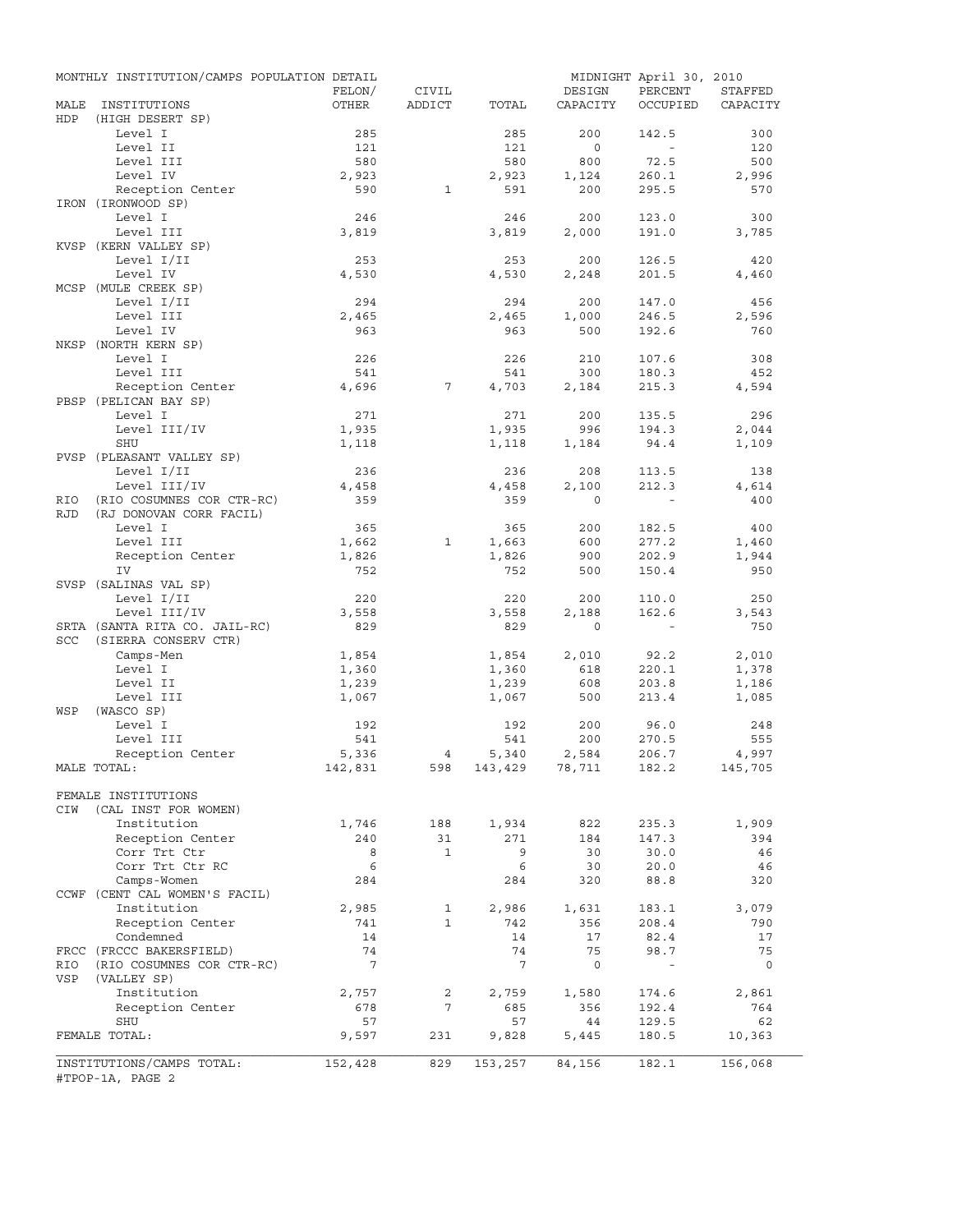|            | MONTHLY INSTITUTION/CAMPS POPULATION DETAIL   | FELON/          | CIVIL          |                 | DESIGN         | MIDNIGHT April 30, 2010<br>PERCENT | STAFFED      |
|------------|-----------------------------------------------|-----------------|----------------|-----------------|----------------|------------------------------------|--------------|
| MALE       | INSTITUTIONS                                  | OTHER           | ADDICT         | TOTAL           | CAPACITY       | OCCUPIED                           | CAPACITY     |
| HDP        | (HIGH DESERT SP)                              |                 |                |                 |                |                                    |              |
|            | Level I                                       | 285             |                | 285             | 200            | 142.5                              | 300          |
|            | Level II                                      | 121             |                | 121             | $\circ$        | $\sim$                             | 120          |
|            | Level III<br>Level IV                         | 580<br>2,923    |                | 580<br>2,923    | 800            | 72.5                               | 500          |
|            | Reception Center                              | 590             | $\mathbf{1}$   | 591             | 1,124<br>200   | 260.1<br>295.5                     | 2,996<br>570 |
|            | IRON (IRONWOOD SP)                            |                 |                |                 |                |                                    |              |
|            | Level I                                       | 246             |                | 246             | 200            | 123.0                              | 300          |
|            | Level III                                     | 3,819           |                | 3,819           | 2,000          | 191.0                              | 3,785        |
|            | KVSP (KERN VALLEY SP)                         |                 |                |                 |                |                                    |              |
|            | Level I/II                                    | 253             |                | 253             | 200            | 126.5                              | 420          |
|            | Level IV                                      | 4,530           |                | 4,530           | 2,248          | 201.5                              | 4,460        |
|            | MCSP (MULE CREEK SP)                          |                 |                |                 |                |                                    |              |
|            | Level I/II                                    | 294             |                | 294             | 200            | 147.0                              | 456          |
|            | Level III                                     | 2,465           |                | 2,465           | 1,000          | 246.5                              | 2,596        |
|            | Level IV<br>NKSP (NORTH KERN SP)              | 963             |                | 963             | 500            | 192.6                              | 760          |
|            | Level I                                       | 226             |                | 226             | 210            | 107.6                              | 308          |
|            | Level III                                     | 541             |                | 541             | 300            | 180.3                              | 452          |
|            | Reception Center                              | 4,696           | 7              | 4,703           | 2,184          | 215.3                              | 4,594        |
|            | PBSP (PELICAN BAY SP)                         |                 |                |                 |                |                                    |              |
|            | Level I                                       | 271             |                | 271             | 200            | 135.5                              | 296          |
|            | Level III/IV                                  | 1,935           |                | 1,935           | 996            | 194.3                              | 2,044        |
|            | SHU                                           | 1,118           |                | 1,118           | 1,184          | 94.4                               | 1,109        |
|            | PVSP (PLEASANT VALLEY SP)                     |                 |                |                 |                |                                    |              |
|            | Level I/II                                    | 236             |                | 236             | 208            | 113.5                              | 138          |
|            | Level III/IV                                  | 4,458           |                | 4,458           | 2,100          | 212.3                              | 4,614        |
| RIO        | (RIO COSUMNES COR CTR-RC)                     | 359             |                | 359             | $\Omega$       |                                    | 400          |
| <b>RJD</b> | (RJ DONOVAN CORR FACIL)                       |                 |                |                 |                |                                    |              |
|            | Level I<br>Level III                          | 365<br>1,662    | 1              | 365<br>1,663    | 200<br>600     | 182.5<br>277.2                     | 400<br>1,460 |
|            | Reception Center                              | 1,826           |                | 1,826           | 900            | 202.9                              | 1,944        |
|            | IV                                            | 752             |                | 752             | 500            | 150.4                              | 950          |
|            | SVSP (SALINAS VAL SP)                         |                 |                |                 |                |                                    |              |
|            | Level I/II                                    | 220             |                | 220             | 200            | 110.0                              | 250          |
|            | Level III/IV                                  | 3,558           |                | 3,558           | 2,188          | 162.6                              | 3,543        |
|            | SRTA (SANTA RITA CO. JAIL-RC)                 | 829             |                | 829             | $\circ$        | $\sim$ $-$                         | 750          |
| <b>SCC</b> | (SIERRA CONSERV CTR)                          |                 |                |                 |                |                                    |              |
|            | Camps-Men                                     | 1,854           |                | 1,854           | 2,010          | 92.2                               | 2,010        |
|            | Level I                                       | 1,360           |                | 1,360           | 618            | 220.1                              | 1,378        |
|            | Level II                                      | 1,239           |                | 1,239           | 608            | 203.8                              | 1,186        |
|            | Level III                                     | 1,067           |                | 1,067           | 500            | 213.4                              | 1,085        |
| WSP        | (WASCO SP)<br>Level I                         |                 |                |                 | 200            |                                    |              |
|            | Level III                                     | 192<br>541      |                | 192<br>541      | 200            | 96.0<br>270.5                      | 248<br>555   |
|            | Reception Center                              | 5,336           | $\overline{4}$ | 5,340           | 2,584          | 206.7                              | 4,997        |
|            | MALE TOTAL:                                   | 142,831         | 598            |                 | 143,429 78,711 | 182.2                              | 145,705      |
|            |                                               |                 |                |                 |                |                                    |              |
|            | FEMALE INSTITUTIONS                           |                 |                |                 |                |                                    |              |
| CIW        | (CAL INST FOR WOMEN)                          |                 |                |                 |                |                                    |              |
|            | Institution                                   | 1,746           | 188            | 1,934           | 822            | 235.3                              | 1,909        |
|            | Reception Center                              | 240             | 31             | 271             | 184            | 147.3                              | 394          |
|            | Corr Trt Ctr                                  | 8               | $\mathbf{1}$   | 9               | 30             | 30.0                               | 46           |
|            | Corr Trt Ctr RC                               | 6               |                | 6               | 30             | 20.0                               | 46           |
|            | Camps-Women                                   | 284             |                | 284             | 320            | 88.8                               | 320          |
|            | CCWF (CENT CAL WOMEN'S FACIL)<br>Institution  |                 | 1              |                 |                |                                    |              |
|            | Reception Center                              | 2,985<br>741    | $\mathbf{1}$   | 2,986<br>742    | 1,631<br>356   | 183.1<br>208.4                     | 3,079<br>790 |
|            | Condemned                                     | 14              |                | 14              | 17             | 82.4                               | 17           |
|            | FRCC (FRCCC BAKERSFIELD)                      | 74              |                | 74              | 75             | 98.7                               | 75           |
| RIO        | (RIO COSUMNES COR CTR-RC)                     | $7\phantom{.0}$ |                | $7\phantom{.0}$ | $\mathbf 0$    | $\overline{\phantom{a}}$           | $\circ$      |
| VSP        | (VALLEY SP)                                   |                 |                |                 |                |                                    |              |
|            | Institution                                   | 2,757           | 2              | 2,759           | 1,580          | 174.6                              | 2,861        |
|            | Reception Center                              | 678             | 7              | 685             | 356            | 192.4                              | 764          |
|            | SHU                                           | 57              |                | 57              | 44             | 129.5                              | 62           |
|            | FEMALE TOTAL:                                 | 9,597           | 231            | 9,828           | 5,445          | 180.5                              | 10,363       |
|            |                                               |                 |                |                 |                |                                    |              |
|            | INSTITUTIONS/CAMPS TOTAL:<br>#TPOP-1A, PAGE 2 | 152,428         | 829            | 153,257         | 84,156         | 182.1                              | 156,068      |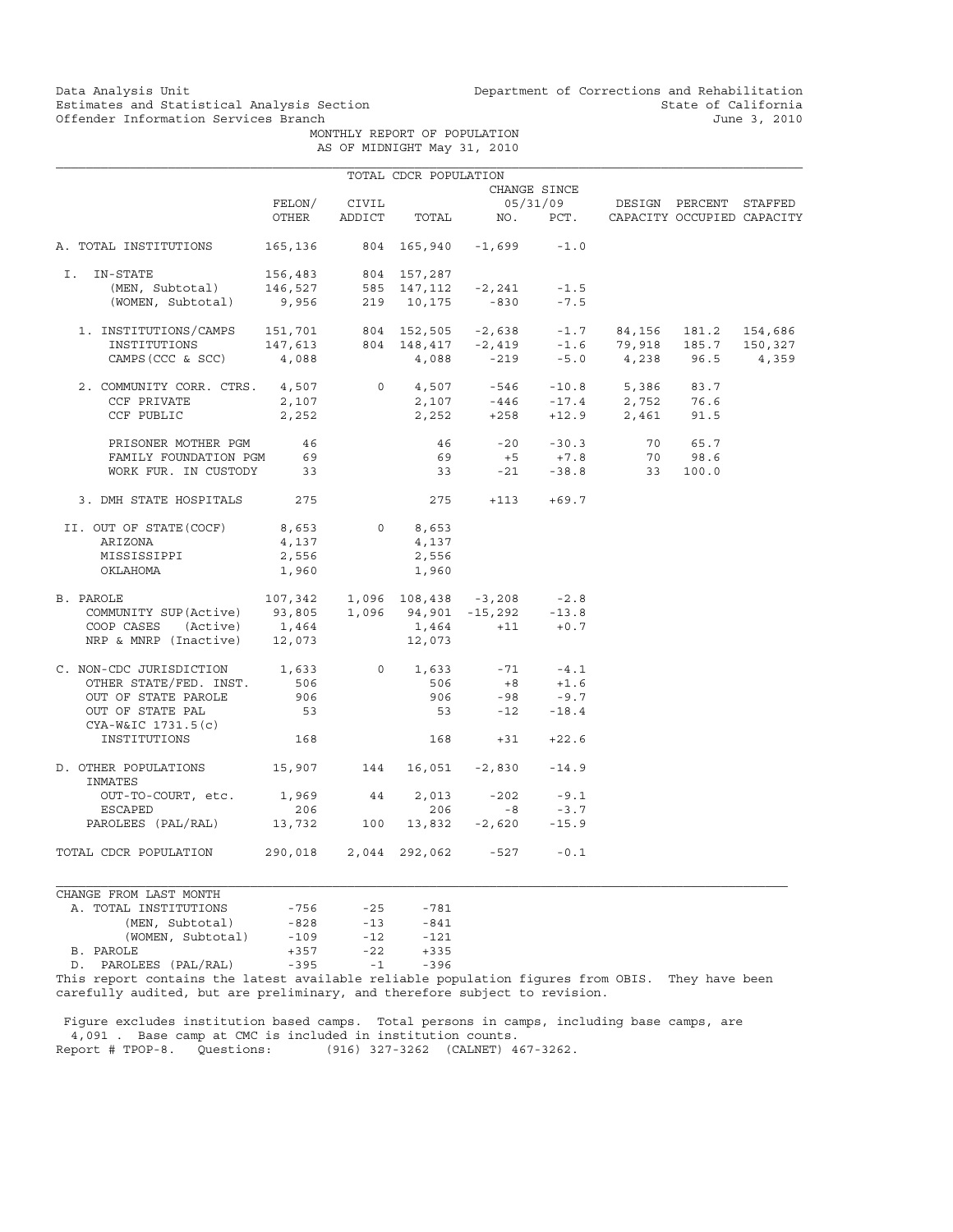Data Analysis Unit Unit Department of Corrections and Rehabilitation<br>Estimates and Statistical Analysis Section State of California Estimates and Statistical Analysis Section and State of California of Estimates and Statistical Analysis Section State of California of Estimation Services Branch and State of California and State of California and State o

 MONTHLY REPORT OF POPULATION AS OF MIDNIGHT May 31, 2010

|                                                                                                                                                                                                                                                                                                                                                                                                                                                                                   |                           |               | TOTAL CDCR POPULATION |                                              |              |                                                        |       |
|-----------------------------------------------------------------------------------------------------------------------------------------------------------------------------------------------------------------------------------------------------------------------------------------------------------------------------------------------------------------------------------------------------------------------------------------------------------------------------------|---------------------------|---------------|-----------------------|----------------------------------------------|--------------|--------------------------------------------------------|-------|
|                                                                                                                                                                                                                                                                                                                                                                                                                                                                                   |                           |               |                       |                                              | CHANGE SINCE |                                                        |       |
|                                                                                                                                                                                                                                                                                                                                                                                                                                                                                   | FELON/                    | CIVIL         |                       |                                              |              | 05/31/09 DESIGN PERCENT STAFFED                        |       |
|                                                                                                                                                                                                                                                                                                                                                                                                                                                                                   |                           |               |                       |                                              |              | OTHER ADDICT TOTAL NO. PCT. CAPACITY OCCUPIED CAPACITY |       |
| A. TOTAL INSTITUTIONS                                                                                                                                                                                                                                                                                                                                                                                                                                                             |                           |               |                       | $165, 136$ $804$ $165, 940$ $-1, 699$ $-1.0$ |              |                                                        |       |
| I. IN-STATE                                                                                                                                                                                                                                                                                                                                                                                                                                                                       |                           |               |                       |                                              |              |                                                        |       |
|                                                                                                                                                                                                                                                                                                                                                                                                                                                                                   |                           |               |                       |                                              |              |                                                        |       |
| -STATE 156,483 804 157,287<br>(MEN, Subtotal) 146,527 585 147,112 -2,241 -1.5<br>(WOMEN, Subtotal) 9,956 219 10,175 -830 -7.5                                                                                                                                                                                                                                                                                                                                                     |                           |               |                       |                                              |              |                                                        |       |
|                                                                                                                                                                                                                                                                                                                                                                                                                                                                                   |                           |               |                       |                                              |              |                                                        |       |
|                                                                                                                                                                                                                                                                                                                                                                                                                                                                                   |                           |               |                       |                                              |              |                                                        |       |
| CAMPS (CCC & SCC) 4, 088 4, 088 -219 -5.0 4, 238 96.5                                                                                                                                                                                                                                                                                                                                                                                                                             |                           |               |                       |                                              |              |                                                        | 4,359 |
| $\begin{tabular}{lcccccc} 2. & & & & & & & \\ \text{2. & & & & & & \\ \text{CCF PRIVATE} & & & & & & \\ & & & & & & & \\ & & & & & & & \\ \end{tabular} \begin{tabular}{lcccccc} 2. & & & & & & \\ \text{CCF PRIVATE} & & & & & & \\ & & & & & & \\ & & & & & & \\ \end{tabular} \begin{tabular}{lcccccc} 4. & & & & & & \\ \text{3.} & & & & & & \\ \text{4.} & & & & & & \\ & & & & & & \\ \end{tabular} \begin{tabular}{lcccccc} 2. & & & & & & \\ \text{5.} & & & & & & \\ \$ |                           |               |                       |                                              |              |                                                        |       |
|                                                                                                                                                                                                                                                                                                                                                                                                                                                                                   |                           |               |                       |                                              |              |                                                        |       |
| CCF PUBLIC                                                                                                                                                                                                                                                                                                                                                                                                                                                                        | 2,252                     |               |                       |                                              |              | $2,252$ +258 +12.9 2,461 91.5                          |       |
| PRISONER MOTHER PGM 46                                                                                                                                                                                                                                                                                                                                                                                                                                                            |                           |               |                       |                                              |              | 46 -20 -30.3 70 65.7                                   |       |
| FAMILY FOUNDATION PGM 69<br>WORK FUR. IN CUSTODY 33                                                                                                                                                                                                                                                                                                                                                                                                                               |                           |               | 69                    |                                              |              | $+5$ $+7.8$ 70 98.6<br>-21 -38.8 33 100.0              |       |
|                                                                                                                                                                                                                                                                                                                                                                                                                                                                                   |                           |               | 33                    |                                              |              |                                                        |       |
| 3. DMH STATE HOSPITALS 275                                                                                                                                                                                                                                                                                                                                                                                                                                                        |                           |               |                       | $275 + 113 + 69.7$                           |              |                                                        |       |
| II. OUT OF STATE(COCF) 8,653 0 8,653                                                                                                                                                                                                                                                                                                                                                                                                                                              |                           |               |                       |                                              |              |                                                        |       |
| ARIZONA                                                                                                                                                                                                                                                                                                                                                                                                                                                                           | 4,137                     |               | 4,137                 |                                              |              |                                                        |       |
| MISSISSIPPI                                                                                                                                                                                                                                                                                                                                                                                                                                                                       | 2,556                     |               | 2,556                 |                                              |              |                                                        |       |
| OKLAHOMA                                                                                                                                                                                                                                                                                                                                                                                                                                                                          | 1,960                     |               | 1,960                 |                                              |              |                                                        |       |
| PAROLE 107,342 1,096 108,438 -3,208 -2.8<br>COMMUNITY SUP(Active) 93,805 1,096 94,901 -15,292 -13.8<br>COOP CASES (Active) 1,464 1,464 +11 +0.7<br>NRP & MNRP (Inactive) 12,073 12,073<br>B. PAROLE                                                                                                                                                                                                                                                                               |                           |               |                       |                                              |              |                                                        |       |
|                                                                                                                                                                                                                                                                                                                                                                                                                                                                                   |                           |               |                       |                                              |              |                                                        |       |
|                                                                                                                                                                                                                                                                                                                                                                                                                                                                                   |                           |               |                       |                                              |              |                                                        |       |
|                                                                                                                                                                                                                                                                                                                                                                                                                                                                                   |                           |               |                       |                                              |              |                                                        |       |
| C. NON-CDC JURISDICTION $1,633$ 0 $1,633$ -71 -4.1                                                                                                                                                                                                                                                                                                                                                                                                                                |                           |               |                       |                                              |              |                                                        |       |
| OTHER STATE/FED. INST.                                                                                                                                                                                                                                                                                                                                                                                                                                                            | 506<br>906                |               | 506                   | $506$ $+8$ $+1.6$<br>906 -98 -9.7            |              |                                                        |       |
| OUT OF STATE PAROLE                                                                                                                                                                                                                                                                                                                                                                                                                                                               |                           |               |                       |                                              |              |                                                        |       |
| OUT OF STATE PAL<br>CYA-W&IC 1731.5(c)                                                                                                                                                                                                                                                                                                                                                                                                                                            | 53                        |               |                       | $53 -12 -18.4$                               |              |                                                        |       |
| INSTITUTIONS                                                                                                                                                                                                                                                                                                                                                                                                                                                                      | 168                       |               |                       | $168 + 31 + 22.6$                            |              |                                                        |       |
| D. OTHER POPULATIONS 15,907 144 16,051 -2,830 -14.9<br>INMATES                                                                                                                                                                                                                                                                                                                                                                                                                    |                           |               |                       |                                              |              |                                                        |       |
| OUT-TO-COURT, etc. 1,969 44                                                                                                                                                                                                                                                                                                                                                                                                                                                       |                           |               |                       | $2,013 -202 -9.1$                            |              |                                                        |       |
| ESCAPED                                                                                                                                                                                                                                                                                                                                                                                                                                                                           | 206                       |               | 206                   | $-8$                                         | $-3.7$       |                                                        |       |
| PAROLEES (PAL/RAL) 13,732 100 13,832 -2,620 -15.9                                                                                                                                                                                                                                                                                                                                                                                                                                 |                           |               |                       |                                              |              |                                                        |       |
| TOTAL CDCR POPULATION 290,018 2,044 292,062 -527 -0.1                                                                                                                                                                                                                                                                                                                                                                                                                             |                           |               |                       |                                              |              |                                                        |       |
| CHANGE FROM LAST MONTH                                                                                                                                                                                                                                                                                                                                                                                                                                                            |                           |               |                       |                                              |              |                                                        |       |
| $m \wedge m \wedge r$ $\cdots$ $m \wedge m \wedge m \wedge n$                                                                                                                                                                                                                                                                                                                                                                                                                     | $\neg$ $\Gamma$ $\subset$ | $\cap$ $\Box$ | 701                   |                                              |              |                                                        |       |

| A. TOTAL INSTITUTIONS                                  | $-756$ | $-25$ | $-781$ |
|--------------------------------------------------------|--------|-------|--------|
| (MEN, Subtotal)                                        | $-828$ | $-13$ | $-841$ |
| (WOMEN, Subtotal)                                      | $-109$ | $-12$ | $-121$ |
| B. PAROLE                                              | $+357$ | $-22$ | $+335$ |
| D. PAROLEES (PAL/RAL)                                  | $-395$ | $-1$  | $-396$ |
| This report contains the latest available reliable pop |        |       |        |

This report contains the latest available reliable population figures from OBIS. They have been carefully audited, but are preliminary, and therefore subject to revision.

 Figure excludes institution based camps. Total persons in camps, including base camps, are 4,091 . Base camp at CMC is included in institution counts. Report # TPOP-8. Questions: (916) 327-3262 (CALNET) 467-3262.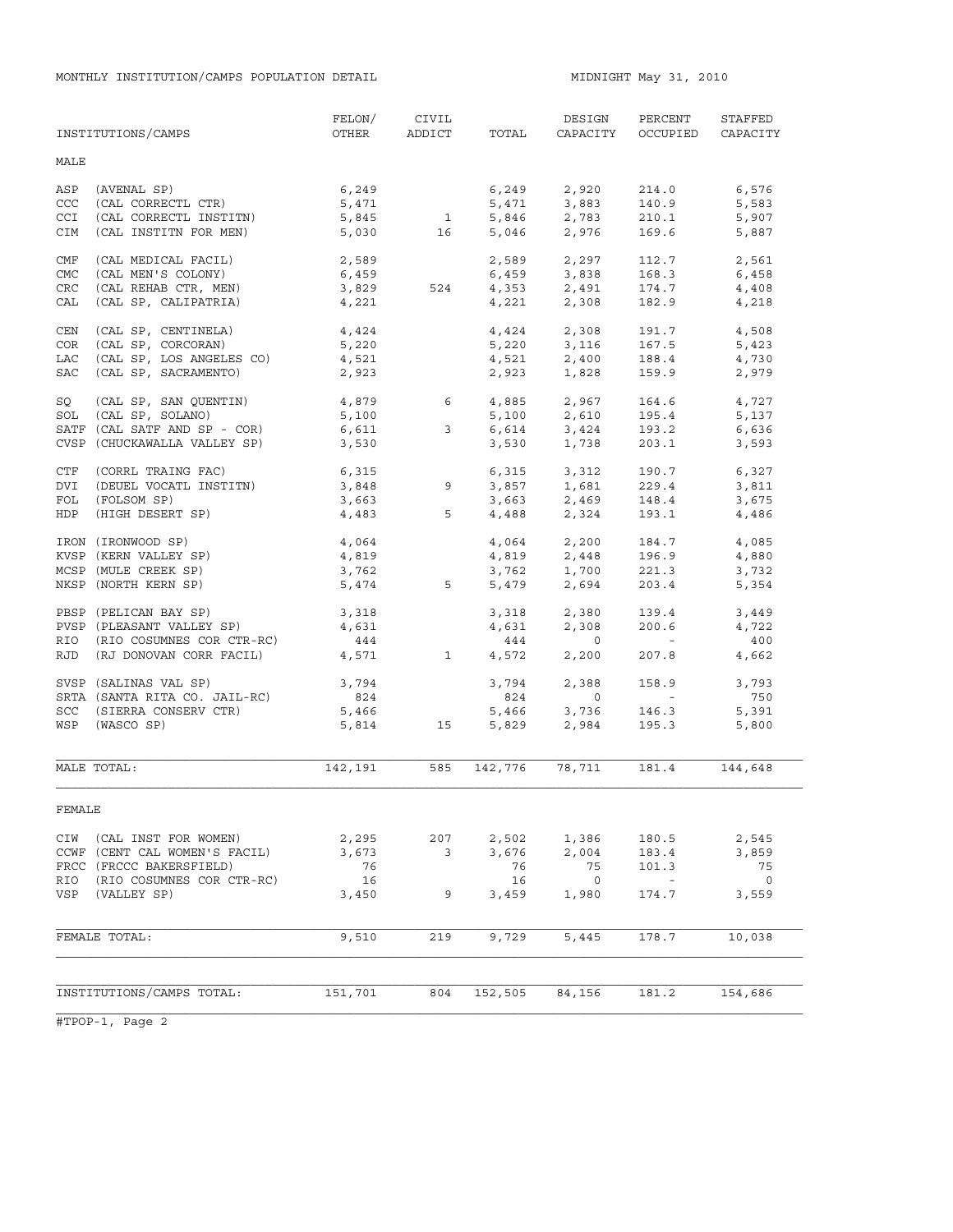MONTHLY INSTITUTION/CAMPS POPULATION DETAIL **MIDNIGHT MAX 31, 2010** 

|            | INSTITUTIONS/CAMPS            | FELON/<br>OTHER         | CIVIL<br>ADDICT | TOTAL          | DESIGN<br>CAPACITY                 | PERCENT<br>OCCUPIED      | STAFFED<br>CAPACITY |
|------------|-------------------------------|-------------------------|-----------------|----------------|------------------------------------|--------------------------|---------------------|
| MALE       |                               |                         |                 |                |                                    |                          |                     |
| ASP        | (AVENAL SP)                   | 6,249                   |                 | 6,249          | 2,920                              | 214.0                    | 6,576               |
| CCC        | (CAL CORRECTL CTR)            | 5,471                   |                 | 5,471          | 3,883                              | 140.9                    | 5,583               |
| <b>CCI</b> | (CAL CORRECTL INSTITN)        | 5,845                   | 1               |                | 5,846 2,783                        | 210.1                    | 5,907               |
| CIM        | (CAL INSTITN FOR MEN)         | 5,030                   | 16              | 5,046          | 2,976                              | 169.6                    | 5,887               |
| CMF        | (CAL MEDICAL FACIL)           | 2,589                   |                 | 2,589          | 2,297                              | 112.7                    | 2,561               |
| <b>CMC</b> | (CAL MEN'S COLONY)            | 6,459                   |                 |                | 6,459 3,838                        | 168.3                    | 6,458               |
| CRC        | (CAL REHAB CTR, MEN)          | 3,829                   | 524             |                | 4,353 2,491                        | 174.7                    | 4,408               |
| CAL        | (CAL SP, CALIPATRIA)          | 4,221                   |                 |                | $4,221$ 2,308                      | 182.9                    | 4,218               |
| CEN        | (CAL SP, CENTINELA)           | 4,424                   |                 |                | 4,424 2,308                        | 191.7                    | 4,508               |
| COR        | (CAL SP, CORCORAN)            | 5,220                   |                 | 5,220          | 3,116                              | 167.5                    | 5,423               |
| LAC        | (CAL SP, LOS ANGELES CO)      | 4,521                   |                 |                | $4,521$ 2,400                      | 188.4                    | 4,730               |
| SAC        | (CAL SP, SACRAMENTO)          | 2,923                   |                 | 2,923          | 1,828                              | 159.9                    | 2,979               |
| SQ         | (CAL SP, SAN QUENTIN)         |                         |                 |                | 4,885 2,967                        | 164.6                    | 4,727               |
| SOL        | (CAL SP, SOLANO)              | $4,879$ 6<br>5,100      |                 |                | $5,100$ $2,610$                    | 195.4                    | 5,137               |
|            | SATF (CAL SATF AND SP - COR)  | 6,611                   | $\mathbf{3}$    |                |                                    |                          | 6,636               |
|            | CVSP (CHUCKAWALLA VALLEY SP)  | 3,530                   |                 | 6,614<br>3,530 | 3,424<br>1,738                     | 193.2<br>203.1           | 3,593               |
| CTF        | (CORRL TRAING FAC)            |                         |                 |                | 6,315 3,312                        | 190.7                    | 6,327               |
| DVI        | (DEUEL VOCATL INSTITN)        |                         | 9               |                |                                    | 229.4                    | 3,811               |
| FOL        | (FOLSOM SP)                   | 6,315<br>3,848<br>3,663 |                 |                | 3,857 1,681<br>3,663 2,469         | 148.4                    | 3,675               |
| HDP        | (HIGH DESERT SP)              | 4,483                   | 5               |                | 4,488 2,324                        | 193.1                    | 4,486               |
|            | IRON (IRONWOOD SP)            |                         |                 |                |                                    | 184.7                    | 4,085               |
|            | KVSP (KERN VALLEY SP)         | 4,064<br>4,819          |                 |                | $4,064$ $2,200$<br>$4,819$ $2,448$ | 196.9                    | 4,880               |
|            | MCSP (MULE CREEK SP)          | 3,762                   |                 |                |                                    | 221.3                    | 3,732               |
|            | NKSP (NORTH KERN SP)          | 5,474                   | 5               | 3,762<br>5,479 | 1,700<br>2,694                     | 203.4                    | 5,354               |
|            | PBSP (PELICAN BAY SP)         | 3,318                   |                 | 3,318          | 2,380                              | 139.4                    | 3,449               |
|            | PVSP (PLEASANT VALLEY SP)     | 4,631                   |                 | 4,631          | 2,308                              | 200.6                    | 4,722               |
| RIO        | (RIO COSUMNES COR CTR-RC)     | 444                     |                 | 444            | $\overline{0}$                     | <b>Contract Contract</b> | 400                 |
| RJD        | (RJ DONOVAN CORR FACIL)       | 4,571                   | $\mathbf{1}$    |                | 4,572 2,200                        | 207.8                    | 4,662               |
|            | SVSP (SALINAS VAL SP)         | 3,794                   |                 | 3,794          | 2,388                              | 158.9                    | 3,793               |
|            | SRTA (SANTA RITA CO. JAIL-RC) | 824                     |                 | 824            | $\overline{0}$                     | <b>Contractor</b>        | 750                 |
|            | SCC (SIERRA CONSERV CTR)      | 5,466                   |                 | 5,466          | 3,736<br>2,984                     | 146.3                    | 5,391               |
|            | WSP (WASCO SP)                | 5,814                   | 15              | 5,829          |                                    | 195.3                    | 5,800               |
|            |                               |                         |                 |                |                                    |                          |                     |
|            | MALE TOTAL:                   | 142,191                 | 585             | 142,776        | 78,711                             | 181.4                    | 144,648             |
| FEMALE     |                               |                         |                 |                |                                    |                          |                     |
| CIW        | (CAL INST FOR WOMEN)          | 2,295                   | 207             | 2,502          | 1,386                              | 180.5                    | 2,545               |
|            | CCWF (CENT CAL WOMEN'S FACIL) | 3,673                   | 3               | 3,676          | 2,004                              | 183.4                    | 3,859               |
|            | FRCC (FRCCC BAKERSFIELD)      | 76                      |                 | 76             | 75                                 | 101.3                    | 75                  |
| RIO        | (RIO COSUMNES COR CTR-RC)     | 16                      |                 | 16             | $\overline{0}$                     | $\sim$ $-$               | $\overline{0}$      |
| VSP        | (VALLEY SP)                   | 3,450                   | 9               | 3,459          | 1,980                              | 174.7                    | 3,559               |
|            |                               |                         |                 |                |                                    |                          |                     |
|            | FEMALE TOTAL:                 | 9,510                   | 219             | 9,729          | 5,445                              | 178.7                    | 10,038              |
|            |                               |                         |                 |                |                                    |                          |                     |
|            | INSTITUTIONS/CAMPS TOTAL:     | 151,701                 | 804             | 152,505        | 84,156                             | 181.2                    | 154,686             |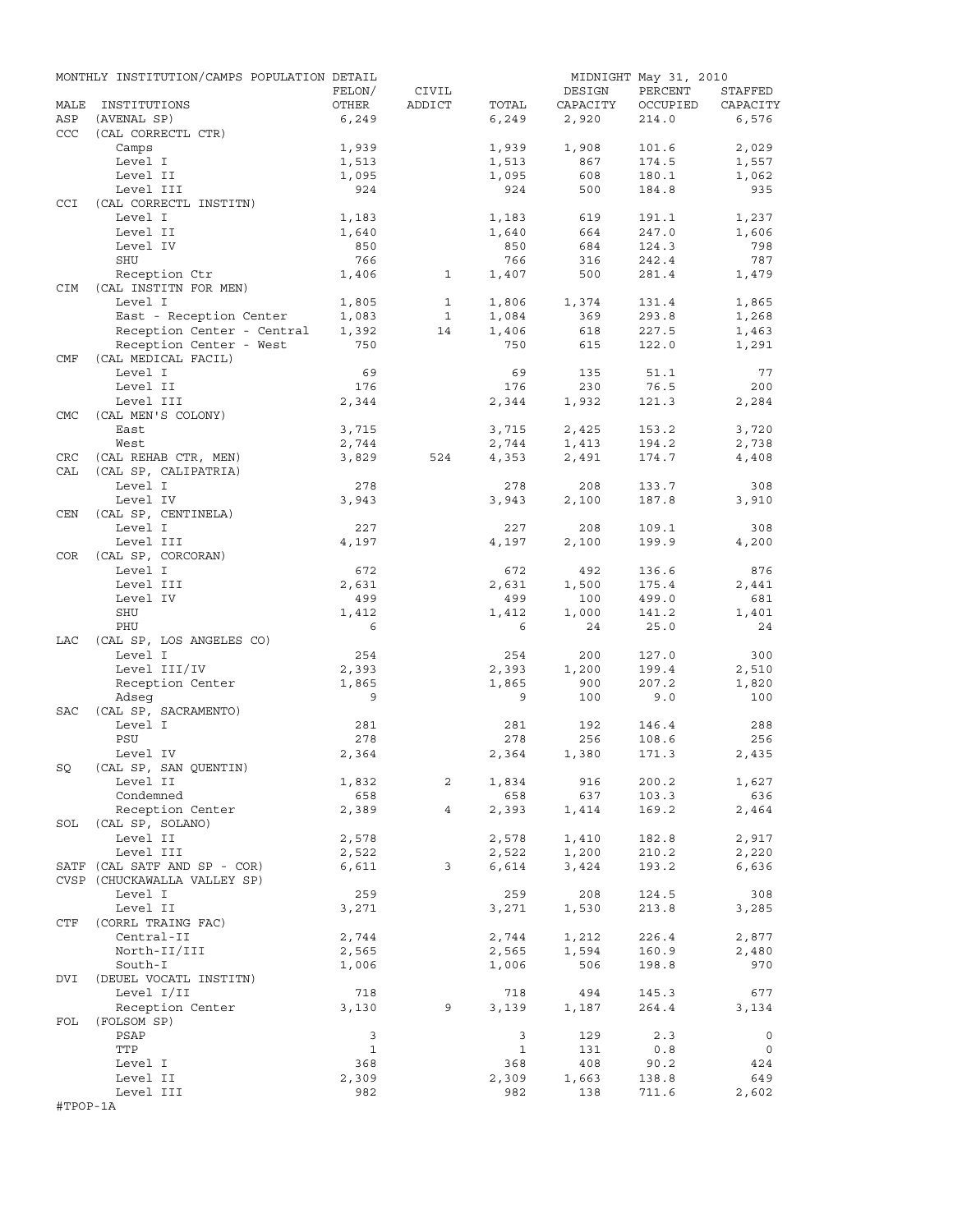|            | MONTHLY INSTITUTION/CAMPS POPULATION DETAIL |              |                |                |              | MIDNIGHT May 31, 2010 |                |
|------------|---------------------------------------------|--------------|----------------|----------------|--------------|-----------------------|----------------|
|            |                                             | FELON/       | CIVIL          |                | DESIGN       | PERCENT               | STAFFED        |
| MALE       | INSTITUTIONS                                | OTHER        | ADDICT         | TOTAL          | CAPACITY     | OCCUPIED              | CAPACITY       |
| ASP        | (AVENAL SP)                                 | 6,249        |                | 6,249          | 2,920        | 214.0                 | 6,576          |
| CCC        | (CAL CORRECTL CTR)                          |              |                |                |              |                       |                |
|            | Camps                                       | 1,939        |                | 1,939          | 1,908        | 101.6                 | 2,029          |
|            | Level I<br>Level II                         | 1,513        |                | 1,513<br>1,095 | 867<br>608   | 174.5<br>180.1        | 1,557<br>1,062 |
|            | Level III                                   | 1,095<br>924 |                | 924            | 500          | 184.8                 | 935            |
| <b>CCI</b> | (CAL CORRECTL INSTITN)                      |              |                |                |              |                       |                |
|            | Level I                                     | 1,183        |                | 1,183          | 619          | 191.1                 | 1,237          |
|            | Level II                                    | 1,640        |                | 1,640          | 664          | 247.0                 | 1,606          |
|            | Level IV                                    | 850          |                | 850            | 684          | 124.3                 | 798            |
|            | SHU                                         | 766          |                | 766            | 316          | 242.4                 | 787            |
|            | Reception Ctr                               | 1,406        | $\mathbf{1}$   | 1,407          | 500          | 281.4                 | 1,479          |
| <b>CIM</b> | (CAL INSTITN FOR MEN)                       |              |                |                |              |                       |                |
|            | Level I                                     | 1,805        | $\mathbf{1}$   | 1,806          | 1,374        | 131.4                 | 1,865          |
|            | East - Reception Center                     | 1,083        | $\mathbf{1}$   | 1,084          | 369          | 293.8                 | 1,268          |
|            | Reception Center - Central                  | 1,392        | 14             | 1,406          | 618          | 227.5                 | 1,463          |
|            | Reception Center - West                     | 750          |                | 750            | 615          | 122.0                 | 1,291          |
| CMF        | (CAL MEDICAL FACIL)                         |              |                |                |              |                       |                |
|            | Level I                                     | 69           |                | 69             | 135          | 51.1                  | 77             |
|            | Level II                                    | 176          |                | 176            | 230          | 76.5                  | 200            |
|            | Level III<br>(CAL MEN'S COLONY)             | 2,344        |                | 2,344          | 1,932        | 121.3                 | 2,284          |
| <b>CMC</b> | East                                        | 3,715        |                | 3,715          | 2,425        | 153.2                 | 3,720          |
|            | West                                        | 2,744        |                | 2,744          | 1,413        | 194.2                 | 2,738          |
| CRC        | (CAL REHAB CTR, MEN)                        | 3,829        | 524            | 4,353          | 2,491        | 174.7                 | 4,408          |
| CAL        | (CAL SP, CALIPATRIA)                        |              |                |                |              |                       |                |
|            | Level I                                     | 278          |                | 278            | 208          | 133.7                 | 308            |
|            | Level IV                                    | 3,943        |                | 3,943          | 2,100        | 187.8                 | 3,910          |
| CEN        | (CAL SP, CENTINELA)                         |              |                |                |              |                       |                |
|            | Level I                                     | 227          |                | 227            | 208          | 109.1                 | 308            |
|            | Level III                                   | 4,197        |                | 4,197          | 2,100        | 199.9                 | 4,200          |
| COR        | (CAL SP, CORCORAN)                          |              |                |                |              |                       |                |
|            | Level I                                     | 672          |                | 672            | 492          | 136.6                 | 876            |
|            | Level III                                   | 2,631        |                | 2,631          | 1,500        | 175.4                 | 2,441          |
|            | Level IV                                    | 499          |                | 499            | 100          | 499.0                 | 681            |
|            | SHU                                         | 1,412        |                | 1,412          | 1,000        | 141.2                 | 1,401          |
|            | PHU                                         | 6            |                | 6              | 24           | 25.0                  | 24             |
| LAC        | (CAL SP, LOS ANGELES CO)                    |              |                |                |              |                       |                |
|            | Level I                                     | 254          |                | 254            | 200          | 127.0                 | 300            |
|            | Level III/IV                                | 2,393        |                | 2,393          | 1,200        | 199.4<br>207.2        | 2,510          |
|            | Reception Center<br>Adseq                   | 1,865<br>9   |                | 1,865<br>9     | 900<br>100   | 9.0                   | 1,820<br>100   |
| SAC        | (CAL SP, SACRAMENTO)                        |              |                |                |              |                       |                |
|            | Level I                                     | 281          |                | 281            | 192          | 146.4                 | 288            |
|            | PSU                                         | 278          |                | 278            | 256          | 108.6                 | 256            |
|            | Level IV                                    | 2,364        |                | 2,364          | 1,380        | 171.3                 | 2,435          |
|            | SQ (CAL SP, SAN QUENTIN)                    |              |                |                |              |                       |                |
|            | Level II                                    | 1,832        | 2              | 1,834          | 916          | 200.2                 | 1,627          |
|            | Condemned                                   | 658          |                | 658            | 637          | 103.3                 | 636            |
|            | Reception Center                            | 2,389        | $\overline{4}$ | 2,393          | 1,414        | 169.2                 | 2,464          |
|            | SOL (CAL SP, SOLANO)                        |              |                |                |              |                       |                |
|            | Level II                                    | 2,578        |                | 2,578          | 1,410        | 182.8                 | 2,917          |
|            | Level III                                   | 2,522        |                | 2,522          | 1,200        | 210.2                 | 2,220          |
|            | SATF (CAL SATF AND SP - COR)                | 6,611        | 3              | 6,614          | 3,424        | 193.2                 | 6,636          |
|            | CVSP (CHUCKAWALLA VALLEY SP)                |              |                |                |              |                       |                |
|            | Level I                                     | 259          |                | 259            | 208          | 124.5                 | 308            |
|            | Level II                                    | 3,271        |                | 3,271          | 1,530        | 213.8                 | 3,285          |
| CTF        | (CORRL TRAING FAC)                          |              |                |                |              |                       |                |
|            | Central-II                                  | 2,744        |                | 2,744          | 1,212        | 226.4                 | 2,877          |
|            | North-II/III<br>South-I                     | 2,565        |                | 2,565          | 1,594<br>506 | 160.9                 | 2,480<br>970   |
| DVI        | (DEUEL VOCATL INSTITN)                      | 1,006        |                | 1,006          |              | 198.8                 |                |
|            | Level I/II                                  | 718          |                | 718            | 494          | 145.3                 | 677            |
|            | Reception Center                            | 3,130        | 9              | 3,139          | 1,187        | 264.4                 | 3,134          |
| FOL        | (FOLSOM SP)                                 |              |                |                |              |                       |                |
|            | PSAP                                        | 3            |                | 3              | 129          | 2.3                   | $\circ$        |
|            | TTP                                         | $\mathbf{1}$ |                | $\mathbf{1}$   | 131          | 0.8                   | $\circ$        |
|            | Level I                                     | 368          |                | 368            | 408          | 90.2                  | 424            |
|            | Level II                                    | 2,309        |                | 2,309          | 1,663        | 138.8                 | 649            |
|            | Level III                                   | 982          |                | 982            | 138          | 711.6                 | 2,602          |
| #TPOP-1A   |                                             |              |                |                |              |                       |                |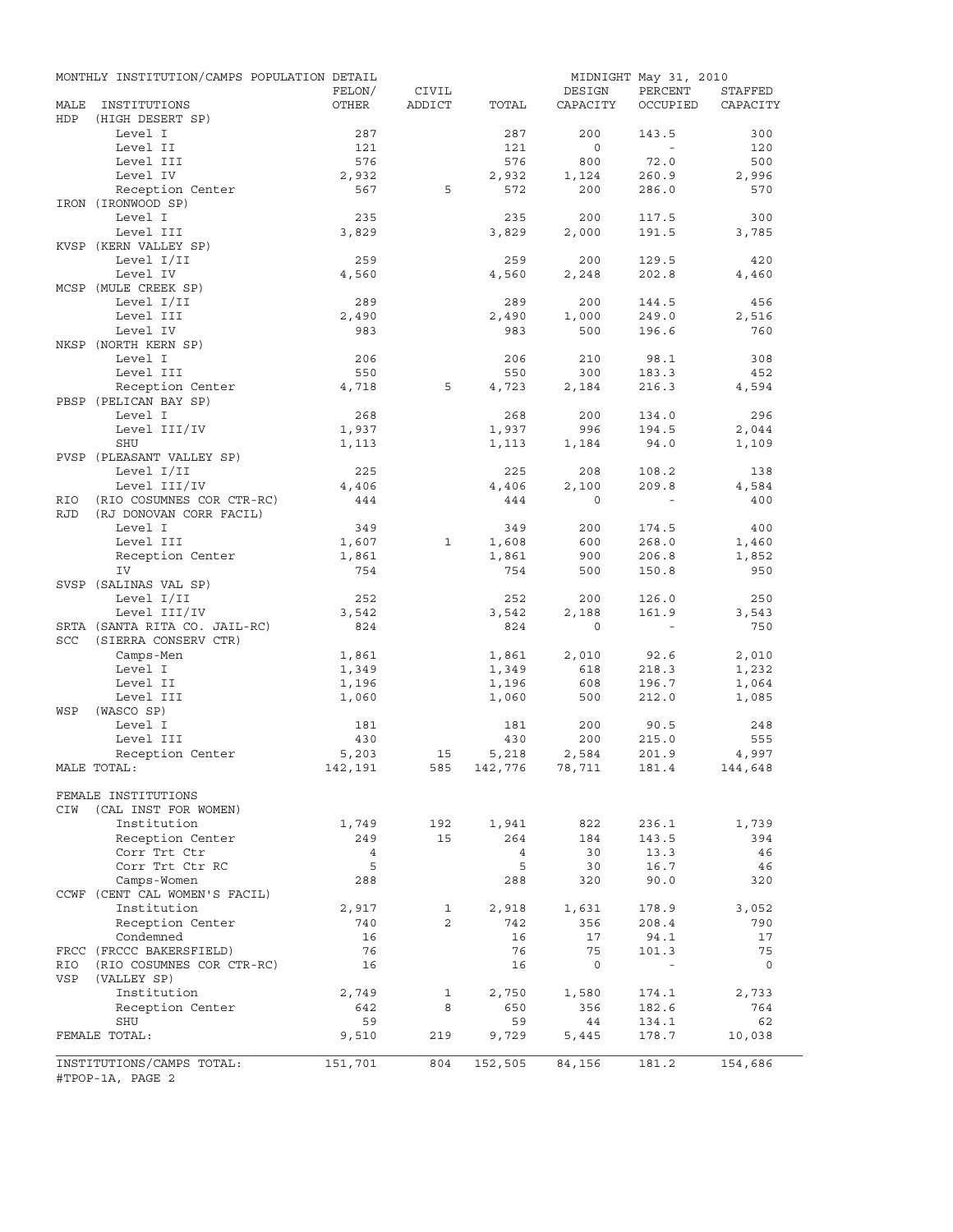|            | MONTHLY INSTITUTION/CAMPS POPULATION DETAIL |                |        |                    |                | MIDNIGHT May 31, 2010    |              |
|------------|---------------------------------------------|----------------|--------|--------------------|----------------|--------------------------|--------------|
|            |                                             | FELON/         | CIVIL  |                    | DESIGN         | PERCENT                  | STAFFED      |
| MALE       | INSTITUTIONS                                | OTHER          | ADDICT | TOTAL              | CAPACITY       | OCCUPIED                 | CAPACITY     |
| HDP        | (HIGH DESERT SP)                            |                |        |                    |                |                          |              |
|            | Level I<br>Level II                         | 287<br>121     |        | 287<br>121         | 200<br>$\circ$ | 143.5<br>$\sim$          | 300<br>120   |
|            | Level III                                   | 576            |        | 576                | 800            | 72.0                     | 500          |
|            | Level IV                                    | 2,932          |        | 2,932              | 1,124          | 260.9                    | 2,996        |
|            | Reception Center                            | 567            | 5      | 572                | 200            | 286.0                    | 570          |
|            | IRON (IRONWOOD SP)                          |                |        |                    |                |                          |              |
|            | Level I                                     | 235            |        | 235                | 200            | 117.5                    | 300          |
|            | Level III                                   | 3,829          |        | 3,829              | 2,000          | 191.5                    | 3,785        |
|            | KVSP (KERN VALLEY SP)                       |                |        |                    |                |                          |              |
|            | Level I/II                                  | 259            |        | 259                | 200            | 129.5                    | 420          |
|            | Level IV                                    | 4,560          |        | 4,560              | 2,248          | 202.8                    | 4,460        |
|            | MCSP (MULE CREEK SP)                        |                |        |                    |                |                          |              |
|            | Level I/II                                  | 289            |        | 289                | 200            | 144.5                    | 456          |
|            | Level III                                   | 2,490          |        | 2,490              | 1,000          | 249.0                    | 2,516        |
|            | Level IV                                    | 983            |        | 983                | 500            | 196.6                    | 760          |
|            | NKSP (NORTH KERN SP)                        |                |        |                    |                |                          |              |
|            | Level I                                     | 206            |        | 206                | 210            | 98.1                     | 308          |
|            | Level III                                   | 550            |        | 550                | 300            | 183.3                    | 452          |
|            | Reception Center                            | 4,718          | 5      | 4,723              | 2,184          | 216.3                    | 4,594        |
|            | PBSP (PELICAN BAY SP)                       |                |        |                    |                |                          |              |
|            | Level I                                     | 268            |        | 268                | 200            | 134.0                    | 296          |
|            | Level III/IV                                | 1,937          |        | 1,937              | 996            | 194.5                    | 2,044        |
|            | SHU                                         | 1,113          |        | 1,113              | 1,184          | 94.0                     | 1,109        |
|            | PVSP (PLEASANT VALLEY SP)                   |                |        |                    |                |                          |              |
|            | Level I/II                                  | 225            |        | 225                | 208            | 108.2                    | 138          |
|            | Level III/IV                                | 4,406          |        | 4,406              | 2,100          | 209.8                    | 4,584        |
| RIO        | (RIO COSUMNES COR CTR-RC)                   | 444            |        | 444                | $\Omega$       |                          | 400          |
| <b>RJD</b> | (RJ DONOVAN CORR FACIL)                     |                |        |                    |                |                          |              |
|            | Level I                                     | 349            |        | 349                | 200            | 174.5                    | 400          |
|            | Level III                                   | 1,607          | 1      | 1,608              | 600            | 268.0                    | 1,460        |
|            | Reception Center                            | 1,861          |        | 1,861              | 900            | 206.8                    | 1,852        |
|            | IV                                          | 754            |        | 754                | 500            | 150.8                    | 950          |
|            | SVSP (SALINAS VAL SP)<br>Level I/II         |                |        |                    |                |                          |              |
|            | Level III/IV                                | 252<br>3,542   |        | 252<br>3,542       | 200<br>2,188   | 126.0<br>161.9           | 250          |
|            | SRTA (SANTA RITA CO. JAIL-RC)               | 824            |        | 824                | $\circ$        | $\sim$ $-$               | 3,543<br>750 |
| <b>SCC</b> | (SIERRA CONSERV CTR)                        |                |        |                    |                |                          |              |
|            | Camps-Men                                   | 1,861          |        | 1,861              | 2,010          | 92.6                     | 2,010        |
|            | Level I                                     | 1,349          |        | 1,349              | 618            | 218.3                    | 1,232        |
|            | Level II                                    | 1,196          |        | 1,196              | 608            | 196.7                    | 1,064        |
|            | Level III                                   | 1,060          |        | 1,060              | 500            | 212.0                    | 1,085        |
| WSP        | (WASCO SP)                                  |                |        |                    |                |                          |              |
|            | Level I                                     | 181            |        | 181                | 200            | 90.5                     | 248          |
|            | Level III                                   | 430            |        | 430                | 200            | 215.0                    | 555          |
|            | Reception Center                            | 5,203          | 15     | 5,218              | 2,584          | 201.9                    | 4,997        |
|            | MALE TOTAL:                                 | 142,191        |        | 585 142,776 78,711 |                | 181.4                    | 144,648      |
|            |                                             |                |        |                    |                |                          |              |
|            | FEMALE INSTITUTIONS                         |                |        |                    |                |                          |              |
| CIW        | (CAL INST FOR WOMEN)                        |                |        |                    |                |                          |              |
|            | Institution                                 | 1,749          | 192    | 1,941              | 822            | 236.1                    | 1,739        |
|            | Reception Center                            | 249            | 15     | 264                | 184            | 143.5                    | 394          |
|            | Corr Trt Ctr                                | $\overline{4}$ |        | $\overline{4}$     | 30             | 13.3                     | 46           |
|            | Corr Trt Ctr RC                             | 5              |        | 5                  | 30             | 16.7                     | 46           |
|            | Camps-Women                                 | 288            |        | 288                | 320            | 90.0                     | 320          |
|            | CCWF (CENT CAL WOMEN'S FACIL)               |                |        |                    |                |                          |              |
|            | Institution                                 | 2,917          | 1      | 2,918              | 1,631          | 178.9                    | 3,052        |
|            | Reception Center                            | 740            | 2      | 742                | 356            | 208.4                    | 790          |
|            | Condemned                                   | 16             |        | 16                 | 17             | 94.1                     | 17           |
|            | FRCC (FRCCC BAKERSFIELD)                    | 76             |        | 76                 | 75             | 101.3                    | 75           |
| RIO        | (RIO COSUMNES COR CTR-RC)                   | 16             |        | 16                 | $\mathbf 0$    | $\overline{\phantom{a}}$ | $\circ$      |
| VSP        | (VALLEY SP)                                 |                |        |                    |                |                          |              |
|            | Institution                                 | 2,749          | 1      | 2,750              | 1,580          | 174.1                    | 2,733        |
|            | Reception Center                            | 642            | 8      | 650                | 356            | 182.6                    | 764          |
|            | SHU                                         | 59             |        | 59                 | 44             | 134.1                    | 62           |
|            | FEMALE TOTAL:                               | 9,510          | 219    | 9,729              | 5,445          | 178.7                    | 10,038       |
|            | INSTITUTIONS/CAMPS TOTAL:                   | 151,701        | 804    | 152,505            | 84,156         | 181.2                    | 154,686      |
|            | #TPOP-1A, PAGE 2                            |                |        |                    |                |                          |              |
|            |                                             |                |        |                    |                |                          |              |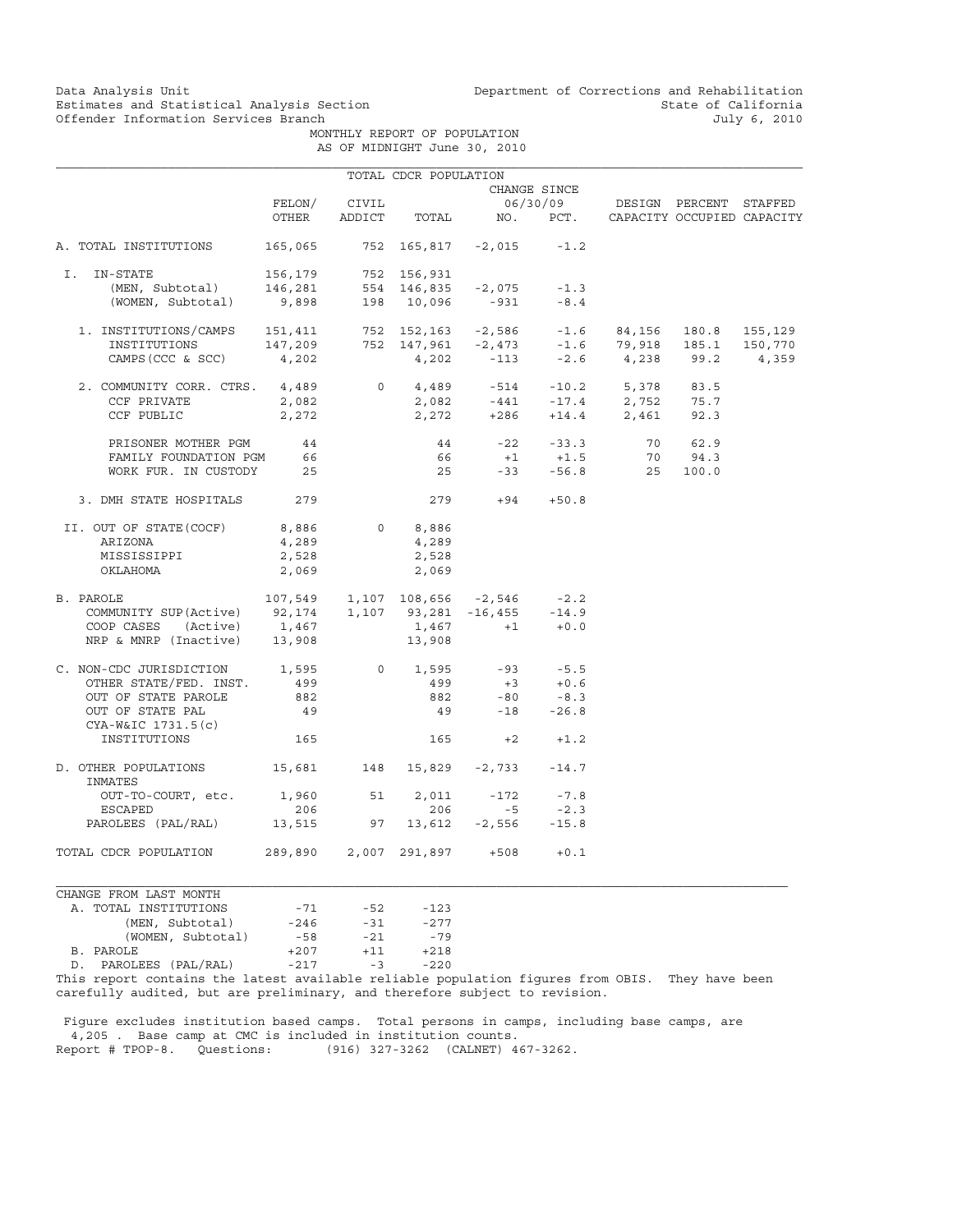Data Analysis Unit Unit Department of Corrections and Rehabilitation<br>Estimates and Statistical Analysis Section State of California Estimates and Statistical Analysis Section and State of California<br>
Offender Information Services Branch (State of California and State of California

 MONTHLY REPORT OF POPULATION AS OF MIDNIGHT June 30, 2010

|                                                                                                                                                                                                                                                                                                                                                                                                                                                 |              |       | TOTAL CDCR POPULATION |                   |        |                                                  |  |
|-------------------------------------------------------------------------------------------------------------------------------------------------------------------------------------------------------------------------------------------------------------------------------------------------------------------------------------------------------------------------------------------------------------------------------------------------|--------------|-------|-----------------------|-------------------|--------|--------------------------------------------------|--|
|                                                                                                                                                                                                                                                                                                                                                                                                                                                 | CHANGE SINCE |       |                       |                   |        |                                                  |  |
|                                                                                                                                                                                                                                                                                                                                                                                                                                                 | FELON/       | CIVIL |                       |                   |        | 06/30/09 DESIGN PERCENT STAFFED                  |  |
|                                                                                                                                                                                                                                                                                                                                                                                                                                                 | OTHER        |       |                       |                   |        | ADDICT TOTAL NO. PCT. CAPACITY OCCUPIED CAPACITY |  |
| A. TOTAL INSTITUTIONS 165,065 752 165,817 -2,015 -1.2                                                                                                                                                                                                                                                                                                                                                                                           |              |       |                       |                   |        |                                                  |  |
| I.<br>IN-STATE                                                                                                                                                                                                                                                                                                                                                                                                                                  |              |       |                       |                   |        |                                                  |  |
|                                                                                                                                                                                                                                                                                                                                                                                                                                                 |              |       |                       |                   |        |                                                  |  |
| 1-STATE 156,179 752 156,931<br>(MEN, Subtotal) 146,281 554 146,835 -2,075 -1.3<br>(WOMEN, Subtotal) 9,898 198 10,096 -931 -8.4                                                                                                                                                                                                                                                                                                                  |              |       |                       |                   |        |                                                  |  |
|                                                                                                                                                                                                                                                                                                                                                                                                                                                 |              |       |                       |                   |        |                                                  |  |
|                                                                                                                                                                                                                                                                                                                                                                                                                                                 |              |       |                       |                   |        |                                                  |  |
| $\begin{tabular}{lcccccc} 1. & \text{INSTITUTIONS/CAMPS} & & 151,411 & & 752 & 152,163 & -2,586 & -1.6 & 84,156 & 180.8 & 155,129 \\ & \text{INSTITUTIONS} & & 147,209 & & 752 & 147,961 & -2,473 & -1.6 & 79,918 & 185.1 & 150,770 \\ & & & 4,202 & & 4,202 & & -113 & -2.6 & 4,238 & 99.2 & 4,359 \\ \end{tabular}$                                                                                                                           |              |       |                       |                   |        |                                                  |  |
|                                                                                                                                                                                                                                                                                                                                                                                                                                                 |              |       |                       |                   |        |                                                  |  |
|                                                                                                                                                                                                                                                                                                                                                                                                                                                 |              |       |                       |                   |        |                                                  |  |
|                                                                                                                                                                                                                                                                                                                                                                                                                                                 |              |       |                       |                   |        |                                                  |  |
| PRISONER MOTHER PGM 44                                                                                                                                                                                                                                                                                                                                                                                                                          |              |       | 44                    |                   |        | $-22$ $-33.3$ 70 62.9<br>+1 +1.5 70 94.3         |  |
| FAMILY FOUNDATION PGM 66                                                                                                                                                                                                                                                                                                                                                                                                                        |              |       | 66                    |                   |        |                                                  |  |
| WORK FUR. IN CUSTODY 25                                                                                                                                                                                                                                                                                                                                                                                                                         |              |       | 25                    |                   |        | $-33 - 56.8$ 25 100.0                            |  |
| 3. DMH STATE HOSPITALS 279                                                                                                                                                                                                                                                                                                                                                                                                                      |              |       |                       | $279 + 94 + 50.8$ |        |                                                  |  |
| II. OUT OF STATE(COCF) 8,886 0 8,886                                                                                                                                                                                                                                                                                                                                                                                                            |              |       |                       |                   |        |                                                  |  |
| ARIZONA                                                                                                                                                                                                                                                                                                                                                                                                                                         | 4,289        |       | 4,289                 |                   |        |                                                  |  |
| MISSISSIPPI                                                                                                                                                                                                                                                                                                                                                                                                                                     | 2,528        |       | 2,528                 |                   |        |                                                  |  |
| OKLAHOMA                                                                                                                                                                                                                                                                                                                                                                                                                                        | 2,069        |       | 2,069                 |                   |        |                                                  |  |
| PAROLE 107,549 1,107 108,656 -2,546 -2.2<br>COMMUNITY SUP(Active) 92,174 1,107 93,281 -16,455 -14.9<br>COOP CASES (Active) 1,467 1,467 +1 +0.0<br>NRP & MNRP (Inactive) 13,908 13,908<br>B. PAROLE                                                                                                                                                                                                                                              |              |       |                       |                   |        |                                                  |  |
|                                                                                                                                                                                                                                                                                                                                                                                                                                                 |              |       |                       |                   |        |                                                  |  |
|                                                                                                                                                                                                                                                                                                                                                                                                                                                 |              |       |                       |                   |        |                                                  |  |
|                                                                                                                                                                                                                                                                                                                                                                                                                                                 |              |       |                       |                   |        |                                                  |  |
| $\begin{tabular}{lllllllllllllllllllll} \multicolumn{4}{c}{\text{\textbf{C. NON-CDC JURISDICTION}}} & & & & & & & 1,595 & & & 0 & & 1,595 & & -93 & & -5.5 \\ & \multicolumn{4}{c}{\textbf{OTHER STATE FRED. INST.}} & & & & 499 & & & & 49 & & & +3 & & +0.6 \\ & \multicolumn{4}{c}{\textbf{OUT OF STATE PAROLE}} & & & & 882 & & & 882 & & -80 & & -8.3 \\ & \multicolumn{4}{c}{\textbf{OUT OF STATE PAROLE}} & & & & 49 & & & 49 & & & -18$ |              |       |                       |                   |        |                                                  |  |
|                                                                                                                                                                                                                                                                                                                                                                                                                                                 |              |       |                       |                   |        |                                                  |  |
|                                                                                                                                                                                                                                                                                                                                                                                                                                                 |              |       |                       |                   |        |                                                  |  |
|                                                                                                                                                                                                                                                                                                                                                                                                                                                 |              |       |                       |                   |        |                                                  |  |
| CYA-W&IC 1731.5(c)<br>INSTITUTIONS                                                                                                                                                                                                                                                                                                                                                                                                              | 165          |       |                       | $165 +2 +1.2$     |        |                                                  |  |
|                                                                                                                                                                                                                                                                                                                                                                                                                                                 |              |       |                       |                   |        |                                                  |  |
| D. OTHER POPULATIONS 15,681 148 15,829 -2,733 -14.7<br>INMATES                                                                                                                                                                                                                                                                                                                                                                                  |              |       |                       |                   |        |                                                  |  |
| OUT-TO-COURT, etc. 1,960 51                                                                                                                                                                                                                                                                                                                                                                                                                     |              |       | 2,011                 | -172              | $-7.8$ |                                                  |  |
| <b>ESCAPED</b>                                                                                                                                                                                                                                                                                                                                                                                                                                  | 206          |       | 206                   | $-5$              | $-2.3$ |                                                  |  |
| PAROLEES (PAL/RAL) 13,515 97 13,612 -2,556 -15.8                                                                                                                                                                                                                                                                                                                                                                                                |              |       |                       |                   |        |                                                  |  |
| TOTAL CDCR POPULATION 289,890 2,007 291,897 +508 +0.1                                                                                                                                                                                                                                                                                                                                                                                           |              |       |                       |                   |        |                                                  |  |
| CHANGE FROM LAST MONTH                                                                                                                                                                                                                                                                                                                                                                                                                          |              |       |                       |                   |        |                                                  |  |
| A. TOTAL INSTITUTIONS                                                                                                                                                                                                                                                                                                                                                                                                                           | $-71$        |       | $-52 - 123$           |                   |        |                                                  |  |
| (MEN, Subtotal)                                                                                                                                                                                                                                                                                                                                                                                                                                 | $-246$       | $-31$ | $-277$                |                   |        |                                                  |  |

| (MEN, Subtotal)                                        | $-246$ | $-31$ | $-277$ |
|--------------------------------------------------------|--------|-------|--------|
| (WOMEN, Subtotal)                                      | $-58$  | $-21$ | -79    |
| B. PAROLE                                              | $+207$ | $+11$ | $+218$ |
| D. PAROLEES (PAL/RAL)                                  | $-217$ | $-3$  | $-220$ |
| mbia waaano aanoolaa ola labaab awallabla waliabla aan |        |       |        |

This report contains the latest available reliable population figures from OBIS. They have been carefully audited, but are preliminary, and therefore subject to revision.

 Figure excludes institution based camps. Total persons in camps, including base camps, are 4,205 . Base camp at CMC is included in institution counts. (916) 327-3262 (CALNET) 467-3262.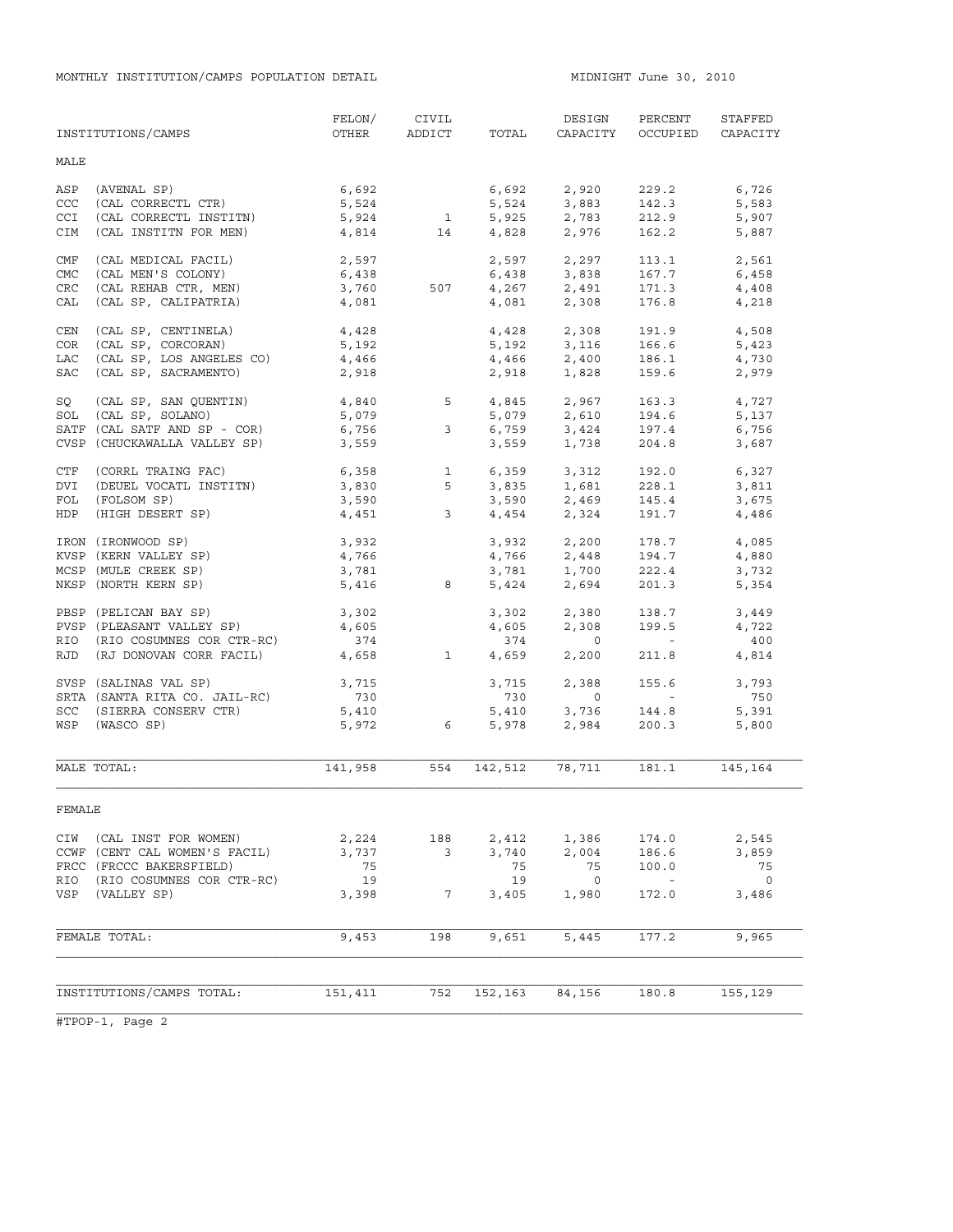MONTHLY INSTITUTION/CAMPS POPULATION DETAIL **And Contain the South Automatic Midnight** June 30, 2010

|            | INSTITUTIONS/CAMPS                                                                                                                                | FELON/<br>OTHER                                                                          |                         | CIVIL<br>ADDICT TOTAL | DESIGN<br>CAPACITY                                  | PERCENT<br>OCCUPIED                                                                                             | STAFFED<br>CAPACITY |
|------------|---------------------------------------------------------------------------------------------------------------------------------------------------|------------------------------------------------------------------------------------------|-------------------------|-----------------------|-----------------------------------------------------|-----------------------------------------------------------------------------------------------------------------|---------------------|
| MALE       |                                                                                                                                                   |                                                                                          |                         |                       |                                                     |                                                                                                                 |                     |
| ASP        | (AVENAL SP)                                                                                                                                       |                                                                                          |                         |                       |                                                     | 229.2                                                                                                           | 6,726               |
| CCC        | $\begin{array}{lll} \text{(CAL CORRECTL CTR)}\\ \text{(CAL CORRECTL CTR)} \end{array}$                                                            |                                                                                          | $6,692$<br>5,524        |                       |                                                     | 142.3                                                                                                           | 5,583               |
| CCI        | (CAL CORRECTL INSTITN)                                                                                                                            |                                                                                          |                         |                       |                                                     |                                                                                                                 | 5,907               |
| CIM        | (CAL INSTITN FOR MEN)                                                                                                                             |                                                                                          |                         |                       | $5,924$ 1 $5,925$ 2,783<br>4,814 14 4,828 2,976     | 212.9                                                                                                           |                     |
|            |                                                                                                                                                   |                                                                                          |                         |                       |                                                     | 162.2                                                                                                           | 5,887               |
| CMF        | (CAL MEDICAL FACIL)                                                                                                                               | 2,597                                                                                    |                         |                       | 2,597 2,297                                         | 113.1                                                                                                           | 2,561               |
| CMC        | (CAL MEN'S COLONY)                                                                                                                                | 6,438                                                                                    |                         |                       | $6,438$ $3,838$<br>507 $4,267$ $2,491$              | 167.7                                                                                                           | 6,458               |
| <b>CRC</b> | (CAL REHAB CTR, MEN)                                                                                                                              | 3,760                                                                                    |                         |                       |                                                     | 171.3                                                                                                           | 4,408               |
| CAL        | (CAL SP, CALIPATRIA)                                                                                                                              | 4,081                                                                                    |                         |                       | 4,081 2,308                                         | 176.8                                                                                                           | 4,218               |
| CEN        | (CAL SP, CENTINELA)                                                                                                                               |                                                                                          |                         |                       |                                                     | $191.9$ $4,508$                                                                                                 |                     |
| COR        | (CAL SP, CORCORAR)                                                                                                                                | 4,428<br>5,192                                                                           |                         |                       | $4,428$ $2,308$<br>5,192 $3,116$                    | 166.6                                                                                                           | 5,423               |
| LAC        | (CAL SP, LOS ANGELES CO) 4,466                                                                                                                    |                                                                                          |                         |                       | $4,466$ $2,400$                                     | 186.1 4,730                                                                                                     |                     |
| SAC        | (CAL SP, SACRAMENTO)                                                                                                                              | 2,918                                                                                    |                         | 2,918                 | 1,828                                               | 159.6                                                                                                           | 2,979               |
|            |                                                                                                                                                   |                                                                                          |                         |                       |                                                     |                                                                                                                 |                     |
| SQ<br>SOL  | (CAL SP, SAN QUENTIN) $4,840$<br>(CAL SP, SOLANO) $5,079$<br>(CAL SATF AND SP - COR) $6,756$<br>3 $6,759$<br>3,424                                |                                                                                          |                         |                       |                                                     | 163.3 4,727<br>194.6                                                                                            | 5,137               |
|            | SATF (CAL SATF AND SP - COR)                                                                                                                      |                                                                                          |                         |                       | $5,079$<br>$6,759$<br>$3,424$<br>$3,559$<br>$1,738$ | 197.4                                                                                                           | 6,756               |
|            | CVSP (CHUCKAWALLA VALLEY SP)                                                                                                                      | 3,559                                                                                    |                         |                       |                                                     | 204.8                                                                                                           |                     |
|            |                                                                                                                                                   |                                                                                          |                         |                       |                                                     |                                                                                                                 | 3,687               |
| CTF        | (CORRL TRAING FAC)                                                                                                                                | $6,358$<br>$3,830$<br>$5$ $3,835$<br>$3,590$<br>$3,590$<br>$3,590$<br>$3,590$<br>$2,469$ |                         |                       |                                                     | 192.0                                                                                                           | 6,327               |
| DVI        | (DEUEL VOCATL INSTITN)                                                                                                                            |                                                                                          |                         |                       |                                                     | 228.1                                                                                                           | 3,811               |
| FOL        | (FOLSOM SP)                                                                                                                                       |                                                                                          |                         |                       |                                                     | 145.4                                                                                                           | 3,675               |
| HDP        | (HIGH DESERT SP)                                                                                                                                  | 4,451                                                                                    | $\overline{\mathbf{3}}$ |                       | 4,454 2,324                                         | 191.7                                                                                                           | 4,486               |
|            | IRON (IRONWOOD SP)                                                                                                                                | 3,932                                                                                    |                         |                       | 3,932 2,200                                         | 178.7                                                                                                           | 4,085               |
|            | KVSP (KERN VALLEY SP)                                                                                                                             | 4,766                                                                                    |                         |                       | $4,766$ $2,448$                                     | 194.7                                                                                                           | 4,880               |
|            | MCSP (MULE CREEK SP)                                                                                                                              | 3,781                                                                                    |                         |                       | 3,781 1,700                                         | 222.4                                                                                                           | 3,732               |
|            | NKSP (NORTH KERN SP)                                                                                                                              |                                                                                          | 5,416 8                 |                       | 5,424 2,694                                         | 201.3                                                                                                           | 5,354               |
|            |                                                                                                                                                   |                                                                                          |                         |                       |                                                     |                                                                                                                 |                     |
|            | PBSP (PELICAN BAY SP)                                                                                                                             | 3,302                                                                                    |                         |                       | 3,302 2,380                                         | 138.7                                                                                                           | 3,449               |
|            | PVSP (PLEASANT VALLEY SP)                                                                                                                         | 4,605                                                                                    |                         | 4,605                 | 2,308                                               | 199.5                                                                                                           | 4,722               |
|            | RIO (RIO COSUMNES COR CTR-RC)                                                                                                                     | 374                                                                                      |                         | 374                   | $\overline{0}$                                      | $\mathcal{L}^{\mathcal{L}}(\mathcal{L}^{\mathcal{L}})$ . $\mathcal{L}^{\mathcal{L}}(\mathcal{L}^{\mathcal{L}})$ | 400                 |
| RJD        | (RJ DONOVAN CORR FACIL) 4,658                                                                                                                     |                                                                                          | $\mathbf{1}$            | 4,659                 | 2,200                                               | 211.8                                                                                                           | 4,814               |
|            |                                                                                                                                                   |                                                                                          |                         | 3,715                 | 2,388                                               | 155.6                                                                                                           | 3,793               |
|            |                                                                                                                                                   |                                                                                          |                         | 730                   | $\overline{0}$                                      | $\mathcal{L}(\mathcal{L})$ and $\mathcal{L}(\mathcal{L})$                                                       | 750                 |
|            |                                                                                                                                                   |                                                                                          |                         | 5,410<br>5,978        | 3,736<br>2,984                                      | 144.8                                                                                                           | 5,391               |
|            | RJD (NO 2.)<br>SVSP (SALINAS VAL SP) 3,715<br>SRTA (SANTA RITA CO. JAIL-RC) 730<br>130<br>137 (SINTA RITA CO. JAIL-RC) 730<br>5,410<br>5,972<br>6 |                                                                                          |                         |                       |                                                     | 200.3                                                                                                           | 5,800               |
|            |                                                                                                                                                   |                                                                                          |                         |                       |                                                     |                                                                                                                 |                     |
|            | MALE TOTAL:                                                                                                                                       | 141,958                                                                                  |                         | 554 142,512           | 78,711                                              |                                                                                                                 | 181.1 145,164       |
| FEMALE     |                                                                                                                                                   |                                                                                          |                         |                       |                                                     |                                                                                                                 |                     |
| CIW        | (CAL INST FOR WOMEN)                                                                                                                              | 2,224                                                                                    | 188                     | 2,412                 | 1,386                                               | 174.0                                                                                                           | 2,545               |
|            | CCWF (CENT CAL WOMEN'S FACIL)                                                                                                                     | 3,737                                                                                    | 3                       | 3,740                 | 2,004                                               | 186.6                                                                                                           | 3,859               |
|            | FRCC (FRCCC BAKERSFIELD)                                                                                                                          | 75                                                                                       |                         | 75                    | 75                                                  | 100.0                                                                                                           | 75                  |
| RIO        | (RIO COSUMNES COR CTR-RC)                                                                                                                         | 19                                                                                       |                         | 19                    | $\overline{0}$                                      | $\sim$ $-$                                                                                                      | $\mathbf 0$         |
| VSP        | (VALLEY SP)                                                                                                                                       | 3,398                                                                                    | 7                       | 3,405                 | 1,980                                               | 172.0                                                                                                           | 3,486               |
|            | FEMALE TOTAL:                                                                                                                                     | 9,453                                                                                    | 198                     | 9,651                 | 5,445                                               | 177.2                                                                                                           | 9,965               |
|            |                                                                                                                                                   |                                                                                          |                         |                       |                                                     |                                                                                                                 |                     |
|            |                                                                                                                                                   |                                                                                          |                         |                       |                                                     |                                                                                                                 |                     |
|            | INSTITUTIONS/CAMPS TOTAL:                                                                                                                         | 151,411                                                                                  | 752                     | 152,163               | 84,156                                              | 180.8                                                                                                           | 155,129             |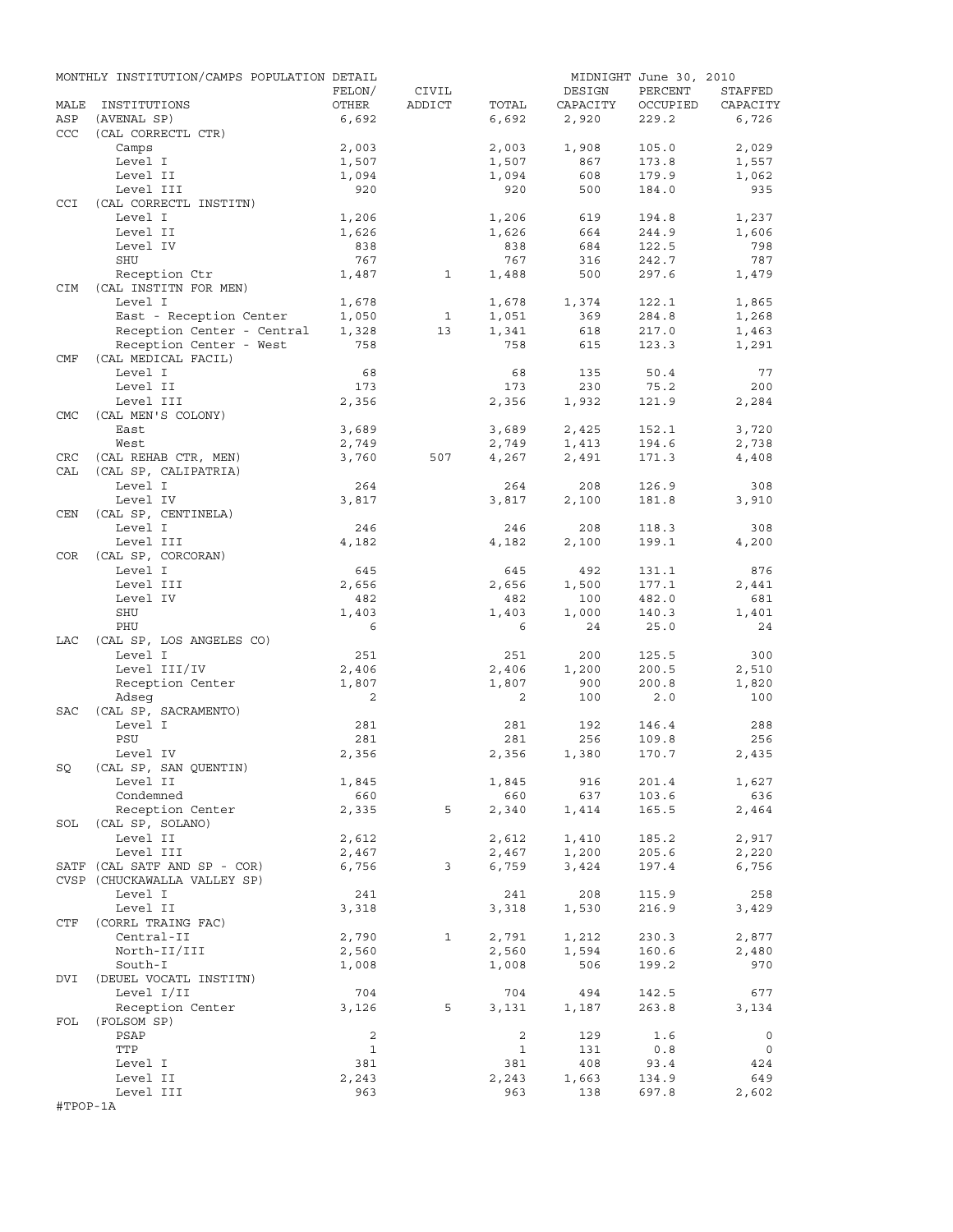|            | MONTHLY INSTITUTION/CAMPS POPULATION DETAIL |              |              |                |          | MIDNIGHT June 30, 2010 |                |
|------------|---------------------------------------------|--------------|--------------|----------------|----------|------------------------|----------------|
|            |                                             | FELON/       | CIVIL        |                | DESIGN   | PERCENT                | STAFFED        |
| MALE       | INSTITUTIONS                                | OTHER        | ADDICT       | TOTAL          | CAPACITY | OCCUPIED               | CAPACITY       |
| ASP        | (AVENAL SP)                                 | 6,692        |              | 6,692          | 2,920    | 229.2                  | 6,726          |
| ccc        | (CAL CORRECTL CTR)                          | 2,003        |              |                | 1,908    | 105.0                  |                |
|            | Camps<br>Level I                            | 1,507        |              | 2,003<br>1,507 | 867      | 173.8                  | 2,029<br>1,557 |
|            | Level II                                    | 1,094        |              | 1,094          | 608      | 179.9                  | 1,062          |
|            | Level III                                   | 920          |              | 920            | 500      | 184.0                  | 935            |
| <b>CCI</b> | (CAL CORRECTL INSTITN)                      |              |              |                |          |                        |                |
|            | Level I                                     | 1,206        |              | 1,206          | 619      | 194.8                  | 1,237          |
|            | Level II                                    | 1,626        |              | 1,626          | 664      | 244.9                  | 1,606          |
|            | Level IV                                    | 838          |              | 838            | 684      | 122.5                  | 798            |
|            | SHU                                         | 767          |              | 767            | 316      | 242.7                  | 787            |
|            | Reception Ctr                               | 1,487        | $\mathbf{1}$ | 1,488          | 500      | 297.6                  | 1,479          |
| <b>CIM</b> | (CAL INSTITN FOR MEN)                       |              |              |                |          |                        |                |
|            | Level I                                     | 1,678        |              | 1,678          | 1,374    | 122.1                  | 1,865          |
|            | East - Reception Center                     | 1,050        | 1            | 1,051          | 369      | 284.8                  | 1,268          |
|            | Reception Center - Central                  | 1,328        | 13           | 1,341          | 618      | 217.0                  | 1,463          |
|            | Reception Center - West                     | 758          |              | 758            | 615      | 123.3                  | 1,291          |
| CMF        | (CAL MEDICAL FACIL)                         |              |              |                |          |                        |                |
|            | Level I                                     | 68           |              | 68             | 135      | 50.4                   | 77             |
|            | Level II                                    | 173          |              | 173            | 230      | 75.2                   | 200            |
| <b>CMC</b> | Level III<br>(CAL MEN'S COLONY)             | 2,356        |              | 2,356          | 1,932    | 121.9                  | 2,284          |
|            | East                                        | 3,689        |              | 3,689          | 2,425    | 152.1                  | 3,720          |
|            | West                                        | 2,749        |              | 2,749          | 1,413    | 194.6                  | 2,738          |
| CRC        | (CAL REHAB CTR, MEN)                        | 3,760        | 507          | 4,267          | 2,491    | 171.3                  | 4,408          |
| CAL        | (CAL SP, CALIPATRIA)                        |              |              |                |          |                        |                |
|            | Level I                                     | 264          |              | 264            | 208      | 126.9                  | 308            |
|            | Level IV                                    | 3,817        |              | 3,817          | 2,100    | 181.8                  | 3,910          |
| CEN        | (CAL SP, CENTINELA)                         |              |              |                |          |                        |                |
|            | Level I                                     | 246          |              | 246            | 208      | 118.3                  | 308            |
|            | Level III                                   | 4,182        |              | 4,182          | 2,100    | 199.1                  | 4,200          |
| COR        | (CAL SP, CORCORAN)                          |              |              |                |          |                        |                |
|            | Level I                                     | 645          |              | 645            | 492      | 131.1                  | 876            |
|            | Level III                                   | 2,656        |              | 2,656          | 1,500    | 177.1                  | 2,441          |
|            | Level IV                                    | 482          |              | 482            | 100      | 482.0                  | 681            |
|            | SHU                                         | 1,403        |              | 1,403          | 1,000    | 140.3                  | 1,401          |
|            | PHU                                         | 6            |              | 6              | 24       | 25.0                   | 24             |
| LAC        | (CAL SP, LOS ANGELES CO)                    |              |              |                |          |                        |                |
|            | Level I                                     | 251          |              | 251            | 200      | 125.5                  | 300            |
|            | Level III/IV                                | 2,406        |              | 2,406          | 1,200    | 200.5                  | 2,510          |
|            | Reception Center                            | 1,807        |              | 1,807          | 900      | 200.8                  | 1,820          |
| SAC        | Adseq                                       | 2            |              | 2              | 100      | 2.0                    | 100            |
|            | (CAL SP, SACRAMENTO)<br>Level I             | 281          |              | 281            | 192      | 146.4                  | 288            |
|            | PSU                                         | 281          |              | 281            | 256      | 109.8                  | 256            |
|            | Level IV                                    | 2,356        |              | 2,356          | 1,380    | 170.7                  | 2,435          |
| SQ         | (CAL SP, SAN QUENTIN)                       |              |              |                |          |                        |                |
|            | Level II                                    | 1,845        |              | 1,845          | 916      | 201.4                  | 1,627          |
|            | Condemned                                   | 660          |              | 660            | 637      | 103.6                  | 636            |
|            | Reception Center                            | 2,335        | 5            | 2,340          | 1,414    | 165.5                  | 2,464          |
|            | SOL (CAL SP, SOLANO)                        |              |              |                |          |                        |                |
|            | Level II                                    | 2,612        |              | 2,612          | 1,410    | 185.2                  | 2,917          |
|            | Level III                                   | 2,467        |              | 2,467          | 1,200    | 205.6                  | 2,220          |
|            | SATF (CAL SATF AND SP - COR)                | 6,756        | 3            | 6,759          | 3,424    | 197.4                  | 6,756          |
|            | CVSP (CHUCKAWALLA VALLEY SP)                |              |              |                |          |                        |                |
|            | Level I                                     | 241          |              | 241            | 208      | 115.9                  | 258            |
|            | Level II                                    | 3,318        |              | 3,318          | 1,530    | 216.9                  | 3,429          |
| CTF        | (CORRL TRAING FAC)                          |              |              |                |          |                        |                |
|            | Central-II                                  | 2,790        | $\mathbf{1}$ | 2,791          | 1,212    | 230.3                  | 2,877          |
|            | North-II/III                                | 2,560        |              | 2,560          | 1,594    | 160.6                  | 2,480          |
| DVI        | South-I<br>(DEUEL VOCATL INSTITN)           | 1,008        |              | 1,008          | 506      | 199.2                  | 970            |
|            |                                             | 704          |              | 704            | 494      | 142.5                  | 677            |
|            | Level I/II<br>Reception Center              | 3,126        | 5            | 3,131          | 1,187    | 263.8                  | 3,134          |
| FOL        | (FOLSOM SP)                                 |              |              |                |          |                        |                |
|            | PSAP                                        | 2            |              | 2              | 129      | 1.6                    | $\circ$        |
|            | TTP                                         | $\mathbf{1}$ |              | $\mathbf{1}$   | 131      | 0.8                    | $\circ$        |
|            | Level I                                     | 381          |              | 381            | 408      | 93.4                   | 424            |
|            | Level II                                    | 2,243        |              | 2,243          | 1,663    | 134.9                  | 649            |
|            | Level III                                   | 963          |              | 963            | 138      | 697.8                  | 2,602          |
| #TPOP-1A   |                                             |              |              |                |          |                        |                |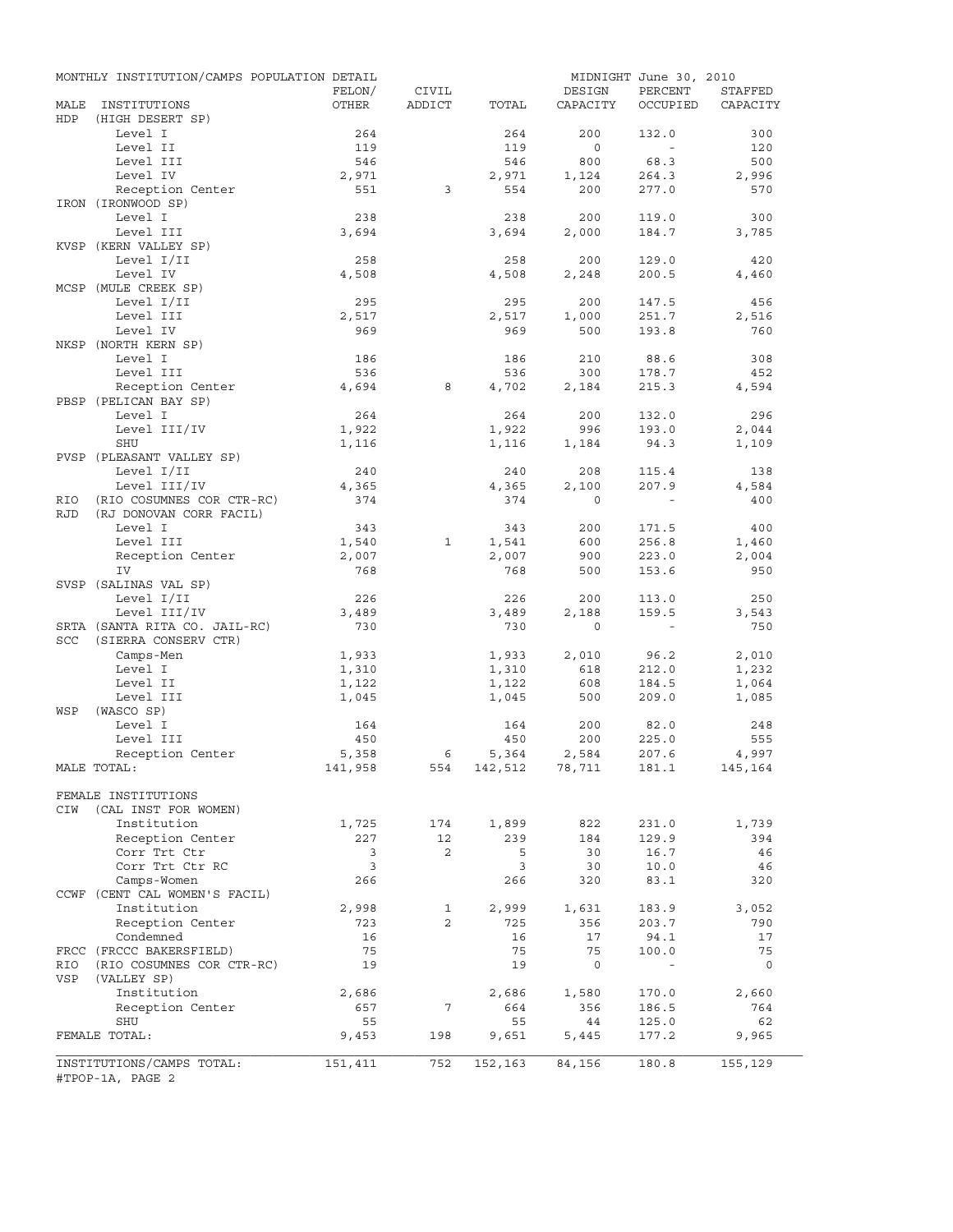|            | MONTHLY INSTITUTION/CAMPS POPULATION DETAIL |              |                |                |                | MIDNIGHT June 30, 2010   |              |
|------------|---------------------------------------------|--------------|----------------|----------------|----------------|--------------------------|--------------|
|            |                                             | FELON/       | CIVIL          |                | DESIGN         | PERCENT                  | STAFFED      |
| MALE       | INSTITUTIONS                                | OTHER        | ADDICT         | TOTAL          | CAPACITY       | OCCUPIED                 | CAPACITY     |
| HDP        | (HIGH DESERT SP)                            |              |                |                |                |                          |              |
|            | Level I<br>Level II                         | 264<br>119   |                | 264<br>119     | 200<br>$\circ$ | 132.0<br>$\sim$          | 300<br>120   |
|            | Level III                                   | 546          |                | 546            | 800            | 68.3                     | 500          |
|            | Level IV                                    | 2,971        |                | 2,971          | 1,124          | 264.3                    | 2,996        |
|            | Reception Center                            | 551          | 3              | 554            | 200            | 277.0                    | 570          |
|            | IRON (IRONWOOD SP)                          |              |                |                |                |                          |              |
|            | Level I                                     | 238          |                | 238            | 200            | 119.0                    | 300          |
|            | Level III                                   | 3,694        |                | 3,694          | 2,000          | 184.7                    | 3,785        |
|            | KVSP (KERN VALLEY SP)                       |              |                |                |                |                          |              |
|            | Level I/II                                  | 258          |                | 258            | 200            | 129.0                    | 420          |
|            | Level IV                                    | 4,508        |                | 4,508          | 2,248          | 200.5                    | 4,460        |
|            | MCSP (MULE CREEK SP)                        |              |                |                |                |                          |              |
|            | Level I/II                                  | 295          |                | 295            | 200            | 147.5                    | 456          |
|            | Level III                                   | 2,517        |                | 2,517          | 1,000          | 251.7                    | 2,516        |
|            | Level IV                                    | 969          |                | 969            | 500            | 193.8                    | 760          |
|            | NKSP (NORTH KERN SP)                        |              |                |                |                |                          |              |
|            | Level I                                     | 186          |                | 186            | 210            | 88.6                     | 308          |
|            | Level III                                   | 536          |                | 536            | 300            | 178.7                    | 452          |
|            | Reception Center                            | 4,694        | 8              | 4,702          | 2,184          | 215.3                    | 4,594        |
|            | PBSP (PELICAN BAY SP)                       |              |                |                |                |                          |              |
|            | Level I                                     | 264          |                | 264            | 200            | 132.0                    | 296          |
|            | Level III/IV                                | 1,922        |                | 1,922          | 996            | 193.0                    | 2,044        |
|            | SHU                                         | 1,116        |                | 1,116          | 1,184          | 94.3                     | 1,109        |
|            | PVSP (PLEASANT VALLEY SP)                   |              |                |                |                |                          |              |
|            | Level I/II                                  | 240          |                | 240            | 208            | 115.4                    | 138          |
|            | Level III/IV                                | 4,365        |                | 4,365          | 2,100          | 207.9                    | 4,584        |
| RIO        | (RIO COSUMNES COR CTR-RC)                   | 374          |                | 374            | $\Omega$       |                          | 400          |
| <b>RJD</b> | (RJ DONOVAN CORR FACIL)                     |              |                |                |                |                          |              |
|            | Level I                                     | 343          |                | 343            | 200            | 171.5                    | 400          |
|            | Level III                                   | 1,540        | 1              | 1,541          | 600            | 256.8                    | 1,460        |
|            | Reception Center<br>IV                      | 2,007<br>768 |                | 2,007<br>768   | 900<br>500     | 223.0<br>153.6           | 2,004<br>950 |
|            | SVSP (SALINAS VAL SP)                       |              |                |                |                |                          |              |
|            | Level I/II                                  | 226          |                | 226            | 200            | 113.0                    | 250          |
|            | Level III/IV                                | 3,489        |                | 3,489          | 2,188          | 159.5                    | 3,543        |
|            | SRTA (SANTA RITA CO. JAIL-RC)               | 730          |                | 730            | $\mathbf 0$    | $\overline{\phantom{a}}$ | 750          |
| SCC        | (SIERRA CONSERV CTR)                        |              |                |                |                |                          |              |
|            | Camps-Men                                   | 1,933        |                | 1,933          | 2,010          | 96.2                     | 2,010        |
|            | Level I                                     | 1,310        |                | 1,310          | 618            | 212.0                    | 1,232        |
|            | Level II                                    | 1,122        |                | 1,122          | 608            | 184.5                    | 1,064        |
|            | Level III                                   | 1,045        |                | 1,045          | 500            | 209.0                    | 1,085        |
| WSP        | (WASCO SP)                                  |              |                |                |                |                          |              |
|            | Level I                                     | 164          |                | 164            | 200            | 82.0                     | 248          |
|            | Level III                                   | 450          |                | 450            | 200            | 225.0                    | 555          |
|            | Reception Center                            | 5,358        | 6              | 5,364          | 2,584          | 207.6                    | 4,997        |
|            | MALE TOTAL:                                 | 141,958      | 554            | 142,512 78,711 |                | 181.1                    | 145,164      |
|            |                                             |              |                |                |                |                          |              |
|            | FEMALE INSTITUTIONS                         |              |                |                |                |                          |              |
| CIW        | (CAL INST FOR WOMEN)                        |              |                |                |                |                          |              |
|            | Institution                                 | 1,725        | 174            | 1,899          | 822            | 231.0                    | 1,739        |
|            | Reception Center                            | 227          | 12             | 239            | 184            | 129.9                    | 394          |
|            | Corr Trt Ctr                                | 3            | 2              | 5              | 30             | 16.7                     | 46           |
|            | Corr Trt Ctr RC                             | 3            |                | 3              | 30             | 10.0                     | 46           |
|            | Camps-Women                                 | 266          |                | 266            | 320            | 83.1                     | 320          |
|            | CCWF (CENT CAL WOMEN'S FACIL)               |              |                |                |                |                          |              |
|            | Institution                                 | 2,998        | 1              | 2,999          | 1,631          | 183.9                    | 3,052        |
|            | Reception Center                            | 723          | $\overline{2}$ | 725            | 356            | 203.7                    | 790          |
|            | Condemned                                   | 16           |                | 16             | 17             | 94.1                     | 17           |
|            | FRCC (FRCCC BAKERSFIELD)                    | 75           |                | 75             | 75             | 100.0                    | 75           |
| RIO        | (RIO COSUMNES COR CTR-RC)                   | 19           |                | 19             | 0              | $\blacksquare$           | 0            |
| VSP        | (VALLEY SP)                                 |              |                |                |                |                          |              |
|            | Institution                                 | 2,686        |                | 2,686          | 1,580          | 170.0                    | 2,660        |
|            | Reception Center                            | 657          | 7              | 664            | 356            | 186.5                    | 764          |
|            | SHU                                         | 55           |                | 55             | 44             | 125.0                    | 62           |
|            | FEMALE TOTAL:                               | 9,453        | 198            | 9,651          | 5,445          | 177.2                    | 9,965        |
|            | INSTITUTIONS/CAMPS TOTAL:                   | 151,411      | 752            | 152,163        | 84,156         | 180.8                    | 155,129      |
|            | #TPOP-1A, PAGE 2                            |              |                |                |                |                          |              |
|            |                                             |              |                |                |                |                          |              |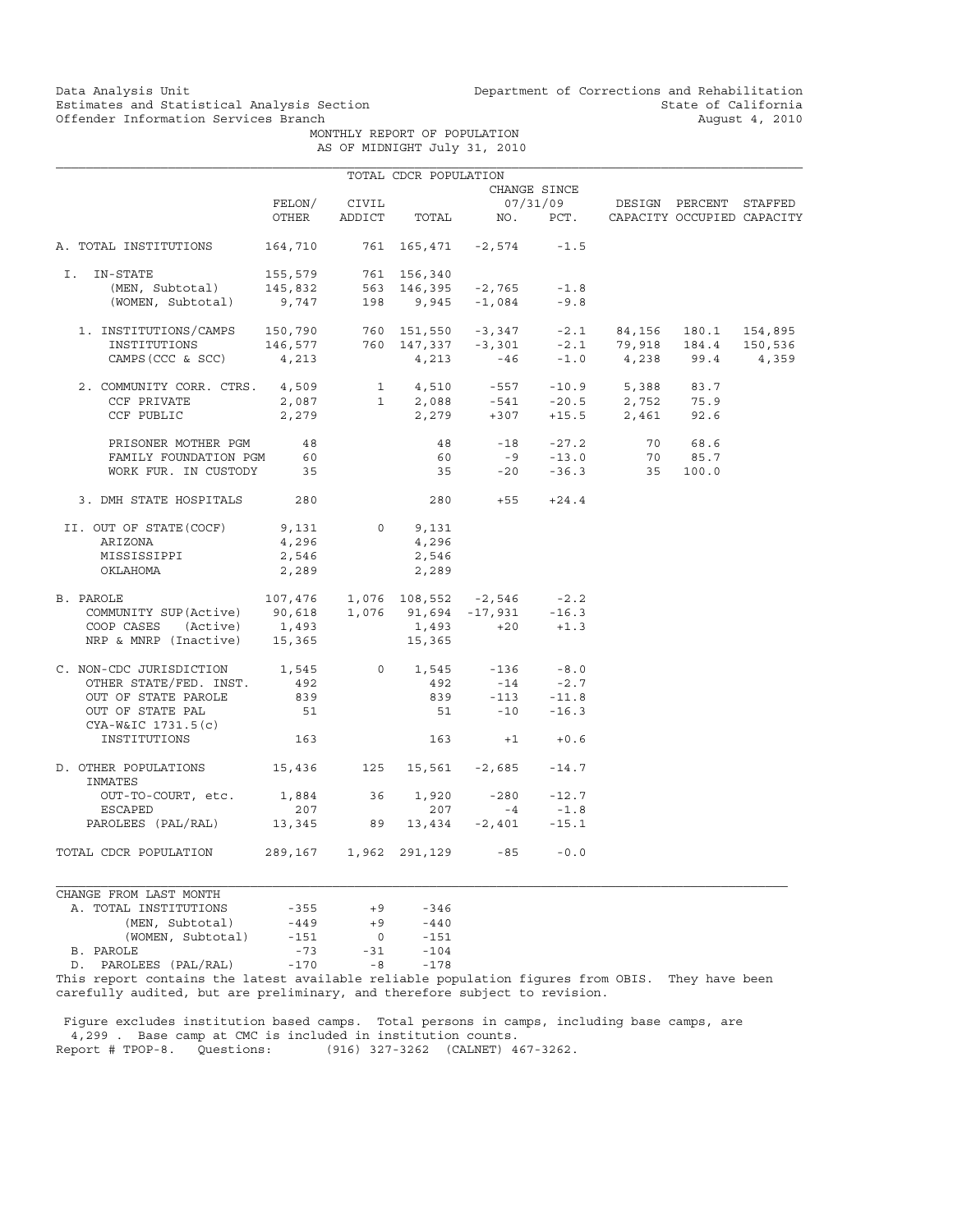Data Analysis Unit Unit Department of Corrections and Rehabilitation<br>Estimates and Statistical Analysis Section State of California Estimates and Statistical Analysis Section<br>
Offender Information Services Branch<br>
2010 August 4, 2010

 MONTHLY REPORT OF POPULATION AS OF MIDNIGHT July 31, 2010

|                                                                                                                                                                                                                                                                                                                               |               |       | TOTAL CDCR POPULATION |                                     |              |                                                                                                    |         |  |
|-------------------------------------------------------------------------------------------------------------------------------------------------------------------------------------------------------------------------------------------------------------------------------------------------------------------------------|---------------|-------|-----------------------|-------------------------------------|--------------|----------------------------------------------------------------------------------------------------|---------|--|
|                                                                                                                                                                                                                                                                                                                               |               |       |                       |                                     | CHANGE SINCE |                                                                                                    |         |  |
|                                                                                                                                                                                                                                                                                                                               | FELON/        | CIVIL |                       |                                     |              | 07/31/09 DESIGN PERCENT STAFFED                                                                    |         |  |
|                                                                                                                                                                                                                                                                                                                               | OTHER         |       |                       |                                     |              | ADDICT TOTAL NO. PCT. CAPACITY OCCUPIED CAPACITY                                                   |         |  |
| A. TOTAL INSTITUTIONS                                                                                                                                                                                                                                                                                                         |               |       |                       | 164,710 761 165,471 -2,574 -1.5     |              |                                                                                                    |         |  |
| I. IN-STATE                                                                                                                                                                                                                                                                                                                   |               |       |                       |                                     |              |                                                                                                    |         |  |
|                                                                                                                                                                                                                                                                                                                               |               |       |                       |                                     |              |                                                                                                    |         |  |
| -STATE 155,579 761 156,340<br>(MEN, Subtotal) 145,832 563 146,395 -2,765 -1.8<br>(WOMEN, Subtotal) 9,747 198 9,945 -1,084 -9.8                                                                                                                                                                                                |               |       |                       |                                     |              |                                                                                                    |         |  |
|                                                                                                                                                                                                                                                                                                                               |               |       |                       |                                     |              |                                                                                                    |         |  |
|                                                                                                                                                                                                                                                                                                                               |               |       |                       |                                     |              |                                                                                                    |         |  |
| $\begin{tabular}{lcccccc} 1. & \text{INSTITUTIONS/CAMPS} & 150,790 & 760 & 151,550 & -3,347 & -2.1 & 84,156 & 180.1 & 154,895 \\ & \text{INSTITUTIONS} & 146,577 & 760 & 147,337 & -3,301 & -2.1 & 79,918 & 184.4 & 150,536 \\ & \text{CAMPS (CCC & SC) & 4,213 & 4,213 & -46 & -1.0 & 4,238 & 99.4 & 4,359 \\ \end{tabular}$ |               |       |                       |                                     |              |                                                                                                    |         |  |
| 2. COMMUNITY CORR. CTRS. 4,509                                                                                                                                                                                                                                                                                                |               |       |                       |                                     |              | 1 4,510 -557 -10.9 5,388 83.7                                                                      |         |  |
| CCF PRIVATE                                                                                                                                                                                                                                                                                                                   |               |       |                       |                                     |              |                                                                                                    |         |  |
| CCF PUBLIC                                                                                                                                                                                                                                                                                                                    |               |       |                       |                                     |              | $2,087$ $1$ $2,088$ $-541$ $-20.5$ $2,752$ $75.9$<br>$2,279$ $2,279$ $+307$ $+15.5$ $2,461$ $92.6$ |         |  |
| PRISONER MOTHER PGM 48                                                                                                                                                                                                                                                                                                        |               |       |                       |                                     |              | 48 -18 -27.2 70 68.6                                                                               |         |  |
| FAMILY FOUNDATION PGM                                                                                                                                                                                                                                                                                                         | 60            |       | 60                    |                                     | $-9 - 13.0$  |                                                                                                    | 70 85.7 |  |
| WORK FUR. IN CUSTODY 35                                                                                                                                                                                                                                                                                                       |               |       |                       |                                     |              | 35 -20 -36.3 35 100.0                                                                              |         |  |
| 3. DMH STATE HOSPITALS 280                                                                                                                                                                                                                                                                                                    |               |       |                       | $280 +55 +24.4$                     |              |                                                                                                    |         |  |
| II. OUT OF STATE(COCF)                                                                                                                                                                                                                                                                                                        | 9,131 0 9,131 |       |                       |                                     |              |                                                                                                    |         |  |
| ARIZONA                                                                                                                                                                                                                                                                                                                       | 4,296         |       | 4,296                 |                                     |              |                                                                                                    |         |  |
| MISSISSIPPI                                                                                                                                                                                                                                                                                                                   | 2,546         |       | 2,546                 |                                     |              |                                                                                                    |         |  |
| OKLAHOMA                                                                                                                                                                                                                                                                                                                      | 2,289         |       | 2,289                 |                                     |              |                                                                                                    |         |  |
| B. PAROLE                                                                                                                                                                                                                                                                                                                     |               |       |                       | $107,476$ 1,076 108,552 -2,546 -2.2 |              |                                                                                                    |         |  |
| COMMUNITY SUP(Active) 90,618 1,076 91,694 -17,931 -16.3                                                                                                                                                                                                                                                                       |               |       |                       |                                     |              |                                                                                                    |         |  |
|                                                                                                                                                                                                                                                                                                                               |               |       |                       | $1,493 +20 +1.3$                    |              |                                                                                                    |         |  |
| COOP CASES (Active) 1,493 1,493<br>NRP & MNRP (Inactive) 15,365 15,365                                                                                                                                                                                                                                                        |               |       |                       |                                     |              |                                                                                                    |         |  |
| C. NON-CDC JURISDICTION $1,545$ 0 $1,545$ -136                                                                                                                                                                                                                                                                                |               |       |                       |                                     | $-8.0$       |                                                                                                    |         |  |
| OTHER STATE/FED. INST.                                                                                                                                                                                                                                                                                                        | 492           |       | 492                   | $-14$ $-2.7$<br>$-113$ $-11.8$      |              |                                                                                                    |         |  |
| OUT OF STATE PAROLE                                                                                                                                                                                                                                                                                                           | 839           |       | 839                   |                                     |              |                                                                                                    |         |  |
| OUT OF STATE PAL                                                                                                                                                                                                                                                                                                              | 51            |       |                       | $51 - 10 - 16.3$                    |              |                                                                                                    |         |  |
| $CYA-W&IC 1731.5(c)$<br>INSTITUTIONS                                                                                                                                                                                                                                                                                          | 163           |       |                       | $163 + 1 + 0.6$                     |              |                                                                                                    |         |  |
| D. OTHER POPULATIONS 15,436 125 15,561 -2,685 -14.7<br>INMATES                                                                                                                                                                                                                                                                |               |       |                       |                                     |              |                                                                                                    |         |  |
| OUT-TO-COURT, etc. 1,884 36 1,920 -280 -12.7                                                                                                                                                                                                                                                                                  |               |       |                       |                                     |              |                                                                                                    |         |  |
| ESCAPED                                                                                                                                                                                                                                                                                                                       | 207           |       | 207                   | $-4$                                | $-1.8$       |                                                                                                    |         |  |
| PAROLEES (PAL/RAL) 13,345 89 13,434 -2,401 -15.1                                                                                                                                                                                                                                                                              |               |       |                       |                                     |              |                                                                                                    |         |  |
| TOTAL CDCR POPULATION 289,167 1,962 291,129 -85                                                                                                                                                                                                                                                                               |               |       |                       |                                     | $-0.0$       |                                                                                                    |         |  |
| CHANGE FROM LAST MONTH                                                                                                                                                                                                                                                                                                        |               |       |                       |                                     |              |                                                                                                    |         |  |
| A. TOTAL INSTITUTIONS                                                                                                                                                                                                                                                                                                         | $-355$        | $+9$  | $-346$                |                                     |              |                                                                                                    |         |  |

 $-449$   $+9$   $-346$ <br> $-449$   $+9$   $-440$ <br> $-151$ (MEN, Subtotal)  $-449 +9 -440$ <br>(WOMEN, Subtotal)  $-151$  0 -151 (WOMEN, Subtotal) -151 0 -151<br>B. PAROLE -73 -31 -104 B. PAROLE -73 -31 -104 D. PAROLEES (PAL/RAL) -170 -8 -178

This report contains the latest available reliable population figures from OBIS. They have been carefully audited, but are preliminary, and therefore subject to revision.

 Figure excludes institution based camps. Total persons in camps, including base camps, are 4,299 . Base camp at CMC is included in institution counts. Report # TPOP-8. Questions: (916) 327-3262 (CALNET) 467-3262.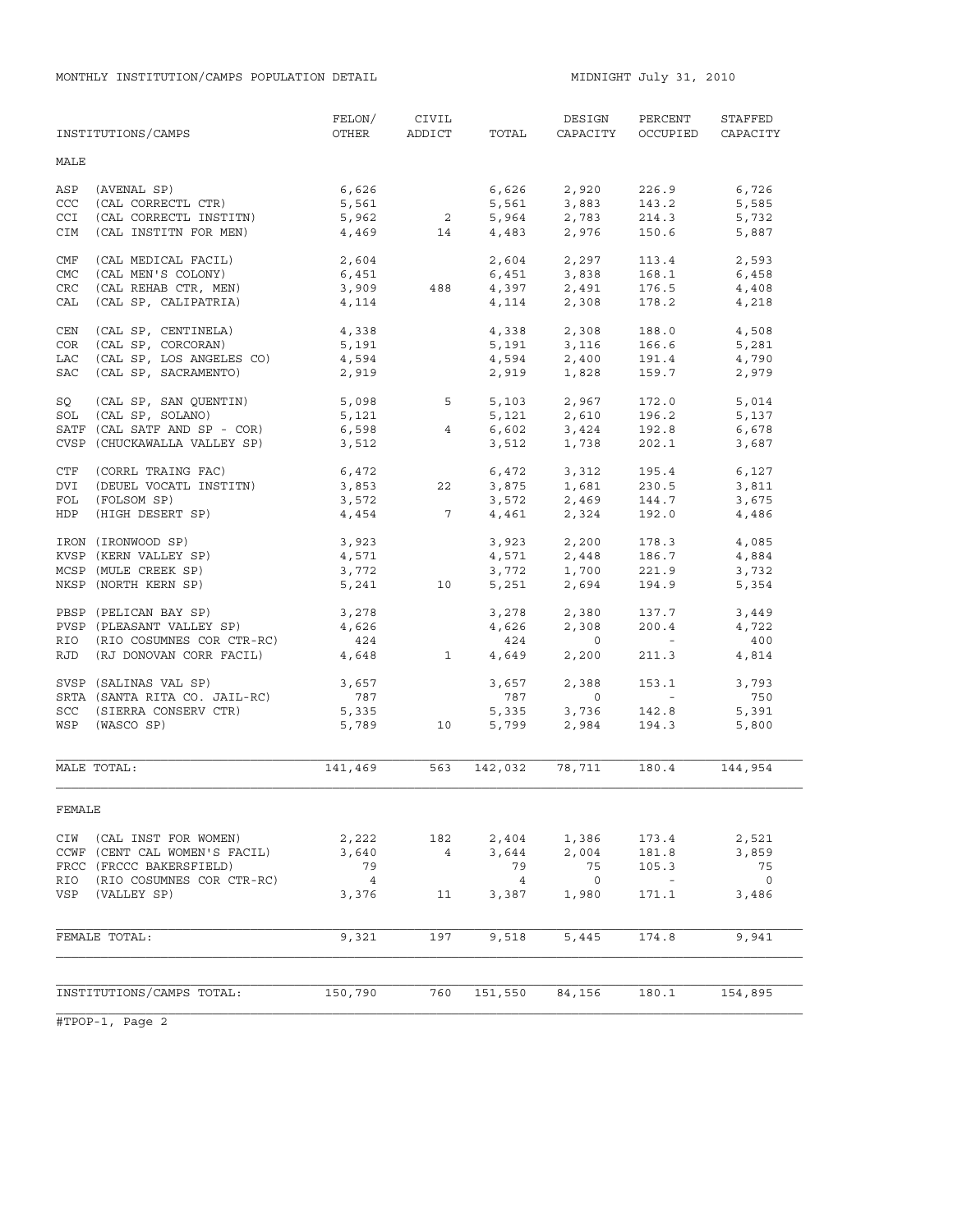MONTHLY INSTITUTION/CAMPS POPULATION DETAIL **MIDNIGHT JULY 31, 2010** 

|            | INSTITUTIONS/CAMPS                        | FELON/<br>OTHER        |                         | CIVIL<br>ADDICT TOTAL | DESIGN<br>CAPACITY                 | PERCENT<br>OCCUPIED                                   | STAFFED<br>CAPACITY |
|------------|-------------------------------------------|------------------------|-------------------------|-----------------------|------------------------------------|-------------------------------------------------------|---------------------|
| MALE       |                                           |                        |                         |                       |                                    |                                                       |                     |
| ASP        | (AVENAL SP)                               | 6,626                  |                         |                       | $6,626$ 2,920                      | 226.9                                                 | 6,726               |
| CCC        | (CAL CORRECTL CTR)                        | 5,561                  |                         | 5,561                 | 3,883                              | 143.2                                                 | 5,585               |
| <b>CCI</b> | (CAL CORRECTL INSTITN)                    | 5,962                  | $\overline{\mathbf{a}}$ |                       |                                    | 214.3                                                 | 5,732               |
| CIM        | (CAL INSTITN FOR MEN)                     | 4,469                  | 14                      |                       | 5,964 2,783<br>4,483 2,976         | 150.6                                                 | 5,887               |
| CMF        | (CAL MEDICAL FACIL)                       | 2,604                  |                         |                       | 2,604 2,297                        | 113.4                                                 | 2,593               |
| CMC        | (CAL MEN'S COLONY)                        | 6,451                  |                         |                       |                                    | 168.1                                                 | 6,458               |
| <b>CRC</b> | (CAL REHAB CTR, MEN)                      | 3,909                  | 488                     |                       | $6,451$ $3,838$<br>$4,397$ $2,491$ | 176.5                                                 | 4,408               |
| CAL        | (CAL SP, CALIPATRIA)                      | 4,114                  |                         |                       | 4, 114 2, 308                      | 178.2                                                 | 4,218               |
| CEN        | (CAL SP, CENTINELA)                       | 4,338                  |                         |                       |                                    | 188.0                                                 | 4,508               |
| COR        | (CAL SP, CORCORAN)                        | 5,191                  |                         |                       | $4,338$ $2,308$<br>5,191 $3,116$   | 166.6                                                 | 5,281               |
| LAC        | (CAL SP, LOS ANGELES CO)                  | 4,594                  |                         |                       | $4,594$ 2,400                      | 191.4                                                 | 4,790               |
| SAC        | (CAL SP, SACRAMENTO)                      | 2,919                  |                         |                       | 1,828                              | 159.7                                                 |                     |
|            |                                           |                        |                         | 2,919                 |                                    |                                                       | 2,979               |
| SQ         | (CAL SP, SAN QUENTIN)<br>(CAL SP, SOLANO) | $5,098$ $5$<br>$5,121$ |                         |                       | 5,103 2,967                        | 172.0<br>196.2                                        | 5,014               |
| SOL        | SATF (CAL SATF AND SP - COR)              |                        |                         |                       | $5,121$ $2,610$                    |                                                       | 5,137               |
|            |                                           | 6,598                  | $4^{\circ}$             | 6,602<br>3,512        | 3,424<br>1,738                     | 192.8<br>202.1                                        | 6,678               |
|            | CVSP (CHUCKAWALLA VALLEY SP)              | 3,512                  |                         |                       |                                    |                                                       | 3,687               |
| CTF        | (CORRL TRAING FAC)                        | 6,472                  |                         |                       | 6,472 3,312                        | 195.4                                                 | 6,127               |
| DVI        | (DEUEL VOCATL INSTITN)                    | 3,853                  | 22                      | 3,875                 | 1,681                              | 230.5                                                 | 3,811               |
| FOL        | (FOLSOM SP)                               | 3,572                  |                         |                       | $3,572$ $2,469$                    | 144.7                                                 | 3,675               |
| HDP        | (HIGH DESERT SP)                          | 4,454                  | $7\overline{ }$         |                       | 4,461 2,324                        | 192.0                                                 | 4,486               |
|            | IRON (IRONWOOD SP)                        | 3,923                  |                         | 3,923                 | 2,200                              | 178.3                                                 | 4,085               |
|            | KVSP (KERN VALLEY SP)                     | 4,571                  |                         |                       | $4,571$ 2,448                      | 186.7                                                 | 4,884               |
|            | MCSP (MULE CREEK SP)                      | 3,772                  |                         | 3,772                 | 1,700                              | 221.9                                                 | 3,732               |
|            | NKSP (NORTH KERN SP)                      | 5,241                  | 10                      | 5,251                 | 2,694                              | 194.9                                                 | 5,354               |
|            | PBSP (PELICAN BAY SP)                     | 3,278                  |                         | 3,278                 | 2,380                              | 137.7                                                 | 3,449               |
|            | PVSP (PLEASANT VALLEY SP)                 | 4,626                  |                         | 4,626                 | 2,308                              | 200.4                                                 | 4,722               |
| RIO        | (RIO COSUMNES COR CTR-RC)                 | 424                    |                         | 424                   | $\overline{0}$                     | $\mathcal{L}_{\rm{max}}$ and $\mathcal{L}_{\rm{max}}$ | 400                 |
| RJD        | (RJ DONOVAN CORR FACIL)                   | 4,648                  | $\mathbf{1}$            | 4,649                 | 2,200                              | 211.3                                                 | 4,814               |
|            | SVSP (SALINAS VAL SP)                     | 3,657                  |                         | 3,657                 | 2,388                              | 153.1                                                 | 3,793               |
|            | SRTA (SANTA RITA CO. JAIL-RC)             | 787                    |                         | 787                   | $\overline{0}$                     | <b>Contract Contract</b>                              | 750                 |
|            | SCC (SIERRA CONSERV CTR)                  | 5,335                  |                         |                       |                                    | 142.8                                                 | 5,391               |
| WSP        | (WASCO SP)                                |                        | 5,789 10                | 5,335<br>5,799        | 3,736<br>2,984                     | 194.3                                                 | 5,800               |
|            |                                           |                        |                         |                       |                                    |                                                       |                     |
|            | MALE TOTAL:                               | 141,469                | 563                     | 142,032               | 78,711                             | 180.4                                                 | 144,954             |
| FEMALE     |                                           |                        |                         |                       |                                    |                                                       |                     |
| CIW        | (CAL INST FOR WOMEN)                      | 2,222                  | 182                     | 2,404                 | 1,386                              | 173.4                                                 | 2,521               |
|            | CCWF (CENT CAL WOMEN'S FACIL)             | 3,640                  | $\overline{4}$          | 3,644                 | 2,004                              | 181.8                                                 | 3,859               |
|            | FRCC (FRCCC BAKERSFIELD)                  | 79                     |                         | 79                    | 75                                 | 105.3                                                 | 75                  |
| RIO        | (RIO COSUMNES COR CTR-RC)                 | $\overline{4}$         |                         | $\overline{4}$        | $\overline{0}$                     | $\sim$ $-$                                            | $\overline{0}$      |
| VSP        | (VALLEY SP)                               | 3,376                  | 11                      | 3,387                 | 1,980                              | 171.1                                                 | 3,486               |
|            | FEMALE TOTAL:                             | 9,321                  | 197                     |                       | 5,445                              | 174.8                                                 | 9,941               |
|            |                                           |                        |                         | 9,518                 |                                    |                                                       |                     |
|            |                                           |                        |                         |                       |                                    |                                                       |                     |
|            | INSTITUTIONS/CAMPS TOTAL:                 | 150,790                | 760                     | 151,550               | 84,156                             | 180.1                                                 | 154,895             |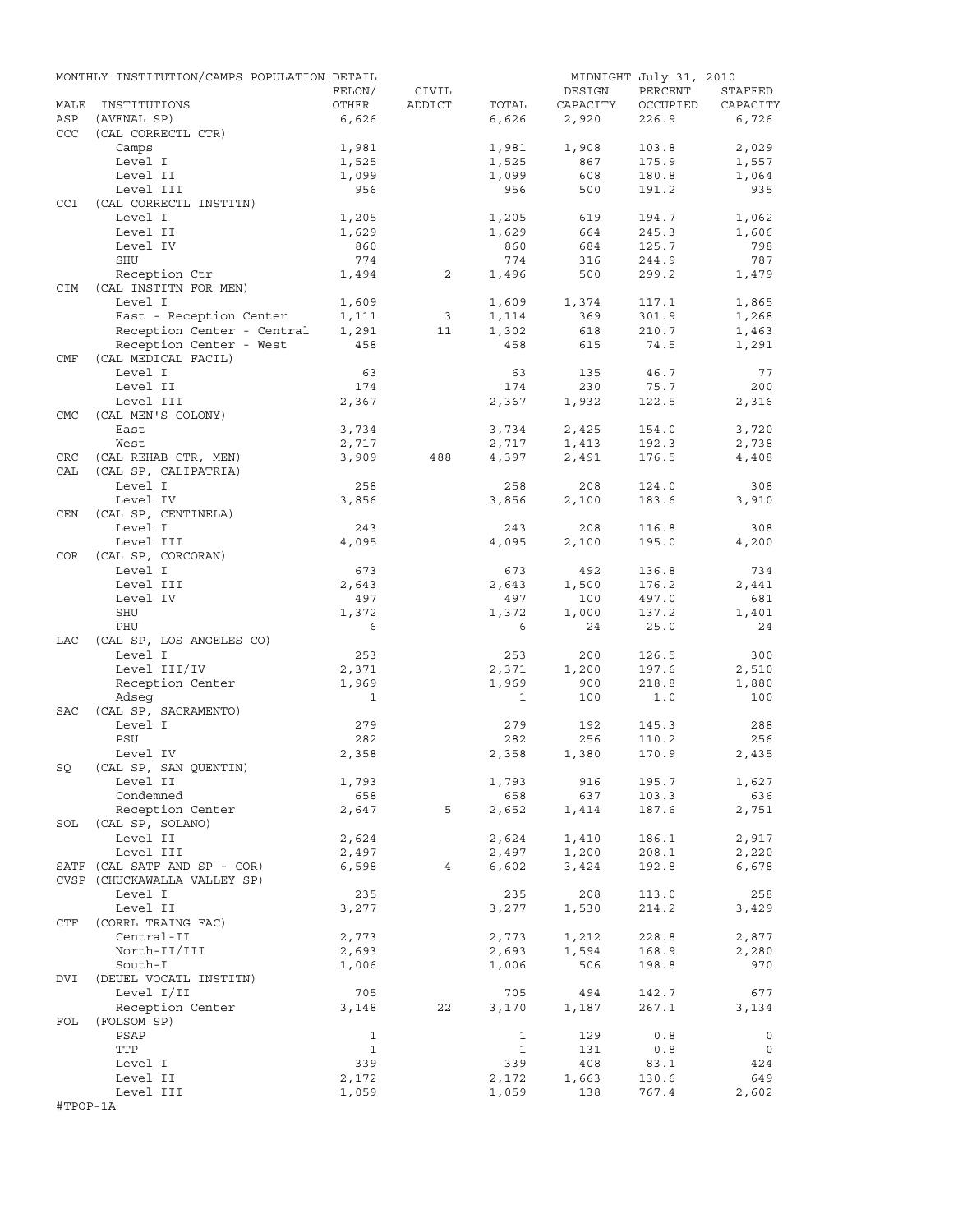|            | MONTHLY INSTITUTION/CAMPS POPULATION DETAIL |                |                |                |          | MIDNIGHT July 31, 2010 |                |
|------------|---------------------------------------------|----------------|----------------|----------------|----------|------------------------|----------------|
|            |                                             | FELON/         | CIVIL          |                | DESIGN   | PERCENT                | STAFFED        |
| MALE       | INSTITUTIONS                                | OTHER          | ADDICT         | TOTAL          | CAPACITY | OCCUPIED               | CAPACITY       |
| ASP        | (AVENAL SP)                                 | 6,626          |                | 6,626          | 2,920    | 226.9                  | 6,726          |
| CCC        | (CAL CORRECTL CTR)                          |                |                |                | 1,908    |                        |                |
|            | Camps<br>Level I                            | 1,981<br>1,525 |                | 1,981          | 867      | 103.8<br>175.9         | 2,029<br>1,557 |
|            | Level II                                    | 1,099          |                | 1,525<br>1,099 | 608      | 180.8                  | 1,064          |
|            | Level III                                   | 956            |                | 956            | 500      | 191.2                  | 935            |
| <b>CCI</b> | (CAL CORRECTL INSTITN)                      |                |                |                |          |                        |                |
|            | Level I                                     | 1,205          |                | 1,205          | 619      | 194.7                  | 1,062          |
|            | Level II                                    | 1,629          |                | 1,629          | 664      | 245.3                  | 1,606          |
|            | Level IV                                    | 860            |                | 860            | 684      | 125.7                  | 798            |
|            | SHU                                         | 774            |                | 774            | 316      | 244.9                  | 787            |
|            | Reception Ctr                               | 1,494          | 2              | 1,496          | 500      | 299.2                  | 1,479          |
| <b>CIM</b> | (CAL INSTITN FOR MEN)                       |                |                |                |          |                        |                |
|            | Level I                                     | 1,609          |                | 1,609          | 1,374    | 117.1                  | 1,865          |
|            | East - Reception Center                     | 1,111          | $\overline{3}$ | 1,114          | 369      | 301.9                  | 1,268          |
|            | Reception Center - Central                  | 1,291          | 11             | 1,302          | 618      | 210.7                  | 1,463          |
|            | Reception Center - West                     | 458            |                | 458            | 615      | 74.5                   | 1,291          |
| CMF        | (CAL MEDICAL FACIL)                         |                |                |                |          |                        |                |
|            | Level I                                     | 63             |                | 63             | 135      | 46.7                   | 77             |
|            | Level II                                    | 174            |                | 174            | 230      | 75.7                   | 200            |
|            | Level III                                   | 2,367          |                | 2,367          | 1,932    | 122.5                  | 2,316          |
| <b>CMC</b> | (CAL MEN'S COLONY)                          |                |                |                |          |                        |                |
|            | East                                        | 3,734          |                | 3,734          | 2,425    | 154.0                  | 3,720          |
|            | West                                        | 2,717          |                | 2,717          | 1,413    | 192.3                  | 2,738          |
| CRC        | (CAL REHAB CTR, MEN)                        | 3,909          | 488            | 4,397          | 2,491    | 176.5                  | 4,408          |
| CAL        | (CAL SP, CALIPATRIA)                        |                |                |                |          |                        |                |
|            | Level I                                     | 258            |                | 258            | 208      | 124.0                  | 308            |
|            | Level IV                                    | 3,856          |                | 3,856          | 2,100    | 183.6                  | 3,910          |
| CEN        | (CAL SP, CENTINELA)                         |                |                |                |          |                        |                |
|            | Level I                                     | 243            |                | 243            | 208      | 116.8                  | 308            |
| COR        | Level III<br>(CAL SP, CORCORAN)             | 4,095          |                | 4,095          | 2,100    | 195.0                  | 4,200          |
|            | Level I                                     | 673            |                | 673            | 492      | 136.8                  | 734            |
|            | Level III                                   | 2,643          |                | 2,643          | 1,500    | 176.2                  | 2,441          |
|            | Level IV                                    | 497            |                | 497            | 100      | 497.0                  | 681            |
|            | SHU                                         | 1,372          |                | 1,372          | 1,000    | 137.2                  | 1,401          |
|            | PHU                                         | 6              |                | 6              | 24       | 25.0                   | 24             |
| LAC        | (CAL SP, LOS ANGELES CO)                    |                |                |                |          |                        |                |
|            | Level I                                     | 253            |                | 253            | 200      | 126.5                  | 300            |
|            | Level III/IV                                | 2,371          |                | 2,371          | 1,200    | 197.6                  | 2,510          |
|            | Reception Center                            | 1,969          |                | 1,969          | 900      | 218.8                  | 1,880          |
|            | Adseq                                       | 1              |                | 1              | 100      | 1.0                    | 100            |
| SAC        | (CAL SP, SACRAMENTO)                        |                |                |                |          |                        |                |
|            | Level I                                     | 279            |                | 279            | 192      | 145.3                  | 288            |
|            | PSU                                         | 282            |                | 282            | 256      | 110.2                  | 256            |
|            | Level IV                                    | 2,358          |                | 2,358          | 1,380    | 170.9                  | 2,435          |
| SQ         | (CAL SP, SAN QUENTIN)                       |                |                |                |          |                        |                |
|            | Level II                                    | 1,793          |                | 1,793          | 916      | 195.7                  | 1,627          |
|            | Condemned                                   | 658            |                | 658            | 637      | 103.3                  | 636            |
|            | Reception Center                            | 2,647          | 5              | 2,652          | 1,414    | 187.6                  | 2,751          |
| SOL        | (CAL SP, SOLANO)                            |                |                |                |          |                        |                |
|            | Level II                                    | 2,624          |                | 2,624          | 1,410    | 186.1                  | 2,917          |
|            | Level III                                   | 2,497          |                | 2,497          | 1,200    | 208.1                  | 2,220          |
|            | SATF (CAL SATF AND SP - COR)                | 6,598          | 4              | 6,602          | 3,424    | 192.8                  | 6,678          |
|            | CVSP (CHUCKAWALLA VALLEY SP)                |                |                |                |          |                        |                |
|            | Level I                                     | 235            |                | 235            | 208      | 113.0                  | 258            |
|            | Level II                                    | 3,277          |                | 3,277          | 1,530    | 214.2                  | 3,429          |
| CTF        | (CORRL TRAING FAC)                          |                |                |                |          |                        |                |
|            | Central-II                                  | 2,773          |                | 2,773          | 1,212    | 228.8                  | 2,877          |
|            | North-II/III<br>South-I                     | 2,693          |                | 2,693          | 1,594    | 168.9                  | 2,280          |
| DVI        | (DEUEL VOCATL INSTITN)                      | 1,006          |                | 1,006          | 506      | 198.8                  | 970            |
|            | Level I/II                                  | 705            |                | 705            | 494      | 142.7                  | 677            |
|            | Reception Center                            | 3,148          | 22             | 3,170          | 1,187    | 267.1                  | 3,134          |
| FOL        | (FOLSOM SP)                                 |                |                |                |          |                        |                |
|            | PSAP                                        | 1              |                | 1              | 129      | 0.8                    | $\circ$        |
|            | TTP                                         | $\mathbf{1}$   |                | $\mathbf{1}$   | 131      | 0.8                    | $\circ$        |
|            | Level I                                     | 339            |                | 339            | 408      | 83.1                   | 424            |
|            | Level II                                    | 2,172          |                | 2,172          | 1,663    | 130.6                  | 649            |
|            | Level III                                   | 1,059          |                | 1,059          | 138      | 767.4                  | 2,602          |
| #TPOP-1A   |                                             |                |                |                |          |                        |                |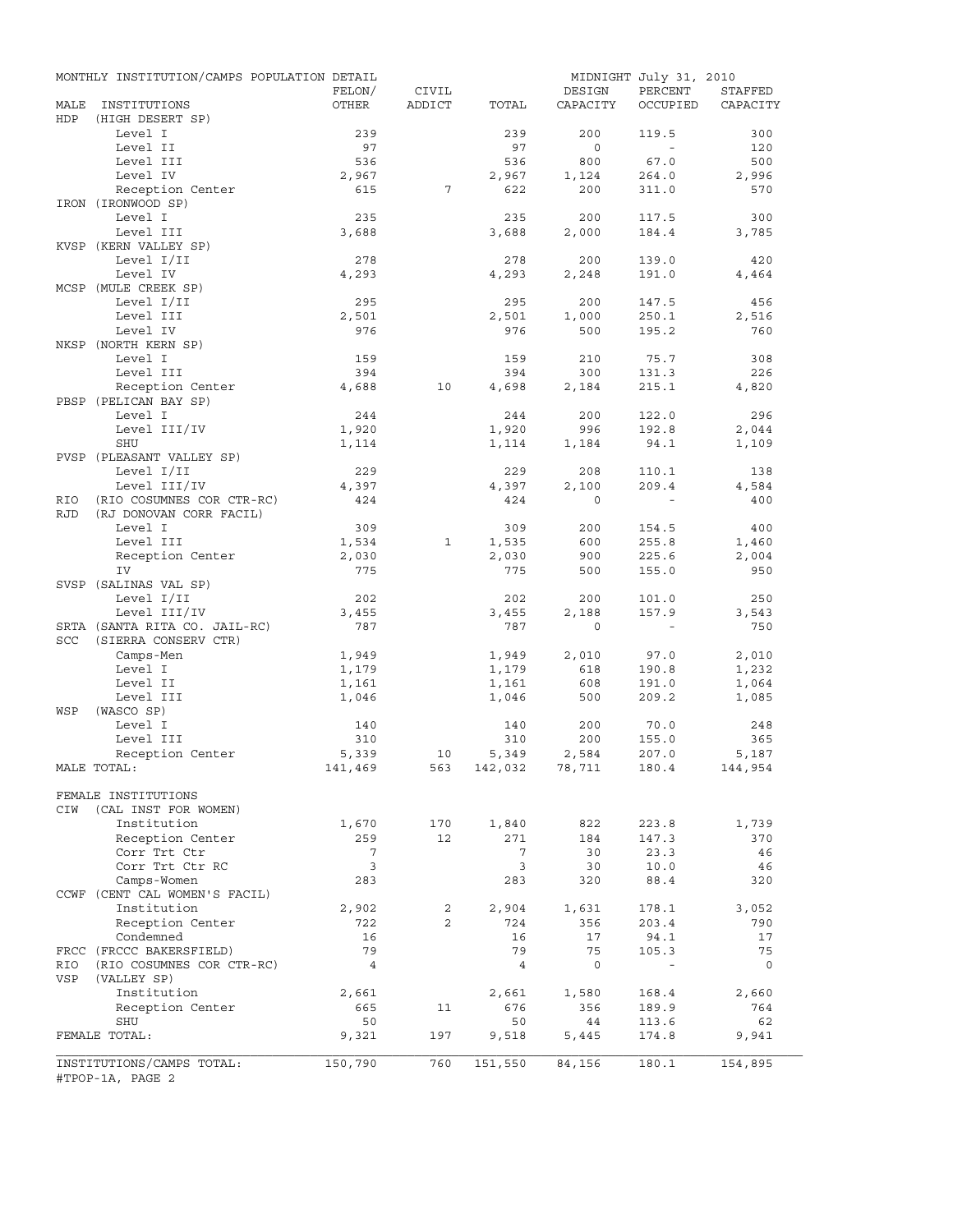|            | MONTHLY INSTITUTION/CAMPS POPULATION DETAIL |                |                |                    |                | MIDNIGHT July 31, 2010 |            |
|------------|---------------------------------------------|----------------|----------------|--------------------|----------------|------------------------|------------|
|            |                                             | FELON/         | CIVIL          |                    | DESIGN         | PERCENT                | STAFFED    |
| MALE       | INSTITUTIONS                                | OTHER          | ADDICT         | TOTAL              | CAPACITY       | OCCUPIED               | CAPACITY   |
| HDP        | (HIGH DESERT SP)                            |                |                |                    |                |                        |            |
|            | Level I<br>Level II                         | 239<br>97      |                | 239<br>97          | 200<br>$\circ$ | 119.5<br>$\sim$        | 300<br>120 |
|            | Level III                                   | 536            |                | 536                | 800            | 67.0                   | 500        |
|            | Level IV                                    | 2,967          |                | 2,967              | 1,124          | 264.0                  | 2,996      |
|            | Reception Center                            | 615            | 7              | 622                | 200            | 311.0                  | 570        |
|            | IRON (IRONWOOD SP)                          |                |                |                    |                |                        |            |
|            | Level I                                     | 235            |                | 235                | 200            | 117.5                  | 300        |
|            | Level III                                   | 3,688          |                | 3,688              | 2,000          | 184.4                  | 3,785      |
|            | KVSP (KERN VALLEY SP)                       |                |                |                    |                |                        |            |
|            | Level I/II                                  | 278            |                | 278                | 200            | 139.0                  | 420        |
|            | Level IV                                    | 4,293          |                | 4,293              | 2,248          | 191.0                  | 4,464      |
|            | MCSP (MULE CREEK SP)                        |                |                |                    |                |                        |            |
|            | Level I/II                                  | 295            |                | 295                | 200            | 147.5                  | 456        |
|            | Level III                                   | 2,501          |                | 2,501              | 1,000          | 250.1                  | 2,516      |
|            | Level IV                                    | 976            |                | 976                | 500            | 195.2                  | 760        |
|            | NKSP (NORTH KERN SP)                        |                |                |                    |                |                        |            |
|            | Level I                                     | 159            |                | 159                | 210            | 75.7                   | 308        |
|            | Level III                                   | 394            |                | 394                | 300            | 131.3                  | 226        |
|            | Reception Center                            | 4,688          | 10             | 4,698              | 2,184          | 215.1                  | 4,820      |
|            | PBSP (PELICAN BAY SP)                       |                |                |                    |                |                        |            |
|            | Level I                                     | 244            |                | 244                | 200            | 122.0                  | 296        |
|            | Level III/IV                                | 1,920          |                | 1,920              | 996            | 192.8                  | 2,044      |
|            | SHU                                         | 1,114          |                | 1,114              | 1,184          | 94.1                   | 1,109      |
|            | PVSP (PLEASANT VALLEY SP)                   |                |                |                    |                |                        |            |
|            | Level I/II                                  | 229            |                | 229                | 208            | 110.1                  | 138        |
|            | Level III/IV                                | 4,397          |                | 4,397              | 2,100          | 209.4                  | 4,584      |
| RIO        | (RIO COSUMNES COR CTR-RC)                   | 424            |                | 424                | $\Omega$       |                        | 400        |
| <b>RJD</b> | (RJ DONOVAN CORR FACIL)                     |                |                |                    |                |                        |            |
|            | Level I                                     | 309            |                | 309                | 200            | 154.5                  | 400        |
|            | Level III                                   | 1,534          | 1              | 1,535              | 600            | 255.8                  | 1,460      |
|            | Reception Center                            | 2,030          |                | 2,030              | 900            | 225.6                  | 2,004      |
|            | IV                                          | 775            |                | 775                | 500            | 155.0                  | 950        |
|            | SVSP (SALINAS VAL SP)                       |                |                |                    |                |                        |            |
|            | Level I/II                                  | 202            |                | 202                | 200            | 101.0                  | 250        |
|            | Level III/IV                                | 3,455          |                | 3,455              | 2,188          | 157.9                  | 3,543      |
|            | SRTA (SANTA RITA CO. JAIL-RC)               | 787            |                | 787                | $\mathbf{0}$   | $\sim$                 | 750        |
| SCC        | (SIERRA CONSERV CTR)                        |                |                |                    |                |                        |            |
|            | Camps-Men                                   | 1,949          |                | 1,949              | 2,010          | 97.0                   | 2,010      |
|            | Level I                                     | 1,179          |                | 1,179              | 618            | 190.8                  | 1,232      |
|            | Level II                                    | 1,161          |                | 1,161<br>1,046     | 608<br>500     | 191.0                  | 1,064      |
| WSP        | Level III<br>(WASCO SP)                     | 1,046          |                |                    |                | 209.2                  | 1,085      |
|            | Level I                                     | 140            |                | 140                | 200            | 70.0                   | 248        |
|            | Level III                                   | 310            |                | 310                | 200            | 155.0                  | 365        |
|            | Reception Center                            | 5,339          | 10             | 5,349              | 2,584          | 207.0                  | 5,187      |
|            | MALE TOTAL:                                 | 141,469        |                | 563 142,032 78,711 |                | 180.4                  | 144,954    |
|            |                                             |                |                |                    |                |                        |            |
|            | FEMALE INSTITUTIONS                         |                |                |                    |                |                        |            |
| CIW        | (CAL INST FOR WOMEN)                        |                |                |                    |                |                        |            |
|            | Institution                                 | 1,670          | 170            | 1,840              | 822            | 223.8                  | 1,739      |
|            | Reception Center                            | 259            | 12             | 271                | 184            | 147.3                  | 370        |
|            | Corr Trt Ctr                                | 7              |                | 7                  | 30             | 23.3                   | 46         |
|            | Corr Trt Ctr RC                             | 3              |                | 3                  | 30             | 10.0                   | 46         |
|            | Camps-Women                                 | 283            |                | 283                | 320            | 88.4                   | 320        |
|            | CCWF (CENT CAL WOMEN'S FACIL)               |                |                |                    |                |                        |            |
|            | Institution                                 | 2,902          | 2              | 2,904              | 1,631          | 178.1                  | 3,052      |
|            | Reception Center                            | 722            | $\overline{2}$ | 724                | 356            | 203.4                  | 790        |
|            | Condemned                                   | 16             |                | 16                 | 17             | 94.1                   | 17         |
|            | FRCC (FRCCC BAKERSFIELD)                    | 79             |                | 79                 | 75             | 105.3                  | 75         |
| RIO        | (RIO COSUMNES COR CTR-RC)                   | $\overline{4}$ |                | $\overline{4}$     | 0              | $\blacksquare$         | 0          |
| VSP        | (VALLEY SP)                                 |                |                |                    |                |                        |            |
|            | Institution                                 | 2,661          |                | 2,661              | 1,580          | 168.4                  | 2,660      |
|            | Reception Center                            | 665            | 11             | 676                | 356            | 189.9                  | 764        |
|            | SHU                                         | 50             |                | 50                 | 44             | 113.6                  | 62         |
|            | FEMALE TOTAL:                               | 9,321          | 197            | 9,518              | 5,445          | 174.8                  | 9,941      |
|            |                                             |                |                |                    |                |                        |            |
|            | INSTITUTIONS/CAMPS TOTAL:                   | 150,790        | 760            | 151,550            | 84,156         | 180.1                  | 154,895    |
|            | #TPOP-1A, PAGE 2                            |                |                |                    |                |                        |            |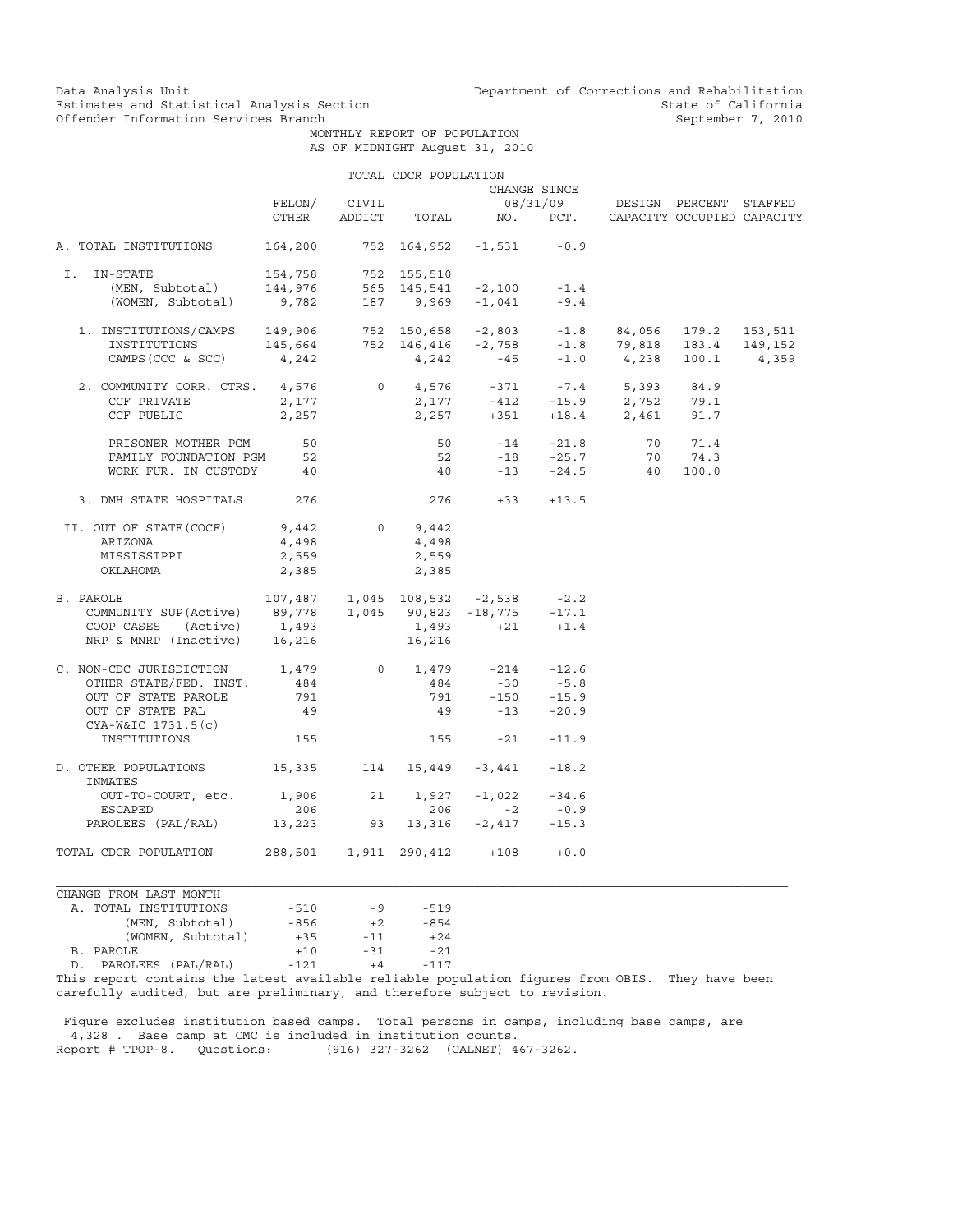MONTHLY REPORT OF POPULATION AS OF MIDNIGHT August 31, 2010

|                                                                                                                                                                                                                                                                                                                                         |        |       | TOTAL CDCR POPULATION |                                       |              |                                                            |  |
|-----------------------------------------------------------------------------------------------------------------------------------------------------------------------------------------------------------------------------------------------------------------------------------------------------------------------------------------|--------|-------|-----------------------|---------------------------------------|--------------|------------------------------------------------------------|--|
|                                                                                                                                                                                                                                                                                                                                         |        |       |                       |                                       | CHANGE SINCE |                                                            |  |
|                                                                                                                                                                                                                                                                                                                                         | FELON/ | CIVIL |                       |                                       |              | 08/31/09 DESIGN PERCENT STAFFED                            |  |
|                                                                                                                                                                                                                                                                                                                                         | OTHER  |       |                       |                                       |              | ADDICT TOTAL NO. PCT. CAPACITY OCCUPIED CAPACITY           |  |
| A. TOTAL INSTITUTIONS                                                                                                                                                                                                                                                                                                                   |        |       |                       | $164, 200$ 752 $164, 952$ -1,531 -0.9 |              |                                                            |  |
| I. IN-STATE                                                                                                                                                                                                                                                                                                                             |        |       |                       |                                       |              |                                                            |  |
|                                                                                                                                                                                                                                                                                                                                         |        |       |                       |                                       |              |                                                            |  |
| 1512 154,758 752 155,510<br>(MEN, Subtotal) 144,976 565 145,541 -2,100 -1.4<br>(WOMEN, Subtotal) 9,782 187 9,969 -1,041 -9.4                                                                                                                                                                                                            |        |       |                       |                                       |              |                                                            |  |
|                                                                                                                                                                                                                                                                                                                                         |        |       |                       |                                       |              |                                                            |  |
|                                                                                                                                                                                                                                                                                                                                         |        |       |                       |                                       |              |                                                            |  |
| $\begin{tabular}{lcccccc} 1. & \texttt{INSTITUTIONS/CAMPS} & 149,906 & 752 & 150,658 & -2,803 & -1.8 & 84,056 & 179.2 & 153,511 \\ & \texttt{INSTITUTIONS} & 145,664 & 752 & 146,416 & -2,758 & -1.8 & 79,818 & 183.4 & 149,152 \\ & & & & & & & & & & \\ \texttt{CAMPS (CCC & SC) & & 4,242 & & 4,242 & -45 & -1.0 & 4,238 & 100.1 & $ |        |       |                       |                                       |              |                                                            |  |
| 2. COMMUNITY CORR. CTRS. 4,576 0 4,576 -371 -7.4 5,393 84.9                                                                                                                                                                                                                                                                             |        |       |                       |                                       |              |                                                            |  |
| CCF PRIVATE                                                                                                                                                                                                                                                                                                                             | 2,177  |       |                       |                                       |              |                                                            |  |
| CCF PUBLIC                                                                                                                                                                                                                                                                                                                              | 2,257  |       |                       |                                       |              | 2,177 -412 -15.9 2,752 79.1<br>2,257 +351 +18.4 2,461 91.7 |  |
|                                                                                                                                                                                                                                                                                                                                         |        |       |                       |                                       |              |                                                            |  |
| PRISONER MOTHER PGM 50<br>FAMILY FOUNDATION PGM 52                                                                                                                                                                                                                                                                                      |        |       |                       |                                       |              | 50 -14 -21.8 70 71.4<br>52 -18 -25.7 70 74.3               |  |
| WORK FUR. IN CUSTODY 40                                                                                                                                                                                                                                                                                                                 |        |       | 40                    |                                       |              | $-13$ $-24.5$ $40$ $100.0$                                 |  |
| 3. DMH STATE HOSPITALS 276                                                                                                                                                                                                                                                                                                              |        |       |                       | $276 +33 +13.5$                       |              |                                                            |  |
| II. OUT OF STATE (COCF) $9,442$ 0 9,442                                                                                                                                                                                                                                                                                                 |        |       |                       |                                       |              |                                                            |  |
| ARIZONA                                                                                                                                                                                                                                                                                                                                 | 4,498  |       | 4,498                 |                                       |              |                                                            |  |
| MISSISSIPPI                                                                                                                                                                                                                                                                                                                             | 2,559  |       | 2,559                 |                                       |              |                                                            |  |
| OKLAHOMA                                                                                                                                                                                                                                                                                                                                | 2,385  |       | 2,385                 |                                       |              |                                                            |  |
| B. PAROLE                                                                                                                                                                                                                                                                                                                               |        |       |                       |                                       |              |                                                            |  |
|                                                                                                                                                                                                                                                                                                                                         |        |       |                       |                                       |              |                                                            |  |
|                                                                                                                                                                                                                                                                                                                                         |        |       |                       |                                       |              |                                                            |  |
| PAROLE 107,487 1,045 108,532 -2,538 -2.2<br>COMMUNITY SUP(Active) 89,778 1,045 90,823 -18,775 -17.1<br>COOP CASES (Active) 1,493 1,493 +21 +1.4<br>NRP & MNRP (Inactive) 16,216 16,216                                                                                                                                                  |        |       |                       |                                       |              |                                                            |  |
| $\begin{tabular}{lcccccc} C. & non-CDC JURISDICTION & & & 1,479 & & 0 & & 1,479 & & -214 & & -12.6 \\ & OTHER STATE/FED. & INST. & & 484 & & & 484 & & -30 & & -5.8 \\ \end{tabular}$                                                                                                                                                   |        |       |                       |                                       |              |                                                            |  |
|                                                                                                                                                                                                                                                                                                                                         |        |       |                       |                                       |              |                                                            |  |
| OUT OF STATE PAROLE                                                                                                                                                                                                                                                                                                                     | 791    |       |                       |                                       |              |                                                            |  |
| OUT OF STATE PAL                                                                                                                                                                                                                                                                                                                        | 49     |       |                       | 791 -150 -15.9<br>49 -13 -20.9        |              |                                                            |  |
| CYA-W&IC 1731.5(c)                                                                                                                                                                                                                                                                                                                      |        |       |                       |                                       |              |                                                            |  |
| INSTITUTIONS                                                                                                                                                                                                                                                                                                                            | 155    |       |                       | $155 -21 -11.9$                       |              |                                                            |  |
| D. OTHER POPULATIONS 15,335 114 15,449 -3,441 -18.2<br>INMATES                                                                                                                                                                                                                                                                          |        |       |                       |                                       |              |                                                            |  |
| OUT-TO-COURT, etc. 1,906                                                                                                                                                                                                                                                                                                                |        | 21    |                       | $1,927 -1,022 -34.6$                  |              |                                                            |  |
| ESCAPED                                                                                                                                                                                                                                                                                                                                 | 206    |       |                       | $206 -2$                              | $-0.9$       |                                                            |  |
| PAROLEES (PAL/RAL) 13,223 93 13,316 -2,417 -15.3                                                                                                                                                                                                                                                                                        |        |       |                       |                                       |              |                                                            |  |
| TOTAL CDCR POPULATION 288,501 1,911 290,412 +108 +0.0                                                                                                                                                                                                                                                                                   |        |       |                       |                                       |              |                                                            |  |
| CHANGE FROM LAST MONTH                                                                                                                                                                                                                                                                                                                  |        |       |                       |                                       |              |                                                            |  |
| A. TOTAL INSTITUTIONS                                                                                                                                                                                                                                                                                                                   | $-510$ | $-9$  | $-519$                |                                       |              |                                                            |  |
| (MEN, Subtotal)                                                                                                                                                                                                                                                                                                                         | $-856$ | $+2$  | $-854$                |                                       |              |                                                            |  |

|                       | $\frac{1}{1}$     | <b>UU</b>                                                                                                      | $\sim$ | $\cdots$ |
|-----------------------|-------------------|----------------------------------------------------------------------------------------------------------------|--------|----------|
|                       | (WOMEN, Subtotal) | $+35$                                                                                                          | $-11$  | $+24$    |
| B. PAROLE             |                   | $+10$                                                                                                          | $-31$  | $-21$    |
| D. PAROLEES (PAL/RAL) |                   | $-121$                                                                                                         | $+4$   | $-117$   |
|                       |                   | mit 2 ա. դեպքում է համար համար է համար է համար է համար է համար է համար է համար է համար է համար է համար է համար |        |          |

This report contains the latest available reliable population figures from OBIS. They have been carefully audited, but are preliminary, and therefore subject to revision.

 Figure excludes institution based camps. Total persons in camps, including base camps, are 4,328 . Base camp at CMC is included in institution counts. (916) 327-3262 (CALNET) 467-3262.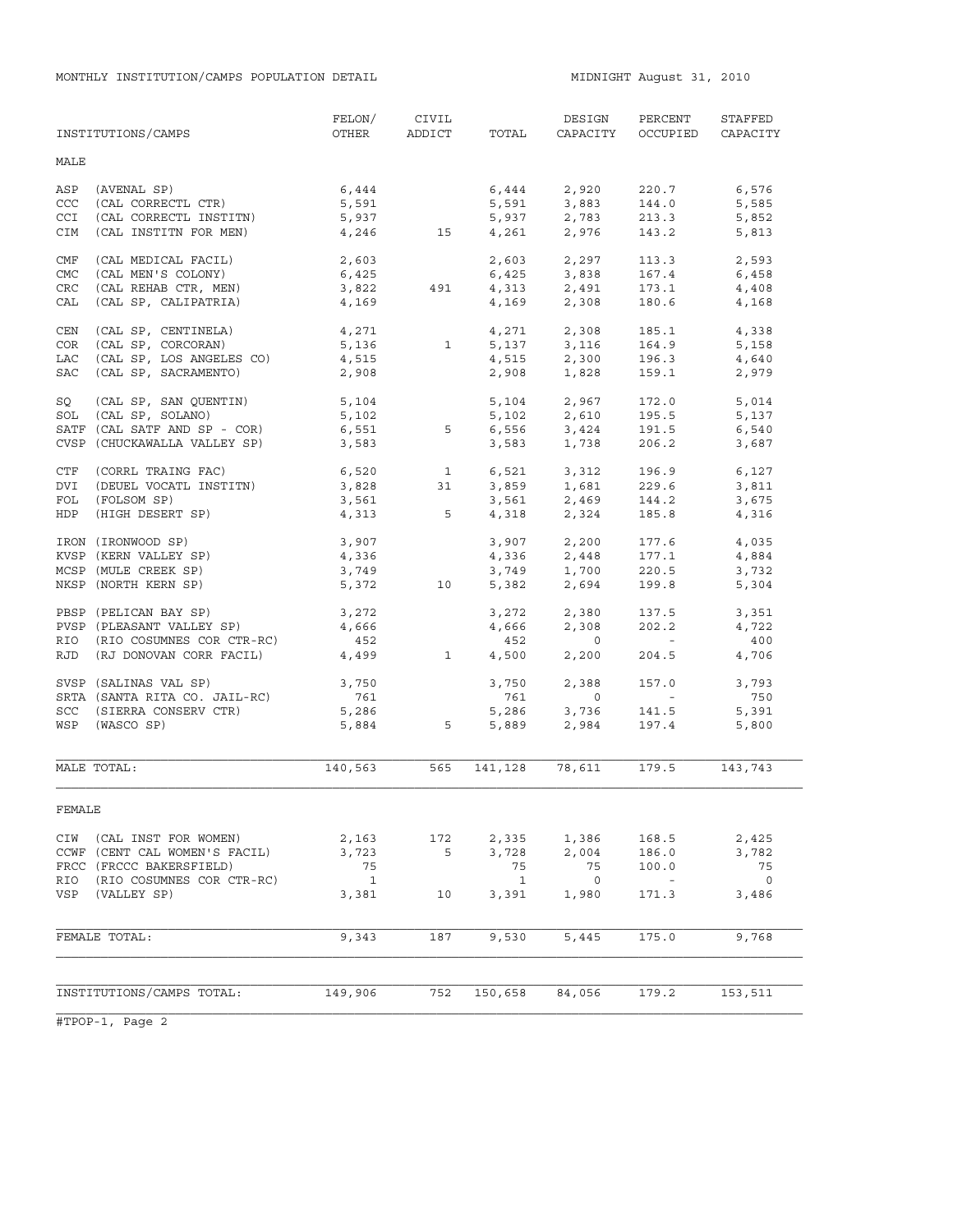|            | INSTITUTIONS/CAMPS            | FELON/<br>OTHER | CIVIL<br><b>ADDICT</b>   | TOTAL        | DESIGN<br>CAPACITY                 | PERCENT<br>OCCUPIED                     | STAFFED<br>CAPACITY      |
|------------|-------------------------------|-----------------|--------------------------|--------------|------------------------------------|-----------------------------------------|--------------------------|
| MALE       |                               |                 |                          |              |                                    |                                         |                          |
| ASP        | (AVENAL SP)                   | 6,444           |                          |              | 6,444 2,920                        | 220.7                                   | 6,576                    |
| <b>CCC</b> | (CAL CORRECTL CTR)            | 5,591           |                          | 5,591        | 3,883                              | 144.0                                   | 5,585                    |
| <b>CCI</b> | (CAL CORRECTL INSTITN)        | 5,937           |                          |              | $5,937$ $2,783$                    | 213.3                                   | 5,852                    |
| CIM        | (CAL INSTITN FOR MEN)         |                 | 4,246 15                 |              | 4,261 2,976                        | 143.2                                   | 5,813                    |
| CMF        | (CAL MEDICAL FACIL)           | 2,603           |                          |              |                                    | 113.3                                   | 2,593                    |
| <b>CMC</b> | (CAL MEN'S COLONY)            | 6,425           |                          |              | 2,603 2,297<br>6,425 3,838         | 167.4                                   | 6,458                    |
| CRC        | (CAL REHAB CTR, MEN)          | 3,822           | 491                      |              |                                    | 173.1                                   | 4,408                    |
| CAL        | (CAL SP, CALIPATRIA)          | 4,169           |                          |              | $4,313$ $2,491$<br>$4,169$ $2,308$ | 180.6                                   | 4,168                    |
| CEN        | (CAL SP, CENTINELA)           | 4,271           |                          |              | 4,271 2,308                        | 185.1                                   | 4,338                    |
| COR        | (CAL SP, CORCORAN)            | 5,136           | $\mathbf{1}$             |              |                                    | 164.9                                   | 5,158                    |
| LAC        | (CAL SP, LOS ANGELES CO)      | 4,515           |                          |              | 5, 137 3, 116<br>4, 515 2, 300     | 196.3                                   | 4,640                    |
| SAC        | (CAL SP, SACRAMENTO)          | 2,908           |                          |              | 2,908 1,828                        | 159.1                                   | 2,979                    |
| SQ         | (CAL SP, SAN QUENTIN)         |                 |                          |              |                                    | 172.0                                   | 5,014                    |
|            | SOL (CAL SP, SOLANO)          | 5,104<br>5,102  |                          |              | 5, 104 2, 967<br>5, 102 2, 610     | 195.5                                   | 5,137                    |
|            | SATF (CAL SATF AND SP - COR)  | 6,551           | 5                        |              | $6,556$ $3,424$                    | 191.5                                   | 6,540                    |
|            | CVSP (CHUCKAWALLA VALLEY SP)  | 3,583           |                          | 3,583        | 1,738                              | 206.2                                   | 3,687                    |
| CTF        | (CORRL TRAING FAC)            | 6,520 1         |                          |              | 6,521 3,312                        | 196.9                                   | 6,127                    |
| DVI        | (DEUEL VOCATL INSTITN)        | 3,828           | 31                       |              |                                    | 229.6                                   | 3,811                    |
| FOL        | (FOLSOM SP)                   |                 |                          |              | 3,859 1,681<br>3,561 2,469         | 144.2                                   | 3,675                    |
| HDP        | (HIGH DESERT SP)              |                 | $3,561$<br>4,313 5       |              | 4,318 2,324                        | 185.8                                   | 4,316                    |
|            | IRON (IRONWOOD SP)            | 3,907           |                          |              | 3,907 2,200                        | 177.6                                   | 4,035                    |
|            | KVSP (KERN VALLEY SP)         | 4,336           |                          | 4,336        | 2,448                              | 177.1                                   | 4,884                    |
|            | MCSP (MULE CREEK SP)          | 3,749           |                          |              | 3,749 1,700                        | 220.5                                   | 3,732                    |
|            | NKSP (NORTH KERN SP)          | 5,372           | 10                       | 5,382        | 2,694                              | 199.8                                   | 5,304                    |
|            | PBSP (PELICAN BAY SP)         | 3,272           |                          | 3,272        | 2,380                              | 137.5                                   | 3,351                    |
|            | PVSP (PLEASANT VALLEY SP)     | 4,666           |                          | 4,666        | 2,308                              | 202.2                                   | 4,722                    |
|            | RIO (RIO COSUMNES COR CTR-RC) | 452             |                          | 452          | $\overline{0}$                     | <b>Contract Contract</b>                | 400                      |
| RJD        | (RJ DONOVAN CORR FACIL)       | 4,499           | $\overline{\phantom{1}}$ | 4,500        | 2,200                              | 204.5                                   | 4,706                    |
|            | SVSP (SALINAS VAL SP)         | 3,750           |                          | 3,750        | 2,388                              | 157.0                                   | 3,793                    |
|            | SRTA (SANTA RITA CO. JAIL-RC) | 761             |                          | 761          | $\circ$                            | $\mathcal{L}^{\text{max}}_{\text{max}}$ | 750                      |
|            | SCC (SIERRA CONSERV CTR)      | 5,286           |                          | 5,286        | 3,736                              | 141.5                                   | 5,391                    |
|            | WSP (WASCO SP)                | 5,884           | 5                        | 5,889        | 2,984                              | 197.4                                   | 5,800                    |
|            | MALE TOTAL:                   | 140,563         | 565                      | 141,128      | 78,611                             | 179.5                                   | 143,743                  |
|            |                               |                 |                          |              |                                    |                                         |                          |
| FEMALE     |                               |                 |                          |              |                                    |                                         |                          |
|            | CIW (CAL INST FOR WOMEN)      | 2,163           | 172                      | 2,335        | 1,386                              | 168.5                                   | 2,425                    |
|            | CCWF (CENT CAL WOMEN'S FACIL) | 3,723           | 5                        | 3,728        | 2,004                              | 186.0                                   | 3,782                    |
|            | FRCC (FRCCC BAKERSFIELD)      | 75              |                          | 75           | 75                                 | 100.0                                   | 75                       |
| RIO        | (RIO COSUMNES COR CTR-RC)     | $\overline{1}$  |                          | $\mathbf{1}$ | $\overline{0}$                     | $\sim$ $-$                              | $\overline{\phantom{0}}$ |
| VSP        | (VALLEY SP)                   | 3,381           | 10                       | 3,391        | 1,980                              | 171.3                                   | 3,486                    |
|            | FEMALE TOTAL:                 | 9,343           | 187                      | 9,530        | 5,445                              | 175.0                                   | 9,768                    |
|            |                               |                 |                          |              |                                    |                                         |                          |
|            |                               |                 |                          |              |                                    |                                         |                          |
|            | INSTITUTIONS/CAMPS TOTAL:     | 149,906         | 752                      | 150,658      | 84,056                             | 179.2                                   | 153,511                  |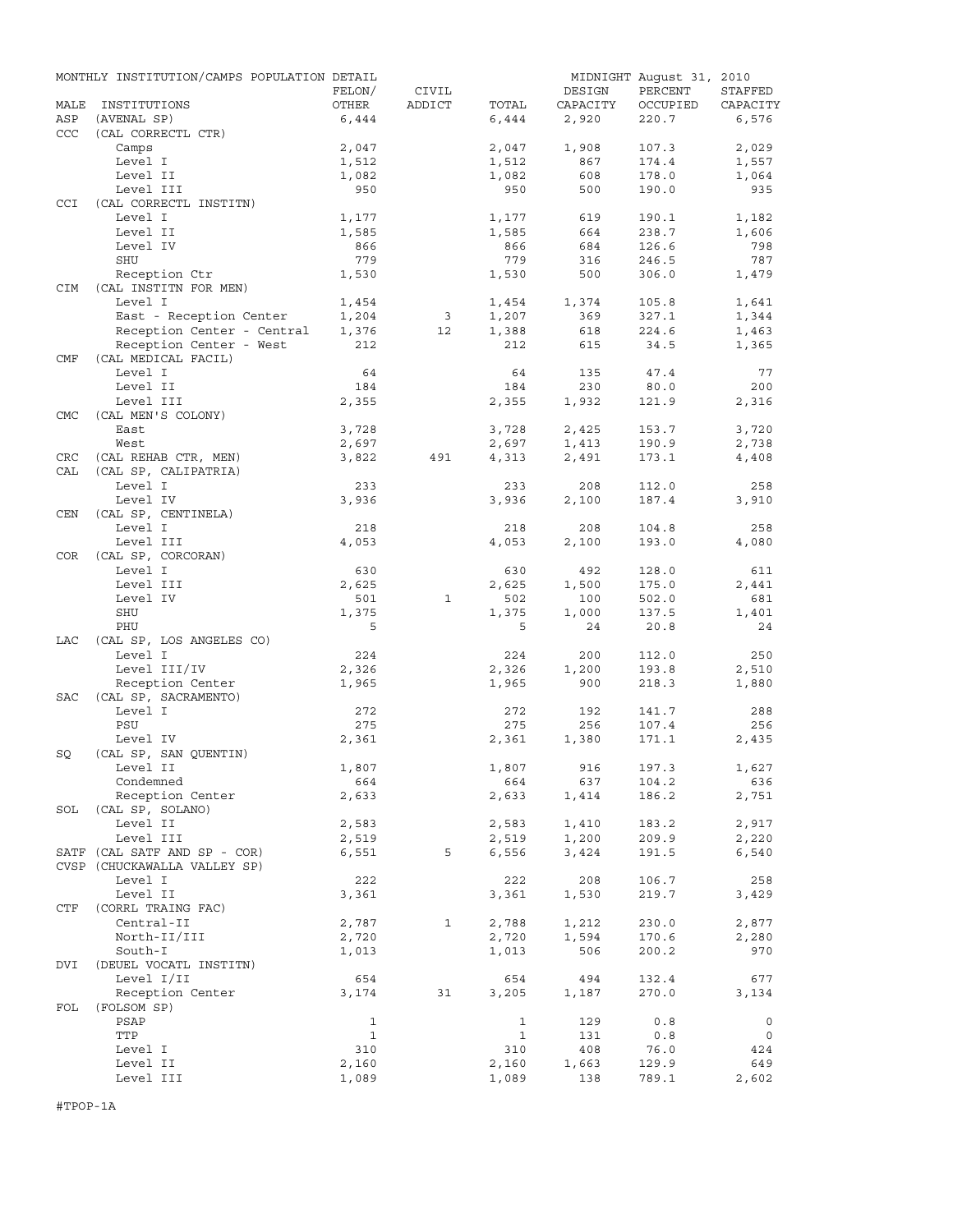|            | MONTHLY INSTITUTION/CAMPS POPULATION DETAIL |                |              |                |              | MIDNIGHT August 31, 2010 |              |
|------------|---------------------------------------------|----------------|--------------|----------------|--------------|--------------------------|--------------|
|            |                                             | FELON/         | CIVIL        |                | DESIGN       | PERCENT                  | STAFFED      |
| MALE       | INSTITUTIONS                                | OTHER          | ADDICT       | TOTAL          | CAPACITY     | OCCUPIED                 | CAPACITY     |
| ASP<br>CCC | (AVENAL SP)                                 | 6,444          |              | 6,444          | 2,920        | 220.7                    | 6,576        |
|            | (CAL CORRECTL CTR)<br>Camps                 | 2,047          |              | 2,047          | 1,908        | 107.3                    | 2,029        |
|            | Level I                                     | 1,512          |              | 1,512          | 867          | 174.4                    | 1,557        |
|            | Level II                                    | 1,082          |              | 1,082          | 608          | 178.0                    | 1,064        |
|            | Level III                                   | 950            |              | 950            | 500          | 190.0                    | 935          |
| CCI        | (CAL CORRECTL INSTITN)                      |                |              |                |              |                          |              |
|            | Level I                                     | 1,177          |              | 1,177          | 619          | 190.1                    | 1,182        |
|            | Level II                                    | 1,585          |              | 1,585          | 664          | 238.7                    | 1,606        |
|            | Level IV                                    | 866            |              | 866            | 684          | 126.6                    | 798          |
|            | SHU                                         | 779            |              | 779            | 316          | 246.5                    | 787          |
|            | Reception Ctr                               | 1,530          |              | 1,530          | 500          | 306.0                    | 1,479        |
| <b>CIM</b> | (CAL INSTITN FOR MEN)                       |                |              |                |              |                          |              |
|            | Level I                                     | 1,454          |              | 1,454          | 1,374        | 105.8                    | 1,641        |
|            | East - Reception Center                     | 1,204          | 3            | 1,207          | 369          | 327.1                    | 1,344        |
|            | Reception Center - Central                  | 1,376          | 12           | 1,388          | 618          | 224.6                    | 1,463        |
|            | Reception Center - West                     | 212            |              | 212            | 615          | 34.5                     | 1,365        |
| CMF        | (CAL MEDICAL FACIL)                         |                |              |                |              |                          |              |
|            | Level I                                     | 64             |              | 64             | 135          | 47.4                     | 77           |
|            | Level II                                    | 184            |              | 184            | 230          | 80.0                     | 200          |
|            | Level III                                   | 2,355          |              | 2,355          | 1,932        | 121.9                    | 2,316        |
| <b>CMC</b> | (CAL MEN'S COLONY)                          |                |              |                |              |                          |              |
|            | East                                        | 3,728          |              | 3,728          | 2,425        | 153.7                    | 3,720        |
|            | West                                        | 2,697          |              | 2,697          | 1,413        | 190.9                    | 2,738        |
| <b>CRC</b> | (CAL REHAB CTR, MEN)                        | 3,822          | 491          | 4,313          | 2,491        | 173.1                    | 4,408        |
| CAL        | (CAL SP, CALIPATRIA)                        |                |              |                |              |                          |              |
|            | Level I                                     | 233            |              | 233            | 208          | 112.0                    | 258          |
|            | Level IV                                    | 3,936          |              | 3,936          | 2,100        | 187.4                    | 3,910        |
| CEN        | (CAL SP, CENTINELA)                         |                |              |                |              |                          |              |
|            | Level I                                     | 218            |              | 218            | 208          | 104.8                    | 258          |
|            | Level III                                   | 4,053          |              | 4,053          | 2,100        | 193.0                    | 4,080        |
| <b>COR</b> | (CAL SP, CORCORAN)                          |                |              |                |              |                          |              |
|            | Level I                                     | 630            |              | 630            | 492          | 128.0                    | 611          |
|            | Level III                                   | 2,625          |              | 2,625          | 1,500        | 175.0                    | 2,441        |
|            | Level IV                                    | 501            | $\mathbf{1}$ | 502            | 100          | 502.0                    | 681          |
|            | <b>SHU</b>                                  | 1,375          |              | 1,375          | 1,000        | 137.5                    | 1,401        |
|            | PHU                                         | 5              |              | 5              | 24           | 20.8                     | 24           |
| LAC        | (CAL SP, LOS ANGELES CO)                    |                |              |                |              |                          |              |
|            | Level I                                     | 224            |              | 224            | 200          | 112.0                    | 250          |
|            | Level III/IV                                | 2,326          |              | 2,326          | 1,200        | 193.8                    | 2,510        |
|            | Reception Center                            | 1,965          |              | 1,965          | 900          | 218.3                    | 1,880        |
| <b>SAC</b> | (CAL SP, SACRAMENTO)                        |                |              |                |              |                          |              |
|            | Level I                                     | 272            |              | 272            | 192          | 141.7                    | 288          |
|            | PSU                                         | 275            |              | 275            | 256          | 107.4                    | 256          |
|            | Level IV                                    | 2,361          |              | 2,361          | 1,380        | 171.1                    | 2,435        |
| SQ         | (CAL SP, SAN OUENTIN)                       |                |              |                |              |                          |              |
|            | Level II                                    | 1,807          |              | 1,807          | 916          | 197.3                    | 1,627        |
|            | Condemned                                   | 664            |              | 664            | 637          | 104.2                    | 636          |
|            | Reception Center                            | 2,633          |              | 2,633          | 1,414        | 186.2                    | 2,751        |
| SOL        | (CAL SP, SOLANO)                            |                |              |                |              |                          |              |
|            | Level II                                    | 2,583          |              | 2,583          | 1,410        | 183.2                    | 2,917        |
|            | Level III                                   | 2,519          |              | 2,519          | 1,200        | 209.9                    | 2,220        |
|            | SATF (CAL SATF AND SP - COR)                | 6,551          | 5            | 6,556          | 3,424        | 191.5                    | 6,540        |
|            | CVSP (CHUCKAWALLA VALLEY SP)                |                |              |                |              |                          |              |
|            | Level I<br>Level II                         | 222            |              | 222            | 208          | 106.7                    | 258          |
|            | (CORRL TRAING FAC)                          | 3,361          |              | 3,361          | 1,530        | 219.7                    | 3,429        |
| CTF        |                                             |                |              |                |              |                          |              |
|            | Central-II<br>North-II/III                  | 2,787          | 1            | 2,788          | 1,212        | 230.0                    | 2,877        |
|            |                                             | 2,720<br>1,013 |              | 2,720          | 1,594        | 170.6                    | 2,280        |
|            | South-I                                     |                |              | 1,013          | 506          | 200.2                    | 970          |
| DVI        | (DEUEL VOCATL INSTITN)                      |                |              |                |              |                          |              |
|            | Level I/II                                  | 654            |              | 654            | 494          | 132.4                    | 677          |
|            | Reception Center                            | 3,174          | 31           | 3,205          | 1,187        | 270.0                    | 3,134        |
| FOL        | (FOLSOM SP)                                 |                |              |                |              |                          |              |
|            | PSAP                                        | $\mathbf{1}$   |              | $\mathbf{1}$   | 129          | 0.8                      | $\mathbf 0$  |
|            | TTP                                         | $\mathbf{1}$   |              | $\mathbf{1}$   | 131          | 0.8                      | 0            |
|            | Level I                                     | 310            |              | 310            | 408          | 76.0                     | 424          |
|            | Level II<br>Level III                       | 2,160<br>1,089 |              | 2,160<br>1,089 | 1,663<br>138 | 129.9<br>789.1           | 649<br>2,602 |
|            |                                             |                |              |                |              |                          |              |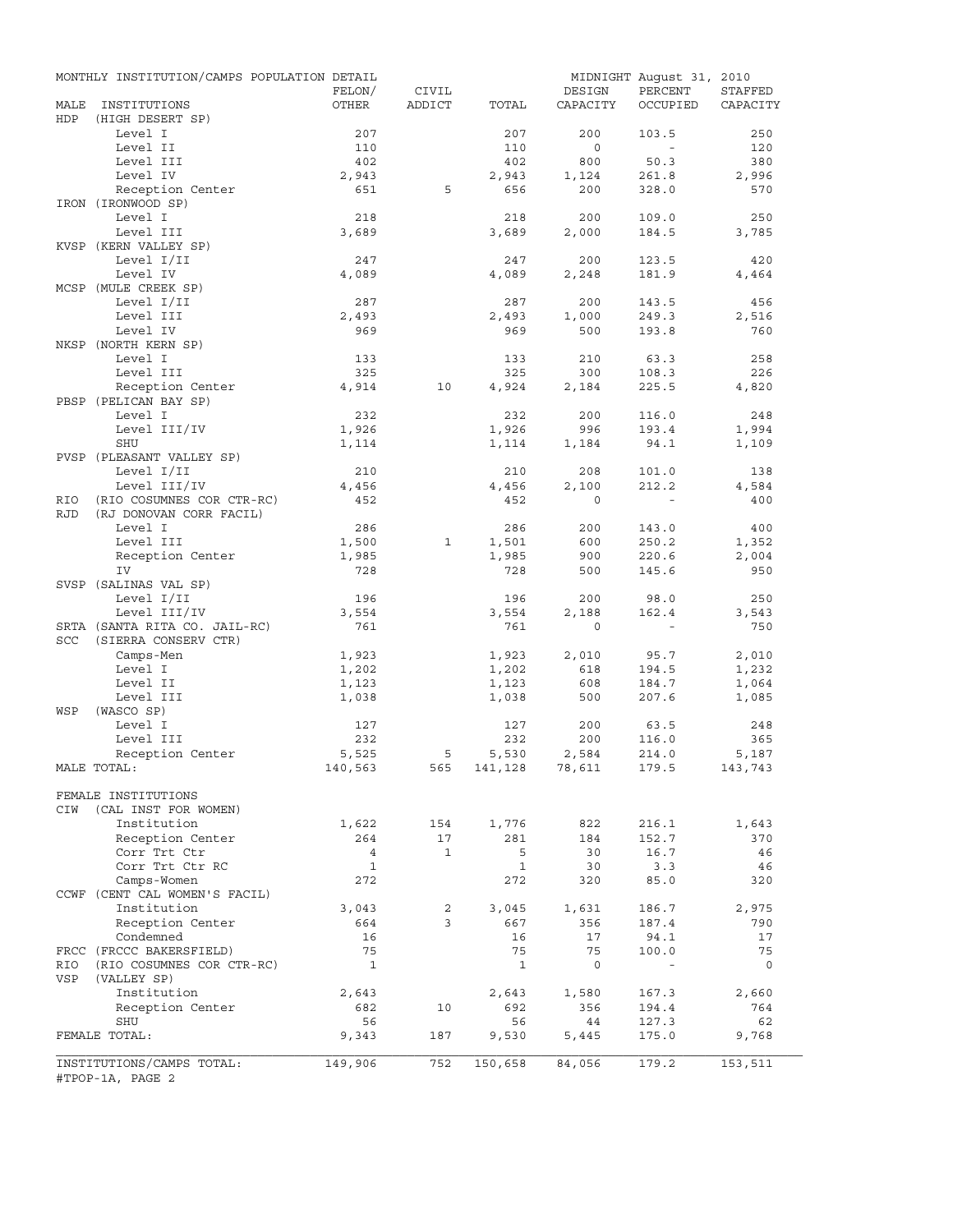|             | MONTHLY INSTITUTION/CAMPS POPULATION DETAIL           |                    |              |                    |                    | MIDNIGHT August 31, 2010 |          |
|-------------|-------------------------------------------------------|--------------------|--------------|--------------------|--------------------|--------------------------|----------|
|             |                                                       | FELON/             | CIVIL        |                    | DESIGN             | PERCENT                  | STAFFED  |
| MALE<br>HDP | INSTITUTIONS<br>(HIGH DESERT SP)                      | OTHER              | ADDICT       | TOTAL              | CAPACITY           | OCCUPIED                 | CAPACITY |
|             | Level I                                               | 207                |              | 207                | 200                | 103.5                    | 250      |
|             | Level II                                              | 110                |              | 110                | $\circ$            | $\sim$                   | 120      |
|             | Level III                                             | 402                |              | 402                | 800                | 50.3                     | 380      |
|             | Level IV                                              | 2,943              |              | 2,943              | 1,124              | 261.8                    | 2,996    |
|             | Reception Center<br>IRON (IRONWOOD SP)                | 651                | 5            | 656                | 200                | 328.0                    | 570      |
|             | Level I                                               | 218                |              | 218                | 200                | 109.0                    | 250      |
|             | Level III                                             | 3,689              |              | 3,689              | 2,000              | 184.5                    | 3,785    |
|             | KVSP (KERN VALLEY SP)                                 |                    |              |                    |                    |                          |          |
|             | Level I/II                                            | 247                |              | 247                | 200                | 123.5                    | 420      |
|             | Level IV                                              | 4,089              |              | 4,089              | 2,248              | 181.9                    | 4,464    |
|             | MCSP (MULE CREEK SP)                                  |                    |              |                    |                    |                          |          |
|             | Level I/II                                            | 287                |              | 287                | 200                | 143.5                    | 456      |
|             | Level III                                             | 2,493              |              | 2,493              | 1,000              | 249.3                    | 2,516    |
|             | Level IV                                              | 969                |              | 969                | 500                | 193.8                    | 760      |
|             | NKSP (NORTH KERN SP)                                  |                    |              |                    |                    |                          |          |
|             | Level I                                               | 133                |              | 133                | 210                | 63.3                     | 258      |
|             | Level III                                             | 325                |              | 325                | 300                | 108.3                    | 226      |
|             | Reception Center                                      | 4,914              | 10           | 4,924              | 2,184              | 225.5                    | 4,820    |
|             | PBSP (PELICAN BAY SP)                                 |                    |              |                    |                    |                          |          |
|             | Level I                                               | 232                |              | 232                | 200                | 116.0                    | 248      |
|             | Level III/IV                                          | 1,926              |              | 1,926              | 996                | 193.4                    | 1,994    |
|             | <b>SHU</b><br>PVSP (PLEASANT VALLEY SP)               | 1,114              |              | 1,114              | 1,184              | 94.1                     | 1,109    |
|             | Level I/II                                            | 210                |              | 210                | 208                | 101.0                    | 138      |
|             | Level III/IV                                          | 4,456              |              | 4,456              | 2,100              | 212.2                    | 4,584    |
| RIO         | (RIO COSUMNES COR CTR-RC)                             | 452                |              | 452                | $\Omega$           | $\sim$                   | 400      |
| <b>RJD</b>  | (RJ DONOVAN CORR FACIL)                               |                    |              |                    |                    |                          |          |
|             | Level I                                               | 286                |              | 286                | 200                | 143.0                    | 400      |
|             | Level III                                             | 1,500              | 1            | 1,501              | 600                | 250.2                    | 1,352    |
|             | Reception Center                                      | 1,985              |              | 1,985              | 900                | 220.6                    | 2,004    |
|             | IV                                                    | 728                |              | 728                | 500                | 145.6                    | 950      |
|             | SVSP (SALINAS VAL SP)                                 |                    |              |                    |                    |                          |          |
|             | Level I/II                                            | 196                |              | 196                | 200                | 98.0                     | 250      |
|             | Level III/IV                                          | 3,554              |              | 3,554              | 2,188              | 162.4                    | 3,543    |
|             | SRTA (SANTA RITA CO. JAIL-RC)                         | 761                |              | 761                | $\mathbf{0}$       | $\sim$                   | 750      |
| SCC         | (SIERRA CONSERV CTR)                                  |                    |              |                    |                    |                          |          |
|             | Camps-Men                                             | 1,923              |              | 1,923              | 2,010              | 95.7                     | 2,010    |
|             | Level I                                               | 1,202              |              | 1,202              | 618                | 194.5                    | 1,232    |
|             | Level II                                              | 1,123              |              | 1,123              | 608                | 184.7                    | 1,064    |
| WSP         | Level III<br>(WASCO SP)                               | 1,038              |              | 1,038              | 500                | 207.6                    | 1,085    |
|             | Level I                                               | 127                |              | 127                | 200                | 63.5                     | 248      |
|             | Level III                                             | 232                |              | 232                | 200                | 116.0                    | 365      |
|             | Reception Center                                      | 5,525              | 5            | 5,530              | 2,584              | 214.0                    | 5,187    |
|             | MALE TOTAL:                                           | 140,563            | 565          | 141,128 78,611     |                    | 179.5                    | 143,743  |
|             |                                                       |                    |              |                    |                    |                          |          |
|             | FEMALE INSTITUTIONS                                   |                    |              |                    |                    |                          |          |
| CIW         | (CAL INST FOR WOMEN)                                  |                    |              |                    |                    |                          |          |
|             | Institution                                           | 1,622              | 154          | 1,776              | 822                | 216.1                    | 1,643    |
|             | Reception Center                                      | 264                | 17           | 281                | 184                | 152.7                    | 370      |
|             | Corr Trt Ctr                                          | $\overline{4}$     | $\mathbf{1}$ | 5                  | 30                 | 16.7                     | 46       |
|             | Corr Trt Ctr RC                                       | $\mathbf{1}$       |              | $\mathbf{1}$       | 30                 | 3.3                      | 46       |
|             | Camps-Women                                           | 272                |              | 272                | 320                | 85.0                     | 320      |
|             | CCWF (CENT CAL WOMEN'S FACIL)<br>Institution          |                    |              |                    |                    |                          |          |
|             |                                                       | 3,043              | 2<br>3       | 3,045              | 1,631              | 186.7                    | 2,975    |
|             | Reception Center<br>Condemned                         | 664<br>16          |              | 667<br>16          | 356<br>17          | 187.4                    | 790      |
|             |                                                       |                    |              |                    |                    | 94.1                     | 17       |
| RIO         | FRCC (FRCCC BAKERSFIELD)<br>(RIO COSUMNES COR CTR-RC) | 75<br>$\mathbf{1}$ |              | 75<br>$\mathbf{1}$ | 75<br>$\mathsf{O}$ | 100.0<br>$\blacksquare$  | 75<br>0  |
| VSP         | (VALLEY SP)                                           |                    |              |                    |                    |                          |          |
|             | Institution                                           | 2,643              |              | 2,643              | 1,580              | 167.3                    | 2,660    |
|             | Reception Center                                      | 682                | 10           | 692                | 356                | 194.4                    | 764      |
|             | SHU                                                   | 56                 |              | 56                 | 44                 | 127.3                    | 62       |
|             | FEMALE TOTAL:                                         | 9,343              | 187          | 9,530              | 5,445              | 175.0                    | 9,768    |
|             |                                                       |                    |              |                    |                    |                          |          |
|             | INSTITUTIONS/CAMPS TOTAL:<br>#TPOP-1A, PAGE 2         | 149,906            | 752          | 150,658            | 84,056             | 179.2                    | 153,511  |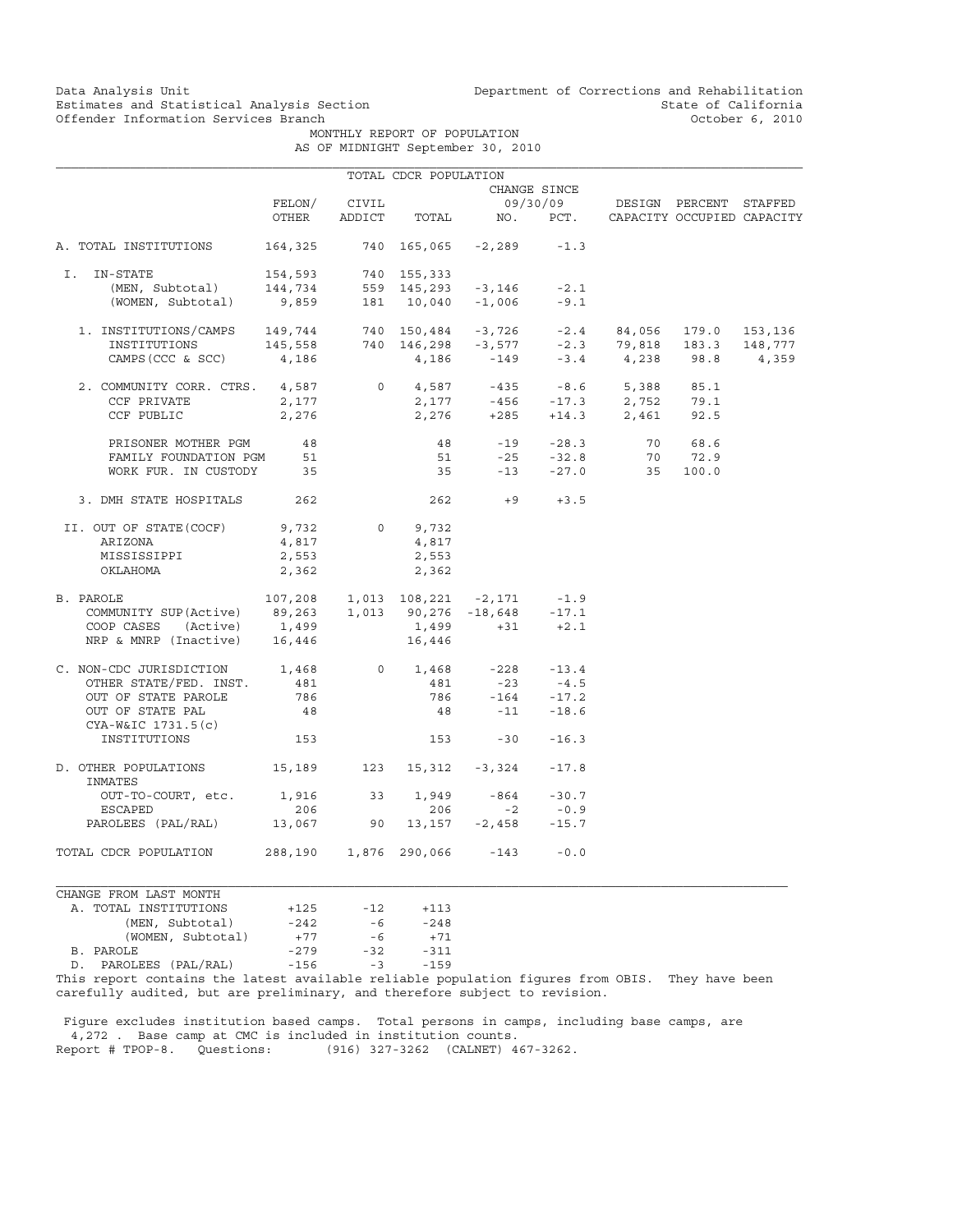Data Analysis Unit Unit Department of Corrections and Rehabilitation<br>Estimates and Statistical Analysis Section State of California Estimates and Statistical Analysis Section and State of California<br>
Offender Information Services Branch (State of California and State of California

MONTHLY REPORT OF POPULATION

|  |  | AS OF MIDNIGHT September 30, 2010 |  |
|--|--|-----------------------------------|--|
|  |  |                                   |  |

|                                                                                                                                                                                                                                                                                                                                    |                |              | TOTAL CDCR POPULATION |                                              |                               |                                                  |  |
|------------------------------------------------------------------------------------------------------------------------------------------------------------------------------------------------------------------------------------------------------------------------------------------------------------------------------------|----------------|--------------|-----------------------|----------------------------------------------|-------------------------------|--------------------------------------------------|--|
|                                                                                                                                                                                                                                                                                                                                    |                |              |                       |                                              | CHANGE SINCE                  |                                                  |  |
|                                                                                                                                                                                                                                                                                                                                    |                | FELON/ CIVIL |                       |                                              |                               | 09/30/09 DESIGN PERCENT STAFFED                  |  |
|                                                                                                                                                                                                                                                                                                                                    | OTHER          |              |                       |                                              |                               | ADDICT TOTAL NO. PCT. CAPACITY OCCUPIED CAPACITY |  |
| A. TOTAL INSTITUTIONS                                                                                                                                                                                                                                                                                                              |                |              |                       | $164,325$ 740 165,065 -2,289 -1.3            |                               |                                                  |  |
|                                                                                                                                                                                                                                                                                                                                    |                |              |                       |                                              |                               |                                                  |  |
| 1991 - FTATE 154,593 740 155,333<br>(MEN, Subtotal) 144,734 559 145,293 -3,146 -2.1<br>(WOMEN, Subtotal) 9,859 181 10,040 -1,006 -9.1<br>I. IN-STATE                                                                                                                                                                               |                |              |                       |                                              |                               |                                                  |  |
|                                                                                                                                                                                                                                                                                                                                    |                |              |                       |                                              |                               |                                                  |  |
|                                                                                                                                                                                                                                                                                                                                    |                |              |                       |                                              |                               |                                                  |  |
|                                                                                                                                                                                                                                                                                                                                    |                |              |                       |                                              |                               |                                                  |  |
|                                                                                                                                                                                                                                                                                                                                    |                |              |                       |                                              |                               |                                                  |  |
| $\begin{tabular}{lcccccc} 1. & \text{INSTITUTIONS/CAMPS} & & 149,744 & & 740 & 150,484 & -3,726 & -2.4 & 84,056 & 179.0 & 153,136 \\ \text{INSTITUTIONS} & & 145,558 & & 740 & 146,298 & -3,577 & -2.3 & 79,818 & 183.3 & 148,777 \\ \text{CAMPS (CCC & SC) & & 4,186 & & 4,186 & & -149 & & -3.4 & & 4,238 & 98.8 & & 4,359 \\ \$ |                |              |                       |                                              |                               |                                                  |  |
|                                                                                                                                                                                                                                                                                                                                    |                |              |                       |                                              |                               |                                                  |  |
| 2. COMMUNITY CORR. CTRS. $4,587$<br>CCF PRIVATE 2,177 0 2,177 -456 -17.3 2,752 79.1                                                                                                                                                                                                                                                |                |              |                       |                                              |                               |                                                  |  |
|                                                                                                                                                                                                                                                                                                                                    |                |              |                       |                                              |                               |                                                  |  |
| CCF PUBLIC $2,276$ $2,276$ $+285$ $+14.3$ $2,461$ 92.5                                                                                                                                                                                                                                                                             |                |              |                       |                                              |                               |                                                  |  |
| PRISONER MOTHER PGM 48                                                                                                                                                                                                                                                                                                             |                |              | 48                    |                                              |                               |                                                  |  |
| FAMILY FOUNDATION PGM 51                                                                                                                                                                                                                                                                                                           |                |              |                       |                                              |                               | 48 -19 -28.3 70 68.6<br>51 -25 -32.8 70 72.9     |  |
| WORK FUR. IN CUSTODY 35                                                                                                                                                                                                                                                                                                            |                |              |                       |                                              |                               | 35 -13 -27.0 35 100.0                            |  |
|                                                                                                                                                                                                                                                                                                                                    |                |              |                       |                                              |                               |                                                  |  |
| 3. DMH STATE HOSPITALS 262                                                                                                                                                                                                                                                                                                         |                |              |                       | $262 + 9 + 3.5$                              |                               |                                                  |  |
| II. OUT OF STATE (COCF) 9,732                                                                                                                                                                                                                                                                                                      |                |              | $0 \t 9,732$          |                                              |                               |                                                  |  |
| ARIZONA                                                                                                                                                                                                                                                                                                                            |                |              | 4,817                 |                                              |                               |                                                  |  |
| MISSISSIPPI                                                                                                                                                                                                                                                                                                                        | 4,817<br>2,553 |              | 2,553                 |                                              |                               |                                                  |  |
| OKLAHOMA                                                                                                                                                                                                                                                                                                                           | 2,362          |              | 2,362                 |                                              |                               |                                                  |  |
| $107,208$ 1,013 $108,221$ -2,171 -1.9                                                                                                                                                                                                                                                                                              |                |              |                       |                                              |                               |                                                  |  |
| B. PAROLE                                                                                                                                                                                                                                                                                                                          |                |              |                       |                                              |                               |                                                  |  |
| COMMUNITY SUP(Active) 89,263 1,013 90,276 -18,648 -17.1                                                                                                                                                                                                                                                                            |                |              |                       |                                              |                               |                                                  |  |
| COOP CASES (Active) 1,499 1,499 +31 +2.1                                                                                                                                                                                                                                                                                           |                |              |                       |                                              |                               |                                                  |  |
| NRP & MNRP (Inactive) 16,446 16,446                                                                                                                                                                                                                                                                                                |                |              |                       |                                              |                               |                                                  |  |
| C. NON-CDC JURISDICTION 1,468                                                                                                                                                                                                                                                                                                      |                |              |                       | 0 $1,468$ $-228$ $-13.4$<br>481 $-23$ $-4.5$ |                               |                                                  |  |
| OTHER STATE/FED. INST.                                                                                                                                                                                                                                                                                                             | 481            |              |                       |                                              |                               |                                                  |  |
| OUT OF STATE PAROLE                                                                                                                                                                                                                                                                                                                | 786            |              |                       |                                              |                               |                                                  |  |
| OUT OF STATE PAL                                                                                                                                                                                                                                                                                                                   | 48             |              |                       | $786$ $-164$ $-17.2$<br>48 $-11$ $-18.6$     |                               |                                                  |  |
| CYA-W&IC 1731.5(c)                                                                                                                                                                                                                                                                                                                 |                |              |                       |                                              |                               |                                                  |  |
| INSTITUTIONS                                                                                                                                                                                                                                                                                                                       | 153            |              |                       | $153 -30 -16.3$                              |                               |                                                  |  |
|                                                                                                                                                                                                                                                                                                                                    |                |              |                       |                                              |                               |                                                  |  |
| D. OTHER POPULATIONS 15,189 123 15,312 -3,324 -17.8<br>INMATES                                                                                                                                                                                                                                                                     |                |              |                       |                                              |                               |                                                  |  |
| OUT-TO-COURT, etc. 1,916 33 1,949                                                                                                                                                                                                                                                                                                  |                |              |                       |                                              | $-864$ $-30.7$<br>$-2$ $-0.9$ |                                                  |  |
| ESCAPED                                                                                                                                                                                                                                                                                                                            | 206            |              | 206                   |                                              |                               |                                                  |  |
| PAROLEES (PAL/RAL) 13,067 90 13,157 -2,458 -15.7                                                                                                                                                                                                                                                                                   |                |              |                       |                                              |                               |                                                  |  |
| TOTAL CDCR POPULATION  288,190  1,876  290,066  -143  -0.0                                                                                                                                                                                                                                                                         |                |              |                       |                                              |                               |                                                  |  |
|                                                                                                                                                                                                                                                                                                                                    |                |              |                       |                                              |                               |                                                  |  |
| CHANGE FROM LAST MONTH                                                                                                                                                                                                                                                                                                             |                |              |                       |                                              |                               |                                                  |  |

| A. TOTAL INSTITUTIONS                                  | $+125$  | $-12$ | $+113$ |
|--------------------------------------------------------|---------|-------|--------|
| (MEN, Subtotal)                                        | $-2.42$ | -6    | $-248$ |
| (WOMEN, Subtotal)                                      | $+77$   | -6    | $+71$  |
| B. PAROLE                                              | $-279$  | $-32$ | $-311$ |
| D. PAROLEES (PAL/RAL)                                  | $-156$  | $-3$  | $-159$ |
| Thic report contains the latest available reliable pop |         |       |        |

This report contains the latest available reliable population figures from OBIS. They have been carefully audited, but are preliminary, and therefore subject to revision.

 Figure excludes institution based camps. Total persons in camps, including base camps, are 4,272 . Base camp at CMC is included in institution counts. Report # TPOP-8. Questions: (916) 327-3262 (CALNET) 467-3262.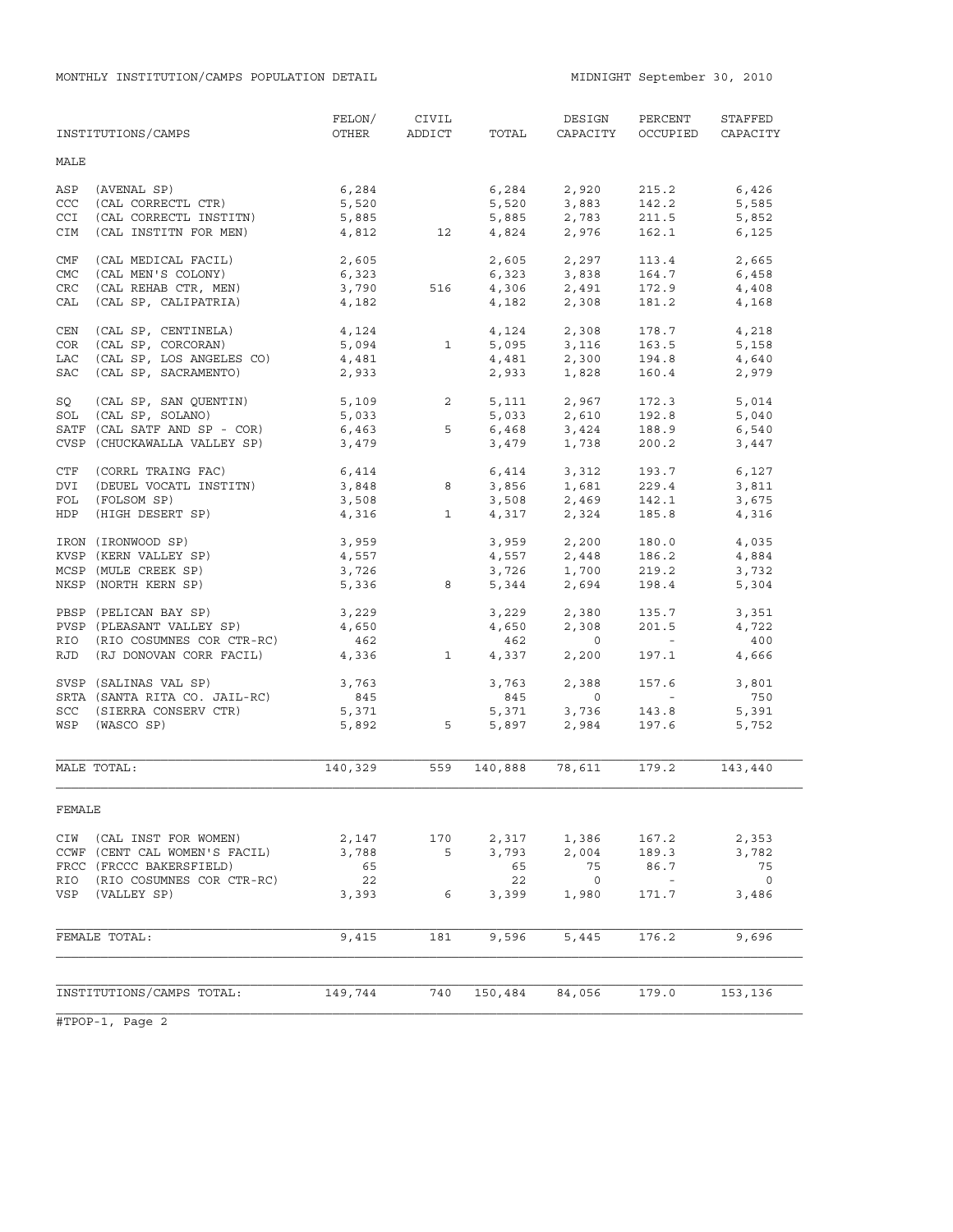|            | INSTITUTIONS/CAMPS            | FELON/<br>OTHER | CIVIL<br>ADDICT | TOTAL          | DESIGN<br>CAPACITY                 | PERCENT<br>OCCUPIED | STAFFED<br>CAPACITY |
|------------|-------------------------------|-----------------|-----------------|----------------|------------------------------------|---------------------|---------------------|
| MALE       |                               |                 |                 |                |                                    |                     |                     |
| ASP        | (AVENAL SP)                   | 6,284           |                 | 6,284          | 2,920                              | 215.2               | 6,426               |
| CCC        | (CAL CORRECTL CTR)            | 5,520           |                 | 5,520          | 3,883                              | 142.2               | 5,585               |
| CCI        | (CAL CORRECTL INSTITN)        | 5,885           |                 | 5,885          | 2,783                              | 211.5               | 5,852               |
| CIM        | (CAL INSTITN FOR MEN)         | 4,812           | 12              | 4,824          | 2,976                              | 162.1               | 6,125               |
| CMF        | (CAL MEDICAL FACIL)           | 2,605           |                 | 2,605          | 2,297                              | 113.4               | 2,665               |
| CMC        | (CAL MEN'S COLONY)            | 6,323           |                 | 6,323          | 3,838                              | 164.7               | 6,458               |
| CRC        | (CAL REHAB CTR, MEN)          | 3,790           | 516             | 4,306          | 2,491                              | 172.9               | 4,408               |
| CAL        | (CAL SP, CALIPATRIA)          | 4,182           |                 | 4,182          | 2,308                              | 181.2               | 4,168               |
| CEN        | (CAL SP, CENTINELA)           | 4,124           |                 | 4,124          | 2,308                              | 178.7               | 4,218               |
| <b>COR</b> | (CAL SP, CORCORAN)            | 5,094           | $\mathbf{1}$    |                | 5,095 3,116                        | 163.5               | 5,158               |
|            |                               |                 |                 |                |                                    |                     |                     |
| LAC        | (CAL SP, LOS ANGELES CO)      | 4,481           |                 | 4,481<br>2,933 | 2,300<br>1 828                     | 194.8               | 4,640               |
| <b>SAC</b> | (CAL SP, SACRAMENTO)          | 2,933           |                 |                | 1,828                              | 160.4               | 2,979               |
| SQ         | (CAL SP, SAN QUENTIN)         | 5,109           | $\overline{a}$  | 5,111          | 2,967                              | 172.3               | 5,014               |
| SOL        | (CAL SP, SOLANO)              | 5,033           |                 | 5,033          | 2,610                              | 192.8               | 5,040               |
|            | SATF (CAL SATF AND SP - COR)  | 6,463           | 5               |                | 6,468 3,424                        | 188.9               | 6,540               |
|            | CVSP (CHUCKAWALLA VALLEY SP)  | 3,479           |                 | 3,479          | 1,738                              | 200.2               | 3,447               |
| CTF        | (CORRL TRAING FAC)            | 6,414           |                 |                | $6,414$ $3,312$<br>$3,856$ $1,681$ | 193.7               | 6,127               |
| DVI        | (DEUEL VOCATL INSTITN)        | 3,848           | 8               |                |                                    | 229.4               | 3,811               |
| FOL        | (FOLSOM SP)                   | 3,508           |                 | 3,508          | 2,469<br>2,324                     | 142.1               | 3,675               |
| HDP        | (HIGH DESERT SP)              | 4,316           | $\mathbf{1}$    | 4,317          |                                    | 185.8               | 4,316               |
|            | IRON (IRONWOOD SP)            | 3,959           |                 |                | 3,959 2,200                        | 180.0               | 4,035               |
|            | KVSP (KERN VALLEY SP)         | 4,557           |                 | 4,557          | $2,448$<br>1.700                   | 186.2               | 4,884               |
|            | MCSP (MULE CREEK SP)          | 3,726           |                 | 3,726          | 1,700                              | 219.2               | 3,732               |
|            | NKSP (NORTH KERN SP)          | 5,336           | 8               | 5,344          | 2,694                              | 198.4               | 5,304               |
|            | PBSP (PELICAN BAY SP)         | 3,229           |                 | 3,229          | 2,380                              | 135.7               | 3,351               |
|            | PVSP (PLEASANT VALLEY SP)     | 4,650           |                 | 4,650          | 2,308                              | 201.5               | 4,722               |
|            | RIO (RIO COSUMNES COR CTR-RC) | 462             |                 | 462            | $\overline{0}$                     | $\sim$ 100 $\pm$    | 400                 |
|            | RJD (RJ DONOVAN CORR FACIL)   | 4,336           | $\mathbf{1}$    | 4,337          | 2,200                              | 197.1               | 4,666               |
|            | SVSP (SALINAS VAL SP)         | 3,763           |                 | 3,763          | 2,388                              | 157.6               | 3,801               |
|            | SRTA (SANTA RITA CO. JAIL-RC) | 845             |                 | 845            | $\overline{0}$                     | $\sim 100$          | 750                 |
|            | SCC (SIERRA CONSERV CTR)      | 5,371           |                 | 5,371          | 3,736                              | 143.8               | 5,391               |
| WSP        | (WASCO SP)                    | 5,892           | 5               | 5,897          | 2,984                              | 197.6               | 5,752               |
|            |                               |                 |                 |                |                                    |                     |                     |
|            | MALE TOTAL:                   | 140,329         | 559             | 140,888        | 78,611                             | 179.2               | 143,440             |
| FEMALE     |                               |                 |                 |                |                                    |                     |                     |
| CIW        | (CAL INST FOR WOMEN)          | 2,147           | 170             | 2,317          | 1,386                              | 167.2               | 2,353               |
|            | CCWF (CENT CAL WOMEN'S FACIL) | 3,788           | 5               | 3,793          | 2,004                              | 189.3               | 3,782               |
|            | FRCC (FRCCC BAKERSFIELD)      | 65              |                 | 65             | 75                                 | 86.7                | 75                  |
| RIO        | (RIO COSUMNES COR CTR-RC)     | 22              |                 | 22             | $\circ$                            | $\sim$ $-$          | $\overline{0}$      |
| VSP        | (VALLEY SP)                   | 3,393           | 6               | 3,399          | 1,980                              | 171.7               | 3,486               |
|            |                               |                 |                 |                |                                    |                     |                     |
|            | FEMALE TOTAL:                 | 9,415           | 181             | 9,596          | 5,445                              | 176.2               | 9,696               |
|            |                               |                 |                 |                |                                    |                     |                     |
|            | INSTITUTIONS/CAMPS TOTAL:     | 149,744         | 740             | 150,484        | 84,056                             | 179.0               | 153,136             |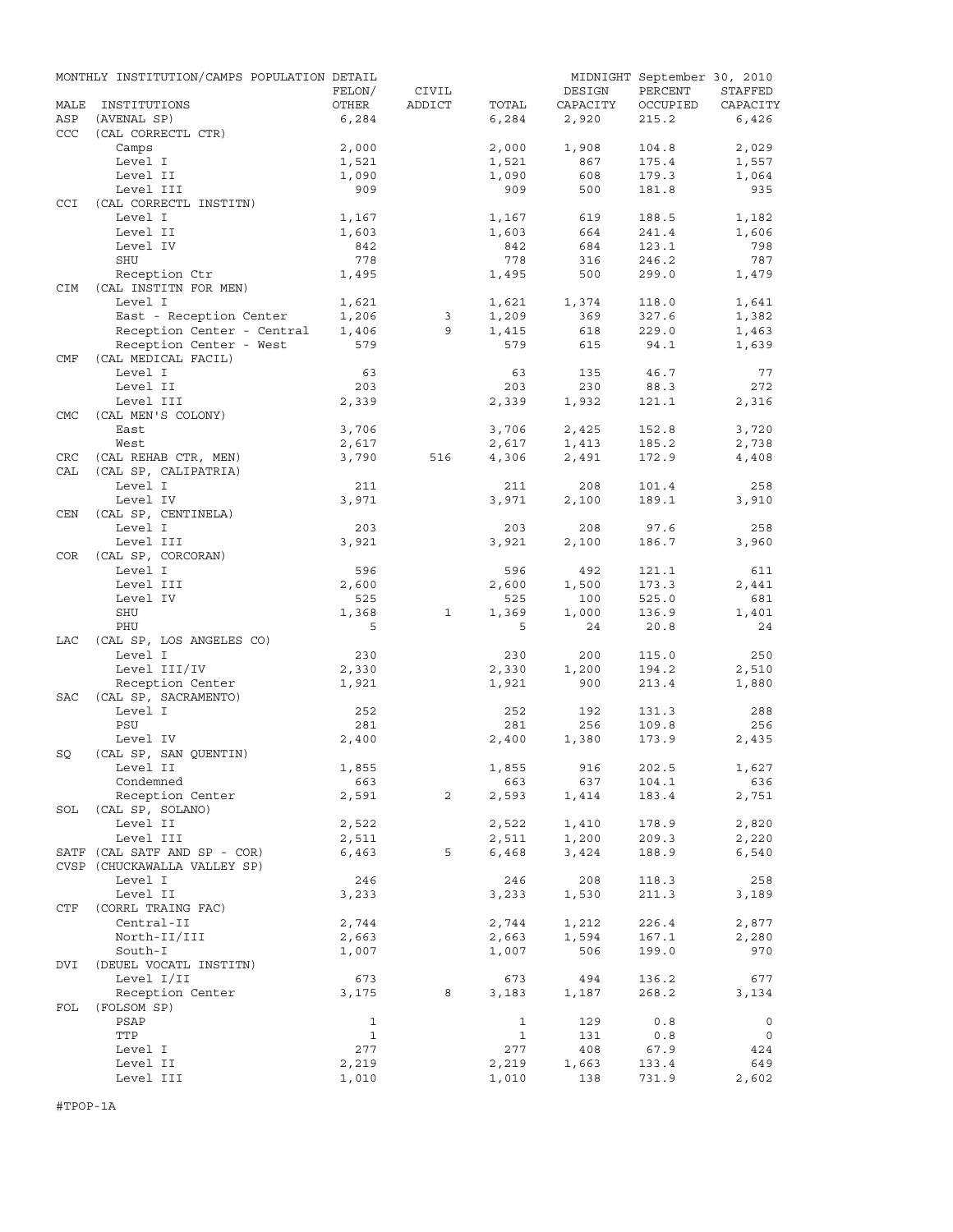|                   | MONTHLY INSTITUTION/CAMPS POPULATION DETAIL |                |                |                |              | MIDNIGHT September 30, 2010 |             |
|-------------------|---------------------------------------------|----------------|----------------|----------------|--------------|-----------------------------|-------------|
|                   |                                             | FELON/         | CIVIL          |                | DESIGN       | PERCENT                     | STAFFED     |
| MALE              | INSTITUTIONS                                | OTHER          | ADDICT         | TOTAL          | CAPACITY     | OCCUPIED                    | CAPACITY    |
| ASP<br><b>CCC</b> | (AVENAL SP)<br>(CAL CORRECTL CTR)           | 6,284          |                | 6,284          | 2,920        | 215.2                       | 6,426       |
|                   | Camps                                       | 2,000          |                | 2,000          | 1,908        | 104.8                       | 2,029       |
|                   | Level I                                     | 1,521          |                | 1,521          | 867          | 175.4                       | 1,557       |
|                   | Level II                                    | 1,090          |                | 1,090          | 608          | 179.3                       | 1,064       |
| CCI               | Level III<br>(CAL CORRECTL INSTITN)         | 909            |                | 909            | 500          | 181.8                       | 935         |
|                   | Level I                                     | 1,167          |                | 1,167          | 619          | 188.5                       | 1,182       |
|                   | Level II                                    | 1,603          |                | 1,603          | 664          | 241.4                       | 1,606       |
|                   | Level IV                                    | 842            |                | 842            | 684          | 123.1                       | 798         |
|                   | SHU                                         | 778            |                | 778            | 316          | 246.2                       | 787         |
|                   | Reception Ctr<br>(CAL INSTITN FOR MEN)      | 1,495          |                | 1,495          | 500          | 299.0                       | 1,479       |
| CIM               | Level I                                     |                |                |                | 1,374        | 118.0                       | 1,641       |
|                   | East - Reception Center                     | 1,621<br>1,206 | 3              | 1,621<br>1,209 | 369          | 327.6                       | 1,382       |
|                   | Reception Center - Central                  | 1,406          | 9              | 1,415          | 618          | 229.0                       | 1,463       |
|                   | Reception Center - West                     | 579            |                | 579            | 615          | 94.1                        | 1,639       |
| CMF               | (CAL MEDICAL FACIL)                         |                |                |                |              |                             |             |
|                   | Level I                                     | 63             |                | 63             | 135          | 46.7                        | 77          |
|                   | Level II                                    | 203            |                | 203            | 230          | 88.3                        | 272         |
|                   | Level III                                   | 2,339          |                | 2,339          | 1,932        | 121.1                       | 2,316       |
| <b>CMC</b>        | (CAL MEN'S COLONY)                          |                |                |                |              |                             |             |
|                   | East                                        | 3,706          |                | 3,706          | 2,425        | 152.8                       | 3,720       |
|                   | West                                        | 2,617          |                | 2,617          | 1,413        | 185.2                       | 2,738       |
| CRC               | (CAL REHAB CTR, MEN)                        | 3,790          | 516            | 4,306          | 2,491        | 172.9                       | 4,408       |
| CAL               | (CAL SP, CALIPATRIA)                        |                |                |                |              |                             |             |
|                   | Level I                                     | 211            |                | 211            | 208          | 101.4                       | 258         |
| <b>CEN</b>        | Level IV<br>(CAL SP, CENTINELA)             | 3,971          |                | 3,971          | 2,100        | 189.1                       | 3,910       |
|                   | Level I                                     | 203            |                | 203            | 208          | 97.6                        | 258         |
|                   | Level III                                   | 3,921          |                | 3,921          | 2,100        | 186.7                       | 3,960       |
| <b>COR</b>        | (CAL SP, CORCORAN)                          |                |                |                |              |                             |             |
|                   | Level I                                     | 596            |                | 596            | 492          | 121.1                       | 611         |
|                   | Level III                                   | 2,600          |                | 2,600          | 1,500        | 173.3                       | 2,441       |
|                   | Level IV                                    | 525            |                | 525            | 100          | 525.0                       | 681         |
|                   | SHU                                         | 1,368<br>5     | 1              | 1,369<br>5     | 1,000        | 136.9                       | 1,401       |
| LAC               | PHU                                         |                |                |                | 24           | 20.8                        | 24          |
|                   | (CAL SP, LOS ANGELES CO)<br>Level I         | 230            |                | 230            | 200          | 115.0                       | 250         |
|                   | Level III/IV                                |                |                |                |              |                             |             |
|                   |                                             | 2,330          |                | 2,330          | 1,200<br>900 | 194.2<br>213.4              | 2,510       |
| <b>SAC</b>        | Reception Center<br>(CAL SP, SACRAMENTO)    | 1,921          |                | 1,921          |              |                             | 1,880       |
|                   | Level I                                     | 252            |                | 252            | 192          | 131.3                       | 288         |
|                   | PSU                                         | 281            |                | 281            | 256          | 109.8                       | 256         |
|                   | Level IV                                    | 2,400          |                | 2,400          | 1,380        | 173.9                       | 2,435       |
| SQ                | (CAL SP, SAN QUENTIN)                       |                |                |                |              |                             |             |
|                   | Level II                                    | 1,855          |                | 1,855          | 916          | 202.5                       | 1,627       |
|                   | Condemned                                   | 663            |                | 663            | 637          | 104.1                       | 636         |
|                   | Reception Center                            | 2,591          | $\overline{c}$ | 2,593          | 1,414        | 183.4                       | 2,751       |
| SOL               | (CAL SP, SOLANO)                            |                |                |                |              |                             |             |
|                   | Level II                                    | 2,522          |                | 2,522          | 1,410        | 178.9                       | 2,820       |
|                   | Level III                                   | 2,511          |                | 2,511          | 1,200        | 209.3                       | 2,220       |
|                   | SATF (CAL SATF AND SP - COR)                | 6,463          | 5              | 6,468          | 3,424        | 188.9                       | 6,540       |
|                   | CVSP (CHUCKAWALLA VALLEY SP)                |                |                |                |              |                             |             |
|                   | Level I                                     | 246            |                | 246            | 208          | 118.3                       | 258         |
| CTF               | Level II<br>(CORRL TRAING FAC)              | 3,233          |                | 3,233          | 1,530        | 211.3                       | 3,189       |
|                   | Central-II                                  | 2,744          |                | 2,744          | 1,212        | 226.4                       | 2,877       |
|                   | North-II/III                                | 2,663          |                | 2,663          | 1,594        | 167.1                       | 2,280       |
|                   | South-I                                     | 1,007          |                | 1,007          | 506          | 199.0                       | 970         |
| DVI               | (DEUEL VOCATL INSTITN)                      |                |                |                |              |                             |             |
|                   | Level I/II                                  | 673            |                | 673            | 494          | 136.2                       | 677         |
|                   | Reception Center                            | 3,175          | 8              | 3,183          | 1,187        | 268.2                       | 3,134       |
| FOL               | (FOLSOM SP)                                 |                |                |                |              |                             |             |
|                   | PSAP                                        | $\mathbf{1}$   |                | $\mathbf{1}$   | 129          | 0.8                         | $\mathbf 0$ |
|                   | TTP                                         | $\mathbf{1}$   |                | 1              | 131          | 0.8                         | 0           |
|                   | Level I                                     | 277            |                | 277            | 408          | 67.9                        | 424         |
|                   | Level II                                    | 2,219          |                | 2,219          | 1,663        | 133.4                       | 649         |
|                   | Level III                                   | 1,010          |                | 1,010          | 138          | 731.9                       | 2,602       |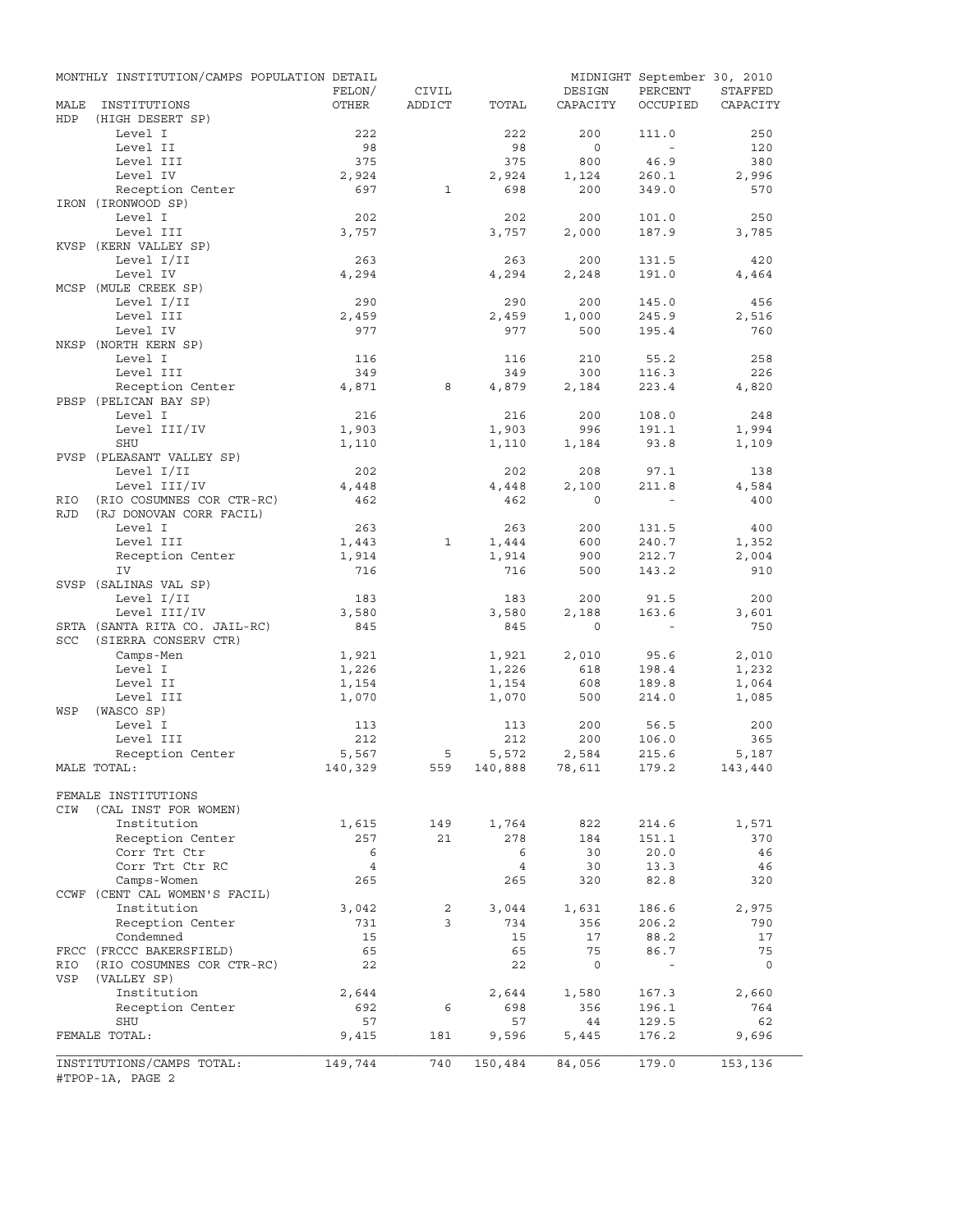|             | MONTHLY INSTITUTION/CAMPS POPULATION DETAIL   | FELON/           | CIVIL          |                             | DESIGN       | MIDNIGHT September 30, 2010<br>PERCENT | STAFFED  |
|-------------|-----------------------------------------------|------------------|----------------|-----------------------------|--------------|----------------------------------------|----------|
| MALE<br>HDP | INSTITUTIONS<br>(HIGH DESERT SP)              | OTHER            | ADDICT         | TOTAL                       | CAPACITY     | OCCUPIED                               | CAPACITY |
|             | Level I                                       | 222              |                | 222                         | 200          | 111.0                                  | 250      |
|             | Level II                                      | 98               |                | 98                          | $\circ$      | $\overline{\phantom{a}}$               | 120      |
|             | Level III                                     | 375              |                | 375                         | 800          | 46.9                                   | 380      |
|             | Level IV                                      | 2,924            |                | 2,924                       | 1,124        | 260.1                                  | 2,996    |
|             | Reception Center                              | 697              | $\mathbf{1}$   | 698                         | 200          | 349.0                                  | 570      |
|             | IRON (IRONWOOD SP)<br>Level I                 | 202              |                | 202                         | 200          | 101.0                                  | 250      |
|             | Level III                                     | 3,757            |                | 3,757                       | 2,000        | 187.9                                  | 3,785    |
|             | KVSP (KERN VALLEY SP)                         |                  |                |                             |              |                                        |          |
|             | Level I/II                                    | 263              |                | 263                         | 200          | 131.5                                  | 420      |
|             | Level IV                                      | 4,294            |                | 4,294                       | 2,248        | 191.0                                  | 4,464    |
|             | MCSP (MULE CREEK SP)                          |                  |                |                             |              |                                        |          |
|             | Level I/II                                    | 290              |                | 290                         | 200          | 145.0                                  | 456      |
|             | Level III                                     | 2,459            |                | 2,459                       | 1,000        | 245.9                                  | 2,516    |
|             | Level IV                                      | 977              |                | 977                         | 500          | 195.4                                  | 760      |
|             | NKSP (NORTH KERN SP)                          |                  |                |                             |              |                                        |          |
|             | Level I                                       | 116              |                | 116                         | 210          | 55.2                                   | 258      |
|             | Level III                                     | 349              |                | 349                         | 300          | 116.3                                  | 226      |
|             | Reception Center<br>PBSP (PELICAN BAY SP)     | 4,871            | 8              | 4,879                       | 2,184        | 223.4                                  | 4,820    |
|             | Level I                                       | 216              |                | 216                         | 200          | 108.0                                  | 248      |
|             | Level III/IV                                  | 1,903            |                | 1,903                       | 996          | 191.1                                  | 1,994    |
|             | <b>SHU</b>                                    | 1,110            |                | 1,110                       | 1,184        | 93.8                                   | 1,109    |
|             | PVSP (PLEASANT VALLEY SP)                     |                  |                |                             |              |                                        |          |
|             | Level I/II                                    | 202              |                | 202                         | 208          | 97.1                                   | 138      |
|             | Level III/IV                                  | 4,448            |                | 4,448                       | 2,100        | 211.8                                  | 4,584    |
| RIO         | (RIO COSUMNES COR CTR-RC)                     | 462              |                | 462                         | $\Omega$     |                                        | 400      |
| <b>RJD</b>  | (RJ DONOVAN CORR FACIL)                       |                  |                |                             |              |                                        |          |
|             | Level I                                       | 263              |                | 263                         | 200          | 131.5                                  | 400      |
|             | Level III                                     | 1,443            | 1              | 1,444                       | 600          | 240.7                                  | 1,352    |
|             | Reception Center                              | 1,914            |                | 1,914                       | 900          | 212.7                                  | 2,004    |
|             | IV<br>SVSP (SALINAS VAL SP)                   | 716              |                | 716                         | 500          | 143.2                                  | 910      |
|             | Level I/II                                    | 183              |                | 183                         | 200          | 91.5                                   | 200      |
|             | Level III/IV                                  | 3,580            |                | 3,580                       | 2,188        | 163.6                                  | 3,601    |
|             | SRTA (SANTA RITA CO. JAIL-RC)                 | 845              |                | 845                         | $\circ$      | $\sim$                                 | 750      |
| <b>SCC</b>  | (SIERRA CONSERV CTR)                          |                  |                |                             |              |                                        |          |
|             | Camps-Men                                     | 1,921            |                | 1,921                       | 2,010        | 95.6                                   | 2,010    |
|             | Level I                                       | 1,226            |                | 1,226                       | 618          | 198.4                                  | 1,232    |
|             | Level II                                      | 1,154            |                | 1,154                       | 608          | 189.8                                  | 1,064    |
|             | Level III                                     | 1,070            |                | 1,070                       | 500          | 214.0                                  | 1,085    |
| WSP         | (WASCO SP)                                    |                  |                |                             |              |                                        |          |
|             | Level I                                       | 113              |                | 113                         | 200          | 56.5                                   | 200      |
|             | Level III                                     | 212              |                | 212                         | 200          | 106.0                                  | 365      |
|             | Reception Center                              | 5,567<br>140,329 | 5              | 5,572<br>559 140,888 78,611 | 2,584        | 215.6                                  | 5,187    |
|             | MALE TOTAL:                                   |                  |                |                             |              | 179.2                                  | 143,440  |
|             | FEMALE INSTITUTIONS                           |                  |                |                             |              |                                        |          |
| CIW         | (CAL INST FOR WOMEN)                          |                  |                |                             |              |                                        |          |
|             | Institution                                   | 1,615            | 149            | 1,764                       | 822          | 214.6                                  | 1,571    |
|             | Reception Center                              | 257              | 21             | 278                         | 184          | 151.1                                  | 370      |
|             | Corr Trt Ctr                                  | 6                |                | 6                           | 30           | 20.0                                   | 46       |
|             | Corr Trt Ctr RC                               | $\overline{4}$   |                | $\overline{4}$              | 30           | 13.3                                   | 46       |
|             | Camps-Women                                   | 265              |                | 265                         | 320          | 82.8                                   | 320      |
|             | CCWF (CENT CAL WOMEN'S FACIL)                 |                  |                |                             |              |                                        |          |
|             | Institution                                   | 3,042            | $\overline{2}$ | 3,044                       | 1,631        | 186.6                                  | 2,975    |
|             | Reception Center                              | 731              | 3              | 734                         | 356          | 206.2                                  | 790      |
|             | Condemned<br>FRCC (FRCCC BAKERSFIELD)         | 15<br>65         |                | 15<br>65                    | 17<br>75     | 88.2<br>86.7                           | 17<br>75 |
| RIO         | (RIO COSUMNES COR CTR-RC)                     | 22               |                | 22                          | $\mathsf{O}$ | $\overline{\phantom{a}}$               | $\circ$  |
| VSP         | (VALLEY SP)                                   |                  |                |                             |              |                                        |          |
|             | Institution                                   | 2,644            |                | 2,644                       | 1,580        | 167.3                                  | 2,660    |
|             | Reception Center                              | 692              | 6              | 698                         | 356          | 196.1                                  | 764      |
|             | SHU                                           | 57               |                | 57                          | 44           | 129.5                                  | 62       |
|             | FEMALE TOTAL:                                 | 9,415            | 181            | 9,596                       | 5,445        | 176.2                                  | 9,696    |
|             |                                               |                  |                |                             |              |                                        |          |
|             | INSTITUTIONS/CAMPS TOTAL:<br>#TPOP-1A, PAGE 2 | 149,744          | 740            | 150,484                     | 84,056       | 179.0                                  | 153,136  |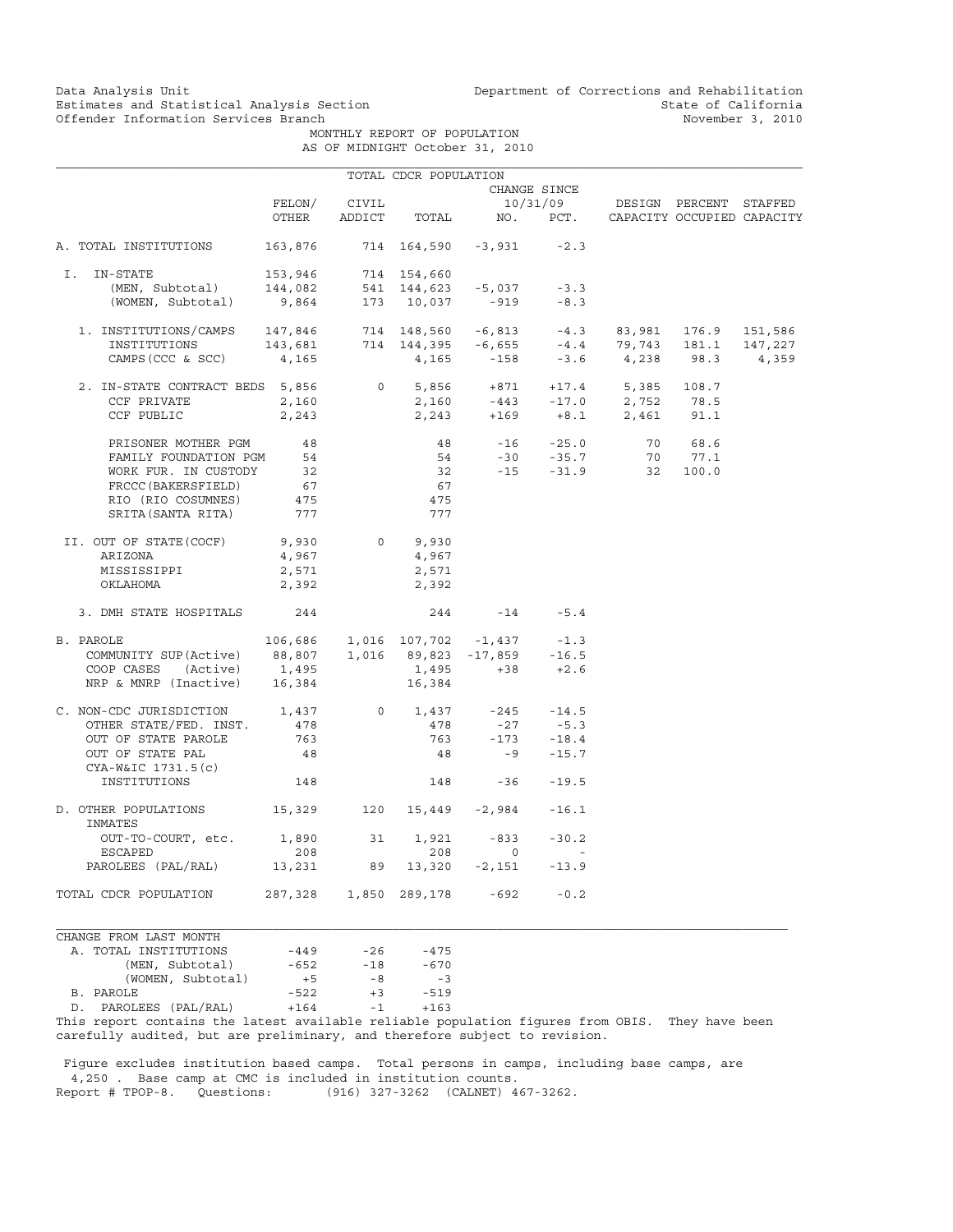### Estimates and Statistical Analysis Section<br>
Offender Information Services Branch<br>
State of California<br>
November 3, 2010 Offender Information Services Branch

Data Analysis Unit Unit Department of Corrections and Rehabilitation<br>Estimates and Statistical Analysis Section State of California

MONTHLY REPORT OF POPULATION

|  | AS OF MIDNIGHT October 31, 2010 |  |  |
|--|---------------------------------|--|--|
|  |                                 |  |  |

| FELON/                 |                                                                           | CIVIL                                                                                                                       | OTHER ADDICT TOTAL NO. PCT. CAPACITY OCCUPIED CAPACITY                                                                         | CHANGE SINCE                              | 10/31/09 DESIGN PERCENT STAFFED                                                                                                                                                                                                                                                                                                                                                                                                                                                                                                   |                                                                                                                                                                                                                                                                                                                                                                                                                                                                                                                                                                                                                                                       |
|------------------------|---------------------------------------------------------------------------|-----------------------------------------------------------------------------------------------------------------------------|--------------------------------------------------------------------------------------------------------------------------------|-------------------------------------------|-----------------------------------------------------------------------------------------------------------------------------------------------------------------------------------------------------------------------------------------------------------------------------------------------------------------------------------------------------------------------------------------------------------------------------------------------------------------------------------------------------------------------------------|-------------------------------------------------------------------------------------------------------------------------------------------------------------------------------------------------------------------------------------------------------------------------------------------------------------------------------------------------------------------------------------------------------------------------------------------------------------------------------------------------------------------------------------------------------------------------------------------------------------------------------------------------------|
|                        |                                                                           |                                                                                                                             |                                                                                                                                |                                           |                                                                                                                                                                                                                                                                                                                                                                                                                                                                                                                                   |                                                                                                                                                                                                                                                                                                                                                                                                                                                                                                                                                                                                                                                       |
|                        |                                                                           |                                                                                                                             |                                                                                                                                |                                           |                                                                                                                                                                                                                                                                                                                                                                                                                                                                                                                                   |                                                                                                                                                                                                                                                                                                                                                                                                                                                                                                                                                                                                                                                       |
|                        |                                                                           |                                                                                                                             |                                                                                                                                |                                           |                                                                                                                                                                                                                                                                                                                                                                                                                                                                                                                                   |                                                                                                                                                                                                                                                                                                                                                                                                                                                                                                                                                                                                                                                       |
|                        |                                                                           |                                                                                                                             | A. TOTAL INSTITUTIONS 163,876 714 164,590 -3,931 -2.3                                                                          |                                           |                                                                                                                                                                                                                                                                                                                                                                                                                                                                                                                                   |                                                                                                                                                                                                                                                                                                                                                                                                                                                                                                                                                                                                                                                       |
|                        |                                                                           |                                                                                                                             |                                                                                                                                |                                           |                                                                                                                                                                                                                                                                                                                                                                                                                                                                                                                                   |                                                                                                                                                                                                                                                                                                                                                                                                                                                                                                                                                                                                                                                       |
|                        |                                                                           |                                                                                                                             |                                                                                                                                |                                           |                                                                                                                                                                                                                                                                                                                                                                                                                                                                                                                                   |                                                                                                                                                                                                                                                                                                                                                                                                                                                                                                                                                                                                                                                       |
|                        |                                                                           |                                                                                                                             | N-STATE 153,946 714 154,660<br>(MEN, Subtotal) 144,082 541 144,623 -5,037 -3.3<br>(WOMEN, Subtotal) 9,864 173 10,037 -919 -8.3 |                                           |                                                                                                                                                                                                                                                                                                                                                                                                                                                                                                                                   |                                                                                                                                                                                                                                                                                                                                                                                                                                                                                                                                                                                                                                                       |
|                        |                                                                           |                                                                                                                             |                                                                                                                                |                                           |                                                                                                                                                                                                                                                                                                                                                                                                                                                                                                                                   |                                                                                                                                                                                                                                                                                                                                                                                                                                                                                                                                                                                                                                                       |
|                        |                                                                           |                                                                                                                             |                                                                                                                                |                                           |                                                                                                                                                                                                                                                                                                                                                                                                                                                                                                                                   |                                                                                                                                                                                                                                                                                                                                                                                                                                                                                                                                                                                                                                                       |
|                        |                                                                           |                                                                                                                             |                                                                                                                                |                                           |                                                                                                                                                                                                                                                                                                                                                                                                                                                                                                                                   |                                                                                                                                                                                                                                                                                                                                                                                                                                                                                                                                                                                                                                                       |
|                        |                                                                           |                                                                                                                             |                                                                                                                                |                                           |                                                                                                                                                                                                                                                                                                                                                                                                                                                                                                                                   |                                                                                                                                                                                                                                                                                                                                                                                                                                                                                                                                                                                                                                                       |
|                        |                                                                           |                                                                                                                             |                                                                                                                                |                                           |                                                                                                                                                                                                                                                                                                                                                                                                                                                                                                                                   |                                                                                                                                                                                                                                                                                                                                                                                                                                                                                                                                                                                                                                                       |
|                        |                                                                           |                                                                                                                             |                                                                                                                                |                                           |                                                                                                                                                                                                                                                                                                                                                                                                                                                                                                                                   |                                                                                                                                                                                                                                                                                                                                                                                                                                                                                                                                                                                                                                                       |
| PRISONER MOTHER PGM 48 |                                                                           |                                                                                                                             |                                                                                                                                |                                           |                                                                                                                                                                                                                                                                                                                                                                                                                                                                                                                                   |                                                                                                                                                                                                                                                                                                                                                                                                                                                                                                                                                                                                                                                       |
|                        |                                                                           |                                                                                                                             |                                                                                                                                |                                           |                                                                                                                                                                                                                                                                                                                                                                                                                                                                                                                                   |                                                                                                                                                                                                                                                                                                                                                                                                                                                                                                                                                                                                                                                       |
|                        |                                                                           |                                                                                                                             |                                                                                                                                |                                           |                                                                                                                                                                                                                                                                                                                                                                                                                                                                                                                                   |                                                                                                                                                                                                                                                                                                                                                                                                                                                                                                                                                                                                                                                       |
|                        |                                                                           |                                                                                                                             |                                                                                                                                |                                           |                                                                                                                                                                                                                                                                                                                                                                                                                                                                                                                                   |                                                                                                                                                                                                                                                                                                                                                                                                                                                                                                                                                                                                                                                       |
|                        |                                                                           |                                                                                                                             |                                                                                                                                |                                           |                                                                                                                                                                                                                                                                                                                                                                                                                                                                                                                                   |                                                                                                                                                                                                                                                                                                                                                                                                                                                                                                                                                                                                                                                       |
|                        |                                                                           | 777                                                                                                                         |                                                                                                                                |                                           |                                                                                                                                                                                                                                                                                                                                                                                                                                                                                                                                   |                                                                                                                                                                                                                                                                                                                                                                                                                                                                                                                                                                                                                                                       |
|                        |                                                                           |                                                                                                                             |                                                                                                                                |                                           |                                                                                                                                                                                                                                                                                                                                                                                                                                                                                                                                   |                                                                                                                                                                                                                                                                                                                                                                                                                                                                                                                                                                                                                                                       |
|                        |                                                                           |                                                                                                                             |                                                                                                                                |                                           |                                                                                                                                                                                                                                                                                                                                                                                                                                                                                                                                   |                                                                                                                                                                                                                                                                                                                                                                                                                                                                                                                                                                                                                                                       |
|                        |                                                                           |                                                                                                                             |                                                                                                                                |                                           |                                                                                                                                                                                                                                                                                                                                                                                                                                                                                                                                   |                                                                                                                                                                                                                                                                                                                                                                                                                                                                                                                                                                                                                                                       |
|                        |                                                                           |                                                                                                                             |                                                                                                                                |                                           |                                                                                                                                                                                                                                                                                                                                                                                                                                                                                                                                   |                                                                                                                                                                                                                                                                                                                                                                                                                                                                                                                                                                                                                                                       |
|                        |                                                                           |                                                                                                                             |                                                                                                                                |                                           |                                                                                                                                                                                                                                                                                                                                                                                                                                                                                                                                   |                                                                                                                                                                                                                                                                                                                                                                                                                                                                                                                                                                                                                                                       |
|                        |                                                                           |                                                                                                                             |                                                                                                                                |                                           |                                                                                                                                                                                                                                                                                                                                                                                                                                                                                                                                   |                                                                                                                                                                                                                                                                                                                                                                                                                                                                                                                                                                                                                                                       |
|                        |                                                                           |                                                                                                                             |                                                                                                                                |                                           |                                                                                                                                                                                                                                                                                                                                                                                                                                                                                                                                   |                                                                                                                                                                                                                                                                                                                                                                                                                                                                                                                                                                                                                                                       |
|                        |                                                                           |                                                                                                                             |                                                                                                                                |                                           |                                                                                                                                                                                                                                                                                                                                                                                                                                                                                                                                   |                                                                                                                                                                                                                                                                                                                                                                                                                                                                                                                                                                                                                                                       |
|                        |                                                                           |                                                                                                                             |                                                                                                                                |                                           |                                                                                                                                                                                                                                                                                                                                                                                                                                                                                                                                   |                                                                                                                                                                                                                                                                                                                                                                                                                                                                                                                                                                                                                                                       |
|                        |                                                                           |                                                                                                                             |                                                                                                                                |                                           |                                                                                                                                                                                                                                                                                                                                                                                                                                                                                                                                   |                                                                                                                                                                                                                                                                                                                                                                                                                                                                                                                                                                                                                                                       |
|                        |                                                                           |                                                                                                                             |                                                                                                                                |                                           |                                                                                                                                                                                                                                                                                                                                                                                                                                                                                                                                   |                                                                                                                                                                                                                                                                                                                                                                                                                                                                                                                                                                                                                                                       |
|                        |                                                                           |                                                                                                                             |                                                                                                                                |                                           |                                                                                                                                                                                                                                                                                                                                                                                                                                                                                                                                   |                                                                                                                                                                                                                                                                                                                                                                                                                                                                                                                                                                                                                                                       |
|                        |                                                                           |                                                                                                                             |                                                                                                                                |                                           |                                                                                                                                                                                                                                                                                                                                                                                                                                                                                                                                   |                                                                                                                                                                                                                                                                                                                                                                                                                                                                                                                                                                                                                                                       |
|                        |                                                                           |                                                                                                                             |                                                                                                                                |                                           |                                                                                                                                                                                                                                                                                                                                                                                                                                                                                                                                   |                                                                                                                                                                                                                                                                                                                                                                                                                                                                                                                                                                                                                                                       |
| 148                    |                                                                           |                                                                                                                             |                                                                                                                                |                                           |                                                                                                                                                                                                                                                                                                                                                                                                                                                                                                                                   |                                                                                                                                                                                                                                                                                                                                                                                                                                                                                                                                                                                                                                                       |
|                        |                                                                           |                                                                                                                             |                                                                                                                                |                                           |                                                                                                                                                                                                                                                                                                                                                                                                                                                                                                                                   |                                                                                                                                                                                                                                                                                                                                                                                                                                                                                                                                                                                                                                                       |
|                        |                                                                           |                                                                                                                             |                                                                                                                                |                                           |                                                                                                                                                                                                                                                                                                                                                                                                                                                                                                                                   |                                                                                                                                                                                                                                                                                                                                                                                                                                                                                                                                                                                                                                                       |
|                        |                                                                           |                                                                                                                             |                                                                                                                                |                                           |                                                                                                                                                                                                                                                                                                                                                                                                                                                                                                                                   |                                                                                                                                                                                                                                                                                                                                                                                                                                                                                                                                                                                                                                                       |
|                        |                                                                           |                                                                                                                             |                                                                                                                                |                                           |                                                                                                                                                                                                                                                                                                                                                                                                                                                                                                                                   |                                                                                                                                                                                                                                                                                                                                                                                                                                                                                                                                                                                                                                                       |
|                        |                                                                           |                                                                                                                             |                                                                                                                                |                                           |                                                                                                                                                                                                                                                                                                                                                                                                                                                                                                                                   |                                                                                                                                                                                                                                                                                                                                                                                                                                                                                                                                                                                                                                                       |
|                        | FAMILY FOUNDATION PGM 54<br>WORK FUR. IN CUSTODY 32<br>67<br>777<br>4,967 | $\begin{array}{c} 67 \\ 475 \end{array}$<br>$2,571$<br>2,392<br>OTHER STATE/FED. INST. 478<br>OUT OF STATE PAROLE 763<br>48 | 475<br>II. OUT OF STATE (COCF) $9,930$ 0 9,930<br>4,967<br>2,571<br>2,392                                                      | 67<br>NRP & MNRP (Inactive) 16,384 16,384 | 3. DMH STATE HOSPITALS 244 244 -14 -5.4<br>$106,686$ 1,016 107,702 -1,437 -1.3<br>COMMUNITY SUP(Active) 88,807 1,016 89,823 -17,859 -16.5<br>COOP CASES (Active) 1,495 1,495 +38 +2.6<br>C. NON-CDC JURISDICTION $1,437$ 0 $1,437$ -245 -14.5<br>$478$ $-27$ $-5.3$<br>$763$ $-173$ $-18.4$<br>$48 - 9 - 15.7$<br>$148 -36 -19.5$<br>D. OTHER POPULATIONS 15,329 120 15,449 -2,984 -16.1<br>$\sim 10^{11}$ m $^{-1}$<br>PAROLEES (PAL/RAL) 13,231 89 13,320 -2,151 -13.9<br>TOTAL CDCR POPULATION 287,328 1,850 289,178 -692 -0.2 | 1. INSTITUTIONS/CAMPS $147,846$ 714 148,560 -6,813 -4.3 83,981 176.9 151,586<br>INSTITUTIONS 143,681 714 144,395 -6,655 -4.4 79,743 181.1 147,227<br>CAMPS(CCC & SCC) 4,165 -158 -3.6 4,238 98.3 4,359<br>$\begin{tabular}{cccccc} 2. & IN-STATE \textbf{CONTRACT} & BEDS & 5,856 & & 0 & 5,856 & +871 & +17.4 & 5,385 & 108.7 \\ \textbf{CCF PRIVATE} & 2,160 & 2,160 & -443 & -17.0 & 2,752 & 78.5 \\ \textbf{CCF PUBLIC} & 2,243 & 2,243 & +169 & +8.1 & 2,461 & 91.1 \\ \end{tabular}$<br>$\begin{array}{cccccc} 48 & & -16 & & -25.0 & & 70 & & 68.6 \\ 54 & & -30 & & -35.7 & & 70 & & 77.1 \\ 32 & & -15 & & -31.9 & & 32 & 100.0 \end{array}$ |

| CHANGE FKUM LASI MUNIH   |        |       |        |
|--------------------------|--------|-------|--------|
| A. TOTAL INSTITUTIONS    | $-449$ | $-26$ | $-475$ |
| (MEN, Subtotal)          | $-652$ | $-18$ | $-670$ |
| (WOMEN, Subtotal)        | $+5$   | $-8$  | $-3$   |
| B. PAROLE                | $-522$ | $+3$  | $-519$ |
| PAROLEES (PAL/RAL)<br>D. | $+164$ | $-1$  | $+163$ |
|                          |        |       |        |

This report contains the latest available reliable population figures from OBIS. They have been carefully audited, but are preliminary, and therefore subject to revision.

 Figure excludes institution based camps. Total persons in camps, including base camps, are 4,250 . Base camp at CMC is included in institution counts. Report # TPOP-8. Questions: (916) 327-3262 (CALNET) 467-3262.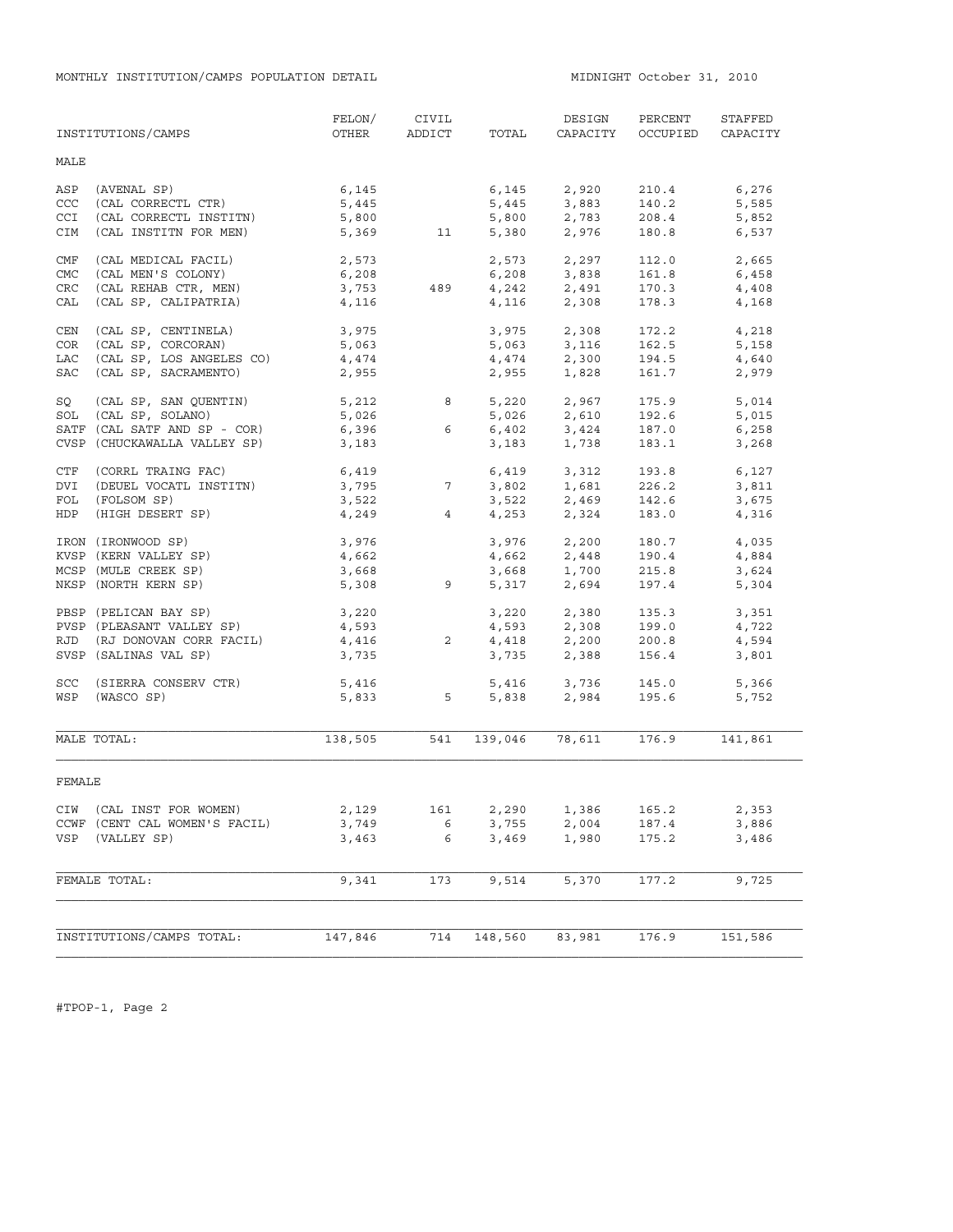MONTHLY INSTITUTION/CAMPS POPULATION DETAIL MIDNIGHT October 31, 2010

|                          | INSTITUTIONS/CAMPS                                                                                     | FELON/<br>OTHER                  | CIVIL<br>ADDICT | TOTAL          | DESIGN<br>CAPACITY                                       | PERCENT<br>OCCUPIED              | STAFFED<br>CAPACITY              |
|--------------------------|--------------------------------------------------------------------------------------------------------|----------------------------------|-----------------|----------------|----------------------------------------------------------|----------------------------------|----------------------------------|
| MALE                     |                                                                                                        |                                  |                 |                |                                                          |                                  |                                  |
| ASP<br>CCC<br><b>CCI</b> | (AVENAL SP)<br>(CAL CORRECTL CTR)<br>(CAL CORRECTL INSTITN)                                            | 6,145<br>5,445<br>5,800          |                 | 5,800          | 6,145 2,920<br>5,445 3,883<br>2,783                      | 210.4<br>140.2<br>208.4          | 6,276<br>5,585<br>5,852          |
| CIM                      | (CAL INSTITN FOR MEN)                                                                                  |                                  | 5,369 11        | 5,380          | 2,976                                                    | 180.8                            | 6,537                            |
| CMF<br>CMC               | (CAL MEDICAL FACIL)<br>(CAL MEN'S COLONY)                                                              | 2,573<br>6,208                   |                 |                | 2,573 2,297<br>6,208 3,838                               | 112.0<br>161.8                   | 2,665<br>6,458                   |
| CRC<br>CAL               | (CAL REHAB CTR, MEN)<br>(CAL SP, CALIPATRIA)                                                           | 6,208<br>3,753<br>4,116          | 489             | 4,116          | $4,242$ 2,491<br>2,308                                   | 170.3<br>178.3                   | 4,408<br>4,168                   |
| CEN<br>COR               | (CAL SP, CENTINELA)<br>(CAL SP, CORCORAN)                                                              | 3,975<br>5,063                   |                 | 3,975          | 2,308<br>5,063 3,116                                     | 172.2<br>162.5                   | 4,218<br>5,158                   |
| LAC<br>SAC               | (CAL SP, LOS ANGELES CO)<br>(CAL SP, SACRAMENTO)                                                       | 4,474<br>2,955                   |                 | 4,474<br>2,955 | 2,300<br>1,828                                           | 194.5<br>161.7                   | 4,640<br>2,979                   |
| SQ<br>SOL                | (CAL SP, SAN QUENTIN)<br>(CAL SP, SOLANO)                                                              | 5,212<br>5,026                   | 8               | 5,026          | 5,220 2,967<br>2,610                                     | 175.9<br>192.6                   | 5,014<br>5,015                   |
|                          | SATF (CAL SATF AND SP - COR)<br>CVSP (CHUCKAWALLA VALLEY SP)                                           | 6,396<br>3,183                   | 6               | 3,183          | $6,402$ $3,424$<br>1,738                                 | 187.0<br>183.1                   | 6,258<br>3,268                   |
| CTF<br>DVI               | (CORRL TRAING FAC)<br>(DEUEL VOCATL INSTITN)                                                           | 6,419<br>3,795                   | $7\overline{ }$ |                | $6,419$ $3,312$<br>$3,802$ $1,681$                       | 193.8<br>226.2                   | 6,127<br>3,811                   |
| FOL<br>HDP               | (FOLSOM SP)<br>(HIGH DESERT SP)                                                                        | 3,522<br>4,249                   | $4\overline{ }$ |                | $3,522$ $2,469$<br>$4,253$ $2,324$                       | 142.6<br>183.0                   | 3,675<br>4,316                   |
|                          | IRON (IRONWOOD SP)<br>KVSP (KERN VALLEY SP)                                                            | 3,976<br>4,662                   |                 |                | 3,976 2,200<br>4,662 2,448<br>3,668 1,700                | 180.7<br>190.4                   | 4,035<br>4,884                   |
|                          | MCSP (MULE CREEK SP)<br>NKSP (NORTH KERN SP)                                                           | 3,668<br>5,308                   | 9               |                | 5,317 2,694                                              | 215.8<br>197.4                   | 3,624<br>5,304                   |
| RJD                      | PBSP (PELICAN BAY SP)<br>PVSP (PLEASANT VALLEY SP)<br>(RJ DONOVAN CORR FACIL)<br>SVSP (SALINAS VAL SP) | 3,220<br>4,593<br>4,416<br>3,735 | $2^{\circ}$     |                | 3,220 2,380<br>4,593 2,308<br>4,418 2,200<br>3,735 2,388 | 135.3<br>199.0<br>200.8<br>156.4 | 3,351<br>4,722<br>4,594<br>3,801 |
| SCC<br>WSP               | (SIERRA CONSERV CTR)<br>(WASCO SP)                                                                     | 5,416                            | 5,833 5         |                | 5,416 3,736<br>5,838 2,984                               | 145.0<br>195.6                   | 5,366<br>5,752                   |
|                          | MALE TOTAL:                                                                                            | 138,505                          | 541             | 139,046        | 78,611                                                   | 176.9                            | 141,861                          |
| FEMALE                   |                                                                                                        |                                  |                 |                |                                                          |                                  |                                  |
|                          | CIW (CAL INST FOR WOMEN)<br>CCWF (CENT CAL WOMEN'S FACIL)                                              | 2,129<br>3,749                   | 161<br>6        | 2,290<br>3,755 | 1,386<br>2,004                                           | 165.2<br>187.4                   | 2,353<br>3,886                   |
| VSP                      | (VALLEY SP)                                                                                            | 3,463                            | 6               | 3,469          | 1,980                                                    | 175.2                            | 3,486                            |
|                          | FEMALE TOTAL:                                                                                          | 9,341                            | 173             | 9,514          | 5,370                                                    | 177.2                            | 9,725                            |
|                          | INSTITUTIONS/CAMPS TOTAL:                                                                              | 147,846                          | 714             | 148,560        | 83,981                                                   | 176.9                            | 151,586                          |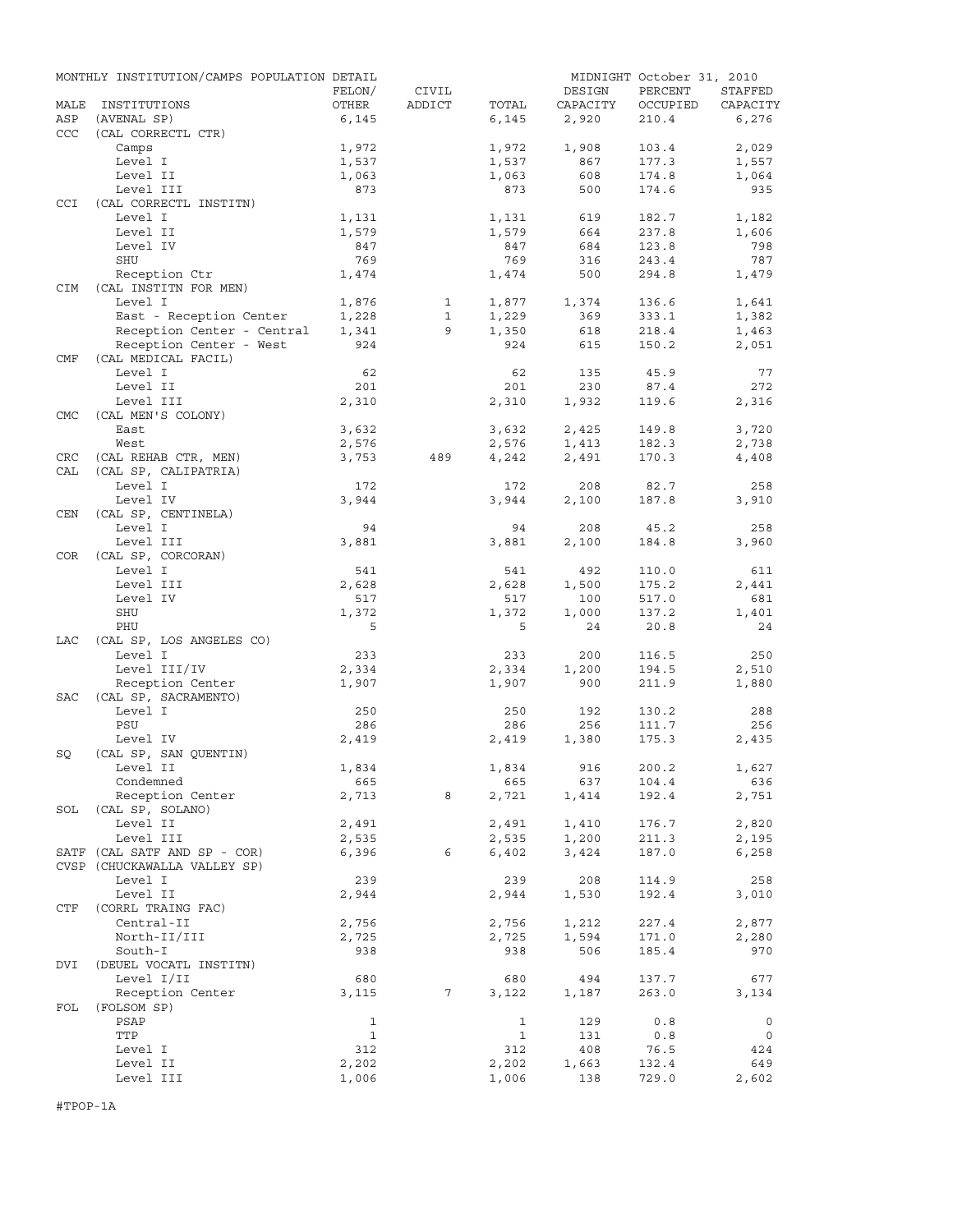|                   | MONTHLY INSTITUTION/CAMPS POPULATION DETAIL |              |                 |              |          | MIDNIGHT October 31, 2010 |             |
|-------------------|---------------------------------------------|--------------|-----------------|--------------|----------|---------------------------|-------------|
|                   |                                             | FELON/       | CIVIL           |              | DESIGN   | PERCENT                   | STAFFED     |
| MALE              | INSTITUTIONS                                | OTHER        | ADDICT          | TOTAL        | CAPACITY | OCCUPIED                  | CAPACITY    |
| ASP<br><b>CCC</b> | (AVENAL SP)<br>(CAL CORRECTL CTR)           | 6,145        |                 | 6,145        | 2,920    | 210.4                     | 6,276       |
|                   | Camps                                       | 1,972        |                 | 1,972        | 1,908    | 103.4                     | 2,029       |
|                   | Level I                                     | 1,537        |                 | 1,537        | 867      | 177.3                     | 1,557       |
|                   | Level II                                    | 1,063        |                 | 1,063        | 608      | 174.8                     | 1,064       |
| CCI               | Level III<br>(CAL CORRECTL INSTITN)         | 873          |                 | 873          | 500      | 174.6                     | 935         |
|                   | Level I                                     | 1,131        |                 | 1,131        | 619      | 182.7                     | 1,182       |
|                   | Level II                                    | 1,579        |                 | 1,579        | 664      | 237.8                     | 1,606       |
|                   | Level IV                                    | 847          |                 | 847          | 684      | 123.8                     | 798         |
|                   | <b>SHU</b>                                  | 769          |                 | 769          | 316      | 243.4                     | 787         |
|                   | Reception Ctr                               | 1,474        |                 | 1,474        | 500      | 294.8                     | 1,479       |
| CIM               | (CAL INSTITN FOR MEN)                       |              |                 |              |          |                           |             |
|                   | Level I                                     | 1,876        | $\mathbf{1}$    | 1,877        | 1,374    | 136.6                     | 1,641       |
|                   | East - Reception Center                     | 1,228        | $\mathbf{1}$    | 1,229        | 369      | 333.1                     | 1,382       |
|                   | Reception Center - Central                  | 1,341        | 9               | 1,350        | 618      | 218.4                     | 1,463       |
|                   | Reception Center - West                     | 924          |                 | 924          | 615      | 150.2                     | 2,051       |
| CMF               | (CAL MEDICAL FACIL)                         |              |                 |              |          |                           |             |
|                   | Level I                                     | 62           |                 | 62           | 135      | 45.9                      | 77          |
|                   | Level II                                    | 201          |                 | 201          | 230      | 87.4                      | 272         |
|                   | Level III                                   | 2,310        |                 | 2,310        | 1,932    | 119.6                     | 2,316       |
| <b>CMC</b>        | (CAL MEN'S COLONY)                          |              |                 |              |          |                           |             |
|                   | East                                        | 3,632        |                 | 3,632        | 2,425    | 149.8                     | 3,720       |
|                   | West                                        | 2,576        |                 | 2,576        | 1,413    | 182.3                     | 2,738       |
| CRC               | (CAL REHAB CTR, MEN)                        | 3,753        | 489             | 4,242        | 2,491    | 170.3                     | 4,408       |
| CAL               | (CAL SP, CALIPATRIA)                        |              |                 |              |          |                           |             |
|                   | Level I                                     | 172          |                 | 172          | 208      | 82.7                      | 258         |
|                   | Level IV                                    | 3,944        |                 | 3,944        | 2,100    | 187.8                     | 3,910       |
| <b>CEN</b>        | (CAL SP, CENTINELA)                         |              |                 |              |          |                           |             |
|                   | Level I                                     | 94           |                 | 94           | 208      | 45.2                      | 258         |
|                   | Level III                                   | 3,881        |                 | 3,881        | 2,100    | 184.8                     | 3,960       |
| <b>COR</b>        | (CAL SP, CORCORAN)                          |              |                 |              |          |                           |             |
|                   | Level I                                     | 541          |                 | 541          | 492      | 110.0                     | 611         |
|                   | Level III                                   | 2,628        |                 | 2,628        | 1,500    | 175.2                     | 2,441       |
|                   | Level IV                                    | 517          |                 | 517          | 100      | 517.0                     | 681         |
|                   | SHU                                         | 1,372        |                 | 1,372        | 1,000    | 137.2                     | 1,401       |
|                   | PHU                                         | 5            |                 | 5            | 24       | 20.8                      | 24          |
| LAC               | (CAL SP, LOS ANGELES CO)                    |              |                 |              |          |                           |             |
|                   | Level I                                     | 233          |                 | 233          | 200      | 116.5                     | 250         |
|                   | Level III/IV                                | 2,334        |                 | 2,334        | 1,200    | 194.5                     | 2,510       |
|                   | Reception Center                            | 1,907        |                 | 1,907        | 900      | 211.9                     | 1,880       |
| <b>SAC</b>        | (CAL SP, SACRAMENTO)                        |              |                 |              |          |                           |             |
|                   | Level I                                     | 250          |                 | 250          | 192      | 130.2                     | 288         |
|                   | PSU                                         | 286          |                 | 286          | 256      | 111.7                     | 256         |
|                   | Level IV                                    | 2,419        |                 | 2,419        | 1,380    | 175.3                     | 2,435       |
| SQ                | (CAL SP, SAN QUENTIN)<br>Level II           | 1,834        |                 | 1,834        | 916      | 200.2                     | 1,627       |
|                   | Condemned                                   | 665          |                 | 665          | 637      | 104.4                     | 636         |
|                   | Reception Center                            | 2,713        | 8               | 2,721        | 1,414    | 192.4                     | 2,751       |
| SOL               | (CAL SP, SOLANO)                            |              |                 |              |          |                           |             |
|                   | Level II                                    | 2,491        |                 | 2,491        | 1,410    | 176.7                     | 2,820       |
|                   | Level III                                   | 2,535        |                 | 2,535        | 1,200    | 211.3                     | 2,195       |
|                   | SATF (CAL SATF AND SP - COR)                | 6,396        | 6               | 6,402        | 3,424    | 187.0                     | 6,258       |
|                   | CVSP (CHUCKAWALLA VALLEY SP)                |              |                 |              |          |                           |             |
|                   | Level I                                     | 239          |                 | 239          | 208      | 114.9                     | 258         |
|                   | Level II                                    | 2,944        |                 | 2,944        | 1,530    | 192.4                     | 3,010       |
| CTF               | (CORRL TRAING FAC)                          |              |                 |              |          |                           |             |
|                   | Central-II                                  | 2,756        |                 | 2,756        | 1,212    | 227.4                     | 2,877       |
|                   | North-II/III                                | 2,725        |                 | 2,725        | 1,594    | 171.0                     | 2,280       |
|                   | South-I                                     | 938          |                 | 938          | 506      | 185.4                     | 970         |
| DVI               | (DEUEL VOCATL INSTITN)                      |              |                 |              |          |                           |             |
|                   | Level I/II                                  | 680          |                 | 680          | 494      | 137.7                     | 677         |
|                   | Reception Center                            | 3,115        | $7\phantom{.0}$ | 3,122        | 1,187    | 263.0                     | 3,134       |
| FOL               | (FOLSOM SP)                                 |              |                 |              |          |                           |             |
|                   | PSAP                                        | $\mathbf{1}$ |                 | $\mathbf{1}$ | 129      | 0.8                       | $\mathbf 0$ |
|                   | TTP                                         | $\mathbf{1}$ |                 | $\mathbf{1}$ | 131      | 0.8                       | 0           |
|                   | Level I                                     | 312          |                 | 312          | 408      | 76.5                      | 424         |
|                   | Level II                                    | 2,202        |                 | 2,202        | 1,663    | 132.4                     | 649         |
|                   | Level III                                   | 1,006        |                 | 1,006        | 138      | 729.0                     | 2,602       |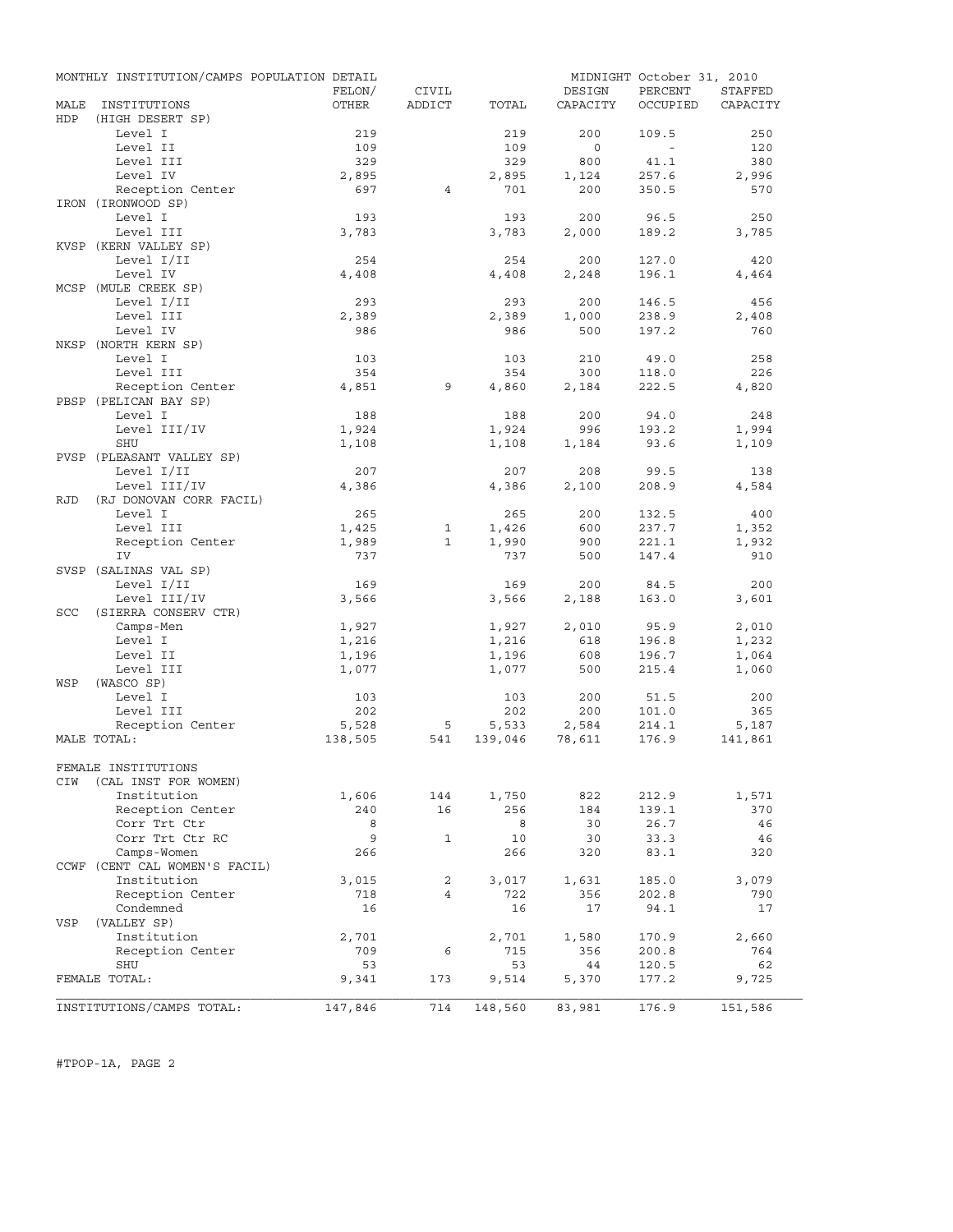|      | MONTHLY INSTITUTION/CAMPS POPULATION DETAIL |         |                |         |          | MIDNIGHT October 31, 2010 |          |
|------|---------------------------------------------|---------|----------------|---------|----------|---------------------------|----------|
|      |                                             | FELON/  | CIVIL          |         | DESIGN   | PERCENT                   | STAFFED  |
| MALE | INSTITUTIONS                                | OTHER   | ADDICT         | TOTAL   | CAPACITY | OCCUPIED                  | CAPACITY |
| HDP  | (HIGH DESERT SP)                            |         |                |         |          |                           |          |
|      | Level I                                     | 219     |                | 219     | 200      | 109.5                     | 250      |
|      | Level II                                    | 109     |                | 109     | $\circ$  | $\sim$                    | 120      |
|      | Level III                                   | 329     |                | 329     | 800      | 41.1                      | 380      |
|      | Level IV                                    | 2,895   |                | 2,895   | 1,124    | 257.6                     | 2,996    |
|      | Reception Center                            | 697     | $\overline{4}$ | 701     | 200      | 350.5                     | 570      |
|      | IRON (IRONWOOD SP)                          |         |                |         |          |                           |          |
|      | Level I                                     | 193     |                | 193     | 200      | 96.5                      | 250      |
|      | Level III                                   | 3,783   |                | 3,783   | 2,000    | 189.2                     | 3,785    |
|      | KVSP (KERN VALLEY SP)                       |         |                |         |          |                           |          |
|      | Level I/II                                  | 254     |                | 254     | 200      | 127.0                     | 420      |
|      | Level IV                                    | 4,408   |                | 4,408   | 2,248    | 196.1                     | 4,464    |
|      | MCSP (MULE CREEK SP)                        |         |                |         |          |                           |          |
|      | Level I/II                                  | 293     |                | 293     | 200      | 146.5                     | 456      |
|      | Level III                                   | 2,389   |                | 2,389   | 1,000    | 238.9                     | 2,408    |
|      | Level IV                                    | 986     |                | 986     | 500      | 197.2                     | 760      |
|      | NKSP (NORTH KERN SP)                        |         |                |         |          |                           |          |
|      | Level I                                     | 103     |                | 103     | 210      | 49.0                      | 258      |
|      | Level III                                   | 354     |                | 354     | 300      | 118.0                     | 226      |
|      | Reception Center                            | 4,851   | 9              | 4,860   | 2,184    | 222.5                     | 4,820    |
|      | PBSP (PELICAN BAY SP)                       |         |                |         |          |                           |          |
|      |                                             |         |                |         |          |                           |          |
|      | Level I                                     | 188     |                | 188     | 200      | 94.0                      | 248      |
|      | Level III/IV                                | 1,924   |                | 1,924   | 996      | 193.2                     | 1,994    |
|      | <b>SHU</b>                                  | 1,108   |                | 1,108   | 1,184    | 93.6                      | 1,109    |
|      | PVSP (PLEASANT VALLEY SP)                   |         |                |         |          |                           |          |
|      | Level I/II                                  | 207     |                | 207     | 208      | 99.5                      | 138      |
|      | Level III/IV                                | 4,386   |                | 4,386   | 2,100    | 208.9                     | 4,584    |
| RJD  | (RJ DONOVAN CORR FACIL)                     |         |                |         |          |                           |          |
|      | Level I                                     | 265     |                | 265     | 200      | 132.5                     | 400      |
|      | Level III                                   | 1,425   | 1              | 1,426   | 600      | 237.7                     | 1,352    |
|      | Reception Center                            | 1,989   | $\mathbf{1}$   | 1,990   | 900      | 221.1                     | 1,932    |
|      | IV                                          | 737     |                | 737     | 500      | 147.4                     | 910      |
|      | SVSP (SALINAS VAL SP)                       |         |                |         |          |                           |          |
|      | Level I/II                                  | 169     |                | 169     | 200      | 84.5                      | 200      |
|      | Level III/IV                                | 3,566   |                | 3,566   | 2,188    | 163.0                     | 3,601    |
| SCC  | (SIERRA CONSERV CTR)                        |         |                |         |          |                           |          |
|      | Camps-Men                                   | 1,927   |                | 1,927   | 2,010    | 95.9                      | 2,010    |
|      | Level I                                     | 1,216   |                | 1,216   | 618      | 196.8                     | 1,232    |
|      | Level II                                    | 1,196   |                | 1,196   | 608      | 196.7                     | 1,064    |
|      | Level III                                   | 1,077   |                | 1,077   | 500      | 215.4                     | 1,060    |
| WSP  | (WASCO SP)                                  |         |                |         |          |                           |          |
|      | Level I                                     | 103     |                | 103     | 200      | 51.5                      | 200      |
|      | Level III                                   | 202     |                | 202     | 200      | 101.0                     | 365      |
|      | Reception Center                            | 5,528   | 5              | 5,533   | 2,584    | 214.1                     | 5,187    |
|      | MALE TOTAL:                                 | 138,505 | 541            | 139,046 | 78,611   | 176.9                     | 141,861  |
|      |                                             |         |                |         |          |                           |          |
|      | FEMALE INSTITUTIONS                         |         |                |         |          |                           |          |
| CIW  | (CAL INST FOR WOMEN)                        |         |                |         |          |                           |          |
|      | Institution                                 | 1,606   | 144            | 1,750   | 822      | 212.9                     | 1,571    |
|      | Reception Center                            | 240     | 16             | 256     | 184      | 139.1                     | 370      |
|      | Corr Trt Ctr                                | 8       |                | 8       | 30       | 26.7                      | 46       |
|      | Corr Trt Ctr RC                             | 9       | $\mathbf{1}$   | 10      | 30       | 33.3                      | 46       |
|      |                                             |         |                |         |          |                           |          |
|      | Camps-Women                                 | 266     |                | 266     | 320      | 83.1                      | 320      |
|      | CCWF (CENT CAL WOMEN'S FACIL)               |         |                |         |          |                           |          |
|      | Institution                                 | 3,015   | 2              | 3,017   | 1,631    | 185.0                     | 3,079    |
|      | Reception Center                            | 718     | 4              | 722     | 356      | 202.8                     | 790      |
|      | Condemned                                   | 16      |                | 16      | 17       | 94.1                      | 17       |
| VSP  | (VALLEY SP)                                 |         |                |         |          |                           |          |
|      | Institution                                 | 2,701   |                | 2,701   | 1,580    | 170.9                     | 2,660    |
|      | Reception Center                            | 709     | 6              | 715     | 356      | 200.8                     | 764      |
|      | SHU                                         | 53      |                | 53      | 44       | 120.5                     | 62       |
|      | FEMALE TOTAL:                               | 9,341   | 173            | 9,514   | 5,370    | 177.2                     | 9,725    |
|      |                                             |         |                |         |          |                           |          |
|      | INSTITUTIONS/CAMPS TOTAL:                   | 147,846 | 714            | 148,560 | 83,981   | 176.9                     | 151,586  |

#TPOP-1A, PAGE 2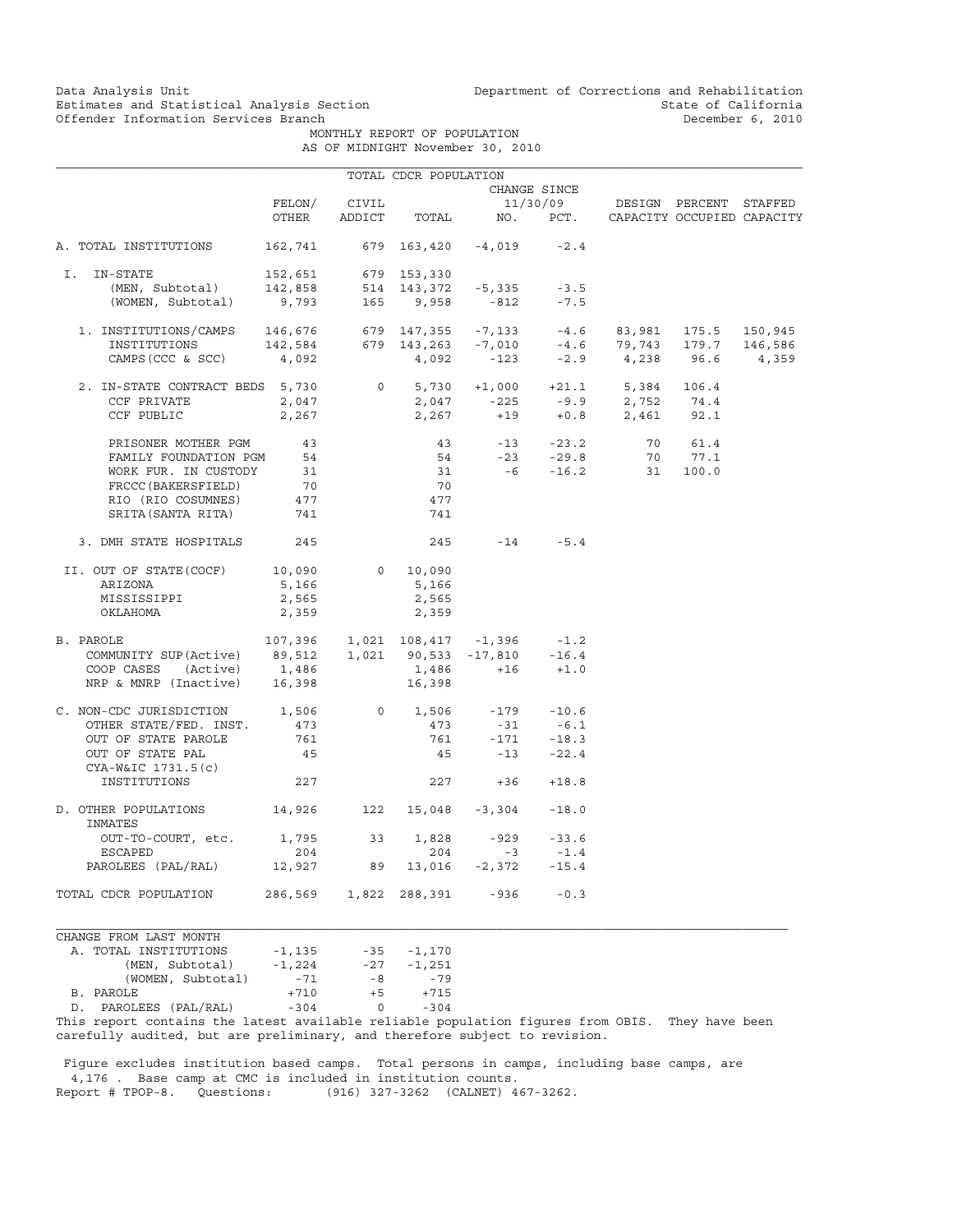Data Analysis Unit Unit Department of Corrections and Rehabilitation<br>Estimates and Statistical Analysis Section State of California Estimates and Statistical Analysis Section<br>
Offender Information Services Branch<br>
Offender State of California

 MONTHLY REPORT OF POPULATION AS OF MIDNIGHT November 30, 2010

|                                                                                                                                                   |                                       |       | TOTAL CDCR POPULATION |                                                                                                                                                                                |                   |                                     |                      |         |
|---------------------------------------------------------------------------------------------------------------------------------------------------|---------------------------------------|-------|-----------------------|--------------------------------------------------------------------------------------------------------------------------------------------------------------------------------|-------------------|-------------------------------------|----------------------|---------|
|                                                                                                                                                   |                                       |       |                       |                                                                                                                                                                                | CHANGE SINCE      |                                     |                      |         |
|                                                                                                                                                   | FELON/                                | CIVIL |                       |                                                                                                                                                                                |                   | 11/30/09 DESIGN PERCENT STAFFED     |                      |         |
|                                                                                                                                                   | OTHER                                 |       | ADDICT TOTAL          |                                                                                                                                                                                |                   | NO. PCT. CAPACITY OCCUPIED CAPACITY |                      |         |
| A. TOTAL INSTITUTIONS                                                                                                                             | 162,741                               |       |                       | 679 163,420 -4,019                                                                                                                                                             | $-2.4$            |                                     |                      |         |
| I. IN-STATE                                                                                                                                       |                                       |       |                       |                                                                                                                                                                                |                   |                                     |                      |         |
|                                                                                                                                                   |                                       |       |                       |                                                                                                                                                                                | $-3.5$            |                                     |                      |         |
| -STATE 152,651 679 153,330<br>(MEN, Subtotal) 142,858 514 143,372 -5,335<br>(WOMEN, Subtotal) 9,793 165 9,958 -812                                |                                       |       |                       | 165 9,958 -812                                                                                                                                                                 | $-7.5$            |                                     |                      |         |
| 1. INSTITUTIONS/CAMPS 146,676                                                                                                                     |                                       |       |                       |                                                                                                                                                                                |                   |                                     | 83,981 175.5 150,945 |         |
| INSTITUTIONS                                                                                                                                      | 142,584                               |       |                       |                                                                                                                                                                                |                   |                                     |                      | 146,586 |
| CAMPS (CCC & SCC)                                                                                                                                 | 4,092                                 |       |                       | $\begin{array}{cccccc} 679 & 147,355 & -7,133 & -4.6 & 83,981 & 175.5 \\ 679 & 143,263 & -7,010 & -4.6 & 79,743 & 179.7 \\ & & 4,092 & -123 & -2.9 & 4,238 & 96.6 \end{array}$ |                   |                                     |                      | 4,359   |
| 2. IN-STATE CONTRACT BEDS 5,730<br>0 5,730<br>+1,000<br>+21.1<br>5,384<br>106.4<br>CCF PRIVATE<br>2,047<br>2,047<br>-225<br>-9.9<br>2,752<br>74.4 |                                       |       |                       |                                                                                                                                                                                |                   |                                     |                      |         |
|                                                                                                                                                   |                                       |       |                       | 2,047 -225                                                                                                                                                                     |                   |                                     |                      |         |
| CCF PUBLIC                                                                                                                                        | 2,267                                 |       |                       | $2,267$ +19 +0.8 2,461 92.1                                                                                                                                                    |                   |                                     |                      |         |
| PRISONER MOTHER PGM                                                                                                                               | 43                                    |       | 43                    |                                                                                                                                                                                | $-13 - 23.2$      |                                     | 70 61.4              |         |
| FAMILY FOUNDATION PGM                                                                                                                             | 54                                    |       | 54                    |                                                                                                                                                                                | $-23 - 29.8$      |                                     | 70 77.1              |         |
| WORK FUR. IN CUSTODY                                                                                                                              | 31                                    |       |                       | $54$ $-23$ $-29.8$ 70<br>31 $-6$ $-16.2$ 31                                                                                                                                    |                   |                                     | 100.0                |         |
| FRCCC (BAKERSFIELD)                                                                                                                               | 70                                    |       | 70                    |                                                                                                                                                                                |                   |                                     |                      |         |
| RIO (RIO COSUMNES)                                                                                                                                | 477                                   |       | 477                   |                                                                                                                                                                                |                   |                                     |                      |         |
| SRITA (SANTA RITA)                                                                                                                                | 741                                   |       | 741                   |                                                                                                                                                                                |                   |                                     |                      |         |
| 3. DMH STATE HOSPITALS 245                                                                                                                        |                                       |       | 245                   | $-14$ $-5.4$                                                                                                                                                                   |                   |                                     |                      |         |
| II. OUT OF STATE(COCF)                                                                                                                            | 10,090                                |       | $0\quad 10,090$       |                                                                                                                                                                                |                   |                                     |                      |         |
| ARIZONA                                                                                                                                           | 5,166                                 |       | 5,166                 |                                                                                                                                                                                |                   |                                     |                      |         |
| MISSISSIPPI                                                                                                                                       | 2,565                                 |       | 2,565                 |                                                                                                                                                                                |                   |                                     |                      |         |
| OKLAHOMA                                                                                                                                          | 2,359                                 |       | 2,359                 |                                                                                                                                                                                |                   |                                     |                      |         |
| B. PAROLE                                                                                                                                         | 107,396    1,021    108,417    -1,396 |       |                       |                                                                                                                                                                                | $-1.2$            |                                     |                      |         |
|                                                                                                                                                   |                                       |       |                       |                                                                                                                                                                                | $-16.4$           |                                     |                      |         |
| COMMUNITY SUP(Active) 89,512 1,021 90,533 -17,810<br>COOP CASES (Active) 1,486 1,486 +16                                                          |                                       |       |                       |                                                                                                                                                                                | $+1.0$            |                                     |                      |         |
| NRP & MNRP (Inactive) 16,398                                                                                                                      |                                       |       | 16,398                |                                                                                                                                                                                |                   |                                     |                      |         |
| C. NON-CDC JURISDICTION 1,506                                                                                                                     |                                       |       |                       | 0 1,506 -179 -10.6                                                                                                                                                             |                   |                                     |                      |         |
| OTHER STATE/FED. INST.                                                                                                                            | 473                                   |       | 473                   | $-31$                                                                                                                                                                          | $-6.1$            |                                     |                      |         |
| OUT OF STATE PAROLE                                                                                                                               | 761                                   |       |                       | 761 - 171 - 18.3                                                                                                                                                               |                   |                                     |                      |         |
| OUT OF STATE PAL<br>CYA-W&IC 1731.5(c)                                                                                                            | 45                                    |       | 45                    |                                                                                                                                                                                | $-13 - 22.4$      |                                     |                      |         |
| INSTITUTIONS                                                                                                                                      | 227                                   |       |                       | 227 +36 +18.8                                                                                                                                                                  |                   |                                     |                      |         |
| D. OTHER POPULATIONS                                                                                                                              | 14,926 122 15,048 -3,304              |       |                       |                                                                                                                                                                                | $-18.0$           |                                     |                      |         |
| INMATES                                                                                                                                           |                                       |       |                       |                                                                                                                                                                                |                   |                                     |                      |         |
| OUT-TO-COURT, etc.                                                                                                                                |                                       |       | 1,795 33 1,828        | $-929 -33.6$                                                                                                                                                                   |                   |                                     |                      |         |
| ESCAPED<br>PAROLEES (PAL/RAL)                                                                                                                     | 204<br>12,927 89 13,016 -2,372        |       | 204                   | $-3$                                                                                                                                                                           | $-1.4$<br>$-15.4$ |                                     |                      |         |
|                                                                                                                                                   |                                       |       |                       |                                                                                                                                                                                |                   |                                     |                      |         |
| TOTAL CDCR POPULATION                                                                                                                             | 286,569 1,822 288,391                 |       |                       | $-936$                                                                                                                                                                         | $-0.3$            |                                     |                      |         |
|                                                                                                                                                   |                                       |       |                       |                                                                                                                                                                                |                   |                                     |                      |         |
| CHANGE FROM LAST MONTH                                                                                                                            |                                       |       |                       |                                                                                                                                                                                |                   |                                     |                      |         |

| CILINUL I KURI LINDI RUUNIII |          |              |               |
|------------------------------|----------|--------------|---------------|
| A. TOTAL INSTITUTIONS        | $-1,135$ |              | $-35 - 1,170$ |
| (MEN, Subtotal)              | $-1,224$ |              | $-27 - 1.251$ |
| (WOMEN, Subtotal)            | $-71$    | $-8$         | $-79$         |
| B. PAROLE                    | $+710$   | $+5$         | $+715$        |
| D. PAROLEES (PAL/RAL)        | $-304$   | <sup>n</sup> | $-304$        |
|                              |          |              |               |

This report contains the latest available reliable population figures from OBIS. They have been carefully audited, but are preliminary, and therefore subject to revision.

 Figure excludes institution based camps. Total persons in camps, including base camps, are 4,176 . Base camp at CMC is included in institution counts. Report # TPOP-8. Questions: (916) 327-3262 (CALNET) 467-3262.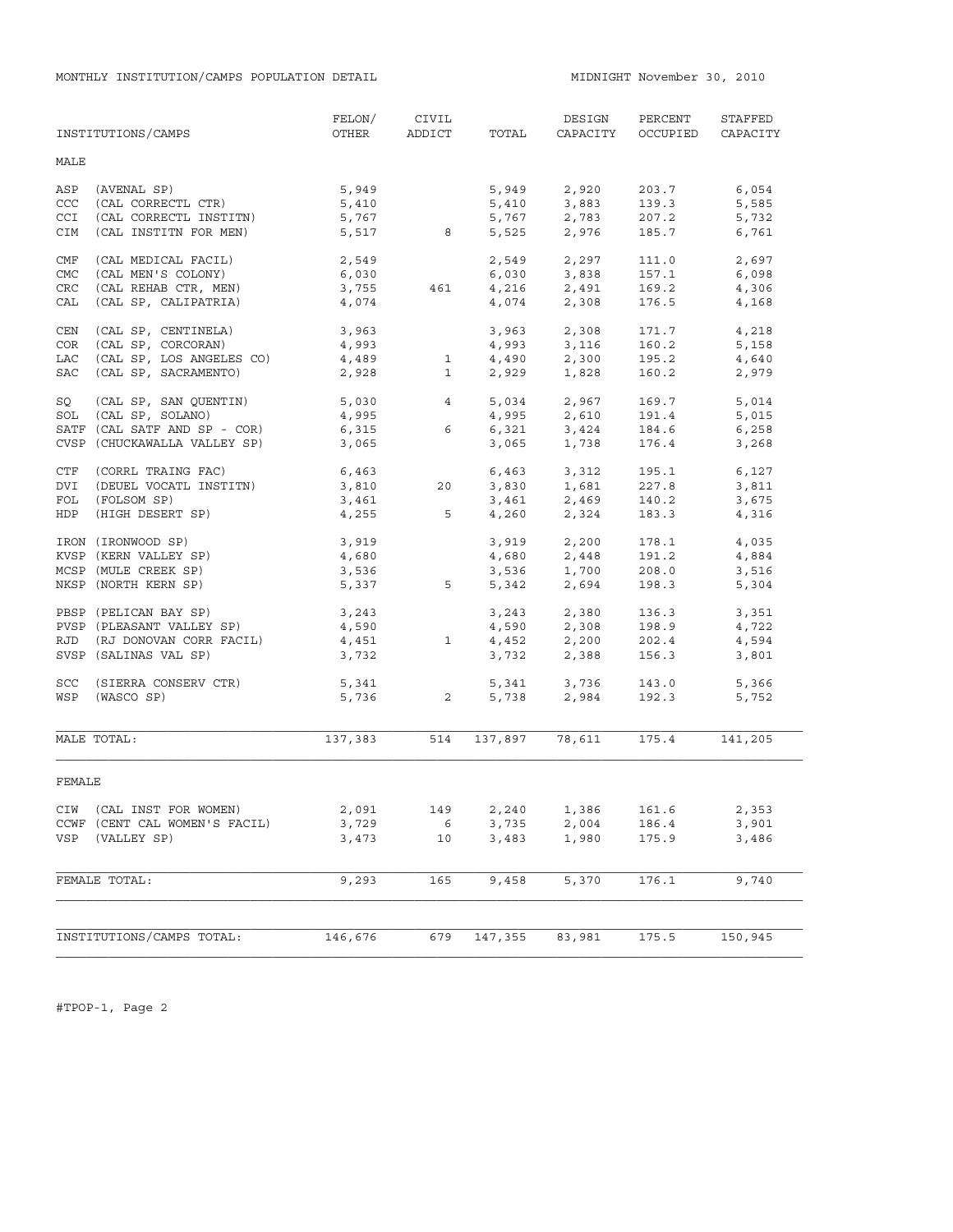MONTHLY INSTITUTION/CAMPS POPULATION DETAIL **MIDNIGHT NOVEMBER 30, 2010** 

|            | INSTITUTIONS/CAMPS            | FELON/<br>OTHER | CIVIL<br>ADDICT            | TOTAL          | DESIGN<br>CAPACITY                       | PERCENT<br>OCCUPIED | STAFFED<br>CAPACITY |
|------------|-------------------------------|-----------------|----------------------------|----------------|------------------------------------------|---------------------|---------------------|
|            |                               |                 |                            |                |                                          |                     |                     |
| MALE       |                               |                 |                            |                |                                          |                     |                     |
| ASP        | (AVENAL SP)                   | 5,949           |                            | 5,949          | 2,920                                    | 203.7               | 6,054               |
| CCC        | (CAL CORRECTL CTR)            | 5,410           |                            | 5,410          | 3,883                                    | 139.3               | 5,585               |
| <b>CCI</b> | (CAL CORRECTL INSTITN)        | 5,767           |                            |                | $5,767$<br>$2,783$<br>$5,525$<br>$2,976$ | 207.2               | 5,732               |
| CIM        | (CAL INSTITN FOR MEN)         | 5,517           | 8                          |                |                                          | 185.7               | 6,761               |
| CMF        | (CAL MEDICAL FACIL)           | 2,549           |                            | 2,549          | 2,297                                    | 111.0               | 2,697               |
| CMC        | (CAL MEN'S COLONY)            | 6,030           |                            |                | 6,030 3,838                              | 157.1               | 6,098               |
| <b>CRC</b> | (CAL REHAB CTR, MEN)          | 3,755           | 461                        | 4,216          | 2,491                                    | 169.2               | 4,306               |
| CAL        | (CAL SP, CALIPATRIA)          | 4,074           |                            | 4,074          | 2,308                                    | 176.5               | 4,168               |
| CEN        | (CAL SP, CENTINELA)           | 3,963           |                            |                | 3,963 2,308                              | 171.7               | 4,218               |
| COR        | (CAL SP, CORCORAN)            | 4,993           |                            | 4,993          | 3,116                                    | 160.2               | 5,158               |
| LAC        | (CAL SP, LOS ANGELES CO)      | 4,489           | $\mathbf{1}$               | 4,490          | 2,300                                    | 195.2               | 4,640               |
| SAC        | (CAL SP, SACRAMENTO)          | 2,928           | $\mathbf{1}$               | 2,929          | 1,828                                    | 160.2               | 2,979               |
| SQ         | (CAL SP, SAN QUENTIN)         | 5,030 4         |                            | 5,034          | 2,967                                    | 169.7               | 5,014               |
| SOL        | (CAL SP, SOLANO)              | 4,995           |                            |                | 4,995 2,610                              | 191.4               | 5,015               |
|            | SATF (CAL SATF AND SP - COR)  | 6,315           | 6                          | 6,321<br>3,065 | 3,424<br>1,738                           | 184.6<br>176.4      | 6,258               |
|            | CVSP (CHUCKAWALLA VALLEY SP)  | 3,065           |                            |                |                                          |                     | 3,268               |
| CTF        | (CORRL TRAING FAC)            | 6,463           |                            |                | 6,463 3,312                              | 195.1               | 6,127               |
| DVI        | (DEUEL VOCATL INSTITN)        | 3,810           | 20                         | 3,830          | 1,681<br>2,469                           | 227.8               | 3,811               |
| FOL        | (FOLSOM SP)                   | 3,461           |                            | 3,461          |                                          | 140.2               | 3,675               |
| HDP        | (HIGH DESERT SP)              | 4,255           | 5                          |                | 4,260 2,324                              | 183.3               | 4,316               |
|            | IRON (IRONWOOD SP)            | 3,919<br>4,680  |                            |                | $3,919$ $2,200$<br>$4,680$ $2,448$       | 178.1               | 4,035               |
|            | KVSP (KERN VALLEY SP)         |                 |                            |                |                                          | 191.2               | 4,884               |
|            | MCSP (MULE CREEK SP)          | 3,536           |                            | 3,536          | 1,700<br>2,694                           | 208.0               | 3,516               |
|            | NKSP (NORTH KERN SP)          | 5,337           | 5                          | 5,342          |                                          | 198.3               | 5,304               |
|            | PBSP (PELICAN BAY SP)         | 3,243           |                            |                | 3,243 2,380                              | 136.3               | 3,351               |
|            | PVSP (PLEASANT VALLEY SP)     | 4,590           |                            |                | $4,590$ $2,308$<br>$4,452$ $2,200$       | 198.9               | 4,722               |
| RJD        | (RJ DONOVAN CORR FACIL)       | 4,451           | <sup>1</sup>               |                |                                          | 202.4               | 4,594               |
|            | SVSP (SALINAS VAL SP)         | 3,732           |                            | 3,732          | 2,388                                    | 156.3               | 3,801               |
| SCC        | (SIERRA CONSERV CTR)          | 5,341           |                            |                | 5,341 3,736<br>5,738 2,984               | 143.0               | 5,366               |
| WSP        | (WASCO SP)                    | 5,736           | $\overline{\phantom{0}}$ 2 |                |                                          | 192.3               | 5,752               |
|            | MALE TOTAL:                   | 137,383         | 514                        |                | 137,897 78,611                           | 175.4               | 141,205             |
| FEMALE     |                               |                 |                            |                |                                          |                     |                     |
|            | CIW (CAL INST FOR WOMEN)      | 2,091           | 149                        |                | 2,240 1,386                              | 161.6               | 2,353               |
|            | CCWF (CENT CAL WOMEN'S FACIL) | 3,729           | 6 <sup>6</sup>             | 3,735          | 2,004                                    | 186.4               | 3,901               |
| VSP        | (VALLEY SP)                   | 3,473           | 10                         | 3,483          | 1,980                                    | 175.9               | 3,486               |
|            | FEMALE TOTAL:                 | 9,293           | 165                        | 9,458          | 5,370                                    | 176.1               | 9,740               |
|            |                               |                 |                            |                |                                          |                     |                     |
|            | INSTITUTIONS/CAMPS TOTAL:     | 146,676         | 679                        | 147,355        | 83,981                                   | 175.5               | 150,945             |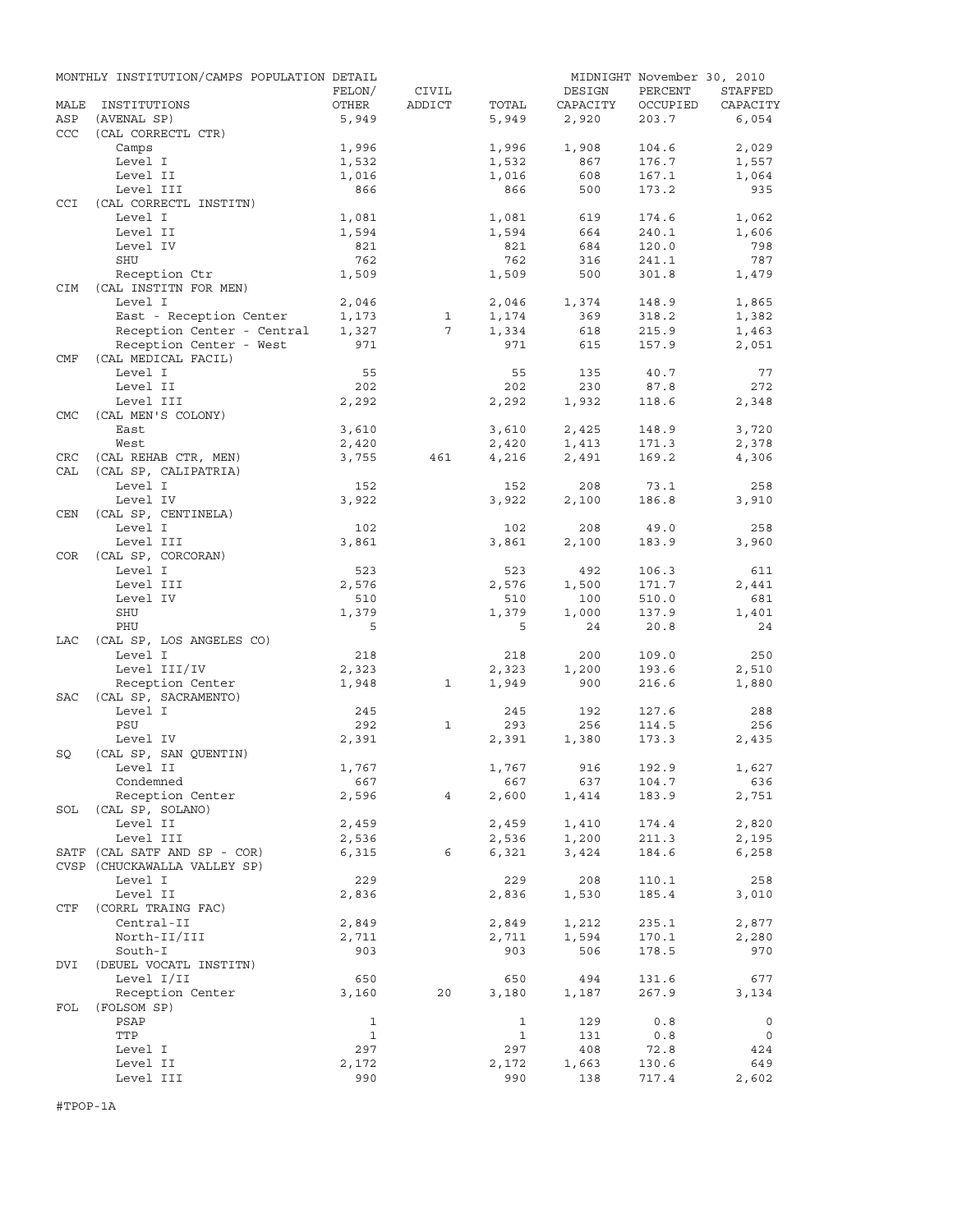|            | MONTHLY INSTITUTION/CAMPS POPULATION DETAIL |                |                |                |            | MIDNIGHT November 30, 2010 |                |
|------------|---------------------------------------------|----------------|----------------|----------------|------------|----------------------------|----------------|
|            |                                             | FELON/         | CIVIL          |                | DESIGN     | PERCENT                    | STAFFED        |
| MALE       | INSTITUTIONS                                | OTHER          | ADDICT         | TOTAL          | CAPACITY   | OCCUPIED                   | CAPACITY       |
| ASP        | (AVENAL SP)                                 | 5,949          |                | 5,949          | 2,920      | 203.7                      | 6,054          |
| CCC        | (CAL CORRECTL CTR)                          |                |                |                |            |                            |                |
|            | Camps                                       | 1,996          |                | 1,996          | 1,908      | 104.6                      | 2,029          |
|            | Level I                                     | 1,532          |                | 1,532          | 867        | 176.7                      | 1,557          |
|            | Level II                                    | 1,016          |                | 1,016          | 608        | 167.1                      | 1,064          |
|            | Level III                                   | 866            |                | 866            | 500        | 173.2                      | 935            |
| CCI        | (CAL CORRECTL INSTITN)<br>Level I           |                |                |                |            |                            |                |
|            |                                             | 1,081<br>1,594 |                | 1,081<br>1,594 | 619        | 174.6                      | 1,062<br>1,606 |
|            | Level II                                    |                |                |                | 664        | 240.1<br>120.0             | 798            |
|            | Level IV                                    | 821            |                | 821            | 684        |                            |                |
|            | <b>SHU</b>                                  | 762            |                | 762            | 316        | 241.1                      | 787            |
| <b>CIM</b> | Reception Ctr<br>(CAL INSTITN FOR MEN)      | 1,509          |                | 1,509          | 500        | 301.8                      | 1,479          |
|            | Level I                                     | 2,046          |                | 2,046          | 1,374      |                            | 1,865          |
|            | East - Reception Center                     | 1,173          | $\mathbf{1}$   | 1,174          | 369        | 148.9<br>318.2             | 1,382          |
|            | Reception Center - Central                  | 1,327          | $7^{\circ}$    | 1,334          | 618        | 215.9                      | 1,463          |
|            |                                             | 971            |                | 971            | 615        | 157.9                      |                |
|            | Reception Center - West                     |                |                |                |            |                            | 2,051          |
| CMF        | (CAL MEDICAL FACIL)                         |                |                |                |            |                            | 77             |
|            | Level I<br>Level II                         | 55             |                | 55<br>202      | 135<br>230 | 40.7                       | 272            |
|            |                                             | 202            |                |                |            | 87.8                       |                |
|            | Level III                                   | 2,292          |                | 2,292          | 1,932      | 118.6                      | 2,348          |
| <b>CMC</b> | (CAL MEN'S COLONY)                          |                |                |                |            |                            |                |
|            | East                                        | 3,610          |                | 3,610          | 2,425      | 148.9                      | 3,720          |
|            | West                                        | 2,420          |                | 2,420          | 1,413      | 171.3                      | 2,378          |
| CRC        | (CAL REHAB CTR, MEN)                        | 3,755          | 461            | 4,216          | 2,491      | 169.2                      | 4,306          |
| CAL        | (CAL SP, CALIPATRIA)                        |                |                |                |            |                            |                |
|            | Level I                                     | 152            |                | 152            | 208        | 73.1                       | 258            |
|            | Level IV                                    | 3,922          |                | 3,922          | 2,100      | 186.8                      | 3,910          |
| CEN        | (CAL SP, CENTINELA)                         |                |                |                |            |                            |                |
|            | Level I                                     | 102            |                | 102            | 208        | 49.0                       | 258            |
|            | Level III                                   | 3,861          |                | 3,861          | 2,100      | 183.9                      | 3,960          |
| <b>COR</b> | (CAL SP, CORCORAN)                          |                |                |                |            |                            |                |
|            | Level I                                     | 523            |                | 523            | 492        | 106.3                      | 611            |
|            | Level III                                   | 2,576          |                | 2,576          | 1,500      | 171.7                      | 2,441          |
|            | Level IV                                    | 510            |                | 510            | 100        | 510.0                      | 681            |
|            | <b>SHU</b>                                  | 1,379          |                | 1,379          | 1,000      | 137.9                      | 1,401          |
|            | PHU                                         | 5              |                | 5              | 24         | 20.8                       | 24             |
| LAC        | (CAL SP, LOS ANGELES CO)                    |                |                |                |            |                            |                |
|            | Level I                                     | 218            |                | 218            | 200        | 109.0                      | 250            |
|            | Level III/IV                                | 2,323          |                | 2,323          | 1,200      | 193.6                      | 2,510          |
|            | Reception Center                            | 1,948          | 1              | 1,949          | 900        | 216.6                      | 1,880          |
| <b>SAC</b> | (CAL SP, SACRAMENTO)                        |                |                |                |            |                            |                |
|            | Level I                                     | 245            |                | 245            | 192        | 127.6                      | 288            |
|            | PSU                                         | 292            | $\mathbf{1}$   | 293            | 256        | 114.5                      | 256            |
|            | Level IV                                    | 2,391          |                | 2,391          | 1,380      | 173.3                      | 2,435          |
| SQ         | (CAL SP, SAN OUENTIN)                       |                |                |                |            |                            |                |
|            | Level II                                    | 1,767          |                | 1,767          | 916        | 192.9                      | 1,627          |
|            | Condemned                                   | 667            |                | 667            | 637        | 104.7                      | 636            |
|            | Reception Center                            | 2,596          | $\overline{4}$ | 2,600          | 1,414      | 183.9                      | 2,751          |
| SOL        | (CAL SP, SOLANO)                            |                |                |                |            |                            |                |
|            | Level II                                    | 2,459          |                | 2,459          | 1,410      | 174.4                      | 2,820          |
|            | Level III                                   | 2,536          |                | 2,536          | 1,200      | 211.3                      | 2,195          |
|            | SATF (CAL SATF AND SP - COR)                | 6,315          | 6              | 6,321          | 3,424      | 184.6                      | 6,258          |
|            | CVSP (CHUCKAWALLA VALLEY SP)                |                |                |                |            |                            |                |
|            | Level I                                     | 229            |                | 229            | 208        | 110.1                      | 258            |
|            | Level II                                    | 2,836          |                | 2,836          | 1,530      | 185.4                      | 3,010          |
| CTF        | (CORRL TRAING FAC)                          |                |                |                |            |                            |                |
|            | Central-II                                  | 2,849          |                | 2,849          | 1,212      | 235.1                      | 2,877          |
|            | North-II/III                                | 2,711          |                | 2,711          | 1,594      | 170.1                      | 2,280          |
|            | South-I                                     | 903            |                | 903            | 506        | 178.5                      | 970            |
| DVI        | (DEUEL VOCATL INSTITN)                      |                |                |                |            |                            |                |
|            | Level I/II                                  | 650            |                | 650            | 494        | 131.6                      | 677            |
|            | Reception Center                            | 3,160          | 20             | 3,180          | 1,187      | 267.9                      | 3,134          |
| FOL        | (FOLSOM SP)                                 |                |                |                |            |                            |                |
|            | PSAP                                        | $\mathbf{1}$   |                | $\mathbf{1}$   | 129        | 0.8                        | 0              |
|            | TTP                                         | $\mathbf{1}$   |                | 1              | 131        | 0.8                        | 0              |
|            | Level I                                     | 297            |                | 297            | 408        | 72.8                       | 424            |
|            | Level II                                    | 2,172          |                | 2,172          | 1,663      | 130.6                      | 649            |
|            | Level III                                   | 990            |                | 990            | 138        | 717.4                      | 2,602          |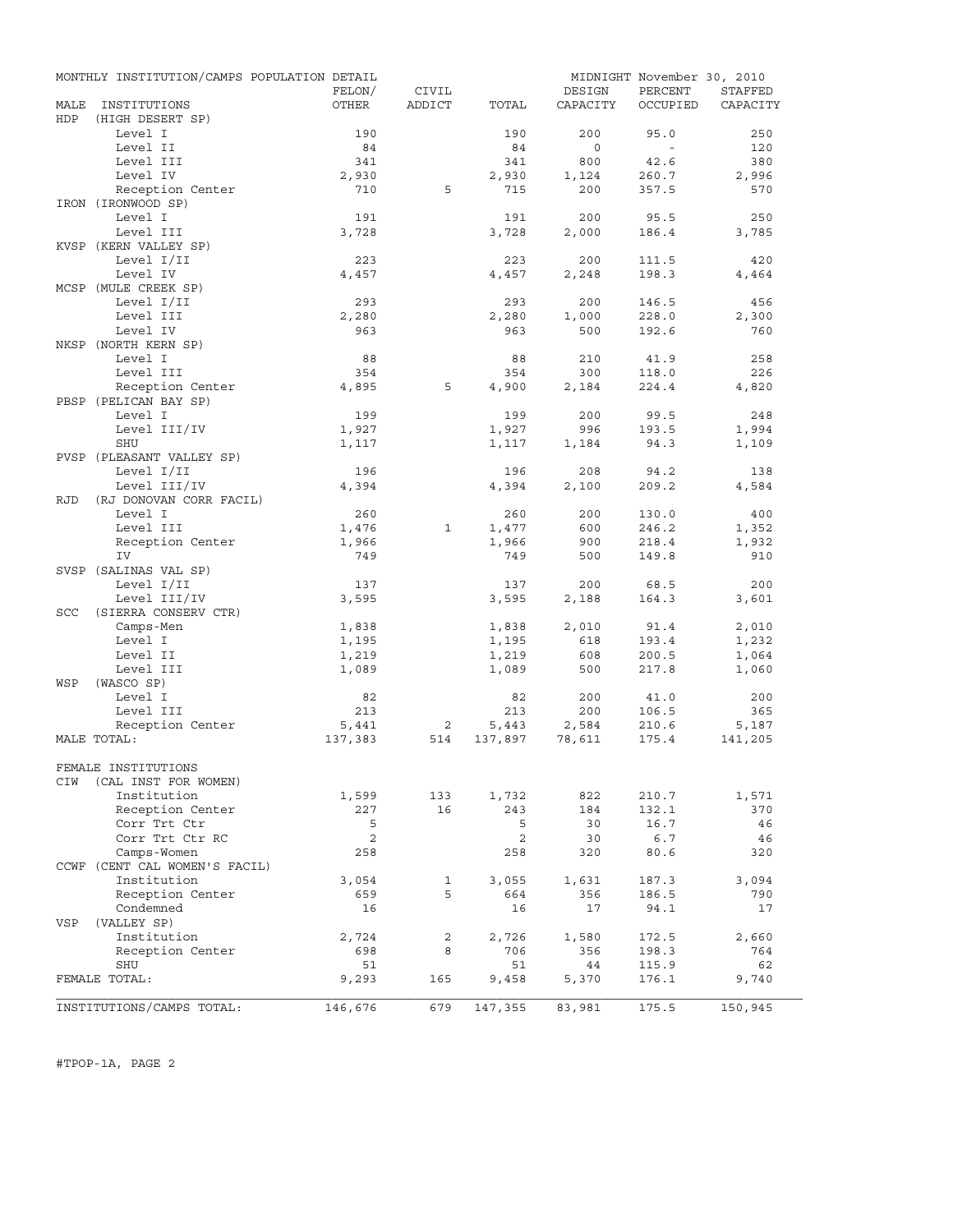|            | MONTHLY INSTITUTION/CAMPS POPULATION DETAIL |              |              |              |              | MIDNIGHT November 30, 2010 |                |
|------------|---------------------------------------------|--------------|--------------|--------------|--------------|----------------------------|----------------|
|            |                                             | FELON/       | CIVIL        |              | DESIGN       | PERCENT                    | <b>STAFFED</b> |
| MALE       | INSTITUTIONS                                | OTHER        | ADDICT       | TOTAL        | CAPACITY     | OCCUPIED                   | CAPACITY       |
| HDP        | (HIGH DESERT SP)                            |              |              |              |              |                            |                |
|            | Level I                                     | 190          |              | 190          | 200          | 95.0                       | 250            |
|            | Level II                                    | 84           |              | 84           | $\circ$      | $\sim$                     | 120            |
|            | Level III                                   | 341          |              | 341          | 800          | 42.6                       | 380            |
|            | Level IV                                    | 2,930        |              | 2,930        | 1,124        | 260.7                      | 2,996          |
|            | Reception Center                            | 710          | 5            | 715          | 200          | 357.5                      | 570            |
|            | IRON (IRONWOOD SP)                          |              |              |              |              |                            |                |
|            | Level I<br>Level III                        | 191<br>3,728 |              | 191          | 200<br>2,000 | 95.5<br>186.4              | 250            |
|            | KVSP (KERN VALLEY SP)                       |              |              | 3,728        |              |                            | 3,785          |
|            | Level I/II                                  | 223          |              | 223          | 200          | 111.5                      | 420            |
|            | Level IV                                    | 4,457        |              | 4,457        | 2,248        | 198.3                      | 4,464          |
|            | MCSP (MULE CREEK SP)                        |              |              |              |              |                            |                |
|            | Level I/II                                  | 293          |              | 293          | 200          | 146.5                      | 456            |
|            | Level III                                   | 2,280        |              | 2,280        | 1,000        | 228.0                      | 2,300          |
|            | Level IV                                    | 963          |              | 963          | 500          | 192.6                      | 760            |
|            | NKSP (NORTH KERN SP)                        |              |              |              |              |                            |                |
|            | Level I                                     | 88           |              | 88           | 210          | 41.9                       | 258            |
|            | Level III                                   | 354          |              | 354          | 300          | 118.0                      | 226            |
|            | Reception Center                            | 4,895        | 5            | 4,900        | 2,184        | 224.4                      | 4,820          |
|            | PBSP (PELICAN BAY SP)                       |              |              |              |              |                            |                |
|            | Level I                                     | 199          |              | 199          | 200          | 99.5                       | 248            |
|            | Level III/IV                                | 1,927        |              | 1,927        | 996          | 193.5                      | 1,994          |
|            | SHU                                         | 1,117        |              | 1,117        | 1,184        | 94.3                       | 1,109          |
|            | PVSP (PLEASANT VALLEY SP)                   |              |              |              |              |                            |                |
|            | Level I/II                                  | 196          |              | 196          | 208          | 94.2                       | 138            |
|            | Level III/IV                                | 4,394        |              | 4,394        | 2,100        | 209.2                      | 4,584          |
| RJD        | (RJ DONOVAN CORR FACIL)                     |              |              |              |              |                            |                |
|            | Level I                                     | 260          |              | 260          | 200          | 130.0                      | 400            |
|            | Level III                                   | 1,476        | $\mathbf{1}$ | 1,477        | 600          | 246.2                      | 1,352          |
|            | Reception Center                            | 1,966        |              | 1,966        | 900          | 218.4                      | 1,932          |
|            | IV                                          | 749          |              | 749          | 500          | 149.8                      | 910            |
|            | SVSP (SALINAS VAL SP)                       |              |              |              |              |                            |                |
|            | Level I/II                                  | 137          |              | 137          | 200          | 68.5                       | 200            |
|            | Level III/IV                                | 3,595        |              | 3,595        | 2,188        | 164.3                      | 3,601          |
| <b>SCC</b> | (SIERRA CONSERV CTR)                        |              |              |              |              |                            |                |
|            | Camps-Men                                   | 1,838        |              | 1,838        | 2,010        | 91.4                       | 2,010          |
|            | Level I                                     | 1,195        |              | 1,195        | 618          | 193.4                      | 1,232          |
|            | Level II                                    | 1,219        |              | 1,219        | 608          | 200.5                      | 1,064          |
|            | Level III                                   | 1,089        |              | 1,089        | 500          | 217.8                      | 1,060          |
| WSP        | (WASCO SP)                                  |              |              |              |              |                            |                |
|            | Level I                                     | 82           |              | 82           | 200          | 41.0                       | 200            |
|            | Level III                                   | 213          |              | 213          | 200          | 106.5                      | 365            |
|            | Reception Center                            | 5,441        | 2            | 5,443        | 2,584        | 210.6                      | 5,187          |
|            | MALE TOTAL:                                 | 137,383      | 514          | 137,897      | 78,611       | 175.4                      | 141,205        |
|            | FEMALE INSTITUTIONS                         |              |              |              |              |                            |                |
|            | (CAL INST FOR WOMEN)                        |              |              |              |              |                            |                |
| CIW        | Institution                                 | 1,599        | 133          |              | 822          |                            |                |
|            | Reception Center                            | 227          | 16           | 1,732<br>243 | 184          | 210.7<br>132.1             | 1,571<br>370   |
|            | Corr Trt Ctr                                | 5            |              | 5            | 30           | 16.7                       | 46             |
|            | Corr Trt Ctr RC                             | 2            |              | 2            | 30           | 6.7                        | 46             |
|            | Camps-Women                                 | 258          |              | 258          | 320          | 80.6                       | 320            |
|            | CCWF (CENT CAL WOMEN'S FACIL)               |              |              |              |              |                            |                |
|            | Institution                                 | 3,054        | 1            | 3,055        | 1,631        | 187.3                      | 3,094          |
|            | Reception Center                            | 659          | 5            | 664          | 356          | 186.5                      | 790            |
|            | Condemned                                   | 16           |              | 16           | 17           | 94.1                       | 17             |
| VSP        | (VALLEY SP)                                 |              |              |              |              |                            |                |
|            | Institution                                 | 2,724        | 2            | 2,726        | 1,580        | 172.5                      | 2,660          |
|            | Reception Center                            | 698          | 8            | 706          | 356          | 198.3                      | 764            |
|            | SHU                                         | 51           |              | 51           | 44           | 115.9                      | 62             |
|            | FEMALE TOTAL:                               | 9,293        | 165          | 9,458        | 5,370        | 176.1                      | 9,740          |
|            |                                             |              |              |              |              |                            |                |
|            | INSTITUTIONS/CAMPS TOTAL:                   | 146,676      | 679          | 147,355      | 83,981       | 175.5                      | 150,945        |
|            |                                             |              |              |              |              |                            |                |

#TPOP-1A, PAGE 2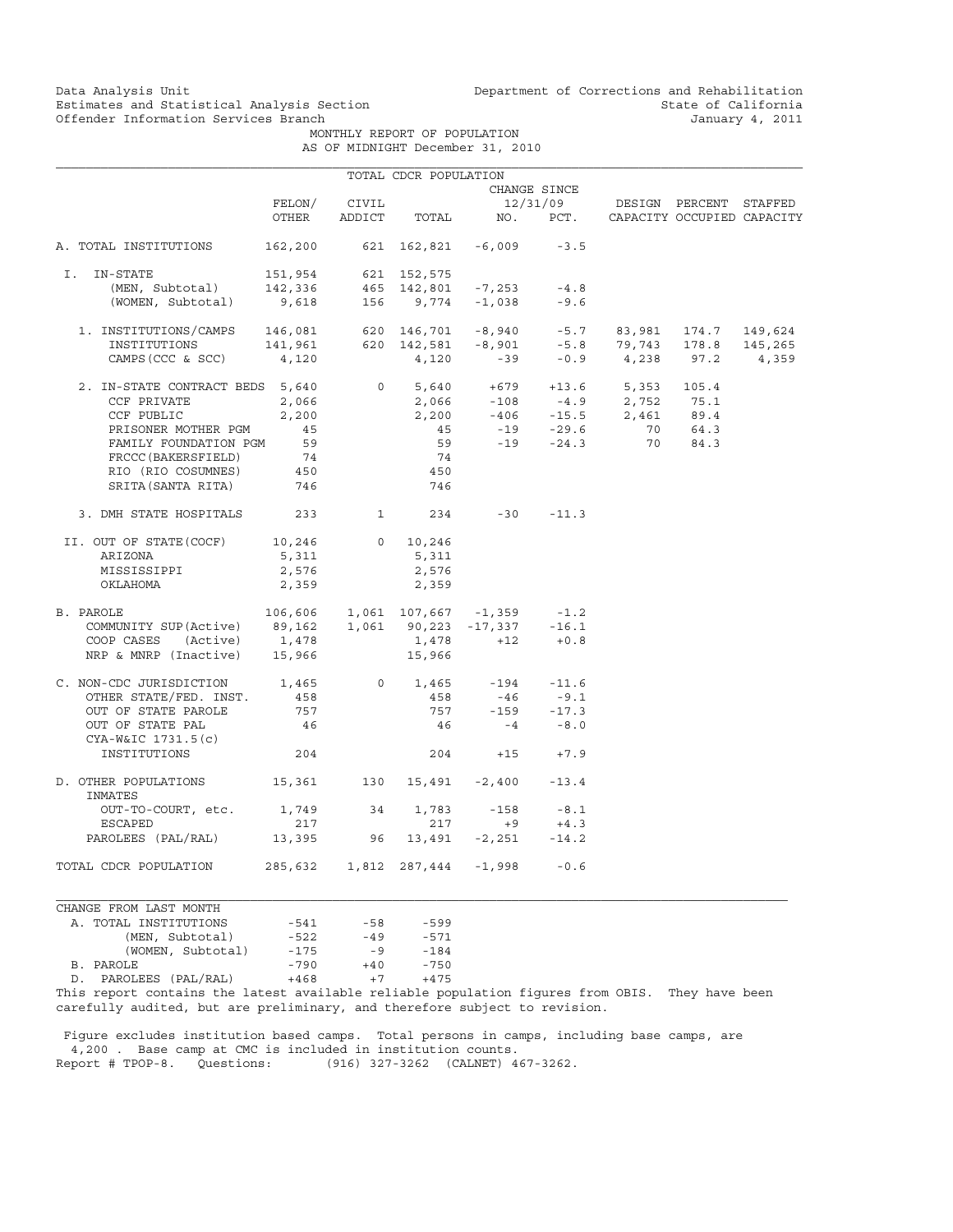Data Analysis Unit Unit Department of Corrections and Rehabilitation<br>Estimates and Statistical Analysis Section State of California Estimates and Statistical Analysis Section<br>
Offender Information Services Branch<br>
January 4, 2011

MONTHLY REPORT OF POPULATION

|  | AS OF MIDNIGHT December 31, 2010 |  |  |
|--|----------------------------------|--|--|
|  |                                  |  |  |

|                                                                                                                                                                                  |                                 |       | TOTAL CDCR POPULATION |                            |              |                                                                                                            |                            |
|----------------------------------------------------------------------------------------------------------------------------------------------------------------------------------|---------------------------------|-------|-----------------------|----------------------------|--------------|------------------------------------------------------------------------------------------------------------|----------------------------|
|                                                                                                                                                                                  |                                 |       |                       |                            | CHANGE SINCE |                                                                                                            |                            |
|                                                                                                                                                                                  | FELON/                          | CIVIL |                       |                            |              | 12/31/09 DESIGN PERCENT STAFFED                                                                            |                            |
|                                                                                                                                                                                  | OTHER                           |       |                       | ADDICT TOTAL NO. PCT.      |              |                                                                                                            | CAPACITY OCCUPIED CAPACITY |
| A. TOTAL INSTITUTIONS                                                                                                                                                            |                                 |       |                       | 162,200 621 162,821 -6,009 | $-3.5$       |                                                                                                            |                            |
| I. IN-STATE                                                                                                                                                                      |                                 |       |                       |                            |              |                                                                                                            |                            |
|                                                                                                                                                                                  |                                 |       |                       |                            |              |                                                                                                            |                            |
| 1911,954 621 152,575<br>(MEN, Subtotal) 142,336 465 142,801 -7,253 -4.8<br>(WOMEN, Subtotal) 9,618 156 9,774 -1,038 -9.6                                                         |                                 |       |                       |                            |              |                                                                                                            |                            |
| 1. INSTITUTIONS/CAMPS 146,081 620 146,701 -8,940 -5.7 83,981 174.7 149,624                                                                                                       |                                 |       |                       |                            |              |                                                                                                            |                            |
| INSTITUTIONS                                                                                                                                                                     |                                 |       |                       |                            |              |                                                                                                            | 145,265                    |
| CAMPS (CCC & SCC)                                                                                                                                                                | 4,120                           |       |                       |                            |              | $141,961$ $620$ $142,581$ $-8,901$ $-5.8$ $79,743$ $178.8$ 14<br>4,120 $4,120$ $-39$ $-0.9$ $4,238$ $97.2$ | 4,359                      |
| 2. IN-STATE CONTRACT BEDS 5,640                                                                                                                                                  |                                 |       |                       |                            |              | $0$ 5,640 +679 +13.6 5,353 105.4                                                                           |                            |
|                                                                                                                                                                                  |                                 |       |                       |                            |              |                                                                                                            |                            |
| CCF PRIVATE                                                                                                                                                                      | 2,066                           |       |                       |                            |              | 2,066 -108 -4.9 2,752 75.1<br>2,200 -406 -15.5 2,461 89.4                                                  |                            |
| CCF PUBLIC                                                                                                                                                                       | 2,200                           |       |                       |                            |              |                                                                                                            |                            |
| PRISONER MOTHER PGM                                                                                                                                                              | 45                              |       |                       |                            |              | 45 -19 -29.6 70 64.3<br>59 -19 -24.3 70 84.3                                                               |                            |
| FAMILY FOUNDATION PGM                                                                                                                                                            | 59                              |       |                       |                            |              |                                                                                                            |                            |
| FRCCC (BAKERSFIELD)                                                                                                                                                              | 74                              |       | 74                    |                            |              |                                                                                                            |                            |
| RIO (RIO COSUMNES)                                                                                                                                                               | 450                             |       | 450                   |                            |              |                                                                                                            |                            |
| SRITA (SANTA RITA) 746                                                                                                                                                           |                                 |       | 746                   |                            |              |                                                                                                            |                            |
| 3. DMH STATE HOSPITALS 233 23                                                                                                                                                    |                                 |       | 234                   | $-30$                      | $-11.3$      |                                                                                                            |                            |
| II. OUT OF STATE(COCF)                                                                                                                                                           | 10,246                          |       | 0 10, 246             |                            |              |                                                                                                            |                            |
| ARIZONA                                                                                                                                                                          | 5,311                           |       | 5,311                 |                            |              |                                                                                                            |                            |
| MISSISSIPPI                                                                                                                                                                      | 2,576                           |       | 2,576                 |                            |              |                                                                                                            |                            |
| OKLAHOMA                                                                                                                                                                         | 2,359                           |       | 2,359                 |                            |              |                                                                                                            |                            |
|                                                                                                                                                                                  |                                 |       |                       |                            |              |                                                                                                            |                            |
| PAROLE<br>COMMUNITY SUP(Active) 19,162 1,061 107,667 -1,359 -1.2<br>COOP CASES (Active) 1,478 1,061 90,223 -17,337 -16.1<br>NPD CASES (Active) 1,478 1,478 +12 +0.8<br>B. PAROLE |                                 |       |                       |                            |              |                                                                                                            |                            |
|                                                                                                                                                                                  |                                 |       |                       |                            |              |                                                                                                            |                            |
|                                                                                                                                                                                  |                                 |       |                       |                            |              |                                                                                                            |                            |
| NRP & MNRP (Inactive) 15,966 15,966                                                                                                                                              |                                 |       |                       |                            |              |                                                                                                            |                            |
| C. NON-CDC JURISDICTION 1,465                                                                                                                                                    |                                 |       |                       | 0 $1,465$ $-194$ $-11.6$   |              |                                                                                                            |                            |
| OTHER STATE/FED. INST.                                                                                                                                                           | 458                             |       | 458                   |                            | $-46 - 9.1$  |                                                                                                            |                            |
|                                                                                                                                                                                  | 757                             |       |                       | 757 -159 -17.3             |              |                                                                                                            |                            |
| OUT OF STATE PAROLE                                                                                                                                                              |                                 |       |                       | $46 -4 -8.0$               |              |                                                                                                            |                            |
| OUT OF STATE PAL<br>CYA-W&IC 1731.5(c)                                                                                                                                           | 46                              |       |                       |                            |              |                                                                                                            |                            |
| INSTITUTIONS                                                                                                                                                                     | 204                             |       |                       | $204 + 15 + 7.9$           |              |                                                                                                            |                            |
| D. OTHER POPULATIONS 15,361 130<br>INMATES                                                                                                                                       |                                 |       |                       | $15,491 -2,400 -13.4$      |              |                                                                                                            |                            |
| OUT-TO-COURT, etc.                                                                                                                                                               | 1,749                           | 34    | 1,783                 |                            | $-158 - 8.1$ |                                                                                                            |                            |
| ESCAPED                                                                                                                                                                          | 217                             |       | 217                   | $+9$                       | $+4.3$       |                                                                                                            |                            |
| PAROLEES (PAL/RAL) 13,395 96                                                                                                                                                     |                                 |       |                       | $13,491 -2,251 -14.2$      |              |                                                                                                            |                            |
| TOTAL CDCR POPULATION                                                                                                                                                            | 285,632  1,812  287,444  -1,998 |       |                       |                            | $-0.6$       |                                                                                                            |                            |

| CHANGE FROM LASI MONIH   |        |       |        |
|--------------------------|--------|-------|--------|
| TOTAL INSTITUTIONS<br>A. | $-541$ | $-58$ | $-599$ |
| (MEN, Subtotal)          | $-522$ | $-49$ | $-571$ |
| (WOMEN, Subtotal)        | $-175$ | $-9$  | $-184$ |
| B. PAROLE                | $-790$ | $+40$ | $-750$ |
| PAROLEES (PAL/RAL)<br>D. | $+468$ | $+7$  | $+475$ |

CHANGE FROM LAGE MONEY

This report contains the latest available reliable population figures from OBIS. They have been carefully audited, but are preliminary, and therefore subject to revision.

 Figure excludes institution based camps. Total persons in camps, including base camps, are 4,200 . Base camp at CMC is included in institution counts. Report # TPOP-8. Questions: (916) 327-3262 (CALNET) 467-3262.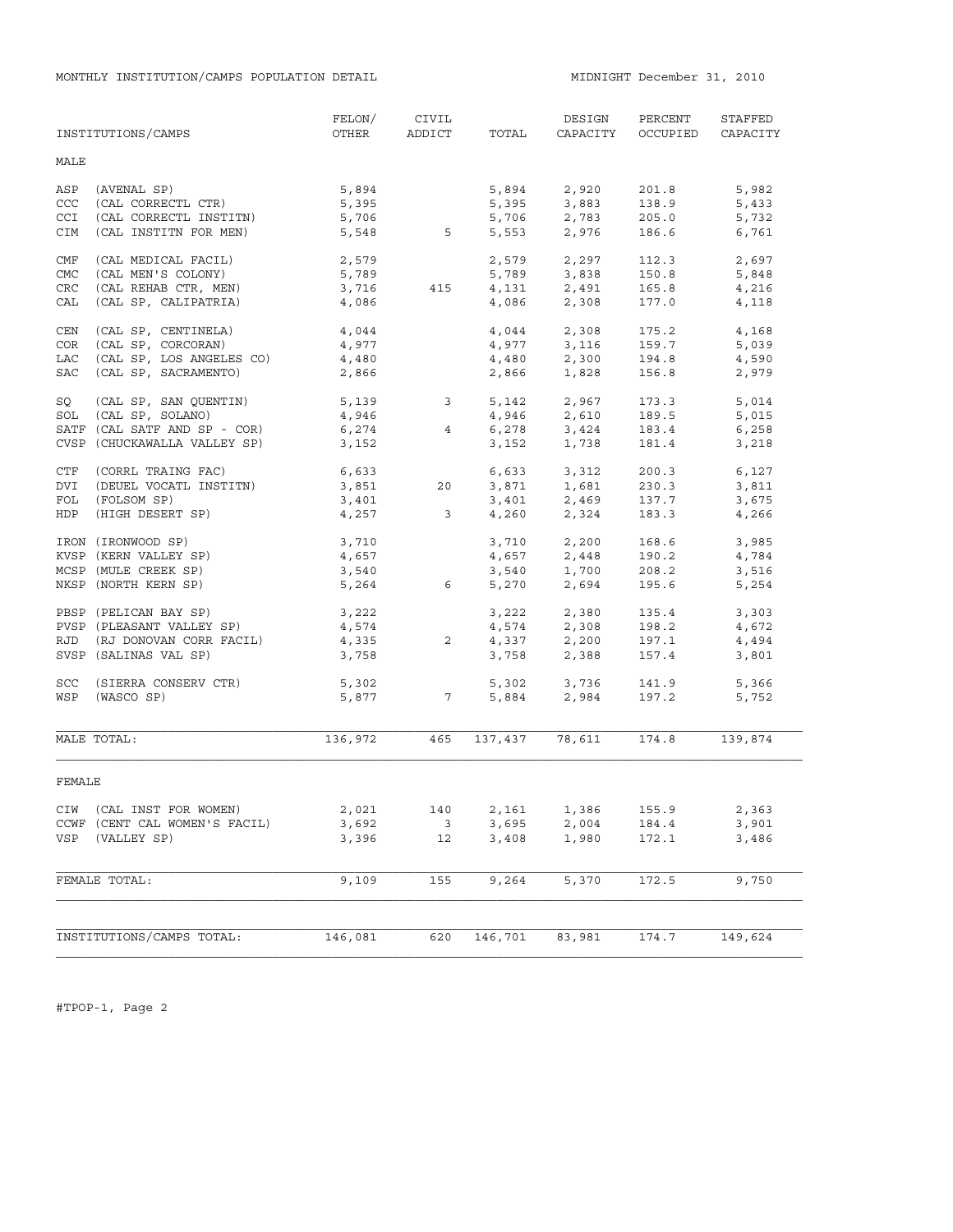MONTHLY INSTITUTION/CAMPS POPULATION DETAIL **MIDNIGHT December 31, 2010** 

|            | INSTITUTIONS/CAMPS            | FELON/<br>OTHER | CIVIL<br>ADDICT         | TOTAL           | DESIGN<br>CAPACITY                 | PERCENT<br>OCCUPIED | STAFFED<br>CAPACITY |
|------------|-------------------------------|-----------------|-------------------------|-----------------|------------------------------------|---------------------|---------------------|
| MALE       |                               |                 |                         |                 |                                    |                     |                     |
| ASP        | (AVENAL SP)                   | 5,894           |                         | 5,894           | 2,920                              | 201.8               | 5,982               |
| CCC        | (CAL CORRECTL CTR)            | 5,395           |                         | 5,395           | 3,883                              | 138.9               | 5,433               |
| <b>CCI</b> | (CAL CORRECTL INSTITN)        | 5,706           |                         |                 |                                    | 205.0               | 5,732               |
| CIM        | (CAL INSTITN FOR MEN)         | 5,548           | $5^{\circ}$             |                 | $5,706$ 2,783<br>5,553 2,976       | 186.6               | 6,761               |
| CMF        | (CAL MEDICAL FACIL)           | 2,579           |                         | 2,579           | 2,297                              | 112.3               | 2,697               |
| CMC        | (CAL MEN'S COLONY)            | 5,789           |                         |                 | $5,789$ $3,838$                    | 150.8               | 5,848               |
| <b>CRC</b> | (CAL REHAB CTR, MEN)          | 3,716           | 415                     |                 | 4, 131 2, 491                      | 165.8               | 4,216               |
| CAL        | (CAL SP, CALIPATRIA)          | 4,086           |                         |                 | 4,086 2,308                        | 177.0               | 4,118               |
| CEN        | (CAL SP, CENTINELA)           | 4,044           |                         |                 | $4,044$<br>$4,977$<br>$3,116$      | 175.2               | 4,168               |
| COR        | (CAL SP, CORCORAN)            | 4,977           |                         |                 |                                    | 159.7               | 5,039               |
| LAC        | (CAL SP, LOS ANGELES CO)      | 4,480           |                         | 4,480           | 2,300                              | 194.8               | 4,590               |
| SAC        | (CAL SP, SACRAMENTO)          | 2,866           |                         | 2,866           | 1,828                              | 156.8               | 2,979               |
| SQ         | (CAL SP, SAN QUENTIN)         | 5,139 3         |                         | 5,142           | 2,967                              | 173.3               | 5,014               |
| SOL        | (CAL SP, SOLANO)              | 4,946           |                         |                 | 4,946 2,610                        | 189.5               | 5,015               |
|            | SATF (CAL SATF AND SP - COR)  | 6,274           | 4                       | 6,278           | $3,424$<br>$1,738$                 | 183.4               | 6,258               |
|            | CVSP (CHUCKAWALLA VALLEY SP)  | 3,152           |                         | 3,152           |                                    | 181.4               | 3,218               |
| CTF        | (CORRL TRAING FAC)            | 6,633           |                         |                 | 6,633 3,312                        | 200.3               | 6,127               |
| DVI        | (DEUEL VOCATL INSTITN)        | 3,851           | 20                      |                 | 3,871 1,681<br>3,401 2,469         | 230.3               | 3,811               |
| FOL        | (FOLSOM SP)                   | 3,401           |                         |                 |                                    | 137.7               | 3,675               |
| HDP        | (HIGH DESERT SP)              | 4,257           | $\overline{\mathbf{3}}$ |                 | 4,260 2,324                        | 183.3               | 4,266               |
|            | IRON (IRONWOOD SP)            | 3,710           |                         |                 | $3,710$ $2,200$<br>$4,657$ $2,448$ | 168.6               | 3,985               |
|            | KVSP (KERN VALLEY SP)         | 4,657           |                         |                 |                                    | 190.2               | 4,784               |
|            | MCSP (MULE CREEK SP)          | 3,540           |                         | 3,540           | 1,700<br>2,694                     | 208.2               | 3,516               |
|            | NKSP (NORTH KERN SP)          | 5,264           | $6\overline{6}$         | 5,270           |                                    | 195.6               | 5,254               |
|            | PBSP (PELICAN BAY SP)         | 3,222           |                         |                 | 3,222 2,380                        | 135.4               | 3,303               |
|            | PVSP (PLEASANT VALLEY SP)     | 4,574           |                         |                 | 4,574 2,308<br>4,337 2,200         | 198.2               | 4,672               |
| RJD        | (RJ DONOVAN CORR FACIL)       | 4,335           | $\overline{2}$          |                 |                                    | 197.1               | 4,494               |
|            | SVSP (SALINAS VAL SP)         | 3,758           |                         | 3,758           | 2,388                              | 157.4               | 3,801               |
| SCC        | (SIERRA CONSERV CTR)          | 5,302           |                         |                 | 5,302 3,736<br>5,884 2,984         | 141.9               | 5,366               |
| WSP        | (WASCO SP)                    | 5,877           | $\overline{7}$          |                 |                                    | 197.2               | 5,752               |
|            | MALE TOTAL:                   | 136,972         | 465                     |                 | 137,437 78,611                     | 174.8               | 139,874             |
| FEMALE     |                               |                 |                         |                 |                                    |                     |                     |
|            | CIW (CAL INST FOR WOMEN)      | 2,021           |                         | 140 2,161 1,386 |                                    | 155.9               | 2,363               |
|            | CCWF (CENT CAL WOMEN'S FACIL) | 3,692           | $\overline{\mathbf{3}}$ | 3,695           | 2,004                              | 184.4               | 3,901               |
| VSP        | (VALLEY SP)                   | 3,396           | 12                      | 3,408           | 1,980                              | 172.1               | 3,486               |
|            | FEMALE TOTAL:                 | 9,109           | 155                     | 9,264           | 5,370                              | 172.5               | 9,750               |
|            |                               |                 |                         |                 |                                    |                     |                     |
|            | INSTITUTIONS/CAMPS TOTAL:     | 146,081         | 620                     | 146,701         | 83,981                             | 174.7               | 149,624             |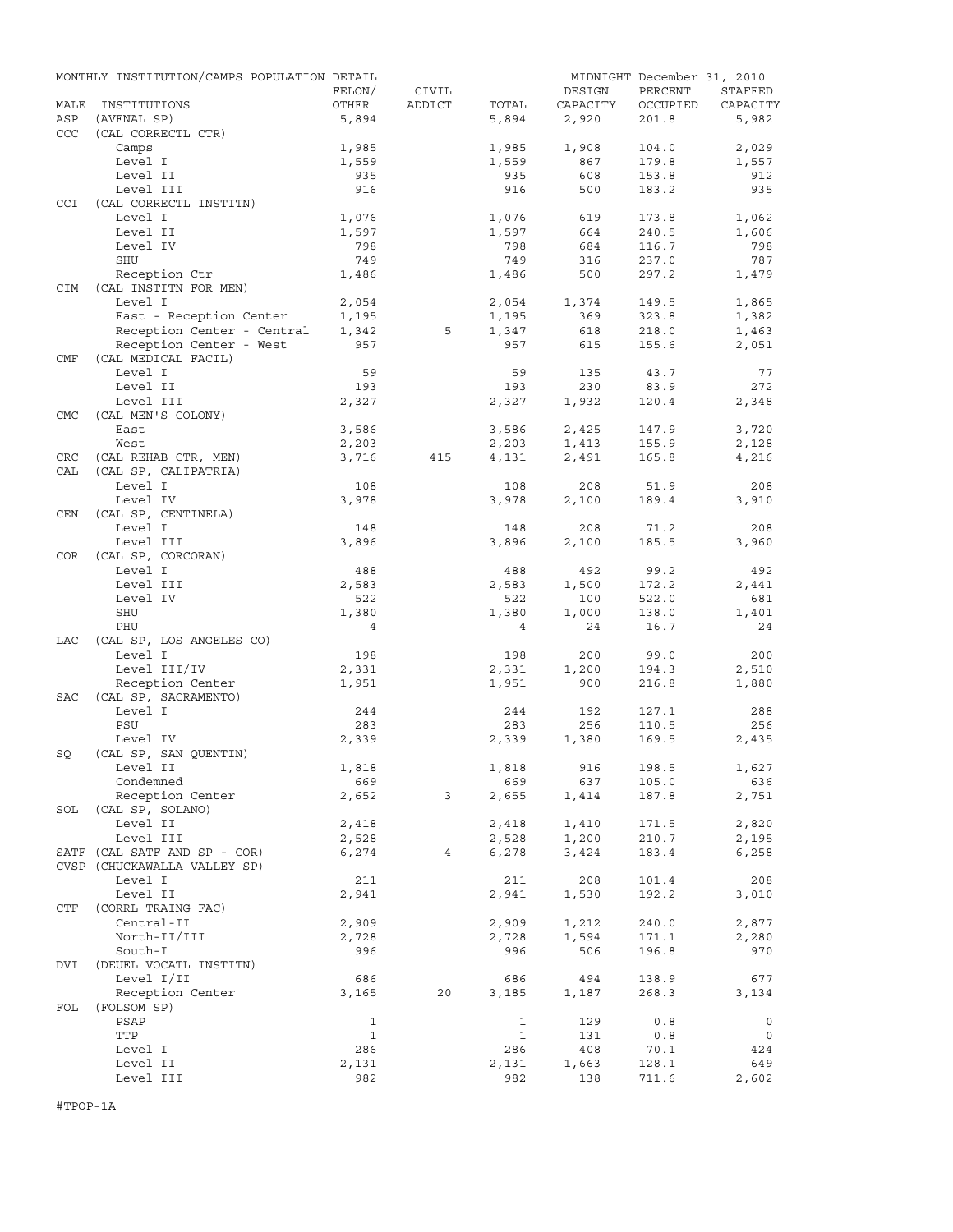|            | MONTHLY INSTITUTION/CAMPS POPULATION DETAIL |                |                |                |          | MIDNIGHT December 31, 2010 |             |
|------------|---------------------------------------------|----------------|----------------|----------------|----------|----------------------------|-------------|
|            |                                             | FELON/         | CIVIL          |                | DESIGN   | PERCENT                    | STAFFED     |
| MALE       | INSTITUTIONS                                | OTHER          | ADDICT         | TOTAL          | CAPACITY | OCCUPIED                   | CAPACITY    |
| ASP<br>CCC | (AVENAL SP)<br>(CAL CORRECTL CTR)           | 5,894          |                | 5,894          | 2,920    | 201.8                      | 5,982       |
|            | Camps                                       | 1,985          |                | 1,985          | 1,908    | 104.0                      | 2,029       |
|            | Level I                                     | 1,559          |                | 1,559          | 867      | 179.8                      | 1,557       |
|            | Level II                                    | 935            |                | 935            | 608      | 153.8                      | 912         |
|            | Level III                                   | 916            |                | 916            | 500      | 183.2                      | 935         |
| CCI        | (CAL CORRECTL INSTITN)                      |                |                |                |          |                            |             |
|            | Level I                                     | 1,076          |                | 1,076          | 619      | 173.8                      | 1,062       |
|            | Level II                                    | 1,597          |                | 1,597          | 664      | 240.5                      | 1,606       |
|            | Level IV                                    | 798            |                | 798            | 684      | 116.7                      | 798         |
|            | SHU                                         | 749            |                | 749            | 316      | 237.0                      | 787         |
|            | Reception Ctr                               | 1,486          |                | 1,486          | 500      | 297.2                      | 1,479       |
| CIM        | (CAL INSTITN FOR MEN)                       |                |                |                |          |                            |             |
|            | Level I                                     | 2,054          |                | 2,054          | 1,374    | 149.5                      | 1,865       |
|            | East - Reception Center                     | 1,195          |                | 1,195          | 369      | 323.8                      | 1,382       |
|            | Reception Center - Central                  | 1,342          | 5              | 1,347          | 618      | 218.0                      | 1,463       |
|            | Reception Center - West                     | 957            |                | 957            | 615      | 155.6                      | 2,051       |
| CMF        | (CAL MEDICAL FACIL)                         |                |                |                |          |                            |             |
|            | Level I                                     | 59             |                | 59             | 135      | 43.7                       | 77          |
|            | Level II                                    | 193            |                | 193            | 230      | 83.9                       | 272         |
|            | Level III                                   | 2,327          |                | 2,327          | 1,932    | 120.4                      | 2,348       |
| <b>CMC</b> | (CAL MEN'S COLONY)                          |                |                |                |          |                            |             |
|            | East                                        | 3,586          |                | 3,586          | 2,425    | 147.9                      | 3,720       |
|            | West                                        | 2,203          |                | 2,203          | 1,413    | 155.9                      | 2,128       |
| CRC        | (CAL REHAB CTR, MEN)                        | 3,716          | 415            | 4,131          | 2,491    | 165.8                      | 4,216       |
| CAL        | (CAL SP, CALIPATRIA)                        |                |                |                |          |                            |             |
|            | Level I                                     | 108            |                | 108            | 208      | 51.9                       | 208         |
|            | Level IV                                    | 3,978          |                | 3,978          | 2,100    | 189.4                      | 3,910       |
| <b>CEN</b> | (CAL SP, CENTINELA)                         |                |                |                |          |                            |             |
|            | Level I                                     | 148            |                | 148            | 208      | 71.2                       | 208         |
|            | Level III                                   | 3,896          |                | 3,896          | 2,100    | 185.5                      | 3,960       |
| <b>COR</b> | (CAL SP, CORCORAN)                          |                |                |                |          |                            |             |
|            | Level I                                     | 488            |                | 488            | 492      | 99.2                       | 492         |
|            | Level III                                   | 2,583          |                | 2,583          | 1,500    | 172.2                      | 2,441       |
|            | Level IV                                    | 522            |                | 522            | 100      | 522.0                      | 681         |
|            | SHU                                         | 1,380          |                | 1,380          | 1,000    | 138.0                      | 1,401       |
|            | PHU                                         | $\overline{4}$ |                | $\overline{4}$ | 24       | 16.7                       | 24          |
| LAC        | (CAL SP, LOS ANGELES CO)                    |                |                |                |          |                            |             |
|            | Level I                                     | 198            |                | 198            | 200      | 99.0                       | 200         |
|            | Level III/IV                                | 2,331          |                | 2,331          | 1,200    | 194.3                      | 2,510       |
|            | Reception Center                            | 1,951          |                | 1,951          | 900      | 216.8                      | 1,880       |
| <b>SAC</b> | (CAL SP, SACRAMENTO)                        |                |                |                |          |                            |             |
|            | Level I                                     | 244            |                | 244            | 192      | 127.1                      | 288         |
|            | PSU                                         | 283            |                | 283            | 256      | 110.5                      | 256         |
|            | Level IV                                    | 2,339          |                | 2,339          | 1,380    | 169.5                      | 2,435       |
| SQ         | (CAL SP, SAN OUENTIN)                       |                |                |                |          |                            |             |
|            | Level II                                    | 1,818          |                | 1,818          | 916      | 198.5                      | 1,627       |
|            | Condemned                                   | 669            |                | 669            | 637      | 105.0                      | 636         |
|            | Reception Center                            | 2,652          | 3              | 2,655          | 1,414    | 187.8                      | 2,751       |
| SOL        | (CAL SP, SOLANO)                            |                |                |                |          |                            |             |
|            | Level II                                    | 2,418          |                | 2,418          | 1,410    | 171.5                      | 2,820       |
|            | Level III                                   | 2,528          |                | 2,528          | 1,200    | 210.7                      | 2,195       |
|            | SATF (CAL SATF AND SP - COR)                | 6,274          | $\overline{4}$ | 6,278          | 3,424    | 183.4                      | 6,258       |
|            | CVSP (CHUCKAWALLA VALLEY SP)                |                |                |                |          |                            |             |
|            | Level I                                     | 211            |                | 211            | 208      | 101.4                      | 208         |
|            | Level II                                    | 2,941          |                | 2,941          | 1,530    | 192.2                      | 3,010       |
| CTF        | (CORRL TRAING FAC)                          |                |                |                |          |                            |             |
|            | Central-II                                  | 2,909          |                | 2,909          | 1,212    | 240.0                      | 2,877       |
|            | North-II/III                                | 2,728          |                | 2,728          | 1,594    | 171.1                      | 2,280       |
|            | South-I                                     | 996            |                | 996            | 506      | 196.8                      | 970         |
| DVI        | (DEUEL VOCATL INSTITN)                      |                |                |                |          |                            |             |
|            | Level I/II                                  | 686            |                | 686            | 494      | 138.9                      | 677         |
|            | Reception Center                            | 3,165          | 20             | 3,185          | 1,187    | 268.3                      | 3,134       |
| FOL        | (FOLSOM SP)                                 |                |                |                |          |                            |             |
|            | PSAP                                        | $\mathbf{1}$   |                | $\mathbf{1}$   | 129      | $0.8$                      | $\mathbf 0$ |
|            | TTP                                         | $\mathbf{1}$   |                | 1              | 131      | 0.8                        | 0           |
|            | Level I                                     | 286            |                | 286            | 408      | 70.1                       | 424         |
|            | Level II                                    | 2,131          |                | 2,131          | 1,663    | 128.1                      | 649         |
|            | Level III                                   | 982            |                | 982            | 138      | 711.6                      | 2,602       |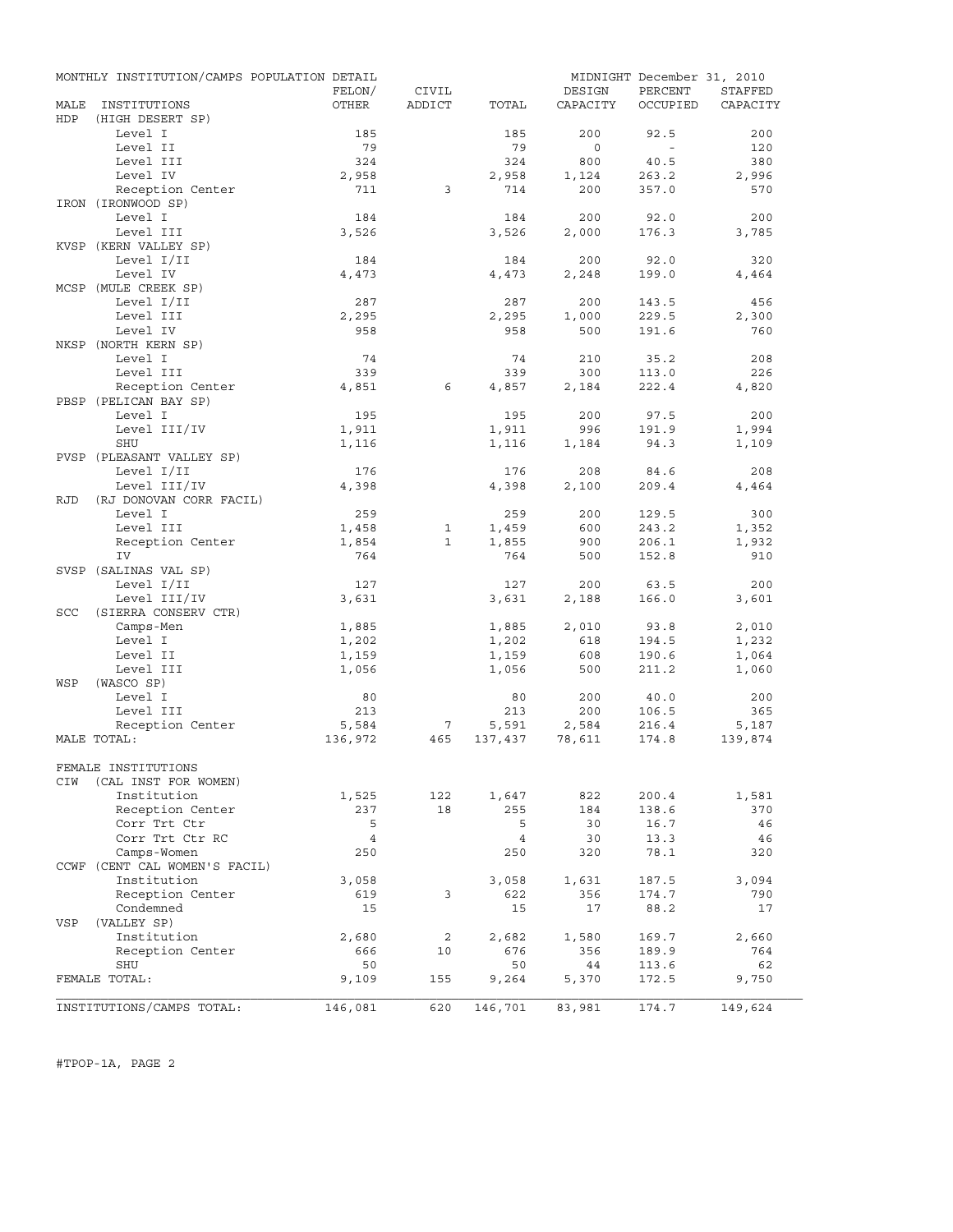|            | MONTHLY INSTITUTION/CAMPS POPULATION DETAIL |                |              |                |              | MIDNIGHT December 31, 2010 |                |
|------------|---------------------------------------------|----------------|--------------|----------------|--------------|----------------------------|----------------|
|            |                                             | FELON/         | CIVIL        |                | DESIGN       | PERCENT                    | <b>STAFFED</b> |
| MALE       | INSTITUTIONS                                | OTHER          | ADDICT       | TOTAL          | CAPACITY     | OCCUPIED                   | CAPACITY       |
| HDP        | (HIGH DESERT SP)                            |                |              |                |              |                            |                |
|            | Level I                                     | 185            |              | 185            | 200          | 92.5                       | 200            |
|            | Level II                                    | 79             |              | 79             | $\circ$      | $\sim$                     | 120            |
|            | Level III                                   | 324            |              | 324            | 800          | 40.5                       | 380            |
|            | Level IV                                    | 2,958          |              | 2,958          | 1,124        | 263.2                      | 2,996          |
|            | Reception Center                            | 711            | 3            | 714            | 200          | 357.0                      | 570            |
|            | IRON (IRONWOOD SP)<br>Level I               | 184            |              | 184            | 200          | 92.0                       | 200            |
|            | Level III                                   | 3,526          |              | 3,526          | 2,000        | 176.3                      | 3,785          |
|            | KVSP (KERN VALLEY SP)                       |                |              |                |              |                            |                |
|            | Level I/II                                  | 184            |              | 184            | 200          | 92.0                       | 320            |
|            | Level IV                                    | 4,473          |              | 4,473          | 2,248        | 199.0                      | 4,464          |
|            | MCSP (MULE CREEK SP)                        |                |              |                |              |                            |                |
|            | Level I/II                                  | 287            |              | 287            | 200          | 143.5                      | 456            |
|            | Level III                                   | 2,295          |              | 2,295          | 1,000        | 229.5                      | 2,300          |
|            | Level IV                                    | 958            |              | 958            | 500          | 191.6                      | 760            |
|            | NKSP (NORTH KERN SP)                        |                |              |                |              |                            |                |
|            | Level I                                     | 74             |              | 74             | 210          | 35.2                       | 208            |
|            | Level III                                   | 339            |              | 339            | 300          | 113.0                      | 226            |
|            | Reception Center                            | 4,851          | 6            | 4,857          | 2,184        | 222.4                      | 4,820          |
|            | PBSP (PELICAN BAY SP)                       |                |              |                |              |                            |                |
|            | Level I                                     | 195            |              | 195            | 200          | 97.5                       | 200            |
|            | Level III/IV                                | 1,911          |              | 1,911          | 996          | 191.9                      | 1,994          |
|            | SHU                                         | 1,116          |              | 1,116          | 1,184        | 94.3                       | 1,109          |
|            | PVSP (PLEASANT VALLEY SP)                   |                |              |                |              |                            |                |
|            | Level I/II                                  | 176            |              | 176            | 208          | 84.6                       | 208            |
|            | Level III/IV                                | 4,398          |              | 4,398          | 2,100        | 209.4                      | 4,464          |
| RJD        | (RJ DONOVAN CORR FACIL)                     |                |              |                |              |                            |                |
|            | Level I                                     | 259            |              | 259            | 200          | 129.5                      | 300            |
|            | Level III                                   | 1,458          | $\mathbf{1}$ | 1,459          | 600          | 243.2                      | 1,352          |
|            | Reception Center                            | 1,854          | $\mathbf{1}$ | 1,855          | 900          | 206.1                      | 1,932          |
|            | IV                                          | 764            |              | 764            | 500          | 152.8                      | 910            |
|            | SVSP (SALINAS VAL SP)                       |                |              |                |              |                            |                |
|            | Level I/II                                  | 127            |              | 127            | 200          | 63.5                       | 200            |
|            | Level III/IV                                | 3,631          |              | 3,631          | 2,188        | 166.0                      | 3,601          |
| <b>SCC</b> | (SIERRA CONSERV CTR)<br>Camps-Men           |                |              | 1,885          |              |                            |                |
|            | Level I                                     | 1,885<br>1,202 |              | 1,202          | 2,010<br>618 | 93.8<br>194.5              | 2,010<br>1,232 |
|            | Level II                                    | 1,159          |              | 1,159          | 608          | 190.6                      | 1,064          |
|            | Level III                                   | 1,056          |              | 1,056          | 500          | 211.2                      | 1,060          |
| WSP        | (WASCO SP)                                  |                |              |                |              |                            |                |
|            | Level I                                     | 80             |              | 80             | 200          | 40.0                       | 200            |
|            | Level III                                   | 213            |              | 213            | 200          | 106.5                      | 365            |
|            | Reception Center                            | 5,584          | 7            | 5,591          | 2,584        | 216.4                      | 5,187          |
|            | MALE TOTAL:                                 | 136,972        | 465          | 137,437        | 78,611       | 174.8                      | 139,874        |
|            |                                             |                |              |                |              |                            |                |
|            | FEMALE INSTITUTIONS                         |                |              |                |              |                            |                |
| CIW        | (CAL INST FOR WOMEN)                        |                |              |                |              |                            |                |
|            | Institution                                 | 1,525          | 122          | 1,647          | 822          | 200.4                      | 1,581          |
|            | Reception Center                            | 237            | 18           | 255            | 184          | 138.6                      | 370            |
|            | Corr Trt Ctr                                | 5              |              | 5              | 30           | 16.7                       | 46             |
|            | Corr Trt Ctr RC                             | $\overline{4}$ |              | $\overline{4}$ | 30           | 13.3                       | 46             |
|            | Camps-Women                                 | 250            |              | 250            | 320          | 78.1                       | 320            |
|            | CCWF (CENT CAL WOMEN'S FACIL)               |                |              |                |              |                            |                |
|            | Institution                                 | 3,058          |              | 3,058          | 1,631        | 187.5                      | 3,094          |
|            | Reception Center                            | 619            | 3            | 622            | 356          | 174.7                      | 790            |
|            | Condemned                                   | 15             |              | 15             | 17           | 88.2                       | 17             |
| VSP        | (VALLEY SP)                                 |                |              |                |              |                            |                |
|            | Institution                                 | 2,680          | 2            | 2,682          | 1,580        | 169.7                      | 2,660          |
|            | Reception Center<br>SHU                     | 666<br>50      | 10           | 676<br>50      | 356<br>44    | 189.9<br>113.6             | 764<br>62      |
|            | FEMALE TOTAL:                               | 9,109          | 155          | 9,264          | 5,370        | 172.5                      | 9,750          |
|            |                                             |                |              |                |              |                            |                |
|            | INSTITUTIONS/CAMPS TOTAL:                   | 146,081        | 620          | 146,701        | 83,981       | 174.7                      | 149,624        |

#TPOP-1A, PAGE 2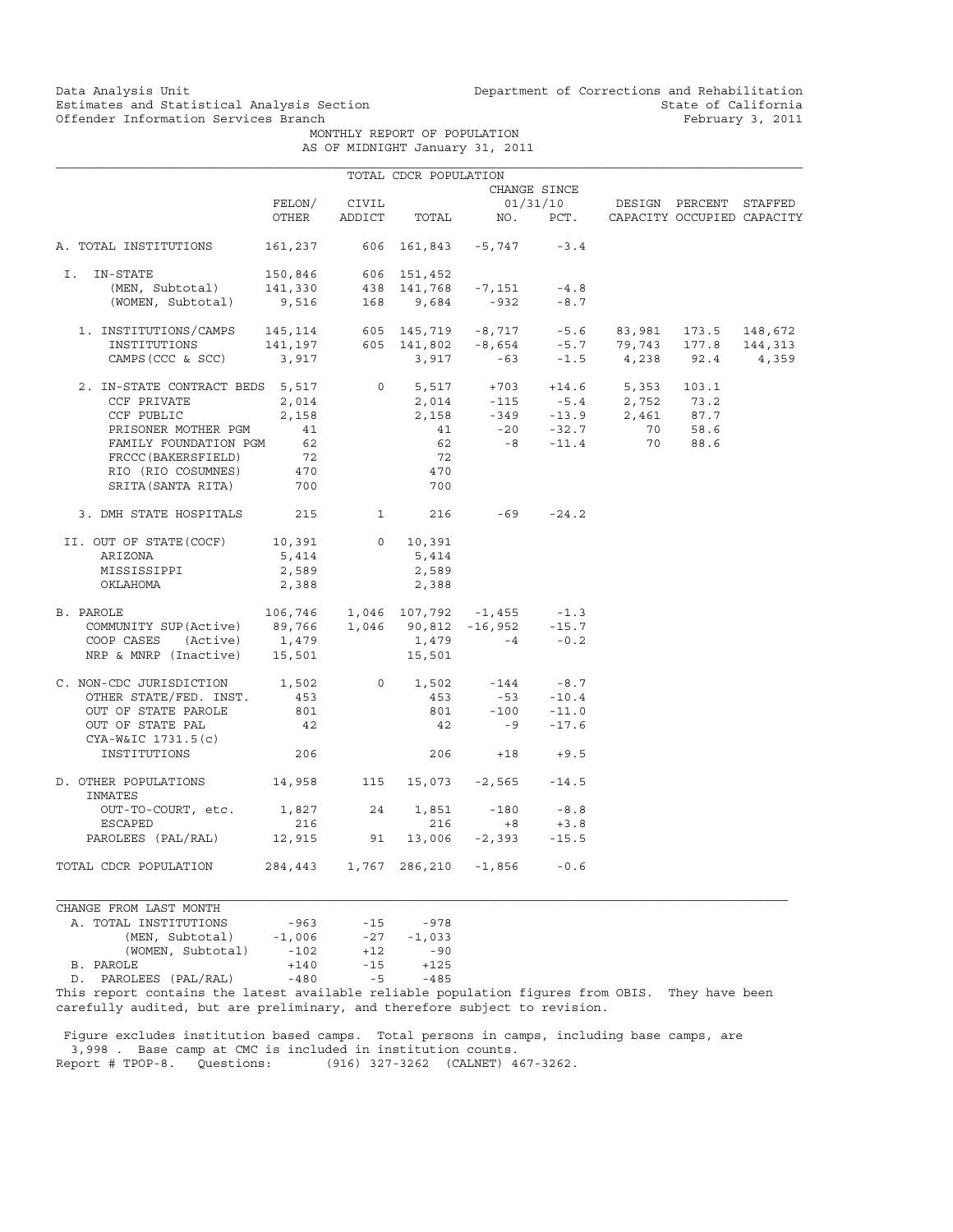# Offender Information Services Branch

Data Analysis Unit Unit Department of Corrections and Rehabilitation<br>Estimates and Statistical Analysis Section State of California Estimates and Statistical Analysis Section State of California<br>
Offender Information Services Branch<br>
State of California<br>
Sebruary 3, 2011

> MONTHLY REPORT OF POPULATION AS OF MIDNIGHT January 31, 2011

|  | OF MIDNIGHT Canualy JI, 201. |  |  |
|--|------------------------------|--|--|
|  |                              |  |  |

|                                                                                                                              |                                 |              | TOTAL CDCR POPULATION           |                                           |              |                                                           |  |
|------------------------------------------------------------------------------------------------------------------------------|---------------------------------|--------------|---------------------------------|-------------------------------------------|--------------|-----------------------------------------------------------|--|
|                                                                                                                              |                                 | CHANGE SINCE |                                 |                                           |              |                                                           |  |
|                                                                                                                              | FELON/                          | CIVIL        | 01/31/10 DESIGN PERCENT STAFFED |                                           |              |                                                           |  |
|                                                                                                                              | OTHER                           |              |                                 |                                           |              | ADDICT TOTAL NO. PCT. CAPACITY OCCUPIED CAPACITY          |  |
| A. TOTAL INSTITUTIONS                                                                                                        | 161,237 606 161,843 -5,747 -3.4 |              |                                 |                                           |              |                                                           |  |
| I. IN-STATE                                                                                                                  |                                 |              |                                 |                                           |              |                                                           |  |
|                                                                                                                              |                                 |              |                                 |                                           |              |                                                           |  |
| -STATE 150,846 606 151,452<br>(MEN, Subtotal) 141,330 438 141,768 -7,151 -4.8<br>(WOMEN, Subtotal) 9,516 168 9,684 -932 -8.7 |                                 |              |                                 |                                           | $-932 - 8.7$ |                                                           |  |
| 1. INSTITUTIONS/CAMPS 145,114 605 145,719 -8,717 -5.6 83,981 173.5 148,672                                                   |                                 |              |                                 |                                           |              |                                                           |  |
|                                                                                                                              |                                 |              |                                 |                                           |              |                                                           |  |
| 141,197 605 141,802 -8,654 -5.7 79,743 177.8 144,313<br>CAMPS(CCC & SCC) 3,917 3,917 -63 -1.5 4,238 92.4 4,359               |                                 |              |                                 |                                           |              |                                                           |  |
| 2. IN-STATE CONTRACT BEDS 5,517                                                                                              |                                 |              |                                 |                                           |              | 0 $5,517$ +703 +14.6 5,353 103.1                          |  |
| CCF PRIVATE                                                                                                                  | 2,014                           |              |                                 |                                           |              |                                                           |  |
| CCF PUBLIC                                                                                                                   | 2,158                           |              |                                 |                                           |              | 2,014 -115 -5.4 2,752 73.2<br>2,158 -349 -13.9 2,461 87.7 |  |
| PRISONER MOTHER PGM 41                                                                                                       |                                 |              |                                 |                                           |              |                                                           |  |
| FAMILY FOUNDATION PGM                                                                                                        | 62                              |              |                                 |                                           |              | $41$ $-20$ $-32.7$ 70 58.6<br>62 $-8$ $-11.4$ 70 88.6     |  |
| FRCCC (BAKERSFIELD)                                                                                                          |                                 |              | 72                              |                                           |              |                                                           |  |
| RIO (RIO COSUMNES)                                                                                                           | $\frac{72}{470}$                |              | 470                             |                                           |              |                                                           |  |
| SRITA (SANTA RITA) 700                                                                                                       |                                 |              | 700                             |                                           |              |                                                           |  |
| 3. DMH STATE HOSPITALS 215 1 216                                                                                             |                                 |              |                                 | $-69 -24.2$                               |              |                                                           |  |
| II. OUT OF STATE(COCF) 10,391                                                                                                |                                 |              | 0 10,391                        |                                           |              |                                                           |  |
| ARIZONA                                                                                                                      | 5,414                           |              | 5,414                           |                                           |              |                                                           |  |
| MISSISSIPPI                                                                                                                  | 2,589                           |              | 2,589                           |                                           |              |                                                           |  |
| OKLAHOMA                                                                                                                     | 2,388                           |              | 2,388                           |                                           |              |                                                           |  |
| B. PAROLE                                                                                                                    |                                 |              |                                 |                                           |              |                                                           |  |
| 2AROLE 106,746 1,046 107,792 -1,455 -1.3<br>COMMUNITY SUP(Active) 89,766 1,046 90,812 -16,952 -15.7                          |                                 |              |                                 |                                           |              |                                                           |  |
|                                                                                                                              |                                 |              |                                 | $1,479$ $-4$ $-0.2$                       |              |                                                           |  |
| COOP CASES (Active) 1,479<br>NRP & MNRP (Inactive) 15,501                                                                    |                                 |              | 15,501                          |                                           |              |                                                           |  |
| C. NON-CDC JURISDICTION 1,502                                                                                                |                                 |              |                                 | 0 $1,502$ $-144$ $-8.7$                   |              |                                                           |  |
| OTHER STATE/FED. INST.                                                                                                       | 453                             |              | 453                             |                                           |              |                                                           |  |
| OUT OF STATE PAROLE                                                                                                          | 801                             |              |                                 | $453$ $-53$ $-10.4$<br>801 $-100$ $-11.0$ |              |                                                           |  |
| OUT OF STATE PAL                                                                                                             | 42                              |              |                                 | $42 -9 -17.6$                             |              |                                                           |  |
| CYA-W&IC 1731.5(c)                                                                                                           |                                 |              |                                 |                                           |              |                                                           |  |
| INSTITUTIONS                                                                                                                 | 206                             |              |                                 | $206 + 18 + 9.5$                          |              |                                                           |  |
| D. OTHER POPULATIONS 14,958 115 15,073 -2,565 -14.5<br>INMATES                                                               |                                 |              |                                 |                                           |              |                                                           |  |
| OUT-TO-COURT, etc. 1,827 24 1,851 -180 -8.8                                                                                  |                                 |              |                                 |                                           |              |                                                           |  |
| ESCAPED                                                                                                                      | 216                             |              |                                 | 216                                       | $+8$ $+3.8$  |                                                           |  |
| PAROLEES (PAL/RAL) 12,915 91 13,006 -2,393 -15.5                                                                             |                                 |              |                                 |                                           |              |                                                           |  |
| TOTAL CDCR POPULATION                                                                                                        |                                 |              |                                 |                                           | $-0.6$       |                                                           |  |

CHANGE FROM LAST MONTH A. TOTAL INSTITUTIONS  $-963$   $-15$   $-978$ <br>(MEN, Subtotal)  $-1,006$   $-27$   $-1,033$ (MEN, Subtotal) -1,006 -27 -1,033<br>(WOMEN, Subtotal) -102 +12 -90 (WOMEN, Subtotal) -102 +12 -90<br>LE +140 -15 +125 B. PAROLE +140 -15 +125 D. PAROLEES (PAL/RAL) -480 -5 -485

This report contains the latest available reliable population figures from OBIS. They have been carefully audited, but are preliminary, and therefore subject to revision.

 Figure excludes institution based camps. Total persons in camps, including base camps, are 3,998 . Base camp at CMC is included in institution counts. (916) 327-3262 (CALNET) 467-3262.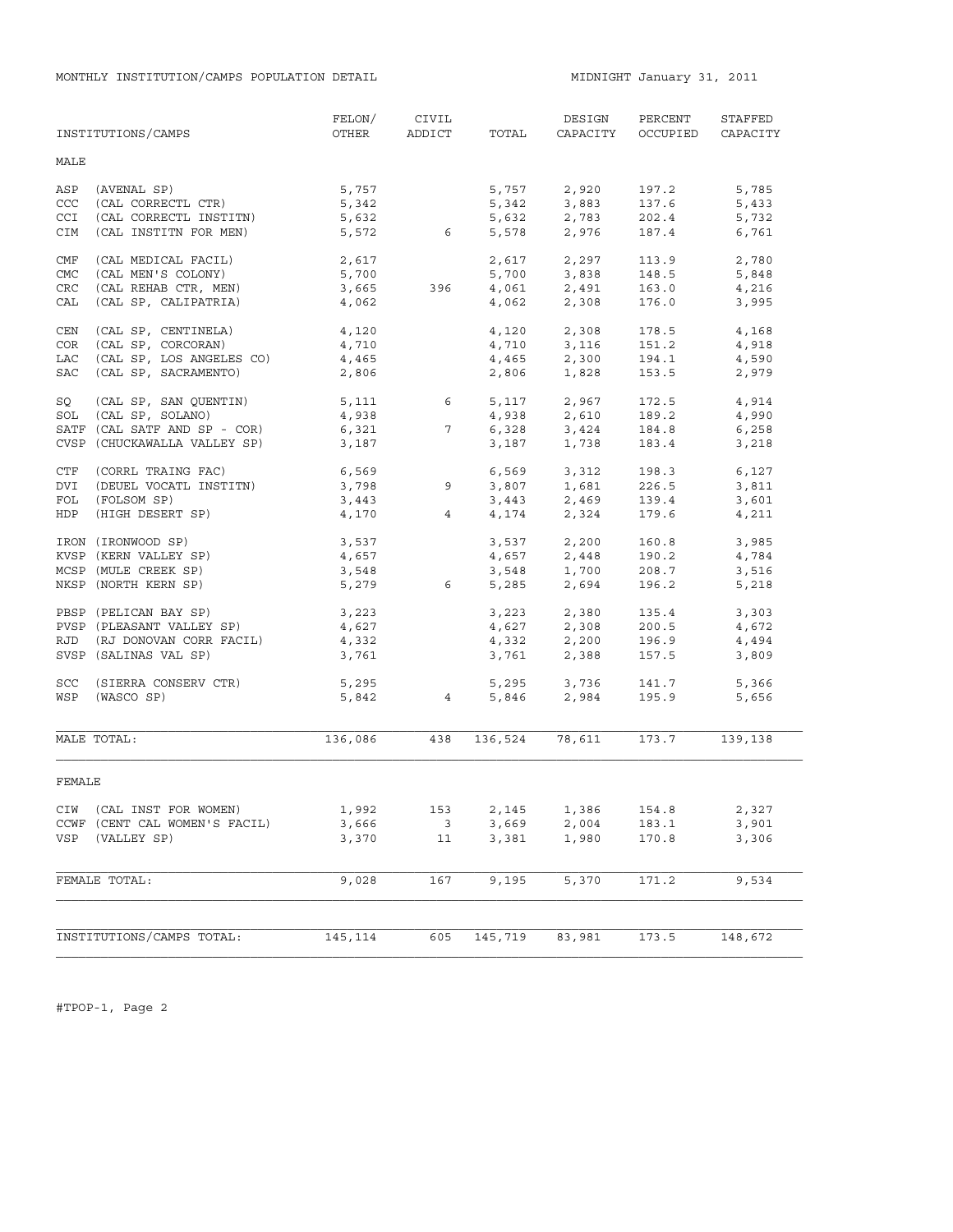|                                 | INSTITUTIONS/CAMPS                                                                                        | FELON/<br>OTHER                           | CIVIL<br>ADDICT                      | TOTAL                   | DESIGN<br>CAPACITY                                                       | PERCENT<br>OCCUPIED              | STAFFED<br>CAPACITY              |
|---------------------------------|-----------------------------------------------------------------------------------------------------------|-------------------------------------------|--------------------------------------|-------------------------|--------------------------------------------------------------------------|----------------------------------|----------------------------------|
| MALE                            |                                                                                                           |                                           |                                      |                         |                                                                          |                                  |                                  |
| ASP<br>CCC<br><b>CCI</b><br>CIM | (AVENAL SP)<br>(CAL CORRECTL CTR)<br>(CAL CORRECTL INSTITN)<br>(CAL INSTITN FOR MEN)                      | 5,757<br>5,342<br>5,632                   | 5,572 6                              | 5,342<br>5,632          | 5,757 2,920<br>3,883<br>2,783<br>5,578 2,976                             | 197.2<br>137.6<br>202.4<br>187.4 | 5,785<br>5,433<br>5,732<br>6,761 |
| CMF<br><b>CMC</b><br>CRC<br>CAL | (CAL MEDICAL FACIL)<br>(CAL MEN'S COLONY)<br>(CAL REHAB CTR, MEN)<br>(CAL SP, CALIPATRIA)                 | 2,617<br>5,700<br>5,700<br>3,665<br>4,062 | 396                                  | 4,062                   | $2,617$ $2,297$<br>5,700 3,838<br>$4,061$ 2,491<br>2,308                 | 113.9<br>148.5<br>163.0<br>176.0 | 2,780<br>5,848<br>4,216<br>3,995 |
| CEN<br>COR<br>LAC<br>SAC        | (CAL SP, CENTINELA)<br>(CAL SP, CORCORAN)<br>(CAL SP, LOS ANGELES CO)<br>(CAL SP, SACRAMENTO)             | 4,120<br>4,710<br>4,465<br>2,806          |                                      | 4,120<br>4,465<br>2,806 | 2,308<br>4,710 3,116<br>2,300<br>1,828                                   | 178.5<br>151.2<br>194.1<br>153.5 | 4,168<br>4,918<br>4,590<br>2,979 |
| SQ<br>SOL                       | (CAL SP, SAN QUENTIN)<br>(CAL SP, SOLANO)<br>SATF (CAL SATF AND SP - COR)<br>CVSP (CHUCKAWALLA VALLEY SP) | 5,111<br>4,938<br>6,321<br>3,187          | $6\overline{}$<br>$7\overline{ }$    | 4,938<br>6,328<br>3,187 | 5,117 2,967<br>2,610<br>3,424<br>1,738                                   | 172.5<br>189.2<br>184.8<br>183.4 | 4,914<br>4,990<br>6,258<br>3,218 |
| CTF<br>DVI<br>FOL<br>HDP        | (CORRL TRAING FAC)<br>(DEUEL VOCATL INSTITN)<br>(FOLSOM SP)<br>(HIGH DESERT SP)                           | 6,569<br>3,798<br>3,443<br>4,170          | 9<br>4                               |                         | 6,569 3,312<br>$3,807$ $1,681$<br>$3,443$<br>$4,174$<br>$2,324$          | 198.3<br>226.5<br>139.4<br>179.6 | 6,127<br>3,811<br>3,601<br>4,211 |
|                                 | IRON (IRONWOOD SP)<br>KVSP (KERN VALLEY SP)<br>MCSP (MULE CREEK SP)<br>NKSP (NORTH KERN SP)               | 3,537<br>4,657<br>3,548<br>5,279          | 6 <sup>6</sup>                       | 4,657                   | 3,537 2,200<br>2,448<br>$3,548$ $1,700$<br>5,285 2,694                   | 160.8<br>190.2<br>208.7<br>196.2 | 3,985<br>4,784<br>3,516<br>5,218 |
| RJD                             | PBSP (PELICAN BAY SP)<br>PVSP (PLEASANT VALLEY SP)<br>(RJ DONOVAN CORR FACIL)<br>SVSP (SALINAS VAL SP)    | 3,223<br>4,627<br>4,332<br>3,761          |                                      |                         | $3,223$ $2,380$<br>$4,627$ $2,308$<br>$4,332$ $2,200$<br>$3,761$ $2,388$ | 135.4<br>200.5<br>196.9<br>157.5 | 3,303<br>4,672<br>4,494<br>3,809 |
| <b>SCC</b><br>WSP               | (SIERRA CONSERV CTR)<br>(WASCO SP)                                                                        | 5,295                                     | 5,842 4                              |                         | 5,295 3,736<br>5,846 2,984                                               | 141.7<br>195.9                   | 5,366<br>5,656                   |
|                                 | MALE TOTAL:                                                                                               | 136,086                                   | 438                                  | 136,524                 | 78,611                                                                   | 173.7                            | 139,138                          |
| FEMALE                          |                                                                                                           |                                           |                                      |                         |                                                                          |                                  |                                  |
| VSP                             | CIW (CAL INST FOR WOMEN)<br>CCWF (CENT CAL WOMEN'S FACIL)<br>(VALLEY SP)                                  | 1,992<br>3,666<br>3,370                   | 153<br>$\overline{\mathbf{3}}$<br>11 | 2,145<br>3,669<br>3,381 | 1,386<br>2,004<br>1,980                                                  | 154.8<br>183.1<br>170.8          | 2,327<br>3,901<br>3,306          |
|                                 | FEMALE TOTAL:                                                                                             | 9,028                                     | 167                                  | 9,195                   | 5,370                                                                    | 171.2                            | 9,534                            |
|                                 | INSTITUTIONS/CAMPS TOTAL:                                                                                 | 145,114                                   | 605                                  | 145,719                 | 83,981                                                                   | 173.5                            | 148,672                          |

#TPOP-1, Page 2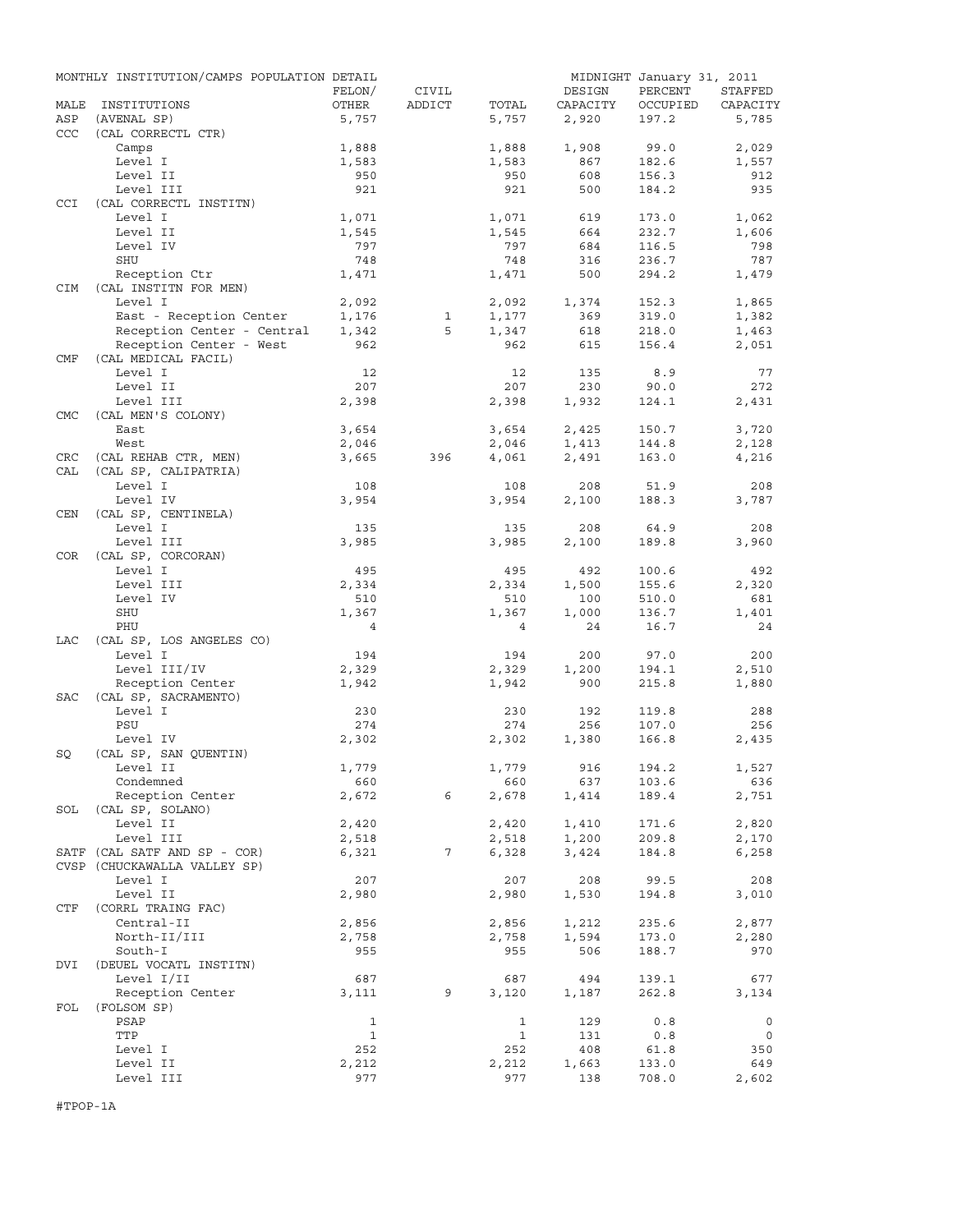|                   | MONTHLY INSTITUTION/CAMPS POPULATION DETAIL  |                 |                 |                |                    | MIDNIGHT January 31, 2011 |                     |
|-------------------|----------------------------------------------|-----------------|-----------------|----------------|--------------------|---------------------------|---------------------|
| MALE              | INSTITUTIONS                                 | FELON/<br>OTHER | CIVIL<br>ADDICT | TOTAL          | DESIGN<br>CAPACITY | PERCENT<br>OCCUPIED       | STAFFED<br>CAPACITY |
| ASP               | (AVENAL SP)                                  | 5,757           |                 | 5,757          | 2,920              | 197.2                     | 5,785               |
| CCC               | (CAL CORRECTL CTR)                           |                 |                 |                |                    |                           |                     |
|                   | Camps                                        | 1,888           |                 | 1,888          | 1,908              | 99.0                      | 2,029               |
|                   | Level I                                      | 1,583           |                 | 1,583          | 867                | 182.6                     | 1,557               |
|                   | Level II                                     | 950             |                 | 950            | 608                | 156.3                     | 912                 |
| CCI               | Level III<br>(CAL CORRECTL INSTITN)          | 921             |                 | 921            | 500                | 184.2                     | 935                 |
|                   | Level I                                      | 1,071           |                 | 1,071          | 619                | 173.0                     | 1,062               |
|                   | Level II                                     | 1,545           |                 | 1,545          | 664                | 232.7                     | 1,606               |
|                   | Level IV                                     | 797             |                 | 797            | 684                | 116.5                     | 798                 |
|                   | <b>SHU</b>                                   | 748             |                 | 748            | 316                | 236.7                     | 787                 |
| <b>CIM</b>        | Reception Ctr<br>(CAL INSTITN FOR MEN)       | 1,471           |                 | 1,471          | 500                | 294.2                     | 1,479               |
|                   | Level I                                      | 2,092           |                 | 2,092          | 1,374              | 152.3                     | 1,865               |
|                   | East - Reception Center                      | 1,176           | $\mathbf{1}$    | 1,177          | 369                | 319.0                     | 1,382               |
|                   | Reception Center - Central                   | 1,342           | 5               | 1,347          | 618                | 218.0                     | 1,463               |
|                   | Reception Center - West                      | 962             |                 | 962            | 615                | 156.4                     | 2,051               |
| CMF               | (CAL MEDICAL FACIL)                          |                 |                 |                |                    |                           |                     |
|                   | Level I                                      | 12              |                 | 12             | 135                | 8.9                       | 77                  |
|                   | Level II                                     | 207             |                 | 207            | 230                | 90.0                      | 272                 |
|                   | Level III                                    | 2,398           |                 | 2,398          | 1,932              | 124.1                     | 2,431               |
| <b>CMC</b>        | (CAL MEN'S COLONY)                           |                 |                 |                |                    |                           |                     |
|                   | East                                         | 3,654           |                 | 3,654          | 2,425              | 150.7                     | 3,720               |
|                   | West                                         | 2,046           |                 | 2,046          | 1,413              | 144.8                     | 2,128               |
| <b>CRC</b><br>CAL | (CAL REHAB CTR, MEN)<br>(CAL SP, CALIPATRIA) | 3,665           | 396             | 4,061          | 2,491              | 163.0                     | 4,216               |
|                   | Level I                                      | 108             |                 | 108            | 208                | 51.9                      | 208                 |
|                   | Level IV                                     | 3,954           |                 | 3,954          | 2,100              | 188.3                     | 3,787               |
| CEN               | (CAL SP, CENTINELA)                          |                 |                 |                |                    |                           |                     |
|                   | Level I                                      | 135             |                 | 135            | 208                | 64.9                      | 208                 |
|                   | Level III                                    | 3,985           |                 | 3,985          | 2,100              | 189.8                     | 3,960               |
| COR               | (CAL SP, CORCORAN)                           |                 |                 |                |                    |                           |                     |
|                   | Level I                                      | 495             |                 | 495            | 492                | 100.6                     | 492                 |
|                   | Level III                                    | 2,334           |                 | 2,334          | 1,500              | 155.6                     | 2,320               |
|                   | Level IV<br><b>SHU</b>                       | 510<br>1,367    |                 | 510<br>1,367   | 100<br>1,000       | 510.0<br>136.7            | 681<br>1,401        |
|                   | PHU                                          | $\overline{4}$  |                 | $\overline{4}$ | 24                 | 16.7                      | 24                  |
| LAC               | (CAL SP, LOS ANGELES CO)                     |                 |                 |                |                    |                           |                     |
|                   | Level I                                      | 194             |                 | 194            | 200                | 97.0                      | 200                 |
|                   | Level III/IV                                 | 2,329           |                 | 2,329          | 1,200              | 194.1                     | 2,510               |
|                   | Reception Center                             | 1,942           |                 | 1,942          | 900                | 215.8                     | 1,880               |
| <b>SAC</b>        | (CAL SP, SACRAMENTO)                         |                 |                 |                |                    |                           |                     |
|                   | Level I                                      | 230             |                 | 230            | 192                | 119.8                     | 288                 |
|                   | PSU                                          | 274             |                 | 274            | 256                | 107.0                     | 256                 |
|                   | Level IV                                     | 2,302           |                 | 2,302          | 1,380              | 166.8                     | 2,435               |
| SQ                | (CAL SP, SAN OUENTIN)                        |                 |                 |                |                    |                           |                     |
|                   | Level II                                     | 1,779           |                 | 1,779          | 916                | 194.2                     | 1,527               |
|                   | Condemned<br>Reception Center                | 660<br>2,672    | 6               | 660<br>2,678   | 637<br>1,414       | 103.6<br>189.4            | 636<br>2,751        |
| SOL               | (CAL SP, SOLANO)                             |                 |                 |                |                    |                           |                     |
|                   | Level II                                     | 2,420           |                 | 2,420          | 1,410              | 171.6                     | 2,820               |
|                   | Level III                                    | 2,518           |                 | 2,518          | 1,200              | 209.8                     | 2,170               |
|                   | SATF (CAL SATF AND SP - COR)                 | 6,321           | 7               | 6,328          | 3,424              | 184.8                     | 6,258               |
|                   | CVSP (CHUCKAWALLA VALLEY SP)                 |                 |                 |                |                    |                           |                     |
|                   | Level I                                      | 207             |                 | 207            | 208                | 99.5                      | 208                 |
|                   | Level II                                     | 2,980           |                 | 2,980          | 1,530              | 194.8                     | 3,010               |
| CTF               | (CORRL TRAING FAC)                           |                 |                 |                |                    |                           |                     |
|                   | Central-II                                   | 2,856           |                 | 2,856          | 1,212              | 235.6                     | 2,877               |
|                   | North-II/III                                 | 2,758           |                 | 2,758          | 1,594              | 173.0                     | 2,280               |
|                   | South-I                                      | 955             |                 | 955            | 506                | 188.7                     | 970                 |
| DVI               | (DEUEL VOCATL INSTITN)<br>Level I/II         | 687             |                 | 687            | 494                | 139.1                     | 677                 |
|                   | Reception Center                             | 3,111           | 9               | 3,120          | 1,187              | 262.8                     | 3,134               |
| FOL               | (FOLSOM SP)                                  |                 |                 |                |                    |                           |                     |
|                   | PSAP                                         | $\mathbf{1}$    |                 | 1              | 129                | 0.8                       | 0                   |
|                   | TTP                                          | $\mathbf{1}$    |                 | 1              | 131                | 0.8                       | 0                   |
|                   | Level I                                      | 252             |                 | 252            | 408                | 61.8                      | 350                 |
|                   | Level II                                     | 2,212           |                 | 2,212          | 1,663              | 133.0                     | 649                 |
|                   | Level III                                    | 977             |                 | 977            | 138                | 708.0                     | 2,602               |

#TPOP-1A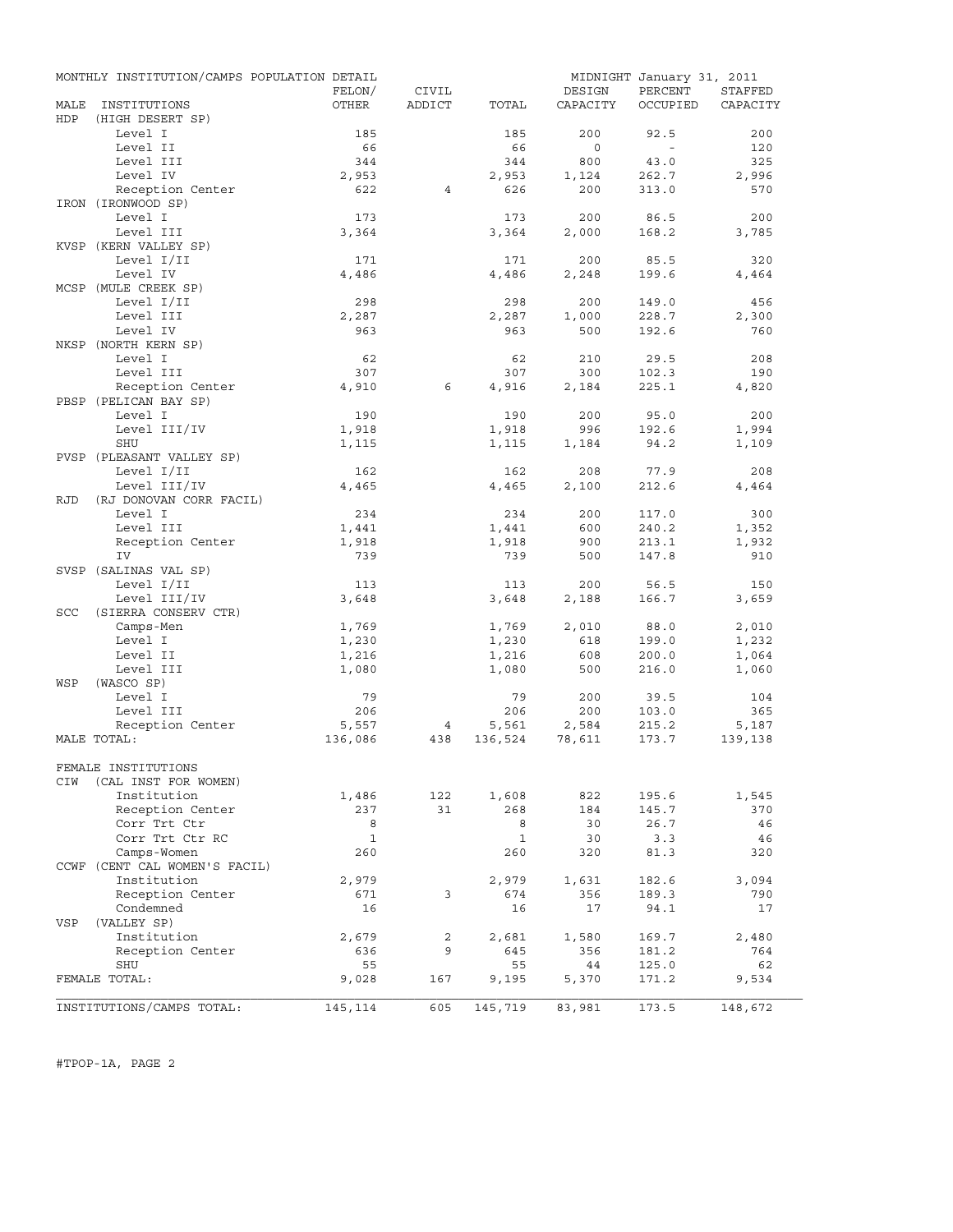|            | MONTHLY INSTITUTION/CAMPS POPULATION DETAIL |              |        |              | MIDNIGHT January 31, 2011 |                |                |
|------------|---------------------------------------------|--------------|--------|--------------|---------------------------|----------------|----------------|
|            |                                             | FELON/       | CIVIL  |              | DESIGN                    | PERCENT        | <b>STAFFED</b> |
| MALE       | INSTITUTIONS                                | OTHER        | ADDICT | TOTAL        | CAPACITY                  | OCCUPIED       | CAPACITY       |
| HDP        | (HIGH DESERT SP)<br>Level I                 | 185          |        | 185          | 200                       |                | 200            |
|            | Level II                                    | 66           |        | 66           | $\circ$                   | 92.5<br>$\sim$ | 120            |
|            | Level III                                   | 344          |        | 344          | 800                       | 43.0           | 325            |
|            | Level IV                                    | 2,953        |        | 2,953        | 1,124                     | 262.7          | 2,996          |
|            | Reception Center                            | 622          | 4      | 626          | 200                       | 313.0          | 570            |
|            | IRON (IRONWOOD SP)                          |              |        |              |                           |                |                |
|            | Level I                                     | 173          |        | 173          | 200                       | 86.5           | 200            |
|            | Level III                                   | 3,364        |        | 3,364        | 2,000                     | 168.2          | 3,785          |
|            | KVSP (KERN VALLEY SP)                       |              |        |              |                           |                |                |
|            | Level I/II                                  | 171          |        | 171          | 200                       | 85.5           | 320            |
|            | Level IV                                    | 4,486        |        | 4,486        | 2,248                     | 199.6          | 4,464          |
|            | MCSP (MULE CREEK SP)                        |              |        |              |                           |                |                |
|            | Level I/II                                  | 298          |        | 298          | 200                       | 149.0          | 456            |
|            | Level III                                   | 2,287        |        | 2,287        | 1,000                     | 228.7          | 2,300          |
|            | Level IV                                    | 963          |        | 963          | 500                       | 192.6          | 760            |
|            | NKSP (NORTH KERN SP)                        |              |        |              |                           |                |                |
|            | Level I                                     | 62           |        | 62           | 210                       | 29.5           | 208            |
|            | Level III                                   | 307          |        | 307          | 300                       | 102.3          | 190            |
|            | Reception Center                            | 4,910        | 6      | 4,916        | 2,184                     | 225.1          | 4,820          |
|            | PBSP (PELICAN BAY SP)                       |              |        |              |                           |                |                |
|            | Level I                                     | 190          |        | 190          | 200                       | 95.0           | 200            |
|            | Level III/IV                                | 1,918        |        | 1,918        | 996                       | 192.6          | 1,994          |
|            | SHU                                         | 1,115        |        | 1,115        | 1,184                     | 94.2           | 1,109          |
|            | PVSP (PLEASANT VALLEY SP)                   |              |        |              |                           |                |                |
|            | Level I/II                                  | 162          |        | 162          | 208                       | 77.9           | 208            |
|            | Level III/IV                                | 4,465        |        | 4,465        | 2,100                     | 212.6          | 4,464          |
| RJD        | (RJ DONOVAN CORR FACIL)                     |              |        |              |                           |                |                |
|            | Level I                                     | 234          |        | 234          | 200                       | 117.0          | 300            |
|            | Level III                                   | 1,441        |        | 1,441        | 600                       | 240.2          | 1,352          |
|            | Reception Center                            | 1,918        |        | 1,918        | 900                       | 213.1          | 1,932          |
|            | IV                                          | 739          |        | 739          | 500                       | 147.8          | 910            |
|            | SVSP (SALINAS VAL SP)<br>Level I/II         | 113          |        | 113          | 200                       | 56.5           | 150            |
|            | Level III/IV                                | 3,648        |        | 3,648        |                           | 166.7          | 3,659          |
| <b>SCC</b> | (SIERRA CONSERV CTR)                        |              |        |              | 2,188                     |                |                |
|            | Camps-Men                                   | 1,769        |        | 1,769        | 2,010                     | 88.0           | 2,010          |
|            | Level I                                     | 1,230        |        | 1,230        | 618                       | 199.0          | 1,232          |
|            | Level II                                    | 1,216        |        | 1,216        | 608                       | 200.0          | 1,064          |
|            | Level III                                   | 1,080        |        | 1,080        | 500                       | 216.0          | 1,060          |
| WSP        | (WASCO SP)                                  |              |        |              |                           |                |                |
|            | Level I                                     | 79           |        | 79           | 200                       | 39.5           | 104            |
|            | Level III                                   | 206          |        | 206          | 200                       | 103.0          | 365            |
|            | Reception Center                            | 5,557        | 4      | 5,561        | 2,584                     | 215.2          | 5,187          |
|            | MALE TOTAL:                                 | 136,086      | 438    | 136,524      | 78,611                    | 173.7          | 139,138        |
|            |                                             |              |        |              |                           |                |                |
|            | FEMALE INSTITUTIONS                         |              |        |              |                           |                |                |
| CIW        | (CAL INST FOR WOMEN)                        |              |        |              |                           |                |                |
|            | Institution                                 | 1,486        | 122    | 1,608        | 822                       | 195.6          | 1,545          |
|            | Reception Center                            | 237          | 31     | 268          | 184                       | 145.7          | 370            |
|            | Corr Trt Ctr                                | 8            |        | 8            | 30                        | 26.7           | 46             |
|            | Corr Trt Ctr RC                             | $\mathbf{1}$ |        | $\mathbf{1}$ | 30                        | 3.3            | 46             |
|            | Camps-Women                                 | 260          |        | 260          | 320                       | 81.3           | 320            |
|            | CCWF (CENT CAL WOMEN'S FACIL)               |              |        |              |                           |                |                |
|            | Institution                                 | 2,979        |        | 2,979        | 1,631                     | 182.6          | 3,094          |
|            | Reception Center                            | 671          | 3      | 674          | 356                       | 189.3          | 790            |
|            | Condemned                                   | 16           |        | 16           | 17                        | 94.1           | 17             |
| VSP        | (VALLEY SP)                                 |              |        |              |                           |                |                |
|            | Institution                                 | 2,679        | 2      | 2,681        | 1,580                     | 169.7          | 2,480          |
|            | Reception Center                            | 636          | 9      | 645          | 356                       | 181.2          | 764            |
|            | SHU<br>FEMALE TOTAL:                        | 55<br>9,028  | 167    | 55           | 44                        | 125.0          | 62             |
|            |                                             |              |        | 9,195        | 5,370                     | 171.2          | 9,534          |
|            | INSTITUTIONS/CAMPS TOTAL:                   | 145,114      | 605    | 145,719      | 83,981                    | 173.5          | 148,672        |

#TPOP-1A, PAGE 2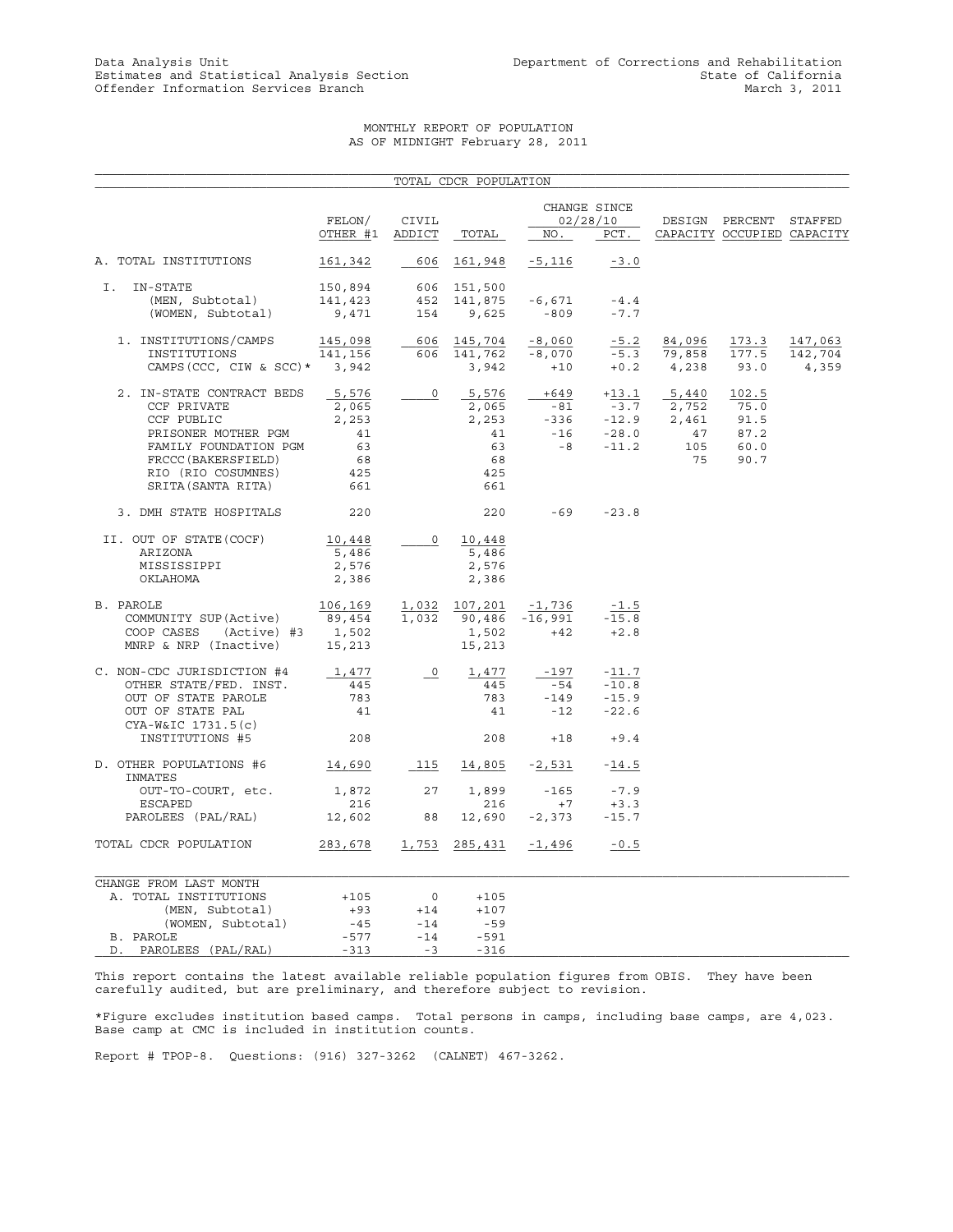#### MONTHLY REPORT OF POPULATION AS OF MIDNIGHT February 28, 2011

|                                                                                                                                                                           |                                                         |                                            | TOTAL CDCR POPULATION                                   |                                    |                                                        |                                            |                                                      |                             |
|---------------------------------------------------------------------------------------------------------------------------------------------------------------------------|---------------------------------------------------------|--------------------------------------------|---------------------------------------------------------|------------------------------------|--------------------------------------------------------|--------------------------------------------|------------------------------------------------------|-----------------------------|
|                                                                                                                                                                           | FELON/<br>OTHER #1                                      | CIVIL<br>ADDICT                            | TOTAL                                                   | NO.                                | CHANGE SINCE<br>02/28/10<br>PCT.                       |                                            | DESIGN PERCENT STAFFED<br>CAPACITY OCCUPIED CAPACITY |                             |
| A. TOTAL INSTITUTIONS                                                                                                                                                     | 161,342                                                 | 606                                        | 161,948                                                 | -5,116                             | $-3.0$                                                 |                                            |                                                      |                             |
| IN-STATE<br>Ι.<br>(MEN, Subtotal)<br>(WOMEN, Subtotal)                                                                                                                    | 150,894<br>141,423<br>9,471                             | 154                                        | 606 151,500<br>452 141,875<br>9,625                     | -6,671<br>$-809$                   | $-4.4$<br>$-7.7$                                       |                                            |                                                      |                             |
| 1. INSTITUTIONS/CAMPS<br>INSTITUTIONS<br>CAMPS (CCC, CIW & SCC) * 3,942                                                                                                   | 145,098<br>141,156                                      |                                            | 606 145,704<br>606 141,762<br>3,942                     | $-8,060$<br>$-8,070$<br>$+10$      | $-5.2$<br>$+0.2$ 4,238                                 | 84,096<br>$-5.3$ 79,858                    | 173.3<br>177.5<br>93.0                               | 147,063<br>142,704<br>4,359 |
| 2. IN-STATE CONTRACT BEDS<br>CCF PRIVATE<br>CCF PUBLIC<br>PRISONER MOTHER PGM<br>FAMILY FOUNDATION PGM<br>FRCCC (BAKERSFIELD)<br>RIO (RIO COSUMNES)<br>SRITA (SANTA RITA) | 5,576<br>2,065<br>2,253<br>41<br>63<br>68<br>425<br>661 | 0                                          | 5,576<br>2,065<br>2,253<br>41<br>63<br>68<br>425<br>661 | $+649$<br>$-81$<br>$-336$<br>$-8$  | $+13.1$<br>$-3.7$<br>$-12.9$<br>$-16 -28.0$<br>$-11.2$ | 5,440<br>2,752<br>2,461<br>47<br>105<br>75 | 102.5<br>75.0<br>91.5<br>87.2<br>60.0<br>90.7        |                             |
| 3. DMH STATE HOSPITALS                                                                                                                                                    | 220                                                     |                                            | 220                                                     |                                    | $-69 -23.8$                                            |                                            |                                                      |                             |
| II. OUT OF STATE (COCF)<br>ARIZONA<br>MISSISSIPPI<br>OKLAHOMA                                                                                                             | 10,448<br>5,486<br>2,576<br>2,386                       | $\circ$                                    | 10,448<br>5,486<br>2,576<br>2,386                       |                                    |                                                        |                                            |                                                      |                             |
| B. PAROLE<br>COMMUNITY SUP (Active)<br>COOP CASES<br>(Active) #3<br>MNRP & NRP (Inactive)                                                                                 | 106,169<br>89,454<br>1,502<br>15,213                    | 1,032                                      | $1,032$ $107,201$<br>90,486<br>1,502<br>15,213          | -1,736<br>-16,991<br>$+42$         | $-1.5$<br>$-15.8$<br>$+2.8$                            |                                            |                                                      |                             |
| C. NON-CDC JURISDICTION #4<br>OTHER STATE/FED. INST.<br>OUT OF STATE PAROLE<br>OUT OF STATE PAL<br>$CYA-W&IC 1731.5(c)$                                                   | 1,477<br>445<br>783<br>41                               | $\overline{\phantom{0}}^0$                 | 1,477<br>445<br>783<br>41                               | $-197$<br>$-54$<br>$-149$<br>$-12$ | $-11.7$<br>$-10.8$<br>$-15.9$<br>$-22.6$               |                                            |                                                      |                             |
| INSTITUTIONS #5                                                                                                                                                           | 208                                                     |                                            | 208                                                     | $+18$                              | +9.4                                                   |                                            |                                                      |                             |
| D. OTHER POPULATIONS #6<br>INMATES                                                                                                                                        | 14,690                                                  | 115                                        |                                                         | $14,805 -2,531$                    | $-14.5$                                                |                                            |                                                      |                             |
| OUT-TO-COURT, etc.<br>ESCAPED<br>PAROLEES (PAL/RAL)                                                                                                                       | 1,872<br>216<br>12,602                                  | 27<br>88                                   | 1,899<br>216<br>12,690                                  | $-165$<br>$+7$<br>$-2,373$         | $-7.9$<br>$+3.3$<br>$-15.7$                            |                                            |                                                      |                             |
| TOTAL CDCR POPULATION                                                                                                                                                     | 283,678                                                 | 1,753                                      | 285,431                                                 | -1,496                             | $-0.5$                                                 |                                            |                                                      |                             |
| CHANGE FROM LAST MONTH<br>A. TOTAL INSTITUTIONS<br>(MEN, Subtotal)<br>(WOMEN, Subtotal)                                                                                   | $+105$<br>$+93$<br>$-45$                                | $\overline{\phantom{0}}$<br>$+14$<br>$-14$ | $+105$<br>$+107$<br>$-59$                               |                                    |                                                        |                                            |                                                      |                             |
| B. PAROLE<br>PAROLEES (PAL/RAL)<br>D.                                                                                                                                     | -577<br>$-313$                                          | $-14$<br>$-3$                              | $-591$<br>$-316$                                        |                                    |                                                        |                                            |                                                      |                             |

This report contains the latest available reliable population figures from OBIS. They have been carefully audited, but are preliminary, and therefore subject to revision.

\*Figure excludes institution based camps. Total persons in camps, including base camps, are 4,023. Base camp at CMC is included in institution counts.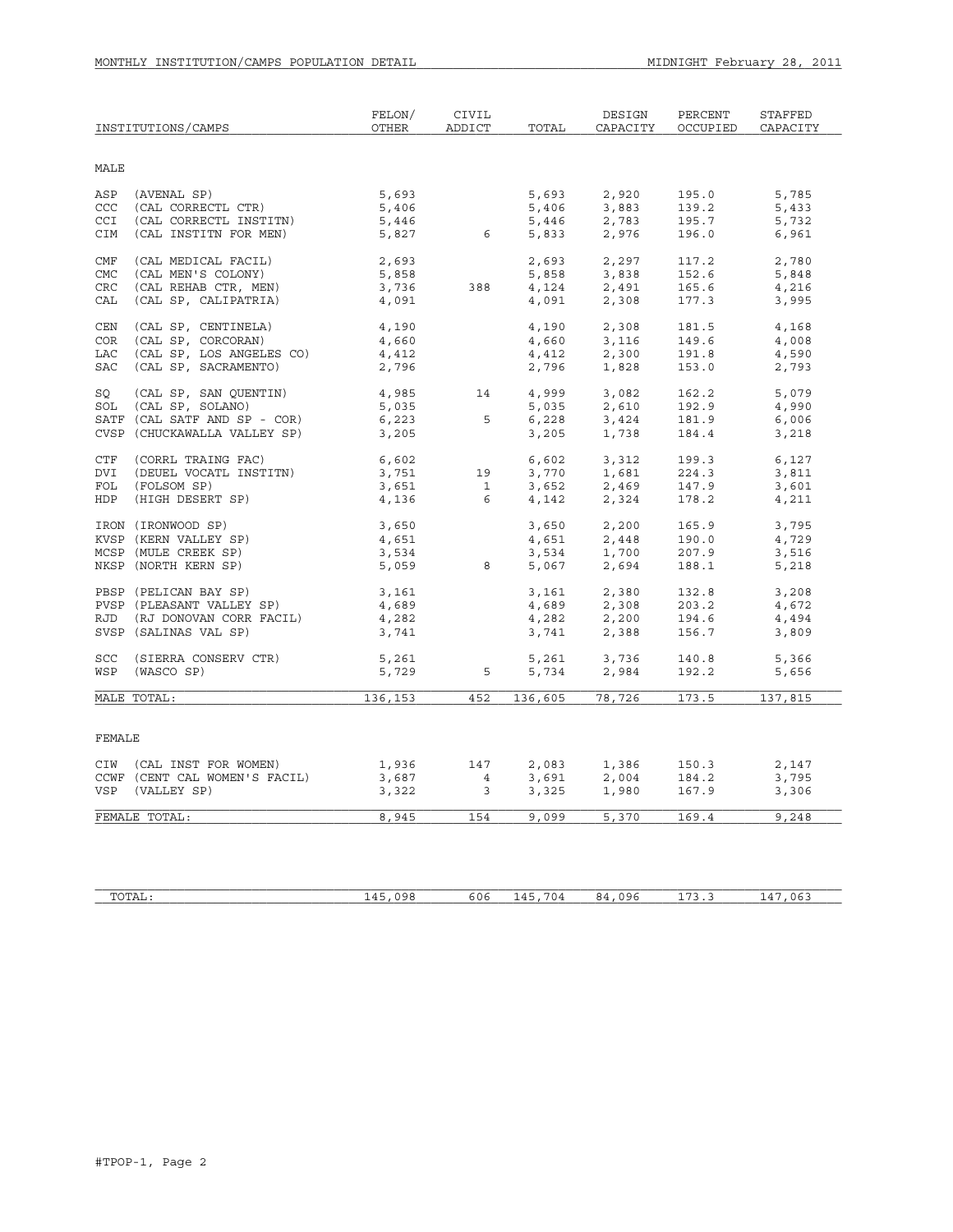|            | INSTITUTIONS/CAMPS            | FELON/<br>OTHER | CIVIL<br>ADDICT         | TOTAL   | DESIGN<br>CAPACITY                                                                                                                | PERCENT<br>OCCUPIED | STAFFED<br>CAPACITY |
|------------|-------------------------------|-----------------|-------------------------|---------|-----------------------------------------------------------------------------------------------------------------------------------|---------------------|---------------------|
| MALE       |                               |                 |                         |         |                                                                                                                                   |                     |                     |
|            |                               |                 |                         |         |                                                                                                                                   |                     |                     |
| ASP        | (AVENAL SP)                   | 5,693           |                         | 5,693   | 2,920                                                                                                                             | 195.0               | 5,785               |
| CCC        | (CAL CORRECTL CTR)            | 5,406           |                         | 5,406   | 3,883                                                                                                                             | 139.2               | 5,433               |
| <b>CCI</b> | (CAL CORRECTL INSTITN)        | 5,446           |                         | 5,446   | 2,783                                                                                                                             | 195.7               | 5,732               |
| CIM        | (CAL INSTITN FOR MEN)         | 5,827           | $6\overline{6}$         | 5,833   | 2,976                                                                                                                             | 196.0               | 6,961               |
| CMF        | (CAL MEDICAL FACIL)           | 2,693           |                         | 2,693   | 2,297                                                                                                                             | 117.2               | 2,780               |
| <b>CMC</b> | (CAL MEN'S COLONY)            | 5,858           |                         | 5,858   | 3,838                                                                                                                             | 152.6               | 5,848               |
| <b>CRC</b> | (CAL REHAB CTR, MEN)          | 3,736           | 388                     | 4,124   | 2,491                                                                                                                             | 165.6               | 4,216               |
| CAL        | (CAL SP, CALIPATRIA)          | 4,091           |                         | 4,091   | 2,308                                                                                                                             | 177.3               | 3,995               |
| CEN        | (CAL SP, CENTINELA)           | 4,190           |                         | 4,190   | 2,308                                                                                                                             | 181.5               | 4,168               |
| <b>COR</b> | (CAL SP, CORCORAN)            | 4,660           |                         | 4,660   | 3,116                                                                                                                             | 149.6               | 4,008               |
| LAC        | (CAL SP, LOS ANGELES CO)      | 4,412           |                         | 4,412   | 2,300                                                                                                                             | 191.8               | 4,590               |
| SAC        | (CAL SP, SACRAMENTO)          | 2,796           |                         | 2,796   | 1,828                                                                                                                             | 153.0               | 2,793               |
|            |                               |                 |                         |         |                                                                                                                                   |                     |                     |
| SO         | (CAL SP, SAN QUENTIN)         | 4,985           | 14                      | 4,999   | 3,082                                                                                                                             | 162.2               | 5,079               |
| SOL        | (CAL SP, SOLANO)              | 5,035           |                         | 5,035   | 2,610                                                                                                                             | 192.9               | 4,990               |
|            | SATF (CAL SATF AND SP - COR)  | 6,223           | 5                       | 6,228   | 3,424                                                                                                                             | 181.9               | 6,006               |
|            | CVSP (CHUCKAWALLA VALLEY SP)  | 3,205           |                         | 3,205   | 1,738                                                                                                                             | 184.4               | 3,218               |
| CTF        | (CORRL TRAING FAC)            | 6,602           |                         | 6,602   | 3,312                                                                                                                             | 199.3               | 6,127               |
| DVI        | (DEUEL VOCATL INSTITN)        | 3,751           | 19                      | 3,770   | 1,681                                                                                                                             | 224.3               | 3,811               |
| FOL        | (FOLSOM SP)                   | 3,651           | $\overline{1}$          | 3,652   | 2,469                                                                                                                             | 147.9               | 3,601               |
| HDP        | (HIGH DESERT SP)              | 4,136           | 6                       | 4,142   | 2,324                                                                                                                             | 178.2               | 4,211               |
|            |                               |                 |                         |         |                                                                                                                                   |                     |                     |
|            | IRON (IRONWOOD SP)            | 3,650           |                         | 3,650   | 2,200                                                                                                                             | 165.9               | 3,795               |
|            | KVSP (KERN VALLEY SP)         | 4,651           |                         | 4,651   | 2,448                                                                                                                             | 190.0               | 4,729               |
|            | MCSP (MULE CREEK SP)          | 3,534           |                         | 3,534   | 1,700                                                                                                                             | 207.9               | 3,516               |
|            | NKSP (NORTH KERN SP)          | 5,059           | 8                       | 5,067   | 2,694                                                                                                                             | 188.1               | 5,218               |
|            | PBSP (PELICAN BAY SP)         | 3,161           |                         | 3,161   | 2,380                                                                                                                             | 132.8               | 3,208               |
|            | PVSP (PLEASANT VALLEY SP)     | 4,689           |                         |         |                                                                                                                                   | 203.2               | 4,672               |
|            | RJD (RJ DONOVAN CORR FACIL)   | 4,282           |                         |         |                                                                                                                                   | 194.6               | 4,494               |
|            | SVSP (SALINAS VAL SP)         | 3,741           |                         |         | $\begin{array}{llll} 4\,,\,689 & \quad & 2\,,\,308 \\ 4\,,\,282 & \quad & 2\,,\,200 \\ 3\,,\,741 & \quad & 2\,,\,388 \end{array}$ | 156.7               | 3,809               |
| SCC        | (SIERRA CONSERV CTR)          | 5,261           |                         | 5,261   | 3,736                                                                                                                             | 140.8               | 5,366               |
| WSP        | (WASCO SP)                    | 5,729           | 5                       | 5,734   | 2,984                                                                                                                             | 192.2               | 5,656               |
|            |                               |                 |                         |         |                                                                                                                                   |                     |                     |
|            | MALE TOTAL:                   | 136,153         | 452                     | 136,605 | 78,726                                                                                                                            | 173.5               | 137,815             |
|            |                               |                 |                         |         |                                                                                                                                   |                     |                     |
| FEMALE     |                               |                 |                         |         |                                                                                                                                   |                     |                     |
|            | CIW (CAL INST FOR WOMEN)      | 1,936           | 147                     | 2,083   | 1,386                                                                                                                             | 150.3               | 2,147               |
|            | CCWF (CENT CAL WOMEN'S FACIL) | 3,687           | $\overline{4}$          | 3,691   | 2,004                                                                                                                             | 184.2               | 3,795               |
| VSP        | (VALLEY SP)                   | 3,322           | $\overline{\mathbf{3}}$ | 3,325   | 1,980                                                                                                                             | 167.9               | 3,306               |
|            |                               |                 |                         |         |                                                                                                                                   |                     |                     |
|            | FEMALE TOTAL:                 | 8,945           | 154                     | 9,099   | 5,370                                                                                                                             | 169.4               | 9,248               |
|            |                               |                 |                         |         |                                                                                                                                   |                     |                     |

| $m \wedge m \wedge n$<br>A <sub>1</sub> | ۱۵ ۲<br>$\prime\prime\prime$<br>-- | $\sim$ $\sim$<br>ゃしゃ | $ -$<br>$\sqrt{1}$<br>U4<br>-- | $\sim$ $\sim$<br>. | .<br>. | $\sim$<br>ባራ<br>,,,,,<br>$ -$ |
|-----------------------------------------|------------------------------------|----------------------|--------------------------------|--------------------|--------|-------------------------------|
|                                         |                                    |                      |                                |                    |        |                               |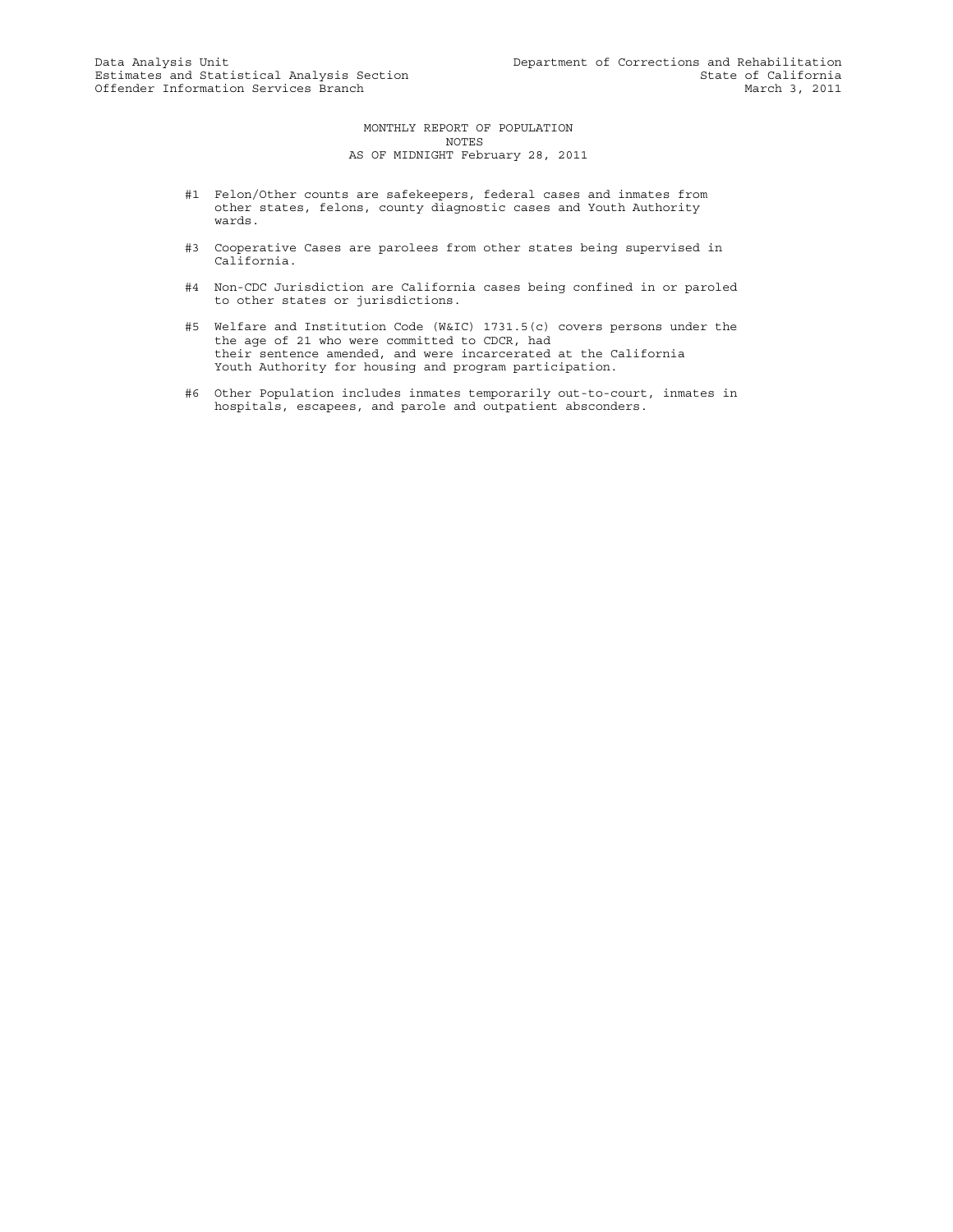MONTHLY REPORT OF POPULATION NOTES AS OF MIDNIGHT February 28, 2011

- #1 Felon/Other counts are safekeepers, federal cases and inmates from other states, felons, county diagnostic cases and Youth Authority wards.
- #3 Cooperative Cases are parolees from other states being supervised in California.
- #4 Non-CDC Jurisdiction are California cases being confined in or paroled to other states or jurisdictions.
- #5 Welfare and Institution Code (W&IC) 1731.5(c) covers persons under the the age of 21 who were committed to CDCR, had their sentence amended, and were incarcerated at the California Youth Authority for housing and program participation.
- #6 Other Population includes inmates temporarily out-to-court, inmates in hospitals, escapees, and parole and outpatient absconders.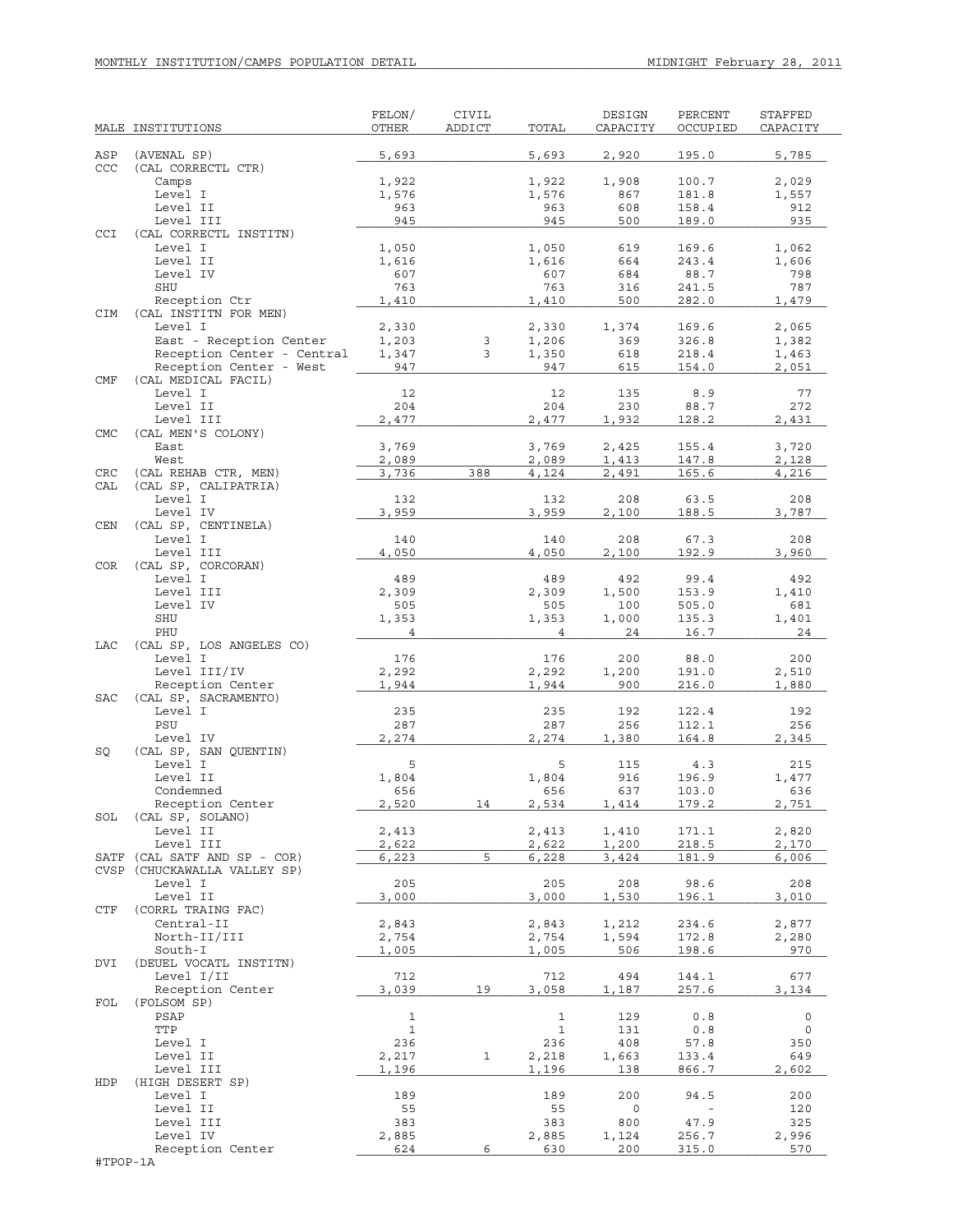|            | MALE INSTITUTIONS                                       | FELON/<br>OTHER              | <b>CIVIL</b><br>ADDICT | TOTAL                      | DESIGN<br>CAPACITY | PERCENT<br>OCCUPIED              | STAFFED<br>CAPACITY |
|------------|---------------------------------------------------------|------------------------------|------------------------|----------------------------|--------------------|----------------------------------|---------------------|
|            |                                                         |                              |                        |                            |                    |                                  |                     |
| ASP<br>CCC | (AVENAL SP)<br>(CAL CORRECTL CTR)                       | 5,693                        |                        | 5,693                      | 2,920              | 195.0                            | 5,785               |
|            | Camps                                                   | 1,922                        |                        | 1,922                      | 1,908              | 100.7                            | 2,029               |
|            | Level I                                                 | 1,576                        |                        | 1,576                      | 867                | 181.8                            | 1,557               |
|            | Level II                                                | 963                          |                        | 963                        | 608                | 158.4                            | 912                 |
| CCI        | Level III<br>(CAL CORRECTL INSTITN)                     | 945                          |                        | 945                        | 500                | 189.0                            | 935                 |
|            | Level I                                                 | 1,050                        |                        | 1,050                      | 619                | 169.6                            | 1,062               |
|            | Level II                                                | 1,616                        |                        | 1,616                      | 664                | 243.4                            | 1,606               |
|            | Level IV                                                | 607                          |                        | 607                        | 684                | 88.7                             | 798                 |
|            | SHU                                                     | 763                          |                        | 763                        | 316                | 241.5                            | 787                 |
| CIM        | Reception Ctr<br>(CAL INSTITN FOR MEN)                  | 1,410                        |                        | 1,410                      | 500                | 282.0                            | 1,479               |
|            | Level I                                                 | 2,330                        |                        | 2,330                      | 1,374              | 169.6                            | 2,065               |
|            | East - Reception Center                                 | 1,203                        | 3                      | 1,206                      | 369                | 326.8                            | 1,382               |
|            | Reception Center - Central                              | 1,347                        | 3                      | 1,350                      | 618                | 218.4                            | 1,463               |
|            | Reception Center - West                                 | 947                          |                        | 947                        | 615                | 154.0                            | 2,051               |
| CMF        | (CAL MEDICAL FACIL)<br>Level I                          | 12                           |                        | 12                         | 135                | 8.9                              | 77                  |
|            | Level II                                                | 204                          |                        | 204                        | 230                | 88.7                             | 272                 |
|            | Level III                                               | 2,477                        |                        | 2,477                      | 1,932              | 128.2                            | 2,431               |
| <b>CMC</b> | (CAL MEN'S COLONY)                                      |                              |                        |                            |                    |                                  |                     |
|            | East                                                    | 3,769                        |                        | 3,769                      | 2,425              | 155.4                            | 3,720               |
|            | West                                                    | 2,089<br>3,736               | 388                    | 2,089                      | 1,413              | 147.8                            | 2,128               |
| CRC<br>CAL | (CAL REHAB CTR, MEN)<br>(CAL SP, CALIPATRIA)            |                              |                        | 4,124                      | 2,491              | 165.6                            | 4,216               |
|            | Level I                                                 | 132                          |                        | 132                        | 208                | 63.5                             | 208                 |
|            | Level IV                                                | 3,959                        |                        | 3,959                      | 2,100              | 188.5                            | 3,787               |
| <b>CEN</b> | (CAL SP, CENTINELA)                                     |                              |                        |                            |                    |                                  |                     |
|            | Level I<br>Level III                                    | 140                          |                        | 140                        | 208                | 67.3                             | 208                 |
| <b>COR</b> | (CAL SP, CORCORAN)                                      | 4,050                        |                        | 4,050                      | 2,100              | 192.9                            | 3,960               |
|            | Level I                                                 | 489                          |                        | 489                        | 492                | 99.4                             | 492                 |
|            | Level III                                               | 2,309                        |                        | 2,309                      | 1,500              | 153.9                            | 1,410               |
|            | Level IV                                                | 505                          |                        | 505                        | 100                | 505.0                            | 681                 |
|            | SHU<br>PHU                                              | 1,353<br>$\overline{4}$      |                        | 1,353<br>4                 | 1,000<br>24        | 135.3<br>16.7                    | 1,401<br>24         |
| LAC        | (CAL SP, LOS ANGELES CO)                                |                              |                        |                            |                    |                                  |                     |
|            | Level I                                                 | 176                          |                        | 176                        | 200                | 88.0                             | 200                 |
|            | Level III/IV                                            | 2,292                        |                        | 2,292                      | 1,200              | 191.0                            | 2,510               |
|            | Reception Center                                        | 1,944                        |                        | 1,944                      | 900                | 216.0                            | 1,880               |
| <b>SAC</b> | (CAL SP, SACRAMENTO)<br>Level I                         | 235                          |                        | 235                        | 192                | 122.4                            | 192                 |
|            | PSU                                                     | 287                          |                        | 287                        | 256                | 112.1                            | 256                 |
|            | Level IV                                                | 2,274                        |                        | 2,274                      | 1,380              | 164.8                            | 2,345               |
| SQ         | (CAL SP, SAN QUENTIN)                                   |                              |                        |                            |                    |                                  |                     |
|            | Level I                                                 | 5                            |                        | 5                          | 115                | 4.3                              | 215                 |
|            | Level II<br>Condemned                                   | 1,804<br>656                 |                        | 1,804<br>656               | 916<br>637         | 196.9<br>103.0                   | 1,477<br>636        |
|            | Reception Center                                        | 2,520                        | 14                     | 2,534                      | 1,414              | 179.2                            | 2,751               |
| SOL        | (CAL SP, SOLANO)                                        |                              |                        |                            |                    |                                  |                     |
|            | Level II                                                | 2,413                        |                        | 2,413                      | 1,410              | 171.1                            | 2,820               |
|            | Level III                                               | 2,622                        |                        | 2,622                      | 1,200              | 218.5                            | 2,170               |
| SATF       | (CAL SATF AND SP - COR)<br>CVSP (CHUCKAWALLA VALLEY SP) | 6,223                        | 5                      | 6,228                      | 3,424              | 181.9                            | 6,006               |
|            | Level I                                                 | 205                          |                        | 205                        | 208                | 98.6                             | 208                 |
|            | Level II                                                | 3,000                        |                        | 3,000                      | 1,530              | 196.1                            | 3,010               |
| CTF        | (CORRL TRAING FAC)                                      |                              |                        |                            |                    |                                  |                     |
|            | Central-II                                              | 2,843                        |                        | 2,843                      | 1,212              | 234.6                            | 2,877               |
|            | North-II/III<br>South-I                                 | 2,754<br>1,005               |                        | 2,754<br>1,005             | 1,594<br>506       | 172.8<br>198.6                   | 2,280<br>970        |
| DVI        | (DEUEL VOCATL INSTITN)                                  |                              |                        |                            |                    |                                  |                     |
|            | Level I/II                                              | 712                          |                        | 712                        | 494                | 144.1                            | 677                 |
|            | Reception Center                                        | 3,039                        | 19                     | 3,058                      | 1,187              | 257.6                            | 3,134               |
| FOL        | (FOLSOM SP)                                             |                              |                        |                            |                    |                                  |                     |
|            | PSAP<br>TTP                                             | $\mathbf{1}$<br>$\mathbf{1}$ |                        | $\mathbf 1$<br>$\mathbf 1$ | 129<br>131         | 0.8<br>0.8                       | $\circ$<br>0        |
|            | Level I                                                 | 236                          |                        | 236                        | 408                | 57.8                             | 350                 |
|            | Level II                                                | 2,217                        | $\mathbf{1}$           | 2,218                      | 1,663              | 133.4                            | 649                 |
|            | Level III                                               | 1,196                        |                        | 1,196                      | 138                | 866.7                            | 2,602               |
| HDP        | (HIGH DESERT SP)                                        |                              |                        |                            |                    |                                  |                     |
|            | Level I<br>Level II                                     | 189<br>55                    |                        | 189<br>55                  | 200<br>0           | 94.5<br>$\overline{\phantom{a}}$ | 200<br>120          |
|            | Level III                                               | 383                          |                        | 383                        | 800                | 47.9                             | 325                 |
|            | Level IV                                                | 2,885                        |                        | 2,885                      | 1,124              | 256.7                            | 2,996               |
|            | Reception Center                                        | 624                          | 6                      | 630                        | 200                | 315.0                            | 570                 |
| #TPOP-1A   |                                                         |                              |                        |                            |                    |                                  |                     |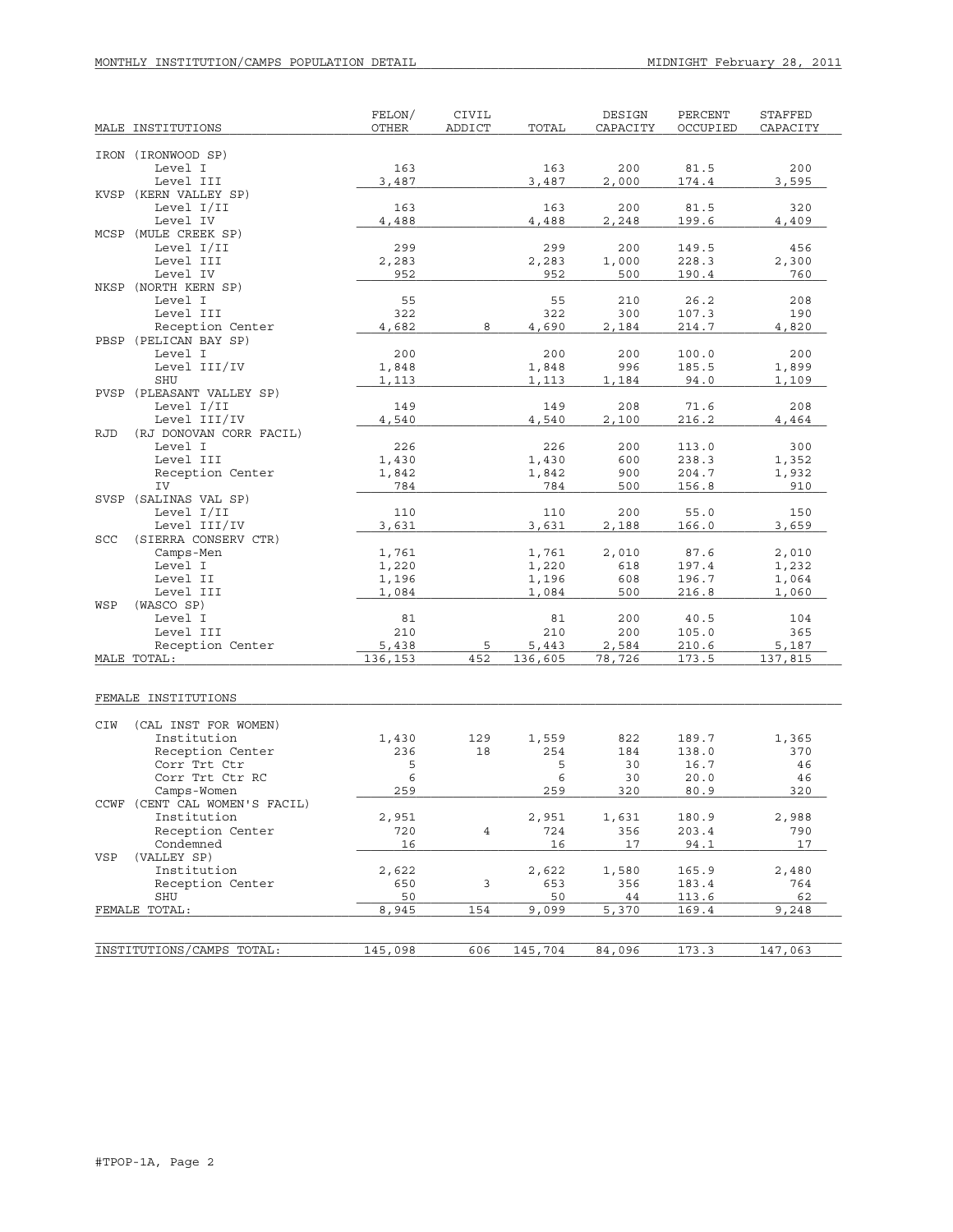| MALE INSTITUTIONS                     | FELON/<br><b>OTHER</b> | CIVIL<br>ADDICT | TOTAL          | DESIGN<br>CAPACITY | PERCENT<br>OCCUPIED | <b>STAFFED</b><br>CAPACITY |
|---------------------------------------|------------------------|-----------------|----------------|--------------------|---------------------|----------------------------|
|                                       |                        |                 |                |                    |                     |                            |
| IRON (IRONWOOD SP)<br>Level I         | 163                    |                 | 163            | 200                | 81.5                | 200                        |
| Level III                             | 3,487                  |                 | 3,487          | 2,000              | 174.4               | 3,595                      |
| KVSP (KERN VALLEY SP)                 |                        |                 |                |                    |                     |                            |
| Level I/II                            | 163                    |                 | 163            | 200                | 81.5                | 320                        |
| Level IV                              | 4,488                  |                 | 4,488          | 2,248              | 199.6               | 4,409                      |
| MCSP (MULE CREEK SP)                  |                        |                 |                |                    |                     |                            |
| Level I/II                            | 299                    |                 | 299            | 200                | 149.5               | 456                        |
| Level III                             | 2,283                  |                 | 2,283          | 1,000              | 228.3               | 2,300                      |
| Level IV                              | 952                    |                 | 952            | 500                | 190.4               | 760                        |
| NKSP (NORTH KERN SP)                  |                        |                 | 55             | 210                | 26.2                | 208                        |
| Level I<br>Level III                  | 55<br>322              |                 | 322            | 300                | 107.3               | 190                        |
| Reception Center                      | 4,682                  | 8               | 4,690          | 2,184              | 214.7               | 4,820                      |
| PBSP (PELICAN BAY SP)                 |                        |                 |                |                    |                     |                            |
| Level I                               | 200                    |                 | 200            | 200                | 100.0               | 200                        |
| Level III/IV                          | 1,848                  |                 | 1,848          | 996                | 185.5               | 1,899                      |
| SHU                                   | 1,113                  |                 | 1,113          | 1,184              | 94.0                | 1,109                      |
| PVSP (PLEASANT VALLEY SP)             |                        |                 |                |                    |                     |                            |
| Level I/II                            | 149                    |                 | 149            | 208                | 71.6                | 208                        |
| Level III/IV                          | 4,540                  |                 | 4,540          | 2,100              | 216.2               | 4,464                      |
| <b>RJD</b><br>(RJ DONOVAN CORR FACIL) |                        |                 |                |                    |                     |                            |
| Level I                               | 226                    |                 | 226            | 200                | 113.0               | 300                        |
| Level III<br>Reception Center         | 1,430<br>1,842         |                 | 1,430<br>1,842 | 600<br>900         | 238.3<br>204.7      | 1,352<br>1,932             |
| IV                                    | 784                    |                 | 784            | 500                | 156.8               | 910                        |
| SVSP (SALINAS VAL SP)                 |                        |                 |                |                    |                     |                            |
| Level I/II                            | 110                    |                 | 110            | 200                | 55.0                | 150                        |
| Level III/IV                          | 3,631                  |                 | 3,631          | 2,188              | 166.0               | 3,659                      |
| (SIERRA CONSERV CTR)<br>SCC           |                        |                 |                |                    |                     |                            |
| Camps-Men                             | 1,761                  |                 | 1,761          | 2,010              | 87.6                | 2,010                      |
| Level I                               | 1,220                  |                 | 1,220          | 618                | 197.4               | 1,232                      |
| Level II                              | 1,196                  |                 | 1,196          | 608                | 196.7               | 1,064                      |
| Level III                             | 1,084                  |                 | 1,084          | 500                | 216.8               | 1,060                      |
| WSP<br>(WASCO SP)<br>Level I          | 81                     |                 | 81             | 200                | 40.5                | 104                        |
| Level III                             | 210                    |                 | 210            | 200                | 105.0               | 365                        |
| Reception Center                      | 5,438                  | 5               | 5,443          | 2,584              | 210.6               | 5,187                      |
| MALE TOTAL:                           | 136,153                | 452             | 136,605        | 78,726             | 173.5               | 137,815                    |
|                                       |                        |                 |                |                    |                     |                            |
| FEMALE INSTITUTIONS                   |                        |                 |                |                    |                     |                            |
| CIW<br>(CAL INST FOR WOMEN)           |                        |                 |                |                    |                     |                            |
| Institution                           | 1,430                  | 129             | 1,559          | 822                | 189.7               | 1,365                      |
| Reception Center                      | 236                    | 18              | 254            | 184                | 138.0               | 370                        |
| Corr Trt Ctr                          | 5                      |                 | 5              | 30                 | 16.7                | 46                         |
| Corr Trt Ctr RC                       | 6                      |                 | 6              | 30                 | 20.0                | 46                         |
| Camps-Women                           | 259                    |                 | 259            | 320                | 80.9                | 320                        |
| CCWF (CENT CAL WOMEN'S FACIL)         |                        |                 |                |                    |                     |                            |
| Institution                           | 2,951                  |                 | 2,951          | 1,631              | 180.9               | 2,988                      |
| Reception Center                      | 720                    | $\overline{4}$  | 724            | 356                | 203.4               | 790                        |
| Condemned<br>(VALLEY SP)<br>VSP       | 16                     |                 | 16             | 17                 | 94.1                | 17                         |
| Institution                           | 2,622                  |                 | 2,622          | 1,580              | 165.9               | 2,480                      |
| Reception Center                      | 650                    | 3               | 653            | 356                | 183.4               | 764                        |
| SHU                                   | 50                     |                 | 50             | 44                 | 113.6               | 62                         |
| FEMALE TOTAL:                         | 8,945                  | 154             | 9,099          | 5,370              | 169.4               | 9,248                      |
|                                       |                        |                 |                |                    |                     |                            |
| INSTITUTIONS/CAMPS TOTAL:             |                        | 606             |                | 84,096             | 173.3               | 147,063                    |
|                                       | 145,098                |                 | 145,704        |                    |                     |                            |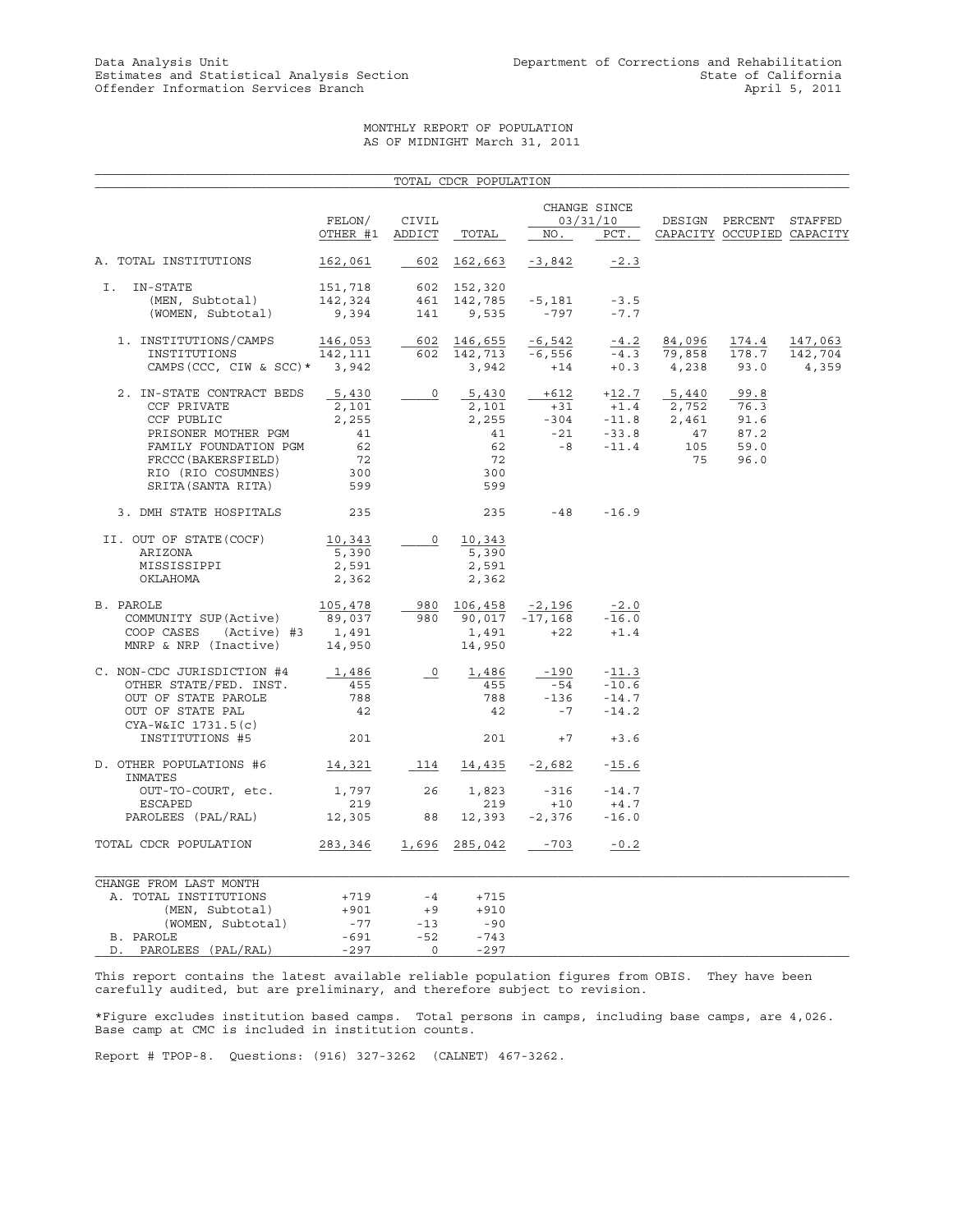#### MONTHLY REPORT OF POPULATION AS OF MIDNIGHT March 31, 2011

|                                                                                                                                                                          |                                                         |                                | TOTAL CDCR POPULATION                                                                         |                                   |                                                                                              |                                                       |                                                      |                             |
|--------------------------------------------------------------------------------------------------------------------------------------------------------------------------|---------------------------------------------------------|--------------------------------|-----------------------------------------------------------------------------------------------|-----------------------------------|----------------------------------------------------------------------------------------------|-------------------------------------------------------|------------------------------------------------------|-----------------------------|
|                                                                                                                                                                          | FELON/<br>OTHER #1 ADDICT                               | CIVIL                          | TOTAL                                                                                         | NO.                               | CHANGE SINCE<br>03/31/10<br>PCT.                                                             |                                                       | DESIGN PERCENT STAFFED<br>CAPACITY OCCUPIED CAPACITY |                             |
| A. TOTAL INSTITUTIONS                                                                                                                                                    | 162,061                                                 | 602                            | 162,663                                                                                       | $-3,842$                          | $-2.3$                                                                                       |                                                       |                                                      |                             |
| I.<br>IN-STATE<br>(MEN, Subtotal)<br>(WOMEN, Subtotal)                                                                                                                   | 151,718<br>142,324<br>9,394                             | 141                            | 602 152,320<br>461 142,785<br>9,535                                                           | -5,181<br>$-797$                  | $-3.5$<br>$-7.7$                                                                             |                                                       |                                                      |                             |
| 1. INSTITUTIONS/CAMPS<br>INSTITUTIONS<br>CAMPS (CCC, CIW & SCC) $*$ 3,942                                                                                                | 146,053<br>142,111                                      |                                | 602 146,655<br>602 142,713 -6,556<br>$602$ $142, 113$ $-0, 300$<br>3,942 $+14$ $+0.3$ $4,238$ | $-6,542$                          | $-4.2$                                                                                       | 84,096<br>$\frac{-4.2}{-4.3}$ $\frac{84,096}{79,858}$ | 174.4<br>178.7<br>93.0                               | 147,063<br>142,704<br>4,359 |
| 2. IN-STATE CONTRACT BEDS<br>CCF PRIVATE<br>CCF PUBLIC<br>PRISONER MOTHER PGM<br>FAMILY FOUNDATION PGM<br>FRCCC (BAKERSFIELD)<br>RIO (RIO COSUMNES)<br>SRITA(SANTA RITA) | 5,430<br>2,101<br>2,255<br>41<br>62<br>72<br>300<br>599 | $\circ$                        | 5,430<br>2,101<br>2,255<br>41<br>62<br>72<br>300<br>599                                       |                                   | $+612 +12.7$ 5,440<br>$-304$<br>$-21$<br>$-33.8$<br>$-47$<br>$-33.8$<br>$-47$<br>$-8 - 11.4$ | 47<br>105<br>75                                       | 99.8<br>76.3<br>91.6<br>87.2<br>59.0<br>96.0         |                             |
| 3. DMH STATE HOSPITALS                                                                                                                                                   | 235                                                     |                                | 235                                                                                           | $-48$                             | $-16.9$                                                                                      |                                                       |                                                      |                             |
| II. OUT OF STATE (COCF)<br>ARIZONA<br>MISSISSIPPI<br>OKLAHOMA                                                                                                            | 10,343<br>5,390<br>2,591<br>2,362                       | $\circ$                        | 10,343<br>5,390<br>2,591<br>2,362                                                             |                                   |                                                                                              |                                                       |                                                      |                             |
| B. PAROLE<br>COMMUNITY SUP (Active)<br>COOP CASES (Active) #3<br>MNRP & NRP (Inactive) $14,950$                                                                          | 105,478<br>89,037<br>1,491                              |                                | 980 106,458<br>980 90,017<br>1,491<br>14,950                                                  | $-2,196$<br>$-17,168$<br>$+22$    | $-2.0$<br>$-16.0$<br>$+1.4$                                                                  |                                                       |                                                      |                             |
| C. NON-CDC JURISDICTION #4<br>OTHER STATE/FED. INST.<br>OUT OF STATE PAROLE<br>OUT OF STATE PAL<br>CYA-W&IC 1731.5(c)                                                    | 1,486<br>455<br>788<br>42                               | $\overline{\phantom{0}}^0$     | 1,486<br>455<br>788<br>42                                                                     | $-190$<br>$-54$<br>$-136$<br>$-7$ | $-11.3$<br>$-10.6$<br>$-14.7$<br>$-14.2$                                                     |                                                       |                                                      |                             |
| INSTITUTIONS #5                                                                                                                                                          | 201                                                     |                                | 201                                                                                           | $+7$                              | $+3.6$                                                                                       |                                                       |                                                      |                             |
| D. OTHER POPULATIONS #6<br>INMATES                                                                                                                                       | 14,321                                                  |                                | 114 14,435 -2,682                                                                             |                                   | $-15.6$                                                                                      |                                                       |                                                      |                             |
| OUT-TO-COURT, etc.<br>ESCAPED<br>PAROLEES (PAL/RAL)                                                                                                                      | 1,797<br>219<br>12,305                                  | 26<br>88                       | 1,823<br>219                                                                                  | $-316$<br>+10<br>$12,393 -2,376$  | $-14.7$<br>$+4.7$<br>$-16.0$                                                                 |                                                       |                                                      |                             |
| TOTAL CDCR POPULATION                                                                                                                                                    | 283,346                                                 | 1,696                          | 285,042                                                                                       | $-703$                            | $-0.2$                                                                                       |                                                       |                                                      |                             |
| CHANGE FROM LAST MONTH<br>A. TOTAL INSTITUTIONS<br>(MEN, Subtotal)<br>(WOMEN, Subtotal)<br>B. PAROLE                                                                     | +719<br>$+901$<br>$-77$<br>$-691$                       | $-4$<br>$+9$<br>$-13$<br>$-52$ | $+715$<br>$+910$<br>-90<br>$-743$                                                             |                                   |                                                                                              |                                                       |                                                      |                             |
| D. PAROLEES (PAL/RAL)                                                                                                                                                    | $-297$                                                  | $\overline{0}$                 | $-297$                                                                                        |                                   |                                                                                              |                                                       |                                                      |                             |

This report contains the latest available reliable population figures from OBIS. They have been carefully audited, but are preliminary, and therefore subject to revision.

\*Figure excludes institution based camps. Total persons in camps, including base camps, are 4,026. Base camp at CMC is included in institution counts.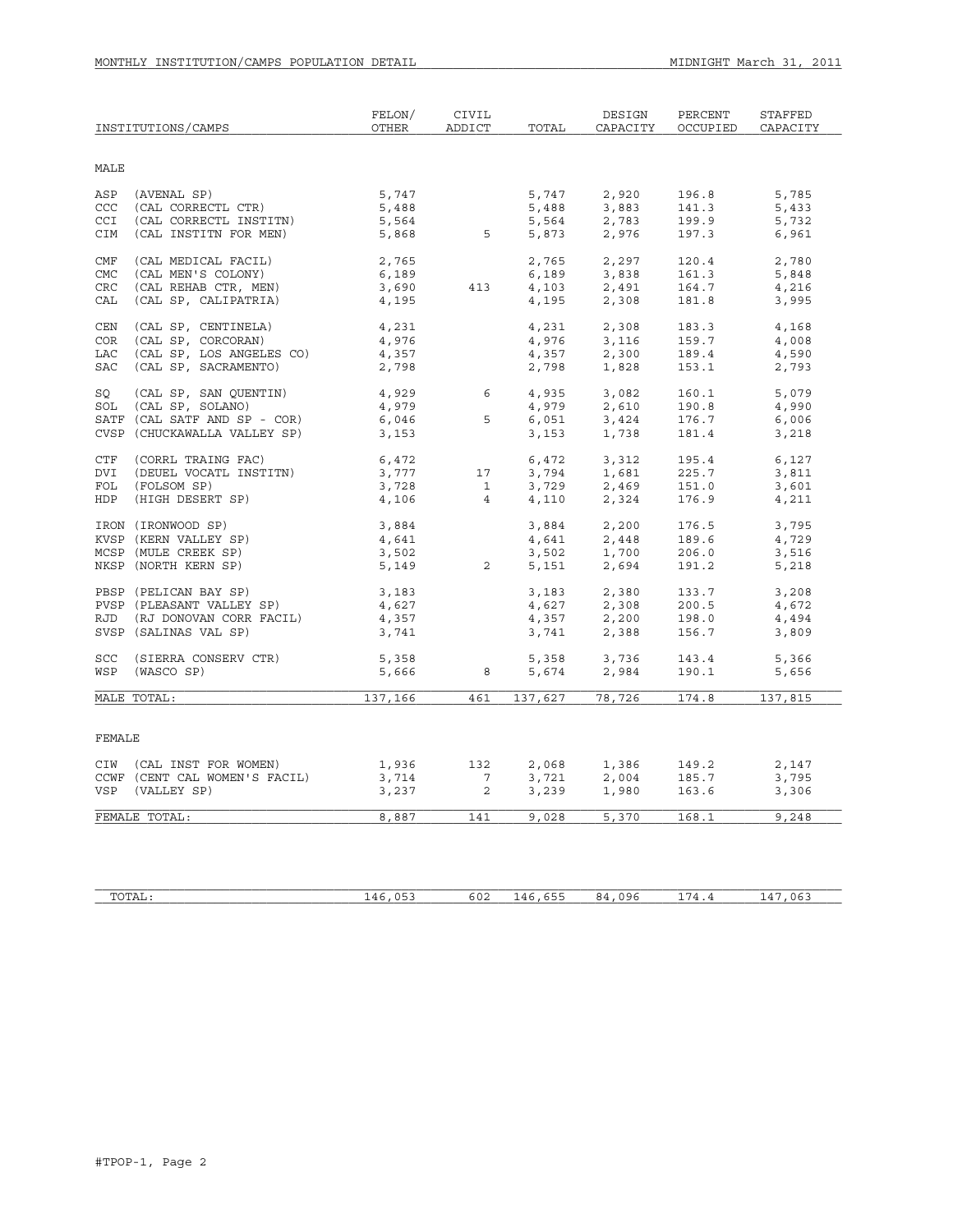|             | INSTITUTIONS/CAMPS            | FELON/<br><b>OTHER</b> | CIVIL<br>ADDICT | TOTAL   | DESIGN<br>CAPACITY                                    | PERCENT<br>OCCUPIED | <b>STAFFED</b><br>CAPACITY |
|-------------|-------------------------------|------------------------|-----------------|---------|-------------------------------------------------------|---------------------|----------------------------|
| <b>MALE</b> |                               |                        |                 |         |                                                       |                     |                            |
| ASP         | (AVENAL SP)                   | 5,747                  |                 | 5,747   | 2,920                                                 | 196.8               | 5,785                      |
| <b>CCC</b>  | (CAL CORRECTL CTR)            | 5,488                  |                 | 5,488   | 3,883                                                 | 141.3               | 5,433                      |
| CCI         | (CAL CORRECTL INSTITN)        | 5,564                  |                 | 5,564   | 2,783                                                 | 199.9               | 5,732                      |
| CIM         | (CAL INSTITN FOR MEN)         | 5,868                  | $5\overline{)}$ | 5,873   | 2,976                                                 | 197.3               | 6,961                      |
| CMF         | (CAL MEDICAL FACIL)           | 2,765                  |                 | 2,765   | 2,297                                                 | 120.4               | 2,780                      |
| <b>CMC</b>  | (CAL MEN'S COLONY)            | 6,189                  |                 | 6,189   | 3,838                                                 | 161.3               | 5,848                      |
| <b>CRC</b>  | (CAL REHAB CTR, MEN)          | 3,690                  | 413             | 4,103   | 2,491                                                 | 164.7               | 4,216                      |
| CAL         | (CAL SP, CALIPATRIA)          | 4,195                  |                 | 4,195   | 2,308                                                 | 181.8               | 3,995                      |
| CEN         | (CAL SP, CENTINELA)           | 4,231                  |                 | 4,231   | 2,308                                                 | 183.3               | 4,168                      |
| <b>COR</b>  | (CAL SP, CORCORAN)            | 4,976                  |                 | 4,976   | 3,116                                                 | 159.7               | 4,008                      |
| LAC         | (CAL SP, LOS ANGELES CO)      | 4,357                  |                 | 4,357   | 2,300                                                 | 189.4               | 4,590                      |
| <b>SAC</b>  | (CAL SP, SACRAMENTO)          | 2,798                  |                 | 2,798   | 1,828                                                 | 153.1               | 2,793                      |
| SQ          | (CAL SP, SAN QUENTIN)         | 4,929                  | 6               | 4,935   | 3,082                                                 | 160.1               | 5,079                      |
| SOL         | (CAL SP, SOLANO)              | 4,979                  |                 | 4,979   | 2,610                                                 | 190.8               | 4,990                      |
|             | SATF (CAL SATF AND SP - COR)  | 6,046                  | 5               |         | $4,979$ $2,610$<br>$6,051$ $3,424$<br>$3,153$ $1,738$ | 176.7               | 6,006                      |
|             | CVSP (CHUCKAWALLA VALLEY SP)  | 3,153                  |                 | 3,153   | 1,738                                                 | 181.4               | 3,218                      |
| <b>CTF</b>  | (CORRL TRAING FAC)            | 6,472                  |                 | 6,472   | 3,312                                                 | 195.4               | 6,127                      |
| DVI         | (DEUEL VOCATL INSTITN)        | 3,777                  | 17              | 3,794   | 1,681                                                 | 225.7               | 3,811                      |
| FOL         | (FOLSOM SP)                   | 3,728                  | $\overline{1}$  | 3,729   | 2,469                                                 | 151.0               | 3,601                      |
| HDP         | (HIGH DESERT SP)              | 4,106                  | $\overline{4}$  | 4,110   | 2,324                                                 | 176.9               | 4,211                      |
|             | IRON (IRONWOOD SP)            | 3,884                  |                 | 3,884   | 2,200                                                 | 176.5               | 3,795                      |
|             | KVSP (KERN VALLEY SP)         | 4,641                  |                 | 4,641   | 2,448                                                 | 189.6               | 4,729                      |
|             | MCSP (MULE CREEK SP)          | 3,502                  |                 | 3,502   | 1,700                                                 | 206.0               | 3,516                      |
|             | NKSP (NORTH KERN SP)          | 5,149                  | $\overline{a}$  | 5,151   | 2,694                                                 | 191.2               | 5,218                      |
|             | PBSP (PELICAN BAY SP)         | 3,183                  |                 | 3,183   | 2,380                                                 | 133.7               | 3,208                      |
|             | PVSP (PLEASANT VALLEY SP)     | 4,627                  |                 | 4,627   | 2,308                                                 | 200.5               | 4,672                      |
|             | RJD (RJ DONOVAN CORR FACIL)   | 4,357                  |                 |         | $4,357$<br>3,741<br>3,741<br>2,388                    | 198.0               | 4,494                      |
|             | SVSP (SALINAS VAL SP)         | 3,741                  |                 |         |                                                       | 156.7               | 3,809                      |
| <b>SCC</b>  | (SIERRA CONSERV CTR)          | 5,358                  |                 | 5,358   | 3,736                                                 | 143.4               | 5,366                      |
| WSP         | (WASCO SP)                    | 5,666                  | 8               | 5,674   | 2,984                                                 | 190.1               | 5,656                      |
|             | MALE TOTAL:                   | 137,166                | 461             | 137,627 | 78,726                                                | 174.8               | 137,815                    |
|             |                               |                        |                 |         |                                                       |                     |                            |
| FEMALE      |                               |                        |                 |         |                                                       |                     |                            |
|             | CIW (CAL INST FOR WOMEN)      | 1,936                  | 132             | 2,068   | 1,386                                                 | 149.2               | 2,147                      |
|             | CCWF (CENT CAL WOMEN'S FACIL) | 3,714                  | $7\phantom{.0}$ | 3,721   | 2,004                                                 | 185.7               | 3,795                      |
| VSP         | (VALLEY SP)                   | 3,237                  | $\overline{2}$  | 3,239   | 1,980                                                 | 163.6               | 3,306                      |
|             | FEMALE TOTAL:                 | 8,887                  | 141             | 9,028   | 5,370                                                 | 168.1               | 9,248                      |
|             |                               |                        |                 |         |                                                       |                     |                            |

| TOTAI<br>⊥A⊔ ` | $\wedge$ $\wedge$<br>$\cdots$<br>-- | 602<br>. | ---<br>◡ ◡ ◡<br>--<br>. | $\sim$ $\sim$ $\sim$<br>$\cdots$<br>1 L J G<br>~<br>.<br>נזי | --<br>$\cdot$ / 1<br>-- | $\sim$ $-$<br>06<br>-- |
|----------------|-------------------------------------|----------|-------------------------|--------------------------------------------------------------|-------------------------|------------------------|
|                |                                     |          |                         |                                                              |                         |                        |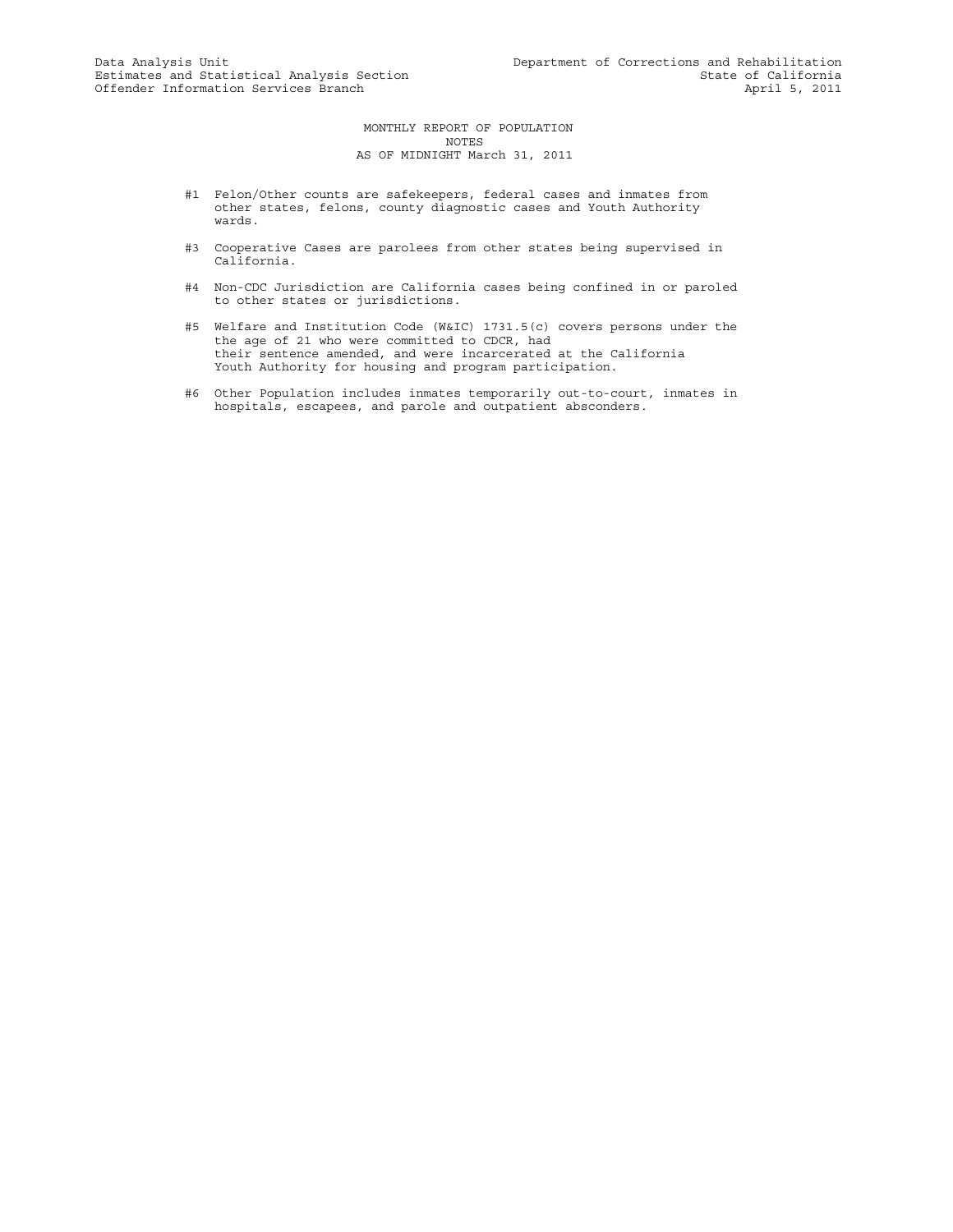MONTHLY REPORT OF POPULATION NOTES AS OF MIDNIGHT March 31, 2011

- #1 Felon/Other counts are safekeepers, federal cases and inmates from other states, felons, county diagnostic cases and Youth Authority wards.
- #3 Cooperative Cases are parolees from other states being supervised in California.
- #4 Non-CDC Jurisdiction are California cases being confined in or paroled to other states or jurisdictions.
- #5 Welfare and Institution Code (W&IC) 1731.5(c) covers persons under the the age of 21 who were committed to CDCR, had their sentence amended, and were incarcerated at the California Youth Authority for housing and program participation.
- #6 Other Population includes inmates temporarily out-to-court, inmates in hospitals, escapees, and parole and outpatient absconders.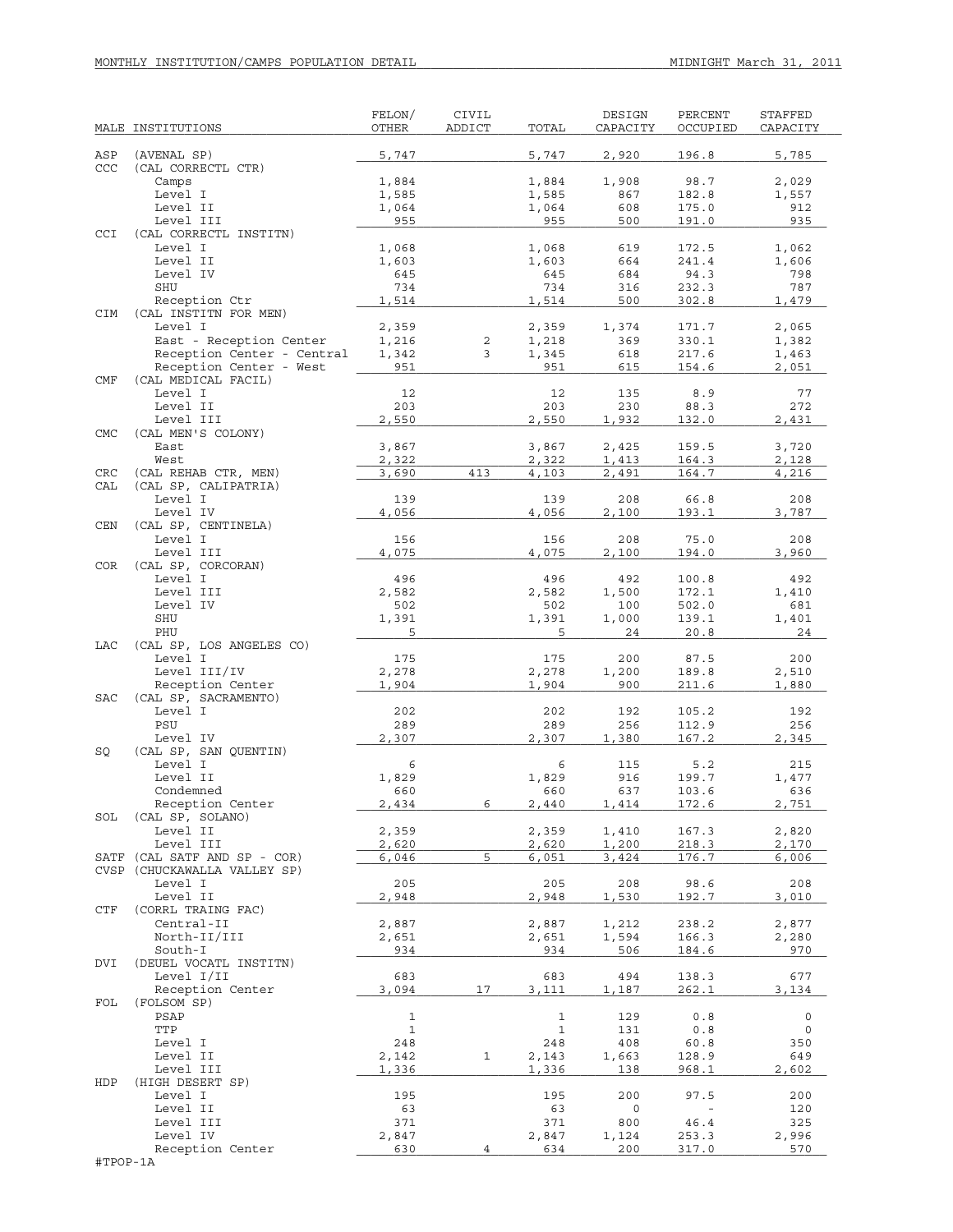|            | MALE INSTITUTIONS                        | FELON/<br>OTHER     | CIVIL<br>ADDICT | TOTAL              | DESIGN<br>CAPACITY | PERCENT<br>OCCUPIED | STAFFED<br>CAPACITY |
|------------|------------------------------------------|---------------------|-----------------|--------------------|--------------------|---------------------|---------------------|
| ASP        | (AVENAL SP)                              | 5,747               |                 | 5,747              | 2,920              | 196.8               | 5,785               |
| CCC        | (CAL CORRECTL CTR)                       |                     |                 |                    |                    |                     |                     |
|            | Camps                                    | 1,884               |                 | 1,884              | 1,908              | 98.7                | 2,029               |
|            | Level I<br>Level II                      | 1,585               |                 | 1,585<br>1,064     | 867<br>608         | 182.8<br>175.0      | 1,557<br>912        |
|            | Level III                                | 1,064<br>955        |                 | 955                | 500                | 191.0               | 935                 |
| CCI        | (CAL CORRECTL INSTITN)                   |                     |                 |                    |                    |                     |                     |
|            | Level I                                  | 1,068               |                 | 1,068              | 619                | 172.5               | 1,062               |
|            | Level II                                 | 1,603               |                 | 1,603              | 664                | 241.4               | 1,606               |
|            | Level IV                                 | 645                 |                 | 645                | 684                | 94.3                | 798                 |
|            | SHU                                      | 734<br>1,514        |                 | 734<br>1,514       | 316<br>500         | 232.3<br>302.8      | 787                 |
| CIM        | Reception Ctr<br>(CAL INSTITN FOR MEN)   |                     |                 |                    |                    |                     | 1,479               |
|            | Level I                                  | 2,359               |                 | 2,359              | 1,374              | 171.7               | 2,065               |
|            | East - Reception Center                  | 1,216               | $\sqrt{2}$      | 1,218              | 369                | 330.1               | 1,382               |
|            | Reception Center - Central               | 1,342               | 3               | 1,345              | 618                | 217.6               | 1,463               |
| <b>CMF</b> | Reception Center - West                  | 951                 |                 | 951                | 615                | 154.6               | 2,051               |
|            | (CAL MEDICAL FACIL)<br>Level I           | 12                  |                 | 12                 | 135                | 8.9                 | 77                  |
|            | Level II                                 | 203                 |                 | 203                | 230                | 88.3                | 272                 |
|            | Level III                                | 2,550               |                 | 2,550              | 1,932              | 132.0               | 2,431               |
| <b>CMC</b> | (CAL MEN'S COLONY)                       |                     |                 |                    |                    |                     |                     |
|            | East                                     | 3,867               |                 | 3,867              | 2,425              | 159.5               | 3,720               |
| CRC        | West<br>(CAL REHAB CTR, MEN)             | 2,322<br>3,690      | 413             | 2,322<br>4,103     | 1,413<br>2,491     | 164.3<br>164.7      | 2,128<br>4,216      |
| CAL        | (CAL SP, CALIPATRIA)                     |                     |                 |                    |                    |                     |                     |
|            | Level I                                  | 139                 |                 | 139                | 208                | 66.8                | 208                 |
|            | Level IV                                 | 4,056               |                 | 4,056              | 2,100              | 193.1               | 3,787               |
| CEN        | (CAL SP, CENTINELA)<br>Level I           | 156                 |                 | 156                | 208                | 75.0                | 208                 |
|            | Level III                                | 4,075               |                 | 4,075              | 2,100              | 194.0               | 3,960               |
| <b>COR</b> | (CAL SP, CORCORAN)                       |                     |                 |                    |                    |                     |                     |
|            | Level I                                  | 496                 |                 | 496                | 492                | 100.8               | 492                 |
|            | Level III                                | 2,582               |                 | 2,582              | 1,500              | 172.1               | 1,410               |
|            | Level IV<br>SHU                          | 502<br>1,391        |                 | 502<br>1,391       | 100<br>1,000       | 502.0<br>139.1      | 681<br>1,401        |
|            | PHU                                      | 5                   |                 | 5                  | 24                 | 20.8                | 24                  |
| LAC        | (CAL SP, LOS ANGELES CO)                 |                     |                 |                    |                    |                     |                     |
|            | Level I                                  | 175                 |                 | 175                | 200                | 87.5                | 200                 |
|            | Level III/IV                             | 2,278               |                 | 2,278              | 1,200              | 189.8               | 2,510               |
| <b>SAC</b> | Reception Center<br>(CAL SP, SACRAMENTO) | 1,904               |                 | 1,904              | 900                | 211.6               | 1,880               |
|            | Level I                                  | 202                 |                 | 202                | 192                | 105.2               | 192                 |
|            | PSU                                      | 289                 |                 | 289                | 256                | 112.9               | 256                 |
|            | Level IV                                 | 2,307               |                 | 2,307              | 1,380              | 167.2               | 2,345               |
| SQ         | (CAL SP, SAN QUENTIN)<br>Level I         | 6                   |                 | 6                  | 115                | 5.2                 | 215                 |
|            | Level II                                 | 1,829               |                 | 1,829              | 916                | 199.7               | 1,477               |
|            | Condemned                                | 660                 |                 | 660                | 637                | 103.6               | 636                 |
|            | Reception Center                         | 2,434               | 6               | 2,440              | 1,414              | 172.6               | 2,751               |
| SOL        | (CAL SP, SOLANO)<br>Level II             | 2,359               |                 | 2,359              | 1,410              | 167.3               | 2,820               |
|            | Level III                                | 2,620               |                 | 2,620              | 1,200              | 218.3               | 2,170               |
| SATF       | (CAL SATF AND SP - COR)                  | 6,046               | 5               | 6,051              | 3,424              | 176.7               | 6,006               |
|            | CVSP (CHUCKAWALLA VALLEY SP)             |                     |                 |                    |                    |                     |                     |
|            | Level I<br>Level II                      | 205                 |                 | 205<br>2,948       | 208                | 98.6<br>192.7       | 208                 |
| CTF        | (CORRL TRAING FAC)                       | 2,948               |                 |                    | 1,530              |                     | 3,010               |
|            | Central-II                               | 2,887               |                 | 2,887              | 1,212              | 238.2               | 2,877               |
|            | North-II/III                             | 2,651               |                 | 2,651              | 1,594              | 166.3               | 2,280               |
|            | South-I                                  | 934                 |                 | 934                | 506                | 184.6               | 970                 |
| DVI        | (DEUEL VOCATL INSTITN)<br>Level I/II     | 683                 |                 | 683                | 494                | 138.3               | 677                 |
|            | Reception Center                         | 3,094               | 17              | 3,111              | 1,187              | 262.1               | 3,134               |
| FOL        | (FOLSOM SP)                              |                     |                 |                    |                    |                     |                     |
|            | PSAP                                     | $\mathbf{1}$        |                 | $\mathbf{1}$       | 129                | 0.8                 | 0                   |
|            | TTP<br>Level I                           | $\mathbf{1}$<br>248 |                 | $\mathbf 1$<br>248 | 131<br>408         | 0.8<br>60.8         | 0<br>350            |
|            | Level II                                 | 2,142               | 1               | 2,143              | 1,663              | 128.9               | 649                 |
|            | Level III                                | 1,336               |                 | 1,336              | 138                | 968.1               | 2,602               |
| HDP        | (HIGH DESERT SP)                         |                     |                 |                    |                    |                     |                     |
|            | Level I                                  | 195                 |                 | 195                | 200                | 97.5                | 200                 |
|            | Level II<br>Level III                    | 63<br>371           |                 | 63<br>371          | 0<br>800           | 46.4                | 120<br>325          |
|            | Level IV                                 | 2,847               |                 | 2,847              | 1,124              | 253.3               | 2,996               |
|            | Reception Center                         | 630                 | $\overline{4}$  | 634                | 200                | 317.0               | 570                 |
| #TPOP-1A   |                                          |                     |                 |                    |                    |                     |                     |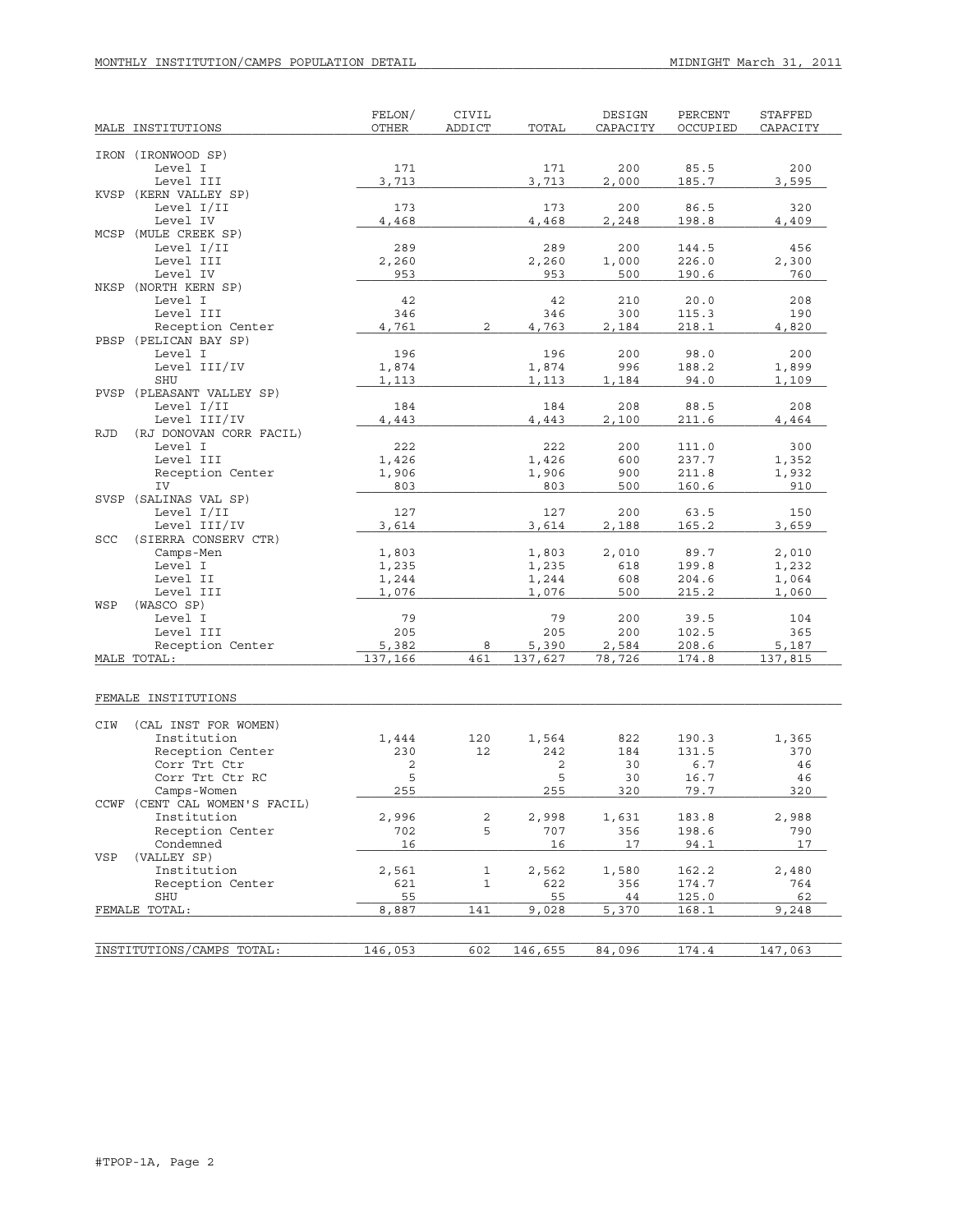# MONTHLY INSTITUTION/CAMPS POPULATION DETAIL **MIDNIGHT March 31, 2011**

| MALE INSTITUTIONS                                     | FELON/<br><b>OTHER</b> | CIVIL<br>ADDICT | TOTAL   | DESIGN<br>CAPACITY | PERCENT<br>OCCUPIED | <b>STAFFED</b><br>CAPACITY |
|-------------------------------------------------------|------------------------|-----------------|---------|--------------------|---------------------|----------------------------|
|                                                       |                        |                 |         |                    |                     |                            |
| IRON (IRONWOOD SP)                                    |                        |                 |         |                    |                     |                            |
| Level I                                               | 171                    |                 | 171     | 200                | 85.5                | 200                        |
| Level III                                             | 3,713                  |                 | 3,713   | 2,000              | 185.7               | 3,595                      |
| KVSP (KERN VALLEY SP)                                 |                        |                 |         |                    |                     |                            |
| Level I/II                                            | 173                    |                 | 173     | 200                | 86.5                | 320                        |
| Level IV                                              | 4,468                  |                 | 4,468   | 2,248              | 198.8               | 4,409                      |
| MCSP (MULE CREEK SP)<br>Level I/II                    | 289                    |                 | 289     | 200                | 144.5               | 456                        |
| Level III                                             | 2,260                  |                 | 2,260   | 1,000              | 226.0               | 2,300                      |
| Level IV                                              | 953                    |                 | 953     | 500                | 190.6               | 760                        |
| NKSP (NORTH KERN SP)                                  |                        |                 |         |                    |                     |                            |
| Level I                                               | 42                     |                 | 42      | 210                | 20.0                | 208                        |
| Level III                                             | 346                    |                 | 346     | 300                | 115.3               | 190                        |
| Reception Center                                      | 4,761                  | $\overline{c}$  | 4,763   | 2,184              | 218.1               | 4,820                      |
| PBSP (PELICAN BAY SP)                                 |                        |                 |         |                    |                     |                            |
| Level I                                               | 196                    |                 | 196     | 200                | 98.0                | 200                        |
| Level III/IV                                          | 1,874                  |                 | 1,874   | 996                | 188.2               | 1,899                      |
| SHU                                                   | 1,113                  |                 | 1,113   | 1,184              | 94.0                | 1,109                      |
| PVSP (PLEASANT VALLEY SP)                             |                        |                 |         |                    |                     |                            |
| Level I/II                                            | 184                    |                 | 184     | 208                | 88.5                | 208                        |
| Level III/IV<br><b>RJD</b><br>(RJ DONOVAN CORR FACIL) | 4,443                  |                 | 4,443   | 2,100              | 211.6               | 4,464                      |
| Level I                                               | 222                    |                 | 222     | 200                | 111.0               | 300                        |
| Level III                                             | 1,426                  |                 | 1,426   | 600                | 237.7               | 1,352                      |
| Reception Center                                      | 1,906                  |                 | 1,906   | 900                | 211.8               | 1,932                      |
| IV                                                    | 803                    |                 | 803     | 500                | 160.6               | 910                        |
| SVSP (SALINAS VAL SP)                                 |                        |                 |         |                    |                     |                            |
| Level I/II                                            | 127                    |                 | 127     | 200                | 63.5                | 150                        |
| Level III/IV                                          | 3,614                  |                 | 3,614   | 2,188              | 165.2               | 3,659                      |
| (SIERRA CONSERV CTR)<br>SCC                           |                        |                 |         |                    |                     |                            |
| Camps-Men                                             | 1,803                  |                 | 1,803   | 2,010              | 89.7                | 2,010                      |
| Level I                                               | 1,235                  |                 | 1,235   | 618                | 199.8               | 1,232                      |
| Level II                                              | 1,244                  |                 | 1,244   | 608                | 204.6               | 1,064                      |
| Level III                                             | 1,076                  |                 | 1,076   | 500                | 215.2               | 1,060                      |
| WSP<br>(WASCO SP)<br>Level I                          | 79                     |                 | 79      | 200                | 39.5                | 104                        |
| Level III                                             | 205                    |                 | 205     | 200                | 102.5               | 365                        |
| Reception Center                                      | 5,382                  | 8               | 5,390   | 2,584              | 208.6               | 5,187                      |
| MALE TOTAL:                                           | 137,166                | 461             | 137,627 | 78,726             | 174.8               | 137,815                    |
|                                                       |                        |                 |         |                    |                     |                            |
|                                                       |                        |                 |         |                    |                     |                            |
| FEMALE INSTITUTIONS                                   |                        |                 |         |                    |                     |                            |
|                                                       |                        |                 |         |                    |                     |                            |
| CIW<br>(CAL INST FOR WOMEN)                           |                        |                 |         |                    |                     |                            |
| Institution                                           | 1,444                  | 120             | 1,564   | 822                | 190.3               | 1,365                      |
| Reception Center                                      | 230                    | 12              | 242     | 184                | 131.5               | 370                        |
| Corr Trt Ctr                                          | 2<br>5                 |                 | 2<br>5  | 30                 | 6.7<br>16.7         | 46                         |
| Corr Trt Ctr RC<br>Camps-Women                        | 255                    |                 | 255     | 30<br>320          | 79.7                | 46<br>320                  |
| CCWF (CENT CAL WOMEN'S FACIL)                         |                        |                 |         |                    |                     |                            |
| Institution                                           | 2,996                  | 2               | 2,998   | 1,631              | 183.8               | 2,988                      |
| Reception Center                                      | 702                    | 5               | 707     | 356                | 198.6               | 790                        |
| Condemned                                             | 16                     |                 | 16      | 17                 | 94.1                | 17                         |
| (VALLEY SP)<br>VSP                                    |                        |                 |         |                    |                     |                            |
| Institution                                           | 2,561                  | 1               | 2,562   | 1,580              | 162.2               | 2,480                      |
| Reception Center                                      | 621                    | $\mathbf{1}$    | 622     | 356                | 174.7               | 764                        |
| SHU                                                   | 55                     |                 | 55      | 44                 | 125.0               | 62                         |
| FEMALE TOTAL:                                         | 8,887                  | 141             | 9,028   | 5,370              | 168.1               | 9,248                      |
|                                                       |                        |                 |         |                    |                     |                            |
|                                                       |                        |                 |         |                    |                     |                            |
| INSTITUTIONS/CAMPS TOTAL:                             | 146,053                | 602             | 146,655 | 84,096             | 174.4               | 147,063                    |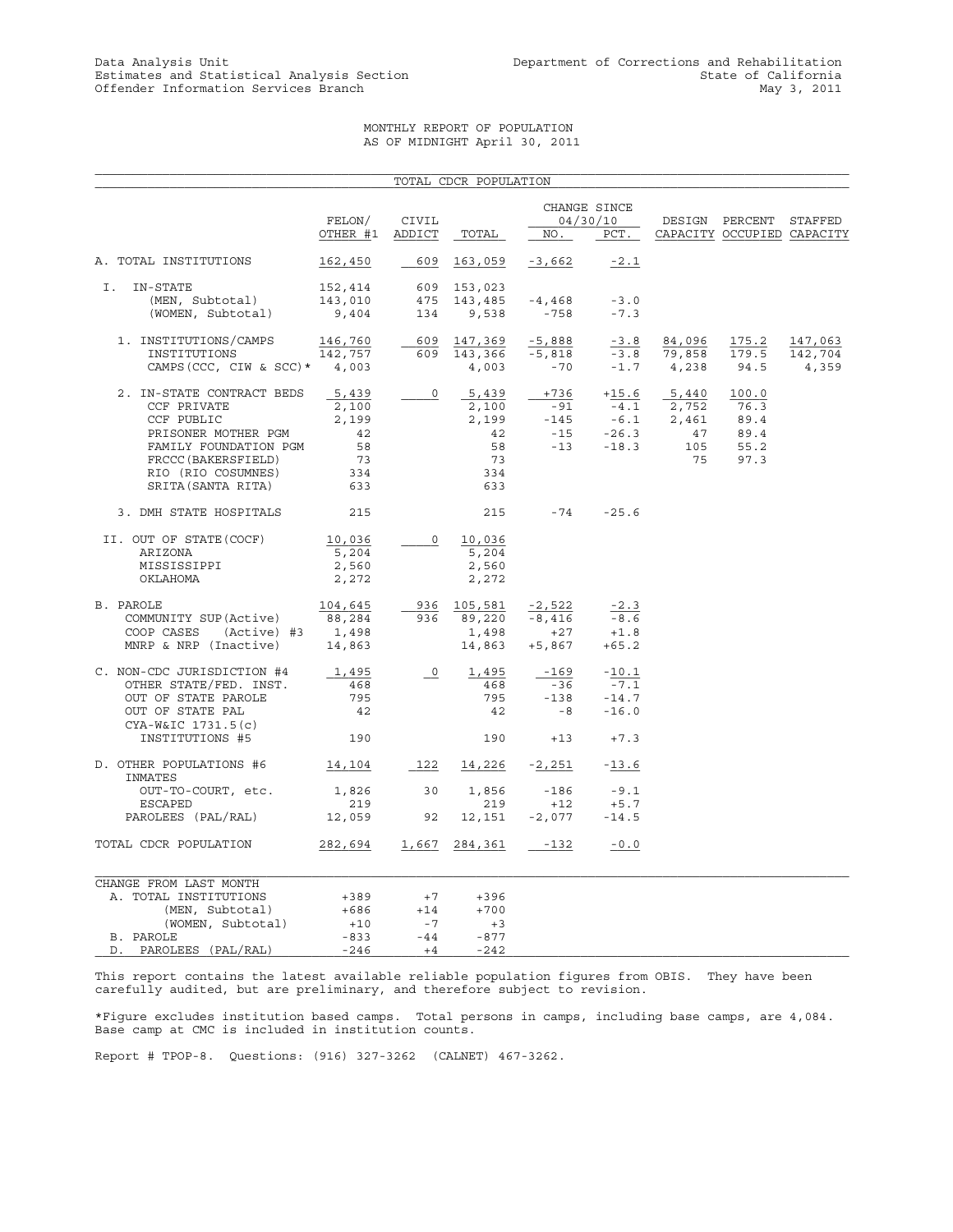#### MONTHLY REPORT OF POPULATION AS OF MIDNIGHT April 30, 2011

|                                                                                                                                                                           |                                                         |                                                                                                                                                                                                                                                                                                                                                                                                                                                              | TOTAL CDCR POPULATION                                   |                                           |                                         |                                                                                                                    |                                                      |                             |
|---------------------------------------------------------------------------------------------------------------------------------------------------------------------------|---------------------------------------------------------|--------------------------------------------------------------------------------------------------------------------------------------------------------------------------------------------------------------------------------------------------------------------------------------------------------------------------------------------------------------------------------------------------------------------------------------------------------------|---------------------------------------------------------|-------------------------------------------|-----------------------------------------|--------------------------------------------------------------------------------------------------------------------|------------------------------------------------------|-----------------------------|
|                                                                                                                                                                           | FELON/<br>OTHER #1                                      | CIVIL<br>ADDICT                                                                                                                                                                                                                                                                                                                                                                                                                                              | TOTAL                                                   | NO.                                       | CHANGE SINCE<br>04/30/10<br>PCT.        |                                                                                                                    | DESIGN PERCENT STAFFED<br>CAPACITY OCCUPIED CAPACITY |                             |
| A. TOTAL INSTITUTIONS                                                                                                                                                     | 162,450                                                 | 609                                                                                                                                                                                                                                                                                                                                                                                                                                                          | 163,059                                                 | $-3,662$                                  | $-2.1$                                  |                                                                                                                    |                                                      |                             |
| IN-STATE<br>Ι.<br>(MEN, Subtotal)<br>(WOMEN, Subtotal)                                                                                                                    | 152,414<br>143,010<br>9,404                             | 475<br>134                                                                                                                                                                                                                                                                                                                                                                                                                                                   | 609 153,023<br>143,485<br>9,538                         | $-4,468$<br>$-758$                        | $-3.0$<br>$-7.3$                        |                                                                                                                    |                                                      |                             |
| 1. INSTITUTIONS/CAMPS<br>INSTITUTIONS<br>CAMPS (CCC, CIW & SCC) $*$ 4,003                                                                                                 | 146,760<br>142,757                                      | $\label{eq:2} \begin{aligned} \frac{1}{\sqrt{2}}\left( \frac{1}{\sqrt{2}}\right) & =\frac{1}{2}\left( \frac{1}{2}\right) \frac{1}{2} \left( \frac{1}{2}\right) \frac{1}{2} \left( \frac{1}{2}\right) \frac{1}{2} \left( \frac{1}{2}\right) \frac{1}{2} \left( \frac{1}{2}\right) \frac{1}{2} \left( \frac{1}{2}\right) \frac{1}{2} \left( \frac{1}{2}\right) \frac{1}{2} \left( \frac{1}{2}\right) \frac{1}{2} \left( \frac{1}{2}\right) \frac{1}{2} \left($ | 609 147,369<br>609 143,366<br>4,003                     | -5,888<br>$-5,818$<br>$-70$               | $-3.8$<br>$-1.7$ 4,238                  | 84,096<br>$-3.8$ $\overline{79,858}$                                                                               | 175.2<br>179.5<br>94.5                               | 147,063<br>142,704<br>4,359 |
| 2. IN-STATE CONTRACT BEDS<br>CCF PRIVATE<br>CCF PUBLIC<br>PRISONER MOTHER PGM<br>FAMILY FOUNDATION PGM<br>FRCCC (BAKERSFIELD)<br>RIO (RIO COSUMNES)<br>SRITA (SANTA RITA) | 5,439<br>2,100<br>2,199<br>42<br>58<br>73<br>334<br>633 | $\circ$                                                                                                                                                                                                                                                                                                                                                                                                                                                      | 5,439<br>2,100<br>2,199<br>42<br>58<br>73<br>334<br>633 | $+736$<br>$-91$<br>$-145$<br>$-15$        | $-26.3$<br>$-13 - 18.3$                 | $+15.6$ $5,440$<br>$\overline{-4.1}$ $\overline{2,752}$<br>$\overline{-6.1}$ $\overline{2,461}$<br>47<br>105<br>75 | 100.0<br>76.3<br>89.4<br>89.4<br>55.2<br>97.3        |                             |
| 3. DMH STATE HOSPITALS                                                                                                                                                    | 215                                                     |                                                                                                                                                                                                                                                                                                                                                                                                                                                              | 215                                                     | $-74$ $-25.6$                             |                                         |                                                                                                                    |                                                      |                             |
| II. OUT OF STATE (COCF)<br>ARIZONA<br>MISSISSIPPI<br>OKLAHOMA                                                                                                             | 10,036<br>5,204<br>2,560<br>2,272                       | $\circ$                                                                                                                                                                                                                                                                                                                                                                                                                                                      | 10,036<br>5,204<br>2,560<br>2,272                       |                                           |                                         |                                                                                                                    |                                                      |                             |
| B. PAROLE<br>COMMUNITY SUP(Active)<br>COOP CASES (Active) #3 1,498<br>MNRP & NRP (Inactive) 14,863                                                                        | 104,645<br>88,284                                       |                                                                                                                                                                                                                                                                                                                                                                                                                                                              | 936 105,581<br>936 89,220<br>1,498<br>14,863            | $-2,522$<br>$-8,416$<br>$+27$<br>$+5,867$ | $-2.3$<br>$-8.6$<br>$+1.8$<br>$+65.2$   |                                                                                                                    |                                                      |                             |
| C. NON-CDC JURISDICTION #4<br>OTHER STATE/FED. INST.<br>OUT OF STATE PAROLE<br>OUT OF STATE PAL<br>CYA-W&IC 1731.5(c)                                                     | 1,495<br>468<br>795<br>42                               | $\overline{\phantom{0}}^0$                                                                                                                                                                                                                                                                                                                                                                                                                                   | 1,495<br>468<br>795<br>-42                              | $-169$<br>$-36$<br>$-138$<br>$-8$         | $-10.1$<br>$-7.1$<br>$-14.7$<br>$-16.0$ |                                                                                                                    |                                                      |                             |
| INSTITUTIONS #5                                                                                                                                                           | 190                                                     |                                                                                                                                                                                                                                                                                                                                                                                                                                                              | 190                                                     | $+13$                                     | $+7.3$                                  |                                                                                                                    |                                                      |                             |
| D. OTHER POPULATIONS #6<br>INMATES                                                                                                                                        | 14,104                                                  |                                                                                                                                                                                                                                                                                                                                                                                                                                                              | 122 14,226 -2,251                                       |                                           | $-13.6$                                 |                                                                                                                    |                                                      |                             |
| OUT-TO-COURT, etc.<br>ESCAPED<br>PAROLEES (PAL/RAL)                                                                                                                       | 1,826<br>219<br>12,059                                  | 30<br>92                                                                                                                                                                                                                                                                                                                                                                                                                                                     | 1,856<br>219<br>12,151                                  | $-186$<br>$+12$<br>$-2,077$               | $-9.1$<br>$+5.7$<br>$-14.5$             |                                                                                                                    |                                                      |                             |
| TOTAL CDCR POPULATION                                                                                                                                                     | 282,694                                                 |                                                                                                                                                                                                                                                                                                                                                                                                                                                              | 1,667 284,361                                           | $-132$                                    | $-0.0$                                  |                                                                                                                    |                                                      |                             |
| CHANGE FROM LAST MONTH<br>A. TOTAL INSTITUTIONS<br>(MEN, Subtotal)<br>(WOMEN, Subtotal)<br>B. PAROLE                                                                      | +389<br>+686<br>$+10$<br>$-833$                         | $+7$<br>$+14$<br>$-7$<br>$-44$                                                                                                                                                                                                                                                                                                                                                                                                                               | $+396$<br>$+700$<br>$+3$<br>$-877$                      |                                           |                                         |                                                                                                                    |                                                      |                             |
| PAROLEES (PAL/RAL)<br>D.                                                                                                                                                  | $-246$                                                  | $+4$                                                                                                                                                                                                                                                                                                                                                                                                                                                         | $-242$                                                  |                                           |                                         |                                                                                                                    |                                                      |                             |

This report contains the latest available reliable population figures from OBIS. They have been carefully audited, but are preliminary, and therefore subject to revision.

\*Figure excludes institution based camps. Total persons in camps, including base camps, are 4,084. Base camp at CMC is included in institution counts.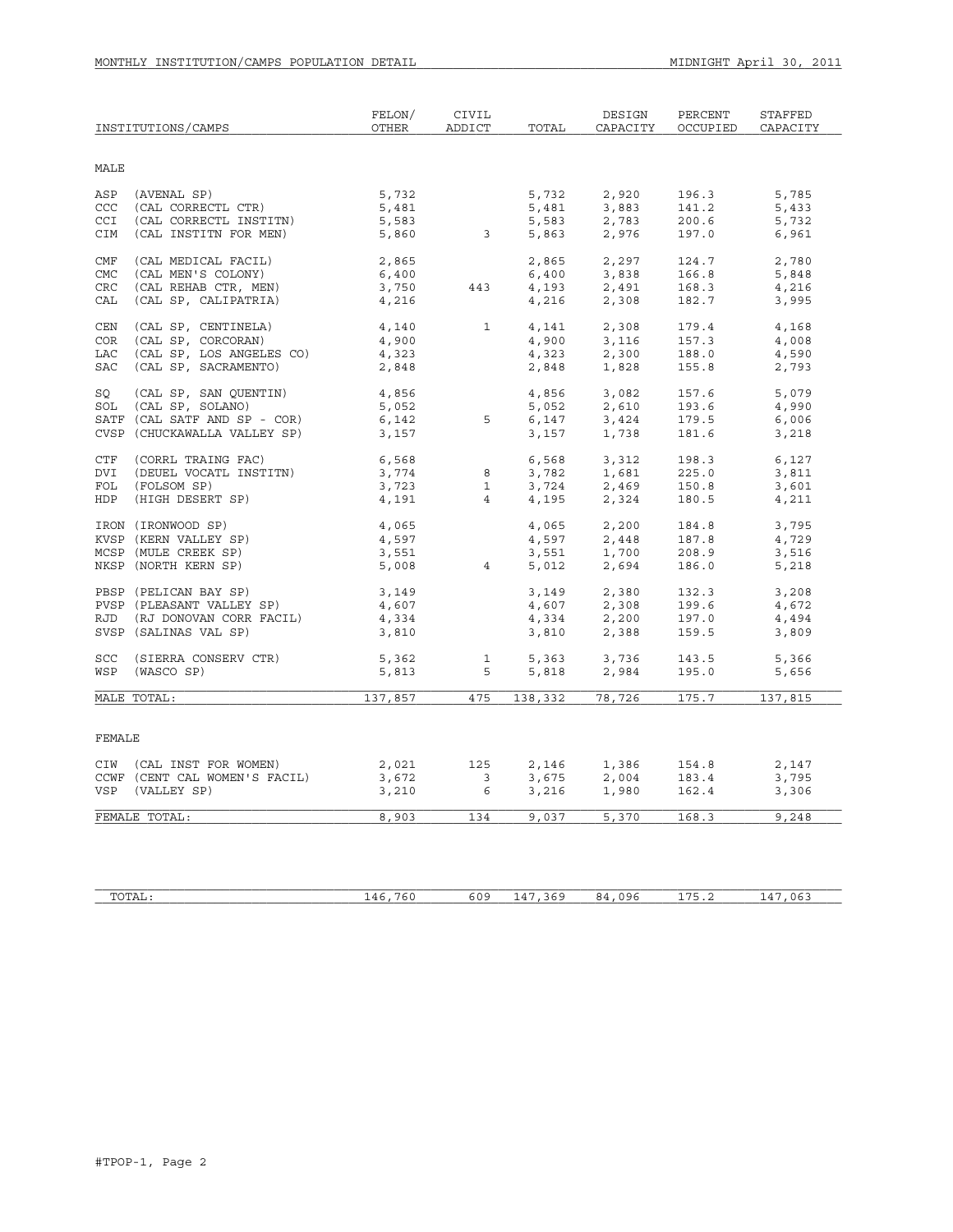|            | INSTITUTIONS/CAMPS            | FELON/<br>OTHER | CIVIL<br>ADDICT         | TOTAL                | DESIGN<br>CAPACITY | PERCENT<br>OCCUPIED | <b>STAFFED</b><br>CAPACITY |
|------------|-------------------------------|-----------------|-------------------------|----------------------|--------------------|---------------------|----------------------------|
| MALE       |                               |                 |                         |                      |                    |                     |                            |
| ASP        | (AVENAL SP)                   | 5,732           |                         | 5,732                | 2,920              | 196.3               | 5,785                      |
| <b>CCC</b> | (CAL CORRECTL CTR)            | 5,481           |                         | 5,481                | 3,883              | 141.2               | 5,433                      |
| CCI        | (CAL CORRECTL INSTITN)        | 5,583           |                         | 5,583                | 2,783              | 200.6               | 5,732                      |
| CIM        | (CAL INSTITN FOR MEN)         | 5,860           | $\overline{\mathbf{3}}$ | 5,863                | 2,976              | 197.0               | 6,961                      |
|            |                               |                 |                         |                      |                    |                     |                            |
| <b>CMF</b> | (CAL MEDICAL FACIL)           | 2,865           |                         | 2,865                | 2,297              | 124.7               | 2,780                      |
| <b>CMC</b> | (CAL MEN'S COLONY)            | 6,400           |                         | 6,400                | 3,838              | 166.8               | 5,848                      |
| CRC        | (CAL REHAB CTR, MEN)          | 3,750           | 443                     | 4,193                | 2,491              | 168.3               | 4,216                      |
| CAL        | (CAL SP, CALIPATRIA)          | 4,216           |                         | 4,216                | 2,308              | 182.7               | 3,995                      |
| CEN        | (CAL SP, CENTINELA)           | 4,140           | $\mathbf{1}$            | 4,141                | 2,308              | 179.4               | 4,168                      |
| COR        | (CAL SP, CORCORAN)            | 4,900           |                         | 4,900                | 3,116              | 157.3               | 4,008                      |
| <b>LAC</b> | (CAL SP, LOS ANGELES CO)      | 4,323           |                         | 4,323                | 2,300              | 188.0               | 4,590                      |
| <b>SAC</b> | (CAL SP, SACRAMENTO)          | 2,848           |                         | 2,848                | 1,828              | 155.8               | 2,793                      |
| SO         | (CAL SP, SAN OUENTIN)         | 4,856           |                         | 4,856                | 3,082              | 157.6               | 5,079                      |
| SOL        | (CAL SP, SOLANO)              | 5,052           |                         | 5,052                | 2,610              | 193.6               | 4,990                      |
|            | SATF (CAL SATF AND SP - COR)  | 6,142           | 5                       | 6,147                | 3,424              | 179.5               | 6,006                      |
|            | CVSP (CHUCKAWALLA VALLEY SP)  | 3,157           |                         | 3,157                | 1,738              | 181.6               | 3,218                      |
|            |                               |                 |                         |                      |                    |                     |                            |
| CTF        | (CORRL TRAING FAC)            | 6,568           |                         | 6,568                | 3,312              | 198.3               | 6,127                      |
| DVI        | (DEUEL VOCATL INSTITN)        | 3,774           | 8                       | 3,782                | 1,681              | 225.0               | 3,811                      |
| FOL        | (FOLSOM SP)                   | 3,723           | $\mathbf{1}$            | 3,724                | 2,469              | 150.8               | 3,601                      |
| HDP        | (HIGH DESERT SP)              | 4,191           | $\overline{4}$          | 4,195                | 2,324              | 180.5               | 4,211                      |
|            | IRON (IRONWOOD SP)            | 4,065           |                         | 4,065                | 2,200              | 184.8               | 3,795                      |
|            | KVSP (KERN VALLEY SP)         | 4,597           |                         | 4,597                | 2,448              | 187.8               | 4,729                      |
|            | MCSP (MULE CREEK SP)          | 3,551           |                         | 3,551                | 1,700              | 208.9               | 3,516                      |
|            | NKSP (NORTH KERN SP)          | 5,008           | $4 \quad$               | 5,012                | 2,694              | 186.0               | 5,218                      |
|            | PBSP (PELICAN BAY SP)         | 3,149           |                         | 3,149                | 2,380              | 132.3               | 3,208                      |
|            | PVSP (PLEASANT VALLEY SP)     | 4,607           |                         | 4,607                | 2,308              | 199.6               | 4,672                      |
|            | RJD (RJ DONOVAN CORR FACIL)   | 4,334           |                         | 4,334                | 2,200              | 197.0               | 4,494                      |
|            | SVSP (SALINAS VAL SP)         | 3,810           |                         | 3,810                | 2,388              | 159.5               | 3,809                      |
| SCC        | (SIERRA CONSERV CTR)          | 5,362           | $\mathbf{1}$            | 5,363                | 3,736              | 143.5               | 5,366                      |
| WSP        | (WASCO SP)                    | 5,813           | 5                       | د ہ د , د<br>5 , 818 | 2,984              | 195.0               | 5,656                      |
|            |                               |                 |                         |                      |                    |                     |                            |
|            | MALE TOTAL:                   | 137,857         | 475                     | 138,332              | 78,726             | 175.7               | 137,815                    |
|            |                               |                 |                         |                      |                    |                     |                            |
| FEMALE     |                               |                 |                         |                      |                    |                     |                            |
|            | CIW (CAL INST FOR WOMEN)      | 2,021           | 125                     | 2,146                | 1,386              | 154.8               | 2,147                      |
|            | CCWF (CENT CAL WOMEN'S FACIL) | 3,672           | 3                       | 3,675                | 2,004              | 183.4               | 3,795                      |
| VSP        | (VALLEY SP)                   | 3,210           | 6                       | 3,216                | 1,980              | 162.4               | 3,306                      |
|            | FEMALE TOTAL:                 | 8,903           | 134                     | 9,037                | 5,370              | 168.3               | 9,248                      |
|            |                               |                 |                         |                      |                    |                     |                            |
|            |                               |                 |                         |                      |                    |                     |                            |

| TOTAI<br>⊥A⊔ ` | - - -<br>$\epsilon$<br>$\sim$<br>.<br>____ | 60S<br>ם ו | - - -<br>$\epsilon$ . C<br>$\mathbf{u}$<br>--<br>$\sim$ | $\sim$ $\sim$<br>$\cdots$<br>1 L J G<br>×⊥<br>.<br>ט י | - - -<br>ີ້<br><u>.</u> | $\sim$ $-$<br>06<br>-- |
|----------------|--------------------------------------------|------------|---------------------------------------------------------|--------------------------------------------------------|-------------------------|------------------------|
|                |                                            |            |                                                         |                                                        |                         |                        |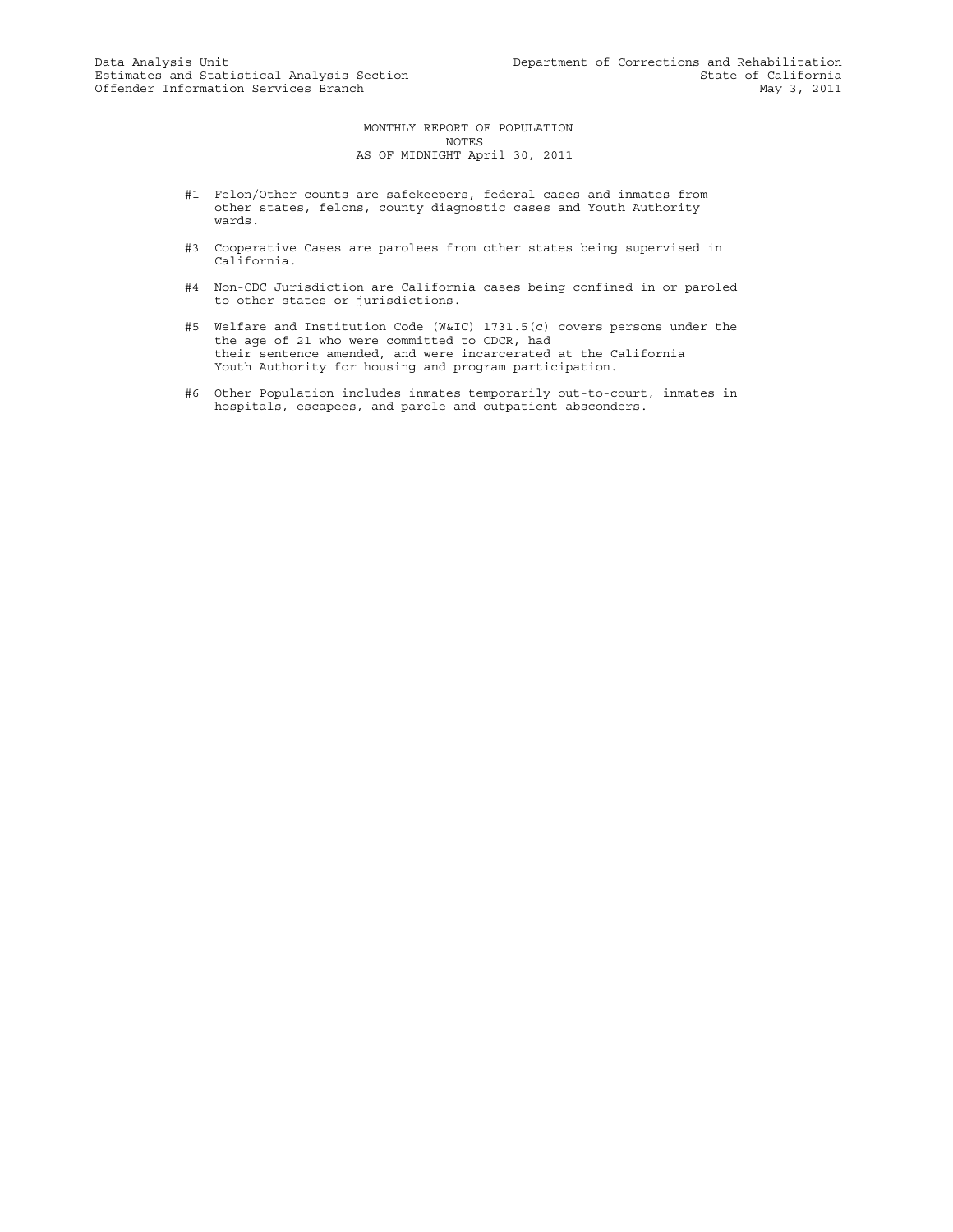MONTHLY REPORT OF POPULATION NOTES AS OF MIDNIGHT April 30, 2011

- #1 Felon/Other counts are safekeepers, federal cases and inmates from other states, felons, county diagnostic cases and Youth Authority wards.
- #3 Cooperative Cases are parolees from other states being supervised in California.
- #4 Non-CDC Jurisdiction are California cases being confined in or paroled to other states or jurisdictions.
- #5 Welfare and Institution Code (W&IC) 1731.5(c) covers persons under the the age of 21 who were committed to CDCR, had their sentence amended, and were incarcerated at the California Youth Authority for housing and program participation.
- #6 Other Population includes inmates temporarily out-to-court, inmates in hospitals, escapees, and parole and outpatient absconders.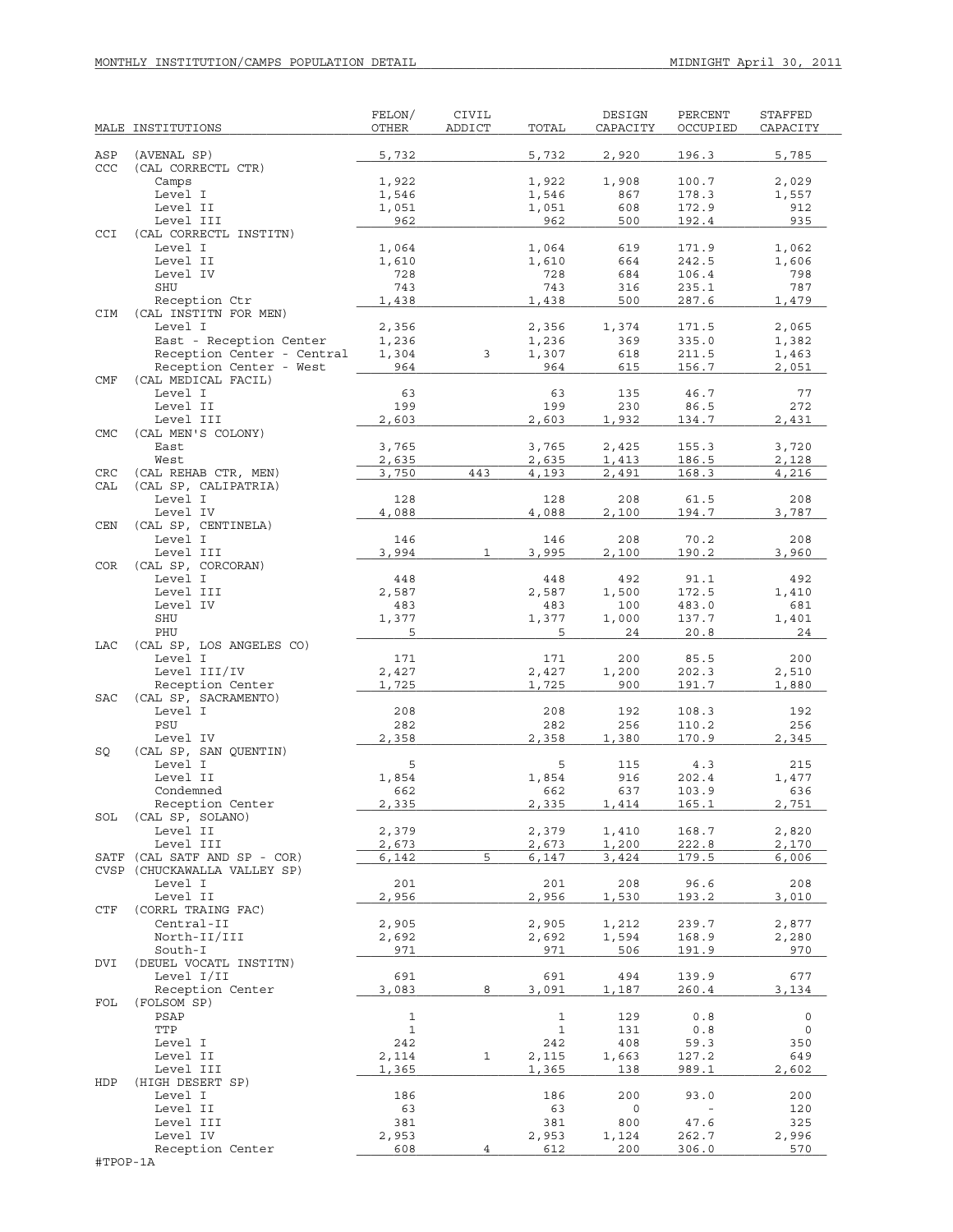| ASP<br>(AVENAL SP)<br>5,732<br>5,732<br>2,920<br>196.3<br>5,785<br>CCC<br>(CAL CORRECTL CTR)<br>1,922<br>1,922<br>1,908<br>100.7<br>2,029<br>Camps<br>Level I<br>178.3<br>1,546<br>1,546<br>867<br>1,557<br>Level II<br>608<br>172.9<br>1,051<br>1,051<br>912<br>Level III<br>962<br>962<br>500<br>192.4<br>935<br>CCI<br>(CAL CORRECTL INSTITN)<br>Level I<br>619<br>1,062<br>1,064<br>1,064<br>171.9<br>Level II<br>1,610<br>1,610<br>664<br>242.5<br>1,606<br>Level IV<br>728<br>728<br>684<br>106.4<br>798<br>SHU<br>743<br>743<br>316<br>235.1<br>787<br>Reception Ctr<br>1,438<br>1,438<br>500<br>287.6<br>1,479<br>CIM<br>(CAL INSTITN FOR MEN)<br>Level I<br>2,356<br>2,065<br>2,356<br>1,374<br>171.5<br>East - Reception Center<br>369<br>1,236<br>1,236<br>335.0<br>1,382<br>Reception Center - Central<br>3<br>1,307<br>1,304<br>618<br>211.5<br>1,463<br>Reception Center - West<br>964<br>964<br>2,051<br>615<br>156.7<br>CMF<br>(CAL MEDICAL FACIL)<br>Level I<br>63<br>63<br>46.7<br>135<br>77<br>199<br>199<br>Level II<br>230<br>86.5<br>272<br>Level III<br>2,603<br>2,603<br>1,932<br>134.7<br>2,431<br><b>CMC</b><br>(CAL MEN'S COLONY)<br>3,765<br>3,765<br>2,425<br>155.3<br>3,720<br>East<br>West<br>2,635<br>2,635<br>1,413<br>186.5<br>2,128<br>(CAL REHAB CTR, MEN)<br>3,750<br>443<br>4,193<br>2,491<br>168.3<br>4,216<br>CRC<br>CAL<br>(CAL SP, CALIPATRIA)<br>Level I<br>128<br>128<br>61.5<br>208<br>208<br>Level IV<br>4,088<br>4,088<br>2,100<br>194.7<br>3,787<br>(CAL SP, CENTINELA)<br>CEN<br>Level I<br>146<br>146<br>208<br>70.2<br>208<br>3,994<br>190.2<br>Level III<br>3,995<br>2,100<br>3,960<br>1<br><b>COR</b><br>(CAL SP, CORCORAN)<br>Level I<br>91.1<br>448<br>448<br>492<br>492<br>172.5<br>Level III<br>2,587<br>2,587<br>1,500<br>1,410<br>Level IV<br>483.0<br>483<br>483<br>100<br>681<br>SHU<br>1,377<br>1,377<br>1,000<br>137.7<br>1,401<br>PHU<br>5<br>5<br>24<br>20.8<br>24<br>LAC<br>(CAL SP, LOS ANGELES CO)<br>Level I<br>171<br>171<br>85.5<br>200<br>200<br>Level III/IV<br>2,427<br>2,427<br>202.3<br>1,200<br>2,510<br>Reception Center<br>1,725<br>1,725<br>900<br>191.7<br>1,880<br><b>SAC</b><br>(CAL SP, SACRAMENTO)<br>Level I<br>208<br>108.3<br>208<br>192<br>192<br>PSU<br>282<br>282<br>256<br>110.2<br>256<br>Level IV<br>2,358<br>2,358<br>1,380<br>170.9<br>2,345<br>(CAL SP, SAN QUENTIN)<br>SQ<br>Level I<br>5<br>5<br>215<br>115<br>4.3<br>Level II<br>1,854<br>1,854<br>916<br>202.4<br>1,477<br>Condemned<br>637<br>103.9<br>662<br>662<br>636<br>2,335<br>2,335<br>2,751<br>Reception Center<br>1,414<br>165.1<br>(CAL SP, SOLANO)<br>SOL<br>Level II<br>2,379<br>2,379<br>2,820<br>1,410<br>168.7<br>Level III<br>2,673<br>2,673<br>222.8<br>2,170<br>1,200<br>5<br>(CAL SATF AND SP - COR)<br>6,142<br>6,147<br>179.5<br>3,424<br>6,006<br>SATF<br>CVSP (CHUCKAWALLA VALLEY SP)<br>201<br>96.6<br>Level I<br>201<br>208<br>208<br>Level II<br>2,956<br>2,956<br>193.2<br>1,530<br>3,010<br>(CORRL TRAING FAC)<br>CTF<br>Central-II<br>2,905<br>2,905<br>2,877<br>1,212<br>239.7<br>North-II/III<br>2,692<br>2,692<br>1,594<br>168.9<br>2,280<br>South-I<br>971<br>971<br>506<br>191.9<br>970<br>(DEUEL VOCATL INSTITN)<br>DVI<br>Level I/II<br>691<br>691<br>494<br>139.9<br>677<br>8<br>Reception Center<br>3,083<br>3,091<br>1,187<br>260.4<br>3,134<br>FOL<br>(FOLSOM SP)<br>$\mathbf{1}$<br>$\mathbf 1$<br>0.8<br>0<br>PSAP<br>129<br>TTP<br>$\mathbf{1}$<br>$\mathbf 1$<br>0.8<br>131<br>0<br>242<br>242<br>408<br>59.3<br>350<br>Level I<br>Level II<br>127.2<br>2,114<br>1<br>2,115<br>649<br>1,663<br>Level III<br>1,365<br>989.1<br>2,602<br>1,365<br>138<br>HDP<br>(HIGH DESERT SP)<br>186<br>93.0<br>200<br>Level I<br>186<br>200<br>Level II<br>63<br>63<br>0<br>120<br>47.6<br>Level III<br>381<br>381<br>800<br>325<br>Level IV<br>2,953<br>2,953<br>262.7<br>2,996<br>1,124<br>306.0<br>Reception Center<br>608<br>$\overline{4}$<br>612<br>200<br>570<br>#TPOP-1A | MALE INSTITUTIONS | FELON/<br>OTHER | CIVIL<br>ADDICT | TOTAL | DESIGN<br>CAPACITY | PERCENT<br>OCCUPIED | <b>STAFFED</b><br>CAPACITY |
|----------------------------------------------------------------------------------------------------------------------------------------------------------------------------------------------------------------------------------------------------------------------------------------------------------------------------------------------------------------------------------------------------------------------------------------------------------------------------------------------------------------------------------------------------------------------------------------------------------------------------------------------------------------------------------------------------------------------------------------------------------------------------------------------------------------------------------------------------------------------------------------------------------------------------------------------------------------------------------------------------------------------------------------------------------------------------------------------------------------------------------------------------------------------------------------------------------------------------------------------------------------------------------------------------------------------------------------------------------------------------------------------------------------------------------------------------------------------------------------------------------------------------------------------------------------------------------------------------------------------------------------------------------------------------------------------------------------------------------------------------------------------------------------------------------------------------------------------------------------------------------------------------------------------------------------------------------------------------------------------------------------------------------------------------------------------------------------------------------------------------------------------------------------------------------------------------------------------------------------------------------------------------------------------------------------------------------------------------------------------------------------------------------------------------------------------------------------------------------------------------------------------------------------------------------------------------------------------------------------------------------------------------------------------------------------------------------------------------------------------------------------------------------------------------------------------------------------------------------------------------------------------------------------------------------------------------------------------------------------------------------------------------------------------------------------------------------------------------------------------------------------------------------------------------------------------------------------------------------------------------------------------------------------------------------------------------------------------------------------------------------------------------------------------------------------------------------------------------------------------------------------------------------------------------------------------------------------------------------------------------------------------------------------------------------------------------------------------------------------------------------------------------------------------------------------------------------------------------------------------------------------------------------------------------------------------------------------------|-------------------|-----------------|-----------------|-------|--------------------|---------------------|----------------------------|
|                                                                                                                                                                                                                                                                                                                                                                                                                                                                                                                                                                                                                                                                                                                                                                                                                                                                                                                                                                                                                                                                                                                                                                                                                                                                                                                                                                                                                                                                                                                                                                                                                                                                                                                                                                                                                                                                                                                                                                                                                                                                                                                                                                                                                                                                                                                                                                                                                                                                                                                                                                                                                                                                                                                                                                                                                                                                                                                                                                                                                                                                                                                                                                                                                                                                                                                                                                                                                                                                                                                                                                                                                                                                                                                                                                                                                                                                                                                                                                      |                   |                 |                 |       |                    |                     |                            |
|                                                                                                                                                                                                                                                                                                                                                                                                                                                                                                                                                                                                                                                                                                                                                                                                                                                                                                                                                                                                                                                                                                                                                                                                                                                                                                                                                                                                                                                                                                                                                                                                                                                                                                                                                                                                                                                                                                                                                                                                                                                                                                                                                                                                                                                                                                                                                                                                                                                                                                                                                                                                                                                                                                                                                                                                                                                                                                                                                                                                                                                                                                                                                                                                                                                                                                                                                                                                                                                                                                                                                                                                                                                                                                                                                                                                                                                                                                                                                                      |                   |                 |                 |       |                    |                     |                            |
|                                                                                                                                                                                                                                                                                                                                                                                                                                                                                                                                                                                                                                                                                                                                                                                                                                                                                                                                                                                                                                                                                                                                                                                                                                                                                                                                                                                                                                                                                                                                                                                                                                                                                                                                                                                                                                                                                                                                                                                                                                                                                                                                                                                                                                                                                                                                                                                                                                                                                                                                                                                                                                                                                                                                                                                                                                                                                                                                                                                                                                                                                                                                                                                                                                                                                                                                                                                                                                                                                                                                                                                                                                                                                                                                                                                                                                                                                                                                                                      |                   |                 |                 |       |                    |                     |                            |
|                                                                                                                                                                                                                                                                                                                                                                                                                                                                                                                                                                                                                                                                                                                                                                                                                                                                                                                                                                                                                                                                                                                                                                                                                                                                                                                                                                                                                                                                                                                                                                                                                                                                                                                                                                                                                                                                                                                                                                                                                                                                                                                                                                                                                                                                                                                                                                                                                                                                                                                                                                                                                                                                                                                                                                                                                                                                                                                                                                                                                                                                                                                                                                                                                                                                                                                                                                                                                                                                                                                                                                                                                                                                                                                                                                                                                                                                                                                                                                      |                   |                 |                 |       |                    |                     |                            |
|                                                                                                                                                                                                                                                                                                                                                                                                                                                                                                                                                                                                                                                                                                                                                                                                                                                                                                                                                                                                                                                                                                                                                                                                                                                                                                                                                                                                                                                                                                                                                                                                                                                                                                                                                                                                                                                                                                                                                                                                                                                                                                                                                                                                                                                                                                                                                                                                                                                                                                                                                                                                                                                                                                                                                                                                                                                                                                                                                                                                                                                                                                                                                                                                                                                                                                                                                                                                                                                                                                                                                                                                                                                                                                                                                                                                                                                                                                                                                                      |                   |                 |                 |       |                    |                     |                            |
|                                                                                                                                                                                                                                                                                                                                                                                                                                                                                                                                                                                                                                                                                                                                                                                                                                                                                                                                                                                                                                                                                                                                                                                                                                                                                                                                                                                                                                                                                                                                                                                                                                                                                                                                                                                                                                                                                                                                                                                                                                                                                                                                                                                                                                                                                                                                                                                                                                                                                                                                                                                                                                                                                                                                                                                                                                                                                                                                                                                                                                                                                                                                                                                                                                                                                                                                                                                                                                                                                                                                                                                                                                                                                                                                                                                                                                                                                                                                                                      |                   |                 |                 |       |                    |                     |                            |
|                                                                                                                                                                                                                                                                                                                                                                                                                                                                                                                                                                                                                                                                                                                                                                                                                                                                                                                                                                                                                                                                                                                                                                                                                                                                                                                                                                                                                                                                                                                                                                                                                                                                                                                                                                                                                                                                                                                                                                                                                                                                                                                                                                                                                                                                                                                                                                                                                                                                                                                                                                                                                                                                                                                                                                                                                                                                                                                                                                                                                                                                                                                                                                                                                                                                                                                                                                                                                                                                                                                                                                                                                                                                                                                                                                                                                                                                                                                                                                      |                   |                 |                 |       |                    |                     |                            |
|                                                                                                                                                                                                                                                                                                                                                                                                                                                                                                                                                                                                                                                                                                                                                                                                                                                                                                                                                                                                                                                                                                                                                                                                                                                                                                                                                                                                                                                                                                                                                                                                                                                                                                                                                                                                                                                                                                                                                                                                                                                                                                                                                                                                                                                                                                                                                                                                                                                                                                                                                                                                                                                                                                                                                                                                                                                                                                                                                                                                                                                                                                                                                                                                                                                                                                                                                                                                                                                                                                                                                                                                                                                                                                                                                                                                                                                                                                                                                                      |                   |                 |                 |       |                    |                     |                            |
|                                                                                                                                                                                                                                                                                                                                                                                                                                                                                                                                                                                                                                                                                                                                                                                                                                                                                                                                                                                                                                                                                                                                                                                                                                                                                                                                                                                                                                                                                                                                                                                                                                                                                                                                                                                                                                                                                                                                                                                                                                                                                                                                                                                                                                                                                                                                                                                                                                                                                                                                                                                                                                                                                                                                                                                                                                                                                                                                                                                                                                                                                                                                                                                                                                                                                                                                                                                                                                                                                                                                                                                                                                                                                                                                                                                                                                                                                                                                                                      |                   |                 |                 |       |                    |                     |                            |
|                                                                                                                                                                                                                                                                                                                                                                                                                                                                                                                                                                                                                                                                                                                                                                                                                                                                                                                                                                                                                                                                                                                                                                                                                                                                                                                                                                                                                                                                                                                                                                                                                                                                                                                                                                                                                                                                                                                                                                                                                                                                                                                                                                                                                                                                                                                                                                                                                                                                                                                                                                                                                                                                                                                                                                                                                                                                                                                                                                                                                                                                                                                                                                                                                                                                                                                                                                                                                                                                                                                                                                                                                                                                                                                                                                                                                                                                                                                                                                      |                   |                 |                 |       |                    |                     |                            |
|                                                                                                                                                                                                                                                                                                                                                                                                                                                                                                                                                                                                                                                                                                                                                                                                                                                                                                                                                                                                                                                                                                                                                                                                                                                                                                                                                                                                                                                                                                                                                                                                                                                                                                                                                                                                                                                                                                                                                                                                                                                                                                                                                                                                                                                                                                                                                                                                                                                                                                                                                                                                                                                                                                                                                                                                                                                                                                                                                                                                                                                                                                                                                                                                                                                                                                                                                                                                                                                                                                                                                                                                                                                                                                                                                                                                                                                                                                                                                                      |                   |                 |                 |       |                    |                     |                            |
|                                                                                                                                                                                                                                                                                                                                                                                                                                                                                                                                                                                                                                                                                                                                                                                                                                                                                                                                                                                                                                                                                                                                                                                                                                                                                                                                                                                                                                                                                                                                                                                                                                                                                                                                                                                                                                                                                                                                                                                                                                                                                                                                                                                                                                                                                                                                                                                                                                                                                                                                                                                                                                                                                                                                                                                                                                                                                                                                                                                                                                                                                                                                                                                                                                                                                                                                                                                                                                                                                                                                                                                                                                                                                                                                                                                                                                                                                                                                                                      |                   |                 |                 |       |                    |                     |                            |
|                                                                                                                                                                                                                                                                                                                                                                                                                                                                                                                                                                                                                                                                                                                                                                                                                                                                                                                                                                                                                                                                                                                                                                                                                                                                                                                                                                                                                                                                                                                                                                                                                                                                                                                                                                                                                                                                                                                                                                                                                                                                                                                                                                                                                                                                                                                                                                                                                                                                                                                                                                                                                                                                                                                                                                                                                                                                                                                                                                                                                                                                                                                                                                                                                                                                                                                                                                                                                                                                                                                                                                                                                                                                                                                                                                                                                                                                                                                                                                      |                   |                 |                 |       |                    |                     |                            |
|                                                                                                                                                                                                                                                                                                                                                                                                                                                                                                                                                                                                                                                                                                                                                                                                                                                                                                                                                                                                                                                                                                                                                                                                                                                                                                                                                                                                                                                                                                                                                                                                                                                                                                                                                                                                                                                                                                                                                                                                                                                                                                                                                                                                                                                                                                                                                                                                                                                                                                                                                                                                                                                                                                                                                                                                                                                                                                                                                                                                                                                                                                                                                                                                                                                                                                                                                                                                                                                                                                                                                                                                                                                                                                                                                                                                                                                                                                                                                                      |                   |                 |                 |       |                    |                     |                            |
|                                                                                                                                                                                                                                                                                                                                                                                                                                                                                                                                                                                                                                                                                                                                                                                                                                                                                                                                                                                                                                                                                                                                                                                                                                                                                                                                                                                                                                                                                                                                                                                                                                                                                                                                                                                                                                                                                                                                                                                                                                                                                                                                                                                                                                                                                                                                                                                                                                                                                                                                                                                                                                                                                                                                                                                                                                                                                                                                                                                                                                                                                                                                                                                                                                                                                                                                                                                                                                                                                                                                                                                                                                                                                                                                                                                                                                                                                                                                                                      |                   |                 |                 |       |                    |                     |                            |
|                                                                                                                                                                                                                                                                                                                                                                                                                                                                                                                                                                                                                                                                                                                                                                                                                                                                                                                                                                                                                                                                                                                                                                                                                                                                                                                                                                                                                                                                                                                                                                                                                                                                                                                                                                                                                                                                                                                                                                                                                                                                                                                                                                                                                                                                                                                                                                                                                                                                                                                                                                                                                                                                                                                                                                                                                                                                                                                                                                                                                                                                                                                                                                                                                                                                                                                                                                                                                                                                                                                                                                                                                                                                                                                                                                                                                                                                                                                                                                      |                   |                 |                 |       |                    |                     |                            |
|                                                                                                                                                                                                                                                                                                                                                                                                                                                                                                                                                                                                                                                                                                                                                                                                                                                                                                                                                                                                                                                                                                                                                                                                                                                                                                                                                                                                                                                                                                                                                                                                                                                                                                                                                                                                                                                                                                                                                                                                                                                                                                                                                                                                                                                                                                                                                                                                                                                                                                                                                                                                                                                                                                                                                                                                                                                                                                                                                                                                                                                                                                                                                                                                                                                                                                                                                                                                                                                                                                                                                                                                                                                                                                                                                                                                                                                                                                                                                                      |                   |                 |                 |       |                    |                     |                            |
|                                                                                                                                                                                                                                                                                                                                                                                                                                                                                                                                                                                                                                                                                                                                                                                                                                                                                                                                                                                                                                                                                                                                                                                                                                                                                                                                                                                                                                                                                                                                                                                                                                                                                                                                                                                                                                                                                                                                                                                                                                                                                                                                                                                                                                                                                                                                                                                                                                                                                                                                                                                                                                                                                                                                                                                                                                                                                                                                                                                                                                                                                                                                                                                                                                                                                                                                                                                                                                                                                                                                                                                                                                                                                                                                                                                                                                                                                                                                                                      |                   |                 |                 |       |                    |                     |                            |
|                                                                                                                                                                                                                                                                                                                                                                                                                                                                                                                                                                                                                                                                                                                                                                                                                                                                                                                                                                                                                                                                                                                                                                                                                                                                                                                                                                                                                                                                                                                                                                                                                                                                                                                                                                                                                                                                                                                                                                                                                                                                                                                                                                                                                                                                                                                                                                                                                                                                                                                                                                                                                                                                                                                                                                                                                                                                                                                                                                                                                                                                                                                                                                                                                                                                                                                                                                                                                                                                                                                                                                                                                                                                                                                                                                                                                                                                                                                                                                      |                   |                 |                 |       |                    |                     |                            |
|                                                                                                                                                                                                                                                                                                                                                                                                                                                                                                                                                                                                                                                                                                                                                                                                                                                                                                                                                                                                                                                                                                                                                                                                                                                                                                                                                                                                                                                                                                                                                                                                                                                                                                                                                                                                                                                                                                                                                                                                                                                                                                                                                                                                                                                                                                                                                                                                                                                                                                                                                                                                                                                                                                                                                                                                                                                                                                                                                                                                                                                                                                                                                                                                                                                                                                                                                                                                                                                                                                                                                                                                                                                                                                                                                                                                                                                                                                                                                                      |                   |                 |                 |       |                    |                     |                            |
|                                                                                                                                                                                                                                                                                                                                                                                                                                                                                                                                                                                                                                                                                                                                                                                                                                                                                                                                                                                                                                                                                                                                                                                                                                                                                                                                                                                                                                                                                                                                                                                                                                                                                                                                                                                                                                                                                                                                                                                                                                                                                                                                                                                                                                                                                                                                                                                                                                                                                                                                                                                                                                                                                                                                                                                                                                                                                                                                                                                                                                                                                                                                                                                                                                                                                                                                                                                                                                                                                                                                                                                                                                                                                                                                                                                                                                                                                                                                                                      |                   |                 |                 |       |                    |                     |                            |
|                                                                                                                                                                                                                                                                                                                                                                                                                                                                                                                                                                                                                                                                                                                                                                                                                                                                                                                                                                                                                                                                                                                                                                                                                                                                                                                                                                                                                                                                                                                                                                                                                                                                                                                                                                                                                                                                                                                                                                                                                                                                                                                                                                                                                                                                                                                                                                                                                                                                                                                                                                                                                                                                                                                                                                                                                                                                                                                                                                                                                                                                                                                                                                                                                                                                                                                                                                                                                                                                                                                                                                                                                                                                                                                                                                                                                                                                                                                                                                      |                   |                 |                 |       |                    |                     |                            |
|                                                                                                                                                                                                                                                                                                                                                                                                                                                                                                                                                                                                                                                                                                                                                                                                                                                                                                                                                                                                                                                                                                                                                                                                                                                                                                                                                                                                                                                                                                                                                                                                                                                                                                                                                                                                                                                                                                                                                                                                                                                                                                                                                                                                                                                                                                                                                                                                                                                                                                                                                                                                                                                                                                                                                                                                                                                                                                                                                                                                                                                                                                                                                                                                                                                                                                                                                                                                                                                                                                                                                                                                                                                                                                                                                                                                                                                                                                                                                                      |                   |                 |                 |       |                    |                     |                            |
|                                                                                                                                                                                                                                                                                                                                                                                                                                                                                                                                                                                                                                                                                                                                                                                                                                                                                                                                                                                                                                                                                                                                                                                                                                                                                                                                                                                                                                                                                                                                                                                                                                                                                                                                                                                                                                                                                                                                                                                                                                                                                                                                                                                                                                                                                                                                                                                                                                                                                                                                                                                                                                                                                                                                                                                                                                                                                                                                                                                                                                                                                                                                                                                                                                                                                                                                                                                                                                                                                                                                                                                                                                                                                                                                                                                                                                                                                                                                                                      |                   |                 |                 |       |                    |                     |                            |
|                                                                                                                                                                                                                                                                                                                                                                                                                                                                                                                                                                                                                                                                                                                                                                                                                                                                                                                                                                                                                                                                                                                                                                                                                                                                                                                                                                                                                                                                                                                                                                                                                                                                                                                                                                                                                                                                                                                                                                                                                                                                                                                                                                                                                                                                                                                                                                                                                                                                                                                                                                                                                                                                                                                                                                                                                                                                                                                                                                                                                                                                                                                                                                                                                                                                                                                                                                                                                                                                                                                                                                                                                                                                                                                                                                                                                                                                                                                                                                      |                   |                 |                 |       |                    |                     |                            |
|                                                                                                                                                                                                                                                                                                                                                                                                                                                                                                                                                                                                                                                                                                                                                                                                                                                                                                                                                                                                                                                                                                                                                                                                                                                                                                                                                                                                                                                                                                                                                                                                                                                                                                                                                                                                                                                                                                                                                                                                                                                                                                                                                                                                                                                                                                                                                                                                                                                                                                                                                                                                                                                                                                                                                                                                                                                                                                                                                                                                                                                                                                                                                                                                                                                                                                                                                                                                                                                                                                                                                                                                                                                                                                                                                                                                                                                                                                                                                                      |                   |                 |                 |       |                    |                     |                            |
|                                                                                                                                                                                                                                                                                                                                                                                                                                                                                                                                                                                                                                                                                                                                                                                                                                                                                                                                                                                                                                                                                                                                                                                                                                                                                                                                                                                                                                                                                                                                                                                                                                                                                                                                                                                                                                                                                                                                                                                                                                                                                                                                                                                                                                                                                                                                                                                                                                                                                                                                                                                                                                                                                                                                                                                                                                                                                                                                                                                                                                                                                                                                                                                                                                                                                                                                                                                                                                                                                                                                                                                                                                                                                                                                                                                                                                                                                                                                                                      |                   |                 |                 |       |                    |                     |                            |
|                                                                                                                                                                                                                                                                                                                                                                                                                                                                                                                                                                                                                                                                                                                                                                                                                                                                                                                                                                                                                                                                                                                                                                                                                                                                                                                                                                                                                                                                                                                                                                                                                                                                                                                                                                                                                                                                                                                                                                                                                                                                                                                                                                                                                                                                                                                                                                                                                                                                                                                                                                                                                                                                                                                                                                                                                                                                                                                                                                                                                                                                                                                                                                                                                                                                                                                                                                                                                                                                                                                                                                                                                                                                                                                                                                                                                                                                                                                                                                      |                   |                 |                 |       |                    |                     |                            |
|                                                                                                                                                                                                                                                                                                                                                                                                                                                                                                                                                                                                                                                                                                                                                                                                                                                                                                                                                                                                                                                                                                                                                                                                                                                                                                                                                                                                                                                                                                                                                                                                                                                                                                                                                                                                                                                                                                                                                                                                                                                                                                                                                                                                                                                                                                                                                                                                                                                                                                                                                                                                                                                                                                                                                                                                                                                                                                                                                                                                                                                                                                                                                                                                                                                                                                                                                                                                                                                                                                                                                                                                                                                                                                                                                                                                                                                                                                                                                                      |                   |                 |                 |       |                    |                     |                            |
|                                                                                                                                                                                                                                                                                                                                                                                                                                                                                                                                                                                                                                                                                                                                                                                                                                                                                                                                                                                                                                                                                                                                                                                                                                                                                                                                                                                                                                                                                                                                                                                                                                                                                                                                                                                                                                                                                                                                                                                                                                                                                                                                                                                                                                                                                                                                                                                                                                                                                                                                                                                                                                                                                                                                                                                                                                                                                                                                                                                                                                                                                                                                                                                                                                                                                                                                                                                                                                                                                                                                                                                                                                                                                                                                                                                                                                                                                                                                                                      |                   |                 |                 |       |                    |                     |                            |
|                                                                                                                                                                                                                                                                                                                                                                                                                                                                                                                                                                                                                                                                                                                                                                                                                                                                                                                                                                                                                                                                                                                                                                                                                                                                                                                                                                                                                                                                                                                                                                                                                                                                                                                                                                                                                                                                                                                                                                                                                                                                                                                                                                                                                                                                                                                                                                                                                                                                                                                                                                                                                                                                                                                                                                                                                                                                                                                                                                                                                                                                                                                                                                                                                                                                                                                                                                                                                                                                                                                                                                                                                                                                                                                                                                                                                                                                                                                                                                      |                   |                 |                 |       |                    |                     |                            |
|                                                                                                                                                                                                                                                                                                                                                                                                                                                                                                                                                                                                                                                                                                                                                                                                                                                                                                                                                                                                                                                                                                                                                                                                                                                                                                                                                                                                                                                                                                                                                                                                                                                                                                                                                                                                                                                                                                                                                                                                                                                                                                                                                                                                                                                                                                                                                                                                                                                                                                                                                                                                                                                                                                                                                                                                                                                                                                                                                                                                                                                                                                                                                                                                                                                                                                                                                                                                                                                                                                                                                                                                                                                                                                                                                                                                                                                                                                                                                                      |                   |                 |                 |       |                    |                     |                            |
|                                                                                                                                                                                                                                                                                                                                                                                                                                                                                                                                                                                                                                                                                                                                                                                                                                                                                                                                                                                                                                                                                                                                                                                                                                                                                                                                                                                                                                                                                                                                                                                                                                                                                                                                                                                                                                                                                                                                                                                                                                                                                                                                                                                                                                                                                                                                                                                                                                                                                                                                                                                                                                                                                                                                                                                                                                                                                                                                                                                                                                                                                                                                                                                                                                                                                                                                                                                                                                                                                                                                                                                                                                                                                                                                                                                                                                                                                                                                                                      |                   |                 |                 |       |                    |                     |                            |
|                                                                                                                                                                                                                                                                                                                                                                                                                                                                                                                                                                                                                                                                                                                                                                                                                                                                                                                                                                                                                                                                                                                                                                                                                                                                                                                                                                                                                                                                                                                                                                                                                                                                                                                                                                                                                                                                                                                                                                                                                                                                                                                                                                                                                                                                                                                                                                                                                                                                                                                                                                                                                                                                                                                                                                                                                                                                                                                                                                                                                                                                                                                                                                                                                                                                                                                                                                                                                                                                                                                                                                                                                                                                                                                                                                                                                                                                                                                                                                      |                   |                 |                 |       |                    |                     |                            |
|                                                                                                                                                                                                                                                                                                                                                                                                                                                                                                                                                                                                                                                                                                                                                                                                                                                                                                                                                                                                                                                                                                                                                                                                                                                                                                                                                                                                                                                                                                                                                                                                                                                                                                                                                                                                                                                                                                                                                                                                                                                                                                                                                                                                                                                                                                                                                                                                                                                                                                                                                                                                                                                                                                                                                                                                                                                                                                                                                                                                                                                                                                                                                                                                                                                                                                                                                                                                                                                                                                                                                                                                                                                                                                                                                                                                                                                                                                                                                                      |                   |                 |                 |       |                    |                     |                            |
|                                                                                                                                                                                                                                                                                                                                                                                                                                                                                                                                                                                                                                                                                                                                                                                                                                                                                                                                                                                                                                                                                                                                                                                                                                                                                                                                                                                                                                                                                                                                                                                                                                                                                                                                                                                                                                                                                                                                                                                                                                                                                                                                                                                                                                                                                                                                                                                                                                                                                                                                                                                                                                                                                                                                                                                                                                                                                                                                                                                                                                                                                                                                                                                                                                                                                                                                                                                                                                                                                                                                                                                                                                                                                                                                                                                                                                                                                                                                                                      |                   |                 |                 |       |                    |                     |                            |
|                                                                                                                                                                                                                                                                                                                                                                                                                                                                                                                                                                                                                                                                                                                                                                                                                                                                                                                                                                                                                                                                                                                                                                                                                                                                                                                                                                                                                                                                                                                                                                                                                                                                                                                                                                                                                                                                                                                                                                                                                                                                                                                                                                                                                                                                                                                                                                                                                                                                                                                                                                                                                                                                                                                                                                                                                                                                                                                                                                                                                                                                                                                                                                                                                                                                                                                                                                                                                                                                                                                                                                                                                                                                                                                                                                                                                                                                                                                                                                      |                   |                 |                 |       |                    |                     |                            |
|                                                                                                                                                                                                                                                                                                                                                                                                                                                                                                                                                                                                                                                                                                                                                                                                                                                                                                                                                                                                                                                                                                                                                                                                                                                                                                                                                                                                                                                                                                                                                                                                                                                                                                                                                                                                                                                                                                                                                                                                                                                                                                                                                                                                                                                                                                                                                                                                                                                                                                                                                                                                                                                                                                                                                                                                                                                                                                                                                                                                                                                                                                                                                                                                                                                                                                                                                                                                                                                                                                                                                                                                                                                                                                                                                                                                                                                                                                                                                                      |                   |                 |                 |       |                    |                     |                            |
|                                                                                                                                                                                                                                                                                                                                                                                                                                                                                                                                                                                                                                                                                                                                                                                                                                                                                                                                                                                                                                                                                                                                                                                                                                                                                                                                                                                                                                                                                                                                                                                                                                                                                                                                                                                                                                                                                                                                                                                                                                                                                                                                                                                                                                                                                                                                                                                                                                                                                                                                                                                                                                                                                                                                                                                                                                                                                                                                                                                                                                                                                                                                                                                                                                                                                                                                                                                                                                                                                                                                                                                                                                                                                                                                                                                                                                                                                                                                                                      |                   |                 |                 |       |                    |                     |                            |
|                                                                                                                                                                                                                                                                                                                                                                                                                                                                                                                                                                                                                                                                                                                                                                                                                                                                                                                                                                                                                                                                                                                                                                                                                                                                                                                                                                                                                                                                                                                                                                                                                                                                                                                                                                                                                                                                                                                                                                                                                                                                                                                                                                                                                                                                                                                                                                                                                                                                                                                                                                                                                                                                                                                                                                                                                                                                                                                                                                                                                                                                                                                                                                                                                                                                                                                                                                                                                                                                                                                                                                                                                                                                                                                                                                                                                                                                                                                                                                      |                   |                 |                 |       |                    |                     |                            |
|                                                                                                                                                                                                                                                                                                                                                                                                                                                                                                                                                                                                                                                                                                                                                                                                                                                                                                                                                                                                                                                                                                                                                                                                                                                                                                                                                                                                                                                                                                                                                                                                                                                                                                                                                                                                                                                                                                                                                                                                                                                                                                                                                                                                                                                                                                                                                                                                                                                                                                                                                                                                                                                                                                                                                                                                                                                                                                                                                                                                                                                                                                                                                                                                                                                                                                                                                                                                                                                                                                                                                                                                                                                                                                                                                                                                                                                                                                                                                                      |                   |                 |                 |       |                    |                     |                            |
|                                                                                                                                                                                                                                                                                                                                                                                                                                                                                                                                                                                                                                                                                                                                                                                                                                                                                                                                                                                                                                                                                                                                                                                                                                                                                                                                                                                                                                                                                                                                                                                                                                                                                                                                                                                                                                                                                                                                                                                                                                                                                                                                                                                                                                                                                                                                                                                                                                                                                                                                                                                                                                                                                                                                                                                                                                                                                                                                                                                                                                                                                                                                                                                                                                                                                                                                                                                                                                                                                                                                                                                                                                                                                                                                                                                                                                                                                                                                                                      |                   |                 |                 |       |                    |                     |                            |
|                                                                                                                                                                                                                                                                                                                                                                                                                                                                                                                                                                                                                                                                                                                                                                                                                                                                                                                                                                                                                                                                                                                                                                                                                                                                                                                                                                                                                                                                                                                                                                                                                                                                                                                                                                                                                                                                                                                                                                                                                                                                                                                                                                                                                                                                                                                                                                                                                                                                                                                                                                                                                                                                                                                                                                                                                                                                                                                                                                                                                                                                                                                                                                                                                                                                                                                                                                                                                                                                                                                                                                                                                                                                                                                                                                                                                                                                                                                                                                      |                   |                 |                 |       |                    |                     |                            |
|                                                                                                                                                                                                                                                                                                                                                                                                                                                                                                                                                                                                                                                                                                                                                                                                                                                                                                                                                                                                                                                                                                                                                                                                                                                                                                                                                                                                                                                                                                                                                                                                                                                                                                                                                                                                                                                                                                                                                                                                                                                                                                                                                                                                                                                                                                                                                                                                                                                                                                                                                                                                                                                                                                                                                                                                                                                                                                                                                                                                                                                                                                                                                                                                                                                                                                                                                                                                                                                                                                                                                                                                                                                                                                                                                                                                                                                                                                                                                                      |                   |                 |                 |       |                    |                     |                            |
|                                                                                                                                                                                                                                                                                                                                                                                                                                                                                                                                                                                                                                                                                                                                                                                                                                                                                                                                                                                                                                                                                                                                                                                                                                                                                                                                                                                                                                                                                                                                                                                                                                                                                                                                                                                                                                                                                                                                                                                                                                                                                                                                                                                                                                                                                                                                                                                                                                                                                                                                                                                                                                                                                                                                                                                                                                                                                                                                                                                                                                                                                                                                                                                                                                                                                                                                                                                                                                                                                                                                                                                                                                                                                                                                                                                                                                                                                                                                                                      |                   |                 |                 |       |                    |                     |                            |
|                                                                                                                                                                                                                                                                                                                                                                                                                                                                                                                                                                                                                                                                                                                                                                                                                                                                                                                                                                                                                                                                                                                                                                                                                                                                                                                                                                                                                                                                                                                                                                                                                                                                                                                                                                                                                                                                                                                                                                                                                                                                                                                                                                                                                                                                                                                                                                                                                                                                                                                                                                                                                                                                                                                                                                                                                                                                                                                                                                                                                                                                                                                                                                                                                                                                                                                                                                                                                                                                                                                                                                                                                                                                                                                                                                                                                                                                                                                                                                      |                   |                 |                 |       |                    |                     |                            |
|                                                                                                                                                                                                                                                                                                                                                                                                                                                                                                                                                                                                                                                                                                                                                                                                                                                                                                                                                                                                                                                                                                                                                                                                                                                                                                                                                                                                                                                                                                                                                                                                                                                                                                                                                                                                                                                                                                                                                                                                                                                                                                                                                                                                                                                                                                                                                                                                                                                                                                                                                                                                                                                                                                                                                                                                                                                                                                                                                                                                                                                                                                                                                                                                                                                                                                                                                                                                                                                                                                                                                                                                                                                                                                                                                                                                                                                                                                                                                                      |                   |                 |                 |       |                    |                     |                            |
|                                                                                                                                                                                                                                                                                                                                                                                                                                                                                                                                                                                                                                                                                                                                                                                                                                                                                                                                                                                                                                                                                                                                                                                                                                                                                                                                                                                                                                                                                                                                                                                                                                                                                                                                                                                                                                                                                                                                                                                                                                                                                                                                                                                                                                                                                                                                                                                                                                                                                                                                                                                                                                                                                                                                                                                                                                                                                                                                                                                                                                                                                                                                                                                                                                                                                                                                                                                                                                                                                                                                                                                                                                                                                                                                                                                                                                                                                                                                                                      |                   |                 |                 |       |                    |                     |                            |
|                                                                                                                                                                                                                                                                                                                                                                                                                                                                                                                                                                                                                                                                                                                                                                                                                                                                                                                                                                                                                                                                                                                                                                                                                                                                                                                                                                                                                                                                                                                                                                                                                                                                                                                                                                                                                                                                                                                                                                                                                                                                                                                                                                                                                                                                                                                                                                                                                                                                                                                                                                                                                                                                                                                                                                                                                                                                                                                                                                                                                                                                                                                                                                                                                                                                                                                                                                                                                                                                                                                                                                                                                                                                                                                                                                                                                                                                                                                                                                      |                   |                 |                 |       |                    |                     |                            |
|                                                                                                                                                                                                                                                                                                                                                                                                                                                                                                                                                                                                                                                                                                                                                                                                                                                                                                                                                                                                                                                                                                                                                                                                                                                                                                                                                                                                                                                                                                                                                                                                                                                                                                                                                                                                                                                                                                                                                                                                                                                                                                                                                                                                                                                                                                                                                                                                                                                                                                                                                                                                                                                                                                                                                                                                                                                                                                                                                                                                                                                                                                                                                                                                                                                                                                                                                                                                                                                                                                                                                                                                                                                                                                                                                                                                                                                                                                                                                                      |                   |                 |                 |       |                    |                     |                            |
|                                                                                                                                                                                                                                                                                                                                                                                                                                                                                                                                                                                                                                                                                                                                                                                                                                                                                                                                                                                                                                                                                                                                                                                                                                                                                                                                                                                                                                                                                                                                                                                                                                                                                                                                                                                                                                                                                                                                                                                                                                                                                                                                                                                                                                                                                                                                                                                                                                                                                                                                                                                                                                                                                                                                                                                                                                                                                                                                                                                                                                                                                                                                                                                                                                                                                                                                                                                                                                                                                                                                                                                                                                                                                                                                                                                                                                                                                                                                                                      |                   |                 |                 |       |                    |                     |                            |
|                                                                                                                                                                                                                                                                                                                                                                                                                                                                                                                                                                                                                                                                                                                                                                                                                                                                                                                                                                                                                                                                                                                                                                                                                                                                                                                                                                                                                                                                                                                                                                                                                                                                                                                                                                                                                                                                                                                                                                                                                                                                                                                                                                                                                                                                                                                                                                                                                                                                                                                                                                                                                                                                                                                                                                                                                                                                                                                                                                                                                                                                                                                                                                                                                                                                                                                                                                                                                                                                                                                                                                                                                                                                                                                                                                                                                                                                                                                                                                      |                   |                 |                 |       |                    |                     |                            |
|                                                                                                                                                                                                                                                                                                                                                                                                                                                                                                                                                                                                                                                                                                                                                                                                                                                                                                                                                                                                                                                                                                                                                                                                                                                                                                                                                                                                                                                                                                                                                                                                                                                                                                                                                                                                                                                                                                                                                                                                                                                                                                                                                                                                                                                                                                                                                                                                                                                                                                                                                                                                                                                                                                                                                                                                                                                                                                                                                                                                                                                                                                                                                                                                                                                                                                                                                                                                                                                                                                                                                                                                                                                                                                                                                                                                                                                                                                                                                                      |                   |                 |                 |       |                    |                     |                            |
|                                                                                                                                                                                                                                                                                                                                                                                                                                                                                                                                                                                                                                                                                                                                                                                                                                                                                                                                                                                                                                                                                                                                                                                                                                                                                                                                                                                                                                                                                                                                                                                                                                                                                                                                                                                                                                                                                                                                                                                                                                                                                                                                                                                                                                                                                                                                                                                                                                                                                                                                                                                                                                                                                                                                                                                                                                                                                                                                                                                                                                                                                                                                                                                                                                                                                                                                                                                                                                                                                                                                                                                                                                                                                                                                                                                                                                                                                                                                                                      |                   |                 |                 |       |                    |                     |                            |
|                                                                                                                                                                                                                                                                                                                                                                                                                                                                                                                                                                                                                                                                                                                                                                                                                                                                                                                                                                                                                                                                                                                                                                                                                                                                                                                                                                                                                                                                                                                                                                                                                                                                                                                                                                                                                                                                                                                                                                                                                                                                                                                                                                                                                                                                                                                                                                                                                                                                                                                                                                                                                                                                                                                                                                                                                                                                                                                                                                                                                                                                                                                                                                                                                                                                                                                                                                                                                                                                                                                                                                                                                                                                                                                                                                                                                                                                                                                                                                      |                   |                 |                 |       |                    |                     |                            |
|                                                                                                                                                                                                                                                                                                                                                                                                                                                                                                                                                                                                                                                                                                                                                                                                                                                                                                                                                                                                                                                                                                                                                                                                                                                                                                                                                                                                                                                                                                                                                                                                                                                                                                                                                                                                                                                                                                                                                                                                                                                                                                                                                                                                                                                                                                                                                                                                                                                                                                                                                                                                                                                                                                                                                                                                                                                                                                                                                                                                                                                                                                                                                                                                                                                                                                                                                                                                                                                                                                                                                                                                                                                                                                                                                                                                                                                                                                                                                                      |                   |                 |                 |       |                    |                     |                            |
|                                                                                                                                                                                                                                                                                                                                                                                                                                                                                                                                                                                                                                                                                                                                                                                                                                                                                                                                                                                                                                                                                                                                                                                                                                                                                                                                                                                                                                                                                                                                                                                                                                                                                                                                                                                                                                                                                                                                                                                                                                                                                                                                                                                                                                                                                                                                                                                                                                                                                                                                                                                                                                                                                                                                                                                                                                                                                                                                                                                                                                                                                                                                                                                                                                                                                                                                                                                                                                                                                                                                                                                                                                                                                                                                                                                                                                                                                                                                                                      |                   |                 |                 |       |                    |                     |                            |
|                                                                                                                                                                                                                                                                                                                                                                                                                                                                                                                                                                                                                                                                                                                                                                                                                                                                                                                                                                                                                                                                                                                                                                                                                                                                                                                                                                                                                                                                                                                                                                                                                                                                                                                                                                                                                                                                                                                                                                                                                                                                                                                                                                                                                                                                                                                                                                                                                                                                                                                                                                                                                                                                                                                                                                                                                                                                                                                                                                                                                                                                                                                                                                                                                                                                                                                                                                                                                                                                                                                                                                                                                                                                                                                                                                                                                                                                                                                                                                      |                   |                 |                 |       |                    |                     |                            |
|                                                                                                                                                                                                                                                                                                                                                                                                                                                                                                                                                                                                                                                                                                                                                                                                                                                                                                                                                                                                                                                                                                                                                                                                                                                                                                                                                                                                                                                                                                                                                                                                                                                                                                                                                                                                                                                                                                                                                                                                                                                                                                                                                                                                                                                                                                                                                                                                                                                                                                                                                                                                                                                                                                                                                                                                                                                                                                                                                                                                                                                                                                                                                                                                                                                                                                                                                                                                                                                                                                                                                                                                                                                                                                                                                                                                                                                                                                                                                                      |                   |                 |                 |       |                    |                     |                            |
|                                                                                                                                                                                                                                                                                                                                                                                                                                                                                                                                                                                                                                                                                                                                                                                                                                                                                                                                                                                                                                                                                                                                                                                                                                                                                                                                                                                                                                                                                                                                                                                                                                                                                                                                                                                                                                                                                                                                                                                                                                                                                                                                                                                                                                                                                                                                                                                                                                                                                                                                                                                                                                                                                                                                                                                                                                                                                                                                                                                                                                                                                                                                                                                                                                                                                                                                                                                                                                                                                                                                                                                                                                                                                                                                                                                                                                                                                                                                                                      |                   |                 |                 |       |                    |                     |                            |
|                                                                                                                                                                                                                                                                                                                                                                                                                                                                                                                                                                                                                                                                                                                                                                                                                                                                                                                                                                                                                                                                                                                                                                                                                                                                                                                                                                                                                                                                                                                                                                                                                                                                                                                                                                                                                                                                                                                                                                                                                                                                                                                                                                                                                                                                                                                                                                                                                                                                                                                                                                                                                                                                                                                                                                                                                                                                                                                                                                                                                                                                                                                                                                                                                                                                                                                                                                                                                                                                                                                                                                                                                                                                                                                                                                                                                                                                                                                                                                      |                   |                 |                 |       |                    |                     |                            |
|                                                                                                                                                                                                                                                                                                                                                                                                                                                                                                                                                                                                                                                                                                                                                                                                                                                                                                                                                                                                                                                                                                                                                                                                                                                                                                                                                                                                                                                                                                                                                                                                                                                                                                                                                                                                                                                                                                                                                                                                                                                                                                                                                                                                                                                                                                                                                                                                                                                                                                                                                                                                                                                                                                                                                                                                                                                                                                                                                                                                                                                                                                                                                                                                                                                                                                                                                                                                                                                                                                                                                                                                                                                                                                                                                                                                                                                                                                                                                                      |                   |                 |                 |       |                    |                     |                            |
|                                                                                                                                                                                                                                                                                                                                                                                                                                                                                                                                                                                                                                                                                                                                                                                                                                                                                                                                                                                                                                                                                                                                                                                                                                                                                                                                                                                                                                                                                                                                                                                                                                                                                                                                                                                                                                                                                                                                                                                                                                                                                                                                                                                                                                                                                                                                                                                                                                                                                                                                                                                                                                                                                                                                                                                                                                                                                                                                                                                                                                                                                                                                                                                                                                                                                                                                                                                                                                                                                                                                                                                                                                                                                                                                                                                                                                                                                                                                                                      |                   |                 |                 |       |                    |                     |                            |
|                                                                                                                                                                                                                                                                                                                                                                                                                                                                                                                                                                                                                                                                                                                                                                                                                                                                                                                                                                                                                                                                                                                                                                                                                                                                                                                                                                                                                                                                                                                                                                                                                                                                                                                                                                                                                                                                                                                                                                                                                                                                                                                                                                                                                                                                                                                                                                                                                                                                                                                                                                                                                                                                                                                                                                                                                                                                                                                                                                                                                                                                                                                                                                                                                                                                                                                                                                                                                                                                                                                                                                                                                                                                                                                                                                                                                                                                                                                                                                      |                   |                 |                 |       |                    |                     |                            |
|                                                                                                                                                                                                                                                                                                                                                                                                                                                                                                                                                                                                                                                                                                                                                                                                                                                                                                                                                                                                                                                                                                                                                                                                                                                                                                                                                                                                                                                                                                                                                                                                                                                                                                                                                                                                                                                                                                                                                                                                                                                                                                                                                                                                                                                                                                                                                                                                                                                                                                                                                                                                                                                                                                                                                                                                                                                                                                                                                                                                                                                                                                                                                                                                                                                                                                                                                                                                                                                                                                                                                                                                                                                                                                                                                                                                                                                                                                                                                                      |                   |                 |                 |       |                    |                     |                            |
|                                                                                                                                                                                                                                                                                                                                                                                                                                                                                                                                                                                                                                                                                                                                                                                                                                                                                                                                                                                                                                                                                                                                                                                                                                                                                                                                                                                                                                                                                                                                                                                                                                                                                                                                                                                                                                                                                                                                                                                                                                                                                                                                                                                                                                                                                                                                                                                                                                                                                                                                                                                                                                                                                                                                                                                                                                                                                                                                                                                                                                                                                                                                                                                                                                                                                                                                                                                                                                                                                                                                                                                                                                                                                                                                                                                                                                                                                                                                                                      |                   |                 |                 |       |                    |                     |                            |
|                                                                                                                                                                                                                                                                                                                                                                                                                                                                                                                                                                                                                                                                                                                                                                                                                                                                                                                                                                                                                                                                                                                                                                                                                                                                                                                                                                                                                                                                                                                                                                                                                                                                                                                                                                                                                                                                                                                                                                                                                                                                                                                                                                                                                                                                                                                                                                                                                                                                                                                                                                                                                                                                                                                                                                                                                                                                                                                                                                                                                                                                                                                                                                                                                                                                                                                                                                                                                                                                                                                                                                                                                                                                                                                                                                                                                                                                                                                                                                      |                   |                 |                 |       |                    |                     |                            |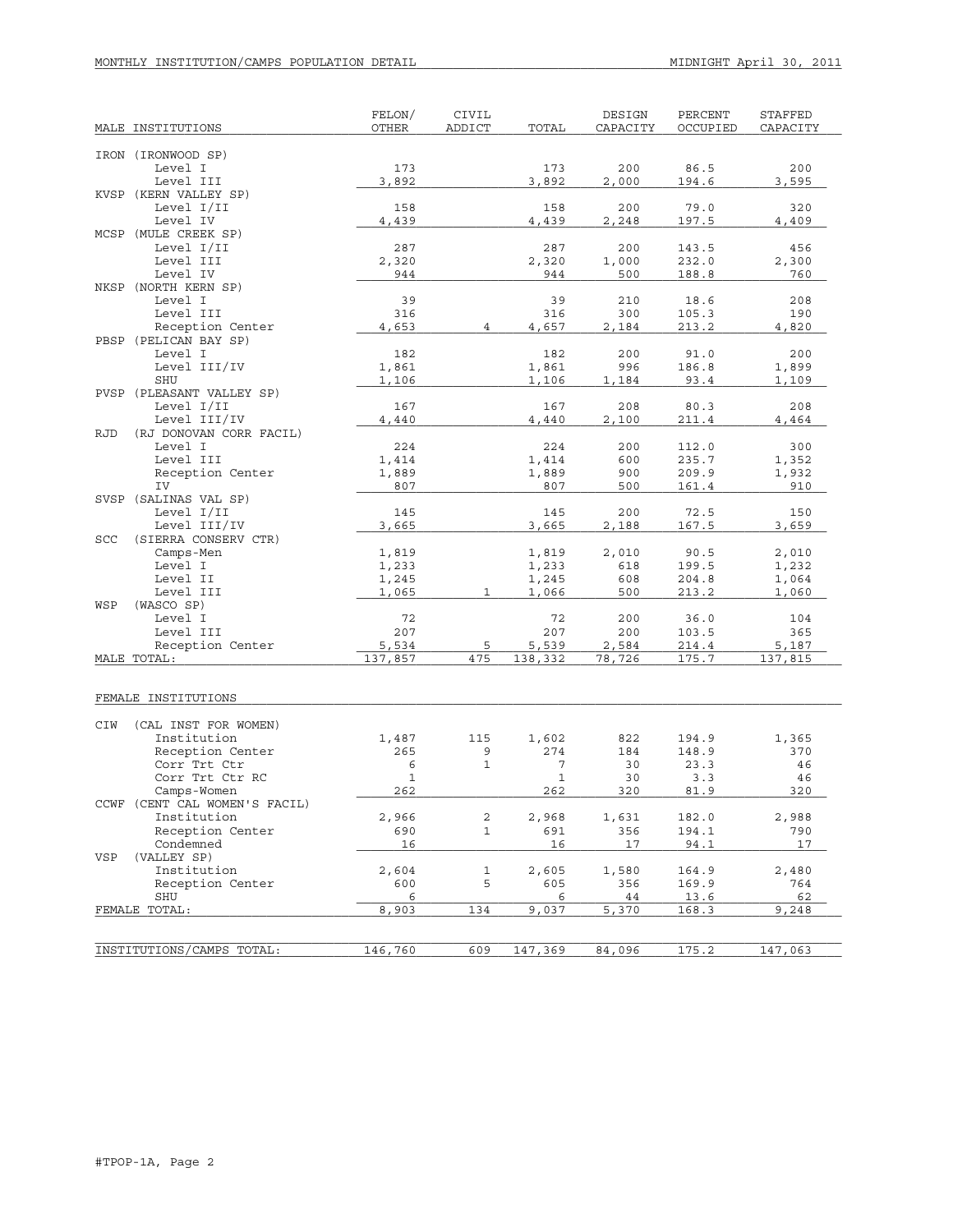# MONTHLY INSTITUTION/CAMPS POPULATION DETAIL **MIDNIGHT April 30, 2011**

| MALE INSTITUTIONS                                | FELON/<br>OTHER | CIVIL<br>ADDICT | TOTAL          | DESIGN<br>CAPACITY | PERCENT<br>OCCUPIED | STAFFED<br>CAPACITY |
|--------------------------------------------------|-----------------|-----------------|----------------|--------------------|---------------------|---------------------|
|                                                  |                 |                 |                |                    |                     |                     |
| IRON (IRONWOOD SP)                               |                 |                 |                |                    |                     |                     |
| Level I                                          | 173             |                 | 173            | 200                | 86.5                | 200                 |
| Level III                                        | 3,892           |                 | 3,892          | 2,000              | 194.6               | 3,595               |
| KVSP (KERN VALLEY SP)<br>Level I/II              | 158             |                 | 158            | 200                | 79.0                | 320                 |
| Level IV                                         | 4,439           |                 | 4,439          | 2,248              | 197.5               | 4,409               |
| MCSP (MULE CREEK SP)                             |                 |                 |                |                    |                     |                     |
| Level I/II                                       | 287             |                 | 287            | 200                | 143.5               | 456                 |
| Level III                                        | 2,320           |                 | 2,320          | 1,000              | 232.0               | 2,300               |
| Level IV                                         | 944             |                 | 944            | 500                | 188.8               | 760                 |
| NKSP (NORTH KERN SP)                             |                 |                 |                |                    |                     |                     |
| Level I<br>Level III                             | 39<br>316       |                 | 39<br>316      | 210<br>300         | 18.6<br>105.3       | 208<br>190          |
| Reception Center                                 | 4,653           | $\overline{4}$  | 4,657          | 2,184              | 213.2               | 4,820               |
| PBSP (PELICAN BAY SP)                            |                 |                 |                |                    |                     |                     |
| Level I                                          | 182             |                 | 182            | 200                | 91.0                | 200                 |
| Level III/IV                                     | 1,861           |                 | 1,861          | 996                | 186.8               | 1,899               |
| SHU                                              | 1,106           |                 | 1,106          | 1,184              | 93.4                | 1,109               |
| PVSP (PLEASANT VALLEY SP)                        |                 |                 |                |                    |                     |                     |
| Level I/II                                       | 167             |                 | 167            | 208                | 80.3                | 208                 |
| Level III/IV                                     | 4,440           |                 | 4,440          | 2,100              | 211.4               | 4,464               |
| <b>RJD</b><br>(RJ DONOVAN CORR FACIL)<br>Level I | 224             |                 | 224            | 200                | 112.0               | 300                 |
| Level III                                        | 1,414           |                 | 1,414          | 600                | 235.7               | 1,352               |
| Reception Center                                 | 1,889           |                 | 1,889          | 900                | 209.9               | 1,932               |
| IV                                               | 807             |                 | 807            | 500                | 161.4               | 910                 |
| SVSP (SALINAS VAL SP)                            |                 |                 |                |                    |                     |                     |
| Level I/II                                       | 145             |                 | 145            | 200                | 72.5                | 150                 |
| Level III/IV                                     | 3,665           |                 | 3,665          | 2,188              | 167.5               | 3,659               |
| <b>SCC</b><br>(SIERRA CONSERV CTR)               |                 |                 |                |                    |                     |                     |
| Camps-Men                                        | 1,819           |                 | 1,819          | 2,010              | 90.5                | 2,010               |
| Level I<br>Level II                              | 1,233           |                 | 1,233          | 618<br>608         | 199.5<br>204.8      | 1,232               |
| Level III                                        | 1,245<br>1,065  | $\mathbf{1}$    | 1,245<br>1,066 | 500                | 213.2               | 1,064<br>1,060      |
| WSP<br>(WASCO SP)                                |                 |                 |                |                    |                     |                     |
| Level I                                          | 72              |                 | 72             | 200                | 36.0                | 104                 |
| Level III                                        | 207             |                 | 207            | 200                | 103.5               | 365                 |
| Reception Center                                 | 5,534           | 5               | 5,539          | 2,584              | 214.4               | 5,187               |
| MALE TOTAL:                                      | 137,857         | 475             | 138,332        | 78,726             | 175.7               | 137,815             |
|                                                  |                 |                 |                |                    |                     |                     |
| FEMALE INSTITUTIONS                              |                 |                 |                |                    |                     |                     |
|                                                  |                 |                 |                |                    |                     |                     |
| CIW<br>(CAL INST FOR WOMEN)                      |                 |                 |                |                    |                     |                     |
| Institution<br>Reception Center                  | 1,487<br>265    | 115<br>9        | 1,602<br>274   | 822<br>184         | 194.9<br>148.9      | 1,365<br>370        |
| Corr Trt Ctr                                     | 6               | $\mathbf 1$     | 7              | 30                 | 23.3                | 46                  |
| Corr Trt Ctr RC                                  | $\mathbf{1}$    |                 | $\mathbf{1}$   | 30                 | 3.3                 | 46                  |
| Camps-Women                                      | 262             |                 | 262            | 320                | 81.9                | 320                 |
| CCWF (CENT CAL WOMEN'S FACIL)                    |                 |                 |                |                    |                     |                     |
| Institution                                      | 2,966           | 2               | 2,968          | 1,631              | 182.0               | 2,988               |
| Reception Center                                 | 690             | 1               | 691            | 356                | 194.1               | 790                 |
| Condemned                                        | 16              |                 | 16             | 17                 | 94.1                | 17                  |
| VSP<br>(VALLEY SP)                               |                 |                 |                |                    |                     |                     |
| Institution                                      | 2,604           | 1               | 2,605          | 1,580              | 164.9               | 2,480               |
| Reception Center<br>SHU                          | 600<br>6        | 5               | 605<br>6       | 356<br>44          | 169.9<br>13.6       | 764<br>62           |
| FEMALE TOTAL:                                    | 8,903           | 134             | 9,037          | 5,370              | 168.3               | 9,248               |
|                                                  |                 |                 |                |                    |                     |                     |
|                                                  |                 |                 |                |                    |                     |                     |
| INSTITUTIONS/CAMPS TOTAL:                        | 146,760         | 609             | 147,369        | 84,096             | 175.2               | 147,063             |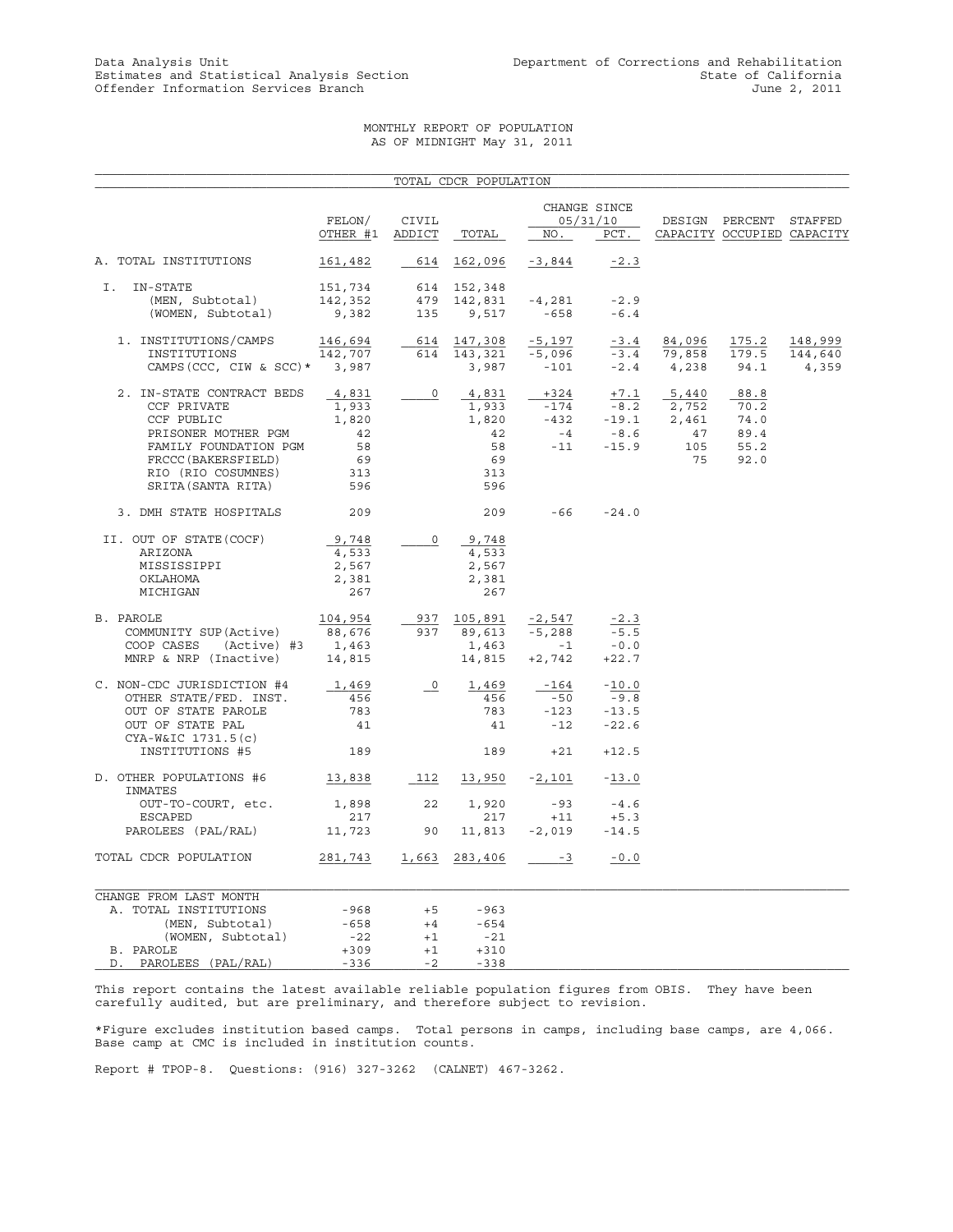## MONTHLY REPORT OF POPULATION AS OF MIDNIGHT May 31, 2011

|                                                                                                                                                                           |                                                         |                          | TOTAL CDCR POPULATION                                   |                                               |                                                |                                                                                                                                                   |                                              |                             |
|---------------------------------------------------------------------------------------------------------------------------------------------------------------------------|---------------------------------------------------------|--------------------------|---------------------------------------------------------|-----------------------------------------------|------------------------------------------------|---------------------------------------------------------------------------------------------------------------------------------------------------|----------------------------------------------|-----------------------------|
|                                                                                                                                                                           | FELON/                                                  | CIVIL                    |                                                         |                                               | CHANGE SINCE<br>05/31/10                       |                                                                                                                                                   | DESIGN PERCENT STAFFED                       |                             |
|                                                                                                                                                                           | OTHER #1 ADDICT                                         |                          | TOTAL                                                   | $NO_{\cdot}$                                  | PCT.                                           |                                                                                                                                                   | CAPACITY OCCUPIED CAPACITY                   |                             |
| A. TOTAL INSTITUTIONS                                                                                                                                                     | 161,482                                                 | 614                      | 162,096                                                 | -3,844                                        | $-2.3$                                         |                                                                                                                                                   |                                              |                             |
| IN-STATE<br>Ι.                                                                                                                                                            | 151,734                                                 |                          | 614 152,348                                             |                                               |                                                |                                                                                                                                                   |                                              |                             |
| (MEN, Subtotal)<br>(WOMEN, Subtotal)                                                                                                                                      | 142,352<br>9,382                                        | 135                      | 479 142,831<br>9,517                                    | $-4,281$<br>$-658$                            | $-2.9$<br>$-6.4$                               |                                                                                                                                                   |                                              |                             |
| 1. INSTITUTIONS/CAMPS<br>INSTITUTIONS<br>CAMPS (CCC, CIW & SCC) * 3,987                                                                                                   | 146,694<br>142,707                                      |                          | 614 147,308<br>614 143,321<br>3,987                     | -5,197<br>-5,096<br>$-101$                    | $-3.4$                                         | 84,096<br>$-3.4$ 79,858<br>$-2.4$ $4,238$                                                                                                         | 175.2<br>179.5<br>94.1                       | 148,999<br>144,640<br>4,359 |
| 2. IN-STATE CONTRACT BEDS<br>CCF PRIVATE<br>CCF PUBLIC<br>PRISONER MOTHER PGM<br>FAMILY FOUNDATION PGM<br>FRCCC (BAKERSFIELD)<br>RIO (RIO COSUMNES)<br>SRITA (SANTA RITA) | 4,831<br>1,933<br>1,820<br>42<br>58<br>69<br>313<br>596 | $\overline{\phantom{0}}$ | 4,831<br>1,933<br>1,820<br>42<br>58<br>69<br>313<br>596 | $-174$<br>$-432$<br>$-4$<br>$-11$             | $-15.9$                                        | $\frac{+324}{-174}$ $\frac{+7.1}{-8.2}$ $\frac{5,440}{2,752}$<br>$-19.1$ $2,752$<br>$-8.6$ $47$<br>$\begin{array}{c} 47 \\ 105 \end{array}$<br>75 | 88.8<br>70.2<br>74.0<br>89.4<br>55.2<br>92.0 |                             |
| 3. DMH STATE HOSPITALS                                                                                                                                                    | 209                                                     |                          | 209                                                     | $-66 -24.0$                                   |                                                |                                                                                                                                                   |                                              |                             |
| II. OUT OF STATE (COCF)<br>ARIZONA<br>MISSISSIPPI<br>OKLAHOMA<br>MICHIGAN                                                                                                 | 9,748<br>4,533<br>2,567<br>2,381<br>267                 | $\circ$                  | 9,748<br>4,533<br>2,567<br>2,381<br>267                 |                                               |                                                |                                                                                                                                                   |                                              |                             |
| B. PAROLE<br>COMMUNITY SUP(Active)<br>COOP CASES (Active) #3 1,463<br>MNRP & NRP (Inactive)                                                                               | 104,954<br>88,676<br>14,815                             |                          | 937 105,891<br>937 89,613<br>1,463                      | $-2,547$<br>$-5,288$<br>$-1$<br>14,815 +2,742 | $-2.3$<br>$-5.5$<br>$-0.0$<br>$+22.7$          |                                                                                                                                                   |                                              |                             |
| C. NON-CDC JURISDICTION #4<br>OTHER STATE/FED. INST.<br>OUT OF STATE PAROLE<br>OUT OF STATE PAL<br>CYA-W&IC 1731.5(c)<br>INSTITUTIONS #5                                  | 1,469<br>456<br>783<br>41<br>189                        | $\overline{\circ}$       | 1,469<br>456<br>783<br>41<br>189                        | $-164$<br>$-50$<br>$-123$<br>$-12$<br>$+21$   | $-10.0$<br>$-9.8$<br>$-13.5$<br>-22.6<br>+12.5 |                                                                                                                                                   |                                              |                             |
| D. OTHER POPULATIONS #6                                                                                                                                                   | 13,838                                                  |                          | 112 13,950                                              | $-2,101$                                      | $-13.0$                                        |                                                                                                                                                   |                                              |                             |
| INMATES<br>OUT-TO-COURT, etc.<br>ESCAPED                                                                                                                                  | 1,898<br>217                                            | 22                       | 1,920<br>217                                            | $-93$<br>$+11$                                | $-4.6$<br>$+5.3$                               |                                                                                                                                                   |                                              |                             |
| PAROLEES (PAL/RAL)                                                                                                                                                        | 11,723                                                  | 90                       | 11,813                                                  | $-2,019$                                      | $-14.5$                                        |                                                                                                                                                   |                                              |                             |
| TOTAL CDCR POPULATION                                                                                                                                                     | 281,743                                                 |                          | 1,663 283,406                                           | $-3$                                          | $-0.0$                                         |                                                                                                                                                   |                                              |                             |
| CHANGE FROM LAST MONTH<br>A. TOTAL INSTITUTIONS<br>(MEN, Subtotal)<br>(WOMEN, Subtotal)                                                                                   | -968<br>-658<br>$-22$                                   | $+5$<br>$+4$<br>$+1$     | $-963$<br>$-654$<br>-21                                 |                                               |                                                |                                                                                                                                                   |                                              |                             |
| B. PAROLE<br>PAROLEES (PAL/RAL)<br>D.                                                                                                                                     | $+309$<br>$-336$                                        | $+1$<br>$-2$             | $+310$<br>$-338$                                        |                                               |                                                |                                                                                                                                                   |                                              |                             |

This report contains the latest available reliable population figures from OBIS. They have been carefully audited, but are preliminary, and therefore subject to revision.

\*Figure excludes institution based camps. Total persons in camps, including base camps, are 4,066. Base camp at CMC is included in institution counts.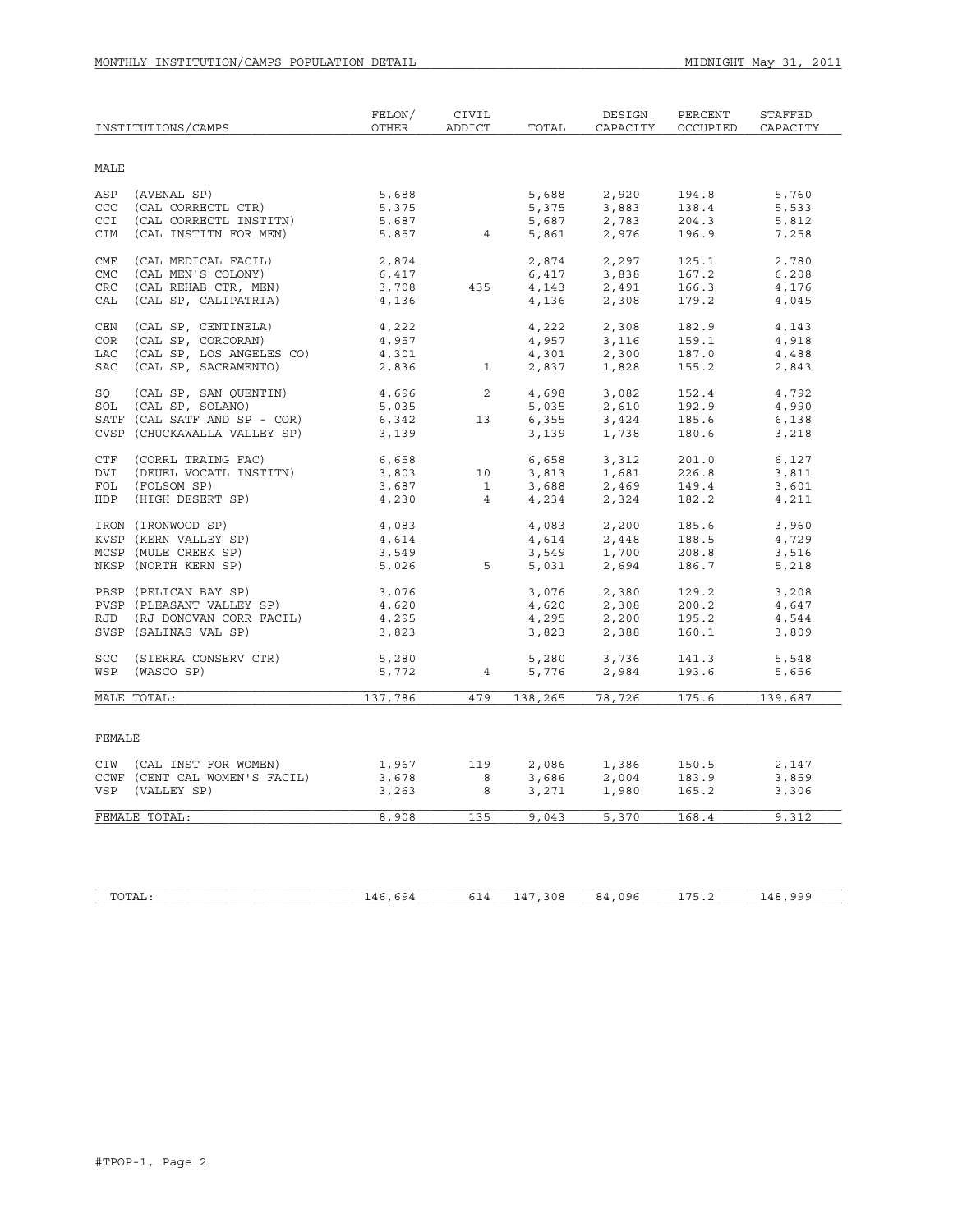|            | INSTITUTIONS/CAMPS            | FELON/<br><b>OTHER</b> | CIVIL<br>ADDICT | TOTAL           | DESIGN<br>CAPACITY                                  | PERCENT<br>OCCUPIED | STAFFED<br>CAPACITY |
|------------|-------------------------------|------------------------|-----------------|-----------------|-----------------------------------------------------|---------------------|---------------------|
| MALE       |                               |                        |                 |                 |                                                     |                     |                     |
| ASP        | (AVENAL SP)                   | 5,688                  |                 | 5,688           | 2,920                                               | 194.8               | 5,760               |
| CCC        | (CAL CORRECTL CTR)            | 5,375                  |                 | 5,375           | 3,883                                               | 138.4               | 5,533               |
| <b>CCI</b> | (CAL CORRECTL INSTITN)        | 5,687                  |                 | 5,687           | 2,783                                               | 204.3               | 5,812               |
| CIM        | (CAL INSTITN FOR MEN)         | 5,857                  | 4 <sup>1</sup>  | 5,861           | 2,976                                               | 196.9               | 7,258               |
| CMF        | (CAL MEDICAL FACIL)           | 2,874                  |                 | 2,874           | 2,297                                               | 125.1               | 2,780               |
| <b>CMC</b> | (CAL MEN'S COLONY)            | 6,417                  |                 | 6,417           | 3,838                                               | 167.2               | 6,208               |
| <b>CRC</b> | (CAL REHAB CTR, MEN)          | 3,708                  | 435             | 4,143           | 2,491                                               | 166.3               | 4,176               |
| CAL        | (CAL SP, CALIPATRIA)          | 4,136                  |                 | 4,136           | 2,308                                               | 179.2               | 4,045               |
| <b>CEN</b> | (CAL SP, CENTINELA)           | 4,222                  |                 | 4,222           | 2,308                                               | 182.9               | 4,143               |
| <b>COR</b> | (CAL SP, CORCORAN)            | 4,957                  |                 | 4,957           | 3,116                                               | 159.1               | 4,918               |
| <b>LAC</b> | (CAL SP, LOS ANGELES CO)      | 4,301                  |                 | 4,301           | 2,300                                               | 187.0               | 4,488               |
| <b>SAC</b> | (CAL SP, SACRAMENTO)          | 2,836                  | $\mathbf{1}$    | 2,837           | 1,828                                               | 155.2               | 2,843               |
| SO         | (CAL SP, SAN QUENTIN)         | 4,696                  | 2               | 4,698           | 3,082                                               | 152.4               | 4,792               |
|            | SOL (CAL SP, SOLANO)          | 5,035                  |                 | 5,035           | 2,610                                               | 192.9               | 4,990               |
|            | SATF (CAL SATF AND SP - COR)  | 6,342                  | 13              |                 | $6,355$ $3,424$<br>$3,139$ $1,738$                  | 185.6               | 6,138               |
|            | CVSP (CHUCKAWALLA VALLEY SP)  | 3,139                  |                 |                 |                                                     | 180.6               | 3,218               |
| CTF        | (CORRL TRAING FAC)            | 6,658                  |                 | 6,658           | 3,312                                               | 201.0               | 6,127               |
| DVI        | (DEUEL VOCATL INSTITN)        | 3,803                  | 10              | 3,813           | 1,681                                               | 226.8               | 3,811               |
| FOL        | (FOLSOM SP)                   | 3,687                  | $\mathbf{1}$    | 3,688           | 2,469                                               | 149.4               | 3,601               |
| <b>HDP</b> | (HIGH DESERT SP)              | 4,230                  | $\overline{4}$  | 4,234           | 2,324                                               | 182.2               | 4,211               |
|            | IRON (IRONWOOD SP)            | 4,083                  |                 | 4,083           | 2,200                                               | 185.6               | 3,960               |
|            | KVSP (KERN VALLEY SP)         | 4,614                  |                 | 4,614           | 2,448                                               | 188.5               | 4,729               |
|            | MCSP (MULE CREEK SP)          | 3,549                  |                 | 3,549           | 1,700                                               | 208.8               | 3,516               |
|            | NKSP (NORTH KERN SP)          | 5,026                  | 5 <sup>1</sup>  | 5,031           | 2,694                                               | 186.7               | 5,218               |
|            | PBSP (PELICAN BAY SP)         | 3,076                  |                 | 3,076           | 2,380                                               | 129.2               | 3,208               |
|            | PVSP (PLEASANT VALLEY SP)     | 4,620                  |                 | 4,620           | 2,308                                               | 200.2               | 4,647               |
|            | RJD (RJ DONOVAN CORR FACIL)   | 4,295                  |                 |                 | $4,620$<br>$4,295$<br>$2,200$<br>$3,823$<br>$2,388$ | 195.2               | 4,544               |
|            | SVSP (SALINAS VAL SP)         | 3,823                  |                 |                 |                                                     | 160.1               | 3,809               |
|            | SCC (SIERRA CONSERV CTR)      | 5,280                  |                 |                 |                                                     | 141.3               | 5,548               |
|            | WSP (WASCO SP)                | 5,772                  | $\overline{4}$  |                 | $5,776$ $3,736$<br>5,776 $2.994$                    | 193.6               | 5,656               |
|            | MALE TOTAL:                   | 137,786                | 479             | 138,265         | 78,726                                              | 175.6               | 139,687             |
|            |                               |                        |                 |                 |                                                     |                     |                     |
| FEMALE     |                               |                        |                 |                 |                                                     |                     |                     |
|            | CIW (CAL INST FOR WOMEN)      | 1,967                  | 119             | 2,086           | 1,386                                               | 150.5               | 2,147               |
|            | CCWF (CENT CAL WOMEN'S FACIL) | 3,678                  | 8               | 3,686           | 2,004<br>1.980                                      | 183.9               | 3,859               |
| VSP        | (VALLEY SP)                   | 3,263                  | 8               | 086, د<br>3,271 | 1,980                                               | 165.2               | 3,306               |
|            | FEMALE TOTAL:                 | 8,908                  | 135             | 9,043           | 5,370                                               | 168.4               | 9,312               |
|            |                               |                        |                 |                 |                                                     |                     |                     |

| TOTAT<br>⊥A⊔ ` | $\cdots$<br>$\cdots$<br>-- | $\overline{\phantom{a}}$<br>$\sim$<br>ັ∸ ∸ | っ^c<br>3 U O<br>--<br>$\sim$ | $\sim$ $\sim$ $\sim$<br>$\cdots$<br>1 L J G<br>~<br>.<br>ט י | - - -<br>سا<br>ے . | $\cap$ $\cap$<br>$\overline{ }$<br>-- |
|----------------|----------------------------|--------------------------------------------|------------------------------|--------------------------------------------------------------|--------------------|---------------------------------------|
|                |                            |                                            |                              |                                                              |                    |                                       |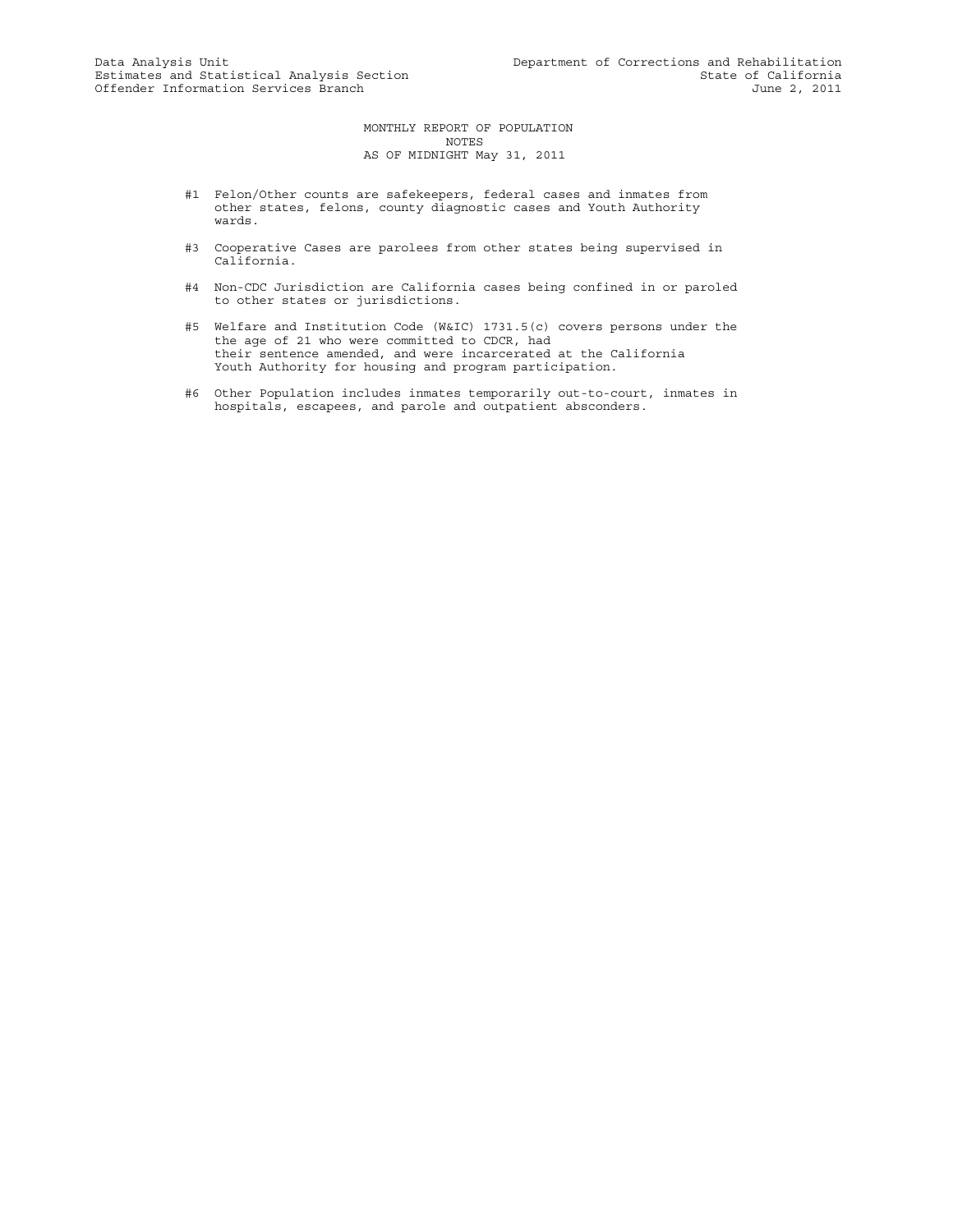MONTHLY REPORT OF POPULATION NOTES AS OF MIDNIGHT May 31, 2011

- #1 Felon/Other counts are safekeepers, federal cases and inmates from other states, felons, county diagnostic cases and Youth Authority wards.
- #3 Cooperative Cases are parolees from other states being supervised in California.
- #4 Non-CDC Jurisdiction are California cases being confined in or paroled to other states or jurisdictions.
- #5 Welfare and Institution Code (W&IC) 1731.5(c) covers persons under the the age of 21 who were committed to CDCR, had their sentence amended, and were incarcerated at the California Youth Authority for housing and program participation.
- #6 Other Population includes inmates temporarily out-to-court, inmates in hospitals, escapees, and parole and outpatient absconders.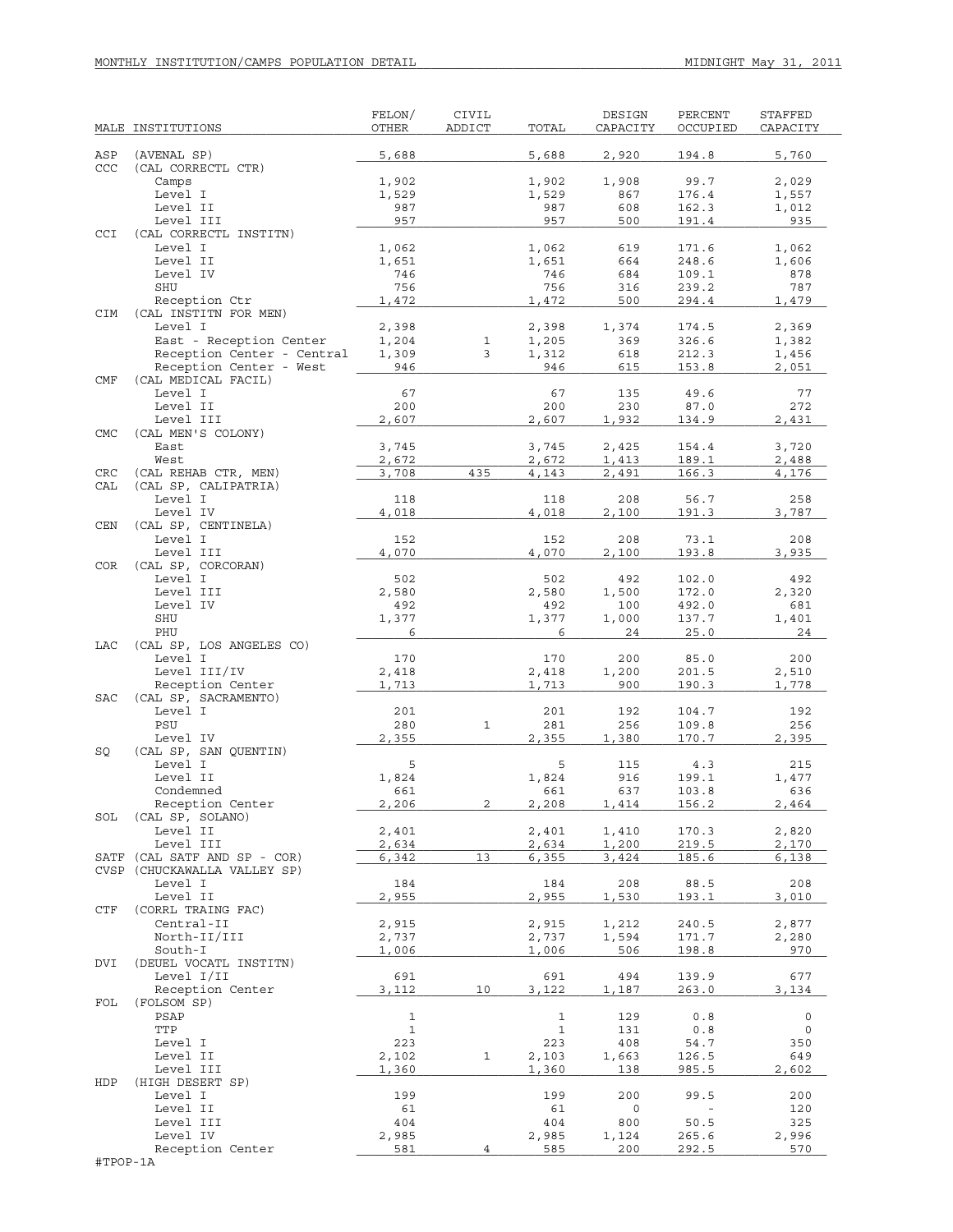|            | MALE INSTITUTIONS                                     | FELON/<br>OTHER | <b>CIVIL</b><br>ADDICT | TOTAL          | DESIGN<br>CAPACITY | PERCENT<br>OCCUPIED      | STAFFED<br>CAPACITY |
|------------|-------------------------------------------------------|-----------------|------------------------|----------------|--------------------|--------------------------|---------------------|
|            |                                                       |                 |                        |                |                    |                          |                     |
| ASP<br>CCC | (AVENAL SP)<br>(CAL CORRECTL CTR)                     | 5,688           |                        | 5,688          | 2,920              | 194.8                    | 5,760               |
|            | Camps                                                 | 1,902           |                        | 1,902          | 1,908              | 99.7                     | 2,029               |
|            | Level I                                               | 1,529           |                        | 1,529          | 867                | 176.4                    | 1,557               |
|            | Level II                                              | 987             |                        | 987            | 608                | 162.3                    | 1,012               |
|            | Level III                                             | 957             |                        | 957            | 500                | 191.4                    | 935                 |
| CCI        | (CAL CORRECTL INSTITN)                                |                 |                        |                |                    |                          |                     |
|            | Level I<br>Level II                                   | 1,062<br>1,651  |                        | 1,062<br>1,651 | 619<br>664         | 171.6<br>248.6           | 1,062<br>1,606      |
|            | Level IV                                              | 746             |                        | 746            | 684                | 109.1                    | 878                 |
|            | SHU                                                   | 756             |                        | 756            | 316                | 239.2                    | 787                 |
|            | Reception Ctr                                         | 1,472           |                        | 1,472          | 500                | 294.4                    | 1,479               |
| CIM        | (CAL INSTITN FOR MEN)                                 |                 |                        |                |                    |                          |                     |
|            | Level I                                               | 2,398           |                        | 2,398          | 1,374              | 174.5                    | 2,369               |
|            | East - Reception Center<br>Reception Center - Central | 1,204<br>1,309  | $\mathbf{1}$<br>3      | 1,205<br>1,312 | 369<br>618         | 326.6<br>212.3           | 1,382<br>1,456      |
|            | Reception Center - West                               | 946             |                        | 946            | 615                | 153.8                    | 2,051               |
| CMF        | (CAL MEDICAL FACIL)                                   |                 |                        |                |                    |                          |                     |
|            | Level I                                               | 67              |                        | 67             | 135                | 49.6                     | 77                  |
|            | Level II                                              | 200             |                        | 200            | 230                | 87.0                     | 272                 |
|            | Level III                                             | 2,607           |                        | 2,607          | 1,932              | 134.9                    | 2,431               |
| <b>CMC</b> | (CAL MEN'S COLONY)                                    |                 |                        |                |                    |                          |                     |
|            | East<br>West                                          | 3,745           |                        | 3,745          | 2,425              | 154.4                    | 3,720               |
| CRC        | (CAL REHAB CTR, MEN)                                  | 2,672<br>3,708  | 435                    | 2,672<br>4,143 | 1,413<br>2,491     | 189.1<br>166.3           | 2,488<br>4,176      |
| CAL        | (CAL SP, CALIPATRIA)                                  |                 |                        |                |                    |                          |                     |
|            | Level I                                               | 118             |                        | 118            | 208                | 56.7                     | 258                 |
|            | Level IV                                              | 4,018           |                        | 4,018          | 2,100              | 191.3                    | 3,787               |
| <b>CEN</b> | (CAL SP, CENTINELA)                                   |                 |                        |                |                    |                          |                     |
|            | Level I                                               | 152             |                        | 152            | 208                | 73.1                     | 208                 |
|            | Level III                                             | 4,070           |                        | 4,070          | 2,100              | 193.8                    | 3,935               |
| <b>COR</b> | (CAL SP, CORCORAN)<br>Level I                         |                 |                        | 502            | 492                |                          | 492                 |
|            | Level III                                             | 502<br>2,580    |                        | 2,580          | 1,500              | 102.0<br>172.0           | 2,320               |
|            | Level IV                                              | 492             |                        | 492            | 100                | 492.0                    | 681                 |
|            | SHU                                                   | 1,377           |                        | 1,377          | 1,000              | 137.7                    | 1,401               |
|            | PHU                                                   | 6               |                        | 6              | 24                 | 25.0                     | 24                  |
| LAC        | (CAL SP, LOS ANGELES CO)                              |                 |                        |                |                    |                          |                     |
|            | Level I                                               | 170             |                        | 170            | 200                | 85.0                     | 200                 |
|            | Level III/IV                                          | 2,418           |                        | 2,418          | 1,200              | 201.5                    | 2,510               |
| <b>SAC</b> | Reception Center<br>(CAL SP, SACRAMENTO)              | 1,713           |                        | 1,713          | 900                | 190.3                    | 1,778               |
|            | Level I                                               | 201             |                        | 201            | 192                | 104.7                    | 192                 |
|            | PSU                                                   | 280             | $\mathbf{1}$           | 281            | 256                | 109.8                    | 256                 |
|            | Level IV                                              | 2,355           |                        | 2,355          | 1,380              | 170.7                    | 2,395               |
| SQ         | (CAL SP, SAN QUENTIN)                                 |                 |                        |                |                    |                          |                     |
|            | Level I                                               | 5               |                        | 5              | 115                | 4.3                      | 215                 |
|            | Level II<br>Condemned                                 | 1,824           |                        | 1,824          | 916                | 199.1                    | 1,477               |
|            | Reception Center                                      | 661<br>2,206    | 2                      | 661<br>2,208   | 637<br>1,414       | 103.8<br>156.2           | 636<br>2,464        |
| SOL        | (CAL SP, SOLANO)                                      |                 |                        |                |                    |                          |                     |
|            | Level II                                              | 2,401           |                        | 2,401          | 1,410              | 170.3                    | 2,820               |
|            | Level III                                             | 2,634           |                        | 2,634          | 1,200              | 219.5                    | 2,170               |
| SATF       | (CAL SATF AND SP - COR)                               | 6,342           | 13                     | 6,355          | 3,424              | 185.6                    | 6,138               |
|            | CVSP (CHUCKAWALLA VALLEY SP)                          |                 |                        |                |                    |                          |                     |
|            | Level I<br>Level II                                   | 184<br>2,955    |                        | 184<br>2,955   | 208                | 88.5<br>193.1            | 208<br>3,010        |
| CTF        | (CORRL TRAING FAC)                                    |                 |                        |                | 1,530              |                          |                     |
|            | Central-II                                            | 2,915           |                        | 2,915          | 1,212              | 240.5                    | 2,877               |
|            | North-II/III                                          | 2,737           |                        | 2,737          | 1,594              | 171.7                    | 2,280               |
|            | South-I                                               | 1,006           |                        | 1,006          | 506                | 198.8                    | 970                 |
| <b>DVI</b> | (DEUEL VOCATL INSTITN)                                |                 |                        |                |                    |                          |                     |
|            | Level I/II                                            | 691             |                        | 691            | 494                | 139.9                    | 677                 |
|            | Reception Center                                      | 3,112           | 10                     | 3,122          | 1,187              | 263.0                    | 3,134               |
| FOL        | (FOLSOM SP)<br>PSAP                                   | $\mathbf{1}$    |                        | $\mathbf 1$    | 129                | 0.8                      | $\circ$             |
|            | TTP                                                   | $\mathbf{1}$    |                        | $\mathbf 1$    | 131                | 0.8                      | 0                   |
|            | Level I                                               | 223             |                        | 223            | 408                | 54.7                     | 350                 |
|            | Level II                                              | 2,102           | 1                      | 2,103          | 1,663              | 126.5                    | 649                 |
|            | Level III                                             | 1,360           |                        | 1,360          | 138                | 985.5                    | 2,602               |
| HDP        | (HIGH DESERT SP)                                      |                 |                        |                |                    |                          |                     |
|            | Level I                                               | 199             |                        | 199            | 200                | 99.5                     | 200                 |
|            | Level II                                              | 61              |                        | 61             | 0                  | $\overline{\phantom{a}}$ | 120                 |
|            | Level III<br>Level IV                                 | 404<br>2,985    |                        | 404<br>2,985   | 800<br>1,124       | 50.5<br>265.6            | 325<br>2,996        |
|            | Reception Center                                      | 581             | 4                      | 585            | 200                | 292.5                    | 570                 |
| #TPOP-1A   |                                                       |                 |                        |                |                    |                          |                     |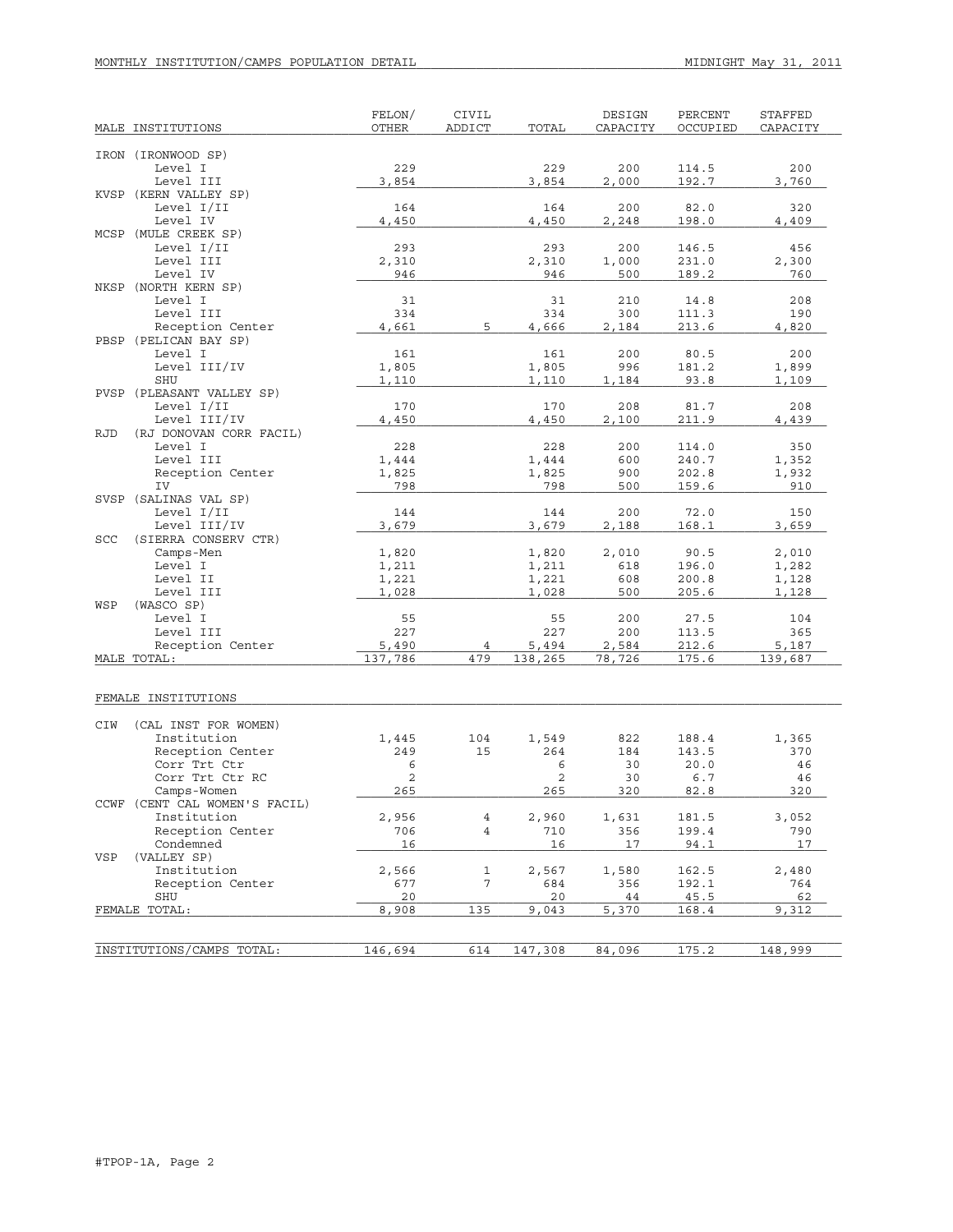| MALE INSTITUTIONS                            | FELON/<br>OTHER | CIVIL<br>ADDICT | TOTAL          | DESIGN<br>CAPACITY | PERCENT<br>OCCUPIED | <b>STAFFED</b><br>CAPACITY |
|----------------------------------------------|-----------------|-----------------|----------------|--------------------|---------------------|----------------------------|
|                                              |                 |                 |                |                    |                     |                            |
| IRON (IRONWOOD SP)<br>Level I                | 229             |                 | 229            | 200                | 114.5               | 200                        |
| Level III                                    | 3,854           |                 | 3,854          | 2,000              | 192.7               | 3,760                      |
| KVSP (KERN VALLEY SP)                        |                 |                 |                |                    |                     |                            |
| Level I/II                                   | 164             |                 | 164            | 200                | 82.0                | 320                        |
| Level IV                                     | 4,450           |                 | 4,450          | 2,248              | 198.0               | 4,409                      |
| MCSP (MULE CREEK SP)                         |                 |                 |                |                    |                     |                            |
| Level I/II                                   | 293             |                 | 293            | 200                | 146.5               | 456                        |
| Level III<br>Level IV                        | 2,310<br>946    |                 | 2,310<br>946   | 1,000<br>500       | 231.0<br>189.2      | 2,300<br>760               |
| NKSP (NORTH KERN SP)                         |                 |                 |                |                    |                     |                            |
| Level I                                      | 31              |                 | 31             | 210                | 14.8                | 208                        |
| Level III                                    | 334             |                 | 334            | 300                | 111.3               | 190                        |
| Reception Center                             | 4,661           | 5               | 4,666          | 2,184              | 213.6               | 4,820                      |
| PBSP (PELICAN BAY SP)                        |                 |                 |                |                    |                     |                            |
| Level I                                      | 161             |                 | 161            | 200                | 80.5                | 200                        |
| Level III/IV                                 | 1,805           |                 | 1,805          | 996                | 181.2               | 1,899                      |
| SHU<br>PVSP (PLEASANT VALLEY SP)             | 1,110           |                 | 1,110          | 1,184              | 93.8                | 1,109                      |
| Level I/II                                   | 170             |                 | 170            | 208                | 81.7                | 208                        |
| Level III/IV                                 | 4,450           |                 | 4,450          | 2,100              | 211.9               | 4,439                      |
| <b>RJD</b><br>(RJ DONOVAN CORR FACIL)        |                 |                 |                |                    |                     |                            |
| Level I                                      | 228             |                 | 228            | 200                | 114.0               | 350                        |
| Level III                                    | 1,444           |                 | 1,444          | 600                | 240.7               | 1,352                      |
| Reception Center                             | 1,825           |                 | 1,825          | 900                | 202.8               | 1,932                      |
| IV<br>SVSP (SALINAS VAL SP)                  | 798             |                 | 798            | 500                | 159.6               | 910                        |
| Level I/II                                   | 144             |                 | 144            | 200                | 72.0                | 150                        |
| Level III/IV                                 | 3,679           |                 | 3,679          | 2,188              | 168.1               | 3,659                      |
| (SIERRA CONSERV CTR)<br>SCC                  |                 |                 |                |                    |                     |                            |
| Camps-Men                                    | 1,820           |                 | 1,820          | 2,010              | 90.5                | 2,010                      |
| Level I                                      | 1,211           |                 | 1,211          | 618                | 196.0               | 1,282                      |
| Level II                                     | 1,221           |                 | 1,221          | 608                | 200.8               | 1,128                      |
| Level III<br>WSP                             | 1,028           |                 | 1,028          | 500                | 205.6               | 1,128                      |
| (WASCO SP)<br>Level I                        | 55              |                 | 55             | 200                | 27.5                | 104                        |
| Level III                                    | 227             |                 | 227            | 200                | 113.5               | 365                        |
| Reception Center                             | 5,490           | 4               | 5,494          | 2,584              | 212.6               | 5,187                      |
| MALE TOTAL:                                  | 137,786         | 479             | 138,265        | 78,726             | 175.6               | 139,687                    |
|                                              |                 |                 |                |                    |                     |                            |
| FEMALE INSTITUTIONS                          |                 |                 |                |                    |                     |                            |
| CIW<br>(CAL INST FOR WOMEN)                  |                 |                 |                |                    |                     |                            |
| Institution                                  | 1,445           | 104             | 1,549          | 822                | 188.4               | 1,365                      |
| Reception Center                             | 249             | 15              | 264            | 184                | 143.5               | 370                        |
| Corr Trt Ctr                                 | 6               |                 | 6              | 30                 | 20.0                | 46                         |
| Corr Trt Ctr RC                              | $\mathbf{2}$    |                 | $\overline{2}$ | 30                 | 6.7                 | 46                         |
| Camps-Women<br>CCWF (CENT CAL WOMEN'S FACIL) | 265             |                 | 265            | 320                | 82.8                | 320                        |
| Institution                                  | 2,956           | 4               | 2,960          | 1,631              | 181.5               | 3,052                      |
| Reception Center                             | 706             | $\overline{4}$  | 710            | 356                | 199.4               | 790                        |
| Condemned                                    | 16              |                 | 16             | 17                 | 94.1                | 17                         |
| (VALLEY SP)<br>VSP                           |                 |                 |                |                    |                     |                            |
| Institution                                  | 2,566           | $\mathbf{1}$    | 2,567          | 1,580              | 162.5               | 2,480                      |
| Reception Center                             | 677             | 7               | 684            | 356                | 192.1               | 764                        |
| SHU                                          | 20              |                 | 20             | 44                 | 45.5                | 62                         |
| FEMALE TOTAL:                                | 8,908           | 135             | 9,043          | 5,370              | 168.4               | 9,312                      |
|                                              |                 |                 |                |                    |                     |                            |
| INSTITUTIONS/CAMPS TOTAL:                    | 146,694         | 614             | 147,308        | 84,096             | 175.2               | 148,999                    |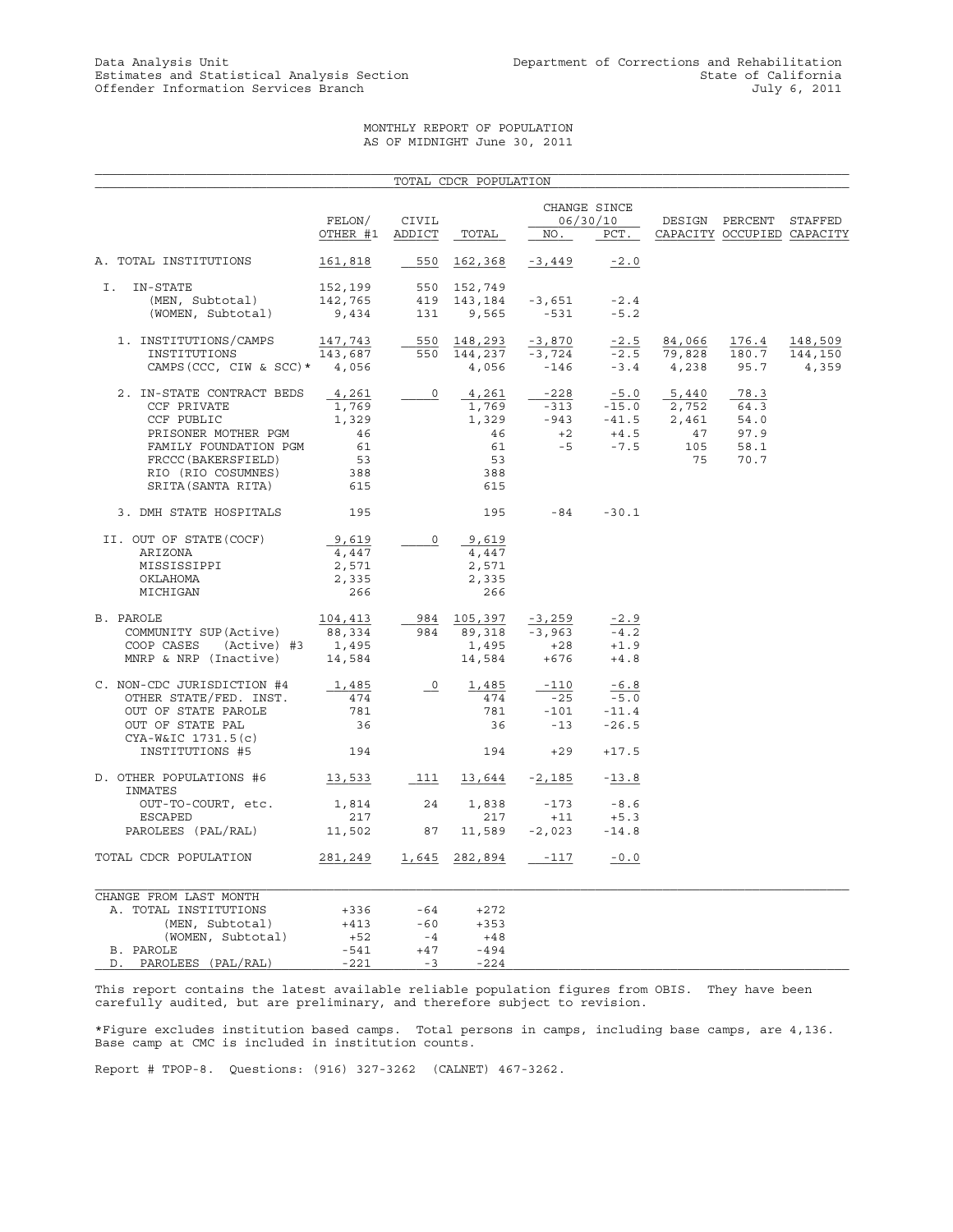## MONTHLY REPORT OF POPULATION AS OF MIDNIGHT June 30, 2011

|                                                 |           |                                  | TOTAL CDCR POPULATION |                                            |                          |                |                            |         |
|-------------------------------------------------|-----------|----------------------------------|-----------------------|--------------------------------------------|--------------------------|----------------|----------------------------|---------|
|                                                 | FELON/    | CIVIL                            |                       |                                            | CHANGE SINCE<br>06/30/10 |                | DESIGN PERCENT STAFFED     |         |
|                                                 | OTHER #1  | ADDICT                           | TOTAL                 | NO.                                        | PCT.                     |                | CAPACITY OCCUPIED CAPACITY |         |
| A. TOTAL INSTITUTIONS                           | 161,818   | 550                              | 162,368               | -3,449                                     | $-2.0$                   |                |                            |         |
| I. IN-STATE                                     | 152,199   |                                  | 550 152,749           |                                            |                          |                |                            |         |
| (MEN, Subtotal)                                 | 142,765   |                                  | 419 143,184           | -3,651                                     | $-2.4$                   |                |                            |         |
| (WOMEN, Subtotal)                               | 9,434     | 131                              | 9,565                 | $-531$                                     | $-5.2$                   |                |                            |         |
| 1. INSTITUTIONS/CAMPS                           | 147,743   |                                  | 550 148,293           | $-3,870$                                   | $-2.5$                   | 84,066         | 176.4                      | 148,509 |
| INSTITUTIONS                                    | 143,687   |                                  | 550 144,237           | -3,724                                     |                          | $-2.5$ 79,828  | 180.7                      | 144,150 |
| CAMPS (CCC, CIW & SCC) $*$ 4,056                |           |                                  | 4,056                 | $-146$                                     |                          | $-3.4$ $4,238$ | 95.7                       | 4,359   |
| 2. IN-STATE CONTRACT BEDS                       | 4,261     | $\overline{0}$                   | 4,261                 | $-228$                                     |                          | $-5.0$ $5,440$ | 78.3                       |         |
| CCF PRIVATE                                     | 1,769     |                                  | 1,769                 |                                            |                          |                | 64.3                       |         |
| CCF PUBLIC                                      | 1,329     |                                  | 1,329                 | $-313$ $-15.0$ 2,752<br>-943 $-41.5$ 2,461 |                          |                | 54.0                       |         |
| PRISONER MOTHER PGM                             | 46        |                                  | 46                    | $+2$                                       | $+4.5$                   | 47             | 97.9                       |         |
| FAMILY FOUNDATION PGM                           | 61        |                                  | 61                    | $-5$                                       | $-7.5$                   | 105            | 58.1                       |         |
| FRCCC (BAKERSFIELD)                             | 53        |                                  | 53                    |                                            |                          | 75             | 70.7                       |         |
| RIO (RIO COSUMNES)                              | 388       |                                  | 388                   |                                            |                          |                |                            |         |
| SRITA (SANTA RITA)                              | 615       |                                  | 615                   |                                            |                          |                |                            |         |
| 3. DMH STATE HOSPITALS                          | 195       |                                  | 195                   | $-84$                                      | $-30.1$                  |                |                            |         |
| II. OUT OF STATE (COCF)                         | 9,619     | $\overline{0}$                   | 9,619                 |                                            |                          |                |                            |         |
| ARIZONA                                         | 4,447     |                                  | 4,447                 |                                            |                          |                |                            |         |
| MISSISSIPPI                                     | 2,571     |                                  | 2,571                 |                                            |                          |                |                            |         |
| OKLAHOMA                                        | 2,335     |                                  | 2,335                 |                                            |                          |                |                            |         |
| MICHIGAN                                        | 266       |                                  | 266                   |                                            |                          |                |                            |         |
| B. PAROLE                                       | 104,413   |                                  | 984 105,397           | $-3,259$                                   | $-2.9$                   |                |                            |         |
| COMMUNITY SUP (Active)                          | 88,334    |                                  | 984 89,318            | $-3,963$                                   | $-4.2$                   |                |                            |         |
| COOP CASES (Active) #3 1,495                    |           |                                  | 1,495                 | $+28$                                      | $+1.9$                   |                |                            |         |
| MNRP & NRP (Inactive)                           | 14,584    |                                  | 14,584                | +676                                       | $+4.8$                   |                |                            |         |
| C. NON-CDC JURISDICTION #4                      | 1,485     | $\overline{\phantom{0}}^{\circ}$ | 1,485                 | $-110$                                     | $-6.8$                   |                |                            |         |
| OTHER STATE/FED. INST.                          | 474       |                                  | 474                   | $-25$                                      | $-5.0$                   |                |                            |         |
| OUT OF STATE PAROLE                             | 781       |                                  | 781                   | $-101$                                     | $-11.4$                  |                |                            |         |
| OUT OF STATE PAL                                | 36        |                                  | 36                    | $-13$                                      | $-26.5$                  |                |                            |         |
| CYA-W&IC 1731.5(c)<br>INSTITUTIONS #5           | 194       |                                  | 194                   | $+29$                                      | $+17.5$                  |                |                            |         |
|                                                 |           |                                  |                       |                                            |                          |                |                            |         |
| D. OTHER POPULATIONS #6<br>INMATES              | 13,533    | 111                              |                       | $13,644$ -2,185                            | $-13.8$                  |                |                            |         |
| OUT-TO-COURT, etc.                              | 1,814     | 24                               | 1,838                 | $-173$                                     | $-8.6$                   |                |                            |         |
| ESCAPED                                         | 217       |                                  | 217                   | $+11$                                      | $+5.3$                   |                |                            |         |
| PAROLEES (PAL/RAL)                              | 11,502 87 |                                  | 11,589                | $-2,023$                                   | $-14.8$                  |                |                            |         |
| TOTAL CDCR POPULATION                           | 281,249   | 1,645                            | 282,894               | -117                                       | $-0.0$                   |                |                            |         |
|                                                 |           |                                  |                       |                                            |                          |                |                            |         |
| CHANGE FROM LAST MONTH<br>A. TOTAL INSTITUTIONS | $+336$    | -64                              | $+272$                |                                            |                          |                |                            |         |
| (MEN, Subtotal)                                 | $+413$    | $-60$                            | $+353$                |                                            |                          |                |                            |         |
| (WOMEN, Subtotal)                               | $+52$     | $-4$                             | +48                   |                                            |                          |                |                            |         |
| B. PAROLE                                       | -541      | $+47$                            | $-494$                |                                            |                          |                |                            |         |
| D. PAROLEES (PAL/RAL)                           | $-221$    | $-3$                             | $-224$                |                                            |                          |                |                            |         |

This report contains the latest available reliable population figures from OBIS. They have been carefully audited, but are preliminary, and therefore subject to revision.

\*Figure excludes institution based camps. Total persons in camps, including base camps, are 4,136. Base camp at CMC is included in institution counts.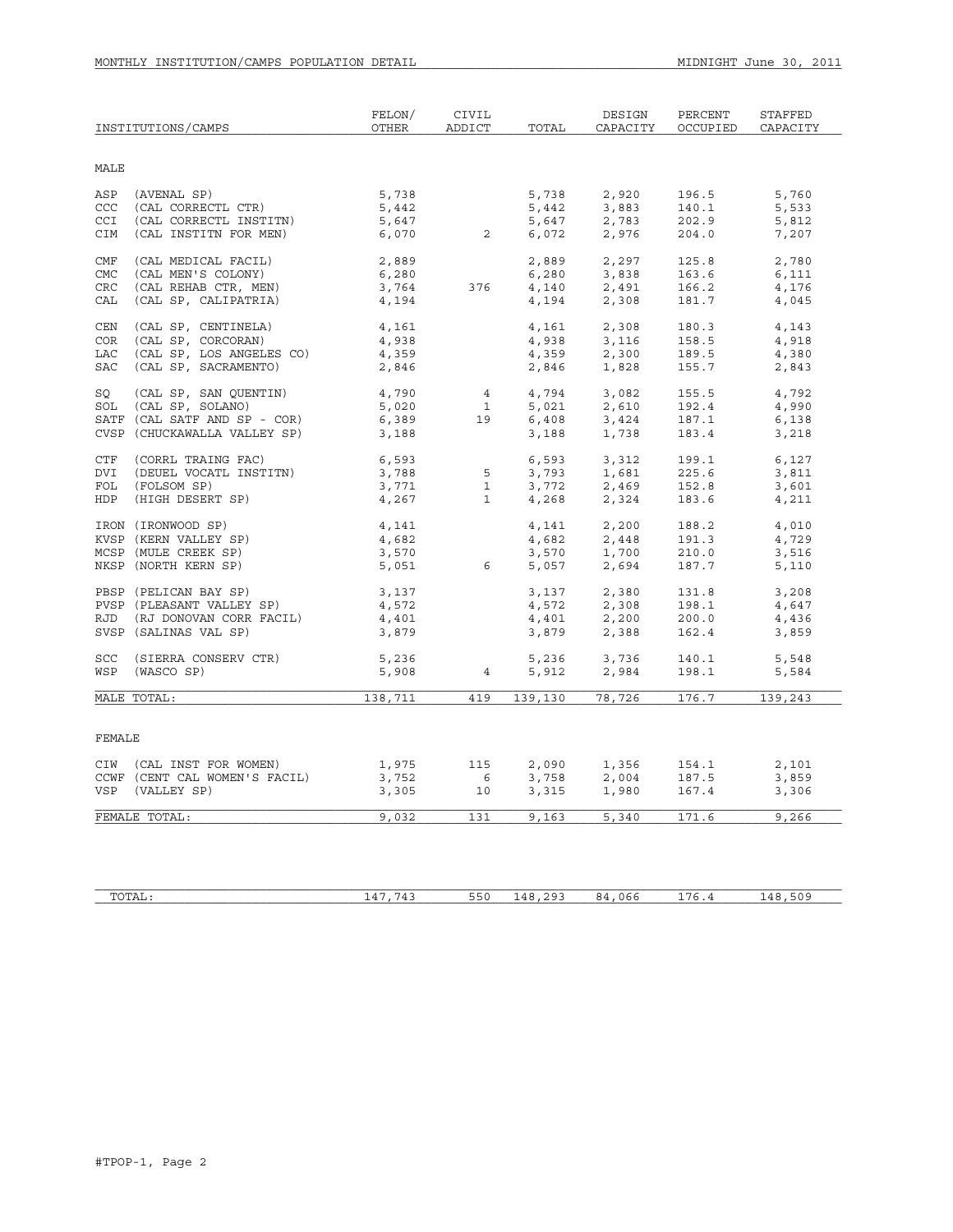|             | INSTITUTIONS/CAMPS            | FELON/<br>OTHER | CIVIL<br>ADDICT          | TOTAL   | DESIGN<br>CAPACITY              | PERCENT<br>OCCUPIED | STAFFED<br>CAPACITY |
|-------------|-------------------------------|-----------------|--------------------------|---------|---------------------------------|---------------------|---------------------|
| <b>MALE</b> |                               |                 |                          |         |                                 |                     |                     |
| ASP         | (AVENAL SP)                   | 5,738           |                          | 5,738   | 2,920                           | 196.5               | 5,760               |
| CCC         | (CAL CORRECTL CTR)            | 5,442           |                          | 5,442   | 3,883                           | 140.1               | 5,533               |
| CCI         | (CAL CORRECTL INSTITN)        | 5,647           |                          | 5,647   | 2,783                           | 202.9               | 5,812               |
| CIM         | (CAL INSTITN FOR MEN)         | 6,070           | $\overline{\phantom{a}}$ | 6,072   | 2,976                           | 204.0               | 7,207               |
| CMF         | (CAL MEDICAL FACIL)           | 2,889           |                          | 2,889   | 2,297                           | 125.8               | 2,780               |
| <b>CMC</b>  | (CAL MEN'S COLONY)            | 6,280           |                          | 6,280   | 3,838                           | 163.6               | 6,111               |
| <b>CRC</b>  | (CAL REHAB CTR, MEN)          | 3,764           | 376                      | 4,140   | 2,491                           | 166.2               | 4,176               |
| CAL         | (CAL SP, CALIPATRIA)          | 4,194           |                          | 4,194   | 2,308                           | 181.7               | 4,045               |
| CEN         | (CAL SP, CENTINELA)           | 4,161           |                          | 4,161   | 2,308                           | 180.3               | 4,143               |
| <b>COR</b>  | (CAL SP, CORCORAN)            | 4,938           |                          | 4,938   | 3,116                           | 158.5               | 4,918               |
| <b>LAC</b>  | (CAL SP, LOS ANGELES CO)      | 4,359           |                          | 4,359   | 2,300                           | 189.5               | 4,380               |
| <b>SAC</b>  | (CAL SP, SACRAMENTO)          | 2,846           |                          | 2,846   | 1,828                           | 155.7               | 2,843               |
| SQ          | (CAL SP, SAN QUENTIN)         | 4,790           | 4                        | 4,794   | 3,082                           | 155.5               | 4,792               |
| SOL         | (CAL SP, SOLANO)              | $5,020$         | $\mathbf{1}$             | 5,021   | 2,610                           | 192.4               | 4,990               |
|             | SATF (CAL SATF AND SP - COR)  | 6,389           | 19                       | 6,408   | 3,424<br>1,738                  | 187.1               | 6,138               |
|             | CVSP (CHUCKAWALLA VALLEY SP)  | 3,188           |                          | 3,188   | 1,738                           | 183.4               | 3,218               |
| <b>CTF</b>  | (CORRL TRAING FAC)            | 6,593           |                          | 6,593   | 3,312                           | 199.1               | 6,127               |
| DVI         | (DEUEL VOCATL INSTITN)        | 3,788           | 5                        | 3,793   | 1,681                           | 225.6               | 3,811               |
| FOL         | (FOLSOM SP)                   | 3,771           | $\overline{1}$           | 3,772   | 2,469                           | 152.8               | 3,601               |
| HDP         | (HIGH DESERT SP)              | 4,267           | $\overline{1}$           | 4,268   | 2,324                           | 183.6               | 4,211               |
|             | IRON (IRONWOOD SP)            | 4,141           |                          | 4,141   | 2,200                           | 188.2               | 4,010               |
|             | KVSP (KERN VALLEY SP)         | 4,682           |                          | 4,682   | 2,448                           | 191.3               | 4,729               |
|             | MCSP (MULE CREEK SP)          | 3,570           |                          | 3,570   | 1,700                           | 210.0               | 3,516               |
|             | NKSP (NORTH KERN SP)          | 5,051           | 6 <sup>6</sup>           | 5,057   | 2,694                           | 187.7               | 5,110               |
|             | PBSP (PELICAN BAY SP)         | 3,137           |                          | 3,137   | 2,380                           | 131.8               | 3,208               |
|             | PVSP (PLEASANT VALLEY SP)     | 4,572           |                          | 4,572   | 2,308                           | 198.1               | 4,647               |
|             | RJD (RJ DONOVAN CORR FACIL)   | 4,401           |                          |         | $4,401$<br>3,879 2,388<br>2,200 | 200.0               | 4,436               |
|             | SVSP (SALINAS VAL SP)         | 3,879           |                          |         |                                 | 162.4               | 3,859               |
| <b>SCC</b>  | (SIERRA CONSERV CTR)          | 5,236           |                          | 5,236   | 3,736                           | 140.1               | 5,548               |
| WSP         | (WASCO SP)                    | 5,908           | $\overline{4}$           | 5,912   | 2,984                           | 198.1               | 5,584               |
|             | MALE TOTAL:                   | 138,711         | 419                      | 139,130 | 78,726                          | 176.7               | 139,243             |
|             |                               |                 |                          |         |                                 |                     |                     |
| FEMALE      |                               |                 |                          |         |                                 |                     |                     |
|             | CIW (CAL INST FOR WOMEN)      | 1,975           | 115                      | 2,090   | 1,356                           | 154.1               | 2,101               |
|             | CCWF (CENT CAL WOMEN'S FACIL) | 3,752           | 6                        | 3,758   | 2,004                           | 187.5               | 3,859               |
|             | VSP (VALLEY SP)               | 3,305           | 10                       | 3,315   | 1,980                           | 167.4               | 3,306               |
|             | FEMALE TOTAL:                 | 9,032           | 131                      | 9,163   | 5,340                           | 171.6               | 9,266               |
|             |                               |                 |                          |         |                                 |                     |                     |

| TOTAT<br>⊺ ⊔∆⊥ | - - -<br>$\sim$<br>$\sim$<br>-- | ---<br>. ירה<br>--<br>$-$ | $\sim$ $\sim$ $\sim$<br>.<br>-- | ×д<br>066 | - - -<br>$\overline{1}$ | $F \cap C$<br>4 ≻ |
|----------------|---------------------------------|---------------------------|---------------------------------|-----------|-------------------------|-------------------|
|                |                                 |                           |                                 |           |                         |                   |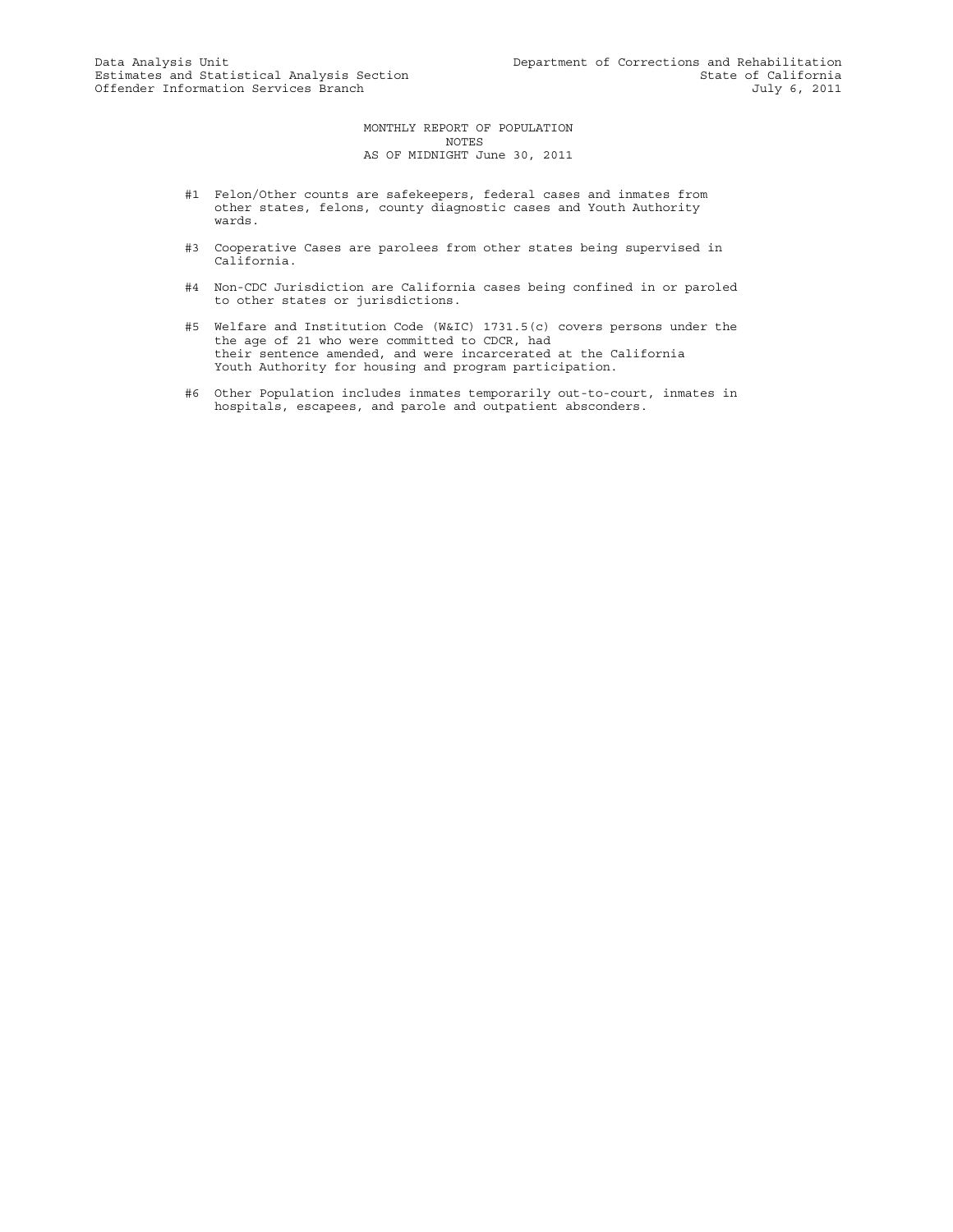MONTHLY REPORT OF POPULATION NOTES AS OF MIDNIGHT June 30, 2011

- #1 Felon/Other counts are safekeepers, federal cases and inmates from other states, felons, county diagnostic cases and Youth Authority wards.
- #3 Cooperative Cases are parolees from other states being supervised in California.
- #4 Non-CDC Jurisdiction are California cases being confined in or paroled to other states or jurisdictions.
- #5 Welfare and Institution Code (W&IC) 1731.5(c) covers persons under the the age of 21 who were committed to CDCR, had their sentence amended, and were incarcerated at the California Youth Authority for housing and program participation.
- #6 Other Population includes inmates temporarily out-to-court, inmates in hospitals, escapees, and parole and outpatient absconders.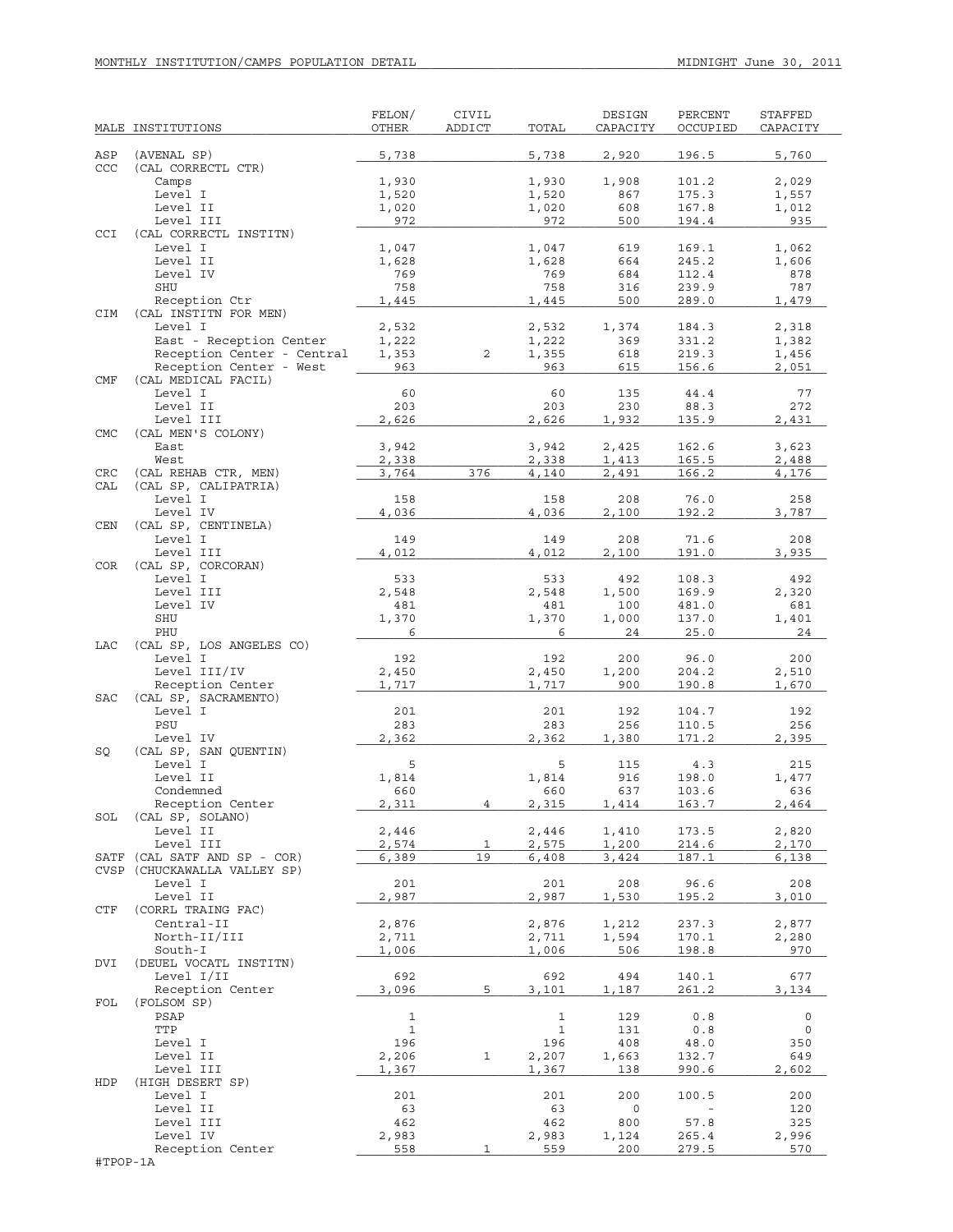|            | MALE INSTITUTIONS                    | FELON/<br>OTHER | CIVIL<br>ADDICT | TOTAL          | DESIGN<br>CAPACITY | PERCENT<br>OCCUPIED | STAFFED<br>CAPACITY |
|------------|--------------------------------------|-----------------|-----------------|----------------|--------------------|---------------------|---------------------|
| ASP        | (AVENAL SP)                          | 5,738           |                 | 5,738          | 2,920              | 196.5               | 5,760               |
| CCC        | (CAL CORRECTL CTR)                   | 1,930           |                 |                |                    |                     | 2,029               |
|            | Camps<br>Level I                     | 1,520           |                 | 1,930<br>1,520 | 1,908<br>867       | 101.2<br>175.3      | 1,557               |
|            | Level II                             | 1,020           |                 | 1,020          | 608                | 167.8               | 1,012               |
|            | Level III                            | 972             |                 | 972            | 500                | 194.4               | 935                 |
| CCI        | (CAL CORRECTL INSTITN)               |                 |                 |                |                    |                     |                     |
|            | Level I                              | 1,047           |                 | 1,047          | 619                | 169.1               | 1,062               |
|            | Level II                             | 1,628           |                 | 1,628          | 664                | 245.2               | 1,606               |
|            | Level IV                             | 769             |                 | 769            | 684                | 112.4               | 878                 |
|            | SHU                                  | 758             |                 | 758            | 316                | 239.9               | 787                 |
|            | Reception Ctr                        | 1,445           |                 | 1,445          | 500                | 289.0               | 1,479               |
| <b>CIM</b> | (CAL INSTITN FOR MEN)<br>Level I     | 2,532           |                 | 2,532          | 1,374              | 184.3               | 2,318               |
|            | East - Reception Center              | 1,222           |                 | 1,222          | 369                | 331.2               | 1,382               |
|            | Reception Center - Central           | 1,353           | 2               | 1,355          | 618                | 219.3               | 1,456               |
|            | Reception Center - West              | 963             |                 | 963            | 615                | 156.6               | 2,051               |
| CMF        | (CAL MEDICAL FACIL)                  |                 |                 |                |                    |                     |                     |
|            | Level I                              | 60              |                 | 60             | 135                | 44.4                | 77                  |
|            | Level II                             | 203             |                 | 203            | 230                | 88.3                | 272                 |
|            | Level III                            | 2,626           |                 | 2,626          | 1,932              | 135.9               | 2,431               |
| <b>CMC</b> | (CAL MEN'S COLONY)<br>East           | 3,942           |                 | 3,942          | 2,425              | 162.6               | 3,623               |
|            | West                                 | 2,338           |                 | 2,338          | 1,413              | 165.5               | 2,488               |
| CRC        | (CAL REHAB CTR, MEN)                 | 3,764           | 376             | 4,140          | 2,491              | 166.2               | 4,176               |
| CAL        | (CAL SP, CALIPATRIA)                 |                 |                 |                |                    |                     |                     |
|            | Level I                              | 158             |                 | 158            | 208                | 76.0                | 258                 |
|            | Level IV                             | 4,036           |                 | 4,036          | 2,100              | 192.2               | 3,787               |
| <b>CEN</b> | (CAL SP, CENTINELA)                  |                 |                 |                |                    |                     |                     |
|            | Level I                              | 149             |                 | 149            | 208                | 71.6                | 208                 |
|            | Level III                            | 4,012           |                 | 4,012          | 2,100              | 191.0               | 3,935               |
| <b>COR</b> | (CAL SP, CORCORAN)                   |                 |                 |                |                    |                     |                     |
|            | Level I<br>Level III                 | 533<br>2,548    |                 | 533<br>2,548   | 492<br>1,500       | 108.3<br>169.9      | 492<br>2,320        |
|            | Level IV                             | 481             |                 | 481            | 100                | 481.0               | 681                 |
|            | SHU                                  | 1,370           |                 | 1,370          | 1,000              | 137.0               | 1,401               |
|            | PHU                                  | 6               |                 | 6              | 24                 | 25.0                | 24                  |
| LAC        | (CAL SP, LOS ANGELES CO)             |                 |                 |                |                    |                     |                     |
|            | Level I                              | 192             |                 | 192            | 200                | 96.0                | 200                 |
|            | Level III/IV                         | 2,450           |                 | 2,450          | 1,200              | 204.2               | 2,510               |
|            | Reception Center                     | 1,717           |                 | 1,717          | 900                | 190.8               | 1,670               |
| <b>SAC</b> | (CAL SP, SACRAMENTO)                 |                 |                 |                |                    |                     |                     |
|            | Level I<br>PSU                       | 201<br>283      |                 | 201<br>283     | 192<br>256         | 104.7<br>110.5      | 192<br>256          |
|            | Level IV                             | 2,362           |                 | 2,362          | 1,380              | 171.2               | 2,395               |
| SQ         | (CAL SP, SAN QUENTIN)                |                 |                 |                |                    |                     |                     |
|            | Level I                              | 5               |                 | 5              | 115                | 4.3                 | 215                 |
|            | Level II                             | 1,814           |                 | 1,814          | 916                | 198.0               | 1,477               |
|            | Condemned                            | 660             |                 | 660            | 637                | 103.6               | 636                 |
|            | Reception Center                     | 2,311           | 4               | 2,315          | 1,414              | 163.7               | 2.464               |
| SOL        | (CAL SP, SOLANO)                     |                 |                 |                |                    |                     |                     |
|            | Level II                             | 2,446           |                 | 2,446          | 1,410              | 173.5               | 2,820               |
| SATF       | Level III<br>(CAL SATF AND SP - COR) | 2,574<br>6,389  | 1<br>19         | 2,575<br>6,408 | 1,200<br>3,424     | 214.6<br>187.1      | 2,170<br>6,138      |
|            | CVSP (CHUCKAWALLA VALLEY SP)         |                 |                 |                |                    |                     |                     |
|            | Level I                              | 201             |                 | 201            | 208                | 96.6                | 208                 |
|            | Level II                             | 2,987           |                 | 2,987          | 1,530              | 195.2               | 3,010               |
| CTF        | (CORRL TRAING FAC)                   |                 |                 |                |                    |                     |                     |
|            | Central-II                           | 2,876           |                 | 2,876          | 1,212              | 237.3               | 2,877               |
|            | North-II/III                         | 2,711           |                 | 2,711          | 1,594              | 170.1               | 2,280               |
|            | South-I                              | 1,006           |                 | 1,006          | 506                | 198.8               | 970                 |
| DVI        | (DEUEL VOCATL INSTITN)               |                 |                 |                |                    |                     |                     |
|            | Level I/II                           | 692             | 5               | 692            | 494                | 140.1<br>261.2      | 677                 |
| FOL        | Reception Center<br>(FOLSOM SP)      | 3,096           |                 | 3,101          | 1,187              |                     | 3,134               |
|            | PSAP                                 | 1               |                 | $\mathbf 1$    | 129                | 0.8                 | 0                   |
|            | TTP                                  | $\mathbf{1}$    |                 | $\mathbf{1}$   | 131                | 0.8                 | 0                   |
|            | Level I                              | 196             |                 | 196            | 408                | 48.0                | 350                 |
|            | Level II                             | 2,206           | 1               | 2,207          | 1,663              | 132.7               | 649                 |
|            | Level III                            | 1,367           |                 | 1,367          | 138                | 990.6               | 2,602               |
| HDP        | (HIGH DESERT SP)                     |                 |                 |                |                    |                     |                     |
|            | Level I                              | 201             |                 | 201            | 200                | 100.5               | 200                 |
|            | Level II                             | 63              |                 | 63             | 0                  |                     | 120                 |
|            | Level III                            | 462             |                 | 462            | 800                | 57.8                | 325                 |
|            | Level IV<br>Reception Center         | 2,983<br>558    | 1               | 2,983<br>559   | 1,124<br>200       | 265.4<br>279.5      | 2,996<br>570        |
| #TPOP-1A   |                                      |                 |                 |                |                    |                     |                     |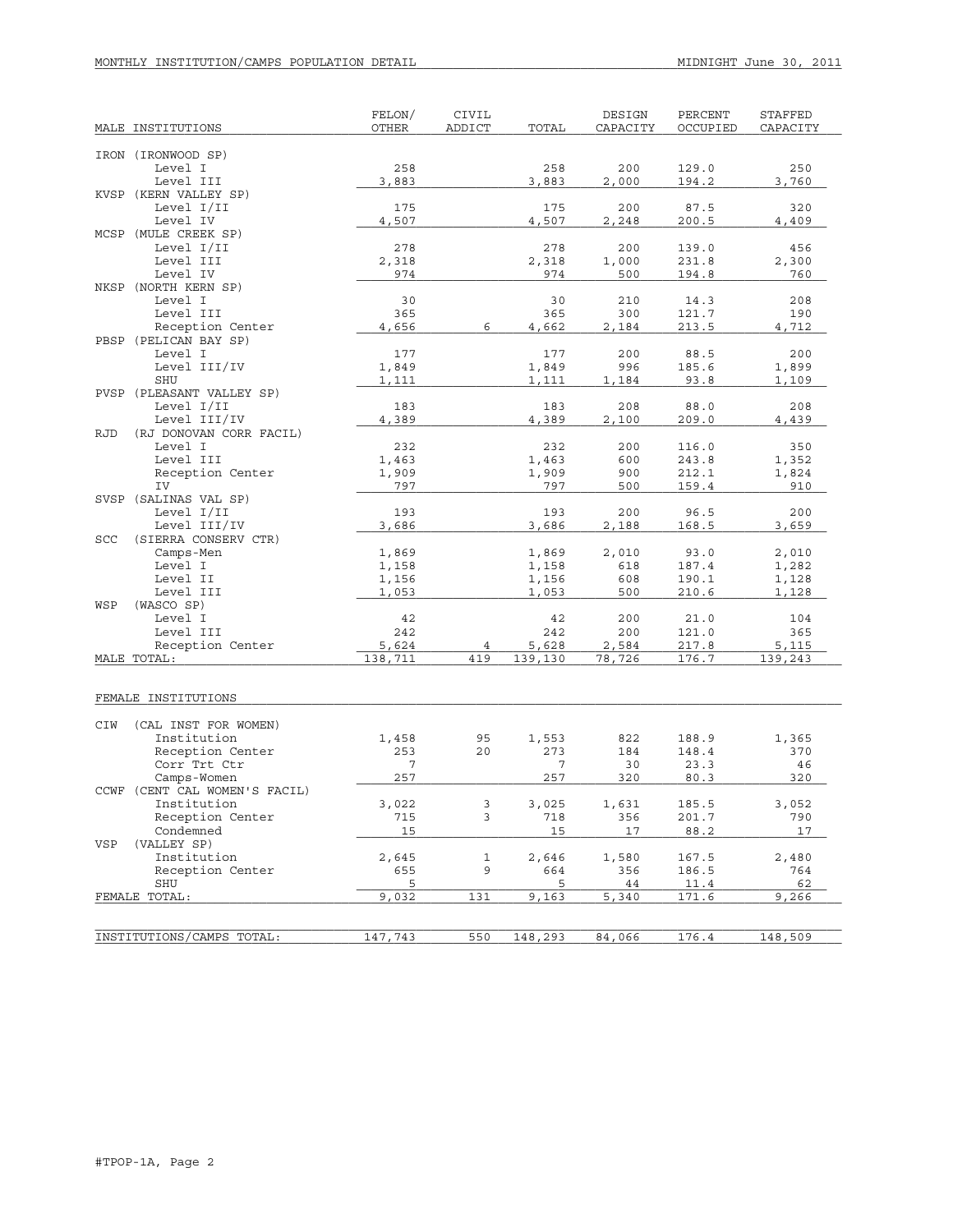| MALE INSTITUTIONS                     | FELON/<br><b>OTHER</b> | CIVIL<br>ADDICT | TOTAL        | DESIGN<br>CAPACITY | PERCENT<br>OCCUPIED | STAFFED<br>CAPACITY |
|---------------------------------------|------------------------|-----------------|--------------|--------------------|---------------------|---------------------|
|                                       |                        |                 |              |                    |                     |                     |
| IRON (IRONWOOD SP)                    |                        |                 |              |                    |                     |                     |
| Level I                               | 258                    |                 | 258          | 200                | 129.0               | 250                 |
| Level III                             | 3,883                  |                 | 3,883        | 2,000              | 194.2               | 3,760               |
| KVSP (KERN VALLEY SP)                 |                        |                 |              |                    |                     |                     |
| Level I/II                            | 175                    |                 | 175          | 200                | 87.5                | 320                 |
| Level IV                              | 4,507                  |                 | 4,507        | 2,248              | 200.5               | 4,409               |
| MCSP (MULE CREEK SP)                  |                        |                 |              |                    |                     |                     |
| Level I/II                            | 278                    |                 | 278          | 200                | 139.0               | 456                 |
| Level III<br>Level IV                 | 2,318<br>974           |                 | 2,318<br>974 | 1,000<br>500       | 231.8<br>194.8      | 2,300<br>760        |
| NKSP (NORTH KERN SP)                  |                        |                 |              |                    |                     |                     |
| Level I                               | 30                     |                 | 30           | 210                | 14.3                | 208                 |
| Level III                             | 365                    |                 | 365          | 300                | 121.7               | 190                 |
| Reception Center                      | 4,656                  | 6               | 4,662        | 2,184              | 213.5               | 4,712               |
| PBSP (PELICAN BAY SP)                 |                        |                 |              |                    |                     |                     |
| Level I                               | 177                    |                 | 177          | 200                | 88.5                | 200                 |
| Level III/IV                          | 1,849                  |                 | 1,849        | 996                | 185.6               | 1,899               |
| SHU                                   | 1,111                  |                 | 1,111        | 1,184              | 93.8                | 1,109               |
| PVSP (PLEASANT VALLEY SP)             |                        |                 |              |                    |                     |                     |
| Level I/II                            | 183                    |                 | 183          | 208                | 88.0                | 208                 |
| Level III/IV                          | 4,389                  |                 | 4,389        | 2,100              | 209.0               | 4,439               |
| <b>RJD</b><br>(RJ DONOVAN CORR FACIL) |                        |                 |              |                    |                     |                     |
| Level I                               | 232                    |                 | 232          | 200                | 116.0               | 350                 |
| Level III                             | 1,463                  |                 | 1,463        | 600                | 243.8               | 1,352               |
| Reception Center                      | 1,909                  |                 | 1,909        | 900                | 212.1               | 1,824               |
| IV                                    | 797                    |                 | 797          | 500                | 159.4               | 910                 |
| SVSP (SALINAS VAL SP)<br>Level I/II   | 193                    |                 | 193          | 200                | 96.5                | 200                 |
| Level III/IV                          | 3,686                  |                 | 3,686        | 2,188              | 168.5               | 3,659               |
| (SIERRA CONSERV CTR)<br>SCC           |                        |                 |              |                    |                     |                     |
| Camps-Men                             | 1,869                  |                 | 1,869        | 2,010              | 93.0                | 2,010               |
| Level I                               | 1,158                  |                 | 1,158        | 618                | 187.4               | 1,282               |
| Level II                              | 1,156                  |                 | 1,156        | 608                | 190.1               | 1,128               |
| Level III                             | 1,053                  |                 | 1,053        | 500                | 210.6               | 1,128               |
| (WASCO SP)<br>WSP                     |                        |                 |              |                    |                     |                     |
| Level I                               | 42                     |                 | 42           | 200                | 21.0                | 104                 |
| Level III                             | 242                    |                 | 242          | 200                | 121.0               | 365                 |
| Reception Center                      | 5,624                  | 4               | 5,628        | 2,584              | 217.8               | 5,115               |
| MALE TOTAL:                           | 138,711                | 419             | 139,130      | 78,726             | 176.7               | 139,243             |
|                                       |                        |                 |              |                    |                     |                     |
|                                       |                        |                 |              |                    |                     |                     |
| FEMALE INSTITUTIONS                   |                        |                 |              |                    |                     |                     |
| CIW<br>(CAL INST FOR WOMEN)           |                        |                 |              |                    |                     |                     |
| Institution                           | 1,458                  | 95              | 1,553        | 822                | 188.9               | 1,365               |
| Reception Center                      | 253                    | 20              | 273          | 184                | 148.4               | 370                 |
| Corr Trt Ctr                          | 7                      |                 | 7            | 30                 | 23.3                | 46                  |
| Camps-Women                           | 257                    |                 | 257          | 320                | 80.3                | 320                 |
| CCWF (CENT CAL WOMEN'S FACIL)         |                        |                 |              |                    |                     |                     |
| Institution                           | 3,022                  | 3               | 3,025        | 1,631              | 185.5               | 3,052               |
| Reception Center                      | 715                    | 3               | 718          | 356                | 201.7               | 790                 |
| Condemned                             | 15                     |                 | 15           | 17                 | 88.2                | 17                  |
| VSP<br>(VALLEY SP)                    |                        |                 |              |                    |                     |                     |
| Institution                           | 2,645                  | 1               | 2,646        | 1,580              | 167.5               | 2,480               |
| Reception Center                      | 655                    | 9               | 664          | 356                | 186.5               | 764                 |
| SHU                                   | 5                      |                 | 5            | 44                 | 11.4                | 62                  |
| FEMALE TOTAL:                         | 9,032                  | 131             | 9,163        | 5,340              | 171.6               | 9,266               |
|                                       |                        |                 |              |                    |                     |                     |
| INSTITUTIONS/CAMPS TOTAL:             | 147,743                | 550             | 148,293      | 84,066             | 176.4               | 148,509             |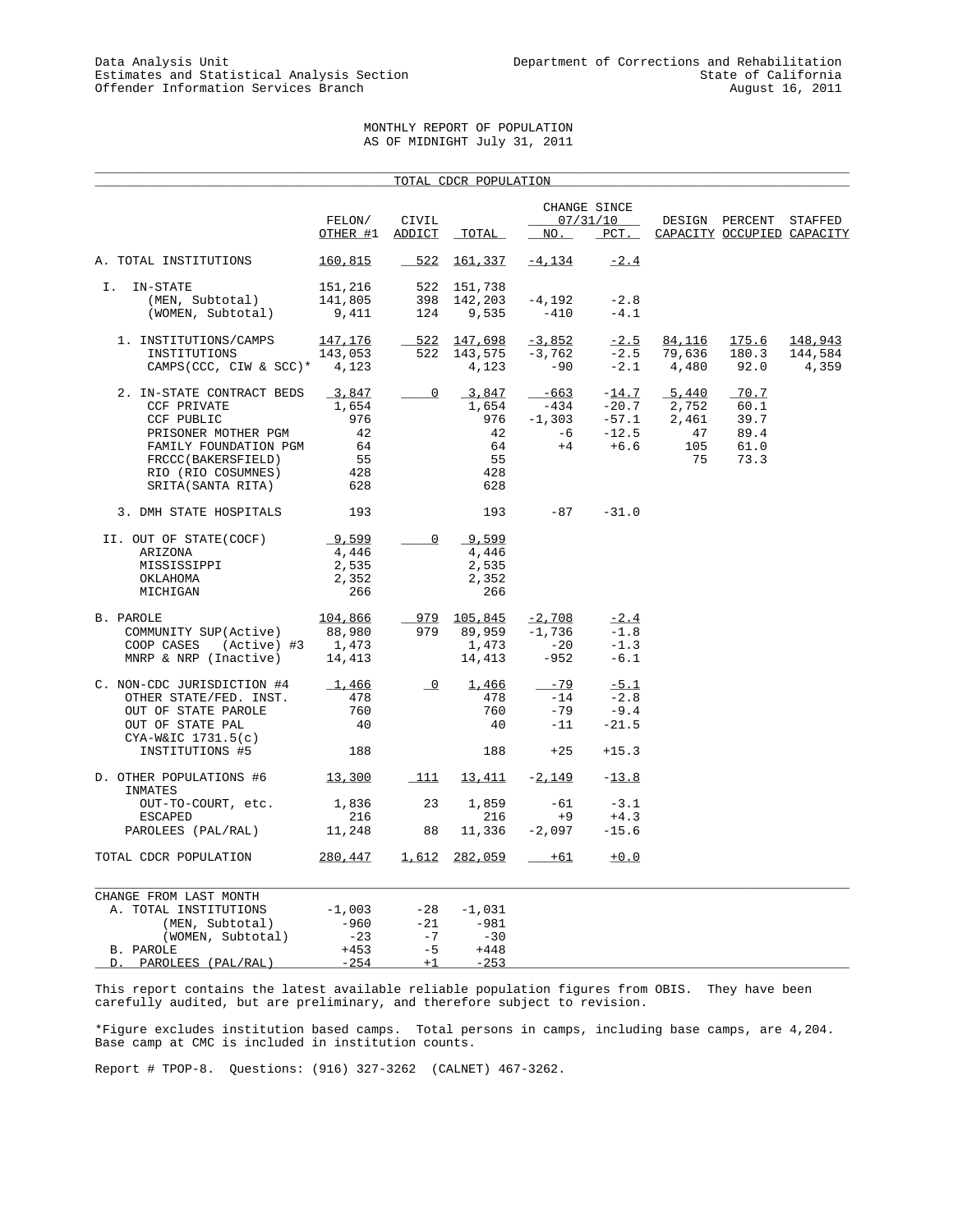# MONTHLY REPORT OF POPULATION AS OF MIDNIGHT July 31, 2011

|                                                 |                 |                          | TOTAL CDCR POPULATION |           |                          |        |                            |         |
|-------------------------------------------------|-----------------|--------------------------|-----------------------|-----------|--------------------------|--------|----------------------------|---------|
|                                                 | FELON/          | CIVIL                    |                       |           | CHANGE SINCE<br>07/31/10 |        | DESIGN PERCENT STAFFED     |         |
|                                                 | OTHER #1        | ADDICT                   | TOTAL                 | NO.       | $_{PCT}$ .               |        | CAPACITY OCCUPIED CAPACITY |         |
| A. TOTAL INSTITUTIONS                           | 160,815         | 522                      | 161,337               | $-4, 134$ | $-2.4$                   |        |                            |         |
| IN-STATE<br>Ι.                                  | 151,216         | 522                      | 151,738               |           |                          |        |                            |         |
| (MEN, Subtotal)                                 | 141,805         | 398                      | 142,203               | $-4,192$  | $-2.8$                   |        |                            |         |
| (WOMEN, Subtotal)                               | 9,411           | 124                      | 9,535                 | $-410$    | $-4.1$                   |        |                            |         |
| 1. INSTITUTIONS/CAMPS                           | <u> 147,176</u> | $-522$                   | 147,698               | $-3,852$  | $-2.5$                   | 84,116 | 175.6                      | 148,943 |
| INSTITUTIONS                                    | 143,053         | 522                      | 143,575               | $-3,762$  | $-2.5$                   | 79,636 | 180.3                      | 144,584 |
| CAMPS (CCC, CIW & SCC)* $4,123$                 |                 |                          | 4,123                 | $-90$     | $-2.1$                   | 4,480  | 92.0                       | 4,359   |
| 2. IN-STATE CONTRACT BEDS                       | 3,847           | $\overline{0}$           | 3,847                 | $-663$    | $-14.7$                  | 5,440  | $-70.7$                    |         |
| <b>CCF PRIVATE</b>                              | 1,654           |                          | 1,654                 | $-434$    | $-20.7$                  | 2,752  | 60.1                       |         |
| CCF PUBLIC                                      | 976             |                          | 976                   | $-1,303$  | $-57.1$                  | 2,461  | 39.7                       |         |
| PRISONER MOTHER PGM                             | 42              |                          | 42                    | $-6$      | $-12.5$                  | 47     | 89.4                       |         |
| FAMILY FOUNDATION PGM                           | 64              |                          | 64                    | $+4$      | $+6.6$                   | 105    | 61.0                       |         |
| FRCCC(BAKERSFIELD)                              | 55              |                          | 55                    |           |                          | 75     | 73.3                       |         |
| RIO (RIO COSUMNES)                              | 428             |                          | 428                   |           |                          |        |                            |         |
| SRITA (SANTA RITA)                              | 628             |                          | 628                   |           |                          |        |                            |         |
| 3. DMH STATE HOSPITALS                          | 193             |                          | 193                   | $-87$     | $-31.0$                  |        |                            |         |
| II. OUT OF STATE(COCF)                          | 9,599           | $\overline{0}$           | 9,599                 |           |                          |        |                            |         |
| ARIZONA                                         | 4,446           |                          | 4,446                 |           |                          |        |                            |         |
| MISSISSIPPI                                     | 2,535           |                          | 2,535                 |           |                          |        |                            |         |
| OKLAHOMA                                        | 2,352           |                          | 2,352                 |           |                          |        |                            |         |
| MICHIGAN                                        | 266             |                          | 266                   |           |                          |        |                            |         |
| B. PAROLE                                       | 104,866         |                          | 979 105,845           | $-2,708$  | $-2.4$                   |        |                            |         |
| COMMUNITY SUP(Active)                           | 88,980          | 979                      | 89,959                | $-1,736$  | $-1.8$                   |        |                            |         |
| (Active) #3 1,473<br>COOP CASES                 |                 |                          | 1,473                 | $-20$     | $-1.3$                   |        |                            |         |
| MNRP & NRP (Inactive)                           | 14,413          |                          | 14,413                | $-952$    | $-6.1$                   |        |                            |         |
| C. NON-CDC JURISDICTION #4                      | 1,466           | $\overline{\phantom{a}}$ | 1,466                 | $-79$     | $-5.1$                   |        |                            |         |
| OTHER STATE/FED. INST.                          | 478             |                          | 478                   | $-14$     | $-2.8$                   |        |                            |         |
| OUT OF STATE PAROLE                             | 760             |                          | 760                   | $-79$     | $-9.4$                   |        |                            |         |
| OUT OF STATE PAL                                | 40              |                          | 40                    | $-11$     | $-21.5$                  |        |                            |         |
| $CYA-W&IC$ 1731.5(c)<br>INSTITUTIONS #5         | 188             |                          | 188                   | $+25$     | $+15.3$                  |        |                            |         |
| D. OTHER POPULATIONS #6                         | 13,300          | 111                      | 13,411                | $-2,149$  | $-13.8$                  |        |                            |         |
| INMATES<br>OUT-TO-COURT, etc.                   | 1,836           | 23                       | 1,859                 | $-61$     | $-3.1$                   |        |                            |         |
| <b>ESCAPED</b>                                  | 216             |                          | 216                   | $+9$      | $+4.3$                   |        |                            |         |
| PAROLEES (PAL/RAL)                              | 11,248          | 88                       | 11,336                | $-2,097$  | $-15.6$                  |        |                            |         |
| TOTAL CDCR POPULATION                           | 280,447         | 1,612                    | 282,059               | $+61$     | $+0.0$                   |        |                            |         |
|                                                 |                 |                          |                       |           |                          |        |                            |         |
| CHANGE FROM LAST MONTH<br>A. TOTAL INSTITUTIONS | $-1,003$        | $-28$                    | $-1,031$              |           |                          |        |                            |         |
| (MEN, Subtotal)                                 | $-960$          | $-21$                    | $-981$                |           |                          |        |                            |         |
| (WOMEN, Subtotal)                               | $-23$           | $-7$                     | $-30$                 |           |                          |        |                            |         |
| B. PAROLE                                       | $+453$          | $-5$                     | $+448$                |           |                          |        |                            |         |
| PAROLEES (PAL/RAL)<br><u>D. </u>                | $-254$          | $+1$                     | $-253$                |           |                          |        |                            |         |

This report contains the latest available reliable population figures from OBIS. They have been carefully audited, but are preliminary, and therefore subject to revision.

\*Figure excludes institution based camps. Total persons in camps, including base camps, are 4,204. Base camp at CMC is included in institution counts.

Report # TPOP-8. Questions: (916) 327-3262 (CALNET) 467-3262.

D. PAROLEES (PAL/RAL)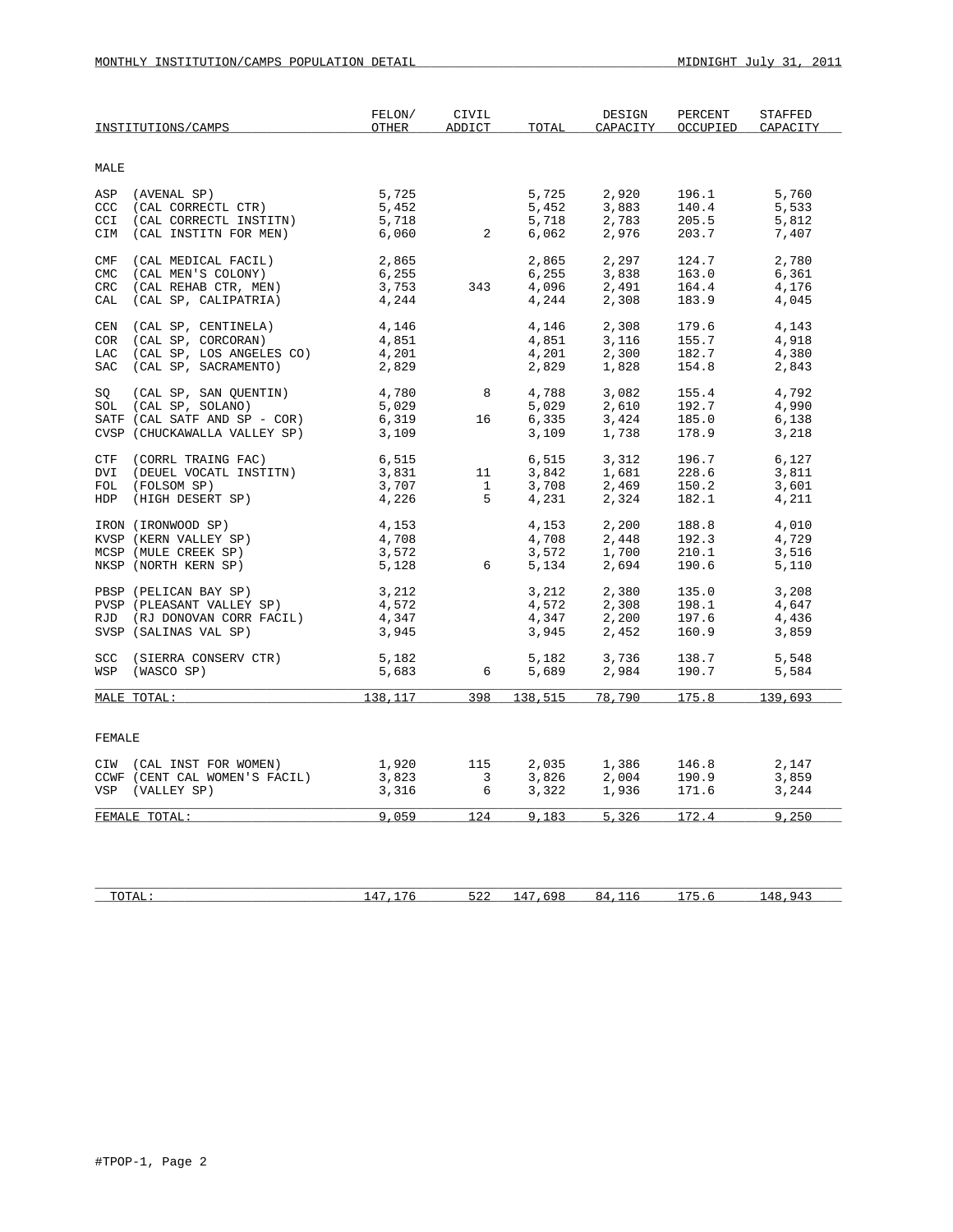|                                                  | INSTITUTIONS/CAMPS                                                                                               | FELON/<br>OTHER                           | CIVIL<br>ADDICT                | TOTAL                                                            | DESIGN<br>CAPACITY                                                            | PERCENT<br>OCCUPIED              | STAFFED<br>CAPACITY              |
|--------------------------------------------------|------------------------------------------------------------------------------------------------------------------|-------------------------------------------|--------------------------------|------------------------------------------------------------------|-------------------------------------------------------------------------------|----------------------------------|----------------------------------|
| MALE                                             |                                                                                                                  |                                           |                                |                                                                  |                                                                               |                                  |                                  |
| CCI                                              | ASP (AVENAL SP)<br>CCC (CAL CORRECTL CTR)<br>(CAL CORRECTL INSTITN)<br>CIM (CAL INSTITN FOR MEN)                 | 5,725<br>5,452<br>5,718<br>6,060 2        |                                | 5,725<br>5,452<br>5,718<br>6.062                                 | 2,920<br>3.883<br>2,783<br>2,976                                              | 196.1<br>140.4<br>205.5<br>203.7 | 5,760<br>5,533<br>5,812<br>7,407 |
| $\mathop{\rm CMF}\nolimits$<br>CMC<br>CRC<br>CAL | (CAL MEDICAL FACIL)<br>(CAL MEN'S COLONY)<br>(CAL REHAB CTR, MEN)<br>(CAL SP, CALIPATRIA)                        | 2,865<br>6.255<br>6,255<br>3,753<br>4,244 | 343                            | 2,865<br>6,255                                                   | 2,297<br>3,838<br>$4,096$<br>$4,244$<br>$2,308$                               | 124.7<br>163.0<br>164.4<br>183.9 | 2,780<br>6,361<br>4,176<br>4,045 |
| CEN<br>COR                                       | (CAL SP, CENTINELA)<br>(CAL SP, CORCORAN)<br>LAC (CAL SP, LOS ANGELES CO)<br>SAC (CAL SP, SACRAMENTO)            | 4,146<br>4,851<br>4,201<br>2,829          |                                | 4,146<br>4,851<br>4,201<br>2,829                                 | 2,308<br>3,116<br>2,300<br>1,828                                              | 179.6<br>155.7<br>182.7<br>154.8 | 4,143<br>4,918<br>4,380<br>2,843 |
|                                                  | SQ (CAL SP, SAN QUENTIN)<br>SOL (CAL SP, SOLANO)<br>SATF (CAL SATF AND SP - COR)<br>CVSP (CHUCKAWALLA VALLEY SP) | 4,780 8<br>5,029<br>6,319<br>3,109        | 16                             | 5,029<br>6,335<br>3,109                                          | 4,788 3,082<br>2,610<br>3,424<br>1,738<br>1,738                               | 155.4<br>192.7<br>185.0<br>178.9 | 4,792<br>4,990<br>6,138<br>3,218 |
| DVI                                              | CTF (CORRL TRAING FAC)<br>(DEUEL VOCATL INSTITN)<br>FOL (FOLSOM SP)<br>HDP (HIGH DESERT SP)                      | 6,515<br>$3,831$ 11<br>3,707<br>4,226     | $\mathbf{1}$<br>5 <sub>5</sub> | 4,231                                                            | 6,515 3,312<br>3,842 1,681<br>3,708 2,469<br>2,324                            | 196.7<br>228.6<br>150.2<br>182.1 | 6,127<br>3,811<br>3,601<br>4,211 |
|                                                  | IRON (IRONWOOD SP)<br>KVSP (KERN VALLEY SP)<br>MCSP (MULE CREEK SP)<br>NKSP (NORTH KERN SP)                      | 4,153<br>4,708<br>$3,572$<br>5,128 6      |                                | 4,153                                                            | 2,200<br>4,708 2,448<br>3,572 1,700<br>5,134 2,694<br>2,448<br>1,700<br>2,694 | 188.8<br>192.3<br>210.1<br>190.6 | 4,010<br>4,729<br>3,516<br>5,110 |
|                                                  | PBSP (PELICAN BAY SP)<br>PVSP (PLEASANT VALLEY SP)<br>RJD (RJ DONOVAN CORR FACIL)<br>SVSP (SALINAS VAL SP)       | 3,212<br>4,572<br>4,347<br>3,945          |                                | 3,212<br>4,572<br>3,945                                          | 2,380<br>2,380<br>2,308<br>2,200<br>$4,572$<br>$4,347$<br>$2,200$<br>2,452    | 135.0<br>198.1<br>197.6<br>160.9 | 3,208<br>4,647<br>4,436<br>3,859 |
| <b>SCC</b>                                       | (SIERRA CONSERV CTR)<br>WSP (WASCO SP)                                                                           | 5,182<br>5,683                            | 6                              | 5,182<br>5,689                                                   | 3,736<br>2,984                                                                | 138.7<br>190.7                   | 5,548<br>5,584                   |
|                                                  | MALE TOTAL:                                                                                                      | 138, 117                                  |                                |                                                                  | 398 138,515 78,790                                                            | 175.8                            | 139,693                          |
| FEMALE                                           |                                                                                                                  |                                           |                                |                                                                  |                                                                               |                                  |                                  |
|                                                  | CIW (CAL INST FOR WOMEN)<br>CCWF (CENT CAL WOMEN'S FACIL)<br>VSP (VALLEY SP)                                     | 1,920<br>3,823<br>3,316                   | 115                            | 2,035<br>$\begin{array}{c} 3 \\ 6 \end{array}$<br>3,826<br>3,322 | 1,386<br>2,004<br>1,936                                                       | 146.8<br>190.9<br>171.6          | 2,147<br>3,859<br>3,244          |
|                                                  | FEMALE TOTAL:                                                                                                    | 9,059                                     |                                |                                                                  | 124 9,183 5,326                                                               | 172.4                            | 9,250                            |

| איחר<br>10111 | -- | .<br>ے بے ب | ൧ | × 4<br>Ë | $\overline{\phantom{a}}$<br>- | 4 P<br>uд |
|---------------|----|-------------|---|----------|-------------------------------|-----------|
|               |    |             |   |          |                               |           |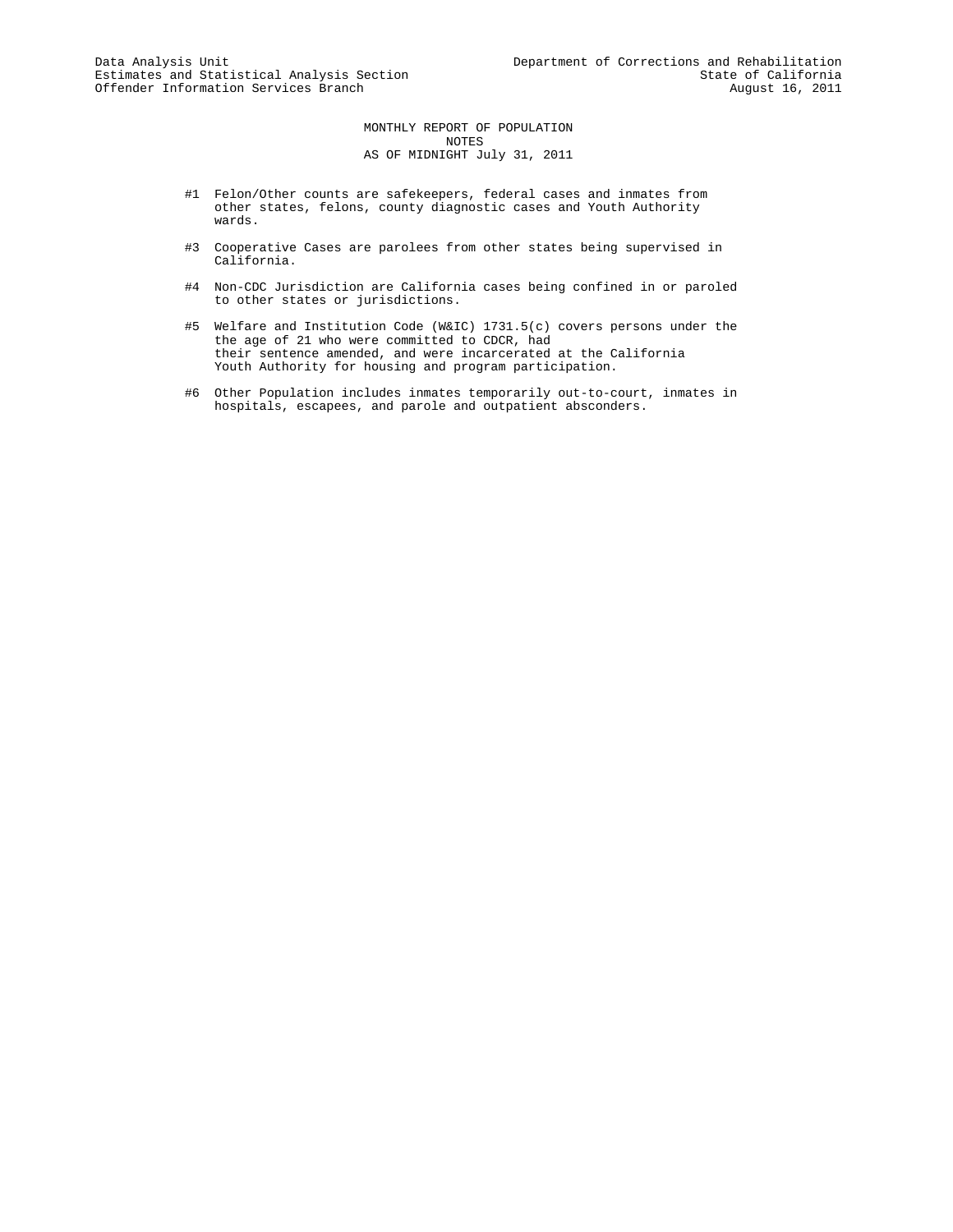MONTHLY REPORT OF POPULATION NOTES AS OF MIDNIGHT July 31, 2011

- #1 Felon/Other counts are safekeepers, federal cases and inmates from other states, felons, county diagnostic cases and Youth Authority wards.
- #3 Cooperative Cases are parolees from other states being supervised in California.
- #4 Non-CDC Jurisdiction are California cases being confined in or paroled to other states or jurisdictions.
- #5 Welfare and Institution Code (W&IC) 1731.5(c) covers persons under the the age of 21 who were committed to CDCR, had their sentence amended, and were incarcerated at the California Youth Authority for housing and program participation.
- #6 Other Population includes inmates temporarily out-to-court, inmates in hospitals, escapees, and parole and outpatient absconders.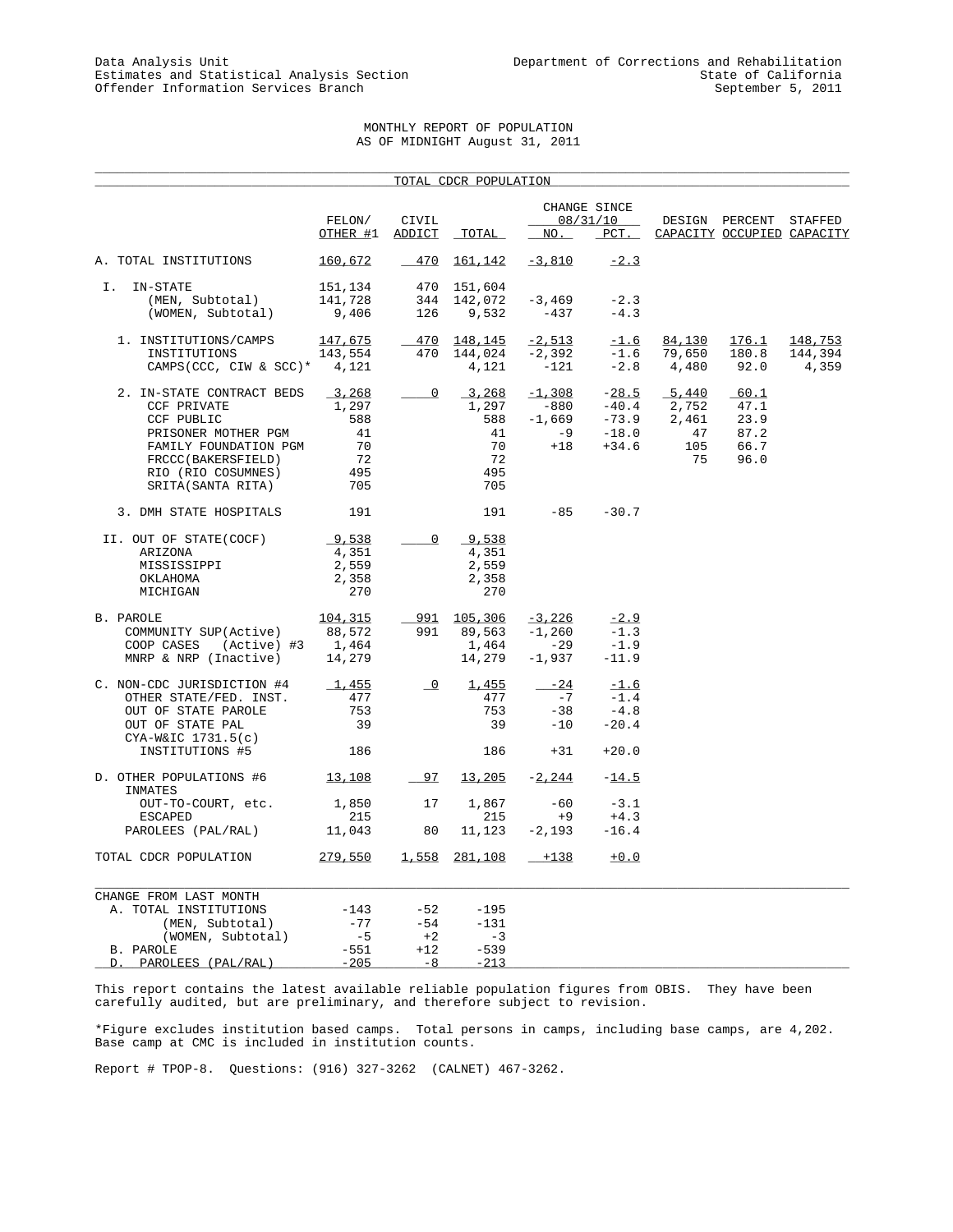#### MONTHLY REPORT OF POPULATION AS OF MIDNIGHT August 31, 2011

|                                                                                                                                                                          |                                                       |                          | TOTAL CDCR POPULATION                                 |                                               |                                                     |                                            |                                              |                             |
|--------------------------------------------------------------------------------------------------------------------------------------------------------------------------|-------------------------------------------------------|--------------------------|-------------------------------------------------------|-----------------------------------------------|-----------------------------------------------------|--------------------------------------------|----------------------------------------------|-----------------------------|
|                                                                                                                                                                          | FELON/<br>OTHER #1                                    | CIVIL<br>ADDICT          | TOTAL                                                 | NO.                                           | CHANGE SINCE<br>08/31/10<br>$PCT$ .                 |                                            | DESIGN PERCENT<br>CAPACITY OCCUPIED CAPACITY | STAFFED                     |
| A. TOTAL INSTITUTIONS                                                                                                                                                    | 160,672                                               | $-470$                   | <u>161,142</u>                                        | $-3,810$                                      | $-2.3$                                              |                                            |                                              |                             |
| IN-STATE<br>Ι.<br>(MEN, Subtotal)<br>(WOMEN, Subtotal)                                                                                                                   | 151,134<br>141,728<br>9,406                           | 470<br>344<br>126        | 151,604<br>142,072<br>9,532                           | $-3,469$<br>$-437$                            | $-2.3$<br>$-4.3$                                    |                                            |                                              |                             |
| 1. INSTITUTIONS/CAMPS<br>INSTITUTIONS<br>CAMPS (CCC, CIW & SCC) *                                                                                                        | 147,675<br>143,554<br>4,121                           | 470<br>470               | 148,145<br>144,024<br>4,121                           | $-2,513$<br>$-2,392$<br>$-121$                | $-1.6$<br>$-1.6$<br>$-2.8$                          | 84,130<br>79,650<br>4,480                  | 176.1<br>180.8<br>92.0                       | 148,753<br>144,394<br>4,359 |
| 2. IN-STATE CONTRACT BEDS<br>CCF PRIVATE<br>CCF PUBLIC<br>PRISONER MOTHER PGM<br>FAMILY FOUNDATION PGM<br>FRCCC(BAKERSFIELD)<br>RIO (RIO COSUMNES)<br>SRITA (SANTA RITA) | 3,268<br>1,297<br>588<br>41<br>70<br>72<br>495<br>705 | $\overline{0}$           | 3,268<br>1,297<br>588<br>41<br>70<br>72<br>495<br>705 | $-1,308$<br>-880<br>$-1,669$<br>$-9$<br>$+18$ | $-28.5$<br>$-40.4$<br>$-73.9$<br>$-18.0$<br>$+34.6$ | 5,440<br>2,752<br>2,461<br>47<br>105<br>75 | 60.1<br>47.1<br>23.9<br>87.2<br>66.7<br>96.0 |                             |
| 3. DMH STATE HOSPITALS                                                                                                                                                   | 191                                                   |                          | 191                                                   | $-85$                                         | $-30.7$                                             |                                            |                                              |                             |
| II. OUT OF STATE(COCF)<br>ARIZONA<br>MISSISSIPPI<br>OKLAHOMA<br>MICHIGAN                                                                                                 | 9,538<br>4,351<br>2,559<br>2,358<br>270               | 0                        | 9,538<br>4,351<br>2,559<br>2,358<br>270               |                                               |                                                     |                                            |                                              |                             |
| <b>B. PAROLE</b><br>COMMUNITY SUP(Active)<br>(Active) #3<br>COOP CASES<br>MNRP & NRP (Inactive)                                                                          | 104,315<br>88,572<br>1,464<br>14,279                  | 991                      | 991 105,306<br>89,563<br>1,464<br>14,279              | $-3,226$<br>$-1,260$<br>$-29$<br>$-1,937$     | $-2.9$<br>$-1.3$<br>$-1.9$<br>$-11.9$               |                                            |                                              |                             |
| C. NON-CDC JURISDICTION #4<br>OTHER STATE/FED. INST.<br>OUT OF STATE PAROLE<br>OUT OF STATE PAL<br>$CYA-W&IC$ 1731.5(c)<br>INSTITUTIONS #5                               | 1,455<br>477<br>753<br>39<br>186                      | $\overline{\phantom{0}}$ | 1,455<br>477<br>753<br>39<br>186                      | $-24$<br>$-7$<br>$-38$<br>$-10$<br>$+31$      | $-1.6$<br>$-1.4$<br>$-4.8$<br>$-20.4$<br>$+20.0$    |                                            |                                              |                             |
| D. OTHER POPULATIONS #6                                                                                                                                                  | 13,108                                                | 97                       | 13,205                                                | $-2,244$                                      | $-14.5$                                             |                                            |                                              |                             |
| INMATES<br>OUT-TO-COURT, etc.<br><b>ESCAPED</b><br>PAROLEES (PAL/RAL)                                                                                                    | 1,850<br>215<br>11,043                                | 17<br>80                 | 1,867<br>215<br>11,123                                | $-60$<br>$+9$<br>$-2,193$                     | $-3.1$<br>$+4.3$<br>$-16.4$                         |                                            |                                              |                             |
| TOTAL CDCR POPULATION                                                                                                                                                    | 279,550                                               |                          | 1,558 281,108                                         | $+138$                                        | $+0.0$                                              |                                            |                                              |                             |
| CHANGE FROM LAST MONTH<br>A. TOTAL INSTITUTIONS<br>(MEN, Subtotal)<br>(WOMEN, Subtotal)                                                                                  | $-143$<br>$-77$<br>$-5$                               | $-52$<br>$-54$<br>$+2$   | $-195$<br>$-131$<br>$-3$                              |                                               |                                                     |                                            |                                              |                             |
| B. PAROLE                                                                                                                                                                | $-551$                                                | $+12$                    | $-539$                                                |                                               |                                                     |                                            |                                              |                             |

This report contains the latest available reliable population figures from OBIS. They have been carefully audited, but are preliminary, and therefore subject to revision.

\*Figure excludes institution based camps. Total persons in camps, including base camps, are 4,202. Base camp at CMC is included in institution counts.

Report # TPOP-8. Questions: (916) 327-3262 (CALNET) 467-3262.

D. PAROLEES (PAL/RAL) -205 -8 -213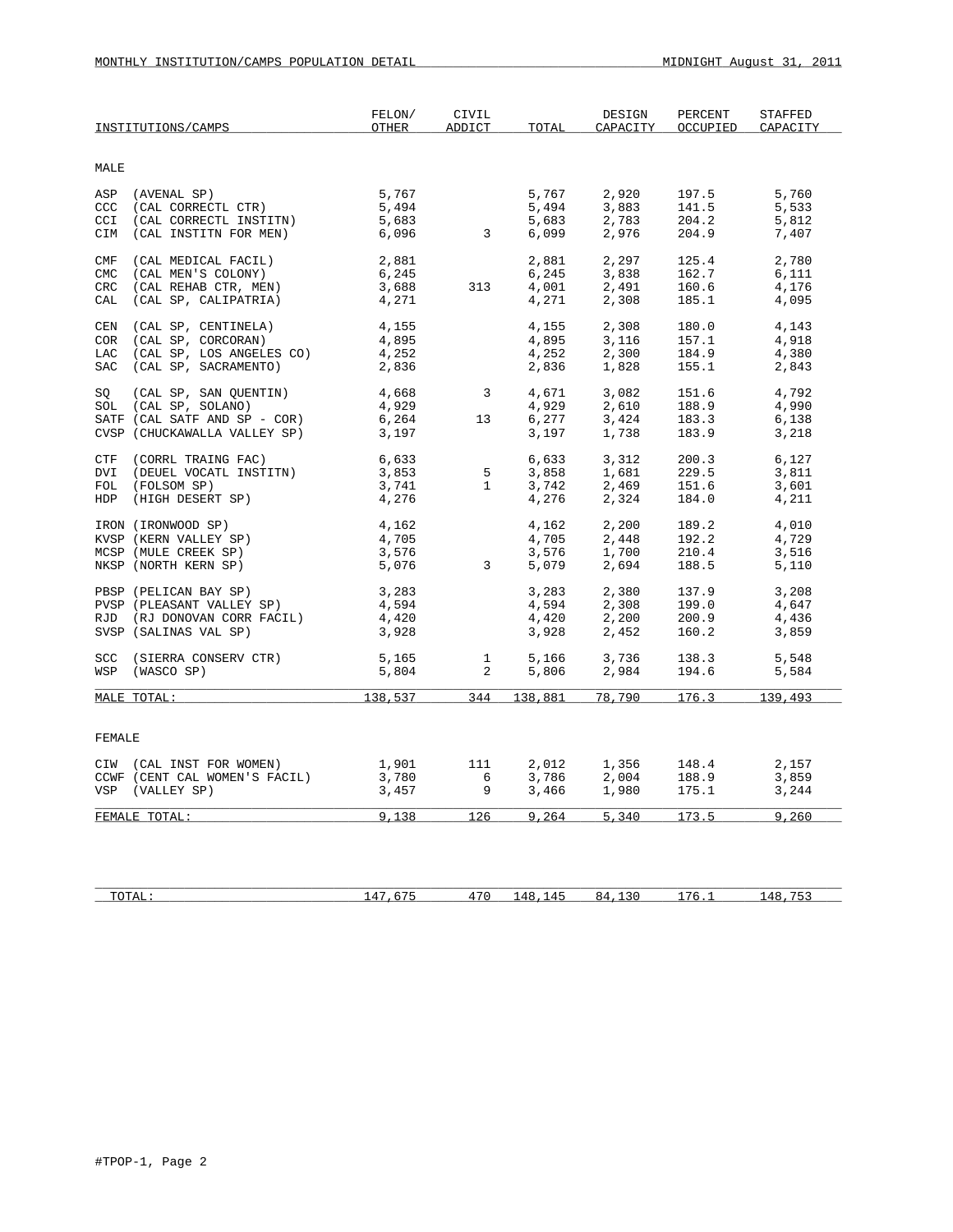|                          | INSTITUTIONS/CAMPS                                                                                            | FELON/<br><b>OTHER</b>           | CIVIL<br><b>ADDICT</b>           | TOTAL                            | DESIGN<br>CAPACITY               | PERCENT<br>OCCUPIED              | STAFFED<br>CAPACITY              |
|--------------------------|---------------------------------------------------------------------------------------------------------------|----------------------------------|----------------------------------|----------------------------------|----------------------------------|----------------------------------|----------------------------------|
| MALE                     |                                                                                                               |                                  |                                  |                                  |                                  |                                  |                                  |
| CCI                      | ASP (AVENAL SP)<br>CCC (CAL CORRECTL CTR)<br>(CAL CORRECTL INSTITN)                                           | 5,767<br>5,494<br>5,683          |                                  | 5,767<br>5,494<br>5,683          | 2,920<br>3,883<br>2,783          | 197.5<br>141.5<br>204.2          | 5,760<br>5,533<br>5,812          |
|                          | CIM (CAL INSTITN FOR MEN)                                                                                     | 6,096                            | $\overline{\mathbf{3}}$          | 6,099                            | 2,976                            | 204.9                            | 7,407                            |
| CMF<br>CMC<br>CRC<br>CAL | (CAL MEDICAL FACIL)<br>(CAL MEN'S COLONY)<br>(CAL REHAB CTR, MEN)<br>(CAL SP, CALIPATRIA)                     | 2,881<br>6,245<br>3,688<br>4,271 | 313                              | 2,881<br>6,245<br>4,001<br>4,271 | 2,297<br>3,838<br>2,491<br>2,308 | 125.4<br>162.7<br>160.6<br>185.1 | 2,780<br>6,111<br>4,176<br>4,095 |
| CEN                      | (CAL SP, CENTINELA)<br>COR (CAL SP, CORCORAN)<br>LAC (CAL SP, LOS ANGELES CO)<br>SAC (CAL SP, SACRAMENTO)     | 4,155<br>4,895<br>4,252<br>2,836 |                                  | 4,155<br>4,895<br>4,252<br>2,836 | 2,308<br>3,116<br>2,300<br>1,828 | 180.0<br>157.1<br>184.9<br>155.1 | 4,143<br>4,918<br>4,380<br>2,843 |
| SO                       | (CAL SP, SAN QUENTIN)<br>SOL (CAL SP, SOLANO)<br>SATF (CAL SATF AND SP - COR)<br>CVSP (CHUCKAWALLA VALLEY SP) | 4,668<br>4,929<br>6,264<br>3,197 | $\overline{\mathbf{3}}$<br>13    | 4,671<br>4,929<br>6,277<br>3,197 | 3,082<br>2,610<br>3,424<br>1,738 | 151.6<br>188.9<br>183.3<br>183.9 | 4,792<br>4,990<br>6,138<br>3,218 |
| CTF                      | (CORRL TRAING FAC)<br>DVI (DEUEL VOCATL INSTITN)<br>FOL (FOLSOM SP)<br>HDP (HIGH DESERT SP)                   | 6,633<br>3,853<br>3,741<br>4,276 | 5<br>$\mathbf{1}$                | 6,633<br>3,858<br>3,742<br>4,276 | 3,312<br>1,681<br>2,469<br>2,324 | 200.3<br>229.5<br>151.6<br>184.0 | 6,127<br>3,811<br>3,601<br>4,211 |
|                          | IRON (IRONWOOD SP)<br>KVSP (KERN VALLEY SP)<br>MCSP (MULE CREEK SP)<br>NKSP (NORTH KERN SP)                   | 4,162<br>4,705<br>3,576<br>5,076 | $\mathbf{3}$                     | 4,162<br>4,705<br>3,576<br>5,079 | 2,200<br>2,448<br>1,700<br>2,694 | 189.2<br>192.2<br>210.4<br>188.5 | 4,010<br>4,729<br>3,516<br>5,110 |
|                          | PBSP (PELICAN BAY SP)<br>PVSP (PLEASANT VALLEY SP)<br>RJD (RJ DONOVAN CORR FACIL)<br>SVSP (SALINAS VAL SP)    | 3,283<br>4,594<br>4,420<br>3,928 |                                  | 3,283<br>4,594<br>4,420<br>3,928 | 2,380<br>2,308<br>2,200<br>2,452 | 137.9<br>199.0<br>200.9<br>160.2 | 3,208<br>4,647<br>4,436<br>3,859 |
|                          | SCC (SIERRA CONSERV CTR)<br>WSP (WASCO SP)                                                                    | 5,165<br>5,804                   | $\overline{1}$<br>$\overline{2}$ | 5,166<br>5,806                   | 3,736<br>2,984                   | 138.3<br>194.6                   | 5,548<br>5,584                   |
|                          | MALE TOTAL:                                                                                                   | 138,537                          | 344                              | 138,881                          | 78,790                           | 176.3                            | 139,493                          |
| FEMALE                   |                                                                                                               |                                  |                                  |                                  |                                  |                                  |                                  |
|                          | CIW (CAL INST FOR WOMEN)<br>CCWF (CENT CAL WOMEN'S FACIL)<br>VSP (VALLEY SP)                                  | 1,901<br>3,780<br>3,457          | 111<br>6<br>9                    | 2,012<br>3,786<br>3,466          | 1,356<br>2.004<br>1,980          | 148.4<br>188.9<br>175.1          | 2,157<br>3,859<br>3,244          |
|                          | FEMALE TOTAL:                                                                                                 | 9.138                            | 126                              | 9,264                            | 5,340                            | 173.5                            | 9,260                            |
|                          |                                                                                                               |                                  |                                  |                                  |                                  |                                  |                                  |

| איחר<br>10111 | .<br>$\sim$<br>-- | $\overline{ }$<br>. . | .<br>. | × 4 | ้ | 4 Q |
|---------------|-------------------|-----------------------|--------|-----|---|-----|
|               |                   |                       |        |     |   |     |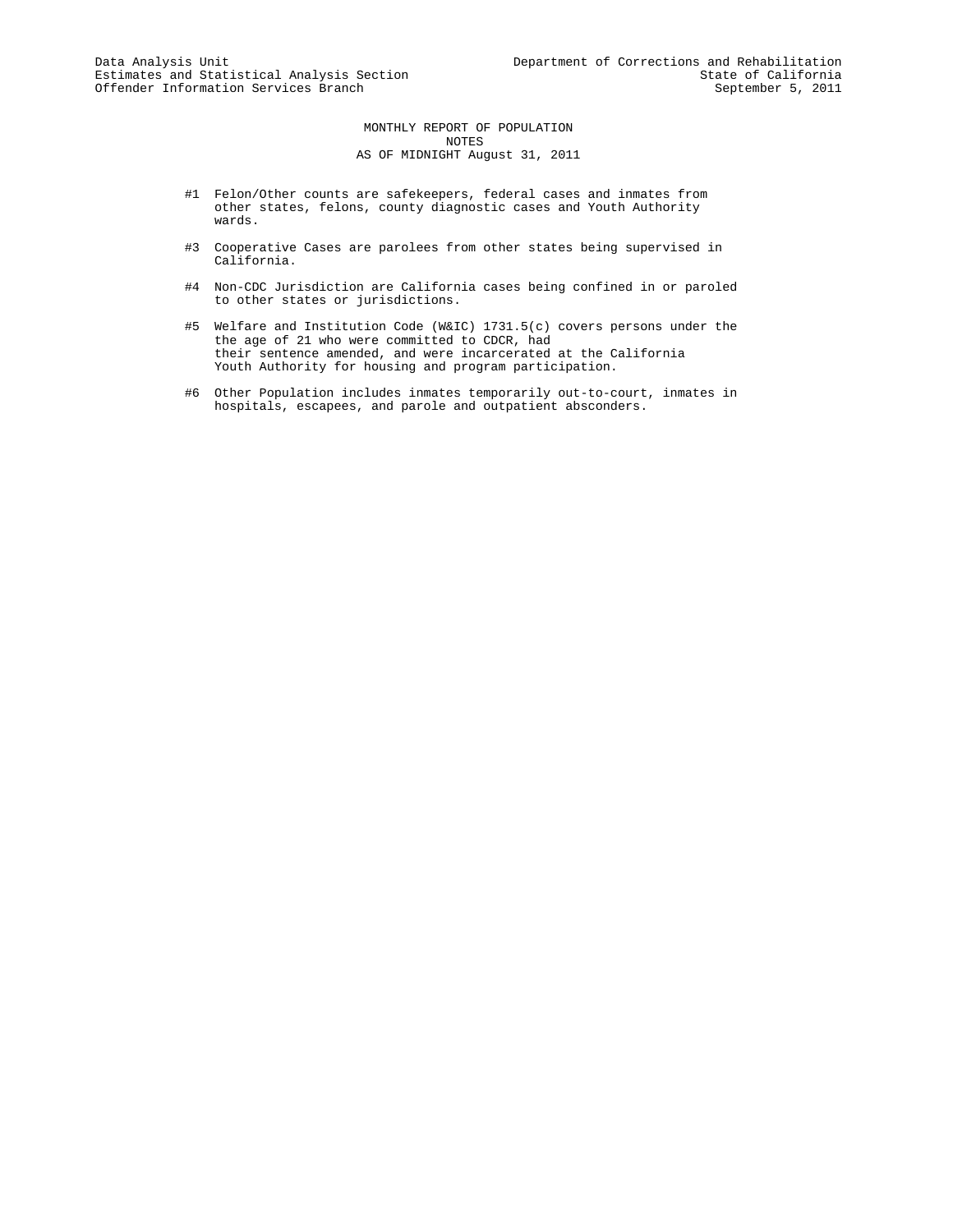MONTHLY REPORT OF POPULATION NOTES AS OF MIDNIGHT August 31, 2011

- #1 Felon/Other counts are safekeepers, federal cases and inmates from other states, felons, county diagnostic cases and Youth Authority wards.
- #3 Cooperative Cases are parolees from other states being supervised in California.
- #4 Non-CDC Jurisdiction are California cases being confined in or paroled to other states or jurisdictions.
- #5 Welfare and Institution Code (W&IC) 1731.5(c) covers persons under the the age of 21 who were committed to CDCR, had their sentence amended, and were incarcerated at the California Youth Authority for housing and program participation.
- #6 Other Population includes inmates temporarily out-to-court, inmates in hospitals, escapees, and parole and outpatient absconders.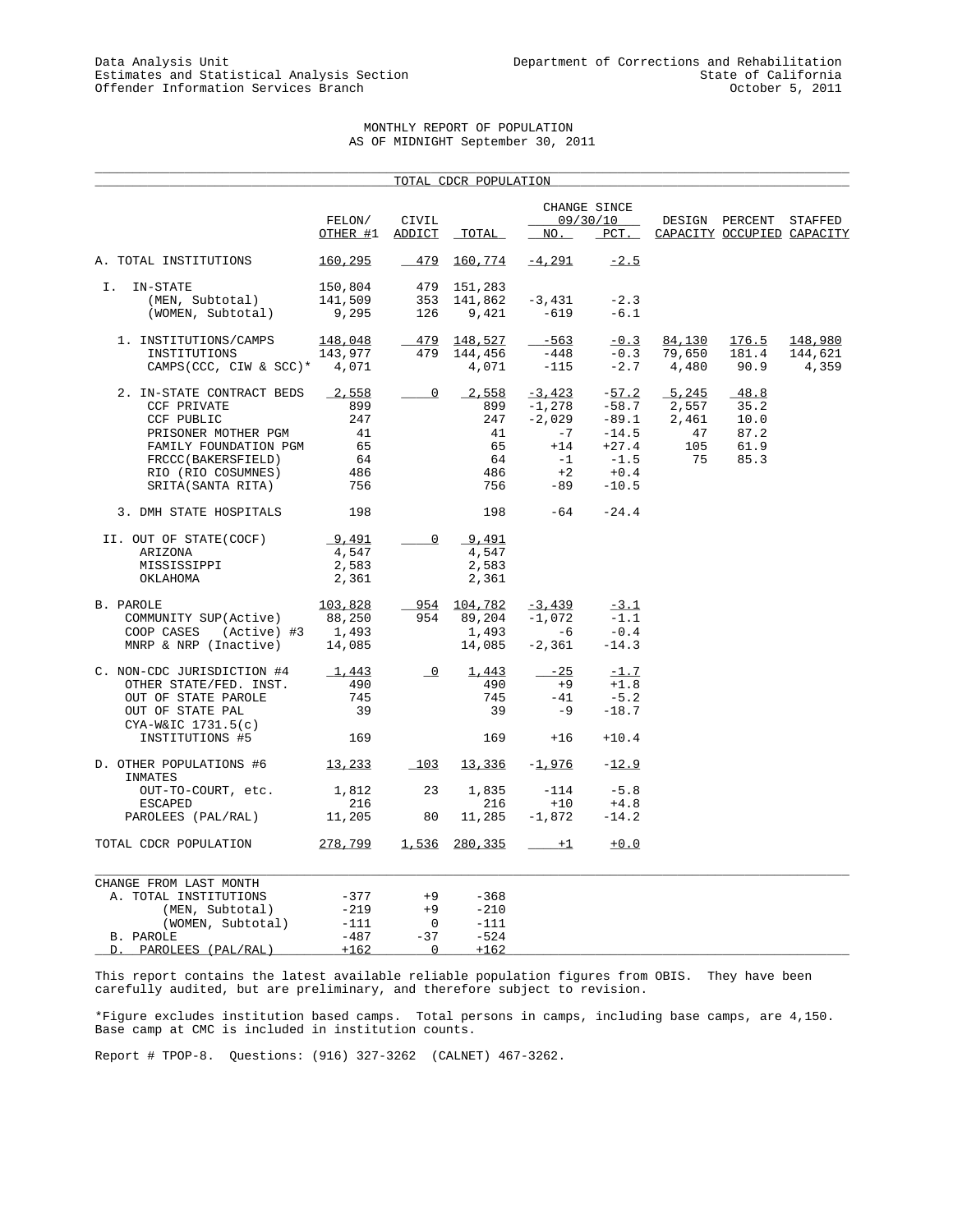## MONTHLY REPORT OF POPULATION AS OF MIDNIGHT September 30, 2011

\_\_\_\_\_\_\_\_\_\_\_\_\_\_\_\_\_\_\_\_\_\_\_\_\_\_\_\_\_\_\_\_\_\_\_\_\_\_\_\_\_\_\_\_\_\_\_\_\_\_\_\_\_\_\_\_\_\_\_\_\_\_\_\_\_\_\_\_\_\_\_\_\_\_\_\_\_\_\_\_\_\_\_\_\_\_\_\_\_\_\_\_\_\_\_\_\_\_\_\_\_

| CHANGE SINCE<br>FELON/<br>CIVIL<br>09/30/10<br>DESIGN PERCENT<br>STAFFED<br>OTHER #1<br>ADDICT<br>TOTAL<br>NO.<br>$_{\rm PCT}$ .<br>CAPACITY OCCUPIED CAPACITY<br>$-4,291$<br>160,295<br>$-479$<br><u>160,774</u><br>$-2.5$<br>I. IN-STATE<br>150,804<br>479 151,283<br>353<br>141,862<br>$-3,431$<br>(MEN, Subtotal)<br>141,509<br>$-2.3$<br>(WOMEN, Subtotal)<br>9,295<br>126<br>9,421<br>$-619$<br>$-6.1$<br>148,048<br>479 148,527<br>$-563$<br>$-0.3$<br>84,130<br>1. INSTITUTIONS/CAMPS<br>176.5<br>148,980<br>479<br>143,977<br>144,456<br>-448<br>$-0.3$<br>79,650<br>181.4<br>144,621<br>INSTITUTIONS<br>90.9<br>4,071<br>$-2.7$<br>4,480<br>CAMPS (CCC, CIW & SCC)* $4,071$<br>$-115$<br>4,359<br>5,245<br>2,558<br>$\overline{\mathbf{0}}$<br>2,558<br>$-3,423$<br>$-57.2$<br>$-48.8$<br>2. IN-STATE CONTRACT BEDS<br>899<br>$-58.7$<br>CCF PRIVATE<br>899<br>$-1,278$<br>2,557<br>35.2<br>247<br>$-2,029$<br>$-89.1$<br>CCF PUBLIC<br>247<br>2,461<br>10.0<br>$-7$<br>PRISONER MOTHER PGM<br>41<br>41<br>$-14.5$<br>47<br>87.2<br>65<br>65<br>$+14$<br>$+27.4$<br>105<br>FAMILY FOUNDATION PGM<br>61.9<br>$-1$<br>$-1.5$<br>64<br>64<br>75<br>85.3<br>FRCCC(BAKERSFIELD)<br>486<br>486<br>$+2$<br>$+0.4$<br>RIO (RIO COSUMNES)<br>756<br>-89<br>SRITA(SANTA RITA)<br>756<br>$-10.5$<br>198<br>$-64 -24.4$<br>3. DMH STATE HOSPITALS<br>198<br>9,491<br>$\overline{0}$<br>9,491<br>II. OUT OF STATE(COCF)<br>4,547<br>4,547<br>ARIZONA<br>2,583<br>2,583<br>MISSISSIPPI<br>2,361<br>2,361<br>OKLAHOMA<br>103,828<br>954 104,782<br>$-3,439$<br>$-3.1$<br>88,250<br>954<br>89,204<br>$-1,072$<br>$-1.1$<br>COMMUNITY SUP(Active)<br>$-6$<br>1,493<br>1,493<br>$-0.4$<br>COOP CASES<br>(Active) #3<br>14,085<br>$-2,361$<br>MNRP & NRP (Inactive)<br>14,085<br>$-14.3$<br>$\overline{\phantom{0}}$<br>$-25$<br>C. NON-CDC JURISDICTION #4<br>1,443<br>1,443<br>$-1.7$<br>490<br>OTHER STATE/FED. INST.<br>490<br>$+9$<br>$+1.8$<br>745<br>745<br>$-41$<br>$-5.2$<br>OUT OF STATE PAROLE<br>39<br>39<br>$-9$<br>$-18.7$<br>OUT OF STATE PAL<br>CYA-W&IC 1731.5(c)<br>169<br>169<br>$+16$<br>$+10.4$<br>INSTITUTIONS #5<br>103<br>13,336<br>$-1,976$<br>13,233<br>$-12.9$<br>INMATES<br>23<br>1,835<br>$-114$<br>$-5.8$<br>1,812<br>OUT-TO-COURT, etc.<br>216<br>216<br>$+10$<br>$+4.8$<br><b>ESCAPED</b><br>80<br>11,205<br>11,285<br>$-1,872$<br>$-14.2$<br>PAROLEES (PAL/RAL)<br>278,799<br>1,536<br>280,335<br>TOTAL CDCR POPULATION<br>$+1$<br>$+0.0$<br>CHANGE FROM LAST MONTH<br>$-377$<br>$+9$<br>$-368$<br>A. TOTAL INSTITUTIONS<br>$-219$<br>$+9$<br>(MEN, Subtotal)<br>$-210$<br>$-111$<br>$\overline{0}$<br>(WOMEN, Subtotal)<br>$-111$<br>$-487$<br>$-37$<br>$-524$<br>B. PAROLE<br>PAROLEES (PAL/RAL)<br>$+162$<br>$\mathbf 0$<br>$+162$<br>D. |                         |  | TOTAL CDCR POPULATION |  |  |  |
|---------------------------------------------------------------------------------------------------------------------------------------------------------------------------------------------------------------------------------------------------------------------------------------------------------------------------------------------------------------------------------------------------------------------------------------------------------------------------------------------------------------------------------------------------------------------------------------------------------------------------------------------------------------------------------------------------------------------------------------------------------------------------------------------------------------------------------------------------------------------------------------------------------------------------------------------------------------------------------------------------------------------------------------------------------------------------------------------------------------------------------------------------------------------------------------------------------------------------------------------------------------------------------------------------------------------------------------------------------------------------------------------------------------------------------------------------------------------------------------------------------------------------------------------------------------------------------------------------------------------------------------------------------------------------------------------------------------------------------------------------------------------------------------------------------------------------------------------------------------------------------------------------------------------------------------------------------------------------------------------------------------------------------------------------------------------------------------------------------------------------------------------------------------------------------------------------------------------------------------------------------------------------------------------------------------------------------------------------------------------------------------------------------------------------------------------------------------------------------------------------------------------------------------------------------------------------------------------------------------------------------------------------------------------------------------------------------------------------------------------------------------------|-------------------------|--|-----------------------|--|--|--|
|                                                                                                                                                                                                                                                                                                                                                                                                                                                                                                                                                                                                                                                                                                                                                                                                                                                                                                                                                                                                                                                                                                                                                                                                                                                                                                                                                                                                                                                                                                                                                                                                                                                                                                                                                                                                                                                                                                                                                                                                                                                                                                                                                                                                                                                                                                                                                                                                                                                                                                                                                                                                                                                                                                                                                                     |                         |  |                       |  |  |  |
|                                                                                                                                                                                                                                                                                                                                                                                                                                                                                                                                                                                                                                                                                                                                                                                                                                                                                                                                                                                                                                                                                                                                                                                                                                                                                                                                                                                                                                                                                                                                                                                                                                                                                                                                                                                                                                                                                                                                                                                                                                                                                                                                                                                                                                                                                                                                                                                                                                                                                                                                                                                                                                                                                                                                                                     |                         |  |                       |  |  |  |
|                                                                                                                                                                                                                                                                                                                                                                                                                                                                                                                                                                                                                                                                                                                                                                                                                                                                                                                                                                                                                                                                                                                                                                                                                                                                                                                                                                                                                                                                                                                                                                                                                                                                                                                                                                                                                                                                                                                                                                                                                                                                                                                                                                                                                                                                                                                                                                                                                                                                                                                                                                                                                                                                                                                                                                     | A. TOTAL INSTITUTIONS   |  |                       |  |  |  |
|                                                                                                                                                                                                                                                                                                                                                                                                                                                                                                                                                                                                                                                                                                                                                                                                                                                                                                                                                                                                                                                                                                                                                                                                                                                                                                                                                                                                                                                                                                                                                                                                                                                                                                                                                                                                                                                                                                                                                                                                                                                                                                                                                                                                                                                                                                                                                                                                                                                                                                                                                                                                                                                                                                                                                                     |                         |  |                       |  |  |  |
|                                                                                                                                                                                                                                                                                                                                                                                                                                                                                                                                                                                                                                                                                                                                                                                                                                                                                                                                                                                                                                                                                                                                                                                                                                                                                                                                                                                                                                                                                                                                                                                                                                                                                                                                                                                                                                                                                                                                                                                                                                                                                                                                                                                                                                                                                                                                                                                                                                                                                                                                                                                                                                                                                                                                                                     |                         |  |                       |  |  |  |
|                                                                                                                                                                                                                                                                                                                                                                                                                                                                                                                                                                                                                                                                                                                                                                                                                                                                                                                                                                                                                                                                                                                                                                                                                                                                                                                                                                                                                                                                                                                                                                                                                                                                                                                                                                                                                                                                                                                                                                                                                                                                                                                                                                                                                                                                                                                                                                                                                                                                                                                                                                                                                                                                                                                                                                     |                         |  |                       |  |  |  |
|                                                                                                                                                                                                                                                                                                                                                                                                                                                                                                                                                                                                                                                                                                                                                                                                                                                                                                                                                                                                                                                                                                                                                                                                                                                                                                                                                                                                                                                                                                                                                                                                                                                                                                                                                                                                                                                                                                                                                                                                                                                                                                                                                                                                                                                                                                                                                                                                                                                                                                                                                                                                                                                                                                                                                                     |                         |  |                       |  |  |  |
|                                                                                                                                                                                                                                                                                                                                                                                                                                                                                                                                                                                                                                                                                                                                                                                                                                                                                                                                                                                                                                                                                                                                                                                                                                                                                                                                                                                                                                                                                                                                                                                                                                                                                                                                                                                                                                                                                                                                                                                                                                                                                                                                                                                                                                                                                                                                                                                                                                                                                                                                                                                                                                                                                                                                                                     |                         |  |                       |  |  |  |
|                                                                                                                                                                                                                                                                                                                                                                                                                                                                                                                                                                                                                                                                                                                                                                                                                                                                                                                                                                                                                                                                                                                                                                                                                                                                                                                                                                                                                                                                                                                                                                                                                                                                                                                                                                                                                                                                                                                                                                                                                                                                                                                                                                                                                                                                                                                                                                                                                                                                                                                                                                                                                                                                                                                                                                     |                         |  |                       |  |  |  |
|                                                                                                                                                                                                                                                                                                                                                                                                                                                                                                                                                                                                                                                                                                                                                                                                                                                                                                                                                                                                                                                                                                                                                                                                                                                                                                                                                                                                                                                                                                                                                                                                                                                                                                                                                                                                                                                                                                                                                                                                                                                                                                                                                                                                                                                                                                                                                                                                                                                                                                                                                                                                                                                                                                                                                                     |                         |  |                       |  |  |  |
|                                                                                                                                                                                                                                                                                                                                                                                                                                                                                                                                                                                                                                                                                                                                                                                                                                                                                                                                                                                                                                                                                                                                                                                                                                                                                                                                                                                                                                                                                                                                                                                                                                                                                                                                                                                                                                                                                                                                                                                                                                                                                                                                                                                                                                                                                                                                                                                                                                                                                                                                                                                                                                                                                                                                                                     |                         |  |                       |  |  |  |
|                                                                                                                                                                                                                                                                                                                                                                                                                                                                                                                                                                                                                                                                                                                                                                                                                                                                                                                                                                                                                                                                                                                                                                                                                                                                                                                                                                                                                                                                                                                                                                                                                                                                                                                                                                                                                                                                                                                                                                                                                                                                                                                                                                                                                                                                                                                                                                                                                                                                                                                                                                                                                                                                                                                                                                     |                         |  |                       |  |  |  |
|                                                                                                                                                                                                                                                                                                                                                                                                                                                                                                                                                                                                                                                                                                                                                                                                                                                                                                                                                                                                                                                                                                                                                                                                                                                                                                                                                                                                                                                                                                                                                                                                                                                                                                                                                                                                                                                                                                                                                                                                                                                                                                                                                                                                                                                                                                                                                                                                                                                                                                                                                                                                                                                                                                                                                                     |                         |  |                       |  |  |  |
|                                                                                                                                                                                                                                                                                                                                                                                                                                                                                                                                                                                                                                                                                                                                                                                                                                                                                                                                                                                                                                                                                                                                                                                                                                                                                                                                                                                                                                                                                                                                                                                                                                                                                                                                                                                                                                                                                                                                                                                                                                                                                                                                                                                                                                                                                                                                                                                                                                                                                                                                                                                                                                                                                                                                                                     |                         |  |                       |  |  |  |
|                                                                                                                                                                                                                                                                                                                                                                                                                                                                                                                                                                                                                                                                                                                                                                                                                                                                                                                                                                                                                                                                                                                                                                                                                                                                                                                                                                                                                                                                                                                                                                                                                                                                                                                                                                                                                                                                                                                                                                                                                                                                                                                                                                                                                                                                                                                                                                                                                                                                                                                                                                                                                                                                                                                                                                     |                         |  |                       |  |  |  |
|                                                                                                                                                                                                                                                                                                                                                                                                                                                                                                                                                                                                                                                                                                                                                                                                                                                                                                                                                                                                                                                                                                                                                                                                                                                                                                                                                                                                                                                                                                                                                                                                                                                                                                                                                                                                                                                                                                                                                                                                                                                                                                                                                                                                                                                                                                                                                                                                                                                                                                                                                                                                                                                                                                                                                                     |                         |  |                       |  |  |  |
|                                                                                                                                                                                                                                                                                                                                                                                                                                                                                                                                                                                                                                                                                                                                                                                                                                                                                                                                                                                                                                                                                                                                                                                                                                                                                                                                                                                                                                                                                                                                                                                                                                                                                                                                                                                                                                                                                                                                                                                                                                                                                                                                                                                                                                                                                                                                                                                                                                                                                                                                                                                                                                                                                                                                                                     |                         |  |                       |  |  |  |
|                                                                                                                                                                                                                                                                                                                                                                                                                                                                                                                                                                                                                                                                                                                                                                                                                                                                                                                                                                                                                                                                                                                                                                                                                                                                                                                                                                                                                                                                                                                                                                                                                                                                                                                                                                                                                                                                                                                                                                                                                                                                                                                                                                                                                                                                                                                                                                                                                                                                                                                                                                                                                                                                                                                                                                     |                         |  |                       |  |  |  |
|                                                                                                                                                                                                                                                                                                                                                                                                                                                                                                                                                                                                                                                                                                                                                                                                                                                                                                                                                                                                                                                                                                                                                                                                                                                                                                                                                                                                                                                                                                                                                                                                                                                                                                                                                                                                                                                                                                                                                                                                                                                                                                                                                                                                                                                                                                                                                                                                                                                                                                                                                                                                                                                                                                                                                                     |                         |  |                       |  |  |  |
|                                                                                                                                                                                                                                                                                                                                                                                                                                                                                                                                                                                                                                                                                                                                                                                                                                                                                                                                                                                                                                                                                                                                                                                                                                                                                                                                                                                                                                                                                                                                                                                                                                                                                                                                                                                                                                                                                                                                                                                                                                                                                                                                                                                                                                                                                                                                                                                                                                                                                                                                                                                                                                                                                                                                                                     |                         |  |                       |  |  |  |
|                                                                                                                                                                                                                                                                                                                                                                                                                                                                                                                                                                                                                                                                                                                                                                                                                                                                                                                                                                                                                                                                                                                                                                                                                                                                                                                                                                                                                                                                                                                                                                                                                                                                                                                                                                                                                                                                                                                                                                                                                                                                                                                                                                                                                                                                                                                                                                                                                                                                                                                                                                                                                                                                                                                                                                     |                         |  |                       |  |  |  |
|                                                                                                                                                                                                                                                                                                                                                                                                                                                                                                                                                                                                                                                                                                                                                                                                                                                                                                                                                                                                                                                                                                                                                                                                                                                                                                                                                                                                                                                                                                                                                                                                                                                                                                                                                                                                                                                                                                                                                                                                                                                                                                                                                                                                                                                                                                                                                                                                                                                                                                                                                                                                                                                                                                                                                                     |                         |  |                       |  |  |  |
|                                                                                                                                                                                                                                                                                                                                                                                                                                                                                                                                                                                                                                                                                                                                                                                                                                                                                                                                                                                                                                                                                                                                                                                                                                                                                                                                                                                                                                                                                                                                                                                                                                                                                                                                                                                                                                                                                                                                                                                                                                                                                                                                                                                                                                                                                                                                                                                                                                                                                                                                                                                                                                                                                                                                                                     |                         |  |                       |  |  |  |
|                                                                                                                                                                                                                                                                                                                                                                                                                                                                                                                                                                                                                                                                                                                                                                                                                                                                                                                                                                                                                                                                                                                                                                                                                                                                                                                                                                                                                                                                                                                                                                                                                                                                                                                                                                                                                                                                                                                                                                                                                                                                                                                                                                                                                                                                                                                                                                                                                                                                                                                                                                                                                                                                                                                                                                     | B. PAROLE               |  |                       |  |  |  |
|                                                                                                                                                                                                                                                                                                                                                                                                                                                                                                                                                                                                                                                                                                                                                                                                                                                                                                                                                                                                                                                                                                                                                                                                                                                                                                                                                                                                                                                                                                                                                                                                                                                                                                                                                                                                                                                                                                                                                                                                                                                                                                                                                                                                                                                                                                                                                                                                                                                                                                                                                                                                                                                                                                                                                                     |                         |  |                       |  |  |  |
|                                                                                                                                                                                                                                                                                                                                                                                                                                                                                                                                                                                                                                                                                                                                                                                                                                                                                                                                                                                                                                                                                                                                                                                                                                                                                                                                                                                                                                                                                                                                                                                                                                                                                                                                                                                                                                                                                                                                                                                                                                                                                                                                                                                                                                                                                                                                                                                                                                                                                                                                                                                                                                                                                                                                                                     |                         |  |                       |  |  |  |
|                                                                                                                                                                                                                                                                                                                                                                                                                                                                                                                                                                                                                                                                                                                                                                                                                                                                                                                                                                                                                                                                                                                                                                                                                                                                                                                                                                                                                                                                                                                                                                                                                                                                                                                                                                                                                                                                                                                                                                                                                                                                                                                                                                                                                                                                                                                                                                                                                                                                                                                                                                                                                                                                                                                                                                     |                         |  |                       |  |  |  |
|                                                                                                                                                                                                                                                                                                                                                                                                                                                                                                                                                                                                                                                                                                                                                                                                                                                                                                                                                                                                                                                                                                                                                                                                                                                                                                                                                                                                                                                                                                                                                                                                                                                                                                                                                                                                                                                                                                                                                                                                                                                                                                                                                                                                                                                                                                                                                                                                                                                                                                                                                                                                                                                                                                                                                                     |                         |  |                       |  |  |  |
|                                                                                                                                                                                                                                                                                                                                                                                                                                                                                                                                                                                                                                                                                                                                                                                                                                                                                                                                                                                                                                                                                                                                                                                                                                                                                                                                                                                                                                                                                                                                                                                                                                                                                                                                                                                                                                                                                                                                                                                                                                                                                                                                                                                                                                                                                                                                                                                                                                                                                                                                                                                                                                                                                                                                                                     |                         |  |                       |  |  |  |
|                                                                                                                                                                                                                                                                                                                                                                                                                                                                                                                                                                                                                                                                                                                                                                                                                                                                                                                                                                                                                                                                                                                                                                                                                                                                                                                                                                                                                                                                                                                                                                                                                                                                                                                                                                                                                                                                                                                                                                                                                                                                                                                                                                                                                                                                                                                                                                                                                                                                                                                                                                                                                                                                                                                                                                     |                         |  |                       |  |  |  |
|                                                                                                                                                                                                                                                                                                                                                                                                                                                                                                                                                                                                                                                                                                                                                                                                                                                                                                                                                                                                                                                                                                                                                                                                                                                                                                                                                                                                                                                                                                                                                                                                                                                                                                                                                                                                                                                                                                                                                                                                                                                                                                                                                                                                                                                                                                                                                                                                                                                                                                                                                                                                                                                                                                                                                                     |                         |  |                       |  |  |  |
|                                                                                                                                                                                                                                                                                                                                                                                                                                                                                                                                                                                                                                                                                                                                                                                                                                                                                                                                                                                                                                                                                                                                                                                                                                                                                                                                                                                                                                                                                                                                                                                                                                                                                                                                                                                                                                                                                                                                                                                                                                                                                                                                                                                                                                                                                                                                                                                                                                                                                                                                                                                                                                                                                                                                                                     |                         |  |                       |  |  |  |
|                                                                                                                                                                                                                                                                                                                                                                                                                                                                                                                                                                                                                                                                                                                                                                                                                                                                                                                                                                                                                                                                                                                                                                                                                                                                                                                                                                                                                                                                                                                                                                                                                                                                                                                                                                                                                                                                                                                                                                                                                                                                                                                                                                                                                                                                                                                                                                                                                                                                                                                                                                                                                                                                                                                                                                     |                         |  |                       |  |  |  |
|                                                                                                                                                                                                                                                                                                                                                                                                                                                                                                                                                                                                                                                                                                                                                                                                                                                                                                                                                                                                                                                                                                                                                                                                                                                                                                                                                                                                                                                                                                                                                                                                                                                                                                                                                                                                                                                                                                                                                                                                                                                                                                                                                                                                                                                                                                                                                                                                                                                                                                                                                                                                                                                                                                                                                                     | D. OTHER POPULATIONS #6 |  |                       |  |  |  |
|                                                                                                                                                                                                                                                                                                                                                                                                                                                                                                                                                                                                                                                                                                                                                                                                                                                                                                                                                                                                                                                                                                                                                                                                                                                                                                                                                                                                                                                                                                                                                                                                                                                                                                                                                                                                                                                                                                                                                                                                                                                                                                                                                                                                                                                                                                                                                                                                                                                                                                                                                                                                                                                                                                                                                                     |                         |  |                       |  |  |  |
|                                                                                                                                                                                                                                                                                                                                                                                                                                                                                                                                                                                                                                                                                                                                                                                                                                                                                                                                                                                                                                                                                                                                                                                                                                                                                                                                                                                                                                                                                                                                                                                                                                                                                                                                                                                                                                                                                                                                                                                                                                                                                                                                                                                                                                                                                                                                                                                                                                                                                                                                                                                                                                                                                                                                                                     |                         |  |                       |  |  |  |
|                                                                                                                                                                                                                                                                                                                                                                                                                                                                                                                                                                                                                                                                                                                                                                                                                                                                                                                                                                                                                                                                                                                                                                                                                                                                                                                                                                                                                                                                                                                                                                                                                                                                                                                                                                                                                                                                                                                                                                                                                                                                                                                                                                                                                                                                                                                                                                                                                                                                                                                                                                                                                                                                                                                                                                     |                         |  |                       |  |  |  |
|                                                                                                                                                                                                                                                                                                                                                                                                                                                                                                                                                                                                                                                                                                                                                                                                                                                                                                                                                                                                                                                                                                                                                                                                                                                                                                                                                                                                                                                                                                                                                                                                                                                                                                                                                                                                                                                                                                                                                                                                                                                                                                                                                                                                                                                                                                                                                                                                                                                                                                                                                                                                                                                                                                                                                                     |                         |  |                       |  |  |  |
|                                                                                                                                                                                                                                                                                                                                                                                                                                                                                                                                                                                                                                                                                                                                                                                                                                                                                                                                                                                                                                                                                                                                                                                                                                                                                                                                                                                                                                                                                                                                                                                                                                                                                                                                                                                                                                                                                                                                                                                                                                                                                                                                                                                                                                                                                                                                                                                                                                                                                                                                                                                                                                                                                                                                                                     |                         |  |                       |  |  |  |
|                                                                                                                                                                                                                                                                                                                                                                                                                                                                                                                                                                                                                                                                                                                                                                                                                                                                                                                                                                                                                                                                                                                                                                                                                                                                                                                                                                                                                                                                                                                                                                                                                                                                                                                                                                                                                                                                                                                                                                                                                                                                                                                                                                                                                                                                                                                                                                                                                                                                                                                                                                                                                                                                                                                                                                     |                         |  |                       |  |  |  |
|                                                                                                                                                                                                                                                                                                                                                                                                                                                                                                                                                                                                                                                                                                                                                                                                                                                                                                                                                                                                                                                                                                                                                                                                                                                                                                                                                                                                                                                                                                                                                                                                                                                                                                                                                                                                                                                                                                                                                                                                                                                                                                                                                                                                                                                                                                                                                                                                                                                                                                                                                                                                                                                                                                                                                                     |                         |  |                       |  |  |  |
|                                                                                                                                                                                                                                                                                                                                                                                                                                                                                                                                                                                                                                                                                                                                                                                                                                                                                                                                                                                                                                                                                                                                                                                                                                                                                                                                                                                                                                                                                                                                                                                                                                                                                                                                                                                                                                                                                                                                                                                                                                                                                                                                                                                                                                                                                                                                                                                                                                                                                                                                                                                                                                                                                                                                                                     |                         |  |                       |  |  |  |
|                                                                                                                                                                                                                                                                                                                                                                                                                                                                                                                                                                                                                                                                                                                                                                                                                                                                                                                                                                                                                                                                                                                                                                                                                                                                                                                                                                                                                                                                                                                                                                                                                                                                                                                                                                                                                                                                                                                                                                                                                                                                                                                                                                                                                                                                                                                                                                                                                                                                                                                                                                                                                                                                                                                                                                     |                         |  |                       |  |  |  |
|                                                                                                                                                                                                                                                                                                                                                                                                                                                                                                                                                                                                                                                                                                                                                                                                                                                                                                                                                                                                                                                                                                                                                                                                                                                                                                                                                                                                                                                                                                                                                                                                                                                                                                                                                                                                                                                                                                                                                                                                                                                                                                                                                                                                                                                                                                                                                                                                                                                                                                                                                                                                                                                                                                                                                                     |                         |  |                       |  |  |  |

This report contains the latest available reliable population figures from OBIS. They have been carefully audited, but are preliminary, and therefore subject to revision.

\*Figure excludes institution based camps. Total persons in camps, including base camps, are 4,150. Base camp at CMC is included in institution counts.

Report # TPOP-8. Questions: (916) 327-3262 (CALNET) 467-3262.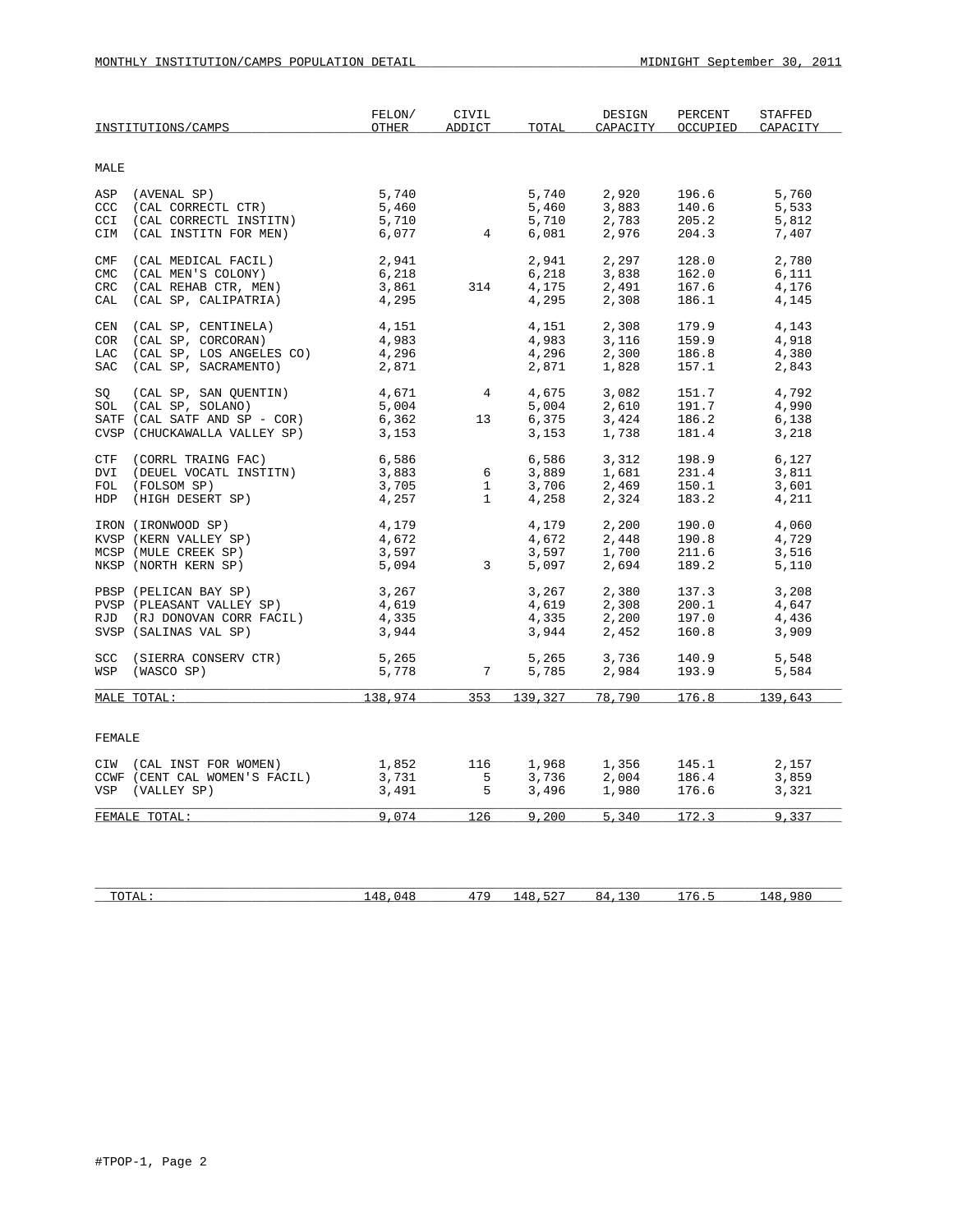|               | INSTITUTIONS/CAMPS            | FELON/<br>OTHER | CIVIL<br>ADDICT | TOTAL   | DESIGN<br>CAPACITY | PERCENT<br>OCCUPIED | <b>STAFFED</b><br>CAPACITY |
|---------------|-------------------------------|-----------------|-----------------|---------|--------------------|---------------------|----------------------------|
|               |                               |                 |                 |         |                    |                     |                            |
| MALE          |                               |                 |                 |         |                    |                     |                            |
| ASP           | (AVENAL SP)                   | 5,740           |                 | 5,740   | 2,920              | 196.6               | 5,760                      |
| ccc           | (CAL CORRECTL CTR)            | 5,460           |                 | 5,460   | 3,883              | 140.6               | 5,533                      |
| CCI           | (CAL CORRECTL INSTITN)        | 5,710           |                 | 5,710   | 2,783              | 205.2               | 5,812                      |
| CIM           | (CAL INSTITN FOR MEN)         | 6,077           |                 | 6,081   | 2,976              | 204.3               | 7,407                      |
| CMF           | (CAL MEDICAL FACIL)           | 2,941           |                 | 2,941   | 2,297              | 128.0               | 2,780                      |
| <b>CMC</b>    | (CAL MEN'S COLONY)            | 6,218           |                 | 6,218   | 3,838              | 162.0               | 6,111                      |
| CRC           | (CAL REHAB CTR, MEN)          | 3,861           | 314             | 4,175   | 2,491              | 167.6               | 4,176                      |
| CAL           | (CAL SP, CALIPATRIA)          | 4,295           |                 | 4,295   | 2,308              | 186.1               | 4,145                      |
| CEN           | (CAL SP, CENTINELA)           | 4,151           |                 | 4,151   | 2,308              | 179.9               | 4,143                      |
| COR           | (CAL SP, CORCORAN)            | 4,983           |                 | 4,983   | 3,116              | 159.9               | 4,918                      |
| <b>LAC</b>    | (CAL SP, LOS ANGELES CO)      | 4,296           |                 | 4,296   | 2,300              | 186.8               | 4,380                      |
| SAC           | (CAL SP, SACRAMENTO)          | 2,871           |                 | 2,871   | 1,828              | 157.1               | 2,843                      |
| SO            | (CAL SP, SAN QUENTIN)         | 4,671           | $\overline{4}$  | 4,675   | 3,082              | 151.7               | 4,792                      |
|               | SOL (CAL SP, SOLANO)          | 5,004           |                 | 5,004   | 2,610              | 191.7               | 4,990                      |
|               | SATF (CAL SATF AND SP - COR)  | 6,362           | 13              | 6,375   | 3,424              | 186.2               | 6,138                      |
|               | CVSP (CHUCKAWALLA VALLEY SP)  | 3,153           |                 | 3,153   | 1,738              | 181.4               | 3,218                      |
| CTF           | (CORRL TRAING FAC)            | 6,586           |                 | 6,586   | 3,312              | 198.9               | 6,127                      |
| DVI           | (DEUEL VOCATL INSTITN)        | 3,883           | 6               | 3,889   | 1,681              | 231.4               | 3,811                      |
|               | FOL (FOLSOM SP)               | 3,705           | 1               | 3,706   | 2,469              | 150.1               | 3,601                      |
|               | HDP (HIGH DESERT SP)          | 4,257           | $\mathbf{1}$    | 4,258   | 2,324              | 183.2               | 4,211                      |
|               | IRON (IRONWOOD SP)            | 4,179           |                 | 4,179   | 2,200              | 190.0               | 4,060                      |
|               | KVSP (KERN VALLEY SP)         | 4,672           |                 | 4,672   | 2,448              | 190.8               | 4,729                      |
|               | MCSP (MULE CREEK SP)          | 3,597           |                 | 3,597   | 1,700              | 211.6               | 3,516                      |
|               | NKSP (NORTH KERN SP)          | 5,094           | $\overline{3}$  | 5,097   | 2,694              | 189.2               | 5,110                      |
|               | PBSP (PELICAN BAY SP)         | 3,267           |                 | 3,267   | 2,380              | 137.3               | 3,208                      |
|               | PVSP (PLEASANT VALLEY SP)     | 4,619           |                 | 4,619   | 2,308              | 200.1               | 4,647                      |
|               | RJD (RJ DONOVAN CORR FACIL)   | 4,335           |                 | 4,335   | 2,200              | 197.0               | 4,436                      |
|               | SVSP (SALINAS VAL SP)         | 3,944           |                 | 3,944   | 2,452              | 160.8               | 3,909                      |
|               | SCC (SIERRA CONSERV CTR)      | 5,265           |                 | 5,265   | 3,736              | 140.9               | 5,548                      |
| WSP           | (WASCO SP)                    | 5,778           | $7\overline{ }$ | 5,785   | 2,984              | 193.9               | 5,584                      |
|               | MALE TOTAL:                   | 138,974         | 353             | 139,327 | 78,790             | 176.8               | 139,643                    |
|               |                               |                 |                 |         |                    |                     |                            |
| <b>FEMALE</b> |                               |                 |                 |         |                    |                     |                            |
|               | CIW (CAL INST FOR WOMEN)      | 1,852           | 116             | 1,968   | 1,356              | 145.1               | 2,157                      |
|               | CCWF (CENT CAL WOMEN'S FACIL) | 3,731           | 5               | 3,736   | 2,004              | 186.4               | 3,859                      |
|               | VSP (VALLEY SP)               | 3,491           | 5               | 3,496   | 1,980              | 176.6               | 3,321                      |
|               | FEMALE TOTAL:                 | 9,074           | 126             | 9,200   | 5,340              | 172.3               | 9,337                      |
|               |                               |                 |                 |         |                    |                     |                            |
|               |                               |                 |                 |         |                    |                     |                            |

| $T$ $\cap$ $T$ $\cap$ $T$ $\cap$<br><u>. சு</u> பப<br>-- | $\ddot{\phantom{0}}$ | $1 - C$<br><u>. ப</u><br>. . | $ -$ | .<br>$\overline{\phantom{a}}$<br>. . |  |
|----------------------------------------------------------|----------------------|------------------------------|------|--------------------------------------|--|
|                                                          |                      |                              |      |                                      |  |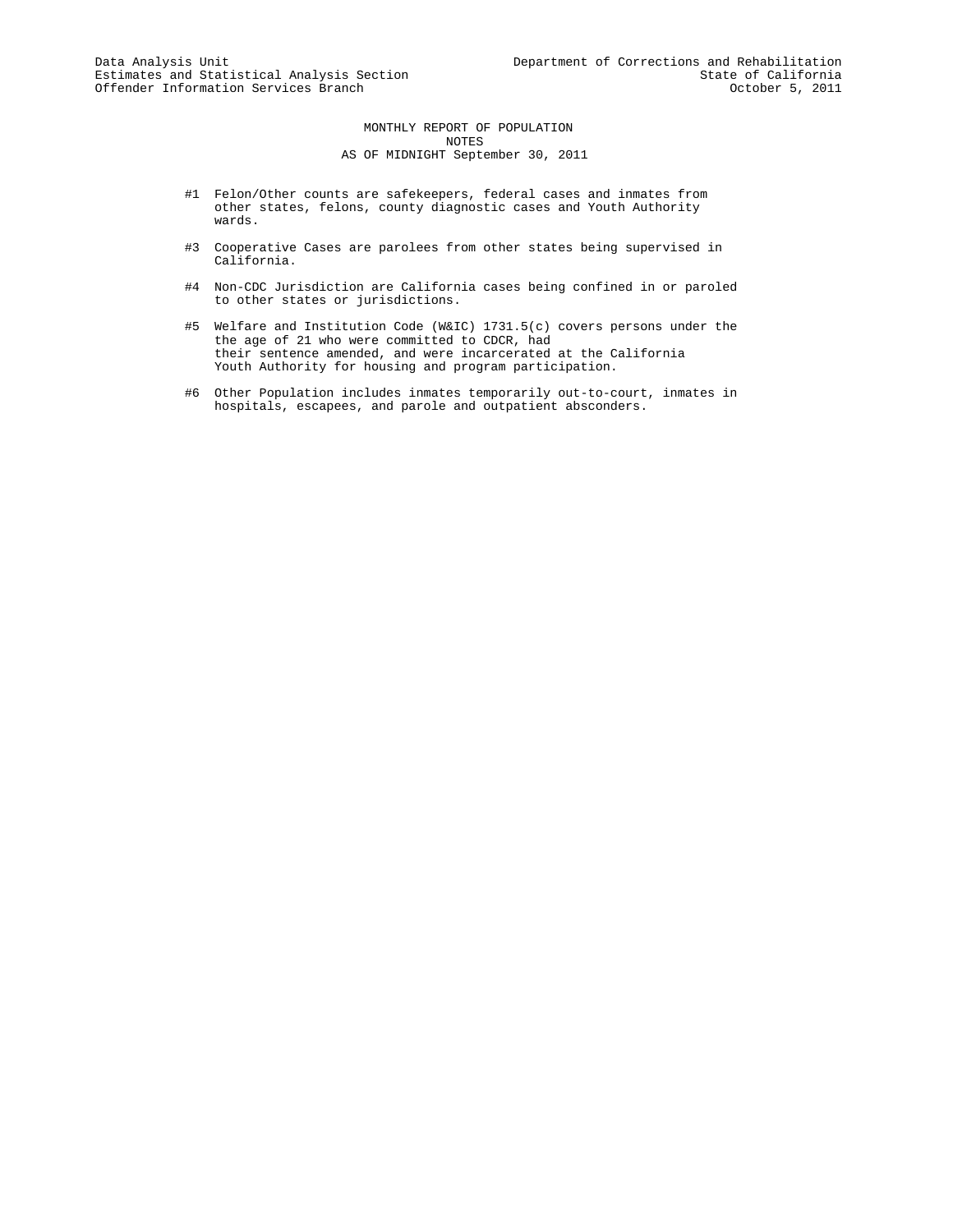MONTHLY REPORT OF POPULATION NOTES AS OF MIDNIGHT September 30, 2011

- #1 Felon/Other counts are safekeepers, federal cases and inmates from other states, felons, county diagnostic cases and Youth Authority wards.
- #3 Cooperative Cases are parolees from other states being supervised in California.
- #4 Non-CDC Jurisdiction are California cases being confined in or paroled to other states or jurisdictions.
- #5 Welfare and Institution Code (W&IC) 1731.5(c) covers persons under the the age of 21 who were committed to CDCR, had their sentence amended, and were incarcerated at the California Youth Authority for housing and program participation.
- #6 Other Population includes inmates temporarily out-to-court, inmates in hospitals, escapees, and parole and outpatient absconders.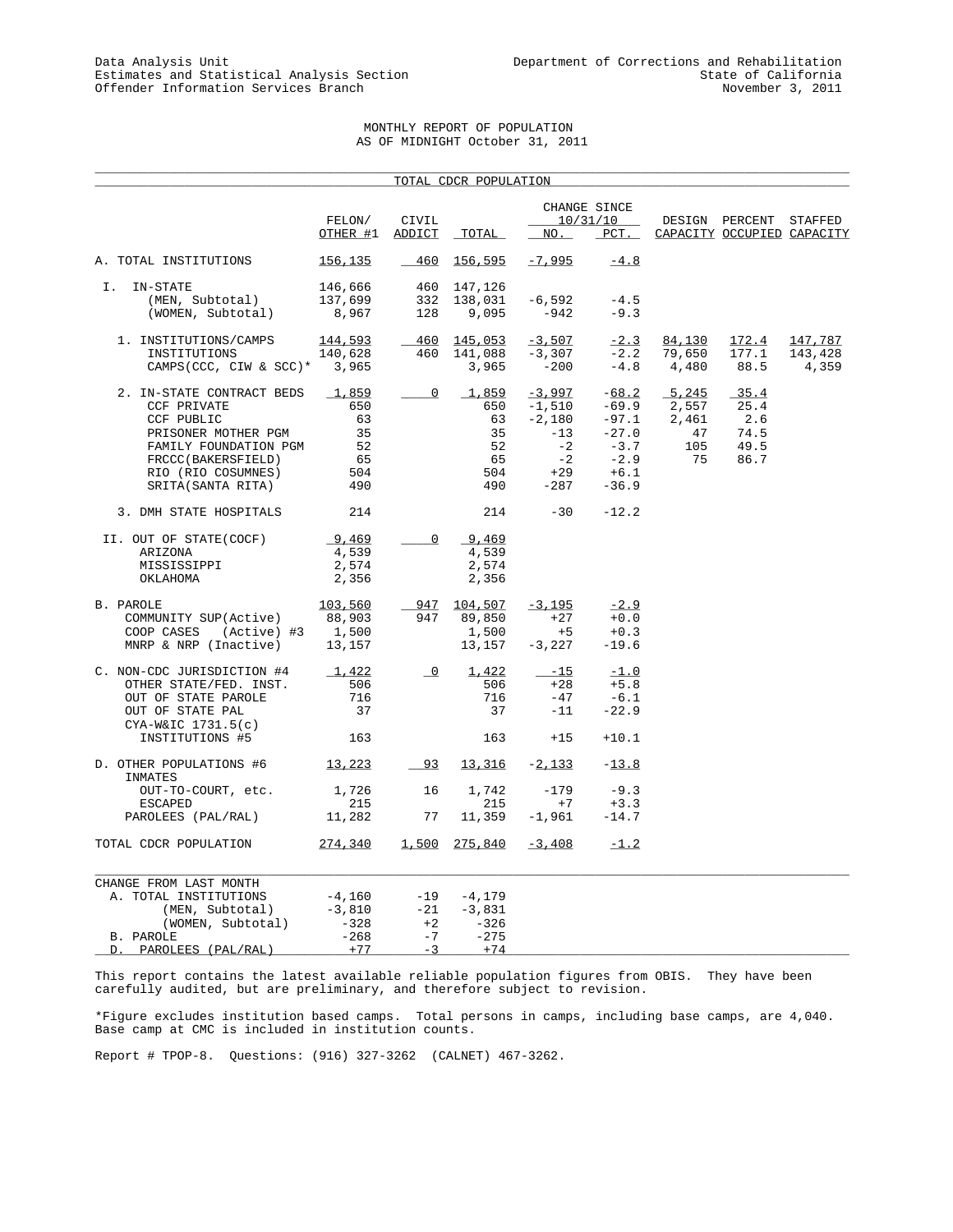## MONTHLY REPORT OF POPULATION AS OF MIDNIGHT October 31, 2011

|                                                                                                                                                                         |                                                    |                               | TOTAL CDCR POPULATION                                |                                                                              |                                                                                   |                                            |                                              |                             |
|-------------------------------------------------------------------------------------------------------------------------------------------------------------------------|----------------------------------------------------|-------------------------------|------------------------------------------------------|------------------------------------------------------------------------------|-----------------------------------------------------------------------------------|--------------------------------------------|----------------------------------------------|-----------------------------|
|                                                                                                                                                                         | FELON/<br>OTHER #1                                 | CIVIL<br>ADDICT               | TOTAL                                                | NO.                                                                          | CHANGE SINCE<br>10/31/10<br>$_{PCT}$ .                                            |                                            | DESIGN PERCENT<br>CAPACITY OCCUPIED CAPACITY | STAFFED                     |
| A. TOTAL INSTITUTIONS                                                                                                                                                   | 156,135                                            | $-460$                        | 156,595                                              | $-7,995$                                                                     | $-4.8$                                                                            |                                            |                                              |                             |
| IN-STATE<br>Ι.<br>(MEN, Subtotal)<br>(WOMEN, Subtotal)                                                                                                                  | 146,666<br>137,699<br>8,967                        | 460<br>332<br>128             | 147,126<br>138,031<br>9,095                          | $-6,592$<br>$-942$                                                           | $-4.5$<br>$-9.3$                                                                  |                                            |                                              |                             |
| 1. INSTITUTIONS/CAMPS<br>INSTITUTIONS<br>CAMPS (CCC, CIW & SCC) *                                                                                                       | 144,593<br>140,628<br>3,965                        | 460                           | $-460$ 145,053<br>141,088<br>3,965                   | $-3,507$<br>$-3,307$<br>$-200$                                               | $-2.3$<br>$-2.2$                                                                  | 84,130<br>79,650<br>$-4.8$ $4,480$         | 172.4<br>177.1<br>88.5                       | 147,787<br>143,428<br>4,359 |
| 2. IN-STATE CONTRACT BEDS<br>CCF PRIVATE<br>CCF PUBLIC<br>PRISONER MOTHER PGM<br>FAMILY FOUNDATION PGM<br>FRCCC(BAKERSFIELD)<br>RIO (RIO COSUMNES)<br>SRITA(SANTA RITA) | 1,859<br>650<br>63<br>35<br>52<br>65<br>504<br>490 | $\overline{0}$                | 1,859<br>650<br>63<br>35<br>52<br>65<br>504<br>490   | $-3,997$<br>$-1,510$<br>$-2,180$<br>$-13$<br>$-2$<br>$-2$<br>$+29$<br>$-287$ | $-68.2$<br>$-69.9$<br>$-97.1$<br>$-27.0$<br>$-3.7$<br>$-2.9$<br>$+6.1$<br>$-36.9$ | 5,245<br>2,557<br>2,461<br>47<br>105<br>75 | 35.4<br>25.4<br>2.6<br>74.5<br>49.5<br>86.7  |                             |
| 3. DMH STATE HOSPITALS                                                                                                                                                  | 214                                                |                               | 214                                                  | $-30$                                                                        | $-12.2$                                                                           |                                            |                                              |                             |
| II. OUT OF STATE(COCF)<br>ARIZONA<br>MISSISSIPPI<br>OKLAHOMA                                                                                                            | 9,469<br>4,539<br>2,574<br>2,356                   | $\overline{0}$                | 9,469<br>4,539<br>2,574<br>2,356                     |                                                                              |                                                                                   |                                            |                                              |                             |
| B. PAROLE<br>COMMUNITY SUP(Active)<br>COOP CASES<br>(Active) #3<br>MNRP & NRP (Inactive)                                                                                | 103,560<br>88,903<br>1,500<br>13,157               | 947                           | 947 104,507<br>89,850<br>1,500<br>13,157             | $-3,195$<br>$+27$<br>$+5$<br>$-3,227$                                        | $-2.9$<br>$+0.0$<br>$+0.3$<br>$-19.6$                                             |                                            |                                              |                             |
| C. NON-CDC JURISDICTION #4<br>OTHER STATE/FED. INST.<br>OUT OF STATE PAROLE<br>OUT OF STATE PAL<br>$CYA-W&IC$ 1731.5(c)                                                 | 1,422<br>506<br>716<br>37                          | $\overline{\phantom{a}}$      | 1,422<br>506<br>716<br>37                            | $-15$<br>$+28$<br>$-47$<br>$-11$                                             | $-1.0$<br>$+5.8$<br>$-6.1$<br>$-22.9$                                             |                                            |                                              |                             |
| INSTITUTIONS #5                                                                                                                                                         | 163                                                |                               | 163                                                  | $+15$                                                                        | $+10.1$                                                                           |                                            |                                              |                             |
| D. OTHER POPULATIONS #6<br>INMATES                                                                                                                                      | <u>13,223</u>                                      | $-93$                         | <u>13,316</u>                                        | $-2,133$                                                                     | $-13.8$                                                                           |                                            |                                              |                             |
| OUT-TO-COURT, etc.<br><b>ESCAPED</b><br>PAROLEES (PAL/RAL)                                                                                                              | 1,726<br>215<br>11,282                             | 16<br>77                      | 1,742<br>215<br>11,359                               | $-179$<br>$+7$<br>-1,961                                                     | $-9.3$<br>$+3.3$<br>$-14.7$                                                       |                                            |                                              |                             |
| TOTAL CDCR POPULATION                                                                                                                                                   | 274,340                                            | 1,500                         | 275,840                                              | $-3,408$                                                                     | $-1.2$                                                                            |                                            |                                              |                             |
| CHANGE FROM LAST MONTH<br>A. TOTAL INSTITUTIONS<br>(MEN, Subtotal)<br>(WOMEN, Subtotal)<br>B. PAROLE<br>PAROLEES (PAL/RAL)<br>D.                                        | $-4,160$<br>$-3,810$<br>$-328$<br>$-268$<br>$+77$  | $-21$<br>$+2$<br>$-7$<br>$-3$ | $-19 - 4,179$<br>$-3,831$<br>-326<br>$-275$<br>$+74$ |                                                                              |                                                                                   |                                            |                                              |                             |

This report contains the latest available reliable population figures from OBIS. They have been carefully audited, but are preliminary, and therefore subject to revision.

\*Figure excludes institution based camps. Total persons in camps, including base camps, are 4,040. Base camp at CMC is included in institution counts.

Report # TPOP-8. Questions: (916) 327-3262 (CALNET) 467-3262.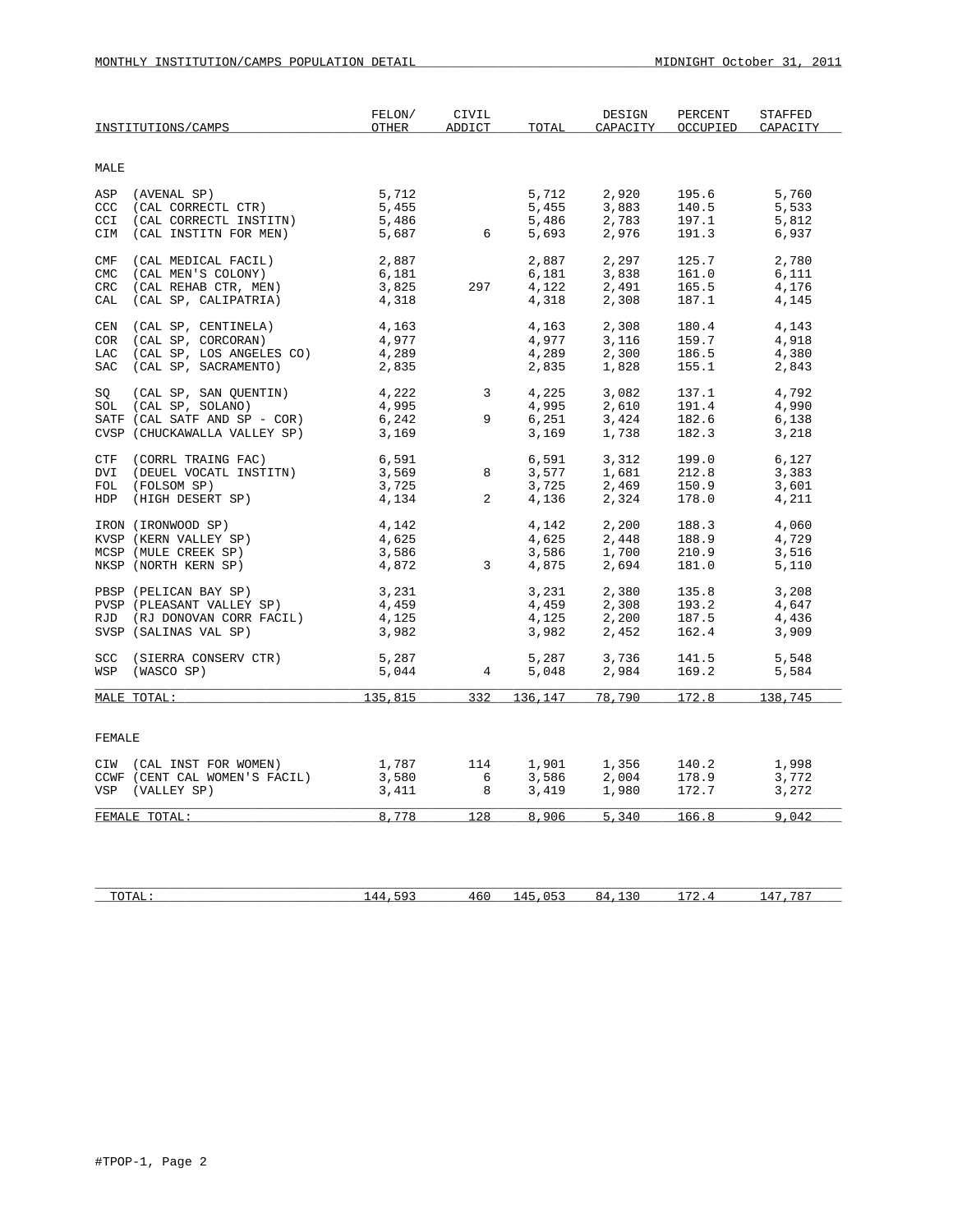|            | INSTITUTIONS/CAMPS            | FELON/<br>OTHER | CIVIL<br>ADDICT | TOTAL | DESIGN<br>CAPACITY | PERCENT<br>OCCUPIED | <b>STAFFED</b><br>CAPACITY |
|------------|-------------------------------|-----------------|-----------------|-------|--------------------|---------------------|----------------------------|
| MALE       |                               |                 |                 |       |                    |                     |                            |
|            | ASP (AVENAL SP)               | 5,712           |                 | 5,712 | 2,920              | 195.6               | 5,760                      |
|            | CCC (CAL CORRECTL CTR)        | 5,455           |                 | 5,455 | 3,883              | 140.5               | 5,533                      |
| CCI        | (CAL CORRECTL INSTITN)        | 5,486           |                 | 5,486 | 2,783              | 197.1               | 5,812                      |
| CIM        | (CAL INSTITN FOR MEN)         | 5,687           | 6               | 5,693 | 2,976              | 191.3               | 6,937                      |
| CMF        | (CAL MEDICAL FACIL)           | 2,887           |                 | 2,887 | 2,297              | 125.7               | 2,780                      |
| <b>CMC</b> | (CAL MEN'S COLONY)            | 6,181           |                 | 6,181 | 3,838              | 161.0               | 6,111                      |
| CRC        | (CAL REHAB CTR, MEN)          | 3,825           | 297             | 4,122 | 2,491              | 165.5               | 4,176                      |
| CAL        | (CAL SP, CALIPATRIA)          | 4,318           |                 | 4,318 | 2,308              | 187.1               | 4,145                      |
| CEN        | (CAL SP, CENTINELA)           | 4,163           |                 | 4,163 | 2,308              | 180.4               | 4,143                      |
| COR        | (CAL SP, CORCORAN)            | 4,977           |                 | 4,977 | 3,116              | 159.7               | 4,918                      |
|            | LAC (CAL SP, LOS ANGELES CO)  | 4,289           |                 | 4,289 | 2,300              | 186.5               | 4,380                      |
|            | SAC (CAL SP, SACRAMENTO)      | 2,835           |                 | 2,835 | 1,828              | 155.1               | 2,843                      |
| SO         | (CAL SP, SAN QUENTIN)         | 4,222           | $3^{\circ}$     | 4,225 | 3,082              | 137.1               | 4,792                      |
|            | SOL (CAL SP, SOLANO)          | 4,995           |                 | 4,995 | 2,610              | 191.4               | 4,990                      |
|            | SATF (CAL SATF AND SP - COR)  | 6,242           | 9               | 6,251 | 3,424              | 182.6               | 6,138                      |
|            | CVSP (CHUCKAWALLA VALLEY SP)  | 3,169           |                 | 3,169 | 1,738              | 182.3               | 3,218                      |
|            | CTF (CORRL TRAING FAC)        | 6,591           |                 | 6,591 | 3,312              | 199.0               | 6,127                      |
| DVI        | (DEUEL VOCATL INSTITN)        | 3,569           | 8               | 3,577 | 1,681              | 212.8               | 3,383                      |
|            | FOL (FOLSOM SP)               | 3,725           |                 | 3,725 | 2,469              | 150.9               | 3,601                      |
|            | HDP (HIGH DESERT SP)          | 4,134           | $\overline{a}$  | 4,136 | 2,324              | 178.0               | 4,211                      |
|            | IRON (IRONWOOD SP)            | 4,142           |                 | 4,142 | 2,200              | 188.3               | 4,060                      |
|            | KVSP (KERN VALLEY SP)         | 4,625           |                 | 4,625 | 2,448              | 188.9               | 4,729                      |
|            | MCSP (MULE CREEK SP)          | 3,586           |                 | 3,586 | 1,700              | 210.9               | 3,516                      |
|            | NKSP (NORTH KERN SP)          | 4,872           | $\overline{3}$  | 4,875 | 2,694              | 181.0               | 5,110                      |
|            | PBSP (PELICAN BAY SP)         | 3,231           |                 | 3,231 | 2,380              | 135.8               | 3,208                      |
|            | PVSP (PLEASANT VALLEY SP)     | 4,459           |                 | 4,459 | 2,308              | 193.2               | 4,647                      |
|            | RJD (RJ DONOVAN CORR FACIL)   | 4,125           |                 | 4,125 | 2,200              | 187.5               | 4,436                      |
|            | SVSP (SALINAS VAL SP)         | 3,982           |                 | 3,982 | 2,452              | 162.4               | 3,909                      |
|            | SCC (SIERRA CONSERV CTR)      | 5,287           |                 |       | 3,736              | 141.5               | 5,548                      |
|            | WSP (WASCO SP)                | 5,044           | $\overline{4}$  | 5,048 | 2,984              | 169.2               | 5,584                      |
|            | MALE TOTAL:                   | 135,815         |                 |       | 332 136,147 78,790 | 172.8               | 138,745                    |
|            |                               |                 |                 |       |                    |                     |                            |
| FEMALE     |                               |                 |                 |       |                    |                     |                            |
|            | CIW (CAL INST FOR WOMEN)      | 1,787           | 114             | 1,901 | 1,356              | 140.2               | 1,998                      |
|            | CCWF (CENT CAL WOMEN'S FACIL) | 3,580           | 6               | 3,586 | 2,004              | 178.9               | 3,772                      |
|            | VSP (VALLEY SP)               | 3,411           | 8               | 3,419 | 1,980              | 172.7               | 3,272                      |
|            | FEMALE TOTAL:                 | 8,778           | 128             | 8,906 | 5,340              | 166.8               | 9,042                      |
|            |                               |                 |                 |       |                    |                     |                            |

| 10111 | $\sim$<br>$\mu$<br>- 12 million | <b>400</b> | $\mu$<br>- 12 million | $\sim$ $ -$ | $\mathbf{u}$<br>. . |
|-------|---------------------------------|------------|-----------------------|-------------|---------------------|
|       |                                 |            |                       |             |                     |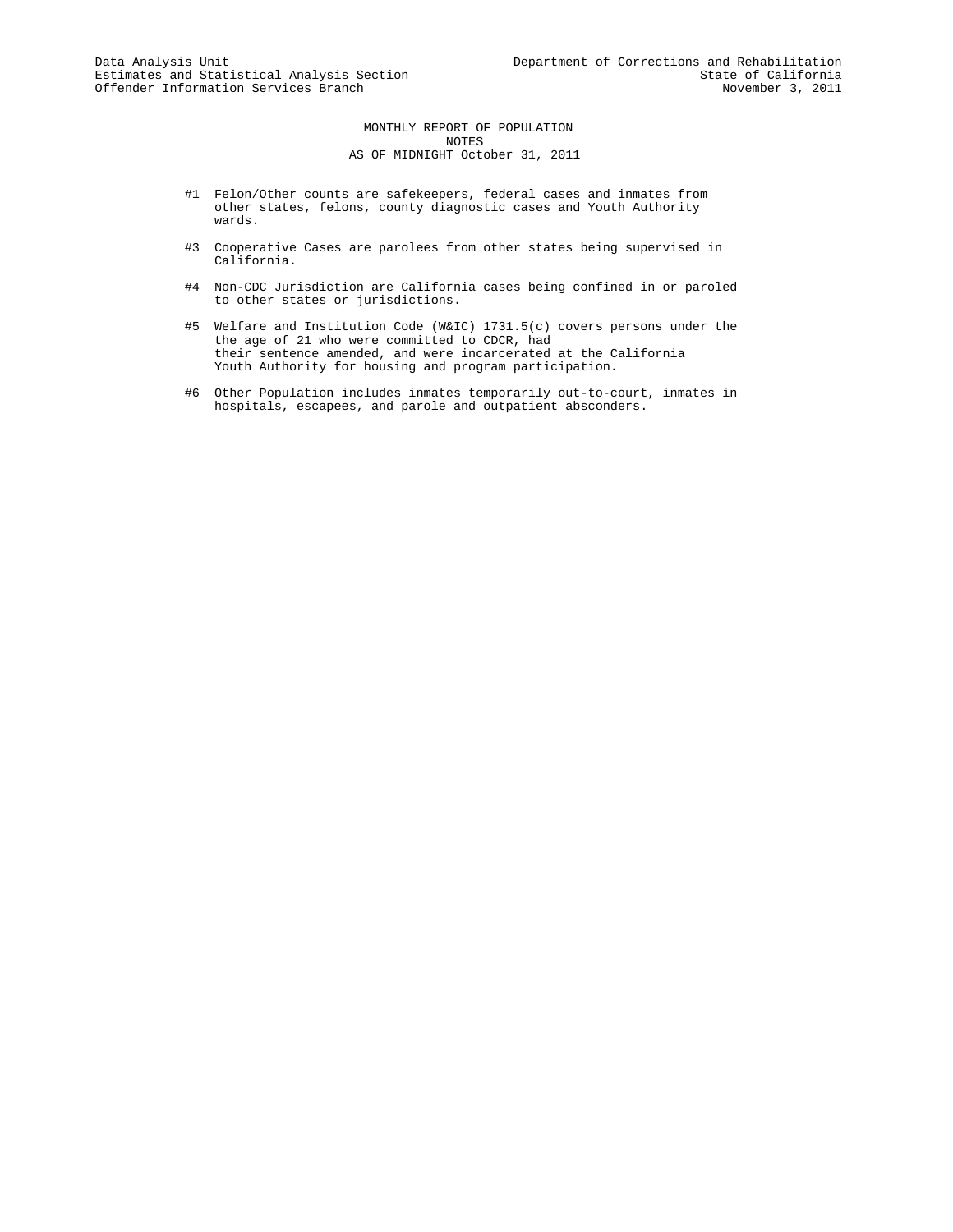MONTHLY REPORT OF POPULATION NOTES AS OF MIDNIGHT October 31, 2011

- #1 Felon/Other counts are safekeepers, federal cases and inmates from other states, felons, county diagnostic cases and Youth Authority wards.
- #3 Cooperative Cases are parolees from other states being supervised in California.
- #4 Non-CDC Jurisdiction are California cases being confined in or paroled to other states or jurisdictions.
- #5 Welfare and Institution Code (W&IC) 1731.5(c) covers persons under the the age of 21 who were committed to CDCR, had their sentence amended, and were incarcerated at the California Youth Authority for housing and program participation.
- #6 Other Population includes inmates temporarily out-to-court, inmates in hospitals, escapees, and parole and outpatient absconders.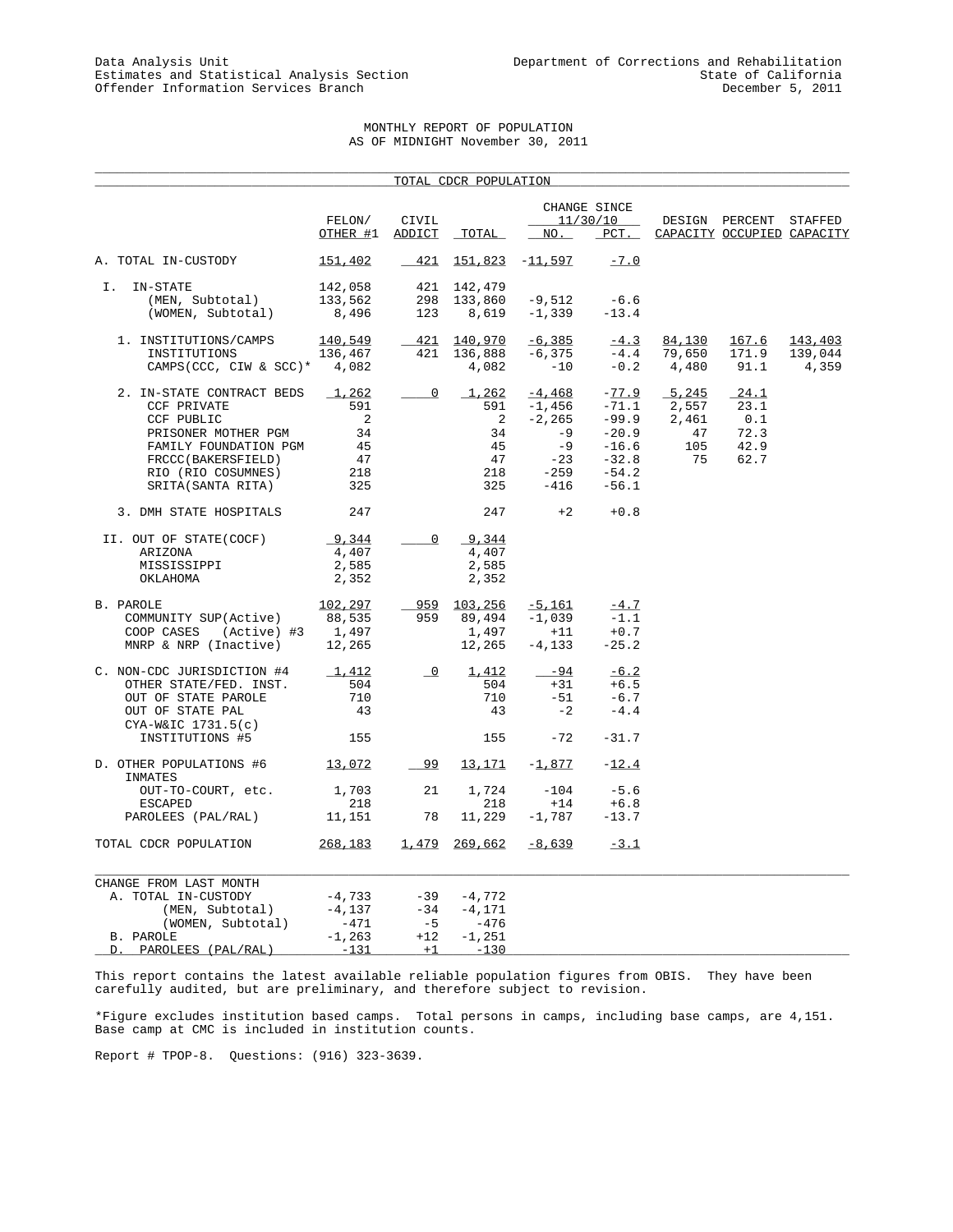## MONTHLY REPORT OF POPULATION AS OF MIDNIGHT November 30, 2011

\_\_\_\_\_\_\_\_\_\_\_\_\_\_\_\_\_\_\_\_\_\_\_\_\_\_\_\_\_\_\_\_\_\_\_\_\_\_\_\_\_\_\_\_\_\_\_\_\_\_\_\_\_\_\_\_\_\_\_\_\_\_\_\_\_\_\_\_\_\_\_\_\_\_\_\_\_\_\_\_\_\_\_\_\_\_\_\_\_\_\_\_\_\_\_\_\_\_\_\_\_

|                                                |                    |                          | <u>TOTAL CDCR POPULATION</u> |                          |                          |                                       |                            |                  |
|------------------------------------------------|--------------------|--------------------------|------------------------------|--------------------------|--------------------------|---------------------------------------|----------------------------|------------------|
|                                                | FELON/             | CIVIL                    |                              |                          | CHANGE SINCE<br>11/30/10 |                                       | DESIGN PERCENT             | STAFFED          |
|                                                | OTHER #1           | ADDICT                   | <b>TOTAL</b>                 | NO.                      | $PCT$ .                  |                                       | CAPACITY OCCUPIED CAPACITY |                  |
| A. TOTAL IN-CUSTODY                            | 151,402            | 421                      |                              | $151,823 -11,597$        | $-7.0$                   |                                       |                            |                  |
| Ι.<br>IN-STATE                                 | 142,058            |                          | 421 142,479                  |                          | $-6.6$                   |                                       |                            |                  |
| (MEN, Subtotal)<br>(WOMEN, Subtotal)           | 133,562<br>8,496   | 298<br>123               | 133,860                      | -9,512<br>$8,619 -1,339$ | $-13.4$                  |                                       |                            |                  |
| 1. INSTITUTIONS/CAMPS                          | 140,549            |                          | 421 140,970                  | $-6,385$                 | $-4.3$                   | 84,130                                | <u> 167.6</u>              | 143,403          |
| INSTITUTIONS<br>CAMPS(CCC, CIW & SCC)* $4,082$ | 136,467            | 421                      | 136,888<br>4,082             | $-6,375$<br>$-10$        | $-4.4$<br>$-0.2$         | 79,650<br>4,480                       | 171.9<br>91.1              | 139,044<br>4,359 |
| 2. IN-STATE CONTRACT BEDS                      | 1,262<br>591       | $\overline{0}$           | 591                          | $1,262$ $-4,468$         | $-77.9$<br>$-71.1$       | 5,245                                 | 24.1<br>23.1               |                  |
| CCF PRIVATE<br>CCF PUBLIC                      | $\overline{2}$     |                          | $\overline{2}$               | -1,456<br>$-2, 265$      | $-99.9$                  | $\frac{1}{2}, \frac{1}{557}$<br>2,461 | 0.1                        |                  |
| PRISONER MOTHER PGM                            | 34                 |                          | 34                           | $-9$                     | $-20.9$                  | 47                                    | 72.3                       |                  |
| FAMILY FOUNDATION PGM                          | 45                 |                          | 45                           | $-9$                     | $-16.6$                  | 105                                   | 42.9                       |                  |
| FRCCC(BAKERSFIELD)                             | 47                 |                          | 47                           | $-23$                    | $-32.8$                  | 75                                    | 62.7                       |                  |
| RIO (RIO COSUMNES)                             | 218                |                          | 218                          | $-259 -54.2$             |                          |                                       |                            |                  |
| SRITA(SANTA RITA)                              | 325                |                          | 325                          | $-416$                   | $-56.1$                  |                                       |                            |                  |
| 3. DMH STATE HOSPITALS                         | 247                |                          | 247                          | $+2$                     | $+0.8$                   |                                       |                            |                  |
| II. OUT OF STATE(COCF)                         | 9,344              | $\overline{0}$           | 9,344                        |                          |                          |                                       |                            |                  |
| ARIZONA                                        | 4,407              |                          | 4,407                        |                          |                          |                                       |                            |                  |
| MISSISSIPPI                                    | 2,585              |                          | 2,585                        |                          |                          |                                       |                            |                  |
| OKLAHOMA                                       | 2,352              |                          | 2,352                        |                          |                          |                                       |                            |                  |
| B. PAROLE                                      | 102,297            |                          | 959 103,256                  | $-5,161$                 | $-4.7$                   |                                       |                            |                  |
| COMMUNITY SUP(Active)                          | 88,535             | 959                      | 89,494                       | -1,039                   | $-1.1$                   |                                       |                            |                  |
| COOP CASES<br>(Active) #3                      | 1,497              |                          | 1,497                        | $+11$                    | $+0.7$                   |                                       |                            |                  |
| MNRP & NRP (Inactive)                          | 12,265             |                          | 12,265                       | $-4,133$                 | $-25.2$                  |                                       |                            |                  |
| C. NON-CDC JURISDICTION #4                     | 1,412              | $\overline{\phantom{0}}$ | 1,412                        | $-94$                    | $-6.2$                   |                                       |                            |                  |
| OTHER STATE/FED. INST.                         | 504                |                          | 504                          | $+31$                    | $+6.5$                   |                                       |                            |                  |
| OUT OF STATE PAROLE                            | 710                |                          | 710                          | $-51$                    | $-6.7$                   |                                       |                            |                  |
| OUT OF STATE PAL                               | 43                 |                          | 43                           | $-2$                     | $-4.4$                   |                                       |                            |                  |
| $CYA-W&IC1731.5(c)$<br>INSTITUTIONS #5         | 155                |                          | 155                          | $-72$                    | $-31.7$                  |                                       |                            |                  |
| D. OTHER POPULATIONS #6 13,072<br>INMATES      |                    | $-99$                    | <u>13,171</u>                | $-1,877$                 | $-12.4$                  |                                       |                            |                  |
| OUT-TO-COURT, etc.                             | 1,703              | 21                       | 1,724                        | $-104$                   | $-5.6$                   |                                       |                            |                  |
| <b>ESCAPED</b>                                 | 218                |                          | 218                          | $+14$                    | $+6.8$                   |                                       |                            |                  |
| PAROLEES (PAL/RAL)                             | 11,151             | 78                       | 11,229                       | $-1,787$                 | $-13.7$                  |                                       |                            |                  |
| TOTAL CDCR POPULATION                          | 268,183            | 1,479                    | 269,662                      | -8,639                   | $-3.1$                   |                                       |                            |                  |
| CHANGE FROM LAST MONTH                         |                    |                          |                              |                          |                          |                                       |                            |                  |
| A. TOTAL IN-CUSTODY                            | $-4,733$           | $-39$                    | $-4,772$                     |                          |                          |                                       |                            |                  |
| (MEN, Subtotal)                                | $-4,137$           | $-34$                    | $-4,171$                     |                          |                          |                                       |                            |                  |
| (WOMEN, Subtotal)                              | -471               | $-5$                     | -476                         |                          |                          |                                       |                            |                  |
| B. PAROLE<br>PAROLEES (PAL/RAL)<br>D.          | $-1,263$<br>$-131$ | $+12$<br>$+1$            | $-1,251$<br>$-130$           |                          |                          |                                       |                            |                  |
|                                                |                    |                          |                              |                          |                          |                                       |                            |                  |

This report contains the latest available reliable population figures from OBIS. They have been carefully audited, but are preliminary, and therefore subject to revision.

\*Figure excludes institution based camps. Total persons in camps, including base camps, are 4,151. Base camp at CMC is included in institution counts.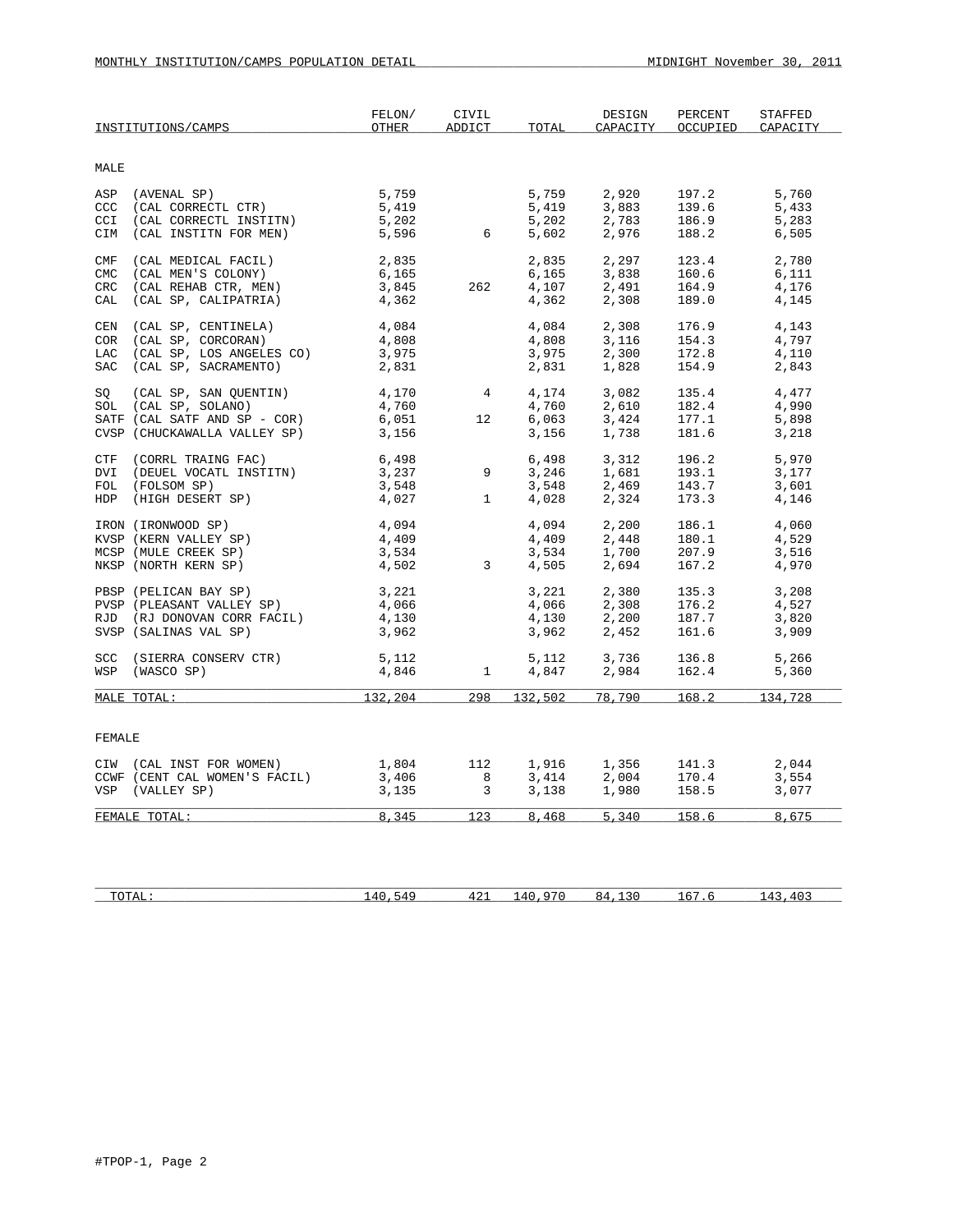| MALE<br>CCI<br>CIM<br>CMF<br><b>CMC</b><br>CRC | ASP (AVENAL SP)<br>CCC (CAL CORRECTL CTR)<br>(CAL CORRECTL INSTITN)<br>(CAL INSTITN FOR MEN)<br>(CAL MEDICAL FACIL) | 5,759<br>5,419<br>5,202<br>5,596 |                 | 5,759   |        |       |         |
|------------------------------------------------|---------------------------------------------------------------------------------------------------------------------|----------------------------------|-----------------|---------|--------|-------|---------|
|                                                |                                                                                                                     |                                  |                 |         |        |       |         |
|                                                |                                                                                                                     |                                  |                 |         | 2,920  | 197.2 | 5,760   |
|                                                |                                                                                                                     |                                  |                 | 5,419   | 3,883  | 139.6 | 5,433   |
|                                                |                                                                                                                     |                                  |                 | 5,202   | 2,783  | 186.9 | 5,283   |
|                                                |                                                                                                                     |                                  | 6               | 5,602   | 2,976  | 188.2 | 6,505   |
|                                                |                                                                                                                     | 2,835                            |                 | 2,835   | 2,297  | 123.4 | 2,780   |
|                                                | (CAL MEN'S COLONY)                                                                                                  | 6,165                            |                 | 6,165   | 3,838  | 160.6 | 6,111   |
|                                                | (CAL REHAB CTR, MEN)                                                                                                | 3,845                            | 262             | 4,107   | 2,491  | 164.9 | 4,176   |
| CAL                                            | (CAL SP, CALIPATRIA)                                                                                                | 4,362                            |                 | 4,362   | 2,308  | 189.0 | 4,145   |
| CEN                                            | (CAL SP, CENTINELA)                                                                                                 | 4,084                            |                 | 4,084   | 2,308  | 176.9 | 4,143   |
|                                                | COR (CAL SP, CORCORAN)                                                                                              | 4,808                            |                 | 4,808   | 3,116  | 154.3 | 4,797   |
|                                                | LAC (CAL SP, LOS ANGELES CO)                                                                                        | 3,975                            |                 | 3,975   | 2,300  | 172.8 | 4,110   |
| SAC                                            | (CAL SP, SACRAMENTO)                                                                                                | 2,831                            |                 | 2,831   | 1,828  | 154.9 | 2,843   |
| SQ                                             | (CAL SP, SAN QUENTIN)                                                                                               | 4,170                            | $4 \quad$       | 4,174   | 3,082  | 135.4 | 4,477   |
|                                                | SOL (CAL SP, SOLANO)                                                                                                | 4,760                            |                 | 4,760   | 2,610  | 182.4 | 4,990   |
|                                                | SATF (CAL SATF AND SP - COR)                                                                                        | 6,051                            | 12 <sup>°</sup> | 6,063   | 3,424  | 177.1 | 5,898   |
|                                                | CVSP (CHUCKAWALLA VALLEY SP)                                                                                        | 3,156                            |                 | 3,156   | 1,738  | 181.6 | 3,218   |
|                                                | CTF (CORRL TRAING FAC)                                                                                              | 6,498                            |                 | 6,498   | 3,312  | 196.2 | 5,970   |
|                                                | DVI (DEUEL VOCATL INSTITN)                                                                                          | 3,237                            | 9               | 3,246   | 1,681  | 193.1 | 3,177   |
|                                                | FOL (FOLSOM SP)                                                                                                     | 3,548                            |                 | 3,548   | 2,469  | 143.7 | 3,601   |
|                                                | HDP (HIGH DESERT SP)                                                                                                | 4,027                            | $\mathbf{1}$    | 4,028   | 2,324  | 173.3 | 4,146   |
|                                                | IRON (IRONWOOD SP)                                                                                                  | 4,094                            |                 | 4,094   | 2,200  | 186.1 | 4,060   |
|                                                | KVSP (KERN VALLEY SP)                                                                                               | 4,409                            |                 | 4,409   | 2,448  | 180.1 | 4,529   |
|                                                | MCSP (MULE CREEK SP)                                                                                                | 3,534                            |                 | 3,534   | 1,700  | 207.9 | 3,516   |
|                                                | NKSP (NORTH KERN SP)                                                                                                | 4,502                            | $\overline{3}$  | 4,505   | 2,694  | 167.2 | 4,970   |
|                                                | PBSP (PELICAN BAY SP)                                                                                               | 3,221                            |                 | 3,221   | 2,380  | 135.3 | 3,208   |
|                                                | PVSP (PLEASANT VALLEY SP)                                                                                           | 4,066                            |                 | 4,066   | 2,308  | 176.2 | 4,527   |
|                                                | RJD (RJ DONOVAN CORR FACIL)                                                                                         | 4,130                            |                 | 4,130   | 2,200  | 187.7 | 3,820   |
|                                                | SVSP (SALINAS VAL SP)                                                                                               | 3,962                            |                 | 3,962   | 2,452  | 161.6 | 3,909   |
|                                                | SCC (SIERRA CONSERV CTR)                                                                                            | 5,112                            |                 | 5,112   | 3,736  | 136.8 | 5,266   |
| WSP                                            | (WASCO SP)                                                                                                          | 4,846                            | $\mathbf{1}$    | 4,847   | 2,984  | 162.4 | 5,360   |
| MALE TOTAL:                                    |                                                                                                                     | 132,204                          | 298             | 132,502 | 78,790 | 168.2 | 134,728 |
|                                                |                                                                                                                     |                                  |                 |         |        |       |         |
| FEMALE                                         |                                                                                                                     |                                  |                 |         |        |       |         |
|                                                | CIW (CAL INST FOR WOMEN)                                                                                            | 1,804                            | 112             | 1,916   | 1,356  | 141.3 | 2,044   |
|                                                | CCWF (CENT CAL WOMEN'S FACIL)                                                                                       | 3,406                            | 8               | 3,414   | 2,004  | 170.4 | 3,554   |
|                                                | VSP (VALLEY SP)                                                                                                     | 3,135                            | $\overline{3}$  | 3,138   | 1,980  | 158.5 | 3,077   |
| FEMALE TOTAL:                                  |                                                                                                                     | 8,345                            | 123             | 8,468   | 5,340  | 158.6 | 8,675   |
|                                                |                                                                                                                     |                                  |                 |         |        |       |         |

| T <sub>0</sub><br>⊥ <i>∟</i> ⊥⊥ ∙<br><b>. .</b> | $\overline{\phantom{a}}$ | 421 | $\sqrt{1}$ | $\sim$ $\sim$<br>. . | $\overline{\phantom{a}}$ |
|-------------------------------------------------|--------------------------|-----|------------|----------------------|--------------------------|
|                                                 |                          |     |            |                      |                          |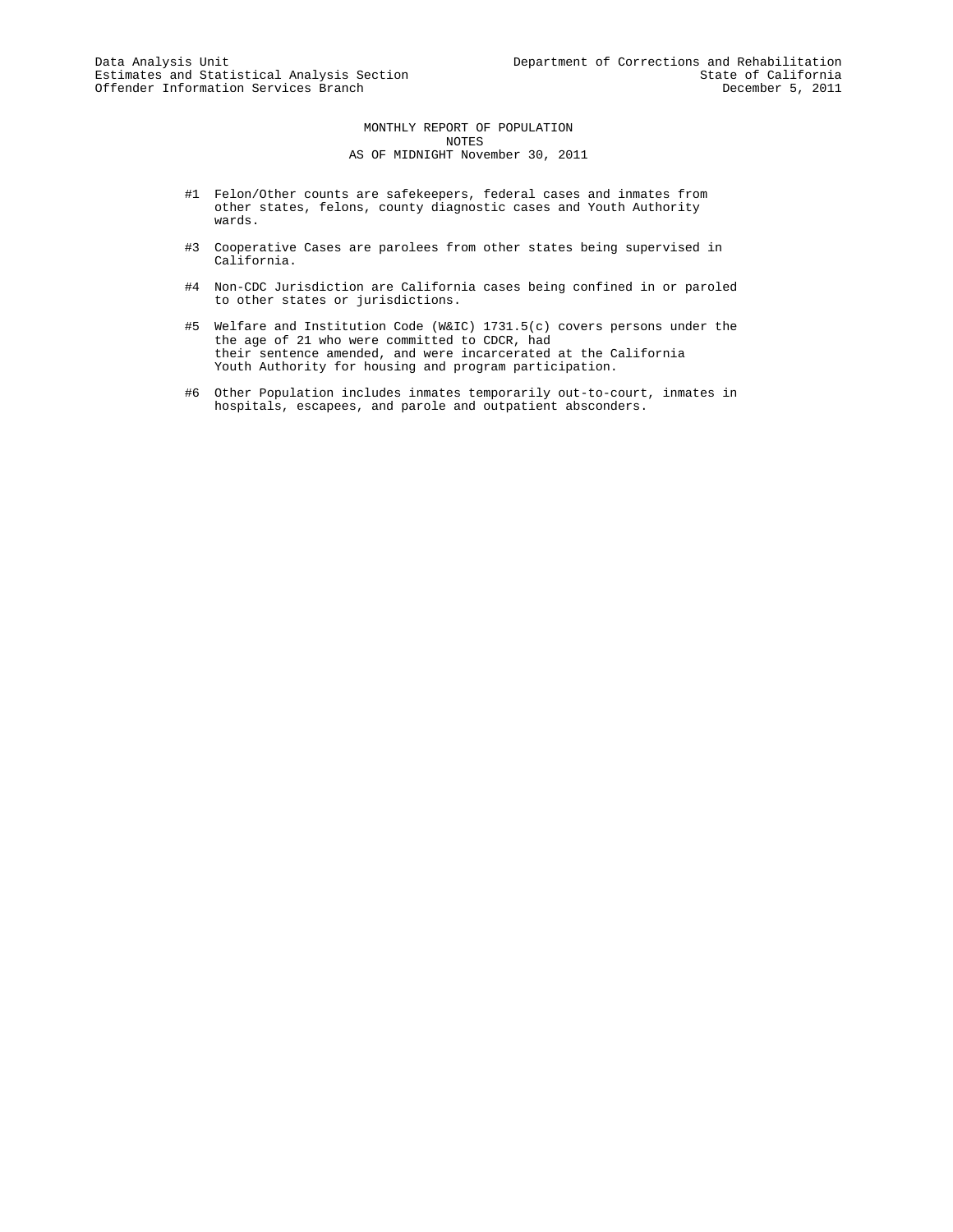MONTHLY REPORT OF POPULATION NOTES AS OF MIDNIGHT November 30, 2011

- #1 Felon/Other counts are safekeepers, federal cases and inmates from other states, felons, county diagnostic cases and Youth Authority wards.
- #3 Cooperative Cases are parolees from other states being supervised in California.
- #4 Non-CDC Jurisdiction are California cases being confined in or paroled to other states or jurisdictions.
- #5 Welfare and Institution Code (W&IC) 1731.5(c) covers persons under the the age of 21 who were committed to CDCR, had their sentence amended, and were incarcerated at the California Youth Authority for housing and program participation.
- #6 Other Population includes inmates temporarily out-to-court, inmates in hospitals, escapees, and parole and outpatient absconders.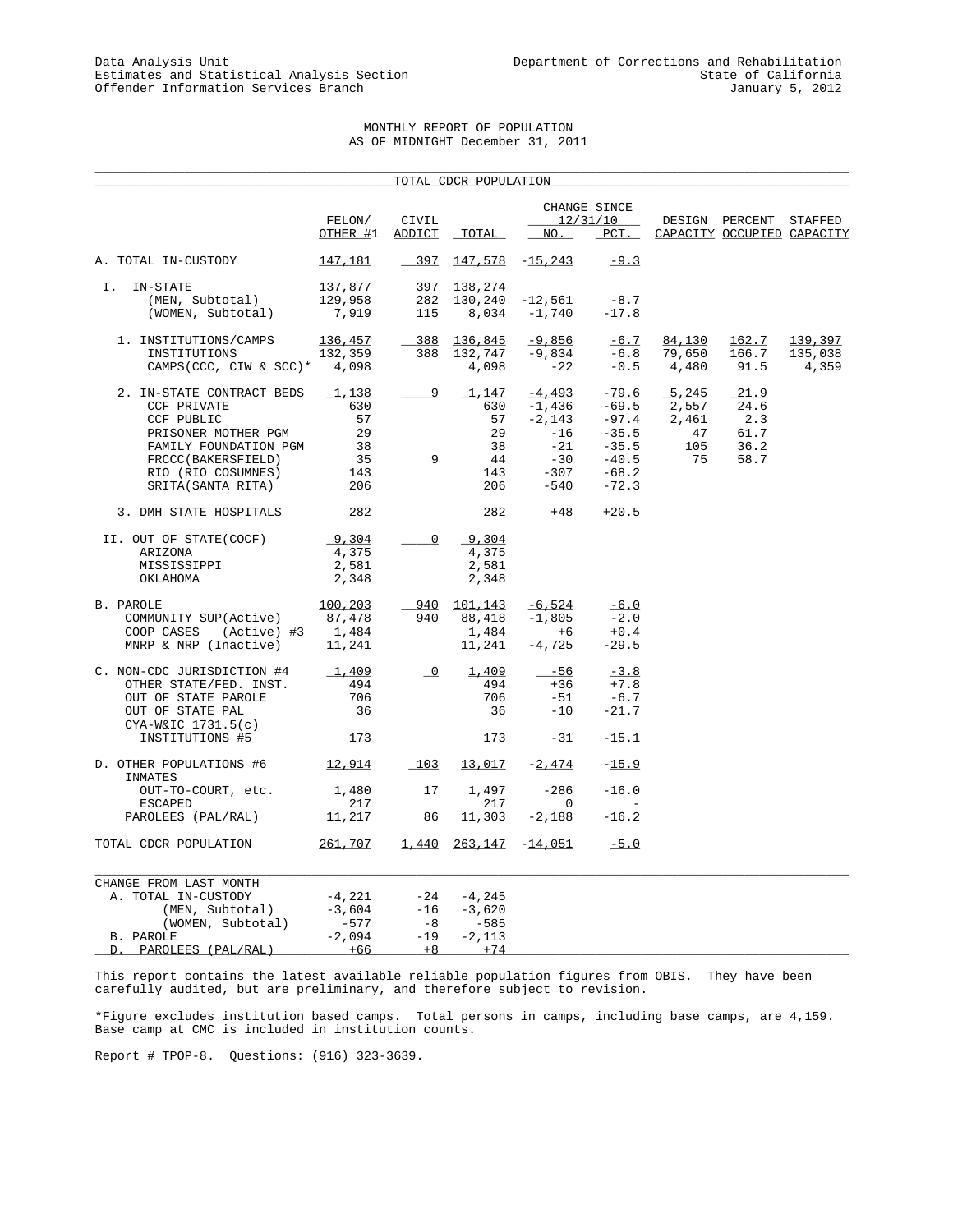# MONTHLY REPORT OF POPULATION AS OF MIDNIGHT December 31, 2011

\_\_\_\_\_\_\_\_\_\_\_\_\_\_\_\_\_\_\_\_\_\_\_\_\_\_\_\_\_\_\_\_\_\_\_\_\_\_\_\_\_\_\_\_\_\_\_\_\_\_\_\_\_\_\_\_\_\_\_\_\_\_\_\_\_\_\_\_\_\_\_\_\_\_\_\_\_\_\_\_\_\_\_\_\_\_\_\_\_\_\_\_\_\_\_\_\_\_\_\_\_

|                                           |                    |                         | <u>TOTAL CDCR POPULATION</u> |                   |                                            |        |                            |         |
|-------------------------------------------|--------------------|-------------------------|------------------------------|-------------------|--------------------------------------------|--------|----------------------------|---------|
|                                           | FELON/             | CIVIL                   |                              |                   | CHANGE SINCE<br>12/31/10                   |        | DESIGN PERCENT STAFFED     |         |
|                                           | OTHER #1           | ADDICT                  | TOTAL                        | NO.               | $PCT$ .                                    |        | CAPACITY OCCUPIED CAPACITY |         |
| A. TOTAL IN-CUSTODY                       | 147,181            | $-397$                  |                              | $147,578$ -15,243 | $-9.3$                                     |        |                            |         |
| I. IN-STATE<br>(MEN, Subtotal)            | 137,877<br>129,958 | 282                     | 397 138,274<br>130,240       | $-12,561$         | $-8.7$                                     |        |                            |         |
| (WOMEN, Subtotal)                         | 7,919              | 115                     | 8,034                        | $-1,740$          | $-17.8$                                    |        |                            |         |
| 1. INSTITUTIONS/CAMPS                     | 136,457            |                         | 388 136,845                  | $-9,856$          | $-6.7$                                     | 84,130 | 162.7                      | 139,397 |
| INSTITUTIONS                              | 132,359            | 388                     | 132,747                      | $-9,834$          | $-6.8$                                     | 79,650 | 166.7                      | 135,038 |
| CAMPS(CCC, CIW & SCC)* $4,098$            |                    |                         | 4,098                        | $-22$             | $-0.5$                                     | 4,480  | 91.5                       | 4,359   |
| 2. IN-STATE CONTRACT BEDS                 | 1,138              | 9                       | 1,147                        | $-4,493$          | $-79.6$                                    | 5,245  | 21.9                       |         |
| CCF PRIVATE                               | 630                |                         | 630                          | $-1,436$          | $-69.5$                                    | 2,557  | 24.6                       |         |
| CCF PUBLIC                                | 57                 |                         | 57                           | $-2,143$          | $-97.4$                                    | 2,461  | 2.3                        |         |
| PRISONER MOTHER PGM                       | 29                 |                         | 29                           | $-16$             | $-35.5$                                    | 47     | 61.7                       |         |
| FAMILY FOUNDATION PGM                     | 38                 |                         | 38                           | -21               | $-35.5$                                    | 105    | 36.2                       |         |
| FRCCC(BAKERSFIELD)                        | 35                 | 9                       | 44                           |                   | $-30$ $-40.5$<br>$-307$ $-68.2$<br>$-40.5$ | 75     | 58.7                       |         |
| RIO (RIO COSUMNES)                        | 143                |                         | 143                          |                   |                                            |        |                            |         |
| SRITA(SANTA RITA)                         | 206                |                         | 206                          | $-540$            | $-72.3$                                    |        |                            |         |
| 3. DMH STATE HOSPITALS                    | 282                |                         | 282                          | $+48$             | $+20.5$                                    |        |                            |         |
| II. OUT OF STATE(COCF)                    | 9,304              | $\overline{0}$          | 9,304                        |                   |                                            |        |                            |         |
| ARIZONA                                   | 4,375              |                         | 4,375                        |                   |                                            |        |                            |         |
| MISSISSIPPI                               | 2,581              |                         | 2,581                        |                   |                                            |        |                            |         |
| OKLAHOMA                                  | 2,348              |                         | 2,348                        |                   |                                            |        |                            |         |
| B. PAROLE                                 | 100,203            |                         | 940 101,143                  | $-6,524$          | $-6.0$                                     |        |                            |         |
| COMMUNITY SUP(Active)                     | 87,478             | 940                     | 88,418                       | $-1,805$          | $-2.0$                                     |        |                            |         |
| (Active) #3 1,484<br>COOP CASES           |                    |                         | 1,484                        | $+6$              | $+0.4$                                     |        |                            |         |
| MNRP & NRP (Inactive)                     | 11,241             |                         | 11,241                       | $-4,725$          | $-29.5$                                    |        |                            |         |
| C. NON-CDC JURISDICTION #4                | 1,409              | $\overline{\mathsf{o}}$ | 1,409                        | $-56$             | $-3.8$                                     |        |                            |         |
| OTHER STATE/FED. INST.                    | 494                |                         | 494                          | $+36$             | $+7.8$                                     |        |                            |         |
| OUT OF STATE PAROLE                       | 706                |                         | 706                          | $-51$             | $-6.7$                                     |        |                            |         |
| OUT OF STATE PAL                          | 36                 |                         | 36                           | $-10$             | $-21.7$                                    |        |                            |         |
| $CYA-W&IC 1731.5(c)$<br>INSTITUTIONS #5   | 173                |                         | 173                          | $-31$             | $-15.1$                                    |        |                            |         |
|                                           |                    |                         |                              |                   |                                            |        |                            |         |
| D. OTHER POPULATIONS #6 12,914<br>INMATES |                    | 103                     | <u>13,017</u>                | $-2,474$          | $-15.9$                                    |        |                            |         |
| OUT-TO-COURT, etc.                        | 1,480              | 17                      | 1,497                        | $-286$            | $-16.0$                                    |        |                            |         |
| <b>ESCAPED</b>                            | 217                |                         | 217                          | 0                 |                                            |        |                            |         |
| PAROLEES (PAL/RAL)                        | 11,217             | 86                      | 11,303                       | $-2,188$          | $-16.2$                                    |        |                            |         |
| TOTAL CDCR POPULATION                     | <u> 261,707</u>    |                         |                              |                   | $-5.0$                                     |        |                            |         |
| CHANGE FROM LAST MONTH                    |                    |                         |                              |                   |                                            |        |                            |         |
| A. TOTAL IN-CUSTODY                       | -4,221             | $-24$                   | $-4,245$                     |                   |                                            |        |                            |         |
| (MEN, Subtotal)                           | $-3,604$           | $-16$                   | $-3,620$                     |                   |                                            |        |                            |         |
| (WOMEN, Subtotal)                         | -577               | $-8$                    | -585                         |                   |                                            |        |                            |         |
| B. PAROLE                                 | $-2,094$           | $-19$                   | $-2,113$                     |                   |                                            |        |                            |         |
| PAROLEES (PAL/RAL)<br>D.                  | $+66$              | $+8$                    | $+74$                        |                   |                                            |        |                            |         |

This report contains the latest available reliable population figures from OBIS. They have been carefully audited, but are preliminary, and therefore subject to revision.

\*Figure excludes institution based camps. Total persons in camps, including base camps, are 4,159. Base camp at CMC is included in institution counts.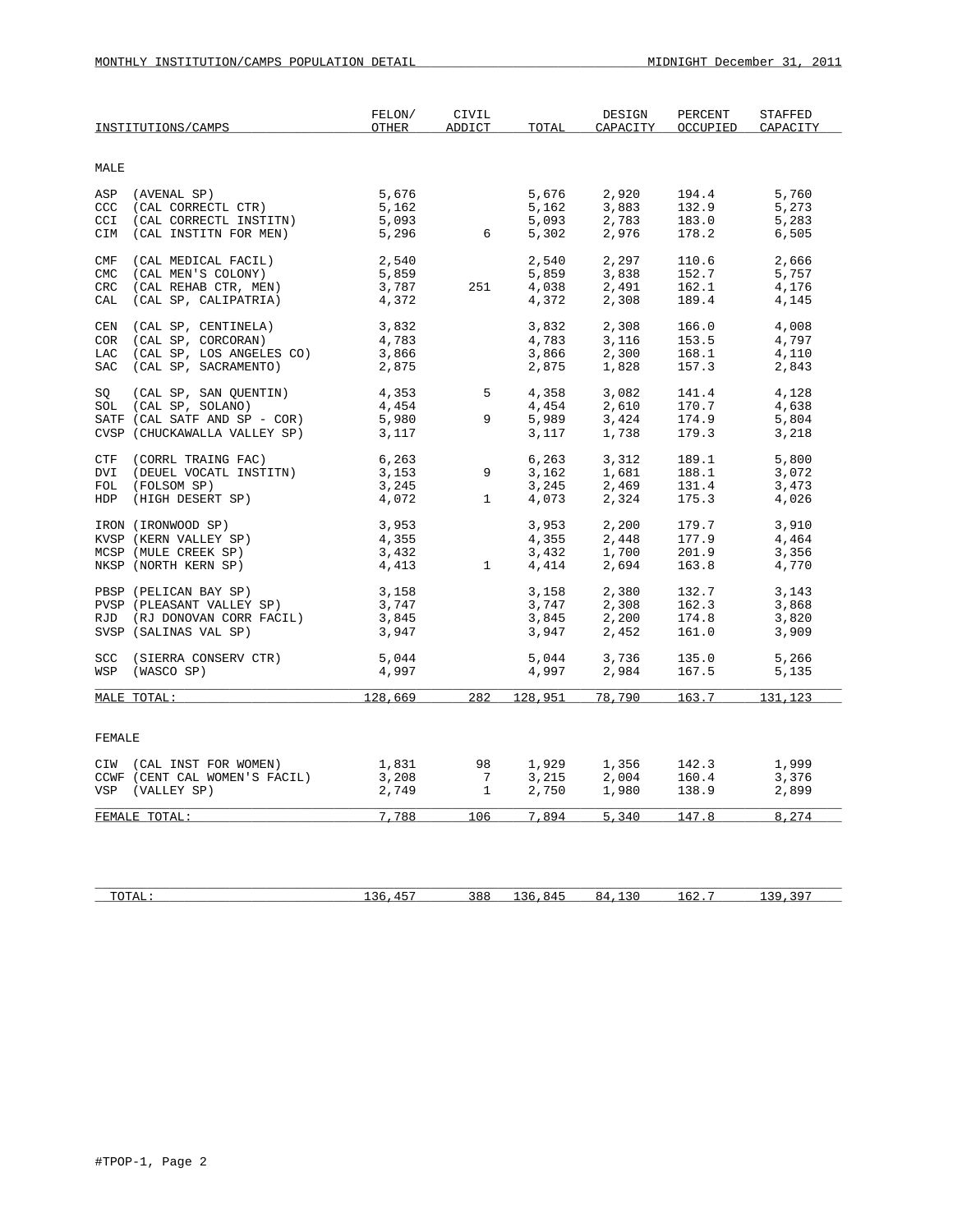|            | INSTITUTIONS/CAMPS                        | FELON/<br>OTHER | CIVIL<br>ADDICT | TOTAL   | DESIGN<br>CAPACITY | PERCENT<br>OCCUPIED | STAFFED<br>CAPACITY |
|------------|-------------------------------------------|-----------------|-----------------|---------|--------------------|---------------------|---------------------|
| MALE       |                                           |                 |                 |         |                    |                     |                     |
|            |                                           | 5,676           |                 | 5,676   | 2,920              | 194.4               | 5,760               |
|            | ASP (AVENAL SP)<br>CCC (CAL CORRECTL CTR) | 5,162           |                 | 5,162   | 3,883              | 132.9               | 5,273               |
| CCI        | (CAL CORRECTL INSTITN)                    | 5,093           |                 | 5,093   | 2,783              | 183.0               | 5,283               |
|            | CIM (CAL INSTITN FOR MEN)                 | 5,296           | 6 <sup>6</sup>  | 5,302   | 2,976              | 178.2               | 6,505               |
| CMF        | (CAL MEDICAL FACIL)                       | 2,540           |                 | 2,540   | 2,297              | 110.6               | 2,666               |
| <b>CMC</b> | (CAL MEN'S COLONY)                        | 5,859           |                 | 5,859   | 3,838              | 152.7               | 5,757               |
| CRC        | (CAL REHAB CTR, MEN)                      | 3,787           | 251             | 4,038   | 2,491              | 162.1               | 4,176               |
| CAL        | (CAL SP, CALIPATRIA)                      | 4,372           |                 | 4,372   | 2,308              | 189.4               | 4,145               |
| CEN        | (CAL SP, CENTINELA)                       | 3,832           |                 | 3,832   | 2,308              | 166.0               | 4,008               |
|            | COR (CAL SP, CORCORAN)                    | 4,783           |                 | 4,783   | 3,116              | 153.5               | 4,797               |
|            | LAC (CAL SP, LOS ANGELES CO)              | 3,866           |                 | 3,866   | 2,300              | 168.1               | 4,110               |
| SAC        | (CAL SP, SACRAMENTO)                      | 2,875           |                 | 2,875   | 1,828              | 157.3               | 2,843               |
| SO         | (CAL SP, SAN QUENTIN)                     | 4,353           | 5 <sub>1</sub>  | 4,358   | 3,082              | 141.4               | 4,128               |
|            | SOL (CAL SP, SOLANO)                      | 4,454           |                 | 4,454   | 2,610              | 170.7               | 4,638               |
|            | SATF (CAL SATF AND SP - COR)              | 5,980           | 9               | 5,989   | 3,424              | 174.9               | 5,804               |
|            | CVSP (CHUCKAWALLA VALLEY SP)              | 3,117           |                 | 3,117   | 1,738              | 179.3               | 3,218               |
|            | CTF (CORRL TRAING FAC)                    | 6,263           |                 | 6,263   | 3,312              | 189.1               | 5,800               |
|            | DVI (DEUEL VOCATL INSTITN)                | 3,153           | 9               | 3,162   | 1,681              | 188.1               | 3,072               |
|            | FOL (FOLSOM SP)                           | 3,245           |                 | 3,245   | 2,469              | 131.4               | 3,473               |
|            | HDP (HIGH DESERT SP)                      | 4,072           | $\mathbf{1}$    | 4,073   | 2,324              | 175.3               | 4,026               |
|            | IRON (IRONWOOD SP)                        | 3,953           |                 | 3,953   | 2,200              | 179.7               | 3,910               |
|            | KVSP (KERN VALLEY SP)                     | 4,355           |                 | 4,355   | 2,448              | 177.9               | 4,464               |
|            | MCSP (MULE CREEK SP)                      | 3,432           |                 | 3,432   | 1,700              | 201.9               | 3,356               |
|            | NKSP (NORTH KERN SP)                      | 4,413           | $\mathbf{1}$    | 4,414   | 2,694              | 163.8               | 4,770               |
|            | PBSP (PELICAN BAY SP)                     | 3,158           |                 | 3,158   | 2,380              | 132.7               | 3,143               |
|            | PVSP (PLEASANT VALLEY SP)                 | 3,747           |                 | 3,747   | 2,308              | 162.3               | 3,868               |
|            | RJD (RJ DONOVAN CORR FACIL)               | 3,845           |                 | 3,845   | 2,200              | 174.8               | 3,820               |
|            | SVSP (SALINAS VAL SP)                     | 3,947           |                 | 3,947   | 2,452              | 161.0               | 3,909               |
| <b>SCC</b> | (SIERRA CONSERV CTR)                      | 5,044           |                 | 5,044   | 3,736              | 135.0               | 5,266               |
| WSP        | (WASCO SP)                                | 4,997           |                 | 4,997   | 2,984              | 167.5               | 5,135               |
|            | MALE TOTAL:                               | 128,669         | 282             | 128,951 | 78,790             | 163.7               | 131,123             |
|            |                                           |                 |                 |         |                    |                     |                     |
| FEMALE     |                                           |                 |                 |         |                    |                     |                     |
|            | CIW (CAL INST FOR WOMEN)                  | 1,831           | 98              | 1,929   | 1,356              | 142.3               | 1,999               |
|            | CCWF (CENT CAL WOMEN'S FACIL)             | 3,208           | $7\overline{ }$ | 3,215   | 2,004              | 160.4               | 3,376               |
|            | VSP (VALLEY SP)                           | 2,749           | $\mathbf{1}$    | 2,750   | 1,980              | 138.9               | 2,899               |
|            | FEMALE TOTAL:                             | 7,788           | 106             | 7,894   | 5,340              | 147.8               | 8,274               |
|            |                                           |                 |                 |         |                    |                     |                     |

| mom <sub>a</sub><br>.<br>-- | $1 - 1$<br>$\sim$ $\sim$ | 8 R F<br>-- | ິ | r n<br>— ⊥ ∪ ⊷ | ם כ<br>. |
|-----------------------------|--------------------------|-------------|---|----------------|----------|
|                             |                          |             |   |                |          |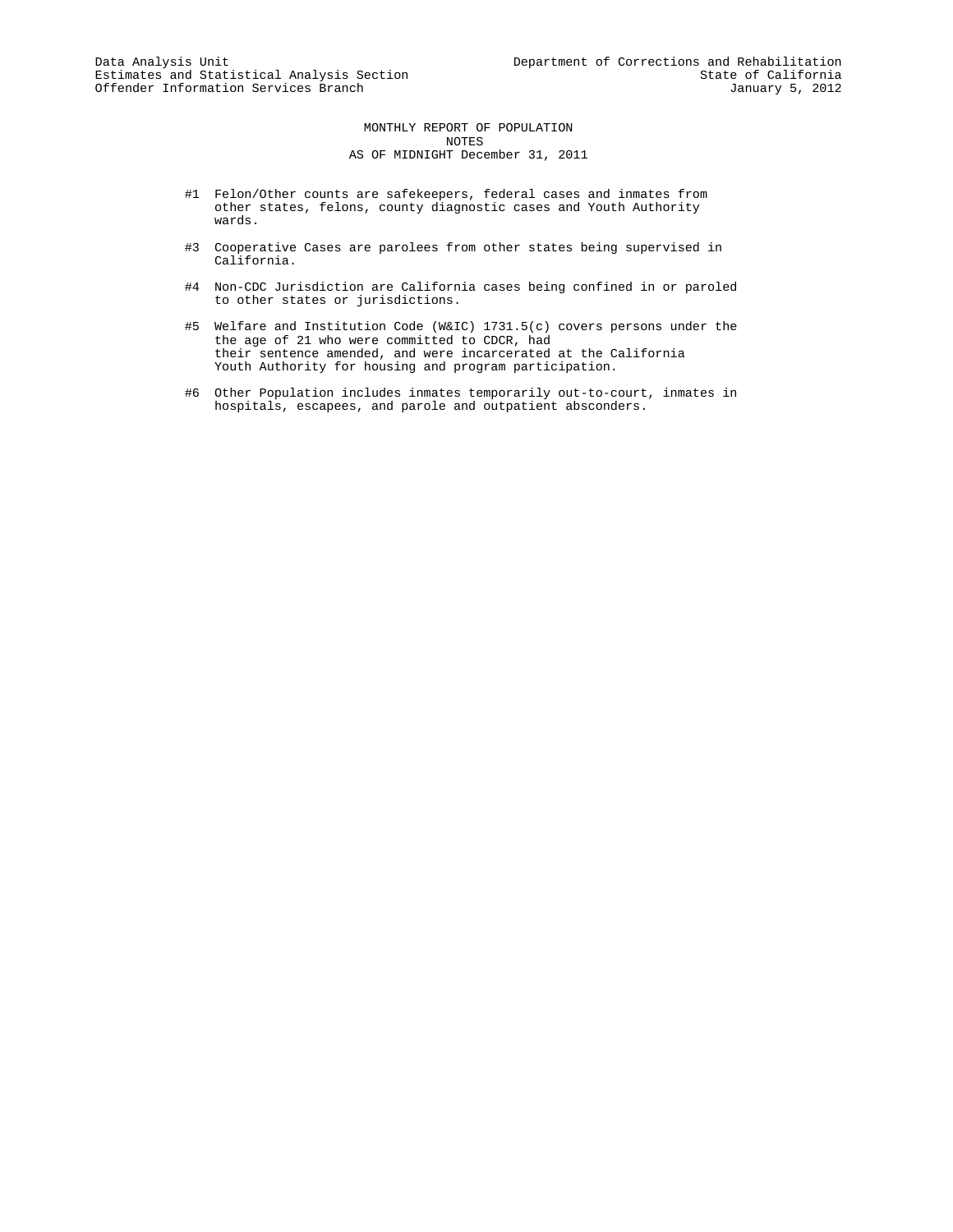MONTHLY REPORT OF POPULATION NOTES AS OF MIDNIGHT December 31, 2011

- #1 Felon/Other counts are safekeepers, federal cases and inmates from other states, felons, county diagnostic cases and Youth Authority wards.
- #3 Cooperative Cases are parolees from other states being supervised in California.
- #4 Non-CDC Jurisdiction are California cases being confined in or paroled to other states or jurisdictions.
- #5 Welfare and Institution Code (W&IC) 1731.5(c) covers persons under the the age of 21 who were committed to CDCR, had their sentence amended, and were incarcerated at the California Youth Authority for housing and program participation.
- #6 Other Population includes inmates temporarily out-to-court, inmates in hospitals, escapees, and parole and outpatient absconders.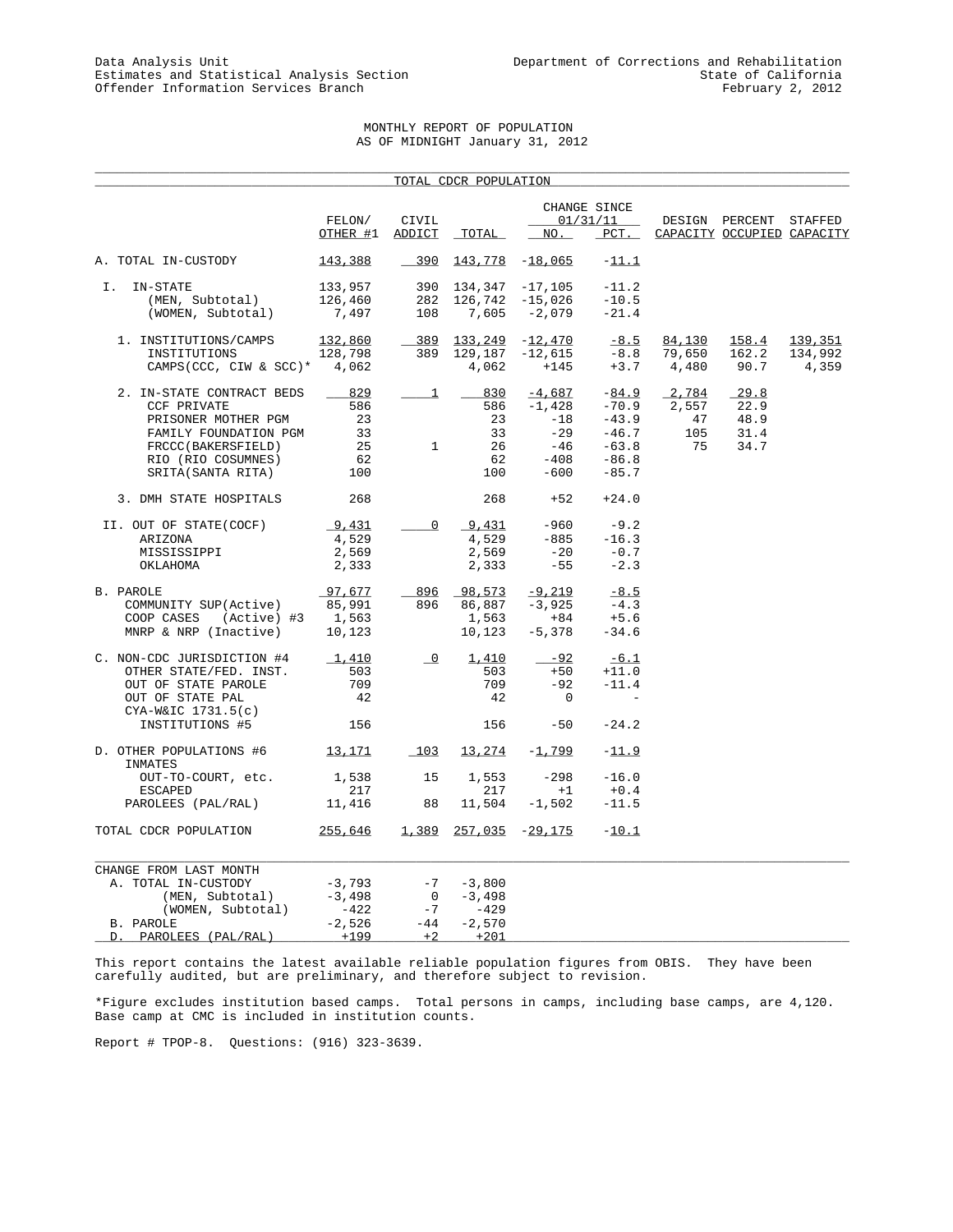## MONTHLY REPORT OF POPULATION AS OF MIDNIGHT January 31, 2012

\_\_\_\_\_\_\_\_\_\_\_\_\_\_\_\_\_\_\_\_\_\_\_\_\_\_\_\_\_\_\_\_\_\_\_\_\_\_\_\_\_\_\_\_\_\_\_\_\_\_\_\_\_\_\_\_\_\_\_\_\_\_\_\_\_\_\_\_\_\_\_\_\_\_\_\_\_\_\_\_\_\_\_\_\_\_\_\_\_\_\_\_\_\_\_\_\_\_\_\_\_

|                                          |          |                          | TOTAL CDCR POPULATION |                   |                          |        |                            |         |
|------------------------------------------|----------|--------------------------|-----------------------|-------------------|--------------------------|--------|----------------------------|---------|
|                                          | FELON/   | CIVIL                    |                       |                   | CHANGE SINCE<br>01/31/11 |        | DESIGN PERCENT STAFFED     |         |
|                                          | OTHER #1 | ADDICT                   | TOTAL                 | NO.               | $PCT$ .                  |        | CAPACITY OCCUPIED CAPACITY |         |
| A. TOTAL IN-CUSTODY                      | 143,388  | $-390$                   |                       | $143,778$ -18,065 | $-11.1$                  |        |                            |         |
| I. IN-STATE                              | 133,957  |                          | 390 134,347           | $-17,105$         | $-11.2$                  |        |                            |         |
| (MEN, Subtotal)                          | 126,460  | 282                      |                       | $126,742 -15,026$ | $-10.5$                  |        |                            |         |
| (WOMEN, Subtotal)                        | 7,497    | 108                      | 7,605                 | -2,079            | $-21.4$                  |        |                            |         |
| 1. INSTITUTIONS/CAMPS                    | 132,860  | 389                      | 133,249               | $-12,470$         | $-8.5$                   | 84,130 | 158.4                      | 139,351 |
| INSTITUTIONS                             | 128,798  | 389                      | 129,187               | $-12,615$         | $-8.8$                   | 79,650 | 162.2                      | 134,992 |
| CAMPS (CCC, CIW & SCC)* $4,062$          |          |                          | 4,062                 | $+145$            | $+3.7$                   | 4,480  | 90.7                       | 4,359   |
| 2. IN-STATE CONTRACT BEDS                | 829      | $\perp$                  | 830                   | $-4,687$          | $-84.9$                  | 2,784  | 29.8                       |         |
| <b>CCF PRIVATE</b>                       | 586      |                          | 586                   | $-1,428$          | $-70.9$                  | 2,557  | 22.9                       |         |
| PRISONER MOTHER PGM                      | 23       |                          | 23                    | $-18$             | $-43.9$                  | 47     | 48.9                       |         |
| FAMILY FOUNDATION PGM                    | 33       |                          | 33                    | $-29$             | $-46.7$                  | 105    | 31.4                       |         |
| FRCCC(BAKERSFIELD)                       | 25       | $\mathbf{1}$             | 26                    | -46               | $-63.8$                  | 75     | 34.7                       |         |
| RIO (RIO COSUMNES)                       | 62       |                          | 62                    | $-408$            | $-86.8$                  |        |                            |         |
| SRITA(SANTA RITA)                        | 100      |                          | 100                   | $-600$            | $-85.7$                  |        |                            |         |
| 3. DMH STATE HOSPITALS                   | 268      |                          | 268                   | $+52$             | $+24.0$                  |        |                            |         |
| II. OUT OF STATE(COCF)                   | 9,431    | 0                        | 9,431                 | $-960$            | $-9.2$                   |        |                            |         |
| ARIZONA                                  | 4,529    |                          | 4,529                 | $-885$            | $-16.3$                  |        |                            |         |
| MISSISSIPPI                              | 2,569    |                          | 2,569                 | $-20$             | $-0.7$                   |        |                            |         |
| OKLAHOMA                                 | 2,333    |                          | 2,333                 | $-55$             | $-2.3$                   |        |                            |         |
| B. PAROLE                                | 97,677   |                          | 896 98,573            | $-9,219$          | $-8.5$                   |        |                            |         |
| COMMUNITY SUP(Active)                    | 85,991   | 896                      | 86,887                | $-3,925$          | $-4.3$                   |        |                            |         |
| COOP CASES<br>(Active) #3                | 1,563    |                          | 1,563                 | $+84$             | $+5.6$                   |        |                            |         |
| MNRP & NRP (Inactive)                    | 10,123   |                          | 10,123                | $-5,378$          | $-34.6$                  |        |                            |         |
| C. NON-CDC JURISDICTION #4               | 1,410    | $\overline{\phantom{0}}$ | 1,410                 | $-92$             | $-6.1$                   |        |                            |         |
| OTHER STATE/FED. INST.                   | 503      |                          | 503                   | $+50$             | $+11.0$                  |        |                            |         |
| OUT OF STATE PAROLE                      | 709      |                          | 709                   | $-92$             | $-11.4$                  |        |                            |         |
| OUT OF STATE PAL<br>$CYA-W&IC$ 1731.5(c) | 42       |                          | 42                    | $\mathbf 0$       |                          |        |                            |         |
| INSTITUTIONS #5                          | 156      |                          | 156                   | $-50$             | $-24.2$                  |        |                            |         |
| D. OTHER POPULATIONS #6<br>INMATES       | 13,171   | 103                      | <u>13,274</u>         | $-1,799$          | $-11.9$                  |        |                            |         |
| OUT-TO-COURT, etc.                       | 1,538    | 15                       | 1,553                 | $-298$            | $-16.0$                  |        |                            |         |
| <b>ESCAPED</b>                           | 217      |                          | 217                   | $+1$              | $+0.4$                   |        |                            |         |
| PAROLEES (PAL/RAL)                       | 11,416   | 88                       | 11,504                | $-1,502$          | $-11.5$                  |        |                            |         |
| TOTAL CDCR POPULATION                    | 255,646  | 1,389                    |                       | $257,035 -29,175$ | $-10.1$                  |        |                            |         |
| CHANGE FROM LAST MONTH                   |          |                          |                       |                   |                          |        |                            |         |
| A. TOTAL IN-CUSTODY                      | -3,793   | $-7$                     | $-3,800$              |                   |                          |        |                            |         |
| (MEN, Subtotal)                          | $-3,498$ | $\overline{0}$           | $-3,498$              |                   |                          |        |                            |         |
| (WOMEN, Subtotal)                        | -422     | $-7$                     | -429                  |                   |                          |        |                            |         |
| B. PAROLE                                | $-2,526$ | $-44$                    | $-2,570$              |                   |                          |        |                            |         |
| PAROLEES (PAL/RAL)<br>D.                 | $+199$   | $+2$                     | $+201$                |                   |                          |        |                            |         |

This report contains the latest available reliable population figures from OBIS. They have been carefully audited, but are preliminary, and therefore subject to revision.

\*Figure excludes institution based camps. Total persons in camps, including base camps, are 4,120. Base camp at CMC is included in institution counts.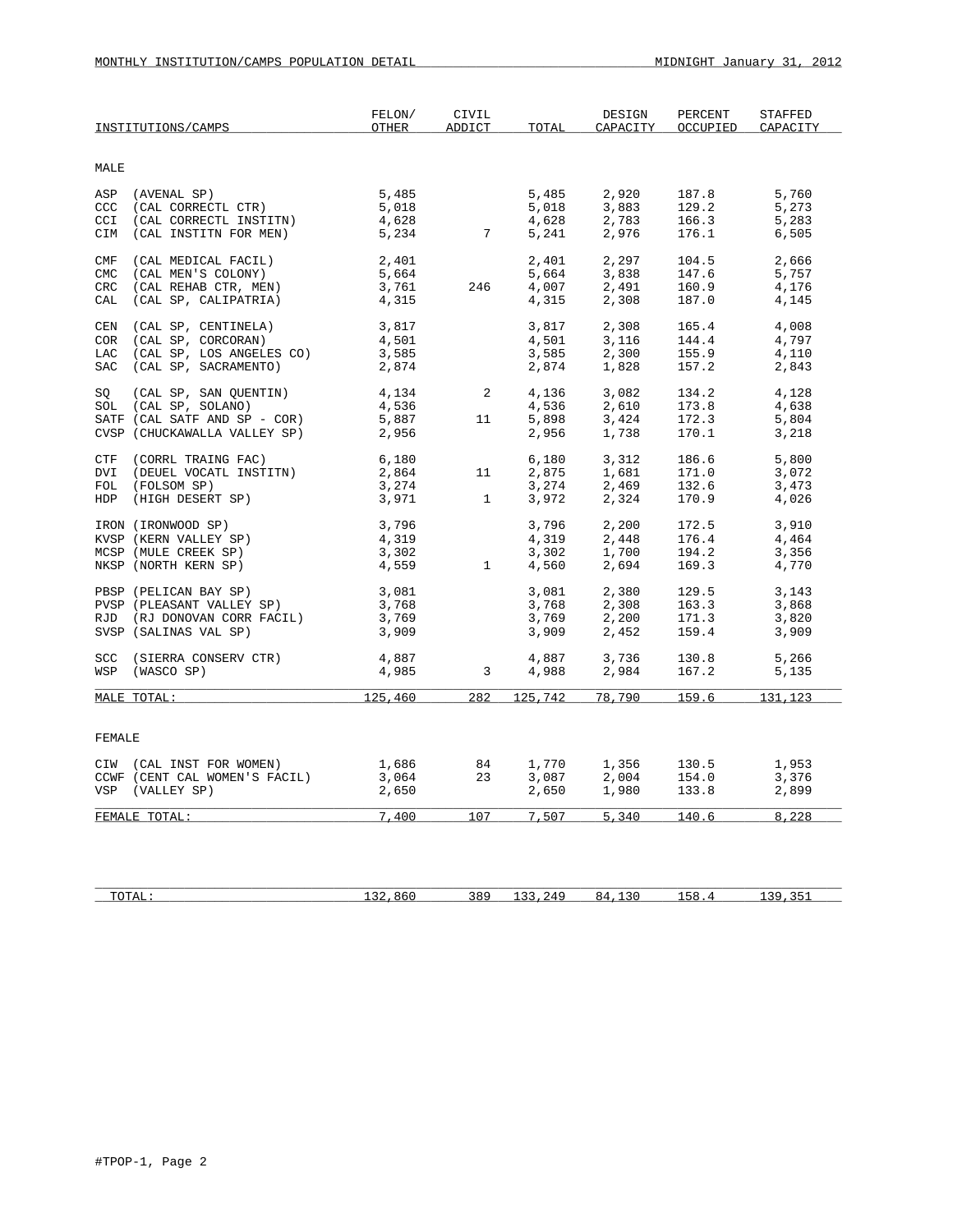|            | INSTITUTIONS/CAMPS            | FELON/<br>OTHER | CIVIL<br>ADDICT | TOTAL   | DESIGN<br>CAPACITY | PERCENT<br>OCCUPIED | <b>STAFFED</b><br>CAPACITY |
|------------|-------------------------------|-----------------|-----------------|---------|--------------------|---------------------|----------------------------|
| MALE       |                               |                 |                 |         |                    |                     |                            |
| ASP        | (AVENAL SP)                   | 5,485           |                 | 5,485   | 2,920              | 187.8               | 5,760                      |
| <b>CCC</b> | (CAL CORRECTL CTR)            | 5,018           |                 | 5,018   | 3,883              | 129.2               | 5,273                      |
| CCI        | (CAL CORRECTL INSTITN)        | 4,628           |                 | 4,628   | 2,783              | 166.3               | 5,283                      |
| CIM        | (CAL INSTITN FOR MEN)         | 5,234           | 7               | 5,241   | 2,976              | 176.1               | 6,505                      |
| CMF        | (CAL MEDICAL FACIL)           | 2,401           |                 | 2,401   | 2,297              | 104.5               | 2,666                      |
| <b>CMC</b> | (CAL MEN'S COLONY)            | 5,664           |                 | 5,664   | 3,838              | 147.6               | 5,757                      |
| <b>CRC</b> | (CAL REHAB CTR, MEN)          | 3,761           | 246             | 4,007   | 2,491              | 160.9               | 4,176                      |
| CAL        | (CAL SP, CALIPATRIA)          | 4,315           |                 | 4,315   | 2,308              | 187.0               | 4,145                      |
| CEN        | (CAL SP, CENTINELA)           | 3,817           |                 | 3,817   | 2,308              | 165.4               | 4,008                      |
| COR        | (CAL SP, CORCORAN)            | 4,501           |                 | 4,501   | 3,116              | 144.4               | 4,797                      |
| LAC        | (CAL SP, LOS ANGELES CO)      | 3,585           |                 | 3,585   | 2,300              | 155.9               | 4,110                      |
| SAC        | (CAL SP, SACRAMENTO)          | 2,874           |                 | 2,874   | 1,828              | 157.2               | 2,843                      |
| SQ         | (CAL SP, SAN QUENTIN)         | 4,134           | 2               | 4,136   | 3,082              | 134.2               | 4,128                      |
|            | SOL (CAL SP, SOLANO)          | 4,536           |                 | 4,536   | 2,610              | 173.8               | 4,638                      |
|            | SATF (CAL SATF AND SP - COR)  | 5,887           | 11              | 5,898   | 3,424              | 172.3               | 5,804                      |
|            | CVSP (CHUCKAWALLA VALLEY SP)  | 2,956           |                 | 2,956   | 1,738              | 170.1               | 3,218                      |
| CTF        | (CORRL TRAING FAC)            | 6,180           |                 | 6,180   | 3,312              | 186.6               | 5,800                      |
| DVI        | (DEUEL VOCATL INSTITN)        | 2,864           | 11              | 2,875   | 1,681              | 171.0               | 3,072                      |
| FOL        | (FOLSOM SP)                   | 3,274           |                 | 3,274   | 2,469              | 132.6               | 3,473                      |
|            | HDP (HIGH DESERT SP)          | 3,971           | $\mathbf{1}$    | 3,972   | 2,324              | 170.9               | 4,026                      |
|            | IRON (IRONWOOD SP)            | 3,796           |                 | 3,796   | 2,200              | 172.5               | 3,910                      |
|            | KVSP (KERN VALLEY SP)         | 4,319           |                 | 4,319   | 2,448              | 176.4               | 4,464                      |
|            | MCSP (MULE CREEK SP)          | 3,302           |                 | 3,302   | 1,700              | 194.2               | 3,356                      |
|            | NKSP (NORTH KERN SP)          | 4,559           | $\mathbf{1}$    | 4,560   | 2,694              | 169.3               | 4,770                      |
|            | PBSP (PELICAN BAY SP)         | 3,081           |                 | 3,081   | 2,380              | 129.5               | 3,143                      |
|            | PVSP (PLEASANT VALLEY SP)     | 3,768           |                 | 3,768   | 2,308              | 163.3               | 3,868                      |
|            | RJD (RJ DONOVAN CORR FACIL)   | 3,769           |                 | 3,769   | 2,200              | 171.3<br>159.4      | 3,820                      |
|            | SVSP (SALINAS VAL SP)         | 3,909           |                 | 3,909   | 2,452              |                     | 3,909                      |
| <b>SCC</b> | (SIERRA CONSERV CTR)          | 4,887           |                 | 4,887   | 3,736              | 130.8               | 5,266                      |
|            | WSP (WASCO SP)                | 4,985           | 3 <sup>7</sup>  | 4,988   | 2,984              | 167.2               | 5,135                      |
|            | MALE TOTAL:                   | 125,460         | 282             | 125,742 | 78,790             | 159.6               | 131,123                    |
|            |                               |                 |                 |         |                    |                     |                            |
| FEMALE     |                               |                 |                 |         |                    |                     |                            |
|            | CIW (CAL INST FOR WOMEN)      | 1,686           | 84              | 1,770   | 1,356              | 130.5               | 1,953                      |
|            | CCWF (CENT CAL WOMEN'S FACIL) | 3,064           | 23              | 3,087   | 2,004              | 154.0               | 3,376                      |
|            | VSP (VALLEY SP)               | 2,650           |                 | 2,650   | 1,980              | 133.8               | 2,899                      |
|            | FEMALE TOTAL:                 | 7,400           | 107             |         | 7,507 5,340 140.6  |                     | 8,228                      |
|            |                               |                 |                 |         |                    |                     |                            |

| <b>TOTAL</b> | 861<br>$\sim$ | 389 | $\sim$ $\sim$ $\sim$<br>つれく<br>.<br>-- - | $\sim$ $\sim$<br>ΩД<br>. | 58<br>-- | - -<br>20<br>. . |
|--------------|---------------|-----|------------------------------------------|--------------------------|----------|------------------|
|              |               |     |                                          |                          |          |                  |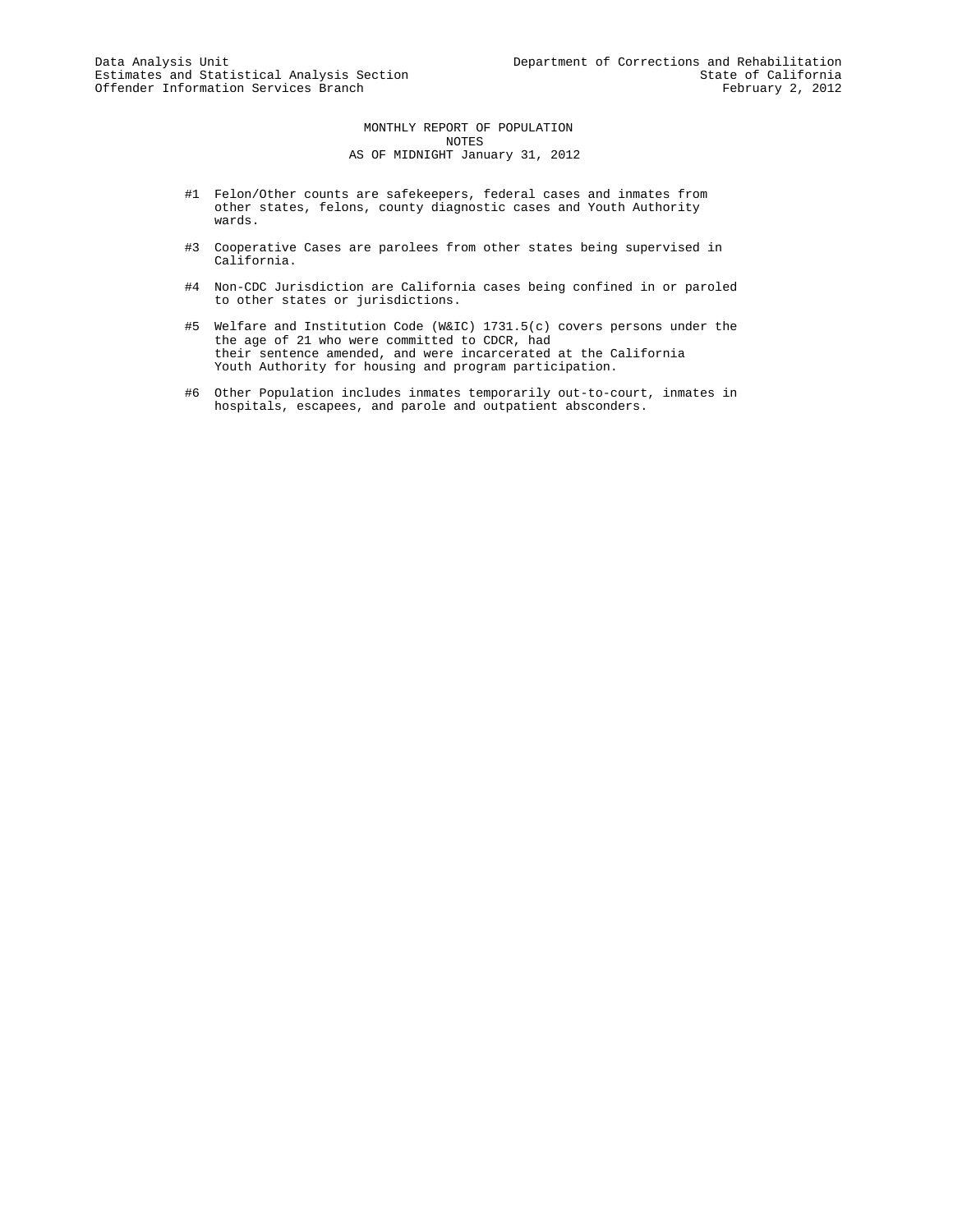MONTHLY REPORT OF POPULATION NOTES AS OF MIDNIGHT January 31, 2012

- #1 Felon/Other counts are safekeepers, federal cases and inmates from other states, felons, county diagnostic cases and Youth Authority wards.
- #3 Cooperative Cases are parolees from other states being supervised in California.
- #4 Non-CDC Jurisdiction are California cases being confined in or paroled to other states or jurisdictions.
- #5 Welfare and Institution Code (W&IC) 1731.5(c) covers persons under the the age of 21 who were committed to CDCR, had their sentence amended, and were incarcerated at the California Youth Authority for housing and program participation.
- #6 Other Population includes inmates temporarily out-to-court, inmates in hospitals, escapees, and parole and outpatient absconders.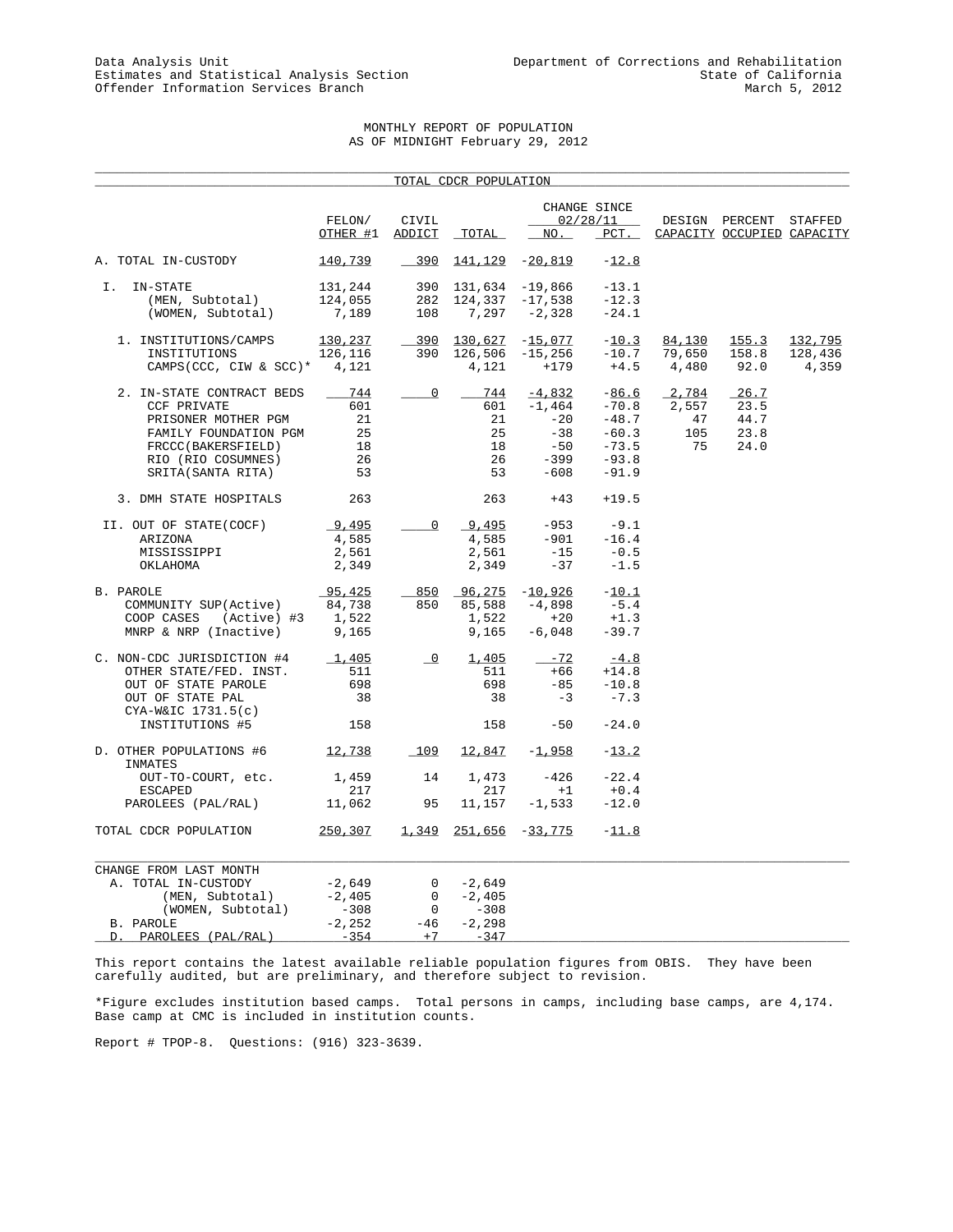## MONTHLY REPORT OF POPULATION AS OF MIDNIGHT February 29, 2012

\_\_\_\_\_\_\_\_\_\_\_\_\_\_\_\_\_\_\_\_\_\_\_\_\_\_\_\_\_\_\_\_\_\_\_\_\_\_\_\_\_\_\_\_\_\_\_\_\_\_\_\_\_\_\_\_\_\_\_\_\_\_\_\_\_\_\_\_\_\_\_\_\_\_\_\_\_\_\_\_\_\_\_\_\_\_\_\_\_\_\_\_\_\_\_\_\_\_\_\_\_

|                                        |             |                          | TOTAL CDCR POPULATION       |                       |                          |        |                            |         |
|----------------------------------------|-------------|--------------------------|-----------------------------|-----------------------|--------------------------|--------|----------------------------|---------|
|                                        | FELON/      | CIVIL                    |                             |                       | CHANGE SINCE<br>02/28/11 |        | DESIGN PERCENT STAFFED     |         |
|                                        | OTHER #1    | ADDICT                   | TOTAL                       | NO.                   | $PCT$ .                  |        | CAPACITY OCCUPIED CAPACITY |         |
| A. TOTAL IN-CUSTODY                    | 140,739     | $-390$                   |                             | $141, 129$ $-20, 819$ | $-12.8$                  |        |                            |         |
| I. IN-STATE                            | 131,244     |                          | 390 131,634 -19,866         |                       | $-13.1$                  |        |                            |         |
| (MEN, Subtotal)                        | 124,055     | 282                      | $124,337 -17,538$           |                       | $-12.3$                  |        |                            |         |
| (WOMEN, Subtotal)                      | 7,189       | 108                      | $7,297 -2,328$              |                       | $-24.1$                  |        |                            |         |
| 1. INSTITUTIONS/CAMPS                  | 130,237     |                          | 390 130,627 -15,077         |                       | $-10.3$                  | 84,130 | 155.3                      | 132,795 |
| INSTITUTIONS                           | 126,116     | 390                      | $126,506 -15,256$           |                       | $-10.7$                  | 79,650 | 158.8                      | 128,436 |
| CAMPS (CCC, CIW & SCC)* $4,121$        |             |                          | 4,121                       | $+179$                | $+4.5$                   | 4,480  | 92.0                       | 4,359   |
| 2. IN-STATE CONTRACT BEDS              | 744         | $\overline{\phantom{0}}$ | 744                         | $-4,832$              | $-86.6$                  | 2,784  | 26.7                       |         |
| <b>CCF PRIVATE</b>                     | 601         |                          | 601                         | $-1,464$ $-70.8$      |                          | 2,557  | 23.5                       |         |
| PRISONER MOTHER PGM                    | 21          |                          | 21                          | $-20$                 | $-48.7$                  | 47     | 44.7                       |         |
| FAMILY FOUNDATION PGM                  | 25          |                          | 25                          | $-38$                 | $-60.3$                  | 105    | 23.8                       |         |
| FRCCC(BAKERSFIELD)                     | 18          |                          | 18                          | $-50$                 | $-73.5$                  | 75     | 24.0                       |         |
| RIO (RIO COSUMNES)                     | 26          |                          | 26                          | -399                  | $-93.8$                  |        |                            |         |
| SRITA(SANTA RITA)                      | 53          |                          | 53                          | -608                  | $-91.9$                  |        |                            |         |
| 3. DMH STATE HOSPITALS                 | 263         |                          | 263                         | $+43$                 | $+19.5$                  |        |                            |         |
| II. OUT OF STATE(COCF)                 | 9,495       | 0                        | 9,495                       | $-953$                | $-9.1$                   |        |                            |         |
| ARIZONA                                | 4,585       |                          | 4,585                       | $-901$                | $-16.4$                  |        |                            |         |
| MISSISSIPPI                            | 2,561       |                          | 2,561                       | $-15$                 | $-0.5$                   |        |                            |         |
| OKLAHOMA                               | 2,349       |                          | 2,349                       | $-37$                 | $-1.5$                   |        |                            |         |
| B. PAROLE                              | 95,425      |                          | $850$ $96,275$ $-10,926$    |                       | $-10.1$                  |        |                            |         |
| COMMUNITY SUP(Active)                  | 84,738      | 850                      | 85,588                      | $-4,898$              | $-5.4$                   |        |                            |         |
| COOP CASES<br>(Active) #3              | 1,522       |                          | 1,522                       | $+20$                 | $+1.3$                   |        |                            |         |
| MNRP & NRP (Inactive)                  | 9,165       |                          | 9,165                       | $-6,048$              | $-39.7$                  |        |                            |         |
| C. NON-CDC JURISDICTION #4             | $\_1$ , 405 | $\overline{\phantom{0}}$ | 1,405                       | $-72$                 | $-4.8$                   |        |                            |         |
| OTHER STATE/FED. INST.                 | 511         |                          | 511                         | $+66$                 | $+14.8$                  |        |                            |         |
| OUT OF STATE PAROLE                    | 698         |                          | 698                         | $-85$                 | $-10.8$                  |        |                            |         |
| OUT OF STATE PAL<br>CYA-W&IC 1731.5(c) | 38          |                          | 38                          | $-3$                  | $-7.3$                   |        |                            |         |
| INSTITUTIONS #5                        | 158         |                          | 158                         | $-50$                 | $-24.0$                  |        |                            |         |
| D. OTHER POPULATIONS #6<br>INMATES     | 12,738      | 109                      | 12,847                      | $-1,958$              | $-13.2$                  |        |                            |         |
| OUT-TO-COURT, etc.                     | 1,459       | 14                       | 1,473                       | -426                  | $-22.4$                  |        |                            |         |
| ESCAPED                                | 217         |                          | 217                         | $+1$                  | $+0.4$                   |        |                            |         |
| PAROLEES (PAL/RAL)                     | 11,062      | 95                       | 11,157                      | $-1,533$              | $-12.0$                  |        |                            |         |
| TOTAL CDCR POPULATION                  | 250,307     |                          | $1,349$ $251,656$ $-33,775$ |                       | $-11.8$                  |        |                            |         |
| CHANGE FROM LAST MONTH                 |             |                          |                             |                       |                          |        |                            |         |
| A. TOTAL IN-CUSTODY                    | -2,649      | 0                        | -2,649                      |                       |                          |        |                            |         |
| (MEN, Subtotal)                        | $-2,405$    | $\mathbf{0}$             | $-2,405$                    |                       |                          |        |                            |         |
| (WOMEN, Subtotal)                      | $-308$      | $\overline{0}$           | $-308$                      |                       |                          |        |                            |         |
| B. PAROLE                              | $-2,252$    | $-46$                    | $-2, 298$                   |                       |                          |        |                            |         |
| PAROLEES (PAL/RAL)<br>D.               | $-354$      | $+7$                     | $-347$                      |                       |                          |        |                            |         |

This report contains the latest available reliable population figures from OBIS. They have been carefully audited, but are preliminary, and therefore subject to revision.

\*Figure excludes institution based camps. Total persons in camps, including base camps, are 4,174. Base camp at CMC is included in institution counts.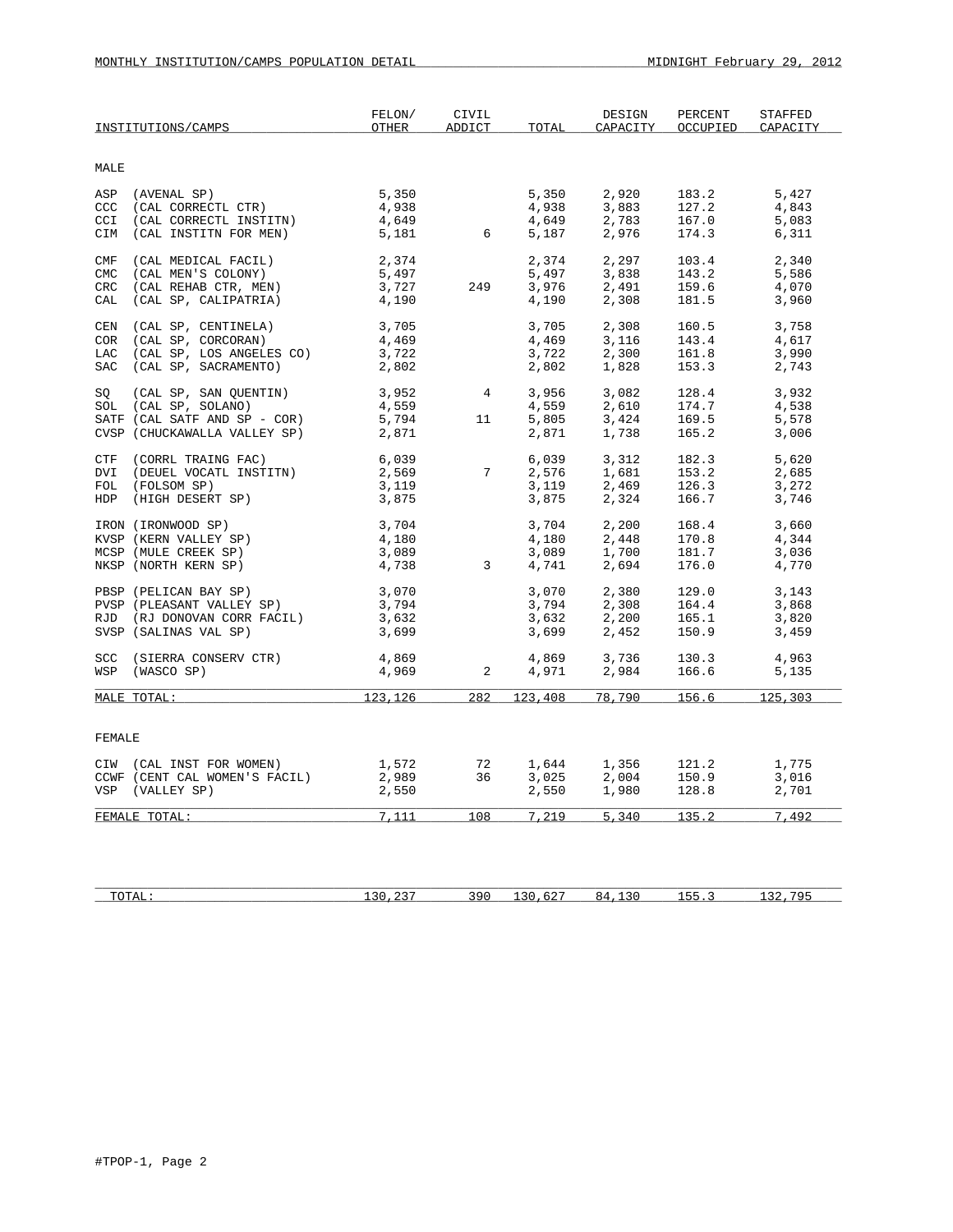| MALE<br>CCC       |                                                              |                |                |                |                |                | CAPACITY       |
|-------------------|--------------------------------------------------------------|----------------|----------------|----------------|----------------|----------------|----------------|
|                   |                                                              |                |                |                |                |                |                |
|                   | ASP (AVENAL SP)<br>(CAL CORRECTL CTR)                        | 5,350<br>4,938 |                | 5,350<br>4,938 | 2,920<br>3,883 | 183.2<br>127.2 | 5,427<br>4,843 |
| CCI<br>CIM        | (CAL CORRECTL INSTITN)<br>(CAL INSTITN FOR MEN)              | 4,649<br>5,181 | 6              | 4,649<br>5,187 | 2,783<br>2,976 | 167.0<br>174.3 | 5,083<br>6,311 |
| CMF<br><b>CMC</b> | (CAL MEDICAL FACIL)<br>(CAL MEN'S COLONY)                    | 2,374<br>5,497 |                | 2,374<br>5,497 | 2,297<br>3,838 | 103.4<br>143.2 | 2,340<br>5,586 |
| CRC<br>CAL        | (CAL REHAB CTR, MEN)<br>(CAL SP, CALIPATRIA)                 | 3,727<br>4,190 | 249            | 3,976<br>4,190 | 2,491<br>2,308 | 159.6<br>181.5 | 4,070<br>3,960 |
| CEN<br>COR        | (CAL SP, CENTINELA)<br>(CAL SP, CORCORAN)                    | 3,705<br>4,469 |                | 3,705<br>4,469 | 2,308<br>3,116 | 160.5<br>143.4 | 3,758<br>4,617 |
| LAC               | (CAL SP, LOS ANGELES CO)<br>SAC (CAL SP, SACRAMENTO)         | 3,722<br>2,802 |                | 3,722<br>2,802 | 2,300<br>1,828 | 161.8<br>153.3 | 3,990<br>2,743 |
| SO                | (CAL SP, SAN QUENTIN)<br>SOL (CAL SP, SOLANO)                | 3,952<br>4,559 | 4              | 3,956<br>4,559 | 3,082<br>2,610 | 128.4<br>174.7 | 3,932<br>4,538 |
|                   | SATF (CAL SATF AND SP - COR)<br>CVSP (CHUCKAWALLA VALLEY SP) | 5,794<br>2,871 | 11             | 5,805<br>2,871 | 3,424<br>1,738 | 169.5<br>165.2 | 5,578<br>3,006 |
| DVI               | CTF (CORRL TRAING FAC)<br>(DEUEL VOCATL INSTITN)             | 6,039<br>2,569 | 7              | 6,039<br>2,576 | 3,312<br>1,681 | 182.3<br>153.2 | 5,620<br>2,685 |
|                   | FOL (FOLSOM SP)<br>HDP (HIGH DESERT SP)                      | 3,119<br>3,875 |                | 3,119<br>3,875 | 2,469<br>2,324 | 126.3<br>166.7 | 3,272<br>3,746 |
|                   | IRON (IRONWOOD SP)<br>KVSP (KERN VALLEY SP)                  | 3,704<br>4,180 |                | 3,704<br>4,180 | 2,200<br>2,448 | 168.4<br>170.8 | 3,660<br>4,344 |
|                   | MCSP (MULE CREEK SP)<br>NKSP (NORTH KERN SP)                 | 3,089<br>4,738 | $\overline{3}$ | 3,089<br>4,741 | 1,700<br>2,694 | 181.7<br>176.0 | 3,036<br>4,770 |
|                   | PBSP (PELICAN BAY SP)<br>PVSP (PLEASANT VALLEY SP)           | 3,070<br>3,794 |                | 3,070<br>3,794 | 2,380<br>2,308 | 129.0<br>164.4 | 3,143<br>3,868 |
|                   | RJD (RJ DONOVAN CORR FACIL)<br>SVSP (SALINAS VAL SP)         | 3,632<br>3,699 |                | 3,632<br>3,699 | 2,200<br>2,452 | 165.1<br>150.9 | 3,820<br>3,459 |
|                   | SCC (SIERRA CONSERV CTR)<br>WSP (WASCO SP)                   | 4,869<br>4,969 | 2              | 4,869<br>4,971 | 3,736<br>2,984 | 130.3<br>166.6 | 4,963<br>5,135 |
|                   | MALE TOTAL:                                                  | 123,126        | 282            |                | 123,408 78,790 | 156.6          | 125,303        |
| FEMALE            |                                                              |                |                |                |                |                |                |
|                   | CIW (CAL INST FOR WOMEN)<br>CCWF (CENT CAL WOMEN'S FACIL)    | 1,572<br>2,989 | 72<br>36       | 1,644<br>3,025 | 1,356<br>2,004 | 121.2<br>150.9 | 1,775<br>3,016 |
|                   | VSP (VALLEY SP)                                              | 2,550          |                | 2,550          | 1,980          | 128.8          | 2,701          |
|                   | FEMALE TOTAL:                                                | 7,111          | 108            | 7,219          | 5,340          | 135.2          | 7,492          |

| 10111 | $\sim$ $\sim$ $\sim$<br>-- | ч.<br>.<br>- - | $\sim$<br>-- | . .<br>. | . |
|-------|----------------------------|----------------|--------------|----------|---|
|       |                            |                |              |          |   |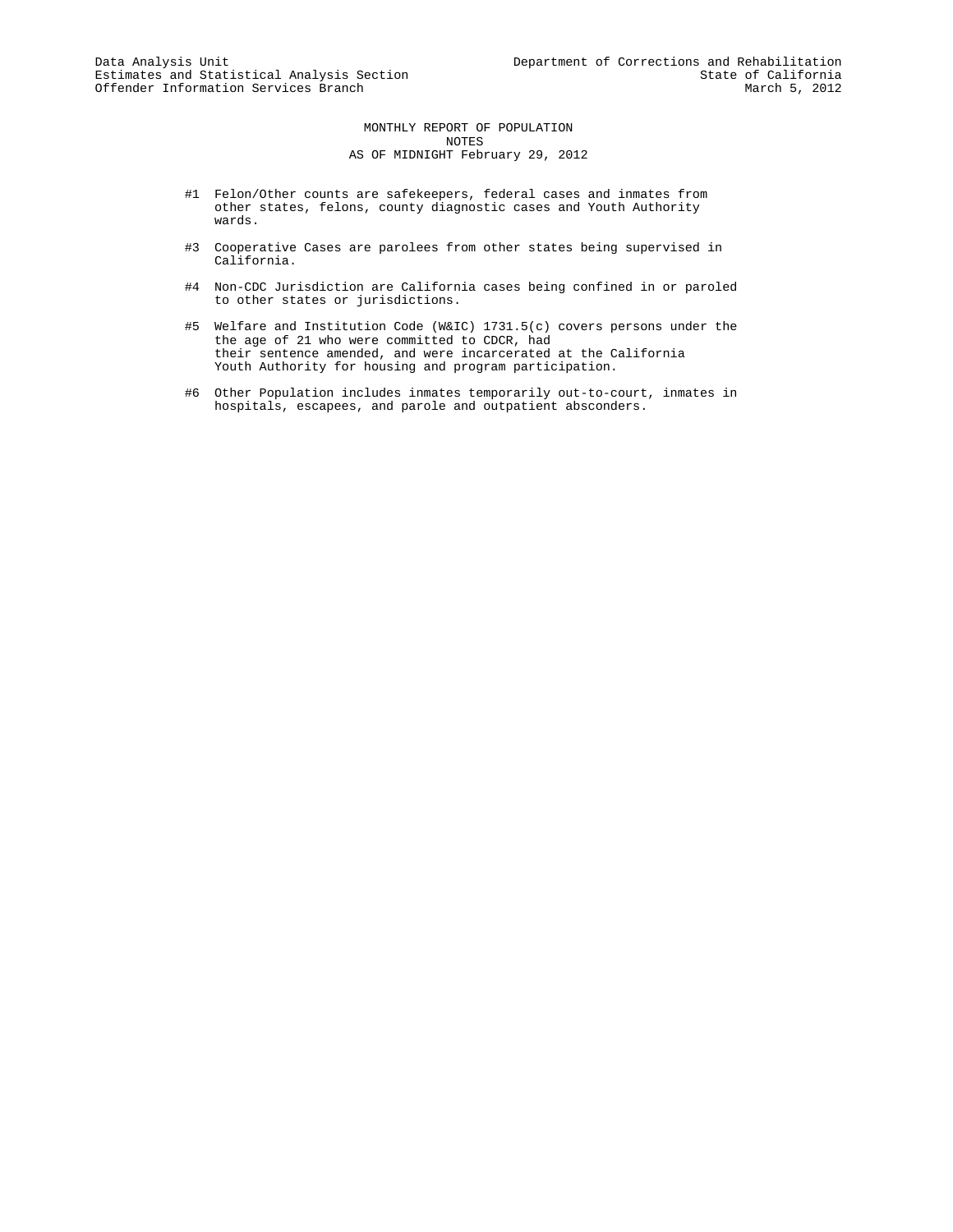MONTHLY REPORT OF POPULATION NOTES AS OF MIDNIGHT February 29, 2012

- #1 Felon/Other counts are safekeepers, federal cases and inmates from other states, felons, county diagnostic cases and Youth Authority wards.
- #3 Cooperative Cases are parolees from other states being supervised in California.
- #4 Non-CDC Jurisdiction are California cases being confined in or paroled to other states or jurisdictions.
- #5 Welfare and Institution Code (W&IC) 1731.5(c) covers persons under the the age of 21 who were committed to CDCR, had their sentence amended, and were incarcerated at the California Youth Authority for housing and program participation.
- #6 Other Population includes inmates temporarily out-to-court, inmates in hospitals, escapees, and parole and outpatient absconders.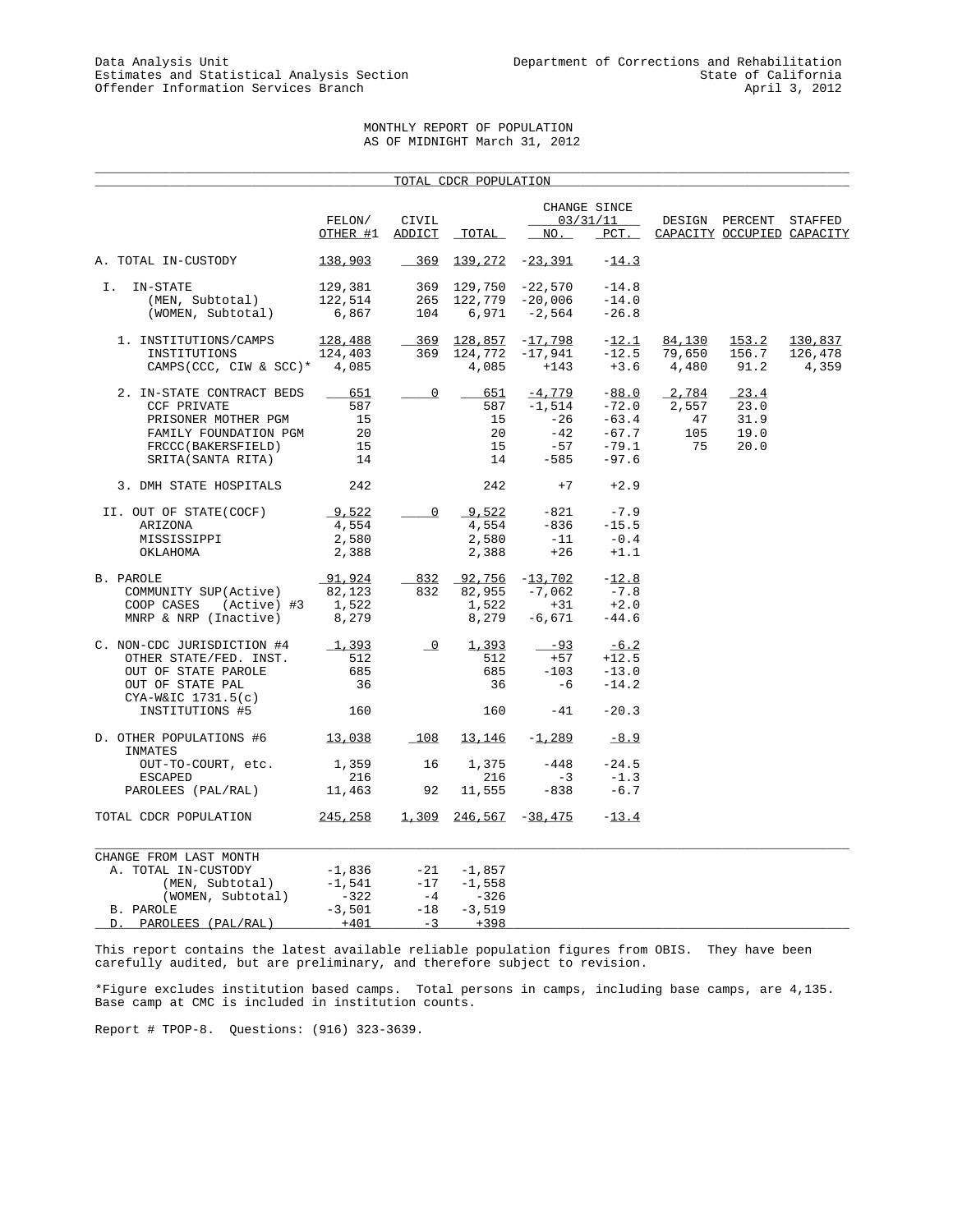## MONTHLY REPORT OF POPULATION AS OF MIDNIGHT March 31, 2012

\_\_\_\_\_\_\_\_\_\_\_\_\_\_\_\_\_\_\_\_\_\_\_\_\_\_\_\_\_\_\_\_\_\_\_\_\_\_\_\_\_\_\_\_\_\_\_\_\_\_\_\_\_\_\_\_\_\_\_\_\_\_\_\_\_\_\_\_\_\_\_\_\_\_\_\_\_\_\_\_\_\_\_\_\_\_\_\_\_\_\_\_\_\_\_\_\_\_\_\_\_

|                                         |          |                          | TOTAL CDCR POPULATION   |                 |                          |        |                            |         |
|-----------------------------------------|----------|--------------------------|-------------------------|-----------------|--------------------------|--------|----------------------------|---------|
|                                         | FELON/   | CIVIL                    |                         |                 | CHANGE SINCE<br>03/31/11 |        | DESIGN PERCENT             | STAFFED |
|                                         | OTHER #1 | ADDICT                   | TOTAL                   | NO.             | PCT.                     |        | CAPACITY OCCUPIED CAPACITY |         |
| A. TOTAL IN-CUSTODY                     | 138,903  | $-369$                   | <u>139,272</u>          | -23,391         | $-14.3$                  |        |                            |         |
| Ι.<br>IN-STATE                          | 129,381  |                          | 369 129,750             | $-22,570$       | $-14.8$                  |        |                            |         |
| (MEN, Subtotal)                         | 122,514  | 265                      |                         | 122,779 -20,006 | $-14.0$                  |        |                            |         |
| (WOMEN, Subtotal)                       | 6,867    | 104                      | 6,971                   | $-2,564$        | $-26.8$                  |        |                            |         |
|                                         |          |                          |                         |                 |                          |        |                            |         |
| 1. INSTITUTIONS/CAMPS                   | 128,488  | 369                      | 128,857                 | $-17,798$       | $-12.1$                  | 84,130 | 153.2                      | 130,837 |
| INSTITUTIONS                            | 124,403  | 369                      | 124,772                 | $-17,941$       | $-12.5$                  | 79,650 | 156.7                      | 126,478 |
| CAMPS(CCC, CIW & SCC)* $4,085$          |          |                          | 4,085                   | $+143$          | $+3.6$                   | 4,480  | 91.2                       | 4,359   |
| 2. IN-STATE CONTRACT BEDS               | 651      | 0                        | 651                     | $-4,779$        | $-88.0$                  | 2,784  | $-23.4$                    |         |
| <b>CCF PRIVATE</b>                      | 587      |                          | 587                     | $-1,514$        | $-72.0$                  | 2,557  | 23.0                       |         |
| PRISONER MOTHER PGM                     | 15       |                          | 15                      | -26             | $-63.4$                  | 47     | 31.9                       |         |
| FAMILY FOUNDATION PGM                   | 20       |                          | 20                      | $-42$           | $-67.7$                  | 105    | 19.0                       |         |
| FRCCC(BAKERSFIELD)                      | 15       |                          | 15                      | -57             | $-79.1$                  | 75     | 20.0                       |         |
| SRITA(SANTA RITA)                       | 14       |                          | 14                      | $-585$          | $-97.6$                  |        |                            |         |
| 3. DMH STATE HOSPITALS                  | 242      |                          | 242                     | $+7$            | $+2.9$                   |        |                            |         |
| II. OUT OF STATE(COCF)                  | 9,522    | 0                        | 9,522                   | $-821$          | $-7.9$                   |        |                            |         |
| ARIZONA                                 | 4,554    |                          | 4,554                   | $-836$          | $-15.5$                  |        |                            |         |
| MISSISSIPPI                             | 2,580    |                          | 2,580                   | $-11$           | $-0.4$                   |        |                            |         |
| OKLAHOMA                                | 2,388    |                          | 2,388                   | $+26$           | $+1.1$                   |        |                            |         |
|                                         |          |                          |                         |                 |                          |        |                            |         |
| B. PAROLE                               | 91,924   | 832                      | 92,756                  | $-13,702$       | $-12.8$                  |        |                            |         |
| COMMUNITY SUP(Active)                   | 82,123   | 832                      | 82,955                  | $-7,062$        | $-7.8$                   |        |                            |         |
| COOP CASES<br>(Active) #3               | 1,522    |                          | 1,522                   | $+31$           | $+2.0$                   |        |                            |         |
| MNRP & NRP (Inactive)                   | 8,279    |                          | 8,279                   | $-6,671$        | $-44.6$                  |        |                            |         |
| C. NON-CDC JURISDICTION #4              | 1,393    | $\overline{\phantom{a}}$ | 1,393                   | $-93$           | $-6.2$                   |        |                            |         |
| OTHER STATE/FED. INST.                  | 512      |                          | 512                     | $+57$           | $+12.5$                  |        |                            |         |
| OUT OF STATE PAROLE                     | 685      |                          | 685                     | $-103$          | $-13.0$                  |        |                            |         |
|                                         | 36       |                          | 36                      | $-6$            | $-14.2$                  |        |                            |         |
| OUT OF STATE PAL                        |          |                          |                         |                 |                          |        |                            |         |
| $CYA-W&IC$ 1731.5(c)<br>INSTITUTIONS #5 | 160      |                          | 160                     | $-41$           | $-20.3$                  |        |                            |         |
| D. OTHER POPULATIONS #6<br>INMATES      | 13,038   | 108                      | 13,146                  | $-1,289$        | $-8.9$                   |        |                            |         |
| OUT-TO-COURT, etc.                      | 1,359    | 16                       | 1,375                   | $-448$          | $-24.5$                  |        |                            |         |
| <b>ESCAPED</b>                          | 216      |                          | 216                     | $-3$            | $-1.3$                   |        |                            |         |
| PAROLEES (PAL/RAL)                      | 11,463   | 92                       | 11,555                  | -838            | $-6.7$                   |        |                            |         |
| TOTAL CDCR POPULATION                   | 245,258  |                          | $1,309$ 246,567 -38,475 |                 | $-13.4$                  |        |                            |         |
| CHANGE FROM LAST MONTH                  |          |                          |                         |                 |                          |        |                            |         |
| A. TOTAL IN-CUSTODY                     | $-1,836$ | $-21$                    | $-1,857$                |                 |                          |        |                            |         |
| (MEN, Subtotal)                         | $-1,541$ | $-17$                    | $-1,558$                |                 |                          |        |                            |         |
| (WOMEN, Subtotal)                       | $-322$   | $-4$                     | -326                    |                 |                          |        |                            |         |
| B. PAROLE                               | $-3,501$ | $-18$                    | $-3,519$                |                 |                          |        |                            |         |
| PAROLEES (PAL/RAL)<br>D.                | $+401$   | $-3$                     | $+398$                  |                 |                          |        |                            |         |

This report contains the latest available reliable population figures from OBIS. They have been carefully audited, but are preliminary, and therefore subject to revision.

\*Figure excludes institution based camps. Total persons in camps, including base camps, are 4,135. Base camp at CMC is included in institution counts.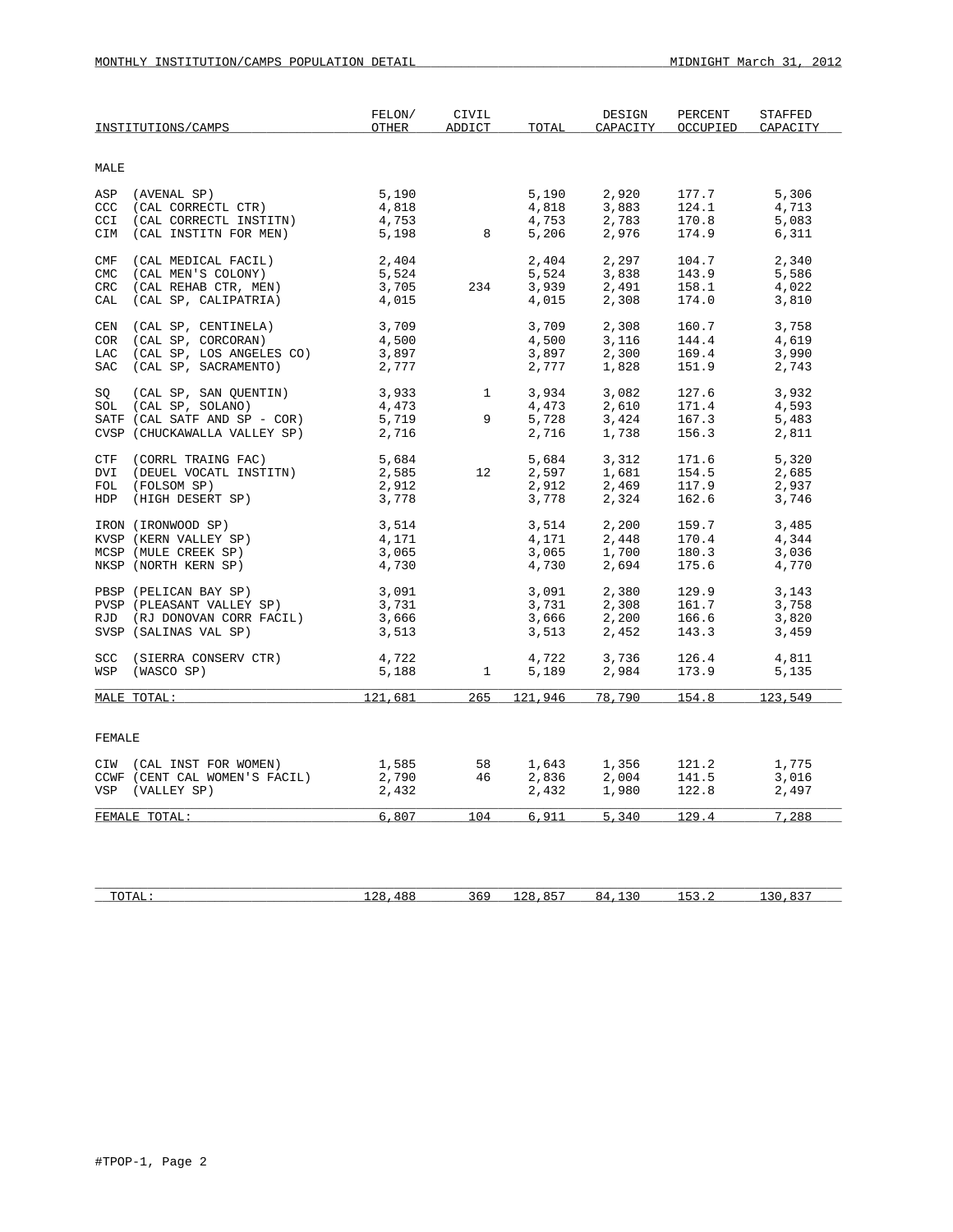| MALE<br>(AVENAL SP)<br>5,190<br>2,920<br>5,306<br>ASP<br>5,190<br>177.7<br>(CAL CORRECTL CTR)<br>CCC<br>4,818<br>4,818<br>3,883<br>124.1<br>4,713<br>4,753<br>2,783<br>CCI<br>(CAL CORRECTL INSTITN)<br>4,753<br>170.8<br>5,083<br>5,198<br>8<br>2,976<br>6,311<br>CIM<br>(CAL INSTITN FOR MEN)<br>5,206<br>174.9<br>2,297<br>(CAL MEDICAL FACIL)<br>2,404<br>2,404<br>104.7<br>2,340<br>CMF<br>CMC<br>(CAL MEN'S COLONY)<br>5,524<br>5,524<br>3,838<br>143.9<br>5,586<br>3,705<br>CRC<br>(CAL REHAB CTR, MEN)<br>234<br>3,939<br>2,491<br>158.1<br>4,022<br>(CAL SP, CALIPATRIA)<br>4,015<br>4,015<br>2,308<br>174.0<br>3,810<br>CAL<br>3,709<br>3,709<br>2,308<br>160.7<br>3,758<br>CEN<br>(CAL SP, CENTINELA)<br>(CAL SP, CORCORAN)<br>4,500<br>3,116<br>144.4<br>COR<br>4,500<br>4,619<br>(CAL SP, LOS ANGELES CO)<br>3,897<br>3,897<br>2,300<br>169.4<br>3,990<br>LAC<br>(CAL SP, SACRAMENTO)<br>2,777<br>1,828<br>151.9<br>SAC<br>2,777<br>2,743<br>(CAL SP, SAN QUENTIN)<br>3,933<br>$\mathbf{1}$<br>3,934<br>3,082<br>127.6<br>3,932<br>SQ<br>SOL (CAL SP, SOLANO)<br>4,473<br>4,473<br>2,610<br>171.4<br>4,593<br>9<br>SATF (CAL SATF AND SP - COR)<br>5,719<br>5,728<br>3,424<br>167.3<br>5,483<br>CVSP (CHUCKAWALLA VALLEY SP)<br>2,716<br>2,716<br>156.3<br>1,738<br>2,811<br>(CORRL TRAING FAC)<br>5,684<br>5,684<br>3,312<br>171.6<br>5,320<br>CTF<br>2,585<br>(DEUEL VOCATL INSTITN)<br>12<br>2,597<br>1,681<br>154.5<br>2,685<br>DVI<br>2,912<br>2,912<br>2,469<br>117.9<br>FOL (FOLSOM SP)<br>2,937<br>HDP (HIGH DESERT SP)<br>162.6<br>3,778<br>3,778<br>2,324<br>3,746<br>IRON (IRONWOOD SP)<br>3,514<br>3,514<br>2,200<br>159.7<br>3,485<br>KVSP (KERN VALLEY SP)<br>4,171<br>4,171<br>2,448<br>170.4<br>4,344<br>1,700<br>MCSP (MULE CREEK SP)<br>3,065<br>3,065<br>180.3<br>3,036<br>4,730<br>2,694<br>NKSP (NORTH KERN SP)<br>4,730<br>175.6<br>4,770<br>3,091<br>2,380<br>PBSP (PELICAN BAY SP)<br>3,091<br>129.9<br>3,143<br>3,731<br>3,731<br>2,308<br>161.7<br>3,758<br>PVSP (PLEASANT VALLEY SP)<br>3,666<br>2,200<br>3,666<br>166.6<br>3,820<br>RJD (RJ DONOVAN CORR FACIL)<br>SVSP (SALINAS VAL SP)<br>3,513<br>3,513<br>2,452<br>143.3<br>3,459<br>4,722<br>4,722<br>3,736<br>SCC (SIERRA CONSERV CTR)<br>126.4<br>4,811<br>WSP<br>(WASCO SP)<br>5,188<br>$\mathbf{1}$<br>5,189<br>2,984<br>173.9<br>5,135<br>265<br>121,681<br>78,790<br>154.8<br>123,549<br>MALE TOTAL:<br>121,946<br>FEMALE<br>1,585<br>CIW (CAL INST FOR WOMEN)<br>58<br>1,643<br>1,356<br>2,004<br>121.2<br>1,775<br>CCWF (CENT CAL WOMEN'S FACIL)<br>2,790<br>46<br>2,836<br>141.5<br>3,016<br>VSP (VALLEY SP)<br>2,432<br>2,432<br>1,980<br>122.8<br>2,497<br>6,807<br>104<br>6,911<br>5,340<br>129.4<br>7,288<br>FEMALE TOTAL: | INSTITUTIONS/CAMPS | FELON/<br>OTHER | CIVIL<br>ADDICT | TOTAL | DESIGN<br>CAPACITY | PERCENT<br>OCCUPIED | STAFFED<br>CAPACITY |
|---------------------------------------------------------------------------------------------------------------------------------------------------------------------------------------------------------------------------------------------------------------------------------------------------------------------------------------------------------------------------------------------------------------------------------------------------------------------------------------------------------------------------------------------------------------------------------------------------------------------------------------------------------------------------------------------------------------------------------------------------------------------------------------------------------------------------------------------------------------------------------------------------------------------------------------------------------------------------------------------------------------------------------------------------------------------------------------------------------------------------------------------------------------------------------------------------------------------------------------------------------------------------------------------------------------------------------------------------------------------------------------------------------------------------------------------------------------------------------------------------------------------------------------------------------------------------------------------------------------------------------------------------------------------------------------------------------------------------------------------------------------------------------------------------------------------------------------------------------------------------------------------------------------------------------------------------------------------------------------------------------------------------------------------------------------------------------------------------------------------------------------------------------------------------------------------------------------------------------------------------------------------------------------------------------------------------------------------------------------------------------------------------------------------------------------------------------------------------------------------------------------------------------------------------------------------------------------------------------------------------------------------------------------------------------------------------------------------------------------|--------------------|-----------------|-----------------|-------|--------------------|---------------------|---------------------|
|                                                                                                                                                                                                                                                                                                                                                                                                                                                                                                                                                                                                                                                                                                                                                                                                                                                                                                                                                                                                                                                                                                                                                                                                                                                                                                                                                                                                                                                                                                                                                                                                                                                                                                                                                                                                                                                                                                                                                                                                                                                                                                                                                                                                                                                                                                                                                                                                                                                                                                                                                                                                                                                                                                                                       |                    |                 |                 |       |                    |                     |                     |
|                                                                                                                                                                                                                                                                                                                                                                                                                                                                                                                                                                                                                                                                                                                                                                                                                                                                                                                                                                                                                                                                                                                                                                                                                                                                                                                                                                                                                                                                                                                                                                                                                                                                                                                                                                                                                                                                                                                                                                                                                                                                                                                                                                                                                                                                                                                                                                                                                                                                                                                                                                                                                                                                                                                                       |                    |                 |                 |       |                    |                     |                     |
|                                                                                                                                                                                                                                                                                                                                                                                                                                                                                                                                                                                                                                                                                                                                                                                                                                                                                                                                                                                                                                                                                                                                                                                                                                                                                                                                                                                                                                                                                                                                                                                                                                                                                                                                                                                                                                                                                                                                                                                                                                                                                                                                                                                                                                                                                                                                                                                                                                                                                                                                                                                                                                                                                                                                       |                    |                 |                 |       |                    |                     |                     |
|                                                                                                                                                                                                                                                                                                                                                                                                                                                                                                                                                                                                                                                                                                                                                                                                                                                                                                                                                                                                                                                                                                                                                                                                                                                                                                                                                                                                                                                                                                                                                                                                                                                                                                                                                                                                                                                                                                                                                                                                                                                                                                                                                                                                                                                                                                                                                                                                                                                                                                                                                                                                                                                                                                                                       |                    |                 |                 |       |                    |                     |                     |
|                                                                                                                                                                                                                                                                                                                                                                                                                                                                                                                                                                                                                                                                                                                                                                                                                                                                                                                                                                                                                                                                                                                                                                                                                                                                                                                                                                                                                                                                                                                                                                                                                                                                                                                                                                                                                                                                                                                                                                                                                                                                                                                                                                                                                                                                                                                                                                                                                                                                                                                                                                                                                                                                                                                                       |                    |                 |                 |       |                    |                     |                     |
|                                                                                                                                                                                                                                                                                                                                                                                                                                                                                                                                                                                                                                                                                                                                                                                                                                                                                                                                                                                                                                                                                                                                                                                                                                                                                                                                                                                                                                                                                                                                                                                                                                                                                                                                                                                                                                                                                                                                                                                                                                                                                                                                                                                                                                                                                                                                                                                                                                                                                                                                                                                                                                                                                                                                       |                    |                 |                 |       |                    |                     |                     |
|                                                                                                                                                                                                                                                                                                                                                                                                                                                                                                                                                                                                                                                                                                                                                                                                                                                                                                                                                                                                                                                                                                                                                                                                                                                                                                                                                                                                                                                                                                                                                                                                                                                                                                                                                                                                                                                                                                                                                                                                                                                                                                                                                                                                                                                                                                                                                                                                                                                                                                                                                                                                                                                                                                                                       |                    |                 |                 |       |                    |                     |                     |
|                                                                                                                                                                                                                                                                                                                                                                                                                                                                                                                                                                                                                                                                                                                                                                                                                                                                                                                                                                                                                                                                                                                                                                                                                                                                                                                                                                                                                                                                                                                                                                                                                                                                                                                                                                                                                                                                                                                                                                                                                                                                                                                                                                                                                                                                                                                                                                                                                                                                                                                                                                                                                                                                                                                                       |                    |                 |                 |       |                    |                     |                     |
|                                                                                                                                                                                                                                                                                                                                                                                                                                                                                                                                                                                                                                                                                                                                                                                                                                                                                                                                                                                                                                                                                                                                                                                                                                                                                                                                                                                                                                                                                                                                                                                                                                                                                                                                                                                                                                                                                                                                                                                                                                                                                                                                                                                                                                                                                                                                                                                                                                                                                                                                                                                                                                                                                                                                       |                    |                 |                 |       |                    |                     |                     |
|                                                                                                                                                                                                                                                                                                                                                                                                                                                                                                                                                                                                                                                                                                                                                                                                                                                                                                                                                                                                                                                                                                                                                                                                                                                                                                                                                                                                                                                                                                                                                                                                                                                                                                                                                                                                                                                                                                                                                                                                                                                                                                                                                                                                                                                                                                                                                                                                                                                                                                                                                                                                                                                                                                                                       |                    |                 |                 |       |                    |                     |                     |
|                                                                                                                                                                                                                                                                                                                                                                                                                                                                                                                                                                                                                                                                                                                                                                                                                                                                                                                                                                                                                                                                                                                                                                                                                                                                                                                                                                                                                                                                                                                                                                                                                                                                                                                                                                                                                                                                                                                                                                                                                                                                                                                                                                                                                                                                                                                                                                                                                                                                                                                                                                                                                                                                                                                                       |                    |                 |                 |       |                    |                     |                     |
|                                                                                                                                                                                                                                                                                                                                                                                                                                                                                                                                                                                                                                                                                                                                                                                                                                                                                                                                                                                                                                                                                                                                                                                                                                                                                                                                                                                                                                                                                                                                                                                                                                                                                                                                                                                                                                                                                                                                                                                                                                                                                                                                                                                                                                                                                                                                                                                                                                                                                                                                                                                                                                                                                                                                       |                    |                 |                 |       |                    |                     |                     |
|                                                                                                                                                                                                                                                                                                                                                                                                                                                                                                                                                                                                                                                                                                                                                                                                                                                                                                                                                                                                                                                                                                                                                                                                                                                                                                                                                                                                                                                                                                                                                                                                                                                                                                                                                                                                                                                                                                                                                                                                                                                                                                                                                                                                                                                                                                                                                                                                                                                                                                                                                                                                                                                                                                                                       |                    |                 |                 |       |                    |                     |                     |
|                                                                                                                                                                                                                                                                                                                                                                                                                                                                                                                                                                                                                                                                                                                                                                                                                                                                                                                                                                                                                                                                                                                                                                                                                                                                                                                                                                                                                                                                                                                                                                                                                                                                                                                                                                                                                                                                                                                                                                                                                                                                                                                                                                                                                                                                                                                                                                                                                                                                                                                                                                                                                                                                                                                                       |                    |                 |                 |       |                    |                     |                     |
|                                                                                                                                                                                                                                                                                                                                                                                                                                                                                                                                                                                                                                                                                                                                                                                                                                                                                                                                                                                                                                                                                                                                                                                                                                                                                                                                                                                                                                                                                                                                                                                                                                                                                                                                                                                                                                                                                                                                                                                                                                                                                                                                                                                                                                                                                                                                                                                                                                                                                                                                                                                                                                                                                                                                       |                    |                 |                 |       |                    |                     |                     |
|                                                                                                                                                                                                                                                                                                                                                                                                                                                                                                                                                                                                                                                                                                                                                                                                                                                                                                                                                                                                                                                                                                                                                                                                                                                                                                                                                                                                                                                                                                                                                                                                                                                                                                                                                                                                                                                                                                                                                                                                                                                                                                                                                                                                                                                                                                                                                                                                                                                                                                                                                                                                                                                                                                                                       |                    |                 |                 |       |                    |                     |                     |
|                                                                                                                                                                                                                                                                                                                                                                                                                                                                                                                                                                                                                                                                                                                                                                                                                                                                                                                                                                                                                                                                                                                                                                                                                                                                                                                                                                                                                                                                                                                                                                                                                                                                                                                                                                                                                                                                                                                                                                                                                                                                                                                                                                                                                                                                                                                                                                                                                                                                                                                                                                                                                                                                                                                                       |                    |                 |                 |       |                    |                     |                     |
|                                                                                                                                                                                                                                                                                                                                                                                                                                                                                                                                                                                                                                                                                                                                                                                                                                                                                                                                                                                                                                                                                                                                                                                                                                                                                                                                                                                                                                                                                                                                                                                                                                                                                                                                                                                                                                                                                                                                                                                                                                                                                                                                                                                                                                                                                                                                                                                                                                                                                                                                                                                                                                                                                                                                       |                    |                 |                 |       |                    |                     |                     |
|                                                                                                                                                                                                                                                                                                                                                                                                                                                                                                                                                                                                                                                                                                                                                                                                                                                                                                                                                                                                                                                                                                                                                                                                                                                                                                                                                                                                                                                                                                                                                                                                                                                                                                                                                                                                                                                                                                                                                                                                                                                                                                                                                                                                                                                                                                                                                                                                                                                                                                                                                                                                                                                                                                                                       |                    |                 |                 |       |                    |                     |                     |
|                                                                                                                                                                                                                                                                                                                                                                                                                                                                                                                                                                                                                                                                                                                                                                                                                                                                                                                                                                                                                                                                                                                                                                                                                                                                                                                                                                                                                                                                                                                                                                                                                                                                                                                                                                                                                                                                                                                                                                                                                                                                                                                                                                                                                                                                                                                                                                                                                                                                                                                                                                                                                                                                                                                                       |                    |                 |                 |       |                    |                     |                     |
|                                                                                                                                                                                                                                                                                                                                                                                                                                                                                                                                                                                                                                                                                                                                                                                                                                                                                                                                                                                                                                                                                                                                                                                                                                                                                                                                                                                                                                                                                                                                                                                                                                                                                                                                                                                                                                                                                                                                                                                                                                                                                                                                                                                                                                                                                                                                                                                                                                                                                                                                                                                                                                                                                                                                       |                    |                 |                 |       |                    |                     |                     |
|                                                                                                                                                                                                                                                                                                                                                                                                                                                                                                                                                                                                                                                                                                                                                                                                                                                                                                                                                                                                                                                                                                                                                                                                                                                                                                                                                                                                                                                                                                                                                                                                                                                                                                                                                                                                                                                                                                                                                                                                                                                                                                                                                                                                                                                                                                                                                                                                                                                                                                                                                                                                                                                                                                                                       |                    |                 |                 |       |                    |                     |                     |
|                                                                                                                                                                                                                                                                                                                                                                                                                                                                                                                                                                                                                                                                                                                                                                                                                                                                                                                                                                                                                                                                                                                                                                                                                                                                                                                                                                                                                                                                                                                                                                                                                                                                                                                                                                                                                                                                                                                                                                                                                                                                                                                                                                                                                                                                                                                                                                                                                                                                                                                                                                                                                                                                                                                                       |                    |                 |                 |       |                    |                     |                     |
|                                                                                                                                                                                                                                                                                                                                                                                                                                                                                                                                                                                                                                                                                                                                                                                                                                                                                                                                                                                                                                                                                                                                                                                                                                                                                                                                                                                                                                                                                                                                                                                                                                                                                                                                                                                                                                                                                                                                                                                                                                                                                                                                                                                                                                                                                                                                                                                                                                                                                                                                                                                                                                                                                                                                       |                    |                 |                 |       |                    |                     |                     |
|                                                                                                                                                                                                                                                                                                                                                                                                                                                                                                                                                                                                                                                                                                                                                                                                                                                                                                                                                                                                                                                                                                                                                                                                                                                                                                                                                                                                                                                                                                                                                                                                                                                                                                                                                                                                                                                                                                                                                                                                                                                                                                                                                                                                                                                                                                                                                                                                                                                                                                                                                                                                                                                                                                                                       |                    |                 |                 |       |                    |                     |                     |
|                                                                                                                                                                                                                                                                                                                                                                                                                                                                                                                                                                                                                                                                                                                                                                                                                                                                                                                                                                                                                                                                                                                                                                                                                                                                                                                                                                                                                                                                                                                                                                                                                                                                                                                                                                                                                                                                                                                                                                                                                                                                                                                                                                                                                                                                                                                                                                                                                                                                                                                                                                                                                                                                                                                                       |                    |                 |                 |       |                    |                     |                     |
|                                                                                                                                                                                                                                                                                                                                                                                                                                                                                                                                                                                                                                                                                                                                                                                                                                                                                                                                                                                                                                                                                                                                                                                                                                                                                                                                                                                                                                                                                                                                                                                                                                                                                                                                                                                                                                                                                                                                                                                                                                                                                                                                                                                                                                                                                                                                                                                                                                                                                                                                                                                                                                                                                                                                       |                    |                 |                 |       |                    |                     |                     |
|                                                                                                                                                                                                                                                                                                                                                                                                                                                                                                                                                                                                                                                                                                                                                                                                                                                                                                                                                                                                                                                                                                                                                                                                                                                                                                                                                                                                                                                                                                                                                                                                                                                                                                                                                                                                                                                                                                                                                                                                                                                                                                                                                                                                                                                                                                                                                                                                                                                                                                                                                                                                                                                                                                                                       |                    |                 |                 |       |                    |                     |                     |
|                                                                                                                                                                                                                                                                                                                                                                                                                                                                                                                                                                                                                                                                                                                                                                                                                                                                                                                                                                                                                                                                                                                                                                                                                                                                                                                                                                                                                                                                                                                                                                                                                                                                                                                                                                                                                                                                                                                                                                                                                                                                                                                                                                                                                                                                                                                                                                                                                                                                                                                                                                                                                                                                                                                                       |                    |                 |                 |       |                    |                     |                     |
|                                                                                                                                                                                                                                                                                                                                                                                                                                                                                                                                                                                                                                                                                                                                                                                                                                                                                                                                                                                                                                                                                                                                                                                                                                                                                                                                                                                                                                                                                                                                                                                                                                                                                                                                                                                                                                                                                                                                                                                                                                                                                                                                                                                                                                                                                                                                                                                                                                                                                                                                                                                                                                                                                                                                       |                    |                 |                 |       |                    |                     |                     |
|                                                                                                                                                                                                                                                                                                                                                                                                                                                                                                                                                                                                                                                                                                                                                                                                                                                                                                                                                                                                                                                                                                                                                                                                                                                                                                                                                                                                                                                                                                                                                                                                                                                                                                                                                                                                                                                                                                                                                                                                                                                                                                                                                                                                                                                                                                                                                                                                                                                                                                                                                                                                                                                                                                                                       |                    |                 |                 |       |                    |                     |                     |
|                                                                                                                                                                                                                                                                                                                                                                                                                                                                                                                                                                                                                                                                                                                                                                                                                                                                                                                                                                                                                                                                                                                                                                                                                                                                                                                                                                                                                                                                                                                                                                                                                                                                                                                                                                                                                                                                                                                                                                                                                                                                                                                                                                                                                                                                                                                                                                                                                                                                                                                                                                                                                                                                                                                                       |                    |                 |                 |       |                    |                     |                     |
|                                                                                                                                                                                                                                                                                                                                                                                                                                                                                                                                                                                                                                                                                                                                                                                                                                                                                                                                                                                                                                                                                                                                                                                                                                                                                                                                                                                                                                                                                                                                                                                                                                                                                                                                                                                                                                                                                                                                                                                                                                                                                                                                                                                                                                                                                                                                                                                                                                                                                                                                                                                                                                                                                                                                       |                    |                 |                 |       |                    |                     |                     |
|                                                                                                                                                                                                                                                                                                                                                                                                                                                                                                                                                                                                                                                                                                                                                                                                                                                                                                                                                                                                                                                                                                                                                                                                                                                                                                                                                                                                                                                                                                                                                                                                                                                                                                                                                                                                                                                                                                                                                                                                                                                                                                                                                                                                                                                                                                                                                                                                                                                                                                                                                                                                                                                                                                                                       |                    |                 |                 |       |                    |                     |                     |
|                                                                                                                                                                                                                                                                                                                                                                                                                                                                                                                                                                                                                                                                                                                                                                                                                                                                                                                                                                                                                                                                                                                                                                                                                                                                                                                                                                                                                                                                                                                                                                                                                                                                                                                                                                                                                                                                                                                                                                                                                                                                                                                                                                                                                                                                                                                                                                                                                                                                                                                                                                                                                                                                                                                                       |                    |                 |                 |       |                    |                     |                     |
|                                                                                                                                                                                                                                                                                                                                                                                                                                                                                                                                                                                                                                                                                                                                                                                                                                                                                                                                                                                                                                                                                                                                                                                                                                                                                                                                                                                                                                                                                                                                                                                                                                                                                                                                                                                                                                                                                                                                                                                                                                                                                                                                                                                                                                                                                                                                                                                                                                                                                                                                                                                                                                                                                                                                       |                    |                 |                 |       |                    |                     |                     |
|                                                                                                                                                                                                                                                                                                                                                                                                                                                                                                                                                                                                                                                                                                                                                                                                                                                                                                                                                                                                                                                                                                                                                                                                                                                                                                                                                                                                                                                                                                                                                                                                                                                                                                                                                                                                                                                                                                                                                                                                                                                                                                                                                                                                                                                                                                                                                                                                                                                                                                                                                                                                                                                                                                                                       |                    |                 |                 |       |                    |                     |                     |
|                                                                                                                                                                                                                                                                                                                                                                                                                                                                                                                                                                                                                                                                                                                                                                                                                                                                                                                                                                                                                                                                                                                                                                                                                                                                                                                                                                                                                                                                                                                                                                                                                                                                                                                                                                                                                                                                                                                                                                                                                                                                                                                                                                                                                                                                                                                                                                                                                                                                                                                                                                                                                                                                                                                                       |                    |                 |                 |       |                    |                     |                     |
|                                                                                                                                                                                                                                                                                                                                                                                                                                                                                                                                                                                                                                                                                                                                                                                                                                                                                                                                                                                                                                                                                                                                                                                                                                                                                                                                                                                                                                                                                                                                                                                                                                                                                                                                                                                                                                                                                                                                                                                                                                                                                                                                                                                                                                                                                                                                                                                                                                                                                                                                                                                                                                                                                                                                       |                    |                 |                 |       |                    |                     |                     |
|                                                                                                                                                                                                                                                                                                                                                                                                                                                                                                                                                                                                                                                                                                                                                                                                                                                                                                                                                                                                                                                                                                                                                                                                                                                                                                                                                                                                                                                                                                                                                                                                                                                                                                                                                                                                                                                                                                                                                                                                                                                                                                                                                                                                                                                                                                                                                                                                                                                                                                                                                                                                                                                                                                                                       |                    |                 |                 |       |                    |                     |                     |

| п.<br>10111 | . .<br>$\cdots$ | <u>J V </u> |  | . . | <u>.</u> |
|-------------|-----------------|-------------|--|-----|----------|
|             |                 |             |  |     |          |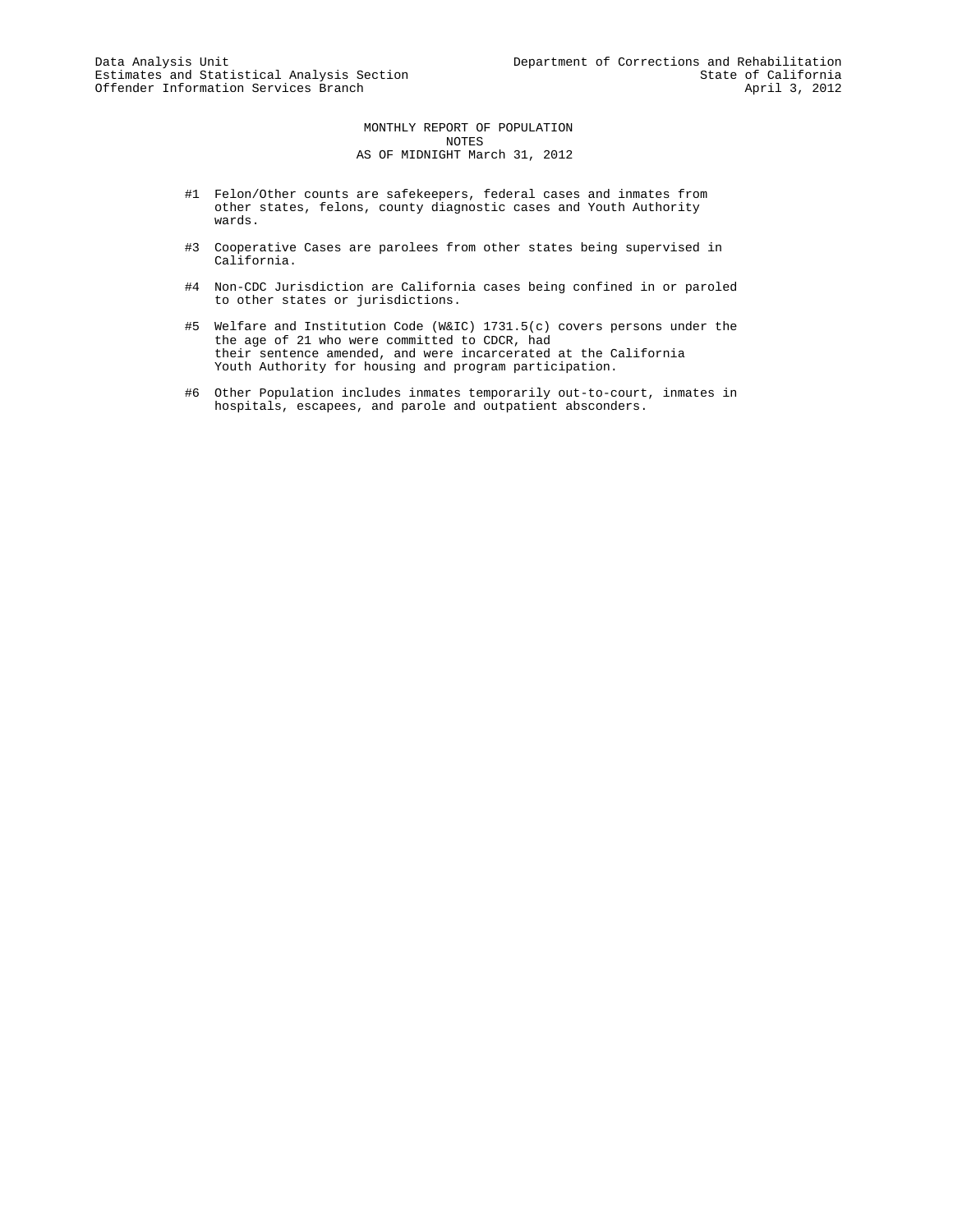MONTHLY REPORT OF POPULATION NOTES AS OF MIDNIGHT March 31, 2012

- #1 Felon/Other counts are safekeepers, federal cases and inmates from other states, felons, county diagnostic cases and Youth Authority wards.
- #3 Cooperative Cases are parolees from other states being supervised in California.
- #4 Non-CDC Jurisdiction are California cases being confined in or paroled to other states or jurisdictions.
- #5 Welfare and Institution Code (W&IC) 1731.5(c) covers persons under the the age of 21 who were committed to CDCR, had their sentence amended, and were incarcerated at the California Youth Authority for housing and program participation.
- #6 Other Population includes inmates temporarily out-to-court, inmates in hospitals, escapees, and parole and outpatient absconders.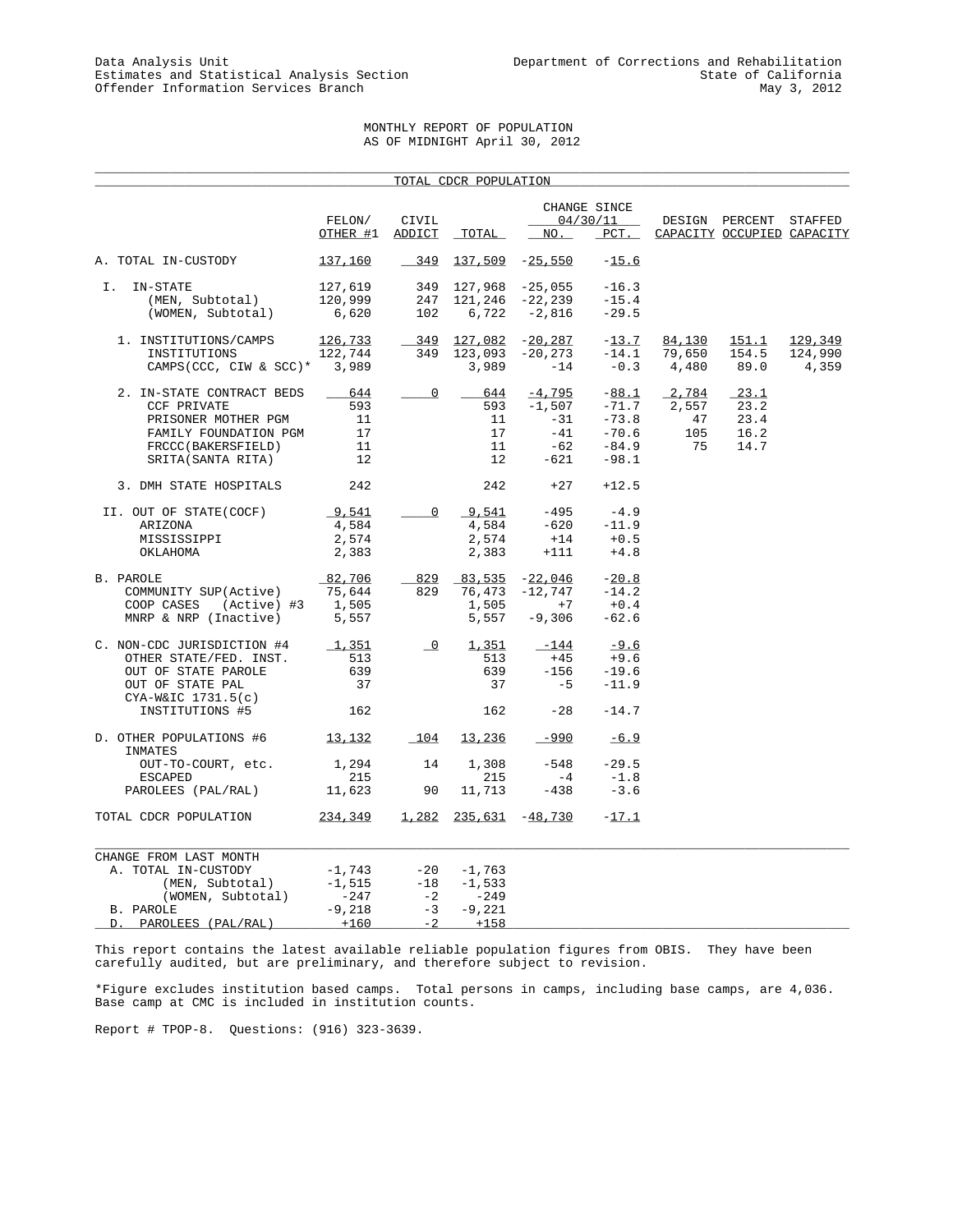# MONTHLY REPORT OF POPULATION AS OF MIDNIGHT April 30, 2012

|                                                                                                                                            |                                                      |                               | TOTAL CDCR POPULATION                                     |                                                           |                                                                |                                   |                                              |                             |
|--------------------------------------------------------------------------------------------------------------------------------------------|------------------------------------------------------|-------------------------------|-----------------------------------------------------------|-----------------------------------------------------------|----------------------------------------------------------------|-----------------------------------|----------------------------------------------|-----------------------------|
|                                                                                                                                            | FELON/<br>OTHER #1                                   | CIVIL<br>ADDICT               | TOTAL                                                     | NO.                                                       | CHANGE SINCE<br>04/30/11<br>$PCT$ .                            |                                   | DESIGN PERCENT<br>CAPACITY OCCUPIED CAPACITY | STAFFED                     |
| A. TOTAL IN-CUSTODY                                                                                                                        | 137,160                                              | 349                           |                                                           | $137,509$ -25,550                                         | $-15.6$                                                        |                                   |                                              |                             |
| Ι.<br>IN-STATE<br>(MEN, Subtotal)<br>(WOMEN, Subtotal)                                                                                     | 127,619<br>120,999<br>6,620                          | 349<br>247<br>102             | 127,968<br>6,722                                          | $-25,055$<br>121,246 -22,239<br>$-2,816$                  | $-16.3$<br>$-15.4$<br>$-29.5$                                  |                                   |                                              |                             |
| 1. INSTITUTIONS/CAMPS<br>INSTITUTIONS<br>CAMPS (CCC, CIW & SCC)* 3,989                                                                     | 126,733<br>122,744                                   | $-349$                        | 127,082<br>349 123,093<br>3,989                           | $-20,287$<br>$-20,273$<br>$-14$                           | $-13.7$<br>$-14.1$<br>$-0.3$                                   | 84,130<br>79,650<br>4,480         | 151.1<br>154.5<br>89.0                       | 129,349<br>124,990<br>4,359 |
| 2. IN-STATE CONTRACT BEDS<br>CCF PRIVATE<br>PRISONER MOTHER PGM<br>FAMILY FOUNDATION PGM<br>FRCCC(BAKERSFIELD)<br>SRITA(SANTA RITA)        | 644<br>593<br>11<br>17<br>11<br>12                   | $\mathsf{O}$                  | 644<br>593<br>11<br>17<br>11<br>12                        | $-4,795$<br>$-1,507$<br>$-31$<br>$-41$<br>$-62$<br>$-621$ | $-88.1$<br>$-71.7$<br>$-73.8$<br>$-70.6$<br>$-84.9$<br>$-98.1$ | 2,784<br>2,557<br>47<br>105<br>75 | 23.1<br>23.2<br>23.4<br>16.2<br>14.7         |                             |
| 3. DMH STATE HOSPITALS<br>II. OUT OF STATE(COCF)<br>ARIZONA<br>MISSISSIPPI<br>OKLAHOMA                                                     | 242<br>9,541<br>4,584<br>2,574<br>2,383              | $\mathbf{0}$                  | 242<br>9,541<br>4,584<br>2,574<br>2,383                   | $+27$<br>-495<br>$-620$<br>$+14$<br>$+111$                | $+12.5$<br>$-4.9$<br>$-11.9$<br>$+0.5$<br>$+4.8$               |                                   |                                              |                             |
| B. PAROLE<br>COMMUNITY SUP(Active)<br>COOP CASES<br>(Active) #3<br>MNRP & NRP (Inactive)                                                   | 82,706<br>75,644<br>1,505<br>5,557                   | 829<br>829                    | 83,535<br>76,473<br>1,505<br>5,557                        | $-22,046$<br>$-12,747$<br>$+7$<br>$-9,306$                | $-20.8$<br>$-14.2$<br>$+0.4$<br>$-62.6$                        |                                   |                                              |                             |
| C. NON-CDC JURISDICTION #4<br>OTHER STATE/FED. INST.<br>OUT OF STATE PAROLE<br>OUT OF STATE PAL<br>$CYA-W&IC$ 1731.5(c)<br>INSTITUTIONS #5 | 1,351<br>513<br>639<br>37<br>162                     | $\overline{0}$                | 1,351<br>513<br>639<br>37<br>162                          | $-144$<br>$+45$<br>$-156$<br>$-5$<br>$-28$                | $-9.6$<br>+9.6<br>$-19.6$<br>$-11.9$<br>$-14.7$                |                                   |                                              |                             |
| D. OTHER POPULATIONS #6 13,132                                                                                                             |                                                      |                               | $104$ 13,236                                              | $-990$                                                    | $-6.9$                                                         |                                   |                                              |                             |
| INMATES<br>OUT-TO-COURT, etc.<br>ESCAPED<br>PAROLEES (PAL/RAL)                                                                             | 1,294<br>215<br>11,623                               | 14<br>90                      | 1,308<br>215<br>11,713                                    | -548<br>$-4$<br>$-438$                                    | $-29.5$<br>$-1.8$<br>$-3.6$                                    |                                   |                                              |                             |
| TOTAL CDCR POPULATION                                                                                                                      | $234,349$ 1,282                                      |                               |                                                           | $235,631 -48,730$                                         | $-17.1$                                                        |                                   |                                              |                             |
| CHANGE FROM LAST MONTH<br>A. TOTAL IN-CUSTODY<br>(MEN, Subtotal)<br>(WOMEN, Subtotal)<br>B. PAROLE<br>PAROLEES (PAL/RAL)<br>D.             | $-1,743$<br>$-1,515$<br>$-247$<br>$-9,218$<br>$+160$ | $-18$<br>$-2$<br>$-3$<br>$-2$ | $-20 - 1,763$<br>$-1,533$<br>$-249$<br>$-9,221$<br>$+158$ |                                                           |                                                                |                                   |                                              |                             |

This report contains the latest available reliable population figures from OBIS. They have been carefully audited, but are preliminary, and therefore subject to revision.

\*Figure excludes institution based camps. Total persons in camps, including base camps, are 4,036. Base camp at CMC is included in institution counts.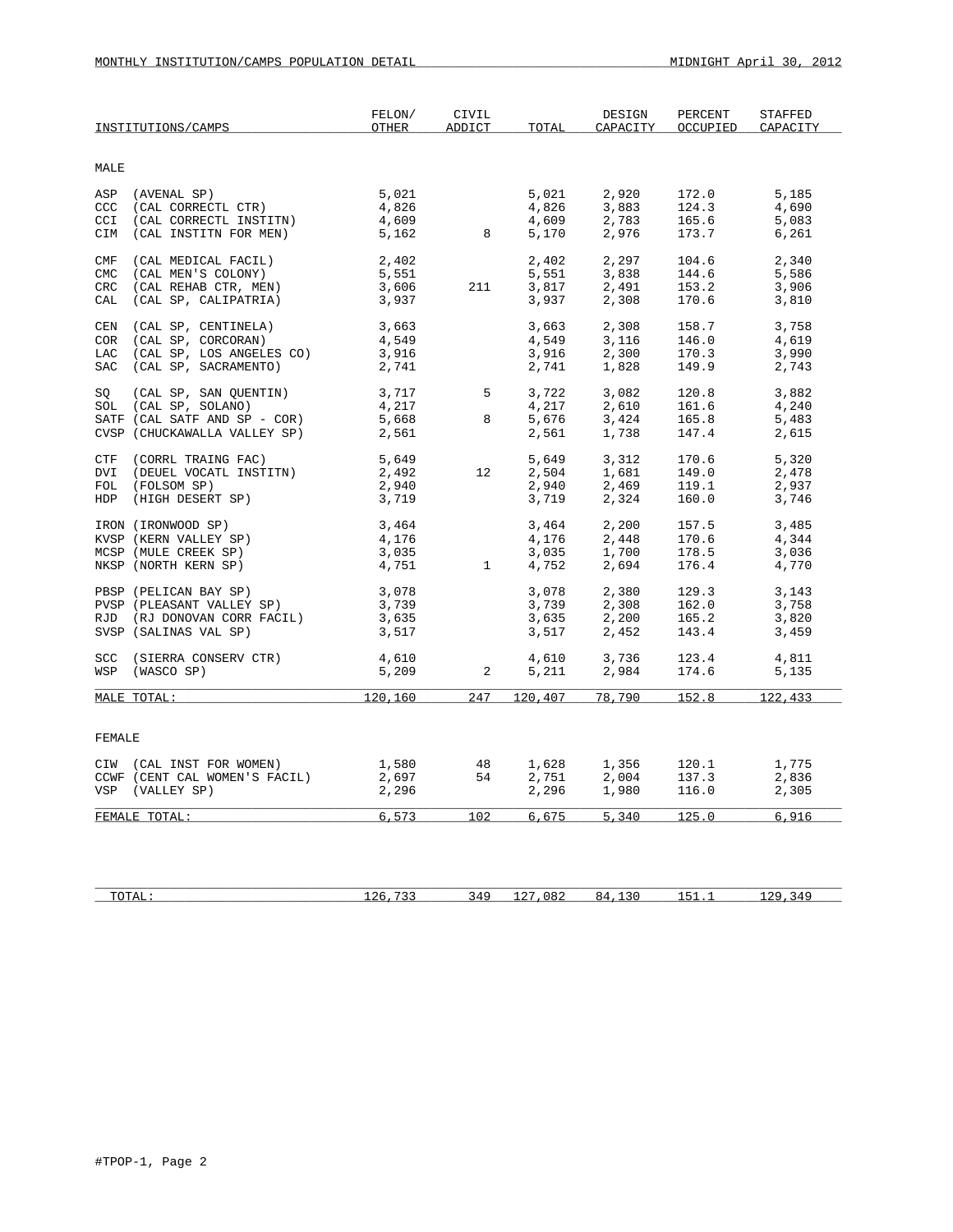|            | INSTITUTIONS/CAMPS                               | FELON/<br>OTHER | CIVIL<br>ADDICT | TOTAL              | DESIGN<br>CAPACITY         | PERCENT<br>OCCUPIED | STAFFED<br>CAPACITY |
|------------|--------------------------------------------------|-----------------|-----------------|--------------------|----------------------------|---------------------|---------------------|
| MALE       |                                                  |                 |                 |                    |                            |                     |                     |
|            |                                                  |                 |                 |                    |                            |                     |                     |
| ASP        | (AVENAL SP)<br>(CAL CORRECTL CTR)                | 5,021           |                 | 5,021              | 2,920<br>3.883             | 172.0               | 5,185               |
| CCC        |                                                  | 4,826           |                 | 4,826              |                            | 124.3               | 4,690               |
| CCI<br>CIM | (CAL CORRECTL INSTITN)<br>(CAL INSTITN FOR MEN)  | 4,609<br>5,162  | 8               | 4,609<br>5,170     | 2,783<br>2,976             | 165.6<br>173.7      | 5,083<br>6,261      |
|            |                                                  |                 |                 |                    |                            |                     |                     |
| CMF        | (CAL MEDICAL FACIL)                              | 2,402           |                 | 2,402              | 2,297                      | 104.6               | 2,340               |
| CMC        | (CAL MEN'S COLONY)                               | 5,551           |                 | 5,551              | 3,838                      | 144.6               | 5,586               |
| CRC        | (CAL REHAB CTR, MEN)                             | 3,606           | 211             | 3,817<br>3,937     | 2,491                      | 153.2               | 3,906               |
| CAL        | (CAL SP, CALIPATRIA)                             | 3,937           |                 |                    | 2,308                      | 170.6               | 3,810               |
| CEN        | (CAL SP, CENTINELA)                              | 3,663           |                 | 3,663              | 2,308                      | 158.7               | 3,758               |
| COR        | (CAL SP, CORCORAN)                               | 4,549           |                 | 4,549              | 3,116                      | 146.0               | 4,619               |
| LAC        | (CAL SP, LOS ANGELES CO)                         | 3,916           |                 | 3,916              | 2,300                      | 170.3               | 3,990               |
| SAC        | (CAL SP, SACRAMENTO)                             | 2,741           |                 | 2,741              | 1,828                      | 149.9               | 2,743               |
|            |                                                  |                 |                 |                    |                            |                     |                     |
|            | SQ (CAL SP, SAN QUENTIN)<br>SOL (CAL SP, SOLANO) | 3,717<br>4,217  | 5 <sub>5</sub>  | 3,722<br>4,217     | 3,082                      | 120.8<br>161.6      | 3,882<br>4,240      |
|            | SATF (CAL SATF AND SP - COR)                     | 5,668           | 8               | 5,676              | $2,610$<br>$3,424$         | 165.8               | 5,483               |
|            | CVSP (CHUCKAWALLA VALLEY SP)                     | 2,561           |                 | 2,561              | 1,738                      | 147.4               | 2,615               |
|            |                                                  |                 |                 |                    |                            |                     |                     |
| CTF        | (CORRL TRAING FAC)                               | 5,649           |                 |                    | 5,649 3,312<br>2,504 1,681 | 170.6               | 5,320               |
| DVI        | (DEUEL VOCATL INSTITN)                           | 2,492           | 12              |                    |                            | 149.0               | 2,478               |
|            | FOL (FOLSOM SP)                                  | 2,940           |                 | 2,940<br>3,719     | $2,469$<br>$2,324$         | 119.1               | 2,937               |
|            | HDP (HIGH DESERT SP)                             | 3,719           |                 |                    |                            | 160.0               | 3,746               |
|            | IRON (IRONWOOD SP)                               | 3,464           |                 | 3,464              | 2,200                      | 157.5               | 3,485               |
|            | KVSP (KERN VALLEY SP)                            | 4,176           |                 | 4,176              |                            | 170.6               | 4,344               |
|            | MCSP (MULE CREEK SP)                             | 3,035           |                 | $3,035$<br>$4,752$ | $2,448$<br>1,700           | 178.5               | 3,036               |
|            | NKSP (NORTH KERN SP)                             | 4,751           | $\overline{1}$  | 4,752              | 2,694                      | 176.4               | 4,770               |
|            | PBSP (PELICAN BAY SP)                            |                 |                 | 3,078              | 2,380                      | 129.3               | 3,143               |
|            | PVSP (PLEASANT VALLEY SP)                        | 3,078<br>3.739  |                 | 3,739              | 2,308                      | 162.0               | 3,758               |
|            | RJD (RJ DONOVAN CORR FACIL)                      | 3,635           |                 | 3,635<br>3,517     | 2,200                      | 165.2               | 3,820               |
|            | SVSP (SALINAS VAL SP)                            | 3,517           |                 |                    | 2,452                      | 143.4               | 3,459               |
|            | SCC (SIERRA CONSERV CTR)                         | 4,610           |                 |                    | 4,610 3,736                | 123.4               | 4,811               |
|            | WSP (WASCO SP)                                   | 5,209           | $\overline{a}$  | 5,211              | 2,984                      | 174.6               | 5,135               |
|            |                                                  |                 |                 |                    |                            |                     |                     |
|            | MALE TOTAL:                                      | 120,160         | 247             | 120,407            | 78,790                     | 152.8               | 122,433             |
|            |                                                  |                 |                 |                    |                            |                     |                     |
| FEMALE     |                                                  |                 |                 |                    |                            |                     |                     |
|            | CIW (CAL INST FOR WOMEN)                         | 1,580           | 48              | 1,628              |                            | 120.1               | 1,775               |
|            | CCWF (CENT CAL WOMEN'S FACIL)                    | 2,697           | 54              | 2,751              | 1,356<br>2,004             | 137.3               | 2,836               |
|            | VSP (VALLEY SP)                                  | 2,296           |                 | 2,296              | 1,980                      | 116.0               | 2,305               |
|            | FEMALE TOTAL:                                    | 6, 573          | 102             | 6,675              | 5,340                      | 125.0               | 6,916               |
|            |                                                  |                 |                 |                    |                            |                     |                     |
|            |                                                  |                 |                 |                    |                            |                     |                     |
|            |                                                  |                 |                 |                    |                            |                     |                     |

| `<br>10111 | ι4<br>- - - | ັ | ⊻∠⊾ | --<br>. . | ی ر۔<br>$\overline{ }$ |
|------------|-------------|---|-----|-----------|------------------------|
|            |             |   |     |           |                        |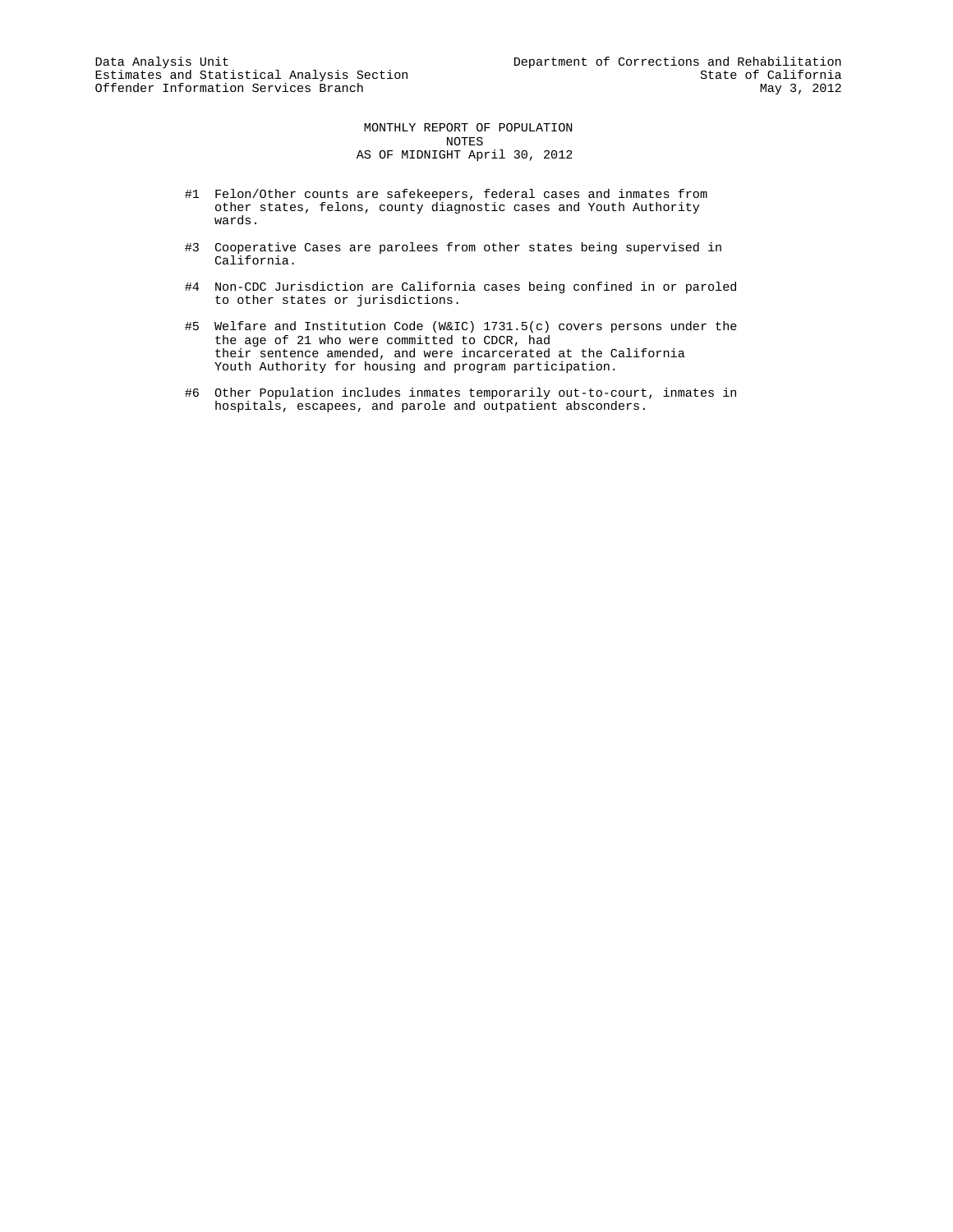MONTHLY REPORT OF POPULATION NOTES AS OF MIDNIGHT April 30, 2012

- #1 Felon/Other counts are safekeepers, federal cases and inmates from other states, felons, county diagnostic cases and Youth Authority wards.
- #3 Cooperative Cases are parolees from other states being supervised in California.
- #4 Non-CDC Jurisdiction are California cases being confined in or paroled to other states or jurisdictions.
- #5 Welfare and Institution Code (W&IC) 1731.5(c) covers persons under the the age of 21 who were committed to CDCR, had their sentence amended, and were incarcerated at the California Youth Authority for housing and program participation.
- #6 Other Population includes inmates temporarily out-to-court, inmates in hospitals, escapees, and parole and outpatient absconders.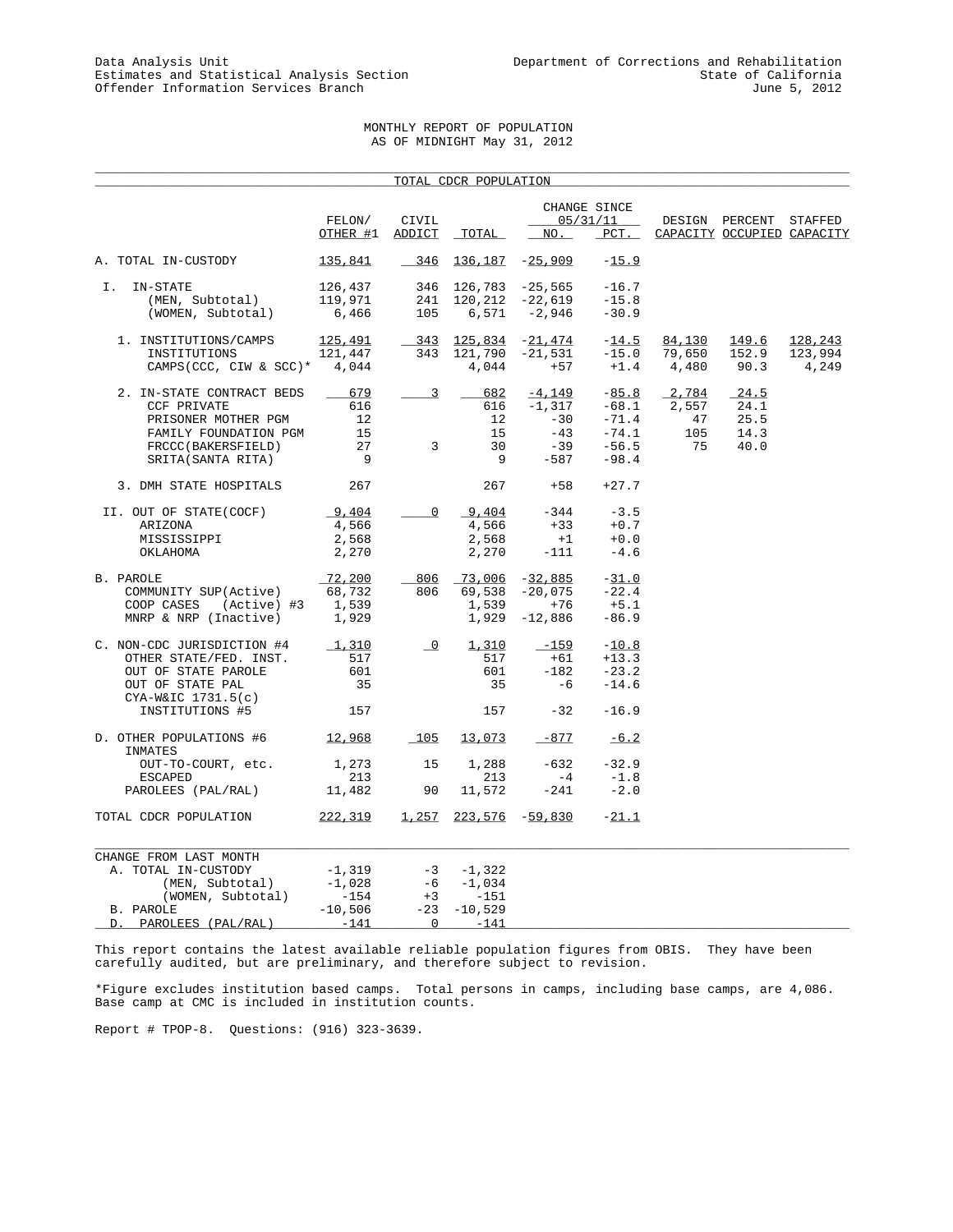# MONTHLY REPORT OF POPULATION AS OF MIDNIGHT May 31, 2012

\_\_\_\_\_\_\_\_\_\_\_\_\_\_\_\_\_\_\_\_\_\_\_\_\_\_\_\_\_\_\_\_\_\_\_\_\_\_\_\_\_\_\_\_\_\_\_\_\_\_\_\_\_\_\_\_\_\_\_\_\_\_\_\_\_\_\_\_\_\_\_\_\_\_\_\_\_\_\_\_\_\_\_\_\_\_\_\_\_\_\_\_\_\_\_\_\_\_\_\_\_

|                                    |                      |                          | TOTAL CDCR POPULATION        |                     |                     |        |                                                      |         |
|------------------------------------|----------------------|--------------------------|------------------------------|---------------------|---------------------|--------|------------------------------------------------------|---------|
|                                    |                      |                          |                              |                     | CHANGE SINCE        |        |                                                      |         |
|                                    | FELON/<br>$OTHER$ #1 | CIVIL<br>ADDICT          | TOTAL                        | NO.                 | 05/31/11<br>$PCT$ . |        | DESIGN PERCENT STAFFED<br>CAPACITY OCCUPIED CAPACITY |         |
| A. TOTAL IN-CUSTODY                | <u>135,841</u>       | $346$                    | <u>136,187</u>               | $-25,909$           | $-15.9$             |        |                                                      |         |
| IN-STATE<br>Ι.                     | 126,437              |                          | 346 126,783 -25,565          |                     | $-16.7$             |        |                                                      |         |
| (MEN, Subtotal)                    | 119,971              | 241                      |                              | $120, 212 -22, 619$ | $-15.8$             |        |                                                      |         |
| (WOMEN, Subtotal)                  | 6,466                | 105                      | 6,571                        | $-2,946$            | $-30.9$             |        |                                                      |         |
| 1. INSTITUTIONS/CAMPS              | 125,491              | 343                      | 125,834                      | $-21,474$           | $-14.5$             | 84,130 | 149.6                                                | 128,243 |
| INSTITUTIONS                       | 121,447              | 343                      | 121,790                      | $-21,531$           | $-15.0$             | 79,650 | 152.9                                                | 123,994 |
| CAMPS (CCC, CIW & SCC)* $4,044$    |                      |                          | 4,044                        | $+57$               | $+1.4$              | 4,480  | 90.3                                                 | 4,249   |
| 2. IN-STATE CONTRACT BEDS          | 679                  | $\overline{3}$           | 682                          | $-4,149$            | $-85.8$             | 2,784  | 24.5                                                 |         |
| <b>CCF PRIVATE</b>                 | 616                  |                          | 616                          | $-1,317$            | $-68.1$             | 2,557  | 24.1                                                 |         |
| PRISONER MOTHER PGM                | 12                   |                          | 12                           | $-30$               | $-71.4$             | 47     | 25.5                                                 |         |
| FAMILY FOUNDATION PGM              | 15                   |                          | 15                           | $-43$               | $-74.1$             | 105    | 14.3                                                 |         |
| FRCCC(BAKERSFIELD)                 | 27                   | $\mathbf{3}$             | 30                           | $-39$               | $-56.5$             | 75     | 40.0                                                 |         |
| SRITA (SANTA RITA)                 | - 9                  |                          | 9                            | $-587$              | $-98.4$             |        |                                                      |         |
| 3. DMH STATE HOSPITALS             | 267                  |                          | 267                          | $+58$               | $+27.7$             |        |                                                      |         |
| II. OUT OF STATE(COCF)             | 9,404                | $\mathbf 0$              | 9,404                        | $-344$              | $-3.5$              |        |                                                      |         |
| ARIZONA                            | 4,566                |                          | 4,566                        | $+33$               | $+0.7$              |        |                                                      |         |
| MISSISSIPPI                        | 2,568                |                          | 2,568                        | $+1$                | $+0.0$              |        |                                                      |         |
| OKLAHOMA                           | 2,270                |                          | 2,270                        | $-111$              | $-4.6$              |        |                                                      |         |
| B. PAROLE                          | 72,200               |                          | 806 73,006                   | $-32,885$           | $-31.0$             |        |                                                      |         |
| COMMUNITY SUP(Active)              | 68,732               | 806                      | 69,538                       | $-20,075$           | $-22.4$             |        |                                                      |         |
| COOP CASES<br>(Active) #3          | 1,539                |                          | 1,539                        | $+76$               | $+5.1$              |        |                                                      |         |
| MNRP & NRP (Inactive)              | 1,929                |                          | 1,929                        | $-12,886$           | $-86.9$             |        |                                                      |         |
| C. NON-CDC JURISDICTION #4         | 1,310                | $\overline{\phantom{0}}$ | 1,310                        | $-159$              | $-10.8$             |        |                                                      |         |
| OTHER STATE/FED. INST.             | 517                  |                          | 517                          | $+61$               | $+13.3$             |        |                                                      |         |
| OUT OF STATE PAROLE                | 601                  |                          | 601                          | $-182$              | $-23.2$             |        |                                                      |         |
| OUT OF STATE PAL                   | 35                   |                          | 35                           | -6                  | $-14.6$             |        |                                                      |         |
| $CYA-W&IC 1731.5(c)$               |                      |                          |                              |                     |                     |        |                                                      |         |
| INSTITUTIONS #5                    | 157                  |                          | 157                          | $-32$               | $-16.9$             |        |                                                      |         |
| D. OTHER POPULATIONS #6<br>INMATES | 12,968               | 105                      | 13,073                       | $-877$              | $-6.2$              |        |                                                      |         |
| OUT-TO-COURT, etc.                 | 1,273                | 15                       | 1,288                        | $-632$              | $-32.9$             |        |                                                      |         |
| <b>ESCAPED</b>                     | 213                  |                          | 213                          | $-4$                | $-1.8$              |        |                                                      |         |
| PAROLEES (PAL/RAL)                 | 11,482               | 90                       | 11,572                       | $-241$              | $-2.0$              |        |                                                      |         |
| TOTAL CDCR POPULATION              | <u>222,319</u>       |                          | <u>1,257 223,576 -59,830</u> |                     | $-21.1$             |        |                                                      |         |
| CHANGE FROM LAST MONTH             |                      |                          |                              |                     |                     |        |                                                      |         |
| A. TOTAL IN-CUSTODY                | $-1,319$             |                          | $-3 -1,322$                  |                     |                     |        |                                                      |         |
| (MEN, Subtotal)                    | $-1,028$             | -6                       | $-1,034$                     |                     |                     |        |                                                      |         |
| (WOMEN, Subtotal)                  | $-154$               | $+3$                     | $-151$                       |                     |                     |        |                                                      |         |
| B. PAROLE                          | $-10,506$            | $-23$                    | $-10,529$                    |                     |                     |        |                                                      |         |
| PAROLEES (PAL/RAL)<br>D.           | $-141$               | $\overline{0}$           | $-141$                       |                     |                     |        |                                                      |         |
|                                    |                      |                          |                              |                     |                     |        |                                                      |         |

This report contains the latest available reliable population figures from OBIS. They have been carefully audited, but are preliminary, and therefore subject to revision.

\*Figure excludes institution based camps. Total persons in camps, including base camps, are 4,086. Base camp at CMC is included in institution counts.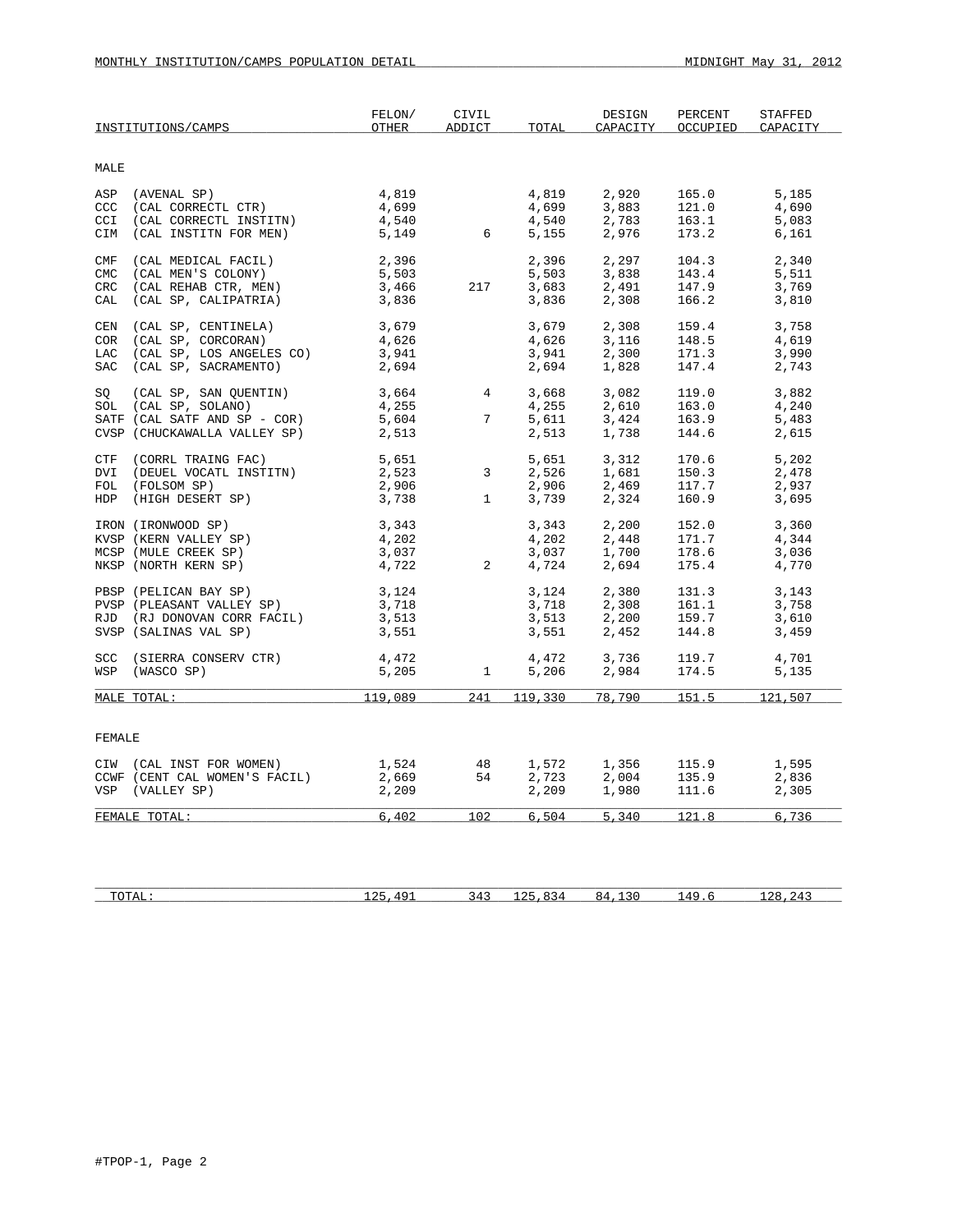|             | INSTITUTIONS/CAMPS            | FELON/<br><b>OTHER</b> | CIVIL<br>ADDICT | TOTAL | DESIGN<br>CAPACITY   | PERCENT<br>OCCUPIED | <b>STAFFED</b><br>CAPACITY |
|-------------|-------------------------------|------------------------|-----------------|-------|----------------------|---------------------|----------------------------|
| MALE        |                               |                        |                 |       |                      |                     |                            |
|             | ASP (AVENAL SP)               | 4,819                  |                 | 4,819 | 2,920                | 165.0               | 5,185                      |
|             | CCC (CAL CORRECTL CTR)        | 4,699                  |                 | 4,699 | 3,883                | 121.0               | 4,690                      |
| CCI         | (CAL CORRECTL INSTITN)        | 4,540                  |                 | 4,540 | 2,783                | 163.1               | 5,083                      |
| CIM         | (CAL INSTITN FOR MEN)         | 5,149                  | $6\overline{6}$ | 5,155 | 2,976                | 173.2               | 6,161                      |
| ${\tt CMF}$ | (CAL MEDICAL FACIL)           | 2,396                  |                 | 2,396 | 2,297                | 104.3               | 2,340                      |
| <b>CMC</b>  | (CAL MEN'S COLONY)            | 5,503                  |                 | 5,503 | 3,838                | 143.4               | 5,511                      |
| <b>CRC</b>  | (CAL REHAB CTR, MEN)          | 3,466                  | 217             | 3,683 | 2,491                | 147.9               | 3,769                      |
| CAL         | (CAL SP, CALIPATRIA)          | 3,836                  |                 | 3,836 | 2,308                | 166.2               | 3,810                      |
| CEN         | (CAL SP, CENTINELA)           | 3,679                  |                 | 3,679 | 2,308                | 159.4               | 3,758                      |
| COR         | (CAL SP, CORCORAN)            | 4,626                  |                 | 4,626 | 3,116                | 148.5               | 4,619                      |
|             | LAC (CAL SP, LOS ANGELES CO)  | 3,941                  |                 | 3,941 | 2,300                | 171.3               | 3,990                      |
|             | SAC (CAL SP, SACRAMENTO)      | 2,694                  |                 | 2,694 | 1,828                | 147.4               | 2,743                      |
| SO          | (CAL SP, SAN QUENTIN)         | 3,664                  | $\overline{4}$  | 3,668 | 3,082                | 119.0               | 3,882                      |
|             | SOL (CAL SP, SOLANO)          | 4,255                  |                 | 4,255 | 2,610                | 163.0               | 4,240                      |
|             | SATF (CAL SATF AND SP - COR)  | 5,604                  | $7\overline{ }$ | 5,611 | 3,424                | 163.9               | 5,483                      |
|             | CVSP (CHUCKAWALLA VALLEY SP)  | 2,513                  |                 | 2,513 | 1,738                | 144.6               | 2,615                      |
|             | CTF (CORRL TRAING FAC)        | 5,651                  |                 | 5,651 | 3,312                | 170.6               | 5,202                      |
| DVI         | (DEUEL VOCATL INSTITN)        | 2,523                  | 3               | 2,526 | 1,681                | 150.3               | 2,478                      |
|             | FOL (FOLSOM SP)               | 2,906                  |                 | 2,906 | 2,469                | 117.7               | 2,937                      |
|             | HDP (HIGH DESERT SP)          | 3,738                  | $\mathbf{1}$    | 3,739 | 2,324                | 160.9               | 3,695                      |
|             | IRON (IRONWOOD SP)            | 3,343                  |                 | 3,343 | 2,200                | 152.0               | 3,360                      |
|             | KVSP (KERN VALLEY SP)         | 4,202                  |                 | 4,202 | 2,448                | 171.7               | 4,344                      |
|             | MCSP (MULE CREEK SP)          | 3,037                  |                 | 3,037 | 1,700                | 178.6               | 3,036                      |
|             | NKSP (NORTH KERN SP)          | 4,722                  | 2               | 4,724 | 2,694                | 175.4               | 4,770                      |
|             | PBSP (PELICAN BAY SP)         | 3,124                  |                 | 3,124 | 2,380                | 131.3               | 3,143                      |
|             | PVSP (PLEASANT VALLEY SP)     | 3,718                  |                 | 3,718 | 2,308                | 161.1               | 3,758                      |
|             | RJD (RJ DONOVAN CORR FACIL)   | 3,513                  |                 | 3,513 | 2,200                | 159.7               | 3,610                      |
|             | SVSP (SALINAS VAL SP)         | 3,551                  |                 | 3,551 | 2,452                | 144.8               | 3,459                      |
|             | SCC (SIERRA CONSERV CTR)      | 4,472                  |                 | 4,472 | 3,736                | 119.7               | 4,701                      |
|             | WSP (WASCO SP)                | 5,205                  | $\mathbf{1}$    | 5,206 | 2,984                | 174.5               | 5,135                      |
|             | MALE TOTAL:                   | 119,089                | 241             |       | 119,330 78,790 151.5 |                     | 121,507                    |
|             |                               |                        |                 |       |                      |                     |                            |
| FEMALE      |                               |                        |                 |       |                      |                     |                            |
|             | CIW (CAL INST FOR WOMEN)      | 1,524                  | 48              | 1,572 | 1,356                | 115.9               | 1,595                      |
|             | CCWF (CENT CAL WOMEN'S FACIL) | 2,669                  | 54              | 2,723 | 2,004                | 135.9               | 2,836                      |
|             | VSP (VALLEY SP)               | 2,209                  |                 | 2,209 | 1,980                | 111.6               | 2,305                      |
|             | FEMALE TOTAL:                 | 6.402                  | 102             | 6.504 | 5,340                | 121.8               | 6,736                      |
|             |                               |                        |                 |       |                      |                     |                            |

| T<br>. புகூப •<br>-- | $\sim$ $\sim$ $\sim$<br>. .<br>-- | 34<br>- - - | .<br>- - | $\sim$ | $\Lambda$ $\Omega$<br>$\overline{ }$ | ົາ ຂ<br>, z |
|----------------------|-----------------------------------|-------------|----------|--------|--------------------------------------|-------------|
|                      |                                   |             |          |        |                                      |             |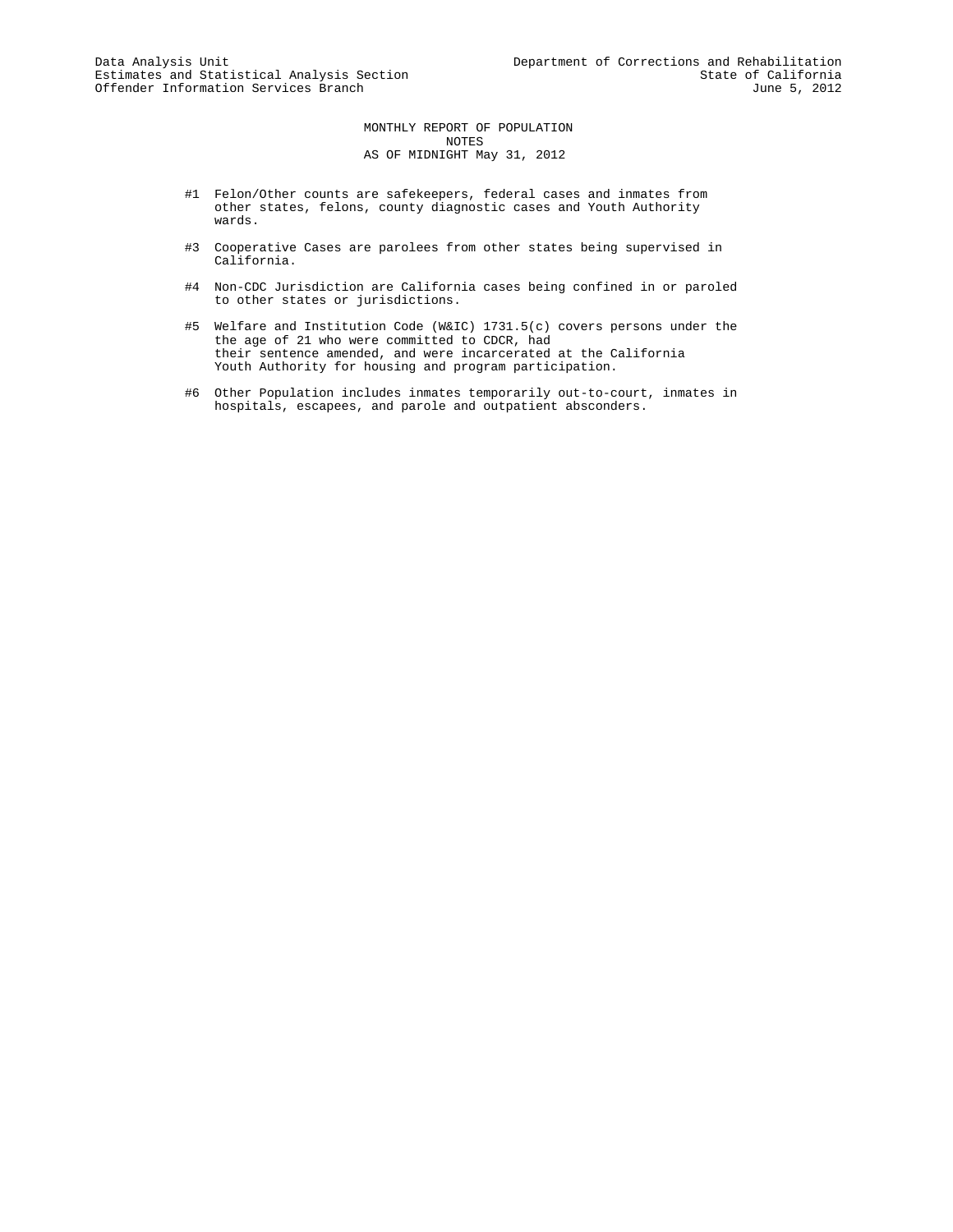MONTHLY REPORT OF POPULATION NOTES AS OF MIDNIGHT May 31, 2012

- #1 Felon/Other counts are safekeepers, federal cases and inmates from other states, felons, county diagnostic cases and Youth Authority wards.
- #3 Cooperative Cases are parolees from other states being supervised in California.
- #4 Non-CDC Jurisdiction are California cases being confined in or paroled to other states or jurisdictions.
- #5 Welfare and Institution Code (W&IC) 1731.5(c) covers persons under the the age of 21 who were committed to CDCR, had their sentence amended, and were incarcerated at the California Youth Authority for housing and program participation.
- #6 Other Population includes inmates temporarily out-to-court, inmates in hospitals, escapees, and parole and outpatient absconders.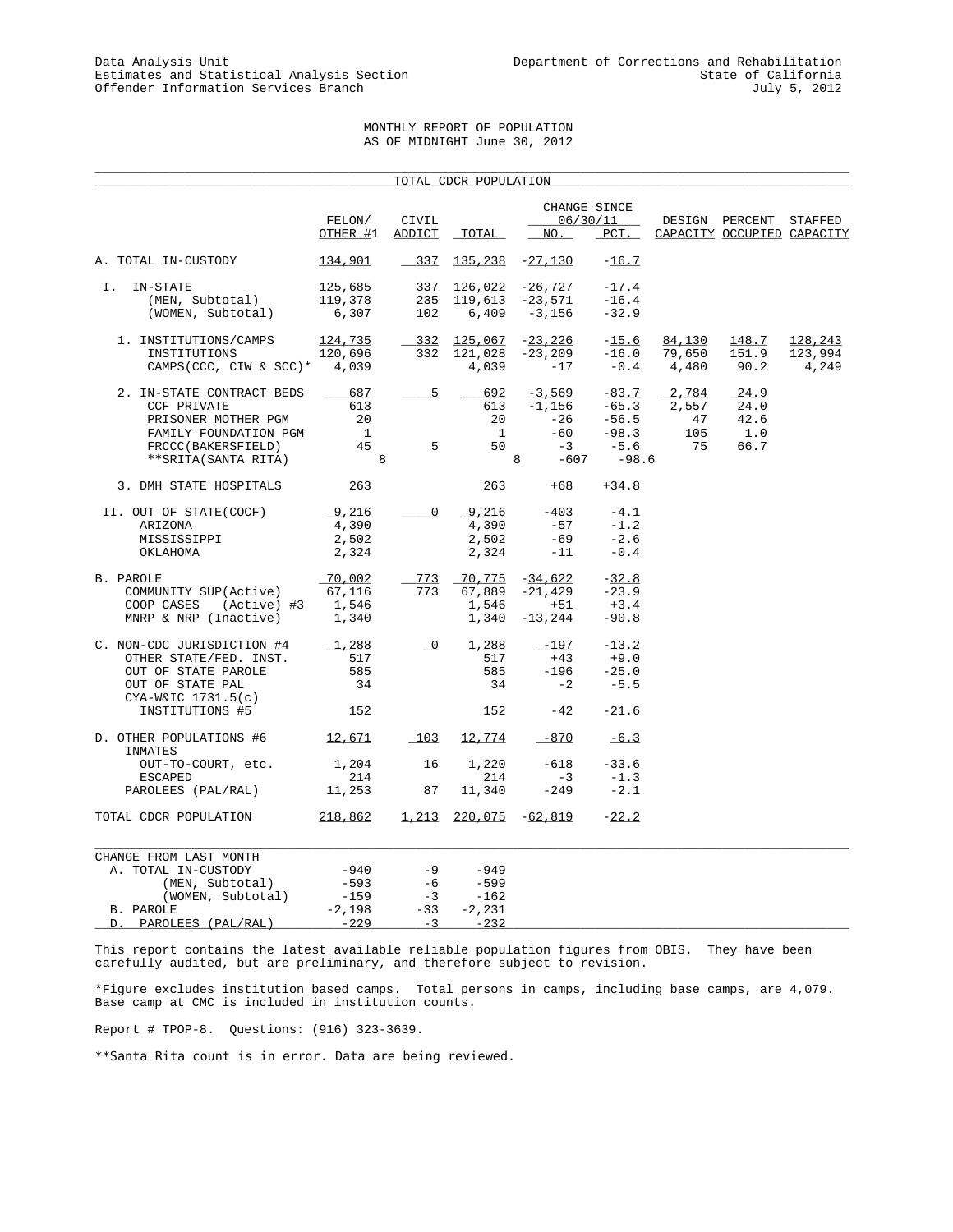# MONTHLY REPORT OF POPULATION AS OF MIDNIGHT June 30, 2012

|                                                                                                                                            |                                               |                                       | TOTAL CDCR POPULATION                            |                                                             |                                                               |                                   |                                              |                             |
|--------------------------------------------------------------------------------------------------------------------------------------------|-----------------------------------------------|---------------------------------------|--------------------------------------------------|-------------------------------------------------------------|---------------------------------------------------------------|-----------------------------------|----------------------------------------------|-----------------------------|
|                                                                                                                                            | FELON/<br>OTHER #1                            | CIVIL<br>ADDICT                       | TOTAL                                            | NO.                                                         | CHANGE SINCE<br>06/30/11<br>$PCT$ .                           |                                   | DESIGN PERCENT<br>CAPACITY OCCUPIED CAPACITY | STAFFED                     |
| A. TOTAL IN-CUSTODY                                                                                                                        | 134,901                                       | 337                                   |                                                  | $135, 238 -27, 130$                                         | $-16.7$                                                       |                                   |                                              |                             |
| Ι.<br>IN-STATE<br>(MEN, Subtotal)<br>(WOMEN, Subtotal)                                                                                     | 125,685<br>119,378<br>6,307                   | 337<br>235<br>102                     | 126,022                                          | -26,727<br>$119,613 -23,571$<br>$6,409 -3,156$              | $-17.4$<br>$-16.4$<br>$-32.9$                                 |                                   |                                              |                             |
| 1. INSTITUTIONS/CAMPS<br>INSTITUTIONS<br>CAMPS(CCC, CIW & SCC)* $4,039$                                                                    | 124,735<br>120,696                            | $-332$<br>332                         | 125,067<br>121,028<br>4,039                      | $-23,226$<br>-23,209<br>$-17$                               | $-15.6$<br>$-16.0$<br>$-0.4$                                  | 84,130<br>79,650<br>4,480         | 148.7<br>151.9<br>90.2                       | 128,243<br>123,994<br>4,249 |
| 2. IN-STATE CONTRACT BEDS<br>CCF PRIVATE<br>PRISONER MOTHER PGM<br>FAMILY FOUNDATION PGM<br>FRCCC(BAKERSFIELD)<br>**SRITA(SANTA RITA)      | 687<br>613<br>20<br>$\overline{1}$<br>45<br>8 | 5<br>5 <sup>5</sup>                   | 692<br>613<br>20<br>$\overline{1}$<br>50         | $-3,569$<br>$-1,156$<br>$-26$<br>$-60$<br>$-3$<br>8<br>-607 | $-83.7$<br>$-65.3$<br>$-56.5$<br>$-98.3$<br>$-5.6$<br>$-98.6$ | 2,784<br>2,557<br>47<br>105<br>75 | 24.9<br>24.0<br>42.6<br>1.0<br>66.7          |                             |
| 3. DMH STATE HOSPITALS                                                                                                                     | 263                                           |                                       | 263                                              | $+68$                                                       | $+34.8$                                                       |                                   |                                              |                             |
| II. OUT OF STATE(COCF)<br>ARIZONA<br>MISSISSIPPI<br>OKLAHOMA                                                                               | 9,216<br>4,390<br>2,502<br>2,324              | $\circ$                               | 9,216<br>4,390<br>2,502<br>2,324                 | $-403$<br>$-57$<br>$-69$<br>$-11$                           | $-4.1$<br>$-1.2$<br>$-2.6$<br>$-0.4$                          |                                   |                                              |                             |
| B. PAROLE<br>COMMUNITY SUP(Active)<br>COOP CASES<br>(Active) #3<br>MNRP & NRP (Inactive)                                                   | 70,002<br>67,116<br>1,546<br>1,340            | 773<br>773                            | 70,775<br>67,889<br>1,546<br>1,340               | $-34,622$<br>$-21,429$<br>$+51$<br>$-13,244$                | $-32.8$<br>$-23.9$<br>$+3.4$<br>$-90.8$                       |                                   |                                              |                             |
| C. NON-CDC JURISDICTION #4<br>OTHER STATE/FED. INST.<br>OUT OF STATE PAROLE<br>OUT OF STATE PAL<br>$CYA-W&IC$ 1731.5(c)<br>INSTITUTIONS #5 | 1,288<br>517<br>585<br>34<br>152              | $\overline{\phantom{0}}^0$            | 1,288<br>517<br>585<br>34<br>152                 | -197<br>$+43$<br>$-196$<br>$-2$<br>$-42$                    | $-13.2$<br>$+9.0$<br>$-25.0$<br>$-5.5$<br>$-21.6$             |                                   |                                              |                             |
| D. OTHER POPULATIONS #6                                                                                                                    | 12,671                                        | 103                                   | 12,774                                           | $-870$                                                      | $-6.3$                                                        |                                   |                                              |                             |
| INMATES<br>OUT-TO-COURT, etc.<br><b>ESCAPED</b><br>PAROLEES (PAL/RAL)                                                                      | 1,204<br>214<br>11,253                        | 16<br>87                              | 1,220<br>214<br>11,340                           | -618<br>$-3$<br>$-249$                                      | $-33.6$<br>$-1.3$<br>$-2.1$                                   |                                   |                                              |                             |
| TOTAL CDCR POPULATION                                                                                                                      | 218,862                                       | 1,213                                 |                                                  | 220,075 -62,819                                             | $-22.2$                                                       |                                   |                                              |                             |
| CHANGE FROM LAST MONTH<br>A. TOTAL IN-CUSTODY<br>(MEN, Subtotal)<br>(WOMEN, Subtotal)<br>B. PAROLE<br>PAROLEES (PAL/RAL)<br>D.             | -940<br>$-593$<br>-159<br>$-2,198$<br>$-229$  | $-9$<br>$-6$<br>$-3$<br>$-33$<br>$-3$ | $-949$<br>$-599$<br>$-162$<br>$-2,231$<br>$-232$ |                                                             |                                                               |                                   |                                              |                             |

This report contains the latest available reliable population figures from OBIS. They have been carefully audited, but are preliminary, and therefore subject to revision.

\*Figure excludes institution based camps. Total persons in camps, including base camps, are 4,079. Base camp at CMC is included in institution counts.

Report # TPOP-8. Questions: (916) 323-3639.

\*\*Santa Rita count is in error. Data are being reviewed.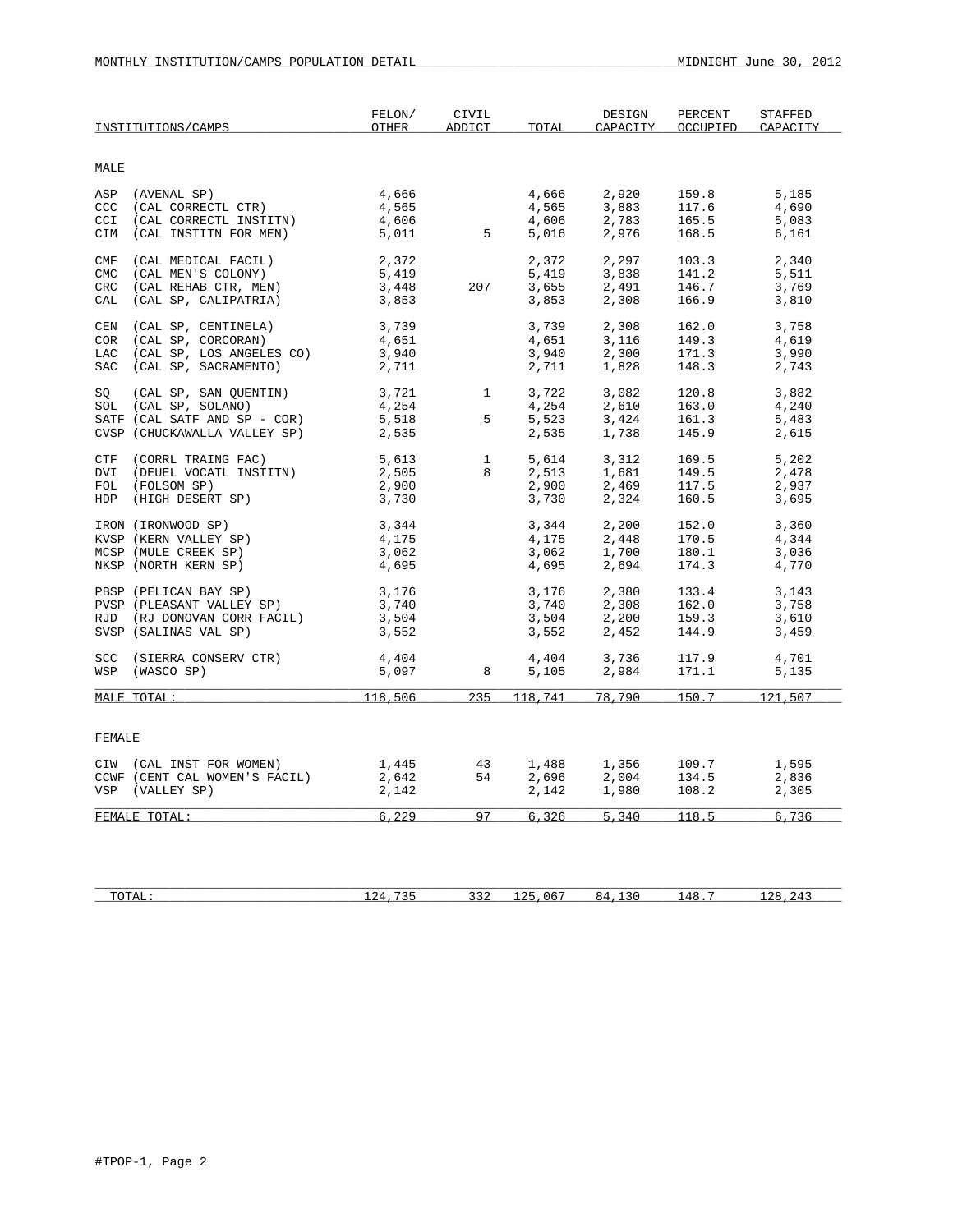|             | INSTITUTIONS/CAMPS                | FELON/<br>OTHER                          | CIVIL<br>ADDICT | TOTAL          | DESIGN<br>CAPACITY      | PERCENT<br>OCCUPIED | STAFFED<br>CAPACITY |
|-------------|-----------------------------------|------------------------------------------|-----------------|----------------|-------------------------|---------------------|---------------------|
| MALE        |                                   |                                          |                 |                |                         |                     |                     |
|             |                                   |                                          |                 |                |                         |                     |                     |
| ASP<br>CCC. | (AVENAL SP)<br>(CAL CORRECTL CTR) | 4,666                                    |                 | 4,666          | 2,920                   | 159.8               | 5,185               |
| CCI         | (CAL CORRECTL INSTITN)            | 4,565<br>4,606                           |                 | 4,565<br>4,606 | 3,883<br>2,783          | 117.6<br>165.5      | 4,690<br>5,083      |
| CIM         | (CAL INSTITN FOR MEN)             | 5,011                                    | $5^{\circ}$     | 5,016          | 2,976                   | 168.5               | 6,161               |
| CMF         | (CAL MEDICAL FACIL)               | 2,372                                    |                 | 2,372          | 2,297                   | 103.3               | 2,340               |
| <b>CMC</b>  | (CAL MEN'S COLONY)                | 5,419                                    |                 | 5,419          | 3,838                   | 141.2               | 5,511               |
| CRC         | (CAL REHAB CTR, MEN)              | 3,448                                    | 207             | 3,655          | 2,491                   | 146.7               | 3,769               |
| CAL         | (CAL SP, CALIPATRIA)              | 3,853                                    |                 | 3,853          | 2,308                   | 166.9               | 3,810               |
| CEN         | (CAL SP, CENTINELA)               | 3,739                                    |                 | 3,739          | 2,308                   | 162.0               | 3,758               |
| <b>COR</b>  | (CAL SP, CORCORAN)                | 4,651                                    |                 | 4,651          | 3,116                   | 149.3               | 4,619               |
| LAC         | (CAL SP, LOS ANGELES CO)          | 3,940                                    |                 | 3,940          | 2,300                   | 171.3               | 3,990               |
| SAC         | (CAL SP, SACRAMENTO)              | 2,711                                    |                 | 2,711          | 1,828                   | 148.3               | 2,743               |
| SO          | (CAL SP, SAN QUENTIN)             | $3,721$<br>$4,254$<br>$5,518$<br>$5,518$ | $\overline{1}$  | 3,722          | 3,082                   | 120.8               | 3,882               |
|             | SOL (CAL SP, SOLANO)              |                                          |                 | 4,254          | 2,610                   | 163.0               | 4,240               |
|             | SATF (CAL SATF AND SP - COR)      |                                          | 5               | 5,523          | 3,424                   | 161.3               | 5,483               |
|             | CVSP (CHUCKAWALLA VALLEY SP)      | 2,535                                    |                 | 2,535          | 1,738                   | 145.9               | 2,615               |
| CTF         | (CORRL TRAING FAC)                | 5,613                                    | $\mathbf{1}$    | 5,614          | 3,312                   | 169.5               | 5,202               |
| DVI         | (DEUEL VOCATL INSTITN)            | 2,505                                    | 8               | 2,513          | 1,681                   | 149.5               | 2,478               |
|             | FOL (FOLSOM SP)                   | 2,900                                    |                 | 2,900          | 2,469                   | 117.5               | 2,937               |
|             | HDP (HIGH DESERT SP)              | 3,730                                    |                 | 3,730          | 2,324                   | 160.5               | 3,695               |
|             | IRON (IRONWOOD SP)                | 3,344                                    |                 | 3,344          | 2,200                   | 152.0               | 3,360               |
|             | KVSP (KERN VALLEY SP)             | 4,175                                    |                 | 4,175          | 2,448                   | 170.5               | 4,344               |
|             | MCSP (MULE CREEK SP)              | 3,062                                    |                 | 3,062          | 1,700                   | 180.1               | 3,036               |
|             | NKSP (NORTH KERN SP)              | 4,695                                    |                 | 4,695          | 2,694                   | 174.3               | 4,770               |
|             | PBSP (PELICAN BAY SP)             | 3,176                                    |                 | 3,176          | 2,380                   | 133.4               | 3,143               |
|             | PVSP (PLEASANT VALLEY SP)         | 3,740                                    |                 | 3,740          | 2,308                   | 162.0               | 3,758               |
|             | RJD (RJ DONOVAN CORR FACIL)       | 3,504                                    |                 | 3,504          | 2,200                   | 159.3               | 3,610               |
|             | SVSP (SALINAS VAL SP)             | 3,552                                    |                 | 3,552          | 2,452                   | 144.9               | 3,459               |
|             | SCC (SIERRA CONSERV CTR)          | 4,404                                    |                 | 4,404          | 3,736                   | 117.9               | 4,701               |
|             | WSP (WASCO SP)                    | 5,097                                    | 8               | 5,105          | 2,984                   | 171.1               | 5,135               |
|             | MALE TOTAL:                       | 118,506                                  | 235             | 118,741        | 78,790                  | 150.7               | 121,507             |
|             |                                   |                                          |                 |                |                         |                     |                     |
| FEMALE      |                                   |                                          |                 |                |                         |                     |                     |
|             | CIW (CAL INST FOR WOMEN)          | 1,445                                    | 43              | 1,488          | 1,356<br>2,004<br>1,980 | 109.7               | 1,595               |
|             | CCWF (CENT CAL WOMEN'S FACIL)     | 2,642                                    | 54              | 2,696          |                         | 134.5               | 2,836               |
|             | VSP (VALLEY SP)                   | 2,142                                    |                 | 2,142          |                         | 108.2               | 2,305               |
|             | FEMALE TOTAL:                     | 6,229                                    | 97              | 6,326          | 5,340                   | 118.5               | 6,736               |
|             |                                   |                                          |                 |                |                         |                     |                     |

| $\sim$<br>10111 | $- - -$<br>. | ے ب | $\overline{ }$ | . .<br>. .<br>$\sim$ | ົາຂ<br>' 4 |
|-----------------|--------------|-----|----------------|----------------------|------------|
|                 |              |     |                |                      |            |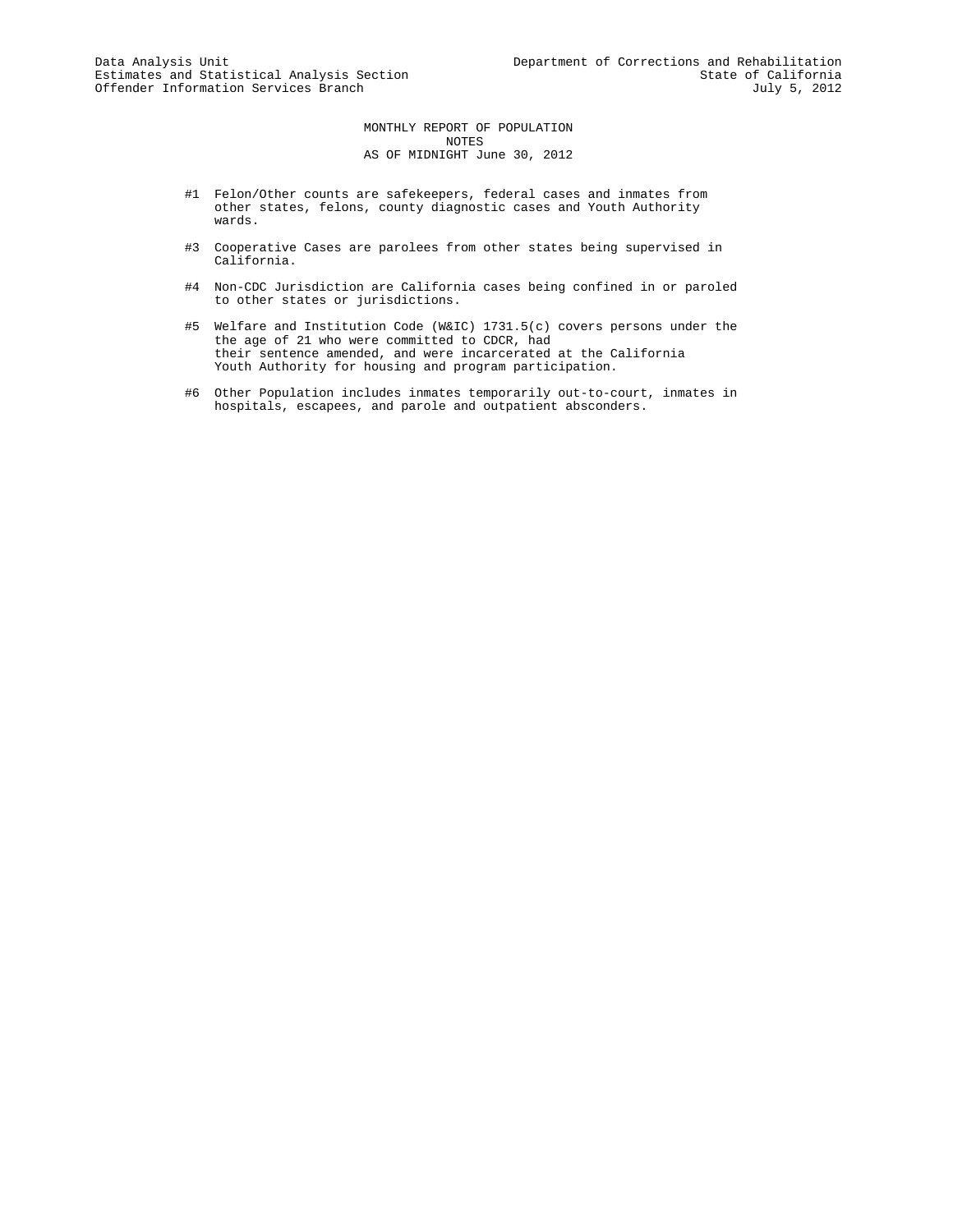MONTHLY REPORT OF POPULATION NOTES AS OF MIDNIGHT June 30, 2012

- #1 Felon/Other counts are safekeepers, federal cases and inmates from other states, felons, county diagnostic cases and Youth Authority wards.
- #3 Cooperative Cases are parolees from other states being supervised in California.
- #4 Non-CDC Jurisdiction are California cases being confined in or paroled to other states or jurisdictions.
- #5 Welfare and Institution Code (W&IC) 1731.5(c) covers persons under the the age of 21 who were committed to CDCR, had their sentence amended, and were incarcerated at the California Youth Authority for housing and program participation.
- #6 Other Population includes inmates temporarily out-to-court, inmates in hospitals, escapees, and parole and outpatient absconders.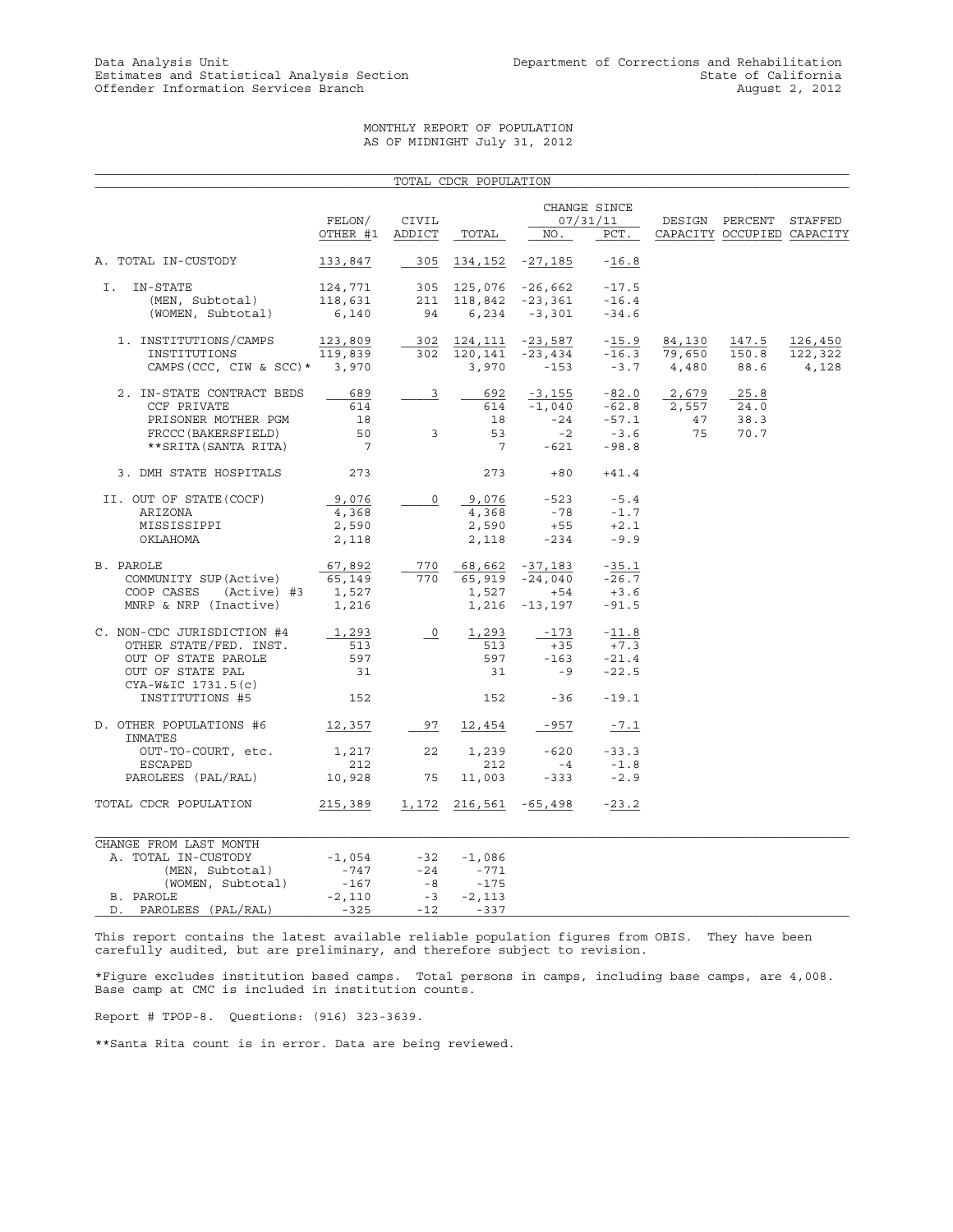# MONTHLY REPORT OF POPULATION AS OF MIDNIGHT July 31, 2012

|                                       |                                                                                                    |                         | TOTAL CDCR POPULATION |                                            |                |        |                            |         |
|---------------------------------------|----------------------------------------------------------------------------------------------------|-------------------------|-----------------------|--------------------------------------------|----------------|--------|----------------------------|---------|
|                                       |                                                                                                    |                         |                       |                                            | CHANGE SINCE   |        |                            |         |
|                                       | FELON/                                                                                             | CIVIL                   |                       |                                            | 07/31/11       |        | DESIGN PERCENT STAFFED     |         |
|                                       | OTHER #1                                                                                           | ADDICT                  | TOTAL                 | NO.                                        | PCT.           |        | CAPACITY OCCUPIED CAPACITY |         |
| A. TOTAL IN-CUSTODY                   | 133,847                                                                                            | 305                     |                       | 134, 152 - 27, 185                         | $-16.8$        |        |                            |         |
| I.<br>IN-STATE                        | 124,771                                                                                            |                         |                       |                                            | $-17.5$        |        |                            |         |
| (MEN, Subtotal)                       |                                                                                                    |                         |                       | 305 125,076 -26,662<br>211 118,842 -23,361 | $-16.4$        |        |                            |         |
| (WOMEN, Subtotal)                     | $\begin{array}{cccc} 118,631 & 211 & 118,842 & -23,361 \\ 6,140 & 94 & 6,234 & -3,301 \end{array}$ |                         |                       |                                            | $-34.6$        |        |                            |         |
| 1. INSTITUTIONS/CAMPS                 | 123,809                                                                                            |                         |                       | 302 <u>124,111</u> - <u>23,587</u>         | $-15.9$        | 84,130 | 147.5                      | 126,450 |
| INSTITUTIONS                          | 119,839                                                                                            |                         | 302 120,141           | $-23,434$                                  | $-16.3$        | 79,650 | 150.8                      | 122,322 |
| CAMPS (CCC, CIW & SCC) * 3,970        |                                                                                                    |                         | 3,970                 | $-153$                                     | $-3.7$         | 4,480  | 88.6                       | 4,128   |
| 2. IN-STATE CONTRACT BEDS             | 689                                                                                                | $\overline{3}$          | 692                   | $-3,155$                                   | $-82.0$        | 2,679  | 25.8                       |         |
| CCF PRIVATE                           | 614                                                                                                |                         | 614                   |                                            | $-1,040 -62.8$ | 2,557  | 24.0                       |         |
| PRISONER MOTHER PGM                   | 18                                                                                                 |                         | 18                    |                                            | $-24 - 57.1$   | 47     | 38.3                       |         |
| FRCCC (BAKERSFIELD)                   | 50                                                                                                 | $\overline{\mathbf{3}}$ | 53                    | $-2$                                       | $-3.6$         | 75     | 70.7                       |         |
| ** SRITA (SANTA RITA)                 | $\overline{7}$                                                                                     |                         | $\overline{7}$        | $-621$                                     | $-98.8$        |        |                            |         |
| 3. DMH STATE HOSPITALS                | 273                                                                                                |                         | 273                   |                                            | $+80 +41.4$    |        |                            |         |
| II. OUT OF STATE (COCF)               | 9,076                                                                                              | 0                       | 9,076                 |                                            | $-523 - 5.4$   |        |                            |         |
| ARIZONA                               | 4,368                                                                                              |                         | 4,368                 | $-78$                                      | $-1.7$         |        |                            |         |
| MISSISSIPPI                           | 2,590                                                                                              |                         | 2,590                 | $+55$                                      | $+2.1$         |        |                            |         |
| OKLAHOMA                              | 2,118                                                                                              |                         | 2,118                 | $-234$                                     | $-9.9$         |        |                            |         |
| B. PAROLE                             | 67,892                                                                                             | 770                     |                       | 68,662 -37,183                             | $-35.1$        |        |                            |         |
| COMMUNITY SUP (Active)                | 65,149                                                                                             | 770                     |                       | 65,919 -24,040                             | $-26.7$        |        |                            |         |
| COOP CASES<br>(Active) #3             | 1,527                                                                                              |                         | 1,527                 | $+54$                                      | $+3.6$         |        |                            |         |
| MNRP & NRP (Inactive)                 | 1,216                                                                                              |                         | 1,216                 | -13,197                                    | $-91.5$        |        |                            |         |
| C. NON-CDC JURISDICTION #4            | 1,293                                                                                              | $\overline{\circ}$      | 1,293                 | -173                                       | $-11.8$        |        |                            |         |
| OTHER STATE/FED. INST.                | 513                                                                                                |                         | 513                   | $+35$                                      | $+7.3$         |        |                            |         |
| OUT OF STATE PAROLE                   | 597                                                                                                |                         | 597                   | $-163$                                     | $-21.4$        |        |                            |         |
| OUT OF STATE PAL                      | 31                                                                                                 |                         | 31                    | $-9$                                       | $-22.5$        |        |                            |         |
| CYA-W&IC 1731.5(c)<br>INSTITUTIONS #5 | 152                                                                                                |                         | 152                   | $-36$                                      | $-19.1$        |        |                            |         |
| D. OTHER POPULATIONS #6               | 12,357                                                                                             | 97                      | 12,454                | $-957$                                     | $-7.1$         |        |                            |         |
| INMATES<br>OUT-TO-COURT, etc.         | 1,217 22                                                                                           |                         | 1,239                 | $-620$                                     | $-33.3$        |        |                            |         |
| ESCAPED                               | 212                                                                                                |                         | 212                   | $-4$                                       | $-1.8$         |        |                            |         |
| PAROLEES (PAL/RAL)                    | 10,928                                                                                             | 75                      | 11,003                | $-333$                                     | $-2.9$         |        |                            |         |
| TOTAL CDCR POPULATION                 | 215,389                                                                                            |                         |                       | 1,172 216,561 -65,498                      | $-23.2$        |        |                            |         |
| CHANGE FROM LAST MONTH                |                                                                                                    |                         |                       |                                            |                |        |                            |         |
| A. TOTAL IN-CUSTODY                   | -1,054                                                                                             |                         | -32 -1,086            |                                            |                |        |                            |         |
| (MEN, Subtotal)                       | $-747$                                                                                             |                         |                       |                                            |                |        |                            |         |
| (WOMEN, Subtotal)                     | -167                                                                                               |                         | -24 -771<br>-8 -175   |                                            |                |        |                            |         |
| B. PAROLE                             | $-2,110$                                                                                           | $-3$                    | $-2,113$              |                                            |                |        |                            |         |
| D. PAROLEES (PAL/RAL)                 | $-325$                                                                                             | $-12$                   | $-337$                |                                            |                |        |                            |         |

This report contains the latest available reliable population figures from OBIS. They have been carefully audited, but are preliminary, and therefore subject to revision.

\*Figure excludes institution based camps. Total persons in camps, including base camps, are 4,008. Base camp at CMC is included in institution counts.

Report # TPOP-8. Questions: (916) 323-3639.

\*\*Santa Rita count is in error. Data are being reviewed.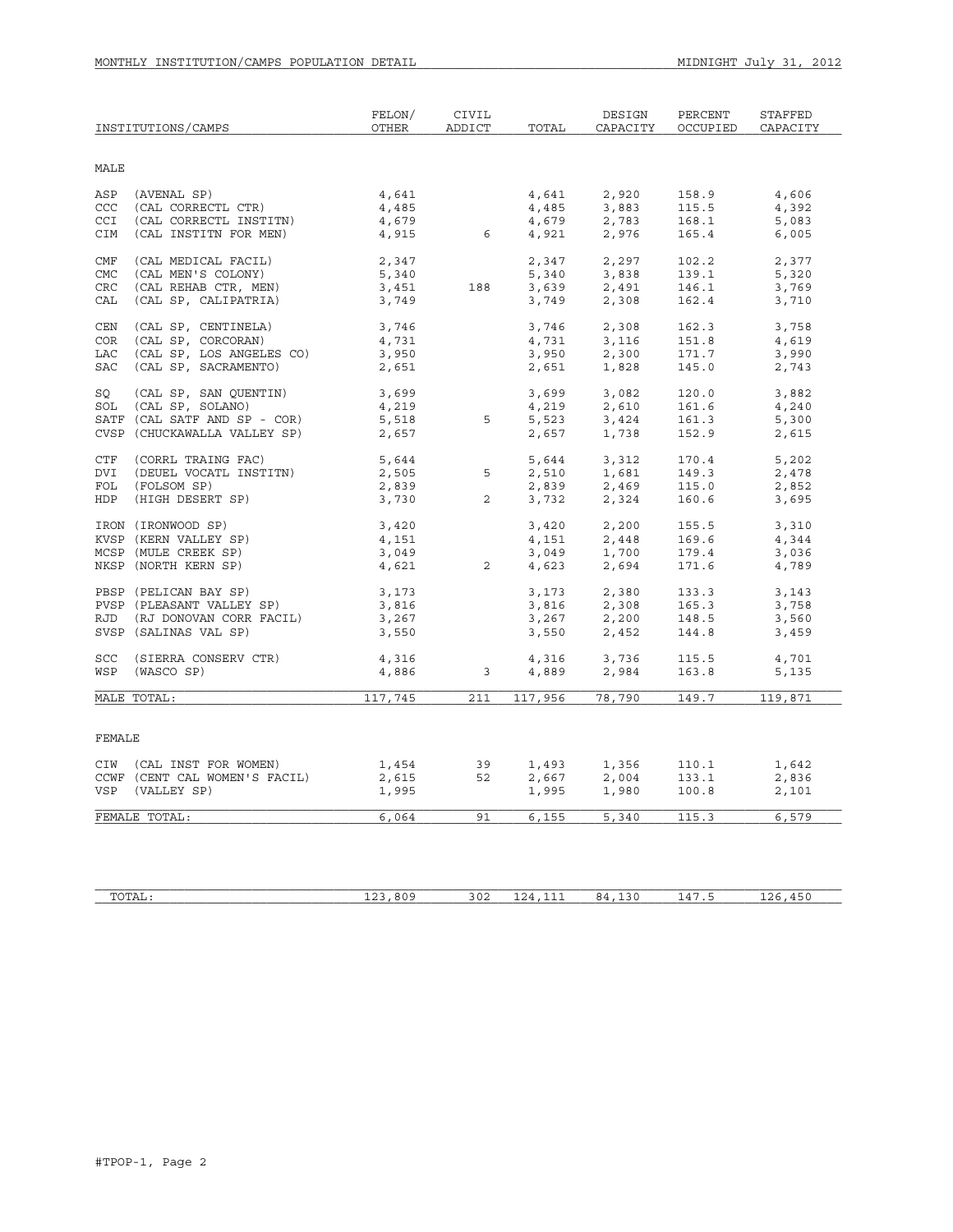|                          | INSTITUTIONS/CAMPS                             | FELON/<br><b>OTHER</b> | CIVIL<br>ADDICT | TOTAL          | DESIGN<br>CAPACITY | PERCENT<br>OCCUPIED | STAFFED<br>CAPACITY |
|--------------------------|------------------------------------------------|------------------------|-----------------|----------------|--------------------|---------------------|---------------------|
| <b>MALE</b>              |                                                |                        |                 |                |                    |                     |                     |
| ASP                      | (AVENAL SP)                                    | 4,641                  |                 | 4,641          | 2,920              | 158.9               | 4,606               |
| CCC                      | (CAL CORRECTL CTR)                             | 4,485                  |                 | 4,485          | 3,883              | 115.5               | 4,392               |
| CCI                      | (CAL CORRECTL INSTITN)                         | 4,679                  |                 | 4,679          | 2,783              | 168.1               | 5,083               |
| CIM                      | (CAL INSTITN FOR MEN)                          | 4,915                  | 6               | 4,921          | 2,976              | 165.4               | 6,005               |
| CMF                      | (CAL MEDICAL FACIL)                            | 2,347                  |                 | 2,347          | 2,297              | 102.2               | 2,377               |
| <b>CMC</b>               | (CAL MEN'S COLONY)                             | 5,340                  |                 | 5,340          | 3,838              | 139.1               | 5,320               |
| <b>CRC</b>               | (CAL REHAB CTR, MEN)                           | 3,451                  | 188             | 3,639          | 2,491              | 146.1               | 3,769               |
| CAL                      | (CAL SP, CALIPATRIA)                           | 3,749                  |                 | 3,749          | 2,308              | 162.4               | 3,710               |
|                          |                                                |                        |                 |                |                    |                     |                     |
| CEN                      | (CAL SP, CENTINELA)                            | 3,746                  |                 | 3,746          | 2,308              | 162.3               | 3,758               |
| <b>COR</b><br><b>LAC</b> | (CAL SP, CORCORAN)<br>(CAL SP, LOS ANGELES CO) | 4,731                  |                 | 4,731          | 3,116              | 151.8<br>171.7      | 4,619               |
| <b>SAC</b>               | (CAL SP, SACRAMENTO)                           | 3,950<br>2,651         |                 | 3,950<br>2,651 | 2,300<br>1,828     | 145.0               | 3,990<br>2,743      |
|                          |                                                |                        |                 |                |                    |                     |                     |
| SO                       | (CAL SP, SAN OUENTIN)                          | 3,699                  |                 | 3,699          | 3,082              | 120.0               | 3,882               |
| SOL                      | (CAL SP, SOLANO)                               | 4,219                  |                 | 4,219          | 2,610              | 161.6               | 4,240               |
|                          | SATF (CAL SATF AND SP - COR)                   | 5,518                  | 5               | 5,523          | 3,424              | 161.3               | 5,300               |
|                          | CVSP (CHUCKAWALLA VALLEY SP)                   | 2,657                  |                 | 2,657          | 1,738              | 152.9               | 2,615               |
| CTF                      | (CORRL TRAING FAC)                             | 5,644                  |                 | 5,644          | 3,312              | 170.4               | 5,202               |
| DVI                      | (DEUEL VOCATL INSTITN)                         | 2,505                  | 5               | 2,510          | 1,681              | 149.3               | 2,478               |
| FOL                      | (FOLSOM SP)                                    | 2,839                  |                 | 2,839          | 2,469              | 115.0               | 2,852               |
| HDP                      | (HIGH DESERT SP)                               | 3,730                  | $\overline{2}$  | 3,732          | 2,324              | 160.6               | 3,695               |
|                          | IRON (IRONWOOD SP)                             | 3,420                  |                 | 3,420          | 2,200              | 155.5               | 3,310               |
|                          | KVSP (KERN VALLEY SP)                          | 4,151                  |                 | 4,151          | 2,448              | 169.6               | 4,344               |
|                          | MCSP (MULE CREEK SP)                           | 3,049                  |                 | 3,049          | 1,700              | 179.4               | 3,036               |
|                          | NKSP (NORTH KERN SP)                           | 4,621                  | $\overline{2}$  | 4,623          | 2,694              | 171.6               | 4,789               |
|                          | PBSP (PELICAN BAY SP)                          | 3,173                  |                 | 3,173          | 2,380              | 133.3               | 3,143               |
|                          | PVSP (PLEASANT VALLEY SP)                      | 3,816                  |                 | 3,816          | 2,308              | 165.3               | 3,758               |
|                          | RJD (RJ DONOVAN CORR FACIL)                    | 3,267                  |                 | 3,267          | 2,200              | 148.5               | 3,560               |
|                          | SVSP (SALINAS VAL SP)                          | 3,550                  |                 | 3,550          | 2,452              | 144.8               | 3,459               |
|                          |                                                |                        |                 |                |                    |                     |                     |
| SCC<br>WSP               | (SIERRA CONSERV CTR)<br>(WASCO SP)             | 4,316<br>4,886         | $\overline{3}$  | 4,316<br>4,889 | 3,736<br>2,984     | 115.5<br>163.8      | 4,701<br>5,135      |
|                          |                                                |                        |                 |                |                    |                     |                     |
|                          | MALE TOTAL:                                    | 117,745                | 211             | 117,956        | 78,790             | 149.7               | 119,871             |
| FEMALE                   |                                                |                        |                 |                |                    |                     |                     |
|                          | CIW (CAL INST FOR WOMEN)                       | 1,454                  | 39              | 1,493          | 1,356              | 110.1               | 1,642               |
|                          | CCWF (CENT CAL WOMEN'S FACIL)                  | 2,615                  | 52              | 2,667          | 2,004              | 133.1               | 2,836               |
|                          | VSP (VALLEY SP)                                | 1,995                  |                 | 1,995          | 1,980              | 100.8               | 2,101               |
|                          | FEMALE TOTAL:                                  | 6,064                  | 91              | 6,155          | 5,340              | 115.3               | 6,579               |
|                          |                                                |                        |                 |                |                    |                     |                     |

| $m \wedge m \wedge r$<br>L'A L | 000c<br>$\sim$<br>. ب<br>.<br>_____ | 302 | --<br>-- -<br>--- | --<br>.<br>__ | $\sim$<br>$\mathbf{\mathcal{L}}$<br>. | --<br>$\overline{\phantom{a}}$<br>--<br>__ |
|--------------------------------|-------------------------------------|-----|-------------------|---------------|---------------------------------------|--------------------------------------------|
|                                |                                     |     |                   |               |                                       |                                            |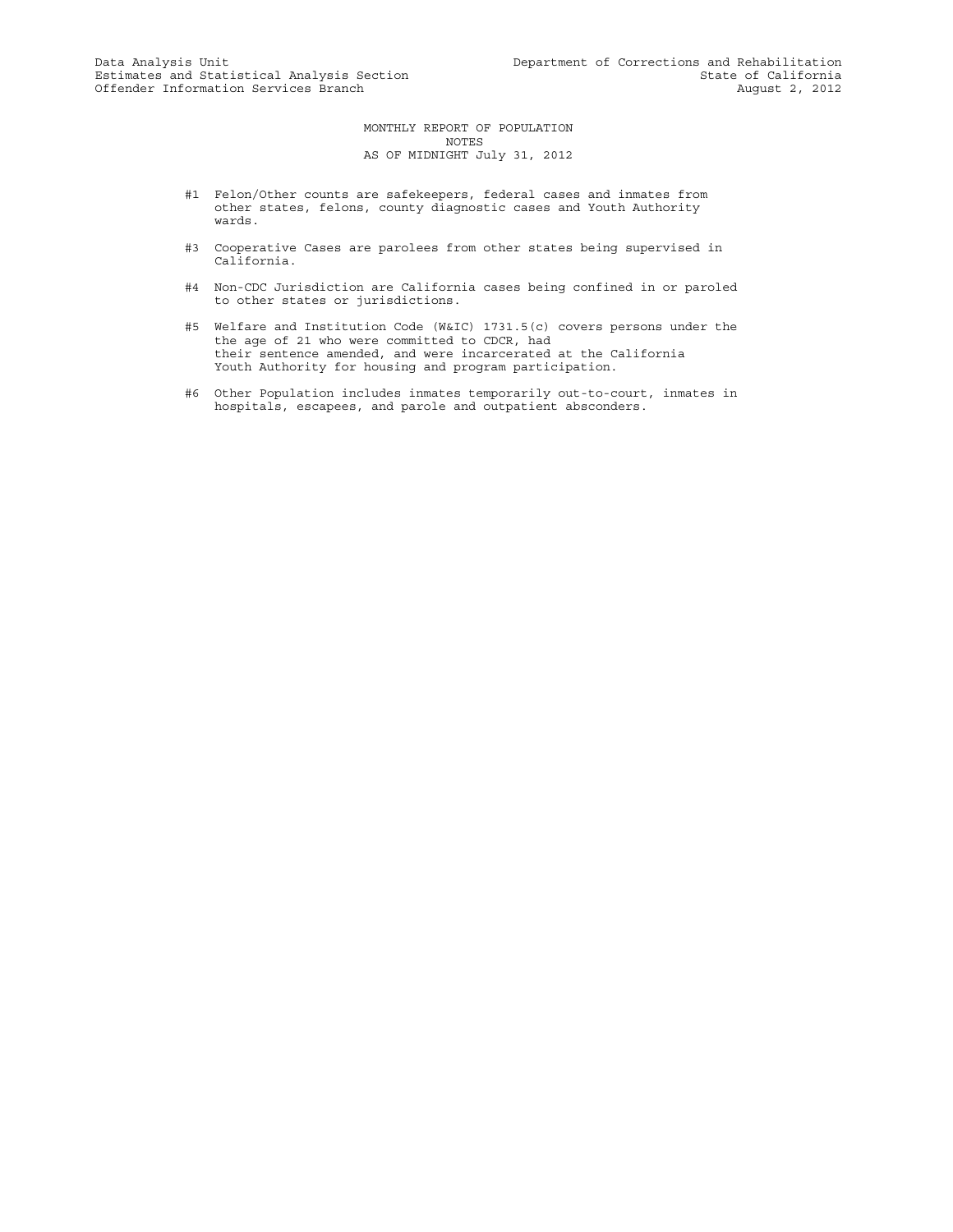MONTHLY REPORT OF POPULATION NOTES AS OF MIDNIGHT July 31, 2012

- #1 Felon/Other counts are safekeepers, federal cases and inmates from other states, felons, county diagnostic cases and Youth Authority wards.
- #3 Cooperative Cases are parolees from other states being supervised in California.
- #4 Non-CDC Jurisdiction are California cases being confined in or paroled to other states or jurisdictions.
- #5 Welfare and Institution Code (W&IC) 1731.5(c) covers persons under the the age of 21 who were committed to CDCR, had their sentence amended, and were incarcerated at the California Youth Authority for housing and program participation.
- #6 Other Population includes inmates temporarily out-to-court, inmates in hospitals, escapees, and parole and outpatient absconders.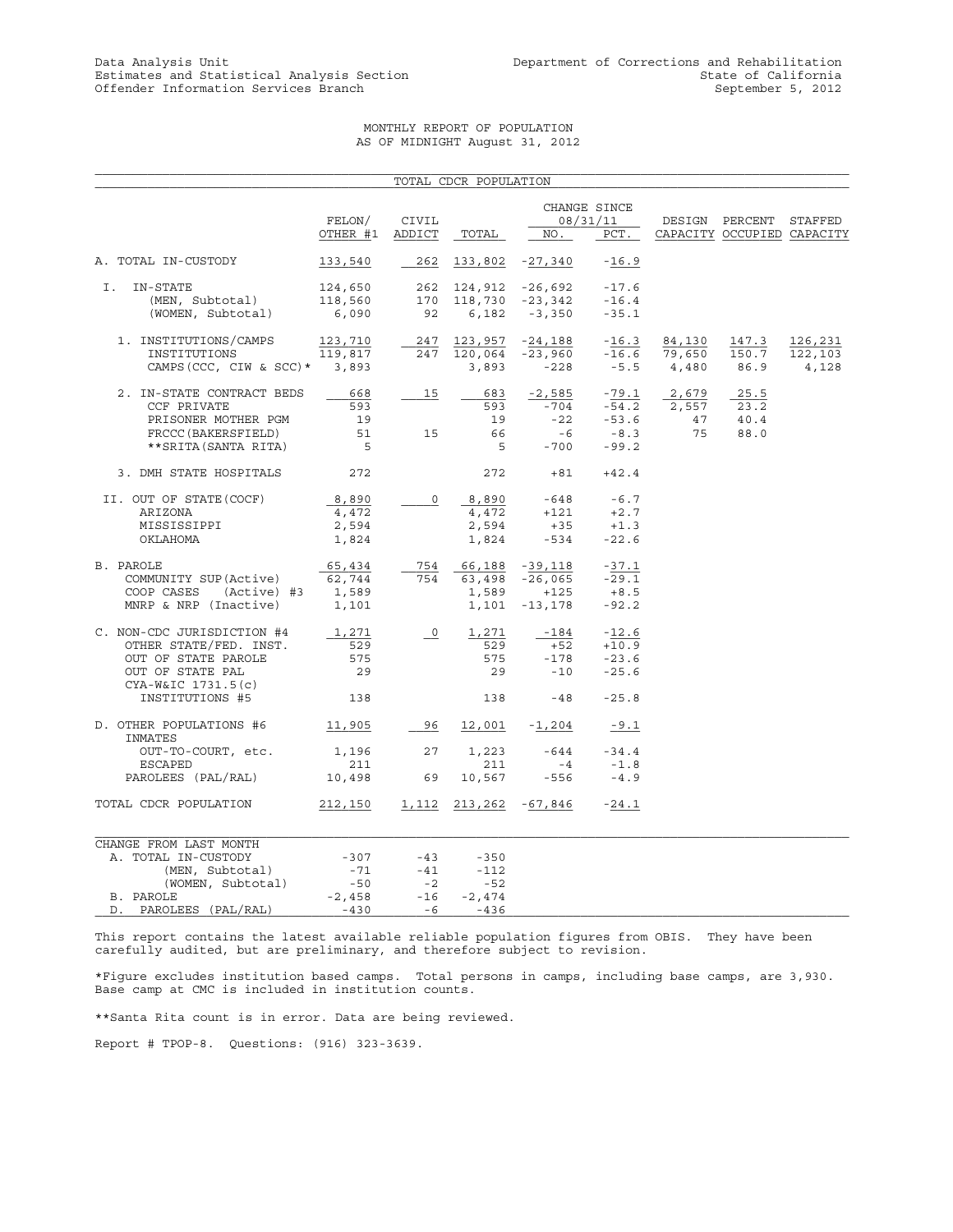## MONTHLY REPORT OF POPULATION AS OF MIDNIGHT August 31, 2012

|                                        |          |                      | TOTAL CDCR POPULATION |                       |              |        |                            |         |
|----------------------------------------|----------|----------------------|-----------------------|-----------------------|--------------|--------|----------------------------|---------|
|                                        |          |                      |                       |                       | CHANGE SINCE |        |                            |         |
|                                        | FELON/   | CIVIL                |                       |                       | 08/31/11     |        | DESIGN PERCENT STAFFED     |         |
|                                        | OTHER #1 | ADDICT               | TOTAL                 | NO.                   | PCT.         |        | CAPACITY OCCUPIED CAPACITY |         |
| A. TOTAL IN-CUSTODY                    | 133,540  | 262                  | 133,802               | $-27,340$             | $-16.9$      |        |                            |         |
| I.<br>IN-STATE                         | 124,650  |                      | 262 124,912 -26,692   |                       | $-17.6$      |        |                            |         |
| (MEN, Subtotal)                        | 118,560  |                      |                       | 170 118,730 -23,342   | $-16.4$      |        |                            |         |
| (WOMEN, Subtotal)                      | 6,090    | 92                   |                       | $6,182 -3,350$        | $-35.1$      |        |                            |         |
| 1. INSTITUTIONS/CAMPS                  | 123,710  | 247                  |                       | 123,957 -24,188       | $-16.3$      | 84,130 | 147.3                      | 126,231 |
| INSTITUTIONS                           | 119,817  |                      | 247 120,064           | -23,960               | $-16.6$      | 79,650 | 150.7                      | 122,103 |
| CAMPS (CCC, CIW & SCC) * 3,893         |          |                      | 3,893                 | $-228$                | $-5.5$       | 4,480  | 86.9                       | 4,128   |
| 2. IN-STATE CONTRACT BEDS              | 668      | 15                   | 683                   | $-2,585$              | $-79.1$      | 2,679  | 25.5                       |         |
| CCF PRIVATE                            | 593      |                      | 593                   | $-704$                | $-54.2$      | 2,557  | 23.2                       |         |
| PRISONER MOTHER PGM                    | 19       |                      | 19                    | $-22$                 | $-53.6$      | 47     | 40.4                       |         |
| FRCCC (BAKERSFIELD)                    | 51       | 15                   | 66                    | $-6$                  | $-8.3$       | 75     | 88.0                       |         |
| ** SRITA (SANTA RITA)                  | $-5$     |                      | - 5                   | $-700$                | $-99.2$      |        |                            |         |
| 3. DMH STATE HOSPITALS                 | 272      |                      | 272                   |                       | $+81 +42.4$  |        |                            |         |
| II. OUT OF STATE (COCF)                | 8,890    | $\circ$              |                       | 8,890 -648 -6.7       |              |        |                            |         |
| ARIZONA                                | 4,472    |                      | 4,472                 | $+121$                | $+2.7$       |        |                            |         |
| MISSISSIPPI                            | 2,594    |                      | 2,594                 | $+35$                 | $+1.3$       |        |                            |         |
| OKLAHOMA                               | 1,824    |                      | 1,824                 | $-534$                | $-22.6$      |        |                            |         |
| B. PAROLE                              | 65,434   | 754                  |                       | 66,188 -39,118        | $-37.1$      |        |                            |         |
| COMMUNITY SUP (Active)                 | 62,744   | 754                  |                       | 63,498 -26,065        | $-29.1$      |        |                            |         |
| COOP CASES<br>(Active) #3              | 1,589    |                      | 1,589                 | $+125$                | $+8.5$       |        |                            |         |
| MNRP & NRP (Inactive)                  | 1,101    |                      |                       | $1,101 - 13,178$      | $-92.2$      |        |                            |         |
| C. NON-CDC JURISDICTION #4             | 1,271    | $\frac{0}{\sqrt{2}}$ | 1,271                 | $-184$                | $-12.6$      |        |                            |         |
| OTHER STATE/FED. INST.                 | 529      |                      | 529                   | $+52$                 | $+10.9$      |        |                            |         |
| OUT OF STATE PAROLE                    | 575      |                      | 575                   | $-178$                | $-23.6$      |        |                            |         |
| OUT OF STATE PAL<br>CYA-W&IC 1731.5(c) | 29       |                      | 29                    | $-10$                 | $-25.6$      |        |                            |         |
| INSTITUTIONS #5                        | 138      |                      | 138                   | $-48 - 25.8$          |              |        |                            |         |
| D. OTHER POPULATIONS #6<br>INMATES     | 11,905   | 96                   | 12,001                | $-1,204$              | $-9.1$       |        |                            |         |
| OUT-TO-COURT, etc.                     | 1,196 27 |                      | 1,223                 | $-644$                | $-34.4$      |        |                            |         |
| ESCAPED                                | 211      |                      | 211                   | $-4$                  | $-1.8$       |        |                            |         |
| PAROLEES (PAL/RAL)                     | 10,498   | 69                   | 10,567                | -556                  | $-4.9$       |        |                            |         |
| TOTAL CDCR POPULATION                  | 212,150  |                      |                       | 1,112 213,262 -67,846 | $-24.1$      |        |                            |         |
| CHANGE FROM LAST MONTH                 |          |                      |                       |                       |              |        |                            |         |
| A. TOTAL IN-CUSTODY                    | $-307$   | $-43$                | $-350$                |                       |              |        |                            |         |
| (MEN, Subtotal)                        | $-71$    | $-41$                | $-112$                |                       |              |        |                            |         |
| (WOMEN, Subtotal)                      | $-50$    | $-2$                 | $-52$                 |                       |              |        |                            |         |
| B. PAROLE                              | $-2,458$ | $-16$                | $-2,474$              |                       |              |        |                            |         |
| D. PAROLEES (PAL/RAL)                  | $-430$   | $-6$                 | $-436$                |                       |              |        |                            |         |

This report contains the latest available reliable population figures from OBIS. They have been carefully audited, but are preliminary, and therefore subject to revision.

\*Figure excludes institution based camps. Total persons in camps, including base camps, are 3,930. Base camp at CMC is included in institution counts.

\*\*Santa Rita count is in error. Data are being reviewed.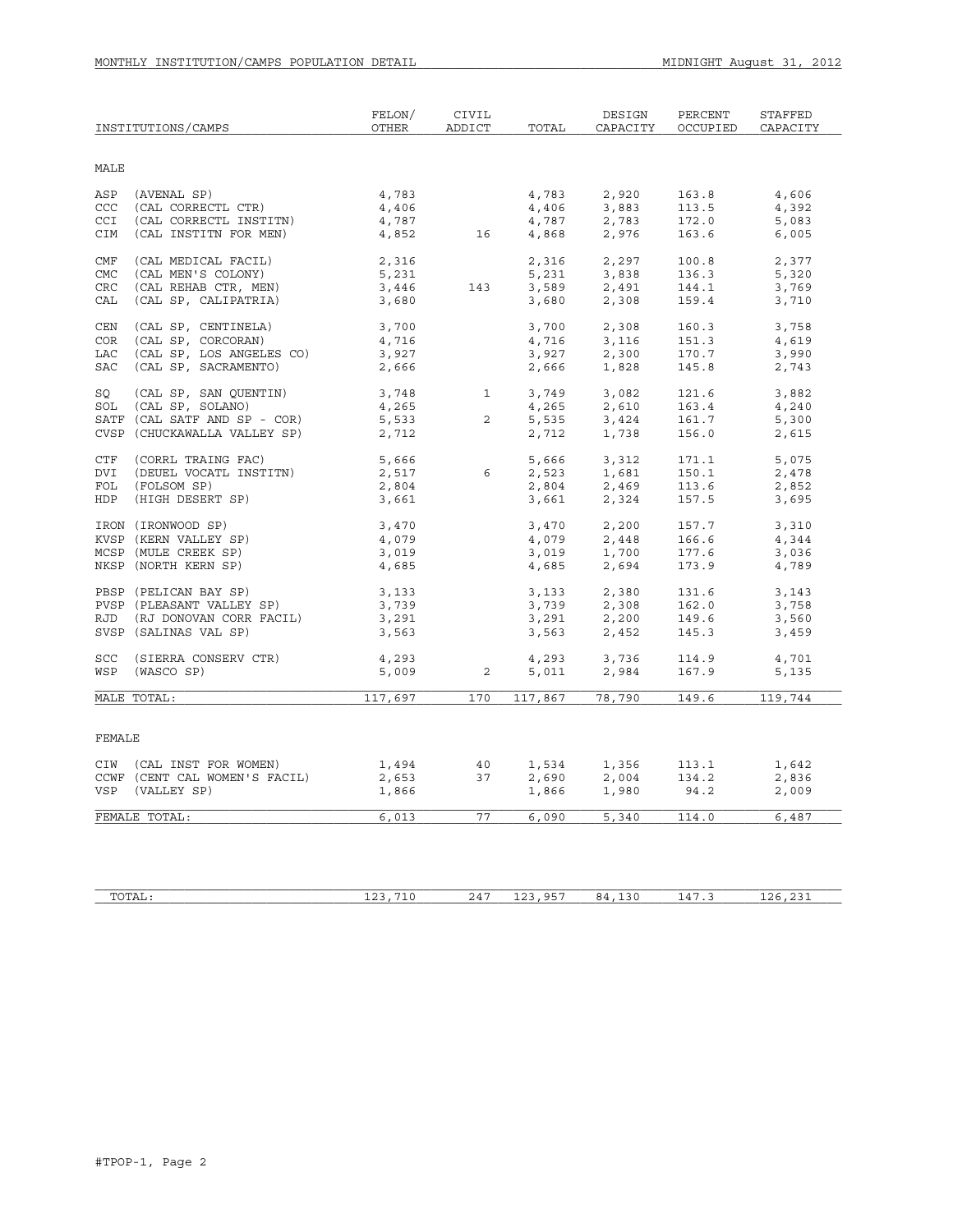|            | INSTITUTIONS/CAMPS            | FELON/<br>OTHER | CIVIL<br>ADDICT | TOTAL   | DESIGN<br>CAPACITY | PERCENT<br>OCCUPIED | STAFFED<br>CAPACITY |
|------------|-------------------------------|-----------------|-----------------|---------|--------------------|---------------------|---------------------|
| MALE       |                               |                 |                 |         |                    |                     |                     |
| ASP        | (AVENAL SP)                   | 4,783           |                 | 4,783   | 2,920              | 163.8               | 4,606               |
| CCC        | (CAL CORRECTL CTR)            | 4,406           |                 | 4,406   | 3,883              | 113.5               | 4,392               |
| <b>CCI</b> | (CAL CORRECTL INSTITN)        | 4,787           |                 | 4,787   | 2,783              | 172.0               | 5,083               |
| CIM        | (CAL INSTITN FOR MEN)         | 4,852           | 16              | 4,868   | 2,976              | 163.6               | 6,005               |
| CMF        | (CAL MEDICAL FACIL)           | 2,316           |                 | 2,316   | 2,297              | 100.8               | 2,377               |
| CMC        | (CAL MEN'S COLONY)            | 5,231           |                 | 5,231   | 3,838              | 136.3               | 5,320               |
| CRC        | (CAL REHAB CTR, MEN)          | 3,446           | 143             | 3,589   | 2,491              | 144.1               | 3,769               |
| CAL        | (CAL SP, CALIPATRIA)          | 3,680           |                 | 3,680   | 2,308              | 159.4               | 3,710               |
| CEN        | (CAL SP, CENTINELA)           | 3,700           |                 | 3,700   | 2,308              | 160.3               | 3,758               |
| <b>COR</b> | (CAL SP, CORCORAN)            | 4,716           |                 | 4,716   | 3,116              | 151.3               | 4,619               |
| <b>LAC</b> | (CAL SP, LOS ANGELES CO)      | 3,927           |                 | 3,927   | 2,300              | 170.7               | 3,990               |
| <b>SAC</b> | (CAL SP, SACRAMENTO)          | 2,666           |                 | 2,666   | 1,828              | 145.8               | 2,743               |
| SO         | (CAL SP, SAN QUENTIN)         | 3,748           | $\mathbf{1}$    | 3,749   | 3,082              | 121.6               | 3,882               |
| SOL        | (CAL SP, SOLANO)              | 4,265           |                 | 4,265   | 2,610              | 163.4               | 4,240               |
|            | SATF (CAL SATF AND SP - COR)  | 5,533           | $\overline{2}$  | 5,535   | 3,424              | 161.7               | 5,300               |
|            | CVSP (CHUCKAWALLA VALLEY SP)  | 2,712           |                 | 2,712   | 1,738              | 156.0               | 2,615               |
| CTF        | (CORRL TRAING FAC)            | 5,666           |                 | 5,666   | 3,312              | 171.1               | 5,075               |
| DVI        | (DEUEL VOCATL INSTITN)        | 2,517           | 6               | 2,523   | 1,681              | 150.1               | 2,478               |
| FOL        | (FOLSOM SP)                   | 2,804           |                 | 2,804   | 2,469              | 113.6               | 2,852               |
| HDP        | (HIGH DESERT SP)              | 3,661           |                 | 3,661   | 2,324              | 157.5               | 3,695               |
|            | IRON (IRONWOOD SP)            | 3,470           |                 | 3,470   | 2,200              | 157.7               | 3,310               |
|            | KVSP (KERN VALLEY SP)         | 4,079           |                 | 4,079   | 2,448              | 166.6               | 4,344               |
|            | MCSP (MULE CREEK SP)          | 3,019           |                 | 3,019   | 1,700              | 177.6               | 3,036               |
|            | NKSP (NORTH KERN SP)          | 4,685           |                 | 4,685   | 2,694              | 173.9               | 4,789               |
|            | PBSP (PELICAN BAY SP)         | 3,133           |                 | 3,133   | 2,380              | 131.6               | 3,143               |
|            | PVSP (PLEASANT VALLEY SP)     | 3,739           |                 | 3,739   | 2,308              | 162.0               | 3,758               |
|            | RJD (RJ DONOVAN CORR FACIL)   | 3,291           |                 | 3,291   | 2,200              | 149.6               | 3,560               |
|            | SVSP (SALINAS VAL SP)         | 3,563           |                 | 3,563   | 2,452              | 145.3               | 3,459               |
| SCC        | (SIERRA CONSERV CTR)          | 4,293           |                 | 4,293   | 3,736              | 114.9               | 4,701               |
| WSP        | (WASCO SP)                    | 5,009           | 2               | 5,011   | 2,984              | 167.9               | 5,135               |
|            | MALE TOTAL:                   | 117,697         | 170             | 117,867 | 78,790             | 149.6               | 119,744             |
|            |                               |                 |                 |         |                    |                     |                     |
| FEMALE     |                               |                 |                 |         |                    |                     |                     |
|            | CIW (CAL INST FOR WOMEN)      | 1,494           | 40              | 1,534   | 1,356              | 113.1               | 1,642               |
|            | CCWF (CENT CAL WOMEN'S FACIL) | 2,653           | 37              | 2,690   | 2,004              | 134.2               | 2,836               |
|            | VSP (VALLEY SP)               | 1,866           |                 | 1,866   | 1,980              | 94.2                | 2,009               |
|            | FEMALE TOTAL:                 | 6,013           | 77              | 6,090   | 5,340              | 114.0               | 6,487               |
|            |                               |                 |                 |         |                    |                     |                     |

| <b>TOTA</b><br>TATI: | $\sim$ $\sim$<br>-- - | $- -$<br>— ∨ | $24^{\circ}$ | $\sim$ $ -$<br>$\sim$ $\sim$<br>بالدا<br>— — — | 130<br>×4<br>__ | $\overline{a}$<br>$\mathbf{\mathcal{L}}$<br>. | --<br>ノレ |
|----------------------|-----------------------|--------------|--------------|------------------------------------------------|-----------------|-----------------------------------------------|----------|
|                      |                       |              |              |                                                |                 |                                               |          |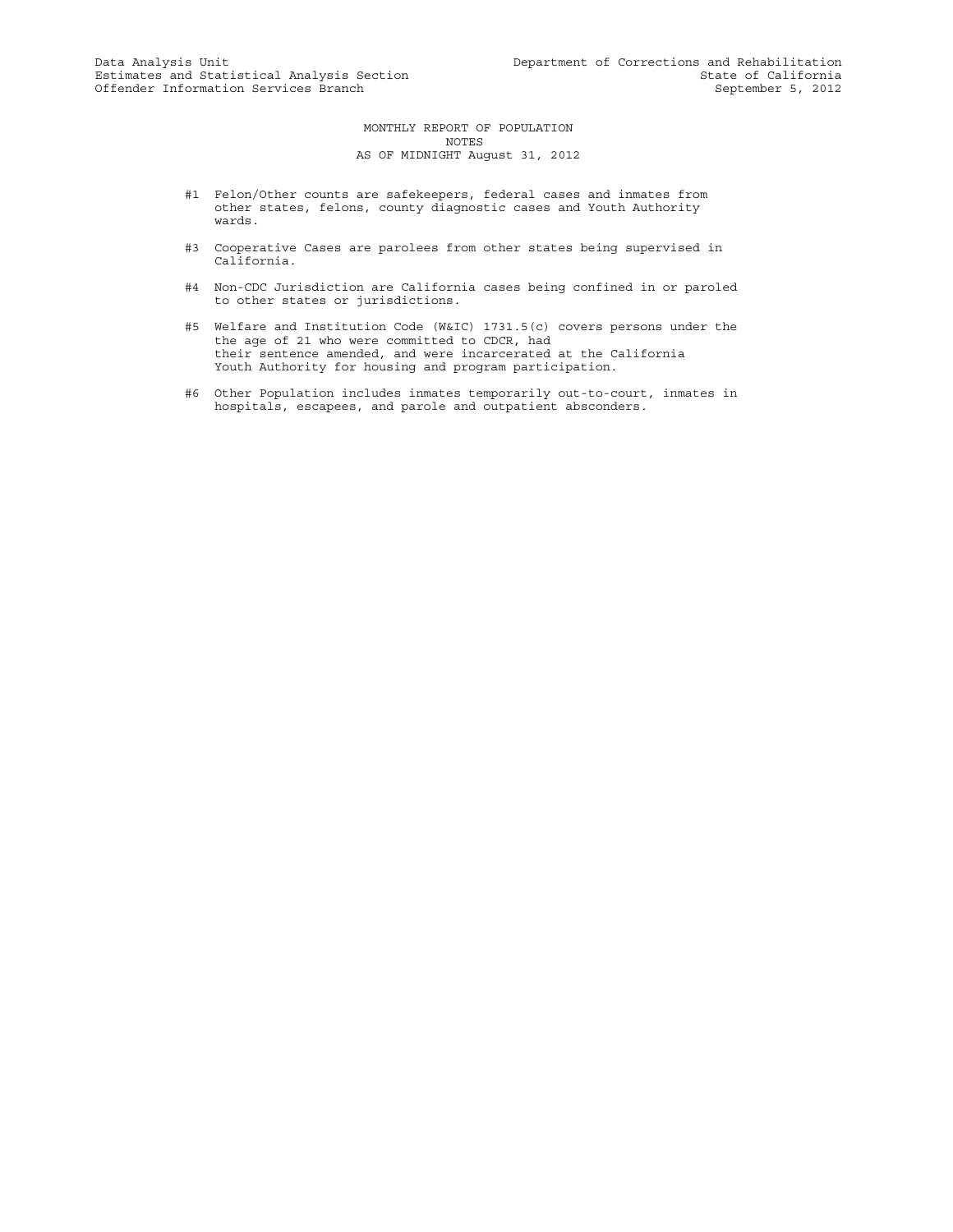MONTHLY REPORT OF POPULATION NOTES AS OF MIDNIGHT August 31, 2012

- #1 Felon/Other counts are safekeepers, federal cases and inmates from other states, felons, county diagnostic cases and Youth Authority wards.
- #3 Cooperative Cases are parolees from other states being supervised in California.
- #4 Non-CDC Jurisdiction are California cases being confined in or paroled to other states or jurisdictions.
- #5 Welfare and Institution Code (W&IC) 1731.5(c) covers persons under the the age of 21 who were committed to CDCR, had their sentence amended, and were incarcerated at the California Youth Authority for housing and program participation.
- #6 Other Population includes inmates temporarily out-to-court, inmates in hospitals, escapees, and parole and outpatient absconders.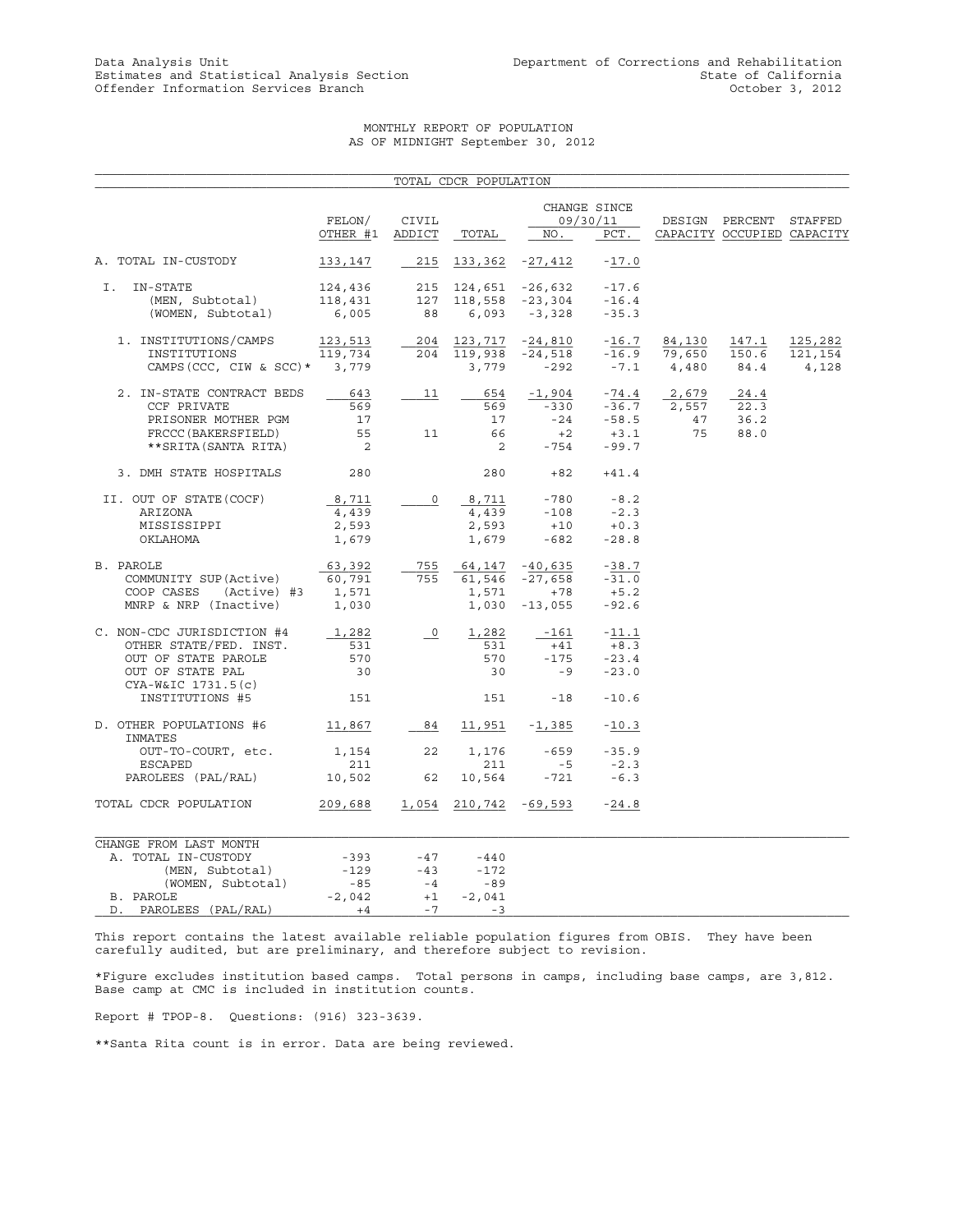# MONTHLY REPORT OF POPULATION AS OF MIDNIGHT September 30, 2012

|                                                                                                                                          |                                                      |                                        | TOTAL CDCR POPULATION                       |                                                              |                                                    |                                   |                                                      |                             |
|------------------------------------------------------------------------------------------------------------------------------------------|------------------------------------------------------|----------------------------------------|---------------------------------------------|--------------------------------------------------------------|----------------------------------------------------|-----------------------------------|------------------------------------------------------|-----------------------------|
|                                                                                                                                          | FELON/<br>OTHER #1                                   | CIVIL<br>ADDICT                        | TOTAL                                       | NO.                                                          | CHANGE SINCE<br>09/30/11<br>PCT.                   |                                   | DESIGN PERCENT STAFFED<br>CAPACITY OCCUPIED CAPACITY |                             |
| A. TOTAL IN-CUSTODY                                                                                                                      | 133,147                                              | 215                                    |                                             | $133,362 -27,412$                                            | $-17.0$                                            |                                   |                                                      |                             |
|                                                                                                                                          |                                                      |                                        |                                             |                                                              |                                                    |                                   |                                                      |                             |
| I.<br>IN-STATE<br>(MEN, Subtotal)<br>(WOMEN, Subtotal)                                                                                   | 124,436<br>118,431<br>6,005                          | 88                                     |                                             | 215 124,651 -26,632<br>127 118,558 -23,304<br>$6,093 -3,328$ | $-17.6$<br>$-16.4$<br>$-35.3$                      |                                   |                                                      |                             |
| 1. INSTITUTIONS/CAMPS<br>INSTITUTIONS<br>CAMPS (CCC, CIW & SCC) * 3,779                                                                  | 123,513<br>119,734                                   |                                        | 204 119,938<br>3,779                        | $204$ $123,717$ $-24,810$ $-16.7$<br>$-24,518$<br>$-292$     | $-7.1$                                             | 84,130<br>$-16.9$ 79,650<br>4,480 | 147.1<br>150.6<br>84.4                               | 125,282<br>121,154<br>4,128 |
| 2. IN-STATE CONTRACT BEDS<br>CCF PRIVATE<br>PRISONER MOTHER PGM<br>FRCCC (BAKERSFIELD)<br>**SRITA (SANTA RITA)                           | 643<br>569<br>17<br>55<br>$\overline{\phantom{0}}^2$ | 11<br>11                               | 654<br>569<br>17<br>66<br>$\overline{2}$    | $-1,904$<br>$-330$<br>$-24$<br>$+2$<br>$-754$                | $-74.4$<br>$-36.7$<br>$-58.5$<br>$+3.1$<br>$-99.7$ | 2,679<br>2,557<br>47<br>75        | 24.4<br>22.3<br>36.2<br>88.0                         |                             |
| 3. DMH STATE HOSPITALS                                                                                                                   | 280                                                  |                                        | 280                                         |                                                              | $+82 +41.4$                                        |                                   |                                                      |                             |
| II. OUT OF STATE (COCF)<br>ARIZONA<br>MISSISSIPPI<br>OKLAHOMA                                                                            | 8,711<br>4,439<br>2,593<br>1,679                     | 0                                      | 2,593                                       | $\frac{8,711}{4,439}$ -780<br>$+10$<br>$1,679 -682$          | $-8.2$<br>$-2.3$<br>$+0.3$<br>$-28.8$              |                                   |                                                      |                             |
| B. PAROLE<br>COMMUNITY SUP(Active)<br>COOP CASES (Active) #3<br>MNRP & NRP (Inactive)                                                    | 63,392<br>60,791<br>1,571<br>1,030                   | 755<br>755                             | 64,147 -40,635<br>1,571<br>1,030            | 61,546 -27,658<br>$+78$<br>$-13,055$                         | $-38.7$<br>$-31.0$<br>$+5.2$<br>$-92.6$            |                                   |                                                      |                             |
| C. NON-CDC JURISDICTION #4<br>OTHER STATE/FED. INST.<br>OUT OF STATE PAROLE<br>OUT OF STATE PAL<br>CYA-W&IC 1731.5(c)<br>INSTITUTIONS #5 | 1,282<br>531<br>570<br>30<br>151                     | $\overline{\phantom{0}}$               | 1,282<br>531<br>570<br>30<br>151            | -161<br>$+41$<br>$-175$<br>$-9$<br>$-18$                     | $-11.1$<br>$+8.3$<br>$-23.4$<br>$-23.0$<br>$-10.6$ |                                   |                                                      |                             |
| D. OTHER POPULATIONS #6 11,867                                                                                                           |                                                      |                                        | 84 11,951 -1,385                            |                                                              | $-10.3$                                            |                                   |                                                      |                             |
| INMATES<br>OUT-TO-COURT, etc.<br>ESCAPED<br>PAROLEES (PAL/RAL)                                                                           | 1,154<br>211<br>10,502 62                            | 22                                     | 1,176<br>211<br>10,564                      | $-659$<br>$-5$<br>$-721$                                     | $-35.9$<br>$-2.3$<br>$-6.3$                        |                                   |                                                      |                             |
| TOTAL CDCR POPULATION                                                                                                                    | 209,688                                              |                                        |                                             | 1,054 210,742 -69,593                                        | $-24.8$                                            |                                   |                                                      |                             |
| CHANGE FROM LAST MONTH<br>A. TOTAL IN-CUSTODY<br>(MEN, Subtotal)<br>(WOMEN, Subtotal)<br>B. PAROLE<br>D. PAROLEES (PAL/RAL)              | $-393$<br>$-129$<br>$-85$<br>$-2,042$<br>$+4$        | $-47$<br>$-43$<br>$-4$<br>$+1$<br>$-7$ | -440<br>$-172$<br>$-89$<br>$-2,041$<br>$-3$ |                                                              |                                                    |                                   |                                                      |                             |

This report contains the latest available reliable population figures from OBIS. They have been carefully audited, but are preliminary, and therefore subject to revision.

\*Figure excludes institution based camps. Total persons in camps, including base camps, are 3,812. Base camp at CMC is included in institution counts.

Report # TPOP-8. Questions: (916) 323-3639.

\*\*Santa Rita count is in error. Data are being reviewed.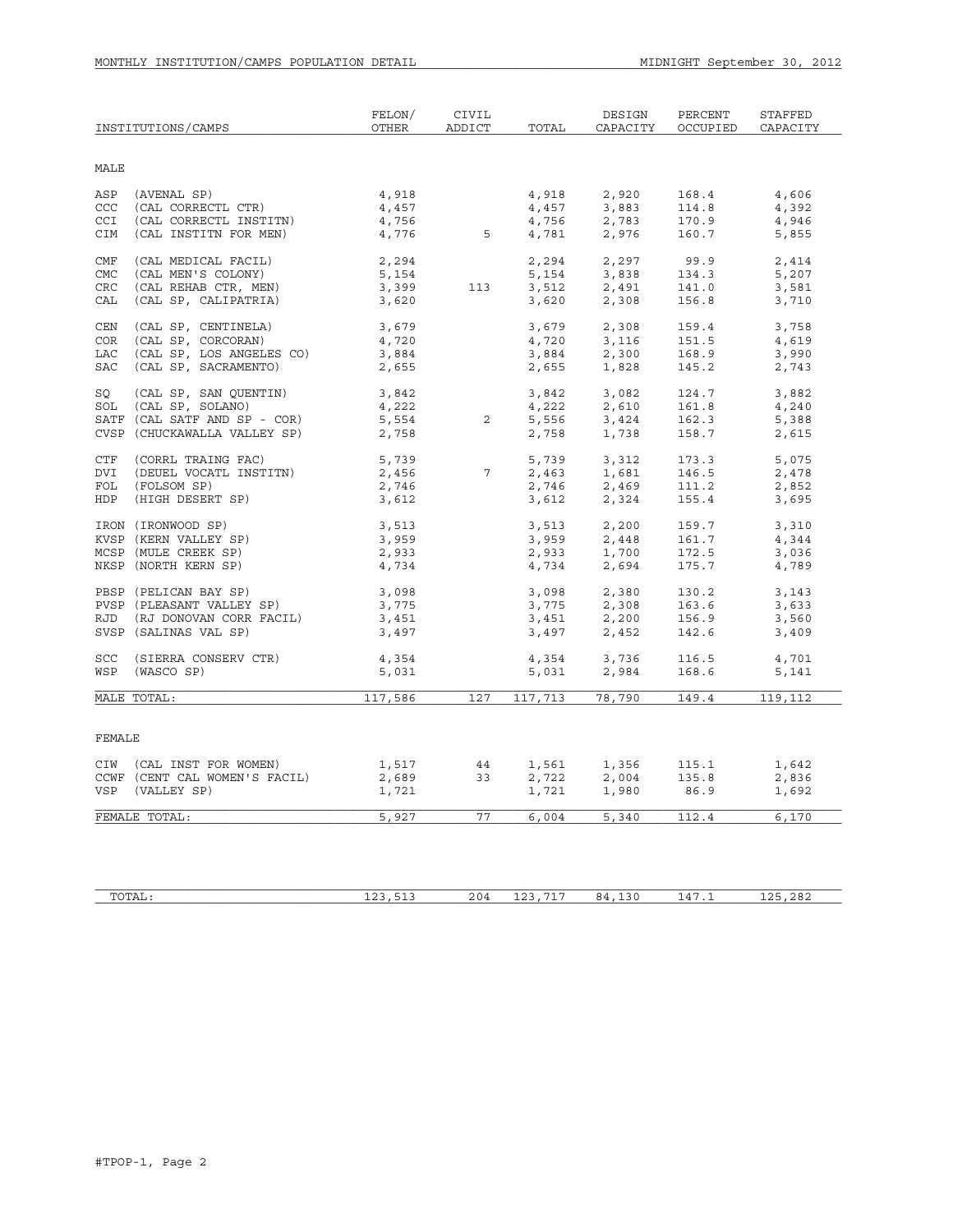|            | INSTITUTIONS/CAMPS            | FELON/<br><b>OTHER</b> | CIVIL<br>ADDICT | TOTAL            | DESIGN<br>CAPACITY                                                                                                    | PERCENT<br>OCCUPIED | STAFFED<br>CAPACITY |
|------------|-------------------------------|------------------------|-----------------|------------------|-----------------------------------------------------------------------------------------------------------------------|---------------------|---------------------|
| MALE       |                               |                        |                 |                  |                                                                                                                       |                     |                     |
| ASP        | (AVENAL SP)                   | 4,918                  |                 | 4,918            | 2,920                                                                                                                 | 168.4               | 4,606               |
| CCC        | (CAL CORRECTL CTR)            | 4,457                  |                 | 4,457            | 3,883                                                                                                                 | 114.8               | 4,392               |
| CCI        | (CAL CORRECTL INSTITN)        | 4,756                  |                 | 4,756            | 2,783                                                                                                                 | 170.9               | 4,946               |
| CIM        | (CAL INSTITN FOR MEN)         | 4,776                  | $5\overline{)}$ | 4,781            | 2,976                                                                                                                 | 160.7               | 5,855               |
| <b>CMF</b> | (CAL MEDICAL FACIL)           | 2,294                  |                 | 2,294            | 2,297                                                                                                                 | 99.9                | 2,414               |
| CMC        | (CAL MEN'S COLONY)            | 5,154                  |                 | 5,154            | 3,838                                                                                                                 | 134.3               | 5,207               |
| CRC        | (CAL REHAB CTR, MEN)          | 3,399                  | 113             | 3,512            | 2,491                                                                                                                 | 141.0               | 3,581               |
| CAL        | (CAL SP, CALIPATRIA)          | 3,620                  |                 | 3,620            | 2,308                                                                                                                 | 156.8               | 3,710               |
| CEN        | (CAL SP, CENTINELA)           | 3,679                  |                 | 3,679            | 2,308                                                                                                                 | 159.4               | 3,758               |
| <b>COR</b> | (CAL SP, CORCORAN)            | 4,720                  |                 | 4,720            | 3,116                                                                                                                 | 151.5               | 4,619               |
| LAC        | (CAL SP, LOS ANGELES CO)      | 3,884                  |                 | 3,884            | 2,300                                                                                                                 | 168.9               | 3,990               |
| <b>SAC</b> | (CAL SP, SACRAMENTO)          | 2,655                  |                 | 2,655            | 1,828                                                                                                                 | 145.2               | 2,743               |
| SO         | (CAL SP, SAN QUENTIN)         | 3,842                  |                 | 3,842            | 3,082                                                                                                                 | 124.7               | 3,882               |
| SOL        | (CAL SP, SOLANO)              | 4,222                  |                 | 4,222            | 2,610                                                                                                                 | 161.8               | 4,240               |
|            | SATF (CAL SATF AND SP - COR)  | 5,554                  | 2               | 5,556<br>2,758   | 3,424                                                                                                                 | 162.3               | 5,388               |
|            | CVSP (CHUCKAWALLA VALLEY SP)  | 2,758                  |                 | 2,758            | 1,738                                                                                                                 | 158.7               | 2,615               |
| CTF        | (CORRL TRAING FAC)            | 5,739<br>2,456         |                 | 5,739            | 3,312                                                                                                                 | 173.3               | 5,075               |
| DVI        | (DEUEL VOCATL INSTITN)        |                        | $\overline{7}$  | 2,463            | 1,681                                                                                                                 | 146.5               | 2,478               |
| FOL        | (FOLSOM SP)                   | 2,746                  |                 | 2,746            | 2,469                                                                                                                 | 111.2               | 2,852               |
| HDP        | (HIGH DESERT SP)              | 3,612                  |                 | 3,612            | 2,324                                                                                                                 | 155.4               | 3,695               |
|            | IRON (IRONWOOD SP)            | 3,513                  |                 | 3,513            | 2,200                                                                                                                 | 159.7               | 3,310               |
|            | KVSP (KERN VALLEY SP)         | 3,959                  |                 | 3,959            | 2,448                                                                                                                 | 161.7               | 4,344               |
|            | MCSP (MULE CREEK SP)          | 2,933                  |                 | 2,933            | 1,700                                                                                                                 | 172.5               | 3,036               |
|            | NKSP (NORTH KERN SP)          | 4,734                  |                 | 4,734            | 2,694                                                                                                                 | 175.7               | 4,789               |
|            | PBSP (PELICAN BAY SP)         | 3,098                  |                 | 3,098            | 2,380                                                                                                                 | 130.2               | 3,143               |
|            | PVSP (PLEASANT VALLEY SP)     | 3,775                  |                 | 3,775            | 2,308                                                                                                                 | 163.6               | 3,633               |
|            | RJD (RJ DONOVAN CORR FACIL)   | 3,451                  |                 |                  | $\begin{array}{llll} 3\,,775 & \quad & 2\,,308 \\ 3\,,451 & \quad & 2\,,200 \\ 3\,,497 & \quad & 2\,,452 \end{array}$ | 156.9               | 3,560               |
|            | SVSP (SALINAS VAL SP)         | 3,497                  |                 |                  |                                                                                                                       | 142.6               | 3,409               |
| <b>SCC</b> | (SIERRA CONSERV CTR)          | 4,354                  |                 | 4,354            | 3,736                                                                                                                 | 116.5               | 4,701               |
| WSP        | (WASCO SP)                    | 5,031                  |                 | $1,304$<br>5,031 | 2,984                                                                                                                 | 168.6               | 5,141               |
|            | MALE TOTAL:                   | 117,586                | 127             | 117,713          | 78,790                                                                                                                | 149.4               | 119,112             |
|            |                               |                        |                 |                  |                                                                                                                       |                     |                     |
| FEMALE     |                               |                        |                 |                  |                                                                                                                       |                     |                     |
|            | CIW (CAL INST FOR WOMEN)      | 1,517                  | 44              | 1,561            | 1,356                                                                                                                 | 115.1               | 1,642               |
|            | CCWF (CENT CAL WOMEN'S FACIL) | 2,689                  | 33              | 2,722            | 2,004                                                                                                                 | 135.8               | 2,836               |
|            | VSP (VALLEY SP)               | 1,721                  |                 | 1,721            | 1,980                                                                                                                 | 86.9                | 1,692               |
|            | FEMALE TOTAL:                 | 5,927                  | 77              | 6,004            | 5,340                                                                                                                 | 112.4               | 6,170               |
|            |                               |                        |                 |                  |                                                                                                                       |                     |                     |

| $m \wedge m \wedge r$<br>L'A Li | ---<br>--<br>--<br>.<br>__ | 204 | $- - -$<br>$\sim$<br><u>+4</u> | .<br>. .<br>.<br>__ | $\overline{\phantom{a}}$<br>$\Delta$<br>. . | $\sim$ $\sim$ $\sim$<br>$\sim$ $\sim$ |
|---------------------------------|----------------------------|-----|--------------------------------|---------------------|---------------------------------------------|---------------------------------------|
|                                 |                            |     |                                |                     |                                             |                                       |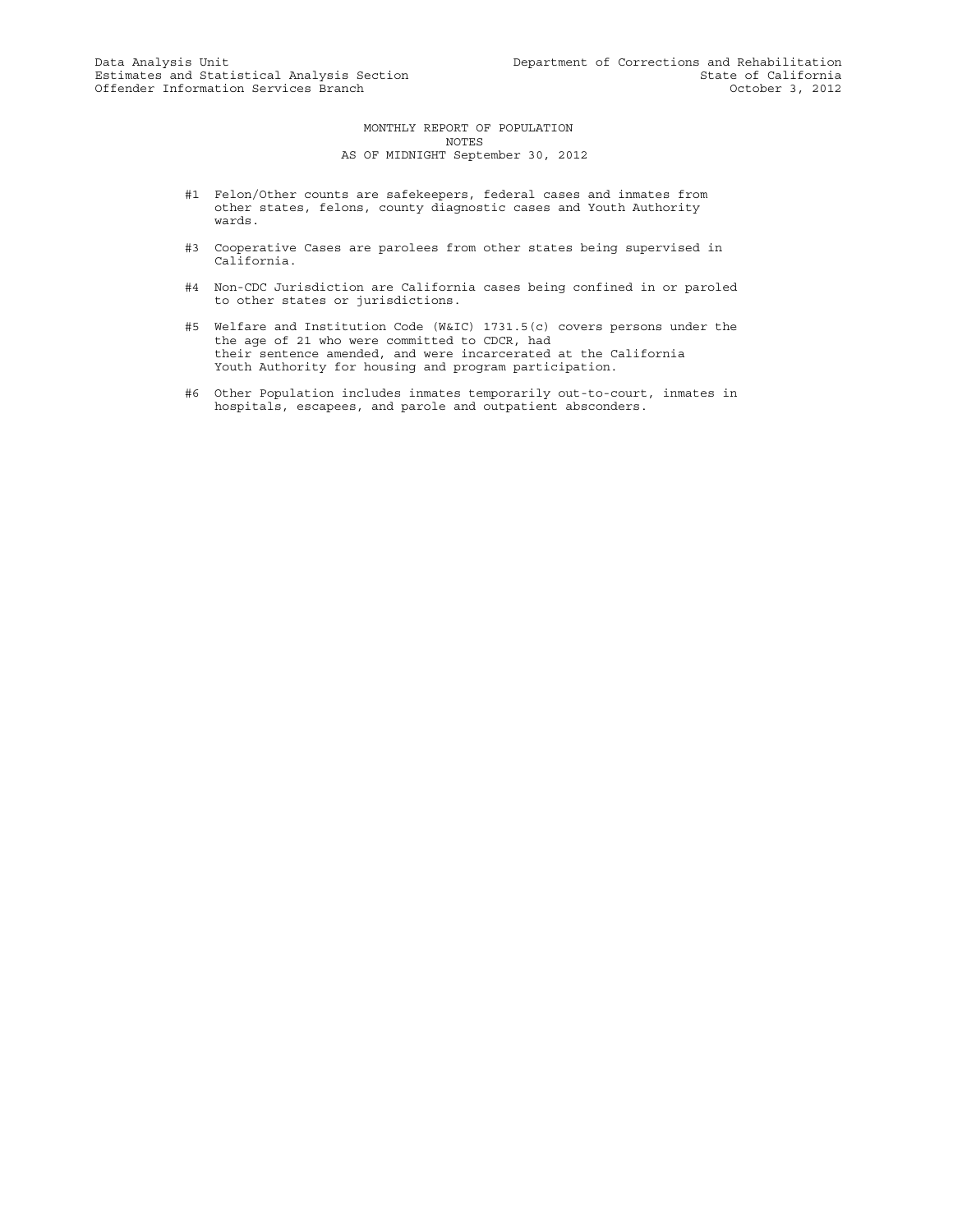#### MONTHLY REPORT OF POPULATION NOTES AS OF MIDNIGHT September 30, 2012

- #1 Felon/Other counts are safekeepers, federal cases and inmates from other states, felons, county diagnostic cases and Youth Authority wards.
- #3 Cooperative Cases are parolees from other states being supervised in California.
- #4 Non-CDC Jurisdiction are California cases being confined in or paroled to other states or jurisdictions.
- #5 Welfare and Institution Code (W&IC) 1731.5(c) covers persons under the the age of 21 who were committed to CDCR, had their sentence amended, and were incarcerated at the California Youth Authority for housing and program participation.
- #6 Other Population includes inmates temporarily out-to-court, inmates in hospitals, escapees, and parole and outpatient absconders.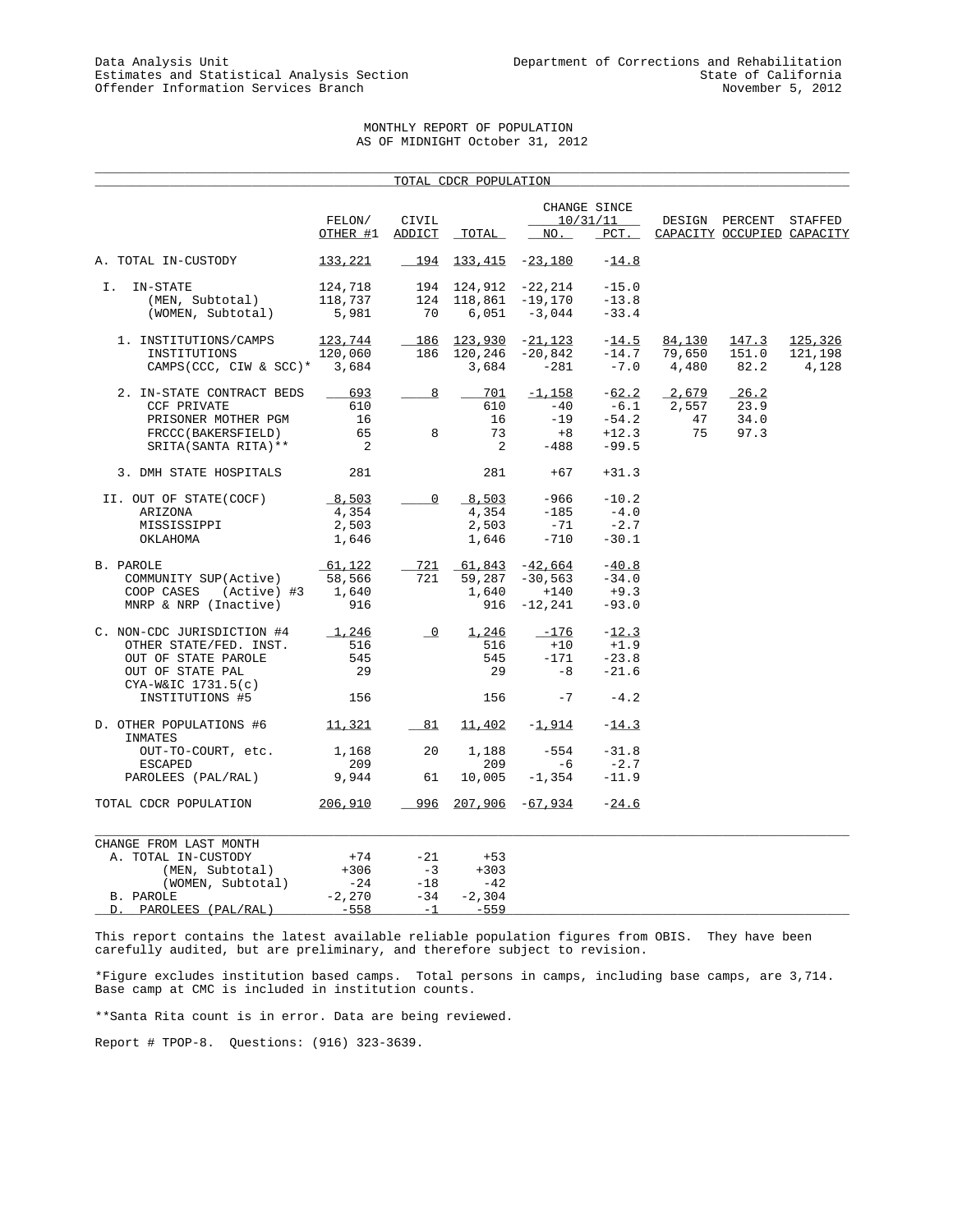# MONTHLY REPORT OF POPULATION AS OF MIDNIGHT October 31, 2012

\_\_\_\_\_\_\_\_\_\_\_\_\_\_\_\_\_\_\_\_\_\_\_\_\_\_\_\_\_\_\_\_\_\_\_\_\_\_\_\_\_\_\_\_\_\_\_\_\_\_\_\_\_\_\_\_\_\_\_\_\_\_\_\_\_\_\_\_\_\_\_\_\_\_\_\_\_\_\_\_\_\_\_\_\_\_\_\_\_\_\_\_\_\_\_\_\_\_\_\_\_

|                                           |                            |                          | TOTAL CDCR POPULATION |                           |                          |        |                            |         |
|-------------------------------------------|----------------------------|--------------------------|-----------------------|---------------------------|--------------------------|--------|----------------------------|---------|
|                                           | FELON/                     | CIVIL                    |                       |                           | CHANGE SINCE<br>10/31/11 |        | DESIGN PERCENT             | STAFFED |
|                                           | OTHER #1 ADDICT            |                          | TOTAL                 | NO.                       | $PCT$ .                  |        | CAPACITY OCCUPIED CAPACITY |         |
| A. TOTAL IN-CUSTODY                       | 133,221                    | 194                      |                       | $133,415 -23,180$         | $-14.8$                  |        |                            |         |
| IN-STATE<br>I.                            | 124,718                    |                          | 194 124,912           | -22,214                   | $-15.0$                  |        |                            |         |
| (MEN, Subtotal)                           | 118,737                    | 124                      | 118,861               | $-19,170$                 | $-13.8$                  |        |                            |         |
| (WOMEN, Subtotal)                         | 5,981                      | 70                       | 6,051                 | $-3,044$                  | $-33.4$                  |        |                            |         |
| 1. INSTITUTIONS/CAMPS                     | 123,744                    | 186                      | 123,930               | $-21,123$                 | $-14.5$                  | 84,130 | 147.3                      | 125,326 |
| INSTITUTIONS                              | 120,060                    | 186                      | 120,246               | $-20,842$                 | $-14.7$                  | 79,650 | 151.0                      | 121,198 |
| CAMPS (CCC, CIW & SCC) *                  | 3,684                      |                          | 3,684                 | $-281$                    | $-7.0$                   | 4,480  | 82.2                       | 4,128   |
| 2. IN-STATE CONTRACT BEDS                 | 693                        | 8                        | 701                   | $-1,158$                  | $-62.2$                  | 2,679  | 26.2                       |         |
| <b>CCF PRIVATE</b>                        | 610                        |                          | 610                   | $-40$                     | $-6.1$                   | 2,557  | 23.9                       |         |
| PRISONER MOTHER PGM                       | 16                         |                          | 16                    | $-19$                     | $-54.2$                  | 47     | 34.0                       |         |
| FRCCC(BAKERSFIELD)                        | 65                         | 8                        | 73                    | $+8$                      | $+12.3$                  | 75     | 97.3                       |         |
| SRITA (SANTA RITA) **                     | $\overline{\phantom{a}}^2$ |                          | 2                     | $-488$                    | $-99.5$                  |        |                            |         |
| 3. DMH STATE HOSPITALS                    | 281                        |                          | 281                   | $+67$                     | $+31.3$                  |        |                            |         |
| II. OUT OF STATE(COCF)                    | 8,503                      | $\mathbf 0$              | 8,503                 | -966                      | $-10.2$                  |        |                            |         |
| ARIZONA                                   | 4,354                      |                          | 4,354                 | $-185$                    | $-4.0$                   |        |                            |         |
| MISSISSIPPI                               | 2,503                      |                          | 2,503                 | -71                       | $-2.7$                   |        |                            |         |
| OKLAHOMA                                  | 1,646                      |                          | 1,646                 | $-710$                    | $-30.1$                  |        |                            |         |
| B. PAROLE                                 | 61,122                     | 721                      | 61,843                | $-42,664$                 | $-40.8$                  |        |                            |         |
| COMMUNITY SUP(Active)                     | 58,566                     | 721                      | 59,287                | $-30,563$                 | $-34.0$                  |        |                            |         |
| (Active) #3<br>COOP CASES                 | 1,640                      |                          | 1,640                 | $+140$                    | $+9.3$                   |        |                            |         |
| MNRP & NRP (Inactive)                     | 916                        |                          | 916                   | $-12,241$                 | $-93.0$                  |        |                            |         |
| C. NON-CDC JURISDICTION #4                | 1,246                      | $\overline{\phantom{0}}$ | 1,246                 | -176                      | $-12.3$                  |        |                            |         |
| OTHER STATE/FED. INST.                    | 516                        |                          | 516                   | $+10$                     | $+1.9$                   |        |                            |         |
| OUT OF STATE PAROLE                       | 545                        |                          | 545                   | $-171$                    | $-23.8$                  |        |                            |         |
| OUT OF STATE PAL                          | 29                         |                          | 29                    | $-8$                      | $-21.6$                  |        |                            |         |
| $CYA-W&IC$ 1731.5(c)                      |                            |                          |                       |                           |                          |        |                            |         |
| INSTITUTIONS #5                           | 156                        |                          | 156                   | $-7$                      | $-4.2$                   |        |                            |         |
| D. OTHER POPULATIONS #6 11,321<br>INMATES |                            | $-81$                    | 11,402                | -1,914                    | $-14.3$                  |        |                            |         |
| OUT-TO-COURT, etc.                        | 1,168                      | 20                       | 1,188                 | -554                      | $-31.8$                  |        |                            |         |
| <b>ESCAPED</b>                            | 209                        |                          | 209                   | -6                        | $-2.7$                   |        |                            |         |
| PAROLEES (PAL/RAL)                        | 9,944                      | 61                       | 10,005                | $-1,354$                  | $-11.9$                  |        |                            |         |
| TOTAL CDCR POPULATION                     | 206,910                    |                          |                       | $996$ $207,906$ $-67,934$ | $-24.6$                  |        |                            |         |
| CHANGE FROM LAST MONTH                    |                            |                          |                       |                           |                          |        |                            |         |
| A. TOTAL IN-CUSTODY                       | +74                        | $-21$                    | $+53$                 |                           |                          |        |                            |         |
| (MEN, Subtotal)                           | $+306$                     | $-3$                     | $+303$                |                           |                          |        |                            |         |
| (WOMEN, Subtotal)                         | $-24$                      | $-18$                    | $-42$                 |                           |                          |        |                            |         |
| B. PAROLE                                 | $-2,270$                   | $-34$                    | $-2,304$              |                           |                          |        |                            |         |
| PAROLEES (PAL/RAL)<br>D.                  | $-558$                     | $-1$                     | $-559$                |                           |                          |        |                            |         |

This report contains the latest available reliable population figures from OBIS. They have been carefully audited, but are preliminary, and therefore subject to revision.

\*Figure excludes institution based camps. Total persons in camps, including base camps, are 3,714. Base camp at CMC is included in institution counts.

\*\*Santa Rita count is in error. Data are being reviewed.

Report # TPOP-8. Questions: (916) 323-3639.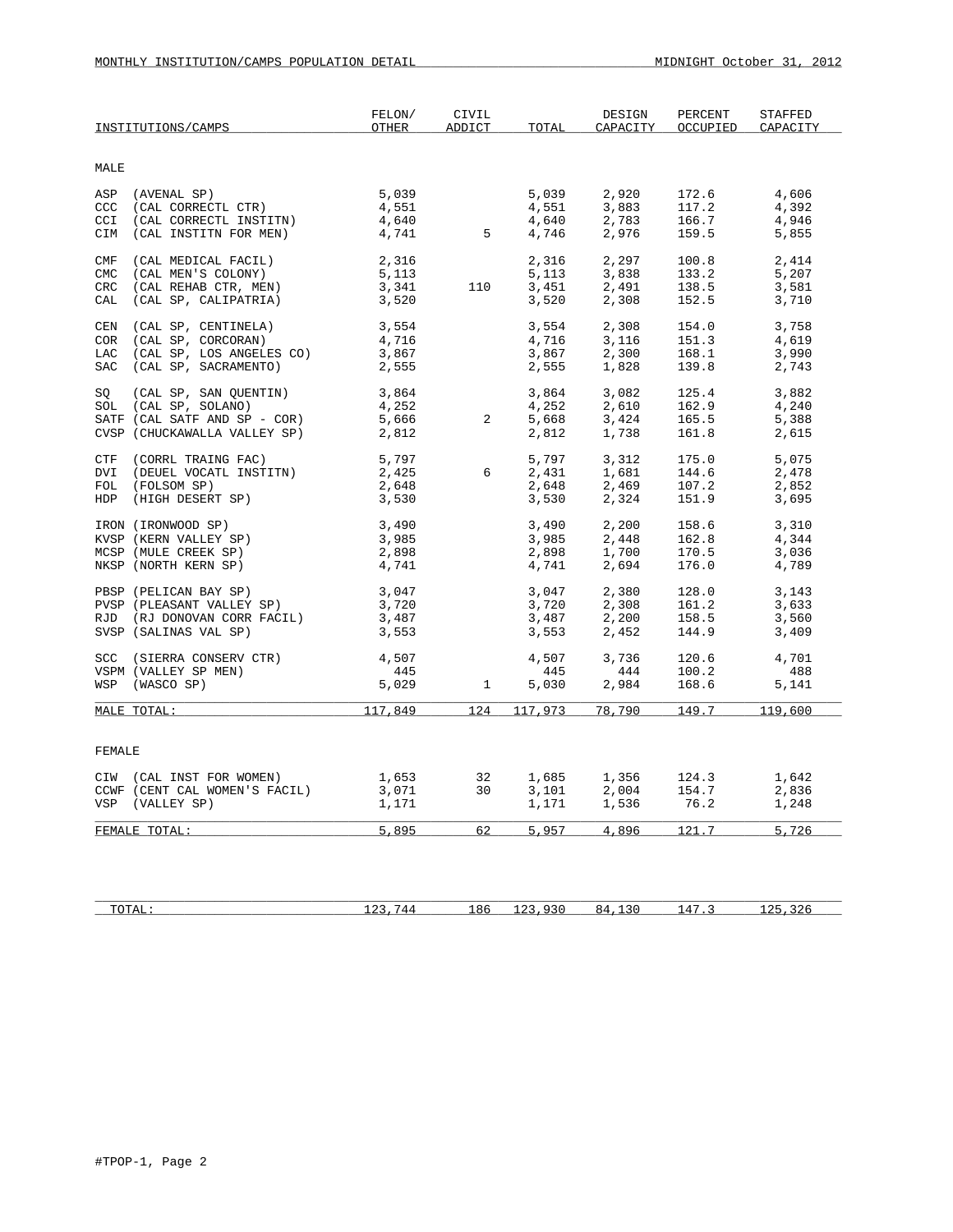|                   | INSTITUTIONS/CAMPS                                                                                                                     | FELON/<br>OTHER                           | CIVIL<br><b>ADDICT</b> | TOTAL                            | DESIGN<br>CAPACITY                                   | PERCENT<br>OCCUPIED              | <b>STAFFED</b><br>CAPACITY       |
|-------------------|----------------------------------------------------------------------------------------------------------------------------------------|-------------------------------------------|------------------------|----------------------------------|------------------------------------------------------|----------------------------------|----------------------------------|
| MALE              |                                                                                                                                        |                                           |                        |                                  |                                                      |                                  |                                  |
| CCI               | ASP (AVENAL SP)<br>CCC (CAL CORRECTL CTR)<br>(CAL CORRECTL INSTITN)<br>CIM (CAL INSTITN FOR MEN)                                       | 5,039<br>4,551<br>4,640<br>4,741          | $5\overline{)}$        | 5,039<br>4,551<br>4,640<br>4,746 | 2,920<br>3,883<br>2,783<br>2,976                     | 172.6<br>117.2<br>166.7<br>159.5 | 4,606<br>4,392<br>4,946<br>5,855 |
| CMF<br>CMC<br>CRC | (CAL MEDICAL FACIL)<br>(CAL MEN'S COLONY)<br>(CAL REHAB CTR, MEN)<br>CAL (CAL SP, CALIPATRIA)                                          | 2,316<br>5,113<br>3,341<br>3,520          | 110                    | 2,316<br>5,113<br>3,451<br>3,520 | 2,297<br>3,838<br>2,491<br>2,308                     | 100.8<br>133.2<br>138.5<br>152.5 | 2,414<br>5,207<br>3,581<br>3,710 |
| CEN               | (CAL SP, CENTINELA)<br>COR (CAL SP, CORCORAN)<br>LAC (CAL SP, LOS ANGELES CO)<br>SAC (CAL SP, SACRAMENTO)                              | 3,554<br>4,716<br>3,867<br>2,555          |                        | 3,554<br>4,716<br>3,867<br>2,555 | 2,308<br>3,116<br>2,300<br>1,828                     | 154.0<br>151.3<br>168.1<br>139.8 | 3,758<br>4,619<br>3,990<br>2,743 |
|                   | SQ (CAL SP, SAN QUENTIN)<br>SOL (CAL SP, SOLANO)<br>SATF (CAL SATF AND SP - COR)<br>CVSP (CHUCKAWALLA VALLEY SP)                       | 3,864<br>4,252<br>5,666<br>5,666<br>2,812 | $2^{\circ}$            | 3,864<br>4,252<br>5,668<br>2,812 | 3,082<br>2,610<br>3,424<br>1,738                     | 125.4<br>162.9<br>165.5<br>161.8 | 3,882<br>4,240<br>5,388<br>2,615 |
|                   | CTF (CORRL TRAING FAC)<br>DVI (DEUEL VOCATL INSTITN)<br>FOL (FOLSOM SP)<br>HDP (HIGH DESERT SP)                                        | 5,797<br>2,425<br>2,648<br>3,530          | 6                      | 5,797<br>2,431<br>2,648<br>3,530 | 3,312<br>1,681<br>$2,469$<br>$2,324$                 | 175.0<br>144.6<br>107.2<br>151.9 | 5,075<br>2,478<br>2,852<br>3,695 |
|                   | IRON (IRONWOOD SP)<br>KVSP (KERN VALLEY SP)<br>MCSP (MULE CREEK SP)<br>NKSP (NORTH KERN SP)                                            | 3,490<br>3,985<br>2,898<br>4,741          |                        | 3,490<br>3,985<br>2,898<br>4,741 | 2,200<br>2,448<br>1,700<br>2,694                     | 158.6<br>162.8<br>170.5<br>176.0 | 3,310<br>4,344<br>3,036<br>4,789 |
|                   | PBSP (PELICAN BAY SP)<br>PVSP (PLEASANT VALLEY SP)<br>PID (PLEASANT VALLEY SP)<br>RJD (RJ DONOVAN CORR FACIL)<br>SVSP (SALINAS VAL SP) | 3,047<br>3,720<br>3,720<br>3,487<br>3,553 |                        | 3,047<br>3,720<br>3,487<br>3,553 | 2,380<br>2,308<br>2,200<br>2,452                     | 128.0<br>161.2<br>158.5<br>144.9 | 3,143<br>3,633<br>3,560<br>3,409 |
|                   | SCC (SIERRA CONSERV CTR)<br>VSPM (VALLEY SP MEN)<br>WSP (WASCO SP)                                                                     | 4,507<br>445<br>445<br>5,029              | $\mathbf{1}$           | 4,507<br>445<br>5,030            | 3,736<br>$\begin{array}{c} 444 \\ 2,984 \end{array}$ | 120.6<br>100.2<br>168.6          | 4,701<br>488<br>5,141            |
|                   | MALE TOTAL:                                                                                                                            | 117,849                                   | 124                    | 117,973                          | 78,790                                               | 149.7                            | 119,600                          |
| FEMALE            |                                                                                                                                        |                                           |                        |                                  |                                                      |                                  |                                  |
|                   | CIW (CAL INST FOR WOMEN)<br>CCWF (CENT CAL WOMEN'S FACIL)<br>VSP (VALLEY SP)                                                           | 1,653<br>3,071<br>3,071<br>1,171          | 32<br>30               | 1,685<br>$3,101$<br>$1,171$      | 1,356<br>2,004                                       | 124.3<br>154.7<br>1,536 76.2     | 1,642<br>2,836<br>1,248          |
|                   | FEMALE TOTAL:                                                                                                                          | 5,895                                     | 62                     | 5,957                            |                                                      | 4,896 121.7                      | 5,726                            |
|                   |                                                                                                                                        |                                           |                        |                                  |                                                      |                                  |                                  |

| ጥሰጥአፓ<br>TOTHT | ' 4 4<br>- - | 186 | $\sim$ $\sim$ $\sim$<br>-- | $\cdot$ $\sim$ $\sim$<br>× 4 | $\mu$<br>. | $\sim$ |
|----------------|--------------|-----|----------------------------|------------------------------|------------|--------|
|                |              |     |                            |                              |            |        |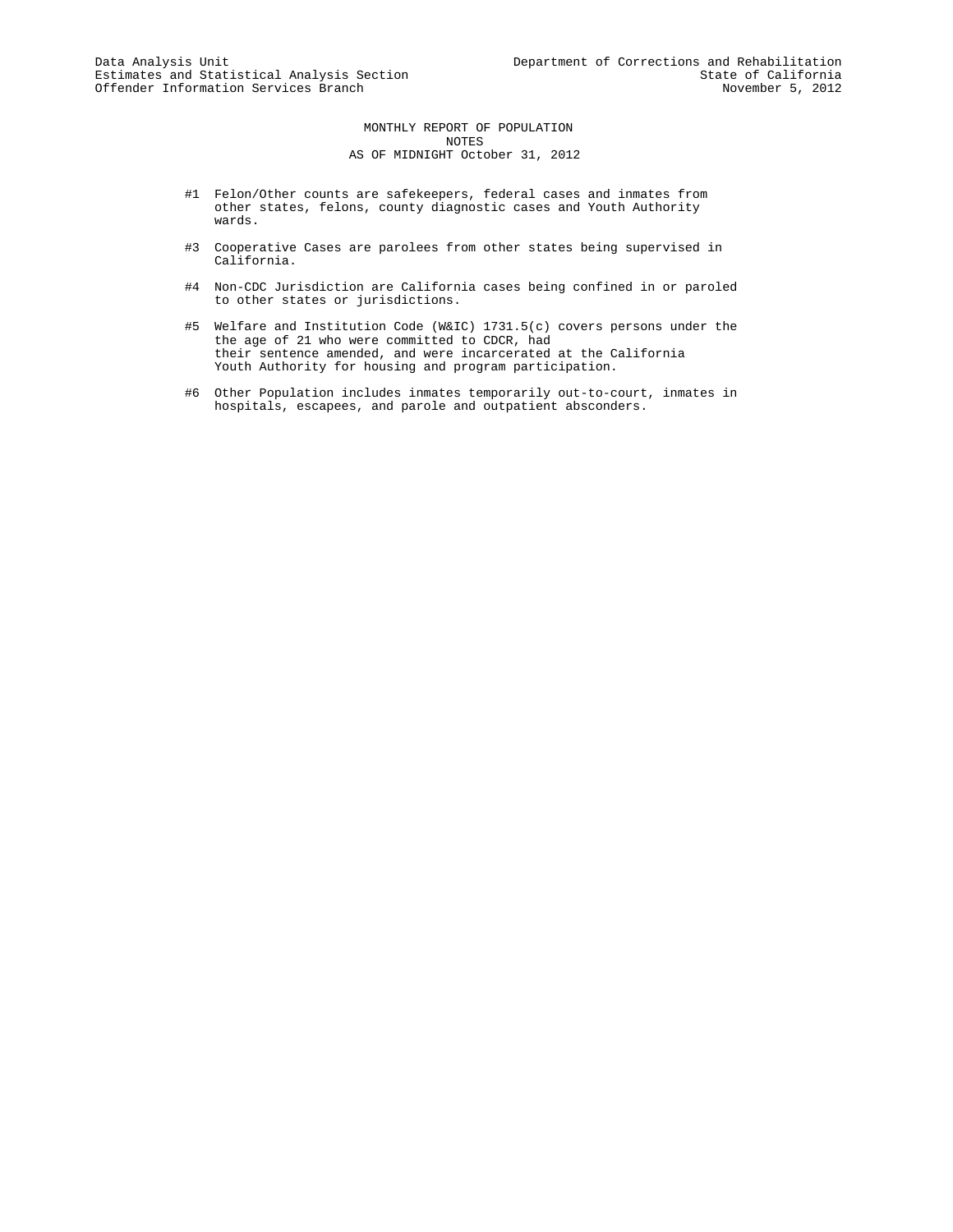MONTHLY REPORT OF POPULATION NOTES AS OF MIDNIGHT October 31, 2012

- #1 Felon/Other counts are safekeepers, federal cases and inmates from other states, felons, county diagnostic cases and Youth Authority wards.
- #3 Cooperative Cases are parolees from other states being supervised in California.
- #4 Non-CDC Jurisdiction are California cases being confined in or paroled to other states or jurisdictions.
- #5 Welfare and Institution Code (W&IC) 1731.5(c) covers persons under the the age of 21 who were committed to CDCR, had their sentence amended, and were incarcerated at the California Youth Authority for housing and program participation.
- #6 Other Population includes inmates temporarily out-to-court, inmates in hospitals, escapees, and parole and outpatient absconders.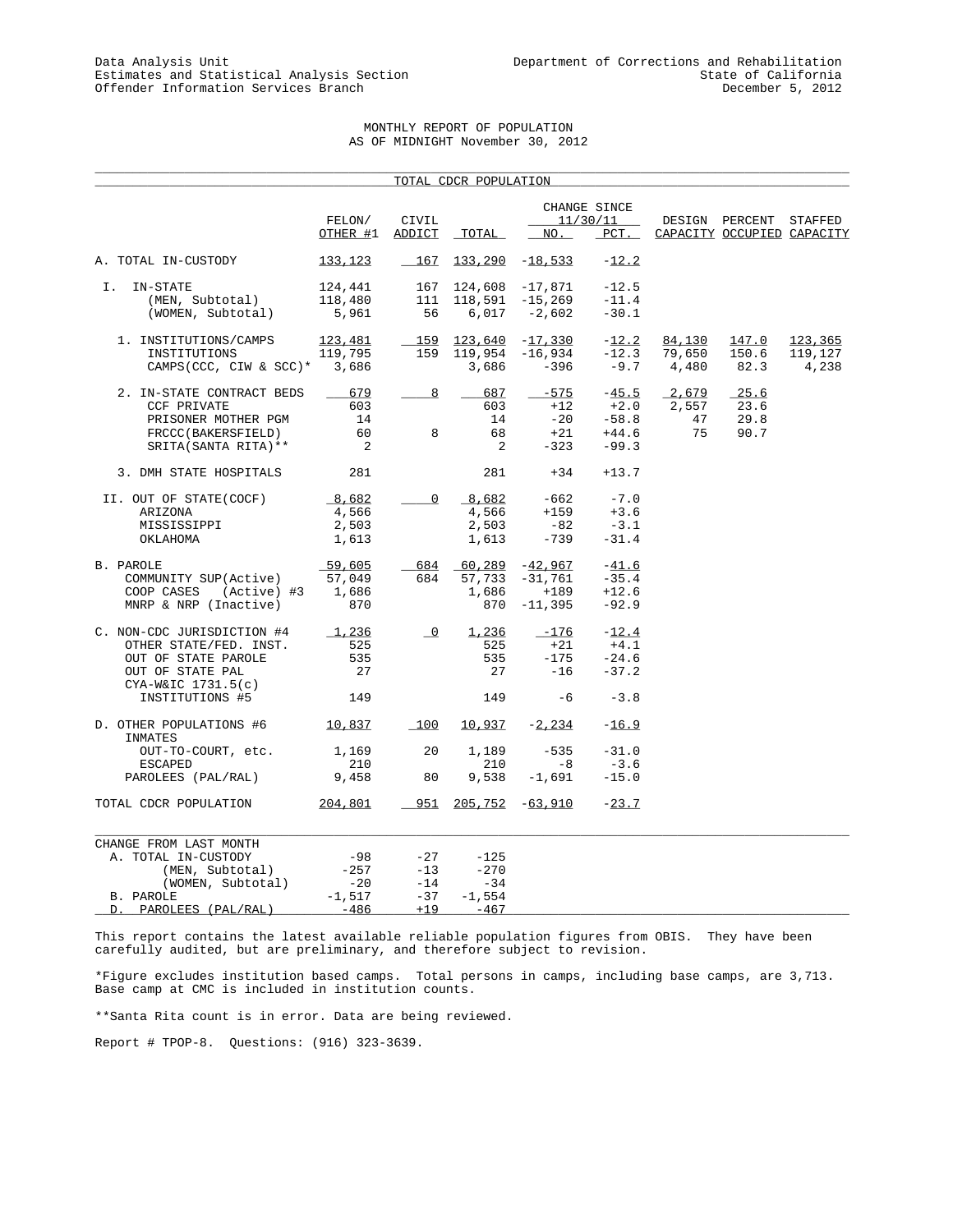# MONTHLY REPORT OF POPULATION AS OF MIDNIGHT November 30, 2012

\_\_\_\_\_\_\_\_\_\_\_\_\_\_\_\_\_\_\_\_\_\_\_\_\_\_\_\_\_\_\_\_\_\_\_\_\_\_\_\_\_\_\_\_\_\_\_\_\_\_\_\_\_\_\_\_\_\_\_\_\_\_\_\_\_\_\_\_\_\_\_\_\_\_\_\_\_\_\_\_\_\_\_\_\_\_\_\_\_\_\_\_\_\_\_\_\_\_\_\_\_

|                                           |                            |                          | TOTAL CDCR POPULATION     |           |                          |              |                            |         |
|-------------------------------------------|----------------------------|--------------------------|---------------------------|-----------|--------------------------|--------------|----------------------------|---------|
|                                           | FELON/                     | CIVIL                    |                           |           | CHANGE SINCE<br>11/30/11 |              | DESIGN PERCENT STAFFED     |         |
|                                           | OTHER #1                   | ADDICT                   | TOTAL                     | NO.       | $PCT$ .                  |              | CAPACITY OCCUPIED CAPACITY |         |
| A. TOTAL IN-CUSTODY                       | 133,123                    | 167                      | $133, 290 -18, 533$       |           | $-12.2$                  |              |                            |         |
| IN-STATE<br>I.                            | 124,441                    | 167                      | 124,608                   | -17,871   | $-12.5$                  |              |                            |         |
| (MEN, Subtotal)                           | 118,480                    | 111                      | 118,591                   | $-15,269$ | $-11.4$                  |              |                            |         |
| (WOMEN, Subtotal)                         | 5,961                      | 56                       | 6,017                     | $-2,602$  | $-30.1$                  |              |                            |         |
| 1. INSTITUTIONS/CAMPS                     | 123,481                    | $-159$                   | 123,640                   | $-17,330$ | $-12.2$                  | 84,130       | 147.0                      | 123,365 |
| INSTITUTIONS                              | 119,795                    | 159                      | 119,954                   | -16,934   | $-12.3$                  | 79,650       | 150.6                      | 119,127 |
| CAMPS(CCC, CIW & SCC)* 3,686              |                            |                          | 3,686                     | $-396$    |                          | $-9.7$ 4,480 | 82.3                       | 4,238   |
| 2. IN-STATE CONTRACT BEDS                 | 679                        | 8                        | 687                       | $-575$    | $-45.5$                  | 2,679        | 25.6                       |         |
| <b>CCF PRIVATE</b>                        | 603                        |                          | 603                       | $+12$     | $+2.0$                   | 2,557        | 23.6                       |         |
| PRISONER MOTHER PGM                       | 14                         |                          | 14                        | $-20$     | $-58.8$                  | 47           | 29.8                       |         |
| FRCCC(BAKERSFIELD)                        | 60                         | 8                        | 68                        | $+21$     | $+44.6$                  | 75           | 90.7                       |         |
| SRITA (SANTA RITA) **                     | $\overline{\phantom{a}}^2$ |                          | 2                         | $-323$    | $-99.3$                  |              |                            |         |
| 3. DMH STATE HOSPITALS                    | 281                        |                          | 281                       | $+34$     | $+13.7$                  |              |                            |         |
| II. OUT OF STATE(COCF)                    | 8,682                      | $\mathsf{O}$             | 8,682                     | -662      | $-7.0$                   |              |                            |         |
| ARIZONA                                   | 4,566                      |                          | 4,566                     | $+159$    | $+3.6$                   |              |                            |         |
| MISSISSIPPI                               | 2,503                      |                          | 2,503                     | $-82$     | $-3.1$                   |              |                            |         |
| OKLAHOMA                                  | 1,613                      |                          | 1,613                     | -739      | $-31.4$                  |              |                            |         |
| B. PAROLE                                 | 59,605                     |                          | $684$ $60,289$ $-42,967$  |           | $-41.6$                  |              |                            |         |
| COMMUNITY SUP(Active)                     | 57,049                     | 684                      | 57,733                    | -31,761   | $-35.4$                  |              |                            |         |
| (Active) #3<br>COOP CASES                 | 1,686                      |                          | 1,686                     | $+189$    | $+12.6$                  |              |                            |         |
| MNRP & NRP (Inactive)                     | 870                        |                          | 870                       | $-11,395$ | $-92.9$                  |              |                            |         |
| C. NON-CDC JURISDICTION #4                | 1,236                      | $\overline{\phantom{0}}$ | 1,236                     | $-176$    | $-12.4$                  |              |                            |         |
| OTHER STATE/FED. INST.                    | 525                        |                          | 525                       | $+21$     | $+4.1$                   |              |                            |         |
| OUT OF STATE PAROLE                       | 535                        |                          | 535                       | $-175$    | $-24.6$                  |              |                            |         |
| OUT OF STATE PAL                          | 27                         |                          | 27                        | $-16$     | $-37.2$                  |              |                            |         |
| $CYA-W&IC$ 1731.5(c)                      |                            |                          |                           |           |                          |              |                            |         |
| INSTITUTIONS #5                           | 149                        |                          | 149                       | $-6$      | $-3.8$                   |              |                            |         |
| D. OTHER POPULATIONS #6 10,837<br>INMATES |                            | 100                      | 10,937                    | $-2,234$  | $-16.9$                  |              |                            |         |
| OUT-TO-COURT, etc.                        | 1,169                      | 20                       | 1,189                     | $-535$    | $-31.0$                  |              |                            |         |
| <b>ESCAPED</b>                            | 210                        |                          | 210                       | $-8$      | $-3.6$                   |              |                            |         |
| PAROLEES (PAL/RAL)                        | 9,458                      | 80                       | 9,538                     | $-1,691$  | $-15.0$                  |              |                            |         |
| TOTAL CDCR POPULATION                     | 204,801                    |                          | $951$ $205,752$ $-63,910$ |           | $-23.7$                  |              |                            |         |
| CHANGE FROM LAST MONTH                    |                            |                          |                           |           |                          |              |                            |         |
| A. TOTAL IN-CUSTODY                       | -98                        | $-27$                    | $-125$                    |           |                          |              |                            |         |
| (MEN, Subtotal)                           | $-257$                     | $-13$                    | $-270$                    |           |                          |              |                            |         |
| (WOMEN, Subtotal)                         | $-20$                      | $-14$                    | $-34$                     |           |                          |              |                            |         |
| B. PAROLE                                 | $-1,517$                   | $-37$                    | $-1,554$                  |           |                          |              |                            |         |
| PAROLEES (PAL/RAL)<br>D.                  | $-486$                     | $+19$                    | $-467$                    |           |                          |              |                            |         |

This report contains the latest available reliable population figures from OBIS. They have been carefully audited, but are preliminary, and therefore subject to revision.

\*Figure excludes institution based camps. Total persons in camps, including base camps, are 3,713. Base camp at CMC is included in institution counts.

\*\*Santa Rita count is in error. Data are being reviewed.

Report # TPOP-8. Questions: (916) 323-3639.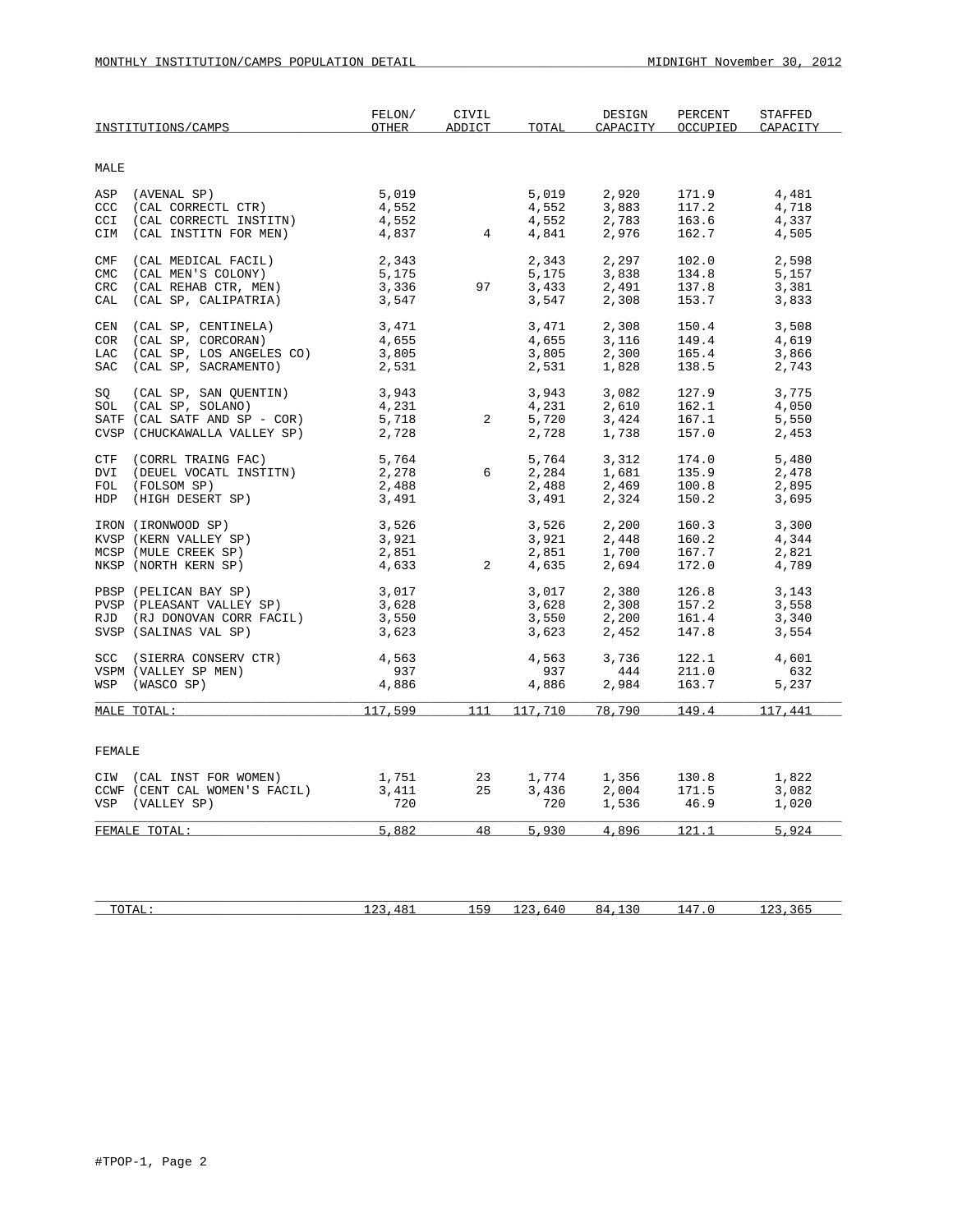|            | INSTITUTIONS/CAMPS                                                                                               | FELON/<br>OTHER                           | CIVIL<br>ADDICT | TOTAL                            | DESIGN<br>CAPACITY               | PERCENT<br>OCCUPIED              | STAFFED<br>CAPACITY              |
|------------|------------------------------------------------------------------------------------------------------------------|-------------------------------------------|-----------------|----------------------------------|----------------------------------|----------------------------------|----------------------------------|
| MALE       |                                                                                                                  |                                           |                 |                                  |                                  |                                  |                                  |
| CCI        | ASP (AVENAL SP)<br>CCC (CAL CORRECTL CTR)<br>(CAL CORRECTL INSTITN)<br>CIM (CAL INSTITN FOR MEN)                 | 5,019<br>4,552<br>4,552<br>4,552<br>4,837 | $\overline{4}$  | 5,019<br>4,552<br>4,552<br>4,841 | 2,920<br>3,883<br>2,783<br>2,976 | 171.9<br>117.2<br>163.6<br>162.7 | 4,481<br>4,718<br>4,337<br>4,505 |
| CMC<br>CAL | CMF (CAL MEDICAL FACIL)<br>(CAL MEN'S COLONY)<br>CRC (CAL REHAB CTR, MEN)<br>(CAL SP, CALIPATRIA)                | 2,343<br>5,175<br>3,336<br>3,547          | 97              | 2,343<br>5,175<br>3,433<br>3,547 | 2,297<br>3,838<br>2,491<br>2,308 | 102.0<br>134.8<br>137.8<br>153.7 | 2,598<br>5,157<br>3,381<br>3,833 |
| CEN<br>COR | (CAL SP, CENTINELA)<br>(CAL SP, CORCORAN)<br>LAC (CAL SP, LOS ANGELES CO)<br>SAC (CAL SP, SACRAMENTO)            | 3,471<br>4,655<br>3,805<br>2,531          |                 | 3,471<br>4,655<br>3,805<br>2,531 | 2,308<br>3,116<br>2,300<br>1,828 | 150.4<br>149.4<br>165.4<br>138.5 | 3,508<br>4,619<br>3,866<br>2,743 |
|            | SQ (CAL SP, SAN QUENTIN)<br>SOL (CAL SP, SOLANO)<br>SATF (CAL SATF AND SP - COR)<br>CVSP (CHUCKAWALLA VALLEY SP) | 3,943<br>4,231<br>5,718<br>2,728          | $2^{\circ}$     | 3,943<br>4,231<br>5,720<br>2,728 | 3,082<br>2,610<br>3,424<br>1,738 | 127.9<br>162.1<br>167.1<br>157.0 | 3,775<br>4,050<br>5,550<br>2,453 |
| DVI        | CTF (CORRL TRAING FAC)<br>(DEUEL VOCATL INSTITN)<br>FOL (FOLSOM SP)<br>HDP (HIGH DESERT SP)                      | 5,764<br>2,278<br>2,488<br>3,491          | 6               | 5,764<br>2,284<br>2,488<br>3,491 | 3,312<br>1,681<br>2,469<br>2,324 | 174.0<br>135.9<br>100.8<br>150.2 | 5,480<br>2,478<br>2,895<br>3,695 |
|            | IRON (IRONWOOD SP)<br>KVSP (KERN VALLEY SP)<br>MCSP (MULE CREEK SP)<br>NKSP (NORTH KERN SP)                      | 3,526<br>3,921<br>2,851<br>4,633          | $\overline{2}$  | 3,526<br>3,921<br>2,851<br>4,635 | 2,200<br>2,448<br>1,700<br>2,694 | 160.3<br>160.2<br>167.7<br>172.0 | 3,300<br>4,344<br>2,821<br>4,789 |
|            | PBSP (PELICAN BAY SP)<br>PVSP (PLEASANT VALLEY SP)<br>RJD (RJ DONOVAN CORR FACIL)<br>SVSP (SALINAS VAL SP)       | 3,017<br>3,628<br>3,550<br>3,623          |                 | 3,017<br>3,628<br>3,550<br>3,623 | 2,380<br>2,308<br>2,200<br>2,452 | 126.8<br>157.2<br>161.4<br>147.8 | 3,143<br>3,558<br>3,340<br>3,554 |
|            | SCC (SIERRA CONSERV CTR)<br>VSPM (VALLEY SP MEN)<br>WSP (WASCO SP)                                               | 4,563<br>937<br>4,886                     |                 | 4,563<br>937<br>4,886            | 3,736<br>444<br>2,984            | 122.1<br>211.0<br>163.7          | 4,601<br>632<br>5,237            |
|            | MALE TOTAL:                                                                                                      | 117,599                                   | 111             | 117,710                          | 78,790                           | 149.4 117,441                    |                                  |
| FEMALE     |                                                                                                                  |                                           |                 |                                  |                                  |                                  |                                  |
|            | CIW (CAL INST FOR WOMEN)<br>CCWF (CENT CAL WOMEN'S FACIL)<br>VSP (VALLEY SP)                                     | 1,751<br>3,411<br>720                     | 23<br>25        | 1,774<br>3,436<br>720            | 1,356<br>2,004<br>1,536          | 130.8<br>171.5<br>46.9           | 1,822<br>3,082<br>1,020          |
|            | FEMALE TOTAL:                                                                                                    | 5,882                                     | 48              | 5,930                            | 4,896                            | 121.1                            | 5,924                            |

| ͲᢕͲϪτ<br>TOTHT | $4 \times$<br>.<br>- - | EQ | hД<br>- - | ×д | $\mathbf{u}$<br>. . |  |
|----------------|------------------------|----|-----------|----|---------------------|--|
|                |                        |    |           |    |                     |  |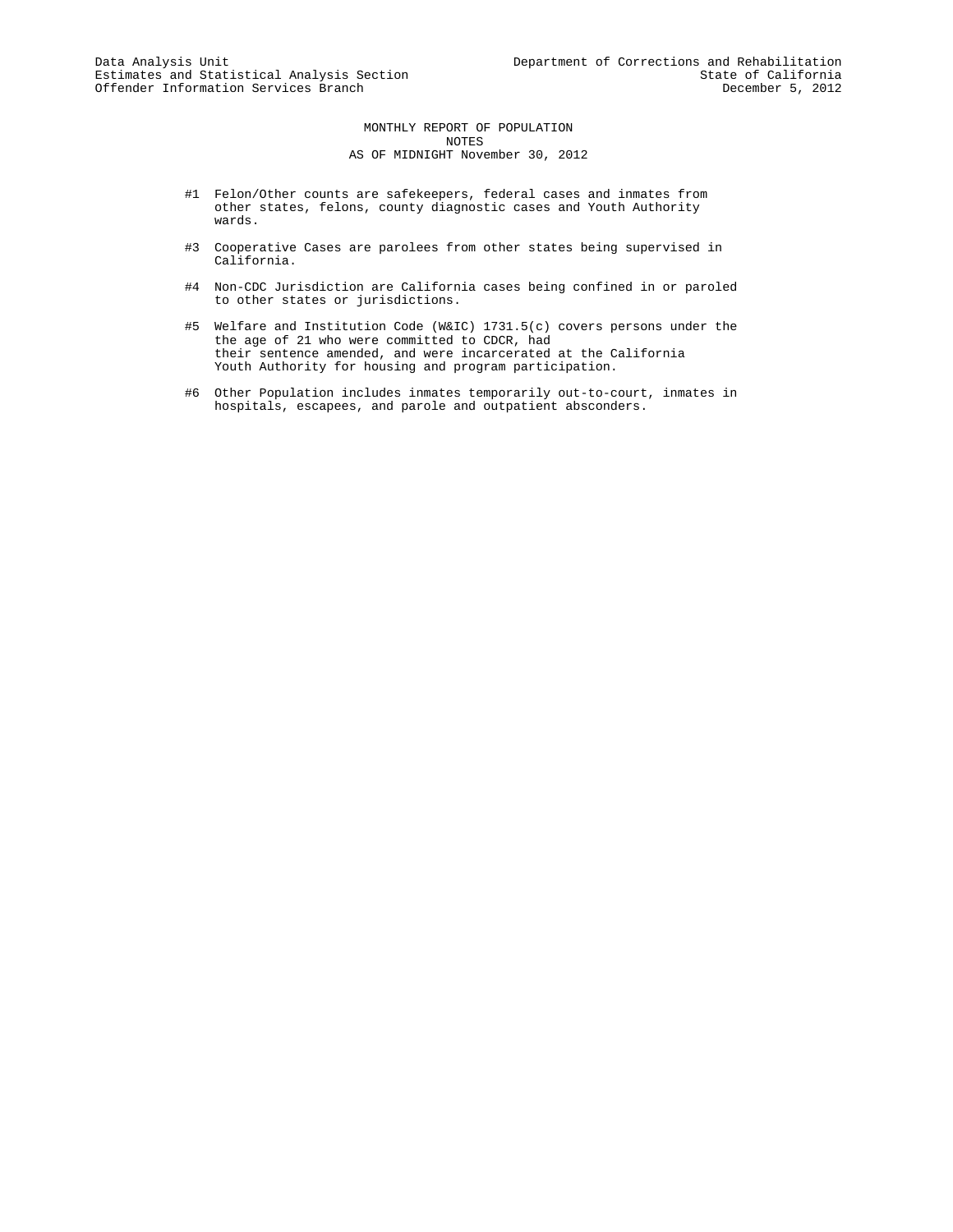MONTHLY REPORT OF POPULATION NOTES AS OF MIDNIGHT November 30, 2012

- #1 Felon/Other counts are safekeepers, federal cases and inmates from other states, felons, county diagnostic cases and Youth Authority wards.
- #3 Cooperative Cases are parolees from other states being supervised in California.
- #4 Non-CDC Jurisdiction are California cases being confined in or paroled to other states or jurisdictions.
- #5 Welfare and Institution Code (W&IC) 1731.5(c) covers persons under the the age of 21 who were committed to CDCR, had their sentence amended, and were incarcerated at the California Youth Authority for housing and program participation.
- #6 Other Population includes inmates temporarily out-to-court, inmates in hospitals, escapees, and parole and outpatient absconders.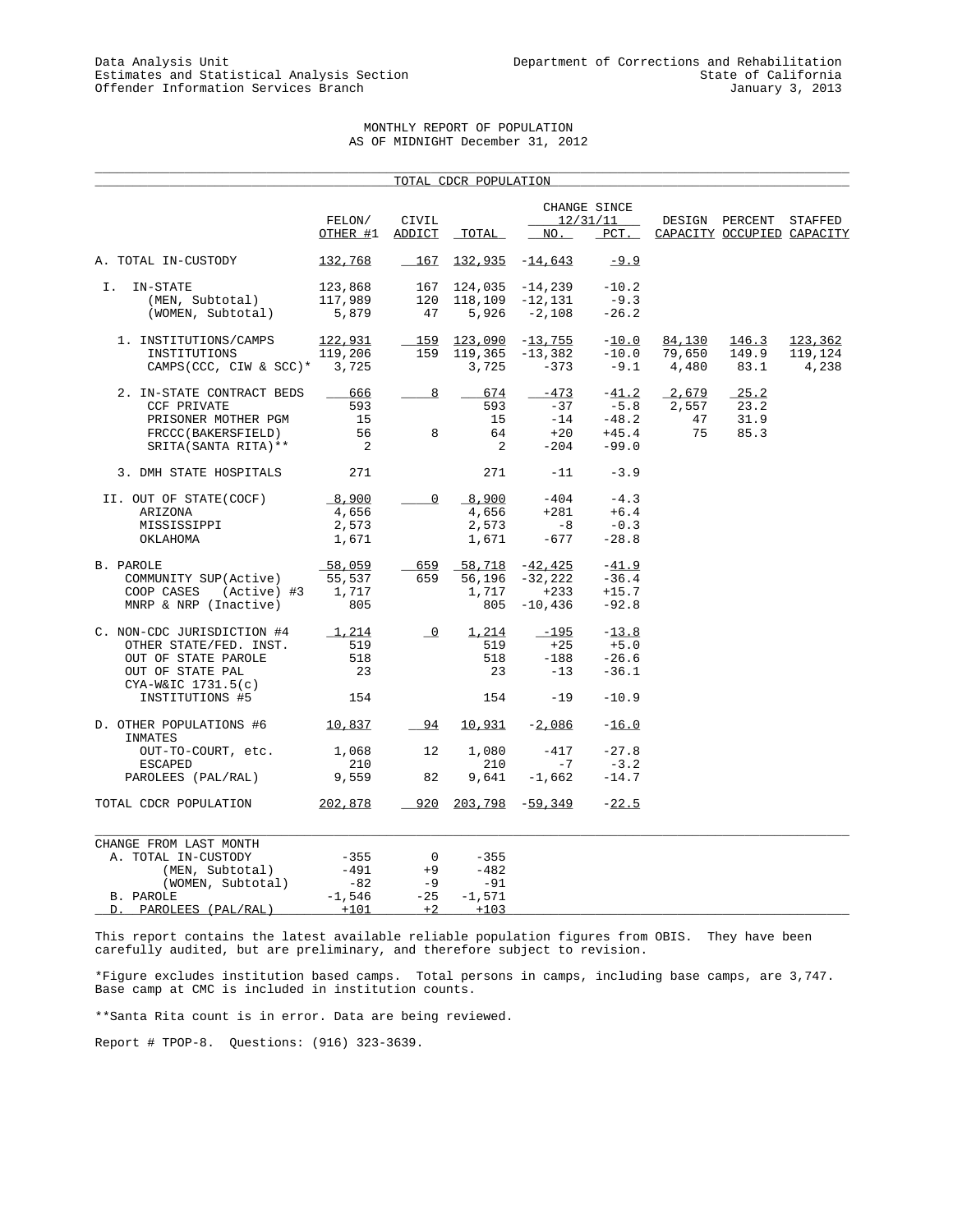# MONTHLY REPORT OF POPULATION AS OF MIDNIGHT December 31, 2012

\_\_\_\_\_\_\_\_\_\_\_\_\_\_\_\_\_\_\_\_\_\_\_\_\_\_\_\_\_\_\_\_\_\_\_\_\_\_\_\_\_\_\_\_\_\_\_\_\_\_\_\_\_\_\_\_\_\_\_\_\_\_\_\_\_\_\_\_\_\_\_\_\_\_\_\_\_\_\_\_\_\_\_\_\_\_\_\_\_\_\_\_\_\_\_\_\_\_\_\_\_

|                                           |                |                          | TOTAL CDCR POPULATION     |                   |                          |        |                            |         |
|-------------------------------------------|----------------|--------------------------|---------------------------|-------------------|--------------------------|--------|----------------------------|---------|
|                                           | FELON/         | CIVIL                    |                           |                   | CHANGE SINCE<br>12/31/11 |        | DESIGN PERCENT STAFFED     |         |
|                                           | OTHER #1       | ADDICT                   | _TOTAL_                   | NO.               | $PCT$ .                  |        | CAPACITY OCCUPIED CAPACITY |         |
| A. TOTAL IN-CUSTODY                       | 132,768        | 167                      | $132,935 -14,643$         |                   | $-9.9$                   |        |                            |         |
| IN-STATE<br>I.                            | 123,868        | 167                      |                           | $124,035 -14,239$ | $-10.2$                  |        |                            |         |
| (MEN, Subtotal)                           | 117,989        | 120                      | 118,109                   | $-12,131$         | $-9.3$                   |        |                            |         |
| (WOMEN, Subtotal)                         | 5,879          | 47                       | 5,926                     | $-2,108$          | $-26.2$                  |        |                            |         |
| 1. INSTITUTIONS/CAMPS                     | 122,931        | 159                      | 123,090                   | $-13,755$         | $-10.0$                  | 84,130 | 146.3                      | 123,362 |
| INSTITUTIONS                              | 119,206        | 159                      | 119,365                   | -13,382           | $-10.0$                  | 79,650 | 149.9                      | 119,124 |
| CAMPS (CCC, CIW & SCC)* 3,725             |                |                          | 3,725                     | $-373$            | $-9.1$                   | 4,480  | 83.1                       | 4,238   |
| 2. IN-STATE CONTRACT BEDS                 | 666            | 8                        | 674                       | $-473$            | $-41.2$                  | 2,679  | 25.2                       |         |
| <b>CCF PRIVATE</b>                        | 593            |                          | 593                       | $-37$             | $-5.8$                   | 2,557  | 23.2                       |         |
| PRISONER MOTHER PGM                       | 15             |                          | 15                        | $-14$             | $-48.2$                  | 47     | 31.9                       |         |
| FRCCC(BAKERSFIELD)                        | 56             | 8                        | 64                        | $+20$             | $+45.4$                  | 75     | 85.3                       |         |
| SRITA (SANTA RITA) **                     | $\overline{2}$ |                          | 2                         | $-204$            | $-99.0$                  |        |                            |         |
| 3. DMH STATE HOSPITALS                    | 271            |                          | 271                       | $-11$             | $-3.9$                   |        |                            |         |
| II. OUT OF STATE(COCF)                    | 8,900          | $\mathsf{O}$             | 8,900                     | $-404$            | $-4.3$                   |        |                            |         |
| ARIZONA                                   | 4,656          |                          | 4,656                     | $+281$            | $+6.4$                   |        |                            |         |
| MISSISSIPPI                               | 2,573          |                          | 2,573                     | $-8$              | $-0.3$                   |        |                            |         |
| OKLAHOMA                                  | 1,671          |                          | 1,671                     | -677              | $-28.8$                  |        |                            |         |
| B. PAROLE                                 | $-58,059$      | 659                      | $-58,718$ $-42,425$       |                   | $-41.9$                  |        |                            |         |
| COMMUNITY SUP(Active)                     | 55,537         | 659                      | 56,196                    | -32,222           | $-36.4$                  |        |                            |         |
| (Active) #3<br>COOP CASES                 | 1,717          |                          | 1,717                     | $+233$            | $+15.7$                  |        |                            |         |
| MNRP & NRP (Inactive)                     | 805            |                          | 805                       | $-10,436$         | $-92.8$                  |        |                            |         |
| C. NON-CDC JURISDICTION #4                | 1,214          | $\overline{\phantom{0}}$ | 1,214                     | $-195$            | $-13.8$                  |        |                            |         |
| OTHER STATE/FED. INST.                    | 519            |                          | 519                       | $+25$             | $+5.0$                   |        |                            |         |
| OUT OF STATE PAROLE                       | 518            |                          | 518                       | $-188$            | $-26.6$                  |        |                            |         |
| OUT OF STATE PAL                          | 23             |                          | 23                        | $-13$             | $-36.1$                  |        |                            |         |
| $CYA-W&IC$ 1731.5(c)                      |                |                          |                           |                   |                          |        |                            |         |
| INSTITUTIONS #5                           | 154            |                          | 154                       | $-19$             | $-10.9$                  |        |                            |         |
| D. OTHER POPULATIONS #6 10,837<br>INMATES |                | 94                       | 10,931                    | $-2,086$          | $-16.0$                  |        |                            |         |
| OUT-TO-COURT, etc.                        | 1,068          | 12                       | 1,080                     | $-417$            | $-27.8$                  |        |                            |         |
| <b>ESCAPED</b>                            | 210            |                          | 210                       | $-7$              | $-3.2$                   |        |                            |         |
| PAROLEES (PAL/RAL)                        | 9,559          | 82                       | 9,641                     | $-1,662$          | $-14.7$                  |        |                            |         |
| TOTAL CDCR POPULATION                     | <u>202,878</u> |                          | $920$ $203,798$ $-59,349$ |                   | $-22.5$                  |        |                            |         |
| CHANGE FROM LAST MONTH                    |                |                          |                           |                   |                          |        |                            |         |
| A. TOTAL IN-CUSTODY                       | $-355$         | 0                        | $-355$                    |                   |                          |        |                            |         |
| (MEN, Subtotal)                           | $-491$         | $+9$                     | $-482$                    |                   |                          |        |                            |         |
| (WOMEN, Subtotal)                         | $-82$          | $-9$                     | $-91$                     |                   |                          |        |                            |         |
| B. PAROLE                                 | $-1,546$       | $-25$                    | $-1,571$                  |                   |                          |        |                            |         |
| PAROLEES (PAL/RAL)<br>D.                  | $+101$         | $+2$                     | $+103$                    |                   |                          |        |                            |         |

This report contains the latest available reliable population figures from OBIS. They have been carefully audited, but are preliminary, and therefore subject to revision.

\*Figure excludes institution based camps. Total persons in camps, including base camps, are 3,747. Base camp at CMC is included in institution counts.

\*\*Santa Rita count is in error. Data are being reviewed.

Report # TPOP-8. Questions: (916) 323-3639.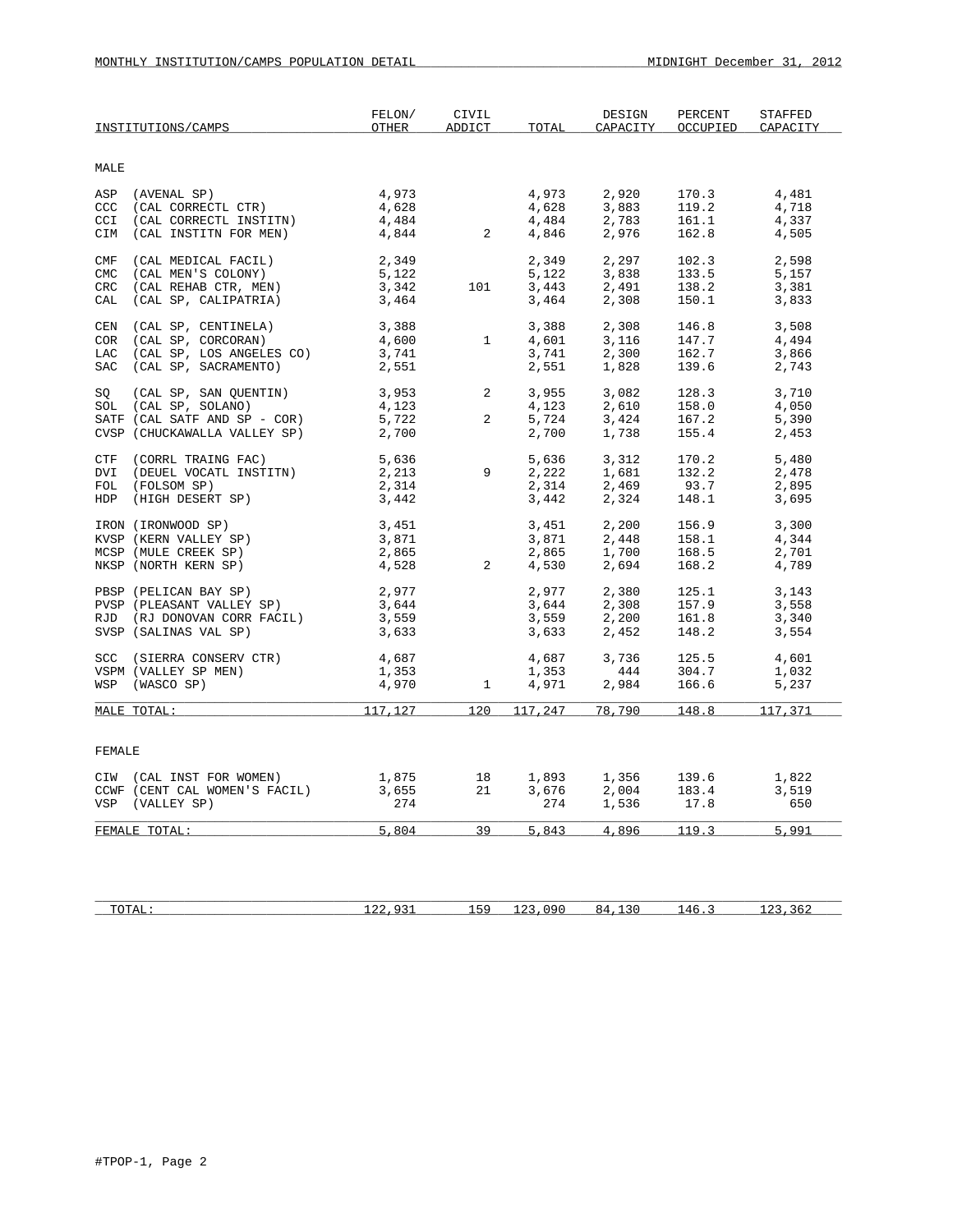|                          | INSTITUTIONS/CAMPS                                                                                                                                                              | FELON/<br>OTHER                                   | CIVIL<br><b>ADDICT</b> | TOTAL                            | DESIGN<br>CAPACITY               | PERCENT<br>OCCUPIED              | <b>STAFFED</b><br>CAPACITY       |
|--------------------------|---------------------------------------------------------------------------------------------------------------------------------------------------------------------------------|---------------------------------------------------|------------------------|----------------------------------|----------------------------------|----------------------------------|----------------------------------|
| MALE                     |                                                                                                                                                                                 |                                                   |                        |                                  |                                  |                                  |                                  |
| CCI                      | ASP (AVENAL SP)<br>CCC (CAL CORRECTL CTR)<br>(CAL CORRECTL INSTITN)<br>CIM (CAL INSTITN FOR MEN)                                                                                | 4,973<br>4,628<br>$\frac{4}{4}$ , 484<br>4, 844 2 |                        | 4,973<br>4,628<br>4,484<br>4,846 | 2,920<br>3,883<br>2,783<br>2,976 | 170.3<br>119.2<br>161.1<br>162.8 | 4,481<br>4,718<br>4,337<br>4,505 |
| CMF<br>CMC<br>CRC<br>CAL | (CAL MEDICAL FACIL)<br>(CAL MEN'S COLONY)<br>(CAL REHAB CTR, MEN)<br>(CAL SP, CALIPATRIA)                                                                                       | 2,349<br>5,122<br>3,342<br>3,464                  | 101                    | 2,349<br>5,122<br>3,443<br>3,464 | 2,297<br>3,838<br>2,491<br>2,308 | 102.3<br>133.5<br>138.2<br>150.1 | 2,598<br>5,157<br>3,381<br>3,833 |
| CEN<br>COR               | (CAL SP, CENTINELA)<br>(CAL SP, CORCORAN)<br>LAC (CAL SP, LOS ANGELES CO)<br>SAC (CAL SP, SACRAMENTO)                                                                           | 3,388<br>4,600<br>3,741<br>2,551                  | $\mathbf{1}$           | 3,388<br>4,601<br>3,741<br>2,551 | 2,308<br>3,116<br>2,300<br>1,828 | 146.8<br>147.7<br>162.7<br>139.6 | 3,508<br>4,494<br>3,866<br>2,743 |
|                          | SQ (CAL SP, SAN QUENTIN)<br>SOL (CAL SP, SOLANO)<br>SATF (CAL SATF AND SP - COR)<br>CVSP (CHUCKAWALLA VALLEY SP)                                                                | $3,953$ 2<br>4,123<br>5,722<br>2,700              | $\overline{a}$         | 3,955<br>4,123<br>5,724<br>2,700 | 3,082<br>2,610<br>3,424<br>1,738 | 128.3<br>158.0<br>167.2<br>155.4 | 3,710<br>4,050<br>5,390<br>2,453 |
|                          | CTF (CORRL TRAING FAC)<br>DVI (DEUEL VOCATL INSTITN)<br>FOL (FOLSOM SP)<br>HDP (HIGH DESERT SP)                                                                                 | 5,636<br>2,213<br>2,314<br>3,442                  | 9                      | 5,636<br>2,222<br>2,314<br>3,442 | 3,312<br>1,681<br>2,469<br>2,324 | 170.2<br>132.2<br>93.7<br>148.1  | 5,480<br>2,478<br>2,895<br>3,695 |
|                          | IRON (IRONWOOD SP)<br>KVSP (KERN VALLEY SP)<br>MCSP (MULE CREEK SP)<br>NKSP (NORTH KERN SP)                                                                                     | 3,451<br>3,871<br>2,865<br>4,528                  | $\overline{2}$         | 3,451<br>3,871<br>2,865<br>4,530 | 2,200<br>2,448<br>1,700<br>2,694 | 156.9<br>158.1<br>168.5<br>168.2 | 3,300<br>4,344<br>2,701<br>4,789 |
|                          | PBSP (PELICAN BAY SP)<br>$\begin{array}{ll}\n & \text{PVSP} & \text{PHEASANT} & \text{VALUET} & \text{SP}\n\end{array}$<br>RJD (RJ DONOVAN CORR FACIL)<br>SVSP (SALINAS VAL SP) | 2,977<br>3,644<br>3,559<br>3,633                  |                        | 2,977<br>3,644<br>3,559<br>3,633 | 2,380<br>2,308<br>2,200<br>2,452 | 125.1<br>157.9<br>161.8<br>148.2 | 3,143<br>3,558<br>3,340<br>3,554 |
|                          | SCC (SIERRA CONSERV CTR)<br>VSPM (VALLEY SP MEN)<br>WSP (WASCO SP)                                                                                                              | 4,687<br>1,353<br>1,353<br>4,970                  | $\mathbf{1}$           | 4,687<br>1,353<br>4,971          | 3,736<br>444<br>2,984            | 125.5<br>304.7<br>166.6          | 4,601<br>1,032<br>5,237          |
|                          | MALE TOTAL:                                                                                                                                                                     | 117,127                                           | 120                    | 117,247                          | 78,790                           | 148.8                            | 117,371                          |
| FEMALE                   |                                                                                                                                                                                 |                                                   |                        |                                  |                                  |                                  |                                  |
|                          | CIW (CAL INST FOR WOMEN)<br>CCWF (CENT CAL WOMEN'S FACIL)<br>VSP (VALLEY SP)                                                                                                    | 1,875<br>3,655<br>274                             | 18<br>21               | 1,893<br>3,676<br>274            | 1,356<br>2,004<br>1,536          | 139.6<br>183.4<br>17.8           | 1,822<br>3,519<br>650            |
|                          | FEMALE TOTAL:                                                                                                                                                                   | 5,804                                             |                        |                                  | 39 5,843 4,896 119.3             |                                  | 5,991                            |
|                          |                                                                                                                                                                                 |                                                   |                        |                                  |                                  |                                  |                                  |

| $m \wedge m \wedge r$<br>10111 | $\sim$ | -- | $\sim$ $\sim$<br>× 4 | Δh<br>. |  |
|--------------------------------|--------|----|----------------------|---------|--|
|                                |        |    |                      |         |  |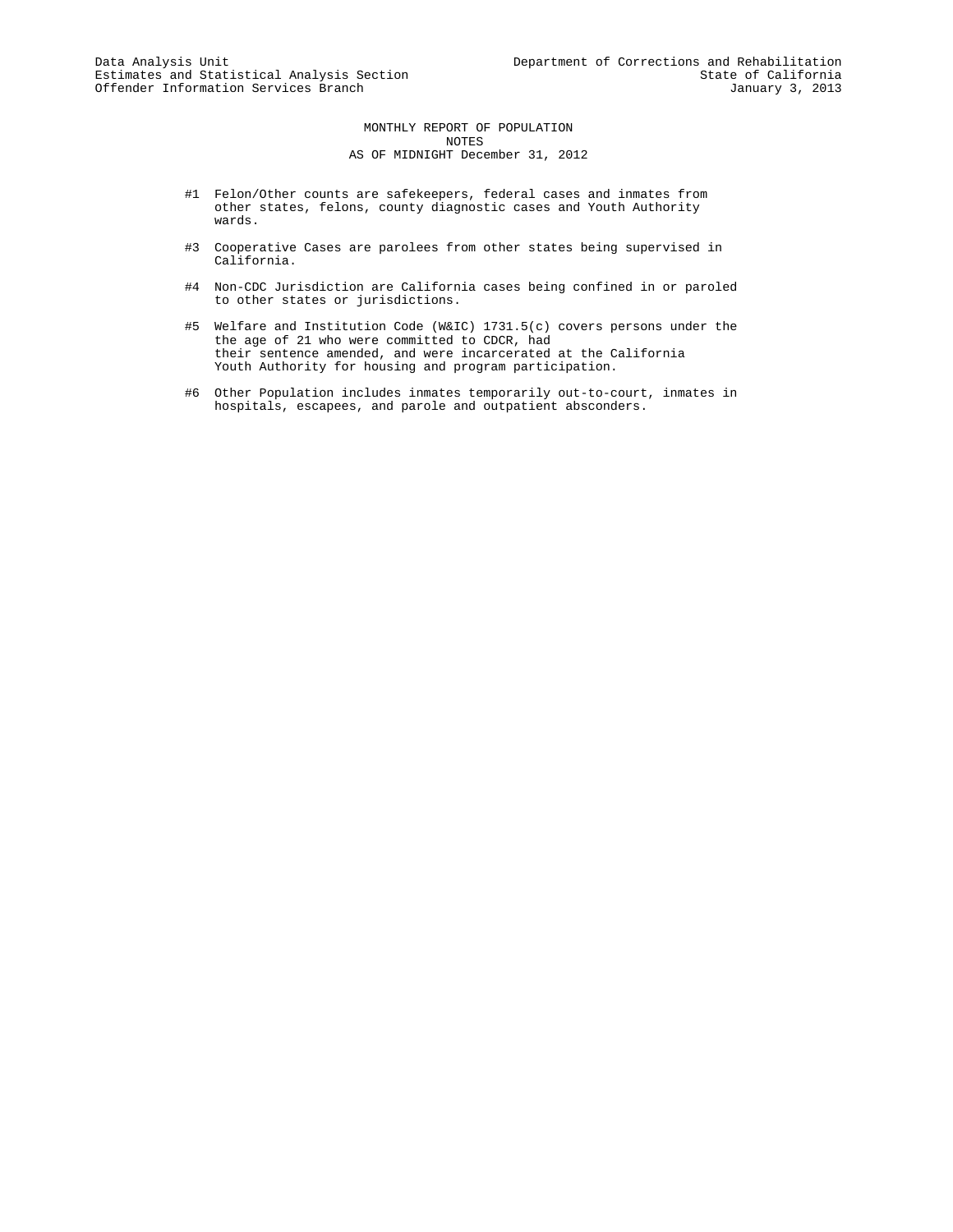MONTHLY REPORT OF POPULATION NOTES AS OF MIDNIGHT December 31, 2012

- #1 Felon/Other counts are safekeepers, federal cases and inmates from other states, felons, county diagnostic cases and Youth Authority wards.
- #3 Cooperative Cases are parolees from other states being supervised in California.
- #4 Non-CDC Jurisdiction are California cases being confined in or paroled to other states or jurisdictions.
- #5 Welfare and Institution Code (W&IC) 1731.5(c) covers persons under the the age of 21 who were committed to CDCR, had their sentence amended, and were incarcerated at the California Youth Authority for housing and program participation.
- #6 Other Population includes inmates temporarily out-to-court, inmates in hospitals, escapees, and parole and outpatient absconders.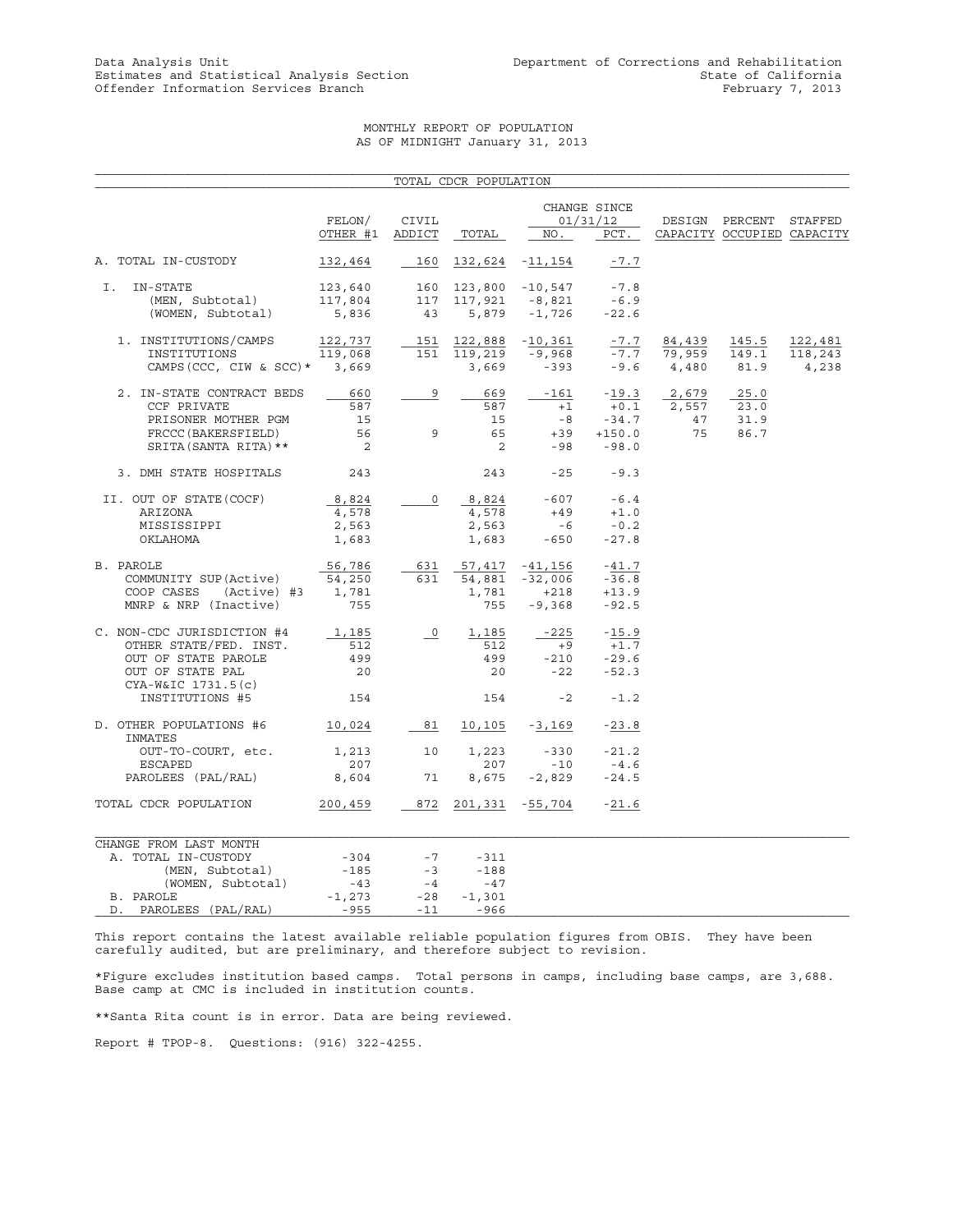# MONTHLY REPORT OF POPULATION AS OF MIDNIGHT January 31, 2013

|                                        |                                                                                                    |                            | TOTAL CDCR POPULATION |                           |               |               |                                                      |         |
|----------------------------------------|----------------------------------------------------------------------------------------------------|----------------------------|-----------------------|---------------------------|---------------|---------------|------------------------------------------------------|---------|
|                                        |                                                                                                    |                            |                       |                           |               |               |                                                      |         |
|                                        |                                                                                                    |                            |                       | CHANGE SINCE<br>01/31/12  |               |               |                                                      |         |
|                                        | FELON/<br>OTHER #1                                                                                 | CIVIL<br>ADDICT            | TOTAL                 | NO.                       | PCT.          |               | DESIGN PERCENT STAFFED<br>CAPACITY OCCUPIED CAPACITY |         |
| A. TOTAL IN-CUSTODY                    | 132,464                                                                                            | 160                        |                       | 132,624 -11,154           | $-7.7$        |               |                                                      |         |
|                                        |                                                                                                    |                            |                       |                           |               |               |                                                      |         |
| I.<br>IN-STATE                         | $123,640 \qquad 160 \quad 123,800 \quad -10,547 \\ 117,804 \qquad 117 \quad 117,921 \qquad -8,821$ |                            |                       |                           | $-7.8$        |               |                                                      |         |
| (MEN, Subtotal)                        | 117,804                                                                                            |                            |                       |                           | $-6.9$        |               |                                                      |         |
| (WOMEN, Subtotal)                      | 5,836                                                                                              | 43                         |                       | $5,879 -1,726 -22.6$      |               |               |                                                      |         |
| 1. INSTITUTIONS/CAMPS                  | 122,737                                                                                            |                            |                       | $151$ $122,888$ $-10,361$ | $-7.7$        | 84,439        | 145.5                                                | 122,481 |
| INSTITUTIONS                           | 119,068                                                                                            |                            | 151 119,219           | -9,968                    |               | $-7.7$ 79,959 | 149.1                                                | 118,243 |
| CAMPS (CCC, CIW & SCC) * 3,669         |                                                                                                    |                            | 3,669                 | $-393$                    |               | $-9.6$ 4,480  | 81.9                                                 | 4,238   |
| 2. IN-STATE CONTRACT BEDS              | 660                                                                                                | 9                          | 669                   |                           | $-161 - 19.3$ | 2,679         | 25.0                                                 |         |
| CCF PRIVATE                            | 587                                                                                                |                            | 587                   | $+1$                      | $+0.1$        | 2,557         | 23.0                                                 |         |
| PRISONER MOTHER PGM                    | 15                                                                                                 |                            | 15                    | $-8$                      | $-34.7$       | 47            | 31.9                                                 |         |
| FRCCC (BAKERSFIELD)                    | 56                                                                                                 | 9                          | 65                    |                           | $+39 +150.0$  | 75            | 86.7                                                 |         |
| SRITA (SANTA RITA) **                  | $\overline{\phantom{0}}^2$                                                                         |                            | $\overline{2}$        | $-98$                     | $-98.0$       |               |                                                      |         |
| 3. DMH STATE HOSPITALS                 | 243                                                                                                |                            | 243                   | $-25$                     | $-9.3$        |               |                                                      |         |
| II. OUT OF STATE (COCF)                | 8,824                                                                                              | $\circ$                    |                       | $8,824$ -607 -6.4         |               |               |                                                      |         |
| ARIZONA                                | 4,578                                                                                              |                            | 4,578                 | $+49$                     | $+1.0$        |               |                                                      |         |
| MISSISSIPPI                            | 2,563                                                                                              |                            | 2,563                 | $-6$                      | $-0.2$        |               |                                                      |         |
| OKLAHOMA                               | 1,683                                                                                              |                            | 1,683                 | $-650$                    | $-27.8$       |               |                                                      |         |
| B. PAROLE                              | 56,786                                                                                             | 631                        |                       | 57,417 -41,156            | $-41.7$       |               |                                                      |         |
| COMMUNITY SUP(Active)                  | 54,250                                                                                             | 631                        | 54,881                | $-32,006$                 | $-36.8$       |               |                                                      |         |
| COOP CASES (Active) #3                 | 1,781                                                                                              |                            | 1,781                 | $+218$                    | $+13.9$       |               |                                                      |         |
| MNRP & NRP (Inactive)                  | 755                                                                                                |                            | 755                   | $-9,368$                  | $-92.5$       |               |                                                      |         |
| C. NON-CDC JURISDICTION #4             | 1,185                                                                                              | $\overline{\phantom{0}}^0$ | 1,185                 | $-225$                    | $-15.9$       |               |                                                      |         |
| OTHER STATE/FED. INST.                 | 512                                                                                                |                            | 512                   | $+9$                      | $+1.7$        |               |                                                      |         |
| OUT OF STATE PAROLE                    | 499                                                                                                |                            | 499                   | $-210$                    | $-29.6$       |               |                                                      |         |
| OUT OF STATE PAL                       | 20                                                                                                 |                            | 20                    | $-22$                     | $-52.3$       |               |                                                      |         |
| CYA-W&IC 1731.5(c)                     |                                                                                                    |                            |                       |                           |               |               |                                                      |         |
| INSTITUTIONS #5                        | 154                                                                                                |                            |                       | $154 -2$                  | $-1.2$        |               |                                                      |         |
| D. OTHER POPULATIONS #6<br>INMATES     | 10,024                                                                                             |                            |                       | 81 10,105 -3,169          | $-23.8$       |               |                                                      |         |
| OUT-TO-COURT, etc.                     | 1,213 10                                                                                           |                            | 1,223                 | $-330$                    | $-21.2$       |               |                                                      |         |
| ESCAPED                                | 207                                                                                                |                            | 207                   | $-10$                     | $-4.6$        |               |                                                      |         |
| PAROLEES (PAL/RAL)                     | 8,604 71                                                                                           |                            | 8,675                 | -2,829                    | $-24.5$       |               |                                                      |         |
| TOTAL CDCR POPULATION                  | 200,459                                                                                            |                            |                       | 872 201,331 -55,704       | $-21.6$       |               |                                                      |         |
|                                        |                                                                                                    |                            |                       |                           |               |               |                                                      |         |
| CHANGE FROM LAST MONTH                 |                                                                                                    |                            |                       |                           |               |               |                                                      |         |
| A. TOTAL IN-CUSTODY<br>(MEN, Subtotal) | $-304$<br>$-185$                                                                                   | $-7$                       | $-311$<br>$-188$      |                           |               |               |                                                      |         |
| (WOMEN, Subtotal)                      | $-43$                                                                                              | $-3$<br>$-4$               | $-47$                 |                           |               |               |                                                      |         |
| B. PAROLE                              | -1,273                                                                                             | $-28$                      | $-1,301$              |                           |               |               |                                                      |         |
| D. PAROLEES (PAL/RAL)                  | $-955$                                                                                             | $-11$                      | $-966$                |                           |               |               |                                                      |         |

This report contains the latest available reliable population figures from OBIS. They have been carefully audited, but are preliminary, and therefore subject to revision.

\*Figure excludes institution based camps. Total persons in camps, including base camps, are 3,688. Base camp at CMC is included in institution counts.

\*\*Santa Rita count is in error. Data are being reviewed.

Report # TPOP-8. Questions: (916) 322-4255.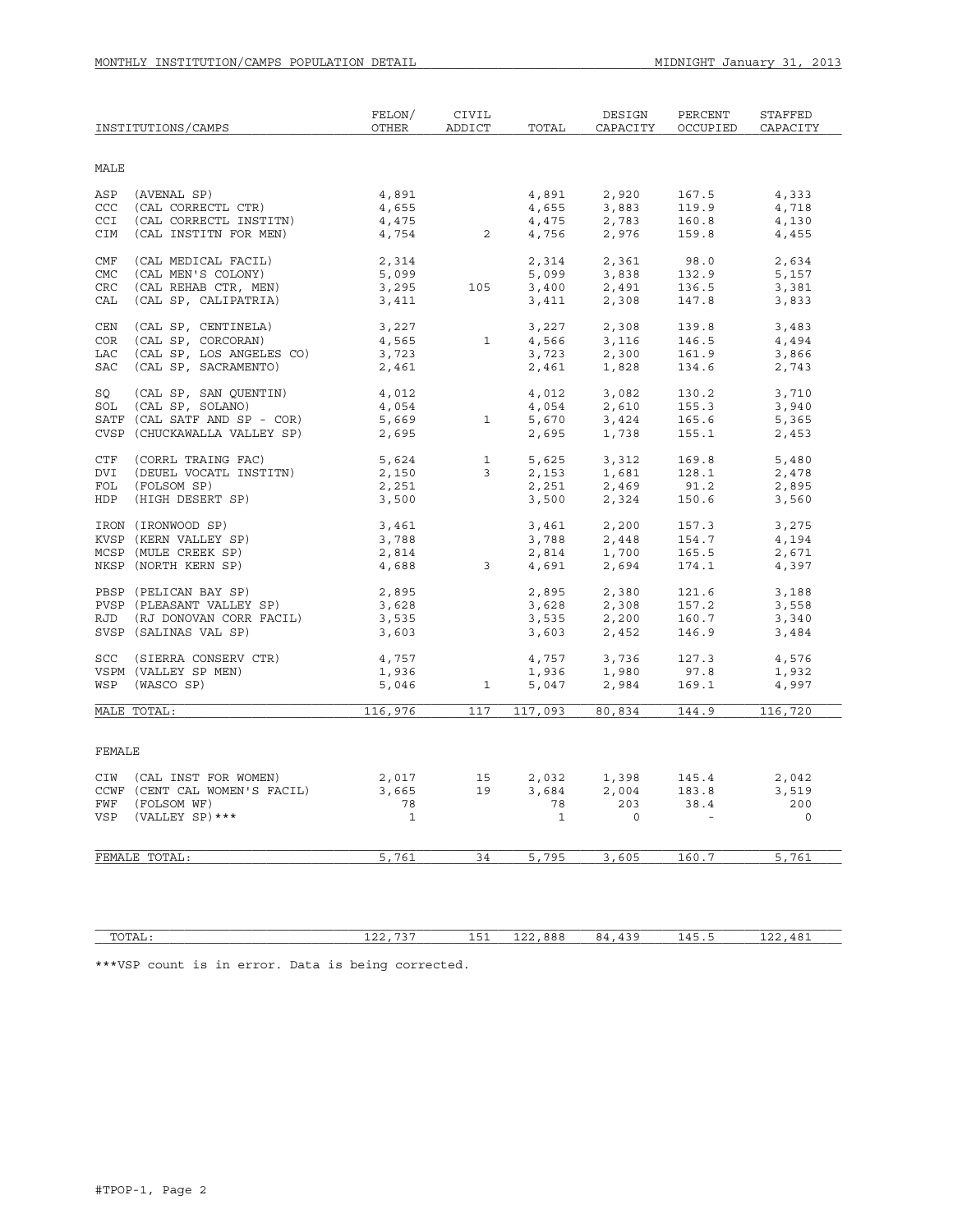| MALE<br>(AVENAL SP)<br>(CAL CORRECTL CTR)<br>4,891<br>2,920<br>ASP<br>4,891<br>167.5<br>4,333<br>CCC<br>4,655<br>3,883<br>4,655<br>119.9<br>4,718<br>(CAL CORRECTL INSTITN)<br>4,475<br>4,754<br>2,783<br>CCI<br>4,475<br>4,756<br>160.8<br>4,130<br>$\overline{2}$<br>CIM<br>(CAL INSTITN FOR MEN)<br>2,976<br>159.8<br>4,455<br>(CAL MEDICAL FACIL)<br>2,314<br>2,361<br>98.0<br>CMF<br>2,314<br>5,099<br>3,400<br>3,411<br>2,634<br>CMC<br>(CAL MEN'S COLONY)<br>5,099<br>$3,838$<br>2,491<br>2,308<br>132.9<br>5,157<br>3,295<br>CRC<br>(CAL REHAB CTR, MEN)<br>105<br>136.5<br>3,381<br>CAL<br>(CAL SP, CALIPATRIA)<br>3,411<br>2,308<br>147.8<br>3,833<br>(CAL SP, CENTINELA)<br>3,227<br>3,227<br>2,308<br>139.8<br>CEN<br>3,483<br>4,565<br>(CAL SP, CORCORAN)<br>4,566<br>3,723<br><b>COR</b><br>$\mathbf{1}$<br>3,116<br>146.5<br>4,494<br>(CAL SP, LOS ANGELES CO)<br>LAC<br>3,723<br>2,300<br>161.9<br>3,866<br>(CAL SP, SACRAMENTO)<br><b>SAC</b><br>2,461<br>2,461<br>1,828<br>134.6<br>2,743<br>SQ<br>(CAL SP, SAN QUENTIN)<br>4,012<br>4,012<br>3,082<br>130.2<br>3,710<br>SOL (CAL SP, SOLANO)<br>4,054<br>2,610<br>155.3<br>3,940<br>4,054<br>5,670<br>$\frac{1}{5}$ , 669<br>2, 695<br>SATF (CAL SATF AND SP - COR)<br>$\mathbf{1}$<br>3,424<br>1,738<br>165.6<br>5,365<br>CVSP (CHUCKAWALLA VALLEY SP)<br>2,695<br>1,738<br>155.1<br>2,453<br>2,695<br>CTF (CORRL TRAING FAC)<br>$\frac{1}{3}$<br>3,312<br>1,681<br>2,469<br>5,624<br>5,625<br>2.153<br>169.8<br>5,480<br>(DEUEL VOCATL INSTITN)<br>2,150<br>2,153<br>128.1<br>DVI<br>2,478<br>91.2<br>FOL<br>(FOLSOM SP)<br>2,251<br>2,251<br>2,895<br>HDP (HIGH DESERT SP)<br>3,500<br>2,324<br>150.6<br>3,560<br>3,500<br>2,200<br>2.448<br>IRON (IRONWOOD SP)<br>3,461<br>3,461<br>3,788<br>157.3<br>3,275<br>3,788<br>KVSP (KERN VALLEY SP)<br>3,788<br>154.7<br>4,194<br>MCSP (MULE CREEK SP)<br>2,814<br>2,814<br>4,691<br>1,700<br>2,671<br>165.5<br>2,814<br>4,688<br>$\overline{\phantom{a}}$ 3<br>NKSP (NORTH KERN SP)<br>2,694<br>174.1<br>4,397<br>PBSP (PELICAN BAY SP)<br>PVSP (PLEASANT VALLEY SP)<br>2,895<br>2,895<br>2,380<br>121.6<br>3,188<br>3,628<br>$3,628$<br>$3,535$<br>$2,200$<br>$3,603$<br>$2,452$<br>157.2<br>3,558<br>RJD (RJ DONOVAN CORR FACIL)<br>3,535<br>160.7<br>3,340<br>SVSP (SALINAS VAL SP)<br>3,603<br>146.9<br>3,484<br>SCC (SIERRA CONSERV CTR)<br>4,757<br>4,757<br>3,736<br>127.3<br>4,576<br>1,936<br>VSPM (VALLEY SP MEN)<br>1,936<br>1,980<br>97.8<br>1,932<br>WSP (WASCO SP)<br>5,046<br>$\mathbf{1}$<br>5,047<br>2,984<br>169.1<br>4,997<br>117<br>MALE TOTAL:<br>116,976<br>117,093 80,834 144.9<br>116,720<br>FEMALE<br>CIW (CAL INST FOR WOMEN)<br>2,017<br>15<br>2,032 1,398<br>145.4<br>2,042<br>3,665<br>2,004<br>CCWF (CENT CAL WOMEN'S FACIL)<br>19<br>3,684<br>183.8<br>3,519<br>78<br>203<br>38.4<br>200<br>FWF (FOLSOM WF)<br>78<br>$\mathbf{1}$<br>VSP (VALLEY SP) ***<br>$\mathbf{1}$<br>$\overline{0}$<br>$\circ$<br>5,761<br>34<br>5,795<br>3,605<br>160.7<br>5,761<br>FEMALE TOTAL: | INSTITUTIONS/CAMPS |  | FELON/<br>OTHER | CIVIL<br>ADDICT | TOTAL | DESIGN<br>CAPACITY | PERCENT<br>OCCUPIED | STAFFED<br>CAPACITY |  |  |  |
|----------------------------------------------------------------------------------------------------------------------------------------------------------------------------------------------------------------------------------------------------------------------------------------------------------------------------------------------------------------------------------------------------------------------------------------------------------------------------------------------------------------------------------------------------------------------------------------------------------------------------------------------------------------------------------------------------------------------------------------------------------------------------------------------------------------------------------------------------------------------------------------------------------------------------------------------------------------------------------------------------------------------------------------------------------------------------------------------------------------------------------------------------------------------------------------------------------------------------------------------------------------------------------------------------------------------------------------------------------------------------------------------------------------------------------------------------------------------------------------------------------------------------------------------------------------------------------------------------------------------------------------------------------------------------------------------------------------------------------------------------------------------------------------------------------------------------------------------------------------------------------------------------------------------------------------------------------------------------------------------------------------------------------------------------------------------------------------------------------------------------------------------------------------------------------------------------------------------------------------------------------------------------------------------------------------------------------------------------------------------------------------------------------------------------------------------------------------------------------------------------------------------------------------------------------------------------------------------------------------------------------------------------------------------------------------------------------------------------------------------------------------------------------------------------------------------------------------------------------------------------------------------------------------------------------------------------------------------------------------------------------------------------|--------------------|--|-----------------|-----------------|-------|--------------------|---------------------|---------------------|--|--|--|
|                                                                                                                                                                                                                                                                                                                                                                                                                                                                                                                                                                                                                                                                                                                                                                                                                                                                                                                                                                                                                                                                                                                                                                                                                                                                                                                                                                                                                                                                                                                                                                                                                                                                                                                                                                                                                                                                                                                                                                                                                                                                                                                                                                                                                                                                                                                                                                                                                                                                                                                                                                                                                                                                                                                                                                                                                                                                                                                                                                                                                            |                    |  |                 |                 |       |                    |                     |                     |  |  |  |
|                                                                                                                                                                                                                                                                                                                                                                                                                                                                                                                                                                                                                                                                                                                                                                                                                                                                                                                                                                                                                                                                                                                                                                                                                                                                                                                                                                                                                                                                                                                                                                                                                                                                                                                                                                                                                                                                                                                                                                                                                                                                                                                                                                                                                                                                                                                                                                                                                                                                                                                                                                                                                                                                                                                                                                                                                                                                                                                                                                                                                            |                    |  |                 |                 |       |                    |                     |                     |  |  |  |
|                                                                                                                                                                                                                                                                                                                                                                                                                                                                                                                                                                                                                                                                                                                                                                                                                                                                                                                                                                                                                                                                                                                                                                                                                                                                                                                                                                                                                                                                                                                                                                                                                                                                                                                                                                                                                                                                                                                                                                                                                                                                                                                                                                                                                                                                                                                                                                                                                                                                                                                                                                                                                                                                                                                                                                                                                                                                                                                                                                                                                            |                    |  |                 |                 |       |                    |                     |                     |  |  |  |
|                                                                                                                                                                                                                                                                                                                                                                                                                                                                                                                                                                                                                                                                                                                                                                                                                                                                                                                                                                                                                                                                                                                                                                                                                                                                                                                                                                                                                                                                                                                                                                                                                                                                                                                                                                                                                                                                                                                                                                                                                                                                                                                                                                                                                                                                                                                                                                                                                                                                                                                                                                                                                                                                                                                                                                                                                                                                                                                                                                                                                            |                    |  |                 |                 |       |                    |                     |                     |  |  |  |
|                                                                                                                                                                                                                                                                                                                                                                                                                                                                                                                                                                                                                                                                                                                                                                                                                                                                                                                                                                                                                                                                                                                                                                                                                                                                                                                                                                                                                                                                                                                                                                                                                                                                                                                                                                                                                                                                                                                                                                                                                                                                                                                                                                                                                                                                                                                                                                                                                                                                                                                                                                                                                                                                                                                                                                                                                                                                                                                                                                                                                            |                    |  |                 |                 |       |                    |                     |                     |  |  |  |
|                                                                                                                                                                                                                                                                                                                                                                                                                                                                                                                                                                                                                                                                                                                                                                                                                                                                                                                                                                                                                                                                                                                                                                                                                                                                                                                                                                                                                                                                                                                                                                                                                                                                                                                                                                                                                                                                                                                                                                                                                                                                                                                                                                                                                                                                                                                                                                                                                                                                                                                                                                                                                                                                                                                                                                                                                                                                                                                                                                                                                            |                    |  |                 |                 |       |                    |                     |                     |  |  |  |
|                                                                                                                                                                                                                                                                                                                                                                                                                                                                                                                                                                                                                                                                                                                                                                                                                                                                                                                                                                                                                                                                                                                                                                                                                                                                                                                                                                                                                                                                                                                                                                                                                                                                                                                                                                                                                                                                                                                                                                                                                                                                                                                                                                                                                                                                                                                                                                                                                                                                                                                                                                                                                                                                                                                                                                                                                                                                                                                                                                                                                            |                    |  |                 |                 |       |                    |                     |                     |  |  |  |
|                                                                                                                                                                                                                                                                                                                                                                                                                                                                                                                                                                                                                                                                                                                                                                                                                                                                                                                                                                                                                                                                                                                                                                                                                                                                                                                                                                                                                                                                                                                                                                                                                                                                                                                                                                                                                                                                                                                                                                                                                                                                                                                                                                                                                                                                                                                                                                                                                                                                                                                                                                                                                                                                                                                                                                                                                                                                                                                                                                                                                            |                    |  |                 |                 |       |                    |                     |                     |  |  |  |
|                                                                                                                                                                                                                                                                                                                                                                                                                                                                                                                                                                                                                                                                                                                                                                                                                                                                                                                                                                                                                                                                                                                                                                                                                                                                                                                                                                                                                                                                                                                                                                                                                                                                                                                                                                                                                                                                                                                                                                                                                                                                                                                                                                                                                                                                                                                                                                                                                                                                                                                                                                                                                                                                                                                                                                                                                                                                                                                                                                                                                            |                    |  |                 |                 |       |                    |                     |                     |  |  |  |
|                                                                                                                                                                                                                                                                                                                                                                                                                                                                                                                                                                                                                                                                                                                                                                                                                                                                                                                                                                                                                                                                                                                                                                                                                                                                                                                                                                                                                                                                                                                                                                                                                                                                                                                                                                                                                                                                                                                                                                                                                                                                                                                                                                                                                                                                                                                                                                                                                                                                                                                                                                                                                                                                                                                                                                                                                                                                                                                                                                                                                            |                    |  |                 |                 |       |                    |                     |                     |  |  |  |
|                                                                                                                                                                                                                                                                                                                                                                                                                                                                                                                                                                                                                                                                                                                                                                                                                                                                                                                                                                                                                                                                                                                                                                                                                                                                                                                                                                                                                                                                                                                                                                                                                                                                                                                                                                                                                                                                                                                                                                                                                                                                                                                                                                                                                                                                                                                                                                                                                                                                                                                                                                                                                                                                                                                                                                                                                                                                                                                                                                                                                            |                    |  |                 |                 |       |                    |                     |                     |  |  |  |
|                                                                                                                                                                                                                                                                                                                                                                                                                                                                                                                                                                                                                                                                                                                                                                                                                                                                                                                                                                                                                                                                                                                                                                                                                                                                                                                                                                                                                                                                                                                                                                                                                                                                                                                                                                                                                                                                                                                                                                                                                                                                                                                                                                                                                                                                                                                                                                                                                                                                                                                                                                                                                                                                                                                                                                                                                                                                                                                                                                                                                            |                    |  |                 |                 |       |                    |                     |                     |  |  |  |
|                                                                                                                                                                                                                                                                                                                                                                                                                                                                                                                                                                                                                                                                                                                                                                                                                                                                                                                                                                                                                                                                                                                                                                                                                                                                                                                                                                                                                                                                                                                                                                                                                                                                                                                                                                                                                                                                                                                                                                                                                                                                                                                                                                                                                                                                                                                                                                                                                                                                                                                                                                                                                                                                                                                                                                                                                                                                                                                                                                                                                            |                    |  |                 |                 |       |                    |                     |                     |  |  |  |
|                                                                                                                                                                                                                                                                                                                                                                                                                                                                                                                                                                                                                                                                                                                                                                                                                                                                                                                                                                                                                                                                                                                                                                                                                                                                                                                                                                                                                                                                                                                                                                                                                                                                                                                                                                                                                                                                                                                                                                                                                                                                                                                                                                                                                                                                                                                                                                                                                                                                                                                                                                                                                                                                                                                                                                                                                                                                                                                                                                                                                            |                    |  |                 |                 |       |                    |                     |                     |  |  |  |
|                                                                                                                                                                                                                                                                                                                                                                                                                                                                                                                                                                                                                                                                                                                                                                                                                                                                                                                                                                                                                                                                                                                                                                                                                                                                                                                                                                                                                                                                                                                                                                                                                                                                                                                                                                                                                                                                                                                                                                                                                                                                                                                                                                                                                                                                                                                                                                                                                                                                                                                                                                                                                                                                                                                                                                                                                                                                                                                                                                                                                            |                    |  |                 |                 |       |                    |                     |                     |  |  |  |
|                                                                                                                                                                                                                                                                                                                                                                                                                                                                                                                                                                                                                                                                                                                                                                                                                                                                                                                                                                                                                                                                                                                                                                                                                                                                                                                                                                                                                                                                                                                                                                                                                                                                                                                                                                                                                                                                                                                                                                                                                                                                                                                                                                                                                                                                                                                                                                                                                                                                                                                                                                                                                                                                                                                                                                                                                                                                                                                                                                                                                            |                    |  |                 |                 |       |                    |                     |                     |  |  |  |
|                                                                                                                                                                                                                                                                                                                                                                                                                                                                                                                                                                                                                                                                                                                                                                                                                                                                                                                                                                                                                                                                                                                                                                                                                                                                                                                                                                                                                                                                                                                                                                                                                                                                                                                                                                                                                                                                                                                                                                                                                                                                                                                                                                                                                                                                                                                                                                                                                                                                                                                                                                                                                                                                                                                                                                                                                                                                                                                                                                                                                            |                    |  |                 |                 |       |                    |                     |                     |  |  |  |
|                                                                                                                                                                                                                                                                                                                                                                                                                                                                                                                                                                                                                                                                                                                                                                                                                                                                                                                                                                                                                                                                                                                                                                                                                                                                                                                                                                                                                                                                                                                                                                                                                                                                                                                                                                                                                                                                                                                                                                                                                                                                                                                                                                                                                                                                                                                                                                                                                                                                                                                                                                                                                                                                                                                                                                                                                                                                                                                                                                                                                            |                    |  |                 |                 |       |                    |                     |                     |  |  |  |
|                                                                                                                                                                                                                                                                                                                                                                                                                                                                                                                                                                                                                                                                                                                                                                                                                                                                                                                                                                                                                                                                                                                                                                                                                                                                                                                                                                                                                                                                                                                                                                                                                                                                                                                                                                                                                                                                                                                                                                                                                                                                                                                                                                                                                                                                                                                                                                                                                                                                                                                                                                                                                                                                                                                                                                                                                                                                                                                                                                                                                            |                    |  |                 |                 |       |                    |                     |                     |  |  |  |
|                                                                                                                                                                                                                                                                                                                                                                                                                                                                                                                                                                                                                                                                                                                                                                                                                                                                                                                                                                                                                                                                                                                                                                                                                                                                                                                                                                                                                                                                                                                                                                                                                                                                                                                                                                                                                                                                                                                                                                                                                                                                                                                                                                                                                                                                                                                                                                                                                                                                                                                                                                                                                                                                                                                                                                                                                                                                                                                                                                                                                            |                    |  |                 |                 |       |                    |                     |                     |  |  |  |
|                                                                                                                                                                                                                                                                                                                                                                                                                                                                                                                                                                                                                                                                                                                                                                                                                                                                                                                                                                                                                                                                                                                                                                                                                                                                                                                                                                                                                                                                                                                                                                                                                                                                                                                                                                                                                                                                                                                                                                                                                                                                                                                                                                                                                                                                                                                                                                                                                                                                                                                                                                                                                                                                                                                                                                                                                                                                                                                                                                                                                            |                    |  |                 |                 |       |                    |                     |                     |  |  |  |
|                                                                                                                                                                                                                                                                                                                                                                                                                                                                                                                                                                                                                                                                                                                                                                                                                                                                                                                                                                                                                                                                                                                                                                                                                                                                                                                                                                                                                                                                                                                                                                                                                                                                                                                                                                                                                                                                                                                                                                                                                                                                                                                                                                                                                                                                                                                                                                                                                                                                                                                                                                                                                                                                                                                                                                                                                                                                                                                                                                                                                            |                    |  |                 |                 |       |                    |                     |                     |  |  |  |
|                                                                                                                                                                                                                                                                                                                                                                                                                                                                                                                                                                                                                                                                                                                                                                                                                                                                                                                                                                                                                                                                                                                                                                                                                                                                                                                                                                                                                                                                                                                                                                                                                                                                                                                                                                                                                                                                                                                                                                                                                                                                                                                                                                                                                                                                                                                                                                                                                                                                                                                                                                                                                                                                                                                                                                                                                                                                                                                                                                                                                            |                    |  |                 |                 |       |                    |                     |                     |  |  |  |
|                                                                                                                                                                                                                                                                                                                                                                                                                                                                                                                                                                                                                                                                                                                                                                                                                                                                                                                                                                                                                                                                                                                                                                                                                                                                                                                                                                                                                                                                                                                                                                                                                                                                                                                                                                                                                                                                                                                                                                                                                                                                                                                                                                                                                                                                                                                                                                                                                                                                                                                                                                                                                                                                                                                                                                                                                                                                                                                                                                                                                            |                    |  |                 |                 |       |                    |                     |                     |  |  |  |
|                                                                                                                                                                                                                                                                                                                                                                                                                                                                                                                                                                                                                                                                                                                                                                                                                                                                                                                                                                                                                                                                                                                                                                                                                                                                                                                                                                                                                                                                                                                                                                                                                                                                                                                                                                                                                                                                                                                                                                                                                                                                                                                                                                                                                                                                                                                                                                                                                                                                                                                                                                                                                                                                                                                                                                                                                                                                                                                                                                                                                            |                    |  |                 |                 |       |                    |                     |                     |  |  |  |
|                                                                                                                                                                                                                                                                                                                                                                                                                                                                                                                                                                                                                                                                                                                                                                                                                                                                                                                                                                                                                                                                                                                                                                                                                                                                                                                                                                                                                                                                                                                                                                                                                                                                                                                                                                                                                                                                                                                                                                                                                                                                                                                                                                                                                                                                                                                                                                                                                                                                                                                                                                                                                                                                                                                                                                                                                                                                                                                                                                                                                            |                    |  |                 |                 |       |                    |                     |                     |  |  |  |
|                                                                                                                                                                                                                                                                                                                                                                                                                                                                                                                                                                                                                                                                                                                                                                                                                                                                                                                                                                                                                                                                                                                                                                                                                                                                                                                                                                                                                                                                                                                                                                                                                                                                                                                                                                                                                                                                                                                                                                                                                                                                                                                                                                                                                                                                                                                                                                                                                                                                                                                                                                                                                                                                                                                                                                                                                                                                                                                                                                                                                            |                    |  |                 |                 |       |                    |                     |                     |  |  |  |
|                                                                                                                                                                                                                                                                                                                                                                                                                                                                                                                                                                                                                                                                                                                                                                                                                                                                                                                                                                                                                                                                                                                                                                                                                                                                                                                                                                                                                                                                                                                                                                                                                                                                                                                                                                                                                                                                                                                                                                                                                                                                                                                                                                                                                                                                                                                                                                                                                                                                                                                                                                                                                                                                                                                                                                                                                                                                                                                                                                                                                            |                    |  |                 |                 |       |                    |                     |                     |  |  |  |
|                                                                                                                                                                                                                                                                                                                                                                                                                                                                                                                                                                                                                                                                                                                                                                                                                                                                                                                                                                                                                                                                                                                                                                                                                                                                                                                                                                                                                                                                                                                                                                                                                                                                                                                                                                                                                                                                                                                                                                                                                                                                                                                                                                                                                                                                                                                                                                                                                                                                                                                                                                                                                                                                                                                                                                                                                                                                                                                                                                                                                            |                    |  |                 |                 |       |                    |                     |                     |  |  |  |
|                                                                                                                                                                                                                                                                                                                                                                                                                                                                                                                                                                                                                                                                                                                                                                                                                                                                                                                                                                                                                                                                                                                                                                                                                                                                                                                                                                                                                                                                                                                                                                                                                                                                                                                                                                                                                                                                                                                                                                                                                                                                                                                                                                                                                                                                                                                                                                                                                                                                                                                                                                                                                                                                                                                                                                                                                                                                                                                                                                                                                            |                    |  |                 |                 |       |                    |                     |                     |  |  |  |
|                                                                                                                                                                                                                                                                                                                                                                                                                                                                                                                                                                                                                                                                                                                                                                                                                                                                                                                                                                                                                                                                                                                                                                                                                                                                                                                                                                                                                                                                                                                                                                                                                                                                                                                                                                                                                                                                                                                                                                                                                                                                                                                                                                                                                                                                                                                                                                                                                                                                                                                                                                                                                                                                                                                                                                                                                                                                                                                                                                                                                            |                    |  |                 |                 |       |                    |                     |                     |  |  |  |
|                                                                                                                                                                                                                                                                                                                                                                                                                                                                                                                                                                                                                                                                                                                                                                                                                                                                                                                                                                                                                                                                                                                                                                                                                                                                                                                                                                                                                                                                                                                                                                                                                                                                                                                                                                                                                                                                                                                                                                                                                                                                                                                                                                                                                                                                                                                                                                                                                                                                                                                                                                                                                                                                                                                                                                                                                                                                                                                                                                                                                            |                    |  |                 |                 |       |                    |                     |                     |  |  |  |
|                                                                                                                                                                                                                                                                                                                                                                                                                                                                                                                                                                                                                                                                                                                                                                                                                                                                                                                                                                                                                                                                                                                                                                                                                                                                                                                                                                                                                                                                                                                                                                                                                                                                                                                                                                                                                                                                                                                                                                                                                                                                                                                                                                                                                                                                                                                                                                                                                                                                                                                                                                                                                                                                                                                                                                                                                                                                                                                                                                                                                            |                    |  |                 |                 |       |                    |                     |                     |  |  |  |
|                                                                                                                                                                                                                                                                                                                                                                                                                                                                                                                                                                                                                                                                                                                                                                                                                                                                                                                                                                                                                                                                                                                                                                                                                                                                                                                                                                                                                                                                                                                                                                                                                                                                                                                                                                                                                                                                                                                                                                                                                                                                                                                                                                                                                                                                                                                                                                                                                                                                                                                                                                                                                                                                                                                                                                                                                                                                                                                                                                                                                            |                    |  |                 |                 |       |                    |                     |                     |  |  |  |
|                                                                                                                                                                                                                                                                                                                                                                                                                                                                                                                                                                                                                                                                                                                                                                                                                                                                                                                                                                                                                                                                                                                                                                                                                                                                                                                                                                                                                                                                                                                                                                                                                                                                                                                                                                                                                                                                                                                                                                                                                                                                                                                                                                                                                                                                                                                                                                                                                                                                                                                                                                                                                                                                                                                                                                                                                                                                                                                                                                                                                            |                    |  |                 |                 |       |                    |                     |                     |  |  |  |
|                                                                                                                                                                                                                                                                                                                                                                                                                                                                                                                                                                                                                                                                                                                                                                                                                                                                                                                                                                                                                                                                                                                                                                                                                                                                                                                                                                                                                                                                                                                                                                                                                                                                                                                                                                                                                                                                                                                                                                                                                                                                                                                                                                                                                                                                                                                                                                                                                                                                                                                                                                                                                                                                                                                                                                                                                                                                                                                                                                                                                            |                    |  |                 |                 |       |                    |                     |                     |  |  |  |
|                                                                                                                                                                                                                                                                                                                                                                                                                                                                                                                                                                                                                                                                                                                                                                                                                                                                                                                                                                                                                                                                                                                                                                                                                                                                                                                                                                                                                                                                                                                                                                                                                                                                                                                                                                                                                                                                                                                                                                                                                                                                                                                                                                                                                                                                                                                                                                                                                                                                                                                                                                                                                                                                                                                                                                                                                                                                                                                                                                                                                            |                    |  |                 |                 |       |                    |                     |                     |  |  |  |
|                                                                                                                                                                                                                                                                                                                                                                                                                                                                                                                                                                                                                                                                                                                                                                                                                                                                                                                                                                                                                                                                                                                                                                                                                                                                                                                                                                                                                                                                                                                                                                                                                                                                                                                                                                                                                                                                                                                                                                                                                                                                                                                                                                                                                                                                                                                                                                                                                                                                                                                                                                                                                                                                                                                                                                                                                                                                                                                                                                                                                            |                    |  |                 |                 |       |                    |                     |                     |  |  |  |
|                                                                                                                                                                                                                                                                                                                                                                                                                                                                                                                                                                                                                                                                                                                                                                                                                                                                                                                                                                                                                                                                                                                                                                                                                                                                                                                                                                                                                                                                                                                                                                                                                                                                                                                                                                                                                                                                                                                                                                                                                                                                                                                                                                                                                                                                                                                                                                                                                                                                                                                                                                                                                                                                                                                                                                                                                                                                                                                                                                                                                            |                    |  |                 |                 |       |                    |                     |                     |  |  |  |
|                                                                                                                                                                                                                                                                                                                                                                                                                                                                                                                                                                                                                                                                                                                                                                                                                                                                                                                                                                                                                                                                                                                                                                                                                                                                                                                                                                                                                                                                                                                                                                                                                                                                                                                                                                                                                                                                                                                                                                                                                                                                                                                                                                                                                                                                                                                                                                                                                                                                                                                                                                                                                                                                                                                                                                                                                                                                                                                                                                                                                            |                    |  |                 |                 |       |                    |                     |                     |  |  |  |
|                                                                                                                                                                                                                                                                                                                                                                                                                                                                                                                                                                                                                                                                                                                                                                                                                                                                                                                                                                                                                                                                                                                                                                                                                                                                                                                                                                                                                                                                                                                                                                                                                                                                                                                                                                                                                                                                                                                                                                                                                                                                                                                                                                                                                                                                                                                                                                                                                                                                                                                                                                                                                                                                                                                                                                                                                                                                                                                                                                                                                            |                    |  |                 |                 |       |                    |                     |                     |  |  |  |
|                                                                                                                                                                                                                                                                                                                                                                                                                                                                                                                                                                                                                                                                                                                                                                                                                                                                                                                                                                                                                                                                                                                                                                                                                                                                                                                                                                                                                                                                                                                                                                                                                                                                                                                                                                                                                                                                                                                                                                                                                                                                                                                                                                                                                                                                                                                                                                                                                                                                                                                                                                                                                                                                                                                                                                                                                                                                                                                                                                                                                            |                    |  |                 |                 |       |                    |                     |                     |  |  |  |

 $\verb|TOTAL|:\qquad \qquad 122,737 \qquad \qquad 151 \quad \> 122,888 \qquad \> 84,439 \qquad \> \> 145.5 \qquad \qquad 122,481$ 

\*\*\*VSP count is in error. Data is being corrected.